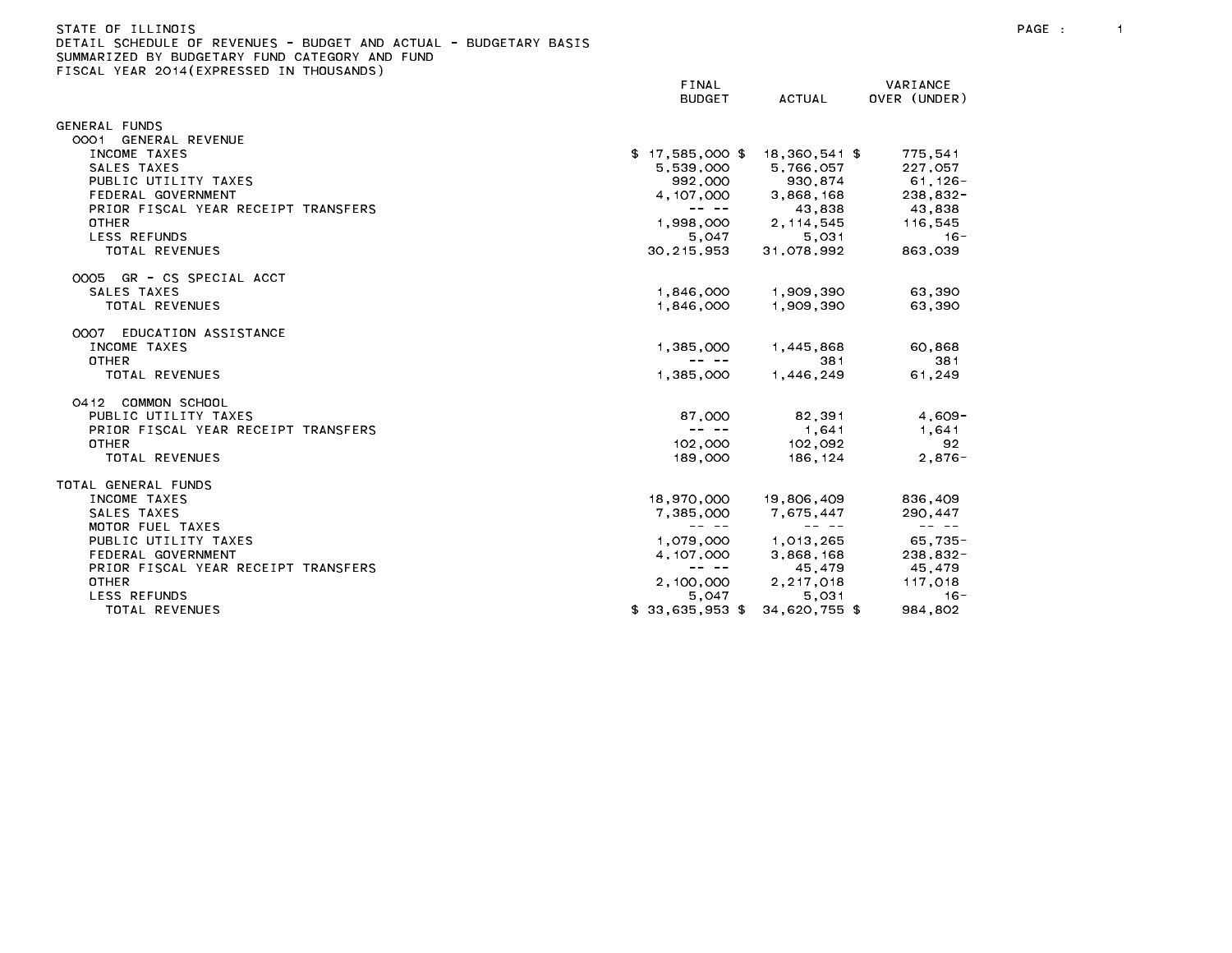### STATE OF ILLINOIS PAGE : 1 DETAIL SCHEDULE OF REVENUES - BUDGET AND ACTUAL - BUDGETARY BASIS

|                                     | FINAL<br><b>BUDGET</b>                                                                                                                                                                                                                                                                                                                                                                       | ACTUAL                                                                                                                                                                                                                                                                                                                                                                                       | VARIANCE<br>OVER (UNDER)          |
|-------------------------------------|----------------------------------------------------------------------------------------------------------------------------------------------------------------------------------------------------------------------------------------------------------------------------------------------------------------------------------------------------------------------------------------------|----------------------------------------------------------------------------------------------------------------------------------------------------------------------------------------------------------------------------------------------------------------------------------------------------------------------------------------------------------------------------------------------|-----------------------------------|
| <b>GENERAL FUNDS</b>                |                                                                                                                                                                                                                                                                                                                                                                                              |                                                                                                                                                                                                                                                                                                                                                                                              |                                   |
| 0001 GENERAL REVENUE                |                                                                                                                                                                                                                                                                                                                                                                                              |                                                                                                                                                                                                                                                                                                                                                                                              |                                   |
| INCOME TAXES                        | $$17,585,000$ \$ 18,360,541 \$                                                                                                                                                                                                                                                                                                                                                               |                                                                                                                                                                                                                                                                                                                                                                                              | 775,541                           |
| SALES TAXES                         | 5,539,000                                                                                                                                                                                                                                                                                                                                                                                    | 5,766,057                                                                                                                                                                                                                                                                                                                                                                                    |                                   |
| PUBLIC UTILITY TAXES                |                                                                                                                                                                                                                                                                                                                                                                                              |                                                                                                                                                                                                                                                                                                                                                                                              |                                   |
| FEDERAL GOVERNMENT                  |                                                                                                                                                                                                                                                                                                                                                                                              | 992,000 930,874<br>4,107,000 3,868,168<br>43,838 ----                                                                                                                                                                                                                                                                                                                                        | $-27,057$<br>61,126-<br>9 238.900 |
| PRIOR FISCAL YEAR RECEIPT TRANSFERS |                                                                                                                                                                                                                                                                                                                                                                                              |                                                                                                                                                                                                                                                                                                                                                                                              |                                   |
| <b>OTHER</b>                        |                                                                                                                                                                                                                                                                                                                                                                                              | $1,998,000$ 2, $114,545$                                                                                                                                                                                                                                                                                                                                                                     | 116,545                           |
| <b>LESS REFUNDS</b>                 | 5,047                                                                                                                                                                                                                                                                                                                                                                                        | 5,031                                                                                                                                                                                                                                                                                                                                                                                        | $16 -$                            |
| TOTAL REVENUES                      | 30,215,953                                                                                                                                                                                                                                                                                                                                                                                   | 31.078.992                                                                                                                                                                                                                                                                                                                                                                                   | 863,039                           |
| 0005 GR - CS SPECIAL ACCT           |                                                                                                                                                                                                                                                                                                                                                                                              |                                                                                                                                                                                                                                                                                                                                                                                              |                                   |
| SALES TAXES                         | 1.846.000                                                                                                                                                                                                                                                                                                                                                                                    | 1,909,390                                                                                                                                                                                                                                                                                                                                                                                    | 63.390                            |
| TOTAL REVENUES                      | 1.846.000                                                                                                                                                                                                                                                                                                                                                                                    | 1,909,390                                                                                                                                                                                                                                                                                                                                                                                    | 63.390                            |
| 0007 EDUCATION ASSISTANCE           |                                                                                                                                                                                                                                                                                                                                                                                              |                                                                                                                                                                                                                                                                                                                                                                                              |                                   |
| INCOME TAXES                        | 1,385,000                                                                                                                                                                                                                                                                                                                                                                                    | 1,445,868                                                                                                                                                                                                                                                                                                                                                                                    | 60,868                            |
| <b>OTHER</b>                        | $\frac{1}{2} \frac{1}{2} \frac{1}{2} \frac{1}{2} \frac{1}{2} \frac{1}{2} \frac{1}{2} \frac{1}{2} \frac{1}{2} \frac{1}{2} \frac{1}{2} \frac{1}{2} \frac{1}{2} \frac{1}{2} \frac{1}{2} \frac{1}{2} \frac{1}{2} \frac{1}{2} \frac{1}{2} \frac{1}{2} \frac{1}{2} \frac{1}{2} \frac{1}{2} \frac{1}{2} \frac{1}{2} \frac{1}{2} \frac{1}{2} \frac{1}{2} \frac{1}{2} \frac{1}{2} \frac{1}{2} \frac{$ | 381                                                                                                                                                                                                                                                                                                                                                                                          | 381                               |
| TOTAL REVENUES                      | 1.385.000                                                                                                                                                                                                                                                                                                                                                                                    | 1,446,249                                                                                                                                                                                                                                                                                                                                                                                    | 61,249                            |
|                                     |                                                                                                                                                                                                                                                                                                                                                                                              |                                                                                                                                                                                                                                                                                                                                                                                              |                                   |
| 0412 COMMON SCHOOL                  |                                                                                                                                                                                                                                                                                                                                                                                              |                                                                                                                                                                                                                                                                                                                                                                                              |                                   |
| PUBLIC UTILITY TAXES                |                                                                                                                                                                                                                                                                                                                                                                                              | 87,000 82,391 4,609                                                                                                                                                                                                                                                                                                                                                                          |                                   |
| PRIOR FISCAL YEAR RECEIPT TRANSFERS | $\mathbf{u} = \mathbf{u} \cdot \mathbf{u} + \mathbf{u} \cdot \mathbf{u}$                                                                                                                                                                                                                                                                                                                     |                                                                                                                                                                                                                                                                                                                                                                                              | 1.641 1.641                       |
| <b>OTHER</b>                        |                                                                                                                                                                                                                                                                                                                                                                                              | 102,000 102,092                                                                                                                                                                                                                                                                                                                                                                              | 92                                |
| TOTAL REVENUES                      | 189,000 189                                                                                                                                                                                                                                                                                                                                                                                  | 186,124                                                                                                                                                                                                                                                                                                                                                                                      | $2,876-$                          |
| TOTAL GENERAL FUNDS                 |                                                                                                                                                                                                                                                                                                                                                                                              |                                                                                                                                                                                                                                                                                                                                                                                              |                                   |
| INCOME TAXES                        | 18,970,000                                                                                                                                                                                                                                                                                                                                                                                   | 19,806,409                                                                                                                                                                                                                                                                                                                                                                                   | 836,409                           |
| SALES TAXES                         | 7,385,000                                                                                                                                                                                                                                                                                                                                                                                    | 7,675,447                                                                                                                                                                                                                                                                                                                                                                                    | 290, 447                          |
| MOTOR FUEL TAXES                    | $\frac{1}{2} \frac{1}{2} \frac{1}{2} \frac{1}{2} \frac{1}{2} \frac{1}{2} \frac{1}{2} \frac{1}{2} \frac{1}{2} \frac{1}{2} \frac{1}{2} \frac{1}{2} \frac{1}{2} \frac{1}{2} \frac{1}{2} \frac{1}{2} \frac{1}{2} \frac{1}{2} \frac{1}{2} \frac{1}{2} \frac{1}{2} \frac{1}{2} \frac{1}{2} \frac{1}{2} \frac{1}{2} \frac{1}{2} \frac{1}{2} \frac{1}{2} \frac{1}{2} \frac{1}{2} \frac{1}{2} \frac{$ | $\frac{1}{2} \frac{1}{2} \frac{1}{2} \frac{1}{2} \frac{1}{2} \frac{1}{2} \frac{1}{2} \frac{1}{2} \frac{1}{2} \frac{1}{2} \frac{1}{2} \frac{1}{2} \frac{1}{2} \frac{1}{2} \frac{1}{2} \frac{1}{2} \frac{1}{2} \frac{1}{2} \frac{1}{2} \frac{1}{2} \frac{1}{2} \frac{1}{2} \frac{1}{2} \frac{1}{2} \frac{1}{2} \frac{1}{2} \frac{1}{2} \frac{1}{2} \frac{1}{2} \frac{1}{2} \frac{1}{2} \frac{$ | المستناد المستناد                 |
| PUBLIC UTILITY TAXES                |                                                                                                                                                                                                                                                                                                                                                                                              | 1,079,000 1,013,265                                                                                                                                                                                                                                                                                                                                                                          | 65,735-                           |
| FEDERAL GOVERNMENT                  | 4, 107, 000                                                                                                                                                                                                                                                                                                                                                                                  | 3,868,168                                                                                                                                                                                                                                                                                                                                                                                    | $238,832-$                        |
| PRIOR FISCAL YEAR RECEIPT TRANSFERS | -- --                                                                                                                                                                                                                                                                                                                                                                                        |                                                                                                                                                                                                                                                                                                                                                                                              | 45.479 45.479                     |
| <b>OTHER</b>                        | 2,100,000                                                                                                                                                                                                                                                                                                                                                                                    | 2,217,018                                                                                                                                                                                                                                                                                                                                                                                    | 117,018                           |
| <b>LESS REFUNDS</b>                 | 5,047                                                                                                                                                                                                                                                                                                                                                                                        | 5,031                                                                                                                                                                                                                                                                                                                                                                                        | $16 -$                            |
| TOTAL REVENUES                      | $$33.635.953$ \$                                                                                                                                                                                                                                                                                                                                                                             | 34,620,755 \$                                                                                                                                                                                                                                                                                                                                                                                | 984.802                           |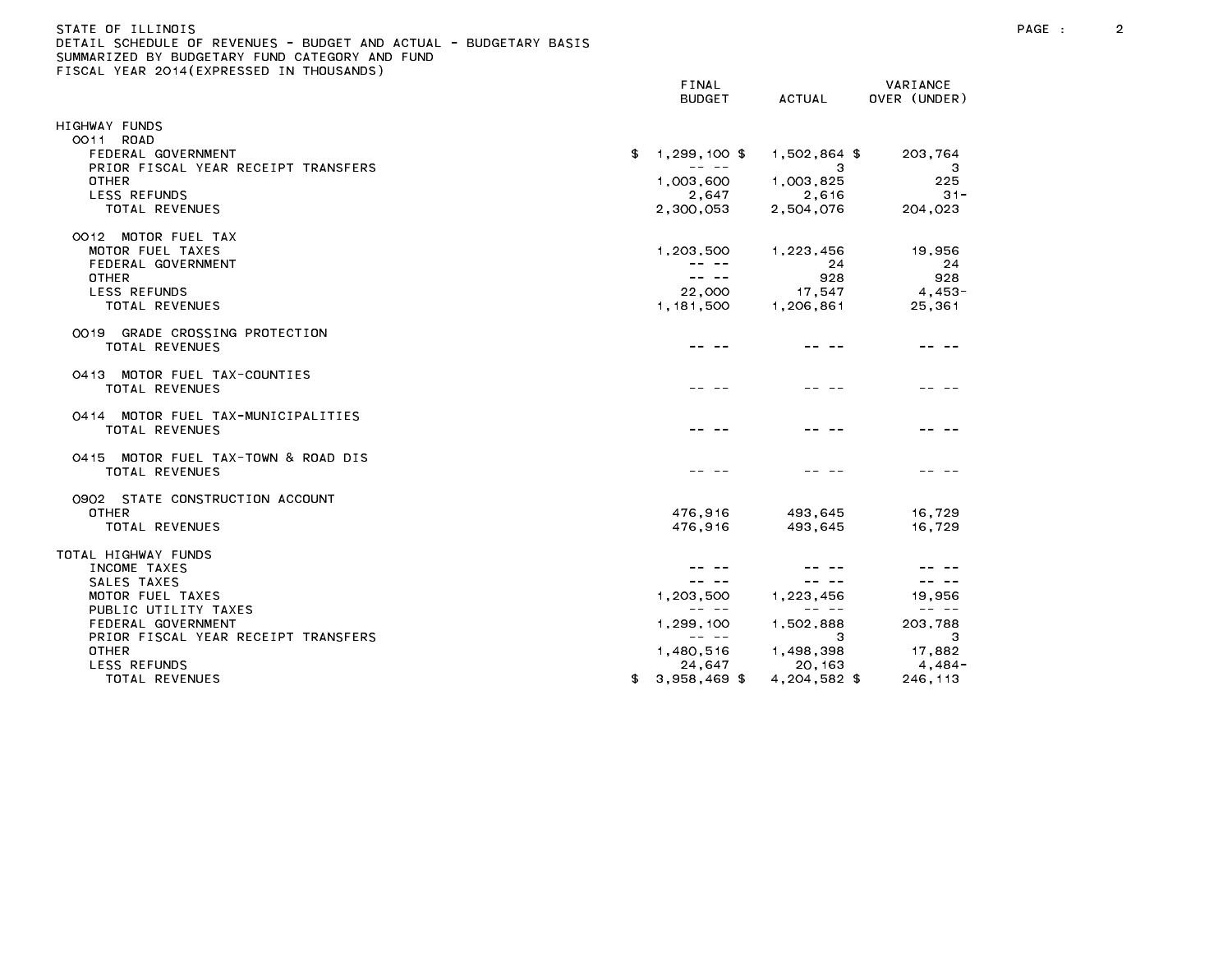## STATE OF ILLINOIS PAGE : 2 DETAIL SCHEDULE OF REVENUES - BUDGET AND ACTUAL - BUDGETARY BASIS

|                                                 | FINAL<br><b>BUDGET</b>                                                                                                                                                                                                                                                                                                                                                                       | ACTUAL                                                                                                                                                                                                                                                                                                                                                                                       | VARIANCE<br>OVER (UNDER)                                                                                                                                                                                                                                                                                                                                                                     |
|-------------------------------------------------|----------------------------------------------------------------------------------------------------------------------------------------------------------------------------------------------------------------------------------------------------------------------------------------------------------------------------------------------------------------------------------------------|----------------------------------------------------------------------------------------------------------------------------------------------------------------------------------------------------------------------------------------------------------------------------------------------------------------------------------------------------------------------------------------------|----------------------------------------------------------------------------------------------------------------------------------------------------------------------------------------------------------------------------------------------------------------------------------------------------------------------------------------------------------------------------------------------|
| HIGHWAY FUNDS                                   |                                                                                                                                                                                                                                                                                                                                                                                              |                                                                                                                                                                                                                                                                                                                                                                                              |                                                                                                                                                                                                                                                                                                                                                                                              |
| 0011 ROAD                                       |                                                                                                                                                                                                                                                                                                                                                                                              |                                                                                                                                                                                                                                                                                                                                                                                              |                                                                                                                                                                                                                                                                                                                                                                                              |
| FEDERAL GOVERNMENT                              | 1,299,100 \$<br>\$                                                                                                                                                                                                                                                                                                                                                                           | 1,502,864 \$                                                                                                                                                                                                                                                                                                                                                                                 | 203,764                                                                                                                                                                                                                                                                                                                                                                                      |
| PRIOR FISCAL YEAR RECEIPT TRANSFERS             | $\frac{1}{2} \frac{1}{2} \frac{1}{2} \frac{1}{2} \frac{1}{2} \frac{1}{2} \frac{1}{2} \frac{1}{2} \frac{1}{2} \frac{1}{2} \frac{1}{2} \frac{1}{2} \frac{1}{2} \frac{1}{2} \frac{1}{2} \frac{1}{2} \frac{1}{2} \frac{1}{2} \frac{1}{2} \frac{1}{2} \frac{1}{2} \frac{1}{2} \frac{1}{2} \frac{1}{2} \frac{1}{2} \frac{1}{2} \frac{1}{2} \frac{1}{2} \frac{1}{2} \frac{1}{2} \frac{1}{2} \frac{$ | 3                                                                                                                                                                                                                                                                                                                                                                                            | 3                                                                                                                                                                                                                                                                                                                                                                                            |
| <b>OTHER</b>                                    | 1,003,600                                                                                                                                                                                                                                                                                                                                                                                    | 1,003,825                                                                                                                                                                                                                                                                                                                                                                                    | 225                                                                                                                                                                                                                                                                                                                                                                                          |
| <b>LESS REFUNDS</b>                             | 2,647                                                                                                                                                                                                                                                                                                                                                                                        | 2,616                                                                                                                                                                                                                                                                                                                                                                                        | $31 -$                                                                                                                                                                                                                                                                                                                                                                                       |
| TOTAL REVENUES                                  | 2,300,053                                                                                                                                                                                                                                                                                                                                                                                    | 2,504,076                                                                                                                                                                                                                                                                                                                                                                                    | 204,023                                                                                                                                                                                                                                                                                                                                                                                      |
| 0012 MOTOR FUEL TAX                             |                                                                                                                                                                                                                                                                                                                                                                                              |                                                                                                                                                                                                                                                                                                                                                                                              |                                                                                                                                                                                                                                                                                                                                                                                              |
| MOTOR FUEL TAXES                                | 1,203,500                                                                                                                                                                                                                                                                                                                                                                                    | 1, 223, 456                                                                                                                                                                                                                                                                                                                                                                                  | 19,956                                                                                                                                                                                                                                                                                                                                                                                       |
| FEDERAL GOVERNMENT                              |                                                                                                                                                                                                                                                                                                                                                                                              | 24                                                                                                                                                                                                                                                                                                                                                                                           | 24                                                                                                                                                                                                                                                                                                                                                                                           |
| <b>OTHER</b>                                    | -- --                                                                                                                                                                                                                                                                                                                                                                                        | 928                                                                                                                                                                                                                                                                                                                                                                                          | 928                                                                                                                                                                                                                                                                                                                                                                                          |
| LESS REFUNDS                                    | 22,000                                                                                                                                                                                                                                                                                                                                                                                       | 17,547                                                                                                                                                                                                                                                                                                                                                                                       | 4,453-                                                                                                                                                                                                                                                                                                                                                                                       |
| TOTAL REVENUES                                  | 1, 181, 500                                                                                                                                                                                                                                                                                                                                                                                  | 1,206,861                                                                                                                                                                                                                                                                                                                                                                                    | 25,361                                                                                                                                                                                                                                                                                                                                                                                       |
| 0019 GRADE CROSSING PROTECTION                  |                                                                                                                                                                                                                                                                                                                                                                                              |                                                                                                                                                                                                                                                                                                                                                                                              |                                                                                                                                                                                                                                                                                                                                                                                              |
| TOTAL REVENUES                                  |                                                                                                                                                                                                                                                                                                                                                                                              |                                                                                                                                                                                                                                                                                                                                                                                              |                                                                                                                                                                                                                                                                                                                                                                                              |
| 0413 MOTOR FUEL TAX-COUNTIES                    |                                                                                                                                                                                                                                                                                                                                                                                              |                                                                                                                                                                                                                                                                                                                                                                                              |                                                                                                                                                                                                                                                                                                                                                                                              |
| <b>TOTAL REVENUES</b>                           |                                                                                                                                                                                                                                                                                                                                                                                              |                                                                                                                                                                                                                                                                                                                                                                                              |                                                                                                                                                                                                                                                                                                                                                                                              |
| 0414 MOTOR FUEL TAX-MUNICIPALITIES              |                                                                                                                                                                                                                                                                                                                                                                                              |                                                                                                                                                                                                                                                                                                                                                                                              |                                                                                                                                                                                                                                                                                                                                                                                              |
| <b>TOTAL REVENUES</b>                           |                                                                                                                                                                                                                                                                                                                                                                                              |                                                                                                                                                                                                                                                                                                                                                                                              |                                                                                                                                                                                                                                                                                                                                                                                              |
| 0415 MOTOR FUEL TAX-TOWN & ROAD DIS             |                                                                                                                                                                                                                                                                                                                                                                                              |                                                                                                                                                                                                                                                                                                                                                                                              |                                                                                                                                                                                                                                                                                                                                                                                              |
| <b>TOTAL REVENUES</b>                           |                                                                                                                                                                                                                                                                                                                                                                                              |                                                                                                                                                                                                                                                                                                                                                                                              |                                                                                                                                                                                                                                                                                                                                                                                              |
|                                                 |                                                                                                                                                                                                                                                                                                                                                                                              |                                                                                                                                                                                                                                                                                                                                                                                              |                                                                                                                                                                                                                                                                                                                                                                                              |
| 0902 STATE CONSTRUCTION ACCOUNT<br><b>OTHER</b> | 476,916                                                                                                                                                                                                                                                                                                                                                                                      | 493,645                                                                                                                                                                                                                                                                                                                                                                                      | 16,729                                                                                                                                                                                                                                                                                                                                                                                       |
| TOTAL REVENUES                                  | 476.916                                                                                                                                                                                                                                                                                                                                                                                      | 493.645                                                                                                                                                                                                                                                                                                                                                                                      | 16.729                                                                                                                                                                                                                                                                                                                                                                                       |
|                                                 |                                                                                                                                                                                                                                                                                                                                                                                              |                                                                                                                                                                                                                                                                                                                                                                                              |                                                                                                                                                                                                                                                                                                                                                                                              |
| TOTAL HIGHWAY FUNDS                             |                                                                                                                                                                                                                                                                                                                                                                                              |                                                                                                                                                                                                                                                                                                                                                                                              |                                                                                                                                                                                                                                                                                                                                                                                              |
| INCOME TAXES                                    |                                                                                                                                                                                                                                                                                                                                                                                              |                                                                                                                                                                                                                                                                                                                                                                                              |                                                                                                                                                                                                                                                                                                                                                                                              |
| SALES TAXES                                     | $\frac{1}{2} \frac{1}{2} \frac{1}{2} \frac{1}{2} \frac{1}{2} \frac{1}{2} \frac{1}{2} \frac{1}{2} \frac{1}{2} \frac{1}{2} \frac{1}{2} \frac{1}{2} \frac{1}{2} \frac{1}{2} \frac{1}{2} \frac{1}{2} \frac{1}{2} \frac{1}{2} \frac{1}{2} \frac{1}{2} \frac{1}{2} \frac{1}{2} \frac{1}{2} \frac{1}{2} \frac{1}{2} \frac{1}{2} \frac{1}{2} \frac{1}{2} \frac{1}{2} \frac{1}{2} \frac{1}{2} \frac{$ | $\frac{1}{2} \frac{1}{2} \frac{1}{2} \frac{1}{2} \frac{1}{2} \frac{1}{2} \frac{1}{2} \frac{1}{2} \frac{1}{2} \frac{1}{2} \frac{1}{2} \frac{1}{2} \frac{1}{2} \frac{1}{2} \frac{1}{2} \frac{1}{2} \frac{1}{2} \frac{1}{2} \frac{1}{2} \frac{1}{2} \frac{1}{2} \frac{1}{2} \frac{1}{2} \frac{1}{2} \frac{1}{2} \frac{1}{2} \frac{1}{2} \frac{1}{2} \frac{1}{2} \frac{1}{2} \frac{1}{2} \frac{$ | $\frac{1}{2} \frac{1}{2} \frac{1}{2} \frac{1}{2} \frac{1}{2} \frac{1}{2} \frac{1}{2} \frac{1}{2} \frac{1}{2} \frac{1}{2} \frac{1}{2} \frac{1}{2} \frac{1}{2} \frac{1}{2} \frac{1}{2} \frac{1}{2} \frac{1}{2} \frac{1}{2} \frac{1}{2} \frac{1}{2} \frac{1}{2} \frac{1}{2} \frac{1}{2} \frac{1}{2} \frac{1}{2} \frac{1}{2} \frac{1}{2} \frac{1}{2} \frac{1}{2} \frac{1}{2} \frac{1}{2} \frac{$ |
| MOTOR FUEL TAXES                                | 1,203,500                                                                                                                                                                                                                                                                                                                                                                                    | 1, 223, 456                                                                                                                                                                                                                                                                                                                                                                                  | 19,956                                                                                                                                                                                                                                                                                                                                                                                       |
| PUBLIC UTILITY TAXES                            | $\frac{1}{2} \frac{1}{2} \frac{1}{2} \frac{1}{2} \frac{1}{2} \frac{1}{2} \frac{1}{2} \frac{1}{2} \frac{1}{2} \frac{1}{2} \frac{1}{2} \frac{1}{2} \frac{1}{2} \frac{1}{2} \frac{1}{2} \frac{1}{2} \frac{1}{2} \frac{1}{2} \frac{1}{2} \frac{1}{2} \frac{1}{2} \frac{1}{2} \frac{1}{2} \frac{1}{2} \frac{1}{2} \frac{1}{2} \frac{1}{2} \frac{1}{2} \frac{1}{2} \frac{1}{2} \frac{1}{2} \frac{$ | $\frac{1}{2} \frac{1}{2} \frac{1}{2} \frac{1}{2} \frac{1}{2} \frac{1}{2} \frac{1}{2} \frac{1}{2} \frac{1}{2} \frac{1}{2} \frac{1}{2} \frac{1}{2} \frac{1}{2} \frac{1}{2} \frac{1}{2} \frac{1}{2} \frac{1}{2} \frac{1}{2} \frac{1}{2} \frac{1}{2} \frac{1}{2} \frac{1}{2} \frac{1}{2} \frac{1}{2} \frac{1}{2} \frac{1}{2} \frac{1}{2} \frac{1}{2} \frac{1}{2} \frac{1}{2} \frac{1}{2} \frac{$ | $\frac{1}{2} \frac{1}{2} \frac{1}{2} \frac{1}{2} \frac{1}{2} \frac{1}{2} \frac{1}{2} \frac{1}{2} \frac{1}{2} \frac{1}{2} \frac{1}{2} \frac{1}{2} \frac{1}{2} \frac{1}{2} \frac{1}{2} \frac{1}{2} \frac{1}{2} \frac{1}{2} \frac{1}{2} \frac{1}{2} \frac{1}{2} \frac{1}{2} \frac{1}{2} \frac{1}{2} \frac{1}{2} \frac{1}{2} \frac{1}{2} \frac{1}{2} \frac{1}{2} \frac{1}{2} \frac{1}{2} \frac{$ |
| FEDERAL GOVERNMENT                              | 1,299,100                                                                                                                                                                                                                                                                                                                                                                                    | 1,502,888                                                                                                                                                                                                                                                                                                                                                                                    | 203,788                                                                                                                                                                                                                                                                                                                                                                                      |
| PRIOR FISCAL YEAR RECEIPT TRANSFERS             | $\frac{1}{2} \frac{1}{2} \frac{1}{2} \frac{1}{2} \frac{1}{2} \frac{1}{2} \frac{1}{2} \frac{1}{2} \frac{1}{2} \frac{1}{2} \frac{1}{2} \frac{1}{2} \frac{1}{2} \frac{1}{2} \frac{1}{2} \frac{1}{2} \frac{1}{2} \frac{1}{2} \frac{1}{2} \frac{1}{2} \frac{1}{2} \frac{1}{2} \frac{1}{2} \frac{1}{2} \frac{1}{2} \frac{1}{2} \frac{1}{2} \frac{1}{2} \frac{1}{2} \frac{1}{2} \frac{1}{2} \frac{$ | з                                                                                                                                                                                                                                                                                                                                                                                            | 3                                                                                                                                                                                                                                                                                                                                                                                            |
| <b>OTHER</b>                                    | 1,480,516                                                                                                                                                                                                                                                                                                                                                                                    | 1,498,398                                                                                                                                                                                                                                                                                                                                                                                    | 17,882                                                                                                                                                                                                                                                                                                                                                                                       |
| <b>LESS REFUNDS</b>                             | 24,647                                                                                                                                                                                                                                                                                                                                                                                       | 20, 163                                                                                                                                                                                                                                                                                                                                                                                      | 4,484-                                                                                                                                                                                                                                                                                                                                                                                       |
| TOTAL REVENUES                                  | 3,958,469 \$<br>\$                                                                                                                                                                                                                                                                                                                                                                           | 4,204,582 \$                                                                                                                                                                                                                                                                                                                                                                                 | 246, 113                                                                                                                                                                                                                                                                                                                                                                                     |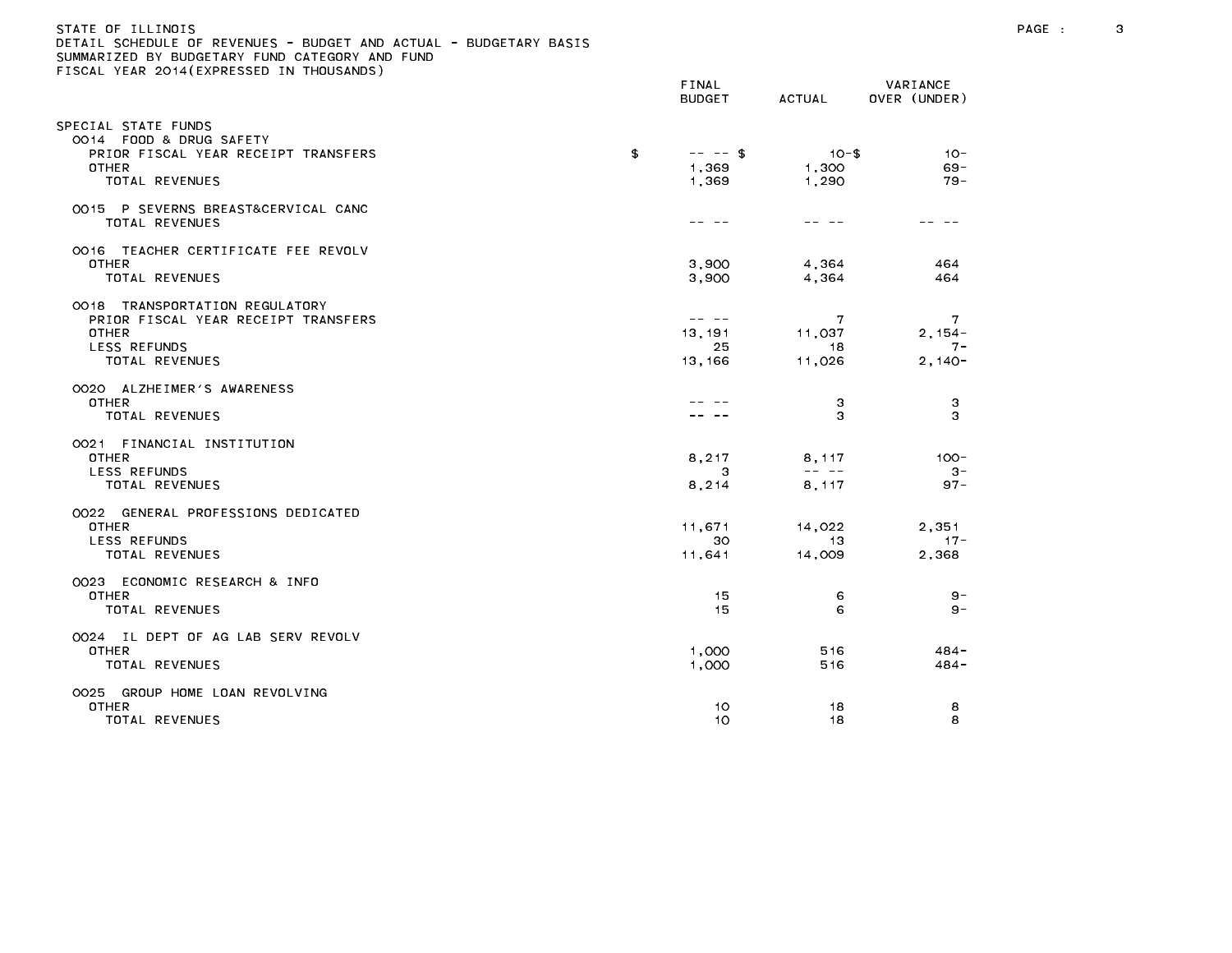### STATE OF ILLINOIS PAGE : 3 DETAIL SCHEDULE OF REVENUES - BUDGET AND ACTUAL - BUDGETARY BASIS

| TEAN EVIT (EAT NESSED IN THOUSANDS)                                                                                     | FINAL<br><b>BUDGET</b>             | ACTUAL                                                                                                                                                                                                                                                                                                                                                                                                          | VARIANCE<br>OVER (UNDER)             |
|-------------------------------------------------------------------------------------------------------------------------|------------------------------------|-----------------------------------------------------------------------------------------------------------------------------------------------------------------------------------------------------------------------------------------------------------------------------------------------------------------------------------------------------------------------------------------------------------------|--------------------------------------|
| SPECIAL STATE FUNDS<br>OO14 FOOD & DRUG SAFETY<br>PRIOR FISCAL YEAR RECEIPT TRANSFERS<br>OTHER<br>TOTAL REVENUES        | £<br>$-- - -$ \$<br>1,369<br>1,369 | $10 - $$<br>1,300<br>1,290                                                                                                                                                                                                                                                                                                                                                                                      | $10 -$<br>$69 -$<br>$79 -$           |
| OO15 P SEVERNS BREAST&CERVICAL CANC<br>TOTAL REVENUES                                                                   | ---                                | -- --                                                                                                                                                                                                                                                                                                                                                                                                           |                                      |
| 0016 TEACHER CERTIFICATE FEE REVOLV<br><b>OTHER</b><br>TOTAL REVENUES                                                   | 3,900<br>3.900                     | 4,364<br>4.364                                                                                                                                                                                                                                                                                                                                                                                                  | 464<br>464                           |
| 0018 TRANSPORTATION REGULATORY<br>PRIOR FISCAL YEAR RECEIPT TRANSFERS<br>OTHER<br><b>LESS REFUNDS</b><br>TOTAL REVENUES | 13,191<br>25<br>13, 166            | 7<br>11,037<br>18<br>11,026                                                                                                                                                                                                                                                                                                                                                                                     | 7<br>$2, 154 -$<br>$7 -$<br>$2,140-$ |
| 0020 ALZHEIMER'S AWARENESS<br><b>OTHER</b><br>TOTAL REVENUES                                                            |                                    | з<br>3                                                                                                                                                                                                                                                                                                                                                                                                          | 3<br>3                               |
| 0021 FINANCIAL INSTITUTION<br><b>OTHER</b><br>LESS REFUNDS<br>TOTAL REVENUES                                            | 8,217<br>3<br>8,214                | 8,117<br>$\frac{1}{2} \frac{1}{2} \frac{1}{2} \frac{1}{2} \frac{1}{2} \frac{1}{2} \frac{1}{2} \frac{1}{2} \frac{1}{2} \frac{1}{2} \frac{1}{2} \frac{1}{2} \frac{1}{2} \frac{1}{2} \frac{1}{2} \frac{1}{2} \frac{1}{2} \frac{1}{2} \frac{1}{2} \frac{1}{2} \frac{1}{2} \frac{1}{2} \frac{1}{2} \frac{1}{2} \frac{1}{2} \frac{1}{2} \frac{1}{2} \frac{1}{2} \frac{1}{2} \frac{1}{2} \frac{1}{2} \frac{$<br>8, 117 | $100 -$<br>$3-$<br>$97 -$            |
| 0022 GENERAL PROFESSIONS DEDICATED<br><b>OTHER</b><br>LESS REFUNDS<br>TOTAL REVENUES                                    | 11,671<br>30<br>11,641             | 14,022<br>13.<br>14,009                                                                                                                                                                                                                                                                                                                                                                                         | 2,351<br>$17 -$<br>2,368             |
| 0023 ECONOMIC RESEARCH & INFO<br><b>OTHER</b><br>TOTAL REVENUES                                                         | 15<br>15                           | 6<br>6                                                                                                                                                                                                                                                                                                                                                                                                          | 9 -<br>$9 -$                         |
| 0024 IL DEPT OF AG LAB SERV REVOLV<br><b>OTHER</b><br>TOTAL REVENUES                                                    | 1,000<br>1,000                     | 516<br>516                                                                                                                                                                                                                                                                                                                                                                                                      | $484 -$<br>$484 -$                   |
| 0025 GROUP HOME LOAN REVOLVING<br>OTHER<br>TOTAL REVENUES                                                               | 10.<br>10                          | 18<br>18                                                                                                                                                                                                                                                                                                                                                                                                        | 8<br>8                               |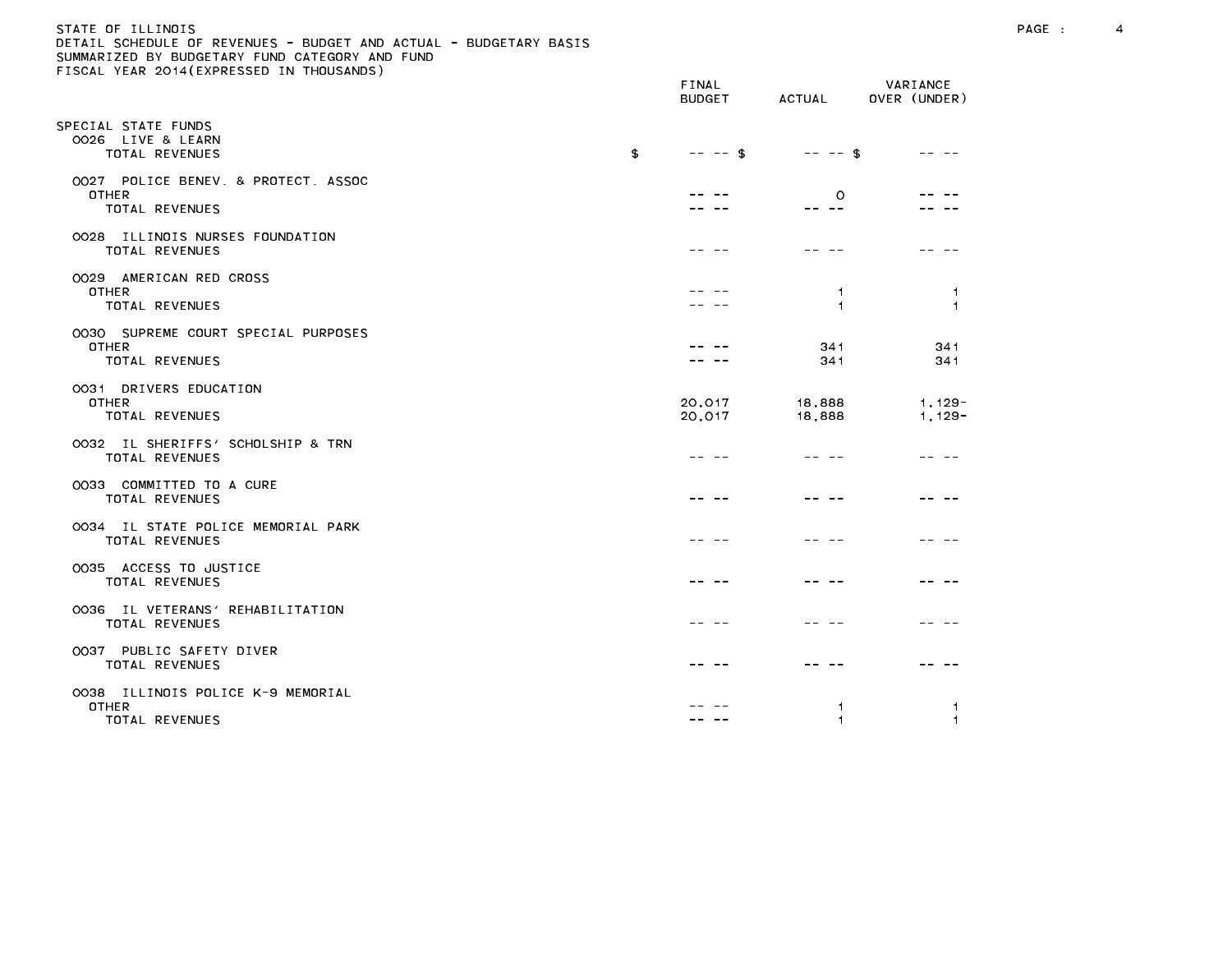## STATE OF ILLINOIS PAGE : 4 DETAIL SCHEDULE OF REVENUES - BUDGET AND ACTUAL - BUDGETARY BASIS

|                                                                              | FINAL<br><b>BUDGET</b> | ACTUAL             | VARIANCE<br>OVER (UNDER)               |
|------------------------------------------------------------------------------|------------------------|--------------------|----------------------------------------|
| SPECIAL STATE FUNDS<br>OO26 LIVE & LEARN<br>TOTAL REVENUES                   | £<br>$-- - -$ \$       | $-- - -$ \$        |                                        |
| 0027 POLICE BENEV, & PROTECT, ASSOC<br><b>OTHER</b><br>TOTAL REVENUES        |                        | $\circ$<br>-- --   |                                        |
| OO28 ILLINOIS NURSES FOUNDATION<br>TOTAL REVENUES                            |                        |                    |                                        |
| 0029 AMERICAN RED CROSS<br>OTHER<br>TOTAL REVENUES                           |                        | -1<br>$\mathbf{1}$ | $\overline{1}$<br>$\blacktriangleleft$ |
| 0030 SUPREME COURT SPECIAL PURPOSES<br><b>OTHER</b><br><b>TOTAL REVENUES</b> |                        | 341<br>341         | 341<br>341                             |
| 0031 DRIVERS EDUCATION<br>OTHER<br>TOTAL REVENUES                            | 20,017<br>20,017       | 18,888<br>18,888   | $1,129-$<br>$1, 129 -$                 |
| 0032 IL SHERIFFS' SCHOLSHIP & TRN<br><b>TOTAL REVENUES</b>                   |                        |                    |                                        |
| OO33 COMMITTED TO A CURE<br>TOTAL REVENUES                                   |                        |                    |                                        |
| 0034 IL STATE POLICE MEMORIAL PARK<br>TOTAL REVENUES                         |                        |                    |                                        |
| 0035 ACCESS TO JUSTICE<br><b>TOTAL REVENUES</b>                              |                        |                    |                                        |
| 0036 IL VETERANS' REHABILITATION<br>TOTAL REVENUES                           |                        |                    |                                        |
| 0037 PUBLIC SAFETY DIVER<br>TOTAL REVENUES                                   |                        |                    |                                        |
| OO38 ILLINOIS POLICE K-9 MEMORIAL<br><b>OTHER</b><br>TOTAL REVENUES          |                        | 1<br>1             | -1<br>$\overline{1}$                   |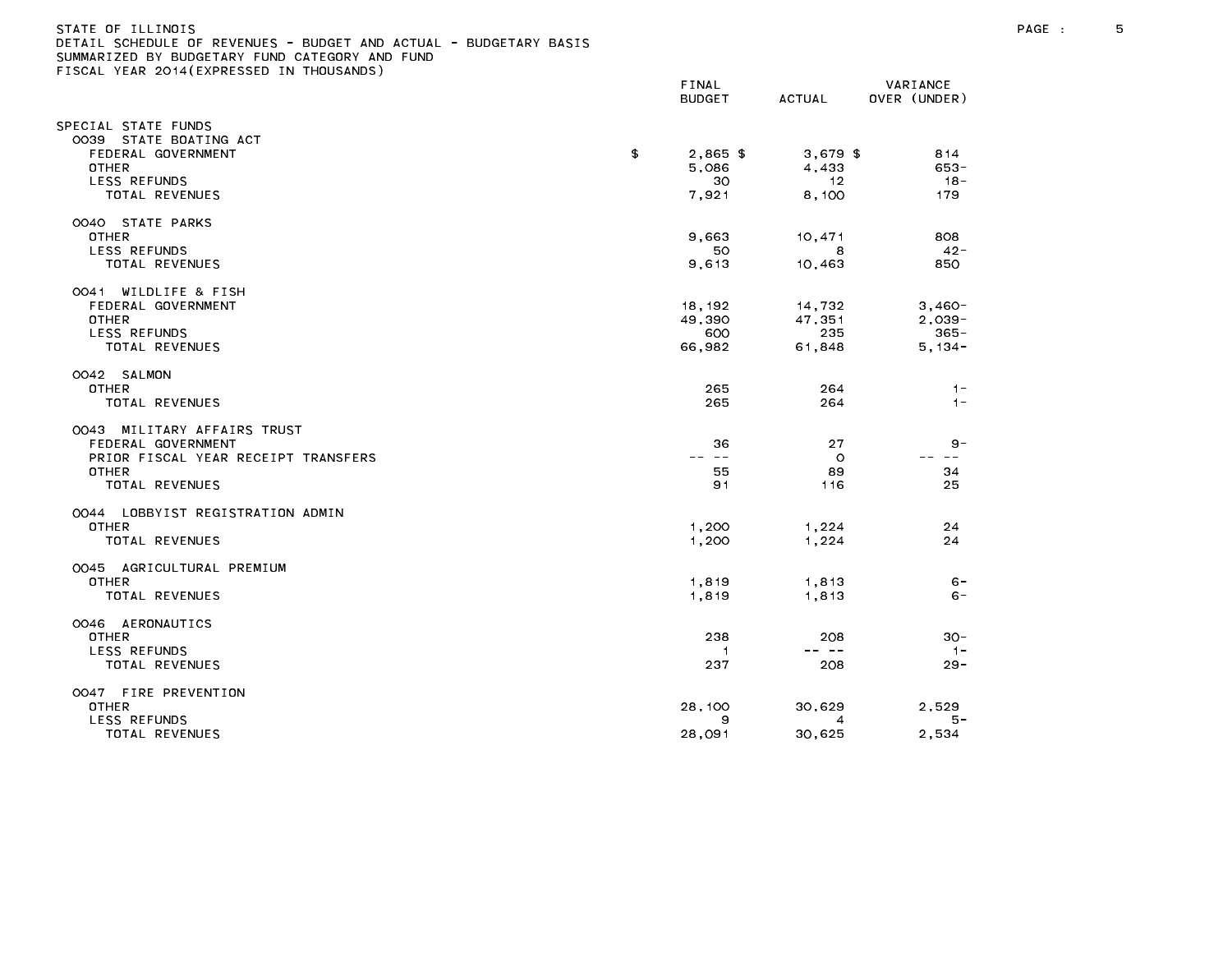#### STATE OF ILLINOIS PAGE : 5 DETAIL SCHEDULE OF REVENUES - BUDGET AND ACTUAL - BUDGETARY BASIS

| LIGGAL TEAR EGTT(EATRESSED IN THOOSANDS)          | FINAL<br><b>BUDGET</b> | ACTUAL        | VARIANCE<br>OVER (UNDER) |
|---------------------------------------------------|------------------------|---------------|--------------------------|
| SPECIAL STATE FUNDS<br>0039 STATE BOATING ACT     |                        |               |                          |
| FEDERAL GOVERNMENT                                | \$<br>$2.865$ \$       | $3.679$ \$    | 814                      |
| OTHER                                             | 5,086                  | 4,433         | $653 -$                  |
| LESS REFUNDS                                      | 30                     | 12            | $18 -$                   |
| TOTAL REVENUES                                    | 7,921                  | 8,100         | 179                      |
| 0040 STATE PARKS                                  |                        |               |                          |
| <b>OTHER</b>                                      | 9,663                  | 10,471        | 808                      |
| LESS REFUNDS                                      | 50                     | 8             | $42 -$                   |
| TOTAL REVENUES                                    | 9,613                  | 10,463        | 850                      |
| WILDLIFE & FISH<br>0041                           |                        |               |                          |
| FEDERAL GOVERNMENT                                | 18, 192                | 14,732        | $3,460-$                 |
| <b>OTHER</b><br>LESS REFUNDS                      | 49,390<br>600          | 47,351<br>235 | $2,039-$<br>$365 -$      |
| TOTAL REVENUES                                    | 66,982                 | 61,848        | $5,134-$                 |
|                                                   |                        |               |                          |
| 0042 SALMON<br><b>OTHER</b>                       | 265                    | 264           | $1 -$                    |
| TOTAL REVENUES                                    | 265                    | 264           | $1 -$                    |
|                                                   |                        |               |                          |
| 0043 MILITARY AFFAIRS TRUST<br>FEDERAL GOVERNMENT | 36                     | 27            | $9 -$                    |
| PRIOR FISCAL YEAR RECEIPT TRANSFERS               | -- --                  | $\circ$       | $\sim$ $-$               |
| <b>OTHER</b>                                      | 55                     | 89            | 34                       |
| TOTAL REVENUES                                    | 91                     | 116           | 25                       |
| 0044 LOBBYIST REGISTRATION ADMIN                  |                        |               |                          |
| <b>OTHER</b>                                      | 1,200                  | 1,224         | 24                       |
| TOTAL REVENUES                                    | 1,200                  | 1,224         | 24                       |
| 0045 AGRICULTURAL PREMIUM                         |                        |               |                          |
| <b>OTHER</b>                                      | 1,819                  | 1,813         | $6 -$                    |
| TOTAL REVENUES                                    | 1,819                  | 1,813         | $6 -$                    |
| 0046 AERONAUTICS                                  |                        |               |                          |
| <b>OTHER</b>                                      | 238                    | 208           | $30 -$                   |
| LESS REFUNDS<br><b>TOTAL REVENUES</b>             | 1<br>237               | -- --<br>208  | $1 -$<br>$29 -$          |
|                                                   |                        |               |                          |
| 0047 FIRE PREVENTION<br><b>OTHER</b>              | 28,100                 | 30,629        | 2,529                    |
| LESS REFUNDS                                      | 9                      | 4             | 5 –                      |
| TOTAL REVENUES                                    | 28,091                 | 30,625        | 2,534                    |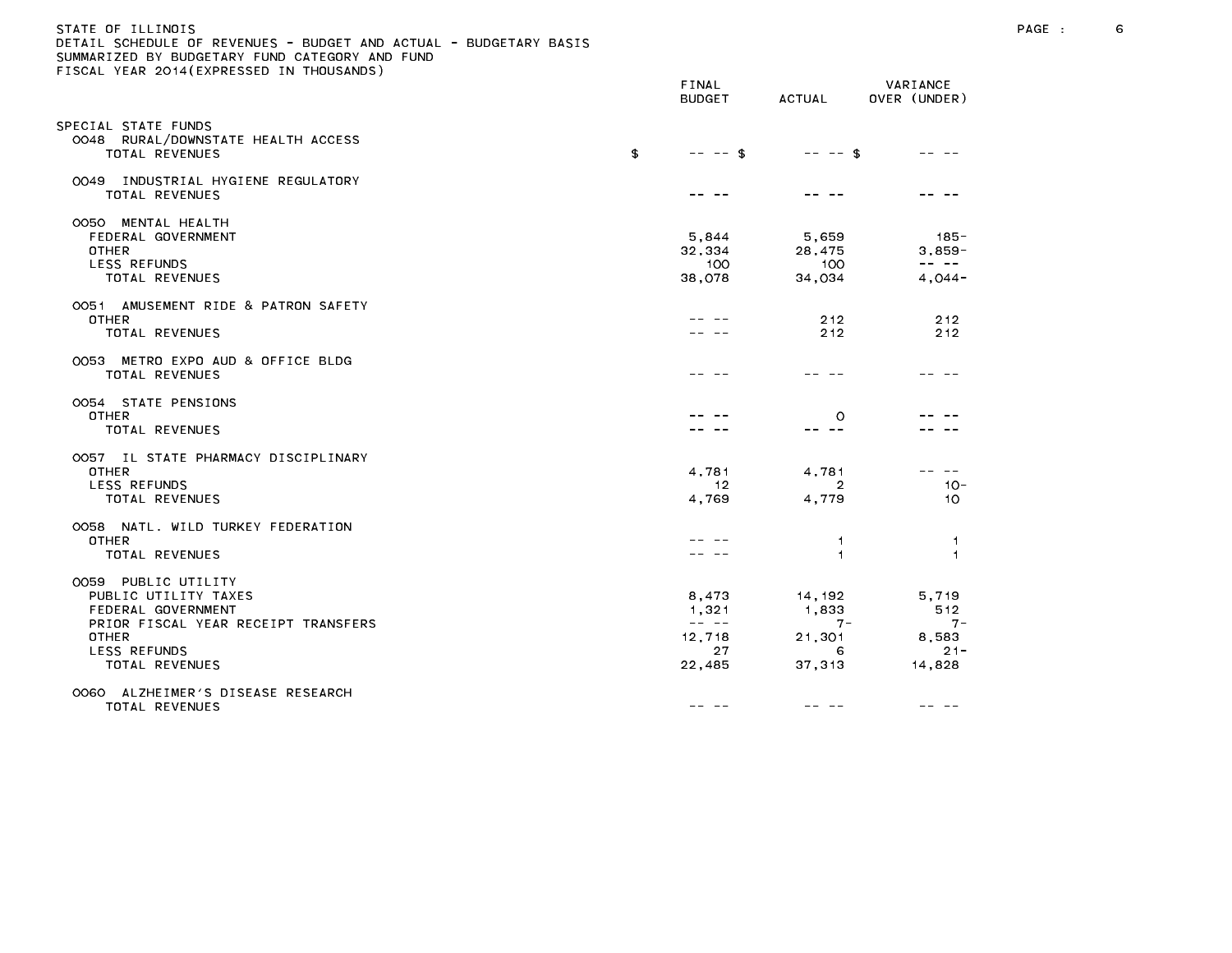#### STATE OF ILLINOIS PAGE : 6 DETAIL SCHEDULE OF REVENUES - BUDGET AND ACTUAL - BUDGETARY BASIS

|                                                                                                                                                                   | FINAL<br><b>BUDGET</b>                                                                                                                                                                                                                                                                                                                                                                                                         | ACTUAL                                  | VARIANCE<br>OVER (UNDER)                                                                                                                                                                                                                                                                                                                                                                                                      |
|-------------------------------------------------------------------------------------------------------------------------------------------------------------------|--------------------------------------------------------------------------------------------------------------------------------------------------------------------------------------------------------------------------------------------------------------------------------------------------------------------------------------------------------------------------------------------------------------------------------|-----------------------------------------|-------------------------------------------------------------------------------------------------------------------------------------------------------------------------------------------------------------------------------------------------------------------------------------------------------------------------------------------------------------------------------------------------------------------------------|
| SPECIAL STATE FUNDS<br>0048 RURAL/DOWNSTATE HEALTH ACCESS<br>TOTAL REVENUES                                                                                       | \$<br>$-- - -$ \$                                                                                                                                                                                                                                                                                                                                                                                                              | $-- - -$ \$                             |                                                                                                                                                                                                                                                                                                                                                                                                                               |
| 0049 INDUSTRIAL HYGIENE REGULATORY<br>TOTAL REVENUES                                                                                                              |                                                                                                                                                                                                                                                                                                                                                                                                                                |                                         |                                                                                                                                                                                                                                                                                                                                                                                                                               |
| OO5O MENTAL HEALTH<br>FEDERAL GOVERNMENT<br><b>OTHER</b><br><b>LESS REFUNDS</b><br>TOTAL REVENUES                                                                 | 5,844<br>32,334<br>100<br>38,078                                                                                                                                                                                                                                                                                                                                                                                               | 5,659<br>28,475<br>100<br>34,034        | - 185<br>$3,859-$<br>$\frac{1}{2} \frac{1}{2} \frac{1}{2} \frac{1}{2} \frac{1}{2} \frac{1}{2} \frac{1}{2} \frac{1}{2} \frac{1}{2} \frac{1}{2} \frac{1}{2} \frac{1}{2} \frac{1}{2} \frac{1}{2} \frac{1}{2} \frac{1}{2} \frac{1}{2} \frac{1}{2} \frac{1}{2} \frac{1}{2} \frac{1}{2} \frac{1}{2} \frac{1}{2} \frac{1}{2} \frac{1}{2} \frac{1}{2} \frac{1}{2} \frac{1}{2} \frac{1}{2} \frac{1}{2} \frac{1}{2} \frac{$<br>$4,044-$ |
| 0051 AMUSEMENT RIDE & PATRON SAFETY<br>OTHER<br>TOTAL REVENUES                                                                                                    |                                                                                                                                                                                                                                                                                                                                                                                                                                | 2 1 2<br>212                            | 212<br>212                                                                                                                                                                                                                                                                                                                                                                                                                    |
| 0053 METRO EXPO AUD & OFFICE BLDG<br>TOTAL REVENUES                                                                                                               |                                                                                                                                                                                                                                                                                                                                                                                                                                |                                         |                                                                                                                                                                                                                                                                                                                                                                                                                               |
| 0054 STATE PENSIONS<br>OTHER<br>TOTAL REVENUES                                                                                                                    |                                                                                                                                                                                                                                                                                                                                                                                                                                | $\circ$<br>-- --                        |                                                                                                                                                                                                                                                                                                                                                                                                                               |
| OO57 IL STATE PHARMACY DISCIPLINARY<br><b>OTHER</b><br>LESS REFUNDS<br><b>TOTAL REVENUES</b>                                                                      | 4.781<br>-12<br>4,769                                                                                                                                                                                                                                                                                                                                                                                                          | 4.781<br>$\overline{2}$<br>4,779        | $10 -$<br>10                                                                                                                                                                                                                                                                                                                                                                                                                  |
| 0058 NATL. WILD TURKEY FEDERATION<br><b>OTHER</b><br><b>TOTAL REVENUES</b>                                                                                        |                                                                                                                                                                                                                                                                                                                                                                                                                                | -1<br>$\blacktriangleleft$              | 1.<br>$\overline{1}$                                                                                                                                                                                                                                                                                                                                                                                                          |
| 0059 PUBLIC UTILITY<br>PUBLIC UTILITY TAXES<br>FEDERAL GOVERNMENT<br>PRIOR FISCAL YEAR RECEIPT TRANSFERS<br><b>OTHER</b><br><b>LESS REFUNDS</b><br>TOTAL REVENUES | 8,473<br>1,321<br>$\frac{1}{2} \frac{1}{2} \frac{1}{2} \frac{1}{2} \frac{1}{2} \frac{1}{2} \frac{1}{2} \frac{1}{2} \frac{1}{2} \frac{1}{2} \frac{1}{2} \frac{1}{2} \frac{1}{2} \frac{1}{2} \frac{1}{2} \frac{1}{2} \frac{1}{2} \frac{1}{2} \frac{1}{2} \frac{1}{2} \frac{1}{2} \frac{1}{2} \frac{1}{2} \frac{1}{2} \frac{1}{2} \frac{1}{2} \frac{1}{2} \frac{1}{2} \frac{1}{2} \frac{1}{2} \frac{1}{2} \frac{$<br>12,718<br>27 | 14,192<br>1,833<br>$7 -$<br>21,301<br>6 | 5,719<br>512<br>$7 -$<br>8,583<br>$21 -$                                                                                                                                                                                                                                                                                                                                                                                      |
| OO6O ALZHEIMER'S DISEASE RESEARCH<br><b>TOTAL REVENUES</b>                                                                                                        | 22,485<br>-- -                                                                                                                                                                                                                                                                                                                                                                                                                 | 37, 313                                 | 14,828<br>-- --                                                                                                                                                                                                                                                                                                                                                                                                               |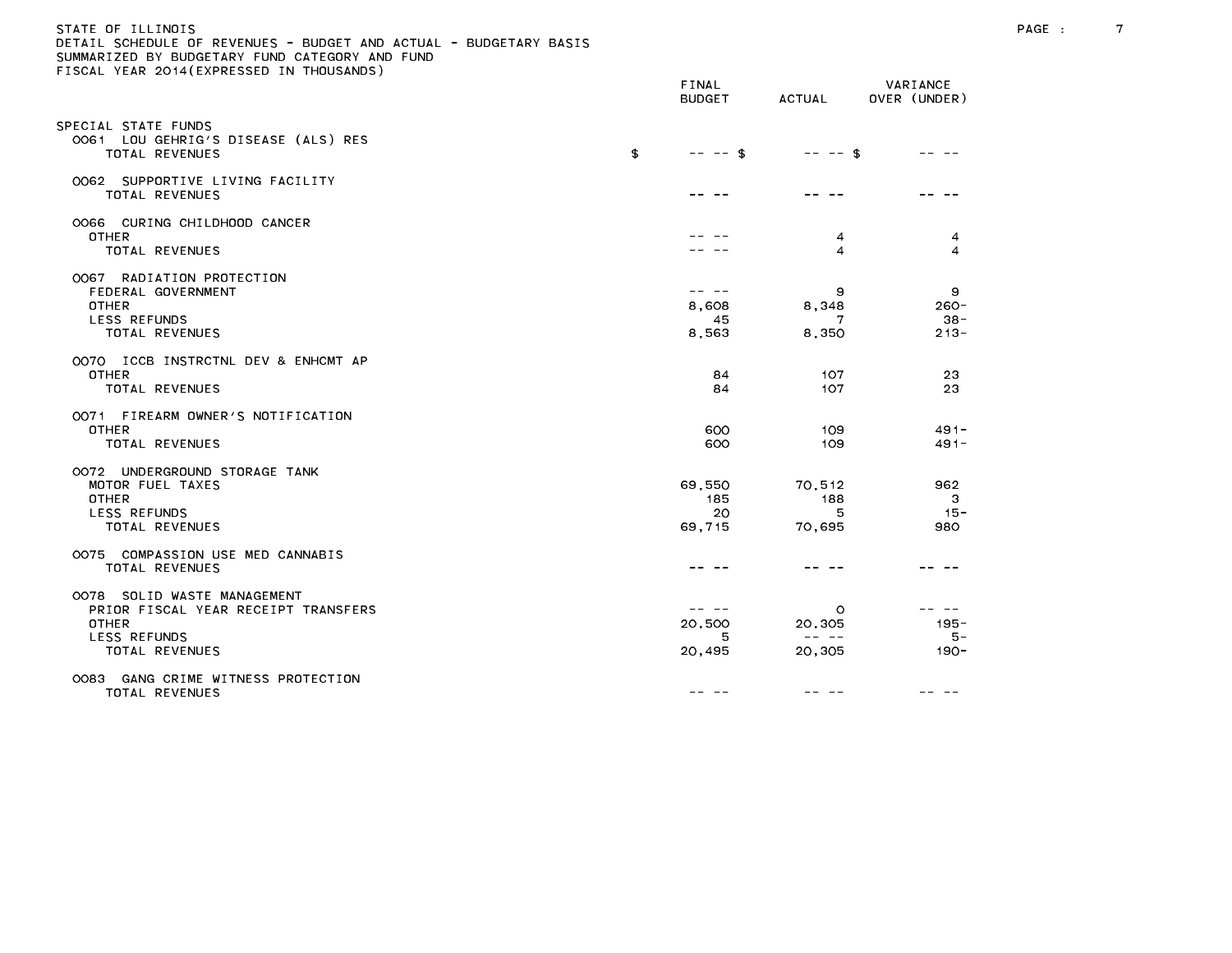# STATE OF ILLINOIS PAGE : 7 DETAIL SCHEDULE OF REVENUES - BUDGET AND ACTUAL - BUDGETARY BASIS

| LIGGAL TEAR EGTT(EATRESSED IN THOOSANDS)                                                                                    | FINAL<br><b>BUDGET</b>         | ACTUAL                                                | VARIANCE<br>OVER (UNDER)          |
|-----------------------------------------------------------------------------------------------------------------------------|--------------------------------|-------------------------------------------------------|-----------------------------------|
| SPECIAL STATE FUNDS<br>0061 LOU GEHRIG'S DISEASE (ALS) RES<br>TOTAL REVENUES                                                | \$<br>$-- -5$                  | $-- -$ \$                                             |                                   |
| OO62 SUPPORTIVE LIVING FACILITY<br>TOTAL REVENUES                                                                           |                                |                                                       |                                   |
| 0066 CURING CHILDHOOD CANCER<br><b>OTHER</b><br>TOTAL REVENUES                                                              |                                | 4<br>$\overline{4}$                                   | 4<br>$\boldsymbol{\Delta}$        |
| OO67 RADIATION PROTECTION<br>FEDERAL GOVERNMENT<br><b>OTHER</b><br>LESS REFUNDS<br>TOTAL REVENUES                           | -- --<br>8,608<br>45<br>8,563  | 9<br>8,348<br>7<br>8,350                              | 9<br>$260 -$<br>$38 -$<br>$213 -$ |
| 0070 ICCB INSTRCTNL DEV & ENHCMT AP<br><b>OTHER</b><br>TOTAL REVENUES                                                       | 84<br>84                       | 107<br>107                                            | 23<br>23                          |
| 0071 FIREARM OWNER'S NOTIFICATION<br><b>OTHER</b><br>TOTAL REVENUES                                                         | 600<br>600                     | 109<br>109                                            | $491 -$<br>$491 -$                |
| 0072 UNDERGROUND STORAGE TANK<br>MOTOR FUEL TAXES<br><b>OTHER</b><br>LESS REFUNDS<br>TOTAL REVENUES                         | 69,550<br>185<br>20<br>69,715  | 70,512<br>188<br>5<br>70,695                          | 962<br>3<br>$15 -$<br>980         |
| 0075 COMPASSION USE MED CANNABIS<br><b>TOTAL REVENUES</b>                                                                   |                                |                                                       |                                   |
| OO78 SOLID WASTE MANAGEMENT<br>PRIOR FISCAL YEAR RECEIPT TRANSFERS<br><b>OTHER</b><br>LESS REFUNDS<br><b>TOTAL REVENUES</b> | -- --<br>20,500<br>5<br>20,495 | $\circ$<br>20,305<br>$\cdots \cdots \cdots$<br>20,305 | $195 -$<br>5 –<br>$190 -$         |
| 0083 GANG CRIME WITNESS PROTECTION<br>TOTAL REVENUES                                                                        | -- -                           |                                                       |                                   |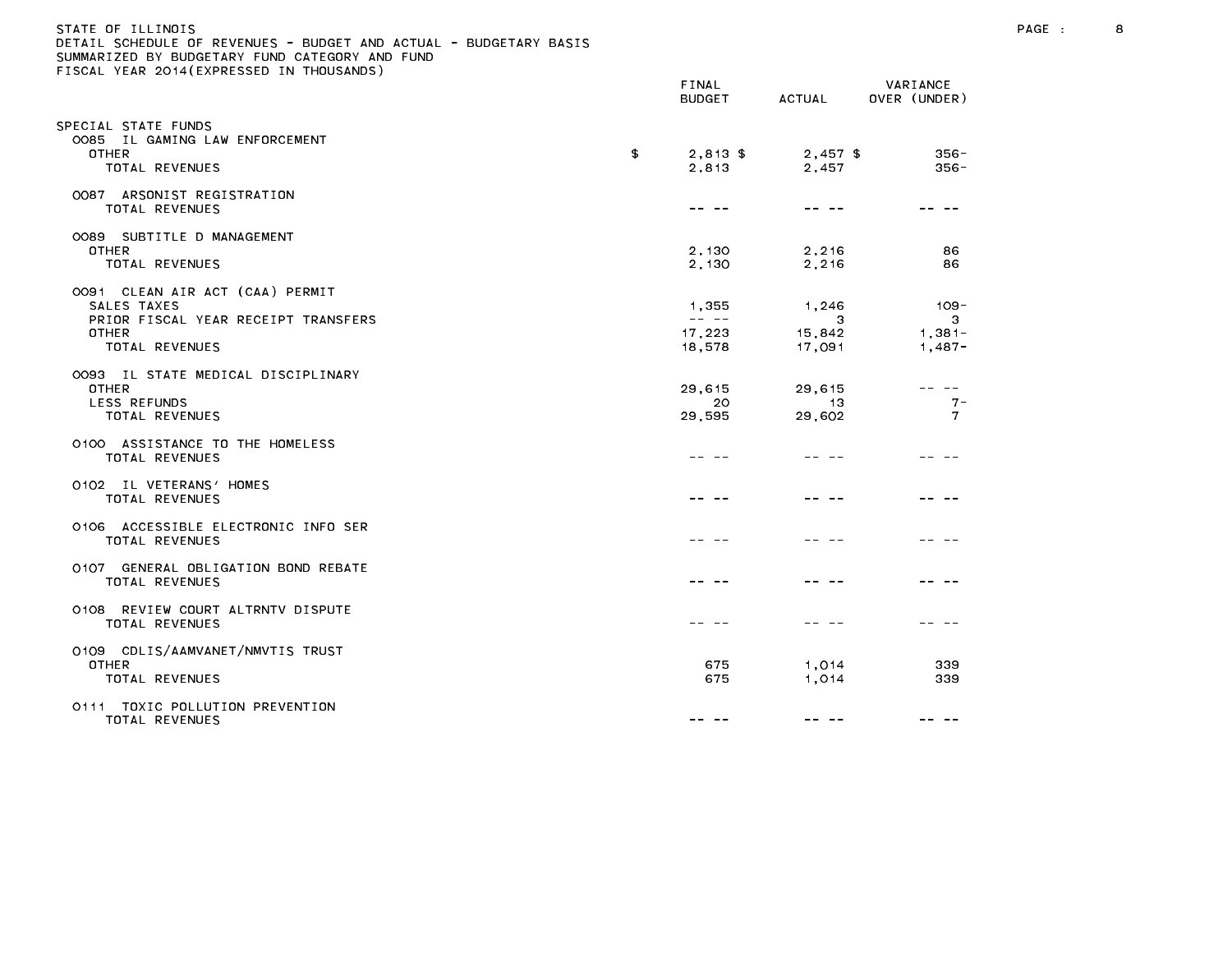| STATE OF ILLINOIS                                                 |  |
|-------------------------------------------------------------------|--|
| DETAIL SCHEDULE OF REVENUES - BUDGET AND ACTUAL - BUDGETARY BASIS |  |
| SUMMARIZED BY BUDGETARY FUND CATEGORY AND FUND                    |  |
| FISCAL YEAR 2014(EXPRESSED IN THOUSANDS)                          |  |
|                                                                   |  |

|                                                                                                                  | FINAL<br><b>BUDGET</b>                                                                                                                                                                                                                                                                                                                                                                                                    | <b>ACTUAL</b>                  | VARIANCE<br>OVER (UNDER)             |
|------------------------------------------------------------------------------------------------------------------|---------------------------------------------------------------------------------------------------------------------------------------------------------------------------------------------------------------------------------------------------------------------------------------------------------------------------------------------------------------------------------------------------------------------------|--------------------------------|--------------------------------------|
| SPECIAL STATE FUNDS<br>0085 IL GAMING LAW ENFORCEMENT<br><b>OTHER</b><br>TOTAL REVENUES                          | \$<br>$2,813$ \$<br>2,813                                                                                                                                                                                                                                                                                                                                                                                                 | $2,457$ \$<br>2.457            | $356 -$<br>$356 -$                   |
| 0087 ARSONIST REGISTRATION<br><b>TOTAL REVENUES</b>                                                              |                                                                                                                                                                                                                                                                                                                                                                                                                           |                                |                                      |
| 0089 SUBTITLE D MANAGEMENT<br><b>OTHER</b><br>TOTAL REVENUES                                                     | 2,130<br>2,130                                                                                                                                                                                                                                                                                                                                                                                                            | 2,216<br>2,216                 | 86<br>86                             |
| 0091 CLEAN AIR ACT (CAA) PERMIT<br>SALES TAXES<br>PRIOR FISCAL YEAR RECEIPT TRANSFERS<br>OTHER<br>TOTAL REVENUES | 1,355<br>$\frac{1}{2} \frac{1}{2} \frac{1}{2} \frac{1}{2} \frac{1}{2} \frac{1}{2} \frac{1}{2} \frac{1}{2} \frac{1}{2} \frac{1}{2} \frac{1}{2} \frac{1}{2} \frac{1}{2} \frac{1}{2} \frac{1}{2} \frac{1}{2} \frac{1}{2} \frac{1}{2} \frac{1}{2} \frac{1}{2} \frac{1}{2} \frac{1}{2} \frac{1}{2} \frac{1}{2} \frac{1}{2} \frac{1}{2} \frac{1}{2} \frac{1}{2} \frac{1}{2} \frac{1}{2} \frac{1}{2} \frac{$<br>17,223<br>18,578 | 1,246<br>3<br>15,842<br>17,091 | $109 -$<br>3<br>$1,381-$<br>$1,487-$ |
| 0093 IL STATE MEDICAL DISCIPLINARY<br><b>OTHER</b><br><b>LESS REFUNDS</b><br>TOTAL REVENUES                      | 29,615<br>20<br>29,595                                                                                                                                                                                                                                                                                                                                                                                                    | 29,615<br>13<br>29,602         | -- --<br>$7 -$<br>$\mathbf{7}$       |
| 0100 ASSISTANCE TO THE HOMELESS<br>TOTAL REVENUES                                                                |                                                                                                                                                                                                                                                                                                                                                                                                                           |                                |                                      |
| 0102 IL VETERANS' HOMES<br>TOTAL REVENUES                                                                        |                                                                                                                                                                                                                                                                                                                                                                                                                           |                                |                                      |
| 0106 ACCESSIBLE ELECTRONIC INFO SER<br><b>TOTAL REVENUES</b>                                                     |                                                                                                                                                                                                                                                                                                                                                                                                                           |                                |                                      |
| 0107 GENERAL OBLIGATION BOND REBATE<br><b>TOTAL REVENUES</b>                                                     |                                                                                                                                                                                                                                                                                                                                                                                                                           |                                |                                      |
| 0108 REVIEW COURT ALTRNTV DISPUTE<br><b>TOTAL REVENUES</b>                                                       |                                                                                                                                                                                                                                                                                                                                                                                                                           |                                |                                      |
| 0109 CDLIS/AAMVANET/NMVTIS TRUST<br><b>OTHER</b><br>TOTAL REVENUES                                               | 675<br>675                                                                                                                                                                                                                                                                                                                                                                                                                | 1,014<br>1,014                 | 339<br>339                           |
| 0111 TOXIC POLLUTION PREVENTION<br>TOTAL REVENUES                                                                | -- --                                                                                                                                                                                                                                                                                                                                                                                                                     | -- --                          |                                      |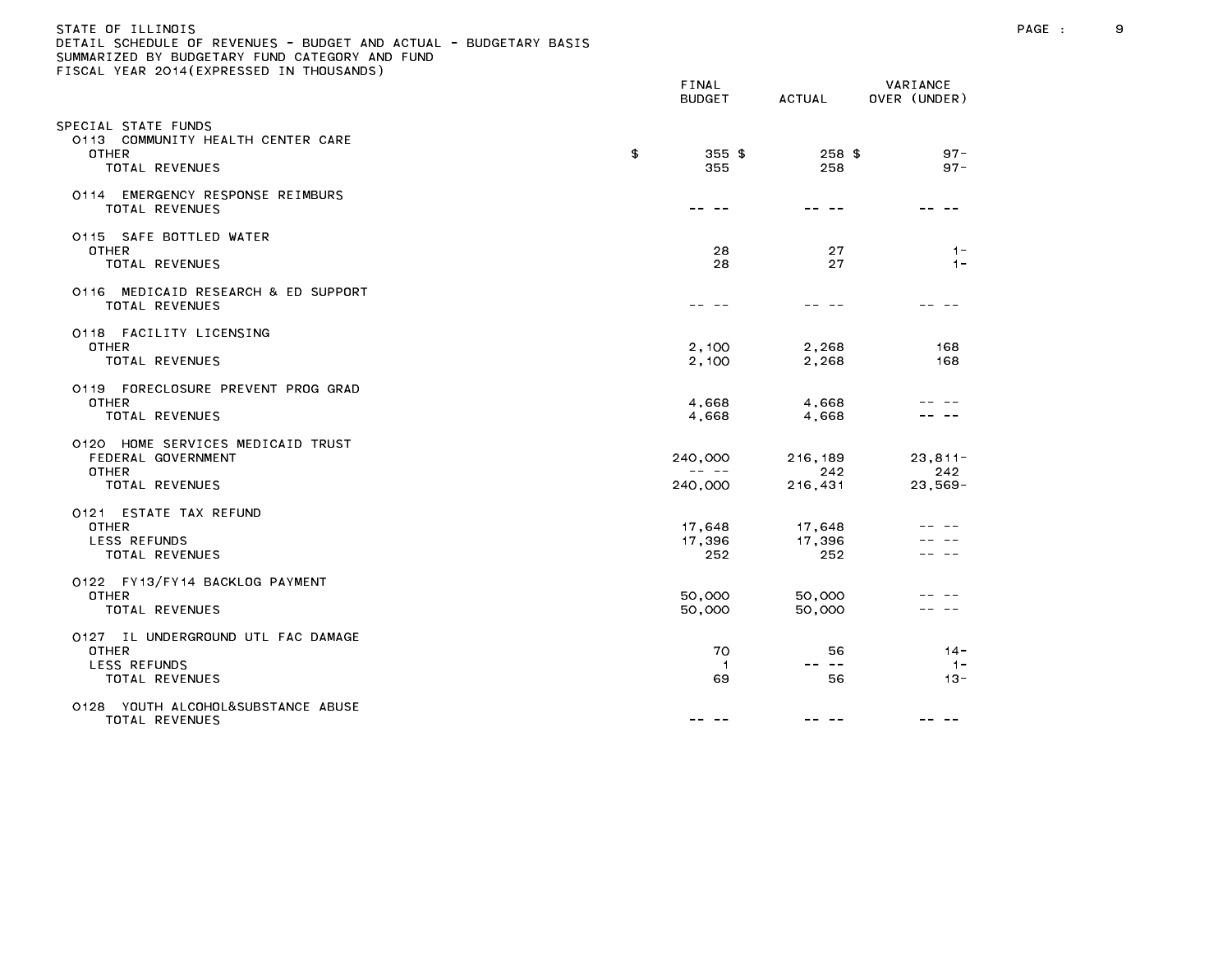| STATE OF ILLINOIS<br>DETAIL SCHEDULE OF REVENUES - BUDGET AND ACTUAL - BUDGETARY BASIS<br>SUMMARIZED BY BUDGETARY FUND CATEGORY AND FUND<br>FISCAL YEAR 2014 (EXPRESSED IN THOUSANDS) |               |                                                                                                                                                                                                                                                                                                                                                                                                                    |                           |                                 | PAGE : | 9 |
|---------------------------------------------------------------------------------------------------------------------------------------------------------------------------------------|---------------|--------------------------------------------------------------------------------------------------------------------------------------------------------------------------------------------------------------------------------------------------------------------------------------------------------------------------------------------------------------------------------------------------------------------|---------------------------|---------------------------------|--------|---|
|                                                                                                                                                                                       |               | FINAL<br><b>BUDGET</b>                                                                                                                                                                                                                                                                                                                                                                                             | ACTUAL                    | VARIANCE<br>OVER (UNDER)        |        |   |
| SPECIAL STATE FUNDS<br>0113 COMMUNITY HEALTH CENTER CARE<br><b>OTHER</b><br>TOTAL REVENUES                                                                                            | $\mathbf{\$}$ | $355$ \$<br>355                                                                                                                                                                                                                                                                                                                                                                                                    | 258 \$<br>258             | $97 -$<br>$97 -$                |        |   |
| 0114 EMERGENCY RESPONSE REIMBURS<br>TOTAL REVENUES                                                                                                                                    |               |                                                                                                                                                                                                                                                                                                                                                                                                                    |                           | -- --                           |        |   |
| 0115 SAFE BOTTLED WATER<br><b>OTHER</b><br>TOTAL REVENUES                                                                                                                             |               | 28<br>28                                                                                                                                                                                                                                                                                                                                                                                                           | 27<br>27                  | $1 -$<br>$1 -$                  |        |   |
| 0116 MEDICAID RESEARCH & ED SUPPORT<br>TOTAL REVENUES                                                                                                                                 |               | -- --                                                                                                                                                                                                                                                                                                                                                                                                              | -- --                     |                                 |        |   |
| 0118 FACILITY LICENSING<br><b>OTHER</b><br>TOTAL REVENUES                                                                                                                             |               | 2,100<br>2,100                                                                                                                                                                                                                                                                                                                                                                                                     | 2,268<br>2,268            | 168<br>168                      |        |   |
| 0119 FORECLOSURE PREVENT PROG GRAD<br><b>OTHER</b><br>TOTAL REVENUES                                                                                                                  |               | 4,668<br>4,668                                                                                                                                                                                                                                                                                                                                                                                                     | 4,668<br>4,668            |                                 |        |   |
| 0120 HOME SERVICES MEDICAID TRUST<br>FEDERAL GOVERNMENT<br><b>OTHER</b><br>TOTAL REVENUES                                                                                             |               | 240,000<br>$\frac{1}{2} \frac{1}{2} \frac{1}{2} \frac{1}{2} \frac{1}{2} \frac{1}{2} \frac{1}{2} \frac{1}{2} \frac{1}{2} \frac{1}{2} \frac{1}{2} \frac{1}{2} \frac{1}{2} \frac{1}{2} \frac{1}{2} \frac{1}{2} \frac{1}{2} \frac{1}{2} \frac{1}{2} \frac{1}{2} \frac{1}{2} \frac{1}{2} \frac{1}{2} \frac{1}{2} \frac{1}{2} \frac{1}{2} \frac{1}{2} \frac{1}{2} \frac{1}{2} \frac{1}{2} \frac{1}{2} \frac{$<br>240,000 | 216,189<br>242<br>216,431 | $23, 811 -$<br>242<br>$23,569-$ |        |   |
| 0121 ESTATE TAX REFUND<br><b>OTHER</b><br>LESS REFUNDS<br>TOTAL REVENUES                                                                                                              |               | 17,648<br>17,396<br>252                                                                                                                                                                                                                                                                                                                                                                                            | 17,648<br>17,396<br>252   | -- --                           |        |   |
| 0122 FY13/FY14 BACKLOG PAYMENT<br><b>OTHER</b><br>TOTAL REVENUES                                                                                                                      |               | 50,000<br>50,000                                                                                                                                                                                                                                                                                                                                                                                                   | 50,000<br>50,000          |                                 |        |   |
| 0127 IL UNDERGROUND UTL FAC DAMAGE<br><b>OTHER</b><br>LESS REFUNDS<br>TOTAL REVENUES                                                                                                  |               | 70<br>$\overline{1}$<br>69                                                                                                                                                                                                                                                                                                                                                                                         | 56<br>-- --<br>56         | $14 -$<br>$1 -$<br>$13 -$       |        |   |
| 0128 YOUTH ALCOHOL&SUBSTANCE ABUSE<br>TOTAL DEVENUES                                                                                                                                  |               |                                                                                                                                                                                                                                                                                                                                                                                                                    |                           |                                 |        |   |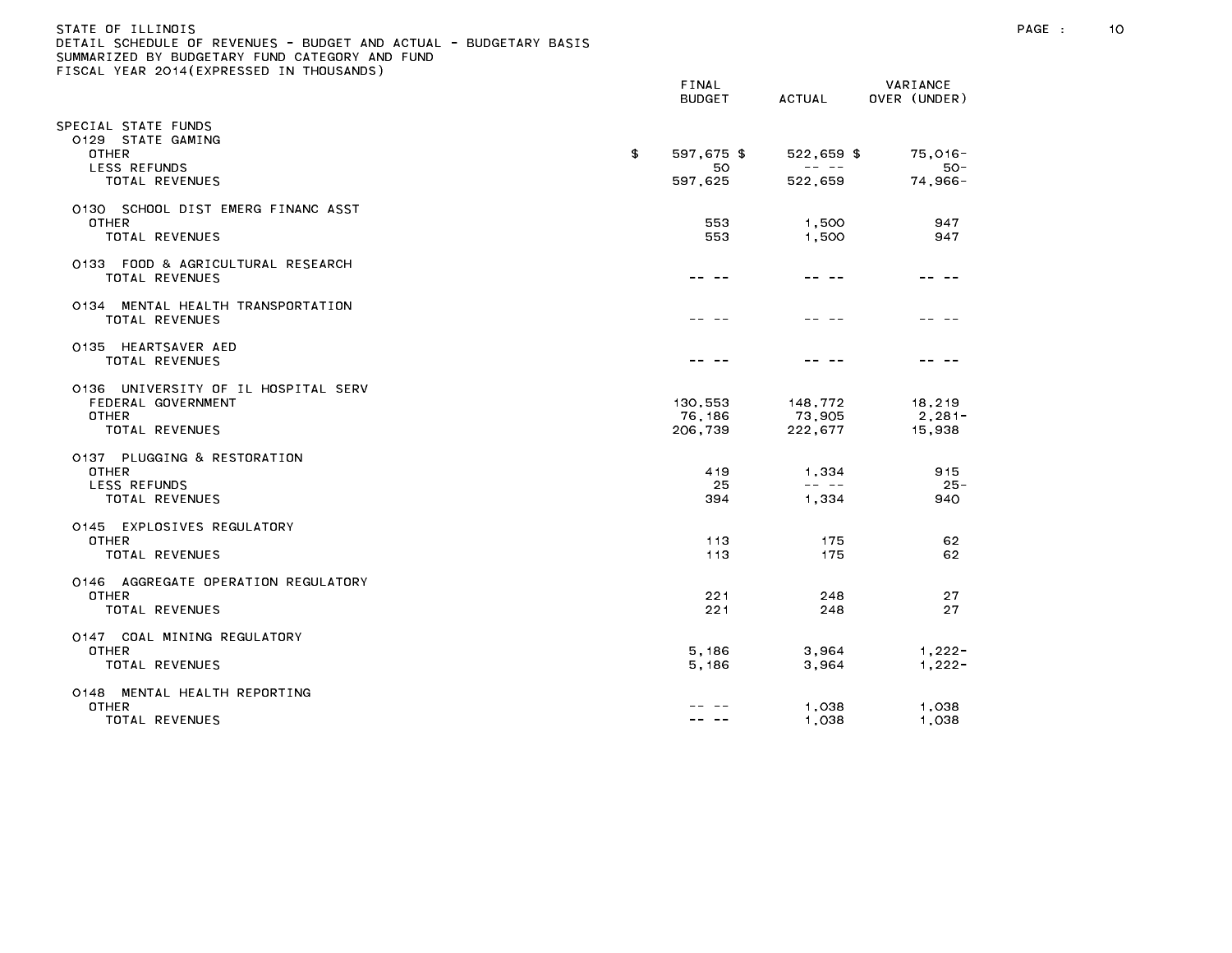| STATE OF ILLINOIS<br>DETAIL SCHEDULE OF REVENUES - BUDGET AND ACTUAL - BUDGETARY BASIS<br>SUMMARIZED BY BUDGETARY FUND CATEGORY AND FUND<br>FISCAL YEAR 2014 (EXPRESSED IN THOUSANDS) |                              |                                                                                                                                                                                                                                                                                                                                                                                                                |                              | PAGE : | 10 |
|---------------------------------------------------------------------------------------------------------------------------------------------------------------------------------------|------------------------------|----------------------------------------------------------------------------------------------------------------------------------------------------------------------------------------------------------------------------------------------------------------------------------------------------------------------------------------------------------------------------------------------------------------|------------------------------|--------|----|
|                                                                                                                                                                                       | FINAL<br><b>BUDGET</b>       | ACTUAL                                                                                                                                                                                                                                                                                                                                                                                                         | VARIANCE<br>OVER (UNDER)     |        |    |
| SPECIAL STATE FUNDS<br>0129 STATE GAMING<br><b>OTHER</b><br>LESS REFUNDS                                                                                                              | \$<br>597,675 \$<br>50       | $522,659$ \$                                                                                                                                                                                                                                                                                                                                                                                                   | $75.016 -$<br>50-            |        |    |
| TOTAL REVENUES                                                                                                                                                                        | 597,625                      | 522,659                                                                                                                                                                                                                                                                                                                                                                                                        | $74,966-$                    |        |    |
| 0130 SCHOOL DIST EMERG FINANC ASST<br>OTHER<br>TOTAL REVENUES                                                                                                                         | 553<br>553                   | 1,500<br>1,500                                                                                                                                                                                                                                                                                                                                                                                                 | 947<br>947                   |        |    |
| 0133 FOOD & AGRICULTURAL RESEARCH<br>TOTAL REVENUES                                                                                                                                   |                              | -- --                                                                                                                                                                                                                                                                                                                                                                                                          | -- --                        |        |    |
| 0134 MENTAL HEALTH TRANSPORTATION<br>TOTAL REVENUES                                                                                                                                   |                              |                                                                                                                                                                                                                                                                                                                                                                                                                |                              |        |    |
| 0135 HEARTSAVER AED<br>TOTAL REVENUES                                                                                                                                                 |                              |                                                                                                                                                                                                                                                                                                                                                                                                                |                              |        |    |
| 0136 UNIVERSITY OF IL HOSPITAL SERV<br>FEDERAL GOVERNMENT<br>OTHER<br>TOTAL REVENUES                                                                                                  | 130,553<br>76,186<br>206,739 | 148,772<br>73,905<br>222,677                                                                                                                                                                                                                                                                                                                                                                                   | 18,219<br>$2,281-$<br>15,938 |        |    |
| 0137 PLUGGING & RESTORATION<br><b>OTHER</b><br>LESS REFUNDS<br>TOTAL REVENUES                                                                                                         | 419<br>25<br>394             | 1,334<br>$\frac{1}{2} \frac{1}{2} \frac{1}{2} \frac{1}{2} \frac{1}{2} \frac{1}{2} \frac{1}{2} \frac{1}{2} \frac{1}{2} \frac{1}{2} \frac{1}{2} \frac{1}{2} \frac{1}{2} \frac{1}{2} \frac{1}{2} \frac{1}{2} \frac{1}{2} \frac{1}{2} \frac{1}{2} \frac{1}{2} \frac{1}{2} \frac{1}{2} \frac{1}{2} \frac{1}{2} \frac{1}{2} \frac{1}{2} \frac{1}{2} \frac{1}{2} \frac{1}{2} \frac{1}{2} \frac{1}{2} \frac{$<br>1,334 | 915<br>$25 -$<br>940         |        |    |
| 0145 EXPLOSIVES REGULATORY<br><b>OTHER</b><br>TOTAL REVENUES                                                                                                                          | 113<br>113                   | 175<br>175                                                                                                                                                                                                                                                                                                                                                                                                     | 62<br>62                     |        |    |
| 0146 AGGREGATE OPERATION REGULATORY<br><b>OTHER</b><br>TOTAL REVENUES                                                                                                                 | 221<br>221                   | 248<br>248                                                                                                                                                                                                                                                                                                                                                                                                     | 27<br>27                     |        |    |
| 0147 COAL MINING REGULATORY<br><b>OTHER</b><br>TOTAL REVENUES                                                                                                                         | 5,186<br>5,186               | 3,964<br>3,964                                                                                                                                                                                                                                                                                                                                                                                                 | $1,222-$<br>$1,222-$         |        |    |
| 0148 MENTAL HEALTH REPORTING<br>OTHER<br>TOTAL REVENUES                                                                                                                               | -- --                        | 1,038<br>1,038                                                                                                                                                                                                                                                                                                                                                                                                 | 1,038<br>1,038               |        |    |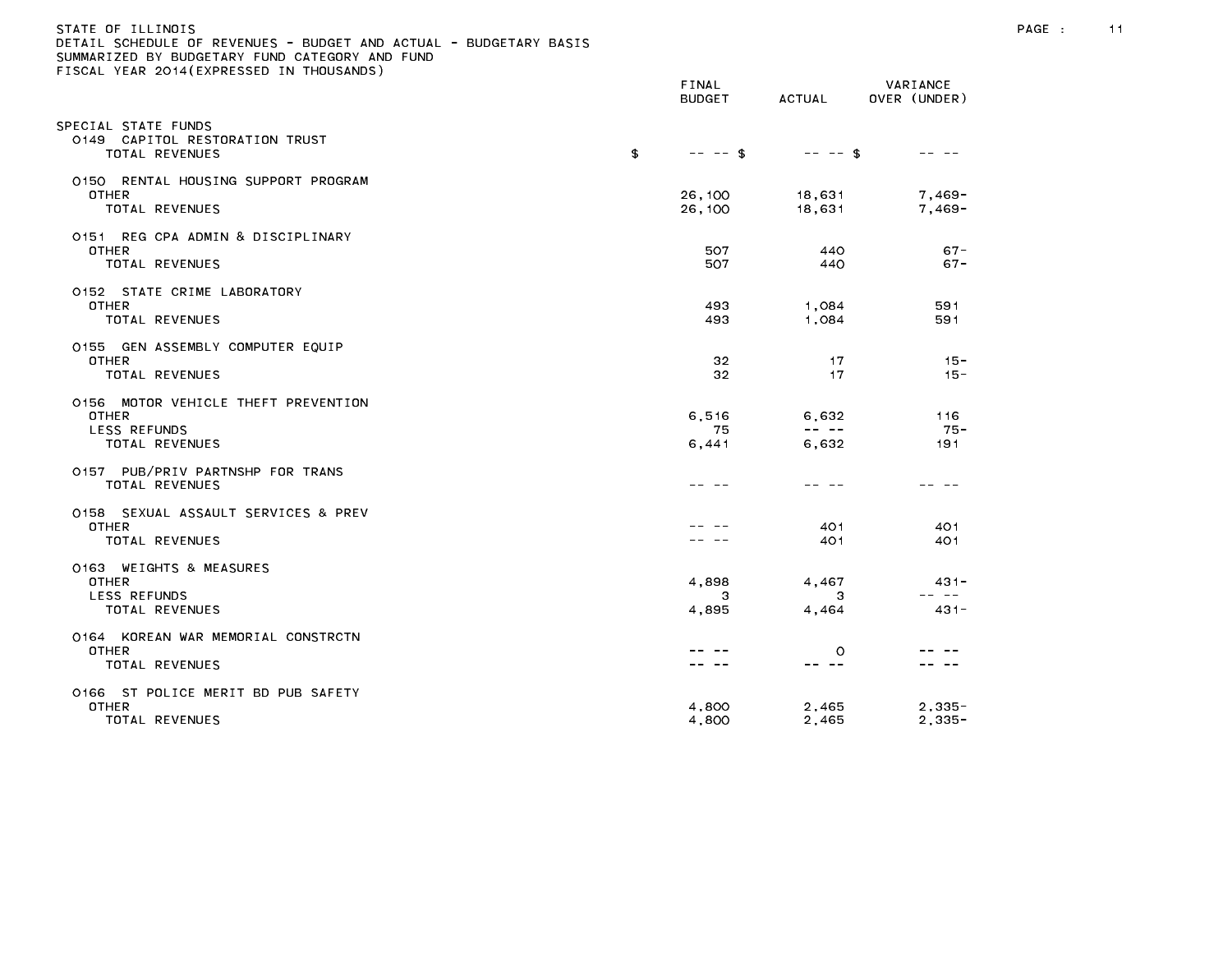| STATE OF ILLINOIS<br>DETAIL SCHEDULE OF REVENUES - BUDGET AND ACTUAL - BUDGETARY BASIS<br>SUMMARIZED BY BUDGETARY FUND CATEGORY AND FUND<br>FISCAL YEAR 2014 (EXPRESSED IN THOUSANDS) |                        |                      |                             | PAGE : | 11 |
|---------------------------------------------------------------------------------------------------------------------------------------------------------------------------------------|------------------------|----------------------|-----------------------------|--------|----|
|                                                                                                                                                                                       | FINAL<br><b>BUDGET</b> | ACTUAL               | VARIANCE<br>OVER (UNDER)    |        |    |
| SPECIAL STATE FUNDS<br>0149 CAPITOL RESTORATION TRUST<br>TOTAL REVENUES                                                                                                               | \$<br>$-- - -$ \$      | $-- - - $ \$         | -- --                       |        |    |
| 0150 RENTAL HOUSING SUPPORT PROGRAM<br>OTHER<br>TOTAL REVENUES                                                                                                                        | 26,100<br>26,100       | 18,631<br>18,631     | 7,469-<br>7,469-            |        |    |
| 0151 REG CPA ADMIN & DISCIPLINARY<br><b>OTHER</b><br>TOTAL REVENUES                                                                                                                   | 507<br>507             | 440<br>440           | $67 -$<br>$67 -$            |        |    |
| 0152 STATE CRIME LABORATORY<br><b>OTHER</b><br>TOTAL REVENUES                                                                                                                         | 493<br>493             | 1,084<br>1,084       | 591<br>591                  |        |    |
| 0155 GEN ASSEMBLY COMPUTER EQUIP<br>OTHER<br>TOTAL REVENUES                                                                                                                           | 32<br>32               | 17<br>17             | $15 -$<br>$15 -$            |        |    |
| 0156 MOTOR VEHICLE THEFT PREVENTION<br>OTHER<br>LESS REFUNDS<br>TOTAL REVENUES                                                                                                        | 6.516<br>75<br>6,441   | 6,632<br>6,632       | 116<br>-75 -<br>191         |        |    |
| 0157 PUB/PRIV PARTNSHP FOR TRANS<br>TOTAL REVENUES                                                                                                                                    |                        | -- --                | -- --                       |        |    |
| 0158 SEXUAL ASSAULT SERVICES & PREV<br><b>OTHER</b><br>TOTAL REVENUES                                                                                                                 | -- --                  | 401<br>401           | 401<br>401                  |        |    |
| 0163 WEIGHTS & MEASURES<br><b>OTHER</b><br>LESS REFUNDS<br>TOTAL REVENUES                                                                                                             | 4,898<br>3<br>4,895    | 4,467<br>-3<br>4,464 | $431 -$<br>-- --<br>$431 -$ |        |    |
| 0164 KOREAN WAR MEMORIAL CONSTRCTN<br>OTHER<br>TOTAL REVENUES                                                                                                                         |                        | $\circ$<br>-- --     |                             |        |    |
| 0166 ST POLICE MERIT BD PUB SAFETY<br><b>OTHER</b><br>TOTAL REVENUES                                                                                                                  | 4,800<br>4.800         | 2,465<br>2.465       | $2,335-$<br>$2,335-$        |        |    |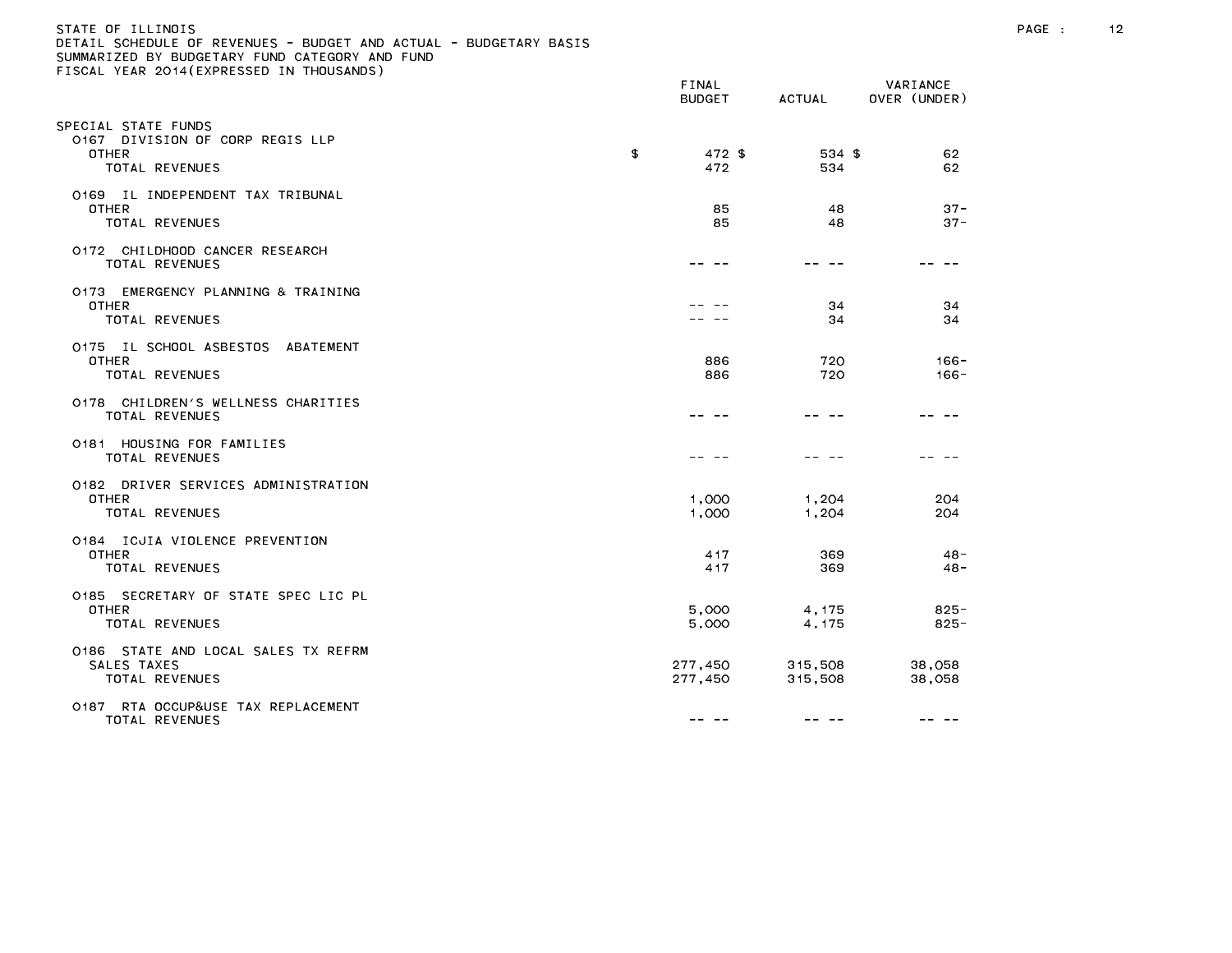| STATE OF ILLINOIS                                                 |
|-------------------------------------------------------------------|
| DETAIL SCHEDULE OF REVENUES - BUDGET AND ACTUAL - BUDGETARY BASIS |
| SUMMARIZED BY BUDGETARY FUND CATEGORY AND FUND                    |
| FISCAL YEAR 2014(EXPRESSED IN THOUSANDS)                          |

|                                                                                  | <b>BUDGET</b>       | <b>ACTUAL</b>      | OVER (UNDER)       |
|----------------------------------------------------------------------------------|---------------------|--------------------|--------------------|
| PECIAL STATE FUNDS<br>0167 DIVISION OF CORP REGIS LLP<br>OTHER<br>TOTAL REVENUES | \$<br>472 \$<br>472 | 534 \$<br>534      | 62<br>62           |
| 0169 IL INDEPENDENT TAX TRIBUNAL<br><b>OTHER</b><br>TOTAL REVENUES               | 85<br>85            | 48<br>48           | $37 -$<br>$37 -$   |
| 0172 CHILDHOOD CANCER RESEARCH<br>TOTAL REVENUES                                 |                     |                    |                    |
| 0173 EMERGENCY PLANNING & TRAINING<br><b>OTHER</b><br>TOTAL REVENUES             |                     | 34<br>34           | 34<br>34           |
| 0175 IL SCHOOL ASBESTOS ABATEMENT<br><b>OTHER</b><br>TOTAL REVENUES              | 886<br>886          | 720<br>720         | $166 -$<br>$166 -$ |
| 0178 CHILDREN'S WELLNESS CHARITIES<br>TOTAL REVENUES                             |                     |                    |                    |
| 0181 HOUSING FOR FAMILIES<br>TOTAL REVENUES                                      |                     |                    |                    |
| 0182 DRIVER SERVICES ADMINISTRATION<br><b>OTHER</b><br>TOTAL REVENUES            | 1,000<br>1,000      | 1,204<br>1,204     | 204<br>204         |
| 0184 ICJIA VIOLENCE PREVENTION<br><b>OTHER</b><br>TOTAL REVENUES                 | 417<br>417          | 369<br>369         | $48 -$<br>$48 -$   |
| 0185 SECRETARY OF STATE SPEC LIC PL<br><b>OTHER</b><br>TOTAL REVENUES            | 5,000<br>5,000      | 4.175<br>4, 175    | $825 -$<br>$825 -$ |
| 0186 STATE AND LOCAL SALES TX REFRM<br>SALES TAXES<br>TOTAL REVENUES             | 277,450<br>277,450  | 315,508<br>315,508 | 38,058<br>38,058   |
| 0187 RTA OCCUP&USE TAX REPLACEMENT<br>TOTAL REVENUES                             | -- --               | -- --              | -- --              |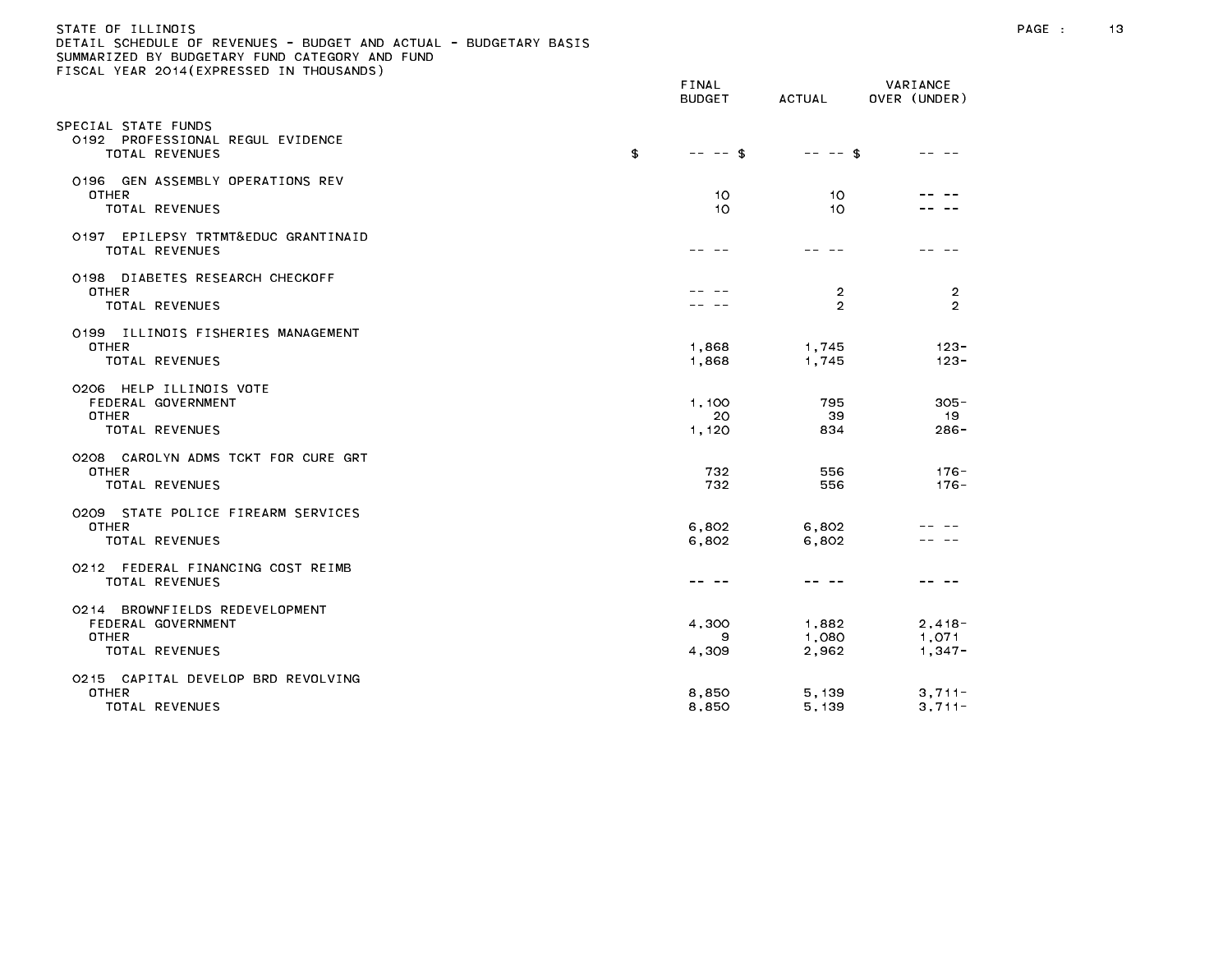## STATE OF ILLINOIS PAGE : 13 DETAIL SCHEDULE OF REVENUES - BUDGET AND ACTUAL - BUDGETARY BASIS

| $10071$ . Thus $2017$ ( $111$ $1120$ $11$ $1100$ $1110$                                | FINAL<br><b>BUDGET</b> | ACTUAL                  | VARIANCE<br>OVER (UNDER)      |
|----------------------------------------------------------------------------------------|------------------------|-------------------------|-------------------------------|
| SPECIAL STATE FUNDS<br>0192 PROFESSIONAL REGUL EVIDENCE<br>TOTAL REVENUES              | \$<br>$-- - -$ \$      | $-- - -$ \$             |                               |
| 0196 GEN ASSEMBLY OPERATIONS REV<br><b>OTHER</b><br>TOTAL REVENUES                     | 10<br>10               | 10<br>10                |                               |
| 0197 EPILEPSY TRTMT&EDUC GRANTINAID<br>TOTAL REVENUES                                  |                        | - - -                   |                               |
| 0198 DIABETES RESEARCH CHECKOFF<br><b>OTHER</b><br>TOTAL REVENUES                      |                        | 2<br>2                  | $\overline{2}$<br>2           |
| 0199 ILLINOIS FISHERIES MANAGEMENT<br><b>OTHER</b><br>TOTAL REVENUES                   | 1,868<br>1,868         | 1,745<br>1,745          | $123 -$<br>$123 -$            |
| 0206 HELP ILLINOIS VOTE<br>FEDERAL GOVERNMENT<br><b>OTHER</b><br>TOTAL REVENUES        | 1.100<br>20<br>1,120   | 795<br>39<br>834        | $305 -$<br>19<br>$286 -$      |
| 0208 CAROLYN ADMS TCKT FOR CURE GRT<br><b>OTHER</b><br><b>TOTAL REVENUES</b>           | 732<br>732             | 556<br>556              | $176 -$<br>$176 -$            |
| 0209 STATE POLICE FIREARM SERVICES<br><b>OTHER</b><br>TOTAL REVENUES                   | 6,802<br>6.802         | 6,802<br>6,802          |                               |
| 0212 FEDERAL FINANCING COST REIMB<br>TOTAL REVENUES                                    | ---                    | -- --                   |                               |
| 0214 BROWNFIELDS REDEVELOPMENT<br>FEDERAL GOVERNMENT<br><b>OTHER</b><br>TOTAL REVENUES | 4,300<br>9<br>4,309    | 1,882<br>1,080<br>2,962 | $2,418-$<br>1,071<br>$1,347-$ |
| 0215 CAPITAL DEVELOP BRD REVOLVING<br><b>OTHER</b><br>TOTAL REVENUES                   | 8,850<br>8,850         | 5, 139<br>5, 139        | $3,711-$<br>$3,711-$          |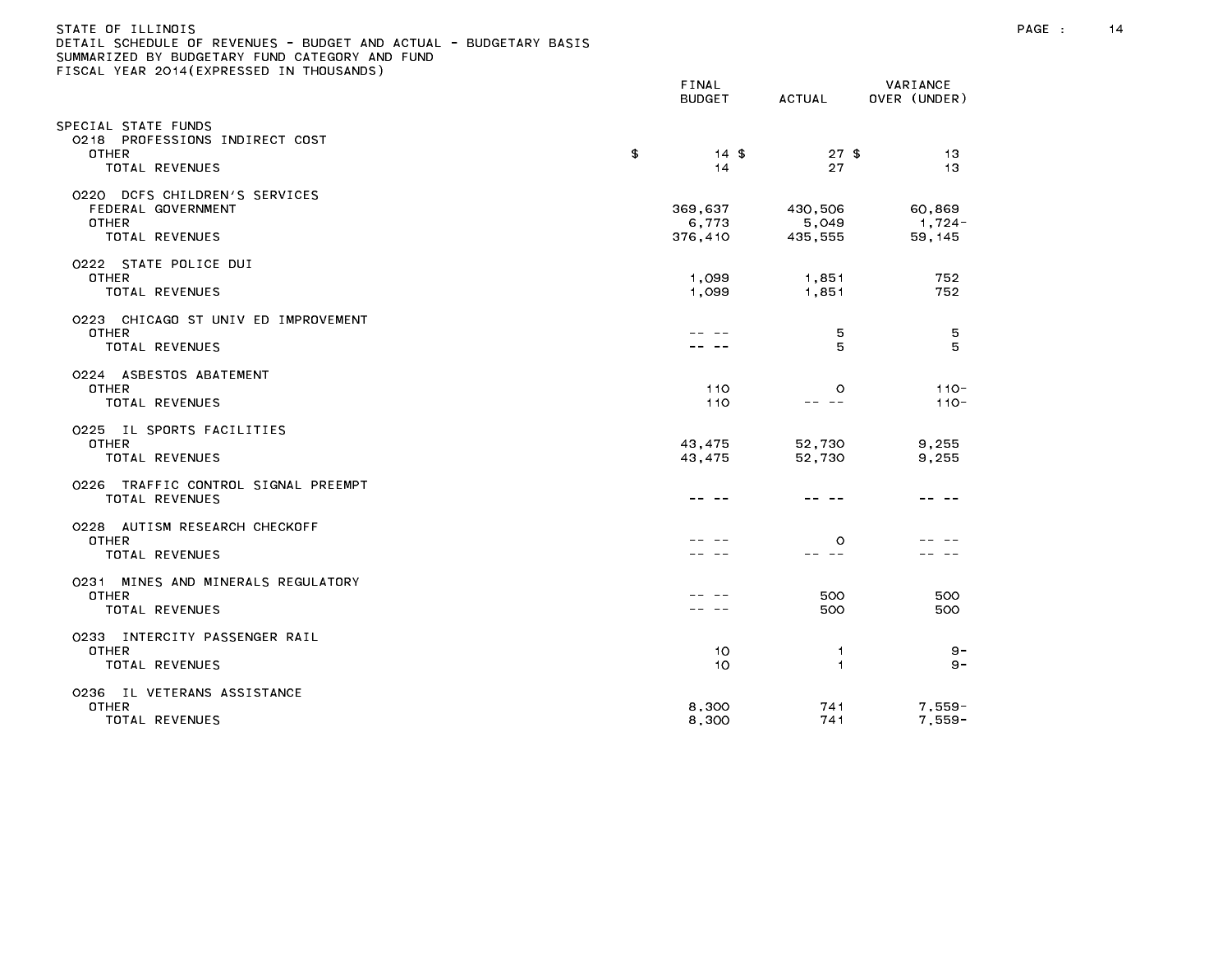| STATE OF ILLINOIS<br>DETAIL SCHEDULE OF REVENUES - BUDGET AND ACTUAL - BUDGETARY BASIS<br>SUMMARIZED BY BUDGETARY FUND CATEGORY AND FUND<br>FISCAL YEAR 2014(EXPRESSED IN THOUSANDS) |                             |                                                                                                                                                                                                                                                                                                                                                                                                         |                             | PAGE : | 14 |
|--------------------------------------------------------------------------------------------------------------------------------------------------------------------------------------|-----------------------------|---------------------------------------------------------------------------------------------------------------------------------------------------------------------------------------------------------------------------------------------------------------------------------------------------------------------------------------------------------------------------------------------------------|-----------------------------|--------|----|
|                                                                                                                                                                                      | FINAL<br><b>BUDGET</b>      | ACTUAL                                                                                                                                                                                                                                                                                                                                                                                                  | VARIANCE<br>OVER (UNDER)    |        |    |
| SPECIAL STATE FUNDS<br>0218 PROFESSIONS INDIRECT COST<br><b>OTHER</b><br>TOTAL REVENUES                                                                                              | \$<br>$14*$<br>14           | $27$ \$<br>27                                                                                                                                                                                                                                                                                                                                                                                           | 13<br>13                    |        |    |
| 0220 DCFS CHILDREN'S SERVICES<br>FEDERAL GOVERNMENT<br><b>OTHER</b><br>TOTAL REVENUES                                                                                                | 369,637<br>6,773<br>376,410 | 430,506<br>5,049<br>435,555                                                                                                                                                                                                                                                                                                                                                                             | 60,869<br>1,724-<br>59, 145 |        |    |
| 0222 STATE POLICE DUI<br><b>OTHER</b><br>TOTAL REVENUES                                                                                                                              | 1,099<br>1,099              | 1,851<br>1,851                                                                                                                                                                                                                                                                                                                                                                                          | 752<br>752                  |        |    |
| 0223 CHICAGO ST UNIV ED IMPROVEMENT<br>OTHER<br>TOTAL REVENUES                                                                                                                       |                             | 5<br>5                                                                                                                                                                                                                                                                                                                                                                                                  | 5<br>5                      |        |    |
| 0224 ASBESTOS ABATEMENT<br><b>OTHER</b><br>TOTAL REVENUES                                                                                                                            | 110<br>110                  | $\circ$<br>$\frac{1}{2} \frac{1}{2} \frac{1}{2} \frac{1}{2} \frac{1}{2} \frac{1}{2} \frac{1}{2} \frac{1}{2} \frac{1}{2} \frac{1}{2} \frac{1}{2} \frac{1}{2} \frac{1}{2} \frac{1}{2} \frac{1}{2} \frac{1}{2} \frac{1}{2} \frac{1}{2} \frac{1}{2} \frac{1}{2} \frac{1}{2} \frac{1}{2} \frac{1}{2} \frac{1}{2} \frac{1}{2} \frac{1}{2} \frac{1}{2} \frac{1}{2} \frac{1}{2} \frac{1}{2} \frac{1}{2} \frac{$ | $110 -$<br>$110 -$          |        |    |
| 0225 IL SPORTS FACILITIES<br><b>OTHER</b><br>TOTAL REVENUES                                                                                                                          | 43,475<br>43,475            | 52,730<br>52,730                                                                                                                                                                                                                                                                                                                                                                                        | 9,255<br>9,255              |        |    |
| 0226 TRAFFIC CONTROL SIGNAL PREEMPT<br><b>TOTAL REVENUES</b>                                                                                                                         |                             | -- --                                                                                                                                                                                                                                                                                                                                                                                                   | -- --                       |        |    |
| 0228 AUTISM RESEARCH CHECKOFF<br><b>OTHER</b><br>TOTAL REVENUES                                                                                                                      |                             | $\circ$<br>-- --                                                                                                                                                                                                                                                                                                                                                                                        |                             |        |    |
| 0231 MINES AND MINERALS REGULATORY<br><b>OTHER</b><br>TOTAL REVENUES                                                                                                                 |                             | 500<br>500                                                                                                                                                                                                                                                                                                                                                                                              | 500<br>500                  |        |    |
| 0233 INTERCITY PASSENGER RAIL<br>OTHER<br>TOTAL REVENUES                                                                                                                             | 10<br>10                    | $\mathbf{1}$<br>1.                                                                                                                                                                                                                                                                                                                                                                                      | $9 -$<br>9 –                |        |    |
| 0236 IL VETERANS ASSISTANCE<br><b>OTHER</b><br>TOTAL REVENUES                                                                                                                        | 8,300<br>8,300              | 741<br>741                                                                                                                                                                                                                                                                                                                                                                                              | $7,559-$<br>$7.559 -$       |        |    |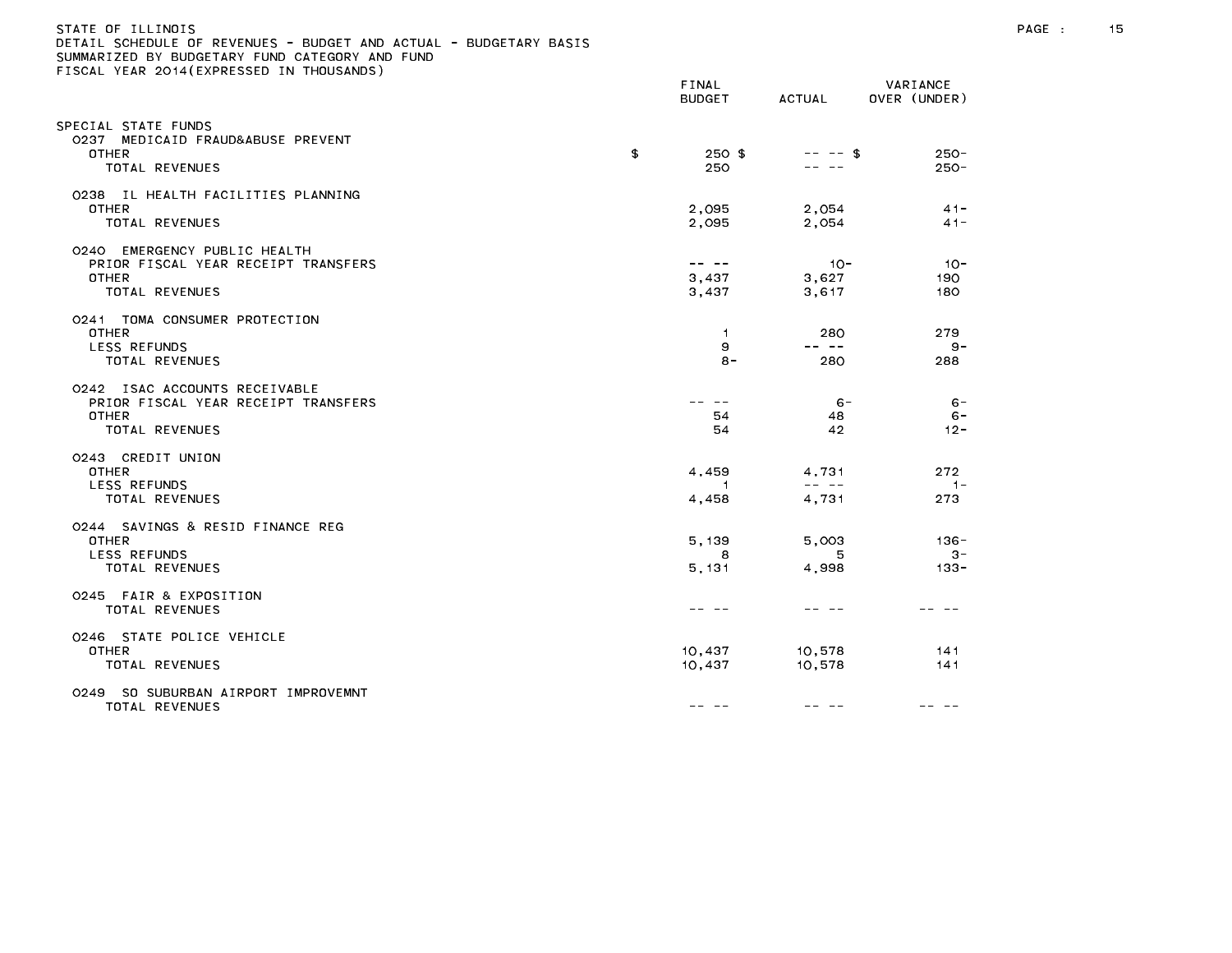| JETAIL SCHEDULE OF REVENUES - BUDGET AND ACTUAL - BUDGETARY BASIS<br>SUMMARIZED BY BUDGETARY FUND CATEGORY AND FUND<br>TISCAL YEAR 2014(EXPRESSED IN THOUSANDS) |                                                                                                                                                                                                                                                                                                                                                                                                                                                                            |                                                                                                                                                                                                                                                                                                                                                                                                                |                             |
|-----------------------------------------------------------------------------------------------------------------------------------------------------------------|----------------------------------------------------------------------------------------------------------------------------------------------------------------------------------------------------------------------------------------------------------------------------------------------------------------------------------------------------------------------------------------------------------------------------------------------------------------------------|----------------------------------------------------------------------------------------------------------------------------------------------------------------------------------------------------------------------------------------------------------------------------------------------------------------------------------------------------------------------------------------------------------------|-----------------------------|
|                                                                                                                                                                 | FINAL<br><b>BUDGET</b>                                                                                                                                                                                                                                                                                                                                                                                                                                                     | ACTUAL                                                                                                                                                                                                                                                                                                                                                                                                         | VARIANCE<br>OVER (UNDER)    |
| SPECIAL STATE FUNDS<br>0237 MEDICAID FRAUD&ABUSE PREVENT<br><b>OTHER</b><br>TOTAL REVENUES                                                                      | \$<br>$250$ \$<br>250                                                                                                                                                                                                                                                                                                                                                                                                                                                      | $-- - -$ \$                                                                                                                                                                                                                                                                                                                                                                                                    | $250 -$<br>$250 -$          |
| 0238 IL HEALTH FACILITIES PLANNING<br>OTHER<br>TOTAL REVENUES                                                                                                   | 2,095<br>2,095                                                                                                                                                                                                                                                                                                                                                                                                                                                             | 2,054<br>2,054                                                                                                                                                                                                                                                                                                                                                                                                 | $41 -$<br>$41 -$            |
| 0240 EMERGENCY PUBLIC HEALTH<br>PRIOR FISCAL YEAR RECEIPT TRANSFERS<br><b>OTHER</b><br>TOTAL REVENUES                                                           | $- - - - -$<br>3,437<br>3,437                                                                                                                                                                                                                                                                                                                                                                                                                                              | $10 -$<br>3,627<br>3,617                                                                                                                                                                                                                                                                                                                                                                                       | $10 -$<br>190<br>180        |
| 0241 TOMA CONSUMER PROTECTION<br><b>OTHER</b><br>LESS REFUNDS<br>TOTAL REVENUES                                                                                 | $\mathbf{1}$<br>9<br>$8 -$                                                                                                                                                                                                                                                                                                                                                                                                                                                 | 280<br>-- --<br>280                                                                                                                                                                                                                                                                                                                                                                                            | 279<br>$9 -$<br>288         |
| 0242 ISAC ACCOUNTS RECEIVABLE<br>PRIOR FISCAL YEAR RECEIPT TRANSFERS<br><b>OTHER</b><br>TOTAL REVENUES                                                          | -- --<br>54<br>54                                                                                                                                                                                                                                                                                                                                                                                                                                                          | $6 -$<br>48<br>42                                                                                                                                                                                                                                                                                                                                                                                              | $6 -$<br>$6 -$<br>$12 -$    |
| 0243 CREDIT UNION<br><b>OTHER</b><br><b>LESS REFUNDS</b><br>TOTAL REVENUES                                                                                      | 4,459<br>$\overline{1}$<br>4,458                                                                                                                                                                                                                                                                                                                                                                                                                                           | 4,731<br>$\frac{1}{2} \frac{1}{2} \frac{1}{2} \frac{1}{2} \frac{1}{2} \frac{1}{2} \frac{1}{2} \frac{1}{2} \frac{1}{2} \frac{1}{2} \frac{1}{2} \frac{1}{2} \frac{1}{2} \frac{1}{2} \frac{1}{2} \frac{1}{2} \frac{1}{2} \frac{1}{2} \frac{1}{2} \frac{1}{2} \frac{1}{2} \frac{1}{2} \frac{1}{2} \frac{1}{2} \frac{1}{2} \frac{1}{2} \frac{1}{2} \frac{1}{2} \frac{1}{2} \frac{1}{2} \frac{1}{2} \frac{$<br>4,731 | 272<br>$1 -$<br>273         |
| 0244 SAVINGS & RESID FINANCE REG<br><b>OTHER</b><br>LESS REFUNDS<br>TOTAL REVENUES                                                                              | 5, 139<br>8<br>5, 131                                                                                                                                                                                                                                                                                                                                                                                                                                                      | 5,003<br>5<br>4,998                                                                                                                                                                                                                                                                                                                                                                                            | $136 -$<br>$3 -$<br>$133 -$ |
| 0245 FAIR & EXPOSITION<br>TOTAL REVENUES                                                                                                                        |                                                                                                                                                                                                                                                                                                                                                                                                                                                                            |                                                                                                                                                                                                                                                                                                                                                                                                                |                             |
| 0246 STATE POLICE VEHICLE<br><b>OTHER</b><br>TOTAL REVENUES                                                                                                     | 10,437<br>10,437                                                                                                                                                                                                                                                                                                                                                                                                                                                           | 10,578<br>10,578                                                                                                                                                                                                                                                                                                                                                                                               | 141<br>141                  |
| 0249 SO SUBURBAN AIRPORT IMPROVEMNT<br>TOTAL REVENUES                                                                                                           | $\frac{1}{2} \left( \frac{1}{2} \right) \left( \frac{1}{2} \right) \left( \frac{1}{2} \right) \left( \frac{1}{2} \right) \left( \frac{1}{2} \right) \left( \frac{1}{2} \right) \left( \frac{1}{2} \right) \left( \frac{1}{2} \right) \left( \frac{1}{2} \right) \left( \frac{1}{2} \right) \left( \frac{1}{2} \right) \left( \frac{1}{2} \right) \left( \frac{1}{2} \right) \left( \frac{1}{2} \right) \left( \frac{1}{2} \right) \left( \frac{1}{2} \right) \left( \frac$ | -- --                                                                                                                                                                                                                                                                                                                                                                                                          | -- -                        |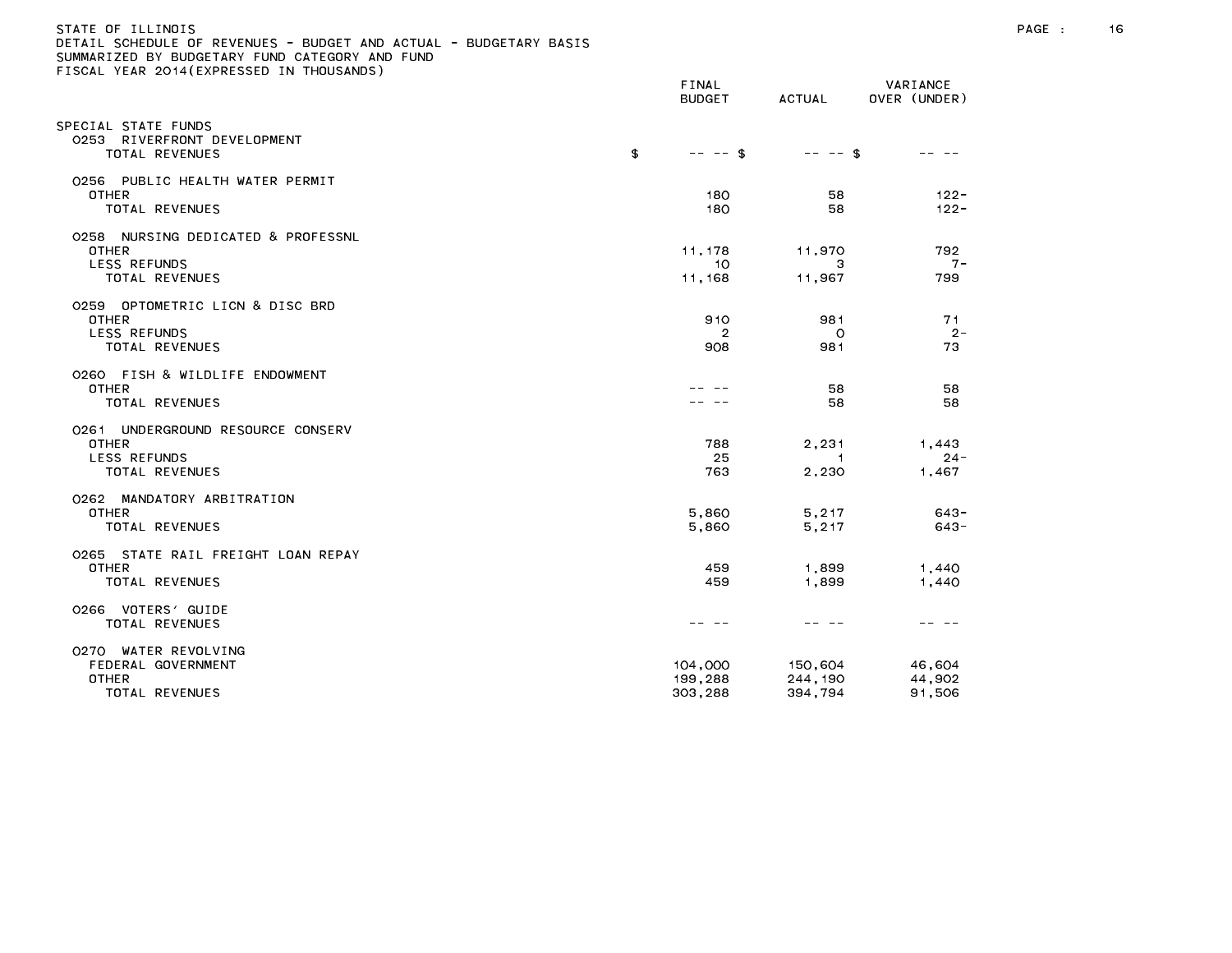| STATE OF ILLINOIS                                                 |        |        |              |
|-------------------------------------------------------------------|--------|--------|--------------|
| DETAIL SCHEDULE OF REVENUES - BUDGET AND ACTUAL - BUDGETARY BASIS |        |        |              |
| SUMMARIZED BY BUDGETARY FUND CATEGORY AND FUND                    |        |        |              |
| FISCAL YEAR 2014(EXPRESSED IN THOUSANDS)                          |        |        |              |
|                                                                   | FINAL  |        | VARIANCE     |
|                                                                   | BUDGET | ACTUAL | OVER (UNDER) |

| SPECIAL STATE FUNDS<br>0253<br>RIVERFRONT DEVELOPMENT<br>TOTAL REVENUES                            | \$<br>$-- -$ \$               | $-- -5$                       |                            |
|----------------------------------------------------------------------------------------------------|-------------------------------|-------------------------------|----------------------------|
| 0256 PUBLIC HEALTH WATER PERMIT<br><b>OTHER</b><br><b>TOTAL REVENUES</b>                           | 180<br>180                    | 58<br>58                      | $122 -$<br>$122 -$         |
| 0258 NURSING DEDICATED & PROFESSNL<br><b>OTHER</b><br><b>LESS REFUNDS</b><br><b>TOTAL REVENUES</b> | 11, 178<br>10<br>11,168       | 11,970<br>з<br>11,967         | 792<br>$7 -$<br>799        |
| 0259 OPTOMETRIC LICN & DISC BRD<br><b>OTHER</b><br><b>LESS REFUNDS</b><br>TOTAL REVENUES           | 910<br>2<br>908               | 981<br>$\circ$<br>981         | 71<br>$2 -$<br>73          |
| 0260 FISH & WILDLIFE ENDOWMENT<br><b>OTHER</b><br><b>TOTAL REVENUES</b>                            |                               | 58<br>58                      | 58<br>58                   |
| 0261 UNDERGROUND RESOURCE CONSERV<br><b>OTHER</b><br><b>LESS REFUNDS</b><br><b>TOTAL REVENUES</b>  | 788<br>25<br>763              | 2,231<br>1<br>2,230           | 1,443<br>$24 -$<br>1,467   |
| 0262 MANDATORY ARBITRATION<br><b>OTHER</b><br><b>TOTAL REVENUES</b>                                | 5,860<br>5,860                | 5,217<br>5,217                | $643 -$<br>$643 -$         |
| 0265 STATE RAIL FREIGHT LOAN REPAY<br><b>OTHER</b><br><b>TOTAL REVENUES</b>                        | 459<br>459                    | 1,899<br>1,899                | 1,440<br>1,440             |
| 0266 VOTERS' GUIDE<br><b>TOTAL REVENUES</b>                                                        |                               |                               |                            |
| WATER REVOLVING<br>0270<br>FEDERAL GOVERNMENT<br><b>OTHER</b><br>TOTAL REVENUES                    | 104,000<br>199,288<br>303,288 | 150,604<br>244,190<br>394,794 | 46,604<br>44,902<br>91,506 |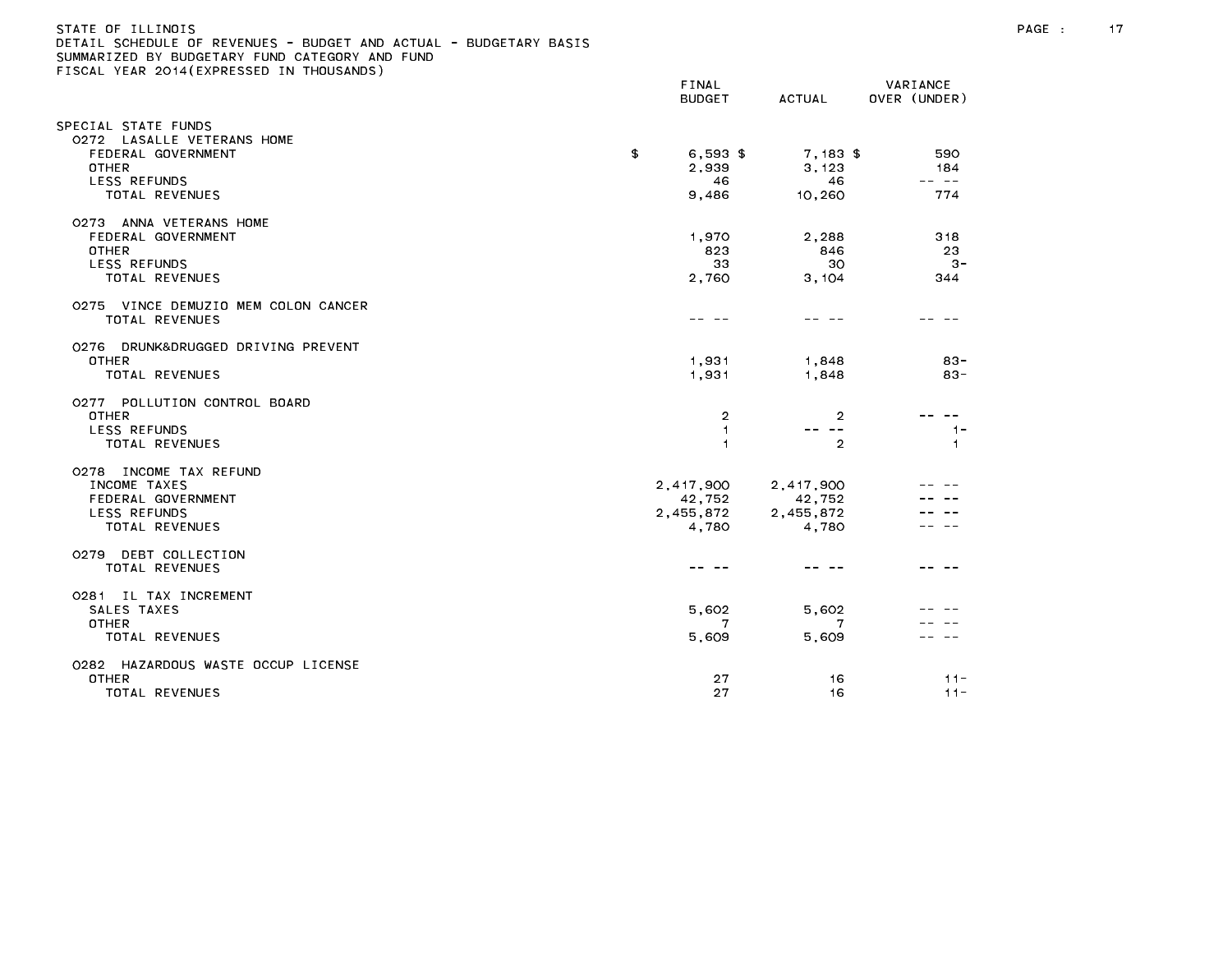| STATE OF ILLINOIS                                                 |  |
|-------------------------------------------------------------------|--|
| DETAIL SCHEDULE OF REVENUES - BUDGET AND ACTUAL - BUDGETARY BASIS |  |
| SUMMARIZED BY BUDGETARY FUND CATEGORY AND FUND                    |  |
| FISCAL YEAR 2014(EXPRESSED IN THOUSANDS)                          |  |
|                                                                   |  |

|                                                                                                                                                                 | FINAL<br><b>BUDGET</b>                    | <b>ACTUAL</b>                             | VARIANCE<br>OVER (UNDER)   |
|-----------------------------------------------------------------------------------------------------------------------------------------------------------------|-------------------------------------------|-------------------------------------------|----------------------------|
| SPECIAL STATE FUNDS<br>0272 LASALLE VETERANS HOME<br>FEDERAL GOVERNMENT<br><b>OTHER</b><br>LESS REFUNDS<br><b>TOTAL REVENUES</b>                                | \$<br>$6,593$ \$<br>2,939<br>46<br>9,486  | $7,183$ \$<br>3,123<br>46<br>10,260       | 590<br>184<br>-- --<br>774 |
| 0273 ANNA VETERANS HOME<br>FEDERAL GOVERNMENT<br><b>OTHER</b><br><b>LESS REFUNDS</b><br>TOTAL REVENUES<br>0275 VINCE DEMUZIO MEM COLON CANCER<br>TOTAL REVENUES | 1,970<br>823<br>33<br>2,760               | 2,288<br>846<br>30<br>3,104               | 318<br>23<br>$3-$<br>344   |
| 0276 DRUNK&DRUGGED DRIVING PREVENT<br><b>OTHER</b><br><b>TOTAL REVENUES</b>                                                                                     | 1,931<br>1,931                            | 1,848<br>1,848                            | $83 -$<br>$83 -$           |
| 0277 POLLUTION CONTROL BOARD<br><b>OTHER</b><br>LESS REFUNDS<br>TOTAL REVENUES                                                                                  | $\overline{2}$<br>1<br>1                  | 2<br>$\sim$ $-$<br>$\overline{2}$         | $1 -$<br>$\overline{1}$    |
| 0278 INCOME TAX REFUND<br>INCOME TAXES<br>FEDERAL GOVERNMENT<br>LESS REFUNDS<br><b>TOTAL REVENUES</b>                                                           | 2,417,900<br>42,752<br>2,455,872<br>4,780 | 2,417,900<br>42,752<br>2,455,872<br>4,780 |                            |
| 0279 DEBT COLLECTION<br><b>TOTAL REVENUES</b>                                                                                                                   |                                           |                                           |                            |
| 0281 IL TAX INCREMENT<br>SALES TAXES<br><b>OTHER</b><br><b>TOTAL REVENUES</b>                                                                                   | 5,602<br>5.609                            | 5,602<br>7<br>5,609                       |                            |
| 0282 HAZARDOUS WASTE OCCUP LICENSE<br><b>OTHER</b><br>TOTAL REVENUES                                                                                            | 27<br>27                                  | 16<br>16                                  | $11 -$<br>$11 -$           |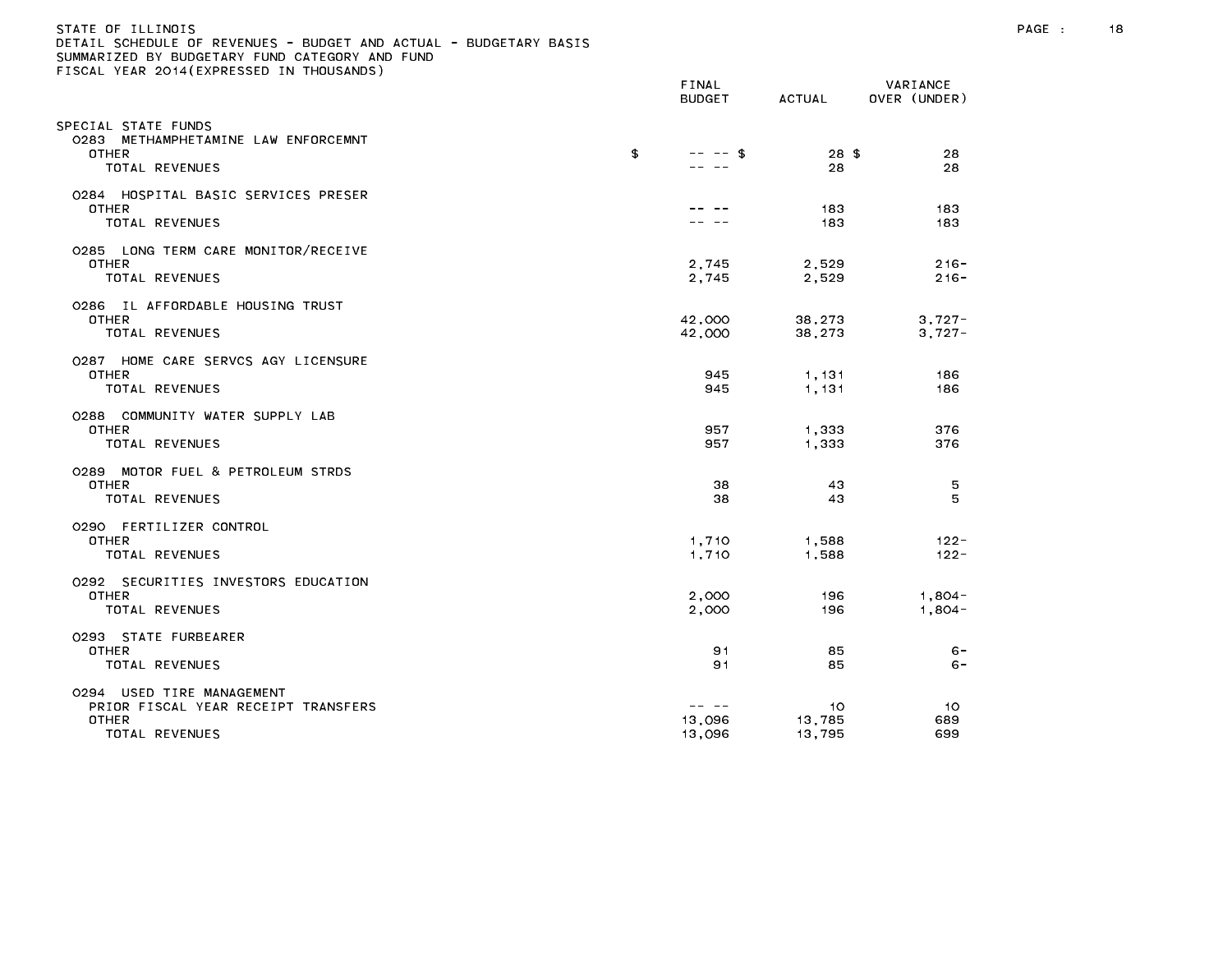#### STATE OF ILLINOIS PAGE : 18 DETAIL SCHEDULE OF REVENUES - BUDGET AND ACTUAL - BUDGETARY BASIS

|                                                                                              | FINAL<br><b>BUDGET</b>    | ACTUAL                 | VARIANCE<br>OVER (UNDER) |
|----------------------------------------------------------------------------------------------|---------------------------|------------------------|--------------------------|
| SPECIAL STATE FUNDS<br>0283 METHAMPHETAMINE LAW ENFORCEMNT<br><b>OTHER</b><br>TOTAL REVENUES | \$<br>$-- - -$ \$         | $28 \text{ }$ \$<br>28 | 28<br>28                 |
| 0284 HOSPITAL BASIC SERVICES PRESER<br><b>OTHER</b><br>TOTAL REVENUES                        |                           | 183<br>183             | 183<br>183               |
| 0285 LONG TERM CARE MONITOR/RECEIVE<br><b>OTHER</b><br><b>TOTAL REVENUES</b>                 | 2,745<br>2,745            | 2,529<br>2,529         | $216 -$<br>$216 -$       |
| 0286 IL AFFORDABLE HOUSING TRUST<br><b>OTHER</b><br>TOTAL REVENUES                           | 42,000<br>42,000          | 38,273<br>38,273       | $3,727-$<br>$3,727-$     |
| 0287 HOME CARE SERVCS AGY LICENSURE<br><b>OTHER</b><br>TOTAL REVENUES                        | 945<br>945                | 1,131<br>1,131         | 186<br>186               |
| 0288 COMMUNITY WATER SUPPLY LAB<br><b>OTHER</b><br>TOTAL REVENUES                            | 957<br>957                | 1,333<br>1,333         | 376<br>376               |
| 0289 MOTOR FUEL & PETROLEUM STRDS<br><b>OTHER</b><br>TOTAL REVENUES                          | 38<br>38                  | 43<br>43               | 5<br>5                   |
| 0290 FERTILIZER CONTROL<br><b>OTHER</b><br><b>TOTAL REVENUES</b>                             | 1,710<br>1,710            | 1,588<br>1,588         | $122 -$<br>$122 -$       |
| 0292 SECURITIES INVESTORS EDUCATION<br>OTHER<br>TOTAL REVENUES                               | 2,000<br>2,000            | 196<br>196             | $1,804-$<br>$1,804-$     |
| 0293 STATE FURBEARER<br>OTHER<br>TOTAL REVENUES                                              | 91<br>91                  | 85<br>85               | $6 -$<br>$6 -$           |
| 0294 USED TIRE MANAGEMENT<br>PRIOR FISCAL YEAR RECEIPT TRANSFERS<br>OTHER<br>TOTAL REVENUES  | -- --<br>13,096<br>13,096 | 10<br>13,785<br>13,795 | 10<br>689<br>699         |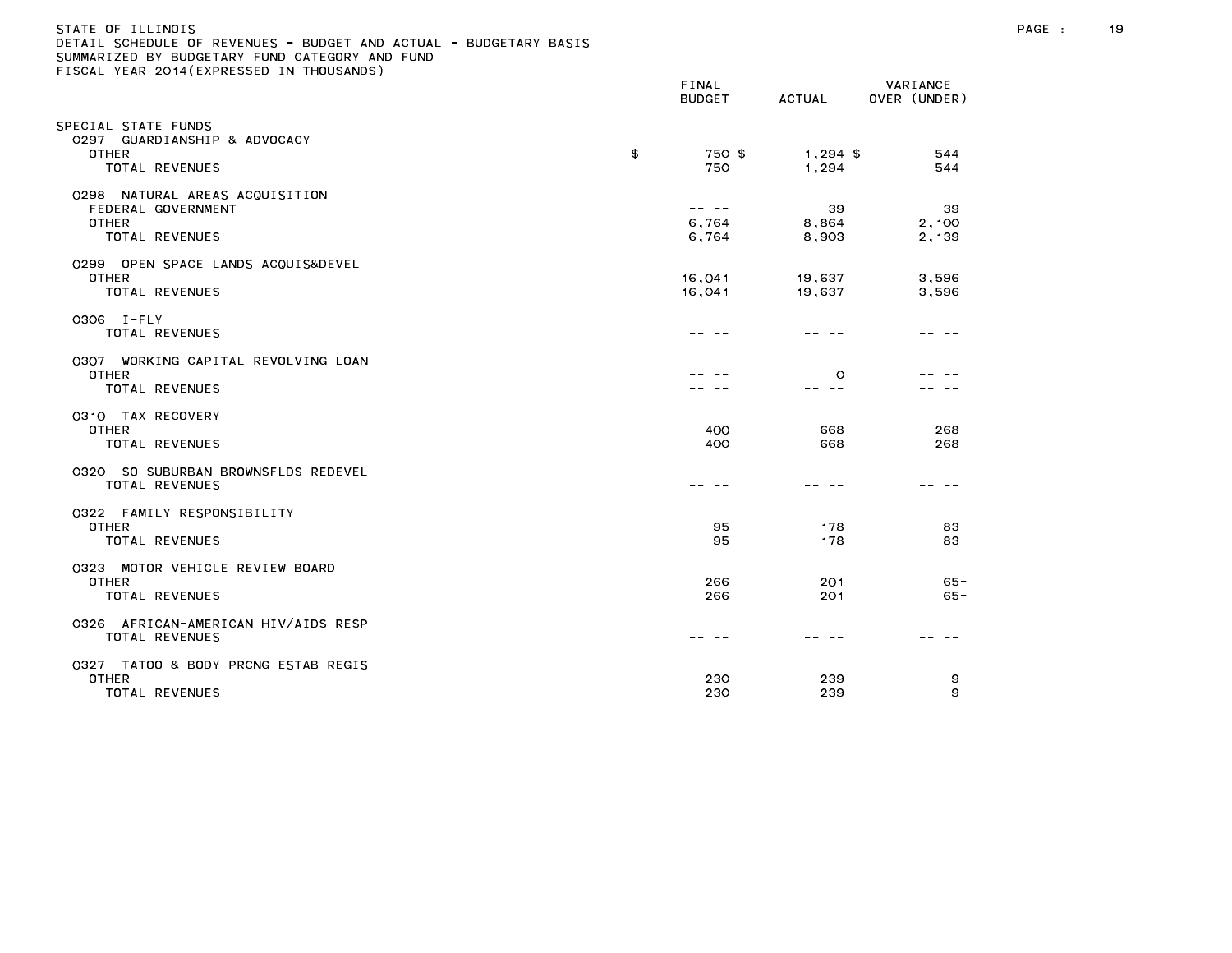| STATE OF ILLINOIS<br>DETAIL SCHEDULE OF REVENUES - BUDGET AND ACTUAL - BUDGETARY BASIS<br>SUMMARIZED BY BUDGETARY FUND CATEGORY AND FUND<br>FISCAL YEAR 2014 (EXPRESSED IN THOUSANDS) |                                                                                                                                                                                                                                                                                                                                                                                              |                     |                          | PAGE : | 19 |
|---------------------------------------------------------------------------------------------------------------------------------------------------------------------------------------|----------------------------------------------------------------------------------------------------------------------------------------------------------------------------------------------------------------------------------------------------------------------------------------------------------------------------------------------------------------------------------------------|---------------------|--------------------------|--------|----|
|                                                                                                                                                                                       | FINAL<br><b>BUDGET</b>                                                                                                                                                                                                                                                                                                                                                                       | ACTUAL              | VARIANCE<br>OVER (UNDER) |        |    |
| SPECIAL STATE FUNDS<br>0297 GUARDIANSHIP & ADVOCACY                                                                                                                                   |                                                                                                                                                                                                                                                                                                                                                                                              |                     |                          |        |    |
| <b>OTHER</b><br>TOTAL REVENUES                                                                                                                                                        | \$<br>750 \$<br>750                                                                                                                                                                                                                                                                                                                                                                          | $1,294$ \$<br>1,294 | 544<br>544               |        |    |
| 0298 NATURAL AREAS ACQUISITION<br>FEDERAL GOVERNMENT                                                                                                                                  | $\frac{1}{2} \frac{1}{2} \frac{1}{2} \frac{1}{2} \frac{1}{2} \frac{1}{2} \frac{1}{2} \frac{1}{2} \frac{1}{2} \frac{1}{2} \frac{1}{2} \frac{1}{2} \frac{1}{2} \frac{1}{2} \frac{1}{2} \frac{1}{2} \frac{1}{2} \frac{1}{2} \frac{1}{2} \frac{1}{2} \frac{1}{2} \frac{1}{2} \frac{1}{2} \frac{1}{2} \frac{1}{2} \frac{1}{2} \frac{1}{2} \frac{1}{2} \frac{1}{2} \frac{1}{2} \frac{1}{2} \frac{$ | 39                  | 39                       |        |    |
| <b>OTHER</b><br>TOTAL REVENUES                                                                                                                                                        | 6,764<br>6,764                                                                                                                                                                                                                                                                                                                                                                               | 8,864<br>8,903      | 2,100<br>2,139           |        |    |
| 0299 OPEN SPACE LANDS ACQUIS&DEVEL                                                                                                                                                    |                                                                                                                                                                                                                                                                                                                                                                                              |                     |                          |        |    |
| <b>OTHER</b><br>TOTAL REVENUES                                                                                                                                                        | 16,041<br>16,041                                                                                                                                                                                                                                                                                                                                                                             | 19,637<br>19,637    | 3,596<br>3,596           |        |    |
| 0306 I-FLY<br>TOTAL REVENUES                                                                                                                                                          |                                                                                                                                                                                                                                                                                                                                                                                              | -- -                | -- --                    |        |    |
| 0307 WORKING CAPITAL REVOLVING LOAN<br><b>OTHER</b>                                                                                                                                   |                                                                                                                                                                                                                                                                                                                                                                                              | $\circ$             |                          |        |    |
| TOTAL REVENUES                                                                                                                                                                        |                                                                                                                                                                                                                                                                                                                                                                                              | -- --               |                          |        |    |
| 0310 TAX RECOVERY<br>OTHER<br>TOTAL REVENUES                                                                                                                                          | 400<br>400                                                                                                                                                                                                                                                                                                                                                                                   | 668<br>668          | 268<br>268               |        |    |
| 0320 SO SUBURBAN BROWNSFLDS REDEVEL<br>TOTAL REVENUES                                                                                                                                 |                                                                                                                                                                                                                                                                                                                                                                                              |                     |                          |        |    |
| 0322 FAMILY RESPONSIBILITY<br><b>OTHER</b><br>TOTAL REVENUES                                                                                                                          | 95<br>95                                                                                                                                                                                                                                                                                                                                                                                     | 178<br>178          | 83<br>83                 |        |    |
| 0323 MOTOR VEHICLE REVIEW BOARD                                                                                                                                                       |                                                                                                                                                                                                                                                                                                                                                                                              |                     |                          |        |    |
| <b>OTHER</b><br>TOTAL REVENUES                                                                                                                                                        | 266<br>266                                                                                                                                                                                                                                                                                                                                                                                   | 201<br>201          | $65 -$<br>65 -           |        |    |
| 0326 AFRICAN-AMERICAN HIV/AIDS RESP<br>TOTAL REVENUES                                                                                                                                 |                                                                                                                                                                                                                                                                                                                                                                                              |                     |                          |        |    |
| 0327 TATOO & BODY PRCNG ESTAB REGIS<br>OTHER                                                                                                                                          | 230                                                                                                                                                                                                                                                                                                                                                                                          | 239                 | 9                        |        |    |
| TOTAL REVENUES                                                                                                                                                                        | 230                                                                                                                                                                                                                                                                                                                                                                                          | 239                 | 9                        |        |    |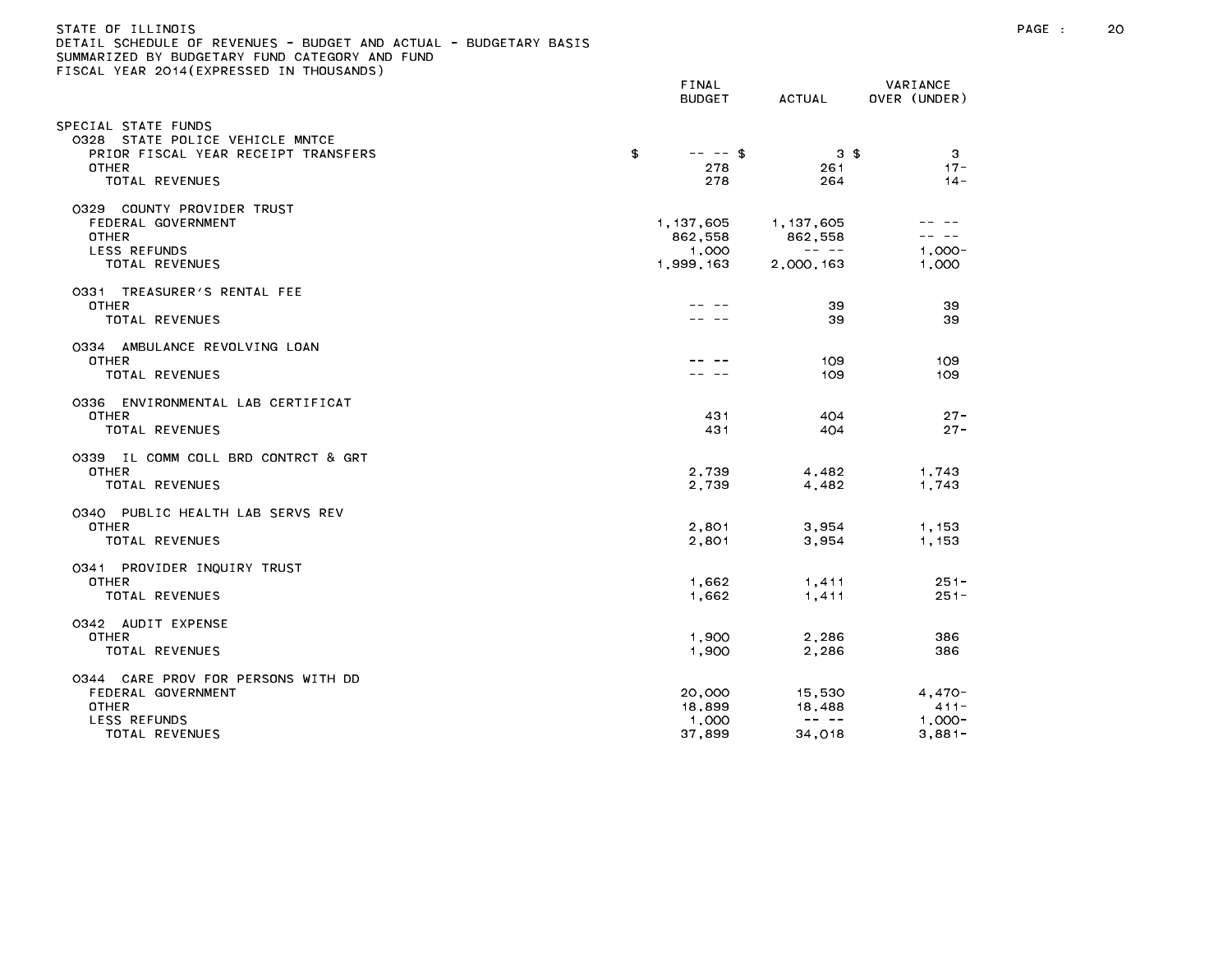### STATE OF ILLINOIS PAGE : 20 DETAIL SCHEDULE OF REVENUES - BUDGET AND ACTUAL - BUDGETARY BASIS

|                                                                                                                                 | FINAL<br><b>BUDGET</b>                       | ACTUAL                                                                                                                                                                                                                                                                                                                                                                                                                              | VARIANCE<br>OVER (UNDER)                                                                                                                                                                                                                                                                                                                                                                                           |
|---------------------------------------------------------------------------------------------------------------------------------|----------------------------------------------|-------------------------------------------------------------------------------------------------------------------------------------------------------------------------------------------------------------------------------------------------------------------------------------------------------------------------------------------------------------------------------------------------------------------------------------|--------------------------------------------------------------------------------------------------------------------------------------------------------------------------------------------------------------------------------------------------------------------------------------------------------------------------------------------------------------------------------------------------------------------|
| SPECIAL STATE FUNDS<br>0328 STATE POLICE VEHICLE MNTCE<br>PRIOR FISCAL YEAR RECEIPT TRANSFERS<br><b>OTHER</b><br>TOTAL REVENUES | \$<br>$-- - -$ \$<br>278<br>278              | 3S<br>261<br>264                                                                                                                                                                                                                                                                                                                                                                                                                    | 3<br>$17 -$<br>$14 -$                                                                                                                                                                                                                                                                                                                                                                                              |
| 0329 COUNTY PROVIDER TRUST<br>FEDERAL GOVERNMENT<br><b>OTHER</b><br>LESS REFUNDS<br>TOTAL REVENUES                              | 1, 137, 605<br>862,558<br>1,000<br>1,999,163 | 1, 137, 605<br>862,558<br>$\frac{1}{2} \frac{1}{2} \frac{1}{2} \frac{1}{2} \frac{1}{2} \frac{1}{2} \frac{1}{2} \frac{1}{2} \frac{1}{2} \frac{1}{2} \frac{1}{2} \frac{1}{2} \frac{1}{2} \frac{1}{2} \frac{1}{2} \frac{1}{2} \frac{1}{2} \frac{1}{2} \frac{1}{2} \frac{1}{2} \frac{1}{2} \frac{1}{2} \frac{1}{2} \frac{1}{2} \frac{1}{2} \frac{1}{2} \frac{1}{2} \frac{1}{2} \frac{1}{2} \frac{1}{2} \frac{1}{2} \frac{$<br>2,000,163 | $\frac{1}{2} \frac{1}{2} \frac{1}{2} \frac{1}{2} \frac{1}{2} \frac{1}{2} \frac{1}{2} \frac{1}{2} \frac{1}{2} \frac{1}{2} \frac{1}{2} \frac{1}{2} \frac{1}{2} \frac{1}{2} \frac{1}{2} \frac{1}{2} \frac{1}{2} \frac{1}{2} \frac{1}{2} \frac{1}{2} \frac{1}{2} \frac{1}{2} \frac{1}{2} \frac{1}{2} \frac{1}{2} \frac{1}{2} \frac{1}{2} \frac{1}{2} \frac{1}{2} \frac{1}{2} \frac{1}{2} \frac{$<br>$1.000 -$<br>1,000 |
| 0331 TREASURER'S RENTAL FEE<br><b>OTHER</b><br>TOTAL REVENUES                                                                   |                                              | 39<br>39                                                                                                                                                                                                                                                                                                                                                                                                                            | 39<br>39                                                                                                                                                                                                                                                                                                                                                                                                           |
| 0334 AMBULANCE REVOLVING LOAN<br><b>OTHER</b><br>TOTAL REVENUES                                                                 |                                              | 109<br>109                                                                                                                                                                                                                                                                                                                                                                                                                          | 109<br>109                                                                                                                                                                                                                                                                                                                                                                                                         |
| 0336 ENVIRONMENTAL LAB CERTIFICAT<br>OTHER<br>TOTAL REVENUES                                                                    | 431<br>431                                   | 404<br>404                                                                                                                                                                                                                                                                                                                                                                                                                          | $27 -$<br>$27 -$                                                                                                                                                                                                                                                                                                                                                                                                   |
| 0339 IL COMM COLL BRD CONTRCT & GRT<br>OTHER<br>TOTAL REVENUES                                                                  | 2,739<br>2,739                               | 4,482<br>4,482                                                                                                                                                                                                                                                                                                                                                                                                                      | 1,743<br>1,743                                                                                                                                                                                                                                                                                                                                                                                                     |
| 0340 PUBLIC HEALTH LAB SERVS REV<br><b>OTHER</b><br>TOTAL REVENUES                                                              | 2,801<br>2,801                               | 3,954<br>3,954                                                                                                                                                                                                                                                                                                                                                                                                                      | 1.153<br>1,153                                                                                                                                                                                                                                                                                                                                                                                                     |
| 0341 PROVIDER INQUIRY TRUST<br><b>OTHER</b><br>TOTAL REVENUES                                                                   | 1,662<br>1.662                               | 1,411<br>1,411                                                                                                                                                                                                                                                                                                                                                                                                                      | $251 -$<br>$251 -$                                                                                                                                                                                                                                                                                                                                                                                                 |
| 0342 AUDIT EXPENSE<br><b>OTHER</b><br>TOTAL REVENUES                                                                            | 1,900<br>1,900                               | 2,286<br>2,286                                                                                                                                                                                                                                                                                                                                                                                                                      | 386<br>386                                                                                                                                                                                                                                                                                                                                                                                                         |
| 0344 CARE PROV FOR PERSONS WITH DD<br>FEDERAL GOVERNMENT<br><b>OTHER</b><br>LESS REFUNDS<br>TOTAL REVENUES                      | 20,000<br>18,899<br>1,000<br>37,899          | 15,530<br>18,488<br>$\frac{1}{2} \frac{1}{2} \frac{1}{2} \frac{1}{2} \frac{1}{2} \frac{1}{2} \frac{1}{2} \frac{1}{2} \frac{1}{2} \frac{1}{2} \frac{1}{2} \frac{1}{2} \frac{1}{2} \frac{1}{2} \frac{1}{2} \frac{1}{2} \frac{1}{2} \frac{1}{2} \frac{1}{2} \frac{1}{2} \frac{1}{2} \frac{1}{2} \frac{1}{2} \frac{1}{2} \frac{1}{2} \frac{1}{2} \frac{1}{2} \frac{1}{2} \frac{1}{2} \frac{1}{2} \frac{1}{2} \frac{$<br>34,018          | $4,470-$<br>$411 -$<br>$1,000-$<br>$3,881-$                                                                                                                                                                                                                                                                                                                                                                        |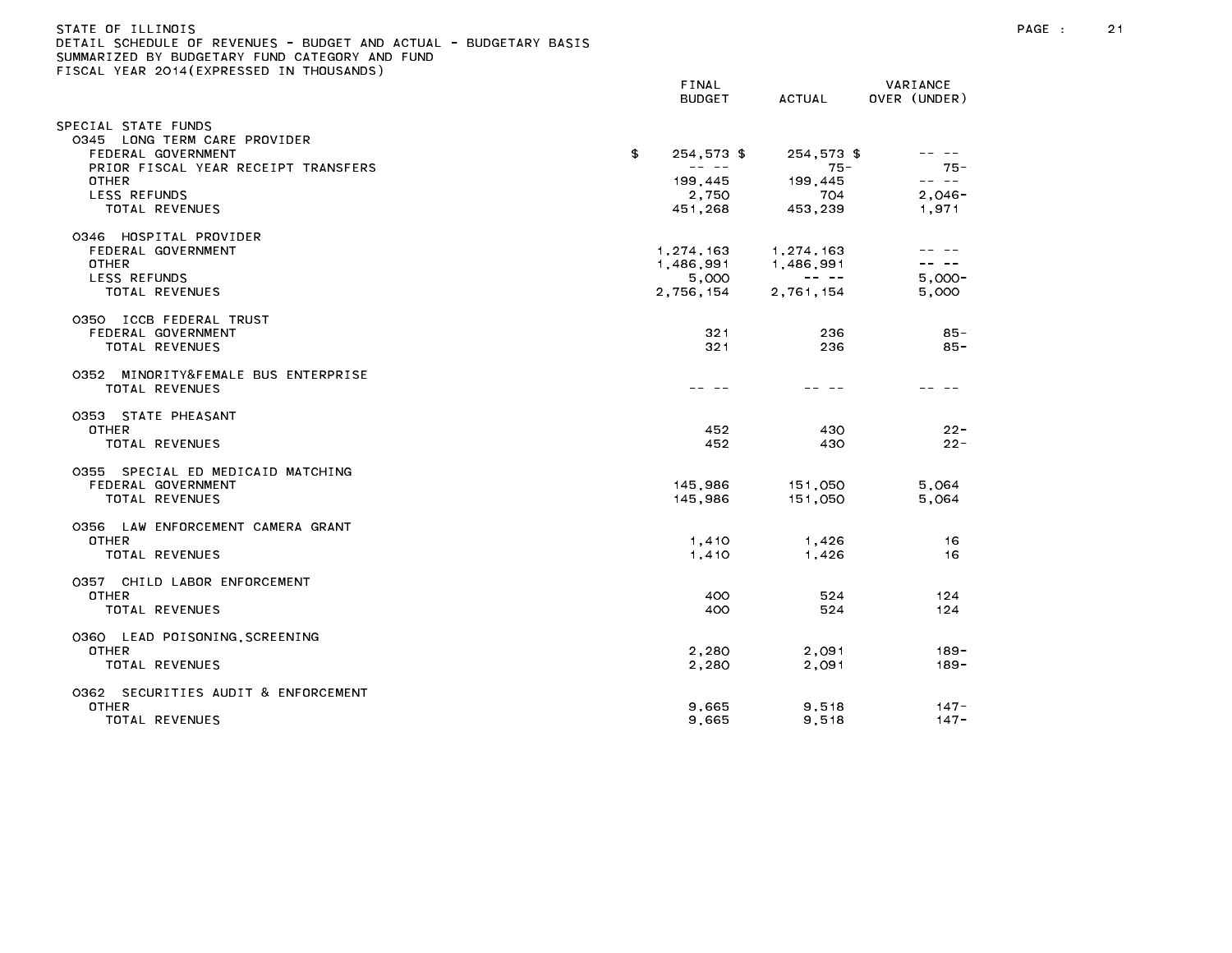| STATE OF ILLINOIS                                                 |      |
|-------------------------------------------------------------------|------|
| DETAIL SCHEDULE OF REVENUES - BUDGET AND ACTUAL - BUDGETARY BASIS |      |
| SUMMARIZED BY BUDGETARY FUND CATEGORY AND FUND                    |      |
| FISCAL YEAR 2014(EXPRESSED IN THOUSANDS)                          |      |
|                                                                   | ETND |

|                                                           | <b>DUDGET</b>                                                                                                                                                                                                                                                                                                                                                                                                    | AUIUAL                                                                                                                                                                                                                                                                                                                                                                                                    | UVER (UNDER)    |
|-----------------------------------------------------------|------------------------------------------------------------------------------------------------------------------------------------------------------------------------------------------------------------------------------------------------------------------------------------------------------------------------------------------------------------------------------------------------------------------|-----------------------------------------------------------------------------------------------------------------------------------------------------------------------------------------------------------------------------------------------------------------------------------------------------------------------------------------------------------------------------------------------------------|-----------------|
| SPECIAL STATE FUNDS<br>LONG TERM CARE PROVIDER<br>0345    |                                                                                                                                                                                                                                                                                                                                                                                                                  |                                                                                                                                                                                                                                                                                                                                                                                                           |                 |
| FEDERAL GOVERNMENT<br>PRIOR FISCAL YEAR RECEIPT TRANSFERS | 254,573 \$<br>\$<br>$\frac{1}{2} \frac{1}{2} \frac{1}{2} \frac{1}{2} \frac{1}{2} \frac{1}{2} \frac{1}{2} \frac{1}{2} \frac{1}{2} \frac{1}{2} \frac{1}{2} \frac{1}{2} \frac{1}{2} \frac{1}{2} \frac{1}{2} \frac{1}{2} \frac{1}{2} \frac{1}{2} \frac{1}{2} \frac{1}{2} \frac{1}{2} \frac{1}{2} \frac{1}{2} \frac{1}{2} \frac{1}{2} \frac{1}{2} \frac{1}{2} \frac{1}{2} \frac{1}{2} \frac{1}{2} \frac{1}{2} \frac{$ | 254,573\$<br>$75 -$                                                                                                                                                                                                                                                                                                                                                                                       | -- --<br>$75 -$ |
| OTHER                                                     | 199,445                                                                                                                                                                                                                                                                                                                                                                                                          | 199,445                                                                                                                                                                                                                                                                                                                                                                                                   | -- --           |
| <b>LESS REFUNDS</b>                                       | 2,750                                                                                                                                                                                                                                                                                                                                                                                                            | 704                                                                                                                                                                                                                                                                                                                                                                                                       | $2,046-$        |
| <b>TOTAL REVENUES</b>                                     | 451,268                                                                                                                                                                                                                                                                                                                                                                                                          | 453,239                                                                                                                                                                                                                                                                                                                                                                                                   | 1,971           |
| 0346 HOSPITAL PROVIDER                                    |                                                                                                                                                                                                                                                                                                                                                                                                                  |                                                                                                                                                                                                                                                                                                                                                                                                           |                 |
| FEDERAL GOVERNMENT                                        | 1,274,163                                                                                                                                                                                                                                                                                                                                                                                                        | 1,274,163                                                                                                                                                                                                                                                                                                                                                                                                 |                 |
| <b>OTHER</b>                                              | 1,486,991                                                                                                                                                                                                                                                                                                                                                                                                        | 1,486,991<br>$\frac{1}{2} \frac{1}{2} \frac{1}{2} \frac{1}{2} \frac{1}{2} \frac{1}{2} \frac{1}{2} \frac{1}{2} \frac{1}{2} \frac{1}{2} \frac{1}{2} \frac{1}{2} \frac{1}{2} \frac{1}{2} \frac{1}{2} \frac{1}{2} \frac{1}{2} \frac{1}{2} \frac{1}{2} \frac{1}{2} \frac{1}{2} \frac{1}{2} \frac{1}{2} \frac{1}{2} \frac{1}{2} \frac{1}{2} \frac{1}{2} \frac{1}{2} \frac{1}{2} \frac{1}{2} \frac{1}{2} \frac{$ | $5.000 -$       |
| <b>LESS REFUNDS</b><br>TOTAL REVENUES                     | 5,000<br>2,756,154                                                                                                                                                                                                                                                                                                                                                                                               | 2,761,154                                                                                                                                                                                                                                                                                                                                                                                                 | 5,000           |
|                                                           |                                                                                                                                                                                                                                                                                                                                                                                                                  |                                                                                                                                                                                                                                                                                                                                                                                                           |                 |
| 0350 ICCB FEDERAL TRUST                                   |                                                                                                                                                                                                                                                                                                                                                                                                                  |                                                                                                                                                                                                                                                                                                                                                                                                           |                 |
| FEDERAL GOVERNMENT<br><b>TOTAL REVENUES</b>               | 321<br>321                                                                                                                                                                                                                                                                                                                                                                                                       | 236<br>236                                                                                                                                                                                                                                                                                                                                                                                                | 85-<br>$85 -$   |
|                                                           |                                                                                                                                                                                                                                                                                                                                                                                                                  |                                                                                                                                                                                                                                                                                                                                                                                                           |                 |
| 0352 MINORITY&FEMALE BUS ENTERPRISE                       |                                                                                                                                                                                                                                                                                                                                                                                                                  |                                                                                                                                                                                                                                                                                                                                                                                                           |                 |
| TOTAL REVENUES                                            |                                                                                                                                                                                                                                                                                                                                                                                                                  |                                                                                                                                                                                                                                                                                                                                                                                                           |                 |
| 0353 STATE PHEASANT                                       |                                                                                                                                                                                                                                                                                                                                                                                                                  |                                                                                                                                                                                                                                                                                                                                                                                                           |                 |
| <b>OTHER</b>                                              | 452                                                                                                                                                                                                                                                                                                                                                                                                              | 430                                                                                                                                                                                                                                                                                                                                                                                                       | $22 -$          |
| TOTAL REVENUES                                            | 452                                                                                                                                                                                                                                                                                                                                                                                                              | 430                                                                                                                                                                                                                                                                                                                                                                                                       | $22 -$          |
| 0355 SPECIAL ED MEDICAID MATCHING                         |                                                                                                                                                                                                                                                                                                                                                                                                                  |                                                                                                                                                                                                                                                                                                                                                                                                           |                 |
| FEDERAL GOVERNMENT                                        | 145,986                                                                                                                                                                                                                                                                                                                                                                                                          | 151,050                                                                                                                                                                                                                                                                                                                                                                                                   | 5,064           |
| TOTAL REVENUES                                            | 145,986                                                                                                                                                                                                                                                                                                                                                                                                          | 151,050                                                                                                                                                                                                                                                                                                                                                                                                   | 5,064           |
| 0356 LAW ENFORCEMENT CAMERA GRANT                         |                                                                                                                                                                                                                                                                                                                                                                                                                  |                                                                                                                                                                                                                                                                                                                                                                                                           |                 |
| OTHER                                                     | 1,410                                                                                                                                                                                                                                                                                                                                                                                                            | 1,426                                                                                                                                                                                                                                                                                                                                                                                                     | 16              |
| TOTAL REVENUES                                            | 1,410                                                                                                                                                                                                                                                                                                                                                                                                            | 1,426                                                                                                                                                                                                                                                                                                                                                                                                     | 16              |
| 0357 CHILD LABOR ENFORCEMENT                              |                                                                                                                                                                                                                                                                                                                                                                                                                  |                                                                                                                                                                                                                                                                                                                                                                                                           |                 |
| <b>OTHER</b>                                              | 400                                                                                                                                                                                                                                                                                                                                                                                                              | 524                                                                                                                                                                                                                                                                                                                                                                                                       | 124             |
| <b>TOTAL REVENUES</b>                                     | 400                                                                                                                                                                                                                                                                                                                                                                                                              | 524                                                                                                                                                                                                                                                                                                                                                                                                       | 124             |
| 0360 LEAD POISONING, SCREENING                            |                                                                                                                                                                                                                                                                                                                                                                                                                  |                                                                                                                                                                                                                                                                                                                                                                                                           |                 |
| <b>OTHER</b>                                              | 2.280                                                                                                                                                                                                                                                                                                                                                                                                            | 2.091                                                                                                                                                                                                                                                                                                                                                                                                     | $189 -$         |
| TOTAL REVENUES                                            | 2,280                                                                                                                                                                                                                                                                                                                                                                                                            | 2,091                                                                                                                                                                                                                                                                                                                                                                                                     | $189 -$         |
| 0362 SECURITIES AUDIT & ENFORCEMENT                       |                                                                                                                                                                                                                                                                                                                                                                                                                  |                                                                                                                                                                                                                                                                                                                                                                                                           |                 |
| OTHER                                                     | 9,665                                                                                                                                                                                                                                                                                                                                                                                                            | 9,518                                                                                                                                                                                                                                                                                                                                                                                                     | $147 -$         |
| TOTAL REVENUES                                            | 9,665                                                                                                                                                                                                                                                                                                                                                                                                            | 9,518                                                                                                                                                                                                                                                                                                                                                                                                     | $147 -$         |

BUDGET ACTUAL OVER (UNDER)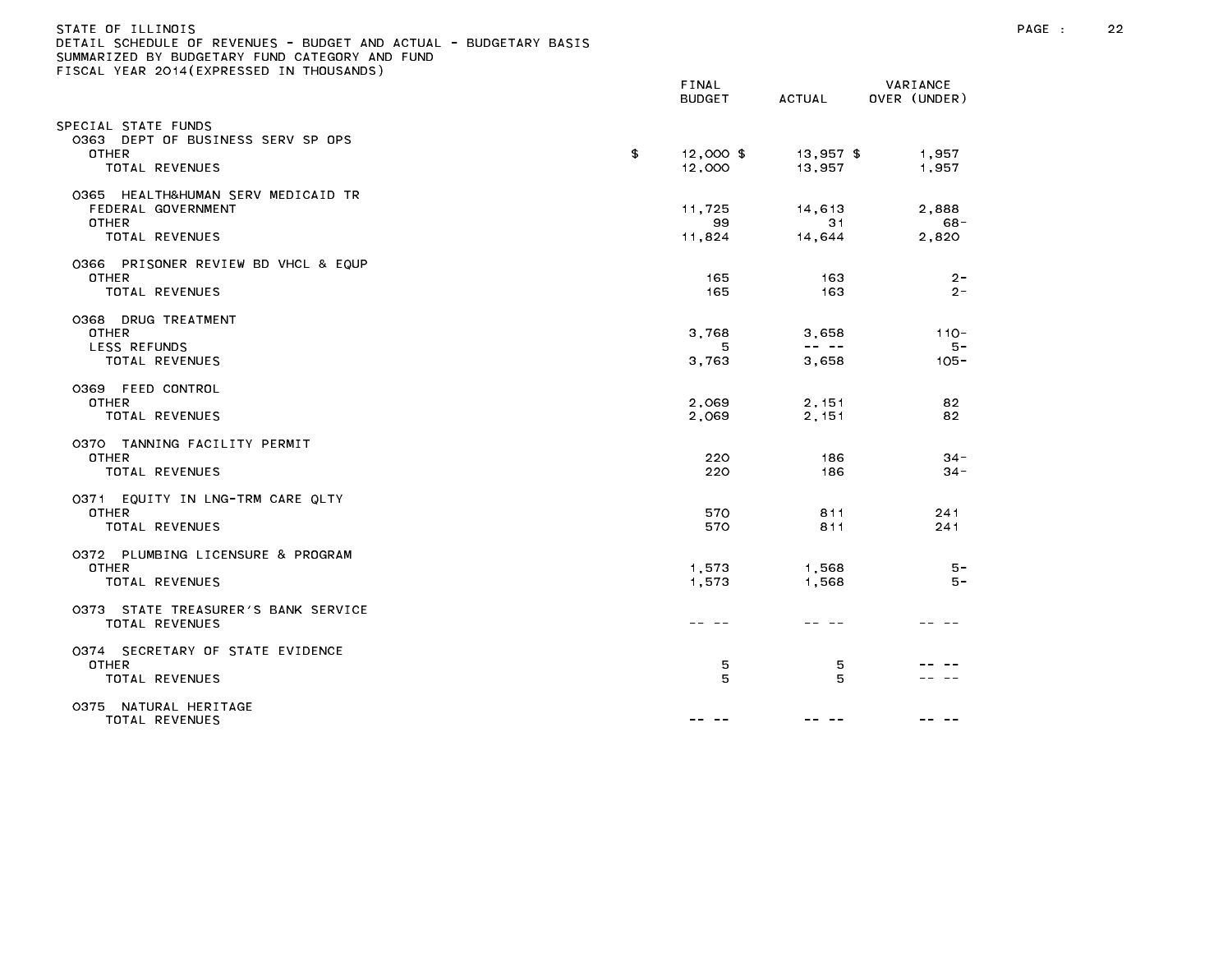| STATE OF ILLINOIS<br>DETAIL SCHEDULE OF REVENUES - BUDGET AND ACTUAL - BUDGETARY BASIS<br>SUMMARIZED BY BUDGETARY FUND CATEGORY AND FUND<br>FISCAL YEAR 2014(EXPRESSED IN THOUSANDS) |    |                        |                                                                                                                                                                                                                                                                                                                                                                                                                |                             | PAGE : | 22 |
|--------------------------------------------------------------------------------------------------------------------------------------------------------------------------------------|----|------------------------|----------------------------------------------------------------------------------------------------------------------------------------------------------------------------------------------------------------------------------------------------------------------------------------------------------------------------------------------------------------------------------------------------------------|-----------------------------|--------|----|
|                                                                                                                                                                                      |    | FINAL<br><b>BUDGET</b> | ACTUAL                                                                                                                                                                                                                                                                                                                                                                                                         | VARIANCE<br>OVER (UNDER)    |        |    |
| SPECIAL STATE FUNDS<br>0363 DEPT OF BUSINESS SERV SP OPS<br><b>OTHER</b>                                                                                                             | \$ | $12,000$ \$            | $13,957$ \$                                                                                                                                                                                                                                                                                                                                                                                                    | 1,957                       |        |    |
| TOTAL REVENUES                                                                                                                                                                       |    | 12,000                 | 13,957                                                                                                                                                                                                                                                                                                                                                                                                         | 1,957                       |        |    |
| 0365 HEALTH&HUMAN SERV MEDICAID TR<br>FEDERAL GOVERNMENT<br><b>OTHER</b><br>TOTAL REVENUES                                                                                           |    | 11,725<br>99<br>11,824 | 14,613<br>31<br>14,644                                                                                                                                                                                                                                                                                                                                                                                         | 2,888<br>68 -<br>2,820      |        |    |
| 0366 PRISONER REVIEW BD VHCL & EQUP<br><b>OTHER</b><br>TOTAL REVENUES                                                                                                                |    | 165<br>165             | 163<br>163                                                                                                                                                                                                                                                                                                                                                                                                     | $2 -$<br>$2 -$              |        |    |
| 0368 DRUG TREATMENT<br><b>OTHER</b><br>LESS REFUNDS<br>TOTAL REVENUES                                                                                                                |    | 3,768<br>5<br>3,763    | 3,658<br>$\frac{1}{2} \frac{1}{2} \frac{1}{2} \frac{1}{2} \frac{1}{2} \frac{1}{2} \frac{1}{2} \frac{1}{2} \frac{1}{2} \frac{1}{2} \frac{1}{2} \frac{1}{2} \frac{1}{2} \frac{1}{2} \frac{1}{2} \frac{1}{2} \frac{1}{2} \frac{1}{2} \frac{1}{2} \frac{1}{2} \frac{1}{2} \frac{1}{2} \frac{1}{2} \frac{1}{2} \frac{1}{2} \frac{1}{2} \frac{1}{2} \frac{1}{2} \frac{1}{2} \frac{1}{2} \frac{1}{2} \frac{$<br>3,658 | $110 -$<br>$5 -$<br>$105 -$ |        |    |
| 0369 FEED CONTROL<br><b>OTHER</b><br>TOTAL REVENUES                                                                                                                                  |    | 2,069<br>2,069         | 2,151<br>2,151                                                                                                                                                                                                                                                                                                                                                                                                 | 82<br>82                    |        |    |
| 0370 TANNING FACILITY PERMIT<br><b>OTHER</b><br>TOTAL REVENUES                                                                                                                       |    | 220<br>220             | 186<br>186                                                                                                                                                                                                                                                                                                                                                                                                     | $34 -$<br>$34 -$            |        |    |
| 0371 EQUITY IN LNG-TRM CARE QLTY<br><b>OTHER</b><br>TOTAL REVENUES                                                                                                                   |    | 570<br>570             | 811<br>811                                                                                                                                                                                                                                                                                                                                                                                                     | 241<br>241                  |        |    |
| 0372 PLUMBING LICENSURE & PROGRAM<br><b>OTHER</b><br>TOTAL REVENUES                                                                                                                  |    | 1,573<br>1,573         | 1,568<br>1,568                                                                                                                                                                                                                                                                                                                                                                                                 | $5 -$<br>- 5                |        |    |
| 0373 STATE TREASURER'S BANK SERVICE<br>TOTAL REVENUES                                                                                                                                |    |                        | -- --                                                                                                                                                                                                                                                                                                                                                                                                          |                             |        |    |
| 0374 SECRETARY OF STATE EVIDENCE<br><b>OTHER</b><br>TOTAL REVENUES                                                                                                                   |    | 5<br>5                 | 5<br>5                                                                                                                                                                                                                                                                                                                                                                                                         | $\sim$ $-$                  |        |    |
| 0375 NATURAL HERITAGE<br>TOTAL REVENUES                                                                                                                                              |    | -- --                  | -- --                                                                                                                                                                                                                                                                                                                                                                                                          | -- --                       |        |    |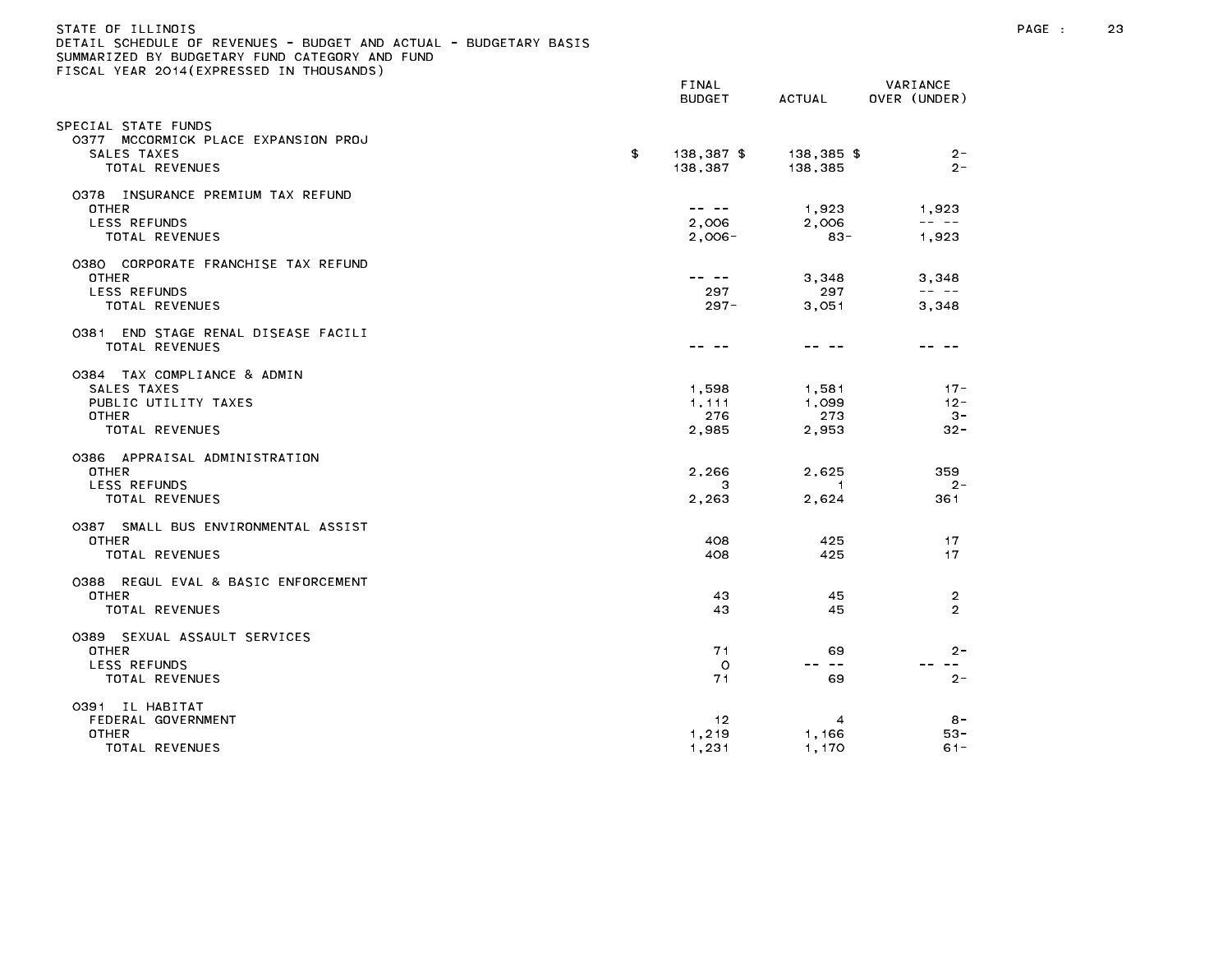| STATE OF ILLINOIS                                                 |  |
|-------------------------------------------------------------------|--|
| DETAIL SCHEDULE OF REVENUES - BUDGET AND ACTUAL - BUDGETARY BASIS |  |
| SUMMARIZED BY BUDGETARY FUND CATEGORY AND FUND                    |  |
| FISCAL YEAR 2014(EXPRESSED IN THOUSANDS)                          |  |

|                                                                                               | <b>BUDGET</b>                  | <b>ACTUAL</b>                    | OVER (UNDER)                                                                                                                                                                                                                                                                                                                                                                                                   |
|-----------------------------------------------------------------------------------------------|--------------------------------|----------------------------------|----------------------------------------------------------------------------------------------------------------------------------------------------------------------------------------------------------------------------------------------------------------------------------------------------------------------------------------------------------------------------------------------------------------|
| SPECIAL STATE FUNDS<br>0377 MCCORMICK PLACE EXPANSION PROJ<br>SALES TAXES<br>TOTAL REVENUES   | \$<br>$138,387$ \$<br>138,387  | 138,385 \$<br>138,385            | $2 -$<br>$2 -$                                                                                                                                                                                                                                                                                                                                                                                                 |
| 0378 INSURANCE PREMIUM TAX REFUND<br><b>OTHER</b><br>LESS REFUNDS<br>TOTAL REVENUES           | 2,006<br>$2,006 -$             | 1.923<br>2,006<br>$83 -$         | 1,923<br>$\frac{1}{2} \frac{1}{2} \frac{1}{2} \frac{1}{2} \frac{1}{2} \frac{1}{2} \frac{1}{2} \frac{1}{2} \frac{1}{2} \frac{1}{2} \frac{1}{2} \frac{1}{2} \frac{1}{2} \frac{1}{2} \frac{1}{2} \frac{1}{2} \frac{1}{2} \frac{1}{2} \frac{1}{2} \frac{1}{2} \frac{1}{2} \frac{1}{2} \frac{1}{2} \frac{1}{2} \frac{1}{2} \frac{1}{2} \frac{1}{2} \frac{1}{2} \frac{1}{2} \frac{1}{2} \frac{1}{2} \frac{$<br>1,923 |
| 0380 CORPORATE FRANCHISE TAX REFUND<br><b>OTHER</b><br>LESS REFUNDS<br>TOTAL REVENUES         | -- --<br>297<br>$297 -$        | 3,348<br>297<br>3,051            | 3,348<br>$\frac{1}{2} \frac{1}{2} \frac{1}{2} \frac{1}{2} \frac{1}{2} \frac{1}{2} \frac{1}{2} \frac{1}{2} \frac{1}{2} \frac{1}{2} \frac{1}{2} \frac{1}{2} \frac{1}{2} \frac{1}{2} \frac{1}{2} \frac{1}{2} \frac{1}{2} \frac{1}{2} \frac{1}{2} \frac{1}{2} \frac{1}{2} \frac{1}{2} \frac{1}{2} \frac{1}{2} \frac{1}{2} \frac{1}{2} \frac{1}{2} \frac{1}{2} \frac{1}{2} \frac{1}{2} \frac{1}{2} \frac{$<br>3,348 |
| END STAGE RENAL DISEASE FACILI<br>0381<br>TOTAL REVENUES                                      | -- -                           | -- --                            | -- --                                                                                                                                                                                                                                                                                                                                                                                                          |
| 0384 TAX COMPLIANCE & ADMIN<br>SALES TAXES<br>PUBLIC UTILITY TAXES<br>OTHER<br>TOTAL REVENUES | 1,598<br>1,111<br>276<br>2,985 | 1,581<br>1,099<br>273<br>2,953   | $17 -$<br>$12 -$<br>- 3 -<br>$32 -$                                                                                                                                                                                                                                                                                                                                                                            |
| 0386 APPRAISAL ADMINISTRATION<br><b>OTHER</b><br><b>LESS REFUNDS</b><br>TOTAL REVENUES        | 2,266<br>з<br>2,263            | 2,625<br>$\overline{1}$<br>2,624 | 359<br>$2 -$<br>361                                                                                                                                                                                                                                                                                                                                                                                            |
| 0387 SMALL BUS ENVIRONMENTAL ASSIST<br>OTHER<br>TOTAL REVENUES                                | 408<br>408                     | 425<br>425                       | 17<br>17                                                                                                                                                                                                                                                                                                                                                                                                       |
| 0388 REGUL EVAL & BASIC ENFORCEMENT<br><b>OTHER</b><br>TOTAL REVENUES                         | 43<br>43                       | 45<br>45                         | $\overline{2}$<br>$\overline{2}$                                                                                                                                                                                                                                                                                                                                                                               |
| 0389 SEXUAL ASSAULT SERVICES<br><b>OTHER</b><br><b>LESS REFUNDS</b><br>TOTAL REVENUES         | 71<br>$\circ$<br>71            | 69<br>-- --<br>69                | $2 -$<br>$- - -$<br>$2 -$                                                                                                                                                                                                                                                                                                                                                                                      |
| 0391 IL HABITAT<br>FEDERAL GOVERNMENT<br>OTHER<br>TOTAL REVENUES                              | 12<br>1,219<br>1,231           | $\overline{4}$<br>1,166<br>1,170 | $8 -$<br>53-<br>$61 -$                                                                                                                                                                                                                                                                                                                                                                                         |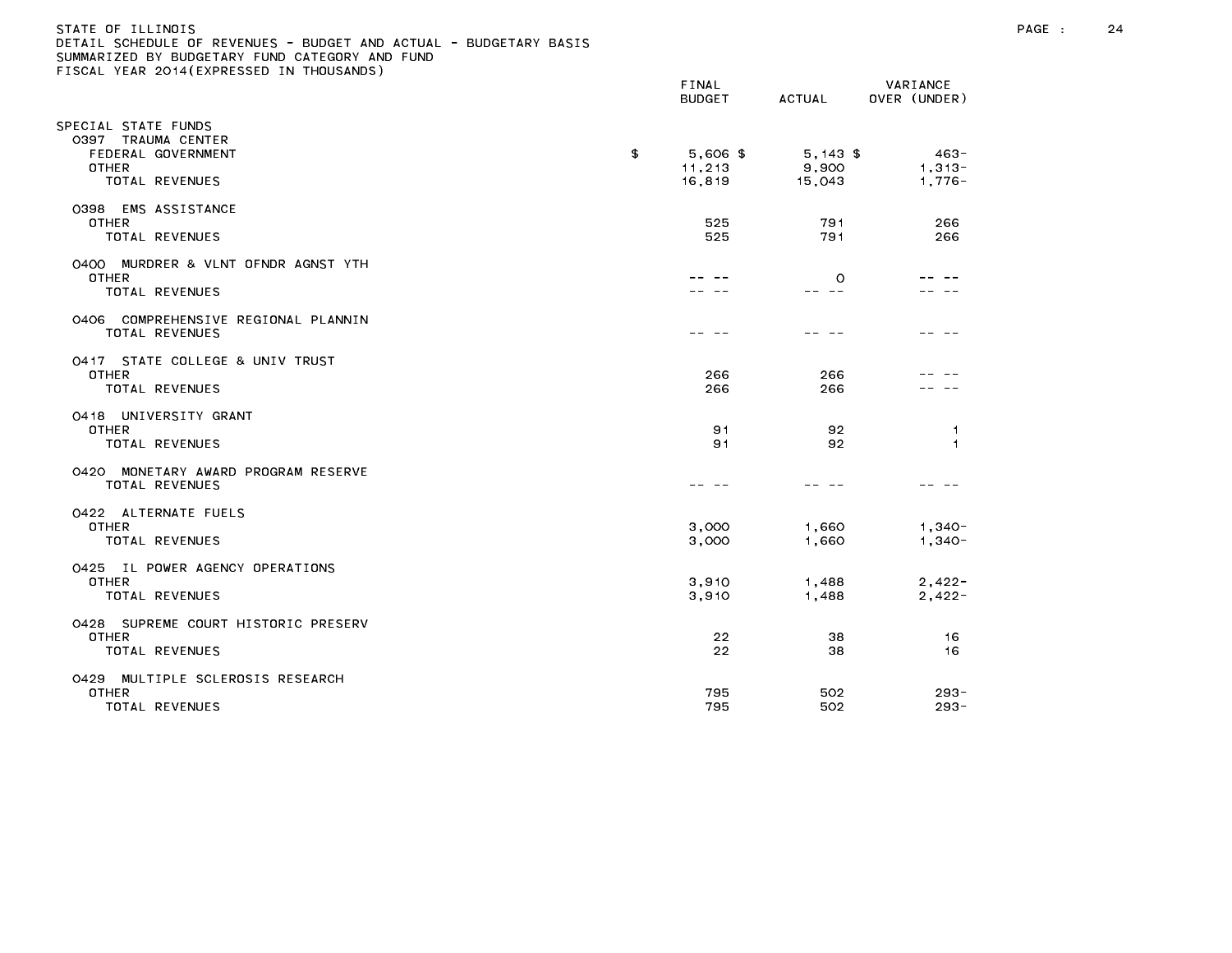| STATE OF ILLINOIS                                                 |
|-------------------------------------------------------------------|
| DETAIL SCHEDULE OF REVENUES - BUDGET AND ACTUAL - BUDGETARY BASIS |
| SUMMARIZED BY BUDGETARY FUND CATEGORY AND FUND                    |
| FISCAL YEAR 2014(EXPRESSED IN THOUSANDS)                          |

|                                                                                                  | FINAL<br><b>BUDGET</b>               | <b>ACTUAL</b>                                                                                                                                                                                                                                                                                                                                                                                                                                             | VARIANCE<br>OVER (UNDER)      |
|--------------------------------------------------------------------------------------------------|--------------------------------------|-----------------------------------------------------------------------------------------------------------------------------------------------------------------------------------------------------------------------------------------------------------------------------------------------------------------------------------------------------------------------------------------------------------------------------------------------------------|-------------------------------|
| PECIAL STATE FUNDS<br>0397 TRAUMA CENTER<br>FEDERAL GOVERNMENT<br>OTHER<br><b>TOTAL REVENUES</b> | \$<br>$5,606$ \$<br>11,213<br>16,819 | $5,143$ \$<br>9,900<br>15,043                                                                                                                                                                                                                                                                                                                                                                                                                             | $463 -$<br>$1,313-$<br>1,776- |
| 0398 EMS ASSISTANCE<br><b>OTHER</b><br><b>TOTAL REVENUES</b>                                     | 525<br>525                           | 791<br>791                                                                                                                                                                                                                                                                                                                                                                                                                                                | 266<br>266                    |
| 0400 MURDRER & VLNT OFNDR AGNST YTH<br><b>OTHER</b><br>TOTAL REVENUES                            |                                      | $\circ$<br>$\frac{1}{2} \left( \frac{1}{2} \right) \frac{1}{2} \left( \frac{1}{2} \right) \frac{1}{2} \left( \frac{1}{2} \right) \frac{1}{2} \left( \frac{1}{2} \right) \frac{1}{2} \left( \frac{1}{2} \right) \frac{1}{2} \left( \frac{1}{2} \right) \frac{1}{2} \left( \frac{1}{2} \right) \frac{1}{2} \left( \frac{1}{2} \right) \frac{1}{2} \left( \frac{1}{2} \right) \frac{1}{2} \left( \frac{1}{2} \right) \frac{1}{2} \left( \frac{1}{2} \right)$ |                               |
| 0406 COMPREHENSIVE REGIONAL PLANNIN<br>TOTAL REVENUES                                            |                                      |                                                                                                                                                                                                                                                                                                                                                                                                                                                           |                               |
| 0417 STATE COLLEGE & UNIV TRUST<br><b>OTHER</b><br><b>TOTAL REVENUES</b>                         | 266<br>266                           | 266<br>266                                                                                                                                                                                                                                                                                                                                                                                                                                                |                               |
| 0418 UNIVERSITY GRANT<br><b>OTHER</b><br>TOTAL REVENUES                                          | 91<br>91                             | 92<br>92                                                                                                                                                                                                                                                                                                                                                                                                                                                  | -1<br>$\overline{1}$          |
| MONETARY AWARD PROGRAM RESERVE<br>0420<br><b>TOTAL REVENUES</b>                                  |                                      |                                                                                                                                                                                                                                                                                                                                                                                                                                                           |                               |
| 0422 ALTERNATE FUELS<br><b>OTHER</b><br><b>TOTAL REVENUES</b>                                    | 3,000<br>3,000                       | 1,660<br>1,660                                                                                                                                                                                                                                                                                                                                                                                                                                            | $1,340 -$<br>$1,340 -$        |
| 0425 IL POWER AGENCY OPERATIONS<br><b>OTHER</b><br>TOTAL REVENUES                                | 3,910<br>3,910                       | 1,488<br>1,488                                                                                                                                                                                                                                                                                                                                                                                                                                            | $2,422-$<br>$2,422-$          |
| 0428 SUPREME COURT HISTORIC PRESERV<br><b>OTHER</b><br>TOTAL REVENUES                            | 22<br>22                             | 38<br>38                                                                                                                                                                                                                                                                                                                                                                                                                                                  | 16<br>16                      |
| 0429 MULTIPLE SCLEROSIS RESEARCH<br><b>OTHER</b><br><b>TOTAL REVENUES</b>                        | 795<br>795                           | 502<br>502                                                                                                                                                                                                                                                                                                                                                                                                                                                | $293 -$<br>$293 -$            |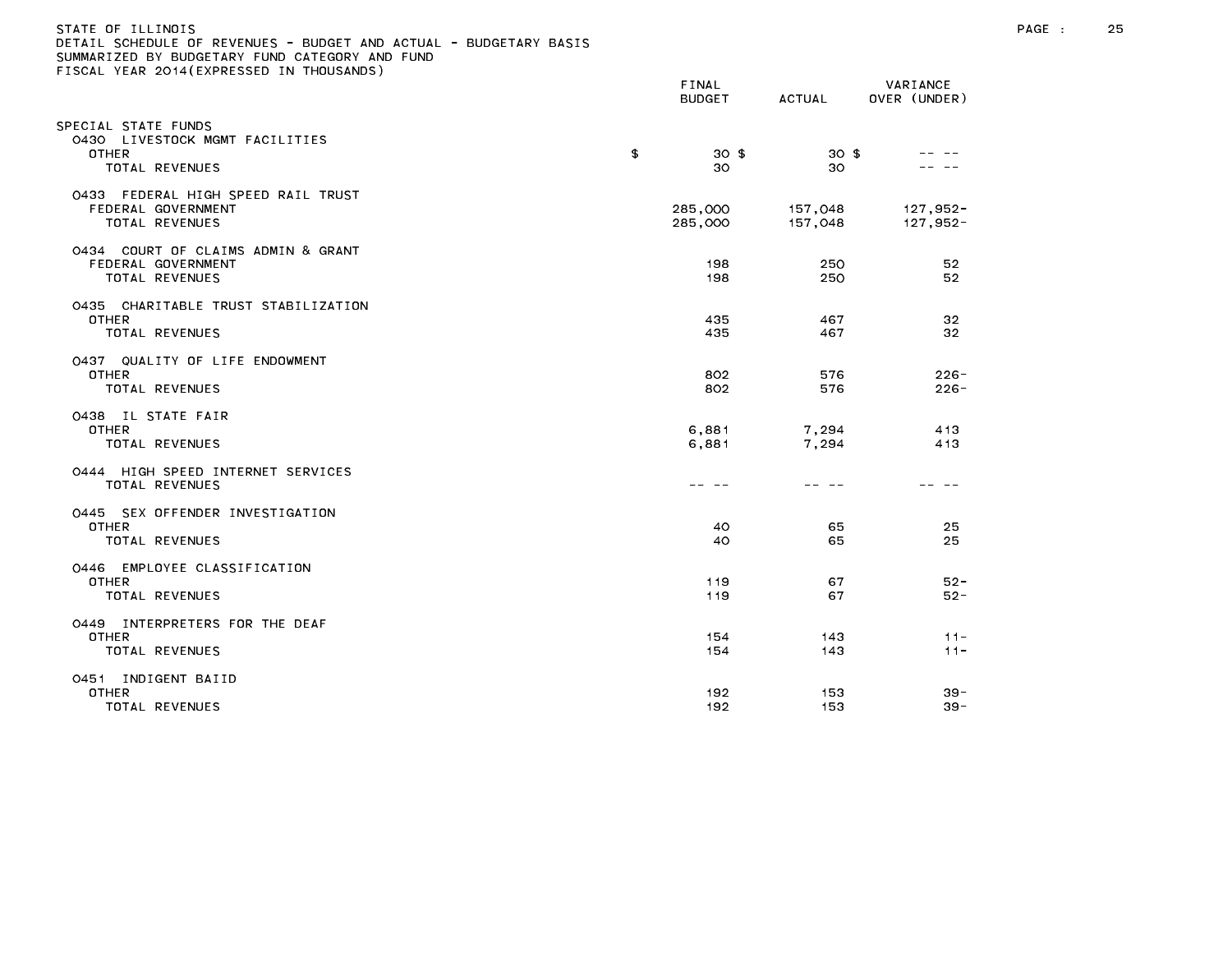| )ETAIL SCHEDULE OF REVENUES - BUDGET AND ACTUAL - BUDGETARY BASIS<br>SUMMARIZED BY BUDGETARY FUND CATEGORY AND FUND<br>TISCAL YEAR 2014(EXPRESSED IN THOUSANDS) |                        |                    |                          |
|-----------------------------------------------------------------------------------------------------------------------------------------------------------------|------------------------|--------------------|--------------------------|
|                                                                                                                                                                 | FINAL<br><b>BUDGET</b> | ACTUAL             | VARIANCE<br>OVER (UNDER) |
| SPECIAL STATE FUNDS<br>0430 LIVESTOCK MGMT FACILITIES<br><b>OTHER</b>                                                                                           | \$<br>30 <sub>5</sub>  | 30 <sup>3</sup>    |                          |
| TOTAL REVENUES                                                                                                                                                  | 30                     | 30                 |                          |
| 0433 FEDERAL HIGH SPEED RAIL TRUST<br>FEDERAL GOVERNMENT<br>TOTAL REVENUES                                                                                      | 285,000<br>285,000     | 157,048<br>157,048 | 127,952-<br>127,952-     |
| 0434 COURT OF CLAIMS ADMIN & GRANT<br>FEDERAL GOVERNMENT<br>TOTAL REVENUES                                                                                      | 198<br>198             | 250<br>250         | 52<br>52                 |
| 0435 CHARITABLE TRUST STABILIZATION<br><b>OTHER</b><br>TOTAL REVENUES                                                                                           | 435<br>435             | 467<br>467         | 32<br>32                 |
| 0437 QUALITY OF LIFE ENDOWMENT<br><b>OTHER</b><br>TOTAL REVENUES                                                                                                | 802<br>802             | 576<br>576         | $226 -$<br>$226 -$       |
| 0438 IL STATE FAIR<br>OTHER<br>TOTAL REVENUES                                                                                                                   | 6,881<br>6,881         | 7,294<br>7,294     | 413<br>413               |
| 0444 HIGH SPEED INTERNET SERVICES<br>TOTAL REVENUES                                                                                                             | -- --                  | -- --              |                          |
| 0445 SEX OFFENDER INVESTIGATION<br><b>OTHER</b><br>TOTAL REVENUES                                                                                               | 40<br>40               | 65<br>65           | 25<br>25                 |
| 0446 EMPLOYEE CLASSIFICATION<br><b>OTHER</b><br>TOTAL REVENUES                                                                                                  | 119<br>119             | 67<br>67           | $52 -$<br>$52 -$         |
| 0449 INTERPRETERS FOR THE DEAF<br><b>OTHER</b><br>TOTAL REVENUES                                                                                                | 154<br>154             | 143<br>143         | $11 -$<br>$11 -$         |
| 0451 INDIGENT BAIID<br>OTHER<br>TOTAL REVENUES                                                                                                                  | 192<br>192             | 153<br>153         | $39 -$<br>$39 -$         |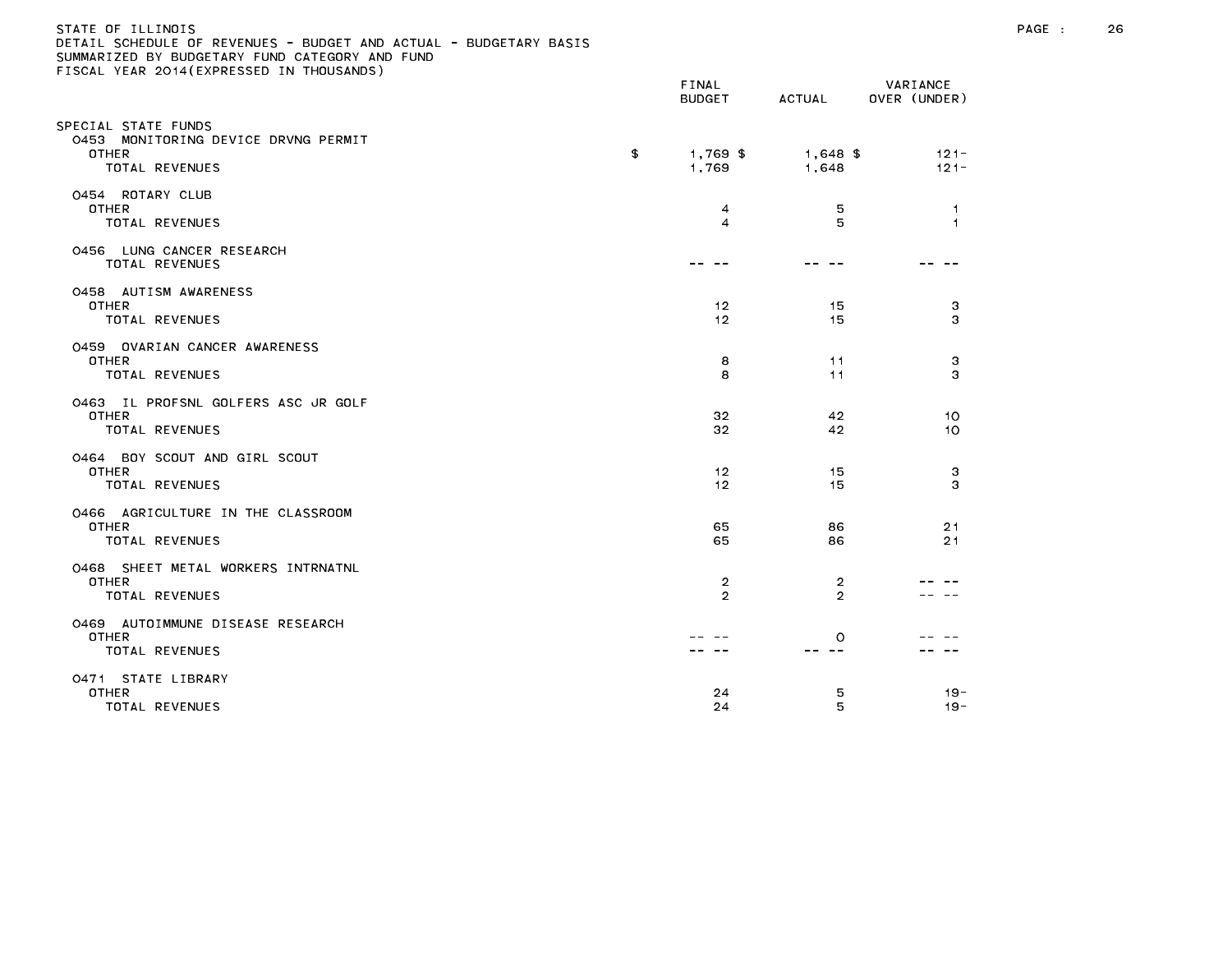### STATE OF ILLINOIS PAGE : 26 DETAIL SCHEDULE OF REVENUES - BUDGET AND ACTUAL - BUDGETARY BASIS

| $\sim$ 1998 Femix Edit (EATALS9ED II) HIOGRAPHS                                       | FINAL<br><b>BUDGET</b>  | ACTUAL              | VARIANCE<br>OVER (UNDER) |
|---------------------------------------------------------------------------------------|-------------------------|---------------------|--------------------------|
| SPECIAL STATE FUNDS<br>0453 MONITORING DEVICE DRVNG PERMIT<br>OTHER<br>TOTAL REVENUES | \$<br>1,769 \$<br>1,769 | $1,648$ \$<br>1,648 | $121 -$<br>$121 -$       |
| 0454 ROTARY CLUB<br><b>OTHER</b><br>TOTAL REVENUES                                    | 4<br>4                  | 5<br>5              | -1<br>$\overline{1}$     |
| 0456 LUNG CANCER RESEARCH<br>TOTAL REVENUES                                           |                         |                     |                          |
| 0458 AUTISM AWARENESS<br><b>OTHER</b><br>TOTAL REVENUES                               | 12<br>12                | 15<br>15            | 3<br>з                   |
| 0459 OVARIAN CANCER AWARENESS<br><b>OTHER</b><br>TOTAL REVENUES                       | 8<br>8                  | 11<br>11            | 3<br>з                   |
| 0463 IL PROFSNL GOLFERS ASC JR GOLF<br><b>OTHER</b><br>TOTAL REVENUES                 | 32<br>32                | 42<br>42            | 10 <sup>°</sup><br>10    |
| 0464 BOY SCOUT AND GIRL SCOUT<br><b>OTHER</b><br>TOTAL REVENUES                       | 12<br>12                | 15<br>15            | 3<br>3                   |
| 0466 AGRICULTURE IN THE CLASSROOM<br><b>OTHER</b><br>TOTAL REVENUES                   | 65<br>65                | 86<br>86            | 21<br>21                 |
| 0468 SHEET METAL WORKERS INTRNATNL<br><b>OTHER</b><br>TOTAL REVENUES                  | 2<br>$\overline{2}$     | $\overline{2}$<br>2 |                          |
| 0469 AUTOIMMUNE DISEASE RESEARCH<br>OTHER<br>TOTAL REVENUES                           |                         | $\circ$             |                          |
| 0471 STATE LIBRARY<br><b>OTHER</b><br>TOTAL REVENUES                                  | 24<br>24                | 5<br>5              | $19 -$<br>$19 -$         |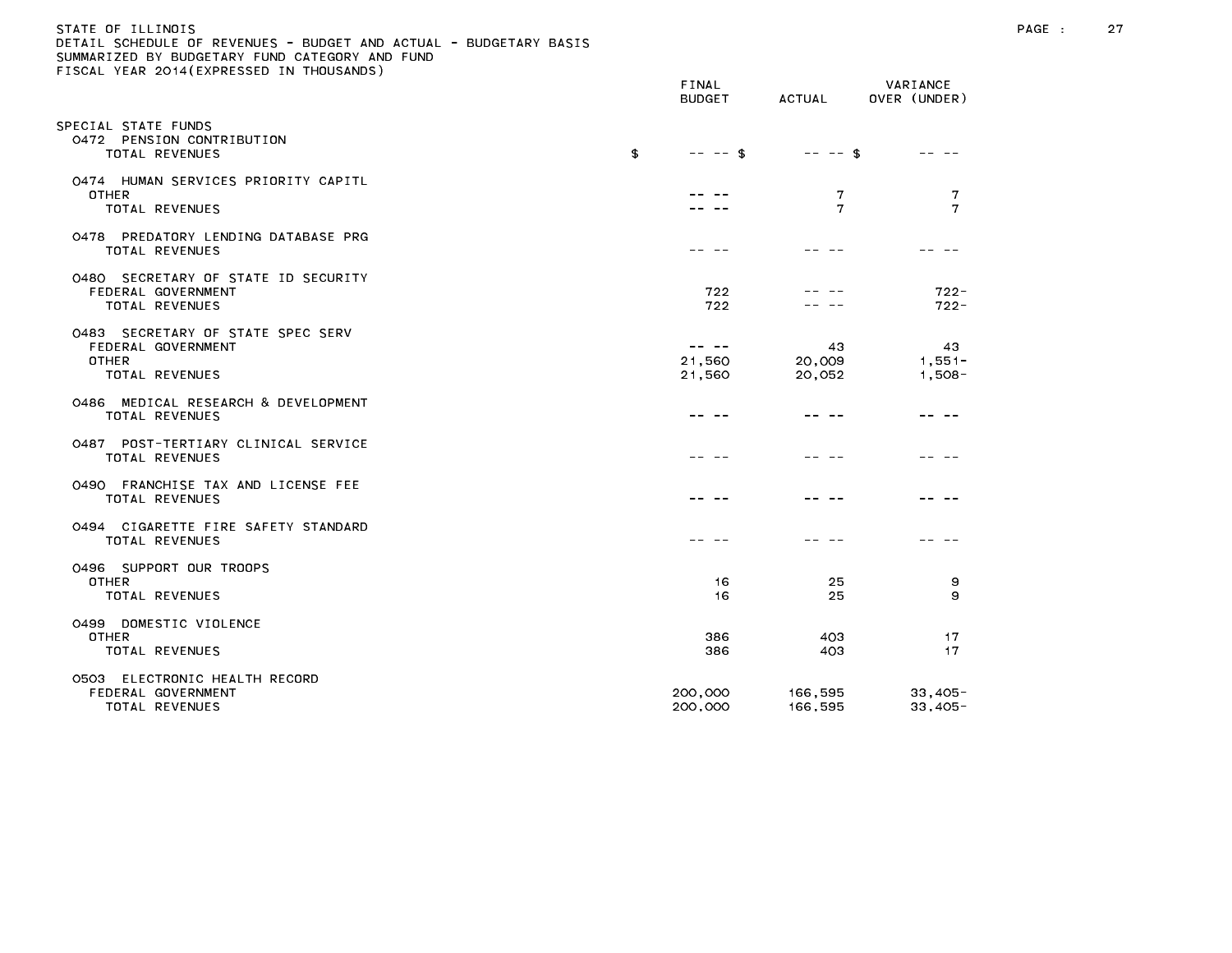# STATE OF ILLINOIS PAGE : 27 DETAIL SCHEDULE OF REVENUES - BUDGET AND ACTUAL - BUDGETARY BASIS

|                                                                                    | FINAL<br><b>BUDGET</b>          | <b>ACTUAL</b>          | VARIANCE<br>OVER (UNDER)    |
|------------------------------------------------------------------------------------|---------------------------------|------------------------|-----------------------------|
| PECIAL STATE FUNDS<br>0472 PENSION CONTRIBUTION<br>TOTAL REVENUES                  | \$<br>$-- \in$                  | $-- -$ \$              |                             |
| 0474 HUMAN SERVICES PRIORITY CAPITL<br><b>OTHER</b><br><b>TOTAL REVENUES</b>       |                                 | 7<br>7                 | 7<br>7                      |
| 0478 PREDATORY LENDING DATABASE PRG<br>TOTAL REVENUES                              |                                 |                        |                             |
| 0480 SECRETARY OF STATE ID SECURITY<br>FEDERAL GOVERNMENT<br><b>TOTAL REVENUES</b> | 722<br>722                      |                        | $722 -$<br>$722 -$          |
| 0483 SECRETARY OF STATE SPEC SERV<br>FEDERAL GOVERNMENT<br>OTHER<br>TOTAL REVENUES | $- - - - -$<br>21,560<br>21,560 | 43<br>20,009<br>20,052 | 43<br>$1,551 -$<br>$1,508-$ |
| MEDICAL RESEARCH & DEVELOPMENT<br>0486<br><b>TOTAL REVENUES</b>                    |                                 |                        |                             |
| 0487 POST-TERTIARY CLINICAL SERVICE<br><b>TOTAL REVENUES</b>                       |                                 |                        |                             |
| 0490 FRANCHISE TAX AND LICENSE FEE<br><b>TOTAL REVENUES</b>                        |                                 |                        |                             |
| 0494 CIGARETTE FIRE SAFETY STANDARD<br>TOTAL REVENUES                              |                                 |                        |                             |
| 0496 SUPPORT OUR TROOPS<br><b>OTHER</b><br>TOTAL REVENUES                          | 16<br>16                        | 25<br>25               | 9<br>9                      |
| 0499 DOMESTIC VIOLENCE<br><b>OTHER</b><br>TOTAL REVENUES                           | 386<br>386                      | 403<br>403             | 17<br>17                    |
| 0503 ELECTRONIC HEALTH RECORD<br>FEDERAL GOVERNMENT<br><b>TOTAL REVENUES</b>       | 200,000<br>200,000              | 166,595<br>166,595     | $33,405-$<br>$33,405-$      |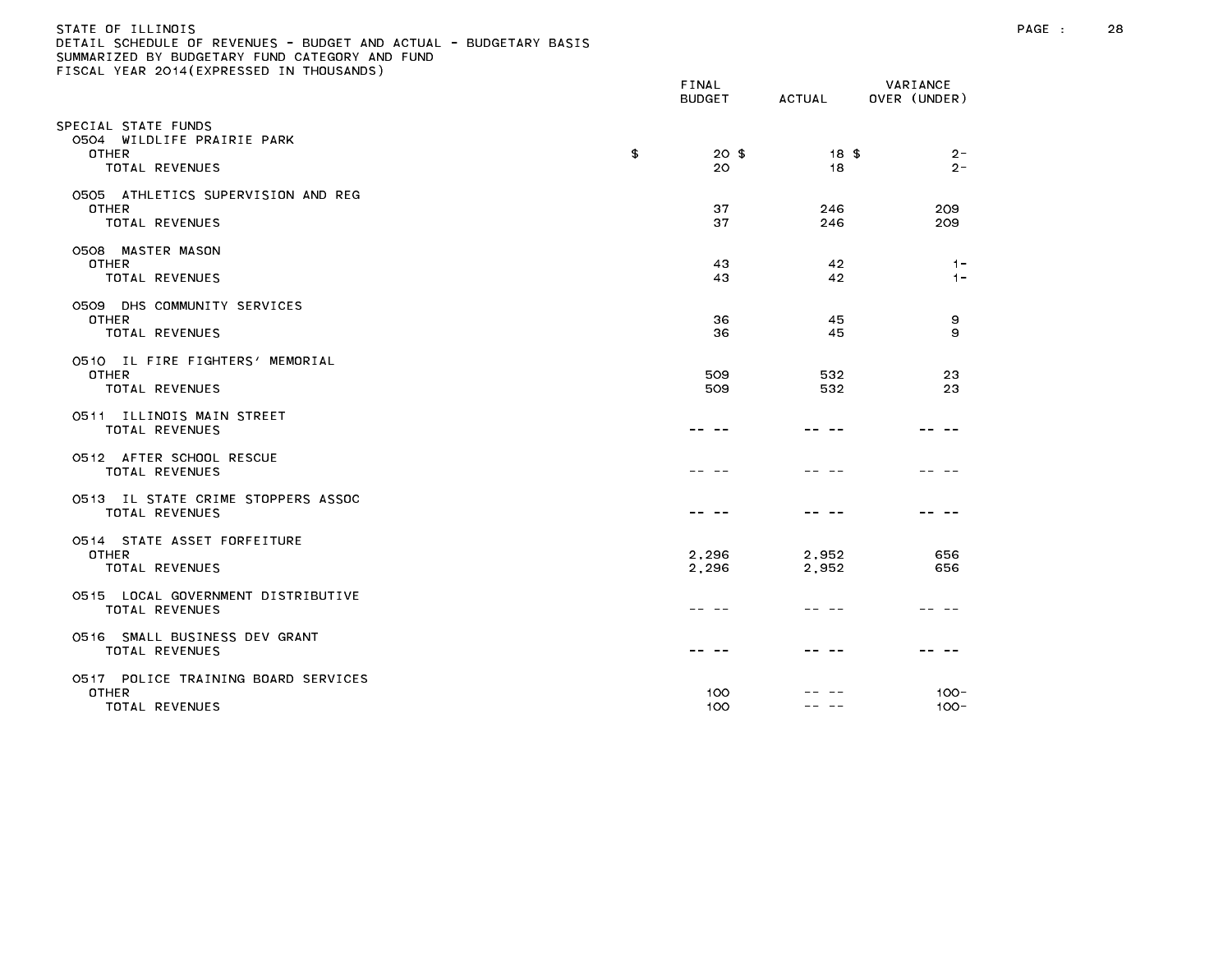| STATE OF ILLINOIS                                                 |
|-------------------------------------------------------------------|
| DETAIL SCHEDULE OF REVENUES - BUDGET AND ACTUAL - BUDGETARY BASIS |
| SUMMARIZED BY BUDGETARY FUND CATEGORY AND FUND                    |
| FISCAL YEAR 2014(EXPRESSED IN THOUSANDS)                          |

|                                                                                     | <b>BUDGET</b>       | <b>ACTUAL</b>  | OVER (UNDER)       |  |
|-------------------------------------------------------------------------------------|---------------------|----------------|--------------------|--|
| SPECIAL STATE FUNDS<br>0504 WILDLIFE PRAIRIE PARK<br><b>OTHER</b><br>TOTAL REVENUES | \$<br>$20$ \$<br>20 | 18 \$<br>18    | $2 -$<br>$2 -$     |  |
| 0505 ATHLETICS SUPERVISION AND REG<br><b>OTHER</b><br><b>TOTAL REVENUES</b>         | 37<br>37            | 246<br>246     | 209<br>209         |  |
| 0508 MASTER MASON<br><b>OTHER</b><br><b>TOTAL REVENUES</b>                          | 43<br>43            | 42<br>42       | $1 -$<br>$1 -$     |  |
| 0509 DHS COMMUNITY SERVICES<br><b>OTHER</b><br><b>TOTAL REVENUES</b>                | 36<br>36            | 45<br>45       | 9<br>9             |  |
| 0510 IL FIRE FIGHTERS' MEMORIAL<br><b>OTHER</b><br>TOTAL REVENUES                   | 509<br>509          | 532<br>532     | 23<br>23           |  |
| 0511 ILLINOIS MAIN STREET<br><b>TOTAL REVENUES</b>                                  |                     |                |                    |  |
| 0512 AFTER SCHOOL RESCUE<br><b>TOTAL REVENUES</b>                                   |                     |                |                    |  |
| 0513 IL STATE CRIME STOPPERS ASSOC<br><b>TOTAL REVENUES</b>                         |                     |                |                    |  |
| 0514 STATE ASSET FORFEITURE<br><b>OTHER</b><br>TOTAL REVENUES                       | 2,296<br>2,296      | 2,952<br>2,952 | 656<br>656         |  |
| 0515 LOCAL GOVERNMENT DISTRIBUTIVE<br>TOTAL REVENUES                                |                     |                |                    |  |
| 0516 SMALL BUSINESS DEV GRANT<br>TOTAL REVENUES                                     |                     |                |                    |  |
| 0517 POLICE TRAINING BOARD SERVICES<br><b>OTHER</b><br>TOTAL REVENUES               | 100<br>100          |                | $100 -$<br>$100 -$ |  |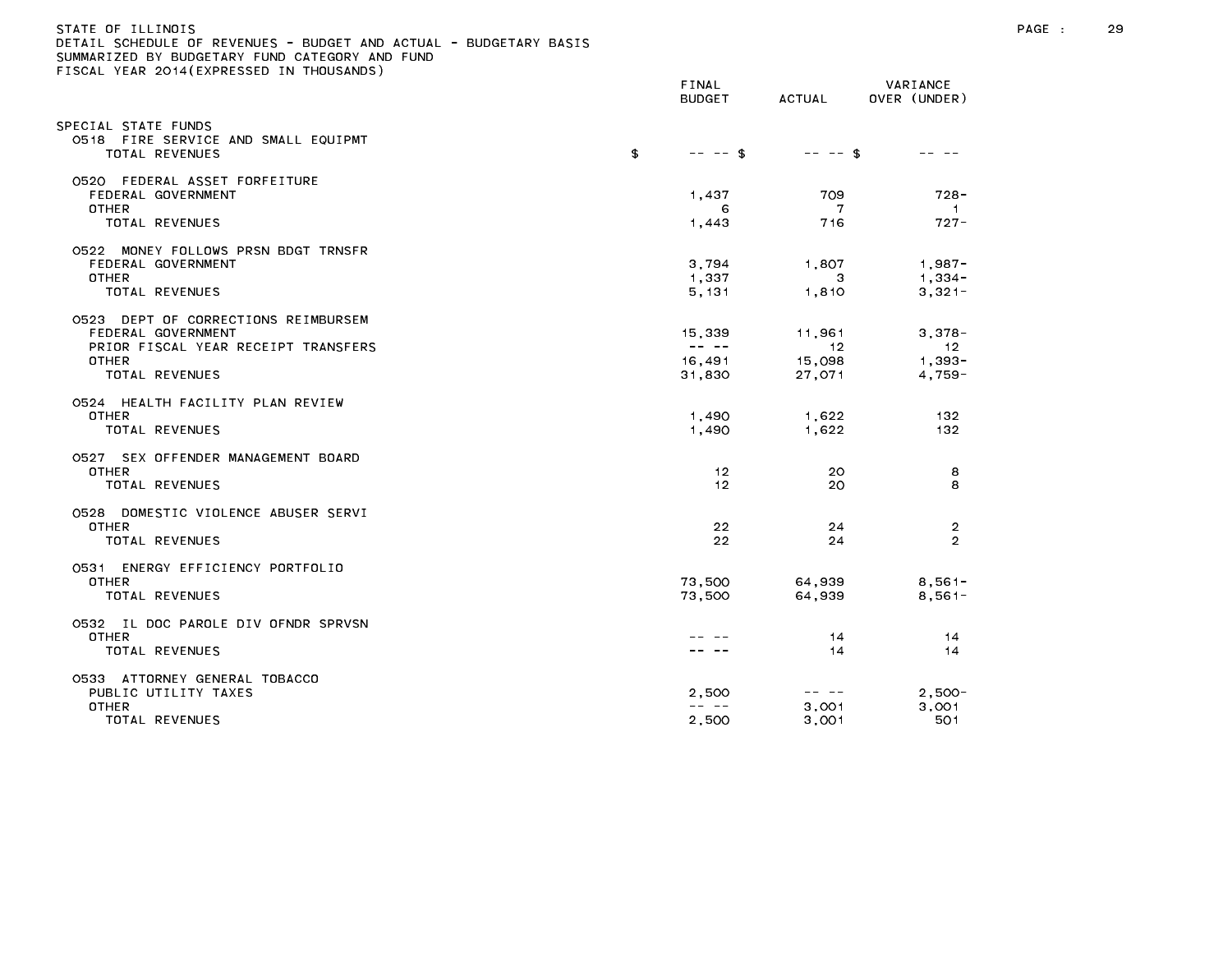| STATE OF ILLINOIS |                                                                   |  |
|-------------------|-------------------------------------------------------------------|--|
|                   | DETAIL SCHEDULE OF REVENUES - BUDGET AND ACTUAL - BUDGETARY BASIS |  |
|                   | SUMMARIZED BY BUDGETARY FUND CATEGORY AND FUND                    |  |
|                   | FISCAL YEAR 2014(EXPRESSED IN THOUSANDS)                          |  |

|                                                                                                                             | BUDGET                                                                                                                                                                                                                                                                                                                                                                                                                     | ACTUAL                           | OVER (UNDER)                            |
|-----------------------------------------------------------------------------------------------------------------------------|----------------------------------------------------------------------------------------------------------------------------------------------------------------------------------------------------------------------------------------------------------------------------------------------------------------------------------------------------------------------------------------------------------------------------|----------------------------------|-----------------------------------------|
| SPECIAL STATE FUNDS<br>0518 FIRE SERVICE AND SMALL EQUIPMT<br><b>TOTAL REVENUES</b>                                         | \$<br>$-- - -$ \$                                                                                                                                                                                                                                                                                                                                                                                                          | $-- -$ \$                        |                                         |
| 0520 FEDERAL ASSET FORFEITURE<br>FEDERAL GOVERNMENT<br><b>OTHER</b><br>TOTAL REVENUES                                       | 1,437<br>6<br>1,443                                                                                                                                                                                                                                                                                                                                                                                                        | 709<br>7<br>716                  | $728 -$<br>-1.<br>$727 -$               |
| 0522 MONEY FOLLOWS PRSN BDGT TRNSFR<br>FEDERAL GOVERNMENT<br><b>OTHER</b><br><b>TOTAL REVENUES</b>                          | 3,794<br>1,337<br>5, 131                                                                                                                                                                                                                                                                                                                                                                                                   | 1,807<br>3<br>1,810              | $1,987 -$<br>$1,334-$<br>$3,321-$       |
| 0523 DEPT OF CORRECTIONS REIMBURSEM<br>FEDERAL GOVERNMENT<br>PRIOR FISCAL YEAR RECEIPT TRANSFERS<br>OTHER<br>TOTAL REVENUES | 15,339<br>$\frac{1}{2} \frac{1}{2} \frac{1}{2} \frac{1}{2} \frac{1}{2} \frac{1}{2} \frac{1}{2} \frac{1}{2} \frac{1}{2} \frac{1}{2} \frac{1}{2} \frac{1}{2} \frac{1}{2} \frac{1}{2} \frac{1}{2} \frac{1}{2} \frac{1}{2} \frac{1}{2} \frac{1}{2} \frac{1}{2} \frac{1}{2} \frac{1}{2} \frac{1}{2} \frac{1}{2} \frac{1}{2} \frac{1}{2} \frac{1}{2} \frac{1}{2} \frac{1}{2} \frac{1}{2} \frac{1}{2} \frac{$<br>16,491<br>31,830 | 11,961<br>12<br>15,098<br>27,071 | $3,378-$<br>12<br>$1,393 -$<br>$4,759-$ |
| 0524 HEALTH FACILITY PLAN REVIEW<br><b>OTHER</b><br><b>TOTAL REVENUES</b>                                                   | 1,490<br>1,490                                                                                                                                                                                                                                                                                                                                                                                                             | 1,622<br>1,622                   | 132<br>132                              |
| 0527 SEX OFFENDER MANAGEMENT BOARD<br><b>OTHER</b><br>TOTAL REVENUES                                                        | 12<br>12                                                                                                                                                                                                                                                                                                                                                                                                                   | 20<br>20                         | 8<br>8                                  |
| 0528 DOMESTIC VIOLENCE ABUSER SERVI<br><b>OTHER</b><br>TOTAL REVENUES                                                       | 22<br>22                                                                                                                                                                                                                                                                                                                                                                                                                   | 24<br>24                         | 2<br>$\mathcal{D}$                      |
| 0531 ENERGY EFFICIENCY PORTFOLIO<br>OTHER<br>TOTAL REVENUES                                                                 | 73.500<br>73,500                                                                                                                                                                                                                                                                                                                                                                                                           | 64,939<br>64,939                 | $8,561-$<br>$8,561-$                    |
| 0532 IL DOC PAROLE DIV OFNDR SPRVSN<br><b>OTHER</b><br><b>TOTAL REVENUES</b>                                                |                                                                                                                                                                                                                                                                                                                                                                                                                            | 14<br>14                         | 14<br>14                                |
| 0533 ATTORNEY GENERAL TOBACCO<br>PUBLIC UTILITY TAXES<br><b>OTHER</b><br>TOTAL REVENUES                                     | 2,500<br>$\frac{1}{2} \frac{1}{2} \frac{1}{2} \frac{1}{2} \frac{1}{2} \frac{1}{2} \frac{1}{2} \frac{1}{2} \frac{1}{2} \frac{1}{2} \frac{1}{2} \frac{1}{2} \frac{1}{2} \frac{1}{2} \frac{1}{2} \frac{1}{2} \frac{1}{2} \frac{1}{2} \frac{1}{2} \frac{1}{2} \frac{1}{2} \frac{1}{2} \frac{1}{2} \frac{1}{2} \frac{1}{2} \frac{1}{2} \frac{1}{2} \frac{1}{2} \frac{1}{2} \frac{1}{2} \frac{1}{2} \frac{$<br>2,500             | 3,001<br>3,001                   | $2,500-$<br>3,001<br>501                |

BUDGET ACTUAL OVER (UNDER)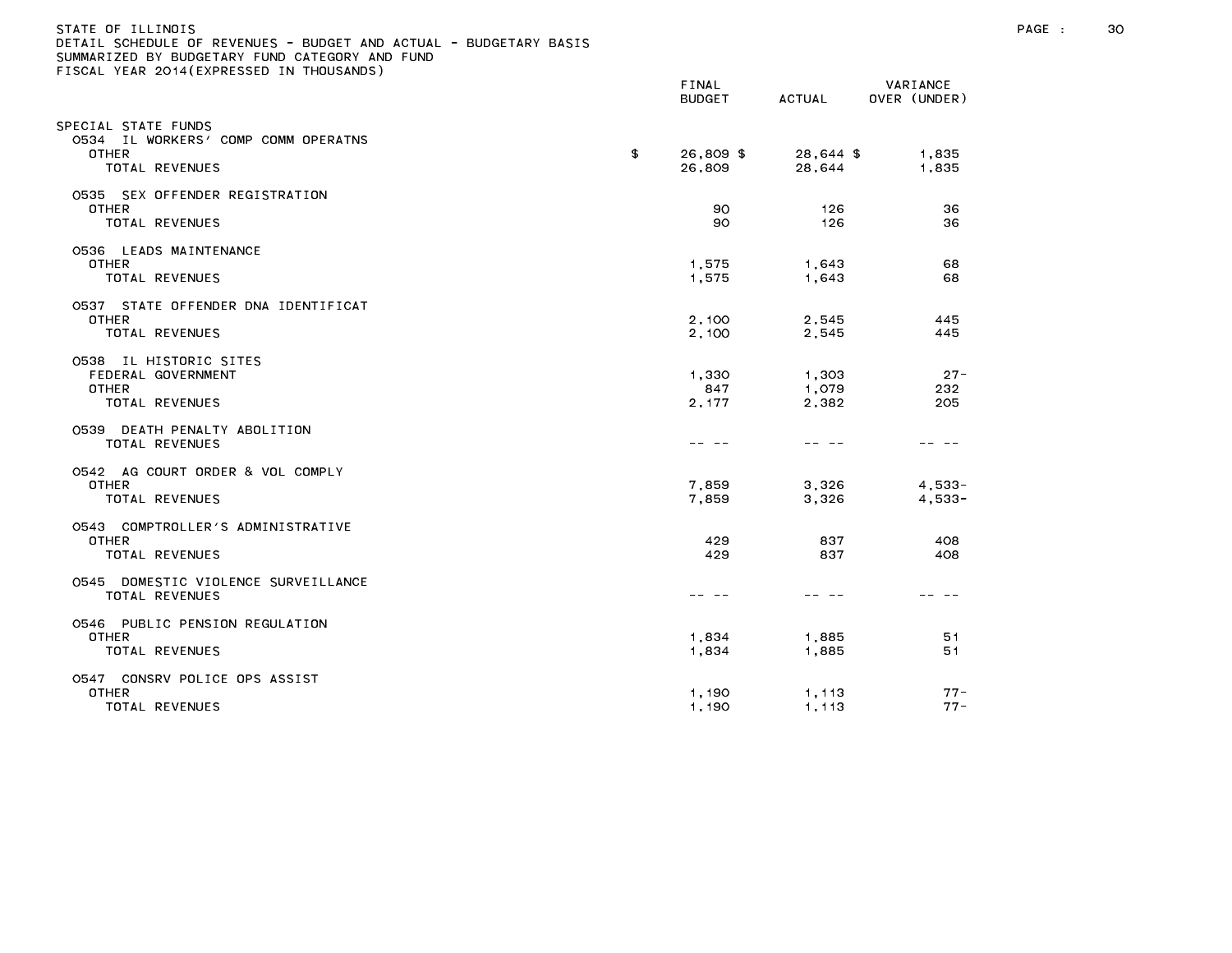| STATE OF ILLINOIS<br>DETAIL SCHEDULE OF REVENUES - BUDGET AND ACTUAL - BUDGETARY BASIS<br>SUMMARIZED BY BUDGETARY FUND CATEGORY AND FUND<br>FISCAL YEAR 2014(EXPRESSED IN THOUSANDS) |                           |                         |                          | PAGE : | 30 |
|--------------------------------------------------------------------------------------------------------------------------------------------------------------------------------------|---------------------------|-------------------------|--------------------------|--------|----|
|                                                                                                                                                                                      | FINAL<br><b>BUDGET</b>    | ACTUAL                  | VARIANCE<br>OVER (UNDER) |        |    |
| SPECIAL STATE FUNDS<br>0534 IL WORKERS' COMP COMM OPERATNS<br><b>OTHER</b><br>TOTAL REVENUES                                                                                         | \$<br>26,809 \$<br>26,809 | 28,644 \$<br>28,644     | 1,835<br>1,835           |        |    |
| 0535 SEX OFFENDER REGISTRATION<br>OTHER<br>TOTAL REVENUES                                                                                                                            | 90.<br>90.                | 126<br>126              | 36<br>36                 |        |    |
| 0536 LEADS MAINTENANCE<br>OTHER<br>TOTAL REVENUES                                                                                                                                    | 1,575<br>1,575            | 1,643<br>1,643          | 68<br>68                 |        |    |
| 0537 STATE OFFENDER DNA IDENTIFICAT<br>OTHER<br>TOTAL REVENUES                                                                                                                       | 2,100<br>2,100            | 2,545<br>2,545          | 445<br>445               |        |    |
| 0538 IL HISTORIC SITES<br>FEDERAL GOVERNMENT<br><b>OTHER</b><br>TOTAL REVENUES                                                                                                       | 1,330<br>847<br>2, 177    | 1,303<br>1,079<br>2,382 | $27 -$<br>232<br>205     |        |    |
| 0539 DEATH PENALTY ABOLITION<br>TOTAL REVENUES                                                                                                                                       |                           | -- --                   |                          |        |    |
| 0542 AG COURT ORDER & VOL COMPLY<br><b>OTHER</b><br>TOTAL REVENUES                                                                                                                   | 7,859<br>7,859            | 3,326<br>3,326          | $4,533-$<br>$4,533-$     |        |    |
| 0543 COMPTROLLER'S ADMINISTRATIVE<br><b>OTHER</b><br>TOTAL REVENUES                                                                                                                  | 429<br>429                | 837<br>837              | 408<br>408               |        |    |
| 0545 DOMESTIC VIOLENCE SURVEILLANCE<br>TOTAL REVENUES                                                                                                                                | -- --                     | -- --                   | -- --                    |        |    |
| 0546 PUBLIC PENSION REGULATION<br><b>OTHER</b><br>TOTAL REVENUES                                                                                                                     | 1,834<br>1,834            | 1,885<br>1,885          | 51<br>51                 |        |    |
| 0547 CONSRV POLICE OPS ASSIST<br><b>OTHER</b><br>TOTAL REVENUES                                                                                                                      | 1,190<br>1.190            | 1,113<br>1.113          | $77 -$<br>$77 -$         |        |    |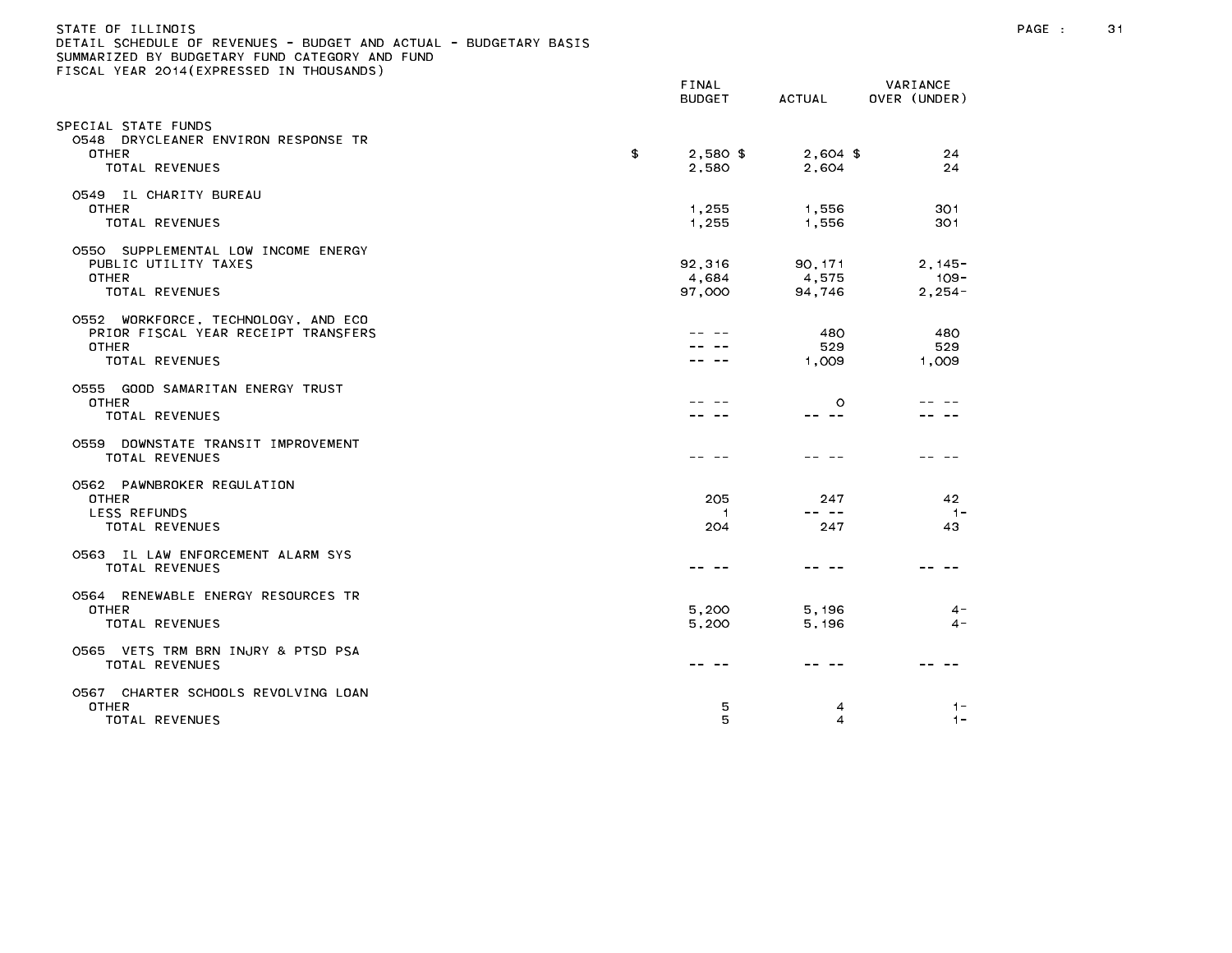| STATE OF ILLINOIS<br>DETAIL SCHEDULE OF REVENUES - BUDGET AND ACTUAL - BUDGETARY BASIS<br>SUMMARIZED BY BUDGETARY FUND CATEGORY AND FUND<br>FISCAL YEAR 2014 (EXPRESSED IN THOUSANDS) |               |                        |                     |                          | PAGE : | 31 |
|---------------------------------------------------------------------------------------------------------------------------------------------------------------------------------------|---------------|------------------------|---------------------|--------------------------|--------|----|
|                                                                                                                                                                                       |               | FINAL<br><b>BUDGET</b> | ACTUAL              | VARIANCE<br>OVER (UNDER) |        |    |
| SPECIAL STATE FUNDS                                                                                                                                                                   |               |                        |                     |                          |        |    |
| 0548 DRYCLEANER ENVIRON RESPONSE TR                                                                                                                                                   |               |                        |                     |                          |        |    |
| <b>OTHER</b><br>TOTAL REVENUES                                                                                                                                                        | $\mathbf{\$}$ | $2,580$ \$<br>2,580    | $2,604$ \$<br>2,604 | 24<br>24                 |        |    |
|                                                                                                                                                                                       |               |                        |                     |                          |        |    |
| 0549 IL CHARITY BUREAU                                                                                                                                                                |               |                        |                     |                          |        |    |
| OTHER                                                                                                                                                                                 |               | 1,255                  | 1,556               | 301                      |        |    |
| TOTAL REVENUES                                                                                                                                                                        |               | 1,255                  | 1,556               | 301                      |        |    |
| 0550 SUPPLEMENTAL LOW INCOME ENERGY                                                                                                                                                   |               |                        |                     |                          |        |    |
| PUBLIC UTILITY TAXES                                                                                                                                                                  |               | 92,316                 | 90, 171             | $2, 145 -$               |        |    |
| OTHER                                                                                                                                                                                 |               | 4,684                  | 4,575               | $109 -$                  |        |    |
| TOTAL REVENUES                                                                                                                                                                        |               | 97,000                 | 94,746              | $2,254-$                 |        |    |
| 0552 WORKFORCE, TECHNOLOGY, AND ECO                                                                                                                                                   |               |                        |                     |                          |        |    |
| PRIOR FISCAL YEAR RECEIPT TRANSFERS                                                                                                                                                   |               |                        | 480                 | 480                      |        |    |
| OTHER                                                                                                                                                                                 |               |                        | 529                 | 529                      |        |    |
| TOTAL REVENUES                                                                                                                                                                        |               |                        | 1,009               | 1,009                    |        |    |
|                                                                                                                                                                                       |               |                        |                     |                          |        |    |
| 0555 GOOD SAMARITAN ENERGY TRUST<br><b>OTHER</b>                                                                                                                                      |               |                        | $\circ$             |                          |        |    |
| TOTAL REVENUES                                                                                                                                                                        |               |                        | -- --               |                          |        |    |
|                                                                                                                                                                                       |               |                        |                     |                          |        |    |
| 0559 DOWNSTATE TRANSIT IMPROVEMENT                                                                                                                                                    |               |                        |                     |                          |        |    |
| TOTAL REVENUES                                                                                                                                                                        |               |                        |                     |                          |        |    |
| 0562 PAWNBROKER REGULATION                                                                                                                                                            |               |                        |                     |                          |        |    |
| OTHER                                                                                                                                                                                 |               | 205                    | 247                 | 42                       |        |    |
| LESS REFUNDS                                                                                                                                                                          |               | -1                     | $ -$                | $1 -$                    |        |    |
| TOTAL REVENUES                                                                                                                                                                        |               | 204                    | 247                 | 43                       |        |    |
|                                                                                                                                                                                       |               |                        |                     |                          |        |    |
| 0563 IL LAW ENFORCEMENT ALARM SYS<br>TOTAL REVENUES                                                                                                                                   |               |                        | -- --               |                          |        |    |
|                                                                                                                                                                                       |               |                        |                     |                          |        |    |
| 0564 RENEWABLE ENERGY RESOURCES TR                                                                                                                                                    |               |                        |                     |                          |        |    |
| <b>OTHER</b>                                                                                                                                                                          |               | 5,200                  | 5,196               | $4 -$                    |        |    |
| TOTAL REVENUES                                                                                                                                                                        |               | 5,200                  | 5,196               | $\Delta -$               |        |    |
| 0565 VETS TRM BRN INJRY & PTSD PSA                                                                                                                                                    |               |                        |                     |                          |        |    |
| TOTAL REVENUES                                                                                                                                                                        |               |                        |                     |                          |        |    |
|                                                                                                                                                                                       |               |                        |                     |                          |        |    |
| 0567 CHARTER SCHOOLS REVOLVING LOAN                                                                                                                                                   |               |                        |                     |                          |        |    |
| <b>OTHER</b><br>TOTAL DEVENUES                                                                                                                                                        |               | 5<br>$\blacksquare$    | 4<br>$\overline{A}$ | $1 -$<br><b>A</b> 1      |        |    |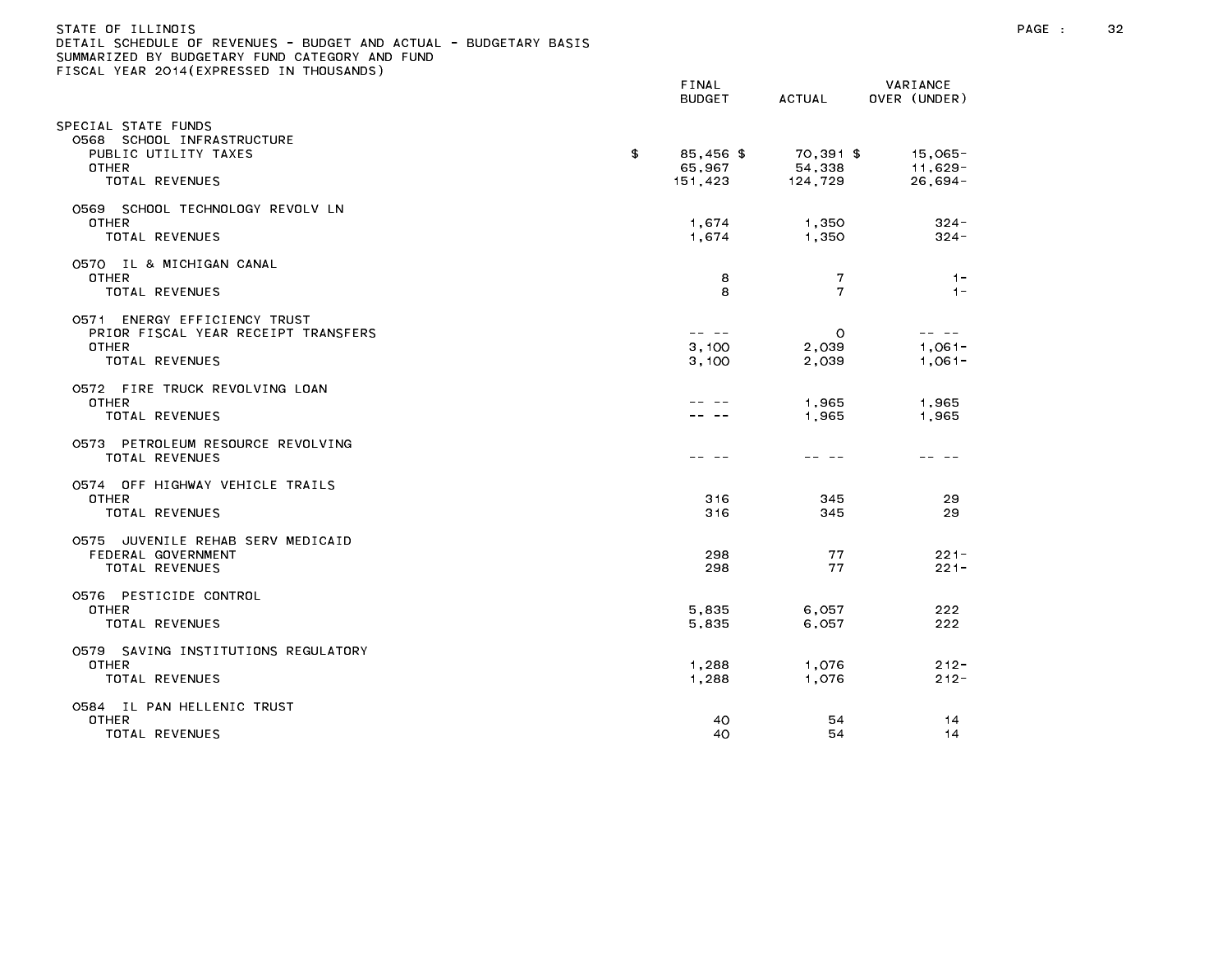| STATE OF ILLINOIS                                                 |
|-------------------------------------------------------------------|
| DETAIL SCHEDULE OF REVENUES - BUDGET AND ACTUAL - BUDGETARY BASIS |
| SUMMARIZED BY BUDGETARY FUND CATEGORY AND FUND                    |
| FISCAL YEAR 2014(EXPRESSED IN THOUSANDS)                          |

|                                                                                                              | FINAL<br><b>BUDGET</b>                                                                                                                                                                                                                                                                                                                                                                                         | <b>ACTUAL</b>                  | VARIANCE<br>OVER (UNDER)           |  |
|--------------------------------------------------------------------------------------------------------------|----------------------------------------------------------------------------------------------------------------------------------------------------------------------------------------------------------------------------------------------------------------------------------------------------------------------------------------------------------------------------------------------------------------|--------------------------------|------------------------------------|--|
| SPECIAL STATE FUNDS<br>0568 SCHOOL INFRASTRUCTURE<br>PUBLIC UTILITY TAXES<br>OTHER<br>TOTAL REVENUES         | \$<br>85,456 \$<br>65,967<br>151,423                                                                                                                                                                                                                                                                                                                                                                           | 70,391 \$<br>54,338<br>124,729 | $15,065 -$<br>11,629-<br>$26,694-$ |  |
| 0569 SCHOOL TECHNOLOGY REVOLV LN<br><b>OTHER</b><br><b>TOTAL REVENUES</b>                                    | 1,674<br>1,674                                                                                                                                                                                                                                                                                                                                                                                                 | 1,350<br>1.350                 | $324 -$<br>$324 -$                 |  |
| 0570 IL & MICHIGAN CANAL<br><b>OTHER</b><br>TOTAL REVENUES                                                   | 8<br>8                                                                                                                                                                                                                                                                                                                                                                                                         | 7<br>$\overline{7}$            | $1 -$<br>$1 -$                     |  |
| 0571 ENERGY EFFICIENCY TRUST<br>PRIOR FISCAL YEAR RECEIPT TRANSFERS<br><b>OTHER</b><br><b>TOTAL REVENUES</b> | $\frac{1}{2} \frac{1}{2} \frac{1}{2} \frac{1}{2} \frac{1}{2} \frac{1}{2} \frac{1}{2} \frac{1}{2} \frac{1}{2} \frac{1}{2} \frac{1}{2} \frac{1}{2} \frac{1}{2} \frac{1}{2} \frac{1}{2} \frac{1}{2} \frac{1}{2} \frac{1}{2} \frac{1}{2} \frac{1}{2} \frac{1}{2} \frac{1}{2} \frac{1}{2} \frac{1}{2} \frac{1}{2} \frac{1}{2} \frac{1}{2} \frac{1}{2} \frac{1}{2} \frac{1}{2} \frac{1}{2} \frac{$<br>3,100<br>3,100 | $\circ$<br>2,039<br>2.039      | -- --<br>$1,061 -$<br>$1.061 -$    |  |
| 0572 FIRE TRUCK REVOLVING LOAN<br><b>OTHER</b><br><b>TOTAL REVENUES</b>                                      |                                                                                                                                                                                                                                                                                                                                                                                                                | 1,965<br>1,965                 | 1,965<br>1,965                     |  |
| 0573 PETROLEUM RESOURCE REVOLVING<br>TOTAL REVENUES                                                          |                                                                                                                                                                                                                                                                                                                                                                                                                | -- --                          |                                    |  |
| 0574 OFF HIGHWAY VEHICLE TRAILS<br><b>OTHER</b><br>TOTAL REVENUES                                            | 316<br>316                                                                                                                                                                                                                                                                                                                                                                                                     | 345<br>345                     | 29<br>29                           |  |
| 0575 JUVENILE REHAB SERV MEDICAID<br>FEDERAL GOVERNMENT<br>TOTAL REVENUES                                    | 298<br>298                                                                                                                                                                                                                                                                                                                                                                                                     | 77<br>77                       | $221 -$<br>$221 -$                 |  |
| 0576 PESTICIDE CONTROL<br><b>OTHER</b><br>TOTAL REVENUES                                                     | 5,835<br>5,835                                                                                                                                                                                                                                                                                                                                                                                                 | 6,057<br>6,057                 | 222<br>222                         |  |
| 0579 SAVING INSTITUTIONS REGULATORY<br>OTHER<br>TOTAL REVENUES                                               | 1,288<br>1,288                                                                                                                                                                                                                                                                                                                                                                                                 | 1,076<br>1,076                 | $212 -$<br>$212 -$                 |  |
| 0584 IL PAN HELLENIC TRUST<br><b>OTHER</b><br>TOTAL REVENUES                                                 | 40<br>40                                                                                                                                                                                                                                                                                                                                                                                                       | 54<br>54                       | 14<br>14                           |  |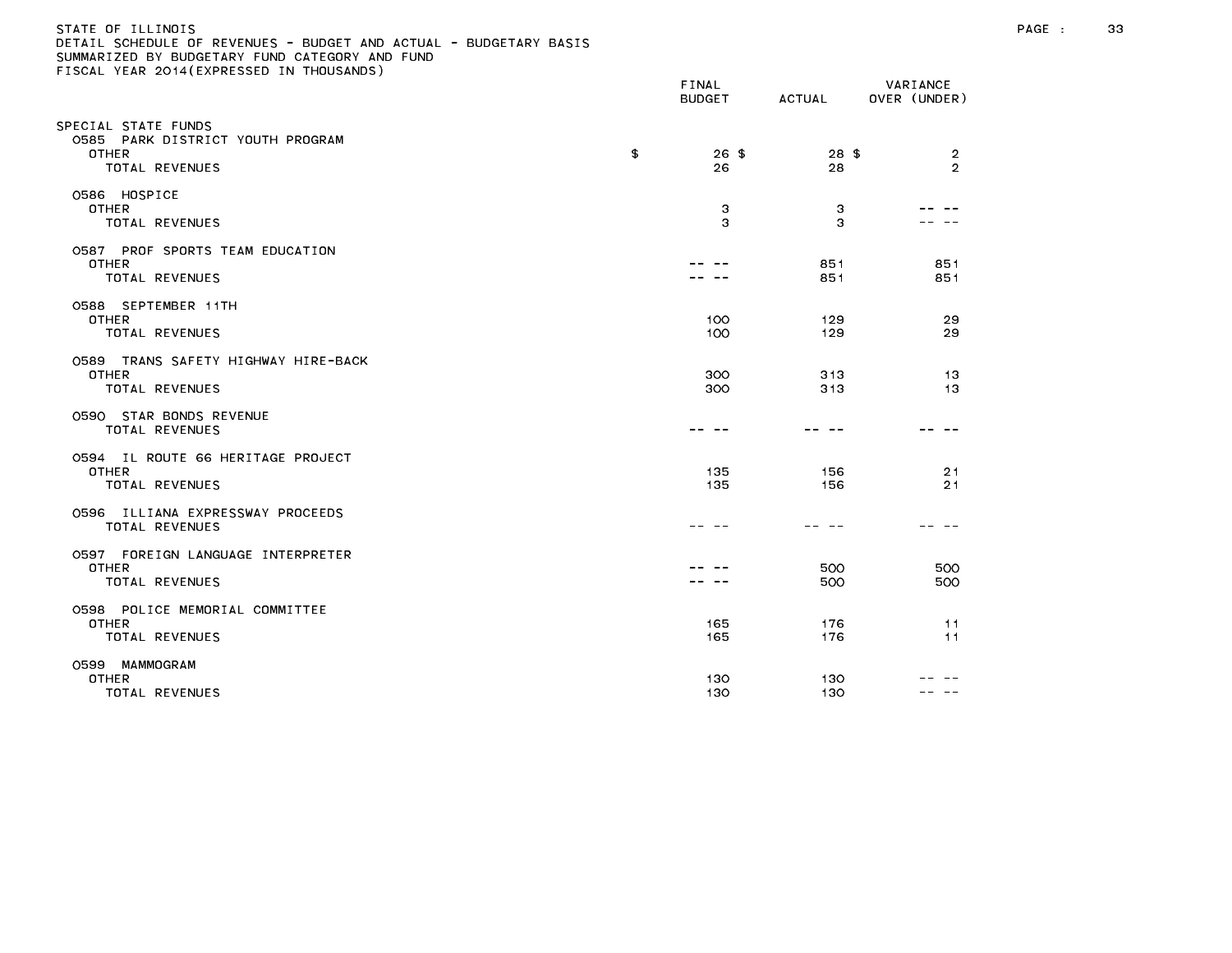### STATE OF ILLINOIS PAGE : 33 DETAIL SCHEDULE OF REVENUES - BUDGET AND ACTUAL - BUDGETARY BASIS

| LIGGAL TEAR EGTT(EATRESSED IN THOOSANDS)                                                  | FINAL<br><b>BUDGET</b> |               | VARIANCE<br>ACTUAL OVER (UNDER) |
|-------------------------------------------------------------------------------------------|------------------------|---------------|---------------------------------|
| SPECIAL STATE FUNDS<br>0585 PARK DISTRICT YOUTH PROGRAM<br><b>OTHER</b><br>TOTAL REVENUES | \$<br>$26$ \$<br>26    | $28$ \$<br>28 | 2<br>$\mathfrak{D}$             |
| O586 HOSPICE<br><b>OTHER</b><br>TOTAL REVENUES                                            | 3<br>3                 | 3<br>3        |                                 |
| 0587 PROF SPORTS TEAM EDUCATION<br><b>OTHER</b><br>TOTAL REVENUES                         |                        | 851<br>851    | 851<br>851                      |
| 0588 SEPTEMBER 11TH<br><b>OTHER</b><br>TOTAL REVENUES                                     | 100<br>100             | 129<br>129    | 29<br>29                        |
| 0589 TRANS SAFETY HIGHWAY HIRE-BACK<br><b>OTHER</b><br>TOTAL REVENUES                     | 300<br>300             | 313<br>313    | 13<br>13                        |
| 0590 STAR BONDS REVENUE<br><b>TOTAL REVENUES</b>                                          | -- --                  |               |                                 |
| 0594 IL ROUTE 66 HERITAGE PROJECT<br><b>OTHER</b><br>TOTAL REVENUES                       | 135<br>135             | 156<br>156    | 21<br>21                        |
| 0596 ILLIANA EXPRESSWAY PROCEEDS<br>TOTAL REVENUES                                        |                        |               |                                 |
| 0597 FOREIGN LANGUAGE INTERPRETER<br><b>OTHER</b><br>TOTAL REVENUES                       |                        | 500<br>500    | 500<br>500                      |
| 0598 POLICE MEMORIAL COMMITTEE<br><b>OTHER</b><br>TOTAL REVENUES                          | 165<br>165             | 176<br>176    | 11<br>11                        |
| 0599 MAMMOGRAM<br><b>OTHER</b><br>TOTAL REVENUES                                          | 130<br>130             | 130<br>130    | ---                             |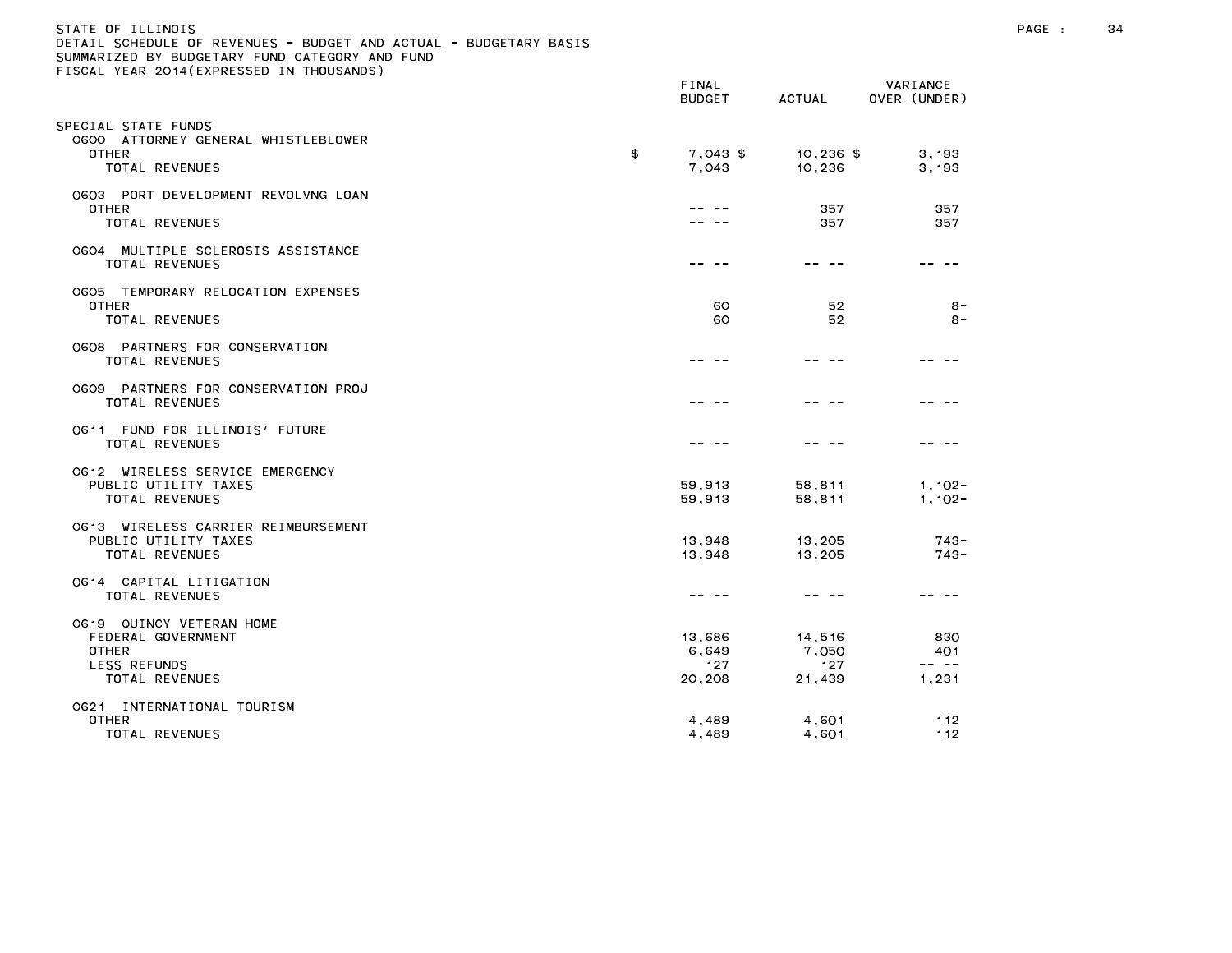| STATE OF ILLINOIS                                                 |  |
|-------------------------------------------------------------------|--|
| DETAIL SCHEDULE OF REVENUES - BUDGET AND ACTUAL - BUDGETARY BASIS |  |
| SUMMARIZED BY BUDGETARY FUND CATEGORY AND FUND                    |  |
| FISCAL YEAR 2014(EXPRESSED IN THOUSANDS)                          |  |
|                                                                   |  |

|                                                                                                  | FINAL<br><b>BUDGET</b>           | <b>ACTUAL</b>                    | VARIANCE<br>OVER (UNDER)                                                                                                                                                                                                                                                                                                                                                                                            |
|--------------------------------------------------------------------------------------------------|----------------------------------|----------------------------------|---------------------------------------------------------------------------------------------------------------------------------------------------------------------------------------------------------------------------------------------------------------------------------------------------------------------------------------------------------------------------------------------------------------------|
| PECIAL STATE FUNDS<br>0600 ATTORNEY GENERAL WHISTLEBLOWER<br><b>OTHER</b><br>TOTAL REVENUES      | \$<br>7,043 \$<br>7,043          | $10,236$ \$<br>10,236            | 3, 193<br>3, 193                                                                                                                                                                                                                                                                                                                                                                                                    |
| 0603 PORT DEVELOPMENT REVOLVNG LOAN<br>OTHER<br>TOTAL REVENUES                                   |                                  | 357<br>357                       | 357<br>357                                                                                                                                                                                                                                                                                                                                                                                                          |
| 0604 MULTIPLE SCLEROSIS ASSISTANCE<br>TOTAL REVENUES                                             |                                  |                                  |                                                                                                                                                                                                                                                                                                                                                                                                                     |
| TEMPORARY RELOCATION EXPENSES<br>0605<br><b>OTHER</b><br>TOTAL REVENUES                          | 60<br>60                         | 52<br>52                         | $8 -$<br>$8 -$                                                                                                                                                                                                                                                                                                                                                                                                      |
| 0608 PARTNERS FOR CONSERVATION<br><b>TOTAL REVENUES</b>                                          |                                  |                                  |                                                                                                                                                                                                                                                                                                                                                                                                                     |
| 0609 PARTNERS FOR CONSERVATION PROJ<br>TOTAL REVENUES                                            |                                  |                                  |                                                                                                                                                                                                                                                                                                                                                                                                                     |
| FUND FOR ILLINOIS' FUTURE<br>O6 1 1<br>TOTAL REVENUES                                            |                                  |                                  |                                                                                                                                                                                                                                                                                                                                                                                                                     |
| 0612 WIRELESS SERVICE EMERGENCY<br>PUBLIC UTILITY TAXES<br><b>TOTAL REVENUES</b>                 | 59,913<br>59,913                 | 58,811<br>58,811                 | $1, 102 -$<br>$1, 102 -$                                                                                                                                                                                                                                                                                                                                                                                            |
| 0613 WIRELESS CARRIER REIMBURSEMENT<br>PUBLIC UTILITY TAXES<br>TOTAL REVENUES                    | 13,948<br>13,948                 | 13,205<br>13,205                 | $743 -$<br>$743 -$                                                                                                                                                                                                                                                                                                                                                                                                  |
| 0614 CAPITAL LITIGATION<br>TOTAL REVENUES                                                        |                                  |                                  |                                                                                                                                                                                                                                                                                                                                                                                                                     |
| O619 QUINCY VETERAN HOME<br>FEDERAL GOVERNMENT<br><b>OTHER</b><br>LESS REFUNDS<br>TOTAL REVENUES | 13,686<br>6,649<br>127<br>20,208 | 14,516<br>7,050<br>127<br>21,439 | 830<br>401<br>$\frac{1}{2} \frac{1}{2} \frac{1}{2} \frac{1}{2} \frac{1}{2} \frac{1}{2} \frac{1}{2} \frac{1}{2} \frac{1}{2} \frac{1}{2} \frac{1}{2} \frac{1}{2} \frac{1}{2} \frac{1}{2} \frac{1}{2} \frac{1}{2} \frac{1}{2} \frac{1}{2} \frac{1}{2} \frac{1}{2} \frac{1}{2} \frac{1}{2} \frac{1}{2} \frac{1}{2} \frac{1}{2} \frac{1}{2} \frac{1}{2} \frac{1}{2} \frac{1}{2} \frac{1}{2} \frac{1}{2} \frac{$<br>1,231 |
| 0621 INTERNATIONAL TOURISM<br><b>OTHER</b><br>TOTAL REVENUES                                     | 4,489<br>4,489                   | 4,601<br>4,601                   | 112<br>112                                                                                                                                                                                                                                                                                                                                                                                                          |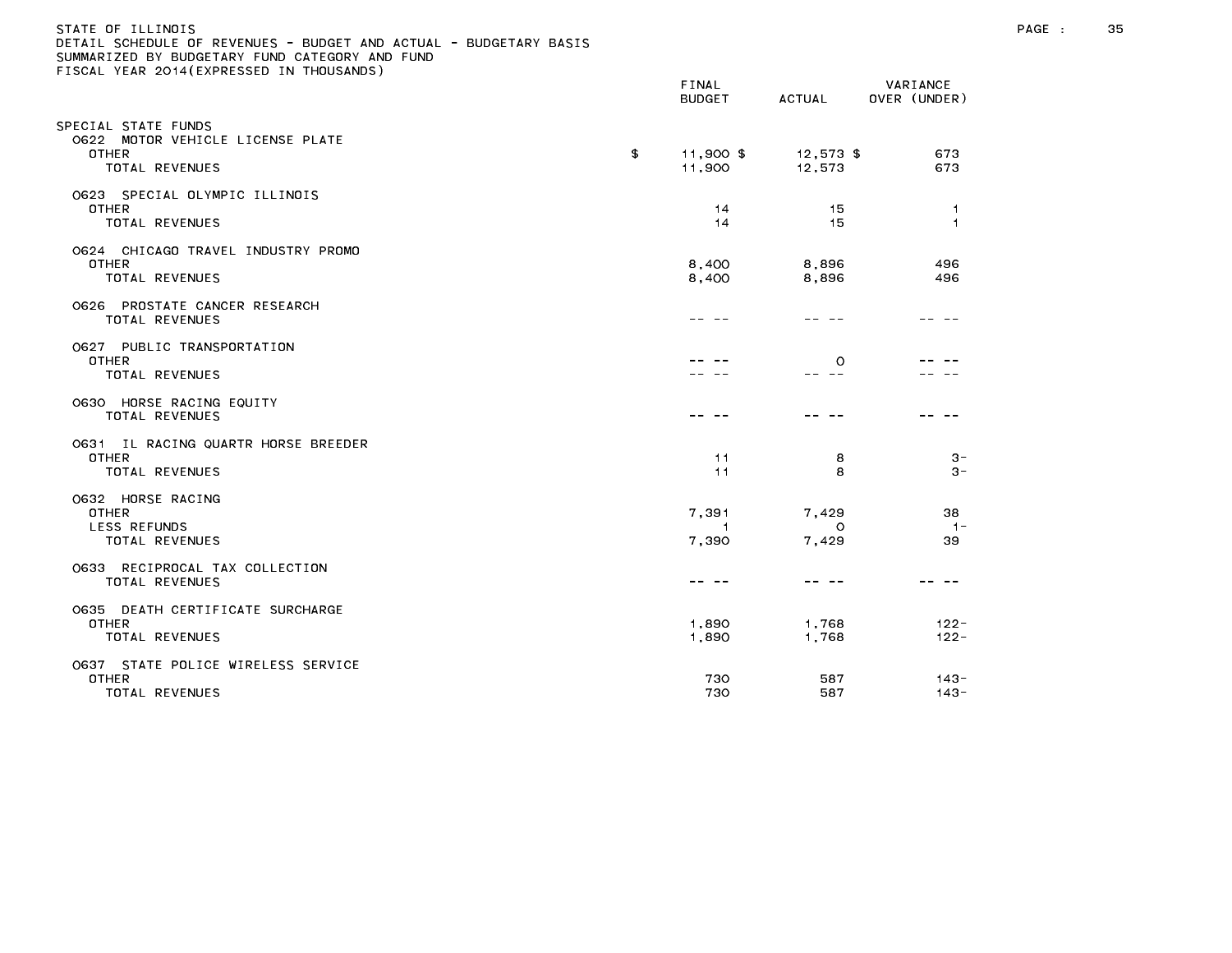### STATE OF ILLINOIS PAGE : 35 DETAIL SCHEDULE OF REVENUES - BUDGET AND ACTUAL - BUDGETARY BASIS

|                                                                                           | <b>FINAL</b><br><b>BUDGET</b>    | ACTUAL                    | VARIANCE<br>OVER (UNDER)       |
|-------------------------------------------------------------------------------------------|----------------------------------|---------------------------|--------------------------------|
| SPECIAL STATE FUNDS<br>0622 MOTOR VEHICLE LICENSE PLATE<br><b>OTHER</b><br>TOTAL REVENUES | \$<br>11,900 \$<br>11,900        | $12,573$ \$<br>12,573     | 673<br>673                     |
| 0623 SPECIAL OLYMPIC ILLINOIS<br><b>OTHER</b><br>TOTAL REVENUES                           | 14<br>14                         | 15<br>15                  | $\overline{1}$<br>$\mathbf{1}$ |
| 0624 CHICAGO TRAVEL INDUSTRY PROMO<br>OTHER<br><b>TOTAL REVENUES</b>                      | 8,400<br>8,400                   | 8,896<br>8,896            | 496<br>496                     |
| 0626 PROSTATE CANCER RESEARCH<br>TOTAL REVENUES                                           |                                  |                           |                                |
| 0627 PUBLIC TRANSPORTATION<br><b>OTHER</b><br>TOTAL REVENUES                              |                                  | $\circ$<br>$\sim$ $-$     |                                |
| 0630 HORSE RACING EQUITY<br>TOTAL REVENUES                                                |                                  |                           |                                |
| 0631 IL RACING QUARTR HORSE BREEDER<br><b>OTHER</b><br><b>TOTAL REVENUES</b>              | 11<br>11                         | 8<br>8                    | $3 -$<br>$3 -$                 |
| O632 HORSE RACING<br><b>OTHER</b><br><b>LESS REFUNDS</b><br>TOTAL REVENUES                | 7,391<br>$\overline{1}$<br>7,390 | 7,429<br>$\circ$<br>7,429 | 38<br>$1 -$<br>39              |
| 0633 RECIPROCAL TAX COLLECTION<br>TOTAL REVENUES                                          |                                  |                           |                                |
| 0635 DEATH CERTIFICATE SURCHARGE<br><b>OTHER</b><br>TOTAL REVENUES                        | 1,890<br>1,890                   | 1,768<br>1,768            | $122 -$<br>$122 -$             |
| 0637 STATE POLICE WIRELESS SERVICE<br><b>OTHER</b><br>TOTAL REVENUES                      | 730<br>730                       | 587<br>587                | $143 -$<br>$143 -$             |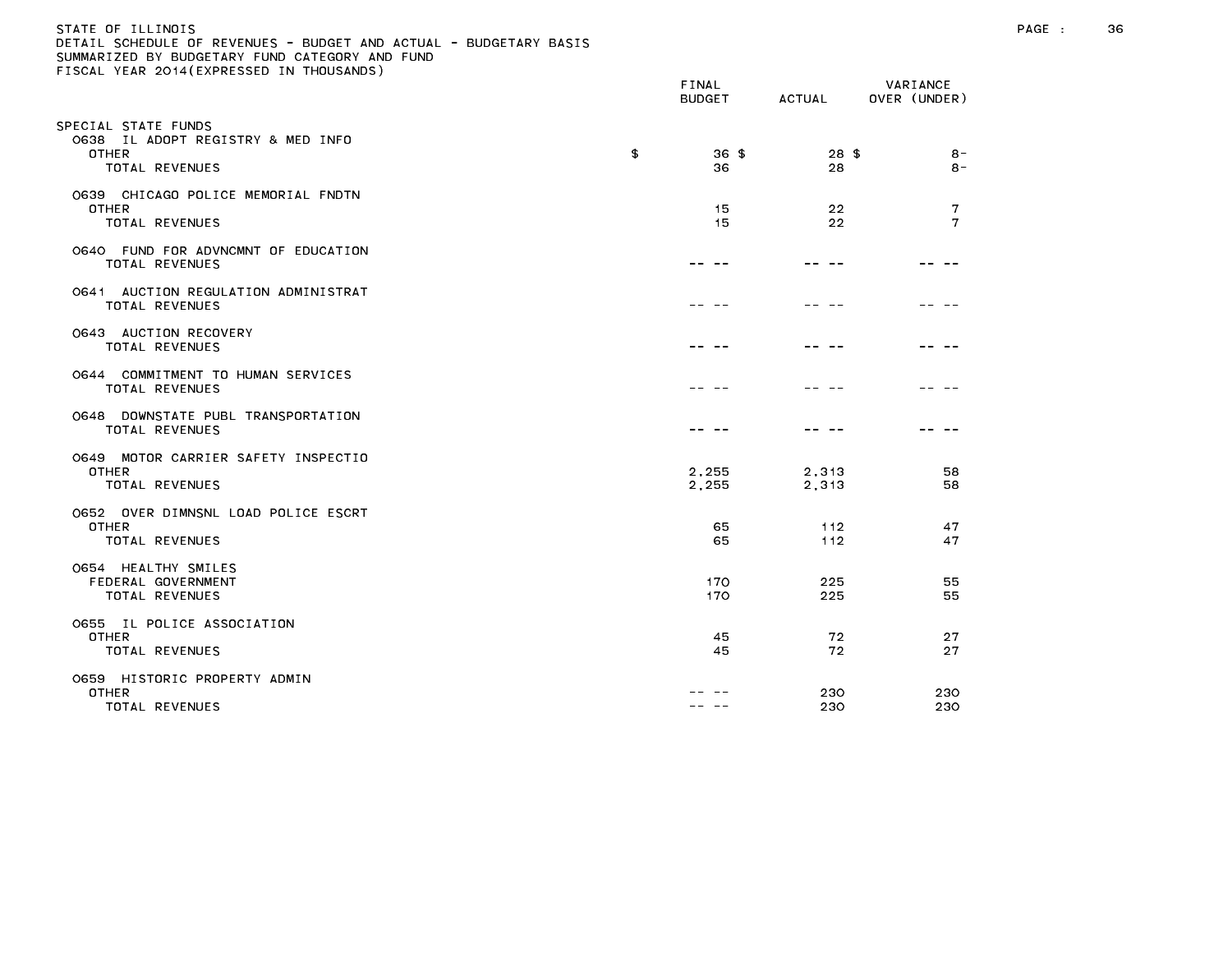| STATE OF TILINOIS                                                 |  |
|-------------------------------------------------------------------|--|
| DETAIL SCHEDULE OF REVENUES - BUDGET AND ACTUAL - BUDGETARY BASIS |  |
| SUMMARIZED BY BUDGETARY FUND CATEGORY AND FUND                    |  |
| FISCAL YEAR 2014 (EXPRESSED IN THOUSANDS)                         |  |

|                                                                                            | FINAL<br><b>BUDGET</b> | ACTUAL         | VARIANCE<br>OVER (UNDER) |
|--------------------------------------------------------------------------------------------|------------------------|----------------|--------------------------|
| PECIAL STATE FUNDS;<br>0638 IL ADOPT REGISTRY & MED INFO<br><b>OTHER</b><br>TOTAL REVENUES | \$<br>$36*$<br>36      | $28$ \$<br>28  | $8 -$<br>8 -             |
| 0639 CHICAGO POLICE MEMORIAL FNDTN<br><b>OTHER</b><br>TOTAL REVENUES                       | 15<br>15               | 22<br>22       | 7<br>$\mathbf{7}$        |
| 0640 FUND FOR ADVNCMNT OF EDUCATION<br>TOTAL REVENUES                                      |                        |                |                          |
| 0641 AUCTION REGULATION ADMINISTRAT<br><b>TOTAL REVENUES</b>                               |                        |                |                          |
| 0643 AUCTION RECOVERY<br><b>TOTAL REVENUES</b>                                             |                        |                |                          |
| 0644 COMMITMENT TO HUMAN SERVICES<br>TOTAL REVENUES                                        |                        |                |                          |
| 0648 DOWNSTATE PUBL TRANSPORTATION<br><b>TOTAL REVENUES</b>                                |                        |                |                          |
| 0649 MOTOR CARRIER SAFETY INSPECTIO<br><b>OTHER</b><br>TOTAL REVENUES                      | 2,255<br>2,255         | 2,313<br>2,313 | 58<br>58                 |
| 0652 OVER DIMNSNL LOAD POLICE ESCRT<br>OTHER<br>TOTAL REVENUES                             | 65<br>65               | 112<br>112     | 47<br>47                 |
| O654 HEALTHY SMILES<br>FEDERAL GOVERNMENT<br><b>TOTAL REVENUES</b>                         | 170<br>170             | 225<br>225     | 55<br>55                 |
| 0655 IL POLICE ASSOCIATION<br>OTHER<br><b>TOTAL REVENUES</b>                               | 45<br>45               | 72<br>72       | 27<br>27                 |
| 0659 HISTORIC PROPERTY ADMIN<br>OTHER<br><b>TOTAL REVENUES</b>                             |                        | 230<br>230     | 230<br>230               |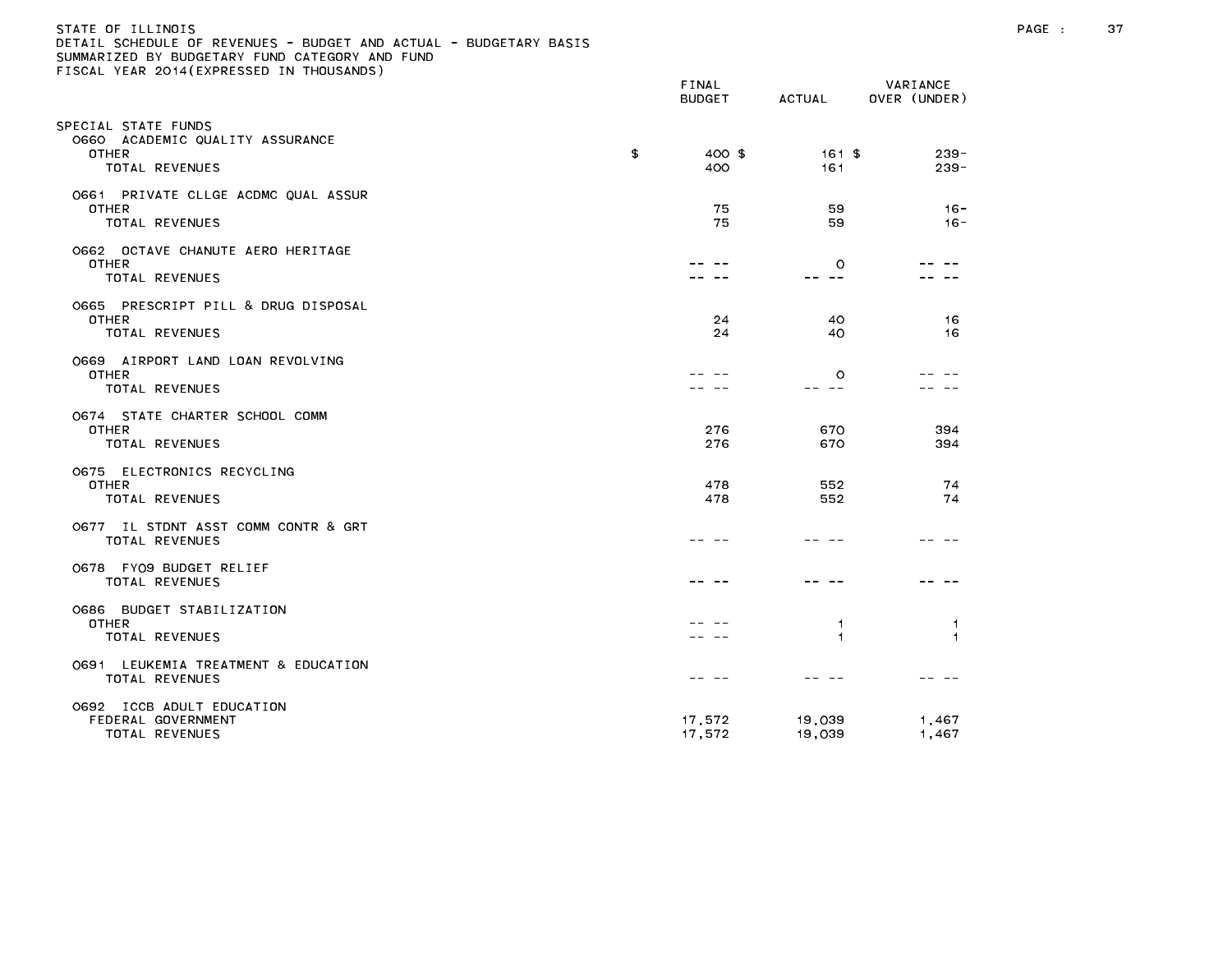| STATE OF ILLINOIS                                                 |  |
|-------------------------------------------------------------------|--|
| DETAIL SCHEDULE OF REVENUES - BUDGET AND ACTUAL - BUDGETARY BASIS |  |
| SUMMARIZED BY BUDGETARY FUND CATEGORY AND FUND                    |  |
| FISCAL YEAR 2014(EXPRESSED IN THOUSANDS)                          |  |

|                                                                                   | FINAL<br><b>BUDGET</b> | ACTUAL            | VARIANCE<br>OVER (UNDER) |
|-----------------------------------------------------------------------------------|------------------------|-------------------|--------------------------|
| PECIAL STATE FUNDS;<br>0660 ACADEMIC QUALITY ASSURANCE<br>OTHER<br>TOTAL REVENUES | \$<br>400 \$<br>400    | 161 \$<br>161     | $239 -$<br>$239 -$       |
| 0661 PRIVATE CLLGE ACDMC QUAL ASSUR<br>OTHER<br>TOTAL REVENUES                    | 75<br>75               | 59<br>59          | $16 -$<br>$16 -$         |
| 0662 OCTAVE CHANUTE AERO HERITAGE<br><b>OTHER</b><br>TOTAL REVENUES               |                        | $\circ$<br>-- --  |                          |
| 0665 PRESCRIPT PILL & DRUG DISPOSAL<br>OTHER<br>TOTAL REVENUES                    | 24<br>24               | 40<br>40          | 16<br>16                 |
| 0669 AIRPORT LAND LOAN REVOLVING<br>OTHER<br>TOTAL REVENUES                       |                        | $\circ$<br>$- -$  |                          |
| O674 STATE CHARTER SCHOOL COMM<br>OTHER<br>TOTAL REVENUES                         | 276<br>276             | 670<br>670        | 394<br>394               |
| 0675 ELECTRONICS RECYCLING<br>OTHER<br>TOTAL REVENUES                             | 478<br>478             | 552<br>552        | 74<br>74                 |
| 0677 IL STDNT ASST COMM CONTR & GRT<br>TOTAL REVENUES                             |                        |                   |                          |
| 0678 FY09 BUDGET RELIEF<br>TOTAL REVENUES                                         |                        |                   |                          |
| 0686 BUDGET STABILIZATION<br>OTHER<br>TOTAL REVENUES                              |                        | 1<br>$\mathbf{1}$ | -1<br>$\overline{1}$     |
| 0691 LEUKEMIA TREATMENT & EDUCATION<br>TOTAL REVENUES                             |                        |                   |                          |
| 0692 ICCB ADULT EDUCATION<br>FEDERAL GOVERNMENT<br>TOTAL REVENUES                 | 17,572<br>17,572       | 19,039<br>19,039  | 1,467<br>1,467           |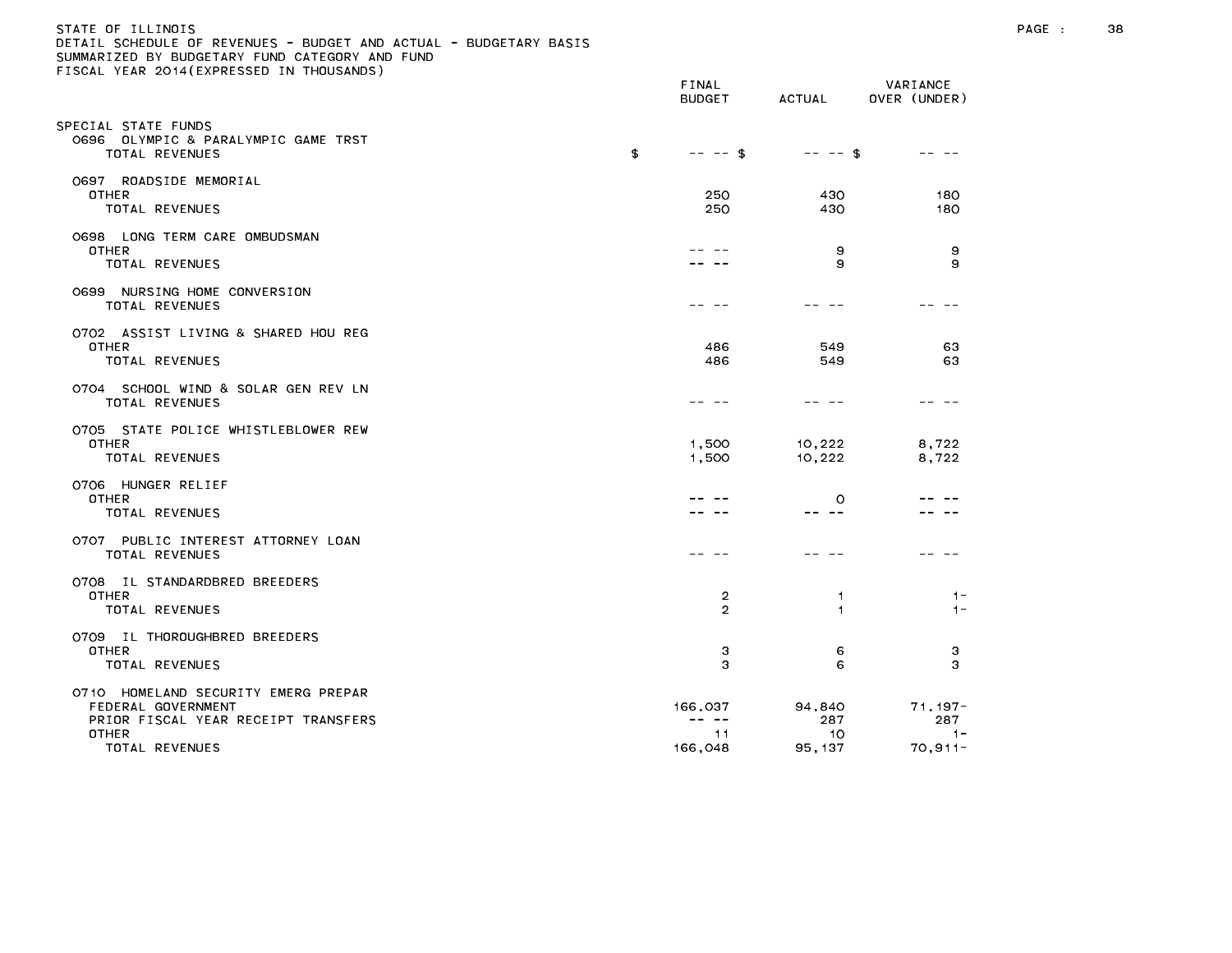| STATE OF ILLINOIS                                                 |
|-------------------------------------------------------------------|
| DETAIL SCHEDULE OF REVENUES - BUDGET AND ACTUAL - BUDGETARY BASIS |
| SUMMARIZED BY BUDGETARY FUND CATEGORY AND FUND                    |
| FISCAL YEAR 2014(EXPRESSED IN THOUSANDS)                          |
|                                                                   |

|                                                                                                                             | FINAL<br><b>BUDGET</b>          | ACTUAL                         | VARIANCE<br>OVER (UNDER)                 |
|-----------------------------------------------------------------------------------------------------------------------------|---------------------------------|--------------------------------|------------------------------------------|
| SPECIAL STATE FUNDS<br>O696 OLYMPIC & PARALYMPIC GAME TRST<br>TOTAL REVENUES                                                | \$<br>$-- -5$                   | $-- -5$                        |                                          |
| 0697 ROADSIDE MEMORIAL<br><b>OTHER</b><br>TOTAL REVENUES                                                                    | 250<br>250                      | 430<br>430                     | 180<br>180                               |
| 0698 LONG TERM CARE OMBUDSMAN<br><b>OTHER</b><br>TOTAL REVENUES                                                             |                                 | 9<br>9                         | 9<br>9                                   |
| 0699 NURSING HOME CONVERSION<br>TOTAL REVENUES                                                                              |                                 |                                |                                          |
| 0702 ASSIST LIVING & SHARED HOU REG<br><b>OTHER</b><br>TOTAL REVENUES                                                       | 486<br>486                      | 549<br>549                     | 63<br>63                                 |
| 0704 SCHOOL WIND & SOLAR GEN REV LN<br>TOTAL REVENUES                                                                       |                                 |                                |                                          |
| 0705 STATE POLICE WHISTLEBLOWER REW<br><b>OTHER</b><br>TOTAL REVENUES                                                       | 1,500<br>1,500                  | 10,222<br>10,222               | 8,722<br>8,722                           |
| 0706 HUNGER RELIEF<br><b>OTHER</b><br>TOTAL REVENUES                                                                        |                                 | $\circ$<br>-- --               |                                          |
| 0707 PUBLIC INTEREST ATTORNEY LOAN<br>TOTAL REVENUES                                                                        |                                 |                                |                                          |
| 0708 IL STANDARDBRED BREEDERS<br><b>OTHER</b><br>TOTAL REVENUES                                                             | 2<br>2                          | 1<br>$\mathbf{1}$              | $1 -$<br>$1 -$                           |
| 0709 IL THOROUGHBRED BREEDERS<br><b>OTHER</b><br>TOTAL REVENUES                                                             | 3<br>З                          | 6<br>6                         | 3<br>З                                   |
| 0710 HOMELAND SECURITY EMERG PREPAR<br>FEDERAL GOVERNMENT<br>PRIOR FISCAL YEAR RECEIPT TRANSFERS<br>OTHER<br>TOTAL REVENUES | 166,037<br>---<br>11<br>166,048 | 94,840<br>287<br>10<br>95, 137 | $71,197-$<br>287<br>$1 -$<br>$70, 911 -$ |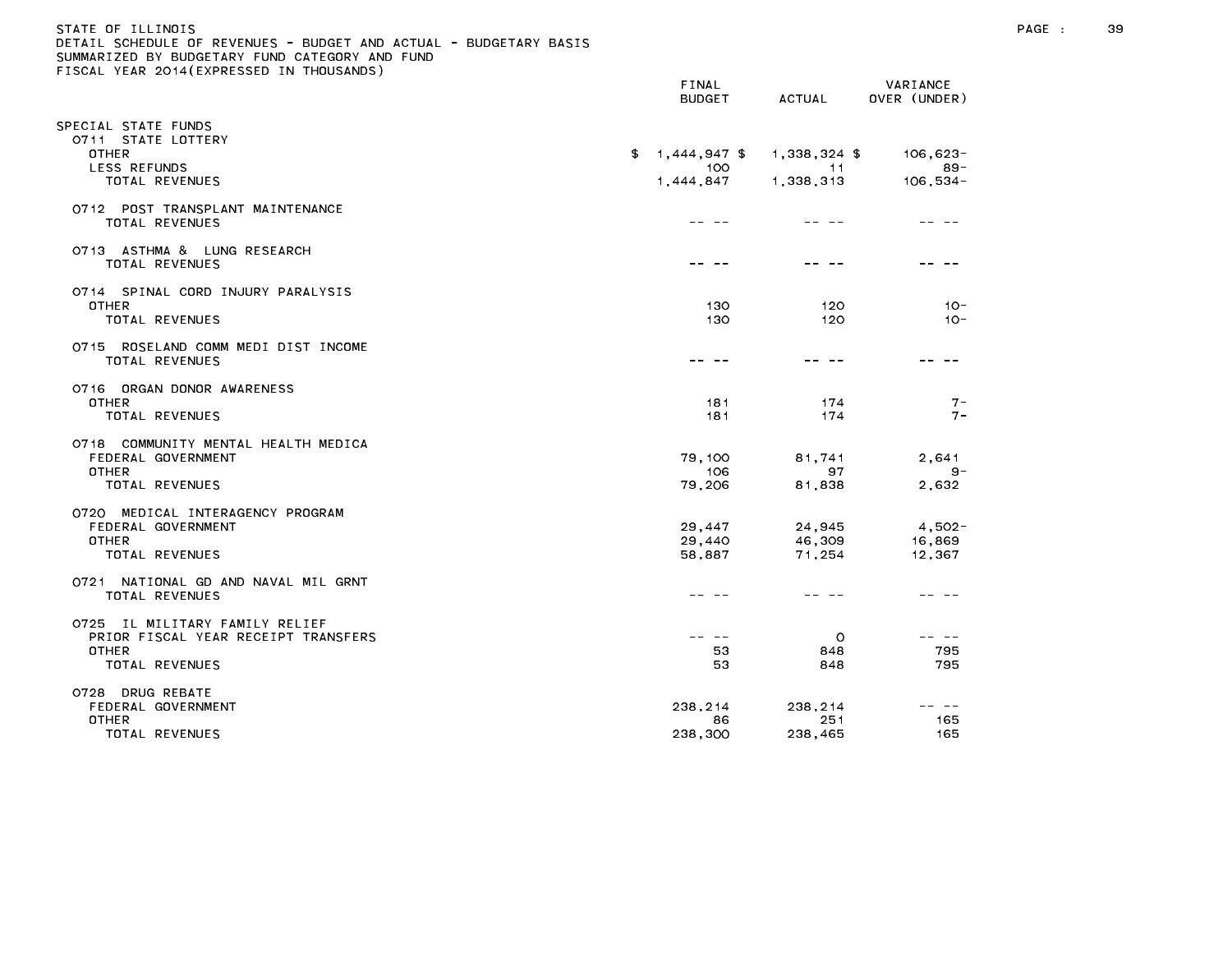# STATE OF ILLINOIS PAGE : 39 DETAIL SCHEDULE OF REVENUES - BUDGET AND ACTUAL - BUDGETARY BASIS

|                                                              | FINAL<br><b>BUDGET</b> | ACTUAL           | VARIANCE<br>OVER (UNDER)                                                                                                                                                                                                                                                                                                                                                                     |
|--------------------------------------------------------------|------------------------|------------------|----------------------------------------------------------------------------------------------------------------------------------------------------------------------------------------------------------------------------------------------------------------------------------------------------------------------------------------------------------------------------------------------|
| SPECIAL STATE FUNDS                                          |                        |                  |                                                                                                                                                                                                                                                                                                                                                                                              |
| 0711 STATE LOTTERY<br><b>OTHER</b>                           | $$1,444,947$ \$        | 1,338,324 \$     | $106,623-$                                                                                                                                                                                                                                                                                                                                                                                   |
| LESS REFUNDS<br><b>TOTAL REVENUES</b>                        | 100<br>1,444,847       | -11<br>1,338,313 | $89 -$<br>$106, 534 -$                                                                                                                                                                                                                                                                                                                                                                       |
| 0712 POST TRANSPLANT MAINTENANCE                             |                        |                  |                                                                                                                                                                                                                                                                                                                                                                                              |
| TOTAL REVENUES                                               |                        |                  |                                                                                                                                                                                                                                                                                                                                                                                              |
| 0713 ASTHMA & LUNG RESEARCH<br>TOTAL REVENUES                |                        |                  |                                                                                                                                                                                                                                                                                                                                                                                              |
| 0714 SPINAL CORD INJURY PARALYSIS                            |                        |                  |                                                                                                                                                                                                                                                                                                                                                                                              |
| <b>OTHER</b><br>TOTAL REVENUES                               | 130<br>130             | 120<br>120       | $10 -$<br>$10 -$                                                                                                                                                                                                                                                                                                                                                                             |
| 0715 ROSELAND COMM MEDI DIST INCOME                          |                        |                  |                                                                                                                                                                                                                                                                                                                                                                                              |
| TOTAL REVENUES                                               | -- --                  |                  |                                                                                                                                                                                                                                                                                                                                                                                              |
| 0716 ORGAN DONOR AWARENESS                                   |                        |                  |                                                                                                                                                                                                                                                                                                                                                                                              |
| <b>OTHER</b><br><b>TOTAL REVENUES</b>                        | 181<br>181             | 174<br>174       | $7 -$<br>$7 -$                                                                                                                                                                                                                                                                                                                                                                               |
| 0718 COMMUNITY MENTAL HEALTH MEDICA                          |                        |                  |                                                                                                                                                                                                                                                                                                                                                                                              |
| FEDERAL GOVERNMENT                                           | 79,100                 | 81,741           | 2,641                                                                                                                                                                                                                                                                                                                                                                                        |
| <b>OTHER</b><br>TOTAL REVENUES                               | 106<br>79,206          | 97<br>81,838     | $9 -$<br>2,632                                                                                                                                                                                                                                                                                                                                                                               |
| 0720 MEDICAL INTERAGENCY PROGRAM                             |                        |                  |                                                                                                                                                                                                                                                                                                                                                                                              |
| FEDERAL GOVERNMENT                                           | 29,447                 | 24,945           | $4,502-$                                                                                                                                                                                                                                                                                                                                                                                     |
| <b>OTHER</b>                                                 | 29,440                 | 46,309           | 16,869                                                                                                                                                                                                                                                                                                                                                                                       |
| <b>TOTAL REVENUES</b>                                        | 58,887                 | 71,254           | 12,367                                                                                                                                                                                                                                                                                                                                                                                       |
| 0721 NATIONAL GD AND NAVAL MIL GRNT<br><b>TOTAL REVENUES</b> |                        |                  |                                                                                                                                                                                                                                                                                                                                                                                              |
| 0725 IL MILITARY FAMILY RELIEF                               |                        |                  |                                                                                                                                                                                                                                                                                                                                                                                              |
| PRIOR FISCAL YEAR RECEIPT TRANSFERS                          | $- - - - -$            | $\circ$          | $\frac{1}{2} \frac{1}{2} \frac{1}{2} \frac{1}{2} \frac{1}{2} \frac{1}{2} \frac{1}{2} \frac{1}{2} \frac{1}{2} \frac{1}{2} \frac{1}{2} \frac{1}{2} \frac{1}{2} \frac{1}{2} \frac{1}{2} \frac{1}{2} \frac{1}{2} \frac{1}{2} \frac{1}{2} \frac{1}{2} \frac{1}{2} \frac{1}{2} \frac{1}{2} \frac{1}{2} \frac{1}{2} \frac{1}{2} \frac{1}{2} \frac{1}{2} \frac{1}{2} \frac{1}{2} \frac{1}{2} \frac{$ |
| <b>OTHER</b>                                                 | 53                     | 848              | 795                                                                                                                                                                                                                                                                                                                                                                                          |
| TOTAL REVENUES                                               | 53                     | 848              | 795                                                                                                                                                                                                                                                                                                                                                                                          |
| 0728 DRUG REBATE<br>FEDERAL GOVERNMENT                       | 238,214                | 238,214          | $- -$                                                                                                                                                                                                                                                                                                                                                                                        |
| OTHER                                                        | 86                     | 251              | 165                                                                                                                                                                                                                                                                                                                                                                                          |
| TOTAL REVENUES                                               | 238,300                | 238,465          | 165                                                                                                                                                                                                                                                                                                                                                                                          |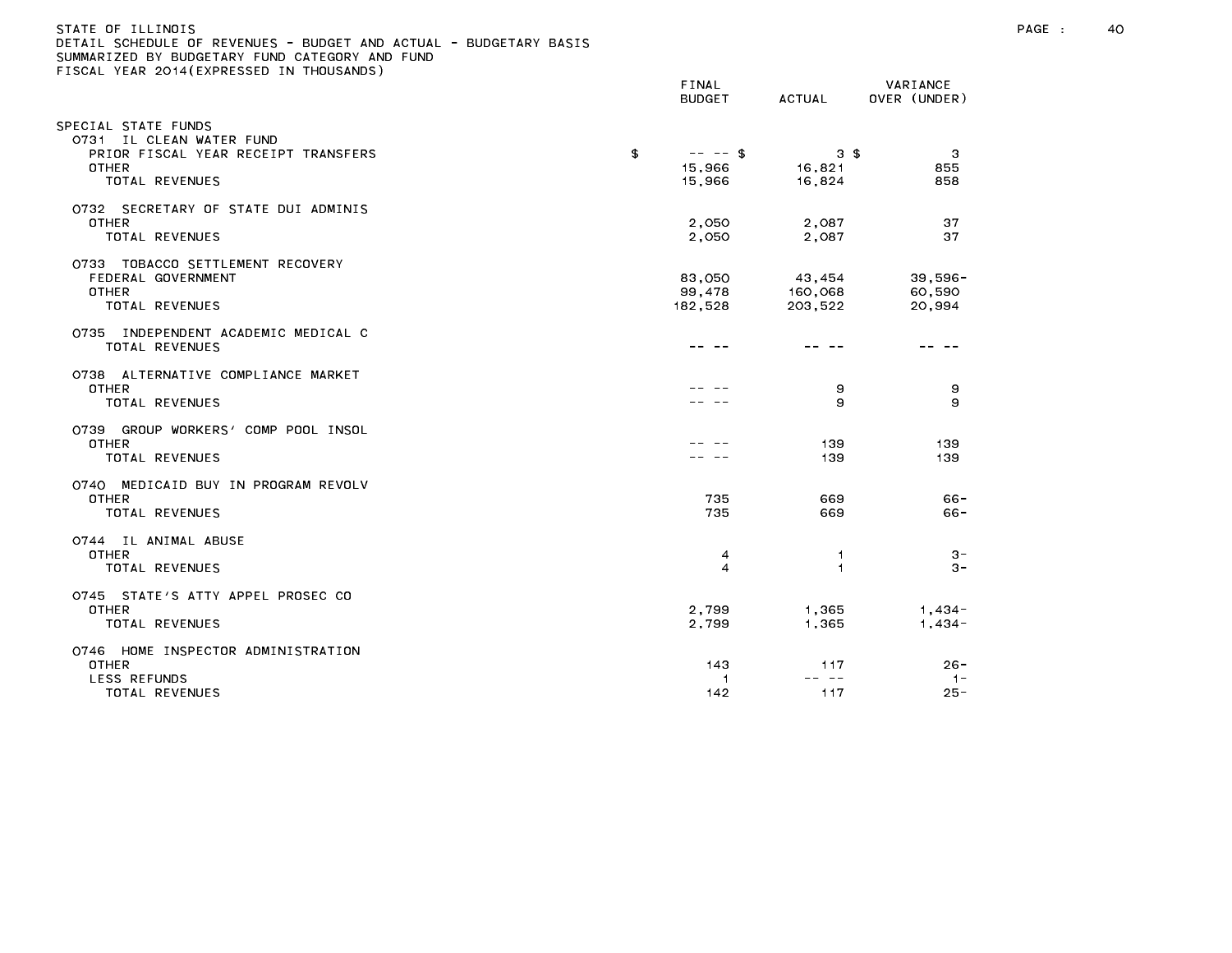## STATE OF ILLINOIS PAGE : 40 DETAIL SCHEDULE OF REVENUES - BUDGET AND ACTUAL - BUDGETARY BASIS

|                                                                                                                          | FINAL<br><b>BUDGET</b>                | ACTUAL                             | VARIANCE<br>OVER (UNDER)       |
|--------------------------------------------------------------------------------------------------------------------------|---------------------------------------|------------------------------------|--------------------------------|
| SPECIAL STATE FUNDS<br>0731 IL CLEAN WATER FUND<br>PRIOR FISCAL YEAR RECEIPT TRANSFERS<br><b>OTHER</b><br>TOTAL REVENUES | \$<br>$-- - -$ \$<br>15,966<br>15,966 | $3 \text{ } $$<br>16,821<br>16,824 | 3<br>855<br>858                |
| 0732 SECRETARY OF STATE DUI ADMINIS<br>OTHER<br><b>TOTAL REVENUES</b>                                                    | 2,050<br>2,050                        | 2,087<br>2,087                     | 37<br>37                       |
| 0733 TOBACCO SETTLEMENT RECOVERY<br>FEDERAL GOVERNMENT<br>OTHER<br>TOTAL REVENUES                                        | 83,050<br>99,478<br>182,528           | 43,454<br>160,068<br>203,522       | $39,596 -$<br>60,590<br>20,994 |
| 0735 INDEPENDENT ACADEMIC MEDICAL C<br>TOTAL REVENUES                                                                    |                                       |                                    |                                |
| 0738 ALTERNATIVE COMPLIANCE MARKET<br><b>OTHER</b><br>TOTAL REVENUES                                                     |                                       | 9<br>9                             | 9<br>9                         |
| 0739 GROUP WORKERS' COMP POOL INSOL<br>OTHER<br>TOTAL REVENUES                                                           |                                       | 139<br>139                         | 139<br>139                     |
| 0740 MEDICAID BUY IN PROGRAM REVOLV<br><b>OTHER</b><br>TOTAL REVENUES                                                    | 735<br>735                            | 669<br>669                         | $66 -$<br>$66 -$               |
| 0744 IL ANIMAL ABUSE<br>OTHER<br><b>TOTAL REVENUES</b>                                                                   | 4<br>$\overline{4}$                   | -1<br>$\overline{1}$               | $3 -$<br>$3 -$                 |
| 0745 STATE'S ATTY APPEL PROSEC CO<br><b>OTHER</b><br>TOTAL REVENUES                                                      | 2,799<br>2,799                        | 1,365<br>1,365                     | $1,434-$<br>$1,434-$           |
| 0746 HOME INSPECTOR ADMINISTRATION<br><b>OTHER</b><br>LESS REFUNDS<br>TOTAL REVENUES                                     | 143<br>$\overline{1}$<br>142          | 117<br>د د<br>117                  | $26 -$<br>$1 -$<br>$25 -$      |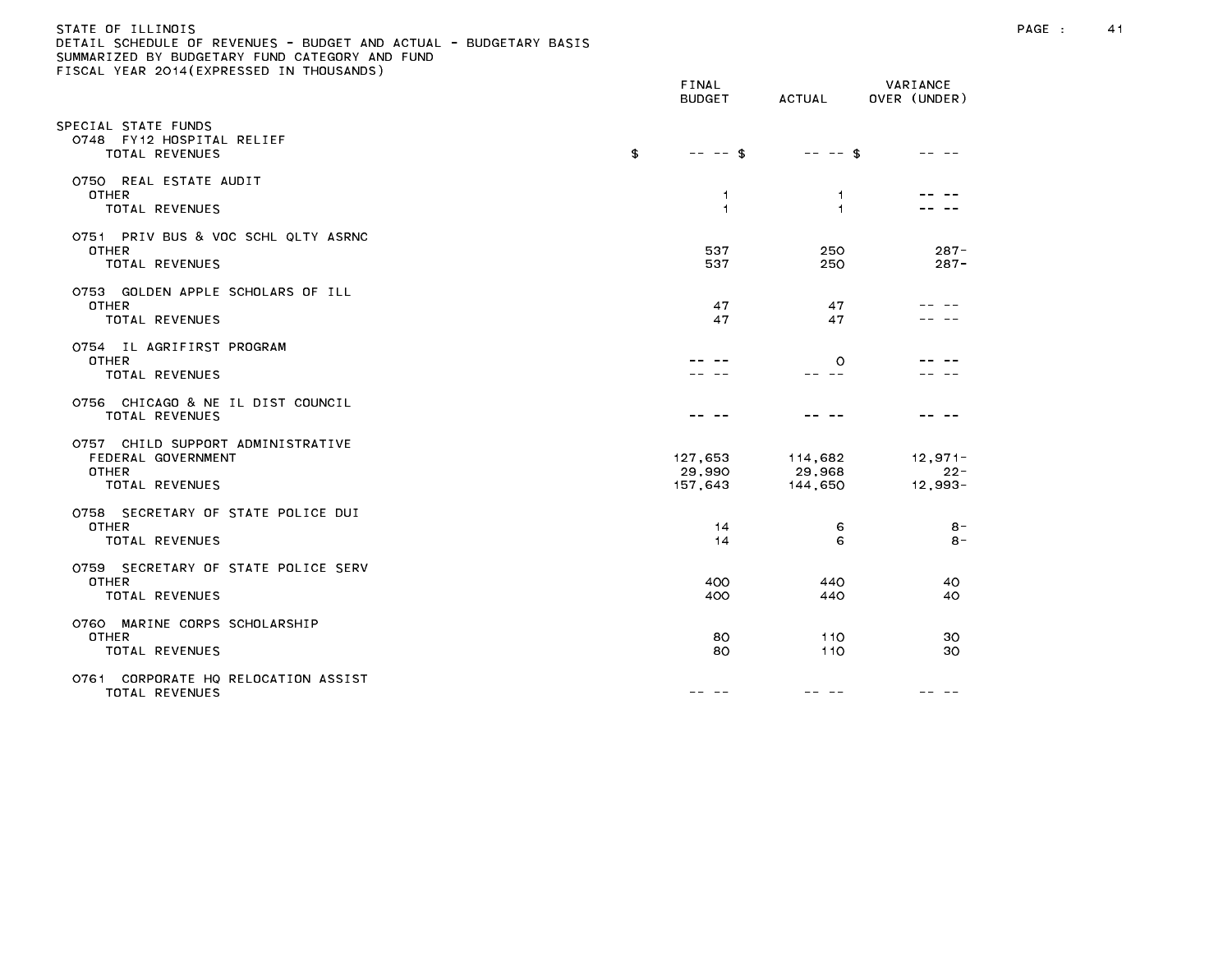# STATE OF ILLINOIS PAGE : 41 DETAIL SCHEDULE OF REVENUES - BUDGET AND ACTUAL - BUDGETARY BASIS

| LIGGAL TEAR EGTT(EATRESSED IN THOOSANDS)                                                         | FINAL<br><b>BUDGET</b>       | ACTUAL                         | VARIANCE<br>OVER (UNDER)         |
|--------------------------------------------------------------------------------------------------|------------------------------|--------------------------------|----------------------------------|
| SPECIAL STATE FUNDS<br>0748 FY12 HOSPITAL RELIEF<br>TOTAL REVENUES                               | \$<br>$-- -5$                | $-- -$ \$                      |                                  |
| 0750 REAL ESTATE AUDIT<br><b>OTHER</b><br>TOTAL REVENUES                                         | 1<br>1                       | $\mathbf{1}$<br>$\overline{1}$ |                                  |
| 0751 PRIV BUS & VOC SCHL QLTY ASRNC<br><b>OTHER</b><br>TOTAL REVENUES                            | 537<br>537                   | 250<br>250                     | $287 -$<br>$287 -$               |
| 0753 GOLDEN APPLE SCHOLARS OF ILL<br><b>OTHER</b><br>TOTAL REVENUES                              | 47<br>47                     | 47<br>47                       |                                  |
| 0754 IL AGRIFIRST PROGRAM<br><b>OTHER</b><br><b>TOTAL REVENUES</b>                               |                              | $\circ$                        |                                  |
| 0756 CHICAGO & NE IL DIST COUNCIL<br>TOTAL REVENUES                                              |                              |                                |                                  |
| 0757 CHILD SUPPORT ADMINISTRATIVE<br>FEDERAL GOVERNMENT<br><b>OTHER</b><br><b>TOTAL REVENUES</b> | 127,653<br>29,990<br>157,643 | 114,682<br>29,968<br>144,650   | $12,971-$<br>$22 -$<br>$12,993-$ |
| 0758 SECRETARY OF STATE POLICE DUI<br><b>OTHER</b><br>TOTAL REVENUES                             | 14<br>14                     | 6<br>6                         | 8-<br>$8 -$                      |
| 0759 SECRETARY OF STATE POLICE SERV<br><b>OTHER</b><br>TOTAL REVENUES                            | 400<br>400                   | 440<br>440                     | 40<br>40                         |
| 0760 MARINE CORPS SCHOLARSHIP<br><b>OTHER</b><br>TOTAL REVENUES                                  | 80<br>80                     | 110<br>110                     | 30<br>30                         |
| 0761 CORPORATE HQ RELOCATION ASSIST<br>TOTAL REVENUES                                            | -- --                        |                                |                                  |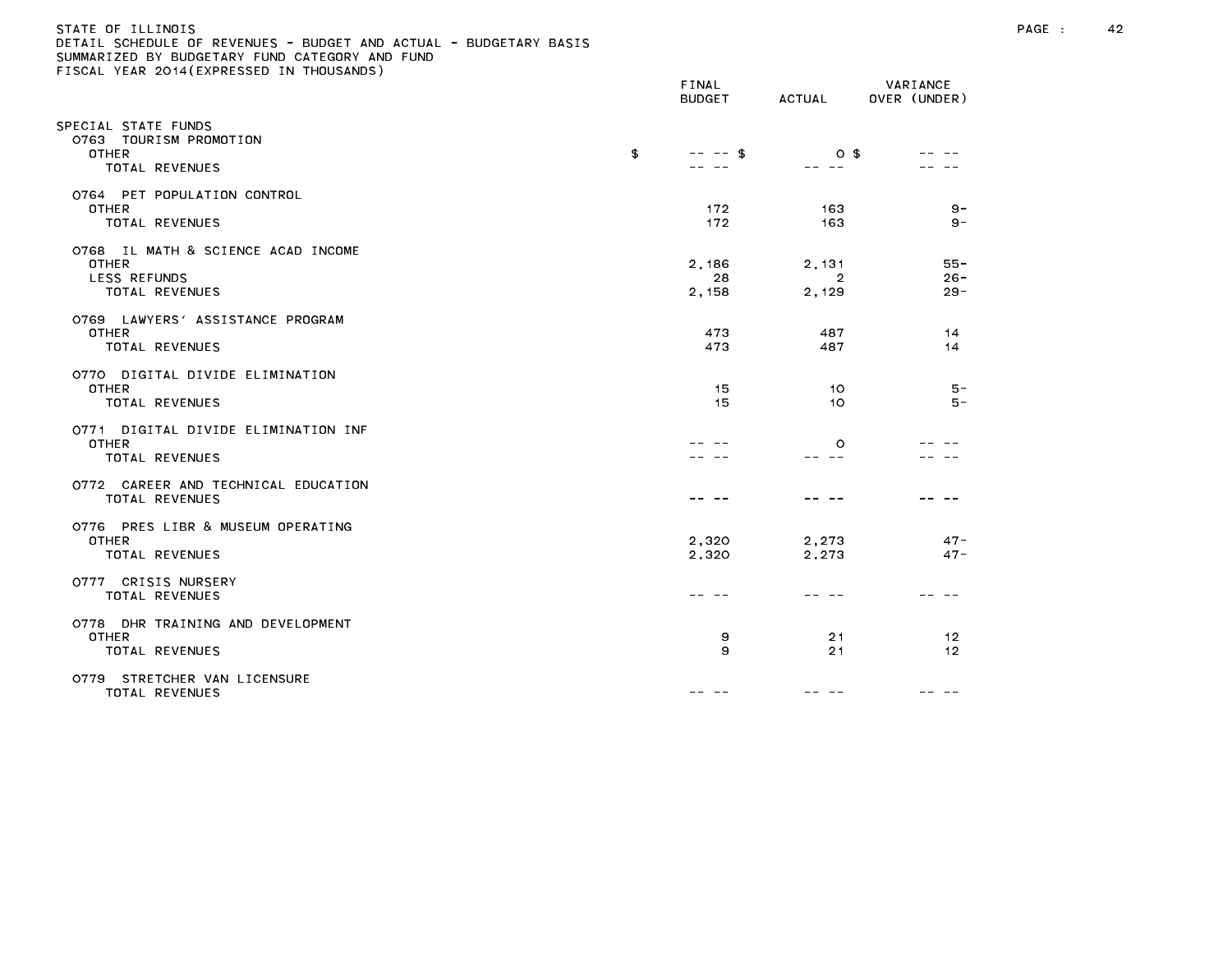# STATE OF ILLINOIS PAGE : 42 DETAIL SCHEDULE OF REVENUES - BUDGET AND ACTUAL - BUDGETARY BASIS

| LIGGAL TEAR EGTT(EATRESSED IN THOOSANDS)                                             | FINAL<br><b>BUDGET</b> | ACTUAL                           | VARIANCE<br>OVER (UNDER)   |
|--------------------------------------------------------------------------------------|------------------------|----------------------------------|----------------------------|
| SPECIAL STATE FUNDS<br>0763 TOURISM PROMOTION<br><b>OTHER</b><br>TOTAL REVENUES      | \$<br>$--$ \$          | $0$ \$                           |                            |
| 0764 PET POPULATION CONTROL<br><b>OTHER</b><br>TOTAL REVENUES                        | 172<br>172             | 163<br>163                       | $9 -$<br>$9 -$             |
| O768 IL MATH & SCIENCE ACAD INCOME<br><b>OTHER</b><br>LESS REFUNDS<br>TOTAL REVENUES | 2,186<br>28<br>2,158   | 2,131<br>$\overline{2}$<br>2,129 | $55 -$<br>$26 -$<br>$29 -$ |
| 0769 LAWYERS' ASSISTANCE PROGRAM<br><b>OTHER</b><br>TOTAL REVENUES                   | 473<br>473             | 487<br>487                       | 14<br>14                   |
| 0770 DIGITAL DIVIDE ELIMINATION<br><b>OTHER</b><br>TOTAL REVENUES                    | 15<br>15               | 10<br>10                         | $5 -$<br>$5 -$             |
| 0771 DIGITAL DIVIDE ELIMINATION INF<br><b>OTHER</b><br>TOTAL REVENUES                |                        | $\circ$                          |                            |
| 0772 CAREER AND TECHNICAL EDUCATION<br>TOTAL REVENUES                                |                        |                                  |                            |
| 0776 PRES LIBR & MUSEUM OPERATING<br><b>OTHER</b><br><b>TOTAL REVENUES</b>           | 2,320<br>2,320         | 2,273<br>2,273                   | $47 -$<br>$47 -$           |
| 0777 CRISIS NURSERY<br>TOTAL REVENUES                                                |                        |                                  |                            |
| 0778 DHR TRAINING AND DEVELOPMENT<br><b>OTHER</b><br>TOTAL REVENUES                  | 9<br>9                 | 21<br>21                         | 12<br>12                   |
| 0779 STRETCHER VAN LICENSURE<br>TOTAL REVENUES                                       | -- --                  |                                  |                            |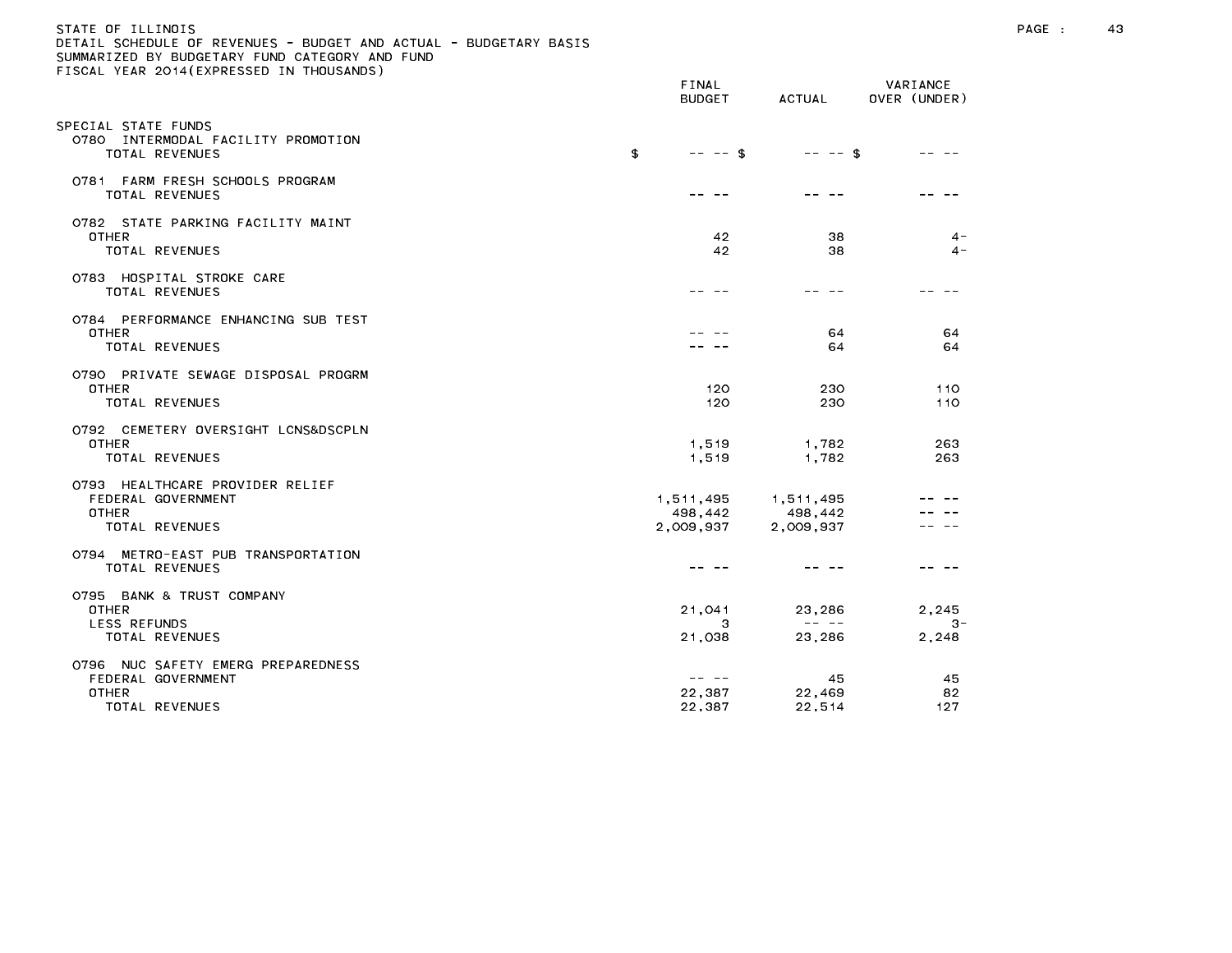# STATE OF ILLINOIS PAGE : 43 DETAIL SCHEDULE OF REVENUES - BUDGET AND ACTUAL - BUDGETARY BASIS

| $13071$ $1271$ $2017$ $111$ $1120$                                                         | FINAL<br><b>BUDGET</b>                      | ACTUAL                    | VARIANCE<br>OVER (UNDER) |
|--------------------------------------------------------------------------------------------|---------------------------------------------|---------------------------|--------------------------|
| SPECIAL STATE FUNDS<br>0780 INTERMODAL FACILITY PROMOTION<br>TOTAL REVENUES                | \$<br>$-- - -$ \$                           | $-- - -$ \$               |                          |
| 0781 FARM FRESH SCHOOLS PROGRAM<br>TOTAL REVENUES                                          |                                             |                           |                          |
| 0782 STATE PARKING FACILITY MAINT<br><b>OTHER</b><br>TOTAL REVENUES                        | 42<br>42                                    | 38<br>38                  | $4 -$<br>$\sim$          |
| 0783 HOSPITAL STROKE CARE<br>TOTAL REVENUES                                                |                                             |                           |                          |
| 0784 PERFORMANCE ENHANCING SUB TEST<br><b>OTHER</b><br>TOTAL REVENUES                      |                                             | 64<br>64                  | 64<br>64                 |
| 0790 PRIVATE SEWAGE DISPOSAL PROGRM<br><b>OTHER</b><br>TOTAL REVENUES                      | 120<br>120                                  | 230<br>230                | 110<br>110               |
| 0792 CEMETERY OVERSIGHT LCNS&DSCPLN<br><b>OTHER</b><br><b>TOTAL REVENUES</b>               | 1,519<br>1,519                              | 1,782<br>1,782            | 263<br>263               |
| 0793 HEALTHCARE PROVIDER RELIEF<br>FEDERAL GOVERNMENT<br><b>OTHER</b><br>TOTAL REVENUES    | 1,511,495 1,511,495<br>498,442<br>2,009,937 | 498,442<br>2,009,937      |                          |
| 0794 METRO-EAST PUB TRANSPORTATION<br>TOTAL REVENUES                                       |                                             |                           |                          |
| 0795 BANK & TRUST COMPANY<br><b>OTHER</b><br><b>LESS REFUNDS</b>                           | 21,041<br>3                                 | 23,286<br>المناصب المناسب | 2.245<br>$3-$            |
| TOTAL REVENUES                                                                             | 21,038                                      | 23,286                    | 2,248                    |
| 0796 NUC SAFETY EMERG PREPAREDNESS<br>FEDERAL GOVERNMENT<br><b>OTHER</b><br>TOTAL REVENUES | -- --<br>22,387<br>22,387                   | 45<br>22,469<br>22,514    | 45<br>82<br>127          |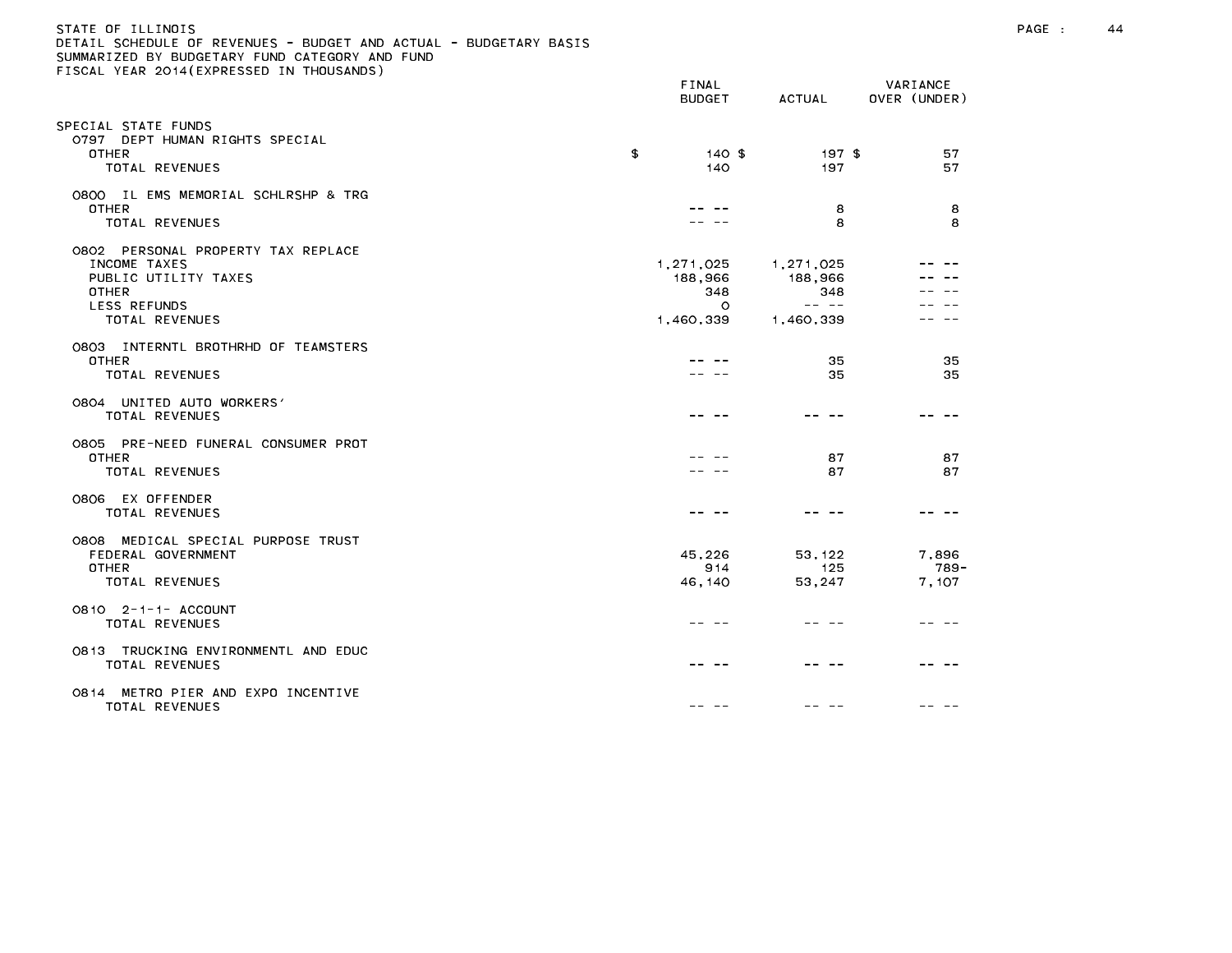| STATE OF ILLINOIS                                                 |
|-------------------------------------------------------------------|
| DETAIL SCHEDULE OF REVENUES - BUDGET AND ACTUAL - BUDGETARY BASIS |
| SUMMARIZED BY BUDGETARY FUND CATEGORY AND FUND                    |
| FISCAL YEAR 2014(EXPRESSED IN THOUSANDS)                          |

|                                                                                                                              | FINAL<br><b>BUDGET</b>                              | ACTUAL                                                                                                                                                                                                                                                                                                                                                                                                                                   | VARIANCE<br>OVER (UNDER) |
|------------------------------------------------------------------------------------------------------------------------------|-----------------------------------------------------|------------------------------------------------------------------------------------------------------------------------------------------------------------------------------------------------------------------------------------------------------------------------------------------------------------------------------------------------------------------------------------------------------------------------------------------|--------------------------|
| PECIAL STATE FUNDS<br>0797 DEPT HUMAN RIGHTS SPECIAL<br><b>OTHER</b>                                                         | \$<br>$140$ \$                                      | $197$ \$                                                                                                                                                                                                                                                                                                                                                                                                                                 | 57                       |
| TOTAL REVENUES                                                                                                               | 140                                                 | 197                                                                                                                                                                                                                                                                                                                                                                                                                                      | 57                       |
| 0800 IL EMS MEMORIAL SCHLRSHP & TRG<br>OTHER<br>TOTAL REVENUES                                                               |                                                     | 8<br>8                                                                                                                                                                                                                                                                                                                                                                                                                                   | 8<br>8                   |
| 0802 PERSONAL PROPERTY TAX REPLACE<br>INCOME TAXES<br>PUBLIC UTILITY TAXES<br><b>OTHER</b><br>LESS REFUNDS<br>TOTAL REVENUES | 1,271,025<br>188,966<br>348<br>$\circ$<br>1,460,339 | 1,271,025<br>188,966<br>348<br>$\frac{1}{2} \frac{1}{2} \frac{1}{2} \frac{1}{2} \frac{1}{2} \frac{1}{2} \frac{1}{2} \frac{1}{2} \frac{1}{2} \frac{1}{2} \frac{1}{2} \frac{1}{2} \frac{1}{2} \frac{1}{2} \frac{1}{2} \frac{1}{2} \frac{1}{2} \frac{1}{2} \frac{1}{2} \frac{1}{2} \frac{1}{2} \frac{1}{2} \frac{1}{2} \frac{1}{2} \frac{1}{2} \frac{1}{2} \frac{1}{2} \frac{1}{2} \frac{1}{2} \frac{1}{2} \frac{1}{2} \frac{$<br>1,460,339 |                          |
| 0803 INTERNTL BROTHRHD OF TEAMSTERS<br><b>OTHER</b><br><b>TOTAL REVENUES</b>                                                 |                                                     | 35<br>35                                                                                                                                                                                                                                                                                                                                                                                                                                 | 35<br>35                 |
| 0804 UNITED AUTO WORKERS'<br>TOTAL REVENUES                                                                                  |                                                     |                                                                                                                                                                                                                                                                                                                                                                                                                                          |                          |
| 0805 PRE-NEED FUNERAL CONSUMER PROT<br><b>OTHER</b><br>TOTAL REVENUES                                                        |                                                     | 87<br>87                                                                                                                                                                                                                                                                                                                                                                                                                                 | 87<br>87                 |
| 0806 EX OFFENDER<br>TOTAL REVENUES                                                                                           |                                                     |                                                                                                                                                                                                                                                                                                                                                                                                                                          |                          |
| 0808 MEDICAL SPECIAL PURPOSE TRUST<br>FEDERAL GOVERNMENT<br><b>OTHER</b><br>TOTAL REVENUES                                   | 45,226<br>914<br>46,140                             | 53, 122<br>125<br>53,247                                                                                                                                                                                                                                                                                                                                                                                                                 | 7,896<br>789-<br>7,107   |
| 0810 2-1-1- ACCOUNT<br>TOTAL REVENUES                                                                                        |                                                     |                                                                                                                                                                                                                                                                                                                                                                                                                                          |                          |
| 0813 TRUCKING ENVIRONMENTL AND EDUC<br>TOTAL REVENUES                                                                        |                                                     |                                                                                                                                                                                                                                                                                                                                                                                                                                          |                          |
| METRO PIER AND EXPO INCENTIVE<br>O8 14<br>TOTAL REVENUES                                                                     |                                                     |                                                                                                                                                                                                                                                                                                                                                                                                                                          |                          |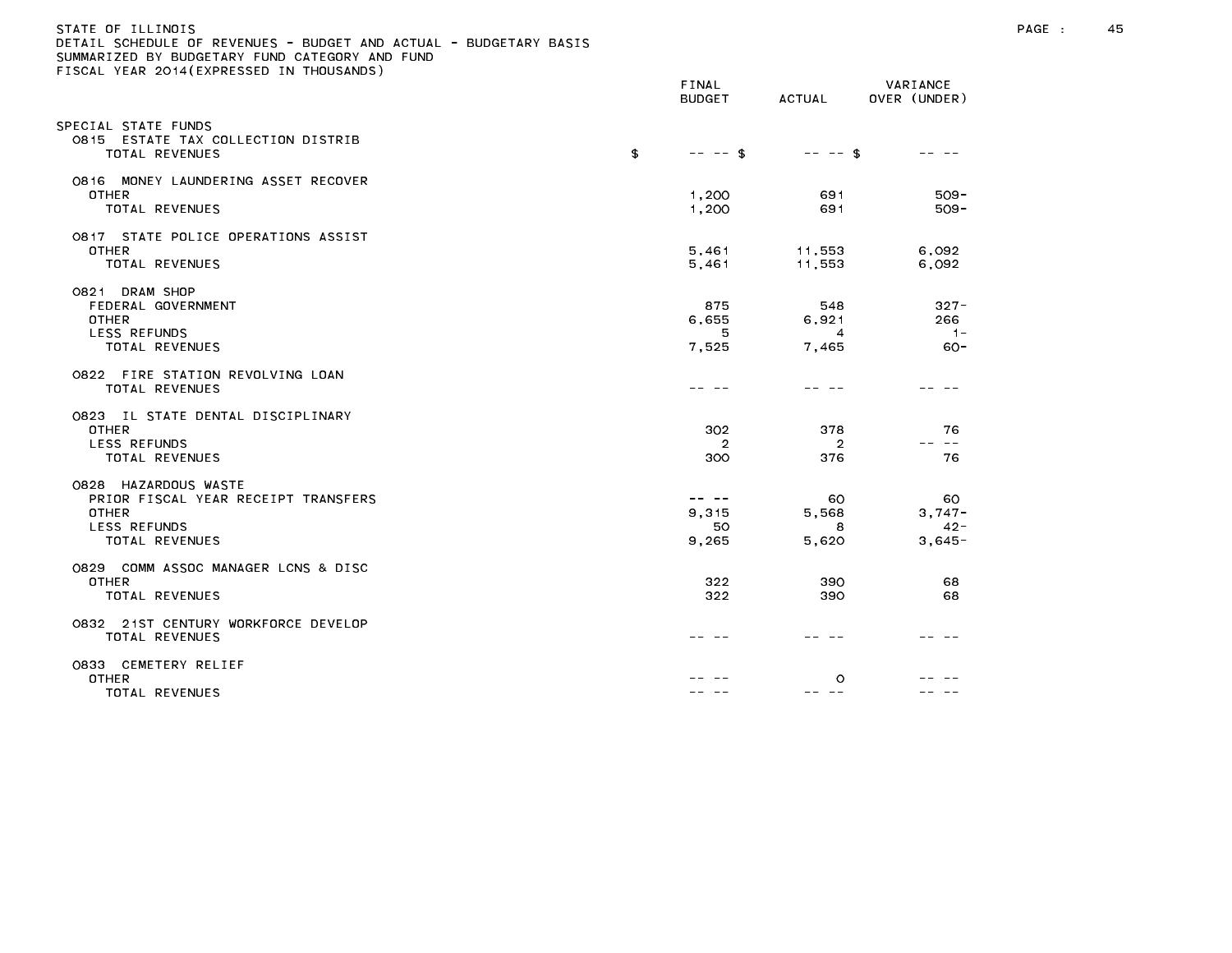# STATE OF ILLINOIS PAGE : 45 DETAIL SCHEDULE OF REVENUES - BUDGET AND ACTUAL - BUDGETARY BASIS

| LOOME TEAM EOTH, EMINESSED                                                                                           | FINAL<br><b>BUDGET</b>              | ACTUAL                                  | VARIANCE<br>OVER (UNDER)              |
|----------------------------------------------------------------------------------------------------------------------|-------------------------------------|-----------------------------------------|---------------------------------------|
| PECIAL STATE FUNDS<br>0815 ESTATE TAX COLLECTION DISTRIB<br>TOTAL REVENUES                                           | \$<br>$-- - -$ \$                   | $-- - -$ \$                             | -- -                                  |
| 0816 MONEY LAUNDERING ASSET RECOVER<br><b>OTHER</b><br>TOTAL REVENUES                                                | 1,200<br>1,200                      | 691<br>691                              | $509 -$<br>$509 -$                    |
| 0817 STATE POLICE OPERATIONS ASSIST<br>OTHER<br>TOTAL REVENUES                                                       | 5,461<br>5,461                      | 11,553<br>11,553                        | 6,092<br>6,092                        |
| 0821 DRAM SHOP<br>FEDERAL GOVERNMENT<br><b>OTHER</b><br><b>LESS REFUNDS</b><br><b>TOTAL REVENUES</b>                 | 875<br>6,655<br>5<br>7,525          | 548<br>6,921<br>$\overline{4}$<br>7,465 | $327 -$<br>266<br>$1 -$<br>$60 -$     |
| 0822 FIRE STATION REVOLVING LOAN<br>TOTAL REVENUES                                                                   |                                     |                                         |                                       |
| 0823 IL STATE DENTAL DISCIPLINARY<br><b>OTHER</b><br>LESS REFUNDS<br>TOTAL REVENUES                                  | 302<br>$\overline{2}$<br>300        | 378<br>$\overline{2}$<br>376            | 76<br>$\sim$ $-$<br>76                |
| 0828 HAZARDOUS WASTE<br>PRIOR FISCAL YEAR RECEIPT TRANSFERS<br><b>OTHER</b><br><b>LESS REFUNDS</b><br>TOTAL REVENUES | $- - - - -$<br>9,315<br>50<br>9,265 | 60<br>5,568<br>8<br>5,620               | 60<br>$3.747 -$<br>$42 -$<br>$3,645-$ |
| 0829 COMM ASSOC MANAGER LCNS & DISC<br><b>OTHER</b><br>TOTAL REVENUES                                                | 322<br>322                          | 390<br>390                              | 68<br>68                              |
| 0832 21ST CENTURY WORKFORCE DEVELOP<br><b>TOTAL REVENUES</b>                                                         |                                     |                                         |                                       |
| 0833 CEMETERY RELIEF<br><b>OTHER</b><br>TOTAL REVENUES                                                               |                                     | $\circ$<br>-- --                        |                                       |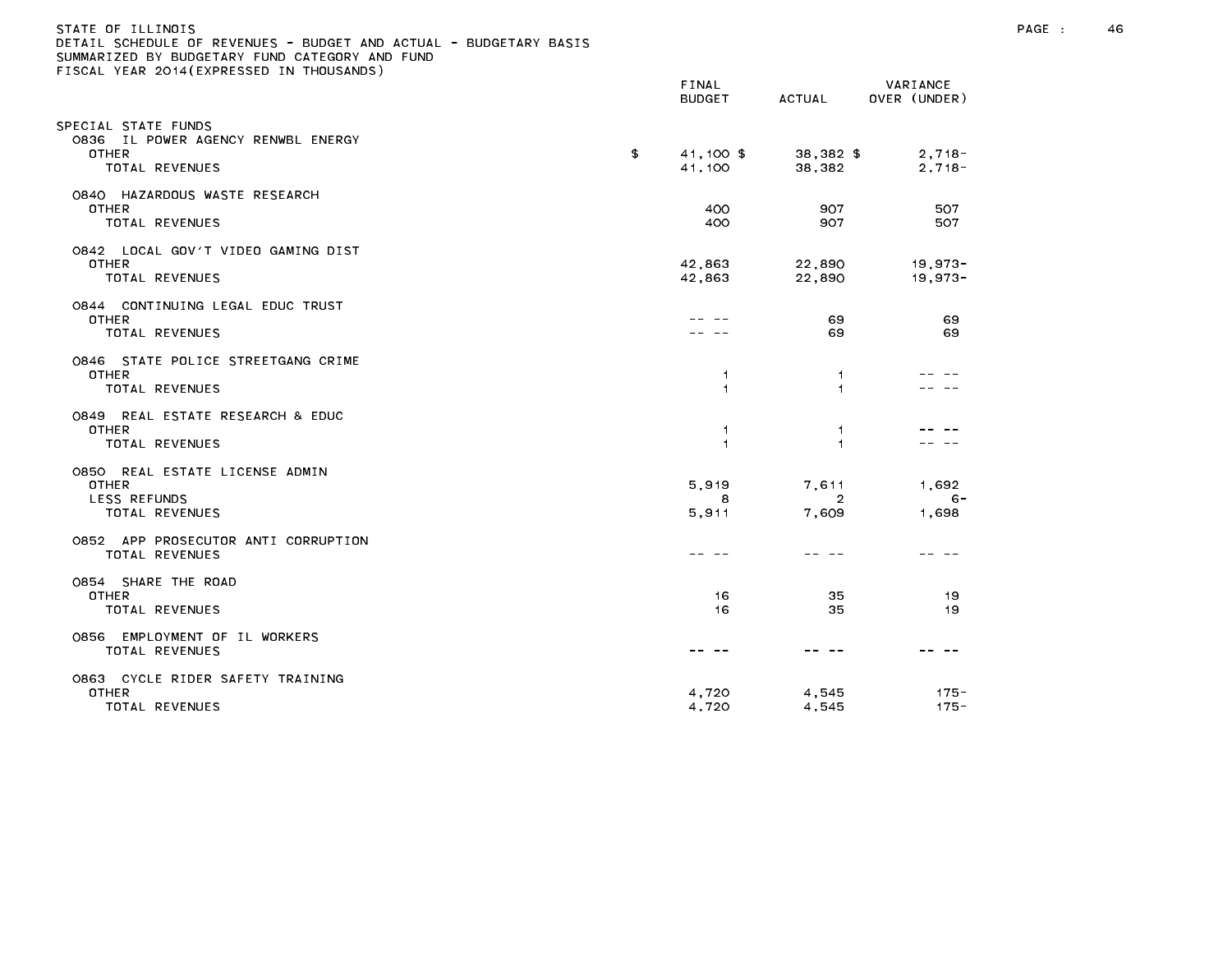| STATE OF ILLINOIS<br>DETAIL SCHEDULE OF REVENUES - BUDGET AND ACTUAL - BUDGETARY BASIS<br>SUMMARIZED BY BUDGETARY FUND CATEGORY AND FUND<br>FISCAL YEAR 2014 (EXPRESSED IN THOUSANDS) |                                  |                                  |                          | PAGE : | 46 |
|---------------------------------------------------------------------------------------------------------------------------------------------------------------------------------------|----------------------------------|----------------------------------|--------------------------|--------|----|
|                                                                                                                                                                                       | FINAL<br><b>BUDGET</b>           | ACTUAL                           | VARIANCE<br>OVER (UNDER) |        |    |
| SPECIAL STATE FUNDS<br>0836 IL POWER AGENCY RENWBL ENERGY<br><b>OTHER</b><br>TOTAL REVENUES                                                                                           | \$<br>41,100 \$<br>41,100        | 38,382 \$<br>38,382              | $2,718-$<br>$2,718-$     |        |    |
| 0840 HAZARDOUS WASTE RESEARCH<br>OTHER<br>TOTAL REVENUES                                                                                                                              | 400<br>400                       | 907<br>907                       | 507<br>507               |        |    |
| 0842 LOCAL GOV'T VIDEO GAMING DIST<br><b>OTHER</b><br>TOTAL REVENUES                                                                                                                  | 42,863<br>42,863                 | 22,890<br>22,890                 | $19,973-$<br>$19,973-$   |        |    |
| 0844 CONTINUING LEGAL EDUC TRUST<br>OTHER<br>TOTAL REVENUES                                                                                                                           |                                  | 69<br>69                         | 69<br>69                 |        |    |
| 0846 STATE POLICE STREETGANG CRIME<br><b>OTHER</b><br>TOTAL REVENUES                                                                                                                  | $\overline{1}$<br>$\overline{1}$ | 1.<br>1.                         |                          |        |    |
| 0849 REAL ESTATE RESEARCH & EDUC<br>OTHER<br>TOTAL REVENUES                                                                                                                           | $\overline{1}$<br>$\overline{1}$ | 1.<br>1.                         | .                        |        |    |
| 0850 REAL ESTATE LICENSE ADMIN<br>OTHER<br><b>LESS REFUNDS</b><br>TOTAL REVENUES                                                                                                      | 5.919<br>8<br>5,911              | 7,611<br>$\overline{2}$<br>7,609 | 1,692<br>$6 -$<br>1,698  |        |    |
| 0852 APP PROSECUTOR ANTI CORRUPTION<br>TOTAL REVENUES                                                                                                                                 | -- --                            | -- --                            | -- --                    |        |    |
| 0854 SHARE THE ROAD<br>OTHER<br>TOTAL REVENUES                                                                                                                                        | 16<br>16                         | 35<br>35                         | -19<br>19                |        |    |
| 0856 EMPLOYMENT OF IL WORKERS<br>TOTAL REVENUES                                                                                                                                       |                                  |                                  |                          |        |    |
| 0863 CYCLE RIDER SAFETY TRAINING<br><b>OTHER</b><br>TOTAL REVENUES                                                                                                                    | 4,720<br>4,720                   | 4,545<br>4,545                   | $175 -$<br>$175 -$       |        |    |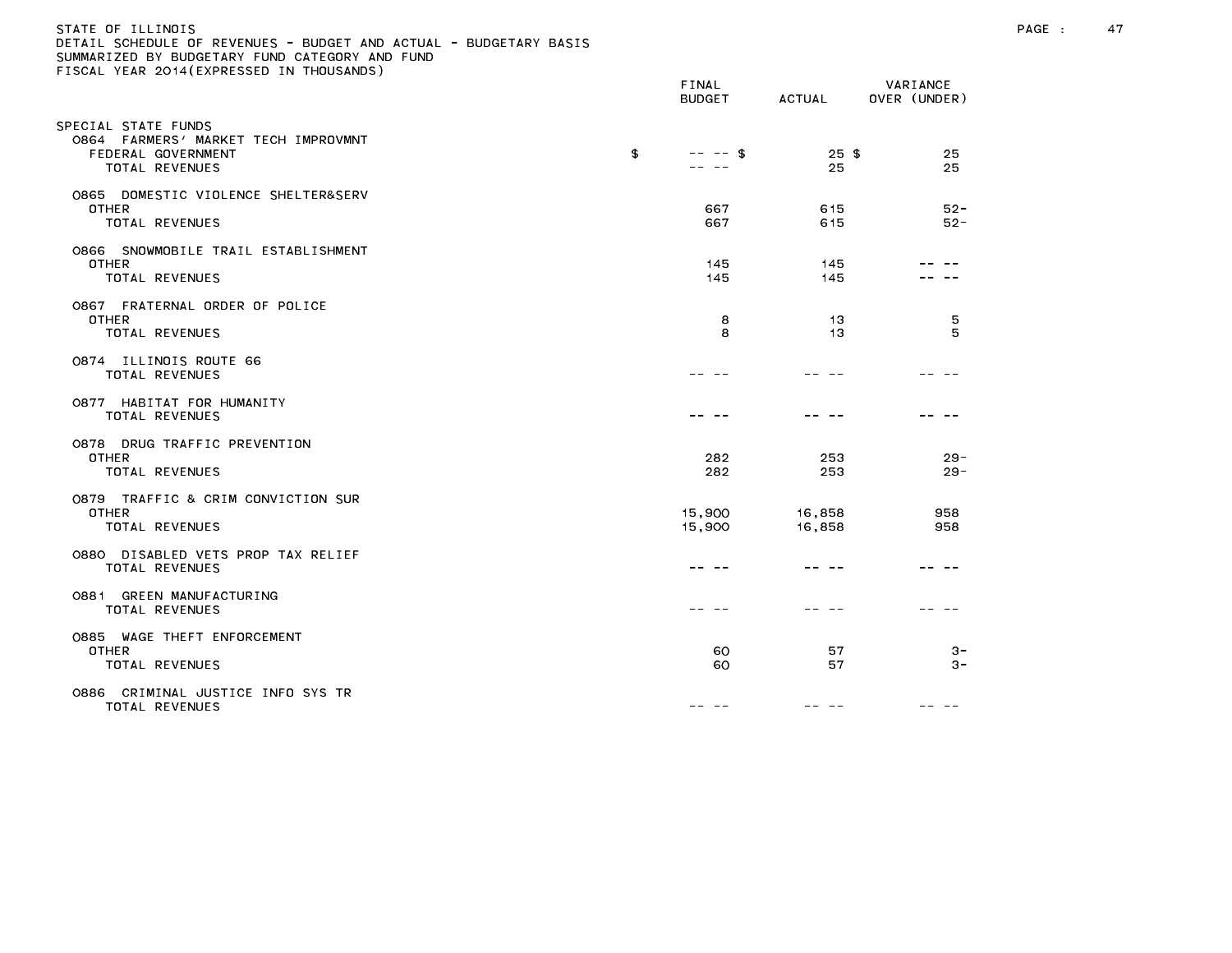# STATE OF ILLINOIS PAGE : 47 DETAIL SCHEDULE OF REVENUES - BUDGET AND ACTUAL - BUDGETARY BASIS

|                                                                                                    | FINAL<br><b>BUDGET</b> | <b>ACTUAL</b>    | VARIANCE<br>OVER (UNDER) |
|----------------------------------------------------------------------------------------------------|------------------------|------------------|--------------------------|
| SPECIAL STATE FUNDS<br>0864 FARMERS' MARKET TECH IMPROVMNT<br>FEDERAL GOVERNMENT<br>TOTAL REVENUES | \$<br>$--$ \$          | $25$ \$<br>25    | 25<br>25                 |
| 0865 DOMESTIC VIOLENCE SHELTER&SERV<br><b>OTHER</b><br><b>TOTAL REVENUES</b>                       | 667<br>667             | 615<br>615       | $52 -$<br>$52 -$         |
| 0866 SNOWMOBILE TRAIL ESTABLISHMENT<br><b>OTHER</b><br><b>TOTAL REVENUES</b>                       | 145<br>145             | 145<br>145       |                          |
| 0867 FRATERNAL ORDER OF POLICE<br>OTHER<br><b>TOTAL REVENUES</b>                                   | 8<br>8                 | 13<br>13         | 5<br>5                   |
| 0874 ILLINOIS ROUTE 66<br>TOTAL REVENUES                                                           |                        |                  |                          |
| 0877 HABITAT FOR HUMANITY<br>TOTAL REVENUES                                                        |                        |                  |                          |
| 0878 DRUG TRAFFIC PREVENTION<br><b>OTHER</b><br>TOTAL REVENUES                                     | 282<br>282             | 253<br>253       | $29 -$<br>$29 -$         |
| 0879 TRAFFIC & CRIM CONVICTION SUR<br>OTHER<br><b>TOTAL REVENUES</b>                               | 15,900<br>15,900       | 16,858<br>16,858 | 958<br>958               |
| 0880 DISABLED VETS PROP TAX RELIEF<br><b>TOTAL REVENUES</b>                                        |                        |                  |                          |
| 0881 GREEN MANUFACTURING<br><b>TOTAL REVENUES</b>                                                  |                        |                  |                          |
| 0885 WAGE THEFT ENFORCEMENT<br><b>OTHER</b><br>TOTAL REVENUES                                      | 60<br>60               | 57<br>57         | $3 -$<br>$3 -$           |
| 0886 CRIMINAL JUSTICE INFO SYS TR<br>TOTAL REVENUES                                                | -- -                   |                  |                          |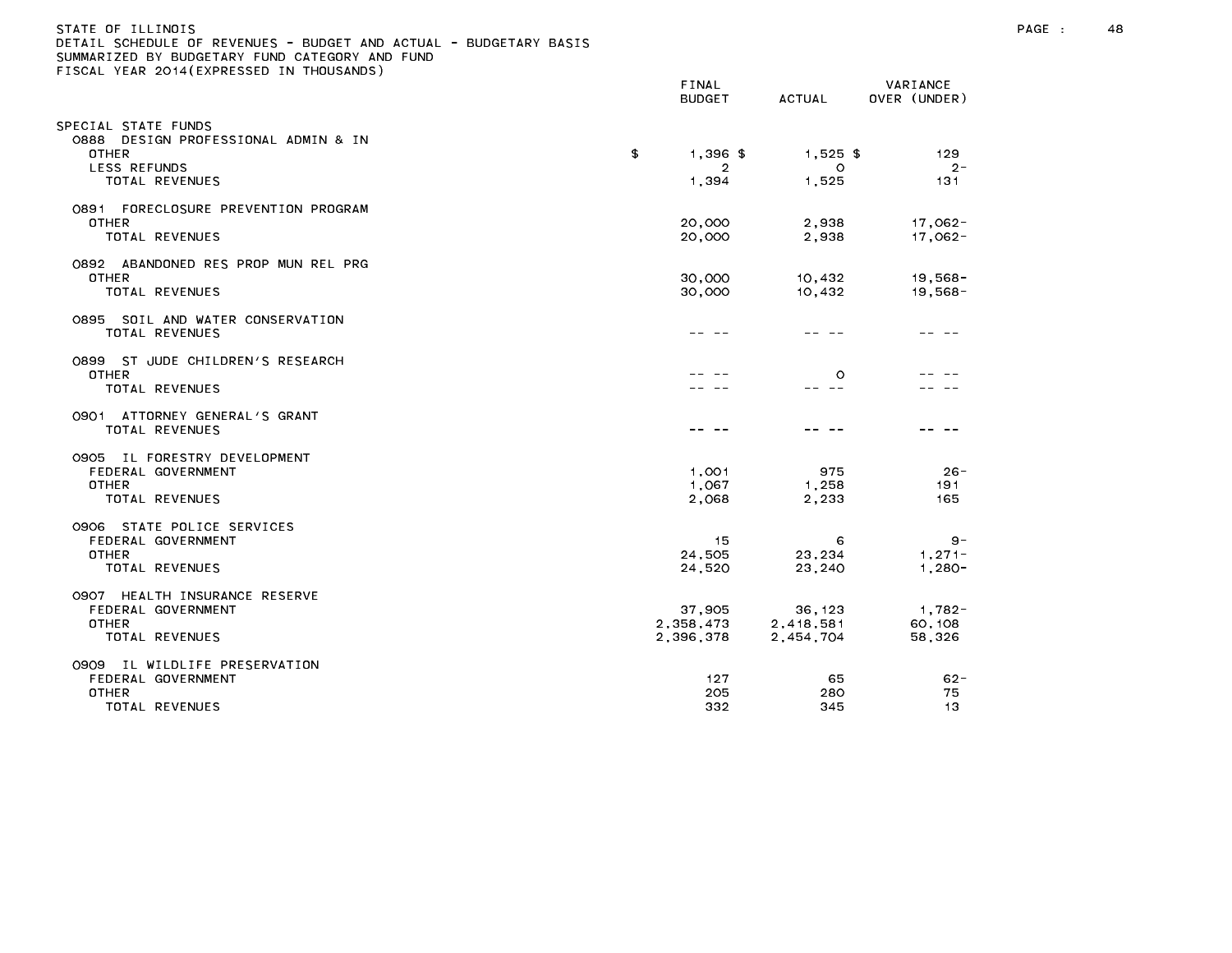| )ETAIL SCHEDULE OF REVENUES - BUDGET AND ACTUAL - BUDGETARY BASIS<br>SUMMARIZED BY BUDGETARY FUND CATEGORY AND FUND<br>ISCAL YEAR 2014(EXPRESSED IN THOUSANDS) |                                  |                                   |                               |
|----------------------------------------------------------------------------------------------------------------------------------------------------------------|----------------------------------|-----------------------------------|-------------------------------|
|                                                                                                                                                                | <b>FINAL</b><br><b>BUDGET</b>    | <b>ACTUAL</b>                     | VARIANCE<br>OVER (UNDER)      |
| SPECIAL STATE FUNDS<br>O888 DESIGN PROFESSIONAL ADMIN & IN<br><b>OTHER</b><br>LESS REFUNDS<br>TOTAL REVENUES                                                   | $1,396$ \$<br>\$<br>2<br>1,394   | $1,525$ \$<br>$\circ$<br>1,525    | 129<br>$2 -$<br>131           |
| 0891 FORECLOSURE PREVENTION PROGRAM<br><b>OTHER</b><br>TOTAL REVENUES                                                                                          | 20,000<br>20,000                 | 2,938<br>2,938                    | $17,062-$<br>17,062-          |
| 0892 ABANDONED RES PROP MUN REL PRG<br><b>OTHER</b><br>TOTAL REVENUES                                                                                          | 30,000<br>30,000                 | 10,432<br>10,432                  | $19,568 -$<br>$19,568 -$      |
| 0895 SOIL AND WATER CONSERVATION<br>TOTAL REVENUES                                                                                                             |                                  |                                   |                               |
| 0899 ST JUDE CHILDREN'S RESEARCH<br>OTHER<br>TOTAL REVENUES                                                                                                    |                                  | $\circ$<br>-- --                  |                               |
| 0901 ATTORNEY GENERAL'S GRANT<br>TOTAL REVENUES                                                                                                                |                                  |                                   |                               |
| 0905 IL FORESTRY DEVELOPMENT<br>FEDERAL GOVERNMENT<br><b>OTHER</b><br>TOTAL REVENUES                                                                           | 1,001<br>1,067<br>2,068          | 975<br>1,258<br>2,233             | $26 -$<br>191<br>165          |
| 0906 STATE POLICE SERVICES<br>FEDERAL GOVERNMENT<br>OTHER<br>TOTAL REVENUES                                                                                    | 15<br>24,505<br>24.520           | 6<br>23,234<br>23,240             | $9 -$<br>$1,271-$<br>$1,280-$ |
| 0907 HEALTH INSURANCE RESERVE<br>FEDERAL GOVERNMENT<br>OTHER<br>TOTAL REVENUES                                                                                 | 37,905<br>2,358,473<br>2,396,378 | 36, 123<br>2,418,581<br>2,454,704 | 1,782-<br>60, 108<br>58,326   |
| 0909 IL WILDLIFE PRESERVATION<br>FEDERAL GOVERNMENT<br><b>OTHER</b><br>TOTAL DEVENHES                                                                          | 127<br>205<br>つつつ                | 65<br>280<br>245                  | $62 -$<br>75<br>13.           |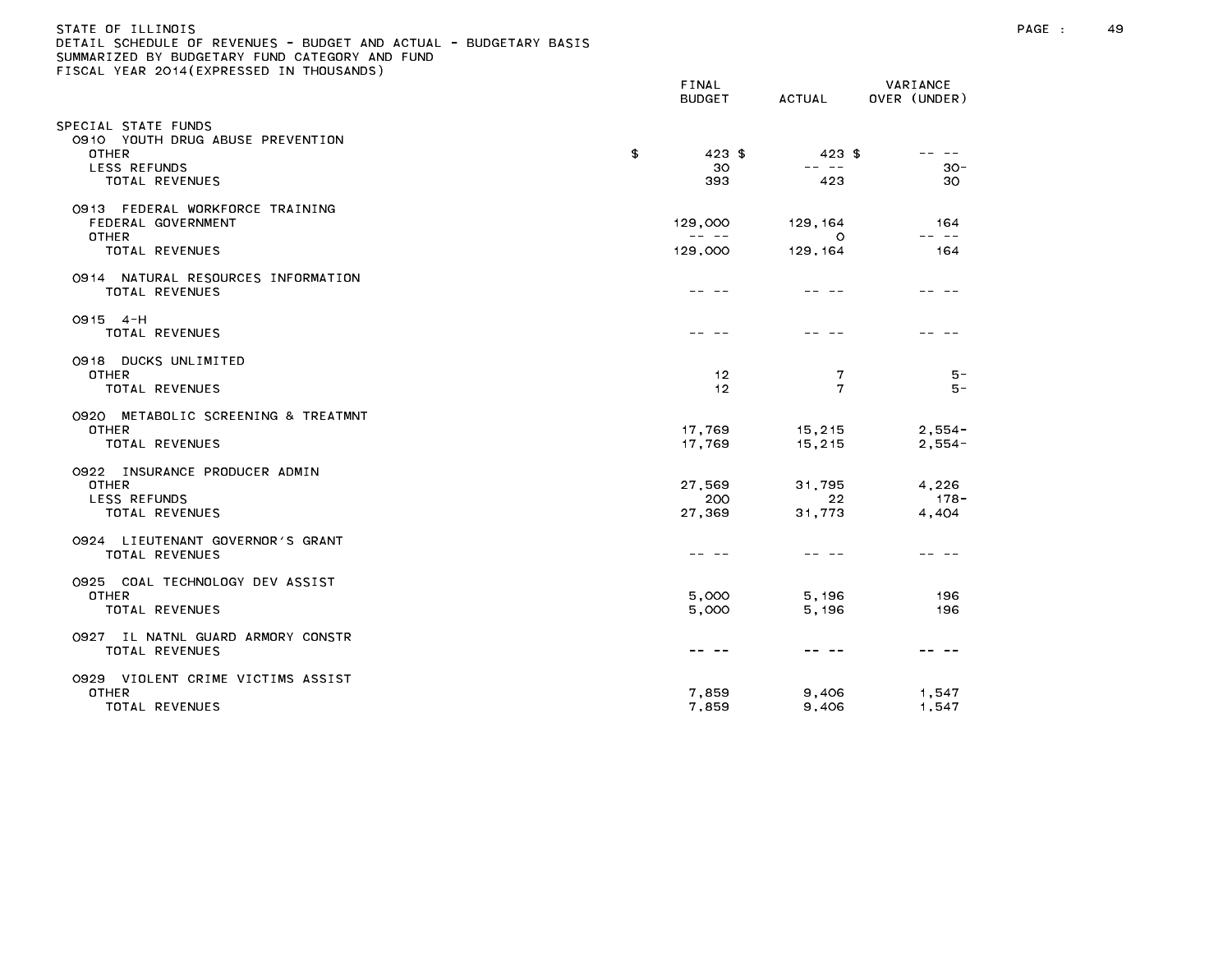| STATE OF ILLINOIS                                                 |
|-------------------------------------------------------------------|
| DETAIL SCHEDULE OF REVENUES - BUDGET AND ACTUAL - BUDGETARY BASIS |
| SUMMARIZED BY BUDGETARY FUND CATEGORY AND FUND                    |
| FISCAL YEAR 2014(EXPRESSED IN THOUSANDS)                          |
|                                                                   |

|                                                                                        | FINAL<br><b>BUDGET</b>                                                                                                                                                                                                                                                                                                                                                                                  | ACTUAL                 | VARIANCE<br>OVER (UNDER)  |
|----------------------------------------------------------------------------------------|---------------------------------------------------------------------------------------------------------------------------------------------------------------------------------------------------------------------------------------------------------------------------------------------------------------------------------------------------------------------------------------------------------|------------------------|---------------------------|
| PECIAL STATE FUNDS<br>0910 YOUTH DRUG ABUSE PREVENTION<br><b>OTHER</b><br>LESS REFUNDS | \$<br>$423$ \$<br>30                                                                                                                                                                                                                                                                                                                                                                                    | $423$ \$<br>-- --      | -- --<br>$30 -$           |
| TOTAL REVENUES                                                                         | 393                                                                                                                                                                                                                                                                                                                                                                                                     | 423                    | 30                        |
| 0913 FEDERAL WORKFORCE TRAINING<br>FEDERAL GOVERNMENT<br>OTHER                         | 129,000<br>$\frac{1}{2} \frac{1}{2} \frac{1}{2} \frac{1}{2} \frac{1}{2} \frac{1}{2} \frac{1}{2} \frac{1}{2} \frac{1}{2} \frac{1}{2} \frac{1}{2} \frac{1}{2} \frac{1}{2} \frac{1}{2} \frac{1}{2} \frac{1}{2} \frac{1}{2} \frac{1}{2} \frac{1}{2} \frac{1}{2} \frac{1}{2} \frac{1}{2} \frac{1}{2} \frac{1}{2} \frac{1}{2} \frac{1}{2} \frac{1}{2} \frac{1}{2} \frac{1}{2} \frac{1}{2} \frac{1}{2} \frac{$ | 129, 164<br>$\Omega$   | 164<br>-- --              |
| TOTAL REVENUES                                                                         | 129,000                                                                                                                                                                                                                                                                                                                                                                                                 | 129, 164               | 164                       |
| 0914 NATURAL RESOURCES INFORMATION<br>TOTAL REVENUES                                   |                                                                                                                                                                                                                                                                                                                                                                                                         |                        |                           |
| $0915 - 4 - H$<br>TOTAL REVENUES                                                       |                                                                                                                                                                                                                                                                                                                                                                                                         |                        |                           |
| 0918 DUCKS UNLIMITED<br><b>OTHER</b><br>TOTAL REVENUES                                 | 12<br>12                                                                                                                                                                                                                                                                                                                                                                                                | 7<br>7                 | $5 -$<br>5 –              |
| 0920 METABOLIC SCREENING & TREATMNT<br><b>OTHER</b><br>TOTAL REVENUES                  | 17,769<br>17,769                                                                                                                                                                                                                                                                                                                                                                                        | 15,215<br>15,215       | $2,554-$<br>$2,554-$      |
| 0922 INSURANCE PRODUCER ADMIN<br><b>OTHER</b><br><b>LESS REFUNDS</b><br>TOTAL REVENUES | 27,569<br>200<br>27,369                                                                                                                                                                                                                                                                                                                                                                                 | 31,795<br>22<br>31,773 | 4,226<br>$178 -$<br>4,404 |
| 0924 LIEUTENANT GOVERNOR'S GRANT<br>TOTAL REVENUES                                     |                                                                                                                                                                                                                                                                                                                                                                                                         |                        |                           |
| 0925 COAL TECHNOLOGY DEV ASSIST<br><b>OTHER</b><br>TOTAL REVENUES                      | 5,000<br>5.000                                                                                                                                                                                                                                                                                                                                                                                          | 5,196<br>5.196         | 196<br>196                |
| 0927 IL NATNL GUARD ARMORY CONSTR<br><b>TOTAL REVENUES</b>                             |                                                                                                                                                                                                                                                                                                                                                                                                         | $  -$                  |                           |
| 0929 VIOLENT CRIME VICTIMS ASSIST<br><b>OTHER</b><br>TOTAL REVENUES                    | 7,859<br>7,859                                                                                                                                                                                                                                                                                                                                                                                          | 9,406<br>9,406         | 1,547<br>1,547            |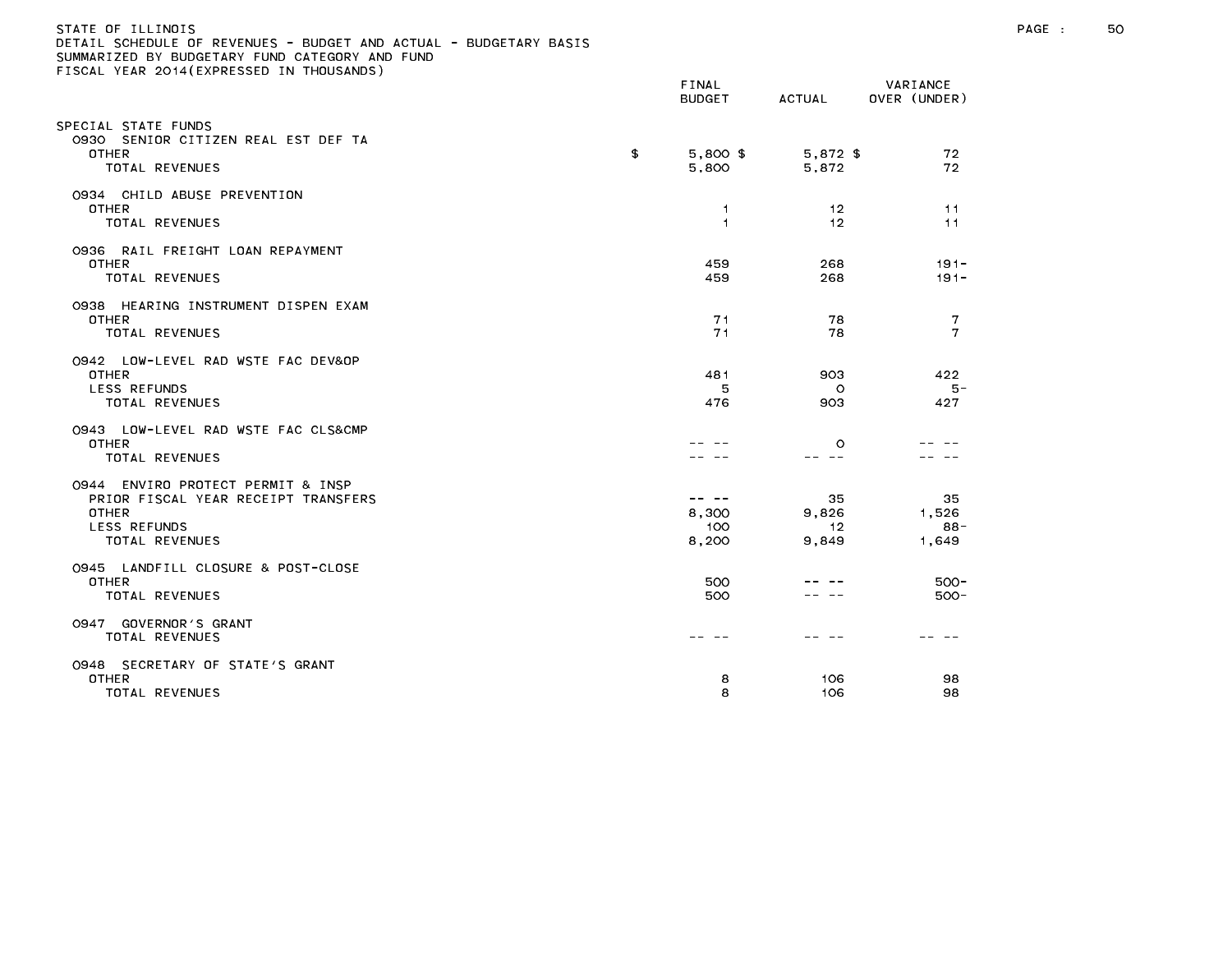### STATE OF ILLINOIS PAGE : 50 DETAIL SCHEDULE OF REVENUES - BUDGET AND ACTUAL - BUDGETARY BASIS

| LOOME TEAR EUTR(EATALOGED IN THOUGHNOUS                                                                                    | FINAL<br><b>BUDGET</b>         | ACTUAL                     | VARIANCE<br>OVER (UNDER)    |
|----------------------------------------------------------------------------------------------------------------------------|--------------------------------|----------------------------|-----------------------------|
| SPECIAL STATE FUNDS<br>0930 SENIOR CITIZEN REAL EST DEF TA<br>OTHER<br>TOTAL REVENUES                                      | \$<br>$5,800$ \$<br>5,800      | 5,872 \$<br>5,872          | 72<br>72                    |
| 0934 CHILD ABUSE PREVENTION<br><b>OTHER</b><br><b>TOTAL REVENUES</b>                                                       | -1<br>1                        | 12<br>12                   | 11<br>11                    |
| 0936 RAIL FREIGHT LOAN REPAYMENT<br>OTHER<br>TOTAL REVENUES                                                                | 459<br>459                     | 268<br>268                 | $191 -$<br>$191 -$          |
| 0938 HEARING INSTRUMENT DISPEN EXAM<br><b>OTHER</b><br>TOTAL REVENUES                                                      | 71<br>71                       | 78<br>78                   | 7<br>7                      |
| 0942 LOW-LEVEL RAD WSTE FAC DEV&OP<br><b>OTHER</b><br>LESS REFUNDS<br><b>TOTAL REVENUES</b>                                | 481<br>5<br>476                | 903<br>O<br>903            | 422<br>5 –<br>427           |
| 0943 LOW-LEVEL RAD WSTE FAC CLS&CMP<br><b>OTHER</b><br><b>TOTAL REVENUES</b>                                               |                                | $\circ$<br>- --            |                             |
| 0944 ENVIRO PROTECT PERMIT & INSP<br>PRIOR FISCAL YEAR RECEIPT TRANSFERS<br>OTHER<br><b>LESS REFUNDS</b><br>TOTAL REVENUES | -- --<br>8,300<br>100<br>8,200 | 35<br>9,826<br>12<br>9,849 | 35<br>1,526<br>88-<br>1,649 |
| 0945 LANDFILL CLOSURE & POST-CLOSE<br>OTHER<br>TOTAL REVENUES                                                              | 500<br>500                     |                            | $500 -$<br>$500 -$          |
| 0947 GOVERNOR'S GRANT<br>TOTAL REVENUES                                                                                    | -- -                           |                            |                             |
| 0948 SECRETARY OF STATE'S GRANT<br><b>OTHER</b><br>TOTAL REVENUES                                                          | 8<br>8                         | 106<br>106                 | 98<br>98                    |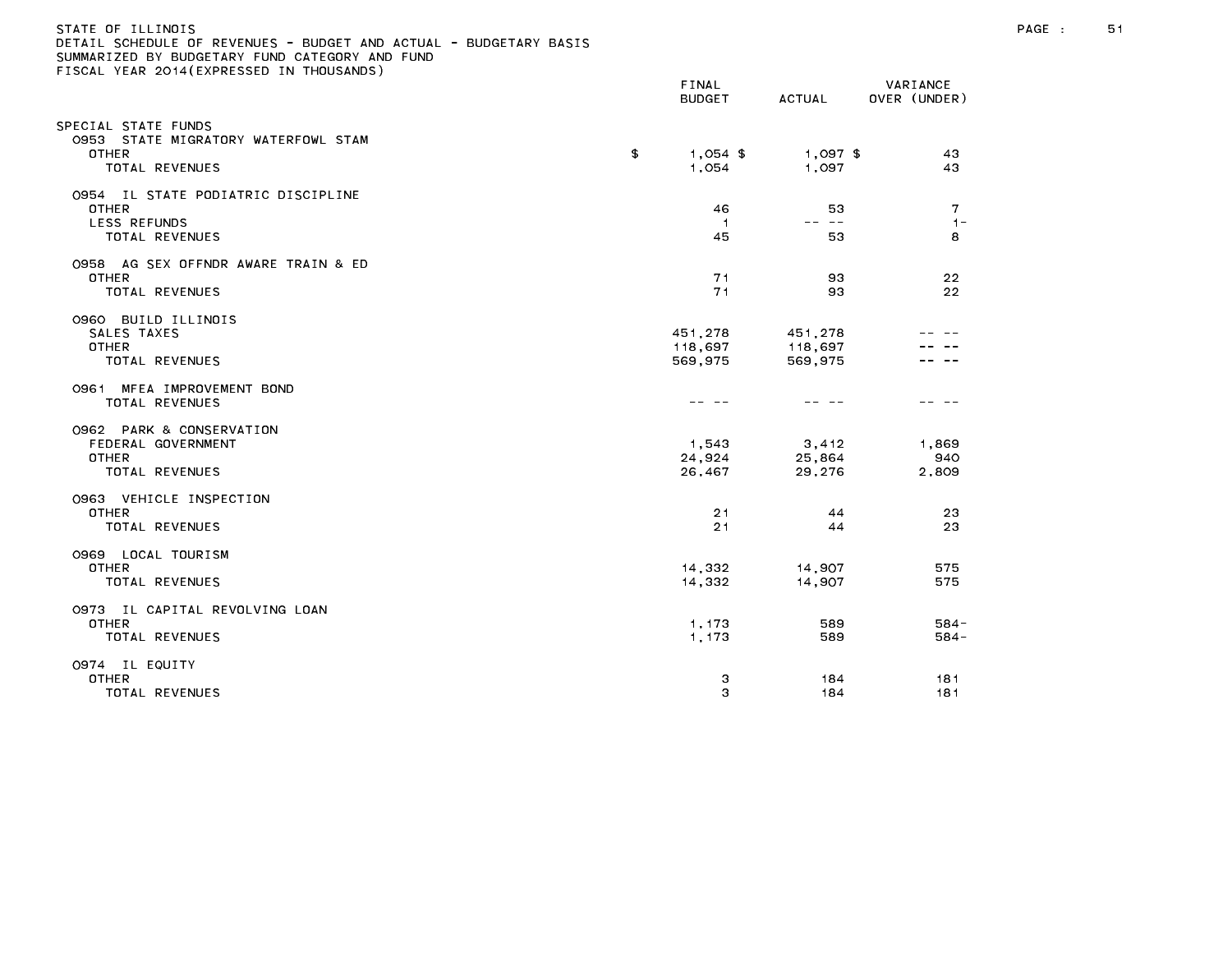### STATE OF ILLINOIS PAGE : 51 DETAIL SCHEDULE OF REVENUES - BUDGET AND ACTUAL - BUDGETARY BASIS

| LLOOME TEAR EOTT(EATALOOLD IN THOU                                                    | FINAL<br><b>BUDGET</b>        | ACTUAL                        | VARIANCE<br>OVER (UNDER)   |
|---------------------------------------------------------------------------------------|-------------------------------|-------------------------------|----------------------------|
| SPECIAL STATE FUNDS<br>0953 STATE MIGRATORY WATERFOWL STAM<br>OTHER<br>TOTAL REVENUES | \$<br>$1,054$ \$<br>1,054     | $1,097$ \$<br>1,097           | 43<br>43                   |
| 0954 IL STATE PODIATRIC DISCIPLINE<br>OTHER<br><b>LESS REFUNDS</b><br>TOTAL REVENUES  | 46<br>$\overline{1}$<br>45    | 53<br>-- --<br>53             | $\mathbf{7}$<br>$1 -$<br>8 |
| 0958 AG SEX OFFNDR AWARE TRAIN & ED<br>OTHER<br><b>TOTAL REVENUES</b>                 | 71<br>71                      | 93<br>93                      | 22<br>22                   |
| 0960 BUILD ILLINOIS<br>SALES TAXES<br><b>OTHER</b><br><b>TOTAL REVENUES</b>           | 451,278<br>118,697<br>569,975 | 451,278<br>118,697<br>569,975 |                            |
| 0961 MFEA IMPROVEMENT BOND<br><b>TOTAL REVENUES</b>                                   |                               |                               |                            |
| 0962 PARK & CONSERVATION<br>FEDERAL GOVERNMENT<br><b>OTHER</b><br>TOTAL REVENUES      | 1,543<br>24,924<br>26,467     | 3,412<br>25,864<br>29,276     | 1.869<br>940<br>2,809      |
| 0963 VEHICLE INSPECTION<br><b>OTHER</b><br>TOTAL REVENUES                             | 21<br>21                      | 44<br>44                      | 23<br>23                   |
| 0969 LOCAL TOURISM<br><b>OTHER</b><br><b>TOTAL REVENUES</b>                           | 14,332<br>14.332              | 14,907<br>14,907              | 575<br>575                 |
| 0973 IL CAPITAL REVOLVING LOAN<br><b>OTHER</b><br>TOTAL REVENUES                      | 1,173<br>1,173                | 589<br>589                    | $584 -$<br>$584 -$         |
| 0974 IL EQUITY<br><b>OTHER</b><br>TOTAL REVENUES                                      | 3<br>3                        | 184<br>184                    | 181<br>181                 |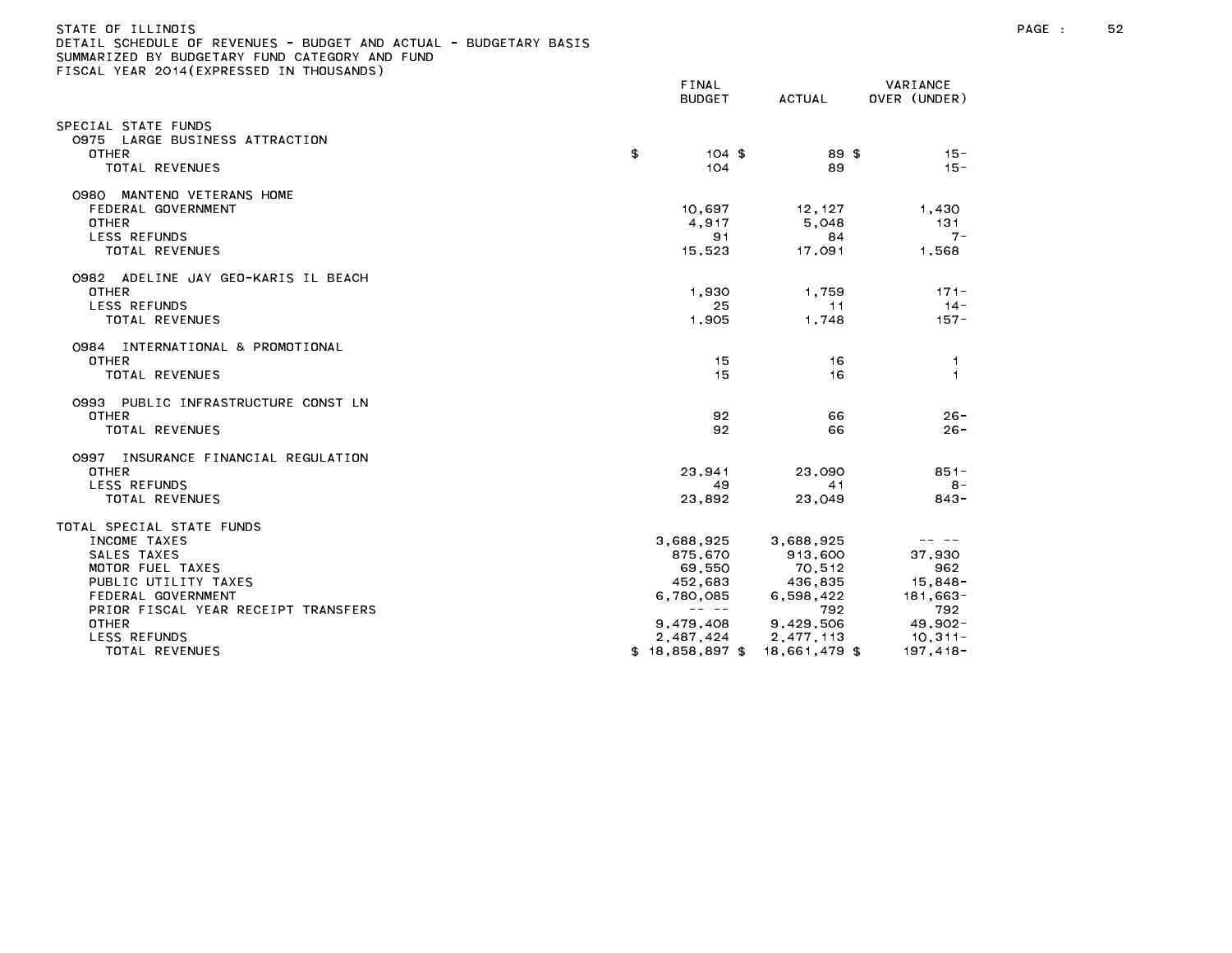| DETAIL SCHEDULE UF REVENUES - BUDGET AND ACTUAL - BUDGETARY BASIS<br>SUMMARIZED BY BUDGETARY FUND CATEGORY AND FUND<br>FISCAL YEAR 2014(EXPRESSED IN THOUSANDS)   |                                                                                                                                                                                                                                                                                                                                                                                                                                                        |                                                               |                                                                                                                                                                                                                                                                                                                                                                                                                                                |
|-------------------------------------------------------------------------------------------------------------------------------------------------------------------|--------------------------------------------------------------------------------------------------------------------------------------------------------------------------------------------------------------------------------------------------------------------------------------------------------------------------------------------------------------------------------------------------------------------------------------------------------|---------------------------------------------------------------|------------------------------------------------------------------------------------------------------------------------------------------------------------------------------------------------------------------------------------------------------------------------------------------------------------------------------------------------------------------------------------------------------------------------------------------------|
|                                                                                                                                                                   | FINAL<br>BUDGET                                                                                                                                                                                                                                                                                                                                                                                                                                        | ACTUAL                                                        | VARIANCE<br>OVER (UNDER)                                                                                                                                                                                                                                                                                                                                                                                                                       |
| SPECIAL STATE FUNDS<br>0975 LARGE BUSINESS ATTRACTION<br>OTHER<br>TOTAL REVENUES                                                                                  | \$<br>$104$ \$<br>104                                                                                                                                                                                                                                                                                                                                                                                                                                  | 89 \$<br>89                                                   | $15 -$<br>$15 -$                                                                                                                                                                                                                                                                                                                                                                                                                               |
| 0980 MANTENO VETERANS HOME<br>FEDERAL GOVERNMENT<br><b>OTHER</b><br><b>LESS REFUNDS</b><br>TOTAL REVENUES                                                         | 10,697<br>4.917<br>91<br>15.523                                                                                                                                                                                                                                                                                                                                                                                                                        | 12,127<br>5.048<br>84<br>17.091                               | 1,430<br>131<br>$7 -$<br>1.568                                                                                                                                                                                                                                                                                                                                                                                                                 |
| 0982 ADELINE JAY GEO-KARIS IL BEACH<br><b>OTHER</b><br><b>LESS REFUNDS</b><br>TOTAL REVENUES                                                                      | 1.930<br>25.<br>1,905                                                                                                                                                                                                                                                                                                                                                                                                                                  | 1.759<br>11<br>1,748                                          | $171 -$<br>$14 -$<br>$157 -$                                                                                                                                                                                                                                                                                                                                                                                                                   |
| 0984 INTERNATIONAL & PROMOTIONAL<br><b>OTHER</b><br>TOTAL REVENUES                                                                                                | 15<br>15                                                                                                                                                                                                                                                                                                                                                                                                                                               | 16<br>16                                                      | $\mathbf{1}$<br>$\overline{1}$                                                                                                                                                                                                                                                                                                                                                                                                                 |
| 0993 PUBLIC INFRASTRUCTURE CONST LN<br>OTHER<br><b>TOTAL REVENUES</b>                                                                                             | 92<br>92                                                                                                                                                                                                                                                                                                                                                                                                                                               | 66<br>66                                                      | $26 -$<br>$26 -$                                                                                                                                                                                                                                                                                                                                                                                                                               |
| 0997 INSURANCE FINANCIAL REGULATION<br><b>OTHER</b><br>LESS REFUNDS<br>TOTAL REVENUES                                                                             | 23.941<br>49<br>23,892                                                                                                                                                                                                                                                                                                                                                                                                                                 | 23,090<br>41<br>23,049                                        | $851 -$<br>$8 -$<br>$843 -$                                                                                                                                                                                                                                                                                                                                                                                                                    |
| TOTAL SPECIAL STATE FUNDS<br>INCOME TAXES<br>SALES TAXES<br>MOTOR FUEL TAXES<br>PUBLIC UTILITY TAXES<br>FEDERAL GOVERNMENT<br>PRIOR FISCAL YEAR RECEIPT TRANSFERS | 3,688,925<br>875,670<br>69,550<br>452,683<br>6,780,085<br>$\frac{1}{2} \frac{1}{2} \frac{1}{2} \frac{1}{2} \frac{1}{2} \frac{1}{2} \frac{1}{2} \frac{1}{2} \frac{1}{2} \frac{1}{2} \frac{1}{2} \frac{1}{2} \frac{1}{2} \frac{1}{2} \frac{1}{2} \frac{1}{2} \frac{1}{2} \frac{1}{2} \frac{1}{2} \frac{1}{2} \frac{1}{2} \frac{1}{2} \frac{1}{2} \frac{1}{2} \frac{1}{2} \frac{1}{2} \frac{1}{2} \frac{1}{2} \frac{1}{2} \frac{1}{2} \frac{1}{2} \frac{$ | 3,688,925<br>913,600<br>70.512<br>436,835<br>6,598,422<br>792 | $\frac{1}{2} \frac{1}{2} \frac{1}{2} \frac{1}{2} \frac{1}{2} \frac{1}{2} \frac{1}{2} \frac{1}{2} \frac{1}{2} \frac{1}{2} \frac{1}{2} \frac{1}{2} \frac{1}{2} \frac{1}{2} \frac{1}{2} \frac{1}{2} \frac{1}{2} \frac{1}{2} \frac{1}{2} \frac{1}{2} \frac{1}{2} \frac{1}{2} \frac{1}{2} \frac{1}{2} \frac{1}{2} \frac{1}{2} \frac{1}{2} \frac{1}{2} \frac{1}{2} \frac{1}{2} \frac{1}{2} \frac{$<br>37,930<br>962<br>$15,848-$<br>181,663-<br>792. |
| <b>OTHER</b><br>LESS REFUNDS<br>TOTAL REVENUES                                                                                                                    | 9,479,408<br>2,487,424<br>$$18.858.897$ \$                                                                                                                                                                                                                                                                                                                                                                                                             | 9,429,506<br>2,477,113<br>18.661.479 \$                       | $49,902 -$<br>$10,311-$<br>197.418-                                                                                                                                                                                                                                                                                                                                                                                                            |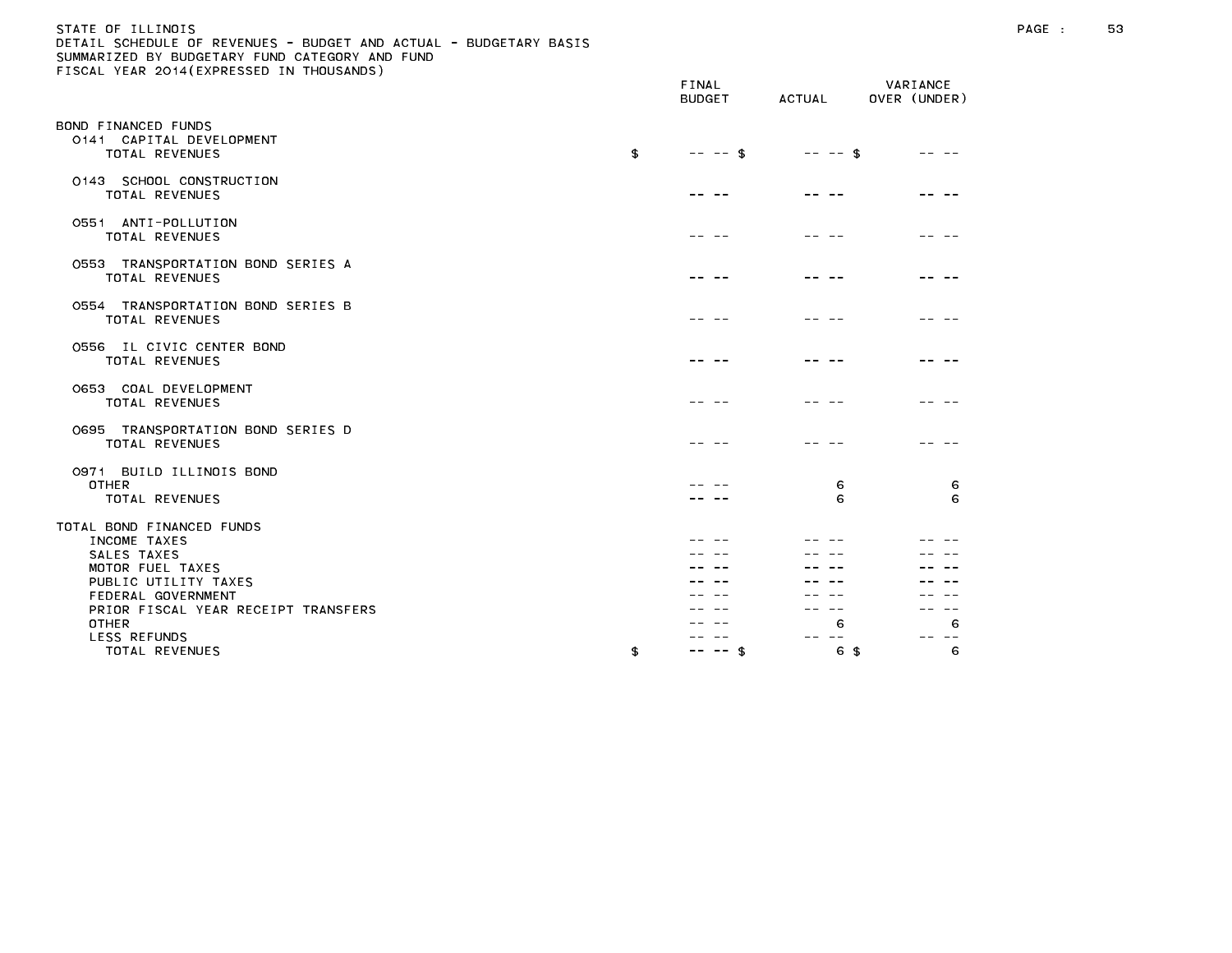# STATE OF ILLINOIS PAGE : 53 DETAIL SCHEDULE OF REVENUES - BUDGET AND ACTUAL - BUDGETARY BASIS

|                                                                   |    | FINAL<br><b>BUDGET</b> | ACTUAL   | VARIANCE<br>OVER (UNDER) |
|-------------------------------------------------------------------|----|------------------------|----------|--------------------------|
| BOND FINANCED FUNDS<br>0141 CAPITAL DEVELOPMENT<br>TOTAL REVENUES | £  | $-- - -$ \$            | -- -- \$ |                          |
| 0143 SCHOOL CONSTRUCTION<br><b>TOTAL REVENUES</b>                 |    |                        |          |                          |
| 0551 ANTI-POLLUTION<br>TOTAL REVENUES                             |    |                        |          |                          |
| 0553 TRANSPORTATION BOND SERIES A<br>TOTAL REVENUES               |    |                        |          |                          |
| 0554 TRANSPORTATION BOND SERIES B<br><b>TOTAL REVENUES</b>        |    |                        |          |                          |
| 0556 IL CIVIC CENTER BOND<br>TOTAL REVENUES                       |    |                        |          |                          |
| 0653 COAL DEVELOPMENT<br>TOTAL REVENUES                           |    |                        |          |                          |
| 0695 TRANSPORTATION BOND SERIES D<br><b>TOTAL REVENUES</b>        |    |                        |          |                          |
| 0971 BUILD ILLINOIS BOND<br><b>OTHER</b>                          |    |                        | 6        | 6                        |
| <b>TOTAL REVENUES</b>                                             |    |                        | 6        | 6                        |
| TOTAL BOND FINANCED FUNDS                                         |    |                        |          |                          |
| INCOME TAXES                                                      |    |                        |          |                          |
| SALES TAXES                                                       |    |                        |          |                          |
| MOTOR FUEL TAXES                                                  |    |                        |          |                          |
| PUBLIC UTILITY TAXES                                              |    |                        |          |                          |
| FEDERAL GOVERNMENT                                                |    |                        |          |                          |
| PRIOR FISCAL YEAR RECEIPT TRANSFERS                               |    |                        |          |                          |
| <b>OTHER</b>                                                      |    |                        | 6        | 6                        |
| <b>LESS REFUNDS</b>                                               |    |                        |          |                          |
| TOTAL REVENUES                                                    | \$ | - \$<br>$\sim$ $-$     | 6 \$     | 6                        |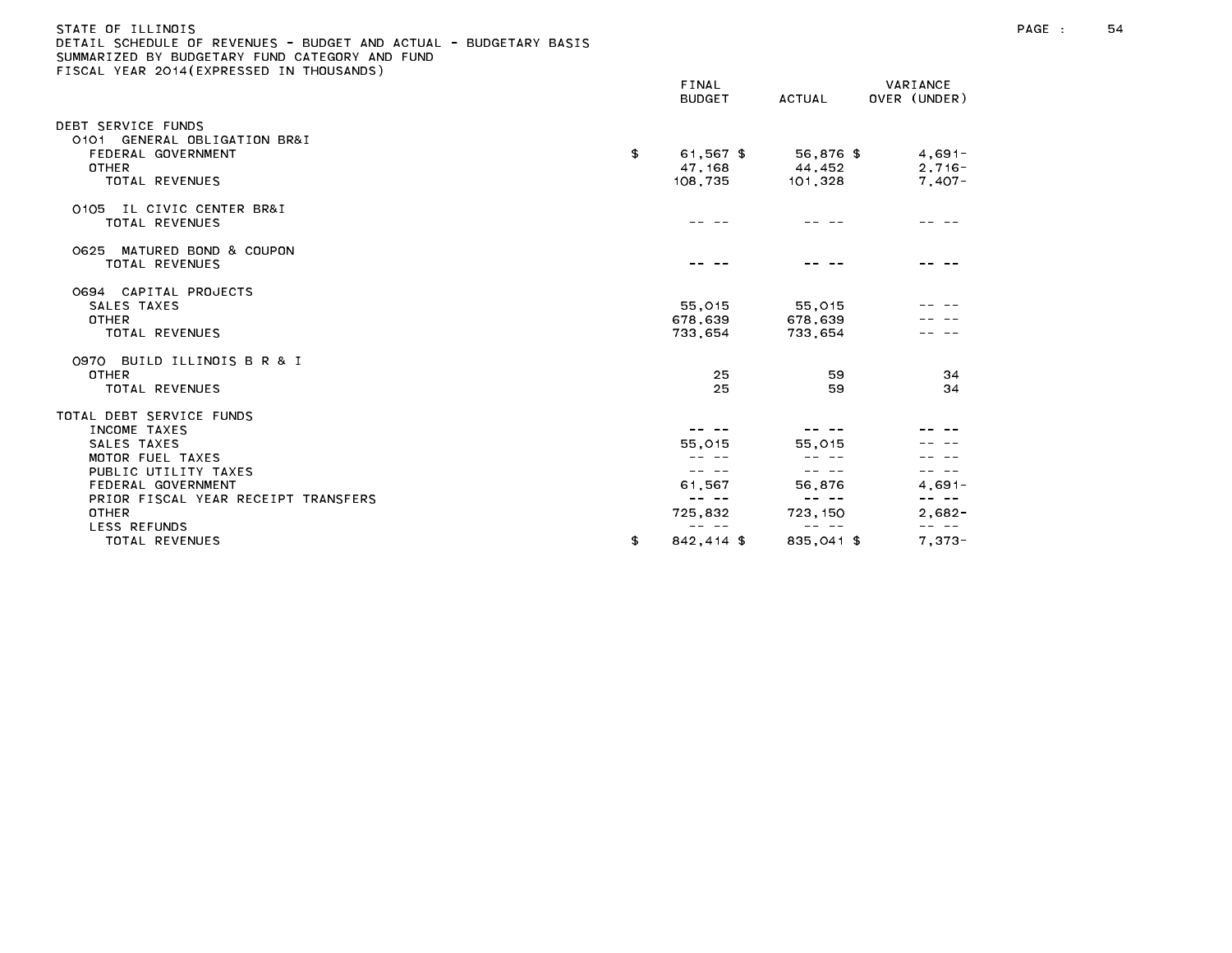# STATE OF ILLINOIS PAGE : 54 DETAIL SCHEDULE OF REVENUES - BUDGET AND ACTUAL - BUDGETARY BASIS

|                                                                                                                                                                  | FINAL<br><b>BUDGET</b>                | ACTUAL                         | VARIANCE<br>OVER (UNDER)         |
|------------------------------------------------------------------------------------------------------------------------------------------------------------------|---------------------------------------|--------------------------------|----------------------------------|
| DEBT SERVICE FUNDS<br>0101 GENERAL OBLIGATION BR&I<br>FEDERAL GOVERNMENT<br><b>OTHER</b><br><b>TOTAL REVENUES</b>                                                | \$<br>61.567 \$<br>47, 168<br>108,735 | 56,876 \$<br>44,452<br>101,328 | $4,691-$<br>$2,716-$<br>$7,407-$ |
| IL CIVIC CENTER BR&I<br>0105<br><b>TOTAL REVENUES</b>                                                                                                            |                                       |                                |                                  |
| 0625 MATURED BOND & COUPON<br><b>TOTAL REVENUES</b>                                                                                                              |                                       |                                |                                  |
| 0694 CAPITAL PROJECTS<br>SALES TAXES<br>OTHER<br>TOTAL REVENUES                                                                                                  | 55,015<br>678,639<br>733,654          | 55,015<br>678,639<br>733.654   |                                  |
| 0970 BUILD ILLINOIS B R & I<br><b>OTHER</b><br>TOTAL REVENUES                                                                                                    | 25<br>25                              | 59<br>59                       | 34<br>34                         |
| TOTAL DEBT SERVICE FUNDS<br>INCOME TAXES<br>SALES TAXES<br>MOTOR FUEL TAXES<br>PUBLIC UTILITY TAXES<br>FEDERAL GOVERNMENT<br>PRIOR FISCAL YEAR RECEIPT TRANSFERS | 55.015<br>-- --<br>61,567<br>-- --    | 55,015<br>56.876<br>-- --      | $4.691 -$                        |
| OTHER<br><b>LESS REFUNDS</b><br>TOTAL REVENUES                                                                                                                   | 725,832<br>842,414 \$<br>\$           | 723, 150<br>835.041 \$         | $2,682-$<br>-- --<br>$7,373-$    |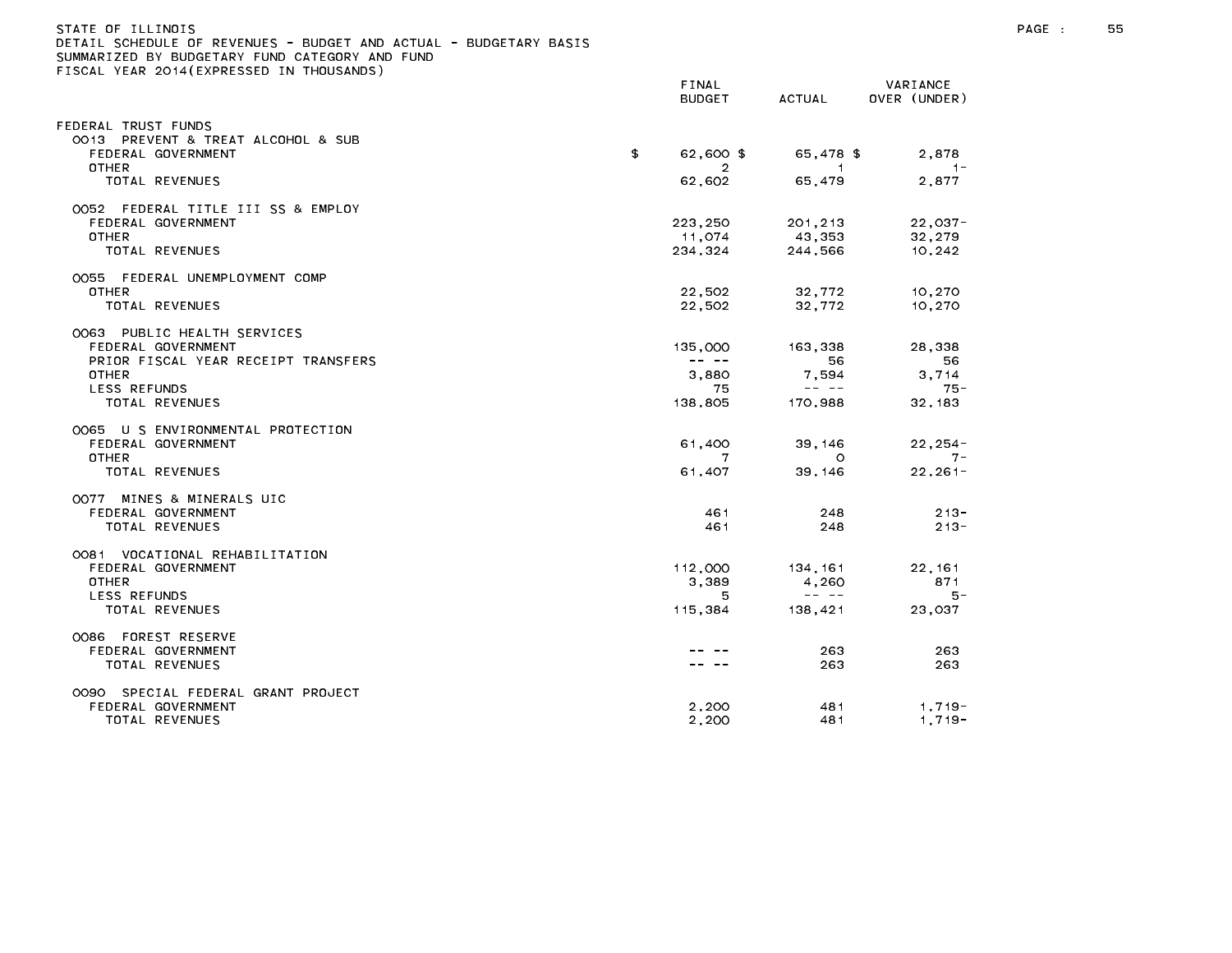| STATE OF ILLINOIS<br>)ETAIL SCHEDULE OF REVENUES – BUDGET AND ACTUAL – BUDGETARY BASIS<br>SUMMARIZED BY BUDGETARY FUND CATEGORY AND FUND<br>FISCAL YEAR 2014(EXPRESSED IN THOUSANDS) |                                                                                                                                                                                                                                                                                                                                                                                                         |                                                                                                                                                                                                                                                                                                                                                                                                       |                          |
|--------------------------------------------------------------------------------------------------------------------------------------------------------------------------------------|---------------------------------------------------------------------------------------------------------------------------------------------------------------------------------------------------------------------------------------------------------------------------------------------------------------------------------------------------------------------------------------------------------|-------------------------------------------------------------------------------------------------------------------------------------------------------------------------------------------------------------------------------------------------------------------------------------------------------------------------------------------------------------------------------------------------------|--------------------------|
|                                                                                                                                                                                      | FINAL<br><b>BUDGET</b>                                                                                                                                                                                                                                                                                                                                                                                  | ACTUAL                                                                                                                                                                                                                                                                                                                                                                                                | VARIANCE<br>OVER (UNDER) |
| FEDERAL TRUST FUNDS                                                                                                                                                                  |                                                                                                                                                                                                                                                                                                                                                                                                         |                                                                                                                                                                                                                                                                                                                                                                                                       |                          |
| 0013 PREVENT & TREAT ALCOHOL & SUB<br>FEDERAL GOVERNMENT                                                                                                                             | \$<br>62,600 \$                                                                                                                                                                                                                                                                                                                                                                                         | 65.478 \$                                                                                                                                                                                                                                                                                                                                                                                             | 2.878                    |
| <b>OTHER</b><br>TOTAL REVENUES                                                                                                                                                       | 2<br>62,602                                                                                                                                                                                                                                                                                                                                                                                             | $\blacksquare$<br>65,479                                                                                                                                                                                                                                                                                                                                                                              | $-1-$<br>2,877           |
| 0052 FEDERAL TITLE III SS & EMPLOY                                                                                                                                                   |                                                                                                                                                                                                                                                                                                                                                                                                         |                                                                                                                                                                                                                                                                                                                                                                                                       |                          |
| FEDERAL GOVERNMENT                                                                                                                                                                   | 223,250                                                                                                                                                                                                                                                                                                                                                                                                 | 201,213                                                                                                                                                                                                                                                                                                                                                                                               | $22,037-$                |
| <b>OTHER</b><br>TOTAL REVENUES                                                                                                                                                       | 11,074<br>234,324                                                                                                                                                                                                                                                                                                                                                                                       | 43,353<br>244,566                                                                                                                                                                                                                                                                                                                                                                                     | 32,279<br>10,242         |
| 0055 FEDERAL UNEMPLOYMENT COMP                                                                                                                                                       |                                                                                                                                                                                                                                                                                                                                                                                                         |                                                                                                                                                                                                                                                                                                                                                                                                       |                          |
| OTHER                                                                                                                                                                                | 22,502                                                                                                                                                                                                                                                                                                                                                                                                  | 32.772                                                                                                                                                                                                                                                                                                                                                                                                | 10,270                   |
| TOTAL REVENUES                                                                                                                                                                       | 22.502                                                                                                                                                                                                                                                                                                                                                                                                  | 32.772                                                                                                                                                                                                                                                                                                                                                                                                | 10,270                   |
| 0063 PUBLIC HEALTH SERVICES                                                                                                                                                          |                                                                                                                                                                                                                                                                                                                                                                                                         |                                                                                                                                                                                                                                                                                                                                                                                                       |                          |
| FEDERAL GOVERNMENT<br>PRIOR FISCAL YEAR RECEIPT TRANSFERS                                                                                                                            | 135,000<br>$\frac{1}{2} \frac{1}{2} \frac{1}{2} \frac{1}{2} \frac{1}{2} \frac{1}{2} \frac{1}{2} \frac{1}{2} \frac{1}{2} \frac{1}{2} \frac{1}{2} \frac{1}{2} \frac{1}{2} \frac{1}{2} \frac{1}{2} \frac{1}{2} \frac{1}{2} \frac{1}{2} \frac{1}{2} \frac{1}{2} \frac{1}{2} \frac{1}{2} \frac{1}{2} \frac{1}{2} \frac{1}{2} \frac{1}{2} \frac{1}{2} \frac{1}{2} \frac{1}{2} \frac{1}{2} \frac{1}{2} \frac{$ | 163,338<br>56                                                                                                                                                                                                                                                                                                                                                                                         | 28,338<br>56             |
| OTHER                                                                                                                                                                                | 3.880                                                                                                                                                                                                                                                                                                                                                                                                   | 7,594                                                                                                                                                                                                                                                                                                                                                                                                 | 3.714                    |
| LESS REFUNDS                                                                                                                                                                         | 75                                                                                                                                                                                                                                                                                                                                                                                                      | $\frac{1}{2} \frac{1}{2} \frac{1}{2} \frac{1}{2} \frac{1}{2} \frac{1}{2} \frac{1}{2} \frac{1}{2} \frac{1}{2} \frac{1}{2} \frac{1}{2} \frac{1}{2} \frac{1}{2} \frac{1}{2} \frac{1}{2} \frac{1}{2} \frac{1}{2} \frac{1}{2} \frac{1}{2} \frac{1}{2} \frac{1}{2} \frac{1}{2} \frac{1}{2} \frac{1}{2} \frac{1}{2} \frac{1}{2} \frac{1}{2} \frac{1}{2} \frac{1}{2} \frac{1}{2} \frac{1}{2} \frac{$          | $75 -$                   |
| TOTAL REVENUES                                                                                                                                                                       | 138,805                                                                                                                                                                                                                                                                                                                                                                                                 | 170,988                                                                                                                                                                                                                                                                                                                                                                                               | 32, 183                  |
| 0065 U S ENVIRONMENTAL PROTECTION                                                                                                                                                    |                                                                                                                                                                                                                                                                                                                                                                                                         |                                                                                                                                                                                                                                                                                                                                                                                                       |                          |
| FEDERAL GOVERNMENT                                                                                                                                                                   | 61,400                                                                                                                                                                                                                                                                                                                                                                                                  | 39,146                                                                                                                                                                                                                                                                                                                                                                                                | $22, 254 -$              |
| <b>OTHER</b><br>TOTAL REVENUES                                                                                                                                                       | 7<br>61,407                                                                                                                                                                                                                                                                                                                                                                                             | $\circ$<br>39, 146                                                                                                                                                                                                                                                                                                                                                                                    | $7 -$<br>$22, 261 -$     |
|                                                                                                                                                                                      |                                                                                                                                                                                                                                                                                                                                                                                                         |                                                                                                                                                                                                                                                                                                                                                                                                       |                          |
| OO77 MINES & MINERALS UIC<br>FEDERAL GOVERNMENT                                                                                                                                      | 461                                                                                                                                                                                                                                                                                                                                                                                                     | 248                                                                                                                                                                                                                                                                                                                                                                                                   | $213 -$                  |
| TOTAL REVENUES                                                                                                                                                                       | 461                                                                                                                                                                                                                                                                                                                                                                                                     | 248                                                                                                                                                                                                                                                                                                                                                                                                   | $213 -$                  |
| 0081 VOCATIONAL REHABILITATION                                                                                                                                                       |                                                                                                                                                                                                                                                                                                                                                                                                         |                                                                                                                                                                                                                                                                                                                                                                                                       |                          |
| FEDERAL GOVERNMENT                                                                                                                                                                   | 112,000<br>3.389                                                                                                                                                                                                                                                                                                                                                                                        | 134,161                                                                                                                                                                                                                                                                                                                                                                                               | 22, 161                  |
| OTHER<br>LESS REFUNDS                                                                                                                                                                | 5                                                                                                                                                                                                                                                                                                                                                                                                       | 4,260<br>$\frac{1}{2} \frac{1}{2} \frac{1}{2} \frac{1}{2} \frac{1}{2} \frac{1}{2} \frac{1}{2} \frac{1}{2} \frac{1}{2} \frac{1}{2} \frac{1}{2} \frac{1}{2} \frac{1}{2} \frac{1}{2} \frac{1}{2} \frac{1}{2} \frac{1}{2} \frac{1}{2} \frac{1}{2} \frac{1}{2} \frac{1}{2} \frac{1}{2} \frac{1}{2} \frac{1}{2} \frac{1}{2} \frac{1}{2} \frac{1}{2} \frac{1}{2} \frac{1}{2} \frac{1}{2} \frac{1}{2} \frac{$ | 871<br>5 -               |
| TOTAL REVENUES                                                                                                                                                                       | 115,384                                                                                                                                                                                                                                                                                                                                                                                                 | 138,421                                                                                                                                                                                                                                                                                                                                                                                               | 23,037                   |
| 0086 FOREST RESERVE                                                                                                                                                                  |                                                                                                                                                                                                                                                                                                                                                                                                         |                                                                                                                                                                                                                                                                                                                                                                                                       |                          |
| FEDERAL GOVERNMENT                                                                                                                                                                   |                                                                                                                                                                                                                                                                                                                                                                                                         | 263                                                                                                                                                                                                                                                                                                                                                                                                   | 263                      |
| TOTAL REVENUES                                                                                                                                                                       |                                                                                                                                                                                                                                                                                                                                                                                                         | 263                                                                                                                                                                                                                                                                                                                                                                                                   | 263                      |
| 0090 SPECIAL FEDERAL GRANT PROJECT                                                                                                                                                   |                                                                                                                                                                                                                                                                                                                                                                                                         |                                                                                                                                                                                                                                                                                                                                                                                                       |                          |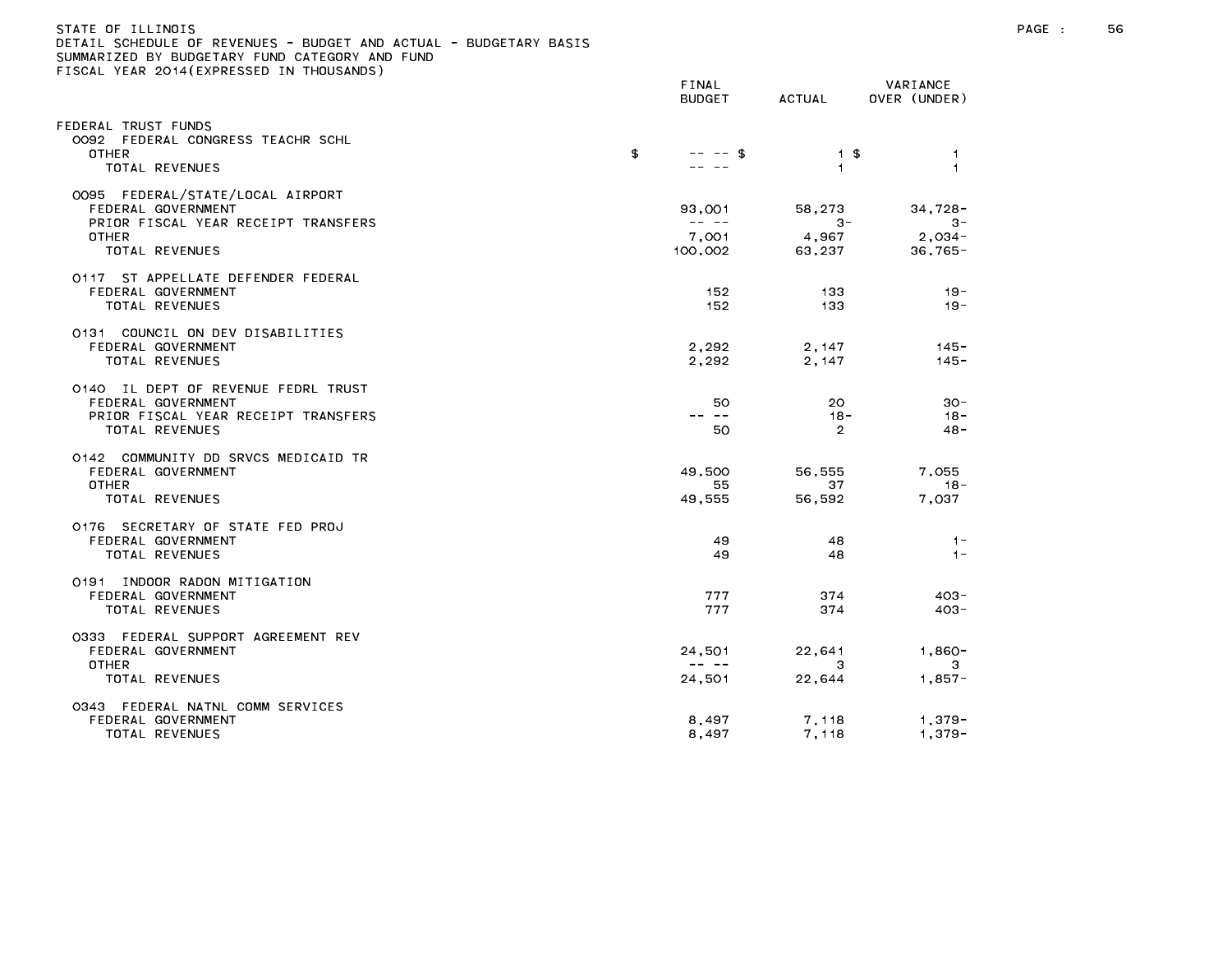| STATE OF ILLINOIS                                                 |  |
|-------------------------------------------------------------------|--|
| DETAIL SCHEDULE OF REVENUES - BUDGET AND ACTUAL - BUDGETARY BASIS |  |
| SUMMARIZED BY BUDGETARY FUND CATEGORY AND FUND                    |  |
| FISCAL YEAR 2014(EXPRESSED IN THOUSANDS)                          |  |

|                                                                                                                                 | FINAL<br><b>BUDGET</b>                                                                                                                                                                                                                                                                                                                                                                                                     | ACTUAL                             | VARIANCE<br>OVER (UNDER)                   |
|---------------------------------------------------------------------------------------------------------------------------------|----------------------------------------------------------------------------------------------------------------------------------------------------------------------------------------------------------------------------------------------------------------------------------------------------------------------------------------------------------------------------------------------------------------------------|------------------------------------|--------------------------------------------|
| EDERAL TRUST FUNDS<br>0092 FEDERAL CONGRESS TEACHR SCHL<br><b>OTHER</b><br>TOTAL REVENUES                                       | \$<br>$--$ \$                                                                                                                                                                                                                                                                                                                                                                                                              | 1 \$<br>$\mathbf{1}$               | $\overline{1}$<br>$\overline{1}$           |
| 0095 FEDERAL/STATE/LOCAL AIRPORT<br>FEDERAL GOVERNMENT<br>PRIOR FISCAL YEAR RECEIPT TRANSFERS<br><b>OTHER</b><br>TOTAL REVENUES | 93,001<br>$\frac{1}{2} \frac{1}{2} \frac{1}{2} \frac{1}{2} \frac{1}{2} \frac{1}{2} \frac{1}{2} \frac{1}{2} \frac{1}{2} \frac{1}{2} \frac{1}{2} \frac{1}{2} \frac{1}{2} \frac{1}{2} \frac{1}{2} \frac{1}{2} \frac{1}{2} \frac{1}{2} \frac{1}{2} \frac{1}{2} \frac{1}{2} \frac{1}{2} \frac{1}{2} \frac{1}{2} \frac{1}{2} \frac{1}{2} \frac{1}{2} \frac{1}{2} \frac{1}{2} \frac{1}{2} \frac{1}{2} \frac{$<br>7,001<br>100,002 | 58,273<br>$3 -$<br>4,967<br>63,237 | $34,728-$<br>$3 -$<br>2,034-<br>$36,765 -$ |
| 0117 ST APPELLATE DEFENDER FEDERAL<br>FEDERAL GOVERNMENT<br>TOTAL REVENUES                                                      | 152<br>152                                                                                                                                                                                                                                                                                                                                                                                                                 | 133<br>133                         | $19 -$<br>$19 -$                           |
| 0131 COUNCIL ON DEV DISABILITIES<br>FEDERAL GOVERNMENT<br>TOTAL REVENUES                                                        | 2,292<br>2.292                                                                                                                                                                                                                                                                                                                                                                                                             | 2,147<br>2,147                     | $145 -$<br>$145 -$                         |
| 0140 IL DEPT OF REVENUE FEDRL TRUST<br>FEDERAL GOVERNMENT<br>PRIOR FISCAL YEAR RECEIPT TRANSFERS<br>TOTAL REVENUES              | 50.<br>$\frac{1}{2} \frac{1}{2} \frac{1}{2} \frac{1}{2} \frac{1}{2} \frac{1}{2} \frac{1}{2} \frac{1}{2} \frac{1}{2} \frac{1}{2} \frac{1}{2} \frac{1}{2} \frac{1}{2} \frac{1}{2} \frac{1}{2} \frac{1}{2} \frac{1}{2} \frac{1}{2} \frac{1}{2} \frac{1}{2} \frac{1}{2} \frac{1}{2} \frac{1}{2} \frac{1}{2} \frac{1}{2} \frac{1}{2} \frac{1}{2} \frac{1}{2} \frac{1}{2} \frac{1}{2} \frac{1}{2} \frac{$<br>50                  | 20<br>$18 -$<br>$\overline{2}$     | $30 -$<br>- 18<br>$48 -$                   |
| 0142 COMMUNITY DD SRVCS MEDICAID TR<br>FEDERAL GOVERNMENT<br><b>OTHER</b><br>TOTAL REVENUES                                     | 49,500<br>55<br>49,555                                                                                                                                                                                                                                                                                                                                                                                                     | 56,555<br>37<br>56,592             | 7,055<br>$18 -$<br>7,037                   |
| 0176 SECRETARY OF STATE FED PROJ<br>FEDERAL GOVERNMENT<br>TOTAL REVENUES                                                        | 49<br>49                                                                                                                                                                                                                                                                                                                                                                                                                   | 48<br>48                           | $1 -$<br>$1 -$                             |
| 0191 INDOOR RADON MITIGATION<br>FEDERAL GOVERNMENT<br>TOTAL REVENUES                                                            | 777<br>777                                                                                                                                                                                                                                                                                                                                                                                                                 | 374<br>374                         | $403 -$<br>$403 -$                         |
| 0333 FEDERAL SUPPORT AGREEMENT REV<br>FEDERAL GOVERNMENT<br><b>OTHER</b><br>TOTAL REVENUES                                      | 24,501<br>$\frac{1}{2} \frac{1}{2} \frac{1}{2} \frac{1}{2} \frac{1}{2} \frac{1}{2} \frac{1}{2} \frac{1}{2} \frac{1}{2} \frac{1}{2} \frac{1}{2} \frac{1}{2} \frac{1}{2} \frac{1}{2} \frac{1}{2} \frac{1}{2} \frac{1}{2} \frac{1}{2} \frac{1}{2} \frac{1}{2} \frac{1}{2} \frac{1}{2} \frac{1}{2} \frac{1}{2} \frac{1}{2} \frac{1}{2} \frac{1}{2} \frac{1}{2} \frac{1}{2} \frac{1}{2} \frac{1}{2} \frac{$<br>24,501           | 22,641<br>3<br>22,644              | $1,860 -$<br>3<br>$1,857-$                 |
| 0343 FEDERAL NATNL COMM SERVICES<br>FEDERAL GOVERNMENT<br>TOTAL REVENUES                                                        | 8,497<br>8,497                                                                                                                                                                                                                                                                                                                                                                                                             | 7,118<br>7,118                     | 1,379-<br>$1,379-$                         |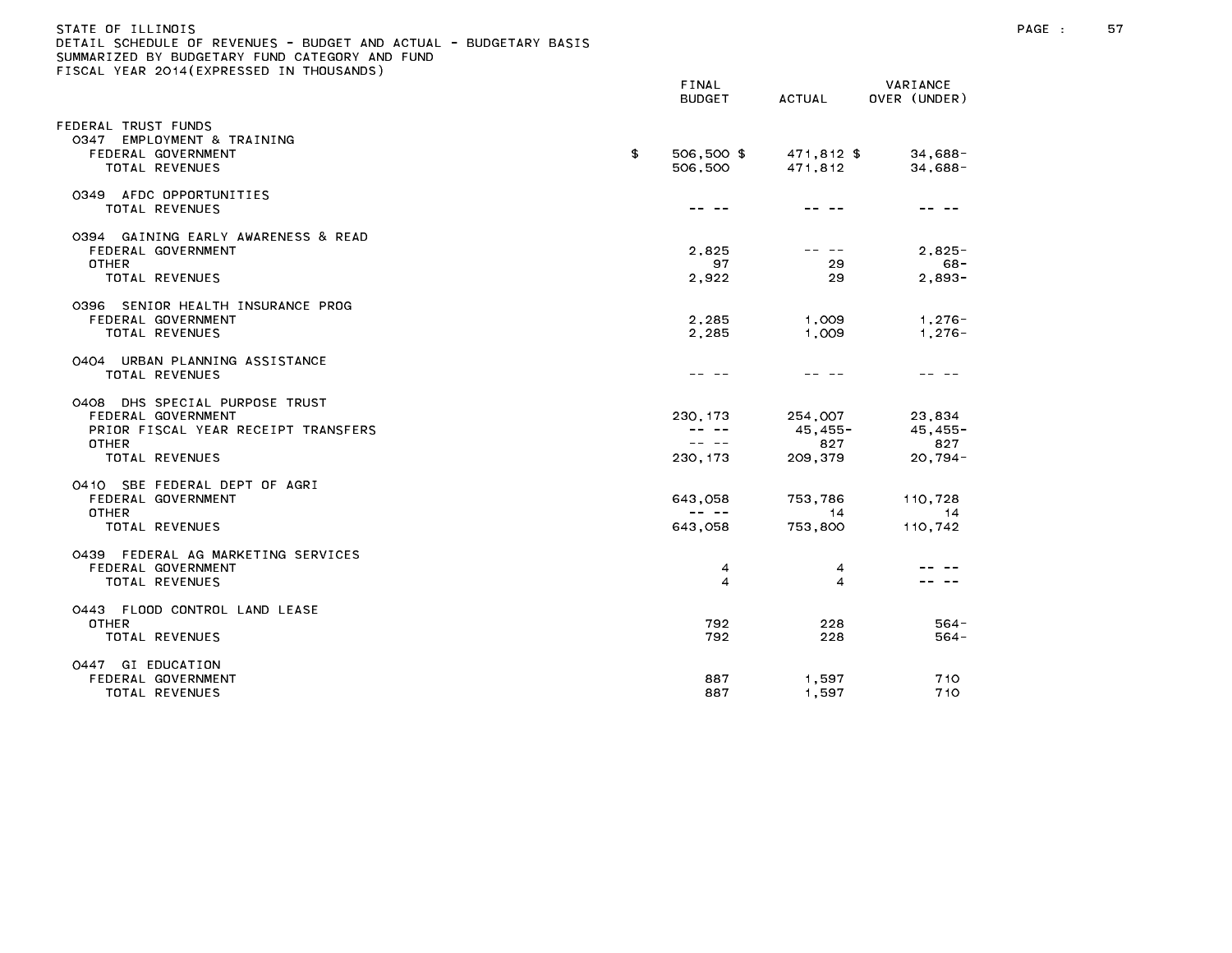| STATE OF ILLINOIS<br>DETAIL SCHEDULE OF REVENUES - BUDGET AND ACTUAL - BUDGETARY BASIS<br>SUMMARIZED BY BUDGETARY FUND CATEGORY AND FUND<br>FISCAL YEAR 2014 (EXPRESSED IN THOUSANDS) | FINAL<br><b>BUDGET</b>       | ACTUAL                                  | VARIANCE<br>OVER (UNDER)                 |
|---------------------------------------------------------------------------------------------------------------------------------------------------------------------------------------|------------------------------|-----------------------------------------|------------------------------------------|
|                                                                                                                                                                                       |                              |                                         |                                          |
| FEDERAL TRUST FUNDS<br>0347<br>EMPLOYMENT & TRAINING<br>FEDERAL GOVERNMENT<br>TOTAL REVENUES                                                                                          | \$<br>506,500 \$<br>506,500  | 471,812 \$<br>471.812                   | $34,688-$<br>$34,688-$                   |
| 0349 AFDC OPPORTUNITIES<br><b>TOTAL REVENUES</b>                                                                                                                                      |                              |                                         |                                          |
| 0394 GAINING EARLY AWARENESS & READ<br>FEDERAL GOVERNMENT<br><b>OTHER</b><br><b>TOTAL REVENUES</b>                                                                                    | 2,825<br>97<br>2.922         | 29<br>29                                | $2,825 -$<br>- 68<br>$2.893 -$           |
| 0396 SENIOR HEALTH INSURANCE PROG<br>FEDERAL GOVERNMENT<br><b>TOTAL REVENUES</b>                                                                                                      | 2,285<br>2.285               | 1,009<br>1.009                          | $1,276 -$<br>$1,276-$                    |
| 0404 URBAN PLANNING ASSISTANCE<br><b>TOTAL REVENUES</b>                                                                                                                               |                              |                                         |                                          |
| 0408 DHS SPECIAL PURPOSE TRUST<br>FEDERAL GOVERNMENT<br>PRIOR FISCAL YEAR RECEIPT TRANSFERS<br><b>OTHER</b><br><b>TOTAL REVENUES</b>                                                  | 230.173<br>-- --<br>230, 173 | 254,007<br>$45.455 -$<br>827<br>209,379 | 23.834<br>$45.455 -$<br>827<br>$20,794-$ |
| 0410 SBE FEDERAL DEPT OF AGRI<br>FEDERAL GOVERNMENT<br><b>OTHER</b>                                                                                                                   | 643,058                      | 753,786<br>14                           | 110,728<br>14                            |
| TOTAL REVENUES                                                                                                                                                                        | 643,058                      | 753,800                                 | 110,742                                  |

| .                                     | .   | .     |  |
|---------------------------------------|-----|-------|--|
| FEDERAL AG MARKETING SERVICES<br>0439 |     |       |  |
| FEDERAL GOVERNMENT                    | 4   | 4     |  |
| TOTAL REVENUES                        | 4   |       |  |
| FLOOD CONTROL LAND LEASE<br>0443      |     |       |  |
| <b>OTHER</b>                          | 792 | 228   |  |
| TOTAL REVENUES                        | 792 | 228   |  |
| EDUCATION<br>0447<br>G I              |     |       |  |
| FEDERAL GOVERNMENT                    | 887 | 1.597 |  |
| TOTAL REVENUES                        | 887 | 1.597 |  |
|                                       |     |       |  |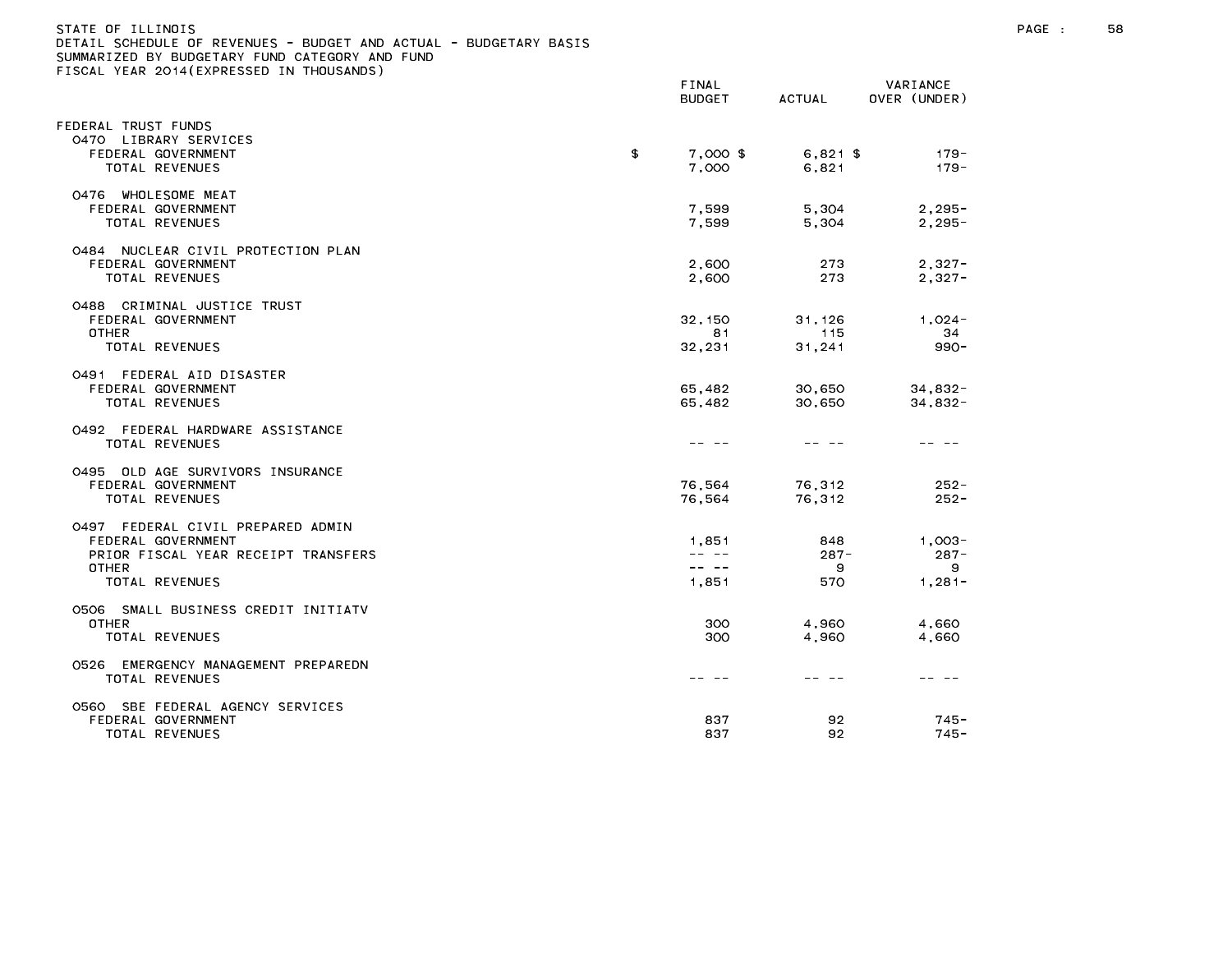| STATE OF ILLINOIS                                                 |  |
|-------------------------------------------------------------------|--|
| DETAIL SCHEDULE OF REVENUES - BUDGET AND ACTUAL - BUDGETARY BASIS |  |
| SUMMARIZED BY BUDGETARY FUND CATEGORY AND FUND                    |  |
| FISCAL YEAR 2014(EXPRESSED IN THOUSANDS)                          |  |

|                                                                                                                                     | FINAL<br><b>BUDGET</b>           | <b>ACTUAL</b>              | VARIANCE<br>OVER (UNDER)               |
|-------------------------------------------------------------------------------------------------------------------------------------|----------------------------------|----------------------------|----------------------------------------|
| EDERAL TRUST FUNDS                                                                                                                  |                                  |                            |                                        |
| LIBRARY SERVICES<br>0470<br>FEDERAL GOVERNMENT<br>TOTAL REVENUES                                                                    | \$<br>7,000 \$<br>7.000          | $6,821$ \$<br>6.821        | $179 -$<br>$179 -$                     |
| 0476 WHOLESOME MEAT<br>FEDERAL GOVERNMENT<br><b>TOTAL REVENUES</b>                                                                  | 7,599<br>7,599                   | 5,304<br>5,304             | $2, 295 -$<br>$2.295 -$                |
| 0484 NUCLEAR CIVIL PROTECTION PLAN<br>FEDERAL GOVERNMENT<br><b>TOTAL REVENUES</b>                                                   | 2,600<br>2,600                   | 273<br>273                 | $2,327-$<br>$2,327-$                   |
| 0488 CRIMINAL JUSTICE TRUST<br>FEDERAL GOVERNMENT<br><b>OTHER</b><br>TOTAL REVENUES                                                 | 32, 150<br>81<br>32,231          | 31.126<br>115<br>31,241    | $1.024 -$<br>34<br>$990 -$             |
| 0491 FEDERAL AID DISASTER<br>FEDERAL GOVERNMENT<br><b>TOTAL REVENUES</b>                                                            | 65,482<br>65,482                 | 30,650<br>30,650           | $34,832-$<br>$34,832-$                 |
| 0492 FEDERAL HARDWARE ASSISTANCE<br>TOTAL REVENUES                                                                                  |                                  | -- --                      |                                        |
| 0495 OLD AGE SURVIVORS INSURANCE<br>FEDERAL GOVERNMENT<br>TOTAL REVENUES                                                            | 76,564<br>76,564                 | 76,312<br>76,312           | $252 -$<br>$252 -$                     |
| FEDERAL CIVIL PREPARED ADMIN<br>0497<br>FEDERAL GOVERNMENT<br>PRIOR FISCAL YEAR RECEIPT TRANSFERS<br><b>OTHER</b><br>TOTAL REVENUES | 1,851<br>-- --<br>-- --<br>1,851 | 848<br>$287 -$<br>9<br>570 | $1.003 -$<br>$287 -$<br>9<br>$1,281 -$ |
| 0506 SMALL BUSINESS CREDIT INITIATV<br><b>OTHER</b><br>TOTAL REVENUES                                                               | 300<br>300                       | 4,960<br>4,960             | 4,660<br>4,660                         |
| EMERGENCY MANAGEMENT PREPAREDN<br>0526<br>TOTAL REVENUES                                                                            |                                  | -- --                      |                                        |
| 0560 SBE FEDERAL AGENCY SERVICES<br>FEDERAL GOVERNMENT<br>TOTAL REVENUES                                                            | 837<br>837                       | 92<br>92                   | $745 -$<br>$745 -$                     |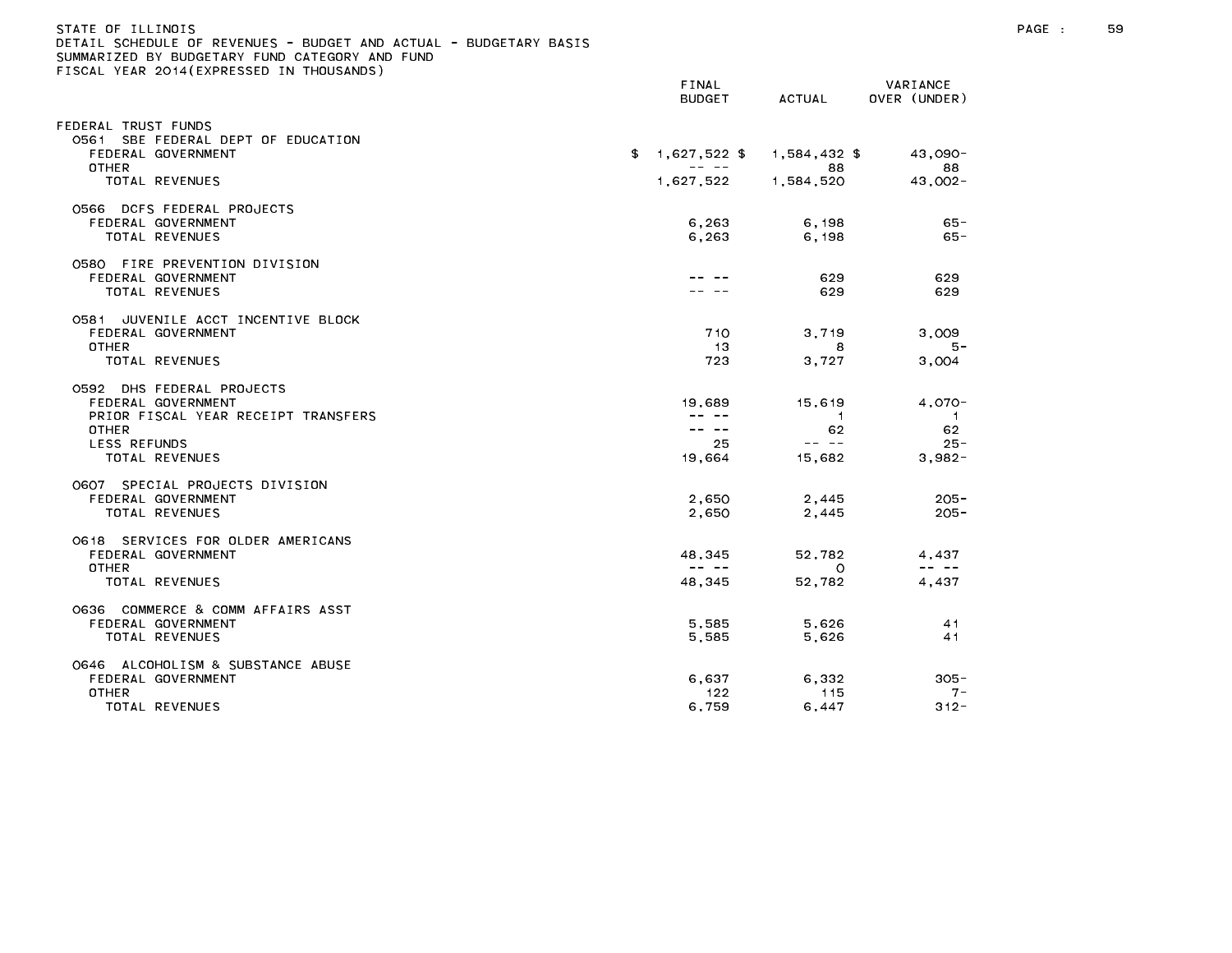|                                                                                                                                                 | FINAL<br><b>BUDGET</b>                                                                                                                                                                                                                                                                                                                                                                                                          | ACTUAL                                            | VARIANCE<br>OVER (UNDER)                                                                                                                                                                                                                                                                                                                                                                                       |
|-------------------------------------------------------------------------------------------------------------------------------------------------|---------------------------------------------------------------------------------------------------------------------------------------------------------------------------------------------------------------------------------------------------------------------------------------------------------------------------------------------------------------------------------------------------------------------------------|---------------------------------------------------|----------------------------------------------------------------------------------------------------------------------------------------------------------------------------------------------------------------------------------------------------------------------------------------------------------------------------------------------------------------------------------------------------------------|
| EDERAL TRUST FUNDS                                                                                                                              |                                                                                                                                                                                                                                                                                                                                                                                                                                 |                                                   |                                                                                                                                                                                                                                                                                                                                                                                                                |
| 0561 SBE FEDERAL DEPT OF EDUCATION<br>FEDERAL GOVERNMENT<br>OTHER                                                                               | $1,627,522$ \$<br>\$<br>$\frac{1}{2} \frac{1}{2} \frac{1}{2} \frac{1}{2} \frac{1}{2} \frac{1}{2} \frac{1}{2} \frac{1}{2} \frac{1}{2} \frac{1}{2} \frac{1}{2} \frac{1}{2} \frac{1}{2} \frac{1}{2} \frac{1}{2} \frac{1}{2} \frac{1}{2} \frac{1}{2} \frac{1}{2} \frac{1}{2} \frac{1}{2} \frac{1}{2} \frac{1}{2} \frac{1}{2} \frac{1}{2} \frac{1}{2} \frac{1}{2} \frac{1}{2} \frac{1}{2} \frac{1}{2} \frac{1}{2} \frac{$            | 1,584,432 \$<br>88                                | 43.090-<br>88                                                                                                                                                                                                                                                                                                                                                                                                  |
| <b>TOTAL REVENUES</b>                                                                                                                           | 1,627,522                                                                                                                                                                                                                                                                                                                                                                                                                       | 1,584,520                                         | $43,002 -$                                                                                                                                                                                                                                                                                                                                                                                                     |
| 0566 DCFS FEDERAL PROJECTS<br>FEDERAL GOVERNMENT<br>TOTAL REVENUES                                                                              | 6,263<br>6,263                                                                                                                                                                                                                                                                                                                                                                                                                  | 6.198<br>6,198                                    | $65 -$<br>$65 -$                                                                                                                                                                                                                                                                                                                                                                                               |
| 0580 FIRE PREVENTION DIVISION<br>FEDERAL GOVERNMENT<br>TOTAL REVENUES                                                                           |                                                                                                                                                                                                                                                                                                                                                                                                                                 | 629<br>629                                        | 629<br>629                                                                                                                                                                                                                                                                                                                                                                                                     |
| 0581 JUVENILE ACCT INCENTIVE BLOCK<br>FEDERAL GOVERNMENT<br><b>OTHER</b><br>TOTAL REVENUES                                                      | 710<br>-13<br>723                                                                                                                                                                                                                                                                                                                                                                                                               | 3,719<br>8<br>3,727                               | 3,009<br>5 –<br>3,004                                                                                                                                                                                                                                                                                                                                                                                          |
| 0592 DHS FEDERAL PROJECTS<br>FEDERAL GOVERNMENT<br>PRIOR FISCAL YEAR RECEIPT TRANSFERS<br><b>OTHER</b><br><b>LESS REFUNDS</b><br>TOTAL REVENUES | 19,689<br>-- --<br>$\frac{1}{2} \frac{1}{2} \frac{1}{2} \frac{1}{2} \frac{1}{2} \frac{1}{2} \frac{1}{2} \frac{1}{2} \frac{1}{2} \frac{1}{2} \frac{1}{2} \frac{1}{2} \frac{1}{2} \frac{1}{2} \frac{1}{2} \frac{1}{2} \frac{1}{2} \frac{1}{2} \frac{1}{2} \frac{1}{2} \frac{1}{2} \frac{1}{2} \frac{1}{2} \frac{1}{2} \frac{1}{2} \frac{1}{2} \frac{1}{2} \frac{1}{2} \frac{1}{2} \frac{1}{2} \frac{1}{2} \frac{$<br>25<br>19,664 | 15,619<br>$\overline{1}$<br>62<br>-- --<br>15,682 | $4,070-$<br>$\mathbf{1}$<br>62<br>$25 -$<br>$3,982-$                                                                                                                                                                                                                                                                                                                                                           |
| 0607 SPECIAL PROJECTS DIVISION<br>FEDERAL GOVERNMENT<br>TOTAL REVENUES                                                                          | 2,650<br>2,650                                                                                                                                                                                                                                                                                                                                                                                                                  | 2,445<br>2,445                                    | $205 -$<br>$205 -$                                                                                                                                                                                                                                                                                                                                                                                             |
| 0618 SERVICES FOR OLDER AMERICANS<br>FEDERAL GOVERNMENT<br><b>OTHER</b><br>TOTAL REVENUES                                                       | 48,345<br>$\frac{1}{2} \frac{1}{2} \frac{1}{2} \frac{1}{2} \frac{1}{2} \frac{1}{2} \frac{1}{2} \frac{1}{2} \frac{1}{2} \frac{1}{2} \frac{1}{2} \frac{1}{2} \frac{1}{2} \frac{1}{2} \frac{1}{2} \frac{1}{2} \frac{1}{2} \frac{1}{2} \frac{1}{2} \frac{1}{2} \frac{1}{2} \frac{1}{2} \frac{1}{2} \frac{1}{2} \frac{1}{2} \frac{1}{2} \frac{1}{2} \frac{1}{2} \frac{1}{2} \frac{1}{2} \frac{1}{2} \frac{$<br>48,345                | 52.782<br>$\circ$<br>52,782                       | 4.437<br>$\frac{1}{2} \frac{1}{2} \frac{1}{2} \frac{1}{2} \frac{1}{2} \frac{1}{2} \frac{1}{2} \frac{1}{2} \frac{1}{2} \frac{1}{2} \frac{1}{2} \frac{1}{2} \frac{1}{2} \frac{1}{2} \frac{1}{2} \frac{1}{2} \frac{1}{2} \frac{1}{2} \frac{1}{2} \frac{1}{2} \frac{1}{2} \frac{1}{2} \frac{1}{2} \frac{1}{2} \frac{1}{2} \frac{1}{2} \frac{1}{2} \frac{1}{2} \frac{1}{2} \frac{1}{2} \frac{1}{2} \frac{$<br>4,437 |
| 0636 COMMERCE & COMM AFFAIRS ASST<br>FEDERAL GOVERNMENT<br>TOTAL REVENUES                                                                       | 5.585<br>5,585                                                                                                                                                                                                                                                                                                                                                                                                                  | 5,626<br>5,626                                    | 41<br>41                                                                                                                                                                                                                                                                                                                                                                                                       |
| 0646 ALCOHOLISM & SUBSTANCE ABUSE<br>FEDERAL GOVERNMENT<br><b>OTHER</b><br>TOTAL REVENUES                                                       | 6,637<br>122<br>6,759                                                                                                                                                                                                                                                                                                                                                                                                           | 6,332<br>115<br>6,447                             | $305 -$<br>$7 -$<br>$312 -$                                                                                                                                                                                                                                                                                                                                                                                    |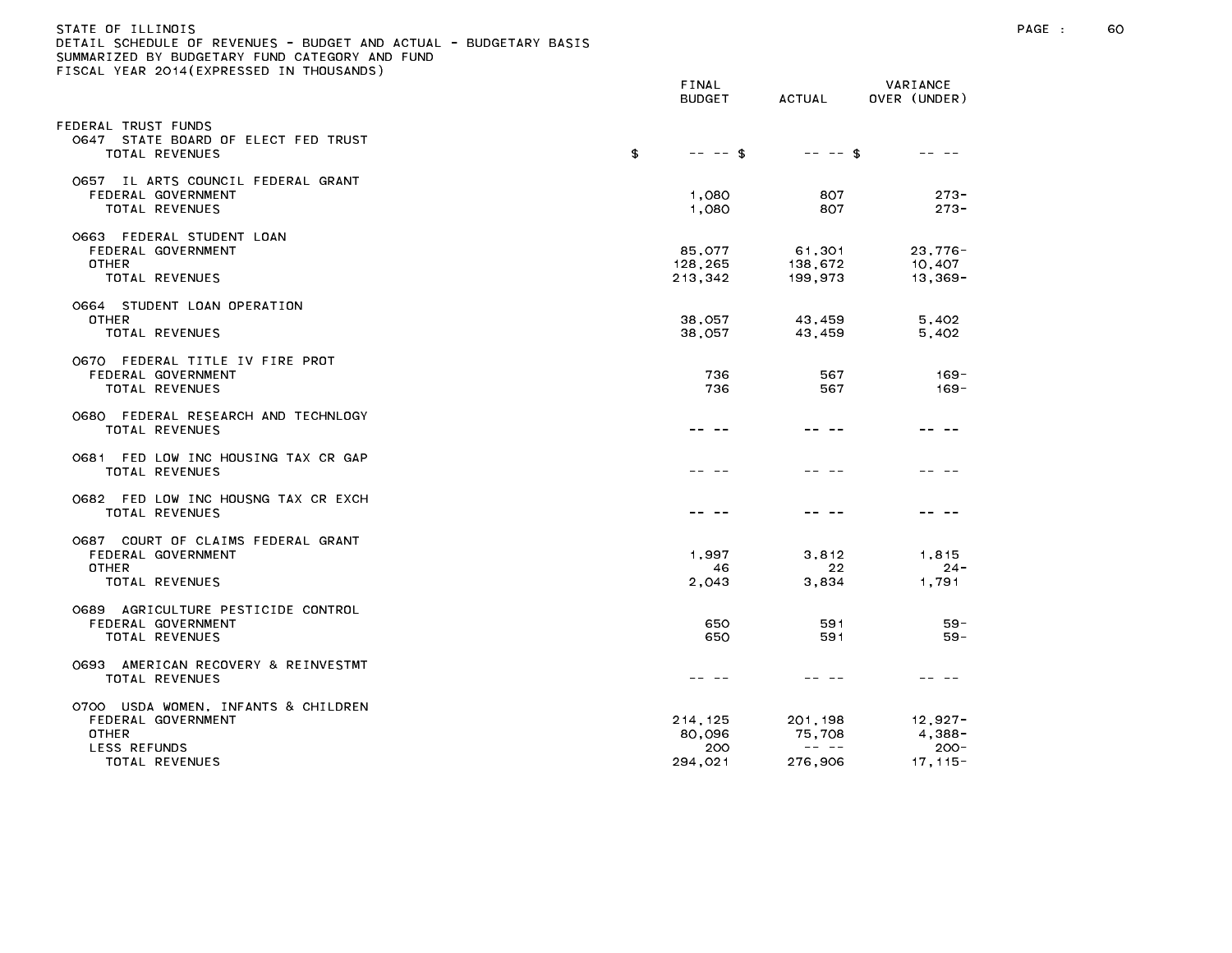| STATE OF ILLINOIS                                                 |
|-------------------------------------------------------------------|
| DETAIL SCHEDULE OF REVENUES - BUDGET AND ACTUAL - BUDGETARY BASIS |
| SUMMARIZED BY BUDGETARY FUND CATEGORY AND FUND                    |
| FISCAL YEAR 2014(EXPRESSED IN THOUSANDS)                          |

|                                                                                                      | FINAL<br><b>BUDGET</b>              | <b>ACTUAL</b>                                                                                                                                                                                                                                                                                                                                                                                                                 | VARIANCE<br>OVER (UNDER)                      |
|------------------------------------------------------------------------------------------------------|-------------------------------------|-------------------------------------------------------------------------------------------------------------------------------------------------------------------------------------------------------------------------------------------------------------------------------------------------------------------------------------------------------------------------------------------------------------------------------|-----------------------------------------------|
| EDERAL TRUST FUNDS<br>0647 STATE BOARD OF ELECT FED TRUST<br>TOTAL REVENUES                          | \$<br>$-- - -$ \$                   | $-- - -$ \$                                                                                                                                                                                                                                                                                                                                                                                                                   | -- --                                         |
| 0657 IL ARTS COUNCIL FEDERAL GRANT<br>FEDERAL GOVERNMENT<br>TOTAL REVENUES                           | 1,080<br>1,080                      | 807<br>807                                                                                                                                                                                                                                                                                                                                                                                                                    | $273 -$<br>$273 -$                            |
| 0663 FEDERAL STUDENT LOAN<br>FEDERAL GOVERNMENT<br><b>OTHER</b><br>TOTAL REVENUES                    | 85,077<br>128,265<br>213,342        | 61,301<br>138,672<br>199,973                                                                                                                                                                                                                                                                                                                                                                                                  | $23,776-$<br>10,407<br>$13,369-$              |
| 0664 STUDENT LOAN OPERATION<br>OTHER<br>TOTAL REVENUES                                               | 38,057<br>38,057                    | 43,459<br>43,459                                                                                                                                                                                                                                                                                                                                                                                                              | 5,402<br>5,402                                |
| 0670 FEDERAL TITLE IV FIRE PROT<br>FEDERAL GOVERNMENT<br>TOTAL REVENUES                              | 736<br>736                          | 567<br>567                                                                                                                                                                                                                                                                                                                                                                                                                    | $169 -$<br>$169 -$                            |
| 0680 FEDERAL RESEARCH AND TECHNLOGY<br><b>TOTAL REVENUES</b>                                         |                                     |                                                                                                                                                                                                                                                                                                                                                                                                                               |                                               |
| 0681 FED LOW INC HOUSING TAX CR GAP<br><b>TOTAL REVENUES</b>                                         |                                     |                                                                                                                                                                                                                                                                                                                                                                                                                               |                                               |
| 0682 FED LOW INC HOUSNG TAX CR EXCH<br>TOTAL REVENUES                                                |                                     | -- --                                                                                                                                                                                                                                                                                                                                                                                                                         |                                               |
| 0687 COURT OF CLAIMS FEDERAL GRANT<br>FEDERAL GOVERNMENT<br>OTHER<br>TOTAL REVENUES                  | 1,997<br>46<br>2,043                | 3,812<br>22<br>3,834                                                                                                                                                                                                                                                                                                                                                                                                          | 1,815<br>24 -<br>1,791                        |
| 0689 AGRICULTURE PESTICIDE CONTROL<br>FEDERAL GOVERNMENT<br>TOTAL REVENUES                           | 650<br>650                          | 591<br>591                                                                                                                                                                                                                                                                                                                                                                                                                    | $59 -$<br>$59 -$                              |
| 0693 AMERICAN RECOVERY & REINVESTMT<br>TOTAL REVENUES                                                |                                     |                                                                                                                                                                                                                                                                                                                                                                                                                               |                                               |
| 0700 USDA WOMEN, INFANTS & CHILDREN<br>FEDERAL GOVERNMENT<br>OTHER<br>LESS REFUNDS<br>TOTAL REVENUES | 214,125<br>80,096<br>200<br>294,021 | 201, 198<br>75,708<br>$\frac{1}{2} \frac{1}{2} \frac{1}{2} \frac{1}{2} \frac{1}{2} \frac{1}{2} \frac{1}{2} \frac{1}{2} \frac{1}{2} \frac{1}{2} \frac{1}{2} \frac{1}{2} \frac{1}{2} \frac{1}{2} \frac{1}{2} \frac{1}{2} \frac{1}{2} \frac{1}{2} \frac{1}{2} \frac{1}{2} \frac{1}{2} \frac{1}{2} \frac{1}{2} \frac{1}{2} \frac{1}{2} \frac{1}{2} \frac{1}{2} \frac{1}{2} \frac{1}{2} \frac{1}{2} \frac{1}{2} \frac{$<br>276,906 | 12,927-<br>$4,388-$<br>$200 -$<br>$17, 115 -$ |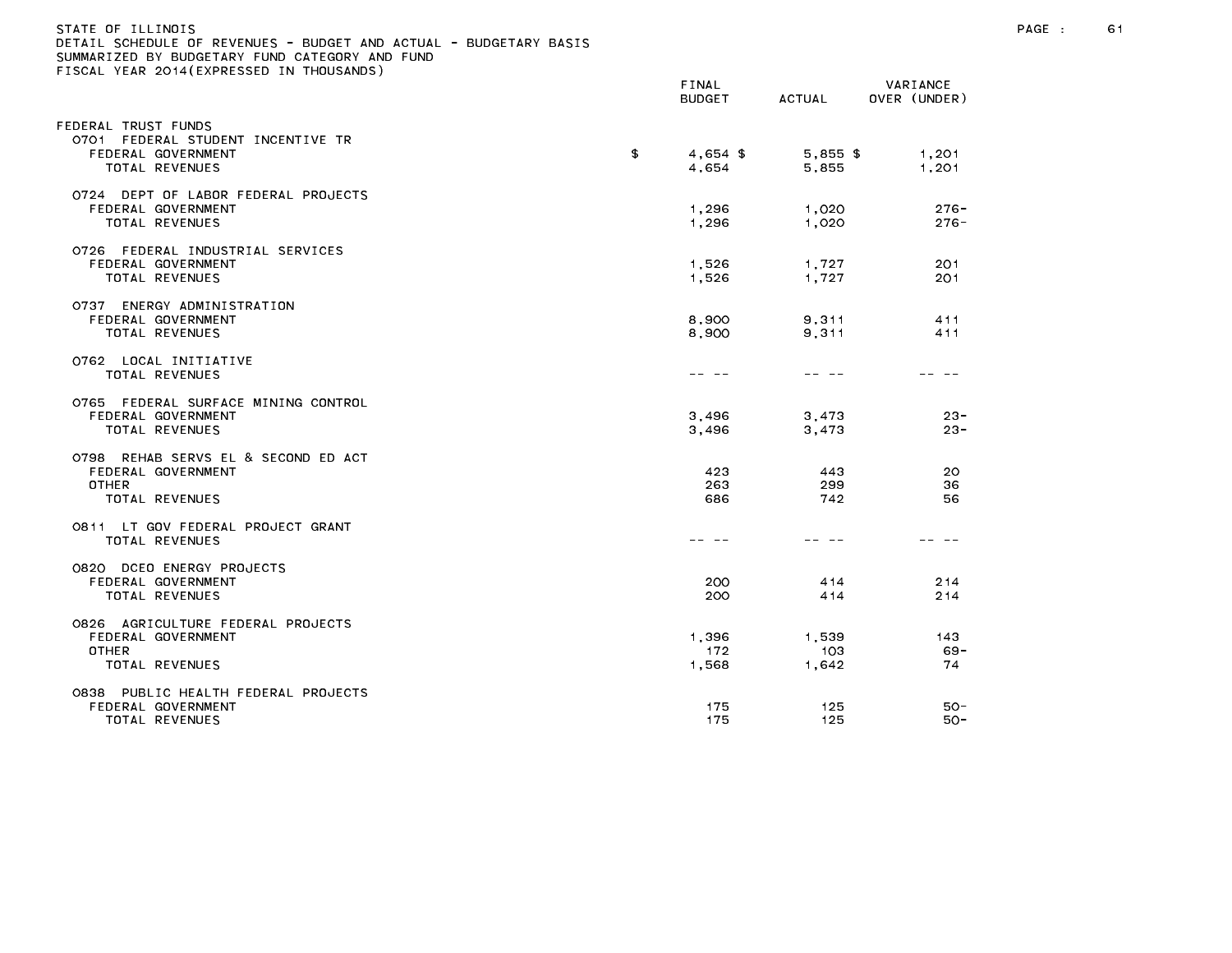| STATE OF ILLINOIS<br>DETAIL SCHEDULE OF REVENUES - BUDGET AND ACTUAL - BUDGETARY BASIS<br>SUMMARIZED BY BUDGETARY FUND CATEGORY AND FUND<br>FISCAL YEAR 2014(EXPRESSED IN THOUSANDS) | FINAL<br><b>BUDGET</b> | ACTUAL     | VARIANCE<br>OVER (UNDER) |
|--------------------------------------------------------------------------------------------------------------------------------------------------------------------------------------|------------------------|------------|--------------------------|
| FEDERAL TRUST FUNDS                                                                                                                                                                  |                        |            |                          |
| 0701<br>FEDERAL STUDENT INCENTIVE TR                                                                                                                                                 |                        |            |                          |
| FEDERAL GOVERNMENT                                                                                                                                                                   | \$<br>$4,654$ \$       | $5,855$ \$ | 1,201                    |
| TOTAL REVENUES                                                                                                                                                                       | 4,654                  | 5,855      | 1,201                    |
| 0724 DEPT OF LABOR FEDERAL PROJECTS                                                                                                                                                  |                        |            |                          |
| FEDERAL GOVERNMENT                                                                                                                                                                   | 1,296                  | 1,020      | $276 -$                  |
| TOTAL REVENUES                                                                                                                                                                       | 1,296                  | 1,020      | $276 -$                  |
|                                                                                                                                                                                      |                        |            |                          |
| 0726 FEDERAL INDUSTRIAL SERVICES                                                                                                                                                     |                        |            |                          |
| FEDERAL GOVERNMENT                                                                                                                                                                   | 1,526                  | 1,727      | 201                      |
| TOTAL REVENUES                                                                                                                                                                       | 1,526                  | 1,727      | 201                      |
|                                                                                                                                                                                      |                        |            |                          |
| ENERGY ADMINISTRATION<br>0737<br>FEDERAL GOVERNMENT                                                                                                                                  | 8,900                  | 9,311      | 411                      |
| TOTAL REVENUES                                                                                                                                                                       | 8,900                  | 9,311      | 411                      |
|                                                                                                                                                                                      |                        |            |                          |
| 0762 LOCAL INITIATIVE                                                                                                                                                                |                        |            |                          |
| TOTAL REVENUES                                                                                                                                                                       |                        |            |                          |
|                                                                                                                                                                                      |                        |            |                          |

| 0737 ENERGY ADMINISTRATION<br>FEDERAL GOVERNMENT<br>TOTAL REVENUES                          | 8,900<br>8,900        | 9.311<br>9,311        | 411<br>411      |
|---------------------------------------------------------------------------------------------|-----------------------|-----------------------|-----------------|
| 0762 LOCAL INITIATIVE<br>TOTAL REVENUES                                                     |                       |                       |                 |
| 0765 FEDERAL SURFACE MINING CONTROL<br>FEDERAL GOVERNMENT<br>TOTAL REVENUES                 | 3.496<br>3,496        | 3.473<br>3,473        | 23<br>23        |
| 0798 REHAB SERVS EL & SECOND ED ACT<br>FEDERAL GOVERNMENT<br><b>OTHER</b><br>TOTAL REVENUES | 423<br>263<br>686     | 443<br>299<br>742     | 20<br>36<br>56  |
| 0811 LT GOV FEDERAL PROJECT GRANT<br>TOTAL REVENUES                                         |                       |                       |                 |
| 0820 DCEO ENERGY PROJECTS<br>FEDERAL GOVERNMENT<br>TOTAL REVENUES                           | 200<br>200            | 4 1 4<br>4 1 4        | 214<br>214      |
| 0826 AGRICULTURE FEDERAL PROJECTS<br>FEDERAL GOVERNMENT<br>OTHER<br>TOTAL REVENUES          | 1,396<br>172<br>1,568 | 1,539<br>103<br>1,642 | 143<br>69<br>74 |
| PUBLIC HEALTH FEDERAL PROJECTS<br>0838<br>FEDERAL GOVERNMENT<br>TOTAL REVENUES              | 175<br>175            | 125<br>125            | 50<br>50        |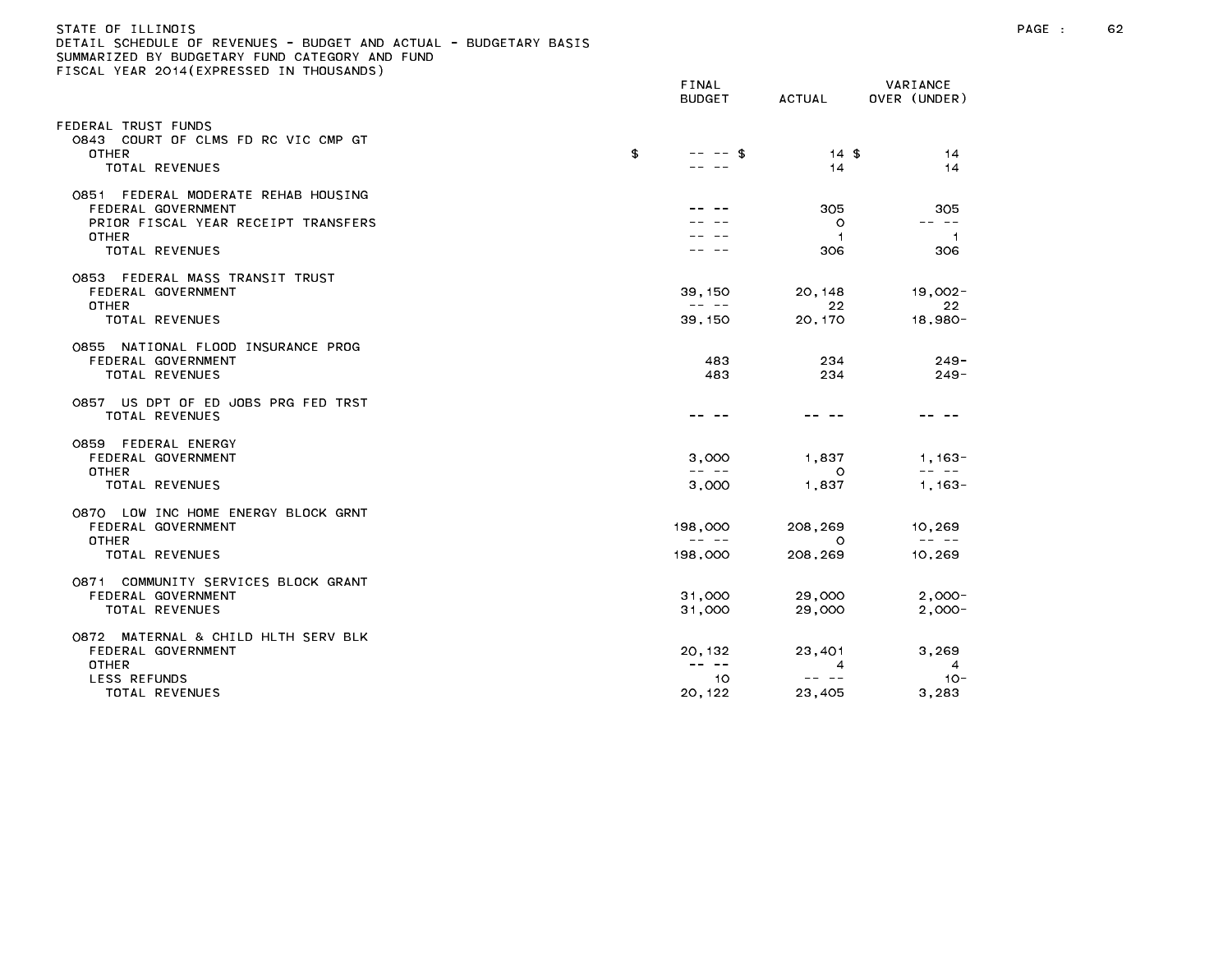#### STATE OF ILLINOIS PAGE : 62 DETAIL SCHEDULE OF REVENUES - BUDGET AND ACTUAL - BUDGETARY BASIS

| TEAN LUIT (LATINEUULD IN THU                                                                                        | FINAL<br><b>BUDGET</b>                                                                                                                                                                                                                                                                                                                                                                                             | ACTUAL                           | VARIANCE<br>OVER (UNDER)                                                                                                                                                                                                                                                                                                                                                                                              |
|---------------------------------------------------------------------------------------------------------------------|--------------------------------------------------------------------------------------------------------------------------------------------------------------------------------------------------------------------------------------------------------------------------------------------------------------------------------------------------------------------------------------------------------------------|----------------------------------|-----------------------------------------------------------------------------------------------------------------------------------------------------------------------------------------------------------------------------------------------------------------------------------------------------------------------------------------------------------------------------------------------------------------------|
| FEDERAL TRUST FUNDS<br>0843 COURT OF CLMS FD RC VIC CMP GT<br><b>OTHER</b><br>TOTAL REVENUES                        | \$<br>$--$ \$                                                                                                                                                                                                                                                                                                                                                                                                      | $14 \text{ } $$<br>14            | 14<br>14                                                                                                                                                                                                                                                                                                                                                                                                              |
|                                                                                                                     |                                                                                                                                                                                                                                                                                                                                                                                                                    |                                  |                                                                                                                                                                                                                                                                                                                                                                                                                       |
| FEDERAL MODERATE REHAB HOUSING<br>0851<br>FEDERAL GOVERNMENT<br>PRIOR FISCAL YEAR RECEIPT TRANSFERS<br><b>OTHER</b> |                                                                                                                                                                                                                                                                                                                                                                                                                    | 305<br>$\circ$<br>$\overline{1}$ | 305<br>$\frac{1}{2} \frac{1}{2} \frac{1}{2} \frac{1}{2} \frac{1}{2} \frac{1}{2} \frac{1}{2} \frac{1}{2} \frac{1}{2} \frac{1}{2} \frac{1}{2} \frac{1}{2} \frac{1}{2} \frac{1}{2} \frac{1}{2} \frac{1}{2} \frac{1}{2} \frac{1}{2} \frac{1}{2} \frac{1}{2} \frac{1}{2} \frac{1}{2} \frac{1}{2} \frac{1}{2} \frac{1}{2} \frac{1}{2} \frac{1}{2} \frac{1}{2} \frac{1}{2} \frac{1}{2} \frac{1}{2} \frac{$<br>$\overline{1}$ |
| TOTAL REVENUES                                                                                                      |                                                                                                                                                                                                                                                                                                                                                                                                                    | 306                              | 306                                                                                                                                                                                                                                                                                                                                                                                                                   |
| 0853 FEDERAL MASS TRANSIT TRUST<br>FEDERAL GOVERNMENT<br><b>OTHER</b><br>TOTAL REVENUES                             | 39, 150<br>$\frac{1}{2} \frac{1}{2} \frac{1}{2} \frac{1}{2} \frac{1}{2} \frac{1}{2} \frac{1}{2} \frac{1}{2} \frac{1}{2} \frac{1}{2} \frac{1}{2} \frac{1}{2} \frac{1}{2} \frac{1}{2} \frac{1}{2} \frac{1}{2} \frac{1}{2} \frac{1}{2} \frac{1}{2} \frac{1}{2} \frac{1}{2} \frac{1}{2} \frac{1}{2} \frac{1}{2} \frac{1}{2} \frac{1}{2} \frac{1}{2} \frac{1}{2} \frac{1}{2} \frac{1}{2} \frac{1}{2} \frac{$<br>39, 150 | 20, 148<br>22<br>20,170          | $19,002 -$<br>22<br>$18,980 -$                                                                                                                                                                                                                                                                                                                                                                                        |
| 0855 NATIONAL FLOOD INSURANCE PROG<br>FEDERAL GOVERNMENT<br>TOTAL REVENUES                                          | 483<br>483                                                                                                                                                                                                                                                                                                                                                                                                         | 234<br>234                       | $249 -$<br>$249 -$                                                                                                                                                                                                                                                                                                                                                                                                    |
| 0857 US DPT OF ED JOBS PRG FED TRST<br><b>TOTAL REVENUES</b>                                                        |                                                                                                                                                                                                                                                                                                                                                                                                                    |                                  |                                                                                                                                                                                                                                                                                                                                                                                                                       |
| 0859 FEDERAL ENERGY<br>FEDERAL GOVERNMENT<br><b>OTHER</b><br>TOTAL REVENUES                                         | 3,000<br>$\frac{1}{2} \frac{1}{2} \frac{1}{2} \frac{1}{2} \frac{1}{2} \frac{1}{2} \frac{1}{2} \frac{1}{2} \frac{1}{2} \frac{1}{2} \frac{1}{2} \frac{1}{2} \frac{1}{2} \frac{1}{2} \frac{1}{2} \frac{1}{2} \frac{1}{2} \frac{1}{2} \frac{1}{2} \frac{1}{2} \frac{1}{2} \frac{1}{2} \frac{1}{2} \frac{1}{2} \frac{1}{2} \frac{1}{2} \frac{1}{2} \frac{1}{2} \frac{1}{2} \frac{1}{2} \frac{1}{2} \frac{$<br>3,000     | 1,837<br>$\Omega$<br>1,837       | $1,163-$<br>$\frac{1}{2} \frac{1}{2} \frac{1}{2} \frac{1}{2} \frac{1}{2} \frac{1}{2} \frac{1}{2} \frac{1}{2} \frac{1}{2} \frac{1}{2} \frac{1}{2} \frac{1}{2} \frac{1}{2} \frac{1}{2} \frac{1}{2} \frac{1}{2} \frac{1}{2} \frac{1}{2} \frac{1}{2} \frac{1}{2} \frac{1}{2} \frac{1}{2} \frac{1}{2} \frac{1}{2} \frac{1}{2} \frac{1}{2} \frac{1}{2} \frac{1}{2} \frac{1}{2} \frac{1}{2} \frac{1}{2} \frac{$<br>$1,163-$  |
|                                                                                                                     |                                                                                                                                                                                                                                                                                                                                                                                                                    |                                  |                                                                                                                                                                                                                                                                                                                                                                                                                       |
| 0870 LOW INC HOME ENERGY BLOCK GRNT<br>FEDERAL GOVERNMENT<br>OTHER                                                  | 198,000<br>$\frac{1}{2} \frac{1}{2} \frac{1}{2} \frac{1}{2} \frac{1}{2} \frac{1}{2} \frac{1}{2} \frac{1}{2} \frac{1}{2} \frac{1}{2} \frac{1}{2} \frac{1}{2} \frac{1}{2} \frac{1}{2} \frac{1}{2} \frac{1}{2} \frac{1}{2} \frac{1}{2} \frac{1}{2} \frac{1}{2} \frac{1}{2} \frac{1}{2} \frac{1}{2} \frac{1}{2} \frac{1}{2} \frac{1}{2} \frac{1}{2} \frac{1}{2} \frac{1}{2} \frac{1}{2} \frac{1}{2} \frac{$            | 208,269<br>$\circ$               | 10,269<br>$\frac{1}{2} \frac{1}{2} \frac{1}{2} \frac{1}{2} \frac{1}{2} \frac{1}{2} \frac{1}{2} \frac{1}{2} \frac{1}{2} \frac{1}{2} \frac{1}{2} \frac{1}{2} \frac{1}{2} \frac{1}{2} \frac{1}{2} \frac{1}{2} \frac{1}{2} \frac{1}{2} \frac{1}{2} \frac{1}{2} \frac{1}{2} \frac{1}{2} \frac{1}{2} \frac{1}{2} \frac{1}{2} \frac{1}{2} \frac{1}{2} \frac{1}{2} \frac{1}{2} \frac{1}{2} \frac{1}{2} \frac{$                |
| TOTAL REVENUES                                                                                                      | 198,000                                                                                                                                                                                                                                                                                                                                                                                                            | 208,269                          | 10,269                                                                                                                                                                                                                                                                                                                                                                                                                |
| 0871 COMMUNITY SERVICES BLOCK GRANT<br>FEDERAL GOVERNMENT<br><b>TOTAL REVENUES</b>                                  | 31,000<br>31,000                                                                                                                                                                                                                                                                                                                                                                                                   | 29,000<br>29,000                 | $2,000-$<br>$2.000 -$                                                                                                                                                                                                                                                                                                                                                                                                 |
| 0872 MATERNAL & CHILD HLTH SERV BLK<br>FEDERAL GOVERNMENT<br><b>OTHER</b><br>LESS REFUNDS                           | 20, 132<br>$\frac{1}{2} \frac{1}{2} \frac{1}{2} \frac{1}{2} \frac{1}{2} \frac{1}{2} \frac{1}{2} \frac{1}{2} \frac{1}{2} \frac{1}{2} \frac{1}{2} \frac{1}{2} \frac{1}{2} \frac{1}{2} \frac{1}{2} \frac{1}{2} \frac{1}{2} \frac{1}{2} \frac{1}{2} \frac{1}{2} \frac{1}{2} \frac{1}{2} \frac{1}{2} \frac{1}{2} \frac{1}{2} \frac{1}{2} \frac{1}{2} \frac{1}{2} \frac{1}{2} \frac{1}{2} \frac{1}{2} \frac{$<br>10      | 23,401<br>4<br>-- --             | 3,269<br>$\overline{4}$<br>$10 -$                                                                                                                                                                                                                                                                                                                                                                                     |
| TOTAL REVENUES                                                                                                      | 20, 122                                                                                                                                                                                                                                                                                                                                                                                                            | 23,405                           | 3,283                                                                                                                                                                                                                                                                                                                                                                                                                 |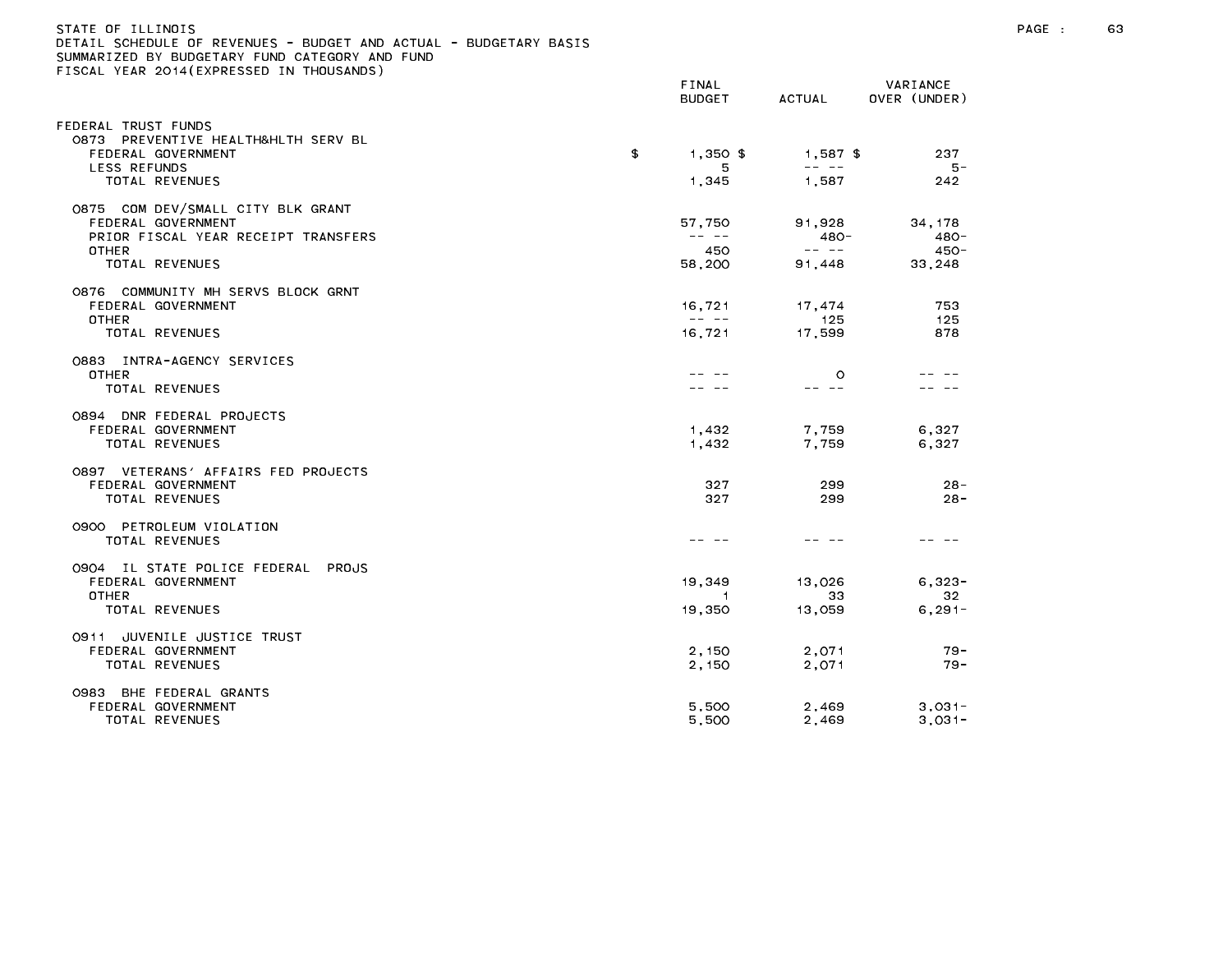| STATE OF ILLINOIS                                                 |  |
|-------------------------------------------------------------------|--|
| DETAIL SCHEDULE OF REVENUES - BUDGET AND ACTUAL - BUDGETARY BASIS |  |
| SUMMARIZED BY BUDGETARY FUND CATEGORY AND FUND                    |  |
| FISCAL YEAR 2014(EXPRESSED IN THOUSANDS)                          |  |

|                                       | FINAL<br><b>BUDGET</b>                                                                                                                                                                                                                                                                                                                                                                       | <b>ACTUAL</b>                                                                                                                                                                                                                                                                                                                                                                                | VARIANCE<br>OVER (UNDER) |
|---------------------------------------|----------------------------------------------------------------------------------------------------------------------------------------------------------------------------------------------------------------------------------------------------------------------------------------------------------------------------------------------------------------------------------------------|----------------------------------------------------------------------------------------------------------------------------------------------------------------------------------------------------------------------------------------------------------------------------------------------------------------------------------------------------------------------------------------------|--------------------------|
| EDERAL TRUST FUNDS                    |                                                                                                                                                                                                                                                                                                                                                                                              |                                                                                                                                                                                                                                                                                                                                                                                              |                          |
| 0873 PREVENTIVE HEALTH&HLTH SERV BL   |                                                                                                                                                                                                                                                                                                                                                                                              |                                                                                                                                                                                                                                                                                                                                                                                              |                          |
| FEDERAL GOVERNMENT                    | \$<br>$1.350$ \$                                                                                                                                                                                                                                                                                                                                                                             | $1,587$ \$                                                                                                                                                                                                                                                                                                                                                                                   | 237                      |
| LESS REFUNDS                          | 5                                                                                                                                                                                                                                                                                                                                                                                            | $\frac{1}{2} \frac{1}{2} \frac{1}{2} \frac{1}{2} \frac{1}{2} \frac{1}{2} \frac{1}{2} \frac{1}{2} \frac{1}{2} \frac{1}{2} \frac{1}{2} \frac{1}{2} \frac{1}{2} \frac{1}{2} \frac{1}{2} \frac{1}{2} \frac{1}{2} \frac{1}{2} \frac{1}{2} \frac{1}{2} \frac{1}{2} \frac{1}{2} \frac{1}{2} \frac{1}{2} \frac{1}{2} \frac{1}{2} \frac{1}{2} \frac{1}{2} \frac{1}{2} \frac{1}{2} \frac{1}{2} \frac{$ | 5 –                      |
| <b>TOTAL REVENUES</b>                 | 1,345                                                                                                                                                                                                                                                                                                                                                                                        | 1,587                                                                                                                                                                                                                                                                                                                                                                                        | 242                      |
| 0875 COM DEV/SMALL CITY BLK GRANT     |                                                                                                                                                                                                                                                                                                                                                                                              |                                                                                                                                                                                                                                                                                                                                                                                              |                          |
| FEDERAL GOVERNMENT                    | 57,750                                                                                                                                                                                                                                                                                                                                                                                       | 91,928                                                                                                                                                                                                                                                                                                                                                                                       | 34, 178                  |
| PRIOR FISCAL YEAR RECEIPT TRANSFERS   | $\frac{1}{2} \frac{1}{2} \frac{1}{2} \frac{1}{2} \frac{1}{2} \frac{1}{2} \frac{1}{2} \frac{1}{2} \frac{1}{2} \frac{1}{2} \frac{1}{2} \frac{1}{2} \frac{1}{2} \frac{1}{2} \frac{1}{2} \frac{1}{2} \frac{1}{2} \frac{1}{2} \frac{1}{2} \frac{1}{2} \frac{1}{2} \frac{1}{2} \frac{1}{2} \frac{1}{2} \frac{1}{2} \frac{1}{2} \frac{1}{2} \frac{1}{2} \frac{1}{2} \frac{1}{2} \frac{1}{2} \frac{$ | $480 -$                                                                                                                                                                                                                                                                                                                                                                                      | $480 -$                  |
| <b>OTHER</b>                          | 450                                                                                                                                                                                                                                                                                                                                                                                          | $\frac{1}{2} \frac{1}{2} \frac{1}{2} \frac{1}{2} \frac{1}{2} \frac{1}{2} \frac{1}{2} \frac{1}{2} \frac{1}{2} \frac{1}{2} \frac{1}{2} \frac{1}{2} \frac{1}{2} \frac{1}{2} \frac{1}{2} \frac{1}{2} \frac{1}{2} \frac{1}{2} \frac{1}{2} \frac{1}{2} \frac{1}{2} \frac{1}{2} \frac{1}{2} \frac{1}{2} \frac{1}{2} \frac{1}{2} \frac{1}{2} \frac{1}{2} \frac{1}{2} \frac{1}{2} \frac{1}{2} \frac{$ | $450 -$                  |
| TOTAL REVENUES                        | 58,200                                                                                                                                                                                                                                                                                                                                                                                       | 91,448                                                                                                                                                                                                                                                                                                                                                                                       | 33,248                   |
| 0876 COMMUNITY MH SERVS BLOCK GRNT    |                                                                                                                                                                                                                                                                                                                                                                                              |                                                                                                                                                                                                                                                                                                                                                                                              |                          |
| FEDERAL GOVERNMENT                    | 16,721                                                                                                                                                                                                                                                                                                                                                                                       | 17,474                                                                                                                                                                                                                                                                                                                                                                                       | 753                      |
| <b>OTHER</b>                          | $\frac{1}{2} \frac{1}{2} \frac{1}{2} \frac{1}{2} \frac{1}{2} \frac{1}{2} \frac{1}{2} \frac{1}{2} \frac{1}{2} \frac{1}{2} \frac{1}{2} \frac{1}{2} \frac{1}{2} \frac{1}{2} \frac{1}{2} \frac{1}{2} \frac{1}{2} \frac{1}{2} \frac{1}{2} \frac{1}{2} \frac{1}{2} \frac{1}{2} \frac{1}{2} \frac{1}{2} \frac{1}{2} \frac{1}{2} \frac{1}{2} \frac{1}{2} \frac{1}{2} \frac{1}{2} \frac{1}{2} \frac{$ | 125                                                                                                                                                                                                                                                                                                                                                                                          | 125                      |
| TOTAL REVENUES                        | 16,721                                                                                                                                                                                                                                                                                                                                                                                       | 17,599                                                                                                                                                                                                                                                                                                                                                                                       | 878                      |
| 0883 INTRA-AGENCY SERVICES            |                                                                                                                                                                                                                                                                                                                                                                                              |                                                                                                                                                                                                                                                                                                                                                                                              |                          |
| <b>OTHER</b>                          |                                                                                                                                                                                                                                                                                                                                                                                              | $\circ$                                                                                                                                                                                                                                                                                                                                                                                      |                          |
| TOTAL REVENUES                        |                                                                                                                                                                                                                                                                                                                                                                                              | -- --                                                                                                                                                                                                                                                                                                                                                                                        |                          |
| 0894 DNR FEDERAL PROJECTS             |                                                                                                                                                                                                                                                                                                                                                                                              |                                                                                                                                                                                                                                                                                                                                                                                              |                          |
| FEDERAL GOVERNMENT                    | 1,432                                                                                                                                                                                                                                                                                                                                                                                        | 7,759                                                                                                                                                                                                                                                                                                                                                                                        | 6,327                    |
| <b>TOTAL REVENUES</b>                 | 1,432                                                                                                                                                                                                                                                                                                                                                                                        | 7,759                                                                                                                                                                                                                                                                                                                                                                                        | 6,327                    |
|                                       |                                                                                                                                                                                                                                                                                                                                                                                              |                                                                                                                                                                                                                                                                                                                                                                                              |                          |
| 0897 VETERANS' AFFAIRS FED PROJECTS   |                                                                                                                                                                                                                                                                                                                                                                                              |                                                                                                                                                                                                                                                                                                                                                                                              | $28 -$                   |
| FEDERAL GOVERNMENT<br>TOTAL REVENUES  | 327<br>327                                                                                                                                                                                                                                                                                                                                                                                   | 299<br>299                                                                                                                                                                                                                                                                                                                                                                                   | $28 -$                   |
|                                       |                                                                                                                                                                                                                                                                                                                                                                                              |                                                                                                                                                                                                                                                                                                                                                                                              |                          |
| 0900 PETROLEUM VIOLATION              |                                                                                                                                                                                                                                                                                                                                                                                              |                                                                                                                                                                                                                                                                                                                                                                                              |                          |
| <b>TOTAL REVENUES</b>                 |                                                                                                                                                                                                                                                                                                                                                                                              |                                                                                                                                                                                                                                                                                                                                                                                              |                          |
| 0904 IL STATE POLICE FEDERAL<br>PROJS |                                                                                                                                                                                                                                                                                                                                                                                              |                                                                                                                                                                                                                                                                                                                                                                                              |                          |
| FEDERAL GOVERNMENT                    | 19,349                                                                                                                                                                                                                                                                                                                                                                                       | 13.026                                                                                                                                                                                                                                                                                                                                                                                       | $6.323 -$                |
| <b>OTHER</b>                          | -1                                                                                                                                                                                                                                                                                                                                                                                           | 33                                                                                                                                                                                                                                                                                                                                                                                           | 32                       |
| TOTAL REVENUES                        | 19,350                                                                                                                                                                                                                                                                                                                                                                                       | 13,059                                                                                                                                                                                                                                                                                                                                                                                       | $6, 291 -$               |
| JUVENILE JUSTICE TRUST<br>0911        |                                                                                                                                                                                                                                                                                                                                                                                              |                                                                                                                                                                                                                                                                                                                                                                                              |                          |
| FEDERAL GOVERNMENT                    | 2,150                                                                                                                                                                                                                                                                                                                                                                                        | 2,071                                                                                                                                                                                                                                                                                                                                                                                        | $79 -$                   |
| TOTAL REVENUES                        | 2,150                                                                                                                                                                                                                                                                                                                                                                                        | 2,071                                                                                                                                                                                                                                                                                                                                                                                        | $79 -$                   |
| 0983<br>BHE FEDERAL GRANTS            |                                                                                                                                                                                                                                                                                                                                                                                              |                                                                                                                                                                                                                                                                                                                                                                                              |                          |
| FEDERAL GOVERNMENT                    | 5,500                                                                                                                                                                                                                                                                                                                                                                                        | 2,469                                                                                                                                                                                                                                                                                                                                                                                        | $3,031-$                 |
| TOTAL REVENUES                        | 5,500                                                                                                                                                                                                                                                                                                                                                                                        | 2,469                                                                                                                                                                                                                                                                                                                                                                                        | $3,031-$                 |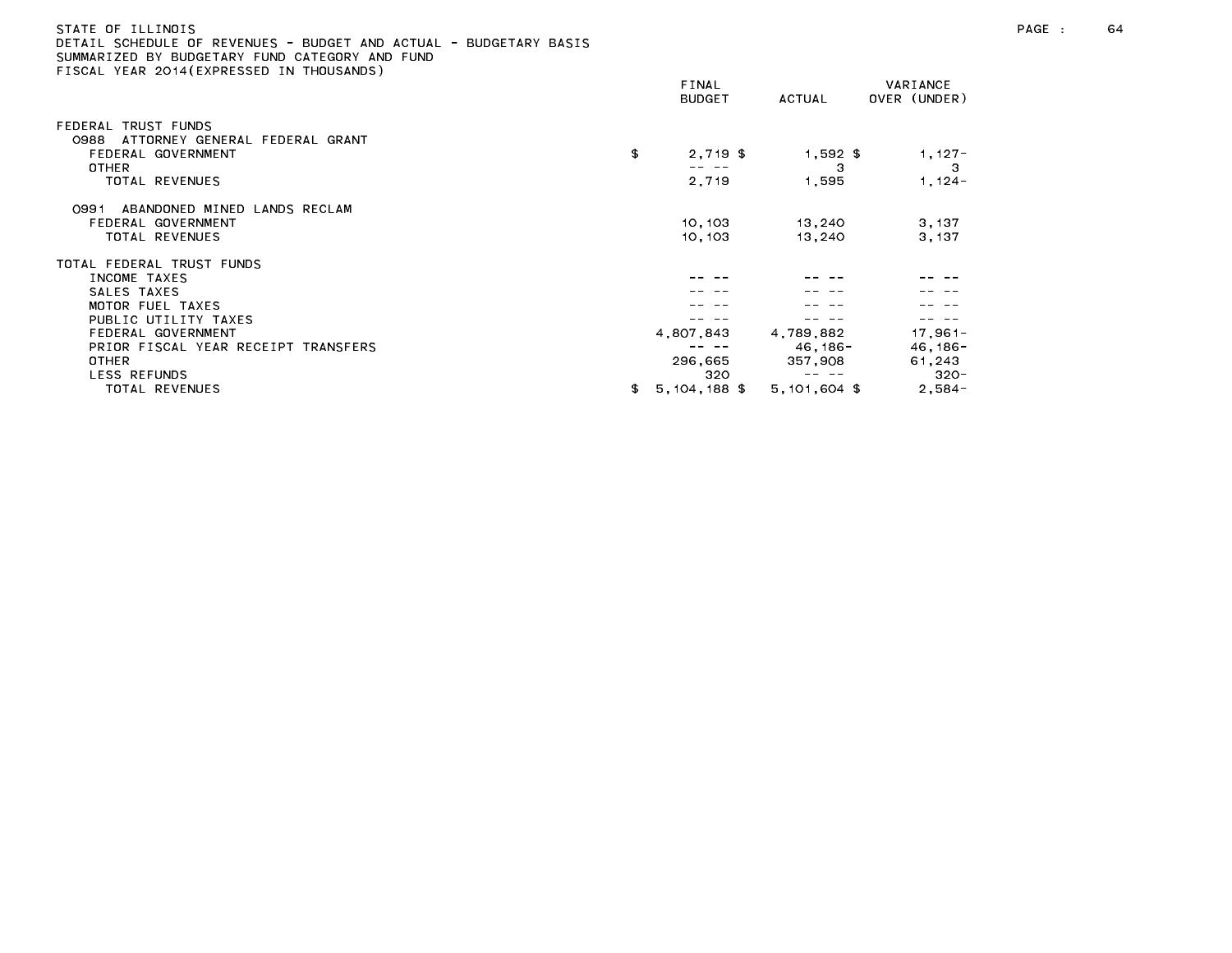| STATE OF ILLINOIS                                                 |  |
|-------------------------------------------------------------------|--|
| DETAIL SCHEDULE OF REVENUES - BUDGET AND ACTUAL - BUDGETARY BASIS |  |
| SUMMARIZED BY BUDGETARY FUND CATEGORY AND FUND                    |  |
| FISCAL YEAR 2014(EXPRESSED IN THOUSANDS)                          |  |

| . SUAL TEAR EUTREATREUGED IN THUOSANDU) | FINAL<br><b>BUDGET</b> | ACTUAL         | VARIANCE<br>OVER (UNDER) |
|-----------------------------------------|------------------------|----------------|--------------------------|
| FEDERAL TRUST FUNDS                     |                        |                |                          |
| ATTORNEY GENERAL FEDERAL GRANT<br>0988  |                        |                |                          |
| FEDERAL GOVERNMENT                      | \$<br>$2,719$ \$       | $1,592$ \$     | $1,127-$                 |
| OTHER                                   |                        | з              | 3                        |
| TOTAL REVENUES                          | 2,719                  | 1,595          | $1, 124 -$               |
| ABANDONED MINED LANDS RECLAM<br>0991    |                        |                |                          |
| FEDERAL GOVERNMENT                      | 10, 103                | 13,240         | 3, 137                   |
| TOTAL REVENUES                          | 10.103                 | 13,240         | 3.137                    |
| TOTAL FEDERAL TRUST FUNDS               |                        |                |                          |
| INCOME TAXES                            |                        |                |                          |
| SALES TAXES                             |                        |                |                          |
| MOTOR FUEL TAXES                        |                        |                |                          |
| PUBLIC UTILITY TAXES                    |                        |                |                          |
| FEDERAL GOVERNMENT                      | 4,807,843              | 4,789,882      | $17,961-$                |
| PRIOR FISCAL YEAR RECEIPT TRANSFERS     |                        | 46.186-        | $46, 186 -$              |
| <b>OTHER</b>                            | 296,665                | 357,908        | 61,243                   |
| LESS REFUNDS                            | 320                    |                | $320 -$                  |
| TOTAL REVENUES                          | 5,104,188 \$<br>\$     | $5,101,604$ \$ | $2,584-$                 |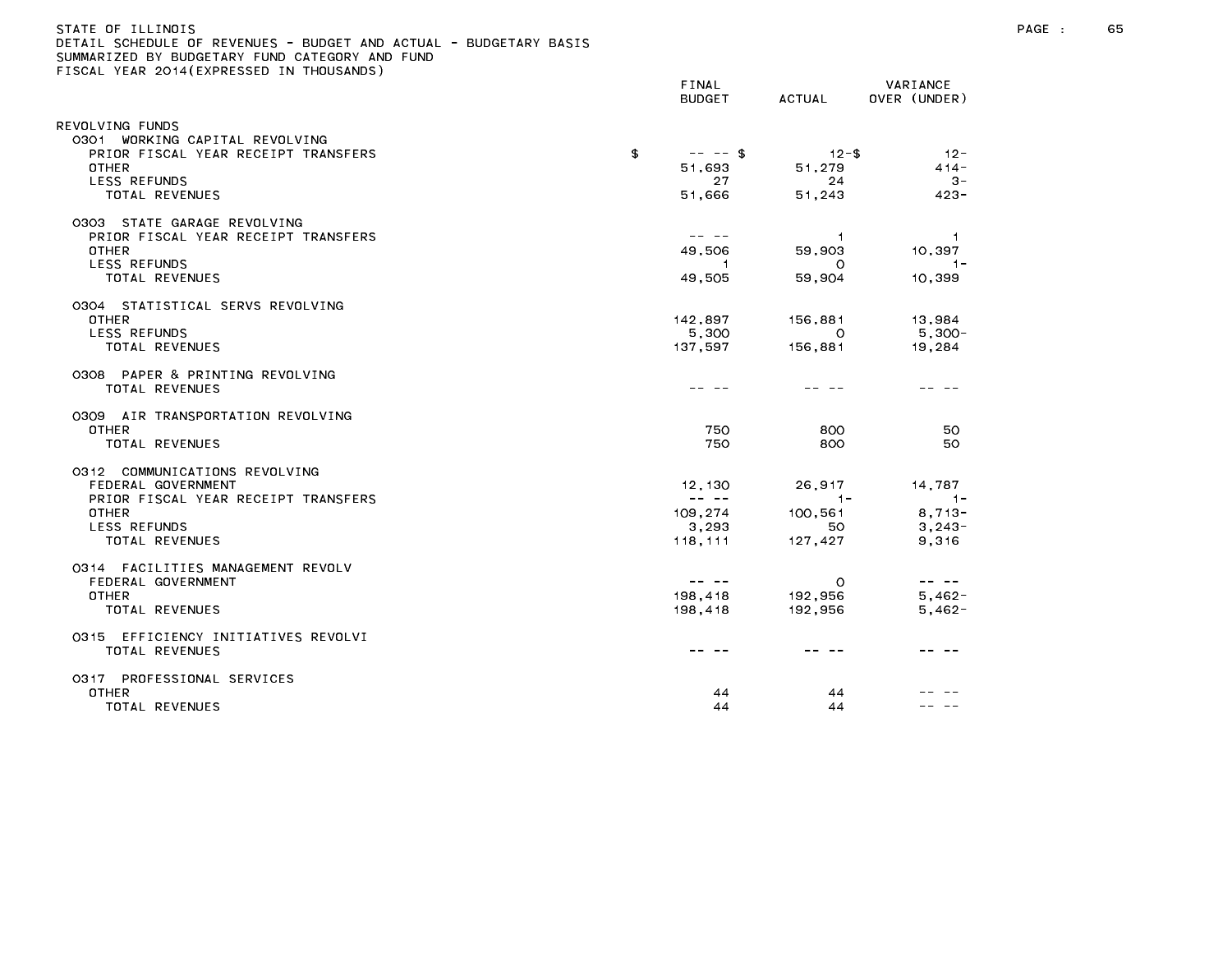# STATE OF ILLINOIS PAGE : 65 DETAIL SCHEDULE OF REVENUES - BUDGET AND ACTUAL - BUDGETARY BASIS

|                                            | FINAL<br><b>BUDGET</b>                                                                                                                                                                                                                                                                                                                                                                       | ACTUAL         | VARIANCE<br>OVER (UNDER)                                                                                                                                                                                                                                                                                                                                                                     |
|--------------------------------------------|----------------------------------------------------------------------------------------------------------------------------------------------------------------------------------------------------------------------------------------------------------------------------------------------------------------------------------------------------------------------------------------------|----------------|----------------------------------------------------------------------------------------------------------------------------------------------------------------------------------------------------------------------------------------------------------------------------------------------------------------------------------------------------------------------------------------------|
| REVOLVING FUNDS                            |                                                                                                                                                                                                                                                                                                                                                                                              |                |                                                                                                                                                                                                                                                                                                                                                                                              |
| 0301 WORKING CAPITAL REVOLVING             |                                                                                                                                                                                                                                                                                                                                                                                              |                |                                                                                                                                                                                                                                                                                                                                                                                              |
| PRIOR FISCAL YEAR RECEIPT TRANSFERS        | \$<br>$-- -$ \$                                                                                                                                                                                                                                                                                                                                                                              | $12 - $$       | $12 -$                                                                                                                                                                                                                                                                                                                                                                                       |
| <b>OTHER</b>                               | 51,693                                                                                                                                                                                                                                                                                                                                                                                       | 51,279         | $414 -$                                                                                                                                                                                                                                                                                                                                                                                      |
| LESS REFUNDS                               | 27                                                                                                                                                                                                                                                                                                                                                                                           | 24             | $3 -$                                                                                                                                                                                                                                                                                                                                                                                        |
| TOTAL REVENUES                             | 51,666                                                                                                                                                                                                                                                                                                                                                                                       | 51,243         | $423 -$                                                                                                                                                                                                                                                                                                                                                                                      |
| 0303 STATE GARAGE REVOLVING                |                                                                                                                                                                                                                                                                                                                                                                                              |                |                                                                                                                                                                                                                                                                                                                                                                                              |
| PRIOR FISCAL YEAR RECEIPT TRANSFERS        | -- --                                                                                                                                                                                                                                                                                                                                                                                        | $\overline{1}$ | $\overline{1}$                                                                                                                                                                                                                                                                                                                                                                               |
| <b>OTHER</b>                               | 49,506                                                                                                                                                                                                                                                                                                                                                                                       | 59,903         | 10,397                                                                                                                                                                                                                                                                                                                                                                                       |
| LESS REFUNDS<br>TOTAL REVENUES             | $\overline{1}$                                                                                                                                                                                                                                                                                                                                                                               | $\circ$        | $1 -$<br>10,399                                                                                                                                                                                                                                                                                                                                                                              |
|                                            | 49,505                                                                                                                                                                                                                                                                                                                                                                                       | 59,904         |                                                                                                                                                                                                                                                                                                                                                                                              |
| 0304 STATISTICAL SERVS REVOLVING           |                                                                                                                                                                                                                                                                                                                                                                                              |                |                                                                                                                                                                                                                                                                                                                                                                                              |
| <b>OTHER</b>                               | 142,897                                                                                                                                                                                                                                                                                                                                                                                      | 156,881        | 13,984                                                                                                                                                                                                                                                                                                                                                                                       |
| LESS REFUNDS                               | 5,300                                                                                                                                                                                                                                                                                                                                                                                        | $\circ$        | $5,300-$                                                                                                                                                                                                                                                                                                                                                                                     |
| TOTAL REVENUES                             | 137.597                                                                                                                                                                                                                                                                                                                                                                                      | 156,881        | 19,284                                                                                                                                                                                                                                                                                                                                                                                       |
| 0308 PAPER & PRINTING REVOLVING            |                                                                                                                                                                                                                                                                                                                                                                                              |                |                                                                                                                                                                                                                                                                                                                                                                                              |
| <b>TOTAL REVENUES</b>                      |                                                                                                                                                                                                                                                                                                                                                                                              |                |                                                                                                                                                                                                                                                                                                                                                                                              |
| 0309 AIR TRANSPORTATION REVOLVING          |                                                                                                                                                                                                                                                                                                                                                                                              |                |                                                                                                                                                                                                                                                                                                                                                                                              |
| <b>OTHER</b>                               | 750                                                                                                                                                                                                                                                                                                                                                                                          | 800            | 50                                                                                                                                                                                                                                                                                                                                                                                           |
| TOTAL REVENUES                             | 750                                                                                                                                                                                                                                                                                                                                                                                          | 800            | 50                                                                                                                                                                                                                                                                                                                                                                                           |
| 0312 COMMUNICATIONS REVOLVING              |                                                                                                                                                                                                                                                                                                                                                                                              |                |                                                                                                                                                                                                                                                                                                                                                                                              |
| FEDERAL GOVERNMENT                         | 12.130                                                                                                                                                                                                                                                                                                                                                                                       | 26.917         | 14,787                                                                                                                                                                                                                                                                                                                                                                                       |
| PRIOR FISCAL YEAR RECEIPT TRANSFERS        | $\frac{1}{2} \frac{1}{2} \frac{1}{2} \frac{1}{2} \frac{1}{2} \frac{1}{2} \frac{1}{2} \frac{1}{2} \frac{1}{2} \frac{1}{2} \frac{1}{2} \frac{1}{2} \frac{1}{2} \frac{1}{2} \frac{1}{2} \frac{1}{2} \frac{1}{2} \frac{1}{2} \frac{1}{2} \frac{1}{2} \frac{1}{2} \frac{1}{2} \frac{1}{2} \frac{1}{2} \frac{1}{2} \frac{1}{2} \frac{1}{2} \frac{1}{2} \frac{1}{2} \frac{1}{2} \frac{1}{2} \frac{$ | $1 -$          | $-1-$                                                                                                                                                                                                                                                                                                                                                                                        |
| <b>OTHER</b>                               | 109,274                                                                                                                                                                                                                                                                                                                                                                                      | 100,561        | $8,713-$                                                                                                                                                                                                                                                                                                                                                                                     |
| LESS REFUNDS                               | 3,293                                                                                                                                                                                                                                                                                                                                                                                        | 50             | $3,243-$                                                                                                                                                                                                                                                                                                                                                                                     |
| TOTAL REVENUES                             | 118, 111                                                                                                                                                                                                                                                                                                                                                                                     | 127,427        | 9,316                                                                                                                                                                                                                                                                                                                                                                                        |
| 0314 FACILITIES MANAGEMENT REVOLV          |                                                                                                                                                                                                                                                                                                                                                                                              |                |                                                                                                                                                                                                                                                                                                                                                                                              |
| FEDERAL GOVERNMENT                         | $\frac{1}{2} \frac{1}{2} \frac{1}{2} \frac{1}{2} \frac{1}{2} \frac{1}{2} \frac{1}{2} \frac{1}{2} \frac{1}{2} \frac{1}{2} \frac{1}{2} \frac{1}{2} \frac{1}{2} \frac{1}{2} \frac{1}{2} \frac{1}{2} \frac{1}{2} \frac{1}{2} \frac{1}{2} \frac{1}{2} \frac{1}{2} \frac{1}{2} \frac{1}{2} \frac{1}{2} \frac{1}{2} \frac{1}{2} \frac{1}{2} \frac{1}{2} \frac{1}{2} \frac{1}{2} \frac{1}{2} \frac{$ | $\circ$        | $\frac{1}{2} \frac{1}{2} \frac{1}{2} \frac{1}{2} \frac{1}{2} \frac{1}{2} \frac{1}{2} \frac{1}{2} \frac{1}{2} \frac{1}{2} \frac{1}{2} \frac{1}{2} \frac{1}{2} \frac{1}{2} \frac{1}{2} \frac{1}{2} \frac{1}{2} \frac{1}{2} \frac{1}{2} \frac{1}{2} \frac{1}{2} \frac{1}{2} \frac{1}{2} \frac{1}{2} \frac{1}{2} \frac{1}{2} \frac{1}{2} \frac{1}{2} \frac{1}{2} \frac{1}{2} \frac{1}{2} \frac{$ |
| OTHER                                      | 198,418                                                                                                                                                                                                                                                                                                                                                                                      | 192,956        | $5,462-$                                                                                                                                                                                                                                                                                                                                                                                     |
| TOTAL REVENUES                             | 198,418                                                                                                                                                                                                                                                                                                                                                                                      | 192,956        | $5,462-$                                                                                                                                                                                                                                                                                                                                                                                     |
| 0315 EFFICIENCY INITIATIVES REVOLVI        |                                                                                                                                                                                                                                                                                                                                                                                              |                |                                                                                                                                                                                                                                                                                                                                                                                              |
| TOTAL REVENUES                             |                                                                                                                                                                                                                                                                                                                                                                                              |                |                                                                                                                                                                                                                                                                                                                                                                                              |
|                                            |                                                                                                                                                                                                                                                                                                                                                                                              |                |                                                                                                                                                                                                                                                                                                                                                                                              |
| 0317 PROFESSIONAL SERVICES<br><b>OTHER</b> | 44                                                                                                                                                                                                                                                                                                                                                                                           | 44             |                                                                                                                                                                                                                                                                                                                                                                                              |
| TOTAL REVENUES                             | 44                                                                                                                                                                                                                                                                                                                                                                                           | 44             |                                                                                                                                                                                                                                                                                                                                                                                              |
|                                            |                                                                                                                                                                                                                                                                                                                                                                                              |                |                                                                                                                                                                                                                                                                                                                                                                                              |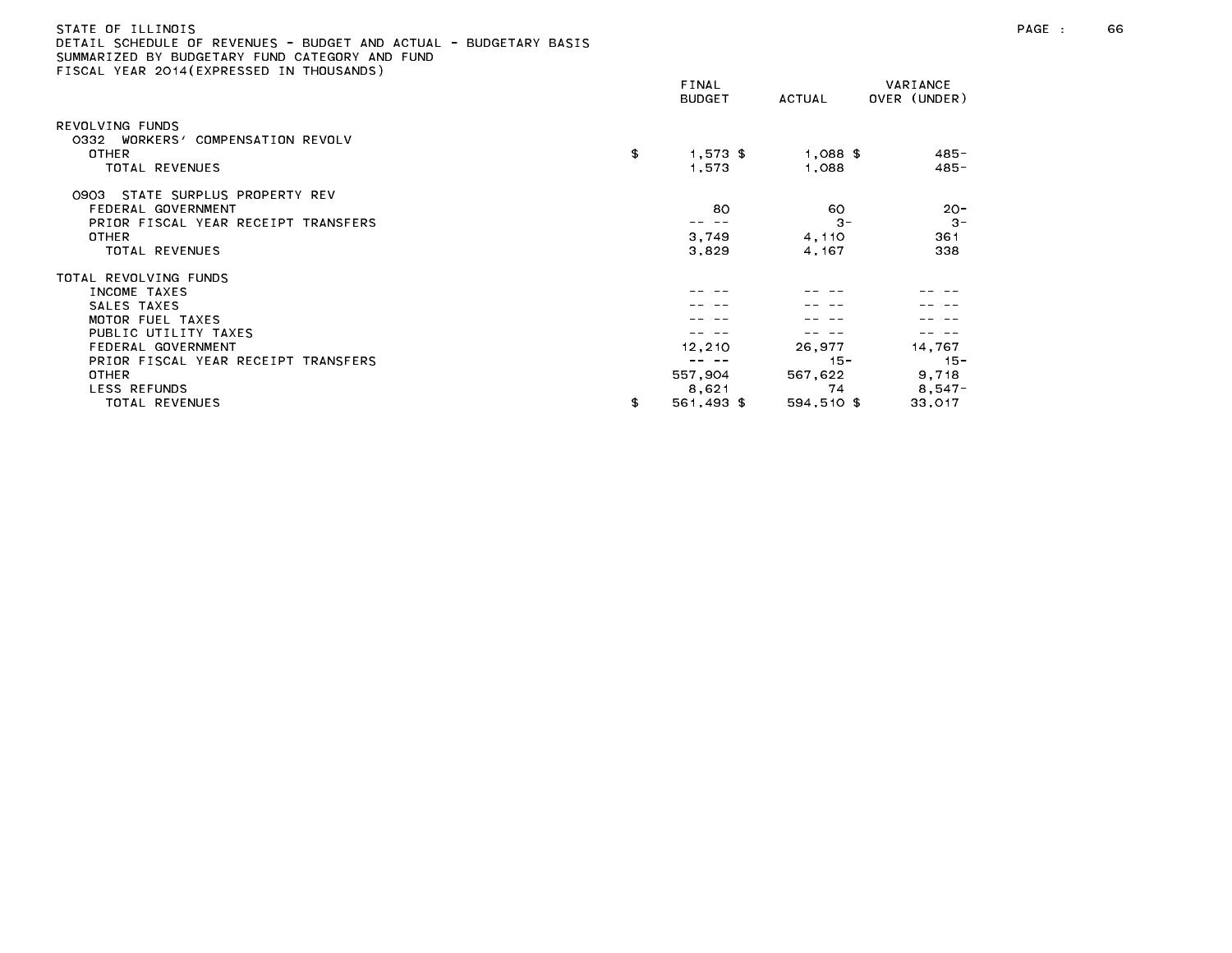| STATE OF ILLINOIS                                                 |  |
|-------------------------------------------------------------------|--|
| DETAIL SCHEDULE OF REVENUES - BUDGET AND ACTUAL - BUDGETARY BASIS |  |
| SUMMARIZED BY BUDGETARY FUND CATEGORY AND FUND                    |  |
| FISCAL YEAR 2014(EXPRESSED IN THOUSANDS)                          |  |

|                                     | FINAL |               |            | VARIANCE     |
|-------------------------------------|-------|---------------|------------|--------------|
|                                     |       | <b>BUDGET</b> | ACTUAL     | OVER (UNDER) |
| REVOLVING FUNDS                     |       |               |            |              |
| 0332 WORKERS' COMPENSATION REVOLV   |       |               |            |              |
| OTHER                               | \$    | $1,573$ \$    | $1,088$ \$ | 485-         |
| TOTAL REVENUES                      |       | 1,573         | 1.088      | $485 -$      |
| STATE SURPLUS PROPERTY REV<br>0903  |       |               |            |              |
| FEDERAL GOVERNMENT                  |       | 80            | 60         | $20 -$       |
| PRIOR FISCAL YEAR RECEIPT TRANSFERS |       |               | $3 -$      | $3 -$        |
| OTHER                               |       | 3,749         | 4,110      | 361          |
| TOTAL REVENUES                      |       | 3,829         | 4,167      | 338          |
| TOTAL REVOLVING FUNDS               |       |               |            |              |
| INCOME TAXES                        |       |               |            |              |
| SALES TAXES                         |       |               |            |              |
| MOTOR FUEL TAXES                    |       |               |            |              |
| PUBLIC UTILITY TAXES                |       |               |            |              |
| FEDERAL GOVERNMENT                  |       | 12,210        | 26,977     | 14,767       |
| PRIOR FISCAL YEAR RECEIPT TRANSFERS |       |               | $15 -$     | $15 -$       |
| <b>OTHER</b>                        |       | 557,904       | 567,622    | 9,718        |
| <b>LESS REFUNDS</b>                 |       | 8,621         | 74         | $8,547-$     |
| TOTAL REVENUES                      | \$    | 561,493 \$    | 594,510 \$ | 33,017       |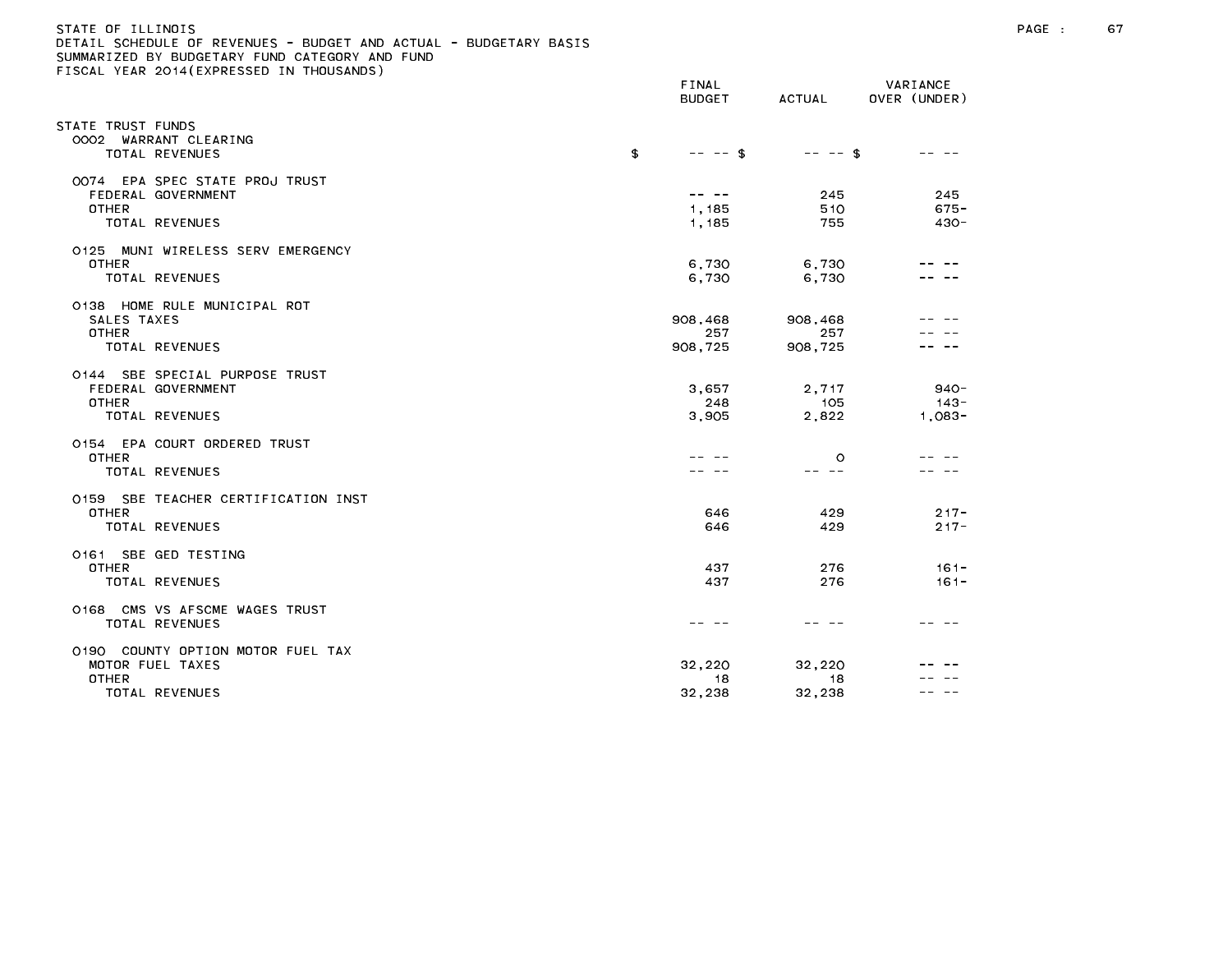# STATE OF ILLINOIS PAGE : 67 DETAIL SCHEDULE OF REVENUES - BUDGET AND ACTUAL - BUDGETARY BASIS

|                                                                                         | FINAL<br><b>BUDGET</b>    | ACTUAL                    | VARIANCE<br>OVER (UNDER)       |
|-----------------------------------------------------------------------------------------|---------------------------|---------------------------|--------------------------------|
| STATE TRUST FUNDS<br>0002 WARRANT CLEARING<br><b>TOTAL REVENUES</b>                     | \$<br>$-- - -$ \$         | $-- - -$ \$               | -- -                           |
| 0074 EPA SPEC STATE PROJ TRUST<br>FEDERAL GOVERNMENT<br><b>OTHER</b><br>TOTAL REVENUES  | -- --<br>1,185<br>1,185   | 245<br>510<br>755         | 245<br>$675 -$<br>$430 -$      |
| 0125 MUNI WIRELESS SERV EMERGENCY<br>OTHER<br>TOTAL REVENUES                            | 6,730<br>6,730            | 6,730<br>6,730            |                                |
| 0138 HOME RULE MUNICIPAL ROT<br>SALES TAXES<br><b>OTHER</b><br>TOTAL REVENUES           | 908,468<br>257<br>908,725 | 908,468<br>257<br>908,725 |                                |
| 0144 SBE SPECIAL PURPOSE TRUST<br>FEDERAL GOVERNMENT<br><b>OTHER</b><br>TOTAL REVENUES  | 3,657<br>248<br>3,905     | 2,717<br>105<br>2,822     | $940 -$<br>$143 -$<br>$1,083-$ |
| 0154 EPA COURT ORDERED TRUST<br><b>OTHER</b><br>TOTAL REVENUES                          |                           | $\circ$<br>-- --          |                                |
| 0159 SBE TEACHER CERTIFICATION INST<br><b>OTHER</b><br>TOTAL REVENUES                   | 646<br>646                | 429<br>429                | $217 -$<br>$217 -$             |
| 0161 SBE GED TESTING<br><b>OTHER</b><br>TOTAL REVENUES                                  | 437<br>437                | 276<br>276                | $161 -$<br>$161 -$             |
| 0168 CMS VS AFSCME WAGES TRUST<br>TOTAL REVENUES                                        | -- --                     |                           |                                |
| 0190 COUNTY OPTION MOTOR FUEL TAX<br>MOTOR FUEL TAXES<br><b>OTHER</b><br>TOTAL REVENUES | 32,220<br>18<br>32,238    | 32.220<br>18<br>32,238    |                                |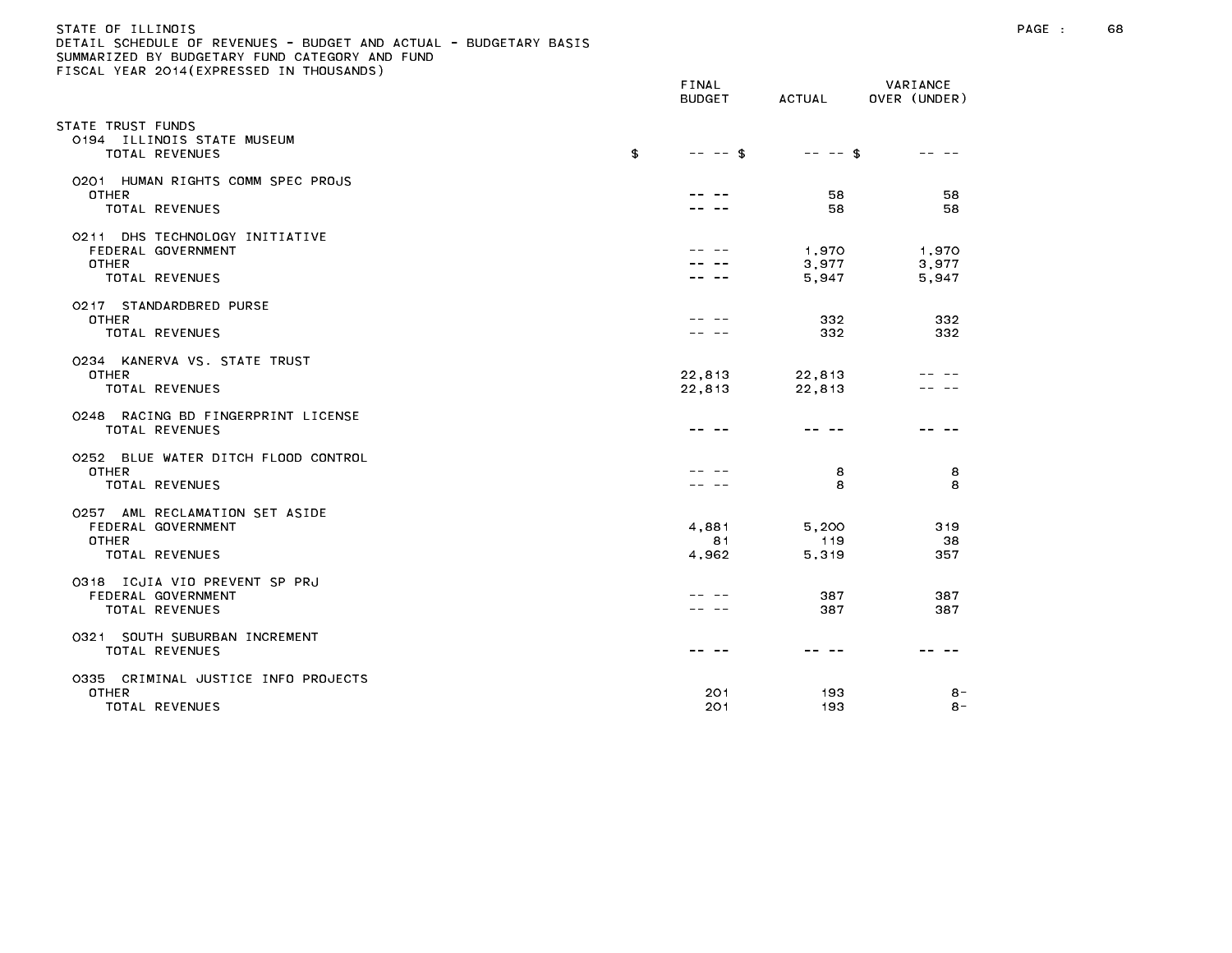# STATE OF ILLINOIS PAGE : 68 DETAIL SCHEDULE OF REVENUES - BUDGET AND ACTUAL - BUDGETARY BASIS

| $\sim$ . Toome term for the contract of the thood model                                       | FINAL<br><b>BUDGET</b> | ACTUAL                  | VARIANCE<br>OVER (UNDER) |
|-----------------------------------------------------------------------------------------------|------------------------|-------------------------|--------------------------|
| STATE TRUST FUNDS<br>0194 ILLINOIS STATE MUSEUM<br><b>TOTAL REVENUES</b>                      | \$<br>$-- - -$ \$      | $-- -5$                 | -- --                    |
| 0201 HUMAN RIGHTS COMM SPEC PROJS<br><b>OTHER</b><br>TOTAL REVENUES                           |                        | 58<br>58                | 58<br>58                 |
| 0211 DHS TECHNOLOGY INITIATIVE<br>FEDERAL GOVERNMENT<br><b>OTHER</b><br><b>TOTAL REVENUES</b> |                        | 1,970<br>3,977<br>5,947 | 1,970<br>3,977<br>5,947  |
| 0217 STANDARDBRED PURSE<br><b>OTHER</b><br>TOTAL REVENUES                                     |                        | 332<br>332              | 332<br>332               |
| 0234 KANERVA VS. STATE TRUST<br><b>OTHER</b><br>TOTAL REVENUES                                | 22,813<br>22,813       | 22,813<br>22,813        |                          |
| 0248 RACING BD FINGERPRINT LICENSE<br><b>TOTAL REVENUES</b>                                   |                        |                         |                          |
| 0252 BLUE WATER DITCH FLOOD CONTROL<br><b>OTHER</b><br>TOTAL REVENUES                         |                        | 8<br>8                  | 8<br>8                   |
| 0257 AML RECLAMATION SET ASIDE<br>FEDERAL GOVERNMENT<br>OTHER<br>TOTAL REVENUES               | 4,881<br>81<br>4,962   | 5,200<br>119<br>5,319   | 319<br>38<br>357         |
| 0318 ICJIA VIO PREVENT SP PRJ<br>FEDERAL GOVERNMENT<br>TOTAL REVENUES                         |                        | 387<br>387              | 387<br>387               |
| 0321 SOUTH SUBURBAN INCREMENT<br>TOTAL REVENUES                                               |                        |                         |                          |
| 0335 CRIMINAL JUSTICE INFO PROJECTS<br><b>OTHER</b><br>TOTAL REVENUES                         | 201<br>201             | 193<br>193              | 8 -<br>8 –               |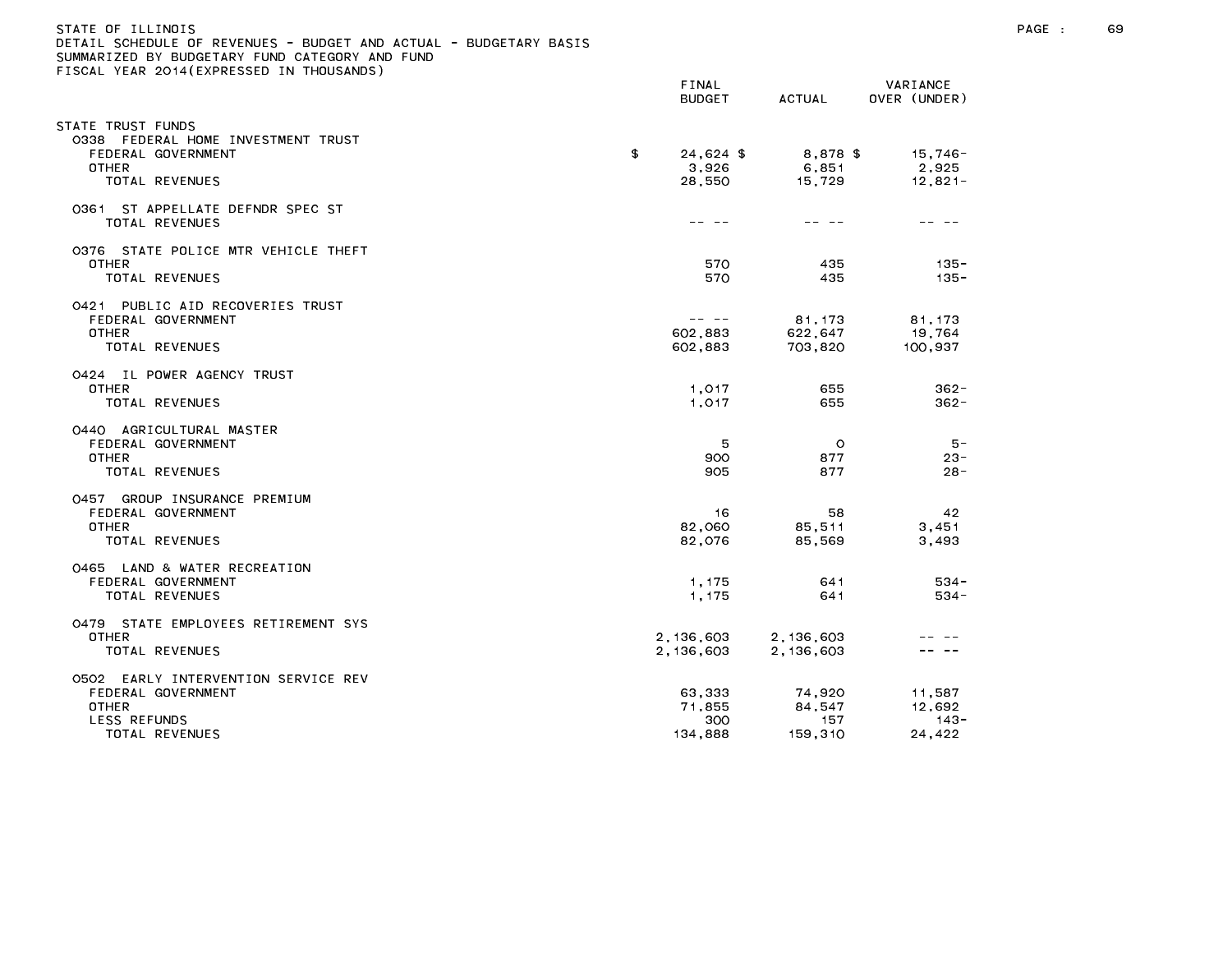## STATE OF ILLINOIS PAGE : 69 DETAIL SCHEDULE OF REVENUES - BUDGET AND ACTUAL - BUDGETARY BASIS

| TLAN LUIT (LAINLUULD IN THU                                                                                        | FINAL<br><b>BUDGET</b>                                                                                                                                                                                                                                                                                                                                                                                             | ACTUAL                             | VARIANCE<br>OVER (UNDER)           |
|--------------------------------------------------------------------------------------------------------------------|--------------------------------------------------------------------------------------------------------------------------------------------------------------------------------------------------------------------------------------------------------------------------------------------------------------------------------------------------------------------------------------------------------------------|------------------------------------|------------------------------------|
| STATE TRUST FUNDS<br>0338 FEDERAL HOME INVESTMENT TRUST<br>FEDERAL GOVERNMENT<br>OTHER<br>TOTAL REVENUES           | \$<br>$24.624$ \$<br>3,926<br>28,550                                                                                                                                                                                                                                                                                                                                                                               | 8,878 \$<br>6,851<br>15,729        | 15,746-<br>2,925<br>$12,821-$      |
| 0361 ST APPELLATE DEFNDR SPEC ST<br>TOTAL REVENUES                                                                 | -- --                                                                                                                                                                                                                                                                                                                                                                                                              |                                    |                                    |
| 0376 STATE POLICE MTR VEHICLE THEFT<br><b>OTHER</b><br>TOTAL REVENUES                                              | 570<br>570                                                                                                                                                                                                                                                                                                                                                                                                         | 435<br>435                         | $135 -$<br>$135 -$                 |
| 0421 PUBLIC AID RECOVERIES TRUST<br>FEDERAL GOVERNMENT<br><b>OTHER</b><br>TOTAL REVENUES                           | $\frac{1}{2} \frac{1}{2} \frac{1}{2} \frac{1}{2} \frac{1}{2} \frac{1}{2} \frac{1}{2} \frac{1}{2} \frac{1}{2} \frac{1}{2} \frac{1}{2} \frac{1}{2} \frac{1}{2} \frac{1}{2} \frac{1}{2} \frac{1}{2} \frac{1}{2} \frac{1}{2} \frac{1}{2} \frac{1}{2} \frac{1}{2} \frac{1}{2} \frac{1}{2} \frac{1}{2} \frac{1}{2} \frac{1}{2} \frac{1}{2} \frac{1}{2} \frac{1}{2} \frac{1}{2} \frac{1}{2} \frac{$<br>602,883<br>602,883 | 81, 173<br>622,647<br>703,820      | 81, 173<br>19,764<br>100,937       |
| 0424 IL POWER AGENCY TRUST<br><b>OTHER</b><br>TOTAL REVENUES                                                       | 1,017<br>1.017                                                                                                                                                                                                                                                                                                                                                                                                     | 655<br>655                         | $362 -$<br>$362 -$                 |
| 0440 AGRICULTURAL MASTER<br>FEDERAL GOVERNMENT<br><b>OTHER</b><br>TOTAL REVENUES                                   | 5<br>900<br>905                                                                                                                                                                                                                                                                                                                                                                                                    | $\circ$<br>877<br>877              | $5 -$<br>$23 -$<br>$28 -$          |
| 0457 GROUP INSURANCE PREMIUM<br>FEDERAL GOVERNMENT<br><b>OTHER</b><br>TOTAL REVENUES                               | 16<br>82,060<br>82,076                                                                                                                                                                                                                                                                                                                                                                                             | 58<br>85,511<br>85,569             | 42<br>3,451<br>3,493               |
| 0465 LAND & WATER RECREATION<br>FEDERAL GOVERNMENT<br>TOTAL REVENUES                                               | 1, 175<br>1,175                                                                                                                                                                                                                                                                                                                                                                                                    | 641<br>641                         | $534 -$<br>$534 -$                 |
| 0479 STATE EMPLOYEES RETIREMENT SYS<br>OTHER<br>TOTAL REVENUES                                                     | 2, 136, 603<br>2,136,603                                                                                                                                                                                                                                                                                                                                                                                           | 2,136,603<br>2,136,603             |                                    |
| 0502 EARLY INTERVENTION SERVICE REV<br>FEDERAL GOVERNMENT<br><b>OTHER</b><br><b>LESS REFUNDS</b><br>TOTAL REVENUES | 63,333<br>71,855<br>300<br>134,888                                                                                                                                                                                                                                                                                                                                                                                 | 74,920<br>84,547<br>157<br>159,310 | 11,587<br>12,692<br>-143<br>24,422 |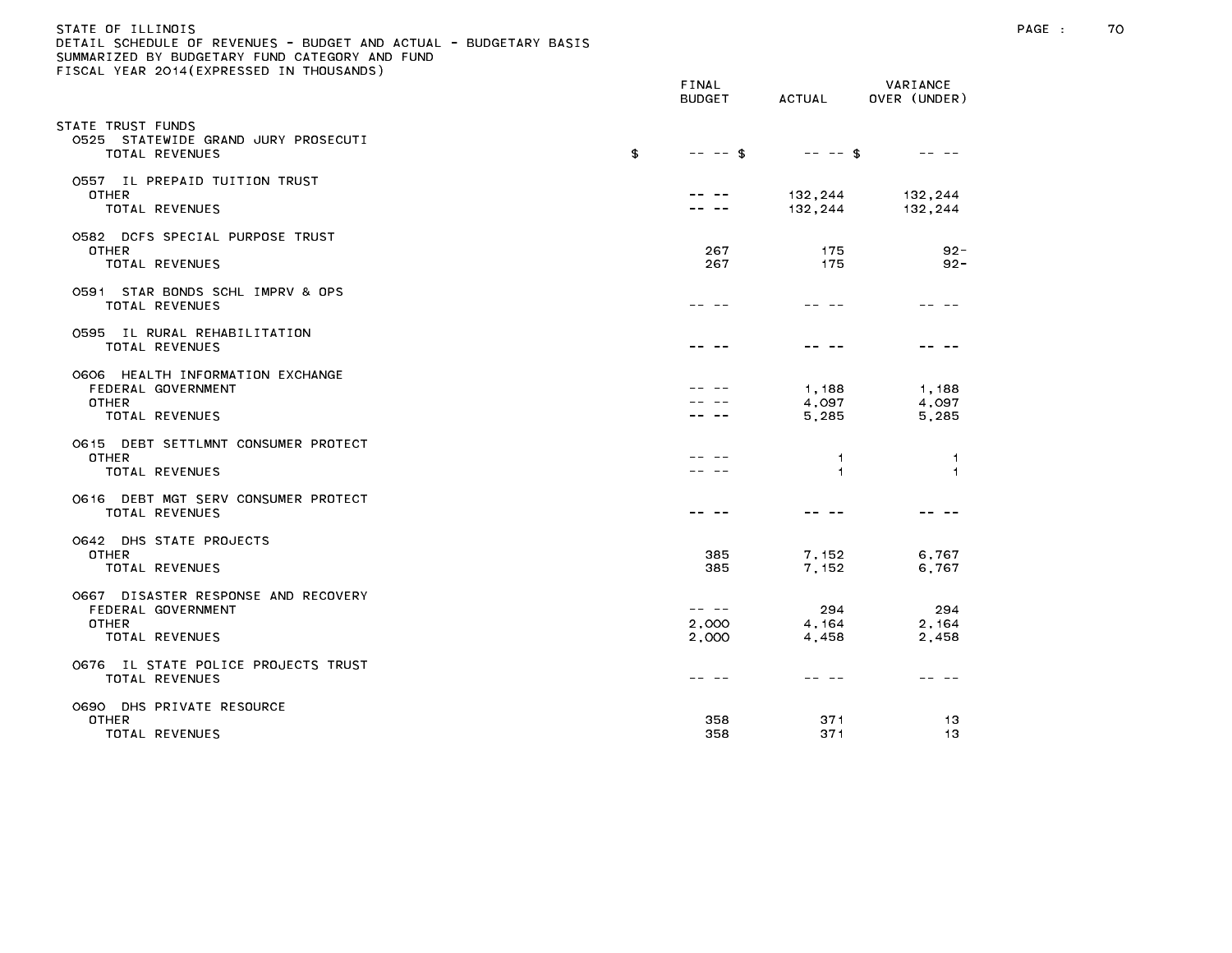| STATE OF ILLINOIS                                                 |  |
|-------------------------------------------------------------------|--|
| DETAIL SCHEDULE OF REVENUES - BUDGET AND ACTUAL - BUDGETARY BASIS |  |
| SUMMARIZED BY BUDGETARY FUND CATEGORY AND FUND                    |  |
| FISCAL YEAR 2014(EXPRESSED IN THOUSANDS)                          |  |
|                                                                   |  |

| $10071$ . This evit (TAT is 500 to the Thoughings)                                   | FINAL<br><b>BUDGET</b>  | ACTUAL                  | VARIANCE<br>OVER (UNDER) |
|--------------------------------------------------------------------------------------|-------------------------|-------------------------|--------------------------|
| STATE TRUST FUNDS<br>0525 STATEWIDE GRAND JURY PROSECUTI<br>TOTAL REVENUES           | \$<br>$-- - -$ \$       | $-- - -$ \$             |                          |
| 0557 IL PREPAID TUITION TRUST<br><b>OTHER</b><br>TOTAL REVENUES                      |                         | 132,244<br>132,244      | 132,244<br>132,244       |
| 0582 DCFS SPECIAL PURPOSE TRUST<br><b>OTHER</b><br>TOTAL REVENUES                    | 267<br>267              | 175<br>175              | $92 -$<br>$92 -$         |
| 0591 STAR BONDS SCHL IMPRV & OPS<br><b>TOTAL REVENUES</b>                            |                         |                         |                          |
| 0595 IL RURAL REHABILITATION<br><b>TOTAL REVENUES</b>                                |                         |                         |                          |
| O6O6 HEALTH INFORMATION EXCHANGE<br>FEDERAL GOVERNMENT<br>OTHER<br>TOTAL REVENUES    |                         | 1,188<br>4,097<br>5,285 | 1,188<br>4,097<br>5,285  |
| 0615 DEBT SETTLMNT CONSUMER PROTECT<br><b>OTHER</b><br>TOTAL REVENUES                |                         | -1<br>$\mathbf{1}$      | -1<br>$\overline{1}$     |
| O616 DEBT MGT SERV CONSUMER PROTECT<br>TOTAL REVENUES                                |                         |                         |                          |
| O642 DHS STATE PROJECTS<br><b>OTHER</b><br><b>TOTAL REVENUES</b>                     | 385<br>385              | 7,152<br>7,152          | 6,767<br>6,767           |
| 0667 DISASTER RESPONSE AND RECOVERY<br>FEDERAL GOVERNMENT<br>OTHER<br>TOTAL REVENUES | -- --<br>2,000<br>2,000 | 294<br>4,164<br>4,458   | 294<br>2, 164<br>2,458   |
| 0676 IL STATE POLICE PROJECTS TRUST<br>TOTAL REVENUES                                |                         | ---                     |                          |
| 0690 DHS PRIVATE RESOURCE<br><b>OTHER</b><br>TOTAL REVENUES                          | 358<br>358              | 371<br>371              | 13<br>13                 |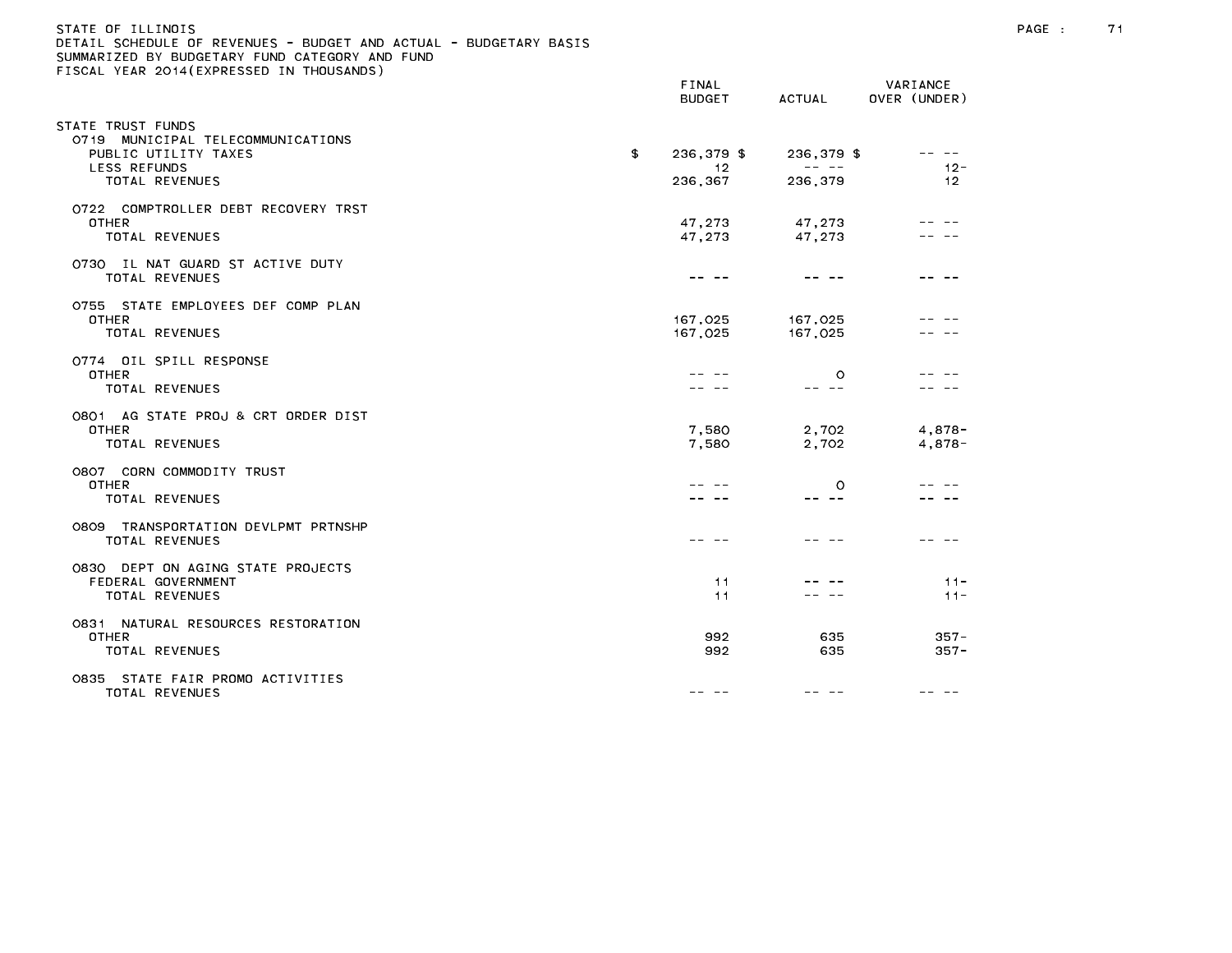| STATE OF ILLINOIS                                                 |
|-------------------------------------------------------------------|
| DETAIL SCHEDULE OF REVENUES - BUDGET AND ACTUAL - BUDGETARY BASIS |
| SUMMARIZED BY BUDGETARY FUND CATEGORY AND FUND                    |
| FISCAL YEAR 2014(EXPRESSED IN THOUSANDS)                          |
|                                                                   |

|                                                                                                                 | FINAL<br><b>BUDGET</b>             | ACTUAL                         | VARIANCE<br>OVER (UNDER)                                                                                                                                                                                                                                                                                                                                                                                     |
|-----------------------------------------------------------------------------------------------------------------|------------------------------------|--------------------------------|--------------------------------------------------------------------------------------------------------------------------------------------------------------------------------------------------------------------------------------------------------------------------------------------------------------------------------------------------------------------------------------------------------------|
| TATE TRUST FUNDS<br>0719 MUNICIPAL TELECOMMUNICATIONS<br>PUBLIC UTILITY TAXES<br>LESS REFUNDS<br>TOTAL REVENUES | \$<br>236,379 \$<br>-12<br>236,367 | 236,379 \$<br>-- --<br>236,379 | $\frac{1}{2} \frac{1}{2} \frac{1}{2} \frac{1}{2} \frac{1}{2} \frac{1}{2} \frac{1}{2} \frac{1}{2} \frac{1}{2} \frac{1}{2} \frac{1}{2} \frac{1}{2} \frac{1}{2} \frac{1}{2} \frac{1}{2} \frac{1}{2} \frac{1}{2} \frac{1}{2} \frac{1}{2} \frac{1}{2} \frac{1}{2} \frac{1}{2} \frac{1}{2} \frac{1}{2} \frac{1}{2} \frac{1}{2} \frac{1}{2} \frac{1}{2} \frac{1}{2} \frac{1}{2} \frac{1}{2} \frac{$<br>$12 -$<br>12 |
| 0722 COMPTROLLER DEBT RECOVERY TRST<br><b>OTHER</b><br>TOTAL REVENUES                                           | 47,273<br>47,273                   | 47,273<br>47,273               |                                                                                                                                                                                                                                                                                                                                                                                                              |
| 0730 IL NAT GUARD ST ACTIVE DUTY<br>TOTAL REVENUES                                                              |                                    |                                |                                                                                                                                                                                                                                                                                                                                                                                                              |
| 0755 STATE EMPLOYEES DEF COMP PLAN<br><b>OTHER</b><br>TOTAL REVENUES                                            | 167,025<br>167,025                 | 167,025<br>167,025             |                                                                                                                                                                                                                                                                                                                                                                                                              |
| 0774 OIL SPILL RESPONSE<br><b>OTHER</b><br>TOTAL REVENUES                                                       |                                    | $\circ$<br>-- --               |                                                                                                                                                                                                                                                                                                                                                                                                              |
| 0801 AG STATE PROJ & CRT ORDER DIST<br><b>OTHER</b><br>TOTAL REVENUES                                           | 7,580<br>7,580                     | 2,702<br>2,702                 | $4,878-$<br>$4,878-$                                                                                                                                                                                                                                                                                                                                                                                         |
| 0807 CORN COMMODITY TRUST<br><b>OTHER</b><br>TOTAL REVENUES                                                     |                                    | $\circ$<br>-- --               |                                                                                                                                                                                                                                                                                                                                                                                                              |
| 0809 TRANSPORTATION DEVLPMT PRTNSHP<br>TOTAL REVENUES                                                           |                                    |                                |                                                                                                                                                                                                                                                                                                                                                                                                              |
| 0830 DEPT ON AGING STATE PROJECTS<br>FEDERAL GOVERNMENT<br>TOTAL REVENUES                                       | 11<br>11                           |                                | $11 -$<br>$11 -$                                                                                                                                                                                                                                                                                                                                                                                             |
| 0831 NATURAL RESOURCES RESTORATION<br><b>OTHER</b><br>TOTAL REVENUES                                            | 992<br>992                         | 635<br>635                     | $357 -$<br>$357 -$                                                                                                                                                                                                                                                                                                                                                                                           |
| 0835 STATE FAIR PROMO ACTIVITIES<br>TOTAL REVENUES                                                              | -- -                               |                                |                                                                                                                                                                                                                                                                                                                                                                                                              |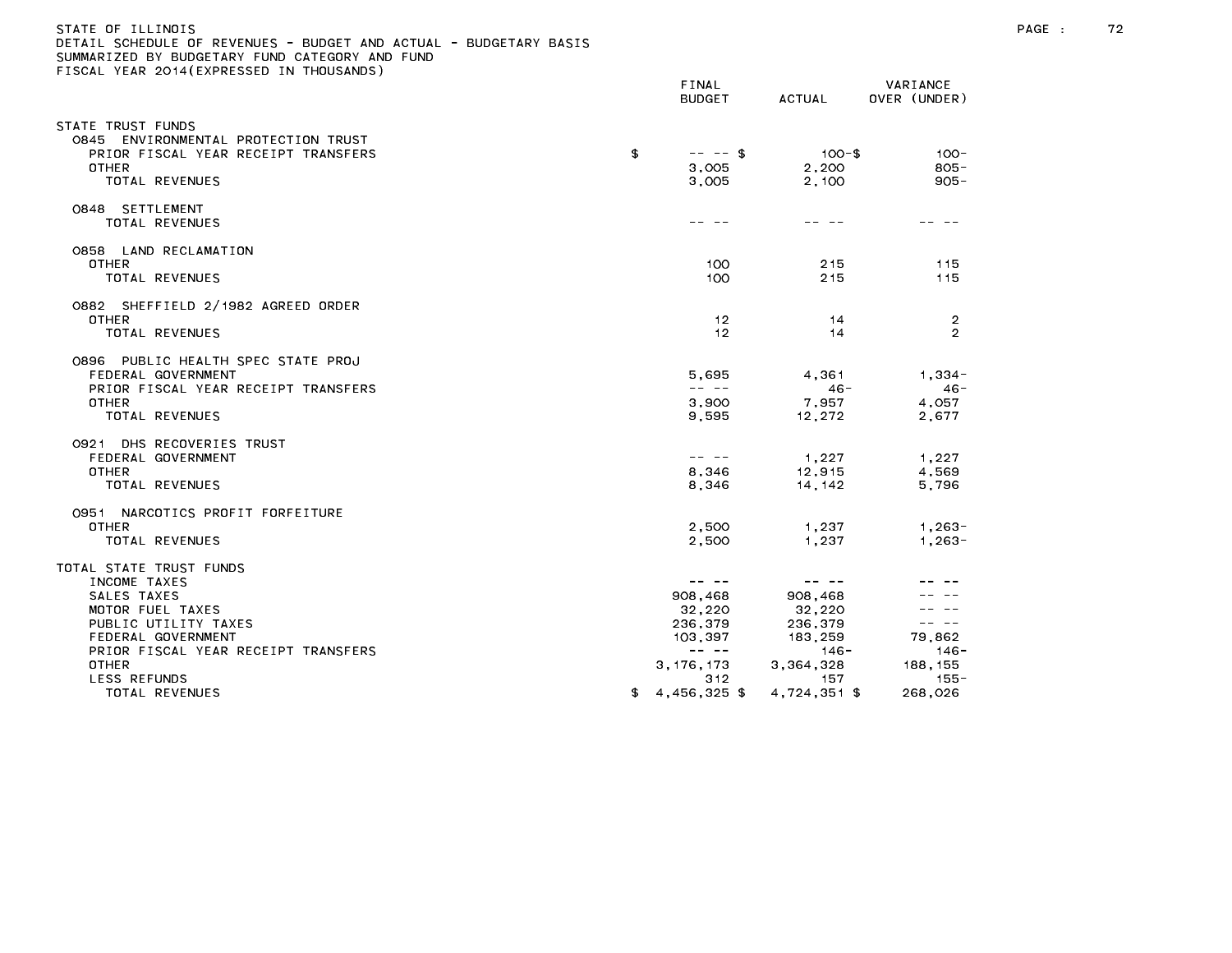## STATE OF ILLINOIS PAGE : 72 DETAIL SCHEDULE OF REVENUES - BUDGET AND ACTUAL - BUDGETARY BASIS

| TIGGAL TEAR EGIT (EAT REGGED IN                                                                                                                                 | FINAL<br><b>BUDGET</b>                                                                                                                                                                                                                                                                                                                                                                                                                                                                                                                                                                                                                                                                                                                                                                                                                  | ACTUAL                                                                                                                                                                                                                                                                                                                                                                                                                                          | VARIANCE<br>OVER (UNDER)                                                                                                                                                                                                                                                                                                                                                                                          |
|-----------------------------------------------------------------------------------------------------------------------------------------------------------------|-----------------------------------------------------------------------------------------------------------------------------------------------------------------------------------------------------------------------------------------------------------------------------------------------------------------------------------------------------------------------------------------------------------------------------------------------------------------------------------------------------------------------------------------------------------------------------------------------------------------------------------------------------------------------------------------------------------------------------------------------------------------------------------------------------------------------------------------|-------------------------------------------------------------------------------------------------------------------------------------------------------------------------------------------------------------------------------------------------------------------------------------------------------------------------------------------------------------------------------------------------------------------------------------------------|-------------------------------------------------------------------------------------------------------------------------------------------------------------------------------------------------------------------------------------------------------------------------------------------------------------------------------------------------------------------------------------------------------------------|
| STATE TRUST FUNDS<br>0845 ENVIRONMENTAL PROTECTION TRUST<br>PRIOR FISCAL YEAR RECEIPT TRANSFERS<br>OTHER<br><b>TOTAL REVENUES</b>                               | \$<br>$-- - - $ \$<br>3,005<br>3,005                                                                                                                                                                                                                                                                                                                                                                                                                                                                                                                                                                                                                                                                                                                                                                                                    | $100 - $$<br>2,200<br>2,100                                                                                                                                                                                                                                                                                                                                                                                                                     | $100 -$<br>$805 -$<br>$905 -$                                                                                                                                                                                                                                                                                                                                                                                     |
| 0848 SETTLEMENT<br>TOTAL REVENUES                                                                                                                               | -- --                                                                                                                                                                                                                                                                                                                                                                                                                                                                                                                                                                                                                                                                                                                                                                                                                                   |                                                                                                                                                                                                                                                                                                                                                                                                                                                 |                                                                                                                                                                                                                                                                                                                                                                                                                   |
| 0858 LAND RECLAMATION<br><b>OTHER</b><br>TOTAL REVENUES                                                                                                         | 100<br>100                                                                                                                                                                                                                                                                                                                                                                                                                                                                                                                                                                                                                                                                                                                                                                                                                              | 215<br>215                                                                                                                                                                                                                                                                                                                                                                                                                                      | 115<br>115                                                                                                                                                                                                                                                                                                                                                                                                        |
| 0882 SHEFFIELD 2/1982 AGREED ORDER<br><b>OTHER</b><br>TOTAL REVENUES                                                                                            | 12<br>12                                                                                                                                                                                                                                                                                                                                                                                                                                                                                                                                                                                                                                                                                                                                                                                                                                | 14<br>14                                                                                                                                                                                                                                                                                                                                                                                                                                        | 2<br>$\overline{2}$                                                                                                                                                                                                                                                                                                                                                                                               |
| 0896 PUBLIC HEALTH SPEC STATE PROJ<br>FEDERAL GOVERNMENT<br>PRIOR FISCAL YEAR RECEIPT TRANSFERS<br>OTHER<br>TOTAL REVENUES                                      | 5,695<br>$\frac{1}{2} \frac{1}{2} \frac{1}{2} \frac{1}{2} \frac{1}{2} \frac{1}{2} \frac{1}{2} \frac{1}{2} \frac{1}{2} \frac{1}{2} \frac{1}{2} \frac{1}{2} \frac{1}{2} \frac{1}{2} \frac{1}{2} \frac{1}{2} \frac{1}{2} \frac{1}{2} \frac{1}{2} \frac{1}{2} \frac{1}{2} \frac{1}{2} \frac{1}{2} \frac{1}{2} \frac{1}{2} \frac{1}{2} \frac{1}{2} \frac{1}{2} \frac{1}{2} \frac{1}{2} \frac{1}{2} \frac{$<br>3,900<br>9,595                                                                                                                                                                                                                                                                                                                                                                                                                 | 4.361<br>$46 -$<br>7,957<br>12,272                                                                                                                                                                                                                                                                                                                                                                                                              | $1.334 -$<br>$46 -$<br>4.057<br>2,677                                                                                                                                                                                                                                                                                                                                                                             |
| 0921 DHS RECOVERIES TRUST<br>FEDERAL GOVERNMENT<br>OTHER<br>TOTAL REVENUES                                                                                      | 8,346<br>8.346                                                                                                                                                                                                                                                                                                                                                                                                                                                                                                                                                                                                                                                                                                                                                                                                                          | 1,227<br>12,915<br>14.142                                                                                                                                                                                                                                                                                                                                                                                                                       | 1,227<br>4,569<br>5,796                                                                                                                                                                                                                                                                                                                                                                                           |
| 0951 NARCOTICS PROFIT FORFEITURE<br><b>OTHER</b><br><b>TOTAL REVENUES</b>                                                                                       | 2,500<br>2,500                                                                                                                                                                                                                                                                                                                                                                                                                                                                                                                                                                                                                                                                                                                                                                                                                          | 1,237<br>1,237                                                                                                                                                                                                                                                                                                                                                                                                                                  | $1,263-$<br>$1.263 -$                                                                                                                                                                                                                                                                                                                                                                                             |
| TOTAL STATE TRUST FUNDS<br>INCOME TAXES<br>SALES TAXES<br>MOTOR FUEL TAXES<br>PUBLIC UTILITY TAXES<br>FEDERAL GOVERNMENT<br>PRIOR FISCAL YEAR RECEIPT TRANSFERS | $\frac{1}{2} \frac{1}{2} \frac{1}{2} \frac{1}{2} \frac{1}{2} \frac{1}{2} \frac{1}{2} \frac{1}{2} \frac{1}{2} \frac{1}{2} \frac{1}{2} \frac{1}{2} \frac{1}{2} \frac{1}{2} \frac{1}{2} \frac{1}{2} \frac{1}{2} \frac{1}{2} \frac{1}{2} \frac{1}{2} \frac{1}{2} \frac{1}{2} \frac{1}{2} \frac{1}{2} \frac{1}{2} \frac{1}{2} \frac{1}{2} \frac{1}{2} \frac{1}{2} \frac{1}{2} \frac{1}{2} \frac{$<br>908,468<br>32,220<br>236,379<br>103,397<br>$\frac{1}{2} \frac{1}{2} \frac{1}{2} \frac{1}{2} \frac{1}{2} \frac{1}{2} \frac{1}{2} \frac{1}{2} \frac{1}{2} \frac{1}{2} \frac{1}{2} \frac{1}{2} \frac{1}{2} \frac{1}{2} \frac{1}{2} \frac{1}{2} \frac{1}{2} \frac{1}{2} \frac{1}{2} \frac{1}{2} \frac{1}{2} \frac{1}{2} \frac{1}{2} \frac{1}{2} \frac{1}{2} \frac{1}{2} \frac{1}{2} \frac{1}{2} \frac{1}{2} \frac{1}{2} \frac{1}{2} \frac{$ | $\frac{1}{2} \frac{1}{2} \frac{1}{2} \frac{1}{2} \frac{1}{2} \frac{1}{2} \frac{1}{2} \frac{1}{2} \frac{1}{2} \frac{1}{2} \frac{1}{2} \frac{1}{2} \frac{1}{2} \frac{1}{2} \frac{1}{2} \frac{1}{2} \frac{1}{2} \frac{1}{2} \frac{1}{2} \frac{1}{2} \frac{1}{2} \frac{1}{2} \frac{1}{2} \frac{1}{2} \frac{1}{2} \frac{1}{2} \frac{1}{2} \frac{1}{2} \frac{1}{2} \frac{1}{2} \frac{1}{2} \frac{$<br>908,468<br>32,220<br>236,379<br>183,259<br>146- | $\frac{1}{2} \frac{1}{2} \frac{1}{2} \frac{1}{2} \frac{1}{2} \frac{1}{2} \frac{1}{2} \frac{1}{2} \frac{1}{2} \frac{1}{2} \frac{1}{2} \frac{1}{2} \frac{1}{2} \frac{1}{2} \frac{1}{2} \frac{1}{2} \frac{1}{2} \frac{1}{2} \frac{1}{2} \frac{1}{2} \frac{1}{2} \frac{1}{2} \frac{1}{2} \frac{1}{2} \frac{1}{2} \frac{1}{2} \frac{1}{2} \frac{1}{2} \frac{1}{2} \frac{1}{2} \frac{1}{2} \frac{$<br>79,862<br>$146 -$ |
| OTHER<br><b>LESS REFUNDS</b><br>TOTAL REVENUES                                                                                                                  | \$<br>3, 176, 173<br>312<br>4.456.325 \$                                                                                                                                                                                                                                                                                                                                                                                                                                                                                                                                                                                                                                                                                                                                                                                                | 3,364,328<br>157<br>4.724.351 \$                                                                                                                                                                                                                                                                                                                                                                                                                | 188, 155<br>155-<br>268,026                                                                                                                                                                                                                                                                                                                                                                                       |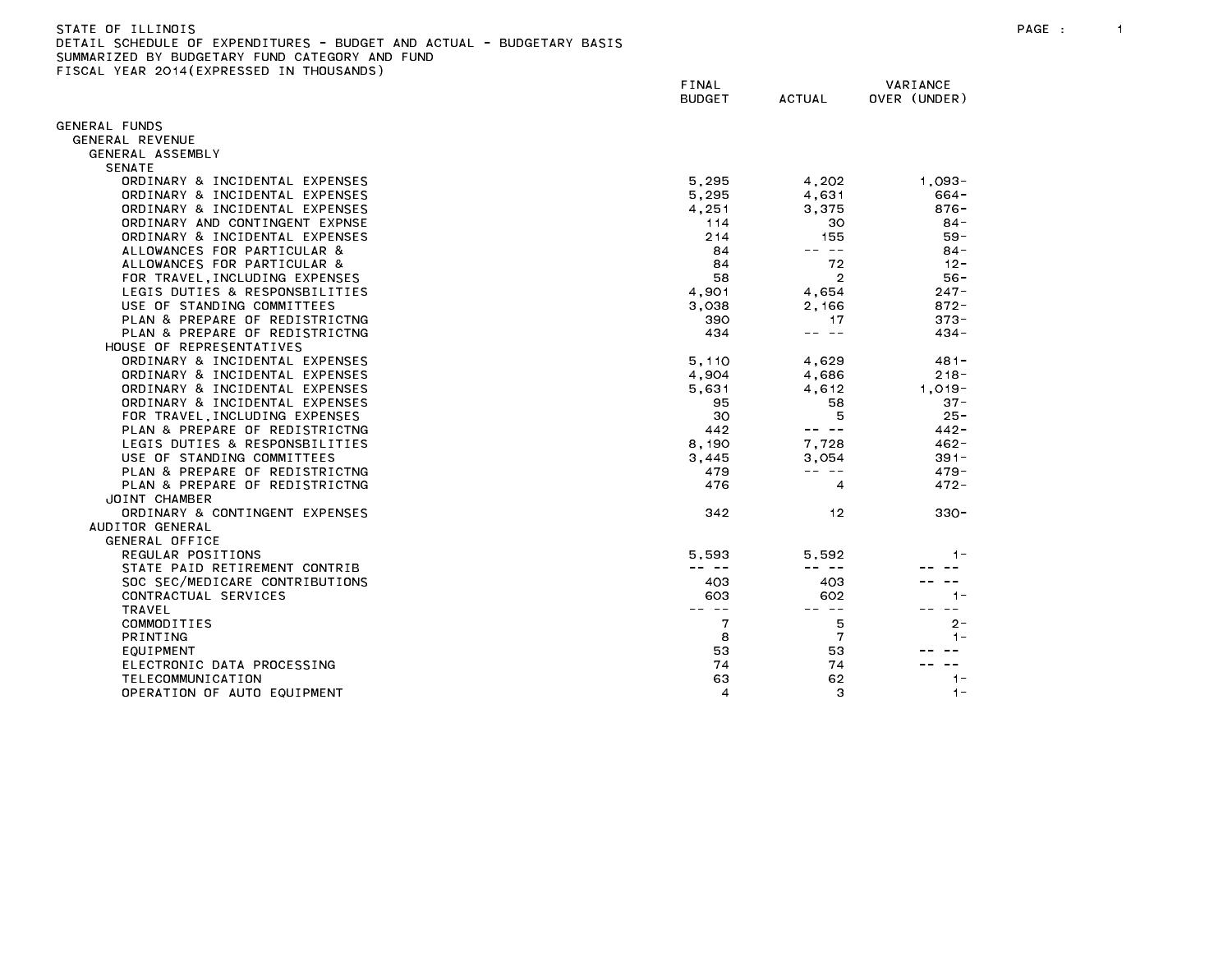| -STATE OF TELINOIS                                                    |  |
|-----------------------------------------------------------------------|--|
| DETAIL SCHEDULE OF EXPENDITURES - BUDGET AND ACTUAL - BUDGETARY BASIS |  |
| SUMMARIZED BY BUDGETARY FUND CATEGORY AND FUND                        |  |

FISCAL YEAR 2014(EXPRESSED IN THOUSANDS)

FINAL VARIANCE BUDGET ACTUAL OVER (UNDER) GENERAL FUNDS GENERAL REVENUE GENERAL ASSEMBLY SENATE ORDINARY & INCIDENTAL EXPENSES 6.295 4.202 1.093-ORDINARY & INCIDENTAL EXPENSES THE SECOND SECOND SECOND SECOND SECOND SECOND SECOND SECOND SECOND SECOND SECOND ORDINARY & INCIDENTAL EXPENSES And the state of the state of the state of the state of the state of the state o ORDINARY AND CONTINGENT EXPNSE 114 30 84- ORDINARY & INCIDENTAL EXPENSES 69-8 and the set of the set of the set of the set of the set of the set of the set of the set of the set of the set of the set of the set of the set of the set of the set of the set of the se ALLOWANCES FOR PARTICULAR & 84 -- -- 84- ALLOWANCES FOR PARTICULAR & 84 72 12- FOR TRAVEL,INCLUDING EXPENSES 58 2 56- LEGIS DUTIES & RESPONSBILITIES 4,901 4,654 247- USE OF STANDING COMMITTEES 3,038 2,166 872- PLAN & PREPARE OF REDISTRICTNG 390 273-PLAN & PREPARE OF REDISTRICTNG 434 --- 434 --- 434 --- 434 --- 434 --- 434 --- 434 -- 434 -- 434 -- 434 -- 434 -- 434 -- 434 -- 435 -- 437 -- 437 -- 437 -- 437 -- 438 -- 437 -- 438 -- 437 -- 438 -- 437 -- 437 -- 438 -- 437 HOUSE OF REPRESENTATIVES ORDINARY & INCIDENTAL EXPENSES THE SERIES ON STREET STATES AND THE SERIES OF A 4,629 481-ORDINARY & INCIDENTAL EXPENSES And the set of the contract of the contract of the contract of the contract of the contract of the contract of the contract of the contract of the contract of the contract of the contract of ORDINARY & INCIDENTAL EXPENSES THE SERIES ON A SUB-LINE SERIES AND SUB-LINE SERIES AND SUB-LINE SERIES ON A SUB-ORDINARY & INCIDENTAL EXPENSES 637-88 58 58 37-FOR TRAVEL,INCLUDING EXPENSES 30 5 25- PLAN & PREPARE OF REDISTRICTNG 442 A 442 A 442 A 442-LEGIS DUTIES & RESPONSBILITIES 8,190 7,728 462- USE OF STANDING COMMITTEES AND STANDING COMMITTEES AND SALL SERVICE STANDING COMMITTEES AND SALL SERVICE STAND PLAN & PREPARE OF REDISTRICTNG 479 --- 479-PLAN & PREPARE OF REDISTRICTNG 476 4 472- JOINT CHAMBER ORDINARY & CONTINGENT EXPENSES And the state of the state of the state of the state of the state of the state o AUDITOR GENERAL GENERAL OFFICE REGULAR POSITIONS 5,593 5,592 1- STATE PAID RETIREMENT CONTRIB And the state of the state of the state of the state of the state of the state of the state of the state of the state of the state of the state of the state of the state of the state of the st SOC SEC/MEDICARE CONTRIBUTIONS AND RESOLUTIONS A LOCALITY OF A LOCAL AND HE SAME AND HE SAME AND HE SAME ASSESS CONTRACTUAL SERVICES 603 602 1- COMMODITIES 2-ELECTRONIC DATA PROCESSING THE RELECTRONIC DATA PROCESSING THE RELECTRONIC DATA PROCESSING TELECOMMUNICATION OPERATION OF AUTO EQUIPMENT And the control of the control of the control of the control of the control of the control of the control of the control of the control of the control of the control of the control of the contro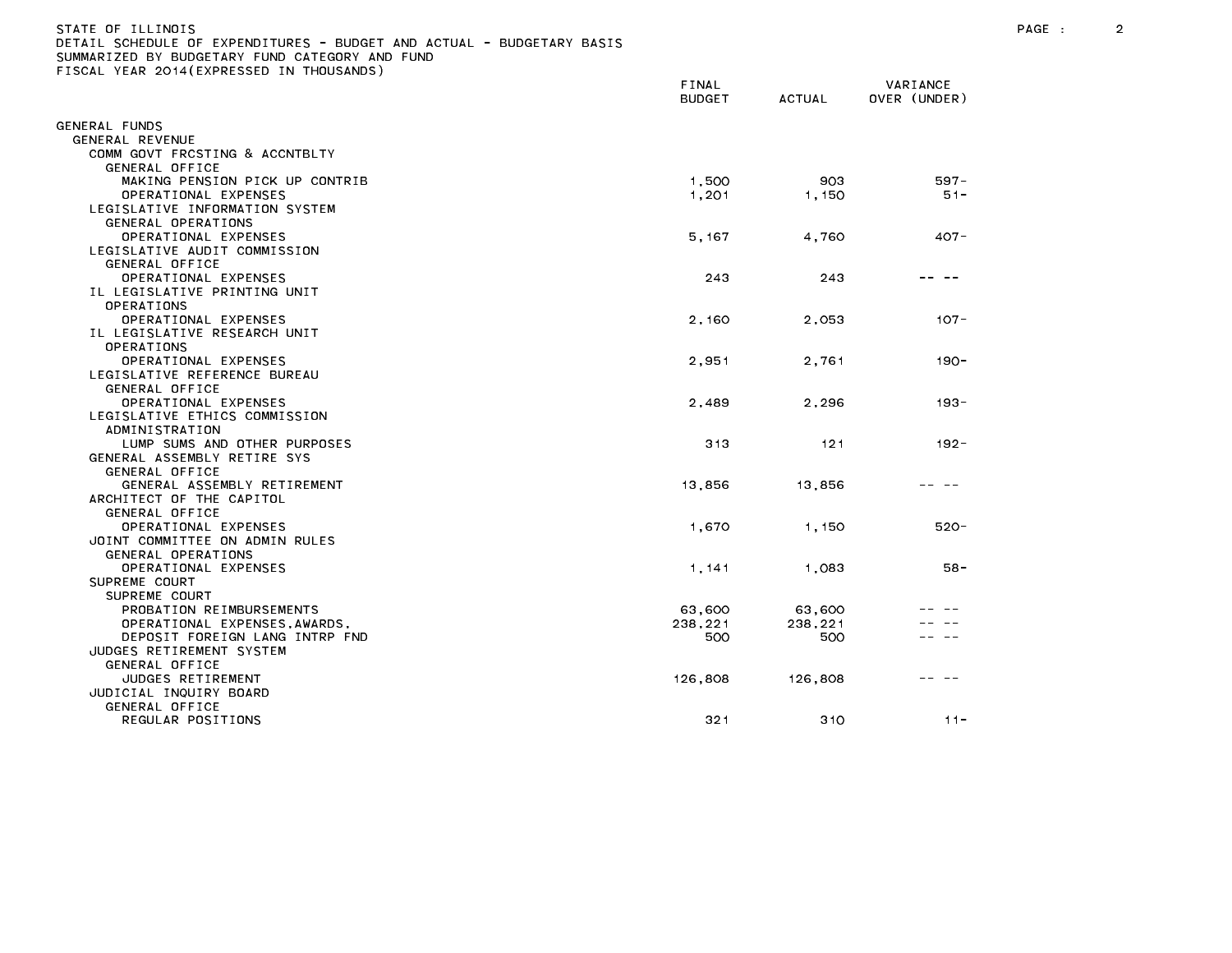# STATE OF ILLINOIS PAGE : 2 DETAIL SCHEDULE OF EXPENDITURES - BUDGET AND ACTUAL - BUDGETARY BASIS

|                                | FINAL<br><b>BUDGET</b> | <b>ACTUAL</b> | VARIANCE<br>OVER (UNDER) |
|--------------------------------|------------------------|---------------|--------------------------|
| GENERAL FUNDS                  |                        |               |                          |
| GENERAL REVENUE                |                        |               |                          |
| COMM GOVT FRCSTING & ACCNTBLTY |                        |               |                          |
| GENERAL OFFICE                 |                        |               |                          |
| MAKING PENSION PICK UP CONTRIB | 1,500                  | 903           | $597 -$                  |
| OPERATIONAL EXPENSES           | 1,201                  | 1,150         | $51 -$                   |
| LEGISLATIVE INFORMATION SYSTEM |                        |               |                          |
| GENERAL OPERATIONS             |                        |               |                          |
| OPERATIONAL EXPENSES           | 5, 167                 | 4,760         | $407 -$                  |
| LEGISLATIVE AUDIT COMMISSION   |                        |               |                          |
| GENERAL OFFICE                 |                        |               |                          |
| OPERATIONAL EXPENSES           | 243                    | 243           |                          |
| IL LEGISLATIVE PRINTING UNIT   |                        |               |                          |
| OPERATIONS                     |                        |               |                          |
| OPERATIONAL EXPENSES           | 2,160                  | 2,053         | $107 -$                  |
| IL LEGISLATIVE RESEARCH UNIT   |                        |               |                          |
| OPERATIONS                     |                        |               |                          |
| OPERATIONAL EXPENSES           | 2,951                  | 2,761         | $190 -$                  |
| LEGISLATIVE REFERENCE BUREAU   |                        |               |                          |
| GENERAL OFFICE                 |                        |               |                          |
| OPERATIONAL EXPENSES           | 2,489                  | 2,296         | $193 -$                  |
| LEGISLATIVE ETHICS COMMISSION  |                        |               |                          |
| ADMINISTRATION                 |                        |               |                          |
| LUMP SUMS AND OTHER PURPOSES   | 313                    | 121           | $192 -$                  |
| GENERAL ASSEMBLY RETIRE SYS    |                        |               |                          |
| GENERAL OFFICE                 |                        |               |                          |
| GENERAL ASSEMBLY RETIREMENT    | 13,856                 | 13,856        |                          |
| ARCHITECT OF THE CAPITOL       |                        |               |                          |
| GENERAL OFFICE                 |                        |               |                          |
| OPERATIONAL EXPENSES           | 1,670                  | 1,150         | $520 -$                  |
| JOINT COMMITTEE ON ADMIN RULES |                        |               |                          |
| GENERAL OPERATIONS             |                        |               |                          |
| OPERATIONAL EXPENSES           | 1,141                  | 1,083         | $58 -$                   |
| SUPREME COURT                  |                        |               |                          |
| SUPREME COURT                  |                        |               |                          |
| PROBATION REIMBURSEMENTS       | 63,600                 | 63,600        |                          |
| OPERATIONAL EXPENSES, AWARDS,  | 238,221                | 238,221       |                          |
| DEPOSIT FOREIGN LANG INTRP FND | 500                    | 500           |                          |
| JUDGES RETIREMENT SYSTEM       |                        |               |                          |
| GENERAL OFFICE                 |                        |               |                          |
| JUDGES RETIREMENT              | 126,808                | 126,808       |                          |
| JUDICIAL INQUIRY BOARD         |                        |               |                          |
| GENERAL OFFICE                 |                        |               |                          |
| REGULAR POSITIONS              | 321                    | 310           | $11 -$                   |
|                                |                        |               |                          |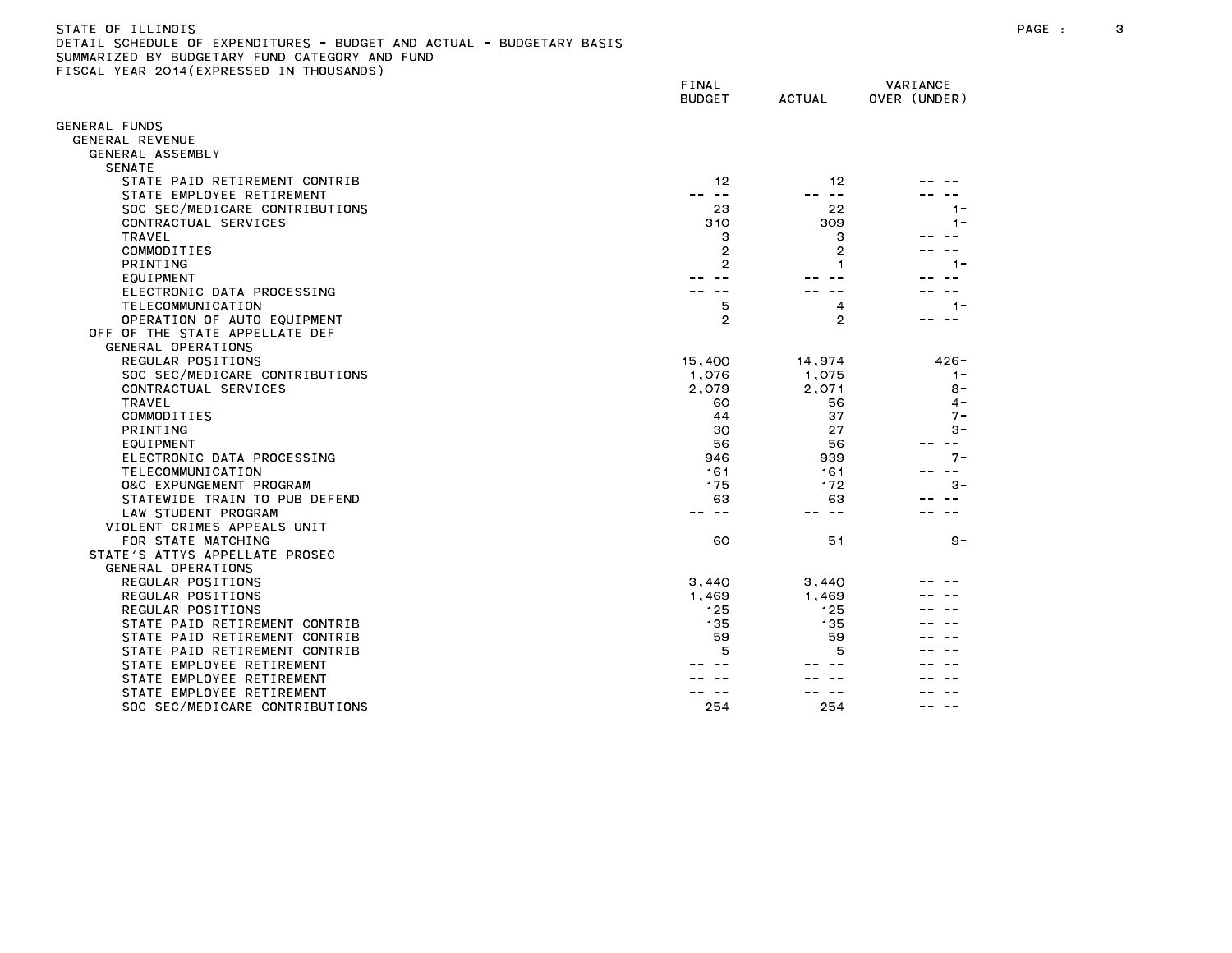## STATE OF ILLINOIS PAGE : 3 DETAIL SCHEDULE OF EXPENDITURES - BUDGET AND ACTUAL - BUDGETARY BASIS

|                                                      | FINAL<br><b>BUDGET</b> | <b>ACTUAL</b>  | VARIANCE<br>OVER (UNDER) |
|------------------------------------------------------|------------------------|----------------|--------------------------|
| GENERAL FUNDS                                        |                        |                |                          |
| GENERAL REVENUE                                      |                        |                |                          |
| GENERAL ASSEMBLY                                     |                        |                |                          |
| <b>SENATE</b>                                        |                        |                |                          |
| STATE PAID RETIREMENT CONTRIB                        | 12                     | 12             |                          |
| STATE EMPLOYEE RETIREMENT                            | $\sim$ $-$             | $\sim$ $-$     |                          |
| SOC SEC/MEDICARE CONTRIBUTIONS                       | 23                     | 22             | 1-                       |
| CONTRACTUAL SERVICES                                 | 310                    | 309            | $1 -$                    |
| TRAVEL                                               | 3                      | 3              |                          |
| COMMODITIES                                          | $\overline{2}$         | $\overline{2}$ |                          |
| <b>PRINTING</b>                                      | $\overline{2}$         |                | $1 -$                    |
| EQUIPMENT                                            |                        |                |                          |
| ELECTRONIC DATA PROCESSING                           |                        |                |                          |
| TELECOMMUNICATION                                    | 5                      | 4              | $1 -$                    |
| OPERATION OF AUTO EQUIPMENT                          | $\overline{2}$         | $\overline{2}$ |                          |
| OFF OF THE STATE APPELLATE DEF                       |                        |                |                          |
| GENERAL OPERATIONS                                   |                        |                |                          |
| REGULAR POSITIONS                                    | 15,400                 | 14.974         | $426 -$                  |
| SOC SEC/MEDICARE CONTRIBUTIONS                       | 1,076                  | 1,075          | $1 -$                    |
| CONTRACTUAL SERVICES                                 | 2.079                  | 2.071          | $8 -$                    |
| TRAVEL                                               | 60                     | 56             | $4 -$                    |
| COMMODITIES                                          | 44                     | 37             | $7 -$                    |
| <b>PRINTING</b>                                      | 30                     | 27             | $3 -$                    |
| EQUIPMENT                                            | 56                     | 56             | $- -$                    |
| ELECTRONIC DATA PROCESSING                           | 946                    | 939            | $7 -$                    |
| TELECOMMUNICATION                                    | 161                    | 161            |                          |
| 0&C EXPUNGEMENT PROGRAM                              | 175                    | 172            | $3 -$                    |
| STATEWIDE TRAIN TO PUB DEFEND<br>LAW STUDENT PROGRAM | 63                     | 63<br>$- -$    |                          |
| VIOLENT CRIMES APPEALS UNIT                          |                        |                |                          |
| FOR STATE MATCHING                                   | 60                     | 51             | $9 -$                    |
| STATE'S ATTYS APPELLATE PROSEC                       |                        |                |                          |
| GENERAL OPERATIONS                                   |                        |                |                          |
| REGULAR POSITIONS                                    | 3,440                  | 3,440          |                          |
| REGULAR POSITIONS                                    | 1,469                  | 1,469          |                          |
| REGULAR POSITIONS                                    | 125                    | 125            |                          |
| STATE PAID RETIREMENT CONTRIB                        | 135                    | 135            |                          |
| STATE PAID RETIREMENT CONTRIB                        | 59                     | 59             |                          |
| STATE PAID RETIREMENT CONTRIB                        | 5                      | 5              |                          |
| STATE EMPLOYEE RETIREMENT                            |                        |                |                          |
| STATE EMPLOYEE RETIREMENT                            |                        |                |                          |
| STATE EMPLOYEE RETIREMENT                            |                        |                |                          |
| SOC SEC/MEDICARE CONTRIBUTIONS                       | 254                    | 254            |                          |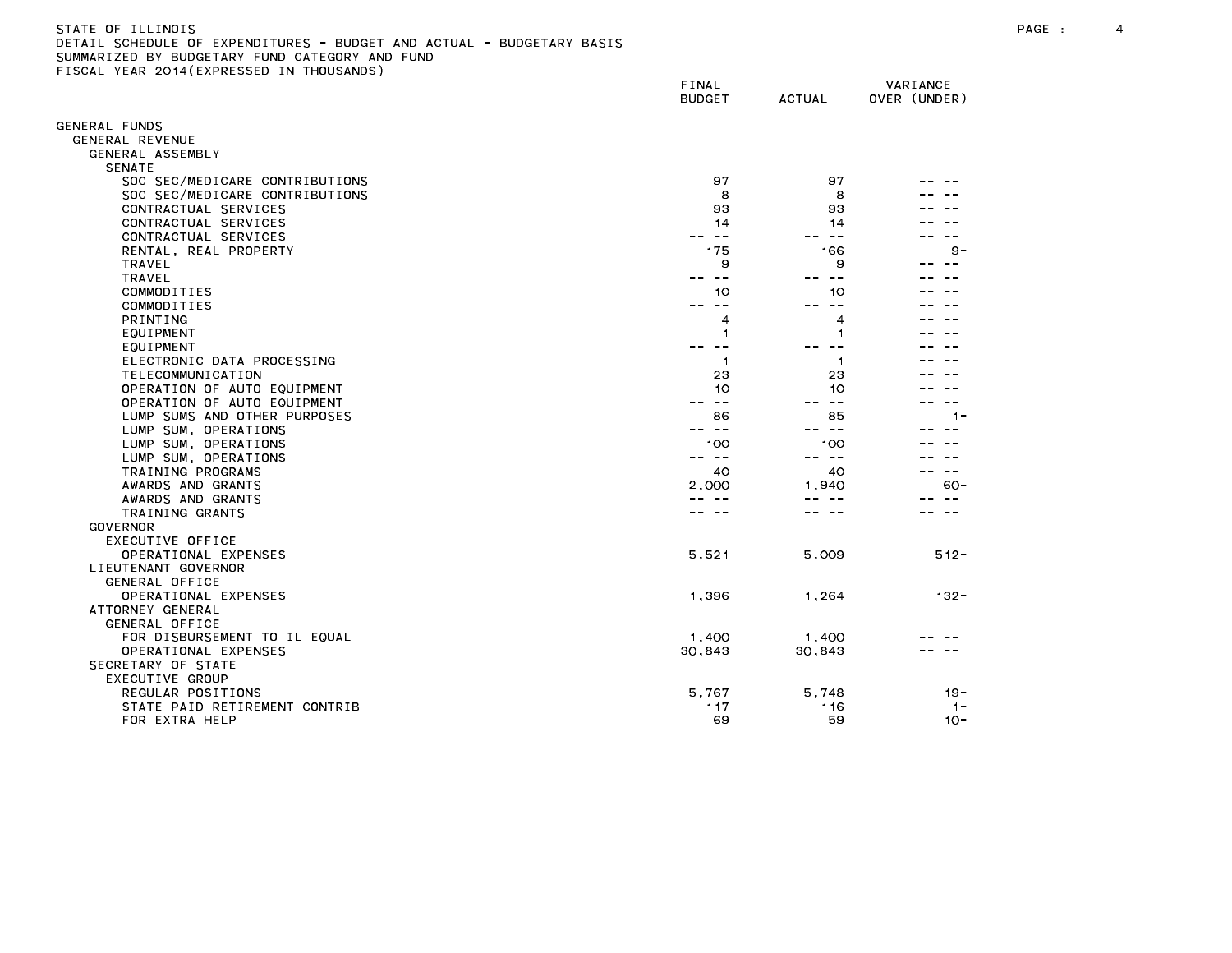| STATE OF ILLINOIS                                                     |
|-----------------------------------------------------------------------|
| DETAIL SCHEDULE OF EXPENDITURES - BUDGET AND ACTUAL - BUDGETARY BASIS |
| SUMMARIZED BY BUDGETARY FUND CATEGORY AND FUND                        |
| FISCAL YEAR 2014(EXPRESSED IN THOUSANDS)                              |

|                                                  | FINAL<br><b>BUDGET</b> | <b>ACTUAL</b>  | VARIANCE<br>OVER (UNDER) |
|--------------------------------------------------|------------------------|----------------|--------------------------|
| GENERAL FUNDS                                    |                        |                |                          |
| GENERAL REVENUE                                  |                        |                |                          |
| GENERAL ASSEMBLY                                 |                        |                |                          |
| <b>SENATE</b>                                    |                        |                |                          |
| SOC SEC/MEDICARE CONTRIBUTIONS                   | 97                     | 97             |                          |
| SOC SEC/MEDICARE CONTRIBUTIONS                   | 8                      | 8              |                          |
| CONTRACTUAL SERVICES                             | 93                     | 93             |                          |
| CONTRACTUAL SERVICES                             | 14                     | 14             |                          |
| CONTRACTUAL SERVICES                             | $\sim$ $-$<br>$- -$    | $\sim$ $-$     |                          |
| RENTAL, REAL PROPERTY                            | 175                    | 166            | $9 -$                    |
| TRAVEL                                           | 9                      | 9              | $ -$                     |
| <b>TRAVEL</b>                                    | -- --                  | $\sim$ $ -$    |                          |
| COMMODITIES                                      | 10                     | 10             |                          |
| COMMODITIES                                      | $- -$<br>- -           |                |                          |
| <b>PRINTING</b>                                  | 4                      | 4              |                          |
| EQUIPMENT                                        | 1                      | 1              |                          |
| EQUIPMENT                                        | $ -$                   |                |                          |
| ELECTRONIC DATA PROCESSING                       | -1<br>23               | -1<br>23       |                          |
| TELECOMMUNICATION<br>OPERATION OF AUTO EQUIPMENT | 10                     | 10             |                          |
| OPERATION OF AUTO EQUIPMENT                      | $- -$                  | $ -$           |                          |
| LUMP SUMS AND OTHER PURPOSES                     | 86                     | 85             | $1 -$                    |
| LUMP SUM, OPERATIONS                             | $- -$<br>--            | $- -$          |                          |
| LUMP SUM, OPERATIONS                             | 100                    | 100            |                          |
| LUMP SUM, OPERATIONS                             | $\sim$ $-$<br>$- -$    | $- -$<br>$- -$ |                          |
| TRAINING PROGRAMS                                | 40                     | 40             |                          |
| AWARDS AND GRANTS                                | 2,000                  | 1,940          | $60 -$                   |
| AWARDS AND GRANTS                                | $\sim$ $-$             | $- -$          |                          |
| TRAINING GRANTS                                  |                        |                |                          |
| <b>GOVERNOR</b>                                  |                        |                |                          |
| <b>EXECUTIVE OFFICE</b>                          |                        |                |                          |
| OPERATIONAL EXPENSES                             | 5,521                  | 5,009          | $512 -$                  |
| LIEUTENANT GOVERNOR                              |                        |                |                          |
| GENERAL OFFICE                                   |                        |                |                          |
| OPERATIONAL EXPENSES                             | 1,396                  | 1,264          | $132 -$                  |
| ATTORNEY GENERAL                                 |                        |                |                          |
| GENERAL OFFICE                                   |                        |                |                          |
| FOR DISBURSEMENT TO IL EQUAL                     | 1,400                  | 1,400          |                          |
| OPERATIONAL EXPENSES                             | 30,843                 | 30,843         |                          |
| SECRETARY OF STATE                               |                        |                |                          |
| EXECUTIVE GROUP                                  |                        |                |                          |
| REGULAR POSITIONS                                | 5,767                  | 5,748          | $19 -$                   |
| STATE PAID RETIREMENT CONTRIB                    | 117                    | 116<br>59      | $1 -$<br>$10 -$          |
| FOR EXTRA HELP                                   | 69                     |                |                          |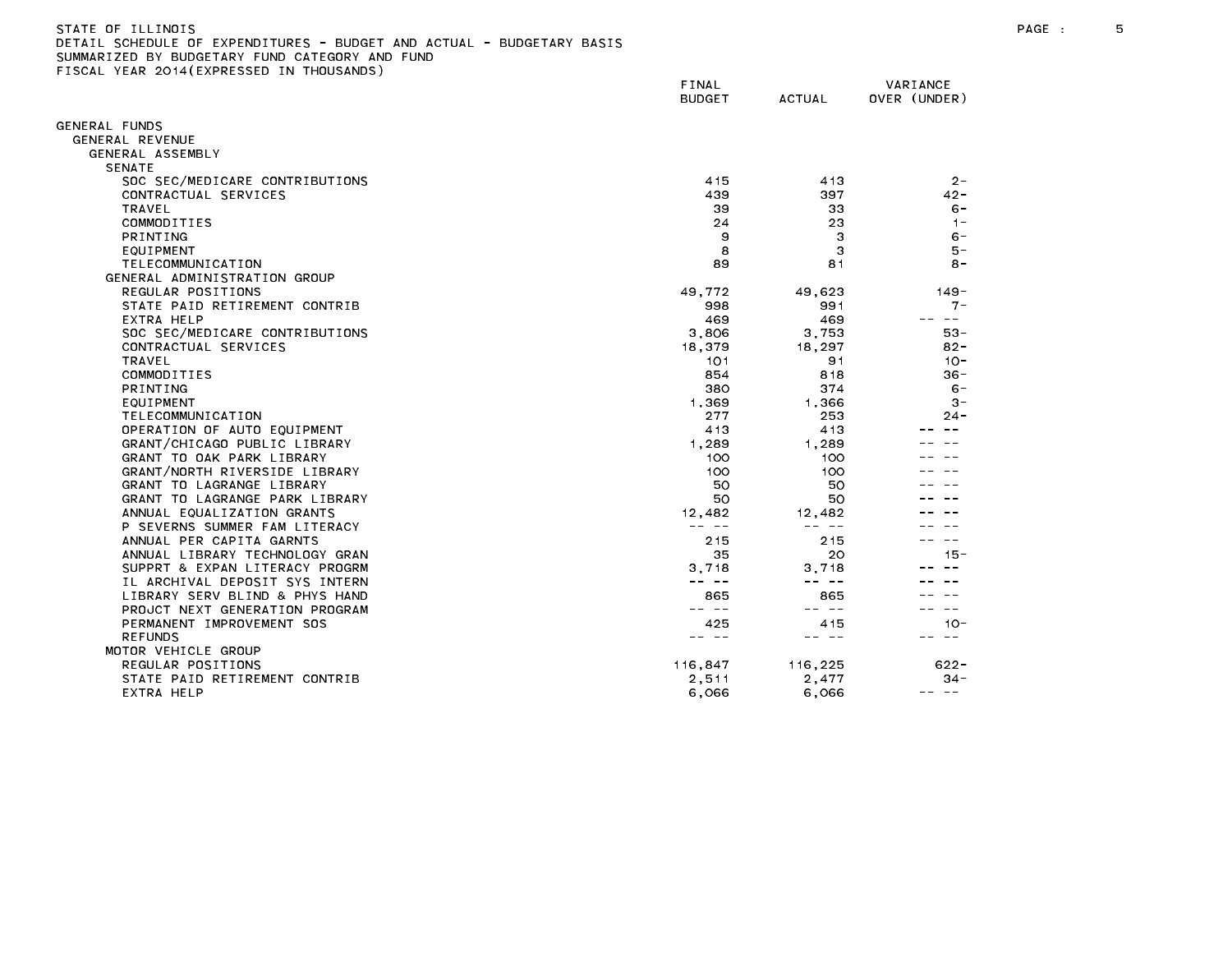| STATE OF ILLINOIS                                                     |  |
|-----------------------------------------------------------------------|--|
| DETAIL SCHEDULE OF EXPENDITURES - BUDGET AND ACTUAL - BUDGETARY BASIS |  |
| SUMMARIZED BY BUDGETARY FUND CATEGORY AND FUND                        |  |
| FISCAL YEAR 2014(EXPRESSED IN THOUSANDS)                              |  |

|                                                           | <b>FINAL</b><br><b>BUDGET</b> | <b>ACTUAL</b>   | VARIANCE<br>OVER (UNDER) |
|-----------------------------------------------------------|-------------------------------|-----------------|--------------------------|
| <b>GENERAL FUNDS</b>                                      |                               |                 |                          |
| GENERAL REVENUE                                           |                               |                 |                          |
| GENERAL ASSEMBLY                                          |                               |                 |                          |
| <b>SENATE</b>                                             |                               |                 |                          |
| SOC SEC/MEDICARE CONTRIBUTIONS                            | 415                           | 413             | $2 -$                    |
| CONTRACTUAL SERVICES                                      | 439                           | 397             | $42 -$                   |
| TRAVEL                                                    | 39                            | 33              | $6 -$                    |
| COMMODITIES                                               | 24                            | 23              | $1 -$                    |
| <b>PRINTING</b>                                           | 9                             | З               | $6 -$                    |
| EQUIPMENT                                                 | 8                             | 3               | $5 -$                    |
| TELECOMMUNICATION                                         | 89                            | 81              | $8 -$                    |
| GENERAL ADMINISTRATION GROUP                              |                               |                 |                          |
| REGULAR POSITIONS                                         | 49.772                        | 49.623          | $149 -$                  |
| STATE PAID RETIREMENT CONTRIB                             | 998                           | 991             | $7 -$                    |
| EXTRA HELP                                                | 469                           | 469             | $- -$                    |
| SOC SEC/MEDICARE CONTRIBUTIONS                            | 3,806                         | 3,753           | $53 -$                   |
| CONTRACTUAL SERVICES                                      | 18,379                        | 18,297          | $82 -$                   |
| TRAVEL                                                    | 101                           | 91              | $10 -$                   |
| COMMODITIES                                               | 854                           | 818             | $36 -$                   |
| <b>PRINTING</b>                                           | 380                           | 374             | $6 -$                    |
| EQUIPMENT                                                 | 1,369                         | 1,366           | $3 -$                    |
| TELECOMMUNICATION                                         | 277                           | 253             | $24 -$                   |
| OPERATION OF AUTO EQUIPMENT                               | 413                           | 413             |                          |
| GRANT/CHICAGO PUBLIC LIBRARY                              | 1,289                         | 1.289           |                          |
| GRANT TO OAK PARK LIBRARY                                 | 100                           | 100             |                          |
| GRANT/NORTH RIVERSIDE LIBRARY                             | 100                           | 100             |                          |
| GRANT TO LAGRANGE LIBRARY                                 | 50                            | 50              |                          |
| GRANT TO LAGRANGE PARK LIBRARY                            | 50                            | 50              |                          |
| ANNUAL EQUALIZATION GRANTS                                | 12,482<br>-- --               | 12,482<br>-- -- |                          |
| P SEVERNS SUMMER FAM LITERACY<br>ANNUAL PER CAPITA GARNTS | 215                           | 215             | $ -$                     |
| ANNUAL LIBRARY TECHNOLOGY GRAN                            | 35                            | 20              | $15 -$                   |
| SUPPRT & EXPAN LITERACY PROGRM                            | 3,718                         | 3.718           |                          |
| IL ARCHIVAL DEPOSIT SYS INTERN                            | -- --                         | -- --           |                          |
| LIBRARY SERV BLIND & PHYS HAND                            | 865                           | 865             |                          |
| PROJCT NEXT GENERATION PROGRAM                            | $- -$<br>$- -$                | -- --           | $\sim$ $-$               |
| PERMANENT IMPROVEMENT SOS                                 | 425                           | 415             | $10 -$                   |
| <b>REFUNDS</b>                                            | -- --                         | س س             | $\sim$ $-$               |
| MOTOR VEHICLE GROUP                                       |                               |                 |                          |
| REGULAR POSITIONS                                         | 116,847                       | 116,225         | $622 -$                  |
| STATE PAID RETIREMENT CONTRIB                             | 2,511                         | 2.477           | $34 -$                   |
| EXTRA HELP                                                | 6,066                         | 6,066           | -- --                    |
|                                                           |                               |                 |                          |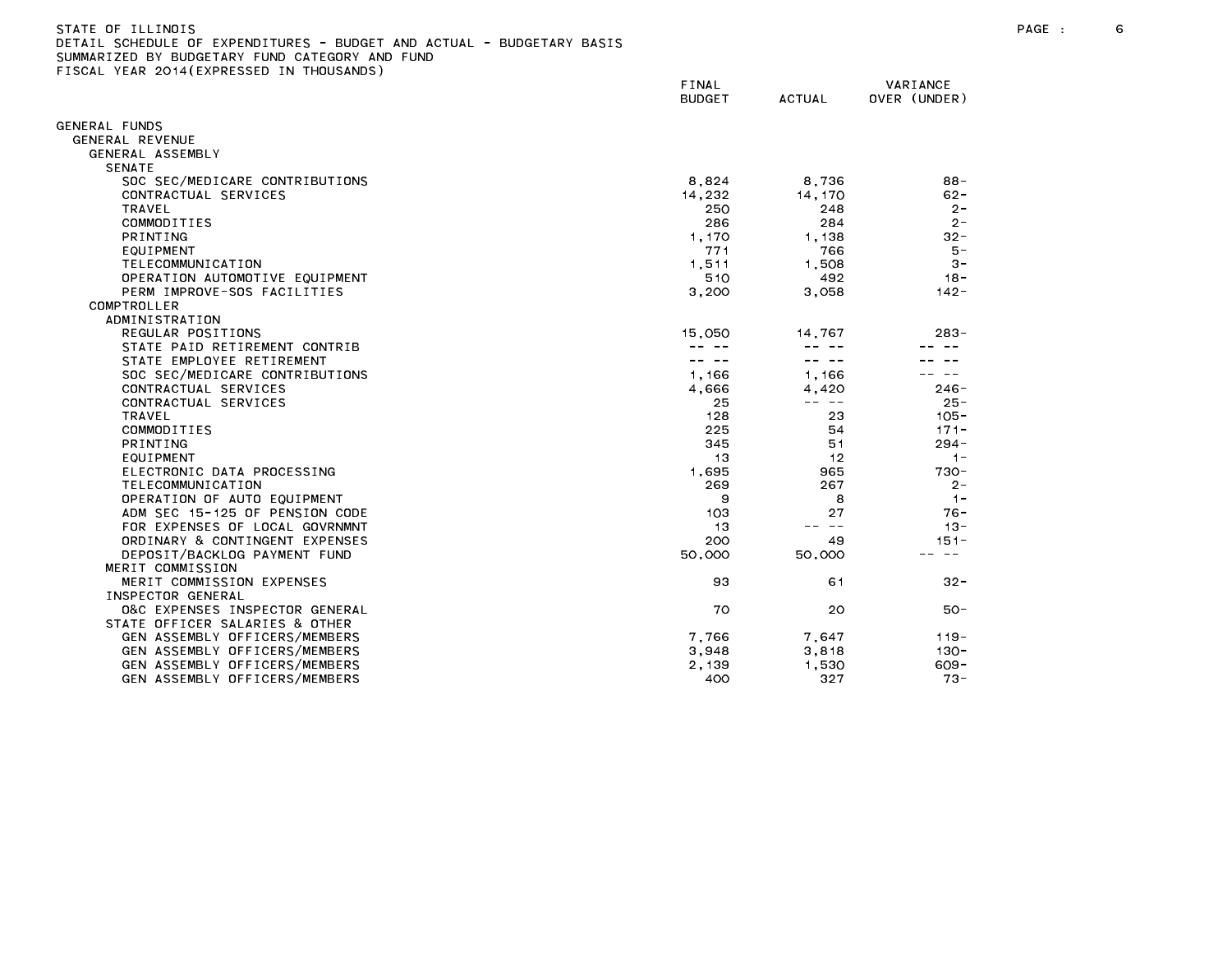## STATE OF ILLINOIS PAGE : 6 DETAIL SCHEDULE OF EXPENDITURES - BUDGET AND ACTUAL - BUDGETARY BASIS

|                                               | FINAL<br><b>BUDGET</b> | <b>ACTUAL</b> | VARIANCE<br>OVER (UNDER) |
|-----------------------------------------------|------------------------|---------------|--------------------------|
| GENERAL FUNDS                                 |                        |               |                          |
| GENERAL REVENUE                               |                        |               |                          |
| GENERAL ASSEMBLY                              |                        |               |                          |
| <b>SENATE</b>                                 |                        |               |                          |
| SOC SEC/MEDICARE CONTRIBUTIONS                | 8,824                  | 8,736         | $88 -$                   |
| CONTRACTUAL SERVICES                          | 14,232                 | 14, 170       | $62 -$                   |
| <b>TRAVEL</b>                                 | 250                    | 248           | $2 -$                    |
| COMMODITIES                                   | 286                    | 284           | $2 -$                    |
| PRINTING                                      | 1.170                  | 1.138         | $32 -$                   |
| EQUIPMENT                                     | 771                    | 766           | $5 -$                    |
| TELECOMMUNICATION                             | 1,511                  | 1,508         | $3 -$                    |
| OPERATION AUTOMOTIVE EQUIPMENT                | 510                    | 492           | $18 -$                   |
| PERM IMPROVE-SOS FACILITIES                   | 3,200                  | 3,058         | $142 -$                  |
| COMPTROLLER                                   |                        |               |                          |
| ADMINISTRATION                                |                        |               |                          |
| REGULAR POSITIONS                             | 15,050                 | 14.767        | $283 -$                  |
| STATE PAID RETIREMENT CONTRIB                 |                        |               |                          |
| STATE EMPLOYEE RETIREMENT                     |                        |               |                          |
| SOC SEC/MEDICARE CONTRIBUTIONS                | 1,166                  | 1,166         |                          |
| CONTRACTUAL SERVICES                          | 4.666                  | 4,420         | $246 -$                  |
| CONTRACTUAL SERVICES                          | 25                     | -- --         | $25 -$                   |
| <b>TRAVEL</b>                                 | 128                    | 23            | $105 -$                  |
| COMMODITIES                                   | 225                    | 54            | $171 -$                  |
| PRINTING                                      | 345                    | 51            | $294 -$                  |
| EQUIPMENT                                     | 13                     | 12            | $1 -$                    |
| ELECTRONIC DATA PROCESSING                    | 1.695                  | 965           | $730 -$                  |
| TELECOMMUNICATION                             | 269                    | 267           | $2 -$                    |
| OPERATION OF AUTO EQUIPMENT                   | 9                      | 8             | $1 -$                    |
| ADM SEC 15-125 OF PENSION CODE                | 103                    | 27<br>$- -$   | 76 -                     |
| FOR EXPENSES OF LOCAL GOVRNMNT                | 13                     |               | $13 -$                   |
| ORDINARY & CONTINGENT EXPENSES                | 200                    | 49            | $151 -$                  |
| DEPOSIT/BACKLOG PAYMENT FUND                  | 50,000                 | 50,000        |                          |
| MERIT COMMISSION<br>MERIT COMMISSION EXPENSES |                        |               | $32 -$                   |
| INSPECTOR GENERAL                             | 93                     | 61            |                          |
| 0&C EXPENSES INSPECTOR GENERAL                | 70                     | 20            | $50 -$                   |
| STATE OFFICER SALARIES & OTHER                |                        |               |                          |
| GEN ASSEMBLY OFFICERS/MEMBERS                 | 7,766                  | 7.647         | $119 -$                  |
| GEN ASSEMBLY OFFICERS/MEMBERS                 | 3,948                  | 3,818         | $130 -$                  |
| GEN ASSEMBLY OFFICERS/MEMBERS                 | 2,139                  | 1,530         | $609 -$                  |
| GEN ASSEMBLY OFFICERS/MEMBERS                 | 400                    | 327           | $73 -$                   |
|                                               |                        |               |                          |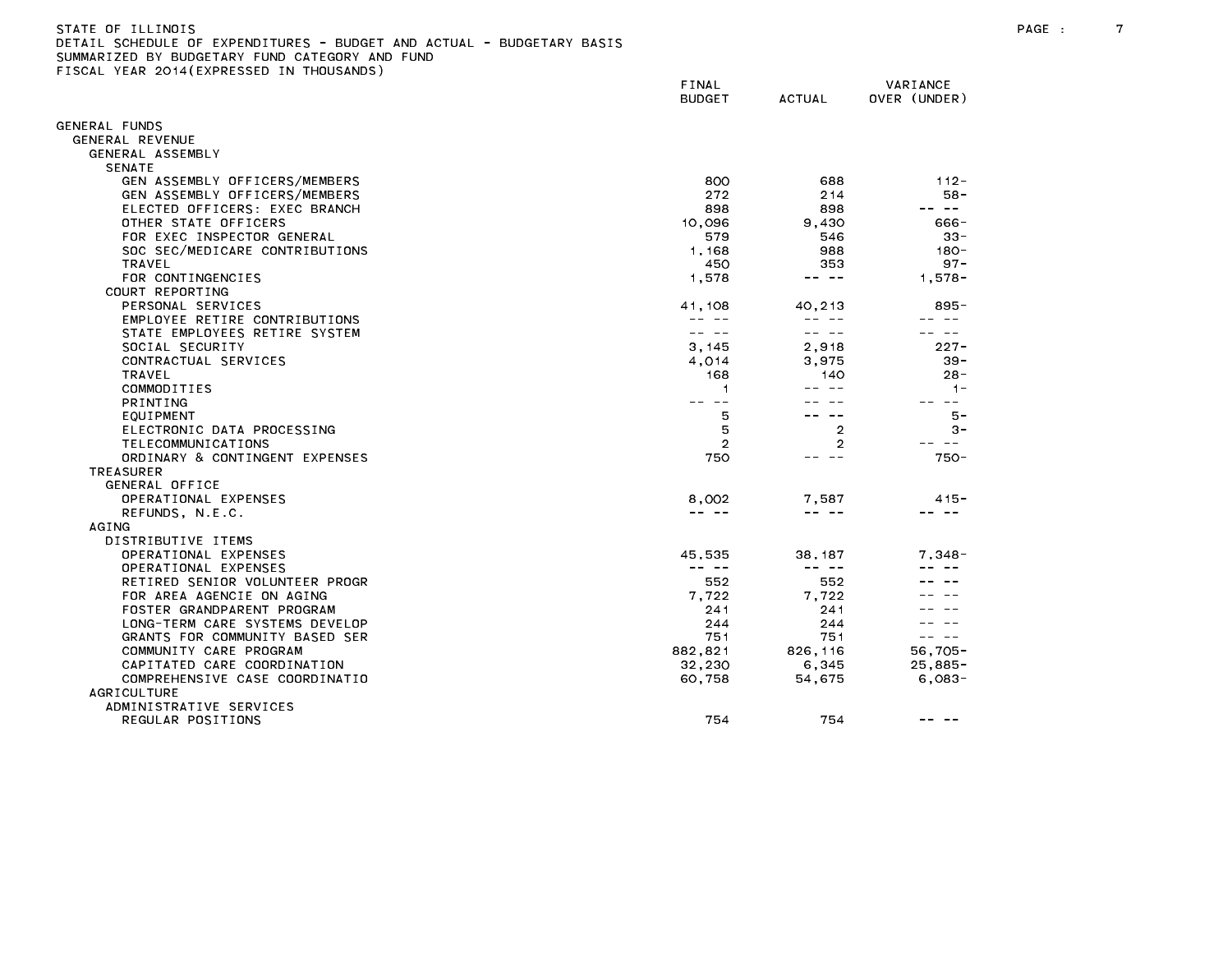| STATE OF ILLINOIS                                                     |
|-----------------------------------------------------------------------|
| DETAIL SCHEDULE OF EXPENDITURES - BUDGET AND ACTUAL - BUDGETARY BASIS |
| SUMMARIZED BY BUDGETARY FUND CATEGORY AND FUND                        |
| FISCAL YEAR 2014(EXPRESSED IN THOUSANDS)                              |

|                                | FINAL<br><b>BUDGET</b>                                                                                                                                                                                                                                                                                                                                                                       | <b>ACTUAL</b>                                                                                                                                                                                                                                                                                                                                                                                | VARIANCE<br>OVER (UNDER)                                                                                                                                                                                                                                                                                                                                                                     |
|--------------------------------|----------------------------------------------------------------------------------------------------------------------------------------------------------------------------------------------------------------------------------------------------------------------------------------------------------------------------------------------------------------------------------------------|----------------------------------------------------------------------------------------------------------------------------------------------------------------------------------------------------------------------------------------------------------------------------------------------------------------------------------------------------------------------------------------------|----------------------------------------------------------------------------------------------------------------------------------------------------------------------------------------------------------------------------------------------------------------------------------------------------------------------------------------------------------------------------------------------|
|                                |                                                                                                                                                                                                                                                                                                                                                                                              |                                                                                                                                                                                                                                                                                                                                                                                              |                                                                                                                                                                                                                                                                                                                                                                                              |
| GENERAL FUNDS                  |                                                                                                                                                                                                                                                                                                                                                                                              |                                                                                                                                                                                                                                                                                                                                                                                              |                                                                                                                                                                                                                                                                                                                                                                                              |
| GENERAL REVENUE                |                                                                                                                                                                                                                                                                                                                                                                                              |                                                                                                                                                                                                                                                                                                                                                                                              |                                                                                                                                                                                                                                                                                                                                                                                              |
| GENERAL ASSEMBLY               |                                                                                                                                                                                                                                                                                                                                                                                              |                                                                                                                                                                                                                                                                                                                                                                                              |                                                                                                                                                                                                                                                                                                                                                                                              |
| <b>SENATE</b>                  |                                                                                                                                                                                                                                                                                                                                                                                              |                                                                                                                                                                                                                                                                                                                                                                                              |                                                                                                                                                                                                                                                                                                                                                                                              |
| GEN ASSEMBLY OFFICERS/MEMBERS  | 800                                                                                                                                                                                                                                                                                                                                                                                          | 688                                                                                                                                                                                                                                                                                                                                                                                          | $112 -$                                                                                                                                                                                                                                                                                                                                                                                      |
| GEN ASSEMBLY OFFICERS/MEMBERS  | 272                                                                                                                                                                                                                                                                                                                                                                                          | 2 1 4                                                                                                                                                                                                                                                                                                                                                                                        | $58 -$                                                                                                                                                                                                                                                                                                                                                                                       |
| ELECTED OFFICERS: EXEC BRANCH  | 898                                                                                                                                                                                                                                                                                                                                                                                          | 898                                                                                                                                                                                                                                                                                                                                                                                          | -- --                                                                                                                                                                                                                                                                                                                                                                                        |
| OTHER STATE OFFICERS           | 10,096                                                                                                                                                                                                                                                                                                                                                                                       | 9.430                                                                                                                                                                                                                                                                                                                                                                                        | 666-                                                                                                                                                                                                                                                                                                                                                                                         |
| FOR EXEC INSPECTOR GENERAL     | 579                                                                                                                                                                                                                                                                                                                                                                                          | 546                                                                                                                                                                                                                                                                                                                                                                                          | $33 -$                                                                                                                                                                                                                                                                                                                                                                                       |
| SOC SEC/MEDICARE CONTRIBUTIONS | 1,168                                                                                                                                                                                                                                                                                                                                                                                        | 988                                                                                                                                                                                                                                                                                                                                                                                          | $180 -$<br>$97 -$                                                                                                                                                                                                                                                                                                                                                                            |
| TRAVEL<br>FOR CONTINGENCIES    | 450<br>1,578                                                                                                                                                                                                                                                                                                                                                                                 | 353<br>-- --                                                                                                                                                                                                                                                                                                                                                                                 | $1.578 -$                                                                                                                                                                                                                                                                                                                                                                                    |
| COURT REPORTING                |                                                                                                                                                                                                                                                                                                                                                                                              |                                                                                                                                                                                                                                                                                                                                                                                              |                                                                                                                                                                                                                                                                                                                                                                                              |
| PERSONAL SERVICES              | 41,108                                                                                                                                                                                                                                                                                                                                                                                       | 40,213                                                                                                                                                                                                                                                                                                                                                                                       | $895 -$                                                                                                                                                                                                                                                                                                                                                                                      |
| EMPLOYEE RETIRE CONTRIBUTIONS  | $\frac{1}{2} \frac{1}{2} \frac{1}{2} \frac{1}{2} \frac{1}{2} \frac{1}{2} \frac{1}{2} \frac{1}{2} \frac{1}{2} \frac{1}{2} \frac{1}{2} \frac{1}{2} \frac{1}{2} \frac{1}{2} \frac{1}{2} \frac{1}{2} \frac{1}{2} \frac{1}{2} \frac{1}{2} \frac{1}{2} \frac{1}{2} \frac{1}{2} \frac{1}{2} \frac{1}{2} \frac{1}{2} \frac{1}{2} \frac{1}{2} \frac{1}{2} \frac{1}{2} \frac{1}{2} \frac{1}{2} \frac{$ | -- --                                                                                                                                                                                                                                                                                                                                                                                        | -- --                                                                                                                                                                                                                                                                                                                                                                                        |
| STATE EMPLOYEES RETIRE SYSTEM  | -- --                                                                                                                                                                                                                                                                                                                                                                                        | -- --                                                                                                                                                                                                                                                                                                                                                                                        |                                                                                                                                                                                                                                                                                                                                                                                              |
| SOCIAL SECURITY                | 3,145                                                                                                                                                                                                                                                                                                                                                                                        | 2,918                                                                                                                                                                                                                                                                                                                                                                                        | $227 -$                                                                                                                                                                                                                                                                                                                                                                                      |
| CONTRACTUAL SERVICES           | 4,014                                                                                                                                                                                                                                                                                                                                                                                        | 3,975                                                                                                                                                                                                                                                                                                                                                                                        | $39 -$                                                                                                                                                                                                                                                                                                                                                                                       |
| TRAVEL                         | 168                                                                                                                                                                                                                                                                                                                                                                                          | 140                                                                                                                                                                                                                                                                                                                                                                                          | $28 -$                                                                                                                                                                                                                                                                                                                                                                                       |
| COMMODITIES                    | 1                                                                                                                                                                                                                                                                                                                                                                                            | $\sim$ $-$                                                                                                                                                                                                                                                                                                                                                                                   | $1 -$                                                                                                                                                                                                                                                                                                                                                                                        |
| <b>PRINTING</b>                | -- --                                                                                                                                                                                                                                                                                                                                                                                        |                                                                                                                                                                                                                                                                                                                                                                                              | $\sim$ $-$                                                                                                                                                                                                                                                                                                                                                                                   |
| EQUIPMENT                      | 5                                                                                                                                                                                                                                                                                                                                                                                            |                                                                                                                                                                                                                                                                                                                                                                                              | $5 -$                                                                                                                                                                                                                                                                                                                                                                                        |
| ELECTRONIC DATA PROCESSING     | 5                                                                                                                                                                                                                                                                                                                                                                                            | $\overline{2}$                                                                                                                                                                                                                                                                                                                                                                               | $3 -$                                                                                                                                                                                                                                                                                                                                                                                        |
| TELECOMMUNICATIONS             | $\overline{2}$                                                                                                                                                                                                                                                                                                                                                                               | 2                                                                                                                                                                                                                                                                                                                                                                                            | $ -$                                                                                                                                                                                                                                                                                                                                                                                         |
| ORDINARY & CONTINGENT EXPENSES | 750                                                                                                                                                                                                                                                                                                                                                                                          | $- -$                                                                                                                                                                                                                                                                                                                                                                                        | $750 -$                                                                                                                                                                                                                                                                                                                                                                                      |
| <b>TREASURER</b>               |                                                                                                                                                                                                                                                                                                                                                                                              |                                                                                                                                                                                                                                                                                                                                                                                              |                                                                                                                                                                                                                                                                                                                                                                                              |
| GENERAL OFFICE                 |                                                                                                                                                                                                                                                                                                                                                                                              |                                                                                                                                                                                                                                                                                                                                                                                              |                                                                                                                                                                                                                                                                                                                                                                                              |
| OPERATIONAL EXPENSES           | 8,002                                                                                                                                                                                                                                                                                                                                                                                        | 7,587                                                                                                                                                                                                                                                                                                                                                                                        | $415 -$                                                                                                                                                                                                                                                                                                                                                                                      |
| REFUNDS, N.E.C.                | -- --                                                                                                                                                                                                                                                                                                                                                                                        |                                                                                                                                                                                                                                                                                                                                                                                              |                                                                                                                                                                                                                                                                                                                                                                                              |
| AGING                          |                                                                                                                                                                                                                                                                                                                                                                                              |                                                                                                                                                                                                                                                                                                                                                                                              |                                                                                                                                                                                                                                                                                                                                                                                              |
| DISTRIBUTIVE ITEMS             |                                                                                                                                                                                                                                                                                                                                                                                              |                                                                                                                                                                                                                                                                                                                                                                                              |                                                                                                                                                                                                                                                                                                                                                                                              |
| OPERATIONAL EXPENSES           | 45.535                                                                                                                                                                                                                                                                                                                                                                                       | 38.187                                                                                                                                                                                                                                                                                                                                                                                       | 7.348-                                                                                                                                                                                                                                                                                                                                                                                       |
| OPERATIONAL EXPENSES           | $\frac{1}{2} \frac{1}{2} \frac{1}{2} \frac{1}{2} \frac{1}{2} \frac{1}{2} \frac{1}{2} \frac{1}{2} \frac{1}{2} \frac{1}{2} \frac{1}{2} \frac{1}{2} \frac{1}{2} \frac{1}{2} \frac{1}{2} \frac{1}{2} \frac{1}{2} \frac{1}{2} \frac{1}{2} \frac{1}{2} \frac{1}{2} \frac{1}{2} \frac{1}{2} \frac{1}{2} \frac{1}{2} \frac{1}{2} \frac{1}{2} \frac{1}{2} \frac{1}{2} \frac{1}{2} \frac{1}{2} \frac{$ | $\frac{1}{2} \frac{1}{2} \frac{1}{2} \frac{1}{2} \frac{1}{2} \frac{1}{2} \frac{1}{2} \frac{1}{2} \frac{1}{2} \frac{1}{2} \frac{1}{2} \frac{1}{2} \frac{1}{2} \frac{1}{2} \frac{1}{2} \frac{1}{2} \frac{1}{2} \frac{1}{2} \frac{1}{2} \frac{1}{2} \frac{1}{2} \frac{1}{2} \frac{1}{2} \frac{1}{2} \frac{1}{2} \frac{1}{2} \frac{1}{2} \frac{1}{2} \frac{1}{2} \frac{1}{2} \frac{1}{2} \frac{$ |                                                                                                                                                                                                                                                                                                                                                                                              |
| RETIRED SENIOR VOLUNTEER PROGR | 552                                                                                                                                                                                                                                                                                                                                                                                          | 552                                                                                                                                                                                                                                                                                                                                                                                          |                                                                                                                                                                                                                                                                                                                                                                                              |
| FOR AREA AGENCIE ON AGING      | 7,722                                                                                                                                                                                                                                                                                                                                                                                        | 7,722                                                                                                                                                                                                                                                                                                                                                                                        |                                                                                                                                                                                                                                                                                                                                                                                              |
| FOSTER GRANDPARENT PROGRAM     | 241                                                                                                                                                                                                                                                                                                                                                                                          | 241                                                                                                                                                                                                                                                                                                                                                                                          |                                                                                                                                                                                                                                                                                                                                                                                              |
| LONG-TERM CARE SYSTEMS DEVELOP | 244                                                                                                                                                                                                                                                                                                                                                                                          | 244                                                                                                                                                                                                                                                                                                                                                                                          |                                                                                                                                                                                                                                                                                                                                                                                              |
| GRANTS FOR COMMUNITY BASED SER | 751                                                                                                                                                                                                                                                                                                                                                                                          | 751                                                                                                                                                                                                                                                                                                                                                                                          | $\frac{1}{2} \frac{1}{2} \frac{1}{2} \frac{1}{2} \frac{1}{2} \frac{1}{2} \frac{1}{2} \frac{1}{2} \frac{1}{2} \frac{1}{2} \frac{1}{2} \frac{1}{2} \frac{1}{2} \frac{1}{2} \frac{1}{2} \frac{1}{2} \frac{1}{2} \frac{1}{2} \frac{1}{2} \frac{1}{2} \frac{1}{2} \frac{1}{2} \frac{1}{2} \frac{1}{2} \frac{1}{2} \frac{1}{2} \frac{1}{2} \frac{1}{2} \frac{1}{2} \frac{1}{2} \frac{1}{2} \frac{$ |
| COMMUNITY CARE PROGRAM         | 882.821                                                                                                                                                                                                                                                                                                                                                                                      | 826.116                                                                                                                                                                                                                                                                                                                                                                                      | $56.705 -$                                                                                                                                                                                                                                                                                                                                                                                   |
| CAPITATED CARE COORDINATION    | 32,230                                                                                                                                                                                                                                                                                                                                                                                       | 6,345                                                                                                                                                                                                                                                                                                                                                                                        | $25,885-$                                                                                                                                                                                                                                                                                                                                                                                    |
| COMPREHENSIVE CASE COORDINATIO | 60,758                                                                                                                                                                                                                                                                                                                                                                                       | 54,675                                                                                                                                                                                                                                                                                                                                                                                       | $6,083-$                                                                                                                                                                                                                                                                                                                                                                                     |
| <b>AGRICULTURE</b>             |                                                                                                                                                                                                                                                                                                                                                                                              |                                                                                                                                                                                                                                                                                                                                                                                              |                                                                                                                                                                                                                                                                                                                                                                                              |
| ADMINISTRATIVE SERVICES        |                                                                                                                                                                                                                                                                                                                                                                                              |                                                                                                                                                                                                                                                                                                                                                                                              |                                                                                                                                                                                                                                                                                                                                                                                              |
| REGULAR POSITIONS              | 754                                                                                                                                                                                                                                                                                                                                                                                          | 754                                                                                                                                                                                                                                                                                                                                                                                          |                                                                                                                                                                                                                                                                                                                                                                                              |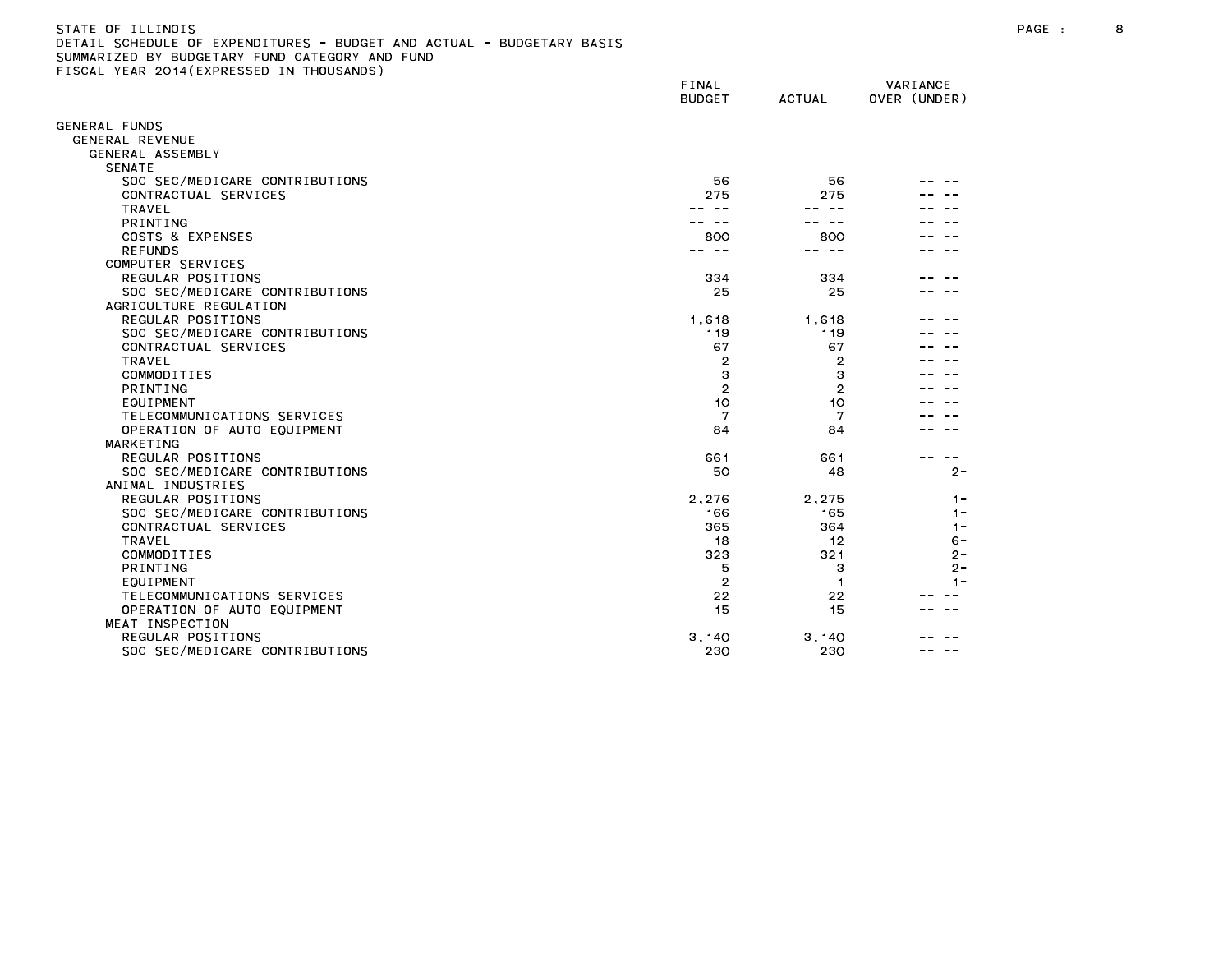# STATE OF ILLINOIS PAGE : 8 DETAIL SCHEDULE OF EXPENDITURES - BUDGET AND ACTUAL - BUDGETARY BASIS

|                                | FINAL<br><b>BUDGET</b> | <b>ACTUAL</b>  | VARIANCE<br>OVER (UNDER) |
|--------------------------------|------------------------|----------------|--------------------------|
| ENERAL FUNDS                   |                        |                |                          |
| GENERAL REVENUE                |                        |                |                          |
| GENERAL ASSEMBLY               |                        |                |                          |
| <b>SENATE</b>                  |                        |                |                          |
| SOC SEC/MEDICARE CONTRIBUTIONS | 56                     | 56             |                          |
| CONTRACTUAL SERVICES           | 275                    | 275            |                          |
| <b>TRAVEL</b>                  |                        |                |                          |
| PRINTING                       |                        |                |                          |
| COSTS & EXPENSES               | 800                    | 800            |                          |
| <b>REFUNDS</b>                 |                        | $\sim$ $-$     |                          |
| COMPUTER SERVICES              |                        |                |                          |
| REGULAR POSITIONS              | 334                    | 334            |                          |
| SOC SEC/MEDICARE CONTRIBUTIONS | 25                     | 25             |                          |
| AGRICULTURE REGULATION         |                        |                |                          |
| REGULAR POSITIONS              | 1,618                  | 1,618          |                          |
| SOC SEC/MEDICARE CONTRIBUTIONS | 119                    | 119            |                          |
| CONTRACTUAL SERVICES           | 67                     | 67             |                          |
| <b>TRAVEL</b>                  | $\overline{2}$         | $\overline{2}$ |                          |
| COMMODITIES                    | 3                      | 3              |                          |
| PRINTING                       | $\overline{2}$         | $\overline{2}$ |                          |
| EQUIPMENT                      | 10                     | 10             |                          |
| TELECOMMUNICATIONS SERVICES    | 7                      | 7              |                          |
| OPERATION OF AUTO EQUIPMENT    | 84                     | 84             |                          |
| MARKETING                      |                        |                |                          |
| REGULAR POSITIONS              | 661                    | 661            |                          |
| SOC SEC/MEDICARE CONTRIBUTIONS | 50                     | 48             | $2 -$                    |
| ANIMAL INDUSTRIES              |                        |                |                          |
| REGULAR POSITIONS              | 2.276                  | 2.275          | $1 -$                    |
| SOC SEC/MEDICARE CONTRIBUTIONS | 166                    | 165            | $1 -$                    |
| CONTRACTUAL SERVICES           | 365                    | 364            | $1 -$                    |
| TRAVEL                         | 18                     | 12             | $6 -$                    |
| COMMODITIES                    | 323                    | 321            | $2 -$                    |
| PRINTING                       | 5                      | з              | $2 -$                    |
| EQUIPMENT                      | $\overline{2}$         | 1              | $1 -$                    |
| TELECOMMUNICATIONS SERVICES    | 22                     | 22             |                          |
| OPERATION OF AUTO EQUIPMENT    | 15                     | 15             |                          |
| MEAT INSPECTION                |                        |                |                          |
| REGULAR POSITIONS              | 3.140                  | 3,140          |                          |
| SOC SEC/MEDICARE CONTRIBUTIONS | 230                    | 230            |                          |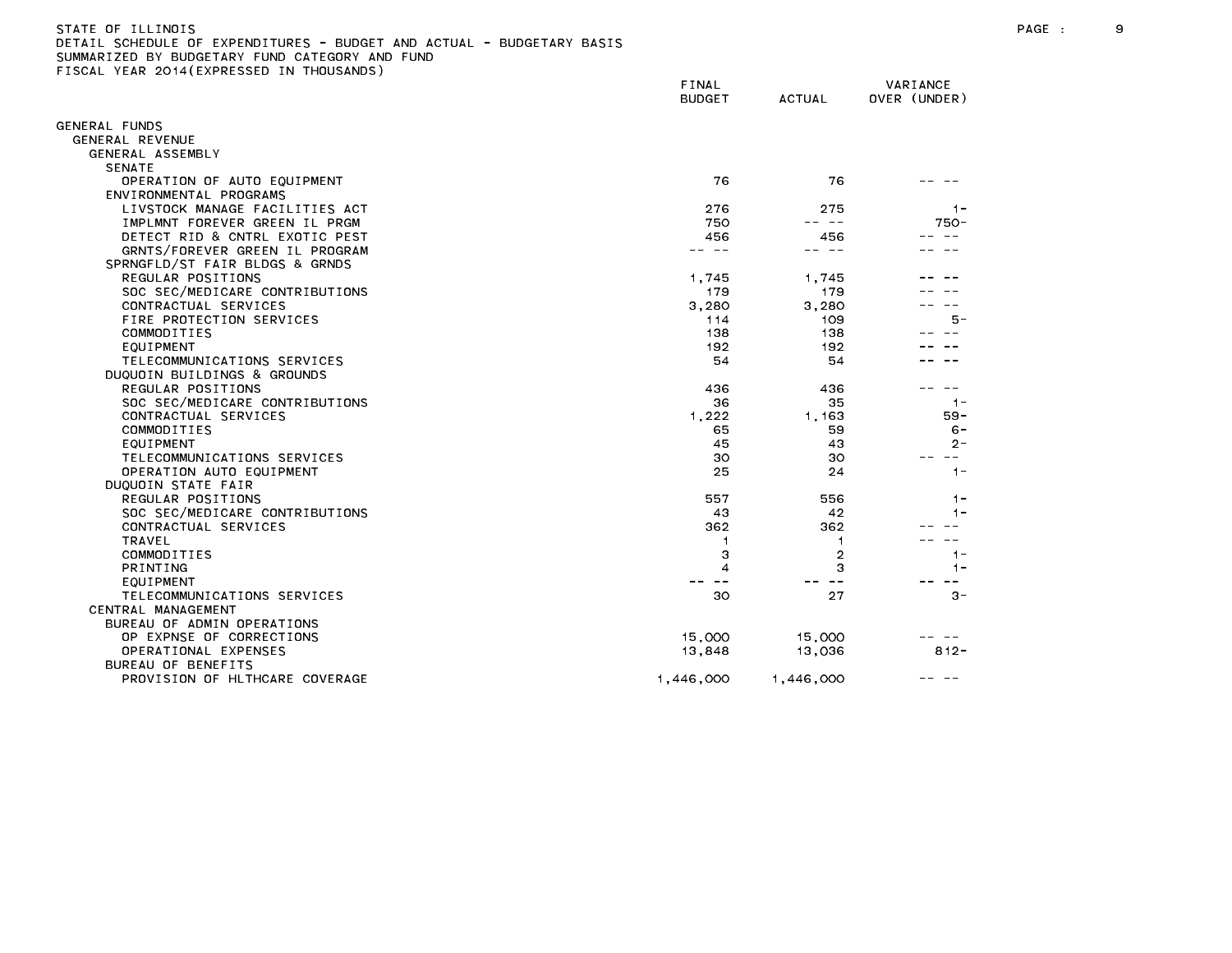| STATE OF ILLINOIS                                                     |
|-----------------------------------------------------------------------|
| DETAIL SCHEDULE OF EXPENDITURES - BUDGET AND ACTUAL - BUDGETARY BASIS |
| SUMMARIZED BY BUDGETARY FUND CATEGORY AND FUND                        |
| FISCAL YEAR 2014(EXPRESSED IN THOUSANDS)                              |

|                                                       | FINAL<br><b>BUDGET</b> | <b>ACTUAL</b> | VARIANCE<br>OVER (UNDER) |
|-------------------------------------------------------|------------------------|---------------|--------------------------|
|                                                       |                        |               |                          |
| <b>GENERAL FUNDS</b>                                  |                        |               |                          |
| GENERAL REVENUE                                       |                        |               |                          |
| GENERAL ASSEMBLY<br><b>SENATE</b>                     |                        |               |                          |
|                                                       | 76                     | 76            |                          |
| OPERATION OF AUTO EQUIPMENT<br>ENVIRONMENTAL PROGRAMS |                        |               |                          |
| LIVSTOCK MANAGE FACILITIES ACT                        | 276                    | 275           | $1 -$                    |
| IMPLMNT FOREVER GREEN IL PRGM                         | 750                    | ---           | $750 -$                  |
| DETECT RID & CNTRL EXOTIC PEST                        | 456                    | 456           |                          |
| GRNTS/FOREVER GREEN IL PROGRAM                        | $\sim$ $-$<br>$ -$     | $\sim$ $-$    |                          |
| SPRNGFLD/ST FAIR BLDGS & GRNDS                        |                        |               |                          |
| REGULAR POSITIONS                                     | 1,745                  | 1,745         |                          |
| SOC SEC/MEDICARE CONTRIBUTIONS                        | 179                    | 179           |                          |
| CONTRACTUAL SERVICES                                  | 3,280                  | 3,280         |                          |
| FIRE PROTECTION SERVICES                              | 114                    | 109           | 5 -                      |
| COMMODITIES                                           | 138                    | 138           |                          |
| EQUIPMENT                                             | 192                    | 192           |                          |
| TELECOMMUNICATIONS SERVICES                           | 54                     | 54            |                          |
| DUQUOIN BUILDINGS & GROUNDS                           |                        |               |                          |
| REGULAR POSITIONS                                     | 436                    | 436           |                          |
| SOC SEC/MEDICARE CONTRIBUTIONS                        | 36                     | 35            | $1 -$                    |
| CONTRACTUAL SERVICES                                  | 1,222                  | 1,163         | $59 -$                   |
| COMMODITIES                                           | 65                     | 59            | $6 -$                    |
| EQUIPMENT                                             | 45                     | 43            | $2 -$                    |
| TELECOMMUNICATIONS SERVICES                           | 30                     | 30            | $- -$                    |
| OPERATION AUTO EQUIPMENT                              | 25                     | 24            | $1 -$                    |
| DUQUOIN STATE FAIR                                    |                        |               |                          |
| REGULAR POSITIONS                                     | 557                    | 556           | $1 -$                    |
| SOC SEC/MEDICARE CONTRIBUTIONS                        | 43                     | 42            | $1 -$                    |
| CONTRACTUAL SERVICES                                  | 362                    | 362           |                          |
| <b>TRAVEL</b>                                         | 1                      | 1             |                          |
| COMMODITIES                                           | 3                      | 2             | $1 -$                    |
| <b>PRINTING</b>                                       | 4                      | 3             | $1 -$                    |
| EQUIPMENT                                             | $\sim$ $\sim$          | $- -$         |                          |
| TELECOMMUNICATIONS SERVICES                           | 30                     | 27            | $3 -$                    |
| CENTRAL MANAGEMENT                                    |                        |               |                          |
| BUREAU OF ADMIN OPERATIONS                            |                        |               |                          |
| OP EXPNSE OF CORRECTIONS                              | 15,000                 | 15,000        |                          |
| OPERATIONAL EXPENSES                                  | 13,848                 | 13,036        | $812 -$                  |
| <b>BUREAU OF BENEFITS</b>                             |                        |               |                          |
| PROVISION OF HLTHCARE COVERAGE                        | 1,446,000              | 1,446,000     |                          |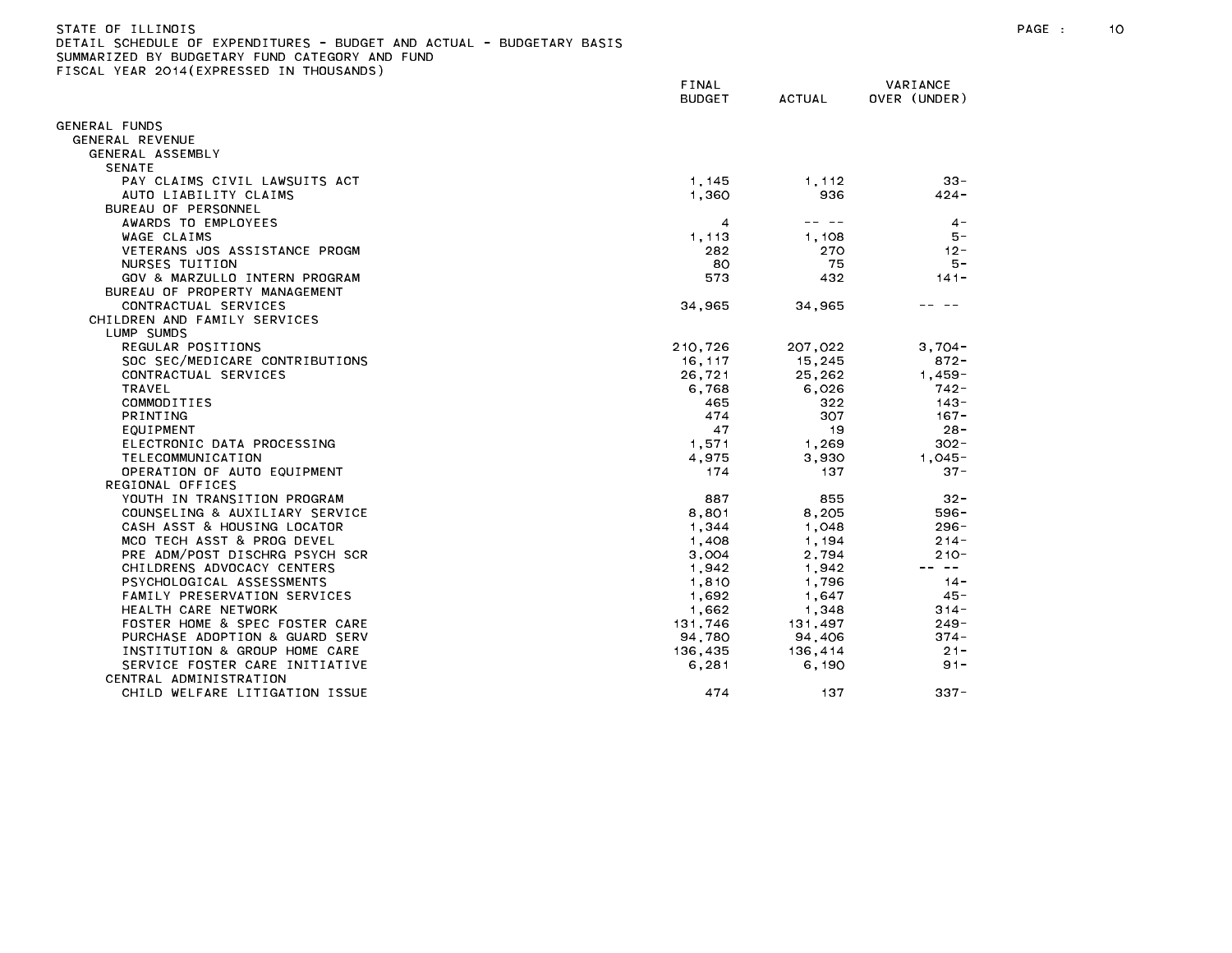## STATE OF ILLINOIS PAGE : 10 DETAIL SCHEDULE OF EXPENDITURES - BUDGET AND ACTUAL - BUDGETARY BASIS

|                                | FINAL<br><b>BUDGET</b> | <b>ACTUAL</b> | VARIANCE<br>OVER (UNDER) |
|--------------------------------|------------------------|---------------|--------------------------|
| GENERAL FUNDS                  |                        |               |                          |
| GENERAL REVENUE                |                        |               |                          |
| GENERAL ASSEMBLY               |                        |               |                          |
| <b>SENATE</b>                  |                        |               |                          |
| PAY CLAIMS CIVIL LAWSUITS ACT  | 1, 145                 | 1,112         | $33 -$                   |
| AUTO LIABILITY CLAIMS          | 1.360                  | 936           | $424 -$                  |
| BUREAU OF PERSONNEL            |                        |               |                          |
| AWARDS TO EMPLOYEES            | 4                      |               | $4 -$                    |
| WAGE CLAIMS                    | 1,113                  | 1.108         | $5 -$                    |
| VETERANS JOS ASSISTANCE PROGM  | 282                    | 270           | $12 -$                   |
| NURSES TUITION                 | 80                     | 75            | 5 –                      |
| GOV & MARZULLO INTERN PROGRAM  | 573                    | 432           | $141 -$                  |
| BUREAU OF PROPERTY MANAGEMENT  |                        |               |                          |
| CONTRACTUAL SERVICES           | 34,965                 | 34,965        |                          |
| CHILDREN AND FAMILY SERVICES   |                        |               |                          |
| LUMP SUMDS                     |                        |               |                          |
| REGULAR POSITIONS              | 210,726                | 207,022       | $3.704 -$                |
| SOC SEC/MEDICARE CONTRIBUTIONS | 16.117                 | 15.245        | $872 -$                  |
| CONTRACTUAL SERVICES           | 26,721                 | 25,262        | $1,459-$                 |
| TRAVEL                         | 6,768                  | 6,026         | 742 -                    |
| COMMODITIES                    | 465                    | 322           | $143 -$                  |
| PRINTING                       | 474                    | 307           | $167 -$                  |
| EQUIPMENT                      | 47                     | 19            | $28 -$                   |
| ELECTRONIC DATA PROCESSING     | 1,571                  | 1.269         | $302 -$                  |
| TELECOMMUNICATION              | 4,975                  | 3,930         | $1.045 -$                |
| OPERATION OF AUTO EQUIPMENT    | 174                    | 137           | $37 -$                   |
| REGIONAL OFFICES               |                        |               |                          |
| YOUTH IN TRANSITION PROGRAM    | 887                    | 855           | $32 -$                   |
| COUNSELING & AUXILIARY SERVICE | 8,801                  | 8,205         | $596 -$                  |
| CASH ASST & HOUSING LOCATOR    | 1,344                  | 1,048         | $296 -$                  |
| MCO TECH ASST & PROG DEVEL     | 1,408                  | 1.194         | $214 -$                  |
| PRE ADM/POST DISCHRG PSYCH SCR | 3,004                  | 2,794         | $210 -$                  |
| CHILDRENS ADVOCACY CENTERS     | 1,942                  | 1,942         | -- --                    |
| PSYCHOLOGICAL ASSESSMENTS      | 1.810                  | 1.796         | $14 -$                   |
| FAMILY PRESERVATION SERVICES   | 1,692                  | 1,647         | $45 -$                   |
| HEALTH CARE NETWORK            | 1,662                  | 1,348         | $314 -$                  |
| FOSTER HOME & SPEC FOSTER CARE | 131.746                | 131.497       | 249 -                    |
| PURCHASE ADOPTION & GUARD SERV | 94,780                 | 94,406        | $374 -$                  |
| INSTITUTION & GROUP HOME CARE  | 136,435                | 136,414       | $21 -$                   |
| SERVICE FOSTER CARE INITIATIVE | 6, 281                 | 6,190         | $91 -$                   |
| CENTRAL ADMINISTRATION         |                        |               |                          |
| CHILD WELFARE LITIGATION ISSUE | 474                    | 137           | $337 -$                  |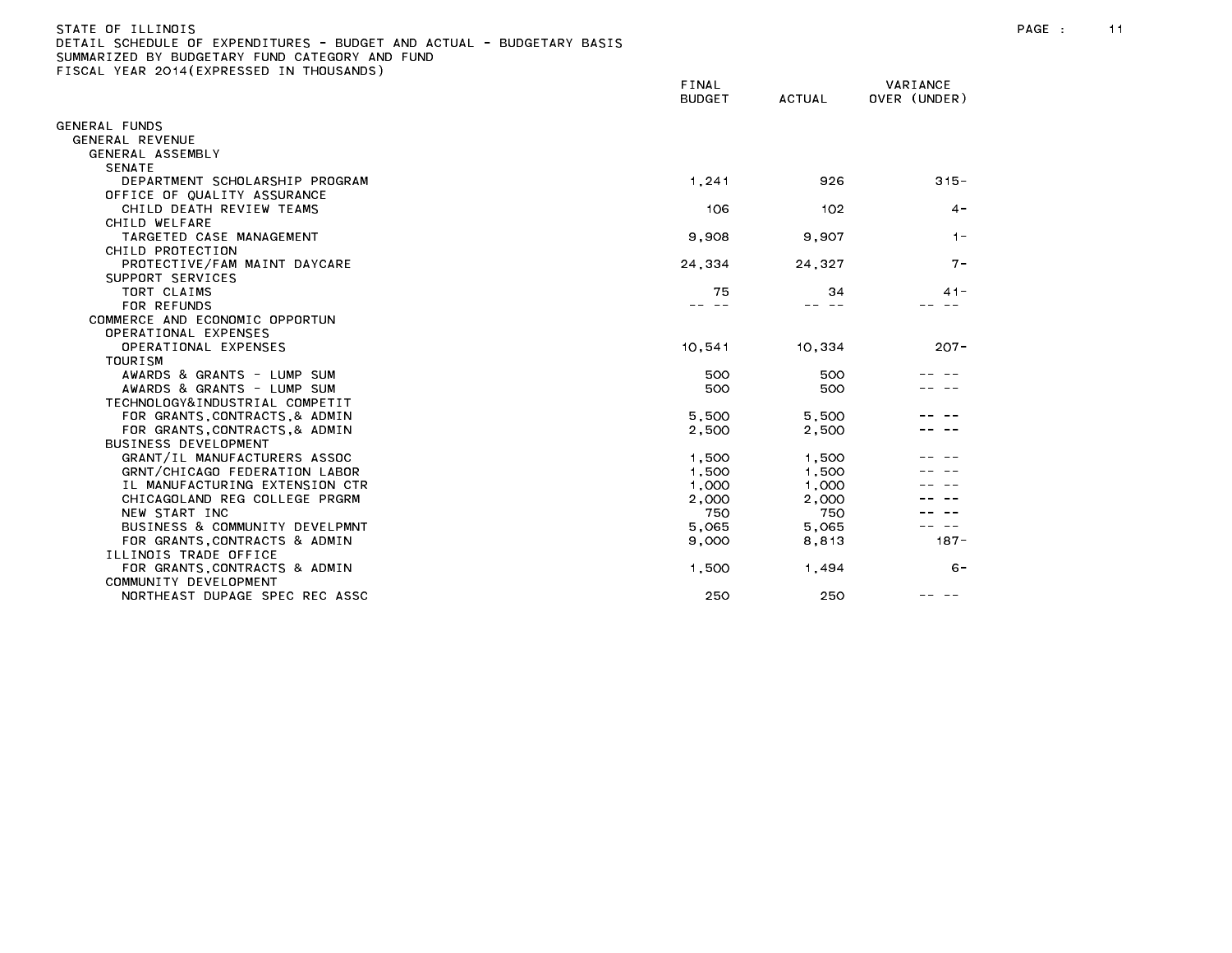# STATE OF ILLINOIS PAGE : 11 DETAIL SCHEDULE OF EXPENDITURES - BUDGET AND ACTUAL - BUDGETARY BASIS

|                                                         | FINAL<br><b>BUDGET</b> | <b>ACTUAL</b> | VARIANCE<br>OVER (UNDER) |
|---------------------------------------------------------|------------------------|---------------|--------------------------|
| GENERAL FUNDS                                           |                        |               |                          |
| GENERAL REVENUE                                         |                        |               |                          |
| GENERAL ASSEMBLY                                        |                        |               |                          |
| <b>SENATE</b>                                           |                        |               |                          |
| DEPARTMENT SCHOLARSHIP PROGRAM                          | 1,241                  | 926           | $315 -$                  |
| OFFICE OF QUALITY ASSURANCE                             |                        |               |                          |
| CHILD DEATH REVIEW TEAMS                                | 106                    | 102           | $4 -$                    |
| CHILD WELFARE                                           |                        |               |                          |
| TARGETED CASE MANAGEMENT                                | 9,908                  | 9,907         | $1 -$                    |
| CHILD PROTECTION                                        |                        |               |                          |
| PROTECTIVE/FAM MAINT DAYCARE                            | 24,334                 | 24,327        | $7 -$                    |
| SUPPORT SERVICES                                        |                        |               |                          |
| TORT CLAIMS                                             | 75                     | 34            | $41 -$                   |
| FOR REFUNDS                                             |                        |               |                          |
| COMMERCE AND ECONOMIC OPPORTUN                          |                        |               |                          |
| OPERATIONAL EXPENSES                                    |                        |               |                          |
| OPERATIONAL EXPENSES                                    | 10,541                 | 10,334        | $207 -$                  |
| <b>TOURISM</b>                                          |                        |               |                          |
| AWARDS & GRANTS - LUMP SUM                              | 500                    | 500           |                          |
| AWARDS & GRANTS - LUMP SUM                              | 500                    | 500           |                          |
| TECHNOLOGY&INDUSTRIAL COMPETIT                          |                        |               |                          |
| FOR GRANTS, CONTRACTS, & ADMIN                          | 5,500                  | 5,500         |                          |
| FOR GRANTS, CONTRACTS, & ADMIN                          | 2,500                  | 2,500         |                          |
| <b>BUSINESS DEVELOPMENT</b>                             |                        |               |                          |
| GRANT/IL MANUFACTURERS ASSOC                            | 1,500                  | 1,500         |                          |
| GRNT/CHICAGO FEDERATION LABOR                           | 1,500                  | 1,500         |                          |
| IL MANUFACTURING EXTENSION CTR                          | 1,000                  | 1,000         |                          |
| CHICAGOLAND REG COLLEGE PRGRM                           | 2,000                  | 2,000         |                          |
| NEW START INC                                           | 750                    | 750           |                          |
| BUSINESS & COMMUNITY DEVELPMNT                          | 5,065                  | 5,065         |                          |
| FOR GRANTS CONTRACTS & ADMIN                            | 9,000                  | 8,813         | $187 -$                  |
| ILLINOIS TRADE OFFICE                                   |                        |               |                          |
| FOR GRANTS, CONTRACTS & ADMIN                           | 1,500                  | 1,494         | $6 -$                    |
| COMMUNITY DEVELOPMENT<br>NORTHEAST DUPAGE SPEC REC ASSC | 250                    | 250           |                          |
|                                                         |                        |               |                          |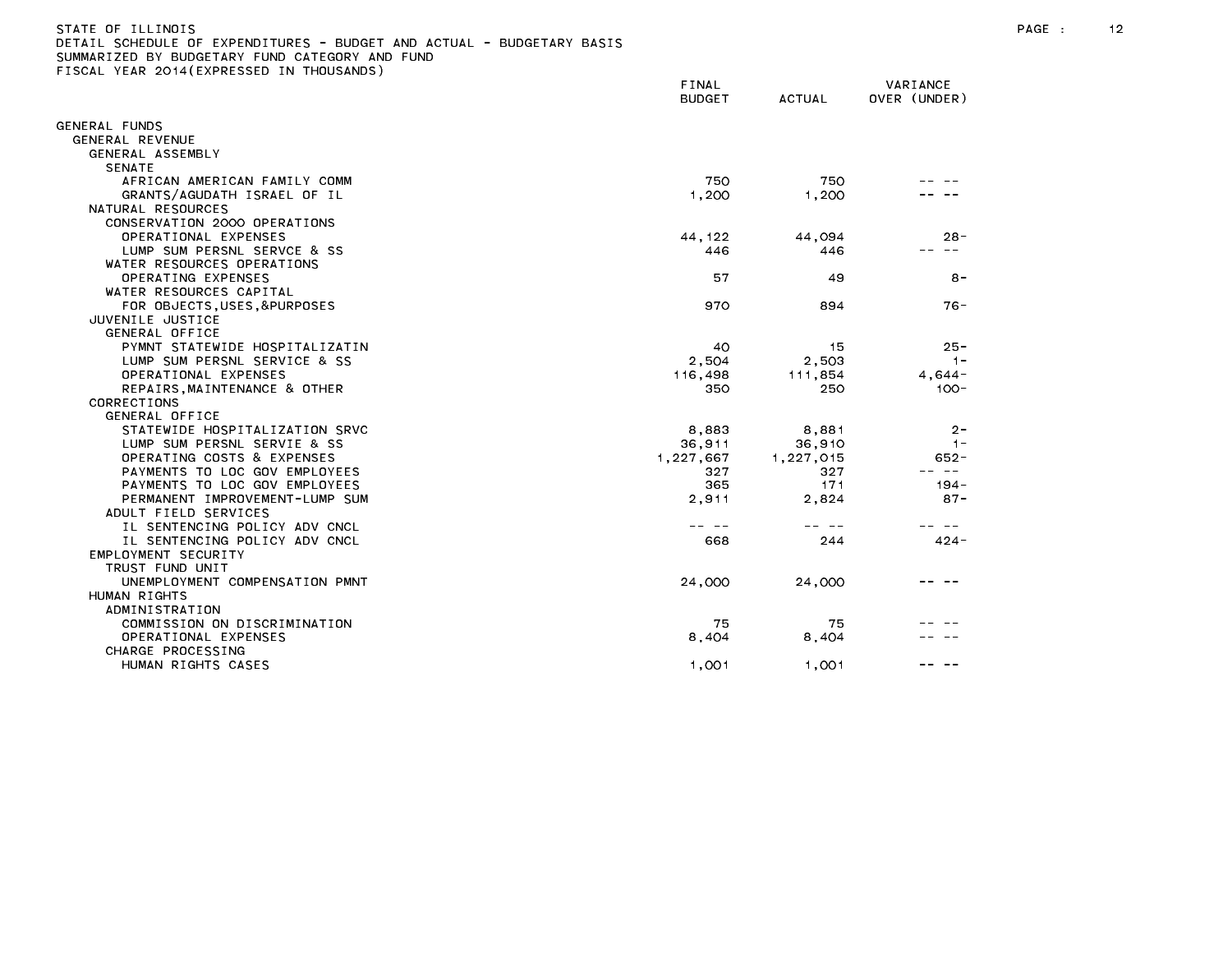#### STATE OF ILLINOIS PAGE : 12 DETAIL SCHEDULE OF EXPENDITURES - BUDGET AND ACTUAL - BUDGETARY BASIS

|                                | FINAL<br><b>BUDGET</b> | <b>ACTUAL</b> | VARIANCE<br>OVER (UNDER) |
|--------------------------------|------------------------|---------------|--------------------------|
| <b>SENERAL FUNDS</b>           |                        |               |                          |
| GENERAL REVENUE                |                        |               |                          |
| GENERAL ASSEMBLY               |                        |               |                          |
| <b>SENATE</b>                  |                        |               |                          |
| AFRICAN AMERICAN FAMILY COMM   | 750                    | 750           |                          |
| GRANTS/AGUDATH ISRAEL OF IL    | 1,200                  | 1,200         |                          |
| NATURAL RESOURCES              |                        |               |                          |
| CONSERVATION 2000 OPERATIONS   |                        |               |                          |
| OPERATIONAL EXPENSES           | 44, 122                | 44,094        | $28 -$                   |
| LUMP SUM PERSNL SERVCE & SS    | 446                    | 446           |                          |
| WATER RESOURCES OPERATIONS     |                        |               |                          |
| OPERATING EXPENSES             | 57                     | 49            | $8 -$                    |
| WATER RESOURCES CAPITAL        |                        |               |                          |
| FOR OBJECTS, USES, &PURPOSES   | 970                    | 894           | $76 -$                   |
| JUVENILE JUSTICE               |                        |               |                          |
| GENERAL OFFICE                 |                        |               |                          |
| PYMNT STATEWIDE HOSPITALIZATIN | 40                     | 15            | $25 -$                   |
| LUMP SUM PERSNL SERVICE & SS   | 2,504                  | 2,503         | $1 -$                    |
| OPERATIONAL EXPENSES           | 116,498                | 111,854       | $4,644-$                 |
| REPAIRS, MAINTENANCE & OTHER   | 350                    | 250           | $100 -$                  |
| CORRECTIONS                    |                        |               |                          |
| GENERAL OFFICE                 |                        |               |                          |
| STATEWIDE HOSPITALIZATION SRVC | 8,883                  | 8,881         | $2 -$                    |
| LUMP SUM PERSNL SERVIE & SS    | 36,911                 | 36,910        | $1 -$                    |
| OPERATING COSTS & EXPENSES     | 1,227,667              | 1,227,015     | $652 -$                  |
| PAYMENTS TO LOC GOV EMPLOYEES  | 327                    | 327           | $\sim 100$               |
| PAYMENTS TO LOC GOV EMPLOYEES  | 365                    | 171           | 194 -                    |
| PERMANENT IMPROVEMENT-LUMP SUM | 2,911                  | 2,824         | $87 -$                   |
| ADULT FIELD SERVICES           |                        |               |                          |
| IL SENTENCING POLICY ADV CNCL  |                        |               |                          |
| IL SENTENCING POLICY ADV CNCL  | 668                    | 244           | $424 -$                  |
| EMPLOYMENT SECURITY            |                        |               |                          |
| TRUST FUND UNIT                |                        |               |                          |
| UNEMPLOYMENT COMPENSATION PMNT | 24,000                 | 24,000        |                          |
| HUMAN RIGHTS                   |                        |               |                          |
| ADMINISTRATION                 |                        |               |                          |
| COMMISSION ON DISCRIMINATION   | 75                     | 75            |                          |
| OPERATIONAL EXPENSES           | 8,404                  | 8,404         |                          |
| CHARGE PROCESSING              |                        |               |                          |
| HUMAN RIGHTS CASES             | 1,001                  | 1,001         |                          |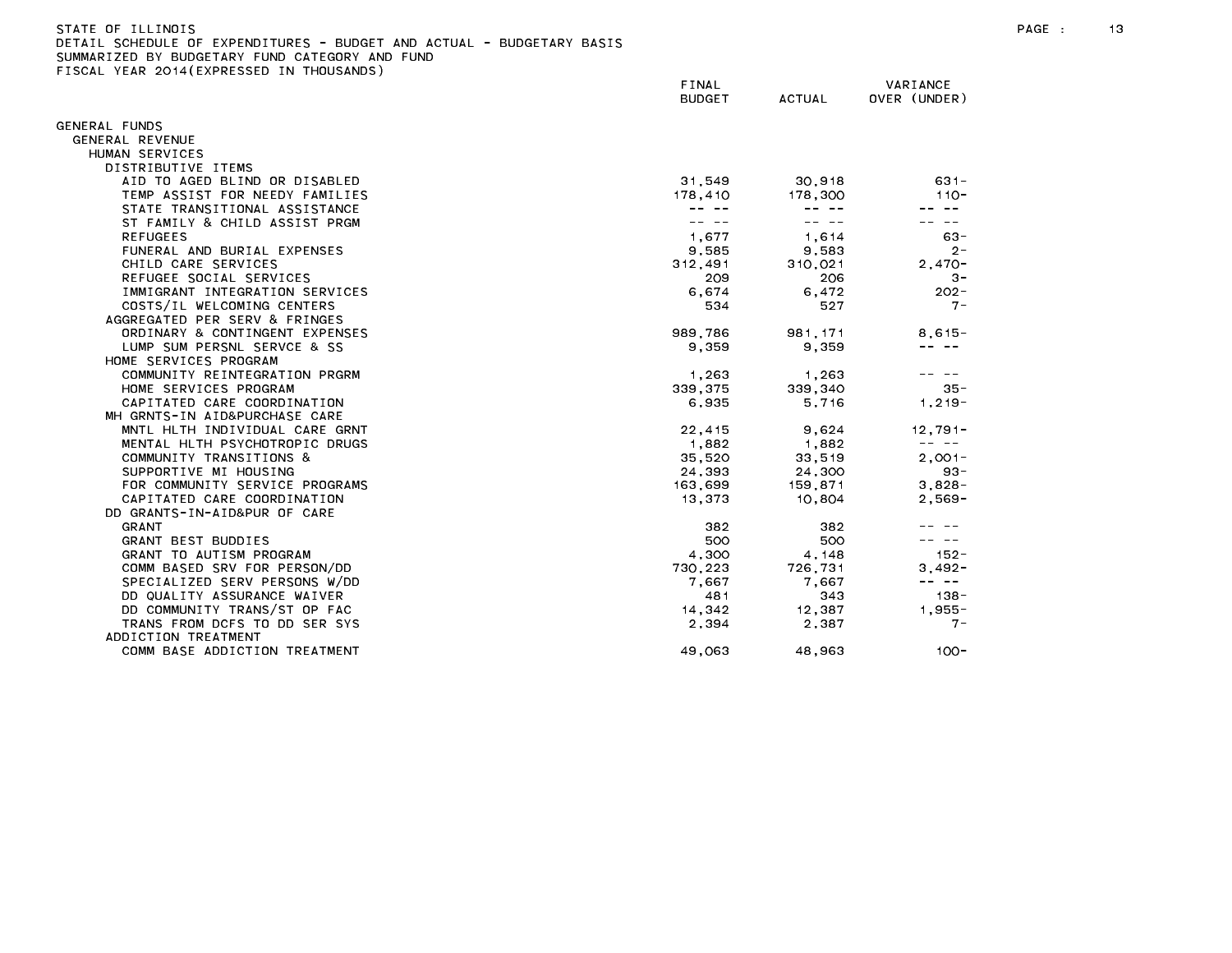| STATE OF ILLINOIS                              |                                                                       |
|------------------------------------------------|-----------------------------------------------------------------------|
|                                                | DETAIL SCHEDULE OF EXPENDITURES - BUDGET AND ACTUAL - BUDGETARY BASIS |
| SUMMARIZED BY BUDGETARY FUND CATEGORY AND FUND |                                                                       |

FISCAL YEAR 2014(EXPRESSED IN THOUSANDS)

FINAL VARIANCE BUDGET ACTUAL OVER (UNDER) GENERAL FUNDS GENERAL REVENUE HUMAN SERVICES DISTRIBUTIVE ITEMS AID TO AGED BLIND OR DISABLED 31,549 30,918 631- TEMP ASSIST FOR NEEDY FAMILIES 178,410 178,410 178,300 110-STATE TRANSITIONAL ASSISTANCE And the state of the state of the state of the state of the state of the state of the state of the state of the state of the state of the state of the state of the state of the state of the st ST FAMILY & CHILD ASSIST PRGM -- -- -- -- -- -- FUNERAL AND BURIAL EXPENSES 9,585 9,583 2- CHILD CARE SERVICES 312,491 310,021 2,470- REFUGEE SOCIAL SERVICES 209 206 3- IMMIGRANT INTEGRATION SERVICES And the series of the contract of the contract of the contract of the contract of the contract of the contract of the contract of the contract of the contract of the contract of the contract COSTS/IL WELCOMING CENTERS THE SERVICE STATES AND STATES AND STATES AND STATES AND STATES AND THE SERVICE STATES AGGREGATED PER SERV & FRINGES ORDINARY & CONTINGENT EXPENSES THE RESERVE SERVICE SERVICE SERVICE SERVICE SERVICE SERVICE SERVICE SERVICE SE -- -- الساحة الساحة المساحة المساحة المساحة المساحة المساحة المساحة المساحة المساحة المساحة المساحة المساحة ال HOME SERVICES PROGRAM COMMUNITY REINTEGRATION PRGRM 1,263 1,263 1,263 -- --HOME SERVICES PROGRAM 339,375 339,340 35- CAPITATED CARE COORDINATION **6,935** 5,716 1,219-MH GRNTS-IN AID&PURCHASE CARE MNTL HLTH INDIVIDUAL CARE GRNT 22,415 9,624 12,791- MENTAL HLTH PSYCHOTROPIC DRUGS 1,882 1,882 1,882 -- --COMMUNITY TRANSITIONS & 35,520 33,519 2,001- SUPPORTIVE MI HOUSING 24,393 24,300 93- FOR COMMUNITY SERVICE PROGRAMS 163,699 159,871 3,828-CAPITATED CARE COORDINATION CARE COORDINATION CAPITATED CARE COORDINATION DD GRANTS-IN-AID&PUR OF CARE GRANT BEST BUDDIES 500 500 -- -- GRANT TO AUTISM PROGRAM 4,300 4,148 152- COMM BASED SRV FOR PERSON/DD 730,223 726,731 3,492- SPECIALIZED SERV PERSONS W/DD 7,667 7,667 -- -- DD QUALITY ASSURANCE WAIVER 48 1 28 - 481 343 138 - 481 343 138 - 481 343 138 - 481 343 138 - 481 35 138 - 481 35 138 - 481 35 138 - 481 35 138 - 481 35 138 - 481 35 138 - 481 35 138 - 481 35 138 - 481 35 138 - 481 35 138 DD COMMUNITY TRANS/ST OP FAC 14,342 12,387 1,955- TRANS FROM DCFS TO DD SER SYS 2,394 2,387 7- ADDICTION TREATMENT COMM BASE ADDICTION TREATMENT 49,063 48,963 100-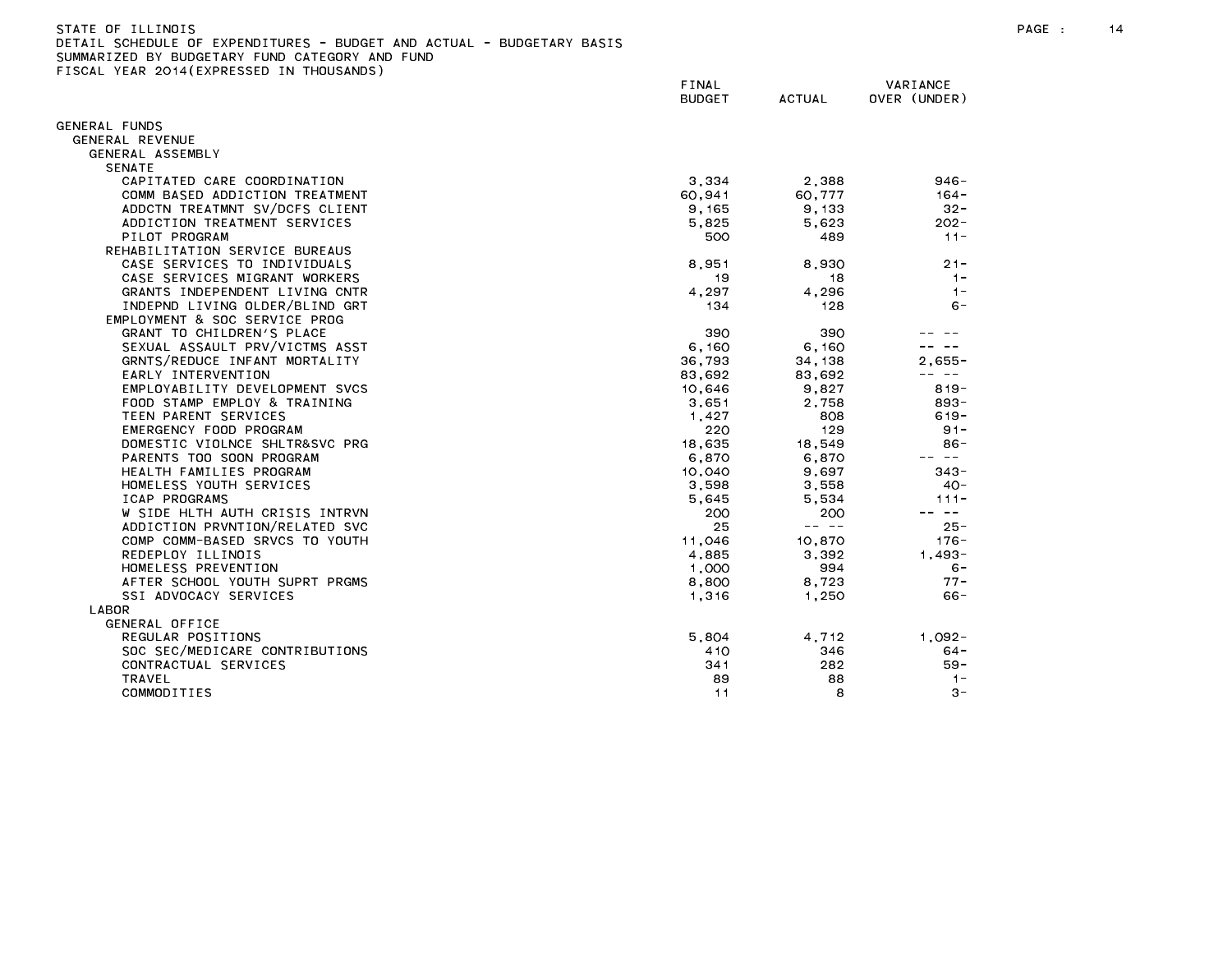| STATE OF ILLINOIS                                                     |
|-----------------------------------------------------------------------|
| DETAIL SCHEDULE OF EXPENDITURES - BUDGET AND ACTUAL - BUDGETARY BASIS |
| SUMMARIZED BY BUDGETARY FUND CATEGORY AND FUND                        |
| FISCAL YEAR 2014(EXPRESSED IN THOUSANDS)                              |

|                                | FINAL<br><b>BUDGET</b> | <b>ACTUAL</b> | VARIANCE<br>OVER (UNDER)                                                                                                                                                                                                                                                                                                                                                                     |
|--------------------------------|------------------------|---------------|----------------------------------------------------------------------------------------------------------------------------------------------------------------------------------------------------------------------------------------------------------------------------------------------------------------------------------------------------------------------------------------------|
| GENERAL FUNDS                  |                        |               |                                                                                                                                                                                                                                                                                                                                                                                              |
| GENERAL REVENUE                |                        |               |                                                                                                                                                                                                                                                                                                                                                                                              |
| GENERAL ASSEMBLY               |                        |               |                                                                                                                                                                                                                                                                                                                                                                                              |
| <b>SENATE</b>                  |                        |               |                                                                                                                                                                                                                                                                                                                                                                                              |
| CAPITATED CARE COORDINATION    | 3,334                  | 2,388         | $946 -$                                                                                                                                                                                                                                                                                                                                                                                      |
| COMM BASED ADDICTION TREATMENT | 60,941                 | 60,777        | $164 -$                                                                                                                                                                                                                                                                                                                                                                                      |
| ADDCTN TREATMNT SV/DCFS CLIENT | 9, 165                 | 9,133         | $32 -$                                                                                                                                                                                                                                                                                                                                                                                       |
| ADDICTION TREATMENT SERVICES   | 5,825                  | 5,623         | $202 -$                                                                                                                                                                                                                                                                                                                                                                                      |
| PILOT PROGRAM                  | 500                    | 489           | $11 -$                                                                                                                                                                                                                                                                                                                                                                                       |
| REHABILITATION SERVICE BUREAUS |                        |               |                                                                                                                                                                                                                                                                                                                                                                                              |
| CASE SERVICES TO INDIVIDUALS   | 8,951                  | 8,930         | $21 -$                                                                                                                                                                                                                                                                                                                                                                                       |
| CASE SERVICES MIGRANT WORKERS  | 19                     | 18            | $1 -$                                                                                                                                                                                                                                                                                                                                                                                        |
| GRANTS INDEPENDENT LIVING CNTR | 4,297                  | 4,296         | $1 -$                                                                                                                                                                                                                                                                                                                                                                                        |
| INDEPND LIVING OLDER/BLIND GRT | 134                    | 128           | $6 -$                                                                                                                                                                                                                                                                                                                                                                                        |
| EMPLOYMENT & SOC SERVICE PROG  |                        |               |                                                                                                                                                                                                                                                                                                                                                                                              |
| GRANT TO CHILDREN'S PLACE      | 390                    | 390           |                                                                                                                                                                                                                                                                                                                                                                                              |
| SEXUAL ASSAULT PRV/VICTMS ASST | 6,160                  | 6,160         |                                                                                                                                                                                                                                                                                                                                                                                              |
| GRNTS/REDUCE INFANT MORTALITY  | 36,793                 | 34, 138       | $2.655 -$                                                                                                                                                                                                                                                                                                                                                                                    |
| EARLY INTERVENTION             | 83,692                 | 83,692        | $\frac{1}{2} \frac{1}{2} \frac{1}{2} \frac{1}{2} \frac{1}{2} \frac{1}{2} \frac{1}{2} \frac{1}{2} \frac{1}{2} \frac{1}{2} \frac{1}{2} \frac{1}{2} \frac{1}{2} \frac{1}{2} \frac{1}{2} \frac{1}{2} \frac{1}{2} \frac{1}{2} \frac{1}{2} \frac{1}{2} \frac{1}{2} \frac{1}{2} \frac{1}{2} \frac{1}{2} \frac{1}{2} \frac{1}{2} \frac{1}{2} \frac{1}{2} \frac{1}{2} \frac{1}{2} \frac{1}{2} \frac{$ |
| EMPLOYABILITY DEVELOPMENT SVCS | 10,646                 | 9,827         | $819 -$                                                                                                                                                                                                                                                                                                                                                                                      |
| FOOD STAMP EMPLOY & TRAINING   | 3,651                  | 2,758         | 893-                                                                                                                                                                                                                                                                                                                                                                                         |
| TEEN PARENT SERVICES           | 1,427                  | 808           | $619 -$                                                                                                                                                                                                                                                                                                                                                                                      |
| EMERGENCY FOOD PROGRAM         | 220                    | 129           | $91 -$                                                                                                                                                                                                                                                                                                                                                                                       |
| DOMESTIC VIOLNCE SHLTR&SVC PRG | 18,635                 | 18.549        | $86 -$                                                                                                                                                                                                                                                                                                                                                                                       |
| PARENTS TOO SOON PROGRAM       | 6,870                  | 6,870         | $\sim$ $-$                                                                                                                                                                                                                                                                                                                                                                                   |
| HEALTH FAMILIES PROGRAM        | 10,040                 | 9,697         | $343 -$                                                                                                                                                                                                                                                                                                                                                                                      |
| HOMELESS YOUTH SERVICES        | 3,598                  | 3,558         | $40 -$                                                                                                                                                                                                                                                                                                                                                                                       |
| ICAP PROGRAMS                  | 5.645                  | 5.534         | $111 -$                                                                                                                                                                                                                                                                                                                                                                                      |
| W SIDE HLTH AUTH CRISIS INTRVN | 200                    | 200           | $\sim$ $-$                                                                                                                                                                                                                                                                                                                                                                                   |
| ADDICTION PRVNTION/RELATED SVC | 25                     | -- --         | $25 -$                                                                                                                                                                                                                                                                                                                                                                                       |
| COMP COMM-BASED SRVCS TO YOUTH | 11.046                 | 10.870        | $176 -$                                                                                                                                                                                                                                                                                                                                                                                      |
| REDEPLOY ILLINOIS              | 4,885                  | 3,392         | $1.493 -$                                                                                                                                                                                                                                                                                                                                                                                    |
| HOMELESS PREVENTION            | 1,000                  | 994           | $6 -$                                                                                                                                                                                                                                                                                                                                                                                        |
| AFTER SCHOOL YOUTH SUPRT PRGMS | 8,800                  | 8.723         | $77 -$                                                                                                                                                                                                                                                                                                                                                                                       |
| SSI ADVOCACY SERVICES          | 1,316                  | 1.250         | $66 -$                                                                                                                                                                                                                                                                                                                                                                                       |
| LABOR                          |                        |               |                                                                                                                                                                                                                                                                                                                                                                                              |
| GENERAL OFFICE                 |                        |               |                                                                                                                                                                                                                                                                                                                                                                                              |
| REGULAR POSITIONS              | 5.804                  | 4.712         | $1.092 -$                                                                                                                                                                                                                                                                                                                                                                                    |
| SOC SEC/MEDICARE CONTRIBUTIONS | 410                    | 346           | $64 -$                                                                                                                                                                                                                                                                                                                                                                                       |
| CONTRACTUAL SERVICES           | 341                    | 282           | $59 -$                                                                                                                                                                                                                                                                                                                                                                                       |
| TRAVEL                         | 89                     | 88            | $1 -$                                                                                                                                                                                                                                                                                                                                                                                        |
| COMMODITIES                    | 11                     | 8             | $3 -$                                                                                                                                                                                                                                                                                                                                                                                        |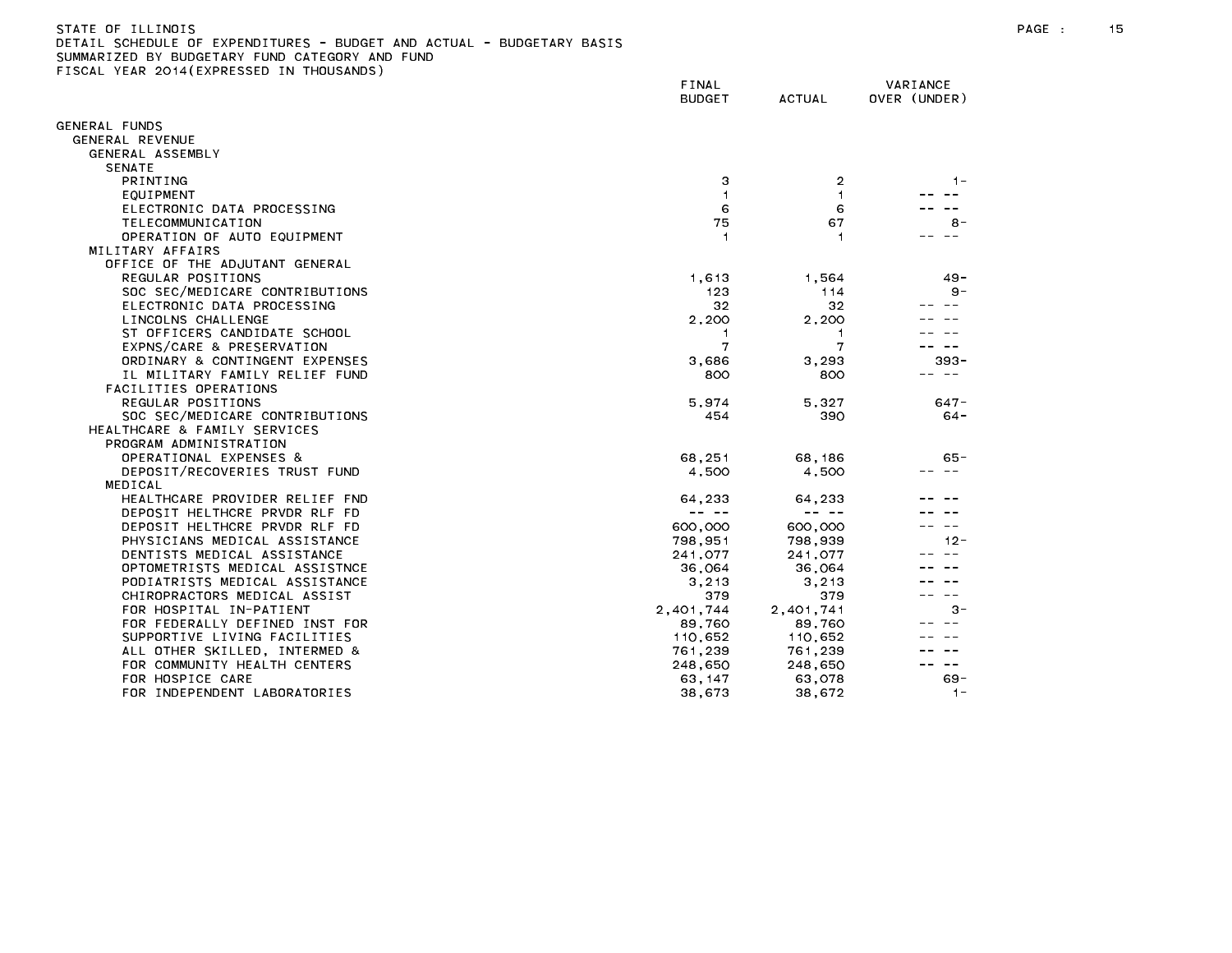## STATE OF ILLINOIS PAGE : 15 DETAIL SCHEDULE OF EXPENDITURES - BUDGET AND ACTUAL - BUDGETARY BASIS

|                                | FINAL<br><b>BUDGET</b> | <b>ACTUAL</b> | VARIANCE<br>OVER (UNDER) |
|--------------------------------|------------------------|---------------|--------------------------|
| GENERAL FUNDS                  |                        |               |                          |
| GENERAL REVENUE                |                        |               |                          |
| GENERAL ASSEMBLY               |                        |               |                          |
| <b>SENATE</b>                  |                        |               |                          |
| PRINTING                       | з                      | 2             | $1 -$                    |
| EQUIPMENT                      | 1                      | 1             |                          |
| ELECTRONIC DATA PROCESSING     | 6                      | 6             |                          |
| TELECOMMUNICATION              | 75                     | 67            | $8 -$                    |
| OPERATION OF AUTO EQUIPMENT    | $\mathbf{1}$           | 1             | $\sim$ $-$               |
| MILITARY AFFAIRS               |                        |               |                          |
| OFFICE OF THE ADJUTANT GENERAL |                        |               |                          |
| REGULAR POSITIONS              | 1,613                  | 1,564         | $49 -$                   |
| SOC SEC/MEDICARE CONTRIBUTIONS | 123                    | 114           | $9 -$                    |
| ELECTRONIC DATA PROCESSING     | 32                     | 32            |                          |
| LINCOLNS CHALLENGE             | 2,200                  | 2,200         |                          |
| ST OFFICERS CANDIDATE SCHOOL   | 1                      | 1             |                          |
| EXPNS/CARE & PRESERVATION      | 7                      | 7             |                          |
| ORDINARY & CONTINGENT EXPENSES | 3,686                  | 3,293         | 393 -                    |
| IL MILITARY FAMILY RELIEF FUND | 800                    | 800           | $- -$                    |
| FACILITIES OPERATIONS          |                        |               |                          |
| REGULAR POSITIONS              | 5,974                  | 5,327         | $647 -$                  |
| SOC SEC/MEDICARE CONTRIBUTIONS | 454                    | 390           | $64 -$                   |
| HEALTHCARE & FAMILY SERVICES   |                        |               |                          |
| PROGRAM ADMINISTRATION         |                        |               |                          |
| OPERATIONAL EXPENSES &         | 68.251                 | 68,186        | $65 -$                   |
| DEPOSIT/RECOVERIES TRUST FUND  | 4.500                  | 4.500         | $\sim$ $\sim$            |
| MEDICAL                        |                        |               |                          |
| HEALTHCARE PROVIDER RELIEF FND | 64,233                 | 64,233        |                          |
| DEPOSIT HELTHCRE PRVDR RLF FD  | -- --                  | -- --         |                          |
| DEPOSIT HELTHCRE PRVDR RLF FD  | 600,000                | 600,000       | $- -$                    |
| PHYSICIANS MEDICAL ASSISTANCE  | 798.951                | 798.939       | $12 -$                   |
| DENTISTS MEDICAL ASSISTANCE    | 241,077                | 241,077       |                          |
| OPTOMETRISTS MEDICAL ASSISTNCE | 36,064                 | 36,064        |                          |
| PODIATRISTS MEDICAL ASSISTANCE | 3,213                  | 3, 213        |                          |
| CHIROPRACTORS MEDICAL ASSIST   | 379                    | 379           |                          |
| FOR HOSPITAL IN-PATIENT        | 2,401,744              | 2,401,741     | $3 -$                    |
| FOR FEDERALLY DEFINED INST FOR | 89,760                 | 89,760        |                          |
| SUPPORTIVE LIVING FACILITIES   | 110,652                | 110,652       |                          |
| ALL OTHER SKILLED, INTERMED &  | 761,239                | 761,239       |                          |
| FOR COMMUNITY HEALTH CENTERS   | 248.650                | 248,650       |                          |
| FOR HOSPICE CARE               | 63, 147                | 63,078        | $69 -$                   |
| FOR INDEPENDENT LABORATORIES   | 38,673                 | 38,672        | $1 -$                    |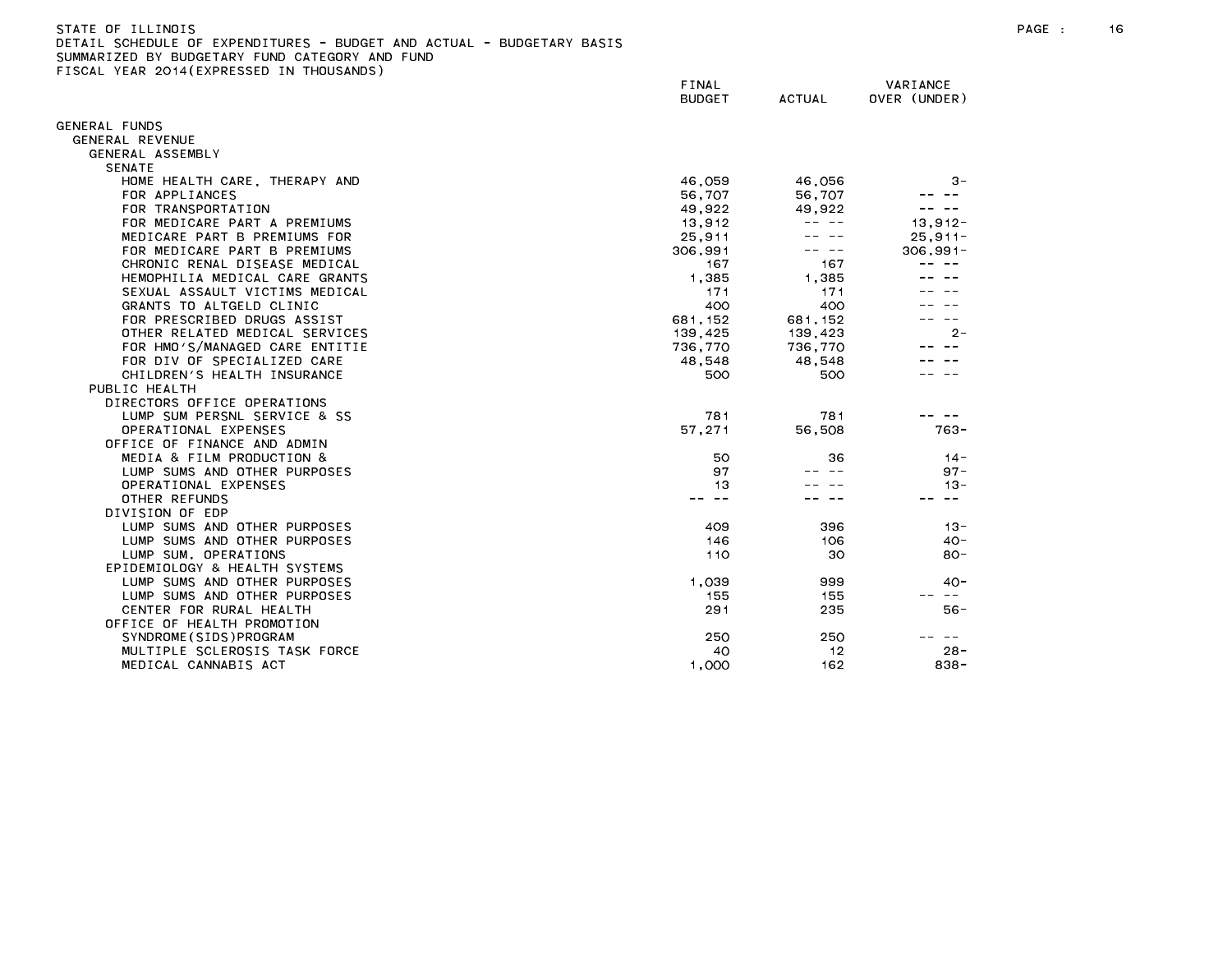| STATE OF ILLINOIS                                                     |
|-----------------------------------------------------------------------|
| DETAIL SCHEDULE OF EXPENDITURES - BUDGET AND ACTUAL - BUDGETARY BASIS |
| SUMMARIZED BY BUDGETARY FUND CATEGORY AND FUND                        |
| FISCAL YEAR 2014(EXPRESSED IN THOUSANDS)                              |

|                                | FINAL<br><b>BUDGET</b> | <b>ACTUAL</b> | VARIANCE<br>OVER (UNDER) |
|--------------------------------|------------------------|---------------|--------------------------|
| <b>GENERAL FUNDS</b>           |                        |               |                          |
| GENERAL REVENUE                |                        |               |                          |
| GENERAL ASSEMBLY               |                        |               |                          |
| <b>SENATE</b>                  |                        |               |                          |
| HOME HEALTH CARE, THERAPY AND  | 46,059                 | 46,056        | 3-                       |
| FOR APPLIANCES                 | 56.707                 | 56.707        |                          |
| FOR TRANSPORTATION             | 49,922                 | 49,922        |                          |
| FOR MEDICARE PART A PREMIUMS   | 13,912                 |               | $13,912 -$               |
| MEDICARE PART B PREMIUMS FOR   | 25,911                 |               | $25, 911 -$              |
| FOR MEDICARE PART B PREMIUMS   | 306,991                |               | $306, 991 -$             |
| CHRONIC RENAL DISEASE MEDICAL  | 167                    | 167           |                          |
| HEMOPHILIA MEDICAL CARE GRANTS | 1,385                  | 1,385         |                          |
| SEXUAL ASSAULT VICTIMS MEDICAL | 171                    | 171           |                          |
| GRANTS TO ALTGELD CLINIC       | 400                    | 400           |                          |
| FOR PRESCRIBED DRUGS ASSIST    | 681.152                | 681, 152      |                          |
| OTHER RELATED MEDICAL SERVICES | 139,425                | 139,423       | $2 -$                    |
| FOR HMO'S/MANAGED CARE ENTITIE | 736,770                | 736,770       |                          |
| FOR DIV OF SPECIALIZED CARE    | 48,548                 | 48,548        |                          |
| CHILDREN'S HEALTH INSURANCE    | 500                    | 500           |                          |
| PUBLIC HEALTH                  |                        |               |                          |
| DIRECTORS OFFICE OPERATIONS    |                        |               |                          |
| LUMP SUM PERSNL SERVICE & SS   | 781                    | 781           |                          |
| OPERATIONAL EXPENSES           | 57,271                 | 56,508        | $763 -$                  |
| OFFICE OF FINANCE AND ADMIN    |                        |               |                          |
| MEDIA & FILM PRODUCTION &      | 50                     | 36            | $14 -$                   |
| LUMP SUMS AND OTHER PURPOSES   | 97                     |               | $97 -$                   |
| OPERATIONAL EXPENSES           | 13                     |               | $13 -$                   |
| OTHER REFUNDS                  | $\sim$ $-$             |               | $- -$                    |
| DIVISION OF EDP                |                        |               |                          |
| LUMP SUMS AND OTHER PURPOSES   | 409                    | 396           | $13 -$                   |
| LUMP SUMS AND OTHER PURPOSES   | 146                    | 106           | 40 -                     |
| LUMP SUM, OPERATIONS           | 110                    | 30            | $80 -$                   |
| EPIDEMIOLOGY & HEALTH SYSTEMS  |                        |               |                          |
| LUMP SUMS AND OTHER PURPOSES   | 1,039                  | 999           | $40-$                    |
| LUMP SUMS AND OTHER PURPOSES   | 155                    | 155           | $\sim$ $-$               |
| CENTER FOR RURAL HEALTH        | 291                    | 235           | $56 -$                   |
| OFFICE OF HEALTH PROMOTION     |                        |               |                          |
| SYNDROME (SIDS) PROGRAM        | 250                    | 250           | $- -$                    |
| MULTIPLE SCLEROSIS TASK FORCE  | 40                     | 12            | $28 -$                   |
| MEDICAL CANNABIS ACT           | 1,000                  | 162           | $838 -$                  |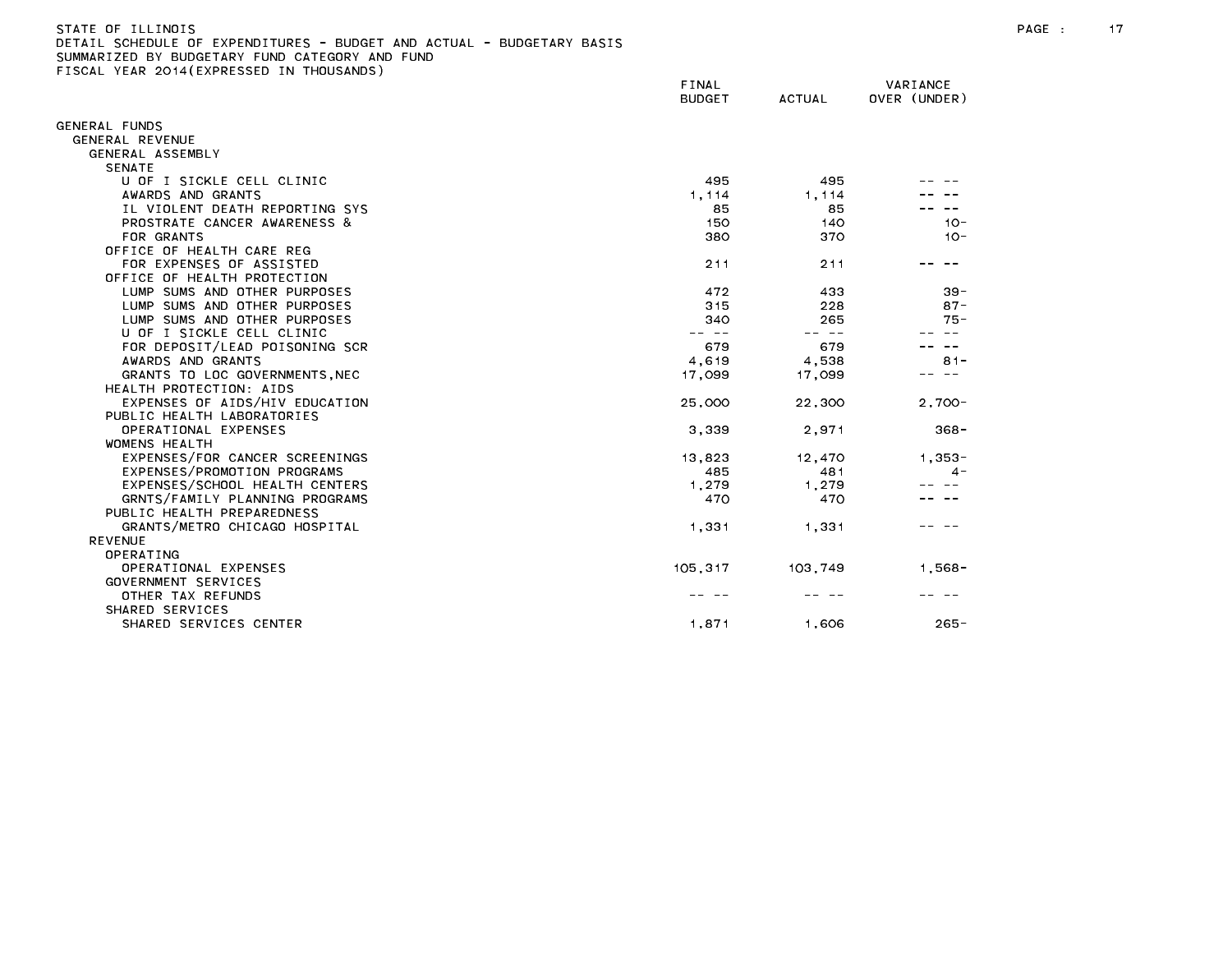| STATE OF ILLINOIS                                                     |  |
|-----------------------------------------------------------------------|--|
| DETAIL SCHEDULE OF EXPENDITURES - BUDGET AND ACTUAL - BUDGETARY BASIS |  |
| SUMMARIZED BY BUDGETARY FUND CATEGORY AND FUND                        |  |
| FISCAL YEAR 2014(EXPRESSED IN THOUSANDS)                              |  |

|                                | FINAL<br><b>BUDGET</b> | <b>ACTUAL</b> | VARIANCE<br>OVER (UNDER) |
|--------------------------------|------------------------|---------------|--------------------------|
|                                |                        |               |                          |
| GENERAL FUNDS                  |                        |               |                          |
| <b>GENERAL REVENUE</b>         |                        |               |                          |
| GENERAL ASSEMBLY               |                        |               |                          |
| <b>SENATE</b>                  |                        |               |                          |
| U OF I SICKLE CELL CLINIC      | 495                    | 495           |                          |
| AWARDS AND GRANTS              | 1,114                  | 1,114         |                          |
| IL VIOLENT DEATH REPORTING SYS | 85                     | 85            |                          |
| PROSTRATE CANCER AWARENESS &   | 150                    | 140           | $10 -$                   |
| FOR GRANTS                     | 380                    | 370           | $10 -$                   |
| OFFICE OF HEALTH CARE REG      |                        |               |                          |
| FOR EXPENSES OF ASSISTED       | 211                    | 211           |                          |
| OFFICE OF HEALTH PROTECTION    |                        |               |                          |
| LUMP SUMS AND OTHER PURPOSES   | 472                    | 433           | $39 -$                   |
| LUMP SUMS AND OTHER PURPOSES   | 315                    | 228           | $87 -$                   |
| LUMP SUMS AND OTHER PURPOSES   | 340                    | 265           | $75 -$                   |
| U OF I SICKLE CELL CLINIC      | $\sim$ $-$             | $\sim$ $-$    |                          |
| FOR DEPOSIT/LEAD POISONING SCR | 679                    | 679           |                          |
| AWARDS AND GRANTS              | 4,619                  | 4,538         | $81 -$                   |
| GRANTS TO LOC GOVERNMENTS, NEC | 17,099                 | 17,099        |                          |
| HEALTH PROTECTION: AIDS        |                        |               |                          |
| EXPENSES OF AIDS/HIV EDUCATION | 25,000                 | 22,300        | $2.700 -$                |
| PUBLIC HEALTH LABORATORIES     |                        |               |                          |
| OPERATIONAL EXPENSES           | 3,339                  | 2,971         | $368 -$                  |
| <b>WOMENS HEALTH</b>           |                        |               |                          |
| EXPENSES/FOR CANCER SCREENINGS | 13,823                 | 12,470        | $1.353 -$                |
| EXPENSES/PROMOTION PROGRAMS    | 485                    | 481           | $4 -$                    |
| EXPENSES/SCHOOL HEALTH CENTERS | 1,279                  | 1,279         |                          |
| GRNTS/FAMILY PLANNING PROGRAMS | 470                    | 470           |                          |
| PUBLIC HEALTH PREPAREDNESS     |                        |               |                          |
| GRANTS/METRO CHICAGO HOSPITAL  | 1,331                  | 1,331         |                          |
| <b>REVENUE</b>                 |                        |               |                          |
| OPERATING                      |                        |               |                          |
| OPERATIONAL EXPENSES           | 105,317                | 103,749       | $1,568 -$                |
| GOVERNMENT SERVICES            |                        |               |                          |
| OTHER TAX REFUNDS              |                        |               |                          |
| SHARED SERVICES                |                        |               |                          |
| SHARED SERVICES CENTER         | 1,871                  | 1,606         | $265 -$                  |
|                                |                        |               |                          |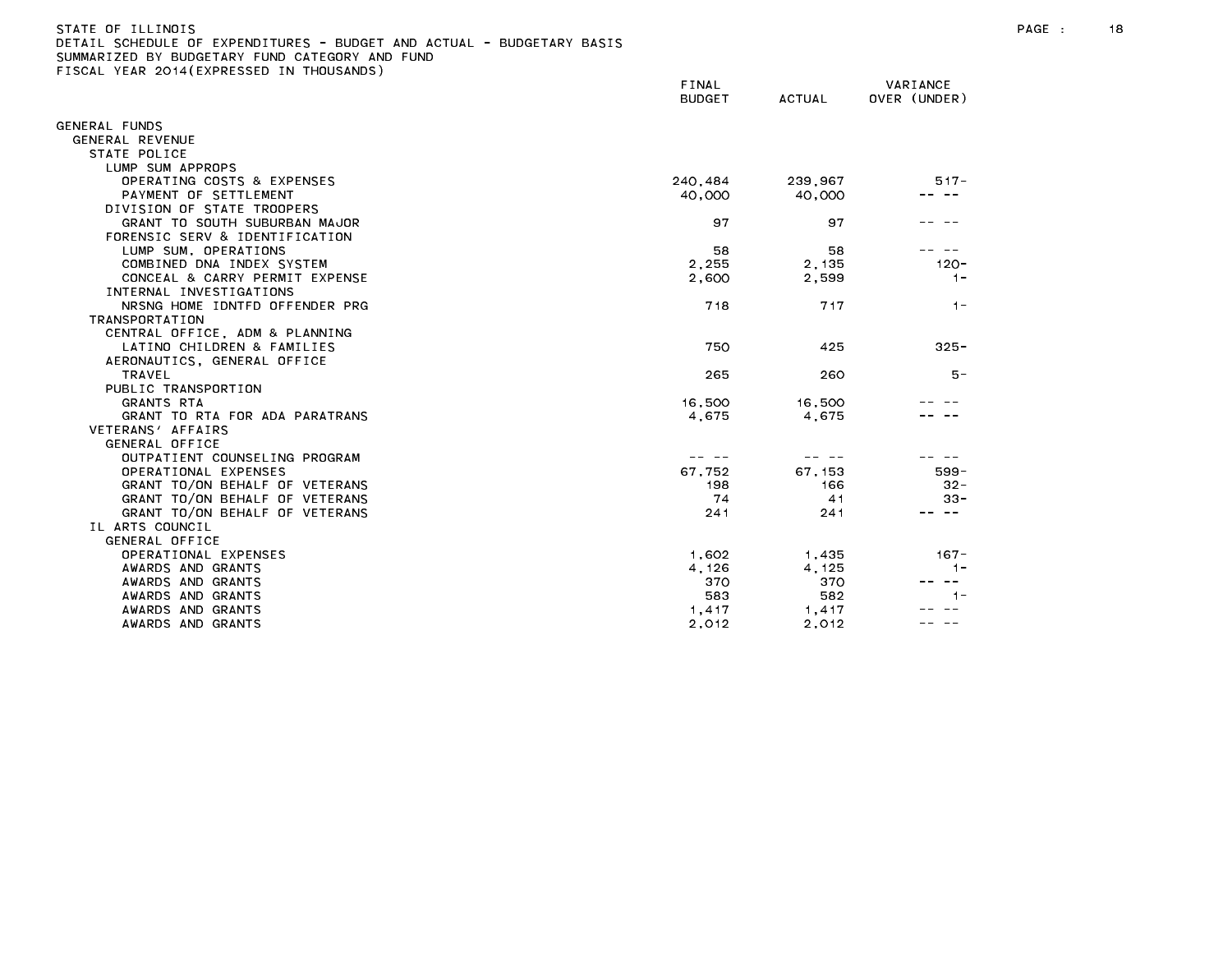| STATE OF ILLINOIS                                                     |
|-----------------------------------------------------------------------|
| DETAIL SCHEDULE OF EXPENDITURES - BUDGET AND ACTUAL - BUDGETARY BASIS |
| SUMMARIZED BY BUDGETARY FUND CATEGORY AND FUND                        |
| FISCAL YEAR 2014(EXPRESSED IN THOUSANDS)                              |

|                                | FINAL         |               | VARIANCE      |
|--------------------------------|---------------|---------------|---------------|
|                                | <b>BUDGET</b> | <b>ACTUAL</b> | OVER (UNDER)  |
| GENERAL FUNDS                  |               |               |               |
| GENERAL REVENUE                |               |               |               |
| STATE POLICE                   |               |               |               |
| LUMP SUM APPROPS               |               |               |               |
| OPERATING COSTS & EXPENSES     | 240,484       | 239,967       | $517 -$       |
| PAYMENT OF SETTLEMENT          | 40,000        | 40,000        |               |
| DIVISION OF STATE TROOPERS     |               |               |               |
| GRANT TO SOUTH SUBURBAN MAJOR  | 97            | 97            |               |
| FORENSIC SERV & IDENTIFICATION |               |               |               |
| LUMP SUM, OPERATIONS           | 58            | 58            |               |
| COMBINED DNA INDEX SYSTEM      | 2,255         | 2,135         | $120 -$       |
| CONCEAL & CARRY PERMIT EXPENSE | 2,600         | 2,599         | $1 -$         |
| INTERNAL INVESTIGATIONS        |               |               |               |
| NRSNG HOME IDNTFD OFFENDER PRG | 718           | 717           | $1 -$         |
| <b>TRANSPORTATION</b>          |               |               |               |
| CENTRAL OFFICE, ADM & PLANNING |               |               |               |
| LATINO CHILDREN & FAMILIES     | 750           | 425           | $325 -$       |
| AERONAUTICS, GENERAL OFFICE    |               |               |               |
| <b>TRAVEL</b>                  | 265           | 260           | $5 -$         |
| PUBLIC TRANSPORTION            |               |               |               |
| <b>GRANTS RTA</b>              | 16,500        | 16,500        |               |
| GRANT TO RTA FOR ADA PARATRANS | 4,675         | 4,675         |               |
| VETERANS' AFFAIRS              |               |               |               |
| GENERAL OFFICE                 |               |               |               |
| OUTPATIENT COUNSELING PROGRAM  |               |               |               |
| OPERATIONAL EXPENSES           | 67,752        | 67 153        | $599 -$       |
| GRANT TO/ON BEHALF OF VETERANS | 198           | 166           | $32 -$        |
| GRANT TO/ON BEHALF OF VETERANS | 74            | 41            | $33 -$        |
| GRANT TO/ON BEHALF OF VETERANS | 241           | 241           | ---           |
| IL ARTS COUNCIL                |               |               |               |
| GENERAL OFFICE                 |               |               |               |
| OPERATIONAL EXPENSES           | 1,602         | 1,435         | $167 -$       |
| AWARDS AND GRANTS              | 4,126         | 4,125         | $1 -$         |
| AWARDS AND GRANTS              | 370           | 370           | $\sim$ $\sim$ |
| AWARDS AND GRANTS              | 583           | 582           | $1 -$         |
| AWARDS AND GRANTS              | 1,417         | 1,417         |               |
| AWARDS AND GRANTS              | 2,012         | 2,012         |               |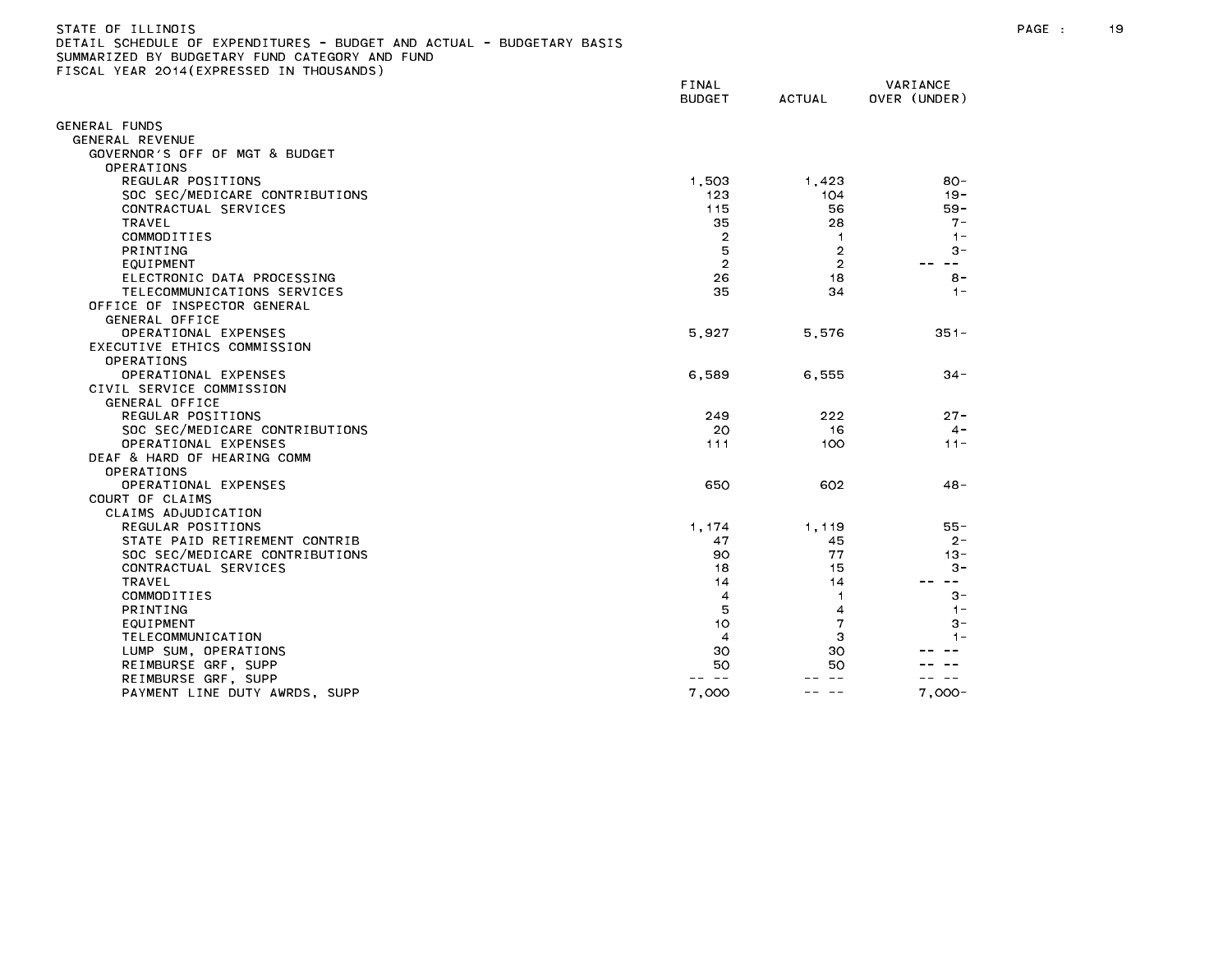# STATE OF ILLINOIS PAGE : 19 DETAIL SCHEDULE OF EXPENDITURES - BUDGET AND ACTUAL - BUDGETARY BASIS

|                                            | FINAL<br><b>BUDGET</b> | <b>ACTUAL</b>  | VARIANCE<br>OVER (UNDER)                                                                                                                                                                                                                                                                                                                                                                                                                                                   |
|--------------------------------------------|------------------------|----------------|----------------------------------------------------------------------------------------------------------------------------------------------------------------------------------------------------------------------------------------------------------------------------------------------------------------------------------------------------------------------------------------------------------------------------------------------------------------------------|
| GENERAL FUNDS                              |                        |                |                                                                                                                                                                                                                                                                                                                                                                                                                                                                            |
| GENERAL REVENUE                            |                        |                |                                                                                                                                                                                                                                                                                                                                                                                                                                                                            |
| GOVERNOR'S OFF OF MGT & BUDGET             |                        |                |                                                                                                                                                                                                                                                                                                                                                                                                                                                                            |
| OPERATIONS                                 |                        |                |                                                                                                                                                                                                                                                                                                                                                                                                                                                                            |
| REGULAR POSITIONS                          | 1,503                  | 1,423          | $80 -$                                                                                                                                                                                                                                                                                                                                                                                                                                                                     |
| SOC SEC/MEDICARE CONTRIBUTIONS             | 123                    | 104            | $19 -$                                                                                                                                                                                                                                                                                                                                                                                                                                                                     |
| CONTRACTUAL SERVICES                       | 115                    | 56             | $59 -$                                                                                                                                                                                                                                                                                                                                                                                                                                                                     |
| <b>TRAVEL</b>                              | 35                     | 28             | $7 -$                                                                                                                                                                                                                                                                                                                                                                                                                                                                      |
| COMMODITIES                                | $\overline{2}$         | $\mathbf{1}$   | $1 -$                                                                                                                                                                                                                                                                                                                                                                                                                                                                      |
| PRINTING                                   | 5                      | $\overline{2}$ | $3 -$                                                                                                                                                                                                                                                                                                                                                                                                                                                                      |
| EQUIPMENT                                  | $\overline{2}$         | $\overline{2}$ | $- -$                                                                                                                                                                                                                                                                                                                                                                                                                                                                      |
| ELECTRONIC DATA PROCESSING                 | 26                     | 18             | $8 -$                                                                                                                                                                                                                                                                                                                                                                                                                                                                      |
| TELECOMMUNICATIONS SERVICES                | 35                     | 34             | $1 -$                                                                                                                                                                                                                                                                                                                                                                                                                                                                      |
| OFFICE OF INSPECTOR GENERAL                |                        |                |                                                                                                                                                                                                                                                                                                                                                                                                                                                                            |
| GENERAL OFFICE                             |                        |                |                                                                                                                                                                                                                                                                                                                                                                                                                                                                            |
| OPERATIONAL EXPENSES                       | 5,927                  | 5,576          | $351 -$                                                                                                                                                                                                                                                                                                                                                                                                                                                                    |
| EXECUTIVE ETHICS COMMISSION                |                        |                |                                                                                                                                                                                                                                                                                                                                                                                                                                                                            |
| OPERATIONS                                 |                        |                |                                                                                                                                                                                                                                                                                                                                                                                                                                                                            |
| OPERATIONAL EXPENSES                       | 6,589                  | 6,555          | $34 -$                                                                                                                                                                                                                                                                                                                                                                                                                                                                     |
| CIVIL SERVICE COMMISSION<br>GENERAL OFFICE |                        |                |                                                                                                                                                                                                                                                                                                                                                                                                                                                                            |
| REGULAR POSITIONS                          | 249                    | 222            | $27 -$                                                                                                                                                                                                                                                                                                                                                                                                                                                                     |
| SOC SEC/MEDICARE CONTRIBUTIONS             | 20                     | 16             | $4 -$                                                                                                                                                                                                                                                                                                                                                                                                                                                                      |
| OPERATIONAL EXPENSES                       | 111                    | 100            | $11 -$                                                                                                                                                                                                                                                                                                                                                                                                                                                                     |
| DEAF & HARD OF HEARING COMM                |                        |                |                                                                                                                                                                                                                                                                                                                                                                                                                                                                            |
| <b>OPERATIONS</b>                          |                        |                |                                                                                                                                                                                                                                                                                                                                                                                                                                                                            |
| OPERATIONAL EXPENSES                       | 650                    | 602            | $48 -$                                                                                                                                                                                                                                                                                                                                                                                                                                                                     |
| COURT OF CLAIMS                            |                        |                |                                                                                                                                                                                                                                                                                                                                                                                                                                                                            |
| CLAIMS ADJUDICATION                        |                        |                |                                                                                                                                                                                                                                                                                                                                                                                                                                                                            |
| REGULAR POSITIONS                          | 1, 174                 | 1,119          | 55 -                                                                                                                                                                                                                                                                                                                                                                                                                                                                       |
| STATE PAID RETIREMENT CONTRIB              | 47                     | 45             | $2 -$                                                                                                                                                                                                                                                                                                                                                                                                                                                                      |
| SOC SEC/MEDICARE CONTRIBUTIONS             | 90                     | 77             | $13 -$                                                                                                                                                                                                                                                                                                                                                                                                                                                                     |
| CONTRACTUAL SERVICES                       | 18                     | 15             | $3 -$                                                                                                                                                                                                                                                                                                                                                                                                                                                                      |
| <b>TRAVEL</b>                              | 14                     | 14             | $\frac{1}{2} \left( \frac{1}{2} \right) \left( \frac{1}{2} \right) \left( \frac{1}{2} \right) \left( \frac{1}{2} \right) \left( \frac{1}{2} \right) \left( \frac{1}{2} \right) \left( \frac{1}{2} \right) \left( \frac{1}{2} \right) \left( \frac{1}{2} \right) \left( \frac{1}{2} \right) \left( \frac{1}{2} \right) \left( \frac{1}{2} \right) \left( \frac{1}{2} \right) \left( \frac{1}{2} \right) \left( \frac{1}{2} \right) \left( \frac{1}{2} \right) \left( \frac$ |
| COMMODITIES                                | 4                      | -1             | $3 -$                                                                                                                                                                                                                                                                                                                                                                                                                                                                      |
| PRINTING                                   | 5                      | 4              | $1 -$                                                                                                                                                                                                                                                                                                                                                                                                                                                                      |
| EQUIPMENT                                  | 10                     | 7              | $3 -$                                                                                                                                                                                                                                                                                                                                                                                                                                                                      |
| TELECOMMUNICATION                          | $\overline{4}$         | 3              | $1 -$                                                                                                                                                                                                                                                                                                                                                                                                                                                                      |
| LUMP SUM, OPERATIONS                       | 30                     | 30             |                                                                                                                                                                                                                                                                                                                                                                                                                                                                            |
| REIMBURSE GRF, SUPP                        | 50                     | 50             |                                                                                                                                                                                                                                                                                                                                                                                                                                                                            |
| REIMBURSE GRF, SUPP                        | $\sim$ $\sim$          |                |                                                                                                                                                                                                                                                                                                                                                                                                                                                                            |
| PAYMENT LINE DUTY AWRDS, SUPP              | 7,000                  | $\sim$ $-$     | $7,000 -$                                                                                                                                                                                                                                                                                                                                                                                                                                                                  |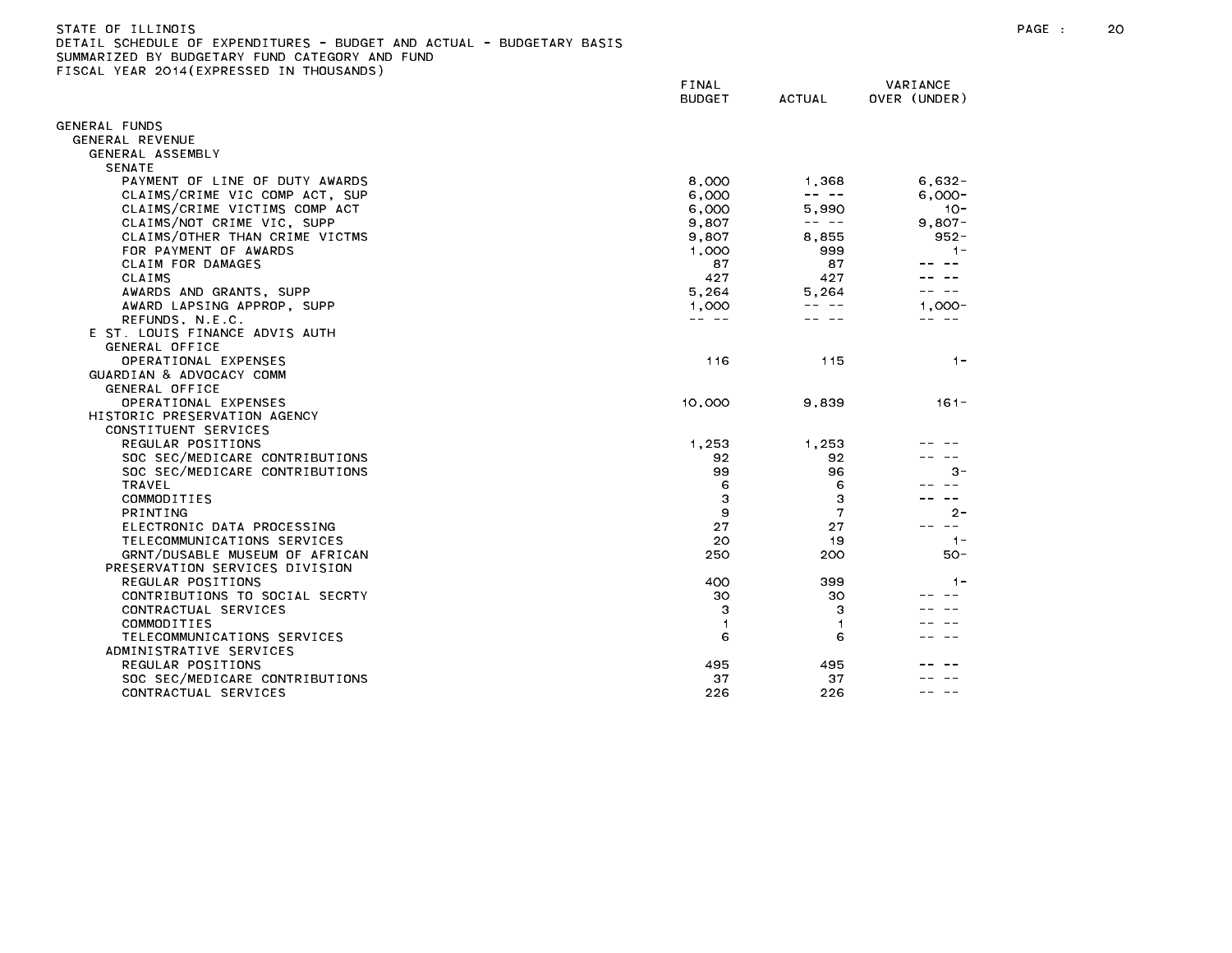| STATE OF TILINOIS                                                     |  |
|-----------------------------------------------------------------------|--|
| DETAIL SCHEDULE OF EXPENDITURES - BUDGET AND ACTUAL - BUDGETARY BASIS |  |
| SUMMARIZED BY BUDGETARY FUND CATEGORY AND FUND                        |  |
| FISCAL YEAR 2014(EXPRESSED IN THOUSANDS)                              |  |

|                                | FINAL<br><b>BUDGET</b> | <b>ACTUAL</b> | VARIANCE<br>OVER (UNDER) |
|--------------------------------|------------------------|---------------|--------------------------|
| ENERAL FUNDS                   |                        |               |                          |
| GENERAL REVENUE                |                        |               |                          |
| GENERAL ASSEMBLY               |                        |               |                          |
| <b>SENATE</b>                  |                        |               |                          |
| PAYMENT OF LINE OF DUTY AWARDS | 8,000                  | 1,368         | $6,632-$                 |
| CLAIMS/CRIME VIC COMP ACT, SUP | 6,000                  | -- --         | $6,000 -$                |
| CLAIMS/CRIME VICTIMS COMP ACT  | 6,000                  | 5.990         | $10 -$                   |
| CLAIMS/NOT CRIME VIC, SUPP     | 9,807                  | -- --         | $9,807 -$                |
| CLAIMS/OTHER THAN CRIME VICTMS | 9,807                  | 8,855         | $952 -$                  |
| FOR PAYMENT OF AWARDS          | 1,000                  | 999           | $1 -$                    |
| CLAIM FOR DAMAGES              | 87                     | 87            |                          |
| CLAIMS                         | 427                    | 427           |                          |
| AWARDS AND GRANTS, SUPP        | 5,264                  | 5.264         |                          |
| AWARD LAPSING APPROP, SUPP     | 1,000                  |               | $1.000 -$                |
| REFUNDS, N.E.C.                | -- --                  |               | $- -$                    |
| E ST. LOUIS FINANCE ADVIS AUTH |                        |               |                          |
| GENERAL OFFICE                 |                        |               |                          |
| OPERATIONAL EXPENSES           | 116                    | 115           | $1 -$                    |
| GUARDIAN & ADVOCACY COMM       |                        |               |                          |
| GENERAL OFFICE                 |                        |               |                          |
| OPERATIONAL EXPENSES           | 10,000                 | 9,839         | $161 -$                  |
| HISTORIC PRESERVATION AGENCY   |                        |               |                          |
| CONSTITUENT SERVICES           |                        |               |                          |
| REGULAR POSITIONS              | 1,253                  | 1.253         |                          |
| SOC SEC/MEDICARE CONTRIBUTIONS | 92                     | 92            |                          |
| SOC SEC/MEDICARE CONTRIBUTIONS | 99                     | 96            | $3 -$                    |
| <b>TRAVEL</b>                  | 6                      | 6             |                          |
| COMMODITIES                    | 3                      | 3             |                          |
| PRINTING                       | 9                      | 7             | $2 -$                    |
| ELECTRONIC DATA PROCESSING     | 27                     | 27            | $- -$                    |
| TELECOMMUNICATIONS SERVICES    | 20                     | 19            | $1 -$                    |
| GRNT/DUSABLE MUSEUM OF AFRICAN | 250                    | 200           | $50 -$                   |
| PRESERVATION SERVICES DIVISION |                        |               |                          |
| REGULAR POSITIONS              | 400                    | 399           | $1 -$                    |
| CONTRIBUTIONS TO SOCIAL SECRTY | 30                     | 30            |                          |
| CONTRACTUAL SERVICES           | з                      | з             |                          |
| COMMODITIES                    | 1                      | $\mathbf{1}$  |                          |
| TELECOMMUNICATIONS SERVICES    | 6                      | 6             |                          |
| ADMINISTRATIVE SERVICES        |                        |               |                          |
| REGULAR POSITIONS              | 495                    | 495           |                          |
| SOC SEC/MEDICARE CONTRIBUTIONS | 37                     | 37            |                          |
| CONTRACTUAL SERVICES           | 226                    | 226           |                          |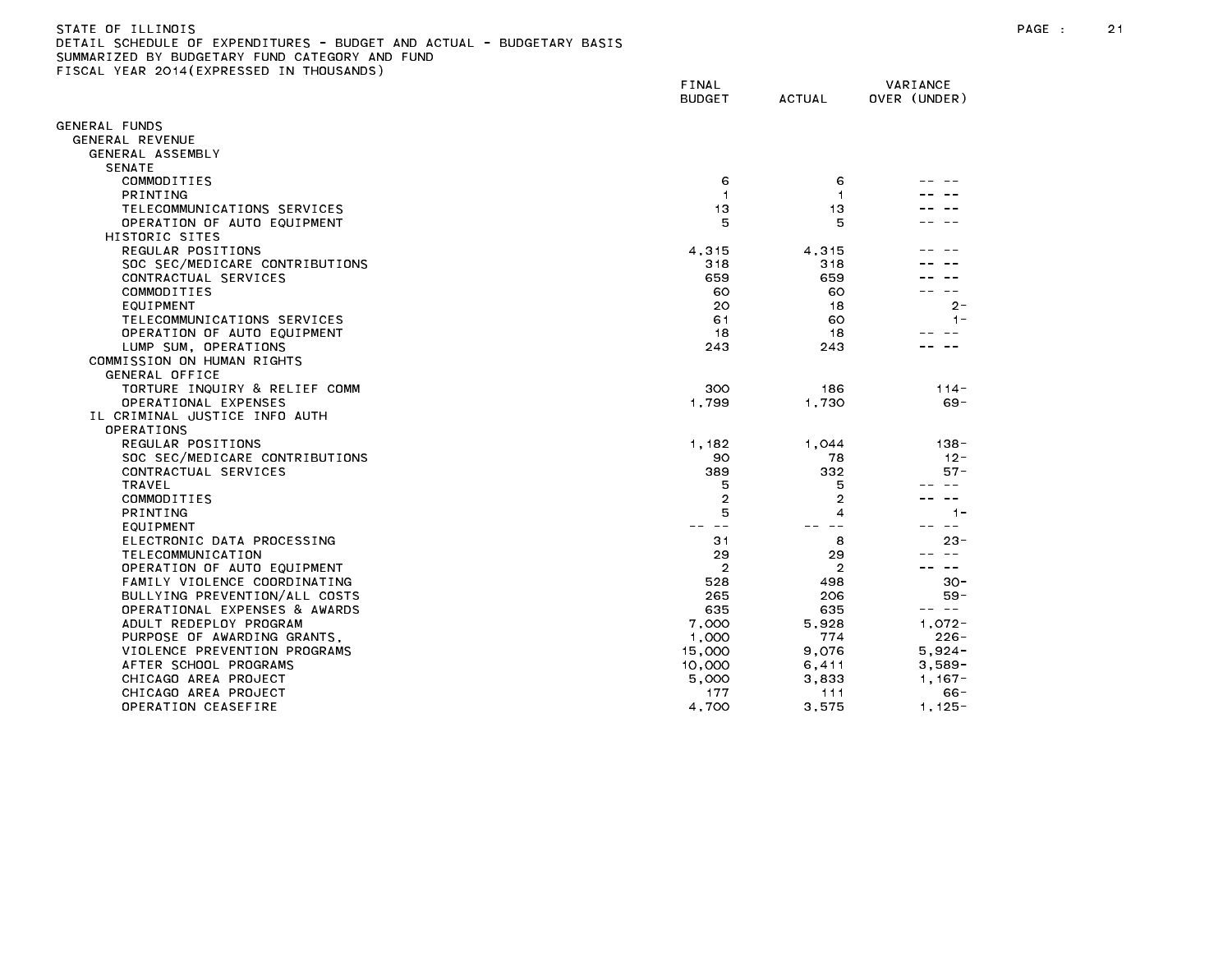## STATE OF ILLINOIS PAGE : 21 DETAIL SCHEDULE OF EXPENDITURES - BUDGET AND ACTUAL - BUDGETARY BASIS

|                                         | FINAL<br><b>BUDGET</b> | <b>ACTUAL</b>  | VARIANCE<br>OVER (UNDER) |
|-----------------------------------------|------------------------|----------------|--------------------------|
| GENERAL FUNDS                           |                        |                |                          |
| GENERAL REVENUE                         |                        |                |                          |
| GENERAL ASSEMBLY                        |                        |                |                          |
| <b>SENATE</b>                           |                        |                |                          |
| COMMODITIES                             | 6                      | 6              |                          |
| <b>PRINTING</b>                         | $\mathbf{1}$           | $\mathbf{1}$   |                          |
| TELECOMMUNICATIONS SERVICES             | 13                     | 13             |                          |
| OPERATION OF AUTO EQUIPMENT             | 5                      | 5              |                          |
| HISTORIC SITES                          |                        |                |                          |
| REGULAR POSITIONS                       | 4,315                  | 4,315          |                          |
| SOC SEC/MEDICARE CONTRIBUTIONS          | 318                    | 318            |                          |
| CONTRACTUAL SERVICES                    | 659                    | 659            |                          |
| COMMODITIES                             | 60                     | 60             |                          |
| EQUIPMENT                               | 20                     | 18             | $2 -$                    |
| TELECOMMUNICATIONS SERVICES             | 61                     | 60             | $1 -$                    |
| OPERATION OF AUTO EQUIPMENT             | 18                     | 18             |                          |
| LUMP SUM, OPERATIONS                    | 243                    | 243            |                          |
| COMMISSION ON HUMAN RIGHTS              |                        |                |                          |
| GENERAL OFFICE                          |                        |                |                          |
| TORTURE INQUIRY & RELIEF COMM           | 300                    | 186            | $114 -$                  |
| OPERATIONAL EXPENSES                    | 1,799                  | 1,730          | $69 -$                   |
| IL CRIMINAL JUSTICE INFO AUTH           |                        |                |                          |
| OPERATIONS                              |                        |                |                          |
| REGULAR POSITIONS                       | 1,182                  | 1,044          | $138 -$                  |
| SOC SEC/MEDICARE CONTRIBUTIONS          | 90                     | 78             | $12 -$                   |
| CONTRACTUAL SERVICES                    | 389                    | 332            | $57 -$                   |
| TRAVEL                                  | 5                      | 5              |                          |
| COMMODITIES                             | $\overline{2}$<br>5    | 2              |                          |
| PRINTING                                | $\sim$ $\sim$          | 4<br>$ -$      | $1 -$<br>$\sim$ $-$      |
| EQUIPMENT<br>ELECTRONIC DATA PROCESSING | 31                     | 8              | $23 -$                   |
| TELECOMMUNICATION                       | 29                     | 29             |                          |
| OPERATION OF AUTO EQUIPMENT             | $\overline{2}$         | $\overline{2}$ | $\sim$ $-$               |
| FAMILY VIOLENCE COORDINATING            | 528                    | 498            | $30 -$                   |
| BULLYING PREVENTION/ALL COSTS           | 265                    | 206            | $59 -$                   |
| OPERATIONAL EXPENSES & AWARDS           | 635                    | 635            | -- --                    |
| ADULT REDEPLOY PROGRAM                  | 7,000                  | 5,928          | $1,072 -$                |
| PURPOSE OF AWARDING GRANTS,             | 1,000                  | 774            | $226 -$                  |
| VIOLENCE PREVENTION PROGRAMS            | 15,000                 | 9,076          | $5,924-$                 |
| AFTER SCHOOL PROGRAMS                   | 10,000                 | 6,411          | $3.589 -$                |
| CHICAGO AREA PROJECT                    | 5,000                  | 3,833          | $1,167-$                 |
| CHICAGO AREA PROJECT                    | 177                    | 111            | 66-                      |
| OPERATION CEASEFIRE                     | 4.700                  | 3.575          | $1, 125 -$               |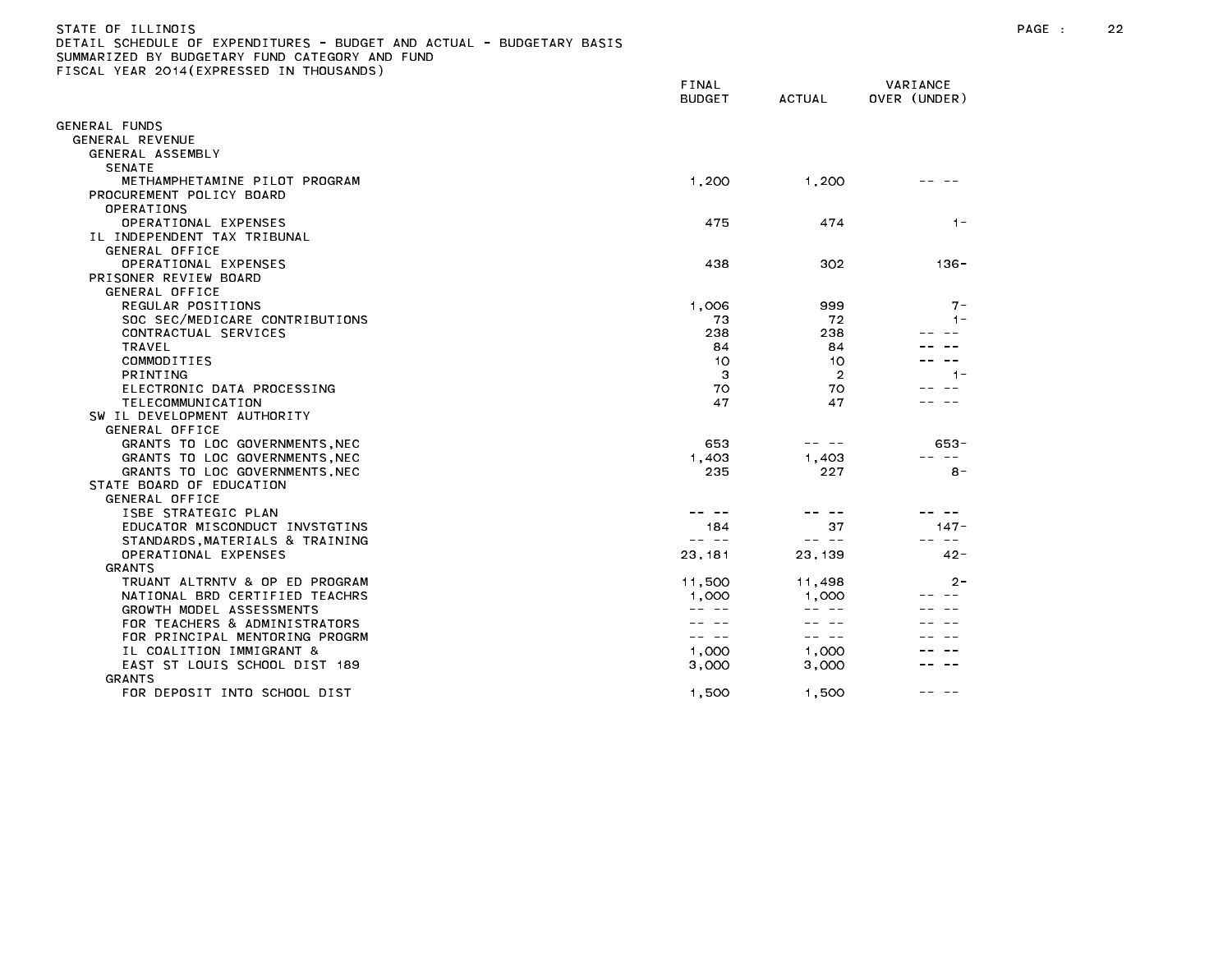## STATE OF ILLINOIS PAGE : 22 DETAIL SCHEDULE OF EXPENDITURES - BUDGET AND ACTUAL - BUDGETARY BASIS

|                                                         | FINAL<br><b>BUDGET</b> | <b>ACTUAL</b>  | VARIANCE<br>OVER (UNDER) |
|---------------------------------------------------------|------------------------|----------------|--------------------------|
| GENERAL FUNDS                                           |                        |                |                          |
| GENERAL REVENUE                                         |                        |                |                          |
| GENERAL ASSEMBLY                                        |                        |                |                          |
| <b>SENATE</b>                                           |                        |                |                          |
| METHAMPHETAMINE PILOT PROGRAM                           | 1,200                  | 1,200          |                          |
| PROCUREMENT POLICY BOARD                                |                        |                |                          |
| OPERATIONS                                              |                        |                |                          |
| OPERATIONAL EXPENSES                                    | 475                    | 474            | $1 -$                    |
| IL INDEPENDENT TAX TRIBUNAL                             |                        |                |                          |
| GENERAL OFFICE                                          |                        |                |                          |
| OPERATIONAL EXPENSES                                    | 438                    | 302            | $136 -$                  |
| PRISONER REVIEW BOARD                                   |                        |                |                          |
| GENERAL OFFICE                                          |                        |                |                          |
| REGULAR POSITIONS                                       | 1,006                  | 999            | $7 -$                    |
| SOC SEC/MEDICARE CONTRIBUTIONS                          | 73                     | 72             | $1 -$                    |
| CONTRACTUAL SERVICES                                    | 238                    | 238            |                          |
| TRAVEL                                                  | 84                     | 84             |                          |
| COMMODITIES                                             | 10                     | 10             |                          |
| PRINTING                                                | 3                      | $\overline{2}$ | $1 -$                    |
| ELECTRONIC DATA PROCESSING                              | 70                     | 70             |                          |
| TELECOMMUNICATION                                       | 47                     | 47             |                          |
| SW IL DEVELOPMENT AUTHORITY                             |                        |                |                          |
| GENERAL OFFICE                                          |                        |                |                          |
| GRANTS TO LOC GOVERNMENTS, NEC                          | 653                    |                | 653-                     |
| GRANTS TO LOC GOVERNMENTS, NEC                          | 1,403                  | 1,403          |                          |
| GRANTS TO LOC GOVERNMENTS, NEC                          | 235                    | 227            | $8 -$                    |
| STATE BOARD OF EDUCATION                                |                        |                |                          |
| GENERAL OFFICE                                          |                        |                |                          |
| ISBE STRATEGIC PLAN                                     |                        | ---            |                          |
| EDUCATOR MISCONDUCT INVSTGTINS                          | 184<br>-- --           | 37<br>-- --    | $147 -$<br>$\sim$ $-$    |
| STANDARDS, MATERIALS & TRAINING<br>OPERATIONAL EXPENSES | 23, 181                | 23, 139        | $42 -$                   |
| <b>GRANTS</b>                                           |                        |                |                          |
| TRUANT ALTRNTV & OP ED PROGRAM                          | 11,500                 | 11,498         | $2 -$                    |
| NATIONAL BRD CERTIFIED TEACHRS                          | 1,000                  | 1,000          |                          |
| GROWTH MODEL ASSESSMENTS                                |                        |                |                          |
| FOR TEACHERS & ADMINISTRATORS                           |                        |                |                          |
| FOR PRINCIPAL MENTORING PROGRM                          | $- -$                  | -- --          |                          |
| IL COALITION IMMIGRANT &                                | 1,000                  | 1,000          |                          |
| EAST ST LOUIS SCHOOL DIST 189                           | 3,000                  | 3,000          |                          |
| <b>GRANTS</b>                                           |                        |                |                          |
| FOR DEPOSIT INTO SCHOOL DIST                            | 1,500                  | 1,500          |                          |
|                                                         |                        |                |                          |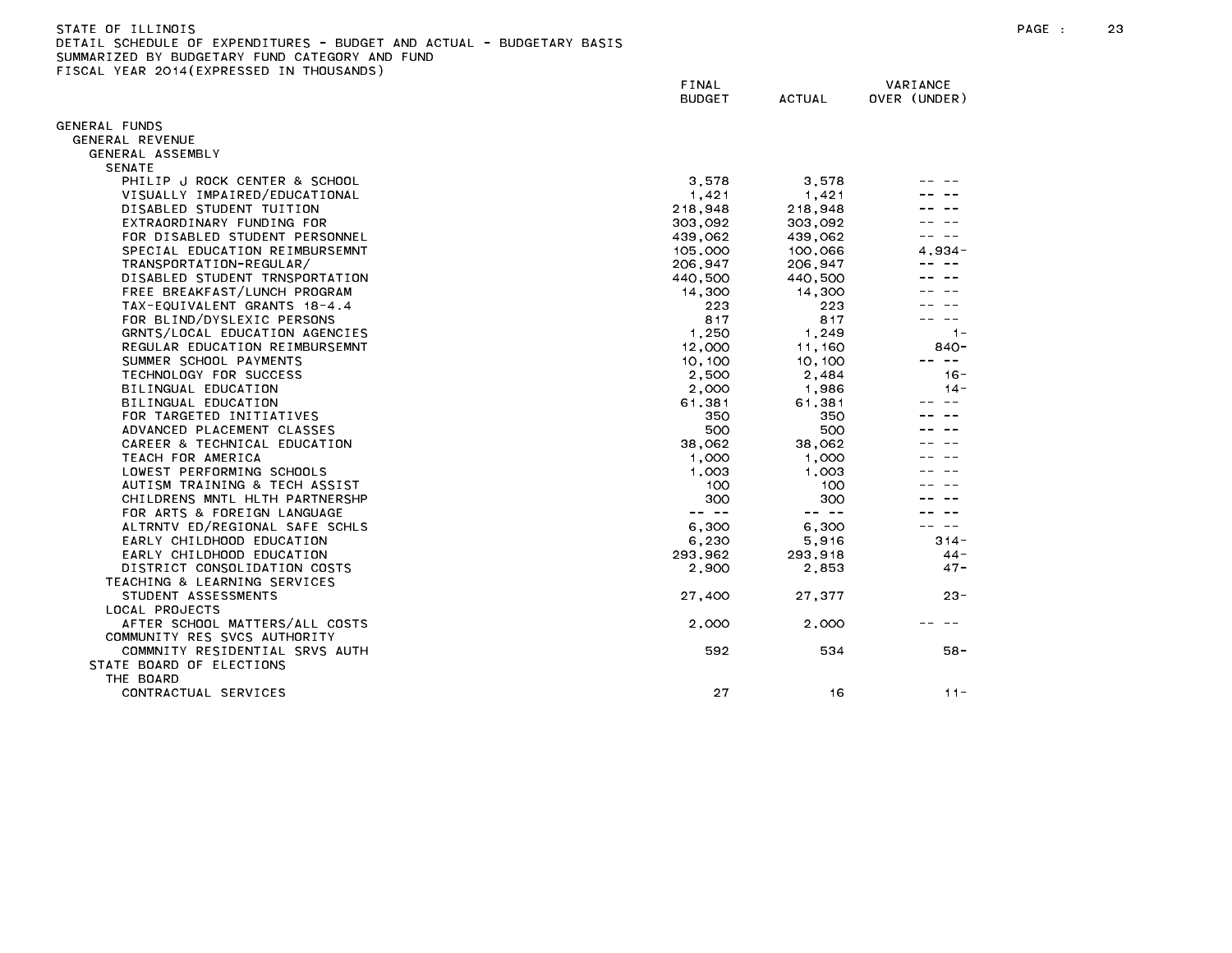| STATE OF ILLINOIS                                                     |        | PAGE : | 23 |
|-----------------------------------------------------------------------|--------|--------|----|
| DETAIL SCHEDULE OF EXPENDITURES - BUDGET AND ACTUAL - BUDGETARY BASIS |        |        |    |
| SUMMARIZED BY BUDGETARY FUND CATEGORY AND FUND                        |        |        |    |
| FISCAL YEAR 2014(EXPRESSED IN THOUSANDS)                              |        |        |    |
|                                                                       | ------ | .      |    |

|                                | FINAL<br><b>BUDGET</b> | <b>ACTUAL</b> | VARIANCE<br>OVER (UNDER) |
|--------------------------------|------------------------|---------------|--------------------------|
| GENERAL FUNDS                  |                        |               |                          |
| GENERAL REVENUE                |                        |               |                          |
| GENERAL ASSEMBLY               |                        |               |                          |
| <b>SENATE</b>                  |                        |               |                          |
| PHILIP J ROCK CENTER & SCHOOL  | 3,578                  | 3,578         |                          |
| VISUALLY IMPAIRED/EDUCATIONAL  | 1,421                  | 1,421         |                          |
| DISABLED STUDENT TUITION       | 218,948                | 218,948       |                          |
| EXTRAORDINARY FUNDING FOR      | 303,092                | 303,092       |                          |
| FOR DISABLED STUDENT PERSONNEL | 439,062                | 439,062       |                          |
| SPECIAL EDUCATION REIMBURSEMNT | 105,000                | 100,066       | 4.934-                   |
| TRANSPORTATION-REGULAR/        | 206,947                | 206,947       |                          |
| DISABLED STUDENT TRNSPORTATION | 440,500                | 440,500       |                          |
| FREE BREAKFAST/LUNCH PROGRAM   | 14,300                 | 14,300        |                          |
| TAX-EQUIVALENT GRANTS 18-4.4   | 223                    | 223           |                          |
| FOR BLIND/DYSLEXIC PERSONS     | 817                    | 817           |                          |
| GRNTS/LOCAL EDUCATION AGENCIES | 1,250                  | 1,249         | $1 -$                    |
| REGULAR EDUCATION REIMBURSEMNT | 12,000                 | 11,160        | 840-                     |
| SUMMER SCHOOL PAYMENTS         | 10,100                 | 10, 100       | $\sim$ $-$               |
| TECHNOLOGY FOR SUCCESS         | 2,500                  | 2,484         | $16 -$                   |
| BILINGUAL EDUCATION            | 2,000                  | 1,986         | $14 -$                   |
| BILINGUAL EDUCATION            | 61,381                 | 61,381        | $\qquad \qquad -$        |
| FOR TARGETED INITIATIVES       | 350                    | 350           |                          |
| ADVANCED PLACEMENT CLASSES     | 500                    | 500           |                          |
| CAREER & TECHNICAL EDUCATION   | 38,062                 | 38.062        |                          |
| TEACH FOR AMERICA              | 1,000                  | 1,000         |                          |
| LOWEST PERFORMING SCHOOLS      | 1,003                  | 1,003         |                          |
| AUTISM TRAINING & TECH ASSIST  | 100                    | 100           |                          |
| CHILDRENS MNTL HLTH PARTNERSHP | 300                    | 300           |                          |
| FOR ARTS & FOREIGN LANGUAGE    | -- --                  | -- --         |                          |
| ALTRNTV ED/REGIONAL SAFE SCHLS | 6,300                  | 6,300         | $\sim$ $-$               |
| EARLY CHILDHOOD EDUCATION      | 6,230                  | 5,916         | $314 -$                  |
| EARLY CHILDHOOD EDUCATION      | 293,962                | 293,918       | $44 -$                   |
| DISTRICT CONSOLIDATION COSTS   | 2,900                  | 2,853         | $47 -$                   |
| TEACHING & LEARNING SERVICES   |                        |               |                          |
| STUDENT ASSESSMENTS            | 27,400                 | 27.377        | $23 -$                   |
| LOCAL PROJECTS                 |                        |               |                          |
| AFTER SCHOOL MATTERS/ALL COSTS | 2,000                  | 2,000         |                          |
| COMMUNITY RES SVCS AUTHORITY   |                        |               |                          |
| COMMNITY RESIDENTIAL SRVS AUTH | 592                    | 534           | 58 -                     |
| STATE BOARD OF ELECTIONS       |                        |               |                          |
| THE BOARD                      |                        |               |                          |
| CONTRACTUAL SERVICES           | 27                     | 16            | $11 -$                   |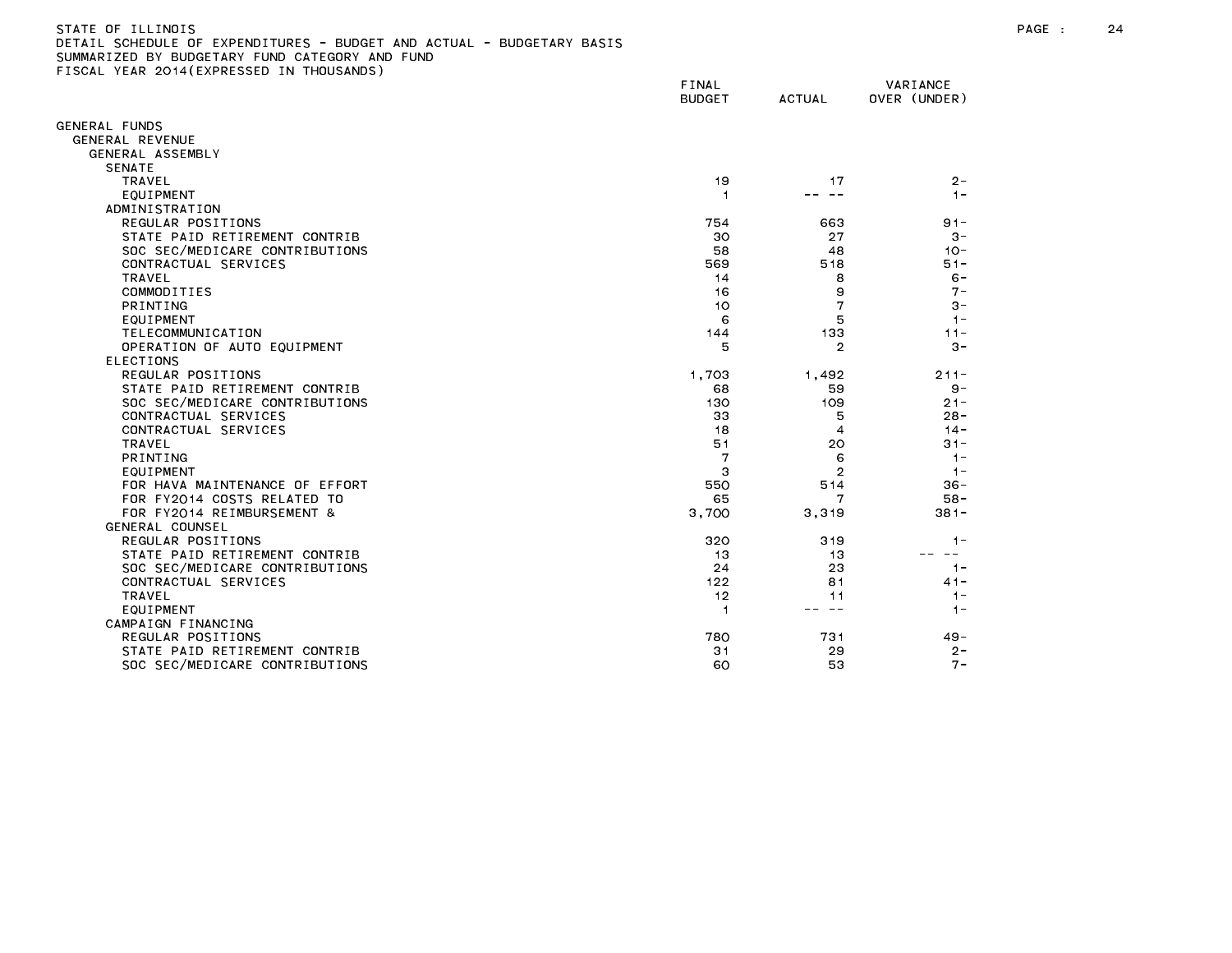## STATE OF ILLINOIS PAGE : 24 DETAIL SCHEDULE OF EXPENDITURES - BUDGET AND ACTUAL - BUDGETARY BASIS

|                                | FINAL<br><b>BUDGET</b> | <b>ACTUAL</b>  | VARIANCE<br>OVER (UNDER) |
|--------------------------------|------------------------|----------------|--------------------------|
| <b>SENERAL FUNDS</b>           |                        |                |                          |
| GENERAL REVENUE                |                        |                |                          |
| GENERAL ASSEMBLY               |                        |                |                          |
| <b>SENATE</b>                  |                        |                |                          |
| <b>TRAVEL</b>                  | 19                     | 17             | $2 -$                    |
| EQUIPMENT                      | 1                      | $\sim$ $-$     | $1 -$                    |
| ADMINISTRATION                 |                        |                |                          |
| REGULAR POSITIONS              | 754                    | 663            | $91 -$                   |
| STATE PAID RETIREMENT CONTRIB  | 30                     | 27             | $3 -$                    |
| SOC SEC/MEDICARE CONTRIBUTIONS | 58                     | 48             | $10 -$                   |
| CONTRACTUAL SERVICES           | 569                    | 518            | $51 -$                   |
| TRAVEL                         | 14                     | 8              | $6 -$                    |
| COMMODITIES                    | 16                     | 9              | $7 -$                    |
| PRINTING                       | 10                     | 7              | $3 -$                    |
| EQUIPMENT                      | 6                      | 5              | $1 -$                    |
| TELECOMMUNICATION              | 144                    | 133            | $11 -$                   |
| OPERATION OF AUTO EQUIPMENT    | 5                      | $\overline{2}$ | $3 -$                    |
| <b>ELECTIONS</b>               |                        |                |                          |
| REGULAR POSITIONS              | 1,703                  | 1,492          | $211 -$                  |
| STATE PAID RETIREMENT CONTRIB  | 68                     | 59             | $9 -$                    |
| SOC SEC/MEDICARE CONTRIBUTIONS | 130                    | 109            | $21 -$                   |
| CONTRACTUAL SERVICES           | 33                     | 5              | $28 -$                   |
| CONTRACTUAL SERVICES           | 18                     | 4              | $14 -$                   |
| <b>TRAVEL</b>                  | 51                     | 20             | $31 -$                   |
| <b>PRINTING</b>                |                        | 6              | $1 -$                    |
| EQUIPMENT                      | 3                      | $\overline{2}$ | $1 -$                    |
| FOR HAVA MAINTENANCE OF EFFORT | 550                    | 514            | $36 -$                   |
| FOR FY2014 COSTS RELATED TO    | 65                     | 7              | $58 -$                   |
| FOR FY2014 REIMBURSEMENT &     | 3,700                  | 3,319          | $381 -$                  |
| GENERAL COUNSEL                |                        |                |                          |
| REGULAR POSITIONS              | 320                    | 319            | $1 -$                    |
| STATE PAID RETIREMENT CONTRIB  | 13                     | 13             |                          |
| SOC SEC/MEDICARE CONTRIBUTIONS | 24                     | 23             | $1 -$                    |
| CONTRACTUAL SERVICES           | 122                    | 81             | $41 -$                   |
| <b>TRAVEL</b>                  | 12                     | 11             | $1 -$                    |
| EQUIPMENT                      | 1                      | $ -$           | $1 -$                    |
| CAMPAIGN FINANCING             |                        |                |                          |
| REGULAR POSITIONS              | 780                    | 731            | $49 -$                   |
| STATE PAID RETIREMENT CONTRIB  | 31                     | 29             | $2 -$                    |
| SOC SEC/MEDICARE CONTRIBUTIONS | 60                     | 53             | $7 -$                    |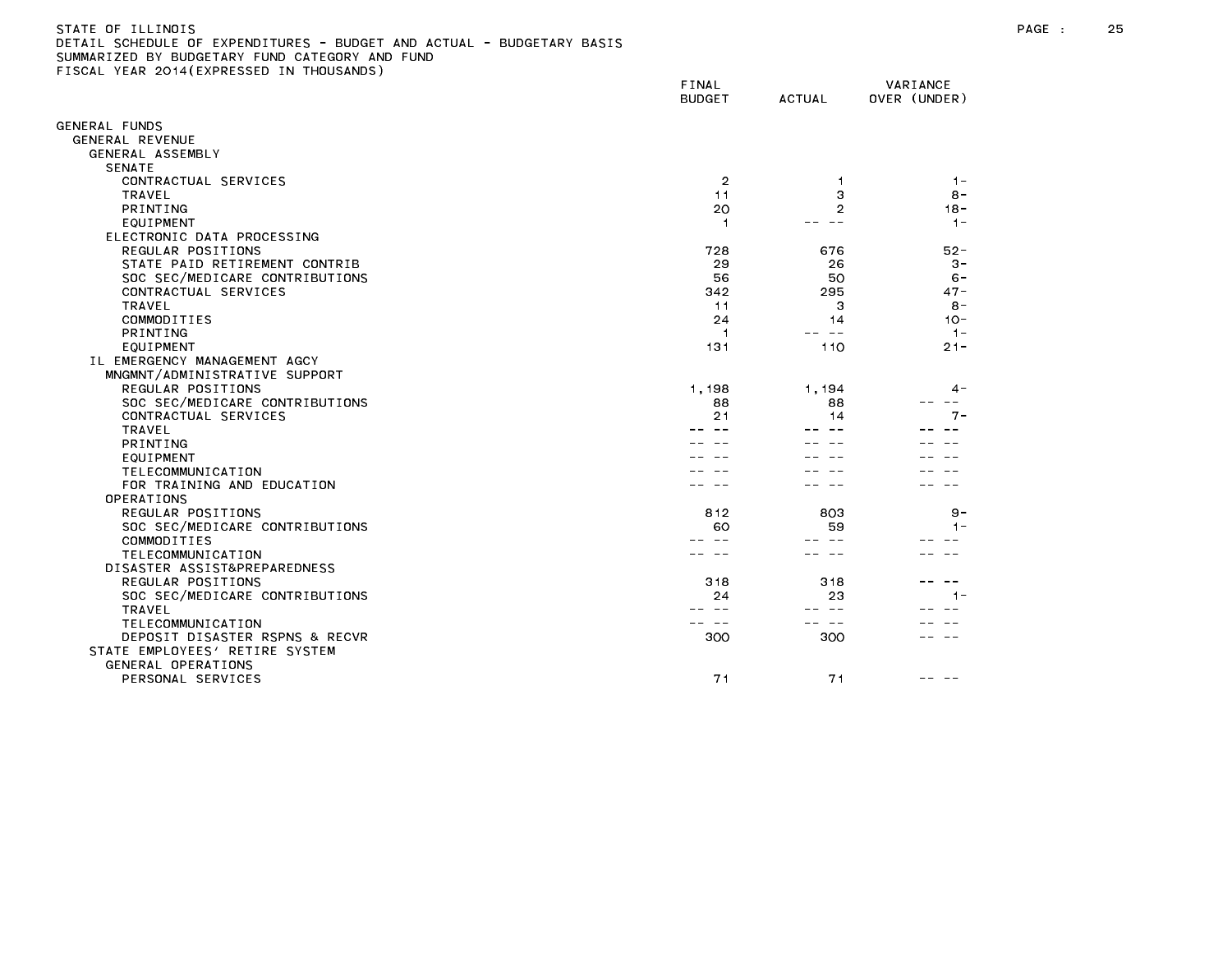# STATE OF ILLINOIS PAGE : 25 DETAIL SCHEDULE OF EXPENDITURES - BUDGET AND ACTUAL - BUDGETARY BASIS

|                                | FINAL<br><b>BUDGET</b> | <b>ACTUAL</b>  | VARIANCE<br>OVER (UNDER) |
|--------------------------------|------------------------|----------------|--------------------------|
| GENERAL FUNDS                  |                        |                |                          |
| GENERAL REVENUE                |                        |                |                          |
| GENERAL ASSEMBLY               |                        |                |                          |
| <b>SENATE</b>                  |                        |                |                          |
| CONTRACTUAL SERVICES           | 2                      | -1             | $1 -$                    |
| <b>TRAVEL</b>                  | 11                     | 3              | $8 -$                    |
| PRINTING                       | 20                     | $\overline{2}$ | $18 -$                   |
| EQUIPMENT                      | 1                      |                | $1 -$                    |
| ELECTRONIC DATA PROCESSING     |                        |                |                          |
| REGULAR POSITIONS              | 728                    | 676            | $52 -$                   |
| STATE PAID RETIREMENT CONTRIB  | 29                     | 26             | $3 -$                    |
| SOC SEC/MEDICARE CONTRIBUTIONS | 56                     | 50             | $6 -$                    |
| CONTRACTUAL SERVICES           | 342                    | 295            | $47 -$                   |
| <b>TRAVEL</b>                  | 11                     | 3              | $8 -$                    |
| COMMODITIES                    | 24                     | 14             | $10 -$                   |
| PRINTING                       | 1                      | $\sim$ $-$     | $1 -$                    |
| EQUIPMENT                      | 131                    | 110            | $21 -$                   |
| IL EMERGENCY MANAGEMENT AGCY   |                        |                |                          |
| MNGMNT/ADMINISTRATIVE SUPPORT  |                        |                |                          |
| REGULAR POSITIONS              | 1,198                  | 1,194          | 4 -                      |
| SOC SEC/MEDICARE CONTRIBUTIONS | 88                     | 88             | --<br>7 –                |
| CONTRACTUAL SERVICES           | 21                     | 14             |                          |
| <b>TRAVEL</b><br>PRINTING      |                        |                |                          |
| EQUIPMENT                      |                        |                |                          |
| TELECOMMUNICATION              |                        |                |                          |
| FOR TRAINING AND EDUCATION     |                        |                |                          |
| OPERATIONS                     |                        |                |                          |
| REGULAR POSITIONS              | 812                    | 803            | 9 –                      |
| SOC SEC/MEDICARE CONTRIBUTIONS | 60                     | 59             | $1 -$                    |
| COMMODITIES                    |                        |                |                          |
| TELECOMMUNICATION              |                        |                |                          |
| DISASTER ASSIST&PREPAREDNESS   |                        |                |                          |
| REGULAR POSITIONS              | 318                    | 318            |                          |
| SOC SEC/MEDICARE CONTRIBUTIONS | 24                     | 23             | 1 –                      |
| <b>TRAVEL</b>                  |                        | $\sim$ $\sim$  |                          |
| TELECOMMUNICATION              |                        |                |                          |
| DEPOSIT DISASTER RSPNS & RECVR | 300                    | 300            |                          |
| STATE EMPLOYEES' RETIRE SYSTEM |                        |                |                          |
| GENERAL OPERATIONS             |                        |                |                          |
| PERSONAL SERVICES              | 71                     | 71             |                          |
|                                |                        |                |                          |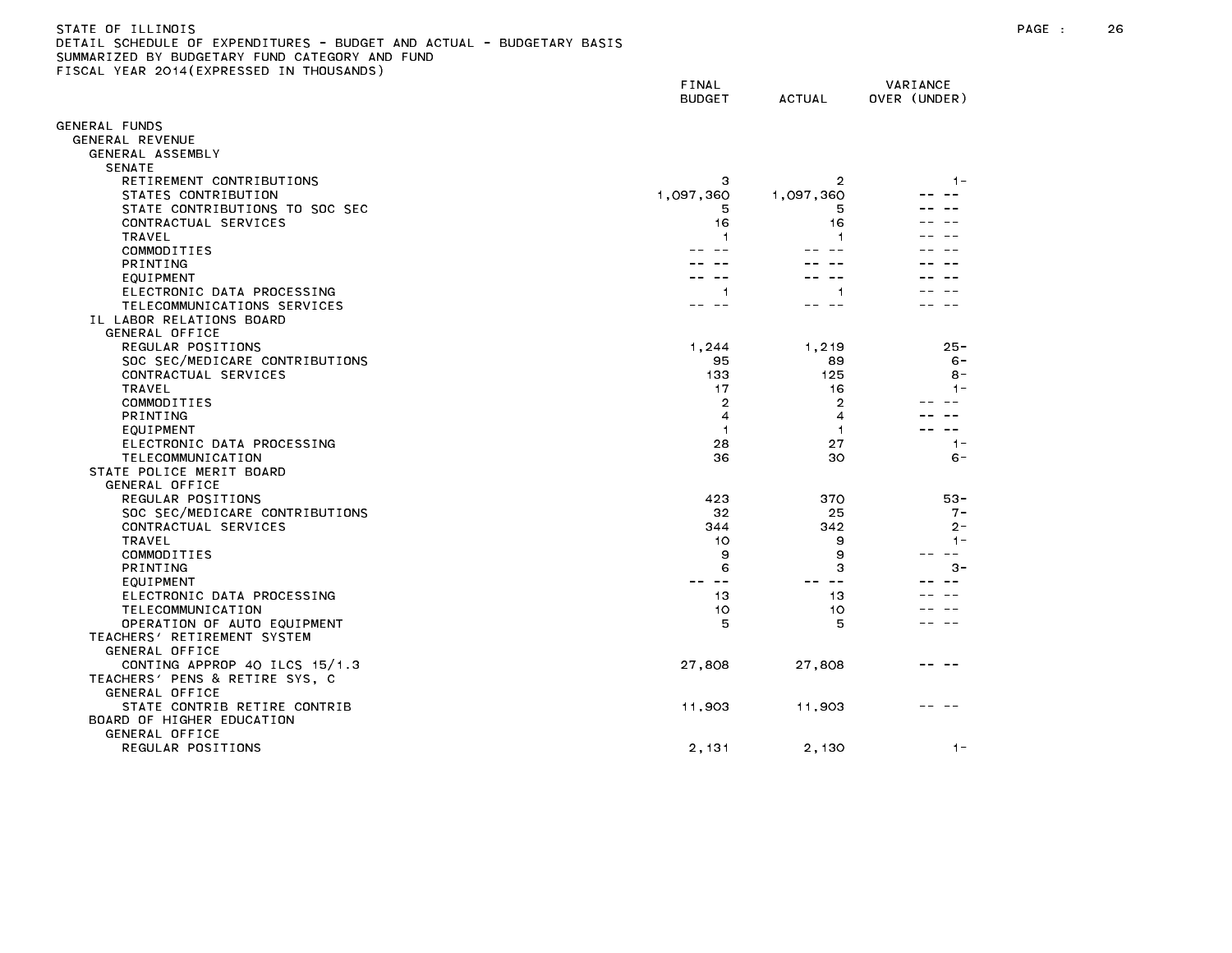| STATE OF ILLINOIS                                                     |  |
|-----------------------------------------------------------------------|--|
| DETAIL SCHEDULE OF EXPENDITURES - BUDGET AND ACTUAL - BUDGETARY BASIS |  |
| SUMMARIZED BY BUDGETARY FUND CATEGORY AND FUND                        |  |
| FISCAL YEAR 2014(EXPRESSED IN THOUSANDS)                              |  |
|                                                                       |  |

|                                | FINAL<br><b>BUDGET</b> | <b>ACTUAL</b> | VARIANCE<br>OVER (UNDER) |
|--------------------------------|------------------------|---------------|--------------------------|
| ENERAL FUNDS                   |                        |               |                          |
| GENERAL REVENUE                |                        |               |                          |
| GENERAL ASSEMBLY               |                        |               |                          |
| <b>SENATE</b>                  |                        |               |                          |
| RETIREMENT CONTRIBUTIONS       | з                      | 2             | $1 -$                    |
| STATES CONTRIBUTION            | 1,097,360              | 1,097,360     |                          |
| STATE CONTRIBUTIONS TO SOC SEC | 5                      | 5             |                          |
| CONTRACTUAL SERVICES           | 16                     | 16            |                          |
| TRAVEL                         | 1                      |               |                          |
| COMMODITIES                    |                        |               |                          |
| PRINTING                       |                        |               |                          |
| EQUIPMENT                      |                        |               |                          |
| ELECTRONIC DATA PROCESSING     | 1                      | 1             |                          |
| TELECOMMUNICATIONS SERVICES    |                        |               |                          |
| IL LABOR RELATIONS BOARD       |                        |               |                          |
| GENERAL OFFICE                 |                        |               |                          |
| REGULAR POSITIONS              | 1,244                  | 1,219         | $25 -$                   |
| SOC SEC/MEDICARE CONTRIBUTIONS | 95                     | 89            | $6 -$                    |
| CONTRACTUAL SERVICES           | 133                    | 125           | $8 -$<br>$1 -$           |
| TRAVEL<br>COMMODITIES          | 17<br>2                | 16            |                          |
| PRINTING                       | 4                      | 2<br>4        |                          |
| EQUIPMENT                      | -1                     | 1             |                          |
| ELECTRONIC DATA PROCESSING     | 28                     | 27            | $1 -$                    |
| TELECOMMUNICATION              | 36                     | 30            | $6 -$                    |
| STATE POLICE MERIT BOARD       |                        |               |                          |
| GENERAL OFFICE                 |                        |               |                          |
| REGULAR POSITIONS              | 423                    | 370           | $53 -$                   |
| SOC SEC/MEDICARE CONTRIBUTIONS | 32                     | 25            | $7 -$                    |
| CONTRACTUAL SERVICES           | 344                    | 342           | $2 -$                    |
| TRAVEL                         | 10                     | 9             | $1 -$                    |
| COMMODITIES                    | 9                      | 9             | --                       |
| PRINTING                       | 6                      | 3             | $3 -$                    |
| EQUIPMENT                      |                        | $\sim$ $\sim$ |                          |
| ELECTRONIC DATA PROCESSING     | 13                     | 13            |                          |
| TELECOMMUNICATION              | 10                     | 10            |                          |
| OPERATION OF AUTO EQUIPMENT    | 5                      | 5             |                          |
| TEACHERS' RETIREMENT SYSTEM    |                        |               |                          |
| GENERAL OFFICE                 |                        |               |                          |
| CONTING APPROP 40 ILCS 15/1.3  | 27,808                 | 27,808        |                          |
| TEACHERS' PENS & RETIRE SYS, C |                        |               |                          |
| GENERAL OFFICE                 |                        |               |                          |
| STATE CONTRIB RETIRE CONTRIB   | 11,903                 | 11,903        |                          |
| BOARD OF HIGHER EDUCATION      |                        |               |                          |
| <b>GENERAL OFFICE</b>          |                        |               |                          |
| REGULAR POSITIONS              | 2,131                  | 2,130         | $1 -$                    |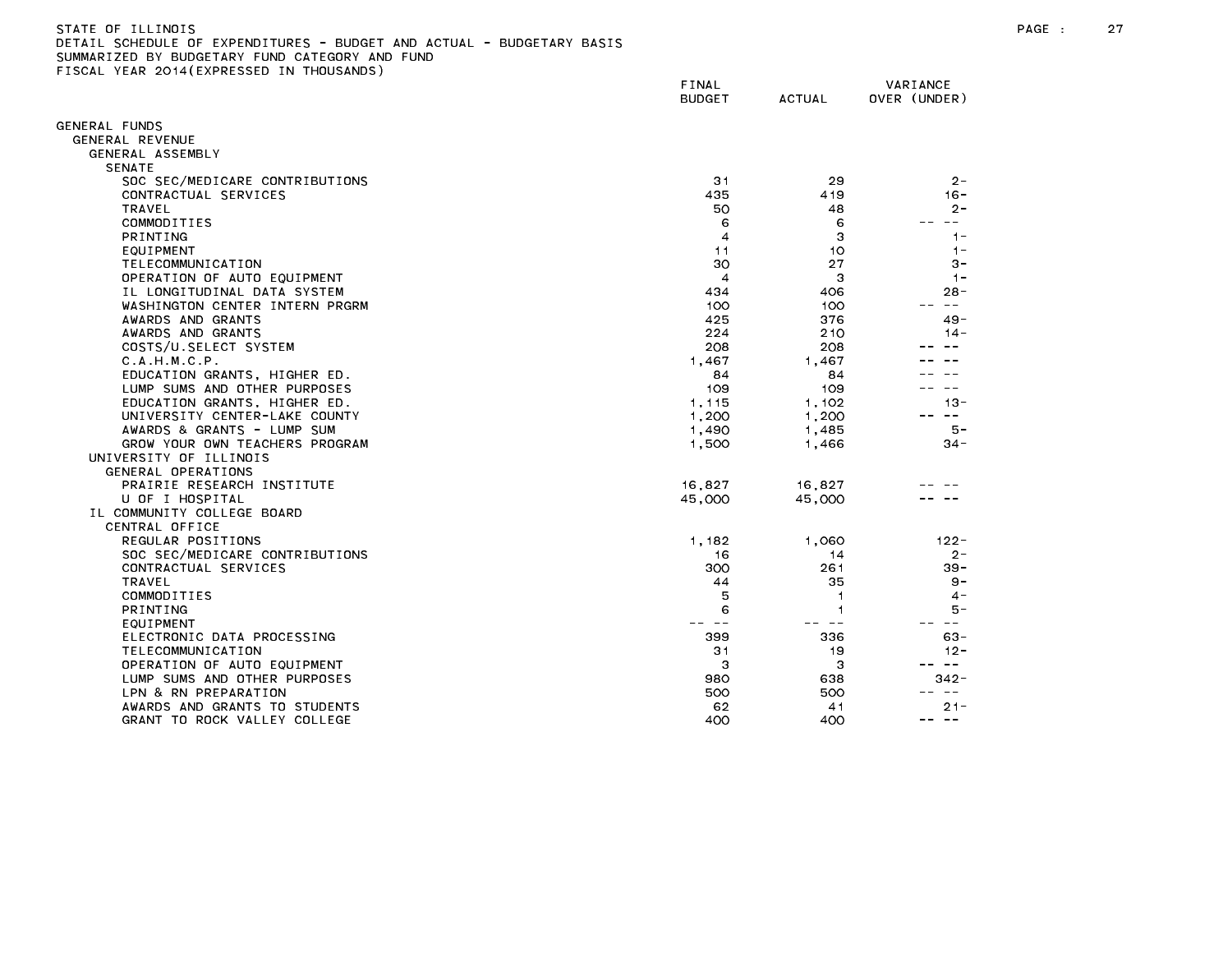| STATE OF ILLINOIS                                                     |
|-----------------------------------------------------------------------|
| DETAIL SCHEDULE OF EXPENDITURES - BUDGET AND ACTUAL - BUDGETARY BASIS |
| SUMMARIZED BY BUDGETARY FUND CATEGORY AND FUND                        |
| FISCAL YEAR 2014(EXPRESSED IN THOUSANDS)                              |

|                                                              | FINAL<br><b>BUDGET</b> | <b>ACTUAL</b>  | VARIANCE<br>OVER (UNDER) |
|--------------------------------------------------------------|------------------------|----------------|--------------------------|
| GENERAL FUNDS                                                |                        |                |                          |
| GENERAL REVENUE                                              |                        |                |                          |
| GENERAL ASSEMBLY                                             |                        |                |                          |
| <b>SENATE</b>                                                |                        |                |                          |
| SOC SEC/MEDICARE CONTRIBUTIONS                               | 31                     | 29             | $2 -$                    |
| CONTRACTUAL SERVICES                                         | 435                    | 419            | $16 -$                   |
| TRAVEL                                                       | 50                     | 48             | $2 -$                    |
| COMMODITIES                                                  | 6                      | 6              | $\sim$ $-$               |
| <b>PRINTING</b>                                              | 4                      | 3              | $1 -$                    |
| EQUIPMENT                                                    | 11                     | 10             | $1 -$                    |
| TELECOMMUNICATION                                            | 30                     | 27             | $3 -$                    |
| OPERATION OF AUTO EQUIPMENT                                  | $\overline{4}$         | 3              | $1 -$                    |
| IL LONGITUDINAL DATA SYSTEM                                  | 434                    | 406            | $28 -$                   |
| WASHINGTON CENTER INTERN PRGRM                               | 100                    | 100            | $\sim$ $\sim$            |
| AWARDS AND GRANTS                                            | 425                    | 376            | $49 -$                   |
| AWARDS AND GRANTS                                            | 224                    | 210            | $14 -$                   |
| COSTS/U.SELECT SYSTEM                                        | 208                    | 208            |                          |
| C.A.H.M.C.P.                                                 | 1.467                  | 1.467          |                          |
| EDUCATION GRANTS, HIGHER ED.                                 | 84                     | 84             |                          |
| LUMP SUMS AND OTHER PURPOSES                                 | 109                    | 109            | $- -$                    |
| EDUCATION GRANTS, HIGHER ED.                                 | 1,115                  | 1.102          | $13 -$                   |
| UNIVERSITY CENTER-LAKE COUNTY                                | 1,200                  | 1,200          | $\sim$ $ -$              |
| AWARDS & GRANTS - LUMP SUM<br>GROW YOUR OWN TEACHERS PROGRAM | 1,490                  | 1,485          | 5 –<br>$34 -$            |
| UNIVERSITY OF ILLINOIS                                       | 1,500                  | 1,466          |                          |
| GENERAL OPERATIONS                                           |                        |                |                          |
| PRAIRIE RESEARCH INSTITUTE                                   | 16,827                 | 16.827         |                          |
| U OF I HOSPITAL                                              | 45,000                 | 45,000         |                          |
| IL COMMUNITY COLLEGE BOARD                                   |                        |                |                          |
| CENTRAL OFFICE                                               |                        |                |                          |
| REGULAR POSITIONS                                            | 1,182                  | 1,060          | $122 -$                  |
| SOC SEC/MEDICARE CONTRIBUTIONS                               | 16                     | 14             | $2 -$                    |
| CONTRACTUAL SERVICES                                         | 300                    | 261            | $39 -$                   |
| <b>TRAVEL</b>                                                | 44                     | 35             | 9 –                      |
| COMMODITIES                                                  | 5                      | $\overline{1}$ | $4 -$                    |
| <b>PRINTING</b>                                              | 6                      | 1              | 5 –                      |
| EQUIPMENT                                                    | $\sim$ $\sim$          | $\sim$ $\sim$  | $- -$                    |
| ELECTRONIC DATA PROCESSING                                   | 399                    | 336            | $63 -$                   |
| TELECOMMUNICATION                                            | 31                     | 19             | $12 -$                   |
| OPERATION OF AUTO EQUIPMENT                                  | 3                      | 3              | $\frac{1}{2}$            |
| LUMP SUMS AND OTHER PURPOSES                                 | 980                    | 638            | $342 -$                  |
| LPN & RN PREPARATION                                         | 500                    | 500            | $- -$                    |
| AWARDS AND GRANTS TO STUDENTS                                | 62                     | 41             | $21 -$<br>$- -$<br>$- -$ |
| GRANT TO ROCK VALLEY COLLEGE                                 | 400                    | 400            |                          |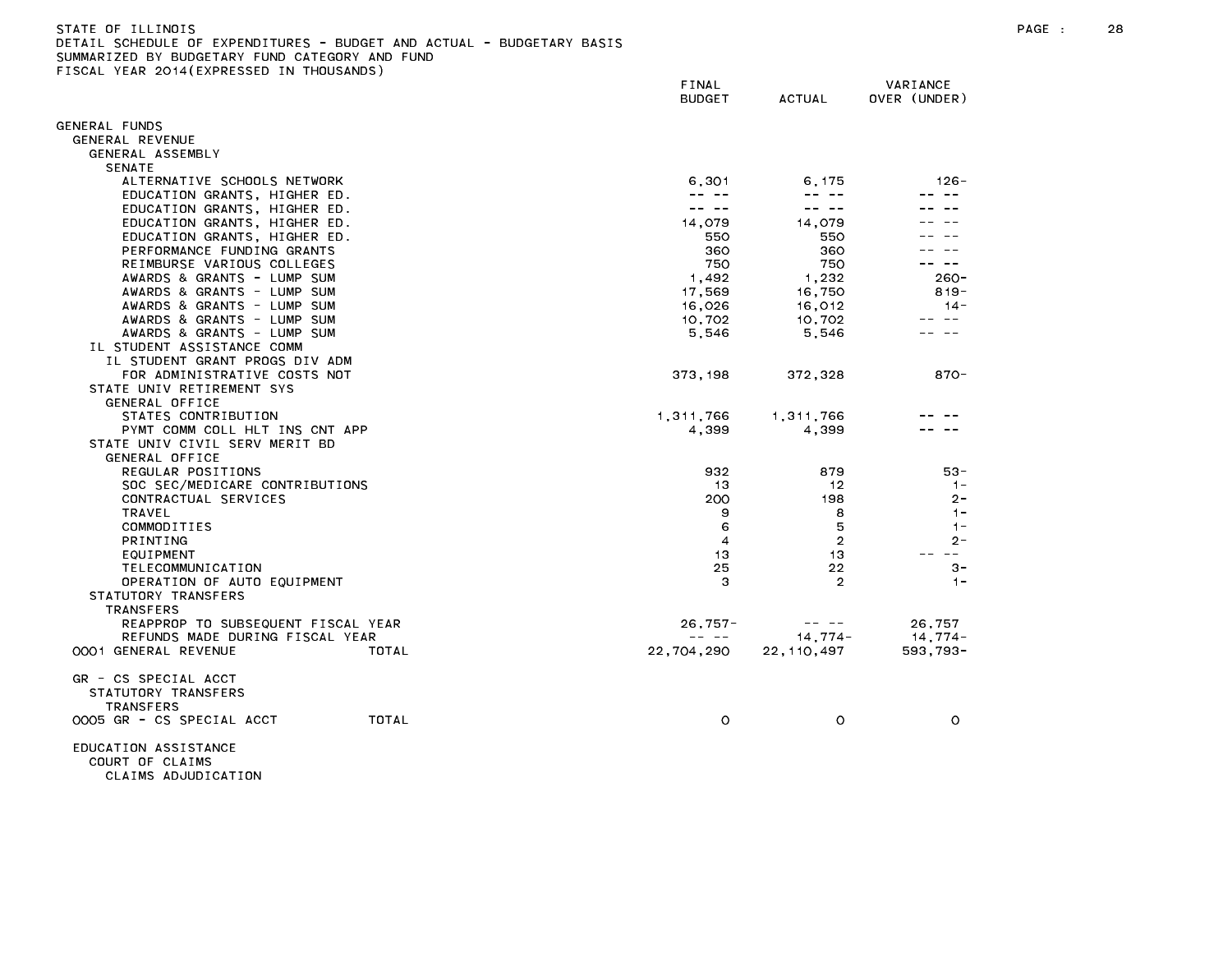DETAIL SCHEDULE OF EXPENDITURES - BUDGET AND ACTUAL - BUDGETARY BASIS SUMMARIZED BY BUDGETARY FUND CATEGORY AND FUND

FISCAL YEAR 2014(EXPRESSED IN THOUSANDS)

FINAL VARIANCE BUDGET ACTUAL OVER (UNDER) GENERAL FUNDS GENERAL REVENUE GENERAL ASSEMBLY SENATE ALTERNATIVE SCHOOLS NETWORK 6,301 6,175 126- EDUCATION GRANTS, HIGHER ED. A strategy of the strategy of the strategy of the strategy of the strategy of the strategy of the strategy of the strategy of the strategy of the strategy of the strategy of the strategy of the EDUCATION GRANTS, HIGHER ED.  $\frac{1}{2} \frac{1}{2} \frac{1}{2} \frac{1}{2} \frac{1}{2} \frac{1}{2} \frac{1}{2} \frac{1}{2} \frac{1}{2} \frac{1}{2} \frac{1}{2} \frac{1}{2} \frac{1}{2} \frac{1}{2} \frac{1}{2} \frac{1}{2} \frac{1}{2} \frac{1}{2} \frac{1}{2} \frac{1}{2} \frac{1}{2} \frac{1}{2} \frac{1}{2} \frac{1}{2} \frac{1}{2} \frac{1}{2} \frac{1}{2} \frac{1}{2} \frac{1}{2} \frac{1}{2} \frac{1}{2} \frac{$  $\frac{1}{2} \frac{1}{2} \frac{1}{2} \frac{1}{2} \frac{1}{2} \frac{1}{2} \frac{1}{2} \frac{1}{2} \frac{1}{2} \frac{1}{2} \frac{1}{2} \frac{1}{2} \frac{1}{2} \frac{1}{2} \frac{1}{2} \frac{1}{2} \frac{1}{2} \frac{1}{2} \frac{1}{2} \frac{1}{2} \frac{1}{2} \frac{1}{2} \frac{1}{2} \frac{1}{2} \frac{1}{2} \frac{1}{2} \frac{1}{2} \frac{1}{2} \frac{1}{2} \frac{1}{2} \frac{1}{2} \frac{$  $\frac{1}{2} \frac{1}{2} \frac{1}{2} \frac{1}{2} \frac{1}{2} \frac{1}{2} \frac{1}{2} \frac{1}{2} \frac{1}{2} \frac{1}{2} \frac{1}{2} \frac{1}{2} \frac{1}{2} \frac{1}{2} \frac{1}{2} \frac{1}{2} \frac{1}{2} \frac{1}{2} \frac{1}{2} \frac{1}{2} \frac{1}{2} \frac{1}{2} \frac{1}{2} \frac{1}{2} \frac{1}{2} \frac{1}{2} \frac{1}{2} \frac{1}{2} \frac{1}{2} \frac{1}{2} \frac{1}{2} \frac{$ EDUCATION GRANTS, HIGHER ED. 14,079 14,079 -- -- EDUCATION GRANTS, HIGHER ED. SEPTED AND STRING STRING STRING STRING STRING STRING STRING STRING STRING STRING PERFORMANCE FUNDING GRANTS AND RESERVE THE SERIES OF STATE OF A SERIES OF SERIES OF A SERIES OF A SERIES OF A S REIMBURSE VARIOUS COLLEGES 750 750 -- -- AWARDS & GRANTS - LUMP SUM 1,492 1,232 260-AWARDS & GRANTS - LUMP SUM 17,569 16,750 819-AWARDS & GRANTS - LUMP SUM 16,026 16,012 14- AWARDS & GRANTS - LUMP SUM 10,702 10,702 -- --AWARDS & GRANTS - LUMP SUM 5,546 5,546 -- -- IL STUDENT ASSISTANCE COMM IL STUDENT GRANT PROGS DIV ADM FOR ADMINISTRATIVE COSTS NOT 373,198 372,328 870- STATE UNIV RETIREMENT SYS GENERAL OFFICE STATES CONTRIBUTION 6-1.2011 1,311,766 1,311,766 1,311,766 -- --PYMT COMM COLL HLT INS CNT APP **A** series that the community of the community of the community of the community of the community of the community of the community of the community of the community of the community of the c STATE UNIV CIVIL SERV MERIT BD GENERAL OFFICE REGULAR POSITIONS 932 879 53- CONTRACTUAL SERVICES 200 198 2- COMMODITIES 6 5 1- TELECOMMUNICATION 25 22 3- OPERATION OF AUTO EQUIPMENT And the contract of the contract of the contract of the contract of the contract of the contract of the contract of the contract of the contract of the contract of the contract of the contract o STATUTORY TRANSFERS TRANSFERS REAPPROP TO SUBSEQUENT FISCAL YEAR 26,757- -- -- 26,757 REFUNDS MADE DURING FISCAL YEAR --- -- 14,774- 14,774- 14,774-0001 GENERAL REVENUE TOTAL 22,704,290 22,110,497 593,793- GR - CS SPECIAL ACCT STATUTORY TRANSFERS TRANSFERS 0005 GR - CS SPECIAL ACCT TOTAL 0 0 0 EDUCATION ASSISTANCE COURT OF CLAIMS

CLAIMS ADJUDICATION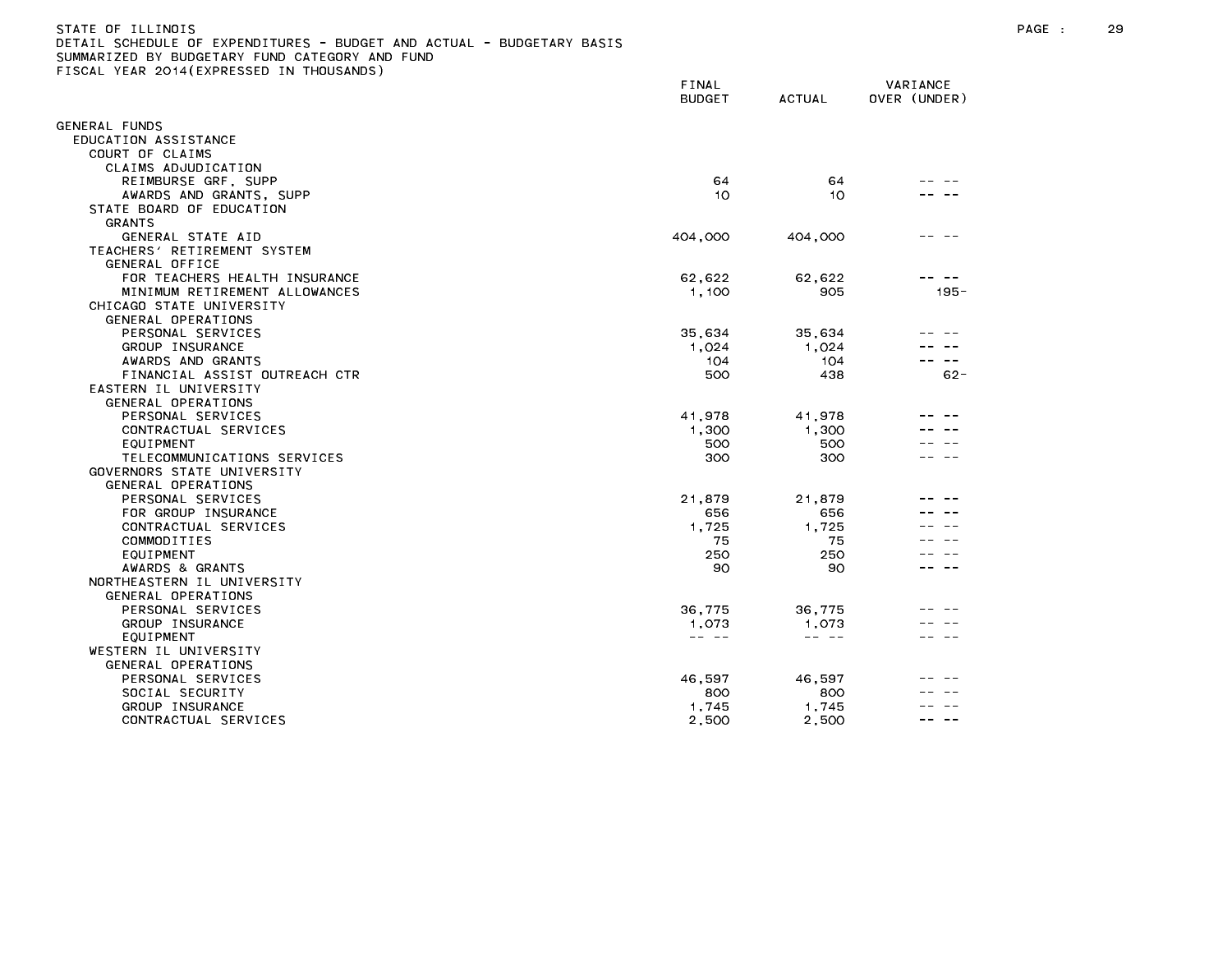| STATE OF ILLINOIS                                                     |
|-----------------------------------------------------------------------|
| DETAIL SCHEDULE OF EXPENDITURES - BUDGET AND ACTUAL - BUDGETARY BASIS |
| SUMMARIZED BY BUDGETARY FUND CATEGORY AND FUND                        |
| FISCAL YEAR 2014(EXPRESSED IN THOUSANDS)                              |

|                                         | <b>FINAL</b>  |               | VARIANCE     |
|-----------------------------------------|---------------|---------------|--------------|
|                                         | <b>BUDGET</b> | <b>ACTUAL</b> | OVER (UNDER) |
| <b>GENERAL FUNDS</b>                    |               |               |              |
| EDUCATION ASSISTANCE                    |               |               |              |
| COURT OF CLAIMS                         |               |               |              |
| CLAIMS ADJUDICATION                     |               |               |              |
| REIMBURSE GRF, SUPP                     | 64            | 64            |              |
| AWARDS AND GRANTS, SUPP                 | 10            | 10            |              |
| STATE BOARD OF EDUCATION                |               |               |              |
| <b>GRANTS</b>                           |               |               |              |
| GENERAL STATE AID                       | 404,000       | 404,000       |              |
| TEACHERS' RETIREMENT SYSTEM             |               |               |              |
| GENERAL OFFICE                          |               |               |              |
| FOR TEACHERS HEALTH INSURANCE           | 62,622        | 62,622        |              |
| MINIMUM RETIREMENT ALLOWANCES           | 1,100         | 905           | $195 -$      |
| CHICAGO STATE UNIVERSITY                |               |               |              |
| GENERAL OPERATIONS                      |               |               |              |
| PERSONAL SERVICES                       | 35,634        | 35,634        |              |
| GROUP INSURANCE                         | 1,024         | 1.024         |              |
| AWARDS AND GRANTS                       | 104           | 104           |              |
| FINANCIAL ASSIST OUTREACH CTR           | 500           | 438           | $62 -$       |
| EASTERN IL UNIVERSITY                   |               |               |              |
| GENERAL OPERATIONS<br>PERSONAL SERVICES | 41,978        | 41,978        |              |
| CONTRACTUAL SERVICES                    | 1,300         | 1,300         |              |
| EQUIPMENT                               | 500           | 500           |              |
| TELECOMMUNICATIONS SERVICES             | 300           | 300           |              |
| GOVERNORS STATE UNIVERSITY              |               |               |              |
| GENERAL OPERATIONS                      |               |               |              |
| PERSONAL SERVICES                       | 21,879        | 21,879        |              |
| FOR GROUP INSURANCE                     | 656           | 656           |              |
| CONTRACTUAL SERVICES                    | 1,725         | 1,725         |              |
| COMMODITIES                             | 75            | 75            |              |
| EQUIPMENT                               | 250           | 250           |              |
| AWARDS & GRANTS                         | 90            | 90            |              |
| NORTHEASTERN IL UNIVERSITY              |               |               |              |
| GENERAL OPERATIONS                      |               |               |              |
| PERSONAL SERVICES                       | 36,775        | 36,775        |              |
| GROUP INSURANCE                         | 1,073         | 1,073         |              |
| EQUIPMENT                               | -- --         | -- --         |              |
| WESTERN IL UNIVERSITY                   |               |               |              |
| GENERAL OPERATIONS                      |               |               |              |
| PERSONAL SERVICES                       | 46,597        | 46,597        |              |
| SOCIAL SECURITY                         | 800           | 800           |              |
| GROUP INSURANCE                         | 1,745         | 1,745         |              |
| CONTRACTUAL SERVICES                    | 2,500         | 2,500         |              |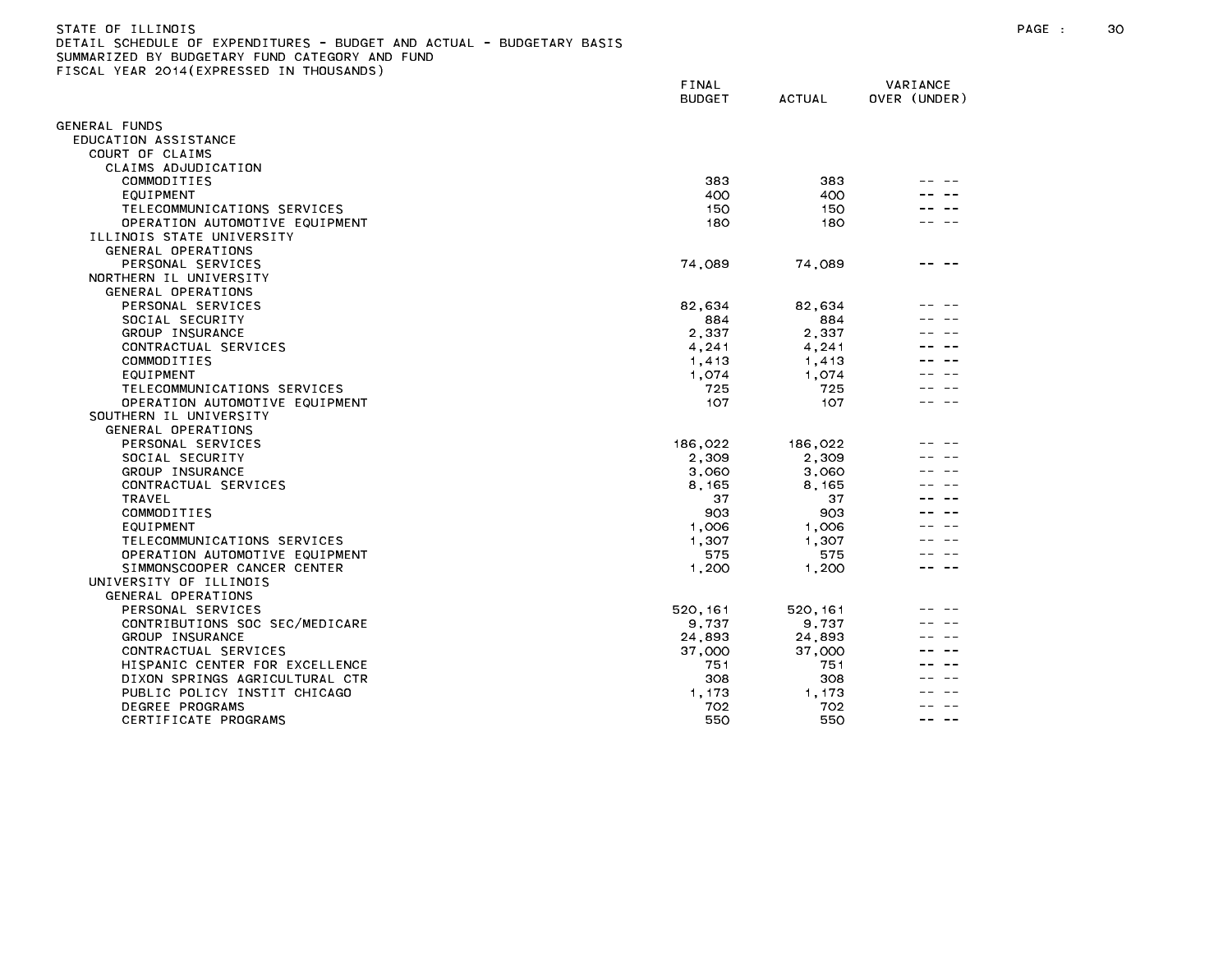#### STATE OF ILLINOIS PAGE : 30 DETAIL SCHEDULE OF EXPENDITURES - BUDGET AND ACTUAL - BUDGETARY BASIS SUMMARIZED BY BUDGETARY FUND CATEGORY AND FUND FISCAL YEAR 2014(EXPRESSED IN THOUSANDS)

|                                | FINAL<br><b>BUDGET</b> | <b>ACTUAL</b> | VARIANCE<br>OVER (UNDER) |
|--------------------------------|------------------------|---------------|--------------------------|
| GENERAL FUNDS                  |                        |               |                          |
| EDUCATION ASSISTANCE           |                        |               |                          |
| COURT OF CLAIMS                |                        |               |                          |
| CLAIMS ADJUDICATION            |                        |               |                          |
| COMMODITIES                    | 383                    | 383           |                          |
| EQUIPMENT                      | 400                    | 400           |                          |
| TELECOMMUNICATIONS SERVICES    | 150                    | 150           |                          |
| OPERATION AUTOMOTIVE EQUIPMENT | 180                    | 180           |                          |
| ILLINOIS STATE UNIVERSITY      |                        |               |                          |
| GENERAL OPERATIONS             |                        |               |                          |
| PERSONAL SERVICES              | 74,089                 | 74,089        |                          |
| NORTHERN IL UNIVERSITY         |                        |               |                          |
| GENERAL OPERATIONS             |                        |               |                          |
| PERSONAL SERVICES              | 82,634                 | 82,634        |                          |
| SOCIAL SECURITY                | 884                    | 884           |                          |
| GROUP INSURANCE                | 2,337                  | 2,337         |                          |
| CONTRACTUAL SERVICES           | 4,241                  | 4,241         |                          |
| COMMODITIES                    | 1,413                  | 1.413         |                          |
| EQUIPMENT                      | 1,074                  | 1,074         |                          |
| TELECOMMUNICATIONS SERVICES    | 725                    | 725           |                          |
|                                |                        |               |                          |
| OPERATION AUTOMOTIVE EQUIPMENT | 107                    | 107           |                          |
| SOUTHERN IL UNIVERSITY         |                        |               |                          |
| GENERAL OPERATIONS             |                        |               |                          |
| PERSONAL SERVICES              | 186,022                | 186,022       |                          |
| SOCIAL SECURITY                | 2,309                  | 2,309         |                          |
| GROUP INSURANCE                | 3,060                  | 3,060         |                          |
| CONTRACTUAL SERVICES           | 8,165                  | 8 165         |                          |
| <b>TRAVEL</b>                  | 37                     | 37            |                          |
| COMMODITIES                    | 903                    | 903           |                          |
| EQUIPMENT                      | 1,006                  | 1.006         |                          |
| TELECOMMUNICATIONS SERVICES    | 1,307                  | 1,307         |                          |
| OPERATION AUTOMOTIVE EQUIPMENT | 575                    | 575           |                          |
| SIMMONSCOOPER CANCER CENTER    | 1,200                  | 1.200         |                          |
| UNIVERSITY OF ILLINOIS         |                        |               |                          |
| GENERAL OPERATIONS             |                        |               |                          |
| PERSONAL SERVICES              | 520, 161               | 520, 161      |                          |
| CONTRIBUTIONS SOC SEC/MEDICARE | 9,737                  | 9,737         |                          |
| GROUP INSURANCE                | 24,893                 | 24,893        |                          |
| CONTRACTUAL SERVICES           | 37,000                 | 37,000        |                          |
| HISPANIC CENTER FOR EXCELLENCE | 751                    | 751           |                          |
| DIXON SPRINGS AGRICULTURAL CTR | 308                    | 308           |                          |
| PUBLIC POLICY INSTIT CHICAGO   | 1,173                  | 1.173         |                          |
| DEGREE PROGRAMS                | 702                    | 702           |                          |
| CERTIFICATE PROGRAMS           | 550                    | 550           | $\sim$ $\sim$            |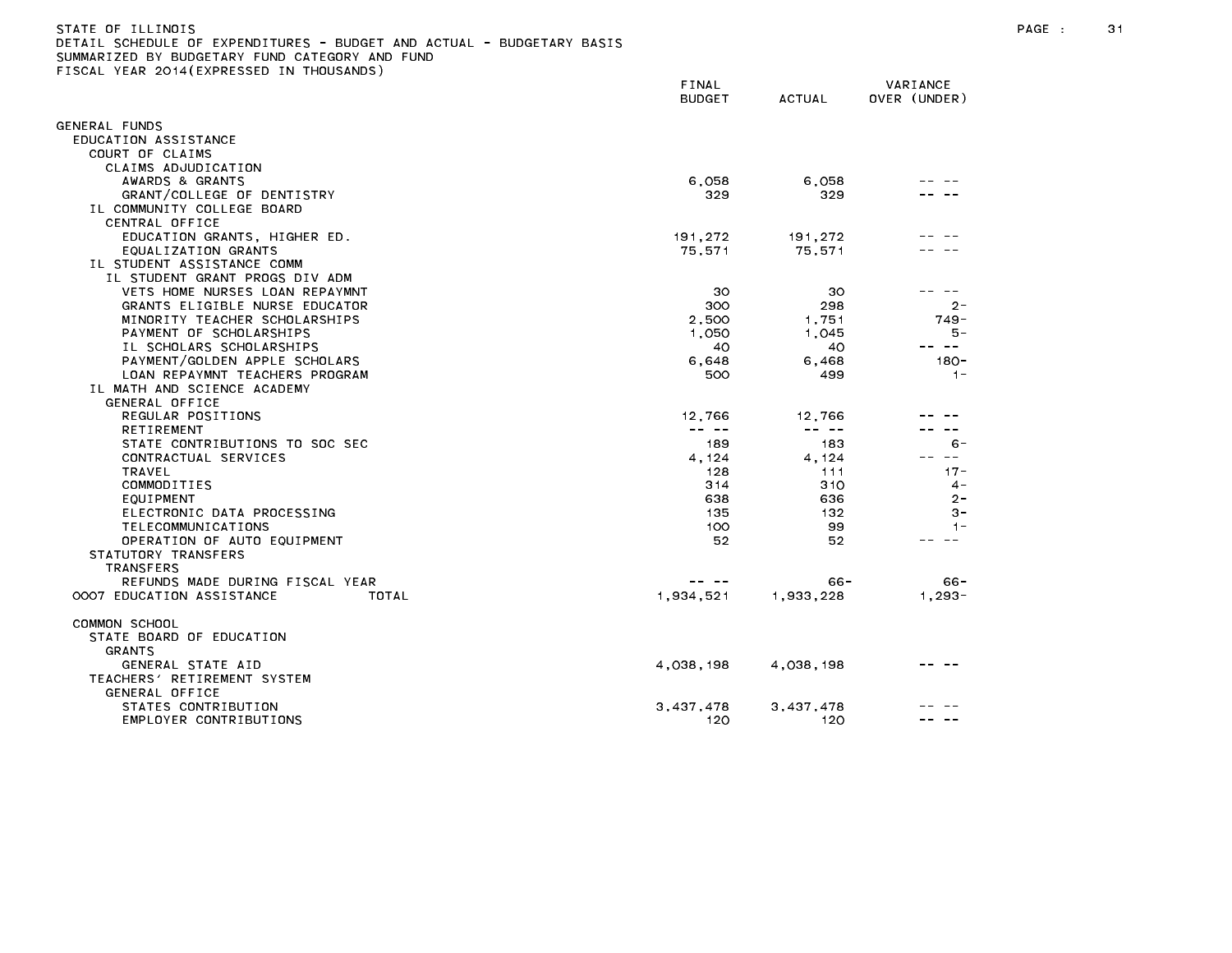| DETAIL SCHEDULE OF EXPENDITURES - BUDGET AND ACTUAL - BUDGETARY BASIS |                                                                                                                                                                                                                                                                                                                                                                                              |               |              |
|-----------------------------------------------------------------------|----------------------------------------------------------------------------------------------------------------------------------------------------------------------------------------------------------------------------------------------------------------------------------------------------------------------------------------------------------------------------------------------|---------------|--------------|
| SUMMARIZED BY BUDGETARY FUND CATEGORY AND FUND                        |                                                                                                                                                                                                                                                                                                                                                                                              |               |              |
| FISCAL YEAR 2014(EXPRESSED IN THOUSANDS)                              |                                                                                                                                                                                                                                                                                                                                                                                              |               |              |
|                                                                       | FINAL                                                                                                                                                                                                                                                                                                                                                                                        |               | VARIANCE     |
|                                                                       | <b>BUDGET</b>                                                                                                                                                                                                                                                                                                                                                                                | <b>ACTUAL</b> | OVER (UNDER) |
|                                                                       |                                                                                                                                                                                                                                                                                                                                                                                              |               |              |
| GENERAL FUNDS                                                         |                                                                                                                                                                                                                                                                                                                                                                                              |               |              |
| EDUCATION ASSISTANCE                                                  |                                                                                                                                                                                                                                                                                                                                                                                              |               |              |
| COURT OF CLAIMS                                                       |                                                                                                                                                                                                                                                                                                                                                                                              |               |              |
| CLAIMS ADJUDICATION                                                   |                                                                                                                                                                                                                                                                                                                                                                                              |               |              |
| AWARDS & GRANTS                                                       | 6,058                                                                                                                                                                                                                                                                                                                                                                                        | 6,058         |              |
|                                                                       |                                                                                                                                                                                                                                                                                                                                                                                              |               |              |
| GRANT/COLLEGE OF DENTISTRY                                            | 329                                                                                                                                                                                                                                                                                                                                                                                          | 329           |              |
| IL COMMUNITY COLLEGE BOARD                                            |                                                                                                                                                                                                                                                                                                                                                                                              |               |              |
| CENTRAL OFFICE                                                        |                                                                                                                                                                                                                                                                                                                                                                                              |               |              |
| EDUCATION GRANTS, HIGHER ED.                                          | 191,272                                                                                                                                                                                                                                                                                                                                                                                      | 191,272       |              |
| EQUALIZATION GRANTS                                                   | 75,571                                                                                                                                                                                                                                                                                                                                                                                       | 75,571        |              |
| IL STUDENT ASSISTANCE COMM                                            |                                                                                                                                                                                                                                                                                                                                                                                              |               |              |
| IL STUDENT GRANT PROGS DIV ADM                                        |                                                                                                                                                                                                                                                                                                                                                                                              |               |              |
| VETS HOME NURSES LOAN REPAYMNT                                        | 30                                                                                                                                                                                                                                                                                                                                                                                           | 30            | $- -$        |
| GRANTS ELIGIBLE NURSE EDUCATOR                                        | 300                                                                                                                                                                                                                                                                                                                                                                                          | 298           | $2 -$        |
| MINORITY TEACHER SCHOLARSHIPS                                         | 2.500                                                                                                                                                                                                                                                                                                                                                                                        | 1,751         | $749 -$      |
| PAYMENT OF SCHOLARSHIPS                                               | 1,050                                                                                                                                                                                                                                                                                                                                                                                        | 1,045         | $5 -$        |
| IL SCHOLARS SCHOLARSHIPS                                              | 40                                                                                                                                                                                                                                                                                                                                                                                           | 40            | $\sim$ $ -$  |
| PAYMENT/GOLDEN APPLE SCHOLARS                                         | 6,648                                                                                                                                                                                                                                                                                                                                                                                        | 6,468         | $180 -$      |
| LOAN REPAYMNT TEACHERS PROGRAM                                        | 500                                                                                                                                                                                                                                                                                                                                                                                          | 499           | $1 -$        |
| IL MATH AND SCIENCE ACADEMY                                           |                                                                                                                                                                                                                                                                                                                                                                                              |               |              |
| GENERAL OFFICE                                                        |                                                                                                                                                                                                                                                                                                                                                                                              |               |              |
|                                                                       |                                                                                                                                                                                                                                                                                                                                                                                              |               |              |
| REGULAR POSITIONS                                                     | 12,766                                                                                                                                                                                                                                                                                                                                                                                       | 12.766        |              |
| RETIREMENT                                                            | $\frac{1}{2} \frac{1}{2} \frac{1}{2} \frac{1}{2} \frac{1}{2} \frac{1}{2} \frac{1}{2} \frac{1}{2} \frac{1}{2} \frac{1}{2} \frac{1}{2} \frac{1}{2} \frac{1}{2} \frac{1}{2} \frac{1}{2} \frac{1}{2} \frac{1}{2} \frac{1}{2} \frac{1}{2} \frac{1}{2} \frac{1}{2} \frac{1}{2} \frac{1}{2} \frac{1}{2} \frac{1}{2} \frac{1}{2} \frac{1}{2} \frac{1}{2} \frac{1}{2} \frac{1}{2} \frac{1}{2} \frac{$ | -- --         |              |
| STATE CONTRIBUTIONS TO SOC SEC                                        | 189                                                                                                                                                                                                                                                                                                                                                                                          | 183           | 6 -          |
| CONTRACTUAL SERVICES                                                  | 4,124                                                                                                                                                                                                                                                                                                                                                                                        | 4,124         | $- -$        |
| TRAVEL                                                                | 128                                                                                                                                                                                                                                                                                                                                                                                          | 111           | $17 -$       |
| COMMODITIES                                                           | 314                                                                                                                                                                                                                                                                                                                                                                                          | 310           | $4 -$        |
| EQUIPMENT                                                             | 638                                                                                                                                                                                                                                                                                                                                                                                          | 636           | $2 -$        |
| ELECTRONIC DATA PROCESSING                                            | 135                                                                                                                                                                                                                                                                                                                                                                                          | 132           | $3 -$        |
| TELECOMMUNICATIONS                                                    | 100                                                                                                                                                                                                                                                                                                                                                                                          | 99            | $1 -$        |
| OPERATION OF AUTO EQUIPMENT                                           | 52                                                                                                                                                                                                                                                                                                                                                                                           | 52            | $\sim$ $ -$  |
| STATUTORY TRANSFERS                                                   |                                                                                                                                                                                                                                                                                                                                                                                              |               |              |
| <b>TRANSFERS</b>                                                      |                                                                                                                                                                                                                                                                                                                                                                                              |               |              |
| REFUNDS MADE DURING FISCAL YEAR                                       |                                                                                                                                                                                                                                                                                                                                                                                              | $66 -$        | $66 -$       |
| 0007 EDUCATION ASSISTANCE<br>TOTAL                                    | 1.934.521                                                                                                                                                                                                                                                                                                                                                                                    | 1.933.228     | 1.293-       |
|                                                                       |                                                                                                                                                                                                                                                                                                                                                                                              |               |              |
| COMMON SCHOOL                                                         |                                                                                                                                                                                                                                                                                                                                                                                              |               |              |
| STATE BOARD OF EDUCATION                                              |                                                                                                                                                                                                                                                                                                                                                                                              |               |              |
|                                                                       |                                                                                                                                                                                                                                                                                                                                                                                              |               |              |
| GRANTS                                                                |                                                                                                                                                                                                                                                                                                                                                                                              |               |              |
| GENERAL STATE AID                                                     | 4,038,198                                                                                                                                                                                                                                                                                                                                                                                    | 4,038,198     |              |
| TEACHERS' RETIREMENT SYSTEM                                           |                                                                                                                                                                                                                                                                                                                                                                                              |               |              |
| GENERAL OFFICE                                                        |                                                                                                                                                                                                                                                                                                                                                                                              |               |              |
| STATES CONTRIBUTION                                                   | 3,437,478                                                                                                                                                                                                                                                                                                                                                                                    | 3,437,478     |              |
| FMPLOYER CONTRIBUTIONS                                                | - 120                                                                                                                                                                                                                                                                                                                                                                                        | - 120         |              |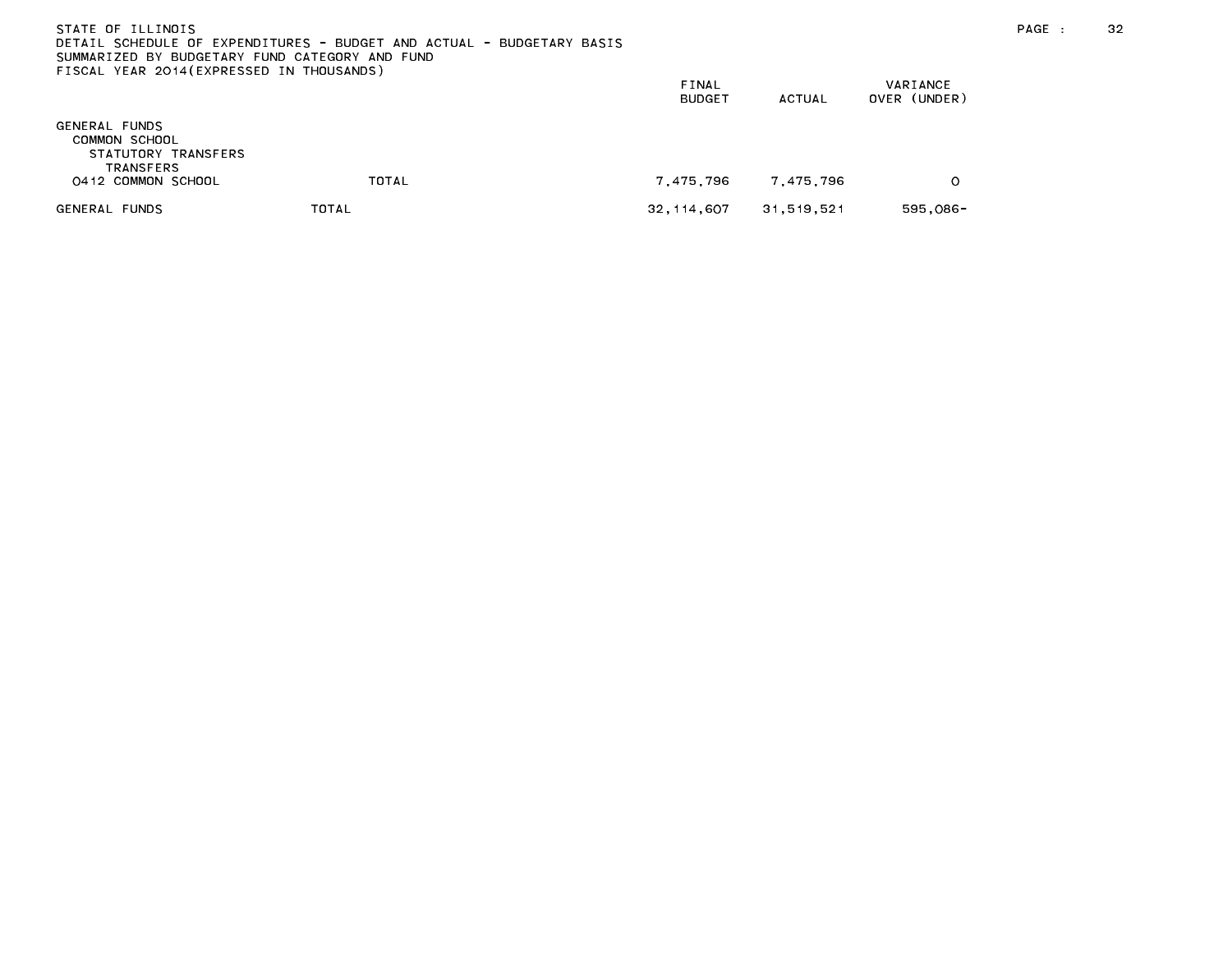| STATE OF ILLINOIS<br>SUMMARIZED BY BUDGETARY FUND CATEGORY AND FUND<br>FISCAL YEAR 2014(EXPRESSED IN THOUSANDS) | DETAIL SCHEDULE OF EXPENDITURES - BUDGET AND ACTUAL - BUDGETARY BASIS |                        |           |                          | PAGE : | 32 |
|-----------------------------------------------------------------------------------------------------------------|-----------------------------------------------------------------------|------------------------|-----------|--------------------------|--------|----|
|                                                                                                                 |                                                                       | FINAL<br><b>BUDGET</b> | ACTUAL    | VARIANCE<br>OVER (UNDER) |        |    |
| GENERAL FUNDS<br>COMMON SCHOOL<br>STATUTORY TRANSFERS<br>TRANSFERS                                              |                                                                       |                        |           |                          |        |    |
| 0412 COMMON SCHOOL                                                                                              | TOTAL                                                                 | 7 475 796              | 7.475.796 |                          |        |    |

GENERAL FUNDS TOTAL 32,114,607 31,519,521 595,086-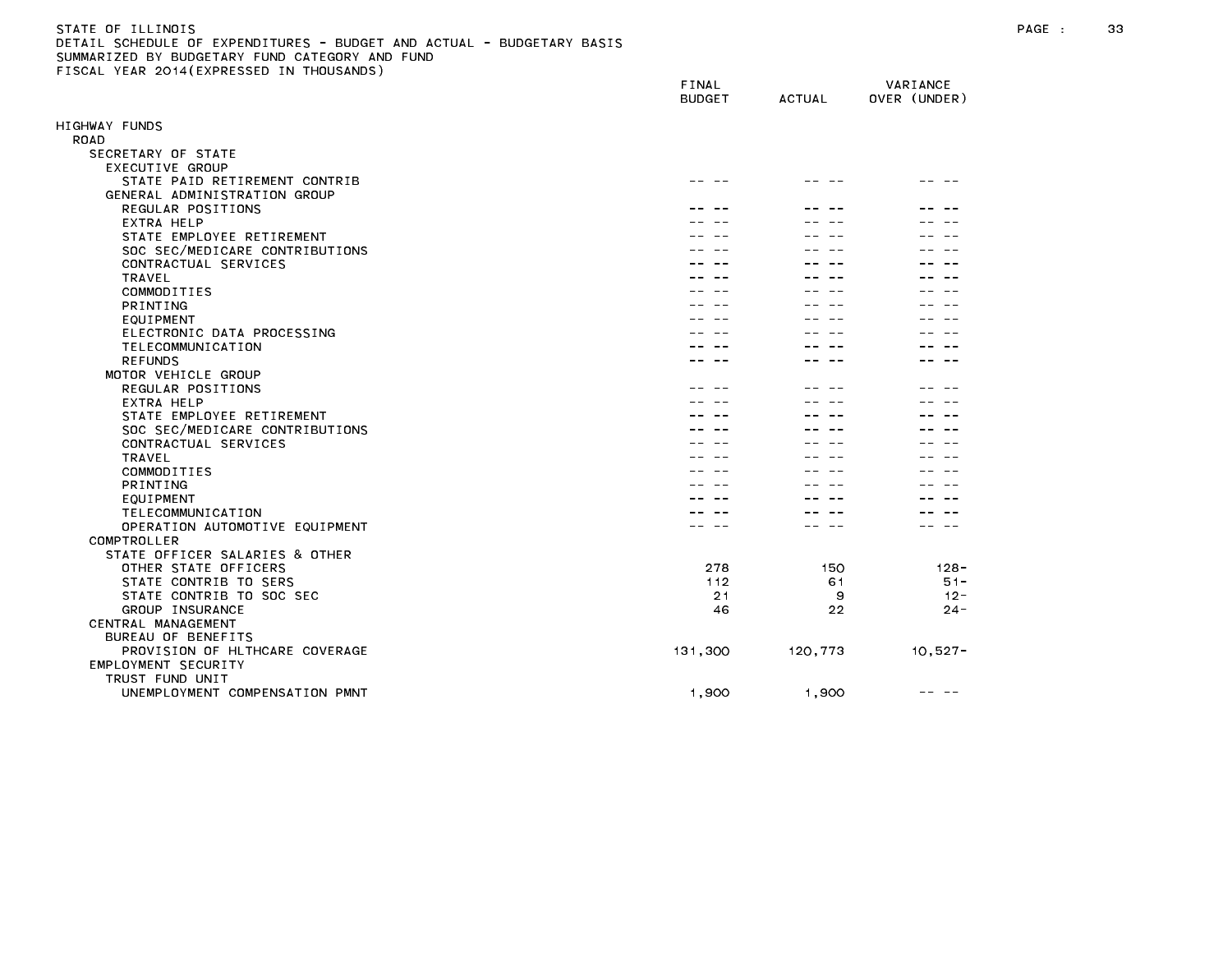#### STATE OF ILLINOIS PAGE : 33 DETAIL SCHEDULE OF EXPENDITURES - BUDGET AND ACTUAL - BUDGETARY BASIS SUMMARIZED BY BUDGETARY FUND CATEGORY AND FUND FISCAL YEAR 2014(EXPRESSED IN THOUSANDS)

|                                                 | FINAL<br><b>BUDGET</b> | <b>ACTUAL</b> | VARIANCE<br>OVER (UNDER) |
|-------------------------------------------------|------------------------|---------------|--------------------------|
| IIGHWAY FUNDS                                   |                        |               |                          |
| ROAD                                            |                        |               |                          |
| SECRETARY OF STATE                              |                        |               |                          |
| EXECUTIVE GROUP                                 |                        |               |                          |
| STATE PAID RETIREMENT CONTRIB                   |                        |               |                          |
| GENERAL ADMINISTRATION GROUP                    |                        |               |                          |
| REGULAR POSITIONS                               |                        |               |                          |
| EXTRA HELP                                      |                        |               |                          |
| STATE EMPLOYEE RETIREMENT                       |                        |               |                          |
| SOC SEC/MEDICARE CONTRIBUTIONS                  |                        |               |                          |
| CONTRACTUAL SERVICES                            |                        |               |                          |
| TRAVEL                                          |                        |               |                          |
| COMMODITIES                                     |                        |               |                          |
| PRINTING                                        |                        |               |                          |
| EQUIPMENT                                       |                        |               |                          |
| ELECTRONIC DATA PROCESSING                      |                        |               |                          |
| TELECOMMUNICATION                               |                        |               |                          |
| <b>REFUNDS</b>                                  |                        |               |                          |
| MOTOR VEHICLE GROUP                             |                        |               |                          |
| REGULAR POSITIONS                               |                        |               |                          |
| EXTRA HELP                                      |                        |               |                          |
| STATE EMPLOYEE RETIREMENT                       |                        |               |                          |
| SOC SEC/MEDICARE CONTRIBUTIONS                  |                        |               |                          |
| CONTRACTUAL SERVICES                            |                        |               |                          |
| <b>TRAVEL</b>                                   |                        |               |                          |
| COMMODITIES                                     |                        |               |                          |
| PRINTING                                        |                        |               |                          |
| EQUIPMENT                                       |                        |               |                          |
| TELECOMMUNICATION                               |                        |               |                          |
| OPERATION AUTOMOTIVE EQUIPMENT                  |                        |               |                          |
| COMPTROLLER<br>STATE OFFICER SALARIES & OTHER   |                        |               |                          |
| OTHER STATE OFFICERS                            | 278                    | 150           | $128 -$                  |
|                                                 |                        |               |                          |
| STATE CONTRIB TO SERS                           | 112                    | 61            | $51 -$                   |
| STATE CONTRIB TO SOC SEC                        | 21                     | 9             | $12 -$                   |
| GROUP INSURANCE                                 | 46                     | 22            | $24 -$                   |
| CENTRAL MANAGEMENT<br><b>BUREAU OF BENEFITS</b> |                        |               |                          |
|                                                 |                        |               |                          |
| PROVISION OF HLTHCARE COVERAGE                  | 131,300                | 120,773       | $10,527 -$               |
| EMPLOYMENT SECURITY                             |                        |               |                          |
| TRUST FUND UNIT                                 |                        |               |                          |
| UNEMPLOYMENT COMPENSATION PMNT                  | 1.900                  | 1,900         |                          |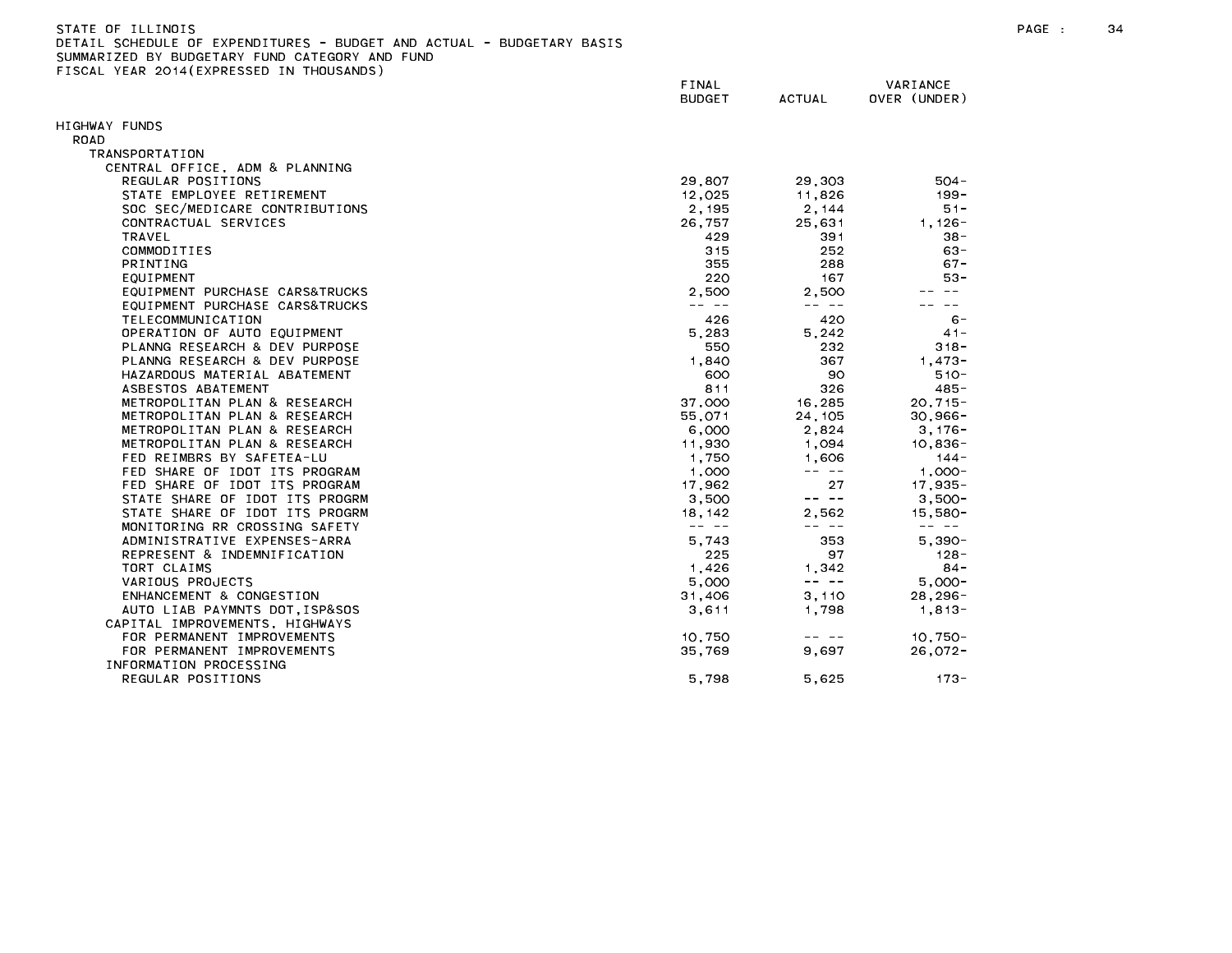| STATE OF ILLINOIS                                                     |
|-----------------------------------------------------------------------|
| DETAIL SCHEDULE OF EXPENDITURES - BUDGET AND ACTUAL - BUDGETARY BASIS |
| SUMMARIZED BY BUDGETARY FUND CATEGORY AND FUND                        |
| FISCAL YEAR 2014(EXPRESSED IN THOUSANDS)                              |

|                                | FINAL<br><b>BUDGET</b>                                                                                                                                                                                                                                                                                                                                                                       | <b>ACTUAL</b>                                                                                                                                                                                                                                                                                                                                                                                | VARIANCE<br>OVER (UNDER) |
|--------------------------------|----------------------------------------------------------------------------------------------------------------------------------------------------------------------------------------------------------------------------------------------------------------------------------------------------------------------------------------------------------------------------------------------|----------------------------------------------------------------------------------------------------------------------------------------------------------------------------------------------------------------------------------------------------------------------------------------------------------------------------------------------------------------------------------------------|--------------------------|
|                                |                                                                                                                                                                                                                                                                                                                                                                                              |                                                                                                                                                                                                                                                                                                                                                                                              |                          |
| HIGHWAY FUNDS                  |                                                                                                                                                                                                                                                                                                                                                                                              |                                                                                                                                                                                                                                                                                                                                                                                              |                          |
| ROAD                           |                                                                                                                                                                                                                                                                                                                                                                                              |                                                                                                                                                                                                                                                                                                                                                                                              |                          |
| TRANSPORTATION                 |                                                                                                                                                                                                                                                                                                                                                                                              |                                                                                                                                                                                                                                                                                                                                                                                              |                          |
| CENTRAL OFFICE, ADM & PLANNING |                                                                                                                                                                                                                                                                                                                                                                                              |                                                                                                                                                                                                                                                                                                                                                                                              |                          |
| REGULAR POSITIONS              | 29,807                                                                                                                                                                                                                                                                                                                                                                                       | 29,303                                                                                                                                                                                                                                                                                                                                                                                       | $504 -$                  |
| STATE EMPLOYEE RETIREMENT      | 12,025                                                                                                                                                                                                                                                                                                                                                                                       | 11,826                                                                                                                                                                                                                                                                                                                                                                                       | $199 -$                  |
| SOC SEC/MEDICARE CONTRIBUTIONS | 2,195                                                                                                                                                                                                                                                                                                                                                                                        | 2,144                                                                                                                                                                                                                                                                                                                                                                                        | $51 -$                   |
| CONTRACTUAL SERVICES           | 26,757                                                                                                                                                                                                                                                                                                                                                                                       | 25,631                                                                                                                                                                                                                                                                                                                                                                                       | $1,126-$                 |
| <b>TRAVEL</b>                  | 429                                                                                                                                                                                                                                                                                                                                                                                          | 391                                                                                                                                                                                                                                                                                                                                                                                          | $38 -$                   |
| COMMODITIES                    | 315                                                                                                                                                                                                                                                                                                                                                                                          | 252                                                                                                                                                                                                                                                                                                                                                                                          | $63 -$                   |
| <b>PRINTING</b>                | 355                                                                                                                                                                                                                                                                                                                                                                                          | 288                                                                                                                                                                                                                                                                                                                                                                                          | $67 -$                   |
| EQUIPMENT                      | 220                                                                                                                                                                                                                                                                                                                                                                                          | 167                                                                                                                                                                                                                                                                                                                                                                                          | $53 -$                   |
| EQUIPMENT PURCHASE CARS&TRUCKS | 2,500                                                                                                                                                                                                                                                                                                                                                                                        | 2,500                                                                                                                                                                                                                                                                                                                                                                                        |                          |
| EQUIPMENT PURCHASE CARS&TRUCKS | $- - - - -$                                                                                                                                                                                                                                                                                                                                                                                  | -- --                                                                                                                                                                                                                                                                                                                                                                                        | $\sim$ $-$               |
| TELECOMMUNICATION              | 426                                                                                                                                                                                                                                                                                                                                                                                          | 420                                                                                                                                                                                                                                                                                                                                                                                          | $6 -$                    |
| OPERATION OF AUTO EQUIPMENT    | 5,283                                                                                                                                                                                                                                                                                                                                                                                        | 5,242                                                                                                                                                                                                                                                                                                                                                                                        | $41 -$                   |
| PLANNG RESEARCH & DEV PURPOSE  | 550                                                                                                                                                                                                                                                                                                                                                                                          | 232                                                                                                                                                                                                                                                                                                                                                                                          | $318 -$                  |
| PLANNG RESEARCH & DEV PURPOSE  | 1,840                                                                                                                                                                                                                                                                                                                                                                                        | 367                                                                                                                                                                                                                                                                                                                                                                                          | $1,473-$                 |
| HAZARDOUS MATERIAL ABATEMENT   | 600                                                                                                                                                                                                                                                                                                                                                                                          | 90                                                                                                                                                                                                                                                                                                                                                                                           | $510 -$                  |
| ASBESTOS ABATEMENT             | 811                                                                                                                                                                                                                                                                                                                                                                                          | 326                                                                                                                                                                                                                                                                                                                                                                                          | $485 -$                  |
| METROPOLITAN PLAN & RESEARCH   | 37,000                                                                                                                                                                                                                                                                                                                                                                                       | 16,285                                                                                                                                                                                                                                                                                                                                                                                       | $20,715-$                |
| METROPOLITAN PLAN & RESEARCH   | 55,071                                                                                                                                                                                                                                                                                                                                                                                       | 24, 105                                                                                                                                                                                                                                                                                                                                                                                      | $30,966 -$               |
| METROPOLITAN PLAN & RESEARCH   | 6,000                                                                                                                                                                                                                                                                                                                                                                                        | 2,824                                                                                                                                                                                                                                                                                                                                                                                        | $3,176-$                 |
| METROPOLITAN PLAN & RESEARCH   | 11,930                                                                                                                                                                                                                                                                                                                                                                                       | 1,094                                                                                                                                                                                                                                                                                                                                                                                        | $10,836 -$               |
| FED REIMBRS BY SAFETEA-LU      | 1,750                                                                                                                                                                                                                                                                                                                                                                                        | 1,606                                                                                                                                                                                                                                                                                                                                                                                        | $144 -$                  |
| FED SHARE OF IDOT ITS PROGRAM  | 1,000                                                                                                                                                                                                                                                                                                                                                                                        | $\frac{1}{2} \frac{1}{2} \frac{1}{2} \frac{1}{2} \frac{1}{2} \frac{1}{2} \frac{1}{2} \frac{1}{2} \frac{1}{2} \frac{1}{2} \frac{1}{2} \frac{1}{2} \frac{1}{2} \frac{1}{2} \frac{1}{2} \frac{1}{2} \frac{1}{2} \frac{1}{2} \frac{1}{2} \frac{1}{2} \frac{1}{2} \frac{1}{2} \frac{1}{2} \frac{1}{2} \frac{1}{2} \frac{1}{2} \frac{1}{2} \frac{1}{2} \frac{1}{2} \frac{1}{2} \frac{1}{2} \frac{$ | $1,000-$                 |
| FED SHARE OF IDOT ITS PROGRAM  | 17,962                                                                                                                                                                                                                                                                                                                                                                                       | 27                                                                                                                                                                                                                                                                                                                                                                                           | $17,935-$                |
| STATE SHARE OF IDOT ITS PROGRM | 3,500                                                                                                                                                                                                                                                                                                                                                                                        | -- --                                                                                                                                                                                                                                                                                                                                                                                        | $3,500-$                 |
| STATE SHARE OF IDOT ITS PROGRM | 18.142                                                                                                                                                                                                                                                                                                                                                                                       | 2.562                                                                                                                                                                                                                                                                                                                                                                                        | $15,580-$                |
| MONITORING RR CROSSING SAFETY  | $\frac{1}{2} \frac{1}{2} \frac{1}{2} \frac{1}{2} \frac{1}{2} \frac{1}{2} \frac{1}{2} \frac{1}{2} \frac{1}{2} \frac{1}{2} \frac{1}{2} \frac{1}{2} \frac{1}{2} \frac{1}{2} \frac{1}{2} \frac{1}{2} \frac{1}{2} \frac{1}{2} \frac{1}{2} \frac{1}{2} \frac{1}{2} \frac{1}{2} \frac{1}{2} \frac{1}{2} \frac{1}{2} \frac{1}{2} \frac{1}{2} \frac{1}{2} \frac{1}{2} \frac{1}{2} \frac{1}{2} \frac{$ | $\frac{1}{2} \frac{1}{2} \frac{1}{2} \frac{1}{2} \frac{1}{2} \frac{1}{2} \frac{1}{2} \frac{1}{2} \frac{1}{2} \frac{1}{2} \frac{1}{2} \frac{1}{2} \frac{1}{2} \frac{1}{2} \frac{1}{2} \frac{1}{2} \frac{1}{2} \frac{1}{2} \frac{1}{2} \frac{1}{2} \frac{1}{2} \frac{1}{2} \frac{1}{2} \frac{1}{2} \frac{1}{2} \frac{1}{2} \frac{1}{2} \frac{1}{2} \frac{1}{2} \frac{1}{2} \frac{1}{2} \frac{$ | -- --                    |
| ADMINISTRATIVE EXPENSES-ARRA   | 5,743                                                                                                                                                                                                                                                                                                                                                                                        | 353                                                                                                                                                                                                                                                                                                                                                                                          | $5.390 -$                |
| REPRESENT & INDEMNIFICATION    | 225                                                                                                                                                                                                                                                                                                                                                                                          | 97                                                                                                                                                                                                                                                                                                                                                                                           | $128 -$                  |
| TORT CLAIMS                    | 1,426                                                                                                                                                                                                                                                                                                                                                                                        | 1,342                                                                                                                                                                                                                                                                                                                                                                                        | $84 -$                   |
| VARIOUS PROJECTS               | 5,000                                                                                                                                                                                                                                                                                                                                                                                        | $\frac{1}{2} \frac{1}{2} \frac{1}{2} \frac{1}{2} \frac{1}{2} \frac{1}{2} \frac{1}{2} \frac{1}{2} \frac{1}{2} \frac{1}{2} \frac{1}{2} \frac{1}{2} \frac{1}{2} \frac{1}{2} \frac{1}{2} \frac{1}{2} \frac{1}{2} \frac{1}{2} \frac{1}{2} \frac{1}{2} \frac{1}{2} \frac{1}{2} \frac{1}{2} \frac{1}{2} \frac{1}{2} \frac{1}{2} \frac{1}{2} \frac{1}{2} \frac{1}{2} \frac{1}{2} \frac{1}{2} \frac{$ | $5,000 -$                |
| ENHANCEMENT & CONGESTION       | 31,406                                                                                                                                                                                                                                                                                                                                                                                       | 3,110                                                                                                                                                                                                                                                                                                                                                                                        | $28, 296 -$              |
| AUTO LIAB PAYMNTS DOT, ISP&SOS | 3,611                                                                                                                                                                                                                                                                                                                                                                                        | 1,798                                                                                                                                                                                                                                                                                                                                                                                        | $1,813-$                 |
| CAPITAL IMPROVEMENTS, HIGHWAYS |                                                                                                                                                                                                                                                                                                                                                                                              |                                                                                                                                                                                                                                                                                                                                                                                              |                          |
| FOR PERMANENT IMPROVEMENTS     | 10.750                                                                                                                                                                                                                                                                                                                                                                                       | -- --                                                                                                                                                                                                                                                                                                                                                                                        | $10.750 -$               |
| FOR PERMANENT IMPROVEMENTS     | 35,769                                                                                                                                                                                                                                                                                                                                                                                       | 9,697                                                                                                                                                                                                                                                                                                                                                                                        | $26,072-$                |
| INFORMATION PROCESSING         |                                                                                                                                                                                                                                                                                                                                                                                              |                                                                                                                                                                                                                                                                                                                                                                                              |                          |
| REGULAR POSITIONS              | 5.798                                                                                                                                                                                                                                                                                                                                                                                        | 5.625                                                                                                                                                                                                                                                                                                                                                                                        | $173 -$                  |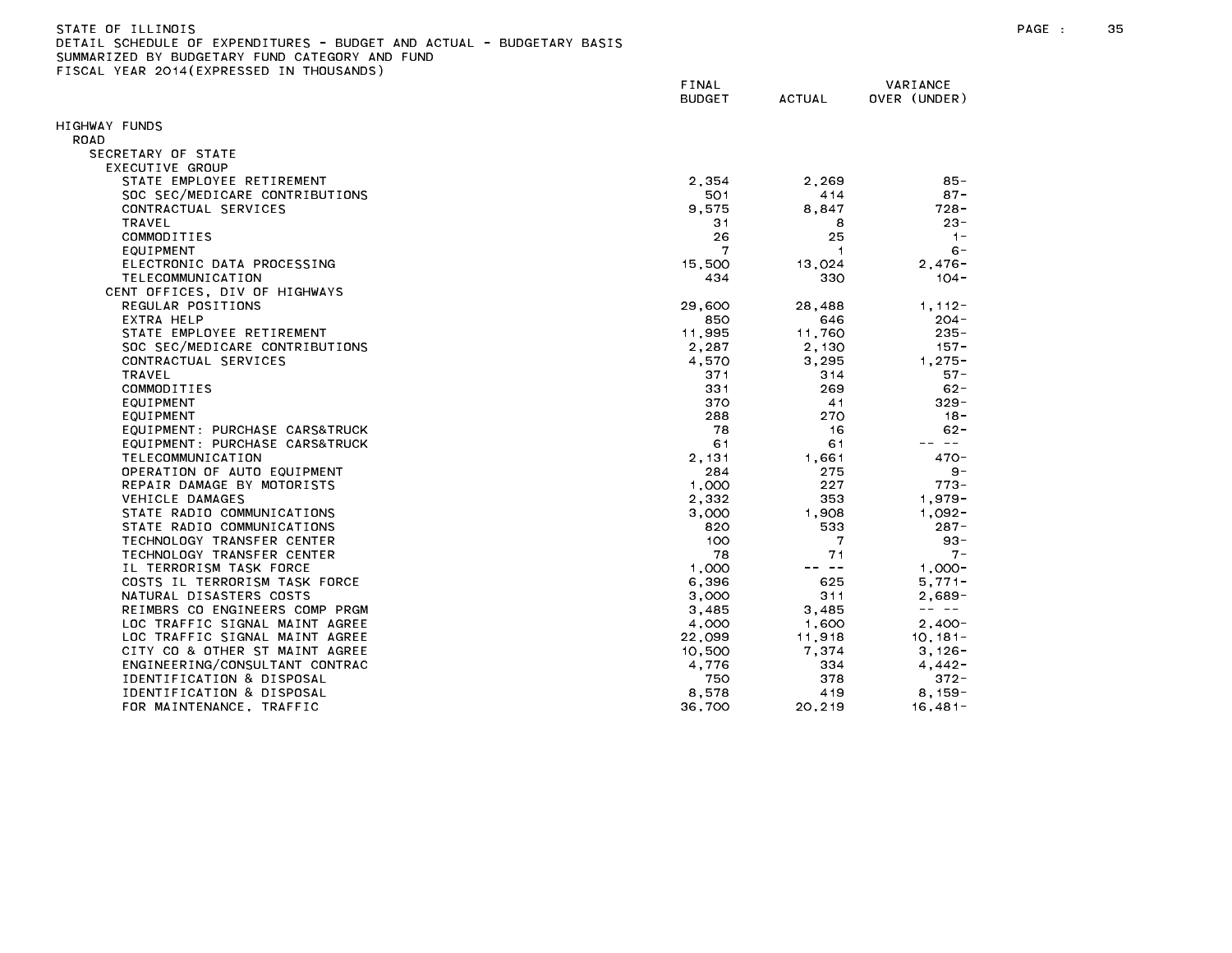| STATE OF ILLINOIS                                                     |  |
|-----------------------------------------------------------------------|--|
| DETAIL SCHEDULE OF EXPENDITURES - BUDGET AND ACTUAL - BUDGETARY BASIS |  |
| SUMMARIZED BY BUDGETARY FUND CATEGORY AND FUND                        |  |
| FISCAL YEAR 2014(EXPRESSED IN THOUSANDS)                              |  |

|                                | FINAL<br><b>BUDGET</b> | <b>ACTUAL</b> | VARIANCE<br>OVER (UNDER)                                                                                                                                                                                                                                                                                                                                                                     |  |
|--------------------------------|------------------------|---------------|----------------------------------------------------------------------------------------------------------------------------------------------------------------------------------------------------------------------------------------------------------------------------------------------------------------------------------------------------------------------------------------------|--|
| HIGHWAY FUNDS                  |                        |               |                                                                                                                                                                                                                                                                                                                                                                                              |  |
| ROAD                           |                        |               |                                                                                                                                                                                                                                                                                                                                                                                              |  |
| SECRETARY OF STATE             |                        |               |                                                                                                                                                                                                                                                                                                                                                                                              |  |
| EXECUTIVE GROUP                |                        |               |                                                                                                                                                                                                                                                                                                                                                                                              |  |
| STATE EMPLOYEE RETIREMENT      | 2,354                  | 2,269         | $85 -$                                                                                                                                                                                                                                                                                                                                                                                       |  |
| SOC SEC/MEDICARE CONTRIBUTIONS | 501                    | 414           | $87 -$                                                                                                                                                                                                                                                                                                                                                                                       |  |
| CONTRACTUAL SERVICES           | 9,575                  | 8,847         | 728 -                                                                                                                                                                                                                                                                                                                                                                                        |  |
| <b>TRAVEL</b>                  | 31                     | 8             | $23 -$                                                                                                                                                                                                                                                                                                                                                                                       |  |
| COMMODITIES                    | 26                     | 25            | $1 -$                                                                                                                                                                                                                                                                                                                                                                                        |  |
| EQUIPMENT                      | 7                      | -1            | $6 -$                                                                                                                                                                                                                                                                                                                                                                                        |  |
| ELECTRONIC DATA PROCESSING     | 15,500                 | 13,024        | $2.476 -$                                                                                                                                                                                                                                                                                                                                                                                    |  |
| TELECOMMUNICATION              | 434                    | 330           | $104 -$                                                                                                                                                                                                                                                                                                                                                                                      |  |
| CENT OFFICES, DIV OF HIGHWAYS  |                        |               |                                                                                                                                                                                                                                                                                                                                                                                              |  |
| REGULAR POSITIONS              | 29,600                 | 28,488        | $1, 112 -$                                                                                                                                                                                                                                                                                                                                                                                   |  |
| EXTRA HELP                     | 850                    | 646           | $204 -$                                                                                                                                                                                                                                                                                                                                                                                      |  |
| STATE EMPLOYEE RETIREMENT      | 11,995                 | 11,760        | $235 -$                                                                                                                                                                                                                                                                                                                                                                                      |  |
| SOC SEC/MEDICARE CONTRIBUTIONS | 2,287                  | 2,130         | $157 -$                                                                                                                                                                                                                                                                                                                                                                                      |  |
| CONTRACTUAL SERVICES           | 4,570                  | 3.295         | $1.275 -$                                                                                                                                                                                                                                                                                                                                                                                    |  |
| <b>TRAVEL</b>                  | 371                    | 314           | $57 -$                                                                                                                                                                                                                                                                                                                                                                                       |  |
| COMMODITIES                    | 331                    | 269           | $62 -$                                                                                                                                                                                                                                                                                                                                                                                       |  |
| EQUIPMENT                      | 370                    | 41            | $329 -$                                                                                                                                                                                                                                                                                                                                                                                      |  |
| EQUIPMENT                      | 288                    | 270           | $18 -$                                                                                                                                                                                                                                                                                                                                                                                       |  |
| EQUIPMENT: PURCHASE CARS&TRUCK | 78                     | 16            | $62 -$                                                                                                                                                                                                                                                                                                                                                                                       |  |
| EQUIPMENT: PURCHASE CARS&TRUCK | 61                     | 61            | -- --                                                                                                                                                                                                                                                                                                                                                                                        |  |
| TELECOMMUNICATION              | 2,131                  | 1,661         | $470 -$                                                                                                                                                                                                                                                                                                                                                                                      |  |
| OPERATION OF AUTO EQUIPMENT    | 284                    | 275           | $9 -$                                                                                                                                                                                                                                                                                                                                                                                        |  |
| REPAIR DAMAGE BY MOTORISTS     | 1,000                  | 227           | $773 -$                                                                                                                                                                                                                                                                                                                                                                                      |  |
| VEHICLE DAMAGES                | 2,332                  | 353           | $1,979-$                                                                                                                                                                                                                                                                                                                                                                                     |  |
| STATE RADIO COMMUNICATIONS     | 3,000                  | 1.908         | $1.092 -$                                                                                                                                                                                                                                                                                                                                                                                    |  |
| STATE RADIO COMMUNICATIONS     | 820                    | 533           | $287 -$                                                                                                                                                                                                                                                                                                                                                                                      |  |
| TECHNOLOGY TRANSFER CENTER     | 100                    | 7             | $93 -$                                                                                                                                                                                                                                                                                                                                                                                       |  |
| TECHNOLOGY TRANSFER CENTER     | 78                     | 71            | $7 -$                                                                                                                                                                                                                                                                                                                                                                                        |  |
| IL TERRORISM TASK FORCE        | 1,000                  | -- --         | $1,000 -$                                                                                                                                                                                                                                                                                                                                                                                    |  |
| COSTS IL TERRORISM TASK FORCE  | 6,396                  | 625           | $5.771 -$                                                                                                                                                                                                                                                                                                                                                                                    |  |
| NATURAL DISASTERS COSTS        | 3,000                  | 311           | $2,689-$                                                                                                                                                                                                                                                                                                                                                                                     |  |
| REIMBRS CO ENGINEERS COMP PRGM | 3,485                  | 3,485         | $\frac{1}{2} \frac{1}{2} \frac{1}{2} \frac{1}{2} \frac{1}{2} \frac{1}{2} \frac{1}{2} \frac{1}{2} \frac{1}{2} \frac{1}{2} \frac{1}{2} \frac{1}{2} \frac{1}{2} \frac{1}{2} \frac{1}{2} \frac{1}{2} \frac{1}{2} \frac{1}{2} \frac{1}{2} \frac{1}{2} \frac{1}{2} \frac{1}{2} \frac{1}{2} \frac{1}{2} \frac{1}{2} \frac{1}{2} \frac{1}{2} \frac{1}{2} \frac{1}{2} \frac{1}{2} \frac{1}{2} \frac{$ |  |
| LOC TRAFFIC SIGNAL MAINT AGREE | 4,000                  | 1,600         | $2,400-$                                                                                                                                                                                                                                                                                                                                                                                     |  |
| LOC TRAFFIC SIGNAL MAINT AGREE | 22,099                 | 11,918        | $10, 181 -$                                                                                                                                                                                                                                                                                                                                                                                  |  |
| CITY CO & OTHER ST MAINT AGREE | 10,500                 | 7,374         | $3,126-$                                                                                                                                                                                                                                                                                                                                                                                     |  |
| ENGINEERING/CONSULTANT CONTRAC | 4,776                  | 334           | $4,442-$                                                                                                                                                                                                                                                                                                                                                                                     |  |
| IDENTIFICATION & DISPOSAL      | 750                    | 378           | $372 -$                                                                                                                                                                                                                                                                                                                                                                                      |  |
| IDENTIFICATION & DISPOSAL      | 8,578                  | 419           | $8,159-$                                                                                                                                                                                                                                                                                                                                                                                     |  |
| FOR MAINTENANCE, TRAFFIC       | 36,700                 | 20, 219       | $16,481-$                                                                                                                                                                                                                                                                                                                                                                                    |  |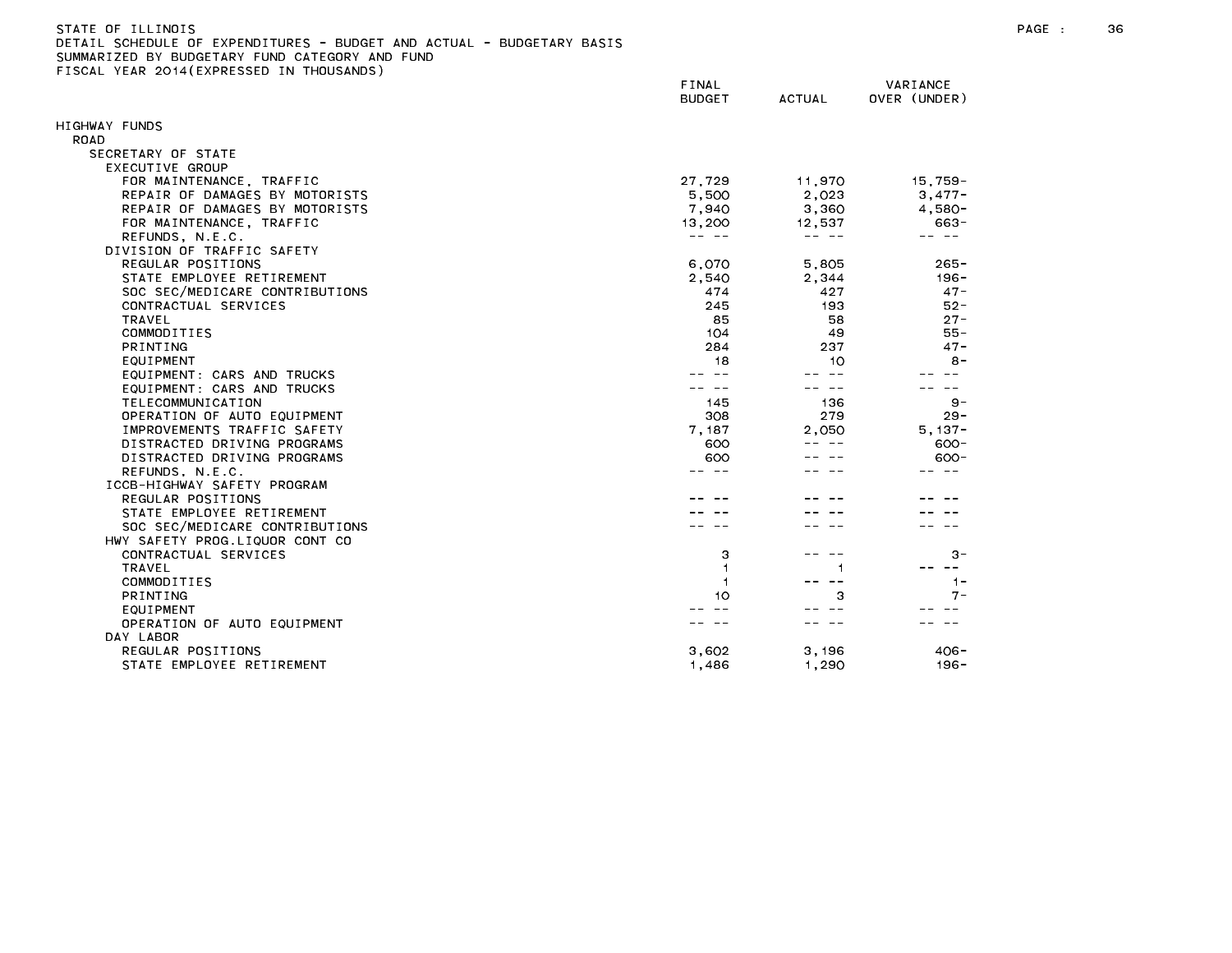| STATE OF ILLINOIS                              |  |  |  |  |  |  |                                                                       |  |
|------------------------------------------------|--|--|--|--|--|--|-----------------------------------------------------------------------|--|
|                                                |  |  |  |  |  |  | DETAIL SCHEDULE OF EXPENDITURES - BUDGET AND ACTUAL - BUDGETARY BASIS |  |
| SUMMARIZED BY BUDGETARY FUND CATEGORY AND FUND |  |  |  |  |  |  |                                                                       |  |

FISCAL YEAR 2014(EXPRESSED IN THOUSANDS)

FINAL VARIANCE BUDGET ACTUAL OVER (UNDER) HIGHWAY FUNDS ROAD SECRETARY OF STATE EXECUTIVE GROUP FOR MAINTENANCE, TRAFFIC 27,729 11,970 15,759- REPAIR OF DAMAGES BY MOTORISTS And the set of the set of the set of the set of the set of the set of the set of the set of the set of the set of the set of the set of the set of the set of the set of the set of the set of REPAIR OF DAMAGES BY MOTORISTS And the set of the set of the set of the set of the set of the set of the set of the set of the set of the set of the set of the set of the set of the set of the set of the set of the set of FOR MAINTENANCE, TRAFFIC 13,200 12,537 663- REFUNDS, N.E.C. -- -- -- -- -- -- DIVISION OF TRAFFIC SAFETY REGULAR POSITIONS 6,070 5,805 265- STATE EMPLOYEE RETIREMENT THE RESERVE RESERVE THE RESERVE RESERVE THE RESERVE RESERVE THE RESERVE THE RESERVE TH SOC SEC/MEDICARE CONTRIBUTIONS 47-CONTRACTUAL SERVICES 245 193 52- EQUIPMENT: CARS AND TRUCKS -- -- -- -- -- -- EQUIPMENT: CARS AND TRUCKS  $\begin{array}{cccccc} \bot & \bot & \bot & \bot \end{array}$ 22. 22  $\sim$   $\sim$  $\sim$ TELECOMMUNICATION 145 136 9- OPERATION OF AUTO EQUIPMENT And the state of the state of the state of the state of the state of the state of the state of the state of the state of the state of the state of the state of the state of the state of the stat IMPROVEMENTS TRAFFIC SAFETY **1.187 1.187 1.187 1.187** 2,050 5,137-DISTRACTED DRIVING PROGRAMS 600 -- -- 600-  $\frac{1}{2} \frac{1}{2} \frac{1}{2} \frac{1}{2} \frac{1}{2} \frac{1}{2} \frac{1}{2} \frac{1}{2} \frac{1}{2} \frac{1}{2} \frac{1}{2} \frac{1}{2} \frac{1}{2} \frac{1}{2} \frac{1}{2} \frac{1}{2} \frac{1}{2} \frac{1}{2} \frac{1}{2} \frac{1}{2} \frac{1}{2} \frac{1}{2} \frac{1}{2} \frac{1}{2} \frac{1}{2} \frac{1}{2} \frac{1}{2} \frac{1}{2} \frac{1}{2} \frac{1}{2} \frac{1}{2} \frac{$ DISTRACTED DRIVING PROGRAMS 600 600-REFUNDS, N.E.C. -- -- -- -- -- -- ICCB-HIGHWAY SAFETY PROGRAM REGULAR POSITIONS -- -- -- -- -- -- STATE EMPLOYEE RETIREMENT And the state of the state of the state of the state of the state of the state of the state of the state of the state of the state of the state of the state of the state of the state of the state SOC SEC/MEDICARE CONTRIBUTIONS And the second second service of the service of the service of the service of the service of the service of the service of the service of the service of the service of the service of the serv HWY SAFETY PROG.LIQUOR CONT CO CONTRACTUAL SERVICES 3 -- -- 3- OPERATION OF AUTO FOUIPMENT And the state of the state of the state of the state of the state of the state of t DAY LABOR REGULAR POSITIONS 3,602 3,196 406- STATE EMPLOYEE RETIREMENT THE RESERVE RESERVE THE RESERVE THAT A SERVE THE RESERVE THAT A SERVER THAT A SERVER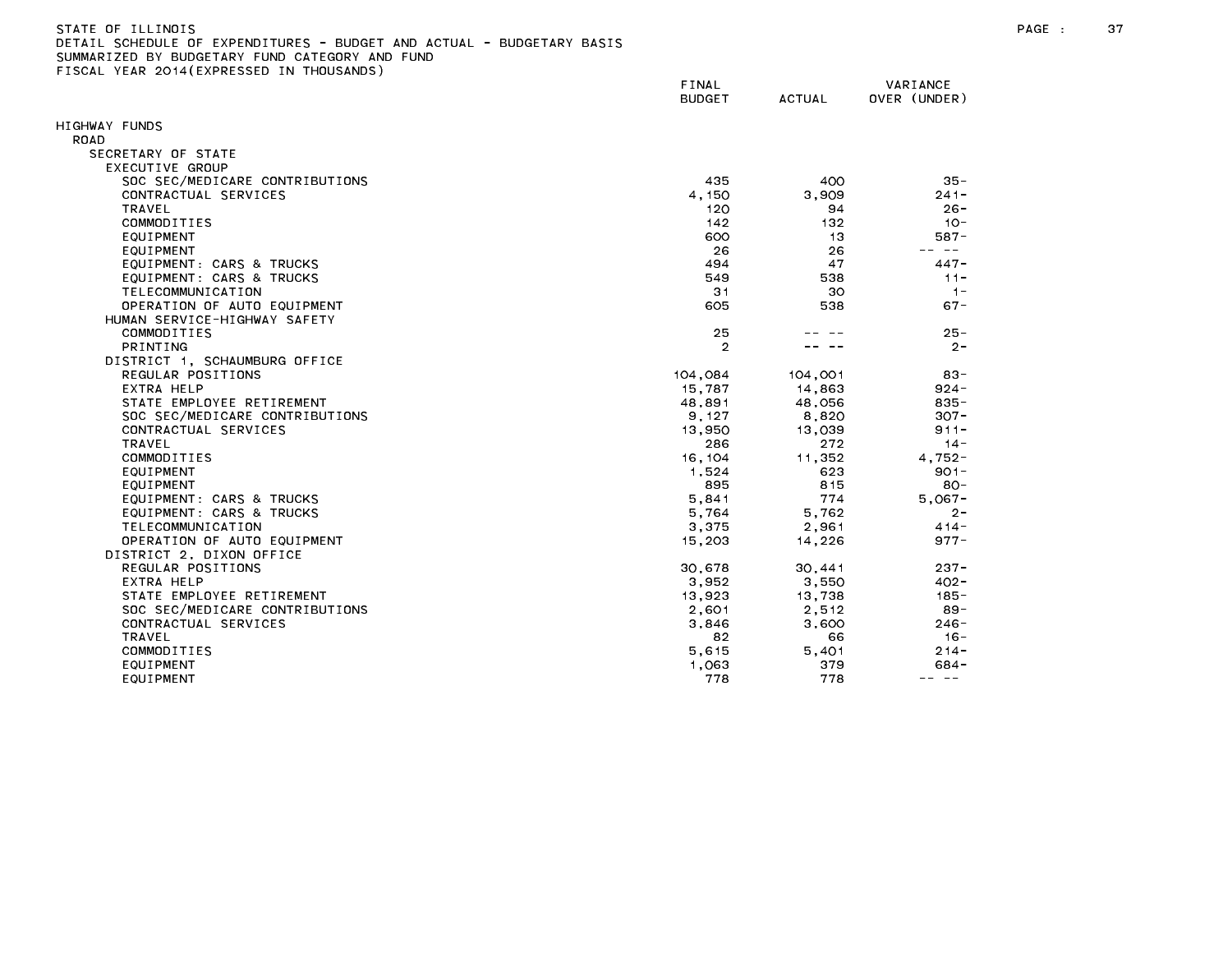| STATE OF ILLINOIS                                                     |  |
|-----------------------------------------------------------------------|--|
| DETAIL SCHEDULE OF EXPENDITURES - BUDGET AND ACTUAL - BUDGETARY BASIS |  |
| SUMMARIZED BY BUDGETARY FUND CATEGORY AND FUND                        |  |
| FISCAL YEAR 2014(EXPRESSED IN THOUSANDS)                              |  |

|                                | FINAL<br><b>BUDGET</b> | ACTUAL  | VARIANCE<br>OVER (UNDER)                                                                                                                                                                                                                                                                                                                                                                     |
|--------------------------------|------------------------|---------|----------------------------------------------------------------------------------------------------------------------------------------------------------------------------------------------------------------------------------------------------------------------------------------------------------------------------------------------------------------------------------------------|
| HIGHWAY FUNDS                  |                        |         |                                                                                                                                                                                                                                                                                                                                                                                              |
| ROAD                           |                        |         |                                                                                                                                                                                                                                                                                                                                                                                              |
| SECRETARY OF STATE             |                        |         |                                                                                                                                                                                                                                                                                                                                                                                              |
| EXECUTIVE GROUP                |                        |         |                                                                                                                                                                                                                                                                                                                                                                                              |
| SOC SEC/MEDICARE CONTRIBUTIONS | 435                    | 400     | $35 -$                                                                                                                                                                                                                                                                                                                                                                                       |
| CONTRACTUAL SERVICES           | 4.150                  | 3.909   | $241 -$                                                                                                                                                                                                                                                                                                                                                                                      |
| <b>TRAVEL</b>                  | 120                    | 94      | $26 -$                                                                                                                                                                                                                                                                                                                                                                                       |
| COMMODITIES                    | 142                    | 132     | $10 -$                                                                                                                                                                                                                                                                                                                                                                                       |
| EQUIPMENT                      | 600                    | 13      | $587 -$<br>-- --                                                                                                                                                                                                                                                                                                                                                                             |
| EQUIPMENT                      | 26                     | 26      |                                                                                                                                                                                                                                                                                                                                                                                              |
| EQUIPMENT: CARS & TRUCKS       | 494                    | 47      | $447 -$                                                                                                                                                                                                                                                                                                                                                                                      |
| EQUIPMENT: CARS & TRUCKS       | 549                    | 538     | $11 -$                                                                                                                                                                                                                                                                                                                                                                                       |
| TELECOMMUNICATION              | 31                     | 30      | $1 -$                                                                                                                                                                                                                                                                                                                                                                                        |
| OPERATION OF AUTO EQUIPMENT    | 605                    | 538     | $67 -$                                                                                                                                                                                                                                                                                                                                                                                       |
| HUMAN SERVICE-HIGHWAY SAFETY   |                        |         |                                                                                                                                                                                                                                                                                                                                                                                              |
| COMMODITIES                    | 25                     |         | $25 -$                                                                                                                                                                                                                                                                                                                                                                                       |
| <b>PRINTING</b>                | $\overline{2}$         |         | $2 -$                                                                                                                                                                                                                                                                                                                                                                                        |
| DISTRICT 1, SCHAUMBURG OFFICE  |                        |         |                                                                                                                                                                                                                                                                                                                                                                                              |
| REGULAR POSITIONS              | 104,084                | 104,001 | $83 -$                                                                                                                                                                                                                                                                                                                                                                                       |
| EXTRA HELP                     | 15,787                 | 14,863  | $924 -$                                                                                                                                                                                                                                                                                                                                                                                      |
| STATE EMPLOYEE RETIREMENT      | 48,891                 | 48,056  | $835 -$                                                                                                                                                                                                                                                                                                                                                                                      |
| SOC SEC/MEDICARE CONTRIBUTIONS | 9, 127                 | 8,820   | $307 -$                                                                                                                                                                                                                                                                                                                                                                                      |
| CONTRACTUAL SERVICES           | 13,950                 | 13,039  | $911 -$                                                                                                                                                                                                                                                                                                                                                                                      |
| <b>TRAVEL</b>                  | 286                    | 272     | $14 -$                                                                                                                                                                                                                                                                                                                                                                                       |
| COMMODITIES                    | 16, 104                | 11,352  | $4,752-$                                                                                                                                                                                                                                                                                                                                                                                     |
| EQUIPMENT                      | 1.524                  | 623     | $901 -$                                                                                                                                                                                                                                                                                                                                                                                      |
| EQUIPMENT                      | 895                    | 815     | $80 -$                                                                                                                                                                                                                                                                                                                                                                                       |
| EQUIPMENT: CARS & TRUCKS       | 5,841                  | 774     | $5,067-$                                                                                                                                                                                                                                                                                                                                                                                     |
| EQUIPMENT: CARS & TRUCKS       | 5,764                  | 5,762   | $2 -$                                                                                                                                                                                                                                                                                                                                                                                        |
| TELECOMMUNICATION              | 3.375                  | 2.961   | $414 -$                                                                                                                                                                                                                                                                                                                                                                                      |
| OPERATION OF AUTO EQUIPMENT    | 15,203                 | 14,226  | $977 -$                                                                                                                                                                                                                                                                                                                                                                                      |
| DISTRICT 2, DIXON OFFICE       |                        |         |                                                                                                                                                                                                                                                                                                                                                                                              |
| REGULAR POSITIONS              | 30,678                 | 30,441  | $237 -$                                                                                                                                                                                                                                                                                                                                                                                      |
| EXTRA HELP                     | 3.952                  | 3.550   | $402 -$                                                                                                                                                                                                                                                                                                                                                                                      |
| STATE EMPLOYEE RETIREMENT      | 13,923                 | 13,738  | $185 -$                                                                                                                                                                                                                                                                                                                                                                                      |
| SOC SEC/MEDICARE CONTRIBUTIONS | 2,601                  | 2,512   | $89 -$                                                                                                                                                                                                                                                                                                                                                                                       |
| CONTRACTUAL SERVICES           | 3,846                  | 3,600   | $246 -$                                                                                                                                                                                                                                                                                                                                                                                      |
| <b>TRAVEL</b>                  | 82                     | 66      | $16 -$                                                                                                                                                                                                                                                                                                                                                                                       |
| COMMODITIES                    | 5,615                  | 5.401   | $214 -$                                                                                                                                                                                                                                                                                                                                                                                      |
| EQUIPMENT                      | 1.063                  | 379     | $684 -$                                                                                                                                                                                                                                                                                                                                                                                      |
| EQUIPMENT                      | 778                    | 778     | $\frac{1}{2} \frac{1}{2} \frac{1}{2} \frac{1}{2} \frac{1}{2} \frac{1}{2} \frac{1}{2} \frac{1}{2} \frac{1}{2} \frac{1}{2} \frac{1}{2} \frac{1}{2} \frac{1}{2} \frac{1}{2} \frac{1}{2} \frac{1}{2} \frac{1}{2} \frac{1}{2} \frac{1}{2} \frac{1}{2} \frac{1}{2} \frac{1}{2} \frac{1}{2} \frac{1}{2} \frac{1}{2} \frac{1}{2} \frac{1}{2} \frac{1}{2} \frac{1}{2} \frac{1}{2} \frac{1}{2} \frac{$ |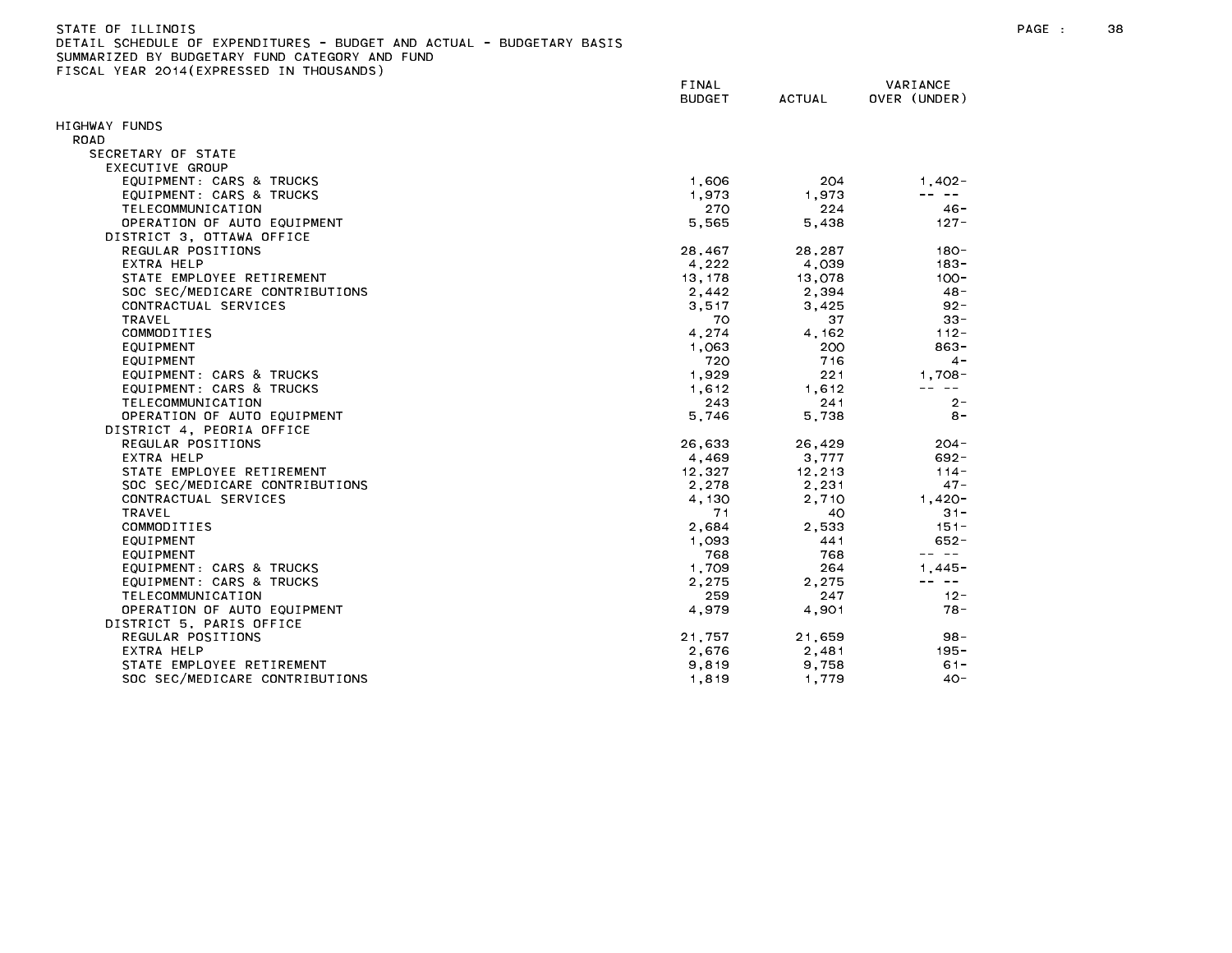| STATE OF TLLINDIS                                                     |
|-----------------------------------------------------------------------|
| DETAIL SCHEDULE OF EXPENDITURES - BUDGET AND ACTUAL - BUDGETARY BASIS |
| SUMMARIZED BY BUDGETARY FUND CATEGORY AND FUND                        |
| FISCAL YEAR 2014(EXPRESSED IN THOUSANDS)                              |

| LIGORE TEAR EUTR(EATREGUED IN  | FINAL<br><b>BUDGET</b> | <b>ACTUAL</b> | VARIANCE<br>OVER (UNDER) |
|--------------------------------|------------------------|---------------|--------------------------|
| HIGHWAY FUNDS                  |                        |               |                          |
| ROAD                           |                        |               |                          |
| SECRETARY OF STATE             |                        |               |                          |
| EXECUTIVE GROUP                |                        |               |                          |
| EQUIPMENT: CARS & TRUCKS       | 1,606                  | 204           | $1,402 -$                |
| EQUIPMENT: CARS & TRUCKS       | 1,973                  | 1,973         | $\sim$ $-$               |
| TELECOMMUNICATION              | 270                    | 224           | $46 -$                   |
| OPERATION OF AUTO EQUIPMENT    | 5,565                  | 5,438         | $127 -$                  |
| DISTRICT 3, OTTAWA OFFICE      |                        |               |                          |
| REGULAR POSITIONS              | 28,467                 | 28.287        | $180 -$                  |
| EXTRA HELP                     | 4,222                  | 4,039         | $183 -$                  |
| STATE EMPLOYEE RETIREMENT      | 13, 178                | 13,078        | $100 -$                  |
| SOC SEC/MEDICARE CONTRIBUTIONS | 2,442                  | 2,394         | $48 -$                   |
| CONTRACTUAL SERVICES           | 3,517                  | 3,425         | $92 -$                   |
| <b>TRAVEL</b>                  | 70                     | 37            | $33 -$                   |
| COMMODITIES                    | 4,274                  | 4.162         | $112 -$                  |
| EQUIPMENT                      | 1.063                  | 200           | $863 -$                  |
| EQUIPMENT                      | 720                    | 716           | $4 -$                    |
| EQUIPMENT: CARS & TRUCKS       | 1,929                  | 221           | $1,708-$                 |
| EQUIPMENT: CARS & TRUCKS       | 1,612                  | 1,612         | $\sim$ $-$               |
| TELECOMMUNICATION              | 243                    | 241           | $2 -$                    |
| OPERATION OF AUTO EQUIPMENT    | 5,746                  | 5,738         | $8 -$                    |
| DISTRICT 4, PEORIA OFFICE      |                        |               |                          |
| REGULAR POSITIONS              | 26,633                 | 26,429        | $204 -$                  |
| EXTRA HELP                     | 4,469                  | 3,777         | $692 -$                  |
| STATE EMPLOYEE RETIREMENT      | 12,327                 | 12,213        | $114 -$                  |
| SOC SEC/MEDICARE CONTRIBUTIONS | 2,278                  | 2,231         | $47 -$                   |
| CONTRACTUAL SERVICES           | 4.130                  | 2.710         | $1.420 -$                |
| TRAVEL                         | 71                     | 40            | $31 -$                   |
| COMMODITIES                    | 2,684                  | 2,533         | $151 -$                  |
| EQUIPMENT                      | 1.093                  | 441           | $652 -$                  |
| EQUIPMENT                      | 768                    | 768           |                          |
| EQUIPMENT: CARS & TRUCKS       | 1,709                  | 264           | $1.445 -$                |
| EQUIPMENT: CARS & TRUCKS       | 2.275                  | 2.275         | -- --                    |
| TELECOMMUNICATION              | 259                    | 247           | $12 -$                   |
| OPERATION OF AUTO EQUIPMENT    | 4,979                  | 4,901         | $78 -$                   |
| DISTRICT 5. PARIS OFFICE       |                        |               |                          |
| REGULAR POSITIONS              | 21.757                 | 21,659        | $98 -$                   |
| EXTRA HELP                     | 2,676                  | 2,481         | $195 -$                  |
| STATE EMPLOYEE RETIREMENT      | 9.819                  | 9.758         | 61-                      |
| SOC SEC/MEDICARE CONTRIBUTIONS | 1.819                  | 1.779         | $40 -$                   |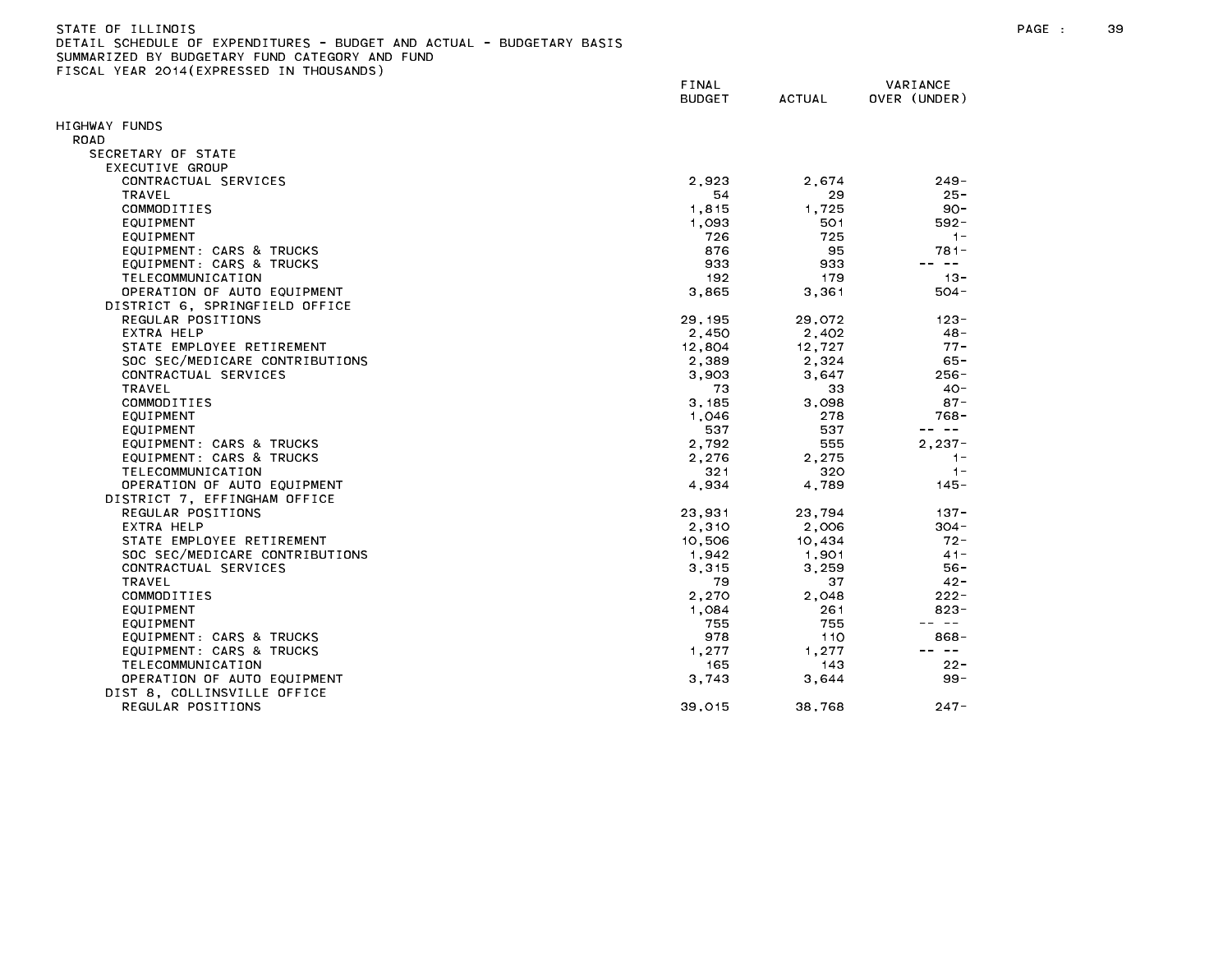| STATE OF ILLINOIS                                                     |
|-----------------------------------------------------------------------|
| DETAIL SCHEDULE OF EXPENDITURES - BUDGET AND ACTUAL - BUDGETARY BASIS |
| SUMMARIZED BY BUDGETARY FUND CATEGORY AND FUND                        |
| FISCAL YEAR 2014(EXPRESSED IN THOUSANDS)                              |

|                                | FINAL<br><b>BUDGET</b> | <b>ACTUAL</b> | VARIANCE<br>OVER (UNDER) |
|--------------------------------|------------------------|---------------|--------------------------|
| HIGHWAY FUNDS                  |                        |               |                          |
| ROAD                           |                        |               |                          |
| SECRETARY OF STATE             |                        |               |                          |
| EXECUTIVE GROUP                |                        |               |                          |
| CONTRACTUAL SERVICES           | 2.923                  | 2.674         |                          |
|                                |                        |               | $249 -$                  |
| TRAVEL<br>COMMODITIES          | 54                     | 29            | $25 -$                   |
|                                | 1.815                  | 1.725         | $90 -$                   |
| EQUIPMENT                      | 1,093                  | 501           | $592 -$                  |
| EQUIPMENT                      | 726                    | 725           | $1 -$                    |
| EQUIPMENT: CARS & TRUCKS       | 876                    | 95            | $781 -$<br>-- --         |
| EQUIPMENT: CARS & TRUCKS       | 933                    | 933           |                          |
| TELECOMMUNICATION              | 192                    | 179           | $13 -$                   |
| OPERATION OF AUTO EQUIPMENT    | 3.865                  | 3,361         | $504 -$                  |
| DISTRICT 6, SPRINGFIELD OFFICE |                        |               |                          |
| REGULAR POSITIONS              | 29, 195                | 29,072        | $123 -$                  |
| EXTRA HELP                     | 2,450                  | 2,402         | $48 -$                   |
| STATE EMPLOYEE RETIREMENT      | 12,804                 | 12.727        | $77 -$                   |
| SOC SEC/MEDICARE CONTRIBUTIONS | 2,389                  | 2,324         | $65 -$                   |
| CONTRACTUAL SERVICES           | 3,903                  | 3,647         | $256 -$                  |
| TRAVEL                         | 73                     | 33            | $40 -$                   |
| COMMODITIES                    | 3.185                  | 3.098         | $87 -$                   |
| EQUIPMENT                      | 1,046                  | 278           | 768-                     |
| EQUIPMENT                      | 537                    | 537           | -- --                    |
| EQUIPMENT: CARS & TRUCKS       | 2,792                  | 555           | $2,237-$                 |
| EQUIPMENT: CARS & TRUCKS       | 2,276                  | 2.275         | $1 -$                    |
| TELECOMMUNICATION              | 321                    | 320           | $1 -$                    |
| OPERATION OF AUTO EQUIPMENT    | 4,934                  | 4.789         | $145 -$                  |
| DISTRICT 7, EFFINGHAM OFFICE   |                        |               |                          |
| REGULAR POSITIONS              | 23.931                 | 23.794        | $137 -$                  |
| EXTRA HELP                     | 2,310                  | 2,006         | $304 -$                  |
| STATE EMPLOYEE RETIREMENT      | 10,506                 | 10,434        | $72 -$                   |
| SOC SEC/MEDICARE CONTRIBUTIONS | 1,942                  | 1,901         | $41 -$                   |
| CONTRACTUAL SERVICES           | 3,315                  | 3,259         | $56 -$                   |
| TRAVEL                         | 79                     | 37            | $42 -$                   |
| COMMODITIES                    | 2,270                  | 2,048         | $222 -$                  |
| EQUIPMENT                      | 1,084                  | 261           | $823 -$                  |
| EQUIPMENT                      | 755                    | 755           | $\sim$ $ -$              |
| EQUIPMENT: CARS & TRUCKS       | 978                    | 110           | $868 -$                  |
| EQUIPMENT: CARS & TRUCKS       | 1,277                  | 1,277         | -- --                    |
| TELECOMMUNICATION              | 165                    | 143           | $22 -$                   |
| OPERATION OF AUTO EQUIPMENT    | 3.743                  | 3,644         | $99 -$                   |
| DIST 8, COLLINSVILLE OFFICE    |                        |               |                          |
| REGULAR POSITIONS              | 39,015                 | 38,768        | $247 -$                  |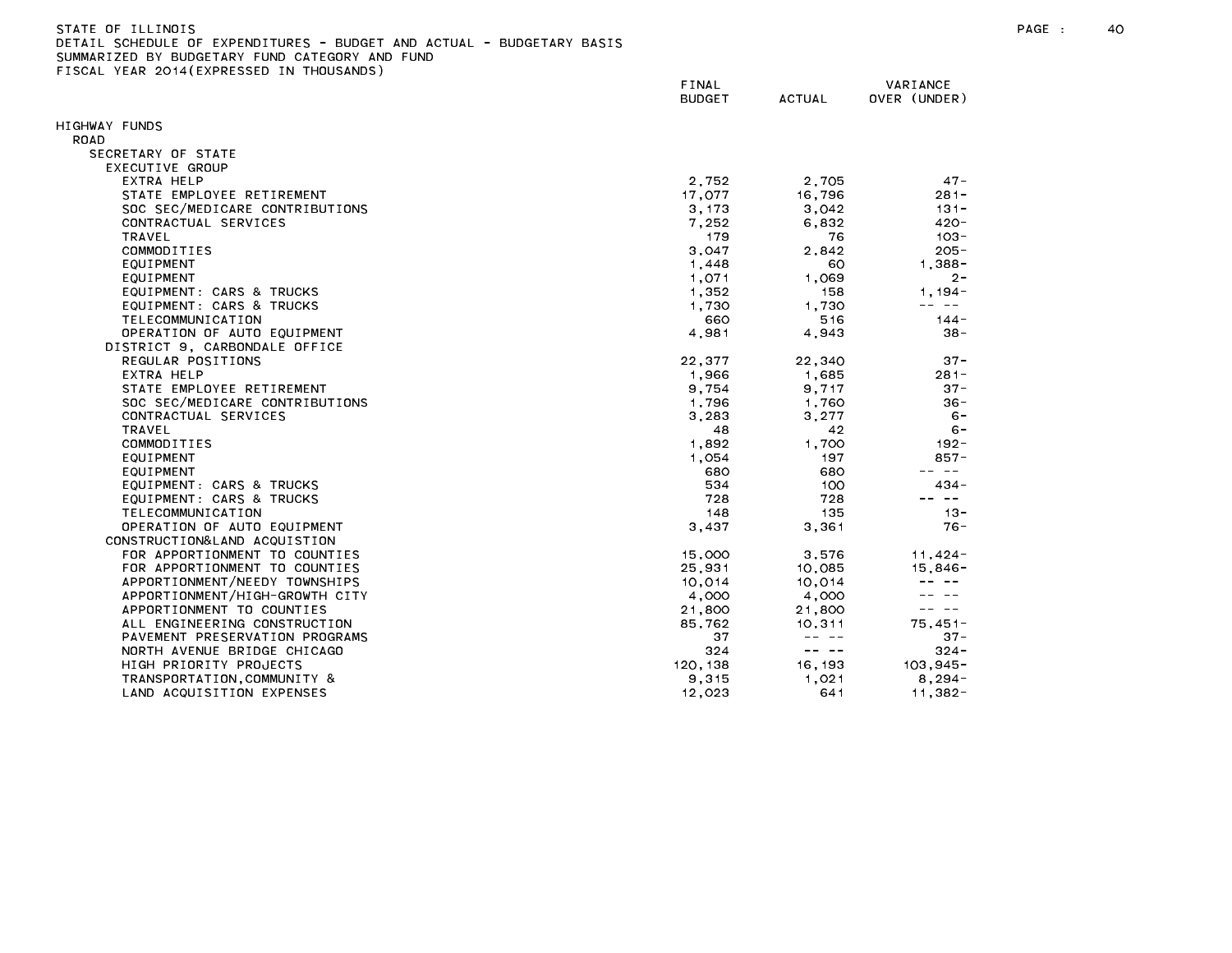| STATE OF ILLINOIS                                                     |
|-----------------------------------------------------------------------|
| DETAIL SCHEDULE OF EXPENDITURES - BUDGET AND ACTUAL - BUDGETARY BASIS |
| SUMMARIZED BY BUDGETARY FUND CATEGORY AND FUND                        |
| FISCAL YEAR 2014(EXPRESSED IN THOUSANDS)                              |

|                                                                 | FINAL<br><b>BUDGET</b> | <b>ACTUAL</b>                                                                                                                                                                                                                                                                                                                                                                                | VARIANCE<br>OVER (UNDER)                                                                                                                                                                                                                                                                                                                                                                     |
|-----------------------------------------------------------------|------------------------|----------------------------------------------------------------------------------------------------------------------------------------------------------------------------------------------------------------------------------------------------------------------------------------------------------------------------------------------------------------------------------------------|----------------------------------------------------------------------------------------------------------------------------------------------------------------------------------------------------------------------------------------------------------------------------------------------------------------------------------------------------------------------------------------------|
| HIGHWAY FUNDS                                                   |                        |                                                                                                                                                                                                                                                                                                                                                                                              |                                                                                                                                                                                                                                                                                                                                                                                              |
| <b>ROAD</b>                                                     |                        |                                                                                                                                                                                                                                                                                                                                                                                              |                                                                                                                                                                                                                                                                                                                                                                                              |
| SECRETARY OF STATE                                              |                        |                                                                                                                                                                                                                                                                                                                                                                                              |                                                                                                                                                                                                                                                                                                                                                                                              |
| EXECUTIVE GROUP                                                 |                        |                                                                                                                                                                                                                                                                                                                                                                                              |                                                                                                                                                                                                                                                                                                                                                                                              |
| EXTRA HELP                                                      | 2.752                  | 2.705                                                                                                                                                                                                                                                                                                                                                                                        | $47 -$                                                                                                                                                                                                                                                                                                                                                                                       |
| STATE EMPLOYEE RETIREMENT                                       | 17,077                 | 16,796                                                                                                                                                                                                                                                                                                                                                                                       | $281 -$                                                                                                                                                                                                                                                                                                                                                                                      |
| SOC SEC/MEDICARE CONTRIBUTIONS                                  | 3, 173                 | 3,042                                                                                                                                                                                                                                                                                                                                                                                        | $131 -$                                                                                                                                                                                                                                                                                                                                                                                      |
| CONTRACTUAL SERVICES                                            | 7,252                  | 6,832                                                                                                                                                                                                                                                                                                                                                                                        | $420 -$                                                                                                                                                                                                                                                                                                                                                                                      |
| <b>TRAVEL</b>                                                   | 179                    | 76                                                                                                                                                                                                                                                                                                                                                                                           | $103 -$                                                                                                                                                                                                                                                                                                                                                                                      |
| COMMODITIES                                                     | 3,047                  | 2.842                                                                                                                                                                                                                                                                                                                                                                                        | $205 -$                                                                                                                                                                                                                                                                                                                                                                                      |
| EQUIPMENT                                                       | 1,448                  | 60                                                                                                                                                                                                                                                                                                                                                                                           | $1.388 -$                                                                                                                                                                                                                                                                                                                                                                                    |
| EQUIPMENT                                                       | 1,071                  | 1,069                                                                                                                                                                                                                                                                                                                                                                                        | $2 -$                                                                                                                                                                                                                                                                                                                                                                                        |
| EQUIPMENT: CARS & TRUCKS                                        | 1,352                  | 158                                                                                                                                                                                                                                                                                                                                                                                          | $1,194-$                                                                                                                                                                                                                                                                                                                                                                                     |
| EQUIPMENT: CARS & TRUCKS                                        | 1,730                  | 1.730                                                                                                                                                                                                                                                                                                                                                                                        | $\frac{1}{2} \frac{1}{2} \frac{1}{2} \frac{1}{2} \frac{1}{2} \frac{1}{2} \frac{1}{2} \frac{1}{2} \frac{1}{2} \frac{1}{2} \frac{1}{2} \frac{1}{2} \frac{1}{2} \frac{1}{2} \frac{1}{2} \frac{1}{2} \frac{1}{2} \frac{1}{2} \frac{1}{2} \frac{1}{2} \frac{1}{2} \frac{1}{2} \frac{1}{2} \frac{1}{2} \frac{1}{2} \frac{1}{2} \frac{1}{2} \frac{1}{2} \frac{1}{2} \frac{1}{2} \frac{1}{2} \frac{$ |
| TELECOMMUNICATION                                               | 660                    | 516                                                                                                                                                                                                                                                                                                                                                                                          | $144 -$                                                                                                                                                                                                                                                                                                                                                                                      |
| OPERATION OF AUTO EQUIPMENT                                     | 4,981                  | 4,943                                                                                                                                                                                                                                                                                                                                                                                        | $38 -$                                                                                                                                                                                                                                                                                                                                                                                       |
| DISTRICT 9, CARBONDALE OFFICE                                   |                        |                                                                                                                                                                                                                                                                                                                                                                                              |                                                                                                                                                                                                                                                                                                                                                                                              |
| REGULAR POSITIONS                                               | 22,377                 | 22,340                                                                                                                                                                                                                                                                                                                                                                                       | $37 -$                                                                                                                                                                                                                                                                                                                                                                                       |
| EXTRA HELP                                                      | 1,966                  | 1,685                                                                                                                                                                                                                                                                                                                                                                                        | $281 -$                                                                                                                                                                                                                                                                                                                                                                                      |
| STATE EMPLOYEE RETIREMENT                                       | 9,754                  | 9,717                                                                                                                                                                                                                                                                                                                                                                                        | $37 -$                                                                                                                                                                                                                                                                                                                                                                                       |
| SOC SEC/MEDICARE CONTRIBUTIONS                                  | 1,796                  | 1,760                                                                                                                                                                                                                                                                                                                                                                                        | $36 -$                                                                                                                                                                                                                                                                                                                                                                                       |
| CONTRACTUAL SERVICES<br><b>TRAVEL</b>                           | 3,283                  | 3,277                                                                                                                                                                                                                                                                                                                                                                                        | $6 -$                                                                                                                                                                                                                                                                                                                                                                                        |
|                                                                 | 48                     | 42                                                                                                                                                                                                                                                                                                                                                                                           | $6 -$                                                                                                                                                                                                                                                                                                                                                                                        |
| COMMODITIES                                                     | 1,892                  | 1,700                                                                                                                                                                                                                                                                                                                                                                                        | $192 -$                                                                                                                                                                                                                                                                                                                                                                                      |
| EQUIPMENT                                                       | 1,054                  | 197                                                                                                                                                                                                                                                                                                                                                                                          | 857-<br>-- --                                                                                                                                                                                                                                                                                                                                                                                |
| EQUIPMENT                                                       | 680                    | 680                                                                                                                                                                                                                                                                                                                                                                                          |                                                                                                                                                                                                                                                                                                                                                                                              |
| EQUIPMENT: CARS & TRUCKS                                        | 534                    | 100                                                                                                                                                                                                                                                                                                                                                                                          | 434 -                                                                                                                                                                                                                                                                                                                                                                                        |
| EQUIPMENT: CARS & TRUCKS                                        | 728                    | 728                                                                                                                                                                                                                                                                                                                                                                                          | $\sim$ $-$                                                                                                                                                                                                                                                                                                                                                                                   |
| TELECOMMUNICATION                                               | 148                    | 135                                                                                                                                                                                                                                                                                                                                                                                          | $13 -$                                                                                                                                                                                                                                                                                                                                                                                       |
| OPERATION OF AUTO EQUIPMENT                                     | 3,437                  | 3.361                                                                                                                                                                                                                                                                                                                                                                                        | $76 -$                                                                                                                                                                                                                                                                                                                                                                                       |
| CONSTRUCTION& LAND ACQUISTION<br>FOR APPORTIONMENT TO COUNTIES  |                        |                                                                                                                                                                                                                                                                                                                                                                                              |                                                                                                                                                                                                                                                                                                                                                                                              |
|                                                                 | 15,000                 | 3,576                                                                                                                                                                                                                                                                                                                                                                                        | $11,424-$                                                                                                                                                                                                                                                                                                                                                                                    |
| FOR APPORTIONMENT TO COUNTIES                                   | 25,931                 | 10,085                                                                                                                                                                                                                                                                                                                                                                                       | $15,846 -$                                                                                                                                                                                                                                                                                                                                                                                   |
| APPORTIONMENT/NEEDY TOWNSHIPS<br>APPORTIONMENT/HIGH-GROWTH CITY | 10,014<br>4,000        | 10,014<br>4,000                                                                                                                                                                                                                                                                                                                                                                              |                                                                                                                                                                                                                                                                                                                                                                                              |
| APPORTIONMENT TO COUNTIES                                       | 21,800                 | 21,800                                                                                                                                                                                                                                                                                                                                                                                       | $\sim$ $ -$                                                                                                                                                                                                                                                                                                                                                                                  |
| ALL ENGINEERING CONSTRUCTION                                    | 85,762                 |                                                                                                                                                                                                                                                                                                                                                                                              | $75,451-$                                                                                                                                                                                                                                                                                                                                                                                    |
| PAVEMENT PRESERVATION PROGRAMS                                  | 37                     | 10,311<br>$- - - - -$                                                                                                                                                                                                                                                                                                                                                                        | $37 -$                                                                                                                                                                                                                                                                                                                                                                                       |
| NORTH AVENUE BRIDGE CHICAGO                                     | 324                    | $\frac{1}{2} \frac{1}{2} \frac{1}{2} \frac{1}{2} \frac{1}{2} \frac{1}{2} \frac{1}{2} \frac{1}{2} \frac{1}{2} \frac{1}{2} \frac{1}{2} \frac{1}{2} \frac{1}{2} \frac{1}{2} \frac{1}{2} \frac{1}{2} \frac{1}{2} \frac{1}{2} \frac{1}{2} \frac{1}{2} \frac{1}{2} \frac{1}{2} \frac{1}{2} \frac{1}{2} \frac{1}{2} \frac{1}{2} \frac{1}{2} \frac{1}{2} \frac{1}{2} \frac{1}{2} \frac{1}{2} \frac{$ | $324 -$                                                                                                                                                                                                                                                                                                                                                                                      |
| HIGH PRIORITY PROJECTS                                          | 120.138                | 16, 193                                                                                                                                                                                                                                                                                                                                                                                      | $103, 945 -$                                                                                                                                                                                                                                                                                                                                                                                 |
| TRANSPORTATION, COMMUNITY &                                     | 9,315                  | 1,021                                                                                                                                                                                                                                                                                                                                                                                        | $8,294-$                                                                                                                                                                                                                                                                                                                                                                                     |
| LAND ACQUISITION EXPENSES                                       | 12,023                 | 641                                                                                                                                                                                                                                                                                                                                                                                          | $11,382 -$                                                                                                                                                                                                                                                                                                                                                                                   |
|                                                                 |                        |                                                                                                                                                                                                                                                                                                                                                                                              |                                                                                                                                                                                                                                                                                                                                                                                              |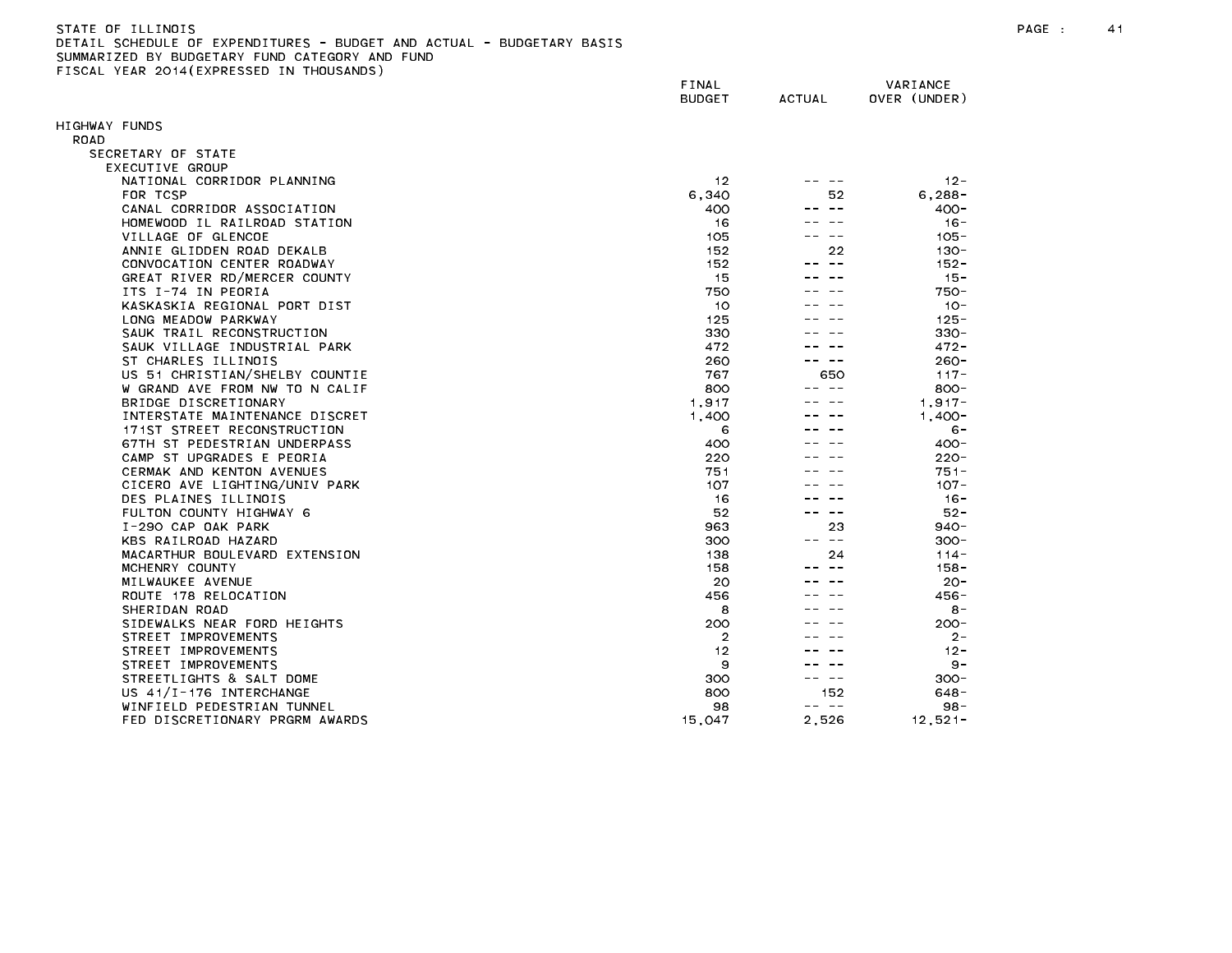| STATE OF TLLINDIS                                                     |
|-----------------------------------------------------------------------|
| DETAIL SCHEDULE OF EXPENDITURES - BUDGET AND ACTUAL - BUDGETARY BASIS |
| SUMMARIZED BY BUDGETARY FUND CATEGORY AND FUND                        |
| FISCAL YEAR 2014(EXPRESSED IN THOUSANDS)                              |

| LIGORE TERN EGIT(EATINESSED IN | FINAL<br><b>BUDGET</b> | <b>ACTUAL</b> | VARIANCE<br>OVER (UNDER) |
|--------------------------------|------------------------|---------------|--------------------------|
| HIGHWAY FUNDS                  |                        |               |                          |
| ROAD                           |                        |               |                          |
| SECRETARY OF STATE             |                        |               |                          |
| EXECUTIVE GROUP                |                        |               |                          |
| NATIONAL CORRIDOR PLANNING     | 12                     |               | $12 -$                   |
| FOR TCSP                       | 6,340                  | 52            | $6.288 -$                |
| CANAL CORRIDOR ASSOCIATION     | 400                    |               | $400 -$                  |
| HOMEWOOD IL RAILROAD STATION   | 16                     |               | $16 -$                   |
| VILLAGE OF GLENCOE             | 105                    |               | $105 -$                  |
| ANNIE GLIDDEN ROAD DEKALB      | 152                    | 22            | 130-                     |
| CONVOCATION CENTER ROADWAY     | 152                    |               | $152 -$                  |
| GREAT RIVER RD/MERCER COUNTY   | 15                     |               | $15 -$                   |
| ITS I-74 IN PEORIA             | 750                    |               | 750-                     |
| KASKASKIA REGIONAL PORT DIST   | 10                     |               | $10 -$                   |
| LONG MEADOW PARKWAY            | 125                    |               | $125 -$                  |
| SAUK TRAIL RECONSTRUCTION      | 330                    |               | $330 -$                  |
| SAUK VILLAGE INDUSTRIAL PARK   | 472                    |               | 472 -                    |
| ST CHARLES ILLINOIS            | 260                    |               | $260 -$                  |
| US 51 CHRISTIAN/SHELBY COUNTIE | 767                    | 650           | $117 -$                  |
| W GRAND AVE FROM NW TO N CALIF | 800                    |               | $800 -$                  |
| BRIDGE DISCRETIONARY           | 1,917                  |               | $1.917 -$                |
| INTERSTATE MAINTENANCE DISCRET | 1,400                  |               | $1,400-$                 |
| 171ST STREET RECONSTRUCTION    | 6                      |               | $6 -$                    |
| 67TH ST PEDESTRIAN UNDERPASS   | 400                    |               | $400 -$                  |
| CAMP ST UPGRADES E PEORIA      | 220                    |               | $220 -$                  |
| CERMAK AND KENTON AVENUES      | 751                    |               | $751 -$                  |
| CICERO AVE LIGHTING/UNIV PARK  | 107                    |               | $107 -$                  |
| DES PLAINES ILLINOIS           | 16                     |               | $16 -$                   |
| FULTON COUNTY HIGHWAY 6        | 52                     |               | $52 -$                   |
| I-290 CAP OAK PARK             | 963                    | 23            | $940 -$                  |
| KBS RAILROAD HAZARD            | 300                    | د د           | 300-                     |
| MACARTHUR BOULEVARD EXTENSION  | 138                    | 24            | $114 -$                  |
| MCHENRY COUNTY                 | 158                    |               | $158 -$                  |
| MILWAUKEE AVENUE               | 20                     |               | $20 -$                   |
| ROUTE 178 RELOCATION           | 456                    |               | $456 -$                  |
| SHERIDAN ROAD                  | 8                      |               | $8 -$                    |
| SIDEWALKS NEAR FORD HEIGHTS    | 200                    |               | $200 -$                  |
| STREET IMPROVEMENTS            | $\overline{2}$         |               | 2-                       |
| STREET IMPROVEMENTS            | 12                     |               | $12 -$                   |
| STREET IMPROVEMENTS            | 9                      |               | $9 -$                    |
| STREETLIGHTS & SALT DOME       | 300                    |               | $300 -$                  |
| US 41/I-176 INTERCHANGE        | 800                    | 152           | 648 -                    |
| WINFIELD PEDESTRIAN TUNNEL     | 98                     | -- --         | $98 -$                   |
| FED DISCRETIONARY PRGRM AWARDS | 15,047                 | 2,526         | $12,521-$                |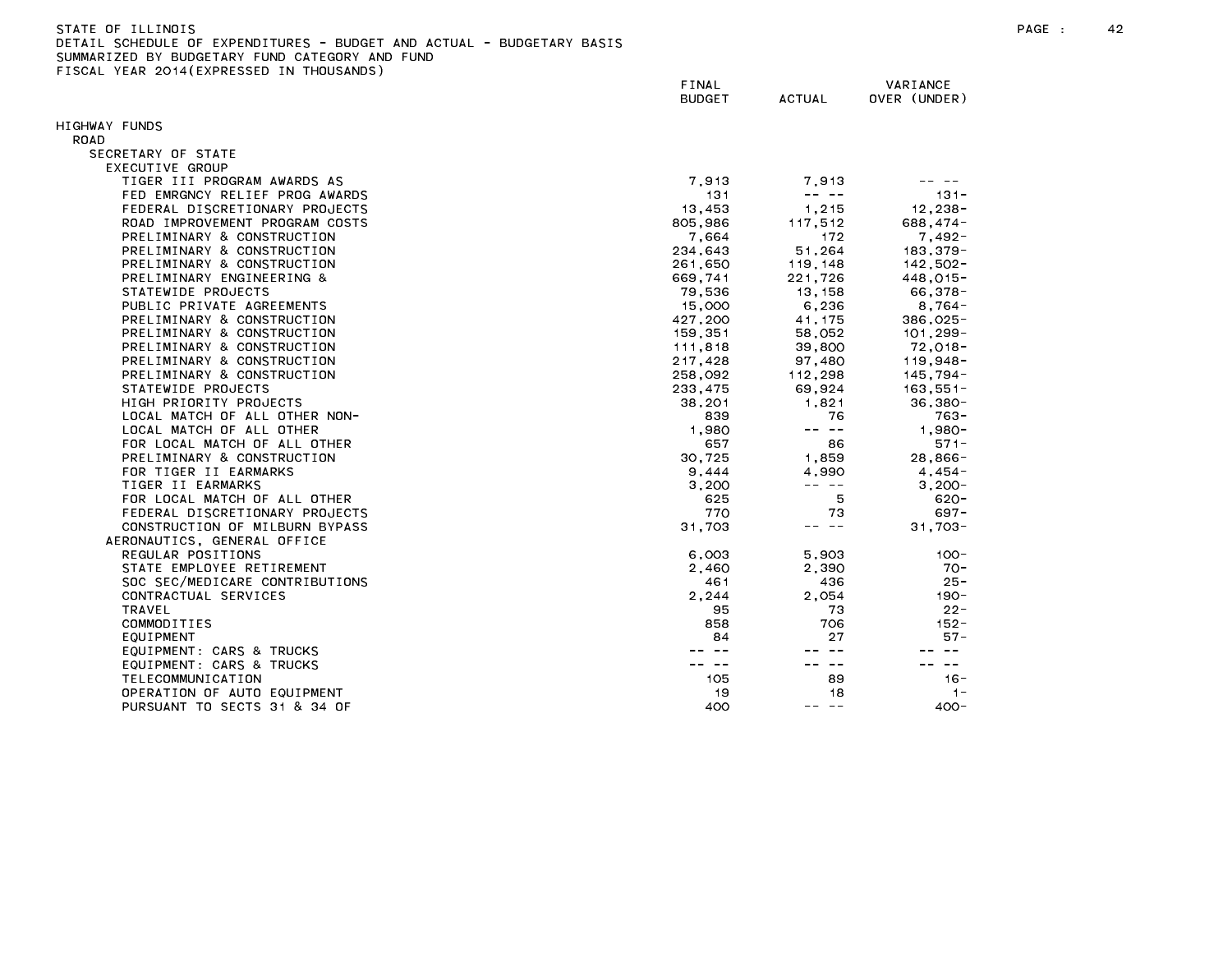| STATE OF ILLINOIS                                                     | PAGE | 42 |
|-----------------------------------------------------------------------|------|----|
| DETAIL SCHEDULE OF EXPENDITURES - BUDGET AND ACTUAL - BUDGETARY BASIS |      |    |
| SUMMARIZED BY BUDGETARY FUND CATEGORY<br>AND FUND                     |      |    |

FINAL VARIANCE BUDGET ACTUAL OVER (UNDER) HIGHWAY FUNDS ROAD SECRETARY OF STATE EXECUTIVE GROUP TIGER III PROGRAM AWARDS AS 7,913 7,913 -- -- FED EMRGNCY RELIEF PROG AWARDS 131 ---- 131-FEDERAL DISCRETIONARY PROJECTS 13,453 1,215 12,238- ROAD IMPROVEMENT PROGRAM COSTS 805,986 117,512 688,474-PRELIMINARY & CONSTRUCTION **172** 17492-17492-17492-17492-17492-17492-17492-17492-PRELIMINARY & CONSTRUCTION 234,643 51,264 183,379- PRELIMINARY & CONSTRUCTION 261,650 119,148 142,502- PRELIMINARY ENGINEERING & 669,741 221,726 448,015- STATEWIDE PROJECTS 79,536 13,158 66,378- PUBLIC PRIVATE AGREEMENTS 15,000 6,236 8,764- PRELIMINARY & CONSTRUCTION 427,200 41,175 386,025- PRELIMINARY & CONSTRUCTION 159,351 58,052 101,299-PRELIMINARY & CONSTRUCTION 111,818 39,800 72,018- PRELIMINARY & CONSTRUCTION 217,428 97,480 119,948- PRELIMINARY & CONSTRUCTION 258,092 112,298 145,794- STATEWIDE PROJECTS 233,475 69,924 163,551- HIGH PRIORITY PROJECTS 38,201 1,821 36,380- LOCAL MATCH OF ALL OTHER NON- 839 76 763- LOCAL MATCH OF ALL OTHER 1,980 -- -- 1,980- FOR LOCAL MATCH OF ALL OTHER 657 86 571- PRELIMINARY & CONSTRUCTION 30,725 1,859 28,866- FOR TIGER II EARMARKS 9,444 4,990 4,454- TIGER II EARMARKS 3,200 ---- 3,200 ---- 3,200 ---- 3,200 ---- 3,200 --- 3,200 --- 3,200 --- 3,200 -- 3,200 --FOR LOCAL MATCH OF ALL OTHER 625 5 620- FEDERAL DISCRETIONARY PROJECTS 770 73 697- CONSTRUCTION OF MILBURN BYPASS 31,703 -- -- 31,703- AERONAUTICS, GENERAL OFFICE REGULAR POSITIONS 6,003 5,903 100- STATE EMPLOYEE RETIREMENT TO A RESOLUTION CONTROLLER STATE AND 2,390 TO 2,390 TO 2 SOC SEC/MEDICARE CONTRIBUTIONS 461 436 25- CONTRACTUAL SERVICES 2,244 2,054 190- COMMODITIES 858 706 152- EQUIPMENT: CARS & TRUCKS -- -- -- -- -- -- EQUIPMENT: CARS & TRUCKS  $\frac{1}{2} \frac{1}{2} \frac{1}{2} \frac{1}{2} \frac{1}{2} \frac{1}{2} \frac{1}{2} \frac{1}{2} \frac{1}{2} \frac{1}{2} \frac{1}{2} \frac{1}{2} \frac{1}{2} \frac{1}{2} \frac{1}{2} \frac{1}{2} \frac{1}{2} \frac{1}{2} \frac{1}{2} \frac{1}{2} \frac{1}{2} \frac{1}{2} \frac{1}{2} \frac{1}{2} \frac{1}{2} \frac{1}{2} \frac{1}{2} \frac{1}{2} \frac{1}{2} \frac{1}{2} \frac{1}{2} \frac{$ -- -- $\frac{1}{2} \frac{1}{2} \frac{1}{2} \frac{1}{2} \frac{1}{2} \frac{1}{2} \frac{1}{2} \frac{1}{2} \frac{1}{2} \frac{1}{2} \frac{1}{2} \frac{1}{2} \frac{1}{2} \frac{1}{2} \frac{1}{2} \frac{1}{2} \frac{1}{2} \frac{1}{2} \frac{1}{2} \frac{1}{2} \frac{1}{2} \frac{1}{2} \frac{1}{2} \frac{1}{2} \frac{1}{2} \frac{1}{2} \frac{1}{2} \frac{1}{2} \frac{1}{2} \frac{1}{2} \frac{1}{2} \frac{$ TELECOMMUNICATION OPERATION OF AUTO EQUIPMENT And the control of the control of the control of the control of the control of the control of the control of the control of the control of the control of the control of the control of the contro PURSUANT TO SECTS 31 & 34 OF 400 -- -- 400-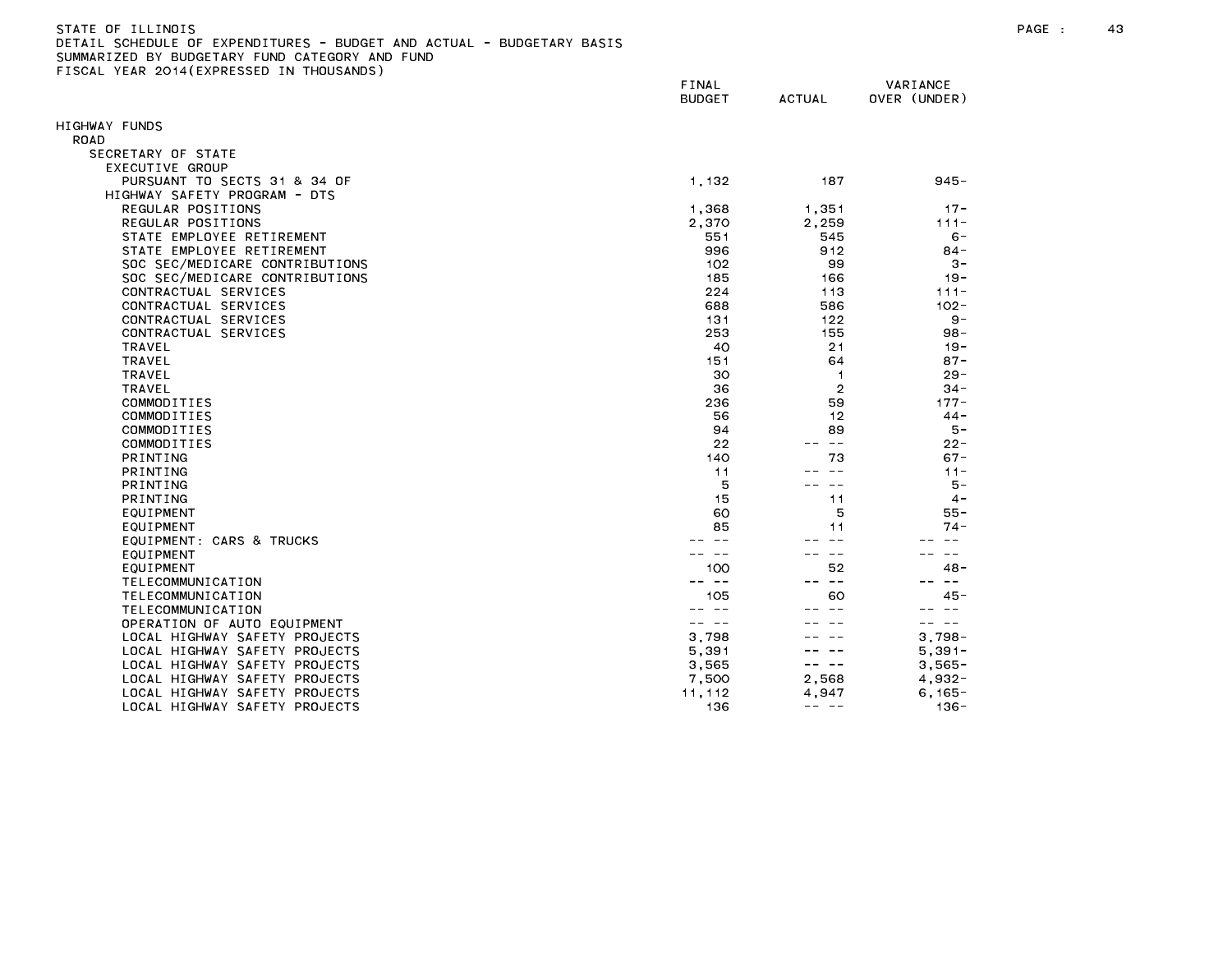| STATE OF ILLINDIS                                                     |  |
|-----------------------------------------------------------------------|--|
| DETAIL SCHEDULE OF EXPENDITURES - BUDGET AND ACTUAL - BUDGETARY BASIS |  |
| SUMMARIZED BY BUDGETARY FUND CATEGORY AND FUND                        |  |
| FISCAL YEAR 2014(EXPRESSED IN THOUSANDS)                              |  |
|                                                                       |  |

|                                | FINAL<br><b>BUDGET</b> | <b>ACTUAL</b>      | VARIANCE<br>OVER (UNDER) |
|--------------------------------|------------------------|--------------------|--------------------------|
| <b>HIGHWAY FUNDS</b>           |                        |                    |                          |
| ROAD                           |                        |                    |                          |
| SECRETARY OF STATE             |                        |                    |                          |
| EXECUTIVE GROUP                |                        |                    |                          |
| PURSUANT TO SECTS 31 & 34 OF   | 1,132                  | 187                | $945 -$                  |
| HIGHWAY SAFETY PROGRAM - DTS   |                        |                    |                          |
| REGULAR POSITIONS              | 1,368                  | 1,351              | $17 -$                   |
| REGULAR POSITIONS              | 2,370                  | 2,259              | $111 -$                  |
| STATE EMPLOYEE RETIREMENT      | 551                    | 545                | $6 -$                    |
| STATE EMPLOYEE RETIREMENT      | 996                    | 912                | $84 -$                   |
| SOC SEC/MEDICARE CONTRIBUTIONS | 102                    | 99                 | $3 -$                    |
| SOC SEC/MEDICARE CONTRIBUTIONS | 185                    | 166                | $19 -$                   |
| CONTRACTUAL SERVICES           | 224                    | 113                | $111 -$                  |
| CONTRACTUAL SERVICES           | 688                    | 586                | $102 -$                  |
| CONTRACTUAL SERVICES           | 131                    | 122                | $9 -$                    |
| CONTRACTUAL SERVICES           | 253                    | 155                | $98 -$                   |
| <b>TRAVEL</b>                  | 40                     | 21                 | $19 -$                   |
| <b>TRAVEL</b>                  | 151                    | 64                 | $87 -$                   |
| <b>TRAVEL</b>                  | 30                     | $\overline{1}$     | $29 -$                   |
| <b>TRAVEL</b>                  | 36                     | $\overline{2}$     | $34 -$                   |
| COMMODITIES                    | 236                    | 59                 | $177 -$                  |
| COMMODITIES                    | 56                     | 12                 | $44 -$                   |
| COMMODITIES                    | 94                     | 89                 | $5 -$                    |
| COMMODITIES                    | 22                     | $\sim$ $-$         | $22 -$                   |
| <b>PRINTING</b>                | 140                    | 73                 | $67 -$                   |
| PRINTING                       | 11                     |                    | $11 -$                   |
| <b>PRINTING</b>                | 5                      | $- -$              | $5 -$                    |
| PRINTING                       | 15                     | 11                 | $4 -$                    |
| EQUIPMENT                      | 60                     | 5                  | 55 -                     |
| EQUIPMENT                      | 85                     | 11                 | $74 -$                   |
| EQUIPMENT: CARS & TRUCKS       |                        |                    |                          |
| EQUIPMENT                      |                        |                    |                          |
| EQUIPMENT                      | 100                    | 52                 | $48 -$                   |
| TELECOMMUNICATION              | $- -$                  | $- -$              | $- -$                    |
| TELECOMMUNICATION              | 105                    | 60                 | $45 -$                   |
| TELECOMMUNICATION              | $- -$                  |                    |                          |
| OPERATION OF AUTO EQUIPMENT    |                        |                    | $\sim$ $-$               |
| LOCAL HIGHWAY SAFETY PROJECTS  | 3,798                  |                    | $3,798-$                 |
| LOCAL HIGHWAY SAFETY PROJECTS  | 5.391                  |                    | $5.391 -$                |
| LOCAL HIGHWAY SAFETY PROJECTS  | 3,565                  | $\sim$ $-$<br>$ -$ | $3,565-$                 |
| LOCAL HIGHWAY SAFETY PROJECTS  | 7,500                  | 2,568              | $4,932-$                 |
| LOCAL HIGHWAY SAFETY PROJECTS  | 11, 112                | 4.947              | $6.165 -$                |
| LOCAL HIGHWAY SAFETY PROJECTS  | 136                    | -- --              | $136 -$                  |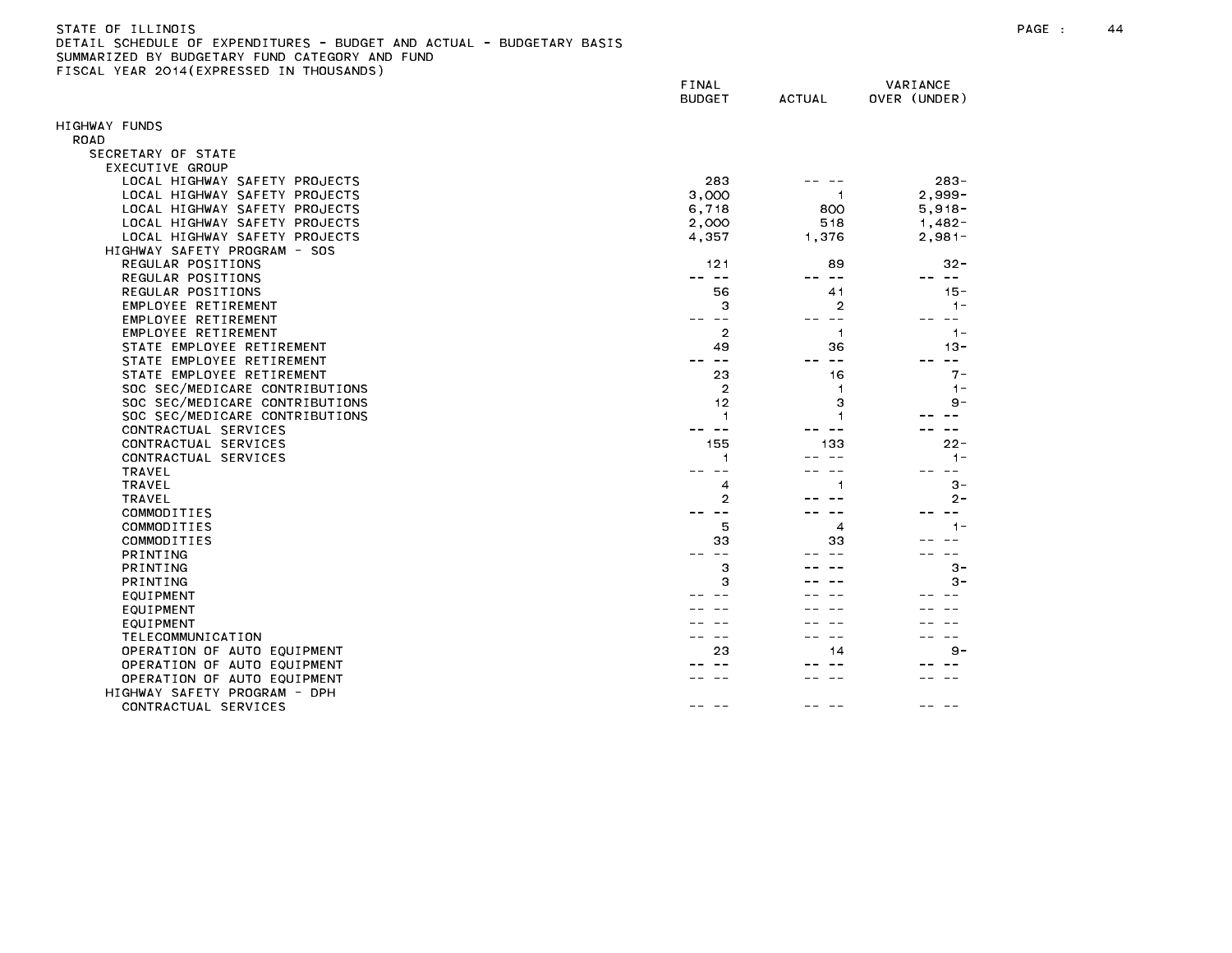| STATE OF ILL<br>LINOI!                                                              | PAGE |  |
|-------------------------------------------------------------------------------------|------|--|
| <b>DETAT</b><br>SCHEDULE OF EXPENDITURES - BUDGET AND ACTUAL<br>- - BUDGETARY BASIS |      |  |
| CUBBLANTTER BY BURGETIAN FULLS ALTEGABY LUB FULLS                                   |      |  |

|                                | FINAL<br><b>BUDGET</b>       | <b>ACTUAL</b>           | VARIANCE<br>OVER (UNDER) |
|--------------------------------|------------------------------|-------------------------|--------------------------|
|                                |                              |                         |                          |
| IGHWAY FUNDS<br><b>ROAD</b>    |                              |                         |                          |
| SECRETARY OF STATE             |                              |                         |                          |
| EXECUTIVE GROUP                |                              |                         |                          |
| LOCAL HIGHWAY SAFETY PROJECTS  | 283                          |                         | $283 -$                  |
| LOCAL HIGHWAY SAFETY PROJECTS  | 3,000                        | -1                      | $2,999-$                 |
| LOCAL HIGHWAY SAFETY PROJECTS  | 6,718                        | 800                     | $5,918-$                 |
| LOCAL HIGHWAY SAFETY PROJECTS  | 2,000                        | 518                     | $1,482 -$                |
| LOCAL HIGHWAY SAFETY PROJECTS  | 4,357                        | 1,376                   | $2,981-$                 |
| HIGHWAY SAFETY PROGRAM - SOS   |                              |                         |                          |
| REGULAR POSITIONS              | 121                          | 89                      | $32 -$                   |
| REGULAR POSITIONS              | $ -$<br>$\sim$ $\sim$ $\sim$ | $\sim$ $-$              | -- --                    |
| REGULAR POSITIONS              | 56                           | 41                      | $15 -$                   |
| EMPLOYEE RETIREMENT            | 3                            | 2                       | $1 -$                    |
| EMPLOYEE RETIREMENT            | $\sim$ $-$                   |                         | $- -$                    |
| EMPLOYEE RETIREMENT            | $\overline{2}$               | $\overline{1}$          | $1 -$                    |
| STATE EMPLOYEE RETIREMENT      | 49                           | 36                      | $13 -$                   |
| STATE EMPLOYEE RETIREMENT      | $\sim$ $-$                   | $- -$                   | $- -$                    |
| STATE EMPLOYEE RETIREMENT      | 23                           | 16                      | $7-$                     |
| SOC SEC/MEDICARE CONTRIBUTIONS | $\overline{2}$               | 1                       | $1 -$                    |
| SOC SEC/MEDICARE CONTRIBUTIONS | 12                           | 3                       | $9-$                     |
| SOC SEC/MEDICARE CONTRIBUTIONS | -1                           | 1                       |                          |
| CONTRACTUAL SERVICES           | $\sim$ $\sim$                |                         |                          |
| CONTRACTUAL SERVICES           | 155                          | 133                     | $22 -$                   |
| CONTRACTUAL SERVICES           | $\mathbf{1}$                 |                         | $1 -$                    |
| <b>TRAVEL</b>                  |                              |                         | - -                      |
| TRAVEL                         | 4                            |                         | $3 -$                    |
| <b>TRAVEL</b>                  | $\overline{2}$               |                         | 2-                       |
| COMMODITIES                    | $\sim$ $\sim$                |                         |                          |
| COMMODITIES                    | 5                            | $\overline{\mathbf{4}}$ | $1 -$                    |
| COMMODITIES                    | 33                           | 33                      |                          |
| PRINTING                       |                              |                         |                          |
| <b>PRINTING</b>                | 3                            |                         | $3 -$                    |
| PRINTING                       | 3                            |                         | з-                       |
| EQUIPMENT                      |                              |                         |                          |
| EQUIPMENT                      |                              |                         |                          |
| EQUIPMENT                      |                              |                         |                          |
| TELECOMMUNICATION              |                              |                         |                          |
| OPERATION OF AUTO EQUIPMENT    | 23                           | 14                      | $9 -$                    |
| OPERATION OF AUTO EQUIPMENT    |                              |                         |                          |
| OPERATION OF AUTO EQUIPMENT    |                              |                         |                          |
| HIGHWAY SAFETY PROGRAM - DPH   |                              |                         |                          |
| CONTRACTUAL SERVICES           |                              |                         |                          |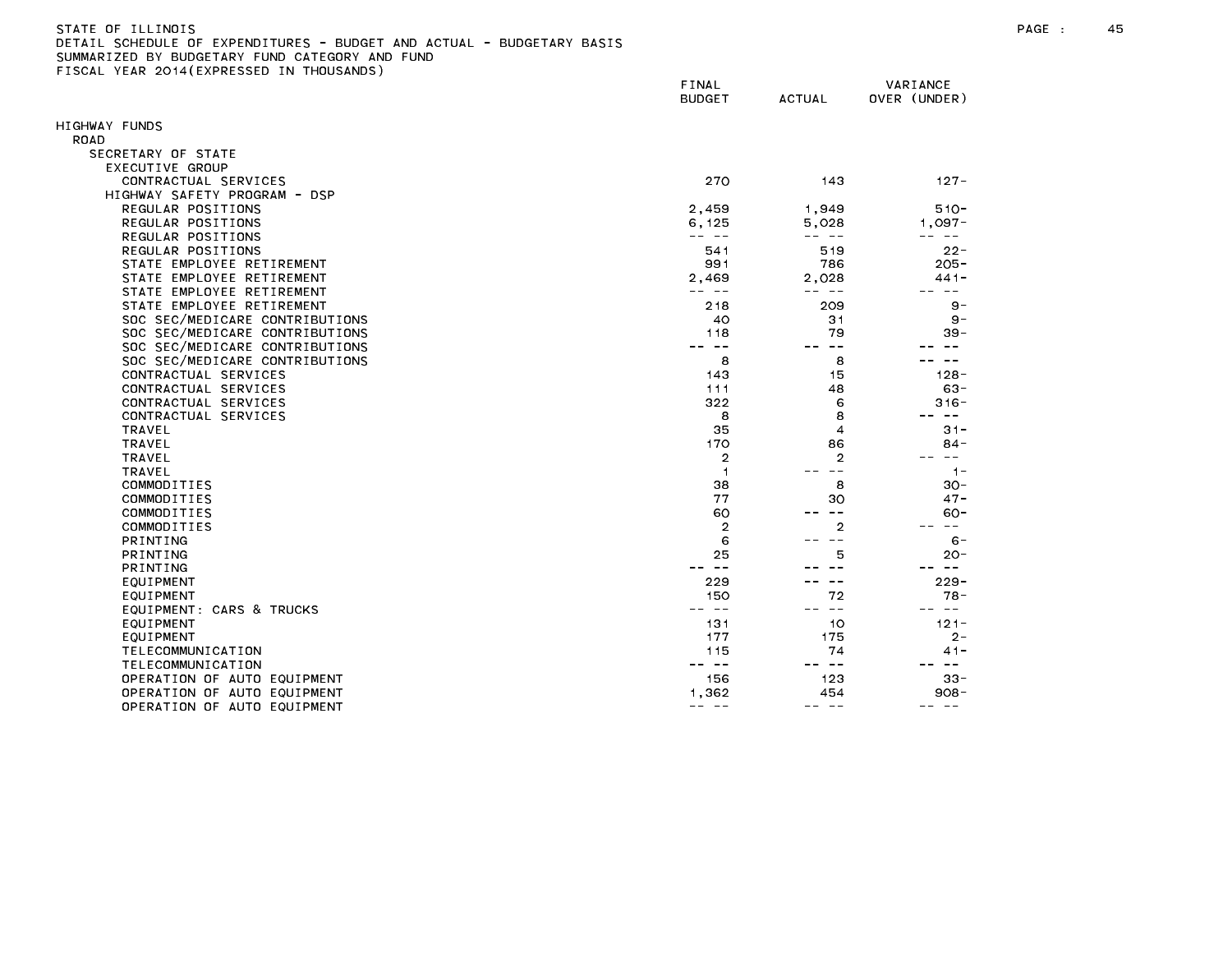| STATE OF ILLINOIS                                                     | PAGE | 45 |
|-----------------------------------------------------------------------|------|----|
| DETAIL SCHEDULE OF EXPENDITURES - BUDGET AND ACTUAL - BUDGETARY BASIS |      |    |
| SUMMARIZED BY BUDGETARY<br>' FUND CATEGORY<br>AND FUND                |      |    |

FINAL VARIANCE BUDGET ACTUAL OVER (UNDER) HIGHWAY FUNDS ROAD SECRETARY OF STATE EXECUTIVE GROUP CONTRACTUAL SERVICES 270 143 127- HIGHWAY SAFETY PROGRAM - DSP REGULAR POSITIONS 2,459 1,949 510- REGULAR POSITIONS 6,125 5,028 1,097- REGULAR POSITIONS -- -- -- -- -- -- REGULAR POSITIONS 541 519 22- STATE EMPLOYEE RETIREMENT 991 786 205- STATE EMPLOYEE RETIREMENT And the state of the state of the state of the state of the state of the state of the state of the state of the state of the state of the state of the state of the state of the state of the state STATE EMPLOYEE RETIREMENT And the state of the state of the state of the state of the state of the state of the state of the state of the state of the state of the state of the state of the state of the state of the state STATE EMPLOYEE RETIREMENT And the state of the state of the state of the state of the state of the state of the state of the state of the state of the state of the state of the state of the state of the state of the state SOC SEC/MEDICARE CONTRIBUTIONS 40 31 9- SOC SEC/MEDICARE CONTRIBUTIONS 118 79 39- SOC SEC/MEDICARE CONTRIBUTIONS And the second second service in the second service in the service in the service of the service in the service of the service in the service in the service in the service in the service in t SOC SEC/MEDICARE CONTRIBUTIONS And the second second services and services are services and services are services and services are services and services are services and services are services and services are services and CONTRACTUAL SERVICES 143 15 128- CONTRACTUAL SERVICES 63-88 (CONTRACTUAL SERVICES 63-8) CONTRACTUAL SERVICES 322 6 316- CONTRACTUAL SERVICES 8 8 -- -- COMMODITIES 38 8 30- COMMODITIES 77 30 47-  $\sim$   $\sim$  2  $\sim$  -- --  $\sim$  -- --  $\sim$  2  $\sim$  -- --EQUIPMENT: CARS & TRUCKS -- -- -- -- -- -- TELECOMMUNICATION 115 74 41- TELECOMMUNICATION -- -- -- -- -- -- OPERATION OF AUTO EQUIPMENT And the state of the state of the state of the state of the state of the state of the state of the state of the state of the state of the state of the state of the state of the state of the stat OPERATION OF AUTO EQUIPMENT And the control of the control of the control of the control of the control of the control of the control of the control of the control of the control of the control of the control of the contro OPERATION OF AUTO EQUIPMENT And the state of the state of the state of the state of the state of the state of t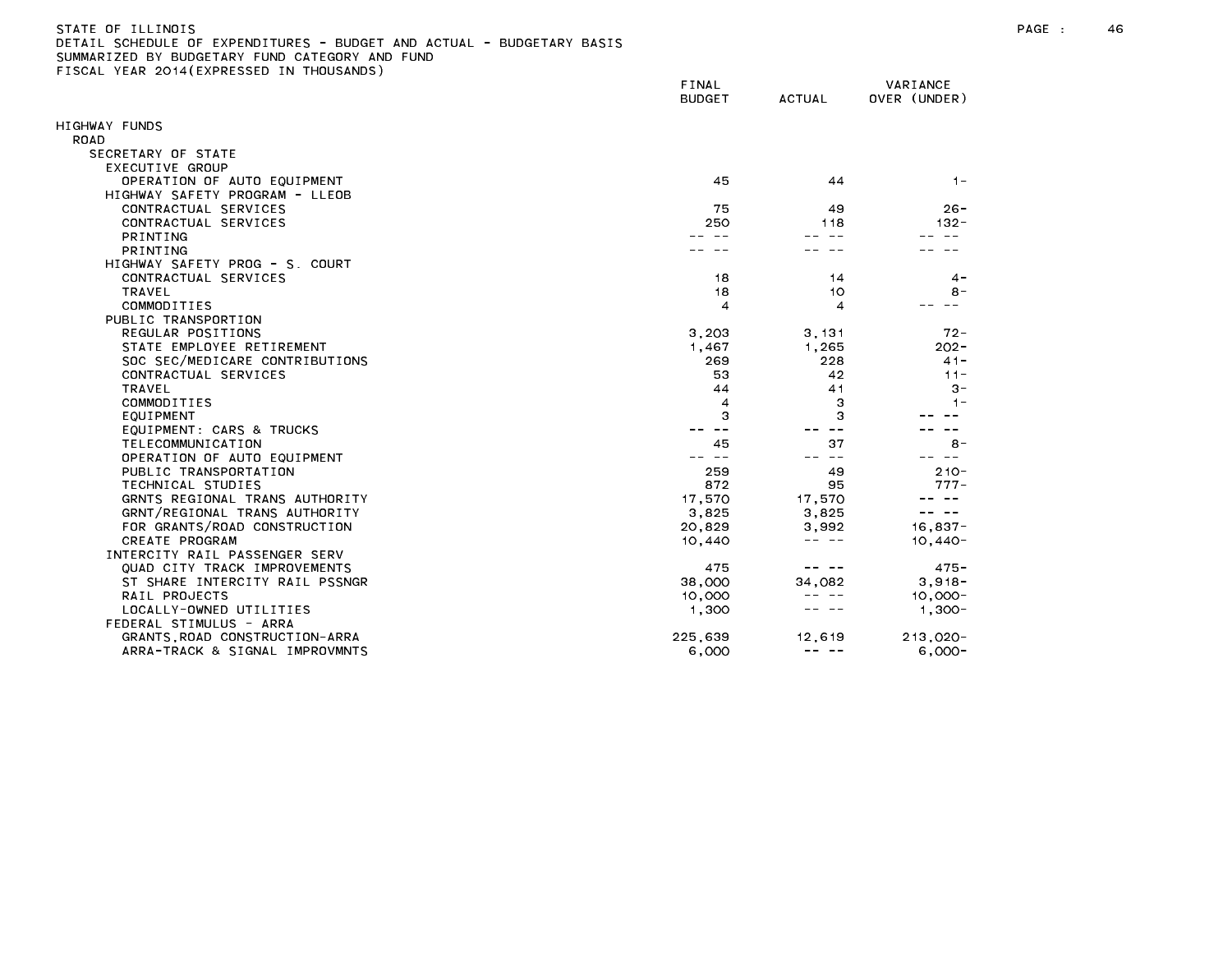| STATE OF ILLINOIS                                                     |
|-----------------------------------------------------------------------|
| DETAIL SCHEDULE OF EXPENDITURES - BUDGET AND ACTUAL - BUDGETARY BASIS |
| SUMMARIZED BY BUDGETARY FUND CATEGORY AND FUND                        |
| FISCAL YEAR 2014(EXPRESSED IN THOUSANDS)                              |

| HIGHWAY FUNDS<br>ROAD<br>SECRETARY OF STATE<br>EXECUTIVE GROUP<br>OPERATION OF AUTO EQUIPMENT<br>45<br>44<br>$1 -$<br>HIGHWAY SAFETY PROGRAM - LLEOB<br>CONTRACTUAL SERVICES<br>75<br>49<br>$26 -$<br>CONTRACTUAL SERVICES<br>250<br>118<br>$132 -$<br>PRINTING<br><b>PRINTING</b><br>HIGHWAY SAFETY PROG - S. COURT<br>CONTRACTUAL SERVICES<br>18<br>14<br>$4 -$<br>18<br><b>TRAVEL</b><br>10<br>$8 -$<br>COMMODITIES<br>4<br>$\overline{\mathbf{4}}$<br>PUBLIC TRANSPORTION<br>REGULAR POSITIONS<br>$72 -$<br>3,203<br>3.131<br>STATE EMPLOYEE RETIREMENT<br>1.265<br>$202 -$<br>1,467<br>SOC SEC/MEDICARE CONTRIBUTIONS<br>269<br>228<br>$41 -$<br>53<br>42<br>$11 -$<br>CONTRACTUAL SERVICES<br><b>TRAVEL</b><br>44<br>41<br>$3 -$<br>3<br>COMMODITIES<br>4<br>$1 -$<br>3<br>3<br>EQUIPMENT<br>EQUIPMENT: CARS & TRUCKS<br>TELECOMMUNICATION<br>37<br>45<br>$8 -$<br>OPERATION OF AUTO EQUIPMENT<br>259<br>$210 -$<br>PUBLIC TRANSPORTATION<br>49<br>872<br>TECHNICAL STUDIES<br>95<br>$777-$<br>GRNTS REGIONAL TRANS AUTHORITY<br>17,570<br>17,570<br>GRNT/REGIONAL TRANS AUTHORITY<br>3,825<br>3,825<br>$\sim$ $-$<br>$16,837-$<br>FOR GRANTS/ROAD CONSTRUCTION<br>20,829<br>3,992<br>CREATE PROGRAM<br>10,440<br>$10,440-$<br>INTERCITY RAIL PASSENGER SERV<br>QUAD CITY TRACK IMPROVEMENTS<br>475<br>$475 -$<br>ST SHARE INTERCITY RAIL PSSNGR<br>38,000<br>$3,918-$<br>34.082<br>RAIL PROJECTS<br>10,000<br>$10,000 -$<br>LOCALLY-OWNED UTILITIES<br>1,300<br>$1,300-$<br>FEDERAL STIMULUS - ARRA<br>$213,020 -$<br>GRANTS, ROAD CONSTRUCTION-ARRA<br>225.639<br>12,619<br>$\frac{1}{2} \frac{1}{2} \frac{1}{2} \frac{1}{2} \frac{1}{2} \frac{1}{2} \frac{1}{2} \frac{1}{2} \frac{1}{2} \frac{1}{2} \frac{1}{2} \frac{1}{2} \frac{1}{2} \frac{1}{2} \frac{1}{2} \frac{1}{2} \frac{1}{2} \frac{1}{2} \frac{1}{2} \frac{1}{2} \frac{1}{2} \frac{1}{2} \frac{1}{2} \frac{1}{2} \frac{1}{2} \frac{1}{2} \frac{1}{2} \frac{1}{2} \frac{1}{2} \frac{1}{2} \frac{1}{2} \frac{$ |                                | FINAL<br><b>BUDGET</b> | <b>ACTUAL</b> | VARIANCE<br>OVER (UNDER) |
|----------------------------------------------------------------------------------------------------------------------------------------------------------------------------------------------------------------------------------------------------------------------------------------------------------------------------------------------------------------------------------------------------------------------------------------------------------------------------------------------------------------------------------------------------------------------------------------------------------------------------------------------------------------------------------------------------------------------------------------------------------------------------------------------------------------------------------------------------------------------------------------------------------------------------------------------------------------------------------------------------------------------------------------------------------------------------------------------------------------------------------------------------------------------------------------------------------------------------------------------------------------------------------------------------------------------------------------------------------------------------------------------------------------------------------------------------------------------------------------------------------------------------------------------------------------------------------------------------------------------------------------------------------------------------------------------------------------------------------------------------------------------------------------------------------------------------------------------------------------------------------------------------------------------------------------------------------------------------------|--------------------------------|------------------------|---------------|--------------------------|
|                                                                                                                                                                                                                                                                                                                                                                                                                                                                                                                                                                                                                                                                                                                                                                                                                                                                                                                                                                                                                                                                                                                                                                                                                                                                                                                                                                                                                                                                                                                                                                                                                                                                                                                                                                                                                                                                                                                                                                                  |                                |                        |               |                          |
|                                                                                                                                                                                                                                                                                                                                                                                                                                                                                                                                                                                                                                                                                                                                                                                                                                                                                                                                                                                                                                                                                                                                                                                                                                                                                                                                                                                                                                                                                                                                                                                                                                                                                                                                                                                                                                                                                                                                                                                  |                                |                        |               |                          |
|                                                                                                                                                                                                                                                                                                                                                                                                                                                                                                                                                                                                                                                                                                                                                                                                                                                                                                                                                                                                                                                                                                                                                                                                                                                                                                                                                                                                                                                                                                                                                                                                                                                                                                                                                                                                                                                                                                                                                                                  |                                |                        |               |                          |
|                                                                                                                                                                                                                                                                                                                                                                                                                                                                                                                                                                                                                                                                                                                                                                                                                                                                                                                                                                                                                                                                                                                                                                                                                                                                                                                                                                                                                                                                                                                                                                                                                                                                                                                                                                                                                                                                                                                                                                                  |                                |                        |               |                          |
|                                                                                                                                                                                                                                                                                                                                                                                                                                                                                                                                                                                                                                                                                                                                                                                                                                                                                                                                                                                                                                                                                                                                                                                                                                                                                                                                                                                                                                                                                                                                                                                                                                                                                                                                                                                                                                                                                                                                                                                  |                                |                        |               |                          |
|                                                                                                                                                                                                                                                                                                                                                                                                                                                                                                                                                                                                                                                                                                                                                                                                                                                                                                                                                                                                                                                                                                                                                                                                                                                                                                                                                                                                                                                                                                                                                                                                                                                                                                                                                                                                                                                                                                                                                                                  |                                |                        |               |                          |
|                                                                                                                                                                                                                                                                                                                                                                                                                                                                                                                                                                                                                                                                                                                                                                                                                                                                                                                                                                                                                                                                                                                                                                                                                                                                                                                                                                                                                                                                                                                                                                                                                                                                                                                                                                                                                                                                                                                                                                                  |                                |                        |               |                          |
|                                                                                                                                                                                                                                                                                                                                                                                                                                                                                                                                                                                                                                                                                                                                                                                                                                                                                                                                                                                                                                                                                                                                                                                                                                                                                                                                                                                                                                                                                                                                                                                                                                                                                                                                                                                                                                                                                                                                                                                  |                                |                        |               |                          |
|                                                                                                                                                                                                                                                                                                                                                                                                                                                                                                                                                                                                                                                                                                                                                                                                                                                                                                                                                                                                                                                                                                                                                                                                                                                                                                                                                                                                                                                                                                                                                                                                                                                                                                                                                                                                                                                                                                                                                                                  |                                |                        |               |                          |
|                                                                                                                                                                                                                                                                                                                                                                                                                                                                                                                                                                                                                                                                                                                                                                                                                                                                                                                                                                                                                                                                                                                                                                                                                                                                                                                                                                                                                                                                                                                                                                                                                                                                                                                                                                                                                                                                                                                                                                                  |                                |                        |               |                          |
|                                                                                                                                                                                                                                                                                                                                                                                                                                                                                                                                                                                                                                                                                                                                                                                                                                                                                                                                                                                                                                                                                                                                                                                                                                                                                                                                                                                                                                                                                                                                                                                                                                                                                                                                                                                                                                                                                                                                                                                  |                                |                        |               |                          |
|                                                                                                                                                                                                                                                                                                                                                                                                                                                                                                                                                                                                                                                                                                                                                                                                                                                                                                                                                                                                                                                                                                                                                                                                                                                                                                                                                                                                                                                                                                                                                                                                                                                                                                                                                                                                                                                                                                                                                                                  |                                |                        |               |                          |
|                                                                                                                                                                                                                                                                                                                                                                                                                                                                                                                                                                                                                                                                                                                                                                                                                                                                                                                                                                                                                                                                                                                                                                                                                                                                                                                                                                                                                                                                                                                                                                                                                                                                                                                                                                                                                                                                                                                                                                                  |                                |                        |               |                          |
|                                                                                                                                                                                                                                                                                                                                                                                                                                                                                                                                                                                                                                                                                                                                                                                                                                                                                                                                                                                                                                                                                                                                                                                                                                                                                                                                                                                                                                                                                                                                                                                                                                                                                                                                                                                                                                                                                                                                                                                  |                                |                        |               |                          |
|                                                                                                                                                                                                                                                                                                                                                                                                                                                                                                                                                                                                                                                                                                                                                                                                                                                                                                                                                                                                                                                                                                                                                                                                                                                                                                                                                                                                                                                                                                                                                                                                                                                                                                                                                                                                                                                                                                                                                                                  |                                |                        |               |                          |
|                                                                                                                                                                                                                                                                                                                                                                                                                                                                                                                                                                                                                                                                                                                                                                                                                                                                                                                                                                                                                                                                                                                                                                                                                                                                                                                                                                                                                                                                                                                                                                                                                                                                                                                                                                                                                                                                                                                                                                                  |                                |                        |               |                          |
|                                                                                                                                                                                                                                                                                                                                                                                                                                                                                                                                                                                                                                                                                                                                                                                                                                                                                                                                                                                                                                                                                                                                                                                                                                                                                                                                                                                                                                                                                                                                                                                                                                                                                                                                                                                                                                                                                                                                                                                  |                                |                        |               |                          |
|                                                                                                                                                                                                                                                                                                                                                                                                                                                                                                                                                                                                                                                                                                                                                                                                                                                                                                                                                                                                                                                                                                                                                                                                                                                                                                                                                                                                                                                                                                                                                                                                                                                                                                                                                                                                                                                                                                                                                                                  |                                |                        |               |                          |
|                                                                                                                                                                                                                                                                                                                                                                                                                                                                                                                                                                                                                                                                                                                                                                                                                                                                                                                                                                                                                                                                                                                                                                                                                                                                                                                                                                                                                                                                                                                                                                                                                                                                                                                                                                                                                                                                                                                                                                                  |                                |                        |               |                          |
|                                                                                                                                                                                                                                                                                                                                                                                                                                                                                                                                                                                                                                                                                                                                                                                                                                                                                                                                                                                                                                                                                                                                                                                                                                                                                                                                                                                                                                                                                                                                                                                                                                                                                                                                                                                                                                                                                                                                                                                  |                                |                        |               |                          |
|                                                                                                                                                                                                                                                                                                                                                                                                                                                                                                                                                                                                                                                                                                                                                                                                                                                                                                                                                                                                                                                                                                                                                                                                                                                                                                                                                                                                                                                                                                                                                                                                                                                                                                                                                                                                                                                                                                                                                                                  |                                |                        |               |                          |
|                                                                                                                                                                                                                                                                                                                                                                                                                                                                                                                                                                                                                                                                                                                                                                                                                                                                                                                                                                                                                                                                                                                                                                                                                                                                                                                                                                                                                                                                                                                                                                                                                                                                                                                                                                                                                                                                                                                                                                                  |                                |                        |               |                          |
|                                                                                                                                                                                                                                                                                                                                                                                                                                                                                                                                                                                                                                                                                                                                                                                                                                                                                                                                                                                                                                                                                                                                                                                                                                                                                                                                                                                                                                                                                                                                                                                                                                                                                                                                                                                                                                                                                                                                                                                  |                                |                        |               |                          |
|                                                                                                                                                                                                                                                                                                                                                                                                                                                                                                                                                                                                                                                                                                                                                                                                                                                                                                                                                                                                                                                                                                                                                                                                                                                                                                                                                                                                                                                                                                                                                                                                                                                                                                                                                                                                                                                                                                                                                                                  |                                |                        |               |                          |
|                                                                                                                                                                                                                                                                                                                                                                                                                                                                                                                                                                                                                                                                                                                                                                                                                                                                                                                                                                                                                                                                                                                                                                                                                                                                                                                                                                                                                                                                                                                                                                                                                                                                                                                                                                                                                                                                                                                                                                                  |                                |                        |               |                          |
|                                                                                                                                                                                                                                                                                                                                                                                                                                                                                                                                                                                                                                                                                                                                                                                                                                                                                                                                                                                                                                                                                                                                                                                                                                                                                                                                                                                                                                                                                                                                                                                                                                                                                                                                                                                                                                                                                                                                                                                  |                                |                        |               |                          |
|                                                                                                                                                                                                                                                                                                                                                                                                                                                                                                                                                                                                                                                                                                                                                                                                                                                                                                                                                                                                                                                                                                                                                                                                                                                                                                                                                                                                                                                                                                                                                                                                                                                                                                                                                                                                                                                                                                                                                                                  |                                |                        |               |                          |
|                                                                                                                                                                                                                                                                                                                                                                                                                                                                                                                                                                                                                                                                                                                                                                                                                                                                                                                                                                                                                                                                                                                                                                                                                                                                                                                                                                                                                                                                                                                                                                                                                                                                                                                                                                                                                                                                                                                                                                                  |                                |                        |               |                          |
|                                                                                                                                                                                                                                                                                                                                                                                                                                                                                                                                                                                                                                                                                                                                                                                                                                                                                                                                                                                                                                                                                                                                                                                                                                                                                                                                                                                                                                                                                                                                                                                                                                                                                                                                                                                                                                                                                                                                                                                  |                                |                        |               |                          |
|                                                                                                                                                                                                                                                                                                                                                                                                                                                                                                                                                                                                                                                                                                                                                                                                                                                                                                                                                                                                                                                                                                                                                                                                                                                                                                                                                                                                                                                                                                                                                                                                                                                                                                                                                                                                                                                                                                                                                                                  |                                |                        |               |                          |
|                                                                                                                                                                                                                                                                                                                                                                                                                                                                                                                                                                                                                                                                                                                                                                                                                                                                                                                                                                                                                                                                                                                                                                                                                                                                                                                                                                                                                                                                                                                                                                                                                                                                                                                                                                                                                                                                                                                                                                                  |                                |                        |               |                          |
|                                                                                                                                                                                                                                                                                                                                                                                                                                                                                                                                                                                                                                                                                                                                                                                                                                                                                                                                                                                                                                                                                                                                                                                                                                                                                                                                                                                                                                                                                                                                                                                                                                                                                                                                                                                                                                                                                                                                                                                  |                                |                        |               |                          |
|                                                                                                                                                                                                                                                                                                                                                                                                                                                                                                                                                                                                                                                                                                                                                                                                                                                                                                                                                                                                                                                                                                                                                                                                                                                                                                                                                                                                                                                                                                                                                                                                                                                                                                                                                                                                                                                                                                                                                                                  |                                |                        |               |                          |
|                                                                                                                                                                                                                                                                                                                                                                                                                                                                                                                                                                                                                                                                                                                                                                                                                                                                                                                                                                                                                                                                                                                                                                                                                                                                                                                                                                                                                                                                                                                                                                                                                                                                                                                                                                                                                                                                                                                                                                                  |                                |                        |               |                          |
|                                                                                                                                                                                                                                                                                                                                                                                                                                                                                                                                                                                                                                                                                                                                                                                                                                                                                                                                                                                                                                                                                                                                                                                                                                                                                                                                                                                                                                                                                                                                                                                                                                                                                                                                                                                                                                                                                                                                                                                  |                                |                        |               |                          |
|                                                                                                                                                                                                                                                                                                                                                                                                                                                                                                                                                                                                                                                                                                                                                                                                                                                                                                                                                                                                                                                                                                                                                                                                                                                                                                                                                                                                                                                                                                                                                                                                                                                                                                                                                                                                                                                                                                                                                                                  |                                |                        |               |                          |
|                                                                                                                                                                                                                                                                                                                                                                                                                                                                                                                                                                                                                                                                                                                                                                                                                                                                                                                                                                                                                                                                                                                                                                                                                                                                                                                                                                                                                                                                                                                                                                                                                                                                                                                                                                                                                                                                                                                                                                                  |                                |                        |               |                          |
|                                                                                                                                                                                                                                                                                                                                                                                                                                                                                                                                                                                                                                                                                                                                                                                                                                                                                                                                                                                                                                                                                                                                                                                                                                                                                                                                                                                                                                                                                                                                                                                                                                                                                                                                                                                                                                                                                                                                                                                  |                                |                        |               |                          |
|                                                                                                                                                                                                                                                                                                                                                                                                                                                                                                                                                                                                                                                                                                                                                                                                                                                                                                                                                                                                                                                                                                                                                                                                                                                                                                                                                                                                                                                                                                                                                                                                                                                                                                                                                                                                                                                                                                                                                                                  |                                |                        |               |                          |
|                                                                                                                                                                                                                                                                                                                                                                                                                                                                                                                                                                                                                                                                                                                                                                                                                                                                                                                                                                                                                                                                                                                                                                                                                                                                                                                                                                                                                                                                                                                                                                                                                                                                                                                                                                                                                                                                                                                                                                                  | ARRA-TRACK & SIGNAL IMPROVMNTS | 6,000                  |               | $6,000 -$                |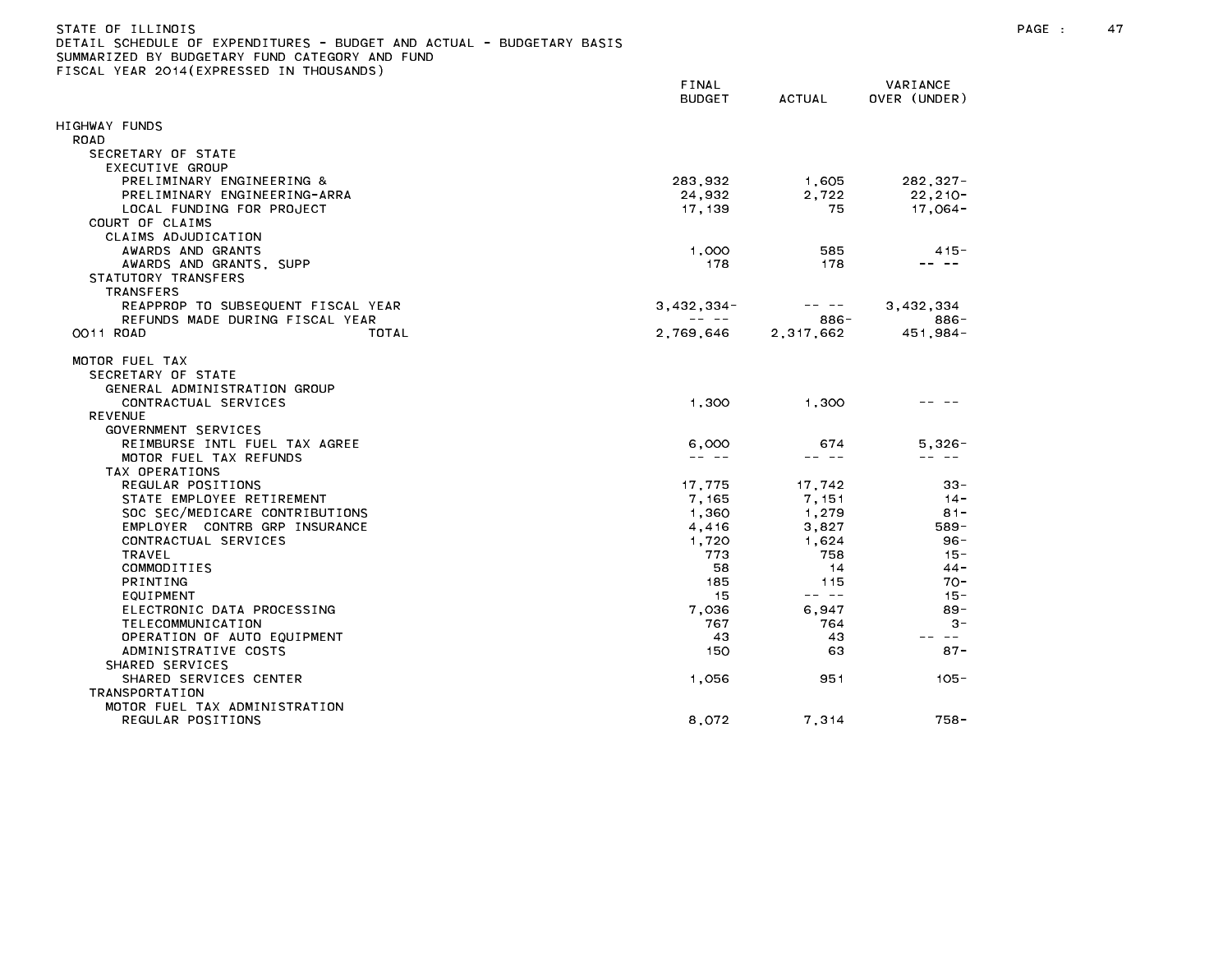| STATE OF ILLINOIS                                                     |
|-----------------------------------------------------------------------|
| DETAIL SCHEDULE OF EXPENDITURES - BUDGET AND ACTUAL - BUDGETARY BASIS |
| SUMMARIZED BY BUDGETARY FUND CATEGORY AND FUND                        |
| FISCAL YEAR 2014(EXPRESSED IN THOUSANDS)                              |

|                                    | FINAL<br><b>BUDGET</b> | ACTUAL    | VARIANCE<br>OVER (UNDER) |  |
|------------------------------------|------------------------|-----------|--------------------------|--|
| IIGHWAY FUNDS                      |                        |           |                          |  |
| <b>ROAD</b>                        |                        |           |                          |  |
| SECRETARY OF STATE                 |                        |           |                          |  |
| EXECUTIVE GROUP                    |                        |           |                          |  |
| PRELIMINARY ENGINEERING &          | 283,932                | 1,605     | $282, 327 -$             |  |
| PRELIMINARY ENGINEERING-ARRA       | 24,932                 | 2.722     | $22, 210 -$              |  |
| LOCAL FUNDING FOR PROJECT          | 17,139                 | 75        | $17,064-$                |  |
| COURT OF CLAIMS                    |                        |           |                          |  |
| CLAIMS ADJUDICATION                |                        |           |                          |  |
| AWARDS AND GRANTS                  | 1,000                  | 585       | $415 -$                  |  |
| AWARDS AND GRANTS, SUPP            | 178                    | 178       | - - -                    |  |
| STATUTORY TRANSFERS                |                        |           |                          |  |
| TRANSFERS                          |                        |           |                          |  |
| REAPPROP TO SUBSEQUENT FISCAL YEAR | $3,432,334-$           | - --      | 3,432,334                |  |
| REFUNDS MADE DURING FISCAL YEAR    |                        | 886-      | 886-                     |  |
| OO11 ROAD<br>TOTAL                 | 2,769,646              | 2,317,662 | $451,984-$               |  |
| MOTOR FUEL TAX                     |                        |           |                          |  |
| SECRETARY OF STATE                 |                        |           |                          |  |
| GENERAL ADMINISTRATION GROUP       |                        |           |                          |  |
| CONTRACTUAL SERVICES               | 1,300                  | 1.300     |                          |  |
| <b>REVENUE</b>                     |                        |           |                          |  |
| GOVERNMENT SERVICES                |                        |           |                          |  |
| REIMBURSE INTL FUEL TAX AGREE      | 6,000                  | 674       | $5,326 -$                |  |
| MOTOR FUEL TAX REFUNDS             |                        | -- --     | -- --                    |  |
| TAX OPERATIONS                     |                        |           |                          |  |
| REGULAR POSITIONS                  | 17,775                 | 17,742    | 33-                      |  |
| STATE EMPLOYEE RETIREMENT          | 7,165                  | 7,151     | $14 -$                   |  |
| SOC SEC/MEDICARE CONTRIBUTIONS     | 1,360                  | 1,279     | $81 -$                   |  |
| EMPLOYER CONTRB GRP INSURANCE      | 4,416                  | 3,827     | 589-                     |  |
| CONTRACTUAL SERVICES               | 1.720                  | 1.624     | $96 -$                   |  |
| TRAVEL                             | 773                    | 758       | $15 -$                   |  |
| COMMODITIES                        | 58                     | 14        | $44 -$                   |  |
| PRINTING                           | 185                    | 115       | $70 -$                   |  |
| EQUIPMENT                          | 15                     | -- --     | $15 -$                   |  |
| ELECTRONIC DATA PROCESSING         | 7,036                  | 6,947     | $89 -$                   |  |
| TELECOMMUNICATION                  | 767                    | 764       | $3 -$                    |  |
| OPERATION OF AUTO EQUIPMENT        | 43                     | 43        | $\sim$ $-$               |  |
| ADMINISTRATIVE COSTS               | 150                    | 63        | $87 -$                   |  |
| SHARED SERVICES                    |                        |           |                          |  |
| SHARED SERVICES CENTER             | 1,056                  | 951       | $105 -$                  |  |
| <b>TRANSPORTATION</b>              |                        |           |                          |  |
| MOTOR FUEL TAX ADMINISTRATION      |                        |           |                          |  |
| REGULAR POSITIONS                  | 8,072                  | 7,314     | 758-                     |  |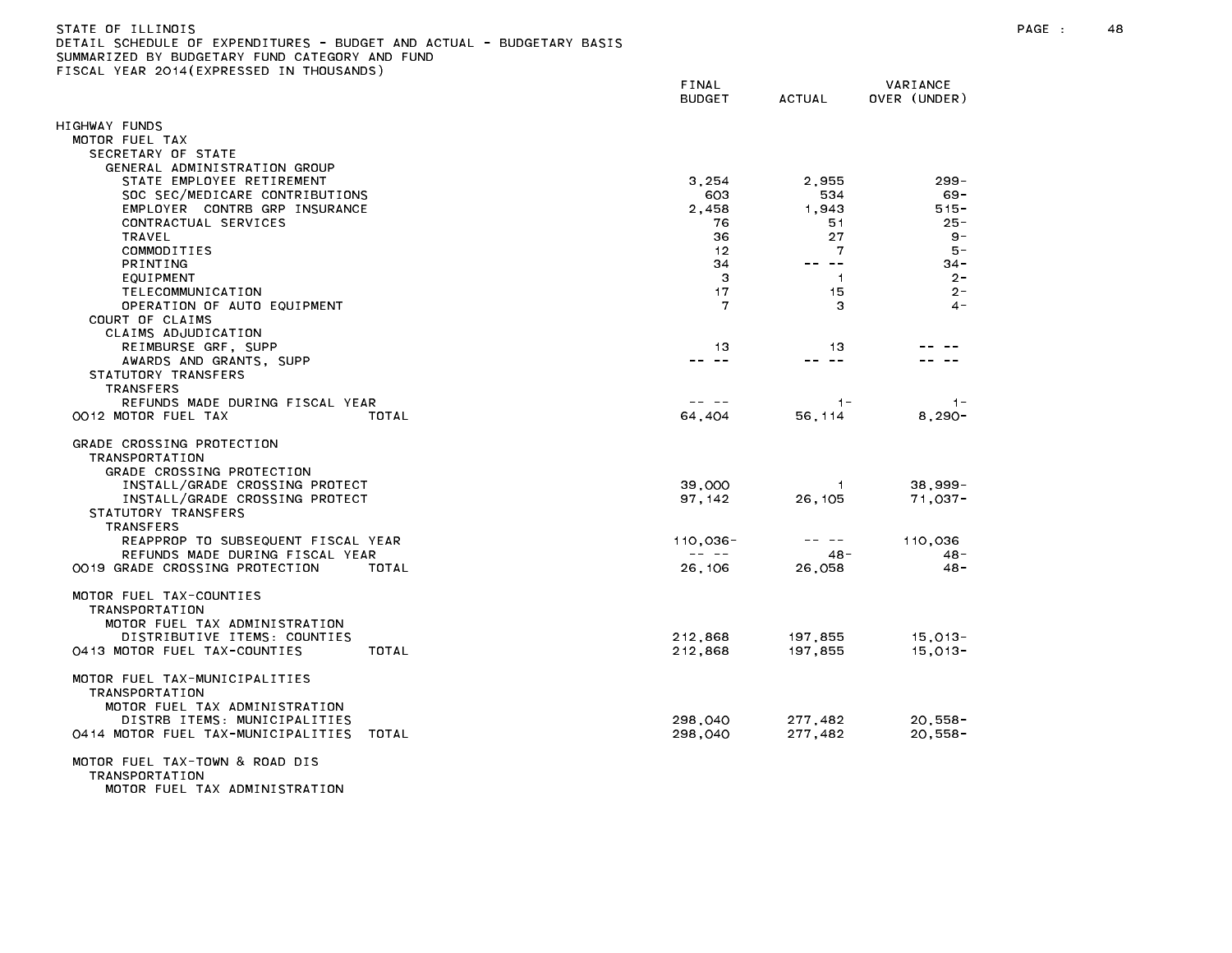| STATE OF ILLINOIS                                                     |  |
|-----------------------------------------------------------------------|--|
| DETAIL SCHEDULE OF EXPENDITURES - BUDGET AND ACTUAL - BUDGETARY BASIS |  |
| SUMMARIZED BY BUDGETARY FUND CATEGORY AND FUND                        |  |
| FISCAL YEAR 2014(EXPRESSED IN THOUSANDS)                              |  |

|                                                                                                                  | FINAL<br><b>BUDGET</b>                                                                                                                                                                                                                                                                                                                                                                                      | <b>ACTUAL</b>  | VARIANCE<br>OVER (UNDER) |
|------------------------------------------------------------------------------------------------------------------|-------------------------------------------------------------------------------------------------------------------------------------------------------------------------------------------------------------------------------------------------------------------------------------------------------------------------------------------------------------------------------------------------------------|----------------|--------------------------|
| HIGHWAY FUNDS                                                                                                    |                                                                                                                                                                                                                                                                                                                                                                                                             |                |                          |
| MOTOR FUEL TAX                                                                                                   |                                                                                                                                                                                                                                                                                                                                                                                                             |                |                          |
| SECRETARY OF STATE                                                                                               |                                                                                                                                                                                                                                                                                                                                                                                                             |                |                          |
| GENERAL ADMINISTRATION GROUP                                                                                     |                                                                                                                                                                                                                                                                                                                                                                                                             |                |                          |
| STATE EMPLOYEE RETIREMENT                                                                                        | 3,254                                                                                                                                                                                                                                                                                                                                                                                                       | 2,955          | $299 -$                  |
| SOC SEC/MEDICARE CONTRIBUTIONS                                                                                   | 603                                                                                                                                                                                                                                                                                                                                                                                                         | 534            | $69 -$                   |
| EMPLOYER CONTRB GRP INSURANCE                                                                                    | 2,458                                                                                                                                                                                                                                                                                                                                                                                                       | 1,943          | $515 -$                  |
| CONTRACTUAL SERVICES                                                                                             | 76                                                                                                                                                                                                                                                                                                                                                                                                          | 51             | $25 -$                   |
| TRAVEL                                                                                                           | 36                                                                                                                                                                                                                                                                                                                                                                                                          | 27             | $9 -$                    |
| COMMODITIES                                                                                                      | 12                                                                                                                                                                                                                                                                                                                                                                                                          | 7              | $5 -$                    |
| <b>PRINTING</b>                                                                                                  | 34                                                                                                                                                                                                                                                                                                                                                                                                          | -- --          | $34 -$                   |
| EQUIPMENT                                                                                                        | 3                                                                                                                                                                                                                                                                                                                                                                                                           | $\overline{1}$ | $2 -$                    |
| TELECOMMUNICATION                                                                                                | 17                                                                                                                                                                                                                                                                                                                                                                                                          | 15             | $2 -$                    |
| OPERATION OF AUTO EQUIPMENT                                                                                      | 7                                                                                                                                                                                                                                                                                                                                                                                                           | З              | $4 -$                    |
| COURT OF CLAIMS                                                                                                  |                                                                                                                                                                                                                                                                                                                                                                                                             |                |                          |
| CLAIMS ADJUDICATION                                                                                              |                                                                                                                                                                                                                                                                                                                                                                                                             |                |                          |
| REIMBURSE GRF, SUPP                                                                                              | 13                                                                                                                                                                                                                                                                                                                                                                                                          | 13<br>-- --    |                          |
| AWARDS AND GRANTS, SUPP                                                                                          | -- --                                                                                                                                                                                                                                                                                                                                                                                                       |                |                          |
| STATUTORY TRANSFERS                                                                                              |                                                                                                                                                                                                                                                                                                                                                                                                             |                |                          |
| <b>TRANSFERS</b><br>REFUNDS MADE DURING FISCAL YEAR                                                              | -- --                                                                                                                                                                                                                                                                                                                                                                                                       | $1 -$          |                          |
| OO12 MOTOR FUEL TAX<br>TOTAL                                                                                     | 64,404                                                                                                                                                                                                                                                                                                                                                                                                      | 56, 114        | $1 -$<br>$8,290-$        |
|                                                                                                                  |                                                                                                                                                                                                                                                                                                                                                                                                             |                |                          |
| GRADE CROSSING PROTECTION<br><b>TRANSPORTATION</b><br>GRADE CROSSING PROTECTION                                  |                                                                                                                                                                                                                                                                                                                                                                                                             |                |                          |
| INSTALL/GRADE CROSSING PROTECT                                                                                   | 39,000                                                                                                                                                                                                                                                                                                                                                                                                      | -1             | $38,999-$                |
| INSTALL/GRADE CROSSING PROTECT                                                                                   | 97, 142                                                                                                                                                                                                                                                                                                                                                                                                     | 26, 105        | $71,037 -$               |
| STATUTORY TRANSFERS                                                                                              |                                                                                                                                                                                                                                                                                                                                                                                                             |                |                          |
| <b>TRANSFERS</b>                                                                                                 |                                                                                                                                                                                                                                                                                                                                                                                                             |                |                          |
| REAPPROP TO SUBSEQUENT FISCAL YEAR                                                                               | $110,036 -$<br>$\frac{1}{2} \frac{1}{2} \frac{1}{2} \frac{1}{2} \frac{1}{2} \frac{1}{2} \frac{1}{2} \frac{1}{2} \frac{1}{2} \frac{1}{2} \frac{1}{2} \frac{1}{2} \frac{1}{2} \frac{1}{2} \frac{1}{2} \frac{1}{2} \frac{1}{2} \frac{1}{2} \frac{1}{2} \frac{1}{2} \frac{1}{2} \frac{1}{2} \frac{1}{2} \frac{1}{2} \frac{1}{2} \frac{1}{2} \frac{1}{2} \frac{1}{2} \frac{1}{2} \frac{1}{2} \frac{1}{2} \frac{$ | -- --          | 110,036                  |
| REFUNDS MADE DURING FISCAL YEAR                                                                                  |                                                                                                                                                                                                                                                                                                                                                                                                             | $48 -$         | $48 -$                   |
| 0019 GRADE CROSSING PROTECTION<br>TOTAL                                                                          | 26,106                                                                                                                                                                                                                                                                                                                                                                                                      | 26,058         | $48 -$                   |
| MOTOR FUEL TAX-COUNTIES<br>TRANSPORTATION<br>MOTOR FUEL TAX ADMINISTRATION                                       |                                                                                                                                                                                                                                                                                                                                                                                                             |                |                          |
| DISTRIBUTIVE ITEMS: COUNTIES                                                                                     | 212,868                                                                                                                                                                                                                                                                                                                                                                                                     | 197,855        | 15,013-                  |
| 0413 MOTOR FUEL TAX-COUNTIES<br>TOTAL                                                                            | 212,868                                                                                                                                                                                                                                                                                                                                                                                                     | 197,855        | $15,013-$                |
| MOTOR FUEL TAX-MUNICIPALITIES<br>TRANSPORTATION<br>MOTOR FUEL TAX ADMINISTRATION<br>DISTRB ITEMS: MUNICIPALITIES | 298,040                                                                                                                                                                                                                                                                                                                                                                                                     | 277,482        | $20,558 -$               |
| 0414 MOTOR FUEL TAX-MUNICIPALITIES<br>TOTAL                                                                      | 298,040                                                                                                                                                                                                                                                                                                                                                                                                     | 277,482        | $20,558 -$               |
| MOTOR FUEL TAX-TOWN & ROAD DIS<br><b>TRANSPORTATION</b><br>MOTOR FUEL TAX ADMINISTRATION                         |                                                                                                                                                                                                                                                                                                                                                                                                             |                |                          |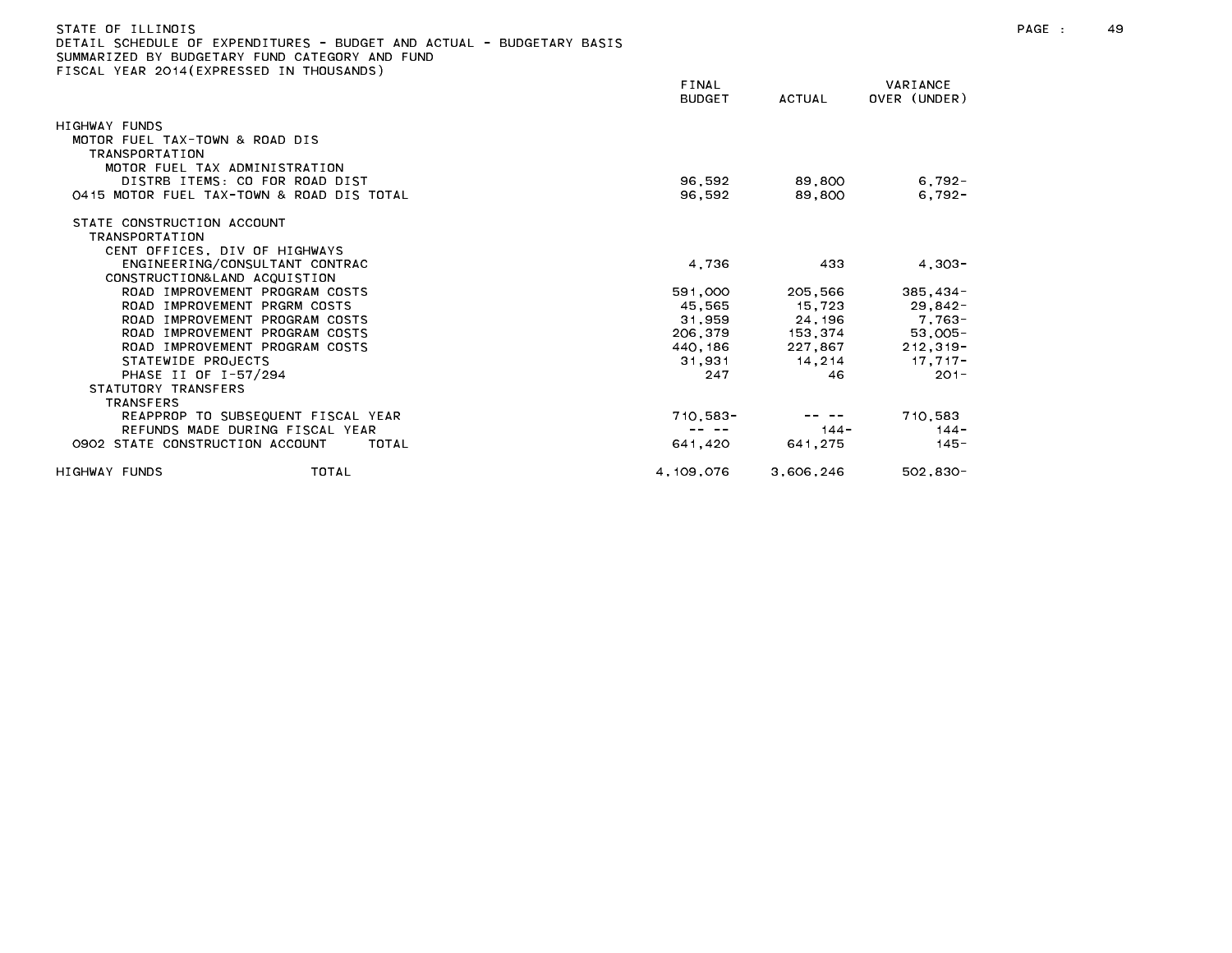| DETAIL SCHEDULE OF EXPENDITURES - BUDGET AND ACTUAL - BUDGETARY BASIS<br>SUMMARIZED BY BUDGETARY FUND CATEGORY AND FUND<br>FISCAL YEAR 2014(EXPRESSED IN THOUSANDS) |                        |           |                          |
|---------------------------------------------------------------------------------------------------------------------------------------------------------------------|------------------------|-----------|--------------------------|
|                                                                                                                                                                     | FINAL<br><b>BUDGET</b> | ACTUAL    | VARIANCE<br>OVER (UNDER) |
| HIGHWAY FUNDS                                                                                                                                                       |                        |           |                          |
| MOTOR FUEL TAX-TOWN & ROAD DIS<br><b>TRANSPORTATION</b><br>MOTOR FUEL TAX ADMINISTRATION                                                                            |                        |           |                          |
| DISTRB ITEMS: CO FOR ROAD DIST                                                                                                                                      | 96.592                 | 89.800    | $6,792-$                 |
| 0415 MOTOR FUEL TAX-TOWN & ROAD DIS TOTAL                                                                                                                           | 96.592                 | 89.800    | $6.792 -$                |
| STATE CONSTRUCTION ACCOUNT<br><b>TRANSPORTATION</b><br>CENT OFFICES. DIV OF HIGHWAYS                                                                                |                        |           |                          |
| ENGINEERING/CONSULTANT CONTRAC<br>CONSTRUCTION& LAND ACQUISTION                                                                                                     | 4,736                  | 433       | $4,303-$                 |
| ROAD IMPROVEMENT PROGRAM COSTS                                                                                                                                      | 591,000                | 205,566   | $385.434 -$              |
| ROAD IMPROVEMENT PRGRM COSTS                                                                                                                                        | 45,565                 | 15,723    | $29,842-$                |
| ROAD IMPROVEMENT PROGRAM COSTS                                                                                                                                      | 31,959                 | 24,196    | 7.763-                   |
| ROAD IMPROVEMENT PROGRAM COSTS                                                                                                                                      | 206.379                | 153,374   | $53,005 -$               |
| ROAD IMPROVEMENT PROGRAM COSTS                                                                                                                                      | 440.186                | 227.867   | $212, 319 -$             |
| STATEWIDE PROJECTS                                                                                                                                                  | 31.931                 | 14.214    | $17.717 -$               |
| PHASE II OF I-57/294<br>STATUTORY TRANSFERS                                                                                                                         | 247                    | 46        | $201 -$                  |
| <b>TRANSFERS</b><br>REAPPROP TO SUBSEQUENT FISCAL YEAR                                                                                                              | $710,583 -$            |           | 710.583                  |
| REFUNDS MADE DURING FISCAL YEAR                                                                                                                                     | -- --                  | $144 -$   | $144 -$                  |
| 0902 STATE CONSTRUCTION ACCOUNT<br>TOTAL                                                                                                                            | 641,420                | 641,275   | $145 -$                  |
| HIGHWAY FUNDS<br>TOTAL                                                                                                                                              | 4.109.076              | 3.606.246 | $502.830 -$              |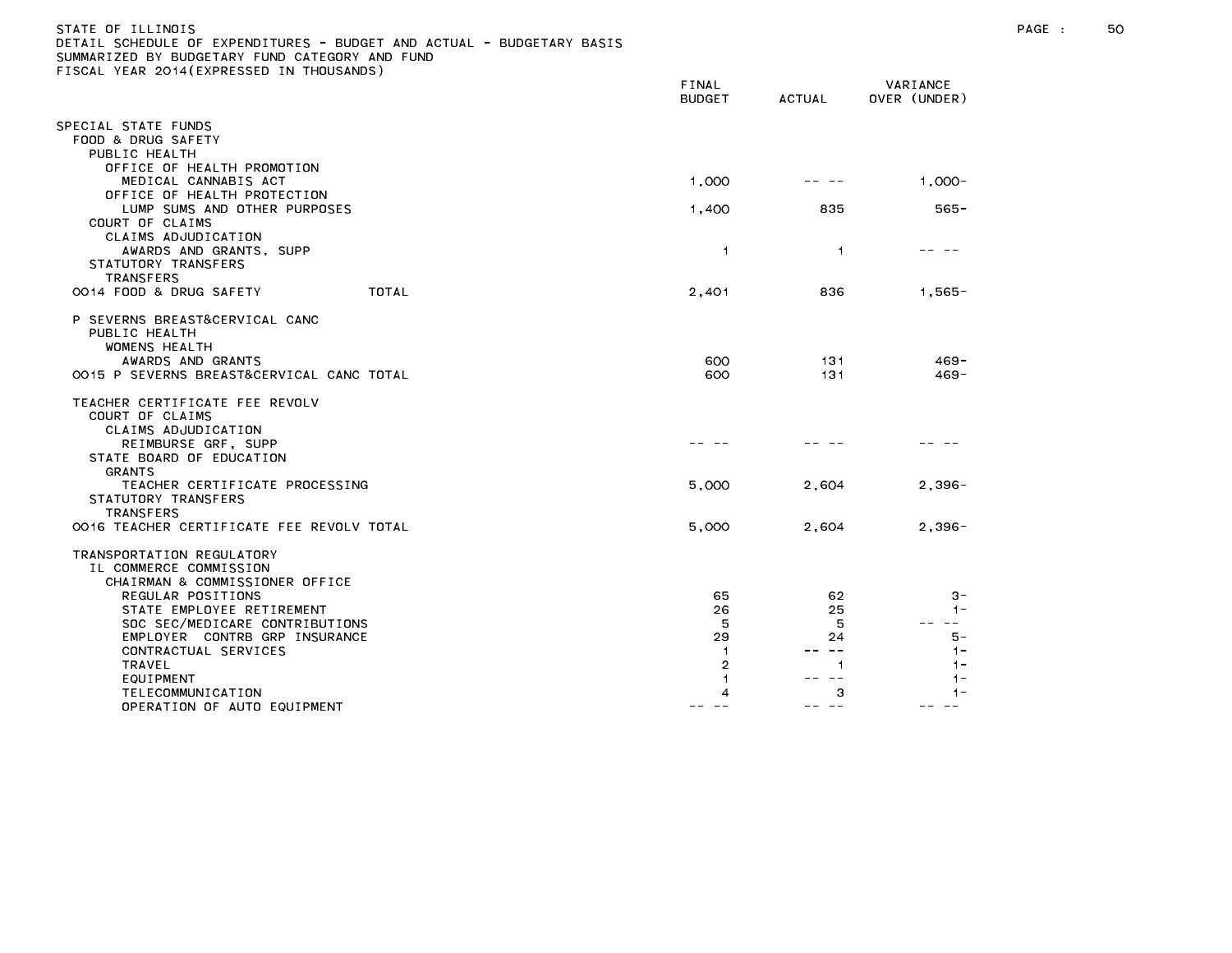| STATE OF ILLINOIS                                                     |  |
|-----------------------------------------------------------------------|--|
| DETAIL SCHEDULE OF EXPENDITURES - BUDGET AND ACTUAL - BUDGETARY BASIS |  |
| SUMMARIZED BY BUDGETARY FUND CATEGORY AND FUND                        |  |
| FISCAL YEAR 2014(EXPRESSED IN THOUSANDS)                              |  |

|                                                    | BUDGET         | <b>ACTUAL</b>  | OVER (UNDER)   |
|----------------------------------------------------|----------------|----------------|----------------|
| PECIAL STATE FUNDS                                 |                |                |                |
| FOOD & DRUG SAFETY                                 |                |                |                |
| PUBLIC HEALTH                                      |                |                |                |
| OFFICE OF HEALTH PROMOTION<br>MEDICAL CANNABIS ACT | 1,000          |                | $1,000 -$      |
| OFFICE OF HEALTH PROTECTION                        |                |                |                |
| LUMP SUMS AND OTHER PURPOSES                       | 1,400          | 835            | $565 -$        |
| COURT OF CLAIMS                                    |                |                |                |
| CLAIMS ADJUDICATION                                |                |                |                |
| AWARDS AND GRANTS, SUPP<br>STATUTORY TRANSFERS     | $\overline{1}$ | $\overline{1}$ |                |
| <b>TRANSFERS</b>                                   |                |                |                |
| OO14 FOOD & DRUG SAFETY<br>TOTAL                   | 2,401          | 836            | $1,565-$       |
|                                                    |                |                |                |
| P SEVERNS BREAST&CERVICAL CANC                     |                |                |                |
| PUBLIC HEALTH<br><b>WOMENS HEALTH</b>              |                |                |                |
| AWARDS AND GRANTS                                  | 600            | 131            | $469 -$        |
| 0015 P SEVERNS BREAST&CERVICAL CANC TOTAL          | 600            | 131            | $469 -$        |
| TEACHER CERTIFICATE FEE REVOLV                     |                |                |                |
| COURT OF CLAIMS                                    |                |                |                |
| CLAIMS ADJUDICATION                                |                |                |                |
| REIMBURSE GRF, SUPP<br>STATE BOARD OF EDUCATION    |                |                |                |
| <b>GRANTS</b>                                      |                |                |                |
| TEACHER CERTIFICATE PROCESSING                     | 5,000          | 2,604          | $2,396-$       |
| STATUTORY TRANSFERS                                |                |                |                |
| <b>TRANSFERS</b>                                   |                |                |                |
| 0016 TEACHER CERTIFICATE FEE REVOLV TOTAL          | 5,000          | 2,604          | $2,396-$       |
| TRANSPORTATION REGULATORY                          |                |                |                |
| IL COMMERCE COMMISSION                             |                |                |                |
| CHAIRMAN & COMMISSIONER OFFICE                     |                |                |                |
| REGULAR POSITIONS<br>STATE EMPLOYEE RETIREMENT     | 65<br>26       | 62<br>25       | $3 -$<br>$1 -$ |
| SOC SEC/MEDICARE CONTRIBUTIONS                     | 5              | 5              |                |
| EMPLOYER CONTRB GRP INSURANCE                      | 29             | 24             | 5 –            |
| CONTRACTUAL SERVICES                               | -1             | $\sim$ $-$     | $1 -$          |
| TRAVEL<br>EQUIPMENT                                | $\overline{2}$ | 1              | $1 -$          |
| TELECOMMUNICATION                                  | 4              | з              |                |
| OPERATION OF AUTO EQUIPMENT                        |                |                |                |

FINAL VARIANCE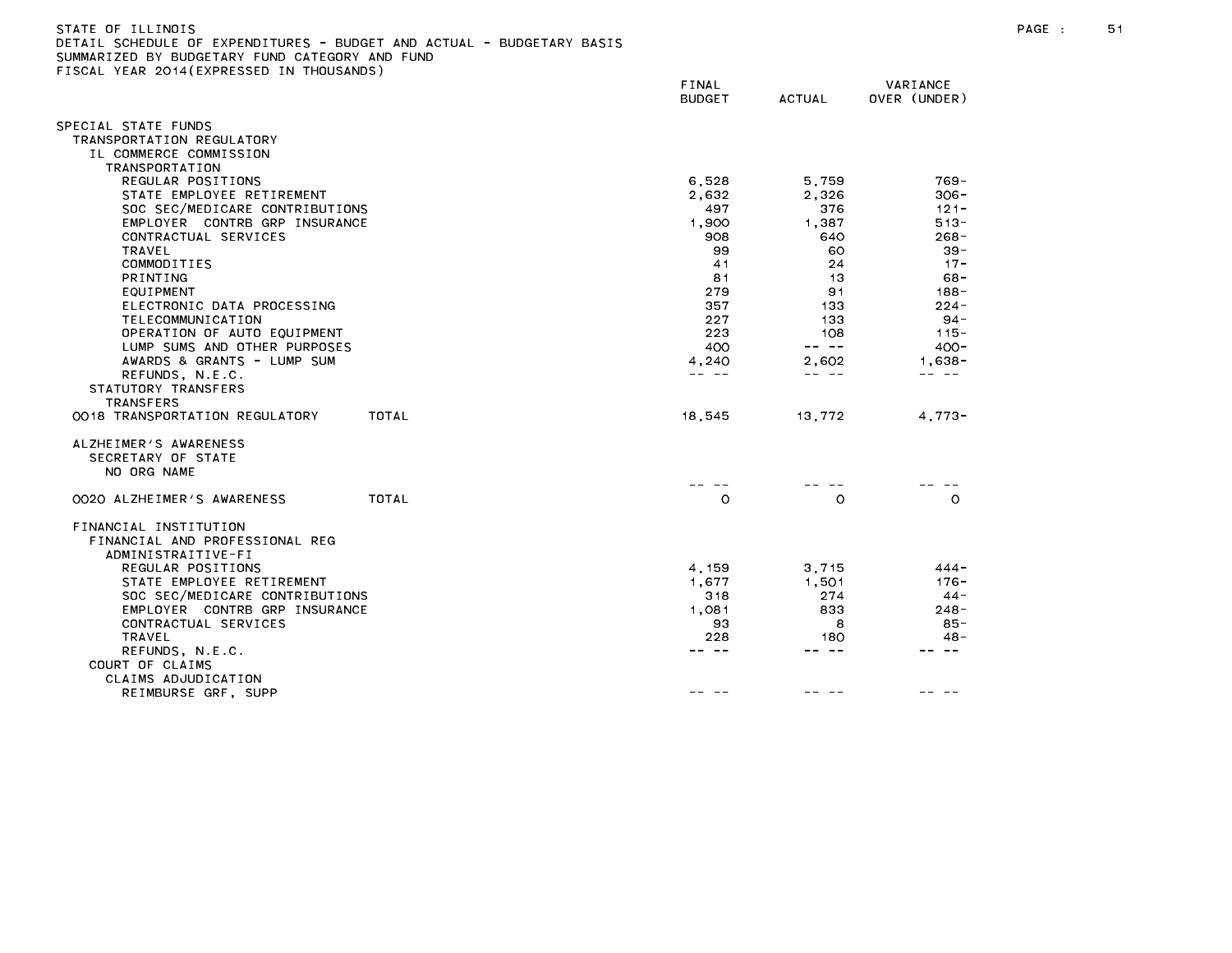| STATE OF ILLINOIS                                                     |
|-----------------------------------------------------------------------|
| DETAIL SCHEDULE OF EXPENDITURES - BUDGET AND ACTUAL - BUDGETARY BASIS |
| SUMMARIZED BY BUDGETARY FUND CATEGORY AND FUND                        |
| FISCAL YEAR 2014(EXPRESSED IN THOUSANDS)                              |

|                                                                               | FINAL<br><b>BUDGET</b> | <b>ACTUAL</b>                                                                                                                                                                                                                                                                                                                                                                                | VARIANCE<br>OVER (UNDER) |
|-------------------------------------------------------------------------------|------------------------|----------------------------------------------------------------------------------------------------------------------------------------------------------------------------------------------------------------------------------------------------------------------------------------------------------------------------------------------------------------------------------------------|--------------------------|
| SPECIAL STATE FUNDS                                                           |                        |                                                                                                                                                                                                                                                                                                                                                                                              |                          |
| TRANSPORTATION REGULATORY                                                     |                        |                                                                                                                                                                                                                                                                                                                                                                                              |                          |
| IL COMMERCE COMMISSION                                                        |                        |                                                                                                                                                                                                                                                                                                                                                                                              |                          |
| TRANSPORTATION                                                                |                        |                                                                                                                                                                                                                                                                                                                                                                                              |                          |
| REGULAR POSITIONS                                                             | 6,528                  | 5,759                                                                                                                                                                                                                                                                                                                                                                                        | $769 -$                  |
| STATE EMPLOYEE RETIREMENT                                                     | 2,632                  | 2,326                                                                                                                                                                                                                                                                                                                                                                                        | $306 -$                  |
| SOC SEC/MEDICARE CONTRIBUTIONS                                                | 497                    | 376                                                                                                                                                                                                                                                                                                                                                                                          | $121 -$                  |
| EMPLOYER CONTRB GRP INSURANCE                                                 | 1,900                  | 1,387                                                                                                                                                                                                                                                                                                                                                                                        | $513 -$                  |
| CONTRACTUAL SERVICES                                                          | 908                    | 640                                                                                                                                                                                                                                                                                                                                                                                          | $268 -$                  |
| <b>TRAVEL</b>                                                                 | 99                     | 60                                                                                                                                                                                                                                                                                                                                                                                           | $39 -$                   |
| COMMODITIES                                                                   | 41                     | 24                                                                                                                                                                                                                                                                                                                                                                                           | $17 -$                   |
| <b>PRINTING</b>                                                               | 81                     | 13                                                                                                                                                                                                                                                                                                                                                                                           | $68 -$                   |
| EQUIPMENT                                                                     | 279                    | 91                                                                                                                                                                                                                                                                                                                                                                                           | $188 -$                  |
| ELECTRONIC DATA PROCESSING                                                    | 357                    | 133                                                                                                                                                                                                                                                                                                                                                                                          | $224 -$                  |
| TELECOMMUNICATION                                                             | 227                    | 133                                                                                                                                                                                                                                                                                                                                                                                          | $94 -$                   |
| OPERATION OF AUTO EQUIPMENT                                                   | 223                    | 108                                                                                                                                                                                                                                                                                                                                                                                          | $115 -$                  |
| LUMP SUMS AND OTHER PURPOSES                                                  | 400                    | $\frac{1}{2} \frac{1}{2} \frac{1}{2} \frac{1}{2} \frac{1}{2} \frac{1}{2} \frac{1}{2} \frac{1}{2} \frac{1}{2} \frac{1}{2} \frac{1}{2} \frac{1}{2} \frac{1}{2} \frac{1}{2} \frac{1}{2} \frac{1}{2} \frac{1}{2} \frac{1}{2} \frac{1}{2} \frac{1}{2} \frac{1}{2} \frac{1}{2} \frac{1}{2} \frac{1}{2} \frac{1}{2} \frac{1}{2} \frac{1}{2} \frac{1}{2} \frac{1}{2} \frac{1}{2} \frac{1}{2} \frac{$ | $400 -$                  |
| AWARDS & GRANTS - LUMP SUM                                                    | 4,240                  | 2,602                                                                                                                                                                                                                                                                                                                                                                                        | $1,638-$                 |
| REFUNDS, N.E.C.                                                               | -- --                  | -- --                                                                                                                                                                                                                                                                                                                                                                                        |                          |
| STATUTORY TRANSFERS                                                           |                        |                                                                                                                                                                                                                                                                                                                                                                                              |                          |
| <b>TRANSFERS</b>                                                              |                        |                                                                                                                                                                                                                                                                                                                                                                                              |                          |
| 0018 TRANSPORTATION REGULATORY<br>TOTAL                                       | 18,545                 | 13,772                                                                                                                                                                                                                                                                                                                                                                                       | $4,773-$                 |
| ALZHEIMER'S AWARENESS<br>SECRETARY OF STATE<br>NO ORG NAME                    |                        |                                                                                                                                                                                                                                                                                                                                                                                              |                          |
|                                                                               |                        |                                                                                                                                                                                                                                                                                                                                                                                              |                          |
| <b>TOTAL</b><br>0020 ALZHEIMER'S AWARENESS                                    | $\circ$                | $\Omega$                                                                                                                                                                                                                                                                                                                                                                                     | $\Omega$                 |
| FINANCIAL INSTITUTION<br>FINANCIAL AND PROFESSIONAL REG<br>ADMINISTRAITIVE-FI |                        |                                                                                                                                                                                                                                                                                                                                                                                              |                          |
| REGULAR POSITIONS                                                             | 4,159                  | 3,715                                                                                                                                                                                                                                                                                                                                                                                        | $444 -$                  |
| STATE EMPLOYEE RETIREMENT                                                     | 1,677                  | 1,501                                                                                                                                                                                                                                                                                                                                                                                        | $176 -$                  |
| SOC SEC/MEDICARE CONTRIBUTIONS                                                | 318                    | 274                                                                                                                                                                                                                                                                                                                                                                                          | $44 -$                   |
| EMPLOYER CONTRB GRP INSURANCE                                                 | 1.081                  | 833                                                                                                                                                                                                                                                                                                                                                                                          | $248 -$                  |
| CONTRACTUAL SERVICES                                                          | 93                     | 8                                                                                                                                                                                                                                                                                                                                                                                            | 85-                      |
| <b>TRAVEL</b>                                                                 | 228                    | 180                                                                                                                                                                                                                                                                                                                                                                                          | $48 -$                   |
| REFUNDS, N.E.C.                                                               | $- -$                  | -- --                                                                                                                                                                                                                                                                                                                                                                                        | $ -$                     |
| COURT OF CLAIMS                                                               |                        |                                                                                                                                                                                                                                                                                                                                                                                              |                          |
| CLAIMS ADJUDICATION                                                           |                        |                                                                                                                                                                                                                                                                                                                                                                                              |                          |
| REIMBURSE GRF, SUPP                                                           |                        |                                                                                                                                                                                                                                                                                                                                                                                              |                          |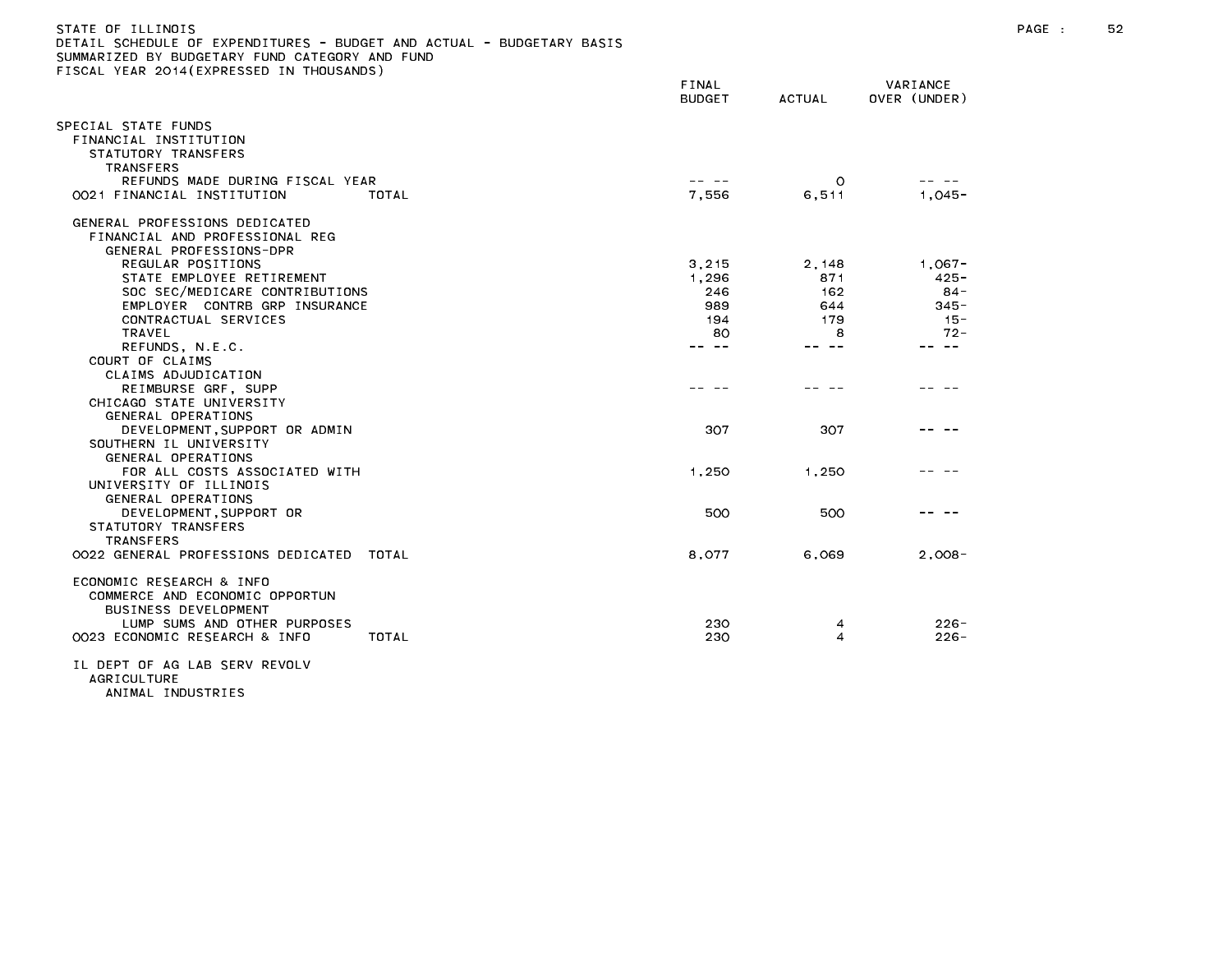| )ETAIL SCHEDULE OF EXPENDITURES - BUDGET AND ACTUAL - BUDGETARY BASIS<br>SUMMARIZED BY BUDGETARY FUND CATEGORY AND FUND |                        |         |                          |
|-------------------------------------------------------------------------------------------------------------------------|------------------------|---------|--------------------------|
| FISCAL YEAR 2014(EXPRESSED IN THOUSANDS)                                                                                | FINAL<br><b>BUDGET</b> | ACTUAL  | VARIANCE<br>OVER (UNDER) |
| SPECIAL STATE FUNDS<br>FINANCIAL INSTITUTION<br>STATUTORY TRANSFERS                                                     |                        |         |                          |
| <b>TRANSFERS</b>                                                                                                        |                        |         |                          |
| REFUNDS MADE DURING FISCAL YEAR                                                                                         |                        | $\circ$ |                          |
| 0021 FINANCIAL INSTITUTION<br>TOTAL                                                                                     | 7,556                  | 6,511   | $1,045-$                 |
| GENERAL PROFESSIONS DEDICATED<br>FINANCIAL AND PROFESSIONAL REG<br>GENERAL PROFESSIONS-DPR                              |                        |         |                          |
| REGULAR POSITIONS                                                                                                       | 3,215                  | 2,148   | $1,067-$                 |
| STATE EMPLOYEE RETIREMENT                                                                                               | 1,296                  | 871     | $425 -$                  |
| SOC SEC/MEDICARE CONTRIBUTIONS                                                                                          | 246                    | 162     | $84 -$                   |
| EMPLOYER CONTRB GRP INSURANCE                                                                                           | 989                    | 644     | $345 -$                  |
| CONTRACTUAL SERVICES                                                                                                    | 194                    | 179     | $15 -$                   |
| TRAVEL                                                                                                                  | 80                     | 8       | $72 -$                   |
| REFUNDS, N.E.C.                                                                                                         | -- --                  | -- --   | -- --                    |
| COURT OF CLAIMS                                                                                                         |                        |         |                          |
| CLAIMS ADJUDICATION                                                                                                     |                        |         |                          |
| REIMBURSE GRF, SUPP                                                                                                     |                        |         |                          |
| CHICAGO STATE UNIVERSITY                                                                                                |                        |         |                          |
| GENERAL OPERATIONS                                                                                                      |                        |         |                          |
| DEVELOPMENT, SUPPORT OR ADMIN                                                                                           | 307                    | 307     |                          |
| SOUTHERN IL UNIVERSITY                                                                                                  |                        |         |                          |
| GENERAL OPERATIONS                                                                                                      |                        |         |                          |
| FOR ALL COSTS ASSOCIATED WITH                                                                                           | 1,250                  | 1,250   |                          |
| UNIVERSITY OF ILLINOIS                                                                                                  |                        |         |                          |
|                                                                                                                         |                        |         |                          |
| GENERAL OPERATIONS                                                                                                      | 500                    | 500     |                          |
| DEVELOPMENT, SUPPORT OR                                                                                                 |                        |         |                          |
| STATUTORY TRANSFERS                                                                                                     |                        |         |                          |
| <b>TRANSFERS</b>                                                                                                        |                        |         |                          |
| 0022 GENERAL PROFESSIONS DEDICATED TOTAL                                                                                | 8,077                  | 6,069   | $2,008-$                 |
| ECONOMIC RESEARCH & INFO<br>COMMERCE AND ECONOMIC OPPORTUN<br>BUSINESS DEVELOPMENT                                      |                        |         |                          |
| LUMP SUMS AND OTHER PURPOSES                                                                                            | 230                    | 4       | $226 -$                  |
| 0023 ECONOMIC RESEARCH & INFO<br>TOTAL                                                                                  | 230                    | 4       | $226 -$                  |
| IL DEPT OF AG LAB SERV REVOLV<br><b>AGRICULTURE</b>                                                                     |                        |         |                          |

ANIMAL INDUSTRIES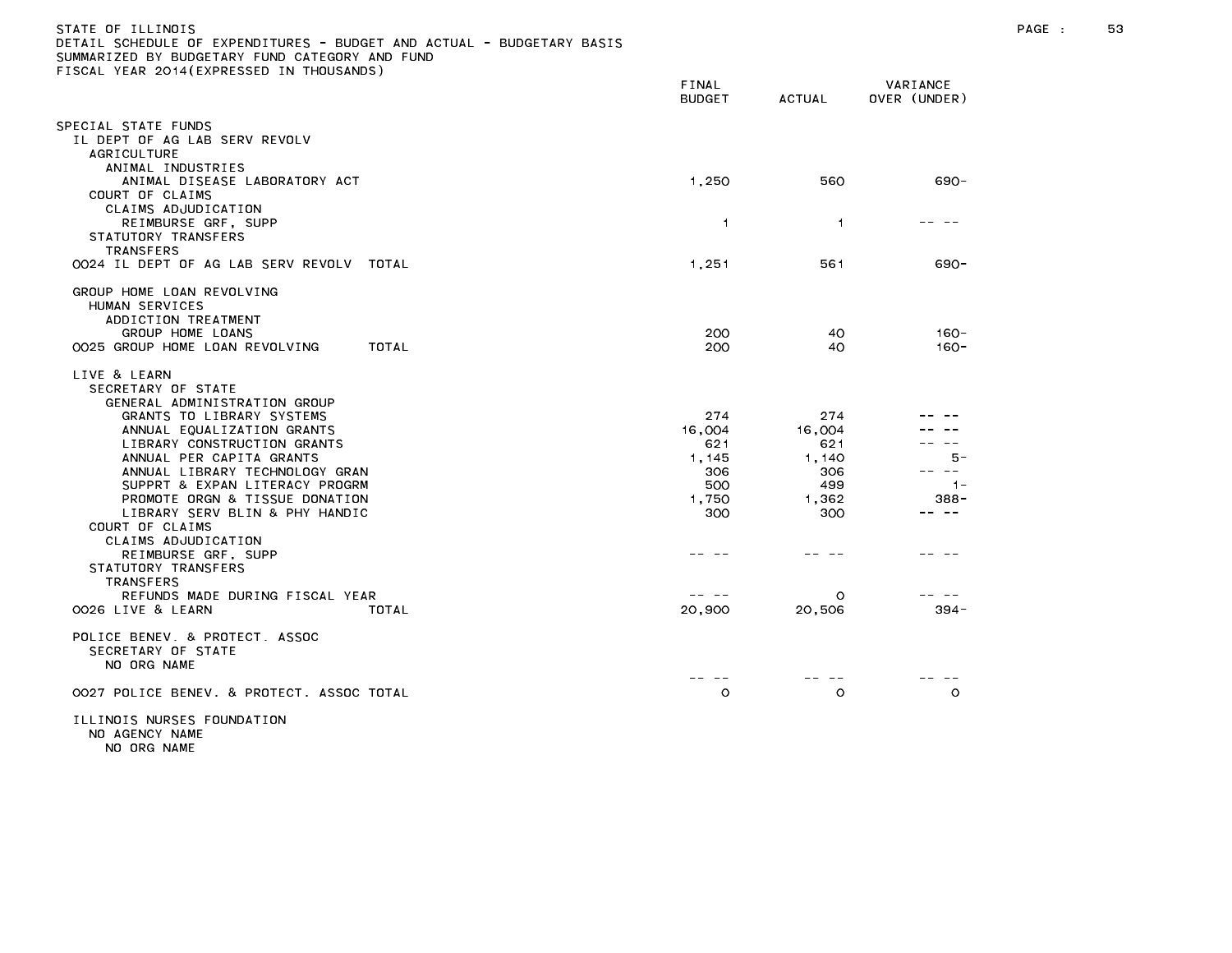| STATE OF ILLINOIS                                                     |
|-----------------------------------------------------------------------|
| DETAIL SCHEDULE OF EXPENDITURES - BUDGET AND ACTUAL - BUDGETARY BASIS |
| SUMMARIZED BY BUDGETARY FUND CATEGORY AND FUND                        |
| FISCAL YEAR 2014(EXPRESSED IN THOUSANDS)                              |

|                                                                     | FINAL<br><b>BUDGET</b> | <b>ACTUAL</b>  | VARIANCE<br>OVER (UNDER) |
|---------------------------------------------------------------------|------------------------|----------------|--------------------------|
| PECIAL STATE FUNDS                                                  |                        |                |                          |
| IL DEPT OF AG LAB SERV REVOLV                                       |                        |                |                          |
| AGRICULTURE<br>ANIMAL INDUSTRIES                                    |                        |                |                          |
| ANIMAL DISEASE LABORATORY ACT<br>COURT OF CLAIMS                    | 1,250                  | 560            | $690 -$                  |
| CLAIMS ADJUDICATION<br>REIMBURSE GRF, SUPP<br>STATUTORY TRANSFERS   | $\overline{1}$         | $\overline{1}$ |                          |
| <b>TRANSFERS</b><br>0024 IL DEPT OF AG LAB SERV REVOLV TOTAL        | 1,251                  | 561            | $690 -$                  |
| GROUP HOME LOAN REVOLVING<br>HUMAN SERVICES                         |                        |                |                          |
| ADDICTION TREATMENT<br>GROUP HOME LOANS                             | 200                    | 40             | $160 -$                  |
| 0025 GROUP HOME LOAN REVOLVING<br>TOTAL                             | 200                    | 40             | $160 -$                  |
| LIVE & LEARN<br>SECRETARY OF STATE<br>GENERAL ADMINISTRATION GROUP  |                        |                |                          |
| GRANTS TO LIBRARY SYSTEMS                                           | 274                    | 274            |                          |
| ANNUAL EQUALIZATION GRANTS                                          | 16,004                 | 16,004         |                          |
| LIBRARY CONSTRUCTION GRANTS<br>ANNUAL PER CAPITA GRANTS             | 621<br>1, 145          | 621<br>1,140   | 5 -                      |
| ANNUAL LIBRARY TECHNOLOGY GRAN                                      | 306                    | 306            | $- -$                    |
| SUPPRT & EXPAN LITERACY PROGRM                                      | 500                    | 499            | $1 -$                    |
| PROMOTE ORGN & TISSUE DONATION                                      | 1,750                  | 1.362          | $388 -$                  |
| LIBRARY SERV BLIN & PHY HANDIC<br>COURT OF CLAIMS                   | 300                    | 300            |                          |
| CLAIMS ADJUDICATION<br>REIMBURSE GRF, SUPP<br>STATUTORY TRANSFERS   |                        |                |                          |
| <b>TRANSFERS</b><br>REFUNDS MADE DURING FISCAL YEAR                 |                        | $\circ$        |                          |
| OO26 LIVE & LEARN<br>TOTAL                                          | 20,900                 | 20,506         | $394 -$                  |
| POLICE BENEV, & PROTECT, ASSOC<br>SECRETARY OF STATE<br>NO ORG NAME |                        |                |                          |
| 0027 POLICE BENEV. & PROTECT. ASSOC TOTAL                           | $\circ$                | $\circ$        | $\circ$                  |
| ILLINOIS NURSES FOUNDATION                                          |                        |                |                          |

NO AGENCY NAME

NO ORG NAME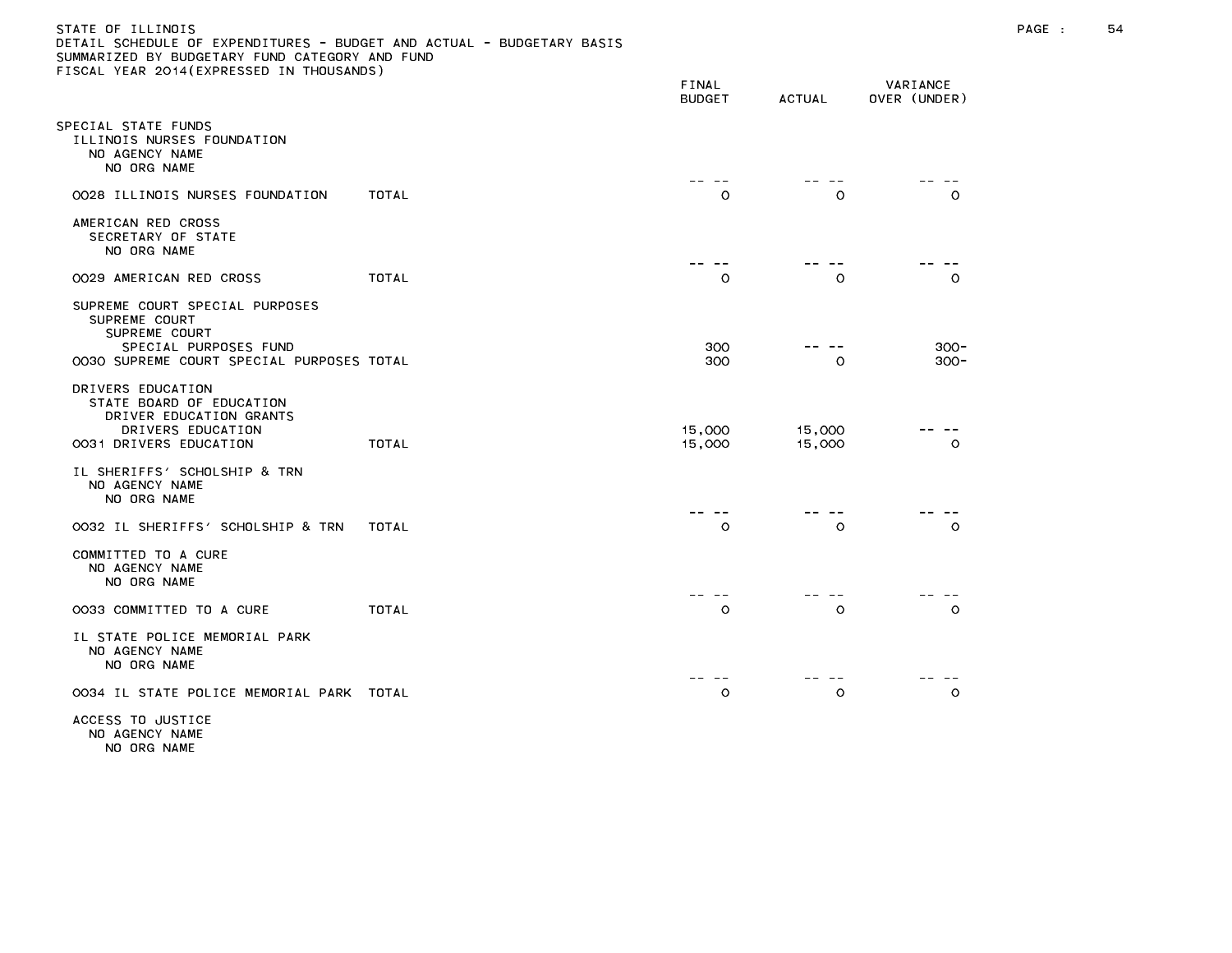## STATE OF ILLINOIS PAGE : 54 DETAIL SCHEDULE OF EXPENDITURES - BUDGET AND ACTUAL - BUDGETARY BASIS

|                                                                                                                         |              | FINAL<br><b>BUDGET</b>         | <b>ACTUAL</b>    | VARIANCE<br>OVER (UNDER) |
|-------------------------------------------------------------------------------------------------------------------------|--------------|--------------------------------|------------------|--------------------------|
| SPECIAL STATE FUNDS<br>ILLINOIS NURSES FOUNDATION<br>NO AGENCY NAME<br>NO ORG NAME                                      |              | <b><i><u>Part 2004</u></i></b> |                  |                          |
| 0028 ILLINOIS NURSES FOUNDATION                                                                                         | TOTAL        | $\circ$                        | O                | $\circ$                  |
| AMERICAN RED CROSS<br>SECRETARY OF STATE<br>NO ORG NAME                                                                 |              |                                |                  |                          |
| 0029 AMERICAN RED CROSS                                                                                                 | <b>TOTAL</b> | $\circ$                        | $\circ$          | $\circ$                  |
| SUPREME COURT SPECIAL PURPOSES<br>SUPREME COURT<br>SUPREME COURT<br>SPECIAL PURPOSES FUND                               |              | 300                            |                  | $300 -$                  |
| 0030 SUPREME COURT SPECIAL PURPOSES TOTAL                                                                               |              | 300                            | $\circ$          | $300 -$                  |
| DRIVERS EDUCATION<br>STATE BOARD OF EDUCATION<br>DRIVER EDUCATION GRANTS<br>DRIVERS EDUCATION<br>0031 DRIVERS EDUCATION | <b>TOTAL</b> | 15,000<br>15,000               | 15,000<br>15,000 | $\circ$                  |
| IL SHERIFFS' SCHOLSHIP & TRN<br>NO AGENCY NAME<br>NO ORG NAME                                                           |              |                                |                  |                          |
| 0032 IL SHERIFFS' SCHOLSHIP & TRN                                                                                       | TOTAL        | $\circ$                        | $\circ$          | $\circ$                  |
| COMMITTED TO A CURE<br>NO AGENCY NAME<br>NO ORG NAME                                                                    |              |                                |                  |                          |
| 0033 COMMITTED TO A CURE                                                                                                | <b>TOTAL</b> | $\circ$                        | $\circ$          | $\circ$                  |
| IL STATE POLICE MEMORIAL PARK<br>NO AGENCY NAME<br>NO ORG NAME                                                          |              |                                |                  |                          |
| 0034 IL STATE POLICE MEMORIAL PARK                                                                                      | TOTAL        | O                              | $\circ$          | O                        |
| ACCESS TO JUSTICE                                                                                                       |              |                                |                  |                          |

NO AGENCY NAME NO ORG NAME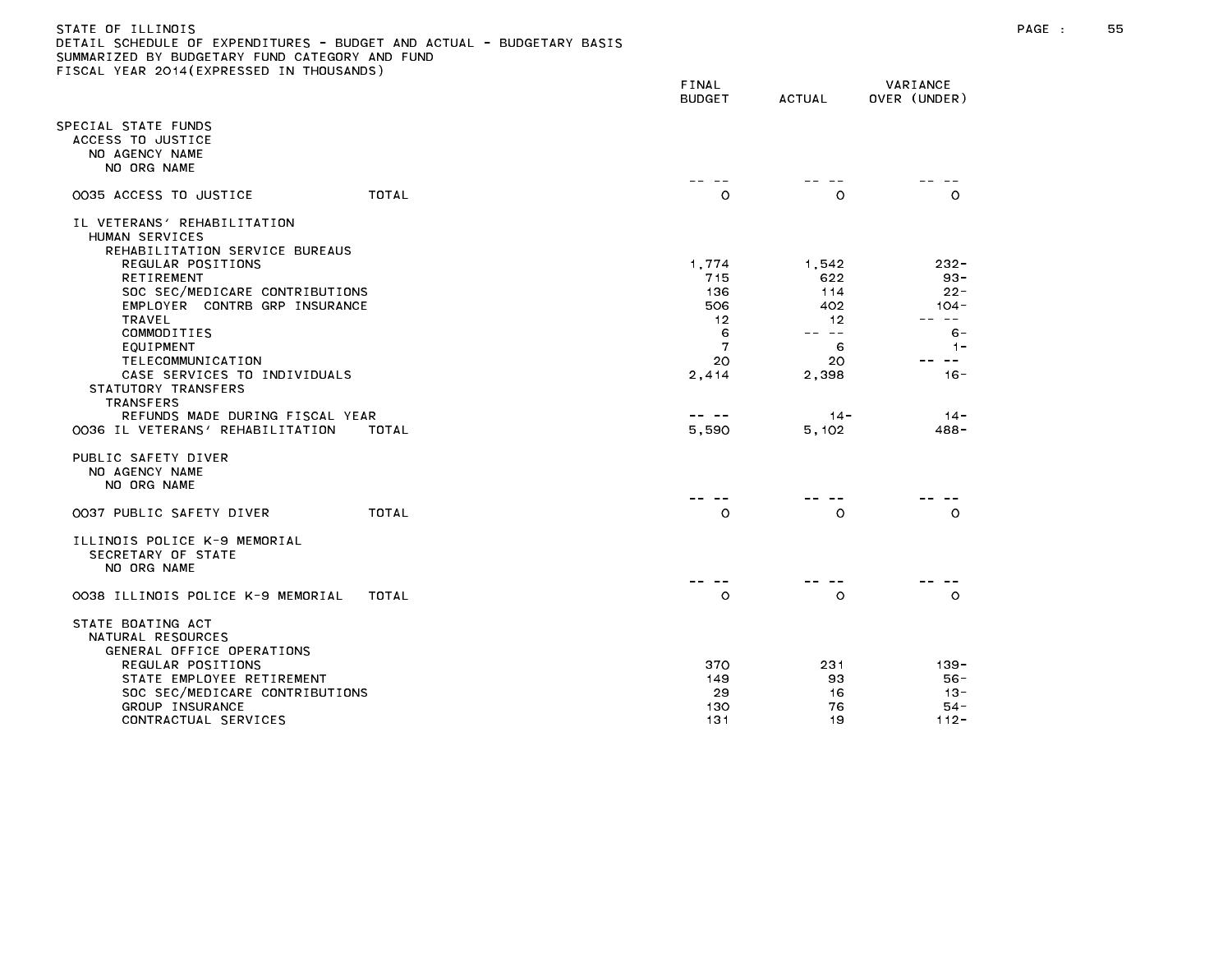| STATE OF ILLINOIS                                                     |  |
|-----------------------------------------------------------------------|--|
| DETAIL SCHEDULE OF EXPENDITURES - BUDGET AND ACTUAL - BUDGETARY BASIS |  |
| SUMMARIZED BY BUDGETARY FUND CATEGORY AND FUND                        |  |
| FISCAL YEAR 2014(EXPRESSED IN THOUSANDS)                              |  |

|                                                                                                                                                                                                                                                                                                                                                                                                                                                                    | FINAL<br><b>BUDGET</b>                                             | <b>ACTUAL</b>                                                                    | VARIANCE<br>OVER (UNDER)                                                                                  |
|--------------------------------------------------------------------------------------------------------------------------------------------------------------------------------------------------------------------------------------------------------------------------------------------------------------------------------------------------------------------------------------------------------------------------------------------------------------------|--------------------------------------------------------------------|----------------------------------------------------------------------------------|-----------------------------------------------------------------------------------------------------------|
| SPECIAL STATE FUNDS<br>ACCESS TO JUSTICE<br>NO AGENCY NAME<br>NO ORG NAME                                                                                                                                                                                                                                                                                                                                                                                          |                                                                    |                                                                                  |                                                                                                           |
| TOTAL<br>0035 ACCESS TO JUSTICE                                                                                                                                                                                                                                                                                                                                                                                                                                    | $\circ$                                                            | $\circ$                                                                          | $\circ$                                                                                                   |
| IL VETERANS' REHABILITATION<br>HUMAN SERVICES<br>REHABILITATION SERVICE BUREAUS<br>REGULAR POSITIONS<br><b>RETIREMENT</b><br>SOC SEC/MEDICARE CONTRIBUTIONS<br>EMPLOYER CONTRB GRP INSURANCE<br><b>TRAVEL</b><br>COMMODITIES<br>EQUIPMENT<br>TELECOMMUNICATION<br>CASE SERVICES TO INDIVIDUALS<br>STATUTORY TRANSFERS<br><b>TRANSFERS</b><br>REFUNDS MADE DURING FISCAL YEAR<br>0036 IL VETERANS' REHABILITATION<br>TOTAL<br>PUBLIC SAFETY DIVER<br>NO AGENCY NAME | 1,774<br>715<br>136<br>506<br>12<br>6<br>7<br>20<br>2,414<br>5,590 | 1,542<br>622<br>114<br>402<br>12<br>-- --<br>6<br>20<br>2,398<br>$14 -$<br>5,102 | $232 -$<br>$93 -$<br>$22 -$<br>104 -<br>$- -$<br>$6 -$<br>$1 -$<br>$\sim$ $-$<br>$16 -$<br>$14 -$<br>488- |
| NO ORG NAME                                                                                                                                                                                                                                                                                                                                                                                                                                                        |                                                                    |                                                                                  |                                                                                                           |
| 0037 PUBLIC SAFETY DIVER<br>TOTAL                                                                                                                                                                                                                                                                                                                                                                                                                                  | $\circ$                                                            | $\circ$                                                                          | $\circ$                                                                                                   |
| ILLINOIS POLICE K-9 MEMORIAL<br>SECRETARY OF STATE<br>NO ORG NAME                                                                                                                                                                                                                                                                                                                                                                                                  |                                                                    |                                                                                  |                                                                                                           |
| 0038 ILLINOIS POLICE K-9 MEMORIAL<br>TOTAL                                                                                                                                                                                                                                                                                                                                                                                                                         | $\circ$                                                            | $\circ$                                                                          | $\circ$                                                                                                   |
| STATE BOATING ACT<br>NATURAL RESOURCES<br>GENERAL OFFICE OPERATIONS<br>REGULAR POSITIONS<br>STATE EMPLOYEE RETIREMENT<br>SOC SEC/MEDICARE CONTRIBUTIONS<br>GROUP INSURANCE<br>CONTRACTUAL SERVICES                                                                                                                                                                                                                                                                 | 370<br>149<br>29<br>130<br>131                                     | 231<br>93<br>16<br>76<br>19                                                      | $139 -$<br>$56 -$<br>$13 -$<br>$54 -$<br>$112 -$                                                          |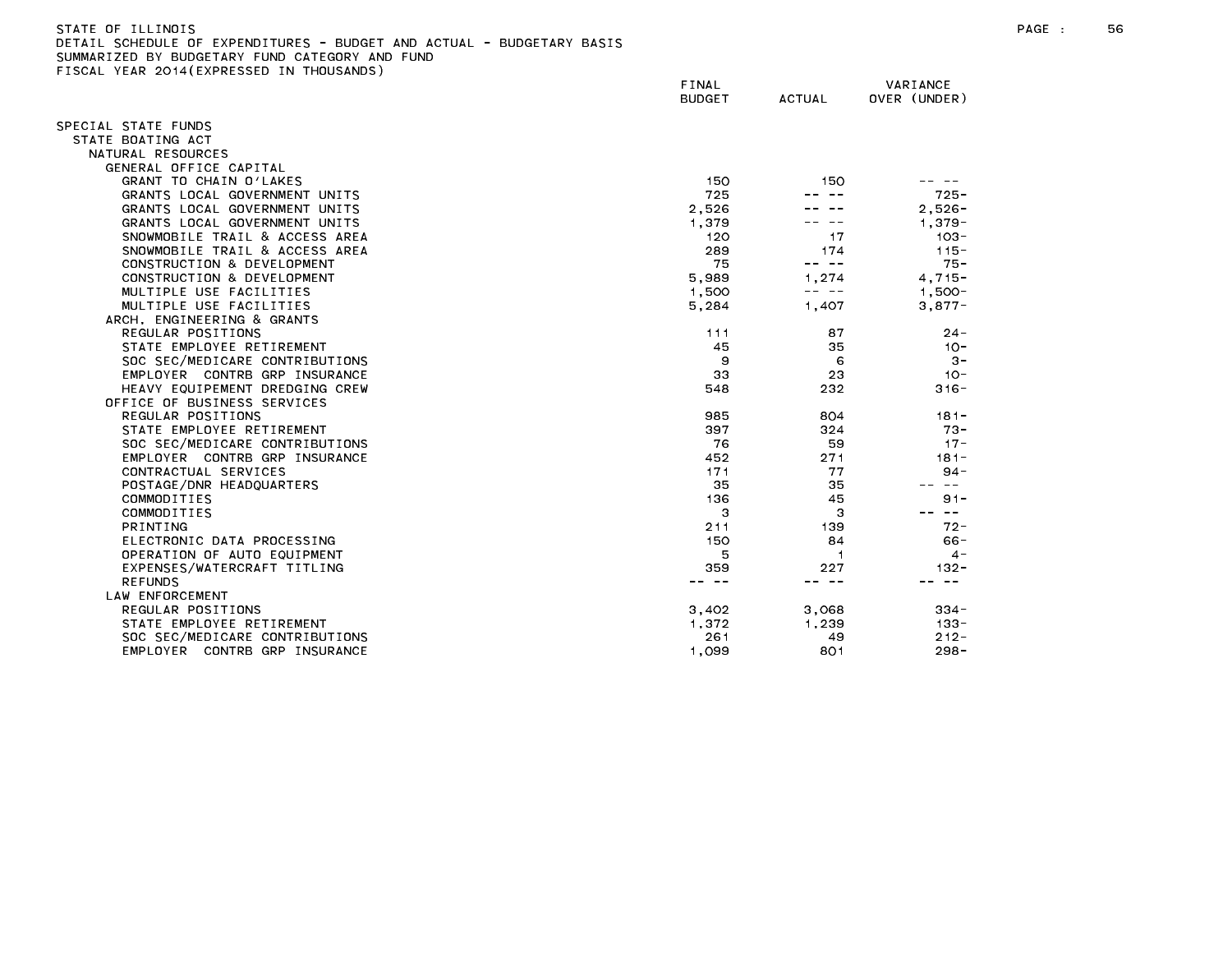STATE OF ILLINOIS PAGE : 56 DETAIL SCHEDULE OF EXPENDITURES - BUDGET AND ACTUAL - BUDGETARY BASIS

|                                | FINAL<br><b>BUDGET</b> | <b>ACTUAL</b>  | VARIANCE<br>OVER (UNDER)              |
|--------------------------------|------------------------|----------------|---------------------------------------|
| SPECIAL STATE FUNDS            |                        |                |                                       |
| STATE BOATING ACT              |                        |                |                                       |
| NATURAL RESOURCES              |                        |                |                                       |
| GENERAL OFFICE CAPITAL         |                        |                |                                       |
| GRANT TO CHAIN O'LAKES         | 150                    | 150            |                                       |
| GRANTS LOCAL GOVERNMENT UNITS  | 725                    |                | $725 -$                               |
| GRANTS LOCAL GOVERNMENT UNITS  | 2,526                  |                | $2.526 -$                             |
| GRANTS LOCAL GOVERNMENT UNITS  | 1.379                  |                | $1.379 -$                             |
| SNOWMOBILE TRAIL & ACCESS AREA | 120                    | 17             | $103 -$                               |
| SNOWMOBILE TRAIL & ACCESS AREA | 289                    | 174            | $115 -$                               |
| CONSTRUCTION & DEVELOPMENT     | 75                     | -- --          | $75 -$                                |
| CONSTRUCTION & DEVELOPMENT     | 5,989                  | 1.274          | $4.715 -$                             |
| MULTIPLE USE FACILITIES        | 1,500                  | -- --          | $1,500 -$                             |
| MULTIPLE USE FACILITIES        | 5,284                  | 1,407          | $3,877-$                              |
| ARCH, ENGINEERING & GRANTS     |                        |                |                                       |
| REGULAR POSITIONS              | 111                    | 87             | $24 -$                                |
| STATE EMPLOYEE RETIREMENT      | 45                     | 35             | $10 -$                                |
| SOC SEC/MEDICARE CONTRIBUTIONS | 9                      | 6              | $3 -$                                 |
| EMPLOYER CONTRB GRP INSURANCE  | 33                     | 23             | $10 -$                                |
| HEAVY EQUIPEMENT DREDGING CREW | 548                    | 232            | $316 -$                               |
| OFFICE OF BUSINESS SERVICES    |                        |                |                                       |
| REGULAR POSITIONS              | 985                    | 804            | $181 -$                               |
| STATE EMPLOYEE RETIREMENT      | 397                    | 324            | $73 -$                                |
| SOC SEC/MEDICARE CONTRIBUTIONS | 76                     | 59             | $17 -$                                |
| EMPLOYER CONTRB GRP INSURANCE  | 452                    | 271            | $181 -$                               |
| CONTRACTUAL SERVICES           | 171                    | 77             | $94 -$<br>$\sim$ $-$                  |
| POSTAGE/DNR HEADQUARTERS       | 35                     | 35             |                                       |
| COMMODITIES<br>COMMODITIES     | 136<br>3               | 45<br>з        | $91 -$<br>$\rightarrow$ $\rightarrow$ |
| PRINTING                       | 211                    | 139            | $72 -$                                |
| ELECTRONIC DATA PROCESSING     | 150                    | 84             | $66 -$                                |
| OPERATION OF AUTO EQUIPMENT    | 5                      | $\overline{1}$ | $4 -$                                 |
| EXPENSES/WATERCRAFT TITLING    | 359                    | 227            | $132 -$                               |
| <b>REFUNDS</b>                 | -- --                  | -- --          | $\sim$ $\sim$                         |
| LAW ENFORCEMENT                |                        |                |                                       |
| REGULAR POSITIONS              | 3,402                  | 3,068          | $334 -$                               |
| STATE EMPLOYEE RETIREMENT      | 1,372                  | 1,239          | $133 -$                               |
| SOC SEC/MEDICARE CONTRIBUTIONS | 261                    | 49             | $212 -$                               |
| EMPLOYER CONTRB GRP INSURANCE  | 1.099                  | 801            | $298 -$                               |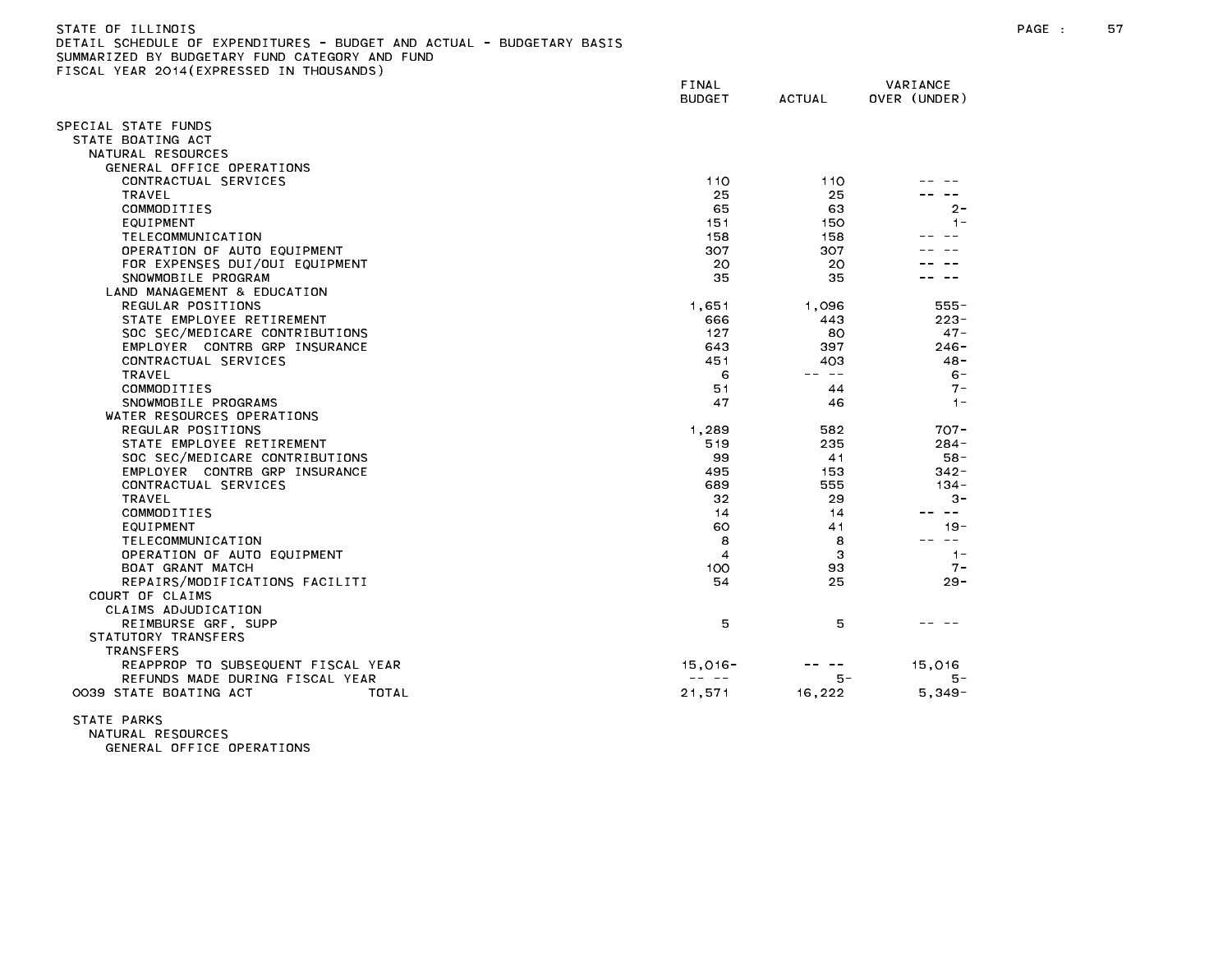| DETAIL SCHEDULE OF EXPENDITURES - BUDGET AND ACTUAL - BUDGETARY BASIS<br>SUMMARIZED BY BUDGETARY FUND CATEGORY AND FUND |                                                                                                                                                                                                                                                                                                                                                                                              |               |                     |
|-------------------------------------------------------------------------------------------------------------------------|----------------------------------------------------------------------------------------------------------------------------------------------------------------------------------------------------------------------------------------------------------------------------------------------------------------------------------------------------------------------------------------------|---------------|---------------------|
| FISCAL YEAR 2014(EXPRESSED IN THOUSANDS)                                                                                |                                                                                                                                                                                                                                                                                                                                                                                              |               |                     |
|                                                                                                                         | FINAL                                                                                                                                                                                                                                                                                                                                                                                        |               | VARIANCE            |
|                                                                                                                         | <b>BUDGET</b>                                                                                                                                                                                                                                                                                                                                                                                | <b>ACTUAL</b> | OVER (UNDER)        |
|                                                                                                                         |                                                                                                                                                                                                                                                                                                                                                                                              |               |                     |
| SPECIAL STATE FUNDS                                                                                                     |                                                                                                                                                                                                                                                                                                                                                                                              |               |                     |
| STATE BOATING ACT                                                                                                       |                                                                                                                                                                                                                                                                                                                                                                                              |               |                     |
| NATURAL RESOURCES                                                                                                       |                                                                                                                                                                                                                                                                                                                                                                                              |               |                     |
| GENERAL OFFICE OPERATIONS                                                                                               |                                                                                                                                                                                                                                                                                                                                                                                              |               |                     |
| CONTRACTUAL SERVICES                                                                                                    | 110                                                                                                                                                                                                                                                                                                                                                                                          | 110           |                     |
| TRAVEL                                                                                                                  | 25                                                                                                                                                                                                                                                                                                                                                                                           | 25            |                     |
| COMMODITIES                                                                                                             | 65                                                                                                                                                                                                                                                                                                                                                                                           | 63            | 2-                  |
| EQUIPMENT                                                                                                               | 151                                                                                                                                                                                                                                                                                                                                                                                          | 150           | $1 -$               |
| TELECOMMUNICATION                                                                                                       | 158                                                                                                                                                                                                                                                                                                                                                                                          | 158           |                     |
| OPERATION OF AUTO EQUIPMENT                                                                                             | 307                                                                                                                                                                                                                                                                                                                                                                                          | 307           |                     |
| FOR EXPENSES DUI/OUI EQUIPMENT                                                                                          | 20                                                                                                                                                                                                                                                                                                                                                                                           | 20            |                     |
| SNOWMOBILE PROGRAM                                                                                                      | 35                                                                                                                                                                                                                                                                                                                                                                                           | 35            |                     |
| LAND MANAGEMENT & EDUCATION                                                                                             |                                                                                                                                                                                                                                                                                                                                                                                              |               |                     |
| REGULAR POSITIONS                                                                                                       | 1.651                                                                                                                                                                                                                                                                                                                                                                                        | 1.096         | 555-                |
| STATE EMPLOYEE RETIREMENT                                                                                               | 666                                                                                                                                                                                                                                                                                                                                                                                          | 443           | $223 -$             |
| SOC SEC/MEDICARE CONTRIBUTIONS                                                                                          | 127                                                                                                                                                                                                                                                                                                                                                                                          | 80            | $47 -$              |
| EMPLOYER CONTRB GRP INSURANCE                                                                                           | 643                                                                                                                                                                                                                                                                                                                                                                                          | 397           | $246 -$             |
| CONTRACTUAL SERVICES                                                                                                    | 451                                                                                                                                                                                                                                                                                                                                                                                          | 403           | $48 -$              |
| TRAVEL                                                                                                                  | 6                                                                                                                                                                                                                                                                                                                                                                                            | -- --         | $6 -$               |
| COMMODITIES                                                                                                             | 51                                                                                                                                                                                                                                                                                                                                                                                           | 44            | $7 -$               |
| SNOWMOBILE PROGRAMS                                                                                                     | 47                                                                                                                                                                                                                                                                                                                                                                                           | 46            | $1 -$               |
| WATER RESOURCES OPERATIONS                                                                                              |                                                                                                                                                                                                                                                                                                                                                                                              |               |                     |
| REGULAR POSITIONS                                                                                                       | 1,289                                                                                                                                                                                                                                                                                                                                                                                        | 582           | $707 -$             |
| STATE EMPLOYEE RETIREMENT                                                                                               | 519                                                                                                                                                                                                                                                                                                                                                                                          | 235           | $284 -$             |
| SOC SEC/MEDICARE CONTRIBUTIONS                                                                                          | 99                                                                                                                                                                                                                                                                                                                                                                                           | 41            | $58 -$              |
| EMPLOYER CONTRB GRP INSURANCE                                                                                           | 495                                                                                                                                                                                                                                                                                                                                                                                          | 153           | $342 -$             |
| CONTRACTUAL SERVICES                                                                                                    | 689                                                                                                                                                                                                                                                                                                                                                                                          | 555           | 134 -               |
| TRAVEL<br>COMMODITIES                                                                                                   | 32<br>14                                                                                                                                                                                                                                                                                                                                                                                     | 29<br>14      | $3 -$<br>$\sim$ $-$ |
| EQUIPMENT                                                                                                               | 60                                                                                                                                                                                                                                                                                                                                                                                           | 41            | $19 -$              |
|                                                                                                                         | 8                                                                                                                                                                                                                                                                                                                                                                                            | 8             | $\sim$ $-$          |
| TELECOMMUNICATION<br>OPERATION OF AUTO EQUIPMENT                                                                        | $\overline{4}$                                                                                                                                                                                                                                                                                                                                                                               | 3             | $1 -$               |
| BOAT GRANT MATCH                                                                                                        | 100                                                                                                                                                                                                                                                                                                                                                                                          | 93            | $7 -$               |
| REPAIRS/MODIFICATIONS FACILITI                                                                                          | 54                                                                                                                                                                                                                                                                                                                                                                                           | 25            | $29 -$              |
| COURT OF CLAIMS                                                                                                         |                                                                                                                                                                                                                                                                                                                                                                                              |               |                     |
| CLAIMS ADJUDICATION                                                                                                     |                                                                                                                                                                                                                                                                                                                                                                                              |               |                     |
| REIMBURSE GRF, SUPP                                                                                                     | 5                                                                                                                                                                                                                                                                                                                                                                                            | 5             |                     |
| STATUTORY TRANSFERS                                                                                                     |                                                                                                                                                                                                                                                                                                                                                                                              |               |                     |
| <b>TRANSFERS</b>                                                                                                        |                                                                                                                                                                                                                                                                                                                                                                                              |               |                     |
| REAPPROP TO SUBSEQUENT FISCAL YEAR                                                                                      | 15,016-                                                                                                                                                                                                                                                                                                                                                                                      |               | 15,016              |
| REFUNDS MADE DURING FISCAL YEAR                                                                                         | $\frac{1}{2} \frac{1}{2} \frac{1}{2} \frac{1}{2} \frac{1}{2} \frac{1}{2} \frac{1}{2} \frac{1}{2} \frac{1}{2} \frac{1}{2} \frac{1}{2} \frac{1}{2} \frac{1}{2} \frac{1}{2} \frac{1}{2} \frac{1}{2} \frac{1}{2} \frac{1}{2} \frac{1}{2} \frac{1}{2} \frac{1}{2} \frac{1}{2} \frac{1}{2} \frac{1}{2} \frac{1}{2} \frac{1}{2} \frac{1}{2} \frac{1}{2} \frac{1}{2} \frac{1}{2} \frac{1}{2} \frac{$ | 5 –           | 5 -                 |
| 0039 STATE BOATING ACT<br>TOTAL                                                                                         | 21,571                                                                                                                                                                                                                                                                                                                                                                                       | 16,222        | $5,349-$            |
|                                                                                                                         |                                                                                                                                                                                                                                                                                                                                                                                              |               |                     |

STATE PARKS

NATURAL RESOURCES GENERAL OFFICE OPERATIONS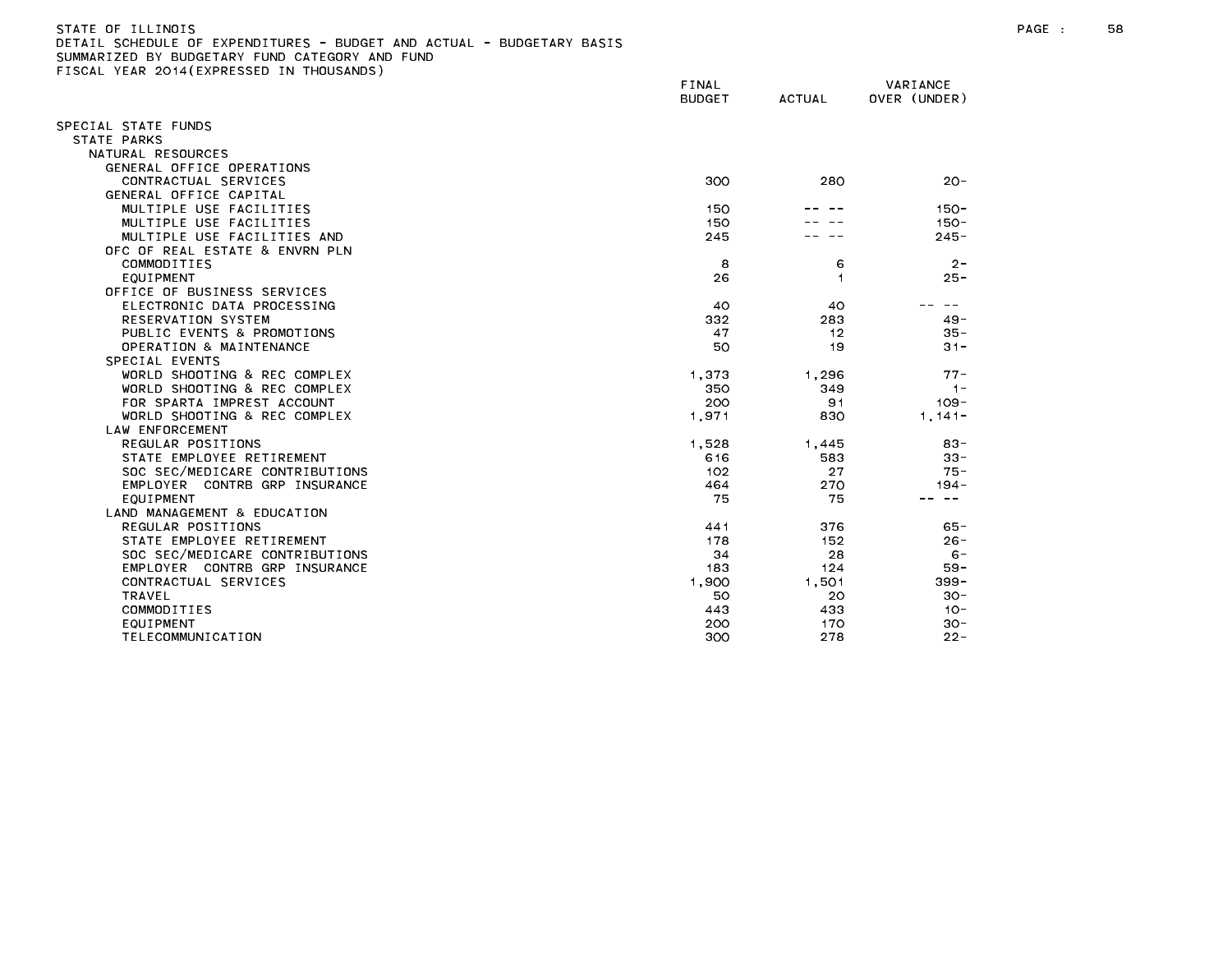| STATE OF ILLINOIS                                                                                               | PAGE | 58. |
|-----------------------------------------------------------------------------------------------------------------|------|-----|
| DETAIL SCHEDULE OF EXPENDITURES - BUDGET AND ACTUAL - BUDGETARY BASIS                                           |      |     |
| additional company and company company and company are company and company company and company company and comp |      |     |

| SUCH TEAR LUTTLEAT REUDED      | FINAL<br><b>BUDGET</b> | <b>ACTUAL</b>  | VARIANCE<br>OVER (UNDER) |
|--------------------------------|------------------------|----------------|--------------------------|
| SPECIAL STATE FUNDS            |                        |                |                          |
| STATE PARKS                    |                        |                |                          |
| NATURAL RESOURCES              |                        |                |                          |
| GENERAL OFFICE OPERATIONS      |                        |                |                          |
| CONTRACTUAL SERVICES           | 300                    | 280            | $20 -$                   |
| GENERAL OFFICE CAPITAL         |                        |                |                          |
| MULTIPLE USE FACILITIES        | 150                    |                | $150 -$                  |
| MULTIPLE USE FACILITIES        | 150                    |                | $150 -$                  |
| MULTIPLE USE FACILITIES AND    | 245                    |                | $245 -$                  |
| OFC OF REAL ESTATE & ENVRN PLN |                        |                |                          |
| COMMODITIES                    | 8                      | 6              | $2 -$                    |
| EQUIPMENT                      | 26                     | $\overline{1}$ | $25 -$                   |
| OFFICE OF BUSINESS SERVICES    |                        |                |                          |
| ELECTRONIC DATA PROCESSING     | 40                     | 40             |                          |
| RESERVATION SYSTEM             | 332                    | 283            | $49 -$                   |
| PUBLIC EVENTS & PROMOTIONS     | 47                     | 12             | $35 -$                   |
| OPERATION & MAINTENANCE        | 50                     | 19             | $31 -$                   |
| SPECIAL EVENTS                 |                        |                |                          |
| WORLD SHOOTING & REC COMPLEX   | 1.373                  | 1.296          | $77 -$                   |
| WORLD SHOOTING & REC COMPLEX   | 350                    | 349            | $1 -$                    |
| FOR SPARTA IMPREST ACCOUNT     | 200                    | 91             | $109 -$                  |
| WORLD SHOOTING & REC COMPLEX   | 1.971                  | 830            | $1, 141 -$               |
| LAW ENFORCEMENT                |                        |                |                          |
| REGULAR POSITIONS              | 1.528                  | 1.445          | $83 -$                   |
| STATE EMPLOYEE RETIREMENT      | 616                    | 583            | $33 -$                   |
| SOC SEC/MEDICARE CONTRIBUTIONS | 102                    | 27             | $75 -$                   |
| EMPLOYER CONTRB GRP INSURANCE  | 464                    | 270            | $194 -$                  |
| EQUIPMENT                      | 75                     | 75             | $\sim$ $-$               |
| LAND MANAGEMENT & EDUCATION    |                        |                |                          |
| REGULAR POSITIONS              | 441                    | 376            | $65 -$                   |
| STATE EMPLOYEE RETIREMENT      | 178                    | 152            | $26 -$                   |
| SOC SEC/MEDICARE CONTRIBUTIONS | 34                     | 28             | $6 -$                    |
| EMPLOYER CONTRB GRP INSURANCE  | 183                    | 124            | $59 -$                   |
| CONTRACTUAL SERVICES           | 1,900                  | 1,501          | $399 -$                  |
| TRAVEL                         | 50                     | 20             | $30 -$                   |
| COMMODITIES                    | 443                    | 433            | $10 -$                   |
| EQUIPMENT                      | 200                    | 170            | $30 -$                   |
| <b>TELECOMMUNICATION</b>       | 300                    | 278            | $22 -$                   |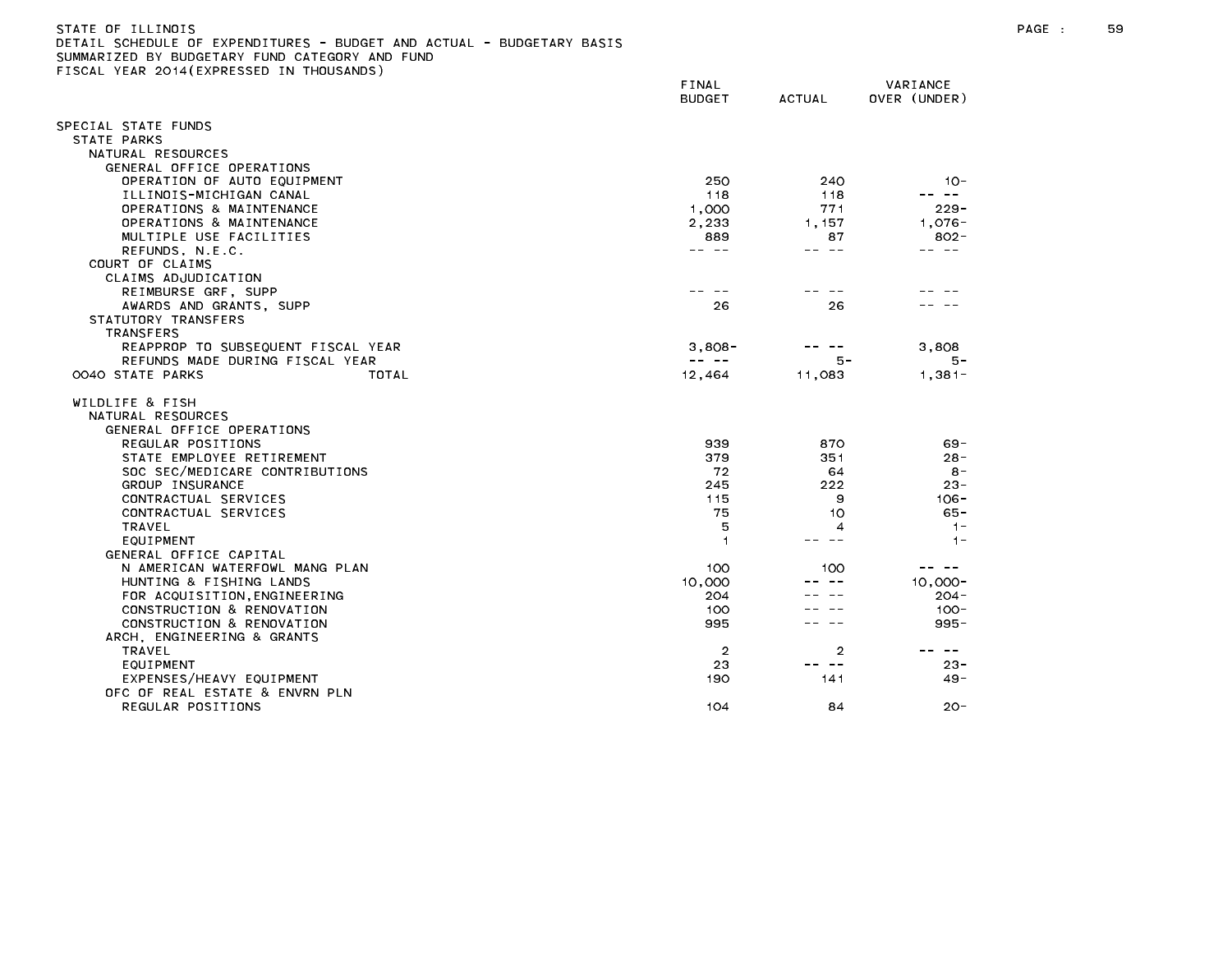| STATE OF ILLINOIS                                                    |  |  |  |
|----------------------------------------------------------------------|--|--|--|
| DETAIL SCHEDULE OF EXPENDITURES - BUDGET AND ACTUAL - BUDGETARY BASI |  |  |  |
| SUMMARIZED BY BUDGETARY FUND CATEGORY AND FUND                       |  |  |  |

FINAL VARIANCE BUDGET ACTUAL OVER (UNDER) SPECIAL STATE FUNDS STATE PARKS NATURAL RESOURCES GENERAL OFFICE OPERATIONS OPERATION OF AUTO EQUIPMENT 250 240 10- ILLINOIS-MICHIGAN CANAL 118 118 -- -- OPERATIONS & MAINTENANCE 229-OPERATIONS & MAINTENANCE 2,233 1,157 1,076-MULTIPLE USE FACILITIES And the set of the set of the set of the set of the set of the set of the set of the set of the set of the set of the set of the set of the set of the set of the set of the set of the set of the set COURT OF CLAIMS CLAIMS ADJUDICATION REIMBURSE GRF, SUPP -- -- -- -- -- -- AWARDS AND GRANTS, SUPP 26 26 26 27 27 28 27 28 27 28 27 28 27 28 27 28 28 28 29 28 28 28 29 28 28 28 28 28 28 STATUTORY TRANSFERS TRANSFERS REAPPROP TO SUBSEQUENT FISCAL YEAR 3,808- --- 3,808- 3,808- 3,808- 3,808- 3,808-REFUNDS MADE DURING FISCAL YEAR -- -- 5- 5- 0040 STATE PARKS TOTAL 12,464 11,083 1,381- WILDLIFE & FISH NATURAL RESOURCES GENERAL OFFICE OPERATIONS REGULAR POSITIONS 939 870 69- STATE EMPLOYEE RETIREMENT And the state of the state of the state of the state of the state of the state of the state of the state of the state of the state of the state of the state of the state of the state of the state SOC SEC/MEDICARE CONTRIBUTIONS 72 64 8- GROUP INSURANCE 23-CONTRACTUAL SERVICES 115 9 106- CONTRACTUAL SERVICES 75 10 65- GENERAL OFFICE CAPITAL N AMERICAN WATERFOWL MANG PLAN 100 100 100 ----HUNTING & FISHING LANDS 10,000 -- -- 10,000- FOR ACQUISITION,ENGINEERING 204 -- -- 204- CONSTRUCTION & RENOVATION 100 -- -- 100- CONSTRUCTION & RENOVATION 995 -- -- 995- ARCH, ENGINEERING & GRANTS EXPENSES/HEAVY EQUIPMENT 49-OFC OF REAL ESTATE & ENVRN PLN REGULAR POSITIONS 20-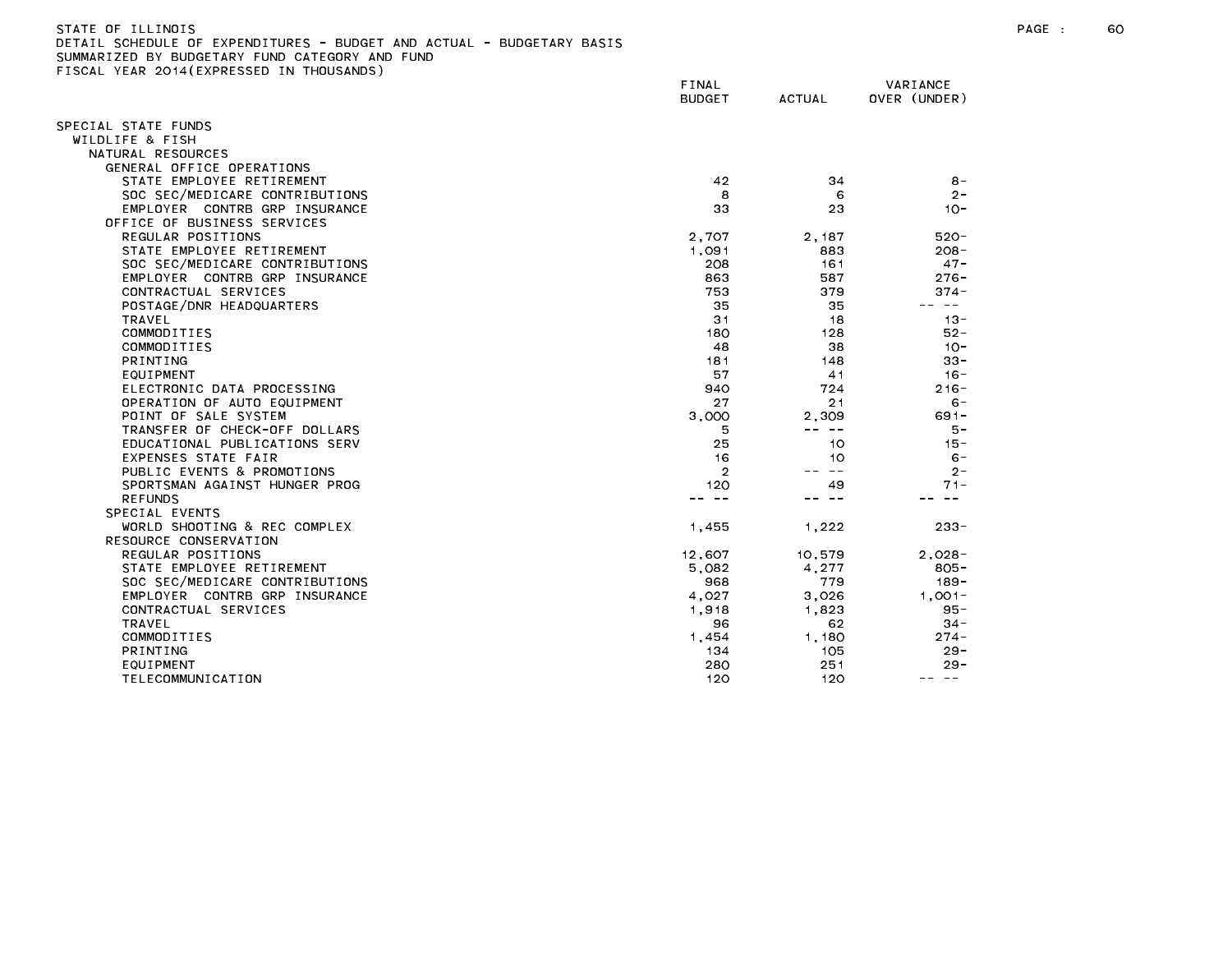| ETAIL SCHEDULE OF EXPENDITURES - BUDGET AND ACTUAL - BUDGETARY BASIS |                |               |                  |
|----------------------------------------------------------------------|----------------|---------------|------------------|
| UMMARIZED BY BUDGETARY FUND CATEGORY AND FUND                        |                |               |                  |
| ISCAL YEAR 2014 (EXPRESSED IN THOUSANDS)                             |                |               |                  |
|                                                                      | FINAL          |               | VARIANCE         |
|                                                                      | <b>BUDGET</b>  | <b>ACTUAL</b> | OVER (UNDER)     |
|                                                                      |                |               |                  |
| PECIAL STATE FUNDS                                                   |                |               |                  |
| WILDLIFE & FISH                                                      |                |               |                  |
| NATURAL RESOURCES                                                    |                |               |                  |
| GENERAL OFFICE OPERATIONS                                            |                |               |                  |
| STATE EMPLOYEE RETIREMENT                                            | 42             | 34            | $8 -$            |
| SOC SEC/MEDICARE CONTRIBUTIONS                                       | 8              | 6             | $2 -$            |
| EMPLOYER CONTRB GRP INSURANCE                                        | 33             | 23            | $10 -$           |
| OFFICE OF BUSINESS SERVICES                                          |                |               |                  |
| REGULAR POSITIONS                                                    | 2,707          | 2,187         | $520 -$          |
| STATE EMPLOYEE RETIREMENT                                            | 1,091          | 883           | $208 -$          |
| SOC SEC/MEDICARE CONTRIBUTIONS                                       | 208            | 161           | $47 -$           |
| EMPLOYER CONTRB GRP INSURANCE                                        | 863            | 587           | $276 -$          |
| CONTRACTUAL SERVICES                                                 | 753            | 379           | $374 -$          |
| POSTAGE/DNR HEADQUARTERS                                             | 35             | 35            | $\sim$ $-$<br>-- |
| TRAVEL                                                               | 31             | 18            | $13 -$           |
| COMMODITIES                                                          | 180            | 128           | $52 -$           |
| COMMODITIES                                                          | 48             | 38            | $10 -$           |
| <b>PRINTING</b>                                                      | 181            | 148           | $33 -$           |
| EQUIPMENT                                                            | 57             | 41            | $16 -$           |
| ELECTRONIC DATA PROCESSING                                           | 940            | 724           | $216 -$          |
| OPERATION OF AUTO EQUIPMENT                                          | 27             | 21            | $6 -$            |
| POINT OF SALE SYSTEM                                                 | 3.000          | 2,309         | $691 -$          |
| TRANSFER OF CHECK-OFF DOLLARS                                        | 5              | $- - - - -$   | $5 -$            |
| EDUCATIONAL PUBLICATIONS SERV                                        | 25             | 10            | $15 -$           |
| EXPENSES STATE FAIR                                                  | 16             | 10            | $6 -$            |
| PUBLIC EVENTS & PROMOTIONS                                           | $\overline{2}$ | $- -$         | $2 -$            |
| SPORTSMAN AGAINST HUNGER PROG                                        | 120            | 49            | $71 -$           |
| <b>REFUNDS</b>                                                       | $\sim$ $-$     | -- --         | $- -$            |
| SPECIAL EVENTS                                                       |                |               |                  |
| WORLD SHOOTING & REC COMPLEX                                         | 1,455          | 1,222         | $233 -$          |
| RESOURCE CONSERVATION                                                |                |               |                  |
| REGULAR POSITIONS                                                    | 12,607         | 10,579        | $2,028 -$        |
| STATE EMPLOYEE RETIREMENT                                            | 5,082          | 4,277         | $805 -$          |
| SOC SEC/MEDICARE CONTRIBUTIONS                                       | 968            | 779           | $189 -$          |
| EMPLOYER CONTRB GRP INSURANCE                                        | 4,027          | 3,026         | $1,001-$         |
| CONTRACTUAL SERVICES                                                 | 1,918          | 1.823         | $95 -$           |
| TRAVEL                                                               | 96             | 62            | $34 -$           |
| COMMODITIES                                                          | 1,454          | 1,180         | $274 -$          |
| <b>PRINTING</b>                                                      | 134            | 105           | $29 -$           |
| EQUIPMENT                                                            | 280            | 251           | $29 -$           |
| TELECOMMUNICATION                                                    | 120            | 120           | -- --            |
|                                                                      |                |               |                  |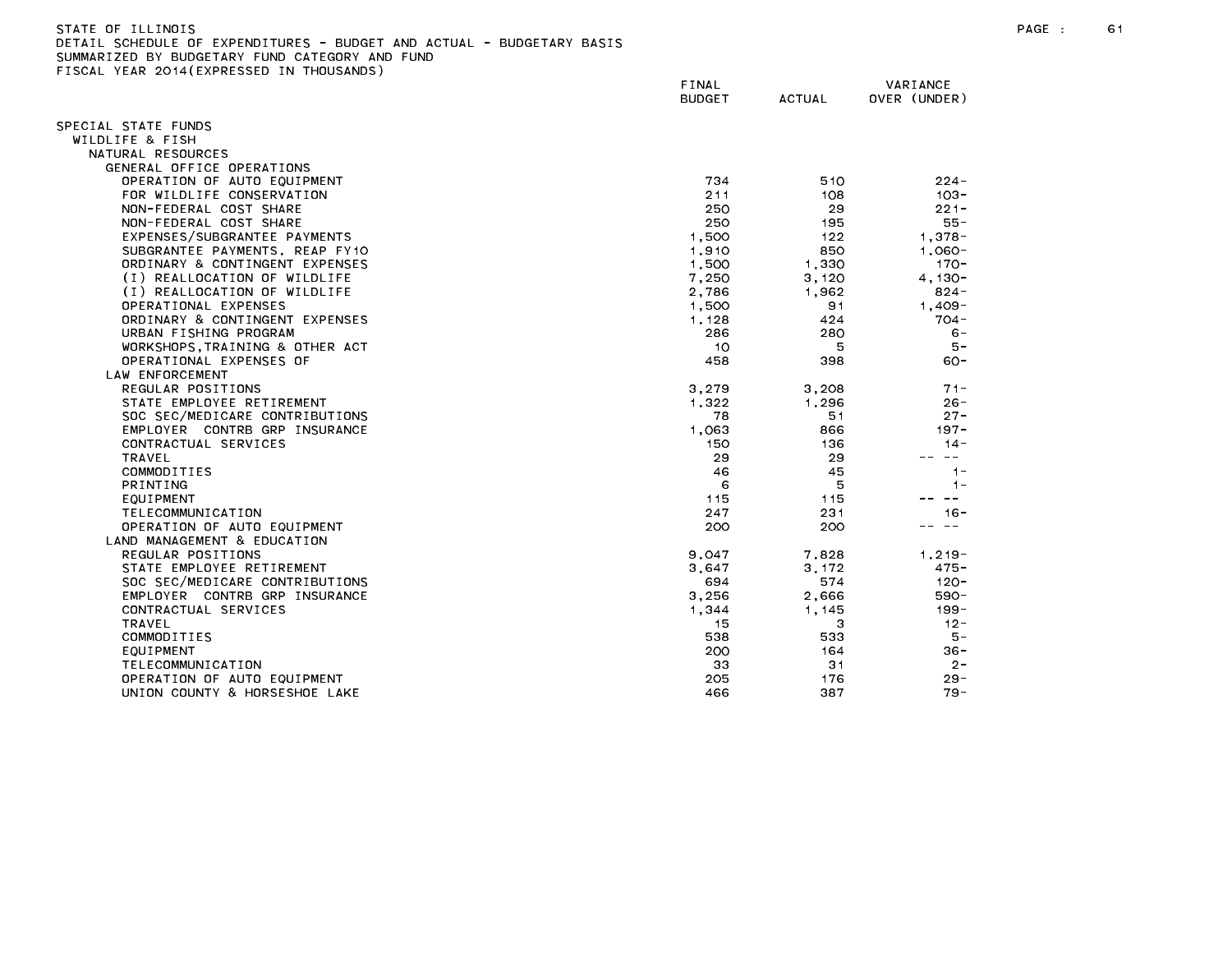STATE OF ILLINOIS PAGE : 61 DETAIL SCHEDULE OF EXPENDITURES - BUDGET AND ACTUAL - BUDGETARY BASIS

| $\sim$ 1998 $\sim$ 1988 2914 (2016) $\sim$ 29929 | FINAL<br><b>BUDGET</b> | <b>ACTUAL</b> | VARIANCE<br>OVER (UNDER) |
|--------------------------------------------------|------------------------|---------------|--------------------------|
| SPECIAL STATE FUNDS                              |                        |               |                          |
| WILDLIFE & FISH                                  |                        |               |                          |
| NATURAL RESOURCES                                |                        |               |                          |
| GENERAL OFFICE OPERATIONS                        |                        |               |                          |
| OPERATION OF AUTO EQUIPMENT                      | 734                    | 510           | $224 -$                  |
| FOR WILDLIFE CONSERVATION                        | 211                    | 108           | $103 -$                  |
| NON-FEDERAL COST SHARE                           | 250                    | 29            | $221 -$                  |
| NON-FEDERAL COST SHARE                           | 250                    | 195           | $55 -$                   |
| EXPENSES/SUBGRANTEE PAYMENTS                     | 1,500                  | 122           | $1.378 -$                |
| SUBGRANTEE PAYMENTS, REAP FY10                   | 1,910                  | 850           | $1.060 -$                |
| ORDINARY & CONTINGENT EXPENSES                   | 1,500                  | 1,330         | $170 -$                  |
| (I) REALLOCATION OF WILDLIFE                     | 7,250                  | 3,120         | $4.130 -$                |
| (I) REALLOCATION OF WILDLIFE                     | 2,786                  | 1,962         | $824 -$                  |
| OPERATIONAL EXPENSES                             | 1,500                  | 91            | $1.409 -$                |
| ORDINARY & CONTINGENT EXPENSES                   | 1,128                  | 424           | $704 -$                  |
| URBAN FISHING PROGRAM                            | 286                    | 280           | $6 -$                    |
| WORKSHOPS TRAINING & OTHER ACT                   | 10                     | 5             | $5 -$                    |
| OPERATIONAL EXPENSES OF                          | 458                    | 398           | $60 -$                   |
| LAW ENFORCEMENT                                  |                        |               |                          |
| REGULAR POSITIONS                                | 3,279                  | 3,208         | $71 -$                   |
| STATE EMPLOYEE RETIREMENT                        | 1.322                  | 1.296         | $26 -$                   |
| SOC SEC/MEDICARE CONTRIBUTIONS                   | 78                     | 51            | $27 -$                   |
| EMPLOYER CONTRB GRP INSURANCE                    | 1,063                  | 866           | $197 -$                  |
| CONTRACTUAL SERVICES                             | 150                    | 136           | $14 -$                   |
| <b>TRAVEL</b>                                    | 29                     | 29            | $\sim$ $-$               |
| COMMODITIES                                      | 46                     | 45            | $1 -$                    |
| PRINTING                                         | 6                      | 5             | $1 -$                    |
| EQUIPMENT                                        | 115                    | 115           | $\sim$ $-$               |
| TELECOMMUNICATION                                | 247                    | 231           | $16 -$                   |
| OPERATION OF AUTO EQUIPMENT                      | 200                    | 200           | $- -$                    |
| LAND MANAGEMENT & EDUCATION<br>REGULAR POSITIONS |                        | 7.828         | $1.219 -$                |
| STATE EMPLOYEE RETIREMENT                        | 9,047                  |               | 475 -                    |
| SOC SEC/MEDICARE CONTRIBUTIONS                   | 3,647<br>694           | 3,172<br>574  | $120 -$                  |
| EMPLOYER CONTRB GRP INSURANCE                    | 3,256                  | 2,666         | 590-                     |
| CONTRACTUAL SERVICES                             | 1,344                  | 1.145         | $199 -$                  |
| <b>TRAVEL</b>                                    | 15                     | 3             | $12 -$                   |
| COMMODITIES                                      | 538                    | 533           | 5 –                      |
| EQUIPMENT                                        | 200                    | 164           | $36 -$                   |
| TELECOMMUNICATION                                | 33                     | 31            | $2 -$                    |
| OPERATION OF AUTO EQUIPMENT                      | 205                    | 176           | $29 -$                   |
| UNION COUNTY & HORSESHOE LAKE                    | 466                    | 387           | $79 -$                   |
|                                                  |                        |               |                          |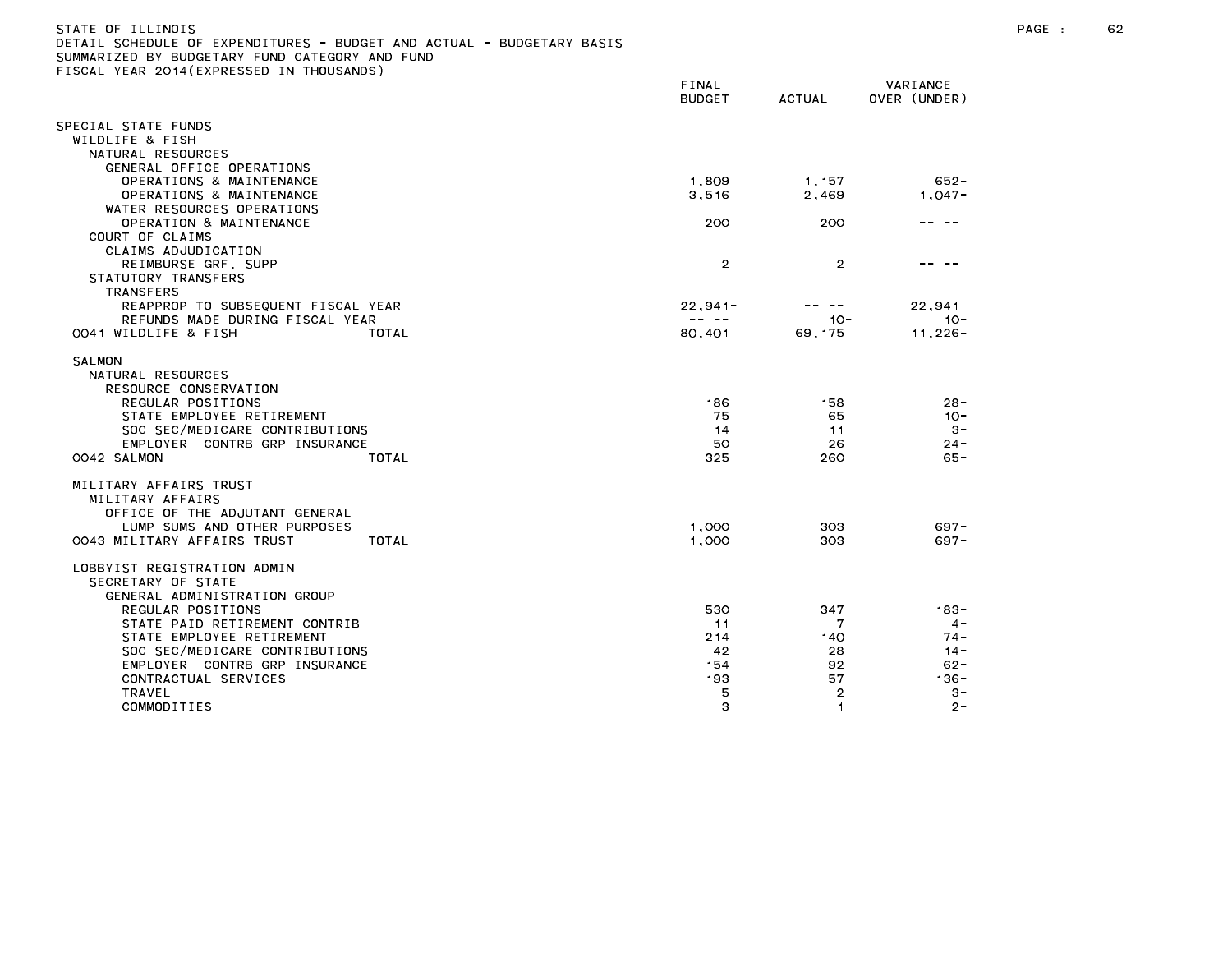| STATE OF ILLINOIS                                                     |  |  |
|-----------------------------------------------------------------------|--|--|
| DETAIL SCHEDULE OF EXPENDITURES - BUDGET AND ACTUAL - BUDGETARY BASIS |  |  |
| SUMMARIZED BY BUDGETARY FUND CATEGORY AND FUND                        |  |  |

FINAL VARIANCE BUDGET ACTUAL OVER (UNDER) SPECIAL STATE FUNDS WILDLIFE & FISH NATURAL RESOURCES GENERAL OFFICE OPERATIONS OPERATIONS & MAINTENANCE 1,809 1,157 652- OPERATIONS & MAINTENANCE 2,469 1,047-WATER RESOURCES OPERATIONS OPERATION & MAINTENANCE 200 200 -- -- COURT OF CLAIMS CLAIMS ADJUDICATION REIMBURSE GRF, SUPP 2 2 -- -- STATUTORY TRANSFERS TRANSFERS REAPPROP TO SUBSEQUENT FISCAL YEAR 22.941 22.941- 22.941- 22.941 REFUNDS MADE DURING FISCAL YEAR -- -- 10- 10- 0041 WILDLIFE & FISH TOTAL 80,401 69,175 11,226- SALMON NATURAL RESOURCES RESOURCE CONSERVATION REGULAR POSITIONS 186 158 28- STATE EMPLOYEE RETIREMENT And the state of the state of the state of the state of the state of the state of the state of the state of the state of the state of the state of the state of the state of the state of the state SOC SEC/MEDICARE CONTRIBUTIONS 6. THE SECOND RESERVED ASSESSED. THE SECOND RESERVED ASSESSED. THE SECOND RESERVED ASSESSED. EMPLOYER CONTRB GRP INSURANCE **1999 124-** 24-MILITARY AFFAIRS TRUST MILITARY AFFAIRS OFFICE OF THE ADJUTANT GENERAL LUMP SUMS AND OTHER PURPOSES 1,000 303 697- 0043 MILITARY AFFAIRS TRUST TOTAL 1,000 303 697- LOBBYIST REGISTRATION ADMIN SECRETARY OF STATE GENERAL ADMINISTRATION GROUP REGULAR POSITIONS 530 347 183- STATE PAID RETIREMENT CONTRIB **11** 4-STATE EMPLOYEE RETIREMENT 74-SOC SEC/MEDICARE CONTRIBUTIONS 42 28 14- EMPLOYER CONTRB GRP INSURANCE 154 92 62- CONTRACTUAL SERVICES 193 57 136- COMMODITIES 3 1 2-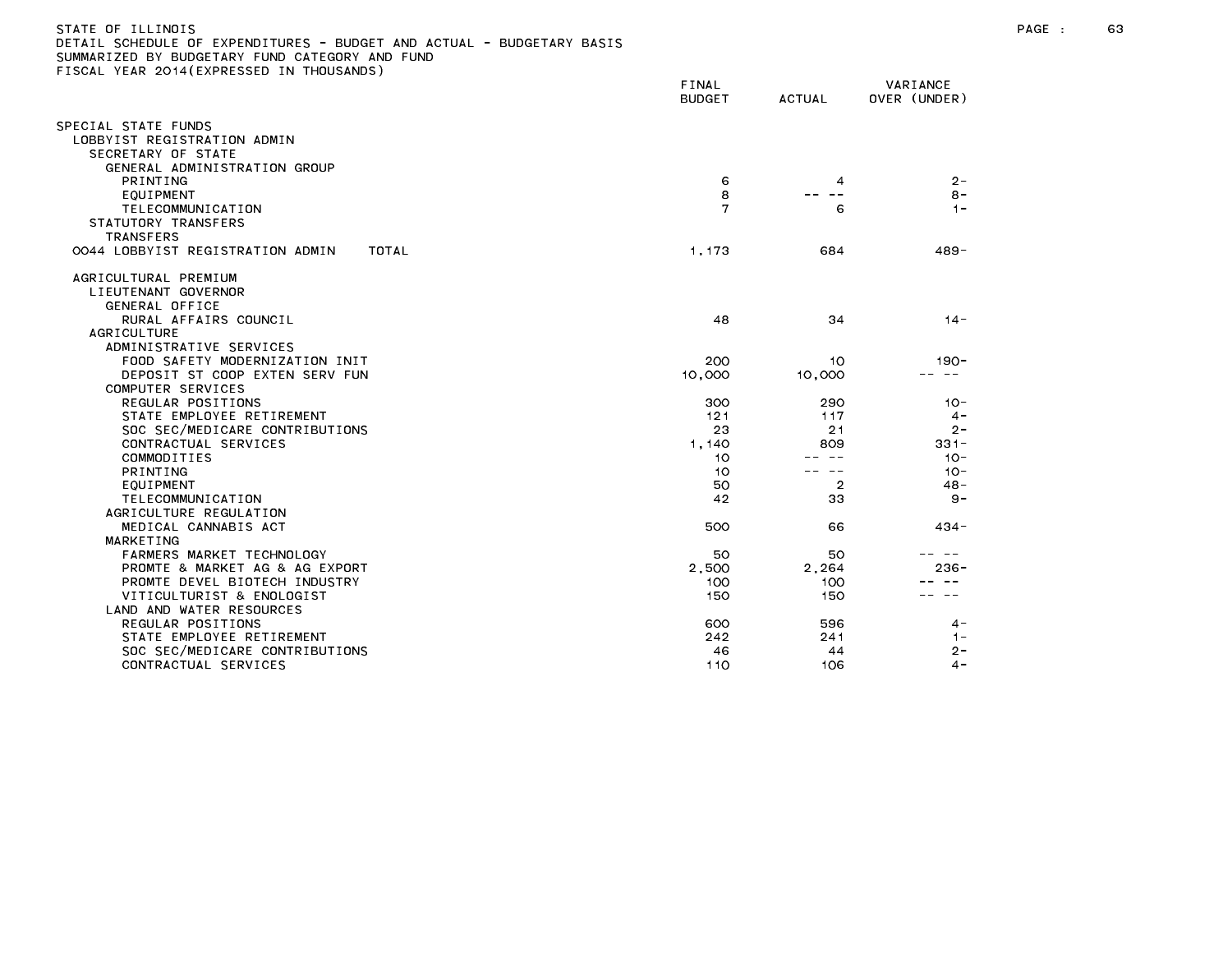| STATE OF ILLINOIS<br>DETAIL SCHEDULE OF EXPENDITURES - BUDGET AND ACTUAL - BUDGETARY BASIS<br>SUMMARIZED BY BUDGETARY FUND CATEGORY AND FUND<br>FISCAL YEAR 2014(EXPRESSED IN THOUSANDS) | FINAL<br><b>BUDGET</b> | ACTUAL | VARIANCE<br>OVER (UNDER) |
|------------------------------------------------------------------------------------------------------------------------------------------------------------------------------------------|------------------------|--------|--------------------------|
| SPECIAL STATE FUNDS<br>LOBBYIST REGISTRATION ADMIN<br>SECRETARY OF STATE<br>GENERAL ADMINISTRATION GROUP                                                                                 |                        |        |                          |
| PRINTING                                                                                                                                                                                 | 6                      |        | $2 -$                    |
| EQUIPMENT                                                                                                                                                                                | 8                      |        | $8 -$                    |
| TELECOMMUNICATION                                                                                                                                                                        |                        | 6      | $\blacksquare$           |
| STATUTORY TRANSFERS<br><b>TRANSFERS</b>                                                                                                                                                  |                        |        |                          |
| 0044 LOBBYIST REGISTRATION ADMIN<br>TOTAL                                                                                                                                                | 1.173                  | 684    | 489-                     |

| UTT LUDDIIJI KLUIJIKAIIUN ADMIN | .      | v v –          |   |
|---------------------------------|--------|----------------|---|
| GRICULTURAL PREMIUM             |        |                |   |
| LIEUTENANT GOVERNOR             |        |                |   |
| GENERAL OFFICE                  |        |                |   |
| RURAL AFFAIRS COUNCIL           | 48     | 34             |   |
| <b>AGRICULTURE</b>              |        |                |   |
| ADMINISTRATIVE SERVICES         |        |                |   |
| FOOD SAFETY MODERNIZATION INIT  | 200    | 10             |   |
| DEPOSIT ST COOP EXTEN SERV FUN  | 10,000 | 10,000         |   |
| COMPUTER SERVICES               |        |                |   |
| REGULAR POSITIONS               | 300    | 290            |   |
| STATE EMPLOYEE RETIREMENT       | 121    | 117            |   |
| SOC SEC/MEDICARE CONTRIBUTIONS  | 23     | 21             |   |
| CONTRACTUAL SERVICES            | 1,140  | 809            |   |
| COMMODITIES                     | 10     |                |   |
| PRINTING                        | 10     |                |   |
| EQUIPMENT                       | 50     | $\overline{2}$ |   |
| TELECOMMUNICATION               | 42     | 33             |   |
| AGRICULTURE REGULATION          |        |                |   |
| MEDICAL CANNABIS ACT            | 500    | 66             | 4 |
| MARKETING                       |        |                |   |
| FARMERS MARKET TECHNOLOGY       | 50     | 50             |   |
| PROMTE & MARKET AG & AG EXPORT  | 2.500  | 2.264          | 2 |
| PROMTE DEVEL BIOTECH INDUSTRY   | 100    | 100            |   |
| VITICULTURIST & ENOLOGIST       | 150    | 150            |   |
| LAND AND WATER RESOURCES        |        |                |   |
| REGULAR POSITIONS               | 600    | 596            |   |
| STATE EMPLOYEE RETIREMENT       | 242    | 241            |   |
| SOC SEC/MEDICARE CONTRIBUTIONS  | 46     | 44             |   |
| CONTRACTUAL SERVICES            | 110    | 106            |   |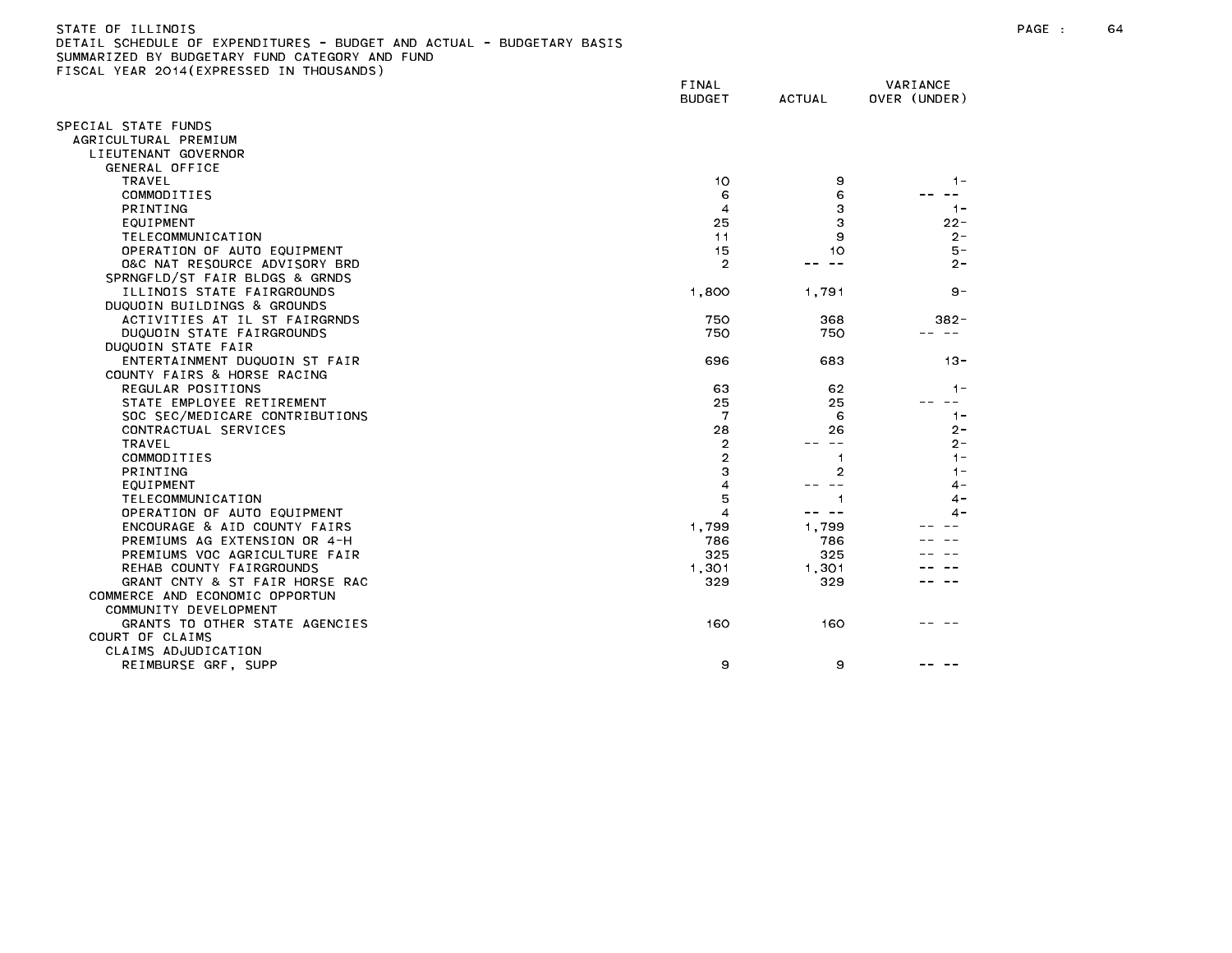| SUMMARIZED BY BUDGETARY FUND CATEGORY AND FUND |                |               |              |
|------------------------------------------------|----------------|---------------|--------------|
| FISCAL YEAR 2014(EXPRESSED IN THOUSANDS)       | FINAL          |               | VARIANCE     |
|                                                | <b>BUDGET</b>  | <b>ACTUAL</b> | OVER (UNDER) |
| SPECIAL STATE FUNDS                            |                |               |              |
| AGRICULTURAL PREMIUM                           |                |               |              |
| LIEUTENANT GOVERNOR                            |                |               |              |
| GENERAL OFFICE                                 |                |               |              |
| TRAVEL                                         | 10             | 9             | $1 -$        |
| COMMODITIES                                    | 6              | 6             |              |
| PRINTING                                       | $\overline{4}$ | 3             | $1 -$        |
| EQUIPMENT                                      | 25             | 3             | $22 -$       |
| TELECOMMUNICATION                              | 11             | 9             | $2 -$        |
| OPERATION OF AUTO EQUIPMENT                    | 15             | 10            | 5 –          |
| 0&C NAT RESOURCE ADVISORY BRD                  | $\overline{2}$ |               | $2 -$        |
| SPRNGFLD/ST FAIR BLDGS & GRNDS                 |                |               |              |
| ILLINOIS STATE FAIRGROUNDS                     | 1,800          | 1,791         | $9 -$        |
| DUQUOIN BUILDINGS & GROUNDS                    |                |               |              |
| ACTIVITIES AT IL ST FAIRGRNDS                  | 750            | 368           | $382 -$      |
| DUQUOIN STATE FAIRGROUNDS                      | 750            | 750           |              |
| DUQUOIN STATE FAIR                             |                |               |              |
| ENTERTAINMENT DUQUOIN ST FAIR                  | 696            | 683           | $13 -$       |
| COUNTY FAIRS & HORSE RACING                    |                |               |              |
| REGULAR POSITIONS                              | 63             | 62            | $1 -$        |
| STATE EMPLOYEE RETIREMENT                      | 25             | 25            | $- -$        |
| SOC SEC/MEDICARE CONTRIBUTIONS                 | 7              | 6             | $1 -$        |
| CONTRACTUAL SERVICES                           | 28             | 26            | $2 -$        |
| TRAVEL                                         | $\overline{2}$ | $- -$         | 2-           |
| COMMODITIES                                    | 2              | 1             | $1 -$        |
| <b>PRINTING</b>                                | 3              | 2             | $1 -$        |
| EQUIPMENT                                      | 4              |               | 4 –          |
| TELECOMMUNICATION                              | 5              | 1             | 4 -          |
| OPERATION OF AUTO EQUIPMENT                    | 4              | -- --         | 4 –          |
| ENCOURAGE & AID COUNTY FAIRS                   | 1,799          | 1,799         |              |
| PREMIUMS AG EXTENSION OR 4-H                   | 786            | 786           |              |
| PREMIUMS VOC AGRICULTURE FAIR                  | 325            | 325           |              |
| REHAB COUNTY FAIRGROUNDS                       | 1,301          | 1,301         |              |
| GRANT CNTY & ST FAIR HORSE RAC                 | 329            | 329           |              |
| COMMERCE AND ECONOMIC OPPORTUN                 |                |               |              |
| COMMUNITY DEVELOPMENT                          |                |               |              |
| GRANTS TO OTHER STATE AGENCIES                 | 160            | 160           |              |
| COURT OF CLAIMS                                |                |               |              |
| CLAIMS ADJUDICATION                            |                |               |              |
| REIMBURSE GRF, SUPP                            | 9              | 9             |              |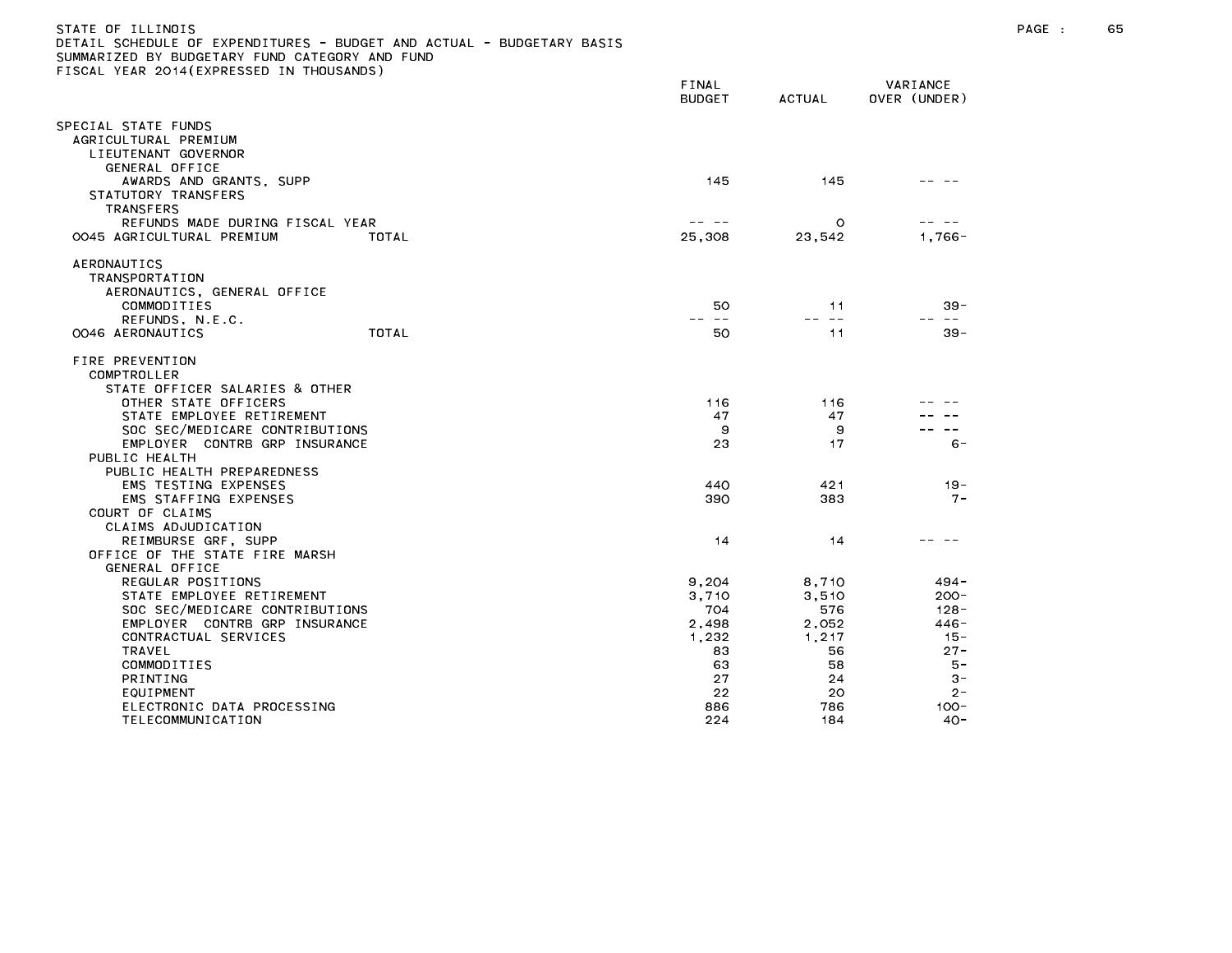| STATE OF ILLINOIS<br>DETAIL SCHEDULE OF EXPENDITURES - BUDGET AND ACTUAL - BUDGETARY BASIS<br>SUMMARIZED BY BUDGETARY FUND CATEGORY AND FUND<br>FISCAL YEAR 2014(EXPRESSED IN THOUSANDS) | FINAL<br>BUDGET | ACTUAL | VARIANCE<br>OVER (UNDER) |
|------------------------------------------------------------------------------------------------------------------------------------------------------------------------------------------|-----------------|--------|--------------------------|
| SPECIAL STATE FUNDS<br>AGRICULTURAL PREMIUM<br>LIEUTENANT GOVERNOR<br>GENEDAL OFFICE                                                                                                     |                 |        |                          |

| 145    | 145                            |                                |
|--------|--------------------------------|--------------------------------|
| 25,308 | O<br>23,542                    | $1,766 -$                      |
| 50     | 11                             | $39 -$                         |
|        | $- -$                          | $\sim$ $-$                     |
| 50     | 11                             | $39 -$                         |
|        |                                |                                |
| 116    | 116                            |                                |
| 47     | 47                             |                                |
| 9      | 9                              |                                |
| 23     | 17                             | $6 -$                          |
|        |                                |                                |
|        |                                |                                |
| 440    | 421                            | $19 -$                         |
| 390    | 383                            | $7 -$                          |
|        |                                |                                |
|        |                                |                                |
| 14     | 14                             |                                |
|        |                                |                                |
|        |                                |                                |
|        |                                | $494 -$                        |
| 3,710  | 3,510                          | $200 -$                        |
|        |                                | $128 -$                        |
|        |                                | $446 -$                        |
|        |                                | $15 -$                         |
| 83     | 56                             | $27 -$                         |
| 63     | 58                             | $5 -$                          |
| 27     | 24                             | $3 -$                          |
| 22     | 20                             | $2 -$                          |
| 886    | 786                            | $100 -$                        |
| 224    | 184                            | $40 -$                         |
|        | 9,204<br>704<br>2,498<br>1,232 | 8,710<br>576<br>2,052<br>1,217 |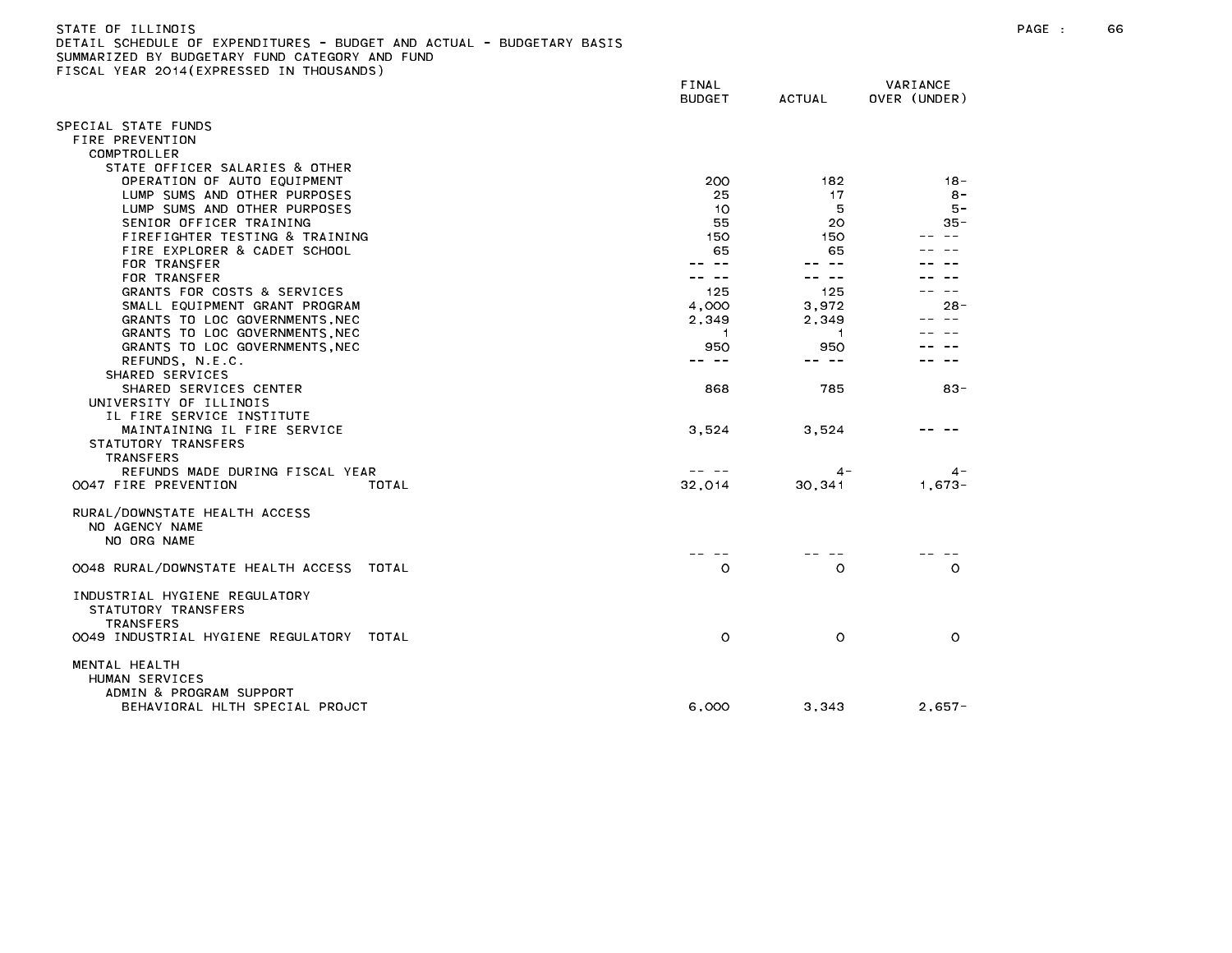| STATE OF ILLINOIS<br>DETAIL SCHEDULE OF EXPENDITURES - BUDGET AND ACTUAL - BUDGETARY BASIS<br>SUMMARIZED BY BUDGETARY FUND CATEGORY AND FUND<br>FISCAL YEAR 2014 (EXPRESSED IN THOUSANDS) |                        |               |                          | $PAGE$ : | 66 |
|-------------------------------------------------------------------------------------------------------------------------------------------------------------------------------------------|------------------------|---------------|--------------------------|----------|----|
|                                                                                                                                                                                           | FINAL<br><b>BUDGET</b> | <b>ACTUAL</b> | VARIANCE<br>OVER (UNDER) |          |    |
| SPECIAL STATE FUNDS                                                                                                                                                                       |                        |               |                          |          |    |
| FIRE PREVENTION                                                                                                                                                                           |                        |               |                          |          |    |
| COMPTROLLER                                                                                                                                                                               |                        |               |                          |          |    |
| STATE OFFICER SALARIES & OTHER                                                                                                                                                            |                        |               |                          |          |    |
| OPERATION OF AUTO EQUIPMENT                                                                                                                                                               | 200                    | 182           | -18                      |          |    |
| LUMP SUMS AND OTHER PURPOSES                                                                                                                                                              | 25                     | 17            | $8 -$                    |          |    |
| LUMP SUMS AND OTHER PURPOSES                                                                                                                                                              | 10                     | 5             | $5 -$                    |          |    |
| SENIOR OFFICER TRAINING                                                                                                                                                                   | 55                     | 20.           | $35 -$                   |          |    |
| FIREFIGHTER TESTING & TRAINING<br>FIRE EXPLORER & CADET SCHOOL                                                                                                                            | 150<br>65              | 150<br>65     |                          |          |    |
| FOR TRANSFER                                                                                                                                                                              | $\sim$ $-$             |               |                          |          |    |
| FOR TRANSFER                                                                                                                                                                              | -- --                  | -- --         |                          |          |    |
| GRANTS FOR COSTS & SERVICES                                                                                                                                                               | 125                    | 125           |                          |          |    |
| SMALL EQUIPMENT GRANT PROGRAM                                                                                                                                                             | 4,000                  | 3,972         | $28 -$                   |          |    |
| GRANTS TO LOC GOVERNMENTS, NEC                                                                                                                                                            | 2,349                  | 2,349         |                          |          |    |
| GRANTS TO LOC GOVERNMENTS, NEC                                                                                                                                                            | -1                     | -1            |                          |          |    |
| GRANTS TO LOC GOVERNMENTS, NEC                                                                                                                                                            | 950                    | 950           |                          |          |    |
| REFUNDS, N.E.C.                                                                                                                                                                           | -- --                  | -- --         |                          |          |    |
| SHARED SERVICES                                                                                                                                                                           |                        |               |                          |          |    |
| SHARED SERVICES CENTER                                                                                                                                                                    | 868                    | 785           | $83 -$                   |          |    |
| UNIVERSITY OF ILLINOIS                                                                                                                                                                    |                        |               |                          |          |    |
| IL FIRE SERVICE INSTITUTE                                                                                                                                                                 |                        |               |                          |          |    |
| MAINTAINING IL FIRE SERVICE                                                                                                                                                               | 3,524                  | 3,524         |                          |          |    |
| STATUTORY TRANSFERS                                                                                                                                                                       |                        |               |                          |          |    |
| <b>TRANSFERS</b>                                                                                                                                                                          |                        |               |                          |          |    |
| REFUNDS MADE DURING FISCAL YEAR                                                                                                                                                           | -- --                  | 4 -           | $4 -$                    |          |    |
| 0047 FIRE PREVENTION<br>TOTAL                                                                                                                                                             | 32,014                 | 30,341        | $1,673-$                 |          |    |
| RURAL/DOWNSTATE HEALTH ACCESS<br>NO AGENCY NAME<br>NO ORG NAME                                                                                                                            |                        |               |                          |          |    |
| 0048 RURAL/DOWNSTATE HEALTH ACCESS TOTAL                                                                                                                                                  | $\circ$                | $\circ$       | $\circ$                  |          |    |
|                                                                                                                                                                                           |                        |               |                          |          |    |
| INDUSTRIAL HYGIENE REGULATORY<br>STATUTORY TRANSFERS<br><b>TRANSFERS</b>                                                                                                                  |                        |               |                          |          |    |
| 0049 INDUSTRIAL HYGIENE REGULATORY TOTAL                                                                                                                                                  | $\circ$                | $\circ$       | $\circ$                  |          |    |
| MENTAL HEALTH<br>HUMAN SERVICES<br>ADMIN & PROGRAM SUPPORT                                                                                                                                |                        |               |                          |          |    |
| BEHAVIORAL HLTH SPECIAL PROJCT                                                                                                                                                            | 6,000                  | 3,343         | $2,657-$                 |          |    |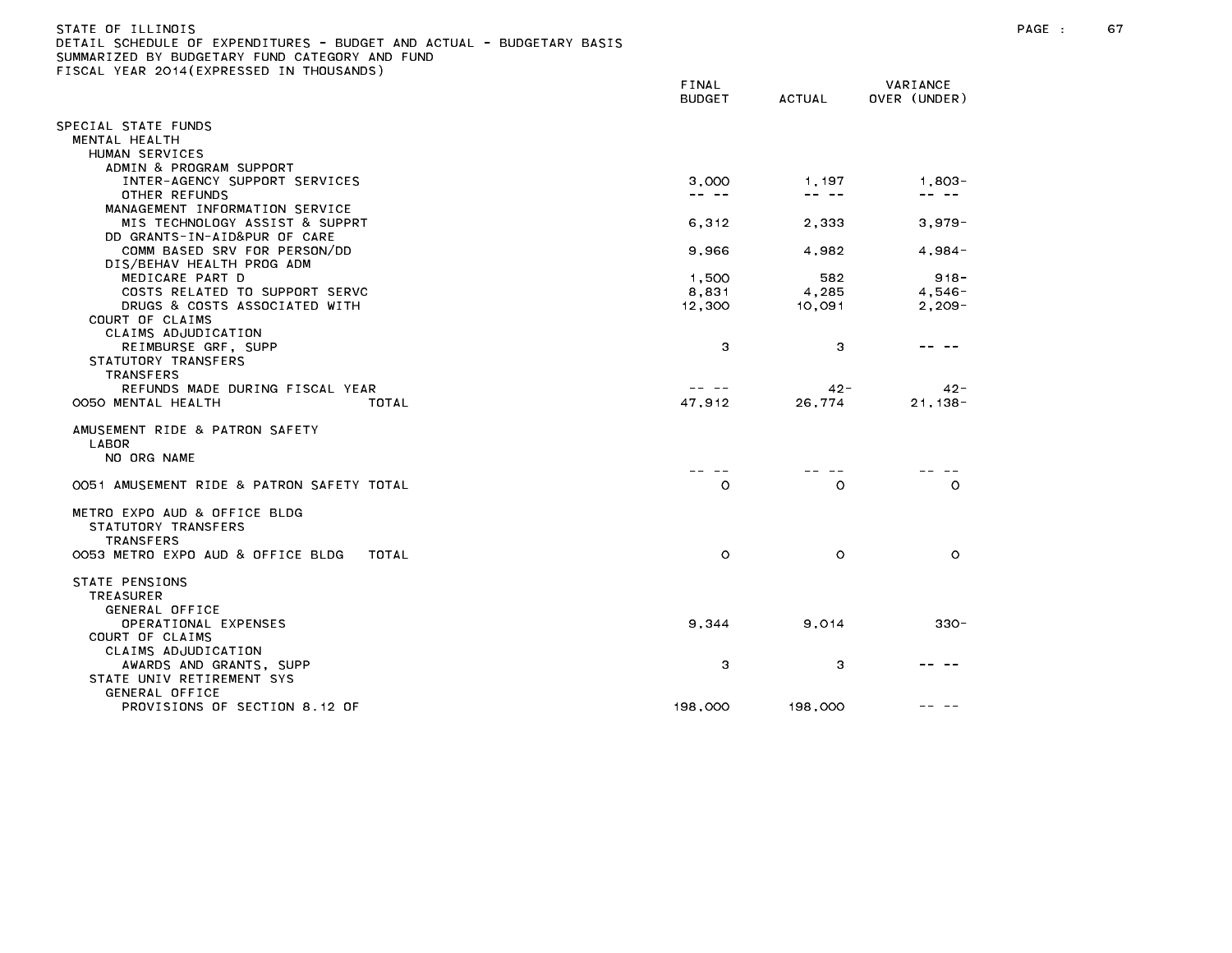## STATE OF ILLINOIS PAGE : 67 DETAIL SCHEDULE OF EXPENDITURES - BUDGET AND ACTUAL - BUDGETARY BASIS SUMMARIZED BY BUDGETARY FUND CATEGORY AND FUND FISCAL YEAR 2014(EXPRESSED IN THOUSANDS)

| $1,803-$<br>1,197<br>-- --<br>-- --<br>$3,979-$ |                                                                                                                            |
|-------------------------------------------------|----------------------------------------------------------------------------------------------------------------------------|
|                                                 |                                                                                                                            |
|                                                 |                                                                                                                            |
|                                                 |                                                                                                                            |
|                                                 |                                                                                                                            |
|                                                 |                                                                                                                            |
|                                                 |                                                                                                                            |
|                                                 |                                                                                                                            |
|                                                 |                                                                                                                            |
|                                                 |                                                                                                                            |
|                                                 |                                                                                                                            |
| 582<br>$918 -$                                  |                                                                                                                            |
| $4,546-$                                        |                                                                                                                            |
| $2,209-$                                        |                                                                                                                            |
|                                                 |                                                                                                                            |
|                                                 |                                                                                                                            |
|                                                 |                                                                                                                            |
|                                                 |                                                                                                                            |
|                                                 |                                                                                                                            |
| $21, 138 -$                                     |                                                                                                                            |
|                                                 |                                                                                                                            |
| $\circ$<br>$\circ$                              |                                                                                                                            |
|                                                 |                                                                                                                            |
|                                                 |                                                                                                                            |
|                                                 |                                                                                                                            |
| $330 -$                                         |                                                                                                                            |
| 3                                               |                                                                                                                            |
|                                                 |                                                                                                                            |
|                                                 | 2,333<br>4,982<br>$4,984-$<br>4,285<br>10,091<br>3<br>$42 -$<br>$42 -$<br>26,774<br>$\circ$<br>$\circ$<br>9,014<br>198,000 |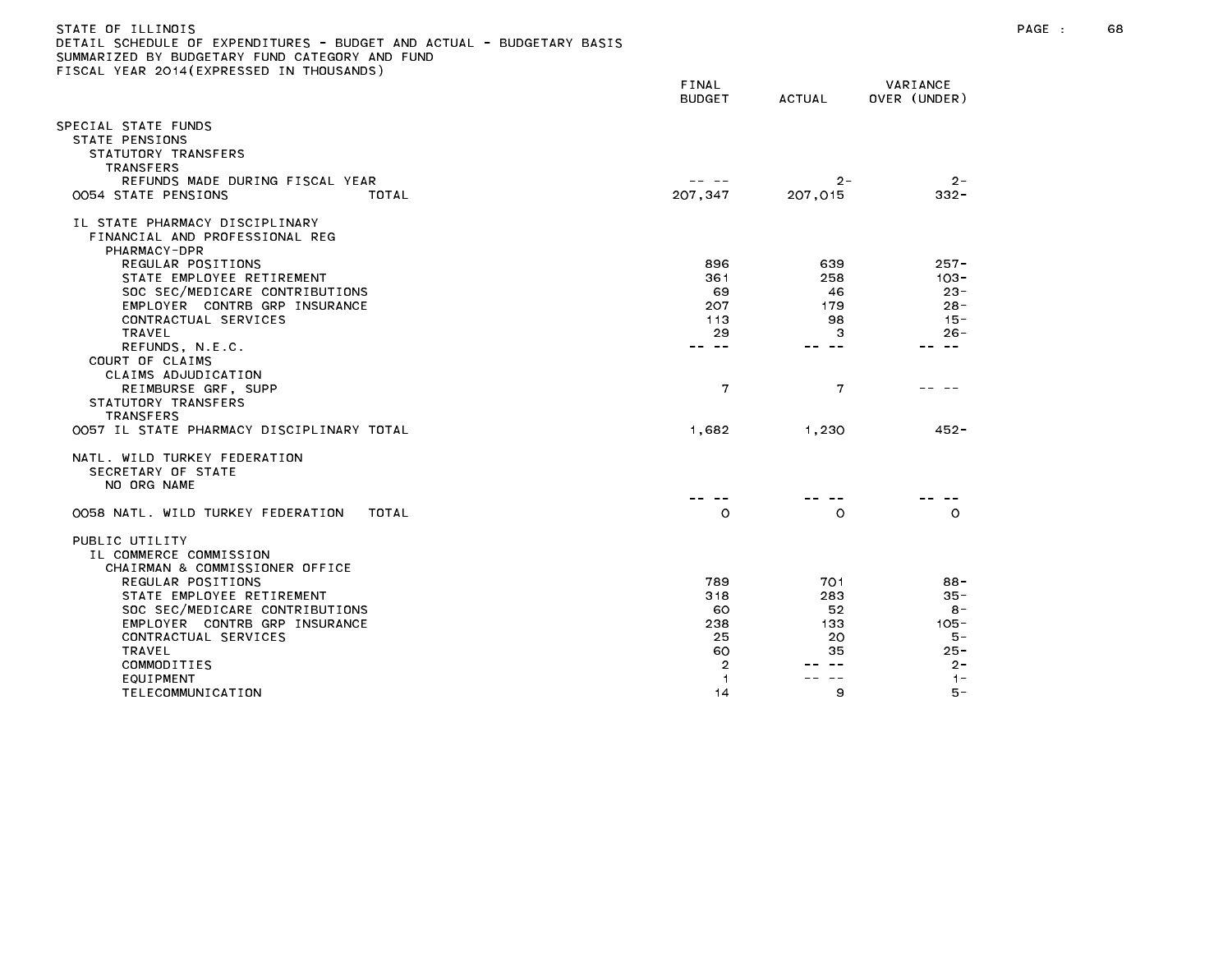| )ETAIL SCHEDULE OF EXPENDITURES – BUDGET AND ACTUAL – BUDGETARY BASIS<br>SUMMARIZED BY BUDGETARY FUND CATEGORY AND FUND<br>ISCAL YEAR 2014(EXPRESSED IN THOUSANDS): |                        |                  |                          |
|---------------------------------------------------------------------------------------------------------------------------------------------------------------------|------------------------|------------------|--------------------------|
|                                                                                                                                                                     | FINAL<br><b>BUDGET</b> | ACTUAL           | VARIANCE<br>OVER (UNDER) |
| SPECIAL STATE FUNDS<br>STATE PENSIONS<br>STATUTORY TRANSFERS<br>TRANSFERS                                                                                           |                        |                  |                          |
| REFUNDS MADE DURING FISCAL YEAR<br>0054 STATE PENSIONS<br>TOTAL                                                                                                     | -- --<br>207.347       | $2 -$<br>207,015 | $2 -$<br>$332 -$         |
| IL STATE PHARMACY DISCIPLINARY<br>FINANCIAL AND PROFESSIONAL REG<br>PHARMACY-DPR                                                                                    |                        |                  |                          |
| REGULAR POSITIONS                                                                                                                                                   | 896                    | 639              | $257 -$                  |
| STATE EMPLOYEE RETIREMENT                                                                                                                                           | 361                    | 258              | $103 -$                  |
| SOC SEC/MEDICARE CONTRIBUTIONS                                                                                                                                      | 69                     | 46               | $23 -$                   |
| EMPLOYER CONTRB GRP INSURANCE                                                                                                                                       | 207                    | 179              | $28 -$                   |
| CONTRACTUAL SERVICES<br>TRAVEL                                                                                                                                      | 113<br>29              | 98<br>3          | $15 -$<br>$26 -$         |
| REFUNDS, N.E.C.                                                                                                                                                     | $\sim$ $-$             | $ -$             | $\sim$ $-$               |
| COURT OF CLAIMS<br>CLAIMS ADJUDICATION<br>REIMBURSE GRF, SUPP                                                                                                       | 7                      | 7                |                          |
| STATUTORY TRANSFERS<br><b>TRANSFERS</b>                                                                                                                             |                        |                  |                          |
| OO57 IL STATE PHARMACY DISCIPLINARY TOTAL                                                                                                                           | 1,682                  | 1.230            | $452 -$                  |
| NATL. WILD TURKEY FEDERATION<br>SECRETARY OF STATE<br>NO ORG NAME                                                                                                   |                        |                  |                          |
|                                                                                                                                                                     |                        |                  |                          |
| 0058 NATL, WILD TURKEY FEDERATION<br>TOTAL                                                                                                                          | $\circ$                | $\circ$          | $\circ$                  |
| PUBLIC UTILITY<br>IL COMMERCE COMMISSION<br>CHAIRMAN & COMMISSIONER OFFICE                                                                                          |                        |                  |                          |
| REGULAR POSITIONS                                                                                                                                                   | 789                    | 701              | $88 -$                   |
| STATE EMPLOYEE RETIREMENT                                                                                                                                           | 318                    | 283              | $35 -$                   |
| SOC SEC/MEDICARE CONTRIBUTIONS                                                                                                                                      | 60                     | 52               | $8 -$                    |
| EMPLOYER CONTRB GRP INSURANCE                                                                                                                                       | 238                    | 133              | $105 -$                  |
| CONTRACTUAL SERVICES                                                                                                                                                | 25                     | 20               | 5 –                      |
| TRAVEL<br>COMMODITIES                                                                                                                                               | 60<br>$\overline{2}$   | 35               | $25 -$<br>$2 -$          |
| EQUIPMENT                                                                                                                                                           | 1                      |                  | $1 -$                    |
| TELECOMMUNICATION                                                                                                                                                   | 14                     | 9                | 5 –                      |
|                                                                                                                                                                     |                        |                  |                          |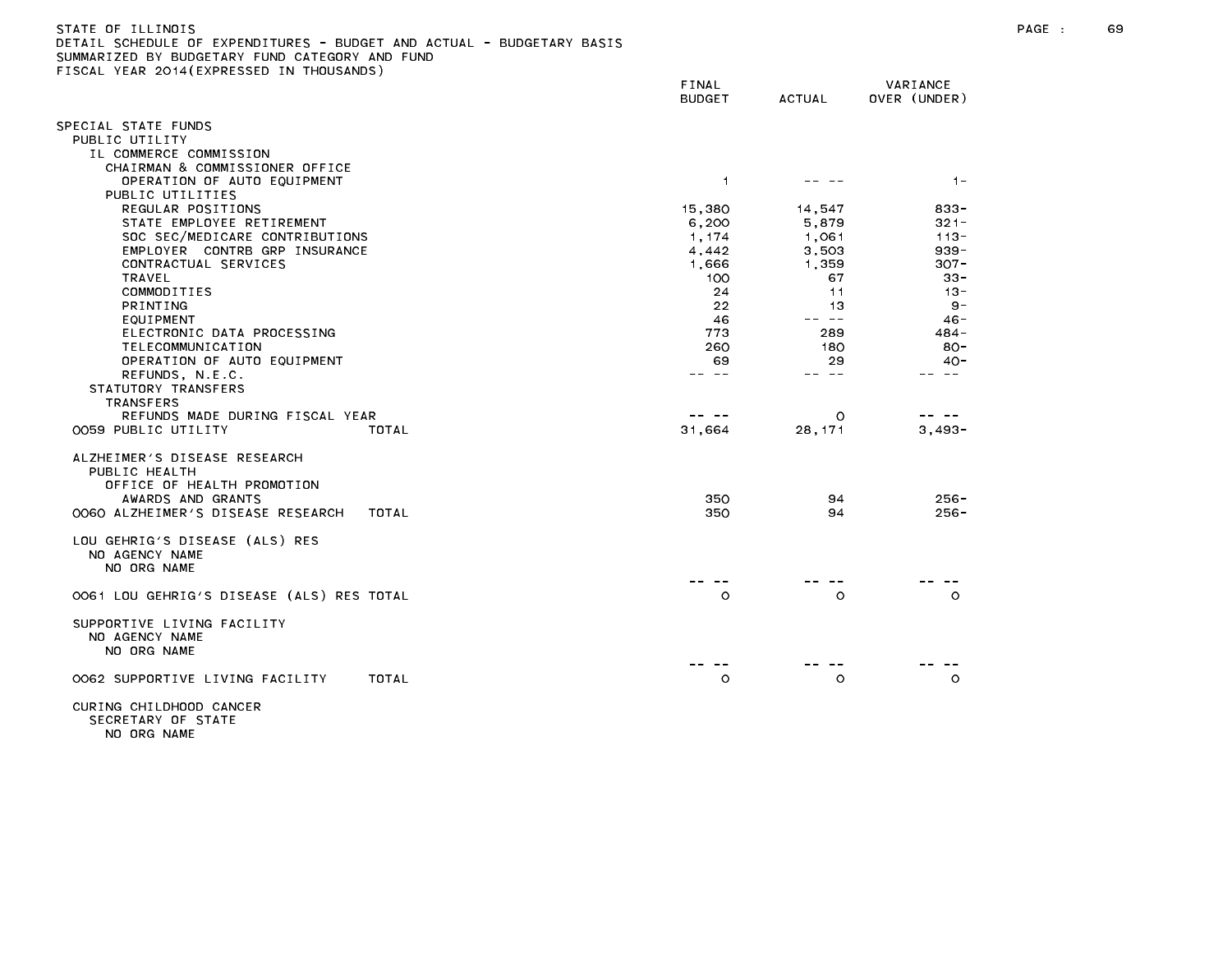| STATE OF ILLINOIS                                                     |  |
|-----------------------------------------------------------------------|--|
| DETAIL SCHEDULE OF EXPENDITURES - BUDGET AND ACTUAL - BUDGETARY BASIS |  |
| SUMMARIZED BY BUDGETARY FUND CATEGORY AND FUND                        |  |
| FISCAL YEAR 2014(EXPRESSED IN THOUSANDS)                              |  |

|                                                                 | FINAL<br><b>BUDGET</b> | <b>ACTUAL</b> | VARIANCE<br>OVER (UNDER) |
|-----------------------------------------------------------------|------------------------|---------------|--------------------------|
| SPECIAL STATE FUNDS                                             |                        |               |                          |
| PUBLIC UTILITY                                                  |                        |               |                          |
| IL COMMERCE COMMISSION                                          |                        |               |                          |
| CHAIRMAN & COMMISSIONER OFFICE<br>OPERATION OF AUTO EQUIPMENT   | $\overline{1}$         |               | $1 -$                    |
| PUBLIC UTILITIES                                                |                        |               |                          |
| REGULAR POSITIONS                                               | 15,380                 | 14,547        | $833 -$                  |
| STATE EMPLOYEE RETIREMENT                                       | 6,200                  | 5,879         | $321 -$                  |
| SOC SEC/MEDICARE CONTRIBUTIONS                                  | 1,174                  | 1,061         | $113 -$                  |
| EMPLOYER CONTRB GRP INSURANCE                                   | 4,442                  | 3,503         | $939 -$                  |
| CONTRACTUAL SERVICES                                            | 1,666                  | 1,359         | $307 -$                  |
| <b>TRAVEL</b><br>COMMODITIES                                    | 100<br>24              | 67<br>11      | $33 -$<br>$13 -$         |
| PRINTING                                                        | 22                     | 13            | $9 -$                    |
| EQUIPMENT                                                       | 46                     | -- --         | $46 -$                   |
| ELECTRONIC DATA PROCESSING                                      | 773                    | 289           | 484 -                    |
| TELECOMMUNICATION                                               | 260                    | 180           | $80 -$                   |
| OPERATION OF AUTO EQUIPMENT                                     | 69                     | 29            | $40 -$                   |
| REFUNDS, N.E.C.<br>STATUTORY TRANSFERS                          | $ -$                   | -- --         | $\sim$ $-$               |
| TRANSFERS                                                       |                        |               |                          |
| REFUNDS MADE DURING FISCAL YEAR                                 |                        | $\circ$       |                          |
| 0059 PUBLIC UTILITY<br>TOTAL                                    | 31,664                 | 28, 171       | $3,493-$                 |
| ALZHEIMER'S DISEASE RESEARCH                                    |                        |               |                          |
| PUBLIC HEALTH                                                   |                        |               |                          |
| OFFICE OF HEALTH PROMOTION                                      |                        |               |                          |
| AWARDS AND GRANTS<br>0060 ALZHEIMER'S DISEASE RESEARCH<br>TOTAL | 350<br>350             | 94<br>94      | $256 -$<br>$256 -$       |
|                                                                 |                        |               |                          |
| LOU GEHRIG'S DISEASE (ALS) RES                                  |                        |               |                          |
| NO AGENCY NAME                                                  |                        |               |                          |
| NO ORG NAME                                                     |                        |               |                          |
| 0061 LOU GEHRIG'S DISEASE (ALS) RES TOTAL                       | $\circ$                | $\circ$       | $\circ$                  |
|                                                                 |                        |               |                          |
| SUPPORTIVE LIVING FACILITY<br>NO AGENCY NAME                    |                        |               |                          |
| NO ORG NAME                                                     |                        |               |                          |
| OO62 SUPPORTIVE LIVING FACILITY<br>TOTAL                        | $\circ$                | $\circ$       | $\circ$                  |
| CURING CHILDHOOD CANCER                                         |                        |               |                          |
|                                                                 |                        |               |                          |

SECRETARY OF STATE NO ORG NAME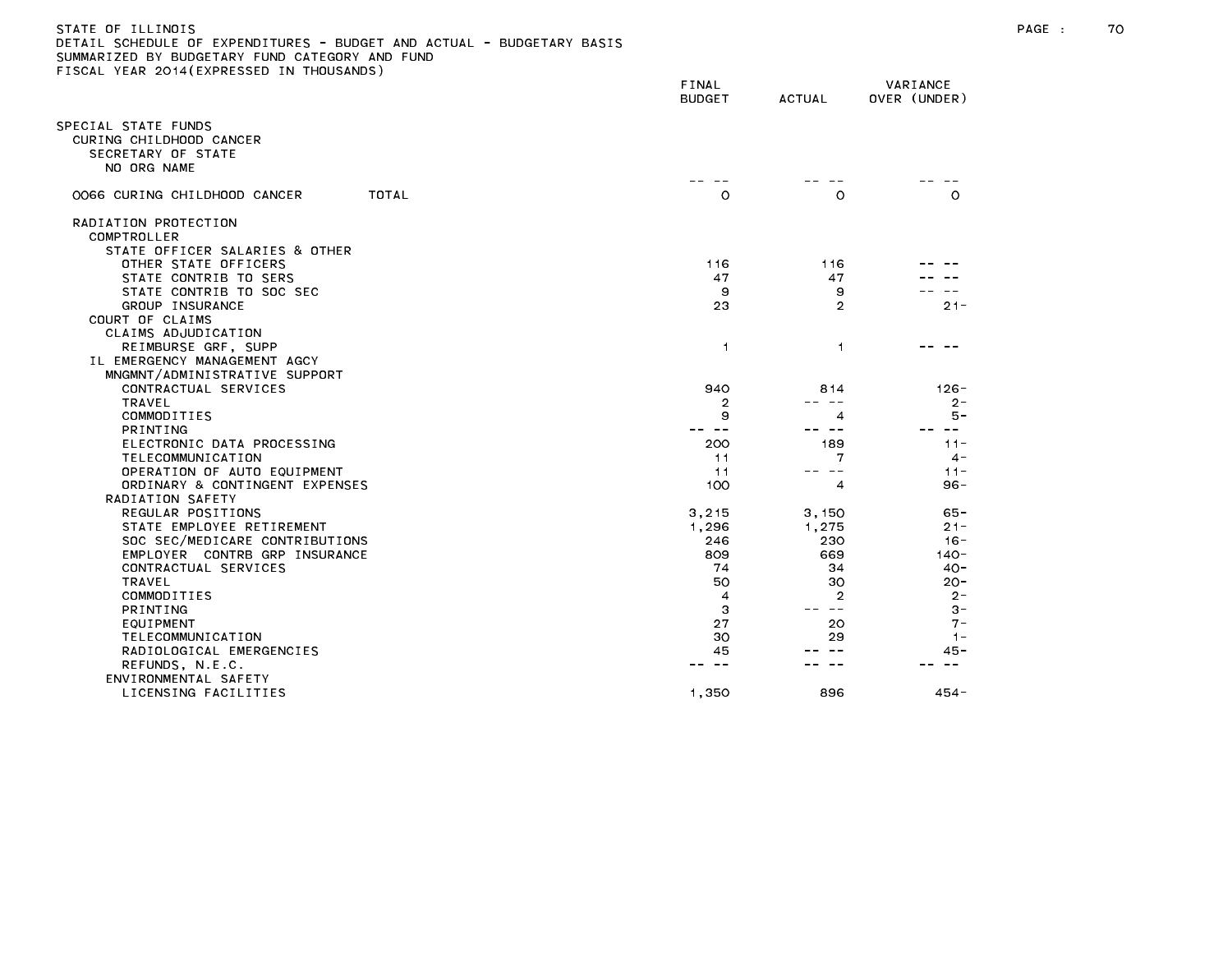|                                                                      | FINAL<br><b>BUDGET</b> | <b>ACTUAL</b>       | VARIANCE<br>OVER (UNDER) |
|----------------------------------------------------------------------|------------------------|---------------------|--------------------------|
| SPECIAL STATE FUNDS<br>CURING CHILDHOOD CANCER<br>SECRETARY OF STATE |                        |                     |                          |
| NO ORG NAME                                                          |                        |                     |                          |
| OO66 CURING CHILDHOOD CANCER<br>TOTAL                                | $\circ$                | $\circ$             | $\circ$                  |
| RADIATION PROTECTION                                                 |                        |                     |                          |
| COMPTROLLER                                                          |                        |                     |                          |
| STATE OFFICER SALARIES & OTHER                                       |                        |                     |                          |
| OTHER STATE OFFICERS                                                 | 116                    | 116                 |                          |
| STATE CONTRIB TO SERS                                                | 47<br>9                | 47                  |                          |
| STATE CONTRIB TO SOC SEC<br>GROUP INSURANCE                          | 23                     | 9<br>$\overline{2}$ | $21 -$                   |
| COURT OF CLAIMS                                                      |                        |                     |                          |
| CLAIMS ADJUDICATION                                                  |                        |                     |                          |
| REIMBURSE GRF, SUPP                                                  | $\mathbf{1}$           | $\mathbf{1}$        |                          |
| IL EMERGENCY MANAGEMENT AGCY                                         |                        |                     |                          |
| MNGMNT/ADMINISTRATIVE SUPPORT                                        |                        |                     |                          |
| CONTRACTUAL SERVICES                                                 | 940                    | 814                 | $126 -$                  |
| <b>TRAVEL</b>                                                        | 2                      | $- -$               | $2 -$                    |
| COMMODITIES                                                          | 9                      | 4                   | 5 –                      |
| <b>PRINTING</b>                                                      |                        | $ -$                | $\sim$ $-$               |
| ELECTRONIC DATA PROCESSING                                           | 200                    | 189                 | $11 -$                   |
| TELECOMMUNICATION                                                    | 11                     | 7                   | $4 -$                    |
| OPERATION OF AUTO EQUIPMENT                                          | 11                     | -- --               | $11 -$                   |
| ORDINARY & CONTINGENT EXPENSES                                       | 100                    | 4                   | $96 -$                   |
| RADIATION SAFETY                                                     |                        |                     |                          |
| REGULAR POSITIONS                                                    | 3,215                  | 3,150               | $65 -$                   |
| STATE EMPLOYEE RETIREMENT                                            | 1,296                  | 1,275               | $21 -$                   |
| SOC SEC/MEDICARE CONTRIBUTIONS                                       | 246                    | 230                 | $16 -$                   |
| EMPLOYER CONTRB GRP INSURANCE                                        | 809                    | 669                 | $140 -$                  |
| CONTRACTUAL SERVICES                                                 | 74                     | 34                  | $40 -$                   |
| TRAVEL                                                               | 50                     | 30                  | $20 -$                   |
| COMMODITIES                                                          | 4                      | 2                   | $2 -$                    |
| PRINTING                                                             | 3                      | $\sim$ $-$          | $3 -$                    |
| EQUIPMENT                                                            | 27                     | 20                  | $7 -$                    |
| TELECOMMUNICATION                                                    | 30                     | 29                  | $1 -$                    |
| RADIOLOGICAL EMERGENCIES                                             | 45<br>$- -$            |                     | 45 -<br>$\sim$ $\sim$    |
| REFUNDS, N.E.C.                                                      |                        |                     |                          |
| ENVIRONMENTAL SAFETY                                                 |                        |                     |                          |
| LICENSING FACILITIES                                                 | 1,350                  | 896                 | $454 -$                  |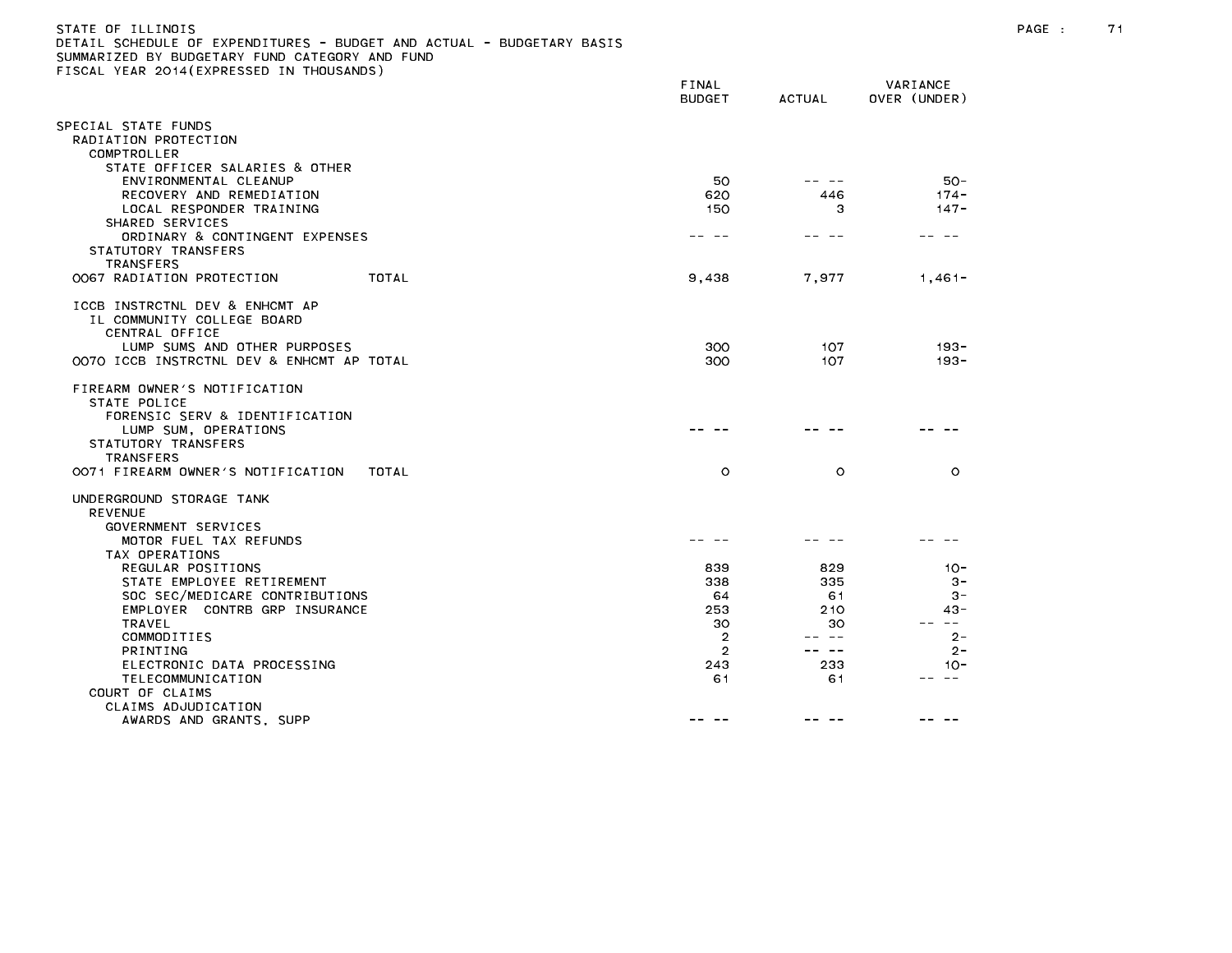| STATE OF ILLINOIS                                                     |
|-----------------------------------------------------------------------|
| DETAIL SCHEDULE OF EXPENDITURES - BUDGET AND ACTUAL - BUDGETARY BASIS |
| SUMMARIZED BY BUDGETARY FUND CATEGORY AND FUND                        |
| FISCAL YEAR 2014(EXPRESSED IN THOUSANDS)                              |

|                                                              | FINAL<br><b>BUDGET</b> | <b>ACTUAL</b> | VARIANCE<br>OVER (UNDER) |
|--------------------------------------------------------------|------------------------|---------------|--------------------------|
| PECIAL STATE FUNDS:                                          |                        |               |                          |
| RADIATION PROTECTION                                         |                        |               |                          |
| COMPTROLLER                                                  |                        |               |                          |
| STATE OFFICER SALARIES & OTHER                               |                        |               | $50 -$                   |
| ENVIRONMENTAL CLEANUP<br>RECOVERY AND REMEDIATION            | 50<br>620              | 446           | $174 -$                  |
| LOCAL RESPONDER TRAINING                                     | 150                    | з             | $147 -$                  |
| SHARED SERVICES                                              |                        |               |                          |
| ORDINARY & CONTINGENT EXPENSES                               |                        |               |                          |
| STATUTORY TRANSFERS<br><b>TRANSFERS</b>                      |                        |               |                          |
| 0067 RADIATION PROTECTION<br>TOTAL                           | 9,438                  | 7.977         | $1,461-$                 |
|                                                              |                        |               |                          |
| ICCB INSTRCTNL DEV & ENHCMT AP<br>IL COMMUNITY COLLEGE BOARD |                        |               |                          |
| CENTRAL OFFICE                                               |                        |               |                          |
| LUMP SUMS AND OTHER PURPOSES                                 | 300                    | 107           | $193 -$                  |
| 0070 ICCB INSTRCTNL DEV & ENHCMT AP TOTAL                    | 300                    | 107           | $193 -$                  |
| FIREARM OWNER'S NOTIFICATION                                 |                        |               |                          |
| STATE POLICE                                                 |                        |               |                          |
| FORENSIC SERV & IDENTIFICATION                               |                        |               |                          |
| LUMP SUM, OPERATIONS                                         |                        |               |                          |
| STATUTORY TRANSFERS<br>TRANSFERS                             |                        |               |                          |
| OO71 FIREARM OWNER'S NOTIFICATION<br>TOTAL                   | $\circ$                | $\circ$       | $\circ$                  |
|                                                              |                        |               |                          |
| UNDERGROUND STORAGE TANK<br><b>REVENUE</b>                   |                        |               |                          |
| GOVERNMENT SERVICES                                          |                        |               |                          |
| MOTOR FUEL TAX REFUNDS                                       |                        |               |                          |
| TAX OPERATIONS                                               |                        |               |                          |
| REGULAR POSITIONS                                            | 839                    | 829           | $10 -$                   |
| STATE EMPLOYEE RETIREMENT<br>SOC SEC/MEDICARE CONTRIBUTIONS  | 338<br>64              | 335<br>61     | $3 -$<br>$3 -$           |
| EMPLOYER CONTRB GRP INSURANCE                                | 253                    | 210           | $43 -$                   |
| <b>TRAVEL</b>                                                | 30                     | 30            | $\sim$ $-$               |
| COMMODITIES                                                  | $\overline{2}$         | ---           | $2 -$                    |
| <b>PRINTING</b><br>ELECTRONIC DATA PROCESSING                | $\overline{2}$<br>243  | س س<br>233    | $2 -$<br>$10 -$          |
| TELECOMMUNICATION                                            | 61                     | 61            | $ -$                     |
| COURT OF CLAIMS                                              |                        |               |                          |
| CLAIMS ADJUDICATION                                          |                        |               |                          |
| AWARDS AND GRANTS, SUPP                                      |                        |               |                          |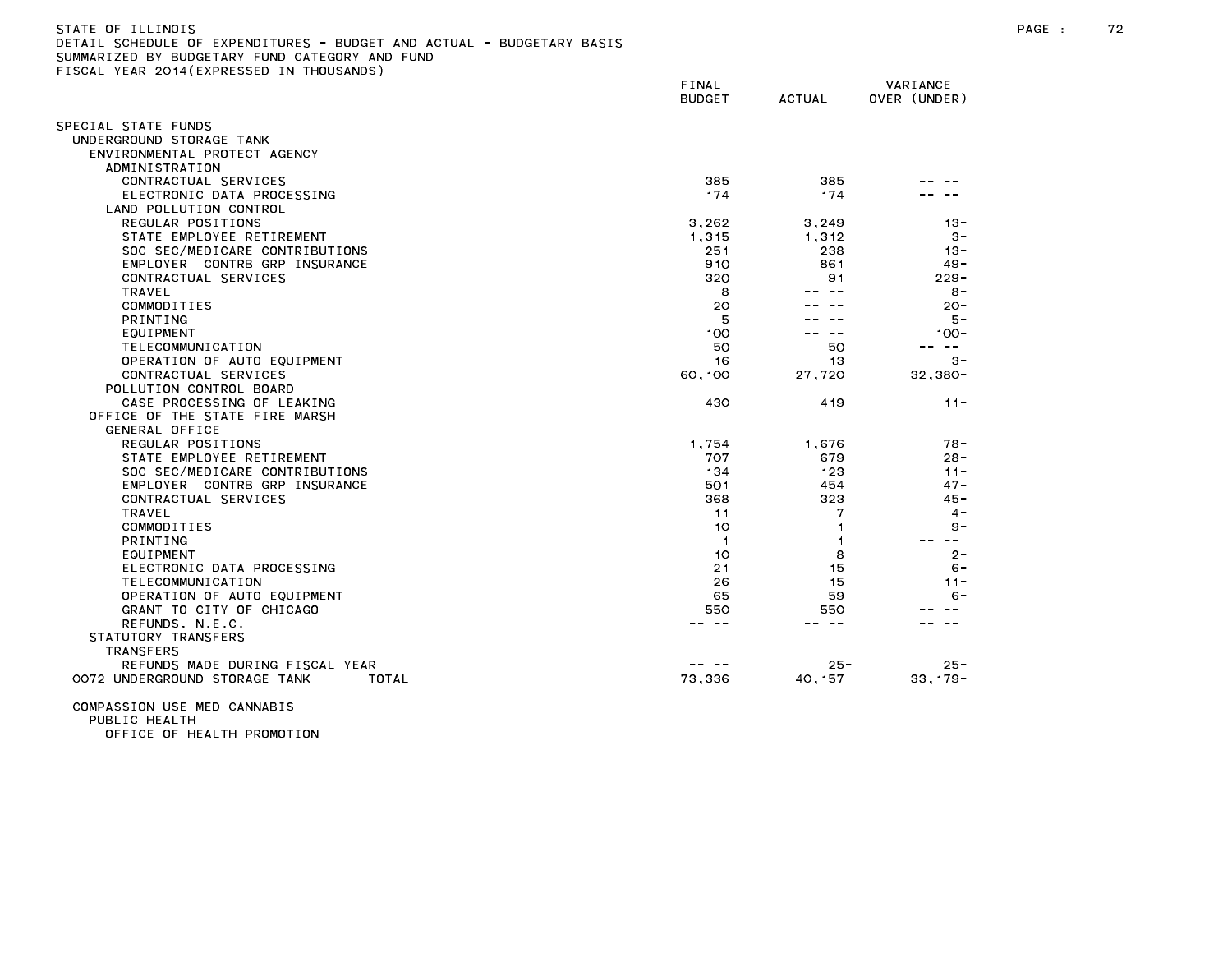| STATE OF ILLINOIS                                                     |
|-----------------------------------------------------------------------|
| DETAIL SCHEDULE OF EXPENDITURES - BUDGET AND ACTUAL - BUDGETARY BASIS |
| SUMMARIZED BY BUDGETARY FUND CATEGORY AND FUND                        |
| FISCAL YEAR 2014(EXPRESSED IN THOUSANDS)                              |

|                                        | FINAL<br><b>BUDGET</b> | <b>ACTUAL</b> | VARIANCE<br>OVER (UNDER) |
|----------------------------------------|------------------------|---------------|--------------------------|
| SPECIAL STATE FUNDS                    |                        |               |                          |
| UNDERGROUND STORAGE TANK               |                        |               |                          |
| ENVIRONMENTAL PROTECT AGENCY           |                        |               |                          |
| ADMINISTRATION                         |                        |               |                          |
| CONTRACTUAL SERVICES                   | 385                    | 385           |                          |
| ELECTRONIC DATA PROCESSING             | 174                    | 174           |                          |
| LAND POLLUTION CONTROL                 |                        |               |                          |
| REGULAR POSITIONS                      | 3,262                  | 3,249         | $13 -$                   |
| STATE EMPLOYEE RETIREMENT              | 1,315                  | 1,312         | $3 -$                    |
| SOC SEC/MEDICARE CONTRIBUTIONS         | 251                    | 238           | $13 -$                   |
| EMPLOYER CONTRB GRP INSURANCE          | 910                    | 861           | $49 -$                   |
| CONTRACTUAL SERVICES                   | 320                    | 91            | $229 -$                  |
| TRAVEL                                 | 8                      | $ -$          | $8 -$                    |
| COMMODITIES                            | 20                     |               | $20 -$                   |
| <b>PRINTING</b>                        | 5                      |               | 5 –                      |
| EQUIPMENT                              | 100                    |               | $100 -$                  |
| TELECOMMUNICATION                      | 50                     | 50            | $\sim$ $-$               |
| OPERATION OF AUTO EQUIPMENT            | 16                     | 13            | $3 -$                    |
| CONTRACTUAL SERVICES                   | 60,100                 | 27,720        | $32,380 -$               |
| POLLUTION CONTROL BOARD                |                        |               |                          |
| CASE PROCESSING OF LEAKING             | 430                    | 419           | $11 -$                   |
| OFFICE OF THE STATE FIRE MARSH         |                        |               |                          |
| <b>GENERAL OFFICE</b>                  |                        |               |                          |
| REGULAR POSITIONS                      | 1,754                  | 1,676         | $78 -$                   |
| STATE EMPLOYEE RETIREMENT              | 707                    | 679           | $28 -$                   |
| SOC SEC/MEDICARE CONTRIBUTIONS         | 134                    | 123           | $11 -$                   |
| EMPLOYER CONTRB GRP INSURANCE          | 501                    | 454           | $47 -$                   |
| CONTRACTUAL SERVICES<br><b>TRAVEL</b>  | 368                    | 323<br>7      | $45 -$<br>$4 -$          |
| COMMODITIES                            | 11<br>10               | 1             | $9 -$                    |
| PRINTING                               | -1                     |               | $\sim$ $\sim$            |
| EQUIPMENT                              | 10                     | 8             | $2 -$                    |
| ELECTRONIC DATA PROCESSING             | 21                     | 15            | $6 -$                    |
| TELECOMMUNICATION                      | 26                     | 15            | $11 -$                   |
| OPERATION OF AUTO EQUIPMENT            | 65                     | 59            | $6 -$                    |
| GRANT TO CITY OF CHICAGO               | 550                    | 550           |                          |
| REFUNDS, N.E.C.                        |                        |               |                          |
| STATUTORY TRANSFERS                    |                        |               |                          |
| <b>TRANSFERS</b>                       |                        |               |                          |
| REFUNDS MADE DURING FISCAL YEAR        |                        | $25 -$        | $25 -$                   |
| 0072 UNDERGROUND STORAGE TANK<br>TOTAL | 73,336                 | 40, 157       | $33,179-$                |
|                                        |                        |               |                          |

COMPASSION USE MED CANNABIS PUBLIC HEALTH

OFFICE OF HEALTH PROMOTION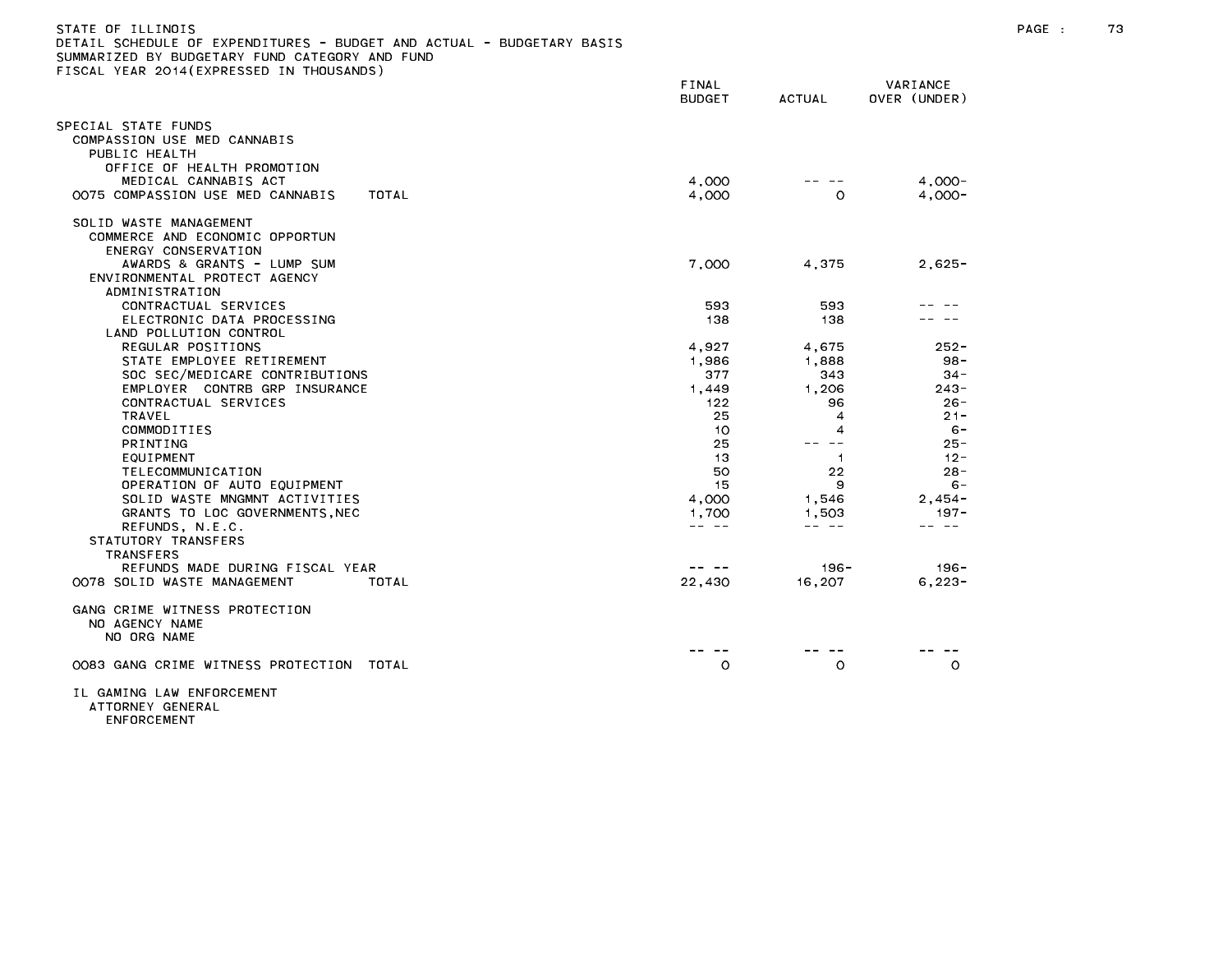| STATE OF ILLINOIS<br>DETAIL SCHEDULE OF EXPENDITURES - BUDGET AND ACTUAL - BUDGETARY BASIS<br>SUMMARIZED BY BUDGETARY FUND CATEGORY AND FUND<br>FISCAL YEAR 2014 (EXPRESSED IN THOUSANDS) |                                                                                                                                                                                                                                                                                                                                                                                              |                                                                                                                                                                                                                                                                                                                                                                                              |                          | PAGE : | 73 |
|-------------------------------------------------------------------------------------------------------------------------------------------------------------------------------------------|----------------------------------------------------------------------------------------------------------------------------------------------------------------------------------------------------------------------------------------------------------------------------------------------------------------------------------------------------------------------------------------------|----------------------------------------------------------------------------------------------------------------------------------------------------------------------------------------------------------------------------------------------------------------------------------------------------------------------------------------------------------------------------------------------|--------------------------|--------|----|
|                                                                                                                                                                                           | FINAL<br><b>BUDGET</b>                                                                                                                                                                                                                                                                                                                                                                       | ACTUAL                                                                                                                                                                                                                                                                                                                                                                                       | VARIANCE<br>OVER (UNDER) |        |    |
| SPECIAL STATE FUNDS<br>COMPASSION USE MED CANNABIS<br>PUBLIC HEALTH<br>OFFICE OF HEALTH PROMOTION                                                                                         |                                                                                                                                                                                                                                                                                                                                                                                              |                                                                                                                                                                                                                                                                                                                                                                                              |                          |        |    |
| MEDICAL CANNABIS ACT                                                                                                                                                                      | 4,000                                                                                                                                                                                                                                                                                                                                                                                        |                                                                                                                                                                                                                                                                                                                                                                                              | $4,000-$                 |        |    |
| 0075 COMPASSION USE MED CANNABIS<br>TOTAL                                                                                                                                                 | 4,000                                                                                                                                                                                                                                                                                                                                                                                        | $\circ$                                                                                                                                                                                                                                                                                                                                                                                      | $4,000-$                 |        |    |
| SOLID WASTE MANAGEMENT<br>COMMERCE AND ECONOMIC OPPORTUN<br>ENERGY CONSERVATION                                                                                                           |                                                                                                                                                                                                                                                                                                                                                                                              |                                                                                                                                                                                                                                                                                                                                                                                              |                          |        |    |
| AWARDS & GRANTS - LUMP SUM<br>ENVIRONMENTAL PROTECT AGENCY<br>ADMINISTRATION                                                                                                              | 7,000                                                                                                                                                                                                                                                                                                                                                                                        | 4,375                                                                                                                                                                                                                                                                                                                                                                                        | $2,625 -$                |        |    |
| CONTRACTUAL SERVICES                                                                                                                                                                      | 593                                                                                                                                                                                                                                                                                                                                                                                          | 593                                                                                                                                                                                                                                                                                                                                                                                          |                          |        |    |
| ELECTRONIC DATA PROCESSING<br>LAND POLLUTION CONTROL                                                                                                                                      | 138                                                                                                                                                                                                                                                                                                                                                                                          | 138                                                                                                                                                                                                                                                                                                                                                                                          |                          |        |    |
| REGULAR POSITIONS                                                                                                                                                                         | 4,927                                                                                                                                                                                                                                                                                                                                                                                        | 4,675                                                                                                                                                                                                                                                                                                                                                                                        | $252 -$                  |        |    |
| STATE EMPLOYEE RETIREMENT                                                                                                                                                                 | 1.986                                                                                                                                                                                                                                                                                                                                                                                        | 1.888                                                                                                                                                                                                                                                                                                                                                                                        | $98 -$                   |        |    |
| SOC SEC/MEDICARE CONTRIBUTIONS                                                                                                                                                            | 377                                                                                                                                                                                                                                                                                                                                                                                          | 343                                                                                                                                                                                                                                                                                                                                                                                          | 34 -                     |        |    |
| EMPLOYER CONTRB GRP INSURANCE                                                                                                                                                             | 1,449                                                                                                                                                                                                                                                                                                                                                                                        | 1,206                                                                                                                                                                                                                                                                                                                                                                                        | $243 -$                  |        |    |
| CONTRACTUAL SERVICES                                                                                                                                                                      | 122                                                                                                                                                                                                                                                                                                                                                                                          | 96                                                                                                                                                                                                                                                                                                                                                                                           | $26 -$                   |        |    |
| TRAVEL                                                                                                                                                                                    | 25                                                                                                                                                                                                                                                                                                                                                                                           | 4                                                                                                                                                                                                                                                                                                                                                                                            | $21 -$                   |        |    |
| COMMODITIES                                                                                                                                                                               | 10                                                                                                                                                                                                                                                                                                                                                                                           | 4                                                                                                                                                                                                                                                                                                                                                                                            | - 6                      |        |    |
| PRINTING                                                                                                                                                                                  | 25                                                                                                                                                                                                                                                                                                                                                                                           | -- --                                                                                                                                                                                                                                                                                                                                                                                        | $25 -$                   |        |    |
| EQUIPMENT                                                                                                                                                                                 | -13                                                                                                                                                                                                                                                                                                                                                                                          | $\overline{1}$                                                                                                                                                                                                                                                                                                                                                                               | $12 -$                   |        |    |
| TELECOMMUNICATION                                                                                                                                                                         | 50                                                                                                                                                                                                                                                                                                                                                                                           | 22                                                                                                                                                                                                                                                                                                                                                                                           | $28 -$                   |        |    |
| OPERATION OF AUTO EQUIPMENT                                                                                                                                                               | 15                                                                                                                                                                                                                                                                                                                                                                                           | 9                                                                                                                                                                                                                                                                                                                                                                                            | $6 -$                    |        |    |
| SOLID WASTE MNGMNT ACTIVITIES                                                                                                                                                             | 4,000                                                                                                                                                                                                                                                                                                                                                                                        | 1,546                                                                                                                                                                                                                                                                                                                                                                                        | $2,454-$                 |        |    |
| GRANTS TO LOC GOVERNMENTS, NEC                                                                                                                                                            | 1,700                                                                                                                                                                                                                                                                                                                                                                                        | 1,503                                                                                                                                                                                                                                                                                                                                                                                        | $197 -$                  |        |    |
| REFUNDS, N.E.C.                                                                                                                                                                           | $\frac{1}{2} \frac{1}{2} \frac{1}{2} \frac{1}{2} \frac{1}{2} \frac{1}{2} \frac{1}{2} \frac{1}{2} \frac{1}{2} \frac{1}{2} \frac{1}{2} \frac{1}{2} \frac{1}{2} \frac{1}{2} \frac{1}{2} \frac{1}{2} \frac{1}{2} \frac{1}{2} \frac{1}{2} \frac{1}{2} \frac{1}{2} \frac{1}{2} \frac{1}{2} \frac{1}{2} \frac{1}{2} \frac{1}{2} \frac{1}{2} \frac{1}{2} \frac{1}{2} \frac{1}{2} \frac{1}{2} \frac{$ | $\frac{1}{2} \frac{1}{2} \frac{1}{2} \frac{1}{2} \frac{1}{2} \frac{1}{2} \frac{1}{2} \frac{1}{2} \frac{1}{2} \frac{1}{2} \frac{1}{2} \frac{1}{2} \frac{1}{2} \frac{1}{2} \frac{1}{2} \frac{1}{2} \frac{1}{2} \frac{1}{2} \frac{1}{2} \frac{1}{2} \frac{1}{2} \frac{1}{2} \frac{1}{2} \frac{1}{2} \frac{1}{2} \frac{1}{2} \frac{1}{2} \frac{1}{2} \frac{1}{2} \frac{1}{2} \frac{1}{2} \frac{$ | -- --                    |        |    |
| STATUTORY TRANSFERS                                                                                                                                                                       |                                                                                                                                                                                                                                                                                                                                                                                              |                                                                                                                                                                                                                                                                                                                                                                                              |                          |        |    |
| TRANSFERS                                                                                                                                                                                 |                                                                                                                                                                                                                                                                                                                                                                                              |                                                                                                                                                                                                                                                                                                                                                                                              |                          |        |    |
| REFUNDS MADE DURING FISCAL YEAR                                                                                                                                                           | -- --                                                                                                                                                                                                                                                                                                                                                                                        | 196 -                                                                                                                                                                                                                                                                                                                                                                                        | 196 -                    |        |    |
|                                                                                                                                                                                           |                                                                                                                                                                                                                                                                                                                                                                                              |                                                                                                                                                                                                                                                                                                                                                                                              |                          |        |    |
| OO78 SOLID WASTE MANAGEMENT<br>TOTAL                                                                                                                                                      | 22,430                                                                                                                                                                                                                                                                                                                                                                                       | 16.207                                                                                                                                                                                                                                                                                                                                                                                       | $6, 223 -$               |        |    |
| GANG CRIME WITNESS PROTECTION<br>NO AGENCY NAME<br>NO ORG NAME                                                                                                                            |                                                                                                                                                                                                                                                                                                                                                                                              |                                                                                                                                                                                                                                                                                                                                                                                              |                          |        |    |
| 0083 GANG CRIME WITNESS PROTECTION TOTAL                                                                                                                                                  | O                                                                                                                                                                                                                                                                                                                                                                                            | O                                                                                                                                                                                                                                                                                                                                                                                            | $\circ$                  |        |    |
| TI CAMING IAW ENEODCEMENT                                                                                                                                                                 |                                                                                                                                                                                                                                                                                                                                                                                              |                                                                                                                                                                                                                                                                                                                                                                                              |                          |        |    |

ENFORCEMENT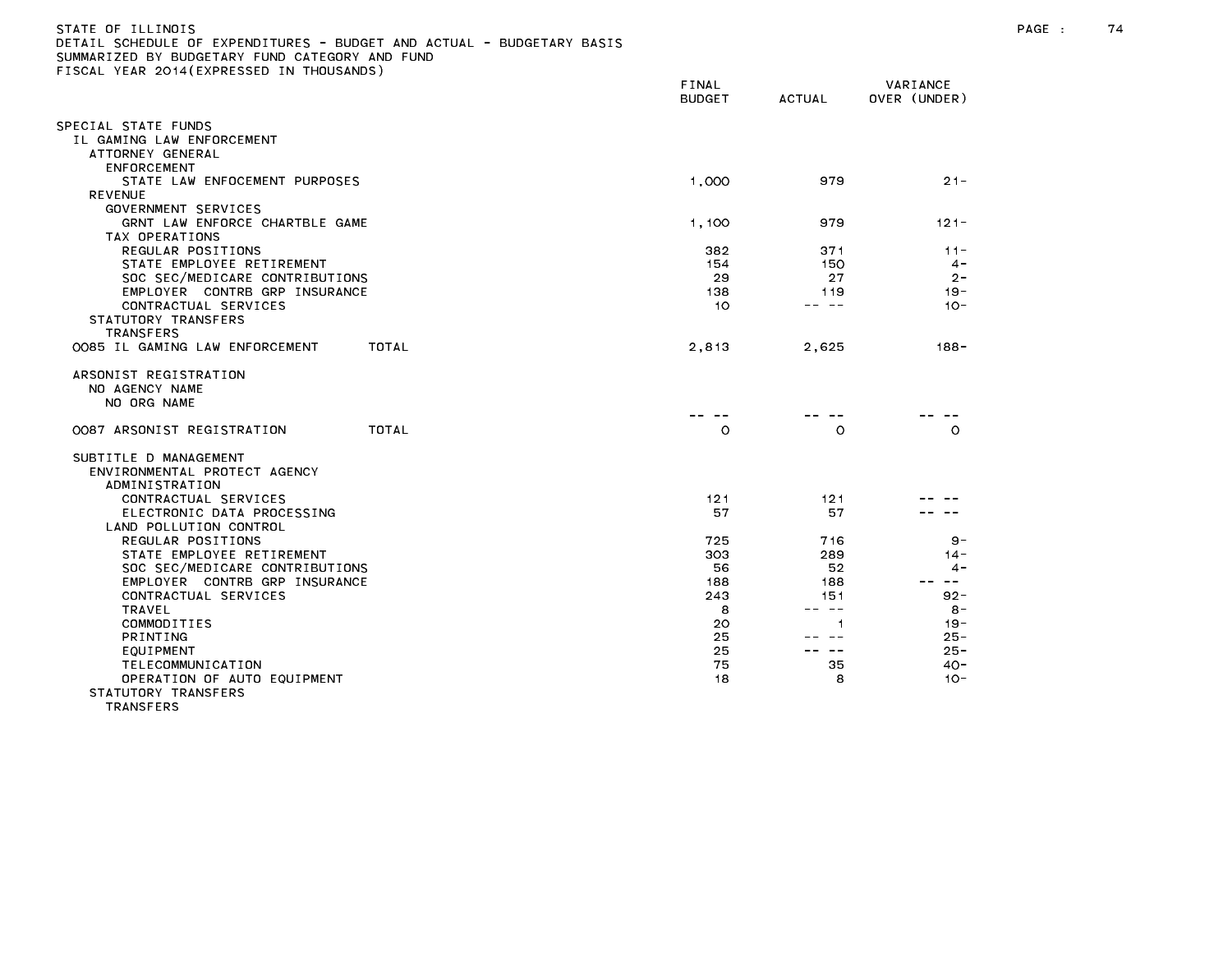| )ETAIL SCHEDULE OF EXPENDITURES - BUDGET AND ACTUAL - BUDGETARY BASIS |               |               |              |
|-----------------------------------------------------------------------|---------------|---------------|--------------|
| SUMMARIZED BY BUDGETARY FUND CATEGORY AND FUND                        |               |               |              |
| FISCAL YEAR 2014(EXPRESSED IN THOUSANDS)                              |               |               |              |
|                                                                       | FINAL         |               | VARIANCE     |
|                                                                       | <b>BUDGET</b> | <b>ACTUAL</b> | OVER (UNDER) |
|                                                                       |               |               |              |
| SPECIAL STATE FUNDS                                                   |               |               |              |
| IL GAMING LAW ENFORCEMENT                                             |               |               |              |
|                                                                       |               |               |              |
| ATTORNEY GENERAL                                                      |               |               |              |
| ENFORCEMENT                                                           |               |               |              |
| STATE LAW ENFOCEMENT PURPOSES                                         | 1,000         | 979           | $21 -$       |
| <b>REVENUE</b>                                                        |               |               |              |
| GOVERNMENT SERVICES                                                   |               |               |              |
| GRNT LAW ENFORCE CHARTBLE GAME                                        | 1,100         | 979           | $121 -$      |
| TAX OPERATIONS                                                        |               |               |              |
| REGULAR POSITIONS                                                     | 382           | 371           | $11 -$       |
| STATE EMPLOYEE RETIREMENT                                             | 154           | 150           | $4 -$        |
| SOC SEC/MEDICARE CONTRIBUTIONS                                        | 29            | 27            | $2 -$        |
| EMPLOYER CONTRB GRP INSURANCE                                         | 138           | 119           | $19 -$       |
| CONTRACTUAL SERVICES                                                  | 10            | -- --         | $10 -$       |
| STATUTORY TRANSFERS                                                   |               |               |              |
| TRANSFERS                                                             |               |               |              |
| 0085 IL GAMING LAW ENFORCEMENT<br>TOTAL                               | 2,813         |               | $188 -$      |
|                                                                       |               | 2,625         |              |
| ARSONIST REGISTRATION                                                 |               |               |              |
| NO AGENCY NAME                                                        |               |               |              |
| NO ORG NAME                                                           |               |               |              |
|                                                                       |               |               |              |
| 0087 ARSONIST REGISTRATION<br>TOTAL                                   | $\circ$       | O             | $\circ$      |
|                                                                       |               |               |              |
| SUBTITLE D MANAGEMENT                                                 |               |               |              |
| ENVIRONMENTAL PROTECT AGENCY                                          |               |               |              |
| ADMINISTRATION                                                        |               |               |              |
|                                                                       |               |               |              |
| CONTRACTUAL SERVICES                                                  | 121           | 121           |              |
| ELECTRONIC DATA PROCESSING                                            | 57            | 57            |              |
| LAND POLLUTION CONTROL                                                |               |               |              |
| REGULAR POSITIONS                                                     | 725           | 716           | $9 -$        |
| STATE EMPLOYEE RETIREMENT                                             | 303           | 289           | $14 -$       |
| SOC SEC/MEDICARE CONTRIBUTIONS                                        | 56            | 52            | $4 -$        |
| EMPLOYER CONTRB GRP INSURANCE                                         | 188           | 188           | $\sim$ $ -$  |
| CONTRACTUAL SERVICES                                                  | 243           | 151           | $92 -$       |
| <b>TRAVEL</b>                                                         | 8             | -- --         | $8 -$        |
| COMMODITIES                                                           | 20            | 1             | $19 -$       |
| PRINTING                                                              | 25            | — — —         | $25 -$       |
| EQUIPMENT                                                             | 25            | $\sim$ $-$    | $25 -$       |
| TELECOMMUNICATION                                                     | 75            | 35            | $40 -$       |
| OPERATION OF AUTO EQUIPMENT                                           | 18            | 8             | $10 -$       |
| CTATHTODY TDANCEEDC                                                   |               |               |              |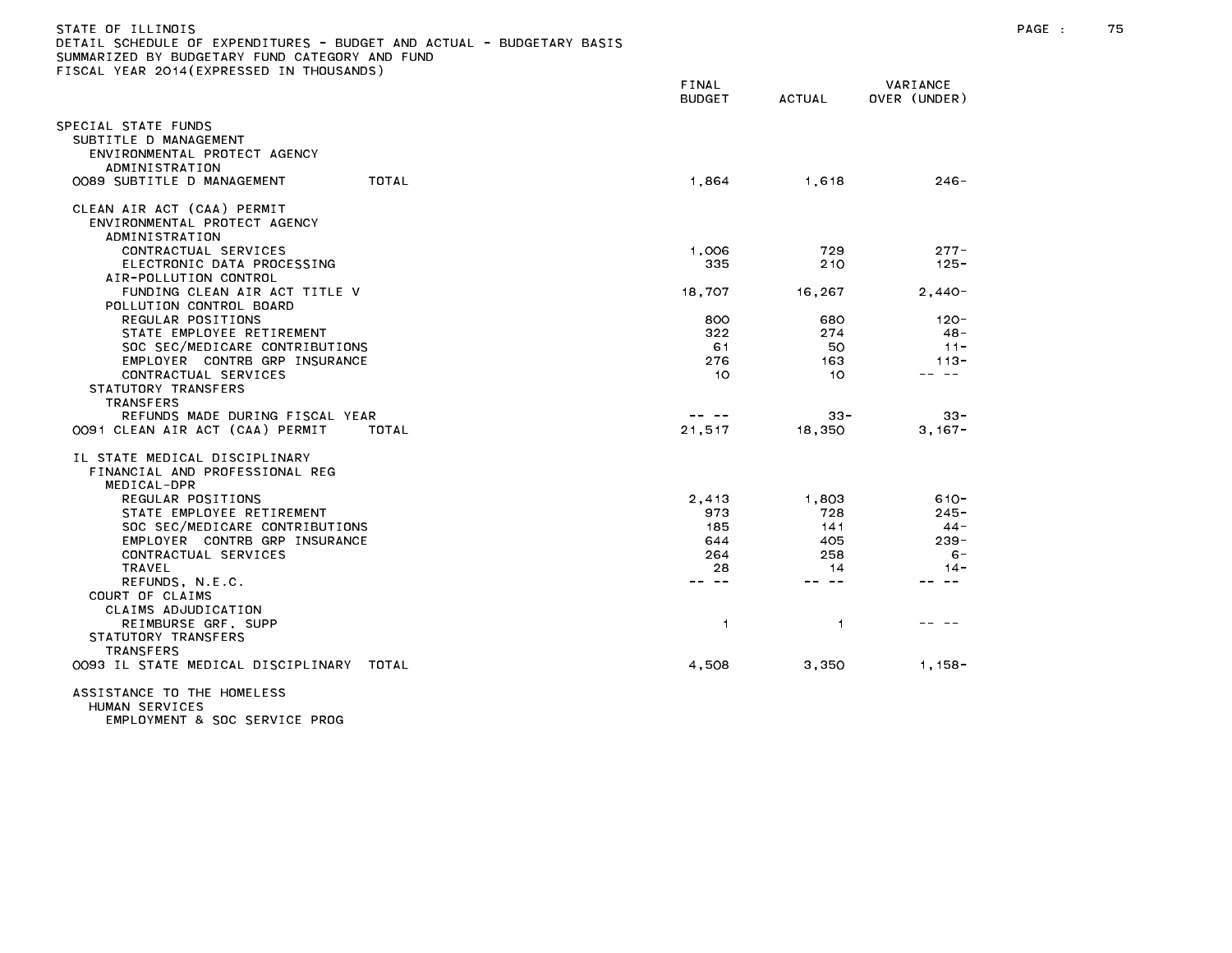| STATE OF ILLINOIS<br>DETAIL SCHEDULE OF EXPENDITURES - BUDGET AND ACTUAL - BUDGETARY BASIS<br>SUMMARIZED BY BUDGETARY FUND CATEGORY AND FUND<br>FISCAL YEAR 2014 (EXPRESSED IN THOUSANDS) |                        |        |                          | PAGE : | 75 |
|-------------------------------------------------------------------------------------------------------------------------------------------------------------------------------------------|------------------------|--------|--------------------------|--------|----|
|                                                                                                                                                                                           | FINAL<br><b>BUDGET</b> | ACTUAL | VARIANCE<br>OVER (UNDER) |        |    |
| SPECIAL STATE FUNDS<br>SUBTITLE D MANAGEMENT<br>ENVIRONMENTAL PROTECT AGENCY<br>ADMINISTRATION                                                                                            |                        |        |                          |        |    |
| TOTAL<br>OO89 SUBTITLE D MANAGEMENT                                                                                                                                                       | 1,864                  | 1,618  | $246 -$                  |        |    |
| CLEAN AIR ACT (CAA) PERMIT<br>ENVIRONMENTAL PROTECT AGENCY<br>ADMINISTRATION                                                                                                              |                        |        |                          |        |    |
| CONTRACTUAL SERVICES                                                                                                                                                                      | 1,006                  | 729    | $277 -$                  |        |    |
| ELECTRONIC DATA PROCESSING<br>AIR-POLLUTION CONTROL                                                                                                                                       | 335                    | 210    | $125 -$                  |        |    |
| FUNDING CLEAN AIR ACT TITLE V                                                                                                                                                             | 18,707                 | 16,267 | $2,440-$                 |        |    |
| POLLUTION CONTROL BOARD                                                                                                                                                                   |                        |        |                          |        |    |
| REGULAR POSITIONS                                                                                                                                                                         | 800                    | 680    | 120-                     |        |    |
| STATE EMPLOYEE RETIREMENT                                                                                                                                                                 | 322                    | 274    | 48 -                     |        |    |
| SOC SEC/MEDICARE CONTRIBUTIONS                                                                                                                                                            | 61                     | 50     | $11 -$                   |        |    |
| EMPLOYER CONTRB GRP INSURANCE                                                                                                                                                             | 276                    | 163    | $113 -$                  |        |    |
| CONTRACTUAL SERVICES                                                                                                                                                                      | 10                     | 10     | -- --                    |        |    |
| STATUTORY TRANSFERS                                                                                                                                                                       |                        |        |                          |        |    |
| <b>TRANSFERS</b>                                                                                                                                                                          |                        |        |                          |        |    |
| REFUNDS MADE DURING FISCAL YEAR                                                                                                                                                           | -- --                  | $33 -$ | $33 -$                   |        |    |
| 0091 CLEAN AIR ACT (CAA) PERMIT<br>TOTAL                                                                                                                                                  | 21,517                 | 18.350 | $3.167 -$                |        |    |
| IL STATE MEDICAL DISCIPLINARY<br>FINANCIAL AND PROFESSIONAL REG<br>MEDICAL-DPR                                                                                                            |                        |        |                          |        |    |
| REGULAR POSITIONS                                                                                                                                                                         | 2,413                  | 1,803  | $610 -$                  |        |    |
| STATE EMPLOYEE RETIREMENT                                                                                                                                                                 | 973                    | 728    | $245 -$                  |        |    |
| SOC SEC/MEDICARE CONTRIBUTIONS                                                                                                                                                            | 185                    | 141    | $44 -$                   |        |    |
| EMPLOYER CONTRB GRP INSURANCE                                                                                                                                                             | 644                    | 405    | $239 -$                  |        |    |
| CONTRACTUAL SERVICES                                                                                                                                                                      | 264                    | 258    | $6 -$                    |        |    |
| TRAVEL                                                                                                                                                                                    | 28                     | 14     | $14 -$                   |        |    |
| REFUNDS, N.E.C.                                                                                                                                                                           | -- --                  | -- --  | -- --                    |        |    |
| COURT OF CLAIMS                                                                                                                                                                           |                        |        |                          |        |    |
| CLAIMS ADJUDICATION                                                                                                                                                                       |                        |        |                          |        |    |
| REIMBURSE GRF, SUPP                                                                                                                                                                       | $\overline{1}$         | 1.     |                          |        |    |
| STATUTORY TRANSFERS                                                                                                                                                                       |                        |        |                          |        |    |
| <b>TRANSFERS</b>                                                                                                                                                                          |                        |        |                          |        |    |
| OO93 IL STATE MEDICAL DISCIPLINARY TOTAL                                                                                                                                                  | 4,508                  | 3,350  | $1,158-$                 |        |    |
| ACCICIANOE TO THE HOMELECC.                                                                                                                                                               |                        |        |                          |        |    |

ASSISTANCE TO THE HOMELESS HUMAN SERVICES EMPLOYMENT & SOC SERVICE PROG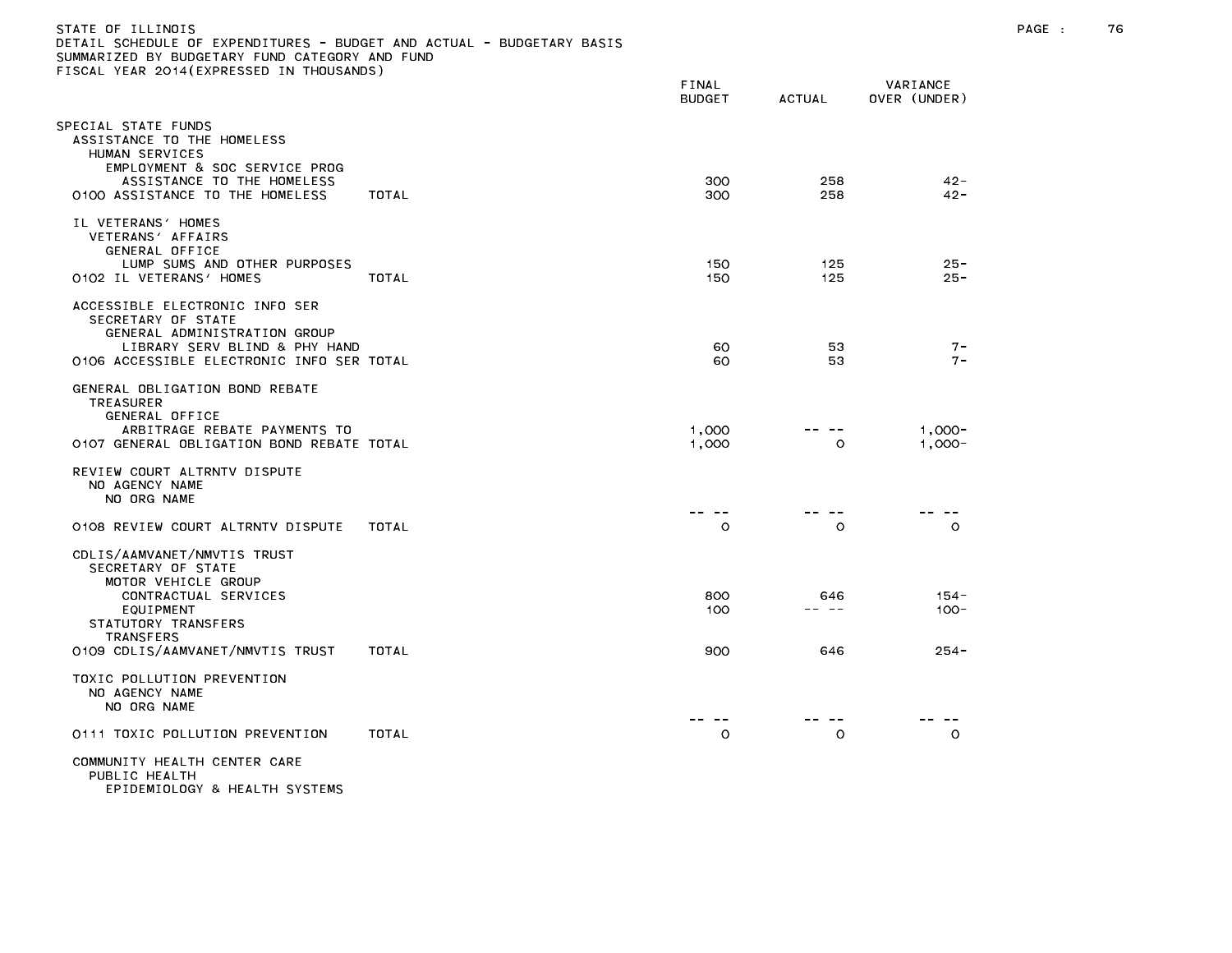| )ETAIL SCHEDULE OF EXPENDITURES – BUDGET AND ACTUAL – BUDGETARY BASIS<br>SUMMARIZED BY BUDGETARY FUND CATEGORY AND FUND<br>ISCAL YEAR 2014(EXPRESSED IN THOUSANDS): |              |                        |               |                          |  |
|---------------------------------------------------------------------------------------------------------------------------------------------------------------------|--------------|------------------------|---------------|--------------------------|--|
|                                                                                                                                                                     |              | FINAL<br><b>BUDGET</b> | <b>ACTUAL</b> | VARIANCE<br>OVER (UNDER) |  |
| SPECIAL STATE FUNDS<br>ASSISTANCE TO THE HOMELESS<br>HUMAN SERVICES<br>EMPLOYMENT & SOC SERVICE PROG<br>ASSISTANCE TO THE HOMELESS                                  |              | 300                    | 258           | $42 -$                   |  |
| 0100 ASSISTANCE TO THE HOMELESS<br>IL VETERANS' HOMES<br>VETERANS' AFFAIRS<br>GENERAL OFFICE<br>LUMP SUMS AND OTHER PURPOSES                                        | TOTAL        | 300<br>150             | 258<br>125    | $42 -$<br>$25 -$         |  |
| 0102 IL VETERANS' HOMES                                                                                                                                             | <b>TOTAL</b> | 150                    | 125           | $25 -$                   |  |
| ACCESSIBLE ELECTRONIC INFO SER<br>SECRETARY OF STATE<br>GENERAL ADMINISTRATION GROUP<br>LIBRARY SERV BLIND & PHY HAND<br>0106 ACCESSIBLE ELECTRONIC INFO SER TOTAL  |              | 60<br>60               | 53<br>53      | $7 -$<br>$7 -$           |  |
| GENERAL OBLIGATION BOND REBATE<br><b>TREASURER</b><br>GENERAL OFFICE<br>ARBITRAGE REBATE PAYMENTS TO<br>O107 GENERAL OBLIGATION BOND REBATE TOTAL                   |              | 1.000<br>1,000         | $\circ$       | $1.000 -$<br>$1.000 -$   |  |
| REVIEW COURT ALTRNTV DISPUTE<br>NO AGENCY NAME<br>NO ORG NAME                                                                                                       |              |                        |               |                          |  |
| 0108 REVIEW COURT ALTRNTV DISPUTE                                                                                                                                   | TOTAL        | $\circ$                | $\circ$       | O                        |  |
| CDLIS/AAMVANET/NMVTIS TRUST<br>SECRETARY OF STATE<br>MOTOR VEHICLE GROUP                                                                                            |              |                        |               |                          |  |
| CONTRACTUAL SERVICES<br>EQUIPMENT<br>STATUTORY TRANSFERS<br><b>TRANSFERS</b>                                                                                        |              | 800<br>100             | 646<br>-- --  | $154 -$<br>$100 -$       |  |
| 0109 CDLIS/AAMVANET/NMVTIS TRUST                                                                                                                                    | TOTAL        | 900                    | 646           | $254 -$                  |  |
| TOXIC POLLUTION PREVENTION<br>NO AGENCY NAME<br>NO ORG NAME                                                                                                         |              |                        |               |                          |  |
| 0111 TOXIC POLLUTION PREVENTION                                                                                                                                     | TOTAL        | $\circ$                | $\circ$       | $\circ$                  |  |
| COMMUNITY HEALTH CENTER CARE<br>PUBLIC HEALTH<br>EPIDEMIOLOGY & HEALTH SYSTEMS                                                                                      |              |                        |               |                          |  |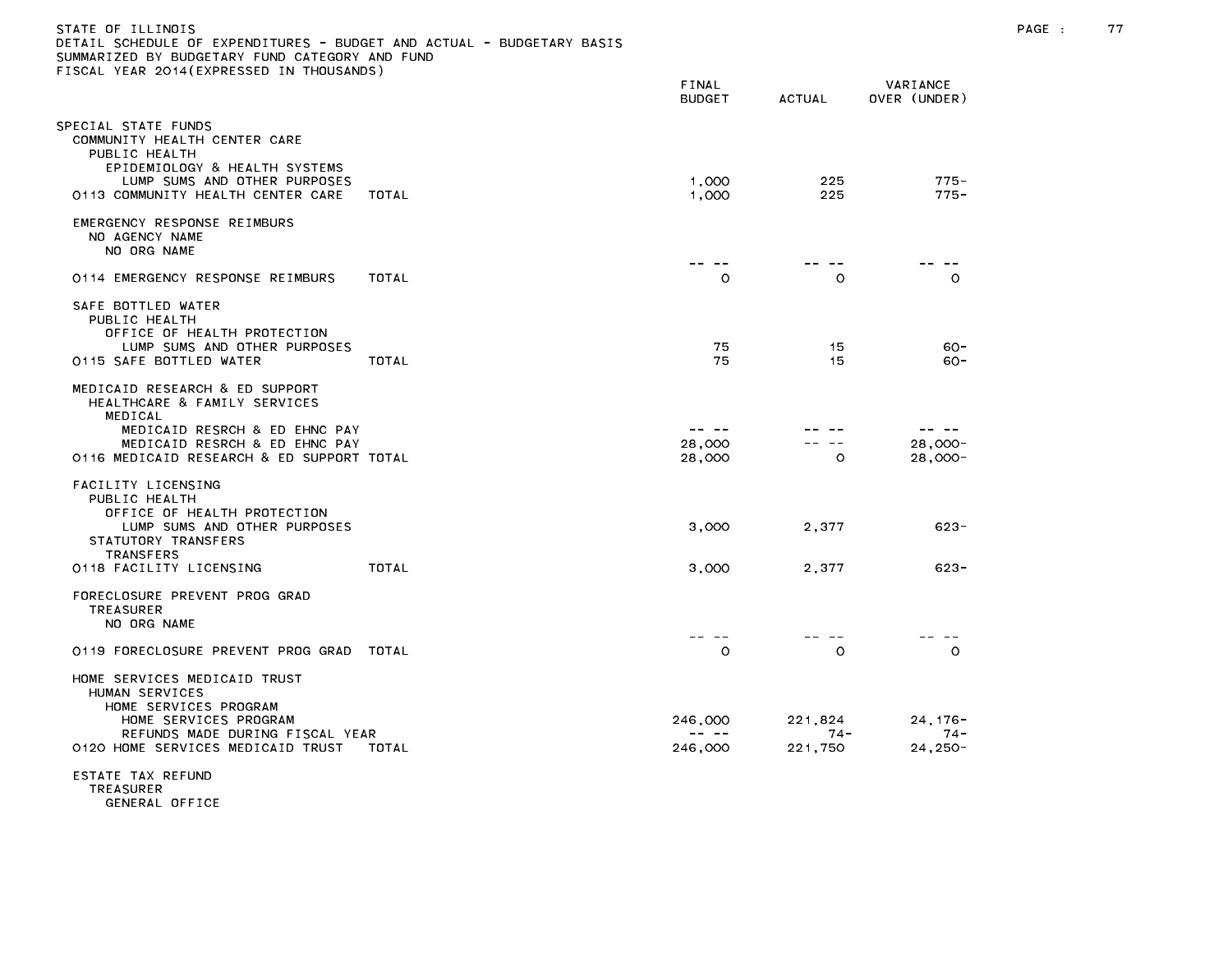| )ETAIL SCHEDULE OF EXPENDITURES - BUDGET AND ACTUAL - BUDGETARY BASIS<br>SUMMARIZED BY BUDGETARY FUND CATEGORY AND FUND<br>TISCAL YEAR 2014(EXPRESSED IN THOUSANDS) |       |                        |                  |                          |
|---------------------------------------------------------------------------------------------------------------------------------------------------------------------|-------|------------------------|------------------|--------------------------|
|                                                                                                                                                                     |       | FINAL<br><b>BUDGET</b> | <b>ACTUAL</b>    | VARIANCE<br>OVER (UNDER) |
| SPECIAL STATE FUNDS<br>COMMUNITY HEALTH CENTER CARE<br>PUBLIC HEALTH<br>EPIDEMIOLOGY & HEALTH SYSTEMS<br>LUMP SUMS AND OTHER PURPOSES                               |       | 1,000                  | 225              | $775 -$                  |
| 0113 COMMUNITY HEALTH CENTER CARE                                                                                                                                   | TOTAL | 1.000                  | 225              | $775 -$                  |
| EMERGENCY RESPONSE REIMBURS<br>NO AGENCY NAME<br>NO ORG NAME                                                                                                        |       | -- --                  |                  |                          |
| 0114 EMERGENCY RESPONSE REIMBURS                                                                                                                                    | TOTAL | $\circ$                | $\circ$          | $\circ$                  |
| SAFE BOTTLED WATER<br>PUBLIC HEALTH<br>OFFICE OF HEALTH PROTECTION                                                                                                  |       |                        |                  |                          |
| LUMP SUMS AND OTHER PURPOSES<br>0115 SAFE BOTTLED WATER                                                                                                             | TOTAL | 75<br>75               | 15<br>15         | $60 -$<br>$60 -$         |
| MEDICAID RESEARCH & ED SUPPORT<br>HEALTHCARE & FAMILY SERVICES<br>MEDICAL<br>MEDICAID RESRCH & ED EHNC PAY                                                          |       | -- --                  |                  | -- -                     |
| MEDICAID RESRCH & ED EHNC PAY<br>0116 MEDICAID RESEARCH & ED SUPPORT TOTAL                                                                                          |       | 28,000<br>28,000       | $\circ$          | 28.000-<br>$28,000-$     |
| FACILITY LICENSING<br>PUBLIC HEALTH<br>OFFICE OF HEALTH PROTECTION<br>LUMP SUMS AND OTHER PURPOSES<br>STATUTORY TRANSFERS                                           |       | 3,000                  | 2.377            | $623 -$                  |
| TRANSFERS<br>0118 FACILITY LICENSING                                                                                                                                | TOTAL | 3,000                  | 2,377            | $623 -$                  |
| FORECLOSURE PREVENT PROG GRAD<br><b>TREASURER</b><br>NO ORG NAME                                                                                                    |       |                        |                  |                          |
| 0119 FORECLOSURE PREVENT PROG GRAD                                                                                                                                  | TOTAL | $- - - - -$<br>$\circ$ | -- --<br>$\circ$ | $\circ$                  |
| HOME SERVICES MEDICAID TRUST<br>HUMAN SERVICES<br>HOME SERVICES PROGRAM<br>HOME SERVICES PROGRAM<br>REFUNDS MADE DURING FISCAL YEAR                                 |       | 246,000<br>-- --       | 221,824<br>74 -  | $24, 176 -$<br>$74 -$    |
| 0120 HOME SERVICES MEDICAID TRUST                                                                                                                                   | TOTAL | 246,000                | 221,750          | $24,250-$                |
| ESTATE TAX REFUND<br><b>TDEACHDED</b>                                                                                                                               |       |                        |                  |                          |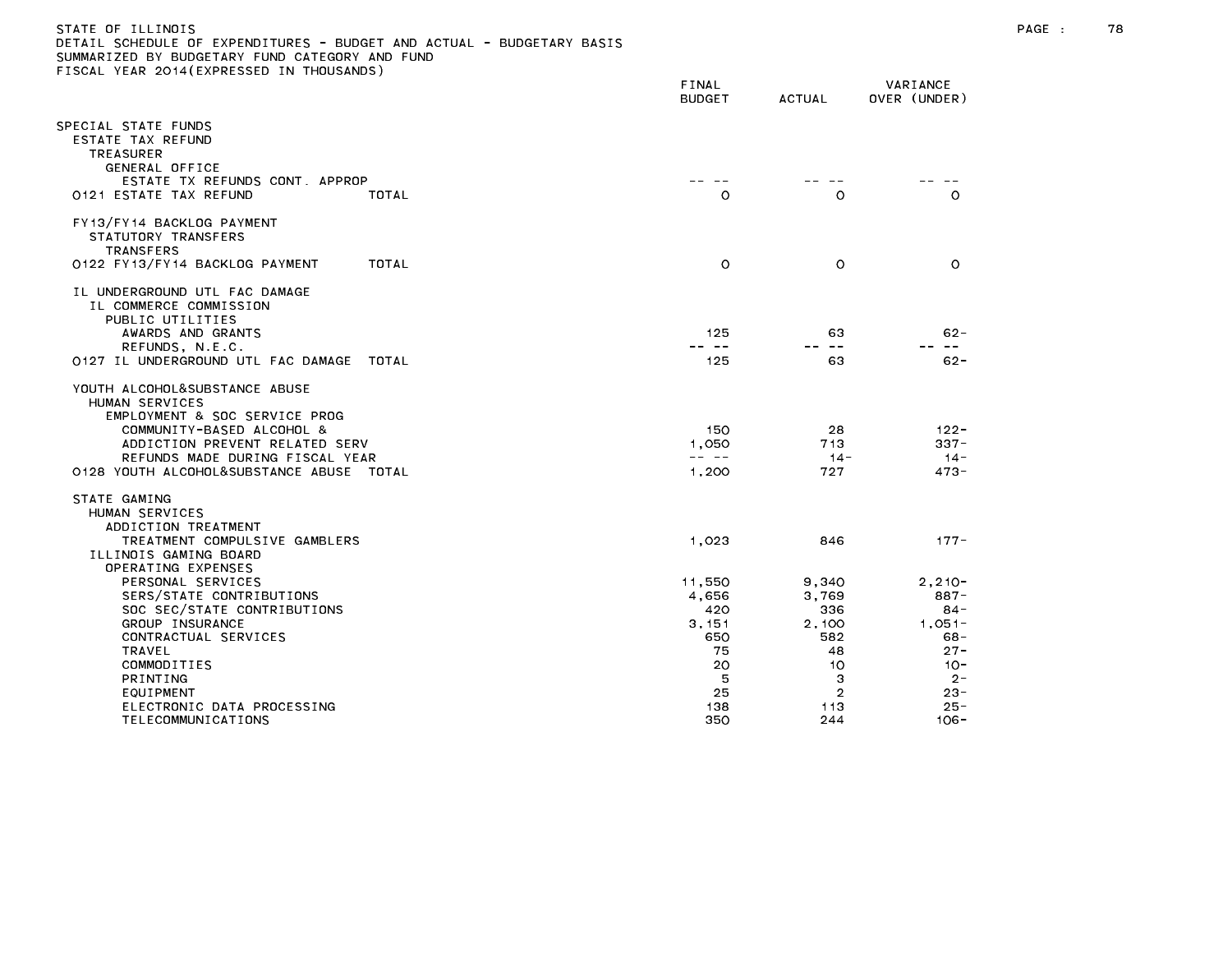## STATE OF ILLINOIS PAGE : 78 DETAIL SCHEDULE OF EXPENDITURES - BUDGET AND ACTUAL - BUDGETARY BASIS

|                                                             | FINAL<br><b>BUDGET</b>                                                                                                                                                                                                                                                                                                                                                                                | ACTUAL         | VARIANCE<br>OVER (UNDER) |
|-------------------------------------------------------------|-------------------------------------------------------------------------------------------------------------------------------------------------------------------------------------------------------------------------------------------------------------------------------------------------------------------------------------------------------------------------------------------------------|----------------|--------------------------|
| SPECIAL STATE FUNDS                                         |                                                                                                                                                                                                                                                                                                                                                                                                       |                |                          |
| ESTATE TAX REFUND<br><b>TREASURER</b>                       |                                                                                                                                                                                                                                                                                                                                                                                                       |                |                          |
| GENERAL OFFICE                                              |                                                                                                                                                                                                                                                                                                                                                                                                       |                |                          |
| ESTATE TX REFUNDS CONT, APPROP                              |                                                                                                                                                                                                                                                                                                                                                                                                       |                |                          |
| 0121 ESTATE TAX REFUND<br>TOTAL                             | $\circ$                                                                                                                                                                                                                                                                                                                                                                                               | $\circ$        | $\circ$                  |
| FY13/FY14 BACKLOG PAYMENT                                   |                                                                                                                                                                                                                                                                                                                                                                                                       |                |                          |
| STATUTORY TRANSFERS                                         |                                                                                                                                                                                                                                                                                                                                                                                                       |                |                          |
| <b>TRANSFERS</b><br>0122 FY13/FY14 BACKLOG PAYMENT<br>TOTAL | $\circ$                                                                                                                                                                                                                                                                                                                                                                                               | $\circ$        | $\circ$                  |
|                                                             |                                                                                                                                                                                                                                                                                                                                                                                                       |                |                          |
| IL UNDERGROUND UTL FAC DAMAGE                               |                                                                                                                                                                                                                                                                                                                                                                                                       |                |                          |
| IL COMMERCE COMMISSION                                      |                                                                                                                                                                                                                                                                                                                                                                                                       |                |                          |
| PUBLIC UTILITIES<br>AWARDS AND GRANTS                       | 125                                                                                                                                                                                                                                                                                                                                                                                                   | 63             | $62 -$                   |
| REFUNDS, N.E.C.                                             | -- --                                                                                                                                                                                                                                                                                                                                                                                                 | $- -$          | $- -$                    |
| 0127 IL UNDERGROUND UTL FAC DAMAGE<br>TOTAL                 | 125                                                                                                                                                                                                                                                                                                                                                                                                   | 63             | $62 -$                   |
| YOUTH ALCOHOL&SUBSTANCE ABUSE                               |                                                                                                                                                                                                                                                                                                                                                                                                       |                |                          |
| HUMAN SERVICES                                              |                                                                                                                                                                                                                                                                                                                                                                                                       |                |                          |
| EMPLOYMENT & SOC SERVICE PROG                               |                                                                                                                                                                                                                                                                                                                                                                                                       |                |                          |
| COMMUNITY-BASED ALCOHOL &<br>ADDICTION PREVENT RELATED SERV | 150                                                                                                                                                                                                                                                                                                                                                                                                   | 28             | $122 -$<br>$337 -$       |
| REFUNDS MADE DURING FISCAL YEAR                             | 1,050<br>$\frac{1}{2} \frac{1}{2} \frac{1}{2} \frac{1}{2} \frac{1}{2} \frac{1}{2} \frac{1}{2} \frac{1}{2} \frac{1}{2} \frac{1}{2} \frac{1}{2} \frac{1}{2} \frac{1}{2} \frac{1}{2} \frac{1}{2} \frac{1}{2} \frac{1}{2} \frac{1}{2} \frac{1}{2} \frac{1}{2} \frac{1}{2} \frac{1}{2} \frac{1}{2} \frac{1}{2} \frac{1}{2} \frac{1}{2} \frac{1}{2} \frac{1}{2} \frac{1}{2} \frac{1}{2} \frac{1}{2} \frac{$ | 713<br>$14 -$  | $14 -$                   |
| 0128 YOUTH ALCOHOL&SUBSTANCE ABUSE TOTAL                    | 1,200                                                                                                                                                                                                                                                                                                                                                                                                 | 727            | $473 -$                  |
| STATE GAMING                                                |                                                                                                                                                                                                                                                                                                                                                                                                       |                |                          |
| HUMAN SERVICES                                              |                                                                                                                                                                                                                                                                                                                                                                                                       |                |                          |
| ADDICTION TREATMENT                                         |                                                                                                                                                                                                                                                                                                                                                                                                       |                |                          |
| TREATMENT COMPULSIVE GAMBLERS                               | 1,023                                                                                                                                                                                                                                                                                                                                                                                                 | 846            | $177 -$                  |
| ILLINOIS GAMING BOARD<br>OPERATING EXPENSES                 |                                                                                                                                                                                                                                                                                                                                                                                                       |                |                          |
| PERSONAL SERVICES                                           | 11,550                                                                                                                                                                                                                                                                                                                                                                                                | 9,340          | $2.210 -$                |
| SERS/STATE CONTRIBUTIONS                                    | 4,656                                                                                                                                                                                                                                                                                                                                                                                                 | 3,769          | 887-                     |
| SOC SEC/STATE CONTRIBUTIONS                                 | 420                                                                                                                                                                                                                                                                                                                                                                                                   | 336            | 84-                      |
| GROUP INSURANCE<br>CONTRACTUAL SERVICES                     | 3.151<br>650                                                                                                                                                                                                                                                                                                                                                                                          | 2.100<br>582   | $1.051 -$<br>68-         |
| TRAVEL                                                      | 75                                                                                                                                                                                                                                                                                                                                                                                                    | 48             | $27 -$                   |
| COMMODITIES                                                 | 20                                                                                                                                                                                                                                                                                                                                                                                                    | 10             | $10 -$                   |
| PRINTING                                                    | 5                                                                                                                                                                                                                                                                                                                                                                                                     | 3              | $2 -$                    |
| EQUIPMENT                                                   | 25                                                                                                                                                                                                                                                                                                                                                                                                    | $\overline{2}$ | $23 -$                   |
| ELECTRONIC DATA PROCESSING<br>TELECOMMUNICATIONS            | 138<br>350                                                                                                                                                                                                                                                                                                                                                                                            | 113<br>244     | $25 -$<br>$106 -$        |
|                                                             |                                                                                                                                                                                                                                                                                                                                                                                                       |                |                          |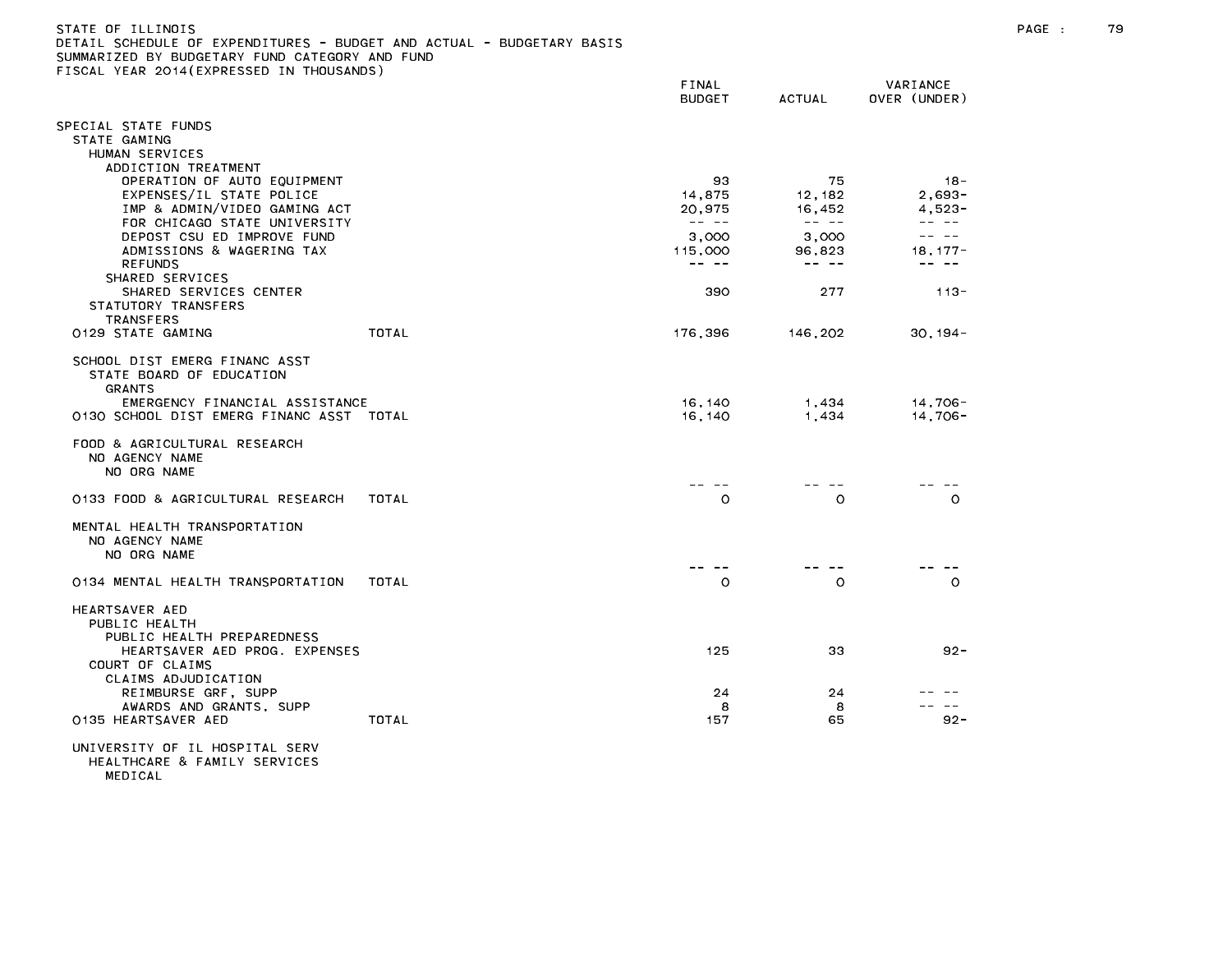| -STATE OF ILLINDIS                                                    |  |
|-----------------------------------------------------------------------|--|
| DETAIL SCHEDULE OF EXPENDITURES - BUDGET AND ACTUAL - BUDGETARY BASIS |  |
| SUMMARIZED BY BUDGETARY FUND CATEGORY AND FUND                        |  |
| FISCAL YEAR 2014(EXPRESSED IN THOUSANDS)                              |  |
|                                                                       |  |

|                                                                         | FINAL<br><b>BUDGET</b>                                                                                                                                                                                                                                                                                                                                                                                 | <b>ACTUAL</b>                                                                                                                                                                                                                                                                                                                                                                                          | VARIANCE<br>OVER (UNDER)                                                                                                                                                                                                                                                                                                                                                                                 |
|-------------------------------------------------------------------------|--------------------------------------------------------------------------------------------------------------------------------------------------------------------------------------------------------------------------------------------------------------------------------------------------------------------------------------------------------------------------------------------------------|--------------------------------------------------------------------------------------------------------------------------------------------------------------------------------------------------------------------------------------------------------------------------------------------------------------------------------------------------------------------------------------------------------|----------------------------------------------------------------------------------------------------------------------------------------------------------------------------------------------------------------------------------------------------------------------------------------------------------------------------------------------------------------------------------------------------------|
| SPECIAL STATE FUNDS                                                     |                                                                                                                                                                                                                                                                                                                                                                                                        |                                                                                                                                                                                                                                                                                                                                                                                                        |                                                                                                                                                                                                                                                                                                                                                                                                          |
| STATE GAMING<br>HUMAN SERVICES                                          |                                                                                                                                                                                                                                                                                                                                                                                                        |                                                                                                                                                                                                                                                                                                                                                                                                        |                                                                                                                                                                                                                                                                                                                                                                                                          |
| ADDICTION TREATMENT                                                     |                                                                                                                                                                                                                                                                                                                                                                                                        |                                                                                                                                                                                                                                                                                                                                                                                                        |                                                                                                                                                                                                                                                                                                                                                                                                          |
| OPERATION OF AUTO EQUIPMENT                                             | 93                                                                                                                                                                                                                                                                                                                                                                                                     | 75                                                                                                                                                                                                                                                                                                                                                                                                     | $18 -$                                                                                                                                                                                                                                                                                                                                                                                                   |
| EXPENSES/IL STATE POLICE                                                | 14,875                                                                                                                                                                                                                                                                                                                                                                                                 | 12,182                                                                                                                                                                                                                                                                                                                                                                                                 | $2,693-$                                                                                                                                                                                                                                                                                                                                                                                                 |
| IMP & ADMIN/VIDEO GAMING ACT<br>FOR CHICAGO STATE UNIVERSITY            | 20,975<br>$\frac{1}{2} \frac{1}{2} \frac{1}{2} \frac{1}{2} \frac{1}{2} \frac{1}{2} \frac{1}{2} \frac{1}{2} \frac{1}{2} \frac{1}{2} \frac{1}{2} \frac{1}{2} \frac{1}{2} \frac{1}{2} \frac{1}{2} \frac{1}{2} \frac{1}{2} \frac{1}{2} \frac{1}{2} \frac{1}{2} \frac{1}{2} \frac{1}{2} \frac{1}{2} \frac{1}{2} \frac{1}{2} \frac{1}{2} \frac{1}{2} \frac{1}{2} \frac{1}{2} \frac{1}{2} \frac{1}{2} \frac{$ | 16,452<br>$\frac{1}{2} \frac{1}{2} \frac{1}{2} \frac{1}{2} \frac{1}{2} \frac{1}{2} \frac{1}{2} \frac{1}{2} \frac{1}{2} \frac{1}{2} \frac{1}{2} \frac{1}{2} \frac{1}{2} \frac{1}{2} \frac{1}{2} \frac{1}{2} \frac{1}{2} \frac{1}{2} \frac{1}{2} \frac{1}{2} \frac{1}{2} \frac{1}{2} \frac{1}{2} \frac{1}{2} \frac{1}{2} \frac{1}{2} \frac{1}{2} \frac{1}{2} \frac{1}{2} \frac{1}{2} \frac{1}{2} \frac{$ | $4,523-$<br>$\frac{1}{2} \frac{1}{2} \frac{1}{2} \frac{1}{2} \frac{1}{2} \frac{1}{2} \frac{1}{2} \frac{1}{2} \frac{1}{2} \frac{1}{2} \frac{1}{2} \frac{1}{2} \frac{1}{2} \frac{1}{2} \frac{1}{2} \frac{1}{2} \frac{1}{2} \frac{1}{2} \frac{1}{2} \frac{1}{2} \frac{1}{2} \frac{1}{2} \frac{1}{2} \frac{1}{2} \frac{1}{2} \frac{1}{2} \frac{1}{2} \frac{1}{2} \frac{1}{2} \frac{1}{2} \frac{1}{2} \frac{$ |
| DEPOST CSU ED IMPROVE FUND                                              | 3,000                                                                                                                                                                                                                                                                                                                                                                                                  | 3.000                                                                                                                                                                                                                                                                                                                                                                                                  | $\frac{1}{2} \frac{1}{2} \frac{1}{2} \frac{1}{2} \frac{1}{2} \frac{1}{2} \frac{1}{2} \frac{1}{2} \frac{1}{2} \frac{1}{2} \frac{1}{2} \frac{1}{2} \frac{1}{2} \frac{1}{2} \frac{1}{2} \frac{1}{2} \frac{1}{2} \frac{1}{2} \frac{1}{2} \frac{1}{2} \frac{1}{2} \frac{1}{2} \frac{1}{2} \frac{1}{2} \frac{1}{2} \frac{1}{2} \frac{1}{2} \frac{1}{2} \frac{1}{2} \frac{1}{2} \frac{1}{2} \frac{$             |
| ADMISSIONS & WAGERING TAX                                               | 115,000                                                                                                                                                                                                                                                                                                                                                                                                | 96,823                                                                                                                                                                                                                                                                                                                                                                                                 | $18, 177 -$                                                                                                                                                                                                                                                                                                                                                                                              |
| <b>REFUNDS</b><br>SHARED SERVICES                                       | $\frac{1}{2} \frac{1}{2} \frac{1}{2} \frac{1}{2} \frac{1}{2} \frac{1}{2} \frac{1}{2} \frac{1}{2} \frac{1}{2} \frac{1}{2} \frac{1}{2} \frac{1}{2} \frac{1}{2} \frac{1}{2} \frac{1}{2} \frac{1}{2} \frac{1}{2} \frac{1}{2} \frac{1}{2} \frac{1}{2} \frac{1}{2} \frac{1}{2} \frac{1}{2} \frac{1}{2} \frac{1}{2} \frac{1}{2} \frac{1}{2} \frac{1}{2} \frac{1}{2} \frac{1}{2} \frac{1}{2} \frac{$           | $\frac{1}{2} \frac{1}{2} \frac{1}{2} \frac{1}{2} \frac{1}{2} \frac{1}{2} \frac{1}{2} \frac{1}{2} \frac{1}{2} \frac{1}{2} \frac{1}{2} \frac{1}{2} \frac{1}{2} \frac{1}{2} \frac{1}{2} \frac{1}{2} \frac{1}{2} \frac{1}{2} \frac{1}{2} \frac{1}{2} \frac{1}{2} \frac{1}{2} \frac{1}{2} \frac{1}{2} \frac{1}{2} \frac{1}{2} \frac{1}{2} \frac{1}{2} \frac{1}{2} \frac{1}{2} \frac{1}{2} \frac{$           | $\frac{1}{2} \frac{1}{2} \frac{1}{2} \frac{1}{2} \frac{1}{2} \frac{1}{2} \frac{1}{2} \frac{1}{2} \frac{1}{2} \frac{1}{2} \frac{1}{2} \frac{1}{2} \frac{1}{2} \frac{1}{2} \frac{1}{2} \frac{1}{2} \frac{1}{2} \frac{1}{2} \frac{1}{2} \frac{1}{2} \frac{1}{2} \frac{1}{2} \frac{1}{2} \frac{1}{2} \frac{1}{2} \frac{1}{2} \frac{1}{2} \frac{1}{2} \frac{1}{2} \frac{1}{2} \frac{1}{2} \frac{$             |
| SHARED SERVICES CENTER                                                  | 390                                                                                                                                                                                                                                                                                                                                                                                                    | 277                                                                                                                                                                                                                                                                                                                                                                                                    | $113 -$                                                                                                                                                                                                                                                                                                                                                                                                  |
| STATUTORY TRANSFERS                                                     |                                                                                                                                                                                                                                                                                                                                                                                                        |                                                                                                                                                                                                                                                                                                                                                                                                        |                                                                                                                                                                                                                                                                                                                                                                                                          |
| <b>TRANSFERS</b><br>0129 STATE GAMING<br><b>TOTAL</b>                   | 176,396                                                                                                                                                                                                                                                                                                                                                                                                |                                                                                                                                                                                                                                                                                                                                                                                                        | $30, 194 -$                                                                                                                                                                                                                                                                                                                                                                                              |
|                                                                         |                                                                                                                                                                                                                                                                                                                                                                                                        | 146,202                                                                                                                                                                                                                                                                                                                                                                                                |                                                                                                                                                                                                                                                                                                                                                                                                          |
| SCHOOL DIST EMERG FINANC ASST                                           |                                                                                                                                                                                                                                                                                                                                                                                                        |                                                                                                                                                                                                                                                                                                                                                                                                        |                                                                                                                                                                                                                                                                                                                                                                                                          |
| STATE BOARD OF EDUCATION                                                |                                                                                                                                                                                                                                                                                                                                                                                                        |                                                                                                                                                                                                                                                                                                                                                                                                        |                                                                                                                                                                                                                                                                                                                                                                                                          |
| <b>GRANTS</b><br>EMERGENCY FINANCIAL ASSISTANCE                         | 16, 140                                                                                                                                                                                                                                                                                                                                                                                                | 1,434                                                                                                                                                                                                                                                                                                                                                                                                  | 14,706-                                                                                                                                                                                                                                                                                                                                                                                                  |
| 0130 SCHOOL DIST EMERG FINANC ASST TOTAL                                | 16, 140                                                                                                                                                                                                                                                                                                                                                                                                | 1,434                                                                                                                                                                                                                                                                                                                                                                                                  | 14,706-                                                                                                                                                                                                                                                                                                                                                                                                  |
| FOOD & AGRICULTURAL RESEARCH<br>NO AGENCY NAME<br>NO ORG NAME           |                                                                                                                                                                                                                                                                                                                                                                                                        |                                                                                                                                                                                                                                                                                                                                                                                                        |                                                                                                                                                                                                                                                                                                                                                                                                          |
| 0133 FOOD & AGRICULTURAL RESEARCH<br>TOTAL                              | $\circ$                                                                                                                                                                                                                                                                                                                                                                                                | O                                                                                                                                                                                                                                                                                                                                                                                                      | $\circ$                                                                                                                                                                                                                                                                                                                                                                                                  |
| MENTAL HEALTH TRANSPORTATION<br>NO AGENCY NAME<br>NO ORG NAME           |                                                                                                                                                                                                                                                                                                                                                                                                        |                                                                                                                                                                                                                                                                                                                                                                                                        |                                                                                                                                                                                                                                                                                                                                                                                                          |
| 0134 MENTAL HEALTH TRANSPORTATION<br>TOTAL                              | $\circ$                                                                                                                                                                                                                                                                                                                                                                                                | $\circ$                                                                                                                                                                                                                                                                                                                                                                                                | $\circ$                                                                                                                                                                                                                                                                                                                                                                                                  |
| HEARTSAVER AED<br>PUBLIC HEALTH<br>PUBLIC HEALTH PREPAREDNESS           |                                                                                                                                                                                                                                                                                                                                                                                                        |                                                                                                                                                                                                                                                                                                                                                                                                        |                                                                                                                                                                                                                                                                                                                                                                                                          |
| HEARTSAVER AED PROG. EXPENSES<br>COURT OF CLAIMS<br>CLAIMS ADJUDICATION | 125                                                                                                                                                                                                                                                                                                                                                                                                    | 33                                                                                                                                                                                                                                                                                                                                                                                                     | $92 -$                                                                                                                                                                                                                                                                                                                                                                                                   |
| REIMBURSE GRF, SUPP                                                     | 24                                                                                                                                                                                                                                                                                                                                                                                                     | 24                                                                                                                                                                                                                                                                                                                                                                                                     |                                                                                                                                                                                                                                                                                                                                                                                                          |
| AWARDS AND GRANTS, SUPP                                                 | 8                                                                                                                                                                                                                                                                                                                                                                                                      | 8                                                                                                                                                                                                                                                                                                                                                                                                      |                                                                                                                                                                                                                                                                                                                                                                                                          |
| 0135 HEARTSAVER AED<br>TOTAL                                            | 157                                                                                                                                                                                                                                                                                                                                                                                                    | 65                                                                                                                                                                                                                                                                                                                                                                                                     | $92 -$                                                                                                                                                                                                                                                                                                                                                                                                   |
| IINTVERSTTY OF TI HOSPITAL SERV                                         |                                                                                                                                                                                                                                                                                                                                                                                                        |                                                                                                                                                                                                                                                                                                                                                                                                        |                                                                                                                                                                                                                                                                                                                                                                                                          |

HEALTHCARE & FAMILY SERVICES MEDICAL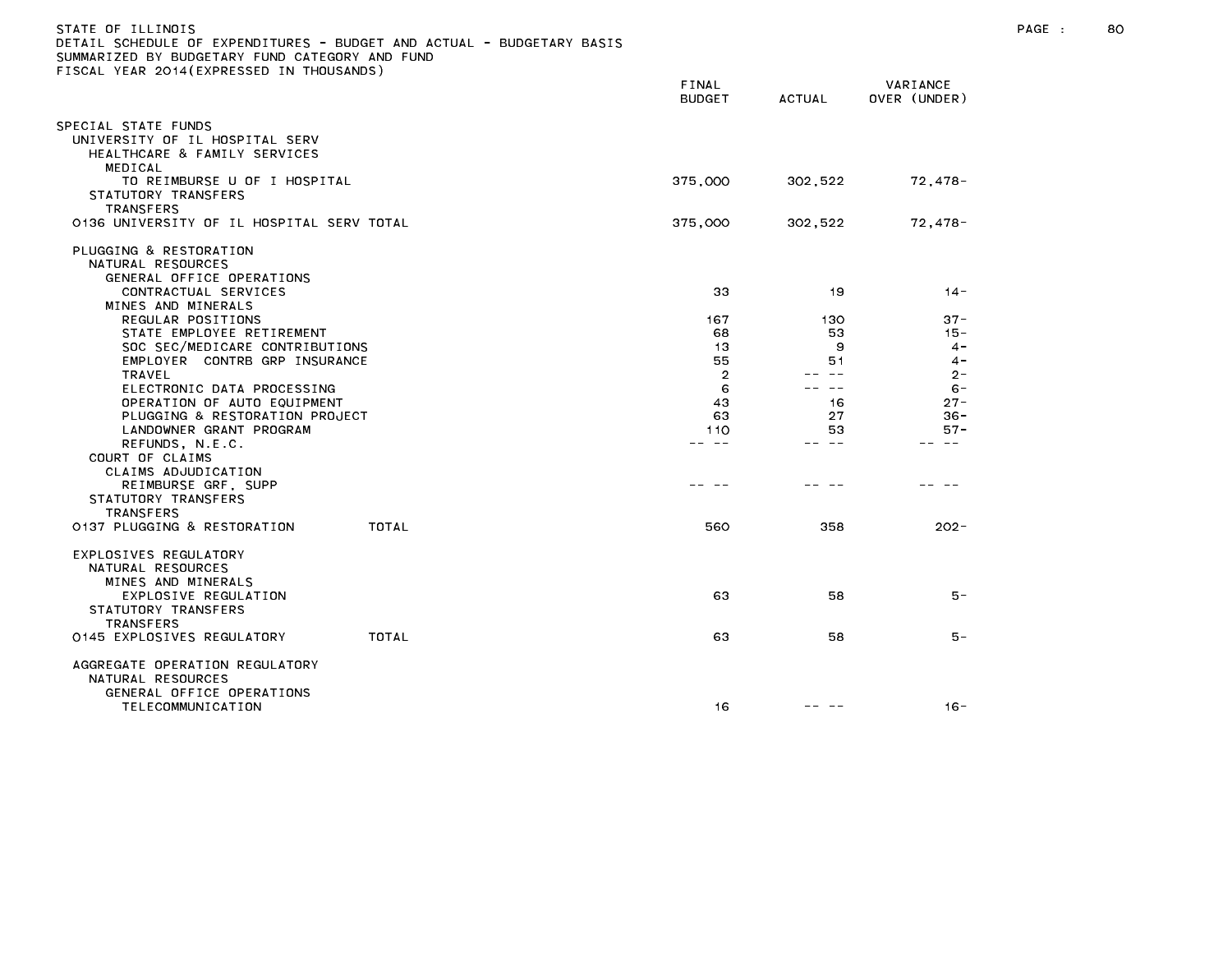| STATE OF ILLINOIS                                                     |       |                |               |              |
|-----------------------------------------------------------------------|-------|----------------|---------------|--------------|
| DETAIL SCHEDULE OF EXPENDITURES - BUDGET AND ACTUAL - BUDGETARY BASIS |       |                |               |              |
| SUMMARIZED BY BUDGETARY FUND CATEGORY AND FUND                        |       |                |               |              |
| FISCAL YEAR 2014(EXPRESSED IN THOUSANDS)                              |       |                |               |              |
|                                                                       |       | FINAL          |               | VARIANCE     |
|                                                                       |       | <b>BUDGET</b>  | <b>ACTUAL</b> | OVER (UNDER) |
|                                                                       |       |                |               |              |
| SPECIAL STATE FUNDS                                                   |       |                |               |              |
| UNIVERSITY OF IL HOSPITAL SERV                                        |       |                |               |              |
| HEALTHCARE & FAMILY SERVICES                                          |       |                |               |              |
| MEDICAL                                                               |       |                |               |              |
| TO REIMBURSE U OF I HOSPITAL                                          |       | 375,000        | 302,522       | 72,478-      |
| STATUTORY TRANSFERS                                                   |       |                |               |              |
| <b>TRANSFERS</b>                                                      |       |                |               |              |
| 0136 UNIVERSITY OF IL HOSPITAL SERV TOTAL                             |       | 375,000        | 302,522       | 72,478-      |
|                                                                       |       |                |               |              |
| PLUGGING & RESTORATION                                                |       |                |               |              |
| NATURAL RESOURCES                                                     |       |                |               |              |
|                                                                       |       |                |               |              |
| GENERAL OFFICE OPERATIONS                                             |       |                |               |              |
| CONTRACTUAL SERVICES                                                  |       | 33             | 19            | $14 -$       |
| MINES AND MINERALS                                                    |       |                |               |              |
| REGULAR POSITIONS                                                     |       | 167            | 130           | $37 -$       |
| STATE EMPLOYEE RETIREMENT                                             |       | 68             | 53            | $15 -$       |
| SOC SEC/MEDICARE CONTRIBUTIONS                                        |       | 13             | 9             | $4 -$        |
| EMPLOYER CONTRB GRP INSURANCE                                         |       | 55             | 51            | $4 -$        |
| TRAVEL                                                                |       | $\overline{2}$ | $\sim$ $-$    | $2 -$        |
| ELECTRONIC DATA PROCESSING                                            |       | 6              | $\sim$ $-$    | $6 -$        |
| OPERATION OF AUTO EQUIPMENT                                           |       | 43             | 16            | $27 -$       |
| PLUGGING & RESTORATION PROJECT                                        |       | 63             | 27            | $36 -$       |
| LANDOWNER GRANT PROGRAM                                               |       | 110            | 53            | $57 -$       |
| REFUNDS, N.E.C.                                                       |       | -- --          | $\sim$ $-$    | $\sim$ $-$   |
| COURT OF CLAIMS                                                       |       |                |               |              |
| CLAIMS ADJUDICATION                                                   |       |                |               |              |
| REIMBURSE GRF, SUPP                                                   |       |                |               |              |
| STATUTORY TRANSFERS                                                   |       |                |               |              |
| <b>TRANSFERS</b>                                                      |       |                |               |              |
| 0137 PLUGGING & RESTORATION                                           | TOTAL | 560            | 358           | $202 -$      |
|                                                                       |       |                |               |              |
| EXPLOSIVES REGULATORY                                                 |       |                |               |              |
| NATURAL RESOURCES                                                     |       |                |               |              |
| MINES AND MINERALS                                                    |       |                |               |              |
| EXPLOSIVE REGULATION                                                  |       | 63             | 58            | 5 –          |
| STATUTORY TRANSFERS                                                   |       |                |               |              |
| <b>TRANSFERS</b>                                                      |       |                |               |              |
| 0145 EXPLOSIVES REGULATORY                                            | TOTAL | 63             | 58            | 5 –          |
|                                                                       |       |                |               |              |
| AGGREGATE OPERATION REGULATORY                                        |       |                |               |              |
| NATURAL RESOURCES                                                     |       |                |               |              |
| GENERAL OFFICE OPERATIONS                                             |       |                |               |              |
| TELECOMMUNICATION                                                     |       | 16             | -- -          | $16 -$       |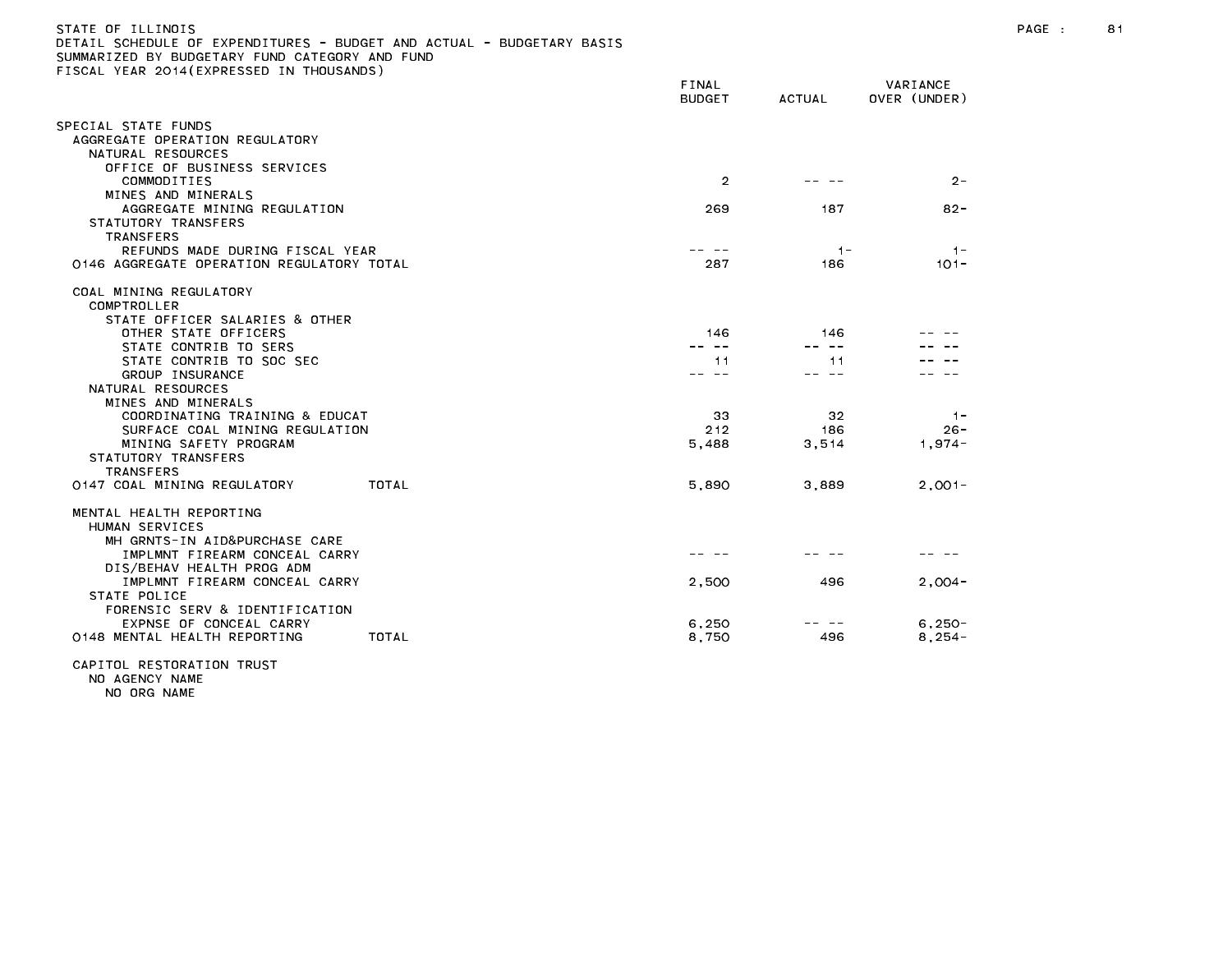| SUMEDULE OF EXPENDITURES<br>SUMMARIZED BY BUDGETARY FUND CATEGORY AND FUND<br>FISCAL YEAR 2014(EXPRESSED IN THOUSANDS)                                     | DUDGET AND ACTUAL | DUDULIANI DAJIJ |                        |                          |                             |
|------------------------------------------------------------------------------------------------------------------------------------------------------------|-------------------|-----------------|------------------------|--------------------------|-----------------------------|
|                                                                                                                                                            |                   |                 | FINAL<br><b>BUDGET</b> | <b>ACTUAL</b>            | VARIANCE<br>OVER (UNDER)    |
| SPECIAL STATE FUNDS<br>AGGREGATE OPERATION REGULATORY<br>NATURAL RESOURCES                                                                                 |                   |                 |                        |                          |                             |
| OFFICE OF BUSINESS SERVICES<br>COMMODITIES                                                                                                                 |                   |                 | $\overline{2}$         |                          | $2 -$                       |
| MINES AND MINERALS<br>AGGREGATE MINING REGULATION<br>STATUTORY TRANSFERS                                                                                   |                   |                 | 269                    | 187                      | $82 -$                      |
| TRANSFERS<br>REFUNDS MADE DURING FISCAL YEAR<br>0146 AGGREGATE OPERATION REGULATORY TOTAL                                                                  |                   |                 | 287                    | $1 -$<br>186             | $1 -$<br>$101 -$            |
| COAL MINING REGULATORY<br>COMPTROLLER                                                                                                                      |                   |                 |                        |                          |                             |
| STATE OFFICER SALARIES & OTHER<br>OTHER STATE OFFICERS<br>STATE CONTRIB TO SERS                                                                            |                   |                 | 146                    | 146<br>-- --             |                             |
| STATE CONTRIB TO SOC SEC<br>GROUP INSURANCE<br>NATURAL RESOURCES                                                                                           |                   |                 | 11                     | 11<br>.                  |                             |
| MINES AND MINERALS<br>COORDINATING TRAINING & EDUCAT<br>SURFACE COAL MINING REGULATION<br>MINING SAFETY PROGRAM<br>STATUTORY TRANSFERS<br><b>TRANSFERS</b> |                   |                 | 33<br>212<br>5,488     | 32<br>186<br>3,514       | $-1-$<br>$26 -$<br>$1,974-$ |
| 0147 COAL MINING REGULATORY                                                                                                                                | TOTAL             |                 | 5,890                  | 3,889                    | $2.001 -$                   |
| MENTAL HEALTH REPORTING<br>HUMAN SERVICES<br>MH GRNTS-IN AID&PURCHASE CARE                                                                                 |                   |                 |                        |                          |                             |
| IMPLMNT FIREARM CONCEAL CARRY<br>DIS/BEHAV HEALTH PROG ADM<br>IMPLMNT FIREARM CONCEAL CARRY<br>STATE POLICE                                                |                   |                 | 2,500                  | 496                      | $2.004 -$                   |
| FORENSIC SERV & IDENTIFICATION<br>EXPNSE OF CONCEAL CARRY<br>0148 MENTAL HEALTH REPORTING                                                                  | TOTAL             |                 | 6,250<br>8,750         | $\qquad \qquad -$<br>496 | $6.250 -$<br>$8,254-$       |
|                                                                                                                                                            |                   |                 |                        |                          |                             |

CAPITOL RESTORATION TRUST NO AGENCY NAME

NO ORG NAME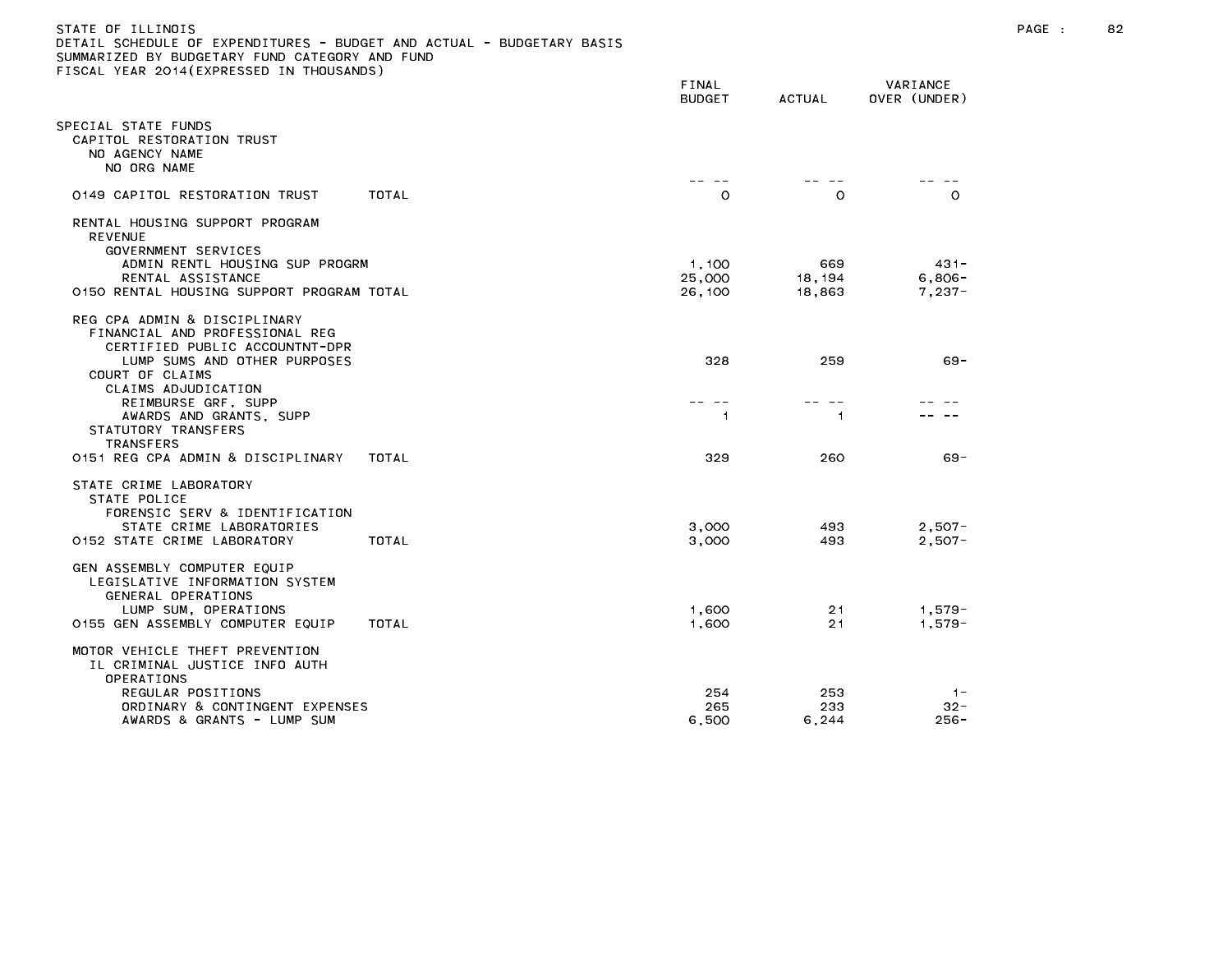| STATE OF ILLINOIS                                                     |
|-----------------------------------------------------------------------|
| DETAIL SCHEDULE OF EXPENDITURES - BUDGET AND ACTUAL - BUDGETARY BASIS |
| SUMMARIZED BY BUDGETARY FUND CATEGORY AND FUND                        |
| FISCAL YEAR 2014(EXPRESSED IN THOUSANDS)                              |

|                                                                                                                                                                                                                                                     | FINAL<br><b>BUDGET</b>                   | <b>ACTUAL</b>            | VARIANCE<br>OVER (UNDER)        |
|-----------------------------------------------------------------------------------------------------------------------------------------------------------------------------------------------------------------------------------------------------|------------------------------------------|--------------------------|---------------------------------|
| PECIAL STATE FUNDS<br>CAPITOL RESTORATION TRUST<br>NO AGENCY NAME<br>NO ORG NAME                                                                                                                                                                    |                                          | -- --                    |                                 |
| TOTAL<br>0149 CAPITOL RESTORATION TRUST                                                                                                                                                                                                             | <b><i><u>Property</u></i></b><br>$\circ$ | O                        | $\Omega$                        |
| RENTAL HOUSING SUPPORT PROGRAM<br><b>REVENUE</b><br>GOVERNMENT SERVICES<br>ADMIN RENTL HOUSING SUP PROGRM<br>RENTAL ASSISTANCE<br>0150 RENTAL HOUSING SUPPORT PROGRAM TOTAL                                                                         | 1,100<br>25,000<br>26,100                | 669<br>18, 194<br>18,863 | $431 -$<br>$6,806-$<br>$7,237-$ |
| REG CPA ADMIN & DISCIPLINARY<br>FINANCIAL AND PROFESSIONAL REG<br>CERTIFIED PUBLIC ACCOUNTNT-DPR<br>LUMP SUMS AND OTHER PURPOSES<br>COURT OF CLAIMS<br>CLAIMS ADJUDICATION<br>REIMBURSE GRF, SUPP<br>AWARDS AND GRANTS, SUPP<br>STATUTORY TRANSFERS | 328<br>$\overline{1}$                    | 259<br>1.                | $69 -$                          |
| <b>TRANSFERS</b><br>0151 REG CPA ADMIN & DISCIPLINARY<br>TOTAL                                                                                                                                                                                      | 329                                      | 260                      | 69 -                            |
| STATE CRIME LABORATORY<br>STATE POLICE<br>FORENSIC SERV & IDENTIFICATION<br>STATE CRIME LABORATORIES<br>0152 STATE CRIME LABORATORY<br>TOTAL                                                                                                        | 3,000<br>3,000                           | 493<br>493               | $2,507-$<br>$2,507-$            |
| GEN ASSEMBLY COMPUTER EQUIP<br>LEGISLATIVE INFORMATION SYSTEM<br>GENERAL OPERATIONS<br>LUMP SUM, OPERATIONS<br>0155 GEN ASSEMBLY COMPUTER EQUIP<br>TOTAL                                                                                            | 1,600<br>1,600                           | 21<br>21                 | $1,579-$<br>$1,579-$            |
| MOTOR VEHICLE THEFT PREVENTION<br>IL CRIMINAL JUSTICE INFO AUTH<br>OPERATIONS<br>REGULAR POSITIONS<br>ORDINARY & CONTINGENT EXPENSES<br>AWARDS & GRANTS - LUMP SUM                                                                                  | 254<br>265<br>6.500                      | 253<br>233<br>6.244      | $1 -$<br>32-<br>$256 -$         |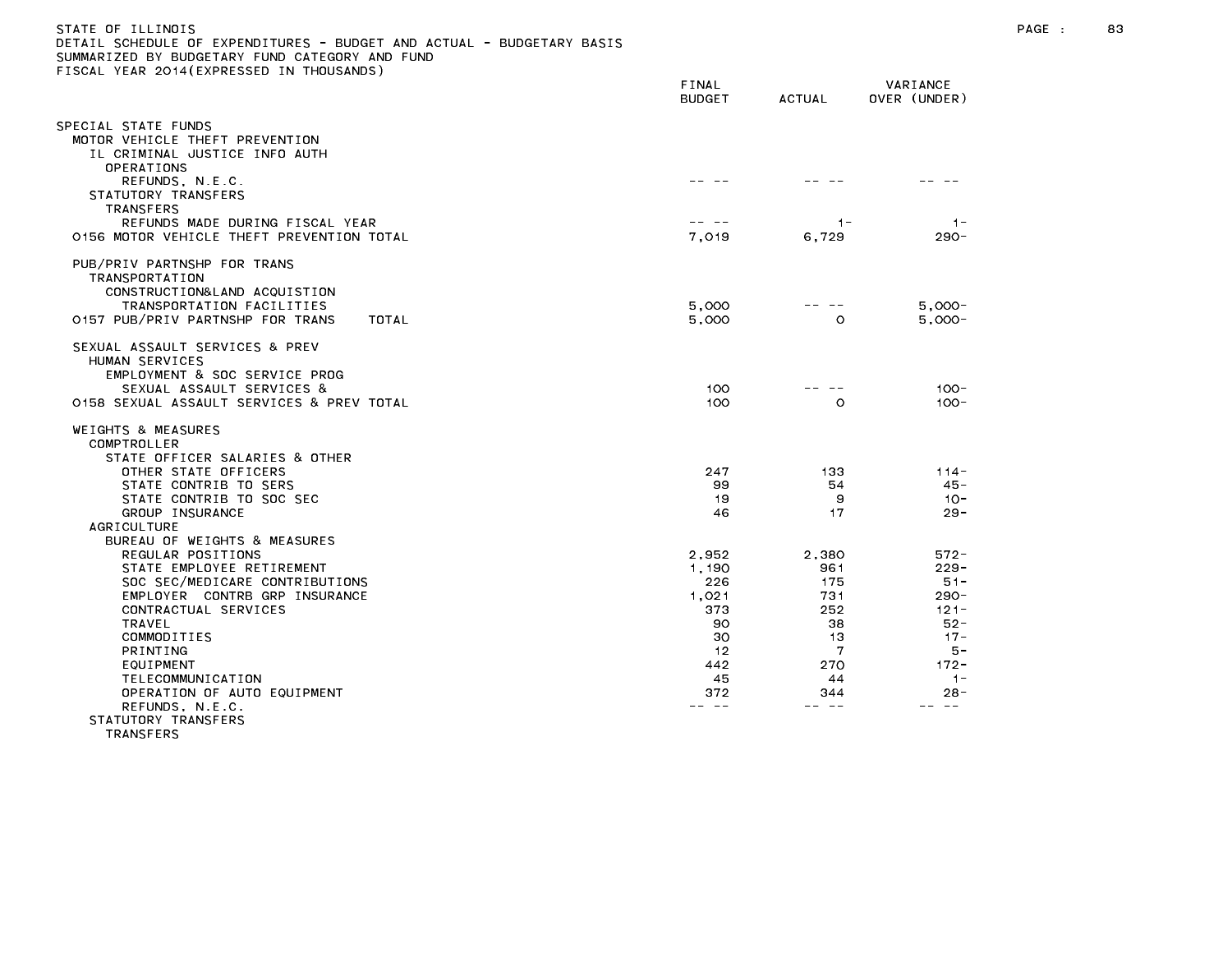## STATE OF ILLINOIS PAGE : 83 DETAIL SCHEDULE OF EXPENDITURES - BUDGET AND ACTUAL - BUDGETARY BASIS SUMMARIZED BY BUDGETARY FUND CATEGORY AND FUND FISCAL YEAR 2014(EXPRESSED IN THOUSANDS)

|                                                                                                            | FINAL<br><b>BUDGET</b> | <b>ACTUAL</b> | VARIANCE<br>OVER (UNDER) |
|------------------------------------------------------------------------------------------------------------|------------------------|---------------|--------------------------|
|                                                                                                            |                        |               |                          |
| SPECIAL STATE FUNDS<br>MOTOR VEHICLE THEFT PREVENTION<br>IL CRIMINAL JUSTICE INFO AUTH<br>OPERATIONS       |                        |               |                          |
| REFUNDS, N.E.C.<br>STATUTORY TRANSFERS<br>TRANSFERS<br>REFUNDS MADE DURING FISCAL YEAR                     |                        | $1 -$         | $1 -$                    |
| 0156 MOTOR VEHICLE THEFT PREVENTION TOTAL                                                                  | 7,019                  | 6,729         | $290 -$                  |
| PUB/PRIV PARTNSHP FOR TRANS<br>TRANSPORTATION<br>CONSTRUCTION&LAND ACQUISTION<br>TRANSPORTATION FACILITIES | 5.000                  |               | $5.000 -$                |
| 0157 PUB/PRIV PARTNSHP FOR TRANS<br>TOTAL                                                                  | 5,000                  | O             | $5,000 -$                |
| SEXUAL ASSAULT SERVICES & PREV<br>HUMAN SERVICES<br>EMPLOYMENT & SOC SERVICE PROG                          |                        |               |                          |
| SEXUAL ASSAULT SERVICES &<br>0158 SEXUAL ASSAULT SERVICES & PREV TOTAL                                     | 100<br>100             | $\circ$       | $100 -$<br>$100 -$       |
| WEIGHTS & MEASURES<br>COMPTROLLER<br>STATE OFFICER SALARIES & OTHER                                        |                        |               |                          |
| OTHER STATE OFFICERS                                                                                       | 247                    | 133           | $114 -$                  |
| STATE CONTRIB TO SERS<br>STATE CONTRIB TO SOC SEC                                                          | 99<br>19               | 54<br>9       | $45 -$<br>$10 -$         |
| GROUP INSURANCE                                                                                            | 46                     | 17            | $29 -$                   |
| <b>AGRICULTURE</b>                                                                                         |                        |               |                          |
| BUREAU OF WEIGHTS & MEASURES<br>REGULAR POSITIONS                                                          | 2,952                  | 2,380         | $572 -$                  |
| STATE EMPLOYEE RETIREMENT                                                                                  | 1,190                  | 961           | $229 -$                  |
| SOC SEC/MEDICARE CONTRIBUTIONS                                                                             | 226                    | 175           | $51 -$                   |
| EMPLOYER CONTRB GRP INSURANCE                                                                              | 1.021                  | 731           | $290 -$                  |
| CONTRACTUAL SERVICES                                                                                       | 373                    | 252           | $121 -$                  |
| <b>TRAVEL</b>                                                                                              | 90                     | 38            | $52 -$                   |
| COMMODITIES                                                                                                | 30                     | 13            | $17 -$                   |
| <b>PRINTING</b>                                                                                            | 12                     | 7             | 5 –                      |
| EQUIPMENT                                                                                                  | 442                    | 270           | $172 -$                  |
| TELECOMMUNICATION<br>OPERATION OF AUTO EQUIPMENT                                                           | 45<br>372              | 44<br>344     | $1 -$<br>$28 -$          |
| REFUNDS, N.E.C.                                                                                            |                        |               |                          |
| STATUTORY TRANSFERS<br><b>TRANSFERS</b>                                                                    |                        |               |                          |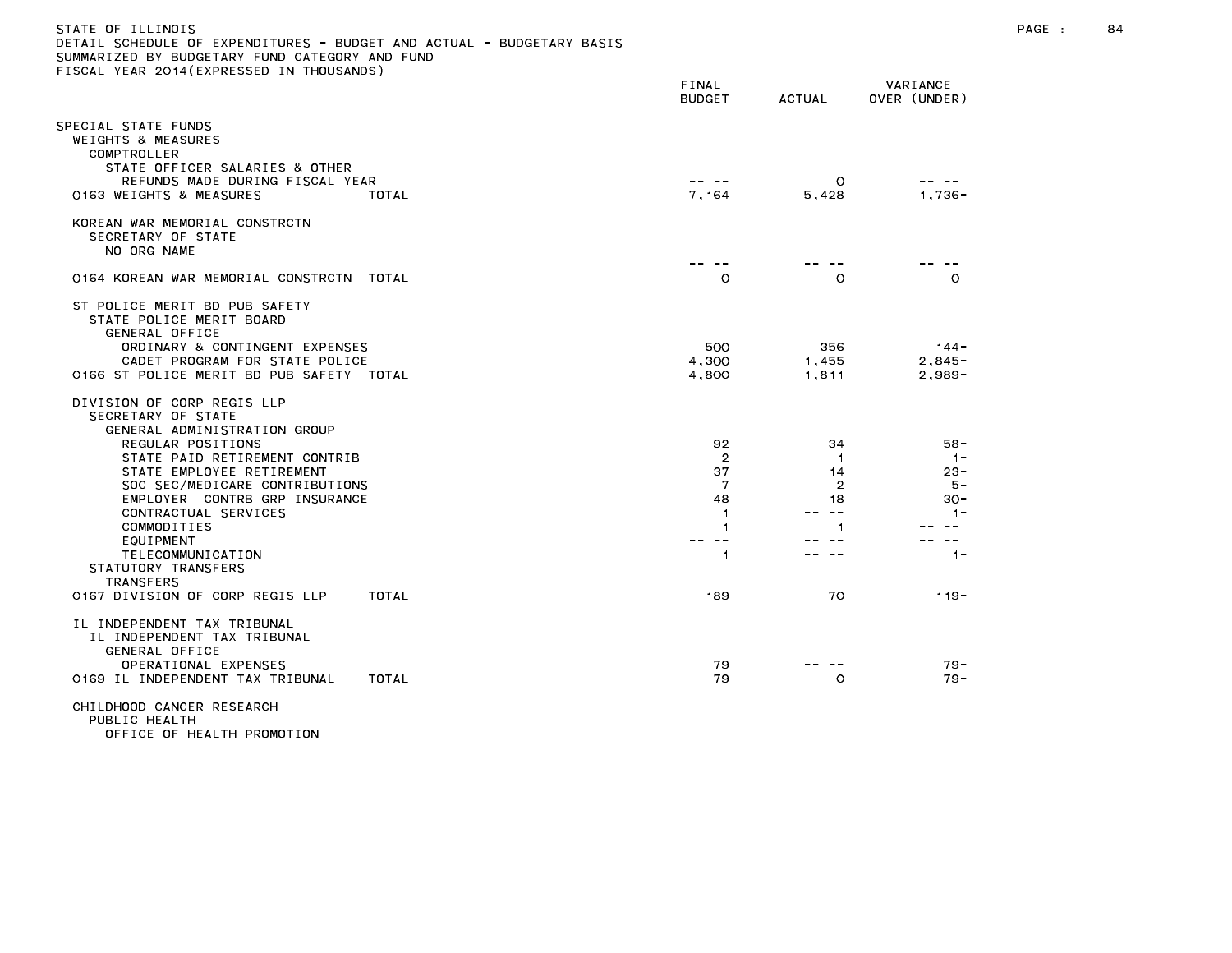| JETAIL SUMEDULE UF EXPENDITURES - BUDGET AND AUTUAL - BUDGETARY BASIS<br>SUMMARIZED BY BUDGETARY FUND CATEGORY AND FUND<br>TISCAL YEAR 2014(EXPRESSED IN THOUSANDS)                                                                                                                                                                                        |                                                                 |                                                                          |                                                                              |
|------------------------------------------------------------------------------------------------------------------------------------------------------------------------------------------------------------------------------------------------------------------------------------------------------------------------------------------------------------|-----------------------------------------------------------------|--------------------------------------------------------------------------|------------------------------------------------------------------------------|
|                                                                                                                                                                                                                                                                                                                                                            | FINAL<br><b>BUDGET</b>                                          | <b>ACTUAL</b>                                                            | VARIANCE<br>OVER (UNDER)                                                     |
| SPECIAL STATE FUNDS<br>WEIGHTS & MEASURES<br>COMPTROLLER<br>STATE OFFICER SALARIES & OTHER                                                                                                                                                                                                                                                                 |                                                                 |                                                                          |                                                                              |
| REFUNDS MADE DURING FISCAL YEAR<br>0163 WEIGHTS & MEASURES<br>TOTAL                                                                                                                                                                                                                                                                                        | 7,164                                                           | $\circ$<br>5,428                                                         | $1.736 -$                                                                    |
| KOREAN WAR MEMORIAL CONSTRCTN<br>SECRETARY OF STATE<br>NO ORG NAME                                                                                                                                                                                                                                                                                         |                                                                 |                                                                          |                                                                              |
| 0164 KOREAN WAR MEMORIAL CONSTRCTN TOTAL                                                                                                                                                                                                                                                                                                                   | $\circ$                                                         | $\circ$                                                                  | $\circ$                                                                      |
| ST POLICE MERIT BD PUB SAFETY<br>STATE POLICE MERIT BOARD<br>GENERAL OFFICE<br>ORDINARY & CONTINGENT EXPENSES<br>CADET PROGRAM FOR STATE POLICE                                                                                                                                                                                                            | 500<br>4,300                                                    | 356<br>1,455                                                             | $144 -$<br>$2,845-$                                                          |
| 0166 ST POLICE MERIT BD PUB SAFETY TOTAL                                                                                                                                                                                                                                                                                                                   | 4,800                                                           | 1,811                                                                    | $2,989-$                                                                     |
| DIVISION OF CORP REGIS LLP<br>SECRETARY OF STATE<br>GENERAL ADMINISTRATION GROUP<br>REGULAR POSITIONS<br>STATE PAID RETIREMENT CONTRIB<br>STATE EMPLOYEE RETIREMENT<br>SOC SEC/MEDICARE CONTRIBUTIONS<br>EMPLOYER CONTRB GRP INSURANCE<br>CONTRACTUAL SERVICES<br>COMMODITIES<br>EQUIPMENT<br>TELECOMMUNICATION<br>STATUTORY TRANSFERS<br><b>TRANSFERS</b> | 92<br>$\overline{2}$<br>37<br>7<br>48<br>-1<br>1<br>$- -$<br>-1 | 34<br>-1<br>14<br>2<br>18<br>$\sim$ $\sim$<br>$\mathbf{1}$<br>$\sim$ $-$ | $58 -$<br>$-1-$<br>$23 -$<br>$5 -$<br>$30 -$<br>$1 -$<br>$\sim$ $-$<br>$1 -$ |
| 0167 DIVISION OF CORP REGIS LLP<br>TOTAL                                                                                                                                                                                                                                                                                                                   | 189                                                             | 70                                                                       | $119 -$                                                                      |
| IL INDEPENDENT TAX TRIBUNAL<br>IL INDEPENDENT TAX TRIBUNAL<br>GENERAL OFFICE<br>OPERATIONAL EXPENSES<br>0169 IL INDEPENDENT TAX TRIBUNAL<br>TOTAL<br>CHILDHOOD CANCER RESEARCH                                                                                                                                                                             | 79<br>79                                                        | $\circ$                                                                  | $79 -$<br>$79 -$                                                             |
| PUBLIC HEALTH                                                                                                                                                                                                                                                                                                                                              |                                                                 |                                                                          |                                                                              |

OFFICE OF HEALTH PROMOTION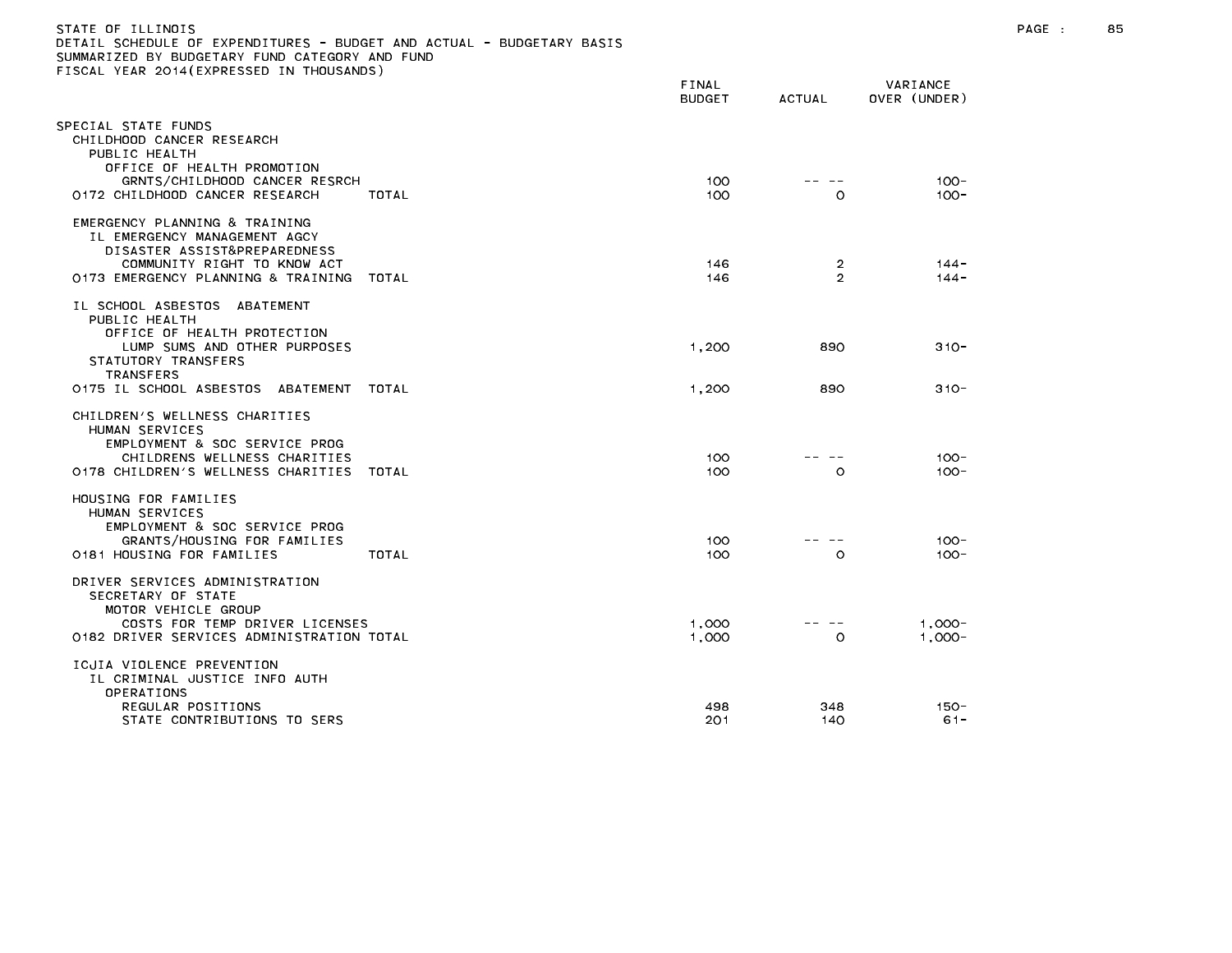| STATE OF ILLINOIS<br>DETAIL SCHEDULE OF EXPENDITURES - BUDGET AND ACTUAL - BUDGETARY BASIS<br>SUMMARIZED BY BUDGETARY FUND CATEGORY AND FUND<br>FISCAL YEAR 2014 (EXPRESSED IN THOUSANDS) | FINAL<br>BUDGET | ACTUAL | VARIANCE<br>OVER (UNDER) |
|-------------------------------------------------------------------------------------------------------------------------------------------------------------------------------------------|-----------------|--------|--------------------------|
| SPECIAL STATE FUNDS<br>CHILDHOOD CANCER RESEARCH<br>PUBLIC HEALTH<br>OFFICE OF HEALTH PROMOTION<br>GRNTS/CHILDHOOD CANCER RESRCH<br>0172 CHILDHOOD CANCER RESEARCH<br>TOTAL               | 100<br>100      | O      | $100 -$<br>$100 -$       |
| EMERGENCY PLANNING & TRAINING                                                                                                                                                             |                 |        |                          |

| EMERGENCY PLANNING & TRAINING<br>IL EMERGENCY MANAGEMENT AGCY<br>DISASTER ASSIST&PREPAREDNESS<br>COMMUNITY RIGHT TO KNOW ACT<br>0173 EMERGENCY PLANNING & TRAINING                                    | TOTAL | 146<br>146     | 2<br>2     | $144 -$<br>$144 -$     |
|-------------------------------------------------------------------------------------------------------------------------------------------------------------------------------------------------------|-------|----------------|------------|------------------------|
| IL SCHOOL ASBESTOS<br>ABATEMENT<br>PUBLIC HEALTH<br>OFFICE OF HEALTH PROTECTION<br>LUMP SUMS AND OTHER PURPOSES<br>STATUTORY TRANSFERS<br><b>TRANSFERS</b><br>0175 IL SCHOOL ASBESTOS ABATEMENT TOTAL |       | 1.200<br>1.200 | 890<br>890 | $310 -$<br>$310 -$     |
| CHILDREN'S WELLNESS CHARITIES<br>HUMAN SERVICES<br>EMPLOYMENT & SOC SERVICE PROG<br>CHILDRENS WELLNESS CHARITIES<br>0178 CHILDREN'S WELLNESS CHARITIES                                                | TOTAL | 100<br>100     | $\Omega$   | $100 -$<br>$100 -$     |
| HOUSING FOR FAMILIES<br>HUMAN SERVICES<br>EMPLOYMENT & SOC SERVICE PROG<br>GRANTS/HOUSING FOR FAMILIES<br>0181 HOUSING FOR FAMILIES                                                                   | TOTAL | 100<br>100     | $\circ$    | $100 -$<br>$100 -$     |
| DRIVER SERVICES ADMINISTRATION<br>SECRETARY OF STATE<br>MOTOR VEHICLE GROUP<br>COSTS FOR TEMP DRIVER LICENSES<br>0182 DRIVER SERVICES ADMINISTRATION TOTAL                                            |       | 1,000<br>1.000 | $\circ$    | $1.000 -$<br>$1.000 -$ |
| ICJIA VIOLENCE PREVENTION<br>IL CRIMINAL JUSTICE INFO AUTH<br>OPERATIONS<br>REGULAR POSITIONS<br>STATE CONTRIBUTIONS TO SERS                                                                          |       | 498<br>201     | 348<br>140 | $150 -$<br>$61 -$      |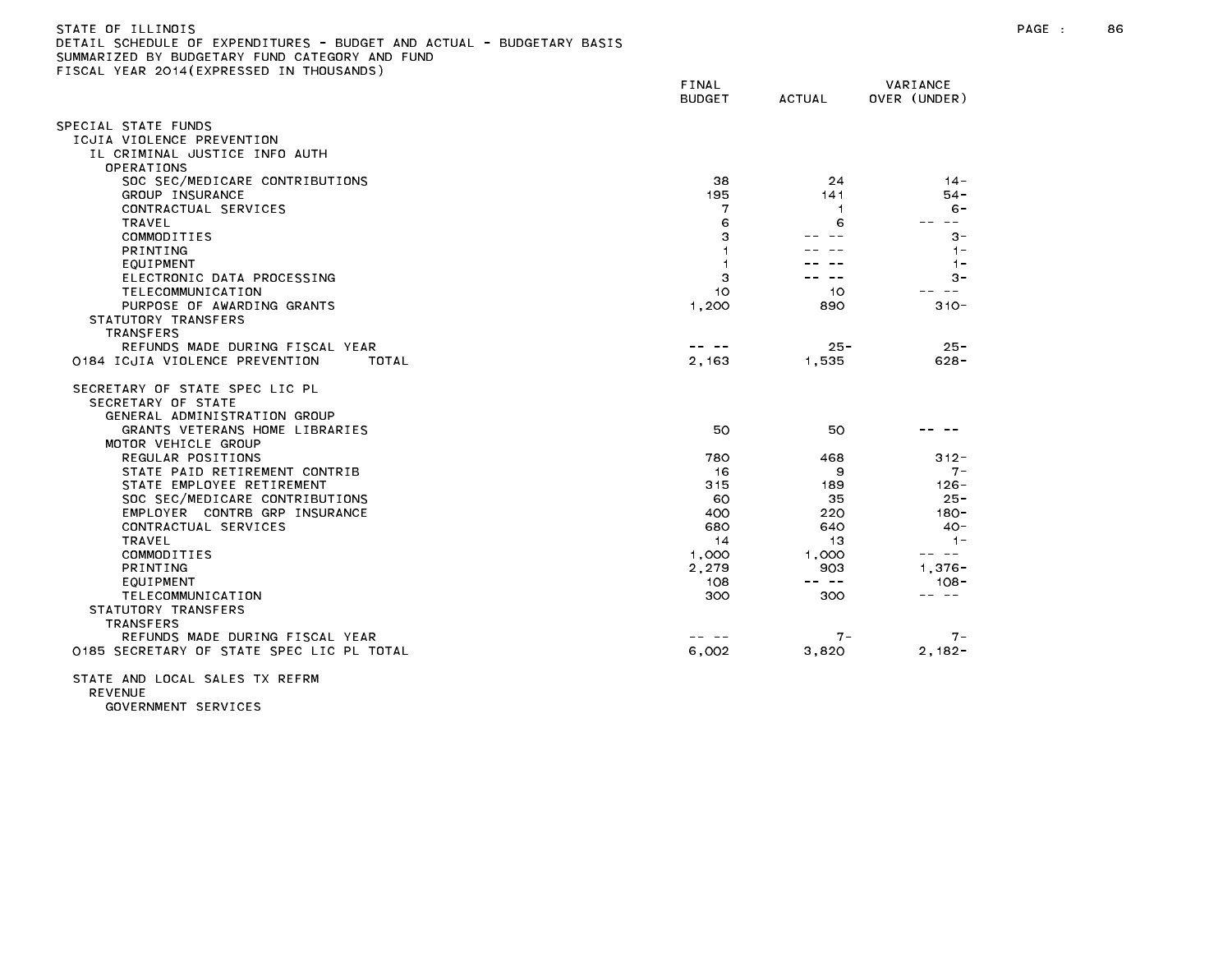| STATE OF ILLINOIS                                                     |  |
|-----------------------------------------------------------------------|--|
| DETAIL SCHEDULE OF EXPENDITURES - BUDGET AND ACTUAL - BUDGETARY BASIS |  |
| SUMMARIZED BY BUDGETARY FUND CATEGORY AND FUND                        |  |
| FISCAL YEAR 2014(EXPRESSED IN THOUSANDS)                              |  |

|                                                                                      | FINAL<br><b>BUDGET</b> | <b>ACTUAL</b>  | VARIANCE<br>OVER (UNDER) |
|--------------------------------------------------------------------------------------|------------------------|----------------|--------------------------|
| SPECIAL STATE FUNDS                                                                  |                        |                |                          |
| ICJIA VIOLENCE PREVENTION                                                            |                        |                |                          |
| IL CRIMINAL JUSTICE INFO AUTH                                                        |                        |                |                          |
| OPERATIONS                                                                           |                        |                |                          |
| SOC SEC/MEDICARE CONTRIBUTIONS                                                       | 38                     | 24             | $14 -$                   |
| GROUP INSURANCE                                                                      | 195                    | 141            | $54 -$                   |
| CONTRACTUAL SERVICES                                                                 | 7                      | $\overline{1}$ | $6 -$                    |
| TRAVEL                                                                               | 6                      | 6              | $- -$                    |
| COMMODITIES                                                                          |                        |                | $3 -$                    |
| <b>PRINTING</b>                                                                      |                        |                | $1 -$                    |
| EQUIPMENT                                                                            |                        |                | $1 -$                    |
| ELECTRONIC DATA PROCESSING                                                           | 3                      |                | $3 -$                    |
| TELECOMMUNICATION                                                                    | 10                     | 10             | - -                      |
| PURPOSE OF AWARDING GRANTS                                                           | 1,200                  | 890            | $310 -$                  |
| STATUTORY TRANSFERS                                                                  |                        |                |                          |
| <b>TRANSFERS</b>                                                                     |                        |                |                          |
| REFUNDS MADE DURING FISCAL YEAR                                                      |                        | $25 -$         | $25 -$                   |
| 0184 ICJIA VIOLENCE PREVENTION<br>TOTAL                                              | 2,163                  | 1.535          | $628 -$                  |
| SECRETARY OF STATE SPEC LIC PL<br>SECRETARY OF STATE<br>GENERAL ADMINISTRATION GROUP |                        |                |                          |
| GRANTS VETERANS HOME LIBRARIES<br>MOTOR VEHICLE GROUP                                | 50                     | 50             |                          |
| REGULAR POSITIONS                                                                    | 780                    | 468            | $312 -$                  |
| STATE PAID RETIREMENT CONTRIB                                                        | 16                     | 9              | $7 -$                    |
| STATE EMPLOYEE RETIREMENT                                                            | 315                    | 189            | $126 -$                  |
| SOC SEC/MEDICARE CONTRIBUTIONS                                                       | 60                     | 35             | $25 -$                   |
| EMPLOYER CONTRB GRP INSURANCE                                                        | 400                    | 220            | $180 -$                  |
| CONTRACTUAL SERVICES                                                                 | 680                    | 640            | $40 -$                   |
| TRAVEL                                                                               | 14                     | 13             | $1 -$                    |
| COMMODITIES                                                                          | 1,000                  | 1.000          | $\sim$ $ -$              |
| <b>PRINTING</b>                                                                      | 2,279                  | 903            | $1,376 -$                |
| <b>EQUIPMENT</b>                                                                     | 108                    | -- --          | $108 -$                  |
| TELECOMMUNICATION                                                                    | 300                    | 300            | -- --                    |
| STATUTORY TRANSFERS                                                                  |                        |                |                          |
| <b>TRANSFERS</b>                                                                     |                        |                |                          |
| REFUNDS MADE DURING FISCAL YEAR                                                      |                        | 7 –            | $7 -$                    |
| 0185 SECRETARY OF STATE SPEC LIC PL TOTAL                                            | 6,002                  | 3,820          | $2,182-$                 |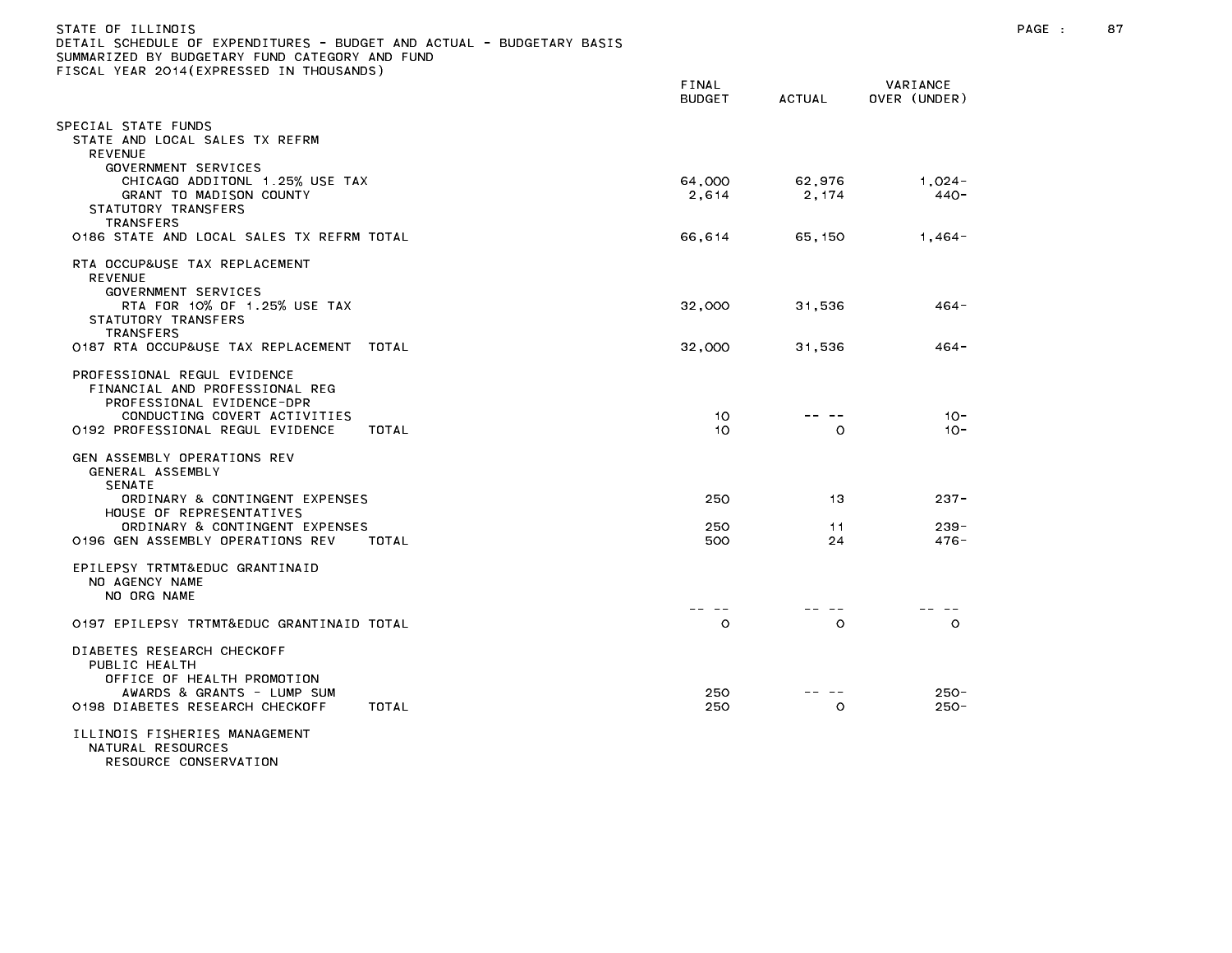| STATE OF ILLINOIS<br>DETAIL SCHEDULE OF EXPENDITURES - BUDGET AND ACTUAL - BUDGETARY BASIS<br>SUMMARIZED BY BUDGETARY FUND CATEGORY AND FUND<br>FISCAL YEAR 2014 (EXPRESSED IN THOUSANDS) |                        |                  |                          | PAGE : | 87 |
|-------------------------------------------------------------------------------------------------------------------------------------------------------------------------------------------|------------------------|------------------|--------------------------|--------|----|
|                                                                                                                                                                                           | FINAL<br><b>BUDGET</b> | <b>ACTUAL</b>    | VARIANCE<br>OVER (UNDER) |        |    |
| SPECIAL STATE FUNDS<br>STATE AND LOCAL SALES TX REFRM<br><b>REVENUE</b>                                                                                                                   |                        |                  |                          |        |    |
| GOVERNMENT SERVICES<br>CHICAGO ADDITONL 1.25% USE TAX<br>GRANT TO MADISON COUNTY<br>STATUTORY TRANSFERS                                                                                   | 64,000<br>2,614        | 62,976<br>2,174  | $1,024-$<br>$440 -$      |        |    |
| <b>TRANSFERS</b><br>0186 STATE AND LOCAL SALES TX REFRM TOTAL                                                                                                                             | 66,614                 | 65,150           | $1,464-$                 |        |    |
| RTA OCCUP&USE TAX REPLACEMENT<br><b>REVENUE</b><br>GOVERNMENT SERVICES                                                                                                                    |                        |                  |                          |        |    |
| RTA FOR 10% OF 1.25% USE TAX<br>STATUTORY TRANSFERS<br><b>TRANSFERS</b>                                                                                                                   | 32,000                 | 31,536           | $464 -$                  |        |    |
| 0187 RTA OCCUP&USE TAX REPLACEMENT TOTAL                                                                                                                                                  | 32,000                 | 31,536           | 464 -                    |        |    |
| PROFESSIONAL REGUL EVIDENCE<br>FINANCIAL AND PROFESSIONAL REG<br>PROFESSIONAL EVIDENCE-DPR<br>CONDUCTING COVERT ACTIVITIES                                                                | 10 <sup>°</sup>        | -- --            | $10 -$                   |        |    |
| 0192 PROFESSIONAL REGUL EVIDENCE<br>TOTAL<br>GEN ASSEMBLY OPERATIONS REV                                                                                                                  | 10                     | $\circ$          | $10 -$                   |        |    |
| GENERAL ASSEMBLY<br><b>SENATE</b>                                                                                                                                                         |                        |                  |                          |        |    |
| ORDINARY & CONTINGENT EXPENSES<br>HOUSE OF REPRESENTATIVES                                                                                                                                | 250                    | 13               | $237 -$                  |        |    |
| ORDINARY & CONTINGENT EXPENSES<br>0196 GEN ASSEMBLY OPERATIONS REV<br>TOTAL                                                                                                               | 250<br>500             | 11<br>24         | $239 -$<br>$476 -$       |        |    |
| EPILEPSY TRTMT&EDUC GRANTINAID<br>NO AGENCY NAME<br>NO ORG NAME                                                                                                                           |                        |                  |                          |        |    |
| 0197 EPILEPSY TRTMT&EDUC GRANTINAID TOTAL                                                                                                                                                 | -- --<br>$\circ$       | $\circ$          | $\circ$                  |        |    |
| DIABETES RESEARCH CHECKOFF<br>PUBLIC HEALTH<br>OFFICE OF HEALTH PROMOTION<br>AWARDS & GRANTS - LUMP SUM<br>0198 DIABETES RESEARCH CHECKOFF<br>TOTAL                                       | 250<br>250             | -- --<br>$\circ$ | $250 -$<br>$250 -$       |        |    |
| ILLINOIS FISHERIES MANAGEMENT<br>NATURAL RESOURCES<br>RESOURCE CONSERVATION                                                                                                               |                        |                  |                          |        |    |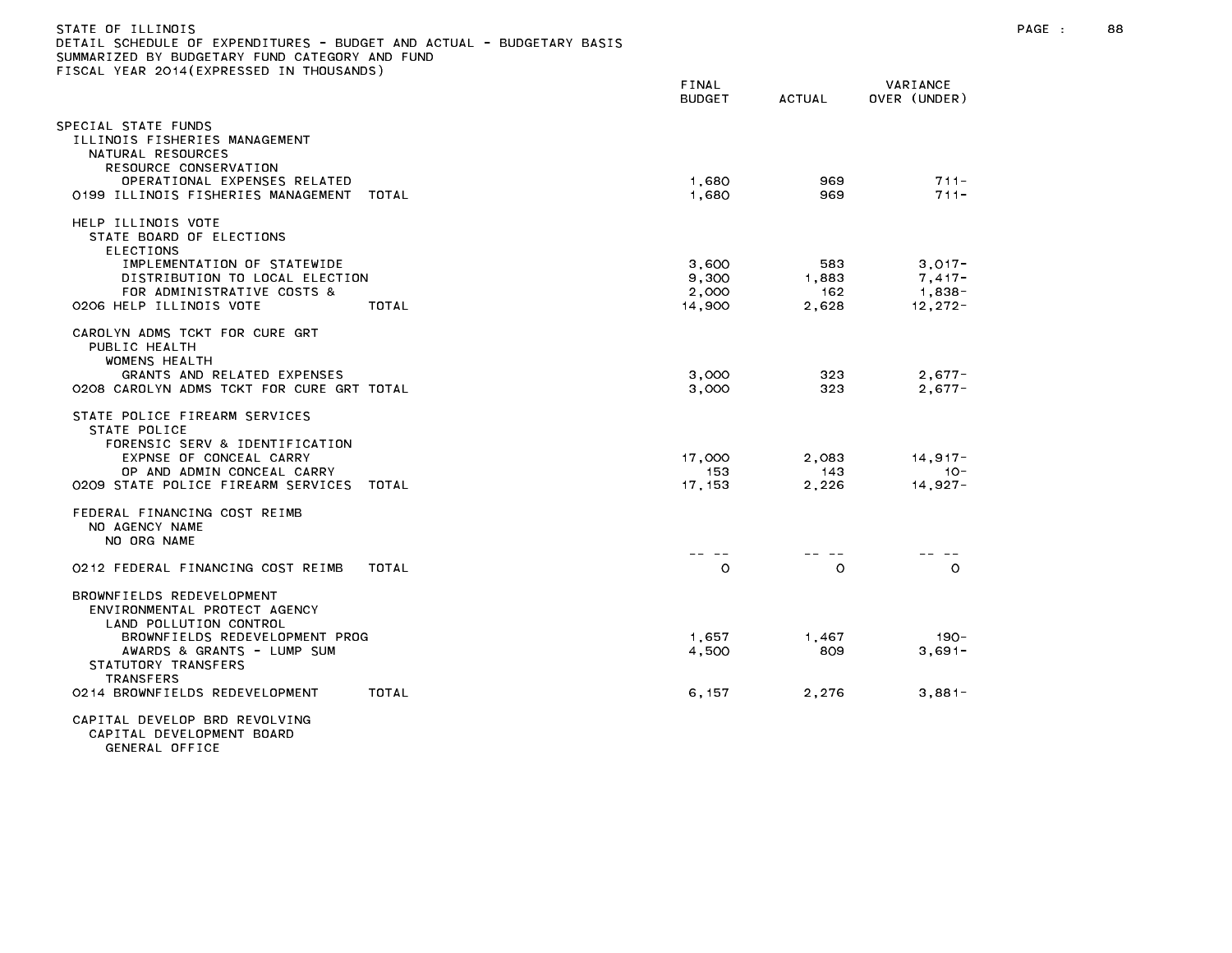| STATE OF ILLINOIS<br>DETAIL SCHEDULE OF EXPENDITURES - BUDGET AND ACTUAL - BUDGETARY BASIS<br>SUMMARIZED BY BUDGETARY FUND CATEGORY AND FUND<br>FISCAL YEAR 2014 (EXPRESSED IN THOUSANDS)             |                                   |                              |                                                 | PAGE : | 88 |
|-------------------------------------------------------------------------------------------------------------------------------------------------------------------------------------------------------|-----------------------------------|------------------------------|-------------------------------------------------|--------|----|
|                                                                                                                                                                                                       | FINAL<br><b>BUDGET</b>            | <b>ACTUAL</b>                | VARIANCE<br>OVER (UNDER)                        |        |    |
| SPECIAL STATE FUNDS<br>ILLINOIS FISHERIES MANAGEMENT<br>NATURAL RESOURCES<br>RESOURCE CONSERVATION<br>OPERATIONAL EXPENSES RELATED<br>0199 ILLINOIS FISHERIES MANAGEMENT TOTAL                        | 1,680<br>1,680                    | 969<br>969                   | $711 -$<br>$711 -$                              |        |    |
| HELP ILLINOIS VOTE<br>STATE BOARD OF ELECTIONS<br><b>ELECTIONS</b><br>IMPLEMENTATION OF STATEWIDE<br>DISTRIBUTION TO LOCAL ELECTION<br>FOR ADMINISTRATIVE COSTS &<br>0206 HELP ILLINOIS VOTE<br>TOTAL | 3,600<br>9,300<br>2,000<br>14,900 | 583<br>1,883<br>162<br>2,628 | $3,017-$<br>$7,417-$<br>$1,838-$<br>$12, 272 -$ |        |    |
| CAROLYN ADMS TCKT FOR CURE GRT<br>PUBLIC HEALTH<br><b>WOMENS HEALTH</b><br>GRANTS AND RELATED EXPENSES<br>0208 CAROLYN ADMS TCKT FOR CURE GRT TOTAL                                                   | 3,000<br>3,000                    | 323<br>323                   | $2,677-$<br>$2,677-$                            |        |    |
| STATE POLICE FIREARM SERVICES<br>STATE POLICE<br>FORENSIC SERV & IDENTIFICATION<br>EXPNSE OF CONCEAL CARRY<br>OP AND ADMIN CONCEAL CARRY<br>0209 STATE POLICE FIREARM SERVICES TOTAL                  | 17,000<br>153<br>17, 153          | 2,083<br>143<br>2,226        | $14,917-$<br>$10 -$<br>$14,927-$                |        |    |
| FEDERAL FINANCING COST REIMB<br>NO AGENCY NAME<br>NO ORG NAME                                                                                                                                         | -- --                             | .                            | .                                               |        |    |
| 0212 FEDERAL FINANCING COST REIMB<br>TOTAL                                                                                                                                                            | $\circ$                           | $\circ$                      | $\circ$                                         |        |    |
| BROWNFIELDS REDEVELOPMENT<br>ENVIRONMENTAL PROTECT AGENCY<br>LAND POLLUTION CONTROL<br>BROWNFIELDS REDEVELOPMENT PROG<br>AWARDS & GRANTS - LUMP SUM<br>STATUTORY TRANSFERS<br><b>TRANSFERS</b>        | 1,657<br>4,500                    | 1,467<br>809                 | $190 -$<br>$3,691-$                             |        |    |
| 0214 BROWNFIELDS REDEVELOPMENT<br>TOTAL                                                                                                                                                               | 6,157                             | 2,276                        | $3,881-$                                        |        |    |
| CAPITAL DEVELOP BRD REVOLVING                                                                                                                                                                         |                                   |                              |                                                 |        |    |

CAPITAL DEVELOPMENT BOARD GENERAL OFFICE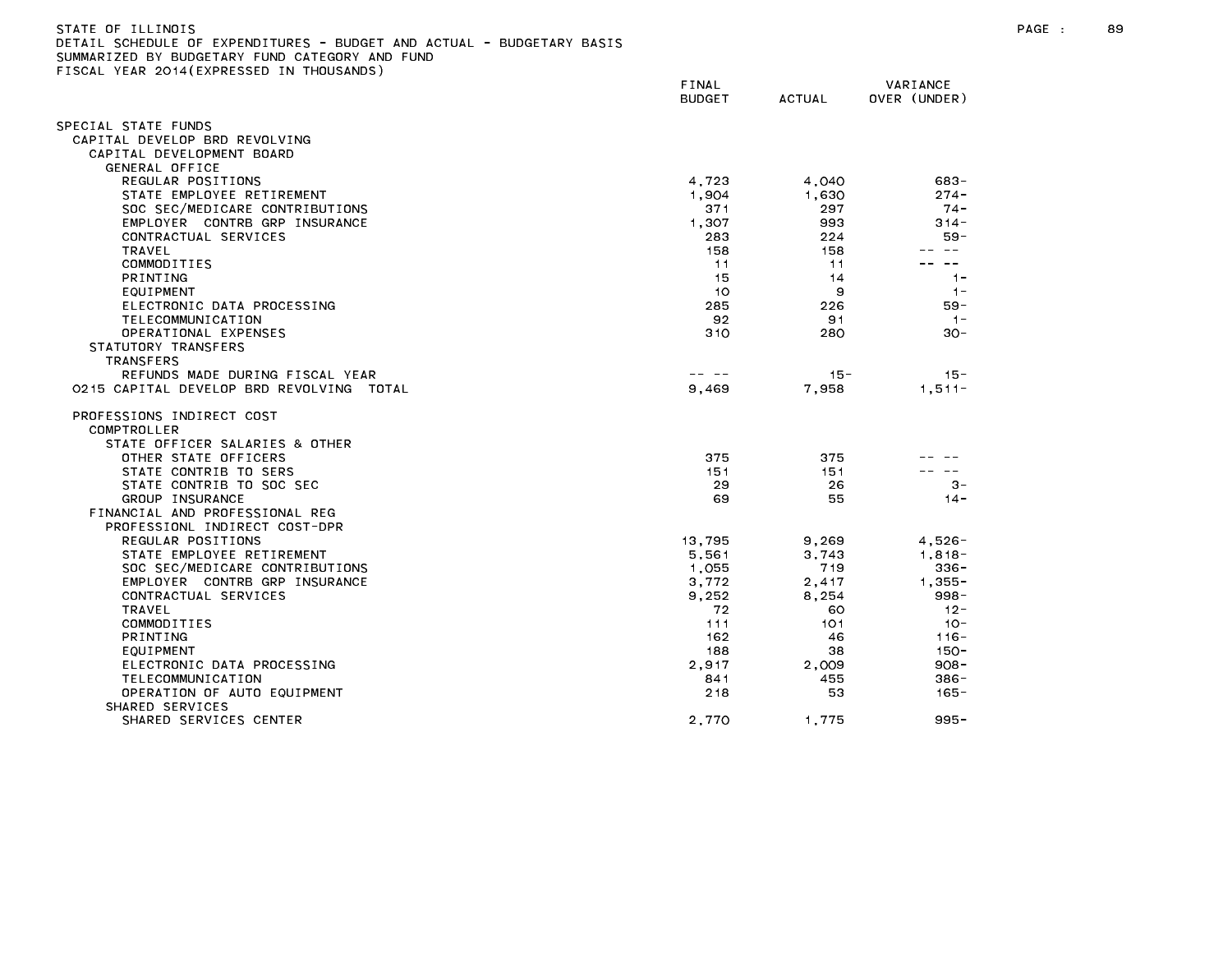| STATE OF ILLINOIS                                                     |  |
|-----------------------------------------------------------------------|--|
| DETAIL SCHEDULE OF EXPENDITURES - BUDGET AND ACTUAL - BUDGETARY BASIS |  |
| SUMMARIZED BY BUDGETARY FUND CATEGORY AND FUND                        |  |
| FISCAL YEAR 2014(EXPRESSED IN THOUSANDS)                              |  |

| TEAN EUIT (EAT NEUGED IN THUU                               | FINAL<br><b>BUDGET</b>                                                                                                                                                                                                                                                                                                                                                                       | <b>ACTUAL</b> | VARIANCE<br>OVER (UNDER) |
|-------------------------------------------------------------|----------------------------------------------------------------------------------------------------------------------------------------------------------------------------------------------------------------------------------------------------------------------------------------------------------------------------------------------------------------------------------------------|---------------|--------------------------|
| SPECIAL STATE FUNDS                                         |                                                                                                                                                                                                                                                                                                                                                                                              |               |                          |
| CAPITAL DEVELOP BRD REVOLVING                               |                                                                                                                                                                                                                                                                                                                                                                                              |               |                          |
| CAPITAL DEVELOPMENT BOARD                                   |                                                                                                                                                                                                                                                                                                                                                                                              |               |                          |
| GENERAL OFFICE                                              |                                                                                                                                                                                                                                                                                                                                                                                              |               |                          |
| REGULAR POSITIONS                                           | 4,723                                                                                                                                                                                                                                                                                                                                                                                        | 4,040         | 683-                     |
| STATE EMPLOYEE RETIREMENT                                   | 1.904                                                                                                                                                                                                                                                                                                                                                                                        | 1.630         | $274 -$                  |
| SOC SEC/MEDICARE CONTRIBUTIONS                              | 371                                                                                                                                                                                                                                                                                                                                                                                          | 297           | $74 -$                   |
| EMPLOYER CONTRB GRP INSURANCE                               | 1.307                                                                                                                                                                                                                                                                                                                                                                                        | 993           | $314 -$                  |
| CONTRACTUAL SERVICES                                        | 283                                                                                                                                                                                                                                                                                                                                                                                          | 224           | $59 -$                   |
| <b>TRAVEL</b>                                               | 158                                                                                                                                                                                                                                                                                                                                                                                          | 158           |                          |
| COMMODITIES                                                 | 11                                                                                                                                                                                                                                                                                                                                                                                           | 11            | $- -$                    |
| PRINTING                                                    | 15                                                                                                                                                                                                                                                                                                                                                                                           | 14            | $1 -$                    |
| EQUIPMENT                                                   | 10                                                                                                                                                                                                                                                                                                                                                                                           | 9             | $1 -$                    |
| ELECTRONIC DATA PROCESSING                                  | 285                                                                                                                                                                                                                                                                                                                                                                                          | 226           | 59 -                     |
| TELECOMMUNICATION                                           | 92                                                                                                                                                                                                                                                                                                                                                                                           | 91            | $1 -$                    |
| OPERATIONAL EXPENSES                                        | 310                                                                                                                                                                                                                                                                                                                                                                                          | 280           | $30 -$                   |
| STATUTORY TRANSFERS                                         |                                                                                                                                                                                                                                                                                                                                                                                              |               |                          |
| TRANSFERS                                                   |                                                                                                                                                                                                                                                                                                                                                                                              |               |                          |
| REFUNDS MADE DURING FISCAL YEAR                             | $\frac{1}{2} \frac{1}{2} \frac{1}{2} \frac{1}{2} \frac{1}{2} \frac{1}{2} \frac{1}{2} \frac{1}{2} \frac{1}{2} \frac{1}{2} \frac{1}{2} \frac{1}{2} \frac{1}{2} \frac{1}{2} \frac{1}{2} \frac{1}{2} \frac{1}{2} \frac{1}{2} \frac{1}{2} \frac{1}{2} \frac{1}{2} \frac{1}{2} \frac{1}{2} \frac{1}{2} \frac{1}{2} \frac{1}{2} \frac{1}{2} \frac{1}{2} \frac{1}{2} \frac{1}{2} \frac{1}{2} \frac{$ | $15 -$        | $15 -$                   |
| 0215 CAPITAL DEVELOP BRD REVOLVING TOTAL                    | 9,469                                                                                                                                                                                                                                                                                                                                                                                        | 7,958         | $1.511 -$                |
| PROFESSIONS INDIRECT COST                                   |                                                                                                                                                                                                                                                                                                                                                                                              |               |                          |
| COMPTROLLER                                                 |                                                                                                                                                                                                                                                                                                                                                                                              |               |                          |
| STATE OFFICER SALARIES & OTHER                              |                                                                                                                                                                                                                                                                                                                                                                                              |               |                          |
| OTHER STATE OFFICERS                                        | 375                                                                                                                                                                                                                                                                                                                                                                                          | 375           |                          |
| STATE CONTRIB TO SERS                                       | 151                                                                                                                                                                                                                                                                                                                                                                                          | 151           |                          |
| STATE CONTRIB TO SOC SEC                                    | 29                                                                                                                                                                                                                                                                                                                                                                                           | 26            | $3 -$                    |
| GROUP INSURANCE                                             | 69                                                                                                                                                                                                                                                                                                                                                                                           | 55            | $14 -$                   |
| FINANCIAL AND PROFESSIONAL REG                              |                                                                                                                                                                                                                                                                                                                                                                                              |               |                          |
| PROFESSIONL INDIRECT COST-DPR                               |                                                                                                                                                                                                                                                                                                                                                                                              |               |                          |
| REGULAR POSITIONS                                           | 13,795                                                                                                                                                                                                                                                                                                                                                                                       | 9,269         | $4.526 -$                |
| STATE EMPLOYEE RETIREMENT<br>SOC SEC/MEDICARE CONTRIBUTIONS | 5,561                                                                                                                                                                                                                                                                                                                                                                                        | 3,743<br>719  | $1.818 -$                |
| EMPLOYER CONTRB GRP INSURANCE                               | 1,055<br>3.772                                                                                                                                                                                                                                                                                                                                                                               |               | $336 -$<br>$1.355 -$     |
| CONTRACTUAL SERVICES                                        | 9,252                                                                                                                                                                                                                                                                                                                                                                                        | 2,417         | $998 -$                  |
| <b>TRAVEL</b>                                               | 72                                                                                                                                                                                                                                                                                                                                                                                           | 8,254<br>60   | $12 -$                   |
| COMMODITIES                                                 | 111                                                                                                                                                                                                                                                                                                                                                                                          | 101           | $10 -$                   |
| <b>PRINTING</b>                                             | 162                                                                                                                                                                                                                                                                                                                                                                                          | 46            | $116 -$                  |
| EQUIPMENT                                                   | 188                                                                                                                                                                                                                                                                                                                                                                                          | 38            | $150 -$                  |
| ELECTRONIC DATA PROCESSING                                  | 2,917                                                                                                                                                                                                                                                                                                                                                                                        | 2.009         | $908 -$                  |
| TELECOMMUNICATION                                           | 841                                                                                                                                                                                                                                                                                                                                                                                          | 455           | $386 -$                  |
| OPERATION OF AUTO EQUIPMENT                                 | 218                                                                                                                                                                                                                                                                                                                                                                                          | 53            | $165 -$                  |
| SHARED SERVICES                                             |                                                                                                                                                                                                                                                                                                                                                                                              |               |                          |
| SHARED SERVICES CENTER                                      | 2,770                                                                                                                                                                                                                                                                                                                                                                                        | 1,775         | $995 -$                  |
|                                                             |                                                                                                                                                                                                                                                                                                                                                                                              |               |                          |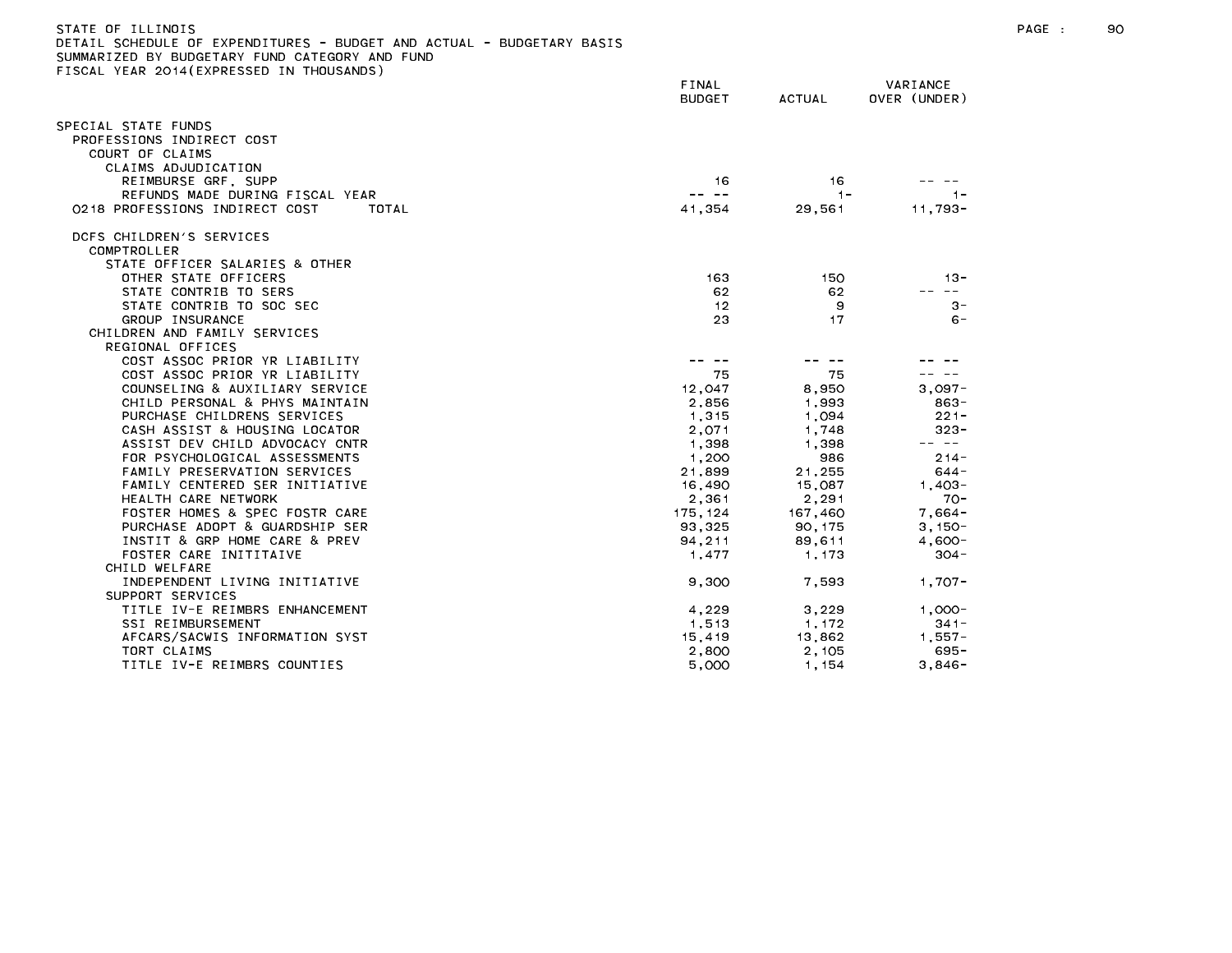| SUMMARIZED BY BUDGETARY FUND CATEGORY AND FUND                  |                                                                                                                                                                                                                                                                                                                                                                                              |                  |                                                                                                                                                                                                                                                                                                                                                                                                         |
|-----------------------------------------------------------------|----------------------------------------------------------------------------------------------------------------------------------------------------------------------------------------------------------------------------------------------------------------------------------------------------------------------------------------------------------------------------------------------|------------------|---------------------------------------------------------------------------------------------------------------------------------------------------------------------------------------------------------------------------------------------------------------------------------------------------------------------------------------------------------------------------------------------------------|
| FISCAL YEAR 2014(EXPRESSED IN THOUSANDS)                        | FINAL                                                                                                                                                                                                                                                                                                                                                                                        |                  | VARIANCE                                                                                                                                                                                                                                                                                                                                                                                                |
|                                                                 | <b>BUDGET</b>                                                                                                                                                                                                                                                                                                                                                                                | ACTUAL           | OVER (UNDER)                                                                                                                                                                                                                                                                                                                                                                                            |
| SPECIAL STATE FUNDS                                             |                                                                                                                                                                                                                                                                                                                                                                                              |                  |                                                                                                                                                                                                                                                                                                                                                                                                         |
| PROFESSIONS INDIRECT COST                                       |                                                                                                                                                                                                                                                                                                                                                                                              |                  |                                                                                                                                                                                                                                                                                                                                                                                                         |
| COURT OF CLAIMS                                                 |                                                                                                                                                                                                                                                                                                                                                                                              |                  |                                                                                                                                                                                                                                                                                                                                                                                                         |
| CLAIMS ADJUDICATION                                             |                                                                                                                                                                                                                                                                                                                                                                                              |                  |                                                                                                                                                                                                                                                                                                                                                                                                         |
| REIMBURSE GRF, SUPP                                             | 16                                                                                                                                                                                                                                                                                                                                                                                           | 16               |                                                                                                                                                                                                                                                                                                                                                                                                         |
| REFUNDS MADE DURING FISCAL YEAR                                 | $\frac{1}{2} \frac{1}{2} \frac{1}{2} \frac{1}{2} \frac{1}{2} \frac{1}{2} \frac{1}{2} \frac{1}{2} \frac{1}{2} \frac{1}{2} \frac{1}{2} \frac{1}{2} \frac{1}{2} \frac{1}{2} \frac{1}{2} \frac{1}{2} \frac{1}{2} \frac{1}{2} \frac{1}{2} \frac{1}{2} \frac{1}{2} \frac{1}{2} \frac{1}{2} \frac{1}{2} \frac{1}{2} \frac{1}{2} \frac{1}{2} \frac{1}{2} \frac{1}{2} \frac{1}{2} \frac{1}{2} \frac{$ | $-1-$            | $-1-$                                                                                                                                                                                                                                                                                                                                                                                                   |
| 0218 PROFESSIONS INDIRECT COST<br>TOTAL                         | 41.354                                                                                                                                                                                                                                                                                                                                                                                       | 29,561           | $11.793 -$                                                                                                                                                                                                                                                                                                                                                                                              |
| DCFS CHILDREN'S SERVICES                                        |                                                                                                                                                                                                                                                                                                                                                                                              |                  |                                                                                                                                                                                                                                                                                                                                                                                                         |
| COMPTROLLER                                                     |                                                                                                                                                                                                                                                                                                                                                                                              |                  |                                                                                                                                                                                                                                                                                                                                                                                                         |
| STATE OFFICER SALARIES & OTHER                                  |                                                                                                                                                                                                                                                                                                                                                                                              |                  |                                                                                                                                                                                                                                                                                                                                                                                                         |
| OTHER STATE OFFICERS                                            | 163                                                                                                                                                                                                                                                                                                                                                                                          | 150              | $13 -$                                                                                                                                                                                                                                                                                                                                                                                                  |
| STATE CONTRIB TO SERS                                           | 62.                                                                                                                                                                                                                                                                                                                                                                                          | 62               | $\frac{1}{2} \frac{1}{2} \frac{1}{2} \frac{1}{2} \frac{1}{2} \frac{1}{2} \frac{1}{2} \frac{1}{2} \frac{1}{2} \frac{1}{2} \frac{1}{2} \frac{1}{2} \frac{1}{2} \frac{1}{2} \frac{1}{2} \frac{1}{2} \frac{1}{2} \frac{1}{2} \frac{1}{2} \frac{1}{2} \frac{1}{2} \frac{1}{2} \frac{1}{2} \frac{1}{2} \frac{1}{2} \frac{1}{2} \frac{1}{2} \frac{1}{2} \frac{1}{2} \frac{1}{2} \frac{1}{2} \frac{$            |
| STATE CONTRIB TO SOC SEC                                        | 12                                                                                                                                                                                                                                                                                                                                                                                           | 9                | $3 -$                                                                                                                                                                                                                                                                                                                                                                                                   |
| GROUP INSURANCE                                                 | 23                                                                                                                                                                                                                                                                                                                                                                                           | 17               | $6 -$                                                                                                                                                                                                                                                                                                                                                                                                   |
| CHILDREN AND FAMILY SERVICES                                    |                                                                                                                                                                                                                                                                                                                                                                                              |                  |                                                                                                                                                                                                                                                                                                                                                                                                         |
| REGIONAL OFFICES                                                |                                                                                                                                                                                                                                                                                                                                                                                              |                  |                                                                                                                                                                                                                                                                                                                                                                                                         |
| COST ASSOC PRIOR YR LIABILITY                                   | $\frac{1}{2} \frac{1}{2} \frac{1}{2} \frac{1}{2} \frac{1}{2} \frac{1}{2} \frac{1}{2} \frac{1}{2} \frac{1}{2} \frac{1}{2} \frac{1}{2} \frac{1}{2} \frac{1}{2} \frac{1}{2} \frac{1}{2} \frac{1}{2} \frac{1}{2} \frac{1}{2} \frac{1}{2} \frac{1}{2} \frac{1}{2} \frac{1}{2} \frac{1}{2} \frac{1}{2} \frac{1}{2} \frac{1}{2} \frac{1}{2} \frac{1}{2} \frac{1}{2} \frac{1}{2} \frac{1}{2} \frac{$ | -- --            |                                                                                                                                                                                                                                                                                                                                                                                                         |
| COST ASSOC PRIOR YR LIABILITY                                   | 75                                                                                                                                                                                                                                                                                                                                                                                           | 75               |                                                                                                                                                                                                                                                                                                                                                                                                         |
| COUNSELING & AUXILIARY SERVICE                                  | 12.047                                                                                                                                                                                                                                                                                                                                                                                       | 8,950            | $3.097 -$                                                                                                                                                                                                                                                                                                                                                                                               |
| CHILD PERSONAL & PHYS MAINTAIN                                  | 2,856                                                                                                                                                                                                                                                                                                                                                                                        | 1.993            | 863-                                                                                                                                                                                                                                                                                                                                                                                                    |
| PURCHASE CHILDRENS SERVICES                                     | 1,315                                                                                                                                                                                                                                                                                                                                                                                        | 1,094            | $221 -$                                                                                                                                                                                                                                                                                                                                                                                                 |
| CASH ASSIST & HOUSING LOCATOR<br>ASSIST DEV CHILD ADVOCACY CNTR | 2,071                                                                                                                                                                                                                                                                                                                                                                                        | 1,748<br>1.398   | $323 -$<br>$\frac{1}{2} \frac{1}{2} \frac{1}{2} \frac{1}{2} \frac{1}{2} \frac{1}{2} \frac{1}{2} \frac{1}{2} \frac{1}{2} \frac{1}{2} \frac{1}{2} \frac{1}{2} \frac{1}{2} \frac{1}{2} \frac{1}{2} \frac{1}{2} \frac{1}{2} \frac{1}{2} \frac{1}{2} \frac{1}{2} \frac{1}{2} \frac{1}{2} \frac{1}{2} \frac{1}{2} \frac{1}{2} \frac{1}{2} \frac{1}{2} \frac{1}{2} \frac{1}{2} \frac{1}{2} \frac{1}{2} \frac{$ |
| FOR PSYCHOLOGICAL ASSESSMENTS                                   | 1,398<br>1,200                                                                                                                                                                                                                                                                                                                                                                               | 986              | $214 -$                                                                                                                                                                                                                                                                                                                                                                                                 |
| FAMILY PRESERVATION SERVICES                                    | 21,899                                                                                                                                                                                                                                                                                                                                                                                       |                  | 644 -                                                                                                                                                                                                                                                                                                                                                                                                   |
| FAMILY CENTERED SER INITIATIVE                                  | 16,490                                                                                                                                                                                                                                                                                                                                                                                       | 21,255<br>15,087 | $1.403 -$                                                                                                                                                                                                                                                                                                                                                                                               |
| HEALTH CARE NETWORK                                             | 2,361                                                                                                                                                                                                                                                                                                                                                                                        | 2.291            | $70 -$                                                                                                                                                                                                                                                                                                                                                                                                  |
| FOSTER HOMES & SPEC FOSTR CARE                                  | 175, 124                                                                                                                                                                                                                                                                                                                                                                                     | 167,460          | $7,664-$                                                                                                                                                                                                                                                                                                                                                                                                |
| PURCHASE ADOPT & GUARDSHIP SER                                  | 93,325                                                                                                                                                                                                                                                                                                                                                                                       |                  |                                                                                                                                                                                                                                                                                                                                                                                                         |
| INSTIT & GRP HOME CARE & PREV                                   | 94.211                                                                                                                                                                                                                                                                                                                                                                                       | 90, 175          | $3,150-$<br>$4.600 -$                                                                                                                                                                                                                                                                                                                                                                                   |
| FOSTER CARE INITITAIVE                                          | 1,477                                                                                                                                                                                                                                                                                                                                                                                        | 89,611<br>1,173  | $304 -$                                                                                                                                                                                                                                                                                                                                                                                                 |
| CHILD WELFARE                                                   |                                                                                                                                                                                                                                                                                                                                                                                              |                  |                                                                                                                                                                                                                                                                                                                                                                                                         |
| INDEPENDENT LIVING INITIATIVE                                   | 9,300                                                                                                                                                                                                                                                                                                                                                                                        | 7,593            | $1,707-$                                                                                                                                                                                                                                                                                                                                                                                                |
| SUPPORT SERVICES                                                |                                                                                                                                                                                                                                                                                                                                                                                              |                  |                                                                                                                                                                                                                                                                                                                                                                                                         |
| TITLE IV-E REIMBRS ENHANCEMENT                                  | 4,229                                                                                                                                                                                                                                                                                                                                                                                        | 3,229            | $1,000 -$                                                                                                                                                                                                                                                                                                                                                                                               |
| SSI REIMBURSEMENT                                               | 1,513                                                                                                                                                                                                                                                                                                                                                                                        | 1.172            | $341 -$                                                                                                                                                                                                                                                                                                                                                                                                 |
| AFCARS/SACWIS INFORMATION SYST                                  | 15,419                                                                                                                                                                                                                                                                                                                                                                                       | 13,862           | $1,557-$                                                                                                                                                                                                                                                                                                                                                                                                |
| TORT CLAIMS                                                     | 2,800                                                                                                                                                                                                                                                                                                                                                                                        | 2,105            | $695 -$                                                                                                                                                                                                                                                                                                                                                                                                 |
| TITLE IV-E REIMBRS COUNTIES                                     | 5,000                                                                                                                                                                                                                                                                                                                                                                                        | 1.154            | $3.846 -$                                                                                                                                                                                                                                                                                                                                                                                               |
|                                                                 |                                                                                                                                                                                                                                                                                                                                                                                              |                  |                                                                                                                                                                                                                                                                                                                                                                                                         |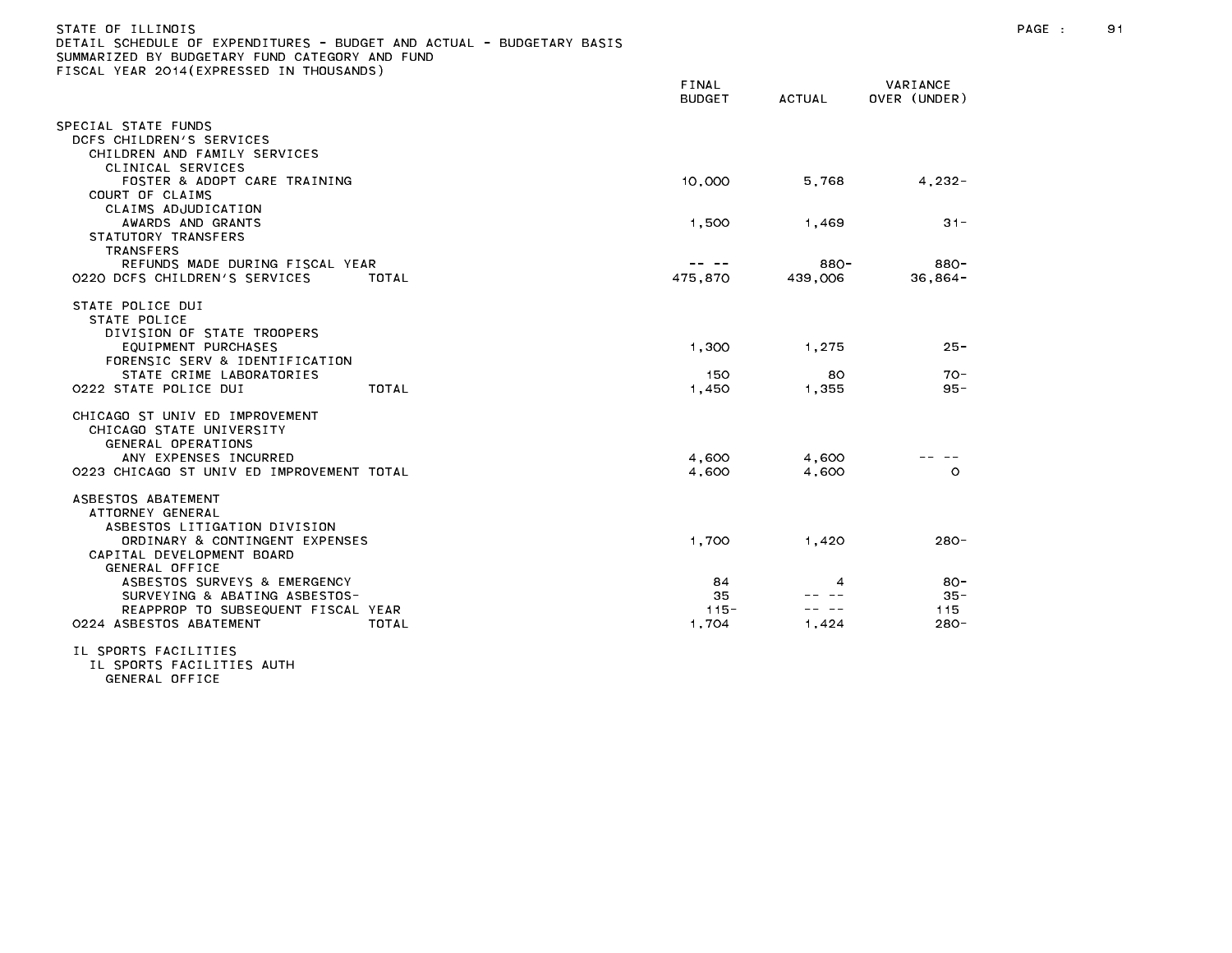| STATE OF ILLINOIS<br>DETAIL SCHEDULE OF EXPENDITURES - BUDGET AND ACTUAL - BUDGETARY BASIS<br>SUMMARIZED BY BUDGETARY FUND CATEGORY AND FUND<br>FISCAL YEAR 2014 (EXPRESSED IN THOUSANDS) | FINAL<br><b>BUDGET</b> | ACTUAL  | VARIANCE<br>OVER (UNDER) |  |
|-------------------------------------------------------------------------------------------------------------------------------------------------------------------------------------------|------------------------|---------|--------------------------|--|
| SPECIAL STATE FUNDS<br>DCFS CHILDREN'S SERVICES<br>CHILDREN AND FAMILY SERVICES                                                                                                           |                        |         |                          |  |
| CLINICAL SERVICES<br>FOSTER & ADOPT CARE TRAINING<br>COURT OF CLAIMS                                                                                                                      | 10,000                 | 5.768   | 4.232-                   |  |
| CLAIMS ADJUDICATION<br>AWARDS AND GRANTS<br>STATUTORY TRANSFERS                                                                                                                           | 1.500                  | 1.469   | $31 -$                   |  |
| TRANSFERS<br>DECHMOC MADE DUDING ETCOAL VEAD                                                                                                                                              | ____                   | $000 -$ | $000 -$                  |  |

| <b>TRANSFERS</b><br>REFUNDS MADE DURING FISCAL YEAR<br>0220 DCFS CHILDREN'S SERVICES | TOTAL | 475,870 | 880-<br>439,006 | 880-<br>$36,864-$ |
|--------------------------------------------------------------------------------------|-------|---------|-----------------|-------------------|
| STATE POLICE DUI<br>STATE POLICE<br>DIVISION OF STATE TROOPERS                       |       |         |                 |                   |
| EQUIPMENT PURCHASES<br>FORENSIC SERV & IDENTIFICATION                                |       | 1,300   | 1,275           | $25 -$            |
| STATE CRIME LABORATORIES                                                             |       | 150     | 80              | $70 -$            |
| 0222 STATE POLICE DUI                                                                | TOTAL | 1,450   | 1,355           | $95 -$            |
| CHICAGO ST UNIV ED IMPROVEMENT<br>CHICAGO STATE UNIVERSITY<br>GENERAL OPERATIONS     |       |         |                 |                   |
| ANY EXPENSES INCURRED                                                                |       | 4,600   | 4.600           |                   |
| 0223 CHICAGO ST UNIV ED IMPROVEMENT TOTAL                                            |       | 4,600   | 4,600           | O                 |
| ASBESTOS ABATEMENT<br>ATTORNEY GENERAL<br>ASBESTOS LITIGATION DIVISION               |       |         |                 |                   |
| ORDINARY & CONTINGENT EXPENSES<br>CAPITAL DEVELOPMENT BOARD<br>GENERAL OFFICE        |       | 1,700   | 1,420           | $280 -$           |
| ASBESTOS SURVEYS & EMERGENCY                                                         |       | 84      | 4               | $80 -$            |
| SURVEYING & ABATING ASBESTOS-                                                        |       | 35      |                 | $35 -$            |
| REAPPROP TO SUBSEQUENT FISCAL YEAR                                                   |       | $115 -$ |                 | 115               |
| 0224 ASBESTOS ABATEMENT                                                              | TOTAL | 1,704   | 1,424           | $280 -$           |

IL SPORTS FACILITIES

IL SPORTS FACILITIES AUTH GENERAL OFFICE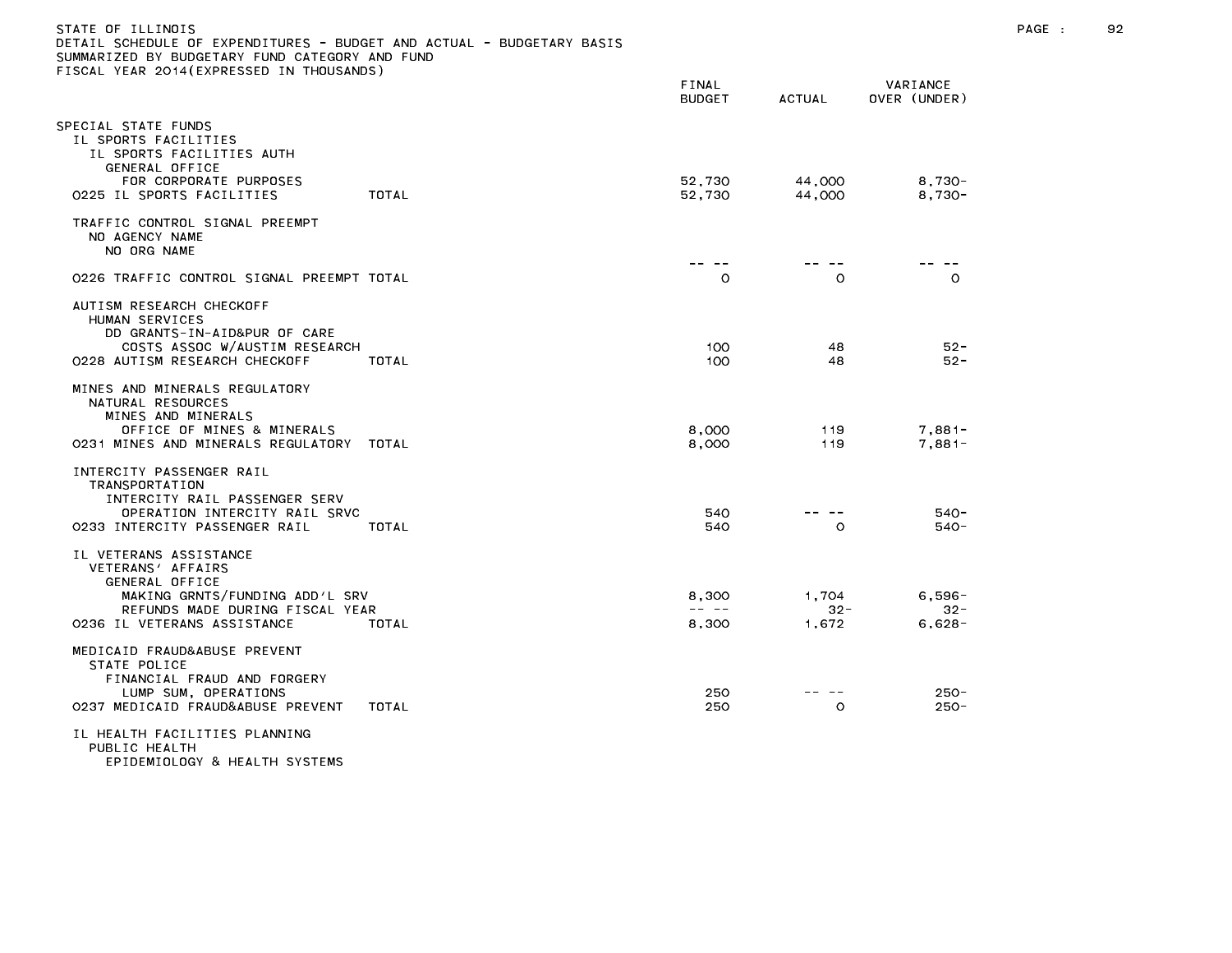| STATE OF ILLINOIS<br>DETAIL SCHEDULE OF EXPENDITURES - BUDGET AND ACTUAL - BUDGETARY BASIS<br>SUMMARIZED BY BUDGETARY FUND CATEGORY AND FUND<br>FISCAL YEAR 2014(EXPRESSED IN THOUSANDS) |                         |                          |                                | PAGE : | 92 |
|------------------------------------------------------------------------------------------------------------------------------------------------------------------------------------------|-------------------------|--------------------------|--------------------------------|--------|----|
|                                                                                                                                                                                          | FINAL<br><b>BUDGET</b>  | ACTUAL                   | VARIANCE<br>OVER (UNDER)       |        |    |
| SPECIAL STATE FUNDS<br>IL SPORTS FACILITIES<br>IL SPORTS FACILITIES AUTH<br>GENERAL OFFICE<br>FOR CORPORATE PURPOSES                                                                     | 52,730                  | 44,000                   | $8,730-$                       |        |    |
| TOTAL<br>0225 IL SPORTS FACILITIES                                                                                                                                                       | 52,730                  | 44,000                   | $8,730-$                       |        |    |
| TRAFFIC CONTROL SIGNAL PREEMPT<br>NO AGENCY NAME<br>NO ORG NAME                                                                                                                          |                         |                          |                                |        |    |
| 0226 TRAFFIC CONTROL SIGNAL PREEMPT TOTAL                                                                                                                                                | -- --<br>$\circ$        | $\circ$                  | -- --<br>$\circ$               |        |    |
| AUTISM RESEARCH CHECKOFF<br>HUMAN SERVICES<br>DD GRANTS-IN-AID&PUR OF CARE<br>COSTS ASSOC W/AUSTIM RESEARCH<br>0228 AUTISM RESEARCH CHECKOFF<br>TOTAL                                    | 100<br>100              | 48<br>48                 | $52 -$<br>52 -                 |        |    |
| MINES AND MINERALS REGULATORY<br>NATURAL RESOURCES<br>MINES AND MINERALS<br>OFFICE OF MINES & MINERALS<br>0231 MINES AND MINERALS REGULATORY TOTAL                                       | 8,000<br>8,000          | 119<br>119               | $7,881-$<br>$7,881-$           |        |    |
| INTERCITY PASSENGER RAIL<br>TRANSPORTATION<br>INTERCITY RAIL PASSENGER SERV<br>OPERATION INTERCITY RAIL SRVC<br>0233 INTERCITY PASSENGER RAIL<br>TOTAL                                   | 540<br>540              | -- --<br>$\circ$         | $540 -$<br>$540 -$             |        |    |
| IL VETERANS ASSISTANCE<br>VETERANS' AFFAIRS<br>GENERAL OFFICE<br>MAKING GRNTS/FUNDING ADD'L SRV<br>REFUNDS MADE DURING FISCAL YEAR<br>0236 IL VETERANS ASSISTANCE<br>TOTAL               | 8,300<br>-- --<br>8,300 | 1.704<br>$32 -$<br>1,672 | $6,596-$<br>$32 -$<br>$6,628-$ |        |    |
| MEDICAID FRAUD&ABUSE PREVENT<br>STATE POLICE<br>FINANCIAL FRAUD AND FORGERY<br>LUMP SUM, OPERATIONS<br>0237 MEDICAID FRAUD&ABUSE PREVENT<br>TOTAL<br>IL HEALTH FACILITIES PLANNING       | 250<br>250              | -- --<br>$\circ$         | $250 -$<br>$250 -$             |        |    |
| PUBLIC HEALTH<br>EPIDEMIOLOGY & HEALTH SYSTEMS                                                                                                                                           |                         |                          |                                |        |    |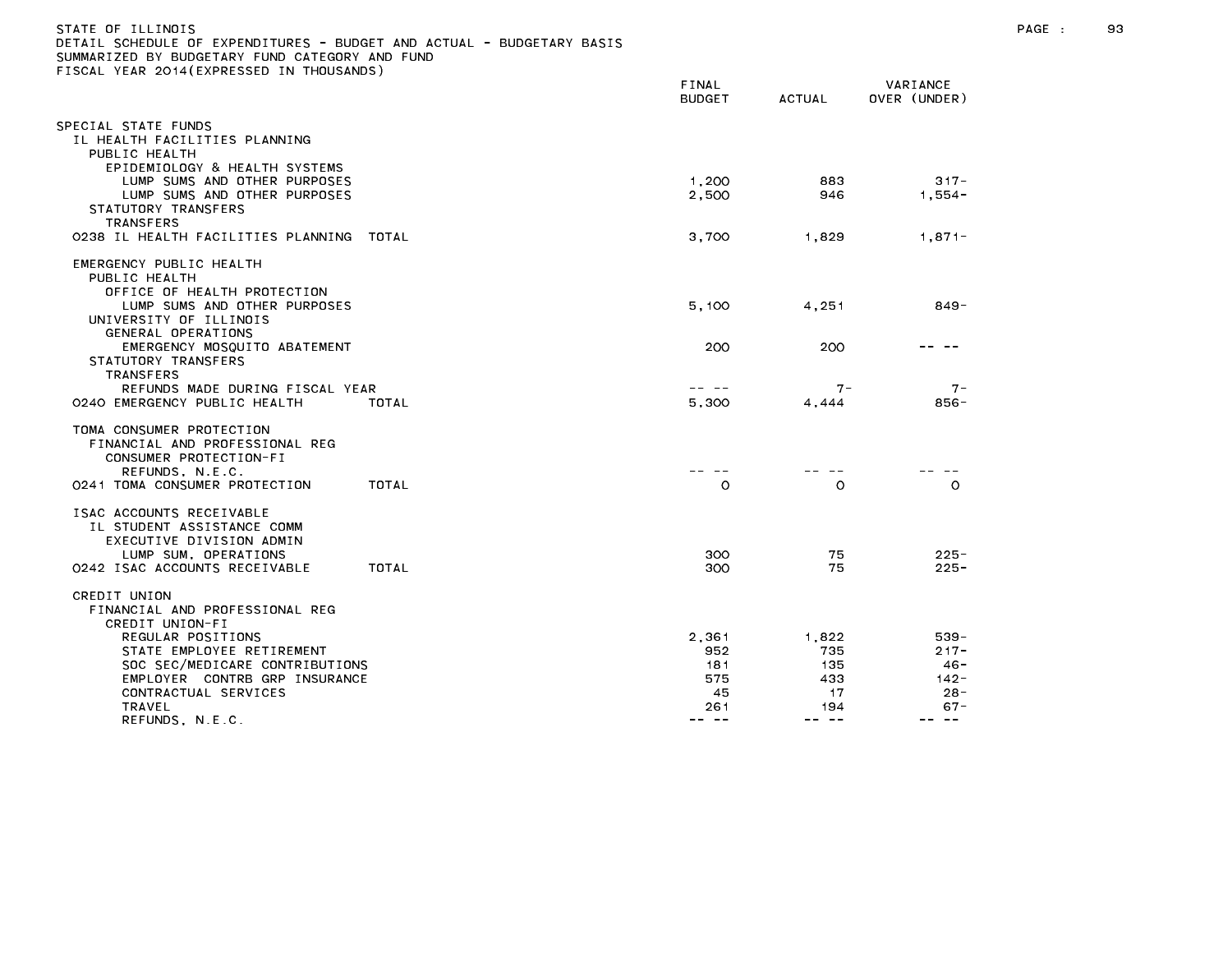| )ETAIL SCHEDULE OF EXPENDITURES – BUDGET AND ACTUAL – BUDGETARY BASIS<br>SUMMARIZED BY BUDGETARY FUND CATEGORY AND FUND                     |       |                                      |                |                                        |
|---------------------------------------------------------------------------------------------------------------------------------------------|-------|--------------------------------------|----------------|----------------------------------------|
| TISCAL YEAR 2014(EXPRESSED IN THOUSANDS)                                                                                                    |       | <b>FINAL</b><br><b>BUDGET</b>        | <b>ACTUAL</b>  | VARIANCE<br>OVER (UNDER)               |
| SPECIAL STATE FUNDS<br>IL HEALTH FACILITIES PLANNING<br>PUBLIC HEALTH                                                                       |       |                                      |                |                                        |
| EPIDEMIOLOGY & HEALTH SYSTEMS<br>LUMP SUMS AND OTHER PURPOSES<br>LUMP SUMS AND OTHER PURPOSES<br>STATUTORY TRANSFERS<br><b>TRANSFERS</b>    |       | 1,200<br>2,500                       | 883<br>946     | $317 -$<br>$1,554-$                    |
| 0238 IL HEALTH FACILITIES PLANNING TOTAL                                                                                                    |       | 3.700                                | 1.829          | $1.871 -$                              |
| EMERGENCY PUBLIC HEALTH<br>PUBLIC HEALTH<br>OFFICE OF HEALTH PROTECTION<br>LUMP SUMS AND OTHER PURPOSES<br>UNIVERSITY OF ILLINOIS           |       | 5,100                                | 4,251          | 849-                                   |
| GENERAL OPERATIONS<br>EMERGENCY MOSQUITO ABATEMENT<br>STATUTORY TRANSFERS<br><b>TRANSFERS</b>                                               |       | 200                                  | 200            |                                        |
| REFUNDS MADE DURING FISCAL YEAR<br>0240 EMERGENCY PUBLIC HEALTH                                                                             | TOTAL | 5.300                                | $7 -$<br>4.444 | $7 -$<br>856-                          |
| TOMA CONSUMER PROTECTION<br>FINANCIAL AND PROFESSIONAL REG<br>CONSUMER PROTECTION-FI<br>REFUNDS, N.E.C.                                     |       |                                      |                |                                        |
| 0241 TOMA CONSUMER PROTECTION                                                                                                               | TOTAL | $\circ$                              | $\Omega$       | $\circ$                                |
| ISAC ACCOUNTS RECEIVABLE<br>IL STUDENT ASSISTANCE COMM<br>EXECUTIVE DIVISION ADMIN<br>LUMP SUM, OPERATIONS<br>0242 ISAC ACCOUNTS RECEIVABLE | TOTAL | 300<br>300                           | 75<br>75       | $225 -$<br>$225 -$                     |
| CREDIT UNION<br>FINANCIAL AND PROFESSIONAL REG<br>CREDIT UNION-FI                                                                           |       |                                      |                |                                        |
| REGULAR POSITIONS<br>STATE EMPLOYEE RETIREMENT                                                                                              |       | 2,361<br>952                         | 1,822<br>735   | 539-<br>$217 -$                        |
| SOC SEC/MEDICARE CONTRIBUTIONS                                                                                                              |       | 181                                  | 135            | $46 -$                                 |
| EMPLOYER CONTRB GRP INSURANCE                                                                                                               |       | 575                                  | 433            | $142 -$                                |
| CONTRACTUAL SERVICES<br>TRAVEL                                                                                                              |       | 45<br>261                            | 17<br>194      | $28 -$<br>$67 -$                       |
| REFUNDS, N.E.C.                                                                                                                             |       | $\qquad \qquad \cdots \qquad \qquad$ | -- --          | $\qquad \qquad -$<br>$\qquad \qquad -$ |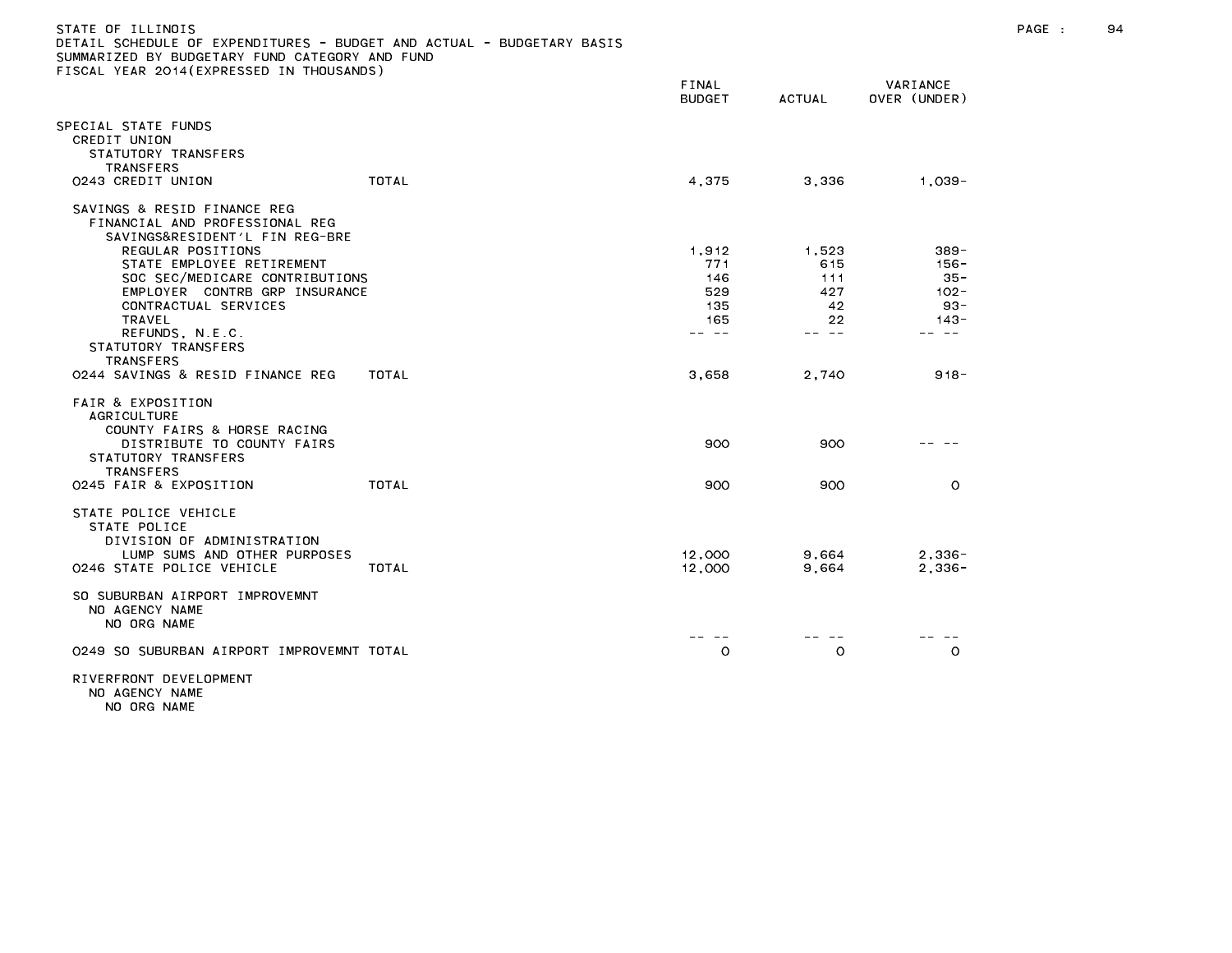| STATE OF ILLINOIS                                                     |   |
|-----------------------------------------------------------------------|---|
| DETAIL SCHEDULE OF EXPENDITURES - BUDGET AND ACTUAL - BUDGETARY BASIS |   |
| SUMMARIZED BY BUDGETARY FUND CATEGORY AND FUND                        |   |
| FISCAL YEAR 2014(EXPRESSED IN THOUSANDS)                              |   |
|                                                                       | . |

|                                                                                                                         |                                                                                                                                                              |       | FINAL<br><b>BUDGET</b>                            | <b>ACTUAL</b>                                   | VARIANCE<br>OVER (UNDER)                                           |  |
|-------------------------------------------------------------------------------------------------------------------------|--------------------------------------------------------------------------------------------------------------------------------------------------------------|-------|---------------------------------------------------|-------------------------------------------------|--------------------------------------------------------------------|--|
| SPECIAL STATE FUNDS<br>CREDIT UNION<br>STATUTORY TRANSFERS<br><b>TRANSFERS</b><br>0243 CREDIT UNION                     |                                                                                                                                                              | TOTAL | 4,375                                             | 3,336                                           | $1,039-$                                                           |  |
|                                                                                                                         | SAVINGS & RESID FINANCE REG<br>FINANCIAL AND PROFESSIONAL REG<br>SAVINGS&RESIDENT'L FIN REG-BRE                                                              |       |                                                   |                                                 |                                                                    |  |
| TRAVEL<br>STATUTORY TRANSFERS                                                                                           | REGULAR POSITIONS<br>STATE EMPLOYEE RETIREMENT<br>SOC SEC/MEDICARE CONTRIBUTIONS<br>EMPLOYER CONTRB GRP INSURANCE<br>CONTRACTUAL SERVICES<br>REFUNDS, N.E.C. |       | 1,912<br>771<br>146<br>529<br>135<br>165<br>-- -- | 1,523<br>615<br>111<br>427<br>42<br>22<br>-- -- | $389 -$<br>156-<br>$35 -$<br>$102 -$<br>$93 -$<br>$143 -$<br>- - - |  |
| <b>TRANSFERS</b>                                                                                                        | 0244 SAVINGS & RESID FINANCE REG                                                                                                                             | TOTAL | 3,658                                             | 2,740                                           | $918 -$                                                            |  |
| <b>FAIR &amp; EXPOSITION</b><br><b>AGRICULTURE</b><br>STATUTORY TRANSFERS<br><b>TRANSFERS</b><br>0245 FAIR & EXPOSITION | COUNTY FAIRS & HORSE RACING<br>DISTRIBUTE TO COUNTY FAIRS                                                                                                    | TOTAL | 900<br>900                                        | 900<br>900                                      | $\circ$                                                            |  |
| STATE POLICE VEHICLE<br>STATE POLICE                                                                                    | DIVISION OF ADMINISTRATION<br>LUMP SUMS AND OTHER PURPOSES<br>0246 STATE POLICE VEHICLE                                                                      | TOTAL | 12,000<br>12,000                                  | 9,664<br>9,664                                  | $2,336-$<br>$2,336-$                                               |  |
| NO AGENCY NAME<br>NO ORG NAME                                                                                           | SO SUBURBAN AIRPORT IMPROVEMNT                                                                                                                               |       |                                                   |                                                 |                                                                    |  |
|                                                                                                                         | 0249 SO SUBURBAN AIRPORT IMPROVEMNT TOTAL                                                                                                                    |       | $\circ$                                           | $\circ$                                         | $\circ$                                                            |  |
|                                                                                                                         |                                                                                                                                                              |       |                                                   |                                                 |                                                                    |  |

RIVERFRONT DEVELOPMENT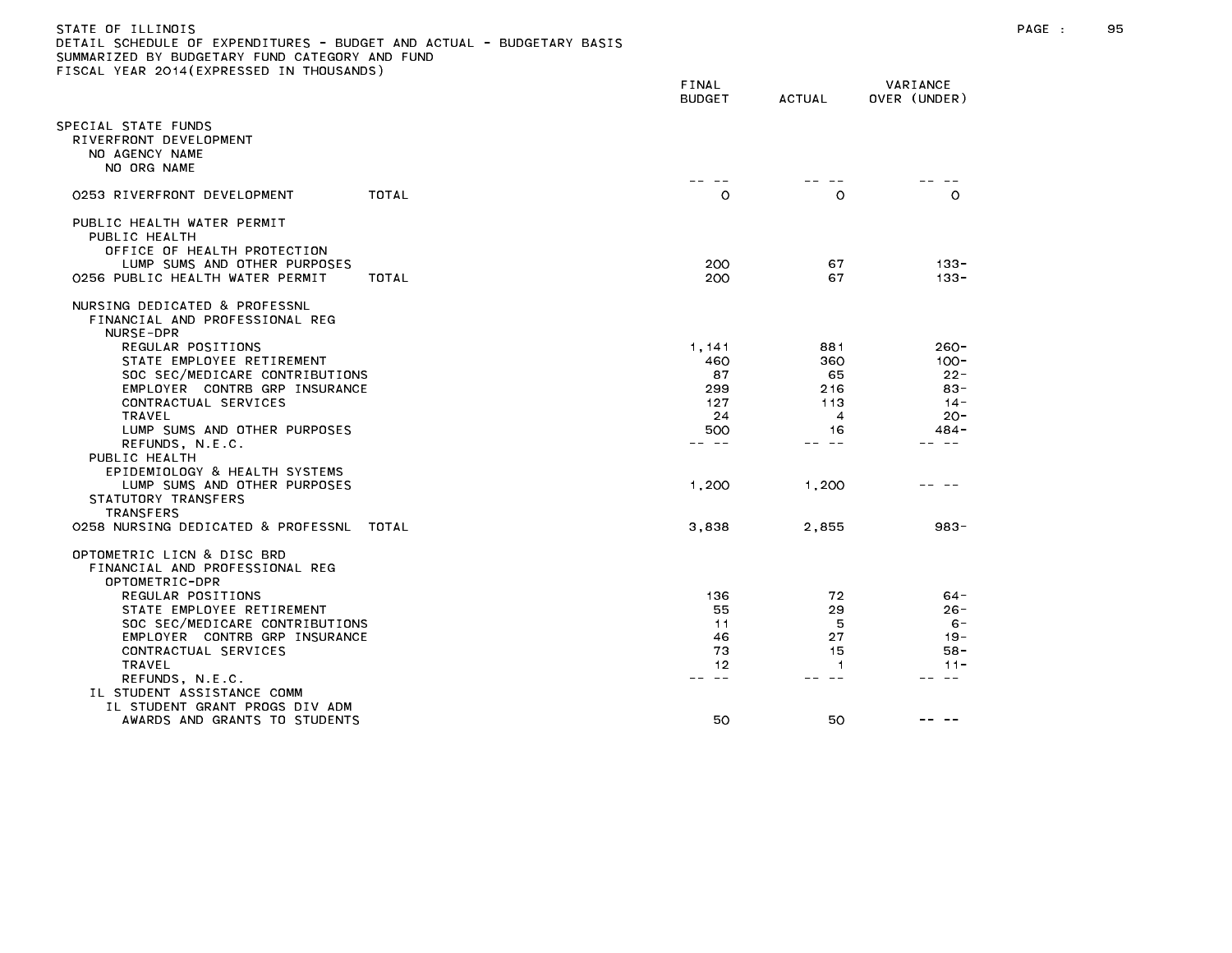| DETAIL SCHEDULE OF EXPENDITURES - BUDGET AND ACTUAL - BUDGETARY BASIS |
|-----------------------------------------------------------------------|
| SUMMARIZED BY BUDGETARY FUND CATEGORY AND FUND                        |
| FISCAL YEAR 2014(EXPRESSED IN THOUSANDS)                              |

|                                                                                                            | FINAL<br><b>BUDGET</b> | <b>ACTUAL</b>  | VARIANCE<br>OVER (UNDER) |
|------------------------------------------------------------------------------------------------------------|------------------------|----------------|--------------------------|
| SPECIAL STATE FUNDS<br>RIVERFRONT DEVELOPMENT<br>NO AGENCY NAME<br>NO ORG NAME                             |                        |                |                          |
| 0253 RIVERFRONT DEVELOPMENT<br>TOTAL                                                                       | $\circ$                | $\circ$        | $\circ$                  |
| PUBLIC HEALTH WATER PERMIT<br>PUBLIC HEALTH<br>OFFICE OF HEALTH PROTECTION<br>LUMP SUMS AND OTHER PURPOSES | 200                    | 67             | $133 -$                  |
| 0256 PUBLIC HEALTH WATER PERMIT<br>TOTAL                                                                   | 200                    | 67             | $133 -$                  |
| NURSING DEDICATED & PROFESSNL<br>FINANCIAL AND PROFESSIONAL REG<br>NURSE-DPR                               |                        |                |                          |
| REGULAR POSITIONS                                                                                          | 1,141                  | 881            | 260-                     |
| STATE EMPLOYEE RETIREMENT                                                                                  | 460                    | 360            | $100 -$                  |
| SOC SEC/MEDICARE CONTRIBUTIONS                                                                             | 87                     | 65             | $22 -$                   |
| EMPLOYER CONTRB GRP INSURANCE                                                                              | 299                    | 216            | $83 -$                   |
| CONTRACTUAL SERVICES                                                                                       | 127                    | 113            | $14 -$                   |
| <b>TRAVEL</b>                                                                                              | 24                     | $\overline{4}$ | $20 -$                   |
| LUMP SUMS AND OTHER PURPOSES                                                                               | 500<br><b>1000 mm</b>  | 16<br>$- -$    | 484 -                    |
| REFUNDS, N.E.C.                                                                                            |                        |                |                          |
| PUBLIC HEALTH                                                                                              |                        |                |                          |
| EPIDEMIOLOGY & HEALTH SYSTEMS                                                                              |                        |                |                          |
| LUMP SUMS AND OTHER PURPOSES<br>STATUTORY TRANSFERS                                                        | 1,200                  | 1,200          |                          |
| <b>TRANSFERS</b>                                                                                           |                        |                |                          |
| 0258 NURSING DEDICATED & PROFESSNL<br>TOTAL                                                                | 3,838                  | 2.855          | $983 -$                  |
| OPTOMETRIC LICN & DISC BRD<br>FINANCIAL AND PROFESSIONAL REG<br>OPTOMETRIC-DPR                             |                        |                |                          |
| REGULAR POSITIONS                                                                                          | 136                    | 72             | $64 -$                   |
| STATE EMPLOYEE RETIREMENT                                                                                  | 55                     | 29             | $26 -$                   |
| SOC SEC/MEDICARE CONTRIBUTIONS                                                                             | 11                     | 5              | $6 -$                    |
| EMPLOYER CONTRB GRP INSURANCE                                                                              | 46                     | 27             | $19 -$                   |
| CONTRACTUAL SERVICES                                                                                       | 73                     | 15             | $58 -$                   |
| TRAVEL                                                                                                     | 12                     | -1             | $11 -$                   |
| REFUNDS, N.E.C.                                                                                            | $\sim$ $-$             | $\sim$ $-$     |                          |
| IL STUDENT ASSISTANCE COMM                                                                                 |                        |                |                          |
| IL STUDENT GRANT PROGS DIV ADM                                                                             |                        |                |                          |
| AWARDS AND GRANTS TO STUDENTS                                                                              | 50                     | 50             |                          |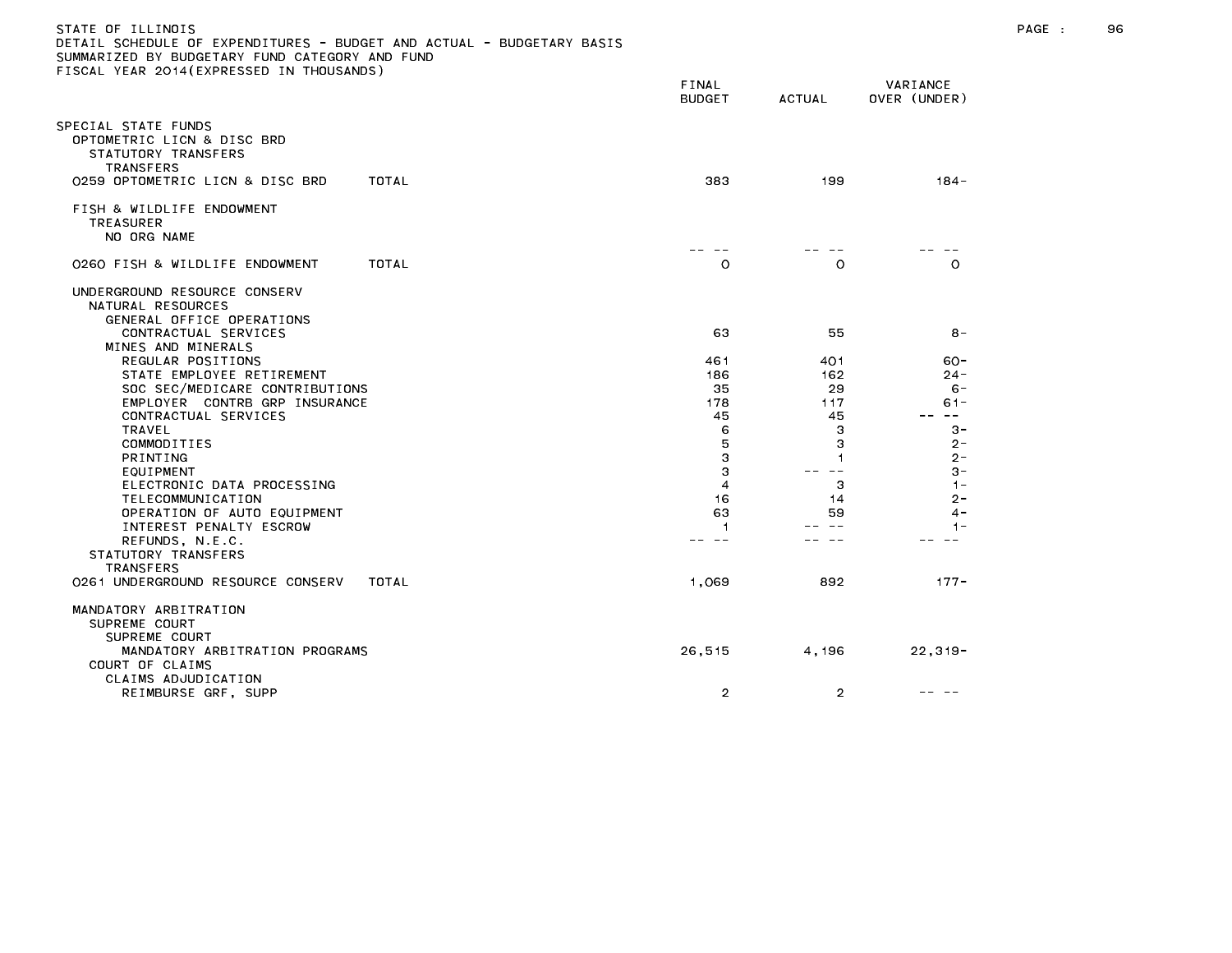| DETAIL SCHEDULE UF EXPENDITURES - BUDGET AND ACTUAL - BUDGETARY BASIS<br>SUMMARIZED BY BUDGETARY FUND CATEGORY AND FUND<br>FISCAL YEAR 2014 (EXPRESSED IN THOUSANDS) |                 |                |                          |
|----------------------------------------------------------------------------------------------------------------------------------------------------------------------|-----------------|----------------|--------------------------|
|                                                                                                                                                                      | FINAL<br>BUDGET | <b>ACTUAL</b>  | VARIANCE<br>OVER (UNDER) |
| SPECIAL STATE FUNDS<br>OPTOMETRIC LICN & DISC BRD<br>STATUTORY TRANSFERS<br>TRANSFERS                                                                                |                 |                |                          |
| 0259 OPTOMETRIC LICN & DISC BRD<br>TOTAL                                                                                                                             | 383             | 199            | $184 -$                  |
| FISH & WILDLIFE ENDOWMENT<br><b>TREASURER</b><br>NO ORG NAME                                                                                                         |                 |                |                          |
| TOTAL<br>0260 FISH & WILDLIFE ENDOWMENT                                                                                                                              | $\circ$         | $\circ$        | $\circ$                  |
| UNDERGROUND RESOURCE CONSERV<br>NATURAL RESOURCES<br>GENERAL OFFICE OPERATIONS<br>CONTRACTUAL SERVICES                                                               | 63              | 55             | $8 -$                    |
| MINES AND MINERALS                                                                                                                                                   |                 |                |                          |
| REGULAR POSITIONS<br>STATE EMPLOYEE RETIREMENT                                                                                                                       | 461<br>186      | 401<br>162     | $60 -$<br>$24 -$         |
| SOC SEC/MEDICARE CONTRIBUTIONS                                                                                                                                       | 35              | 29             | $6 -$                    |
| EMPLOYER CONTRB GRP INSURANCE                                                                                                                                        | 178             | 117            | $61 -$                   |
| CONTRACTUAL SERVICES                                                                                                                                                 | 45              | 45             | $\sim$ $-$               |
| TRAVEL<br>COMMODITIES                                                                                                                                                | 6<br>5          | з<br>3         | $3 -$<br>$2-$            |
| <b>PRINTING</b>                                                                                                                                                      | 3               | 1              | $2 -$                    |
| EQUIPMENT                                                                                                                                                            | 3               | $\sim$ $-$     | $3 -$                    |
| ELECTRONIC DATA PROCESSING                                                                                                                                           | 4               | з              | $1 -$                    |
| TELECOMMUNICATION                                                                                                                                                    | 16              | 14             | $2 -$                    |
| OPERATION OF AUTO EQUIPMENT<br>INTEREST PENALTY ESCROW                                                                                                               | 63<br>1         | 59<br>$- -$    | 4 -<br>$1 -$             |
| REFUNDS, N.E.C.                                                                                                                                                      | -- --           | - -            |                          |
| STATUTORY TRANSFERS                                                                                                                                                  |                 |                |                          |
| TRANSFERS                                                                                                                                                            |                 |                |                          |
| 0261 UNDERGROUND RESOURCE CONSERV<br>TOTAL                                                                                                                           | 1,069           | 892            | $177 -$                  |
| MANDATORY ARBITRATION<br>SUPREME COURT<br>SUPREME COURT                                                                                                              |                 |                |                          |
| MANDATORY ARBITRATION PROGRAMS<br>COURT OF CLAIMS                                                                                                                    | 26,515          | 4,196          | $22, 319 -$              |
| CLAIMS ADJUDICATION<br>REIMBURSE GRF, SUPP                                                                                                                           | $\overline{2}$  | $\overline{2}$ |                          |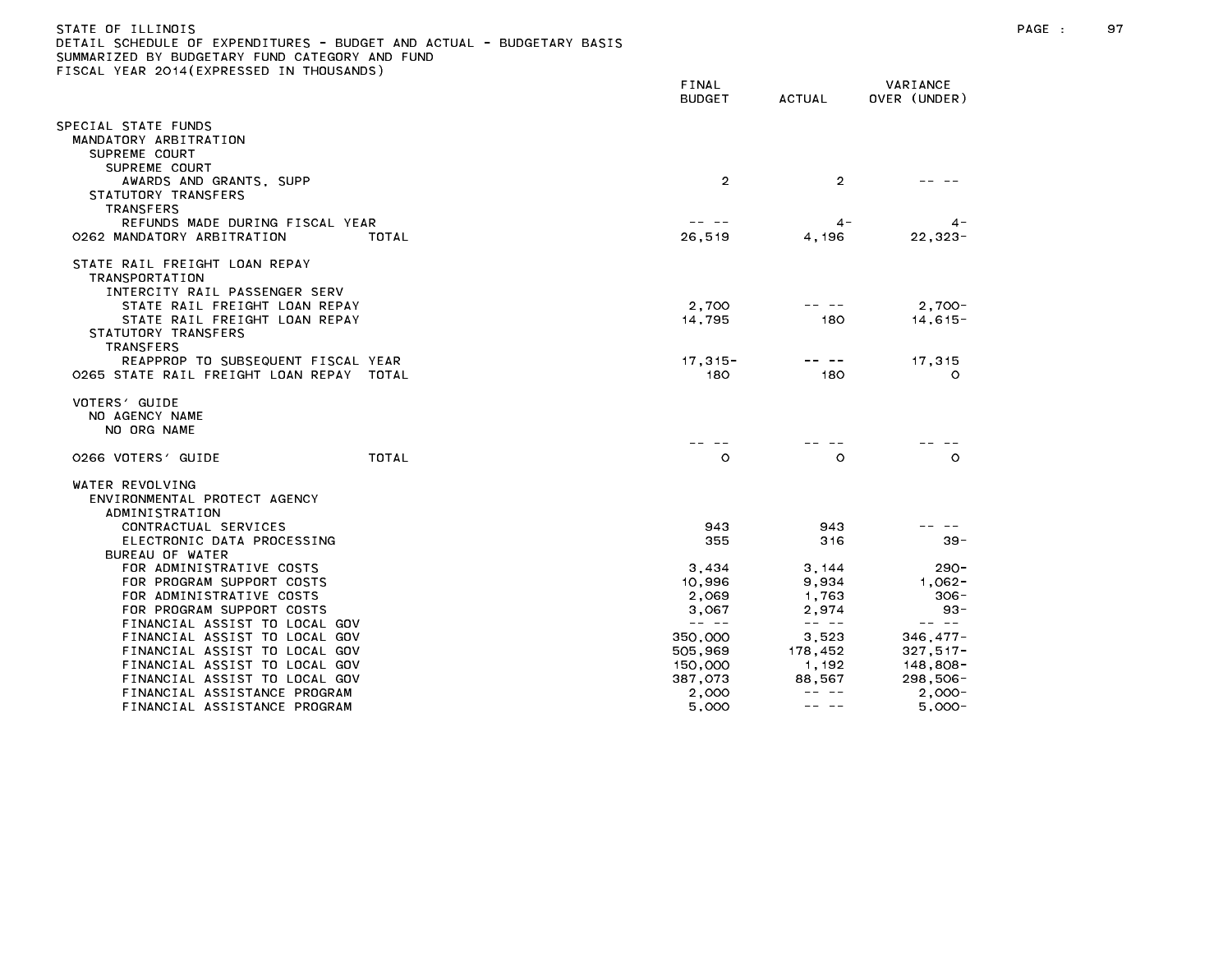| STATE OF ILLINOIS                                                     |  |
|-----------------------------------------------------------------------|--|
| DETAIL SCHEDULE OF EXPENDITURES - BUDGET AND ACTUAL - BUDGETARY BASIS |  |
| SUMMARIZED BY BUDGETARY FUND CATEGORY AND FUND                        |  |
| FISCAL YEAR 2014(EXPRESSED IN THOUSANDS)                              |  |

|                                                                                                           | FINAL<br><b>BUDGET</b>                                                                                                                                                                                                                                                                                                                                                                       | <b>ACTUAL</b>                                                                                                                                                                                                                                                                                                                                                                                | VARIANCE<br>OVER (UNDER)                                                                                                                                                                                                                                                                                                                                                                     |
|-----------------------------------------------------------------------------------------------------------|----------------------------------------------------------------------------------------------------------------------------------------------------------------------------------------------------------------------------------------------------------------------------------------------------------------------------------------------------------------------------------------------|----------------------------------------------------------------------------------------------------------------------------------------------------------------------------------------------------------------------------------------------------------------------------------------------------------------------------------------------------------------------------------------------|----------------------------------------------------------------------------------------------------------------------------------------------------------------------------------------------------------------------------------------------------------------------------------------------------------------------------------------------------------------------------------------------|
| SPECIAL STATE FUNDS<br>MANDATORY ARBITRATION<br>SUPREME COURT                                             |                                                                                                                                                                                                                                                                                                                                                                                              |                                                                                                                                                                                                                                                                                                                                                                                              |                                                                                                                                                                                                                                                                                                                                                                                              |
| SUPREME COURT<br>AWARDS AND GRANTS, SUPP<br>STATUTORY TRANSFERS<br><b>TRANSFERS</b>                       | $\overline{2}$                                                                                                                                                                                                                                                                                                                                                                               | $\overline{2}$                                                                                                                                                                                                                                                                                                                                                                               |                                                                                                                                                                                                                                                                                                                                                                                              |
| REFUNDS MADE DURING FISCAL YEAR<br>0262 MANDATORY ARBITRATION<br>TOTAL                                    | 26,519                                                                                                                                                                                                                                                                                                                                                                                       | $4 -$<br>4,196                                                                                                                                                                                                                                                                                                                                                                               | $\mathbf{4}$ –<br>$22, 323 -$                                                                                                                                                                                                                                                                                                                                                                |
| STATE RAIL FREIGHT LOAN REPAY<br><b>TRANSPORTATION</b><br>INTERCITY RAIL PASSENGER SERV                   |                                                                                                                                                                                                                                                                                                                                                                                              |                                                                                                                                                                                                                                                                                                                                                                                              |                                                                                                                                                                                                                                                                                                                                                                                              |
| STATE RAIL FREIGHT LOAN REPAY<br>STATE RAIL FREIGHT LOAN REPAY<br>STATUTORY TRANSFERS<br><b>TRANSFERS</b> | 2,700<br>14,795                                                                                                                                                                                                                                                                                                                                                                              | 180                                                                                                                                                                                                                                                                                                                                                                                          | $2,700-$<br>$14.615 -$                                                                                                                                                                                                                                                                                                                                                                       |
| REAPPROP TO SUBSEQUENT FISCAL YEAR<br>O265 STATE RAIL FREIGHT LOAN REPAY TOTAL                            | $17,315 -$<br>180                                                                                                                                                                                                                                                                                                                                                                            | 180                                                                                                                                                                                                                                                                                                                                                                                          | 17,315<br>O                                                                                                                                                                                                                                                                                                                                                                                  |
| VOTERS' GUIDE<br>NO AGENCY NAME<br>NO ORG NAME                                                            |                                                                                                                                                                                                                                                                                                                                                                                              |                                                                                                                                                                                                                                                                                                                                                                                              |                                                                                                                                                                                                                                                                                                                                                                                              |
| TOTAL<br>0266 VOTERS' GUIDE                                                                               | $\circ$                                                                                                                                                                                                                                                                                                                                                                                      | $\circ$                                                                                                                                                                                                                                                                                                                                                                                      | $\circ$                                                                                                                                                                                                                                                                                                                                                                                      |
| WATER REVOLVING<br>ENVIRONMENTAL PROTECT AGENCY<br>ADMINISTRATION                                         |                                                                                                                                                                                                                                                                                                                                                                                              |                                                                                                                                                                                                                                                                                                                                                                                              |                                                                                                                                                                                                                                                                                                                                                                                              |
| CONTRACTUAL SERVICES                                                                                      | 943                                                                                                                                                                                                                                                                                                                                                                                          | 943                                                                                                                                                                                                                                                                                                                                                                                          |                                                                                                                                                                                                                                                                                                                                                                                              |
| ELECTRONIC DATA PROCESSING                                                                                | 355                                                                                                                                                                                                                                                                                                                                                                                          | 316                                                                                                                                                                                                                                                                                                                                                                                          | $39 -$                                                                                                                                                                                                                                                                                                                                                                                       |
| BUREAU OF WATER                                                                                           |                                                                                                                                                                                                                                                                                                                                                                                              |                                                                                                                                                                                                                                                                                                                                                                                              |                                                                                                                                                                                                                                                                                                                                                                                              |
| FOR ADMINISTRATIVE COSTS<br>FOR PROGRAM SUPPORT COSTS                                                     | 3,434<br>10,996                                                                                                                                                                                                                                                                                                                                                                              | 3,144<br>9,934                                                                                                                                                                                                                                                                                                                                                                               | $290 -$<br>1,062-                                                                                                                                                                                                                                                                                                                                                                            |
| FOR ADMINISTRATIVE COSTS                                                                                  | 2.069                                                                                                                                                                                                                                                                                                                                                                                        | 1.763                                                                                                                                                                                                                                                                                                                                                                                        | $306 -$                                                                                                                                                                                                                                                                                                                                                                                      |
| FOR PROGRAM SUPPORT COSTS                                                                                 | 3,067                                                                                                                                                                                                                                                                                                                                                                                        | 2,974                                                                                                                                                                                                                                                                                                                                                                                        | $93 -$                                                                                                                                                                                                                                                                                                                                                                                       |
| FINANCIAL ASSIST TO LOCAL GOV                                                                             | $\frac{1}{2} \frac{1}{2} \frac{1}{2} \frac{1}{2} \frac{1}{2} \frac{1}{2} \frac{1}{2} \frac{1}{2} \frac{1}{2} \frac{1}{2} \frac{1}{2} \frac{1}{2} \frac{1}{2} \frac{1}{2} \frac{1}{2} \frac{1}{2} \frac{1}{2} \frac{1}{2} \frac{1}{2} \frac{1}{2} \frac{1}{2} \frac{1}{2} \frac{1}{2} \frac{1}{2} \frac{1}{2} \frac{1}{2} \frac{1}{2} \frac{1}{2} \frac{1}{2} \frac{1}{2} \frac{1}{2} \frac{$ | $\frac{1}{2} \frac{1}{2} \frac{1}{2} \frac{1}{2} \frac{1}{2} \frac{1}{2} \frac{1}{2} \frac{1}{2} \frac{1}{2} \frac{1}{2} \frac{1}{2} \frac{1}{2} \frac{1}{2} \frac{1}{2} \frac{1}{2} \frac{1}{2} \frac{1}{2} \frac{1}{2} \frac{1}{2} \frac{1}{2} \frac{1}{2} \frac{1}{2} \frac{1}{2} \frac{1}{2} \frac{1}{2} \frac{1}{2} \frac{1}{2} \frac{1}{2} \frac{1}{2} \frac{1}{2} \frac{1}{2} \frac{$ | $\frac{1}{2} \frac{1}{2} \frac{1}{2} \frac{1}{2} \frac{1}{2} \frac{1}{2} \frac{1}{2} \frac{1}{2} \frac{1}{2} \frac{1}{2} \frac{1}{2} \frac{1}{2} \frac{1}{2} \frac{1}{2} \frac{1}{2} \frac{1}{2} \frac{1}{2} \frac{1}{2} \frac{1}{2} \frac{1}{2} \frac{1}{2} \frac{1}{2} \frac{1}{2} \frac{1}{2} \frac{1}{2} \frac{1}{2} \frac{1}{2} \frac{1}{2} \frac{1}{2} \frac{1}{2} \frac{1}{2} \frac{$ |
| FINANCIAL ASSIST TO LOCAL GOV                                                                             | 350,000                                                                                                                                                                                                                                                                                                                                                                                      | 3,523                                                                                                                                                                                                                                                                                                                                                                                        | $346, 477 -$                                                                                                                                                                                                                                                                                                                                                                                 |
| FINANCIAL ASSIST TO LOCAL GOV                                                                             | 505,969                                                                                                                                                                                                                                                                                                                                                                                      | 178,452                                                                                                                                                                                                                                                                                                                                                                                      | $327,517-$                                                                                                                                                                                                                                                                                                                                                                                   |
| FINANCIAL ASSIST TO LOCAL GOV                                                                             | 150,000                                                                                                                                                                                                                                                                                                                                                                                      | 1.192                                                                                                                                                                                                                                                                                                                                                                                        | 148,808-                                                                                                                                                                                                                                                                                                                                                                                     |
| FINANCIAL ASSIST TO LOCAL GOV                                                                             | 387,073                                                                                                                                                                                                                                                                                                                                                                                      | 88,567                                                                                                                                                                                                                                                                                                                                                                                       | $298,506-$                                                                                                                                                                                                                                                                                                                                                                                   |
| FINANCIAL ASSISTANCE PROGRAM                                                                              | 2,000                                                                                                                                                                                                                                                                                                                                                                                        | $- - - - -$<br>-- --                                                                                                                                                                                                                                                                                                                                                                         | $2,000-$                                                                                                                                                                                                                                                                                                                                                                                     |
| FINANCIAL ASSISTANCE PROGRAM                                                                              | 5,000                                                                                                                                                                                                                                                                                                                                                                                        |                                                                                                                                                                                                                                                                                                                                                                                              | $5,000 -$                                                                                                                                                                                                                                                                                                                                                                                    |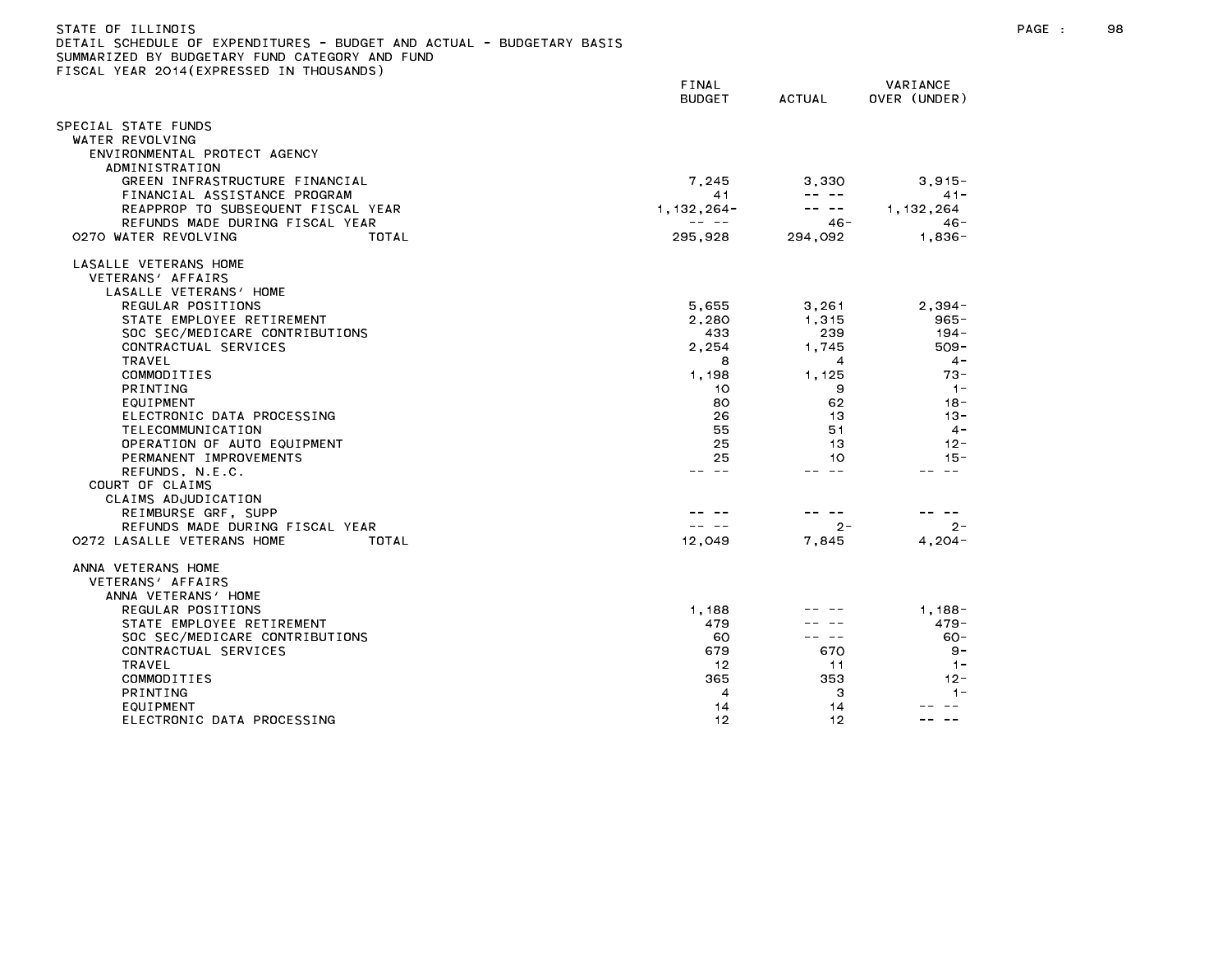| JETAIL SUMEDULE UF EXPENDITURES - BUDGET AND AUTUAL - BUDGETARY BASIS<br>SUMMARIZED BY BUDGETARY FUND CATEGORY AND FUND |       |                                |               |              |
|-------------------------------------------------------------------------------------------------------------------------|-------|--------------------------------|---------------|--------------|
| FISCAL YEAR 2014(EXPRESSED IN THOUSANDS)                                                                                |       |                                |               |              |
|                                                                                                                         |       | <b>FINAL</b>                   |               | VARIANCE     |
|                                                                                                                         |       | <b>BUDGET</b>                  | <b>ACTUAL</b> | OVER (UNDER) |
| SPECIAL STATE FUNDS                                                                                                     |       |                                |               |              |
| WATER REVOLVING                                                                                                         |       |                                |               |              |
| ENVIRONMENTAL PROTECT AGENCY                                                                                            |       |                                |               |              |
| ADMINISTRATION                                                                                                          |       |                                |               |              |
| GREEN INFRASTRUCTURE FINANCIAL                                                                                          |       | 7.245                          | 3.330         | $3.915 -$    |
| FINANCIAL ASSISTANCE PROGRAM                                                                                            |       | 41                             | -- --         | $41 -$       |
|                                                                                                                         |       |                                | -- --         |              |
| REAPPROP TO SUBSEQUENT FISCAL YEAR                                                                                      |       | $1, 132, 264 -$<br>$- - - - -$ |               | 1, 132, 264  |
| REFUNDS MADE DURING FISCAL YEAR                                                                                         |       |                                | 46 -          | $46 -$       |
| 0270 WATER REVOLVING                                                                                                    | TOTAL | 295.928                        | 294,092       | $1.836 -$    |
| LASALLE VETERANS HOME                                                                                                   |       |                                |               |              |
| VETERANS' AFFAIRS                                                                                                       |       |                                |               |              |
| LASALLE VETERANS' HOME                                                                                                  |       |                                |               |              |
| REGULAR POSITIONS                                                                                                       |       | 5,655                          | 3,261         | $2,394-$     |
| STATE EMPLOYEE RETIREMENT                                                                                               |       | 2,280                          | 1,315         | 965-         |
| SOC SEC/MEDICARE CONTRIBUTIONS                                                                                          |       | 433                            | 239           | $194 -$      |
| CONTRACTUAL SERVICES                                                                                                    |       | 2,254                          | 1.745         | $509 -$      |
| TRAVEL                                                                                                                  |       | 8                              | 4             | $4 -$        |
| COMMODITIES                                                                                                             |       | 1,198                          | 1,125         | $73 -$       |
| PRINTING                                                                                                                |       | 10                             | 9             | $1 -$        |
| EQUIPMENT                                                                                                               |       | 80                             | 62            | $18 -$       |
| ELECTRONIC DATA PROCESSING                                                                                              |       | 26                             | 13            | $13 -$       |
| TELECOMMUNICATION                                                                                                       |       | 55                             | 51            | $4 -$        |
| OPERATION OF AUTO EQUIPMENT                                                                                             |       | 25                             | 13            | $12 -$       |
| PERMANENT IMPROVEMENTS                                                                                                  |       | 25                             | 10            | $15 -$       |
| REFUNDS, N.E.C.                                                                                                         |       | -- --                          | -- --         |              |
| COURT OF CLAIMS                                                                                                         |       |                                |               |              |
| CLAIMS ADJUDICATION                                                                                                     |       |                                |               |              |
| REIMBURSE GRF, SUPP                                                                                                     |       |                                |               |              |
| REFUNDS MADE DURING FISCAL YEAR                                                                                         |       |                                | $2 -$         | $2 -$        |
| 0272 LASALLE VETERANS HOME                                                                                              | TOTAL | 12,049                         | 7.845         | $4.204 -$    |
| ANNA VETERANS HOME                                                                                                      |       |                                |               |              |
| VETERANS' AFFAIRS                                                                                                       |       |                                |               |              |
| ANNA VETERANS' HOME                                                                                                     |       |                                |               |              |
| REGULAR POSITIONS                                                                                                       |       | 1.188                          |               | $1.188 -$    |
| STATE EMPLOYEE RETIREMENT                                                                                               |       | 479                            |               | $479 -$      |
| SOC SEC/MEDICARE CONTRIBUTIONS                                                                                          |       | 60                             | .             | $60 -$       |
| CONTRACTUAL SERVICES                                                                                                    |       | 679                            | 670           | $9 -$        |
| <b>TRAVEL</b>                                                                                                           |       | -12                            | 11            | $-1-$        |
| COMMODITIES                                                                                                             |       | 365                            | 353           | $12 -$       |
| <b>PRINTING</b>                                                                                                         |       | 4                              | 3             | $1 -$        |
|                                                                                                                         |       | $\cdot$ $\cdot$                | $\sim$        |              |

ELECTRONIC DATA PROCESSING 12 12 -- --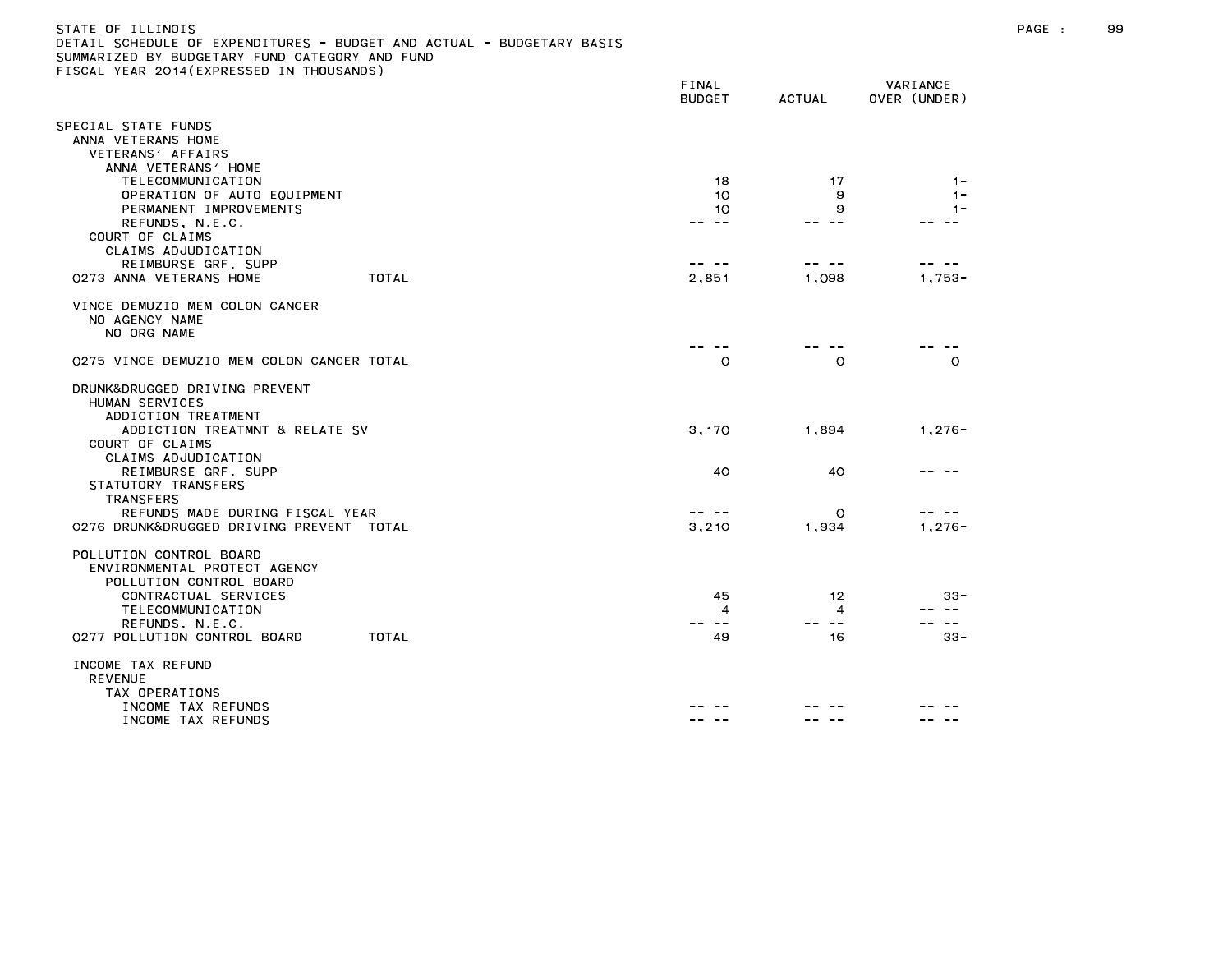## STATE OF ILLINOIS PAGE : 99 DETAIL SCHEDULE OF EXPENDITURES - BUDGET AND ACTUAL - BUDGETARY BASIS SUMMARIZED BY BUDGETARY FUND CATEGORY AND FUND FISCAL YEAR 2014(EXPRESSED IN THOUSANDS)

|                                                                                    | FINAL<br><b>BUDGET</b> | <b>ACTUAL</b>            | VARIANCE<br>OVER (UNDER) |
|------------------------------------------------------------------------------------|------------------------|--------------------------|--------------------------|
| SPECIAL STATE FUNDS<br>ANNA VETERANS HOME                                          |                        |                          |                          |
| VETERANS' AFFAIRS<br>ANNA VETERANS' HOME                                           |                        |                          |                          |
| TELECOMMUNICATION<br>OPERATION OF AUTO EQUIPMENT                                   | 18<br>10               | 17<br>9                  | $1 -$<br>$1 -$           |
| PERMANENT IMPROVEMENTS<br>REFUNDS, N.E.C.<br>COURT OF CLAIMS                       | 10<br>$- -$            | 9<br>$- -$               | $1 -$                    |
| CLAIMS ADJUDICATION<br>REIMBURSE GRF, SUPP                                         | -- --                  | -- --                    |                          |
| TOTAL<br>0273 ANNA VETERANS HOME                                                   | 2,851                  | 1,098                    | $1,753-$                 |
| VINCE DEMUZIO MEM COLON CANCER<br>NO AGENCY NAME<br>NO ORG NAME                    |                        |                          |                          |
| 0275 VINCE DEMUZIO MEM COLON CANCER TOTAL                                          | $\circ$                | $\circ$                  | $\Omega$                 |
| DRUNK&DRUGGED DRIVING PREVENT<br>HUMAN SERVICES<br>ADDICTION TREATMENT             |                        |                          |                          |
| ADDICTION TREATMNT & RELATE SV<br>COURT OF CLAIMS<br>CLAIMS ADJUDICATION           | 3,170                  | 1,894                    | $1,276-$                 |
| REIMBURSE GRF, SUPP<br>STATUTORY TRANSFERS<br><b>TRANSFERS</b>                     | 40                     | 40                       |                          |
| REFUNDS MADE DURING FISCAL YEAR<br>0276 DRUNK&DRUGGED DRIVING PREVENT TOTAL        | -- --<br>3,210         | O<br>1,934               | $1,276-$                 |
| POLLUTION CONTROL BOARD<br>ENVIRONMENTAL PROTECT AGENCY<br>POLLUTION CONTROL BOARD |                        |                          |                          |
| CONTRACTUAL SERVICES<br>TELECOMMUNICATION                                          | 45<br>4                | 12<br>4                  | $33 -$                   |
| REFUNDS, N.E.C.                                                                    | $- -$                  | $\overline{\phantom{m}}$ | $\sim$ $-$               |
| TOTAL<br>0277 POLLUTION CONTROL BOARD                                              | 49                     | 16                       | $33 -$                   |
| INCOME TAX REFUND<br><b>REVENUE</b><br>TAX OPERATIONS                              |                        |                          |                          |
| INCOME TAX REFUNDS                                                                 |                        |                          |                          |
| INCOME TAX REFUNDS                                                                 |                        |                          |                          |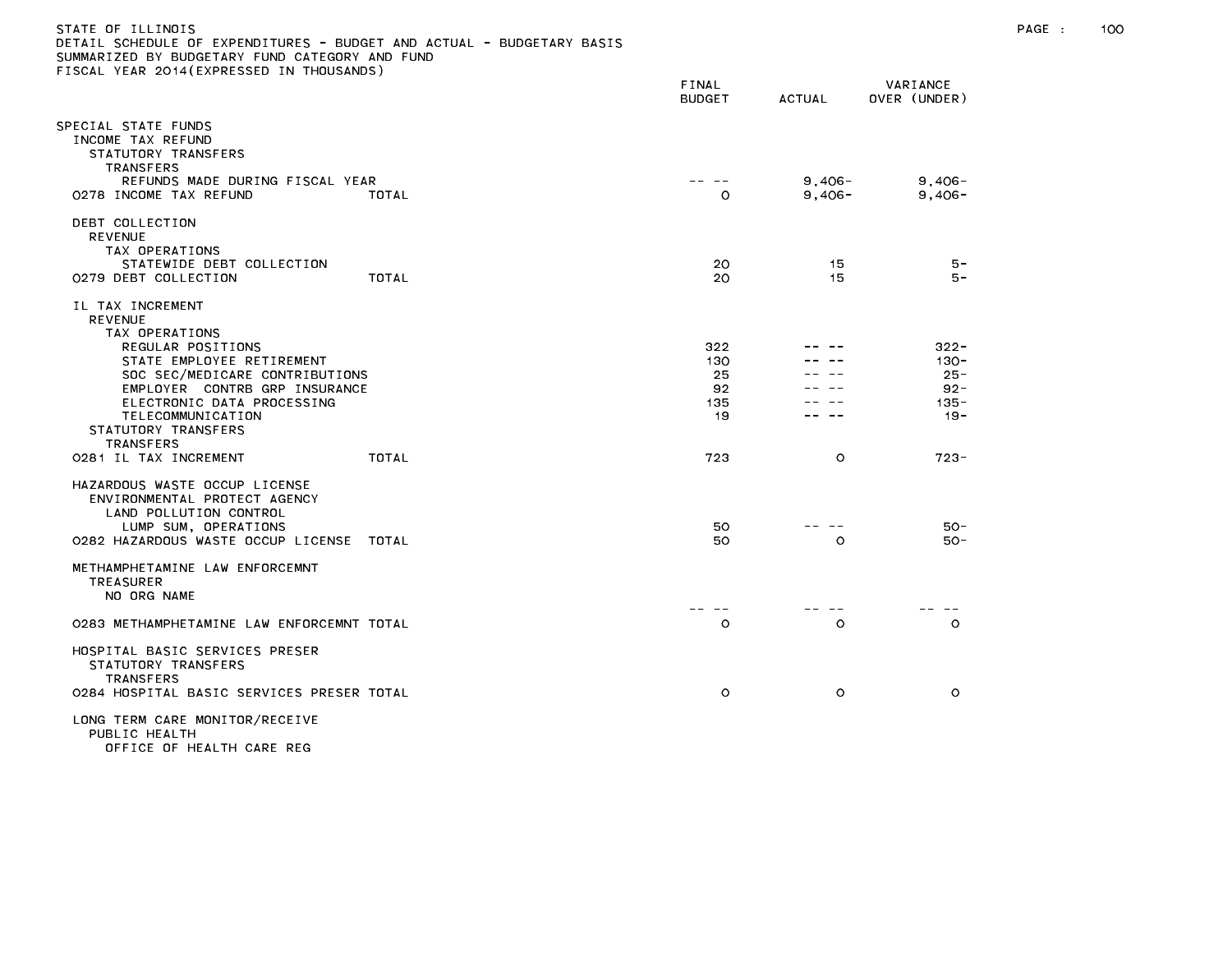| DETAIL SCHEDULE OF EXPENDITURES - BUDGET AND ACTUAL - BUDGETARY BASIS<br>SUMMARIZED BY BUDGETARY FUND CATEGORY AND FUND<br>FISCAL YEAR 2014(EXPRESSED IN THOUSANDS) |       |                        |                     |                          |  |
|---------------------------------------------------------------------------------------------------------------------------------------------------------------------|-------|------------------------|---------------------|--------------------------|--|
|                                                                                                                                                                     |       | FINAL<br><b>BUDGET</b> | <b>ACTUAL</b>       | VARIANCE<br>OVER (UNDER) |  |
| SPECIAL STATE FUNDS<br>INCOME TAX REFUND<br>STATUTORY TRANSFERS<br><b>TRANSFERS</b>                                                                                 |       |                        |                     |                          |  |
| REFUNDS MADE DURING FISCAL YEAR<br>0278 INCOME TAX REFUND                                                                                                           | TOTAL | $\circ$                | 9,406-<br>$9.406 -$ | $9,406 -$<br>$9.406 -$   |  |
| DEBT COLLECTION<br><b>REVENUE</b><br>TAX OPERATIONS                                                                                                                 |       |                        |                     |                          |  |
| STATEWIDE DEBT COLLECTION<br>0279 DEBT COLLECTION                                                                                                                   | TOTAL | 20<br>20               | 15<br>15            | 5 –<br>$5 -$             |  |
| IL TAX INCREMENT<br><b>REVENUE</b><br>TAX OPERATIONS                                                                                                                |       |                        |                     |                          |  |
| REGULAR POSITIONS                                                                                                                                                   |       | 322                    |                     | $322 -$                  |  |
| STATE EMPLOYEE RETIREMENT<br>SOC SEC/MEDICARE CONTRIBUTIONS                                                                                                         |       | 130<br>25              |                     | $130 -$<br>$25 -$        |  |
| EMPLOYER CONTRB GRP INSURANCE                                                                                                                                       |       | 92                     |                     | $92 -$                   |  |
| ELECTRONIC DATA PROCESSING<br>TELECOMMUNICATION<br>STATUTORY TRANSFERS<br><b>TRANSFERS</b>                                                                          |       | 135<br>-19             |                     | $135 -$<br>$19 -$        |  |
| 0281 IL TAX INCREMENT                                                                                                                                               | TOTAL | 723                    | $\circ$             | $723 -$                  |  |
| HAZARDOUS WASTE OCCUP LICENSE<br>ENVIRONMENTAL PROTECT AGENCY<br>LAND POLLUTION CONTROL<br>LUMP SUM, OPERATIONS<br>0282 HAZARDOUS WASTE OCCUP LICENSE TOTAL         |       | 50<br>50               | $\Omega$            | $50 -$<br>$50 -$         |  |
| METHAMPHETAMINE LAW ENFORCEMNT<br><b>TREASURER</b><br>NO ORG NAME                                                                                                   |       |                        |                     |                          |  |
| 0283 METHAMPHETAMINE LAW ENFORCEMNT TOTAL                                                                                                                           |       | $\circ$                | $\circ$             | $\circ$                  |  |
| HOSPITAL BASIC SERVICES PRESER<br>STATUTORY TRANSFERS<br><b>TRANSFERS</b>                                                                                           |       |                        |                     |                          |  |
| 0284 HOSPITAL BASIC SERVICES PRESER TOTAL                                                                                                                           |       | $\circ$                | $\circ$             | $\circ$                  |  |
| LONG TERM CARE MONITOR/RECEIVE<br>PUBLIC HEALTH<br>OFFICE OF HEALTH CADE DEC                                                                                        |       |                        |                     |                          |  |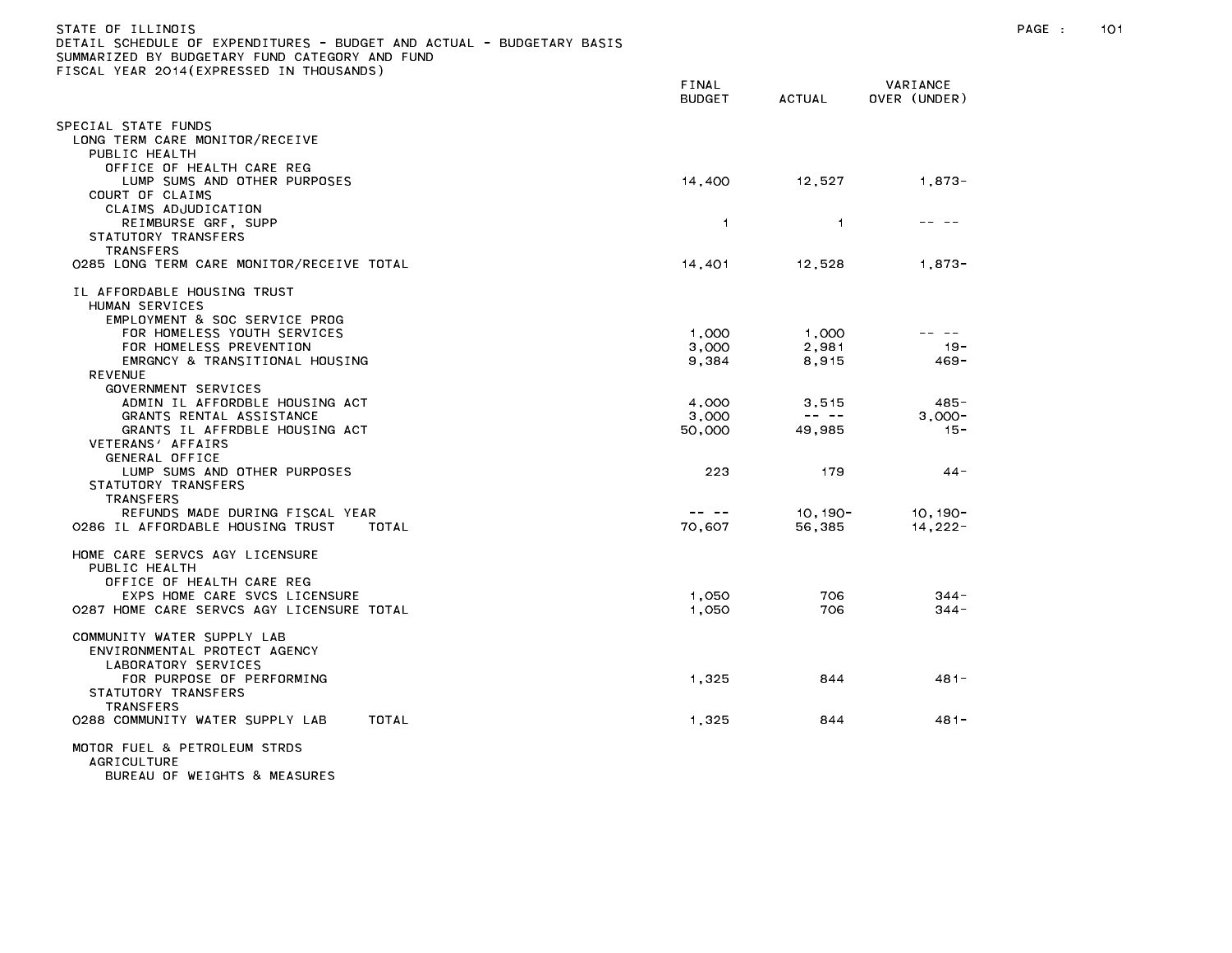| DETAIL SCHEDULE OF EXPENDITURES – BUDGET AND ACTUAL – BUDGETARY BASIS<br>SUMMARIZED BY BUDGETARY FUND CATEGORY AND FUND |                                                                                                                                                                                                                                                                                                                                                                                              |                                                                                                                                                                                                                                                                                                                                                                                              |                          |
|-------------------------------------------------------------------------------------------------------------------------|----------------------------------------------------------------------------------------------------------------------------------------------------------------------------------------------------------------------------------------------------------------------------------------------------------------------------------------------------------------------------------------------|----------------------------------------------------------------------------------------------------------------------------------------------------------------------------------------------------------------------------------------------------------------------------------------------------------------------------------------------------------------------------------------------|--------------------------|
| FISCAL YEAR 2014(EXPRESSED IN THOUSANDS)                                                                                |                                                                                                                                                                                                                                                                                                                                                                                              |                                                                                                                                                                                                                                                                                                                                                                                              |                          |
|                                                                                                                         | FINAL<br><b>BUDGET</b>                                                                                                                                                                                                                                                                                                                                                                       | <b>ACTUAL</b>                                                                                                                                                                                                                                                                                                                                                                                | VARIANCE<br>OVER (UNDER) |
| SPECIAL STATE FUNDS                                                                                                     |                                                                                                                                                                                                                                                                                                                                                                                              |                                                                                                                                                                                                                                                                                                                                                                                              |                          |
| LONG TERM CARE MONITOR/RECEIVE                                                                                          |                                                                                                                                                                                                                                                                                                                                                                                              |                                                                                                                                                                                                                                                                                                                                                                                              |                          |
| PUBLIC HEALTH                                                                                                           |                                                                                                                                                                                                                                                                                                                                                                                              |                                                                                                                                                                                                                                                                                                                                                                                              |                          |
| OFFICE OF HEALTH CARE REG                                                                                               |                                                                                                                                                                                                                                                                                                                                                                                              |                                                                                                                                                                                                                                                                                                                                                                                              |                          |
| LUMP SUMS AND OTHER PURPOSES                                                                                            | 14,400                                                                                                                                                                                                                                                                                                                                                                                       | 12,527                                                                                                                                                                                                                                                                                                                                                                                       | $1,873-$                 |
| COURT OF CLAIMS                                                                                                         |                                                                                                                                                                                                                                                                                                                                                                                              |                                                                                                                                                                                                                                                                                                                                                                                              |                          |
| CLAIMS ADJUDICATION                                                                                                     |                                                                                                                                                                                                                                                                                                                                                                                              |                                                                                                                                                                                                                                                                                                                                                                                              | -- --                    |
| REIMBURSE GRF, SUPP<br>STATUTORY TRANSFERS                                                                              | 1                                                                                                                                                                                                                                                                                                                                                                                            | $\mathbf{1}$                                                                                                                                                                                                                                                                                                                                                                                 |                          |
| <b>TRANSFERS</b>                                                                                                        |                                                                                                                                                                                                                                                                                                                                                                                              |                                                                                                                                                                                                                                                                                                                                                                                              |                          |
| 0285 LONG TERM CARE MONITOR/RECEIVE TOTAL                                                                               | 14,401                                                                                                                                                                                                                                                                                                                                                                                       | 12,528                                                                                                                                                                                                                                                                                                                                                                                       | $1,873-$                 |
| IL AFFORDABLE HOUSING TRUST                                                                                             |                                                                                                                                                                                                                                                                                                                                                                                              |                                                                                                                                                                                                                                                                                                                                                                                              |                          |
| HUMAN SERVICES                                                                                                          |                                                                                                                                                                                                                                                                                                                                                                                              |                                                                                                                                                                                                                                                                                                                                                                                              |                          |
| EMPLOYMENT & SOC SERVICE PROG                                                                                           |                                                                                                                                                                                                                                                                                                                                                                                              |                                                                                                                                                                                                                                                                                                                                                                                              | -- --                    |
| FOR HOMELESS YOUTH SERVICES<br>FOR HOMELESS PREVENTION                                                                  | 1,000<br>3,000                                                                                                                                                                                                                                                                                                                                                                               | 1,000<br>2,981                                                                                                                                                                                                                                                                                                                                                                               | $19 -$                   |
| EMRGNCY & TRANSITIONAL HOUSING                                                                                          | 9,384                                                                                                                                                                                                                                                                                                                                                                                        | 8,915                                                                                                                                                                                                                                                                                                                                                                                        | $469 -$                  |
| <b>REVENUE</b>                                                                                                          |                                                                                                                                                                                                                                                                                                                                                                                              |                                                                                                                                                                                                                                                                                                                                                                                              |                          |
| GOVERNMENT SERVICES                                                                                                     |                                                                                                                                                                                                                                                                                                                                                                                              |                                                                                                                                                                                                                                                                                                                                                                                              |                          |
| ADMIN IL AFFORDBLE HOUSING ACT                                                                                          | 4,000                                                                                                                                                                                                                                                                                                                                                                                        | 3,515                                                                                                                                                                                                                                                                                                                                                                                        | $485 -$                  |
| GRANTS RENTAL ASSISTANCE                                                                                                | 3,000                                                                                                                                                                                                                                                                                                                                                                                        | $\frac{1}{2} \frac{1}{2} \frac{1}{2} \frac{1}{2} \frac{1}{2} \frac{1}{2} \frac{1}{2} \frac{1}{2} \frac{1}{2} \frac{1}{2} \frac{1}{2} \frac{1}{2} \frac{1}{2} \frac{1}{2} \frac{1}{2} \frac{1}{2} \frac{1}{2} \frac{1}{2} \frac{1}{2} \frac{1}{2} \frac{1}{2} \frac{1}{2} \frac{1}{2} \frac{1}{2} \frac{1}{2} \frac{1}{2} \frac{1}{2} \frac{1}{2} \frac{1}{2} \frac{1}{2} \frac{1}{2} \frac{$ | $3.000 -$                |
| GRANTS IL AFFRDBLE HOUSING ACT<br>VETERANS' AFFAIRS                                                                     | 50,000                                                                                                                                                                                                                                                                                                                                                                                       | 49,985                                                                                                                                                                                                                                                                                                                                                                                       | $15 -$                   |
| GENERAL OFFICE                                                                                                          |                                                                                                                                                                                                                                                                                                                                                                                              |                                                                                                                                                                                                                                                                                                                                                                                              |                          |
| LUMP SUMS AND OTHER PURPOSES                                                                                            | 223                                                                                                                                                                                                                                                                                                                                                                                          | 179                                                                                                                                                                                                                                                                                                                                                                                          | $44 -$                   |
| STATUTORY TRANSFERS                                                                                                     |                                                                                                                                                                                                                                                                                                                                                                                              |                                                                                                                                                                                                                                                                                                                                                                                              |                          |
| <b>TRANSFERS</b>                                                                                                        |                                                                                                                                                                                                                                                                                                                                                                                              |                                                                                                                                                                                                                                                                                                                                                                                              |                          |
| REFUNDS MADE DURING FISCAL YEAR                                                                                         | $\frac{1}{2} \frac{1}{2} \frac{1}{2} \frac{1}{2} \frac{1}{2} \frac{1}{2} \frac{1}{2} \frac{1}{2} \frac{1}{2} \frac{1}{2} \frac{1}{2} \frac{1}{2} \frac{1}{2} \frac{1}{2} \frac{1}{2} \frac{1}{2} \frac{1}{2} \frac{1}{2} \frac{1}{2} \frac{1}{2} \frac{1}{2} \frac{1}{2} \frac{1}{2} \frac{1}{2} \frac{1}{2} \frac{1}{2} \frac{1}{2} \frac{1}{2} \frac{1}{2} \frac{1}{2} \frac{1}{2} \frac{$ | 10, 190-                                                                                                                                                                                                                                                                                                                                                                                     | $10, 190 -$              |
| 0286 IL AFFORDABLE HOUSING TRUST<br>TOTAL                                                                               | 70,607                                                                                                                                                                                                                                                                                                                                                                                       | 56,385                                                                                                                                                                                                                                                                                                                                                                                       | $14,222-$                |
| HOME CARE SERVCS AGY LICENSURE                                                                                          |                                                                                                                                                                                                                                                                                                                                                                                              |                                                                                                                                                                                                                                                                                                                                                                                              |                          |
| PUBLIC HEALTH                                                                                                           |                                                                                                                                                                                                                                                                                                                                                                                              |                                                                                                                                                                                                                                                                                                                                                                                              |                          |
| OFFICE OF HEALTH CARE REG                                                                                               |                                                                                                                                                                                                                                                                                                                                                                                              |                                                                                                                                                                                                                                                                                                                                                                                              |                          |
| EXPS HOME CARE SVCS LICENSURE<br>0287 HOME CARE SERVCS AGY LICENSURE TOTAL                                              | 1,050<br>1.050                                                                                                                                                                                                                                                                                                                                                                               | 706<br>706                                                                                                                                                                                                                                                                                                                                                                                   | $344 -$<br>$344 -$       |
|                                                                                                                         |                                                                                                                                                                                                                                                                                                                                                                                              |                                                                                                                                                                                                                                                                                                                                                                                              |                          |
| COMMUNITY WATER SUPPLY LAB                                                                                              |                                                                                                                                                                                                                                                                                                                                                                                              |                                                                                                                                                                                                                                                                                                                                                                                              |                          |
| ENVIRONMENTAL PROTECT AGENCY                                                                                            |                                                                                                                                                                                                                                                                                                                                                                                              |                                                                                                                                                                                                                                                                                                                                                                                              |                          |
| LABORATORY SERVICES                                                                                                     |                                                                                                                                                                                                                                                                                                                                                                                              |                                                                                                                                                                                                                                                                                                                                                                                              |                          |
| FOR PURPOSE OF PERFORMING<br>STATUTORY TRANSFERS                                                                        | 1.325                                                                                                                                                                                                                                                                                                                                                                                        | 844                                                                                                                                                                                                                                                                                                                                                                                          | 481-                     |
| <b>TRANSFERS</b>                                                                                                        |                                                                                                                                                                                                                                                                                                                                                                                              |                                                                                                                                                                                                                                                                                                                                                                                              |                          |
| TOTAL<br>0288 COMMUNITY WATER SUPPLY LAB                                                                                | 1,325                                                                                                                                                                                                                                                                                                                                                                                        | 844                                                                                                                                                                                                                                                                                                                                                                                          | 481-                     |
|                                                                                                                         |                                                                                                                                                                                                                                                                                                                                                                                              |                                                                                                                                                                                                                                                                                                                                                                                              |                          |
| MOTOR FUEL & PETROLEUM STRDS<br><b>AGRICULTURE</b>                                                                      |                                                                                                                                                                                                                                                                                                                                                                                              |                                                                                                                                                                                                                                                                                                                                                                                              |                          |
| BUREAU OF WEIGHTS & MEASURES                                                                                            |                                                                                                                                                                                                                                                                                                                                                                                              |                                                                                                                                                                                                                                                                                                                                                                                              |                          |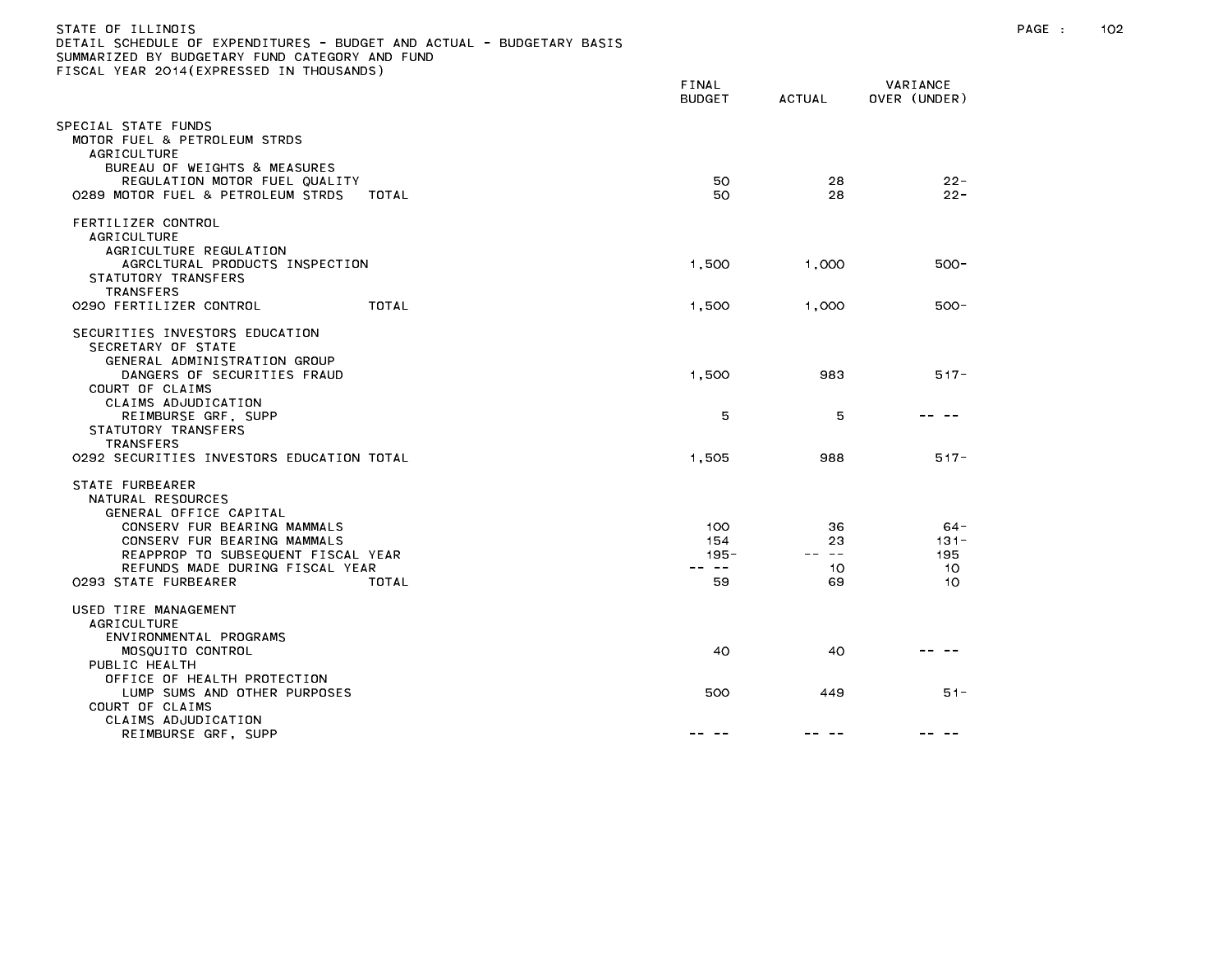| STATE OF ILLINOIS<br>DETAIL SCHEDULE OF EXPENDITURES - BUDGET AND ACTUAL - BUDGETARY BASIS<br>SUMMARIZED BY BUDGETARY FUND CATEGORY AND FUND<br>FISCAL YEAR 2014(EXPRESSED IN THOUSANDS) |                                |                                                                                                                                                                                                                                                                                                                                                                                                                |                                | PAGE : | 102 |
|------------------------------------------------------------------------------------------------------------------------------------------------------------------------------------------|--------------------------------|----------------------------------------------------------------------------------------------------------------------------------------------------------------------------------------------------------------------------------------------------------------------------------------------------------------------------------------------------------------------------------------------------------------|--------------------------------|--------|-----|
|                                                                                                                                                                                          | FINAL<br><b>BUDGET</b>         | ACTUAL                                                                                                                                                                                                                                                                                                                                                                                                         | VARIANCE<br>OVER (UNDER)       |        |     |
| SPECIAL STATE FUNDS<br>MOTOR FUEL & PETROLEUM STRDS<br>AGRICULTURE<br>BUREAU OF WEIGHTS & MEASURES                                                                                       |                                |                                                                                                                                                                                                                                                                                                                                                                                                                |                                |        |     |
| REGULATION MOTOR FUEL QUALITY<br>0289 MOTOR FUEL & PETROLEUM STRDS<br>TOTAL                                                                                                              | 50<br>50                       | 28<br>28                                                                                                                                                                                                                                                                                                                                                                                                       | $22 -$<br>$22 -$               |        |     |
| FERTILIZER CONTROL<br><b>AGRICULTURE</b><br>AGRICULTURE REGULATION                                                                                                                       |                                |                                                                                                                                                                                                                                                                                                                                                                                                                |                                |        |     |
| AGRCLTURAL PRODUCTS INSPECTION<br>STATUTORY TRANSFERS<br>TRANSFERS                                                                                                                       | 1,500                          | 1,000                                                                                                                                                                                                                                                                                                                                                                                                          | $500 -$                        |        |     |
| 0290 FERTILIZER CONTROL<br>TOTAL                                                                                                                                                         | 1,500                          | 1,000                                                                                                                                                                                                                                                                                                                                                                                                          | $500 -$                        |        |     |
| SECURITIES INVESTORS EDUCATION<br>SECRETARY OF STATE<br>GENERAL ADMINISTRATION GROUP<br>DANGERS OF SECURITIES FRAUD                                                                      | 1,500                          | 983                                                                                                                                                                                                                                                                                                                                                                                                            | $517 -$                        |        |     |
| COURT OF CLAIMS<br>CLAIMS ADJUDICATION<br>REIMBURSE GRF, SUPP<br>STATUTORY TRANSFERS                                                                                                     | 5                              | 5                                                                                                                                                                                                                                                                                                                                                                                                              | -- --                          |        |     |
| TRANSFERS<br>0292 SECURITIES INVESTORS EDUCATION TOTAL                                                                                                                                   | 1,505                          | 988                                                                                                                                                                                                                                                                                                                                                                                                            | $517 -$                        |        |     |
| STATE FURBEARER<br>NATURAL RESOURCES<br>GENERAL OFFICE CAPITAL                                                                                                                           |                                |                                                                                                                                                                                                                                                                                                                                                                                                                |                                |        |     |
| CONSERV FUR BEARING MAMMALS<br>CONSERV FUR BEARING MAMMALS<br>REAPPROP TO SUBSEQUENT FISCAL YEAR<br>REFUNDS MADE DURING FISCAL YEAR                                                      | 100<br>154<br>$195 -$<br>-- -- | 36<br>23<br>$\frac{1}{2} \frac{1}{2} \frac{1}{2} \frac{1}{2} \frac{1}{2} \frac{1}{2} \frac{1}{2} \frac{1}{2} \frac{1}{2} \frac{1}{2} \frac{1}{2} \frac{1}{2} \frac{1}{2} \frac{1}{2} \frac{1}{2} \frac{1}{2} \frac{1}{2} \frac{1}{2} \frac{1}{2} \frac{1}{2} \frac{1}{2} \frac{1}{2} \frac{1}{2} \frac{1}{2} \frac{1}{2} \frac{1}{2} \frac{1}{2} \frac{1}{2} \frac{1}{2} \frac{1}{2} \frac{1}{2} \frac{$<br>10 | $64 -$<br>$131 -$<br>195<br>10 |        |     |
| 0293 STATE FURBEARER<br>TOTAL                                                                                                                                                            | 59                             | 69                                                                                                                                                                                                                                                                                                                                                                                                             | 10                             |        |     |
| USED TIRE MANAGEMENT<br><b>AGRICULTURE</b><br>ENVIRONMENTAL PROGRAMS                                                                                                                     |                                |                                                                                                                                                                                                                                                                                                                                                                                                                |                                |        |     |
| MOSQUITO CONTROL<br>PUBLIC HEALTH<br>OFFICE OF HEALTH PROTECTION                                                                                                                         | 40                             | 40                                                                                                                                                                                                                                                                                                                                                                                                             |                                |        |     |
| LUMP SUMS AND OTHER PURPOSES<br>COURT OF CLAIMS<br>CLAIMS ADJUDICATION                                                                                                                   | 500                            | 449                                                                                                                                                                                                                                                                                                                                                                                                            | $51 -$                         |        |     |
| REIMBURSE GRF, SUPP                                                                                                                                                                      | -- --                          | -- --                                                                                                                                                                                                                                                                                                                                                                                                          |                                |        |     |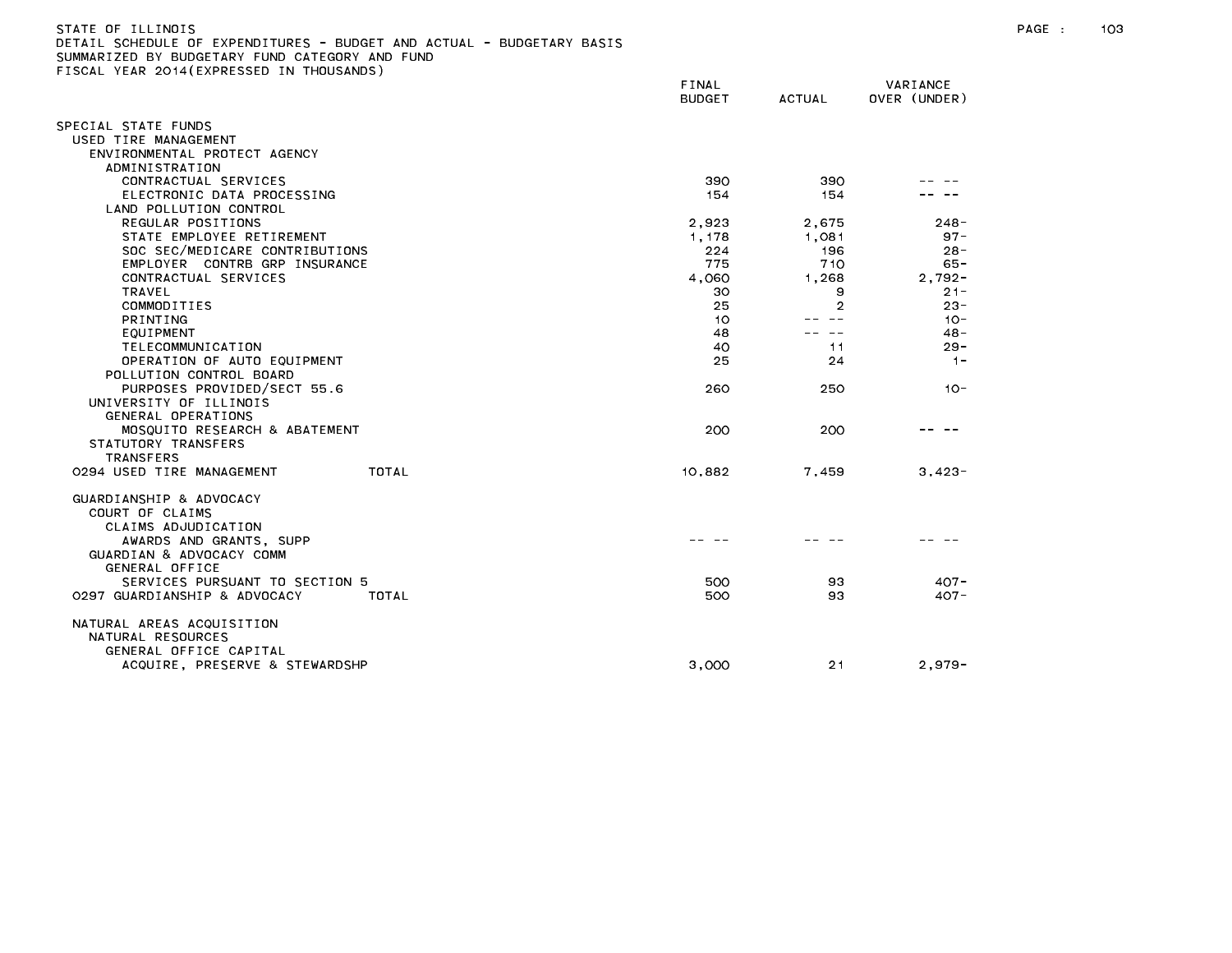| STATE OF ILLINOIS                                                     |
|-----------------------------------------------------------------------|
| DETAIL SCHEDULE OF EXPENDITURES - BUDGET AND ACTUAL - BUDGETARY BASIS |
| SUMMARIZED BY BUDGETARY FUND CATEGORY AND FUND                        |
| FISCAL YEAR 2014(EXPRESSED IN THOUSANDS)                              |

|                                                       | FINAL<br><b>BUDGET</b> | <b>ACTUAL</b> | VARIANCE<br>OVER (UNDER) |
|-------------------------------------------------------|------------------------|---------------|--------------------------|
| SPECIAL STATE FUNDS                                   |                        |               |                          |
| USED TIRE MANAGEMENT                                  |                        |               |                          |
| ENVIRONMENTAL PROTECT AGENCY                          |                        |               |                          |
| ADMINISTRATION                                        |                        |               |                          |
| CONTRACTUAL SERVICES                                  | 390                    | 390           |                          |
| ELECTRONIC DATA PROCESSING                            | 154                    | 154           |                          |
| LAND POLLUTION CONTROL                                |                        |               |                          |
| REGULAR POSITIONS                                     | 2,923                  | 2,675         | $248 -$                  |
| STATE EMPLOYEE RETIREMENT                             | 1.178                  | 1.081         | $97 -$                   |
| SOC SEC/MEDICARE CONTRIBUTIONS                        | 224                    | 196           | $28 -$                   |
| EMPLOYER CONTRB GRP INSURANCE                         | 775                    | 710           | $65 -$                   |
| CONTRACTUAL SERVICES                                  | 4,060                  | 1.268         | $2.792 -$                |
| <b>TRAVEL</b>                                         | 30                     | 9             | $21 -$                   |
| COMMODITIES                                           | 25                     | 2             | $23 -$                   |
| PRINTING                                              | 10                     |               | $10 -$                   |
| EQUIPMENT                                             | 48                     | $\sim$ $-$    | $48 -$                   |
| TELECOMMUNICATION                                     | 40                     | 11            | $29 -$                   |
| OPERATION OF AUTO EQUIPMENT                           | 25                     | 24            | $1 -$                    |
| POLLUTION CONTROL BOARD                               |                        |               |                          |
| PURPOSES PROVIDED/SECT 55.6<br>UNIVERSITY OF ILLINOIS | 260                    | 250           | $10 -$                   |
| GENERAL OPERATIONS                                    |                        |               |                          |
| MOSQUITO RESEARCH & ABATEMENT                         | 200                    | 200           |                          |
| STATUTORY TRANSFERS                                   |                        |               |                          |
| <b>TRANSFERS</b>                                      |                        |               |                          |
| 0294 USED TIRE MANAGEMENT<br>TOTAL                    | 10,882                 | 7,459         | $3,423-$                 |
|                                                       |                        |               |                          |
| GUARDIANSHIP & ADVOCACY                               |                        |               |                          |
| COURT OF CLAIMS                                       |                        |               |                          |
| CLAIMS ADJUDICATION                                   |                        |               |                          |
| AWARDS AND GRANTS, SUPP                               |                        |               |                          |
| GUARDIAN & ADVOCACY COMM                              |                        |               |                          |
| GENERAL OFFICE                                        |                        |               |                          |
| SERVICES PURSUANT TO SECTION 5                        | 500                    | 93            | $407 -$                  |
| 0297 GUARDIANSHIP & ADVOCACY<br>TOTAL                 | 500                    | 93            | $407 -$                  |
|                                                       |                        |               |                          |
| NATURAL AREAS ACQUISITION                             |                        |               |                          |
| NATURAL RESOURCES                                     |                        |               |                          |
| GENERAL OFFICE CAPITAL                                |                        |               |                          |
| ACQUIRE, PRESERVE & STEWARDSHP                        | 3,000                  | 21            | $2,979-$                 |
|                                                       |                        |               |                          |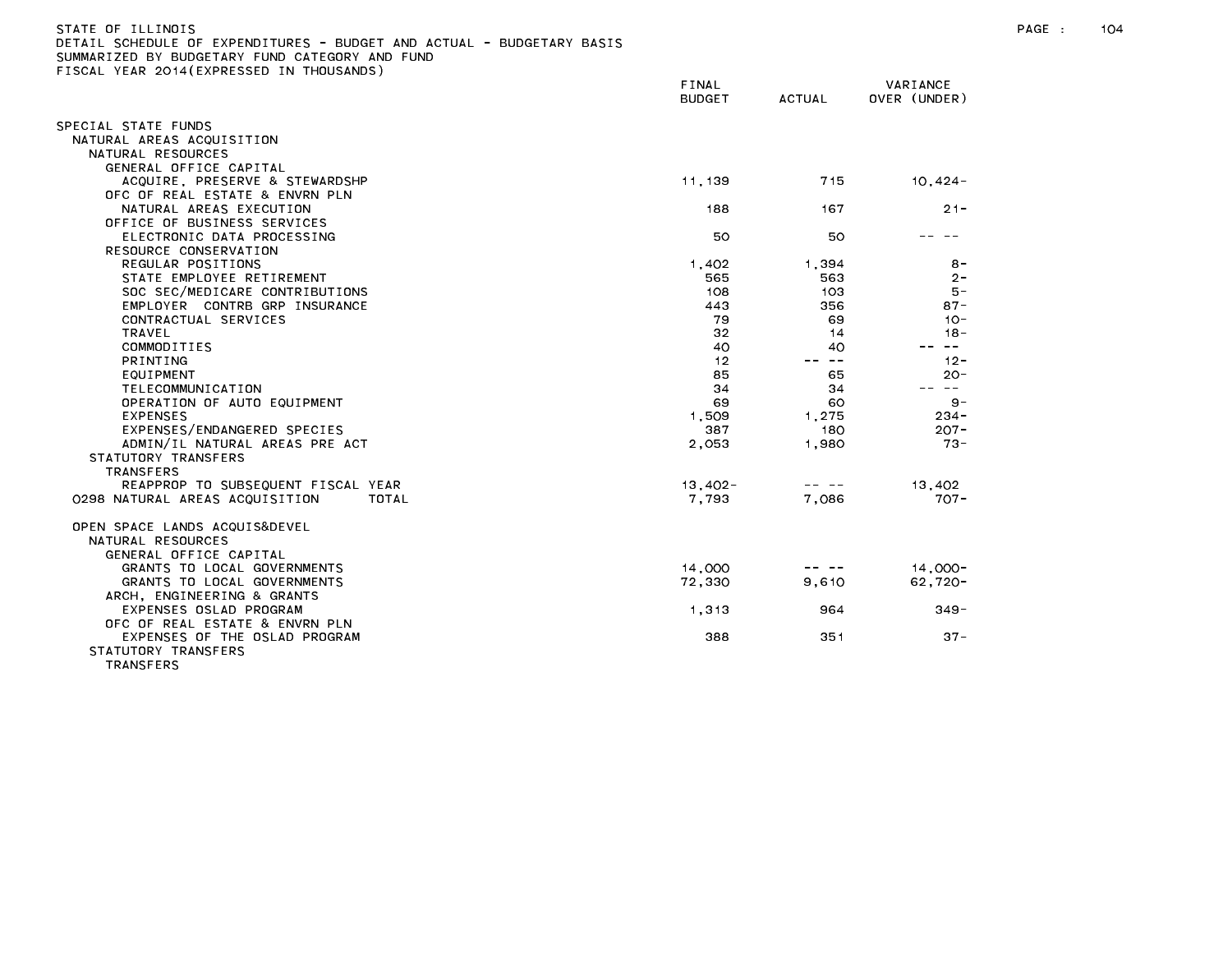| DETAIL SCHEDULE OF EXPENDITURES - BUDGET AND ACTUAL - BUDGETARY BASIS                       |               |                                                                                                                                                                                                                                                                                                                                                                                              |              |
|---------------------------------------------------------------------------------------------|---------------|----------------------------------------------------------------------------------------------------------------------------------------------------------------------------------------------------------------------------------------------------------------------------------------------------------------------------------------------------------------------------------------------|--------------|
| SUMMARIZED BY BUDGETARY FUND CATEGORY AND FUND<br>FISCAL YEAR 2014 (EXPRESSED IN THOUSANDS) |               |                                                                                                                                                                                                                                                                                                                                                                                              |              |
|                                                                                             | FINAL         |                                                                                                                                                                                                                                                                                                                                                                                              | VARIANCE     |
|                                                                                             | <b>BUDGET</b> | <b>ACTUAL</b>                                                                                                                                                                                                                                                                                                                                                                                | OVER (UNDER) |
|                                                                                             |               |                                                                                                                                                                                                                                                                                                                                                                                              |              |
| SPECIAL STATE FUNDS                                                                         |               |                                                                                                                                                                                                                                                                                                                                                                                              |              |
| NATURAL AREAS ACQUISITION                                                                   |               |                                                                                                                                                                                                                                                                                                                                                                                              |              |
| NATURAL RESOURCES                                                                           |               |                                                                                                                                                                                                                                                                                                                                                                                              |              |
| GENERAL OFFICE CAPITAL                                                                      |               |                                                                                                                                                                                                                                                                                                                                                                                              |              |
| ACQUIRE, PRESERVE & STEWARDSHP                                                              | 11,139        | 715                                                                                                                                                                                                                                                                                                                                                                                          | $10,424-$    |
| OFC OF REAL ESTATE & ENVRN PLN                                                              |               |                                                                                                                                                                                                                                                                                                                                                                                              |              |
| NATURAL AREAS EXECUTION                                                                     | 188           | 167                                                                                                                                                                                                                                                                                                                                                                                          | $21 -$       |
| OFFICE OF BUSINESS SERVICES                                                                 |               |                                                                                                                                                                                                                                                                                                                                                                                              |              |
| ELECTRONIC DATA PROCESSING                                                                  | 50            | 50                                                                                                                                                                                                                                                                                                                                                                                           |              |
| RESOURCE CONSERVATION                                                                       |               |                                                                                                                                                                                                                                                                                                                                                                                              |              |
| REGULAR POSITIONS                                                                           | 1.402         | 1.394                                                                                                                                                                                                                                                                                                                                                                                        | $8 -$        |
| STATE EMPLOYEE RETIREMENT                                                                   | 565           | 563                                                                                                                                                                                                                                                                                                                                                                                          | $2 -$        |
| SOC SEC/MEDICARE CONTRIBUTIONS                                                              | 108           | 103                                                                                                                                                                                                                                                                                                                                                                                          | $5 -$        |
| EMPLOYER CONTRB GRP INSURANCE                                                               | 443           | 356                                                                                                                                                                                                                                                                                                                                                                                          | $87 -$       |
| CONTRACTUAL SERVICES                                                                        | 79            | 69                                                                                                                                                                                                                                                                                                                                                                                           | $10 -$       |
| TRAVEL                                                                                      | 32            | 14                                                                                                                                                                                                                                                                                                                                                                                           | $18 -$       |
| COMMODITIES                                                                                 | 40            | 40                                                                                                                                                                                                                                                                                                                                                                                           | $\sim$ $ -$  |
| <b>PRINTING</b>                                                                             | 12            | $- -$                                                                                                                                                                                                                                                                                                                                                                                        | $12 -$       |
| EQUIPMENT                                                                                   | 85            | 65                                                                                                                                                                                                                                                                                                                                                                                           | $20 -$       |
| TELECOMMUNICATION                                                                           | 34            | 34                                                                                                                                                                                                                                                                                                                                                                                           | -- --        |
| OPERATION OF AUTO EQUIPMENT                                                                 | 69            | 60                                                                                                                                                                                                                                                                                                                                                                                           | $9 -$        |
| <b>EXPENSES</b>                                                                             | 1,509         | 1,275                                                                                                                                                                                                                                                                                                                                                                                        | 234 -        |
| EXPENSES/ENDANGERED SPECIES                                                                 | 387           | 180                                                                                                                                                                                                                                                                                                                                                                                          | $207 -$      |
| ADMIN/IL NATURAL AREAS PRE ACT                                                              | 2,053         | 1,980                                                                                                                                                                                                                                                                                                                                                                                        | $73 -$       |
| STATUTORY TRANSFERS                                                                         |               |                                                                                                                                                                                                                                                                                                                                                                                              |              |
| <b>TRANSFERS</b>                                                                            |               |                                                                                                                                                                                                                                                                                                                                                                                              |              |
| REAPPROP TO SUBSEQUENT FISCAL YEAR                                                          | $13,402 -$    | $\frac{1}{2} \frac{1}{2} \frac{1}{2} \frac{1}{2} \frac{1}{2} \frac{1}{2} \frac{1}{2} \frac{1}{2} \frac{1}{2} \frac{1}{2} \frac{1}{2} \frac{1}{2} \frac{1}{2} \frac{1}{2} \frac{1}{2} \frac{1}{2} \frac{1}{2} \frac{1}{2} \frac{1}{2} \frac{1}{2} \frac{1}{2} \frac{1}{2} \frac{1}{2} \frac{1}{2} \frac{1}{2} \frac{1}{2} \frac{1}{2} \frac{1}{2} \frac{1}{2} \frac{1}{2} \frac{1}{2} \frac{$ | 13,402       |
| 0298 NATURAL AREAS ACQUISITION<br>TOTAL                                                     | 7.793         | 7.086                                                                                                                                                                                                                                                                                                                                                                                        | $707 -$      |
| OPEN SPACE LANDS ACQUIS&DEVEL                                                               |               |                                                                                                                                                                                                                                                                                                                                                                                              |              |
| NATURAL RESOURCES                                                                           |               |                                                                                                                                                                                                                                                                                                                                                                                              |              |
| GENERAL OFFICE CAPITAL                                                                      |               |                                                                                                                                                                                                                                                                                                                                                                                              |              |
| GRANTS TO LOCAL GOVERNMENTS                                                                 | 14,000        |                                                                                                                                                                                                                                                                                                                                                                                              | $14.000 -$   |
| GRANTS TO LOCAL GOVERNMENTS                                                                 | 72,330        | 9,610                                                                                                                                                                                                                                                                                                                                                                                        | $62,720-$    |
| ARCH, ENGINEERING & GRANTS                                                                  |               |                                                                                                                                                                                                                                                                                                                                                                                              |              |
| EXPENSES OSLAD PROGRAM                                                                      | 1.313         | 964                                                                                                                                                                                                                                                                                                                                                                                          | $349 -$      |
| OFC OF REAL ESTATE & ENVRN PLN                                                              |               |                                                                                                                                                                                                                                                                                                                                                                                              |              |
| EXPENSES OF THE OSLAD PROGRAM                                                               | 388           | 351                                                                                                                                                                                                                                                                                                                                                                                          | $37 -$       |
| STATUTORY TRANSFERS                                                                         |               |                                                                                                                                                                                                                                                                                                                                                                                              |              |
| <b>TDANCEEDS</b>                                                                            |               |                                                                                                                                                                                                                                                                                                                                                                                              |              |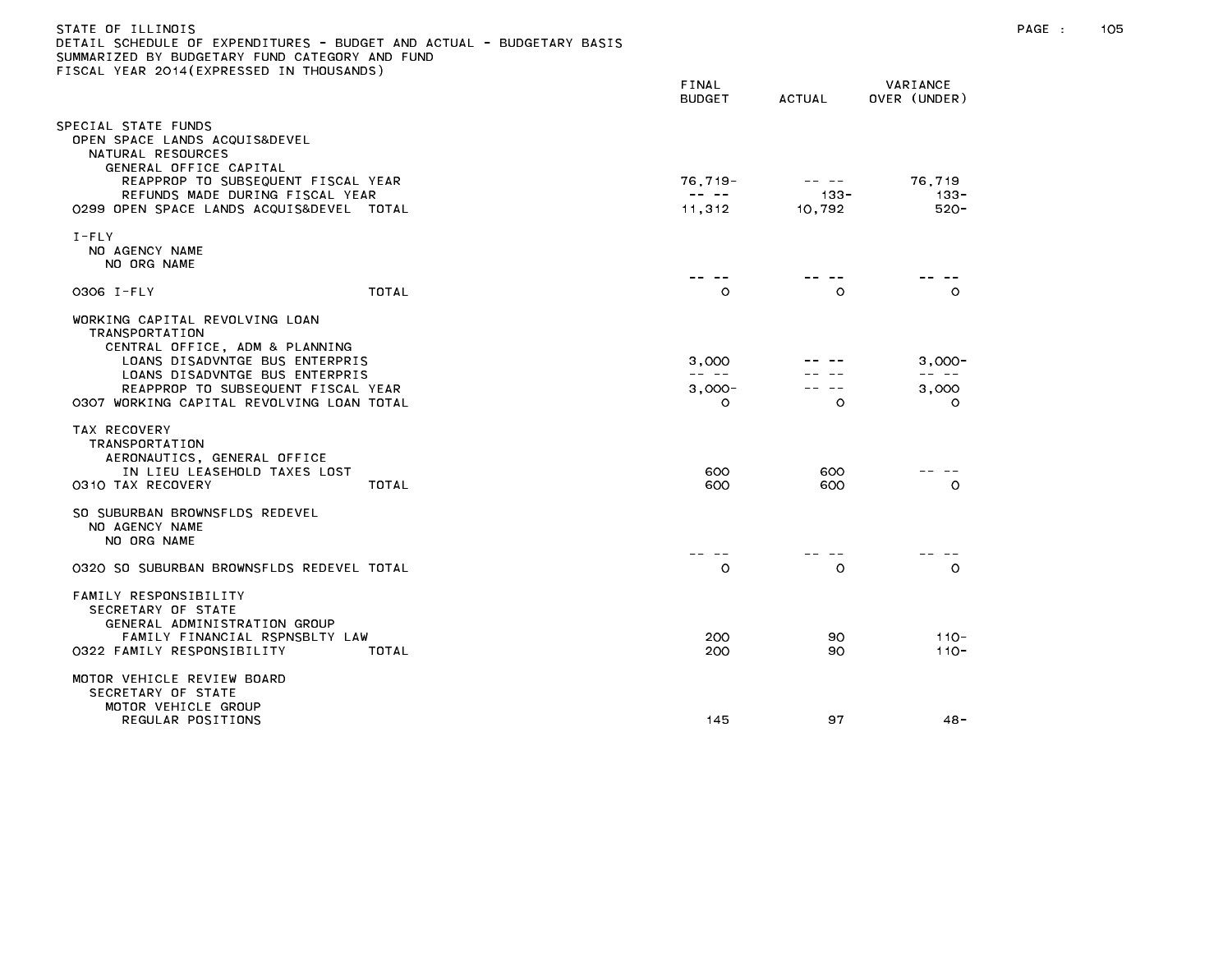| STATE OF ILLINOIS<br>DETAIL SCHEDULE OF EXPENDITURES - BUDGET AND ACTUAL - BUDGETARY BASIS<br>SUMMARIZED BY BUDGETARY FUND CATEGORY AND FUND<br>FISCAL YEAR 2014(EXPRESSED IN THOUSANDS)                                                  |                                                                                                                                                                                                                                                                                                                                                                                                        |                   |                                        | PAGE : | 105 |
|-------------------------------------------------------------------------------------------------------------------------------------------------------------------------------------------------------------------------------------------|--------------------------------------------------------------------------------------------------------------------------------------------------------------------------------------------------------------------------------------------------------------------------------------------------------------------------------------------------------------------------------------------------------|-------------------|----------------------------------------|--------|-----|
|                                                                                                                                                                                                                                           | FINAL<br><b>BUDGET</b>                                                                                                                                                                                                                                                                                                                                                                                 | <b>ACTUAL</b>     | VARIANCE<br>OVER (UNDER)               |        |     |
| SPECIAL STATE FUNDS<br>OPEN SPACE LANDS ACQUIS&DEVEL<br>NATURAL RESOURCES<br>GENERAL OFFICE CAPITAL<br>REAPPROP TO SUBSEQUENT FISCAL YEAR                                                                                                 | $76,719-$                                                                                                                                                                                                                                                                                                                                                                                              | -- --             | 76,719                                 |        |     |
| REFUNDS MADE DURING FISCAL YEAR<br>0299 OPEN SPACE LANDS ACQUIS&DEVEL TOTAL                                                                                                                                                               | $\frac{1}{2} \frac{1}{2} \frac{1}{2} \frac{1}{2} \frac{1}{2} \frac{1}{2} \frac{1}{2} \frac{1}{2} \frac{1}{2} \frac{1}{2} \frac{1}{2} \frac{1}{2} \frac{1}{2} \frac{1}{2} \frac{1}{2} \frac{1}{2} \frac{1}{2} \frac{1}{2} \frac{1}{2} \frac{1}{2} \frac{1}{2} \frac{1}{2} \frac{1}{2} \frac{1}{2} \frac{1}{2} \frac{1}{2} \frac{1}{2} \frac{1}{2} \frac{1}{2} \frac{1}{2} \frac{1}{2} \frac{$<br>11,312 | $133 -$<br>10,792 | $133 -$<br>520-                        |        |     |
| $I - FLY$<br>NO AGENCY NAME<br>NO ORG NAME                                                                                                                                                                                                |                                                                                                                                                                                                                                                                                                                                                                                                        |                   |                                        |        |     |
| TOTAL<br>0306 I-FLY                                                                                                                                                                                                                       | -- --<br>O                                                                                                                                                                                                                                                                                                                                                                                             | -- --<br>$\circ$  | $\circ$                                |        |     |
| WORKING CAPITAL REVOLVING LOAN<br>TRANSPORTATION<br>CENTRAL OFFICE, ADM & PLANNING<br>LOANS DISADVNTGE BUS ENTERPRIS<br>LOANS DISADVNTGE BUS ENTERPRIS<br>REAPPROP TO SUBSEQUENT FISCAL YEAR<br>0307 WORKING CAPITAL REVOLVING LOAN TOTAL | 3,000<br>-- --<br>$3,000-$<br>$\Omega$                                                                                                                                                                                                                                                                                                                                                                 | $\circ$           | $3,000-$<br>-- --<br>3,000<br>$\Omega$ |        |     |
| TAX RECOVERY<br>TRANSPORTATION<br>AERONAUTICS, GENERAL OFFICE<br>IN LIEU LEASEHOLD TAXES LOST<br>TOTAL<br>0310 TAX RECOVERY                                                                                                               | 600<br>600                                                                                                                                                                                                                                                                                                                                                                                             | 600<br>600        | - -<br>$\circ$                         |        |     |
| SO SUBURBAN BROWNSFLDS REDEVEL<br>NO AGENCY NAME<br>NO ORG NAME                                                                                                                                                                           | -- --                                                                                                                                                                                                                                                                                                                                                                                                  |                   |                                        |        |     |
| 0320 SO SUBURBAN BROWNSFLDS REDEVEL TOTAL                                                                                                                                                                                                 | $\circ$                                                                                                                                                                                                                                                                                                                                                                                                | $\circ$           | $\circ$                                |        |     |
| FAMILY RESPONSIBILITY<br>SECRETARY OF STATE<br>GENERAL ADMINISTRATION GROUP<br>FAMILY FINANCIAL RSPNSBLTY LAW<br>0322 FAMILY RESPONSIBILITY<br>TOTAL                                                                                      | 200<br>200                                                                                                                                                                                                                                                                                                                                                                                             | 90<br>90          | $110 -$<br>$110 -$                     |        |     |
| MOTOR VEHICLE REVIEW BOARD<br>SECRETARY OF STATE<br>MOTOR VEHICLE GROUP<br>REGULAR POSITIONS                                                                                                                                              | 145                                                                                                                                                                                                                                                                                                                                                                                                    | 97                | $48 -$                                 |        |     |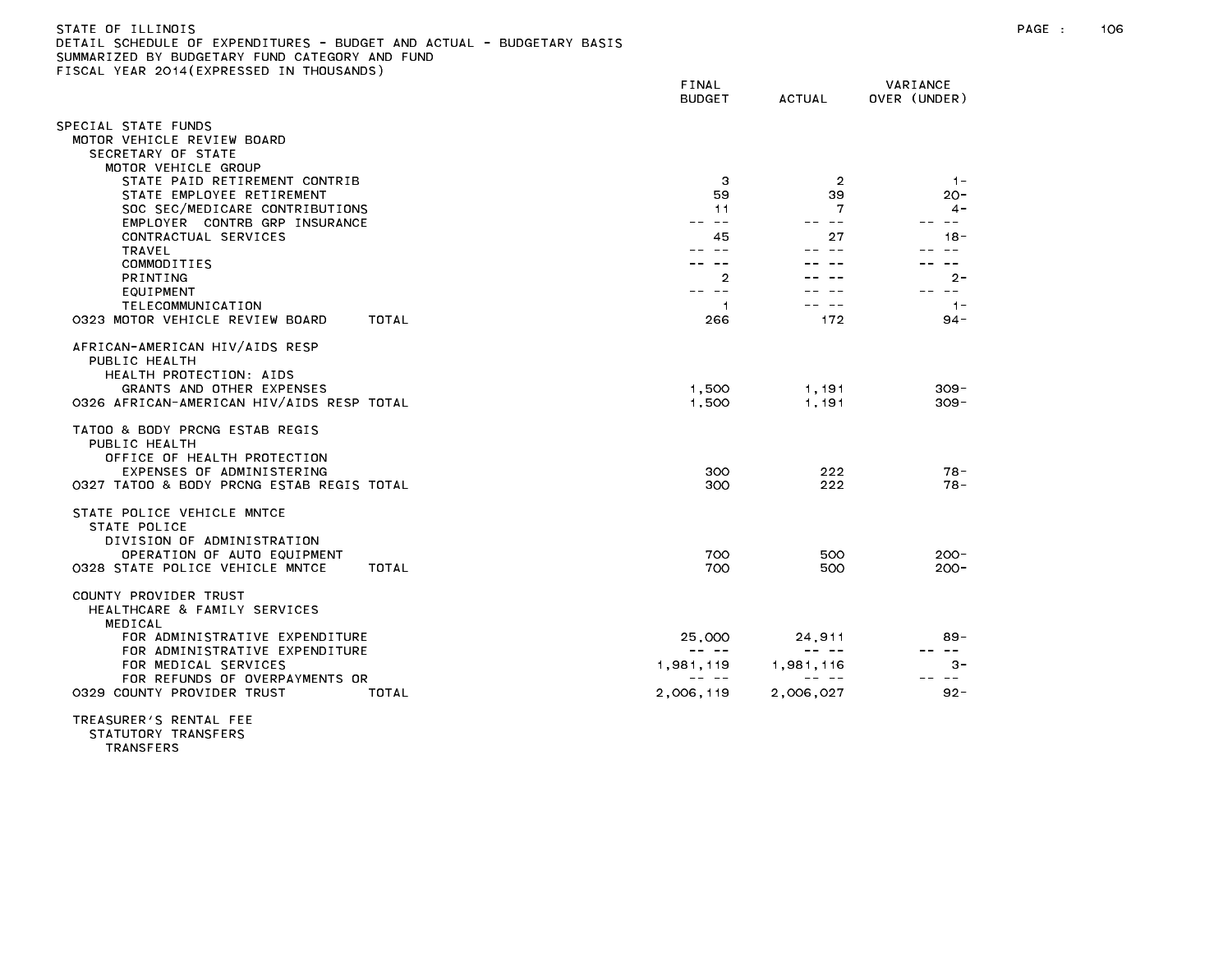| STATE OF ILLINOIS                                                     |  |
|-----------------------------------------------------------------------|--|
| DETAIL SCHEDULE OF EXPENDITURES - BUDGET AND ACTUAL - BUDGETARY BASIS |  |
| SUMMARIZED BY BUDGETARY FUND CATEGORY AND FUND                        |  |
| FISCAL YEAR 2014(EXPRESSED IN THOUSANDS)                              |  |

| TEAN LUIT (LATINEUULD IN THU                                                   | FINAL<br><b>BUDGET</b> | <b>ACTUAL</b> | VARIANCE<br>OVER (UNDER)         |
|--------------------------------------------------------------------------------|------------------------|---------------|----------------------------------|
| SPECIAL STATE FUNDS                                                            |                        |               |                                  |
| MOTOR VEHICLE REVIEW BOARD<br>SECRETARY OF STATE                               |                        |               |                                  |
| MOTOR VEHICLE GROUP<br>STATE PAID RETIREMENT CONTRIB                           | 3                      | 2             | $-1-$                            |
| STATE EMPLOYEE RETIREMENT                                                      | 59                     | 39            | $20 -$                           |
| SOC SEC/MEDICARE CONTRIBUTIONS<br>EMPLOYER CONTRB GRP INSURANCE                | 11<br>$\sim$ $-$       | 7<br>-- --    | $4-$<br>$\overline{\phantom{m}}$ |
| CONTRACTUAL SERVICES                                                           | 45                     | 27            | $18 -$                           |
| TRAVEL                                                                         |                        |               | $ -$                             |
| COMMODITIES<br><b>PRINTING</b>                                                 | 2                      |               | $\sim$ $-$<br>$2 -$              |
| EQUIPMENT                                                                      | $\sim$ $-$             |               | $\sim$ $-$                       |
| TELECOMMUNICATION                                                              | $\mathbf{1}$<br>266    | 172           | $1 -$<br>$94 -$                  |
| 0323 MOTOR VEHICLE REVIEW BOARD<br>TOTAL                                       |                        |               |                                  |
| AFRICAN-AMERICAN HIV/AIDS RESP<br>PUBLIC HEALTH<br>HEALTH PROTECTION: AIDS     |                        |               |                                  |
| GRANTS AND OTHER EXPENSES                                                      | 1,500                  | 1,191         | $309 -$                          |
| 0326 AFRICAN-AMERICAN HIV/AIDS RESP TOTAL                                      | 1,500                  | 1.191         | $309 -$                          |
| TATOO & BODY PRCNG ESTAB REGIS<br>PUBLIC HEALTH<br>OFFICE OF HEALTH PROTECTION |                        |               |                                  |
| EXPENSES OF ADMINISTERING                                                      | 300                    | 222           | $78 -$                           |
| 0327 TATOO & BODY PRCNG ESTAB REGIS TOTAL                                      | 300                    | 222           | $78 -$                           |
| STATE POLICE VEHICLE MNTCE<br>STATE POLICE                                     |                        |               |                                  |
| DIVISION OF ADMINISTRATION<br>OPERATION OF AUTO EQUIPMENT                      | 700                    | 500           | $200 -$                          |
| 0328 STATE POLICE VEHICLE MNTCE<br>TOTAL                                       | 700                    | 500           | $200 -$                          |
| COUNTY PROVIDER TRUST<br>HEALTHCARE & FAMILY SERVICES                          |                        |               |                                  |
| MEDICAL<br>FOR ADMINISTRATIVE EXPENDITURE<br>FOR ADMINISTRATIVE EXPENDITURE    | 25,000                 | 24,911        | $89 -$<br>$\sim$ $\sim$          |
| FOR MEDICAL SERVICES                                                           | 1,981,119              | 1,981,116     | $3 -$                            |
| FOR REFUNDS OF OVERPAYMENTS OR<br>0329 COUNTY PROVIDER TRUST<br>TOTAL          | 2,006,119              | 2,006,027     | $- - -$<br>$92 -$                |
| TREASURER'S RENTAL FEE                                                         |                        |               |                                  |

STATUTORY TRANSFERS

TRANSFERS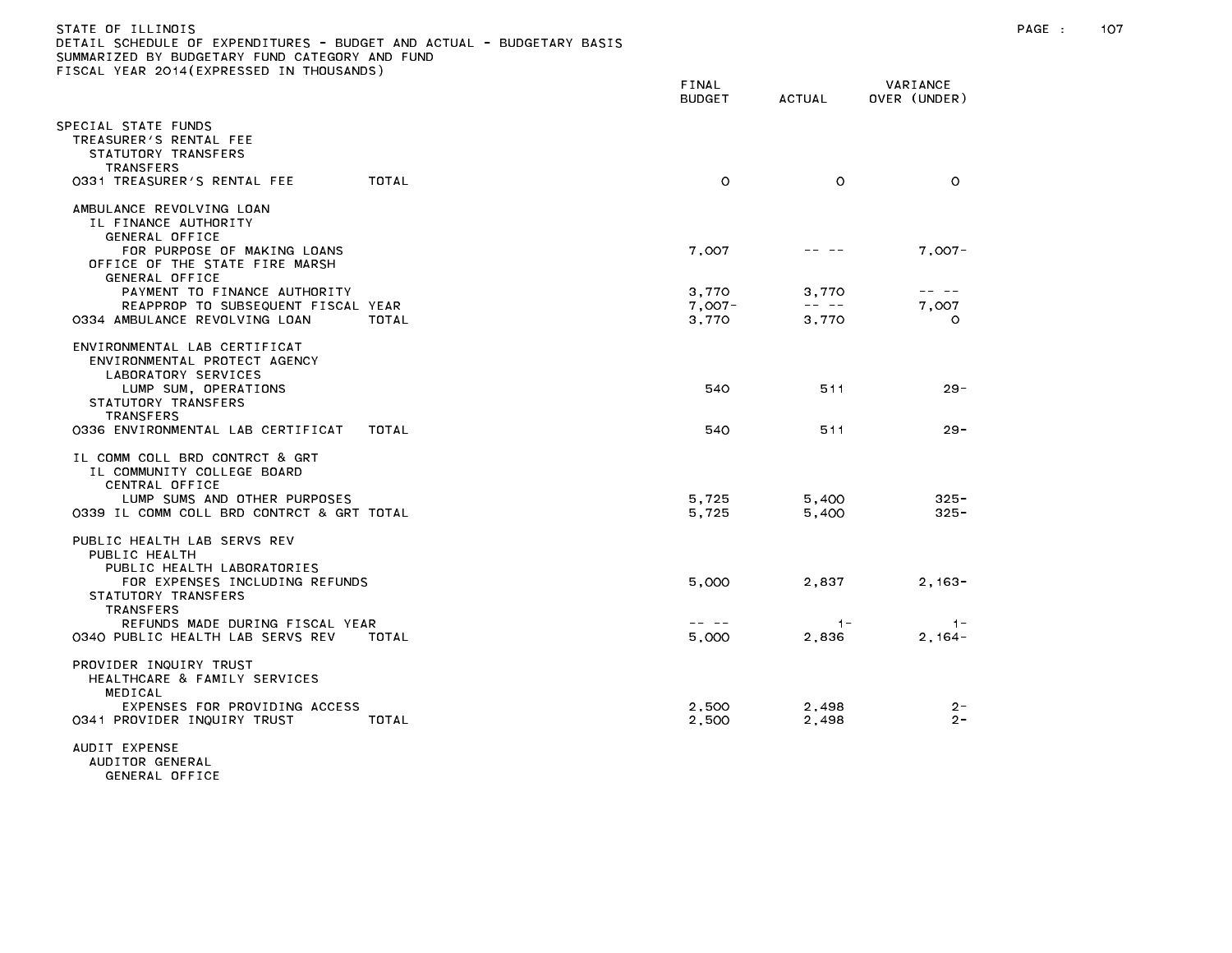| )ETAIL SCHEDULE OF EXPENDITURES - BUDGET AND ACTUAL - BUDGETARY BASIS<br>SUMMARIZED BY BUDGETARY FUND CATEGORY AND FUND<br>TISCAL YEAR 2014(EXPRESSED IN THOUSANDS) |                        |                                                                                                                                                                                                                                                                                                                                                                                              |                          |  |
|---------------------------------------------------------------------------------------------------------------------------------------------------------------------|------------------------|----------------------------------------------------------------------------------------------------------------------------------------------------------------------------------------------------------------------------------------------------------------------------------------------------------------------------------------------------------------------------------------------|--------------------------|--|
|                                                                                                                                                                     | FINAL<br><b>BUDGET</b> | ACTUAL                                                                                                                                                                                                                                                                                                                                                                                       | VARIANCE<br>OVER (UNDER) |  |
| SPECIAL STATE FUNDS<br>TREASURER'S RENTAL FEE<br>STATUTORY TRANSFERS<br>TRANSFERS<br>0331 TREASURER'S RENTAL FEE<br><b>TOTAL</b>                                    | $\circ$                | $\circ$                                                                                                                                                                                                                                                                                                                                                                                      | $\circ$                  |  |
| AMBULANCE REVOLVING LOAN<br>IL FINANCE AUTHORITY<br>GENERAL OFFICE                                                                                                  |                        |                                                                                                                                                                                                                                                                                                                                                                                              |                          |  |
| FOR PURPOSE OF MAKING LOANS<br>OFFICE OF THE STATE FIRE MARSH<br>GENERAL OFFICE                                                                                     | 7,007                  |                                                                                                                                                                                                                                                                                                                                                                                              | $7,007-$                 |  |
| PAYMENT TO FINANCE AUTHORITY                                                                                                                                        | 3.770                  | 3.770                                                                                                                                                                                                                                                                                                                                                                                        | -- --                    |  |
| REAPPROP TO SUBSEQUENT FISCAL YEAR                                                                                                                                  | $7,007 -$              | $\frac{1}{2} \frac{1}{2} \frac{1}{2} \frac{1}{2} \frac{1}{2} \frac{1}{2} \frac{1}{2} \frac{1}{2} \frac{1}{2} \frac{1}{2} \frac{1}{2} \frac{1}{2} \frac{1}{2} \frac{1}{2} \frac{1}{2} \frac{1}{2} \frac{1}{2} \frac{1}{2} \frac{1}{2} \frac{1}{2} \frac{1}{2} \frac{1}{2} \frac{1}{2} \frac{1}{2} \frac{1}{2} \frac{1}{2} \frac{1}{2} \frac{1}{2} \frac{1}{2} \frac{1}{2} \frac{1}{2} \frac{$ | 7,007                    |  |
| 0334 AMBULANCE REVOLVING LOAN<br>TOTAL                                                                                                                              | 3,770                  | 3,770                                                                                                                                                                                                                                                                                                                                                                                        | $\circ$                  |  |
| ENVIRONMENTAL LAB CERTIFICAT<br>ENVIRONMENTAL PROTECT AGENCY<br>LABORATORY SERVICES<br>LUMP SUM, OPERATIONS                                                         | 540                    | 511                                                                                                                                                                                                                                                                                                                                                                                          | $29 -$                   |  |
| STATUTORY TRANSFERS                                                                                                                                                 |                        |                                                                                                                                                                                                                                                                                                                                                                                              |                          |  |
| TRANSFERS<br>0336 ENVIRONMENTAL LAB CERTIFICAT<br>TOTAL                                                                                                             | 540                    | 511                                                                                                                                                                                                                                                                                                                                                                                          | $29 -$                   |  |
| IL COMM COLL BRD CONTRCT & GRT<br>IL COMMUNITY COLLEGE BOARD<br>CENTRAL OFFICE                                                                                      |                        |                                                                                                                                                                                                                                                                                                                                                                                              |                          |  |
| LUMP SUMS AND OTHER PURPOSES                                                                                                                                        | 5.725                  | 5,400                                                                                                                                                                                                                                                                                                                                                                                        | $325 -$                  |  |
| 0339 IL COMM COLL BRD CONTRCT & GRT TOTAL                                                                                                                           | 5,725                  | 5,400                                                                                                                                                                                                                                                                                                                                                                                        | $325 -$                  |  |
| PUBLIC HEALTH LAB SERVS REV<br>PUBLIC HEALTH<br>PUBLIC HEALTH LABORATORIES                                                                                          |                        |                                                                                                                                                                                                                                                                                                                                                                                              |                          |  |
| FOR EXPENSES INCLUDING REFUNDS<br>STATUTORY TRANSFERS<br><b>TRANSFERS</b>                                                                                           | 5,000                  | 2,837                                                                                                                                                                                                                                                                                                                                                                                        | $2,163-$                 |  |
| REFUNDS MADE DURING FISCAL YEAR<br>0340 PUBLIC HEALTH LAB SERVS REV<br>TOTAL                                                                                        | -- --<br>5,000         | $1 -$<br>2,836                                                                                                                                                                                                                                                                                                                                                                               | $-1-$<br>$2,164-$        |  |
| PROVIDER INQUIRY TRUST<br>HEALTHCARE & FAMILY SERVICES<br>MEDICAL                                                                                                   |                        |                                                                                                                                                                                                                                                                                                                                                                                              |                          |  |
| EXPENSES FOR PROVIDING ACCESS<br>0341 PROVIDER INQUIRY TRUST<br>TOTAL                                                                                               | 2,500<br>2,500         | 2,498<br>2,498                                                                                                                                                                                                                                                                                                                                                                               | $2 -$<br>$2 -$           |  |
| ALIDIT EVDEMEE                                                                                                                                                      |                        |                                                                                                                                                                                                                                                                                                                                                                                              |                          |  |
|                                                                                                                                                                     |                        |                                                                                                                                                                                                                                                                                                                                                                                              |                          |  |

AUDITOR GENERAL GENERAL OFFICE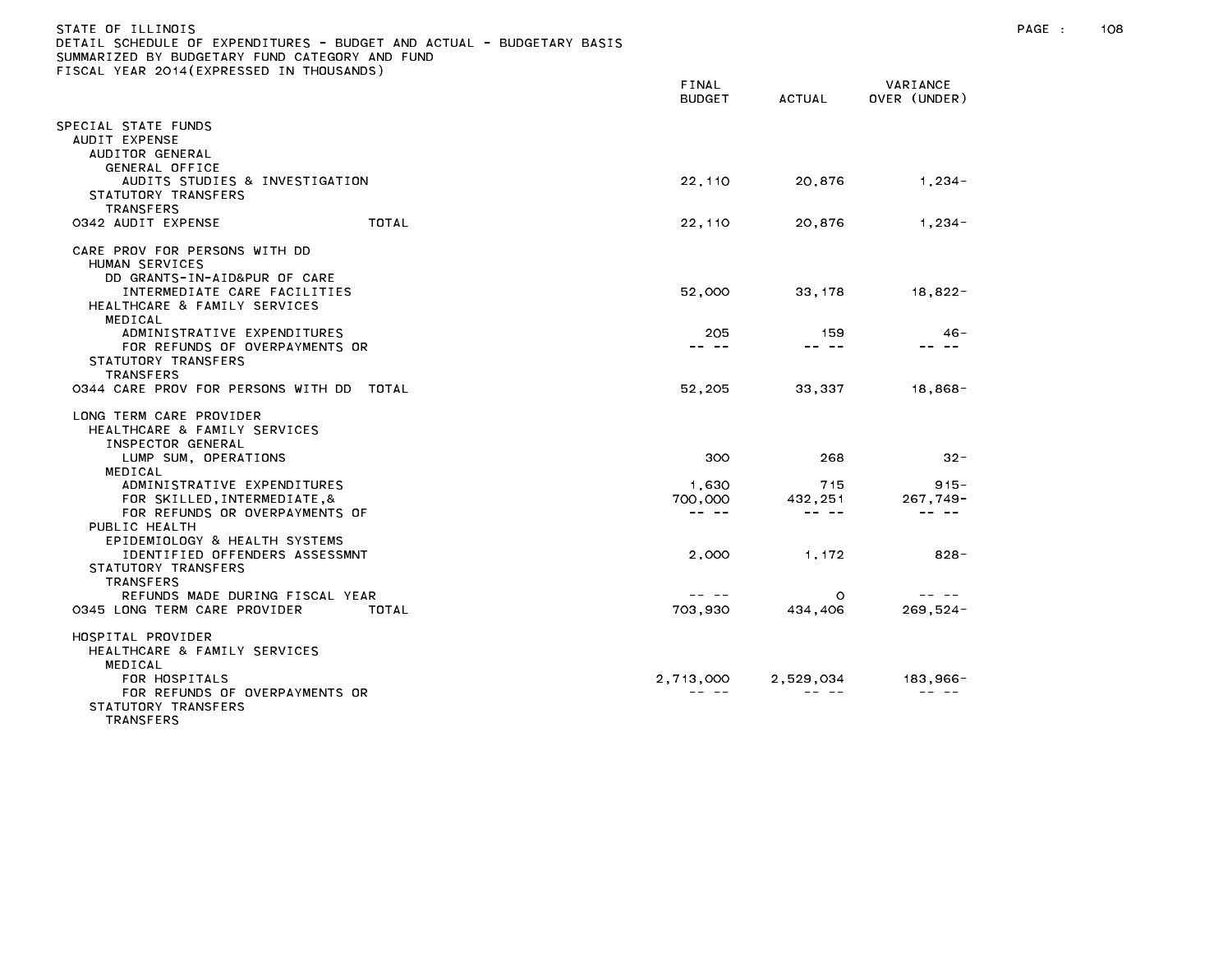| STATE OF ILLINOIS<br>DETAIL SCHEDULE OF EXPENDITURES – BUDGET AND ACTUAL – BUDGETARY BASIS<br>SUMMARIZED BY BUDGETARY FUND CATEGORY AND FUND<br>FISCAL YEAR 2014(EXPRESSED IN THOUSANDS) |                 |        |                          |  |
|------------------------------------------------------------------------------------------------------------------------------------------------------------------------------------------|-----------------|--------|--------------------------|--|
|                                                                                                                                                                                          | FINAL<br>BUDGET | ACTUAL | VARIANCE<br>OVER (UNDER) |  |

| PECIAL STATE FUNDS<br>AUDIT EXPENSE<br>AUDITOR GENERAL                               |                    |                |                       |
|--------------------------------------------------------------------------------------|--------------------|----------------|-----------------------|
| GENERAL OFFICE<br>AUDITS STUDIES & INVESTIGATION<br>STATUTORY TRANSFERS<br>TRANSFERS | 22,110             | 20,876         | $1,234-$              |
| TOTAL<br>0342 AUDIT EXPENSE                                                          | 22,110             | 20,876         | $1,234-$              |
| CARE PROV FOR PERSONS WITH DD<br>HUMAN SERVICES<br>DD GRANTS-IN-AID&PUR OF CARE      |                    |                |                       |
| INTERMEDIATE CARE FACILITIES<br>HEALTHCARE & FAMILY SERVICES                         | 52,000             | 33, 178        | $18,822 -$            |
| MEDICAL<br>ADMINISTRATIVE EXPENDITURES<br>FOR REFUNDS OF OVERPAYMENTS OR             | 205<br>-- --       | 159<br>-- --   | $46 -$                |
| STATUTORY TRANSFERS<br>TRANSFERS                                                     |                    |                |                       |
| 0344 CARE PROV FOR PERSONS WITH DD TOTAL                                             | 52,205             | 33,337         | $18,868-$             |
| LONG TERM CARE PROVIDER<br>HEALTHCARE & FAMILY SERVICES                              |                    |                |                       |
| INSPECTOR GENERAL<br>LUMP SUM, OPERATIONS                                            | 300                | 268            | $32 -$                |
| MEDICAL                                                                              |                    |                |                       |
| ADMINISTRATIVE EXPENDITURES<br>FOR SKILLED, INTERMEDIATE, &                          | 1,630<br>700,000   | 715<br>432,251 | $915 -$<br>$267,749-$ |
| FOR REFUNDS OR OVERPAYMENTS OF                                                       | -- --              |                |                       |
| PUBLIC HEALTH<br>EPIDEMIOLOGY & HEALTH SYSTEMS                                       |                    |                |                       |
| IDENTIFIED OFFENDERS ASSESSMNT                                                       | 2,000              | 1,172          | $828 -$               |
| STATUTORY TRANSFERS                                                                  |                    |                |                       |
| <b>TRANSFERS</b><br>REFUNDS MADE DURING FISCAL YEAR                                  |                    | $\circ$        |                       |
| 0345 LONG TERM CARE PROVIDER<br>TOTAL                                                | 703.930            | 434,406        | $269.524 -$           |
| HOSPITAL PROVIDER                                                                    |                    |                |                       |
| HEALTHCARE & FAMILY SERVICES                                                         |                    |                |                       |
| MEDICAL                                                                              |                    |                |                       |
| FOR HOSPITALS<br>FOR REFUNDS OF OVERPAYMENTS OR                                      | 2,713,000<br>-- -- | 2,529,034      | 183,966-              |
| STATUTORY TRANSFERS<br>TRANSFERS                                                     |                    |                |                       |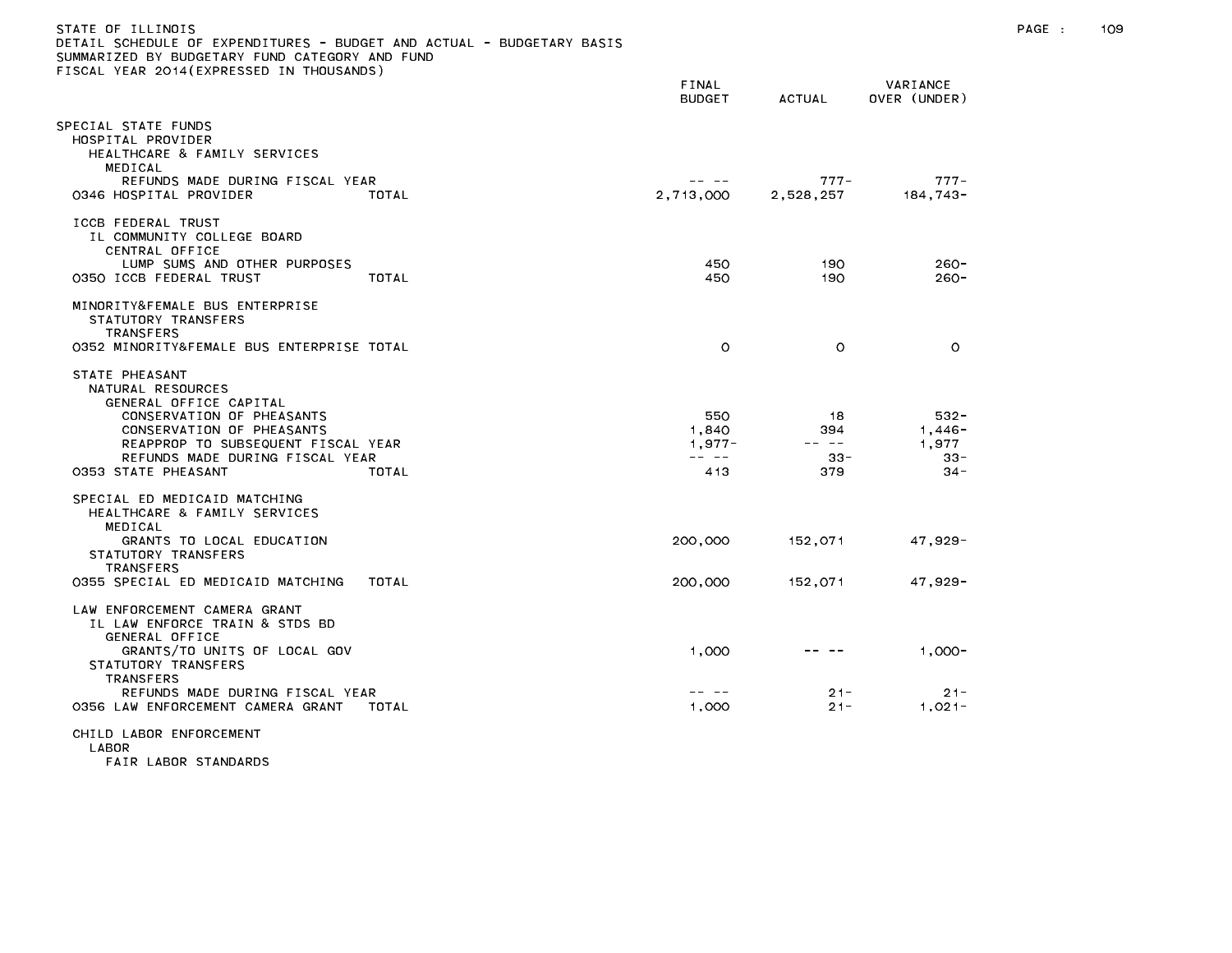| DETAIL SCHEDULE OF EXPENDITURES – BUDGET AND ACTUAL – BUDGETARY BASIS<br>SUMMARIZED BY BUDGETARY FUND CATEGORY AND FUND                                                                                                 |       |                                  |                                     |                                                  |
|-------------------------------------------------------------------------------------------------------------------------------------------------------------------------------------------------------------------------|-------|----------------------------------|-------------------------------------|--------------------------------------------------|
| FISCAL YEAR 2014(EXPRESSED IN THOUSANDS)                                                                                                                                                                                |       | FINAL<br><b>BUDGET</b>           | <b>ACTUAL</b>                       | VARIANCE<br>OVER (UNDER)                         |
| SPECIAL STATE FUNDS<br>HOSPITAL PROVIDER<br>HEALTHCARE & FAMILY SERVICES<br>MEDICAL                                                                                                                                     |       |                                  |                                     |                                                  |
| REFUNDS MADE DURING FISCAL YEAR<br>0346 HOSPITAL PROVIDER                                                                                                                                                               | TOTAL | $- - - - -$<br>2,713,000         | $777 -$<br>2,528,257                | $777 -$<br>184,743-                              |
| ICCB FEDERAL TRUST<br>IL COMMUNITY COLLEGE BOARD<br>CENTRAL OFFICE                                                                                                                                                      |       |                                  |                                     |                                                  |
| LUMP SUMS AND OTHER PURPOSES<br>0350 ICCB FEDERAL TRUST                                                                                                                                                                 | TOTAL | 450<br>450                       | 190<br>190                          | $260 -$<br>$260 -$                               |
| MINORITY&FEMALE BUS ENTERPRISE<br>STATUTORY TRANSFERS<br><b>TRANSFERS</b><br>0352 MINORITY&FEMALE BUS ENTERPRISE TOTAL                                                                                                  |       | $\circ$                          | $\circ$                             | $\circ$                                          |
|                                                                                                                                                                                                                         |       |                                  |                                     |                                                  |
| STATE PHEASANT<br>NATURAL RESOURCES<br>GENERAL OFFICE CAPITAL<br>CONSERVATION OF PHEASANTS<br>CONSERVATION OF PHEASANTS<br>REAPPROP TO SUBSEQUENT FISCAL YEAR<br>REFUNDS MADE DURING FISCAL YEAR<br>0353 STATE PHEASANT | TOTAL | 550<br>1,840<br>$1,977 -$<br>413 | 18<br>394<br>-- --<br>$33 -$<br>379 | $532 -$<br>$1,446-$<br>1,977<br>$33 -$<br>$34 -$ |
| SPECIAL ED MEDICAID MATCHING<br>HEALTHCARE & FAMILY SERVICES<br>MEDICAL                                                                                                                                                 |       |                                  |                                     |                                                  |
| GRANTS TO LOCAL EDUCATION<br>STATUTORY TRANSFERS<br><b>TRANSFERS</b>                                                                                                                                                    |       | 200,000                          | 152,071                             | 47,929-                                          |
| 0355 SPECIAL ED MEDICAID MATCHING                                                                                                                                                                                       | TOTAL | 200,000                          | 152,071                             | 47,929-                                          |
| LAW ENFORCEMENT CAMERA GRANT<br>IL LAW ENFORCE TRAIN & STDS BD<br>GENERAL OFFICE<br>GRANTS/TO UNITS OF LOCAL GOV<br>STATUTORY TRANSFERS                                                                                 |       | 1,000                            |                                     | $1,000-$                                         |
| TRANSFERS<br>REFUNDS MADE DURING FISCAL YEAR<br>0356 LAW ENFORCEMENT CAMERA GRANT                                                                                                                                       | TOTAL | -- --<br>1,000                   | $21 -$<br>$21 -$                    | $21 -$<br>$1,021-$                               |
| CHILD LABOR ENFORCEMENT<br>LABOR                                                                                                                                                                                        |       |                                  |                                     |                                                  |

FAIR LABOR STANDARDS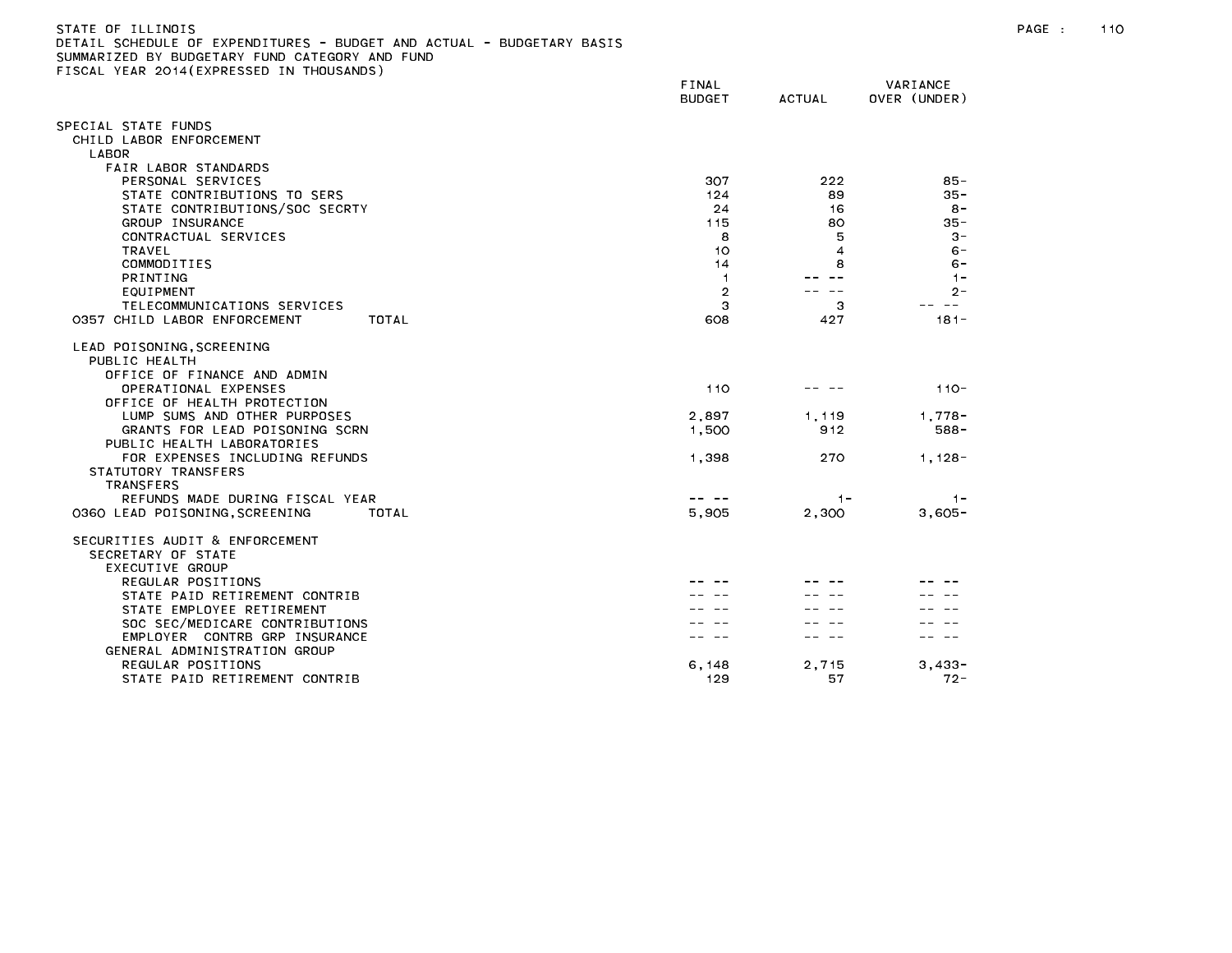| DETAIL SCHEDULE OF EXPENDITURES - BUDGET AND ACTUAL - BUDGETARY BASIS<br>SUMMARIZED BY BUDGETARY FUND CATEGORY AND FUND<br>FISCAL YEAR 2014 (EXPRESSED IN THOUSANDS) |                               |                |                          |
|----------------------------------------------------------------------------------------------------------------------------------------------------------------------|-------------------------------|----------------|--------------------------|
|                                                                                                                                                                      | <b>FINAL</b><br><b>BUDGET</b> | <b>ACTUAL</b>  | VARIANCE<br>OVER (UNDER) |
| SPECIAL STATE FUNDS                                                                                                                                                  |                               |                |                          |
| CHILD LABOR ENFORCEMENT                                                                                                                                              |                               |                |                          |
| LABOR                                                                                                                                                                |                               |                |                          |
| FAIR LABOR STANDARDS                                                                                                                                                 |                               |                |                          |
| PERSONAL SERVICES                                                                                                                                                    | 307                           | 222            | $85 -$                   |
| STATE CONTRIBUTIONS TO SERS<br>STATE CONTRIBUTIONS/SOC SECRTY                                                                                                        | 124<br>24                     | 89<br>16       | $35 -$<br>$8 -$          |
| GROUP INSURANCE                                                                                                                                                      | 115                           | 80             | $35 -$                   |
| CONTRACTUAL SERVICES                                                                                                                                                 | 8                             | 5              | $3 -$                    |
| <b>TRAVEL</b>                                                                                                                                                        | 10                            | $\overline{4}$ | $6 -$                    |
| COMMODITIES                                                                                                                                                          | 14                            | 8              | $6 -$                    |
| PRINTING                                                                                                                                                             |                               |                | $1 -$                    |
| EQUIPMENT                                                                                                                                                            | 2                             |                | $2 -$                    |
| TELECOMMUNICATIONS SERVICES                                                                                                                                          | 3                             | 3              | $\sim$ $-$               |
| TOTAL<br>0357 CHILD LABOR ENFORCEMENT                                                                                                                                | 608                           | 427            | $181 -$                  |
| LEAD POISONING, SCREENING                                                                                                                                            |                               |                |                          |
| PUBLIC HEALTH                                                                                                                                                        |                               |                |                          |
| OFFICE OF FINANCE AND ADMIN                                                                                                                                          | 110                           |                |                          |
| OPERATIONAL EXPENSES<br>OFFICE OF HEALTH PROTECTION                                                                                                                  |                               |                | $110 -$                  |
| LUMP SUMS AND OTHER PURPOSES                                                                                                                                         | 2,897                         | 1,119          | $1,778-$                 |
| GRANTS FOR LEAD POISONING SCRN                                                                                                                                       | 1,500                         | 912            | $588 -$                  |
| PUBLIC HEALTH LABORATORIES                                                                                                                                           |                               |                |                          |
| FOR EXPENSES INCLUDING REFUNDS                                                                                                                                       | 1,398                         | 270            | $1, 128 -$               |
| STATUTORY TRANSFERS                                                                                                                                                  |                               |                |                          |
| <b>TRANSFERS</b>                                                                                                                                                     |                               |                |                          |
| REFUNDS MADE DURING FISCAL YEAR                                                                                                                                      |                               | $1 -$          | $1 -$                    |
| 0360 LEAD POISONING, SCREENING<br>TOTAL                                                                                                                              | 5,905                         | 2,300          | $3,605 -$                |
| SECURITIES AUDIT & ENFORCEMENT<br>SECRETARY OF STATE                                                                                                                 |                               |                |                          |
| EXECUTIVE GROUP                                                                                                                                                      |                               |                |                          |
| REGULAR POSITIONS                                                                                                                                                    |                               |                |                          |
| STATE PAID RETIREMENT CONTRIB                                                                                                                                        |                               |                |                          |
| STATE EMPLOYEE RETIREMENT                                                                                                                                            |                               |                |                          |
| SOC SEC/MEDICARE CONTRIBUTIONS                                                                                                                                       |                               |                |                          |
| EMPLOYER CONTRB GRP INSURANCE                                                                                                                                        |                               |                |                          |

REGULAR POSITIONS 6,148 2,715 3,433- STATE PAID RETIREMENT CONTRIB 129 57 72-

GENERAL ADMINISTRATION GROUP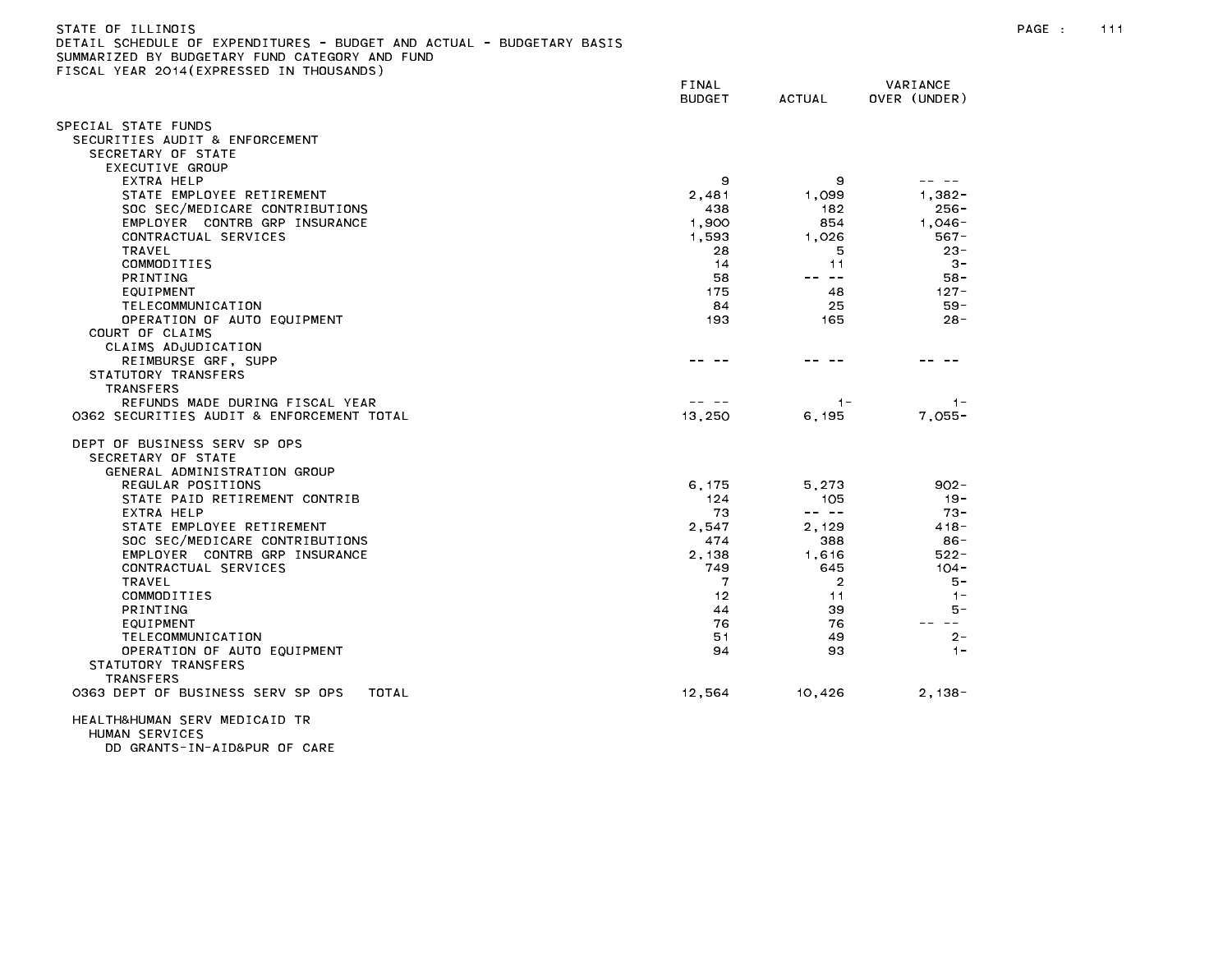| STATE OF ILLINOIS                                                     |
|-----------------------------------------------------------------------|
| DETAIL SCHEDULE OF EXPENDITURES - BUDGET AND ACTUAL - BUDGETARY BASIS |
| SUMMARIZED BY BUDGETARY FUND CATEGORY AND FUND                        |
| FISCAL YEAR 2014(EXPRESSED IN THOUSANDS)                              |

|                                            | FINAL<br><b>BUDGET</b> | <b>ACTUAL</b>                                                                                                                                                                                                                                                                                                                                                                                | VARIANCE<br>OVER (UNDER) |
|--------------------------------------------|------------------------|----------------------------------------------------------------------------------------------------------------------------------------------------------------------------------------------------------------------------------------------------------------------------------------------------------------------------------------------------------------------------------------------|--------------------------|
| SPECIAL STATE FUNDS                        |                        |                                                                                                                                                                                                                                                                                                                                                                                              |                          |
| SECURITIES AUDIT & ENFORCEMENT             |                        |                                                                                                                                                                                                                                                                                                                                                                                              |                          |
| SECRETARY OF STATE                         |                        |                                                                                                                                                                                                                                                                                                                                                                                              |                          |
| EXECUTIVE GROUP                            |                        |                                                                                                                                                                                                                                                                                                                                                                                              |                          |
| EXTRA HELP                                 | 9                      | 9                                                                                                                                                                                                                                                                                                                                                                                            |                          |
| STATE EMPLOYEE RETIREMENT                  | 2,481                  | 1.099                                                                                                                                                                                                                                                                                                                                                                                        | $1.382 -$                |
| SOC SEC/MEDICARE CONTRIBUTIONS             | 438                    | 182                                                                                                                                                                                                                                                                                                                                                                                          | $256 -$                  |
| EMPLOYER CONTRB GRP INSURANCE              | 1,900                  | 854                                                                                                                                                                                                                                                                                                                                                                                          | $1,046-$                 |
| CONTRACTUAL SERVICES                       | 1,593                  | 1.026                                                                                                                                                                                                                                                                                                                                                                                        | $567 -$                  |
| TRAVEL                                     | 28                     | 5                                                                                                                                                                                                                                                                                                                                                                                            | $23 -$                   |
| COMMODITIES                                | 14                     | 11                                                                                                                                                                                                                                                                                                                                                                                           | $3 -$                    |
| PRINTING                                   | 58                     | -- --                                                                                                                                                                                                                                                                                                                                                                                        | $58 -$                   |
| EQUIPMENT                                  | 175                    | 48                                                                                                                                                                                                                                                                                                                                                                                           | $127 -$                  |
| TELECOMMUNICATION                          | 84                     | 25                                                                                                                                                                                                                                                                                                                                                                                           | $59 -$                   |
| OPERATION OF AUTO EQUIPMENT                | 193                    | 165                                                                                                                                                                                                                                                                                                                                                                                          | $28 -$                   |
| COURT OF CLAIMS                            |                        |                                                                                                                                                                                                                                                                                                                                                                                              |                          |
| CLAIMS ADJUDICATION                        |                        |                                                                                                                                                                                                                                                                                                                                                                                              |                          |
| REIMBURSE GRF, SUPP                        |                        |                                                                                                                                                                                                                                                                                                                                                                                              |                          |
| STATUTORY TRANSFERS                        |                        |                                                                                                                                                                                                                                                                                                                                                                                              |                          |
| <b>TRANSFERS</b>                           |                        |                                                                                                                                                                                                                                                                                                                                                                                              |                          |
| REFUNDS MADE DURING FISCAL YEAR            |                        | $1 -$                                                                                                                                                                                                                                                                                                                                                                                        | $1 -$                    |
| 0362 SECURITIES AUDIT & ENFORCEMENT TOTAL  | 13,250                 | 6, 195                                                                                                                                                                                                                                                                                                                                                                                       | $7,055-$                 |
| DEPT OF BUSINESS SERV SP OPS               |                        |                                                                                                                                                                                                                                                                                                                                                                                              |                          |
| SECRETARY OF STATE                         |                        |                                                                                                                                                                                                                                                                                                                                                                                              |                          |
| GENERAL ADMINISTRATION GROUP               |                        |                                                                                                                                                                                                                                                                                                                                                                                              |                          |
| REGULAR POSITIONS                          | 6.175                  | 5.273                                                                                                                                                                                                                                                                                                                                                                                        | $902 -$                  |
| STATE PAID RETIREMENT CONTRIB              | 124                    | 105                                                                                                                                                                                                                                                                                                                                                                                          | $19 -$                   |
| EXTRA HELP                                 | 73                     | $\frac{1}{2} \frac{1}{2} \frac{1}{2} \frac{1}{2} \frac{1}{2} \frac{1}{2} \frac{1}{2} \frac{1}{2} \frac{1}{2} \frac{1}{2} \frac{1}{2} \frac{1}{2} \frac{1}{2} \frac{1}{2} \frac{1}{2} \frac{1}{2} \frac{1}{2} \frac{1}{2} \frac{1}{2} \frac{1}{2} \frac{1}{2} \frac{1}{2} \frac{1}{2} \frac{1}{2} \frac{1}{2} \frac{1}{2} \frac{1}{2} \frac{1}{2} \frac{1}{2} \frac{1}{2} \frac{1}{2} \frac{$ | $73 -$                   |
| STATE EMPLOYEE RETIREMENT                  | 2,547                  | 2,129                                                                                                                                                                                                                                                                                                                                                                                        | $418 -$                  |
| SOC SEC/MEDICARE CONTRIBUTIONS             | 474                    | 388                                                                                                                                                                                                                                                                                                                                                                                          | $86 -$                   |
| EMPLOYER CONTRB GRP INSURANCE              | 2,138                  | 1,616                                                                                                                                                                                                                                                                                                                                                                                        | $522 -$                  |
| CONTRACTUAL SERVICES                       | 749                    | 645                                                                                                                                                                                                                                                                                                                                                                                          | $104 -$                  |
| TRAVEL                                     | 7                      | $\overline{2}$                                                                                                                                                                                                                                                                                                                                                                               | $5 -$                    |
| COMMODITIES                                | 12                     | 11                                                                                                                                                                                                                                                                                                                                                                                           | $1 -$                    |
| <b>PRINTING</b>                            | 44                     | 39                                                                                                                                                                                                                                                                                                                                                                                           | 5 –                      |
| EQUIPMENT                                  | 76                     | 76                                                                                                                                                                                                                                                                                                                                                                                           | $  \,$                   |
| TELECOMMUNICATION                          | 51                     | 49                                                                                                                                                                                                                                                                                                                                                                                           | $2 -$                    |
| OPERATION OF AUTO EQUIPMENT                | 94                     | 93                                                                                                                                                                                                                                                                                                                                                                                           | $1 -$                    |
| STATUTORY TRANSFERS                        |                        |                                                                                                                                                                                                                                                                                                                                                                                              |                          |
| <b>TRANSFERS</b>                           |                        |                                                                                                                                                                                                                                                                                                                                                                                              |                          |
| 0363 DEPT OF BUSINESS SERV SP OPS<br>TOTAL | 12,564                 | 10.426                                                                                                                                                                                                                                                                                                                                                                                       | $2.138 -$                |
| LICAL TURLIMANI CEDV MEDICAID TD           |                        |                                                                                                                                                                                                                                                                                                                                                                                              |                          |

HEALTH&HUMAN SERV MEDICAID TR HUMAN SERVICES DD GRANTS-IN-AID&PUR OF CARE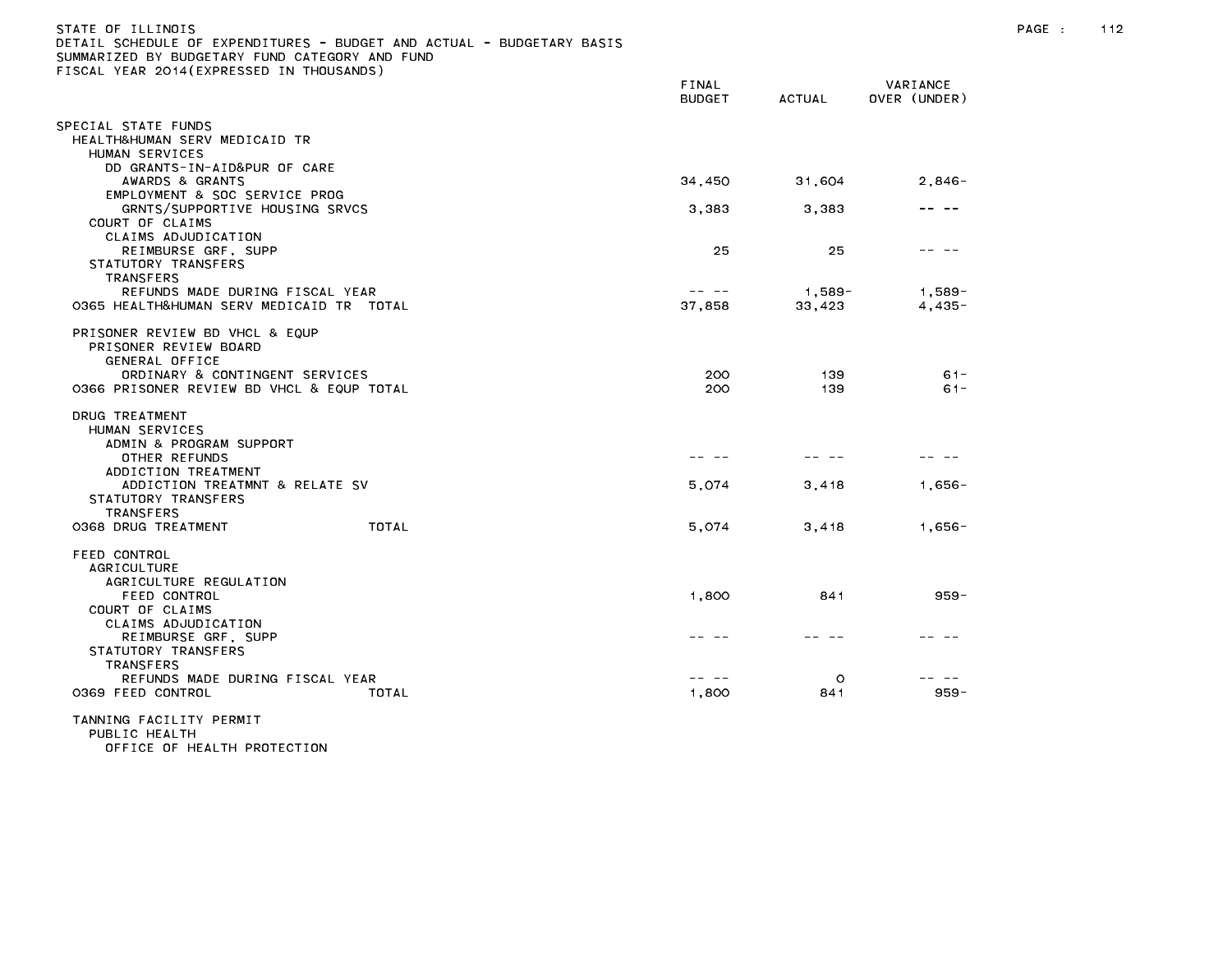| STATE OF ILLINOIS<br>SUMMARIZED BY BUDGETARY FUND CATEGORY AND FUND<br>FISCAL YEAR 2014(EXPRESSED IN THOUSANDS)                               | DETAIL SCHEDULE OF EXPENDITURES - BUDGET AND ACTUAL - BUDGETARY BASIS |                        |                  |                          | PAGE : | 112 |
|-----------------------------------------------------------------------------------------------------------------------------------------------|-----------------------------------------------------------------------|------------------------|------------------|--------------------------|--------|-----|
|                                                                                                                                               |                                                                       | FINAL<br><b>BUDGET</b> | ACTUAL           | VARIANCE<br>OVER (UNDER) |        |     |
| SPECIAL STATE FUNDS<br>HEALTH&HUMAN SERV MEDICAID TR<br>HUMAN SERVICES                                                                        |                                                                       |                        |                  |                          |        |     |
| DD GRANTS-IN-AID&PUR OF CARE<br>AWARDS & GRANTS                                                                                               |                                                                       | 34,450                 | 31,604           | $2,846-$                 |        |     |
| EMPLOYMENT & SOC SERVICE PROG<br>GRNTS/SUPPORTIVE HOUSING SRVCS<br>COURT OF CLAIMS                                                            |                                                                       | 3,383                  | 3,383            | -- --                    |        |     |
| CLAIMS ADJUDICATION<br>REIMBURSE GRF, SUPP<br>STATUTORY TRANSFERS<br><b>TRANSFERS</b>                                                         |                                                                       | 25                     | 25               | -- --                    |        |     |
| REFUNDS MADE DURING FISCAL YEAR<br>0365 HEALTH&HUMAN SERV MEDICAID TR TOTAL                                                                   |                                                                       | 37,858                 | 1,589-<br>33,423 | $1,589-$<br>4,435-       |        |     |
| PRISONER REVIEW BD VHCL & EQUP<br>PRISONER REVIEW BOARD<br>GENERAL OFFICE                                                                     |                                                                       |                        |                  |                          |        |     |
| ORDINARY & CONTINGENT SERVICES<br>0366 PRISONER REVIEW BD VHCL & EQUP TOTAL                                                                   |                                                                       | 200<br>200             | 139<br>139       | $61 -$<br>$61 -$         |        |     |
| DRUG TREATMENT<br>HUMAN SERVICES<br>ADMIN & PROGRAM SUPPORT                                                                                   |                                                                       |                        |                  |                          |        |     |
| OTHER REFUNDS<br>ADDICTION TREATMENT                                                                                                          |                                                                       |                        |                  |                          |        |     |
| ADDICTION TREATMNT & RELATE SV<br>STATUTORY TRANSFERS<br>TRANSFERS                                                                            |                                                                       | 5,074                  | 3,418            | 1,656-                   |        |     |
| 0368 DRUG TREATMENT                                                                                                                           | TOTAL                                                                 | 5,074                  | 3,418            | 1,656-                   |        |     |
| FEED CONTROL<br><b>AGRICULTURE</b><br>AGRICULTURE REGULATION<br>FEED CONTROL<br>COURT OF CLAIMS<br>CLAIMS ADJUDICATION<br>REIMBURSE GRF, SUPP |                                                                       | 1,800<br>- -           | 841              | $959 -$                  |        |     |
| STATUTORY TRANSFERS<br><b>TRANSFERS</b><br>REFUNDS MADE DURING FISCAL YEAR<br>0369 FEED CONTROL                                               | TOTAL                                                                 | -- --<br>1,800         | $\circ$<br>841   | -- --<br>$959 -$         |        |     |
| TANNING FACILITY PERMIT<br>PUBLIC HEALTH                                                                                                      |                                                                       |                        |                  |                          |        |     |

OFFICE OF HEALTH PROTECTION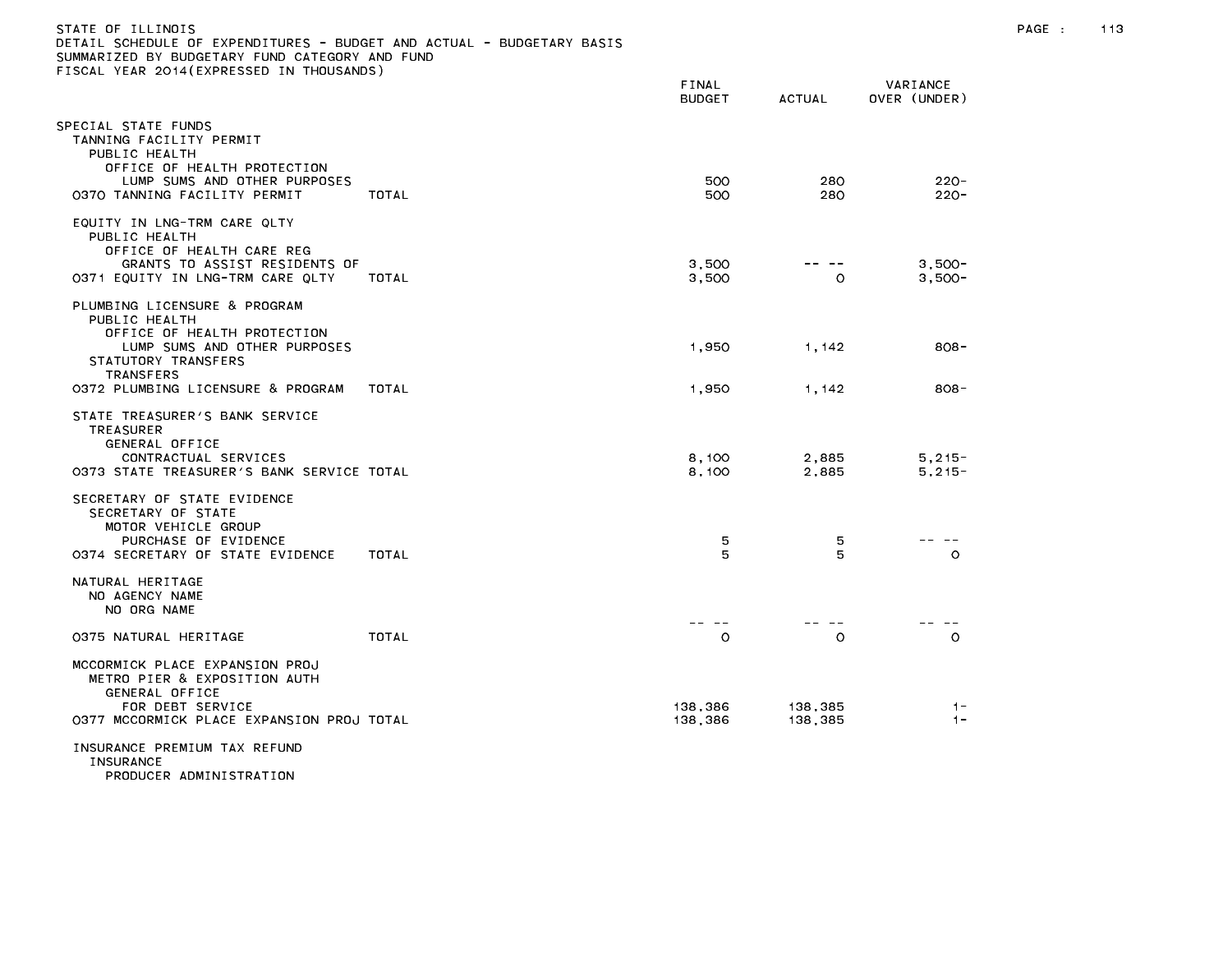| STATE OF ILLINOIS                                                     |       |          |
|-----------------------------------------------------------------------|-------|----------|
| DETAIL SCHEDULE OF EXPENDITURES - BUDGET AND ACTUAL - BUDGETARY BASIS |       |          |
| SUMMARIZED BY BUDGETARY FUND CATEGORY AND FUND                        |       |          |
| FISCAL YEAR 2014(EXPRESSED IN THOUSANDS)                              |       |          |
|                                                                       | FINAL | VARIANCE |

|                                                                                                                                                                                              |       | <b>BUDGET</b>      | <b>ACTUAL</b>      | OVER (UNDER)             |  |
|----------------------------------------------------------------------------------------------------------------------------------------------------------------------------------------------|-------|--------------------|--------------------|--------------------------|--|
| PECIAL STATE FUNDS<br>TANNING FACILITY PERMIT<br>PUBLIC HEALTH<br>OFFICE OF HEALTH PROTECTION<br>LUMP SUMS AND OTHER PURPOSES<br>0370 TANNING FACILITY PERMIT                                | TOTAL | 500<br>500         | 280<br>280         | $220 -$<br>$220 -$       |  |
| EQUITY IN LNG-TRM CARE QLTY<br>PUBLIC HEALTH<br>OFFICE OF HEALTH CARE REG<br>GRANTS TO ASSIST RESIDENTS OF<br>0371 EQUITY IN LNG-TRM CARE QLTY                                               | TOTAL | 3.500<br>3,500     | $\circ$            | $3.500 -$<br>$3,500-$    |  |
| PLUMBING LICENSURE & PROGRAM<br>PUBLIC HEALTH<br>OFFICE OF HEALTH PROTECTION<br>LUMP SUMS AND OTHER PURPOSES<br>STATUTORY TRANSFERS<br><b>TRANSFERS</b><br>0372 PLUMBING LICENSURE & PROGRAM | TOTAL | 1,950<br>1,950     | 1,142<br>1,142     | $808 -$<br>$808 -$       |  |
| STATE TREASURER'S BANK SERVICE<br>TREASURER<br>GENERAL OFFICE<br>CONTRACTUAL SERVICES<br>0373 STATE TREASURER'S BANK SERVICE TOTAL                                                           |       | 8,100<br>8,100     | 2,885<br>2,885     | $5, 215 -$<br>$5, 215 -$ |  |
| SECRETARY OF STATE EVIDENCE<br>SECRETARY OF STATE<br>MOTOR VEHICLE GROUP<br>PURCHASE OF EVIDENCE<br>0374 SECRETARY OF STATE EVIDENCE                                                         | TOTAL | 5<br>5             | 5<br>5             | $\circ$                  |  |
| NATURAL HERITAGE<br>NO AGENCY NAME<br>NO ORG NAME                                                                                                                                            |       | --                 |                    |                          |  |
| 0375 NATURAL HERITAGE                                                                                                                                                                        | TOTAL | O                  | $\circ$            | $\circ$                  |  |
| MCCORMICK PLACE EXPANSION PROJ<br>METRO PIER & EXPOSITION AUTH<br>GENERAL OFFICE<br>FOR DEBT SERVICE<br>0377 MCCORMICK PLACE EXPANSION PROJ TOTAL                                            |       | 138,386<br>138,386 | 138,385<br>138,385 | $1 -$<br>$1 -$           |  |
| INSURANCE PREMIUM TAX REFUND<br>INSURANCE                                                                                                                                                    |       |                    |                    |                          |  |

PRODUCER ADMINISTRATION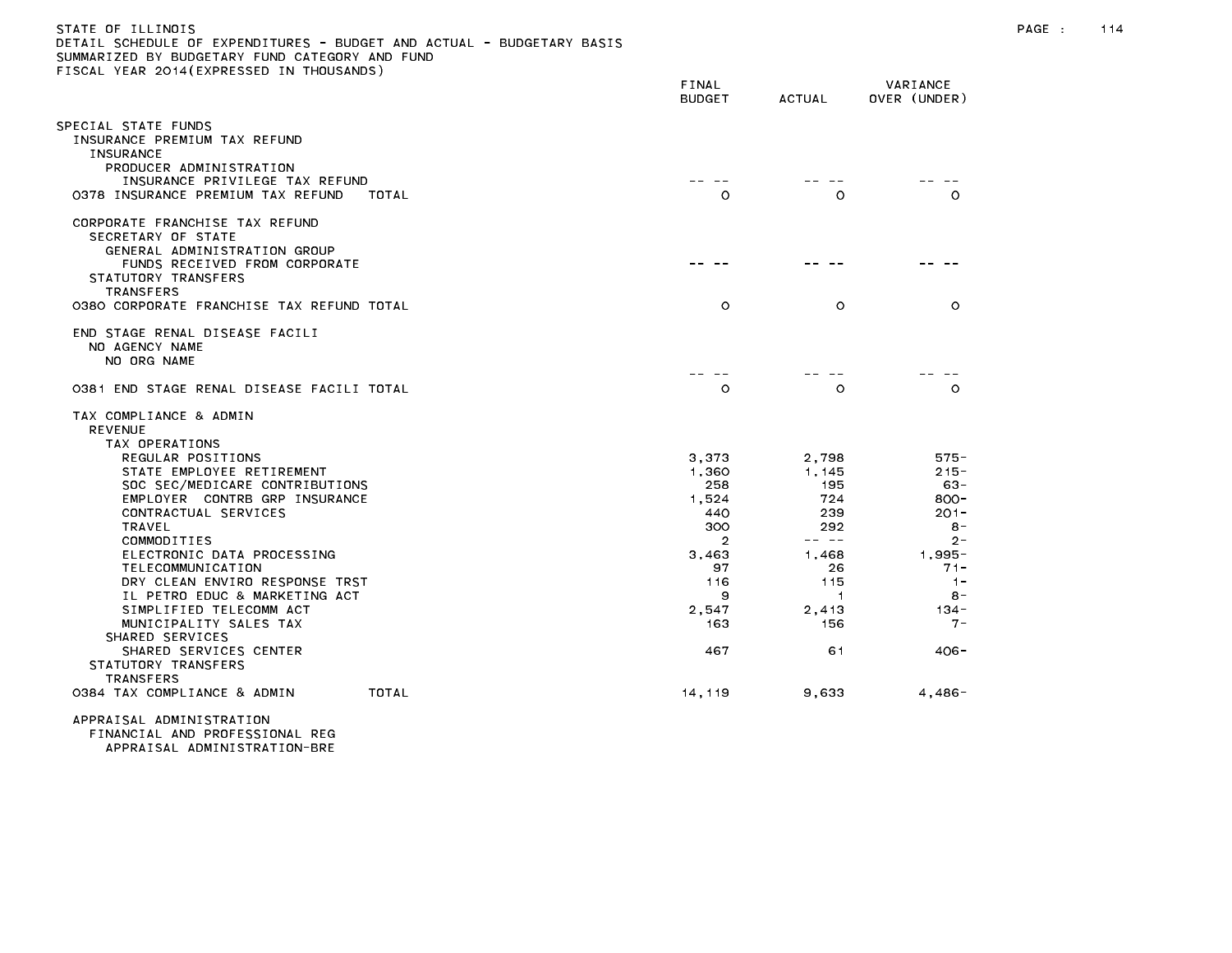| STATE OF ILLINOIS                                                     |  |
|-----------------------------------------------------------------------|--|
| DETAIL SCHEDULE OF EXPENDITURES - BUDGET AND ACTUAL - BUDGETARY BASIS |  |
| SUMMARIZED BY BUDGETARY FUND CATEGORY AND FUND                        |  |
| FISCAL YEAR 2014 (EXPRESSED IN THOUSANDS)                             |  |

|                                                               | FINAL<br><b>BUDGET</b> | <b>ACTUAL</b>                 | VARIANCE<br>OVER (UNDER) |
|---------------------------------------------------------------|------------------------|-------------------------------|--------------------------|
| SPECIAL STATE FUNDS                                           |                        |                               |                          |
| INSURANCE PREMIUM TAX REFUND<br><b>INSURANCE</b>              |                        |                               |                          |
| PRODUCER ADMINISTRATION                                       |                        |                               |                          |
| INSURANCE PRIVILEGE TAX REFUND                                |                        |                               |                          |
| 0378 INSURANCE PREMIUM TAX REFUND<br>TOTAL                    | $\circ$                | $\circ$                       | $\circ$                  |
| CORPORATE FRANCHISE TAX REFUND                                |                        |                               |                          |
| SECRETARY OF STATE                                            |                        |                               |                          |
| GENERAL ADMINISTRATION GROUP<br>FUNDS RECEIVED FROM CORPORATE |                        |                               |                          |
| STATUTORY TRANSFERS                                           |                        |                               |                          |
| <b>TRANSFERS</b>                                              |                        |                               |                          |
| 0380 CORPORATE FRANCHISE TAX REFUND TOTAL                     | $\circ$                | $\circ$                       | $\circ$                  |
| END STAGE RENAL DISEASE FACILI                                |                        |                               |                          |
| NO AGENCY NAME                                                |                        |                               |                          |
| NO ORG NAME                                                   |                        |                               |                          |
| 0381 END STAGE RENAL DISEASE FACILI TOTAL                     | $\circ$                | $\Omega$                      | $\Omega$                 |
|                                                               |                        |                               |                          |
| TAX COMPLIANCE & ADMIN                                        |                        |                               |                          |
| <b>REVENUE</b><br>TAX OPERATIONS                              |                        |                               |                          |
| REGULAR POSITIONS                                             | 3.373                  | 2.798                         | $575 -$                  |
| STATE EMPLOYEE RETIREMENT                                     | 1.360                  | 1.145                         | $215 -$                  |
| SOC SEC/MEDICARE CONTRIBUTIONS                                | 258                    | 195                           | $63 -$                   |
| EMPLOYER CONTRB GRP INSURANCE                                 | 1,524                  | 724                           | $800 -$                  |
| CONTRACTUAL SERVICES<br><b>TRAVEL</b>                         | 440<br>300             | 239<br>292                    | $201 -$<br>$8 -$         |
| COMMODITIES                                                   | $\overline{2}$         | -- --                         | $2 -$                    |
| ELECTRONIC DATA PROCESSING                                    | 3,463                  | 1.468                         | $1,995 -$                |
| TELECOMMUNICATION                                             | 97                     | 26                            | $71 -$                   |
| DRY CLEAN ENVIRO RESPONSE TRST                                | 116                    | 115                           | $1 -$                    |
| IL PETRO EDUC & MARKETING ACT<br>SIMPLIFIED TELECOMM ACT      | 9<br>2,547             | $\blacktriangleleft$<br>2,413 | $8 -$<br>134 -           |
| MUNICIPALITY SALES TAX                                        | 163                    | 156                           | $7 -$                    |
| SHARED SERVICES                                               |                        |                               |                          |
| SHARED SERVICES CENTER                                        | 467                    | 61                            | $406 -$                  |
| STATUTORY TRANSFERS<br><b>TRANSFERS</b>                       |                        |                               |                          |
| 0384 TAX COMPLIANCE & ADMIN<br>TOTAL                          | 14, 119                | 9,633                         | $4,486-$                 |
|                                                               |                        |                               |                          |

APPRAISAL ADMINISTRATION FINANCIAL AND PROFESSIONAL REG APPRAISAL ADMINISTRATION-BRE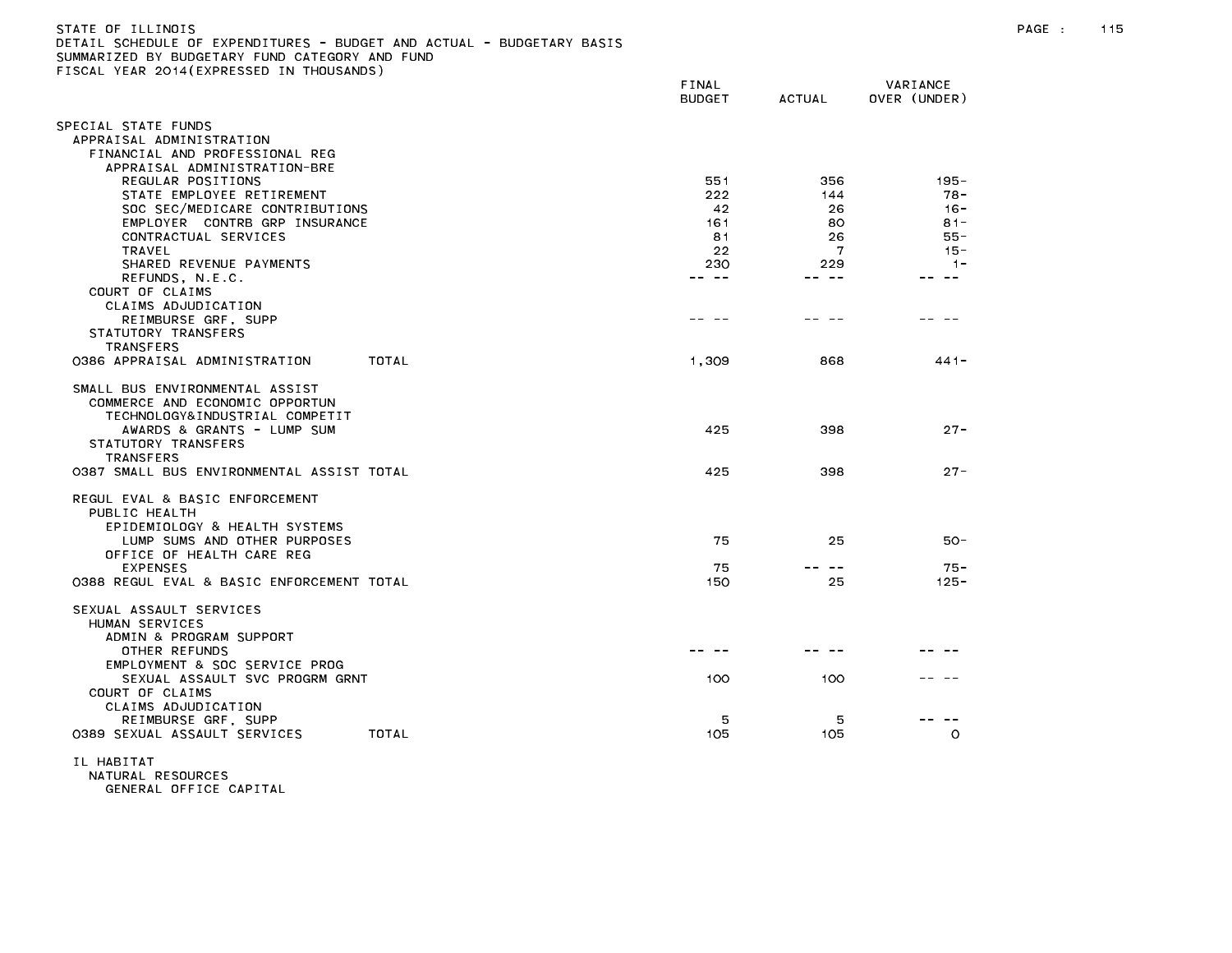| STATE OF ILLINOIS                                                     |
|-----------------------------------------------------------------------|
| DETAIL SCHEDULE OF EXPENDITURES - BUDGET AND ACTUAL - BUDGETARY BASIS |
| SUMMARIZED BY BUDGETARY FUND CATEGORY AND FUND                        |
| FISCAL YEAR 2014(EXPRESSED IN THOUSANDS)                              |

|                                                                                                                                                                                                                                                                    | FINAL<br><b>BUDGET</b>                     | <b>ACTUAL</b>                                     | VARIANCE<br>OVER (UNDER)                                                       |
|--------------------------------------------------------------------------------------------------------------------------------------------------------------------------------------------------------------------------------------------------------------------|--------------------------------------------|---------------------------------------------------|--------------------------------------------------------------------------------|
| SPECIAL STATE FUNDS<br>APPRAISAL ADMINISTRATION<br>FINANCIAL AND PROFESSIONAL REG                                                                                                                                                                                  |                                            |                                                   |                                                                                |
| APPRAISAL ADMINISTRATION-BRE<br>REGULAR POSITIONS<br>STATE EMPLOYEE RETIREMENT<br>SOC SEC/MEDICARE CONTRIBUTIONS<br>EMPLOYER CONTRB GRP INSURANCE<br>CONTRACTUAL SERVICES<br>TRAVEL<br>SHARED REVENUE PAYMENTS                                                     | 551<br>222<br>42<br>161<br>81<br>22<br>230 | 356<br>144<br>26<br>80<br>26<br>7<br>229<br>-- -- | 195 -<br>78-<br>$16 -$<br>$81 -$<br>$55 -$<br>$15 -$<br>$-1-$<br>$\sim$ $\sim$ |
| REFUNDS, N.E.C.<br>COURT OF CLAIMS<br>CLAIMS ADJUDICATION<br>REIMBURSE GRF, SUPP<br>STATUTORY TRANSFERS<br><b>TRANSFERS</b>                                                                                                                                        |                                            |                                                   |                                                                                |
| 0386 APPRAISAL ADMINISTRATION<br>TOTAL                                                                                                                                                                                                                             | 1,309                                      | 868                                               | 441-                                                                           |
| SMALL BUS ENVIRONMENTAL ASSIST<br>COMMERCE AND ECONOMIC OPPORTUN<br>TECHNOLOGY&INDUSTRIAL COMPETIT<br>AWARDS & GRANTS - LUMP SUM<br>STATUTORY TRANSFERS<br><b>TRANSFERS</b><br>0387 SMALL BUS ENVIRONMENTAL ASSIST TOTAL                                           | 425<br>425                                 | 398<br>398                                        | $27 -$<br>$27 -$                                                               |
| REGUL EVAL & BASIC ENFORCEMENT<br>PUBLIC HEALTH<br>EPIDEMIOLOGY & HEALTH SYSTEMS<br>LUMP SUMS AND OTHER PURPOSES<br>OFFICE OF HEALTH CARE REG<br>EXPENSES<br>0388 REGUL EVAL & BASIC ENFORCEMENT TOTAL                                                             | 75<br>75<br>150                            | 25<br>-- --<br>25                                 | $50 -$<br>$75 -$<br>$125 -$                                                    |
| SEXUAL ASSAULT SERVICES<br>HUMAN SERVICES<br>ADMIN & PROGRAM SUPPORT<br>OTHER REFUNDS<br>EMPLOYMENT & SOC SERVICE PROG<br>SEXUAL ASSAULT SVC PROGRM GRNT<br>COURT OF CLAIMS<br>CLAIMS ADJUDICATION<br>REIMBURSE GRF, SUPP<br>0389 SEXUAL ASSAULT SERVICES<br>TOTAL | 100<br>5<br>105                            | 100<br>5<br>105                                   | $\circ$                                                                        |
| IL HABITAT<br>NATURAL RESOURCES                                                                                                                                                                                                                                    |                                            |                                                   |                                                                                |

GENERAL OFFICE CAPITAL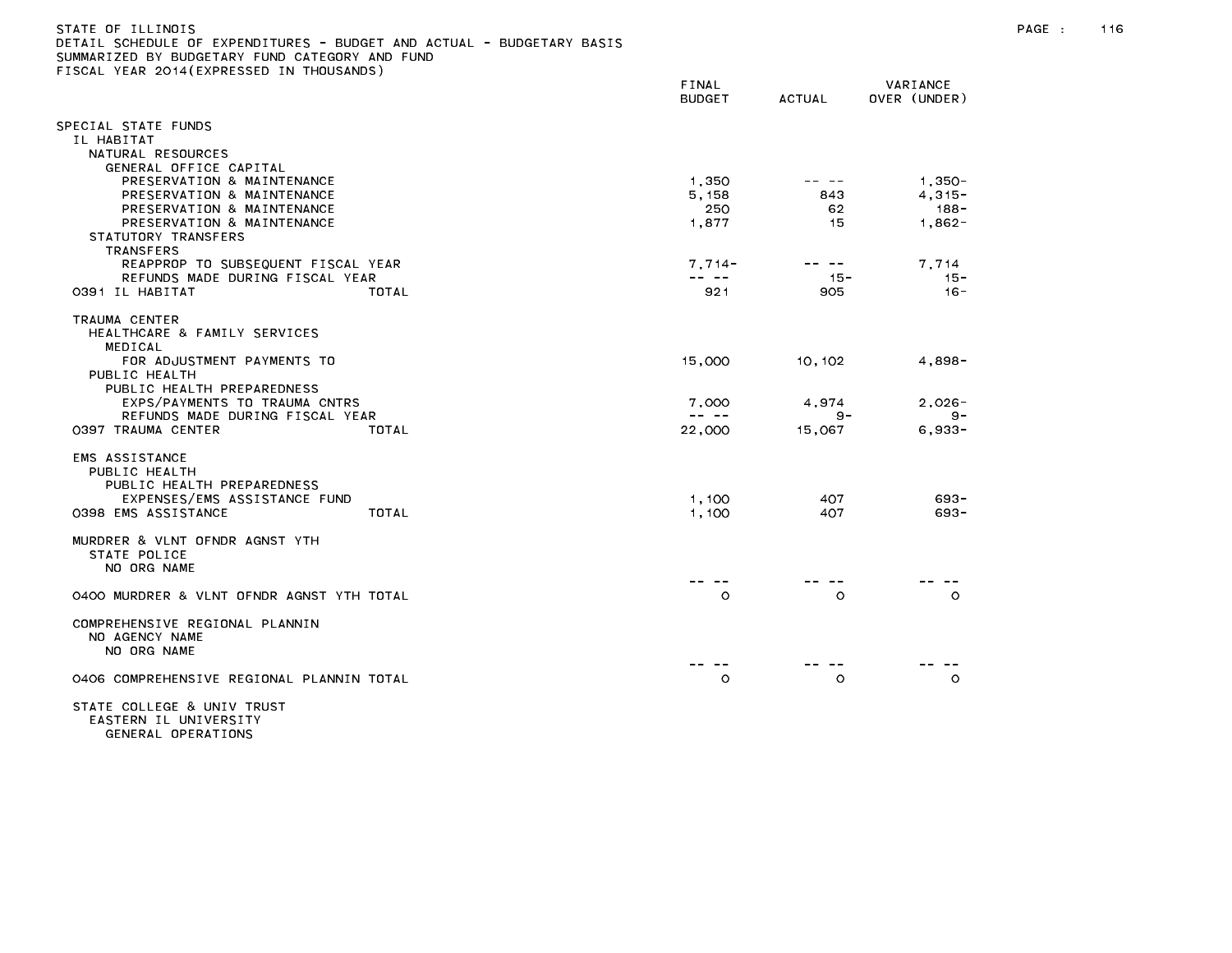|  | STATE OF ILLINOIS                              |  |  |  |  |                                                                       |  |
|--|------------------------------------------------|--|--|--|--|-----------------------------------------------------------------------|--|
|  |                                                |  |  |  |  | DETAIL SCHEDULE OF EXPENDITURES - BUDGET AND ACTUAL - BUDGETARY BASIS |  |
|  | SUMMARIZED BY BUDGETARY FUND CATEGORY AND FUND |  |  |  |  |                                                                       |  |

FISCAL YEAR 2014(EXPRESSED IN THOUSANDS)

| LIGORE TEAN EUTR(ENTIMEGUED IN                    | FINAL<br><b>BUDGET</b>                                                                                                                                                                                                                                                                                                                                                                       | <b>ACTUAL</b> | VARIANCE<br>OVER (UNDER) |
|---------------------------------------------------|----------------------------------------------------------------------------------------------------------------------------------------------------------------------------------------------------------------------------------------------------------------------------------------------------------------------------------------------------------------------------------------------|---------------|--------------------------|
| SPECIAL STATE FUNDS                               |                                                                                                                                                                                                                                                                                                                                                                                              |               |                          |
| IL HABITAT                                        |                                                                                                                                                                                                                                                                                                                                                                                              |               |                          |
| NATURAL RESOURCES                                 |                                                                                                                                                                                                                                                                                                                                                                                              |               |                          |
| GENERAL OFFICE CAPITAL                            |                                                                                                                                                                                                                                                                                                                                                                                              |               |                          |
| PRESERVATION & MAINTENANCE                        | 1,350                                                                                                                                                                                                                                                                                                                                                                                        | -- --         | $1,350-$                 |
| PRESERVATION & MAINTENANCE                        | 5, 158                                                                                                                                                                                                                                                                                                                                                                                       | 843           | $4, 315 -$               |
| PRESERVATION & MAINTENANCE                        | 250                                                                                                                                                                                                                                                                                                                                                                                          | 62<br>15      | 188-                     |
| PRESERVATION & MAINTENANCE<br>STATUTORY TRANSFERS | 1,877                                                                                                                                                                                                                                                                                                                                                                                        |               | $1,862-$                 |
| <b>TRANSFERS</b>                                  |                                                                                                                                                                                                                                                                                                                                                                                              |               |                          |
| REAPPROP TO SUBSEQUENT FISCAL YEAR                | $7,714-$                                                                                                                                                                                                                                                                                                                                                                                     | $\sim$ $-$    | 7,714                    |
| REFUNDS MADE DURING FISCAL YEAR                   | $\frac{1}{2} \frac{1}{2} \frac{1}{2} \frac{1}{2} \frac{1}{2} \frac{1}{2} \frac{1}{2} \frac{1}{2} \frac{1}{2} \frac{1}{2} \frac{1}{2} \frac{1}{2} \frac{1}{2} \frac{1}{2} \frac{1}{2} \frac{1}{2} \frac{1}{2} \frac{1}{2} \frac{1}{2} \frac{1}{2} \frac{1}{2} \frac{1}{2} \frac{1}{2} \frac{1}{2} \frac{1}{2} \frac{1}{2} \frac{1}{2} \frac{1}{2} \frac{1}{2} \frac{1}{2} \frac{1}{2} \frac{$ | $15 -$        | $15 -$                   |
| 0391 IL HABITAT<br>TOTAL                          | 921                                                                                                                                                                                                                                                                                                                                                                                          | 905           | $16 -$                   |
| TRAUMA CENTER                                     |                                                                                                                                                                                                                                                                                                                                                                                              |               |                          |
| HEALTHCARE & FAMILY SERVICES                      |                                                                                                                                                                                                                                                                                                                                                                                              |               |                          |
| MEDICAL<br>FOR ADJUSTMENT PAYMENTS TO             | 15,000                                                                                                                                                                                                                                                                                                                                                                                       | 10, 102       | 4,898-                   |
| PUBLIC HEALTH                                     |                                                                                                                                                                                                                                                                                                                                                                                              |               |                          |
| PUBLIC HEALTH PREPAREDNESS                        |                                                                                                                                                                                                                                                                                                                                                                                              |               |                          |
| EXPS/PAYMENTS TO TRAUMA CNTRS                     | 7,000                                                                                                                                                                                                                                                                                                                                                                                        | 4,974         | $2,026 -$                |
| REFUNDS MADE DURING FISCAL YEAR                   | -- --                                                                                                                                                                                                                                                                                                                                                                                        | $9 -$         | 9-                       |
| 0397 TRAUMA CENTER<br>TOTAL                       | 22,000                                                                                                                                                                                                                                                                                                                                                                                       | 15,067        | $6,933-$                 |
| EMS ASSISTANCE                                    |                                                                                                                                                                                                                                                                                                                                                                                              |               |                          |
| PUBLIC HEALTH                                     |                                                                                                                                                                                                                                                                                                                                                                                              |               |                          |
| PUBLIC HEALTH PREPAREDNESS                        |                                                                                                                                                                                                                                                                                                                                                                                              |               |                          |
| EXPENSES/EMS ASSISTANCE FUND                      | 1,100                                                                                                                                                                                                                                                                                                                                                                                        | 407           | $693 -$                  |
| 0398 EMS ASSISTANCE<br>TOTAL                      | 1,100                                                                                                                                                                                                                                                                                                                                                                                        | 407           | 693-                     |
| MURDRER & VLNT OFNDR AGNST YTH                    |                                                                                                                                                                                                                                                                                                                                                                                              |               |                          |
| STATE POLICE                                      |                                                                                                                                                                                                                                                                                                                                                                                              |               |                          |
| NO ORG NAME                                       |                                                                                                                                                                                                                                                                                                                                                                                              |               |                          |
| 0400 MURDRER & VLNT OFNDR AGNST YTH TOTAL         | $\circ$                                                                                                                                                                                                                                                                                                                                                                                      | O             | $\circ$                  |
| COMPREHENSIVE REGIONAL PLANNIN                    |                                                                                                                                                                                                                                                                                                                                                                                              |               |                          |
| NO AGENCY NAME<br>NO ORG NAME                     |                                                                                                                                                                                                                                                                                                                                                                                              |               |                          |
|                                                   |                                                                                                                                                                                                                                                                                                                                                                                              |               |                          |
| 0406 COMPREHENSIVE REGIONAL PLANNIN TOTAL         | $\circ$                                                                                                                                                                                                                                                                                                                                                                                      | $\circ$       | $\circ$                  |
| STATE COLLEGE & UNIV TRUST                        |                                                                                                                                                                                                                                                                                                                                                                                              |               |                          |

EASTERN IL UNIVERSITY GENERAL OPERATIONS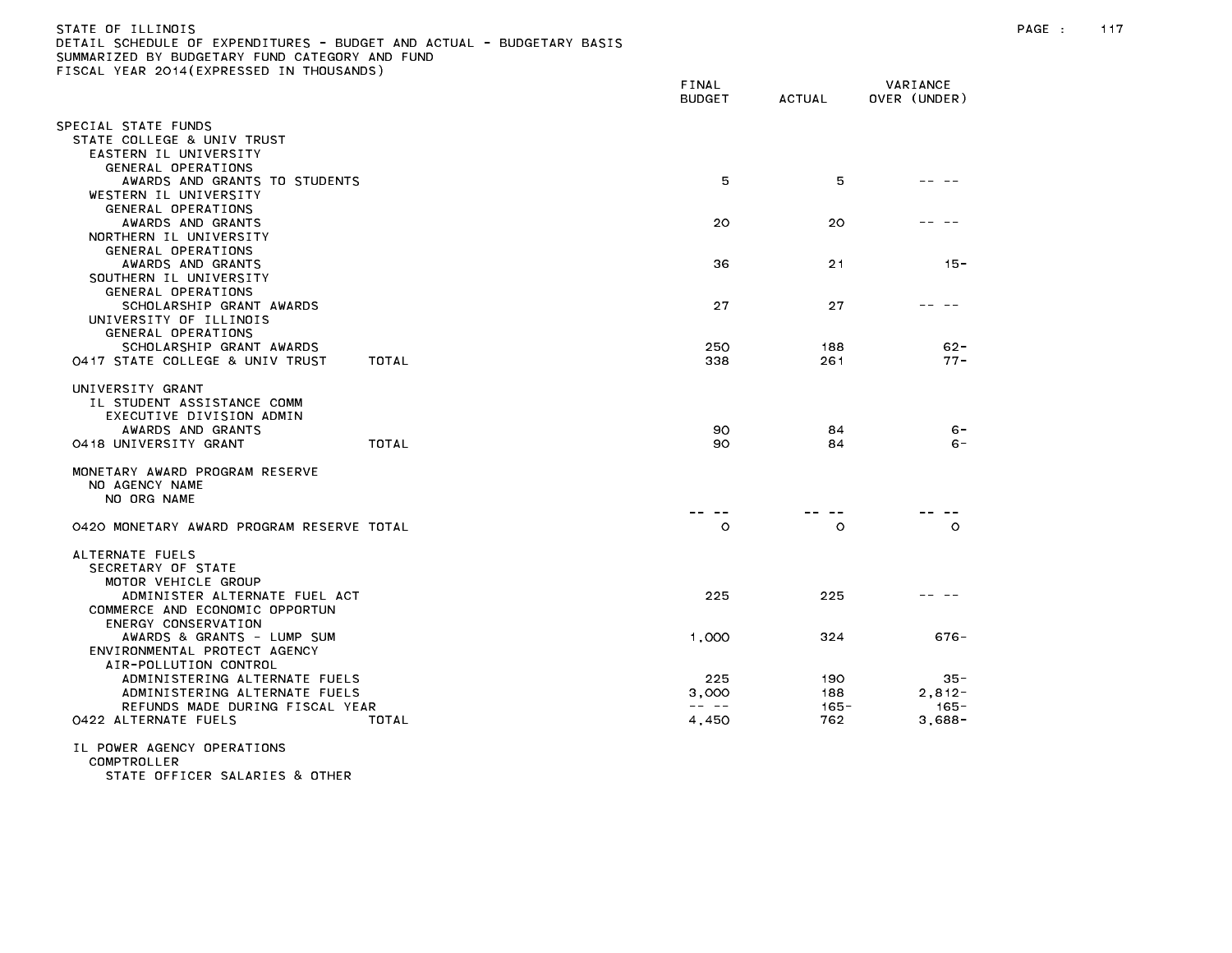| STATE OF ILLINOIS                                                     |
|-----------------------------------------------------------------------|
| DETAIL SCHEDULE OF EXPENDITURES - BUDGET AND ACTUAL - BUDGETARY BASIS |
| SUMMARIZED BY BUDGETARY FUND CATEGORY AND FUND                        |
| FISCAL YEAR 2014(EXPRESSED IN THOUSANDS)                              |

|                                                         |       | FINAL<br><b>BUDGET</b>                                                                                                                                                                                                                                                                                                                                                                                | <b>ACTUAL</b>  | VARIANCE<br>OVER (UNDER) |
|---------------------------------------------------------|-------|-------------------------------------------------------------------------------------------------------------------------------------------------------------------------------------------------------------------------------------------------------------------------------------------------------------------------------------------------------------------------------------------------------|----------------|--------------------------|
| SPECIAL STATE FUNDS                                     |       |                                                                                                                                                                                                                                                                                                                                                                                                       |                |                          |
| STATE COLLEGE & UNIV TRUST<br>EASTERN IL UNIVERSITY     |       |                                                                                                                                                                                                                                                                                                                                                                                                       |                |                          |
| GENERAL OPERATIONS                                      |       |                                                                                                                                                                                                                                                                                                                                                                                                       |                |                          |
| AWARDS AND GRANTS TO STUDENTS                           |       | 5                                                                                                                                                                                                                                                                                                                                                                                                     | 5              |                          |
| WESTERN IL UNIVERSITY                                   |       |                                                                                                                                                                                                                                                                                                                                                                                                       |                |                          |
| GENERAL OPERATIONS<br>AWARDS AND GRANTS                 |       | 20                                                                                                                                                                                                                                                                                                                                                                                                    | 20             |                          |
| NORTHERN IL UNIVERSITY                                  |       |                                                                                                                                                                                                                                                                                                                                                                                                       |                |                          |
| GENERAL OPERATIONS<br>AWARDS AND GRANTS                 |       | 36                                                                                                                                                                                                                                                                                                                                                                                                    | 21             | $15 -$                   |
| SOUTHERN IL UNIVERSITY                                  |       |                                                                                                                                                                                                                                                                                                                                                                                                       |                |                          |
| GENERAL OPERATIONS                                      |       |                                                                                                                                                                                                                                                                                                                                                                                                       |                |                          |
| SCHOLARSHIP GRANT AWARDS<br>UNIVERSITY OF ILLINOIS      |       | 27                                                                                                                                                                                                                                                                                                                                                                                                    | 27             |                          |
| GENERAL OPERATIONS                                      |       |                                                                                                                                                                                                                                                                                                                                                                                                       |                |                          |
| SCHOLARSHIP GRANT AWARDS                                |       | 250                                                                                                                                                                                                                                                                                                                                                                                                   | 188            | $62 -$                   |
| 0417 STATE COLLEGE & UNIV TRUST                         | TOTAL | 338                                                                                                                                                                                                                                                                                                                                                                                                   | 261            | $77 -$                   |
| UNIVERSITY GRANT                                        |       |                                                                                                                                                                                                                                                                                                                                                                                                       |                |                          |
| IL STUDENT ASSISTANCE COMM                              |       |                                                                                                                                                                                                                                                                                                                                                                                                       |                |                          |
| EXECUTIVE DIVISION ADMIN<br>AWARDS AND GRANTS           |       | 90                                                                                                                                                                                                                                                                                                                                                                                                    | 84             | $6 -$                    |
| 0418 UNIVERSITY GRANT                                   | TOTAL | 90                                                                                                                                                                                                                                                                                                                                                                                                    | 84             | $6 -$                    |
| MONETARY AWARD PROGRAM RESERVE                          |       |                                                                                                                                                                                                                                                                                                                                                                                                       |                |                          |
| NO AGENCY NAME                                          |       |                                                                                                                                                                                                                                                                                                                                                                                                       |                |                          |
| NO ORG NAME                                             |       |                                                                                                                                                                                                                                                                                                                                                                                                       |                |                          |
| 0420 MONETARY AWARD PROGRAM RESERVE TOTAL               |       | $\circ$                                                                                                                                                                                                                                                                                                                                                                                               | $\circ$        | $\circ$                  |
|                                                         |       |                                                                                                                                                                                                                                                                                                                                                                                                       |                |                          |
| ALTERNATE FUELS<br>SECRETARY OF STATE                   |       |                                                                                                                                                                                                                                                                                                                                                                                                       |                |                          |
| MOTOR VEHICLE GROUP                                     |       |                                                                                                                                                                                                                                                                                                                                                                                                       |                |                          |
| ADMINISTER ALTERNATE FUEL ACT                           |       | 225                                                                                                                                                                                                                                                                                                                                                                                                   | 225            |                          |
| COMMERCE AND ECONOMIC OPPORTUN<br>ENERGY CONSERVATION   |       |                                                                                                                                                                                                                                                                                                                                                                                                       |                |                          |
| AWARDS & GRANTS - LUMP SUM                              |       | 1,000                                                                                                                                                                                                                                                                                                                                                                                                 | 324            | $676 -$                  |
| ENVIRONMENTAL PROTECT AGENCY<br>AIR-POLLUTION CONTROL   |       |                                                                                                                                                                                                                                                                                                                                                                                                       |                |                          |
| ADMINISTERING ALTERNATE FUELS                           |       | 225                                                                                                                                                                                                                                                                                                                                                                                                   | 190            | $35 -$                   |
| ADMINISTERING ALTERNATE FUELS                           |       | 3,000                                                                                                                                                                                                                                                                                                                                                                                                 | 188            | $2,812-$                 |
| REFUNDS MADE DURING FISCAL YEAR<br>0422 ALTERNATE FUELS | TOTAL | $\frac{1}{2} \frac{1}{2} \frac{1}{2} \frac{1}{2} \frac{1}{2} \frac{1}{2} \frac{1}{2} \frac{1}{2} \frac{1}{2} \frac{1}{2} \frac{1}{2} \frac{1}{2} \frac{1}{2} \frac{1}{2} \frac{1}{2} \frac{1}{2} \frac{1}{2} \frac{1}{2} \frac{1}{2} \frac{1}{2} \frac{1}{2} \frac{1}{2} \frac{1}{2} \frac{1}{2} \frac{1}{2} \frac{1}{2} \frac{1}{2} \frac{1}{2} \frac{1}{2} \frac{1}{2} \frac{1}{2} \frac{$<br>4,450 | $165 -$<br>762 | $165 -$<br>$3,688-$      |
|                                                         |       |                                                                                                                                                                                                                                                                                                                                                                                                       |                |                          |
| IL POWER AGENCY OPERATIONS<br>COMPTROLLER               |       |                                                                                                                                                                                                                                                                                                                                                                                                       |                |                          |

STATE OFFICER SALARIES & OTHER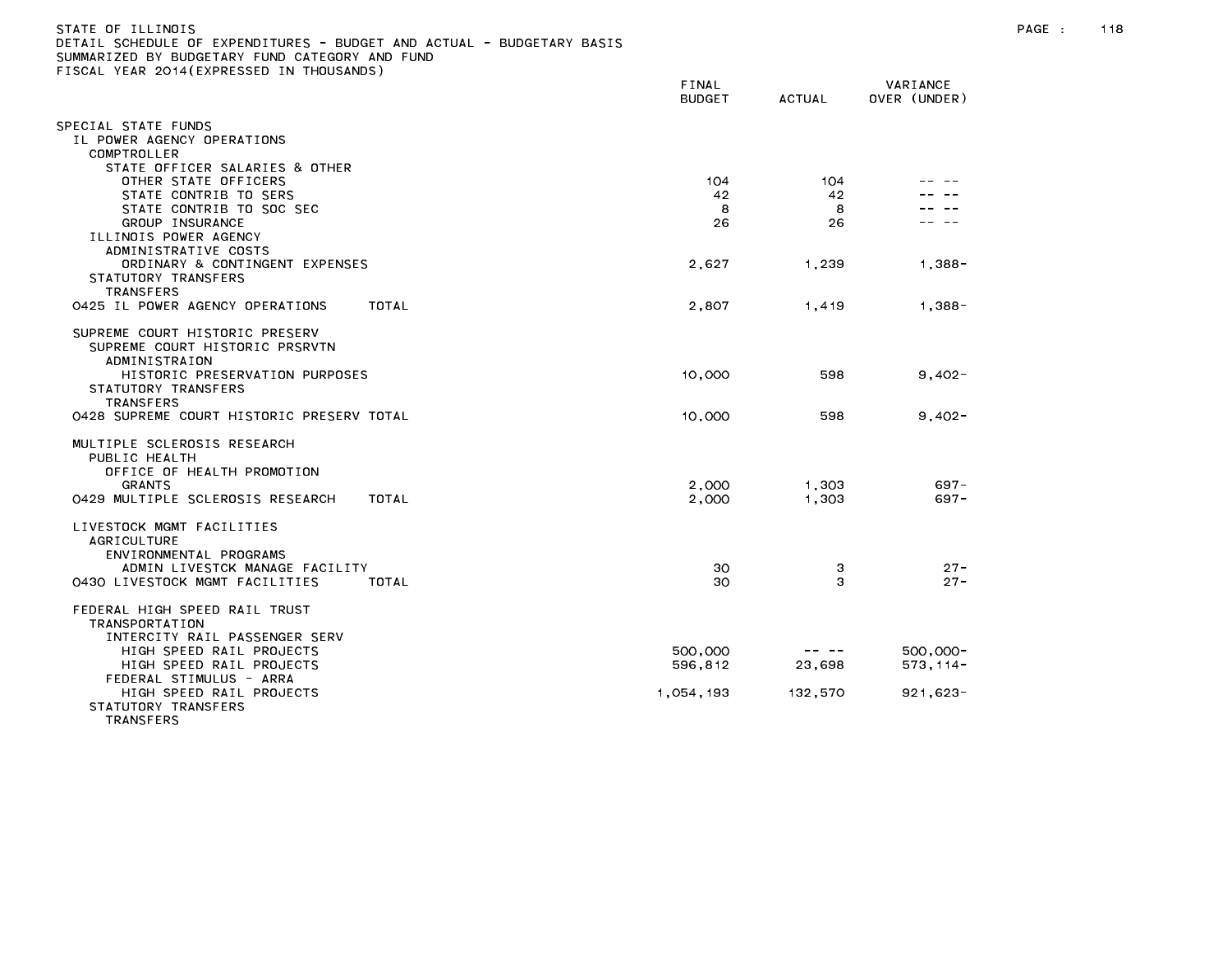| STATE OF TILINOIS                                                     |
|-----------------------------------------------------------------------|
| DETAIL SCHEDULE OF EXPENDITURES - BUDGET AND ACTUAL - BUDGETARY BASIS |
| SUMMARIZED BY BUDGETARY FUND CATEGORY AND FUND                        |
| FISCAL YEAR 2014(EXPRESSED IN THOUSANDS)                              |

|                                                                           | FINAL<br><b>BUDGET</b> | <b>ACTUAL</b> | VARIANCE<br>OVER (UNDER) |
|---------------------------------------------------------------------------|------------------------|---------------|--------------------------|
| PECIAL STATE FUNDS                                                        |                        |               |                          |
| IL POWER AGENCY OPERATIONS                                                |                        |               |                          |
| COMPTROLLER                                                               |                        |               |                          |
| STATE OFFICER SALARIES & OTHER                                            |                        |               |                          |
| OTHER STATE OFFICERS                                                      | 104                    | 104           |                          |
| STATE CONTRIB TO SERS                                                     | 42                     | 42            |                          |
| STATE CONTRIB TO SOC SEC                                                  | 8                      | 8             |                          |
| GROUP INSURANCE                                                           | 26                     | 26            |                          |
| ILLINOIS POWER AGENCY<br>ADMINISTRATIVE COSTS                             |                        |               |                          |
| ORDINARY & CONTINGENT EXPENSES                                            | 2,627                  | 1,239         | $1,388 -$                |
| STATUTORY TRANSFERS                                                       |                        |               |                          |
| <b>TRANSFERS</b>                                                          |                        |               |                          |
| 0425 IL POWER AGENCY OPERATIONS<br>TOTAL                                  | 2,807                  | 1,419         | $1,388-$                 |
| SUPREME COURT HISTORIC PRESERV                                            |                        |               |                          |
| SUPREME COURT HISTORIC PRSRVTN                                            |                        |               |                          |
| <b>ADMINISTRAION</b>                                                      |                        |               |                          |
| HISTORIC PRESERVATION PURPOSES                                            | 10,000                 | 598           | $9,402 -$                |
| STATUTORY TRANSFERS                                                       |                        |               |                          |
| <b>TRANSFERS</b>                                                          |                        |               |                          |
| 0428 SUPREME COURT HISTORIC PRESERV TOTAL                                 | 10,000                 | 598           | $9,402 -$                |
| MULTIPLE SCLEROSIS RESEARCH                                               |                        |               |                          |
| PUBLIC HEALTH                                                             |                        |               |                          |
| OFFICE OF HEALTH PROMOTION                                                |                        |               |                          |
| <b>GRANTS</b>                                                             | 2,000                  | 1,303         | $697 -$                  |
| 0429 MULTIPLE SCLEROSIS RESEARCH<br>TOTAL                                 | 2,000                  | 1,303         | $697 -$                  |
| LIVESTOCK MGMT FACILITIES                                                 |                        |               |                          |
| <b>AGRICULTURE</b>                                                        |                        |               |                          |
| ENVIRONMENTAL PROGRAMS                                                    |                        |               |                          |
| ADMIN LIVESTCK MANAGE FACILITY<br>0430 LIVESTOCK MGMT FACILITIES<br>TOTAL | 30<br>30               | 3<br>з        | $27 -$<br>$27 -$         |
|                                                                           |                        |               |                          |
| FEDERAL HIGH SPEED RAIL TRUST                                             |                        |               |                          |
| <b>TRANSPORTATION</b>                                                     |                        |               |                          |
| INTERCITY RAIL PASSENGER SERV                                             |                        |               |                          |
| HIGH SPEED RAIL PROJECTS                                                  | 500,000                |               | 500,000-                 |
| HIGH SPEED RAIL PROJECTS<br>FEDERAL STIMULUS - ARRA                       | 596,812                | 23,698        | $573, 114 -$             |
| HIGH SPEED RAIL PROJECTS                                                  | 1,054,193              | 132,570       | $921,623-$               |
| STATUTORY TRANSFERS                                                       |                        |               |                          |
| <b>TRANSFERS</b>                                                          |                        |               |                          |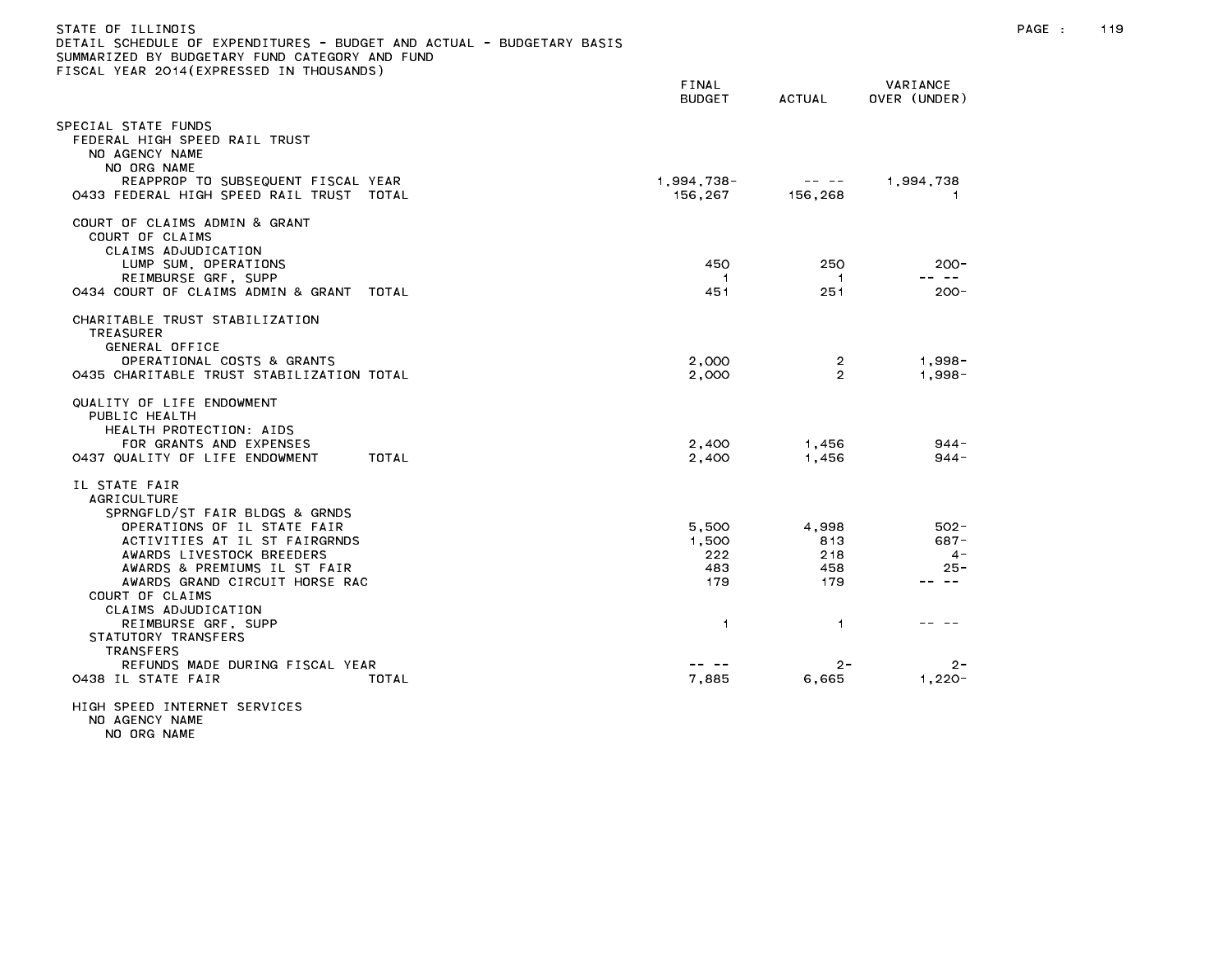| STATE OF ILLINOIS<br>DETAIL SCHEDULE OF EXPENDITURES - BUDGET AND ACTUAL - BUDGETARY BASIS<br>SUMMARIZED BY BUDGETARY FUND CATEGORY AND FUND<br>FISCAL YEAR 2014(EXPRESSED IN THOUSANDS) |                            |                                                                                                                                                                                                                                                                                                                                                                                                                                                             |                                     | PAGE : | 119 |
|------------------------------------------------------------------------------------------------------------------------------------------------------------------------------------------|----------------------------|-------------------------------------------------------------------------------------------------------------------------------------------------------------------------------------------------------------------------------------------------------------------------------------------------------------------------------------------------------------------------------------------------------------------------------------------------------------|-------------------------------------|--------|-----|
|                                                                                                                                                                                          | FINAL<br><b>BUDGET</b>     | ACTUAL                                                                                                                                                                                                                                                                                                                                                                                                                                                      | VARIANCE<br>OVER (UNDER)            |        |     |
| SPECIAL STATE FUNDS<br>FEDERAL HIGH SPEED RAIL TRUST<br>NO AGENCY NAME<br>NO ORG NAME<br>REAPPROP TO SUBSEQUENT FISCAL YEAR                                                              | 1,994,738-                 | $\mathcal{L}(\mathcal{L}(\mathcal{L}(\mathcal{L}(\mathcal{L}(\mathcal{L}(\mathcal{L}(\mathcal{L}(\mathcal{L}(\mathcal{L}(\mathcal{L}(\mathcal{L}(\mathcal{L}(\mathcal{L}(\mathcal{L}(\mathcal{L}(\mathcal{L}(\mathcal{L}(\mathcal{L}(\mathcal{L}(\mathcal{L}(\mathcal{L}(\mathcal{L}(\mathcal{L}(\mathcal{L}(\mathcal{L}(\mathcal{L}(\mathcal{L}(\mathcal{L}(\mathcal{L}(\mathcal{L}(\mathcal{L}(\mathcal{L}(\mathcal{L}(\mathcal{L}(\mathcal{L}(\mathcal{$ | 1,994,738                           |        |     |
| 0433 FEDERAL HIGH SPEED RAIL TRUST TOTAL                                                                                                                                                 | 156.267                    | 156,268                                                                                                                                                                                                                                                                                                                                                                                                                                                     | -1                                  |        |     |
| COURT OF CLAIMS ADMIN & GRANT<br>COURT OF CLAIMS<br>CLAIMS ADJUDICATION                                                                                                                  |                            |                                                                                                                                                                                                                                                                                                                                                                                                                                                             |                                     |        |     |
| LUMP SUM, OPERATIONS                                                                                                                                                                     | 450                        | 250                                                                                                                                                                                                                                                                                                                                                                                                                                                         | $200 -$<br>-- --                    |        |     |
| REIMBURSE GRF, SUPP<br>0434 COURT OF CLAIMS ADMIN & GRANT TOTAL                                                                                                                          | -1<br>451                  | -1<br>251                                                                                                                                                                                                                                                                                                                                                                                                                                                   | $200 -$                             |        |     |
| CHARITABLE TRUST STABILIZATION<br>TREASURER<br>GENERAL OFFICE                                                                                                                            |                            |                                                                                                                                                                                                                                                                                                                                                                                                                                                             |                                     |        |     |
| OPERATIONAL COSTS & GRANTS<br>0435 CHARITABLE TRUST STABILIZATION TOTAL                                                                                                                  | 2,000<br>2,000             | $\overline{2}$<br>$\overline{2}$                                                                                                                                                                                                                                                                                                                                                                                                                            | 1.998-<br>$1,998 -$                 |        |     |
| QUALITY OF LIFE ENDOWMENT<br>PUBLIC HEALTH<br>HEALTH PROTECTION: AIDS<br>FOR GRANTS AND EXPENSES<br>0437 QUALITY OF LIFE ENDOWMENT<br>TOTAL                                              | 2,400<br>2,400             | 1,456<br>1,456                                                                                                                                                                                                                                                                                                                                                                                                                                              | $944 -$<br>$944 -$                  |        |     |
| IL STATE FAIR<br><b>AGRICULTURE</b><br>SPRNGFLD/ST FAIR BLDGS & GRNDS<br>OPERATIONS OF IL STATE FAIR                                                                                     | 5,500                      | 4,998                                                                                                                                                                                                                                                                                                                                                                                                                                                       | $502 -$                             |        |     |
| ACTIVITIES AT IL ST FAIRGRNDS<br>AWARDS LIVESTOCK BREEDERS<br>AWARDS & PREMIUMS IL ST FAIR<br>AWARDS GRAND CIRCUIT HORSE RAC<br>COURT OF CLAIMS<br>CLAIMS ADJUDICATION                   | 1.500<br>222<br>483<br>179 | 813<br>218<br>458<br>179                                                                                                                                                                                                                                                                                                                                                                                                                                    | $687 -$<br>$4 -$<br>$25 -$<br>-- -- |        |     |
| REIMBURSE GRF, SUPP<br>STATUTORY TRANSFERS<br><b>TRANSFERS</b><br>REFUNDS MADE DURING FISCAL YEAR                                                                                        | $\overline{1}$<br>-- --    | 1.<br>$2 -$                                                                                                                                                                                                                                                                                                                                                                                                                                                 | -- --<br>$2 -$                      |        |     |
| 0438 IL STATE FAIR<br>TOTAL                                                                                                                                                              | 7,885                      | 6,665                                                                                                                                                                                                                                                                                                                                                                                                                                                       | $1,220-$                            |        |     |
| HIGH SPEED INTERNET SERVICES                                                                                                                                                             |                            |                                                                                                                                                                                                                                                                                                                                                                                                                                                             |                                     |        |     |

NO AGENCY NAME

NO ORG NAME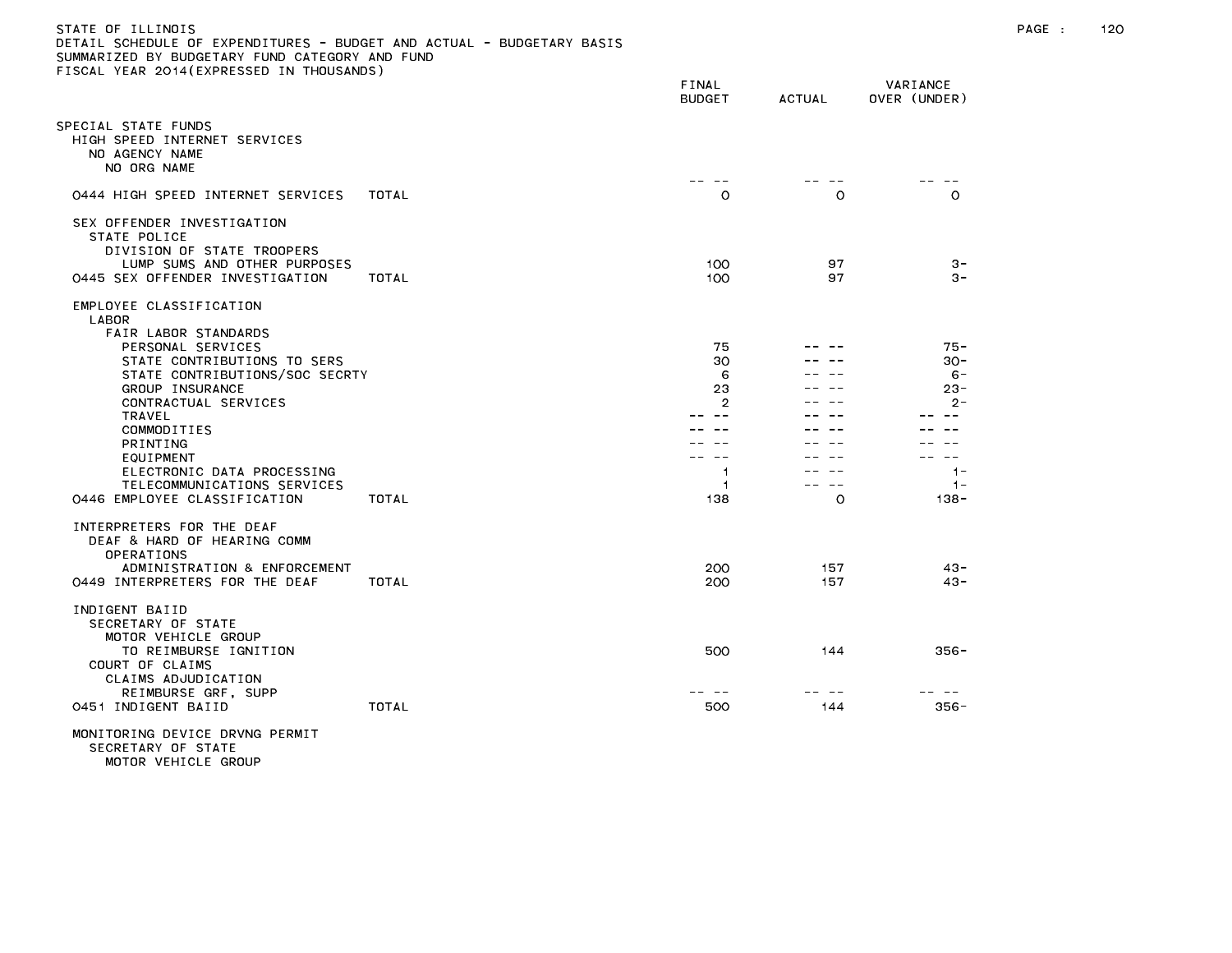| DETAIL SCHEDULE OF EXPENDITURES - BUDGET AND ACTUAL - BUDGETARY BASIS<br>SUMMARIZED BY BUDGETARY FUND CATEGORY AND FUND<br>FISCAL YEAR 2014(EXPRESSED IN THOUSANDS)                                                                                                                                                                      |       |                                                          |                       |                                                                                                  |
|------------------------------------------------------------------------------------------------------------------------------------------------------------------------------------------------------------------------------------------------------------------------------------------------------------------------------------------|-------|----------------------------------------------------------|-----------------------|--------------------------------------------------------------------------------------------------|
|                                                                                                                                                                                                                                                                                                                                          |       | FINAL<br><b>BUDGET</b>                                   | <b>ACTUAL</b>         | VARIANCE<br>OVER (UNDER)                                                                         |
| SPECIAL STATE FUNDS<br>HIGH SPEED INTERNET SERVICES<br>NO AGENCY NAME<br>NO ORG NAME                                                                                                                                                                                                                                                     |       |                                                          |                       |                                                                                                  |
| 0444 HIGH SPEED INTERNET SERVICES                                                                                                                                                                                                                                                                                                        | TOTAL | $\circ$                                                  | $\circ$               | $\circ$                                                                                          |
| SEX OFFENDER INVESTIGATION<br>STATE POLICE<br>DIVISION OF STATE TROOPERS<br>LUMP SUMS AND OTHER PURPOSES<br>0445 SEX OFFENDER INVESTIGATION                                                                                                                                                                                              | TOTAL | 100<br>100                                               | 97<br>97              | $3 -$<br>$3 -$                                                                                   |
| EMPLOYEE CLASSIFICATION<br>LABOR<br>FAIR LABOR STANDARDS<br>PERSONAL SERVICES<br>STATE CONTRIBUTIONS TO SERS<br>STATE CONTRIBUTIONS/SOC SECRTY<br>GROUP INSURANCE<br>CONTRACTUAL SERVICES<br>TRAVEL<br>COMMODITIES<br>PRINTING<br>EQUIPMENT<br>ELECTRONIC DATA PROCESSING<br>TELECOMMUNICATIONS SERVICES<br>0446 EMPLOYEE CLASSIFICATION | TOTAL | 75<br>30<br>6<br>23<br>$\overline{2}$<br>1.<br>1.<br>138 | $\sim$ $-$<br>$\circ$ | $75 -$<br>$30 -$<br>$6 -$<br>$23 -$<br>$2 -$<br>$- -$<br>$\sim$ $-$<br>$1 -$<br>$1 -$<br>$138 -$ |
| INTERPRETERS FOR THE DEAF<br>DEAF & HARD OF HEARING COMM<br>OPERATIONS<br>ADMINISTRATION & ENFORCEMENT<br>0449 INTERPRETERS FOR THE DEAF                                                                                                                                                                                                 | TOTAL | 200<br>200                                               | 157<br>157            | $43 -$<br>$43 -$                                                                                 |
| INDIGENT BAIID<br>SECRETARY OF STATE<br>MOTOR VEHICLE GROUP<br>TO REIMBURSE IGNITION<br>COURT OF CLAIMS<br>CLAIMS ADJUDICATION<br>REIMBURSE GRF, SUPP                                                                                                                                                                                    |       | 500                                                      | 144                   | $356 -$                                                                                          |
| 0451 INDIGENT BAIID                                                                                                                                                                                                                                                                                                                      | TOTAL | 500                                                      | 144                   | $356 -$                                                                                          |
| MONITORING DEVICE DRVNG PERMIT                                                                                                                                                                                                                                                                                                           |       |                                                          |                       |                                                                                                  |

MOTOR VEHICLE GROUP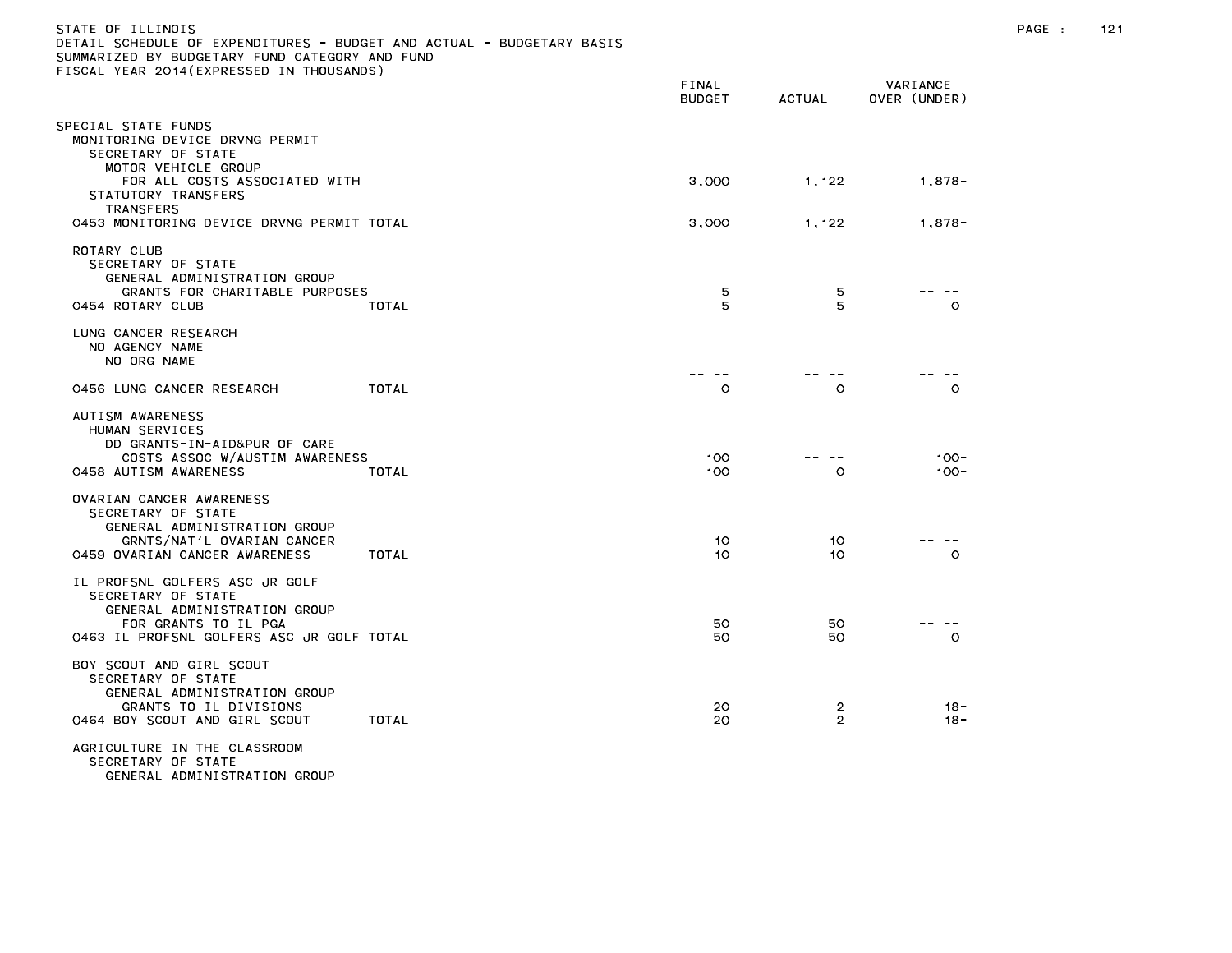| STATE OF ILLINOIS<br>DETAIL SCHEDULE OF EXPENDITURES - BUDGET AND ACTUAL - BUDGETARY BASIS<br>SUMMARIZED BY BUDGETARY FUND CATEGORY AND FUND<br>FISCAL YEAR 2014(EXPRESSED IN THOUSANDS) |                        |                     |                          | PAGE : | 121 |
|------------------------------------------------------------------------------------------------------------------------------------------------------------------------------------------|------------------------|---------------------|--------------------------|--------|-----|
|                                                                                                                                                                                          | FINAL<br><b>BUDGET</b> | <b>ACTUAL</b>       | VARIANCE<br>OVER (UNDER) |        |     |
| SPECIAL STATE FUNDS<br>MONITORING DEVICE DRVNG PERMIT<br>SECRETARY OF STATE<br>MOTOR VEHICLE GROUP                                                                                       |                        |                     |                          |        |     |
| FOR ALL COSTS ASSOCIATED WITH<br>STATUTORY TRANSFERS<br>TRANSFERS                                                                                                                        | 3,000                  | 1,122               | 1,878-                   |        |     |
| 0453 MONITORING DEVICE DRVNG PERMIT TOTAL                                                                                                                                                | 3,000                  | 1,122               | $1,878-$                 |        |     |
| ROTARY CLUB<br>SECRETARY OF STATE<br>GENERAL ADMINISTRATION GROUP<br>GRANTS FOR CHARITABLE PURPOSES<br>0454 ROTARY CLUB<br>TOTAL                                                         | 5<br>5                 | 5<br>5              | $\circ$                  |        |     |
| LUNG CANCER RESEARCH<br>NO AGENCY NAME<br>NO ORG NAME                                                                                                                                    |                        |                     |                          |        |     |
| TOTAL<br>0456 LUNG CANCER RESEARCH                                                                                                                                                       | .<br>$\circ$           | $\circ$             | $\circ$                  |        |     |
| AUTISM AWARENESS<br>HUMAN SERVICES<br>DD GRANTS-IN-AID&PUR OF CARE<br>COSTS ASSOC W/AUSTIM AWARENESS<br>0458 AUTISM AWARENESS<br>TOTAL                                                   | 100<br>100             | $\circ$             | $100 -$<br>$100 -$       |        |     |
| OVARIAN CANCER AWARENESS<br>SECRETARY OF STATE<br>GENERAL ADMINISTRATION GROUP<br>GRNTS/NAT'L OVARIAN CANCER<br>0459 OVARIAN CANCER AWARENESS<br>TOTAL                                   | 10<br>10               | 10.<br>10           | -- --<br>$\circ$         |        |     |
| IL PROFSNL GOLFERS ASC JR GOLF<br>SECRETARY OF STATE<br>GENERAL ADMINISTRATION GROUP<br>FOR GRANTS TO IL PGA<br>0463 IL PROFSNL GOLFERS ASC JR GOLF TOTAL                                | 50<br>50               | 50<br>50            | $\circ$                  |        |     |
| BOY SCOUT AND GIRL SCOUT<br>SECRETARY OF STATE<br>GENERAL ADMINISTRATION GROUP<br>GRANTS TO IL DIVISIONS<br>0464 BOY SCOUT AND GIRL SCOUT<br>TOTAL                                       | 20<br>20               | 2<br>$\overline{2}$ | -18<br>18 -              |        |     |
| AGRICULTURE IN THE CLASSROOM<br>SECRETARY OF STATE<br>GENERAL ADMINISTRATION GROUP                                                                                                       |                        |                     |                          |        |     |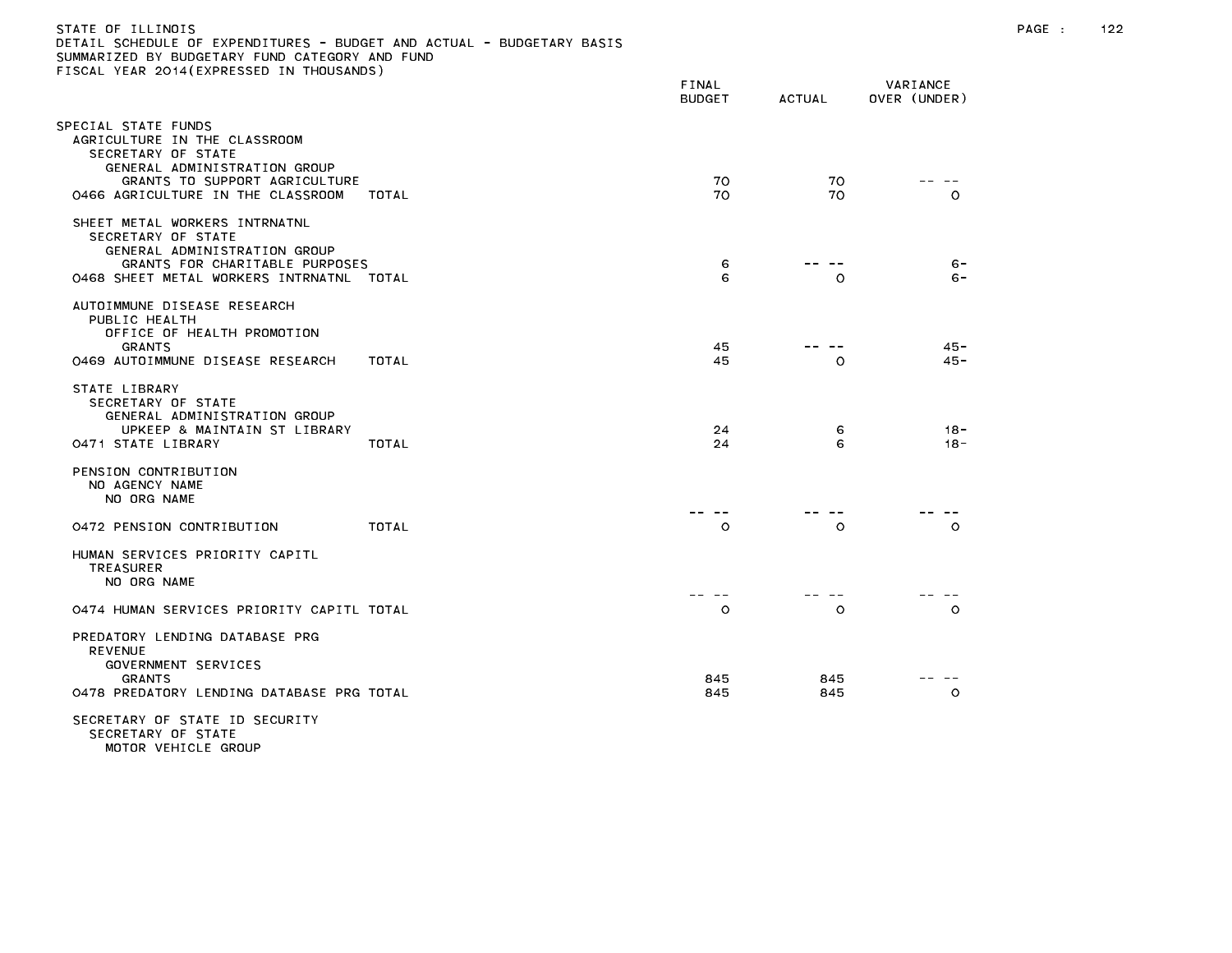| DETAIL SCHEDULE OF EXPENDITURES – BUDGET AND ACTUAL – BUDGETARY BASIS<br>SUMMARIZED BY BUDGETARY FUND CATEGORY AND FUND<br>FISCAL YEAR 2014(EXPRESSED IN THOUSANDS) |       |                        |               |                          |  |
|---------------------------------------------------------------------------------------------------------------------------------------------------------------------|-------|------------------------|---------------|--------------------------|--|
|                                                                                                                                                                     |       | FINAL<br><b>BUDGET</b> | <b>ACTUAL</b> | VARIANCE<br>OVER (UNDER) |  |
| SPECIAL STATE FUNDS<br>AGRICULTURE IN THE CLASSROOM<br>SECRETARY OF STATE<br>GENERAL ADMINISTRATION GROUP<br>GRANTS TO SUPPORT AGRICULTURE                          |       | 70                     | 70            |                          |  |
| 0466 AGRICULTURE IN THE CLASSROOM                                                                                                                                   | TOTAL | 70                     | 70            | $\circ$                  |  |
| SHEET METAL WORKERS INTRNATNL<br>SECRETARY OF STATE<br>GENERAL ADMINISTRATION GROUP<br>GRANTS FOR CHARITABLE PURPOSES<br>0468 SHEET METAL WORKERS INTRNATNL TOTAL   |       | 6<br>6                 | $- -$<br>O    | $6 -$<br>$6 -$           |  |
| AUTOIMMUNE DISEASE RESEARCH<br>PUBLIC HEALTH<br>OFFICE OF HEALTH PROMOTION<br><b>GRANTS</b><br>0469 AUTOIMMUNE DISEASE RESEARCH                                     | TOTAL | 45<br>45               | $\circ$       | $45 -$<br>45 -           |  |
| STATE LIBRARY<br>SECRETARY OF STATE<br>GENERAL ADMINISTRATION GROUP<br>UPKEEP & MAINTAIN ST LIBRARY<br>0471 STATE LIBRARY                                           | TOTAL | 24<br>24               | 6<br>6        | $18 -$<br>$18 -$         |  |
| PENSION CONTRIBUTION<br>NO AGENCY NAME<br>NO ORG NAME                                                                                                               |       |                        |               |                          |  |
| 0472 PENSION CONTRIBUTION                                                                                                                                           | TOTAL | $\circ$                | $\circ$       | $\circ$                  |  |
| HUMAN SERVICES PRIORITY CAPITL<br><b>TREASURER</b><br>NO ORG NAME                                                                                                   |       |                        |               |                          |  |
| 0474 HUMAN SERVICES PRIORITY CAPITL TOTAL                                                                                                                           |       | $\circ$                | O             | $\circ$                  |  |
| PREDATORY LENDING DATABASE PRG<br><b>REVENUE</b><br>GOVERNMENT SERVICES<br><b>GRANTS</b><br>0478 PREDATORY LENDING DATABASE PRG TOTAL                               |       | 845<br>845             | 845<br>845    | $\circ$                  |  |
| SECRETARY OF STATE ID SECURITY<br>SECRETARY OF STATE<br>MOTOD VEHICLE COOID                                                                                         |       |                        |               |                          |  |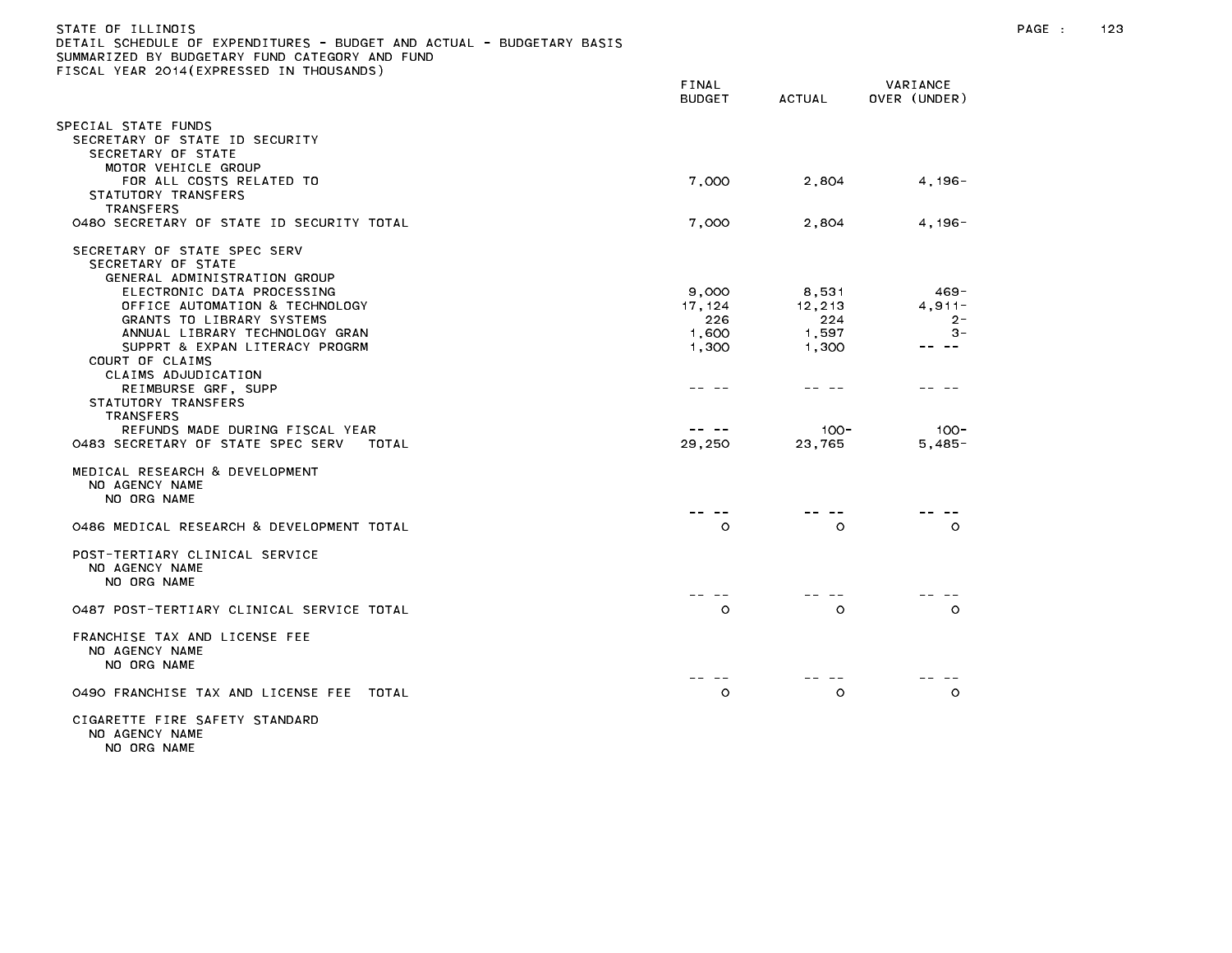| STATE OF ILLINOIS<br>DETAIL SCHEDULE OF EXPENDITURES - BUDGET AND ACTUAL - BUDGETARY BASIS<br>SUMMARIZED BY BUDGETARY FUND CATEGORY AND FUND<br>FISCAL YEAR 2014(EXPRESSED IN THOUSANDS) |                        |         |                          |  | 123 |
|------------------------------------------------------------------------------------------------------------------------------------------------------------------------------------------|------------------------|---------|--------------------------|--|-----|
|                                                                                                                                                                                          | FINAL<br><b>BUDGET</b> | ACTUAL  | VARIANCE<br>OVER (UNDER) |  |     |
| SPECIAL STATE FUNDS<br>SECRETARY OF STATE ID SECURITY<br>SECRETARY OF STATE                                                                                                              |                        |         |                          |  |     |
| MOTOR VEHICLE GROUP<br>FOR ALL COSTS RELATED TO<br>STATUTORY TRANSFERS                                                                                                                   | 7,000                  | 2,804   | $4.196 -$                |  |     |
| TRANSFERS<br>0480 SECRETARY OF STATE ID SECURITY TOTAL                                                                                                                                   | 7,000                  | 2,804   | 4, 196-                  |  |     |
| SECRETARY OF STATE SPEC SERV<br>SECRETARY OF STATE<br>GENERAL ADMINISTRATION GROUP                                                                                                       |                        |         |                          |  |     |
| ELECTRONIC DATA PROCESSING                                                                                                                                                               | 9,000                  | 8,531   | $469 -$                  |  |     |
| OFFICE AUTOMATION & TECHNOLOGY                                                                                                                                                           | 17, 124                | 12,213  | $4,911-$                 |  |     |
| GRANTS TO LIBRARY SYSTEMS                                                                                                                                                                | 226                    | 224     | $2 -$<br>$3 -$           |  |     |
| ANNUAL LIBRARY TECHNOLOGY GRAN                                                                                                                                                           | 1,600                  | 1,597   | .                        |  |     |
| SUPPRT & EXPAN LITERACY PROGRM<br>COURT OF CLAIMS<br>CLAIMS ADJUDICATION                                                                                                                 | 1,300                  | 1,300   |                          |  |     |
| REIMBURSE GRF, SUPP<br>STATUTORY TRANSFERS<br>TRANSFERS                                                                                                                                  |                        |         |                          |  |     |
| REFUNDS MADE DURING FISCAL YEAR                                                                                                                                                          | -- --                  | $100 -$ | $100 -$                  |  |     |
| 0483 SECRETARY OF STATE SPEC SERV<br>TOTAL                                                                                                                                               | 29,250                 | 23,765  | $5,485-$                 |  |     |
| MEDICAL RESEARCH & DEVELOPMENT<br>NO AGENCY NAME<br>NO ORG NAME                                                                                                                          |                        |         |                          |  |     |
| 0486 MEDICAL RESEARCH & DEVELOPMENT TOTAL                                                                                                                                                | $\circ$                | $\circ$ | $\circ$                  |  |     |
| POST-TERTIARY CLINICAL SERVICE<br>NO AGENCY NAME<br>NO ORG NAME                                                                                                                          |                        |         |                          |  |     |
| 0487 POST-TERTIARY CLINICAL SERVICE TOTAL                                                                                                                                                | $\circ$                | $\circ$ | $\circ$                  |  |     |
| FRANCHISE TAX AND LICENSE FEE<br>NO AGENCY NAME<br>NO ORG NAME                                                                                                                           |                        |         |                          |  |     |
| 0490 FRANCHISE TAX AND LICENSE FEE TOTAL                                                                                                                                                 | $\circ$                | $\circ$ | $\circ$                  |  |     |
| CIGARETTE FIRE SAFETY STANDARD<br>NO AGENCY NAME                                                                                                                                         |                        |         |                          |  |     |

NO ORG NAME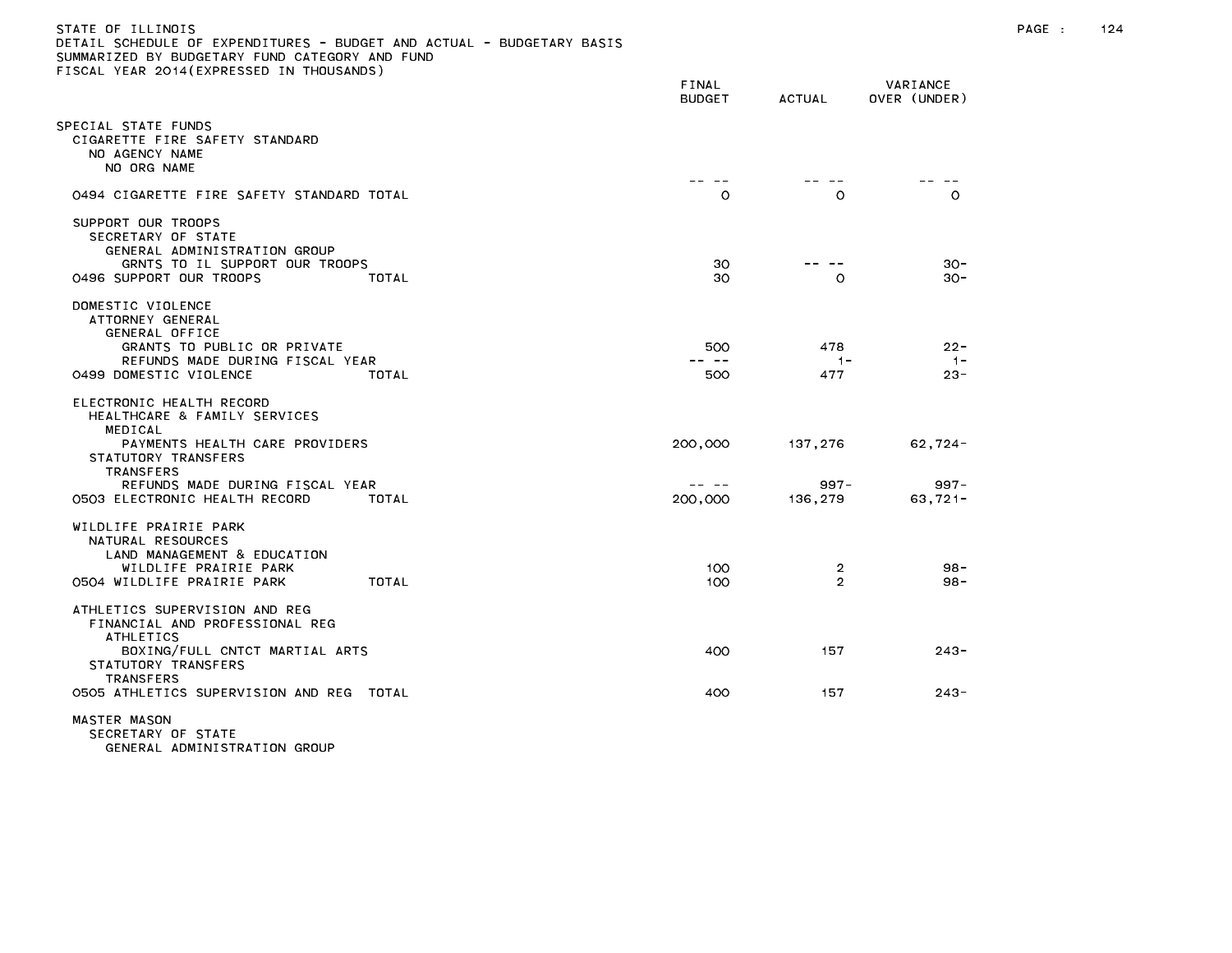| STATE OF TILINOIS                                                     |  |
|-----------------------------------------------------------------------|--|
| DETAIL SCHEDULE OF EXPENDITURES - BUDGET AND ACTUAL - BUDGETARY BASIS |  |
| SUMMARIZED BY BUDGETARY FUND CATEGORY AND FUND                        |  |
| FISCAL YEAR 2014(EXPRESSED IN THOUSANDS)                              |  |

|                                                                                                                                                                                                                               | FINAL<br><b>BUDGET</b>      | ACTUAL                        | VARIANCE<br>OVER (UNDER)           |
|-------------------------------------------------------------------------------------------------------------------------------------------------------------------------------------------------------------------------------|-----------------------------|-------------------------------|------------------------------------|
| PECIAL STATE FUNDS<br>CIGARETTE FIRE SAFETY STANDARD<br>NO AGENCY NAME<br>NO ORG NAME                                                                                                                                         |                             |                               |                                    |
| 0494 CIGARETTE FIRE SAFETY STANDARD TOTAL                                                                                                                                                                                     | $\circ$                     | $\circ$                       | $\circ$                            |
| SUPPORT OUR TROOPS<br>SECRETARY OF STATE<br>GENERAL ADMINISTRATION GROUP<br>GRNTS TO IL SUPPORT OUR TROOPS<br>0496 SUPPORT OUR TROOPS<br>TOTAL                                                                                | 30<br>30                    | O                             | $30 -$<br>$30 -$                   |
| DOMESTIC VIOLENCE<br>ATTORNEY GENERAL<br>GENERAL OFFICE<br>GRANTS TO PUBLIC OR PRIVATE<br>REFUNDS MADE DURING FISCAL YEAR<br>0499 DOMESTIC VIOLENCE<br>TOTAL                                                                  | 500<br>500                  | 478<br>$1 -$<br>477           | $22 -$<br>$-1-$<br>$23 -$          |
| ELECTRONIC HEALTH RECORD<br>HEALTHCARE & FAMILY SERVICES<br>MEDICAL<br>PAYMENTS HEALTH CARE PROVIDERS<br>STATUTORY TRANSFERS<br><b>TRANSFERS</b><br>REFUNDS MADE DURING FISCAL YEAR<br>0503 ELECTRONIC HEALTH RECORD<br>TOTAL | 200,000<br>-- --<br>200,000 | 137,276<br>$997 -$<br>136,279 | $62,724-$<br>$997 -$<br>$63,721 -$ |
| WILDLIFE PRAIRIE PARK<br>NATURAL RESOURCES<br>LAND MANAGEMENT & EDUCATION<br>WILDLIFE PRAIRIE PARK<br>TOTAL<br>0504 WILDLIFE PRAIRIE PARK                                                                                     | 100<br>100                  | 2<br>$\overline{2}$           | $98 -$<br>$98 -$                   |
| ATHLETICS SUPERVISION AND REG<br>FINANCIAL AND PROFESSIONAL REG<br>ATHLETICS<br>BOXING/FULL CNTCT MARTIAL ARTS<br>STATUTORY TRANSFERS<br><b>TRANSFERS</b><br>0505 ATHLETICS SUPERVISION AND REG TOTAL                         | 400<br>400                  | 157<br>157                    | $243 -$<br>$243 -$                 |
| MASTER MASON<br>SECRETARY OF STATE                                                                                                                                                                                            |                             |                               |                                    |

GENERAL ADMINISTRATION GROUP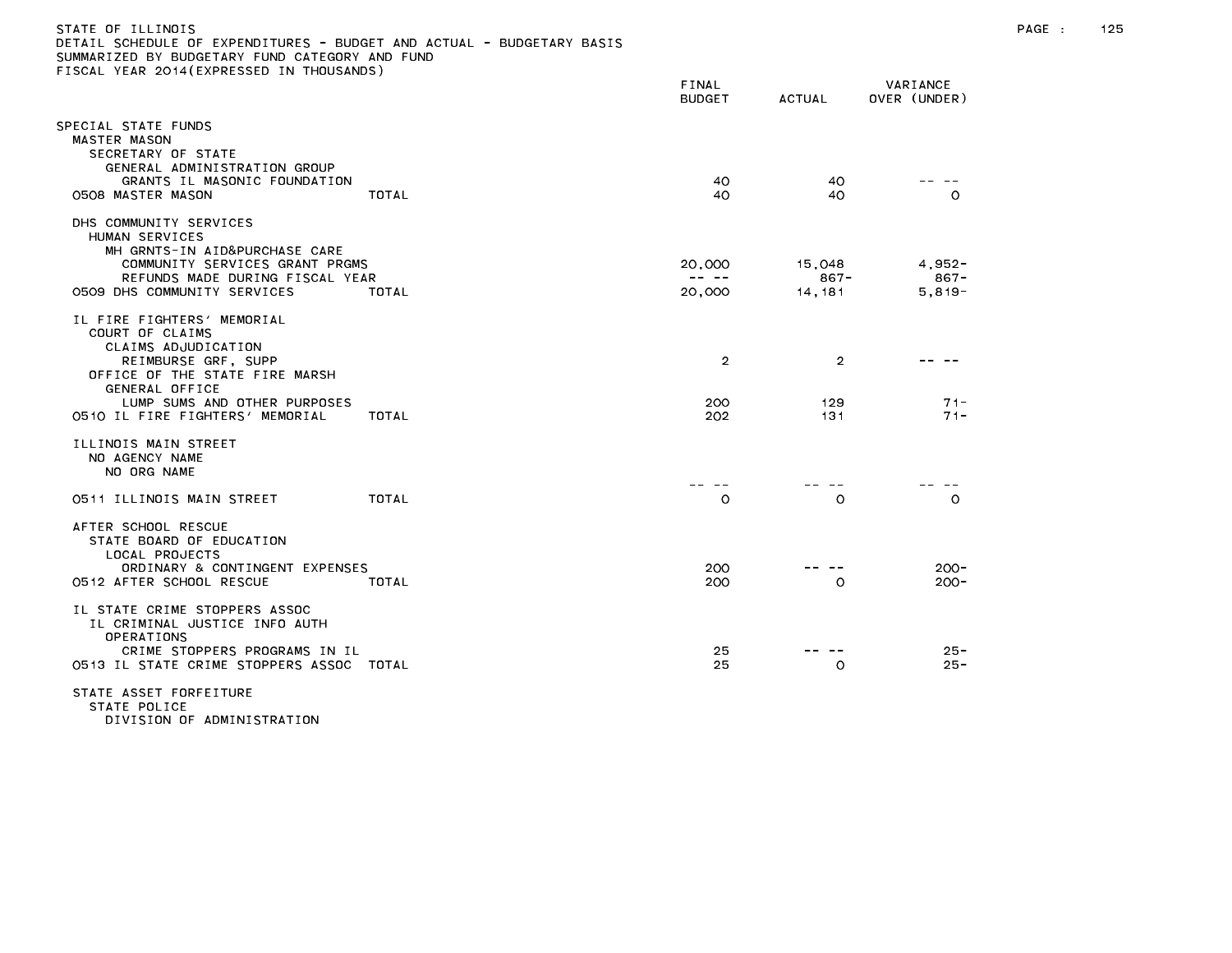| STATE OF ILLINOIS                                                     |
|-----------------------------------------------------------------------|
| DETAIL SCHEDULE OF EXPENDITURES - BUDGET AND ACTUAL - BUDGETARY BASIS |
| SUMMARIZED BY BUDGETARY FUND CATEGORY AND FUND                        |
| FISCAL YEAR 2014(EXPRESSED IN THOUSANDS)                              |

| TOORL TEAR EUTTLEAT RESSED IN                                                                                                                                                                                      |              | FINAL<br><b>BUDGET</b>       | <b>ACTUAL</b>                | VARIANCE<br>OVER (UNDER) |
|--------------------------------------------------------------------------------------------------------------------------------------------------------------------------------------------------------------------|--------------|------------------------------|------------------------------|--------------------------|
| PECIAL STATE FUNDS<br>MASTER MASON<br>SECRETARY OF STATE                                                                                                                                                           |              |                              |                              |                          |
| GENERAL ADMINISTRATION GROUP<br>GRANTS IL MASONIC FOUNDATION<br>0508 MASTER MASON                                                                                                                                  | TOTAL        | 40<br>40                     | 40<br>40                     | $\circ$                  |
| DHS COMMUNITY SERVICES<br>HUMAN SERVICES<br>MH GRNTS-IN AID&PURCHASE CARE<br>COMMUNITY SERVICES GRANT PRGMS<br>REFUNDS MADE DURING FISCAL YEAR                                                                     |              | 20,000<br>$- - - - -$        | 15,048<br>$867 -$            | $4,952-$<br>$867 -$      |
| 0509 DHS COMMUNITY SERVICES                                                                                                                                                                                        | TOTAL        | 20,000                       | 14,181                       | $5,819-$                 |
| IL FIRE FIGHTERS' MEMORIAL<br>COURT OF CLAIMS<br>CLAIMS ADJUDICATION<br>REIMBURSE GRF, SUPP<br>OFFICE OF THE STATE FIRE MARSH<br>GENERAL OFFICE<br>LUMP SUMS AND OTHER PURPOSES<br>0510 IL FIRE FIGHTERS' MEMORIAL | TOTAL        | $\overline{2}$<br>200<br>202 | $\overline{2}$<br>129<br>131 | $71 -$<br>$71 -$         |
| ILLINOIS MAIN STREET<br>NO AGENCY NAME<br>NO ORG NAME                                                                                                                                                              |              |                              |                              |                          |
| 0511 ILLINOIS MAIN STREET                                                                                                                                                                                          | <b>TOTAL</b> | $\circ$                      | $\circ$                      | $\circ$                  |
| AFTER SCHOOL RESCUE<br>STATE BOARD OF EDUCATION<br>LOCAL PROJECTS<br>ORDINARY & CONTINGENT EXPENSES<br>0512 AFTER SCHOOL RESCUE                                                                                    | TOTAL        | 200<br>200                   | $\circ$                      | $200 -$<br>$200 -$       |
| IL STATE CRIME STOPPERS ASSOC<br>IL CRIMINAL JUSTICE INFO AUTH<br>OPERATIONS<br>CRIME STOPPERS PROGRAMS IN IL<br>0513 IL STATE CRIME STOPPERS ASSOC TOTAL                                                          |              | 25<br>25                     | $\circ$                      | $25 -$<br>$25 -$         |
| STATE ASSET FORFEITURE<br>STATE POLICE                                                                                                                                                                             |              |                              |                              |                          |

DIVISION OF ADMINISTRATION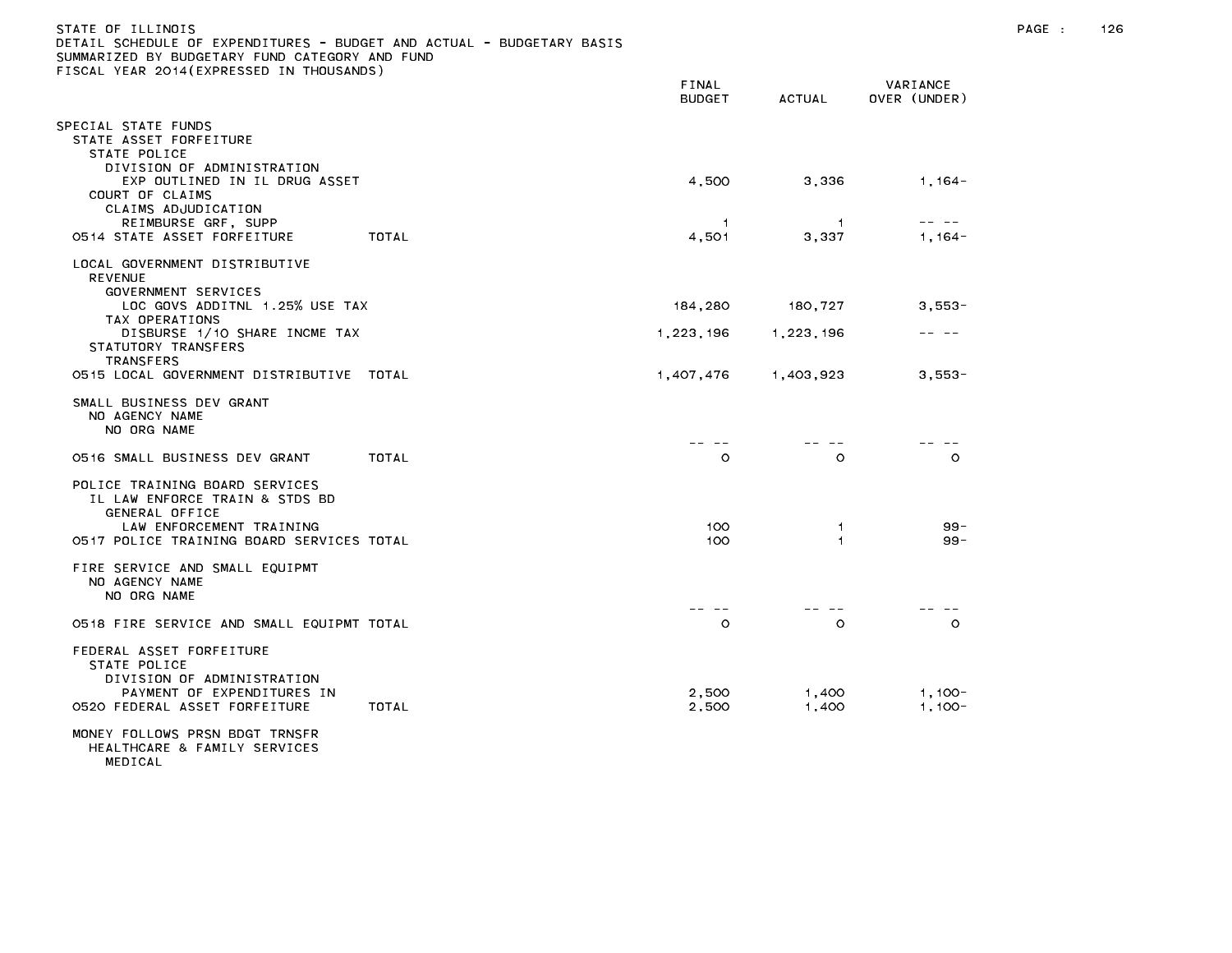| STATE OF ILLINOIS                                                     |       |          |
|-----------------------------------------------------------------------|-------|----------|
| DETAIL SCHEDULE OF EXPENDITURES - BUDGET AND ACTUAL - BUDGETARY BASIS |       |          |
| SUMMARIZED BY BUDGETARY FUND CATEGORY AND FUND                        |       |          |
| FISCAL YEAR 2014(EXPRESSED IN THOUSANDS)                              |       |          |
|                                                                       | FINAL | VARIANCE |

|                                                                                                                                                             |       | <b>BUDGET</b>           | AUIUAL         | UVER (UNDER)         |
|-------------------------------------------------------------------------------------------------------------------------------------------------------------|-------|-------------------------|----------------|----------------------|
| SPECIAL STATE FUNDS<br>STATE ASSET FORFEITURE<br>STATE POLICE                                                                                               |       |                         |                |                      |
| DIVISION OF ADMINISTRATION<br>EXP OUTLINED IN IL DRUG ASSET<br>COURT OF CLAIMS                                                                              |       | 4,500                   | 3,336          | $1,164-$             |
| CLAIMS ADJUDICATION<br>REIMBURSE GRF, SUPP<br>0514 STATE ASSET FORFEITURE                                                                                   | TOTAL | $\overline{1}$<br>4,501 | 1.<br>3,337    | $1,164-$             |
| LOCAL GOVERNMENT DISTRIBUTIVE<br><b>REVENUE</b><br>GOVERNMENT SERVICES                                                                                      |       |                         |                |                      |
| LOC GOVS ADDITNL 1.25% USE TAX                                                                                                                              |       | 184,280                 | 180,727        | $3,553-$             |
| TAX OPERATIONS<br>DISBURSE 1/10 SHARE INCME TAX<br>STATUTORY TRANSFERS<br><b>TRANSFERS</b>                                                                  |       | 1,223,196               | 1,223,196      |                      |
| 0515 LOCAL GOVERNMENT DISTRIBUTIVE TOTAL                                                                                                                    |       | 1,407,476               | 1,403,923      | $3,553-$             |
| SMALL BUSINESS DEV GRANT<br>NO AGENCY NAME<br>NO ORG NAME                                                                                                   |       |                         |                |                      |
| 0516 SMALL BUSINESS DEV GRANT                                                                                                                               | TOTAL | $\circ$                 | 0              | $\circ$              |
| POLICE TRAINING BOARD SERVICES<br>IL LAW ENFORCE TRAIN & STDS BD<br>GENERAL OFFICE<br>LAW ENFORCEMENT TRAINING<br>0517 POLICE TRAINING BOARD SERVICES TOTAL |       | 100<br>100              | 1.<br>1        | $99 -$<br>$99 -$     |
| FIRE SERVICE AND SMALL EQUIPMT<br>NO AGENCY NAME<br>NO ORG NAME                                                                                             |       |                         |                |                      |
| 0518 FIRE SERVICE AND SMALL EQUIPMT TOTAL                                                                                                                   |       | $\circ$                 | $\circ$        | $\circ$              |
| FEDERAL ASSET FORFEITURE<br>STATE POLICE<br>DIVISION OF ADMINISTRATION<br>PAYMENT OF EXPENDITURES IN<br>0520 FEDERAL ASSET FORFEITURE                       | TOTAL | 2,500<br>2,500          | 1,400<br>1,400 | $1,100-$<br>$1,100-$ |
| MONEY FOLLOWS PRSN BDGT TRNSFR<br>HEALTHCARE & FAMILY SERVICES                                                                                              |       |                         |                |                      |

MEDICAL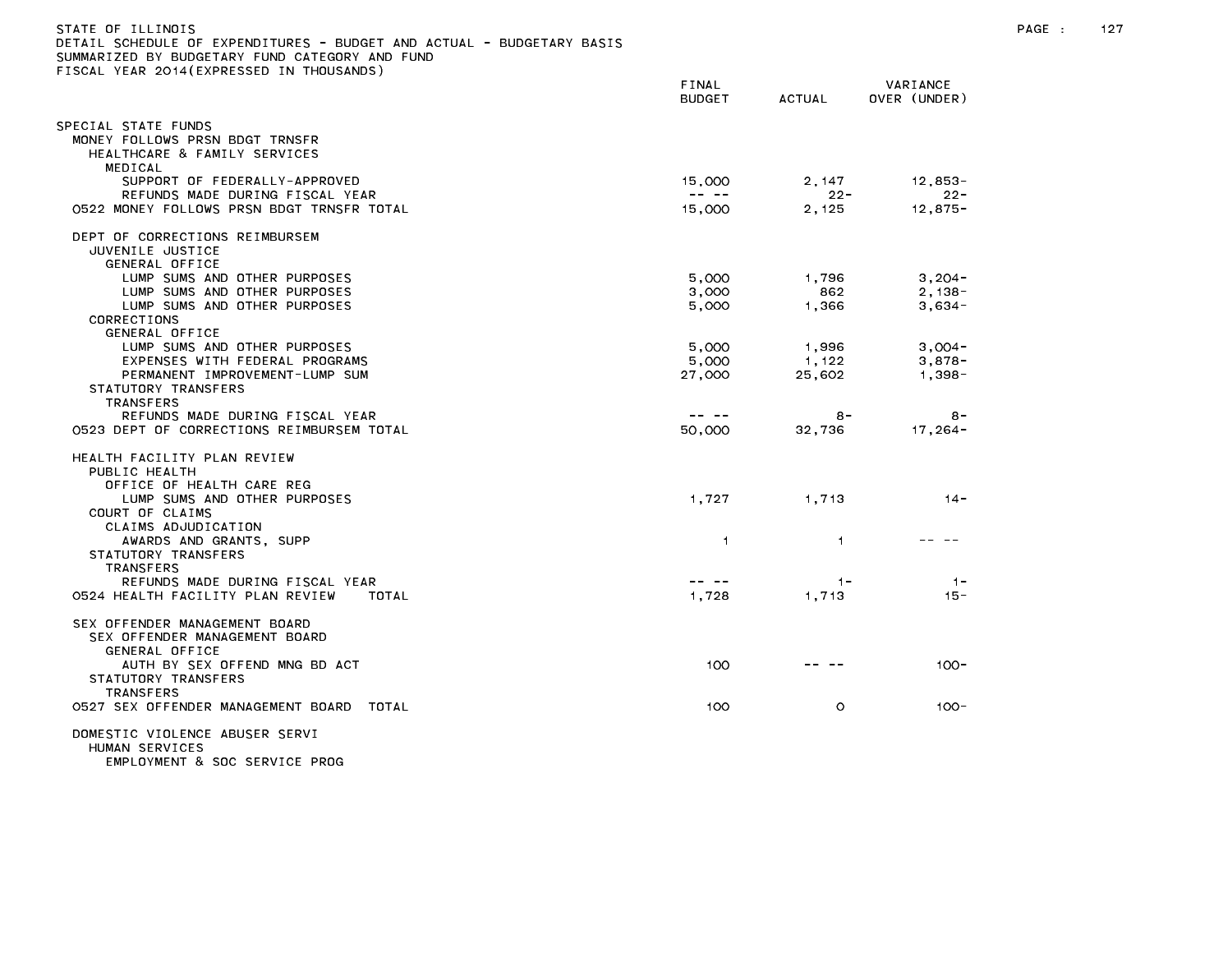| STATE OF ILLINOIS<br>DETAIL SCHEDULE OF EXPENDITURES - BUDGET AND ACTUAL - BUDGETARY BASIS<br>SUMMARIZED BY BUDGETARY FUND CATEGORY AND FUND<br>FISCAL YEAR 2014(EXPRESSED IN THOUSANDS) |                                                                                                                                                                                                                                                                                                                                                                                                        |                 |                          | PAGE : | 127 |
|------------------------------------------------------------------------------------------------------------------------------------------------------------------------------------------|--------------------------------------------------------------------------------------------------------------------------------------------------------------------------------------------------------------------------------------------------------------------------------------------------------------------------------------------------------------------------------------------------------|-----------------|--------------------------|--------|-----|
|                                                                                                                                                                                          | FINAL<br><b>BUDGET</b>                                                                                                                                                                                                                                                                                                                                                                                 | <b>ACTUAL</b>   | VARIANCE<br>OVER (UNDER) |        |     |
| SPECIAL STATE FUNDS<br>MONEY FOLLOWS PRSN BDGT TRNSFR<br>HEALTHCARE & FAMILY SERVICES<br>MEDICAL                                                                                         |                                                                                                                                                                                                                                                                                                                                                                                                        |                 |                          |        |     |
| SUPPORT OF FEDERALLY-APPROVED                                                                                                                                                            | 15,000                                                                                                                                                                                                                                                                                                                                                                                                 | 2,147           | 12,853-                  |        |     |
| REFUNDS MADE DURING FISCAL YEAR<br>0522 MONEY FOLLOWS PRSN BDGT TRNSFR TOTAL                                                                                                             | $\frac{1}{2} \frac{1}{2} \frac{1}{2} \frac{1}{2} \frac{1}{2} \frac{1}{2} \frac{1}{2} \frac{1}{2} \frac{1}{2} \frac{1}{2} \frac{1}{2} \frac{1}{2} \frac{1}{2} \frac{1}{2} \frac{1}{2} \frac{1}{2} \frac{1}{2} \frac{1}{2} \frac{1}{2} \frac{1}{2} \frac{1}{2} \frac{1}{2} \frac{1}{2} \frac{1}{2} \frac{1}{2} \frac{1}{2} \frac{1}{2} \frac{1}{2} \frac{1}{2} \frac{1}{2} \frac{1}{2} \frac{$<br>15,000 | $22 -$<br>2,125 | $22 -$<br>$12,875-$      |        |     |
| DEPT OF CORRECTIONS REIMBURSEM<br>JUVENILE JUSTICE<br>GENERAL OFFICE                                                                                                                     |                                                                                                                                                                                                                                                                                                                                                                                                        |                 |                          |        |     |
| LUMP SUMS AND OTHER PURPOSES                                                                                                                                                             | 5,000                                                                                                                                                                                                                                                                                                                                                                                                  | 1.796           | $3,204-$                 |        |     |
| LUMP SUMS AND OTHER PURPOSES                                                                                                                                                             | 3,000                                                                                                                                                                                                                                                                                                                                                                                                  | 862             | $2,138-$                 |        |     |
| LUMP SUMS AND OTHER PURPOSES<br>CORRECTIONS<br>GENERAL OFFICE                                                                                                                            | 5,000                                                                                                                                                                                                                                                                                                                                                                                                  | 1,366           | $3,634-$                 |        |     |
| LUMP SUMS AND OTHER PURPOSES                                                                                                                                                             | 5,000                                                                                                                                                                                                                                                                                                                                                                                                  | 1,996           | $3,004-$                 |        |     |
| EXPENSES WITH FEDERAL PROGRAMS                                                                                                                                                           | 5,000                                                                                                                                                                                                                                                                                                                                                                                                  | 1,122           | $3,878-$                 |        |     |
| PERMANENT IMPROVEMENT-LUMP SUM<br>STATUTORY TRANSFERS<br>TRANSFERS                                                                                                                       | 27,000                                                                                                                                                                                                                                                                                                                                                                                                 | 25,602          | 1,398-                   |        |     |
| REFUNDS MADE DURING FISCAL YEAR                                                                                                                                                          | $\frac{1}{2} \frac{1}{2} \frac{1}{2} \frac{1}{2} \frac{1}{2} \frac{1}{2} \frac{1}{2} \frac{1}{2} \frac{1}{2} \frac{1}{2} \frac{1}{2} \frac{1}{2} \frac{1}{2} \frac{1}{2} \frac{1}{2} \frac{1}{2} \frac{1}{2} \frac{1}{2} \frac{1}{2} \frac{1}{2} \frac{1}{2} \frac{1}{2} \frac{1}{2} \frac{1}{2} \frac{1}{2} \frac{1}{2} \frac{1}{2} \frac{1}{2} \frac{1}{2} \frac{1}{2} \frac{1}{2} \frac{$           | $8 -$           | $8 -$                    |        |     |
| 0523 DEPT OF CORRECTIONS REIMBURSEM TOTAL                                                                                                                                                | 50,000                                                                                                                                                                                                                                                                                                                                                                                                 | 32,736          | 17,264-                  |        |     |
| HEALTH FACILITY PLAN REVIEW<br>PUBLIC HEALTH                                                                                                                                             |                                                                                                                                                                                                                                                                                                                                                                                                        |                 |                          |        |     |
| OFFICE OF HEALTH CARE REG<br>LUMP SUMS AND OTHER PURPOSES                                                                                                                                | 1,727                                                                                                                                                                                                                                                                                                                                                                                                  | 1,713           | $14 -$                   |        |     |
| COURT OF CLAIMS<br>CLAIMS ADJUDICATION                                                                                                                                                   |                                                                                                                                                                                                                                                                                                                                                                                                        |                 |                          |        |     |
| AWARDS AND GRANTS, SUPP<br>STATUTORY TRANSFERS                                                                                                                                           | $\overline{1}$                                                                                                                                                                                                                                                                                                                                                                                         | $\overline{1}$  |                          |        |     |
| <b>TRANSFERS</b>                                                                                                                                                                         | $\cdots \cdots \cdots$                                                                                                                                                                                                                                                                                                                                                                                 |                 |                          |        |     |
| REFUNDS MADE DURING FISCAL YEAR<br>0524 HEALTH FACILITY PLAN REVIEW<br>TOTAL                                                                                                             | 1,728                                                                                                                                                                                                                                                                                                                                                                                                  | $1 -$<br>1,713  | $1 -$<br>$15 -$          |        |     |
| SEX OFFENDER MANAGEMENT BOARD<br>SEX OFFENDER MANAGEMENT BOARD<br>GENERAL OFFICE                                                                                                         |                                                                                                                                                                                                                                                                                                                                                                                                        |                 |                          |        |     |
| AUTH BY SEX OFFEND MNG BD ACT<br>STATUTORY TRANSFERS                                                                                                                                     | 100                                                                                                                                                                                                                                                                                                                                                                                                    |                 | $100 -$                  |        |     |
| TRANSFERS<br>0527 SEX OFFENDER MANAGEMENT BOARD TOTAL                                                                                                                                    | 100                                                                                                                                                                                                                                                                                                                                                                                                    | $\circ$         | $100 -$                  |        |     |
| DOMESTIC VIOLENCE ABUSER SERVI<br>HUMAN SERVICES<br>EMPLOYMENT & SOC SERVICE PROG                                                                                                        |                                                                                                                                                                                                                                                                                                                                                                                                        |                 |                          |        |     |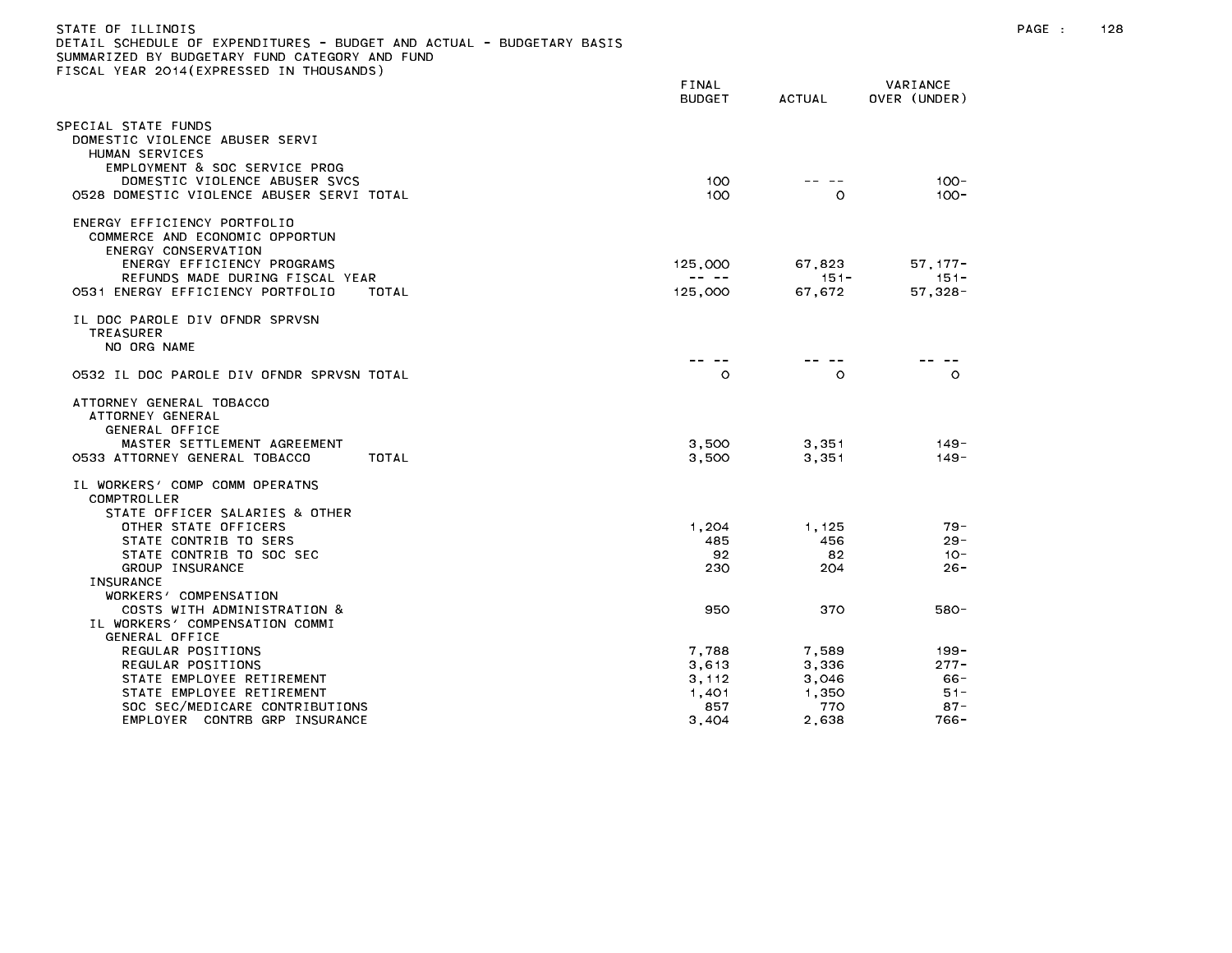| ETAIL SCHEDULE OF EXPENDITURES - BUDGET AND ACTUAL - BUDGETARY BASIS<br>UMMARIZED BY BUDGETARY FUND CATEGORY AND FUND |                        |                |                          |
|-----------------------------------------------------------------------------------------------------------------------|------------------------|----------------|--------------------------|
| ISCAL YEAR 2014(EXPRESSED IN THOUSANDS)                                                                               |                        |                |                          |
|                                                                                                                       | FINAL<br><b>BUDGET</b> | ACTUAL         | VARIANCE<br>OVER (UNDER) |
| PECIAL STATE FUNDS                                                                                                    |                        |                |                          |
| DOMESTIC VIOLENCE ABUSER SERVI<br>HUMAN SERVICES<br>EMPLOYMENT & SOC SERVICE PROG                                     |                        |                |                          |
| DOMESTIC VIOLENCE ABUSER SVCS<br>0528 DOMESTIC VIOLENCE ABUSER SERVI TOTAL                                            | 100<br>100             | $\circ$        | $100 -$<br>$100 -$       |
| ENERGY EFFICIENCY PORTFOLIO<br>COMMERCE AND ECONOMIC OPPORTUN<br>ENERGY CONSERVATION                                  |                        |                |                          |
| ENERGY EFFICIENCY PROGRAMS                                                                                            | 125,000                | 67,823         | $57, 177 -$              |
| REFUNDS MADE DURING FISCAL YEAR                                                                                       | -- --                  | $151 -$        | $151 -$                  |
| 0531 ENERGY EFFICIENCY PORTFOLIO<br>TOTAL                                                                             | 125,000                | 67,672         | $57,328 -$               |
| IL DOC PAROLE DIV OFNDR SPRVSN<br>TREASURER<br>NO ORG NAME                                                            |                        |                |                          |
| 0532 IL DOC PAROLE DIV OFNDR SPRVSN TOTAL                                                                             | $\circ$                | $\circ$        | $\circ$                  |
| ATTORNEY GENERAL TOBACCO<br>ATTORNEY GENERAL<br>GENERAL OFFICE                                                        |                        |                |                          |
| MASTER SETTLEMENT AGREEMENT                                                                                           | 3,500                  | 3,351          | $149 -$                  |
| 0533 ATTORNEY GENERAL TOBACCO<br>TOTAL                                                                                | 3,500                  | 3.351          | $149 -$                  |
| IL WORKERS' COMP COMM OPERATNS<br>COMPTROLLER                                                                         |                        |                |                          |
| STATE OFFICER SALARIES & OTHER                                                                                        |                        |                |                          |
| OTHER STATE OFFICERS<br>STATE CONTRIB TO SERS                                                                         | 1,204                  | 1,125          | $79 -$<br>$29 -$         |
| STATE CONTRIB TO SOC SEC                                                                                              | 485<br>92              | 456<br>82      | $10 -$                   |
| GROUP INSURANCE                                                                                                       | 230                    | 204            | $26 -$                   |
| <b>INSURANCE</b>                                                                                                      |                        |                |                          |
| WORKERS' COMPENSATION                                                                                                 |                        |                |                          |
| COSTS WITH ADMINISTRATION &                                                                                           | 950                    | 370            | 580-                     |
| IL WORKERS' COMPENSATION COMMI                                                                                        |                        |                |                          |
| GENERAL OFFICE<br>REGULAR POSITIONS                                                                                   | 7,788                  |                | 199 -                    |
| REGULAR POSITIONS                                                                                                     | 3.613                  | 7,589<br>3.336 | $277 -$                  |
| STATE EMPLOYEE RETIREMENT                                                                                             | 3, 112                 | 3,046          | - 66                     |
| STATE EMPLOYEE RETIREMENT                                                                                             | 1,401                  | 1.350          | $51 -$                   |
| SOC SEC/MEDICARE CONTRIBUTIONS                                                                                        | 857                    | 770            | $87 -$                   |
| EMPLOYER CONTRB GRP INSURANCE                                                                                         | 3,404                  | 2,638          | 766-                     |

STATE OF ILLINOIS PAGE : 128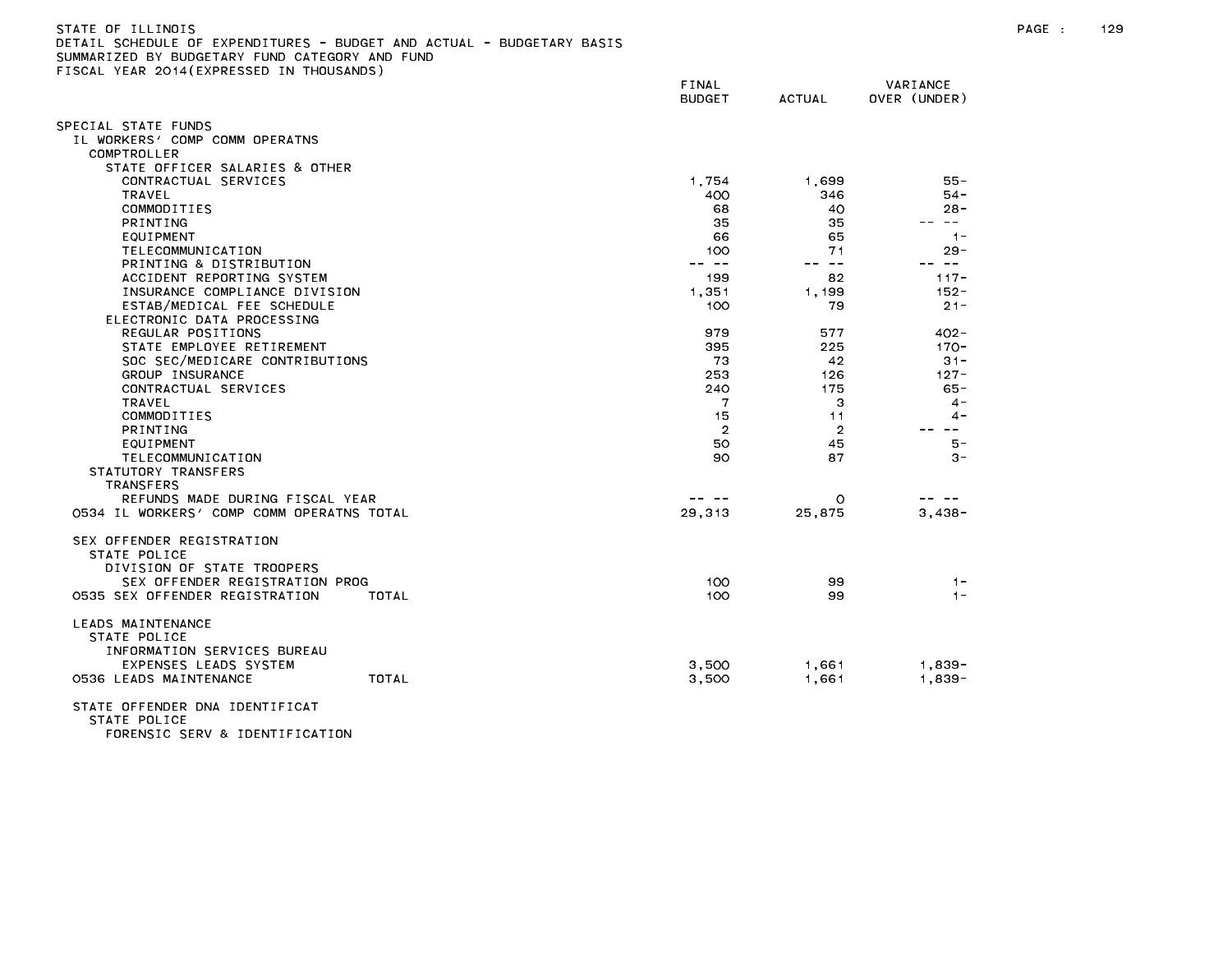| STATE OF ILLINOIS<br>DETAIL SCHEDULE OF EXPENDITURES - BUDGET AND ACTUAL - BUDGETARY BASIS<br>SUMMARIZED BY BUDGETARY FUND CATEGORY AND FUND<br>FISCAL YEAR 2014 (EXPRESSED IN THOUSANDS) |                        |          |                          |
|-------------------------------------------------------------------------------------------------------------------------------------------------------------------------------------------|------------------------|----------|--------------------------|
|                                                                                                                                                                                           | FINAL<br><b>BUDGET</b> | ACTUAL   | VARIANCE<br>OVER (UNDER) |
| SPECIAL STATE FUNDS                                                                                                                                                                       |                        |          |                          |
| IL WORKERS' COMP COMM OPERATNS                                                                                                                                                            |                        |          |                          |
| COMPTROLLER                                                                                                                                                                               |                        |          |                          |
| STATE OFFICER SALARIES & OTHER                                                                                                                                                            |                        |          |                          |
| CONTRACTUAL SERVICES                                                                                                                                                                      | 1.754                  | 1,699    | $55 -$                   |
| TRAVEL                                                                                                                                                                                    | 400                    | 346      | $54 -$                   |
| COMMODITIES                                                                                                                                                                               | 68                     | 40       | $28 -$                   |
| PRINTING                                                                                                                                                                                  | 35                     | 35       |                          |
| EQUIPMENT                                                                                                                                                                                 | 66                     | 65       | $1 -$                    |
| TELECOMMUNICATION                                                                                                                                                                         | 100                    | 71       | $29 -$                   |
| PRINTING & DISTRIBUTION                                                                                                                                                                   |                        |          |                          |
| ACCIDENT REPORTING SYSTEM                                                                                                                                                                 | 199                    | 82       | $117 -$                  |
| INSURANCE COMPLIANCE DIVISION                                                                                                                                                             | 1,351                  | 1,199    | $152 -$                  |
| ESTAB/MEDICAL FEE SCHEDULE                                                                                                                                                                | 100                    | 79       | $21 -$                   |
| ELECTRONIC DATA PROCESSING                                                                                                                                                                |                        |          |                          |
| REGULAR POSITIONS                                                                                                                                                                         | 979                    | 577      | $402 -$                  |
| STATE EMPLOYEE RETIREMENT                                                                                                                                                                 | 395                    | 225      | $170 -$                  |
| SOC SEC/MEDICARE CONTRIBUTIONS                                                                                                                                                            | 72                     | $\Delta$ | $21 -$                   |

| 300 SEO/MEDIOANE CONTRIBUTIONS<br>GROUP INSURANCE                |       | . . <i>.</i><br>253 | ╌<br>126 | $127 -$  |
|------------------------------------------------------------------|-------|---------------------|----------|----------|
| CONTRACTUAL SERVICES                                             |       | 240                 | 175      | $65 -$   |
|                                                                  |       |                     |          |          |
| TRAVEL                                                           |       |                     | з        | $4 -$    |
| COMMODITIES                                                      |       | 15                  | 11       | $4 -$    |
| PRINTING                                                         |       | $\overline{2}$      | 2        |          |
| EQUIPMENT                                                        |       | 50                  | 45       | $5 -$    |
| TELECOMMUNICATION                                                |       | 90                  | 87       | $3 -$    |
| STATUTORY TRANSFERS                                              |       |                     |          |          |
| <b>TRANSFERS</b>                                                 |       |                     |          |          |
| REFUNDS MADE DURING FISCAL YEAR                                  |       |                     | $\Omega$ |          |
| 0534 IL WORKERS' COMP COMM OPERATNS TOTAL                        |       | 29.313              | 25,875   | $3,438-$ |
| SEX OFFENDER REGISTRATION<br>STATE POLICE                        |       |                     |          |          |
| DIVISION OF STATE TROOPERS                                       |       |                     |          |          |
| SEX OFFENDER REGISTRATION PROG                                   |       | 100                 | 99       | $1 -$    |
| 0535 SEX OFFENDER REGISTRATION                                   | TOTAL | 100                 | 99       | $1 -$    |
|                                                                  |       |                     |          |          |
| LEADS MAINTENANCE<br>STATE POLICE<br>INFORMATION SERVICES BUREAU |       |                     |          |          |
| EXPENSES LEADS SYSTEM                                            |       | 3,500               | 1,661    | $1,839-$ |
| 0536 LEADS MAINTENANCE                                           | TOTAL | 3,500               | 1,661    | $1,839-$ |
|                                                                  |       |                     |          |          |
| STATE OFFENDER DNA IDENTIFICAT                                   |       |                     |          |          |

STATE POLICE

FORENSIC SERV & IDENTIFICATION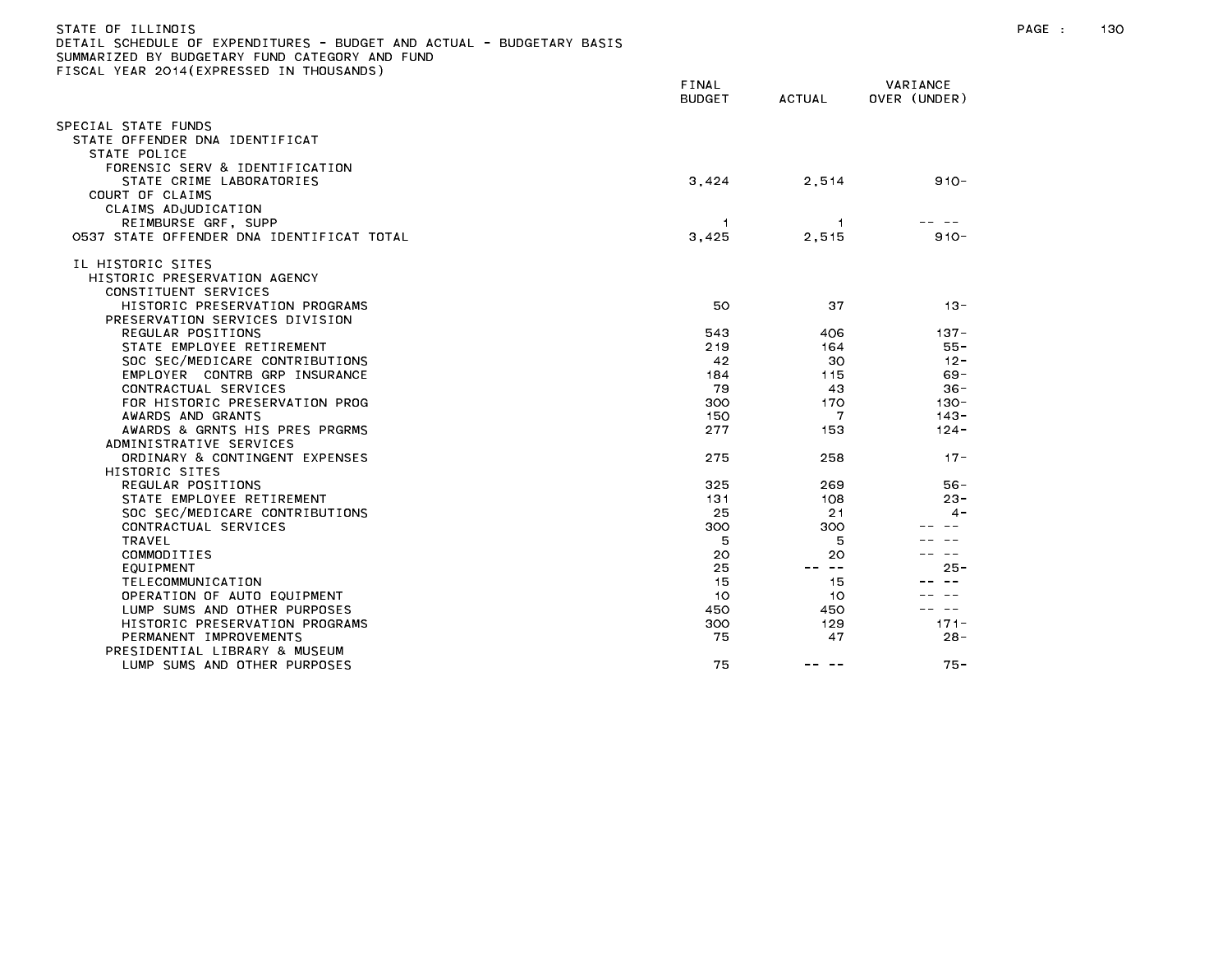| STATE OF ILLINOIS<br>DETAIL SCHEDULE OF EXPENDITURES - BUDGET AND ACTUAL - BUDGETARY BASIS<br>SUMMARIZED BY BUDGETARY FUND CATEGORY AND FUND |                        |             |                          | PAGE : | 130 |
|----------------------------------------------------------------------------------------------------------------------------------------------|------------------------|-------------|--------------------------|--------|-----|
| FISCAL YEAR 2014(EXPRESSED IN THOUSANDS)                                                                                                     | FINAL<br><b>BUDGET</b> | ACTUAL      | VARIANCE<br>OVER (UNDER) |        |     |
| SPECIAL STATE FUNDS                                                                                                                          |                        |             |                          |        |     |
| STATE OFFENDER DNA IDENTIFICAT                                                                                                               |                        |             |                          |        |     |
| STATE POLICE                                                                                                                                 |                        |             |                          |        |     |
| FORENSIC SERV & IDENTIFICATION                                                                                                               |                        |             |                          |        |     |
| STATE CRIME LABORATORIES                                                                                                                     | 3,424                  | 2,514       | $910 -$                  |        |     |
| COURT OF CLAIMS                                                                                                                              |                        |             |                          |        |     |
| CLAIMS ADJUDICATION                                                                                                                          |                        |             |                          |        |     |
| REIMBURSE GRF, SUPP                                                                                                                          |                        |             |                          |        |     |
| 0537 STATE OFFENDER DNA IDENTIFICAT TOTAL                                                                                                    | 3,425                  | 2,515       | $910 -$                  |        |     |
| IL HISTORIC SITES                                                                                                                            |                        |             |                          |        |     |
| HISTORIC PRESERVATION AGENCY                                                                                                                 |                        |             |                          |        |     |
| CONSTITUENT SERVICES                                                                                                                         |                        |             |                          |        |     |
| HISTORIC PRESERVATION PROGRAMS                                                                                                               | 50                     | 37          | $13 -$                   |        |     |
| PRESERVATION SERVICES DIVISION                                                                                                               |                        |             |                          |        |     |
| REGULAR POSITIONS                                                                                                                            | 543                    | 406         | $137 -$                  |        |     |
| STATE EMPLOYEE RETIREMENT                                                                                                                    | 219                    | 164         | 55 -                     |        |     |
| SOC SEC/MEDICARE CONTRIBUTIONS                                                                                                               | 42                     | 30          | $12 -$                   |        |     |
| EMPLOYER CONTRB GRP INSURANCE                                                                                                                | 184                    | 115         | $69 -$                   |        |     |
| CONTRACTUAL SERVICES                                                                                                                         | 79                     | 43          | 36-                      |        |     |
| FOR HISTORIC PRESERVATION PROG                                                                                                               | 300                    | 170         | -130                     |        |     |
| AWARDS AND GRANTS                                                                                                                            | 150                    | 7           | $143 -$                  |        |     |
| AWARDS & GRNTS HIS PRES PRGRMS                                                                                                               | 277                    | 153         | $124 -$                  |        |     |
| ADMINISTRATIVE SERVICES                                                                                                                      |                        |             |                          |        |     |
| ORDINARY & CONTINGENT EXPENSES                                                                                                               | 275                    | 258         | $17 -$                   |        |     |
| HISTORIC SITES                                                                                                                               |                        |             |                          |        |     |
| REGULAR POSITIONS                                                                                                                            | 325                    | 269         | $56 -$                   |        |     |
| STATE EMPLOYEE RETIREMENT                                                                                                                    | 131                    | 108         | $23 -$                   |        |     |
| SOC SEC/MEDICARE CONTRIBUTIONS                                                                                                               | 25                     | 21          | 4 -                      |        |     |
| CONTRACTUAL SERVICES                                                                                                                         | 300                    | 300         |                          |        |     |
| TRAVEL                                                                                                                                       | 5                      | 5           |                          |        |     |
| COMMODITIES<br>EQUIPMENT                                                                                                                     | 20<br>25               | 20<br>-- -- | $25 -$                   |        |     |
| TELECOMMUNICATION                                                                                                                            |                        |             |                          |        |     |
| OPERATION OF AUTO EQUIPMENT                                                                                                                  | -15<br>10              | 15<br>10    |                          |        |     |
| LUMP SUMS AND OTHER PURPOSES                                                                                                                 | 450                    | 450         | -- --                    |        |     |
| HISTORIC PRESERVATION PROGRAMS                                                                                                               | 300                    | 129         | $171 -$                  |        |     |
| PERMANENT IMPROVEMENTS                                                                                                                       | 75                     | 47          | $28 -$                   |        |     |
| PRESIDENTIAL LIBRARY & MUSEUM                                                                                                                |                        |             |                          |        |     |
| LUMP SUMS AND OTHER PURPOSES                                                                                                                 | 75                     | -- --       | $75 -$                   |        |     |
|                                                                                                                                              |                        |             |                          |        |     |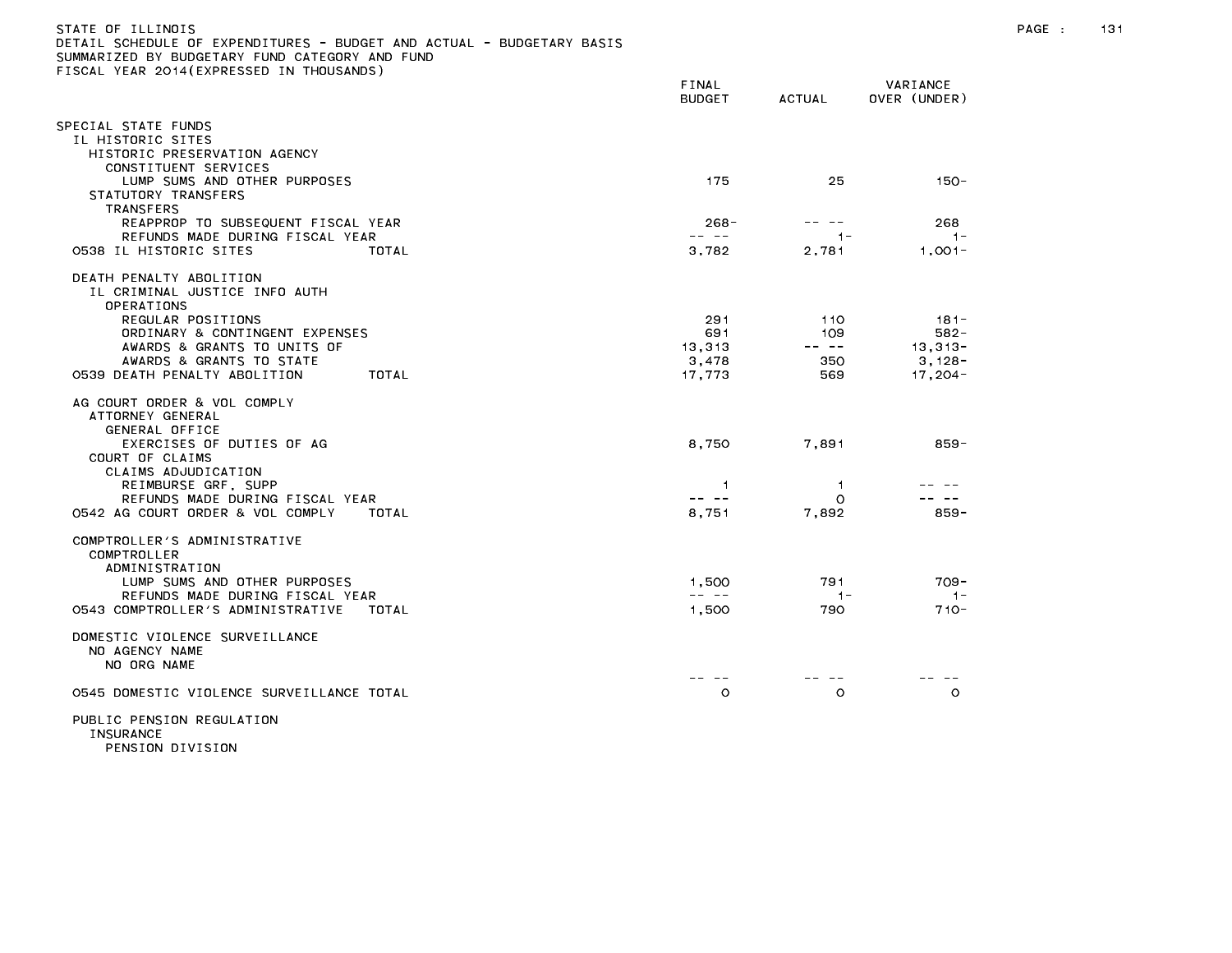| STATE OF ILLINOIS                                                     |
|-----------------------------------------------------------------------|
| DETAIL SCHEDULE OF EXPENDITURES - BUDGET AND ACTUAL - BUDGETARY BASIS |
| SUMMARIZED BY BUDGETARY FUND CATEGORY AND FUND                        |
| FISCAL YEAR 2014(EXPRESSED IN THOUSANDS)                              |

|                                                                                                                                          | FINAL<br><b>BUDGET</b> | ACTUAL                                                                                                                                                                                                                                                                                                                                                                                              | VARIANCE<br>OVER (UNDER) |
|------------------------------------------------------------------------------------------------------------------------------------------|------------------------|-----------------------------------------------------------------------------------------------------------------------------------------------------------------------------------------------------------------------------------------------------------------------------------------------------------------------------------------------------------------------------------------------------|--------------------------|
| SPECIAL STATE FUNDS<br>IL HISTORIC SITES<br>HISTORIC PRESERVATION AGENCY                                                                 |                        |                                                                                                                                                                                                                                                                                                                                                                                                     |                          |
| CONSTITUENT SERVICES<br>LUMP SUMS AND OTHER PURPOSES<br>STATUTORY TRANSFERS<br><b>TRANSFERS</b>                                          | 175                    | 25                                                                                                                                                                                                                                                                                                                                                                                                  | $150 -$                  |
| REAPPROP TO SUBSEQUENT FISCAL YEAR                                                                                                       | $268 -$                |                                                                                                                                                                                                                                                                                                                                                                                                     | 268                      |
| REFUNDS MADE DURING FISCAL YEAR<br>0538 IL HISTORIC SITES<br>TOTAL                                                                       | -- --<br>3,782         | $1 -$<br>2,781                                                                                                                                                                                                                                                                                                                                                                                      | $1 -$<br>$1,001-$        |
| DEATH PENALTY ABOLITION<br>IL CRIMINAL JUSTICE INFO AUTH<br>OPERATIONS                                                                   |                        |                                                                                                                                                                                                                                                                                                                                                                                                     |                          |
| REGULAR POSITIONS                                                                                                                        | 291                    | 110                                                                                                                                                                                                                                                                                                                                                                                                 | $181 -$                  |
| ORDINARY & CONTINGENT EXPENSES<br>AWARDS & GRANTS TO UNITS OF                                                                            | 691<br>13,313          | 109<br>$\frac{1}{2} \frac{1}{2} \frac{1}{2} \frac{1}{2} \frac{1}{2} \frac{1}{2} \frac{1}{2} \frac{1}{2} \frac{1}{2} \frac{1}{2} \frac{1}{2} \frac{1}{2} \frac{1}{2} \frac{1}{2} \frac{1}{2} \frac{1}{2} \frac{1}{2} \frac{1}{2} \frac{1}{2} \frac{1}{2} \frac{1}{2} \frac{1}{2} \frac{1}{2} \frac{1}{2} \frac{1}{2} \frac{1}{2} \frac{1}{2} \frac{1}{2} \frac{1}{2} \frac{1}{2} \frac{1}{2} \frac{$ | $582 -$<br>$13,313-$     |
| AWARDS & GRANTS TO STATE                                                                                                                 | 3.478                  | 350                                                                                                                                                                                                                                                                                                                                                                                                 | $3,128-$                 |
| 0539 DEATH PENALTY ABOLITION<br>TOTAL                                                                                                    | 17,773                 | 569                                                                                                                                                                                                                                                                                                                                                                                                 | 17, 204 -                |
| AG COURT ORDER & VOL COMPLY<br>ATTORNEY GENERAL<br>GENERAL OFFICE<br>EXERCISES OF DUTIES OF AG<br>COURT OF CLAIMS<br>CLAIMS ADJUDICATION | 8,750                  | 7,891                                                                                                                                                                                                                                                                                                                                                                                               | 859-                     |
| REIMBURSE GRF, SUPP                                                                                                                      | -1                     | -1                                                                                                                                                                                                                                                                                                                                                                                                  |                          |
| REFUNDS MADE DURING FISCAL YEAR                                                                                                          | -- --                  | $\circ$                                                                                                                                                                                                                                                                                                                                                                                             | $\sim$ $-$               |
| 0542 AG COURT ORDER & VOL COMPLY<br>TOTAL                                                                                                | 8,751                  | 7,892                                                                                                                                                                                                                                                                                                                                                                                               | $859 -$                  |
| COMPTROLLER'S ADMINISTRATIVE<br>COMPTROLLER<br>ADMINISTRATION<br>LUMP SUMS AND OTHER PURPOSES                                            | 1,500                  | 791                                                                                                                                                                                                                                                                                                                                                                                                 | $709 -$                  |
| REFUNDS MADE DURING FISCAL YEAR                                                                                                          | -- --                  | $1 -$                                                                                                                                                                                                                                                                                                                                                                                               | $1 -$                    |
| 0543 COMPTROLLER'S ADMINISTRATIVE<br>TOTAL                                                                                               | 1,500                  | 790                                                                                                                                                                                                                                                                                                                                                                                                 | $710 -$                  |
| DOMESTIC VIOLENCE SURVEILLANCE<br>NO AGENCY NAME<br>NO ORG NAME                                                                          |                        |                                                                                                                                                                                                                                                                                                                                                                                                     |                          |
| 0545 DOMESTIC VIOLENCE SURVEILLANCE TOTAL                                                                                                | $\circ$                | $\circ$                                                                                                                                                                                                                                                                                                                                                                                             | $\circ$                  |
| PUBLIC PENSION REGULATION<br>INSURANCE                                                                                                   |                        |                                                                                                                                                                                                                                                                                                                                                                                                     |                          |

PENSION DIVISION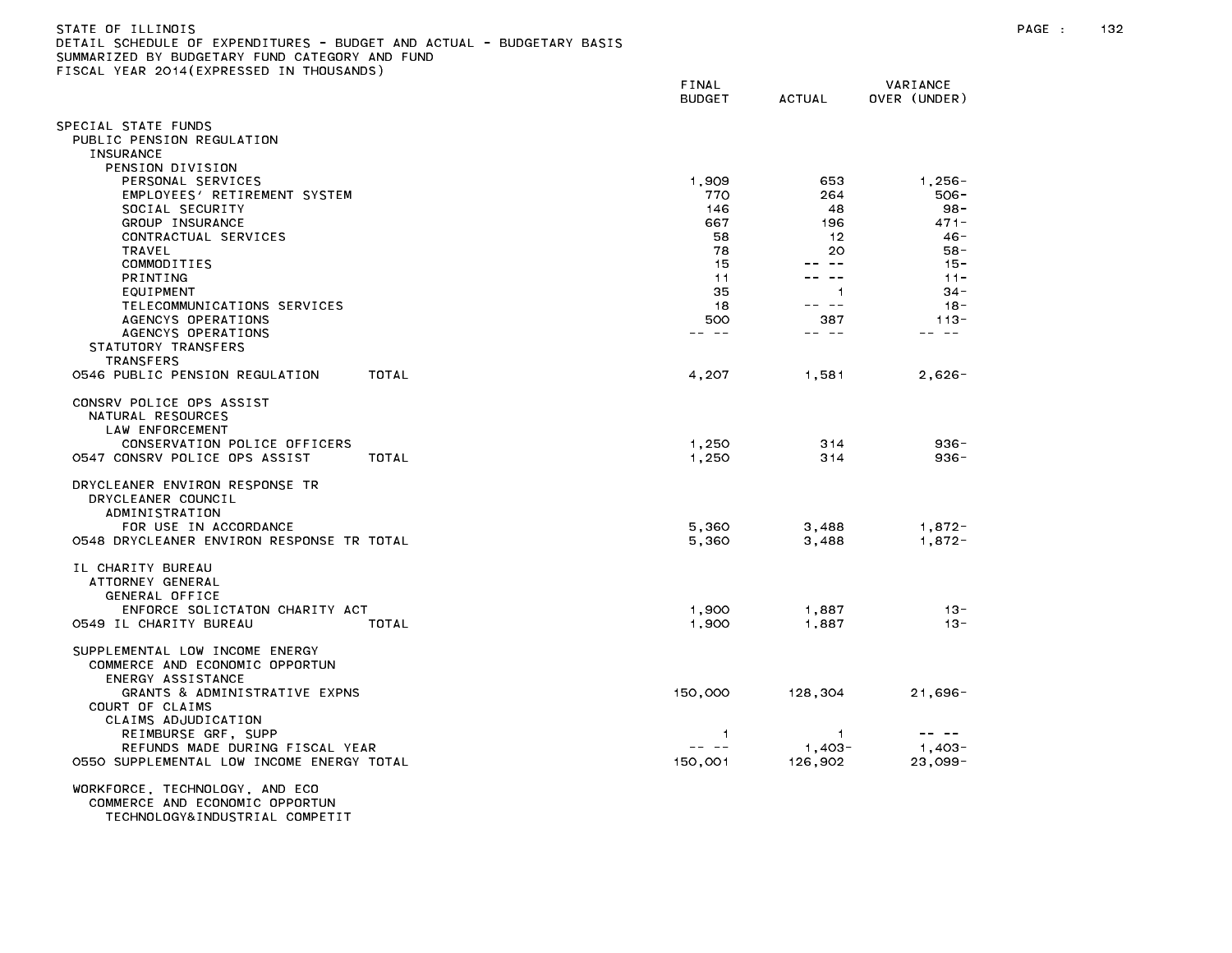| STATE OF ILLINOIS                                                     |
|-----------------------------------------------------------------------|
| DETAIL SCHEDULE OF EXPENDITURES - BUDGET AND ACTUAL - BUDGETARY BASIS |
| SUMMARIZED BY BUDGETARY FUND CATEGORY AND FUND                        |
| FISCAL YEAR 2014(EXPRESSED IN THOUSANDS)                              |

| ISOAL TEAN ESTRIENTNESSED IN THOUSANDS,                                | FINAL<br><b>BUDGET</b> | <b>ACTUAL</b>                                                                                                                                                                                                                                                                                                                                                                                                                                                              | VARIANCE<br>OVER (UNDER) |  |
|------------------------------------------------------------------------|------------------------|----------------------------------------------------------------------------------------------------------------------------------------------------------------------------------------------------------------------------------------------------------------------------------------------------------------------------------------------------------------------------------------------------------------------------------------------------------------------------|--------------------------|--|
| SPECIAL STATE FUNDS                                                    |                        |                                                                                                                                                                                                                                                                                                                                                                                                                                                                            |                          |  |
| PUBLIC PENSION REGULATION<br><b>INSURANCE</b>                          |                        |                                                                                                                                                                                                                                                                                                                                                                                                                                                                            |                          |  |
| PENSION DIVISION                                                       |                        |                                                                                                                                                                                                                                                                                                                                                                                                                                                                            |                          |  |
| PERSONAL SERVICES                                                      | 1,909                  | 653                                                                                                                                                                                                                                                                                                                                                                                                                                                                        | $1,256 -$                |  |
| EMPLOYEES' RETIREMENT SYSTEM                                           | 770                    | 264                                                                                                                                                                                                                                                                                                                                                                                                                                                                        | 506-                     |  |
| SOCIAL SECURITY                                                        | 146                    | 48                                                                                                                                                                                                                                                                                                                                                                                                                                                                         | $98 -$                   |  |
| GROUP INSURANCE                                                        | 667                    | 196                                                                                                                                                                                                                                                                                                                                                                                                                                                                        | $471 -$                  |  |
| CONTRACTUAL SERVICES                                                   | 58                     | 12                                                                                                                                                                                                                                                                                                                                                                                                                                                                         | $46 -$                   |  |
| TRAVEL                                                                 | 78                     | 20                                                                                                                                                                                                                                                                                                                                                                                                                                                                         | $58 -$                   |  |
| COMMODITIES                                                            | 15                     | -- --                                                                                                                                                                                                                                                                                                                                                                                                                                                                      | $15 -$                   |  |
| PRINTING                                                               | 11                     | -- --                                                                                                                                                                                                                                                                                                                                                                                                                                                                      | $11 -$                   |  |
| EQUIPMENT                                                              | 35                     | $\mathbf{1}$                                                                                                                                                                                                                                                                                                                                                                                                                                                               | $34 -$                   |  |
| TELECOMMUNICATIONS SERVICES<br>AGENCYS OPERATIONS                      | 18<br>500              | -- --<br>387                                                                                                                                                                                                                                                                                                                                                                                                                                                               | $18 -$<br>$113 -$        |  |
| AGENCYS OPERATIONS                                                     | -- --                  | $\frac{1}{2} \left( \frac{1}{2} \right) \left( \frac{1}{2} \right) \left( \frac{1}{2} \right) \left( \frac{1}{2} \right) \left( \frac{1}{2} \right) \left( \frac{1}{2} \right) \left( \frac{1}{2} \right) \left( \frac{1}{2} \right) \left( \frac{1}{2} \right) \left( \frac{1}{2} \right) \left( \frac{1}{2} \right) \left( \frac{1}{2} \right) \left( \frac{1}{2} \right) \left( \frac{1}{2} \right) \left( \frac{1}{2} \right) \left( \frac{1}{2} \right) \left( \frac$ | $- -$                    |  |
| STATUTORY TRANSFERS                                                    |                        |                                                                                                                                                                                                                                                                                                                                                                                                                                                                            |                          |  |
| <b>TRANSFERS</b>                                                       |                        |                                                                                                                                                                                                                                                                                                                                                                                                                                                                            |                          |  |
| 0546 PUBLIC PENSION REGULATION<br>TOTAL                                | 4,207                  | 1,581                                                                                                                                                                                                                                                                                                                                                                                                                                                                      | $2,626-$                 |  |
|                                                                        |                        |                                                                                                                                                                                                                                                                                                                                                                                                                                                                            |                          |  |
| CONSRV POLICE OPS ASSIST                                               |                        |                                                                                                                                                                                                                                                                                                                                                                                                                                                                            |                          |  |
| NATURAL RESOURCES                                                      |                        |                                                                                                                                                                                                                                                                                                                                                                                                                                                                            |                          |  |
| LAW ENFORCEMENT                                                        |                        |                                                                                                                                                                                                                                                                                                                                                                                                                                                                            |                          |  |
| CONSERVATION POLICE OFFICERS<br>0547 CONSRV POLICE OPS ASSIST<br>TOTAL | 1,250<br>1,250         | 314<br>314                                                                                                                                                                                                                                                                                                                                                                                                                                                                 | $936 -$<br>$936 -$       |  |
|                                                                        |                        |                                                                                                                                                                                                                                                                                                                                                                                                                                                                            |                          |  |
| DRYCLEANER ENVIRON RESPONSE TR                                         |                        |                                                                                                                                                                                                                                                                                                                                                                                                                                                                            |                          |  |
| DRYCLEANER COUNCIL                                                     |                        |                                                                                                                                                                                                                                                                                                                                                                                                                                                                            |                          |  |
| ADMINISTRATION                                                         |                        |                                                                                                                                                                                                                                                                                                                                                                                                                                                                            |                          |  |
| FOR USE IN ACCORDANCE                                                  | 5.360                  | 3,488                                                                                                                                                                                                                                                                                                                                                                                                                                                                      | $1,872-$                 |  |
| 0548 DRYCLEANER ENVIRON RESPONSE TR TOTAL                              | 5,360                  | 3,488                                                                                                                                                                                                                                                                                                                                                                                                                                                                      | $1,872-$                 |  |
|                                                                        |                        |                                                                                                                                                                                                                                                                                                                                                                                                                                                                            |                          |  |
| IL CHARITY BUREAU<br>ATTORNEY GENERAL                                  |                        |                                                                                                                                                                                                                                                                                                                                                                                                                                                                            |                          |  |
| GENERAL OFFICE                                                         |                        |                                                                                                                                                                                                                                                                                                                                                                                                                                                                            |                          |  |
| ENFORCE SOLICTATON CHARITY ACT                                         | 1,900                  | 1,887                                                                                                                                                                                                                                                                                                                                                                                                                                                                      | $13 -$                   |  |
| 0549 IL CHARITY BUREAU<br>TOTAL                                        | 1,900                  | 1,887                                                                                                                                                                                                                                                                                                                                                                                                                                                                      | $13 -$                   |  |
|                                                                        |                        |                                                                                                                                                                                                                                                                                                                                                                                                                                                                            |                          |  |
| SUPPLEMENTAL LOW INCOME ENERGY                                         |                        |                                                                                                                                                                                                                                                                                                                                                                                                                                                                            |                          |  |
| COMMERCE AND ECONOMIC OPPORTUN                                         |                        |                                                                                                                                                                                                                                                                                                                                                                                                                                                                            |                          |  |
| ENERGY ASSISTANCE                                                      |                        |                                                                                                                                                                                                                                                                                                                                                                                                                                                                            |                          |  |
| GRANTS & ADMINISTRATIVE EXPNS<br>COURT OF CLAIMS                       | 150,000                | 128,304                                                                                                                                                                                                                                                                                                                                                                                                                                                                    | $21,696 -$               |  |
| CLAIMS ADJUDICATION                                                    |                        |                                                                                                                                                                                                                                                                                                                                                                                                                                                                            |                          |  |
| REIMBURSE GRF, SUPP                                                    | -1                     | $\overline{1}$                                                                                                                                                                                                                                                                                                                                                                                                                                                             |                          |  |
| REFUNDS MADE DURING FISCAL YEAR                                        | -- --                  | $1.403 -$                                                                                                                                                                                                                                                                                                                                                                                                                                                                  | $1.403 -$                |  |
| 0550 SUPPLEMENTAL LOW INCOME ENERGY TOTAL                              | 150,001                | 126,902                                                                                                                                                                                                                                                                                                                                                                                                                                                                    | $23,099-$                |  |
|                                                                        |                        |                                                                                                                                                                                                                                                                                                                                                                                                                                                                            |                          |  |
| WORKFORCE, TECHNOLOGY, AND ECO                                         |                        |                                                                                                                                                                                                                                                                                                                                                                                                                                                                            |                          |  |
| COMMERCE AND ECONOMIC OPPORTUN<br>TECHNOLOGY&INDUSTRIAL COMPETIT       |                        |                                                                                                                                                                                                                                                                                                                                                                                                                                                                            |                          |  |
|                                                                        |                        |                                                                                                                                                                                                                                                                                                                                                                                                                                                                            |                          |  |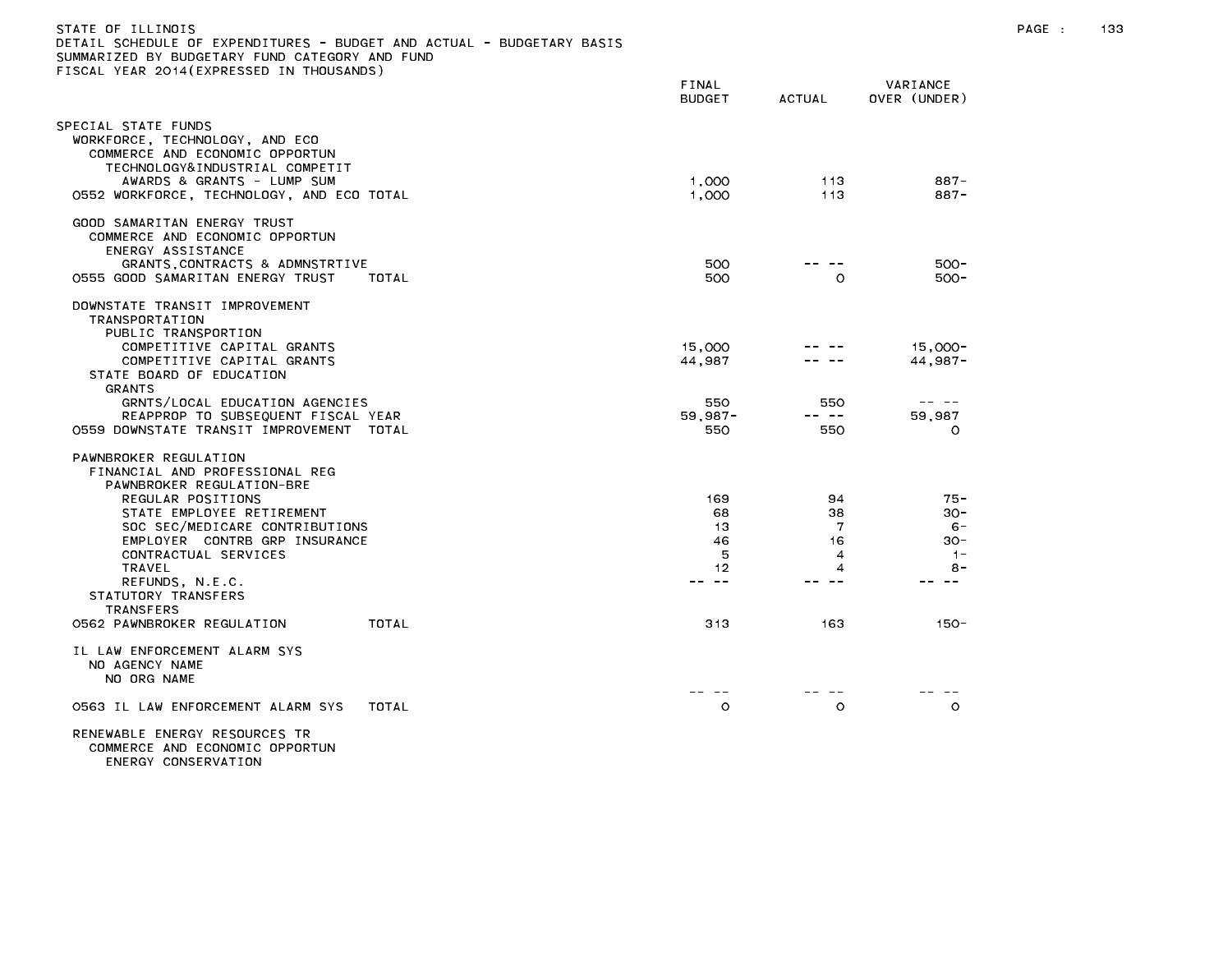| STATE OF ILLINOIS<br>DETAIL SCHEDULE OF EXPENDITURES - BUDGET AND ACTUAL - BUDGETARY BASIS<br>SUMMARIZED BY BUDGETARY FUND CATEGORY AND FUND<br>FISCAL YEAR 2014 (EXPRESSED IN THOUSANDS) |                          |                     |                                                                                                                                                                                                                                                                                                                                                                                                                    | PAGE : | 133 |
|-------------------------------------------------------------------------------------------------------------------------------------------------------------------------------------------|--------------------------|---------------------|--------------------------------------------------------------------------------------------------------------------------------------------------------------------------------------------------------------------------------------------------------------------------------------------------------------------------------------------------------------------------------------------------------------------|--------|-----|
|                                                                                                                                                                                           | FINAL<br><b>BUDGET</b>   | <b>ACTUAL</b>       | VARIANCE<br>OVER (UNDER)                                                                                                                                                                                                                                                                                                                                                                                           |        |     |
| SPECIAL STATE FUNDS<br>WORKFORCE, TECHNOLOGY, AND ECO<br>COMMERCE AND ECONOMIC OPPORTUN<br>TECHNOLOGY&INDUSTRIAL COMPETIT<br>AWARDS & GRANTS - LUMP SUM                                   | 1,000                    | 113                 | $887 -$                                                                                                                                                                                                                                                                                                                                                                                                            |        |     |
| 0552 WORKFORCE, TECHNOLOGY, AND ECO TOTAL                                                                                                                                                 | 1,000                    | 113                 | $887 -$                                                                                                                                                                                                                                                                                                                                                                                                            |        |     |
| GOOD SAMARITAN ENERGY TRUST<br>COMMERCE AND ECONOMIC OPPORTUN<br>ENERGY ASSISTANCE<br>GRANTS, CONTRACTS & ADMNSTRTIVE                                                                     | 500                      | -- --               | $500 -$                                                                                                                                                                                                                                                                                                                                                                                                            |        |     |
| 0555 GOOD SAMARITAN ENERGY TRUST<br>TOTAL                                                                                                                                                 | 500                      | $\circ$             | 500-                                                                                                                                                                                                                                                                                                                                                                                                               |        |     |
| DOWNSTATE TRANSIT IMPROVEMENT<br>TRANSPORTATION<br>PUBLIC TRANSPORTION                                                                                                                    |                          |                     |                                                                                                                                                                                                                                                                                                                                                                                                                    |        |     |
| COMPETITIVE CAPITAL GRANTS<br>COMPETITIVE CAPITAL GRANTS<br>STATE BOARD OF EDUCATION<br>GRANTS                                                                                            | 15,000<br>44,987         |                     | 15,000-<br>$44,987-$                                                                                                                                                                                                                                                                                                                                                                                               |        |     |
| GRNTS/LOCAL EDUCATION AGENCIES<br>REAPPROP TO SUBSEQUENT FISCAL YEAR<br>0559 DOWNSTATE TRANSIT IMPROVEMENT TOTAL                                                                          | 550<br>$59.987 -$<br>550 | 550<br>-- --<br>550 | $\frac{1}{2} \frac{1}{2} \frac{1}{2} \frac{1}{2} \frac{1}{2} \frac{1}{2} \frac{1}{2} \frac{1}{2} \frac{1}{2} \frac{1}{2} \frac{1}{2} \frac{1}{2} \frac{1}{2} \frac{1}{2} \frac{1}{2} \frac{1}{2} \frac{1}{2} \frac{1}{2} \frac{1}{2} \frac{1}{2} \frac{1}{2} \frac{1}{2} \frac{1}{2} \frac{1}{2} \frac{1}{2} \frac{1}{2} \frac{1}{2} \frac{1}{2} \frac{1}{2} \frac{1}{2} \frac{1}{2} \frac{$<br>59,987<br>$\Omega$ |        |     |
| PAWNBROKER REGULATION<br>FINANCIAL AND PROFESSIONAL REG<br>PAWNBROKER REGULATION-BRE                                                                                                      |                          |                     |                                                                                                                                                                                                                                                                                                                                                                                                                    |        |     |
| REGULAR POSITIONS<br>STATE EMPLOYEE RETIREMENT<br>SOC SEC/MEDICARE CONTRIBUTIONS                                                                                                          | 169<br>68<br>13          | 94<br>38<br>7       | $75 -$<br>$30 -$<br>$6 -$                                                                                                                                                                                                                                                                                                                                                                                          |        |     |
| EMPLOYER CONTRB GRP INSURANCE<br>CONTRACTUAL SERVICES<br>TRAVEL                                                                                                                           | 46<br>-5<br>12           | 16<br>4<br>4        | $30 -$<br>$\blacksquare$<br>$8 -$                                                                                                                                                                                                                                                                                                                                                                                  |        |     |
| REFUNDS, N.E.C.<br>STATUTORY TRANSFERS<br><b>TRANSFERS</b>                                                                                                                                | -- --                    | $\sim$ $-$          | $\sim$ $-$                                                                                                                                                                                                                                                                                                                                                                                                         |        |     |
| 0562 PAWNBROKER REGULATION<br>TOTAL                                                                                                                                                       | 313                      | 163                 | $150 -$                                                                                                                                                                                                                                                                                                                                                                                                            |        |     |
| IL LAW ENFORCEMENT ALARM SYS<br>NO AGENCY NAME<br>NO ORG NAME                                                                                                                             | -- --                    | -- --               | -- --                                                                                                                                                                                                                                                                                                                                                                                                              |        |     |
| 0563 IL LAW ENFORCEMENT ALARM SYS<br>TOTAL                                                                                                                                                | $\circ$                  | $\circ$             | $\circ$                                                                                                                                                                                                                                                                                                                                                                                                            |        |     |
| RENEWABLE ENERGY RESOURCES TR                                                                                                                                                             |                          |                     |                                                                                                                                                                                                                                                                                                                                                                                                                    |        |     |

COMMERCE AND ECONOMIC OPPORTUN ENERGY CONSERVATION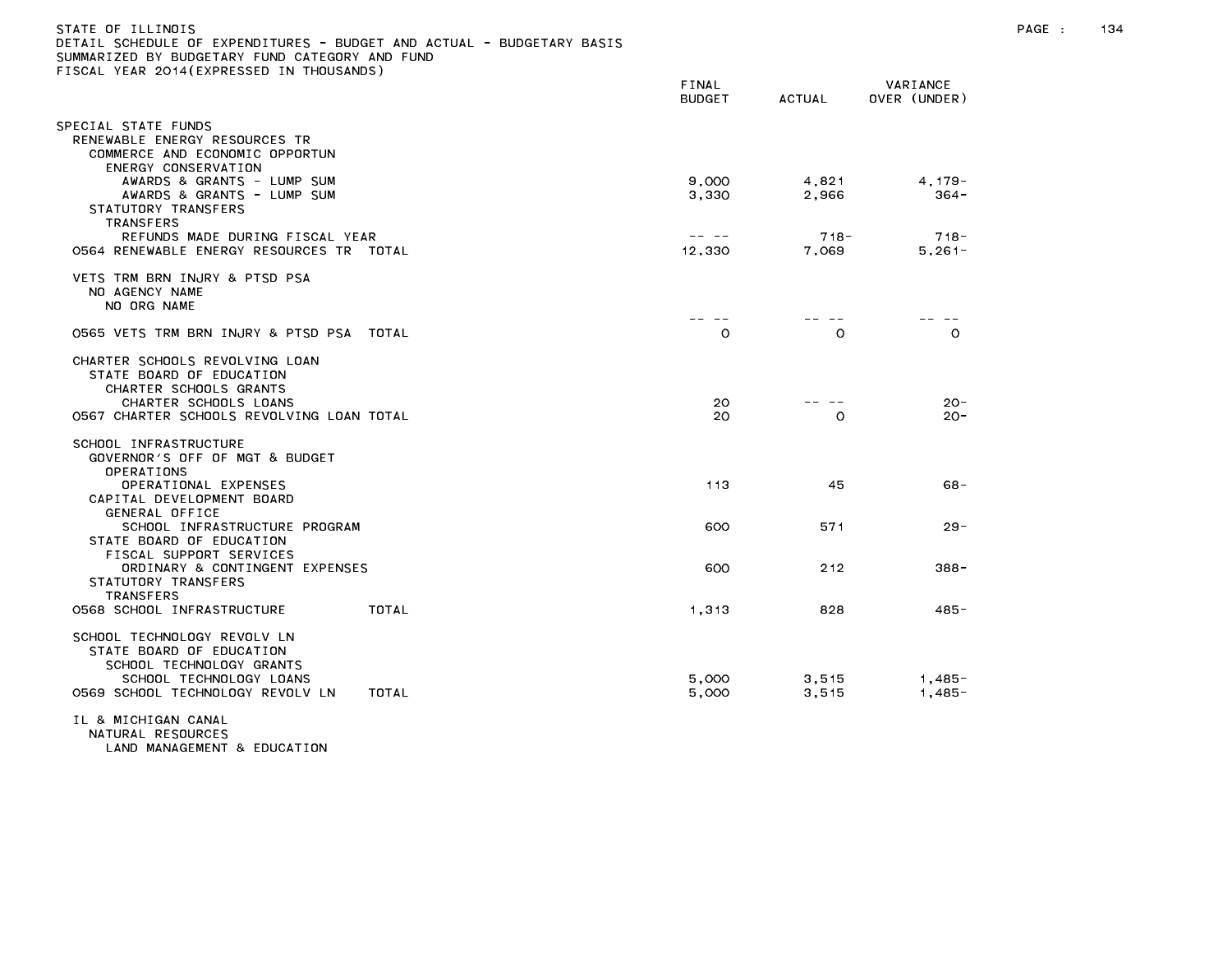| STATE OF ILLINOIS<br>DETAIL SCHEDULE OF EXPENDITURES - BUDGET AND ACTUAL - BUDGETARY BASIS<br>SUMMARIZED BY BUDGETARY FUND CATEGORY AND FUND<br>FISCAL YEAR 2014(EXPRESSED IN THOUSANDS) |                                                                                                                                                                                                                                                                                                                                                                                              |                |                          | PAGE : | 134 |
|------------------------------------------------------------------------------------------------------------------------------------------------------------------------------------------|----------------------------------------------------------------------------------------------------------------------------------------------------------------------------------------------------------------------------------------------------------------------------------------------------------------------------------------------------------------------------------------------|----------------|--------------------------|--------|-----|
|                                                                                                                                                                                          | FINAL<br><b>BUDGET</b>                                                                                                                                                                                                                                                                                                                                                                       | ACTUAL         | VARIANCE<br>OVER (UNDER) |        |     |
|                                                                                                                                                                                          |                                                                                                                                                                                                                                                                                                                                                                                              |                |                          |        |     |
| SPECIAL STATE FUNDS<br>RENEWABLE ENERGY RESOURCES TR<br>COMMERCE AND ECONOMIC OPPORTUN<br>ENERGY CONSERVATION                                                                            |                                                                                                                                                                                                                                                                                                                                                                                              |                |                          |        |     |
| AWARDS & GRANTS - LUMP SUM                                                                                                                                                               | 9,000                                                                                                                                                                                                                                                                                                                                                                                        | 4,821          | $4, 179 -$               |        |     |
| AWARDS & GRANTS - LUMP SUM<br>STATUTORY TRANSFERS<br>TRANSFERS                                                                                                                           | 3,330                                                                                                                                                                                                                                                                                                                                                                                        | 2,966          | 364 -                    |        |     |
| REFUNDS MADE DURING FISCAL YEAR                                                                                                                                                          | $\frac{1}{2} \frac{1}{2} \frac{1}{2} \frac{1}{2} \frac{1}{2} \frac{1}{2} \frac{1}{2} \frac{1}{2} \frac{1}{2} \frac{1}{2} \frac{1}{2} \frac{1}{2} \frac{1}{2} \frac{1}{2} \frac{1}{2} \frac{1}{2} \frac{1}{2} \frac{1}{2} \frac{1}{2} \frac{1}{2} \frac{1}{2} \frac{1}{2} \frac{1}{2} \frac{1}{2} \frac{1}{2} \frac{1}{2} \frac{1}{2} \frac{1}{2} \frac{1}{2} \frac{1}{2} \frac{1}{2} \frac{$ | $718 -$        | $718 -$                  |        |     |
| 0564 RENEWABLE ENERGY RESOURCES TR TOTAL                                                                                                                                                 | 12,330                                                                                                                                                                                                                                                                                                                                                                                       | 7,069          | $5,261-$                 |        |     |
| VETS TRM BRN INJRY & PTSD PSA<br>NO AGENCY NAME<br>NO ORG NAME                                                                                                                           |                                                                                                                                                                                                                                                                                                                                                                                              |                |                          |        |     |
|                                                                                                                                                                                          | -- -                                                                                                                                                                                                                                                                                                                                                                                         |                | -- --                    |        |     |
| 0565 VETS TRM BRN INJRY & PTSD PSA TOTAL                                                                                                                                                 | $\circ$                                                                                                                                                                                                                                                                                                                                                                                      | $\circ$        | $\circ$                  |        |     |
| CHARTER SCHOOLS REVOLVING LOAN<br>STATE BOARD OF EDUCATION<br>CHARTER SCHOOLS GRANTS                                                                                                     |                                                                                                                                                                                                                                                                                                                                                                                              |                |                          |        |     |
| CHARTER SCHOOLS LOANS<br>0567 CHARTER SCHOOLS REVOLVING LOAN TOTAL                                                                                                                       | 20<br>20                                                                                                                                                                                                                                                                                                                                                                                     | .<br>$\Omega$  | $20 -$<br>$20 -$         |        |     |
| SCHOOL INFRASTRUCTURE<br>GOVERNOR'S OFF OF MGT & BUDGET<br>OPERATIONS                                                                                                                    |                                                                                                                                                                                                                                                                                                                                                                                              |                |                          |        |     |
| OPERATIONAL EXPENSES<br>CAPITAL DEVELOPMENT BOARD                                                                                                                                        | 113                                                                                                                                                                                                                                                                                                                                                                                          | 45             | 68-                      |        |     |
| GENERAL OFFICE<br>SCHOOL INFRASTRUCTURE PROGRAM<br>STATE BOARD OF EDUCATION                                                                                                              | 600                                                                                                                                                                                                                                                                                                                                                                                          | 571            | $29 -$                   |        |     |
| FISCAL SUPPORT SERVICES<br>ORDINARY & CONTINGENT EXPENSES<br>STATUTORY TRANSFERS<br><b>TRANSFERS</b>                                                                                     | 600                                                                                                                                                                                                                                                                                                                                                                                          | 212            | $388 -$                  |        |     |
| 0568 SCHOOL INFRASTRUCTURE<br>TOTAL                                                                                                                                                      | 1,313                                                                                                                                                                                                                                                                                                                                                                                        | 828            | $485 -$                  |        |     |
| SCHOOL TECHNOLOGY REVOLV LN<br>STATE BOARD OF EDUCATION<br>SCHOOL TECHNOLOGY GRANTS<br>SCHOOL TECHNOLOGY LOANS<br>0569 SCHOOL TECHNOLOGY REVOLV LN<br>TOTAL                              | 5,000<br>5,000                                                                                                                                                                                                                                                                                                                                                                               | 3,515<br>3,515 | 1,485-<br>$1,485-$       |        |     |
| IL & MICHIGAN CANAL<br>NATURAL RESOURCES<br>LAND MANAGEMENT & EDUCATION                                                                                                                  |                                                                                                                                                                                                                                                                                                                                                                                              |                |                          |        |     |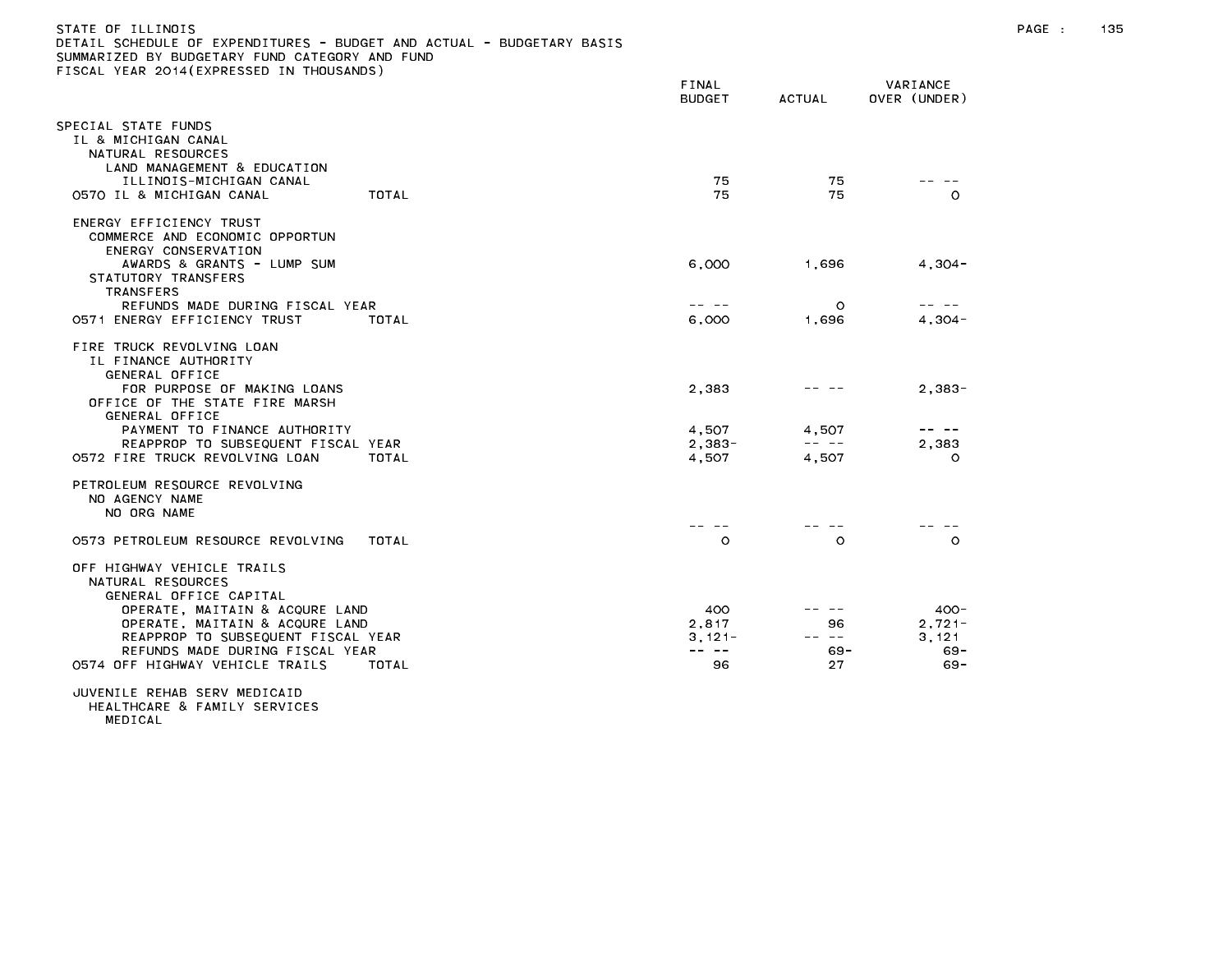| STATE OF ILLINOIS                                                     |  |
|-----------------------------------------------------------------------|--|
| DETAIL SCHEDULE OF EXPENDITURES - BUDGET AND ACTUAL - BUDGETARY BASIS |  |
| SUMMARIZED BY BUDGETARY FUND CATEGORY AND FUND                        |  |
| FISCAL YEAR 2014 (EXPRESSED IN THOUSANDS)                             |  |
|                                                                       |  |

| TEAR EUIT (EAT REUUED IN                                                                                                                                                                                                              | FINAL<br><b>BUDGET</b>                                                                                                                                                                                                                                                                                                                                                                                                   | ACTUAL                                                                                                                                                                                                                                                                                                                                                                                                         | VARIANCE<br>OVER (UNDER)                |
|---------------------------------------------------------------------------------------------------------------------------------------------------------------------------------------------------------------------------------------|--------------------------------------------------------------------------------------------------------------------------------------------------------------------------------------------------------------------------------------------------------------------------------------------------------------------------------------------------------------------------------------------------------------------------|----------------------------------------------------------------------------------------------------------------------------------------------------------------------------------------------------------------------------------------------------------------------------------------------------------------------------------------------------------------------------------------------------------------|-----------------------------------------|
| SPECIAL STATE FUNDS<br>IL & MICHIGAN CANAL<br>NATURAL RESOURCES<br>LAND MANAGEMENT & EDUCATION<br>ILLINOIS-MICHIGAN CANAL<br>0570 IL & MICHIGAN CANAL<br>TOTAL                                                                        | 75<br>75                                                                                                                                                                                                                                                                                                                                                                                                                 | 75<br>75                                                                                                                                                                                                                                                                                                                                                                                                       | $\Omega$                                |
| ENERGY EFFICIENCY TRUST<br>COMMERCE AND ECONOMIC OPPORTUN<br>ENERGY CONSERVATION<br>AWARDS & GRANTS - LUMP SUM<br>STATUTORY TRANSFERS<br><b>TRANSFERS</b><br>REFUNDS MADE DURING FISCAL YEAR<br>0571 ENERGY EFFICIENCY TRUST<br>TOTAL | 6,000<br>$\frac{1}{2} \frac{1}{2} \frac{1}{2} \frac{1}{2} \frac{1}{2} \frac{1}{2} \frac{1}{2} \frac{1}{2} \frac{1}{2} \frac{1}{2} \frac{1}{2} \frac{1}{2} \frac{1}{2} \frac{1}{2} \frac{1}{2} \frac{1}{2} \frac{1}{2} \frac{1}{2} \frac{1}{2} \frac{1}{2} \frac{1}{2} \frac{1}{2} \frac{1}{2} \frac{1}{2} \frac{1}{2} \frac{1}{2} \frac{1}{2} \frac{1}{2} \frac{1}{2} \frac{1}{2} \frac{1}{2} \frac{$<br>6,000           | 1,696<br>$\Omega$<br>1,696                                                                                                                                                                                                                                                                                                                                                                                     | $4,304-$<br>$4,304-$                    |
| FIRE TRUCK REVOLVING LOAN<br>IL FINANCE AUTHORITY<br>GENERAL OFFICE<br>FOR PURPOSE OF MAKING LOANS<br>OFFICE OF THE STATE FIRE MARSH<br>GENERAL OFFICE                                                                                | 2.383                                                                                                                                                                                                                                                                                                                                                                                                                    |                                                                                                                                                                                                                                                                                                                                                                                                                | $2.383 -$                               |
| PAYMENT TO FINANCE AUTHORITY<br>REAPPROP TO SUBSEQUENT FISCAL YEAR<br>0572 FIRE TRUCK REVOLVING LOAN<br><b>TOTAL</b>                                                                                                                  | 4.507<br>$2.383 -$<br>4,507                                                                                                                                                                                                                                                                                                                                                                                              | 4.507<br>$\frac{1}{2} \frac{1}{2} \frac{1}{2} \frac{1}{2} \frac{1}{2} \frac{1}{2} \frac{1}{2} \frac{1}{2} \frac{1}{2} \frac{1}{2} \frac{1}{2} \frac{1}{2} \frac{1}{2} \frac{1}{2} \frac{1}{2} \frac{1}{2} \frac{1}{2} \frac{1}{2} \frac{1}{2} \frac{1}{2} \frac{1}{2} \frac{1}{2} \frac{1}{2} \frac{1}{2} \frac{1}{2} \frac{1}{2} \frac{1}{2} \frac{1}{2} \frac{1}{2} \frac{1}{2} \frac{1}{2} \frac{$<br>4,507 | 2.383<br>O                              |
| PETROLEUM RESOURCE REVOLVING<br>NO AGENCY NAME<br>NO ORG NAME                                                                                                                                                                         |                                                                                                                                                                                                                                                                                                                                                                                                                          |                                                                                                                                                                                                                                                                                                                                                                                                                |                                         |
| 0573 PETROLEUM RESOURCE REVOLVING<br>TOTAL                                                                                                                                                                                            | $\circ$                                                                                                                                                                                                                                                                                                                                                                                                                  | $\circ$                                                                                                                                                                                                                                                                                                                                                                                                        | $\Omega$                                |
| OFF HIGHWAY VEHICLE TRAILS<br>NATURAL RESOURCES<br>GENERAL OFFICE CAPITAL<br>OPERATE, MAITAIN & ACQURE LAND<br>OPERATE, MAITAIN & ACQURE LAND<br>REAPPROP TO SUBSEQUENT FISCAL YEAR<br>REFUNDS MADE DURING FISCAL YEAR                | 400<br>2.817<br>$3,121-$<br>$\frac{1}{2} \frac{1}{2} \frac{1}{2} \frac{1}{2} \frac{1}{2} \frac{1}{2} \frac{1}{2} \frac{1}{2} \frac{1}{2} \frac{1}{2} \frac{1}{2} \frac{1}{2} \frac{1}{2} \frac{1}{2} \frac{1}{2} \frac{1}{2} \frac{1}{2} \frac{1}{2} \frac{1}{2} \frac{1}{2} \frac{1}{2} \frac{1}{2} \frac{1}{2} \frac{1}{2} \frac{1}{2} \frac{1}{2} \frac{1}{2} \frac{1}{2} \frac{1}{2} \frac{1}{2} \frac{1}{2} \frac{$ | 96<br>-- --<br>$69 -$                                                                                                                                                                                                                                                                                                                                                                                          | $400 -$<br>$2.721 -$<br>3.121<br>$69 -$ |
| 0574 OFF HIGHWAY VEHICLE TRAILS<br>TOTAL                                                                                                                                                                                              | 96                                                                                                                                                                                                                                                                                                                                                                                                                       | 27                                                                                                                                                                                                                                                                                                                                                                                                             | $69 -$                                  |

MEDICAL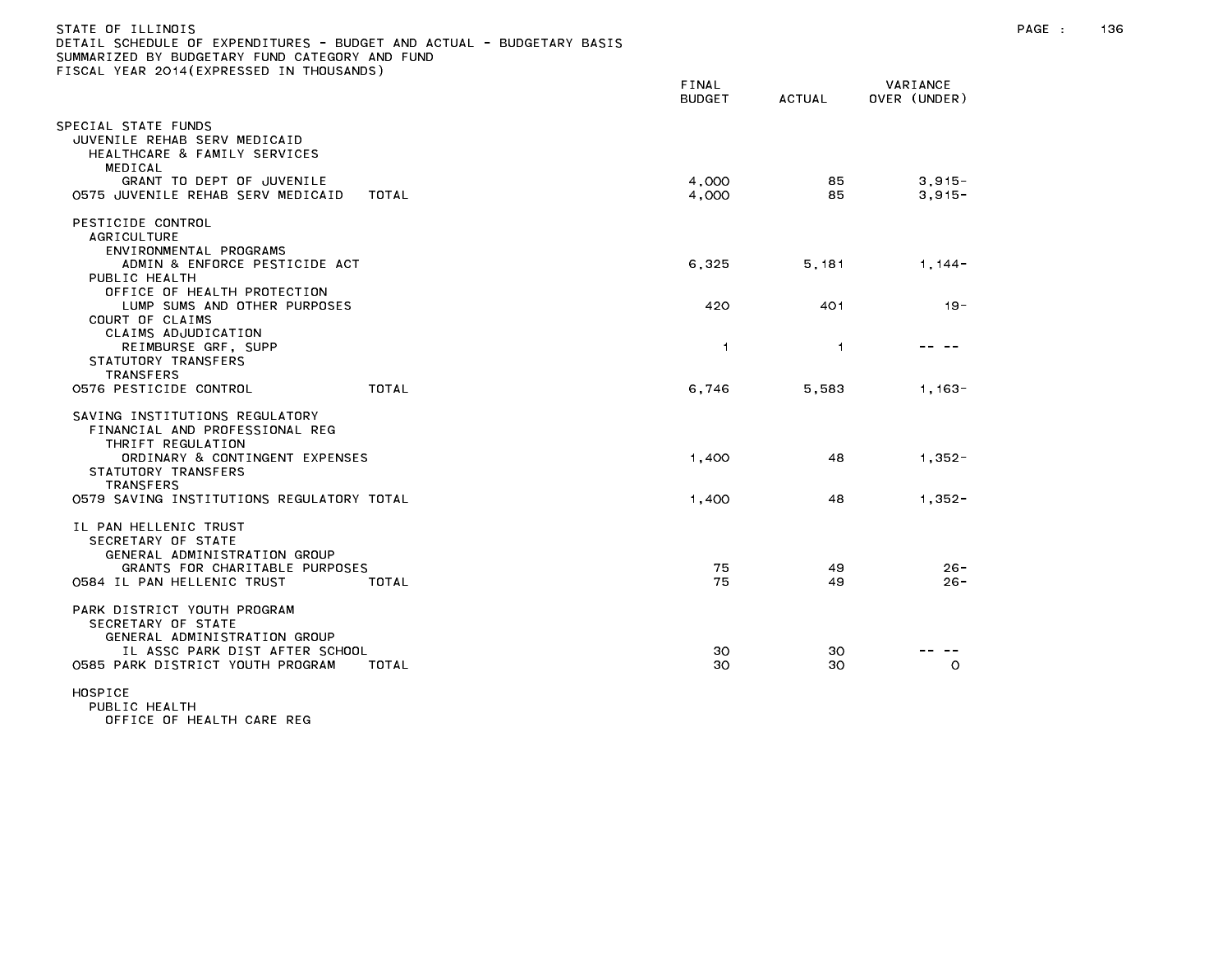| STATE OF ILLINOIS<br>DETAIL SCHEDULE OF EXPENDITURES - BUDGET AND ACTUAL - BUDGETARY BASIS<br>SUMMARIZED BY BUDGETARY FUND CATEGORY AND FUND<br>FISCAL YEAR 2014(EXPRESSED IN THOUSANDS) |                        |                |                          | PAGE : | 136 |
|------------------------------------------------------------------------------------------------------------------------------------------------------------------------------------------|------------------------|----------------|--------------------------|--------|-----|
|                                                                                                                                                                                          | FINAL<br><b>BUDGET</b> | ACTUAL         | VARIANCE<br>OVER (UNDER) |        |     |
| SPECIAL STATE FUNDS<br>JUVENILE REHAB SERV MEDICAID<br>HEALTHCARE & FAMILY SERVICES<br>MEDICAL<br>GRANT TO DEPT OF JUVENILE                                                              | 4,000                  | 85.            | $3,915 -$                |        |     |
| 0575 JUVENILE REHAB SERV MEDICAID<br>TOTAL                                                                                                                                               | 4,000                  | 85.            | $3.915 -$                |        |     |
| PESTICIDE CONTROL<br><b>AGRICULTURE</b><br>ENVIRONMENTAL PROGRAMS<br>ADMIN & ENFORCE PESTICIDE ACT                                                                                       | 6,325                  | 5,181          | $1,144-$                 |        |     |
| PUBLIC HEALTH<br>OFFICE OF HEALTH PROTECTION<br>LUMP SUMS AND OTHER PURPOSES<br>COURT OF CLAIMS                                                                                          | 420                    | 401            | $19 -$                   |        |     |
| CLAIMS ADJUDICATION<br>REIMBURSE GRF, SUPP<br>STATUTORY TRANSFERS<br><b>TRANSFERS</b>                                                                                                    | $\overline{1}$         | $\overline{1}$ | -- --                    |        |     |
| 0576 PESTICIDE CONTROL<br>TOTAL                                                                                                                                                          | 6,746                  | 5,583          | 1,163-                   |        |     |
| SAVING INSTITUTIONS REGULATORY<br>FINANCIAL AND PROFESSIONAL REG<br>THRIFT REGULATION<br>ORDINARY & CONTINGENT EXPENSES<br>STATUTORY TRANSFERS<br><b>TRANSFERS</b>                       | 1,400                  | 48             | $1,352-$                 |        |     |
| 0579 SAVING INSTITUTIONS REGULATORY TOTAL                                                                                                                                                | 1,400                  | 48             | $1.352 -$                |        |     |
| IL PAN HELLENIC TRUST<br>SECRETARY OF STATE<br>GENERAL ADMINISTRATION GROUP<br>GRANTS FOR CHARITABLE PURPOSES                                                                            | 75                     | 49             | $26 -$                   |        |     |
| 0584 IL PAN HELLENIC TRUST<br>TOTAL                                                                                                                                                      | 75                     | 49             | $26 -$                   |        |     |
| PARK DISTRICT YOUTH PROGRAM<br>SECRETARY OF STATE<br>GENERAL ADMINISTRATION GROUP<br>IL ASSC PARK DIST AFTER SCHOOL<br>0585 PARK DISTRICT YOUTH PROGRAM<br>TOTAL                         | 30<br>30               | 30<br>30       | .<br>$\circ$             |        |     |
| HOSPICE<br>PURLIC HEALTH                                                                                                                                                                 |                        |                |                          |        |     |

OFFICE OF HEALTH CARE REG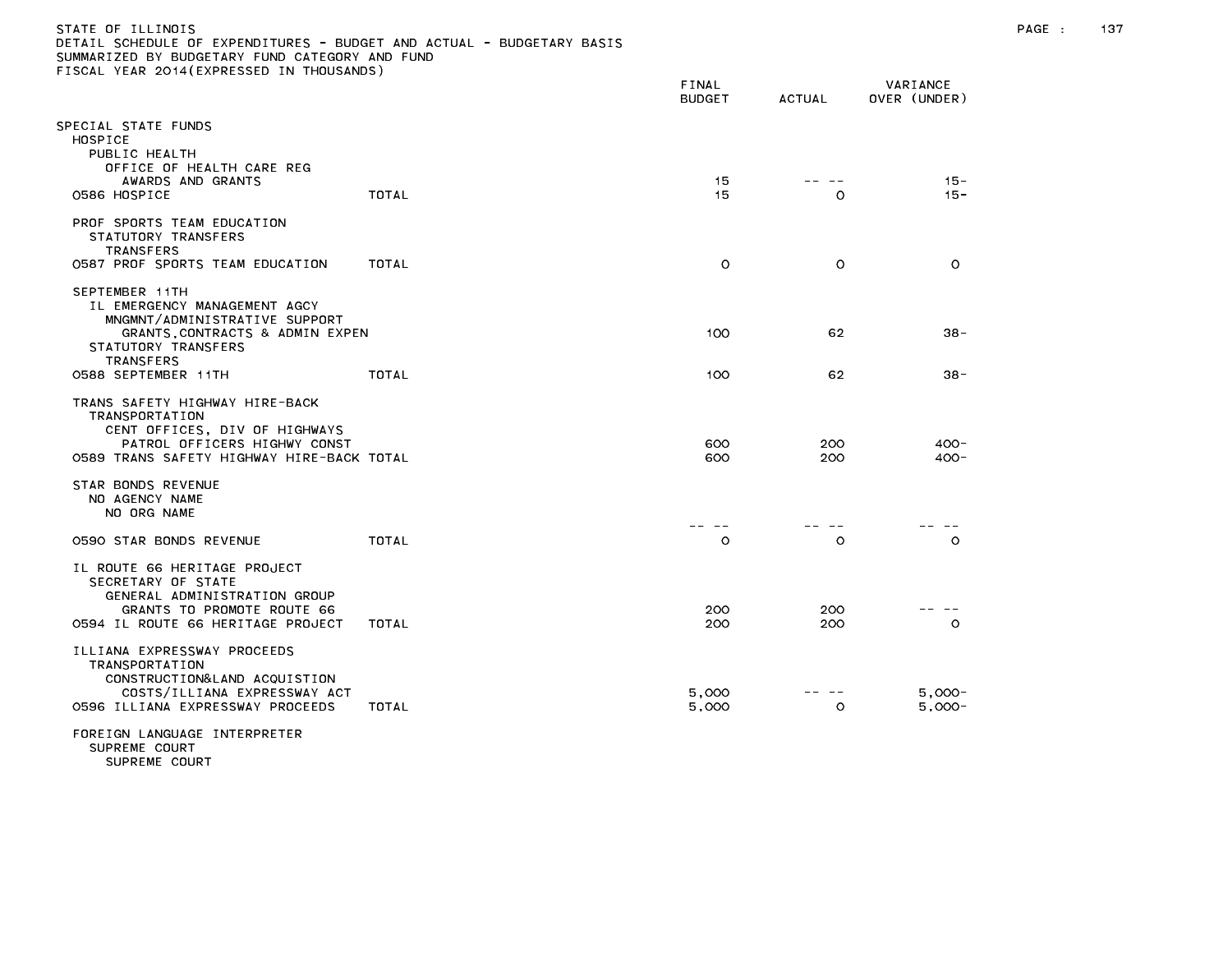## STATE OF ILLINOIS PAGE : 137 DETAIL SCHEDULE OF EXPENDITURES - BUDGET AND ACTUAL - BUDGETARY BASIS SUMMARIZED BY BUDGETARY FUND CATEGORY AND FUND FISCAL YEAR 2014(EXPRESSED IN THOUSANDS)

| ISSAE TEAN ESTATEMINESSED                                                                                                                                                            |              | FINAL<br><b>BUDGET</b> | ACTUAL     | VARIANCE<br>OVER (UNDER) |
|--------------------------------------------------------------------------------------------------------------------------------------------------------------------------------------|--------------|------------------------|------------|--------------------------|
| PECIAL STATE FUNDS:<br>HOSPICE<br>PUBLIC HEALTH<br>OFFICE OF HEALTH CARE REG                                                                                                         |              |                        |            |                          |
| AWARDS AND GRANTS<br>0586 HOSPICE                                                                                                                                                    | <b>TOTAL</b> | 15<br>15               | O          | $15 -$<br>$15 -$         |
| PROF SPORTS TEAM EDUCATION<br>STATUTORY TRANSFERS<br><b>TRANSFERS</b><br>0587 PROF SPORTS TEAM EDUCATION                                                                             | TOTAL        | $\circ$                | $\circ$    | $\circ$                  |
| SEPTEMBER 11TH<br>IL EMERGENCY MANAGEMENT AGCY<br>MNGMNT/ADMINISTRATIVE SUPPORT<br>GRANTS CONTRACTS & ADMIN EXPEN<br>STATUTORY TRANSFERS                                             |              | 100                    | 62         | $38 -$                   |
| <b>TRANSFERS</b><br>0588 SEPTEMBER 11TH                                                                                                                                              | TOTAL        | 100                    | 62         | $38 -$                   |
| TRANS SAFETY HIGHWAY HIRE-BACK<br>TRANSPORTATION<br>CENT OFFICES, DIV OF HIGHWAYS<br>PATROL OFFICERS HIGHWY CONST<br>O589 TRANS SAFETY HIGHWAY HIRE-BACK TOTAL<br>STAR BONDS REVENUE |              | 600<br>600             | 200<br>200 | $400 -$<br>$400 -$       |
| NO AGENCY NAME<br>NO ORG NAME                                                                                                                                                        |              |                        |            |                          |
| 0590 STAR BONDS REVENUE                                                                                                                                                              | TOTAL        | $\circ$                | O          | $\circ$                  |
| IL ROUTE 66 HERITAGE PROJECT<br>SECRETARY OF STATE<br>GENERAL ADMINISTRATION GROUP<br>GRANTS TO PROMOTE ROUTE 66<br>0594 IL ROUTE 66 HERITAGE PROJECT                                | TOTAL        | 200<br>200             | 200<br>200 | $\circ$                  |
| ILLIANA EXPRESSWAY PROCEEDS<br>TRANSPORTATION<br>CONSTRUCTION& LAND ACQUISTION<br>COSTS/ILLIANA EXPRESSWAY ACT<br>0596 ILLIANA EXPRESSWAY PROCEEDS                                   | TOTAL        | 5,000<br>5,000         | O          | $5.000 -$<br>$5,000 -$   |
| FOREIGN LANGUAGE INTERPRETER<br>SUPREME COURT                                                                                                                                        |              |                        |            |                          |

SUPREME COURT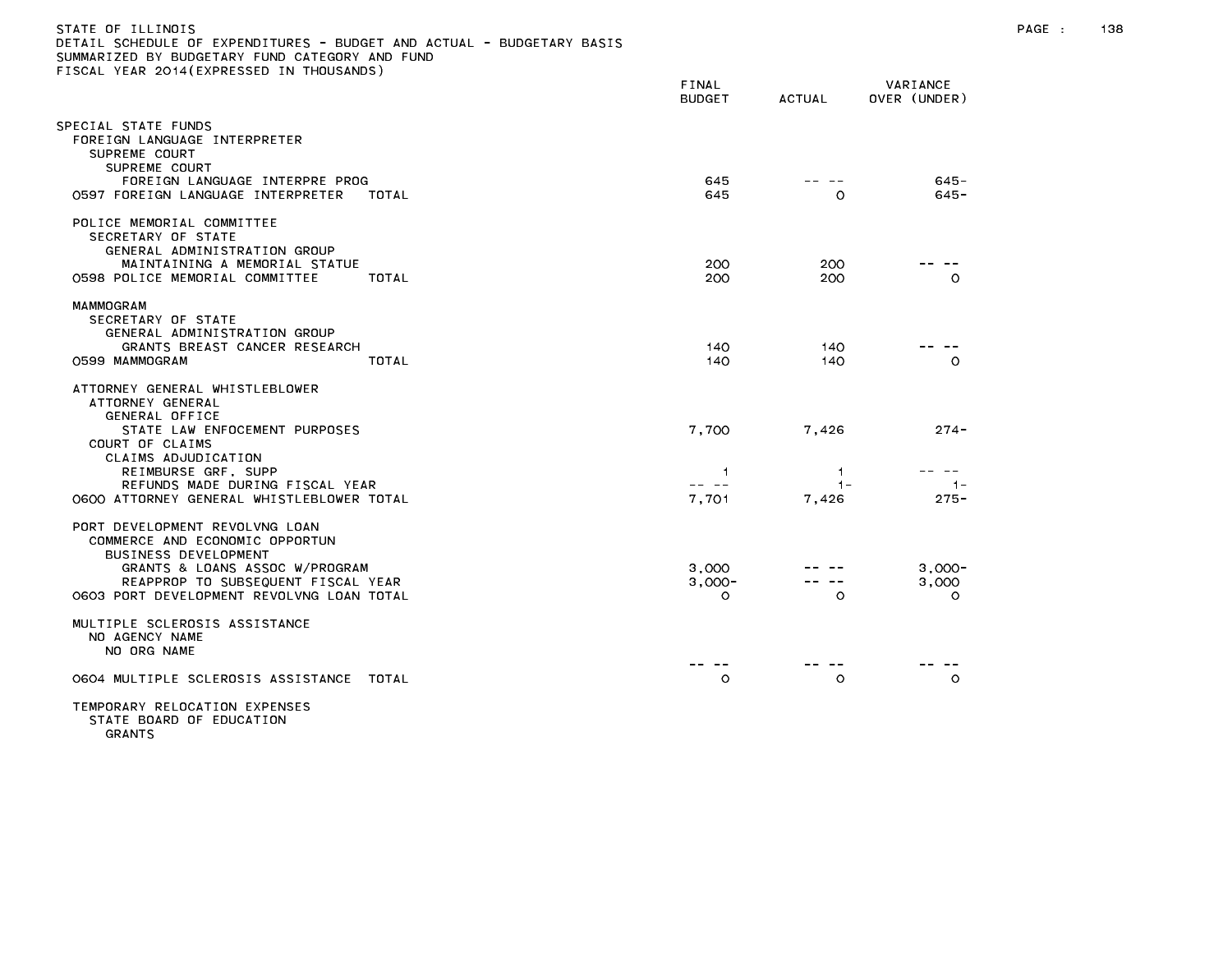| )ETAIL SCHEDULE OF EXPENDITURES - BUDGET AND ACTUAL - BUDGETARY BASIS<br>SUMMARIZED BY BUDGETARY FUND CATEGORY AND FUND<br>TISCAL YEAR 2014(EXPRESSED IN THOUSANDS) |                               |                |                              |
|---------------------------------------------------------------------------------------------------------------------------------------------------------------------|-------------------------------|----------------|------------------------------|
|                                                                                                                                                                     | FINAL<br><b>BUDGET</b>        | <b>ACTUAL</b>  | VARIANCE<br>OVER (UNDER)     |
| SPECIAL STATE FUNDS<br>FOREIGN LANGUAGE INTERPRETER<br>SUPREME COURT<br>SUPREME COURT                                                                               |                               |                |                              |
| FOREIGN LANGUAGE INTERPRE PROG<br>0597 FOREIGN LANGUAGE INTERPRETER<br>TOTAL                                                                                        | 645<br>645                    | $\Omega$       | 645-<br>$645 -$              |
| POLICE MEMORIAL COMMITTEE<br>SECRETARY OF STATE<br>GENERAL ADMINISTRATION GROUP                                                                                     |                               |                |                              |
| MAINTAINING A MEMORIAL STATUE<br>0598 POLICE MEMORIAL COMMITTEE<br>TOTAL                                                                                            | 200<br>200                    | 200<br>200     | $\circ$                      |
| MAMMOGRAM<br>SECRETARY OF STATE<br>GENERAL ADMINISTRATION GROUP<br>GRANTS BREAST CANCER RESEARCH<br>TOTAL<br>O599 MAMMOGRAM                                         | 140<br>140                    | 140<br>140     | $\circ$                      |
| ATTORNEY GENERAL WHISTLEBLOWER<br>ATTORNEY GENERAL<br>GENERAL OFFICE                                                                                                |                               |                |                              |
| STATE LAW ENFOCEMENT PURPOSES<br>COURT OF CLAIMS<br>CLAIMS ADJUDICATION<br>REIMBURSE GRF, SUPP                                                                      | 7,700<br>1                    | 7,426<br>1.    | $274 -$                      |
| REFUNDS MADE DURING FISCAL YEAR<br>0600 ATTORNEY GENERAL WHISTLEBLOWER TOTAL                                                                                        | -- --<br>7,701                | $1 -$<br>7,426 | $-1-$<br>$275 -$             |
| PORT DEVELOPMENT REVOLVNG LOAN<br>COMMERCE AND ECONOMIC OPPORTUN<br>BUSINESS DEVELOPMENT                                                                            |                               |                |                              |
| GRANTS & LOANS ASSOC W/PROGRAM<br>REAPPROP TO SUBSEQUENT FISCAL YEAR<br>0603 PORT DEVELOPMENT REVOLVNG LOAN TOTAL                                                   | 3,000<br>$3.000 -$<br>$\circ$ | $\circ$        | $3,000-$<br>3,000<br>$\circ$ |
| MULTIPLE SCLEROSIS ASSISTANCE<br>NO AGENCY NAME<br>NO ORG NAME                                                                                                      |                               |                |                              |
| 0604 MULTIPLE SCLEROSIS ASSISTANCE<br>TOTAL                                                                                                                         | O                             | O              | $\circ$                      |
| TEMPORARY RELOCATION EXPENSES                                                                                                                                       |                               |                |                              |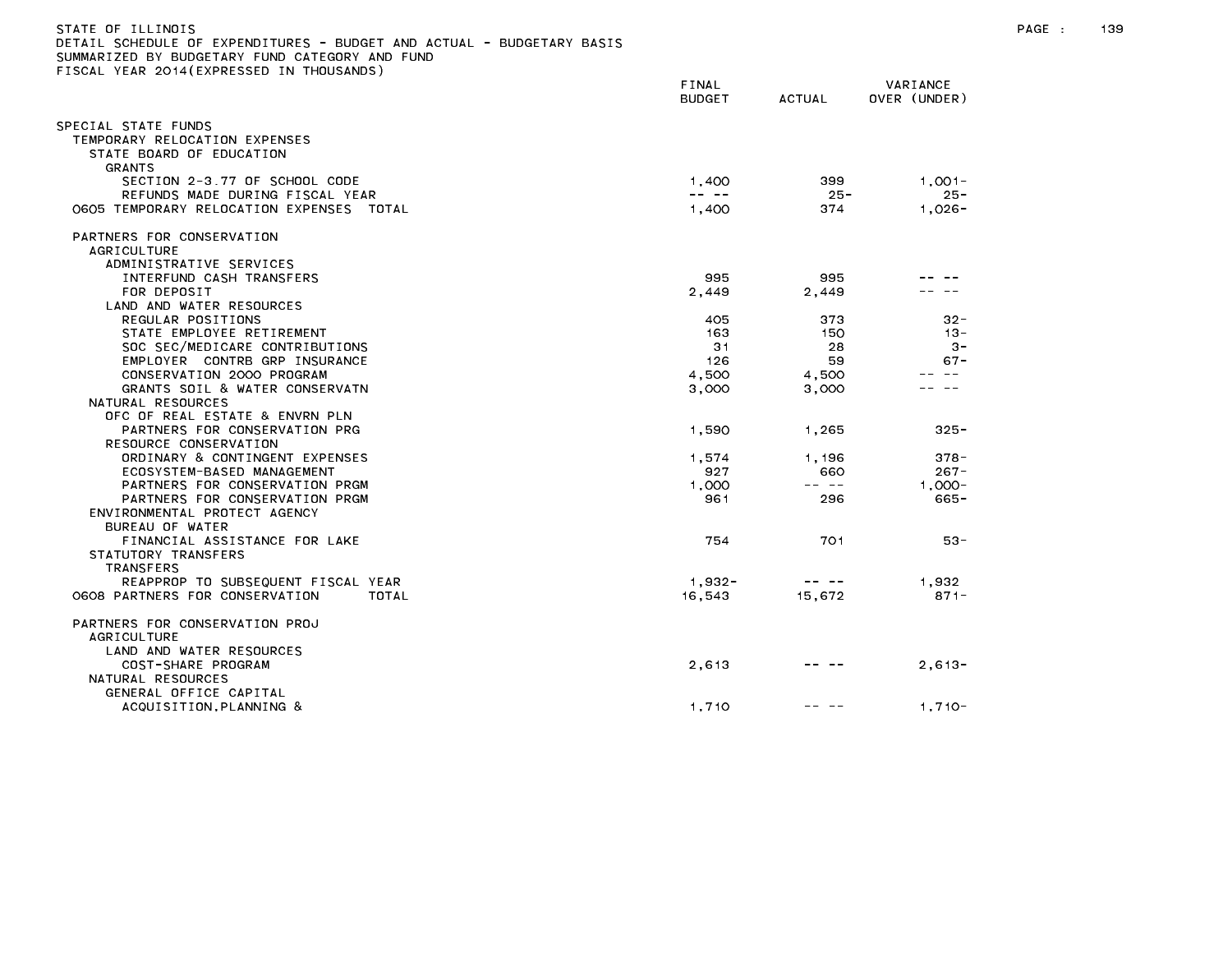| STATE OF ILLINOIS                                                     |               |                                                                                                                                                                                                                                                                                                                                                                                              |              | PAGE : | 139 |
|-----------------------------------------------------------------------|---------------|----------------------------------------------------------------------------------------------------------------------------------------------------------------------------------------------------------------------------------------------------------------------------------------------------------------------------------------------------------------------------------------------|--------------|--------|-----|
| DETAIL SCHEDULE OF EXPENDITURES - BUDGET AND ACTUAL - BUDGETARY BASIS |               |                                                                                                                                                                                                                                                                                                                                                                                              |              |        |     |
| SUMMARIZED BY BUDGETARY FUND CATEGORY AND FUND                        |               |                                                                                                                                                                                                                                                                                                                                                                                              |              |        |     |
| FISCAL YEAR 2014(EXPRESSED IN THOUSANDS)                              |               |                                                                                                                                                                                                                                                                                                                                                                                              |              |        |     |
|                                                                       | FINAL         |                                                                                                                                                                                                                                                                                                                                                                                              | VARIANCE     |        |     |
|                                                                       | <b>BUDGET</b> | ACTUAL                                                                                                                                                                                                                                                                                                                                                                                       | OVER (UNDER) |        |     |
|                                                                       |               |                                                                                                                                                                                                                                                                                                                                                                                              |              |        |     |
| SPECIAL STATE FUNDS                                                   |               |                                                                                                                                                                                                                                                                                                                                                                                              |              |        |     |
| TEMPORARY RELOCATION EXPENSES                                         |               |                                                                                                                                                                                                                                                                                                                                                                                              |              |        |     |
| STATE BOARD OF EDUCATION                                              |               |                                                                                                                                                                                                                                                                                                                                                                                              |              |        |     |
| <b>GRANTS</b>                                                         |               |                                                                                                                                                                                                                                                                                                                                                                                              |              |        |     |
| SECTION 2-3.77 OF SCHOOL CODE                                         | 1,400         | 399                                                                                                                                                                                                                                                                                                                                                                                          | $1.001 -$    |        |     |
| REFUNDS MADE DURING FISCAL YEAR                                       | -- --         | $25 -$                                                                                                                                                                                                                                                                                                                                                                                       | $25 -$       |        |     |
| O6O5 TEMPORARY RELOCATION EXPENSES TOTAL                              | 1,400         | 374                                                                                                                                                                                                                                                                                                                                                                                          | $1,026-$     |        |     |
| PARTNERS FOR CONSERVATION                                             |               |                                                                                                                                                                                                                                                                                                                                                                                              |              |        |     |
| AGRICULTURE                                                           |               |                                                                                                                                                                                                                                                                                                                                                                                              |              |        |     |
| ADMINISTRATIVE SERVICES                                               |               |                                                                                                                                                                                                                                                                                                                                                                                              |              |        |     |
| INTERFUND CASH TRANSFERS                                              | 995           | 995                                                                                                                                                                                                                                                                                                                                                                                          |              |        |     |
| FOR DEPOSIT                                                           | 2,449         | 2,449                                                                                                                                                                                                                                                                                                                                                                                        |              |        |     |
| LAND AND WATER RESOURCES                                              |               |                                                                                                                                                                                                                                                                                                                                                                                              |              |        |     |
| REGULAR POSITIONS                                                     | 405           | 373                                                                                                                                                                                                                                                                                                                                                                                          | $32 -$       |        |     |
| STATE EMPLOYEE RETIREMENT                                             | 163           | 150                                                                                                                                                                                                                                                                                                                                                                                          | -13          |        |     |
| SOC SEC/MEDICARE CONTRIBUTIONS                                        | 31            | 28                                                                                                                                                                                                                                                                                                                                                                                           | $3 -$        |        |     |
| EMPLOYER CONTRB GRP INSURANCE                                         | 126           | 59                                                                                                                                                                                                                                                                                                                                                                                           | -67          |        |     |
| CONSERVATION 2000 PROGRAM                                             | 4,500         | 4,500                                                                                                                                                                                                                                                                                                                                                                                        |              |        |     |
| GRANTS SOIL & WATER CONSERVATN                                        | 3,000         | 3,000                                                                                                                                                                                                                                                                                                                                                                                        | .            |        |     |
| NATURAL RESOURCES                                                     |               |                                                                                                                                                                                                                                                                                                                                                                                              |              |        |     |
| OFC OF REAL ESTATE & ENVRN PLN                                        |               |                                                                                                                                                                                                                                                                                                                                                                                              |              |        |     |
| PARTNERS FOR CONSERVATION PRG                                         | 1,590         | 1,265                                                                                                                                                                                                                                                                                                                                                                                        | $325 -$      |        |     |
| RESOURCE CONSERVATION                                                 |               |                                                                                                                                                                                                                                                                                                                                                                                              |              |        |     |
| ORDINARY & CONTINGENT EXPENSES                                        | 1,574         | 1,196                                                                                                                                                                                                                                                                                                                                                                                        | $378 -$      |        |     |
| ECOSYSTEM-BASED MANAGEMENT                                            | 927           | 660                                                                                                                                                                                                                                                                                                                                                                                          | $267 -$      |        |     |
| PARTNERS FOR CONSERVATION PRGM                                        | 1.000         | $\qquad \qquad - -$                                                                                                                                                                                                                                                                                                                                                                          | $1.000 -$    |        |     |
| PARTNERS FOR CONSERVATION PRGM                                        | 961           | 296                                                                                                                                                                                                                                                                                                                                                                                          | $665 -$      |        |     |
| ENVIRONMENTAL PROTECT AGENCY                                          |               |                                                                                                                                                                                                                                                                                                                                                                                              |              |        |     |
| BUREAU OF WATER                                                       |               |                                                                                                                                                                                                                                                                                                                                                                                              |              |        |     |
| FINANCIAL ASSISTANCE FOR LAKE                                         | 754           | 701                                                                                                                                                                                                                                                                                                                                                                                          | $53 -$       |        |     |
| STATUTORY TRANSFERS                                                   |               |                                                                                                                                                                                                                                                                                                                                                                                              |              |        |     |
| TRANSFERS                                                             |               |                                                                                                                                                                                                                                                                                                                                                                                              |              |        |     |
| REAPPROP TO SUBSEQUENT FISCAL YEAR                                    | 1,932-        | $\frac{1}{2} \frac{1}{2} \frac{1}{2} \frac{1}{2} \frac{1}{2} \frac{1}{2} \frac{1}{2} \frac{1}{2} \frac{1}{2} \frac{1}{2} \frac{1}{2} \frac{1}{2} \frac{1}{2} \frac{1}{2} \frac{1}{2} \frac{1}{2} \frac{1}{2} \frac{1}{2} \frac{1}{2} \frac{1}{2} \frac{1}{2} \frac{1}{2} \frac{1}{2} \frac{1}{2} \frac{1}{2} \frac{1}{2} \frac{1}{2} \frac{1}{2} \frac{1}{2} \frac{1}{2} \frac{1}{2} \frac{$ | 1,932        |        |     |
| 0608 PARTNERS FOR CONSERVATION<br>TOTAL                               | 16.543        | 15,672                                                                                                                                                                                                                                                                                                                                                                                       | $871 -$      |        |     |
| PARTNERS FOR CONSERVATION PROJ                                        |               |                                                                                                                                                                                                                                                                                                                                                                                              |              |        |     |
| AGRICULTURE                                                           |               |                                                                                                                                                                                                                                                                                                                                                                                              |              |        |     |
| LAND AND WATER RESOURCES                                              |               |                                                                                                                                                                                                                                                                                                                                                                                              |              |        |     |
| COST-SHARE PROGRAM                                                    | 2,613         | $\qquad \qquad \cdots \qquad \qquad$                                                                                                                                                                                                                                                                                                                                                         | $2,613-$     |        |     |
| NATURAL RESOURCES                                                     |               |                                                                                                                                                                                                                                                                                                                                                                                              |              |        |     |
| GENERAL OFFICE CAPITAL                                                |               |                                                                                                                                                                                                                                                                                                                                                                                              |              |        |     |
| ACQUISITION, PLANNING &                                               | 1,710         |                                                                                                                                                                                                                                                                                                                                                                                              | $1,710-$     |        |     |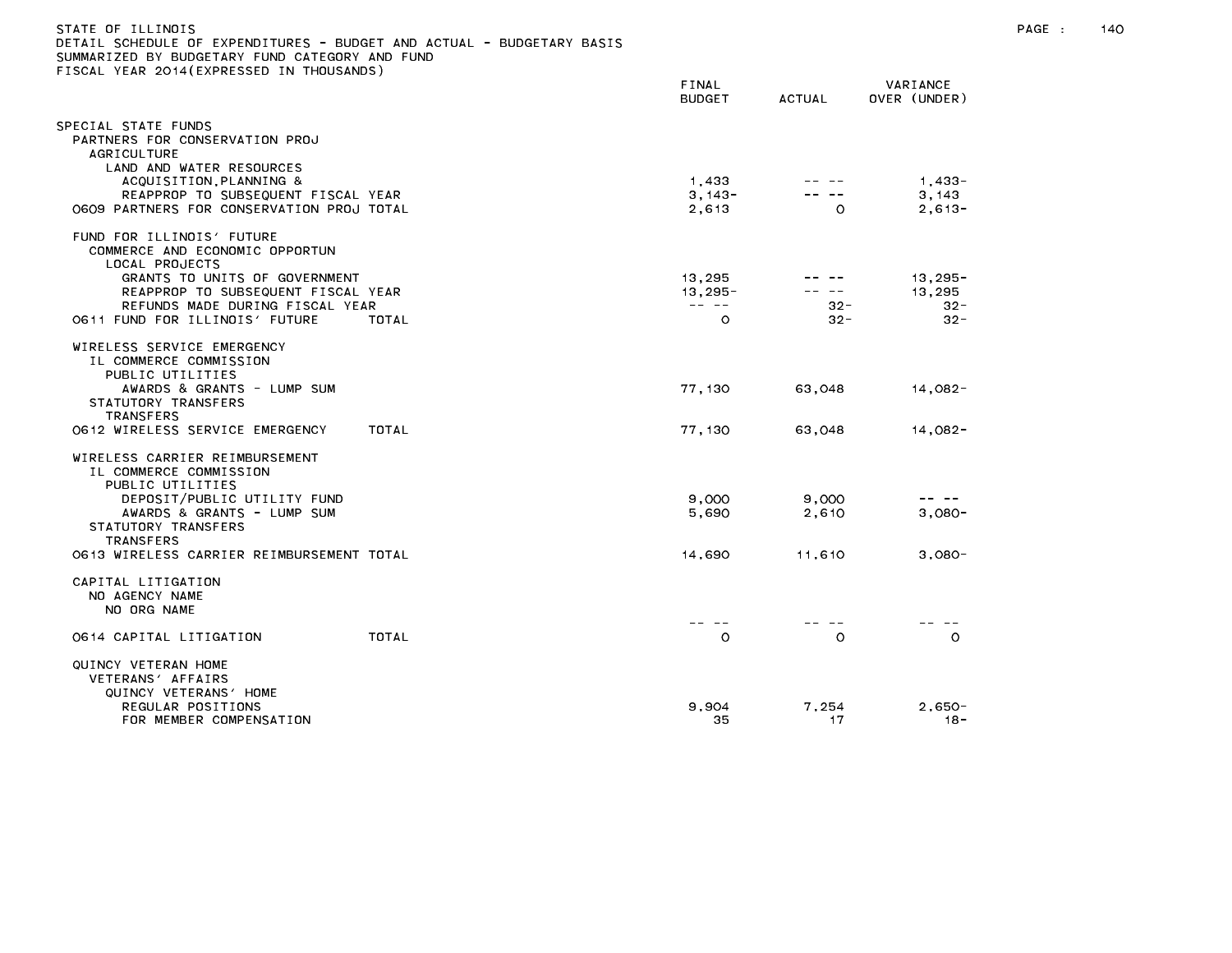| STATE OF ILLINOIS<br>DETAIL SCHEDULE OF EXPENDITURES - BUDGET AND ACTUAL - BUDGETARY BASIS<br>SUMMARIZED BY BUDGETARY FUND CATEGORY AND FUND<br>FISCAL YEAR 2014 (EXPRESSED IN THOUSANDS) |                                                                                                                                                                                                                                                                                                                                                                                                                                 |                                              |                               | PAGE : | 140 |
|-------------------------------------------------------------------------------------------------------------------------------------------------------------------------------------------|---------------------------------------------------------------------------------------------------------------------------------------------------------------------------------------------------------------------------------------------------------------------------------------------------------------------------------------------------------------------------------------------------------------------------------|----------------------------------------------|-------------------------------|--------|-----|
|                                                                                                                                                                                           | FINAL<br><b>BUDGET</b>                                                                                                                                                                                                                                                                                                                                                                                                          | <b>ACTUAL</b>                                | VARIANCE<br>OVER (UNDER)      |        |     |
| SPECIAL STATE FUNDS<br>PARTNERS FOR CONSERVATION PROJ<br>AGRICULTURE<br>LAND AND WATER RESOURCES<br>ACQUISITION, PLANNING &                                                               | 1,433                                                                                                                                                                                                                                                                                                                                                                                                                           | HH HH                                        | 1,433-                        |        |     |
| REAPPROP TO SUBSEQUENT FISCAL YEAR<br>O6O9 PARTNERS FOR CONSERVATION PROJ TOTAL                                                                                                           | $3,143-$<br>2,613                                                                                                                                                                                                                                                                                                                                                                                                               | -- --<br>$\circ$                             | 3,143<br>$2.613 -$            |        |     |
| FUND FOR ILLINOIS' FUTURE<br>COMMERCE AND ECONOMIC OPPORTUN<br>LOCAL PROJECTS                                                                                                             |                                                                                                                                                                                                                                                                                                                                                                                                                                 |                                              |                               |        |     |
| GRANTS TO UNITS OF GOVERNMENT<br>REAPPROP TO SUBSEQUENT FISCAL YEAR<br>REFUNDS MADE DURING FISCAL YEAR                                                                                    | 13,295<br>$13,295 -$<br>$\frac{1}{2} \frac{1}{2} \frac{1}{2} \frac{1}{2} \frac{1}{2} \frac{1}{2} \frac{1}{2} \frac{1}{2} \frac{1}{2} \frac{1}{2} \frac{1}{2} \frac{1}{2} \frac{1}{2} \frac{1}{2} \frac{1}{2} \frac{1}{2} \frac{1}{2} \frac{1}{2} \frac{1}{2} \frac{1}{2} \frac{1}{2} \frac{1}{2} \frac{1}{2} \frac{1}{2} \frac{1}{2} \frac{1}{2} \frac{1}{2} \frac{1}{2} \frac{1}{2} \frac{1}{2} \frac{1}{2} \frac{$<br>$\circ$ | $\qquad \qquad - - - - -$<br>-- --<br>$32 -$ | $13,295-$<br>13,295<br>$32 -$ |        |     |
| 0611 FUND FOR ILLINOIS' FUTURE<br>TOTAL<br>WIRELESS SERVICE EMERGENCY<br>IL COMMERCE COMMISSION<br>PUBLIC UTILITIES                                                                       |                                                                                                                                                                                                                                                                                                                                                                                                                                 | $32 -$                                       | $32 -$                        |        |     |
| AWARDS & GRANTS - LUMP SUM<br>STATUTORY TRANSFERS<br>TRANSFERS                                                                                                                            | 77,130                                                                                                                                                                                                                                                                                                                                                                                                                          | 63,048                                       | 14,082-                       |        |     |
| 0612 WIRELESS SERVICE EMERGENCY<br>TOTAL<br>WIRELESS CARRIER REIMBURSEMENT<br>IL COMMERCE COMMISSION<br>PUBLIC UTILITIES                                                                  | 77.130                                                                                                                                                                                                                                                                                                                                                                                                                          | 63.048                                       | 14.082-                       |        |     |
| DEPOSIT/PUBLIC UTILITY FUND<br>AWARDS & GRANTS - LUMP SUM<br>STATUTORY TRANSFERS<br><b>TRANSFERS</b>                                                                                      | 9,000<br>5,690                                                                                                                                                                                                                                                                                                                                                                                                                  | 9,000<br>2,610                               | -- --<br>$3,080 -$            |        |     |
| 0613 WIRELESS CARRIER REIMBURSEMENT TOTAL<br>CAPITAL LITIGATION<br>NO AGENCY NAME<br>NO ORG NAME                                                                                          | 14,690                                                                                                                                                                                                                                                                                                                                                                                                                          | 11,610                                       | $3,080-$                      |        |     |
| TOTAL<br>O614 CAPITAL LITIGATION                                                                                                                                                          | $\circ$                                                                                                                                                                                                                                                                                                                                                                                                                         | $\circ$                                      | $\circ$                       |        |     |
| QUINCY VETERAN HOME<br>VETERANS' AFFAIRS<br>QUINCY VETERANS' HOME                                                                                                                         |                                                                                                                                                                                                                                                                                                                                                                                                                                 |                                              |                               |        |     |
| REGULAR POSITIONS<br>FOR MEMBER COMPENSATION                                                                                                                                              | 9.904<br>35                                                                                                                                                                                                                                                                                                                                                                                                                     | 7,254<br>17                                  | $2,650-$<br>- 18 -            |        |     |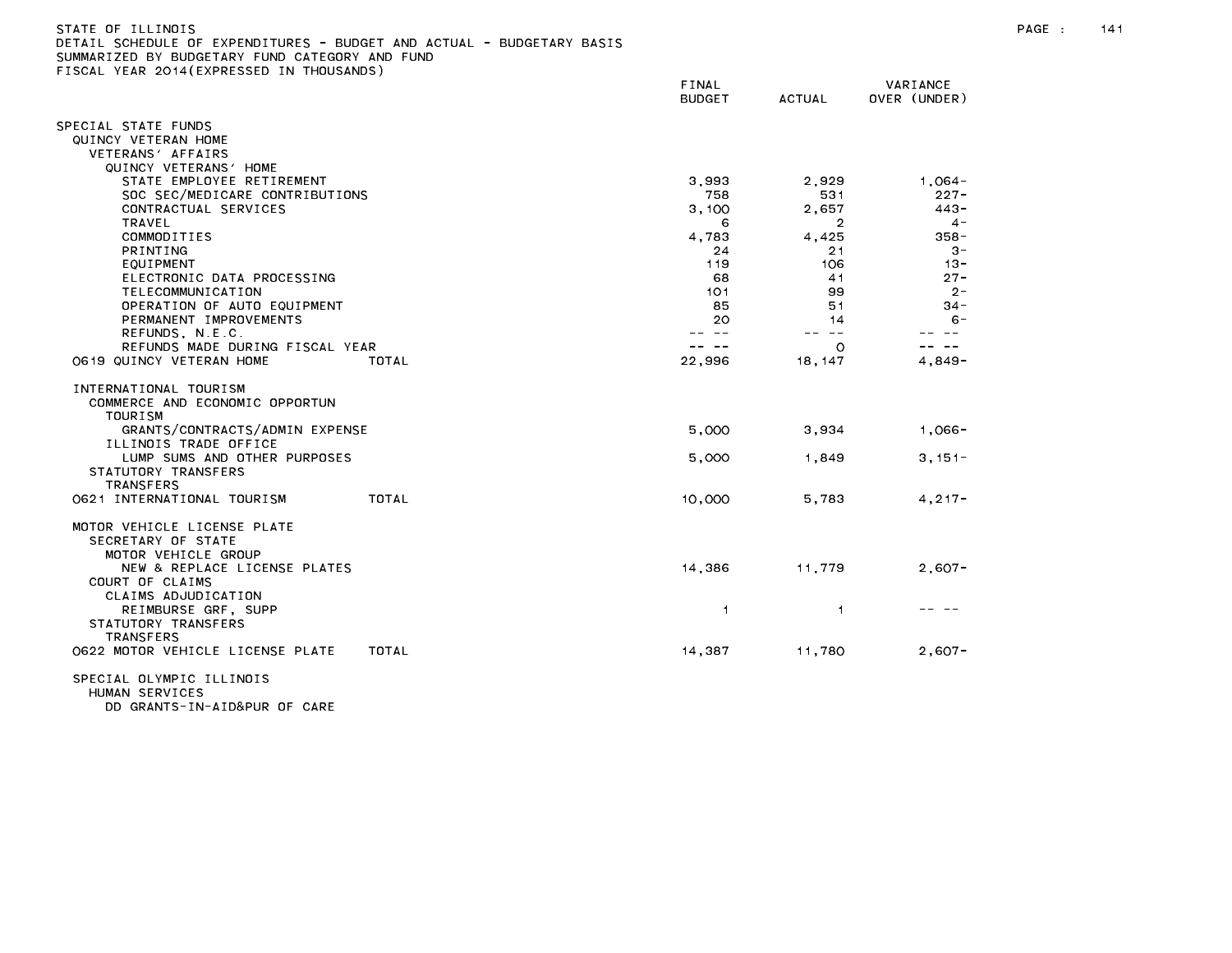| JETAIL SUMEDULE UF EXPENDITURES - BUDGET AND AUTUAL - BUDGETARY BASIS<br>SUMMARIZED BY BUDGETARY FUND CATEGORY AND FUND |               |                |                     |
|-------------------------------------------------------------------------------------------------------------------------|---------------|----------------|---------------------|
| FISCAL YEAR 2014(EXPRESSED IN THOUSANDS)                                                                                |               |                |                     |
|                                                                                                                         | <b>FINAL</b>  |                | VARIANCE            |
|                                                                                                                         | <b>BUDGET</b> | <b>ACTUAL</b>  | OVER (UNDER)        |
| SPECIAL STATE FUNDS                                                                                                     |               |                |                     |
| QUINCY VETERAN HOME                                                                                                     |               |                |                     |
| VETERANS' AFFAIRS                                                                                                       |               |                |                     |
| QUINCY VETERANS' HOME                                                                                                   |               |                |                     |
| STATE EMPLOYEE RETIREMENT                                                                                               | 3.993         | 2,929          | 1.064-              |
| SOC SEC/MEDICARE CONTRIBUTIONS                                                                                          | 758           | 531            | $227 -$             |
| CONTRACTUAL SERVICES                                                                                                    | 3,100         | 2,657          | $443 -$             |
| TRAVEL                                                                                                                  | 6             | 2              | $4 -$               |
| COMMODITIES                                                                                                             | 4.783         | 4.425          | 358 -               |
| PRINTING                                                                                                                | 24            | 21             | $3 -$               |
| EQUIPMENT                                                                                                               | 119           | 106            | $13 -$              |
| ELECTRONIC DATA PROCESSING                                                                                              | 68            | 41             | $27 -$              |
| TELECOMMUNICATION                                                                                                       | 101           | 99             | $2 -$               |
| OPERATION OF AUTO EQUIPMENT                                                                                             | 85            | 51             | $34 -$              |
| PERMANENT IMPROVEMENTS<br>REFUNDS, N.E.C.                                                                               | 20<br>-- --   | 14<br>-- --    | $6 -$<br>$\sim$ $-$ |
| REFUNDS MADE DURING FISCAL YEAR                                                                                         | $\sim$ $-$    | $\circ$        | $\sim$ $-$          |
| O619 QUINCY VETERAN HOME<br>TOTAL                                                                                       | 22,996        | 18, 147        | $4.849 -$           |
|                                                                                                                         |               |                |                     |
| INTERNATIONAL TOURISM                                                                                                   |               |                |                     |
| COMMERCE AND ECONOMIC OPPORTUN                                                                                          |               |                |                     |
| TOURISM                                                                                                                 |               |                |                     |
| GRANTS/CONTRACTS/ADMIN EXPENSE                                                                                          | 5,000         | 3,934          | $1,066-$            |
| ILLINOIS TRADE OFFICE                                                                                                   |               |                |                     |
| LUMP SUMS AND OTHER PURPOSES                                                                                            | 5,000         | 1,849          | $3,151-$            |
| STATUTORY TRANSFERS                                                                                                     |               |                |                     |
| <b>TRANSFERS</b>                                                                                                        |               |                |                     |
| 0621 INTERNATIONAL TOURISM<br>TOTAL                                                                                     | 10,000        | 5.783          | $4, 217 -$          |
|                                                                                                                         |               |                |                     |
| MOTOR VEHICLE LICENSE PLATE                                                                                             |               |                |                     |
| SECRETARY OF STATE                                                                                                      |               |                |                     |
| MOTOR VEHICLE GROUP                                                                                                     |               |                |                     |
| NEW & REPLACE LICENSE PLATES<br>COURT OF CLAIMS                                                                         | 14,386        | 11,779         | $2,607-$            |
| CLAIMS ADJUDICATION                                                                                                     |               |                |                     |
| REIMBURSE GRF, SUPP                                                                                                     | 1             | $\overline{1}$ |                     |
| STATUTORY TRANSFERS                                                                                                     |               |                |                     |
| <b>TRANSFERS</b>                                                                                                        |               |                |                     |
| 0622 MOTOR VEHICLE LICENSE PLATE<br>TOTAL                                                                               | 14,387        | 11,780         | $2,607-$            |
|                                                                                                                         |               |                |                     |
|                                                                                                                         |               |                |                     |

SPECIAL OLYMPIC ILLINOIS HUMAN SERVICES DD GRANTS-IN-AID&PUR OF CARE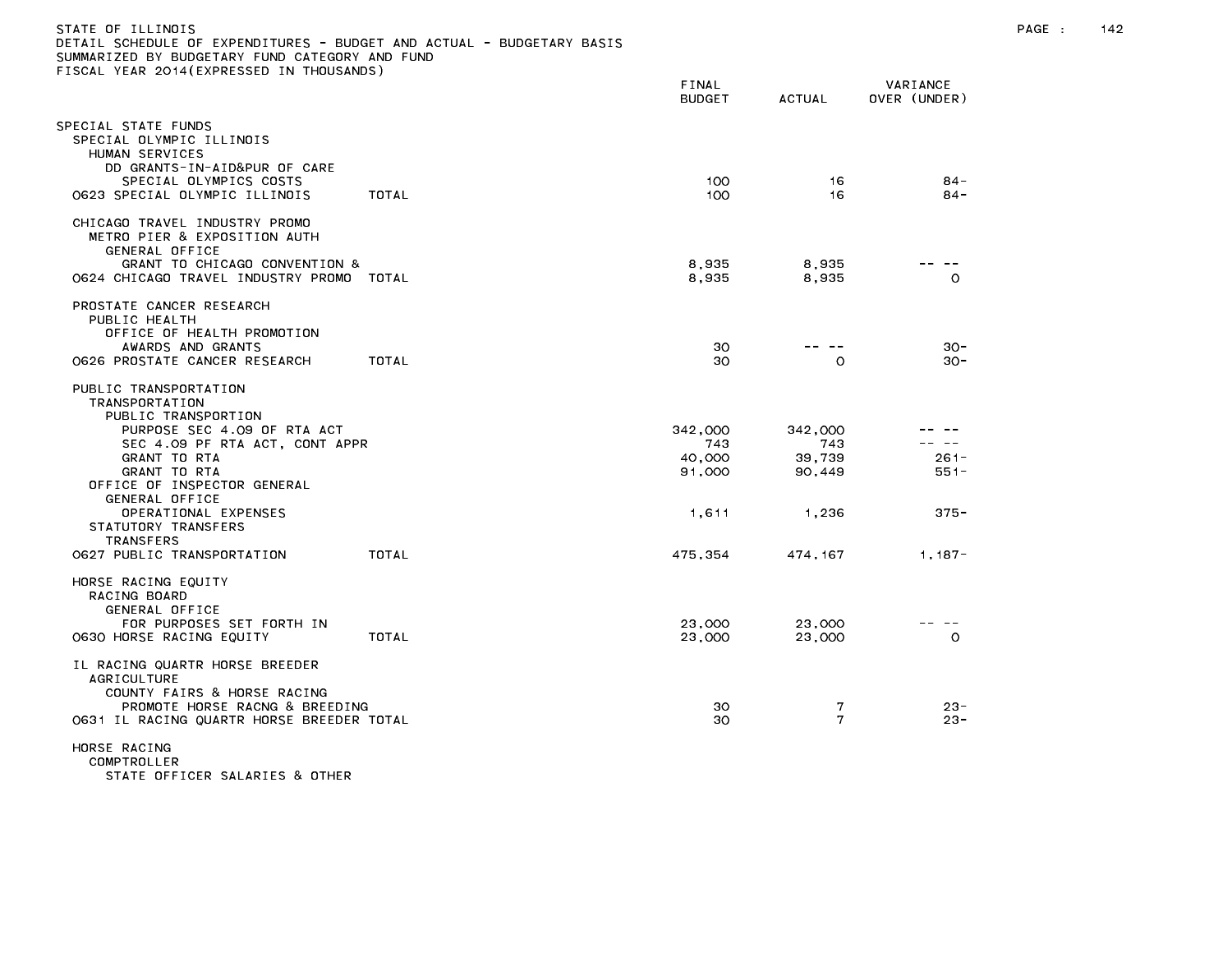| DETAIL SCHEDULE OF EXPENDITURES – BUDGET AND ACTUAL – BUDGETARY BASIS<br>SUMMARIZED BY BUDGETARY FUND CATEGORY AND FUND                                            |       |                                    |                                    |                             |
|--------------------------------------------------------------------------------------------------------------------------------------------------------------------|-------|------------------------------------|------------------------------------|-----------------------------|
| FISCAL YEAR 2014(EXPRESSED IN THOUSANDS)                                                                                                                           |       | FINAL<br><b>BUDGET</b>             | <b>ACTUAL</b>                      | VARIANCE<br>OVER (UNDER)    |
| SPECIAL STATE FUNDS<br>SPECIAL OLYMPIC ILLINOIS<br>HUMAN SERVICES<br>DD GRANTS-IN-AID&PUR OF CARE                                                                  |       |                                    |                                    |                             |
| SPECIAL OLYMPICS COSTS<br>0623 SPECIAL OLYMPIC ILLINOIS                                                                                                            | TOTAL | 100<br>100                         | 16<br>16                           | $84 -$<br>$84 -$            |
| CHICAGO TRAVEL INDUSTRY PROMO<br>METRO PIER & EXPOSITION AUTH<br>GENERAL OFFICE                                                                                    |       |                                    |                                    |                             |
| GRANT TO CHICAGO CONVENTION &<br>0624 CHICAGO TRAVEL INDUSTRY PROMO TOTAL                                                                                          |       | 8,935<br>8,935                     | 8,935<br>8,935                     | $\Omega$                    |
| PROSTATE CANCER RESEARCH<br>PUBLIC HEALTH<br>OFFICE OF HEALTH PROMOTION                                                                                            |       |                                    |                                    |                             |
| AWARDS AND GRANTS<br>0626 PROSTATE CANCER RESEARCH                                                                                                                 | TOTAL | 30<br>30                           | -- -<br>$\circ$                    | $30 -$<br>$30 -$            |
| PUBLIC TRANSPORTATION<br><b>TRANSPORTATION</b><br>PUBLIC TRANSPORTION                                                                                              |       |                                    |                                    |                             |
| PURPOSE SEC 4.09 OF RTA ACT<br>SEC 4.09 PF RTA ACT, CONT APPR<br>GRANT TO RTA<br>GRANT TO RTA<br>OFFICE OF INSPECTOR GENERAL                                       |       | 342,000<br>743<br>40,000<br>91,000 | 342,000<br>743<br>39,739<br>90,449 | $- -$<br>$261 -$<br>$551 -$ |
| GENERAL OFFICE<br>OPERATIONAL EXPENSES<br>STATUTORY TRANSFERS<br><b>TRANSFERS</b>                                                                                  |       | 1,611                              | 1,236                              | $375 -$                     |
| 0627 PUBLIC TRANSPORTATION                                                                                                                                         | TOTAL | 475,354                            | 474, 167                           | $1,187-$                    |
| HORSE RACING EQUITY<br>RACING BOARD<br>GENERAL OFFICE                                                                                                              |       |                                    |                                    |                             |
| FOR PURPOSES SET FORTH IN<br>0630 HORSE RACING EQUITY                                                                                                              | TOTAL | 23,000<br>23,000                   | 23,000<br>23,000                   | $\circ$                     |
| IL RACING QUARTR HORSE BREEDER<br><b>AGRICULTURE</b><br>COUNTY FAIRS & HORSE RACING<br>PROMOTE HORSE RACNG & BREEDING<br>0631 IL RACING QUARTR HORSE BREEDER TOTAL |       | 30<br>30                           | 7<br>7                             | $23 -$<br>$23 -$            |
| HORSE RACING<br>COMPTROLLER<br>STATE OFFICER SALARIES & OTHER                                                                                                      |       |                                    |                                    |                             |

STATE OF ILLINOIS PAGE : 142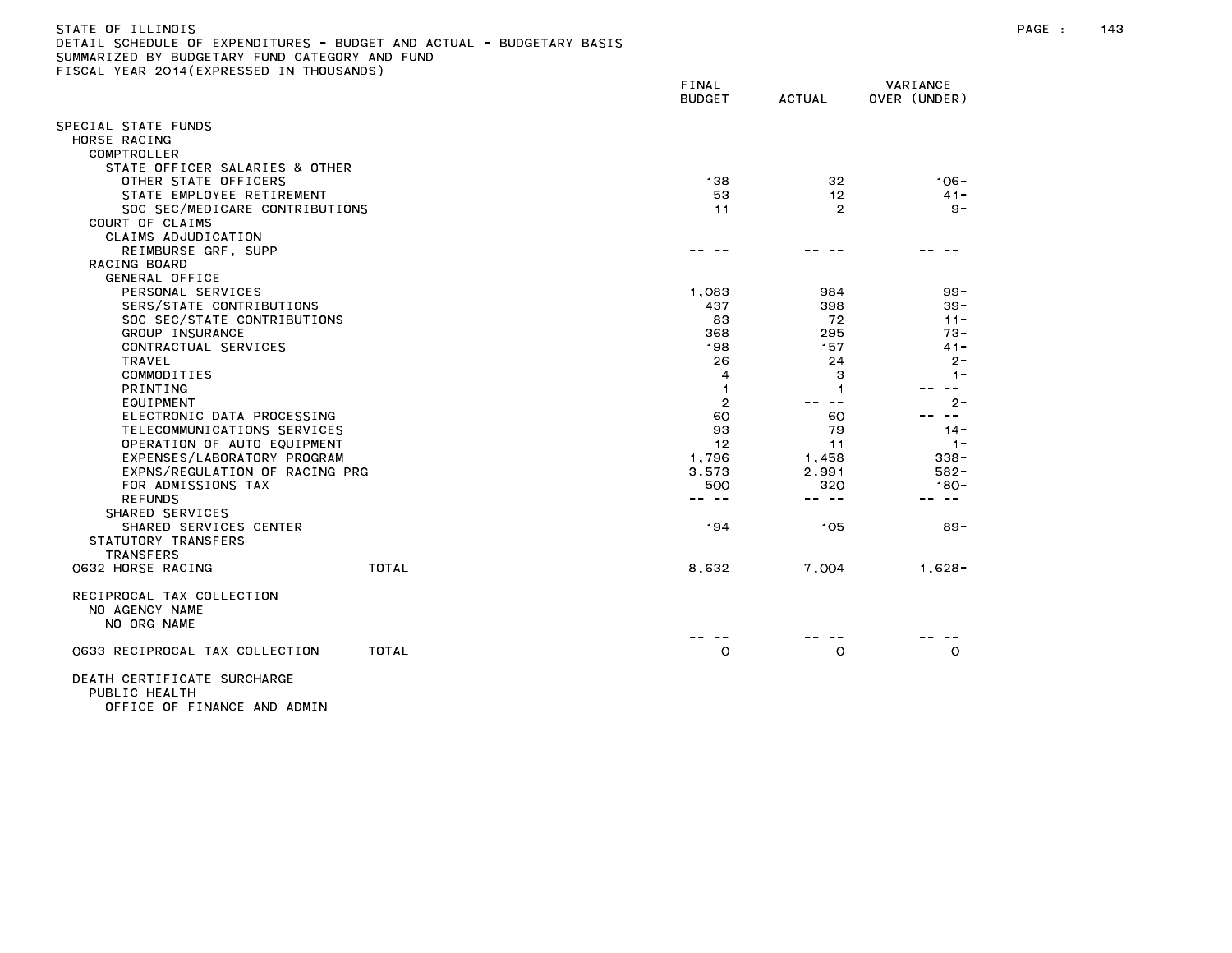| DETAIL SCHEDULE OF EXPENDITURES - BUDGET AND ACTUAL - BUDGETARY BASIS<br>SUMMARIZED BY BUDGETARY FUND CATEGORY AND FUND<br>FISCAL YEAR 2014 (EXPRESSED IN THOUSANDS) |              |                        |                  |                          |
|----------------------------------------------------------------------------------------------------------------------------------------------------------------------|--------------|------------------------|------------------|--------------------------|
|                                                                                                                                                                      |              | FINAL<br><b>BUDGET</b> | <b>ACTUAL</b>    | VARIANCE<br>OVER (UNDER) |
| SPECIAL STATE FUNDS<br>HORSE RACING<br>COMPTROLLER                                                                                                                   |              |                        |                  |                          |
| STATE OFFICER SALARIES & OTHER                                                                                                                                       |              |                        |                  |                          |
| OTHER STATE OFFICERS                                                                                                                                                 |              | 138                    | 32               | $106 -$                  |
| STATE EMPLOYEE RETIREMENT                                                                                                                                            |              | 53                     | 12 <sup>°</sup>  | $41 -$                   |
| SOC SEC/MEDICARE CONTRIBUTIONS                                                                                                                                       |              | 11                     | $\overline{2}$   | $9 -$                    |
| COURT OF CLAIMS                                                                                                                                                      |              |                        |                  |                          |
| CLAIMS ADJUDICATION                                                                                                                                                  |              |                        |                  |                          |
| REIMBURSE GRF, SUPP                                                                                                                                                  |              |                        |                  |                          |
| RACING BOARD                                                                                                                                                         |              |                        |                  |                          |
| GENERAL OFFICE                                                                                                                                                       |              |                        |                  |                          |
| PERSONAL SERVICES                                                                                                                                                    |              | 1,083                  | 984              | $99 -$                   |
| SERS/STATE CONTRIBUTIONS                                                                                                                                             |              | 437                    | 398              | $39 -$                   |
| SOC SEC/STATE CONTRIBUTIONS                                                                                                                                          |              | 83                     | 72               | $11 -$                   |
| GROUP INSURANCE                                                                                                                                                      |              | 368                    | 295              | $73 -$                   |
| CONTRACTUAL SERVICES                                                                                                                                                 |              | 198                    | 157              | $41 -$                   |
| <b>TRAVEL</b>                                                                                                                                                        |              | 26                     | 24               | $2 -$                    |
| COMMODITIES                                                                                                                                                          |              | 4                      | 3                | $1 -$                    |
| PRINTING                                                                                                                                                             |              | $\overline{1}$         | 1                | $  \,$                   |
| EQUIPMENT                                                                                                                                                            |              | $\overline{2}$         | $- -$            | $2 -$<br>$\sim$ $\sim$   |
| ELECTRONIC DATA PROCESSING                                                                                                                                           | 60           | 60                     |                  |                          |
| TELECOMMUNICATIONS SERVICES                                                                                                                                          |              | 93                     | 79               | $14 -$                   |
| OPERATION OF AUTO EQUIPMENT<br>EXPENSES/LABORATORY PROGRAM                                                                                                           | 12<br>1.796  | 11<br>1.458            | $-1-$<br>$338 -$ |                          |
| EXPNS/REGULATION OF RACING PRG                                                                                                                                       | 3,573        | 2,991                  | $582 -$          |                          |
| FOR ADMISSIONS TAX                                                                                                                                                   | 500          | 320                    | $180 -$          |                          |
| <b>REFUNDS</b>                                                                                                                                                       |              |                        | -- --            |                          |
| SHARED SERVICES                                                                                                                                                      |              |                        |                  |                          |
| SHARED SERVICES CENTER                                                                                                                                               |              | 194                    | 105              | 89 -                     |
| STATUTORY TRANSFERS                                                                                                                                                  |              |                        |                  |                          |
| <b>TRANSFERS</b>                                                                                                                                                     |              |                        |                  |                          |
| 0632 HORSE RACING                                                                                                                                                    | <b>TOTAL</b> | 8,632                  | 7,004            | $1,628-$                 |
| RECIPROCAL TAX COLLECTION<br>NO AGENCY NAME<br>NO ORG NAME                                                                                                           |              |                        |                  |                          |
|                                                                                                                                                                      |              |                        |                  |                          |
| 0633 RECIPROCAL TAX COLLECTION                                                                                                                                       | TOTAL        | $\circ$                | O                | $\circ$                  |
| DEATH CEDITETOATE CHDCHADOE                                                                                                                                          |              |                        |                  |                          |

DEATH CERTIFICATE SURCHARGE<br>PUBLIC HEALTH OFFICE OF FINANCE AND ADMIN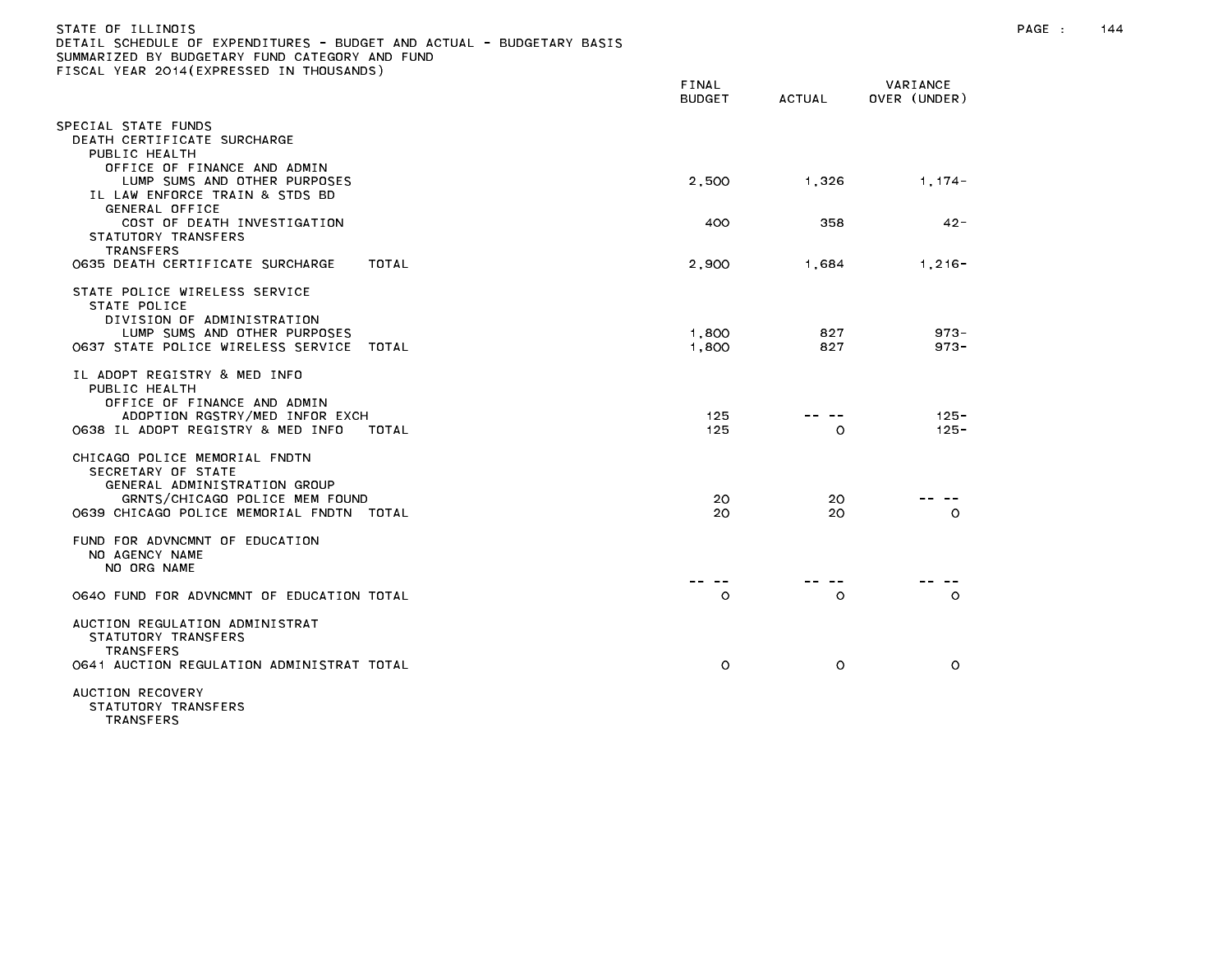| STATE OF ILLINOIS<br>DETAIL SCHEDULE OF EXPENDITURES - BUDGET AND ACTUAL - BUDGETARY BASIS<br>SUMMARIZED BY BUDGETARY FUND CATEGORY AND FUND                      |                        |            |                          |  | 144 |
|-------------------------------------------------------------------------------------------------------------------------------------------------------------------|------------------------|------------|--------------------------|--|-----|
| FISCAL YEAR 2014(EXPRESSED IN THOUSANDS)                                                                                                                          | FINAL<br><b>BUDGET</b> | ACTUAL     | VARIANCE<br>OVER (UNDER) |  |     |
| SPECIAL STATE FUNDS<br>DEATH CERTIFICATE SURCHARGE<br>PUBLIC HEALTH                                                                                               |                        |            |                          |  |     |
| OFFICE OF FINANCE AND ADMIN<br>LUMP SUMS AND OTHER PURPOSES<br>IL LAW ENFORCE TRAIN & STDS BD<br>GENERAL OFFICE                                                   | 2,500                  | 1,326      | $1,174-$                 |  |     |
| COST OF DEATH INVESTIGATION<br>STATUTORY TRANSFERS<br><b>TRANSFERS</b>                                                                                            | 400                    | 358        | $42 -$                   |  |     |
| 0635 DEATH CERTIFICATE SURCHARGE<br>TOTAL                                                                                                                         | 2,900                  | 1,684      | $1,216-$                 |  |     |
| STATE POLICE WIRELESS SERVICE<br>STATE POLICE<br>DIVISION OF ADMINISTRATION                                                                                       |                        |            |                          |  |     |
| LUMP SUMS AND OTHER PURPOSES<br>0637 STATE POLICE WIRELESS SERVICE TOTAL                                                                                          | 1,800<br>1,800         | 827<br>827 | $973 -$<br>$973 -$       |  |     |
| IL ADOPT REGISTRY & MED INFO<br>PUBLIC HEALTH<br>OFFICE OF FINANCE AND ADMIN<br>ADOPTION RGSTRY/MED INFOR EXCH                                                    | 125                    | .          | $125 -$                  |  |     |
| 0638 IL ADOPT REGISTRY & MED INFO<br>TOTAL                                                                                                                        | 125                    | $\circ$    | $125 -$                  |  |     |
| CHICAGO POLICE MEMORIAL FNDTN<br>SECRETARY OF STATE<br>GENERAL ADMINISTRATION GROUP<br>GRNTS/CHICAGO POLICE MEM FOUND<br>0639 CHICAGO POLICE MEMORIAL FNDTN TOTAL | 20<br>20               | 20<br>20   | -- --<br>$\circ$         |  |     |
| FUND FOR ADVNCMNT OF EDUCATION<br>NO AGENCY NAME<br>NO ORG NAME                                                                                                   |                        |            |                          |  |     |
| 0640 FUND FOR ADVNCMNT OF EDUCATION TOTAL                                                                                                                         | -- --<br>$\circ$       | $\circ$    | $\circ$                  |  |     |
| AUCTION REGULATION ADMINISTRAT<br>STATUTORY TRANSFERS<br><b>TRANSFERS</b><br>0641 AUCTION REGULATION ADMINISTRAT TOTAL                                            | $\circ$                | $\circ$    | $\circ$                  |  |     |
| AUCTION RECOVERY<br>STATUTORY TRANSFERS                                                                                                                           |                        |            |                          |  |     |

TRANSFERS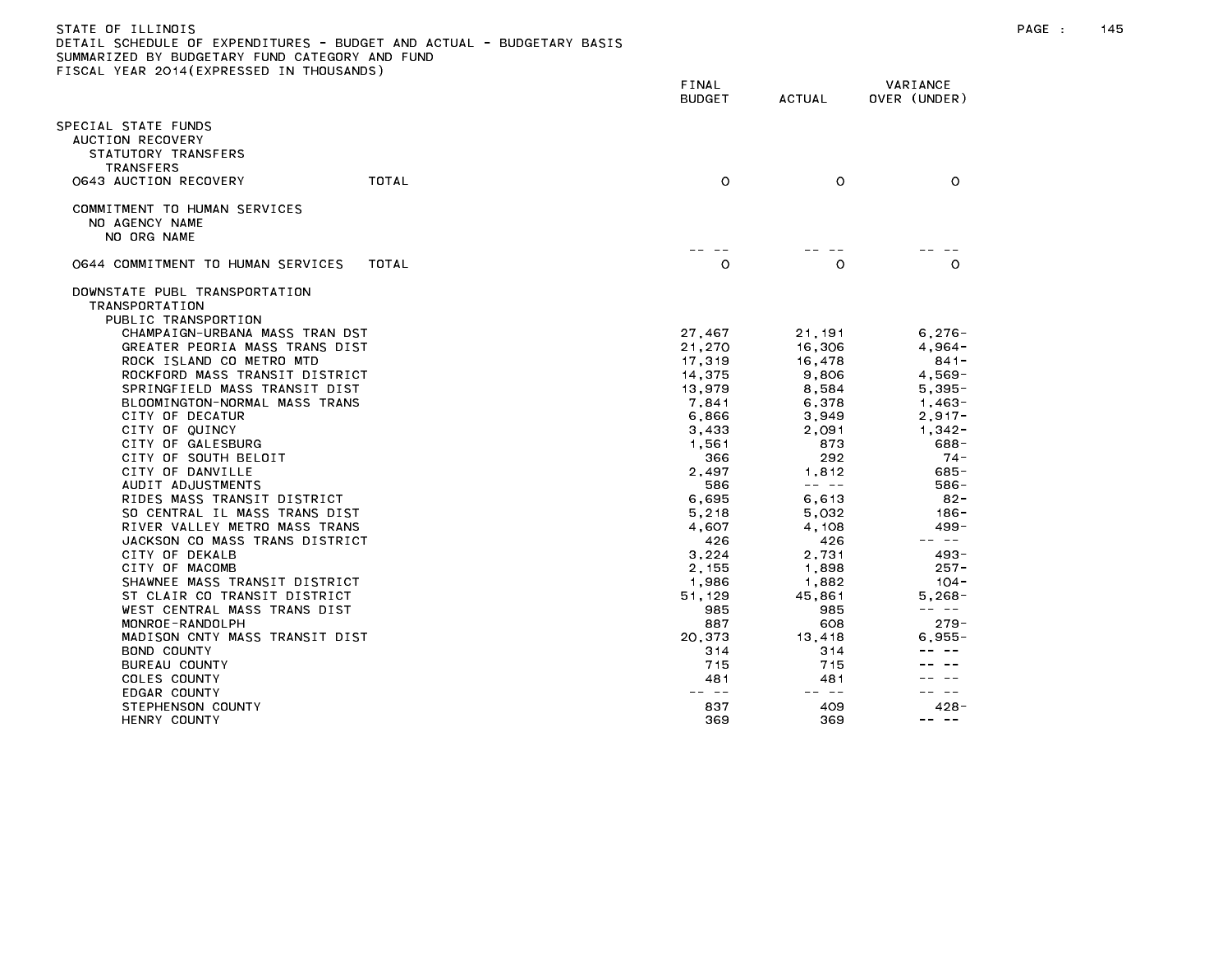## STATE OF ILLINOIS PAGE : 145 DETAIL SCHEDULE OF EXPENDITURES - BUDGET AND ACTUAL - BUDGETARY BASIS

|                                                                                                            |       | FINAL<br><b>BUDGET</b> | <b>ACTUAL</b> | VARIANCE<br>OVER (UNDER) |
|------------------------------------------------------------------------------------------------------------|-------|------------------------|---------------|--------------------------|
| PECIAL STATE FUNDS<br>AUCTION RECOVERY<br>STATUTORY TRANSFERS<br><b>TRANSFERS</b><br>0643 AUCTION RECOVERY | TOTAL | $\circ$                | $\circ$       | $\circ$                  |
| COMMITMENT TO HUMAN SERVICES<br>NO AGENCY NAME<br>NO ORG NAME                                              |       |                        |               |                          |
| 0644 COMMITMENT TO HUMAN SERVICES                                                                          | TOTAL | $\circ$                | $\circ$       | $\circ$                  |
| DOWNSTATE PUBL TRANSPORTATION<br>TRANSPORTATION<br>PUBLIC TRANSPORTION                                     |       |                        |               |                          |
| CHAMPAIGN-URBANA MASS TRAN DST                                                                             |       | 27,467                 | 21,191        | $6,276-$                 |
| GREATER PEORIA MASS TRANS DIST                                                                             |       | 21,270                 | 16,306        | $4,964-$                 |
| ROCK ISLAND CO METRO MTD                                                                                   |       | 17,319                 | 16,478        | $841 -$                  |
| ROCKFORD MASS TRANSIT DISTRICT                                                                             |       | 14,375                 | 9,806         | $4.569 -$                |
| SPRINGFIELD MASS TRANSIT DIST                                                                              |       | 13,979                 | 8,584         | $5,395-$                 |
| BLOOMINGTON-NORMAL MASS TRANS                                                                              |       | 7.841                  | 6.378         | $1,463-$                 |
| CITY OF DECATUR<br>CITY OF QUINCY                                                                          |       | 6,866<br>3,433         | 3,949         | $2,917-$<br>$1,342 -$    |
| CITY OF GALESBURG                                                                                          |       | 1,561                  | 2,091<br>873  | 688-                     |
| CITY OF SOUTH BELOIT                                                                                       |       | 366                    | 292           | $74 -$                   |
| CITY OF DANVILLE                                                                                           |       | 2,497                  | 1.812         | 685-                     |
| AUDIT ADJUSTMENTS                                                                                          |       | 586                    | -- --         | 586-                     |
| RIDES MASS TRANSIT DISTRICT                                                                                |       | 6,695                  | 6,613         | $82 -$                   |
| SO CENTRAL IL MASS TRANS DIST                                                                              |       | 5,218                  | 5,032         | $186 -$                  |
| RIVER VALLEY METRO MASS TRANS                                                                              |       | 4,607                  | 4,108         | $499 -$                  |
| JACKSON CO MASS TRANS DISTRICT                                                                             |       | 426                    | 426           | -- --                    |
| CITY OF DEKALB                                                                                             |       | 3,224                  | 2,731         | $493 -$                  |
| CITY OF MACOMB                                                                                             |       | 2,155                  | 1,898         | $257 -$                  |
| SHAWNEE MASS TRANSIT DISTRICT                                                                              |       | 1.986                  | 1.882         | $104 -$                  |
| ST CLAIR CO TRANSIT DISTRICT                                                                               |       | 51,129                 | 45,861        | 5,268-                   |
| WEST CENTRAL MASS TRANS DIST                                                                               |       | 985                    | 985           | -- --                    |
| MONROE-RANDOLPH                                                                                            |       | 887                    | 608           | $279 -$                  |
| MADISON CNTY MASS TRANSIT DIST                                                                             |       | 20,373                 | 13,418        | 6.955-                   |
| BOND COUNTY                                                                                                |       | 314                    | 314           |                          |
| BUREAU COUNTY                                                                                              |       | 715                    | 715           |                          |
| COLES COUNTY                                                                                               |       | 481                    | 481           |                          |
| EDGAR COUNTY                                                                                               |       | $\sim$ $-$             | -- --         |                          |
| STEPHENSON COUNTY                                                                                          |       | 837                    | 409           | $428 -$                  |
| HENRY COUNTY                                                                                               |       | 369                    | 369           | $\sim$ $-$<br>$- -$      |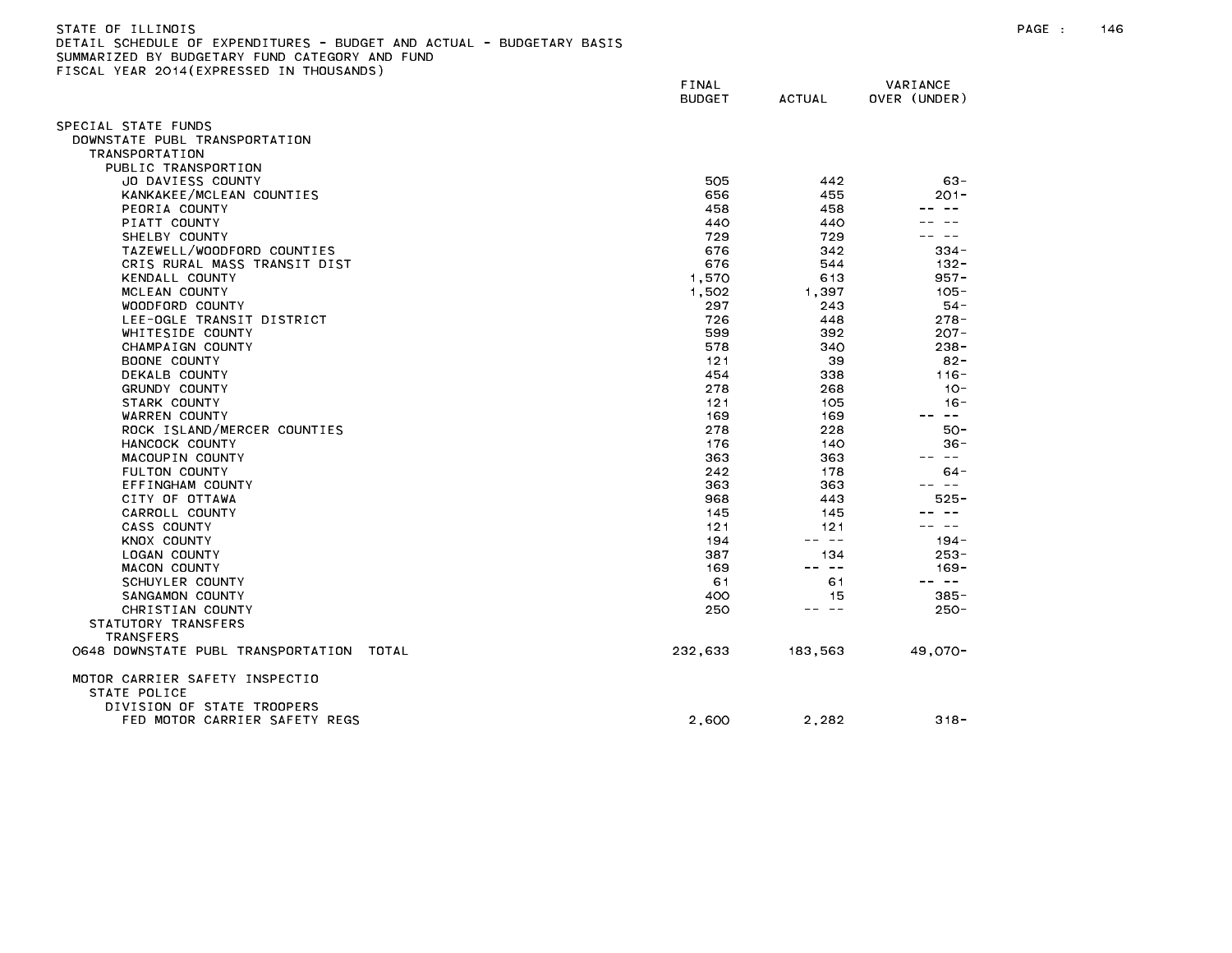| STATE OF ILLINOIS                                                     |  |
|-----------------------------------------------------------------------|--|
| DETAIL SCHEDULE OF EXPENDITURES - BUDGET AND ACTUAL - BUDGETARY BASIS |  |
| SUMMARIZED BY BUDGETARY FUND CATEGORY AND FUND                        |  |
| FISCAL YEAR 2014(EXPRESSED IN THOUSANDS)                              |  |
|                                                                       |  |

|                                                      | FINAL<br><b>BUDGET</b> | <b>ACTUAL</b> | VARIANCE<br>OVER (UNDER) |
|------------------------------------------------------|------------------------|---------------|--------------------------|
|                                                      |                        |               |                          |
| SPECIAL STATE FUNDS<br>DOWNSTATE PUBL TRANSPORTATION |                        |               |                          |
| <b>TRANSPORTATION</b>                                |                        |               |                          |
| PUBLIC TRANSPORTION                                  |                        |               |                          |
| JO DAVIESS COUNTY                                    | 505                    | 442           | $63 -$                   |
| KANKAKEE/MCLEAN COUNTIES                             | 656                    | 455           | 201-                     |
| PEORIA COUNTY                                        | 458                    | 458           | $\sim$ $-$               |
| PIATT COUNTY                                         | 440                    | 440           |                          |
| SHELBY COUNTY                                        | 729                    | 729           | $ -$                     |
| TAZEWELL/WOODFORD COUNTIES                           | 676                    | 342           | $334 -$                  |
| CRIS RURAL MASS TRANSIT DIST                         | 676                    | 544           | $132 -$                  |
| KENDALL COUNTY                                       | 1,570                  | 613           | $957 -$                  |
| MCLEAN COUNTY                                        | 1,502                  | 1,397         | $105 -$                  |
| WOODFORD COUNTY                                      | 297                    | 243           | $54-$                    |
| LEE-OGLE TRANSIT DISTRICT                            | 726                    | 448           | $278 -$                  |
| WHITESIDE COUNTY                                     | 599                    | 392           | $207 -$                  |
| CHAMPAIGN COUNTY                                     | 578                    | 340           | $238 -$                  |
| BOONE COUNTY                                         | 121                    | 39            | $82 -$                   |
| DEKALB COUNTY                                        | 454                    | 338           | $116 -$                  |
| GRUNDY COUNTY                                        | 278                    | 268           | $10 -$                   |
| STARK COUNTY<br>WARREN COUNTY                        | 121<br>169             | 105<br>169    | $16 -$<br>$\sim$ $-$     |
| ROCK ISLAND/MERCER COUNTIES                          | 278                    | 228           | $50 -$                   |
| HANCOCK COUNTY                                       | 176                    | 140           | 36-                      |
| MACOUPIN COUNTY                                      | 363                    | 363           | $- -$                    |
| <b>FULTON COUNTY</b>                                 | 242                    | 178           | $64 -$                   |
| EFFINGHAM COUNTY                                     | 363                    | 363           | $\sim$ $-$               |
| CITY OF OTTAWA                                       | 968                    | 443           | 525 -                    |
| CARROLL COUNTY                                       | 145                    | 145           |                          |
| CASS COUNTY                                          | 121                    | 121           | $\sim$ $-$               |
| KNOX COUNTY                                          | 194                    | -- --         | $194 -$                  |
| LOGAN COUNTY                                         | 387                    | 134           | $253 -$                  |
| MACON COUNTY                                         | 169                    | -- --         | $169 -$                  |
| SCHUYLER COUNTY                                      | 61                     | 61            | $\sim$ $-$               |
| SANGAMON COUNTY                                      | 400                    | 15            | $385 -$                  |
| CHRISTIAN COUNTY                                     | 250                    | $ -$<br>---   | $250 -$                  |
| STATUTORY TRANSFERS                                  |                        |               |                          |
| <b>TRANSFERS</b>                                     |                        |               |                          |
| 0648 DOWNSTATE PUBL TRANSPORTATION<br>TOTAL          | 232,633                | 183,563       | $49,070-$                |
| MOTOR CARRIER SAFETY INSPECTIO                       |                        |               |                          |
| STATE POLICE                                         |                        |               |                          |
| DIVISION OF STATE TROOPERS                           |                        |               |                          |
| FED MOTOR CARRIER SAFETY REGS                        | 2,600                  | 2.282         | $318 -$                  |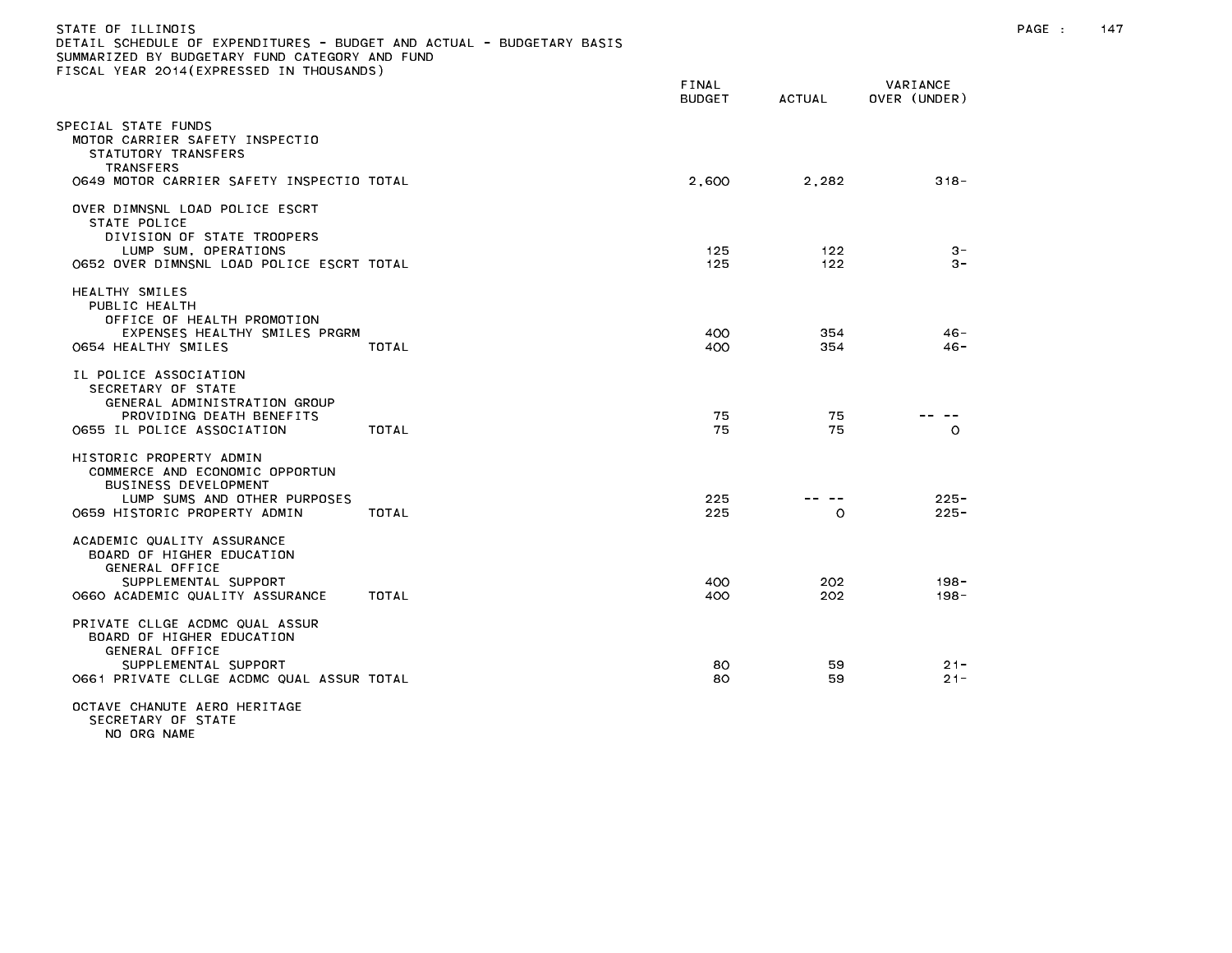| STATE OF ILLINOIS<br>DETAIL SCHEDULE OF EXPENDITURES - BUDGET AND ACTUAL - BUDGETARY BASIS<br>SUMMARIZED BY BUDGETARY FUND CATEGORY AND FUND<br>FISCAL YEAR 2014 (EXPRESSED IN THOUSANDS) |                        |                  |                          | PAGE :<br>147 |  |
|-------------------------------------------------------------------------------------------------------------------------------------------------------------------------------------------|------------------------|------------------|--------------------------|---------------|--|
|                                                                                                                                                                                           | FINAL<br><b>BUDGET</b> | <b>ACTUAL</b>    | VARIANCE<br>OVER (UNDER) |               |  |
| SPECIAL STATE FUNDS<br>MOTOR CARRIER SAFETY INSPECTIO<br>STATUTORY TRANSFERS<br><b>TRANSFERS</b><br>0649 MOTOR CARRIER SAFETY INSPECTIO TOTAL                                             | 2,600                  | 2,282            | $318 -$                  |               |  |
| OVER DIMNSNL LOAD POLICE ESCRT<br>STATE POLICE<br>DIVISION OF STATE TROOPERS<br>LUMP SUM, OPERATIONS<br>0652 OVER DIMNSNL LOAD POLICE ESCRT TOTAL                                         | 125<br>125             | 122<br>122       | $3 -$<br>$3 -$           |               |  |
| HEALTHY SMILES<br>PUBLIC HEALTH<br>OFFICE OF HEALTH PROMOTION<br>EXPENSES HEALTHY SMILES PRGRM<br>O654 HEALTHY SMILES<br>TOTAL                                                            | 400<br>400             | 354<br>354       | $46 -$<br>46-            |               |  |
| IL POLICE ASSOCIATION<br>SECRETARY OF STATE<br>GENERAL ADMINISTRATION GROUP<br>PROVIDING DEATH BENEFITS<br>TOTAL<br>0655 IL POLICE ASSOCIATION                                            | 75<br>75               | 75<br>75         | -- --<br>$\circ$         |               |  |
| HISTORIC PROPERTY ADMIN<br>COMMERCE AND ECONOMIC OPPORTUN<br>BUSINESS DEVELOPMENT<br>LUMP SUMS AND OTHER PURPOSES<br>0659 HISTORIC PROPERTY ADMIN<br>TOTAL                                | 225<br>225             | -- --<br>$\circ$ | $225 -$<br>$225 -$       |               |  |
| ACADEMIC QUALITY ASSURANCE<br>BOARD OF HIGHER EDUCATION<br>GENERAL OFFICE<br>SUPPLEMENTAL SUPPORT<br>O660 ACADEMIC QUALITY ASSURANCE<br>TOTAL                                             | 400<br>400             | 202<br>202       | $198 -$<br>198-          |               |  |
| PRIVATE CLLGE ACDMC QUAL ASSUR<br>BOARD OF HIGHER EDUCATION<br>GENERAL OFFICE<br>SUPPLEMENTAL SUPPORT<br>O661 PRIVATE CLLGE ACDMC QUAL ASSUR TOTAL                                        | 80<br>80               | 59<br>59         | $21 -$<br>$21 -$         |               |  |
| OCTAVE CHANUTE AERO HERITAGE<br>SECRETARY OF STATE<br>NO ORG NAME                                                                                                                         |                        |                  |                          |               |  |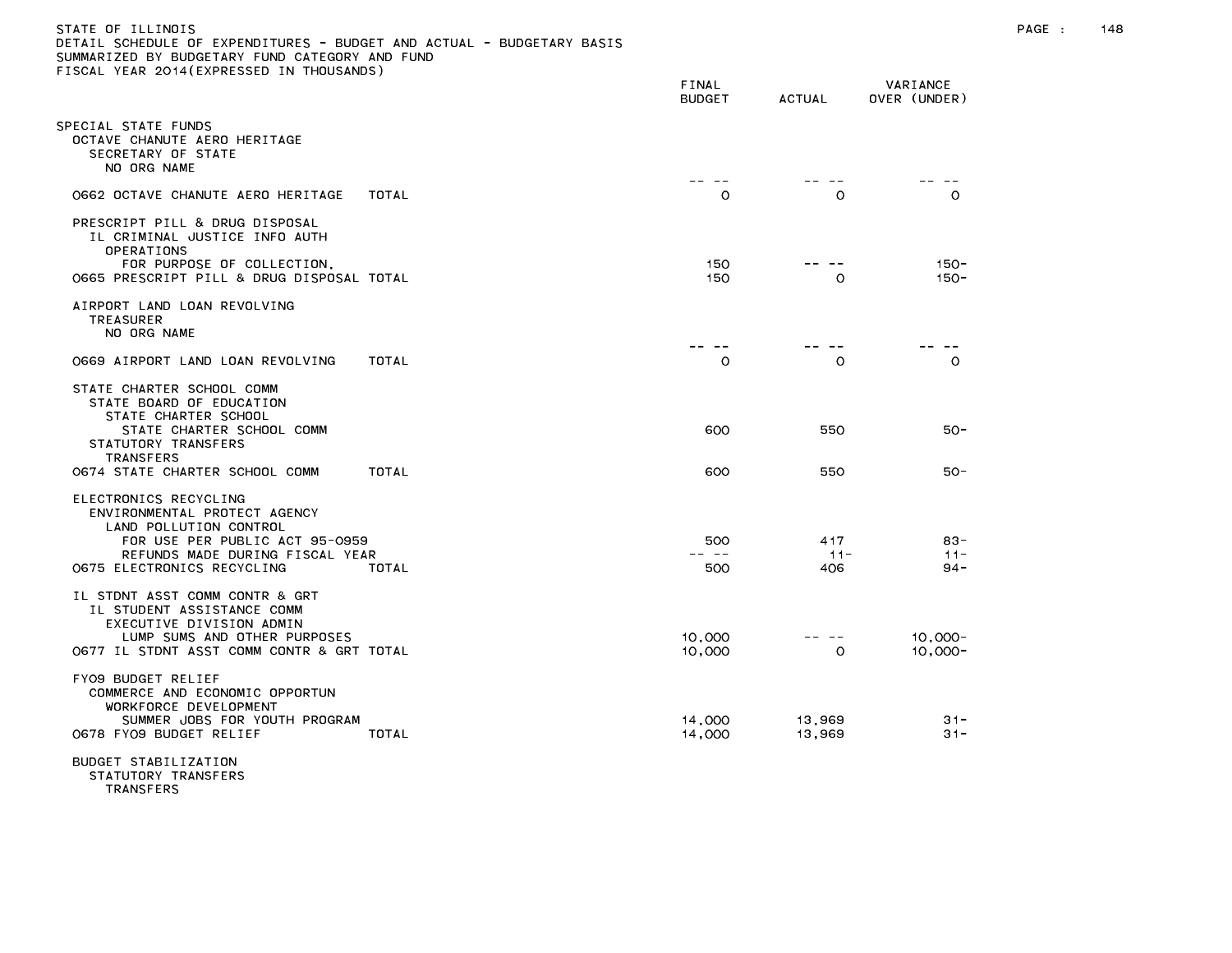| DETAIL SCHEDULE OF EXPENDITURES – BUDGET AND ACTUAL – BUDGETARY BASIS<br>SUMMARIZED BY BUDGETARY FUND CATEGORY AND FUND<br>FISCAL YEAR 2014(EXPRESSED IN THOUSANDS)                     |       |                        |                        |                            |
|-----------------------------------------------------------------------------------------------------------------------------------------------------------------------------------------|-------|------------------------|------------------------|----------------------------|
|                                                                                                                                                                                         |       | FINAL<br><b>BUDGET</b> | <b>ACTUAL</b>          | VARIANCE<br>OVER (UNDER)   |
| SPECIAL STATE FUNDS<br>OCTAVE CHANUTE AERO HERITAGE<br>SECRETARY OF STATE<br>NO ORG NAME                                                                                                |       |                        |                        |                            |
| 0662 OCTAVE CHANUTE AERO HERITAGE                                                                                                                                                       | TOTAL | $\circ$                | $\circ$                | $\circ$                    |
| PRESCRIPT PILL & DRUG DISPOSAL<br>IL CRIMINAL JUSTICE INFO AUTH<br><b>OPERATIONS</b><br>FOR PURPOSE OF COLLECTION,<br>O665 PRESCRIPT PILL & DRUG DISPOSAL TOTAL                         |       | 150<br>150             | O                      | $150 -$<br>$150 -$         |
| AIRPORT LAND LOAN REVOLVING<br><b>TREASURER</b><br>NO ORG NAME                                                                                                                          |       |                        |                        |                            |
| 0669 AIRPORT LAND LOAN REVOLVING                                                                                                                                                        | TOTAL | -- --<br>$\circ$       | $\circ$                | $\circ$                    |
| STATE CHARTER SCHOOL COMM<br>STATE BOARD OF EDUCATION<br>STATE CHARTER SCHOOL<br>STATE CHARTER SCHOOL COMM<br>STATUTORY TRANSFERS<br><b>TRANSFERS</b><br>0674 STATE CHARTER SCHOOL COMM | TOTAL | 600<br>600             | 550<br>550             | $50 -$<br>$50 -$           |
| ELECTRONICS RECYCLING<br>ENVIRONMENTAL PROTECT AGENCY<br>LAND POLLUTION CONTROL<br>FOR USE PER PUBLIC ACT 95-0959<br>REFUNDS MADE DURING FISCAL YEAR<br>0675 ELECTRONICS RECYCLING      | TOTAL | 500<br>-- --<br>500    | 4 1 7<br>$11 -$<br>406 | $83 -$<br>$11 -$<br>$94 -$ |
| IL STDNT ASST COMM CONTR & GRT<br>IL STUDENT ASSISTANCE COMM<br>EXECUTIVE DIVISION ADMIN<br>LUMP SUMS AND OTHER PURPOSES<br>O677 IL STDNT ASST COMM CONTR & GRT TOTAL                   |       | 10,000<br>10,000       | $\circ$                | $10,000 -$<br>$10,000 -$   |
| FYO9 BUDGET RELIEF<br>COMMERCE AND ECONOMIC OPPORTUN<br>WORKFORCE DEVELOPMENT<br>SUMMER JOBS FOR YOUTH PROGRAM<br>0678 FYO9 BUDGET RELIEF                                               | TOTAL | 14,000<br>14,000       | 13,969<br>13,969       | $31 -$<br>$31 -$           |
| RUDCET STARTLIZATION                                                                                                                                                                    |       |                        |                        |                            |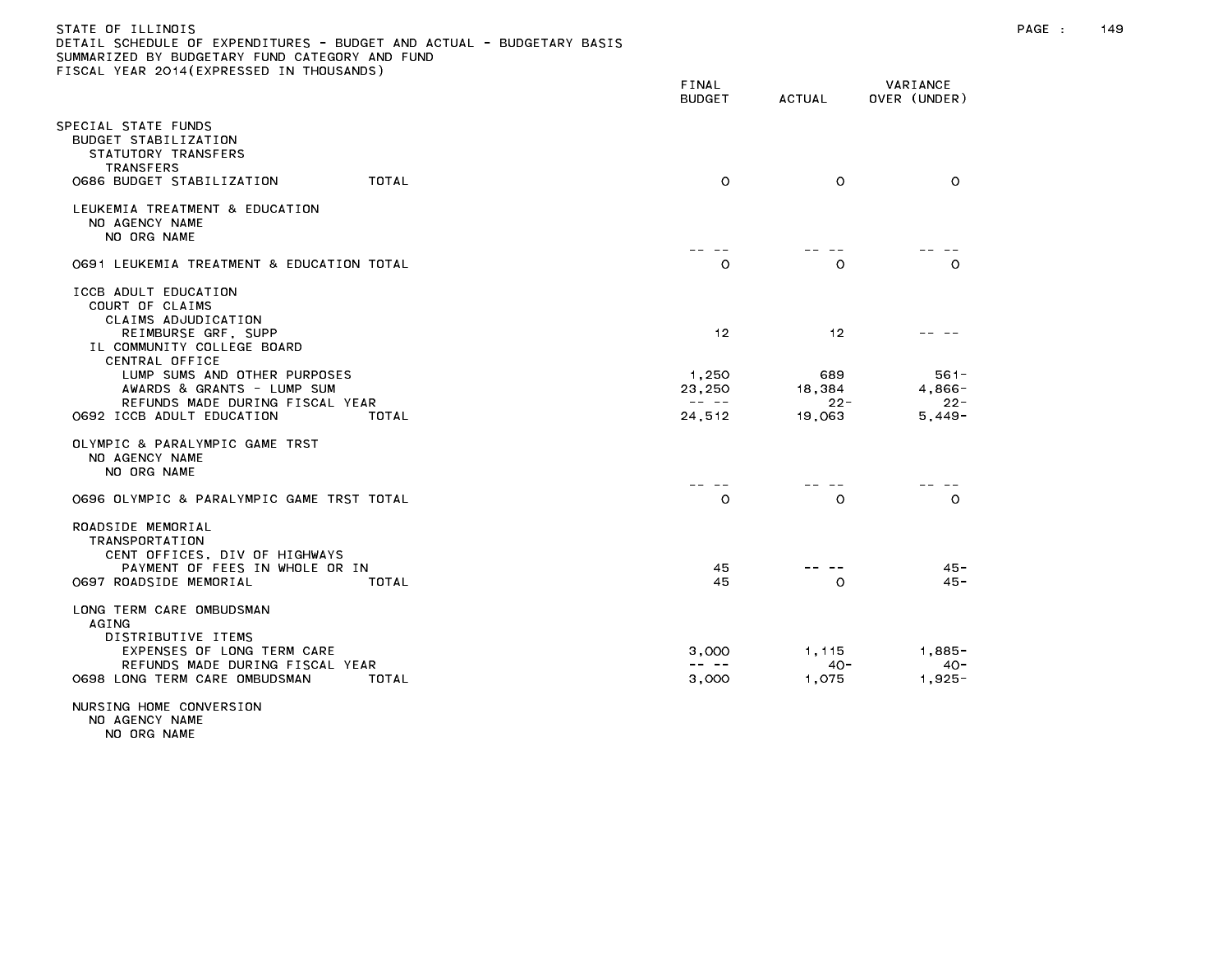## STATE OF ILLINOIS PAGE : 149 DETAIL SCHEDULE OF EXPENDITURES - BUDGET AND ACTUAL - BUDGETARY BASIS SUMMARIZED BY BUDGETARY FUND CATEGORY AND FUND FISCAL YEAR 2014(EXPRESSED IN THOUSANDS)

|                                                                                                                                                  | FINAL<br><b>BUDGET</b>                                                                                                                                                                                                                                                                                                                                                                                 | <b>ACTUAL</b>            | VARIANCE<br>OVER (UNDER)        |
|--------------------------------------------------------------------------------------------------------------------------------------------------|--------------------------------------------------------------------------------------------------------------------------------------------------------------------------------------------------------------------------------------------------------------------------------------------------------------------------------------------------------------------------------------------------------|--------------------------|---------------------------------|
| SPECIAL STATE FUNDS<br>BUDGET STABILIZATION<br>STATUTORY TRANSFERS<br><b>TRANSFERS</b>                                                           |                                                                                                                                                                                                                                                                                                                                                                                                        |                          |                                 |
| 0686 BUDGET STABILIZATION<br>TOTAL                                                                                                               | $\circ$                                                                                                                                                                                                                                                                                                                                                                                                | $\circ$                  | $\Omega$                        |
| LEUKEMIA TREATMENT & EDUCATION<br>NO AGENCY NAME<br>NO ORG NAME                                                                                  |                                                                                                                                                                                                                                                                                                                                                                                                        |                          |                                 |
| 0691 LEUKEMIA TREATMENT & EDUCATION TOTAL                                                                                                        | $\circ$                                                                                                                                                                                                                                                                                                                                                                                                | $\circ$                  | $\Omega$                        |
| ICCB ADULT EDUCATION<br>COURT OF CLAIMS<br>CLAIMS ADJUDICATION<br>REIMBURSE GRF, SUPP<br>IL COMMUNITY COLLEGE BOARD<br>CENTRAL OFFICE            | 12                                                                                                                                                                                                                                                                                                                                                                                                     | 12                       |                                 |
| LUMP SUMS AND OTHER PURPOSES                                                                                                                     | 1,250                                                                                                                                                                                                                                                                                                                                                                                                  | 689                      | $561 -$                         |
| AWARDS & GRANTS - LUMP SUM<br>REFUNDS MADE DURING FISCAL YEAR                                                                                    | 23,250<br>$\frac{1}{2} \frac{1}{2} \frac{1}{2} \frac{1}{2} \frac{1}{2} \frac{1}{2} \frac{1}{2} \frac{1}{2} \frac{1}{2} \frac{1}{2} \frac{1}{2} \frac{1}{2} \frac{1}{2} \frac{1}{2} \frac{1}{2} \frac{1}{2} \frac{1}{2} \frac{1}{2} \frac{1}{2} \frac{1}{2} \frac{1}{2} \frac{1}{2} \frac{1}{2} \frac{1}{2} \frac{1}{2} \frac{1}{2} \frac{1}{2} \frac{1}{2} \frac{1}{2} \frac{1}{2} \frac{1}{2} \frac{$ | 18,384<br>$22 -$         | 4,866-<br>$22 -$                |
| 0692 ICCB ADULT EDUCATION<br>TOTAL                                                                                                               | 24,512                                                                                                                                                                                                                                                                                                                                                                                                 | 19,063                   | $5,449-$                        |
| OLYMPIC & PARALYMPIC GAME TRST<br>NO AGENCY NAME<br>NO ORG NAME                                                                                  |                                                                                                                                                                                                                                                                                                                                                                                                        |                          |                                 |
| O696 OLYMPIC & PARALYMPIC GAME TRST TOTAL                                                                                                        | $\circ$                                                                                                                                                                                                                                                                                                                                                                                                | $\circ$                  | $\circ$                         |
| ROADSIDE MEMORIAL<br><b>TRANSPORTATION</b><br>CENT OFFICES, DIV OF HIGHWAYS<br>PAYMENT OF FEES IN WHOLE OR IN<br>0697 ROADSIDE MEMORIAL<br>TOTAL | 45<br>45                                                                                                                                                                                                                                                                                                                                                                                               | $\circ$                  | $45 -$<br>$45 -$                |
| LONG TERM CARE OMBUDSMAN                                                                                                                         |                                                                                                                                                                                                                                                                                                                                                                                                        |                          |                                 |
| AGING<br>DISTRIBUTIVE ITEMS<br>EXPENSES OF LONG TERM CARE<br>REFUNDS MADE DURING FISCAL YEAR<br>0698 LONG TERM CARE OMBUDSMAN<br>TOTAL           | 3,000<br>-- --<br>3.000                                                                                                                                                                                                                                                                                                                                                                                | 1,115<br>$40 -$<br>1.075 | $1,885-$<br>$40 -$<br>$1,925 -$ |
| NURSING HOME CONVERSION                                                                                                                          |                                                                                                                                                                                                                                                                                                                                                                                                        |                          |                                 |

NO AGENCY NAME NO ORG NAME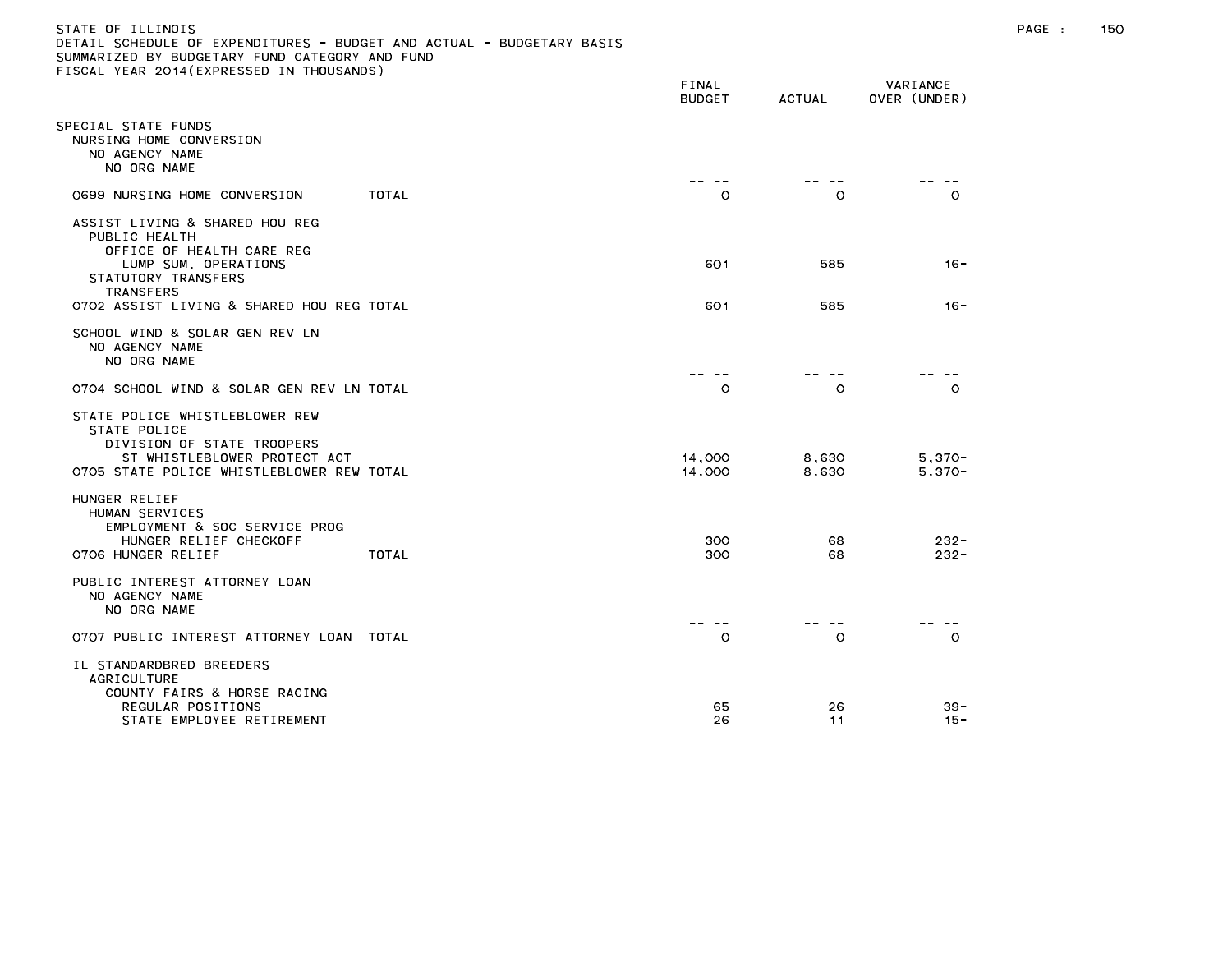| STATE OF ILLINOIS                                                     |
|-----------------------------------------------------------------------|
| DETAIL SCHEDULE OF EXPENDITURES - BUDGET AND ACTUAL - BUDGETARY BASIS |
| SUMMARIZED BY BUDGETARY FUND CATEGORY AND FUND                        |
| FISCAL YEAR 2014(EXPRESSED IN THOUSANDS)                              |

|                                                                                                                                                           | FINAL<br><b>BUDGET</b> | <b>ACTUAL</b>  | VARIANCE<br>OVER (UNDER) |
|-----------------------------------------------------------------------------------------------------------------------------------------------------------|------------------------|----------------|--------------------------|
| PECIAL STATE FUNDS<br>NURSING HOME CONVERSION<br>NO AGENCY NAME<br>NO ORG NAME                                                                            |                        | $- -$          |                          |
| TOTAL<br>0699 NURSING HOME CONVERSION                                                                                                                     | $- -$<br>$\circ$       | $\circ$        | $\circ$                  |
| ASSIST LIVING & SHARED HOU REG<br>PUBLIC HEALTH<br>OFFICE OF HEALTH CARE REG<br>LUMP SUM, OPERATIONS<br>STATUTORY TRANSFERS                               | 601                    | 585            | $16 -$                   |
| TRANSFERS<br>0702 ASSIST LIVING & SHARED HOU REG TOTAL                                                                                                    | 601                    | 585            | $16 -$                   |
| SCHOOL WIND & SOLAR GEN REV LN<br>NO AGENCY NAME<br>NO ORG NAME                                                                                           |                        |                |                          |
| 0704 SCHOOL WIND & SOLAR GEN REV LN TOTAL                                                                                                                 | $\circ$                | $\circ$        | $\circ$                  |
| STATE POLICE WHISTLEBLOWER REW<br>STATE POLICE<br>DIVISION OF STATE TROOPERS<br>ST WHISTLEBLOWER PROTECT ACT<br>O7O5 STATE POLICE WHISTLEBLOWER REW TOTAL | 14,000<br>14,000       | 8,630<br>8,630 | $5,370-$<br>$5,370-$     |
| HUNGER RELIEF<br>HUMAN SERVICES<br>EMPLOYMENT & SOC SERVICE PROG<br>HUNGER RELIEF CHECKOFF<br>0706 HUNGER RELIEF<br>TOTAL                                 | 300<br>300             | 68<br>68       | $232 -$<br>$232 -$       |
| PUBLIC INTEREST ATTORNEY LOAN<br>NO AGENCY NAME<br>NO ORG NAME                                                                                            |                        |                |                          |
| 0707 PUBLIC INTEREST ATTORNEY LOAN<br>TOTAL                                                                                                               | $\circ$                | $\circ$        | $\circ$                  |
| IL STANDARDBRED BREEDERS<br><b>AGRICULTURE</b><br>COUNTY FAIRS & HORSE RACING<br>REGULAR POSITIONS<br>STATE EMPLOYEE RETIREMENT                           | 65<br>26               | 26<br>11       | $39 -$<br>$15 -$         |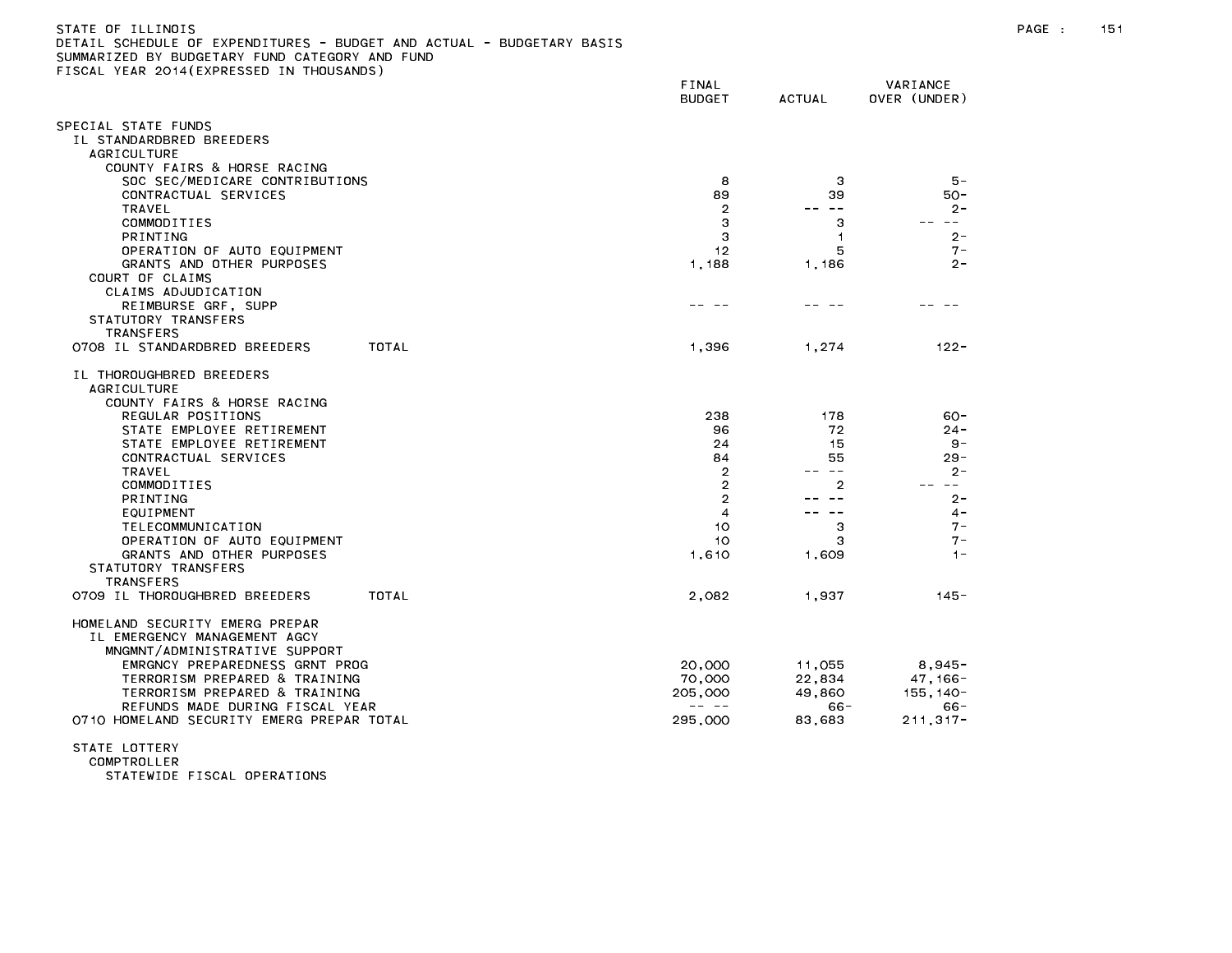| STATE OF ILLINOIS                                                     |
|-----------------------------------------------------------------------|
| DETAIL SCHEDULE OF EXPENDITURES - BUDGET AND ACTUAL - BUDGETARY BASIS |
| SUMMARIZED BY BUDGETARY FUND CATEGORY AND FUND                        |
| FISCAL YEAR 2014(EXPRESSED IN THOUSANDS)                              |

| TEAR EUITREATHEUUED EN THU                                     | FINAL<br><b>BUDGET</b>                                                                                                                                                                                                                                                                                                                                                                       | <b>ACTUAL</b>         | VARIANCE<br>OVER (UNDER) |
|----------------------------------------------------------------|----------------------------------------------------------------------------------------------------------------------------------------------------------------------------------------------------------------------------------------------------------------------------------------------------------------------------------------------------------------------------------------------|-----------------------|--------------------------|
| SPECIAL STATE FUNDS                                            |                                                                                                                                                                                                                                                                                                                                                                                              |                       |                          |
| IL STANDARDBRED BREEDERS                                       |                                                                                                                                                                                                                                                                                                                                                                                              |                       |                          |
| <b>AGRICULTURE</b>                                             |                                                                                                                                                                                                                                                                                                                                                                                              |                       |                          |
| COUNTY FAIRS & HORSE RACING                                    |                                                                                                                                                                                                                                                                                                                                                                                              |                       |                          |
| SOC SEC/MEDICARE CONTRIBUTIONS                                 | 8                                                                                                                                                                                                                                                                                                                                                                                            | 3                     | $5 -$                    |
| CONTRACTUAL SERVICES                                           | 89                                                                                                                                                                                                                                                                                                                                                                                           | 39                    | 50-                      |
| TRAVEL<br>COMMODITIES                                          | 2<br>3                                                                                                                                                                                                                                                                                                                                                                                       | $\sim$ $-$<br>--<br>З | $2 -$<br>$\sim$ $-$      |
| <b>PRINTING</b>                                                | З                                                                                                                                                                                                                                                                                                                                                                                            | $\mathbf{1}$          | $2 -$                    |
| OPERATION OF AUTO EQUIPMENT                                    | 12                                                                                                                                                                                                                                                                                                                                                                                           | 5                     | $7 -$                    |
| GRANTS AND OTHER PURPOSES                                      | 1,188                                                                                                                                                                                                                                                                                                                                                                                        | 1,186                 | $2 -$                    |
| COURT OF CLAIMS                                                |                                                                                                                                                                                                                                                                                                                                                                                              |                       |                          |
| CLAIMS ADJUDICATION                                            |                                                                                                                                                                                                                                                                                                                                                                                              |                       |                          |
| REIMBURSE GRF, SUPP                                            |                                                                                                                                                                                                                                                                                                                                                                                              |                       |                          |
| STATUTORY TRANSFERS                                            |                                                                                                                                                                                                                                                                                                                                                                                              |                       |                          |
| <b>TRANSFERS</b>                                               |                                                                                                                                                                                                                                                                                                                                                                                              |                       |                          |
| 0708 IL STANDARDBRED BREEDERS<br>TOTAL                         | 1,396                                                                                                                                                                                                                                                                                                                                                                                        | 1.274                 | $122 -$                  |
| IL THOROUGHBRED BREEDERS                                       |                                                                                                                                                                                                                                                                                                                                                                                              |                       |                          |
| <b>AGRICULTURE</b>                                             |                                                                                                                                                                                                                                                                                                                                                                                              |                       |                          |
| COUNTY FAIRS & HORSE RACING                                    |                                                                                                                                                                                                                                                                                                                                                                                              |                       |                          |
| REGULAR POSITIONS                                              | 238                                                                                                                                                                                                                                                                                                                                                                                          | 178                   | $60 -$                   |
| STATE EMPLOYEE RETIREMENT                                      | 96                                                                                                                                                                                                                                                                                                                                                                                           | 72                    | $24 -$                   |
| STATE EMPLOYEE RETIREMENT                                      | 24                                                                                                                                                                                                                                                                                                                                                                                           | 15                    | -9                       |
| CONTRACTUAL SERVICES                                           | 84                                                                                                                                                                                                                                                                                                                                                                                           | 55                    | $29 -$                   |
| TRAVEL                                                         | 2                                                                                                                                                                                                                                                                                                                                                                                            | $\sim$ $-$            | $2 -$                    |
| COMMODITIES                                                    | $\overline{2}$<br>$\overline{2}$                                                                                                                                                                                                                                                                                                                                                             | $\overline{2}$        | $ -$<br>$2 -$            |
| <b>PRINTING</b><br>EQUIPMENT                                   | 4                                                                                                                                                                                                                                                                                                                                                                                            | $\sim$ $-$            | $\sim$                   |
| TELECOMMUNICATION                                              | 10                                                                                                                                                                                                                                                                                                                                                                                           | 3                     | $7 -$                    |
| OPERATION OF AUTO EQUIPMENT                                    | 10                                                                                                                                                                                                                                                                                                                                                                                           | 3                     | $7 -$                    |
| GRANTS AND OTHER PURPOSES                                      | 1,610                                                                                                                                                                                                                                                                                                                                                                                        | 1,609                 | $1 -$                    |
| STATUTORY TRANSFERS                                            |                                                                                                                                                                                                                                                                                                                                                                                              |                       |                          |
| <b>TRANSFERS</b>                                               |                                                                                                                                                                                                                                                                                                                                                                                              |                       |                          |
| 0709 IL THOROUGHBRED BREEDERS<br>TOTAL                         | 2,082                                                                                                                                                                                                                                                                                                                                                                                        | 1,937                 | $145 -$                  |
|                                                                |                                                                                                                                                                                                                                                                                                                                                                                              |                       |                          |
| HOMELAND SECURITY EMERG PREPAR<br>IL EMERGENCY MANAGEMENT AGCY |                                                                                                                                                                                                                                                                                                                                                                                              |                       |                          |
| MNGMNT/ADMINISTRATIVE SUPPORT                                  |                                                                                                                                                                                                                                                                                                                                                                                              |                       |                          |
| EMRGNCY PREPAREDNESS GRNT PROG                                 | 20,000                                                                                                                                                                                                                                                                                                                                                                                       | 11,055                | $8,945-$                 |
| TERRORISM PREPARED & TRAINING                                  | 70,000                                                                                                                                                                                                                                                                                                                                                                                       | 22,834                | 47, 166-                 |
| TERRORISM PREPARED & TRAINING                                  | 205,000                                                                                                                                                                                                                                                                                                                                                                                      | 49,860                | $155, 140-$              |
| REFUNDS MADE DURING FISCAL YEAR                                | $\frac{1}{2} \frac{1}{2} \frac{1}{2} \frac{1}{2} \frac{1}{2} \frac{1}{2} \frac{1}{2} \frac{1}{2} \frac{1}{2} \frac{1}{2} \frac{1}{2} \frac{1}{2} \frac{1}{2} \frac{1}{2} \frac{1}{2} \frac{1}{2} \frac{1}{2} \frac{1}{2} \frac{1}{2} \frac{1}{2} \frac{1}{2} \frac{1}{2} \frac{1}{2} \frac{1}{2} \frac{1}{2} \frac{1}{2} \frac{1}{2} \frac{1}{2} \frac{1}{2} \frac{1}{2} \frac{1}{2} \frac{$ | $66 -$                | $66 -$                   |
| 0710 HOMELAND SECURITY EMERG PREPAR TOTAL                      | 295,000                                                                                                                                                                                                                                                                                                                                                                                      | 83,683                | $211, 317 -$             |
|                                                                |                                                                                                                                                                                                                                                                                                                                                                                              |                       |                          |
| STATE LOTTERY<br>COMPTROLLER                                   |                                                                                                                                                                                                                                                                                                                                                                                              |                       |                          |

STATEWIDE FISCAL OPERATIONS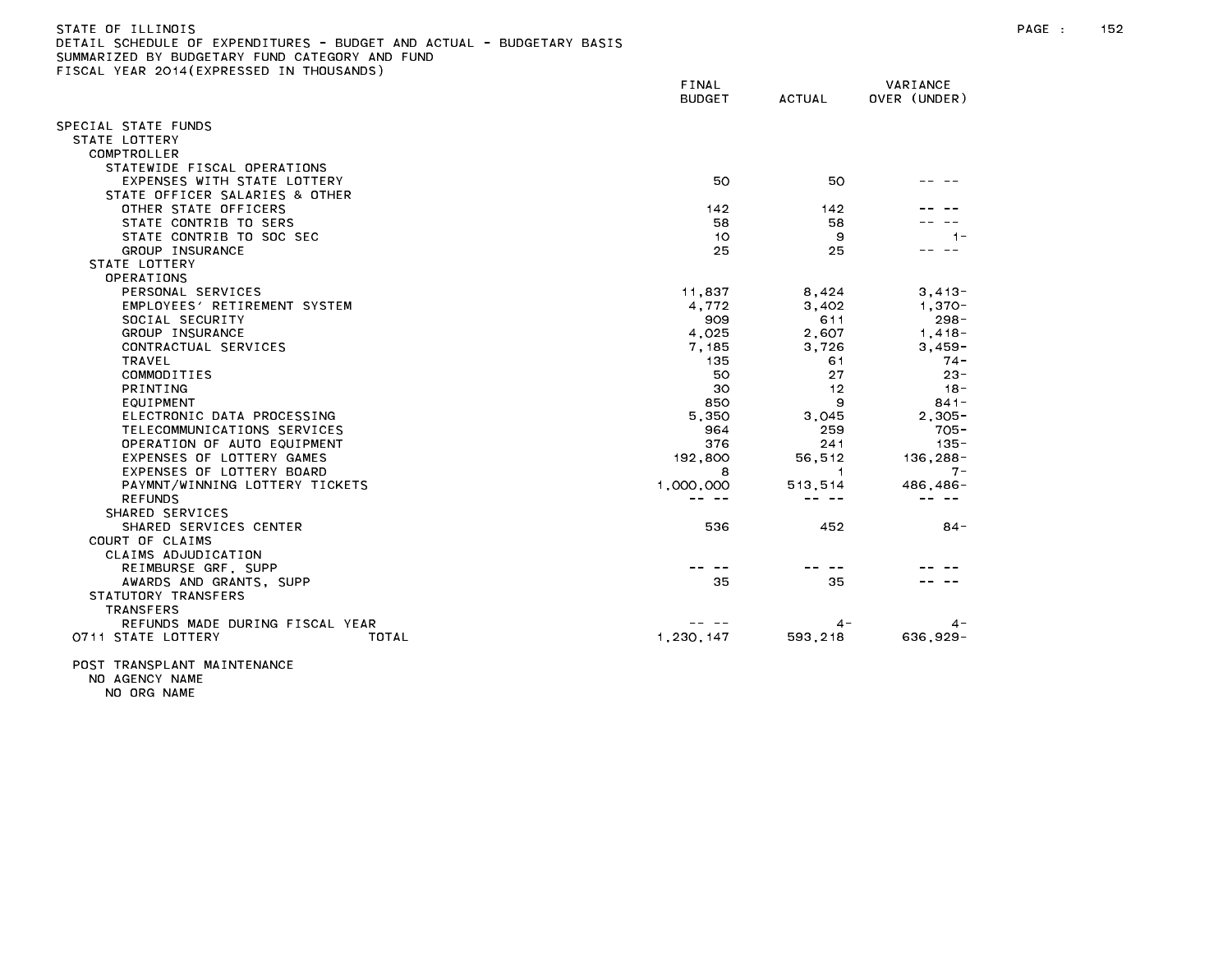| .<br>SUMEDULE OF EXPENDITURES<br>DUDGET AND ACTUAL<br>DUUGETANT DAJIJ<br>SUMMARIZED BY BUDGETARY FUND CATEGORY AND FUND |               |                |              |
|-------------------------------------------------------------------------------------------------------------------------|---------------|----------------|--------------|
| FISCAL YEAR 2014(EXPRESSED IN THOUSANDS)                                                                                |               |                |              |
|                                                                                                                         | FINAL         |                | VARIANCE     |
|                                                                                                                         | <b>BUDGET</b> | <b>ACTUAL</b>  | OVER (UNDER) |
|                                                                                                                         |               |                |              |
| SPECIAL STATE FUNDS                                                                                                     |               |                |              |
| STATE LOTTERY<br>COMPTROLLER                                                                                            |               |                |              |
| STATEWIDE FISCAL OPERATIONS                                                                                             |               |                |              |
| EXPENSES WITH STATE LOTTERY                                                                                             | 50            | 50             |              |
| STATE OFFICER SALARIES & OTHER                                                                                          |               |                |              |
| OTHER STATE OFFICERS                                                                                                    | 142           | 142            |              |
| STATE CONTRIB TO SERS                                                                                                   | 58            | 58             |              |
| STATE CONTRIB TO SOC SEC                                                                                                | 10            | 9              | $1 -$        |
| GROUP INSURANCE                                                                                                         | 25            | 25             |              |
| STATE LOTTERY                                                                                                           |               |                |              |
| OPERATIONS                                                                                                              |               |                |              |
| PERSONAL SERVICES                                                                                                       | 11,837        | 8,424          | $3,413-$     |
| EMPLOYEES' RETIREMENT SYSTEM                                                                                            | 4.772         | 3,402          | $1.370 -$    |
| SOCIAL SECURITY                                                                                                         | 909           | 611            | $298 -$      |
| GROUP INSURANCE                                                                                                         | 4,025         | 2,607          | $1,418-$     |
| CONTRACTUAL SERVICES                                                                                                    | 7,185         | 3,726          | 3,459-       |
| TRAVEL                                                                                                                  | 135           | 61             | $74 -$       |
| COMMODITIES                                                                                                             | 50            | 27             | $23 -$       |
| PRINTING                                                                                                                | 30            | 12             | $18 -$       |
| EQUIPMENT                                                                                                               | 850           | 9              | $841 -$      |
| ELECTRONIC DATA PROCESSING                                                                                              | 5,350         | 3,045          | $2.305 -$    |
| TELECOMMUNICATIONS SERVICES                                                                                             | 964           | 259            | $705 -$      |
| OPERATION OF AUTO EQUIPMENT                                                                                             | 376           | 241            | $135 -$      |
| EXPENSES OF LOTTERY GAMES                                                                                               | 192,800       | 56,512         | $136, 288 -$ |
| EXPENSES OF LOTTERY BOARD                                                                                               | 8             | $\overline{1}$ | $7 -$        |
| PAYMNT/WINNING LOTTERY TICKETS                                                                                          | 1,000,000     | 513,514        | 486, 486-    |
| <b>REFUNDS</b>                                                                                                          | -- --         | -- --          | $- - - - -$  |
| SHARED SERVICES                                                                                                         |               |                |              |
| SHARED SERVICES CENTER                                                                                                  | 536           | 452            | 84-          |
| COURT OF CLAIMS                                                                                                         |               |                |              |
| CLAIMS ADJUDICATION                                                                                                     |               |                |              |
| REIMBURSE GRF, SUPP                                                                                                     |               |                |              |
| AWARDS AND GRANTS, SUPP                                                                                                 | 35            | 35             |              |
| STATUTORY TRANSFERS                                                                                                     |               |                |              |
| <b>TRANSFERS</b>                                                                                                        |               |                |              |
| REFUNDS MADE DURING FISCAL YEAR                                                                                         |               | 4 –            | 4 –          |
| TOTAL<br>0711 STATE LOTTERY                                                                                             | 1.230.147     | 593, 218       | 636.929-     |
|                                                                                                                         |               |                |              |

POST TRANSPLANT MAINTENANCE NO AGENCY NAME

NO ORG NAME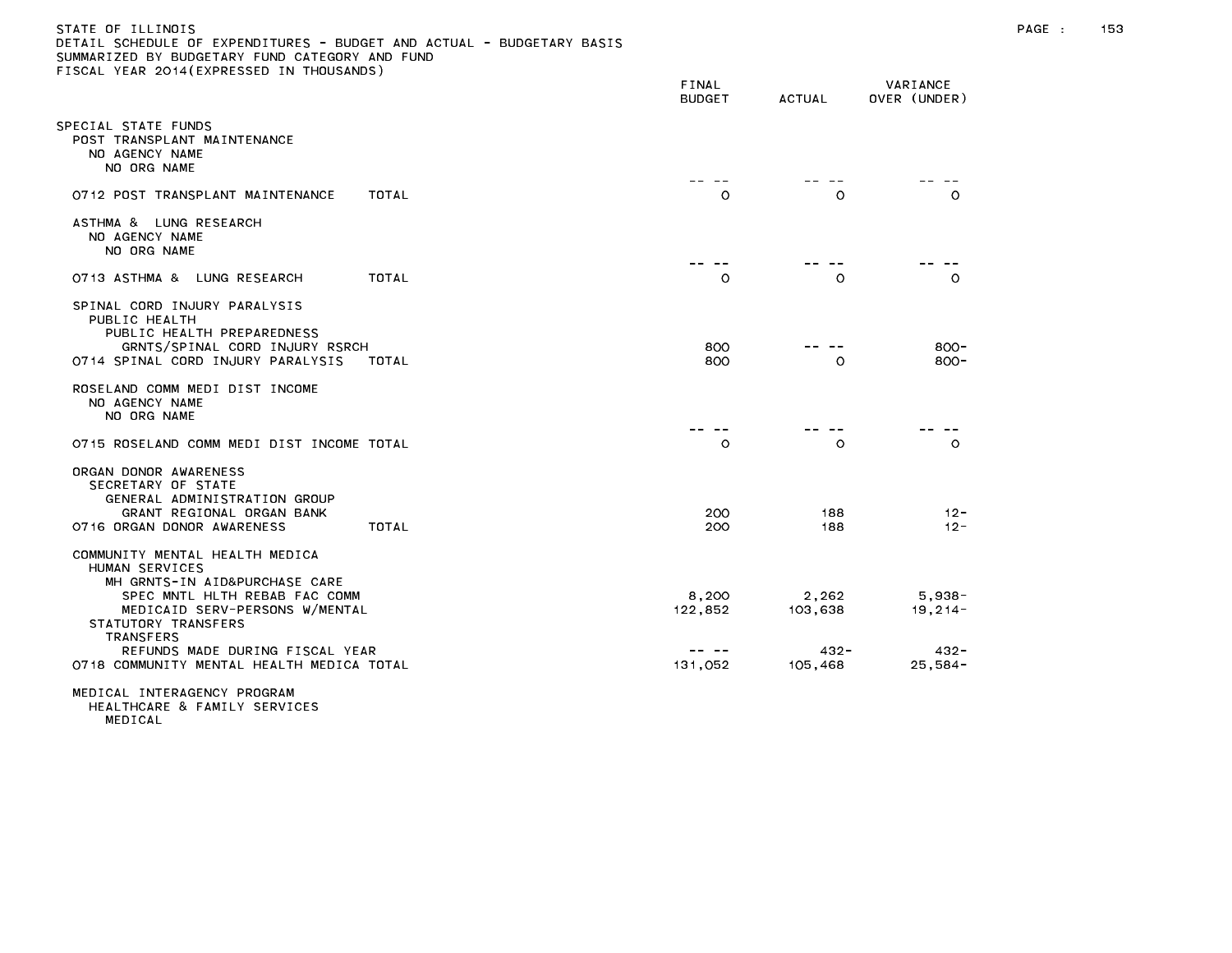| STATE OF ILLINOIS                                                     |
|-----------------------------------------------------------------------|
| DETAIL SCHEDULE OF EXPENDITURES - BUDGET AND ACTUAL - BUDGETARY BASIS |
| SUMMARIZED BY BUDGETARY FUND CATEGORY AND FUND                        |
| FISCAL YEAR 2014(EXPRESSED IN THOUSANDS)                              |

|                                                                                                                                                                                                                                    | FINAL<br><b>BUDGET</b> | <b>ACTUAL</b>               | VARIANCE<br>OVER (UNDER)         |
|------------------------------------------------------------------------------------------------------------------------------------------------------------------------------------------------------------------------------------|------------------------|-----------------------------|----------------------------------|
| PECIAL STATE FUNDS<br>POST TRANSPLANT MAINTENANCE<br>NO AGENCY NAME<br>NO ORG NAME                                                                                                                                                 |                        |                             |                                  |
| 0712 POST TRANSPLANT MAINTENANCE<br>TOTAL                                                                                                                                                                                          | O                      | $\circ$                     | $\circ$                          |
| ASTHMA &<br>LUNG RESEARCH<br>NO AGENCY NAME<br>NO ORG NAME                                                                                                                                                                         |                        |                             |                                  |
| <b>TOTAL</b><br>O713 ASTHMA &<br>LUNG RESEARCH                                                                                                                                                                                     | $\circ$                | $\circ$                     | $\circ$                          |
| SPINAL CORD INJURY PARALYSIS<br>PUBLIC HEALTH<br>PUBLIC HEALTH PREPAREDNESS<br>GRNTS/SPINAL CORD INJURY RSRCH<br>0714 SPINAL CORD INJURY PARALYSIS<br>TOTAL                                                                        | 800<br>800             | O                           | $800 -$<br>$800 -$               |
| ROSELAND COMM MEDI DIST INCOME<br>NO AGENCY NAME<br>NO ORG NAME                                                                                                                                                                    |                        |                             |                                  |
| 0715 ROSELAND COMM MEDI DIST INCOME TOTAL                                                                                                                                                                                          | $\circ$                | $\circ$                     | $\circ$                          |
| ORGAN DONOR AWARENESS<br>SECRETARY OF STATE<br>GENERAL ADMINISTRATION GROUP<br>GRANT REGIONAL ORGAN BANK<br>0716 ORGAN DONOR AWARENESS<br>TOTAL                                                                                    | 200<br>200             | 188<br>188                  | $12 -$<br>$12 -$                 |
| COMMUNITY MENTAL HEALTH MEDICA<br>HUMAN SERVICES<br>MH GRNTS-IN AID&PURCHASE CARE<br>SPEC MNTL HLTH REBAB FAC COMM<br>MEDICAID SERV-PERSONS W/MENTAL<br>STATUTORY TRANSFERS<br><b>TRANSFERS</b><br>REFUNDS MADE DURING FISCAL YEAR | 8,200<br>122,852       | 2,262<br>103,638<br>$432 -$ | $5,938-$<br>$19, 214 -$<br>432 - |
| 0718 COMMUNITY MENTAL HEALTH MEDICA TOTAL                                                                                                                                                                                          | 131,052                | 105,468                     | $25,584-$                        |
| MEDICAL INTERAGENCY PROGRAM                                                                                                                                                                                                        |                        |                             |                                  |

MEDICAL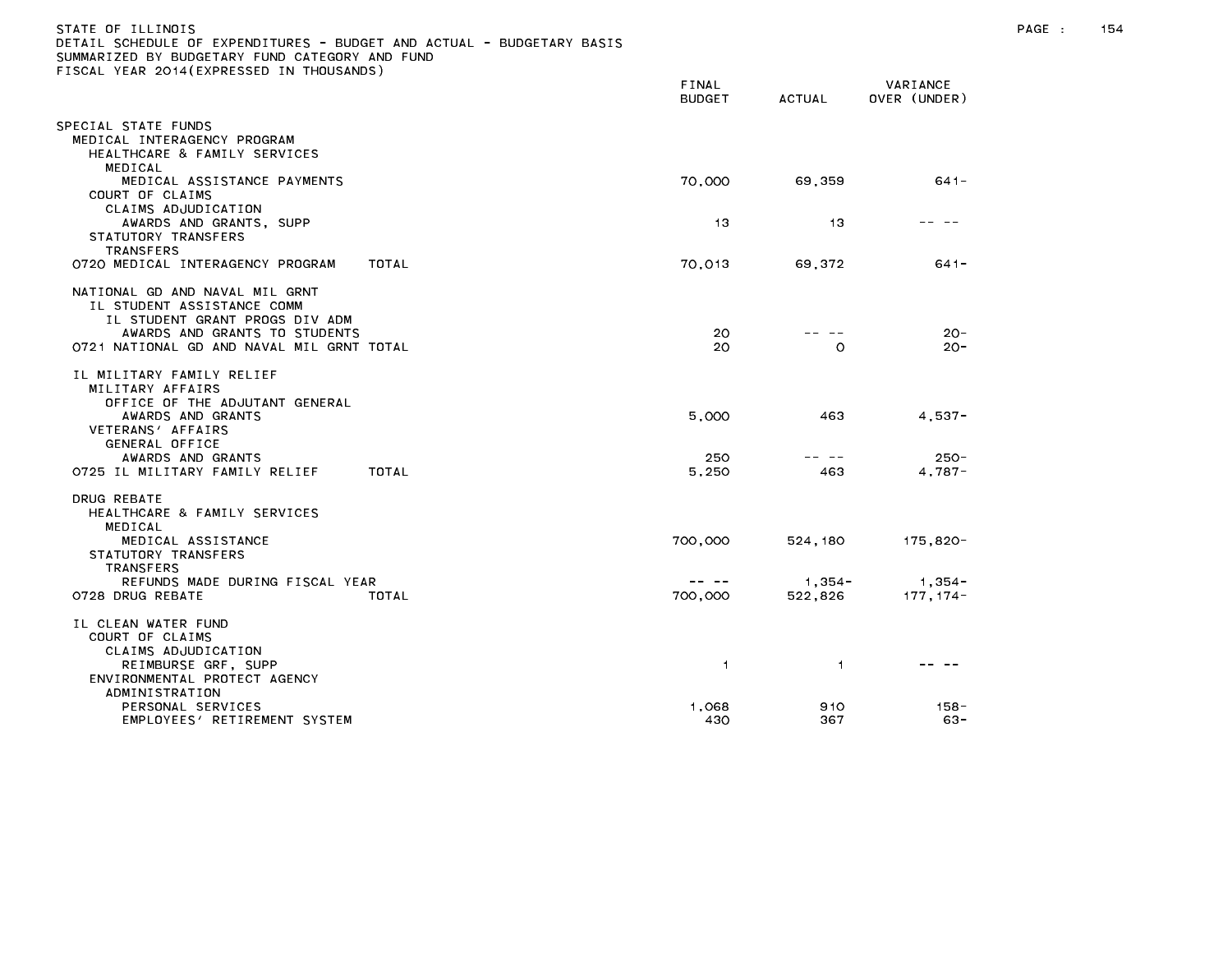| ETAIL SCHEDULE OF EXPENDITURES – BUDGET AND ACTUAL – BUDGETARY BASIS<br>UMMARIZED BY BUDGETARY FUND CATEGORY AND FUND:                      |                               |                   |                          |
|---------------------------------------------------------------------------------------------------------------------------------------------|-------------------------------|-------------------|--------------------------|
| ISCAL YEAR 2014(EXPRESSED IN THOUSANDS)                                                                                                     | <b>FINAL</b><br><b>BUDGET</b> | ACTUAL            | VARIANCE<br>OVER (UNDER) |
| PECIAL STATE FUNDS<br>MEDICAL INTERAGENCY PROGRAM<br>HEALTHCARE & FAMILY SERVICES<br>MEDICAL                                                |                               |                   |                          |
| MEDICAL ASSISTANCE PAYMENTS<br>COURT OF CLAIMS<br>CLAIMS ADJUDICATION                                                                       | 70,000                        | 69,359            | 641-                     |
| AWARDS AND GRANTS, SUPP<br>STATUTORY TRANSFERS                                                                                              | 13                            | 13                |                          |
| <b>TRANSFERS</b><br>0720 MEDICAL INTERAGENCY PROGRAM<br>TOTAL                                                                               | 70,013                        | 69,372            | $641 -$                  |
| NATIONAL GD AND NAVAL MIL GRNT<br>IL STUDENT ASSISTANCE COMM<br>IL STUDENT GRANT PROGS DIV ADM<br>AWARDS AND GRANTS TO STUDENTS             | 20                            |                   | $20 -$                   |
| 0721 NATIONAL GD AND NAVAL MIL GRNT TOTAL                                                                                                   | 20                            | O                 | $20 -$                   |
| IL MILITARY FAMILY RELIEF<br>MILITARY AFFAIRS<br>OFFICE OF THE ADJUTANT GENERAL<br>AWARDS AND GRANTS<br>VETERANS' AFFAIRS<br>GENERAL OFFICE | 5,000                         | 463               | $4.537 -$                |
| AWARDS AND GRANTS<br>0725 IL MILITARY FAMILY RELIEF<br>TOTAL                                                                                | 250<br>5.250                  | -- --<br>463      | $250 -$<br>$4.787 -$     |
| DRUG REBATE<br>HEALTHCARE & FAMILY SERVICES<br>MEDICAL                                                                                      |                               |                   |                          |
| MEDICAL ASSISTANCE<br>STATUTORY TRANSFERS<br>TRANSFERS                                                                                      | 700,000                       | 524,180           | 175,820-                 |
| REFUNDS MADE DURING FISCAL YEAR<br>TOTAL<br>0728 DRUG REBATE                                                                                | $- - - - -$<br>700,000        | 1,354-<br>522,826 | - 1,354 -<br>177, 174-   |
| IL CLEAN WATER FUND<br>COURT OF CLAIMS<br>CLAIMS ADJUDICATION                                                                               |                               |                   |                          |
| REIMBURSE GRF, SUPP<br>ENVIRONMENTAL PROTECT AGENCY<br>ADMINISTRATION                                                                       | $\mathbf{1}$                  | $\overline{1}$    |                          |
| PERSONAL SERVICES<br>EMPLOYEES' RETIREMENT SYSTEM                                                                                           | 1,068<br>430                  | 910<br>367        | $158 -$<br>63-           |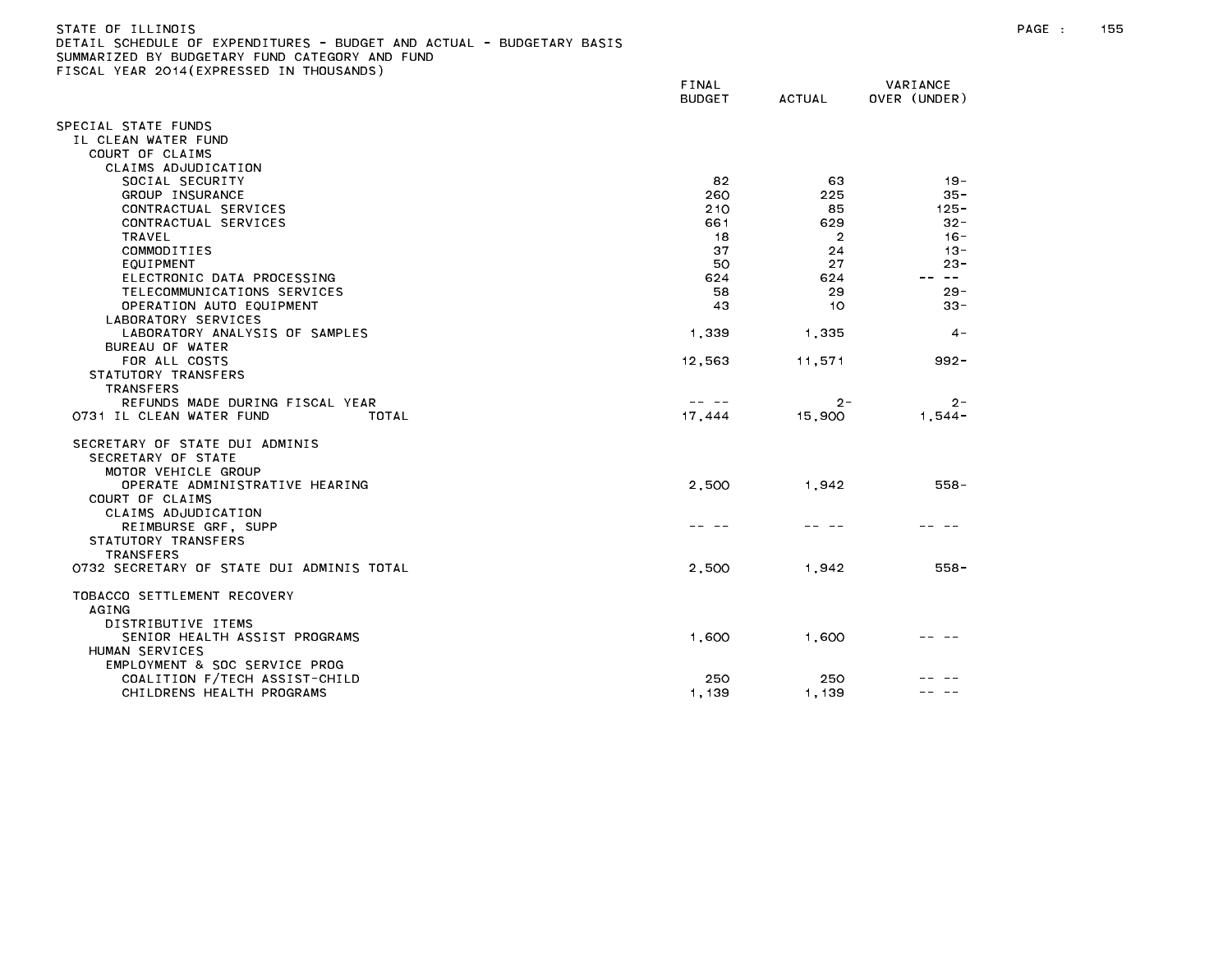| SUMMARIZED BY BUDGETARY FUND CATEGORY AND FUND |               |                |              |
|------------------------------------------------|---------------|----------------|--------------|
| FISCAL YEAR 2014(EXPRESSED IN THOUSANDS)       | FINAL         |                | VARIANCE     |
|                                                | <b>BUDGET</b> | <b>ACTUAL</b>  | OVER (UNDER) |
| SPECIAL STATE FUNDS                            |               |                |              |
| IL CLEAN WATER FUND                            |               |                |              |
| COURT OF CLAIMS                                |               |                |              |
| CLAIMS ADJUDICATION                            |               |                |              |
| SOCIAL SECURITY                                | 82            | 63             | $19 -$       |
| GROUP INSURANCE                                | 260           | 225            | $35 -$       |
| CONTRACTUAL SERVICES                           | 210           | 85             | $125 -$      |
|                                                |               | 629            |              |
| CONTRACTUAL SERVICES                           | 661           |                | $32 -$       |
| TRAVEL                                         | 18            | $\overline{2}$ | $16 -$       |
| COMMODITIES                                    | 37            | 24             | $13 -$       |
| EQUIPMENT                                      | 50            | 27             | $23 -$       |
| ELECTRONIC DATA PROCESSING                     | 624           | 624            | $\sim$ $-$   |
| TELECOMMUNICATIONS SERVICES                    | 58            | 29             | $29 -$       |
| OPERATION AUTO EQUIPMENT                       | 43            | 10             | $33 -$       |
| LABORATORY SERVICES                            |               |                |              |
| LABORATORY ANALYSIS OF SAMPLES                 | 1,339         | 1,335          | $4 -$        |
| BUREAU OF WATER                                |               |                |              |
| FOR ALL COSTS                                  | 12,563        | 11,571         | $992 -$      |
| STATUTORY TRANSFERS                            |               |                |              |
| TRANSFERS                                      |               |                |              |
| REFUNDS MADE DURING FISCAL YEAR                | -- --         | $2 -$          | $2 -$        |
| 0731 IL CLEAN WATER FUND<br>TOTAL              | 17,444        | 15,900         | $1.544 -$    |
| SECRETARY OF STATE DUI ADMINIS                 |               |                |              |
| SECRETARY OF STATE                             |               |                |              |
| MOTOR VEHICLE GROUP                            |               |                |              |
| OPERATE ADMINISTRATIVE HEARING                 | 2.500         | 1.942          | $558 -$      |
| COURT OF CLAIMS                                |               |                |              |
| CLAIMS ADJUDICATION                            |               |                |              |
| REIMBURSE GRF, SUPP                            |               |                |              |
| STATUTORY TRANSFERS                            |               |                |              |
| <b>TRANSFERS</b>                               |               |                |              |
| 0732 SECRETARY OF STATE DUI ADMINIS TOTAL      | 2,500         | 1,942          | $558 -$      |
| TOBACCO SETTLEMENT RECOVERY                    |               |                |              |
| <b>AGING</b>                                   |               |                |              |
| DISTRIBUTIVE ITEMS                             |               |                |              |
| SENIOR HEALTH ASSIST PROGRAMS                  | 1,600         | 1,600          |              |
| HUMAN SERVICES                                 |               |                |              |
| EMPLOYMENT & SOC SERVICE PROG                  |               |                |              |
| COALITION F/TECH ASSIST-CHILD                  | 250           | 250            |              |
| CHILDRENS HEALTH PROGRAMS                      | 1,139         | 1,139          |              |
|                                                |               |                |              |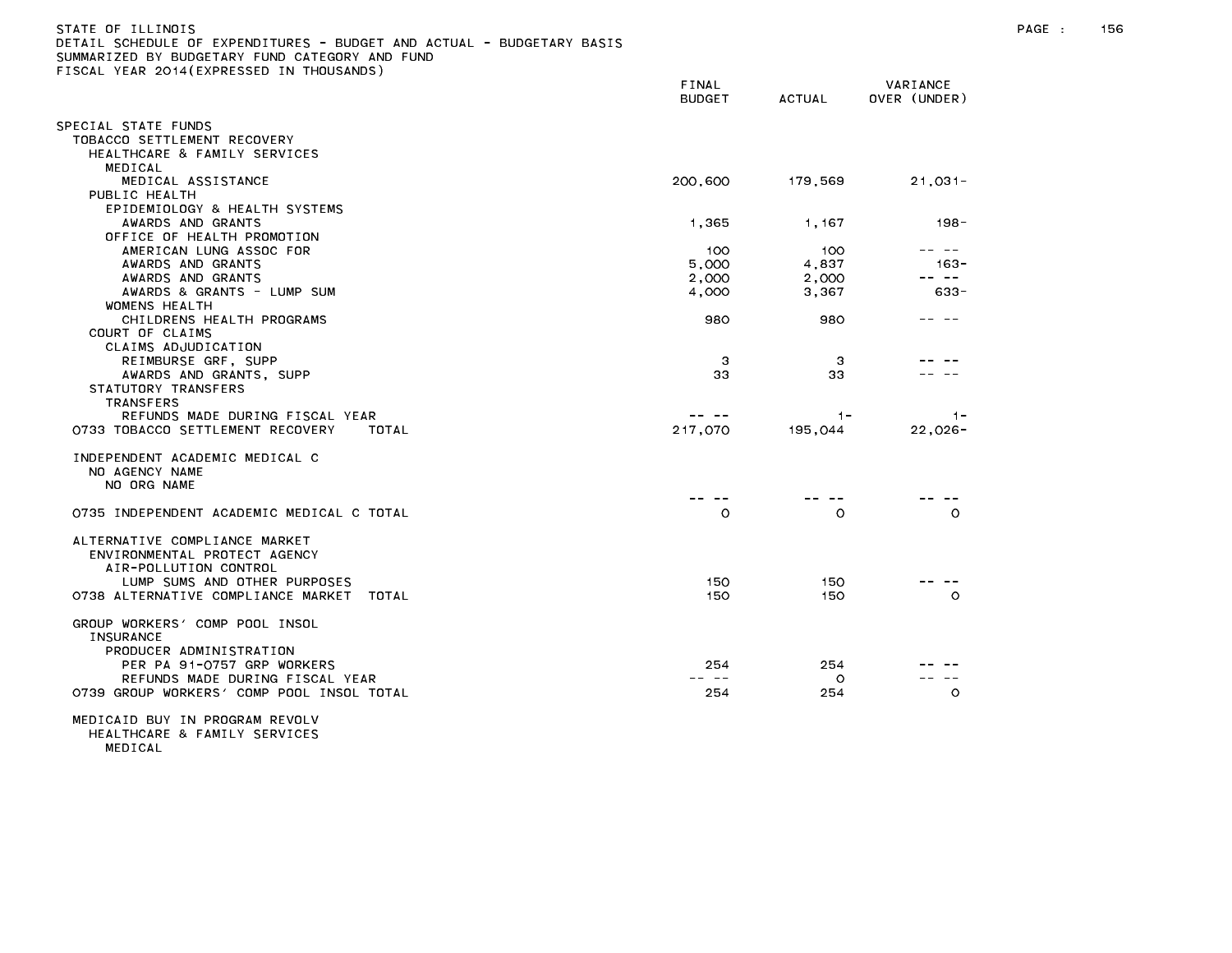| STATE OF ILLINOIS                                                     |        |   |                         |
|-----------------------------------------------------------------------|--------|---|-------------------------|
| DETAIL SCHEDULE OF EXPENDITURES - BUDGET AND ACTUAL - BUDGETARY BASIS |        |   |                         |
| SUMMARIZED BY BUDGETARY FUND CATEGORY AND FUND                        |        |   |                         |
| FISCAL YEAR 2014(EXPRESSED IN THOUSANDS)                              |        |   |                         |
|                                                                       | FINAL  |   | VARIANCE                |
|                                                                       | ------ | . | _ _ _ _ _ _ _ _ _ _ _ _ |

|                                             | <b>DUDGLI</b> | AUIUAL  | UVER (UNDER)   |
|---------------------------------------------|---------------|---------|----------------|
| SPECIAL STATE FUNDS                         |               |         |                |
| TOBACCO SETTLEMENT RECOVERY                 |               |         |                |
| HEALTHCARE & FAMILY SERVICES                |               |         |                |
| MEDICAL                                     |               |         |                |
| MEDICAL ASSISTANCE                          | 200,600       | 179,569 | $21,031-$      |
| PUBLIC HEALTH                               |               |         |                |
| EPIDEMIOLOGY & HEALTH SYSTEMS               |               |         |                |
| AWARDS AND GRANTS                           | 1,365         | 1,167   | $198 -$        |
| OFFICE OF HEALTH PROMOTION                  |               |         |                |
| AMERICAN LUNG ASSOC FOR                     | 100           | 100     | -- --          |
| AWARDS AND GRANTS                           | 5.000         | 4,837   | $163 -$        |
| AWARDS AND GRANTS                           | 2,000         | 2,000   | -- --          |
| AWARDS & GRANTS - LUMP SUM                  | 4,000         | 3,367   | $633 -$        |
| WOMENS HEALTH                               |               |         |                |
| CHILDRENS HEALTH PROGRAMS                   | 980           | 980     |                |
| COURT OF CLAIMS                             |               |         |                |
| CLAIMS ADJUDICATION                         |               |         |                |
| REIMBURSE GRF, SUPP                         | -3            | -3      |                |
| AWARDS AND GRANTS, SUPP                     | 33            | 33      |                |
| STATUTORY TRANSFERS                         |               |         |                |
| <b>TRANSFERS</b>                            |               |         |                |
| REFUNDS MADE DURING FISCAL YEAR             |               | $1 -$   | $\blacksquare$ |
| 0733 TOBACCO SETTLEMENT RECOVERY<br>TOTAL   | 217,070       | 195,044 | $22,026 -$     |
|                                             |               |         |                |
| INDEPENDENT ACADEMIC MEDICAL C              |               |         |                |
| NO AGENCY NAME                              |               |         |                |
| NO ORG NAME                                 |               |         |                |
|                                             |               |         |                |
| 0735 INDEPENDENT ACADEMIC MEDICAL C TOTAL   | $\circ$       | $\circ$ | $\circ$        |
|                                             |               |         |                |
| ALTERNATIVE COMPLIANCE MARKET               |               |         |                |
| ENVIRONMENTAL PROTECT AGENCY                |               |         |                |
| AIR-POLLUTION CONTROL                       |               |         |                |
| LUMP SUMS AND OTHER PURPOSES                | 150           | 150     |                |
| 0738 ALTERNATIVE COMPLIANCE MARKET<br>TOTAL | 150           | 150     | $\circ$        |
|                                             |               |         |                |
| GROUP WORKERS' COMP POOL INSOL              |               |         |                |
| <b>INSURANCE</b>                            |               |         |                |
| PRODUCER ADMINISTRATION                     |               |         |                |
| PER PA 91-0757 GRP WORKERS                  | 254           | 254     |                |
| REFUNDS MADE DURING FISCAL YEAR             |               | $\circ$ | $\sim$ $-$     |
| 0739 GROUP WORKERS' COMP POOL INSOL TOTAL   | 254           | 254     | $\circ$        |
|                                             |               |         |                |
| MEDICAID BUY IN PROGRAM REVOLV              |               |         |                |
| HEALTHCARE & FAMILY SERVICES                |               |         |                |

MEDICAL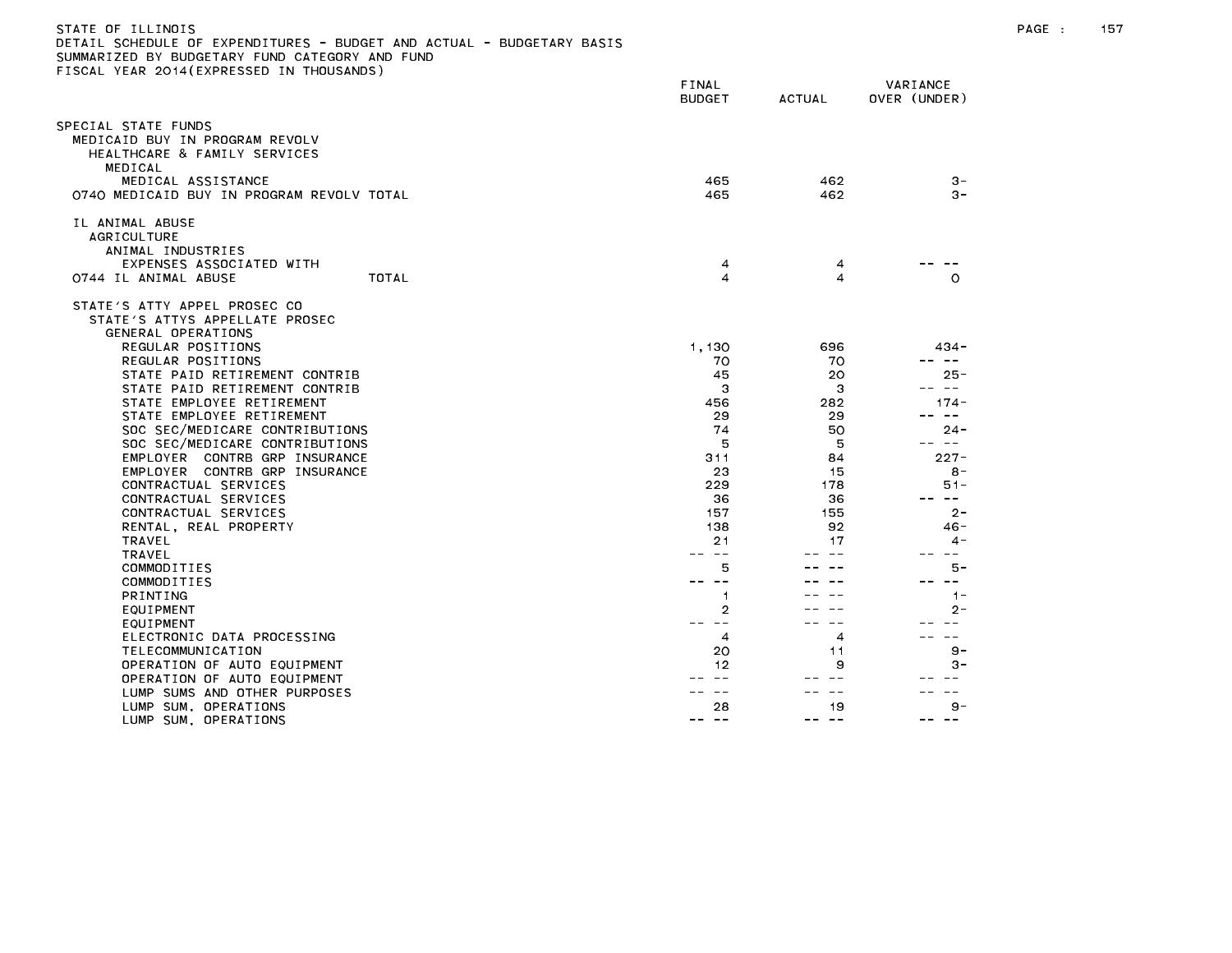| 3 . A . L   U     I LLLINU 13<br>DETAIL SCHEDULE OF EXPENDITURES – BUDGET AND ACTUAL – BUDGETARY BASIS<br>SUMMARIZED BY BUDGETARY FUND CATEGORY AND FUND<br>FISCAL YEAR 2014(EXPRESSED IN THOUSANDS) |                         |               |                                   |
|------------------------------------------------------------------------------------------------------------------------------------------------------------------------------------------------------|-------------------------|---------------|-----------------------------------|
|                                                                                                                                                                                                      | FINAL<br><b>BUDGET</b>  | <b>ACTUAL</b> | VARIANCE<br>OVER (UNDER)          |
| SPECIAL STATE FUNDS                                                                                                                                                                                  |                         |               |                                   |
| MEDICAID BUY IN PROGRAM REVOLV<br>HEALTHCARE & FAMILY SERVICES                                                                                                                                       |                         |               |                                   |
| MEDICAL                                                                                                                                                                                              |                         |               |                                   |
| MEDICAL ASSISTANCE<br>0740 MEDICAID BUY IN PROGRAM REVOLV TOTAL                                                                                                                                      | 465<br>465              | 462<br>462    | $3 -$<br>$3 -$                    |
| IL ANIMAL ABUSE                                                                                                                                                                                      |                         |               |                                   |
| <b>AGRICULTURE</b>                                                                                                                                                                                   |                         |               |                                   |
| ANIMAL INDUSTRIES                                                                                                                                                                                    |                         |               |                                   |
| EXPENSES ASSOCIATED WITH                                                                                                                                                                             | 4                       | 4             |                                   |
| 0744 IL ANIMAL ABUSE<br>TOTAL                                                                                                                                                                        | $\overline{\mathbf{4}}$ | 4             | $\circ$                           |
|                                                                                                                                                                                                      |                         |               |                                   |
| STATE'S ATTY APPEL PROSEC CO                                                                                                                                                                         |                         |               |                                   |
| STATE'S ATTYS APPELLATE PROSEC                                                                                                                                                                       |                         |               |                                   |
| GENERAL OPERATIONS                                                                                                                                                                                   |                         |               |                                   |
| REGULAR POSITIONS                                                                                                                                                                                    | 1,130                   | 696           | 434 -                             |
| REGULAR POSITIONS                                                                                                                                                                                    | 70                      | 70            | $- -$<br>$\overline{\phantom{m}}$ |
| STATE PAID RETIREMENT CONTRIB                                                                                                                                                                        | 45                      | 20            | 25-                               |
| STATE PAID RETIREMENT CONTRIB                                                                                                                                                                        | 3                       | 3             | $\sim$ $ -$                       |
| STATE EMPLOYEE RETIREMENT                                                                                                                                                                            | 456                     | 282           | $174 -$                           |
| STATE EMPLOYEE RETIREMENT                                                                                                                                                                            | 29                      | 29            | $\sim$ $-$                        |
| SOC SEC/MEDICARE CONTRIBUTIONS                                                                                                                                                                       | 74                      | 50            | 24 –                              |
| SOC SEC/MEDICARE CONTRIBUTIONS                                                                                                                                                                       | 5                       | 5             | $\sim$ $-$                        |
| EMPLOYER CONTRB GRP INSURANCE                                                                                                                                                                        | 311                     | 84            | $227 -$                           |
| EMPLOYER CONTRB GRP INSURANCE                                                                                                                                                                        | 23                      | 15            | 8 -                               |
| CONTRACTUAL SERVICES                                                                                                                                                                                 | 229                     | 178           | $51 -$                            |
| CONTRACTUAL SERVICES                                                                                                                                                                                 | 36                      | 36            | $\sim$ $-$                        |
| CONTRACTUAL SERVICES                                                                                                                                                                                 | 157                     | 155           | $2 -$                             |
| RENTAL, REAL PROPERTY                                                                                                                                                                                | 138                     | 92            | $46 -$                            |
| TRAVEL                                                                                                                                                                                               | 21                      | 17            | 4 -                               |
| <b>TRAVEL</b>                                                                                                                                                                                        | $\sim$ $-$              |               |                                   |
| COMMODITIES                                                                                                                                                                                          | 5                       |               | 5 –                               |
| COMMODITIES                                                                                                                                                                                          | $\sim$ $\sim$           |               | $- -$                             |
| PRINTING                                                                                                                                                                                             | 1                       |               | $1 -$                             |
| EQUIPMENT                                                                                                                                                                                            | 2                       |               | 2-                                |
| EQUIPMENT                                                                                                                                                                                            | $\sim$ $-$              |               |                                   |
| ELECTRONIC DATA PROCESSING                                                                                                                                                                           | 4                       | 4             | $\sim$ $\sim$                     |
| TELECOMMUNICATION                                                                                                                                                                                    | 20                      | 11            | $9 -$                             |
| OPERATION OF AUTO EQUIPMENT                                                                                                                                                                          | 12                      | 9             | $3 -$                             |
| OPERATION OF AUTO EQUIPMENT                                                                                                                                                                          |                         |               |                                   |
| LUMP SUMS AND OTHER PURPOSES                                                                                                                                                                         | $ -$                    | $\sim$ $\sim$ |                                   |
| LUMP SUM, OPERATIONS                                                                                                                                                                                 | 28                      | 19            | 9 –                               |
| LUMP SUM, OPERATIONS                                                                                                                                                                                 | -- --                   | -- --         | $\sim$ $-$                        |

STATE OF ILLINOIS PAGE : 157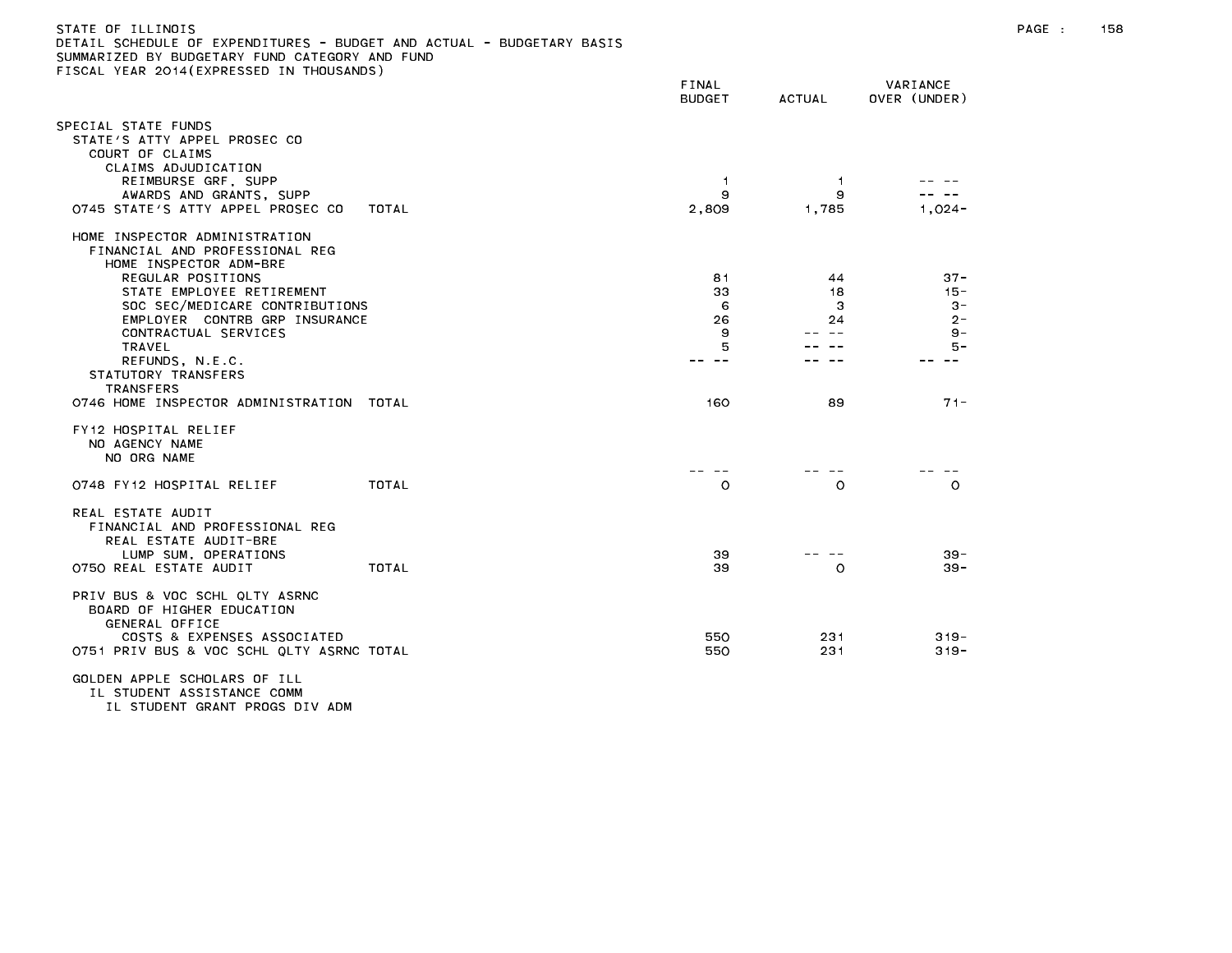| DETAIL SCHEDULE OF EXPENDITURES - BUDGET AND ACTUAL - BUDGETARY BASIS<br>SUMMARIZED BY BUDGETARY FUND CATEGORY AND FUND<br>FISCAL YEAR 2014(EXPRESSED IN THOUSANDS) |              |                        |                |                          |
|---------------------------------------------------------------------------------------------------------------------------------------------------------------------|--------------|------------------------|----------------|--------------------------|
|                                                                                                                                                                     |              | FINAL<br><b>BUDGET</b> | <b>ACTUAL</b>  | VARIANCE<br>OVER (UNDER) |
| SPECIAL STATE FUNDS<br>STATE'S ATTY APPEL PROSEC CO<br>COURT OF CLAIMS                                                                                              |              |                        |                |                          |
| CLAIMS ADJUDICATION<br>REIMBURSE GRF, SUPP                                                                                                                          |              | $\overline{1}$         | $\overline{1}$ |                          |
| AWARDS AND GRANTS, SUPP                                                                                                                                             |              | 9                      | 9              |                          |
| 0745 STATE'S ATTY APPEL PROSEC CO                                                                                                                                   | TOTAL        | 2,809                  | 1,785          | $1,024-$                 |
| HOME INSPECTOR ADMINISTRATION<br>FINANCIAL AND PROFESSIONAL REG<br>HOME INSPECTOR ADM-BRE                                                                           |              |                        |                |                          |
| REGULAR POSITIONS                                                                                                                                                   |              | 81                     | 44             | $37 -$                   |
| STATE EMPLOYEE RETIREMENT                                                                                                                                           |              | 33<br>6                | 18             | $15 -$                   |
| SOC SEC/MEDICARE CONTRIBUTIONS<br>EMPLOYER CONTRB GRP INSURANCE                                                                                                     |              | 26                     | з<br>24        | $3 -$<br>$2 -$           |
| CONTRACTUAL SERVICES                                                                                                                                                |              | 9                      |                | $9 -$                    |
| TRAVEL                                                                                                                                                              |              | 5                      |                | $5 -$                    |
| REFUNDS, N.E.C.                                                                                                                                                     |              |                        |                |                          |
| STATUTORY TRANSFERS<br><b>TRANSFERS</b>                                                                                                                             |              |                        |                |                          |
| 0746 HOME INSPECTOR ADMINISTRATION                                                                                                                                  | TOTAL        | 160                    | 89             | $71 -$                   |
| FY12 HOSPITAL RELIEF<br>NO AGENCY NAME<br>NO ORG NAME                                                                                                               |              |                        |                |                          |
| 0748 FY12 HOSPITAL RELIEF                                                                                                                                           | TOTAL        | $\circ$                | $\circ$        | $\circ$                  |
| REAL ESTATE AUDIT<br>FINANCIAL AND PROFESSIONAL REG<br>REAL ESTATE AUDIT-BRE<br>LUMP SUM, OPERATIONS                                                                |              | 39                     |                | $39 -$                   |
| 0750 REAL ESTATE AUDIT                                                                                                                                              | <b>TOTAL</b> | 39                     | $\circ$        | $39 -$                   |
| PRIV BUS & VOC SCHL QLTY ASRNC<br>BOARD OF HIGHER EDUCATION<br>GENERAL OFFICE                                                                                       |              |                        |                |                          |
| COSTS & EXPENSES ASSOCIATED<br>0751 PRIV BUS & VOC SCHL QLTY ASRNC TOTAL                                                                                            |              | 550<br>550             | 231<br>231     | $319 -$<br>$319 -$       |
| GOLDEN APPLE SCHOLARS OF ILL                                                                                                                                        |              |                        |                |                          |

IL STUDENT ASSISTANCE COMM IL STUDENT GRANT PROGS DIV ADM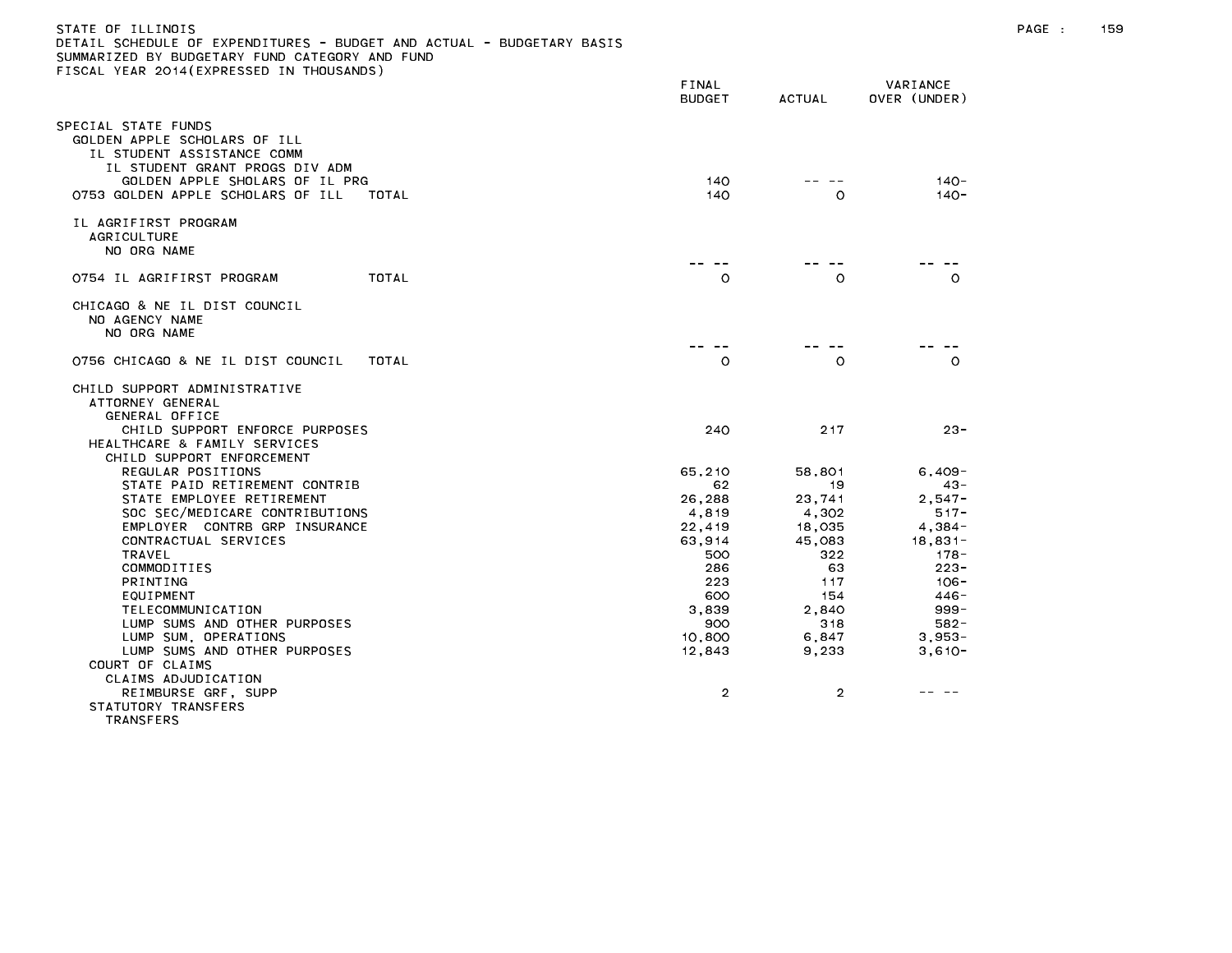| STATE OF ILLINOIS                                                     |  |
|-----------------------------------------------------------------------|--|
| DETAIL SCHEDULE OF EXPENDITURES - BUDGET AND ACTUAL - BUDGETARY BASIS |  |
| SUMMARIZED BY BUDGETARY FUND CATEGORY AND FUND                        |  |
| FISCAL YEAR 2014(EXPRESSED IN THOUSANDS)                              |  |

|                                                                                                                                                      | FINAL<br><b>BUDGET</b> | <b>ACTUAL</b>  | VARIANCE<br>OVER (UNDER) |
|------------------------------------------------------------------------------------------------------------------------------------------------------|------------------------|----------------|--------------------------|
| PECIAL STATE FUNDS<br>GOLDEN APPLE SCHOLARS OF ILL<br>IL STUDENT ASSISTANCE COMM<br>IL STUDENT GRANT PROGS DIV ADM<br>GOLDEN APPLE SHOLARS OF IL PRG | 140                    |                | $140 -$                  |
| 0753 GOLDEN APPLE SCHOLARS OF ILL<br>TOTAL                                                                                                           | 140                    | O              | $140 -$                  |
| IL AGRIFIRST PROGRAM<br>AGRICULTURE<br>NO ORG NAME                                                                                                   |                        |                |                          |
| 0754 IL AGRIFIRST PROGRAM<br>TOTAL                                                                                                                   | $\circ$                | $\circ$        | $\circ$                  |
| CHICAGO & NE IL DIST COUNCIL<br>NO AGENCY NAME<br>NO ORG NAME                                                                                        |                        |                |                          |
| 0756 CHICAGO & NE IL DIST COUNCIL<br>TOTAL                                                                                                           | $\circ$                | $\circ$        | $\Omega$                 |
| CHILD SUPPORT ADMINISTRATIVE<br>ATTORNEY GENERAL<br>GENERAL OFFICE<br>CHILD SUPPORT ENFORCE PURPOSES                                                 | 240                    | 217            | $23 -$                   |
| HEALTHCARE & FAMILY SERVICES<br>CHILD SUPPORT ENFORCEMENT                                                                                            |                        |                |                          |
| REGULAR POSITIONS                                                                                                                                    | 65,210                 | 58,801         | $6,409-$                 |
| STATE PAID RETIREMENT CONTRIB                                                                                                                        | 62                     | 19             | $43 -$                   |
| STATE EMPLOYEE RETIREMENT                                                                                                                            | 26,288                 | 23,741         | $2,547 -$                |
| SOC SEC/MEDICARE CONTRIBUTIONS                                                                                                                       | 4,819                  | 4,302          | $517 -$                  |
| EMPLOYER CONTRB GRP INSURANCE                                                                                                                        | 22,419                 | 18,035         | $4,384-$                 |
| CONTRACTUAL SERVICES                                                                                                                                 | 63,914                 | 45,083         | $18,831-$                |
| TRAVEL<br>COMMODITIES                                                                                                                                | 500<br>286             | 322<br>63      | $178 -$<br>$223 -$       |
| PRINTING                                                                                                                                             | 223                    | 117            | - 106                    |
| EQUIPMENT                                                                                                                                            | 600                    | 154            | 446 -                    |
| TELECOMMUNICATION                                                                                                                                    | 3,839                  | 2.840          | $999 -$                  |
| LUMP SUMS AND OTHER PURPOSES                                                                                                                         | 900                    | 318            | $582 -$                  |
| LUMP SUM, OPERATIONS                                                                                                                                 | 10,800                 | 6,847          | $3.953 -$                |
| LUMP SUMS AND OTHER PURPOSES                                                                                                                         | 12,843                 | 9,233          | $3,610-$                 |
| COURT OF CLAIMS                                                                                                                                      |                        |                |                          |
| CLAIMS ADJUDICATION                                                                                                                                  |                        |                |                          |
| REIMBURSE GRF, SUPP                                                                                                                                  | $\overline{2}$         | $\overline{2}$ |                          |
| STATUTORY TRANSFERS<br><b>TRANSFERS</b>                                                                                                              |                        |                |                          |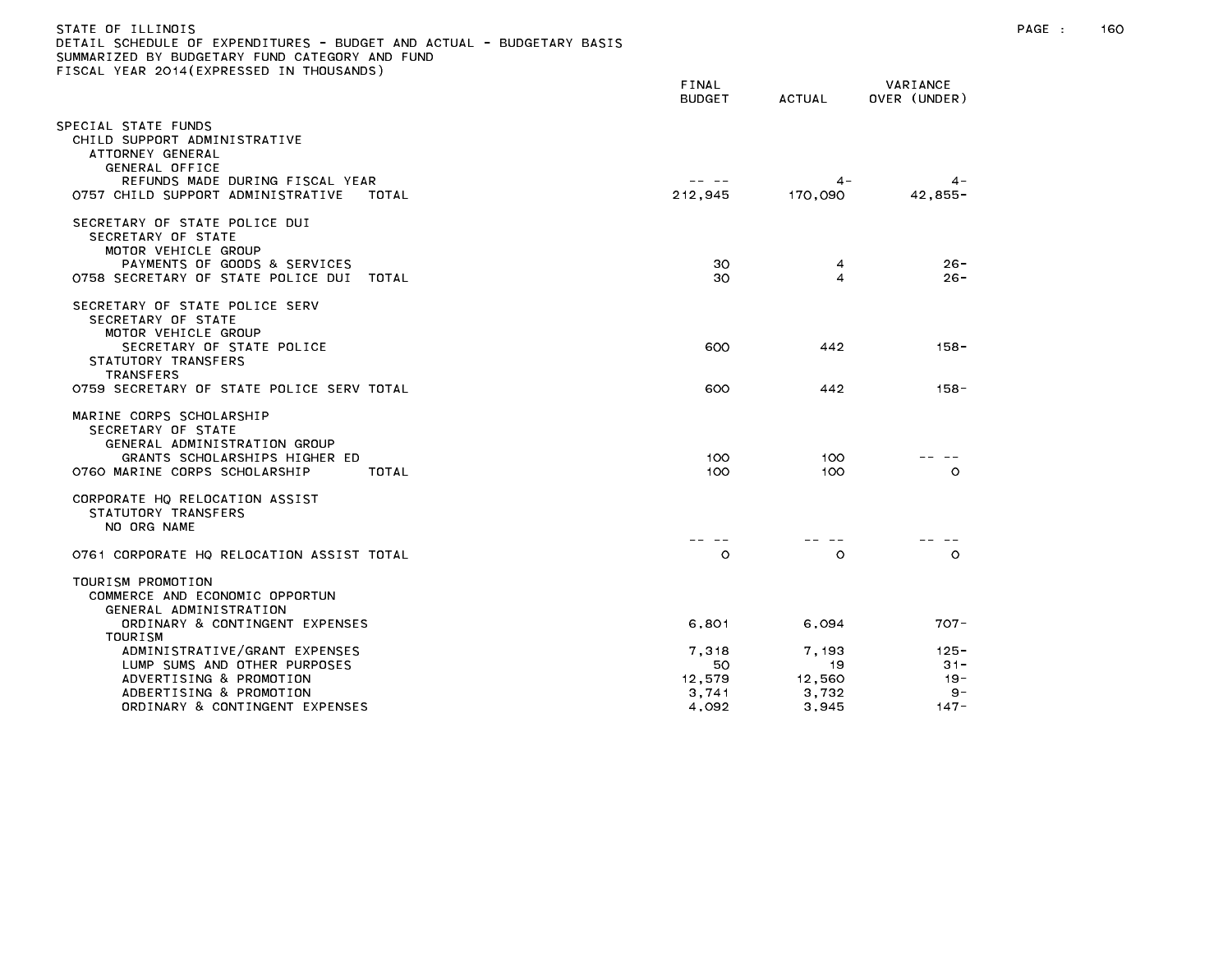| STATE OF ILLINOIS<br>DETAIL SCHEDULE OF EXPENDITURES - BUDGET AND ACTUAL - BUDGETARY BASIS<br>SUMMARIZED BY BUDGETARY FUND CATEGORY AND FUND<br>FISCAL YEAR 2014(EXPRESSED IN THOUSANDS) |                                         |                                         |                                             | PAGE : | 160 |
|------------------------------------------------------------------------------------------------------------------------------------------------------------------------------------------|-----------------------------------------|-----------------------------------------|---------------------------------------------|--------|-----|
|                                                                                                                                                                                          | FINAL<br><b>BUDGET</b>                  | ACTUAL                                  | VARIANCE<br>OVER (UNDER)                    |        |     |
| SPECIAL STATE FUNDS<br>CHILD SUPPORT ADMINISTRATIVE<br>ATTORNEY GENERAL<br>GENERAL OFFICE<br>REFUNDS MADE DURING FISCAL YEAR<br>0757 CHILD SUPPORT ADMINISTRATIVE<br>TOTAL               | -- --<br>212,945                        | $4 -$<br>170,090                        | $4 -$<br>$42,855-$                          |        |     |
| SECRETARY OF STATE POLICE DUI<br>SECRETARY OF STATE<br>MOTOR VEHICLE GROUP                                                                                                               |                                         |                                         |                                             |        |     |
| PAYMENTS OF GOODS & SERVICES<br>0758 SECRETARY OF STATE POLICE DUI TOTAL                                                                                                                 | 30<br>30                                | 4<br>4                                  | 26-<br>26-                                  |        |     |
| SECRETARY OF STATE POLICE SERV<br>SECRETARY OF STATE<br>MOTOR VEHICLE GROUP<br>SECRETARY OF STATE POLICE<br>STATUTORY TRANSFERS                                                          | 600                                     | 442                                     | $158 -$                                     |        |     |
| <b>TRANSFERS</b><br>0759 SECRETARY OF STATE POLICE SERV TOTAL                                                                                                                            | 600                                     | 442                                     | 158-                                        |        |     |
| MARINE CORPS SCHOLARSHIP<br>SECRETARY OF STATE<br>GENERAL ADMINISTRATION GROUP<br>GRANTS SCHOLARSHIPS HIGHER ED<br>0760 MARINE CORPS SCHOLARSHIP<br>TOTAL                                | 100<br>100                              | 100<br>100                              | $\circ$                                     |        |     |
| CORPORATE HQ RELOCATION ASSIST<br>STATUTORY TRANSFERS<br>NO ORG NAME                                                                                                                     |                                         |                                         |                                             |        |     |
| O761 CORPORATE HQ RELOCATION ASSIST TOTAL                                                                                                                                                | $\circ$                                 | $\circ$                                 | $\circ$                                     |        |     |
| TOURISM PROMOTION<br>COMMERCE AND ECONOMIC OPPORTUN<br>GENERAL ADMINISTRATION<br>ORDINARY & CONTINGENT EXPENSES                                                                          | 6,801                                   | 6,094                                   | $707 -$                                     |        |     |
| TOURISM<br>ADMINISTRATIVE/GRANT EXPENSES<br>LUMP SUMS AND OTHER PURPOSES<br>ADVERTISING & PROMOTION<br>ADBERTISING & PROMOTION<br>ORDINARY & CONTINGENT EXPENSES                         | 7,318<br>50<br>12,579<br>3,741<br>4.092 | 7,193<br>19<br>12,560<br>3,732<br>3.945 | 125 -<br>$31 -$<br>- 19<br>$9 -$<br>$147 -$ |        |     |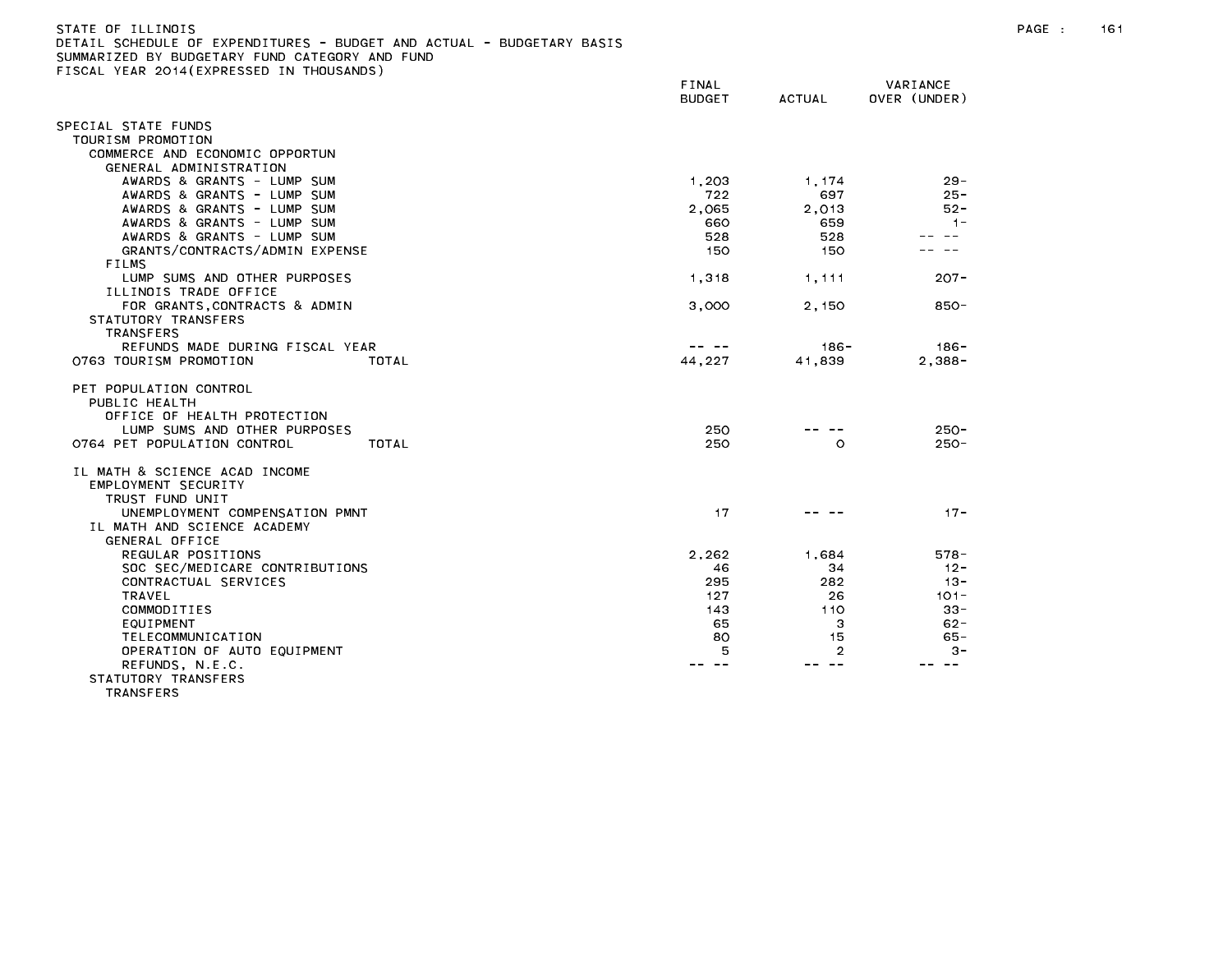| STATE OF ILLINOIS                                                    |  |  |  |
|----------------------------------------------------------------------|--|--|--|
| DETAIL SCHEDULE OF EXPENDITURES - BUDGET AND ACTUAL - BUDGETARY BASI |  |  |  |
| SUMMARIZED BY BUDGETARY FUND CATEGORY AND FUND                       |  |  |  |

SUMMARIZED BY BUDGETARY FUND CATEGORY AND FUND<br>FISCAL YEAR 2014(EXPRESSED IN THOUSANDS)

|                                      | FINAL<br><b>BUDGET</b> | ACTUAL  | VARIANCE<br>OVER (UNDER) |
|--------------------------------------|------------------------|---------|--------------------------|
| SPECIAL STATE FUNDS                  |                        |         |                          |
| TOURISM PROMOTION                    |                        |         |                          |
| COMMERCE AND ECONOMIC OPPORTUN       |                        |         |                          |
| GENERAL ADMINISTRATION               |                        |         |                          |
| AWARDS & GRANTS - LUMP SUM           | 1,203                  | 1,174   | $29 -$                   |
| AWARDS & GRANTS - LUMP SUM           | 722                    | 697     | $25 -$                   |
| AWARDS & GRANTS - LUMP SUM           | 2,065                  | 2,013   | $52 -$                   |
| AWARDS & GRANTS - LUMP SUM           | 660                    | 659     | $1 -$                    |
| AWARDS & GRANTS - LUMP SUM           | 528                    | 528     | $\sim$ $\sim$            |
| GRANTS/CONTRACTS/ADMIN EXPENSE       | 150                    | 150     |                          |
| FILMS                                |                        |         |                          |
| LUMP SUMS AND OTHER PURPOSES         | 1,318                  | 1,111   | $207 -$                  |
| ILLINOIS TRADE OFFICE                |                        |         |                          |
| FOR GRANTS, CONTRACTS & ADMIN        | 3,000                  | 2,150   | 850-                     |
| STATUTORY TRANSFERS                  |                        |         |                          |
| <b>TRANSFERS</b>                     |                        |         |                          |
| REFUNDS MADE DURING FISCAL YEAR      | -- --                  | 186-    | 186-                     |
| 0763 TOURISM PROMOTION<br>TOTAL      | 44,227                 | 41,839  | $2,388-$                 |
|                                      |                        |         |                          |
| PET POPULATION CONTROL               |                        |         |                          |
| PUBLIC HEALTH                        |                        |         |                          |
| OFFICE OF HEALTH PROTECTION          |                        |         |                          |
| LUMP SUMS AND OTHER PURPOSES         | 250                    |         | $250 -$                  |
| 0764 PET POPULATION CONTROL<br>TOTAL | 250                    | $\circ$ | $250 -$                  |
|                                      |                        |         |                          |
| IL MATH & SCIENCE ACAD INCOME        |                        |         |                          |
| EMPLOYMENT SECURITY                  |                        |         |                          |
| TRUST FUND UNIT                      |                        |         |                          |
| UNEMPLOYMENT COMPENSATION PMNT       | 17                     |         | $17 -$                   |
| IL MATH AND SCIENCE ACADEMY          |                        |         |                          |
| GENERAL OFFICE                       |                        |         |                          |
| REGULAR POSITIONS                    | 2,262                  | 1,684   | $578 -$                  |
| SOC SEC/MEDICARE CONTRIBUTIONS       | 46                     | 34      | $12 -$                   |
| CONTRACTUAL SERVICES                 | 295                    | 282     | $13 -$                   |
| TRAVEL                               | 127                    | 26      | $101 -$                  |
| COMMODITIES                          | 143                    | 110     | $33 -$                   |
| EQUIPMENT                            | 65                     | з       | $62 -$                   |
| TELECOMMUNICATION                    | 80                     | 15      | $65 -$                   |
| OPERATION OF AUTO EQUIPMENT          | 5                      | 2       | $3 -$                    |
| REFUNDS, N.E.C.                      |                        |         |                          |
| STATUTORY TRANSFERS                  |                        |         |                          |

TRANSFERS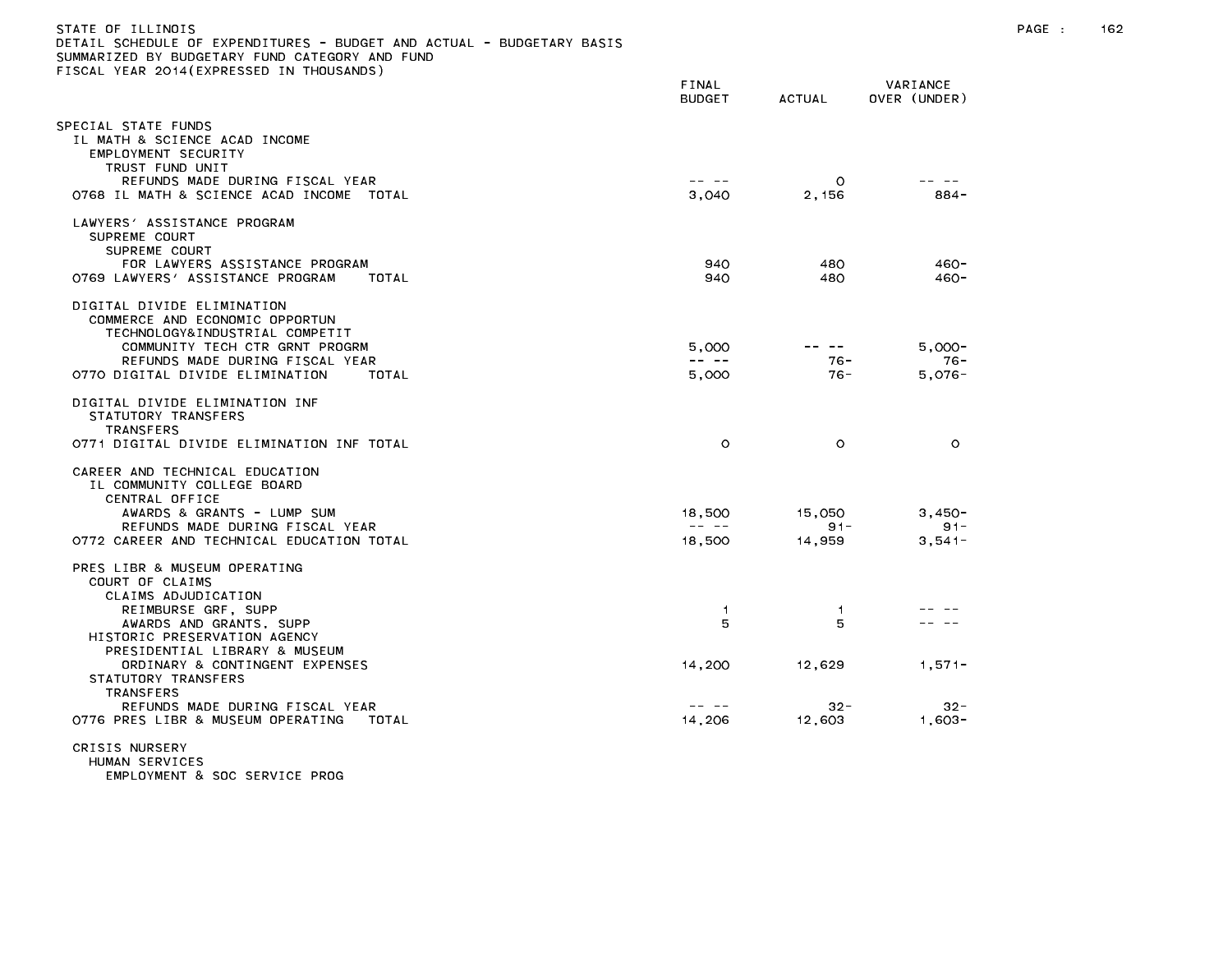| STATE OF ILLINOIS<br>DETAIL SCHEDULE OF EXPENDITURES - BUDGET AND ACTUAL - BUDGETARY BASIS<br>SUMMARIZED BY BUDGETARY FUND CATEGORY AND FUND |                                                                                                                                                                                                                                                                                                                                                                                                                |                       |                                 | PAGE : | 162 |
|----------------------------------------------------------------------------------------------------------------------------------------------|----------------------------------------------------------------------------------------------------------------------------------------------------------------------------------------------------------------------------------------------------------------------------------------------------------------------------------------------------------------------------------------------------------------|-----------------------|---------------------------------|--------|-----|
| FISCAL YEAR 2014(EXPRESSED IN THOUSANDS)                                                                                                     | FINAL<br><b>BUDGET</b>                                                                                                                                                                                                                                                                                                                                                                                         | ACTUAL                | VARIANCE<br>OVER (UNDER)        |        |     |
| SPECIAL STATE FUNDS<br>IL MATH & SCIENCE ACAD INCOME<br>EMPLOYMENT SECURITY<br>TRUST FUND UNIT<br>REFUNDS MADE DURING FISCAL YEAR            | -- --                                                                                                                                                                                                                                                                                                                                                                                                          | $\circ$               | -- --                           |        |     |
| O768 IL MATH & SCIENCE ACAD INCOME TOTAL                                                                                                     | 3,040                                                                                                                                                                                                                                                                                                                                                                                                          | 2,156                 | 884-                            |        |     |
| LAWYERS' ASSISTANCE PROGRAM<br>SUPREME COURT<br>SUPREME COURT                                                                                |                                                                                                                                                                                                                                                                                                                                                                                                                |                       |                                 |        |     |
| FOR LAWYERS ASSISTANCE PROGRAM<br>0769 LAWYERS' ASSISTANCE PROGRAM<br>TOTAL                                                                  | 940<br>940                                                                                                                                                                                                                                                                                                                                                                                                     | 480<br>480            | $460 -$<br>$460 -$              |        |     |
| DIGITAL DIVIDE ELIMINATION<br>COMMERCE AND ECONOMIC OPPORTUN<br>TECHNOLOGY&INDUSTRIAL COMPETIT                                               |                                                                                                                                                                                                                                                                                                                                                                                                                |                       |                                 |        |     |
| COMMUNITY TECH CTR GRNT PROGRM<br>REFUNDS MADE DURING FISCAL YEAR<br>0770 DIGITAL DIVIDE ELIMINATION<br>TOTAL                                | 5,000<br>$\frac{1}{2} \frac{1}{2} \frac{1}{2} \frac{1}{2} \frac{1}{2} \frac{1}{2} \frac{1}{2} \frac{1}{2} \frac{1}{2} \frac{1}{2} \frac{1}{2} \frac{1}{2} \frac{1}{2} \frac{1}{2} \frac{1}{2} \frac{1}{2} \frac{1}{2} \frac{1}{2} \frac{1}{2} \frac{1}{2} \frac{1}{2} \frac{1}{2} \frac{1}{2} \frac{1}{2} \frac{1}{2} \frac{1}{2} \frac{1}{2} \frac{1}{2} \frac{1}{2} \frac{1}{2} \frac{1}{2} \frac{$<br>5,000 | .<br>$76 -$<br>$76 -$ | $5.000 -$<br>$76 -$<br>$5,076-$ |        |     |
| DIGITAL DIVIDE ELIMINATION INF<br>STATUTORY TRANSFERS<br><b>TRANSFERS</b>                                                                    |                                                                                                                                                                                                                                                                                                                                                                                                                |                       |                                 |        |     |
| 0771 DIGITAL DIVIDE ELIMINATION INF TOTAL                                                                                                    | $\circ$                                                                                                                                                                                                                                                                                                                                                                                                        | $\circ$               | $\circ$                         |        |     |
| CAREER AND TECHNICAL EDUCATION<br>IL COMMUNITY COLLEGE BOARD<br>CENTRAL OFFICE                                                               |                                                                                                                                                                                                                                                                                                                                                                                                                |                       |                                 |        |     |
| AWARDS & GRANTS - LUMP SUM<br>REFUNDS MADE DURING FISCAL YEAR                                                                                | 18,500<br>$\frac{1}{2} \frac{1}{2} \frac{1}{2} \frac{1}{2} \frac{1}{2} \frac{1}{2} \frac{1}{2} \frac{1}{2} \frac{1}{2} \frac{1}{2} \frac{1}{2} \frac{1}{2} \frac{1}{2} \frac{1}{2} \frac{1}{2} \frac{1}{2} \frac{1}{2} \frac{1}{2} \frac{1}{2} \frac{1}{2} \frac{1}{2} \frac{1}{2} \frac{1}{2} \frac{1}{2} \frac{1}{2} \frac{1}{2} \frac{1}{2} \frac{1}{2} \frac{1}{2} \frac{1}{2} \frac{1}{2} \frac{$         | 15,050<br>$91 -$      | $3,450-$<br>$91 -$              |        |     |
| 0772 CAREER AND TECHNICAL EDUCATION TOTAL                                                                                                    | 18,500                                                                                                                                                                                                                                                                                                                                                                                                         | 14,959                | $3,541-$                        |        |     |
| PRES LIBR & MUSEUM OPERATING<br>COURT OF CLAIMS<br>CLAIMS ADJUDICATION                                                                       |                                                                                                                                                                                                                                                                                                                                                                                                                |                       |                                 |        |     |
| REIMBURSE GRF, SUPP<br>AWARDS AND GRANTS, SUPP<br>HISTORIC PRESERVATION AGENCY                                                               | $\overline{1}$<br>5                                                                                                                                                                                                                                                                                                                                                                                            | $\overline{1}$<br>5   |                                 |        |     |
| PRESIDENTIAL LIBRARY & MUSEUM<br>ORDINARY & CONTINGENT EXPENSES<br>STATUTORY TRANSFERS<br><b>TRANSFERS</b>                                   | 14,200                                                                                                                                                                                                                                                                                                                                                                                                         | 12,629                | $1,571-$                        |        |     |
| REFUNDS MADE DURING FISCAL YEAR<br>0776 PRES LIBR & MUSEUM OPERATING<br>TOTAL                                                                | -- --<br>14,206                                                                                                                                                                                                                                                                                                                                                                                                | $32 -$<br>12,603      | $32 -$<br>$1,603-$              |        |     |
| CRISIS NURSERY<br>HUMAN SERVICES<br>EMPLOYMENT & SOC SERVICE PROG                                                                            |                                                                                                                                                                                                                                                                                                                                                                                                                |                       |                                 |        |     |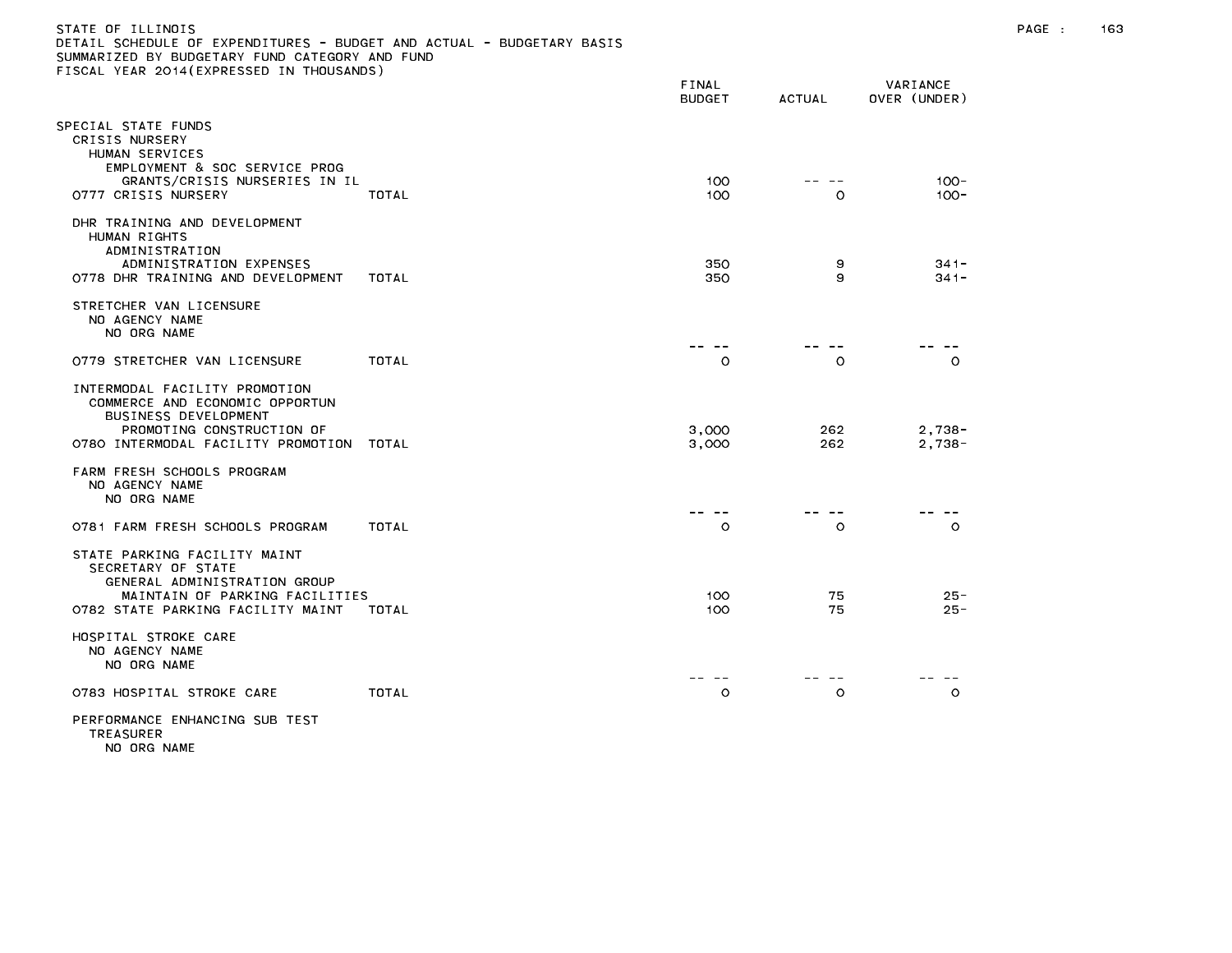| STATE OF ILLINOIS                                                     |
|-----------------------------------------------------------------------|
| DETAIL SCHEDULE OF EXPENDITURES - BUDGET AND ACTUAL - BUDGETARY BASIS |
| SUMMARIZED BY BUDGETARY FUND CATEGORY AND FUND                        |
| FISCAL YEAR 2014(EXPRESSED IN THOUSANDS)                              |

|                                                                                                                                                                   |       | FINAL<br><b>BUDGET</b> | <b>ACTUAL</b> | VARIANCE<br>OVER (UNDER) |
|-------------------------------------------------------------------------------------------------------------------------------------------------------------------|-------|------------------------|---------------|--------------------------|
| PECIAL STATE FUNDS<br>CRISIS NURSERY<br>HUMAN SERVICES<br>EMPLOYMENT & SOC SERVICE PROG                                                                           |       |                        |               |                          |
| GRANTS/CRISIS NURSERIES IN IL<br>0777 CRISIS NURSERY                                                                                                              | TOTAL | 100<br>100             | $\circ$       | $100 -$<br>$100 -$       |
| DHR TRAINING AND DEVELOPMENT<br>HUMAN RIGHTS<br>ADMINISTRATION                                                                                                    |       |                        |               |                          |
| ADMINISTRATION EXPENSES<br>0778 DHR TRAINING AND DEVELOPMENT                                                                                                      | TOTAL | 350<br>350             | 9<br>9        | $341 -$<br>$341 -$       |
| STRETCHER VAN LICENSURE<br>NO AGENCY NAME<br>NO ORG NAME                                                                                                          |       |                        |               |                          |
| 0779 STRETCHER VAN LICENSURE                                                                                                                                      | TOTAL | O                      | O             | O                        |
| INTERMODAL FACILITY PROMOTION<br>COMMERCE AND ECONOMIC OPPORTUN<br><b>BUSINESS DEVELOPMENT</b><br>PROMOTING CONSTRUCTION OF<br>0780 INTERMODAL FACILITY PROMOTION | TOTAL | 3,000<br>3,000         | 262<br>262    | $2,738-$<br>$2,738-$     |
| FARM FRESH SCHOOLS PROGRAM<br>NO AGENCY NAME<br>NO ORG NAME                                                                                                       |       |                        |               |                          |
| 0781 FARM FRESH SCHOOLS PROGRAM                                                                                                                                   | TOTAL | $\circ$                | $\circ$       | $\circ$                  |
| STATE PARKING FACILITY MAINT<br>SECRETARY OF STATE<br>GENERAL ADMINISTRATION GROUP<br>MAINTAIN OF PARKING FACILITIES                                              |       | 100                    | 75            | $25 -$                   |
| 0782 STATE PARKING FACILITY MAINT                                                                                                                                 | TOTAL | 100                    | 75            | $25 -$                   |
| HOSPITAL STROKE CARE<br>NO AGENCY NAME<br>NO ORG NAME                                                                                                             |       |                        |               |                          |
| 0783 HOSPITAL STROKE CARE                                                                                                                                         | TOTAL | O                      | $\circ$       | $\circ$                  |
| PERFORMANCE ENHANCING SUB TEST                                                                                                                                    |       |                        |               |                          |

TREASURER NO ORG NAME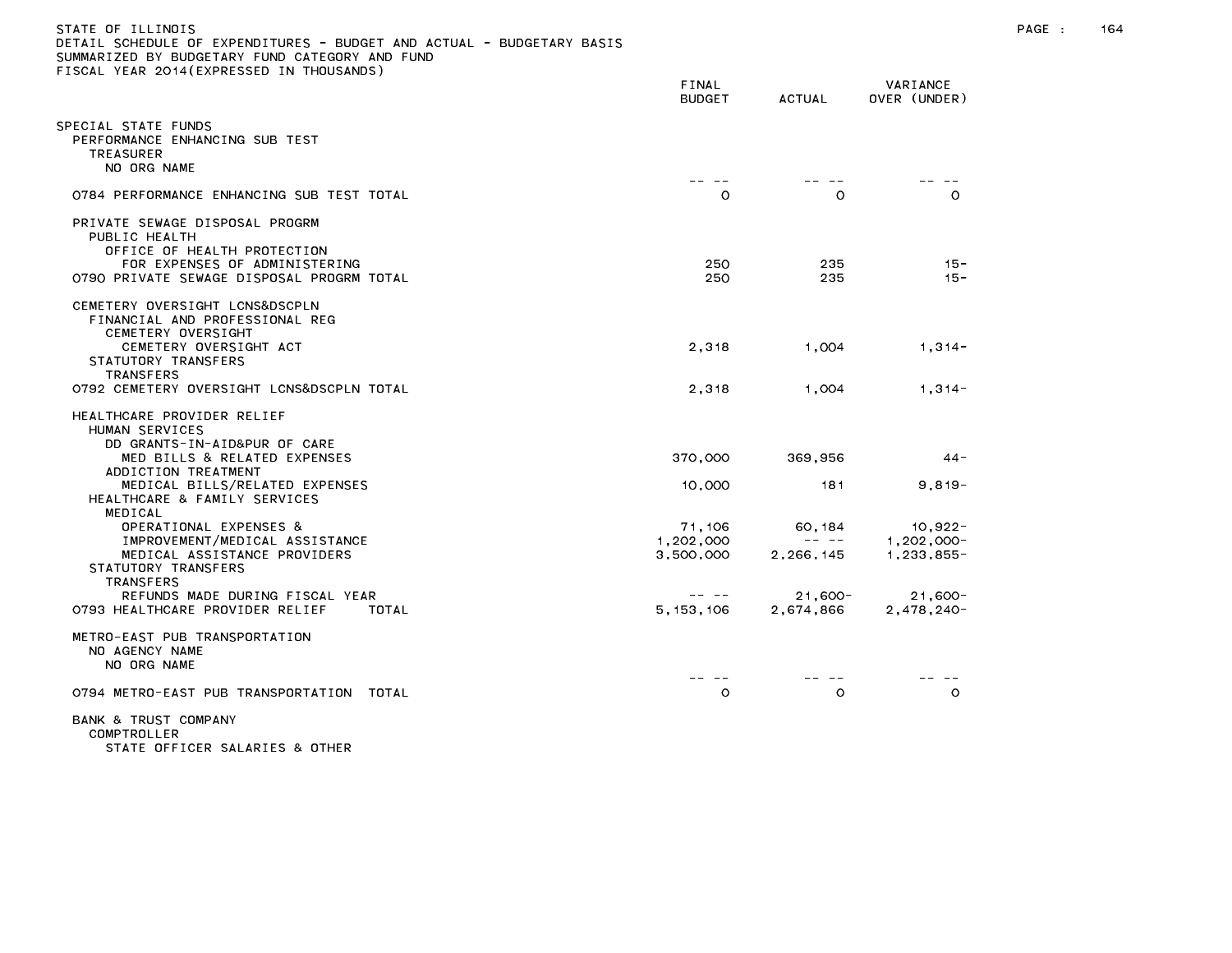| STATE OF ILLINOIS                                                     |  |
|-----------------------------------------------------------------------|--|
| DETAIL SCHEDULE OF EXPENDITURES - BUDGET AND ACTUAL - BUDGETARY BASIS |  |
| SUMMARIZED BY BUDGETARY FUND CATEGORY AND FUND                        |  |
| FISCAL YEAR 2014(EXPRESSED IN THOUSANDS)                              |  |

| TOORL TEAR EQTACLATINESSED IN                                                                                                                                                                                    | FINAL<br>BUDGET                  | ACTUAL                                                                                                                                                                                                                                                                                                                                                                                                               | VARIANCE<br>OVER (UNDER)                 |
|------------------------------------------------------------------------------------------------------------------------------------------------------------------------------------------------------------------|----------------------------------|----------------------------------------------------------------------------------------------------------------------------------------------------------------------------------------------------------------------------------------------------------------------------------------------------------------------------------------------------------------------------------------------------------------------|------------------------------------------|
| PECIAL STATE FUNDS<br>PERFORMANCE ENHANCING SUB TEST<br><b>TREASURER</b><br>NO ORG NAME                                                                                                                          |                                  |                                                                                                                                                                                                                                                                                                                                                                                                                      |                                          |
| 0784 PERFORMANCE ENHANCING SUB TEST TOTAL                                                                                                                                                                        | $\circ$                          | $\circ$                                                                                                                                                                                                                                                                                                                                                                                                              | $\circ$                                  |
| PRIVATE SEWAGE DISPOSAL PROGRM<br>PUBLIC HEALTH<br>OFFICE OF HEALTH PROTECTION<br>FOR EXPENSES OF ADMINISTERING<br>0790 PRIVATE SEWAGE DISPOSAL PROGRM TOTAL                                                     | 250<br>250                       | 235<br>235                                                                                                                                                                                                                                                                                                                                                                                                           | $15 -$<br>$15 -$                         |
| CEMETERY OVERSIGHT LCNS&DSCPLN<br>FINANCIAL AND PROFESSIONAL REG<br>CEMETERY OVERSIGHT                                                                                                                           |                                  |                                                                                                                                                                                                                                                                                                                                                                                                                      |                                          |
| CEMETERY OVERSIGHT ACT<br>STATUTORY TRANSFERS<br><b>TRANSFERS</b>                                                                                                                                                | 2,318                            | 1,004                                                                                                                                                                                                                                                                                                                                                                                                                | $1,314-$                                 |
| 0792 CEMETERY OVERSIGHT LCNS&DSCPLN TOTAL                                                                                                                                                                        | 2,318                            | 1,004                                                                                                                                                                                                                                                                                                                                                                                                                | $1,314-$                                 |
| HEALTHCARE PROVIDER RELIEF<br>HUMAN SERVICES<br>DD GRANTS-IN-AID&PUR OF CARE<br>MED BILLS & RELATED EXPENSES<br>ADDICTION TREATMENT<br>MEDICAL BILLS/RELATED EXPENSES<br>HEALTHCARE & FAMILY SERVICES<br>MEDICAL | 370,000<br>10,000                | 369,956<br>181                                                                                                                                                                                                                                                                                                                                                                                                       | 44 -<br>$9,819-$                         |
| OPERATIONAL EXPENSES &<br>IMPROVEMENT/MEDICAL ASSISTANCE<br>MEDICAL ASSISTANCE PROVIDERS<br>STATUTORY TRANSFERS<br><b>TRANSFERS</b>                                                                              | 71,106<br>1,202,000<br>3,500,000 | 60, 184<br>$\frac{1}{2} \frac{1}{2} \frac{1}{2} \frac{1}{2} \frac{1}{2} \frac{1}{2} \frac{1}{2} \frac{1}{2} \frac{1}{2} \frac{1}{2} \frac{1}{2} \frac{1}{2} \frac{1}{2} \frac{1}{2} \frac{1}{2} \frac{1}{2} \frac{1}{2} \frac{1}{2} \frac{1}{2} \frac{1}{2} \frac{1}{2} \frac{1}{2} \frac{1}{2} \frac{1}{2} \frac{1}{2} \frac{1}{2} \frac{1}{2} \frac{1}{2} \frac{1}{2} \frac{1}{2} \frac{1}{2} \frac{$<br>2,266,145 | $10,922 -$<br>$1,202,000 -$<br>1,233,855 |
| REFUNDS MADE DURING FISCAL YEAR<br>0793 HEALTHCARE PROVIDER RELIEF<br>TOTAL                                                                                                                                      | -- --<br>5, 153, 106             | $21,600 -$<br>2,674,866                                                                                                                                                                                                                                                                                                                                                                                              | $21,600 -$<br>2,478,240-                 |
| METRO-EAST PUB TRANSPORTATION<br>NO AGENCY NAME<br>NO ORG NAME                                                                                                                                                   |                                  |                                                                                                                                                                                                                                                                                                                                                                                                                      |                                          |
| 0794 METRO-EAST PUB TRANSPORTATION TOTAL                                                                                                                                                                         | $\circ$                          | $\circ$                                                                                                                                                                                                                                                                                                                                                                                                              | $\circ$                                  |
| BANK & TRUST COMPANY<br>COMPTROLLER<br>STATE OFFICER SALARIES & OTHER                                                                                                                                            |                                  |                                                                                                                                                                                                                                                                                                                                                                                                                      |                                          |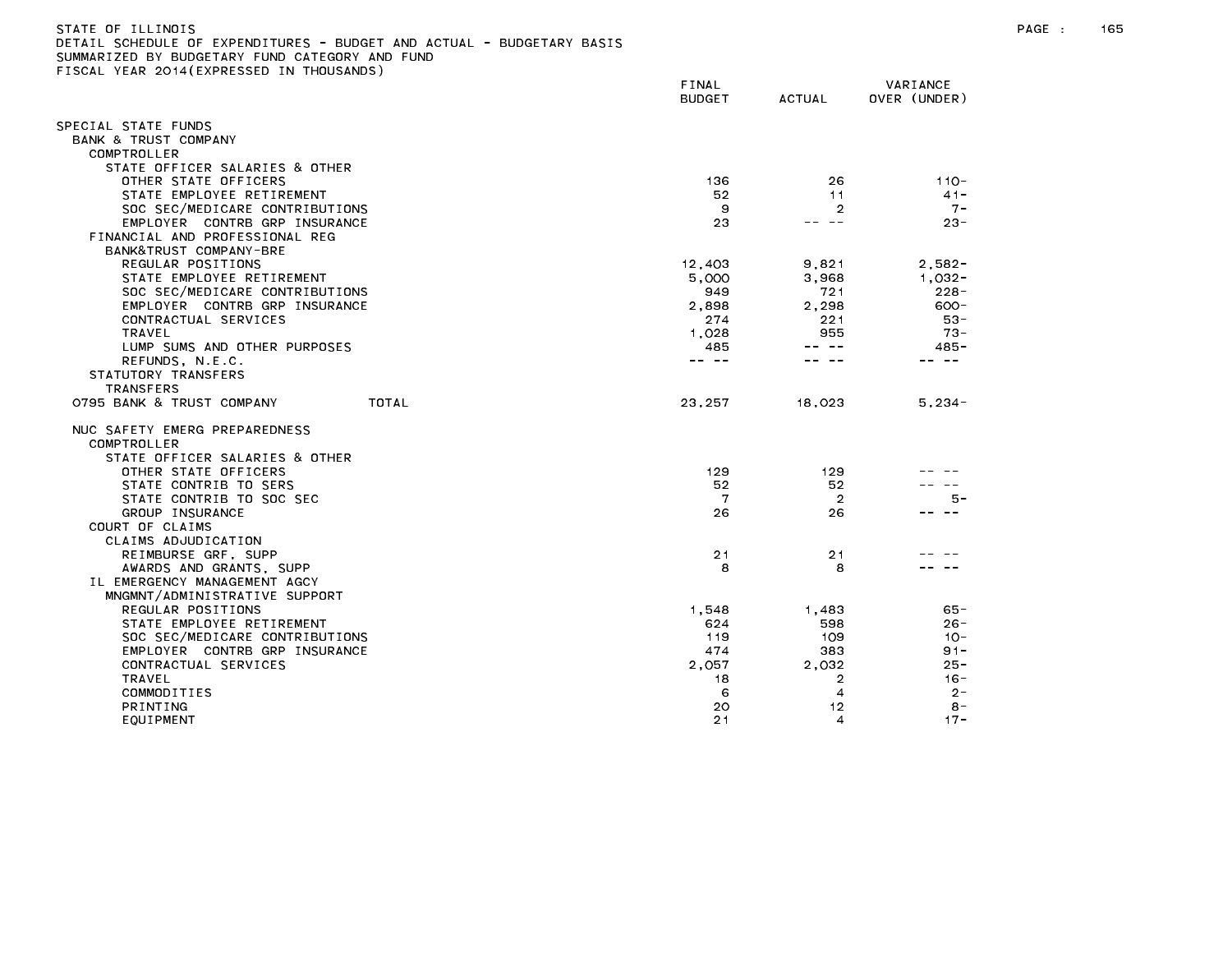| STATE OF ILLINOIS                              |  |  |  |  |                                                                       |  |
|------------------------------------------------|--|--|--|--|-----------------------------------------------------------------------|--|
|                                                |  |  |  |  | DETAIL SCHEDULE OF EXPENDITURES - BUDGET AND ACTUAL - BUDGETARY BASIS |  |
| SUMMARIZED BY BUDGETARY FUND CATEGORY AND FUND |  |  |  |  |                                                                       |  |

SUMMARIZED BY BUDGETARY FUND CATEGORY AND FUND<br>FISCAL YEAR 2014(EXPRESSED IN THOUSANDS)

| LOURE TERR EUTTLEMINEUUED IN       | FINAL<br><b>BUDGET</b>                                                                                                                                                                                                                                                                                                                                                                       | ACTUAL                                                                                                                                                                                                                                                                                                                                                                                                                                                | VARIANCE<br>OVER (UNDER) |
|------------------------------------|----------------------------------------------------------------------------------------------------------------------------------------------------------------------------------------------------------------------------------------------------------------------------------------------------------------------------------------------------------------------------------------------|-------------------------------------------------------------------------------------------------------------------------------------------------------------------------------------------------------------------------------------------------------------------------------------------------------------------------------------------------------------------------------------------------------------------------------------------------------|--------------------------|
| SPECIAL STATE FUNDS                |                                                                                                                                                                                                                                                                                                                                                                                              |                                                                                                                                                                                                                                                                                                                                                                                                                                                       |                          |
| BANK & TRUST COMPANY               |                                                                                                                                                                                                                                                                                                                                                                                              |                                                                                                                                                                                                                                                                                                                                                                                                                                                       |                          |
| COMPTROLLER                        |                                                                                                                                                                                                                                                                                                                                                                                              |                                                                                                                                                                                                                                                                                                                                                                                                                                                       |                          |
| STATE OFFICER SALARIES & OTHER     |                                                                                                                                                                                                                                                                                                                                                                                              |                                                                                                                                                                                                                                                                                                                                                                                                                                                       |                          |
| OTHER STATE OFFICERS               | 136                                                                                                                                                                                                                                                                                                                                                                                          | 26                                                                                                                                                                                                                                                                                                                                                                                                                                                    | $110 -$                  |
| STATE EMPLOYEE RETIREMENT          | 52                                                                                                                                                                                                                                                                                                                                                                                           | 11                                                                                                                                                                                                                                                                                                                                                                                                                                                    | $41 -$                   |
| SOC SEC/MEDICARE CONTRIBUTIONS     | 9                                                                                                                                                                                                                                                                                                                                                                                            | 2                                                                                                                                                                                                                                                                                                                                                                                                                                                     | $7 -$                    |
| EMPLOYER CONTRB GRP INSURANCE      | 23                                                                                                                                                                                                                                                                                                                                                                                           | -- --                                                                                                                                                                                                                                                                                                                                                                                                                                                 | $23 -$                   |
| FINANCIAL AND PROFESSIONAL REG     |                                                                                                                                                                                                                                                                                                                                                                                              |                                                                                                                                                                                                                                                                                                                                                                                                                                                       |                          |
| BANK&TRUST COMPANY-BRE             |                                                                                                                                                                                                                                                                                                                                                                                              |                                                                                                                                                                                                                                                                                                                                                                                                                                                       |                          |
| REGULAR POSITIONS                  | 12,403                                                                                                                                                                                                                                                                                                                                                                                       | 9,821                                                                                                                                                                                                                                                                                                                                                                                                                                                 | $2,582-$                 |
| STATE EMPLOYEE RETIREMENT          | 5,000                                                                                                                                                                                                                                                                                                                                                                                        | 3.968                                                                                                                                                                                                                                                                                                                                                                                                                                                 | 1.032-                   |
| SOC SEC/MEDICARE CONTRIBUTIONS     | 949                                                                                                                                                                                                                                                                                                                                                                                          | 721                                                                                                                                                                                                                                                                                                                                                                                                                                                   | $228 -$                  |
| EMPLOYER CONTRB GRP INSURANCE      | 2,898                                                                                                                                                                                                                                                                                                                                                                                        | 2,298                                                                                                                                                                                                                                                                                                                                                                                                                                                 | $600 -$                  |
|                                    |                                                                                                                                                                                                                                                                                                                                                                                              |                                                                                                                                                                                                                                                                                                                                                                                                                                                       |                          |
| CONTRACTUAL SERVICES               | 274                                                                                                                                                                                                                                                                                                                                                                                          | 221                                                                                                                                                                                                                                                                                                                                                                                                                                                   | $53 -$                   |
| TRAVEL                             | 1,028                                                                                                                                                                                                                                                                                                                                                                                        | 955<br>$\frac{1}{2} \left( \frac{1}{2} \right) \frac{1}{2} \left( \frac{1}{2} \right) \frac{1}{2} \left( \frac{1}{2} \right) \frac{1}{2} \left( \frac{1}{2} \right) \frac{1}{2} \left( \frac{1}{2} \right) \frac{1}{2} \left( \frac{1}{2} \right) \frac{1}{2} \left( \frac{1}{2} \right) \frac{1}{2} \left( \frac{1}{2} \right) \frac{1}{2} \left( \frac{1}{2} \right) \frac{1}{2} \left( \frac{1}{2} \right) \frac{1}{2} \left( \frac{1}{2} \right)$ | $73 -$                   |
| LUMP SUMS AND OTHER PURPOSES       | 485                                                                                                                                                                                                                                                                                                                                                                                          |                                                                                                                                                                                                                                                                                                                                                                                                                                                       | $485 -$                  |
| REFUNDS, N.E.C.                    | $\frac{1}{2} \frac{1}{2} \frac{1}{2} \frac{1}{2} \frac{1}{2} \frac{1}{2} \frac{1}{2} \frac{1}{2} \frac{1}{2} \frac{1}{2} \frac{1}{2} \frac{1}{2} \frac{1}{2} \frac{1}{2} \frac{1}{2} \frac{1}{2} \frac{1}{2} \frac{1}{2} \frac{1}{2} \frac{1}{2} \frac{1}{2} \frac{1}{2} \frac{1}{2} \frac{1}{2} \frac{1}{2} \frac{1}{2} \frac{1}{2} \frac{1}{2} \frac{1}{2} \frac{1}{2} \frac{1}{2} \frac{$ |                                                                                                                                                                                                                                                                                                                                                                                                                                                       | $\sim$ $-$               |
| STATUTORY TRANSFERS                |                                                                                                                                                                                                                                                                                                                                                                                              |                                                                                                                                                                                                                                                                                                                                                                                                                                                       |                          |
| <b>TRANSFERS</b>                   |                                                                                                                                                                                                                                                                                                                                                                                              |                                                                                                                                                                                                                                                                                                                                                                                                                                                       |                          |
| TOTAL<br>0795 BANK & TRUST COMPANY | 23,257                                                                                                                                                                                                                                                                                                                                                                                       | 18,023                                                                                                                                                                                                                                                                                                                                                                                                                                                | $5,234-$                 |
| NUC SAFETY EMERG PREPAREDNESS      |                                                                                                                                                                                                                                                                                                                                                                                              |                                                                                                                                                                                                                                                                                                                                                                                                                                                       |                          |
| COMPTROLLER                        |                                                                                                                                                                                                                                                                                                                                                                                              |                                                                                                                                                                                                                                                                                                                                                                                                                                                       |                          |
| STATE OFFICER SALARIES & OTHER     |                                                                                                                                                                                                                                                                                                                                                                                              |                                                                                                                                                                                                                                                                                                                                                                                                                                                       |                          |
| OTHER STATE OFFICERS               | 129                                                                                                                                                                                                                                                                                                                                                                                          | 129                                                                                                                                                                                                                                                                                                                                                                                                                                                   |                          |
| STATE CONTRIB TO SERS              | 52                                                                                                                                                                                                                                                                                                                                                                                           | 52                                                                                                                                                                                                                                                                                                                                                                                                                                                    |                          |
| STATE CONTRIB TO SOC SEC           | $\mathbf{7}$                                                                                                                                                                                                                                                                                                                                                                                 | $\overline{2}$                                                                                                                                                                                                                                                                                                                                                                                                                                        | $5 -$                    |
| GROUP INSURANCE                    | 26                                                                                                                                                                                                                                                                                                                                                                                           | 26                                                                                                                                                                                                                                                                                                                                                                                                                                                    |                          |
| COURT OF CLAIMS                    |                                                                                                                                                                                                                                                                                                                                                                                              |                                                                                                                                                                                                                                                                                                                                                                                                                                                       |                          |
| CLAIMS ADJUDICATION                |                                                                                                                                                                                                                                                                                                                                                                                              |                                                                                                                                                                                                                                                                                                                                                                                                                                                       |                          |
| REIMBURSE GRF, SUPP                | 21                                                                                                                                                                                                                                                                                                                                                                                           | 21                                                                                                                                                                                                                                                                                                                                                                                                                                                    |                          |
| AWARDS AND GRANTS, SUPP            | 8                                                                                                                                                                                                                                                                                                                                                                                            | 8                                                                                                                                                                                                                                                                                                                                                                                                                                                     |                          |
| IL EMERGENCY MANAGEMENT AGCY       |                                                                                                                                                                                                                                                                                                                                                                                              |                                                                                                                                                                                                                                                                                                                                                                                                                                                       |                          |
| MNGMNT/ADMINISTRATIVE SUPPORT      |                                                                                                                                                                                                                                                                                                                                                                                              |                                                                                                                                                                                                                                                                                                                                                                                                                                                       |                          |
| REGULAR POSITIONS                  | 1,548                                                                                                                                                                                                                                                                                                                                                                                        | 1,483                                                                                                                                                                                                                                                                                                                                                                                                                                                 | $65 -$                   |
| STATE EMPLOYEE RETIREMENT          | 624                                                                                                                                                                                                                                                                                                                                                                                          | 598                                                                                                                                                                                                                                                                                                                                                                                                                                                   | $26 -$                   |
| SOC SEC/MEDICARE CONTRIBUTIONS     | 119                                                                                                                                                                                                                                                                                                                                                                                          | 109                                                                                                                                                                                                                                                                                                                                                                                                                                                   | $10 -$                   |
| EMPLOYER CONTRB GRP INSURANCE      | 474                                                                                                                                                                                                                                                                                                                                                                                          | 383                                                                                                                                                                                                                                                                                                                                                                                                                                                   | $91 -$                   |
| CONTRACTUAL SERVICES               | 2,057                                                                                                                                                                                                                                                                                                                                                                                        | 2,032                                                                                                                                                                                                                                                                                                                                                                                                                                                 | $25 -$                   |
| TRAVEL                             | 18                                                                                                                                                                                                                                                                                                                                                                                           | 2                                                                                                                                                                                                                                                                                                                                                                                                                                                     | $16 -$                   |
| COMMODITIES                        | 6                                                                                                                                                                                                                                                                                                                                                                                            | $\overline{4}$                                                                                                                                                                                                                                                                                                                                                                                                                                        | $2 -$                    |
| PRINTING                           | 20                                                                                                                                                                                                                                                                                                                                                                                           | 12                                                                                                                                                                                                                                                                                                                                                                                                                                                    | $8 -$                    |
| EQUIPMENT                          | 21                                                                                                                                                                                                                                                                                                                                                                                           | 4                                                                                                                                                                                                                                                                                                                                                                                                                                                     | $17 -$                   |
|                                    |                                                                                                                                                                                                                                                                                                                                                                                              |                                                                                                                                                                                                                                                                                                                                                                                                                                                       |                          |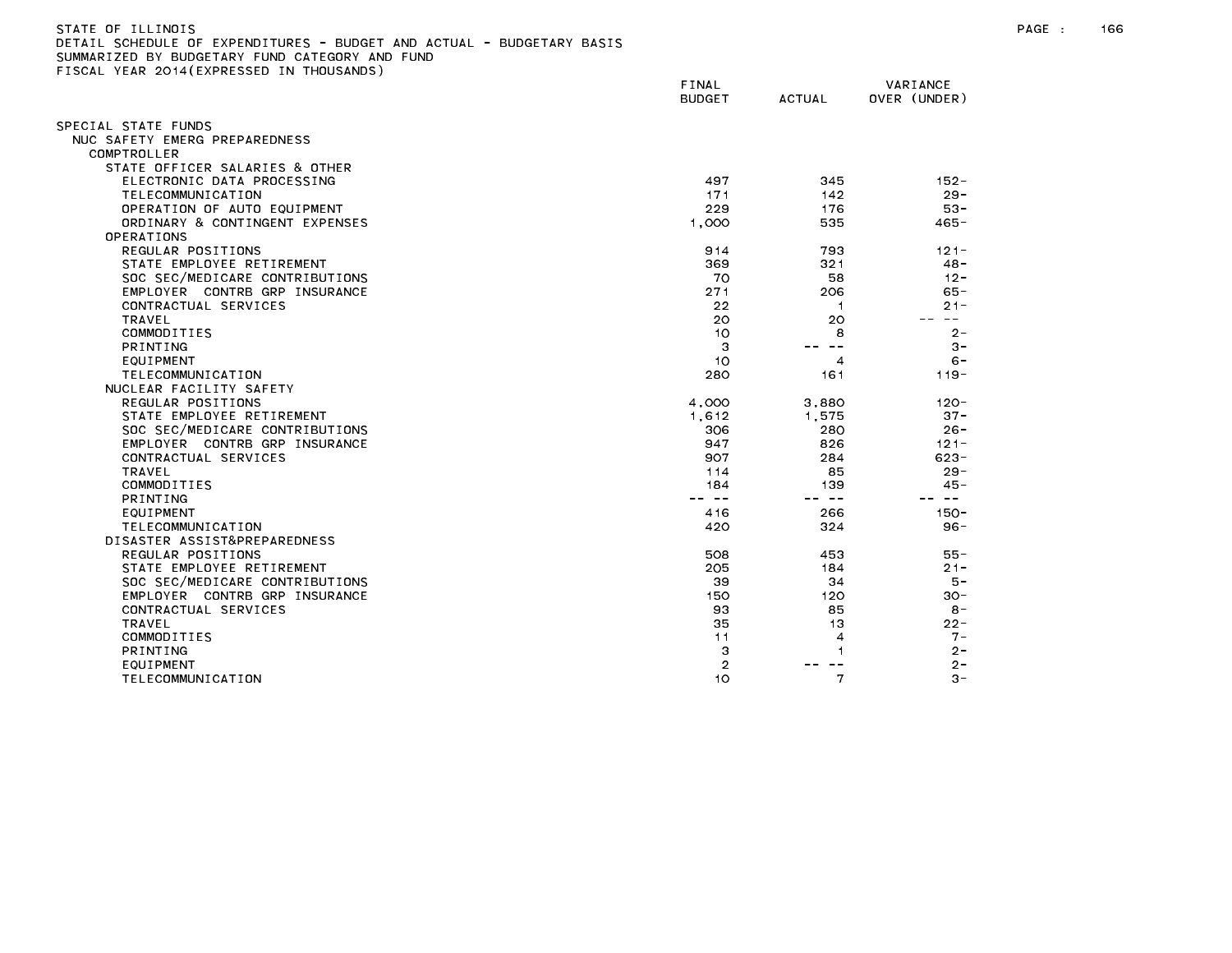| STATE OF ILLINOIS                                                     |
|-----------------------------------------------------------------------|
| DETAIL SCHEDULE OF EXPENDITURES - BUDGET AND ACTUAL - BUDGETARY BASIS |
| SUMMARIZED BY BUDGETARY FUND CATEGORY AND FUND                        |
| FISCAL YEAR 2014(EXPRESSED IN THOUSANDS)                              |

|                                | FINAL<br><b>BUDGET</b> | <b>ACTUAL</b> | VARIANCE<br>OVER (UNDER) |
|--------------------------------|------------------------|---------------|--------------------------|
| PECIAL STATE FUNDS             |                        |               |                          |
| NUC SAFETY EMERG PREPAREDNESS  |                        |               |                          |
| COMPTROLLER                    |                        |               |                          |
| STATE OFFICER SALARIES & OTHER |                        |               |                          |
| ELECTRONIC DATA PROCESSING     | 497                    | 345           | $152 -$                  |
| TELECOMMUNICATION              | 171                    | 142           | $29 -$                   |
| OPERATION OF AUTO EQUIPMENT    | 229                    | 176           | $53 -$                   |
| ORDINARY & CONTINGENT EXPENSES | 1.000                  | 535           | $465 -$                  |
| OPERATIONS                     |                        |               |                          |
| REGULAR POSITIONS              | 914                    | 793           | $121 -$                  |
| STATE EMPLOYEE RETIREMENT      | 369                    | 321           | $48 -$                   |
| SOC SEC/MEDICARE CONTRIBUTIONS | 70                     | 58            | $12 -$                   |
| EMPLOYER CONTRB GRP INSURANCE  | 271                    | 206           | $65 -$                   |
| CONTRACTUAL SERVICES           | 22                     | -1            | $21 -$                   |
| <b>TRAVEL</b>                  | 20                     | 20            | $- -$                    |
| COMMODITIES                    | 10                     | 8             | $2 -$                    |
| <b>PRINTING</b>                | 3                      | $\sim$ $-$    | $3 -$                    |
| EQUIPMENT                      | 10                     | 4             | $6 -$                    |
| TELECOMMUNICATION              | 280                    | 161           | $119 -$                  |
| NUCLEAR FACILITY SAFETY        |                        |               |                          |
| REGULAR POSITIONS              | 4,000                  | 3,880         | $120 -$                  |
| STATE EMPLOYEE RETIREMENT      | 1,612                  | 1,575         | $37 -$                   |
| SOC SEC/MEDICARE CONTRIBUTIONS | 306                    | 280           | $26 -$                   |
| EMPLOYER CONTRB GRP INSURANCE  | 947                    | 826           | $121 -$                  |
| CONTRACTUAL SERVICES           | 907                    | 284           | $623 -$                  |
| <b>TRAVEL</b>                  | 114                    | 85            | $29 -$                   |
| COMMODITIES                    | 184                    | 139           | $45 -$                   |
| PRINTING                       | -- --                  | -- --         | $\sim$ $-$               |
| EQUIPMENT                      | 416                    | 266           | $150 -$                  |
| TELECOMMUNICATION              | 420                    | 324           | $96 -$                   |
| DISASTER ASSIST&PREPAREDNESS   |                        |               |                          |
| REGULAR POSITIONS              | 508                    | 453           | 55 -                     |
| STATE EMPLOYEE RETIREMENT      | 205                    | 184           | $21 -$                   |
| SOC SEC/MEDICARE CONTRIBUTIONS | 39                     | 34            | $5 -$                    |
| EMPLOYER CONTRB GRP INSURANCE  | 150                    | 120           | $30 -$                   |
| CONTRACTUAL SERVICES           | 93                     | 85            | $8 -$                    |
| <b>TRAVEL</b>                  | 35                     | 13            | $22 -$                   |
| COMMODITIES                    | 11                     | 4             | $7 -$                    |
| PRINTING                       | 3                      | 1             | $2 -$                    |
| EQUIPMENT                      | $\overline{2}$         |               | $2 -$                    |
| TELECOMMUNICATION              | 10                     | 7             | $3 -$                    |
|                                |                        |               |                          |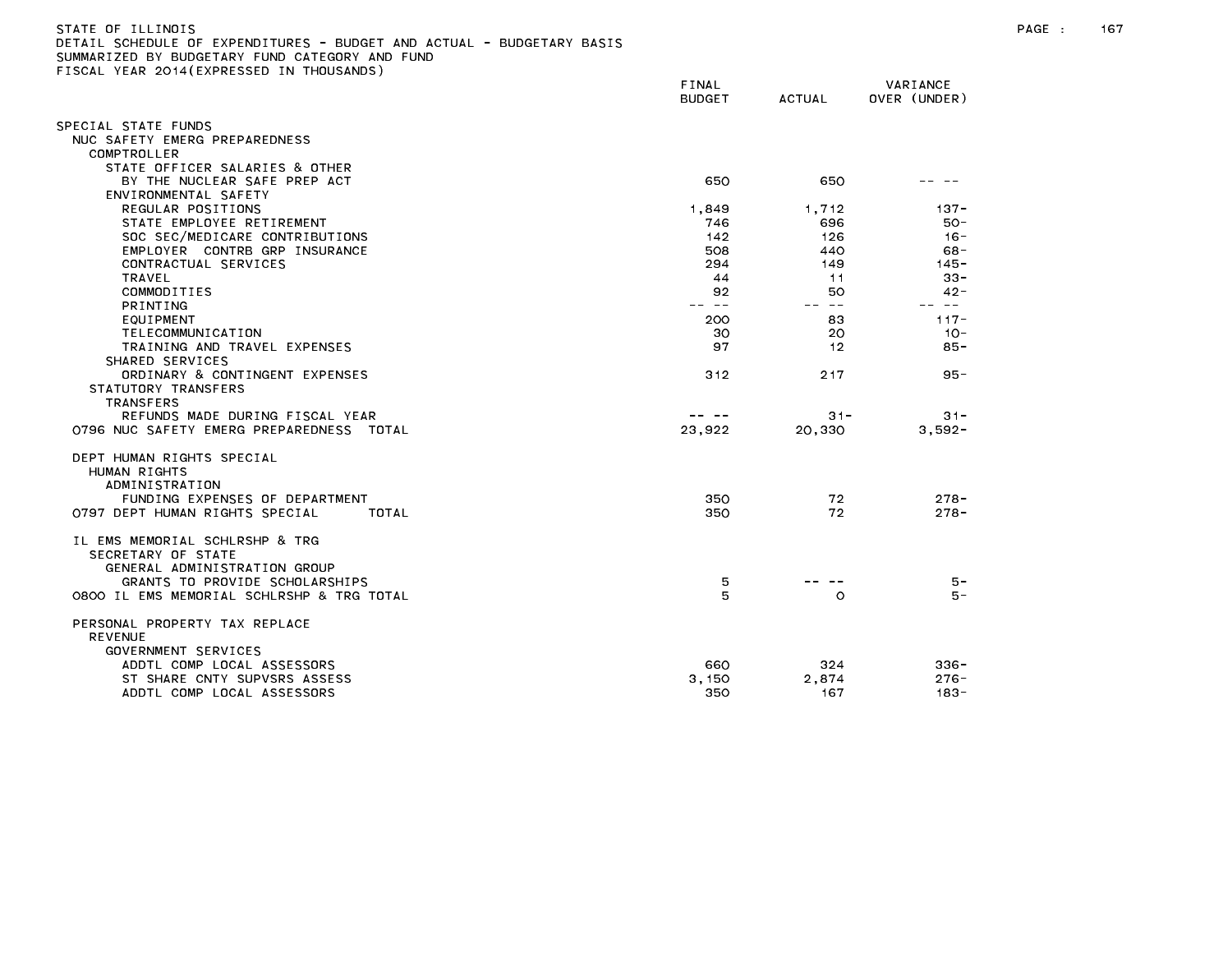| STATE OF ILLINOIS                                                     |       |
|-----------------------------------------------------------------------|-------|
| DETAIL SCHEDULE OF EXPENDITURES - BUDGET AND ACTUAL - BUDGETARY BASIS |       |
| SUMMARIZED BY BUDGETARY FUND CATEGORY AND FUND                        |       |
| FISCAL YEAR 2014(EXPRESSED IN THOUSANDS)                              |       |
|                                                                       | FINAL |

|                                                   | <b>BUDGET</b> | ACTUAL  | OVER (UNDER) |
|---------------------------------------------------|---------------|---------|--------------|
| SPECIAL STATE FUNDS                               |               |         |              |
| NUC SAFETY EMERG PREPAREDNESS                     |               |         |              |
| COMPTROLLER                                       |               |         |              |
| STATE OFFICER SALARIES & OTHER                    |               |         |              |
| BY THE NUCLEAR SAFE PREP ACT                      | 650           | 650     |              |
| ENVIRONMENTAL SAFETY                              |               |         |              |
| REGULAR POSITIONS                                 | 1,849         | 1,712   | $137 -$      |
| STATE EMPLOYEE RETIREMENT                         | 746           | 696     | $50 -$       |
| SOC SEC/MEDICARE CONTRIBUTIONS                    | 142           | 126     | $16 -$       |
| EMPLOYER CONTRB GRP INSURANCE                     | 508           | 440     | $68 -$       |
| CONTRACTUAL SERVICES                              | 294           | 149     | $145 -$      |
| TRAVEL                                            | 44            | 11      | $33 -$       |
| COMMODITIES                                       | 92            | 50      | $42 -$       |
| <b>PRINTING</b>                                   | -- --         | $- -$   | -- --        |
| EQUIPMENT                                         | 200           | 83      | $117 -$      |
| TELECOMMUNICATION                                 | 30            | 20      | $10 -$       |
| TRAINING AND TRAVEL EXPENSES                      | 97            | 12      | $85 -$       |
| SHARED SERVICES<br>ORDINARY & CONTINGENT EXPENSES | 312           | 217     |              |
| STATUTORY TRANSFERS                               |               |         | $95 -$       |
| <b>TRANSFERS</b>                                  |               |         |              |
| REFUNDS MADE DURING FISCAL YEAR                   |               | $31 -$  | $31 -$       |
| 0796 NUC SAFETY EMERG PREPAREDNESS TOTAL          | 23,922        | 20.330  | $3.592 -$    |
|                                                   |               |         |              |
| DEPT HUMAN RIGHTS SPECIAL                         |               |         |              |
| HUMAN RIGHTS                                      |               |         |              |
| ADMINISTRATION                                    |               |         |              |
| FUNDING EXPENSES OF DEPARTMENT                    | 350           | 72      | $278 -$      |
| 0797 DEPT HUMAN RIGHTS SPECIAL<br>TOTAL           | 350           | 72      | $278 -$      |
|                                                   |               |         |              |
| IL EMS MEMORIAL SCHLRSHP & TRG                    |               |         |              |
| SECRETARY OF STATE                                |               |         |              |
| GENERAL ADMINISTRATION GROUP                      |               |         |              |
| GRANTS TO PROVIDE SCHOLARSHIPS                    | 5             |         | $5 -$        |
| O8OO IL EMS MEMORIAL SCHLRSHP & TRG TOTAL         | 5             | $\circ$ | $5 -$        |
|                                                   |               |         |              |
| PERSONAL PROPERTY TAX REPLACE                     |               |         |              |
| <b>REVENUE</b>                                    |               |         |              |
| GOVERNMENT SERVICES                               |               |         |              |
| ADDTL COMP LOCAL ASSESSORS                        | 660           | 324     | $336 -$      |
| ST SHARE CNTY SUPVSRS ASSESS                      | 3,150         | 2,874   | $276 -$      |
| ADDTL COMP LOCAL ASSESSORS                        | 350           | 167     | $183 -$      |

BUDGET ACTUAL OVER (UNDER)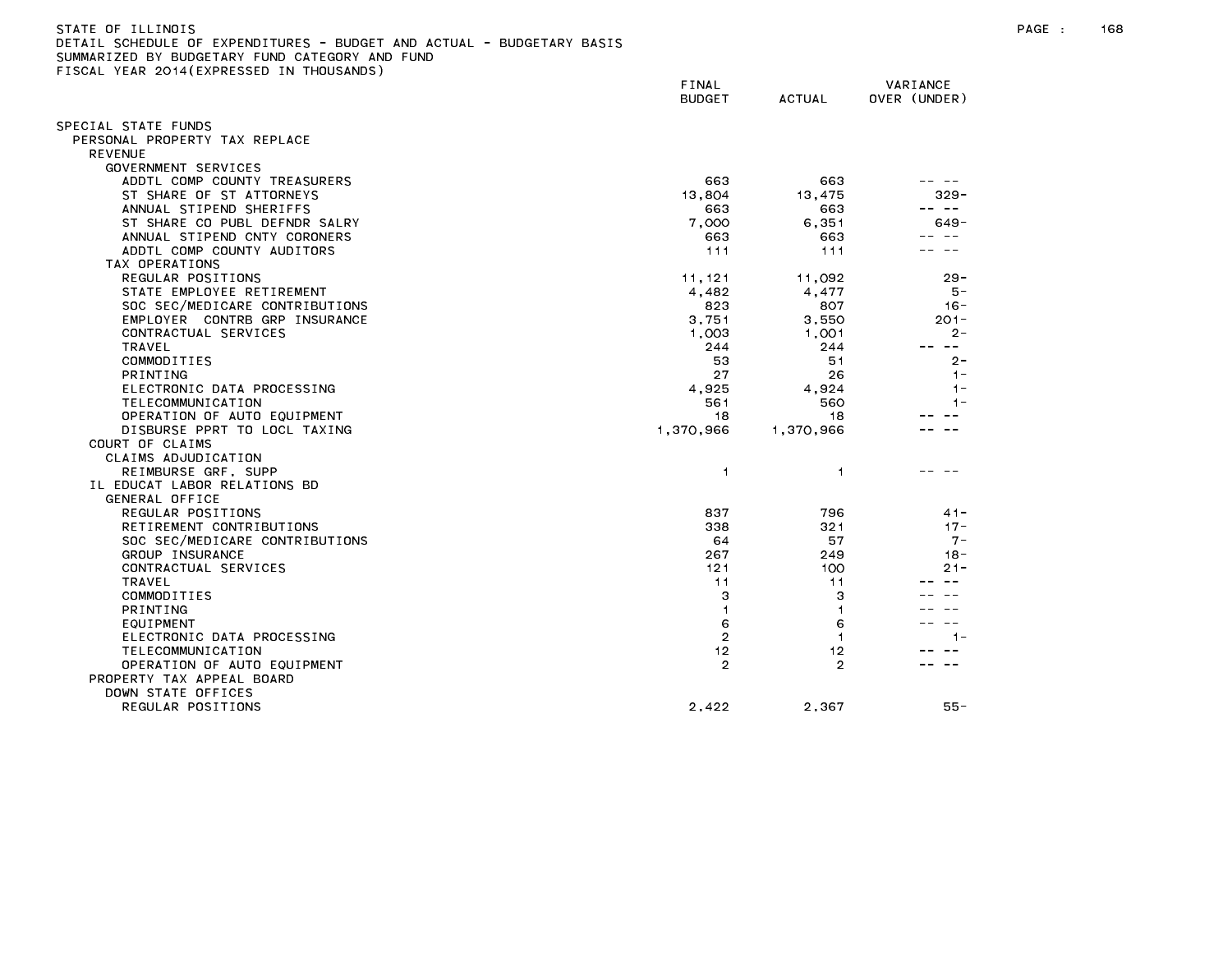| ISCAL YEAR 2014(EXPRESSED IN THOUSANDS) |                        |                |                          |
|-----------------------------------------|------------------------|----------------|--------------------------|
|                                         | FINAL<br><b>BUDGET</b> | <b>ACTUAL</b>  | VARIANCE<br>OVER (UNDER) |
| PECIAL STATE FUNDS;                     |                        |                |                          |
| PERSONAL PROPERTY TAX REPLACE           |                        |                |                          |
| <b>REVENUE</b>                          |                        |                |                          |
| GOVERNMENT SERVICES                     |                        |                |                          |
| ADDTL COMP COUNTY TREASURERS            | 663                    | 663            |                          |
| ST SHARE OF ST ATTORNEYS                | 13,804                 | 13,475         | $329 -$                  |
| ANNUAL STIPEND SHERIFFS                 | 663                    | 663            | $\sim$ $-$               |
| ST SHARE CO PUBL DEFNDR SALRY           | 7,000                  | 6,351          | 649-                     |
| ANNUAL STIPEND CNTY CORONERS            | 663                    | 663            |                          |
| ADDTL COMP COUNTY AUDITORS              | 111                    | 111            |                          |
| TAX OPERATIONS                          |                        |                |                          |
| REGULAR POSITIONS                       | 11, 121                | 11,092         | $29 -$                   |
| STATE EMPLOYEE RETIREMENT               | 4,482                  | 4,477          | 5 –                      |
| SOC SEC/MEDICARE CONTRIBUTIONS          | 823                    | 807            | $16 -$                   |
| EMPLOYER CONTRB GRP INSURANCE           | 3,751                  | 3,550          | $201 -$                  |
| CONTRACTUAL SERVICES                    | 1,003                  | 1,001          | $2 -$                    |
| TRAVEL                                  | 244                    | 244            | $\sim$ $\sim$            |
| COMMODITIES                             | 53                     | 51             | $2 -$                    |
| PRINTING                                | 27                     | 26             | $1 -$                    |
| ELECTRONIC DATA PROCESSING              | 4,925                  | 4,924          | $1 -$                    |
| TELECOMMUNICATION                       | 561                    | 560            | $1 -$                    |
| OPERATION OF AUTO EQUIPMENT             | 18                     | 18             |                          |
| DISBURSE PPRT TO LOCL TAXING            | 1,370,966              | 1,370,966      |                          |
| COURT OF CLAIMS                         |                        |                |                          |
| CLAIMS ADJUDICATION                     |                        |                |                          |
| REIMBURSE GRF, SUPP                     | $\mathbf{1}$           | 1              |                          |
| IL EDUCAT LABOR RELATIONS BD            |                        |                |                          |
| GENERAL OFFICE                          |                        |                |                          |
| REGULAR POSITIONS                       | 837                    | 796            | $41 -$                   |
| RETIREMENT CONTRIBUTIONS                | 338                    | 321            | $17 -$                   |
| SOC SEC/MEDICARE CONTRIBUTIONS          | 64                     | 57             | $7 -$                    |
| GROUP INSURANCE                         | 267                    | 249            | $18 -$                   |
| CONTRACTUAL SERVICES                    | 121                    | 100            | $21 -$                   |
| TRAVEL                                  | 11                     | 11             |                          |
| COMMODITIES                             | З                      | з              |                          |
| <b>PRINTING</b>                         | $\mathbf{1}$           | $\mathbf{1}$   |                          |
| EQUIPMENT                               | 6                      | 6              |                          |
| ELECTRONIC DATA PROCESSING              | $\overline{2}$         | $\mathbf{1}$   | 1-                       |
| TELECOMMUNICATION                       | 12                     | 12             |                          |
| OPERATION OF AUTO EQUIPMENT             | $\overline{2}$         | $\overline{2}$ |                          |
| PROPERTY TAX APPEAL BOARD               |                        |                |                          |
| DOWN STATE OFFICES                      |                        |                |                          |
| REGULAR POSITIONS                       | 2,422                  | 2,367          | $55 -$                   |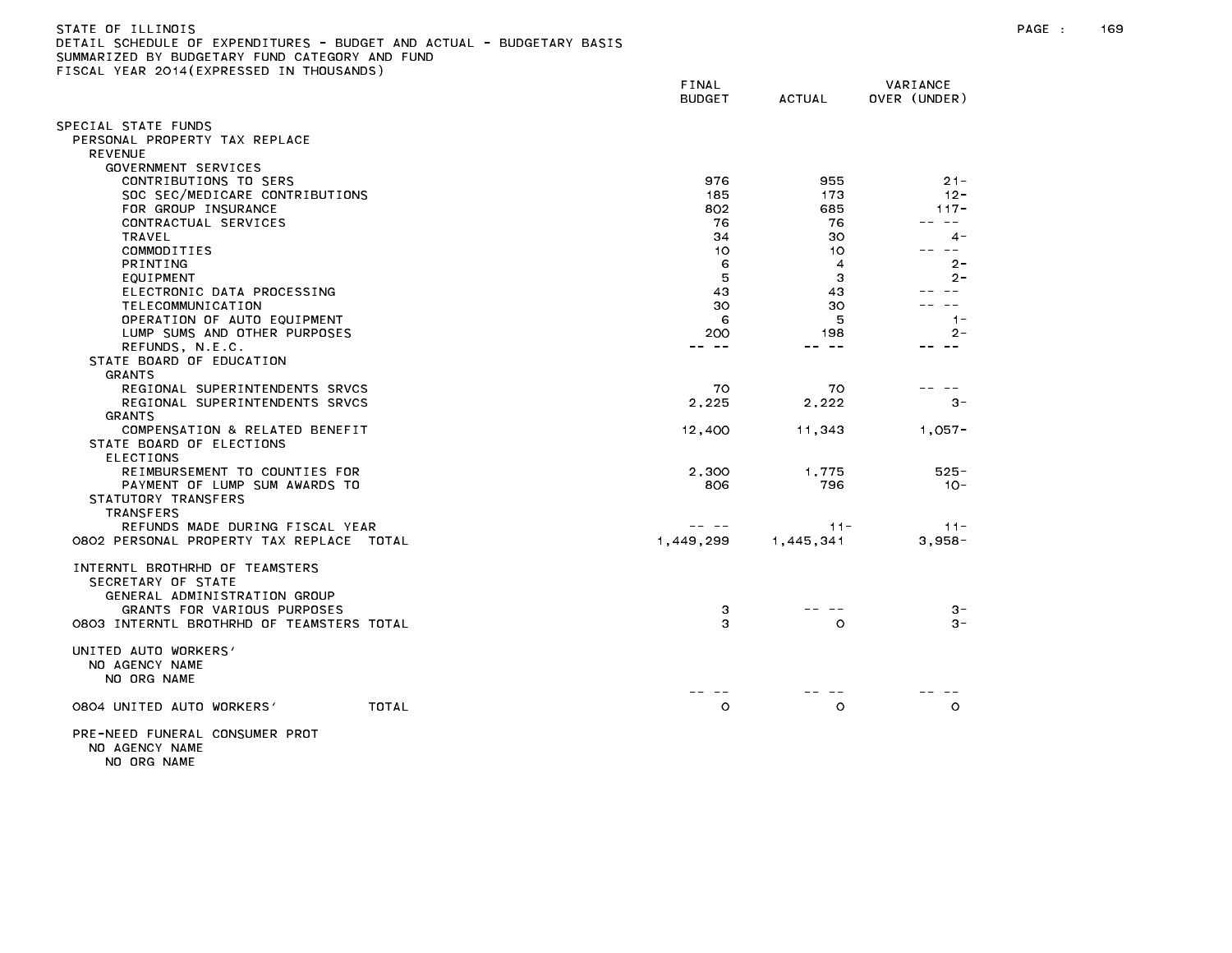| )ETAIL SCHEDULE OF EXPENDITURES - BUDGET AND ACTUAL - BUDGETARY BASIS<br>SUMMARIZED BY BUDGETARY FUND CATEGORY AND FUND |                        |           |                          |
|-------------------------------------------------------------------------------------------------------------------------|------------------------|-----------|--------------------------|
| FISCAL YEAR 2014(EXPRESSED IN THOUSANDS)                                                                                |                        |           |                          |
|                                                                                                                         | FINAL<br><b>BUDGET</b> | ACTUAL    | VARIANCE<br>OVER (UNDER) |
| SPECIAL STATE FUNDS                                                                                                     |                        |           |                          |
| PERSONAL PROPERTY TAX REPLACE                                                                                           |                        |           |                          |
| <b>REVENUE</b>                                                                                                          |                        |           |                          |
| GOVERNMENT SERVICES                                                                                                     |                        |           |                          |
| CONTRIBUTIONS TO SERS                                                                                                   | 976                    | 955       | $21 -$                   |
| SOC SEC/MEDICARE CONTRIBUTIONS                                                                                          | 185                    | 173       | $12 -$                   |
| FOR GROUP INSURANCE                                                                                                     | 802                    | 685       | $117 -$                  |
| CONTRACTUAL SERVICES                                                                                                    | 76                     | 76        | $\sim$ $ -$              |
| TRAVEL                                                                                                                  | 34                     | 30        | $4 -$                    |
| COMMODITIES                                                                                                             | 10                     | 10        | ---                      |
| PRINTING                                                                                                                | 6                      | 4         | $2 -$                    |
| EQUIPMENT                                                                                                               | 5                      | З         | $2 -$                    |
| ELECTRONIC DATA PROCESSING                                                                                              | 43                     | 43        | $\sim$ $\sim$            |
| TELECOMMUNICATION                                                                                                       | 30                     | 30        |                          |
| OPERATION OF AUTO EQUIPMENT                                                                                             | 6                      | 5         | $1 -$                    |
| LUMP SUMS AND OTHER PURPOSES                                                                                            | 200                    | 198       | $2 -$                    |
| REFUNDS, N.E.C.                                                                                                         | -- --                  | -- --     | $- -$                    |
| STATE BOARD OF EDUCATION                                                                                                |                        |           |                          |
| <b>GRANTS</b>                                                                                                           |                        |           |                          |
| REGIONAL SUPERINTENDENTS SRVCS                                                                                          | 70                     | 70        |                          |
| REGIONAL SUPERINTENDENTS SRVCS                                                                                          | 2,225                  | 2,222     | $3 -$                    |
| <b>GRANTS</b><br>COMPENSATION & RELATED BENEFIT                                                                         |                        |           |                          |
|                                                                                                                         | 12,400                 | 11,343    | $1,057-$                 |
| STATE BOARD OF ELECTIONS<br><b>ELECTIONS</b>                                                                            |                        |           |                          |
| REIMBURSEMENT TO COUNTIES FOR                                                                                           | 2.300                  | 1.775     | $525 -$                  |
| PAYMENT OF LUMP SUM AWARDS TO                                                                                           | 806                    | 796       | $10 -$                   |
| STATUTORY TRANSFERS                                                                                                     |                        |           |                          |
| TRANSFERS                                                                                                               |                        |           |                          |
| REFUNDS MADE DURING FISCAL YEAR                                                                                         | - - -                  | $11 -$    | $11 -$                   |
| 0802 PERSONAL PROPERTY TAX REPLACE TOTAL                                                                                | 1,449,299              | 1,445,341 | $3,958-$                 |
|                                                                                                                         |                        |           |                          |
| INTERNTL BROTHRHD OF TEAMSTERS                                                                                          |                        |           |                          |
| SECRETARY OF STATE                                                                                                      |                        |           |                          |
| GENERAL ADMINISTRATION GROUP                                                                                            |                        |           |                          |
| GRANTS FOR VARIOUS PURPOSES                                                                                             | 3                      |           | $3 -$                    |
| 0803 INTERNTL BROTHRHD OF TEAMSTERS TOTAL                                                                               | з                      | $\circ$   | $3 -$                    |
| UNITED AUTO WORKERS'                                                                                                    |                        |           |                          |
| NO AGENCY NAME                                                                                                          |                        |           |                          |
| NO ORG NAME                                                                                                             |                        |           |                          |

-- -- -- -- -- --

0804 UNITED AUTO WORKERS' TOTAL TOTAL CONTROLLY DO CONTROLLY ON CONTROLLY ON CONTROLLY O

PRE-NEED FUNERAL CONSUMER PROT NO AGENCY NAME NO ORG NAME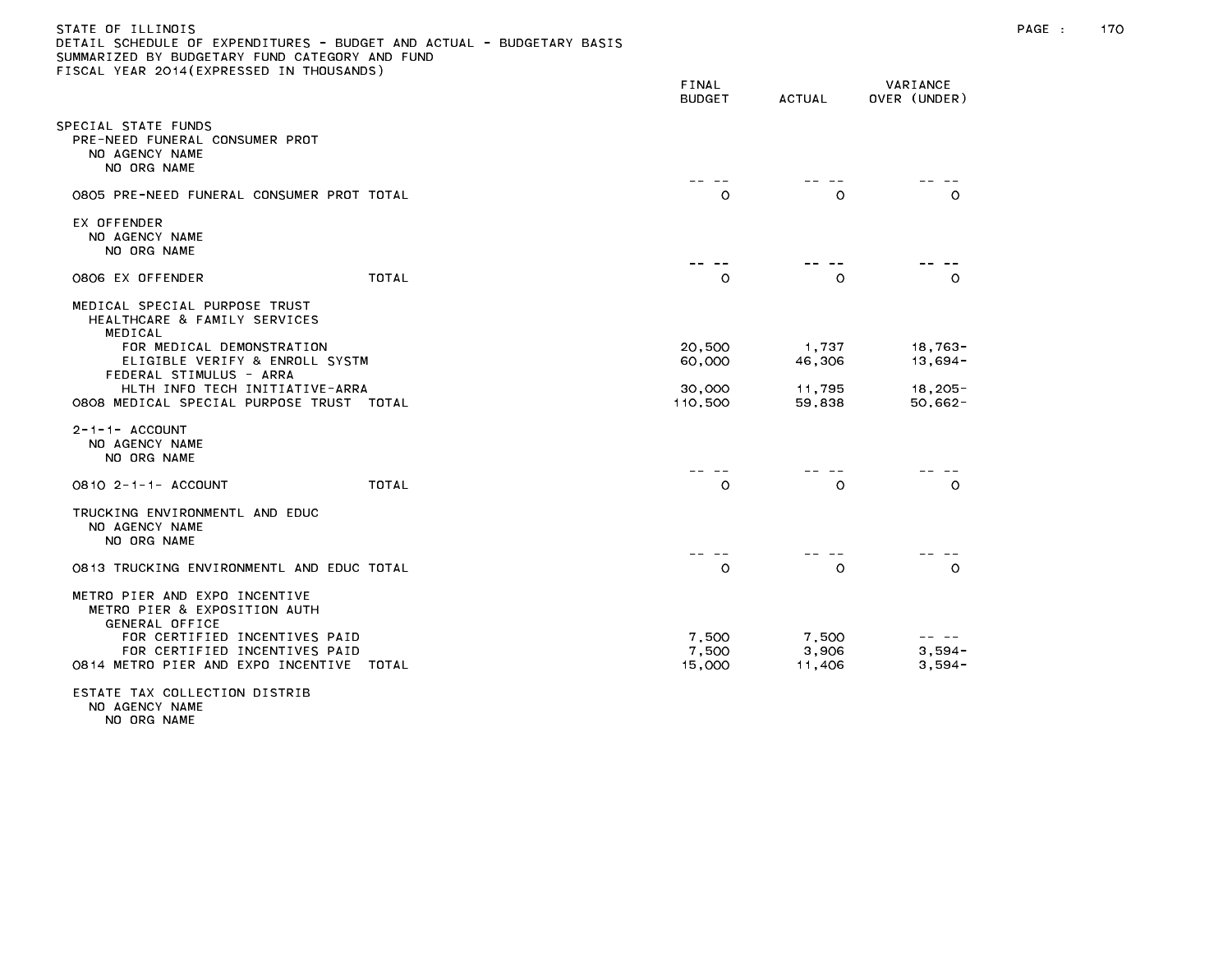| STATE OF ILLINOIS                                                     |
|-----------------------------------------------------------------------|
| DETAIL SCHEDULE OF EXPENDITURES - BUDGET AND ACTUAL - BUDGETARY BASIS |
| SUMMARIZED BY BUDGETARY FUND CATEGORY AND FUND                        |
| FISCAL YEAR 2014(EXPRESSED IN THOUSANDS)                              |

|                                                                                                                                                          |              | FINAL<br><b>BUDGET</b> | <b>ACTUAL</b>    | VARIANCE<br>OVER (UNDER) |
|----------------------------------------------------------------------------------------------------------------------------------------------------------|--------------|------------------------|------------------|--------------------------|
| PECIAL STATE FUNDS<br>PRE-NEED FUNERAL CONSUMER PROT<br>NO AGENCY NAME<br>NO ORG NAME                                                                    |              |                        |                  |                          |
| 0805 PRE-NEED FUNERAL CONSUMER PROT TOTAL                                                                                                                |              | $\circ$                | $\circ$          | $\circ$                  |
| EX OFFENDER<br>NO AGENCY NAME<br>NO ORG NAME                                                                                                             |              |                        |                  |                          |
| 0806 EX OFFENDER                                                                                                                                         | <b>TOTAL</b> | $\circ$                | $\circ$          | $\Omega$                 |
| MEDICAL SPECIAL PURPOSE TRUST<br>HEALTHCARE & FAMILY SERVICES<br>MEDICAL                                                                                 |              |                        |                  |                          |
| FOR MEDICAL DEMONSTRATION<br>ELIGIBLE VERIFY & ENROLL SYSTM<br>FEDERAL STIMULUS - ARRA                                                                   |              | 20,500<br>60,000       | 1,737<br>46,306  | $18,763-$<br>$13,694-$   |
| HLTH INFO TECH INITIATIVE-ARRA<br>0808 MEDICAL SPECIAL PURPOSE TRUST TOTAL                                                                               |              | 30,000<br>110,500      | 11,795<br>59,838 | $18,205 -$<br>$50,662 -$ |
| $2 - 1 - 1 -$ ACCOUNT<br>NO AGENCY NAME<br>NO ORG NAME                                                                                                   |              |                        |                  |                          |
| 0810 2-1-1- ACCOUNT                                                                                                                                      | <b>TOTAL</b> | $\circ$                | $\circ$          | $\circ$                  |
| TRUCKING ENVIRONMENTL AND EDUC<br>NO AGENCY NAME<br>NO ORG NAME                                                                                          |              |                        |                  |                          |
| 0813 TRUCKING ENVIRONMENTL AND EDUC TOTAL                                                                                                                |              | $\circ$                | $\circ$          | $\circ$                  |
| METRO PIER AND EXPO INCENTIVE<br>METRO PIER & EXPOSITION AUTH<br><b>GENERAL OFFICE</b><br>FOR CERTIFIED INCENTIVES PAID<br>FOR CERTIFIED INCENTIVES PAID |              | 7,500<br>7,500         | 7,500<br>3,906   | $3.594 -$                |
| 0814 METRO PIER AND EXPO INCENTIVE                                                                                                                       | TOTAL        | 15,000                 | 11,406           | $3.594 -$                |
|                                                                                                                                                          |              |                        |                  |                          |

NO ORG NAME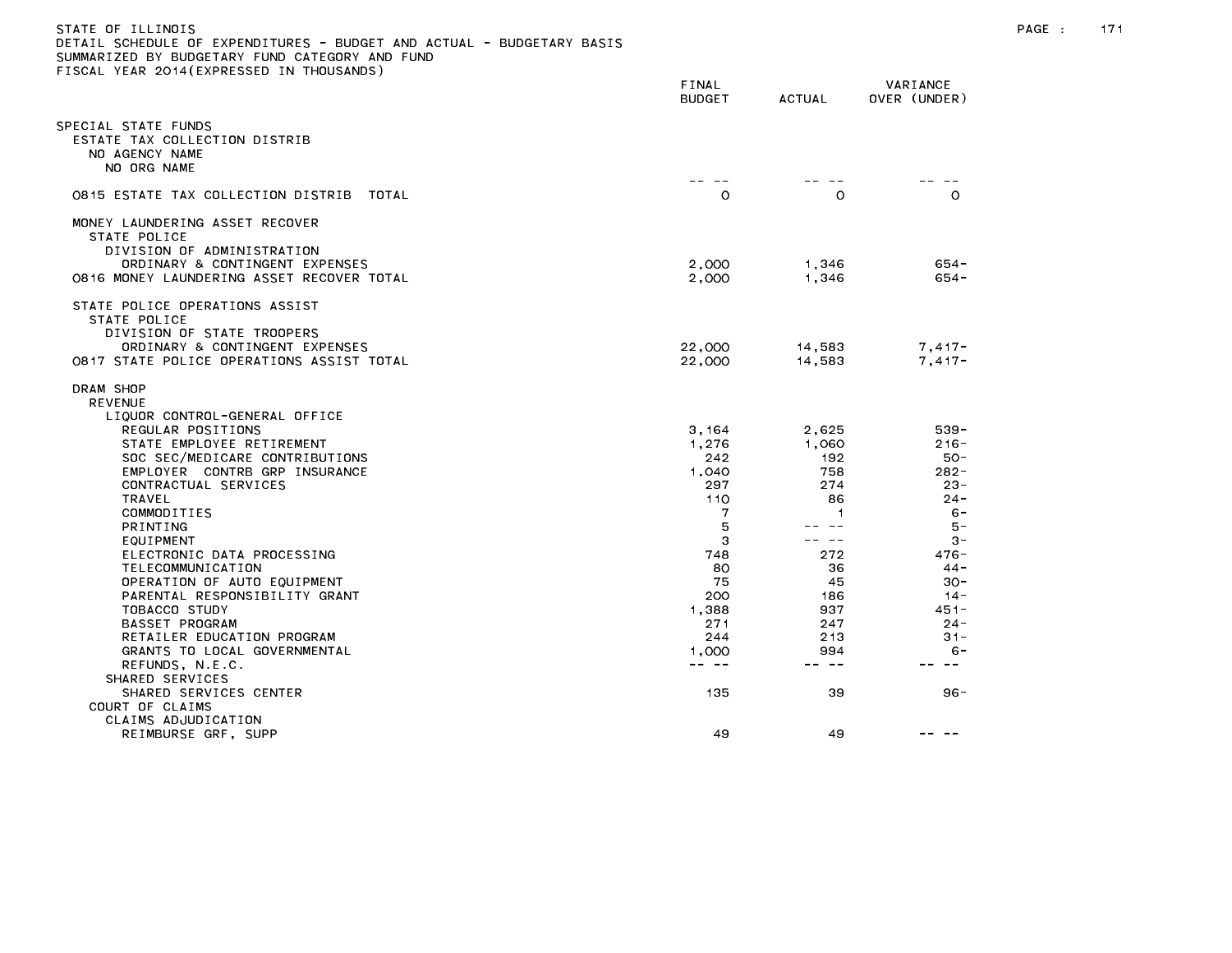| STATE OF ILLINOIS                                                     |
|-----------------------------------------------------------------------|
| DETAIL SCHEDULE OF EXPENDITURES - BUDGET AND ACTUAL - BUDGETARY BASIS |
| SUMMARIZED BY BUDGETARY FUND CATEGORY AND FUND                        |
| FISCAL YEAR 2014(EXPRESSED IN THOUSANDS)                              |

|                                                                                                                                                                                                                                                                                                                                                                                                                                                                                                                              | FINAL<br><b>BUDGET</b>                                                                                                               | ACTUAL                                                                                                              | VARIANCE<br>OVER (UNDER)                                                                                                                                              |
|------------------------------------------------------------------------------------------------------------------------------------------------------------------------------------------------------------------------------------------------------------------------------------------------------------------------------------------------------------------------------------------------------------------------------------------------------------------------------------------------------------------------------|--------------------------------------------------------------------------------------------------------------------------------------|---------------------------------------------------------------------------------------------------------------------|-----------------------------------------------------------------------------------------------------------------------------------------------------------------------|
| PECIAL STATE FUNDS<br>ESTATE TAX COLLECTION DISTRIB<br>NO AGENCY NAME<br>NO ORG NAME                                                                                                                                                                                                                                                                                                                                                                                                                                         |                                                                                                                                      |                                                                                                                     |                                                                                                                                                                       |
| 0815 ESTATE TAX COLLECTION DISTRIB<br>TOTAL                                                                                                                                                                                                                                                                                                                                                                                                                                                                                  | $\circ$                                                                                                                              | $\circ$                                                                                                             | $\circ$                                                                                                                                                               |
| MONEY LAUNDERING ASSET RECOVER<br>STATE POLICE<br>DIVISION OF ADMINISTRATION<br>ORDINARY & CONTINGENT EXPENSES<br>0816 MONEY LAUNDERING ASSET RECOVER TOTAL                                                                                                                                                                                                                                                                                                                                                                  | 2,000<br>2,000                                                                                                                       | 1,346<br>1,346                                                                                                      | $654 -$<br>$654 -$                                                                                                                                                    |
| STATE POLICE OPERATIONS ASSIST<br>STATE POLICE<br>DIVISION OF STATE TROOPERS<br>ORDINARY & CONTINGENT EXPENSES<br>0817 STATE POLICE OPERATIONS ASSIST TOTAL                                                                                                                                                                                                                                                                                                                                                                  | 22,000<br>22,000                                                                                                                     | 14,583<br>14,583                                                                                                    | $7,417-$<br>$7.417 -$                                                                                                                                                 |
| DRAM SHOP<br><b>REVENUE</b><br>LIQUOR CONTROL-GENERAL OFFICE<br>REGULAR POSITIONS<br>STATE EMPLOYEE RETIREMENT<br>SOC SEC/MEDICARE CONTRIBUTIONS<br>EMPLOYER CONTRB GRP INSURANCE<br>CONTRACTUAL SERVICES<br>TRAVEL<br>COMMODITIES<br><b>PRINTING</b><br>EQUIPMENT<br>ELECTRONIC DATA PROCESSING<br>TELECOMMUNICATION<br>OPERATION OF AUTO EQUIPMENT<br>PARENTAL RESPONSIBILITY GRANT<br>TOBACCO STUDY<br>BASSET PROGRAM<br>RETAILER EDUCATION PROGRAM<br>GRANTS TO LOCAL GOVERNMENTAL<br>REFUNDS, N.E.C.<br>SHARED SERVICES | 3, 164<br>1,276<br>242<br>1.040<br>297<br>110<br>7<br>5<br>З<br>748<br>80<br>75<br>200<br>1,388<br>271<br>244<br>1,000<br>$\sim$ $-$ | 2,625<br>1,060<br>192<br>758<br>274<br>86<br>1<br>--<br>$- -$<br>272<br>36<br>45<br>186<br>937<br>247<br>213<br>994 | $539 -$<br>$216 -$<br>$50 -$<br>$282 -$<br>$23 -$<br>$24 -$<br>$6 -$<br>5 –<br>$3 -$<br>$476 -$<br>$44 -$<br>$30 -$<br>$14 -$<br>$451 -$<br>$24 -$<br>$31 -$<br>$6 -$ |
| SHARED SERVICES CENTER<br>COURT OF CLAIMS<br>CLAIMS ADJUDICATION                                                                                                                                                                                                                                                                                                                                                                                                                                                             | 135                                                                                                                                  | 39                                                                                                                  | 96 -                                                                                                                                                                  |
| REIMBURSE GRF, SUPP                                                                                                                                                                                                                                                                                                                                                                                                                                                                                                          | 49                                                                                                                                   | 49                                                                                                                  |                                                                                                                                                                       |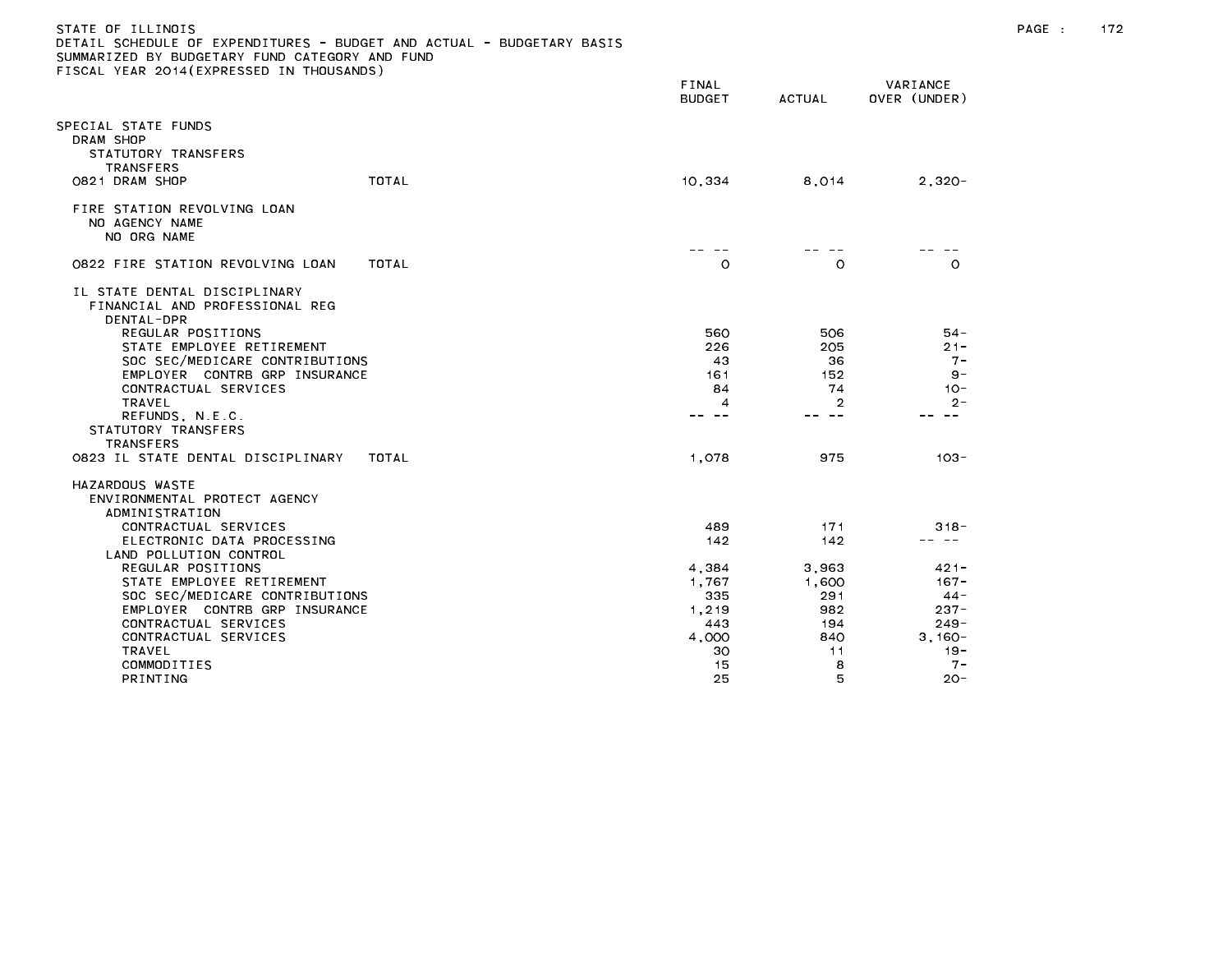| STATE OF ILLINOIS                                                     |  |
|-----------------------------------------------------------------------|--|
| DETAIL SCHEDULE OF EXPENDITURES - BUDGET AND ACTUAL - BUDGETARY BASIS |  |
| SUMMARIZED BY BUDGETARY FUND CATEGORY AND FUND                        |  |
| FISCAL YEAR 2014(EXPRESSED IN THOUSANDS)                              |  |

|                                                                              | FINAL<br><b>BUDGET</b> | <b>ACTUAL</b> | VARIANCE<br>OVER (UNDER) |
|------------------------------------------------------------------------------|------------------------|---------------|--------------------------|
| PECIAL STATE FUNDS<br>DRAM SHOP<br>STATUTORY TRANSFERS<br><b>TRANSFERS</b>   |                        |               |                          |
| 0821 DRAM SHOP<br><b>TOTAL</b>                                               | 10,334                 | 8,014         | $2,320 -$                |
| FIRE STATION REVOLVING LOAN<br>NO AGENCY NAME<br>NO ORG NAME                 |                        |               |                          |
| 0822 FIRE STATION REVOLVING LOAN<br>TOTAL                                    | O                      | O             | $\circ$                  |
| IL STATE DENTAL DISCIPLINARY<br>FINANCIAL AND PROFESSIONAL REG<br>DENTAL-DPR |                        |               |                          |
| REGULAR POSITIONS                                                            | 560                    | 506           | $54 -$                   |
| STATE EMPLOYEE RETIREMENT                                                    | 226                    | 205           | $21 -$                   |
| SOC SEC/MEDICARE CONTRIBUTIONS                                               | 43                     | 36            | $7 -$                    |
| EMPLOYER CONTRB GRP INSURANCE                                                | 161                    | 152           | $9 -$                    |
| CONTRACTUAL SERVICES<br><b>TRAVEL</b>                                        | 84<br>4                | 74<br>2       | $10 -$<br>$2 -$          |
| REFUNDS, N.E.C.<br>STATUTORY TRANSFERS<br><b>TRANSFERS</b>                   | $\sim$ $-$             | $- -$         | $\sim$ $-$               |
| 0823 IL STATE DENTAL DISCIPLINARY<br>TOTAL                                   | 1,078                  | 975           | $103 -$                  |
| HAZARDOUS WASTE<br>ENVIRONMENTAL PROTECT AGENCY<br>ADMINISTRATION            |                        |               |                          |
| CONTRACTUAL SERVICES                                                         | 489                    | 171           | $318 -$                  |
| ELECTRONIC DATA PROCESSING<br>LAND POLLUTION CONTROL                         | 142                    | 142           |                          |
| REGULAR POSITIONS                                                            | 4,384                  | 3,963         | $421 -$                  |
| STATE EMPLOYEE RETIREMENT                                                    | 1,767                  | 1,600         | $167 -$                  |
| SOC SEC/MEDICARE CONTRIBUTIONS                                               | 335                    | 291           | $44 -$                   |
| EMPLOYER CONTRB GRP INSURANCE                                                | 1,219                  | 982           | $237 -$                  |
| CONTRACTUAL SERVICES                                                         | 443                    | 194           | $249 -$                  |
| CONTRACTUAL SERVICES<br><b>TRAVEL</b>                                        | 4,000<br>30            | 840<br>11     | $3,160-$<br>$19 -$       |
| COMMODITIES                                                                  | 15                     | 8             | $7 -$                    |
| <b>PRINTING</b>                                                              | 25                     | 5             | $20 -$                   |
|                                                                              |                        |               |                          |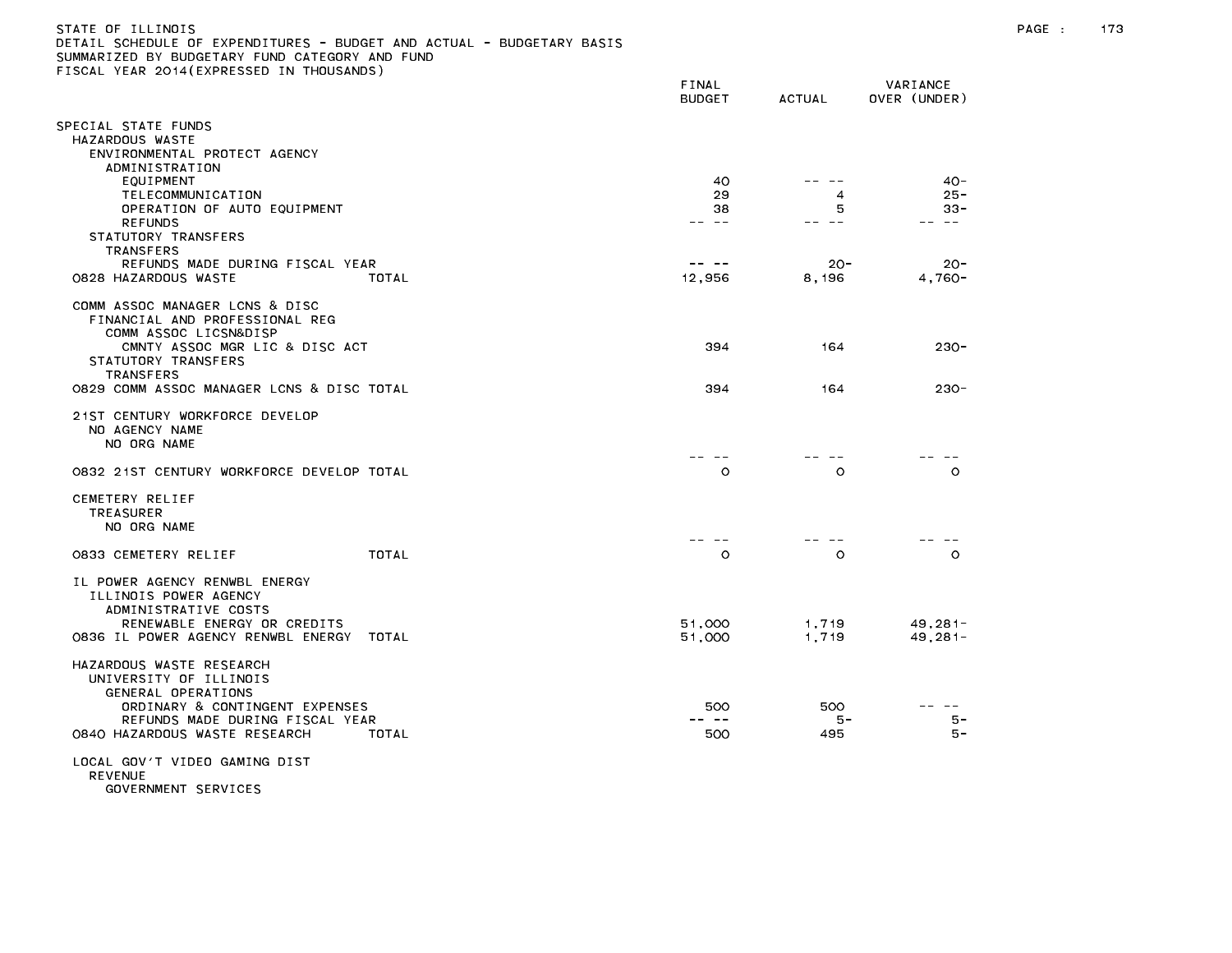## STATE OF ILLINOIS PAGE : 173 DETAIL SCHEDULE OF EXPENDITURES - BUDGET AND ACTUAL - BUDGETARY BASIS SUMMARIZED BY BUDGETARY FUND CATEGORY AND FUND FISCAL YEAR 2014(EXPRESSED IN THOUSANDS)

|                                                                                                                                                                                         | FINAL<br><b>BUDGET</b>  | <b>ACTUAL</b>            | VARIANCE<br>OVER (UNDER)                 |
|-----------------------------------------------------------------------------------------------------------------------------------------------------------------------------------------|-------------------------|--------------------------|------------------------------------------|
| PECIAL STATE FUNDS<br>HAZARDOUS WASTE<br>ENVIRONMENTAL PROTECT AGENCY                                                                                                                   |                         |                          |                                          |
| ADMINISTRATION<br>EQUIPMENT<br>TELECOMMUNICATION<br>OPERATION OF AUTO EQUIPMENT<br><b>REFUNDS</b><br>STATUTORY TRANSFERS<br><b>TRANSFERS</b>                                            | 40<br>29<br>38<br>$- -$ | -- --<br>4<br>5<br>$- -$ | $40 -$<br>$25 -$<br>$33 -$<br>$\sim$ $-$ |
| REFUNDS MADE DURING FISCAL YEAR<br>0828 HAZARDOUS WASTE<br>TOTAL                                                                                                                        | -- --<br>12,956         | $20 -$<br>8,196          | $20 -$<br>$4,760-$                       |
| COMM ASSOC MANAGER LCNS & DISC<br>FINANCIAL AND PROFESSIONAL REG<br>COMM ASSOC LICSN&DISP<br>CMNTY ASSOC MGR LIC & DISC ACT<br>STATUTORY TRANSFERS                                      | 394                     | 164                      | $230 -$                                  |
| <b>TRANSFERS</b><br>0829 COMM ASSOC MANAGER LCNS & DISC TOTAL                                                                                                                           | 394                     | 164                      | $230 -$                                  |
| 21ST CENTURY WORKFORCE DEVELOP<br>NO AGENCY NAME<br>NO ORG NAME                                                                                                                         |                         |                          |                                          |
| 0832 21ST CENTURY WORKFORCE DEVELOP TOTAL                                                                                                                                               | $\circ$                 | $\circ$                  | $\circ$                                  |
| CEMETERY RELIEF<br><b>TREASURER</b><br>NO ORG NAME                                                                                                                                      |                         |                          |                                          |
| TOTAL<br>0833 CEMETERY RELIEF                                                                                                                                                           | $ -$<br>$\circ$         | $\circ$                  | $\Omega$                                 |
| IL POWER AGENCY RENWBL ENERGY<br>ILLINOIS POWER AGENCY<br>ADMINISTRATIVE COSTS<br>RENEWABLE ENERGY OR CREDITS<br>0836 IL POWER AGENCY RENWBL ENERGY<br>TOTAL                            | 51,000<br>51,000        | 1,719<br>1,719           | $49, 281 -$<br>$49, 281 -$               |
| HAZARDOUS WASTE RESEARCH<br>UNIVERSITY OF ILLINOIS<br>GENERAL OPERATIONS<br>ORDINARY & CONTINGENT EXPENSES<br>REFUNDS MADE DURING FISCAL YEAR<br>0840 HAZARDOUS WASTE RESEARCH<br>TOTAL | 500<br>500              | 500<br>5 -<br>495        | 5-<br>5 –                                |
| LOCAL GOV'T VIDEO GAMING DIST<br><b>REVENUE</b>                                                                                                                                         |                         |                          |                                          |

GOVERNMENT SERVICES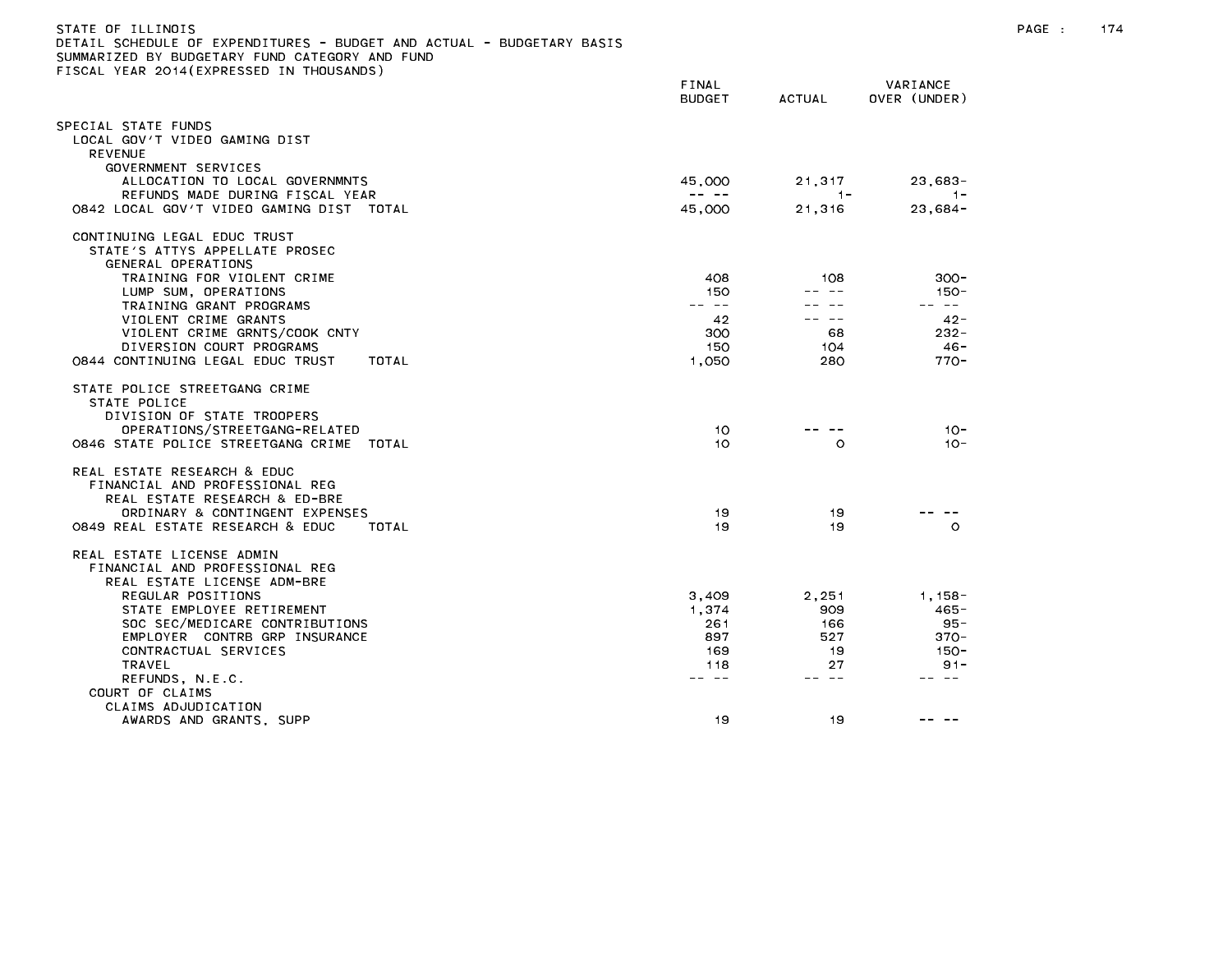| STATE OF ILLINOIS<br>DETAIL SCHEDULE OF EXPENDITURES - BUDGET AND ACTUAL - BUDGETARY BASIS<br>SUMMARIZED BY BUDGETARY FUND CATEGORY AND FUND<br>FISCAL YEAR 2014 (EXPRESSED IN THOUSANDS)                                                                            |                                                                                                                                                                                                                                                                                                                                                                                                        |                                         |                                                                     | PAGE : | 174 |
|----------------------------------------------------------------------------------------------------------------------------------------------------------------------------------------------------------------------------------------------------------------------|--------------------------------------------------------------------------------------------------------------------------------------------------------------------------------------------------------------------------------------------------------------------------------------------------------------------------------------------------------------------------------------------------------|-----------------------------------------|---------------------------------------------------------------------|--------|-----|
|                                                                                                                                                                                                                                                                      | <b>FINAL</b><br><b>BUDGET</b>                                                                                                                                                                                                                                                                                                                                                                          | <b>ACTUAL</b>                           | VARIANCE<br>OVER (UNDER)                                            |        |     |
| SPECIAL STATE FUNDS<br>LOCAL GOV'T VIDEO GAMING DIST<br><b>REVENUE</b>                                                                                                                                                                                               |                                                                                                                                                                                                                                                                                                                                                                                                        |                                         |                                                                     |        |     |
| GOVERNMENT SERVICES<br>ALLOCATION TO LOCAL GOVERNMNTS                                                                                                                                                                                                                | 45,000                                                                                                                                                                                                                                                                                                                                                                                                 | 21,317                                  | $23,683-$                                                           |        |     |
| REFUNDS MADE DURING FISCAL YEAR<br>0842 LOCAL GOV'T VIDEO GAMING DIST TOTAL                                                                                                                                                                                          | $\frac{1}{2} \frac{1}{2} \frac{1}{2} \frac{1}{2} \frac{1}{2} \frac{1}{2} \frac{1}{2} \frac{1}{2} \frac{1}{2} \frac{1}{2} \frac{1}{2} \frac{1}{2} \frac{1}{2} \frac{1}{2} \frac{1}{2} \frac{1}{2} \frac{1}{2} \frac{1}{2} \frac{1}{2} \frac{1}{2} \frac{1}{2} \frac{1}{2} \frac{1}{2} \frac{1}{2} \frac{1}{2} \frac{1}{2} \frac{1}{2} \frac{1}{2} \frac{1}{2} \frac{1}{2} \frac{1}{2} \frac{$<br>45,000 | $-1-$<br>21,316                         | $-1-$<br>$23,684-$                                                  |        |     |
| CONTINUING LEGAL EDUC TRUST<br>STATE'S ATTYS APPELLATE PROSEC<br>GENERAL OPERATIONS<br>TRAINING FOR VIOLENT CRIME                                                                                                                                                    | 408                                                                                                                                                                                                                                                                                                                                                                                                    | 108                                     | $300 -$                                                             |        |     |
| LUMP SUM, OPERATIONS                                                                                                                                                                                                                                                 | 150<br>$\cdots \cdots \cdots$                                                                                                                                                                                                                                                                                                                                                                          |                                         | 150-<br>-- --                                                       |        |     |
| TRAINING GRANT PROGRAMS<br>VIOLENT CRIME GRANTS<br>VIOLENT CRIME GRNTS/COOK CNTY<br>DIVERSION COURT PROGRAMS<br>0844 CONTINUING LEGAL EDUC TRUST<br>TOTAL                                                                                                            | 42<br>300<br>150<br>1.050                                                                                                                                                                                                                                                                                                                                                                              | -- --<br>68<br>104<br>280               | $42 -$<br>$232 -$<br>- 46<br>$770 -$                                |        |     |
| STATE POLICE STREETGANG CRIME<br>STATE POLICE<br>DIVISION OF STATE TROOPERS<br>OPERATIONS/STREETGANG-RELATED<br>0846 STATE POLICE STREETGANG CRIME TOTAL                                                                                                             | 10<br>10                                                                                                                                                                                                                                                                                                                                                                                               | -- --<br>$\Omega$                       | $10 -$<br>$10 -$                                                    |        |     |
| REAL ESTATE RESEARCH & EDUC<br>FINANCIAL AND PROFESSIONAL REG<br>REAL ESTATE RESEARCH & ED-BRE<br>ORDINARY & CONTINGENT EXPENSES<br>0849 REAL ESTATE RESEARCH & EDUC<br>TOTAL                                                                                        | 19<br>19                                                                                                                                                                                                                                                                                                                                                                                               | 19<br>19                                | $\circ$                                                             |        |     |
| REAL ESTATE LICENSE ADMIN<br>FINANCIAL AND PROFESSIONAL REG<br>REAL ESTATE LICENSE ADM-BRE<br>REGULAR POSITIONS<br>STATE EMPLOYEE RETIREMENT<br>SOC SEC/MEDICARE CONTRIBUTIONS<br>EMPLOYER CONTRB GRP INSURANCE<br>CONTRACTUAL SERVICES<br>TRAVEL<br>REFUNDS, N.E.C. | 3,409<br>1,374<br>261<br>897<br>169<br>118<br>-- --                                                                                                                                                                                                                                                                                                                                                    | 2,251<br>909<br>166<br>527<br>-19<br>27 | 1, 158 –<br>$465 -$<br>95-<br>$370 -$<br>$150 -$<br>$91 -$<br>-- -- |        |     |
| COURT OF CLAIMS<br>CLAIMS ADJUDICATION<br>AWARDS AND GRANTS, SUPP                                                                                                                                                                                                    | 19                                                                                                                                                                                                                                                                                                                                                                                                     | 19                                      | -- --                                                               |        |     |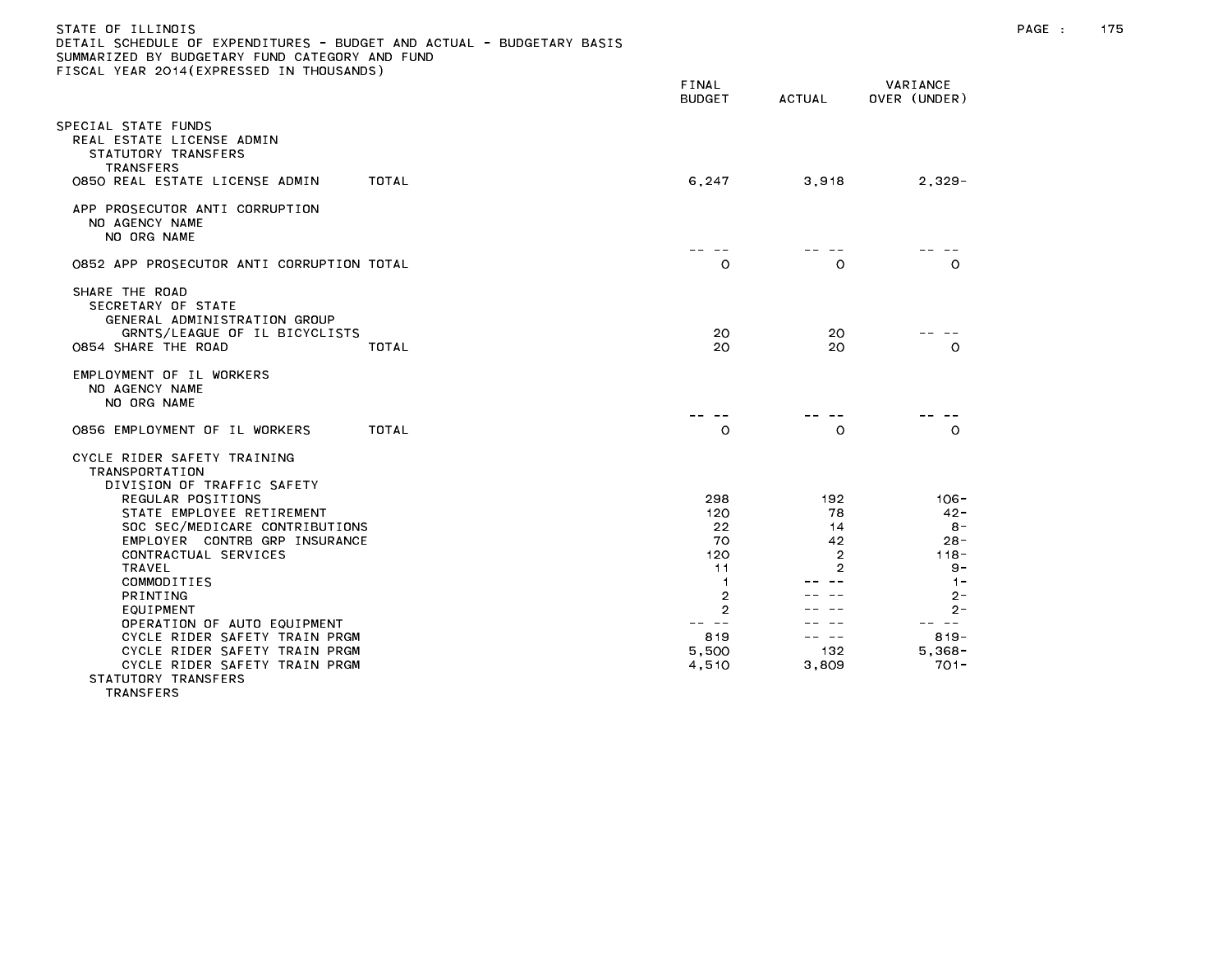| STATE OF ILLINOIS<br>DETAIL SCHEDULE OF EXPENDITURES - BUDGET AND ACTUAL - BUDGETARY BASIS<br>SUMMARIZED BY BUDGETARY FUND CATEGORY AND FUND<br>FISCAL YEAR 2014 (EXPRESSED IN THOUSANDS)                                                                            |                                                |                                                               |                                                                        | PAGE : | 175 |
|----------------------------------------------------------------------------------------------------------------------------------------------------------------------------------------------------------------------------------------------------------------------|------------------------------------------------|---------------------------------------------------------------|------------------------------------------------------------------------|--------|-----|
|                                                                                                                                                                                                                                                                      | FINAL<br><b>BUDGET</b>                         | ACTUAL                                                        | VARIANCE<br>OVER (UNDER)                                               |        |     |
| SPECIAL STATE FUNDS<br>REAL ESTATE LICENSE ADMIN<br>STATUTORY TRANSFERS<br><b>TRANSFERS</b><br>0850 REAL ESTATE LICENSE ADMIN<br>TOTAL                                                                                                                               | 6,247                                          | 3,918                                                         | $2,329-$                                                               |        |     |
| APP PROSECUTOR ANTI CORRUPTION<br>NO AGENCY NAME<br>NO ORG NAME                                                                                                                                                                                                      |                                                |                                                               |                                                                        |        |     |
| 0852 APP PROSECUTOR ANTI CORRUPTION TOTAL                                                                                                                                                                                                                            | $\circ$                                        | $\circ$                                                       | $\circ$                                                                |        |     |
| SHARE THE ROAD<br>SECRETARY OF STATE<br>GENERAL ADMINISTRATION GROUP<br>GRNTS/LEAGUE OF IL BICYCLISTS<br>0854 SHARE THE ROAD<br>TOTAL                                                                                                                                | 20<br>20                                       | 20<br>20                                                      | $\circ$                                                                |        |     |
| EMPLOYMENT OF IL WORKERS<br>NO AGENCY NAME<br>NO ORG NAME                                                                                                                                                                                                            |                                                |                                                               |                                                                        |        |     |
| 0856 EMPLOYMENT OF IL WORKERS<br>TOTAL                                                                                                                                                                                                                               | $\circ$                                        | $\circ$                                                       | $\circ$                                                                |        |     |
| CYCLE RIDER SAFETY TRAINING<br>TRANSPORTATION<br>DIVISION OF TRAFFIC SAFETY<br>REGULAR POSITIONS<br>STATE EMPLOYEE RETIREMENT<br>SOC SEC/MEDICARE CONTRIBUTIONS<br>EMPLOYER CONTRB GRP INSURANCE<br>CONTRACTUAL SERVICES<br>TRAVEL<br>COMMODITIES<br><b>PRINTING</b> | 298<br>120<br>22<br>70<br>120<br>11<br>-1<br>2 | 192<br>78<br>14<br>42<br>$\overline{2}$<br>2<br>$\sim$ $\sim$ | $106 -$<br>$42 -$<br>$8 -$<br>$28 -$<br>118 -<br>9 –<br>$1 -$<br>$2 -$ |        |     |
| EQUIPMENT<br>OPERATION OF AUTO EQUIPMENT<br>CYCLE RIDER SAFETY TRAIN PRGM<br>CYCLE RIDER SAFETY TRAIN PRGM<br>CYCLE RIDER SAFETY TRAIN PRGM<br>STATUTORY TRANSFERS                                                                                                   | 2<br>-- --<br>819<br>5,500<br>4,510            | -- --<br>132<br>3,809                                         | $2 -$<br>$\sim$ $-$<br>$819 -$<br>5,368-<br>$701 -$                    |        |     |

TRANSFERS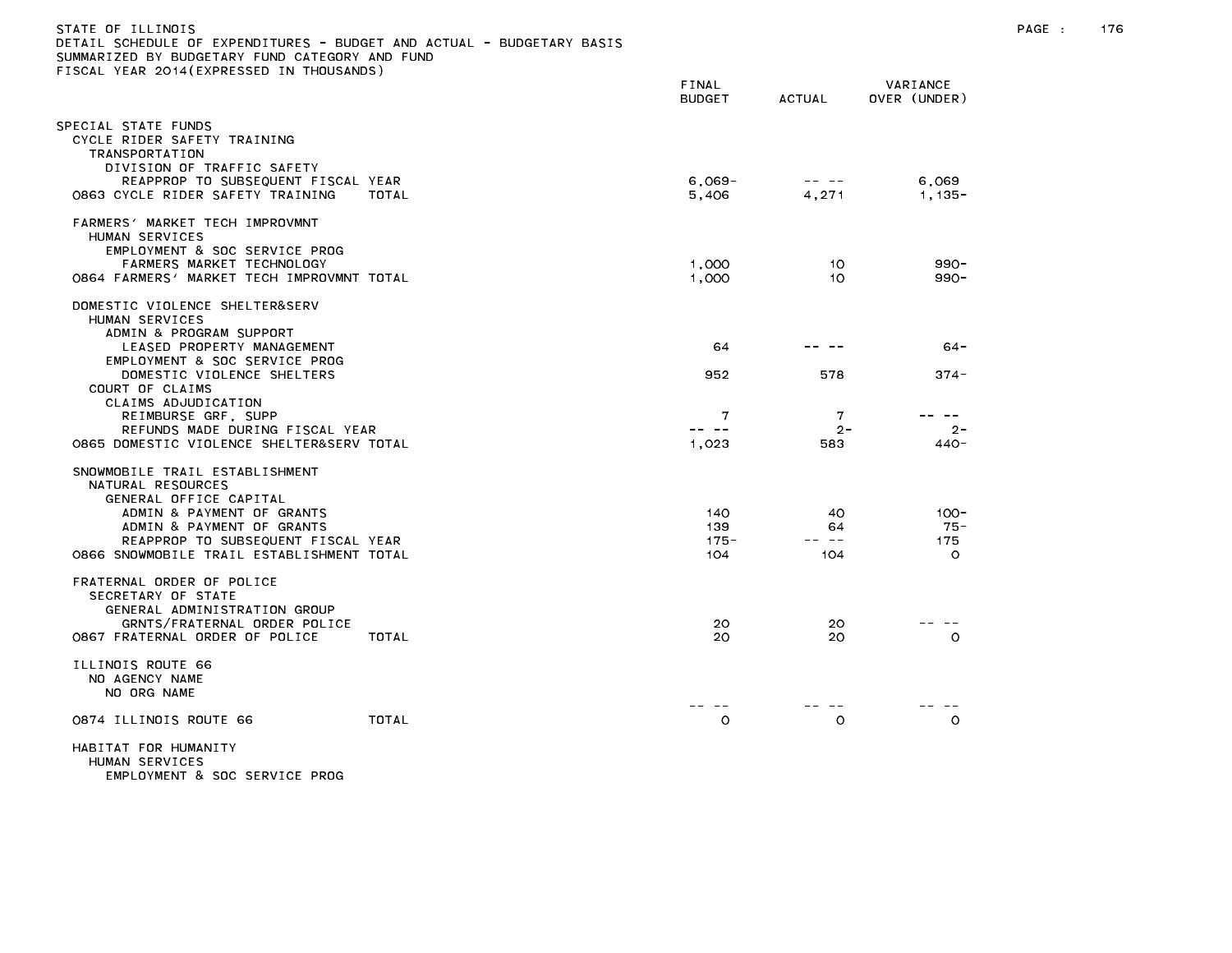| STATE OF ILLINOIS<br>DETAIL SCHEDULE OF EXPENDITURES - BUDGET AND ACTUAL - BUDGETARY BASIS<br>SUMMARIZED BY BUDGETARY FUND CATEGORY AND FUND<br>FISCAL YEAR 2014(EXPRESSED IN THOUSANDS) |                        |               |                          | PAGE : | 176 |
|------------------------------------------------------------------------------------------------------------------------------------------------------------------------------------------|------------------------|---------------|--------------------------|--------|-----|
|                                                                                                                                                                                          | FINAL<br><b>BUDGET</b> | <b>ACTUAL</b> | VARIANCE<br>OVER (UNDER) |        |     |
| SPECIAL STATE FUNDS<br>CYCLE RIDER SAFETY TRAINING<br>TRANSPORTATION<br>DIVISION OF TRAFFIC SAFETY<br>REAPPROP TO SUBSEQUENT FISCAL YEAR                                                 | $6,069-$               | -- --         | 6,069                    |        |     |
| 0863 CYCLE RIDER SAFETY TRAINING<br>TOTAL                                                                                                                                                | 5,406                  | 4,271         | $1,135-$                 |        |     |
| FARMERS' MARKET TECH IMPROVMNT<br>HUMAN SERVICES<br>EMPLOYMENT & SOC SERVICE PROG                                                                                                        |                        |               |                          |        |     |
| FARMERS MARKET TECHNOLOGY                                                                                                                                                                | 1,000                  | 10.           | $990 -$                  |        |     |
| 0864 FARMERS' MARKET TECH IMPROVMNT TOTAL                                                                                                                                                | 1,000                  | 10.           | $990 -$                  |        |     |
| DOMESTIC VIOLENCE SHELTER&SERV<br>HUMAN SERVICES<br>ADMIN & PROGRAM SUPPORT                                                                                                              |                        |               |                          |        |     |
| LEASED PROPERTY MANAGEMENT<br>EMPLOYMENT & SOC SERVICE PROG                                                                                                                              | 64                     |               | $64 -$                   |        |     |
| DOMESTIC VIOLENCE SHELTERS<br>COURT OF CLAIMS<br>CLAIMS ADJUDICATION                                                                                                                     | 952                    | 578           | $374 -$                  |        |     |
| REIMBURSE GRF, SUPP                                                                                                                                                                      | 7                      | 7             | -- --                    |        |     |
| REFUNDS MADE DURING FISCAL YEAR<br>0865 DOMESTIC VIOLENCE SHELTER&SERV TOTAL                                                                                                             | -- --<br>1,023         | $2 -$<br>583  | $2 -$<br>440-            |        |     |
| SNOWMOBILE TRAIL ESTABLISHMENT<br>NATURAL RESOURCES<br>GENERAL OFFICE CAPITAL                                                                                                            |                        |               |                          |        |     |
| ADMIN & PAYMENT OF GRANTS                                                                                                                                                                | 140                    | 40            | $100 -$                  |        |     |
| ADMIN & PAYMENT OF GRANTS<br>REAPPROP TO SUBSEQUENT FISCAL YEAR                                                                                                                          | 139<br>$175 -$         | 64<br>-- --   | -75 -<br>175             |        |     |
| 0866 SNOWMOBILE TRAIL ESTABLISHMENT TOTAL                                                                                                                                                | 104                    | 104           | $\circ$                  |        |     |
| FRATERNAL ORDER OF POLICE<br>SECRETARY OF STATE<br>GENERAL ADMINISTRATION GROUP                                                                                                          |                        |               |                          |        |     |
| GRNTS/FRATERNAL ORDER POLICE<br>0867 FRATERNAL ORDER OF POLICE<br>TOTAL                                                                                                                  | 20<br>20               | 20<br>20      | - --<br>$\circ$          |        |     |
| ILLINOIS ROUTE 66<br>NO AGENCY NAME<br>NO ORG NAME                                                                                                                                       |                        |               |                          |        |     |
| TOTAL<br>0874 ILLINOIS ROUTE 66                                                                                                                                                          | $- -$<br>$\circ$       | $\circ$       | $\circ$                  |        |     |
| HABITAT FOR HUMANITY<br>HUMAN SERVICES                                                                                                                                                   |                        |               |                          |        |     |

EMPLOYMENT & SOC SERVICE PROG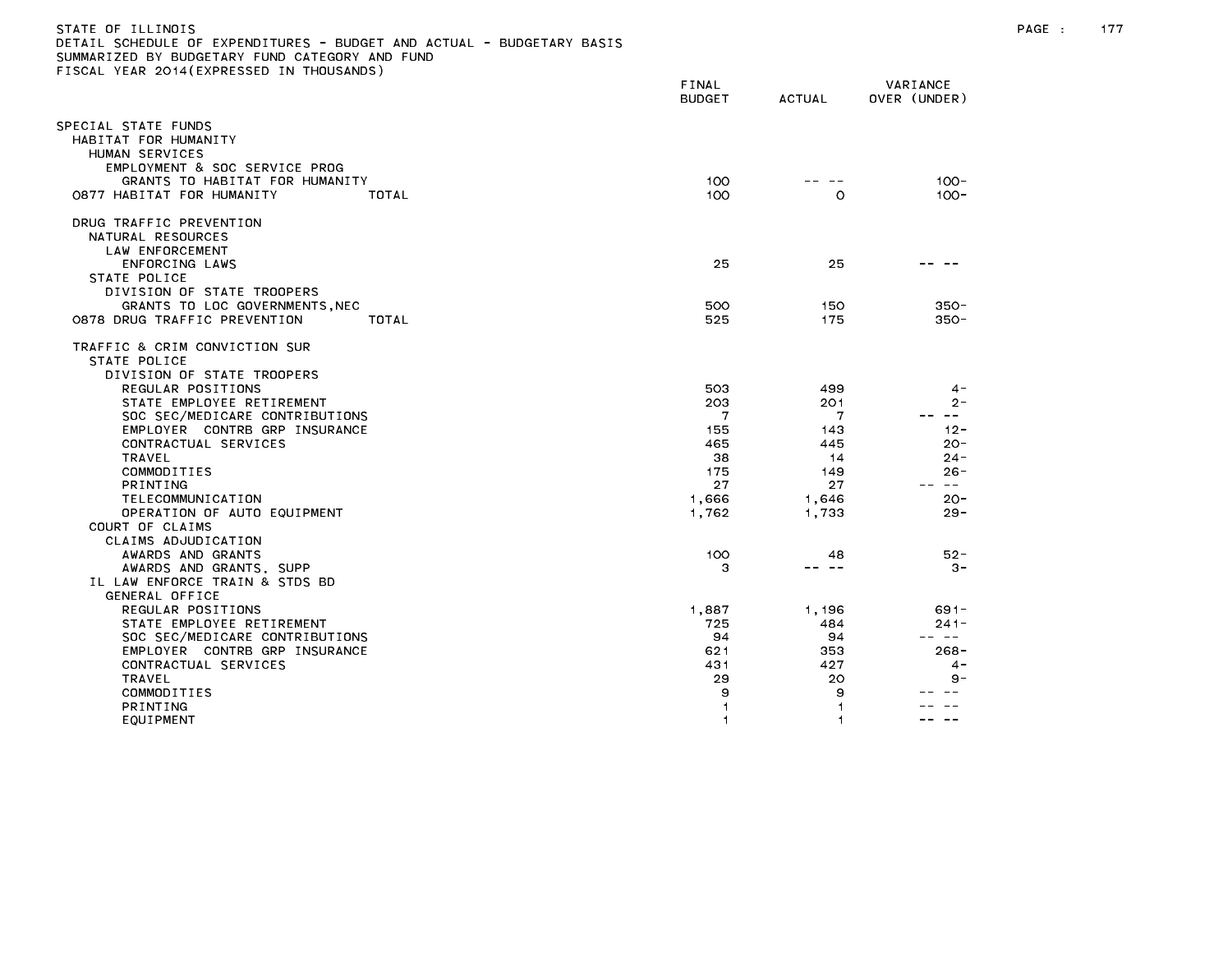| DUDULI AND AVIONL<br>SUMMARIZED BY BUDGETARY FUND CATEGORY AND FUND<br>TISCAL YEAR 2014(EXPRESSED IN THOUSANDS) |                        |                          |                          |
|-----------------------------------------------------------------------------------------------------------------|------------------------|--------------------------|--------------------------|
|                                                                                                                 | FINAL<br><b>BUDGET</b> | <b>ACTUAL</b>            | VARIANCE<br>OVER (UNDER) |
| SPECIAL STATE FUNDS<br>HABITAT FOR HUMANITY<br>HUMAN SERVICES                                                   |                        |                          |                          |
| EMPLOYMENT & SOC SERVICE PROG<br>GRANTS TO HABITAT FOR HUMANITY<br>0877 HABITAT FOR HUMANITY<br>TOTAL           |                        | 100<br>100<br>$\circ$    | $100 -$<br>$100 -$       |
| DRUG TRAFFIC PREVENTION<br>NATURAL RESOURCES<br>LAW ENFORCEMENT                                                 |                        |                          |                          |
| ENFORCING LAWS<br>STATE POLICE<br>DIVISION OF STATE TROOPERS                                                    |                        | 25<br>25                 |                          |
| GRANTS TO LOC GOVERNMENTS, NEC<br>0878 DRUG TRAFFIC PREVENTION<br>TOTAL                                         |                        | 500<br>150<br>525<br>175 | $350 -$<br>$350 -$       |
| TRAFFIC & CRIM CONVICTION SUR<br>STATE POLICE<br>DIVISION OF STATE TROOPERS                                     |                        |                          |                          |
| REGULAR POSITIONS<br>STATE EMPLOYEE RETIREMENT                                                                  |                        | 503<br>499<br>203<br>201 | 4 -<br>$2 -$             |
| SOC SEC/MEDICARE CONTRIBUTIONS<br>EMPLOYER CONTRB GRP INSURANCE                                                 |                        | 7<br>7<br>155<br>143     | <b>Service</b><br>$12 -$ |
| CONTRACTUAL SERVICES<br>TRAVEL                                                                                  |                        | 465<br>445<br>38<br>14   | $20 -$<br>$24 -$         |
| COMMODITIES<br><b>PRINTING</b>                                                                                  |                        | 175<br>149<br>27<br>27   | $26 -$<br>$\sim$ $-$     |
| TELECOMMUNICATION<br>OPERATION OF AUTO EQUIPMENT<br>COURT OF CLAIMS                                             | 1,666<br>1,762         | 1,646<br>1,733           | $20 -$<br>$29 -$         |
| CLAIMS ADJUDICATION<br>AWARDS AND GRANTS                                                                        |                        | 100<br>48<br>-- --       | $52 -$                   |
| AWARDS AND GRANTS, SUPP<br>IL LAW ENFORCE TRAIN & STDS BD<br>GENERAL OFFICE                                     |                        | з                        | $3 -$                    |
| REGULAR POSITIONS<br>STATE EMPLOYEE RETIREMENT                                                                  | 1,887                  | 1,196<br>725<br>484      | $691 -$<br>$241 -$       |
| SOC SEC/MEDICARE CONTRIBUTIONS                                                                                  |                        | 94<br>94                 | -- --                    |
| EMPLOYER CONTRB GRP INSURANCE                                                                                   |                        | 621<br>353               | $268 -$                  |
| CONTRACTUAL SERVICES<br>TRAVEL                                                                                  |                        | 431<br>427<br>29<br>20   | $4 -$<br>$9 -$           |
| COMMODITIES                                                                                                     |                        | 9<br>9                   |                          |
| PRINTING<br>EQUIPMENT                                                                                           |                        | 1<br>1<br>1              | $\sim$ $\sim$            |
|                                                                                                                 |                        |                          |                          |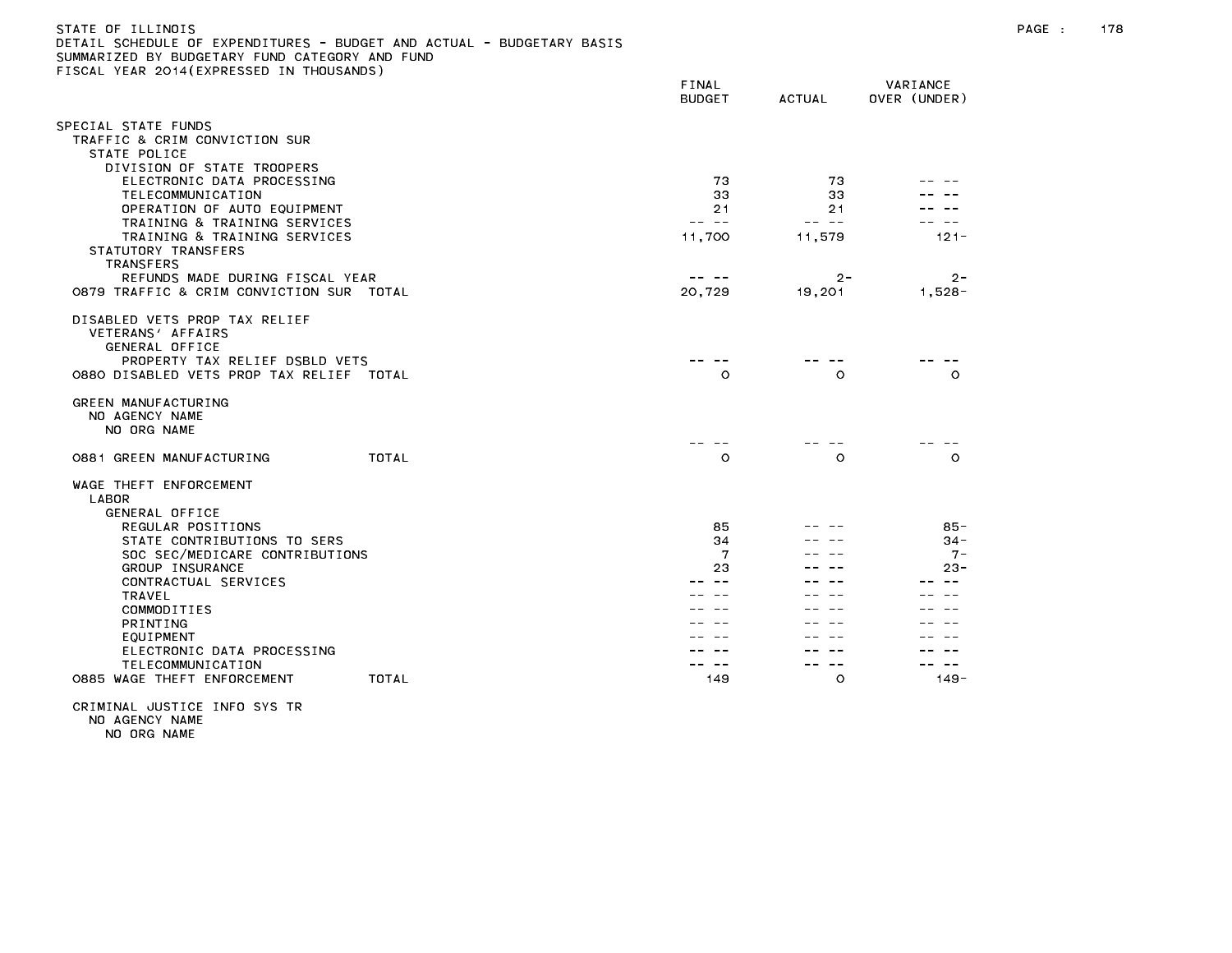| STATE OF ILLINOIS                                                     |
|-----------------------------------------------------------------------|
| DETAIL SCHEDULE OF EXPENDITURES - BUDGET AND ACTUAL - BUDGETARY BASIS |
| SUMMARIZED BY BUDGETARY FUND CATEGORY AND FUND                        |
| FISCAL YEAR 2014(EXPRESSED IN THOUSANDS)                              |

| <b>ILAN EUIT (LAINLUULD</b>                                                                                                                        | FINAL<br><b>BUDGET</b> | <b>ACTUAL</b> | VARIANCE<br>OVER (UNDER) |
|----------------------------------------------------------------------------------------------------------------------------------------------------|------------------------|---------------|--------------------------|
| SPECIAL STATE FUNDS                                                                                                                                |                        |               |                          |
| TRAFFIC & CRIM CONVICTION SUR                                                                                                                      |                        |               |                          |
| STATE POLICE                                                                                                                                       |                        |               |                          |
| DIVISION OF STATE TROOPERS                                                                                                                         |                        |               |                          |
| ELECTRONIC DATA PROCESSING                                                                                                                         | 73                     | 73            |                          |
| TELECOMMUNICATION<br>OPERATION OF AUTO EQUIPMENT                                                                                                   | 33<br>21               | 33<br>21      |                          |
| TRAINING & TRAINING SERVICES                                                                                                                       | -- --                  | -- --         |                          |
| TRAINING & TRAINING SERVICES                                                                                                                       | 11,700                 | 11,579        | $121 -$                  |
| STATUTORY TRANSFERS                                                                                                                                |                        |               |                          |
| <b>TRANSFERS</b>                                                                                                                                   |                        |               |                          |
| REFUNDS MADE DURING FISCAL YEAR                                                                                                                    |                        | $2 -$         | $2 -$                    |
| 0879 TRAFFIC & CRIM CONVICTION SUR TOTAL                                                                                                           | 20,729                 | 19,201        | $1,528-$                 |
| DISABLED VETS PROP TAX RELIEF<br>VETERANS' AFFAIRS<br>GENERAL OFFICE<br>PROPERTY TAX RELIEF DSBLD VETS<br>0880 DISABLED VETS PROP TAX RELIEF TOTAL | $\circ$                | $\circ$       | $\Omega$                 |
| GREEN MANUFACTURING<br>NO AGENCY NAME<br>NO ORG NAME                                                                                               |                        |               |                          |
| <b>TOTAL</b><br>0881 GREEN MANUFACTURING                                                                                                           | $\circ$                | $\circ$       | $\Omega$                 |
| WAGE THEFT ENFORCEMENT<br>LABOR<br>GENERAL OFFICE                                                                                                  |                        |               |                          |
| REGULAR POSITIONS                                                                                                                                  | 85                     |               | $85 -$                   |
| STATE CONTRIBUTIONS TO SERS                                                                                                                        | 34                     |               | $34 -$                   |
| SOC SEC/MEDICARE CONTRIBUTIONS                                                                                                                     | 7                      |               | $7 -$                    |
| GROUP INSURANCE<br>CONTRACTUAL SERVICES                                                                                                            | 23                     |               | $23 -$                   |
| <b>TRAVEL</b>                                                                                                                                      |                        |               |                          |
| COMMODITIES                                                                                                                                        |                        |               |                          |
| PRINTING                                                                                                                                           |                        |               |                          |
| EQUIPMENT                                                                                                                                          |                        |               |                          |
| ELECTRONIC DATA PROCESSING                                                                                                                         |                        |               |                          |
| TELECOMMUNICATION                                                                                                                                  |                        | $\sim$ $\sim$ |                          |
| 0885 WAGE THEFT ENFORCEMENT<br>TOTAL                                                                                                               | 149                    | $\circ$       | $149 -$                  |
|                                                                                                                                                    |                        |               |                          |

CRIMINAL JUSTICE INFO SYS TR NO AGENCY NAME NO ORG NAME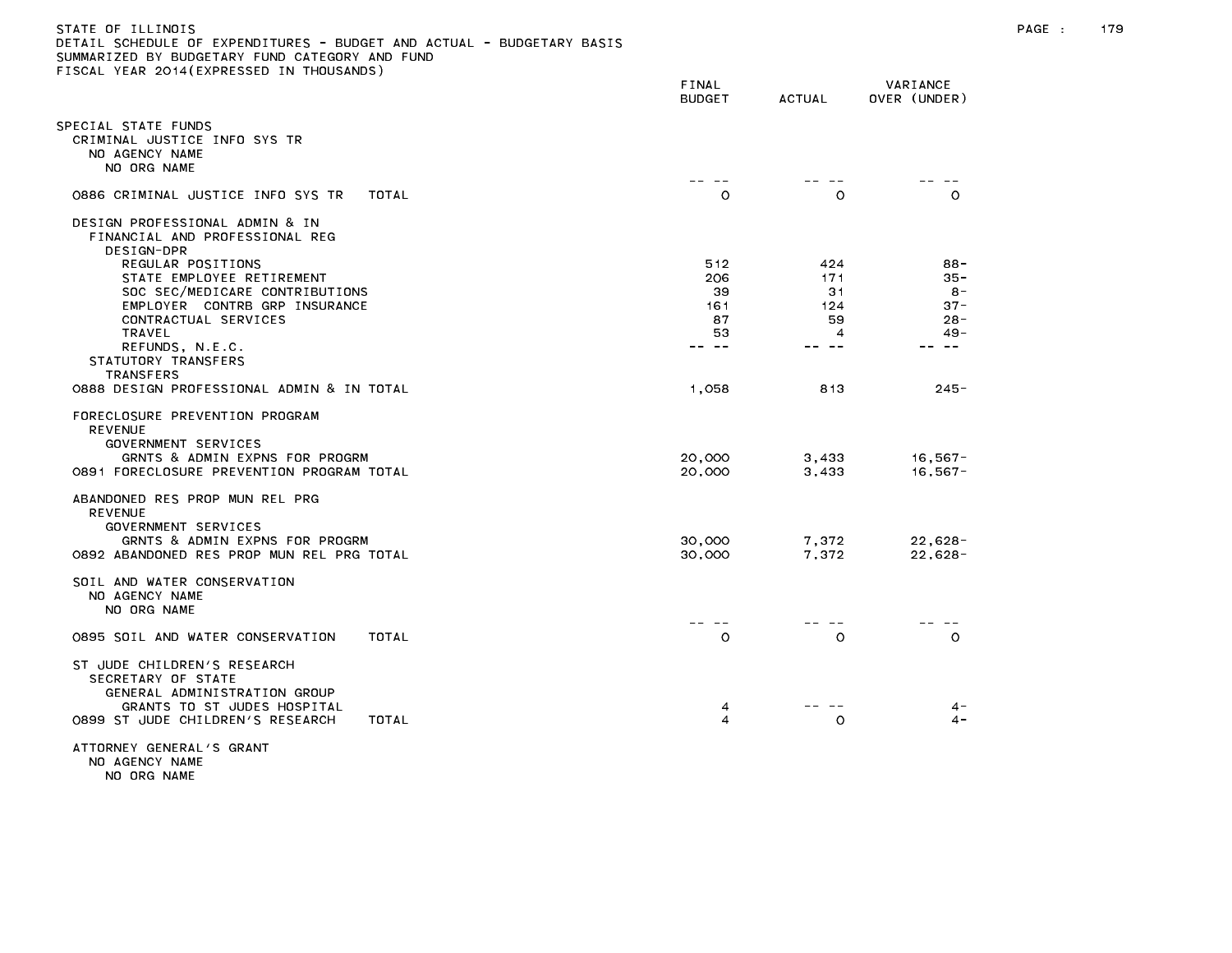| DETAIL SCHEDULE OF EXPENDITURES - BUDGET AND ACTUAL - BUDGETARY BASIS<br>SUMMARIZED BY BUDGETARY FUND CATEGORY AND FUND<br>FISCAL YEAR 2014(EXPRESSED IN THOUSANDS)    |                                              |                                             |                                                                     |
|------------------------------------------------------------------------------------------------------------------------------------------------------------------------|----------------------------------------------|---------------------------------------------|---------------------------------------------------------------------|
|                                                                                                                                                                        | FINAL<br><b>BUDGET</b>                       | <b>ACTUAL</b>                               | VARIANCE<br>OVER (UNDER)                                            |
| SPECIAL STATE FUNDS<br>CRIMINAL JUSTICE INFO SYS TR<br>NO AGENCY NAME<br>NO ORG NAME                                                                                   |                                              |                                             |                                                                     |
| 0886 CRIMINAL JUSTICE INFO SYS TR<br>TOTAL                                                                                                                             | $\Omega$                                     | $\Omega$                                    | $\Omega$                                                            |
| DESIGN PROFESSIONAL ADMIN & IN<br>FINANCIAL AND PROFESSIONAL REG<br>DESIGN-DPR                                                                                         |                                              |                                             |                                                                     |
| REGULAR POSITIONS<br>STATE EMPLOYEE RETIREMENT<br>SOC SEC/MEDICARE CONTRIBUTIONS<br>EMPLOYER CONTRB GRP INSURANCE<br>CONTRACTUAL SERVICES<br>TRAVEL<br>REFUNDS, N.E.C. | 512<br>206<br>39<br>161<br>87<br>53<br>-- -- | 424<br>171<br>31<br>124<br>59<br>4<br>-- -- | $88 -$<br>$35 -$<br>-8<br>$37 -$<br>$28 -$<br>$49 -$<br>$\sim$ $ -$ |
| STATUTORY TRANSFERS<br><b>TRANSFERS</b><br>0888 DESIGN PROFESSIONAL ADMIN & IN TOTAL                                                                                   | 1,058                                        | 813                                         | $245 -$                                                             |
| FORECLOSURE PREVENTION PROGRAM<br><b>REVENUE</b><br>GOVERNMENT SERVICES<br>GRNTS & ADMIN EXPNS FOR PROGRM<br>0891 FORECLOSURE PREVENTION PROGRAM TOTAL                 | 20,000<br>20,000                             | 3,433<br>3,433                              | 16,567-<br>$16,567-$                                                |
| ABANDONED RES PROP MUN REL PRG<br><b>REVENUE</b><br>GOVERNMENT SERVICES<br>GRNTS & ADMIN EXPNS FOR PROGRM<br>0892 ABANDONED RES PROP MUN REL PRG TOTAL                 | 30,000<br>30,000                             | 7,372<br>7,372                              | $22,628-$<br>$22,628-$                                              |
| SOIL AND WATER CONSERVATION<br>NO AGENCY NAME<br>NO ORG NAME                                                                                                           |                                              |                                             |                                                                     |
| 0895 SOIL AND WATER CONSERVATION<br>TOTAL                                                                                                                              | -- --<br>$\circ$                             | $\circ$                                     | $\circ$                                                             |
| ST JUDE CHILDREN'S RESEARCH<br>SECRETARY OF STATE<br>GENERAL ADMINISTRATION GROUP<br>GRANTS TO ST JUDES HOSPITAL<br>0899 ST JUDE CHILDREN'S RESEARCH<br>TOTAL          | 4<br>$\overline{\mathbf{4}}$                 | $\circ$                                     | $4 -$<br>$4 -$                                                      |
| ATTORNEY GENERAL'S GRANT<br>NO AGENCY NAME                                                                                                                             |                                              |                                             |                                                                     |

NO ORG NAME

# STATE OF ILLINOIS PAGE : 179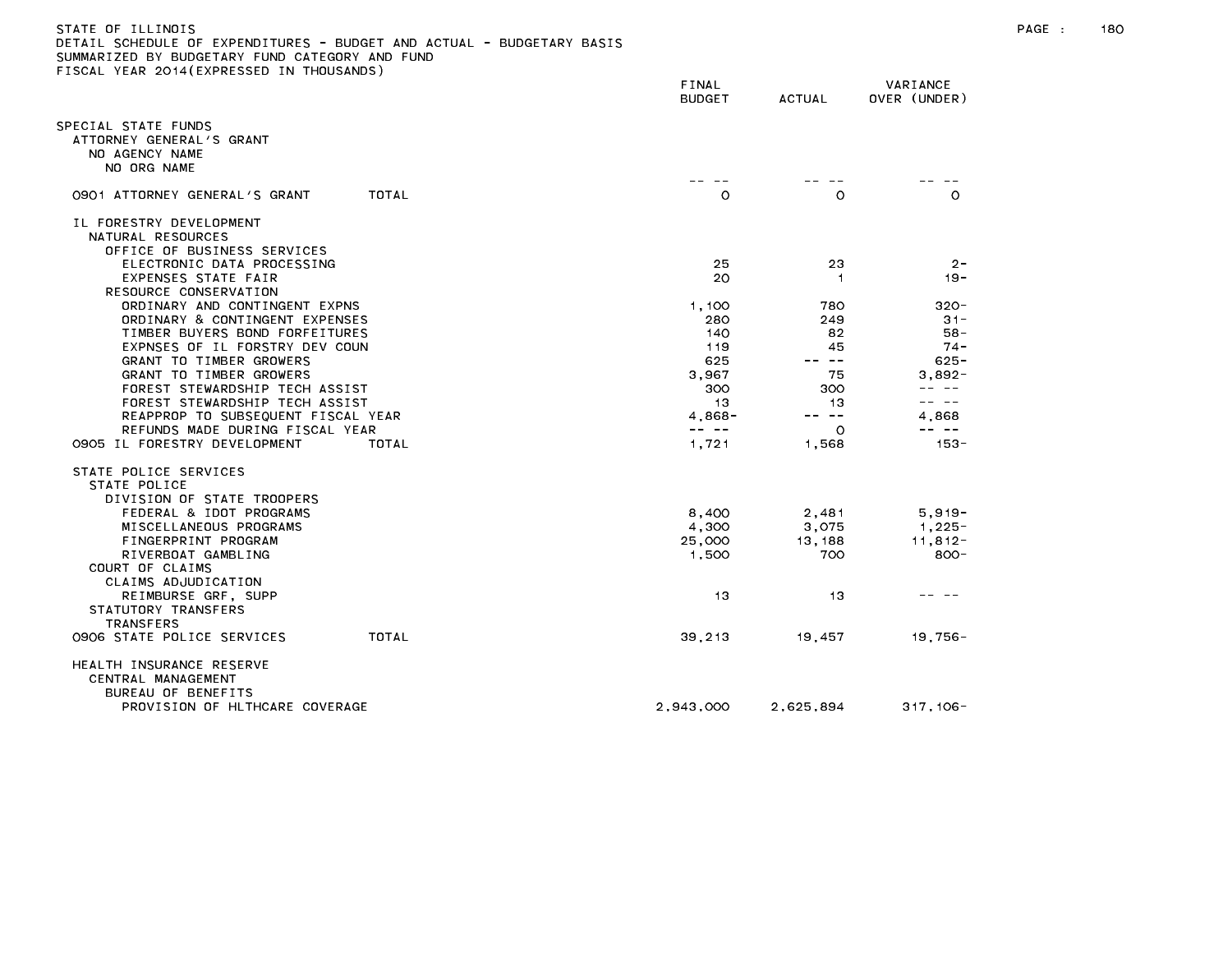| STATE OF ILLINOIS<br>DETAIL SCHEDULE OF EXPENDITURES - BUDGET AND ACTUAL - BUDGETARY BASIS |                                                                                                                                                                                                                                                                                                                                                                                                       |                      |                          | PAGE : | 180 |
|--------------------------------------------------------------------------------------------|-------------------------------------------------------------------------------------------------------------------------------------------------------------------------------------------------------------------------------------------------------------------------------------------------------------------------------------------------------------------------------------------------------|----------------------|--------------------------|--------|-----|
| SUMMARIZED BY BUDGETARY FUND CATEGORY AND FUND                                             |                                                                                                                                                                                                                                                                                                                                                                                                       |                      |                          |        |     |
| FISCAL YEAR 2014(EXPRESSED IN THOUSANDS)                                                   | FINAL<br><b>BUDGET</b>                                                                                                                                                                                                                                                                                                                                                                                | <b>ACTUAL</b>        | VARIANCE<br>OVER (UNDER) |        |     |
| SPECIAL STATE FUNDS<br>ATTORNEY GENERAL'S GRANT<br>NO AGENCY NAME<br>NO ORG NAME           |                                                                                                                                                                                                                                                                                                                                                                                                       |                      |                          |        |     |
| 0901 ATTORNEY GENERAL'S GRANT<br>TOTAL                                                     | -- --<br>$\circ$                                                                                                                                                                                                                                                                                                                                                                                      | $\circ$              | -- --<br>$\circ$         |        |     |
| IL FORESTRY DEVELOPMENT<br>NATURAL RESOURCES<br>OFFICE OF BUSINESS SERVICES                |                                                                                                                                                                                                                                                                                                                                                                                                       |                      |                          |        |     |
| ELECTRONIC DATA PROCESSING<br>EXPENSES STATE FAIR                                          | 25<br>20                                                                                                                                                                                                                                                                                                                                                                                              | 23<br>$\overline{1}$ | $2 -$<br>- 19            |        |     |
| RESOURCE CONSERVATION<br>ORDINARY AND CONTINGENT EXPNS                                     | 1,100                                                                                                                                                                                                                                                                                                                                                                                                 | 780                  | $320 -$                  |        |     |
| ORDINARY & CONTINGENT EXPENSES<br>TIMBER BUYERS BOND FORFEITURES                           | 280<br>140                                                                                                                                                                                                                                                                                                                                                                                            | 249<br>82            | $31 -$<br>$58 -$         |        |     |
| EXPNSES OF IL FORSTRY DEV COUN<br>GRANT TO TIMBER GROWERS                                  | 119<br>625                                                                                                                                                                                                                                                                                                                                                                                            | 45<br>-- --          | $74 -$<br>$625 -$        |        |     |
| GRANT TO TIMBER GROWERS<br>FOREST STEWARDSHIP TECH ASSIST                                  | 3,967<br>300                                                                                                                                                                                                                                                                                                                                                                                          | 75<br>300            | 3,892-<br>-- --          |        |     |
| FOREST STEWARDSHIP TECH ASSIST<br>REAPPROP TO SUBSEQUENT FISCAL YEAR                       | -13<br>$4,868 -$                                                                                                                                                                                                                                                                                                                                                                                      | -13<br>-- --         | -- --<br>4,868           |        |     |
| REFUNDS MADE DURING FISCAL YEAR<br>0905 IL FORESTRY DEVELOPMENT<br>TOTAL                   | $\frac{1}{2} \frac{1}{2} \frac{1}{2} \frac{1}{2} \frac{1}{2} \frac{1}{2} \frac{1}{2} \frac{1}{2} \frac{1}{2} \frac{1}{2} \frac{1}{2} \frac{1}{2} \frac{1}{2} \frac{1}{2} \frac{1}{2} \frac{1}{2} \frac{1}{2} \frac{1}{2} \frac{1}{2} \frac{1}{2} \frac{1}{2} \frac{1}{2} \frac{1}{2} \frac{1}{2} \frac{1}{2} \frac{1}{2} \frac{1}{2} \frac{1}{2} \frac{1}{2} \frac{1}{2} \frac{1}{2} \frac{$<br>1,721 | $\circ$<br>1,568     | -- --<br>-153 -          |        |     |
| STATE POLICE SERVICES<br>STATE POLICE                                                      |                                                                                                                                                                                                                                                                                                                                                                                                       |                      |                          |        |     |
| DIVISION OF STATE TROOPERS<br>FEDERAL & IDOT PROGRAMS                                      | 8,400                                                                                                                                                                                                                                                                                                                                                                                                 | 2,481                | $5,919-$                 |        |     |
| MISCELLANEOUS PROGRAMS<br>FINGERPRINT PROGRAM                                              | 4,300<br>25,000                                                                                                                                                                                                                                                                                                                                                                                       | 3,075<br>13, 188     | $1,225-$<br>$11, 812 -$  |        |     |
| RIVERBOAT GAMBLING<br>COURT OF CLAIMS<br>CLAIMS ADJUDICATION                               | 1,500                                                                                                                                                                                                                                                                                                                                                                                                 | 700                  | $800 -$                  |        |     |
| REIMBURSE GRF, SUPP<br>STATUTORY TRANSFERS<br><b>TRANSFERS</b>                             | -13                                                                                                                                                                                                                                                                                                                                                                                                   | -13                  | -- --                    |        |     |
| 0906 STATE POLICE SERVICES<br>TOTAL                                                        | 39,213                                                                                                                                                                                                                                                                                                                                                                                                | 19,457               | $19,756 -$               |        |     |
| HEALTH INSURANCE RESERVE<br>CENTRAL MANAGEMENT<br>BUREAU OF BENEFITS                       |                                                                                                                                                                                                                                                                                                                                                                                                       |                      |                          |        |     |
| PROVISION OF HLTHCARE COVERAGE                                                             | 2.943.000                                                                                                                                                                                                                                                                                                                                                                                             | 2.625.894            | $317.106 -$              |        |     |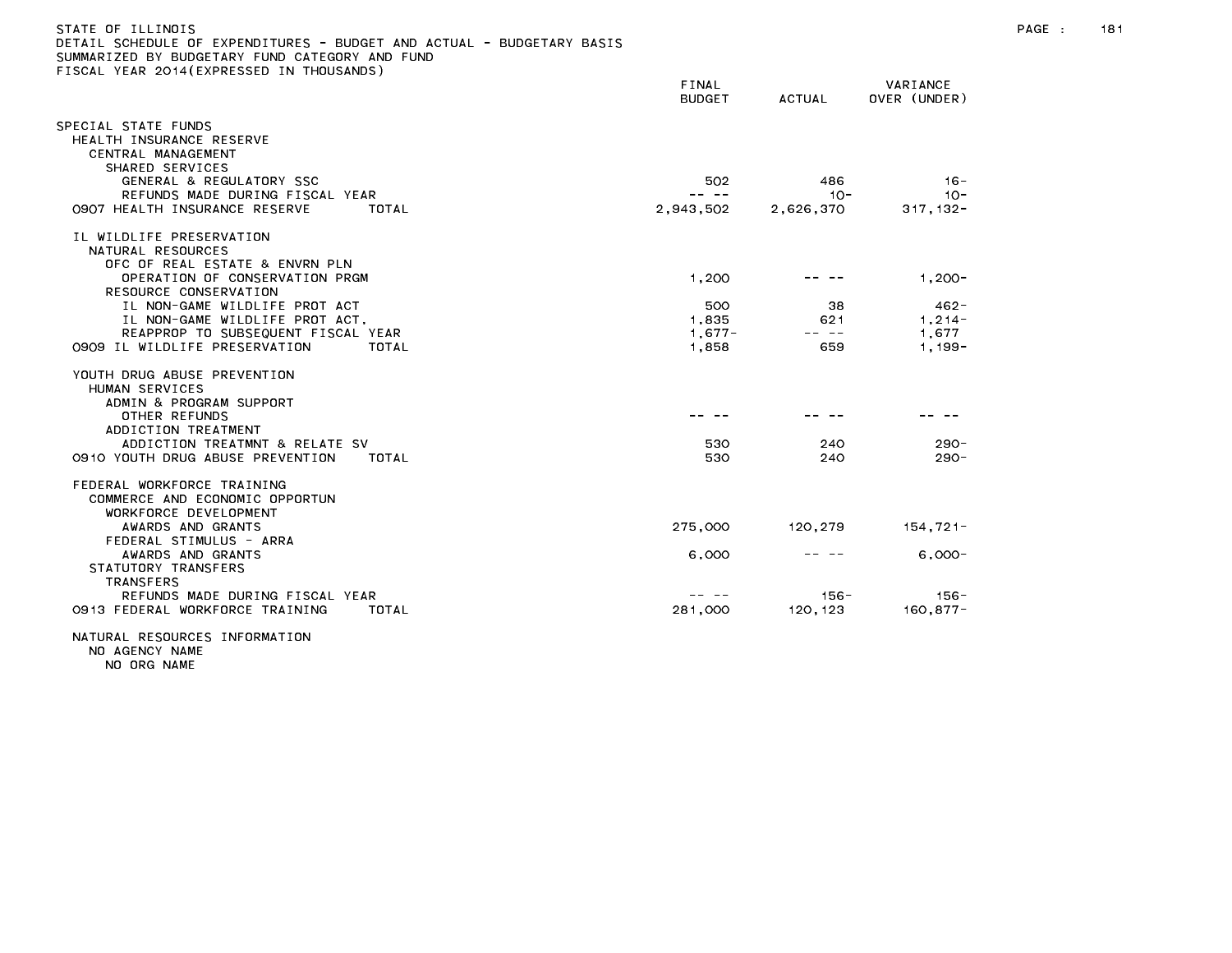| DETAIL SCHEDULE OF EXPENDITURES - BUDGET AND ACTUAL - BUDGETARY BASIS<br>SUMMARIZED BY BUDGETARY FUND CATEGORY AND FUND |                        |               |                          |  |
|-------------------------------------------------------------------------------------------------------------------------|------------------------|---------------|--------------------------|--|
| FISCAL YEAR 2014(EXPRESSED IN THOUSANDS)                                                                                | FINAL<br><b>BUDGET</b> | <b>ACTUAL</b> | VARIANCE<br>OVER (UNDER) |  |
| SPECIAL STATE FUNDS                                                                                                     |                        |               |                          |  |
| HEALTH INSURANCE RESERVE<br>CENTRAL MANAGEMENT<br>SHARED SERVICES                                                       |                        |               |                          |  |
| GENERAL & REGULATORY SSC                                                                                                | 502                    | 486           | $16 -$                   |  |
| REFUNDS MADE DURING FISCAL YEAR                                                                                         |                        | $10 -$        | $10 -$                   |  |
| 0907 HEALTH INSURANCE RESERVE<br>TOTAL                                                                                  | 2,943,502              | 2,626,370     | $317, 132 -$             |  |
| IL WILDLIFE PRESERVATION<br>NATURAL RESOURCES<br>OFC OF REAL ESTATE & ENVRN PLN                                         |                        |               |                          |  |
| OPERATION OF CONSERVATION PRGM<br>RESOURCE CONSERVATION                                                                 | 1,200                  |               | $1,200 -$                |  |
| IL NON-GAME WILDLIFE PROT ACT                                                                                           | 500                    | 38.           | $462 -$                  |  |
| IL NON-GAME WILDLIFE PROT ACT.                                                                                          | 1.835                  | 621           | $1.214 -$                |  |
| REAPPROP TO SUBSEQUENT FISCAL YEAR                                                                                      | $1,677-$               | -- --         | 1,677                    |  |
| 0909 IL WILDLIFE PRESERVATION<br>TOTAL                                                                                  | 1,858                  | 659           | $1,199-$                 |  |
| YOUTH DRUG ABUSE PREVENTION<br>HUMAN SERVICES<br>ADMIN & PROGRAM SUPPORT                                                |                        |               |                          |  |
| OTHER REFUNDS<br>ADDICTION TREATMENT                                                                                    |                        |               |                          |  |
| ADDICTION TREATMNT & RELATE SV                                                                                          | 530                    | 240           | $290 -$                  |  |
| 0910 YOUTH DRUG ABUSE PREVENTION<br>TOTAL                                                                               | 530                    | 240           | $290 -$                  |  |
| FEDERAL WORKFORCE TRAINING<br>COMMERCE AND ECONOMIC OPPORTUN<br>WORKFORCE DEVELOPMENT                                   |                        |               |                          |  |
| AWARDS AND GRANTS<br>FEDERAL STIMULUS - ARRA                                                                            | 275,000                | 120,279       | $154,721-$               |  |
| AWARDS AND GRANTS<br>STATUTORY TRANSFERS<br><b>TRANSFERS</b>                                                            | 6,000                  |               | $6.000 -$                |  |
| REFUNDS MADE DURING FISCAL YEAR                                                                                         |                        | $156 -$       | $156 -$                  |  |
| 0913 FEDERAL WORKFORCE TRAINING<br>TOTAL                                                                                | 281,000                | 120.123       | $160, 877 -$             |  |
|                                                                                                                         |                        |               |                          |  |

## NATURAL RESOURCES INFORMATION NO AGENCY NAME

NO ORG NAME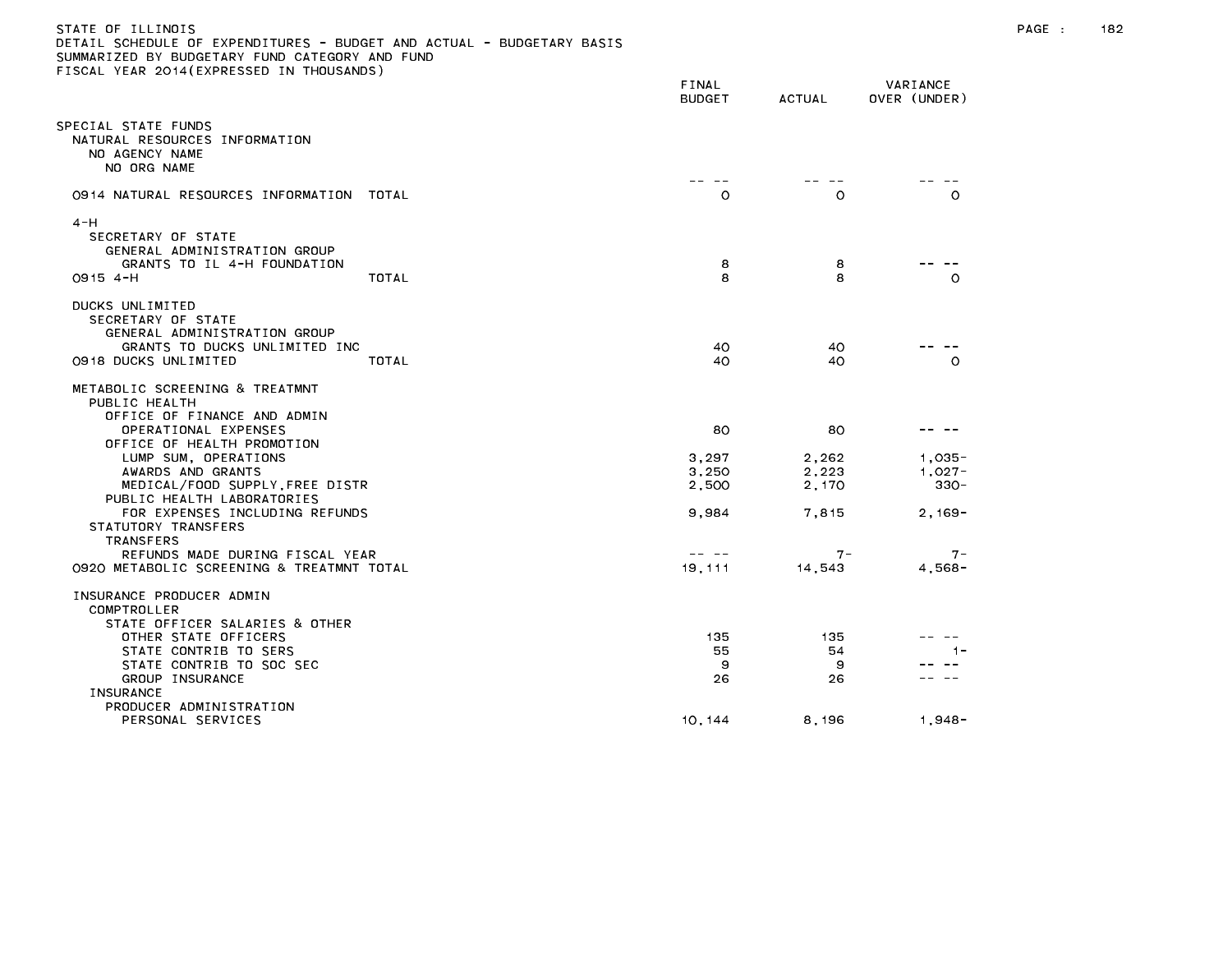| DETAIL SCHEDULE OF EXPENDITURES - BUDGET AND ACTUAL - BUDGETARY BASIS<br>SUMMARIZED BY BUDGETARY FUND CATEGORY AND FUND<br>FISCAL YEAR 2014(EXPRESSED IN THOUSANDS) |       |                        |               |                          |
|---------------------------------------------------------------------------------------------------------------------------------------------------------------------|-------|------------------------|---------------|--------------------------|
|                                                                                                                                                                     |       | FINAL<br><b>BUDGET</b> | <b>ACTUAL</b> | VARIANCE<br>OVER (UNDER) |
| SPECIAL STATE FUNDS<br>NATURAL RESOURCES INFORMATION<br>NO AGENCY NAME<br>NO ORG NAME                                                                               |       |                        |               |                          |
| 0914 NATURAL RESOURCES INFORMATION TOTAL                                                                                                                            |       | $\circ$                | O             | $\circ$                  |
| $4 - H$<br>SECRETARY OF STATE<br>GENERAL ADMINISTRATION GROUP<br>GRANTS TO IL 4-H FOUNDATION                                                                        |       | 8                      | 8             |                          |
| $0915$ 4-H                                                                                                                                                          | TOTAL | 8                      | 8             | $\circ$                  |
| DUCKS UNLIMITED<br>SECRETARY OF STATE<br>GENERAL ADMINISTRATION GROUP<br>GRANTS TO DUCKS UNLIMITED INC<br>0918 DUCKS UNLIMITED                                      | TOTAL | 40<br>40               | 40<br>40      | $\circ$                  |
| METABOLIC SCREENING & TREATMNT<br>PUBLIC HEALTH<br>OFFICE OF FINANCE AND ADMIN<br>OPERATIONAL EXPENSES                                                              |       | 80                     | 80            |                          |
| OFFICE OF HEALTH PROMOTION<br>LUMP SUM, OPERATIONS                                                                                                                  |       | 3,297                  | 2,262         | $1,035-$                 |
| AWARDS AND GRANTS                                                                                                                                                   |       | 3,250                  | 2,223         | $1,027-$                 |
| MEDICAL/FOOD SUPPLY, FREE DISTR                                                                                                                                     |       | 2,500                  | 2.170         | $330 -$                  |
| PUBLIC HEALTH LABORATORIES<br>FOR EXPENSES INCLUDING REFUNDS<br>STATUTORY TRANSFERS<br><b>TRANSFERS</b>                                                             |       | 9,984                  | 7,815         | $2,169-$                 |
| REFUNDS MADE DURING FISCAL YEAR                                                                                                                                     |       |                        | 7 –           | $7 -$                    |
| 0920 METABOLIC SCREENING & TREATMNT TOTAL                                                                                                                           |       | 19, 111                | 14,543        | $4,568-$                 |
| INSURANCE PRODUCER ADMIN<br>COMPTROLLER                                                                                                                             |       |                        |               |                          |
| STATE OFFICER SALARIES & OTHER<br>OTHER STATE OFFICERS                                                                                                              |       | 135                    | 135           |                          |

ersonal services that the contract of the contract of the contract of the contract of the contract of the contract of the contract of the contract of the contract of the contract of the contract of the contract of the cont

INSURANCE

PRODUCER ADMINISTRATION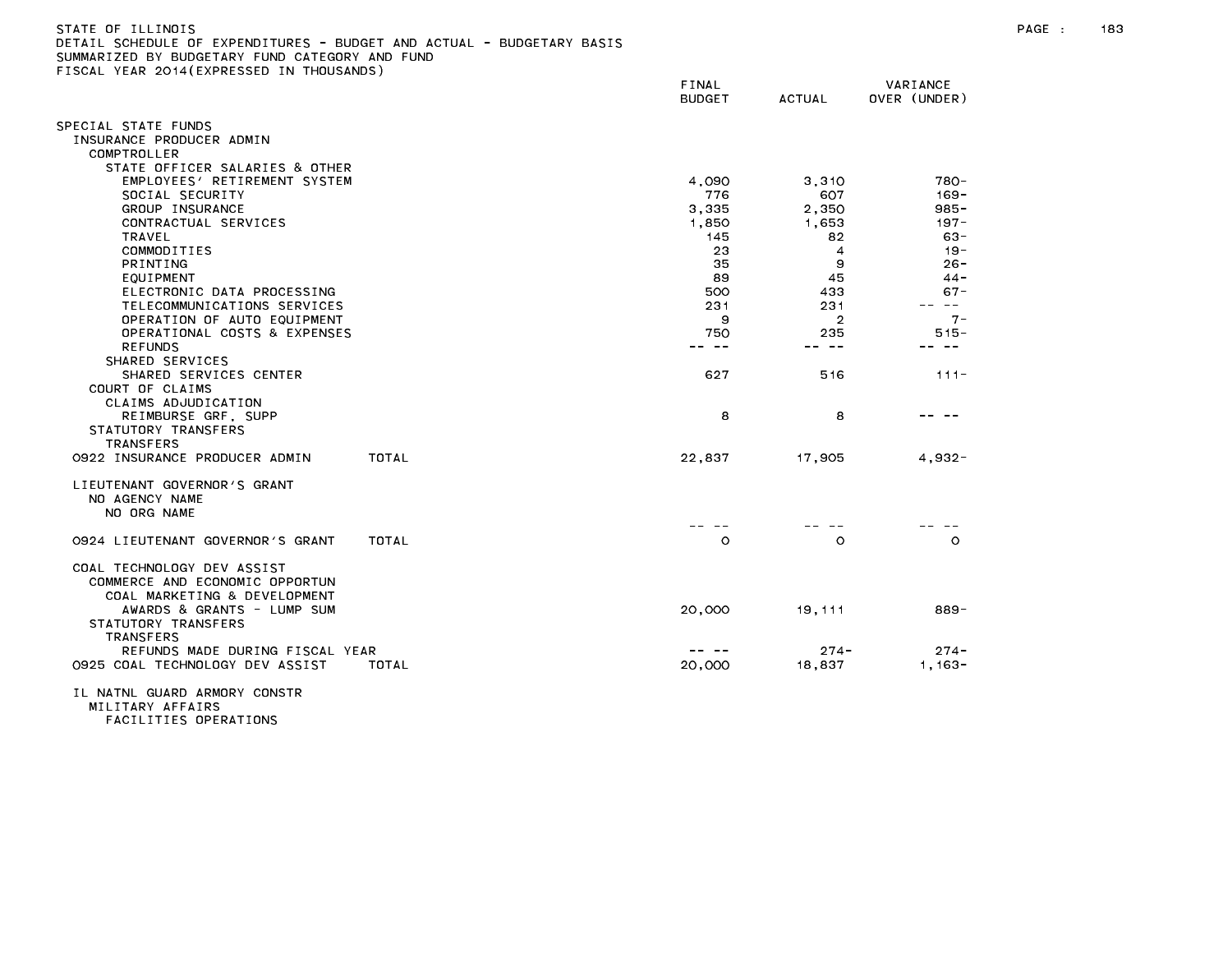| . <del>.</del><br>SUILDULL UI LAILIUITUNLU<br>DUDULI AND AVIUAL<br>SUMMARIZED BY BUDGETARY FUND CATEGORY AND FUND<br>TISCAL YEAR 2014(EXPRESSED IN THOUSANDS) |                        |                |                          |
|---------------------------------------------------------------------------------------------------------------------------------------------------------------|------------------------|----------------|--------------------------|
|                                                                                                                                                               | FINAL<br><b>BUDGET</b> | ACTUAL         | VARIANCE<br>OVER (UNDER) |
| SPECIAL STATE FUNDS                                                                                                                                           |                        |                |                          |
| INSURANCE PRODUCER ADMIN                                                                                                                                      |                        |                |                          |
| COMPTROLLER                                                                                                                                                   |                        |                |                          |
| STATE OFFICER SALARIES & OTHER                                                                                                                                |                        |                |                          |
| EMPLOYEES' RETIREMENT SYSTEM                                                                                                                                  | 4.090                  | 3.310          | 780-                     |
| SOCIAL SECURITY                                                                                                                                               | 776                    | 607            | 169-<br>$985 -$          |
| GROUP INSURANCE                                                                                                                                               | 3,335                  | 2,350          | $197 -$                  |
| CONTRACTUAL SERVICES<br>TRAVEL                                                                                                                                | 1,850<br>145           | 1,653<br>82    | $63 -$                   |
| COMMODITIES                                                                                                                                                   | 23                     | 4              | $19 -$                   |
| <b>PRINTING</b>                                                                                                                                               | 35                     | 9              | $26 -$                   |
| EQUIPMENT                                                                                                                                                     | 89                     | 45             | $44 -$                   |
| ELECTRONIC DATA PROCESSING                                                                                                                                    | 500                    | 433            | $67 -$                   |
| TELECOMMUNICATIONS SERVICES                                                                                                                                   | 231                    | 231            | $\sim$ $-$               |
| OPERATION OF AUTO EQUIPMENT                                                                                                                                   | 9                      | $\overline{2}$ | $7 -$                    |
| OPERATIONAL COSTS & EXPENSES                                                                                                                                  | 750                    | 235            | $515 -$                  |
| <b>REFUNDS</b>                                                                                                                                                | -- --                  | -- --          |                          |
| SHARED SERVICES                                                                                                                                               |                        |                |                          |
| SHARED SERVICES CENTER                                                                                                                                        | 627                    | 516            | $111 -$                  |
| COURT OF CLAIMS                                                                                                                                               |                        |                |                          |
| CLAIMS ADJUDICATION                                                                                                                                           |                        |                |                          |
| REIMBURSE GRF, SUPP                                                                                                                                           | 8                      | 8              |                          |
| STATUTORY TRANSFERS                                                                                                                                           |                        |                |                          |
| TRANSFERS                                                                                                                                                     |                        |                |                          |
| 0922 INSURANCE PRODUCER ADMIN<br>TOTAL                                                                                                                        | 22,837                 | 17.905         | $4.932 -$                |
| LIEUTENANT GOVERNOR'S GRANT                                                                                                                                   |                        |                |                          |
| NO AGENCY NAME                                                                                                                                                |                        |                |                          |
| NO ORG NAME                                                                                                                                                   |                        |                |                          |
|                                                                                                                                                               |                        |                |                          |
| TOTAL<br>0924 LIEUTENANT GOVERNOR'S GRANT                                                                                                                     | $\circ$                | $\circ$        | $\circ$                  |
| COAL TECHNOLOGY DEV ASSIST                                                                                                                                    |                        |                |                          |
| COMMERCE AND ECONOMIC OPPORTUN                                                                                                                                |                        |                |                          |
| COAL MARKETING & DEVELOPMENT                                                                                                                                  |                        |                |                          |
| AWARDS & GRANTS - LUMP SUM                                                                                                                                    | 20,000                 | 19,111         | 889-                     |
| STATUTORY TRANSFERS                                                                                                                                           |                        |                |                          |
| <b>TRANSFERS</b>                                                                                                                                              |                        |                |                          |
| REFUNDS MADE DURING FISCAL YEAR                                                                                                                               |                        | $274 -$        | $274 -$                  |
| 0925 COAL TECHNOLOGY DEV ASSIST<br>TOTAL                                                                                                                      | 20,000                 | 18,837         | $1.163 -$                |
|                                                                                                                                                               |                        |                |                          |

IL NATNL GUARD ARMORY CONSTR MILITARY AFFAIRS FACILITIES OPERATIONS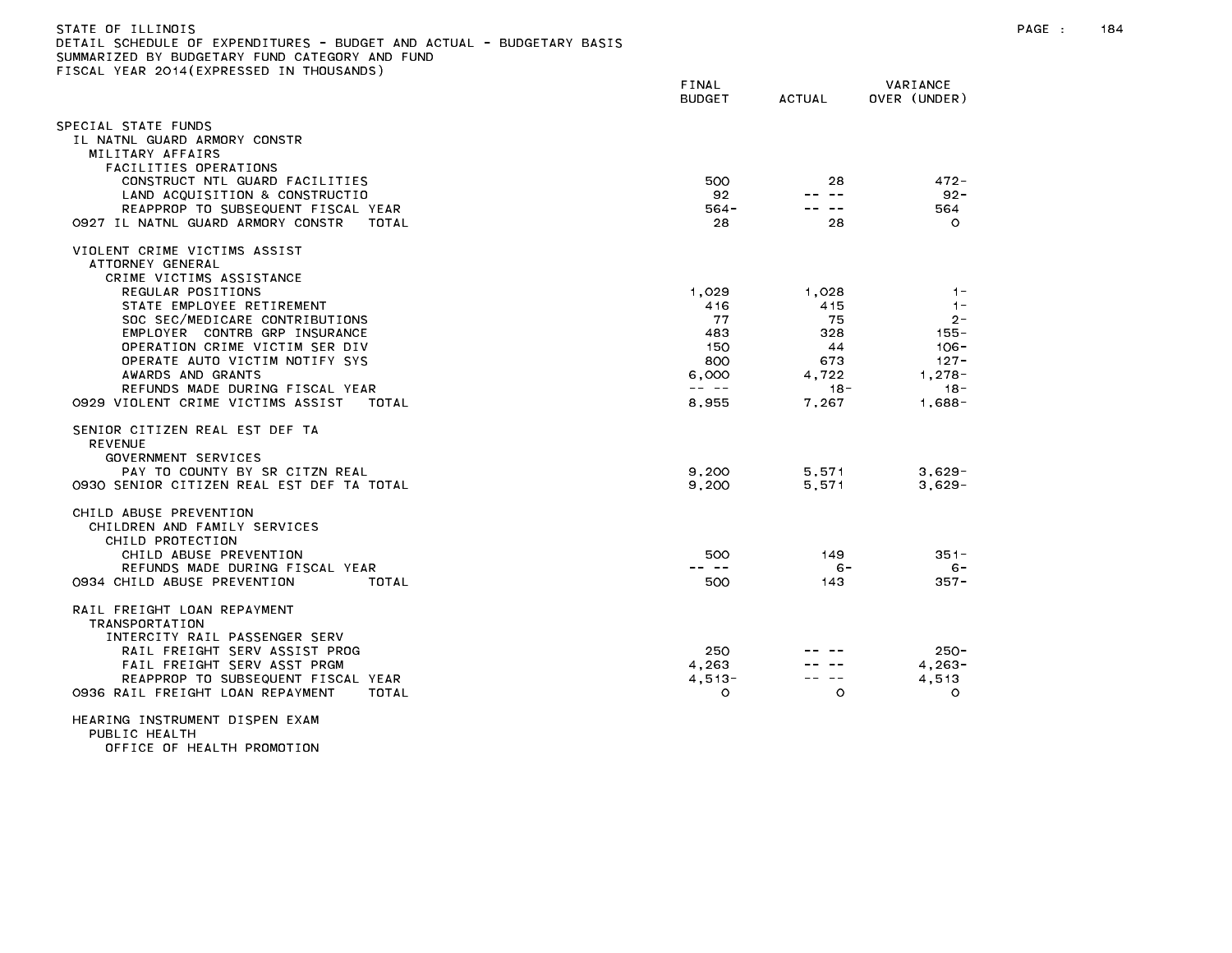| SUMMARIZED BY BUDGETARY FUND CATEGORY AND FUND<br>FISCAL YEAR 2014(EXPRESSED IN THOUSANDS) |                        |           |                          |
|--------------------------------------------------------------------------------------------|------------------------|-----------|--------------------------|
|                                                                                            | FINAL<br><b>BUDGET</b> | ACTUAL    | VARIANCE<br>OVER (UNDER) |
| SPECIAL STATE FUNDS                                                                        |                        |           |                          |
| IL NATNL GUARD ARMORY CONSTR                                                               |                        |           |                          |
| MILITARY AFFAIRS                                                                           |                        |           |                          |
| FACILITIES OPERATIONS                                                                      |                        |           |                          |
| CONSTRUCT NTL GUARD FACILITIES                                                             | 500                    | 28        | $472 -$                  |
| LAND ACQUISITION & CONSTRUCTIO                                                             | 92                     | -- --     | $92 -$                   |
| REAPPROP TO SUBSEQUENT FISCAL YEAR                                                         | $564 -$                | -- --     | 564                      |
| 0927 IL NATNL GUARD ARMORY CONSTR<br>TOTAL                                                 | 28                     | 28        | $\circ$                  |
| VIOLENT CRIME VICTIMS ASSIST<br>ATTORNEY GENERAL                                           |                        |           |                          |
| CRIME VICTIMS ASSISTANCE                                                                   |                        |           |                          |
| REGULAR POSITIONS                                                                          | 1,029                  | 1,028     | $1 -$                    |
| STATE EMPLOYEE RETIREMENT                                                                  | 416                    | 415       | $1 -$                    |
| SOC SEC/MEDICARE CONTRIBUTIONS<br>EMPLOYER CONTRB GRP INSURANCE                            | 77<br>483              | 75<br>328 | $2 -$<br>155 -           |
| OPERATION CRIME VICTIM SER DIV                                                             | 150                    | 44        | $106 -$                  |
| OPERATE AUTO VICTIM NOTIFY SYS                                                             | 800                    | 673       | $127 -$                  |
| AWARDS AND GRANTS                                                                          | 6,000                  | 4,722     | $1,278-$                 |
| REFUNDS MADE DURING FISCAL YEAR                                                            | $\cdots \cdots \cdots$ | $18 -$    | $18 -$                   |
| 0929 VIOLENT CRIME VICTIMS ASSIST<br>TOTAL                                                 | 8,955                  | 7,267     | 1,688-                   |
| SENIOR CITIZEN REAL EST DEF TA<br><b>REVENUE</b><br>GOVERNMENT SERVICES                    |                        |           |                          |
| PAY TO COUNTY BY SR CITZN REAL                                                             | 9.200                  | 5.571     | $3.629 -$                |
| 0930 SENIOR CITIZEN REAL EST DEF TA TOTAL                                                  | 9.200                  | 5.571     | $3.629 -$                |
| CHILD ABUSE PREVENTION<br>CHILDREN AND FAMILY SERVICES<br>CHILD PROTECTION                 |                        |           |                          |
| CHILD ABUSE PREVENTION                                                                     | 500                    | 149       | $351 -$                  |
| REFUNDS MADE DURING FISCAL YEAR                                                            | -- --                  | $6 -$     | $6 -$                    |
| 0934 CHILD ABUSE PREVENTION<br>TOTAL                                                       | 500                    | 143       | $357 -$                  |
| RAIL FREIGHT LOAN REPAYMENT<br>TRANSPORTATION                                              |                        |           |                          |
| INTERCITY RAIL PASSENGER SERV                                                              |                        |           |                          |
| RAIL FREIGHT SERV ASSIST PROG<br>FAIL FREIGHT SERV ASST PRGM                               | 250<br>4.263           |           | $250 -$<br>$4.263 -$     |
| REAPPROP TO SUBSEQUENT FISCAL YEAR                                                         | $4.513 -$              |           | 4,513                    |
| 0936 RAIL FREIGHT LOAN REPAYMENT<br>TOTAL                                                  | $\circ$                | $\circ$   | $\circ$                  |
| HEARING INSTRUMENT DISPEN EXAM<br>PUBLIC HEALTH                                            |                        |           |                          |

OFFICE OF HEALTH PROMOTION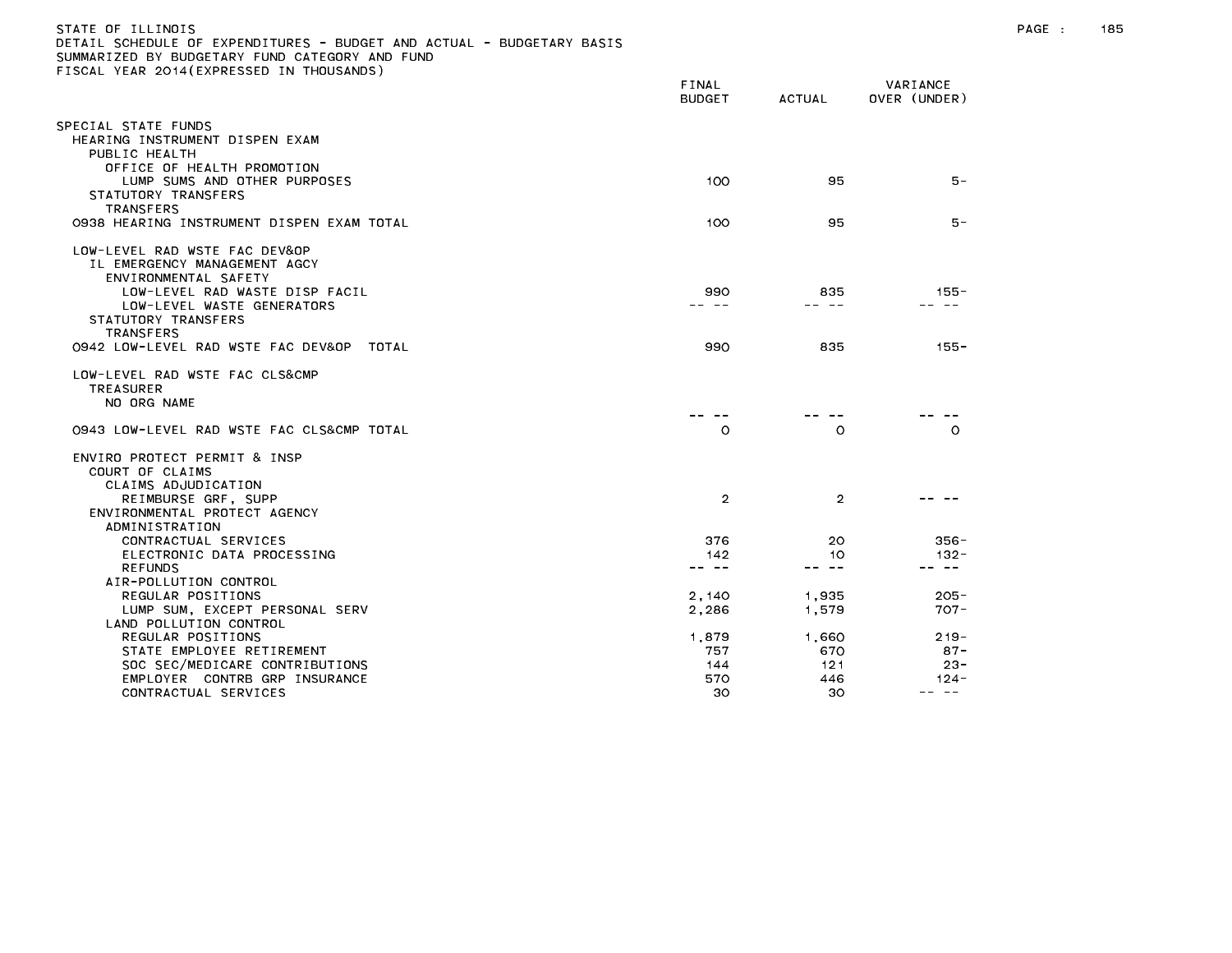| STATE OF ILLINOIS<br>DETAIL SCHEDULE OF EXPENDITURES - BUDGET AND ACTUAL - BUDGETARY BASIS<br>SUMMARIZED BY BUDGETARY FUND CATEGORY AND FUND<br>FISCAL YEAR 2014 (EXPRESSED IN THOUSANDS) |                                                                  |                  |                                                                                                                                                                                                                                                                                                                                                                                              | PAGE : | 185 |
|-------------------------------------------------------------------------------------------------------------------------------------------------------------------------------------------|------------------------------------------------------------------|------------------|----------------------------------------------------------------------------------------------------------------------------------------------------------------------------------------------------------------------------------------------------------------------------------------------------------------------------------------------------------------------------------------------|--------|-----|
|                                                                                                                                                                                           | FINAL<br><b>BUDGET</b>                                           | ACTUAL           | VARIANCE<br>OVER (UNDER)                                                                                                                                                                                                                                                                                                                                                                     |        |     |
| SPECIAL STATE FUNDS                                                                                                                                                                       |                                                                  |                  |                                                                                                                                                                                                                                                                                                                                                                                              |        |     |
| HEARING INSTRUMENT DISPEN EXAM                                                                                                                                                            |                                                                  |                  |                                                                                                                                                                                                                                                                                                                                                                                              |        |     |
| PUBLIC HEALTH                                                                                                                                                                             |                                                                  |                  |                                                                                                                                                                                                                                                                                                                                                                                              |        |     |
| OFFICE OF HEALTH PROMOTION<br>LUMP SUMS AND OTHER PURPOSES                                                                                                                                | 100                                                              | 95               | $5 -$                                                                                                                                                                                                                                                                                                                                                                                        |        |     |
| STATUTORY TRANSFERS                                                                                                                                                                       |                                                                  |                  |                                                                                                                                                                                                                                                                                                                                                                                              |        |     |
| <b>TRANSFERS</b>                                                                                                                                                                          |                                                                  |                  |                                                                                                                                                                                                                                                                                                                                                                                              |        |     |
| 0938 HEARING INSTRUMENT DISPEN EXAM TOTAL                                                                                                                                                 | 100                                                              | 95               | 5 –                                                                                                                                                                                                                                                                                                                                                                                          |        |     |
| LOW-LEVEL RAD WSTE FAC DEV&OP                                                                                                                                                             |                                                                  |                  |                                                                                                                                                                                                                                                                                                                                                                                              |        |     |
| IL EMERGENCY MANAGEMENT AGCY                                                                                                                                                              |                                                                  |                  |                                                                                                                                                                                                                                                                                                                                                                                              |        |     |
| ENVIRONMENTAL SAFETY                                                                                                                                                                      |                                                                  |                  |                                                                                                                                                                                                                                                                                                                                                                                              |        |     |
| LOW-LEVEL RAD WASTE DISP FACIL                                                                                                                                                            | 990                                                              | 835<br>-- --     | 155-<br>-- --                                                                                                                                                                                                                                                                                                                                                                                |        |     |
| LOW-LEVEL WASTE GENERATORS<br>STATUTORY TRANSFERS                                                                                                                                         |                                                                  |                  |                                                                                                                                                                                                                                                                                                                                                                                              |        |     |
| <b>TRANSFERS</b>                                                                                                                                                                          |                                                                  |                  |                                                                                                                                                                                                                                                                                                                                                                                              |        |     |
| 0942 LOW-LEVEL RAD WSTE FAC DEV&OP<br>TOTAL                                                                                                                                               | 990                                                              | 835              | 155-                                                                                                                                                                                                                                                                                                                                                                                         |        |     |
| LOW-LEVEL RAD WSTE FAC CLS&CMP                                                                                                                                                            |                                                                  |                  |                                                                                                                                                                                                                                                                                                                                                                                              |        |     |
| <b>TREASURER</b>                                                                                                                                                                          |                                                                  |                  |                                                                                                                                                                                                                                                                                                                                                                                              |        |     |
| NO ORG NAME                                                                                                                                                                               |                                                                  |                  |                                                                                                                                                                                                                                                                                                                                                                                              |        |     |
| 0943 LOW-LEVEL RAD WSTE FAC CLS&CMP TOTAL                                                                                                                                                 | $\qquad \qquad \bullet \qquad \bullet \qquad \bullet$<br>$\circ$ | -- --<br>$\circ$ | -- --<br>$\circ$                                                                                                                                                                                                                                                                                                                                                                             |        |     |
| ENVIRO PROTECT PERMIT & INSP                                                                                                                                                              |                                                                  |                  |                                                                                                                                                                                                                                                                                                                                                                                              |        |     |
| COURT OF CLAIMS                                                                                                                                                                           |                                                                  |                  |                                                                                                                                                                                                                                                                                                                                                                                              |        |     |
| CLAIMS ADJUDICATION                                                                                                                                                                       |                                                                  |                  |                                                                                                                                                                                                                                                                                                                                                                                              |        |     |
| REIMBURSE GRF, SUPP                                                                                                                                                                       | $\overline{2}$                                                   | $\overline{2}$   | -- -                                                                                                                                                                                                                                                                                                                                                                                         |        |     |
| ENVIRONMENTAL PROTECT AGENCY                                                                                                                                                              |                                                                  |                  |                                                                                                                                                                                                                                                                                                                                                                                              |        |     |
| ADMINISTRATION                                                                                                                                                                            |                                                                  |                  |                                                                                                                                                                                                                                                                                                                                                                                              |        |     |
| CONTRACTUAL SERVICES                                                                                                                                                                      | 376                                                              | 20               | $356 -$                                                                                                                                                                                                                                                                                                                                                                                      |        |     |
| ELECTRONIC DATA PROCESSING                                                                                                                                                                | 142                                                              | 10               | $132 -$                                                                                                                                                                                                                                                                                                                                                                                      |        |     |
| <b>REFUNDS</b>                                                                                                                                                                            | $- - - - -$                                                      | -- --            | -- --                                                                                                                                                                                                                                                                                                                                                                                        |        |     |
| AIR-POLLUTION CONTROL                                                                                                                                                                     |                                                                  |                  |                                                                                                                                                                                                                                                                                                                                                                                              |        |     |
| REGULAR POSITIONS<br>LUMP SUM, EXCEPT PERSONAL SERV                                                                                                                                       | 2.140<br>2,286                                                   | 1.935<br>1,579   | $205 -$<br>$707 -$                                                                                                                                                                                                                                                                                                                                                                           |        |     |
| LAND POLLUTION CONTROL                                                                                                                                                                    |                                                                  |                  |                                                                                                                                                                                                                                                                                                                                                                                              |        |     |
| REGULAR POSITIONS                                                                                                                                                                         | 1.879                                                            | 1.660            | $219 -$                                                                                                                                                                                                                                                                                                                                                                                      |        |     |
| STATE EMPLOYEE RETIREMENT                                                                                                                                                                 | 757                                                              | 670              | $87 -$                                                                                                                                                                                                                                                                                                                                                                                       |        |     |
| SOC SEC/MEDICARE CONTRIBUTIONS                                                                                                                                                            | 144                                                              | 121              | $23 -$                                                                                                                                                                                                                                                                                                                                                                                       |        |     |
| EMPLOYER CONTRB GRP INSURANCE                                                                                                                                                             | 570                                                              | 446              | -124                                                                                                                                                                                                                                                                                                                                                                                         |        |     |
| CONTRACTUAL SERVICES                                                                                                                                                                      | 30                                                               | 30               | $\frac{1}{2} \frac{1}{2} \frac{1}{2} \frac{1}{2} \frac{1}{2} \frac{1}{2} \frac{1}{2} \frac{1}{2} \frac{1}{2} \frac{1}{2} \frac{1}{2} \frac{1}{2} \frac{1}{2} \frac{1}{2} \frac{1}{2} \frac{1}{2} \frac{1}{2} \frac{1}{2} \frac{1}{2} \frac{1}{2} \frac{1}{2} \frac{1}{2} \frac{1}{2} \frac{1}{2} \frac{1}{2} \frac{1}{2} \frac{1}{2} \frac{1}{2} \frac{1}{2} \frac{1}{2} \frac{1}{2} \frac{$ |        |     |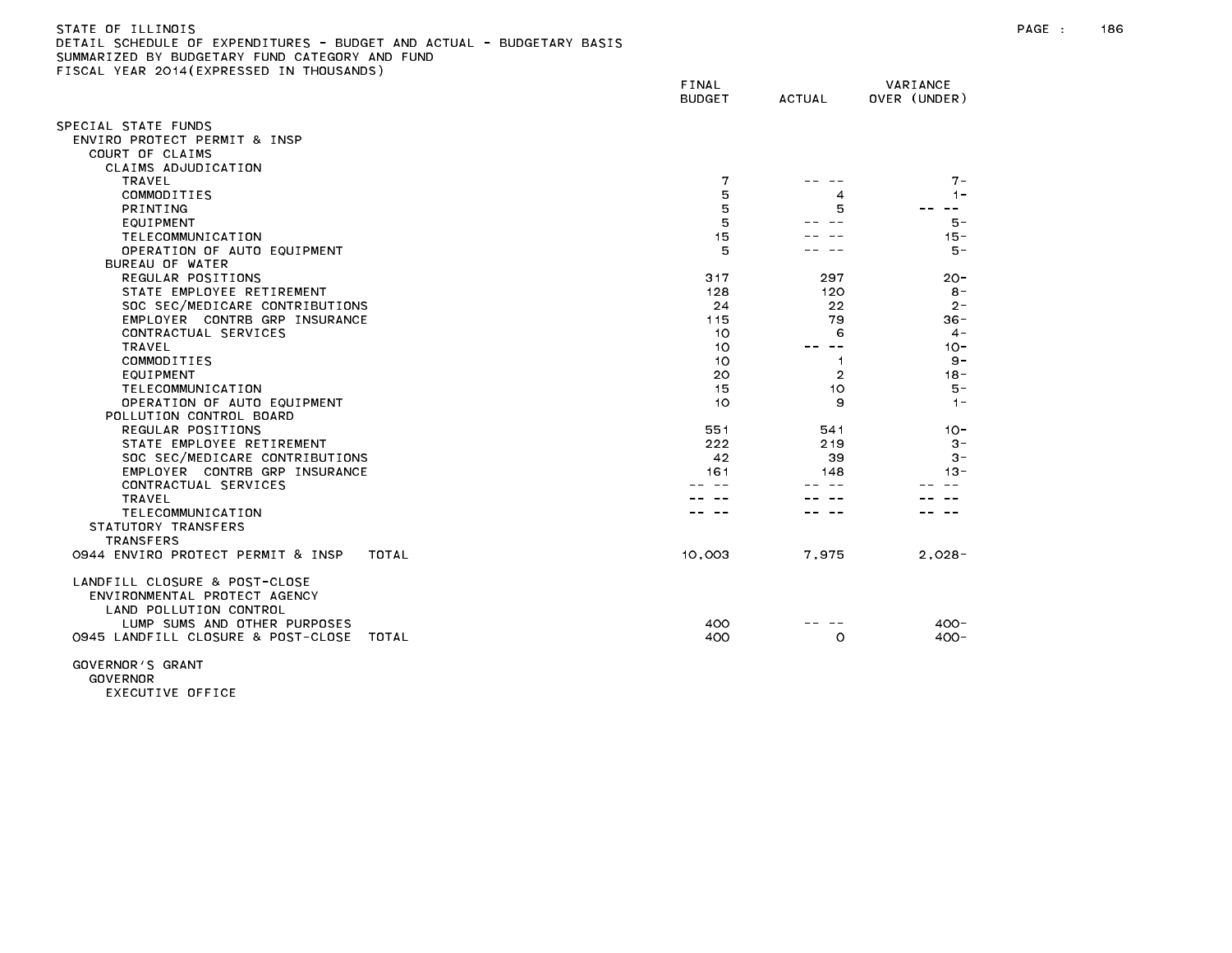| SUMMARIZED BY BUDGETARY FUND CATEGORY AND FUND                                          |                        |                |                          |  |
|-----------------------------------------------------------------------------------------|------------------------|----------------|--------------------------|--|
| FISCAL YEAR 2014(EXPRESSED IN THOUSANDS)                                                | FINAL<br><b>BUDGET</b> | <b>ACTUAL</b>  | VARIANCE<br>OVER (UNDER) |  |
|                                                                                         |                        |                |                          |  |
| SPECIAL STATE FUNDS                                                                     |                        |                |                          |  |
| ENVIRO PROTECT PERMIT & INSP                                                            |                        |                |                          |  |
| COURT OF CLAIMS                                                                         |                        |                |                          |  |
| CLAIMS ADJUDICATION                                                                     |                        |                |                          |  |
| TRAVEL                                                                                  | 7                      |                | $7 -$                    |  |
| COMMODITIES                                                                             | 5                      | 4              | $1 -$                    |  |
| PRINTING                                                                                | 5                      | 5              | $- -$                    |  |
| <b>EQUIPMENT</b>                                                                        | 5                      |                | $5 -$                    |  |
| TELECOMMUNICATION                                                                       | 15                     |                | $15 -$                   |  |
| OPERATION OF AUTO EQUIPMENT                                                             | 5                      |                | $5 -$                    |  |
| BUREAU OF WATER                                                                         |                        |                |                          |  |
| REGULAR POSITIONS                                                                       | 317                    | 297            | $20 -$                   |  |
| STATE EMPLOYEE RETIREMENT                                                               | 128                    | 120            | $8 -$                    |  |
| SOC SEC/MEDICARE CONTRIBUTIONS                                                          | 24                     | 22             | $2 -$                    |  |
| EMPLOYER CONTRB GRP INSURANCE                                                           | 115                    | 79             | $36 -$                   |  |
| CONTRACTUAL SERVICES                                                                    | 10                     | 6              | $4 -$                    |  |
| TRAVEL                                                                                  | 10                     |                | $10 -$                   |  |
| COMMODITIES                                                                             | 10                     | -1             | $9 -$                    |  |
| EQUIPMENT                                                                               | 20                     | $\overline{2}$ | $18 -$                   |  |
| TELECOMMUNICATION                                                                       | 15                     | 10             | $5 -$                    |  |
| OPERATION OF AUTO EQUIPMENT                                                             | 10                     | 9              | $1 -$                    |  |
| POLLUTION CONTROL BOARD                                                                 |                        |                |                          |  |
| REGULAR POSITIONS                                                                       | 551                    | 541            | $10 -$                   |  |
| STATE EMPLOYEE RETIREMENT                                                               | 222                    | 219            | $3 -$                    |  |
| SOC SEC/MEDICARE CONTRIBUTIONS                                                          | 42                     | 39             | $3 -$                    |  |
| EMPLOYER CONTRB GRP INSURANCE                                                           | 161                    | 148            | $13 -$                   |  |
| CONTRACTUAL SERVICES                                                                    |                        |                |                          |  |
| TRAVEL                                                                                  |                        |                |                          |  |
| TELECOMMUNICATION                                                                       |                        |                |                          |  |
| STATUTORY TRANSFERS                                                                     |                        |                |                          |  |
| <b>TRANSFERS</b>                                                                        |                        |                |                          |  |
| 0944 ENVIRO PROTECT PERMIT & INSP<br>TOTAL                                              | 10,003                 | 7,975          | $2,028-$                 |  |
| LANDFILL CLOSURE & POST-CLOSE<br>ENVIRONMENTAL PROTECT AGENCY<br>LAND POLLUTION CONTROL |                        |                |                          |  |
| LUMP SUMS AND OTHER PURPOSES                                                            | 400                    |                | $400 -$                  |  |
| 0945 LANDFILL CLOSURE & POST-CLOSE TOTAL                                                | 400                    | O              | $400 -$                  |  |
|                                                                                         |                        |                |                          |  |

DETAIL SCHEDULE OF EXPENDITURES - BUDGET AND ACTUAL - BUDGETARY BASIS

GOVERNOR'S GRANT GOVERNOR EXECUTIVE OFFICE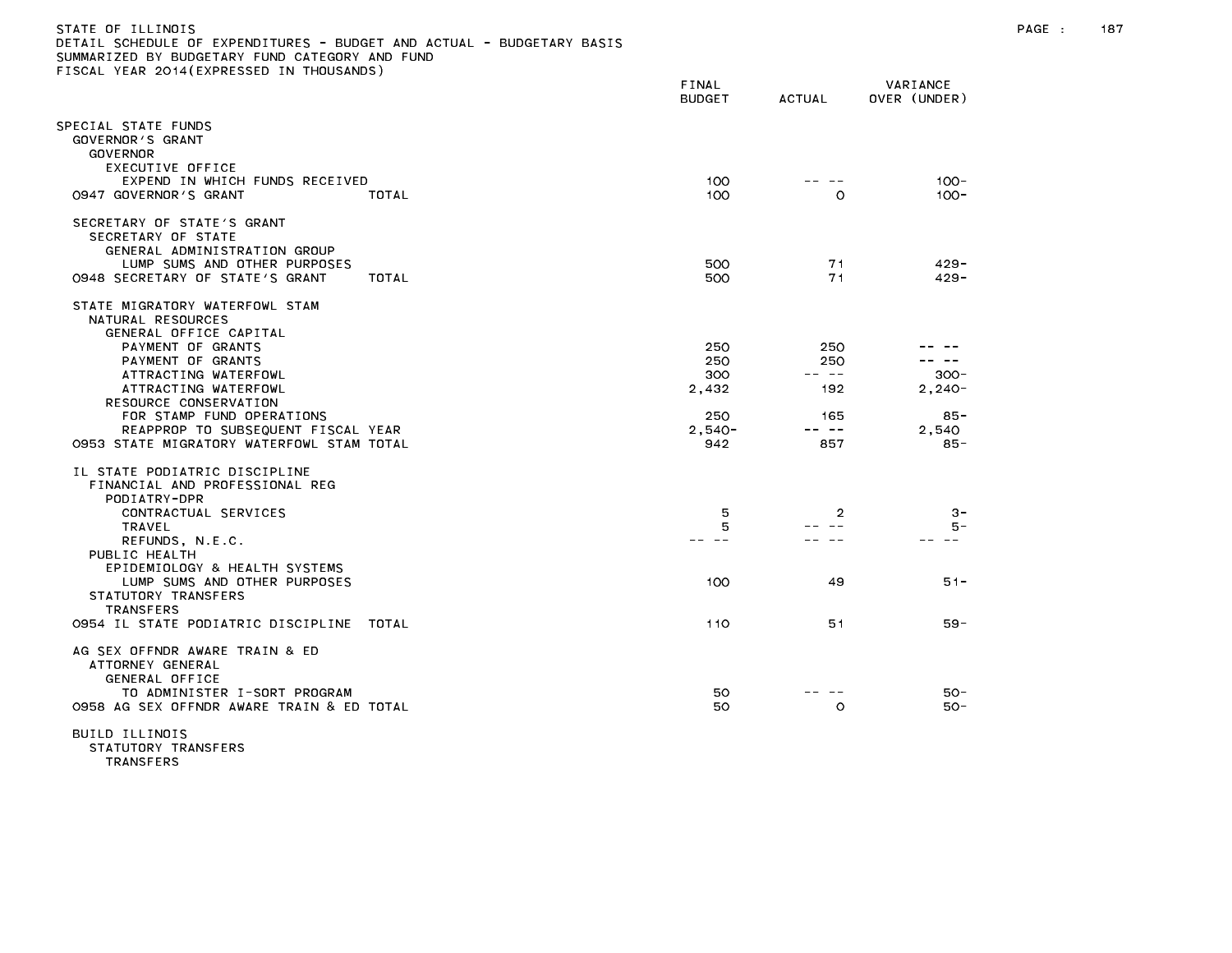| STATE OF ILLINOIS                                                     |
|-----------------------------------------------------------------------|
| DETAIL SCHEDULE OF EXPENDITURES - BUDGET AND ACTUAL - BUDGETARY BASIS |
| SUMMARIZED BY BUDGETARY FUND CATEGORY AND FUND                        |
| FISCAL YEAR 2014(EXPRESSED IN THOUSANDS)                              |

| TOORE TEAR ESTATEM RESSED                                                            | FINAL<br><b>BUDGET</b> | <b>ACTUAL</b>  | VARIANCE<br>OVER (UNDER) |
|--------------------------------------------------------------------------------------|------------------------|----------------|--------------------------|
| PECIAL STATE FUNDS<br>GOVERNOR'S GRANT<br><b>GOVERNOR</b>                            |                        |                |                          |
| EXECUTIVE OFFICE<br>EXPEND IN WHICH FUNDS RECEIVED<br>0947 GOVERNOR'S GRANT<br>TOTAL | 100<br>100             | $\circ$        | $100 -$<br>$100 -$       |
| SECRETARY OF STATE'S GRANT<br>SECRETARY OF STATE<br>GENERAL ADMINISTRATION GROUP     |                        |                |                          |
| LUMP SUMS AND OTHER PURPOSES<br>0948 SECRETARY OF STATE'S GRANT<br>TOTAL             | 500<br>500             | 71<br>71       | $429 -$<br>$429 -$       |
| STATE MIGRATORY WATERFOWL STAM<br>NATURAL RESOURCES<br>GENERAL OFFICE CAPITAL        |                        |                |                          |
| PAYMENT OF GRANTS                                                                    | 250                    | 250            |                          |
| PAYMENT OF GRANTS                                                                    | 250                    | 250            | $- -$                    |
| ATTRACTING WATERFOWL<br>ATTRACTING WATERFOWL                                         | 300<br>2,432           | -- --<br>192   | $300 -$<br>$2,240-$      |
| RESOURCE CONSERVATION                                                                |                        |                |                          |
| FOR STAMP FUND OPERATIONS                                                            | 250                    | 165            | $85 -$                   |
| REAPPROP TO SUBSEQUENT FISCAL YEAR                                                   | $2.540 -$              | -- --          | 2.540                    |
| 0953 STATE MIGRATORY WATERFOWL STAM TOTAL                                            | 942                    | 857            | $85 -$                   |
| IL STATE PODIATRIC DISCIPLINE<br>FINANCIAL AND PROFESSIONAL REG<br>PODIATRY-DPR      |                        |                |                          |
| CONTRACTUAL SERVICES                                                                 | 5                      | $\overline{2}$ | $3 -$                    |
| <b>TRAVEL</b><br>REFUNDS, N.E.C.                                                     | 5                      |                | 5 –                      |
| PUBLIC HEALTH<br>EPIDEMIOLOGY & HEALTH SYSTEMS                                       |                        |                |                          |
| LUMP SUMS AND OTHER PURPOSES<br>STATUTORY TRANSFERS<br><b>TRANSFERS</b>              | 100                    | 49             | $51 -$                   |
| 0954 IL STATE PODIATRIC DISCIPLINE<br>TOTAL                                          | 110                    | 51             | $59 -$                   |
| AG SEX OFFNDR AWARE TRAIN & ED<br>ATTORNEY GENERAL<br>GENERAL OFFICE                 |                        |                |                          |
| TO ADMINISTER I-SORT PROGRAM<br>0958 AG SEX OFFNDR AWARE TRAIN & ED TOTAL            | 50<br>50               | $\circ$        | 50-<br>50-               |
| BUILD ILLINOIS                                                                       |                        |                |                          |

STATUTORY TRANSFERS

TRANSFERS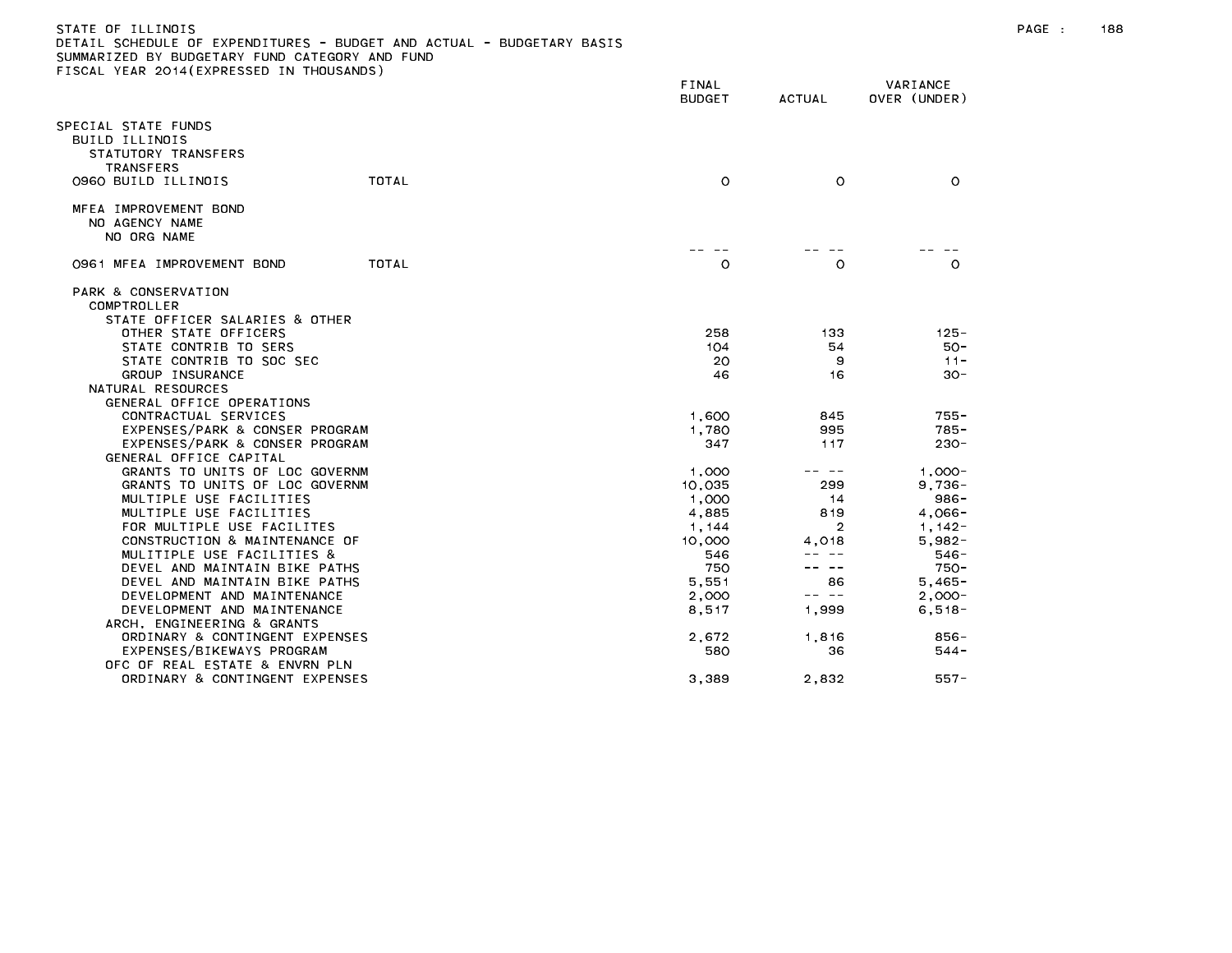## STATE OF ILLINOIS PAGE : 188 DETAIL SCHEDULE OF EXPENDITURES - BUDGET AND ACTUAL - BUDGETARY BASIS

|                                                                                 |       | FINAL<br><b>BUDGET</b> | <b>ACTUAL</b>  | VARIANCE<br>OVER (UNDER) |
|---------------------------------------------------------------------------------|-------|------------------------|----------------|--------------------------|
| PECIAL STATE FUNDS<br>BUILD ILLINOIS<br>STATUTORY TRANSFERS<br><b>TRANSFERS</b> |       |                        |                |                          |
| 0960 BUILD ILLINOIS                                                             | TOTAL | $\circ$                | $\circ$        | $\circ$                  |
| MFEA IMPROVEMENT BOND<br>NO AGENCY NAME<br>NO ORG NAME                          |       |                        |                |                          |
| 0961 MFEA IMPROVEMENT BOND                                                      | TOTAL | $\circ$                | O              | $\circ$                  |
| PARK & CONSERVATION<br>COMPTROLLER                                              |       |                        |                |                          |
| STATE OFFICER SALARIES & OTHER                                                  |       |                        |                |                          |
| OTHER STATE OFFICERS<br>STATE CONTRIB TO SERS                                   |       | 258<br>104             | 133<br>54      | $125 -$<br>$50 -$        |
| STATE CONTRIB TO SOC SEC                                                        |       | 20                     | 9              | $11 -$                   |
| GROUP INSURANCE                                                                 |       | 46                     | 16             | $30 -$                   |
| NATURAL RESOURCES                                                               |       |                        |                |                          |
| GENERAL OFFICE OPERATIONS                                                       |       |                        |                |                          |
| CONTRACTUAL SERVICES                                                            |       | 1,600                  | 845            | $755 -$                  |
| EXPENSES/PARK & CONSER PROGRAM                                                  |       | 1,780                  | 995            | $785 -$                  |
| EXPENSES/PARK & CONSER PROGRAM                                                  |       | 347                    | 117            | $230 -$                  |
| GENERAL OFFICE CAPITAL                                                          |       |                        |                |                          |
| GRANTS TO UNITS OF LOC GOVERNM                                                  |       | 1,000                  | $\sim$ $-$     | $1,000 -$                |
| GRANTS TO UNITS OF LOC GOVERNM                                                  |       | 10,035                 | 299            | $9,736 -$                |
| MULTIPLE USE FACILITIES                                                         |       | 1,000                  | 14             | $986 -$                  |
| MULTIPLE USE FACILITIES                                                         |       | 4,885                  | 819            | $4,066-$                 |
| FOR MULTIPLE USE FACILITES                                                      |       | 1, 144                 | $\overline{2}$ | $1,142-$                 |
| CONSTRUCTION & MAINTENANCE OF                                                   |       | 10,000                 | 4.018          | $5.982 -$                |
| MULITIPLE USE FACILITIES &                                                      |       | 546                    |                | $546 -$                  |
| DEVEL AND MAINTAIN BIKE PATHS                                                   |       | 750                    | $- -$          | $750 -$                  |
| DEVEL AND MAINTAIN BIKE PATHS                                                   |       | 5,551                  | 86             | $5,465 -$                |
| DEVELOPMENT AND MAINTENANCE                                                     |       | 2,000                  | -- --          | $2,000-$                 |
| DEVELOPMENT AND MAINTENANCE                                                     |       | 8,517                  | 1,999          | $6, 518 -$               |
| ARCH, ENGINEERING & GRANTS                                                      |       |                        |                |                          |
| ORDINARY & CONTINGENT EXPENSES                                                  |       | 2,672                  | 1.816          | 856 -                    |
| EXPENSES/BIKEWAYS PROGRAM                                                       |       | 580                    | 36             | $544 -$                  |
| OFC OF REAL ESTATE & ENVRN PLN                                                  |       |                        |                |                          |
| ORDINARY & CONTINGENT EXPENSES                                                  |       | 3,389                  | 2,832          | $557 -$                  |
|                                                                                 |       |                        |                |                          |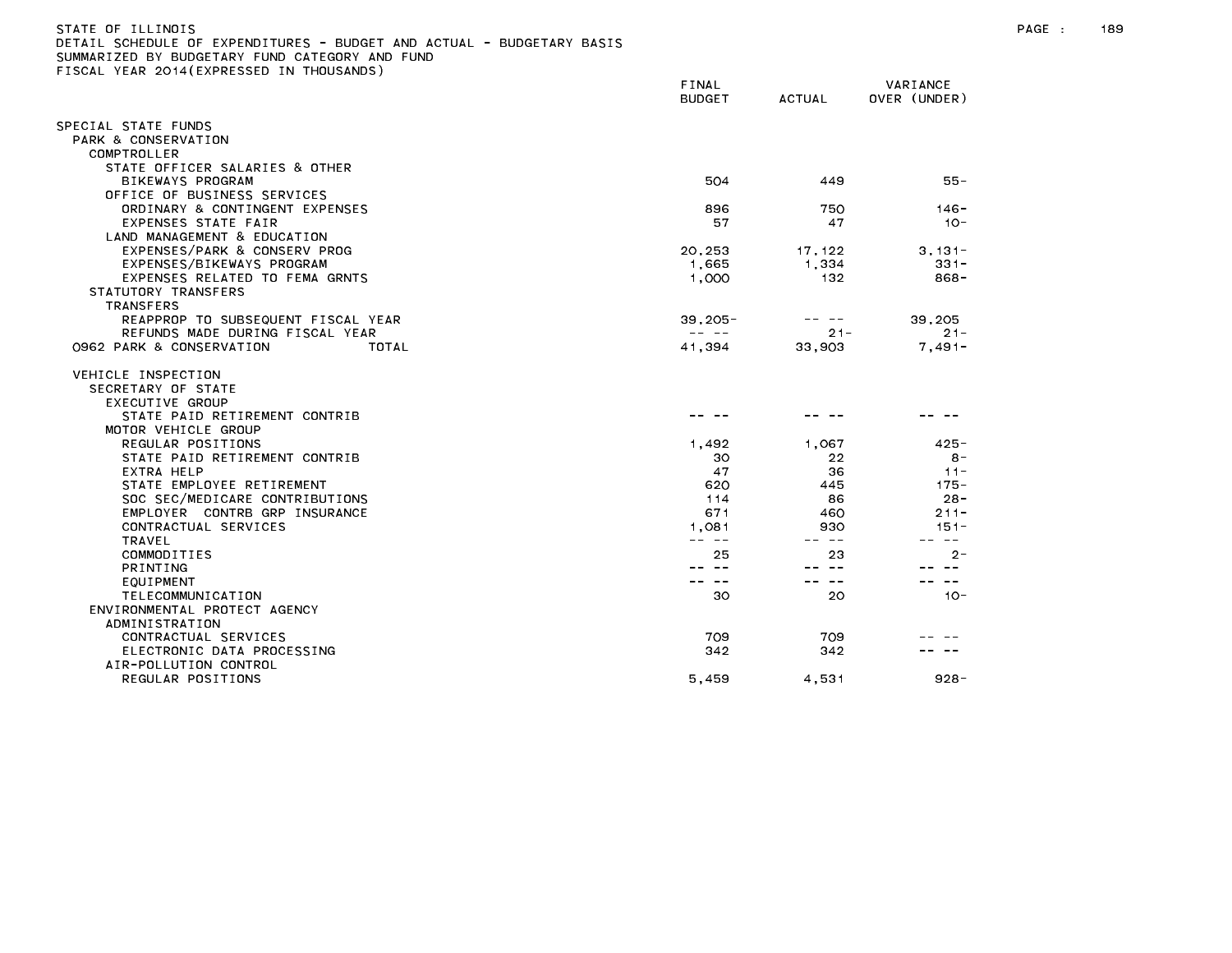| JETAIL SUMEDULE UF EXPENDITURES - BUDGET AND AUTUAL - BUDGETARY BASIS |                                                                                                                                                                                                                                                                                                                                                                                                       |              |                        |
|-----------------------------------------------------------------------|-------------------------------------------------------------------------------------------------------------------------------------------------------------------------------------------------------------------------------------------------------------------------------------------------------------------------------------------------------------------------------------------------------|--------------|------------------------|
| UMMARIZED BY BUDGETARY FUND CATEGORY AND FUND                         |                                                                                                                                                                                                                                                                                                                                                                                                       |              |                        |
| ISCAL YEAR 2014(EXPRESSED IN THOUSANDS)                               |                                                                                                                                                                                                                                                                                                                                                                                                       |              |                        |
|                                                                       | <b>FINAL</b>                                                                                                                                                                                                                                                                                                                                                                                          |              | VARIANCE               |
|                                                                       | <b>BUDGET</b>                                                                                                                                                                                                                                                                                                                                                                                         | ACTUAL       | OVER (UNDER)           |
| SPECIAL STATE FUNDS                                                   |                                                                                                                                                                                                                                                                                                                                                                                                       |              |                        |
| PARK & CONSERVATION                                                   |                                                                                                                                                                                                                                                                                                                                                                                                       |              |                        |
| COMPTROLLER                                                           |                                                                                                                                                                                                                                                                                                                                                                                                       |              |                        |
| STATE OFFICER SALARIES & OTHER                                        |                                                                                                                                                                                                                                                                                                                                                                                                       |              |                        |
| BIKEWAYS PROGRAM                                                      | 504                                                                                                                                                                                                                                                                                                                                                                                                   | 449          | 55 -                   |
| OFFICE OF BUSINESS SERVICES                                           |                                                                                                                                                                                                                                                                                                                                                                                                       |              |                        |
| ORDINARY & CONTINGENT EXPENSES                                        | 896                                                                                                                                                                                                                                                                                                                                                                                                   | 750          | $146 -$                |
| EXPENSES STATE FAIR                                                   | 57                                                                                                                                                                                                                                                                                                                                                                                                    | 47           | $10 -$                 |
| LAND MANAGEMENT & EDUCATION                                           |                                                                                                                                                                                                                                                                                                                                                                                                       |              |                        |
| EXPENSES/PARK & CONSERV PROG                                          | 20,253                                                                                                                                                                                                                                                                                                                                                                                                | 17,122       | $3,131-$               |
| EXPENSES/BIKEWAYS PROGRAM                                             | 1,665                                                                                                                                                                                                                                                                                                                                                                                                 | 1,334        | $331 -$                |
| EXPENSES RELATED TO FEMA GRNTS                                        | 1,000                                                                                                                                                                                                                                                                                                                                                                                                 | 132          | 868-                   |
| STATUTORY TRANSFERS                                                   |                                                                                                                                                                                                                                                                                                                                                                                                       |              |                        |
| <b>TRANSFERS</b>                                                      |                                                                                                                                                                                                                                                                                                                                                                                                       |              |                        |
| REAPPROP TO SUBSEQUENT FISCAL YEAR                                    | $39,205 -$                                                                                                                                                                                                                                                                                                                                                                                            | -- --        | 39,205                 |
| REFUNDS MADE DURING FISCAL YEAR                                       | $\frac{1}{2} \frac{1}{2} \frac{1}{2} \frac{1}{2} \frac{1}{2} \frac{1}{2} \frac{1}{2} \frac{1}{2} \frac{1}{2} \frac{1}{2} \frac{1}{2} \frac{1}{2} \frac{1}{2} \frac{1}{2} \frac{1}{2} \frac{1}{2} \frac{1}{2} \frac{1}{2} \frac{1}{2} \frac{1}{2} \frac{1}{2} \frac{1}{2} \frac{1}{2} \frac{1}{2} \frac{1}{2} \frac{1}{2} \frac{1}{2} \frac{1}{2} \frac{1}{2} \frac{1}{2} \frac{1}{2} \frac{$          | $21 -$       | $21 -$                 |
| 0962 PARK & CONSERVATION<br>TOTAL                                     | 41,394                                                                                                                                                                                                                                                                                                                                                                                                | 33,903       | $7,491-$               |
|                                                                       |                                                                                                                                                                                                                                                                                                                                                                                                       |              |                        |
| VEHICLE INSPECTION                                                    |                                                                                                                                                                                                                                                                                                                                                                                                       |              |                        |
| SECRETARY OF STATE                                                    |                                                                                                                                                                                                                                                                                                                                                                                                       |              |                        |
| EXECUTIVE GROUP                                                       |                                                                                                                                                                                                                                                                                                                                                                                                       |              |                        |
| STATE PAID RETIREMENT CONTRIB                                         |                                                                                                                                                                                                                                                                                                                                                                                                       |              |                        |
| MOTOR VEHICLE GROUP                                                   |                                                                                                                                                                                                                                                                                                                                                                                                       |              |                        |
| REGULAR POSITIONS                                                     | 1,492                                                                                                                                                                                                                                                                                                                                                                                                 | 1.067        | $425 -$                |
| STATE PAID RETIREMENT CONTRIB                                         | 30                                                                                                                                                                                                                                                                                                                                                                                                    | 22           | $8 -$                  |
| EXTRA HELP                                                            | 47                                                                                                                                                                                                                                                                                                                                                                                                    | 36           | $11 -$                 |
| STATE EMPLOYEE RETIREMENT                                             | 620                                                                                                                                                                                                                                                                                                                                                                                                   | 445          | $175 -$                |
| SOC SEC/MEDICARE CONTRIBUTIONS<br>EMPLOYER CONTRB GRP INSURANCE       | 114<br>671                                                                                                                                                                                                                                                                                                                                                                                            | 86           | $28 -$                 |
|                                                                       |                                                                                                                                                                                                                                                                                                                                                                                                       | 460          | $211 -$                |
| CONTRACTUAL SERVICES                                                  | 1,081<br>$\frac{1}{2} \frac{1}{2} \frac{1}{2} \frac{1}{2} \frac{1}{2} \frac{1}{2} \frac{1}{2} \frac{1}{2} \frac{1}{2} \frac{1}{2} \frac{1}{2} \frac{1}{2} \frac{1}{2} \frac{1}{2} \frac{1}{2} \frac{1}{2} \frac{1}{2} \frac{1}{2} \frac{1}{2} \frac{1}{2} \frac{1}{2} \frac{1}{2} \frac{1}{2} \frac{1}{2} \frac{1}{2} \frac{1}{2} \frac{1}{2} \frac{1}{2} \frac{1}{2} \frac{1}{2} \frac{1}{2} \frac{$ | 930<br>-- -- | $151 -$<br>$\sim$ $ -$ |
| TRAVEL                                                                |                                                                                                                                                                                                                                                                                                                                                                                                       | 23           | $2 -$                  |
| COMMODITIES                                                           | 25                                                                                                                                                                                                                                                                                                                                                                                                    | $\sim$ $-$   | $\sim$ $\sim$          |
| <b>PRINTING</b>                                                       | $\sim$ $-$                                                                                                                                                                                                                                                                                                                                                                                            | $- -$        | $\sim$ $\sim$          |
| EQUIPMENT                                                             | 30                                                                                                                                                                                                                                                                                                                                                                                                    | 20           | $10 -$                 |
| TELECOMMUNICATION                                                     |                                                                                                                                                                                                                                                                                                                                                                                                       |              |                        |
| ENVIRONMENTAL PROTECT AGENCY                                          |                                                                                                                                                                                                                                                                                                                                                                                                       |              |                        |
| ADMINISTRATION<br>CONTRACTUAL SERVICES                                | 709                                                                                                                                                                                                                                                                                                                                                                                                   | 709          |                        |
|                                                                       | 342                                                                                                                                                                                                                                                                                                                                                                                                   | 342          |                        |
| ELECTRONIC DATA PROCESSING                                            |                                                                                                                                                                                                                                                                                                                                                                                                       |              |                        |
| AIR-POLLUTION CONTROL                                                 |                                                                                                                                                                                                                                                                                                                                                                                                       |              | $928 -$                |
| REGULAR POSITIONS                                                     | 5,459                                                                                                                                                                                                                                                                                                                                                                                                 | 4,531        |                        |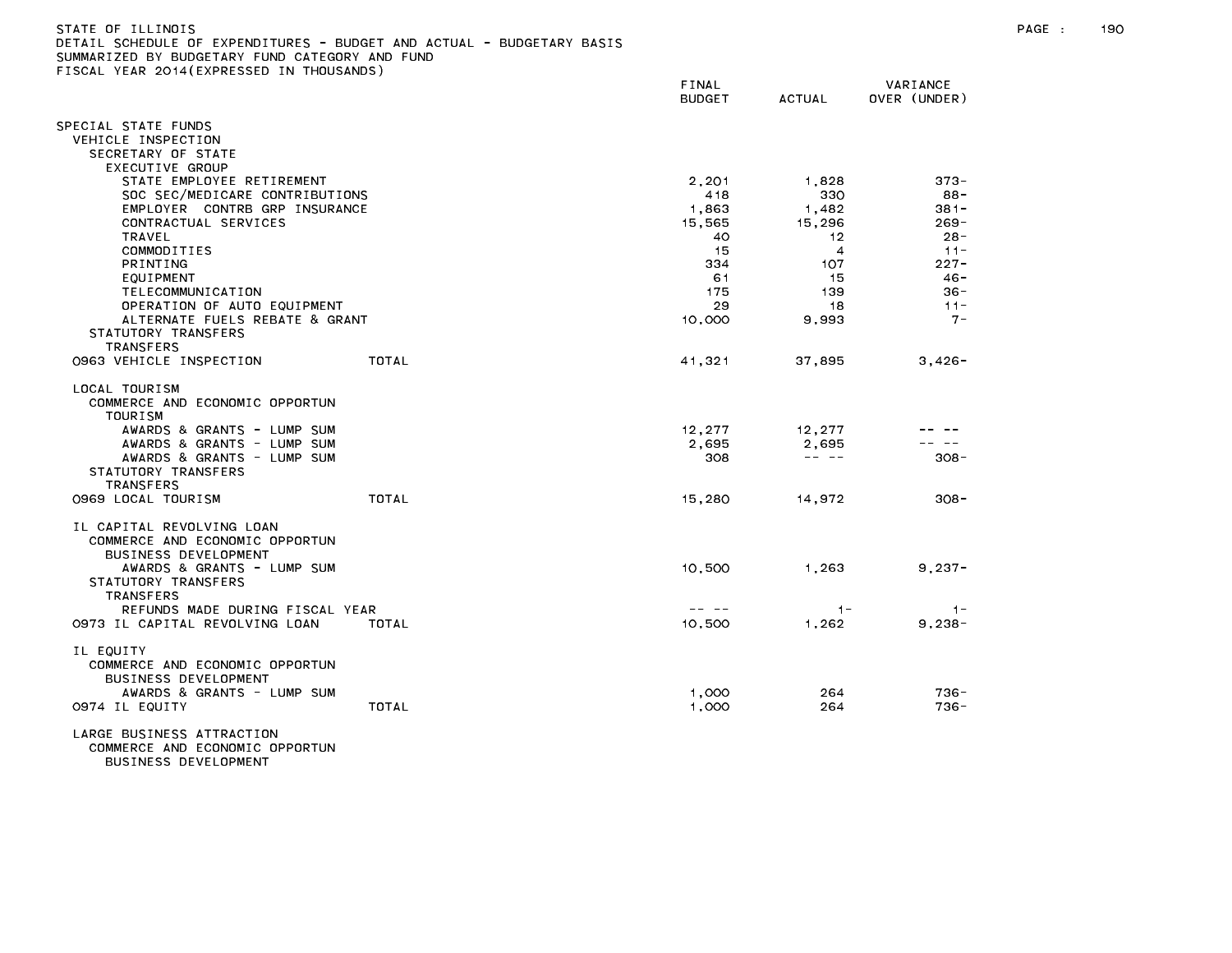| STATE OF ILLINOIS<br>DETAIL SCHEDULE OF EXPENDITURES - BUDGET AND ACTUAL - BUDGETARY BASIS<br>SUMMARIZED BY BUDGETARY FUND CATEGORY AND FUND<br>FISCAL YEAR 2014(EXPRESSED IN THOUSANDS) | FINAL<br><b>BUDGET</b> | ACTUAL | VARIANCE<br>OVER (UNDER) |
|------------------------------------------------------------------------------------------------------------------------------------------------------------------------------------------|------------------------|--------|--------------------------|
| SPECIAL STATE FUNDS<br>VEHICLE INSPECTION<br>SECRETARY OF STATE                                                                                                                          |                        |        |                          |

| STATE EMPLUTEE RETIREMENT       |       | 2,201  | 1,020                                                                                                                                                                                                                                                                                                                                                                                        | <i>oro</i> - |
|---------------------------------|-------|--------|----------------------------------------------------------------------------------------------------------------------------------------------------------------------------------------------------------------------------------------------------------------------------------------------------------------------------------------------------------------------------------------------|--------------|
| SOC SEC/MEDICARE CONTRIBUTIONS  |       | 418    | 330                                                                                                                                                                                                                                                                                                                                                                                          | 88-          |
| EMPLOYER CONTRB GRP INSURANCE   |       | 1,863  | 1,482                                                                                                                                                                                                                                                                                                                                                                                        | $381 -$      |
| CONTRACTUAL SERVICES            |       | 15,565 | 15,296                                                                                                                                                                                                                                                                                                                                                                                       | $269 -$      |
| <b>TRAVEL</b>                   |       | 40     | 12                                                                                                                                                                                                                                                                                                                                                                                           | $28 -$       |
| COMMODITIES                     |       | 15     | $\overline{4}$                                                                                                                                                                                                                                                                                                                                                                               | $11 -$       |
| <b>PRINTING</b>                 |       | 334    | 107                                                                                                                                                                                                                                                                                                                                                                                          | $227 -$      |
|                                 |       |        |                                                                                                                                                                                                                                                                                                                                                                                              |              |
| EQUIPMENT                       |       | 61     | 15                                                                                                                                                                                                                                                                                                                                                                                           | $46 -$       |
| TELECOMMUNICATION               |       | 175    | 139                                                                                                                                                                                                                                                                                                                                                                                          | $36 -$       |
| OPERATION OF AUTO EQUIPMENT     |       | 29     | 18                                                                                                                                                                                                                                                                                                                                                                                           | $11 -$       |
| ALTERNATE FUELS REBATE & GRANT  |       | 10,000 | 9,993                                                                                                                                                                                                                                                                                                                                                                                        | $7 -$        |
| STATUTORY TRANSFERS             |       |        |                                                                                                                                                                                                                                                                                                                                                                                              |              |
| <b>TRANSFERS</b>                |       |        |                                                                                                                                                                                                                                                                                                                                                                                              |              |
| 0963 VEHICLE INSPECTION         | TOTAL | 41,321 | 37,895                                                                                                                                                                                                                                                                                                                                                                                       | $3,426-$     |
|                                 |       |        |                                                                                                                                                                                                                                                                                                                                                                                              |              |
| LOCAL TOURISM                   |       |        |                                                                                                                                                                                                                                                                                                                                                                                              |              |
| COMMERCE AND ECONOMIC OPPORTUN  |       |        |                                                                                                                                                                                                                                                                                                                                                                                              |              |
| <b>TOURISM</b>                  |       |        |                                                                                                                                                                                                                                                                                                                                                                                              |              |
|                                 |       |        |                                                                                                                                                                                                                                                                                                                                                                                              |              |
| AWARDS & GRANTS - LUMP SUM      |       | 12,277 | 12,277                                                                                                                                                                                                                                                                                                                                                                                       |              |
| AWARDS & GRANTS - LUMP SUM      |       | 2.695  | 2.695                                                                                                                                                                                                                                                                                                                                                                                        |              |
| AWARDS & GRANTS - LUMP SUM      |       | 308    | $\frac{1}{2} \frac{1}{2} \frac{1}{2} \frac{1}{2} \frac{1}{2} \frac{1}{2} \frac{1}{2} \frac{1}{2} \frac{1}{2} \frac{1}{2} \frac{1}{2} \frac{1}{2} \frac{1}{2} \frac{1}{2} \frac{1}{2} \frac{1}{2} \frac{1}{2} \frac{1}{2} \frac{1}{2} \frac{1}{2} \frac{1}{2} \frac{1}{2} \frac{1}{2} \frac{1}{2} \frac{1}{2} \frac{1}{2} \frac{1}{2} \frac{1}{2} \frac{1}{2} \frac{1}{2} \frac{1}{2} \frac{$ | $308 -$      |
| STATUTORY TRANSFERS             |       |        |                                                                                                                                                                                                                                                                                                                                                                                              |              |
| <b>TRANSFERS</b>                |       |        |                                                                                                                                                                                                                                                                                                                                                                                              |              |
| 0969 LOCAL TOURISM              | TOTAL | 15,280 | 14,972                                                                                                                                                                                                                                                                                                                                                                                       | $308 -$      |
|                                 |       |        |                                                                                                                                                                                                                                                                                                                                                                                              |              |
| IL CAPITAL REVOLVING LOAN       |       |        |                                                                                                                                                                                                                                                                                                                                                                                              |              |
| COMMERCE AND ECONOMIC OPPORTUN  |       |        |                                                                                                                                                                                                                                                                                                                                                                                              |              |
| <b>BUSINESS DEVELOPMENT</b>     |       |        |                                                                                                                                                                                                                                                                                                                                                                                              |              |
|                                 |       |        |                                                                                                                                                                                                                                                                                                                                                                                              |              |
| AWARDS & GRANTS - LUMP SUM      |       | 10,500 | 1,263                                                                                                                                                                                                                                                                                                                                                                                        | $9,237-$     |
| STATUTORY TRANSFERS             |       |        |                                                                                                                                                                                                                                                                                                                                                                                              |              |
| <b>TRANSFERS</b>                |       |        |                                                                                                                                                                                                                                                                                                                                                                                              |              |
| REFUNDS MADE DURING FISCAL YEAR |       |        | $1 -$                                                                                                                                                                                                                                                                                                                                                                                        | $1 -$        |
| 0973 IL CAPITAL REVOLVING LOAN  | TOTAL | 10.500 | 1,262                                                                                                                                                                                                                                                                                                                                                                                        | $9,238-$     |
|                                 |       |        |                                                                                                                                                                                                                                                                                                                                                                                              |              |
| IL EQUITY                       |       |        |                                                                                                                                                                                                                                                                                                                                                                                              |              |
| COMMERCE AND ECONOMIC OPPORTUN  |       |        |                                                                                                                                                                                                                                                                                                                                                                                              |              |
| <b>BUSINESS DEVELOPMENT</b>     |       |        |                                                                                                                                                                                                                                                                                                                                                                                              |              |
| AWARDS & GRANTS - LUMP SUM      |       | 1,000  | 264                                                                                                                                                                                                                                                                                                                                                                                          | $736 -$      |
|                                 |       |        |                                                                                                                                                                                                                                                                                                                                                                                              |              |
| 0974 IL EQUITY                  | TOTAL | 1,000  | 264                                                                                                                                                                                                                                                                                                                                                                                          | $736 -$      |
|                                 |       |        |                                                                                                                                                                                                                                                                                                                                                                                              |              |

LARGE BUSINESS ATTRACTION COMMERCE AND ECONOMIC OPPORTUN BUSINESS DEVELOPMENT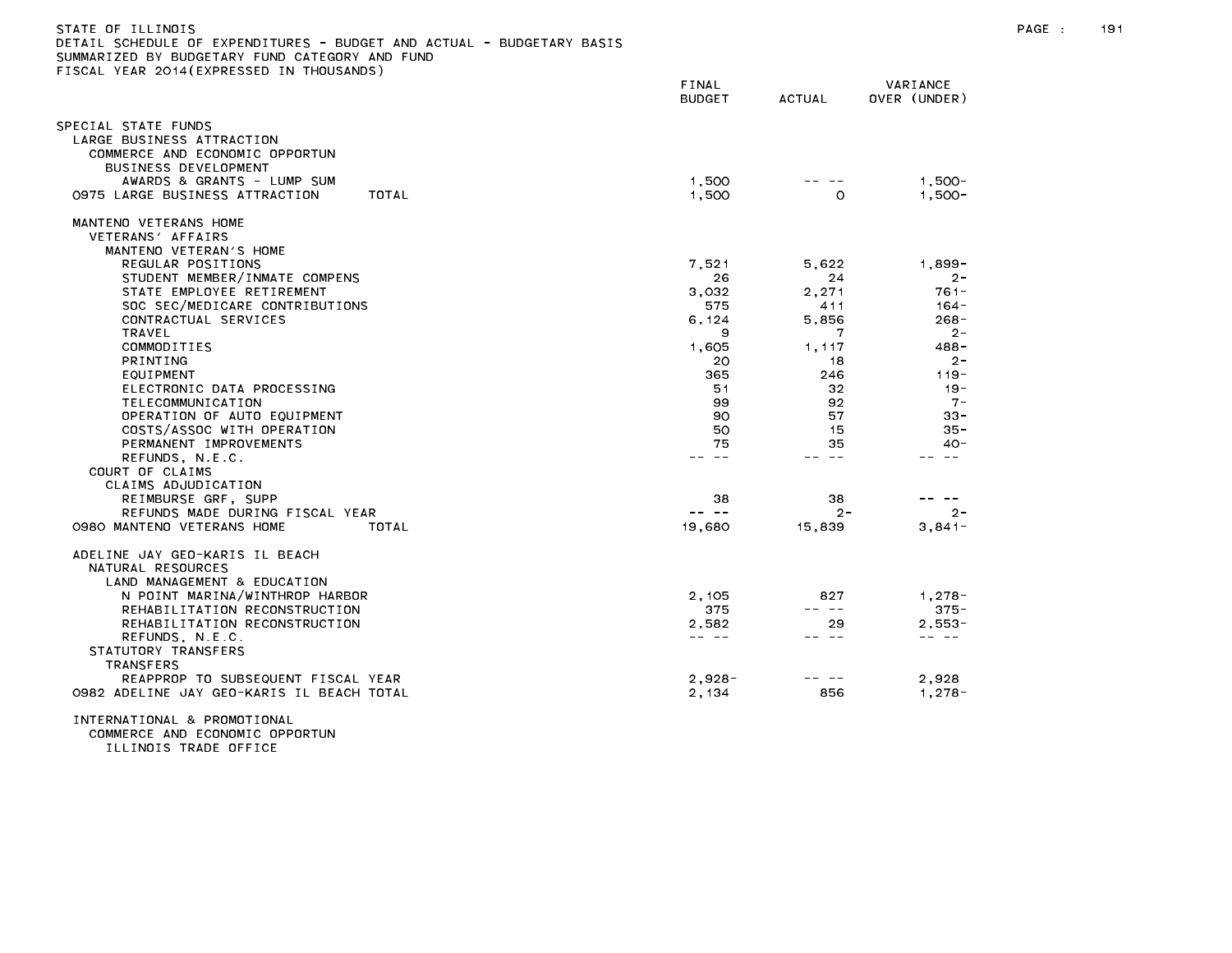| DETAIL SCHEDULE OF EXPENDITURES - BUDGET AND ACTUAL - BUDGETARY BASIS<br>SUMMARIZED BY BUDGETARY FUND CATEGORY AND FUND<br>FISCAL YEAR 2014(EXPRESSED IN THOUSANDS) |                        |               |                          |
|---------------------------------------------------------------------------------------------------------------------------------------------------------------------|------------------------|---------------|--------------------------|
|                                                                                                                                                                     | FINAL<br><b>BUDGET</b> | <b>ACTUAL</b> | VARIANCE<br>OVER (UNDER) |
| SPECIAL STATE FUNDS                                                                                                                                                 |                        |               |                          |
| LARGE BUSINESS ATTRACTION                                                                                                                                           |                        |               |                          |
| COMMERCE AND ECONOMIC OPPORTUN                                                                                                                                      |                        |               |                          |
| BUSINESS DEVELOPMENT                                                                                                                                                |                        |               |                          |
| AWARDS & GRANTS - LUMP SUM<br>0975 LARGE BUSINESS ATTRACTION                                                                                                        | 1,500                  |               | $1,500-$<br>$1.500 -$    |
| TOTAL                                                                                                                                                               | 1,500                  | O             |                          |
| MANTENO VETERANS HOME                                                                                                                                               |                        |               |                          |
| VETERANS' AFFAIRS                                                                                                                                                   |                        |               |                          |
| MANTENO VETERAN'S HOME                                                                                                                                              |                        |               |                          |
| REGULAR POSITIONS<br>STUDENT MEMBER/INMATE COMPENS                                                                                                                  | 7.521<br>26            | 5.622<br>24   | 1.899-<br>$2 -$          |
| STATE EMPLOYEE RETIREMENT                                                                                                                                           | 3,032                  | 2,271         | $761 -$                  |
| SOC SEC/MEDICARE CONTRIBUTIONS                                                                                                                                      | 575                    | 411           | $164 -$                  |
| CONTRACTUAL SERVICES                                                                                                                                                | 6, 124                 | 5,856         | $268 -$                  |
| TRAVEL                                                                                                                                                              | 9                      | 7             | $2 -$                    |
| COMMODITIES                                                                                                                                                         | 1.605                  | 1.117         | 488-                     |
| <b>PRINTING</b>                                                                                                                                                     | 20                     | 18            | $2 -$                    |
| EQUIPMENT                                                                                                                                                           | 365                    | 246           | $119 -$                  |
| ELECTRONIC DATA PROCESSING                                                                                                                                          | 51                     | 32            | $19 -$                   |
| TELECOMMUNICATION                                                                                                                                                   | 99                     | 92            | $7 -$                    |
| OPERATION OF AUTO EQUIPMENT                                                                                                                                         | 90                     | 57            | 33-                      |
| COSTS/ASSOC WITH OPERATION                                                                                                                                          | 50                     | 15            | $35 -$                   |
| PERMANENT IMPROVEMENTS<br>REFUNDS, N.E.C.                                                                                                                           | 75<br>-- --            | 35<br>-- --   | $40 -$<br>-- --          |
| COURT OF CLAIMS                                                                                                                                                     |                        |               |                          |
| CLAIMS ADJUDICATION                                                                                                                                                 |                        |               |                          |
| REIMBURSE GRF. SUPP                                                                                                                                                 | 38                     | 38            |                          |
| REFUNDS MADE DURING FISCAL YEAR                                                                                                                                     | -- --                  | $2 -$         | $2 -$                    |
| 0980 MANTENO VETERANS HOME<br>TOTAL                                                                                                                                 | 19,680                 | 15,839        | $3,841-$                 |
| ADELINE JAY GEO-KARIS IL BEACH                                                                                                                                      |                        |               |                          |
| NATURAL RESOURCES                                                                                                                                                   |                        |               |                          |
| LAND MANAGEMENT & EDUCATION                                                                                                                                         |                        |               |                          |
| N POINT MARINA/WINTHROP HARBOR                                                                                                                                      | 2.105                  | 827           | $1.278 -$                |
| REHABILITATION RECONSTRUCTION                                                                                                                                       | 375                    | -- --         | $375 -$                  |
| REHABILITATION RECONSTRUCTION                                                                                                                                       | 2,582                  | 29            | $2,553-$                 |
| REFUNDS, N.E.C.                                                                                                                                                     | -- --                  | -- --         | -- --                    |
| STATUTORY TRANSFERS                                                                                                                                                 |                        |               |                          |
| TRANSFERS                                                                                                                                                           |                        |               |                          |
| REAPPROP TO SUBSEQUENT FISCAL YEAR                                                                                                                                  | $2,928 -$              | $- - -$       | 2.928                    |
| 0982 ADELINE JAY GEO-KARIS IL BEACH TOTAL                                                                                                                           | 2,134                  | 856           | $1,278-$                 |
| INTERNATIONAL & PROMOTIONAL                                                                                                                                         |                        |               |                          |

COMMERCE AND ECONOMIC OPPORTUN ILLINOIS TRADE OFFICE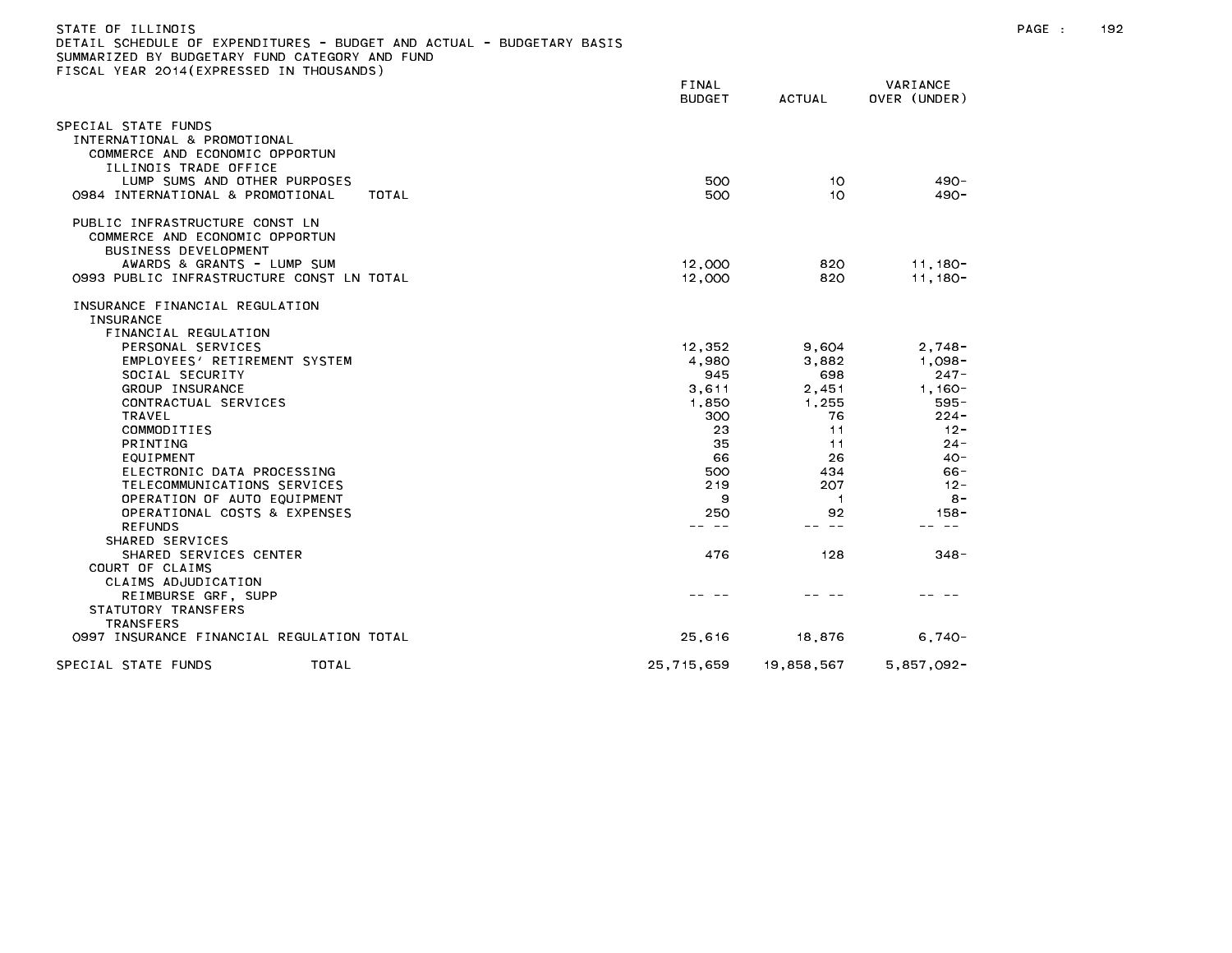| STATE OF ILLINOIS                                                     |
|-----------------------------------------------------------------------|
| DETAIL SCHEDULE OF EXPENDITURES - BUDGET AND ACTUAL - BUDGETARY BASIS |
| SUMMARIZED BY BUDGETARY FUND CATEGORY AND FUND                        |
| FISCAL YEAR 2014(EXPRESSED IN THOUSANDS)                              |

|                                                                                                               | FINAL<br><b>BUDGET</b> | <b>ACTUAL</b> | VARIANCE<br>OVER (UNDER) |  |
|---------------------------------------------------------------------------------------------------------------|------------------------|---------------|--------------------------|--|
| SPECIAL STATE FUNDS<br>INTERNATIONAL & PROMOTIONAL<br>COMMERCE AND ECONOMIC OPPORTUN<br>ILLINOIS TRADE OFFICE |                        |               |                          |  |
| LUMP SUMS AND OTHER PURPOSES<br>0984 INTERNATIONAL & PROMOTIONAL<br>TOTAL                                     | 500<br>500             | 10<br>10      | $490 -$<br>$490 -$       |  |
| PUBLIC INFRASTRUCTURE CONST LN<br>COMMERCE AND ECONOMIC OPPORTUN<br><b>BUSINESS DEVELOPMENT</b>               |                        |               |                          |  |
| AWARDS & GRANTS - LUMP SUM                                                                                    | 12,000                 | 820           | $11,180-$                |  |
| 0993 PUBLIC INFRASTRUCTURE CONST LN TOTAL                                                                     | 12,000                 | 820           | $11,180-$                |  |
| INSURANCE FINANCIAL REGULATION<br><b>INSURANCE</b><br>FINANCIAL REGULATION                                    |                        |               |                          |  |
| PERSONAL SERVICES                                                                                             | 12,352                 | 9,604         | $2,748-$                 |  |
| EMPLOYEES' RETIREMENT SYSTEM                                                                                  | 4,980                  | 3,882         | $1,098-$                 |  |
| SOCIAL SECURITY                                                                                               | 945                    | 698           | $247 -$                  |  |
| GROUP INSURANCE                                                                                               | 3,611                  | 2,451         | $1.160 -$                |  |
| CONTRACTUAL SERVICES                                                                                          | 1,850                  | 1,255         | 595-                     |  |
| TRAVEL                                                                                                        | 300                    | 76            | $224 -$                  |  |
| COMMODITIES                                                                                                   | 23                     | 11            | $12 -$                   |  |
| <b>PRINTING</b>                                                                                               | 35                     | 11            | $24 -$                   |  |
| EQUIPMENT                                                                                                     | 66                     | 26            | $40 -$                   |  |
| ELECTRONIC DATA PROCESSING                                                                                    | 500                    | 434           | 66-                      |  |
| TELECOMMUNICATIONS SERVICES                                                                                   | 219                    | 207           | $12 -$                   |  |
| OPERATION OF AUTO EQUIPMENT                                                                                   | 9                      | 1             | $8 -$                    |  |
| OPERATIONAL COSTS & EXPENSES                                                                                  | 250                    | 92            | $158 -$                  |  |
| <b>REFUNDS</b>                                                                                                |                        | $- -$         |                          |  |
| SHARED SERVICES                                                                                               |                        |               |                          |  |
| SHARED SERVICES CENTER                                                                                        | 476                    | 128           | $348 -$                  |  |
| COURT OF CLAIMS                                                                                               |                        |               |                          |  |
| CLAIMS ADJUDICATION                                                                                           |                        |               |                          |  |
| REIMBURSE GRF, SUPP                                                                                           |                        |               |                          |  |
| STATUTORY TRANSFERS                                                                                           |                        |               |                          |  |
| <b>TRANSFERS</b>                                                                                              |                        |               |                          |  |
| 0997 INSURANCE FINANCIAL REGULATION TOTAL                                                                     | 25,616                 | 18,876        | $6,740-$                 |  |
| SPECIAL STATE FUNDS<br>TOTAL                                                                                  | 25, 715, 659           | 19,858,567    | $5,857,092 -$            |  |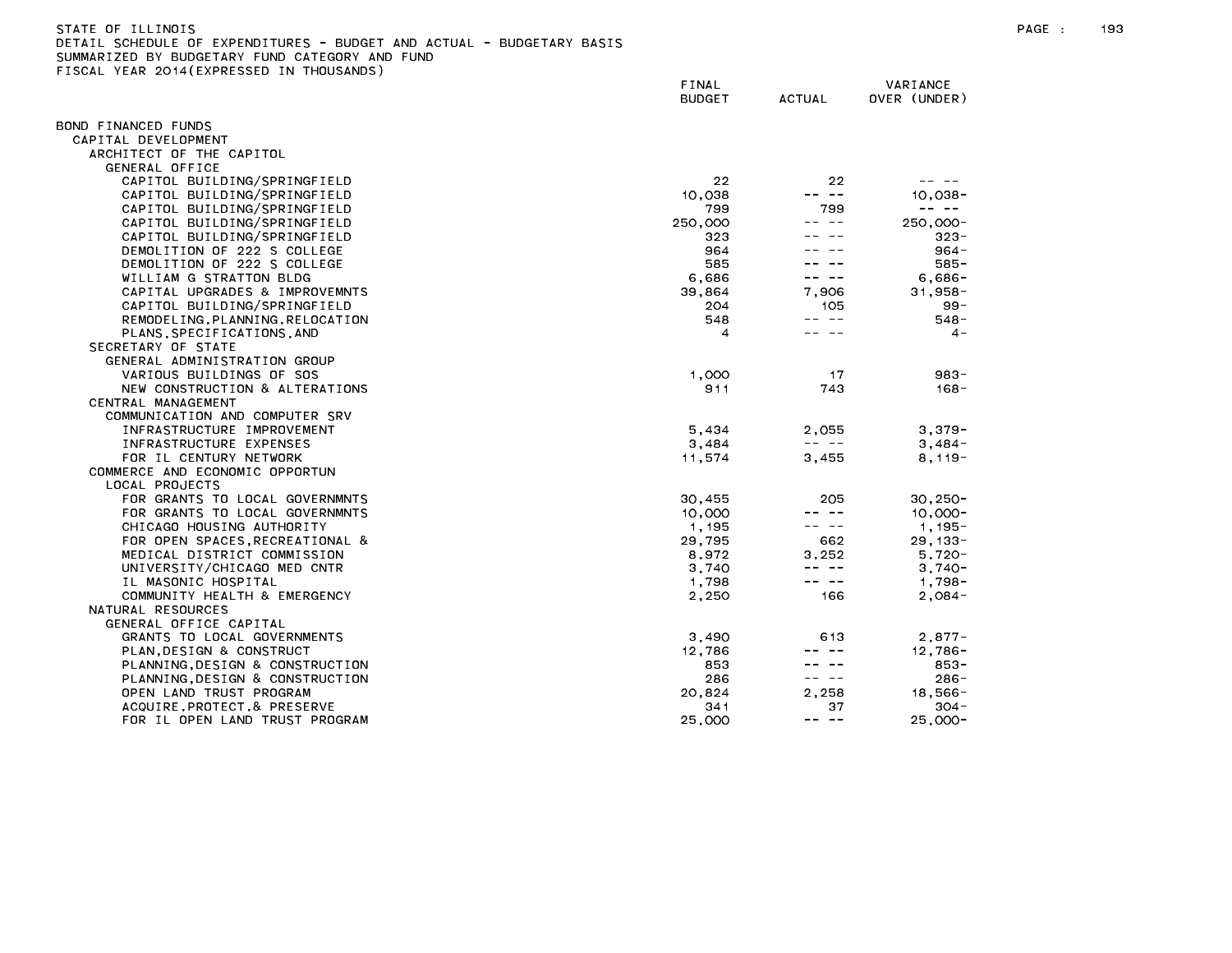| STATE OF ILLINOIS |                                                                       | PAGE |
|-------------------|-----------------------------------------------------------------------|------|
|                   | DETAIL SCHEDULE OF EXPENDITURES - BUDGET AND ACTUAL - BUDGETARY BASIS |      |
|                   | SUMMARIZED BY BUDGETARY FUND CATEGORY AND<br>FUND                     |      |

FINAL VARIANCE BUDGET ACTUAL OVER (UNDER) BOND FINANCED FUNDS CAPITAL DEVELOPMENT ARCHITECT OF THE CAPITOL GENERAL OFFICE CAPITOL BUILDING/SPRINGFIELD 22 22 -- -- CAPITOL BUILDING/SPRINGFIELD 10,038 ---- 10,038-CAPITOL BUILDING/SPRINGFIELD 799 799 -- -- CAPITOL BUILDING/SPRINGFIELD 250,000 -- -- 250,000- CAPITOL BUILDING/SPRINGFIELD 323 ---- 323-DEMOLITION OF 222 S COLLEGE 964 -- -- 964- DEMOLITION OF 222 S COLLEGE 585 -- -- 585- WILLIAM G STRATTON BLDG 6,686 -- -- 6,686- CAPITAL UPGRADES & IMPROVEMNTS 39,864 7,906 31,958- CAPITOL BUILDING/SPRINGFIELD 204 105 99- REMODELING, PLANNING, RELOCATION 548 --- -- 548 --- 548-PLANS,SPECIFICATIONS,AND 4 -- -- 4- SECRETARY OF STATE GENERAL ADMINISTRATION GROUP VARIOUS BUILDINGS OF SOS 1,000 17 983- NEW CONSTRUCTION & ALTERATIONS AND RESERVE THE SERVER SERVER AND RESERVE THE SERVER SERVER SERVER AND RESERVE CENTRAL MANAGEMENT COMMUNICATION AND COMPUTER SRV INFRASTRUCTURE IMPROVEMENT 5,434 2,055 3,379- FOR IL CENTURY NETWORK 11,574 3,455 8,119- COMMERCE AND ECONOMIC OPPORTUN LOCAL PROJECTS FOR GRANTS TO LOCAL GOVERNMNTS 30,455 205 30,250- FOR GRANTS TO LOCAL GOVERNMNTS 10,000 -- -- 10,000- CHICAGO HOUSING AUTHORITY 1,195 --- 1,195-FOR OPEN SPACES,RECREATIONAL & 29,795 662 29,133- MEDICAL DISTRICT COMMISSION 8,972 3,252 5,720- UNIVERSITY/CHICAGO MED CNTR 3,740 -- -- 3,740- IL MASONIC HOSPITAL 1,798 -- -- 1,798- COMMUNITY HEALTH & EMERGENCY 2,250 166 2,084- NATURAL RESOURCES GENERAL OFFICE CAPITAL GRANTS TO LOCAL GOVERNMENTS 3,490 613 2,877- PLAN, DESIGN & CONSTRUCT **12,786** --- 12,786 --- 12,786-PLANNING, DESIGN & CONSTRUCTION 853 ---- 853-PLANNING, DESIGN & CONSTRUCTION OPEN LAND TRUST PROGRAM 20,824 2,258 18,566- ACQUIRE,PROTECT,& PRESERVE 304-FOR IL OPEN LAND TRUST PROGRAM 25,000 -- -- 25,000-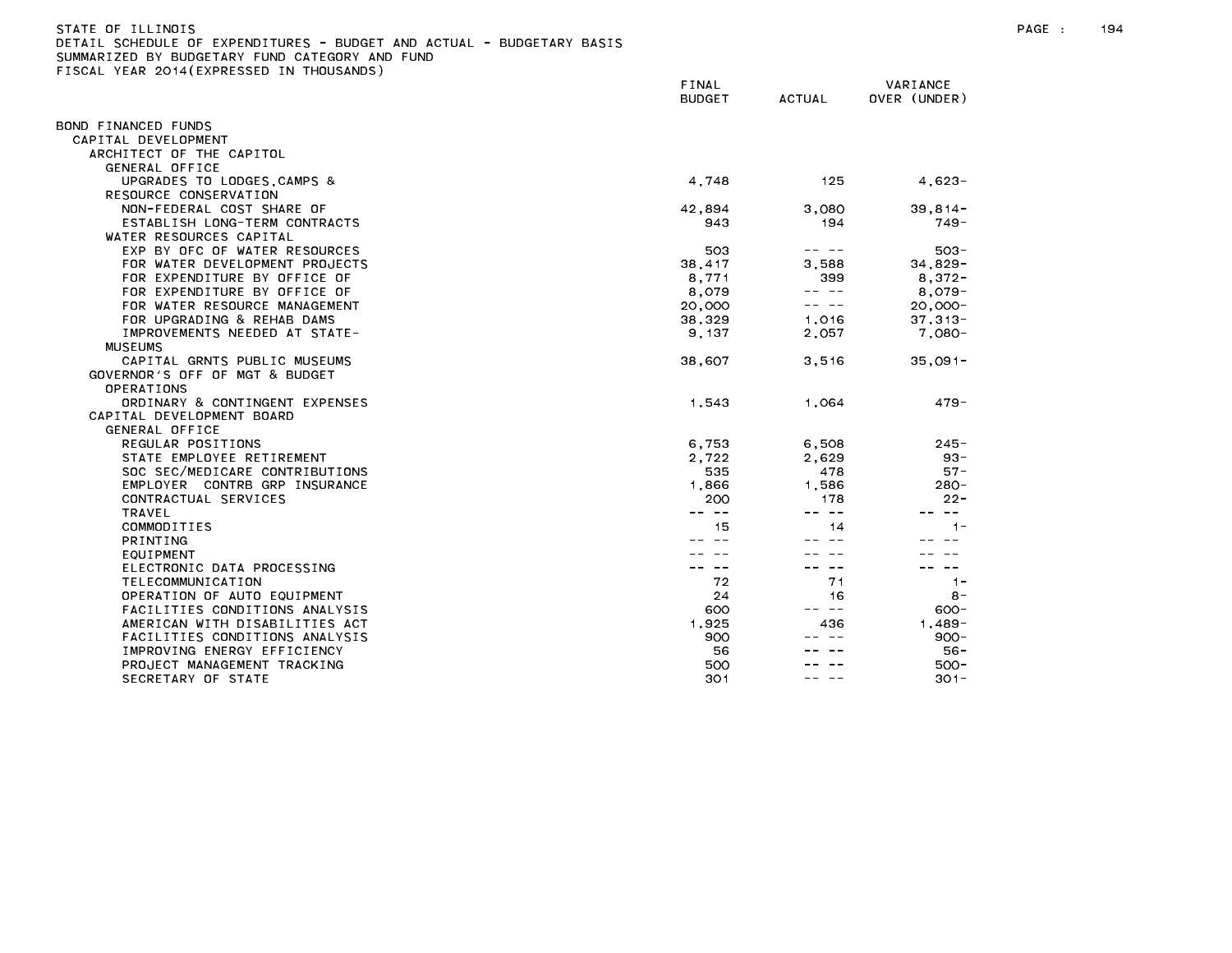| STATE OF ILLINOIS                                                     |
|-----------------------------------------------------------------------|
| DETAIL SCHEDULE OF EXPENDITURES - BUDGET AND ACTUAL - BUDGETARY BASIS |
| SUMMARIZED BY BUDGETARY FUND CATEGORY AND FUND                        |
| FISCAL YEAR 2014(EXPRESSED IN THOUSANDS)                              |

|                                | FINAL<br><b>BUDGET</b> | <b>ACTUAL</b> | VARIANCE<br>OVER (UNDER) |  |
|--------------------------------|------------------------|---------------|--------------------------|--|
| BOND FINANCED FUNDS            |                        |               |                          |  |
| CAPITAL DEVELOPMENT            |                        |               |                          |  |
| ARCHITECT OF THE CAPITOL       |                        |               |                          |  |
| <b>GENERAL OFFICE</b>          |                        |               |                          |  |
| UPGRADES TO LODGES, CAMPS &    | 4,748                  | 125           | $4,623-$                 |  |
| RESOURCE CONSERVATION          |                        |               |                          |  |
| NON-FEDERAL COST SHARE OF      | 42,894                 | 3,080         | $39, 814 -$              |  |
| ESTABLISH LONG-TERM CONTRACTS  | 943                    | 194           | $749 -$                  |  |
| WATER RESOURCES CAPITAL        |                        |               |                          |  |
| EXP BY OFC OF WATER RESOURCES  | 503                    |               | $503 -$                  |  |
| FOR WATER DEVELOPMENT PROJECTS | 38,417                 | 3,588         | $34,829-$                |  |
| FOR EXPENDITURE BY OFFICE OF   | 8.771                  | 399           | $8.372 -$                |  |
| FOR EXPENDITURE BY OFFICE OF   | 8,079                  | -- --         | $8,079-$                 |  |
| FOR WATER RESOURCE MANAGEMENT  | 20,000                 | -- --         | $20,000 -$               |  |
| FOR UPGRADING & REHAB DAMS     | 38,329                 | 1,016         | $37,313-$                |  |
| IMPROVEMENTS NEEDED AT STATE-  | 9, 137                 | 2,057         | $7,080 -$                |  |
| <b>MUSEUMS</b>                 |                        |               |                          |  |
| CAPITAL GRNTS PUBLIC MUSEUMS   | 38,607                 | 3,516         | $35,091 -$               |  |
| GOVERNOR'S OFF OF MGT & BUDGET |                        |               |                          |  |
| OPERATIONS                     |                        |               |                          |  |
| ORDINARY & CONTINGENT EXPENSES | 1,543                  | 1,064         | $479 -$                  |  |
| CAPITAL DEVELOPMENT BOARD      |                        |               |                          |  |
| <b>GENERAL OFFICE</b>          |                        |               |                          |  |
| REGULAR POSITIONS              | 6,753                  | 6,508         | $245 -$                  |  |
| STATE EMPLOYEE RETIREMENT      | 2,722                  | 2,629         | $93 -$                   |  |
| SOC SEC/MEDICARE CONTRIBUTIONS | 535                    | 478           | $57 -$                   |  |
| EMPLOYER CONTRB GRP INSURANCE  | 1,866                  | 1,586         | $280 -$                  |  |
| CONTRACTUAL SERVICES           | 200                    | 178           | $22 -$                   |  |
| <b>TRAVEL</b>                  | $\sim$ $-$             | -- --         | $- -$                    |  |
| COMMODITIES                    | 15                     | 14            | $1 -$                    |  |
| PRINTING                       |                        |               |                          |  |
| EQUIPMENT                      |                        |               |                          |  |
| ELECTRONIC DATA PROCESSING     |                        | $\sim$ $-$    | $\sim$ $-$               |  |
| TELECOMMUNICATION              | 72                     | 71            | $1 -$                    |  |
| OPERATION OF AUTO EQUIPMENT    | 24                     | 16            | $8 -$                    |  |
| FACILITIES CONDITIONS ANALYSIS | 600                    | $\sim$ $-$    | $600 -$                  |  |
| AMERICAN WITH DISABILITIES ACT | 1,925                  | 436           | $1.489 -$                |  |
| FACILITIES CONDITIONS ANALYSIS | 900                    |               | $900 -$                  |  |
| IMPROVING ENERGY EFFICIENCY    | 56                     |               | $56 -$                   |  |
| PROJECT MANAGEMENT TRACKING    | 500                    |               | $500 -$                  |  |
| SECRETARY OF STATE             | 301                    |               | $301 -$                  |  |
|                                |                        |               |                          |  |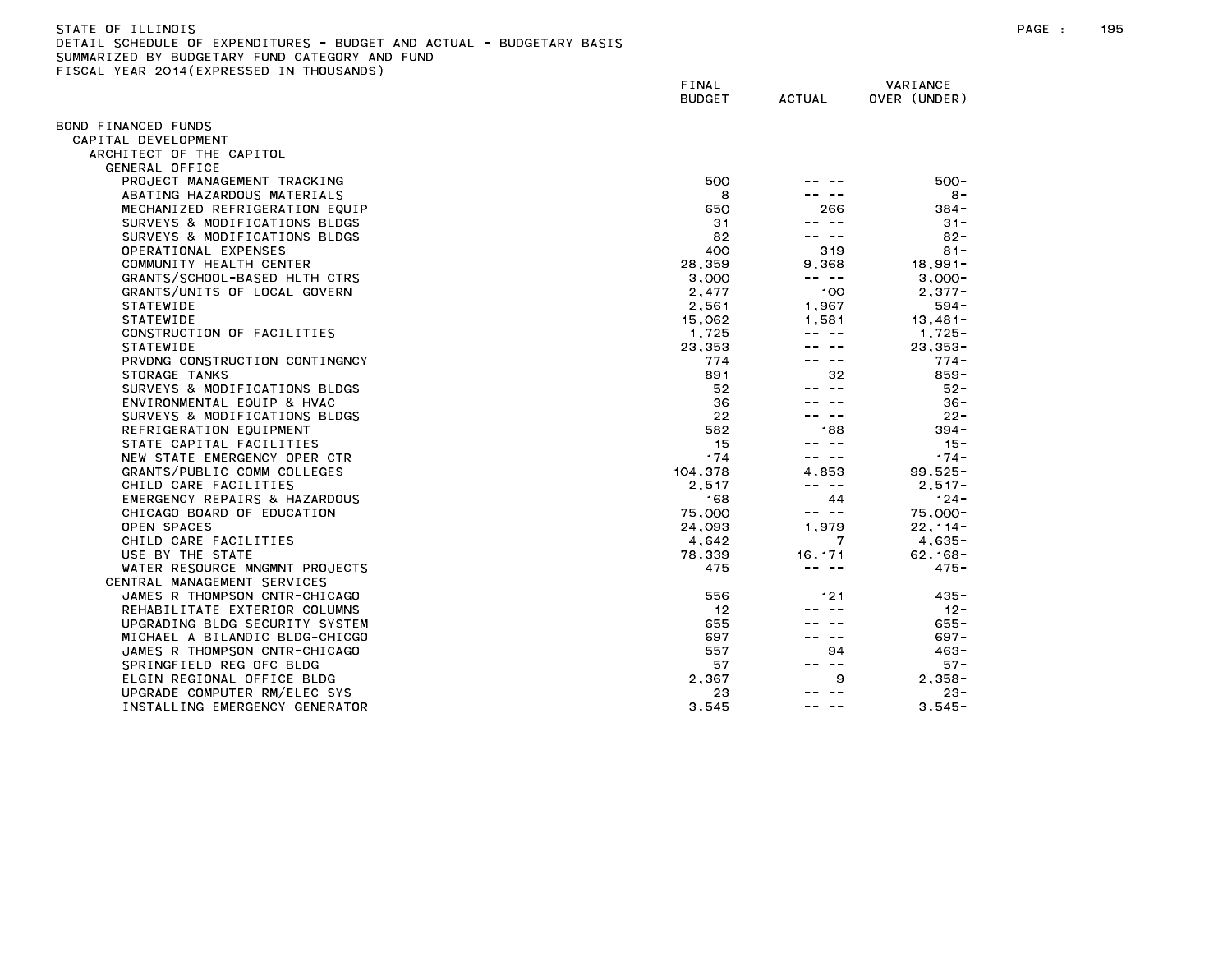| STATE OF ILLINOIS                                                          | PAGE | 195 |
|----------------------------------------------------------------------------|------|-----|
| L SCHEDULE OF EXPENDITURES - BUDGET AND ACTUAL - BUDGETARY BASIS<br>DETAIL |      |     |
| CUMMADIZED BY BUDGETADY EUND CATEGODY AND EUND                             |      |     |

PROJECT MANAGEMENT TRACKING ABATING HAZARDOUS MATERIALS MECHANIZED REFRIGERATION EQUIP SURVEYS & MODIFICATIONS BLDGS

BOND FINANCED FUNDS CAPITAL DEVELOPMENT

> ARCHITECT OF THE CAPITOL GENERAL OFFICE

| - |                        |          |                          |
|---|------------------------|----------|--------------------------|
|   | FINAL<br><b>BUDGET</b> | ACTUAL   | VARIANCE<br>OVER (UNDER) |
|   |                        |          |                          |
|   | 500                    |          | $500 -$                  |
|   | 8                      |          | $8 -$                    |
|   | 650                    | 266      | $384 -$                  |
|   | 31                     |          | $31 -$                   |
|   | 82                     |          | $82 -$                   |
|   | 400                    | 319      | $81 -$                   |
|   | 28,359                 | 9,368    | $18,991-$                |
|   | 3,000                  |          | $3,000-$                 |
|   | 2,477                  | 100      | $2,377-$                 |
|   | .                      | $\cdots$ | EO 4                     |

| SURVEYS & MODIFICATIONS BLDGS  | 82      |            | $82 -$      |
|--------------------------------|---------|------------|-------------|
| OPERATIONAL EXPENSES           | 400     | 319        | $81 -$      |
| COMMUNITY HEALTH CENTER        | 28,359  | 9,368      | $18,991 -$  |
| GRANTS/SCHOOL-BASED HLTH CTRS  | 3,000   | -- --      | $3.000 -$   |
| GRANTS/UNITS OF LOCAL GOVERN   | 2,477   | 100        | $2.377 -$   |
| <b>STATEWIDE</b>               | 2,561   | 1.967      | $594 -$     |
| <b>STATEWIDE</b>               | 15,062  | 1.581      | $13.481 -$  |
| CONSTRUCTION OF FACILITIES     | 1,725   |            | $1,725-$    |
| <b>STATEWIDE</b>               | 23.353  |            | $23.353 -$  |
| PRVDNG CONSTRUCTION CONTINGNCY | 774     |            | $774 -$     |
| STORAGE TANKS                  | 891     | 32         | $859 -$     |
| SURVEYS & MODIFICATIONS BLDGS  | 52      |            | $52 -$      |
| ENVIRONMENTAL EQUIP & HVAC     | 36      |            | $36 -$      |
| SURVEYS & MODIFICATIONS BLDGS  | 22      |            | $22 -$      |
| REFRIGERATION EQUIPMENT        | 582     | 188        | $394 -$     |
| STATE CAPITAL FACILITIES       | 15      |            | $15 -$      |
| NEW STATE EMERGENCY OPER CTR   | 174     |            | $174 -$     |
| GRANTS/PUBLIC COMM COLLEGES    | 104,378 | 4.853      | $99,525 -$  |
| CHILD CARE FACILITIES          | 2,517   |            | $2.517 -$   |
| EMERGENCY REPAIRS & HAZARDOUS  | 168     | 44         | $124 -$     |
| CHICAGO BOARD OF EDUCATION     | 75,000  | $- -$      | 75,000-     |
| OPEN SPACES                    | 24,093  | 1,979      | $22, 114 -$ |
| CHILD CARE FACILITIES          | 4,642   | 7          | $4,635-$    |
| USE BY THE STATE               | 78,339  | 16, 171    | $62, 168 -$ |
| WATER RESOURCE MNGMNT PROJECTS | 475     |            | $475 -$     |
| CENTRAL MANAGEMENT SERVICES    |         |            |             |
| JAMES R THOMPSON CNTR-CHICAGO  | 556     | 121        | $435 -$     |
| REHABILITATE EXTERIOR COLUMNS  | 12      |            | $12 -$      |
| UPGRADING BLDG SECURITY SYSTEM | 655     |            | $655 -$     |
| MICHAEL A BILANDIC BLDG-CHICGO | 697     |            | $697 -$     |
| JAMES R THOMPSON CNTR-CHICAGO  | 557     | 94         | $463 -$     |
| SPRINGFIELD REG OFC BLDG       | 57      | $\sim$ $-$ | $57 -$      |
| ELGIN REGIONAL OFFICE BLDG     | 2.367   | 9          | $2.358 -$   |
| UPGRADE COMPUTER RM/ELEC SYS   | 23      |            | $23 -$      |
| INSTALLING EMERGENCY GENERATOR | 3,545   |            | $3,545-$    |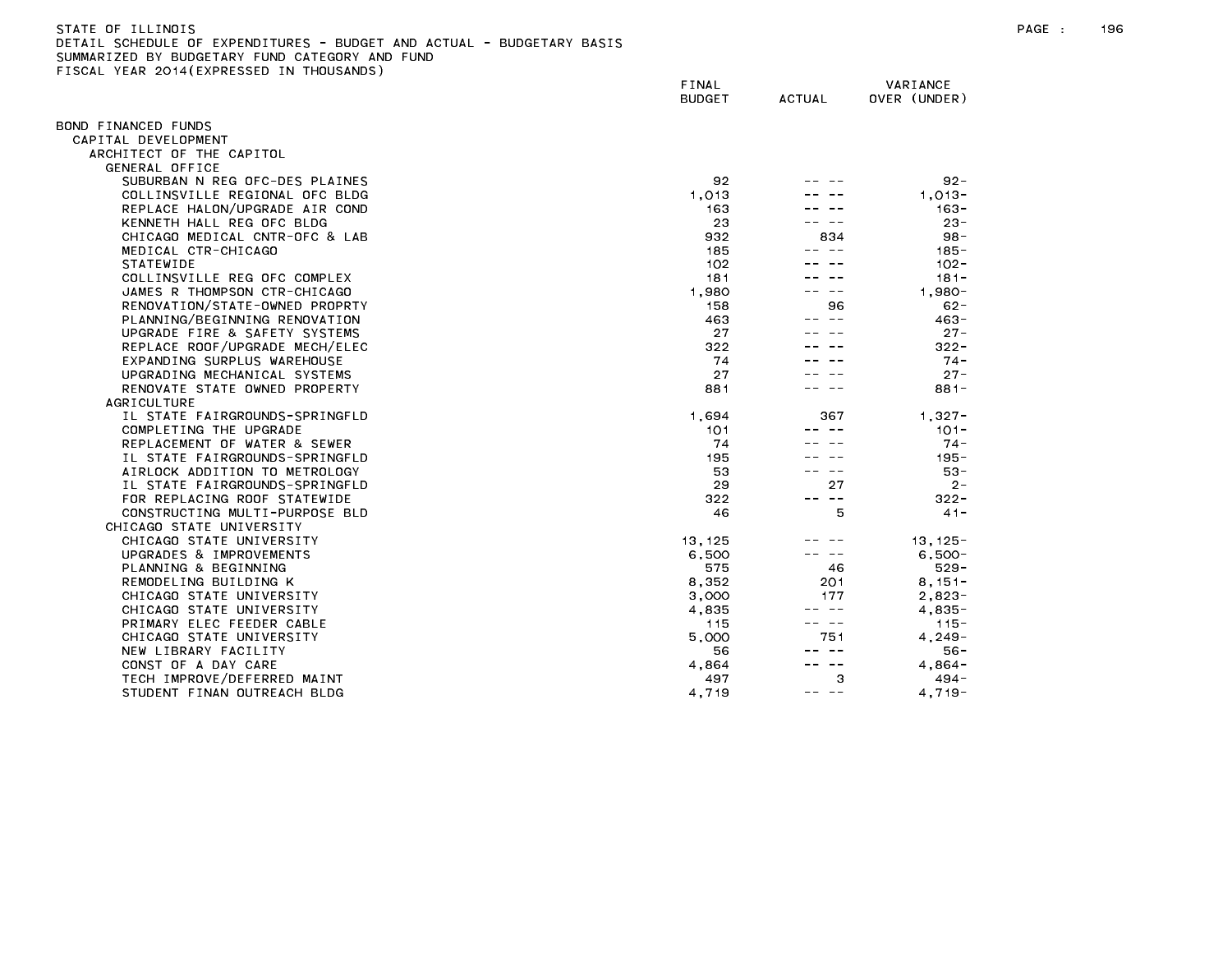| STATE OF ILLINOIS                                                                  | PAGE | 196 |
|------------------------------------------------------------------------------------|------|-----|
| DETAIL<br>L SCHEDULE OF EXPENDITURES - BUDGET<br>AND ACTUAL<br>∟ - BUDGETARY BASIS |      |     |
| BY BUDGETARY<br>FUND CATFGORY<br>SUMMARIZED<br>AND FUND                            |      |     |

SUMMARIZED BY BUDGETARY FUND CATEGORY AND FUND<br>FISCAL YEAR 2014(EXPRESSED IN THOUSANDS)

|                                | FINAL<br><b>BUDGET</b> | <b>ACTUAL</b> | VARIANCE<br>OVER (UNDER) |
|--------------------------------|------------------------|---------------|--------------------------|
| BOND FINANCED FUNDS            |                        |               |                          |
| CAPITAL DEVELOPMENT            |                        |               |                          |
| ARCHITECT OF THE CAPITOL       |                        |               |                          |
| GENERAL OFFICE                 |                        |               |                          |
| SUBURBAN N REG OFC-DES PLAINES | 92                     |               | $92 -$                   |
| COLLINSVILLE REGIONAL OFC BLDG | 1.013                  |               | $1,013-$                 |
| REPLACE HALON/UPGRADE AIR COND | 163                    |               | 163-                     |
| KENNETH HALL REG OFC BLDG      | 23                     |               | $23 -$                   |
| CHICAGO MEDICAL CNTR-OFC & LAB | 932                    | 834           | $98 -$                   |
| MEDICAL CTR-CHICAGO            | 185                    | -- --         | 185 -                    |
| <b>STATEWIDE</b>               | 102                    |               | $102 -$                  |
| COLLINSVILLE REG OFC COMPLEX   | 181                    |               | $181 -$                  |
| JAMES R THOMPSON CTR-CHICAGO   | 1,980                  |               | $1,980 -$                |
| RENOVATION/STATE-OWNED PROPRTY | 158                    | 96            | $62 -$                   |
| PLANNING/BEGINNING RENOVATION  | 463                    | $\sim$ $-$    | $463 -$                  |
| UPGRADE FIRE & SAFETY SYSTEMS  | 27                     |               | $27 -$                   |
| REPLACE ROOF/UPGRADE MECH/ELEC | 322                    |               | $322 -$                  |
| EXPANDING SURPLUS WAREHOUSE    | 74                     |               | $74 -$                   |
| UPGRADING MECHANICAL SYSTEMS   | 27                     |               | $27 -$                   |
| RENOVATE STATE OWNED PROPERTY  | 881                    |               | $881 -$                  |
| AGRICULTURE                    |                        |               |                          |
| IL STATE FAIRGROUNDS-SPRINGFLD | 1,694                  | 367           | $1,327-$                 |
| COMPLETING THE UPGRADE         | 101                    |               | $101 -$                  |
| REPLACEMENT OF WATER & SEWER   | 74                     |               | $74 -$                   |
| IL STATE FAIRGROUNDS-SPRINGFLD | 195                    |               | $195 -$                  |
| AIRLOCK ADDITION TO METROLOGY  | 53                     |               | $53 -$                   |
| IL STATE FAIRGROUNDS-SPRINGFLD | 29                     | 27            | $2 -$                    |
| FOR REPLACING ROOF STATEWIDE   | 322                    | -- --         | $322 -$                  |
| CONSTRUCTING MULTI-PURPOSE BLD | 46                     | 5             | $41 -$                   |
| CHICAGO STATE UNIVERSITY       |                        |               |                          |
| CHICAGO STATE UNIVERSITY       | 13, 125                |               | $13, 125 -$              |
| UPGRADES & IMPROVEMENTS        | 6,500                  |               | $6,500 -$                |
| PLANNING & BEGINNING           | 575                    | 46            | $529 -$                  |
| REMODELING BUILDING K          | 8,352                  | 201           | $8,151-$                 |
| CHICAGO STATE UNIVERSITY       | 3,000                  | 177           | $2,823-$                 |
| CHICAGO STATE UNIVERSITY       | 4,835                  | ———           | $4,835-$                 |
| PRIMARY ELEC FEEDER CABLE      | 115                    | -- --         | $115 -$                  |
| CHICAGO STATE UNIVERSITY       | 5.000                  | 751           | 4.249-                   |
| NEW LIBRARY FACILITY           | 56                     | -- --         | $56 -$                   |
| CONST OF A DAY CARE            | 4,864                  |               | $4,864-$                 |
| TECH IMPROVE/DEFERRED MAINT    | 497                    | 3             | 494 -                    |
| STUDENT FINAN OUTREACH BLDG    | 4.719                  | -- --         | $4.719 -$                |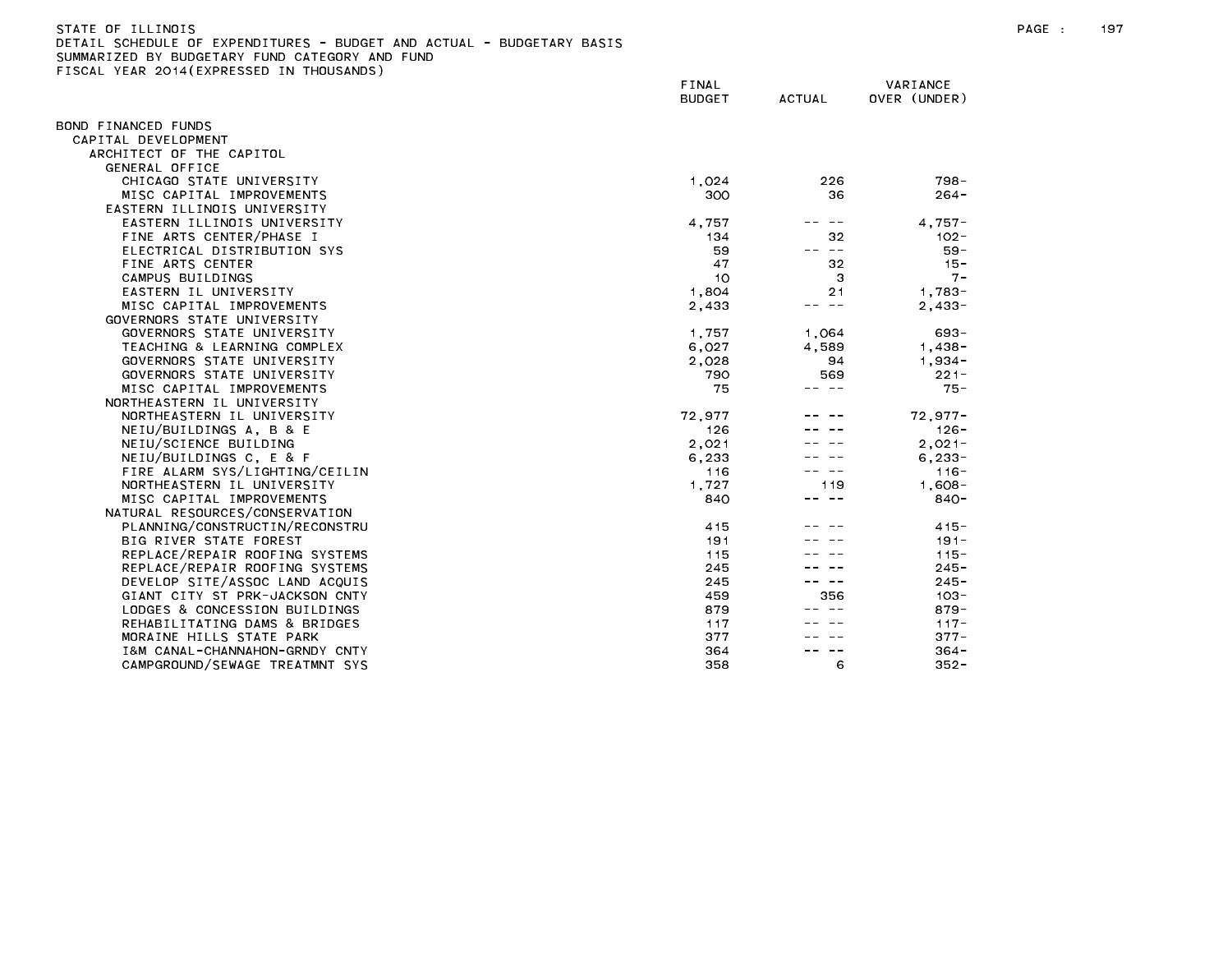| STATE OF ILLINDIS                                                     |  |
|-----------------------------------------------------------------------|--|
| DETAIL SCHEDULE OF EXPENDITURES - BUDGET AND ACTUAL - BUDGETARY BASIS |  |
| SUMMARIZED BY BUDGETARY FUND CATEGORY AND FUND                        |  |

|                                | FINAL<br><b>BUDGET</b> | <b>ACTUAL</b> | VARIANCE<br>OVER (UNDER) |
|--------------------------------|------------------------|---------------|--------------------------|
| BOND FINANCED FUNDS            |                        |               |                          |
| CAPITAL DEVELOPMENT            |                        |               |                          |
| ARCHITECT OF THE CAPITOL       |                        |               |                          |
| GENERAL OFFICE                 |                        |               |                          |
| CHICAGO STATE UNIVERSITY       | 1,024                  | 226           | $798 -$                  |
| MISC CAPITAL IMPROVEMENTS      | 300                    | 36            | $264 -$                  |
| EASTERN ILLINOIS UNIVERSITY    |                        |               |                          |
| EASTERN ILLINOIS UNIVERSITY    | 4,757                  | $- -$         | $4.757 -$                |
| FINE ARTS CENTER/PHASE I       | 134                    | 32            | $102 -$                  |
| ELECTRICAL DISTRIBUTION SYS    | 59                     | -- --         | $59 -$                   |
| FINE ARTS CENTER               | 47                     | 32            | $15 -$                   |
| CAMPUS BUILDINGS               | 10                     | З             | $7 -$                    |
| EASTERN IL UNIVERSITY          | 1,804                  | 21            | $1,783-$                 |
| MISC CAPITAL IMPROVEMENTS      | 2,433                  | $\sim$ $-$    | $2,433-$                 |
| GOVERNORS STATE UNIVERSITY     |                        |               |                          |
| GOVERNORS STATE UNIVERSITY     | 1,757                  | 1,064         | $693 -$                  |
| TEACHING & LEARNING COMPLEX    | 6,027                  | 4,589         | $1,438-$                 |
| GOVERNORS STATE UNIVERSITY     | 2,028                  | 94            | $1,934-$                 |
| GOVERNORS STATE UNIVERSITY     | 790                    | 569           | $221 -$                  |
| MISC CAPITAL IMPROVEMENTS      | 75                     | -- --         | $75 -$                   |
| NORTHEASTERN IL UNIVERSITY     |                        |               |                          |
| NORTHEASTERN IL UNIVERSITY     | 72,977                 |               | $72,977-$                |
| NEIU/BUILDINGS A, B & E        | 126                    |               | $126 -$                  |
| NEIU/SCIENCE BUILDING          | 2,021                  |               | $2.021 -$                |
| NEIU/BUILDINGS C, E & F        | 6,233                  |               | $6, 233 -$               |
| FIRE ALARM SYS/LIGHTING/CEILIN | 116                    |               | $116 -$                  |
| NORTHEASTERN IL UNIVERSITY     | 1,727                  | 119           | $1,608-$                 |
| MISC CAPITAL IMPROVEMENTS      | 840                    | -- --         | $840 -$                  |
| NATURAL RESOURCES/CONSERVATION |                        |               |                          |
| PLANNING/CONSTRUCTIN/RECONSTRU | 415                    |               | $415 -$                  |
| BIG RIVER STATE FOREST         | 191                    |               | $191 -$                  |
| REPLACE/REPAIR ROOFING SYSTEMS | 115                    |               | $115 -$                  |
| REPLACE/REPAIR ROOFING SYSTEMS | 245                    |               | $245 -$                  |
| DEVELOP SITE/ASSOC LAND ACQUIS | 245                    |               | $245 -$                  |
| GIANT CITY ST PRK-JACKSON CNTY | 459                    | 356           | $103 -$                  |
| LODGES & CONCESSION BUILDINGS  | 879                    |               | $879 -$                  |
| REHABILITATING DAMS & BRIDGES  | 117                    |               | $117 -$                  |
| MORAINE HILLS STATE PARK       | 377                    |               | $377 -$                  |
| I&M CANAL-CHANNAHON-GRNDY CNTY | 364                    |               | $364 -$                  |
| CAMPGROUND/SEWAGE TREATMNT SYS | 358                    | 6             | $352 -$                  |
|                                |                        |               |                          |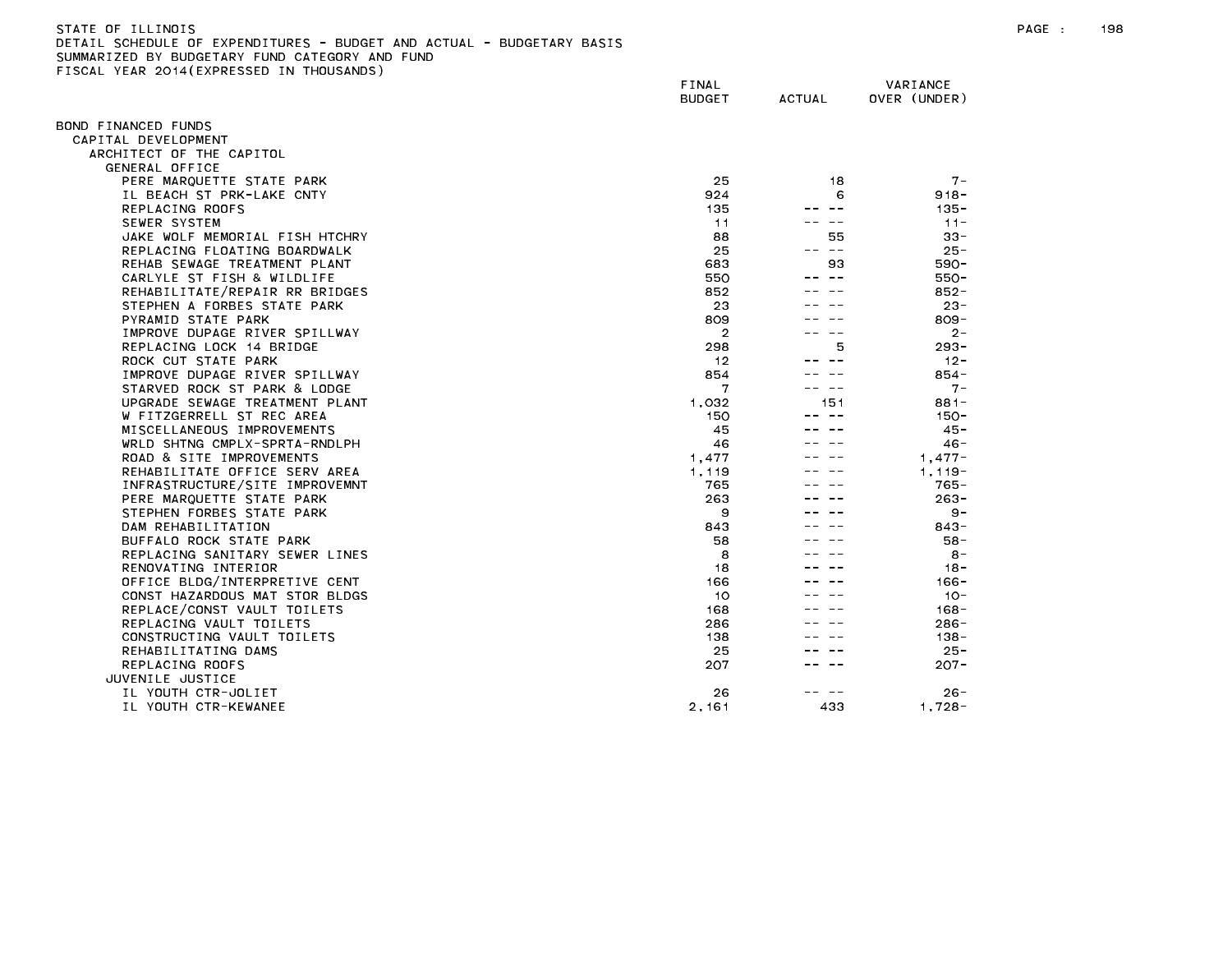| STATE OF ILLINOIS                                                     |  |
|-----------------------------------------------------------------------|--|
| DETAIL SCHEDULE OF EXPENDITURES - BUDGET AND ACTUAL - BUDGETARY BASIS |  |
| SUMMARIZED BY BUDGETARY FUND CATEGORY AND FUND                        |  |
| FISCAL YEAR 2014(EXPRESSED IN THOUSANDS)                              |  |

|                                | FINAL<br><b>BUDGET</b> | <b>ACTUAL</b> | VARIANCE<br>OVER (UNDER) |
|--------------------------------|------------------------|---------------|--------------------------|
| BOND FINANCED FUNDS            |                        |               |                          |
| CAPITAL DEVELOPMENT            |                        |               |                          |
| ARCHITECT OF THE CAPITOL       |                        |               |                          |
| GENERAL OFFICE                 |                        |               |                          |
| PERE MARQUETTE STATE PARK      | 25                     | 18            | $7 -$                    |
| IL BEACH ST PRK-LAKE CNTY      | 924                    | 6             | $918 -$                  |
| REPLACING ROOFS                | 135                    | $\sim$ $-$    | 135 -                    |
| SEWER SYSTEM                   | 11                     | $\sim$ $-$    | $11 -$                   |
| JAKE WOLF MEMORIAL FISH HTCHRY | 88                     | 55            | $33 -$                   |
| REPLACING FLOATING BOARDWALK   | 25                     | -- --         | $25 -$                   |
| REHAB SEWAGE TREATMENT PLANT   | 683                    | 93            | 590-                     |
| CARLYLE ST FISH & WILDLIFE     | 550                    |               | $550 -$                  |
| REHABILITATE/REPAIR RR BRIDGES | 852                    |               | $852 -$                  |
| STEPHEN A FORBES STATE PARK    | 23                     |               | $23 -$                   |
| PYRAMID STATE PARK             | 809                    |               | $809 -$                  |
| IMPROVE DUPAGE RIVER SPILLWAY  | 2                      |               | $2 -$                    |
| REPLACING LOCK 14 BRIDGE       | 298                    | 5             | $293 -$                  |
| ROCK CUT STATE PARK            | -12                    |               | $12 -$                   |
| IMPROVE DUPAGE RIVER SPILLWAY  | 854                    |               | $854 -$                  |
| STARVED ROCK ST PARK & LODGE   | 7                      | $\sim$ $-$    | $7 -$                    |
| UPGRADE SEWAGE TREATMENT PLANT | 1,032                  | 151           | $881 -$                  |
| W FITZGERRELL ST REC AREA      | 150                    |               | $150 -$                  |
| MISCELLANEOUS IMPROVEMENTS     | 45                     |               | $45 -$                   |
| WRLD SHTNG CMPLX-SPRTA-RNDLPH  | 46                     |               | $46 -$                   |
| ROAD & SITE IMPROVEMENTS       | 1,477                  |               | $1,477-$                 |
| REHABILITATE OFFICE SERV AREA  | 1,119                  |               | $1, 119 -$               |
| INFRASTRUCTURE/SITE IMPROVEMNT | 765                    |               | $765 -$                  |
| PERE MARQUETTE STATE PARK      | 263                    |               | $263 -$                  |
| STEPHEN FORBES STATE PARK      | 9                      |               | $9 -$                    |
| DAM REHABILITATION             | 843                    |               | 843-                     |
| BUFFALO ROCK STATE PARK        | 58                     |               | $58 -$                   |
| REPLACING SANITARY SEWER LINES | 8                      |               | $8 -$                    |
| RENOVATING INTERIOR            | 18                     |               | $18 -$                   |
| OFFICE BLDG/INTERPRETIVE CENT  | 166                    |               | 166-                     |
| CONST HAZARDOUS MAT STOR BLDGS | 10                     |               | $10 -$                   |
| REPLACE/CONST VAULT TOILETS    | 168                    |               | $168 -$                  |
| REPLACING VAULT TOILETS        | 286                    |               | $286 -$                  |
| CONSTRUCTING VAULT TOILETS     | 138                    |               | $138 -$                  |
| REHABILITATING DAMS            | 25                     |               | $25 -$                   |
| REPLACING ROOFS                | 207                    |               | $207 -$                  |
| JUVENILE JUSTICE               |                        |               |                          |
| IL YOUTH CTR-JOLIET            | 26                     |               | $26 -$                   |
| IL YOUTH CTR-KEWANEE           | 2.161                  | 433           | $1.728 -$                |
|                                |                        |               |                          |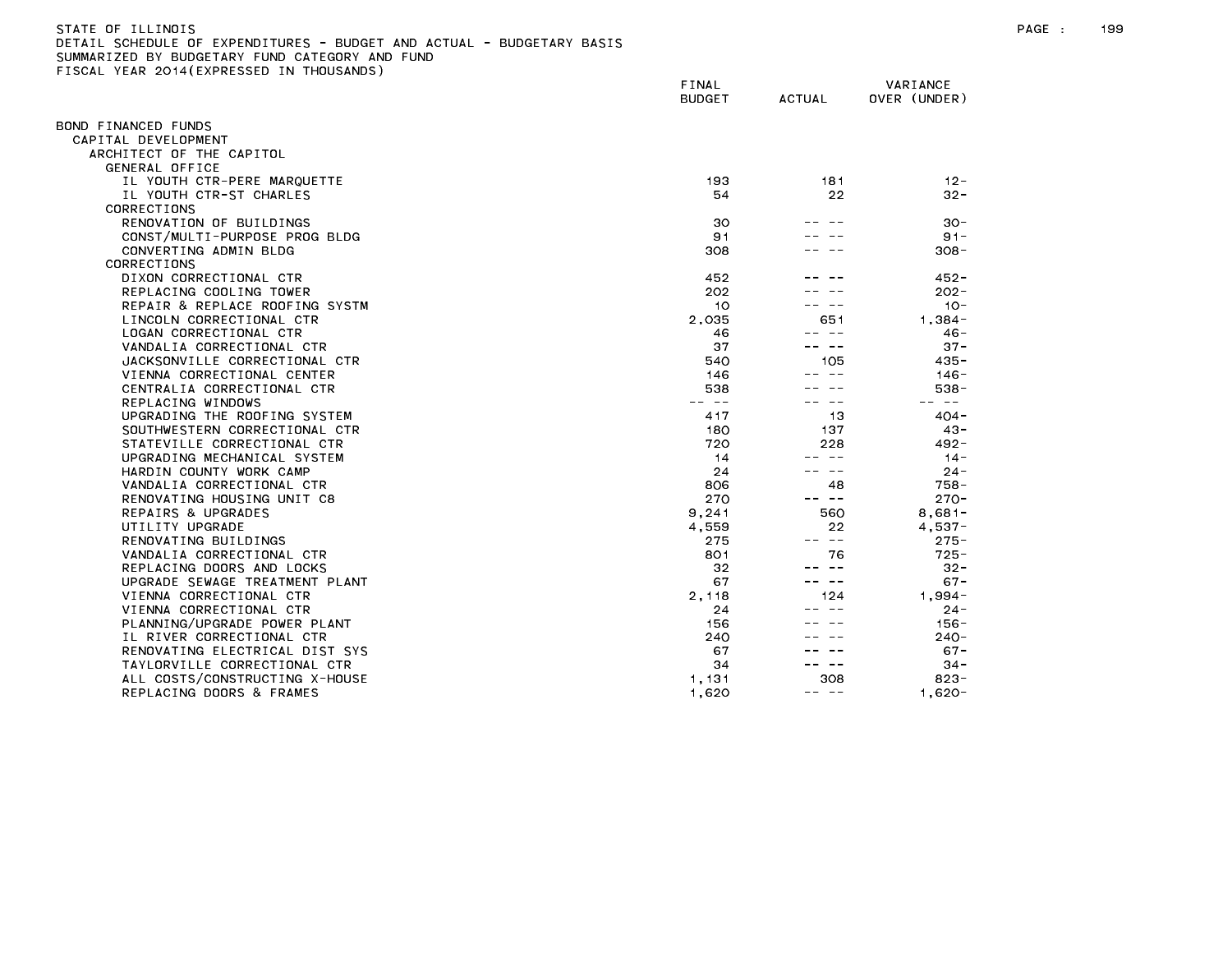| STATE OF ILLINOIS                                                     |
|-----------------------------------------------------------------------|
| DETAIL SCHEDULE OF EXPENDITURES - BUDGET AND ACTUAL - BUDGETARY BASIS |
| SUMMARIZED BY BUDGETARY FUND CATEGORY AND FUND                        |
| FISCAL YEAR 2014(EXPRESSED IN THOUSANDS)                              |

| OND FINANCED FUNDS<br>CAPITAL DEVELOPMENT<br>ARCHITECT OF THE CAPITOL<br>GENERAL OFFICE<br>IL YOUTH CTR-PERE MARQUETTE<br>193<br>181<br>$12 -$<br>IL YOUTH CTR-ST CHARLES<br>22<br>54<br>$32 -$<br>CORRECTIONS<br>RENOVATION OF BUILDINGS<br>30<br>$30 -$<br>91<br>$91 -$<br>CONST/MULTI-PURPOSE PROG BLDG<br>$308 -$<br>CONVERTING ADMIN BLDG<br>308<br><b>CORRECTIONS</b><br>DIXON CORRECTIONAL CTR<br>452<br>$452 -$<br>REPLACING COOLING TOWER<br>202<br>$202 -$<br>$10 -$<br>REPAIR & REPLACE ROOFING SYSTM<br>10<br>2,035<br>651<br>LINCOLN CORRECTIONAL CTR<br>$1.384 -$<br>LOGAN CORRECTIONAL CTR<br>46<br>-- --<br>$46 -$<br>VANDALIA CORRECTIONAL CTR<br>37<br>$37 -$<br>105<br>JACKSONVILLE CORRECTIONAL CTR<br>540<br>$435 -$<br>VIENNA CORRECTIONAL CENTER<br>146<br>$146 -$<br>CENTRALIA CORRECTIONAL CTR<br>538<br>$538 -$<br>REPLACING WINDOWS<br>$\sim$ $-$<br>— —<br>UPGRADING THE ROOFING SYSTEM<br>417<br>13<br>$404 -$<br>SOUTHWESTERN CORRECTIONAL CTR<br>180<br>137<br>$43 -$<br>720<br>STATEVILLE CORRECTIONAL CTR<br>228<br>$492 -$<br>UPGRADING MECHANICAL SYSTEM<br>14<br>$\sim$ $-$<br>$14 -$<br>HARDIN COUNTY WORK CAMP<br>24<br>$24 -$<br>---<br>VANDALIA CORRECTIONAL CTR<br>48<br>$758 -$<br>806<br>270<br>RENOVATING HOUSING UNIT C8<br>$270 -$<br>-- --<br>9,241<br>560<br>REPAIRS & UPGRADES<br>$8,681-$<br>UTILITY UPGRADE<br>4,559<br>22<br>$4,537-$<br>-- --<br>RENOVATING BUILDINGS<br>275<br>$275 -$<br>801<br>76<br>$725 -$<br>VANDALIA CORRECTIONAL CTR<br>REPLACING DOORS AND LOCKS<br>32<br>-- --<br>$32 -$<br>UPGRADE SEWAGE TREATMENT PLANT<br>67<br>$67 -$<br>2,118<br>124<br>$1,994-$<br>VIENNA CORRECTIONAL CTR<br>VIENNA CORRECTIONAL CTR<br>24<br>$24 -$<br>PLANNING/UPGRADE POWER PLANT<br>156<br>$156 -$<br>IL RIVER CORRECTIONAL CTR<br>240<br>$240 -$<br>RENOVATING ELECTRICAL DIST SYS<br>67<br>$67 -$<br>TAYLORVILLE CORRECTIONAL CTR<br>34<br>$34 -$<br>$\frac{1}{2} \left( \frac{1}{2} \right) \frac{1}{2} \left( \frac{1}{2} \right) \frac{1}{2} \left( \frac{1}{2} \right) \frac{1}{2} \left( \frac{1}{2} \right) \frac{1}{2} \left( \frac{1}{2} \right) \frac{1}{2} \left( \frac{1}{2} \right) \frac{1}{2} \left( \frac{1}{2} \right) \frac{1}{2} \left( \frac{1}{2} \right) \frac{1}{2} \left( \frac{1}{2} \right) \frac{1}{2} \left( \frac{1}{2} \right) \frac{1}{2} \left( \frac{1}{2} \right)$<br>308<br>1,131<br>$823 -$<br>ALL COSTS/CONSTRUCTING X-HOUSE<br>REPLACING DOORS & FRAMES<br>1,620<br>$1,620 -$<br>-- -- | 1998 - ILAN 2017(ININESSED | FINAL<br><b>BUDGET</b> | ACTUAL | VARIANCE<br>OVER (UNDER) |
|------------------------------------------------------------------------------------------------------------------------------------------------------------------------------------------------------------------------------------------------------------------------------------------------------------------------------------------------------------------------------------------------------------------------------------------------------------------------------------------------------------------------------------------------------------------------------------------------------------------------------------------------------------------------------------------------------------------------------------------------------------------------------------------------------------------------------------------------------------------------------------------------------------------------------------------------------------------------------------------------------------------------------------------------------------------------------------------------------------------------------------------------------------------------------------------------------------------------------------------------------------------------------------------------------------------------------------------------------------------------------------------------------------------------------------------------------------------------------------------------------------------------------------------------------------------------------------------------------------------------------------------------------------------------------------------------------------------------------------------------------------------------------------------------------------------------------------------------------------------------------------------------------------------------------------------------------------------------------------------------------------------------------------------------------------------------------------------------------------------------------------------------------------------------------------------------------------------------------------------------------------------------------------------------------------------------------------------------------------------------------------------------------------------------------------------------------------------------------------------|----------------------------|------------------------|--------|--------------------------|
|                                                                                                                                                                                                                                                                                                                                                                                                                                                                                                                                                                                                                                                                                                                                                                                                                                                                                                                                                                                                                                                                                                                                                                                                                                                                                                                                                                                                                                                                                                                                                                                                                                                                                                                                                                                                                                                                                                                                                                                                                                                                                                                                                                                                                                                                                                                                                                                                                                                                                          |                            |                        |        |                          |
|                                                                                                                                                                                                                                                                                                                                                                                                                                                                                                                                                                                                                                                                                                                                                                                                                                                                                                                                                                                                                                                                                                                                                                                                                                                                                                                                                                                                                                                                                                                                                                                                                                                                                                                                                                                                                                                                                                                                                                                                                                                                                                                                                                                                                                                                                                                                                                                                                                                                                          |                            |                        |        |                          |
|                                                                                                                                                                                                                                                                                                                                                                                                                                                                                                                                                                                                                                                                                                                                                                                                                                                                                                                                                                                                                                                                                                                                                                                                                                                                                                                                                                                                                                                                                                                                                                                                                                                                                                                                                                                                                                                                                                                                                                                                                                                                                                                                                                                                                                                                                                                                                                                                                                                                                          |                            |                        |        |                          |
|                                                                                                                                                                                                                                                                                                                                                                                                                                                                                                                                                                                                                                                                                                                                                                                                                                                                                                                                                                                                                                                                                                                                                                                                                                                                                                                                                                                                                                                                                                                                                                                                                                                                                                                                                                                                                                                                                                                                                                                                                                                                                                                                                                                                                                                                                                                                                                                                                                                                                          |                            |                        |        |                          |
|                                                                                                                                                                                                                                                                                                                                                                                                                                                                                                                                                                                                                                                                                                                                                                                                                                                                                                                                                                                                                                                                                                                                                                                                                                                                                                                                                                                                                                                                                                                                                                                                                                                                                                                                                                                                                                                                                                                                                                                                                                                                                                                                                                                                                                                                                                                                                                                                                                                                                          |                            |                        |        |                          |
|                                                                                                                                                                                                                                                                                                                                                                                                                                                                                                                                                                                                                                                                                                                                                                                                                                                                                                                                                                                                                                                                                                                                                                                                                                                                                                                                                                                                                                                                                                                                                                                                                                                                                                                                                                                                                                                                                                                                                                                                                                                                                                                                                                                                                                                                                                                                                                                                                                                                                          |                            |                        |        |                          |
|                                                                                                                                                                                                                                                                                                                                                                                                                                                                                                                                                                                                                                                                                                                                                                                                                                                                                                                                                                                                                                                                                                                                                                                                                                                                                                                                                                                                                                                                                                                                                                                                                                                                                                                                                                                                                                                                                                                                                                                                                                                                                                                                                                                                                                                                                                                                                                                                                                                                                          |                            |                        |        |                          |
|                                                                                                                                                                                                                                                                                                                                                                                                                                                                                                                                                                                                                                                                                                                                                                                                                                                                                                                                                                                                                                                                                                                                                                                                                                                                                                                                                                                                                                                                                                                                                                                                                                                                                                                                                                                                                                                                                                                                                                                                                                                                                                                                                                                                                                                                                                                                                                                                                                                                                          |                            |                        |        |                          |
|                                                                                                                                                                                                                                                                                                                                                                                                                                                                                                                                                                                                                                                                                                                                                                                                                                                                                                                                                                                                                                                                                                                                                                                                                                                                                                                                                                                                                                                                                                                                                                                                                                                                                                                                                                                                                                                                                                                                                                                                                                                                                                                                                                                                                                                                                                                                                                                                                                                                                          |                            |                        |        |                          |
|                                                                                                                                                                                                                                                                                                                                                                                                                                                                                                                                                                                                                                                                                                                                                                                                                                                                                                                                                                                                                                                                                                                                                                                                                                                                                                                                                                                                                                                                                                                                                                                                                                                                                                                                                                                                                                                                                                                                                                                                                                                                                                                                                                                                                                                                                                                                                                                                                                                                                          |                            |                        |        |                          |
|                                                                                                                                                                                                                                                                                                                                                                                                                                                                                                                                                                                                                                                                                                                                                                                                                                                                                                                                                                                                                                                                                                                                                                                                                                                                                                                                                                                                                                                                                                                                                                                                                                                                                                                                                                                                                                                                                                                                                                                                                                                                                                                                                                                                                                                                                                                                                                                                                                                                                          |                            |                        |        |                          |
|                                                                                                                                                                                                                                                                                                                                                                                                                                                                                                                                                                                                                                                                                                                                                                                                                                                                                                                                                                                                                                                                                                                                                                                                                                                                                                                                                                                                                                                                                                                                                                                                                                                                                                                                                                                                                                                                                                                                                                                                                                                                                                                                                                                                                                                                                                                                                                                                                                                                                          |                            |                        |        |                          |
|                                                                                                                                                                                                                                                                                                                                                                                                                                                                                                                                                                                                                                                                                                                                                                                                                                                                                                                                                                                                                                                                                                                                                                                                                                                                                                                                                                                                                                                                                                                                                                                                                                                                                                                                                                                                                                                                                                                                                                                                                                                                                                                                                                                                                                                                                                                                                                                                                                                                                          |                            |                        |        |                          |
|                                                                                                                                                                                                                                                                                                                                                                                                                                                                                                                                                                                                                                                                                                                                                                                                                                                                                                                                                                                                                                                                                                                                                                                                                                                                                                                                                                                                                                                                                                                                                                                                                                                                                                                                                                                                                                                                                                                                                                                                                                                                                                                                                                                                                                                                                                                                                                                                                                                                                          |                            |                        |        |                          |
|                                                                                                                                                                                                                                                                                                                                                                                                                                                                                                                                                                                                                                                                                                                                                                                                                                                                                                                                                                                                                                                                                                                                                                                                                                                                                                                                                                                                                                                                                                                                                                                                                                                                                                                                                                                                                                                                                                                                                                                                                                                                                                                                                                                                                                                                                                                                                                                                                                                                                          |                            |                        |        |                          |
|                                                                                                                                                                                                                                                                                                                                                                                                                                                                                                                                                                                                                                                                                                                                                                                                                                                                                                                                                                                                                                                                                                                                                                                                                                                                                                                                                                                                                                                                                                                                                                                                                                                                                                                                                                                                                                                                                                                                                                                                                                                                                                                                                                                                                                                                                                                                                                                                                                                                                          |                            |                        |        |                          |
|                                                                                                                                                                                                                                                                                                                                                                                                                                                                                                                                                                                                                                                                                                                                                                                                                                                                                                                                                                                                                                                                                                                                                                                                                                                                                                                                                                                                                                                                                                                                                                                                                                                                                                                                                                                                                                                                                                                                                                                                                                                                                                                                                                                                                                                                                                                                                                                                                                                                                          |                            |                        |        |                          |
|                                                                                                                                                                                                                                                                                                                                                                                                                                                                                                                                                                                                                                                                                                                                                                                                                                                                                                                                                                                                                                                                                                                                                                                                                                                                                                                                                                                                                                                                                                                                                                                                                                                                                                                                                                                                                                                                                                                                                                                                                                                                                                                                                                                                                                                                                                                                                                                                                                                                                          |                            |                        |        |                          |
|                                                                                                                                                                                                                                                                                                                                                                                                                                                                                                                                                                                                                                                                                                                                                                                                                                                                                                                                                                                                                                                                                                                                                                                                                                                                                                                                                                                                                                                                                                                                                                                                                                                                                                                                                                                                                                                                                                                                                                                                                                                                                                                                                                                                                                                                                                                                                                                                                                                                                          |                            |                        |        |                          |
|                                                                                                                                                                                                                                                                                                                                                                                                                                                                                                                                                                                                                                                                                                                                                                                                                                                                                                                                                                                                                                                                                                                                                                                                                                                                                                                                                                                                                                                                                                                                                                                                                                                                                                                                                                                                                                                                                                                                                                                                                                                                                                                                                                                                                                                                                                                                                                                                                                                                                          |                            |                        |        |                          |
|                                                                                                                                                                                                                                                                                                                                                                                                                                                                                                                                                                                                                                                                                                                                                                                                                                                                                                                                                                                                                                                                                                                                                                                                                                                                                                                                                                                                                                                                                                                                                                                                                                                                                                                                                                                                                                                                                                                                                                                                                                                                                                                                                                                                                                                                                                                                                                                                                                                                                          |                            |                        |        |                          |
|                                                                                                                                                                                                                                                                                                                                                                                                                                                                                                                                                                                                                                                                                                                                                                                                                                                                                                                                                                                                                                                                                                                                                                                                                                                                                                                                                                                                                                                                                                                                                                                                                                                                                                                                                                                                                                                                                                                                                                                                                                                                                                                                                                                                                                                                                                                                                                                                                                                                                          |                            |                        |        |                          |
|                                                                                                                                                                                                                                                                                                                                                                                                                                                                                                                                                                                                                                                                                                                                                                                                                                                                                                                                                                                                                                                                                                                                                                                                                                                                                                                                                                                                                                                                                                                                                                                                                                                                                                                                                                                                                                                                                                                                                                                                                                                                                                                                                                                                                                                                                                                                                                                                                                                                                          |                            |                        |        |                          |
|                                                                                                                                                                                                                                                                                                                                                                                                                                                                                                                                                                                                                                                                                                                                                                                                                                                                                                                                                                                                                                                                                                                                                                                                                                                                                                                                                                                                                                                                                                                                                                                                                                                                                                                                                                                                                                                                                                                                                                                                                                                                                                                                                                                                                                                                                                                                                                                                                                                                                          |                            |                        |        |                          |
|                                                                                                                                                                                                                                                                                                                                                                                                                                                                                                                                                                                                                                                                                                                                                                                                                                                                                                                                                                                                                                                                                                                                                                                                                                                                                                                                                                                                                                                                                                                                                                                                                                                                                                                                                                                                                                                                                                                                                                                                                                                                                                                                                                                                                                                                                                                                                                                                                                                                                          |                            |                        |        |                          |
|                                                                                                                                                                                                                                                                                                                                                                                                                                                                                                                                                                                                                                                                                                                                                                                                                                                                                                                                                                                                                                                                                                                                                                                                                                                                                                                                                                                                                                                                                                                                                                                                                                                                                                                                                                                                                                                                                                                                                                                                                                                                                                                                                                                                                                                                                                                                                                                                                                                                                          |                            |                        |        |                          |
|                                                                                                                                                                                                                                                                                                                                                                                                                                                                                                                                                                                                                                                                                                                                                                                                                                                                                                                                                                                                                                                                                                                                                                                                                                                                                                                                                                                                                                                                                                                                                                                                                                                                                                                                                                                                                                                                                                                                                                                                                                                                                                                                                                                                                                                                                                                                                                                                                                                                                          |                            |                        |        |                          |
|                                                                                                                                                                                                                                                                                                                                                                                                                                                                                                                                                                                                                                                                                                                                                                                                                                                                                                                                                                                                                                                                                                                                                                                                                                                                                                                                                                                                                                                                                                                                                                                                                                                                                                                                                                                                                                                                                                                                                                                                                                                                                                                                                                                                                                                                                                                                                                                                                                                                                          |                            |                        |        |                          |
|                                                                                                                                                                                                                                                                                                                                                                                                                                                                                                                                                                                                                                                                                                                                                                                                                                                                                                                                                                                                                                                                                                                                                                                                                                                                                                                                                                                                                                                                                                                                                                                                                                                                                                                                                                                                                                                                                                                                                                                                                                                                                                                                                                                                                                                                                                                                                                                                                                                                                          |                            |                        |        |                          |
|                                                                                                                                                                                                                                                                                                                                                                                                                                                                                                                                                                                                                                                                                                                                                                                                                                                                                                                                                                                                                                                                                                                                                                                                                                                                                                                                                                                                                                                                                                                                                                                                                                                                                                                                                                                                                                                                                                                                                                                                                                                                                                                                                                                                                                                                                                                                                                                                                                                                                          |                            |                        |        |                          |
|                                                                                                                                                                                                                                                                                                                                                                                                                                                                                                                                                                                                                                                                                                                                                                                                                                                                                                                                                                                                                                                                                                                                                                                                                                                                                                                                                                                                                                                                                                                                                                                                                                                                                                                                                                                                                                                                                                                                                                                                                                                                                                                                                                                                                                                                                                                                                                                                                                                                                          |                            |                        |        |                          |
|                                                                                                                                                                                                                                                                                                                                                                                                                                                                                                                                                                                                                                                                                                                                                                                                                                                                                                                                                                                                                                                                                                                                                                                                                                                                                                                                                                                                                                                                                                                                                                                                                                                                                                                                                                                                                                                                                                                                                                                                                                                                                                                                                                                                                                                                                                                                                                                                                                                                                          |                            |                        |        |                          |
|                                                                                                                                                                                                                                                                                                                                                                                                                                                                                                                                                                                                                                                                                                                                                                                                                                                                                                                                                                                                                                                                                                                                                                                                                                                                                                                                                                                                                                                                                                                                                                                                                                                                                                                                                                                                                                                                                                                                                                                                                                                                                                                                                                                                                                                                                                                                                                                                                                                                                          |                            |                        |        |                          |
|                                                                                                                                                                                                                                                                                                                                                                                                                                                                                                                                                                                                                                                                                                                                                                                                                                                                                                                                                                                                                                                                                                                                                                                                                                                                                                                                                                                                                                                                                                                                                                                                                                                                                                                                                                                                                                                                                                                                                                                                                                                                                                                                                                                                                                                                                                                                                                                                                                                                                          |                            |                        |        |                          |
|                                                                                                                                                                                                                                                                                                                                                                                                                                                                                                                                                                                                                                                                                                                                                                                                                                                                                                                                                                                                                                                                                                                                                                                                                                                                                                                                                                                                                                                                                                                                                                                                                                                                                                                                                                                                                                                                                                                                                                                                                                                                                                                                                                                                                                                                                                                                                                                                                                                                                          |                            |                        |        |                          |
|                                                                                                                                                                                                                                                                                                                                                                                                                                                                                                                                                                                                                                                                                                                                                                                                                                                                                                                                                                                                                                                                                                                                                                                                                                                                                                                                                                                                                                                                                                                                                                                                                                                                                                                                                                                                                                                                                                                                                                                                                                                                                                                                                                                                                                                                                                                                                                                                                                                                                          |                            |                        |        |                          |
|                                                                                                                                                                                                                                                                                                                                                                                                                                                                                                                                                                                                                                                                                                                                                                                                                                                                                                                                                                                                                                                                                                                                                                                                                                                                                                                                                                                                                                                                                                                                                                                                                                                                                                                                                                                                                                                                                                                                                                                                                                                                                                                                                                                                                                                                                                                                                                                                                                                                                          |                            |                        |        |                          |
|                                                                                                                                                                                                                                                                                                                                                                                                                                                                                                                                                                                                                                                                                                                                                                                                                                                                                                                                                                                                                                                                                                                                                                                                                                                                                                                                                                                                                                                                                                                                                                                                                                                                                                                                                                                                                                                                                                                                                                                                                                                                                                                                                                                                                                                                                                                                                                                                                                                                                          |                            |                        |        |                          |
|                                                                                                                                                                                                                                                                                                                                                                                                                                                                                                                                                                                                                                                                                                                                                                                                                                                                                                                                                                                                                                                                                                                                                                                                                                                                                                                                                                                                                                                                                                                                                                                                                                                                                                                                                                                                                                                                                                                                                                                                                                                                                                                                                                                                                                                                                                                                                                                                                                                                                          |                            |                        |        |                          |
|                                                                                                                                                                                                                                                                                                                                                                                                                                                                                                                                                                                                                                                                                                                                                                                                                                                                                                                                                                                                                                                                                                                                                                                                                                                                                                                                                                                                                                                                                                                                                                                                                                                                                                                                                                                                                                                                                                                                                                                                                                                                                                                                                                                                                                                                                                                                                                                                                                                                                          |                            |                        |        |                          |
|                                                                                                                                                                                                                                                                                                                                                                                                                                                                                                                                                                                                                                                                                                                                                                                                                                                                                                                                                                                                                                                                                                                                                                                                                                                                                                                                                                                                                                                                                                                                                                                                                                                                                                                                                                                                                                                                                                                                                                                                                                                                                                                                                                                                                                                                                                                                                                                                                                                                                          |                            |                        |        |                          |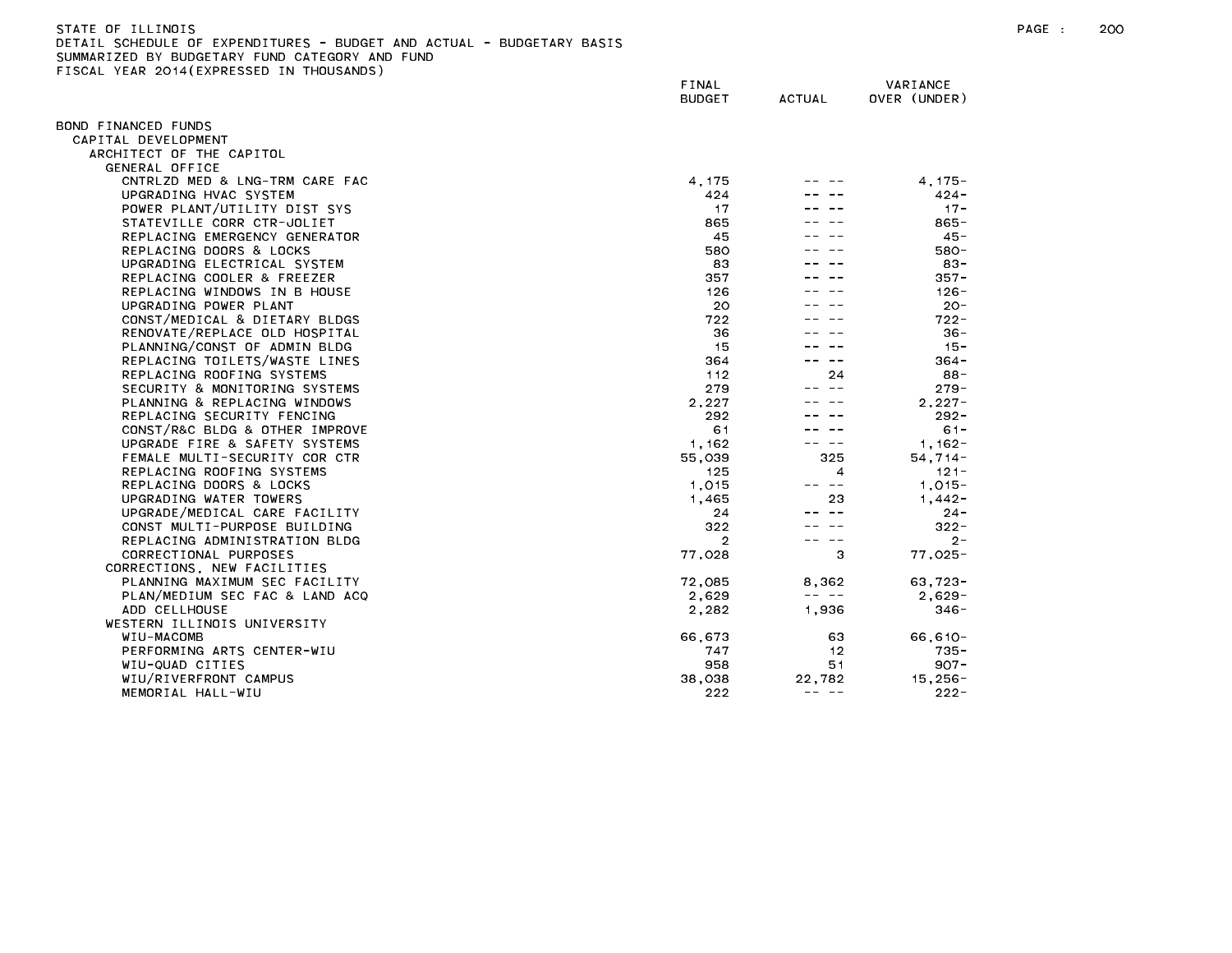| STATE OF ILLINOIS                                                     |  |
|-----------------------------------------------------------------------|--|
| DETAIL SCHEDULE OF EXPENDITURES - BUDGET AND ACTUAL - BUDGETARY BASIS |  |
| SUMMARIZED BY BUDGETARY FUND CATEGORY AND FUND                        |  |
| FISCAL YEAR 2014(EXPRESSED IN THOUSANDS)                              |  |

| $1.271$ , $20.17$ ( $2.11$ , $1.20$ | FINAL<br><b>BUDGET</b> | <b>ACTUAL</b>                                                                                                                                                                                                                                                                                                                                                                                         | VARIANCE<br>OVER (UNDER) |
|-------------------------------------|------------------------|-------------------------------------------------------------------------------------------------------------------------------------------------------------------------------------------------------------------------------------------------------------------------------------------------------------------------------------------------------------------------------------------------------|--------------------------|
| BOND FINANCED FUNDS                 |                        |                                                                                                                                                                                                                                                                                                                                                                                                       |                          |
| CAPITAL DEVELOPMENT                 |                        |                                                                                                                                                                                                                                                                                                                                                                                                       |                          |
| ARCHITECT OF THE CAPITOL            |                        |                                                                                                                                                                                                                                                                                                                                                                                                       |                          |
| GENERAL OFFICE                      |                        |                                                                                                                                                                                                                                                                                                                                                                                                       |                          |
| CNTRLZD MED & LNG-TRM CARE FAC      | 4, 175                 |                                                                                                                                                                                                                                                                                                                                                                                                       | $4, 175 -$               |
| UPGRADING HVAC SYSTEM               | 424                    |                                                                                                                                                                                                                                                                                                                                                                                                       | $424 -$                  |
| POWER PLANT/UTILITY DIST SYS        | 17                     |                                                                                                                                                                                                                                                                                                                                                                                                       | $17 -$                   |
| STATEVILLE CORR CTR-JOLIET          | 865                    |                                                                                                                                                                                                                                                                                                                                                                                                       | $865 -$                  |
| REPLACING EMERGENCY GENERATOR       | 45                     |                                                                                                                                                                                                                                                                                                                                                                                                       | $45 -$                   |
| REPLACING DOORS & LOCKS             | 580                    |                                                                                                                                                                                                                                                                                                                                                                                                       | 580-                     |
| UPGRADING ELECTRICAL SYSTEM         | 83                     |                                                                                                                                                                                                                                                                                                                                                                                                       | $83 -$                   |
| REPLACING COOLER & FREEZER          | 357                    |                                                                                                                                                                                                                                                                                                                                                                                                       | $357 -$                  |
| REPLACING WINDOWS IN B HOUSE        | 126                    |                                                                                                                                                                                                                                                                                                                                                                                                       | $126 -$                  |
| UPGRADING POWER PLANT               | 20                     |                                                                                                                                                                                                                                                                                                                                                                                                       | $20 -$                   |
| CONST/MEDICAL & DIETARY BLDGS       | 722                    |                                                                                                                                                                                                                                                                                                                                                                                                       | $722 -$                  |
| RENOVATE/REPLACE OLD HOSPITAL       | 36                     |                                                                                                                                                                                                                                                                                                                                                                                                       | $36 -$                   |
| PLANNING/CONST OF ADMIN BLDG        | 15                     |                                                                                                                                                                                                                                                                                                                                                                                                       | $15 -$                   |
| REPLACING TOILETS/WASTE LINES       | 364                    |                                                                                                                                                                                                                                                                                                                                                                                                       | $364 -$                  |
| REPLACING ROOFING SYSTEMS           | 112                    | 24                                                                                                                                                                                                                                                                                                                                                                                                    | 88-                      |
| SECURITY & MONITORING SYSTEMS       | 279                    |                                                                                                                                                                                                                                                                                                                                                                                                       | $279 -$                  |
| PLANNING & REPLACING WINDOWS        | 2,227                  |                                                                                                                                                                                                                                                                                                                                                                                                       | $2.227 -$                |
| REPLACING SECURITY FENCING          | 292                    |                                                                                                                                                                                                                                                                                                                                                                                                       | $292 -$                  |
| CONST/R&C BLDG & OTHER IMPROVE      | 61                     |                                                                                                                                                                                                                                                                                                                                                                                                       | $61 -$                   |
| UPGRADE FIRE & SAFETY SYSTEMS       | 1, 162                 | -- --                                                                                                                                                                                                                                                                                                                                                                                                 | $1,162-$                 |
| FEMALE MULTI-SECURITY COR CTR       | 55,039                 | 325                                                                                                                                                                                                                                                                                                                                                                                                   | $54, 714 -$              |
| REPLACING ROOFING SYSTEMS           | 125                    | 4                                                                                                                                                                                                                                                                                                                                                                                                     | $121 -$                  |
| REPLACING DOORS & LOCKS             | 1,015                  | $- -$                                                                                                                                                                                                                                                                                                                                                                                                 | $1,015 -$                |
| UPGRADING WATER TOWERS              | 1,465                  | 23                                                                                                                                                                                                                                                                                                                                                                                                    | $1,442-$                 |
| UPGRADE/MEDICAL CARE FACILITY       | 24                     |                                                                                                                                                                                                                                                                                                                                                                                                       | $24 -$                   |
| CONST MULTI-PURPOSE BUILDING        | 322                    |                                                                                                                                                                                                                                                                                                                                                                                                       | $322 -$                  |
| REPLACING ADMINISTRATION BLDG       | $\overline{2}$         | $\sim$ $-$                                                                                                                                                                                                                                                                                                                                                                                            | $2 -$                    |
| CORRECTIONAL PURPOSES               | 77,028                 | 3                                                                                                                                                                                                                                                                                                                                                                                                     | $77,025-$                |
| CORRECTIONS, NEW FACILITIES         |                        |                                                                                                                                                                                                                                                                                                                                                                                                       |                          |
| PLANNING MAXIMUM SEC FACILITY       | 72,085                 | 8,362<br>$\frac{1}{2} \frac{1}{2} \frac{1}{2} \frac{1}{2} \frac{1}{2} \frac{1}{2} \frac{1}{2} \frac{1}{2} \frac{1}{2} \frac{1}{2} \frac{1}{2} \frac{1}{2} \frac{1}{2} \frac{1}{2} \frac{1}{2} \frac{1}{2} \frac{1}{2} \frac{1}{2} \frac{1}{2} \frac{1}{2} \frac{1}{2} \frac{1}{2} \frac{1}{2} \frac{1}{2} \frac{1}{2} \frac{1}{2} \frac{1}{2} \frac{1}{2} \frac{1}{2} \frac{1}{2} \frac{1}{2} \frac{$ | $63,723-$                |
| PLAN/MEDIUM SEC FAC & LAND ACQ      | 2,629                  |                                                                                                                                                                                                                                                                                                                                                                                                       | $2,629-$                 |
| ADD CELLHOUSE                       | 2,282                  | 1,936                                                                                                                                                                                                                                                                                                                                                                                                 | $346 -$                  |
| WESTERN ILLINOIS UNIVERSITY         |                        |                                                                                                                                                                                                                                                                                                                                                                                                       |                          |
| WIU-MACOMB                          | 66,673                 | 63<br>12                                                                                                                                                                                                                                                                                                                                                                                              | $66, 610 -$<br>$735 -$   |
| PERFORMING ARTS CENTER-WIU          | 747<br>958             | 51                                                                                                                                                                                                                                                                                                                                                                                                    | $907 -$                  |
| WIU-QUAD CITIES                     |                        |                                                                                                                                                                                                                                                                                                                                                                                                       |                          |
| WIU/RIVERFRONT CAMPUS               | 38,038                 | 22,782<br>$\cdots \cdots \cdots \cdots$                                                                                                                                                                                                                                                                                                                                                               | $15,256-$                |
| MEMORIAL HALL-WIU                   | 222                    |                                                                                                                                                                                                                                                                                                                                                                                                       | $222 -$                  |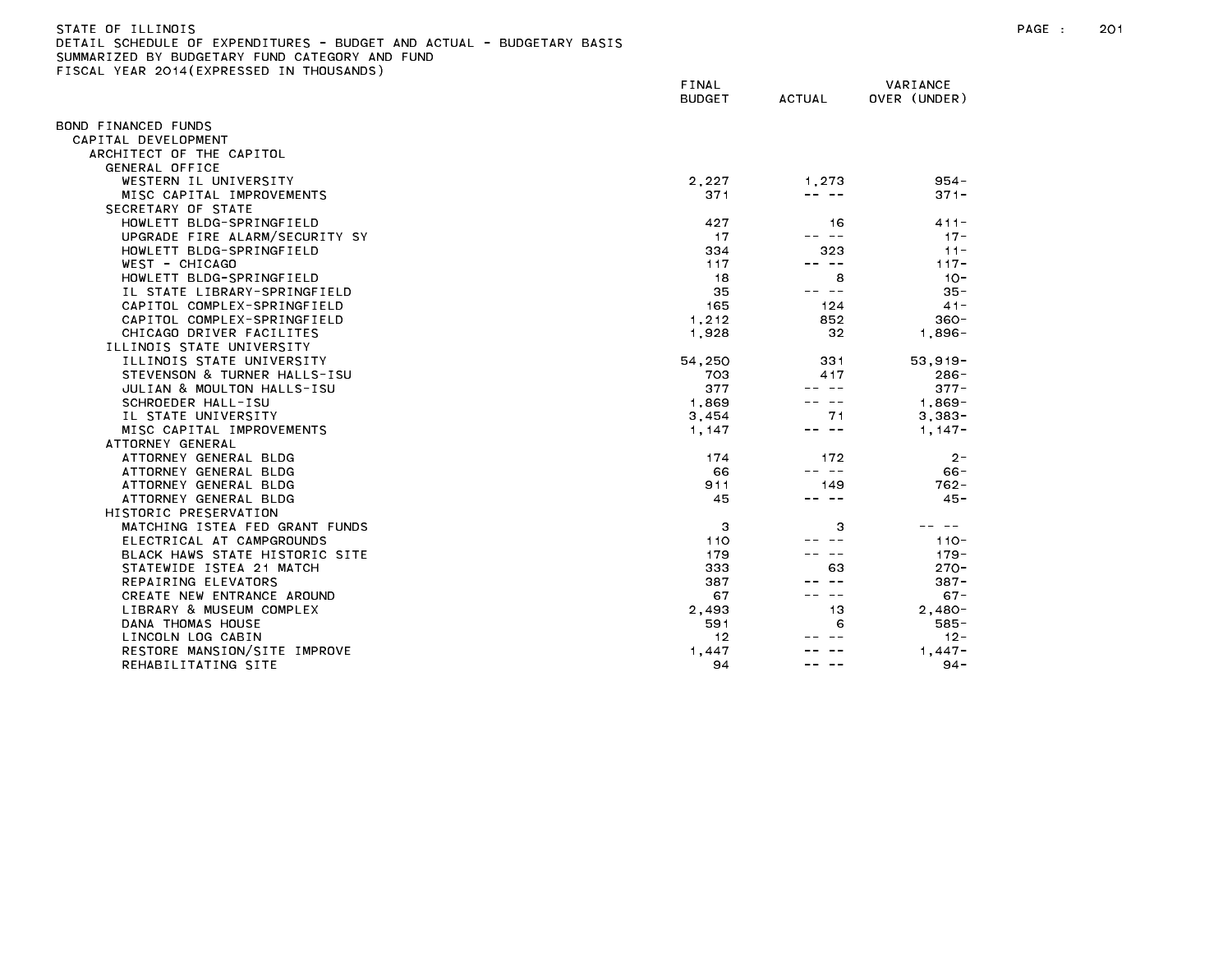| STATE OF ILLINOIS                                                     |
|-----------------------------------------------------------------------|
| DETAIL SCHEDULE OF EXPENDITURES - BUDGET AND ACTUAL - BUDGETARY BASIS |
| SUMMARIZED BY BUDGETARY FUND CATEGORY AND FUND                        |
| FISCAL YEAR 2014(EXPRESSED IN THOUSANDS)                              |

|                                | FINAL<br><b>BUDGET</b> | <b>ACTUAL</b> | VARIANCE<br>OVER (UNDER) |
|--------------------------------|------------------------|---------------|--------------------------|
| OND FINANCED FUNDS             |                        |               |                          |
| CAPITAL DEVELOPMENT            |                        |               |                          |
| ARCHITECT OF THE CAPITOL       |                        |               |                          |
| GENERAL OFFICE                 |                        |               |                          |
| WESTERN IL UNIVERSITY          | 2,227                  | 1,273         | $954 -$                  |
| MISC CAPITAL IMPROVEMENTS      | 371                    |               | $371 -$                  |
| SECRETARY OF STATE             |                        |               |                          |
| HOWLETT BLDG-SPRINGFIELD       | 427                    | 16            | $411 -$                  |
| UPGRADE FIRE ALARM/SECURITY SY | 17                     | $- -$         | $17 -$                   |
| HOWLETT BLDG-SPRINGFIELD       | 334                    | 323           | $11 -$                   |
| WEST - CHICAGO                 | 117                    | -- --         | $117 -$                  |
| HOWLETT BLDG-SPRINGFIELD       | 18                     | 8             | $10 -$                   |
| IL STATE LIBRARY-SPRINGFIELD   | 35                     | $- -$         | $35 -$                   |
| CAPITOL COMPLEX-SPRINGFIELD    | 165                    | 124           | $41 -$                   |
| CAPITOL COMPLEX-SPRINGFIELD    | 1,212                  | 852           | $360 -$                  |
| CHICAGO DRIVER FACILITES       | 1,928                  | 32            | $1,896-$                 |
| ILLINOIS STATE UNIVERSITY      |                        |               |                          |
| ILLINOIS STATE UNIVERSITY      | 54,250                 | 331           | $53,919-$                |
| STEVENSON & TURNER HALLS-ISU   | 703                    | 417           | $286 -$                  |
| JULIAN & MOULTON HALLS-ISU     | 377                    |               | $377 -$                  |
| SCHROEDER HALL-ISU             | 1,869                  |               | $1.869 -$                |
| IL STATE UNIVERSITY            | 3,454                  | 71            | $3,383-$                 |
| MISC CAPITAL IMPROVEMENTS      | 1.147                  | $\sim$ $-$    | $1.147 -$                |
| ATTORNEY GENERAL               |                        |               |                          |
| ATTORNEY GENERAL BLDG          | 174                    | 172           | $2 -$                    |
| ATTORNEY GENERAL BLDG          | 66                     | -- --         | $66 -$                   |
| ATTORNEY GENERAL BLDG          | 911                    | 149           | $762 -$                  |
| ATTORNEY GENERAL BLDG          | 45                     | -- --         | $45 -$                   |
| HISTORIC PRESERVATION          |                        |               |                          |
| MATCHING ISTEA FED GRANT FUNDS | 3                      | 3             |                          |
| ELECTRICAL AT CAMPGROUNDS      | 110                    |               | $110 -$                  |
| BLACK HAWS STATE HISTORIC SITE | 179                    |               | $179 -$                  |
| STATEWIDE ISTEA 21 MATCH       | 333                    | 63            | $270 -$                  |
| REPAIRING ELEVATORS            | 387                    |               | $387 -$                  |
| CREATE NEW ENTRANCE AROUND     | 67                     |               | $67 -$                   |
| LIBRARY & MUSEUM COMPLEX       | 2,493                  | 13            | $2.480 -$                |
| DANA THOMAS HOUSE              | 591                    | 6             | $585 -$                  |
| LINCOLN LOG CABIN              | 12                     |               | $12 -$                   |
| RESTORE MANSION/SITE IMPROVE   | 1,447                  |               | $1.447 -$                |
| REHABILITATING SITE            | 94                     |               | $94 -$                   |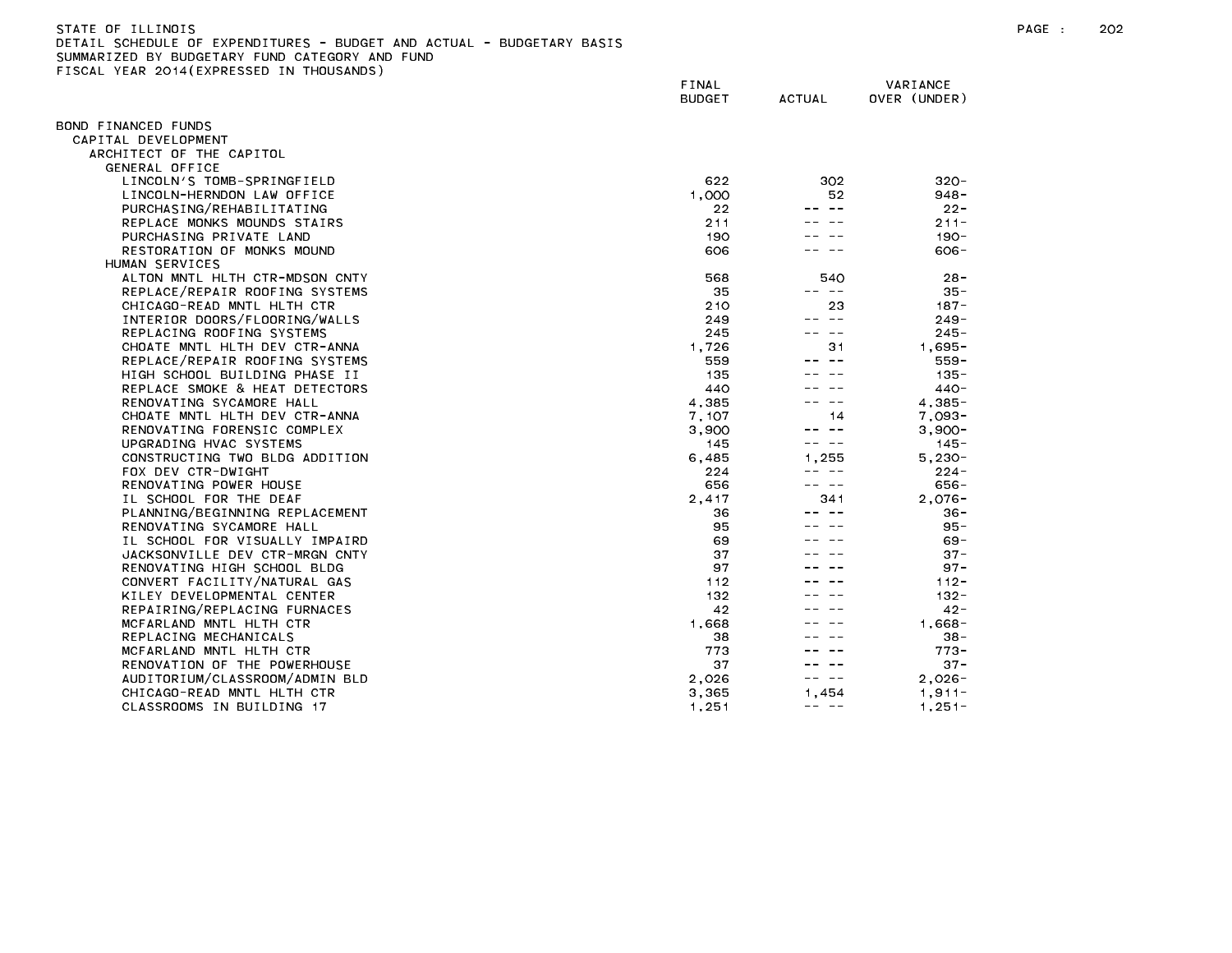| STATE OF ILLINOIS                                                     |  |  |  |
|-----------------------------------------------------------------------|--|--|--|
| DETAIL SCHEDULE OF EXPENDITURES - BUDGET AND ACTUAL - BUDGETARY BASIS |  |  |  |
| SUMMARIZED BY BUDGETARY FUND CATEGORY AND FUND                        |  |  |  |

| $1.57$ $1.77$ $1.77$ $1.53$    | FINAL<br><b>BUDGET</b> | <b>ACTUAL</b> | VARIANCE<br>OVER (UNDER) |
|--------------------------------|------------------------|---------------|--------------------------|
| BOND FINANCED FUNDS            |                        |               |                          |
| CAPITAL DEVELOPMENT            |                        |               |                          |
| ARCHITECT OF THE CAPITOL       |                        |               |                          |
| <b>GENERAL OFFICE</b>          |                        |               |                          |
| LINCOLN'S TOMB-SPRINGFIELD     | 622                    | 302           | $320 -$                  |
| LINCOLN-HERNDON LAW OFFICE     | 1.000                  | 52            | $948 -$                  |
| PURCHASING/REHABILITATING      | 22                     |               | $22 -$                   |
| REPLACE MONKS MOUNDS STAIRS    | 211                    |               | $211 -$                  |
| PURCHASING PRIVATE LAND        | 190                    |               | $190 -$                  |
| RESTORATION OF MONKS MOUND     | 606                    |               | $606 -$                  |
| HUMAN SERVICES                 |                        |               |                          |
| ALTON MNTL HLTH CTR-MDSON CNTY | 568                    | 540           | $28 -$                   |
| REPLACE/REPAIR ROOFING SYSTEMS | 35                     | -- --         | $35 -$                   |
| CHICAGO-READ MNTL HLTH CTR     | 210                    | 23            | $187 -$                  |
| INTERIOR DOORS/FLOORING/WALLS  | 249                    | -- --         | 249 -                    |
| REPLACING ROOFING SYSTEMS      | 245                    | ——            | $245 -$                  |
| CHOATE MNTL HLTH DEV CTR-ANNA  | 1,726                  | 31            | $1,695 -$                |
| REPLACE/REPAIR ROOFING SYSTEMS | 559                    |               | $559 -$                  |
| HIGH SCHOOL BUILDING PHASE II  | 135                    |               | $135 -$                  |
| REPLACE SMOKE & HEAT DETECTORS | 440                    |               | $440 -$                  |
| RENOVATING SYCAMORE HALL       | 4,385                  |               | $4.385 -$                |
| CHOATE MNTL HLTH DEV CTR-ANNA  | 7,107                  | 14            | 7.093-                   |
| RENOVATING FORENSIC COMPLEX    | 3,900                  | $\sim$ $-$    | $3,900-$                 |
| UPGRADING HVAC SYSTEMS         | 145                    | $\sim$ $-$    | 145 -                    |
| CONSTRUCTING TWO BLDG ADDITION | 6,485                  | 1.255         | $5,230-$                 |
| FOX DEV CTR-DWIGHT             | 224                    | -- --         | $224 -$                  |
| RENOVATING POWER HOUSE         | 656                    | -- --         | $656 -$                  |
| IL SCHOOL FOR THE DEAF         | 2,417                  | 341           | $2,076-$                 |
| PLANNING/BEGINNING REPLACEMENT | 36                     |               | $36 -$                   |
| RENOVATING SYCAMORE HALL       | 95                     |               | $95 -$                   |
| IL SCHOOL FOR VISUALLY IMPAIRD | 69                     |               | $69 -$                   |
| JACKSONVILLE DEV CTR-MRGN CNTY | 37                     |               | $37 -$                   |
| RENOVATING HIGH SCHOOL BLDG    | 97                     |               | $97 -$                   |
| CONVERT FACILITY/NATURAL GAS   | 112                    |               | $112 -$                  |
| KILEY DEVELOPMENTAL CENTER     | 132                    |               | $132 -$                  |
| REPAIRING/REPLACING FURNACES   | 42                     |               | $42 -$                   |
| MCFARLAND MNTL HLTH CTR        | 1,668                  |               | $1,668-$                 |
| REPLACING MECHANICALS          | 38                     |               | $38 -$                   |
| MCFARLAND MNTL HLTH CTR        | 773                    |               | $773 -$                  |
| RENOVATION OF THE POWERHOUSE   | 37                     |               | $37 -$                   |
| AUDITORIUM/CLASSROOM/ADMIN BLD | 2.026                  | $\sim$ $-$    | $2.026 -$                |
| CHICAGO-READ MNTL HLTH CTR     | 3,365                  | 1.454         | $1.911 -$                |
| CLASSROOMS IN BUILDING 17      | 1,251                  | -- --         | $1,251-$                 |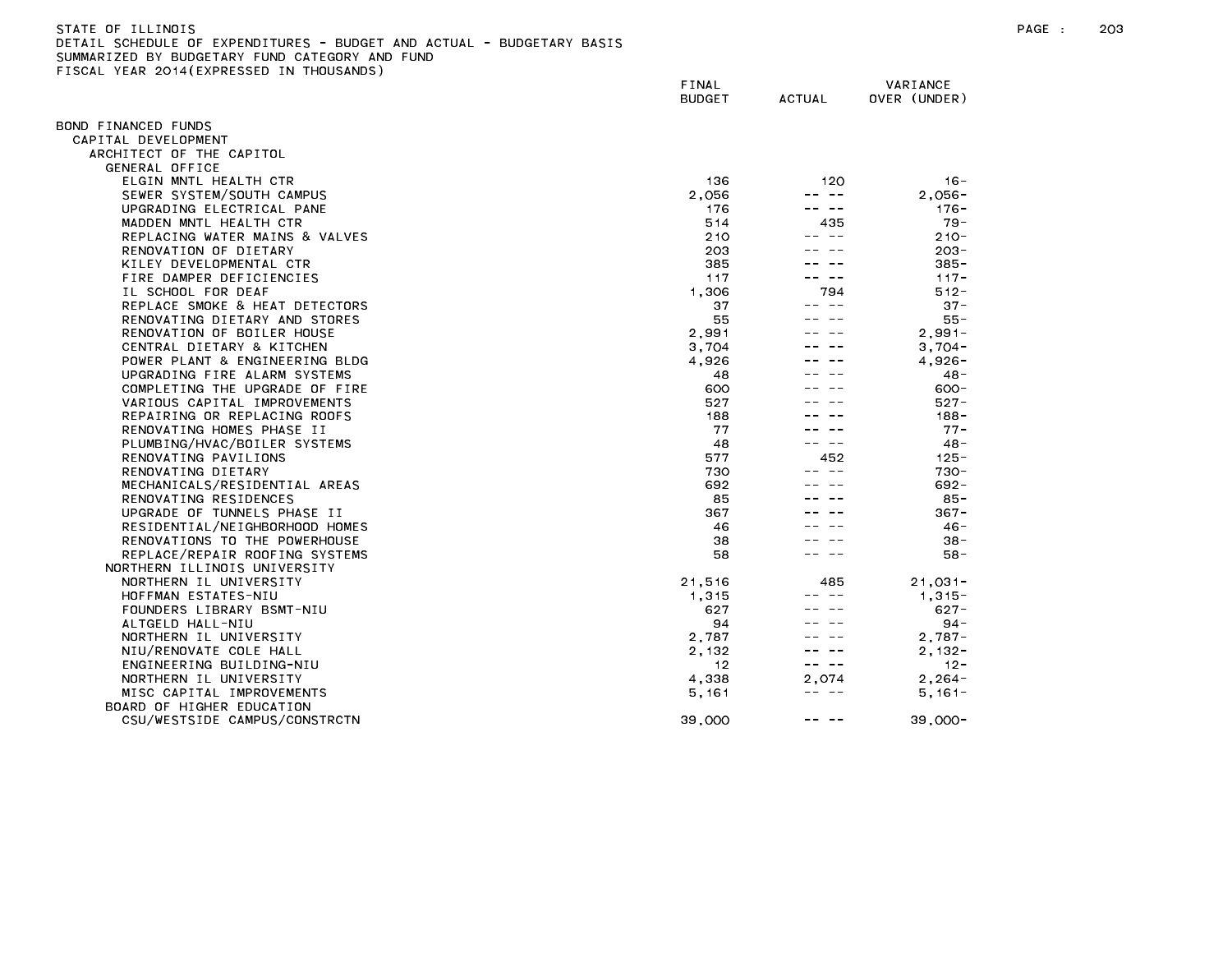| STATE OF ILLINOIS                                                     | PAGE | 203 |
|-----------------------------------------------------------------------|------|-----|
| DETAIL SCHEDULE OF EXPENDITURES - BUDGET AND ACTUAL - BUDGETARY BASIS |      |     |
| SUMMARIZED BY BUDGETARY FUND CATEGORY AND FUND                        |      |     |

FINAL VARIANCE BUDGET ACTUAL OVER (UNDER) BOND FINANCED FUNDS CAPITAL DEVELOPMENT ARCHITECT OF THE CAPITOL GENERAL OFFICE elgin mutl health ctr is a compared to the compared of the 1120 in the 1120 in the 1136 in the 1136 in the 1130 SEWER SYSTEM/SOUTH CAMPUS 2,056 ---- 2,056-2,056 2,056-2,056 ---- 2,056-UPGRADING ELECTRICAL PANE 176-18 (1999) 176-176-2001 176-2002 176-2002 176-2003 176-2003 176-2003 176-2003 176-MADDEN MNTL HEALTH CTR 514 435 79- REPLACING WATER MAINS & VALVES **210** --- 210 RENOVATION OF DIETARY 203 -- -- 203- KILEY DEVELOPMENTAL CTR 385 -- -- 385- FIRE DAMPER DEFICIENCIES And the set of the set of the set of the set of the set of the set of the set of the set of the set of the set of the set of the set of the set of the set of the set of the set of the set of the se IL SCHOOL FOR DEAF 1,306 794 512- REPLACE SMOKE & HEAT DETECTORS 37 --- 37-RENOVATING DIETARY AND STORES FOR THE SERVICE OF STORES AND STORES SUPERVIEW OF SERVICE OF STORES AND STORES RENOVATION OF BOILER HOUSE 2,991 ---- 2,991 CENTRAL DIETARY & KITCHEN 3,704 --- 3,704-POWER PLANT & ENGINEERING BLDG **A CONSERVER SEE A CONSERVER A CONSERVER A** 4,926 ---- 4,926-UPGRADING FIRE ALARM SYSTEMS 48 --- 48 --- 48-COMPLETING THE UPGRADE OF FIRE A REAL PROPERTY COMPLETING THE UPGRADE OF FIRE A REAL PROPERTY COMPLETING THE UPGRADE OF FIRE VARIOUS CAPITAL IMPROVEMENTS 627 --- 527-REPAIRING OR REPLACING ROOFS 188 -- -- 188- RENOVATING HOMES PHASE II 77 --- 77-PLUMBING/HVAC/BOILER SYSTEMS 48 --- 48-RENOVATING PAVILIONS 577 452 125- RENOVATING DIETARY 730 -- -- 730- MECHANICALS/RESIDENTIAL AREAS 692 ---- 692-RENOVATING RESIDENCES 85 --- 85-UPGRADE OF TUNNELS PHASE II 367 - 367 - 367 - 367 - 367 - 367 - 367 - 367 - 367 - 367 - 367 - 367 - 367 - 367 - 367 - 367 - 367 - 367 - 367 - 367 - 367 - 367 - 367 - 367 - 367 - 367 - 367 - 367 - 367 - 367 - 367 - 367 - 36 RESIDENTIAL/NEIGHBORHOOD HOMES 46 -- -- 46- RENOVATIONS TO THE POWERHOUSE And the state of the state of the state of the state of the state of the state of the state of the state of the state of the state of the state of the state of the state of the state of the st REPLACE/REPAIR ROOFING SYSTEMS 58 --- 58-NORTHERN ILLINOIS UNIVERSITY NORTHERN IL UNIVERSITY 21,516 485 21,031- HOFFMAN ESTATES-NIU 1,315 -- -- 1,315- FOUNDERS LIBRARY BSMT-NIU FOUNDERS LIBRARY SOLUTION AND SALL CONTROL CONTROL CONTROL CONTROL CONTROL CONTROL CONTROL CONTROL CONTROL CONTROL CONTROL CONTROL CONTROL CONTROL CONTROL CONTROL CONTROL CONTROL CONTROL CONTROL C ALTGELD HALL-NIU 94 -- -- 94- NORTHERN IL UNIVERSITY 2,787 -- -- 2,787- NIU/RENOVATE COLE HALL 2,132 --- 2,132 ENGINEERING BUILDING-NIU 12 -- -- 12- NORTHERN IL UNIVERSITY MISC CAPITAL IMPROVEMENTS 6.161-8.161-8.161-8.161-8.161-8.161-8.161-8.161-8.161-8.161-8.161-8.161-8.161-8.161-BOARD OF HIGHER EDUCATION CSU/WESTSIDE CAMPUS/CONSTRCTN 39,000 -- -- 39,000-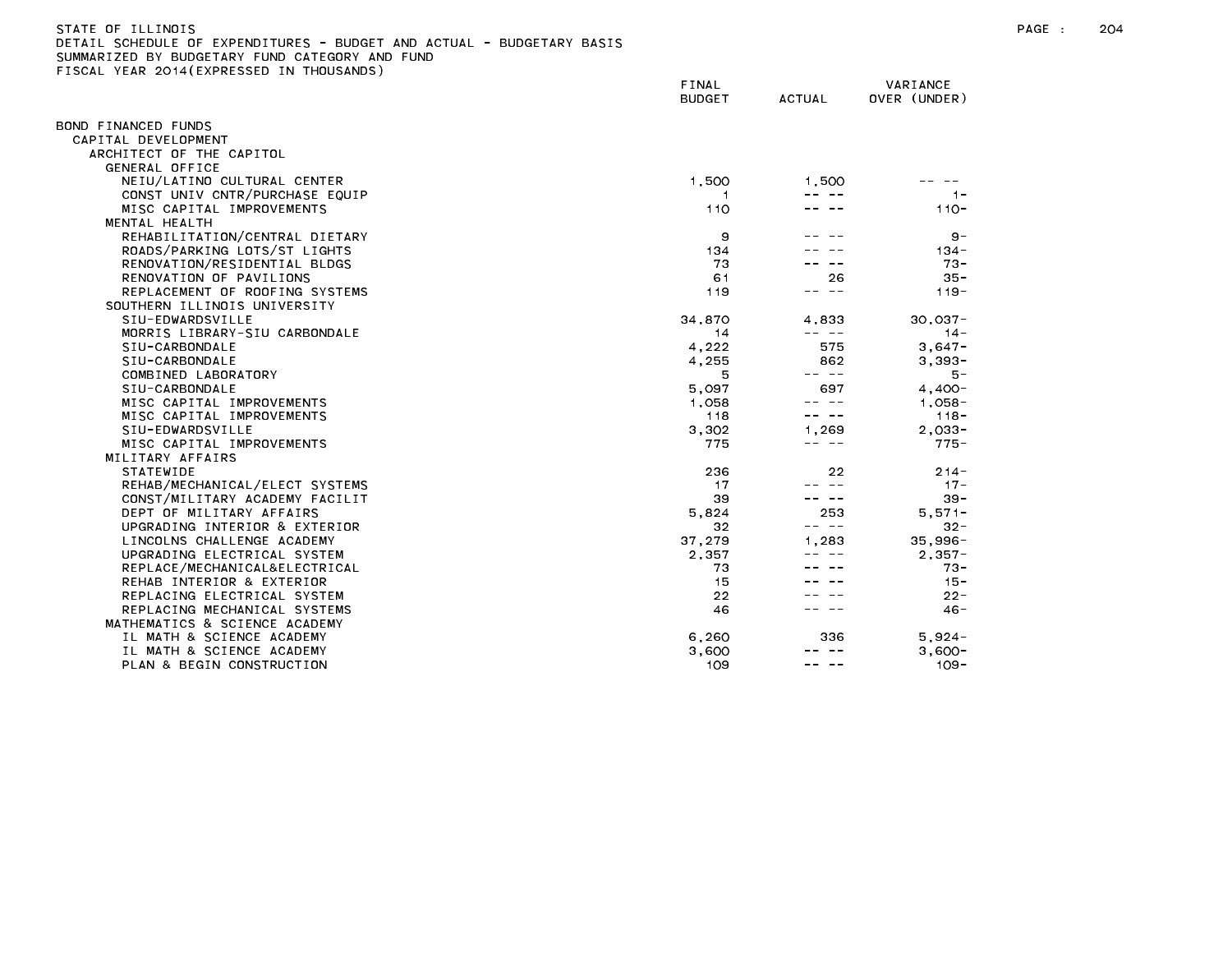| STATE OF ILLINOIS                                                     |
|-----------------------------------------------------------------------|
| DETAIL SCHEDULE OF EXPENDITURES - BUDGET AND ACTUAL - BUDGETARY BASIS |
| SUMMARIZED BY BUDGETARY FUND CATEGORY AND FUND                        |
| FISCAL YEAR 2014(EXPRESSED IN THOUSANDS)                              |

|                                | FINAL<br><b>BUDGET</b> | <b>ACTUAL</b> | VARIANCE<br>OVER (UNDER) |
|--------------------------------|------------------------|---------------|--------------------------|
| BOND FINANCED FUNDS            |                        |               |                          |
| CAPITAL DEVELOPMENT            |                        |               |                          |
| ARCHITECT OF THE CAPITOL       |                        |               |                          |
| <b>GENERAL OFFICE</b>          |                        |               |                          |
| NEIU/LATINO CULTURAL CENTER    | 1,500                  | 1.500         |                          |
| CONST UNIV CNTR/PURCHASE EQUIP | 1.                     |               | $1 -$                    |
| MISC CAPITAL IMPROVEMENTS      | 110                    |               | $110 -$                  |
| MENTAL HEALTH                  |                        |               |                          |
| REHABILITATION/CENTRAL DIETARY | 9                      |               | $9 -$                    |
| ROADS/PARKING LOTS/ST LIGHTS   | 134                    |               | $134 -$                  |
| RENOVATION/RESIDENTIAL BLDGS   | 73                     |               | $73 -$                   |
| RENOVATION OF PAVILIONS        | 61                     | 26            | $35 -$                   |
| REPLACEMENT OF ROOFING SYSTEMS | 119                    | ت ب           | $119 -$                  |
| SOUTHERN ILLINOIS UNIVERSITY   |                        |               |                          |
| SIU-EDWARDSVILLE               | 34,870                 | 4,833         | $30,037 -$               |
| MORRIS LIBRARY-SIU CARBONDALE  | 14                     | -- --         | $14 -$                   |
| SIU-CARBONDALE                 | 4,222                  | 575           | $3,647-$                 |
| SIU-CARBONDALE                 | 4,255                  | 862           | $3,393-$                 |
| COMBINED LABORATORY            | 5                      | -- --         | 5 –                      |
| SIU-CARBONDALE                 | 5,097                  | 697           | $4.400 -$                |
| MISC CAPITAL IMPROVEMENTS      | 1,058                  | $\sim$ $-$    | $1,058-$                 |
| MISC CAPITAL IMPROVEMENTS      | 118                    | $  -$         | $118 -$                  |
| SIU-EDWARDSVILLE               | 3,302                  | 1,269         | $2,033-$                 |
| MISC CAPITAL IMPROVEMENTS      | 775                    | -- --         | $775 -$                  |
| MILITARY AFFAIRS               |                        |               |                          |
| <b>STATEWIDE</b>               | 236                    | 22            | $214 -$                  |
| REHAB/MECHANICAL/ELECT SYSTEMS | 17                     |               | $17 -$                   |
| CONST/MILITARY ACADEMY FACILIT | 39                     |               | $39 -$                   |
| DEPT OF MILITARY AFFAIRS       | 5.824                  | 253           | $5.571 -$                |
| UPGRADING INTERIOR & EXTERIOR  | 32                     |               | $32 -$                   |
| LINCOLNS CHALLENGE ACADEMY     | 37,279                 | 1.283         | $35,996 -$               |
| UPGRADING ELECTRICAL SYSTEM    | 2,357                  |               | $2,357-$                 |
| REPLACE/MECHANICAL&ELECTRICAL  | 73                     |               | $73 -$                   |
| REHAB INTERIOR & EXTERIOR      | 15                     |               | $15 -$                   |
| REPLACING ELECTRICAL SYSTEM    | $22 \,$                |               | $22 -$                   |
| REPLACING MECHANICAL SYSTEMS   | 46                     |               | $46 -$                   |
| MATHEMATICS & SCIENCE ACADEMY  |                        |               |                          |
| IL MATH & SCIENCE ACADEMY      | 6,260                  | 336           | $5.924 -$                |
| IL MATH & SCIENCE ACADEMY      | 3,600                  |               | $3.600 -$                |
| PLAN & BEGIN CONSTRUCTION      | 109                    |               | $109 -$                  |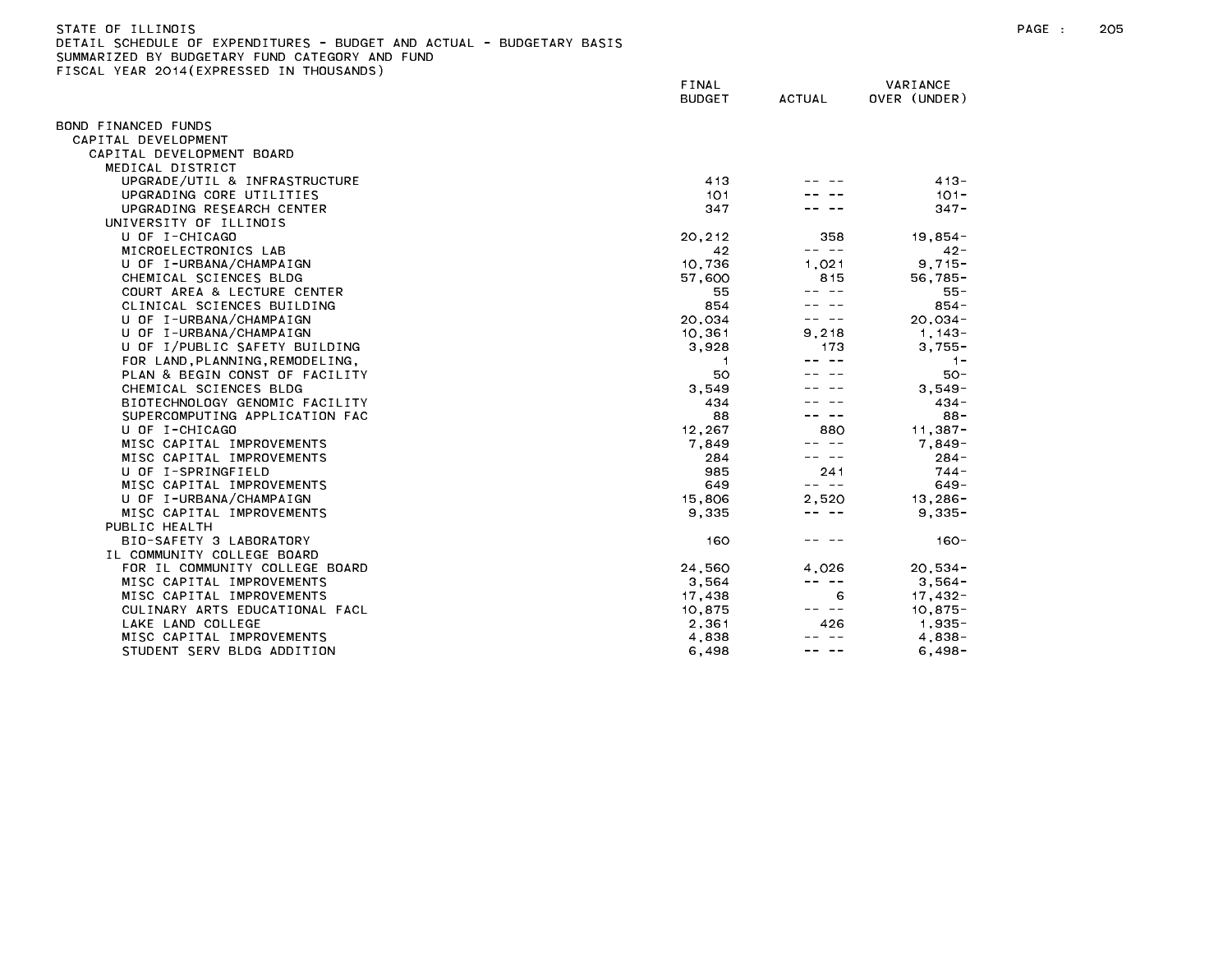| STATE OF ILLINOIS                                                     |
|-----------------------------------------------------------------------|
| DETAIL SCHEDULE OF EXPENDITURES - BUDGET AND ACTUAL - BUDGETARY BASIS |
| SUMMARIZED BY BUDGETARY FUND CATEGORY AND FUND                        |
| FISCAL YEAR 2014(EXPRESSED IN THOUSANDS)                              |

|                                 | FINAL<br><b>BUDGET</b> | <b>ACTUAL</b> | VARIANCE<br>OVER (UNDER) |  |
|---------------------------------|------------------------|---------------|--------------------------|--|
| BOND FINANCED FUNDS             |                        |               |                          |  |
| CAPITAL DEVELOPMENT             |                        |               |                          |  |
| CAPITAL DEVELOPMENT BOARD       |                        |               |                          |  |
| MEDICAL DISTRICT                |                        |               |                          |  |
| UPGRADE/UTIL & INFRASTRUCTURE   | 413                    |               | $413 -$                  |  |
| UPGRADING CORE UTILITIES        | 101                    |               | $101 -$                  |  |
| UPGRADING RESEARCH CENTER       | 347                    |               | $347 -$                  |  |
| UNIVERSITY OF ILLINOIS          |                        |               |                          |  |
| U OF I-CHICAGO                  | 20,212                 | 358           | $19,854-$                |  |
| MICROELECTRONICS LAB            | 42                     | -- --         | $42 -$                   |  |
| U OF I-URBANA/CHAMPAIGN         | 10,736                 | 1,021         | $9,715 -$                |  |
| CHEMICAL SCIENCES BLDG          | 57,600                 | 815           | $56.785 -$               |  |
| COURT AREA & LECTURE CENTER     | 55                     | -- --         | $55 -$                   |  |
| CLINICAL SCIENCES BUILDING      | 854                    |               | $854 -$                  |  |
| U OF I-URBANA/CHAMPAIGN         | 20,034                 |               | $20,034-$                |  |
| U OF I-URBANA/CHAMPAIGN         | 10,361                 | 9,218         | $1,143-$                 |  |
| U OF I/PUBLIC SAFETY BUILDING   | 3,928                  | 173           | $3.755 -$                |  |
| FOR LAND, PLANNING, REMODELING, | 1                      |               | $1 -$                    |  |
| PLAN & BEGIN CONST OF FACILITY  | 50                     |               | $50 -$                   |  |
| CHEMICAL SCIENCES BLDG          | 3,549                  |               | $3,549 -$                |  |
| BIOTECHNOLOGY GENOMIC FACILITY  | 434                    |               | $434 -$                  |  |
| SUPERCOMPUTING APPLICATION FAC  | 88                     |               | $88 -$                   |  |
| U OF I-CHICAGO                  | 12,267                 | 880           | $11,387-$                |  |
| MISC CAPITAL IMPROVEMENTS       | 7,849                  |               | $7,849-$                 |  |
| MISC CAPITAL IMPROVEMENTS       | 284                    |               | $284 -$                  |  |
| U OF I-SPRINGFIELD              | 985                    | 241           | $744 -$                  |  |
| MISC CAPITAL IMPROVEMENTS       | 649                    | -- --         | $649 -$                  |  |
| U OF I-URBANA/CHAMPAIGN         | 15,806                 | 2,520         | $13.286 -$               |  |
| MISC CAPITAL IMPROVEMENTS       | 9,335                  | -- --         | $9.335 -$                |  |
| PUBLIC HEALTH                   |                        |               |                          |  |
| BIO-SAFETY 3 LABORATORY         | 160                    |               | $160 -$                  |  |
| IL COMMUNITY COLLEGE BOARD      |                        |               |                          |  |
| FOR IL COMMUNITY COLLEGE BOARD  | 24,560                 | 4,026         | $20,534-$                |  |
| MISC CAPITAL IMPROVEMENTS       | 3,564                  | $\sim$ $-$    | $3,564-$                 |  |
| MISC CAPITAL IMPROVEMENTS       | 17,438                 | 6             | $17,432-$                |  |
| CULINARY ARTS EDUCATIONAL FACL  | 10,875                 | $\sim$ $-$    | $10,875 -$               |  |
| LAKE LAND COLLEGE               | 2,361                  | 426           | $1,935 -$                |  |
| MISC CAPITAL IMPROVEMENTS       | 4,838                  |               | $4.838 -$                |  |
| STUDENT SERV BLDG ADDITION      | 6,498                  |               | $6,498-$                 |  |
|                                 |                        |               |                          |  |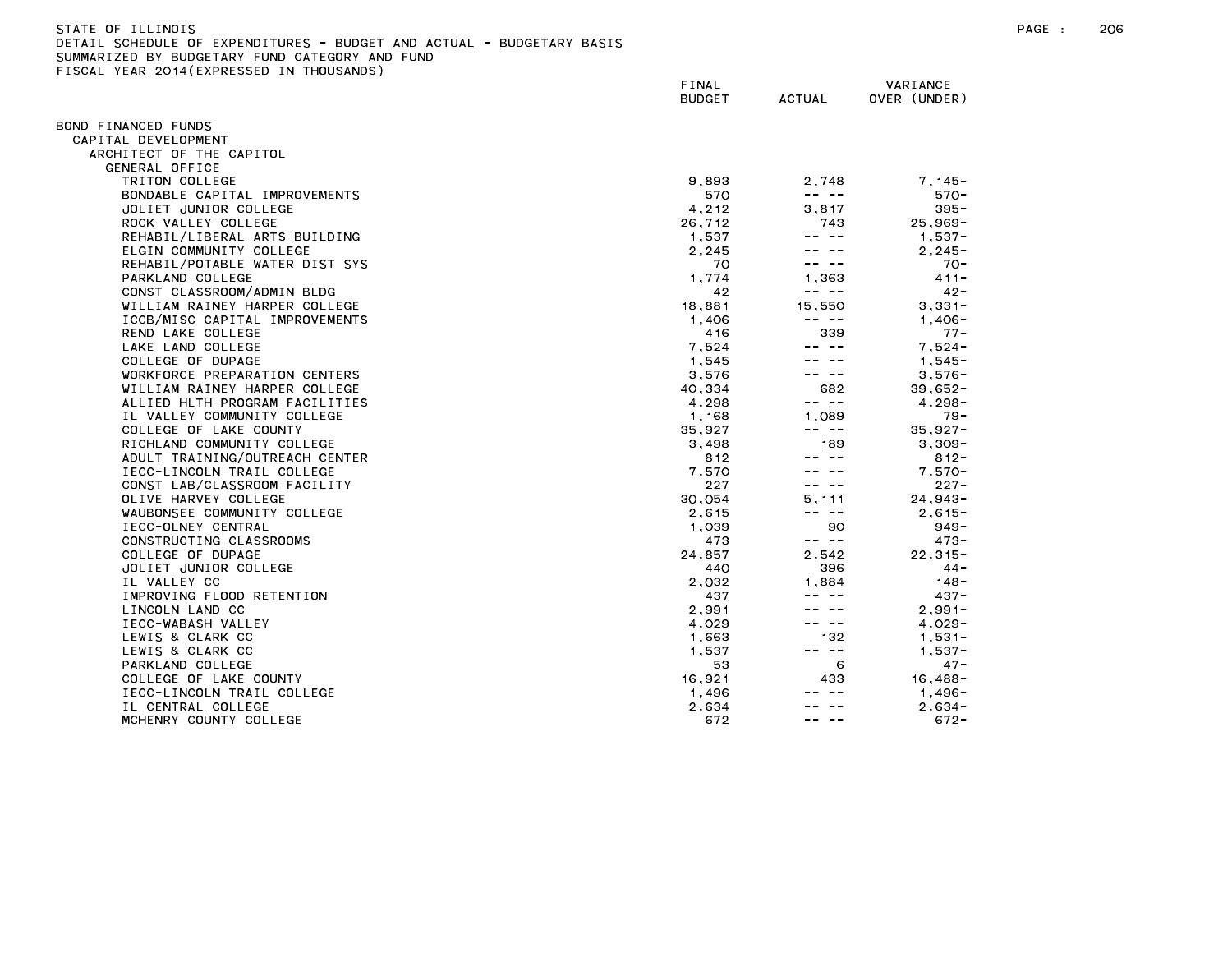| STATE OF ILLINOIS                                                     |
|-----------------------------------------------------------------------|
| DETAIL SCHEDULE OF EXPENDITURES - BUDGET AND ACTUAL - BUDGETARY BASIS |
| SUMMARIZED BY BUDGETARY FUND CATEGORY AND FUND                        |
| FISCAL YEAR 2014(EXPRESSED IN THOUSANDS)                              |

|                                | FINAL<br><b>BUDGET</b> | <b>ACTUAL</b>                                                                                                                                                                                                                                                                                                                                                                                | VARIANCE<br>OVER (UNDER) |
|--------------------------------|------------------------|----------------------------------------------------------------------------------------------------------------------------------------------------------------------------------------------------------------------------------------------------------------------------------------------------------------------------------------------------------------------------------------------|--------------------------|
|                                |                        |                                                                                                                                                                                                                                                                                                                                                                                              |                          |
| 3OND FINANCED FUNDS            |                        |                                                                                                                                                                                                                                                                                                                                                                                              |                          |
| CAPITAL DEVELOPMENT            |                        |                                                                                                                                                                                                                                                                                                                                                                                              |                          |
| ARCHITECT OF THE CAPITOL       |                        |                                                                                                                                                                                                                                                                                                                                                                                              |                          |
| GENERAL OFFICE                 |                        |                                                                                                                                                                                                                                                                                                                                                                                              |                          |
| TRITON COLLEGE                 | 9,893                  | 2,748                                                                                                                                                                                                                                                                                                                                                                                        | $7.145 -$                |
| BONDABLE CAPITAL IMPROVEMENTS  | 570                    | $\frac{1}{2} \frac{1}{2} \frac{1}{2} \frac{1}{2} \frac{1}{2} \frac{1}{2} \frac{1}{2} \frac{1}{2} \frac{1}{2} \frac{1}{2} \frac{1}{2} \frac{1}{2} \frac{1}{2} \frac{1}{2} \frac{1}{2} \frac{1}{2} \frac{1}{2} \frac{1}{2} \frac{1}{2} \frac{1}{2} \frac{1}{2} \frac{1}{2} \frac{1}{2} \frac{1}{2} \frac{1}{2} \frac{1}{2} \frac{1}{2} \frac{1}{2} \frac{1}{2} \frac{1}{2} \frac{1}{2} \frac{$ | $570 -$                  |
| JOLIET JUNIOR COLLEGE          | 4,212                  | 3,817                                                                                                                                                                                                                                                                                                                                                                                        | $395 -$                  |
| ROCK VALLEY COLLEGE            | 26.712                 | 743                                                                                                                                                                                                                                                                                                                                                                                          | $25.969 -$               |
| REHABIL/LIBERAL ARTS BUILDING  | 1.537                  | $\frac{1}{2} \frac{1}{2} \frac{1}{2} \frac{1}{2} \frac{1}{2} \frac{1}{2} \frac{1}{2} \frac{1}{2} \frac{1}{2} \frac{1}{2} \frac{1}{2} \frac{1}{2} \frac{1}{2} \frac{1}{2} \frac{1}{2} \frac{1}{2} \frac{1}{2} \frac{1}{2} \frac{1}{2} \frac{1}{2} \frac{1}{2} \frac{1}{2} \frac{1}{2} \frac{1}{2} \frac{1}{2} \frac{1}{2} \frac{1}{2} \frac{1}{2} \frac{1}{2} \frac{1}{2} \frac{1}{2} \frac{$ | $1,537-$                 |
| ELGIN COMMUNITY COLLEGE        | 2.245                  |                                                                                                                                                                                                                                                                                                                                                                                              | $2.245 -$                |
| REHABIL/POTABLE WATER DIST SYS | 70                     |                                                                                                                                                                                                                                                                                                                                                                                              | $70 -$                   |
| PARKLAND COLLEGE               | 1,774                  | 1.363                                                                                                                                                                                                                                                                                                                                                                                        | $411 -$                  |
| CONST CLASSROOM/ADMIN BLDG     | 42                     | -- --                                                                                                                                                                                                                                                                                                                                                                                        | $42 -$                   |
| WILLIAM RAINEY HARPER COLLEGE  | 18,881                 | 15.550                                                                                                                                                                                                                                                                                                                                                                                       | $3,331-$                 |
| ICCB/MISC CAPITAL IMPROVEMENTS | 1,406                  | $\frac{1}{2} \frac{1}{2} \frac{1}{2} \frac{1}{2} \frac{1}{2} \frac{1}{2} \frac{1}{2} \frac{1}{2} \frac{1}{2} \frac{1}{2} \frac{1}{2} \frac{1}{2} \frac{1}{2} \frac{1}{2} \frac{1}{2} \frac{1}{2} \frac{1}{2} \frac{1}{2} \frac{1}{2} \frac{1}{2} \frac{1}{2} \frac{1}{2} \frac{1}{2} \frac{1}{2} \frac{1}{2} \frac{1}{2} \frac{1}{2} \frac{1}{2} \frac{1}{2} \frac{1}{2} \frac{1}{2} \frac{$ | $1.406 -$                |
| REND LAKE COLLEGE              | 416                    | 339                                                                                                                                                                                                                                                                                                                                                                                          | $77 -$                   |
| LAKE LAND COLLEGE              | 7,524                  | $- - - - -$                                                                                                                                                                                                                                                                                                                                                                                  | $7,524-$                 |
| COLLEGE OF DUPAGE              | 1.545                  |                                                                                                                                                                                                                                                                                                                                                                                              | $1.545 -$                |
| WORKFORCE PREPARATION CENTERS  | 3,576                  | -- --                                                                                                                                                                                                                                                                                                                                                                                        | $3,576-$                 |
| WILLIAM RAINEY HARPER COLLEGE  | 40,334                 | 682                                                                                                                                                                                                                                                                                                                                                                                          | $39,652 -$               |
| ALLIED HLTH PROGRAM FACILITIES | 4.298                  | -- --                                                                                                                                                                                                                                                                                                                                                                                        | $4.298 -$                |
| IL VALLEY COMMUNITY COLLEGE    | 1,168                  | 1.089                                                                                                                                                                                                                                                                                                                                                                                        | $79 -$                   |
| COLLEGE OF LAKE COUNTY         | 35.927                 | -- --                                                                                                                                                                                                                                                                                                                                                                                        | $35.927 -$               |
| RICHLAND COMMUNITY COLLEGE     | 3,498                  | 189                                                                                                                                                                                                                                                                                                                                                                                          | $3,309-$                 |
| ADULT TRAINING/OUTREACH CENTER | 812                    | -- --                                                                                                                                                                                                                                                                                                                                                                                        | $812 -$                  |
| IECC-LINCOLN TRAIL COLLEGE     | 7,570                  |                                                                                                                                                                                                                                                                                                                                                                                              | $7,570-$                 |
| CONST LAB/CLASSROOM FACILITY   | 227                    |                                                                                                                                                                                                                                                                                                                                                                                              | $227 -$                  |
| OLIVE HARVEY COLLEGE           | 30.054                 | 5.111                                                                                                                                                                                                                                                                                                                                                                                        | $24,943-$                |
| WAUBONSEE COMMUNITY COLLEGE    | 2,615                  | -- --                                                                                                                                                                                                                                                                                                                                                                                        | $2,615-$                 |
| IECC-OLNEY CENTRAL             | 1,039                  | 90                                                                                                                                                                                                                                                                                                                                                                                           | $949 -$                  |
| CONSTRUCTING CLASSROOMS        | 473                    | -- --                                                                                                                                                                                                                                                                                                                                                                                        | $473 -$                  |
| COLLEGE OF DUPAGE              | 24,857                 | 2.542                                                                                                                                                                                                                                                                                                                                                                                        | $22, 315 -$              |
| JOLIET JUNIOR COLLEGE          | 440                    | 396                                                                                                                                                                                                                                                                                                                                                                                          | $44 -$                   |
| IL VALLEY CC                   | 2.032                  | 1.884                                                                                                                                                                                                                                                                                                                                                                                        | $148 -$                  |
| IMPROVING FLOOD RETENTION      | 437                    |                                                                                                                                                                                                                                                                                                                                                                                              | $437 -$                  |
| LINCOLN LAND CC                | 2.991                  |                                                                                                                                                                                                                                                                                                                                                                                              | $2.991 -$                |
| IECC-WABASH VALLEY             | 4,029                  | -- --                                                                                                                                                                                                                                                                                                                                                                                        | $4,029-$                 |
| LEWIS & CLARK CC               | 1,663                  | 132                                                                                                                                                                                                                                                                                                                                                                                          | $1,531-$                 |
| LEWIS & CLARK CC               | 1,537                  | -- --                                                                                                                                                                                                                                                                                                                                                                                        | $1,537 -$                |
| PARKLAND COLLEGE               | 53                     | 6                                                                                                                                                                                                                                                                                                                                                                                            | $47 -$                   |
| COLLEGE OF LAKE COUNTY         | 16,921                 | 433                                                                                                                                                                                                                                                                                                                                                                                          | 16,488-                  |
| IECC-LINCOLN TRAIL COLLEGE     | 1,496                  | $\frac{1}{2} \frac{1}{2} \frac{1}{2} \frac{1}{2} \frac{1}{2} \frac{1}{2} \frac{1}{2} \frac{1}{2} \frac{1}{2} \frac{1}{2} \frac{1}{2} \frac{1}{2} \frac{1}{2} \frac{1}{2} \frac{1}{2} \frac{1}{2} \frac{1}{2} \frac{1}{2} \frac{1}{2} \frac{1}{2} \frac{1}{2} \frac{1}{2} \frac{1}{2} \frac{1}{2} \frac{1}{2} \frac{1}{2} \frac{1}{2} \frac{1}{2} \frac{1}{2} \frac{1}{2} \frac{1}{2} \frac{$ | $1,496-$                 |
| IL CENTRAL COLLEGE             | 2.634                  |                                                                                                                                                                                                                                                                                                                                                                                              | $2.634 -$                |
| MCHENRY COUNTY COLLEGE         | 672                    | -- --                                                                                                                                                                                                                                                                                                                                                                                        | $672 -$                  |
|                                |                        |                                                                                                                                                                                                                                                                                                                                                                                              |                          |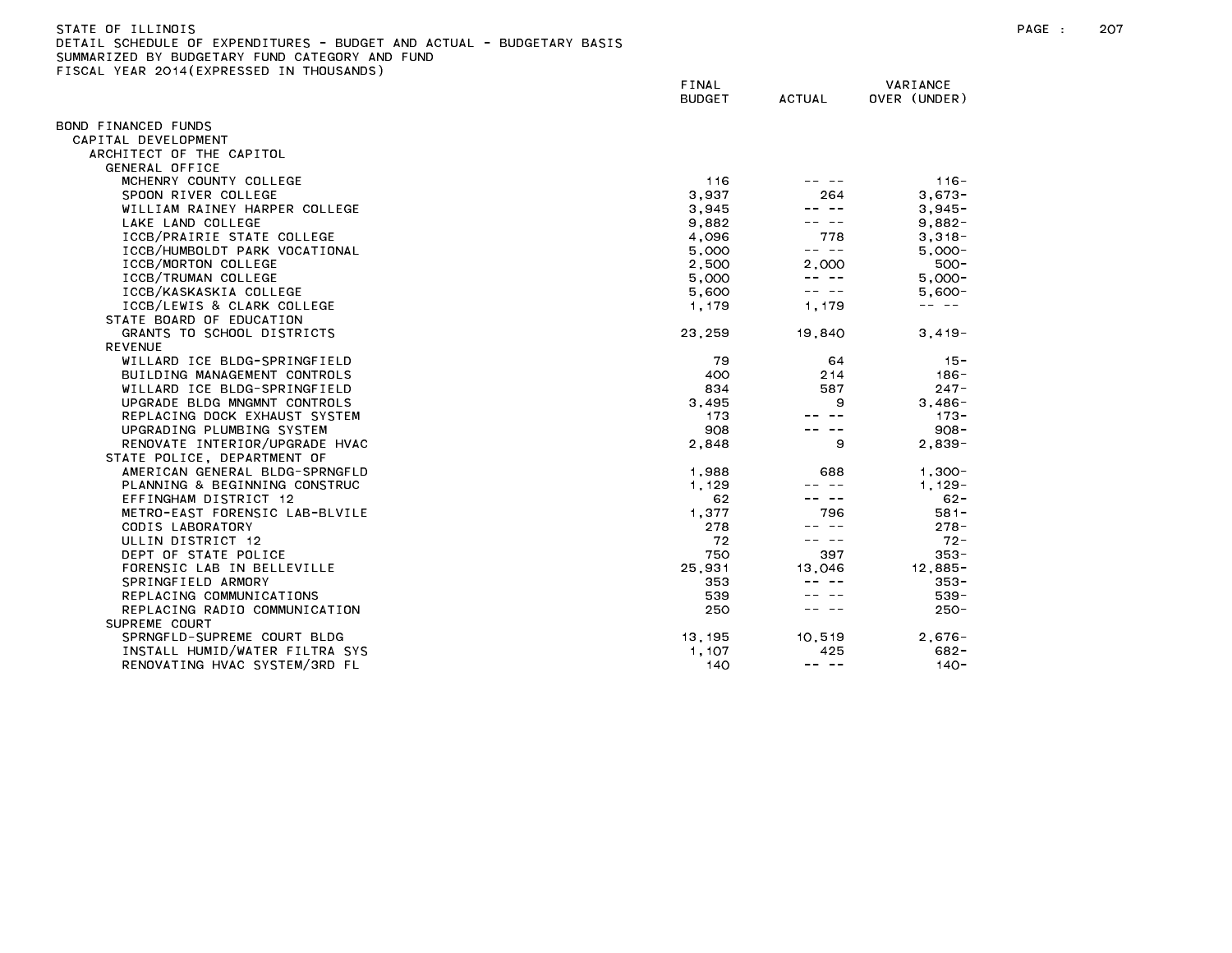| STATE OF ILLINOIS                                                     | PAGE | -207 |
|-----------------------------------------------------------------------|------|------|
| DETAIL SCHEDULE OF EXPENDITURES - BUDGET AND ACTUAL - BUDGETARY BASIS |      |      |
| SUMMARIZED BY BUDGETARY FUND CATEGORY AND FUND                        |      |      |

SUMMARIZED BY BUDGETARY FUND CATEGORY AND FUND<br>FISCAL YEAR 2014(EXPRESSED IN THOUSANDS)

|                                | FINAL<br><b>BUDGET</b> | <b>ACTUAL</b>                                                                                                                                                                                                                                                                                                                                                                                | VARIANCE<br>OVER (UNDER) |
|--------------------------------|------------------------|----------------------------------------------------------------------------------------------------------------------------------------------------------------------------------------------------------------------------------------------------------------------------------------------------------------------------------------------------------------------------------------------|--------------------------|
| BOND FINANCED FUNDS            |                        |                                                                                                                                                                                                                                                                                                                                                                                              |                          |
| CAPITAL DEVELOPMENT            |                        |                                                                                                                                                                                                                                                                                                                                                                                              |                          |
| ARCHITECT OF THE CAPITOL       |                        |                                                                                                                                                                                                                                                                                                                                                                                              |                          |
| <b>GENERAL OFFICE</b>          |                        |                                                                                                                                                                                                                                                                                                                                                                                              |                          |
| MCHENRY COUNTY COLLEGE         | 116                    |                                                                                                                                                                                                                                                                                                                                                                                              | $116 -$                  |
| SPOON RIVER COLLEGE            | 3,937                  | 264                                                                                                                                                                                                                                                                                                                                                                                          | $3,673-$                 |
| WILLIAM RAINEY HARPER COLLEGE  | 3,945                  |                                                                                                                                                                                                                                                                                                                                                                                              | $3,945-$                 |
| LAKE LAND COLLEGE              | 9,882                  |                                                                                                                                                                                                                                                                                                                                                                                              | $9,882-$                 |
| ICCB/PRAIRIE STATE COLLEGE     | 4,096                  | 778                                                                                                                                                                                                                                                                                                                                                                                          | $3,318-$                 |
| ICCB/HUMBOLDT PARK VOCATIONAL  | 5,000                  | -- --                                                                                                                                                                                                                                                                                                                                                                                        | $5,000 -$                |
| ICCB/MORTON COLLEGE            | 2,500                  | 2.000                                                                                                                                                                                                                                                                                                                                                                                        | $500 -$                  |
| ICCB/TRUMAN COLLEGE            | 5,000                  | $\frac{1}{2} \frac{1}{2} \frac{1}{2} \frac{1}{2} \frac{1}{2} \frac{1}{2} \frac{1}{2} \frac{1}{2} \frac{1}{2} \frac{1}{2} \frac{1}{2} \frac{1}{2} \frac{1}{2} \frac{1}{2} \frac{1}{2} \frac{1}{2} \frac{1}{2} \frac{1}{2} \frac{1}{2} \frac{1}{2} \frac{1}{2} \frac{1}{2} \frac{1}{2} \frac{1}{2} \frac{1}{2} \frac{1}{2} \frac{1}{2} \frac{1}{2} \frac{1}{2} \frac{1}{2} \frac{1}{2} \frac{$ | $5.000 -$                |
| ICCB/KASKASKIA COLLEGE         | 5,600                  |                                                                                                                                                                                                                                                                                                                                                                                              | $5,600-$                 |
| ICCB/LEWIS & CLARK COLLEGE     | 1,179                  | 1,179                                                                                                                                                                                                                                                                                                                                                                                        | -- --                    |
| STATE BOARD OF EDUCATION       |                        |                                                                                                                                                                                                                                                                                                                                                                                              |                          |
| GRANTS TO SCHOOL DISTRICTS     | 23,259                 | 19,840                                                                                                                                                                                                                                                                                                                                                                                       | $3,419-$                 |
| <b>REVENUE</b>                 |                        |                                                                                                                                                                                                                                                                                                                                                                                              |                          |
| WILLARD ICE BLDG-SPRINGFIELD   | 79                     | 64                                                                                                                                                                                                                                                                                                                                                                                           | $15 -$                   |
| BUILDING MANAGEMENT CONTROLS   | 400                    | 214                                                                                                                                                                                                                                                                                                                                                                                          | $186 -$                  |
| WILLARD ICE BLDG-SPRINGFIELD   | 834                    | 587                                                                                                                                                                                                                                                                                                                                                                                          | $247 -$                  |
| UPGRADE BLDG MNGMNT CONTROLS   | 3,495                  | 9                                                                                                                                                                                                                                                                                                                                                                                            | $3.486 -$                |
| REPLACING DOCK EXHAUST SYSTEM  | 173                    |                                                                                                                                                                                                                                                                                                                                                                                              | $173 -$                  |
| UPGRADING PLUMBING SYSTEM      | 908                    |                                                                                                                                                                                                                                                                                                                                                                                              | $908 -$                  |
| RENOVATE INTERIOR/UPGRADE HVAC | 2,848                  | 9                                                                                                                                                                                                                                                                                                                                                                                            | $2.839 -$                |
| STATE POLICE, DEPARTMENT OF    |                        |                                                                                                                                                                                                                                                                                                                                                                                              |                          |
| AMERICAN GENERAL BLDG-SPRNGFLD | 1,988                  | 688                                                                                                                                                                                                                                                                                                                                                                                          | $1.300 -$                |
| PLANNING & BEGINNING CONSTRUC  | 1.129                  | -- --                                                                                                                                                                                                                                                                                                                                                                                        | $1.129 -$                |
| EFFINGHAM DISTRICT 12          | 62                     |                                                                                                                                                                                                                                                                                                                                                                                              | $62 -$                   |
| METRO-EAST FORENSIC LAB-BLVILE | 1,377                  | 796                                                                                                                                                                                                                                                                                                                                                                                          | $581 -$                  |
| CODIS LABORATORY               | 278                    | -- --                                                                                                                                                                                                                                                                                                                                                                                        | $278 -$                  |
| ULLIN DISTRICT 12              | 72                     | -- --                                                                                                                                                                                                                                                                                                                                                                                        | $72 -$                   |
| DEPT OF STATE POLICE           | 750                    | 397                                                                                                                                                                                                                                                                                                                                                                                          | $353 -$                  |
| FORENSIC LAB IN BELLEVILLE     | 25,931                 | 13,046                                                                                                                                                                                                                                                                                                                                                                                       | $12,885-$                |
| SPRINGFIELD ARMORY             | 353                    |                                                                                                                                                                                                                                                                                                                                                                                              | $353 -$                  |
| REPLACING COMMUNICATIONS       | 539                    |                                                                                                                                                                                                                                                                                                                                                                                              | $539 -$                  |
| REPLACING RADIO COMMUNICATION  | 250                    |                                                                                                                                                                                                                                                                                                                                                                                              | $250 -$                  |
| SUPREME COURT                  |                        |                                                                                                                                                                                                                                                                                                                                                                                              |                          |
| SPRNGFLD-SUPREME COURT BLDG    | 13,195                 | 10.519                                                                                                                                                                                                                                                                                                                                                                                       | $2,676-$                 |
| INSTALL HUMID/WATER FILTRA SYS | 1.107                  | 425                                                                                                                                                                                                                                                                                                                                                                                          | $682 -$                  |
| RENOVATING HVAC SYSTEM/3RD FL  | 140                    | $\frac{1}{2} \frac{1}{2} \frac{1}{2} \frac{1}{2} \frac{1}{2} \frac{1}{2} \frac{1}{2} \frac{1}{2} \frac{1}{2} \frac{1}{2} \frac{1}{2} \frac{1}{2} \frac{1}{2} \frac{1}{2} \frac{1}{2} \frac{1}{2} \frac{1}{2} \frac{1}{2} \frac{1}{2} \frac{1}{2} \frac{1}{2} \frac{1}{2} \frac{1}{2} \frac{1}{2} \frac{1}{2} \frac{1}{2} \frac{1}{2} \frac{1}{2} \frac{1}{2} \frac{1}{2} \frac{1}{2} \frac{$ | $140 -$                  |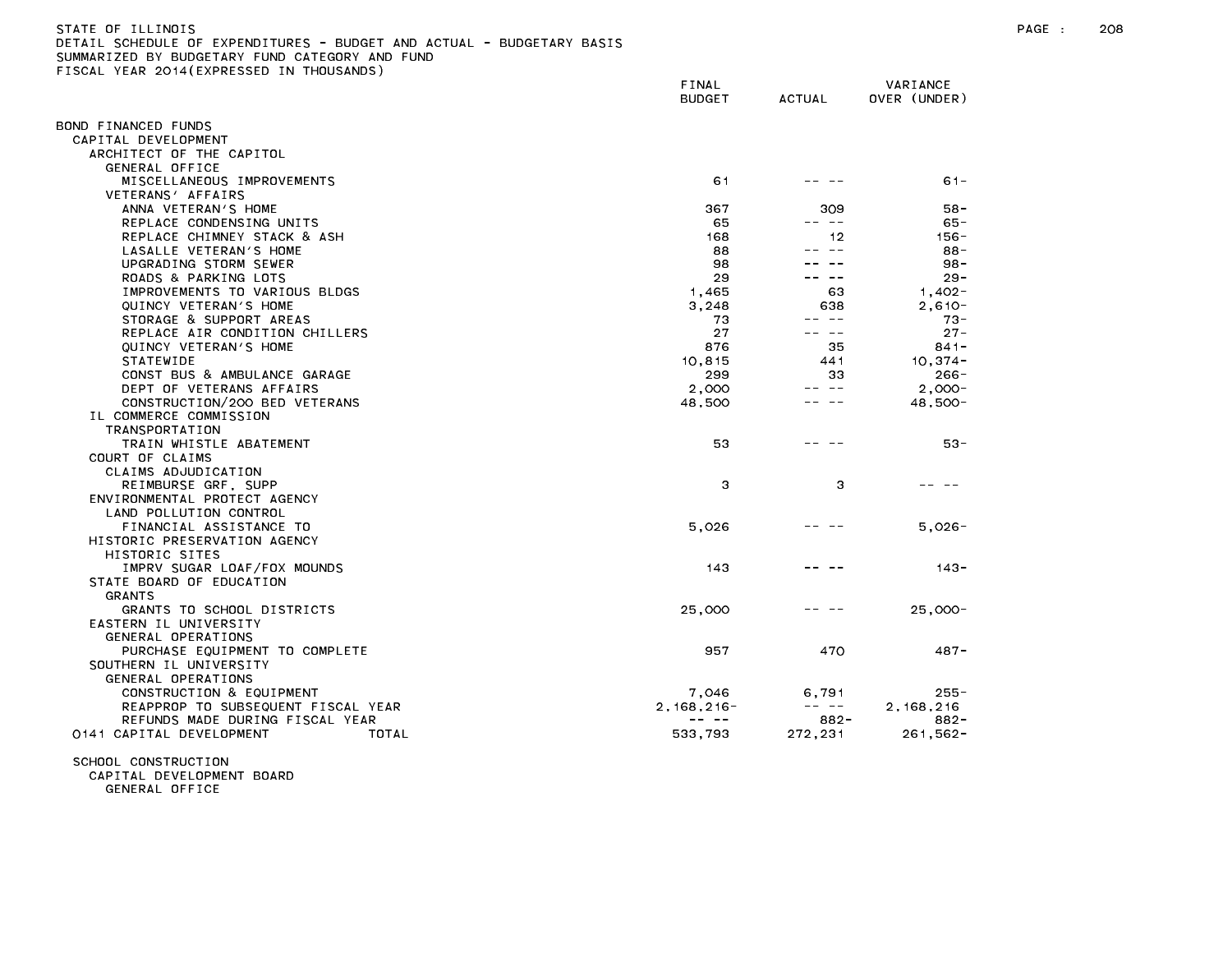STATE OF ILLINOIS PAGE : 208 DETAIL SCHEDULE OF EXPENDITURES - BUDGET AND ACTUAL - BUDGETARY BASIS SUMMARIZED BY BUDGETARY FUND CATEGORY AND FUND FISCAL YEAR 2014(EXPRESSED IN THOUSANDS)

|                                            | FINAL<br><b>BUDGET</b> | <b>ACTUAL</b> | VARIANCE<br>OVER (UNDER) |
|--------------------------------------------|------------------------|---------------|--------------------------|
|                                            |                        |               |                          |
| BOND FINANCED FUNDS                        |                        |               |                          |
| CAPITAL DEVELOPMENT                        |                        |               |                          |
| ARCHITECT OF THE CAPITOL<br>GENERAL OFFICE |                        |               |                          |
| MISCELLANEOUS IMPROVEMENTS                 | 61                     |               | $61 -$                   |
| VETERANS' AFFAIRS                          |                        |               |                          |
| ANNA VETERAN'S HOME                        | 367                    | 309           | 58-                      |
| REPLACE CONDENSING UNITS                   | 65                     | -- --         | $65 -$                   |
| REPLACE CHIMNEY STACK & ASH                | 168                    | 12            | $156 -$                  |
| LASALLE VETERAN'S HOME                     | 88                     | $\sim$ $-$    | $88 -$                   |
| UPGRADING STORM SEWER                      | 98                     |               | $98 -$                   |
| ROADS & PARKING LOTS                       | 29                     |               | $29 -$                   |
| IMPROVEMENTS TO VARIOUS BLDGS              | 1,465                  | 63            | $1,402-$                 |
| QUINCY VETERAN'S HOME                      | 3,248                  | 638           | $2.610 -$                |
| STORAGE & SUPPORT AREAS                    | 73                     | -- --         | $73 -$                   |
| REPLACE AIR CONDITION CHILLERS             | 27                     | ———           | $27 -$                   |
| QUINCY VETERAN'S HOME                      | 876                    | 35            | $841 -$                  |
| <b>STATEWIDE</b>                           | 10,815                 | 441           | $10.374 -$               |
| CONST BUS & AMBULANCE GARAGE               | 299                    | 33            | $266 -$                  |
| DEPT OF VETERANS AFFAIRS                   | 2,000                  | -- --         | $2.000 -$                |
| CONSTRUCTION/200 BED VETERANS              | 48,500                 | $\sim$ $-$    | 48,500-                  |
| IL COMMERCE COMMISSION                     |                        |               |                          |
| TRANSPORTATION                             |                        |               |                          |
| TRAIN WHISTLE ABATEMENT                    | 53                     |               | 53-                      |
| COURT OF CLAIMS                            |                        |               |                          |
| CLAIMS ADJUDICATION                        |                        |               |                          |
| REIMBURSE GRF, SUPP                        | З                      | 3             |                          |
| ENVIRONMENTAL PROTECT AGENCY               |                        |               |                          |
| LAND POLLUTION CONTROL                     |                        |               |                          |
| FINANCIAL ASSISTANCE TO                    | 5,026                  |               | $5,026 -$                |
| HISTORIC PRESERVATION AGENCY               |                        |               |                          |
| HISTORIC SITES                             |                        |               |                          |
| IMPRV SUGAR LOAF/FOX MOUNDS                | 143                    |               | $143 -$                  |
| STATE BOARD OF EDUCATION                   |                        |               |                          |
| <b>GRANTS</b>                              |                        |               |                          |
| GRANTS TO SCHOOL DISTRICTS                 | 25,000                 |               | 25,000-                  |
| EASTERN IL UNIVERSITY                      |                        |               |                          |
| GENERAL OPERATIONS                         |                        |               |                          |
| PURCHASE EQUIPMENT TO COMPLETE             | 957                    | 470           | $487 -$                  |
| SOUTHERN IL UNIVERSITY                     |                        |               |                          |
| GENERAL OPERATIONS                         |                        |               |                          |
| CONSTRUCTION & EQUIPMENT                   | 7,046                  | 6,791         | $255 -$                  |
| REAPPROP TO SUBSEQUENT FISCAL YEAR         | $2, 168, 216 -$        | -- --         | 2, 168, 216              |
| REFUNDS MADE DURING FISCAL YEAR            | -- --                  | $882 -$       | $882 -$                  |
| 0141 CAPITAL DEVELOPMENT<br>TOTAL          | 533,793                | 272,231       | $261,562 -$              |

SCHOOL CONSTRUCTION

CAPITAL DEVELOPMENT BOARD

GENERAL OFFICE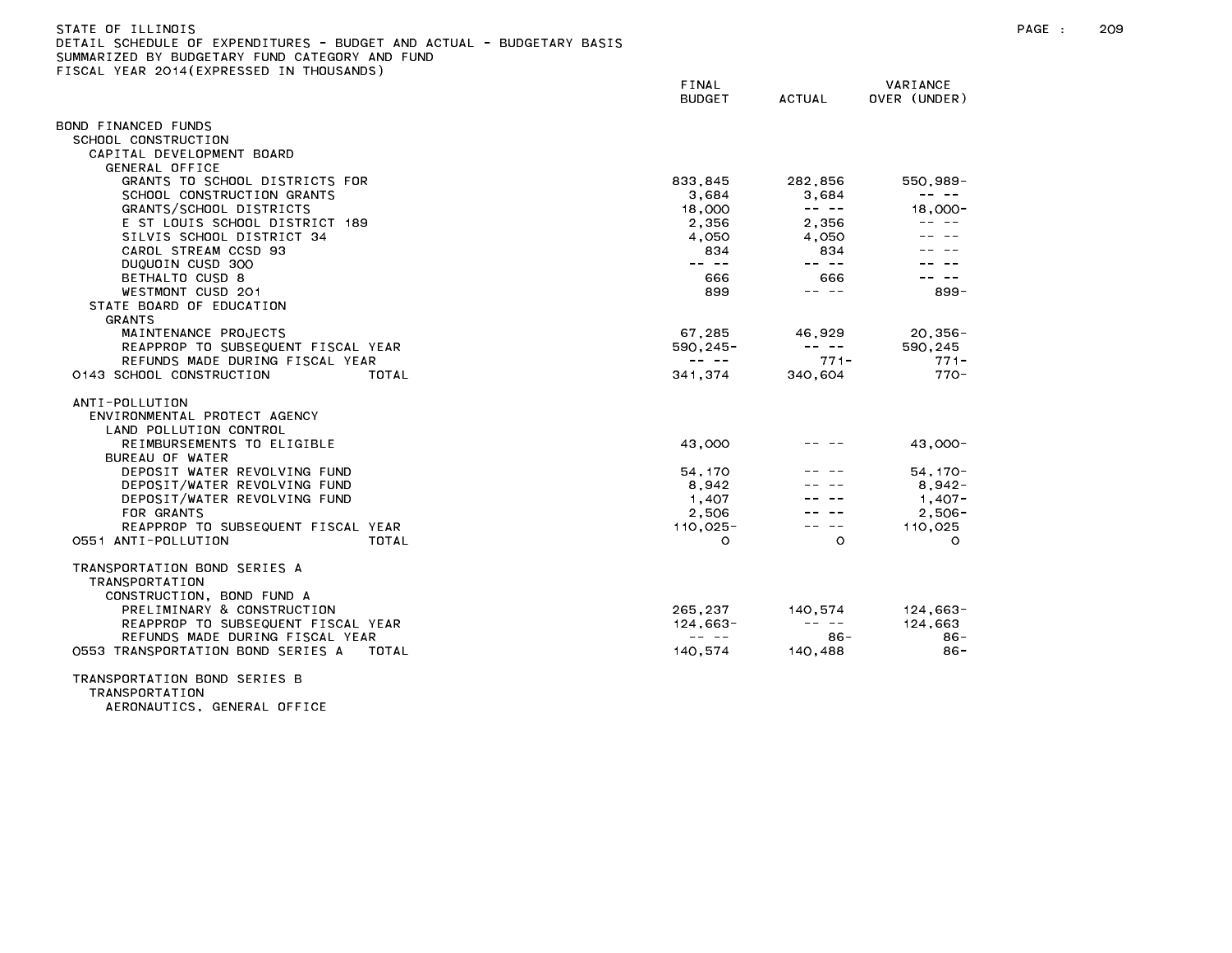| STATE OF ILLINOIS                                                     |
|-----------------------------------------------------------------------|
| DETAIL SCHEDULE OF EXPENDITURES - BUDGET AND ACTUAL - BUDGETARY BASIS |
| SUMMARIZED BY BUDGETARY FUND CATEGORY AND FUND                        |
| FISCAL YEAR 2014(EXPRESSED IN THOUSANDS)                              |

|                                            | FINAL<br><b>BUDGET</b>                                                                                                                                                                                                                                                                                                                                                                       | ACTUAL                                                                                                                                                                                                                                                                                                                                                                                       | VARIANCE<br>OVER (UNDER)                                                                                                                                                                                                                                                                                                                                                                     |
|--------------------------------------------|----------------------------------------------------------------------------------------------------------------------------------------------------------------------------------------------------------------------------------------------------------------------------------------------------------------------------------------------------------------------------------------------|----------------------------------------------------------------------------------------------------------------------------------------------------------------------------------------------------------------------------------------------------------------------------------------------------------------------------------------------------------------------------------------------|----------------------------------------------------------------------------------------------------------------------------------------------------------------------------------------------------------------------------------------------------------------------------------------------------------------------------------------------------------------------------------------------|
| BOND FINANCED FUNDS                        |                                                                                                                                                                                                                                                                                                                                                                                              |                                                                                                                                                                                                                                                                                                                                                                                              |                                                                                                                                                                                                                                                                                                                                                                                              |
| SCHOOL CONSTRUCTION                        |                                                                                                                                                                                                                                                                                                                                                                                              |                                                                                                                                                                                                                                                                                                                                                                                              |                                                                                                                                                                                                                                                                                                                                                                                              |
| CAPITAL DEVELOPMENT BOARD                  |                                                                                                                                                                                                                                                                                                                                                                                              |                                                                                                                                                                                                                                                                                                                                                                                              |                                                                                                                                                                                                                                                                                                                                                                                              |
| GENERAL OFFICE                             |                                                                                                                                                                                                                                                                                                                                                                                              |                                                                                                                                                                                                                                                                                                                                                                                              |                                                                                                                                                                                                                                                                                                                                                                                              |
| GRANTS TO SCHOOL DISTRICTS FOR             | 833,845                                                                                                                                                                                                                                                                                                                                                                                      | 282,856                                                                                                                                                                                                                                                                                                                                                                                      | 550,989-                                                                                                                                                                                                                                                                                                                                                                                     |
| SCHOOL CONSTRUCTION GRANTS                 | 3,684                                                                                                                                                                                                                                                                                                                                                                                        | 3,684                                                                                                                                                                                                                                                                                                                                                                                        | $\frac{1}{2} \frac{1}{2} \frac{1}{2} \frac{1}{2} \frac{1}{2} \frac{1}{2} \frac{1}{2} \frac{1}{2} \frac{1}{2} \frac{1}{2} \frac{1}{2} \frac{1}{2} \frac{1}{2} \frac{1}{2} \frac{1}{2} \frac{1}{2} \frac{1}{2} \frac{1}{2} \frac{1}{2} \frac{1}{2} \frac{1}{2} \frac{1}{2} \frac{1}{2} \frac{1}{2} \frac{1}{2} \frac{1}{2} \frac{1}{2} \frac{1}{2} \frac{1}{2} \frac{1}{2} \frac{1}{2} \frac{$ |
| GRANTS/SCHOOL DISTRICTS                    | 18,000                                                                                                                                                                                                                                                                                                                                                                                       | $\frac{1}{2} \frac{1}{2} \frac{1}{2} \frac{1}{2} \frac{1}{2} \frac{1}{2} \frac{1}{2} \frac{1}{2} \frac{1}{2} \frac{1}{2} \frac{1}{2} \frac{1}{2} \frac{1}{2} \frac{1}{2} \frac{1}{2} \frac{1}{2} \frac{1}{2} \frac{1}{2} \frac{1}{2} \frac{1}{2} \frac{1}{2} \frac{1}{2} \frac{1}{2} \frac{1}{2} \frac{1}{2} \frac{1}{2} \frac{1}{2} \frac{1}{2} \frac{1}{2} \frac{1}{2} \frac{1}{2} \frac{$ | 18,000-                                                                                                                                                                                                                                                                                                                                                                                      |
| E ST LOUIS SCHOOL DISTRICT 189             | 2,356                                                                                                                                                                                                                                                                                                                                                                                        | 2,356                                                                                                                                                                                                                                                                                                                                                                                        |                                                                                                                                                                                                                                                                                                                                                                                              |
| SILVIS SCHOOL DISTRICT 34                  | 4.050                                                                                                                                                                                                                                                                                                                                                                                        | 4.050                                                                                                                                                                                                                                                                                                                                                                                        |                                                                                                                                                                                                                                                                                                                                                                                              |
| CAROL STREAM CCSD 93                       | 834                                                                                                                                                                                                                                                                                                                                                                                          | 834                                                                                                                                                                                                                                                                                                                                                                                          |                                                                                                                                                                                                                                                                                                                                                                                              |
| DUQUOIN CUSD 300                           | $\frac{1}{2} \frac{1}{2} \frac{1}{2} \frac{1}{2} \frac{1}{2} \frac{1}{2} \frac{1}{2} \frac{1}{2} \frac{1}{2} \frac{1}{2} \frac{1}{2} \frac{1}{2} \frac{1}{2} \frac{1}{2} \frac{1}{2} \frac{1}{2} \frac{1}{2} \frac{1}{2} \frac{1}{2} \frac{1}{2} \frac{1}{2} \frac{1}{2} \frac{1}{2} \frac{1}{2} \frac{1}{2} \frac{1}{2} \frac{1}{2} \frac{1}{2} \frac{1}{2} \frac{1}{2} \frac{1}{2} \frac{$ | $\frac{1}{2} \frac{1}{2} \frac{1}{2} \frac{1}{2} \frac{1}{2} \frac{1}{2} \frac{1}{2} \frac{1}{2} \frac{1}{2} \frac{1}{2} \frac{1}{2} \frac{1}{2} \frac{1}{2} \frac{1}{2} \frac{1}{2} \frac{1}{2} \frac{1}{2} \frac{1}{2} \frac{1}{2} \frac{1}{2} \frac{1}{2} \frac{1}{2} \frac{1}{2} \frac{1}{2} \frac{1}{2} \frac{1}{2} \frac{1}{2} \frac{1}{2} \frac{1}{2} \frac{1}{2} \frac{1}{2} \frac{$ |                                                                                                                                                                                                                                                                                                                                                                                              |
| BETHALTO CUSD 8                            | 666                                                                                                                                                                                                                                                                                                                                                                                          | 666                                                                                                                                                                                                                                                                                                                                                                                          |                                                                                                                                                                                                                                                                                                                                                                                              |
| WESTMONT CUSD 201                          | 899                                                                                                                                                                                                                                                                                                                                                                                          | $\frac{1}{2} \frac{1}{2} \frac{1}{2} \frac{1}{2} \frac{1}{2} \frac{1}{2} \frac{1}{2} \frac{1}{2} \frac{1}{2} \frac{1}{2} \frac{1}{2} \frac{1}{2} \frac{1}{2} \frac{1}{2} \frac{1}{2} \frac{1}{2} \frac{1}{2} \frac{1}{2} \frac{1}{2} \frac{1}{2} \frac{1}{2} \frac{1}{2} \frac{1}{2} \frac{1}{2} \frac{1}{2} \frac{1}{2} \frac{1}{2} \frac{1}{2} \frac{1}{2} \frac{1}{2} \frac{1}{2} \frac{$ | $899 -$                                                                                                                                                                                                                                                                                                                                                                                      |
| STATE BOARD OF EDUCATION                   |                                                                                                                                                                                                                                                                                                                                                                                              |                                                                                                                                                                                                                                                                                                                                                                                              |                                                                                                                                                                                                                                                                                                                                                                                              |
| GRANTS                                     |                                                                                                                                                                                                                                                                                                                                                                                              |                                                                                                                                                                                                                                                                                                                                                                                              |                                                                                                                                                                                                                                                                                                                                                                                              |
| MAINTENANCE PROJECTS                       | 67,285                                                                                                                                                                                                                                                                                                                                                                                       | 46,929                                                                                                                                                                                                                                                                                                                                                                                       | 20,356-                                                                                                                                                                                                                                                                                                                                                                                      |
| REAPPROP TO SUBSEQUENT FISCAL YEAR         | $590, 245 -$                                                                                                                                                                                                                                                                                                                                                                                 | and the second second                                                                                                                                                                                                                                                                                                                                                                        | 590,245                                                                                                                                                                                                                                                                                                                                                                                      |
| REFUNDS MADE DURING FISCAL YEAR            | $\frac{1}{2} \frac{1}{2} \frac{1}{2} \frac{1}{2} \frac{1}{2} \frac{1}{2} \frac{1}{2} \frac{1}{2} \frac{1}{2} \frac{1}{2} \frac{1}{2} \frac{1}{2} \frac{1}{2} \frac{1}{2} \frac{1}{2} \frac{1}{2} \frac{1}{2} \frac{1}{2} \frac{1}{2} \frac{1}{2} \frac{1}{2} \frac{1}{2} \frac{1}{2} \frac{1}{2} \frac{1}{2} \frac{1}{2} \frac{1}{2} \frac{1}{2} \frac{1}{2} \frac{1}{2} \frac{1}{2} \frac{$ | $771 -$                                                                                                                                                                                                                                                                                                                                                                                      | $771 -$                                                                                                                                                                                                                                                                                                                                                                                      |
| 0143 SCHOOL CONSTRUCTION<br>TOTAL          | 341.374                                                                                                                                                                                                                                                                                                                                                                                      | 340.604                                                                                                                                                                                                                                                                                                                                                                                      | $770-$                                                                                                                                                                                                                                                                                                                                                                                       |
| ANTI-POLLUTION                             |                                                                                                                                                                                                                                                                                                                                                                                              |                                                                                                                                                                                                                                                                                                                                                                                              |                                                                                                                                                                                                                                                                                                                                                                                              |
| ENVIRONMENTAL PROTECT AGENCY               |                                                                                                                                                                                                                                                                                                                                                                                              |                                                                                                                                                                                                                                                                                                                                                                                              |                                                                                                                                                                                                                                                                                                                                                                                              |
| LAND POLLUTION CONTROL                     |                                                                                                                                                                                                                                                                                                                                                                                              |                                                                                                                                                                                                                                                                                                                                                                                              |                                                                                                                                                                                                                                                                                                                                                                                              |
| REIMBURSEMENTS TO ELIGIBLE                 | 43,000                                                                                                                                                                                                                                                                                                                                                                                       |                                                                                                                                                                                                                                                                                                                                                                                              | 43,000-                                                                                                                                                                                                                                                                                                                                                                                      |
| BUREAU OF WATER                            |                                                                                                                                                                                                                                                                                                                                                                                              |                                                                                                                                                                                                                                                                                                                                                                                              |                                                                                                                                                                                                                                                                                                                                                                                              |
| DEPOSIT WATER REVOLVING FUND               | 54, 170                                                                                                                                                                                                                                                                                                                                                                                      |                                                                                                                                                                                                                                                                                                                                                                                              | $54.170 -$                                                                                                                                                                                                                                                                                                                                                                                   |
| DEPOSIT/WATER REVOLVING FUND               | 8.942                                                                                                                                                                                                                                                                                                                                                                                        |                                                                                                                                                                                                                                                                                                                                                                                              | $8.942 -$                                                                                                                                                                                                                                                                                                                                                                                    |
| DEPOSIT/WATER REVOLVING FUND               | 1,407                                                                                                                                                                                                                                                                                                                                                                                        |                                                                                                                                                                                                                                                                                                                                                                                              | $1,407-$                                                                                                                                                                                                                                                                                                                                                                                     |
| FOR GRANTS                                 | 2,506                                                                                                                                                                                                                                                                                                                                                                                        |                                                                                                                                                                                                                                                                                                                                                                                              | $2,506 -$                                                                                                                                                                                                                                                                                                                                                                                    |
| REAPPROP TO SUBSEQUENT FISCAL YEAR         | $110.025 -$                                                                                                                                                                                                                                                                                                                                                                                  | $\frac{1}{2} \frac{1}{2} \frac{1}{2} \frac{1}{2} \frac{1}{2} \frac{1}{2} \frac{1}{2} \frac{1}{2} \frac{1}{2} \frac{1}{2} \frac{1}{2} \frac{1}{2} \frac{1}{2} \frac{1}{2} \frac{1}{2} \frac{1}{2} \frac{1}{2} \frac{1}{2} \frac{1}{2} \frac{1}{2} \frac{1}{2} \frac{1}{2} \frac{1}{2} \frac{1}{2} \frac{1}{2} \frac{1}{2} \frac{1}{2} \frac{1}{2} \frac{1}{2} \frac{1}{2} \frac{1}{2} \frac{$ | 110.025                                                                                                                                                                                                                                                                                                                                                                                      |
| 0551 ANTI-POLLUTION<br>TOTAL               | $\circ$                                                                                                                                                                                                                                                                                                                                                                                      | $\Omega$                                                                                                                                                                                                                                                                                                                                                                                     | $\Omega$                                                                                                                                                                                                                                                                                                                                                                                     |
| TRANSPORTATION BOND SERIES A               |                                                                                                                                                                                                                                                                                                                                                                                              |                                                                                                                                                                                                                                                                                                                                                                                              |                                                                                                                                                                                                                                                                                                                                                                                              |
| <b>TRANSPORTATION</b>                      |                                                                                                                                                                                                                                                                                                                                                                                              |                                                                                                                                                                                                                                                                                                                                                                                              |                                                                                                                                                                                                                                                                                                                                                                                              |
| CONSTRUCTION, BOND FUND A                  |                                                                                                                                                                                                                                                                                                                                                                                              |                                                                                                                                                                                                                                                                                                                                                                                              |                                                                                                                                                                                                                                                                                                                                                                                              |
| PRELIMINARY & CONSTRUCTION                 | 265.237                                                                                                                                                                                                                                                                                                                                                                                      | 140,574                                                                                                                                                                                                                                                                                                                                                                                      | 124,663-                                                                                                                                                                                                                                                                                                                                                                                     |
| REAPPROP TO SUBSEQUENT FISCAL YEAR         | $124.663 -$                                                                                                                                                                                                                                                                                                                                                                                  | $\frac{1}{2} \frac{1}{2} \frac{1}{2} \frac{1}{2} \frac{1}{2} \frac{1}{2} \frac{1}{2} \frac{1}{2} \frac{1}{2} \frac{1}{2} \frac{1}{2} \frac{1}{2} \frac{1}{2} \frac{1}{2} \frac{1}{2} \frac{1}{2} \frac{1}{2} \frac{1}{2} \frac{1}{2} \frac{1}{2} \frac{1}{2} \frac{1}{2} \frac{1}{2} \frac{1}{2} \frac{1}{2} \frac{1}{2} \frac{1}{2} \frac{1}{2} \frac{1}{2} \frac{1}{2} \frac{1}{2} \frac{$ | 124,663                                                                                                                                                                                                                                                                                                                                                                                      |
| REFUNDS MADE DURING FISCAL YEAR            | $\frac{1}{2} \frac{1}{2} \frac{1}{2} \frac{1}{2} \frac{1}{2} \frac{1}{2} \frac{1}{2} \frac{1}{2} \frac{1}{2} \frac{1}{2} \frac{1}{2} \frac{1}{2} \frac{1}{2} \frac{1}{2} \frac{1}{2} \frac{1}{2} \frac{1}{2} \frac{1}{2} \frac{1}{2} \frac{1}{2} \frac{1}{2} \frac{1}{2} \frac{1}{2} \frac{1}{2} \frac{1}{2} \frac{1}{2} \frac{1}{2} \frac{1}{2} \frac{1}{2} \frac{1}{2} \frac{1}{2} \frac{$ | 86-                                                                                                                                                                                                                                                                                                                                                                                          | $86 -$                                                                                                                                                                                                                                                                                                                                                                                       |
| 0553 TRANSPORTATION BOND SERIES A<br>TOTAL | 140.574                                                                                                                                                                                                                                                                                                                                                                                      | 140.488                                                                                                                                                                                                                                                                                                                                                                                      | $86 -$                                                                                                                                                                                                                                                                                                                                                                                       |
| TRANCROBIATION BOND CEBIEC B               |                                                                                                                                                                                                                                                                                                                                                                                              |                                                                                                                                                                                                                                                                                                                                                                                              |                                                                                                                                                                                                                                                                                                                                                                                              |

TRANSPORTATION BOND SERIES B TRANSPORTATION AERONAUTICS, GENERAL OFFICE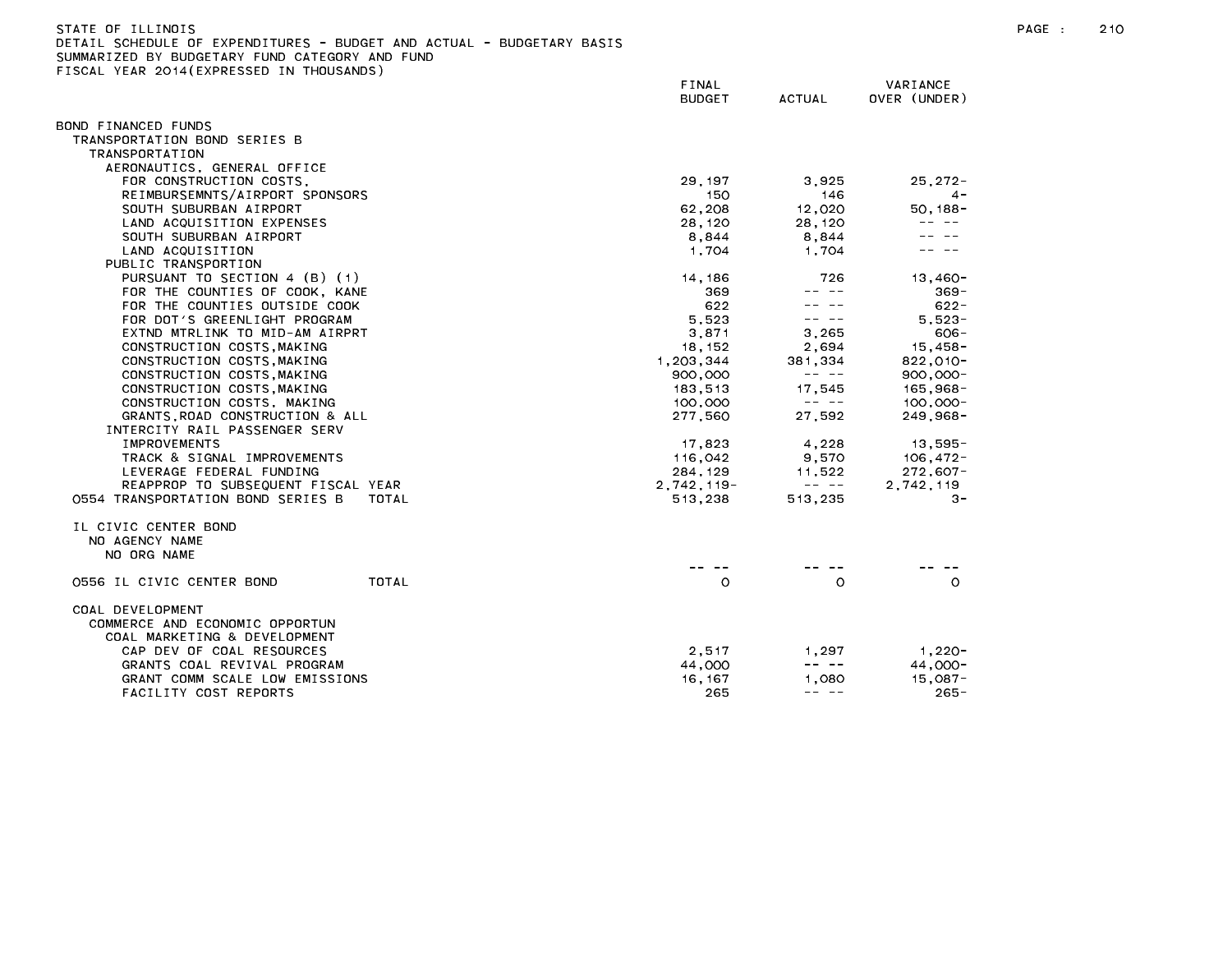| STATE OF ILLINOIS<br>DETAIL SCHEDULE OF EXPENDITURES - BUDGET AND ACTUAL - BUDGETARY BASIS<br>SUMMARIZED BY BUDGETARY FUND CATEGORY AND FUND<br>FISCAL YEAR 2014 (EXPRESSED IN THOUSANDS) |                        |                                                                                                                                                                                                                                                                                                                                                                                              |                          | PAGE : | 210 |
|-------------------------------------------------------------------------------------------------------------------------------------------------------------------------------------------|------------------------|----------------------------------------------------------------------------------------------------------------------------------------------------------------------------------------------------------------------------------------------------------------------------------------------------------------------------------------------------------------------------------------------|--------------------------|--------|-----|
|                                                                                                                                                                                           | FINAL<br><b>BUDGET</b> | ACTUAL                                                                                                                                                                                                                                                                                                                                                                                       | VARIANCE<br>OVER (UNDER) |        |     |
| BOND FINANCED FUNDS                                                                                                                                                                       |                        |                                                                                                                                                                                                                                                                                                                                                                                              |                          |        |     |
| TRANSPORTATION BOND SERIES B                                                                                                                                                              |                        |                                                                                                                                                                                                                                                                                                                                                                                              |                          |        |     |
| TRANSPORTATION                                                                                                                                                                            |                        |                                                                                                                                                                                                                                                                                                                                                                                              |                          |        |     |
| AERONAUTICS, GENERAL OFFICE                                                                                                                                                               |                        |                                                                                                                                                                                                                                                                                                                                                                                              |                          |        |     |
| FOR CONSTRUCTION COSTS,                                                                                                                                                                   | 29, 197                | 3,925                                                                                                                                                                                                                                                                                                                                                                                        | $25.272 -$               |        |     |
| REIMBURSEMNTS/AIRPORT SPONSORS                                                                                                                                                            | 150                    | 146                                                                                                                                                                                                                                                                                                                                                                                          | $4 -$                    |        |     |
| SOUTH SUBURBAN AIRPORT                                                                                                                                                                    | 62,208                 | 12,020                                                                                                                                                                                                                                                                                                                                                                                       | 50, 188-                 |        |     |
| LAND ACQUISITION EXPENSES                                                                                                                                                                 | 28,120                 | 28,120                                                                                                                                                                                                                                                                                                                                                                                       |                          |        |     |
| SOUTH SUBURBAN AIRPORT                                                                                                                                                                    | 8,844                  | 8,844                                                                                                                                                                                                                                                                                                                                                                                        |                          |        |     |
| LAND ACQUISITION                                                                                                                                                                          | 1,704                  | 1,704                                                                                                                                                                                                                                                                                                                                                                                        |                          |        |     |
| PUBLIC TRANSPORTION                                                                                                                                                                       |                        |                                                                                                                                                                                                                                                                                                                                                                                              |                          |        |     |
| PURSUANT TO SECTION 4 (B) (1)<br>FOR THE COUNTIES OF COOK, KANE                                                                                                                           | 14,186<br>369          | 726<br>-- --                                                                                                                                                                                                                                                                                                                                                                                 | 13.460-<br>$369 -$       |        |     |
| FOR THE COUNTIES OUTSIDE COOK                                                                                                                                                             | 622                    | $\frac{1}{2} \frac{1}{2} \frac{1}{2} \frac{1}{2} \frac{1}{2} \frac{1}{2} \frac{1}{2} \frac{1}{2} \frac{1}{2} \frac{1}{2} \frac{1}{2} \frac{1}{2} \frac{1}{2} \frac{1}{2} \frac{1}{2} \frac{1}{2} \frac{1}{2} \frac{1}{2} \frac{1}{2} \frac{1}{2} \frac{1}{2} \frac{1}{2} \frac{1}{2} \frac{1}{2} \frac{1}{2} \frac{1}{2} \frac{1}{2} \frac{1}{2} \frac{1}{2} \frac{1}{2} \frac{1}{2} \frac{$ | $622 -$                  |        |     |
| FOR DOT'S GREENLIGHT PROGRAM                                                                                                                                                              | 5.523                  | -- --                                                                                                                                                                                                                                                                                                                                                                                        | $5.523 -$                |        |     |
| EXTND MTRLINK TO MID-AM AIRPRT                                                                                                                                                            | 3,871                  | 3,265                                                                                                                                                                                                                                                                                                                                                                                        | $606 -$                  |        |     |
| CONSTRUCTION COSTS, MAKING                                                                                                                                                                | 18, 152                | 2,694                                                                                                                                                                                                                                                                                                                                                                                        | $15,458-$                |        |     |
| CONSTRUCTION COSTS, MAKING                                                                                                                                                                | 1,203,344              | 381,334                                                                                                                                                                                                                                                                                                                                                                                      | $822,010-$               |        |     |
| CONSTRUCTION COSTS, MAKING                                                                                                                                                                | 900,000                | $\frac{1}{2} \frac{1}{2} \frac{1}{2} \frac{1}{2} \frac{1}{2} \frac{1}{2} \frac{1}{2} \frac{1}{2} \frac{1}{2} \frac{1}{2} \frac{1}{2} \frac{1}{2} \frac{1}{2} \frac{1}{2} \frac{1}{2} \frac{1}{2} \frac{1}{2} \frac{1}{2} \frac{1}{2} \frac{1}{2} \frac{1}{2} \frac{1}{2} \frac{1}{2} \frac{1}{2} \frac{1}{2} \frac{1}{2} \frac{1}{2} \frac{1}{2} \frac{1}{2} \frac{1}{2} \frac{1}{2} \frac{$ | $900,000 -$              |        |     |
| CONSTRUCTION COSTS, MAKING                                                                                                                                                                | 183,513                | 17,545                                                                                                                                                                                                                                                                                                                                                                                       | 165,968-                 |        |     |
| CONSTRUCTION COSTS, MAKING                                                                                                                                                                | 100.000                | $\frac{1}{2} \frac{1}{2} \frac{1}{2} \frac{1}{2} \frac{1}{2} \frac{1}{2} \frac{1}{2} \frac{1}{2} \frac{1}{2} \frac{1}{2} \frac{1}{2} \frac{1}{2} \frac{1}{2} \frac{1}{2} \frac{1}{2} \frac{1}{2} \frac{1}{2} \frac{1}{2} \frac{1}{2} \frac{1}{2} \frac{1}{2} \frac{1}{2} \frac{1}{2} \frac{1}{2} \frac{1}{2} \frac{1}{2} \frac{1}{2} \frac{1}{2} \frac{1}{2} \frac{1}{2} \frac{1}{2} \frac{$ | $100,000 -$              |        |     |
| GRANTS ROAD CONSTRUCTION & ALL                                                                                                                                                            | 277,560                | 27,592                                                                                                                                                                                                                                                                                                                                                                                       | $249,968-$               |        |     |
| INTERCITY RAIL PASSENGER SERV                                                                                                                                                             |                        |                                                                                                                                                                                                                                                                                                                                                                                              |                          |        |     |
| <b>IMPROVEMENTS</b>                                                                                                                                                                       | 17,823                 | 4,228                                                                                                                                                                                                                                                                                                                                                                                        | 13,595-                  |        |     |
| TRACK & SIGNAL IMPROVEMENTS                                                                                                                                                               | 116,042                | 9,570                                                                                                                                                                                                                                                                                                                                                                                        | 106,472-                 |        |     |
| LEVERAGE FEDERAL FUNDING                                                                                                                                                                  | 284, 129               | 11,522                                                                                                                                                                                                                                                                                                                                                                                       | $272,607-$               |        |     |
| REAPPROP TO SUBSEQUENT FISCAL YEAR                                                                                                                                                        | $2,742,119-$           | $\frac{1}{2} \frac{1}{2} \frac{1}{2} \frac{1}{2} \frac{1}{2} \frac{1}{2} \frac{1}{2} \frac{1}{2} \frac{1}{2} \frac{1}{2} \frac{1}{2} \frac{1}{2} \frac{1}{2} \frac{1}{2} \frac{1}{2} \frac{1}{2} \frac{1}{2} \frac{1}{2} \frac{1}{2} \frac{1}{2} \frac{1}{2} \frac{1}{2} \frac{1}{2} \frac{1}{2} \frac{1}{2} \frac{1}{2} \frac{1}{2} \frac{1}{2} \frac{1}{2} \frac{1}{2} \frac{1}{2} \frac{$ | 2,742,119                |        |     |
| 0554 TRANSPORTATION BOND SERIES B<br>TOTAL                                                                                                                                                | 513,238                | 513,235                                                                                                                                                                                                                                                                                                                                                                                      | $3 -$                    |        |     |
| IL CIVIC CENTER BOND                                                                                                                                                                      |                        |                                                                                                                                                                                                                                                                                                                                                                                              |                          |        |     |
| NO AGENCY NAME                                                                                                                                                                            |                        |                                                                                                                                                                                                                                                                                                                                                                                              |                          |        |     |
| NO ORG NAME                                                                                                                                                                               |                        |                                                                                                                                                                                                                                                                                                                                                                                              |                          |        |     |
|                                                                                                                                                                                           |                        |                                                                                                                                                                                                                                                                                                                                                                                              |                          |        |     |
| TOTAL<br>0556 IL CIVIC CENTER BOND                                                                                                                                                        | $\circ$                | $\circ$                                                                                                                                                                                                                                                                                                                                                                                      | $\circ$                  |        |     |
|                                                                                                                                                                                           |                        |                                                                                                                                                                                                                                                                                                                                                                                              |                          |        |     |
| COAL DEVELOPMENT<br>COMMERCE AND ECONOMIC OPPORTUN<br>COAL MARKETING & DEVELOPMENT                                                                                                        |                        |                                                                                                                                                                                                                                                                                                                                                                                              |                          |        |     |
| CAP DEV OF COAL RESOURCES                                                                                                                                                                 | 2,517                  | 1,297                                                                                                                                                                                                                                                                                                                                                                                        | 1,220-                   |        |     |
| GRANTS COAL REVIVAL PROGRAM                                                                                                                                                               | 44,000                 | $\frac{1}{2} \frac{1}{2} \frac{1}{2} \frac{1}{2} \frac{1}{2} \frac{1}{2} \frac{1}{2} \frac{1}{2} \frac{1}{2} \frac{1}{2} \frac{1}{2} \frac{1}{2} \frac{1}{2} \frac{1}{2} \frac{1}{2} \frac{1}{2} \frac{1}{2} \frac{1}{2} \frac{1}{2} \frac{1}{2} \frac{1}{2} \frac{1}{2} \frac{1}{2} \frac{1}{2} \frac{1}{2} \frac{1}{2} \frac{1}{2} \frac{1}{2} \frac{1}{2} \frac{1}{2} \frac{1}{2} \frac{$ | 44.000-                  |        |     |
| GRANT COMM SCALE LOW EMISSIONS                                                                                                                                                            | 16, 167                | 1.080                                                                                                                                                                                                                                                                                                                                                                                        | $15,087 -$               |        |     |
| FACILITY COST REPORTS                                                                                                                                                                     | 265                    | -- --                                                                                                                                                                                                                                                                                                                                                                                        | $265 -$                  |        |     |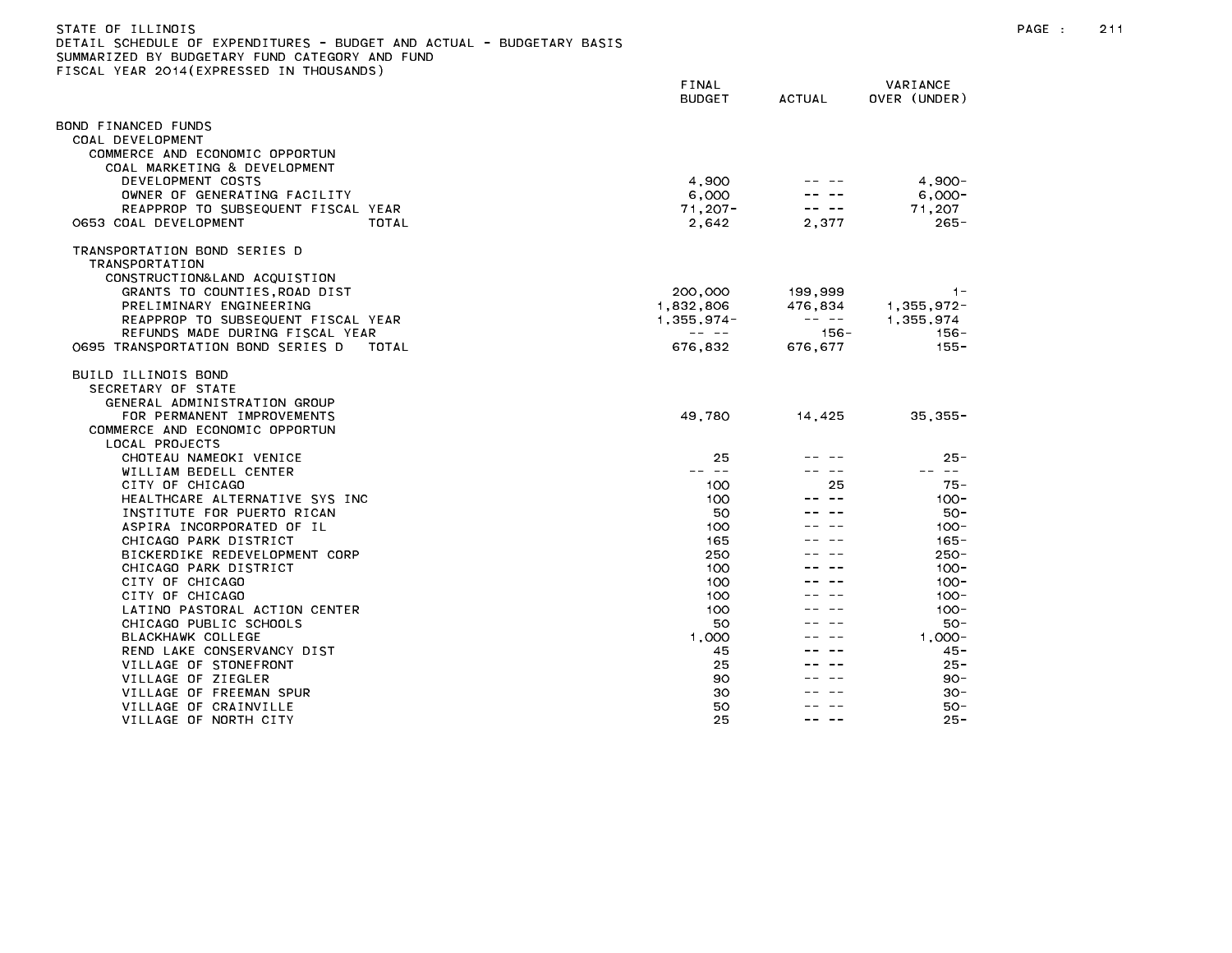| STATE OF ILLINOIS                                                     |
|-----------------------------------------------------------------------|
| DETAIL SCHEDULE OF EXPENDITURES - BUDGET AND ACTUAL - BUDGETARY BASIS |
| SUMMARIZED BY BUDGETARY FUND CATEGORY AND FUND                        |
| FISCAL YEAR 2014(EXPRESSED IN THOUSANDS)                              |

|                                                              | FINAL<br><b>BUDGET</b> | <b>ACTUAL</b> | VARIANCE<br>OVER (UNDER) |
|--------------------------------------------------------------|------------------------|---------------|--------------------------|
| OND FINANCED FUNDS                                           |                        |               |                          |
| COAL DEVELOPMENT                                             |                        |               |                          |
| COMMERCE AND ECONOMIC OPPORTUN                               |                        |               |                          |
| COAL MARKETING & DEVELOPMENT                                 |                        |               |                          |
| DEVELOPMENT COSTS                                            | 4,900                  |               | $4,900 -$                |
| OWNER OF GENERATING FACILITY                                 | 6,000                  |               | $6,000-$                 |
| REAPPROP TO SUBSEQUENT FISCAL YEAR                           | $71,207 -$             |               | 71,207                   |
| 0653 COAL DEVELOPMENT<br>TOTAL                               | 2,642                  | 2,377         | $265 -$                  |
| TRANSPORTATION BOND SERIES D                                 |                        |               |                          |
| TRANSPORTATION                                               |                        |               |                          |
| CONSTRUCTION&LAND ACQUISTION<br>GRANTS TO COUNTIES,ROAD DIST | 200,000                | 199,999       | $1 -$                    |
| PRELIMINARY ENGINEERING                                      | 1,832,806              | 476,834       | 1,355,972                |
| REAPPROP TO SUBSEQUENT FISCAL YEAR                           | $1,355,974-$           |               | 1,355,974                |
| REFUNDS MADE DURING FISCAL YEAR                              | $- - - - -$            | $156 -$       | 156-                     |
| 0695 TRANSPORTATION BOND SERIES D<br>TOTAL                   | 676,832                | 676.677       | $155 -$                  |
| BUILD ILLINOIS BOND                                          |                        |               |                          |
| SECRETARY OF STATE                                           |                        |               |                          |
| GENERAL ADMINISTRATION GROUP                                 |                        |               |                          |
| FOR PERMANENT IMPROVEMENTS                                   | 49,780                 | 14,425        | $35,355-$                |
| COMMERCE AND ECONOMIC OPPORTUN                               |                        |               |                          |
| LOCAL PROJECTS<br>CHOTEAU NAMEOKI VENICE                     | 25                     |               | $25 -$                   |
| WILLIAM BEDELL CENTER                                        | -- --                  |               | -- --                    |
| CITY OF CHICAGO                                              | 100                    | 25            | $75 -$                   |
| HEALTHCARE ALTERNATIVE SYS INC                               | 100                    |               | $100 -$                  |
| INSTITUTE FOR PUERTO RICAN                                   | 50                     |               | 50-                      |
| ASPIRA INCORPORATED OF IL                                    | 100                    |               | $100 -$                  |
| CHICAGO PARK DISTRICT                                        | 165                    |               | $165 -$                  |
| BICKERDIKE REDEVELOPMENT CORP                                | 250                    |               | $250 -$                  |
| CHICAGO PARK DISTRICT                                        | 100                    |               | $100 -$                  |
| CITY OF CHICAGO<br>CITY OF CHICAGO                           | 100                    |               | $100 -$                  |
| LATINO PASTORAL ACTION CENTER                                | 100<br>100             |               | $100 -$<br>$100 -$       |
| CHICAGO PUBLIC SCHOOLS                                       | 50                     |               | $50 -$                   |
| BLACKHAWK COLLEGE                                            | 1,000                  |               | $1.000 -$                |
| REND LAKE CONSERVANCY DIST                                   | 45                     |               | $45 -$                   |
| VILLAGE OF STONEFRONT                                        | 25                     |               | $25 -$                   |
| VILLAGE OF ZIEGLER                                           | 90                     |               | 90-                      |
| VILLAGE OF FREEMAN SPUR                                      | 30                     |               | $30 -$                   |
| VILLAGE OF CRAINVILLE                                        | 50                     |               | 50-                      |
| VILLAGE OF NORTH CITY                                        | 25                     | -- --         | $25 -$                   |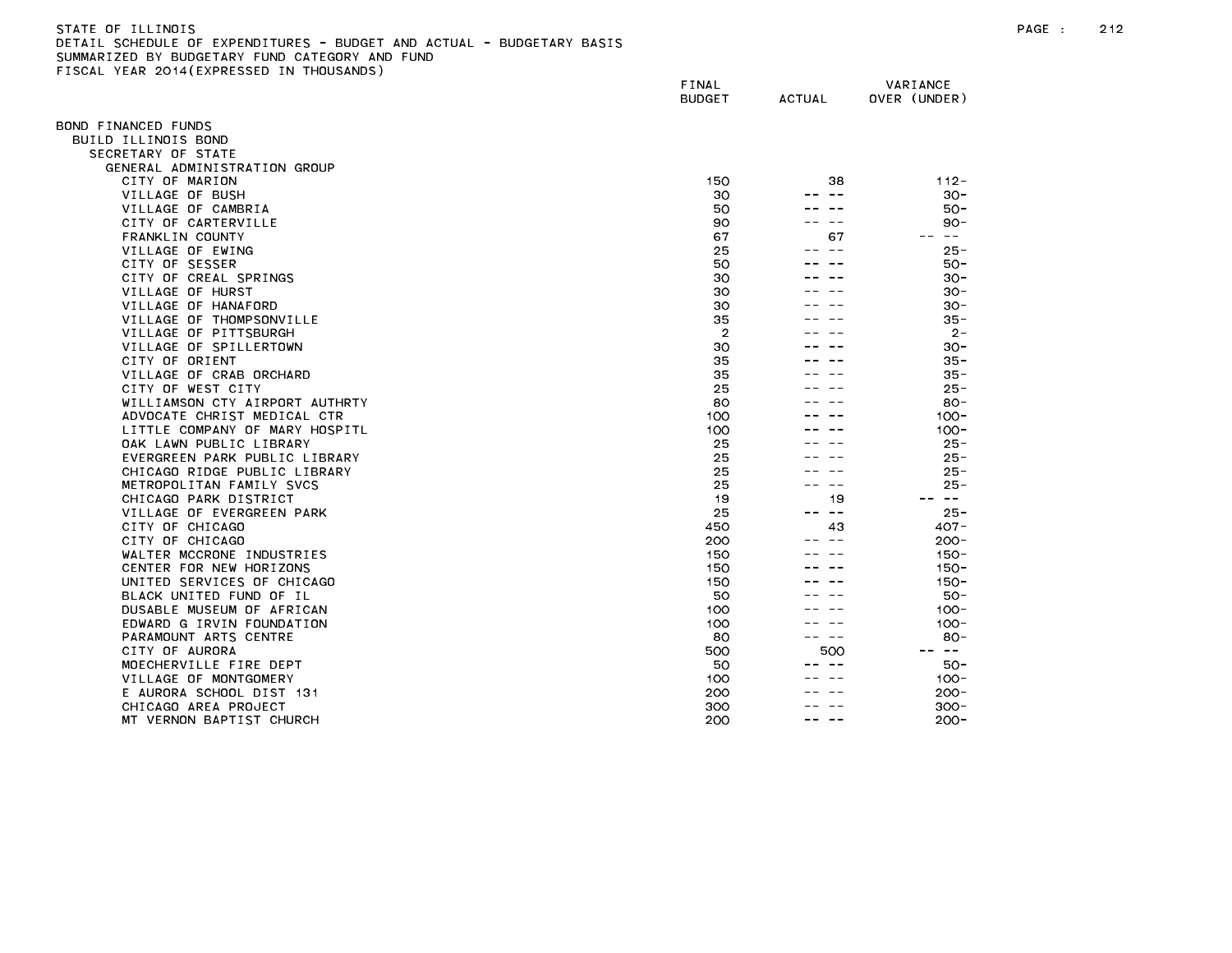| STATE OF ILLINOIS                                                     |
|-----------------------------------------------------------------------|
| DETAIL SCHEDULE OF EXPENDITURES - BUDGET AND ACTUAL - BUDGETARY BASIS |
| SUMMARIZED BY BUDGETARY FUND CATEGORY AND FUND                        |
| FISCAL YEAR 2014(EXPRESSED IN THOUSANDS)                              |

|                                              | FINAL<br><b>BUDGET</b> | <b>ACTUAL</b> | VARIANCE<br>OVER (UNDER)      |
|----------------------------------------------|------------------------|---------------|-------------------------------|
|                                              |                        |               |                               |
| OND FINANCED FUNDS<br>BUILD ILLINOIS BOND    |                        |               |                               |
| SECRETARY OF STATE                           |                        |               |                               |
| GENERAL ADMINISTRATION GROUP                 |                        |               |                               |
| CITY OF MARION                               | 150                    | 38            | $112 -$                       |
| VILLAGE OF BUSH                              | 30                     | $- -$         | $30 -$                        |
| VILLAGE OF CAMBRIA                           | 50                     |               | $50 -$                        |
| CITY OF CARTERVILLE                          | 90                     | $- -$         | $90 -$                        |
| FRANKLIN COUNTY                              | 67                     | 67            | $\sim$ $-$                    |
| VILLAGE OF EWING                             | 25                     |               | $25 -$                        |
| CITY OF SESSER                               | 50                     |               | $50 -$                        |
| CITY OF CREAL SPRINGS                        | 30                     |               | $30 -$                        |
| VILLAGE OF HURST                             | 30                     |               | $30 -$                        |
| VILLAGE OF HANAFORD                          | 30                     |               | $30 -$                        |
| VILLAGE OF THOMPSONVILLE                     | 35                     |               | $35 -$                        |
| VILLAGE OF PITTSBURGH                        | $\overline{2}$         |               | $2 -$                         |
| VILLAGE OF SPILLERTOWN                       | 30                     |               | $30 -$                        |
| CITY OF ORIENT                               | 35                     |               | $35 -$                        |
| VILLAGE OF CRAB ORCHARD                      | 35                     |               | $35 -$                        |
| CITY OF WEST CITY                            | 25                     |               | $25 -$                        |
| WILLIAMSON CTY AIRPORT AUTHRTY               | 80                     |               | $80 -$                        |
| ADVOCATE CHRIST MEDICAL CTR                  | 100                    |               | $100 -$                       |
| LITTLE COMPANY OF MARY HOSPITL               | 100                    |               | $100 -$                       |
| OAK LAWN PUBLIC LIBRARY                      | 25                     |               | $25 -$                        |
| EVERGREEN PARK PUBLIC LIBRARY                | 25                     |               | $25 -$                        |
| CHICAGO RIDGE PUBLIC LIBRARY                 | 25                     |               | $25 -$                        |
| METROPOLITAN FAMILY SVCS                     | 25                     | $- -$         | $25 -$<br>$\sim$ $-$<br>$- -$ |
| CHICAGO PARK DISTRICT                        | 19<br>25               | 19<br>$ -$    |                               |
| VILLAGE OF EVERGREEN PARK<br>CITY OF CHICAGO |                        | 43            | $25 -$<br>$407 -$             |
| CITY OF CHICAGO                              | 450<br>200             |               | $200 -$                       |
| WALTER MCCRONE INDUSTRIES                    | 150                    |               | $150 -$                       |
| CENTER FOR NEW HORIZONS                      | 150                    |               | $150 -$                       |
| UNITED SERVICES OF CHICAGO                   | 150                    |               | $150 -$                       |
| BLACK UNITED FUND OF IL                      | 50                     |               | $50 -$                        |
| DUSABLE MUSEUM OF AFRICAN                    | 100                    |               | $100 -$                       |
| EDWARD G IRVIN FOUNDATION                    | 100                    |               | $100 -$                       |
| PARAMOUNT ARTS CENTRE                        | 80                     |               | $80 -$                        |
| CITY OF AURORA                               | 500                    | 500           | $\sim$ $-$                    |
| MOECHERVILLE FIRE DEPT                       | 50                     |               | 50 -                          |
| VILLAGE OF MONTGOMERY                        | 100                    |               | $100 -$                       |
| E AURORA SCHOOL DIST 131                     | 200                    |               | $200 -$                       |
| CHICAGO AREA PROJECT                         | 300                    |               | $300 -$                       |
| MT VERNON BAPTIST CHURCH                     | 200                    |               | $200 -$                       |
|                                              |                        |               |                               |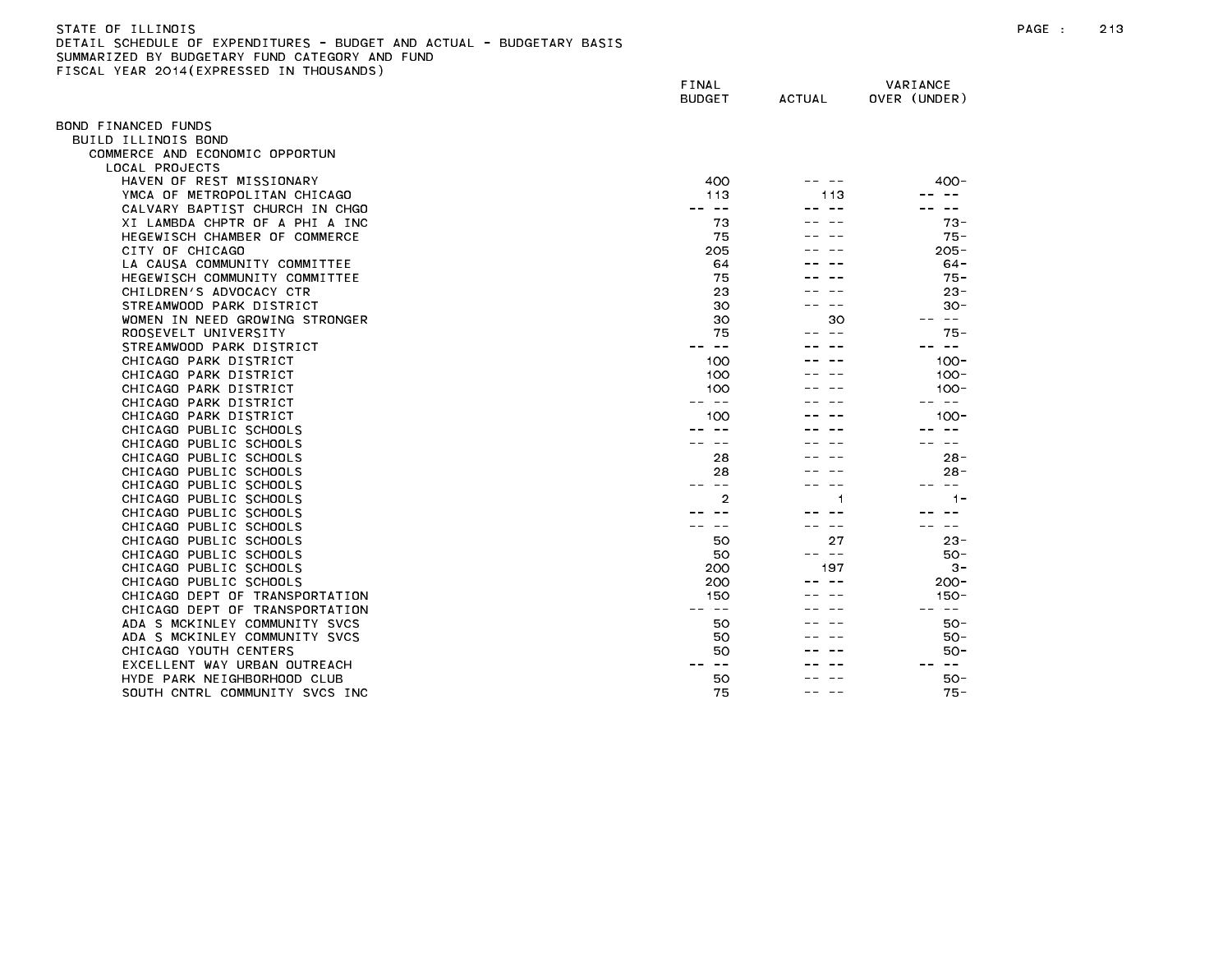| STATE OF ILL<br>LINOIS                                                         | PAGE |  |
|--------------------------------------------------------------------------------|------|--|
| EXPENDITURES - BUDGET AND ACTUAL - BUDGETARY BASIS -<br>DETAT<br>. SCHEDULE OF |      |  |
| SHMMADIZED BY RHDGETADY FHND CATEGODY<br>AND FIIND                             |      |  |

SUMMARIZED BY BUDGETARY FUND CATEGORY AND FUND<br>FISCAL YEAR 2014(EXPRESSED IN THOUSANDS)

|                                | FINAL<br><b>BUDGET</b> | <b>ACTUAL</b> | VARIANCE<br>OVER (UNDER) |
|--------------------------------|------------------------|---------------|--------------------------|
| BOND FINANCED FUNDS            |                        |               |                          |
| BUILD ILLINOIS BOND            |                        |               |                          |
| COMMERCE AND ECONOMIC OPPORTUN |                        |               |                          |
| LOCAL PROJECTS                 |                        |               |                          |
| HAVEN OF REST MISSIONARY       | 400                    |               | 400-                     |
| YMCA OF METROPOLITAN CHICAGO   | 113                    | 113           |                          |
| CALVARY BAPTIST CHURCH IN CHGO | -- --                  |               | $\sim$ $-$               |
| XI LAMBDA CHPTR OF A PHI A INC | 73                     |               | $73 -$                   |
| HEGEWISCH CHAMBER OF COMMERCE  | 75                     |               | $75 -$                   |
| CITY OF CHICAGO                | 205                    |               | $205 -$                  |
| LA CAUSA COMMUNITY COMMITTEE   | 64                     |               | $64 -$                   |
| HEGEWISCH COMMUNITY COMMITTEE  | 75                     |               | $75 -$                   |
| CHILDREN'S ADVOCACY CTR        | 23                     |               | $23 -$                   |
| STREAMWOOD PARK DISTRICT       | 30                     |               | $30 -$                   |
| WOMEN IN NEED GROWING STRONGER | 30                     | 30            | $\sim$ $-$               |
| ROOSEVELT UNIVERSITY           | 75                     |               | $75 -$                   |
| STREAMWOOD PARK DISTRICT       | $\sim$ $-$             |               |                          |
| CHICAGO PARK DISTRICT          | 100                    |               | $100 -$                  |
| CHICAGO PARK DISTRICT          | 100                    |               | $100 -$                  |
| CHICAGO PARK DISTRICT          | 100                    |               | $100 -$                  |
| CHICAGO PARK DISTRICT          | س س                    |               | $\sim$ $-$               |
| CHICAGO PARK DISTRICT          | 100                    |               | $100 -$                  |
| CHICAGO PUBLIC SCHOOLS         |                        |               |                          |
| CHICAGO PUBLIC SCHOOLS         | $ -$                   |               | $\sim$ $-$               |
| CHICAGO PUBLIC SCHOOLS         | 28                     |               | $28 -$                   |
| CHICAGO PUBLIC SCHOOLS         | 28                     |               | $28 -$                   |
| CHICAGO PUBLIC SCHOOLS         | $\sim$ $-$             |               | $\sim$ $-$               |
| CHICAGO PUBLIC SCHOOLS         | $\overline{2}$         |               | $1 -$                    |
| CHICAGO PUBLIC SCHOOLS         |                        |               |                          |
| CHICAGO PUBLIC SCHOOLS         |                        |               | $\sim$ $-$               |
| CHICAGO PUBLIC SCHOOLS         | 50                     | 27            | $23 -$                   |
| CHICAGO PUBLIC SCHOOLS         | 50                     | -- --         | $50 -$                   |
| CHICAGO PUBLIC SCHOOLS         | 200                    | 197           | $3 -$                    |
| CHICAGO PUBLIC SCHOOLS         | 200                    |               | $200 -$                  |
| CHICAGO DEPT OF TRANSPORTATION | 150                    |               | 150-                     |
| CHICAGO DEPT OF TRANSPORTATION | $\sim$ $-$             |               | $\sim$ $-$               |
| ADA S MCKINLEY COMMUNITY SVCS  | 50                     |               | $50 -$                   |
| ADA S MCKINLEY COMMUNITY SVCS  | 50                     |               | 50 -                     |
| CHICAGO YOUTH CENTERS          | 50                     |               | $50 -$                   |
| EXCELLENT WAY URBAN OUTREACH   | $\sim$ $-$             |               | $- -$                    |
| HYDE PARK NEIGHBORHOOD CLUB    | 50                     |               | 50-                      |
| SOUTH CNTRL COMMUNITY SVCS INC | 75                     |               | $75 -$                   |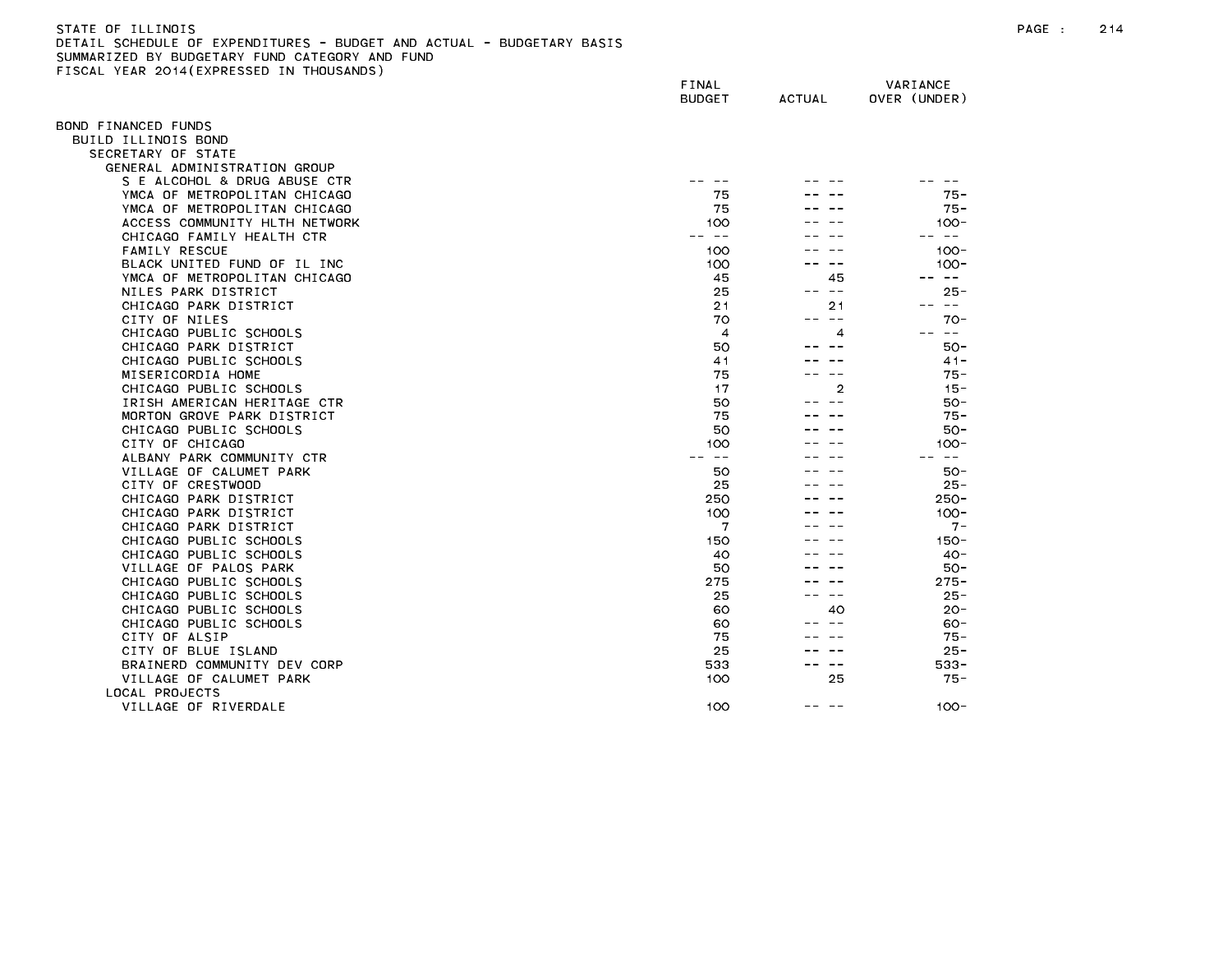| STATE OF ILLINOIS                                                     | PAGE |  |
|-----------------------------------------------------------------------|------|--|
| DETAIL SCHEDULE OF EXPENDITURES - BUDGET AND ACTUAL - BUDGETARY BASIS |      |  |
| SHMMARTZED BY BHDGETARY FHND CATEGORY AND FHND                        |      |  |

SUMMARIZED BY BUDGETARY FUND CATEGORY AND FUND<br>FISCAL YEAR 2014(EXPRESSED IN THOUSANDS)

| LIGGAL TEAR EGIT(EATRESSED    | FINAL<br><b>BUDGET</b> | <b>ACTUAL</b> | VARIANCE<br>OVER (UNDER) |
|-------------------------------|------------------------|---------------|--------------------------|
| BOND FINANCED FUNDS           |                        |               |                          |
| BUILD ILLINOIS BOND           |                        |               |                          |
| SECRETARY OF STATE            |                        |               |                          |
| GENERAL ADMINISTRATION GROUP  |                        |               |                          |
| S E ALCOHOL & DRUG ABUSE CTR  |                        |               |                          |
| YMCA OF METROPOLITAN CHICAGO  | 75                     |               | $75 -$                   |
| YMCA OF METROPOLITAN CHICAGO  | 75                     |               | $75 -$                   |
| ACCESS COMMUNITY HLTH NETWORK | 100                    |               | $100 -$                  |
| CHICAGO FAMILY HEALTH CTR     | -- --                  |               | $- -$                    |
| <b>FAMILY RESCUE</b>          | 100                    |               | $100 -$                  |
| BLACK UNITED FUND OF IL INC   | 100                    |               | $100 -$                  |
| YMCA OF METROPOLITAN CHICAGO  | 45                     | 45            | $- -$                    |
| NILES PARK DISTRICT           | 25                     | $- -$<br>--   | $25 -$                   |
| CHICAGO PARK DISTRICT         | 21                     | 21            | -- --                    |
| CITY OF NILES                 | 70                     | -- --         | $70-$                    |
| CHICAGO PUBLIC SCHOOLS        | $\overline{4}$         | 4             | $- -$                    |
| CHICAGO PARK DISTRICT         | 50                     |               | $50 -$                   |
| CHICAGO PUBLIC SCHOOLS        | 41                     |               | $41 -$                   |
| MISERICORDIA HOME             | 75                     |               | 75 -                     |
| CHICAGO PUBLIC SCHOOLS        | 17                     | 2             | $15 -$                   |
| IRISH AMERICAN HERITAGE CTR   | 50                     |               | $50 -$                   |
| MORTON GROVE PARK DISTRICT    | 75                     |               | $75 -$                   |
| CHICAGO PUBLIC SCHOOLS        | 50                     |               | $50 -$                   |
| CITY OF CHICAGO               | 100                    |               | $100 -$                  |
| ALBANY PARK COMMUNITY CTR     | $ -$                   |               | $\sim$ $-$               |
| VILLAGE OF CALUMET PARK       | 50                     |               | 50-                      |
| CITY OF CRESTWOOD             | 25                     |               | $25 -$                   |
| CHICAGO PARK DISTRICT         | 250                    |               | $250 -$                  |
| CHICAGO PARK DISTRICT         | 100                    |               | $100 -$                  |
| CHICAGO PARK DISTRICT         | 7                      |               | $7 -$                    |
| CHICAGO PUBLIC SCHOOLS        | 150                    |               | $150 -$                  |
| CHICAGO PUBLIC SCHOOLS        | 40                     |               | $40 -$                   |
| VILLAGE OF PALOS PARK         | 50                     |               | $50 -$                   |
| CHICAGO PUBLIC SCHOOLS        | 275                    |               | $275 -$                  |
| CHICAGO PUBLIC SCHOOLS        | 25                     | $ -$          | $25 -$                   |
| CHICAGO PUBLIC SCHOOLS        | 60                     | 40            | $20 -$                   |
| CHICAGO PUBLIC SCHOOLS        | 60                     |               | $60 -$                   |
| CITY OF ALSIP                 | 75                     |               | $75 -$                   |
| CITY OF BLUE ISLAND           | 25                     |               | $25 -$                   |
| BRAINERD COMMUNITY DEV CORP   | 533                    | $ -$          | $533 -$                  |
| VILLAGE OF CALUMET PARK       | 100                    | 25            | 75 -                     |
| LOCAL PROJECTS                |                        |               |                          |
| VILLAGE OF RIVERDALE          | 100                    | -- -          | $100 -$                  |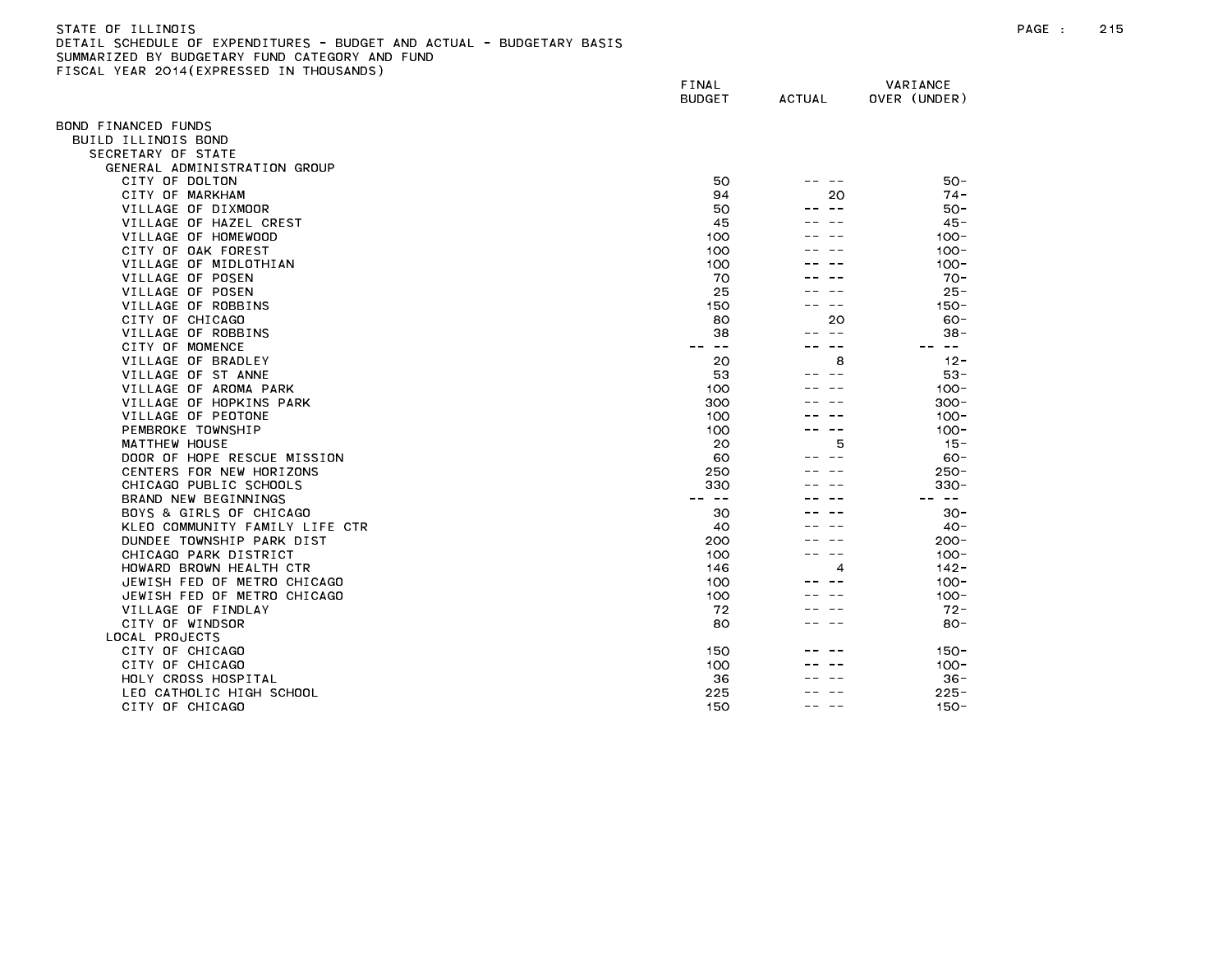## STATE OF ILLINOIS PAGE : 215 DETAIL SCHEDULE OF EXPENDITURES - BUDGET AND ACTUAL - BUDGETARY BASIS SUMMARIZED BY BUDGETARY FUND CATEGORY AND FUND FISCAL YEAR 2014(EXPRESSED IN THOUSANDS)

|                                                 | FINAL<br><b>BUDGET</b> | <b>ACTUAL</b> | VARIANCE<br>OVER (UNDER) |
|-------------------------------------------------|------------------------|---------------|--------------------------|
| OND FINANCED FUNDS                              |                        |               |                          |
| BUILD ILLINOIS BOND                             |                        |               |                          |
| SECRETARY OF STATE                              |                        |               |                          |
| GENERAL ADMINISTRATION GROUP                    |                        |               |                          |
| CITY OF DOLTON                                  | 50                     |               | $50 -$                   |
| CITY OF MARKHAM                                 | 94                     | 20            | $74 -$                   |
| VILLAGE OF DIXMOOR                              | 50                     |               | 50-                      |
| VILLAGE OF HAZEL CREST                          | 45                     |               | $45 -$                   |
| VILLAGE OF HOMEWOOD                             | 100                    |               | $100 -$                  |
| CITY OF OAK FOREST                              | 100                    |               | $100 -$                  |
| VILLAGE OF MIDLOTHIAN                           | 100                    |               | $100 -$                  |
| VILLAGE OF POSEN                                | 70                     |               | $70 -$                   |
| VILLAGE OF POSEN                                | 25                     |               | $25 -$                   |
| VILLAGE OF ROBBINS                              | 150                    |               | $150 -$                  |
| CITY OF CHICAGO                                 | 80                     | 20            | $60 -$                   |
| VILLAGE OF ROBBINS                              | 38                     | $- -$         | $38 -$                   |
| CITY OF MOMENCE                                 | $\sim$ $-$             | ت ب           | $- -$                    |
| VILLAGE OF BRADLEY                              | 20                     | 8             | $12 -$                   |
| VILLAGE OF ST ANNE                              | 53                     |               | 53-                      |
| VILLAGE OF AROMA PARK                           | 100                    |               | $100 -$                  |
| VILLAGE OF HOPKINS PARK                         | 300                    |               | $300 -$                  |
| VILLAGE OF PEOTONE                              | 100                    |               | $100 -$                  |
| PEMBROKE TOWNSHIP                               | 100                    | $- -$         | $100 -$                  |
| MATTHEW HOUSE                                   | 20                     | 5             | $15 -$                   |
| DOOR OF HOPE RESCUE MISSION                     | 60                     | $\sim$ $-$    | $60 -$                   |
| CENTERS FOR NEW HORIZONS                        | 250                    |               | $250 -$                  |
| CHICAGO PUBLIC SCHOOLS                          | 330                    |               | $330 -$                  |
| BRAND NEW BEGINNINGS                            | $\sim$ $-$             |               | -- --                    |
| BOYS & GIRLS OF CHICAGO                         | 30                     |               | $30 -$                   |
| KLEO COMMUNITY FAMILY LIFE CTR                  | 40                     |               | $40 -$                   |
| DUNDEE TOWNSHIP PARK DIST                       | 200                    |               | $200 -$                  |
| CHICAGO PARK DISTRICT                           | 100                    |               | $100 -$                  |
| HOWARD BROWN HEALTH CTR                         | 146                    | 4             | $142 -$                  |
| JEWISH FED OF METRO CHICAGO                     | 100                    |               | $100 -$                  |
| JEWISH FED OF METRO CHICAGO                     | 100                    |               | $100 -$                  |
| VILLAGE OF FINDLAY                              | 72                     |               | $72 -$                   |
| CITY OF WINDSOR                                 | 80                     |               | $80 -$                   |
| LOCAL PROJECTS                                  |                        |               |                          |
| CITY OF CHICAGO                                 | 150                    |               | $150 -$                  |
| CITY OF CHICAGO                                 | 100<br>36              |               | $100 -$<br>$36 -$        |
| HOLY CROSS HOSPITAL<br>LEO CATHOLIC HIGH SCHOOL | 225                    |               | $225 -$                  |
| CITY OF CHICAGO                                 | 150                    |               | $150 -$                  |
|                                                 |                        |               |                          |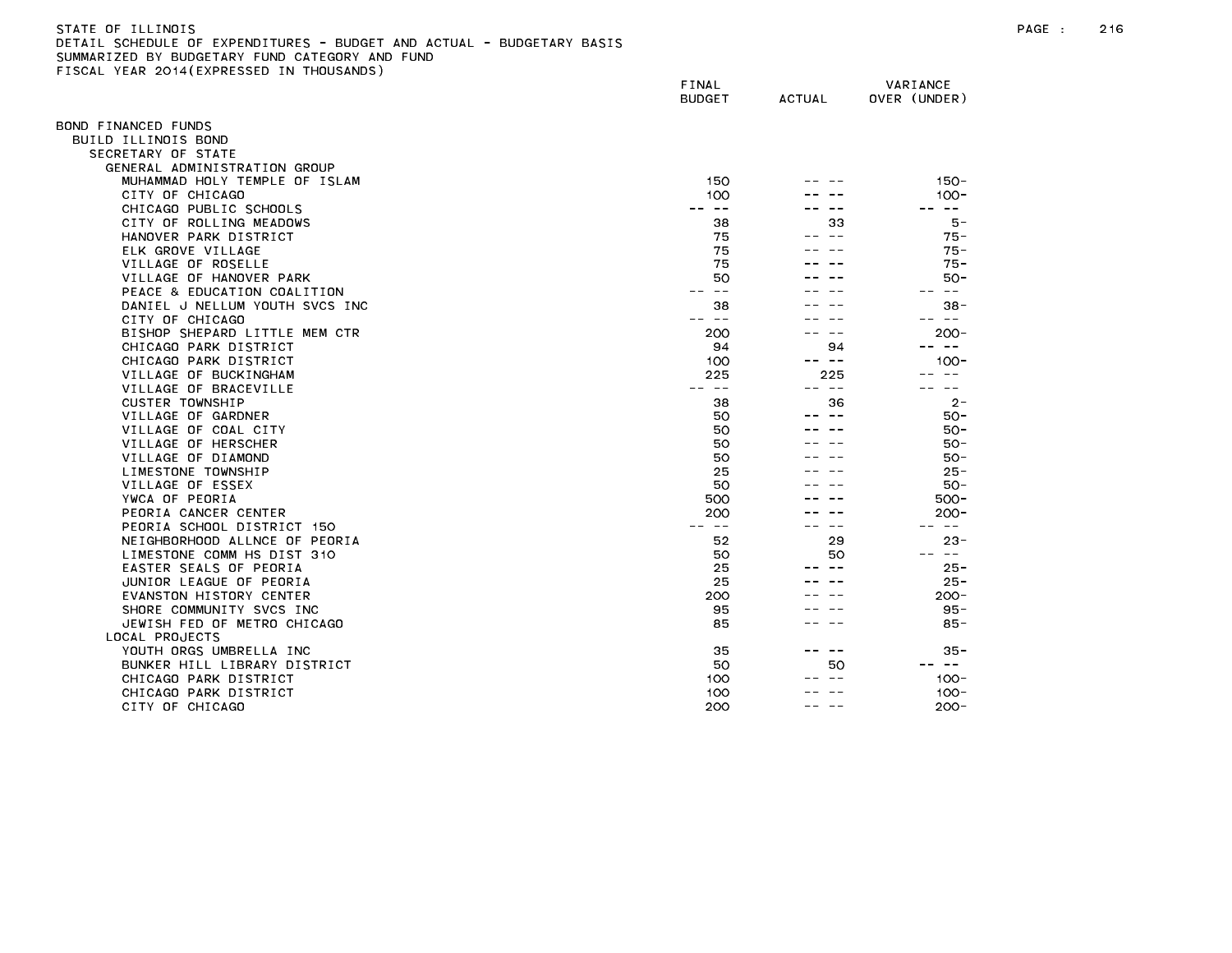## STATE OF ILLINOIS PAGE : 216 DETAIL SCHEDULE OF EXPENDITURES - BUDGET AND ACTUAL - BUDGETARY BASIS SUMMARIZED BY BUDGETARY FUND CATEGORY AND FUND FISCAL YEAR 2014(EXPRESSED IN THOUSANDS)

|                                | FINAL<br><b>BUDGET</b> | <b>ACTUAL</b> | VARIANCE<br>OVER (UNDER) |
|--------------------------------|------------------------|---------------|--------------------------|
| OND FINANCED FUNDS             |                        |               |                          |
| BUILD ILLINOIS BOND            |                        |               |                          |
| SECRETARY OF STATE             |                        |               |                          |
| GENERAL ADMINISTRATION GROUP   |                        |               |                          |
| MUHAMMAD HOLY TEMPLE OF ISLAM  | 150                    |               | $150 -$                  |
| CITY OF CHICAGO                | 100                    |               | $100 -$                  |
| CHICAGO PUBLIC SCHOOLS         | $\sim$ $-$             |               | -- --                    |
| CITY OF ROLLING MEADOWS        | 38                     | 33            | 5 –                      |
| HANOVER PARK DISTRICT          | 75                     | $\sim$ $-$    | $75 -$                   |
| ELK GROVE VILLAGE              | 75                     |               | $75 -$                   |
| VILLAGE OF ROSELLE             | 75                     |               | $75 -$                   |
| VILLAGE OF HANOVER PARK        | 50                     |               | $50 -$                   |
| PEACE & EDUCATION COALITION    | $- -$                  |               | س س                      |
| DANIEL J NELLUM YOUTH SVCS INC | 38                     |               | $38 -$                   |
| CITY OF CHICAGO                | $\sim$ $-$             |               | $\sim$ $ -$              |
| BISHOP SHEPARD LITTLE MEM CTR  | 200                    |               | $200 -$                  |
| CHICAGO PARK DISTRICT          | 94                     | 94            | $\sim$ $-$               |
| CHICAGO PARK DISTRICT          | 100                    | -- --         | $100 -$                  |
| VILLAGE OF BUCKINGHAM          | 225                    | 225           | $- -$                    |
| VILLAGE OF BRACEVILLE          | $\sim$ $-$             | -- --         | $- -$                    |
| <b>CUSTER TOWNSHIP</b>         | 38                     | 36            | $2 -$                    |
| VILLAGE OF GARDNER             | 50                     |               | $50 -$                   |
| VILLAGE OF COAL CITY           | 50                     |               | $50 -$                   |
| VILLAGE OF HERSCHER            | 50                     |               | $50 -$                   |
| VILLAGE OF DIAMOND             | 50                     |               | 50-                      |
| LIMESTONE TOWNSHIP             | 25                     |               | $25 -$                   |
| VILLAGE OF ESSEX               | 50                     |               | $50 -$                   |
| YWCA OF PEORIA                 | 500                    |               | $500 -$                  |
| PEORIA CANCER CENTER           | 200                    |               | $200 -$                  |
| PEORIA SCHOOL DISTRICT 150     | $- -$                  | $\sim$ $\sim$ | $\sim$ $-$               |
| NEIGHBORHOOD ALLNCE OF PEORIA  | 52                     | 29            | $23 -$                   |
| LIMESTONE COMM HS DIST 310     | 50                     | 50            | $\sim 100$               |
| EASTER SEALS OF PEORIA         | 25                     |               | $25 -$                   |
| JUNIOR LEAGUE OF PEORIA        | 25                     |               | $25 -$                   |
| EVANSTON HISTORY CENTER        | 200                    |               | $200 -$                  |
| SHORE COMMUNITY SVCS INC       | 95                     |               | $95 -$                   |
| JEWISH FED OF METRO CHICAGO    | 85                     |               | 85-                      |
| LOCAL PROJECTS                 |                        |               |                          |
| YOUTH ORGS UMBRELLA INC        | 35                     |               | 35 -                     |
| BUNKER HILL LIBRARY DISTRICT   | 50                     | 50            | $- -$                    |
| CHICAGO PARK DISTRICT          | 100                    |               | $100 -$                  |
| CHICAGO PARK DISTRICT          | 100                    |               | $100 -$                  |
| CITY OF CHICAGO                | 200                    |               | $200 -$                  |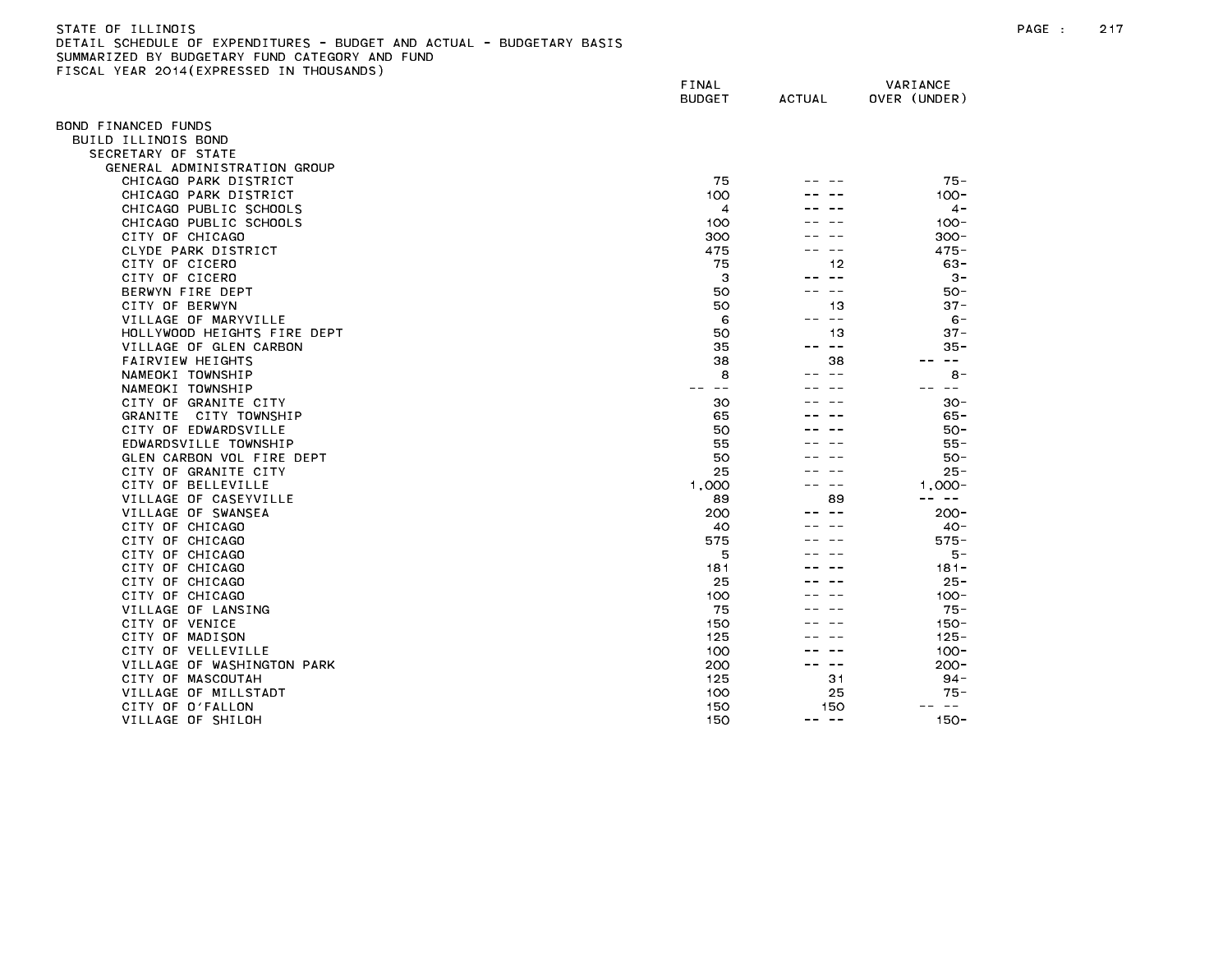| STATE OF ILLINOIS                                                     |
|-----------------------------------------------------------------------|
| DETAIL SCHEDULE OF EXPENDITURES - BUDGET AND ACTUAL - BUDGETARY BASIS |
| SUMMARIZED BY BUDGETARY FUND CATEGORY AND FUND                        |
| FISCAL YEAR 2014(EXPRESSED IN THOUSANDS)                              |

| TOURE TEAR EUTROLINESSED     | FINAL<br><b>BUDGET</b> | <b>ACTUAL</b>                    | VARIANCE<br>OVER (UNDER) |
|------------------------------|------------------------|----------------------------------|--------------------------|
| OND FINANCED FUNDS           |                        |                                  |                          |
| BUILD ILLINOIS BOND          |                        |                                  |                          |
| SECRETARY OF STATE           |                        |                                  |                          |
| GENERAL ADMINISTRATION GROUP |                        |                                  |                          |
| CHICAGO PARK DISTRICT        | 75                     |                                  | $75 -$                   |
| CHICAGO PARK DISTRICT        | 100                    |                                  | $100 -$                  |
| CHICAGO PUBLIC SCHOOLS       | 4                      |                                  | $4 -$                    |
| CHICAGO PUBLIC SCHOOLS       | 100                    |                                  | $100 -$                  |
| CITY OF CHICAGO              | 300                    |                                  | $300 -$                  |
| CLYDE PARK DISTRICT          | 475                    |                                  | $475 -$                  |
| CITY OF CICERO               | 75                     | 12                               | $63 -$                   |
| CITY OF CICERO               | З                      | $\sim$ $-$                       | $3 -$                    |
| BERWYN FIRE DEPT             | 50                     | $- -$                            | 50-                      |
| CITY OF BERWYN               | 50                     | 13                               | $37 -$                   |
| VILLAGE OF MARYVILLE         | 6                      | $- -$                            | $6 -$                    |
| HOLLYWOOD HEIGHTS FIRE DEPT  | 50                     | 13                               | $37 -$                   |
| VILLAGE OF GLEN CARBON       | 35                     | -- --                            | 35 -                     |
| FAIRVIEW HEIGHTS             | 38                     | 38                               | $\sim$ $-$               |
| NAMEOKI TOWNSHIP             | 8                      |                                  | $8 -$                    |
| NAMEOKI TOWNSHIP             | $\sim$ $\sim$          |                                  | $\sim$ $\sim$            |
| CITY OF GRANITE CITY         | 30                     |                                  | $30 -$                   |
| GRANITE CITY TOWNSHIP        | 65                     |                                  | $65 -$                   |
| CITY OF EDWARDSVILLE         | 50                     |                                  | $50 -$                   |
| EDWARDSVILLE TOWNSHIP        | 55                     |                                  | 55 -                     |
| GLEN CARBON VOL FIRE DEPT    | 50                     |                                  | 50-                      |
| CITY OF GRANITE CITY         | 25                     |                                  | $25 -$                   |
| CITY OF BELLEVILLE           | 1,000                  |                                  | $1,000-$                 |
| VILLAGE OF CASEYVILLE        | 89                     | 89                               | -- --                    |
| VILLAGE OF SWANSEA           | 200                    |                                  | $200 -$                  |
| CITY OF CHICAGO              | 40                     |                                  | $40 -$                   |
| CITY OF CHICAGO              | 575                    |                                  | $575 -$                  |
| CITY OF CHICAGO              | 5                      |                                  | 5 –                      |
| CITY OF CHICAGO              | 181                    |                                  | $181 -$                  |
| CITY OF CHICAGO              | 25                     |                                  | $25 -$                   |
| CITY OF CHICAGO              | 100                    |                                  | $100 -$                  |
| VILLAGE OF LANSING           | 75                     |                                  | $75 -$                   |
| CITY OF VENICE               | 150                    |                                  | $150 -$                  |
| CITY OF MADISON              | 125                    |                                  | $125 -$                  |
| CITY OF VELLEVILLE           | 100                    |                                  | $100 -$                  |
| VILLAGE OF WASHINGTON PARK   | 200                    | $\overline{\phantom{m}}$<br>$ -$ | $200 -$                  |
| CITY OF MASCOUTAH            | 125                    | 31                               | $94 -$                   |
| VILLAGE OF MILLSTADT         | 100                    | 25                               | $75 -$                   |
| CITY OF O'FALLON             | 150                    | 150                              | $\sim$ $-$               |
| VILLAGE OF SHILOH            | 150                    | -- --                            | $150 -$                  |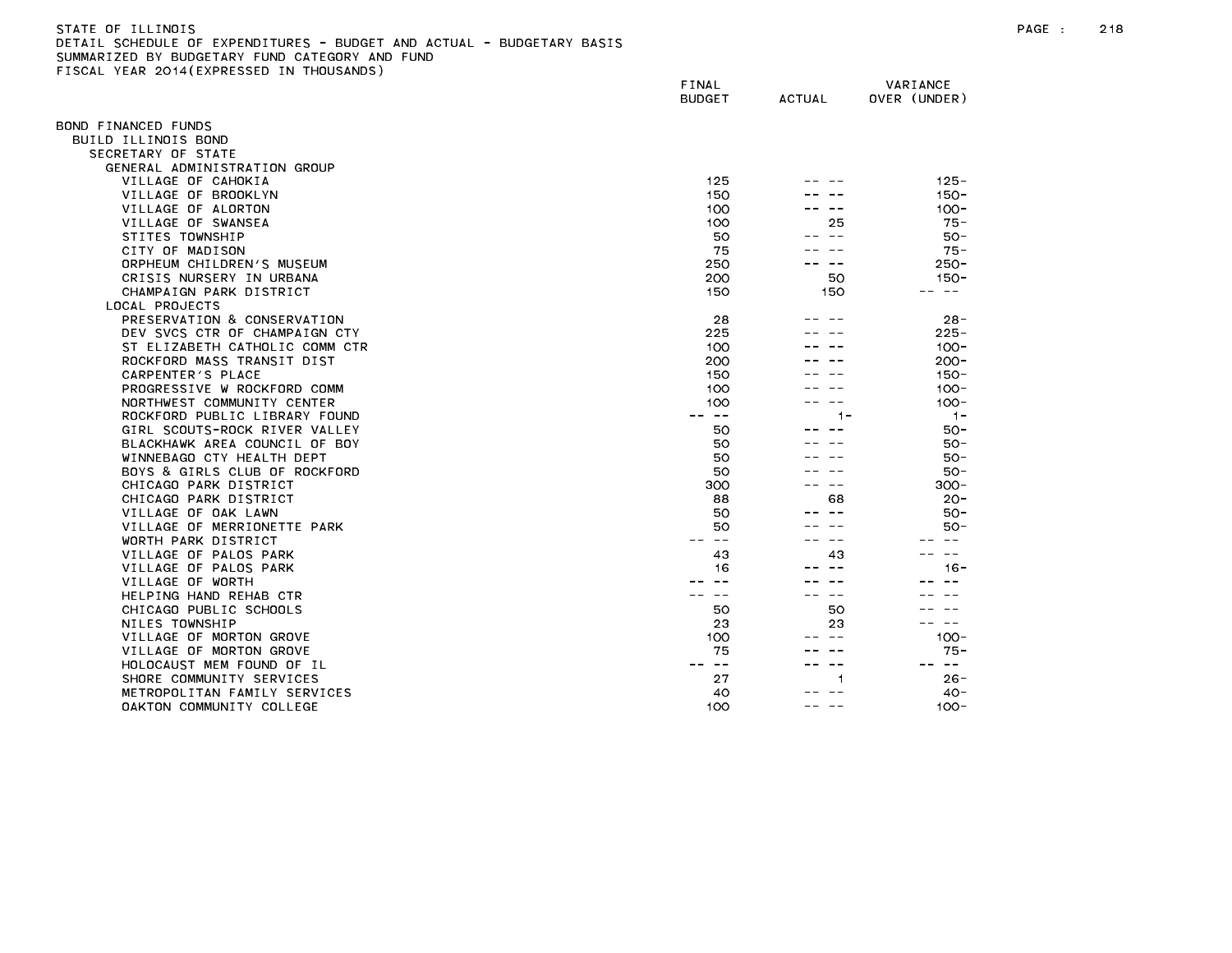| STATE OF ILLINOIS                                                     |
|-----------------------------------------------------------------------|
| DETAIL SCHEDULE OF EXPENDITURES - BUDGET AND ACTUAL - BUDGETARY BASIS |
| SUMMARIZED BY BUDGETARY FUND CATEGORY AND FUND                        |
| FISCAL YEAR 2014(EXPRESSED IN THOUSANDS)                              |

|                                | FINAL<br><b>BUDGET</b> | <b>ACTUAL</b> | VARIANCE<br>OVER (UNDER) |
|--------------------------------|------------------------|---------------|--------------------------|
| OND FINANCED FUNDS             |                        |               |                          |
| BUILD ILLINOIS BOND            |                        |               |                          |
| SECRETARY OF STATE             |                        |               |                          |
| GENERAL ADMINISTRATION GROUP   |                        |               |                          |
| VILLAGE OF CAHOKIA             | 125                    |               | $125 -$                  |
| VILLAGE OF BROOKLYN            | 150                    |               | $150 -$                  |
| VILLAGE OF ALORTON             | 100                    |               | $100 -$                  |
| VILLAGE OF SWANSEA             | 100                    | 25            | $75 -$                   |
| STITES TOWNSHIP                | 50                     |               | $50 -$                   |
| CITY OF MADISON                | 75                     |               | $75 -$                   |
| ORPHEUM CHILDREN'S MUSEUM      | 250                    |               | $250 -$                  |
| CRISIS NURSERY IN URBANA       | 200                    | 50            | $150 -$                  |
| CHAMPAIGN PARK DISTRICT        | 150                    | 150           | -- --                    |
| LOCAL PROJECTS                 |                        |               |                          |
| PRESERVATION & CONSERVATION    |                        |               | $28 -$                   |
|                                | 28                     |               | $225 -$                  |
| DEV SVCS CTR OF CHAMPAIGN CTY  | 225                    |               |                          |
| ST ELIZABETH CATHOLIC COMM CTR | 100                    |               | $100 -$                  |
| ROCKFORD MASS TRANSIT DIST     | 200                    |               | $200 -$                  |
| CARPENTER'S PLACE              | 150                    |               | $150 -$                  |
| PROGRESSIVE W ROCKFORD COMM    | 100                    |               | $100 -$                  |
| NORTHWEST COMMUNITY CENTER     | 100                    |               | $100 -$                  |
| ROCKFORD PUBLIC LIBRARY FOUND  | $\sim$ $-$             | 1 –           | $1 -$                    |
| GIRL SCOUTS-ROCK RIVER VALLEY  | 50                     |               | $50 -$                   |
| BLACKHAWK AREA COUNCIL OF BOY  | 50                     |               | $50 -$                   |
| WINNEBAGO CTY HEALTH DEPT      | 50                     |               | $50 -$                   |
| BOYS & GIRLS CLUB OF ROCKFORD  | 50                     |               | $50 -$                   |
| CHICAGO PARK DISTRICT          | 300                    | $ -$          | $300 -$                  |
| CHICAGO PARK DISTRICT          | 88                     | 68            | $20 -$                   |
| VILLAGE OF OAK LAWN            | 50                     |               | $50 -$                   |
| VILLAGE OF MERRIONETTE PARK    | 50                     |               | $50 -$                   |
| WORTH PARK DISTRICT            | $\sim$ $-$             |               |                          |
| VILLAGE OF PALOS PARK          | 43                     | 43            | $\sim$ $\sim$            |
| VILLAGE OF PALOS PARK          | 16                     |               | $16 -$                   |
| VILLAGE OF WORTH               |                        |               |                          |
| HELPING HAND REHAB CTR         | $\sim$ $\sim$          | $\sim$ $\sim$ |                          |
| CHICAGO PUBLIC SCHOOLS         | 50                     | 50            |                          |
| NILES TOWNSHIP                 | 23                     | 23            | $\sim$ $-$               |
| VILLAGE OF MORTON GROVE        | 100                    |               | $100 -$                  |
| VILLAGE OF MORTON GROVE        | 75                     |               | $75 -$                   |
| HOLOCAUST MEM FOUND OF IL      | $\sim$ $-$             |               | $\sim$ $ -$              |
| SHORE COMMUNITY SERVICES       | 27                     | 1             | $26 -$                   |
| METROPOLITAN FAMILY SERVICES   | 40                     |               | $40 -$                   |
| OAKTON COMMUNITY COLLEGE       | 100                    | $\sim$ $-$    | $100 -$                  |
|                                |                        |               |                          |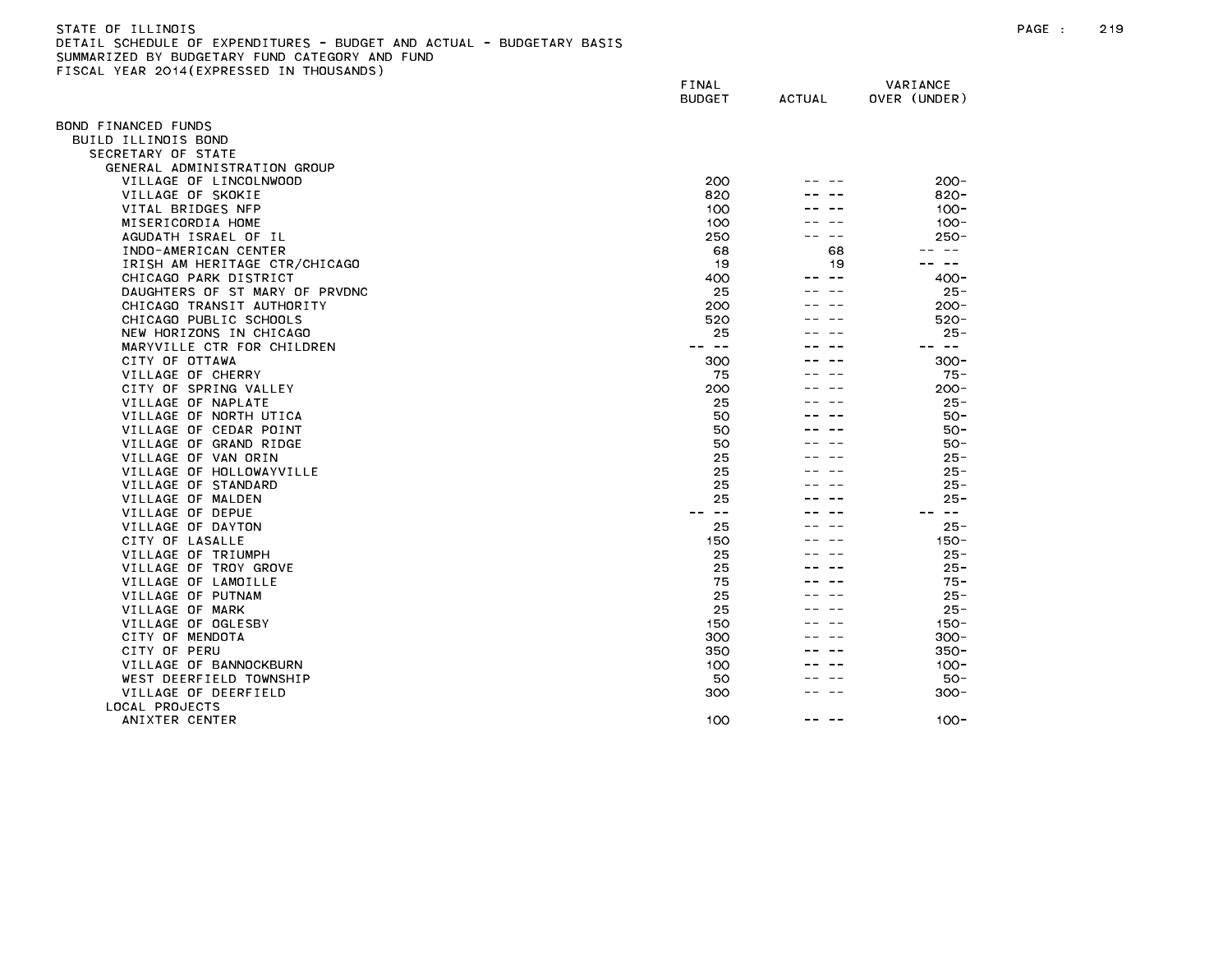| STATE OF ILLINOIS                                                     |
|-----------------------------------------------------------------------|
| DETAIL SCHEDULE OF EXPENDITURES - BUDGET AND ACTUAL - BUDGETARY BASIS |
| SUMMARIZED BY BUDGETARY FUND CATEGORY AND FUND                        |
| FISCAL YEAR 2014(EXPRESSED IN THOUSANDS)                              |

|                                                    | FINAL<br><b>BUDGET</b> | <b>ACTUAL</b> | VARIANCE<br>OVER (UNDER) |
|----------------------------------------------------|------------------------|---------------|--------------------------|
|                                                    |                        |               |                          |
| BOND FINANCED FUNDS                                |                        |               |                          |
| BUILD ILLINOIS BOND                                |                        |               |                          |
| SECRETARY OF STATE<br>GENERAL ADMINISTRATION GROUP |                        |               |                          |
| VILLAGE OF LINCOLNWOOD                             | 200                    |               | $200 -$                  |
| VILLAGE OF SKOKIE                                  | 820                    |               | $820 -$                  |
| VITAL BRIDGES NFP                                  | 100                    |               | $100 -$                  |
| MISERICORDIA HOME                                  | 100                    |               | $100 -$                  |
| AGUDATH ISRAEL OF IL                               | 250                    |               | $250 -$                  |
| INDO-AMERICAN CENTER                               | 68                     | 68            | $\sim$ $-$               |
| IRISH AM HERITAGE CTR/CHICAGO                      | 19                     | 19            | $\sim$ $-$               |
| CHICAGO PARK DISTRICT                              | 400                    | $- -$         | $400 -$                  |
| DAUGHTERS OF ST MARY OF PRVDNC                     | 25                     |               | $25 -$                   |
| CHICAGO TRANSIT AUTHORITY                          | 200                    |               | $200 -$                  |
| CHICAGO PUBLIC SCHOOLS                             | 520                    |               | $520 -$                  |
| NEW HORIZONS IN CHICAGO                            | 25                     |               | $25 -$                   |
| MARYVILLE CTR FOR CHILDREN                         | $\sim$ $-$             |               | $- -$                    |
| CITY OF OTTAWA                                     | 300                    |               | $300 -$                  |
| VILLAGE OF CHERRY                                  | 75                     |               | $75 -$                   |
| CITY OF SPRING VALLEY                              | 200                    |               | $200 -$                  |
| VILLAGE OF NAPLATE                                 | 25                     |               | $25 -$                   |
| VILLAGE OF NORTH UTICA                             | 50                     |               | $50 -$                   |
| VILLAGE OF CEDAR POINT                             | 50                     |               | $50 -$                   |
| VILLAGE OF GRAND RIDGE                             | 50                     |               | $50 -$                   |
| VILLAGE OF VAN ORIN                                | 25                     |               | $25 -$                   |
| VILLAGE OF HOLLOWAYVILLE<br>VILLAGE OF STANDARD    | 25<br>25               |               | $25 -$<br>$25 -$         |
| VILLAGE OF MALDEN                                  | 25                     |               | $25 -$                   |
| VILLAGE OF DEPUE                                   | $\sim$ $-$             |               | $\sim$ $-$               |
| VILLAGE OF DAYTON                                  | 25                     |               | $25 -$                   |
| CITY OF LASALLE                                    | 150                    |               | 150-                     |
| VILLAGE OF TRIUMPH                                 | 25                     |               | $25 -$                   |
| VILLAGE OF TROY GROVE                              | 25                     |               | $25 -$                   |
| VILLAGE OF LAMOILLE                                | 75                     |               | 75 -                     |
| VILLAGE OF PUTNAM                                  | 25                     |               | $25 -$                   |
| VILLAGE OF MARK                                    | 25                     |               | $25 -$                   |
| VILLAGE OF OGLESBY                                 | 150                    |               | $150 -$                  |
| CITY OF MENDOTA                                    | 300                    |               | $300 -$                  |
| CITY OF PERU                                       | 350                    |               | $350 -$                  |
| VILLAGE OF BANNOCKBURN                             | 100                    |               | $100 -$                  |
| WEST DEERFIELD TOWNSHIP                            | 50                     |               | $50 -$                   |
| VILLAGE OF DEERFIELD                               | 300                    |               | $300 -$                  |
| LOCAL PROJECTS                                     |                        |               |                          |
| ANIXTER CENTER                                     | 100                    |               | $100 -$                  |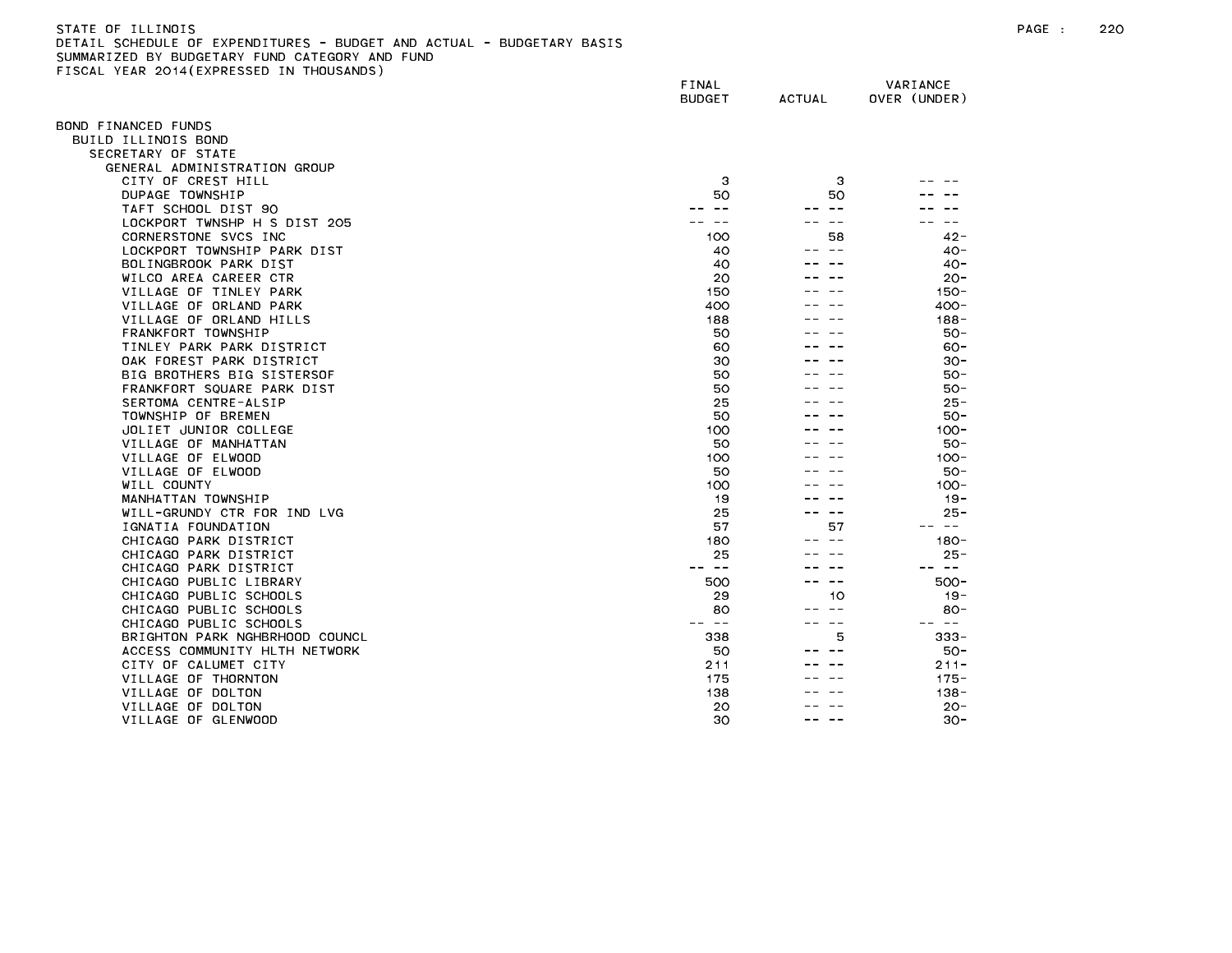## STATE OF ILLINOIS PAGE : 220 DETAIL SCHEDULE OF EXPENDITURES - BUDGET AND ACTUAL - BUDGETARY BASIS SUMMARIZED BY BUDGETARY FUND CATEGORY AND FUND FISCAL YEAR 2014(EXPRESSED IN THOUSANDS)

|                                             | FINAL<br><b>BUDGET</b> | <b>ACTUAL</b> | VARIANCE<br>OVER (UNDER) |
|---------------------------------------------|------------------------|---------------|--------------------------|
| OND FINANCED FUNDS                          |                        |               |                          |
| BUILD ILLINOIS BOND                         |                        |               |                          |
| SECRETARY OF STATE                          |                        |               |                          |
| GENERAL ADMINISTRATION GROUP                |                        |               |                          |
| CITY OF CREST HILL                          | з                      | з             |                          |
| DUPAGE TOWNSHIP                             | 50                     | 50            |                          |
| TAFT SCHOOL DIST 90                         |                        | $\sim$ $-$    |                          |
| LOCKPORT TWNSHP H S DIST 205                |                        |               |                          |
| CORNERSTONE SVCS INC                        | 100                    | 58            | $42 -$                   |
| LOCKPORT TOWNSHIP PARK DIST                 | 40                     |               | $40 -$                   |
| BOLINGBROOK PARK DIST                       | 40                     |               | $40 -$                   |
| WILCO AREA CAREER CTR                       | 20                     |               | $20 -$                   |
| VILLAGE OF TINLEY PARK                      | 150                    |               | $150 -$                  |
| VILLAGE OF ORLAND PARK                      | 400                    |               | $400 -$                  |
| VILLAGE OF ORLAND HILLS                     | 188                    |               | $188 -$                  |
| FRANKFORT TOWNSHIP                          | 50                     |               | $50 -$                   |
| TINLEY PARK PARK DISTRICT                   | 60                     |               | $60 -$                   |
| OAK FOREST PARK DISTRICT                    | 30                     |               | $30 -$                   |
| BIG BROTHERS BIG SISTERSOF                  | 50                     |               | $50 -$                   |
| FRANKFORT SQUARE PARK DIST                  | 50                     |               | $50 -$                   |
| SERTOMA CENTRE-ALSIP                        | 25                     |               | $25 -$                   |
| TOWNSHIP OF BREMEN                          | 50                     |               | $50 -$                   |
| JOLIET JUNIOR COLLEGE                       | 100                    |               | $100 -$                  |
| VILLAGE OF MANHATTAN                        | 50                     |               | $50 -$                   |
| VILLAGE OF ELWOOD                           | 100                    |               | $100 -$                  |
| VILLAGE OF ELWOOD                           | 50                     |               | $50 -$                   |
| WILL COUNTY                                 | 100                    |               | $100 -$                  |
| MANHATTAN TOWNSHIP                          | 19                     |               | $19 -$                   |
| WILL-GRUNDY CTR FOR IND LVG                 | 25<br>57               | 57            | $25 -$<br>$\sim$ $-$     |
| IGNATIA FOUNDATION<br>CHICAGO PARK DISTRICT |                        |               |                          |
| CHICAGO PARK DISTRICT                       | 180<br>25              |               | $180 -$<br>$25 -$        |
| CHICAGO PARK DISTRICT                       | $ -$                   |               | -- --                    |
| CHICAGO PUBLIC LIBRARY                      | 500                    | $ -$          | 500-                     |
| CHICAGO PUBLIC SCHOOLS                      | 29                     | 10            | $19 -$                   |
| CHICAGO PUBLIC SCHOOLS                      | 80                     | $\sim$ $\sim$ | $80 -$                   |
| CHICAGO PUBLIC SCHOOLS                      | -- --                  | $\sim$ $\sim$ | -- --                    |
| BRIGHTON PARK NGHBRHOOD COUNCL              | 338                    | 5             | $333 -$                  |
| ACCESS COMMUNITY HLTH NETWORK               | 50                     |               | $50 -$                   |
| CITY OF CALUMET CITY                        | 211                    |               | $211 -$                  |
| VILLAGE OF THORNTON                         | 175                    |               | $175 -$                  |
| VILLAGE OF DOLTON                           | 138                    |               | $138 -$                  |
| VILLAGE OF DOLTON                           | 20                     |               | $20 -$                   |
| VILLAGE OF GLENWOOD                         | 30                     |               | $30 -$                   |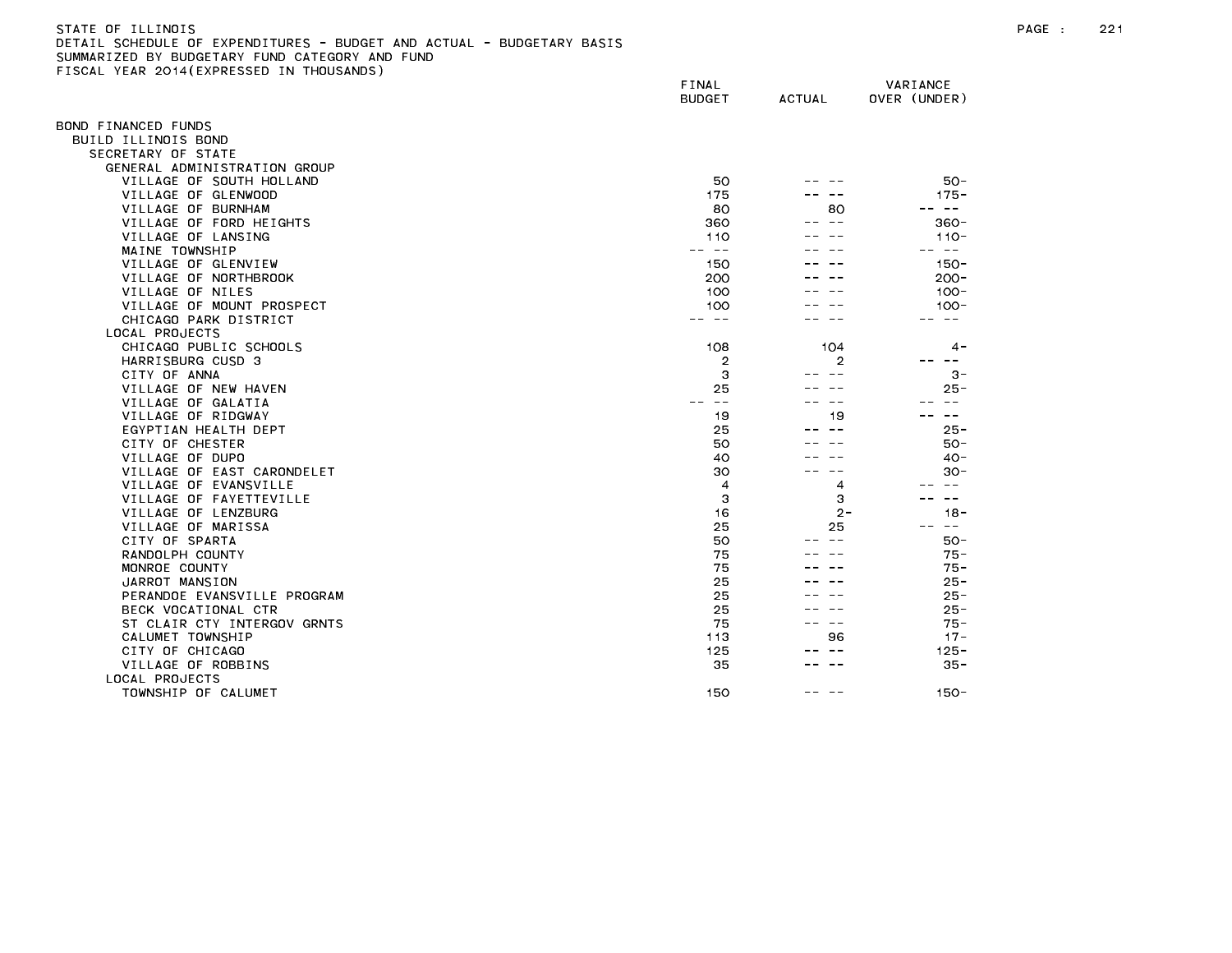# STATE OF ILLINOIS PAGE : 221 DETAIL SCHEDULE OF EXPENDITURES - BUDGET AND ACTUAL - BUDGETARY BASIS SUMMARIZED BY BUDGETARY FUND CATEGORY AND FUND FISCAL YEAR 2014(EXPRESSED IN THOUSANDS)

|                                          | FINAL<br><b>BUDGET</b> | <b>ACTUAL</b> | VARIANCE<br>OVER (UNDER) |
|------------------------------------------|------------------------|---------------|--------------------------|
| OND FINANCED FUNDS                       |                        |               |                          |
| BUILD ILLINOIS BOND                      |                        |               |                          |
| SECRETARY OF STATE                       |                        |               |                          |
| GENERAL ADMINISTRATION GROUP             |                        |               |                          |
| VILLAGE OF SOUTH HOLLAND                 | 50                     |               | $50 -$                   |
| VILLAGE OF GLENWOOD                      | 175                    |               | $175 -$                  |
| VILLAGE OF BURNHAM                       | 80                     | 80            | $\sim$ $-$               |
| VILLAGE OF FORD HEIGHTS                  | 360                    |               | $360 -$                  |
| VILLAGE OF LANSING                       | 110                    |               | $110 -$                  |
| MAINE TOWNSHIP                           | ———                    |               | س س                      |
| VILLAGE OF GLENVIEW                      | 150                    |               | $150 -$                  |
| VILLAGE OF NORTHBROOK                    | 200                    |               | $200 -$                  |
| VILLAGE OF NILES                         | 100                    |               | $100 -$                  |
| VILLAGE OF MOUNT PROSPECT                | 100                    |               | $100 -$                  |
| CHICAGO PARK DISTRICT                    | - - -                  |               | $\sim$ $\sim$            |
| LOCAL PROJECTS                           |                        |               |                          |
| CHICAGO PUBLIC SCHOOLS                   | 108                    | 104           | 4 -                      |
| HARRISBURG CUSD 3                        | 2                      | 2             | --                       |
| CITY OF ANNA                             | 3                      |               | $3 -$                    |
| VILLAGE OF NEW HAVEN                     | 25<br>$\sim$ $-$       |               | $25 -$<br>$\sim$ $\sim$  |
| VILLAGE OF GALATIA<br>VILLAGE OF RIDGWAY |                        |               | $ -$                     |
| EGYPTIAN HEALTH DEPT                     | 19<br>25               | 19            | $25 -$                   |
| CITY OF CHESTER                          | 50                     |               | $50 -$                   |
| VILLAGE OF DUPO                          | 40                     |               | 40-                      |
| VILLAGE OF EAST CARONDELET               | 30                     |               | $30 -$                   |
| VILLAGE OF EVANSVILLE                    | $\overline{4}$         | 4             | $\sim$ $\sim$            |
| VILLAGE OF FAYETTEVILLE                  | З                      | 3             | $\overline{\phantom{m}}$ |
| VILLAGE OF LENZBURG                      | 16                     | 2-            | $18 -$                   |
| VILLAGE OF MARISSA                       | 25                     | 25            | ست س                     |
| CITY OF SPARTA                           | 50                     |               | $50 -$                   |
| RANDOLPH COUNTY                          | 75                     |               | $75 -$                   |
| MONROE COUNTY                            | 75                     |               | $75 -$                   |
| JARROT MANSION                           | 25                     |               | $25 -$                   |
| PERANDOE EVANSVILLE PROGRAM              | 25                     |               | $25 -$                   |
| BECK VOCATIONAL CTR                      | 25                     |               | $25 -$                   |
| ST CLAIR CTY INTERGOV GRNTS              | 75                     |               | $75 -$                   |
| CALUMET TOWNSHIP                         | 113                    | 96            | $17 -$                   |
| CITY OF CHICAGO                          | 125                    |               | $125 -$                  |
| VILLAGE OF ROBBINS                       | 35                     |               | $35 -$                   |
| LOCAL PROJECTS                           |                        |               |                          |
| TOWNSHIP OF CALUMET                      | 150                    |               | $150 -$                  |
|                                          |                        |               |                          |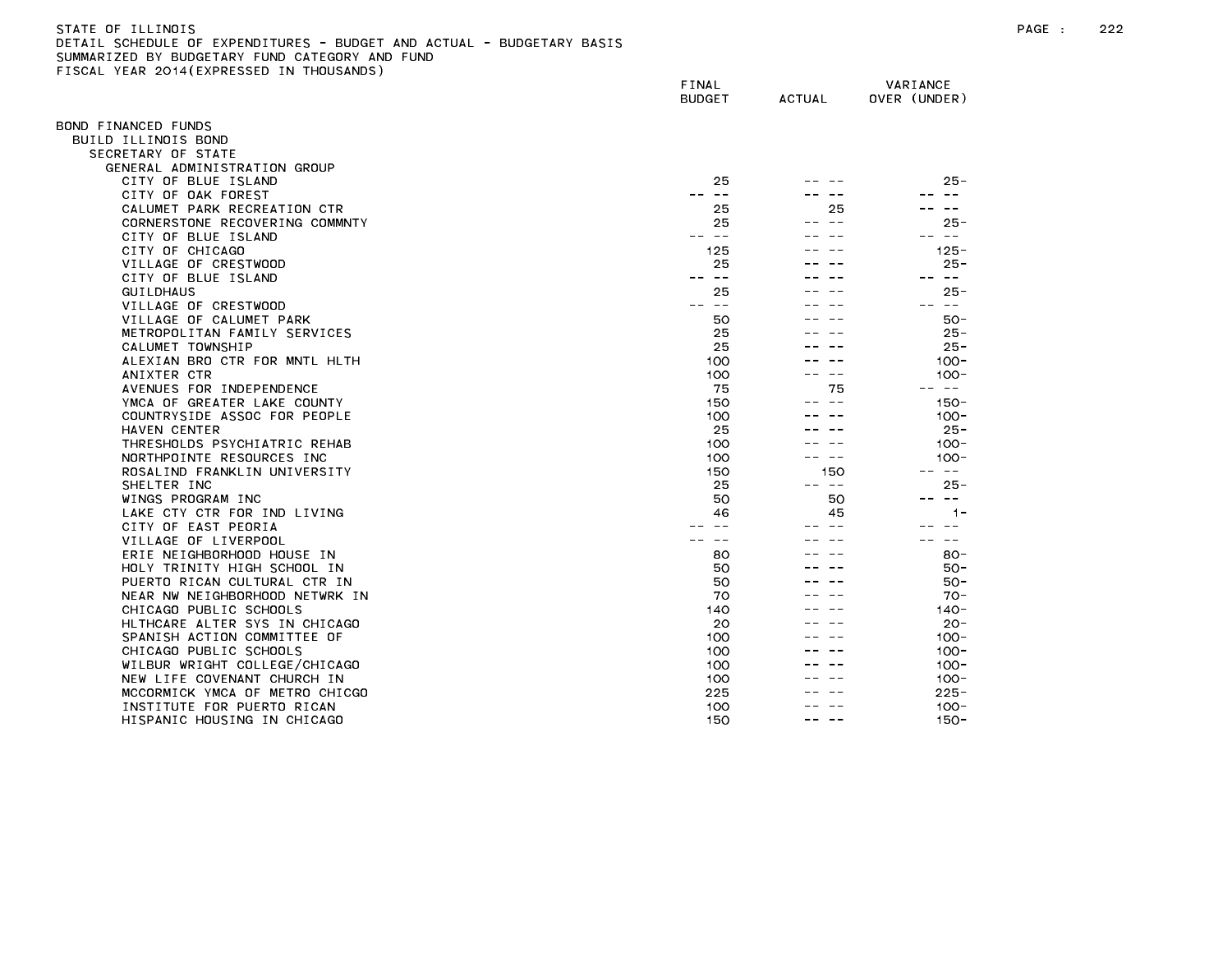# STATE OF ILLINOIS PAGE : 222 DETAIL SCHEDULE OF EXPENDITURES - BUDGET AND ACTUAL - BUDGETARY BASIS

|                                | FINAL<br>BUDGET | <b>ACTUAL</b>                                                                                                                                                                                                                                                                                                                                                                                | VARIANCE<br>OVER (UNDER) |
|--------------------------------|-----------------|----------------------------------------------------------------------------------------------------------------------------------------------------------------------------------------------------------------------------------------------------------------------------------------------------------------------------------------------------------------------------------------------|--------------------------|
| OND FINANCED FUNDS             |                 |                                                                                                                                                                                                                                                                                                                                                                                              |                          |
| BUILD ILLINOIS BOND            |                 |                                                                                                                                                                                                                                                                                                                                                                                              |                          |
| SECRETARY OF STATE             |                 |                                                                                                                                                                                                                                                                                                                                                                                              |                          |
| GENERAL ADMINISTRATION GROUP   |                 |                                                                                                                                                                                                                                                                                                                                                                                              |                          |
| CITY OF BLUE ISLAND            | 25              |                                                                                                                                                                                                                                                                                                                                                                                              | $25 -$                   |
| CITY OF OAK FOREST             | $- -$           |                                                                                                                                                                                                                                                                                                                                                                                              | $- -$                    |
| CALUMET PARK RECREATION CTR    | 25              | 25                                                                                                                                                                                                                                                                                                                                                                                           |                          |
| CORNERSTONE RECOVERING COMMNTY | 25              |                                                                                                                                                                                                                                                                                                                                                                                              | 25 -                     |
| CITY OF BLUE ISLAND            | -- --           |                                                                                                                                                                                                                                                                                                                                                                                              | $\sim$ $ -$              |
| CITY OF CHICAGO                | 125             |                                                                                                                                                                                                                                                                                                                                                                                              | $125 -$                  |
| VILLAGE OF CRESTWOOD           | 25              |                                                                                                                                                                                                                                                                                                                                                                                              | $25 -$                   |
| CITY OF BLUE ISLAND            | $ -$            |                                                                                                                                                                                                                                                                                                                                                                                              | -- --                    |
| <b>GUILDHAUS</b>               | 25              |                                                                                                                                                                                                                                                                                                                                                                                              | $25 -$                   |
| VILLAGE OF CRESTWOOD           | $- -$<br>$- -$  |                                                                                                                                                                                                                                                                                                                                                                                              | -- --                    |
| VILLAGE OF CALUMET PARK        | 50              |                                                                                                                                                                                                                                                                                                                                                                                              | $50 -$                   |
| METROPOLITAN FAMILY SERVICES   | 25              |                                                                                                                                                                                                                                                                                                                                                                                              | $25 -$                   |
| CALUMET TOWNSHIP               | 25              |                                                                                                                                                                                                                                                                                                                                                                                              | $25 -$                   |
| ALEXIAN BRO CTR FOR MNTL HLTH  | 100             |                                                                                                                                                                                                                                                                                                                                                                                              | $100 -$                  |
| ANIXTER CTR                    | 100             | $\sim$ $-$                                                                                                                                                                                                                                                                                                                                                                                   | $100 -$                  |
| AVENUES FOR INDEPENDENCE       | 75              | 75                                                                                                                                                                                                                                                                                                                                                                                           | -- --                    |
| YMCA OF GREATER LAKE COUNTY    | 150             | $\sim$ $-$                                                                                                                                                                                                                                                                                                                                                                                   | $150 -$                  |
| COUNTRYSIDE ASSOC FOR PEOPLE   | 100             |                                                                                                                                                                                                                                                                                                                                                                                              | $100 -$                  |
| HAVEN CENTER                   | 25              |                                                                                                                                                                                                                                                                                                                                                                                              | $25 -$                   |
| THRESHOLDS PSYCHIATRIC REHAB   | 100             |                                                                                                                                                                                                                                                                                                                                                                                              | $100 -$                  |
| NORTHPOINTE RESOURCES INC      | 100             |                                                                                                                                                                                                                                                                                                                                                                                              | $100 -$                  |
| ROSALIND FRANKLIN UNIVERSITY   | 150             | 150                                                                                                                                                                                                                                                                                                                                                                                          | $- - -$                  |
| SHELTER INC                    | 25              | $\frac{1}{2} \frac{1}{2} \frac{1}{2} \frac{1}{2} \frac{1}{2} \frac{1}{2} \frac{1}{2} \frac{1}{2} \frac{1}{2} \frac{1}{2} \frac{1}{2} \frac{1}{2} \frac{1}{2} \frac{1}{2} \frac{1}{2} \frac{1}{2} \frac{1}{2} \frac{1}{2} \frac{1}{2} \frac{1}{2} \frac{1}{2} \frac{1}{2} \frac{1}{2} \frac{1}{2} \frac{1}{2} \frac{1}{2} \frac{1}{2} \frac{1}{2} \frac{1}{2} \frac{1}{2} \frac{1}{2} \frac{$ | 25-                      |
| WINGS PROGRAM INC              | 50              | 50                                                                                                                                                                                                                                                                                                                                                                                           | $\qquad \qquad -$        |
| LAKE CTY CTR FOR IND LIVING    | 46              | 45                                                                                                                                                                                                                                                                                                                                                                                           | $1 -$                    |
| CITY OF EAST PEORIA            |                 |                                                                                                                                                                                                                                                                                                                                                                                              |                          |
| VILLAGE OF LIVERPOOL           |                 |                                                                                                                                                                                                                                                                                                                                                                                              | $ -$                     |
| ERIE NEIGHBORHOOD HOUSE IN     | 80              |                                                                                                                                                                                                                                                                                                                                                                                              | $80 -$                   |
| HOLY TRINITY HIGH SCHOOL IN    | 50              |                                                                                                                                                                                                                                                                                                                                                                                              | $50 -$                   |
| PUERTO RICAN CULTURAL CTR IN   | 50              |                                                                                                                                                                                                                                                                                                                                                                                              | $50 -$                   |
| NEAR NW NEIGHBORHOOD NETWRK IN | 70              |                                                                                                                                                                                                                                                                                                                                                                                              | $70 -$                   |
| CHICAGO PUBLIC SCHOOLS         | 140             |                                                                                                                                                                                                                                                                                                                                                                                              | $140 -$                  |
| HLTHCARE ALTER SYS IN CHICAGO  | 20              |                                                                                                                                                                                                                                                                                                                                                                                              | $20 -$                   |
| SPANISH ACTION COMMITTEE OF    | 100             |                                                                                                                                                                                                                                                                                                                                                                                              | $100 -$                  |
| CHICAGO PUBLIC SCHOOLS         | 100             |                                                                                                                                                                                                                                                                                                                                                                                              | $100 -$                  |
| WILBUR WRIGHT COLLEGE/CHICAGO  | 100             |                                                                                                                                                                                                                                                                                                                                                                                              | $100 -$                  |
| NEW LIFE COVENANT CHURCH IN    | 100             |                                                                                                                                                                                                                                                                                                                                                                                              | $100 -$                  |
| MCCORMICK YMCA OF METRO CHICGO | 225             |                                                                                                                                                                                                                                                                                                                                                                                              | $225 -$                  |
| INSTITUTE FOR PUERTO RICAN     | 100             |                                                                                                                                                                                                                                                                                                                                                                                              | $100 -$                  |
| HISPANIC HOUSING IN CHICAGO    | 150             |                                                                                                                                                                                                                                                                                                                                                                                              | $150 -$                  |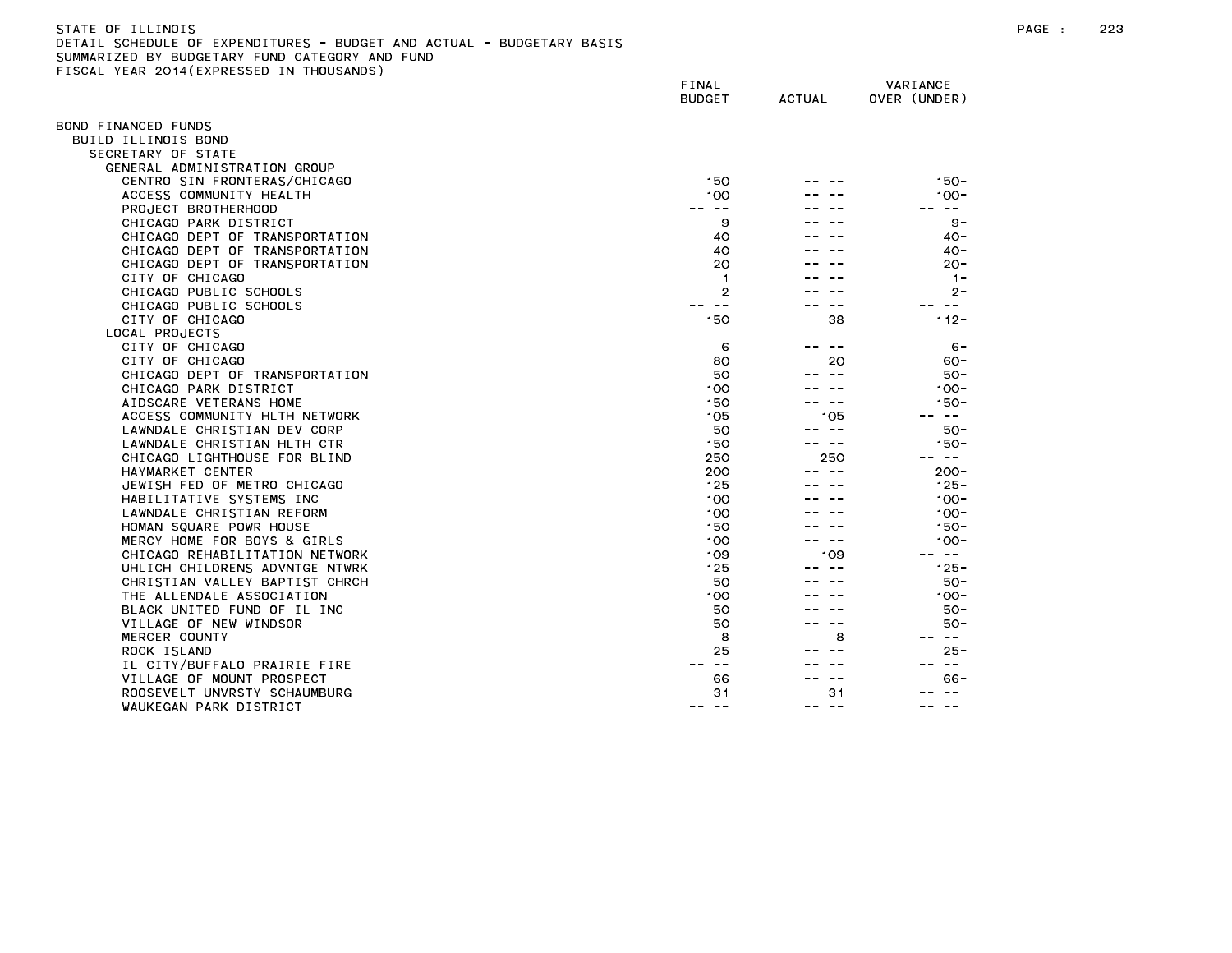## STATE OF ILLINOIS PAGE : 223 DETAIL SCHEDULE OF EXPENDITURES - BUDGET AND ACTUAL - BUDGETARY BASIS SUMMARIZED BY BUDGETARY FUND CATEGORY AND FUND FISCAL YEAR 2014(EXPRESSED IN THOUSANDS)

|                                | FINAL<br><b>BUDGET</b> | <b>ACTUAL</b>    | VARIANCE<br>OVER (UNDER) |
|--------------------------------|------------------------|------------------|--------------------------|
| BOND FINANCED FUNDS            |                        |                  |                          |
| BUILD ILLINOIS BOND            |                        |                  |                          |
| SECRETARY OF STATE             |                        |                  |                          |
| GENERAL ADMINISTRATION GROUP   |                        |                  |                          |
| CENTRO SIN FRONTERAS/CHICAGO   | 150                    |                  | $150 -$                  |
| ACCESS COMMUNITY HEALTH        | 100                    |                  | $100 -$                  |
| PROJECT BROTHERHOOD            | $\sim$ $-$             |                  | $\sim$ $ -$              |
| CHICAGO PARK DISTRICT          | 9                      |                  | $9 -$                    |
| CHICAGO DEPT OF TRANSPORTATION | 40                     |                  | $40 -$                   |
| CHICAGO DEPT OF TRANSPORTATION | 40                     |                  | $40 -$                   |
| CHICAGO DEPT OF TRANSPORTATION | 20                     |                  | $20 -$                   |
| CITY OF CHICAGO                | $\mathbf{1}$           |                  | $1 -$                    |
| CHICAGO PUBLIC SCHOOLS         | $\overline{2}$         |                  | $2 -$                    |
| CHICAGO PUBLIC SCHOOLS         | $- -$                  |                  | $\sim$ $-$               |
| CITY OF CHICAGO                | 150                    | 38               | $112 -$                  |
| LOCAL PROJECTS                 |                        |                  |                          |
| CITY OF CHICAGO                | 6                      | $- -$            | $6 -$                    |
| CITY OF CHICAGO                | 80                     | 20               | $60 -$                   |
| CHICAGO DEPT OF TRANSPORTATION | 50                     | $\sim$ $-$       | 50-                      |
| CHICAGO PARK DISTRICT          | 100                    |                  | $100 -$                  |
| AIDSCARE VETERANS HOME         | 150                    | $\sim$ $-$       | $150 -$                  |
| ACCESS COMMUNITY HLTH NETWORK  | 105                    | 105              | $\sim$ $-$               |
| LAWNDALE CHRISTIAN DEV CORP    | 50                     | $\sim$ $-$       | $50 -$                   |
| LAWNDALE CHRISTIAN HLTH CTR    | 150                    | $\sim$ $-$       | $150 -$                  |
| CHICAGO LIGHTHOUSE FOR BLIND   | 250                    | 250              | $\sim$ $-$               |
| HAYMARKET CENTER               | 200                    |                  | $200 -$                  |
| JEWISH FED OF METRO CHICAGO    | 125                    |                  | $125 -$                  |
| HABILITATIVE SYSTEMS INC       | 100                    |                  | $100 -$                  |
| LAWNDALE CHRISTIAN REFORM      | 100                    |                  | $100 -$                  |
| HOMAN SQUARE POWR HOUSE        | 150                    |                  | $150 -$                  |
| MERCY HOME FOR BOYS & GIRLS    | 100                    |                  | $100 -$                  |
| CHICAGO REHABILITATION NETWORK | 109                    | 109              | $\sim 100$               |
| UHLICH CHILDRENS ADVNTGE NTWRK | 125                    |                  | $125 -$                  |
| CHRISTIAN VALLEY BAPTIST CHRCH | 50                     |                  | 50-                      |
| THE ALLENDALE ASSOCIATION      | 100                    |                  | $100 -$                  |
| BLACK UNITED FUND OF IL INC    | 50                     |                  | $50 -$                   |
| VILLAGE OF NEW WINDSOR         | 50                     |                  | $50 -$                   |
| MERCER COUNTY                  | 8                      | 8                | $\sim$ $-$               |
| ROCK ISLAND                    | 25                     |                  | $25 -$                   |
| IL CITY/BUFFALO PRAIRIE FIRE   | $\sim$ $-$             |                  | $\sim$ $ -$<br>$- -$     |
| VILLAGE OF MOUNT PROSPECT      | 66                     |                  | 66 -                     |
| ROOSEVELT UNVRSTY SCHAUMBURG   | 31                     | 31               |                          |
| WAUKEGAN PARK DISTRICT         | $- -$<br>$- -$         | $\sim$ $-$<br>-- | $\sim$ $\sim$            |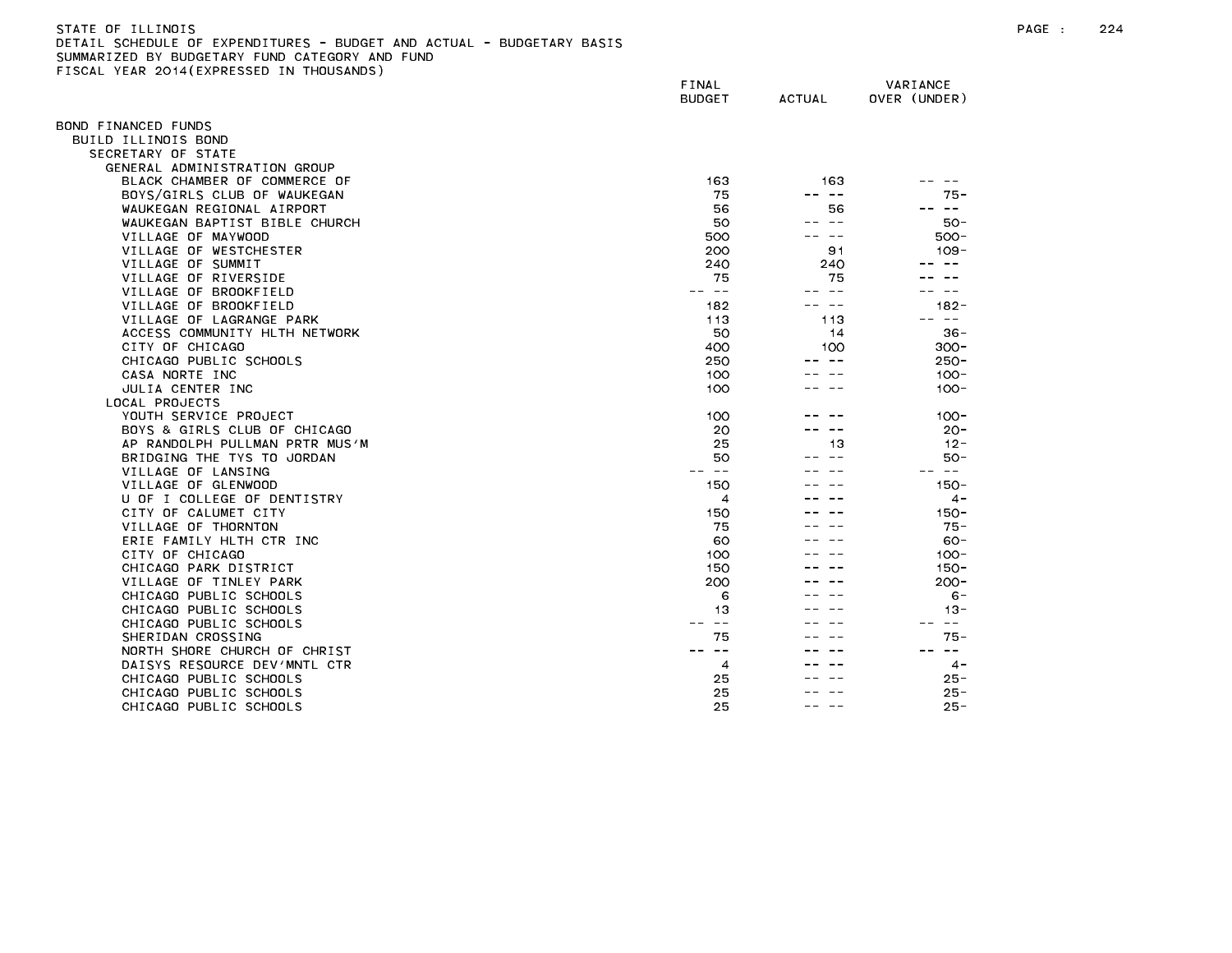FISCAL YEAR 2014(EXPRESSED IN THOUSANDS)

FINAL VARIANCE BUDGET ACTUAL OVER (UNDER) BOND FINANCED FUNDS BUILD ILLINOIS BOND SECRETARY OF STATE GENERAL ADMINISTRATION GROUP BLACK CHAMBER OF COMMERCE OF 163 163 -- -- BOYS/GIRLS CLUB OF WAUKEGAN 75 -- -- 75- WAUKEGAN REGIONAL AIRPORT AND SERVICE SERVICE SERVICE SERVICE SERVICE SERVICE SERVICE SERVICE SERVICE SERVICE SERVICE SERVICE SERVICE SERVICE SERVICE SERVICE SERVICE SERVICE SERVICE SERVICE SERVICE SERVICE SERVICE SERVICE WAUKEGAN BAPTIST BIBLE CHURCH 50 --- 50 --- 50-VILLAGE OF MAYWOOD SERVER SERVER AND SOLLAGE OF MAYWOOD SUMPLIFE SOLLAGE OF MAYWOOD VILLAGE OF WESTCHESTER 200 91 109- VILLAGE OF SUMMIT CONTROL CONTROL CONTROL CONTROL CONTROL CONTROL CONTROL CONTROL CONTROL CONTROL CONTROL CONTROL CONTROL CONTROL CONTROL CONTROL CONTROL CONTROL CONTROL CONTROL CONTROL CONTROL CONTROL CONTROL CONTROL CONT VILLAGE OF RIVERSIDE 75 75 -- -- VILLAGE OF BROOKFIELD And the state of the state of the state of the state of the state of the state of the state of the state of the state of the state of the state of the state of the state of the state of the state of t VILLAGE OF BROOKFIELD 182 - 182 - 182 - 182-VILLAGE OF LAGRANGE PARK 113 113 -- -- ACCESS COMMUNITY HLTH NETWORK 50 14 36- CHICAGO PUBLIC SCHOOLS 250 - 250 - 250 - 250 - 250 - 250 - 250 - 250 - 250 - 250 - 250 - 250 - 250 - 250 - 250 CASA NORTE INC 100 -- -- 100- JULIA CENTER INC 100 -- -- 100- LOCAL PROJECTS YOUTH SERVICE PROJECT 100 -- -- 100- BOYS & GIRLS CLUB OF CHICAGO 20 ---- 20-<br>AP RANDOLPH PULLMAN PRTP MUS*'M* BRIDGING THE TYS TO JORDAN 50 --- 50-VILLAGE OF LANSING -- -- -- -- -- -- VILLAGE OF GLENWOOD AND A SERVICE OF SALE AND THE SERVICE OF SALE AND THE SERVICE OF SALE AND THE SERVICE OF SALE AND THE SERVICE OF SALE AND THE SERVICE OF SALE AND THE SERVICE OF SALE AND THE SERVICE OF SALE AND THE SERV U OF I COLLEGE OF DENTISTRY 4 -- -- 4- CITY OF CALUMET CITY And the state of the state of the state of the state of the state of the state of the state of the state of the state of the state of the state of the state of the state of the state of the state of th VILLAGE OF THORNTON 75 -- -- 75- ERIE FAMILY HLTH CTR INC 60 -- -- 60- CITY OF CHICAGO 100-100-2000 100-2000 100-2000 100-2000 100-2000 100-2000 100-2000 100-2000 100-2000 100-2000 CHICAGO PARK DISTRICT AND ISLAMIC CHICAGO PARK DISTRICT AND ISLAMIC CHICAGO CHICAGO PARK DISTRICT VILLAGE OF TINLEY PARK 200 -- -- 200- CHICAGO PUBLIC SCHOOLS 6 -- -- 6- CHICAGO PUBLIC SCHOOLS 13 -- -- 13- CHICAGO PUBLIC SCHOOLS -- -- -- -- -- -- SHERIDAN CROSSING 75 --- 75-NORTH SHORE CHURCH OF CHRIST<br>DAISYS RESOURCE DEV/MNTL CTR CHICAGO PUBLIC SCHOOLS 25 -- -- 25-CHICAGO PUBLIC SCHOOLS 25  $25 -$ CHICAGO PUBLIC SCHOOLS  $25$  $\frac{1}{2} \frac{1}{2} \frac{1}{2} \frac{1}{2} \frac{1}{2} \frac{1}{2} \frac{1}{2} \frac{1}{2} \frac{1}{2} \frac{1}{2} \frac{1}{2} \frac{1}{2} \frac{1}{2} \frac{1}{2} \frac{1}{2} \frac{1}{2} \frac{1}{2} \frac{1}{2} \frac{1}{2} \frac{1}{2} \frac{1}{2} \frac{1}{2} \frac{1}{2} \frac{1}{2} \frac{1}{2} \frac{1}{2} \frac{1}{2} \frac{1}{2} \frac{1}{2} \frac{1}{2} \frac{1}{2} \frac{$  $25 -$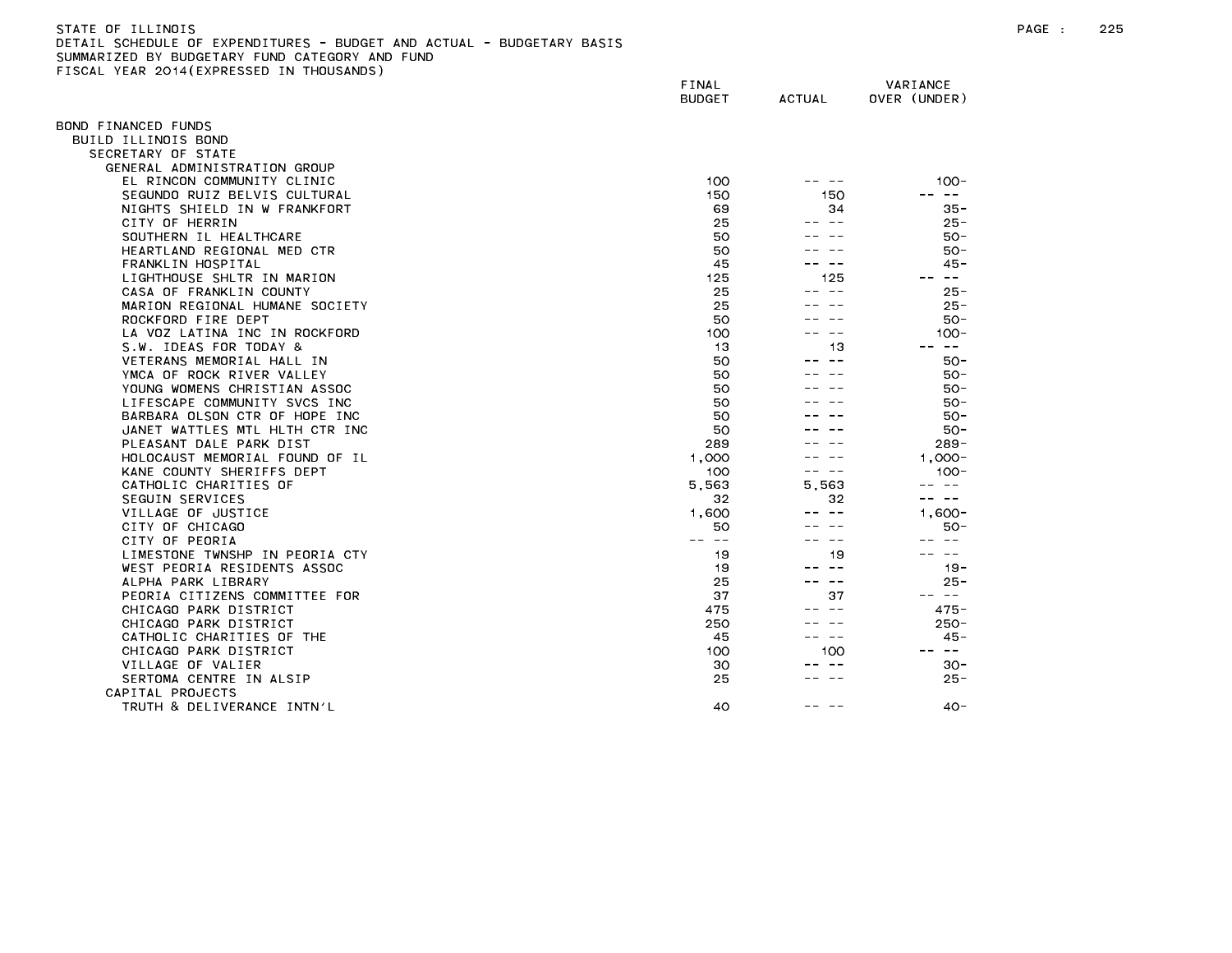| STATE OF ILLINOIS                                                     |       |          |
|-----------------------------------------------------------------------|-------|----------|
| DETAIL SCHEDULE OF EXPENDITURES - BUDGET AND ACTUAL - BUDGETARY BASIS |       |          |
| SUMMARIZED BY BUDGETARY FUND CATEGORY AND FUND                        |       |          |
| FISCAL YEAR 2014(EXPRESSED IN THOUSANDS)                              |       |          |
|                                                                       | FINAL | VARIANCE |

| OND FINANCED FUNDS                                           |           |           |                                     |
|--------------------------------------------------------------|-----------|-----------|-------------------------------------|
| BUILD ILLINOIS BOND                                          |           |           |                                     |
| SECRETARY OF STATE                                           |           |           |                                     |
| GENERAL ADMINISTRATION GROUP                                 | 100       |           | $100 -$                             |
| EL RINCON COMMUNITY CLINIC                                   |           |           | $\sim$ $-$                          |
| SEGUNDO RUIZ BELVIS CULTURAL<br>NIGHTS SHIELD IN W FRANKFORT | 150<br>69 | 150<br>34 | $35 -$                              |
|                                                              | 25        |           | $25 -$                              |
| CITY OF HERRIN                                               | 50        |           | $50 -$                              |
| SOUTHERN IL HEALTHCARE                                       | 50        |           | $50 -$                              |
| HEARTLAND REGIONAL MED CTR                                   |           |           |                                     |
| FRANKLIN HOSPITAL                                            | 45        |           | $45 -$<br>$\frac{1}{2}$             |
| LIGHTHOUSE SHLTR IN MARION                                   | 125       | 125       |                                     |
| CASA OF FRANKLIN COUNTY                                      | 25        |           | $25 -$                              |
| MARION REGIONAL HUMANE SOCIETY                               | 25        |           | $25 -$                              |
| ROCKFORD FIRE DEPT                                           | 50        |           | $50 -$                              |
| LA VOZ LATINA INC IN ROCKFORD                                | 100       |           | $100 -$                             |
| S.W. IDEAS FOR TODAY &                                       | 13        | 13        | $\frac{1}{2}$                       |
| VETERANS MEMORIAL HALL IN                                    | 50        |           | $50 -$                              |
| YMCA OF ROCK RIVER VALLEY                                    | 50        |           | 50-                                 |
| YOUNG WOMENS CHRISTIAN ASSOC                                 | 50        |           | $50 -$                              |
| LIFESCAPE COMMUNITY SVCS INC                                 | 50        |           | $50 -$                              |
| BARBARA OLSON CTR OF HOPE INC                                | 50        |           | $50 -$                              |
| JANET WATTLES MTL HLTH CTR INC                               | 50        |           | $50 -$                              |
| PLEASANT DALE PARK DIST                                      | 289       |           | $289 -$                             |
| HOLOCAUST MEMORIAL FOUND OF IL                               | 1,000     |           | $1,000 -$                           |
| KANE COUNTY SHERIFFS DEPT                                    | 100       |           | $100 -$                             |
| CATHOLIC CHARITIES OF                                        | 5,563     | 5.563     |                                     |
| SEGUIN SERVICES                                              | 32        | 32        | $\sim$ $-$                          |
| VILLAGE OF JUSTICE                                           | 1,600     |           | $1,600 -$                           |
| CITY OF CHICAGO                                              | 50        |           | 50-                                 |
| CITY OF PEORIA                                               | $- -$     |           |                                     |
| LIMESTONE TWNSHP IN PEORIA CTY                               | 19        | 19        |                                     |
| WEST PEORIA RESIDENTS ASSOC                                  | 19        |           | $19 -$                              |
| ALPHA PARK LIBRARY                                           | 25        | $- -$     | $25 -$                              |
| PEORIA CITIZENS COMMITTEE FOR                                | 37        | 37        | $\sim$ $-$                          |
| CHICAGO PARK DISTRICT                                        | 475       |           | 475-                                |
| CHICAGO PARK DISTRICT                                        | 250       |           | $250 -$                             |
| CATHOLIC CHARITIES OF THE                                    | 45        | $ -$      | $45 -$                              |
| CHICAGO PARK DISTRICT                                        | 100       | 100       | $\longrightarrow$ $\longrightarrow$ |
| VILLAGE OF VALIER                                            | 30        |           | $30 -$                              |
| SERTOMA CENTRE IN ALSIP                                      | 25        |           | $25 -$                              |
| CAPITAL PROJECTS                                             |           |           |                                     |
| TRUTH & DELIVERANCE INTN'L                                   | 40        |           | $40 -$                              |
|                                                              |           |           |                                     |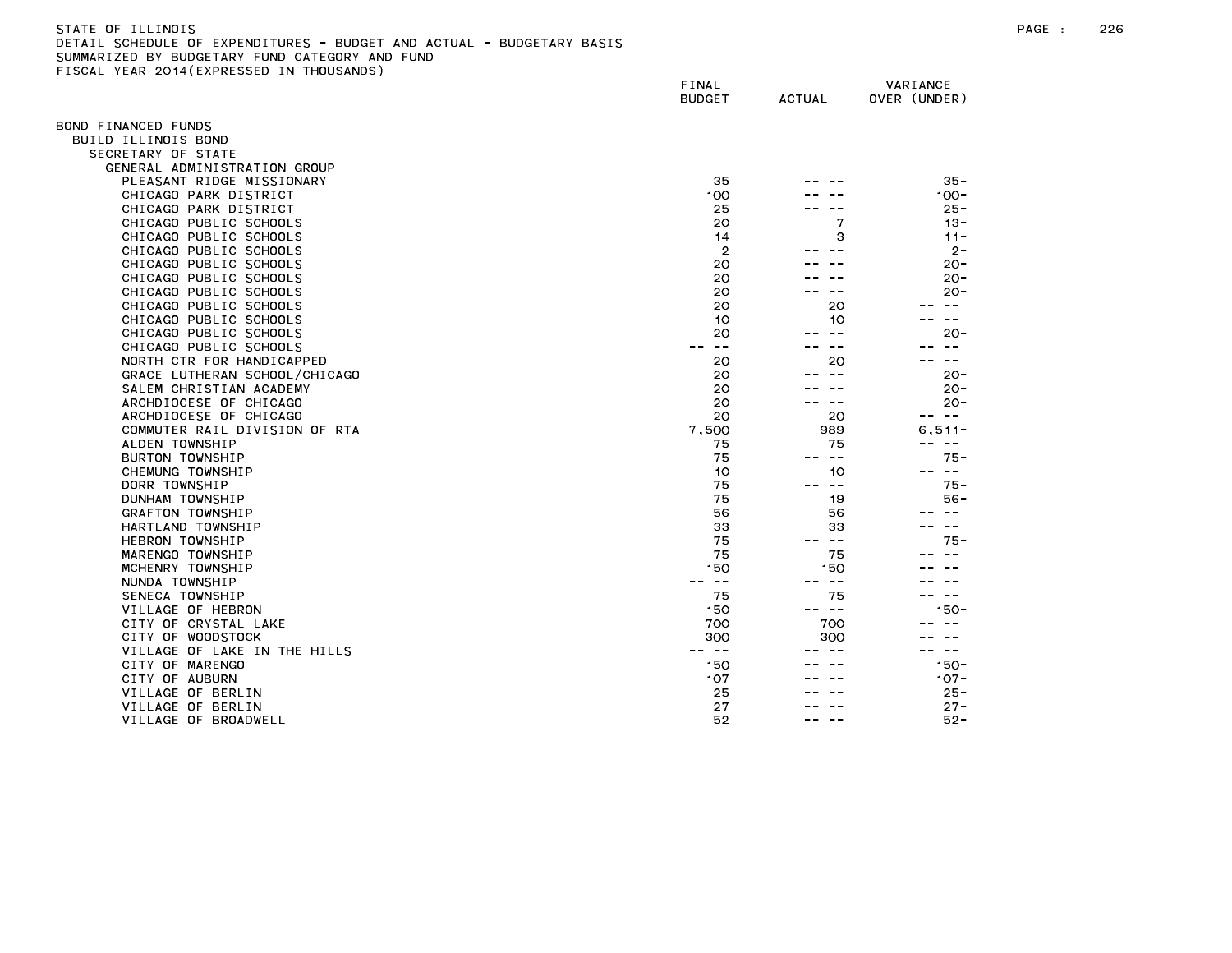| STATE OF ILLINOIS                                                     |
|-----------------------------------------------------------------------|
| DETAIL SCHEDULE OF EXPENDITURES - BUDGET AND ACTUAL - BUDGETARY BASIS |
| SUMMARIZED BY BUDGETARY FUND CATEGORY AND FUND                        |
| FISCAL YEAR 2014(EXPRESSED IN THOUSANDS)                              |

|                                                   | FINAL<br><b>BUDGET</b> | <b>ACTUAL</b>                                                                                                                                                                                                                                                                                                                                                                                | VARIANCE<br>OVER (UNDER) |
|---------------------------------------------------|------------------------|----------------------------------------------------------------------------------------------------------------------------------------------------------------------------------------------------------------------------------------------------------------------------------------------------------------------------------------------------------------------------------------------|--------------------------|
|                                                   |                        |                                                                                                                                                                                                                                                                                                                                                                                              |                          |
| OND FINANCED FUNDS                                |                        |                                                                                                                                                                                                                                                                                                                                                                                              |                          |
| BUILD ILLINOIS BOND<br>SECRETARY OF STATE         |                        |                                                                                                                                                                                                                                                                                                                                                                                              |                          |
| GENERAL ADMINISTRATION GROUP                      |                        |                                                                                                                                                                                                                                                                                                                                                                                              |                          |
| PLEASANT RIDGE MISSIONARY                         | 35                     |                                                                                                                                                                                                                                                                                                                                                                                              | $35 -$                   |
| CHICAGO PARK DISTRICT                             | 100                    |                                                                                                                                                                                                                                                                                                                                                                                              | $100 -$                  |
| CHICAGO PARK DISTRICT                             | 25                     |                                                                                                                                                                                                                                                                                                                                                                                              | $25 -$                   |
| CHICAGO PUBLIC SCHOOLS                            | 20                     | 7                                                                                                                                                                                                                                                                                                                                                                                            | $13 -$                   |
| CHICAGO PUBLIC SCHOOLS                            | 14                     | 3                                                                                                                                                                                                                                                                                                                                                                                            | $11 -$                   |
| CHICAGO PUBLIC SCHOOLS                            | $\overline{2}$         |                                                                                                                                                                                                                                                                                                                                                                                              | $2 -$                    |
| CHICAGO PUBLIC SCHOOLS                            | 20                     |                                                                                                                                                                                                                                                                                                                                                                                              | $20 -$                   |
| CHICAGO PUBLIC SCHOOLS                            | 20                     |                                                                                                                                                                                                                                                                                                                                                                                              | $20 -$                   |
| CHICAGO PUBLIC SCHOOLS                            | 20                     |                                                                                                                                                                                                                                                                                                                                                                                              | $20 -$                   |
| CHICAGO PUBLIC SCHOOLS                            | 20                     | 20                                                                                                                                                                                                                                                                                                                                                                                           |                          |
| CHICAGO PUBLIC SCHOOLS                            | 10                     | 10                                                                                                                                                                                                                                                                                                                                                                                           | $\overline{\phantom{m}}$ |
| CHICAGO PUBLIC SCHOOLS                            | 20                     | $- -$                                                                                                                                                                                                                                                                                                                                                                                        | $20 -$                   |
| CHICAGO PUBLIC SCHOOLS                            | $\sim$ $-$             |                                                                                                                                                                                                                                                                                                                                                                                              | $\sim$ $-$               |
| NORTH CTR FOR HANDICAPPED                         | 20<br>20               | 20                                                                                                                                                                                                                                                                                                                                                                                           | $\sim$ $\sim$<br>$20 -$  |
| GRACE LUTHERAN SCHOOL/CHICAGO                     | 20                     |                                                                                                                                                                                                                                                                                                                                                                                              | $20 -$                   |
| SALEM CHRISTIAN ACADEMY<br>ARCHDIOCESE OF CHICAGO | 20                     | $\sim$ $\sim$                                                                                                                                                                                                                                                                                                                                                                                | $20 -$                   |
| ARCHDIOCESE OF CHICAGO                            | 20                     | 20                                                                                                                                                                                                                                                                                                                                                                                           | -- --                    |
| COMMUTER RAIL DIVISION OF RTA                     | 7,500                  | 989                                                                                                                                                                                                                                                                                                                                                                                          | $6, 511 -$               |
| ALDEN TOWNSHIP                                    | 75                     | 75                                                                                                                                                                                                                                                                                                                                                                                           | $- -$                    |
| BURTON TOWNSHIP                                   | 75                     | $\frac{1}{2} \frac{1}{2} \frac{1}{2} \frac{1}{2} \frac{1}{2} \frac{1}{2} \frac{1}{2} \frac{1}{2} \frac{1}{2} \frac{1}{2} \frac{1}{2} \frac{1}{2} \frac{1}{2} \frac{1}{2} \frac{1}{2} \frac{1}{2} \frac{1}{2} \frac{1}{2} \frac{1}{2} \frac{1}{2} \frac{1}{2} \frac{1}{2} \frac{1}{2} \frac{1}{2} \frac{1}{2} \frac{1}{2} \frac{1}{2} \frac{1}{2} \frac{1}{2} \frac{1}{2} \frac{1}{2} \frac{$ | $75 -$                   |
| CHEMUNG TOWNSHIP                                  | 10                     | 10                                                                                                                                                                                                                                                                                                                                                                                           | $\sim$ $-$               |
| DORR TOWNSHIP                                     | 75                     | -- --                                                                                                                                                                                                                                                                                                                                                                                        | $75 -$                   |
| DUNHAM TOWNSHIP                                   | 75                     | 19                                                                                                                                                                                                                                                                                                                                                                                           | $56 -$                   |
| GRAFTON TOWNSHIP                                  | 56                     | 56                                                                                                                                                                                                                                                                                                                                                                                           |                          |
| HARTLAND TOWNSHIP                                 | 33                     | 33                                                                                                                                                                                                                                                                                                                                                                                           | $\sim$ $\sim$            |
| <b>HEBRON TOWNSHIP</b>                            | 75                     | $\sim$ $-$                                                                                                                                                                                                                                                                                                                                                                                   | $75 -$                   |
| MARENGO TOWNSHIP                                  | 75                     | 75                                                                                                                                                                                                                                                                                                                                                                                           |                          |
| MCHENRY TOWNSHIP                                  | 150                    | 150                                                                                                                                                                                                                                                                                                                                                                                          |                          |
| NUNDA TOWNSHIP                                    | $\sim$ $-$<br>--       | $ -$                                                                                                                                                                                                                                                                                                                                                                                         |                          |
| SENECA TOWNSHIP                                   | 75                     | 75                                                                                                                                                                                                                                                                                                                                                                                           | $\sim$ $-$               |
| VILLAGE OF HEBRON<br>CITY OF CRYSTAL LAKE         | 150                    | -- --<br>700                                                                                                                                                                                                                                                                                                                                                                                 | $150 -$                  |
| CITY OF WOODSTOCK                                 | 700<br>300             | 300                                                                                                                                                                                                                                                                                                                                                                                          |                          |
| VILLAGE OF LAKE IN THE HILLS                      | -- --                  |                                                                                                                                                                                                                                                                                                                                                                                              | $\sim$ $-$               |
| CITY OF MARENGO                                   | 150                    |                                                                                                                                                                                                                                                                                                                                                                                              | $150 -$                  |
| CITY OF AUBURN                                    | 107                    |                                                                                                                                                                                                                                                                                                                                                                                              | $107 -$                  |
| VILLAGE OF BERLIN                                 | 25                     |                                                                                                                                                                                                                                                                                                                                                                                              | $25 -$                   |
| VILLAGE OF BERLIN                                 | 27                     |                                                                                                                                                                                                                                                                                                                                                                                              | $27 -$                   |
| VILLAGE OF BROADWELL                              | 52                     |                                                                                                                                                                                                                                                                                                                                                                                              | $52 -$                   |
|                                                   |                        |                                                                                                                                                                                                                                                                                                                                                                                              |                          |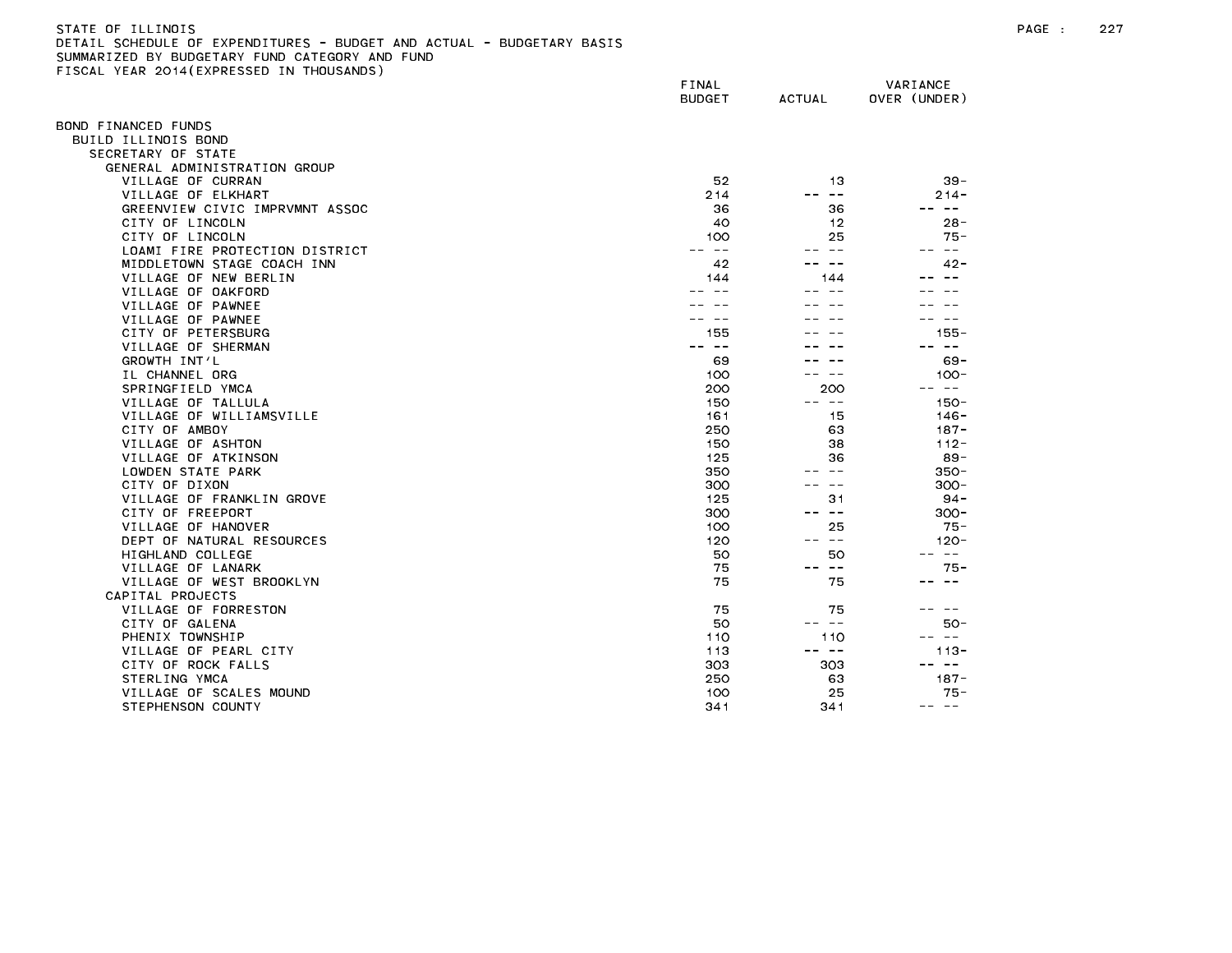# STATE OF ILLINOIS PAGE : 227 DETAIL SCHEDULE OF EXPENDITURES - BUDGET AND ACTUAL - BUDGETARY BASIS SUMMARIZED BY BUDGETARY FUND CATEGORY AND FUND FISCAL YEAR 2014(EXPRESSED IN THOUSANDS)

|                                | FINAL<br><b>BUDGET</b> | <b>ACTUAL</b>                                                                                                                                                                                                                                                                                                                                                                                | VARIANCE<br>OVER (UNDER) |
|--------------------------------|------------------------|----------------------------------------------------------------------------------------------------------------------------------------------------------------------------------------------------------------------------------------------------------------------------------------------------------------------------------------------------------------------------------------------|--------------------------|
| BOND FINANCED FUNDS            |                        |                                                                                                                                                                                                                                                                                                                                                                                              |                          |
| BUILD ILLINOIS BOND            |                        |                                                                                                                                                                                                                                                                                                                                                                                              |                          |
| SECRETARY OF STATE             |                        |                                                                                                                                                                                                                                                                                                                                                                                              |                          |
| GENERAL ADMINISTRATION GROUP   |                        |                                                                                                                                                                                                                                                                                                                                                                                              |                          |
| VILLAGE OF CURRAN              | 52                     | 13                                                                                                                                                                                                                                                                                                                                                                                           | $39 -$                   |
| VILLAGE OF ELKHART             | 214                    | $\rightarrow$ $\rightarrow$                                                                                                                                                                                                                                                                                                                                                                  | $214 -$                  |
| GREENVIEW CIVIC IMPRVMNT ASSOC | 36                     | 36                                                                                                                                                                                                                                                                                                                                                                                           | -- --                    |
| CITY OF LINCOLN                | 40                     | 12                                                                                                                                                                                                                                                                                                                                                                                           | $28 -$                   |
| CITY OF LINCOLN                | 100                    | 25                                                                                                                                                                                                                                                                                                                                                                                           | $75 -$                   |
| LOAMI FIRE PROTECTION DISTRICT | $\sim$ $-$             | $\sim$ $-$                                                                                                                                                                                                                                                                                                                                                                                   | $\frac{1}{2}$            |
| MIDDLETOWN STAGE COACH INN     | 42                     | $ -$                                                                                                                                                                                                                                                                                                                                                                                         | $42 -$                   |
| VILLAGE OF NEW BERLIN          | 144                    | 144                                                                                                                                                                                                                                                                                                                                                                                          |                          |
| VILLAGE OF OAKFORD             |                        |                                                                                                                                                                                                                                                                                                                                                                                              |                          |
| VILLAGE OF PAWNEE              |                        |                                                                                                                                                                                                                                                                                                                                                                                              |                          |
| VILLAGE OF PAWNEE              |                        |                                                                                                                                                                                                                                                                                                                                                                                              |                          |
| CITY OF PETERSBURG             | 155                    |                                                                                                                                                                                                                                                                                                                                                                                              | $155 -$                  |
| VILLAGE OF SHERMAN             | $- -$                  |                                                                                                                                                                                                                                                                                                                                                                                              | $\overline{\phantom{m}}$ |
| GROWTH INT'L                   | 69                     |                                                                                                                                                                                                                                                                                                                                                                                              | $69 -$                   |
| IL CHANNEL ORG                 | 100                    |                                                                                                                                                                                                                                                                                                                                                                                              | $100 -$                  |
| SPRINGFIELD YMCA               | 200                    | 200                                                                                                                                                                                                                                                                                                                                                                                          | --<br>$\sim$ $-$         |
| VILLAGE OF TALLULA             | 150                    | -- --                                                                                                                                                                                                                                                                                                                                                                                        | $150 -$                  |
| VILLAGE OF WILLIAMSVILLE       | 161                    | 15                                                                                                                                                                                                                                                                                                                                                                                           | $146 -$                  |
| CITY OF AMBOY                  | 250                    | 63                                                                                                                                                                                                                                                                                                                                                                                           | $187 -$                  |
| VILLAGE OF ASHTON              | 150                    | 38                                                                                                                                                                                                                                                                                                                                                                                           | $112 -$                  |
| VILLAGE OF ATKINSON            | 125                    | 36                                                                                                                                                                                                                                                                                                                                                                                           | $89 -$                   |
| LOWDEN STATE PARK              | 350                    | $\sim$ $-$                                                                                                                                                                                                                                                                                                                                                                                   | $350 -$                  |
| CITY OF DIXON                  | 300                    | $- -$                                                                                                                                                                                                                                                                                                                                                                                        | $300 -$                  |
|                                |                        |                                                                                                                                                                                                                                                                                                                                                                                              |                          |
| VILLAGE OF FRANKLIN GROVE      | 125                    | 31<br>-- --                                                                                                                                                                                                                                                                                                                                                                                  | $94 -$                   |
| CITY OF FREEPORT               | 300                    |                                                                                                                                                                                                                                                                                                                                                                                              | $300 -$                  |
| VILLAGE OF HANOVER             | 100                    | 25                                                                                                                                                                                                                                                                                                                                                                                           | $75 -$                   |
| DEPT OF NATURAL RESOURCES      | 120                    | $\frac{1}{2} \frac{1}{2} \frac{1}{2} \frac{1}{2} \frac{1}{2} \frac{1}{2} \frac{1}{2} \frac{1}{2} \frac{1}{2} \frac{1}{2} \frac{1}{2} \frac{1}{2} \frac{1}{2} \frac{1}{2} \frac{1}{2} \frac{1}{2} \frac{1}{2} \frac{1}{2} \frac{1}{2} \frac{1}{2} \frac{1}{2} \frac{1}{2} \frac{1}{2} \frac{1}{2} \frac{1}{2} \frac{1}{2} \frac{1}{2} \frac{1}{2} \frac{1}{2} \frac{1}{2} \frac{1}{2} \frac{$ | $120 -$                  |
| HIGHLAND COLLEGE               | 50                     | 50                                                                                                                                                                                                                                                                                                                                                                                           | $\overline{\phantom{m}}$ |
| VILLAGE OF LANARK              | 75                     | $\overline{\phantom{m}}$<br>$- -$                                                                                                                                                                                                                                                                                                                                                            | $75 -$                   |
| VILLAGE OF WEST BROOKLYN       | 75                     | 75                                                                                                                                                                                                                                                                                                                                                                                           | $\sim$ $\sim$            |
| CAPITAL PROJECTS               |                        |                                                                                                                                                                                                                                                                                                                                                                                              |                          |
| VILLAGE OF FORRESTON           | 75                     | 75                                                                                                                                                                                                                                                                                                                                                                                           |                          |
| CITY OF GALENA                 | 50                     | $\sim$ $-$                                                                                                                                                                                                                                                                                                                                                                                   | $50 -$                   |
| PHENIX TOWNSHIP                | 110                    | 110                                                                                                                                                                                                                                                                                                                                                                                          | $- -$                    |
| VILLAGE OF PEARL CITY          | 113                    | -- --                                                                                                                                                                                                                                                                                                                                                                                        | $113 -$                  |
| CITY OF ROCK FALLS             | 303                    | 303                                                                                                                                                                                                                                                                                                                                                                                          | $\sim$ $-$               |
| STERLING YMCA                  | 250                    | 63                                                                                                                                                                                                                                                                                                                                                                                           | $187 -$                  |
| VILLAGE OF SCALES MOUND        | 100                    | 25                                                                                                                                                                                                                                                                                                                                                                                           | 75 -                     |
| STEPHENSON COUNTY              | 341                    | 341                                                                                                                                                                                                                                                                                                                                                                                          | $\frac{1}{2}$<br>$- -$   |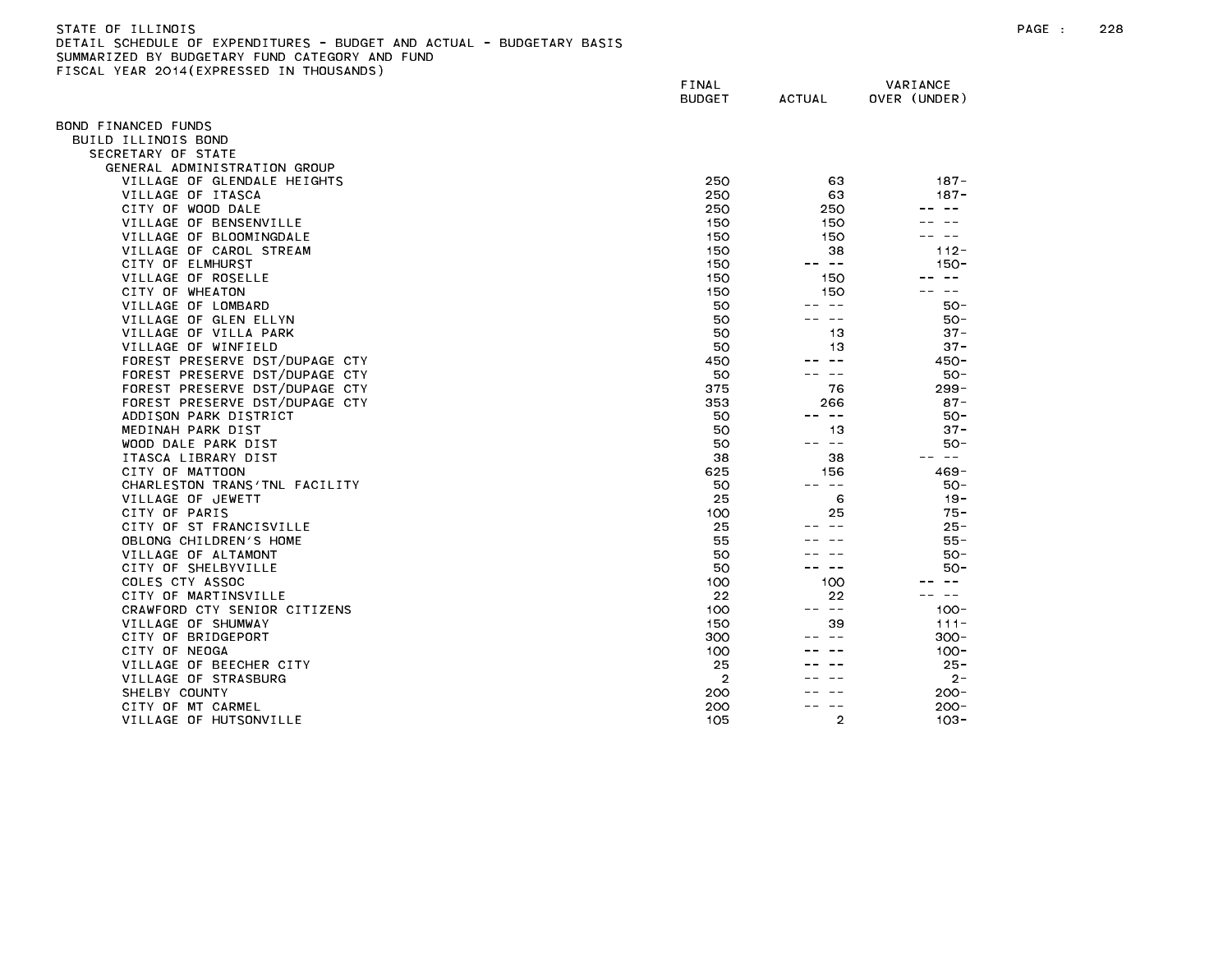| STATE OF ILLINOIS                                                     |
|-----------------------------------------------------------------------|
| DETAIL SCHEDULE OF EXPENDITURES - BUDGET AND ACTUAL - BUDGETARY BASIS |
| SUMMARIZED BY BUDGETARY FUND CATEGORY AND FUND                        |
| FISCAL YEAR 2014(EXPRESSED IN THOUSANDS)                              |

|                                               | FINAL<br><b>BUDGET</b> | <b>ACTUAL</b>           | VARIANCE<br>OVER (UNDER) |
|-----------------------------------------------|------------------------|-------------------------|--------------------------|
| BOND FINANCED FUNDS                           |                        |                         |                          |
| BUILD ILLINOIS BOND                           |                        |                         |                          |
| SECRETARY OF STATE                            |                        |                         |                          |
| GENERAL ADMINISTRATION GROUP                  |                        |                         |                          |
| VILLAGE OF GLENDALE HEIGHTS                   | 250                    | 63                      | $187 -$                  |
| VILLAGE OF ITASCA                             | 250                    | 63                      | $187 -$                  |
| CITY OF WOOD DALE                             | 250                    | 250                     | $\overline{\phantom{m}}$ |
| VILLAGE OF BENSENVILLE                        | 150                    | 150                     |                          |
| VILLAGE OF BLOOMINGDALE                       | 150                    | 150                     | $\sim$ $-$               |
| VILLAGE OF CAROL STREAM                       | 150                    | 38                      | $112 -$                  |
| CITY OF ELMHURST                              | 150                    | $\sim$ $-$              | $150 -$                  |
| VILLAGE OF ROSELLE                            | 150                    | 150                     | $\sim$ $-$               |
| CITY OF WHEATON                               | 150                    | 150                     | $- -$                    |
| VILLAGE OF LOMBARD                            | 50                     | $ -$                    | 50-                      |
| VILLAGE OF GLEN ELLYN                         | 50                     | $ -$                    | $50 -$                   |
| VILLAGE OF VILLA PARK                         | 50                     | 13                      | $37 -$                   |
| VILLAGE OF WINFIELD                           | 50                     | 13                      | $37 -$                   |
| FOREST PRESERVE DST/DUPAGE CTY                | 450                    | $ -$                    | $450 -$                  |
| FOREST PRESERVE DST/DUPAGE CTY                | 50                     | $\sim$ $-$              | $50 -$                   |
| FOREST PRESERVE DST/DUPAGE CTY                | 375                    | 76                      | $299 -$                  |
| FOREST PRESERVE DST/DUPAGE CTY                | 353                    | 266                     | $87 -$                   |
| ADDISON PARK DISTRICT                         | 50                     | -- --                   | $50 -$                   |
| MEDINAH PARK DIST                             | 50                     | 13                      | $37 -$                   |
| WOOD DALE PARK DIST                           | 50                     | -- --                   | $50 -$<br>$- -$          |
| ITASCA LIBRARY DIST                           | 38                     | 38                      |                          |
| CITY OF MATTOON                               | 625                    | 156<br>$\sim$ $-$<br>-- | $469 -$                  |
| CHARLESTON TRANS'TNL FACILITY                 | 50                     |                         | $50 -$                   |
| VILLAGE OF JEWETT                             | 25                     | 6                       | $19 -$                   |
| CITY OF PARIS                                 | 100                    | 25                      | $75 -$                   |
| CITY OF ST FRANCISVILLE                       | 25<br>55               |                         | $25 -$<br>$55 -$         |
| OBLONG CHILDREN'S HOME<br>VILLAGE OF ALTAMONT | 50                     |                         | $50 -$                   |
| CITY OF SHELBYVILLE                           | 50                     | $\sim$ $\sim$           | $50 -$                   |
| COLES CTY ASSOC                               | 100                    | 100                     |                          |
| CITY OF MARTINSVILLE                          | 22                     | 22                      | $- -$                    |
| CRAWFORD CTY SENIOR CITIZENS                  | 100                    | $\sim$ $-$              | $100 -$                  |
| VILLAGE OF SHUMWAY                            | 150                    | 39                      | $111 -$                  |
| CITY OF BRIDGEPORT                            | 300                    |                         | $300 -$                  |
| CITY OF NEOGA                                 | 100                    |                         | $100 -$                  |
| VILLAGE OF BEECHER CITY                       | 25                     |                         | $25 -$                   |
| VILLAGE OF STRASBURG                          | $\overline{2}$         |                         | $2 -$                    |
| SHELBY COUNTY                                 | 200                    |                         | $200 -$                  |
| CITY OF MT CARMEL                             | 200                    |                         | $200 -$                  |
| VILLAGE OF HUTSONVILLE                        | 105                    | 2                       | $103 -$                  |
|                                               |                        |                         |                          |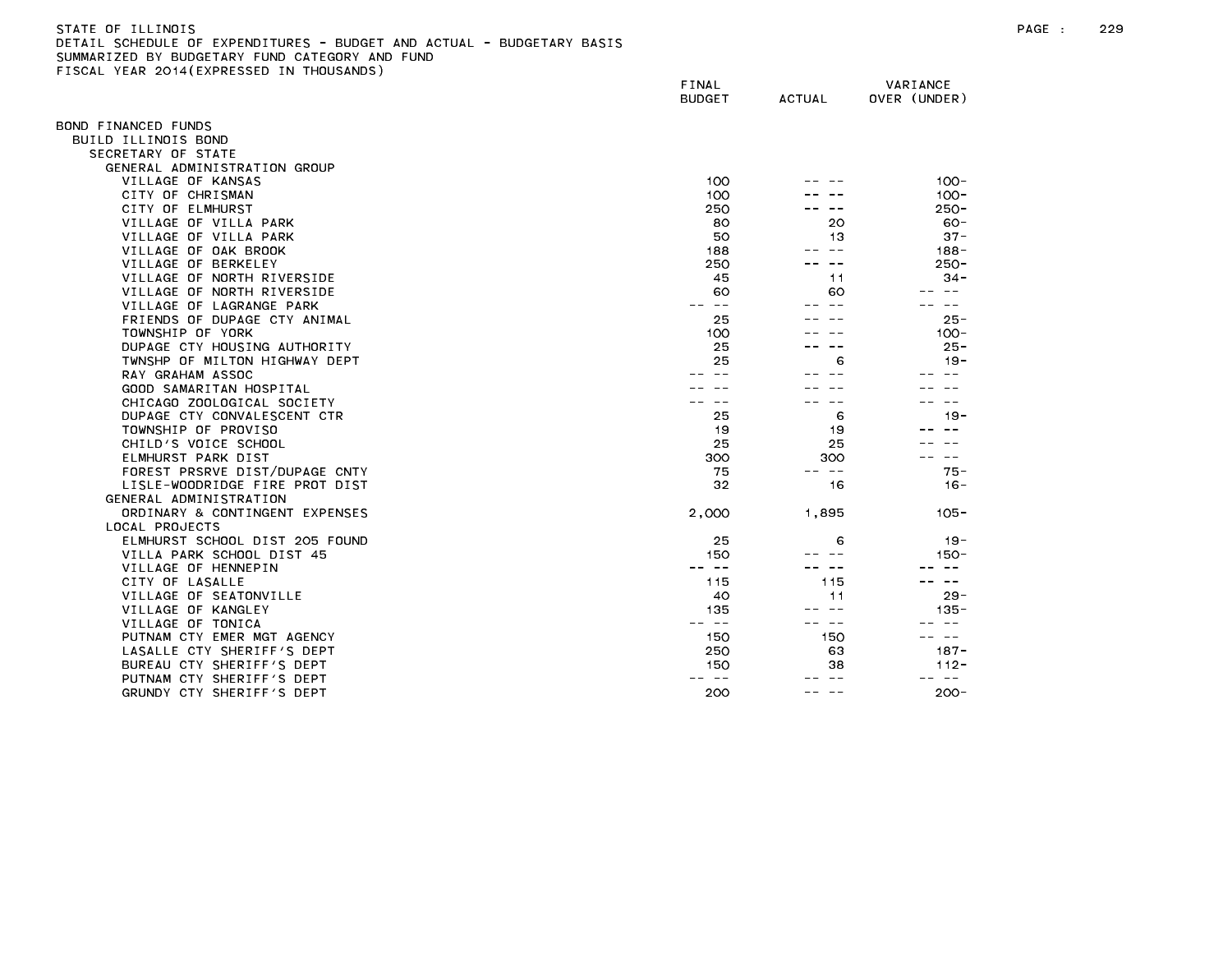| STATE OF ILLINOIS                                                     |
|-----------------------------------------------------------------------|
| DETAIL SCHEDULE OF EXPENDITURES - BUDGET AND ACTUAL - BUDGETARY BASIS |
| SUMMARIZED BY BUDGETARY FUND CATEGORY AND FUND                        |
| FISCAL YEAR 2014(EXPRESSED IN THOUSANDS)                              |

|                                | FINAL<br><b>BUDGET</b>                                                                                                                                                                                                                                                                                                                                                                       | <b>ACTUAL</b> | VARIANCE<br>OVER (UNDER) |
|--------------------------------|----------------------------------------------------------------------------------------------------------------------------------------------------------------------------------------------------------------------------------------------------------------------------------------------------------------------------------------------------------------------------------------------|---------------|--------------------------|
| OND FINANCED FUNDS             |                                                                                                                                                                                                                                                                                                                                                                                              |               |                          |
| BUILD ILLINOIS BOND            |                                                                                                                                                                                                                                                                                                                                                                                              |               |                          |
| SECRETARY OF STATE             |                                                                                                                                                                                                                                                                                                                                                                                              |               |                          |
| GENERAL ADMINISTRATION GROUP   |                                                                                                                                                                                                                                                                                                                                                                                              |               |                          |
| VILLAGE OF KANSAS              | 100                                                                                                                                                                                                                                                                                                                                                                                          |               | $100 -$                  |
| CITY OF CHRISMAN               | 100                                                                                                                                                                                                                                                                                                                                                                                          |               | $100 -$                  |
| CITY OF ELMHURST               | 250                                                                                                                                                                                                                                                                                                                                                                                          |               | $250 -$                  |
| VILLAGE OF VILLA PARK          | 80                                                                                                                                                                                                                                                                                                                                                                                           | 20            | $60 -$                   |
| VILLAGE OF VILLA PARK          | 50                                                                                                                                                                                                                                                                                                                                                                                           | 13            | $37 -$                   |
| VILLAGE OF OAK BROOK           | 188                                                                                                                                                                                                                                                                                                                                                                                          | $- -$         | $188 -$                  |
| VILLAGE OF BERKELEY            | 250                                                                                                                                                                                                                                                                                                                                                                                          |               | $250 -$                  |
| VILLAGE OF NORTH RIVERSIDE     | 45                                                                                                                                                                                                                                                                                                                                                                                           | 11            | $34 -$                   |
| VILLAGE OF NORTH RIVERSIDE     | 60                                                                                                                                                                                                                                                                                                                                                                                           | 60            | $ -$                     |
| VILLAGE OF LAGRANGE PARK       | $\sim$ $-$                                                                                                                                                                                                                                                                                                                                                                                   |               | $\overline{\phantom{m}}$ |
| FRIENDS OF DUPAGE CTY ANIMAL   | 25                                                                                                                                                                                                                                                                                                                                                                                           |               | $25 -$                   |
| TOWNSHIP OF YORK               | 100                                                                                                                                                                                                                                                                                                                                                                                          |               | $100 -$                  |
| DUPAGE CTY HOUSING AUTHORITY   | 25                                                                                                                                                                                                                                                                                                                                                                                           |               | $25 -$                   |
| TWNSHP OF MILTON HIGHWAY DEPT  | 25                                                                                                                                                                                                                                                                                                                                                                                           | 6             | $19 -$                   |
| RAY GRAHAM ASSOC               |                                                                                                                                                                                                                                                                                                                                                                                              |               |                          |
| GOOD SAMARITAN HOSPITAL        |                                                                                                                                                                                                                                                                                                                                                                                              |               |                          |
| CHICAGO ZOOLOGICAL SOCIETY     |                                                                                                                                                                                                                                                                                                                                                                                              |               |                          |
| DUPAGE CTY CONVALESCENT CTR    | 25                                                                                                                                                                                                                                                                                                                                                                                           | 6             | $19 -$                   |
| TOWNSHIP OF PROVISO            | 19                                                                                                                                                                                                                                                                                                                                                                                           | 19            |                          |
| CHILD'S VOICE SCHOOL           | 25                                                                                                                                                                                                                                                                                                                                                                                           | 25            |                          |
| ELMHURST PARK DIST             | 300                                                                                                                                                                                                                                                                                                                                                                                          | 300           | $\qquad \qquad -$        |
| FOREST PRSRVE DIST/DUPAGE CNTY | 75                                                                                                                                                                                                                                                                                                                                                                                           | -- --         | $75 -$                   |
| LISLE-WOODRIDGE FIRE PROT DIST | 32                                                                                                                                                                                                                                                                                                                                                                                           | 16            | $16 -$                   |
| GENERAL ADMINISTRATION         |                                                                                                                                                                                                                                                                                                                                                                                              |               |                          |
| ORDINARY & CONTINGENT EXPENSES | 2,000                                                                                                                                                                                                                                                                                                                                                                                        | 1,895         | $105 -$                  |
| LOCAL PROJECTS                 |                                                                                                                                                                                                                                                                                                                                                                                              |               |                          |
| ELMHURST SCHOOL DIST 205 FOUND | 25                                                                                                                                                                                                                                                                                                                                                                                           | 6             | $19 -$                   |
| VILLA PARK SCHOOL DIST 45      | 150                                                                                                                                                                                                                                                                                                                                                                                          |               | 150-                     |
| VILLAGE OF HENNEPIN            | $\sim$ $-$                                                                                                                                                                                                                                                                                                                                                                                   | $ -$          |                          |
| CITY OF LASALLE                | 115                                                                                                                                                                                                                                                                                                                                                                                          | 115           |                          |
| VILLAGE OF SEATONVILLE         | 40                                                                                                                                                                                                                                                                                                                                                                                           | 11            | $29 -$                   |
| VILLAGE OF KANGLEY             | 135                                                                                                                                                                                                                                                                                                                                                                                          | $ -$          | $135 -$                  |
| VILLAGE OF TONICA              | $\frac{1}{2} \frac{1}{2} \frac{1}{2} \frac{1}{2} \frac{1}{2} \frac{1}{2} \frac{1}{2} \frac{1}{2} \frac{1}{2} \frac{1}{2} \frac{1}{2} \frac{1}{2} \frac{1}{2} \frac{1}{2} \frac{1}{2} \frac{1}{2} \frac{1}{2} \frac{1}{2} \frac{1}{2} \frac{1}{2} \frac{1}{2} \frac{1}{2} \frac{1}{2} \frac{1}{2} \frac{1}{2} \frac{1}{2} \frac{1}{2} \frac{1}{2} \frac{1}{2} \frac{1}{2} \frac{1}{2} \frac{$ | ———           | $- -$                    |
| PUTNAM CTY EMER MGT AGENCY     | 150                                                                                                                                                                                                                                                                                                                                                                                          | 150           |                          |
| LASALLE CTY SHERIFF'S DEPT     | 250                                                                                                                                                                                                                                                                                                                                                                                          | 63            | $187 -$                  |
| BUREAU CTY SHERIFF'S DEPT      | 150                                                                                                                                                                                                                                                                                                                                                                                          | 38            | $112 -$<br>$\sim$ $\sim$ |
| PUTNAM CTY SHERIFF'S DEPT      |                                                                                                                                                                                                                                                                                                                                                                                              |               |                          |
| GRUNDY CTY SHERIFF'S DEPT      | 200                                                                                                                                                                                                                                                                                                                                                                                          | $- -$         | $200 -$                  |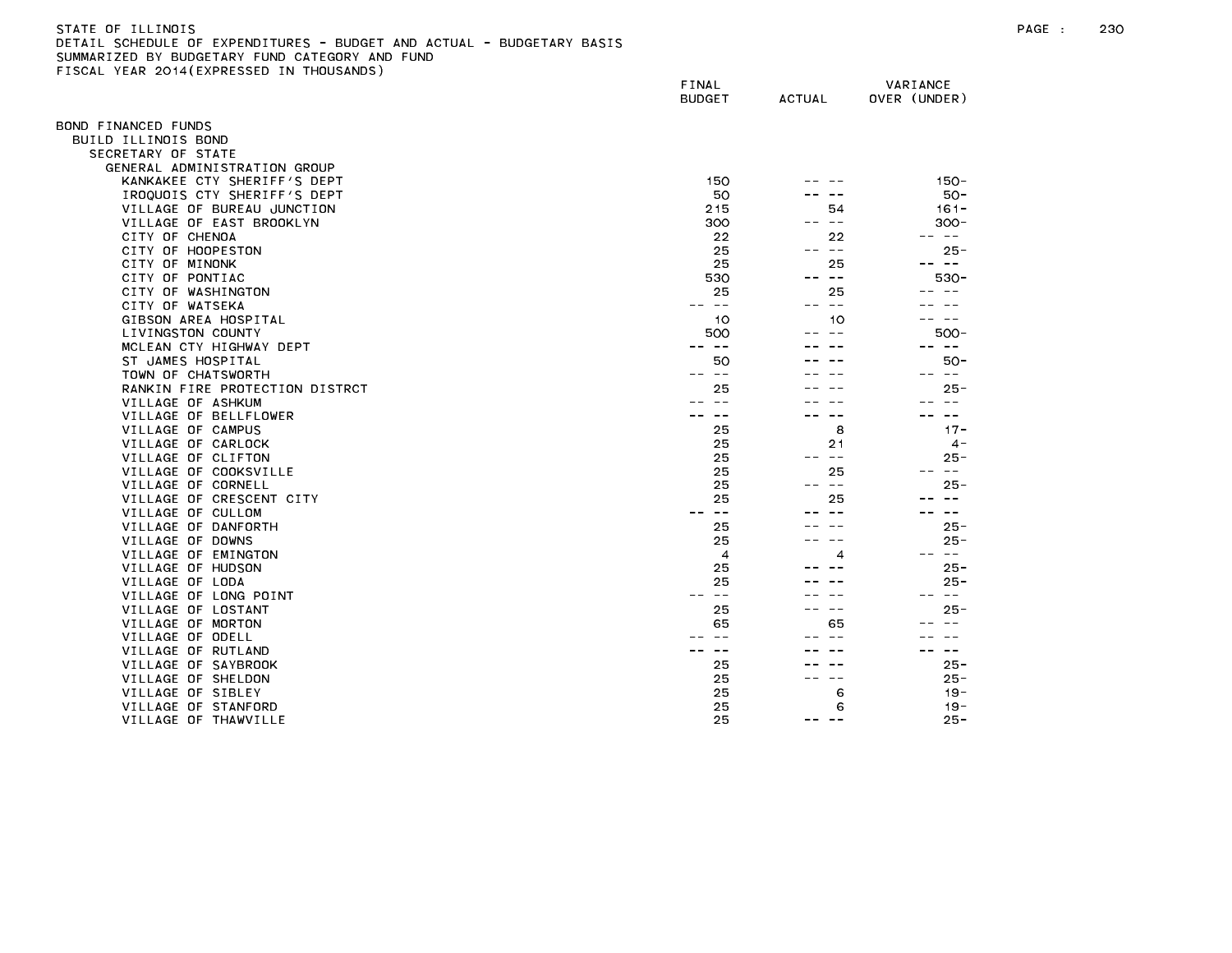| -STATE OF ILLINDIS                                                    |  |
|-----------------------------------------------------------------------|--|
| DETAIL SCHEDULE OF EXPENDITURES - BUDGET AND ACTUAL - BUDGETARY BASIS |  |
| SUMMARIZED BY BUDGETARY FUND CATEGORY AND FUND                        |  |
| FISCAL YEAR 2014(EXPRESSED IN THOUSANDS)                              |  |
|                                                                       |  |

| LOOME TEAR EUTTLEAT RESS                      | FINAL<br><b>BUDGET</b> | <b>ACTUAL</b>    | VARIANCE<br>OVER (UNDER) |
|-----------------------------------------------|------------------------|------------------|--------------------------|
| BOND FINANCED FUNDS                           |                        |                  |                          |
| BUILD ILLINOIS BOND                           |                        |                  |                          |
| SECRETARY OF STATE                            |                        |                  |                          |
| GENERAL ADMINISTRATION GROUP                  |                        |                  |                          |
| KANKAKEE CTY SHERIFF'S DEPT                   | 150                    |                  | $150 -$                  |
| IROQUOIS CTY SHERIFF'S DEPT                   | 50                     |                  | $50 -$                   |
| VILLAGE OF BUREAU JUNCTION                    | 215                    | 54               | $161 -$                  |
| VILLAGE OF EAST BROOKLYN                      | 300                    | $\sim$ $-$       | $300 -$                  |
| CITY OF CHENOA                                | 22                     | 22               | $\sim$ $-$<br>$- -$      |
| CITY OF HOOPESTON                             | 25                     | $\sim$ $-$       | $25 -$                   |
| CITY OF MINONK                                | 25                     | 25               | -- --                    |
| CITY OF PONTIAC                               | 530                    | $ -$             | 530-                     |
| CITY OF WASHINGTON                            | 25                     | 25               | $- -$<br>$- -$           |
| CITY OF WATSEKA                               | -- --                  | $\sim$ $-$<br>-- |                          |
| GIBSON AREA HOSPITAL                          | 10                     | 10               |                          |
| LIVINGSTON COUNTY                             | 500                    |                  | 500-                     |
| MCLEAN CTY HIGHWAY DEPT                       | -- --                  |                  | -- --                    |
| ST JAMES HOSPITAL                             | 50                     |                  | 50-                      |
| TOWN OF CHATSWORTH                            | $ -$                   |                  | $\sim$ $ -$              |
| RANKIN FIRE PROTECTION DISTRCT                | 25                     |                  | $25 -$                   |
| VILLAGE OF ASHKUM                             | $\sim$ $\sim$          |                  | $\frac{1}{2}$            |
| VILLAGE OF BELLFLOWER                         |                        |                  | $- -$                    |
| VILLAGE OF CAMPUS                             | 25                     | 8                | $17 -$                   |
| VILLAGE OF CARLOCK                            | 25                     | 21               | $4 -$                    |
| VILLAGE OF CLIFTON                            | 25                     | $- -$            | $25 -$<br>$- -$          |
| VILLAGE OF COOKSVILLE                         | 25                     | 25<br>$\sim$ $-$ |                          |
| VILLAGE OF CORNELL                            | 25                     |                  | 25 -                     |
| VILLAGE OF CRESCENT CITY<br>VILLAGE OF CULLOM | 25<br>$\sim$ $-$       | 25               | $\sim$ $-$               |
| VILLAGE OF DANFORTH                           | 25                     |                  | $25 -$                   |
| VILLAGE OF DOWNS                              | 25                     |                  | 25 -                     |
| VILLAGE OF EMINGTON                           | $\overline{4}$         | 4                | $\sim$ $ -$<br>$- -$     |
| VILLAGE OF HUDSON                             | 25                     |                  | $25 -$                   |
| VILLAGE OF LODA                               | 25                     |                  | $25 -$                   |
| VILLAGE OF LONG POINT                         | $- -$                  |                  | $\sim$ $-$               |
| VILLAGE OF LOSTANT                            | 25                     |                  | $25 -$                   |
| VILLAGE OF MORTON                             | 65                     | 65               |                          |
| VILLAGE OF ODELL                              |                        |                  |                          |
| VILLAGE OF RUTLAND                            |                        |                  | $\sim$ $-$               |
| VILLAGE OF SAYBROOK                           | 25                     |                  | $25 -$                   |
| VILLAGE OF SHELDON                            | 25                     | $ -$             | $25 -$                   |
| VILLAGE OF SIBLEY                             | 25                     | 6                | $19 -$                   |
| VILLAGE OF STANFORD                           | 25                     | 6                | $19 -$                   |
| VILLAGE OF THAWVILLE                          | 25                     | $ -$<br>--       | $25 -$                   |
|                                               |                        |                  |                          |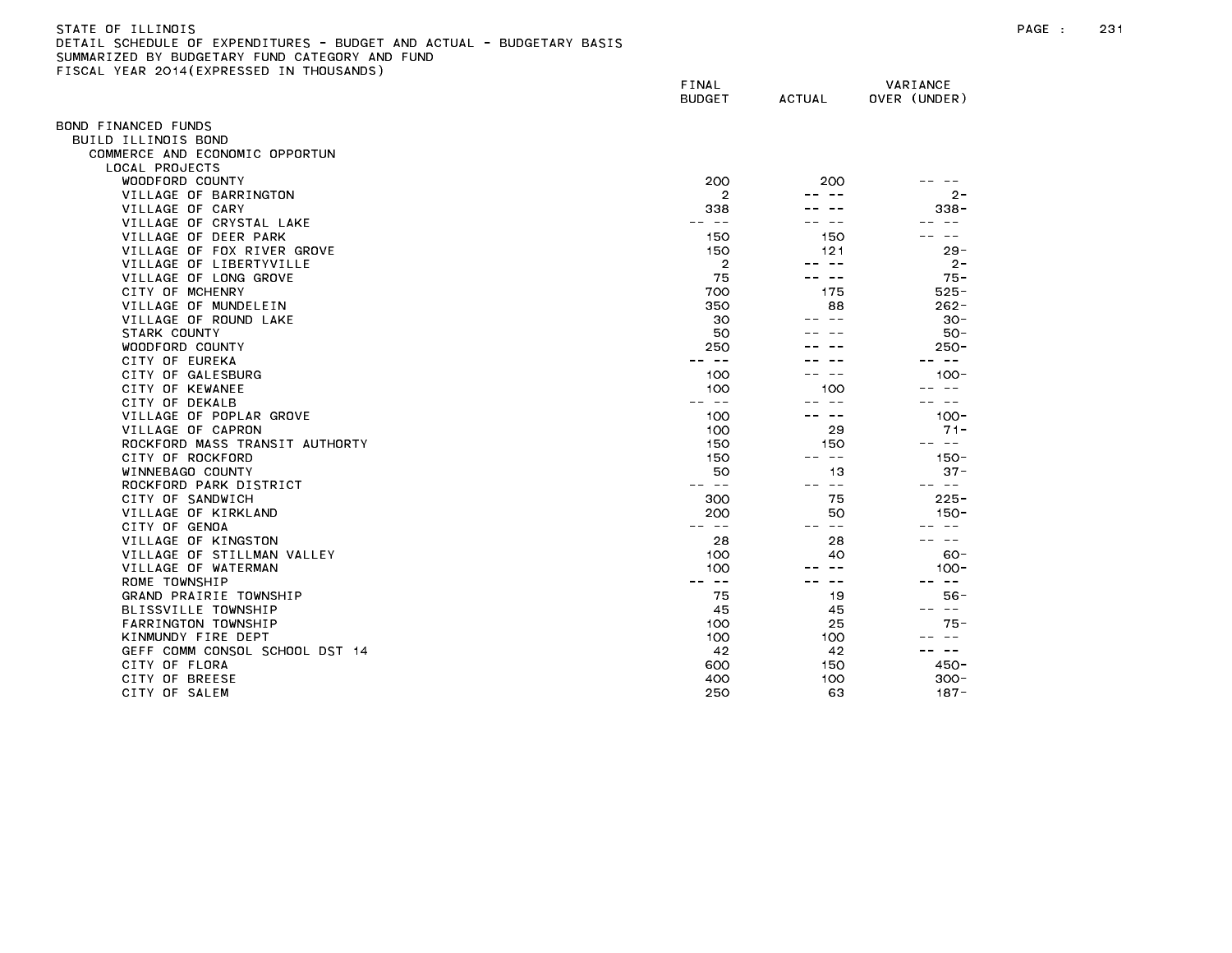# STATE OF ILLINOIS PAGE : 231 DETAIL SCHEDULE OF EXPENDITURES - BUDGET AND ACTUAL - BUDGETARY BASIS SUMMARIZED BY BUDGETARY FUND CATEGORY AND FUND FISCAL YEAR 2014(EXPRESSED IN THOUSANDS)

| $1.57$ $1.50$ $1.7$ $(1.71)$ $(1.50)$ | FINAL<br><b>BUDGET</b>   | <b>ACTUAL</b>                                                                                                                                                                                                                                                                                                                                                                                | VARIANCE<br>OVER (UNDER) |
|---------------------------------------|--------------------------|----------------------------------------------------------------------------------------------------------------------------------------------------------------------------------------------------------------------------------------------------------------------------------------------------------------------------------------------------------------------------------------------|--------------------------|
| OND FINANCED FUNDS                    |                          |                                                                                                                                                                                                                                                                                                                                                                                              |                          |
| BUILD ILLINOIS BOND                   |                          |                                                                                                                                                                                                                                                                                                                                                                                              |                          |
| COMMERCE AND ECONOMIC OPPORTUN        |                          |                                                                                                                                                                                                                                                                                                                                                                                              |                          |
| LOCAL PROJECTS                        |                          |                                                                                                                                                                                                                                                                                                                                                                                              |                          |
| WOODFORD COUNTY                       | 200                      | 200                                                                                                                                                                                                                                                                                                                                                                                          |                          |
| VILLAGE OF BARRINGTON                 | $\overline{2}$           |                                                                                                                                                                                                                                                                                                                                                                                              | $2 -$                    |
| VILLAGE OF CARY                       | 338                      |                                                                                                                                                                                                                                                                                                                                                                                              | $338 -$                  |
| VILLAGE OF CRYSTAL LAKE               | ---                      | $- -$                                                                                                                                                                                                                                                                                                                                                                                        |                          |
| VILLAGE OF DEER PARK                  | 150                      | 150                                                                                                                                                                                                                                                                                                                                                                                          |                          |
| VILLAGE OF FOX RIVER GROVE            | 150                      | 121                                                                                                                                                                                                                                                                                                                                                                                          | $29 -$                   |
| VILLAGE OF LIBERTYVILLE               | $\overline{2}$           | -- --                                                                                                                                                                                                                                                                                                                                                                                        | $2 -$                    |
| VILLAGE OF LONG GROVE                 | 75                       | .                                                                                                                                                                                                                                                                                                                                                                                            | $75 -$                   |
| CITY OF MCHENRY                       | 700                      | 175                                                                                                                                                                                                                                                                                                                                                                                          | $525 -$                  |
| VILLAGE OF MUNDELEIN                  | 350                      | 88                                                                                                                                                                                                                                                                                                                                                                                           | $262 -$                  |
| VILLAGE OF ROUND LAKE                 | 30                       |                                                                                                                                                                                                                                                                                                                                                                                              | $30 -$                   |
| STARK COUNTY                          | 50                       |                                                                                                                                                                                                                                                                                                                                                                                              | $50 -$                   |
| WOODFORD COUNTY                       | 250                      |                                                                                                                                                                                                                                                                                                                                                                                              | $250 -$                  |
| CITY OF EUREKA                        | $\sim$ $-$               |                                                                                                                                                                                                                                                                                                                                                                                              | $- -$                    |
| CITY OF GALESBURG                     | 100                      | $- -$                                                                                                                                                                                                                                                                                                                                                                                        | $100 -$                  |
| CITY OF KEWANEE                       | 100                      | 100                                                                                                                                                                                                                                                                                                                                                                                          | $\sim$ $\sim$            |
| CITY OF DEKALB                        | $- -$                    | $\sim$ $-$                                                                                                                                                                                                                                                                                                                                                                                   | $\sim$ $-$               |
| VILLAGE OF POPLAR GROVE               | 100                      | $- -$                                                                                                                                                                                                                                                                                                                                                                                        | $100 -$                  |
| VILLAGE OF CAPRON                     | 100                      | 29                                                                                                                                                                                                                                                                                                                                                                                           | $71 -$                   |
| ROCKFORD MASS TRANSIT AUTHORTY        | 150                      | 150                                                                                                                                                                                                                                                                                                                                                                                          | $\sim$ $-$               |
| CITY OF ROCKFORD                      | 150                      | $\frac{1}{2} \frac{1}{2} \frac{1}{2} \frac{1}{2} \frac{1}{2} \frac{1}{2} \frac{1}{2} \frac{1}{2} \frac{1}{2} \frac{1}{2} \frac{1}{2} \frac{1}{2} \frac{1}{2} \frac{1}{2} \frac{1}{2} \frac{1}{2} \frac{1}{2} \frac{1}{2} \frac{1}{2} \frac{1}{2} \frac{1}{2} \frac{1}{2} \frac{1}{2} \frac{1}{2} \frac{1}{2} \frac{1}{2} \frac{1}{2} \frac{1}{2} \frac{1}{2} \frac{1}{2} \frac{1}{2} \frac{$ | $150 -$                  |
| WINNEBAGO COUNTY                      | 50                       | 13                                                                                                                                                                                                                                                                                                                                                                                           | $37 -$                   |
| ROCKFORD PARK DISTRICT                | $- -$<br>$- -$           | $\frac{1}{2} \frac{1}{2} \frac{1}{2} \frac{1}{2} \frac{1}{2} \frac{1}{2} \frac{1}{2} \frac{1}{2} \frac{1}{2} \frac{1}{2} \frac{1}{2} \frac{1}{2} \frac{1}{2} \frac{1}{2} \frac{1}{2} \frac{1}{2} \frac{1}{2} \frac{1}{2} \frac{1}{2} \frac{1}{2} \frac{1}{2} \frac{1}{2} \frac{1}{2} \frac{1}{2} \frac{1}{2} \frac{1}{2} \frac{1}{2} \frac{1}{2} \frac{1}{2} \frac{1}{2} \frac{1}{2} \frac{$ | -- --                    |
| CITY OF SANDWICH                      | 300                      | 75                                                                                                                                                                                                                                                                                                                                                                                           | $225 -$                  |
| VILLAGE OF KIRKLAND                   | 200                      | 50                                                                                                                                                                                                                                                                                                                                                                                           | $150 -$                  |
| CITY OF GENOA                         | $\sim$ $-$<br>$\sim$ $-$ | $\sim$ $-$                                                                                                                                                                                                                                                                                                                                                                                   |                          |
| VILLAGE OF KINGSTON                   | 28                       | 28                                                                                                                                                                                                                                                                                                                                                                                           | $- -$                    |
| VILLAGE OF STILLMAN VALLEY            | 100                      | 40                                                                                                                                                                                                                                                                                                                                                                                           | $60 -$                   |
| VILLAGE OF WATERMAN                   | 100                      | $- -$                                                                                                                                                                                                                                                                                                                                                                                        | $100 -$                  |
| ROME TOWNSHIP                         | $\sim$ $-$               | $\sim$ $-$                                                                                                                                                                                                                                                                                                                                                                                   | $\sim$ $-$               |
| GRAND PRAIRIE TOWNSHIP                | 75                       | 19                                                                                                                                                                                                                                                                                                                                                                                           | $56 -$                   |
| BLISSVILLE TOWNSHIP                   | 45                       | 45                                                                                                                                                                                                                                                                                                                                                                                           | $\sim$ $ -$              |
| FARRINGTON TOWNSHIP                   | 100                      | 25                                                                                                                                                                                                                                                                                                                                                                                           | $75 -$                   |
| KINMUNDY FIRE DEPT                    | 100                      | 100                                                                                                                                                                                                                                                                                                                                                                                          | $- -$                    |
| GEFF COMM CONSOL SCHOOL DST 14        | 42                       | 42                                                                                                                                                                                                                                                                                                                                                                                           | $\sim$ $-$               |
| CITY OF FLORA                         | 600                      | 150                                                                                                                                                                                                                                                                                                                                                                                          | $450 -$                  |
| CITY OF BREESE                        | 400                      | 100                                                                                                                                                                                                                                                                                                                                                                                          | $300 -$                  |
| CITY OF SALEM                         | 250                      | 63                                                                                                                                                                                                                                                                                                                                                                                           | $187 -$                  |
|                                       |                          |                                                                                                                                                                                                                                                                                                                                                                                              |                          |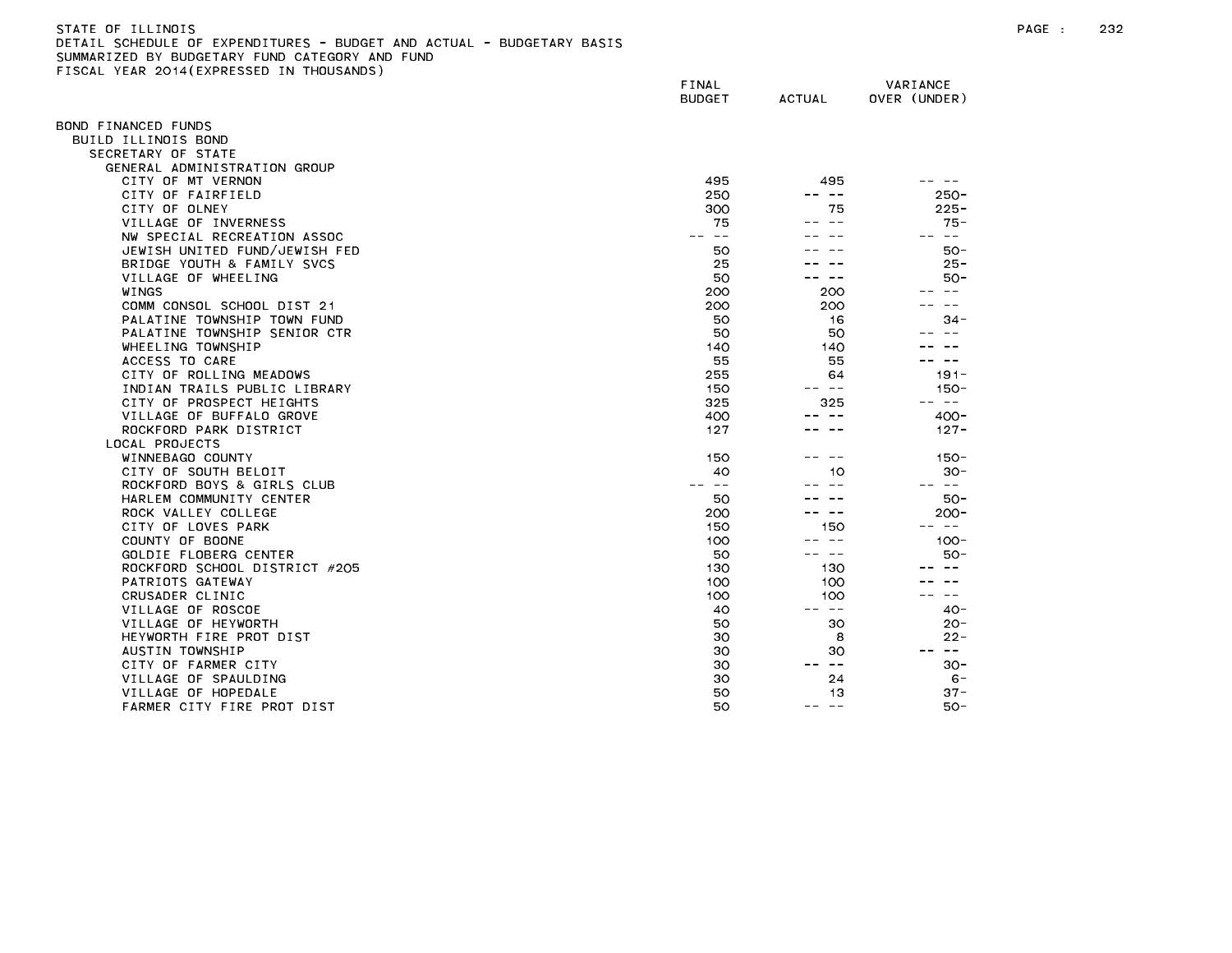# STATE OF ILLINOIS PAGE : 232 DETAIL SCHEDULE OF EXPENDITURES - BUDGET AND ACTUAL - BUDGETARY BASIS SUMMARIZED BY BUDGETARY FUND CATEGORY AND FUND FISCAL YEAR 2014(EXPRESSED IN THOUSANDS)

|                               | FINAL<br><b>BUDGET</b> | <b>ACTUAL</b> | VARIANCE<br>OVER (UNDER) |
|-------------------------------|------------------------|---------------|--------------------------|
| OND FINANCED FUNDS            |                        |               |                          |
| BUILD ILLINOIS BOND           |                        |               |                          |
| SECRETARY OF STATE            |                        |               |                          |
| GENERAL ADMINISTRATION GROUP  |                        |               |                          |
| CITY OF MT VERNON             | 495                    | 495           |                          |
| CITY OF FAIRFIELD             | 250                    | $- -$         | $250 -$                  |
| CITY OF OLNEY                 | 300                    | 75            | $225 -$                  |
| VILLAGE OF INVERNESS          | 75                     | $ -$          | $75 -$                   |
| NW SPECIAL RECREATION ASSOC   | $-$                    |               | $\sim$ $-$               |
| JEWISH UNITED FUND/JEWISH FED | 50                     |               | $50 -$                   |
| BRIDGE YOUTH & FAMILY SVCS    | 25                     |               | $25 -$                   |
| VILLAGE OF WHEELING           | 50                     | $- -$         | $50 -$                   |
| WINGS                         | 200                    | 200           |                          |
| COMM CONSOL SCHOOL DIST 21    | 200                    | 200           |                          |
| PALATINE TOWNSHIP TOWN FUND   | 50                     | 16            | $34 -$                   |
| PALATINE TOWNSHIP SENIOR CTR  | 50                     | 50            |                          |
| WHEELING TOWNSHIP             | 140                    | 140           |                          |
| ACCESS TO CARE                | 55                     | 55            | $\sim$ $-$               |
| CITY OF ROLLING MEADOWS       | 255                    | 64            | $191 -$                  |
| INDIAN TRAILS PUBLIC LIBRARY  | 150                    | -- --         | $150 -$                  |
| CITY OF PROSPECT HEIGHTS      | 325                    | 325           | $\sim$ $-$               |
| VILLAGE OF BUFFALO GROVE      | 400                    |               | $400 -$                  |
| ROCKFORD PARK DISTRICT        | 127                    | ———           | $127 -$                  |
| LOCAL PROJECTS                |                        |               |                          |
| WINNEBAGO COUNTY              | 150                    | $ -$          | $150 -$                  |
| CITY OF SOUTH BELOIT          | 40                     | 10            | 30-                      |
| ROCKFORD BOYS & GIRLS CLUB    | $- -$                  |               | $\sim$ $-$               |
| HARLEM COMMUNITY CENTER       | 50                     |               | 50-                      |
| ROCK VALLEY COLLEGE           | 200                    | $\sim$ $-$    | $200 -$                  |
| CITY OF LOVES PARK            | 150                    | 150           | $- -$                    |
| COUNTY OF BOONE               | 100                    | -- --         | $100 -$                  |
| GOLDIE FLOBERG CENTER         | 50                     | - --          | $50 -$                   |
| ROCKFORD SCHOOL DISTRICT #205 | 130                    | 130           |                          |
| PATRIOTS GATEWAY              | 100                    | 100           |                          |
| CRUSADER CLINIC               | 100                    | 100           | $\sim$ $-$               |
| VILLAGE OF ROSCOE             | 40                     |               | $40 -$                   |
| VILLAGE OF HEYWORTH           | 50                     | 30            | $20 -$                   |
|                               | 30                     |               | $22 -$                   |
| HEYWORTH FIRE PROT DIST       |                        | 8             | $- -$<br>$- -$           |
| AUSTIN TOWNSHIP               | 30                     | 30            |                          |
| CITY OF FARMER CITY           | 30                     | $\sim$ $-$    | $30 -$                   |
| VILLAGE OF SPAULDING          | 30                     | 24            | $6 -$                    |
| VILLAGE OF HOPEDALE           | 50                     | 13            | $37 -$                   |
| FARMER CITY FIRE PROT DIST    | 50                     | -- --         | $50 -$                   |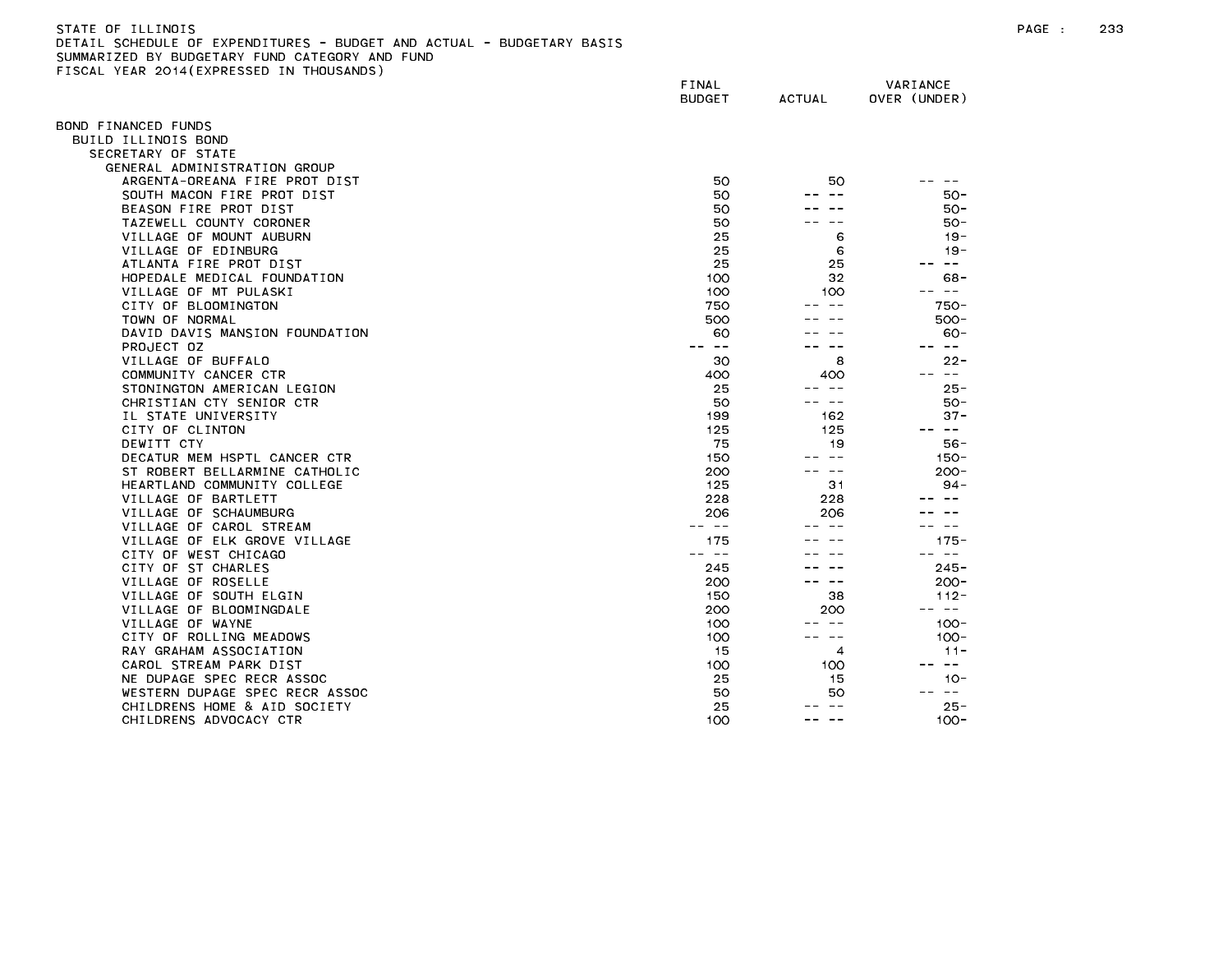FISCAL YEAR 2014(EXPRESSED IN THOUSANDS)

FINAL VARIANCE BUDGET ACTUAL OVER (UNDER) BOND FINANCED FUNDS BUILD ILLINOIS BOND SECRETARY OF STATE GENERAL ADMINISTRATION GROUP ARGENTA-OREANA FIRE PROT DIST AND SOLUTION OF SOLUTION AND SOLUTION OF THE SOLUTION OF SOLUTION OF THE SOLUTION SOUTH MACON FIRE PROT DIST SOLUTH MACON FIRE PROT DIST BEASON FIRE PROT DIST 50 --- 50 --- 50 --- 50-TAZEWELL COUNTY CORONER 50 -- -- 50- VILLAGE OF MOUNT AUBURN 19-VILLAGE OF EDINBURG 19-ATLANTA FIRE PROT DIST 25 25 -- -- HOPEDALE MEDICAL FOUNDATION 100 32 68- VILLAGE OF MT PULASKI 100 100 -- -- CITY OF BLOOMINGTON 750 -- -- 750- TOWN OF NORMAL 500 -- -- 500- DAVID DAVIS MANSION FOUNDATION 60 -- -- 60- VILLAGE OF BUFFALO 30 8 22- COMMUNITY CANCER CTR AND RESERVED A CONTROL COMMUNITY CANCER CTR STONINGTON AMERICAN LEGION 25 --- 25-CHRISTIAN CTY SENIOR CTR 60-IL STATE UNIVERSITY 199 162 37- CITY OF CLINTON 125 125 -- -- DECATUR MEM HSPTL CANCER CTR 150 --- 150 --- 150 --- 150 --- 150 --- 150 --- 150 -- 150 -- 150 -- 150 -- 150 -ST ROBERT BELLARMINE CATHOLIC **200** --- 200-HEARTLAND COMMUNITY COLLEGE 125 31 94-VILLAGE OF BARTLETT **1999 CONTROL** 228 228 228 ----VILLAGE OF SCHAUMBURG 206 206 -- -- VILLAGE OF CAROL STREAM -- -- -- -- -- -- VILLAGE OF FIK GROVE VILLAGE 175 --- 175 175-CITY OF WEST CHICAGO -- -- -- -- -- -- CITY OF ST CHARLES 245-80 (2001) 2245-80 (2002) 2245-80 (2002) 2245-80 (2003) 2245-9 (2003) 2345-9 (2003) 235-VILLAGE OF ROSELLE 200-VILLAGE OF SOUTH ELGIN 112-VILLAGE OF BLOOMINGDALE 200 200 -- -- VILLAGE OF WAYNE 100 -- 100 -- 100 -- 100 -- 100 -- 100 -- 100 -- 100 -- 100 -- 100 -- 100 -- 100 -- 100 -- 100 -- 100 -- 100 -- 100 -- 100 -- 100 -- 100 -- 100 -- 100 -- 100 -- 100 -- 100 -- 100 -- 100 -- 100 -- 100 -- 10 CITY OF ROLLING MEADOWS AND RESERVE THE RESERVE OF THE RESERVE OF THE RESERVE OF THE RESERVE OF THE RESERVE OF THE RESERVE OF THE RESERVE OF THE RESERVE OF THE RESERVE OF THE RESERVE OF THE RESERVE OF THE RESERVE OF THE RE RAY GRAHAM ASSOCIATION 11-CAROL STREAM PARK DIST 100 100 100 100 -- --NE DUPAGE SPEC RECRASSOC 25 15 10-WESTERN DUPAGE SPEC RECR ASSOC 50 50 -- -- CHILDRENS HOME & AID SOCIETY 25 --- 25-CHILDRENS ADVOCACY CTR 100 -- -- 100-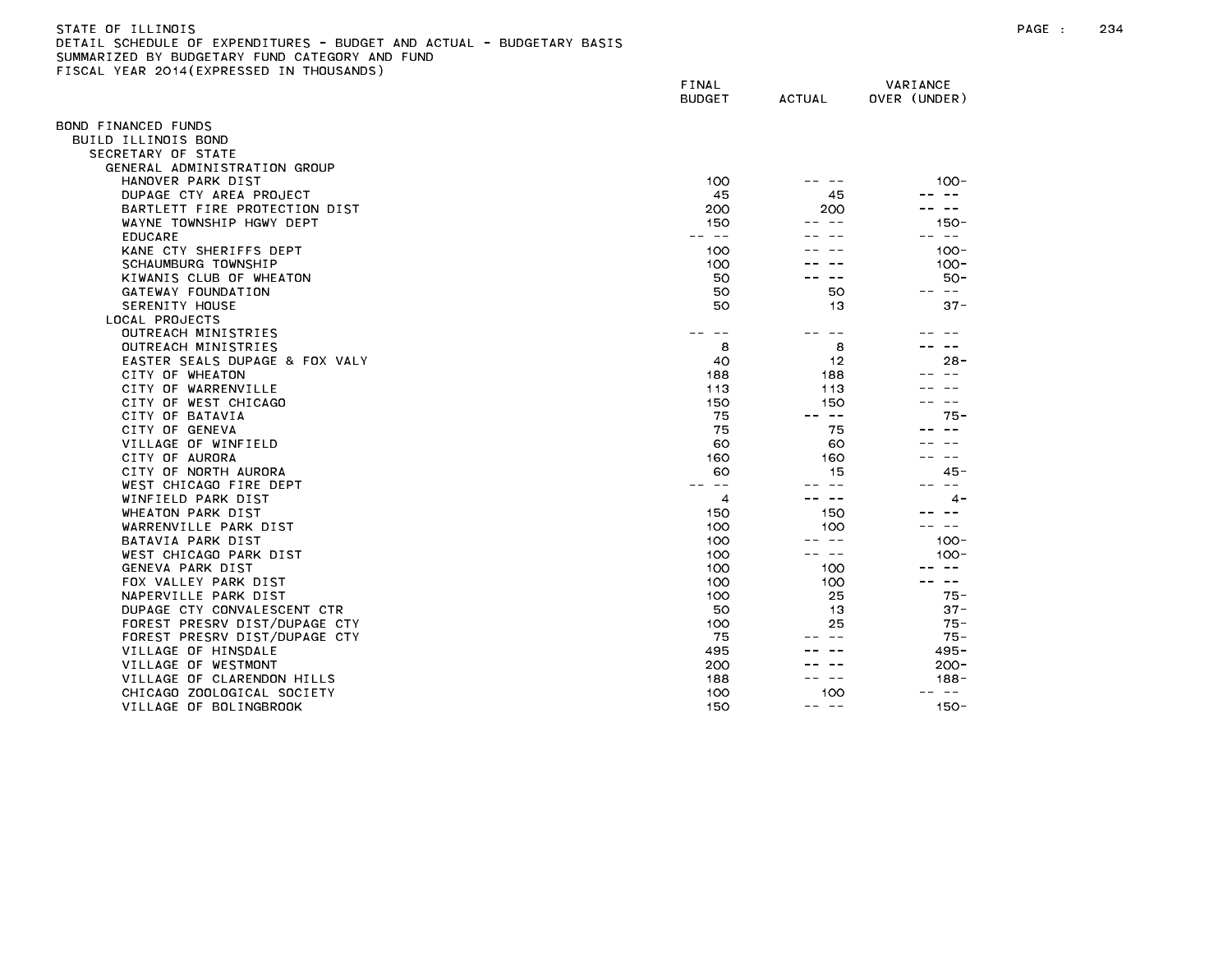| STATE OF ILLINOIS                                                     |
|-----------------------------------------------------------------------|
| DETAIL SCHEDULE OF EXPENDITURES - BUDGET AND ACTUAL - BUDGETARY BASIS |
| SUMMARIZED BY BUDGETARY FUND CATEGORY AND FUND                        |
| FISCAL YEAR 2014(EXPRESSED IN THOUSANDS)                              |

| ISUAL TEAN ZOTA(EAFNESSED IN THOUSANDS) | FINAL<br><b>BUDGET</b> | <b>ACTUAL</b> | VARIANCE<br>OVER (UNDER) |
|-----------------------------------------|------------------------|---------------|--------------------------|
| OND FINANCED FUNDS                      |                        |               |                          |
| BUILD ILLINOIS BOND                     |                        |               |                          |
| SECRETARY OF STATE                      |                        |               |                          |
| GENERAL ADMINISTRATION GROUP            |                        |               |                          |
| HANOVER PARK DIST                       | 100                    |               | $100 -$                  |
| DUPAGE CTY AREA PROJECT                 | 45                     | 45            |                          |
| BARTLETT FIRE PROTECTION DIST           | 200                    | 200           | $\overline{\phantom{m}}$ |
| WAYNE TOWNSHIP HGWY DEPT                | 150                    |               | 150-                     |
| <b>EDUCARE</b>                          | $- -$                  |               | $\sim 100$               |
| KANE CTY SHERIFFS DEPT                  | 100                    |               | $100 -$                  |
| SCHAUMBURG TOWNSHIP                     | 100                    |               | $100 -$                  |
| KIWANIS CLUB OF WHEATON                 | 50                     |               | $50 -$                   |
| GATEWAY FOUNDATION                      | 50                     | 50            | -- --                    |
| SERENITY HOUSE                          | 50                     | 13            | $37 -$                   |
| LOCAL PROJECTS                          |                        |               |                          |
| OUTREACH MINISTRIES                     |                        | $- -$         |                          |
| OUTREACH MINISTRIES                     | 8                      | 8             |                          |
| EASTER SEALS DUPAGE & FOX VALY          | 40                     | 12            | $28 -$                   |
| CITY OF WHEATON                         | 188                    | 188           | $\sim$ $\sim$            |
| CITY OF WARRENVILLE                     | 113                    | 113           |                          |
| CITY OF WEST CHICAGO                    | 150                    | 150           |                          |
| CITY OF BATAVIA                         | 75                     | $- -$         | $75 -$                   |
| CITY OF GENEVA                          | 75                     | 75            |                          |
| VILLAGE OF WINFIELD                     | 60                     | 60            |                          |
| CITY OF AURORA                          | 160                    | 160           | $- -$                    |
| CITY OF NORTH AURORA                    | 60                     | 15            | $45 -$                   |
| WEST CHICAGO FIRE DEPT                  | $\sim$ $-$             | $\sim$ $\sim$ | $\sim$ $-$               |
| WINFIELD PARK DIST                      | 4                      | -- --         | $\sim$                   |
| WHEATON PARK DIST                       | 150                    | 150           |                          |
| WARRENVILLE PARK DIST                   | 100                    | 100           | $- -$                    |
| BATAVIA PARK DIST                       | 100                    | -- --         | $100 -$                  |
| WEST CHICAGO PARK DIST                  | 100                    | - --          | $100 -$                  |
| GENEVA PARK DIST                        | 100                    | 100           |                          |
| FOX VALLEY PARK DIST                    | 100                    | 100           | $\sim 100$               |
| NAPERVILLE PARK DIST                    | 100                    | 25            | $75 -$                   |
| DUPAGE CTY CONVALESCENT CTR             | 50                     | 13            | $37 -$                   |
| FOREST PRESRV DIST/DUPAGE CTY           | 100                    | 25            | 75 -                     |
| FOREST PRESRV DIST/DUPAGE CTY           | 75                     |               | $75 -$                   |
| VILLAGE OF HINSDALE                     | 495                    |               | $495 -$                  |
| VILLAGE OF WESTMONT                     | 200                    |               | $200 -$                  |
| VILLAGE OF CLARENDON HILLS              | 188                    | $\sim$ $-$    | 188-                     |
| CHICAGO ZOOLOGICAL SOCIETY              | 100                    | 100           | $\sim$ $-$               |
| VILLAGE OF BOLINGBROOK                  | 150                    | -- --         | $150 -$                  |
|                                         |                        |               |                          |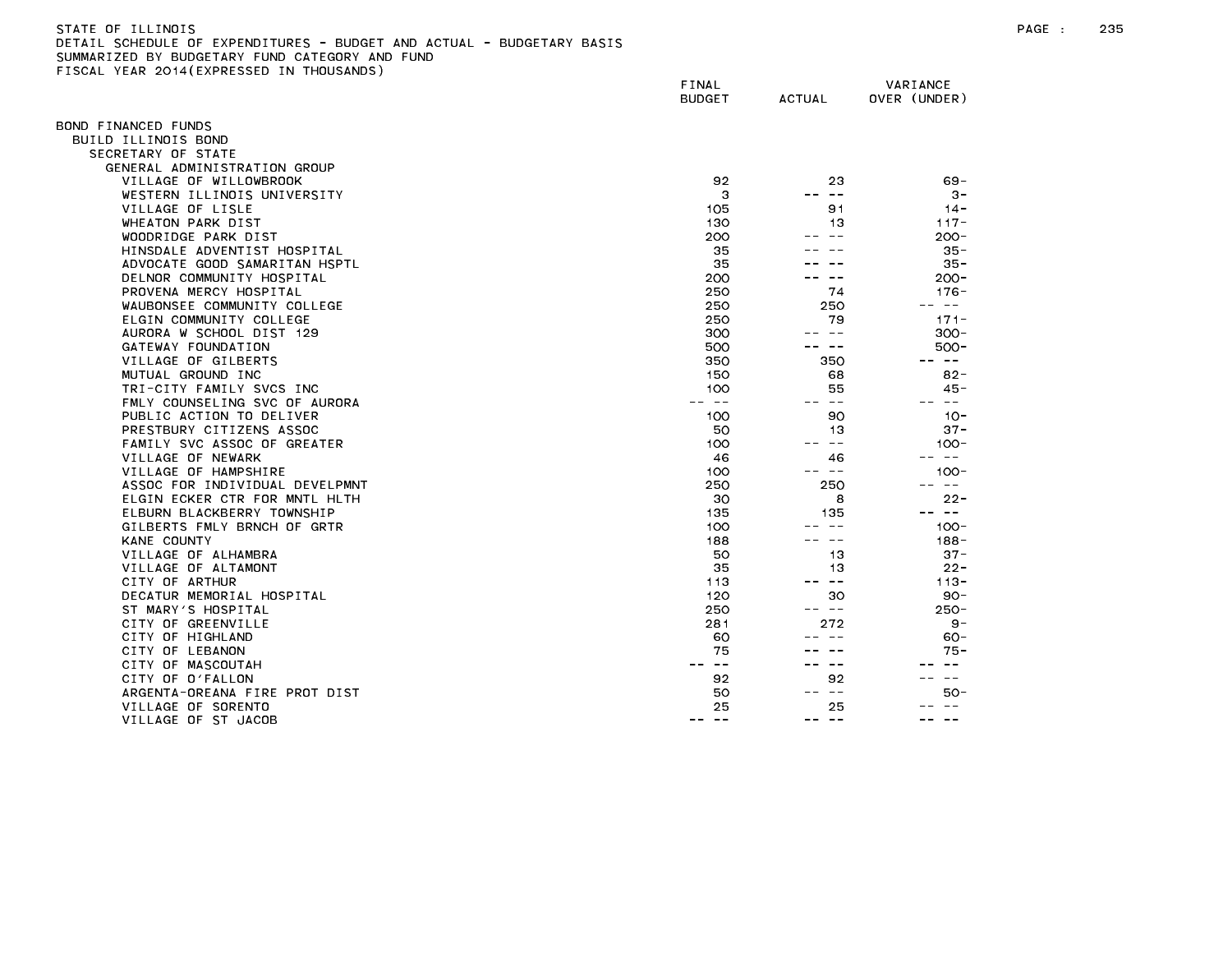| STATE OF ILLINOIS                                                     |
|-----------------------------------------------------------------------|
| DETAIL SCHEDULE OF EXPENDITURES - BUDGET AND ACTUAL - BUDGETARY BASIS |
| SUMMARIZED BY BUDGETARY FUND CATEGORY AND FUND                        |
| FISCAL YEAR 2014(EXPRESSED IN THOUSANDS)                              |

| 1998 - ILAN 2017(ININESSED         | FINAL<br><b>BUDGET</b>                                                                                                                                                                                                                                                                                                                                                                       | ACTUAL                     | VARIANCE<br>OVER (UNDER)                                                                                                                                                                                                                                                                                                                                                                                                                       |
|------------------------------------|----------------------------------------------------------------------------------------------------------------------------------------------------------------------------------------------------------------------------------------------------------------------------------------------------------------------------------------------------------------------------------------------|----------------------------|------------------------------------------------------------------------------------------------------------------------------------------------------------------------------------------------------------------------------------------------------------------------------------------------------------------------------------------------------------------------------------------------------------------------------------------------|
| OND FINANCED FUNDS                 |                                                                                                                                                                                                                                                                                                                                                                                              |                            |                                                                                                                                                                                                                                                                                                                                                                                                                                                |
| BUILD ILLINOIS BOND                |                                                                                                                                                                                                                                                                                                                                                                                              |                            |                                                                                                                                                                                                                                                                                                                                                                                                                                                |
| SECRETARY OF STATE                 |                                                                                                                                                                                                                                                                                                                                                                                              |                            |                                                                                                                                                                                                                                                                                                                                                                                                                                                |
| GENERAL ADMINISTRATION GROUP       |                                                                                                                                                                                                                                                                                                                                                                                              |                            |                                                                                                                                                                                                                                                                                                                                                                                                                                                |
| VILLAGE OF WILLOWBROOK             | 92                                                                                                                                                                                                                                                                                                                                                                                           | 23                         | 69 -                                                                                                                                                                                                                                                                                                                                                                                                                                           |
| WESTERN ILLINOIS UNIVERSITY        | 3                                                                                                                                                                                                                                                                                                                                                                                            | $\sim$ $-$                 | $3 -$                                                                                                                                                                                                                                                                                                                                                                                                                                          |
| VILLAGE OF LISLE                   | 105                                                                                                                                                                                                                                                                                                                                                                                          | 91                         | $14 -$                                                                                                                                                                                                                                                                                                                                                                                                                                         |
| WHEATON PARK DIST                  | 130                                                                                                                                                                                                                                                                                                                                                                                          | 13                         | $117 -$                                                                                                                                                                                                                                                                                                                                                                                                                                        |
| WOODRIDGE PARK DIST                | 200                                                                                                                                                                                                                                                                                                                                                                                          | $\sim$ $\sim$              | $200 -$                                                                                                                                                                                                                                                                                                                                                                                                                                        |
| HINSDALE ADVENTIST HOSPITAL        | 35                                                                                                                                                                                                                                                                                                                                                                                           |                            | $35 -$                                                                                                                                                                                                                                                                                                                                                                                                                                         |
| ADVOCATE GOOD SAMARITAN HSPTL      | 35                                                                                                                                                                                                                                                                                                                                                                                           |                            | $35 -$                                                                                                                                                                                                                                                                                                                                                                                                                                         |
| DELNOR COMMUNITY HOSPITAL          | 200                                                                                                                                                                                                                                                                                                                                                                                          |                            | $200 -$                                                                                                                                                                                                                                                                                                                                                                                                                                        |
| PROVENA MERCY HOSPITAL             | 250                                                                                                                                                                                                                                                                                                                                                                                          | 74                         | $176 -$                                                                                                                                                                                                                                                                                                                                                                                                                                        |
| WAUBONSEE COMMUNITY COLLEGE        | 250                                                                                                                                                                                                                                                                                                                                                                                          | 250                        | $\sim$ $-$                                                                                                                                                                                                                                                                                                                                                                                                                                     |
| ELGIN COMMUNITY COLLEGE            | 250                                                                                                                                                                                                                                                                                                                                                                                          | 79                         | $171 -$                                                                                                                                                                                                                                                                                                                                                                                                                                        |
| AURORA W SCHOOL DIST 129           | 300                                                                                                                                                                                                                                                                                                                                                                                          | -- --                      | $300 -$                                                                                                                                                                                                                                                                                                                                                                                                                                        |
| GATEWAY FOUNDATION                 | 500                                                                                                                                                                                                                                                                                                                                                                                          | ———                        | $500 -$                                                                                                                                                                                                                                                                                                                                                                                                                                        |
| VILLAGE OF GILBERTS                | 350                                                                                                                                                                                                                                                                                                                                                                                          | 350                        | $\sim$ $-$<br>$\sim$ $-$                                                                                                                                                                                                                                                                                                                                                                                                                       |
| MUTUAL GROUND INC                  | 150                                                                                                                                                                                                                                                                                                                                                                                          | 68                         | $82 -$                                                                                                                                                                                                                                                                                                                                                                                                                                         |
| TRI-CITY FAMILY SVCS INC           | 100                                                                                                                                                                                                                                                                                                                                                                                          | 55                         | $45 -$                                                                                                                                                                                                                                                                                                                                                                                                                                         |
| FMLY COUNSELING SVC OF AURORA      | $\frac{1}{2} \frac{1}{2} \frac{1}{2} \frac{1}{2} \frac{1}{2} \frac{1}{2} \frac{1}{2} \frac{1}{2} \frac{1}{2} \frac{1}{2} \frac{1}{2} \frac{1}{2} \frac{1}{2} \frac{1}{2} \frac{1}{2} \frac{1}{2} \frac{1}{2} \frac{1}{2} \frac{1}{2} \frac{1}{2} \frac{1}{2} \frac{1}{2} \frac{1}{2} \frac{1}{2} \frac{1}{2} \frac{1}{2} \frac{1}{2} \frac{1}{2} \frac{1}{2} \frac{1}{2} \frac{1}{2} \frac{$ | $ -$                       | -- --                                                                                                                                                                                                                                                                                                                                                                                                                                          |
| PUBLIC ACTION TO DELIVER           | 100                                                                                                                                                                                                                                                                                                                                                                                          | 90                         | $10 -$                                                                                                                                                                                                                                                                                                                                                                                                                                         |
| PRESTBURY CITIZENS ASSOC           | 50                                                                                                                                                                                                                                                                                                                                                                                           | 13                         | $37 -$                                                                                                                                                                                                                                                                                                                                                                                                                                         |
| FAMILY SVC ASSOC OF GREATER        | 100                                                                                                                                                                                                                                                                                                                                                                                          | $ -$                       | $100 -$                                                                                                                                                                                                                                                                                                                                                                                                                                        |
| VILLAGE OF NEWARK                  | 46                                                                                                                                                                                                                                                                                                                                                                                           | 46                         | $\frac{1}{2} \left( \frac{1}{2} \right) \frac{1}{2} \left( \frac{1}{2} \right) \frac{1}{2} \left( \frac{1}{2} \right) \frac{1}{2} \left( \frac{1}{2} \right) \frac{1}{2} \left( \frac{1}{2} \right) \frac{1}{2} \left( \frac{1}{2} \right) \frac{1}{2} \left( \frac{1}{2} \right) \frac{1}{2} \left( \frac{1}{2} \right) \frac{1}{2} \left( \frac{1}{2} \right) \frac{1}{2} \left( \frac{1}{2} \right) \frac{1}{2} \left( \frac{1}{2} \right)$ |
| VILLAGE OF HAMPSHIRE               | 100                                                                                                                                                                                                                                                                                                                                                                                          | -- --                      | $100 -$                                                                                                                                                                                                                                                                                                                                                                                                                                        |
| ASSOC FOR INDIVIDUAL DEVELPMNT     | 250                                                                                                                                                                                                                                                                                                                                                                                          | 250                        | $\sim$ $-$                                                                                                                                                                                                                                                                                                                                                                                                                                     |
| ELGIN ECKER CTR FOR MNTL HLTH      | 30                                                                                                                                                                                                                                                                                                                                                                                           | 8                          | $22 -$<br>$\sim$ $ -$                                                                                                                                                                                                                                                                                                                                                                                                                          |
| ELBURN BLACKBERRY TOWNSHIP         | 135                                                                                                                                                                                                                                                                                                                                                                                          | 135                        |                                                                                                                                                                                                                                                                                                                                                                                                                                                |
| GILBERTS FMLY BRNCH OF GRTR        | 100                                                                                                                                                                                                                                                                                                                                                                                          | -- --                      | $100 -$                                                                                                                                                                                                                                                                                                                                                                                                                                        |
| KANE COUNTY<br>VILLAGE OF ALHAMBRA | 188<br>50                                                                                                                                                                                                                                                                                                                                                                                    | 13                         | $188 -$<br>$37 -$                                                                                                                                                                                                                                                                                                                                                                                                                              |
| VILLAGE OF ALTAMONT                | 35                                                                                                                                                                                                                                                                                                                                                                                           | 13                         | $22 -$                                                                                                                                                                                                                                                                                                                                                                                                                                         |
| CITY OF ARTHUR                     | 113                                                                                                                                                                                                                                                                                                                                                                                          | $\overline{\phantom{m}}$ . | $113 -$                                                                                                                                                                                                                                                                                                                                                                                                                                        |
| DECATUR MEMORIAL HOSPITAL          | 120                                                                                                                                                                                                                                                                                                                                                                                          | 30                         | $90 -$                                                                                                                                                                                                                                                                                                                                                                                                                                         |
| ST MARY'S HOSPITAL                 | 250                                                                                                                                                                                                                                                                                                                                                                                          | -- --                      | $250 -$                                                                                                                                                                                                                                                                                                                                                                                                                                        |
| CITY OF GREENVILLE                 | 281                                                                                                                                                                                                                                                                                                                                                                                          | 272                        | 9 –                                                                                                                                                                                                                                                                                                                                                                                                                                            |
| CITY OF HIGHLAND                   | 60                                                                                                                                                                                                                                                                                                                                                                                           |                            | $60 -$                                                                                                                                                                                                                                                                                                                                                                                                                                         |
| CITY OF LEBANON                    | 75                                                                                                                                                                                                                                                                                                                                                                                           |                            | 75 -                                                                                                                                                                                                                                                                                                                                                                                                                                           |
| CITY OF MASCOUTAH                  | $\sim$ $-$                                                                                                                                                                                                                                                                                                                                                                                   | $\sim$ $-$                 |                                                                                                                                                                                                                                                                                                                                                                                                                                                |
| CITY OF O'FALLON                   | 92                                                                                                                                                                                                                                                                                                                                                                                           | 92                         | $\sim$ $-$                                                                                                                                                                                                                                                                                                                                                                                                                                     |
| ARGENTA-OREANA FIRE PROT DIST      | 50                                                                                                                                                                                                                                                                                                                                                                                           | -- --                      | $50-$                                                                                                                                                                                                                                                                                                                                                                                                                                          |
| VILLAGE OF SORENTO                 | 25                                                                                                                                                                                                                                                                                                                                                                                           | 25                         |                                                                                                                                                                                                                                                                                                                                                                                                                                                |
| VILLAGE OF ST JACOB                | ---<br>$- -$                                                                                                                                                                                                                                                                                                                                                                                 | -- --                      | $\sim$ $-$                                                                                                                                                                                                                                                                                                                                                                                                                                     |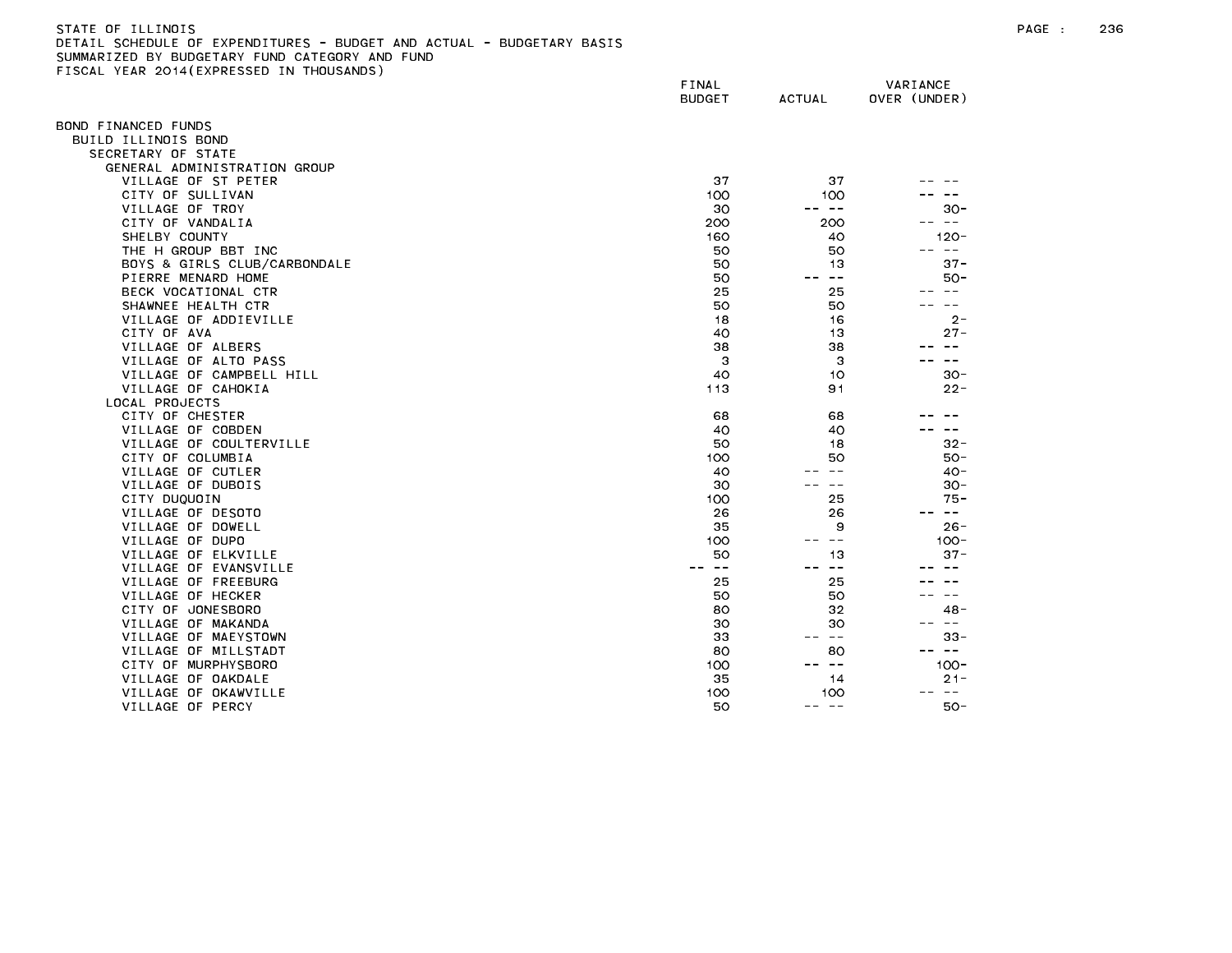| STATE OF ILLINOIS                                                     |
|-----------------------------------------------------------------------|
| DETAIL SCHEDULE OF EXPENDITURES - BUDGET AND ACTUAL - BUDGETARY BASIS |
| SUMMARIZED BY BUDGETARY FUND CATEGORY AND FUND                        |
| FISCAL YEAR 2014(EXPRESSED IN THOUSANDS)                              |

|                              | FINAL<br><b>BUDGET</b> | <b>ACTUAL</b>       | VARIANCE<br>OVER (UNDER) |
|------------------------------|------------------------|---------------------|--------------------------|
| 30ND FINANCED FUNDS          |                        |                     |                          |
| BUILD ILLINOIS BOND          |                        |                     |                          |
| SECRETARY OF STATE           |                        |                     |                          |
| GENERAL ADMINISTRATION GROUP |                        |                     |                          |
| VILLAGE OF ST PETER          | 37                     | 37                  |                          |
| CITY OF SULLIVAN             | 100                    | 100                 |                          |
| VILLAGE OF TROY              | 30                     | -- --               | $30 -$                   |
| CITY OF VANDALIA             | 200                    | 200                 | $\sim$ $ -$<br>$- -$     |
| SHELBY COUNTY                | 160                    | 40                  | $120 -$                  |
| THE H GROUP BBT INC          | 50                     | 50                  | $- -$                    |
| BOYS & GIRLS CLUB/CARBONDALE | 50                     | 13                  | $37 -$                   |
| PIERRE MENARD HOME           | 50                     | $\sim$ $-$          | $50-$                    |
| BECK VOCATIONAL CTR          | 25                     | 25                  | $\sim$ $-$               |
| SHAWNEE HEALTH CTR           | 50                     | 50                  |                          |
| VILLAGE OF ADDIEVILLE        | 18                     | 16                  | $2 -$                    |
| CITY OF AVA                  | 40                     | 13                  | $27 -$                   |
| VILLAGE OF ALBERS            | 38                     | 38                  | $- -$                    |
| VILLAGE OF ALTO PASS         | 3                      | 3                   | $- -$                    |
| VILLAGE OF CAMPBELL HILL     | 40                     | 10                  | $30 -$                   |
| VILLAGE OF CAHOKIA           | 113                    | 91                  | $22 -$                   |
| LOCAL PROJECTS               |                        |                     |                          |
| CITY OF CHESTER              | 68                     | 68                  |                          |
| VILLAGE OF COBDEN            | 40                     | 40                  | $\sim$ $-$               |
| VILLAGE OF COULTERVILLE      | 50                     | 18                  | $32 -$                   |
| CITY OF COLUMBIA             | 100                    | 50                  | $50 -$                   |
| VILLAGE OF CUTLER            | 40                     | $- -$               | $40 -$                   |
| VILLAGE OF DUBOIS            | 30                     | $- -$               | $30 -$                   |
| CITY DUQUOIN                 | 100                    | 25                  | $75 -$                   |
| VILLAGE OF DESOTO            | 26                     | 26                  | س س                      |
| VILLAGE OF DOWELL            | 35                     | 9                   | $26 -$                   |
| VILLAGE OF DUPO              | 100                    | $\sim$ $\sim$       | $100 -$                  |
| VILLAGE OF ELKVILLE          | 50                     | 13                  | $37 -$                   |
| VILLAGE OF EVANSVILLE        | $\sim$ $-$             | $\sim$ $-$          |                          |
| VILLAGE OF FREEBURG          | 25                     | 25                  |                          |
| VILLAGE OF HECKER            | 50                     | 50                  | $\sim$ $\sim$            |
| CITY OF JONESBORO            | 80                     | 32                  | $48 -$                   |
| VILLAGE OF MAKANDA           | 30                     | 30                  | $ -$                     |
| VILLAGE OF MAEYSTOWN         | 33                     | $\sim$ $-$          | $33 -$                   |
| VILLAGE OF MILLSTADT         | 80                     | 80                  | $- -$<br>$\frac{1}{2}$   |
| CITY OF MURPHYSBORO          | 100                    | $\sim$ $-$<br>$- -$ | $100 -$                  |
| VILLAGE OF OAKDALE           | 35                     | 14                  | $21 -$                   |
| VILLAGE OF OKAWVILLE         | 100                    | 100                 | $\sim$ $-$               |
| VILLAGE OF PERCY             | 50                     | -- --               | $50-$                    |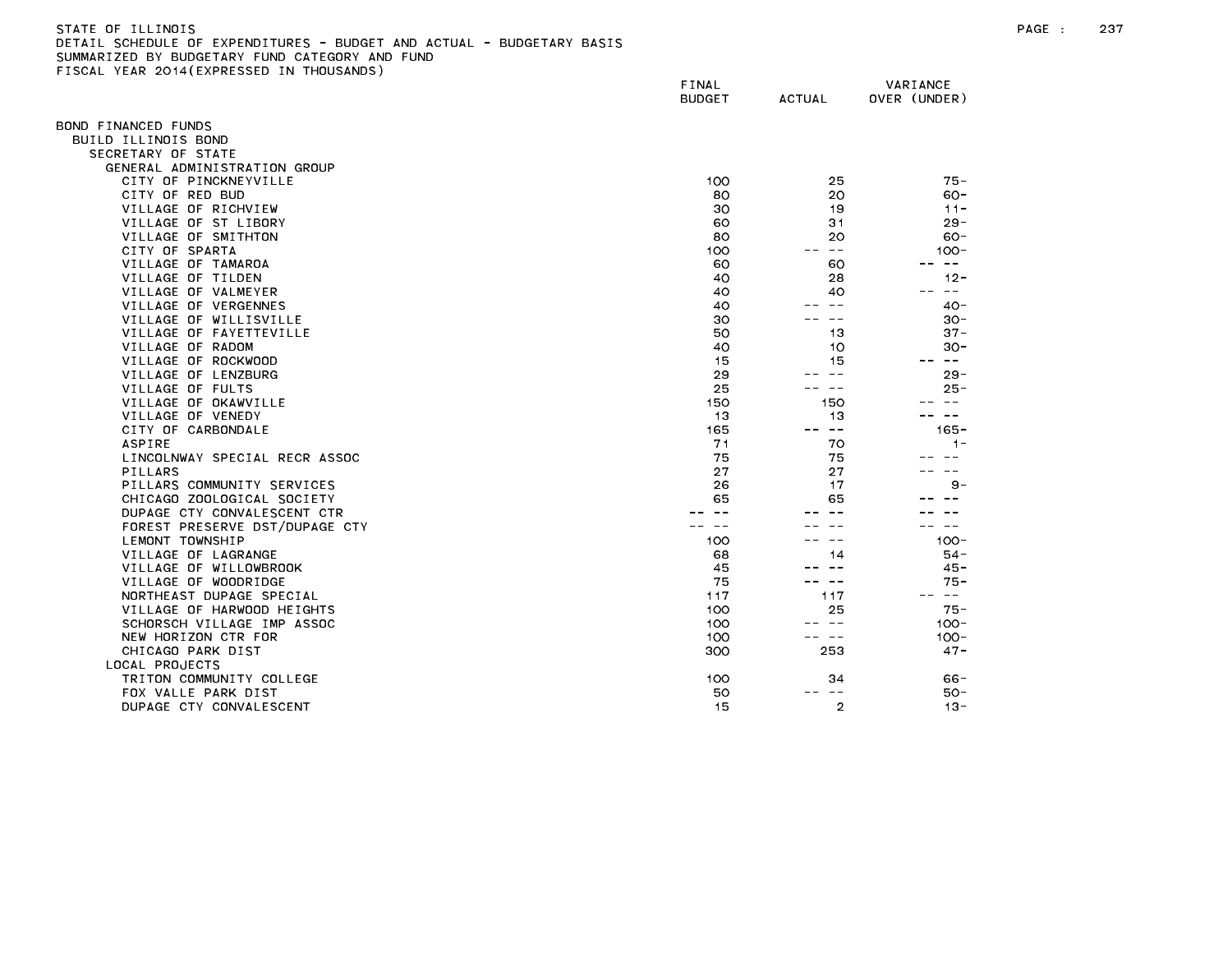| STATE OF ILLINOIS                                                     |
|-----------------------------------------------------------------------|
| DETAIL SCHEDULE OF EXPENDITURES - BUDGET AND ACTUAL - BUDGETARY BASIS |
| SUMMARIZED BY BUDGETARY FUND CATEGORY AND FUND                        |
| FISCAL YEAR 2014(EXPRESSED IN THOUSANDS)                              |

|                                | FINAL<br><b>BUDGET</b> | <b>ACTUAL</b>                                                                                                                                                                                                                                                                                                                                                                                | VARIANCE<br>OVER (UNDER) |
|--------------------------------|------------------------|----------------------------------------------------------------------------------------------------------------------------------------------------------------------------------------------------------------------------------------------------------------------------------------------------------------------------------------------------------------------------------------------|--------------------------|
| BOND FINANCED FUNDS            |                        |                                                                                                                                                                                                                                                                                                                                                                                              |                          |
| BUILD ILLINOIS BOND            |                        |                                                                                                                                                                                                                                                                                                                                                                                              |                          |
| SECRETARY OF STATE             |                        |                                                                                                                                                                                                                                                                                                                                                                                              |                          |
| GENERAL ADMINISTRATION GROUP   |                        |                                                                                                                                                                                                                                                                                                                                                                                              |                          |
| CITY OF PINCKNEYVILLE          | 100                    | 25                                                                                                                                                                                                                                                                                                                                                                                           | $75 -$                   |
| CITY OF RED BUD                | 80                     | 20                                                                                                                                                                                                                                                                                                                                                                                           | $60 -$                   |
| VILLAGE OF RICHVIEW            | 30                     | 19                                                                                                                                                                                                                                                                                                                                                                                           | $11 -$                   |
| VILLAGE OF ST LIBORY           | 60                     | 31                                                                                                                                                                                                                                                                                                                                                                                           | $29 -$                   |
| VILLAGE OF SMITHTON            | 80                     | 20                                                                                                                                                                                                                                                                                                                                                                                           | $60 -$                   |
| CITY OF SPARTA                 | 100                    | $\rightarrow$ $\rightarrow$                                                                                                                                                                                                                                                                                                                                                                  | $100 -$                  |
| VILLAGE OF TAMAROA             | 60                     | 60                                                                                                                                                                                                                                                                                                                                                                                           | $- -$                    |
| VILLAGE OF TILDEN              | 40                     | 28                                                                                                                                                                                                                                                                                                                                                                                           | $12 -$                   |
| VILLAGE OF VALMEYER            | 40                     | 40                                                                                                                                                                                                                                                                                                                                                                                           | -- --                    |
| VILLAGE OF VERGENNES           | 40                     | $\sim$ $-$                                                                                                                                                                                                                                                                                                                                                                                   | $40 -$                   |
| VILLAGE OF WILLISVILLE         | 30                     | $- -$                                                                                                                                                                                                                                                                                                                                                                                        | $30 -$                   |
| VILLAGE OF FAYETTEVILLE        | 50                     | 13                                                                                                                                                                                                                                                                                                                                                                                           | $37 -$                   |
| VILLAGE OF RADOM               | 40                     | 10                                                                                                                                                                                                                                                                                                                                                                                           | $30 -$                   |
| VILLAGE OF ROCKWOOD            | 15                     | 15                                                                                                                                                                                                                                                                                                                                                                                           | $\sim$ $-$<br>$- -$      |
| VILLAGE OF LENZBURG            | 29                     | $\sim$ $-$                                                                                                                                                                                                                                                                                                                                                                                   | $29 -$                   |
| VILLAGE OF FULTS               | 25                     | $- -$                                                                                                                                                                                                                                                                                                                                                                                        | $25 -$                   |
| VILLAGE OF OKAWVILLE           | 150                    | 150                                                                                                                                                                                                                                                                                                                                                                                          |                          |
| VILLAGE OF VENEDY              | 13                     | 13                                                                                                                                                                                                                                                                                                                                                                                           | $- -$                    |
| CITY OF CARBONDALE             | 165                    | $\frac{1}{2} \frac{1}{2} \frac{1}{2} \frac{1}{2} \frac{1}{2} \frac{1}{2} \frac{1}{2} \frac{1}{2} \frac{1}{2} \frac{1}{2} \frac{1}{2} \frac{1}{2} \frac{1}{2} \frac{1}{2} \frac{1}{2} \frac{1}{2} \frac{1}{2} \frac{1}{2} \frac{1}{2} \frac{1}{2} \frac{1}{2} \frac{1}{2} \frac{1}{2} \frac{1}{2} \frac{1}{2} \frac{1}{2} \frac{1}{2} \frac{1}{2} \frac{1}{2} \frac{1}{2} \frac{1}{2} \frac{$ | $165 -$                  |
| ASPIRE                         | 71                     | 70                                                                                                                                                                                                                                                                                                                                                                                           | $1 -$                    |
| LINCOLNWAY SPECIAL RECR ASSOC  | 75                     | 75                                                                                                                                                                                                                                                                                                                                                                                           |                          |
| PILLARS                        | 27                     | 27                                                                                                                                                                                                                                                                                                                                                                                           |                          |
| PILLARS COMMUNITY SERVICES     | 26                     | 17                                                                                                                                                                                                                                                                                                                                                                                           | $9 -$                    |
| CHICAGO ZOOLOGICAL SOCIETY     | 65                     | 65                                                                                                                                                                                                                                                                                                                                                                                           |                          |
| DUPAGE CTY CONVALESCENT CTR    |                        |                                                                                                                                                                                                                                                                                                                                                                                              |                          |
| FOREST PRESERVE DST/DUPAGE CTY |                        |                                                                                                                                                                                                                                                                                                                                                                                              | $\sim$ $\sim$            |
| LEMONT TOWNSHIP                | 100                    | $\overline{\phantom{m}}$                                                                                                                                                                                                                                                                                                                                                                     | $100 -$                  |
| VILLAGE OF LAGRANGE            | 68                     | 14                                                                                                                                                                                                                                                                                                                                                                                           | $54-$                    |
| VILLAGE OF WILLOWBROOK         | 45                     |                                                                                                                                                                                                                                                                                                                                                                                              | $45 -$                   |
| VILLAGE OF WOODRIDGE           | 75                     | $- -$                                                                                                                                                                                                                                                                                                                                                                                        | $75 -$                   |
| NORTHEAST DUPAGE SPECIAL       | 117                    | 117                                                                                                                                                                                                                                                                                                                                                                                          | -- --                    |
| VILLAGE OF HARWOOD HEIGHTS     | 100                    | 25                                                                                                                                                                                                                                                                                                                                                                                           | $75 -$                   |
| SCHORSCH VILLAGE IMP ASSOC     | 100                    | -- --                                                                                                                                                                                                                                                                                                                                                                                        | $100 -$                  |
| NEW HORIZON CTR FOR            | 100                    | $\sim$ $-$                                                                                                                                                                                                                                                                                                                                                                                   | $100 -$                  |
| CHICAGO PARK DIST              | 300                    | 253                                                                                                                                                                                                                                                                                                                                                                                          | $47 -$                   |
| LOCAL PROJECTS                 |                        |                                                                                                                                                                                                                                                                                                                                                                                              |                          |
| TRITON COMMUNITY COLLEGE       | 100                    | 34                                                                                                                                                                                                                                                                                                                                                                                           | 66 -                     |
| FOX VALLE PARK DIST            | 50                     | $\sim$ $-$                                                                                                                                                                                                                                                                                                                                                                                   | $50 -$                   |
| DUPAGE CTY CONVALESCENT        | 15                     | $\overline{2}$                                                                                                                                                                                                                                                                                                                                                                               | $13 -$                   |
|                                |                        |                                                                                                                                                                                                                                                                                                                                                                                              |                          |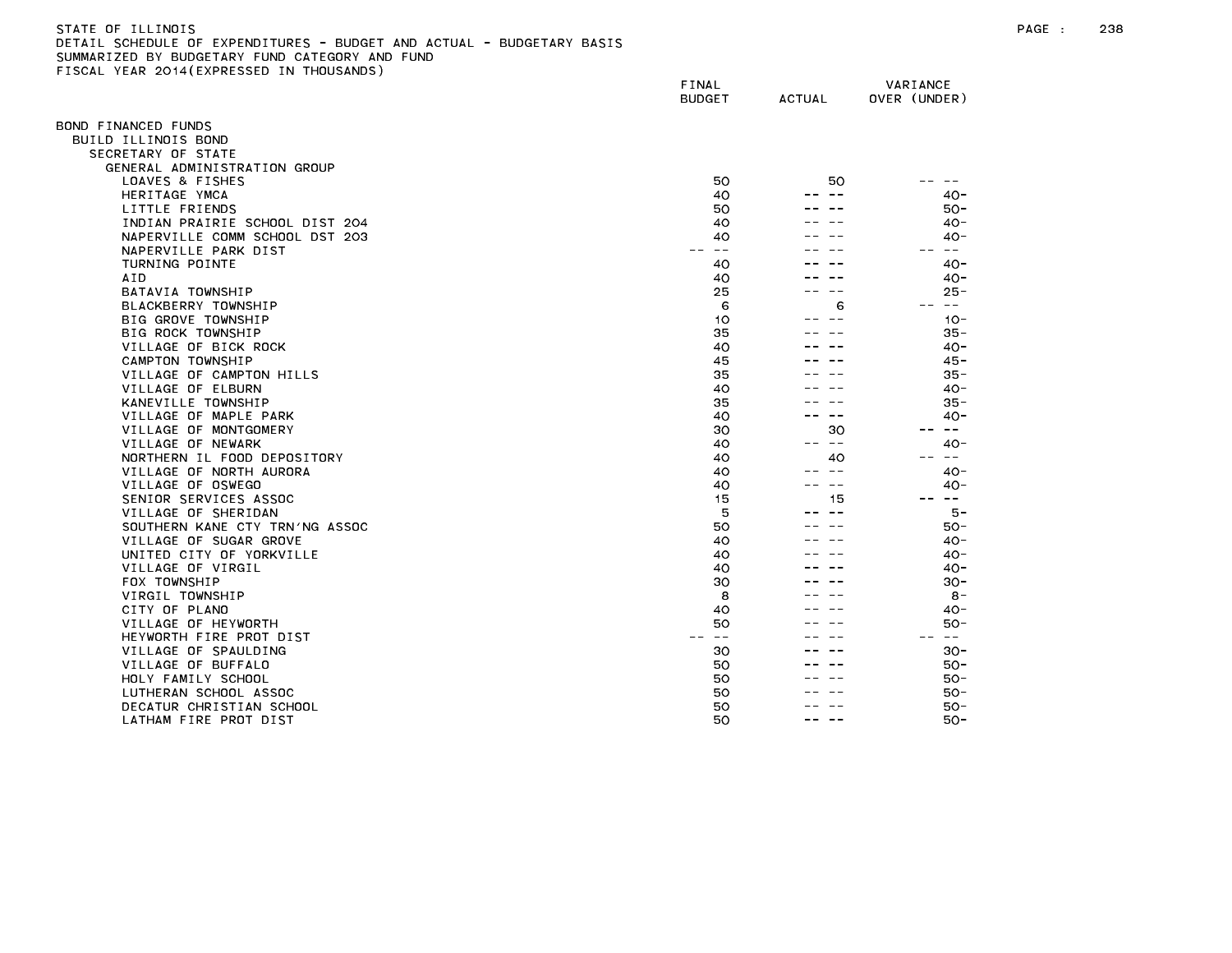# STATE OF ILLINOIS PAGE : 238 DETAIL SCHEDULE OF EXPENDITURES - BUDGET AND ACTUAL - BUDGETARY BASIS SUMMARIZED BY BUDGETARY FUND CATEGORY AND FUND FISCAL YEAR 2014(EXPRESSED IN THOUSANDS)

|                                           | FINAL<br><b>BUDGET</b> | <b>ACTUAL</b> | VARIANCE<br>OVER (UNDER) |
|-------------------------------------------|------------------------|---------------|--------------------------|
|                                           |                        |               |                          |
| OND FINANCED FUNDS                        |                        |               |                          |
| BUILD ILLINOIS BOND<br>SECRETARY OF STATE |                        |               |                          |
| GENERAL ADMINISTRATION GROUP              |                        |               |                          |
| LOAVES & FISHES                           | 50                     | 50            |                          |
| HERITAGE YMCA                             | 40                     |               | $40-$                    |
| LITTLE FRIENDS                            | 50                     |               | 50 -                     |
| INDIAN PRAIRIE SCHOOL DIST 204            | 40                     |               | $40 -$                   |
| NAPERVILLE COMM SCHOOL DST 203            | 40                     |               | $40 -$                   |
| NAPERVILLE PARK DIST                      | $- -$                  |               | $\overline{\phantom{m}}$ |
| TURNING POINTE                            | 40                     |               | $40 -$                   |
| AID                                       | 40                     |               | $40 -$                   |
| BATAVIA TOWNSHIP                          | 25                     |               | $25 -$                   |
| BLACKBERRY TOWNSHIP                       | 6                      | 6             | $\sim 100$               |
| BIG GROVE TOWNSHIP                        | 10                     |               | $10 -$                   |
| BIG ROCK TOWNSHIP                         | 35                     |               | $35 -$                   |
| VILLAGE OF BICK ROCK<br>CAMPTON TOWNSHIP  | 40                     |               | $40 -$<br>$45 -$         |
| VILLAGE OF CAMPTON HILLS                  | 45<br>35               |               | $35 -$                   |
| VILLAGE OF ELBURN                         | 40                     |               | $40 -$                   |
| KANEVILLE TOWNSHIP                        | 35                     |               | $35 -$                   |
| VILLAGE OF MAPLE PARK                     | 40                     | $ -$          | $40 -$                   |
| VILLAGE OF MONTGOMERY                     | 30                     | 30            | $\sim$ $-$               |
| VILLAGE OF NEWARK                         | 40                     | $\sim$ $-$    | 40-                      |
| NORTHERN IL FOOD DEPOSITORY               | 40                     | 40            | ست س                     |
| VILLAGE OF NORTH AURORA                   | 40                     | $\sim$ $\sim$ | $40 -$                   |
| VILLAGE OF OSWEGO                         | 40                     | $- -$         | 40 -                     |
| SENIOR SERVICES ASSOC                     | 15                     | 15            | $\sim$ $-$               |
| VILLAGE OF SHERIDAN                       | 5                      | $ -$          | $5 -$                    |
| SOUTHERN KANE CTY TRN'NG ASSOC            | 50                     |               | $50 -$                   |
| VILLAGE OF SUGAR GROVE                    | 40                     |               | $40-$                    |
| UNITED CITY OF YORKVILLE                  | 40                     |               | $40-$                    |
| VILLAGE OF VIRGIL                         | 40                     |               | 40-                      |
| FOX TOWNSHIP                              | 30                     |               | $30 -$<br>$8 -$          |
| VIRGIL TOWNSHIP<br>CITY OF PLANO          | 8<br>40                |               | 40-                      |
| VILLAGE OF HEYWORTH                       | 50                     |               | $50 -$                   |
| HEYWORTH FIRE PROT DIST                   | $- -$                  |               | $\overline{\phantom{m}}$ |
| VILLAGE OF SPAULDING                      | 30                     |               | $30 -$                   |
| VILLAGE OF BUFFALO                        | 50                     |               | $50 -$                   |
| HOLY FAMILY SCHOOL                        | 50                     |               | $50 -$                   |
| LUTHERAN SCHOOL ASSOC                     | 50                     |               | $50 -$                   |
| DECATUR CHRISTIAN SCHOOL                  | 50                     |               | $50 -$                   |
| LATHAM FIRE PROT DIST                     | 50                     | $- -$         | 50-                      |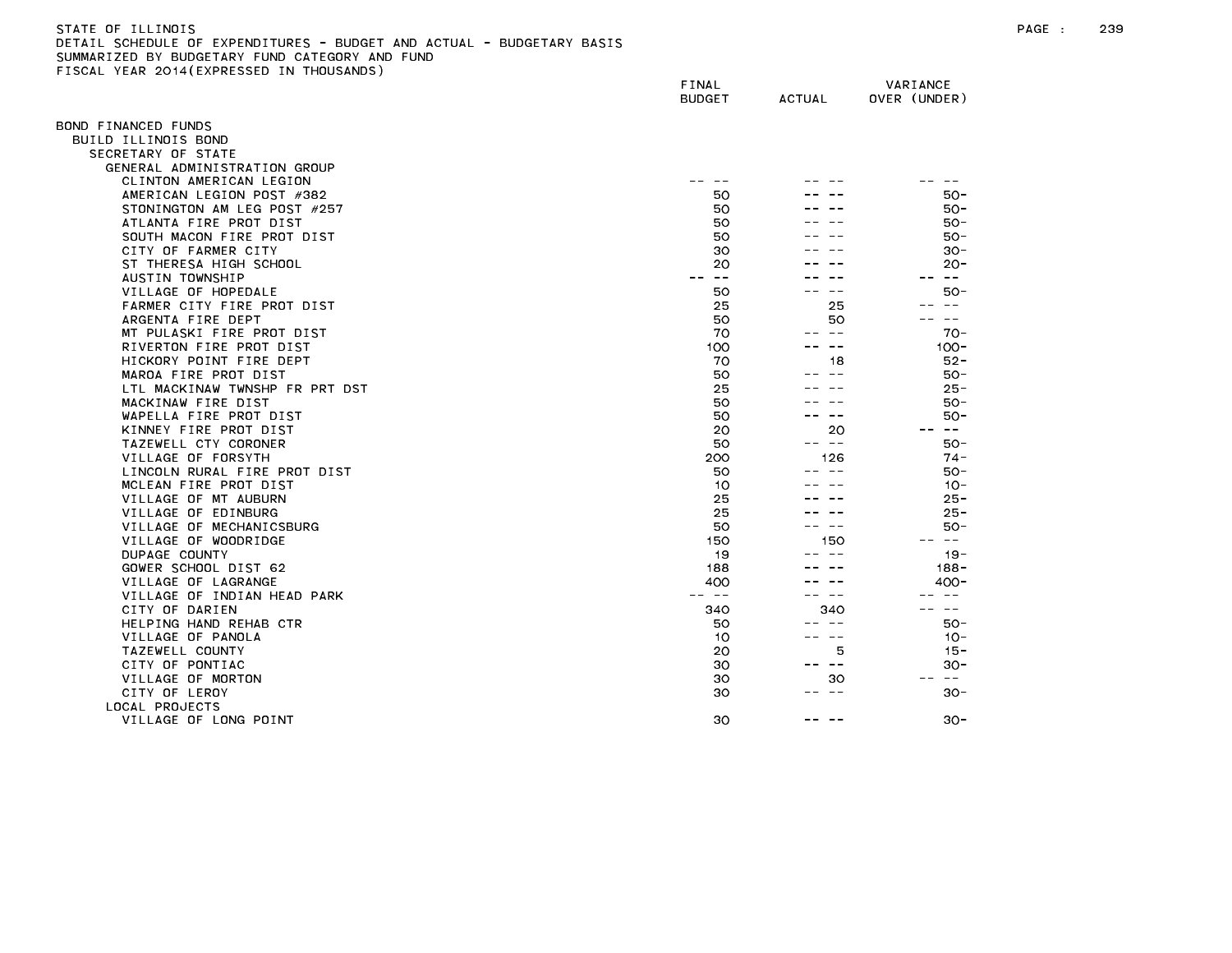| STATE OF ILLINOIS                                                                   | PAGE | 239 |
|-------------------------------------------------------------------------------------|------|-----|
| L SCHEDULE OF EXPENDITURES - BUDGET<br>AND ACTUAL,<br>DETAIL<br>L - BUDGETARY BASIS |      |     |
| SUMMARIZED BY BUDGETARY<br>FUND CATFGORY<br>AND FIIND                               |      |     |

SUMMARIZED BY BUDGETARY FUND CATEGORY AND FUND<br>FISCAL YEAR 2014(EXPRESSED IN THOUSANDS)

|                                                                                                                                                                       | VARIANCE<br>OVER (UNDER) | <b>ACTUAL</b>                                                                                                             | FINAL<br><b>BUDGET</b>                                                                                                                                     |                                                                                                                                                                                                                                                                                                                                                                                                                                                                                                                                                                                                                                                                 |
|-----------------------------------------------------------------------------------------------------------------------------------------------------------------------|--------------------------|---------------------------------------------------------------------------------------------------------------------------|------------------------------------------------------------------------------------------------------------------------------------------------------------|-----------------------------------------------------------------------------------------------------------------------------------------------------------------------------------------------------------------------------------------------------------------------------------------------------------------------------------------------------------------------------------------------------------------------------------------------------------------------------------------------------------------------------------------------------------------------------------------------------------------------------------------------------------------|
|                                                                                                                                                                       |                          |                                                                                                                           |                                                                                                                                                            | BOND FINANCED FUNDS                                                                                                                                                                                                                                                                                                                                                                                                                                                                                                                                                                                                                                             |
|                                                                                                                                                                       |                          |                                                                                                                           |                                                                                                                                                            | BUILD ILLINOIS BOND                                                                                                                                                                                                                                                                                                                                                                                                                                                                                                                                                                                                                                             |
|                                                                                                                                                                       |                          |                                                                                                                           |                                                                                                                                                            | SECRETARY OF STATE                                                                                                                                                                                                                                                                                                                                                                                                                                                                                                                                                                                                                                              |
|                                                                                                                                                                       |                          |                                                                                                                           |                                                                                                                                                            | GENERAL ADMINISTRATION GROUP                                                                                                                                                                                                                                                                                                                                                                                                                                                                                                                                                                                                                                    |
|                                                                                                                                                                       |                          |                                                                                                                           | $\sim$ $-$                                                                                                                                                 | CLINTON AMERICAN LEGION                                                                                                                                                                                                                                                                                                                                                                                                                                                                                                                                                                                                                                         |
| $50 -$                                                                                                                                                                |                          |                                                                                                                           | 50                                                                                                                                                         | AMERICAN LEGION POST #382                                                                                                                                                                                                                                                                                                                                                                                                                                                                                                                                                                                                                                       |
| $50 -$                                                                                                                                                                |                          |                                                                                                                           | 50                                                                                                                                                         | STONINGTON AM LEG POST #257                                                                                                                                                                                                                                                                                                                                                                                                                                                                                                                                                                                                                                     |
| 50-                                                                                                                                                                   |                          |                                                                                                                           | 50                                                                                                                                                         | ATLANTA FIRE PROT DIST                                                                                                                                                                                                                                                                                                                                                                                                                                                                                                                                                                                                                                          |
| $50 -$                                                                                                                                                                |                          |                                                                                                                           | 50                                                                                                                                                         | SOUTH MACON FIRE PROT DIST                                                                                                                                                                                                                                                                                                                                                                                                                                                                                                                                                                                                                                      |
| $30 -$                                                                                                                                                                |                          |                                                                                                                           | 30                                                                                                                                                         | CITY OF FARMER CITY                                                                                                                                                                                                                                                                                                                                                                                                                                                                                                                                                                                                                                             |
| $20 -$                                                                                                                                                                |                          |                                                                                                                           | 20                                                                                                                                                         | ST THERESA HIGH SCHOOL                                                                                                                                                                                                                                                                                                                                                                                                                                                                                                                                                                                                                                          |
|                                                                                                                                                                       | -- --                    |                                                                                                                           | -- --                                                                                                                                                      | AUSTIN TOWNSHIP                                                                                                                                                                                                                                                                                                                                                                                                                                                                                                                                                                                                                                                 |
| $50 -$                                                                                                                                                                |                          |                                                                                                                           | 50                                                                                                                                                         | VILLAGE OF HOPEDALE                                                                                                                                                                                                                                                                                                                                                                                                                                                                                                                                                                                                                                             |
|                                                                                                                                                                       |                          | 25                                                                                                                        | 25                                                                                                                                                         | FARMER CITY FIRE PROT DIST                                                                                                                                                                                                                                                                                                                                                                                                                                                                                                                                                                                                                                      |
| $- -$                                                                                                                                                                 |                          | 50                                                                                                                        | 50                                                                                                                                                         | ARGENTA FIRE DEPT                                                                                                                                                                                                                                                                                                                                                                                                                                                                                                                                                                                                                                               |
| $70 -$                                                                                                                                                                |                          | $\sim$ $-$                                                                                                                | 70                                                                                                                                                         |                                                                                                                                                                                                                                                                                                                                                                                                                                                                                                                                                                                                                                                                 |
| $100 -$                                                                                                                                                               |                          | $\sim$ $-$                                                                                                                | 100                                                                                                                                                        | RIVERTON FIRE PROT DIST                                                                                                                                                                                                                                                                                                                                                                                                                                                                                                                                                                                                                                         |
| $52 -$                                                                                                                                                                |                          |                                                                                                                           |                                                                                                                                                            |                                                                                                                                                                                                                                                                                                                                                                                                                                                                                                                                                                                                                                                                 |
| 50-                                                                                                                                                                   |                          | $ -$                                                                                                                      |                                                                                                                                                            |                                                                                                                                                                                                                                                                                                                                                                                                                                                                                                                                                                                                                                                                 |
| $25 -$                                                                                                                                                                |                          |                                                                                                                           |                                                                                                                                                            |                                                                                                                                                                                                                                                                                                                                                                                                                                                                                                                                                                                                                                                                 |
| $50 -$                                                                                                                                                                |                          |                                                                                                                           |                                                                                                                                                            |                                                                                                                                                                                                                                                                                                                                                                                                                                                                                                                                                                                                                                                                 |
| 50-                                                                                                                                                                   |                          |                                                                                                                           |                                                                                                                                                            |                                                                                                                                                                                                                                                                                                                                                                                                                                                                                                                                                                                                                                                                 |
|                                                                                                                                                                       |                          |                                                                                                                           |                                                                                                                                                            |                                                                                                                                                                                                                                                                                                                                                                                                                                                                                                                                                                                                                                                                 |
| $50 -$                                                                                                                                                                |                          |                                                                                                                           |                                                                                                                                                            |                                                                                                                                                                                                                                                                                                                                                                                                                                                                                                                                                                                                                                                                 |
|                                                                                                                                                                       |                          |                                                                                                                           |                                                                                                                                                            |                                                                                                                                                                                                                                                                                                                                                                                                                                                                                                                                                                                                                                                                 |
|                                                                                                                                                                       |                          |                                                                                                                           |                                                                                                                                                            |                                                                                                                                                                                                                                                                                                                                                                                                                                                                                                                                                                                                                                                                 |
|                                                                                                                                                                       |                          |                                                                                                                           |                                                                                                                                                            |                                                                                                                                                                                                                                                                                                                                                                                                                                                                                                                                                                                                                                                                 |
|                                                                                                                                                                       |                          |                                                                                                                           |                                                                                                                                                            |                                                                                                                                                                                                                                                                                                                                                                                                                                                                                                                                                                                                                                                                 |
|                                                                                                                                                                       |                          |                                                                                                                           |                                                                                                                                                            |                                                                                                                                                                                                                                                                                                                                                                                                                                                                                                                                                                                                                                                                 |
|                                                                                                                                                                       |                          |                                                                                                                           |                                                                                                                                                            |                                                                                                                                                                                                                                                                                                                                                                                                                                                                                                                                                                                                                                                                 |
|                                                                                                                                                                       |                          |                                                                                                                           |                                                                                                                                                            |                                                                                                                                                                                                                                                                                                                                                                                                                                                                                                                                                                                                                                                                 |
|                                                                                                                                                                       |                          |                                                                                                                           |                                                                                                                                                            |                                                                                                                                                                                                                                                                                                                                                                                                                                                                                                                                                                                                                                                                 |
|                                                                                                                                                                       |                          |                                                                                                                           |                                                                                                                                                            |                                                                                                                                                                                                                                                                                                                                                                                                                                                                                                                                                                                                                                                                 |
|                                                                                                                                                                       |                          |                                                                                                                           |                                                                                                                                                            |                                                                                                                                                                                                                                                                                                                                                                                                                                                                                                                                                                                                                                                                 |
|                                                                                                                                                                       |                          |                                                                                                                           |                                                                                                                                                            |                                                                                                                                                                                                                                                                                                                                                                                                                                                                                                                                                                                                                                                                 |
|                                                                                                                                                                       |                          |                                                                                                                           |                                                                                                                                                            |                                                                                                                                                                                                                                                                                                                                                                                                                                                                                                                                                                                                                                                                 |
|                                                                                                                                                                       |                          |                                                                                                                           |                                                                                                                                                            |                                                                                                                                                                                                                                                                                                                                                                                                                                                                                                                                                                                                                                                                 |
|                                                                                                                                                                       |                          |                                                                                                                           |                                                                                                                                                            |                                                                                                                                                                                                                                                                                                                                                                                                                                                                                                                                                                                                                                                                 |
|                                                                                                                                                                       |                          |                                                                                                                           |                                                                                                                                                            |                                                                                                                                                                                                                                                                                                                                                                                                                                                                                                                                                                                                                                                                 |
| $\sim$ $-$                                                                                                                                                            |                          |                                                                                                                           |                                                                                                                                                            |                                                                                                                                                                                                                                                                                                                                                                                                                                                                                                                                                                                                                                                                 |
| $30 -$                                                                                                                                                                |                          | $ -$                                                                                                                      |                                                                                                                                                            |                                                                                                                                                                                                                                                                                                                                                                                                                                                                                                                                                                                                                                                                 |
|                                                                                                                                                                       |                          |                                                                                                                           |                                                                                                                                                            |                                                                                                                                                                                                                                                                                                                                                                                                                                                                                                                                                                                                                                                                 |
| $30 -$                                                                                                                                                                |                          |                                                                                                                           | 30                                                                                                                                                         | VILLAGE OF LONG POINT                                                                                                                                                                                                                                                                                                                                                                                                                                                                                                                                                                                                                                           |
| $\sim$ $ -$<br>$74 -$<br>$50 -$<br>$10 -$<br>$25 -$<br>$25 -$<br>50-<br>$\sim$ $-$<br>$19 -$<br>$188 -$<br>400-<br>$\sim$ $-$<br>$50 -$<br>$10 -$<br>$15 -$<br>$30 -$ | --<br>$\sim$ $-$         | 18<br>20<br>د د<br>126<br>$ -$<br>150<br>$\sim$ $\sim$<br>340<br>$\sim$ $-$<br>$\sim$ $-$<br>5<br>$\sim$ $-$<br>- -<br>30 | 70<br>50<br>25<br>50<br>50<br>20<br>50<br>200<br>50<br>10<br>25<br>25<br>50<br>150<br>19<br>188<br>400<br>-- --<br>340<br>50<br>10<br>20<br>30<br>30<br>30 | MT PULASKI FIRE PROT DIST<br>HICKORY POINT FIRE DEPT<br>MAROA FIRE PROT DIST<br>LTL MACKINAW TWNSHP FR PRT DST<br>MACKINAW FIRE DIST<br>WAPELLA FIRE PROT DIST<br>KINNEY FIRE PROT DIST<br>TAZEWELL CTY CORONER<br>VILLAGE OF FORSYTH<br>LINCOLN RURAL FIRE PROT DIST<br>MCLEAN FIRE PROT DIST<br>VILLAGE OF MT AUBURN<br>VILLAGE OF EDINBURG<br>VILLAGE OF MECHANICSBURG<br>VILLAGE OF WOODRIDGE<br>DUPAGE COUNTY<br>GOWER SCHOOL DIST 62<br>VILLAGE OF LAGRANGE<br>VILLAGE OF INDIAN HEAD PARK<br>CITY OF DARIEN<br>HELPING HAND REHAB CTR<br>VILLAGE OF PANOLA<br>TAZEWELL COUNTY<br>CITY OF PONTIAC<br>VILLAGE OF MORTON<br>CITY OF LEROY<br>LOCAL PROJECTS |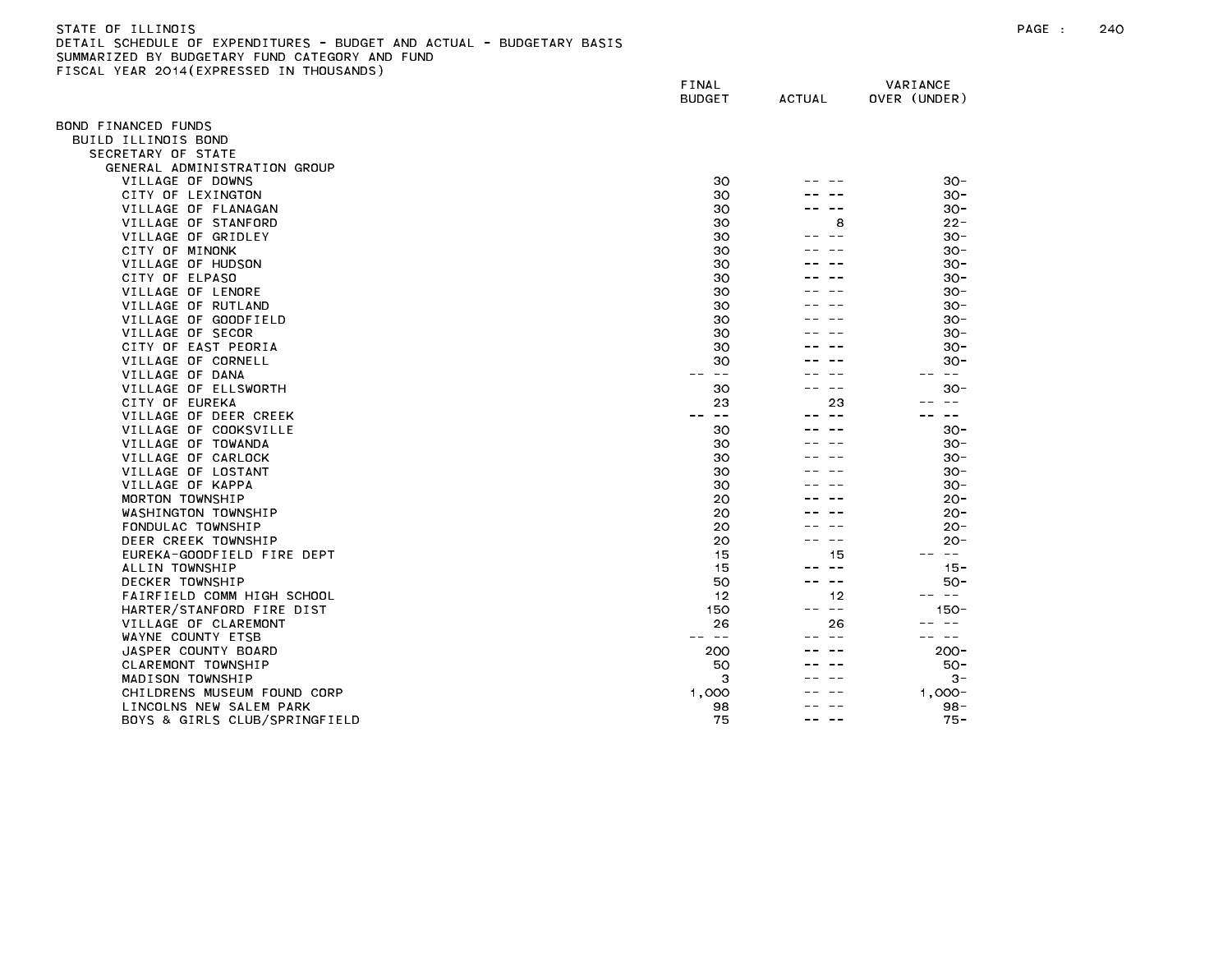## STATE OF ILLINOIS PAGE : 240 DETAIL SCHEDULE OF EXPENDITURES - BUDGET AND ACTUAL - BUDGETARY BASIS SUMMARIZED BY BUDGETARY FUND CATEGORY AND FUND FISCAL YEAR 2014(EXPRESSED IN THOUSANDS)

|                                           | FINAL<br><b>BUDGET</b> | <b>ACTUAL</b> | VARIANCE<br>OVER (UNDER) |
|-------------------------------------------|------------------------|---------------|--------------------------|
|                                           |                        |               |                          |
| OND FINANCED FUNDS                        |                        |               |                          |
| BUILD ILLINOIS BOND                       |                        |               |                          |
| SECRETARY OF STATE                        |                        |               |                          |
| GENERAL ADMINISTRATION GROUP              |                        |               |                          |
| VILLAGE OF DOWNS                          | 30                     |               | $30 -$                   |
| CITY OF LEXINGTON                         | 30                     |               | $30 -$                   |
| VILLAGE OF FLANAGAN                       | 30                     |               | $30 -$                   |
| VILLAGE OF STANFORD                       | 30                     | 8             | $22 -$                   |
| VILLAGE OF GRIDLEY                        | 30                     |               | $30 -$                   |
| CITY OF MINONK                            | 30                     |               | $30 -$                   |
| VILLAGE OF HUDSON                         | 30                     |               | $30 -$                   |
| CITY OF ELPASO                            | 30                     |               | $30 -$                   |
| VILLAGE OF LENORE                         | 30                     |               | $30 -$                   |
| VILLAGE OF RUTLAND                        | 30                     |               | $30 -$                   |
| VILLAGE OF GOODFIELD                      | 30<br>30               |               | $30 -$<br>$30 -$         |
| VILLAGE OF SECOR                          | 30                     |               | $30 -$                   |
| CITY OF EAST PEORIA<br>VILLAGE OF CORNELL | 30                     |               |                          |
| VILLAGE OF DANA                           | $- -$                  |               | $30 -$<br>$\sim$ $-$     |
| VILLAGE OF ELLSWORTH                      | 30                     |               | $30 -$                   |
| CITY OF EUREKA                            | 23                     | 23            |                          |
| VILLAGE OF DEER CREEK                     | $\sim$ $-$             | $- -$         | $- -$                    |
| VILLAGE OF COOKSVILLE                     | 30                     |               | $30 -$                   |
| VILLAGE OF TOWANDA                        | 30                     |               | $30 -$                   |
| VILLAGE OF CARLOCK                        | 30                     |               | $30 -$                   |
| VILLAGE OF LOSTANT                        | 30                     |               | $30 -$                   |
| VILLAGE OF KAPPA                          | 30                     |               | $30 -$                   |
| MORTON TOWNSHIP                           | 20                     |               | $20 -$                   |
| WASHINGTON TOWNSHIP                       | 20                     |               | $20 -$                   |
| FONDULAC TOWNSHIP                         | 20                     |               | $20 -$                   |
| DEER CREEK TOWNSHIP                       | 20                     |               | -20                      |
| EUREKA-GOODFIELD FIRE DEPT                | 15                     | 15            | $\sim$ $-$<br>$- -$      |
| ALLIN TOWNSHIP                            | 15                     | -- --         | $15 -$                   |
| DECKER TOWNSHIP                           | 50                     | $\sim$ $-$    | $50 -$                   |
| FAIRFIELD COMM HIGH SCHOOL                | 12                     | 12            | $\sim$ $ -$              |
| HARTER/STANFORD FIRE DIST                 | 150                    | $\sim$ $-$    | $150 -$                  |
| VILLAGE OF CLAREMONT                      | 26                     | 26            | $- -$                    |
| WAYNE COUNTY ETSB                         | $- -$                  | $- -$         | $\sim$ $-$               |
| JASPER COUNTY BOARD                       | 200                    |               | $200 -$                  |
| CLAREMONT TOWNSHIP                        | 50                     |               | $50 -$                   |
| MADISON TOWNSHIP                          | 3                      |               | $3 -$                    |
| CHILDRENS MUSEUM FOUND CORP               | 1,000                  |               | $1.000 -$                |
| LINCOLNS NEW SALEM PARK                   | 98                     |               | $98 -$                   |
| BOYS & GIRLS CLUB/SPRINGFIELD             | 75                     | --            | $75 -$                   |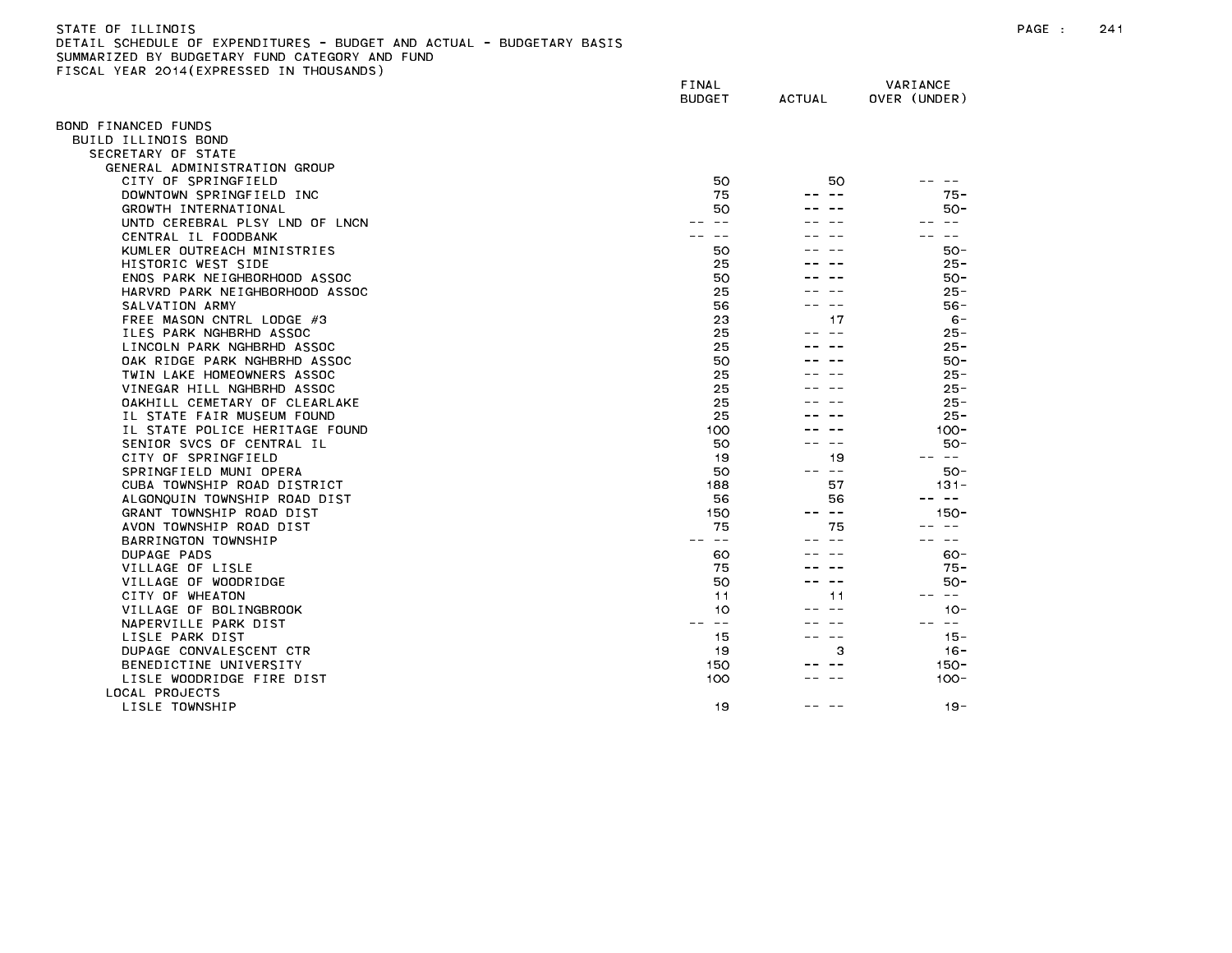| STATE OF ILLINOIS                                                     |
|-----------------------------------------------------------------------|
| DETAIL SCHEDULE OF EXPENDITURES - BUDGET AND ACTUAL - BUDGETARY BASIS |
| SUMMARIZED BY BUDGETARY FUND CATEGORY AND FUND                        |
| FISCAL YEAR 2014(EXPRESSED IN THOUSANDS)                              |

| $1.5.7$ $2.5.1$ $7.5.7$ $1.5.5$ $3.5.5$<br>. | FINAL<br><b>BUDGET</b> | <b>ACTUAL</b> | VARIANCE<br>OVER (UNDER) |
|----------------------------------------------|------------------------|---------------|--------------------------|
| BOND FINANCED FUNDS                          |                        |               |                          |
| BUILD ILLINOIS BOND                          |                        |               |                          |
| SECRETARY OF STATE                           |                        |               |                          |
| GENERAL ADMINISTRATION GROUP                 |                        |               |                          |
| CITY OF SPRINGFIELD                          | 50                     | 50            |                          |
| DOWNTOWN SPRINGFIELD INC                     | 75                     |               | $75 -$                   |
| GROWTH INTERNATIONAL                         | 50                     |               | $50 -$                   |
| UNTD CEREBRAL PLSY LND OF LNCN               |                        |               | $\sim$ $\sim$            |
| CENTRAL IL FOODBANK                          |                        |               |                          |
| KUMLER OUTREACH MINISTRIES                   | 50                     |               | $50 -$                   |
| HISTORIC WEST SIDE                           | 25                     |               | $25 -$                   |
| ENOS PARK NEIGHBORHOOD ASSOC                 | 50                     |               | $50 -$                   |
| HARVRD PARK NEIGHBORHOOD ASSOC               | 25                     |               | $25 -$                   |
| SALVATION ARMY                               | 56                     | $ -$          | $56 -$                   |
| FREE MASON CNTRL LODGE #3                    | 23                     | 17            | $6 -$                    |
| ILES PARK NGHBRHD ASSOC                      | 25                     | $ -$          | $25 -$                   |
| LINCOLN PARK NGHBRHD ASSOC                   | 25                     |               | $25 -$                   |
| OAK RIDGE PARK NGHBRHD ASSOC                 | 50                     |               | $50 -$                   |
| TWIN LAKE HOMEOWNERS ASSOC                   | 25                     |               | $25 -$                   |
| VINEGAR HILL NGHBRHD ASSOC                   | 25                     |               | $25 -$                   |
| OAKHILL CEMETARY OF CLEARLAKE                | 25                     |               | $25 -$                   |
| IL STATE FAIR MUSEUM FOUND                   | 25                     |               | $25 -$                   |
| IL STATE POLICE HERITAGE FOUND               | 100                    |               | $100 -$                  |
| SENIOR SVCS OF CENTRAL IL                    | 50                     |               | $50 -$                   |
| CITY OF SPRINGFIELD                          | 19                     | 19            | -- --                    |
| SPRINGFIELD MUNI OPERA                       | 50                     | -- --         | 50-                      |
| CUBA TOWNSHIP ROAD DISTRICT                  | 188                    | 57            | $131 -$                  |
| ALGONQUIN TOWNSHIP ROAD DIST                 | 56                     | 56            | $\sim$ $ -$              |
| GRANT TOWNSHIP ROAD DIST                     | 150                    | $ -$          | $150 -$                  |
| AVON TOWNSHIP ROAD DIST                      | 75                     | 75            | $- -$                    |
| BARRINGTON TOWNSHIP                          | $- -$                  |               | $- -$                    |
| DUPAGE PADS                                  | 60                     |               | $60 -$                   |
| VILLAGE OF LISLE                             | 75                     |               | $75 -$                   |
| VILLAGE OF WOODRIDGE                         | 50                     |               | $50 -$                   |
| CITY OF WHEATON                              | 11                     | 11            | $\sim$ $-$               |
| VILLAGE OF BOLINGBROOK                       | 10                     | $\sim$ $\sim$ | $10 -$                   |
| NAPERVILLE PARK DIST                         | $\sim$ $-$             |               | $\sim$ $-$               |
| LISLE PARK DIST                              | 15                     | $\sim$ $-$    | $15 -$                   |
| DUPAGE CONVALESCENT CTR                      | 19                     | 3             | $16 -$                   |
| BENEDICTINE UNIVERSITY                       | 150                    | $- -$         | $150 -$                  |
| LISLE WOODRIDGE FIRE DIST                    | 100                    |               | $100 -$                  |
| LOCAL PROJECTS                               |                        |               |                          |
| LISLE TOWNSHIP                               | 19                     |               | $19 -$                   |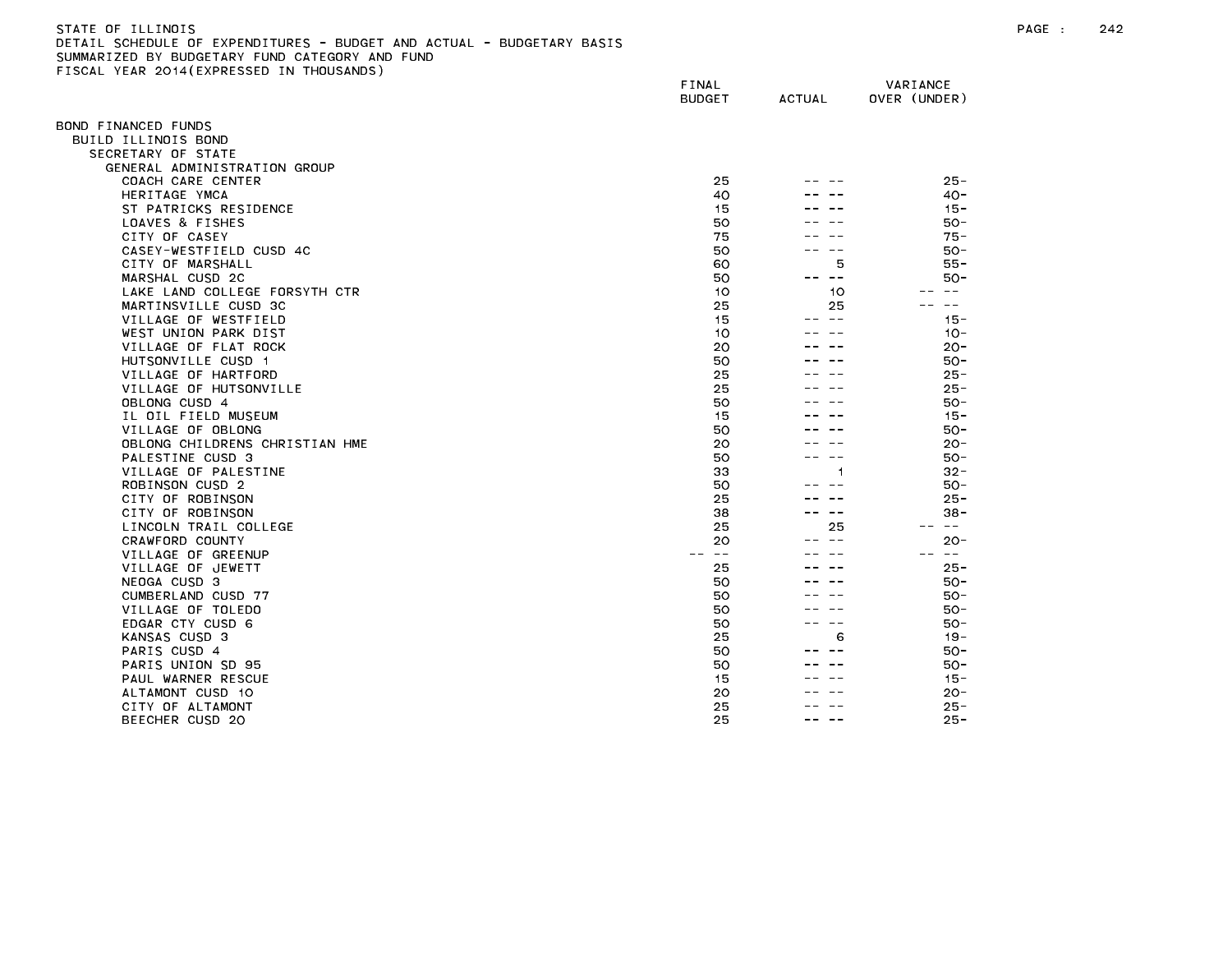| STATE OF ILLINOIS                                                     |
|-----------------------------------------------------------------------|
| DETAIL SCHEDULE OF EXPENDITURES - BUDGET AND ACTUAL - BUDGETARY BASIS |
| SUMMARIZED BY BUDGETARY FUND CATEGORY AND FUND                        |
| FISCAL YEAR 2014(EXPRESSED IN THOUSANDS)                              |

| TLAN LOTTLEAT RESSED IN THO    | FINAL<br><b>BUDGET</b> | <b>ACTUAL</b> | VARIANCE<br>OVER (UNDER) |
|--------------------------------|------------------------|---------------|--------------------------|
| 3OND FINANCED FUNDS            |                        |               |                          |
| BUILD ILLINOIS BOND            |                        |               |                          |
| SECRETARY OF STATE             |                        |               |                          |
| GENERAL ADMINISTRATION GROUP   |                        |               |                          |
| COACH CARE CENTER              | 25                     |               | $25 -$                   |
| HERITAGE YMCA                  | 40                     |               | $40 -$                   |
| ST PATRICKS RESIDENCE          | 15                     |               | $15 -$                   |
| LOAVES & FISHES                | 50                     |               | $50 -$                   |
| CITY OF CASEY                  | 75                     |               | $75 -$                   |
| CASEY-WESTFIELD CUSD 4C        | 50                     |               | $50 -$                   |
| CITY OF MARSHALL               | 60                     | 5             | $55 -$                   |
| MARSHAL CUSD 2C                | 50                     | $- -$<br>- -  | $50 -$                   |
| LAKE LAND COLLEGE FORSYTH CTR  | 10                     | 10            | $\sim$ $-$               |
| MARTINSVILLE CUSD 3C           | 25                     | 25            | $- -$                    |
| VILLAGE OF WESTFIELD           | 15                     | $- -$         | $15 -$                   |
| WEST UNION PARK DIST           | 10                     |               | $10 -$                   |
| VILLAGE OF FLAT ROCK           | 20                     |               | $20 -$                   |
| HUTSONVILLE CUSD 1             | 50                     |               | $50 -$                   |
| VILLAGE OF HARTFORD            | 25                     |               | $25 -$                   |
| VILLAGE OF HUTSONVILLE         | 25                     |               | $25 -$                   |
| OBLONG CUSD 4                  | 50                     |               | $50 -$                   |
| IL OIL FIELD MUSEUM            | 15                     |               | $15 -$                   |
| VILLAGE OF OBLONG              | 50                     |               | $50 -$                   |
| OBLONG CHILDRENS CHRISTIAN HME | 20                     |               | $20 -$                   |
| PALESTINE CUSD 3               | 50                     | $- -$         | $50 -$                   |
| VILLAGE OF PALESTINE           | 33                     | 1             | $32 -$                   |
| ROBINSON CUSD 2                | 50                     |               | $50 -$                   |
| CITY OF ROBINSON               | 25                     |               | $25 -$                   |
| CITY OF ROBINSON               | 38                     | $\sim$ $-$    | $38 -$                   |
| LINCOLN TRAIL COLLEGE          | 25                     | 25            | $\sim$ $-$               |
| CRAWFORD COUNTY                | 20                     | $\sim$ $-$    | $20 -$                   |
| VILLAGE OF GREENUP             | $\sim$ $-$             |               |                          |
| VILLAGE OF JEWETT              | 25                     |               | $25 -$                   |
| NEOGA CUSD 3                   | 50                     |               | $50 -$                   |
| CUMBERLAND CUSD 77             | 50                     |               | $50 -$                   |
| VILLAGE OF TOLEDO              | 50                     |               | $50 -$                   |
| EDGAR CTY CUSD 6               | 50                     | $- -$         | $50 -$                   |
| KANSAS CUSD 3                  | 25                     | 6             | $19 -$                   |
| PARIS CUSD 4                   | 50                     |               | $50 -$                   |
| PARIS UNION SD 95              | 50                     |               | $50 -$                   |
| PAUL WARNER RESCUE             | 15                     |               | $15 -$                   |
| ALTAMONT CUSD 10               | 20                     |               | $20 -$                   |
| CITY OF ALTAMONT               | 25                     | -- --         | $25 -$                   |
| BEECHER CUSD 20                | 25                     |               | $25 -$                   |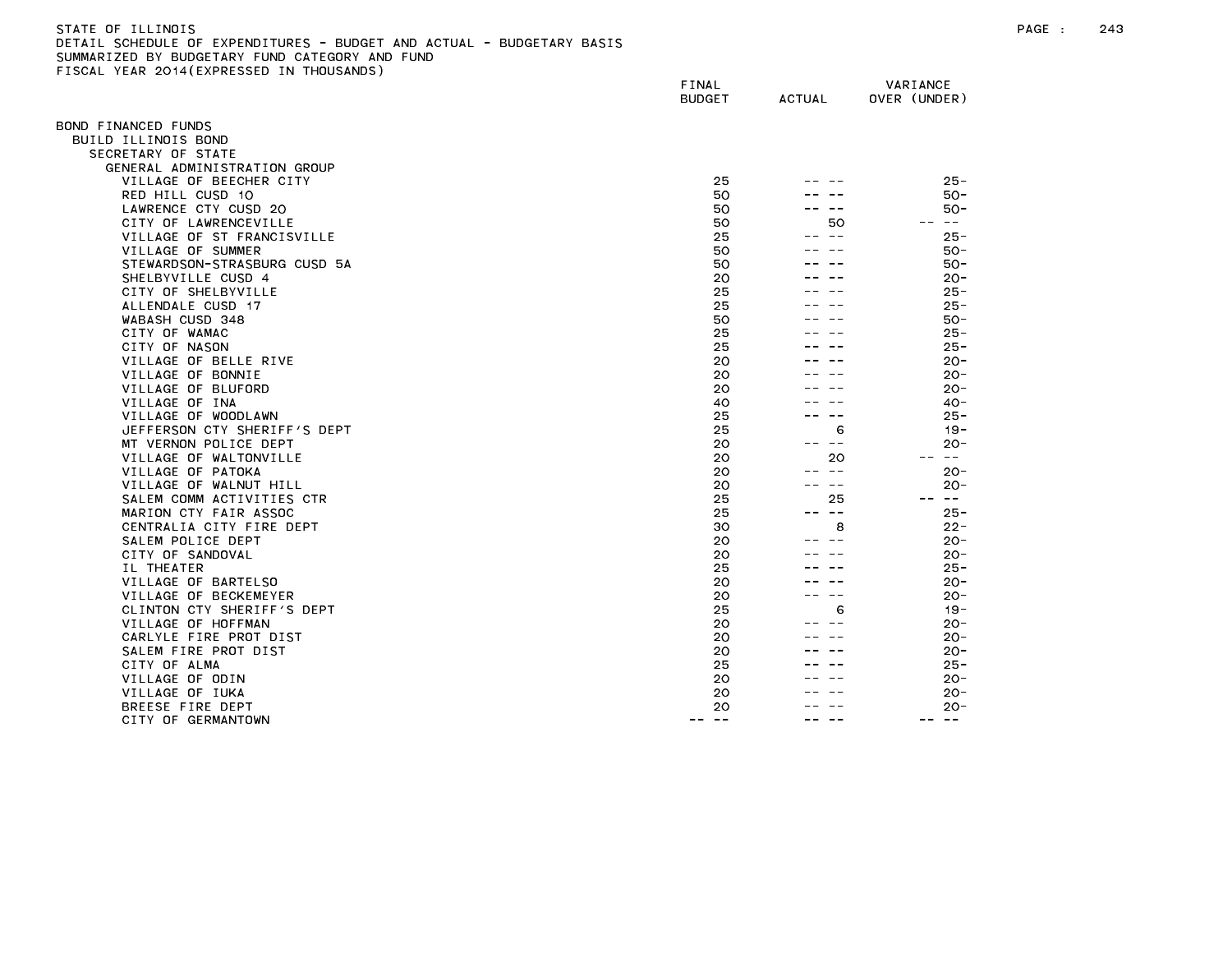| STATE OF ILLINOIS                                                     |
|-----------------------------------------------------------------------|
| DETAIL SCHEDULE OF EXPENDITURES - BUDGET AND ACTUAL - BUDGETARY BASIS |
| SUMMARIZED BY BUDGETARY FUND CATEGORY AND FUND                        |
| FISCAL YEAR 2014(EXPRESSED IN THOUSANDS)                              |

| ISSAE TEAN ESTATEMINESSED    | FINAL<br><b>BUDGET</b> | <b>ACTUAL</b> | VARIANCE<br>OVER (UNDER) |
|------------------------------|------------------------|---------------|--------------------------|
| OND FINANCED FUNDS:          |                        |               |                          |
| BUILD ILLINOIS BOND          |                        |               |                          |
| SECRETARY OF STATE           |                        |               |                          |
| GENERAL ADMINISTRATION GROUP |                        |               |                          |
| VILLAGE OF BEECHER CITY      | 25                     |               | $25 -$                   |
| RED HILL CUSD 10             | 50                     |               | $50 -$                   |
| LAWRENCE CTY CUSD 20         | 50                     |               | 50 -                     |
| CITY OF LAWRENCEVILLE        | 50                     | 50            | -- --                    |
| VILLAGE OF ST FRANCISVILLE   | 25                     | -- --         | $25 -$                   |
| VILLAGE OF SUMMER            | 50                     |               | $50 -$                   |
| STEWARDSON-STRASBURG CUSD 5A | 50                     |               | $50 -$                   |
| SHELBYVILLE CUSD 4           | 20                     |               | $20 -$                   |
| CITY OF SHELBYVILLE          | 25                     |               | $25 -$                   |
| ALLENDALE CUSD 17            | 25                     |               | $25 -$                   |
| WABASH CUSD 348              | 50                     |               | $50 -$                   |
| CITY OF WAMAC                | 25                     |               | $25 -$                   |
| CITY OF NASON                | 25                     |               | $25 -$                   |
| VILLAGE OF BELLE RIVE        | 20                     |               | $20 -$                   |
| VILLAGE OF BONNIE            | 20                     |               | $20 -$                   |
| VILLAGE OF BLUFORD           | 20                     |               | $20 -$                   |
| VILLAGE OF INA               | 40                     |               | $40 -$                   |
| VILLAGE OF WOODLAWN          | 25                     |               | $25 -$                   |
| JEFFERSON CTY SHERIFF'S DEPT | 25                     | 6             | $19 -$                   |
| MT VERNON POLICE DEPT        | 20                     | ———           | $20 -$                   |
| VILLAGE OF WALTONVILLE       | 20                     | 20            | $\sim 100$               |
| VILLAGE OF PATOKA            | 20                     | $- -$         | $20 -$                   |
| VILLAGE OF WALNUT HILL       | 20                     | $- -$         | $20 -$                   |
| SALEM COMM ACTIVITIES CTR    | 25                     | 25            | -- --                    |
| MARION CTY FAIR ASSOC        | 25                     | -- --         | $25 -$                   |
| CENTRALIA CITY FIRE DEPT     | 30                     | 8             | $22 -$                   |
| SALEM POLICE DEPT            | 20                     |               | $20 -$                   |
| CITY OF SANDOVAL             | 20                     |               | $20 -$                   |
| IL THEATER                   | 25                     |               | $25 -$                   |
| VILLAGE OF BARTELSO          | 20                     |               | $20 -$                   |
| VILLAGE OF BECKEMEYER        | 20                     | $- -$         | $20 -$                   |
| CLINTON CTY SHERIFF'S DEPT   | 25                     | 6             | $19 -$                   |
| VILLAGE OF HOFFMAN           | 20                     |               | $20 -$                   |
| CARLYLE FIRE PROT DIST       | 20                     |               | $20 -$                   |
| SALEM FIRE PROT DIST         | 20                     |               | $20 -$                   |
| CITY OF ALMA                 | 25                     |               | $25 -$                   |
| VILLAGE OF ODIN              | 20                     |               | $20 -$                   |
| VILLAGE OF IUKA              | 20                     |               | $20 -$                   |
| BREESE FIRE DEPT             | 20<br>$- -$<br>- - -   | ---           | $20 -$<br>-- --          |
| CITY OF GERMANTOWN           |                        |               |                          |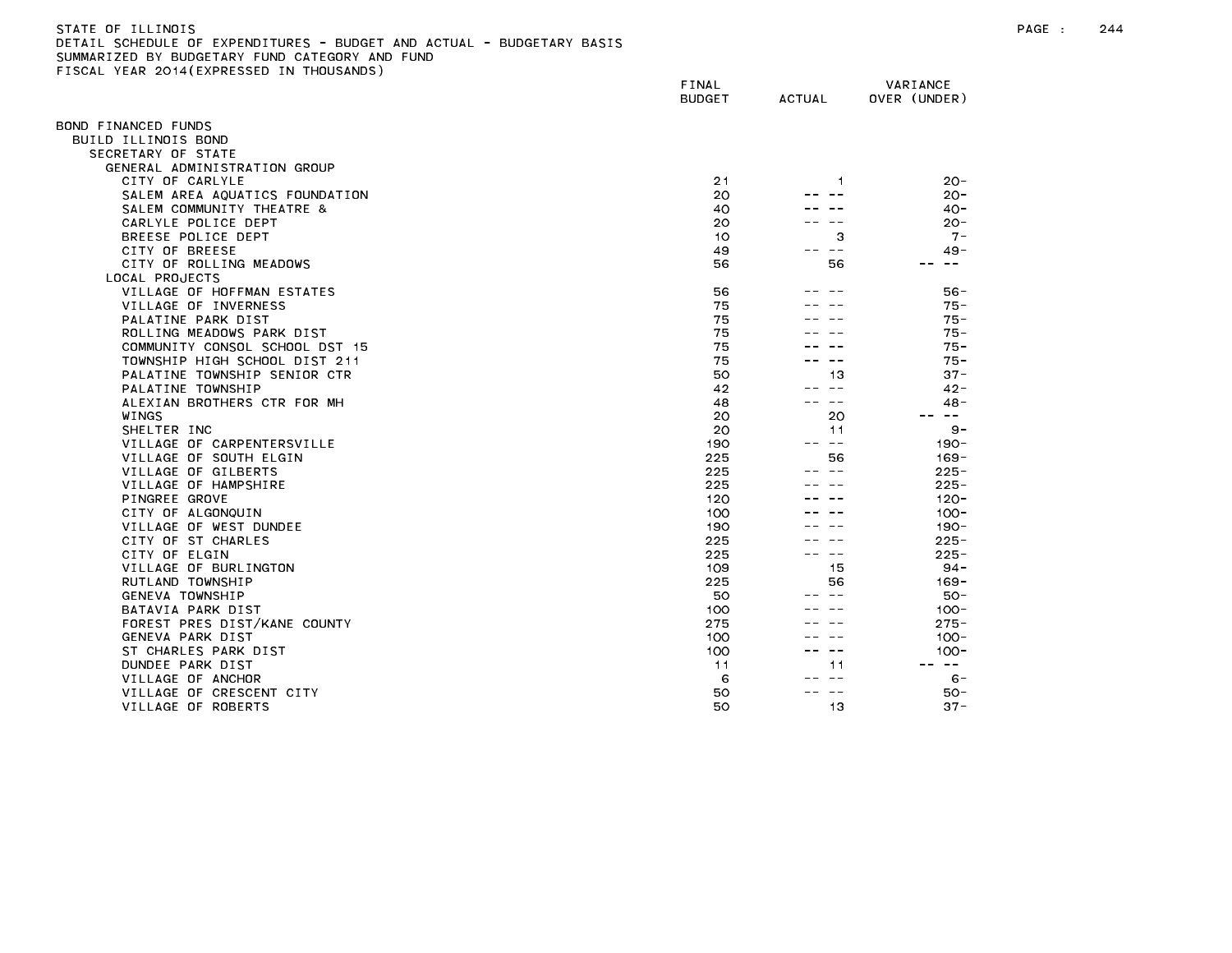| STATE OF ILLINOIS                                                     |
|-----------------------------------------------------------------------|
| DETAIL SCHEDULE OF EXPENDITURES - BUDGET AND ACTUAL - BUDGETARY BASIS |
| SUMMARIZED BY BUDGETARY FUND CATEGORY AND FUND                        |
| FISCAL YEAR 2014(EXPRESSED IN THOUSANDS)                              |

| ISSAE TEAN ESTATENTNESSED IN   | FINAL<br><b>BUDGET</b> | <b>ACTUAL</b>               | VARIANCE<br>OVER (UNDER) |
|--------------------------------|------------------------|-----------------------------|--------------------------|
| OND FINANCED FUNDS             |                        |                             |                          |
| BUILD ILLINOIS BOND            |                        |                             |                          |
| SECRETARY OF STATE             |                        |                             |                          |
| GENERAL ADMINISTRATION GROUP   |                        |                             |                          |
| CITY OF CARLYLE                | 21                     | 1                           | $20 -$                   |
| SALEM AREA AQUATICS FOUNDATION | 20                     |                             | $20 -$                   |
| SALEM COMMUNITY THEATRE &      | 40                     |                             | $40 -$                   |
| CARLYLE POLICE DEPT            | 20                     |                             | $20 -$                   |
| BREESE POLICE DEPT             | 10                     | з                           | $7 -$                    |
| CITY OF BREESE                 | 49                     | $\sim$ $-$                  | $49 -$                   |
| CITY OF ROLLING MEADOWS        | 56                     | 56                          | $\sim$ $-$               |
| LOCAL PROJECTS                 |                        |                             |                          |
| VILLAGE OF HOFFMAN ESTATES     | 56                     |                             | $56 -$                   |
| VILLAGE OF INVERNESS           | 75                     |                             | $75 -$                   |
| PALATINE PARK DIST             | 75                     |                             | $75 -$                   |
| ROLLING MEADOWS PARK DIST      | 75                     |                             | $75 -$                   |
| COMMUNITY CONSOL SCHOOL DST 15 | 75                     |                             | $75 -$                   |
| TOWNSHIP HIGH SCHOOL DIST 211  | 75                     |                             | $75 -$                   |
| PALATINE TOWNSHIP SENIOR CTR   | 50                     | 13                          | $37 -$                   |
| PALATINE TOWNSHIP              | 42                     | -- --                       | $42 -$                   |
| ALEXIAN BROTHERS CTR FOR MH    | 48                     | $\sim$ $\sim$               | $48 -$                   |
| WINGS                          | 20                     | 20                          | $- -$                    |
| SHELTER INC                    | 20                     | 11                          | 9 -                      |
| VILLAGE OF CARPENTERSVILLE     | 190                    | $\rightarrow$ $\rightarrow$ | $190 -$                  |
| VILLAGE OF SOUTH ELGIN         | 225                    | 56                          | $169 -$                  |
| VILLAGE OF GILBERTS            | 225                    |                             | $225 -$                  |
| VILLAGE OF HAMPSHIRE           | 225                    |                             | $225 -$                  |
| PINGREE GROVE                  | 120                    |                             | $120 -$                  |
| CITY OF ALGONQUIN              | 100                    |                             | $100 -$                  |
| VILLAGE OF WEST DUNDEE         | 190                    |                             | $190 -$                  |
| CITY OF ST CHARLES             | 225                    |                             | $225 -$                  |
| CITY OF ELGIN                  | 225                    | $- -$                       | $225 -$                  |
| VILLAGE OF BURLINGTON          | 109                    | 15                          | $94 -$                   |
| RUTLAND TOWNSHIP               | 225                    | 56                          | $169 -$                  |
| GENEVA TOWNSHIP                | 50                     | $ -$                        | 50-                      |
| BATAVIA PARK DIST              | 100                    |                             | $100 -$                  |
| FOREST PRES DIST/KANE COUNTY   | 275                    |                             | $275 -$                  |
| GENEVA PARK DIST               | 100                    |                             | $100 -$                  |
| ST CHARLES PARK DIST           | 100                    |                             | $100 -$                  |
| DUNDEE PARK DIST               | 11                     | 11                          | $\sim$ $-$               |
| VILLAGE OF ANCHOR              | 6                      | $- -$                       | $6 -$                    |
| VILLAGE OF CRESCENT CITY       | 50                     | $- -$                       | 50-                      |
| VILLAGE OF ROBERTS             | 50                     | 13                          | $37 -$                   |
|                                |                        |                             |                          |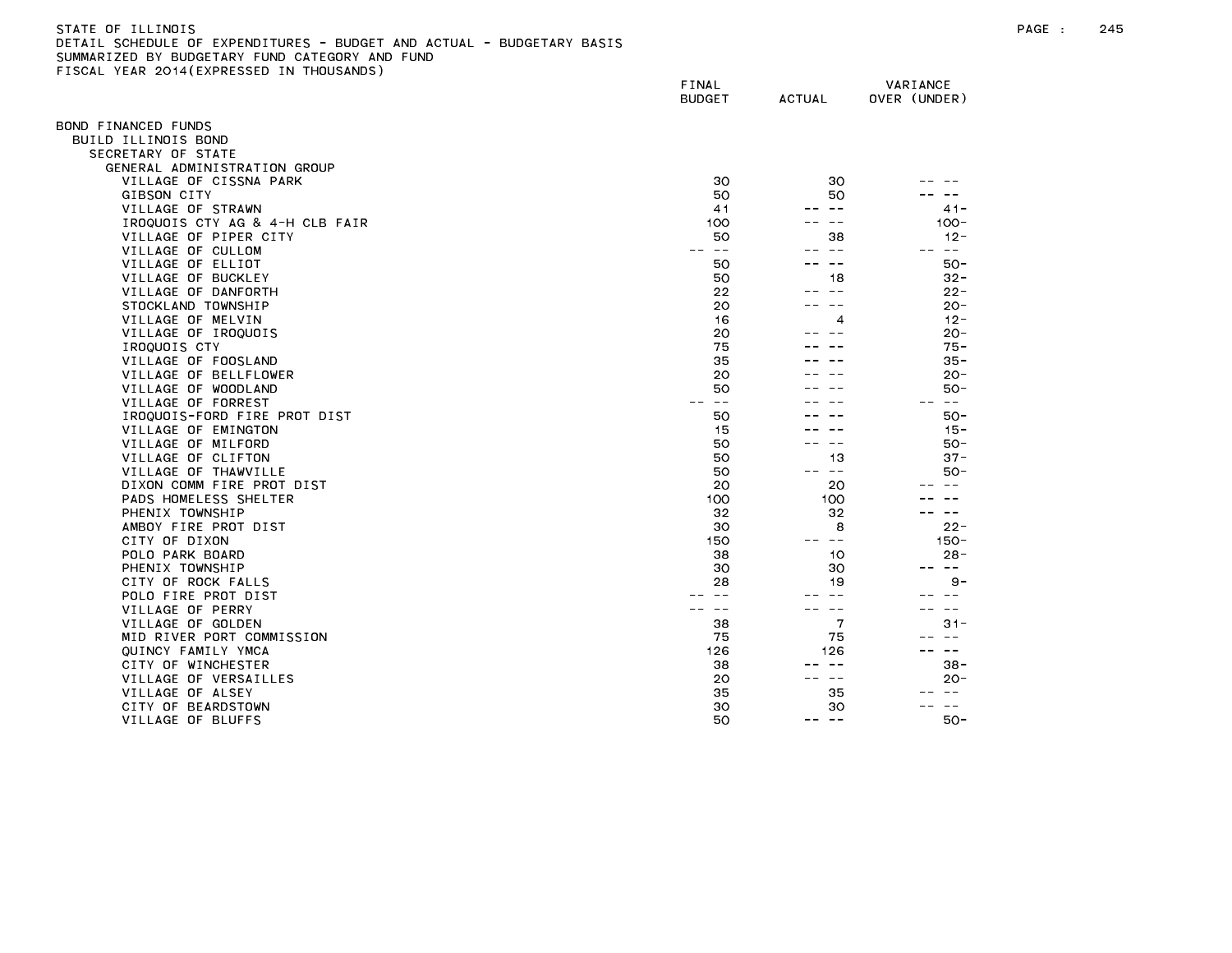| STATE OF ILLINOIS                                                     |
|-----------------------------------------------------------------------|
| DETAIL SCHEDULE OF EXPENDITURES - BUDGET AND ACTUAL - BUDGETARY BASIS |
| SUMMARIZED BY BUDGETARY FUND CATEGORY AND FUND                        |
| FISCAL YEAR 2014(EXPRESSED IN THOUSANDS)                              |

| ISSAL TEAN ESTATEM NESSED                | FINAL<br><b>BUDGET</b> | <b>ACTUAL</b> | VARIANCE<br>OVER (UNDER) |
|------------------------------------------|------------------------|---------------|--------------------------|
| OND FINANCED FUNDS                       |                        |               |                          |
| BUILD ILLINOIS BOND                      |                        |               |                          |
| SECRETARY OF STATE                       |                        |               |                          |
| GENERAL ADMINISTRATION GROUP             |                        |               |                          |
| VILLAGE OF CISSNA PARK                   | 30                     | 30            |                          |
| GIBSON CITY                              | 50                     | 50            |                          |
| VILLAGE OF STRAWN                        | 41                     | $\sim$ $\sim$ | $41 -$                   |
| IROQUOIS CTY AG & 4-H CLB FAIR           | 100                    | $ -$          | $100 -$                  |
| VILLAGE OF PIPER CITY                    | 50                     | 38            | $12 -$                   |
| VILLAGE OF CULLOM                        | $\sim$ $-$             | $- -$         | $\sim$ $-$               |
| VILLAGE OF ELLIOT                        | 50                     | $\sim$ $-$    | 50-                      |
| VILLAGE OF BUCKLEY                       | 50                     | 18            | $32 -$                   |
| VILLAGE OF DANFORTH                      | 22                     | $- -$         | $22 -$                   |
| STOCKLAND TOWNSHIP                       | 20                     |               | $20 -$                   |
| VILLAGE OF MELVIN                        | 16                     | 4             | $12 -$                   |
| VILLAGE OF IROQUOIS                      | 20                     |               | $20 -$                   |
| IROQUOIS CTY                             | 75                     |               | $75 -$                   |
| VILLAGE OF FOOSLAND                      | 35                     |               | $35 -$                   |
| VILLAGE OF BELLFLOWER                    | 20                     |               | $20 -$                   |
| VILLAGE OF WOODLAND                      | 50                     |               | $50 -$                   |
| VILLAGE OF FORREST                       | $- -$<br>$ -$          |               | $\sim$ $-$               |
| IROQUOIS-FORD FIRE PROT DIST             | 50                     |               | $50 -$                   |
| VILLAGE OF EMINGTON                      | 15                     |               | $15 -$                   |
|                                          |                        |               | $50 -$                   |
| VILLAGE OF MILFORD<br>VILLAGE OF CLIFTON | 50<br>50               | 13            | $37 -$                   |
|                                          |                        | $\sim$ $-$    |                          |
| VILLAGE OF THAWVILLE                     | 50<br>20               | 20            | $50 -$<br>$\sim$ $\sim$  |
| DIXON COMM FIRE PROT DIST                |                        |               |                          |
| PADS HOMELESS SHELTER                    | 100                    | 100           |                          |
| PHENIX TOWNSHIP                          | 32                     | 32            | $- -$                    |
| AMBOY FIRE PROT DIST                     | 30                     | 8             | $22 -$                   |
| CITY OF DIXON                            | 150                    | $\sim$ $-$    | $150 -$                  |
| POLO PARK BOARD                          | 38                     | 10            | $28 -$<br>$- -$          |
| PHENIX TOWNSHIP                          | 30                     | 30            |                          |
| CITY OF ROCK FALLS                       | 28                     | 19            | $9 -$                    |
| POLO FIRE PROT DIST                      |                        |               |                          |
| VILLAGE OF PERRY                         | $\sim$ $-$             | $\sim$ $-$    | $- -$                    |
| VILLAGE OF GOLDEN                        | 38                     | 7             | $31 -$                   |
| MID RIVER PORT COMMISSION                | 75                     | 75            |                          |
| QUINCY FAMILY YMCA                       | 126                    | 126           | $- -$                    |
| CITY OF WINCHESTER                       | 38                     | $\sim$ $-$    | $38 -$                   |
| VILLAGE OF VERSAILLES                    | 20                     | $\sim$ $-$    | $20 -$                   |
| VILLAGE OF ALSEY                         | 35                     | 35            | $\sim$ $-$               |
| CITY OF BEARDSTOWN                       | 30                     | 30            | $\frac{1}{2}$            |
| VILLAGE OF BLUFFS                        | 50                     | $- -$         | $50-$                    |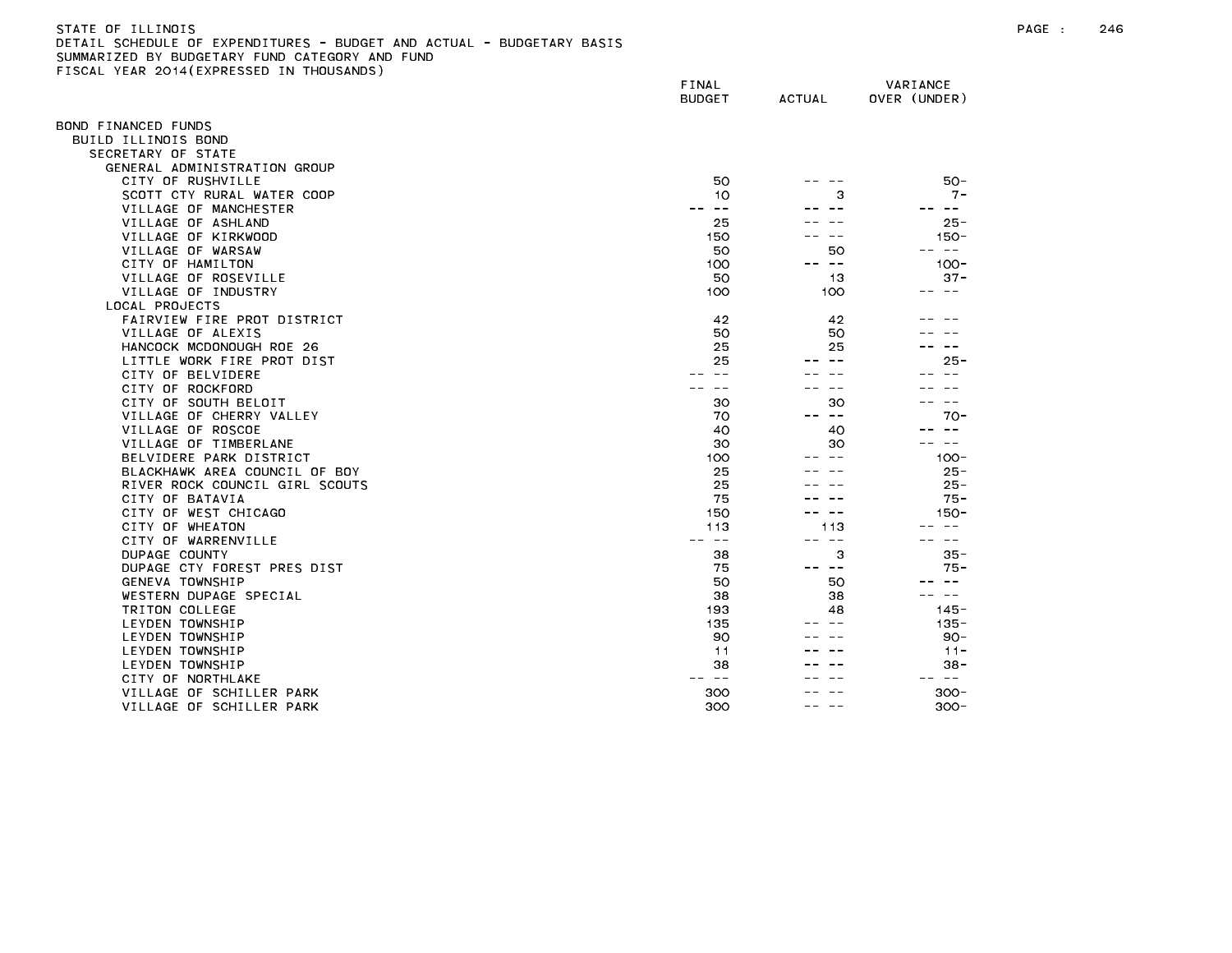| STATE OF ILLINOIS                                                     |  |
|-----------------------------------------------------------------------|--|
| DETAIL SCHEDULE OF EXPENDITURES - BUDGET AND ACTUAL - BUDGETARY BASIS |  |
| SUMMARIZED BY BUDGETARY FUND CATEGORY AND FUND                        |  |
| FISCAL YEAR 2014(EXPRESSED IN THOUSANDS)                              |  |

| ISSAE TEAN ESTATEMINESSED      | FINAL<br><b>BUDGET</b> | <b>ACTUAL</b>            | VARIANCE<br>OVER (UNDER) |
|--------------------------------|------------------------|--------------------------|--------------------------|
| OND FINANCED FUNDS             |                        |                          |                          |
| BUILD ILLINOIS BOND            |                        |                          |                          |
| SECRETARY OF STATE             |                        |                          |                          |
| GENERAL ADMINISTRATION GROUP   |                        |                          |                          |
| CITY OF RUSHVILLE              | 50                     |                          | $50 -$                   |
| SCOTT CTY RURAL WATER COOP     | 10                     | з                        | $7 -$                    |
| VILLAGE OF MANCHESTER          | $- -$                  |                          | $- -$                    |
| VILLAGE OF ASHLAND             | 25                     |                          | $25 -$                   |
| VILLAGE OF KIRKWOOD            | 150                    |                          | $150 -$                  |
| VILLAGE OF WARSAW              | 50                     | 50                       | س س                      |
| CITY OF HAMILTON               | 100                    | ست س                     | $100 -$                  |
| VILLAGE OF ROSEVILLE           | 50                     | 13                       | $37 -$                   |
| VILLAGE OF INDUSTRY            | 100                    | 100                      | -- --                    |
| LOCAL PROJECTS                 |                        |                          |                          |
| FAIRVIEW FIRE PROT DISTRICT    | 42                     | 42                       |                          |
| VILLAGE OF ALEXIS              | 50                     | 50                       |                          |
| HANCOCK MCDONOUGH ROE 26       | 25                     | 25                       |                          |
| LITTLE WORK FIRE PROT DIST     | 25                     |                          | $25 -$                   |
| CITY OF BELVIDERE              | $\sim$ $\sim$          |                          | $\sim$ $-$               |
| CITY OF ROCKFORD               |                        |                          |                          |
| CITY OF SOUTH BELOIT           | 30                     | 30                       | $\sim$ $\sim$            |
| VILLAGE OF CHERRY VALLEY       | 70                     | $\overline{\phantom{m}}$ | $70-$                    |
| VILLAGE OF ROSCOE              | 40                     | 40                       |                          |
| VILLAGE OF TIMBERLANE          | 30                     | 30                       |                          |
| BELVIDERE PARK DISTRICT        | 100                    |                          | $100 -$                  |
| BLACKHAWK AREA COUNCIL OF BOY  | 25                     |                          | $25 -$                   |
| RIVER ROCK COUNCIL GIRL SCOUTS | 25                     |                          | $25 -$                   |
| CITY OF BATAVIA                | 75                     |                          | $75 -$                   |
| CITY OF WEST CHICAGO           | 150                    |                          | 150-                     |
| CITY OF WHEATON                | 113                    | 113                      | $\sim$ $\sim$            |
| CITY OF WARRENVILLE            | $\sim$ $-$             | $\sim$ $-$               | $\sim$ $\sim$            |
| DUPAGE COUNTY                  | 38                     | з                        | $35 -$                   |
| DUPAGE CTY FOREST PRES DIST    | 75                     | -- --                    | $75 -$                   |
| GENEVA TOWNSHIP                | 50                     | 50                       | $ -$                     |
| WESTERN DUPAGE SPECIAL         | 38                     | 38                       | $\sim$ $-$               |
| TRITON COLLEGE                 | 193                    | 48                       | $145 -$                  |
| LEYDEN TOWNSHIP                | 135                    |                          | $135 -$                  |
| LEYDEN TOWNSHIP                | 90                     |                          | $90 -$                   |
| LEYDEN TOWNSHIP                | 11                     |                          | $11 -$                   |
| LEYDEN TOWNSHIP                | 38                     |                          | $38 -$                   |
| CITY OF NORTHLAKE              | ——<br>--               |                          | $\sim$ $-$<br>$- -$      |
| VILLAGE OF SCHILLER PARK       | 300                    |                          | $300 -$                  |
| VILLAGE OF SCHILLER PARK       | 300                    |                          | $300 -$                  |
|                                |                        |                          |                          |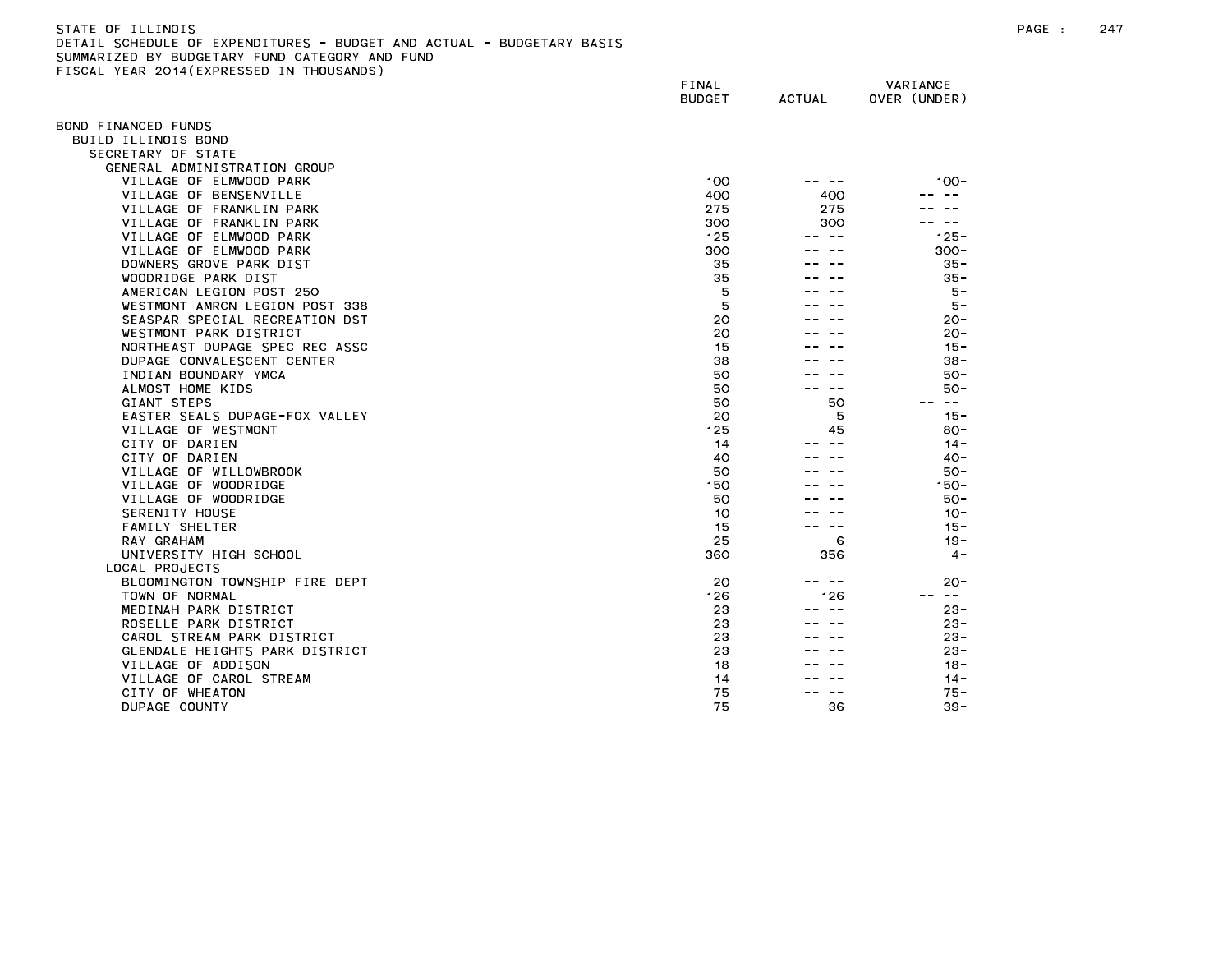| STATE OF ILLINOIS                                                     |
|-----------------------------------------------------------------------|
| DETAIL SCHEDULE OF EXPENDITURES - BUDGET AND ACTUAL - BUDGETARY BASIS |
| SUMMARIZED BY BUDGETARY FUND CATEGORY AND FUND                        |
| FISCAL YEAR 2014(EXPRESSED IN THOUSANDS)                              |

|                                | FINAL<br><b>BUDGET</b> | <b>ACTUAL</b>     | VARIANCE<br>OVER (UNDER) |
|--------------------------------|------------------------|-------------------|--------------------------|
| BOND FINANCED FUNDS            |                        |                   |                          |
| BUILD ILLINOIS BOND            |                        |                   |                          |
| SECRETARY OF STATE             |                        |                   |                          |
| GENERAL ADMINISTRATION GROUP   |                        |                   |                          |
| VILLAGE OF ELMWOOD PARK        | 100                    |                   | $100 -$                  |
| VILLAGE OF BENSENVILLE         | 400                    | 400               |                          |
| VILLAGE OF FRANKLIN PARK       | 275                    | 275               |                          |
| VILLAGE OF FRANKLIN PARK       | 300                    | 300               |                          |
| VILLAGE OF ELMWOOD PARK        | 125                    | -- --             | $125 -$                  |
| VILLAGE OF ELMWOOD PARK        | 300                    |                   | $300 -$                  |
| DOWNERS GROVE PARK DIST        | 35                     |                   | $35 -$                   |
| WOODRIDGE PARK DIST            | 35                     |                   | 35 -                     |
| AMERICAN LEGION POST 250       | 5                      |                   | 5 –                      |
| WESTMONT AMRCN LEGION POST 338 | 5                      |                   | $5 -$                    |
| SEASPAR SPECIAL RECREATION DST | 20                     |                   | $20 -$                   |
| WESTMONT PARK DISTRICT         | 20                     |                   | $20 -$                   |
| NORTHEAST DUPAGE SPEC REC ASSC | 15                     |                   | $15 -$                   |
| DUPAGE CONVALESCENT CENTER     | 38                     |                   | $38 -$                   |
| INDIAN BOUNDARY YMCA           | 50                     |                   | $50 -$                   |
| ALMOST HOME KIDS               | 50                     |                   | $50 -$                   |
| GIANT STEPS                    | 50                     | 50                | $\sim$ $-$               |
| EASTER SEALS DUPAGE-FOX VALLEY | 20                     | 5                 | $15 -$                   |
| VILLAGE OF WESTMONT            | 125                    | 45                | $80 -$                   |
| CITY OF DARIEN                 | 14                     |                   | $14 -$                   |
| CITY OF DARIEN                 | 40                     |                   | $40 -$                   |
| VILLAGE OF WILLOWBROOK         | 50                     |                   | $50 -$                   |
| VILLAGE OF WOODRIDGE           | 150                    |                   | $150 -$                  |
| VILLAGE OF WOODRIDGE           | 50                     |                   | $50 -$                   |
| SERENITY HOUSE                 | 10                     |                   | $10 -$                   |
| FAMILY SHELTER                 | 15                     |                   | $15 -$                   |
| RAY GRAHAM                     | 25                     | 6                 | $19 -$                   |
| UNIVERSITY HIGH SCHOOL         | 360                    | 356               | $4 -$                    |
| LOCAL PROJECTS                 |                        |                   |                          |
| BLOOMINGTON TOWNSHIP FIRE DEPT | 20                     | $\sim$ $-$<br>- - | 20-                      |
| TOWN OF NORMAL                 | 126                    | 126               | $\sim$ $-$               |
| MEDINAH PARK DISTRICT          | 23                     | $ -$              | $23 -$                   |
| ROSELLE PARK DISTRICT          | 23                     |                   | $23 -$                   |
| CAROL STREAM PARK DISTRICT     | 23                     |                   | $23 -$                   |
| GLENDALE HEIGHTS PARK DISTRICT | 23                     |                   | $23 -$                   |
| VILLAGE OF ADDISON             | 18                     |                   | $18 -$                   |
| VILLAGE OF CAROL STREAM        | 14                     |                   | $14 -$                   |
| CITY OF WHEATON                | 75                     |                   | 75 -                     |
| DUPAGE COUNTY                  | 75                     | 36                | $39 -$                   |
|                                |                        |                   |                          |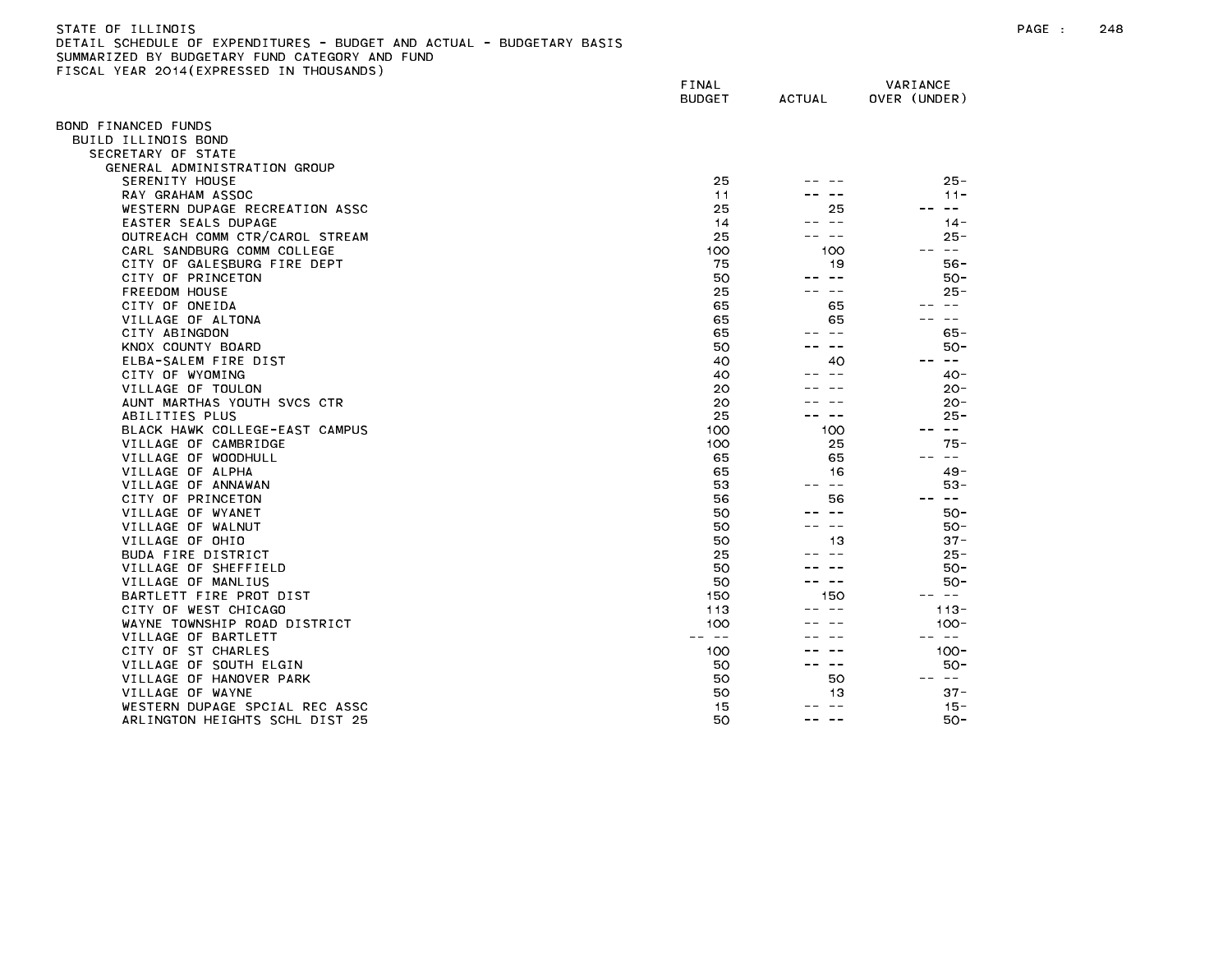## STATE OF ILLINOIS PAGE : 248 DETAIL SCHEDULE OF EXPENDITURES - BUDGET AND ACTUAL - BUDGETARY BASIS SUMMARIZED BY BUDGETARY FUND CATEGORY AND FUND FISCAL YEAR 2014(EXPRESSED IN THOUSANDS)

| ISSAL TEAN ESTATEM NESSED      | FINAL<br><b>BUDGET</b> | <b>ACTUAL</b>     | VARIANCE<br>OVER (UNDER) |
|--------------------------------|------------------------|-------------------|--------------------------|
| OND FINANCED FUNDS             |                        |                   |                          |
| BUILD ILLINOIS BOND            |                        |                   |                          |
| SECRETARY OF STATE             |                        |                   |                          |
| GENERAL ADMINISTRATION GROUP   |                        |                   |                          |
| SERENITY HOUSE                 | 25                     |                   | $25 -$                   |
| RAY GRAHAM ASSOC               | 11                     |                   | $11 -$                   |
| WESTERN DUPAGE RECREATION ASSC | 25                     | 25                | $\sim$ $-$               |
| EASTER SEALS DUPAGE            | 14                     | $\sim$ $-$        | $14 -$                   |
| OUTREACH COMM CTR/CAROL STREAM | 25                     | $\sim$ $-$        | $25 -$                   |
| CARL SANDBURG COMM COLLEGE     | 100                    | 100               | $\sim$ $ -$              |
| CITY OF GALESBURG FIRE DEPT    | 75                     | 19                | $56 -$                   |
| CITY OF PRINCETON              | 50                     | $\qquad \qquad -$ | 50 -                     |
| FREEDOM HOUSE                  | 25                     | $- -$             | $25 -$                   |
| CITY OF ONEIDA                 | 65                     | 65                |                          |
| VILLAGE OF ALTONA              | 65                     | 65                | $- -$                    |
| CITY ABINGDON                  | 65                     | $\sim$ $-$        | $65 -$                   |
| KNOX COUNTY BOARD              | 50                     | $- -$             | 50 -                     |
| ELBA-SALEM FIRE DIST           | 40                     | 40                | $- -$<br>$- -$           |
| CITY OF WYOMING                | 40                     | $\sim$ $-$        | $40 -$                   |
| VILLAGE OF TOULON              | 20                     |                   | $20 -$                   |
| AUNT MARTHAS YOUTH SVCS CTR    | 20                     |                   | $20 -$                   |
| ABILITIES PLUS                 | 25                     | — —               | $25 -$                   |
| BLACK HAWK COLLEGE-EAST CAMPUS | 100                    | 100               | -- --                    |
| VILLAGE OF CAMBRIDGE           | 100                    | 25                | 75 -                     |
| VILLAGE OF WOODHULL            | 65                     | 65                | $- -$                    |
| VILLAGE OF ALPHA               | 65                     | 16                | $49 -$                   |
| VILLAGE OF ANNAWAN             | 53                     | $\sim$ $-$        | 53-                      |
| CITY OF PRINCETON              | 56                     | 56                | $\sim$ $-$               |
| VILLAGE OF WYANET              | 50                     | $- -$             | $50 -$                   |
| VILLAGE OF WALNUT              | 50                     | $\sim$ $-$        | $50 -$                   |
| VILLAGE OF OHIO                | 50                     | 13                | $37 -$                   |
| BUDA FIRE DISTRICT             | 25                     | $\sim$ $-$        | $25 -$                   |
| VILLAGE OF SHEFFIELD           | 50                     |                   | $50 -$                   |
| VILLAGE OF MANLIUS             | 50                     | $\sim$ $-$        | $50 -$                   |
| BARTLETT FIRE PROT DIST        | 150                    | 150               | $- -$                    |
| CITY OF WEST CHICAGO           | 113                    |                   | $113 -$                  |
| WAYNE TOWNSHIP ROAD DISTRICT   | 100                    |                   | $100 -$                  |
| VILLAGE OF BARTLETT            | $\sim$ $-$             |                   | $\sim$ $-$               |
| CITY OF ST CHARLES             | 100                    |                   | $100 -$                  |
| VILLAGE OF SOUTH ELGIN         | 50                     | -- --             | $50 -$                   |
| VILLAGE OF HANOVER PARK        | 50                     | 50                | -- --                    |
| VILLAGE OF WAYNE               | 50                     | 13                | $37 -$                   |
| WESTERN DUPAGE SPCIAL REC ASSC | 15                     | $- -$             | $15 -$                   |
| ARLINGTON HEIGHTS SCHL DIST 25 | 50                     | $- - -$           | 50-                      |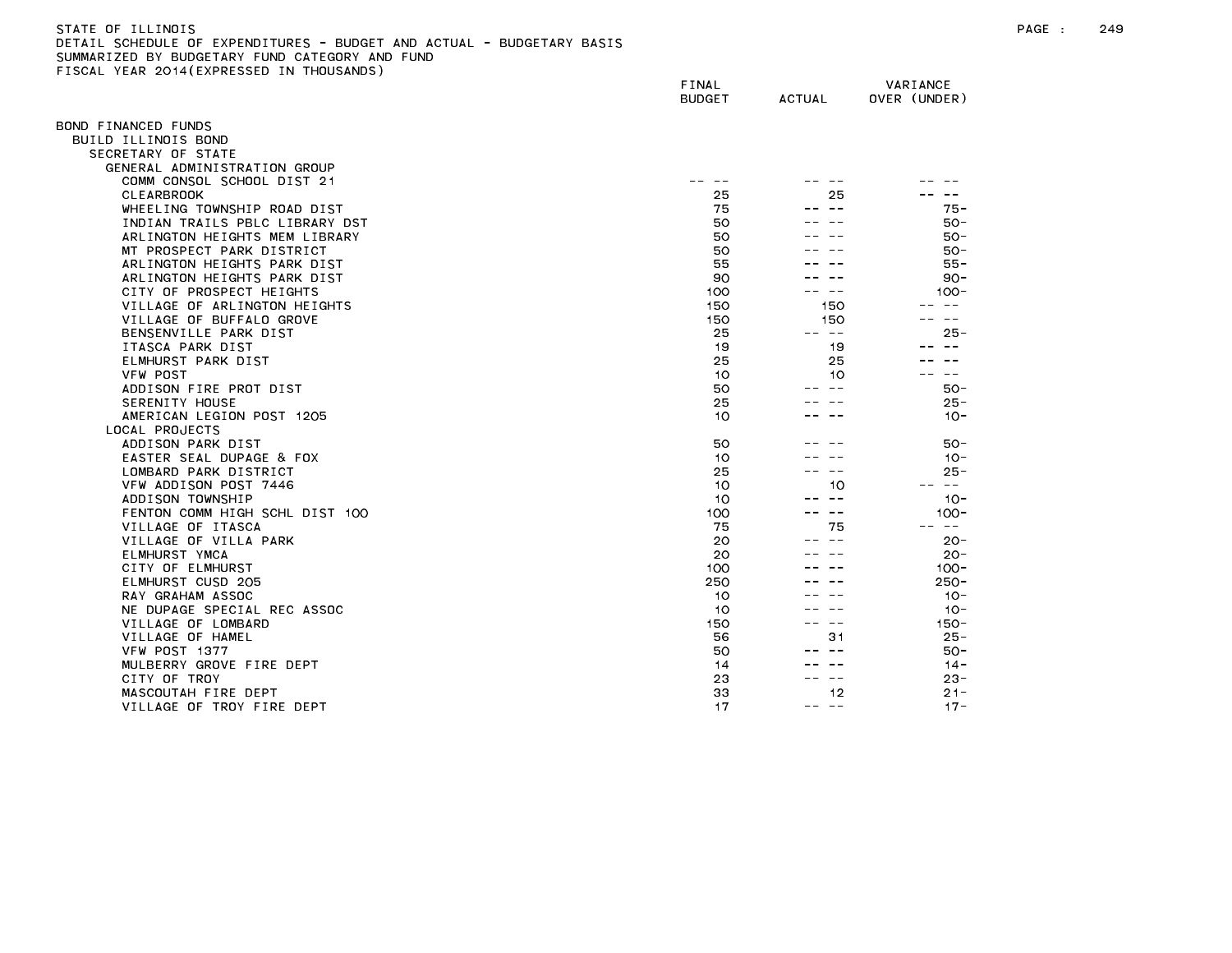| STATE OF TLLINDIS                                                     |
|-----------------------------------------------------------------------|
| DETAIL SCHEDULE OF EXPENDITURES - BUDGET AND ACTUAL - BUDGETARY BASIS |
| SUMMARIZED BY BUDGETARY FUND CATEGORY AND FUND                        |
| FISCAL YEAR 2014(EXPRESSED IN THOUSANDS)                              |

| ISSAE TEAN ESTATEM NESSED IN   | FINAL<br><b>BUDGET</b> | <b>ACTUAL</b>  | VARIANCE<br>OVER (UNDER) |
|--------------------------------|------------------------|----------------|--------------------------|
| OND FINANCED FUNDS             |                        |                |                          |
| BUILD ILLINOIS BOND            |                        |                |                          |
| SECRETARY OF STATE             |                        |                |                          |
| GENERAL ADMINISTRATION GROUP   |                        |                |                          |
| COMM CONSOL SCHOOL DIST 21     |                        |                |                          |
| CLEARBROOK                     | 25                     | 25             |                          |
| WHEELING TOWNSHIP ROAD DIST    | 75                     |                | $75 -$                   |
| INDIAN TRAILS PBLC LIBRARY DST | 50                     |                | $50 -$                   |
| ARLINGTON HEIGHTS MEM LIBRARY  | 50                     |                | $50 -$                   |
| MT PROSPECT PARK DISTRICT      | 50                     |                | $50 -$                   |
| ARLINGTON HEIGHTS PARK DIST    | 55                     |                | 55 -                     |
| ARLINGTON HEIGHTS PARK DIST    | 90                     |                | $90 -$                   |
| CITY OF PROSPECT HEIGHTS       | 100                    |                | $100 -$                  |
| VILLAGE OF ARLINGTON HEIGHTS   | 150                    | 150            | $\sim$ $-$               |
| VILLAGE OF BUFFALO GROVE       | 150                    | 150            | $\sim$ $\sim$            |
| BENSENVILLE PARK DIST          | 25                     | -- --          | 25 -                     |
| ITASCA PARK DIST               | 19                     | 19             |                          |
| ELMHURST PARK DIST             | 25                     | 25             |                          |
| <b>VFW POST</b>                | 10                     | 10             |                          |
| ADDISON FIRE PROT DIST         | 50                     | $\sim$ $-$     | $50 -$                   |
| SERENITY HOUSE                 | 25                     |                | $25 -$                   |
| AMERICAN LEGION POST 1205      | 10                     |                | $10 -$                   |
| LOCAL PROJECTS                 |                        |                |                          |
| ADDISON PARK DIST              | 50                     |                | $50-$                    |
| EASTER SEAL DUPAGE & FOX       | 10                     |                | $10 -$                   |
| LOMBARD PARK DISTRICT          | 25                     |                | $25 -$                   |
| VFW ADDISON POST 7446          | 10                     | 10             | $\sim$ $-$               |
| ADDISON TOWNSHIP               | 10                     |                | $10 -$                   |
| FENTON COMM HIGH SCHL DIST 100 | 100                    | $ -$           | $100 -$                  |
| VILLAGE OF ITASCA              | 75                     | 75             | $\sim$ $-$               |
| VILLAGE OF VILLA PARK          | 20                     |                | $20 -$                   |
| ELMHURST YMCA                  | 20                     |                | $20 -$                   |
| CITY OF ELMHURST               | 100                    |                | $100 -$                  |
| ELMHURST CUSD 205              | 250                    |                | $250 -$                  |
| RAY GRAHAM ASSOC               | 10                     |                | $10 -$                   |
| NE DUPAGE SPECIAL REC ASSOC    | 10                     |                | $10 -$                   |
| VILLAGE OF LOMBARD             | 150                    | $\sim$ $-$     | $150 -$                  |
| VILLAGE OF HAMEL               | 56                     | 31             | $25 -$                   |
| VFW POST 1377                  | 50                     |                | 50-                      |
| MULBERRY GROVE FIRE DEPT       | 14                     |                | $14 -$                   |
| CITY OF TROY                   | 23                     | $ -$           | $23 -$                   |
| MASCOUTAH FIRE DEPT            | 33                     | 12             | $21 -$                   |
| VILLAGE OF TROY FIRE DEPT      | 17                     | $- -$<br>$- -$ | $17 -$                   |
|                                |                        |                |                          |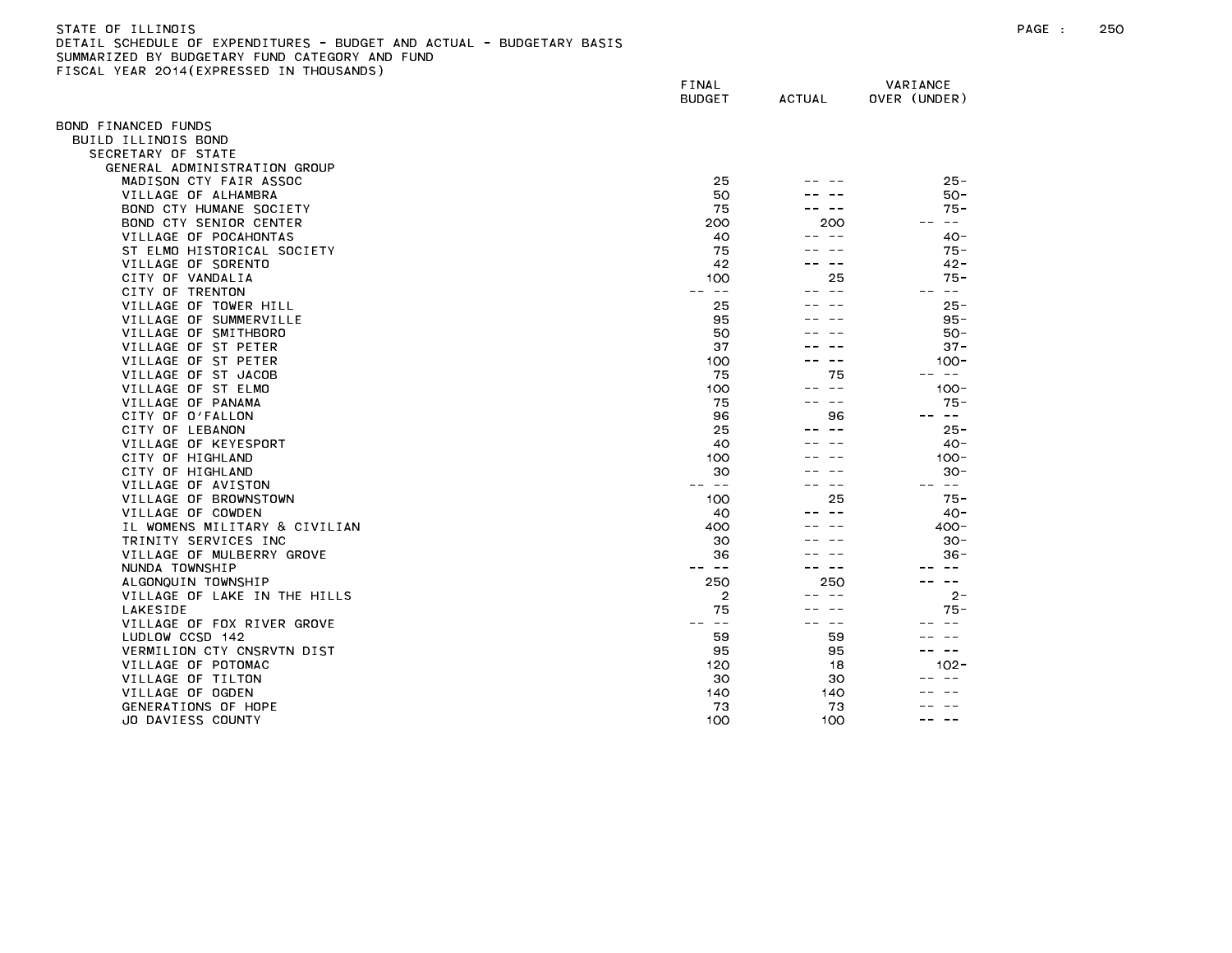| STATE OF ILLINOIS                                                     |
|-----------------------------------------------------------------------|
| DETAIL SCHEDULE OF EXPENDITURES - BUDGET AND ACTUAL - BUDGETARY BASIS |
| SUMMARIZED BY BUDGETARY FUND CATEGORY AND FUND                        |
| FISCAL YEAR 2014(EXPRESSED IN THOUSANDS)                              |

| 1998 - ILAN 2017(ININESSED    | FINAL<br><b>BUDGET</b> | ACTUAL        | VARIANCE<br>OVER (UNDER) |
|-------------------------------|------------------------|---------------|--------------------------|
| OND FINANCED FUNDS            |                        |               |                          |
| BUILD ILLINOIS BOND           |                        |               |                          |
| SECRETARY OF STATE            |                        |               |                          |
| GENERAL ADMINISTRATION GROUP  |                        |               |                          |
| MADISON CTY FAIR ASSOC        | 25                     |               | $25 -$                   |
| VILLAGE OF ALHAMBRA           | 50                     |               | $50 -$                   |
| BOND CTY HUMANE SOCIETY       | 75                     |               | $75 -$                   |
| BOND CTY SENIOR CENTER        | 200                    | 200           | $\sim$ $-$<br>$- -$      |
| VILLAGE OF POCAHONTAS         | 40                     | $\sim$ $\sim$ | $40 -$                   |
| ST ELMO HISTORICAL SOCIETY    | 75                     |               | $75 -$                   |
| VILLAGE OF SORENTO            | 42                     | $- -$         | $42 -$                   |
| CITY OF VANDALIA              | 100                    | 25            | 75 -                     |
| CITY OF TRENTON               | $\sim$ $-$             | -- --         | -- --                    |
| VILLAGE OF TOWER HILL         | 25                     |               | $25 -$                   |
|                               | 95                     |               | $95 -$                   |
| VILLAGE OF SUMMERVILLE        |                        |               |                          |
| VILLAGE OF SMITHBORO          | 50                     |               | $50 -$                   |
| VILLAGE OF ST PETER           | 37                     |               | $37 -$                   |
| VILLAGE OF ST PETER           | 100                    | $ -$          | $100 -$                  |
| VILLAGE OF ST JACOB           | 75                     | 75            | $\sim$ $-$               |
| VILLAGE OF ST ELMO            | 100                    | $ -$          | $100 -$                  |
| VILLAGE OF PANAMA             | 75                     | $- -$         | $75 -$                   |
| CITY OF O'FALLON              | 96                     | 96            | $\sim$ $-$               |
| CITY OF LEBANON               | 25                     | $- -$         | $25 -$                   |
| VILLAGE OF KEYESPORT          | 40                     |               | $40 -$                   |
| CITY OF HIGHLAND              | 100                    |               | $100 -$                  |
| CITY OF HIGHLAND              | 30                     |               | $30 -$                   |
| VILLAGE OF AVISTON            | $- -$                  | $- -$         | $\sim$ $-$               |
| VILLAGE OF BROWNSTOWN         | 100                    | 25            | $75 -$                   |
| VILLAGE OF COWDEN             | 40                     |               | 40 -                     |
| IL WOMENS MILITARY & CIVILIAN | 400                    |               | $400 -$                  |
| TRINITY SERVICES INC          | 30                     |               | $30 -$                   |
| VILLAGE OF MULBERRY GROVE     | 36                     |               | $36 -$                   |
| NUNDA TOWNSHIP                | -- --                  | $\sim$ $\sim$ |                          |
| ALGONQUIN TOWNSHIP            | 250                    | 250           | $\sim$ $-$               |
| VILLAGE OF LAKE IN THE HILLS  | 2                      |               | $2 -$                    |
| <b>LAKESIDE</b>               | 75                     |               | 75 -                     |
| VILLAGE OF FOX RIVER GROVE    | $\sim$ $-$             | $- -$         |                          |
| LUDLOW CCSD 142               | 59                     | 59            |                          |
| VERMILION CTY CNSRVTN DIST    | 95                     | 95            | $\sim$ $-$               |
| VILLAGE OF POTOMAC            | 120                    | 18            | $102 -$                  |
| VILLAGE OF TILTON             | 30                     | 30            |                          |
| VILLAGE OF OGDEN              | 140                    | 140           |                          |
| GENERATIONS OF HOPE           | 73                     | 73            |                          |
| JO DAVIESS COUNTY             | 100                    | 100           |                          |
|                               |                        |               |                          |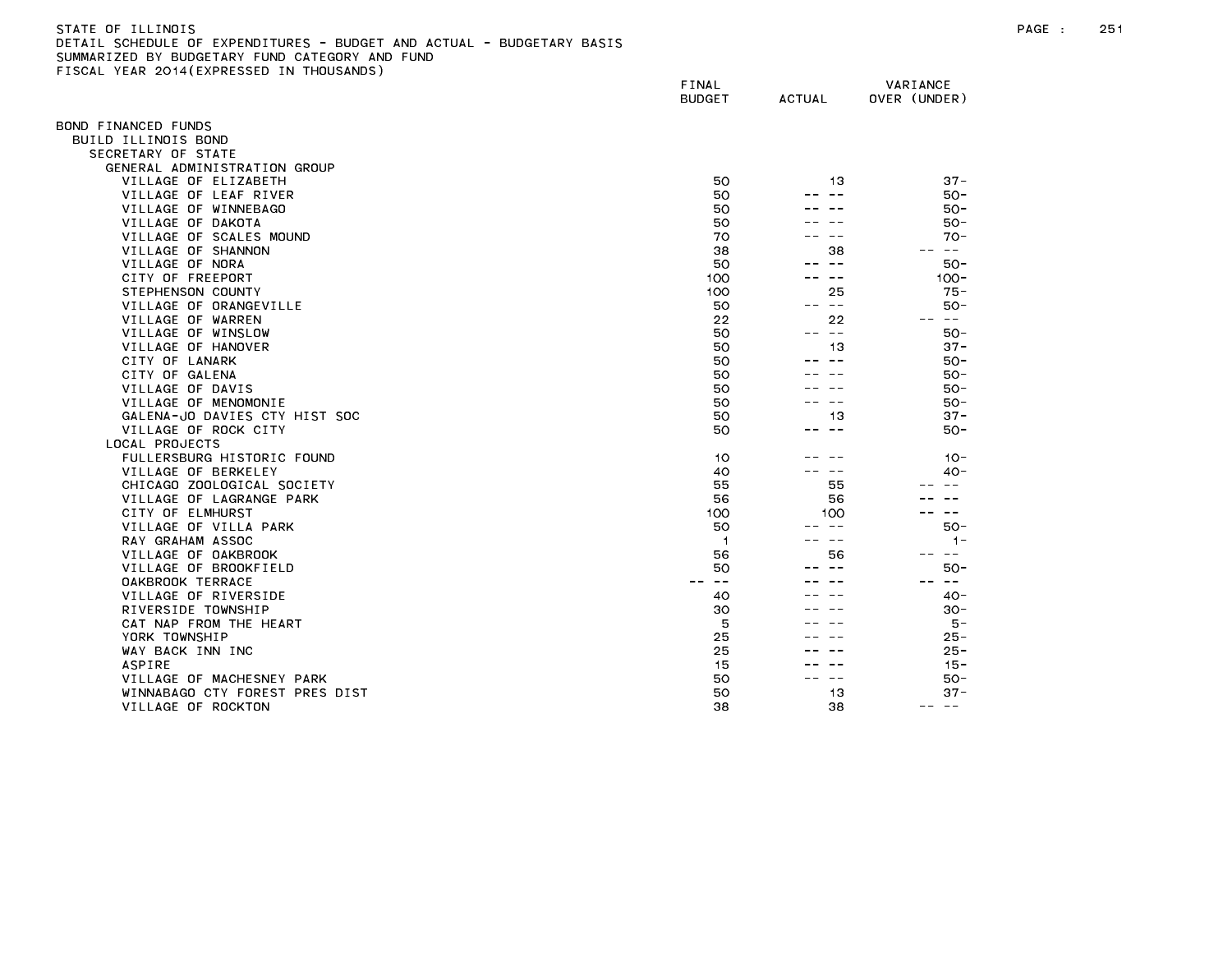| STATE OF ILLINOIS                                                     |
|-----------------------------------------------------------------------|
| DETAIL SCHEDULE OF EXPENDITURES - BUDGET AND ACTUAL - BUDGETARY BASIS |
| SUMMARIZED BY BUDGETARY FUND CATEGORY AND FUND                        |
| FISCAL YEAR 2014(EXPRESSED IN THOUSANDS)                              |

|                                | FINAL<br><b>BUDGET</b> | <b>ACTUAL</b>            | VARIANCE<br>OVER (UNDER) |
|--------------------------------|------------------------|--------------------------|--------------------------|
| OND FINANCED FUNDS             |                        |                          |                          |
| BUILD ILLINOIS BOND            |                        |                          |                          |
| SECRETARY OF STATE             |                        |                          |                          |
| GENERAL ADMINISTRATION GROUP   |                        |                          |                          |
| VILLAGE OF ELIZABETH           | 50                     | 13                       | $37 -$                   |
| VILLAGE OF LEAF RIVER          | 50                     |                          | $50 -$                   |
| VILLAGE OF WINNEBAGO           | 50                     |                          | 50-                      |
| VILLAGE OF DAKOTA              | 50                     |                          | $50 -$                   |
| VILLAGE OF SCALES MOUND        | 70                     |                          | $70 -$                   |
| VILLAGE OF SHANNON             | 38                     | 38                       | $\sim$ $-$               |
| VILLAGE OF NORA                | 50                     | $\sim$ $-$               | $50 -$                   |
| CITY OF FREEPORT               | 100                    | $\sim$ $-$               | $100 -$                  |
| STEPHENSON COUNTY              | 100                    | 25                       | $75 -$                   |
| VILLAGE OF ORANGEVILLE         | 50                     | $\sim$ $-$               | $50 -$                   |
| VILLAGE OF WARREN              | 22                     | 22                       | س س                      |
| VILLAGE OF WINSLOW             | 50                     | $- -$                    | $50 -$                   |
| VILLAGE OF HANOVER             | 50                     | 13                       | $37 -$                   |
| CITY OF LANARK                 | 50                     |                          | $50 -$                   |
| CITY OF GALENA                 | 50                     |                          | $50 -$                   |
| VILLAGE OF DAVIS               | 50                     |                          | $50 -$                   |
| VILLAGE OF MENOMONIE           | 50                     |                          | $50 -$                   |
| GALENA-JO DAVIES CTY HIST SOC  | 50                     | 13                       | $37 -$                   |
| VILLAGE OF ROCK CITY           | 50                     | $\sim$ $-$               | 50-                      |
| LOCAL PROJECTS                 |                        |                          |                          |
| FULLERSBURG HISTORIC FOUND     | 10                     |                          | $10 -$                   |
| VILLAGE OF BERKELEY            | 40                     |                          | $40 -$                   |
| CHICAGO ZOOLOGICAL SOCIETY     | 55                     | 55                       |                          |
| VILLAGE OF LAGRANGE PARK       | 56                     | 56                       |                          |
| CITY OF ELMHURST               | 100                    | 100                      | $\sim$ $-$               |
| VILLAGE OF VILLA PARK          | 50                     | $ -$                     | $50-$                    |
| RAY GRAHAM ASSOC               | -1                     | --                       | $1 -$                    |
| VILLAGE OF OAKBROOK            | 56                     | 56                       | $\sim$ $-$               |
| VILLAGE OF BROOKFIELD          | 50                     |                          | $50 -$                   |
| OAKBROOK TERRACE               | $\sim$ $-$             |                          | $\sim$ $-$               |
| VILLAGE OF RIVERSIDE           | 40                     |                          | $40 -$                   |
| RIVERSIDE TOWNSHIP             | 30                     |                          | $30 -$                   |
| CAT NAP FROM THE HEART         | 5                      |                          | 5 –                      |
| YORK TOWNSHIP                  | 25                     |                          | $25 -$                   |
| WAY BACK INN INC               | 25                     |                          | $25 -$                   |
| <b>ASPIRE</b>                  | 15                     |                          | $15 -$                   |
| VILLAGE OF MACHESNEY PARK      | 50                     | $\overline{\phantom{m}}$ | 50-                      |
| WINNABAGO CTY FOREST PRES DIST | 50                     | 13                       | $37 -$                   |
| VILLAGE OF ROCKTON             | 38                     | 38                       | $- -$<br>$- -$           |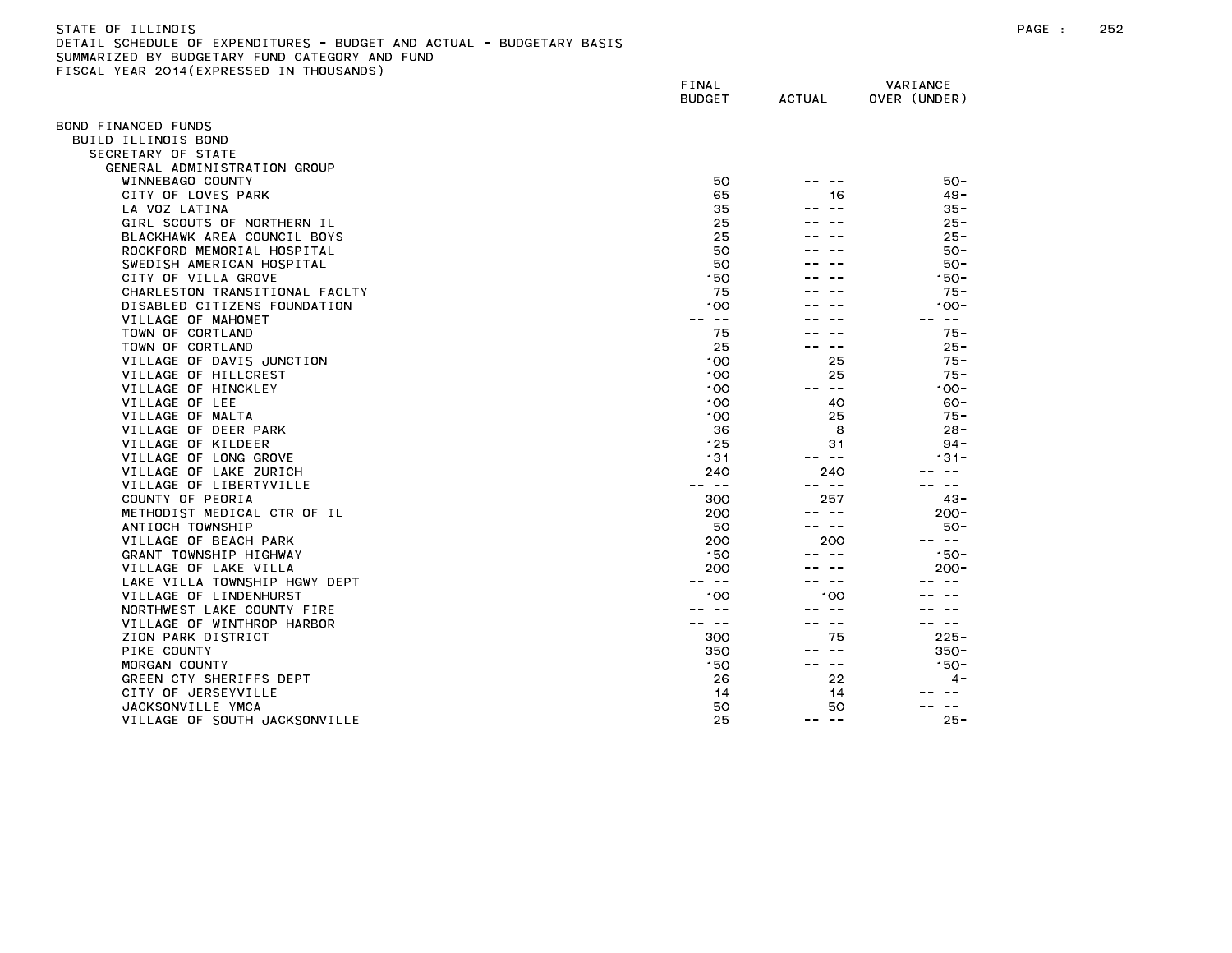| STATE OF ILLINOIS                                                     |  |
|-----------------------------------------------------------------------|--|
| DETAIL SCHEDULE OF EXPENDITURES - BUDGET AND ACTUAL - BUDGETARY BASIS |  |
| SUMMARIZED BY BUDGETARY FUND CATEGORY AND FUND                        |  |
| FISCAL YEAR 2014(EXPRESSED IN THOUSANDS)                              |  |

| <b>ILAN ESTRICATIVESSED</b>    | FINAL<br><b>BUDGET</b> | <b>ACTUAL</b>       | VARIANCE<br>OVER (UNDER) |
|--------------------------------|------------------------|---------------------|--------------------------|
| OND FINANCED FUNDS             |                        |                     |                          |
| BUILD ILLINOIS BOND            |                        |                     |                          |
| SECRETARY OF STATE             |                        |                     |                          |
| GENERAL ADMINISTRATION GROUP   |                        |                     |                          |
| WINNEBAGO COUNTY               | 50                     |                     | $50 -$                   |
| CITY OF LOVES PARK             | 65                     | 16                  | $49 -$                   |
| LA VOZ LATINA                  | 35                     |                     | $35 -$                   |
| GIRL SCOUTS OF NORTHERN IL     | 25                     |                     | $25 -$                   |
| BLACKHAWK AREA COUNCIL BOYS    | 25                     |                     | $25 -$                   |
| ROCKFORD MEMORIAL HOSPITAL     | 50                     |                     | $50 -$                   |
| SWEDISH AMERICAN HOSPITAL      | 50                     |                     | $50 -$                   |
| CITY OF VILLA GROVE            | 150                    |                     | $150 -$                  |
| CHARLESTON TRANSITIONAL FACLTY | 75                     |                     | $75 -$                   |
| DISABLED CITIZENS FOUNDATION   | 100                    |                     | $100 -$                  |
| VILLAGE OF MAHOMET             | $\sim$ $-$             |                     | $\sim$ $ -$              |
| TOWN OF CORTLAND               | 75                     |                     | $75 -$                   |
|                                |                        | $ -$                | $25 -$                   |
| TOWN OF CORTLAND               | 25                     |                     |                          |
| VILLAGE OF DAVIS JUNCTION      | 100                    | 25                  | $75 -$                   |
| VILLAGE OF HILLCREST           | 100                    | 25                  | $75 -$                   |
| VILLAGE OF HINCKLEY            | 100                    | $\sim$ $ -$         | $100 -$                  |
| VILLAGE OF LEE                 | 100                    | 40                  | $60 -$                   |
| VILLAGE OF MALTA               | 100                    | 25                  | $75 -$                   |
| VILLAGE OF DEER PARK           | 36                     | 8                   | $28 -$                   |
| VILLAGE OF KILDEER             | 125                    | 31                  | $94 -$                   |
| VILLAGE OF LONG GROVE          | 131                    | -- --               | $131 -$                  |
| VILLAGE OF LAKE ZURICH         | 240                    | 240                 | $\sim$ $-$               |
| VILLAGE OF LIBERTYVILLE        | -- --                  | -- --               | $\sim$ $-$               |
| COUNTY OF PEORIA               | 300                    | 257                 | $43 -$                   |
| METHODIST MEDICAL CTR OF IL    | 200                    |                     | $200 -$                  |
| ANTIOCH TOWNSHIP               | 50                     | -- --               | $50 -$                   |
| VILLAGE OF BEACH PARK          | 200                    | 200                 | $- -$                    |
| GRANT TOWNSHIP HIGHWAY         | 150                    |                     | $150 -$                  |
| VILLAGE OF LAKE VILLA          | 200                    |                     | $200 -$                  |
| LAKE VILLA TOWNSHIP HGWY DEPT  | $\sim$ $-$             | $\sim$ $-$          |                          |
| VILLAGE OF LINDENHURST         | 100                    | 100                 |                          |
| NORTHWEST LAKE COUNTY FIRE     | $\sim$ $-$             | $ -$                |                          |
| VILLAGE OF WINTHROP HARBOR     | $\sim$ $-$             | $- -$               | $\sim$ $-$               |
| ZION PARK DISTRICT             | 300                    | 75                  | $225 -$                  |
| PIKE COUNTY                    | 350                    |                     | $350 -$                  |
| MORGAN COUNTY                  | 150                    | -- --               | $150 -$                  |
| GREEN CTY SHERIFFS DEPT        | 26                     | 22                  | $4 -$                    |
| CITY OF JERSEYVILLE            | 14                     | 14                  |                          |
| JACKSONVILLE YMCA              | 50                     | 50                  | $\sim$ $\sim$            |
| VILLAGE OF SOUTH JACKSONVILLE  | 25                     | $\sim$ $-$<br>$- -$ | $25 -$                   |
|                                |                        |                     |                          |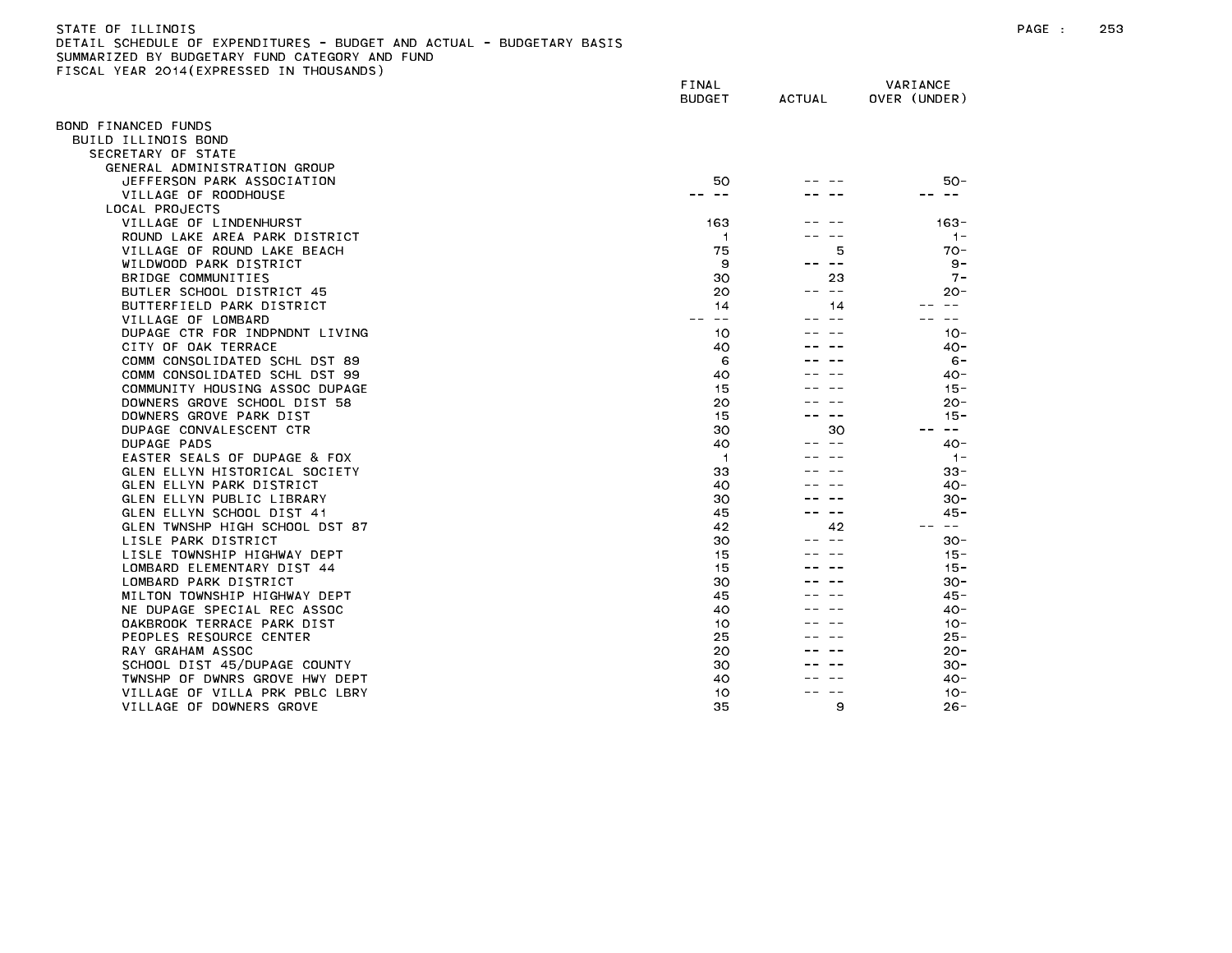| STATE OF ILLINOIS                                                     |
|-----------------------------------------------------------------------|
| DETAIL SCHEDULE OF EXPENDITURES - BUDGET AND ACTUAL - BUDGETARY BASIS |
| SUMMARIZED BY BUDGETARY FUND CATEGORY AND FUND                        |
| FISCAL YEAR 2014(EXPRESSED IN THOUSANDS)                              |

| TOURE TEAR EUTROPHINESSED      | FINAL<br><b>BUDGET</b> | ACTUAL           | VARIANCE<br>OVER (UNDER)    |
|--------------------------------|------------------------|------------------|-----------------------------|
| OND FINANCED FUNDS             |                        |                  |                             |
| BUILD ILLINOIS BOND            |                        |                  |                             |
| SECRETARY OF STATE             |                        |                  |                             |
| GENERAL ADMINISTRATION GROUP   |                        |                  |                             |
| JEFFERSON PARK ASSOCIATION     | 50                     |                  | $50 -$                      |
| VILLAGE OF ROODHOUSE           |                        |                  |                             |
| LOCAL PROJECTS                 |                        |                  |                             |
| VILLAGE OF LINDENHURST         | 163                    |                  | $163 -$                     |
| ROUND LAKE AREA PARK DISTRICT  | $\overline{1}$         |                  | $1 -$                       |
| VILLAGE OF ROUND LAKE BEACH    | 75                     | 5                | $70 -$                      |
| WILDWOOD PARK DISTRICT         | 9                      | $- -$            | $9 -$                       |
| BRIDGE COMMUNITIES             | 30                     | 23               | $7 -$                       |
| BUTLER SCHOOL DISTRICT 45      | 20                     | $\sim$ $-$<br>-- | $20 -$                      |
| BUTTERFIELD PARK DISTRICT      | 14                     | 14               | $\sim$ $\sim$               |
| VILLAGE OF LOMBARD             | $- -$                  |                  |                             |
| DUPAGE CTR FOR INDPNDNT LIVING | 10                     |                  | $10 -$                      |
| CITY OF OAK TERRACE            | 40                     |                  | $40 -$                      |
| COMM CONSOLIDATED SCHL DST 89  | 6                      |                  | $6 -$                       |
| COMM CONSOLIDATED SCHL DST 99  | 40                     |                  | 40-                         |
| COMMUNITY HOUSING ASSOC DUPAGE | 15                     |                  | $15 -$                      |
| DOWNERS GROVE SCHOOL DIST 58   | 20                     |                  | $20 -$                      |
| DOWNERS GROVE PARK DIST        | 15                     | $ -$             | $15 -$                      |
| DUPAGE CONVALESCENT CTR        | 30                     | 30               | $\rightarrow$ $\rightarrow$ |
| DUPAGE PADS                    | 40                     | $\sim$ $\sim$    | $40 -$                      |
| EASTER SEALS OF DUPAGE & FOX   | $\overline{1}$         |                  | $1 -$                       |
| GLEN ELLYN HISTORICAL SOCIETY  | 33                     |                  | $33 -$                      |
| GLEN ELLYN PARK DISTRICT       | 40                     |                  | $40 -$                      |
| GLEN ELLYN PUBLIC LIBRARY      | 30                     |                  | $30 -$                      |
| GLEN ELLYN SCHOOL DIST 41      | 45                     | $\sim$ $-$       | 45 -                        |
| GLEN TWNSHP HIGH SCHOOL DST 87 | 42                     | 42               | $\sim$ $ -$                 |
| LISLE PARK DISTRICT            | 30                     |                  | $30 -$                      |
| LISLE TOWNSHIP HIGHWAY DEPT    | 15                     |                  | $15 -$                      |
| LOMBARD ELEMENTARY DIST 44     | 15                     |                  | $15 -$                      |
| LOMBARD PARK DISTRICT          | 30                     |                  | $30 -$                      |
| MILTON TOWNSHIP HIGHWAY DEPT   | 45                     |                  | 45 -                        |
| NE DUPAGE SPECIAL REC ASSOC    | 40                     |                  | $40 -$                      |
| OAKBROOK TERRACE PARK DIST     | 10                     |                  | $10 -$                      |
| PEOPLES RESOURCE CENTER        | 25                     |                  | 25 -                        |
| RAY GRAHAM ASSOC               | 20                     |                  | $20 -$                      |
| SCHOOL DIST 45/DUPAGE COUNTY   | 30                     |                  | $30 -$                      |
| TWNSHP OF DWNRS GROVE HWY DEPT | 40                     |                  | 40-                         |
| VILLAGE OF VILLA PRK PBLC LBRY | 10                     |                  | $10 -$                      |
| VILLAGE OF DOWNERS GROVE       | 35                     | 9                | $26 -$                      |
|                                |                        |                  |                             |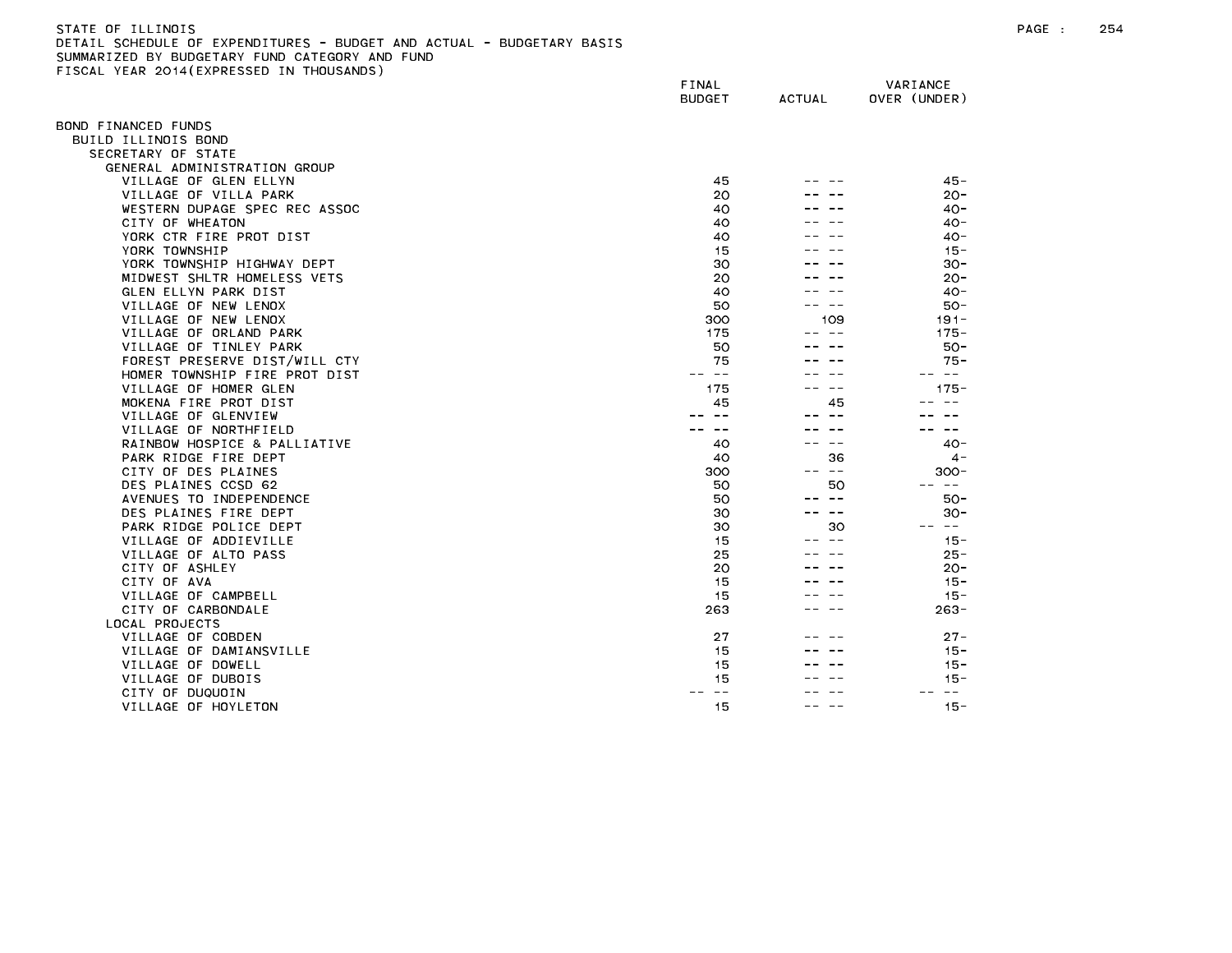| STATE OF ILLINOIS                                                     |  |
|-----------------------------------------------------------------------|--|
| DETAIL SCHEDULE OF EXPENDITURES - BUDGET AND ACTUAL - BUDGETARY BASIS |  |
| SUMMARIZED BY BUDGETARY FUND CATEGORY AND FUND                        |  |
| FISCAL YEAR 2014(EXPRESSED IN THOUSANDS)                              |  |

|                                    | FINAL<br><b>BUDGET</b> | <b>ACTUAL</b> | VARIANCE<br>OVER (UNDER) |
|------------------------------------|------------------------|---------------|--------------------------|
| BOND FINANCED FUNDS                |                        |               |                          |
| BUILD ILLINOIS BOND                |                        |               |                          |
| SECRETARY OF STATE                 |                        |               |                          |
| GENERAL ADMINISTRATION GROUP       |                        |               |                          |
| VILLAGE OF GLEN ELLYN              | 45                     |               | $45 -$                   |
| VILLAGE OF VILLA PARK              | 20                     |               | $20 -$                   |
| WESTERN DUPAGE SPEC REC ASSOC      | 40                     |               | $40 -$                   |
| CITY OF WHEATON                    | 40                     |               | $40 -$                   |
| YORK CTR FIRE PROT DIST            | 40                     |               | $40 -$                   |
| YORK TOWNSHIP                      | 15                     |               | $15 -$                   |
| YORK TOWNSHIP HIGHWAY DEPT         | 30                     |               | $30 -$                   |
| MIDWEST SHLTR HOMELESS VETS        | 20                     |               | $20 -$                   |
| GLEN ELLYN PARK DIST               | 40                     |               | $40 -$                   |
| VILLAGE OF NEW LENOX               | 50                     | $- -$         | $50 -$                   |
| VILLAGE OF NEW LENOX               | 300                    | 109           | $191 -$                  |
| VILLAGE OF ORLAND PARK             | 175                    |               | $175 -$                  |
| VILLAGE OF TINLEY PARK             | 50                     |               | 50-                      |
| FOREST PRESERVE DIST/WILL CTY      | 75                     |               | 75 -                     |
| HOMER TOWNSHIP FIRE PROT DIST      | $- -$                  |               | $\sim$ $-$               |
| VILLAGE OF HOMER GLEN              | 175                    |               | $175 -$                  |
| MOKENA FIRE PROT DIST              | 45                     | 45            |                          |
| VILLAGE OF GLENVIEW                |                        |               |                          |
| VILLAGE OF NORTHFIELD              | $\sim$ $\sim$          |               | $- -$                    |
| RAINBOW HOSPICE & PALLIATIVE       | 40                     |               | $40 -$                   |
| PARK RIDGE FIRE DEPT               | 40                     | 36            | $4 -$                    |
| CITY OF DES PLAINES                | 300                    | $\sim$ $-$    | $300 -$                  |
| DES PLAINES CCSD 62                | 50                     | 50            | $\sim$ $-$<br>$- -$      |
| AVENUES TO INDEPENDENCE            | 50                     | $- -$         | $50 -$                   |
| DES PLAINES FIRE DEPT              | 30                     | $- -$         | 30-                      |
| PARK RIDGE POLICE DEPT             | 30                     | 30            | $\sim 100$               |
| VILLAGE OF ADDIEVILLE              | 15<br>25               |               | $15 -$                   |
| VILLAGE OF ALTO PASS               | 20                     |               | $25 -$<br>$20 -$         |
| CITY OF ASHLEY                     |                        |               |                          |
| CITY OF AVA<br>VILLAGE OF CAMPBELL | 15<br>15               |               | $15 -$<br>$15 -$         |
| CITY OF CARBONDALE                 | 263                    |               | $263 -$                  |
| LOCAL PROJECTS                     |                        |               |                          |
| VILLAGE OF COBDEN                  | 27                     |               | $27 -$                   |
| VILLAGE OF DAMIANSVILLE            | 15                     |               | $15 -$                   |
| VILLAGE OF DOWELL                  | 15                     |               | $15 -$                   |
| VILLAGE OF DUBOIS                  | 15                     |               | $15 -$                   |
| CITY OF DUQUOIN                    | $- -$                  |               | $\overline{\phantom{m}}$ |
| VILLAGE OF HOYLETON                | 15                     |               | $15 -$                   |
|                                    |                        |               |                          |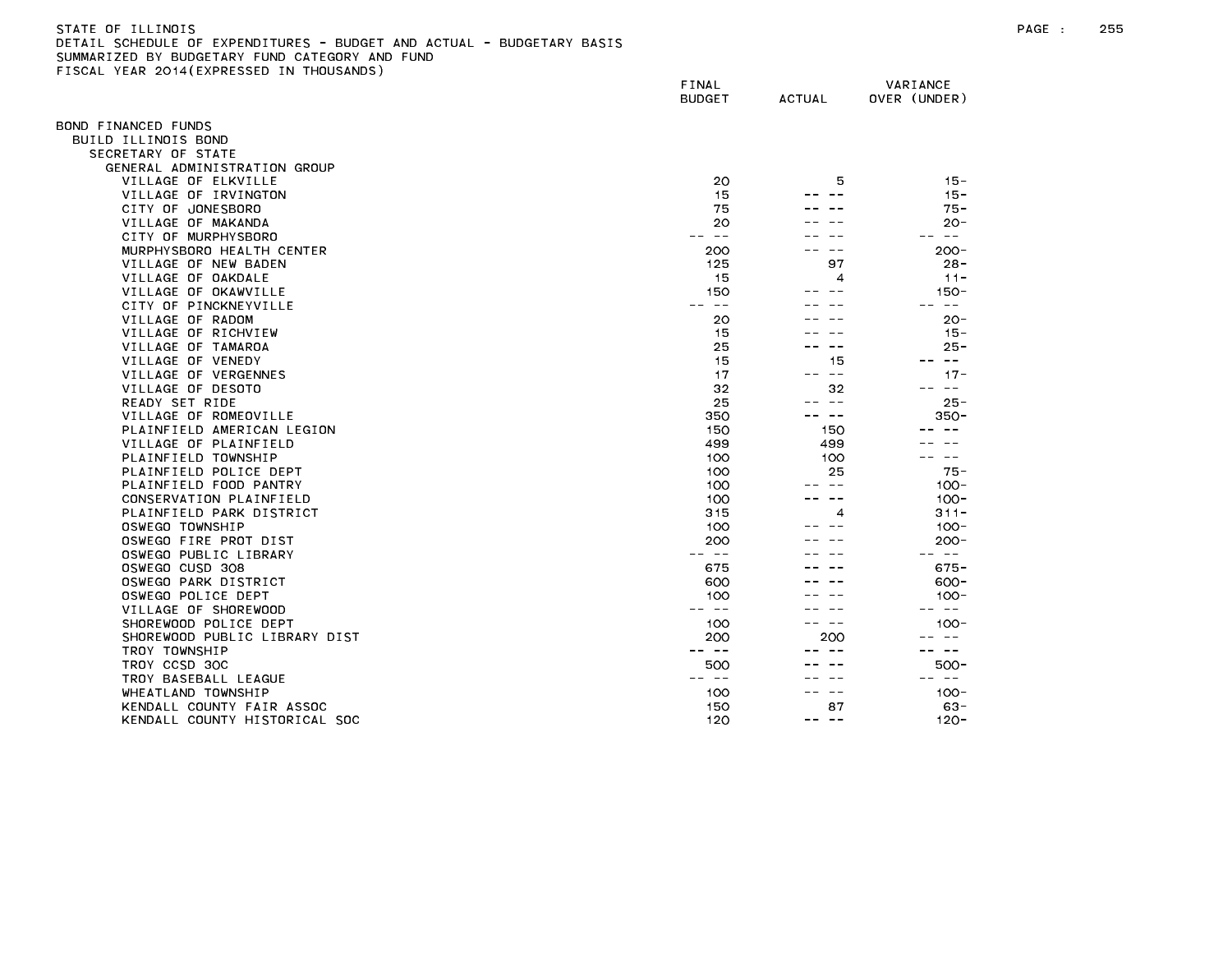## STATE OF ILLINOIS PAGE : 255 DETAIL SCHEDULE OF EXPENDITURES - BUDGET AND ACTUAL - BUDGETARY BASIS SUMMARIZED BY BUDGETARY FUND CATEGORY AND FUND FISCAL YEAR 2014(EXPRESSED IN THOUSANDS)

|                                                     | FINAL<br><b>BUDGET</b> | <b>ACTUAL</b> | VARIANCE<br>OVER (UNDER) |
|-----------------------------------------------------|------------------------|---------------|--------------------------|
| OND FINANCED FUNDS                                  |                        |               |                          |
| BUILD ILLINOIS BOND                                 |                        |               |                          |
| SECRETARY OF STATE                                  |                        |               |                          |
| GENERAL ADMINISTRATION GROUP                        |                        |               |                          |
| VILLAGE OF ELKVILLE                                 | 20                     | 5             | $15 -$                   |
| VILLAGE OF IRVINGTON                                | 15                     |               | $15 -$                   |
| CITY OF JONESBORO                                   | 75                     |               | $75 -$                   |
| VILLAGE OF MAKANDA                                  | 20                     |               | $20 -$                   |
| CITY OF MURPHYSBORO                                 | $\sim$ $-$             |               | $\sim$ $-$               |
| MURPHYSBORO HEALTH CENTER                           | 200                    |               | $200 -$                  |
| VILLAGE OF NEW BADEN                                | 125                    | 97            | $28 -$                   |
| VILLAGE OF OAKDALE                                  | 15                     | 4             | $11 -$                   |
| VILLAGE OF OKAWVILLE                                | 150                    |               | $150 -$                  |
| CITY OF PINCKNEYVILLE                               | $\sim$ $-$             |               | $\sim$ $-$               |
| VILLAGE OF RADOM                                    | 20                     |               | $20 -$                   |
| VILLAGE OF RICHVIEW                                 | 15                     |               | $15 -$                   |
| VILLAGE OF TAMAROA                                  | 25                     |               | $25 -$                   |
| VILLAGE OF VENEDY                                   | 15                     | 15            | $\sim$ $-$               |
| VILLAGE OF VERGENNES                                | 17                     | $\sim$ $\sim$ | $17 -$                   |
| VILLAGE OF DESOTO                                   | 32                     | 32<br>$ -$    | $- -$                    |
| READY SET RIDE                                      | 25                     | $- -$         | $25 -$                   |
| VILLAGE OF ROMEOVILLE<br>PLAINFIELD AMERICAN LEGION | 350<br>150             | 150           | $350 -$                  |
| VILLAGE OF PLAINFIELD                               | 499                    | 499           |                          |
| PLAINFIELD TOWNSHIP                                 | 100                    | 100           | $- -$                    |
| PLAINFIELD POLICE DEPT                              | 100                    | 25            | $75 -$                   |
| PLAINFIELD FOOD PANTRY                              | 100                    | $\sim$ $-$    | $100 -$                  |
| CONSERVATION PLAINFIELD                             | 100                    |               | $100 -$                  |
| PLAINFIELD PARK DISTRICT                            | 315                    | 4             | $311 -$                  |
| OSWEGO TOWNSHIP                                     | 100                    |               | $100 -$                  |
| OSWEGO FIRE PROT DIST                               | 200                    |               | $200 -$                  |
| OSWEGO PUBLIC LIBRARY                               | $\sim$ $-$             |               | $\sim$ $ -$              |
| OSWEGO CUSD 308                                     | 675                    |               | $675 -$                  |
| OSWEGO PARK DISTRICT                                | 600                    |               | $600 -$                  |
| OSWEGO POLICE DEPT                                  | 100                    |               | $100 -$                  |
| VILLAGE OF SHOREWOOD                                |                        |               | $- -$                    |
| SHOREWOOD POLICE DEPT                               | 100                    | $- -$         | $100 -$                  |
| SHOREWOOD PUBLIC LIBRARY DIST                       | 200                    | 200           |                          |
| TROY TOWNSHIP                                       | $ -$                   |               | $\sim$ $-$               |
| TROY CCSD 30C                                       | 500                    |               | 500-                     |
| TROY BASEBALL LEAGUE                                | $- -$                  |               | $- -$                    |
| WHEATLAND TOWNSHIP                                  | 100                    |               | $100 -$                  |
| KENDALL COUNTY FAIR ASSOC                           | 150                    | 87            | $63 -$                   |
| KENDALL COUNTY HISTORICAL SOC                       | 120                    | $- -$<br>--   | $120 -$                  |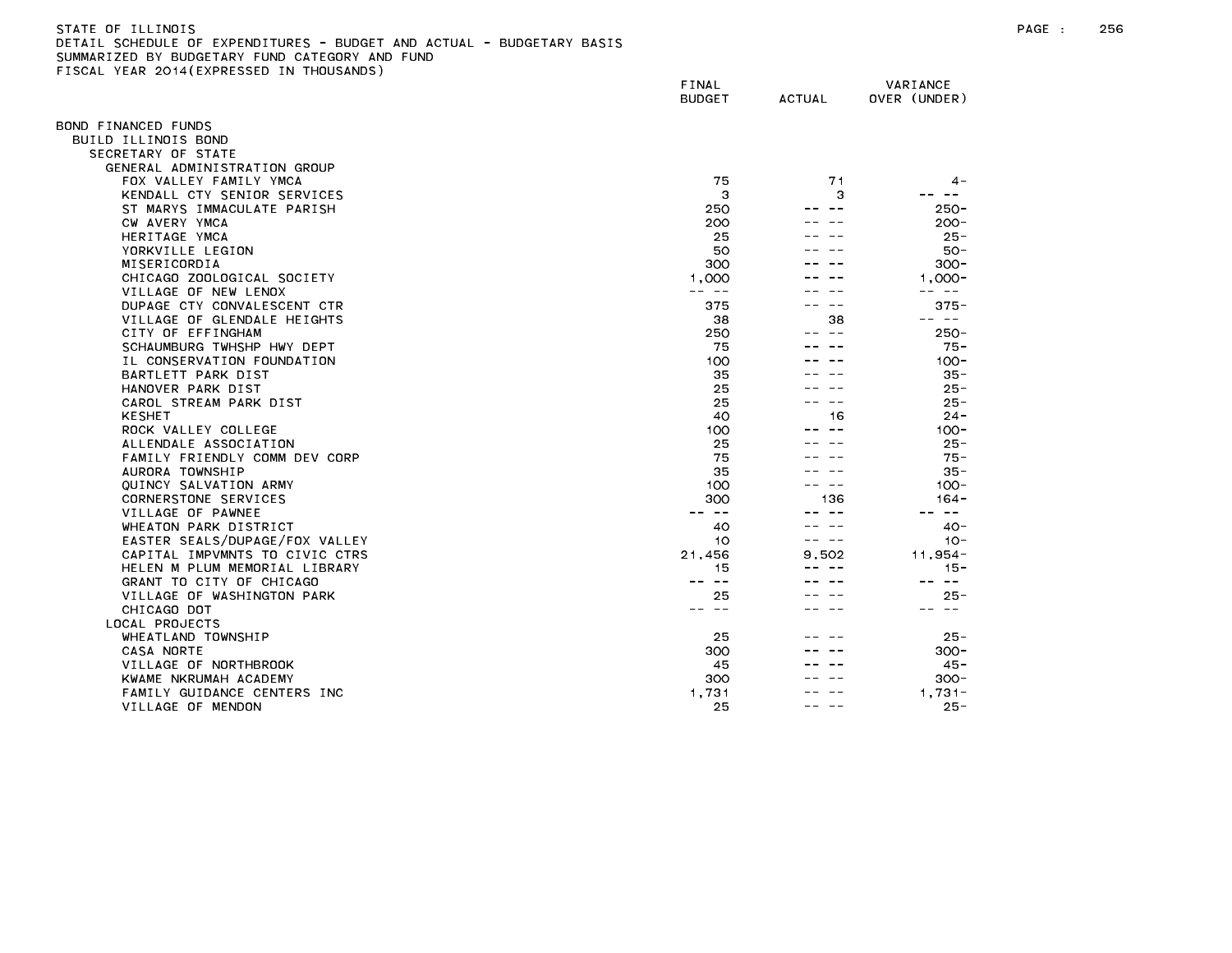| STATE OF ILLINOIS                                                     |
|-----------------------------------------------------------------------|
| DETAIL SCHEDULE OF EXPENDITURES - BUDGET AND ACTUAL - BUDGETARY BASIS |
| SUMMARIZED BY BUDGETARY FUND CATEGORY AND FUND                        |
| FISCAL YEAR 2014(EXPRESSED IN THOUSANDS)                              |

| ISSAE TEAN ESTATEM NESSED      | FINAL<br><b>BUDGET</b> | <b>ACTUAL</b> | VARIANCE<br>OVER (UNDER) |
|--------------------------------|------------------------|---------------|--------------------------|
| OND FINANCED FUNDS             |                        |               |                          |
| BUILD ILLINOIS BOND            |                        |               |                          |
| SECRETARY OF STATE             |                        |               |                          |
| GENERAL ADMINISTRATION GROUP   |                        |               |                          |
| FOX VALLEY FAMILY YMCA         | 75                     | 71            | 4 –                      |
| KENDALL CTY SENIOR SERVICES    | З                      | з             |                          |
| ST MARYS IMMACULATE PARISH     | 250                    |               | $250 -$                  |
| CW AVERY YMCA                  | 200                    |               | $200 -$                  |
| HERITAGE YMCA                  | 25                     |               | $25 -$                   |
| YORKVILLE LEGION               | 50                     |               | $50 -$                   |
| MISERICORDIA                   | 300                    |               | $300 -$                  |
| CHICAGO ZOOLOGICAL SOCIETY     | 1,000                  |               | $1.000 -$                |
| VILLAGE OF NEW LENOX           | $- - - -$              |               | -- --                    |
| DUPAGE CTY CONVALESCENT CTR    | 375                    |               | $375 -$                  |
| VILLAGE OF GLENDALE HEIGHTS    | 38                     | 38            | -- --                    |
| CITY OF EFFINGHAM              | 250                    | $\sim$ $-$    | $250 -$                  |
| SCHAUMBURG TWHSHP HWY DEPT     | 75                     |               | $75 -$                   |
| IL CONSERVATION FOUNDATION     | 100                    |               | $100 -$                  |
| BARTLETT PARK DIST             | 35                     |               | $35 -$                   |
| HANOVER PARK DIST              | 25                     |               | $25 -$                   |
| CAROL STREAM PARK DIST         | 25                     |               | $25 -$                   |
| <b>KESHET</b>                  | 40                     | 16            | $24 -$                   |
| ROCK VALLEY COLLEGE            | 100                    |               | $100 -$                  |
| ALLENDALE ASSOCIATION          | 25                     |               | $25 -$                   |
| FAMILY FRIENDLY COMM DEV CORP  | 75                     |               | $75 -$                   |
| AURORA TOWNSHIP                | 35                     |               | $35 -$                   |
| QUINCY SALVATION ARMY          | 100                    |               | $100 -$                  |
| CORNERSTONE SERVICES           | 300                    | 136           | $164 -$                  |
| VILLAGE OF PAWNEE              | -- --                  |               | -- --                    |
| WHEATON PARK DISTRICT          | 40                     |               | $40 -$                   |
| EASTER SEALS/DUPAGE/FOX VALLEY | 10                     | $\sim$ $-$    | $10 -$                   |
| CAPITAL IMPVMNTS TO CIVIC CTRS | 21,456                 | 9.502         | $11,954-$                |
| HELEN M PLUM MEMORIAL LIBRARY  | 15                     |               | $15 -$                   |
| GRANT TO CITY OF CHICAGO       | $\sim$ $-$             |               | $\sim$ $-$               |
| VILLAGE OF WASHINGTON PARK     | 25                     |               | $25 -$                   |
| CHICAGO DOT                    | -- --                  |               | -- --                    |
| LOCAL PROJECTS                 |                        |               |                          |
| WHEATLAND TOWNSHIP             | 25                     |               | $25 -$                   |
| CASA NORTE                     | 300                    |               | $300 -$                  |
| VILLAGE OF NORTHBROOK          | 45                     |               | $45 -$                   |
| KWAME NKRUMAH ACADEMY          | 300                    |               | $300 -$                  |
| FAMILY GUIDANCE CENTERS INC    | 1,731                  |               | $1.731 -$                |
| VILLAGE OF MENDON              | 25                     |               | $25 -$                   |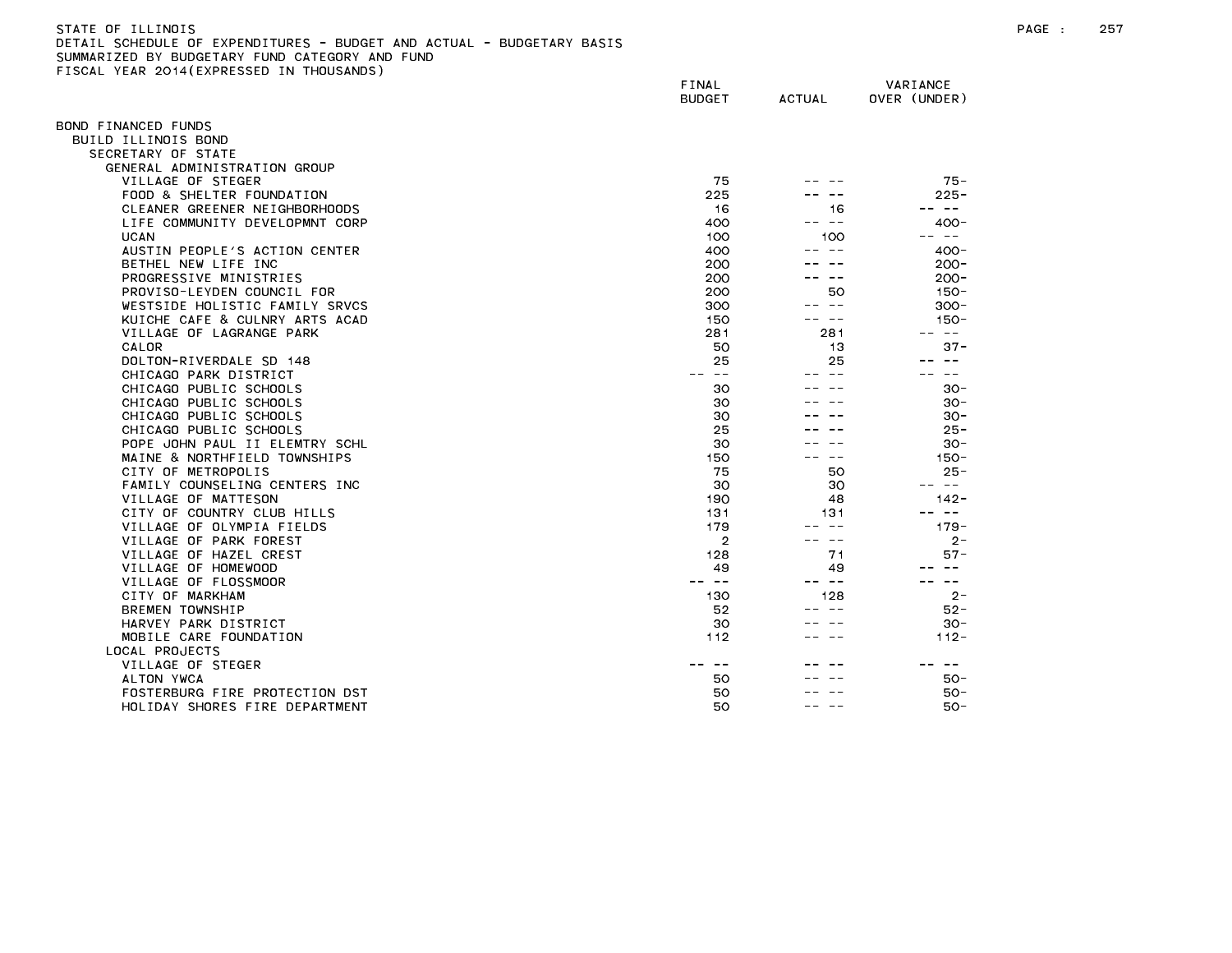| STATE OF ILLINOIS                                                     |
|-----------------------------------------------------------------------|
| DETAIL SCHEDULE OF EXPENDITURES - BUDGET AND ACTUAL - BUDGETARY BASIS |
| SUMMARIZED BY BUDGETARY FUND CATEGORY AND FUND                        |
| FISCAL YEAR 2014(EXPRESSED IN THOUSANDS)                              |

| TOURE TEAR EUTT(EATALOULD      | FINAL<br><b>BUDGET</b>   | <b>ACTUAL</b> | VARIANCE<br>OVER (UNDER) |
|--------------------------------|--------------------------|---------------|--------------------------|
| OND FINANCED FUNDS             |                          |               |                          |
| BUILD ILLINOIS BOND            |                          |               |                          |
| SECRETARY OF STATE             |                          |               |                          |
| GENERAL ADMINISTRATION GROUP   |                          |               |                          |
| VILLAGE OF STEGER              | 75                       |               | $75 -$                   |
| FOOD & SHELTER FOUNDATION      | 225                      |               | $225 -$                  |
| CLEANER GREENER NEIGHBORHOODS  | 16                       | 16            | $\sim$ $-$               |
| LIFE COMMUNITY DEVELOPMNT CORP | 400                      | .             | $400 -$                  |
| <b>UCAN</b>                    | 100                      | 100           | $\sim$ $ -$<br>$- -$     |
| AUSTIN PEOPLE'S ACTION CENTER  | 400                      | -- --         | $400 -$                  |
| BETHEL NEW LIFE INC            | 200                      |               | $200 -$                  |
| PROGRESSIVE MINISTRIES         | 200                      | $\sim$ $-$    | $200 -$                  |
| PROVISO-LEYDEN COUNCIL FOR     | 200                      | 50            | $150 -$                  |
| WESTSIDE HOLISTIC FAMILY SRVCS | 300                      | $\sim$ $-$    | $300 -$                  |
| KUICHE CAFE & CULNRY ARTS ACAD | 150                      | $\sim$ $-$    | $150 -$                  |
| VILLAGE OF LAGRANGE PARK       | 281                      | 281           | -- --                    |
| CALOR                          | 50                       | 13            | $37 -$                   |
| DOLTON-RIVERDALE SD 148        | 25                       | 25            |                          |
| CHICAGO PARK DISTRICT          | $\sim$ $-$<br>$\sim$ $-$ | $\sim$ $\sim$ | $\qquad \qquad -$        |
| CHICAGO PUBLIC SCHOOLS         | 30                       |               | $30 -$                   |
| CHICAGO PUBLIC SCHOOLS         | 30                       |               | $30 -$                   |
| CHICAGO PUBLIC SCHOOLS         | 30                       |               | $30 -$                   |
| CHICAGO PUBLIC SCHOOLS         | 25                       |               | $25 -$                   |
|                                |                          |               |                          |
| POPE JOHN PAUL II ELEMTRY SCHL | 30                       | $ -$          | $30 -$                   |
| MAINE & NORTHFIELD TOWNSHIPS   | 150                      |               | $150 -$                  |
| CITY OF METROPOLIS             | 75                       | 50            | $25 -$<br>$- -$          |
| FAMILY COUNSELING CENTERS INC  | 30                       | 30            |                          |
| VILLAGE OF MATTESON            | 190                      | 48            | $142 -$                  |
| CITY OF COUNTRY CLUB HILLS     | 131                      | 131           | -- --                    |
| VILLAGE OF OLYMPIA FIELDS      | 179                      | $\sim$ $-$    | $179 -$                  |
| VILLAGE OF PARK FOREST         | $\overline{2}$           | ---           | $2 -$                    |
| VILLAGE OF HAZEL CREST         | 128                      | 71            | $57 -$                   |
| VILLAGE OF HOMEWOOD            | 49                       | 49            |                          |
| VILLAGE OF FLOSSMOOR           | $- -$                    | -- --         | $- -$                    |
| CITY OF MARKHAM                | 130                      | 128           | $2 -$                    |
| <b>BREMEN TOWNSHIP</b>         | 52                       | $\sim$ $-$    | $52 -$                   |
| HARVEY PARK DISTRICT           | 30                       |               | $30 -$                   |
| MOBILE CARE FOUNDATION         | 112                      | $ -$          | $112 -$                  |
| LOCAL PROJECTS                 |                          |               |                          |
| VILLAGE OF STEGER              |                          |               | $ -$                     |
| ALTON YWCA                     | 50                       |               | $50 -$                   |
| FOSTERBURG FIRE PROTECTION DST | 50                       |               | $50 -$                   |
| HOLIDAY SHORES FIRE DEPARTMENT | 50                       | $\sim$ $-$    | 50-                      |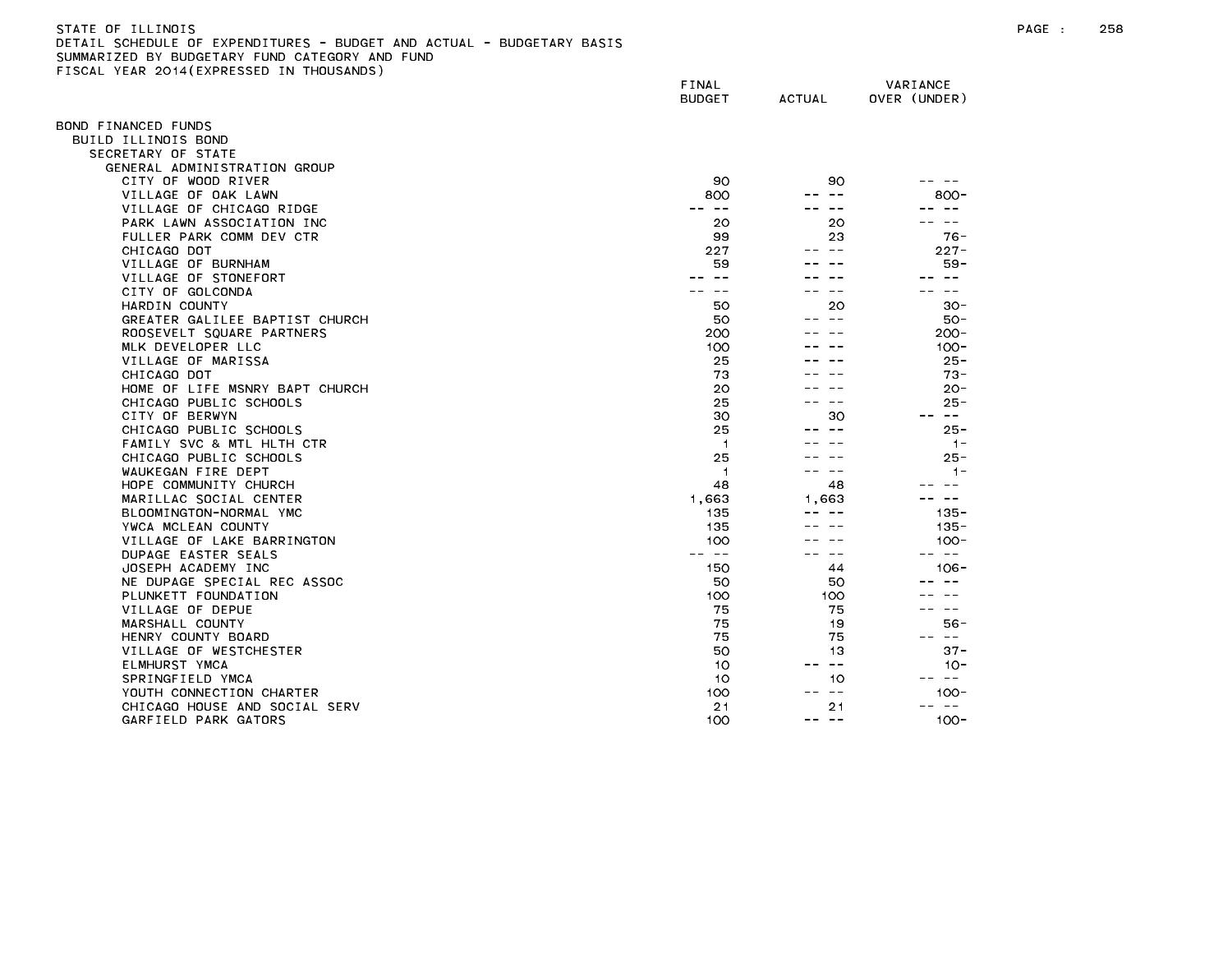| STATE OF ILLINOIS                                                     |
|-----------------------------------------------------------------------|
| DETAIL SCHEDULE OF EXPENDITURES - BUDGET AND ACTUAL - BUDGETARY BASIS |
| SUMMARIZED BY BUDGETARY FUND CATEGORY AND FUND                        |
| FISCAL YEAR 2014(EXPRESSED IN THOUSANDS)                              |

|                                | FINAL<br><b>BUDGET</b> | <b>ACTUAL</b> | VARIANCE<br>OVER (UNDER) |
|--------------------------------|------------------------|---------------|--------------------------|
| OND FINANCED FUNDS             |                        |               |                          |
| BUILD ILLINOIS BOND            |                        |               |                          |
| SECRETARY OF STATE             |                        |               |                          |
| GENERAL ADMINISTRATION GROUP   |                        |               |                          |
| CITY OF WOOD RIVER             | 90                     | 90            |                          |
| VILLAGE OF OAK LAWN            | 800                    |               | $800 -$                  |
| VILLAGE OF CHICAGO RIDGE       | $\sim$ $-$             |               |                          |
| PARK LAWN ASSOCIATION INC      | 20                     | 20            |                          |
| FULLER PARK COMM DEV CTR       | 99                     | 23            | 76-                      |
| CHICAGO DOT                    | 227                    |               | $227 -$                  |
| VILLAGE OF BURNHAM             | 59                     |               | $59 -$                   |
| VILLAGE OF STONEFORT           | $\sim$ $-$             |               | $ -$                     |
| CITY OF GOLCONDA               |                        |               |                          |
| HARDIN COUNTY                  | 50                     | 20            | $30 -$                   |
| GREATER GALILEE BAPTIST CHURCH | 50                     |               | $50 -$                   |
| ROOSEVELT SQUARE PARTNERS      | 200                    |               | $200 -$                  |
| MLK DEVELOPER LLC              | 100                    |               | $100 -$                  |
| VILLAGE OF MARISSA             | 25                     |               | $25 -$                   |
| CHICAGO DOT                    | 73                     |               | $73 -$                   |
| HOME OF LIFE MSNRY BAPT CHURCH | 20                     |               | $20 -$                   |
| CHICAGO PUBLIC SCHOOLS         | 25                     |               | $25 -$                   |
| CITY OF BERWYN                 | 30                     | 30            | $- -$<br>$- -$           |
| CHICAGO PUBLIC SCHOOLS         | 25                     |               | $25 -$                   |
| FAMILY SVC & MTL HLTH CTR      | $\overline{1}$         |               | $1 -$                    |
| CHICAGO PUBLIC SCHOOLS         | 25                     |               | $25 -$                   |
| WAUKEGAN FIRE DEPT             | 1                      | $\sim$ $\sim$ | $1 -$                    |
| HOPE COMMUNITY CHURCH          | 48                     | 48            |                          |
| MARILLAC SOCIAL CENTER         | 1,663                  | 1.663         |                          |
| BLOOMINGTON-NORMAL YMC         | 135                    |               | $135 -$                  |
| YWCA MCLEAN COUNTY             | 135                    |               | $135 -$                  |
| VILLAGE OF LAKE BARRINGTON     | 100                    |               | $100 -$                  |
| DUPAGE EASTER SEALS            | $\sim$ $-$             | $ -$          | $\sim$ $-$               |
| JOSEPH ACADEMY INC             | 150                    | 44            | $106 -$                  |
| NE DUPAGE SPECIAL REC ASSOC    | 50                     | 50            |                          |
| PLUNKETT FOUNDATION            | 100                    | 100           |                          |
| VILLAGE OF DEPUE               | 75                     | 75            | $ -$                     |
| MARSHALL COUNTY                | 75                     | 19            | $56 -$                   |
| HENRY COUNTY BOARD             | 75                     | 75            | س س                      |
| VILLAGE OF WESTCHESTER         | 50                     | 13            | $37 -$                   |
| ELMHURST YMCA                  | 10                     | $ -$          | $10 -$                   |
| SPRINGFIELD YMCA               | 10                     | 10            | $\sim 100$               |
| YOUTH CONNECTION CHARTER       | 100                    | $\sim$ $-$    | $100 -$                  |
| CHICAGO HOUSE AND SOCIAL SERV  | 21                     | 21            | $\sim$ $-$               |
| GARFIELD PARK GATORS           | 100                    | -- --         | $100 -$                  |
|                                |                        |               |                          |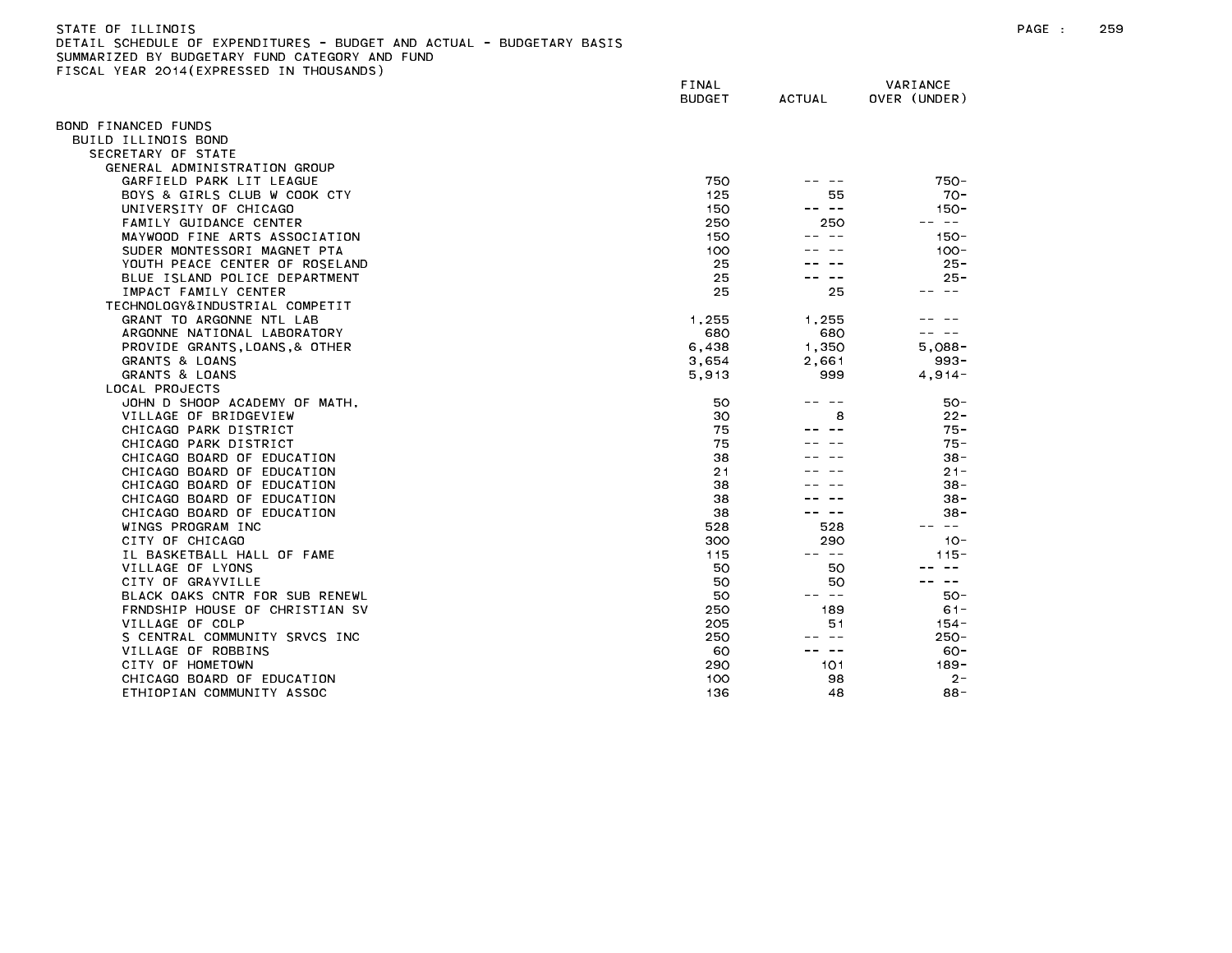| STATE OF ILLINOIS                                                     |  |
|-----------------------------------------------------------------------|--|
| DETAIL SCHEDULE OF EXPENDITURES - BUDGET AND ACTUAL - BUDGETARY BASI! |  |
| SUMMARIZED BY BUDGETARY FUND CATEGORY AND FUND                        |  |
| FISCAL YEAR 2014(EXPRESSED IN THOUSANDS)                              |  |

|                                | FINAL<br><b>BUDGET</b> | <b>ACTUAL</b> | VARIANCE<br>OVER (UNDER) |
|--------------------------------|------------------------|---------------|--------------------------|
| BOND FINANCED FUNDS            |                        |               |                          |
| BUILD ILLINOIS BOND            |                        |               |                          |
| SECRETARY OF STATE             |                        |               |                          |
| GENERAL ADMINISTRATION GROUP   |                        |               |                          |
| GARFIELD PARK LIT LEAGUE       | 750                    |               | $750 -$                  |
| BOYS & GIRLS CLUB W COOK CTY   | 125                    | 55            | $70-$                    |
| UNIVERSITY OF CHICAGO          | 150                    | $\sim$ $-$    | $150 -$                  |
| FAMILY GUIDANCE CENTER         | 250                    | 250           | $- - -$                  |
| MAYWOOD FINE ARTS ASSOCIATION  | 150                    |               | $150 -$                  |
| SUDER MONTESSORI MAGNET PTA    | 100                    |               | $100 -$                  |
| YOUTH PEACE CENTER OF ROSELAND | 25                     |               | $25 -$                   |
| BLUE ISLAND POLICE DEPARTMENT  | 25                     | $\sim$ $-$    | $25 -$                   |
| IMPACT FAMILY CENTER           | 25                     | 25            | $- -$                    |
| TECHNOLOGY&INDUSTRIAL COMPETIT |                        |               |                          |
| GRANT TO ARGONNE NTL LAB       | 1,255                  | 1,255         |                          |
| ARGONNE NATIONAL LABORATORY    | 680                    | 680           |                          |
| PROVIDE GRANTS, LOANS, & OTHER | 6,438                  | 1,350         | $5.088 -$                |
| GRANTS & LOANS                 | 3,654                  | 2,661         | $993 -$                  |
| GRANTS & LOANS                 | 5,913                  | 999           | $4,914-$                 |
| LOCAL PROJECTS                 |                        |               |                          |
| JOHN D SHOOP ACADEMY OF MATH,  | 50                     | $ -$          | 50-                      |
| VILLAGE OF BRIDGEVIEW          | 30                     | 8             | $22 -$                   |
| CHICAGO PARK DISTRICT          | 75                     |               | $75 -$                   |
| CHICAGO PARK DISTRICT          | 75                     |               | $75 -$                   |
| CHICAGO BOARD OF EDUCATION     | 38                     |               | $38 -$                   |
| CHICAGO BOARD OF EDUCATION     | 21                     |               | $21 -$                   |
| CHICAGO BOARD OF EDUCATION     | 38                     |               | $38 -$                   |
| CHICAGO BOARD OF EDUCATION     | 38                     |               | $38 -$                   |
| CHICAGO BOARD OF EDUCATION     | 38                     |               | $38 -$                   |
| WINGS PROGRAM INC              | 528                    | 528           | $\sim 100$               |
| CITY OF CHICAGO                | 300                    | 290           | $10 -$                   |
| IL BASKETBALL HALL OF FAME     | 115                    | -- --         | $115 -$                  |
| VILLAGE OF LYONS               | 50                     | 50            |                          |
| CITY OF GRAYVILLE              | 50                     | 50            | $\sim$ $-$               |
| BLACK OAKS CNTR FOR SUB RENEWL | 50                     | $\sim$ $-$    | $50 -$                   |
| FRNDSHIP HOUSE OF CHRISTIAN SV | 250                    | 189           | $61 -$                   |
| VILLAGE OF COLP                | 205                    | 51            | $154 -$                  |
| S CENTRAL COMMUNITY SRVCS INC  | 250                    | $- -$         | $250 -$                  |
| VILLAGE OF ROBBINS             | 60                     | -- --         | $60 -$                   |
| CITY OF HOMETOWN               | 290                    | 101           | $189 -$                  |
| CHICAGO BOARD OF EDUCATION     | 100                    | 98            | $2 -$                    |
| ETHIOPIAN COMMUNITY ASSOC      | 136                    | 48            | $88 -$                   |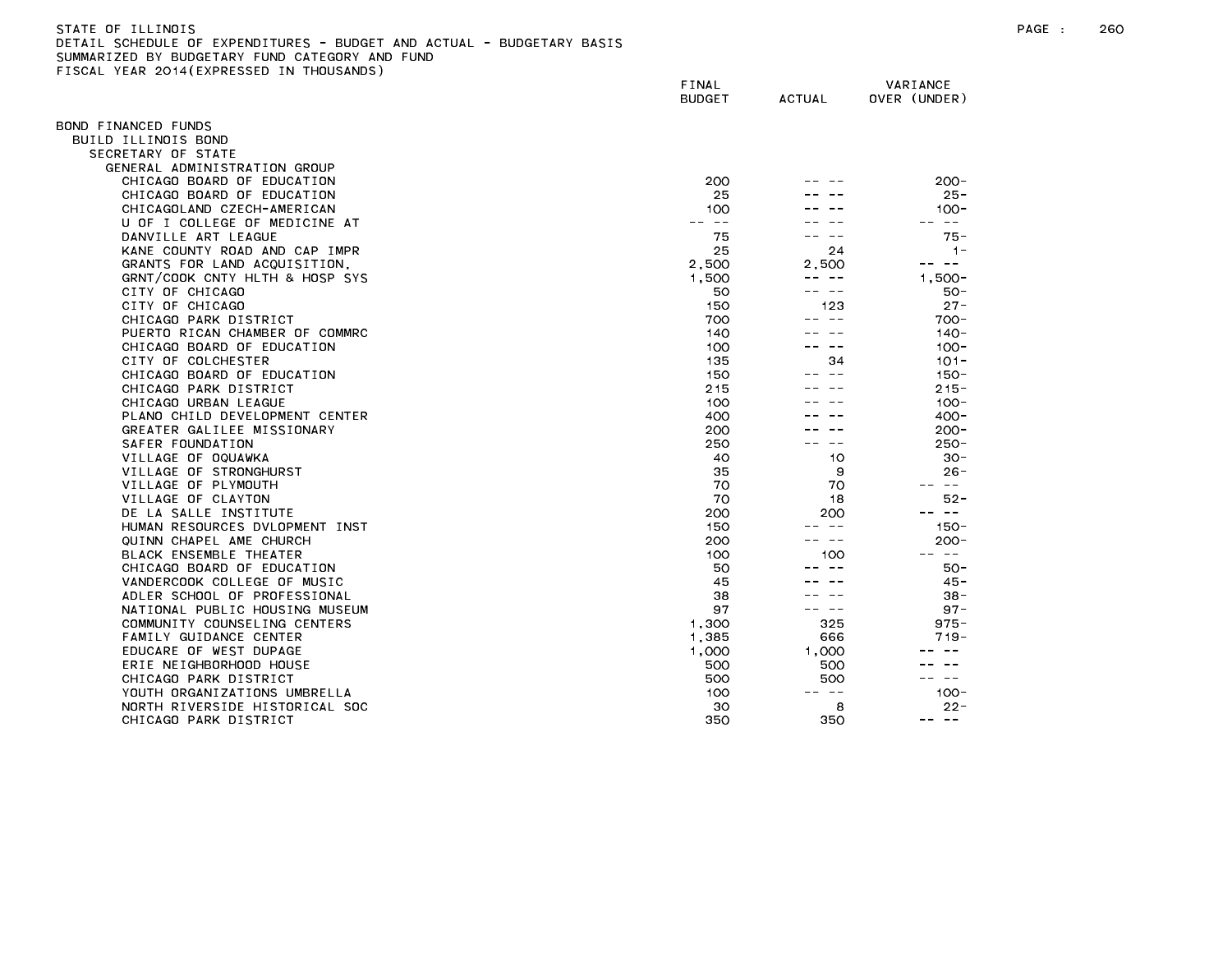| STATE OF ILLINOIS                                                     |  |  | PAGE |
|-----------------------------------------------------------------------|--|--|------|
| DETAIL SCHEDULE OF EXPENDITURES - BUDGET AND ACTUAL - BUDGETARY BASIS |  |  |      |
| SUMMARIZED BY BUDGETARY FUND CATEGORY AND FUND                        |  |  |      |

FISCAL YEAR 2014(EXPRESSED IN THOUSANDS)

FINAL VARIANCE BUDGET ACTUAL OVER (UNDER) BOND FINANCED FUNDS BUILD ILLINOIS BOND SECRETARY OF STATE GENERAL ADMINISTRATION GROUP CHICAGO BOARD OF EDUCATION 200 -- -- 200- CHICAGO BOARD OF EDUCATION 25 --- 25-CHICAGOLAND CZECH-AMERICAN 100 -- -- 100- U OF I COLLEGE OF MEDICINE AT -- -- -- -- -- -- DANVILLE ART LEAGUE 75 -- -- 75- KANE COUNTY ROAD AND CAP IMPR 25 24 25 24 1-GRANTS FOR LAND ACQUISITION, 2,500 2,500 -- -- GRNT/COOK CNTY HLTH & HOSP SYS 1,500 ---- 1,500 ---- 1,500 ---- 1,500 ---- 1,500 --- 1,500 --- 1,500 --- 1,500 --- 1,500 --- 1,500 --- 1,500 -- 1,500 -- 1,500 -- 1,500 -- 1,500 -- 1,500 -- 1,500 -- 1,500 -- 1,500 -- 1,500 CITY OF CHICAGO 50 - 50-CITY OF CHICAGO 150 123 27- CHICAGO PARK DISTRICT AND THE RESERVE OF THE RESERVE OF THE RESERVE OF THE RESERVE OF THE RESERVE OF THE RESERVE OF THE RESERVE OF THE RESERVE OF THE RESERVE OF THE RESERVE OF THE RESERVE OF THE RESERVE OF THE RESERVE OF T PUERTO RICAN CHAMBER OF COMMRC 140 -- 140 -- 140 -- 140 -- 140 -- 140 -- 140 -- 140 -- 140 -- 140 -- 140 -- 140 -- 140 -- 140 -- 140 -- 140 -- 140 -- 140 -- 140 -- 140 -- 140 -- 140 -- 140 -- 140 -- 140 -- 140 -- 140 -- 14 CHICAGO BOARD OF EDUCATION AND A SAND HOT CHICAGO DO HOT CHICAGO DO HOT CHICAGO DO HOT CHICAGO DO HOT CHICAGO CITY OF COLCHESTER 135 34 101-CHICAGO BOARD OF EDUCATION 150 - 150 - 150 - 150 - 150 - 150 - 150 - 150 - 150 - 150 - 150 - 150 - 150 - 150 -CHICAGO PARK DISTRICT 215-CHICAGO URBAN LEAGUE 100 -- -- 100 -- 100 -- 100 -- 100 -- 100 -- 100 -- 100 -- 100 -- 100 -- 100 -- 100 -- 100 -- 100 -- 100 -- 100 -- 100 -- 100 -- 100 -- 100 -- 100 -- 100 -- 100 -- 100 -- 100 -- 100 -- 100 -- 100 -- 10 PLANO CHILD DEVELOPMENT CENTER 400 -- -- 400- GREATER GALILEE MISSIONARY 200 -- -- 200- VILLAGE OF OQUAWKA 40 10 30- VILLAGE OF STRONGHURST 35 9 26- VILLAGE OF PLYMOUTH 70 70 -- -- VILLAGE OF CLAYTON 52-DE LA SALLE INSTITUTE 200 200 -- -- HUMAN RESOURCES DVLOPMENT INST 150 -- -- 150- QUINN CHAPEL AME CHURCH 200 -- -- 200- BLACK ENSEMBLE THEATER 100 100 -- -- CHICAGO BOARD OF EDUCATION 50 -- 50-VANDERCOOK COLLEGE OF MUSIC And the set of the set of the set of the set of the set of the set of the set of the set of the set of the set of the set of the set of the set of the set of the set of the set of the set of the ADLER SCHOOL OF PROFESSIONAL 38 -- -- 38- NATIONAL PUBLIC HOUSING MUSEUM And the state of the state of the state of the state of the state of the state o COMMUNITY COUNSELING CENTERS THE RESERVE COMMUNITY COUNSELING CENTERS AND ALL COMMUNITY COUNSELING CENTERS FAMILY GUIDANCE CENTER THE RELATION OF THE RELATIONS OF THE RELATIONS OF THE RELATIONS OF THE RELATIONS OF THE RELATIONS OF THE RELATIONS OF THE RELATIONS OF THE RELATIONS OF THE RELATIONS OF THE RELATIONS OF THE RELATIONS EDUCARE OF WEST DUPAGE 1,000 1,000 -- -- ERIE NEIGHBORHOOD HOUSE 500 500 -- -- CHICAGO PARK DISTRICT YOUTH ORGANIZATIONS UMBRELLA 100 -- -- 100- NORTH RIVERSIDE HISTORICAL SOC 30 8 22- CHICAGO PARK DISTRICT AND RESERVE THE SERVE OF STRING AND STRING AND STRING AND STRING AND STRING AND STRING A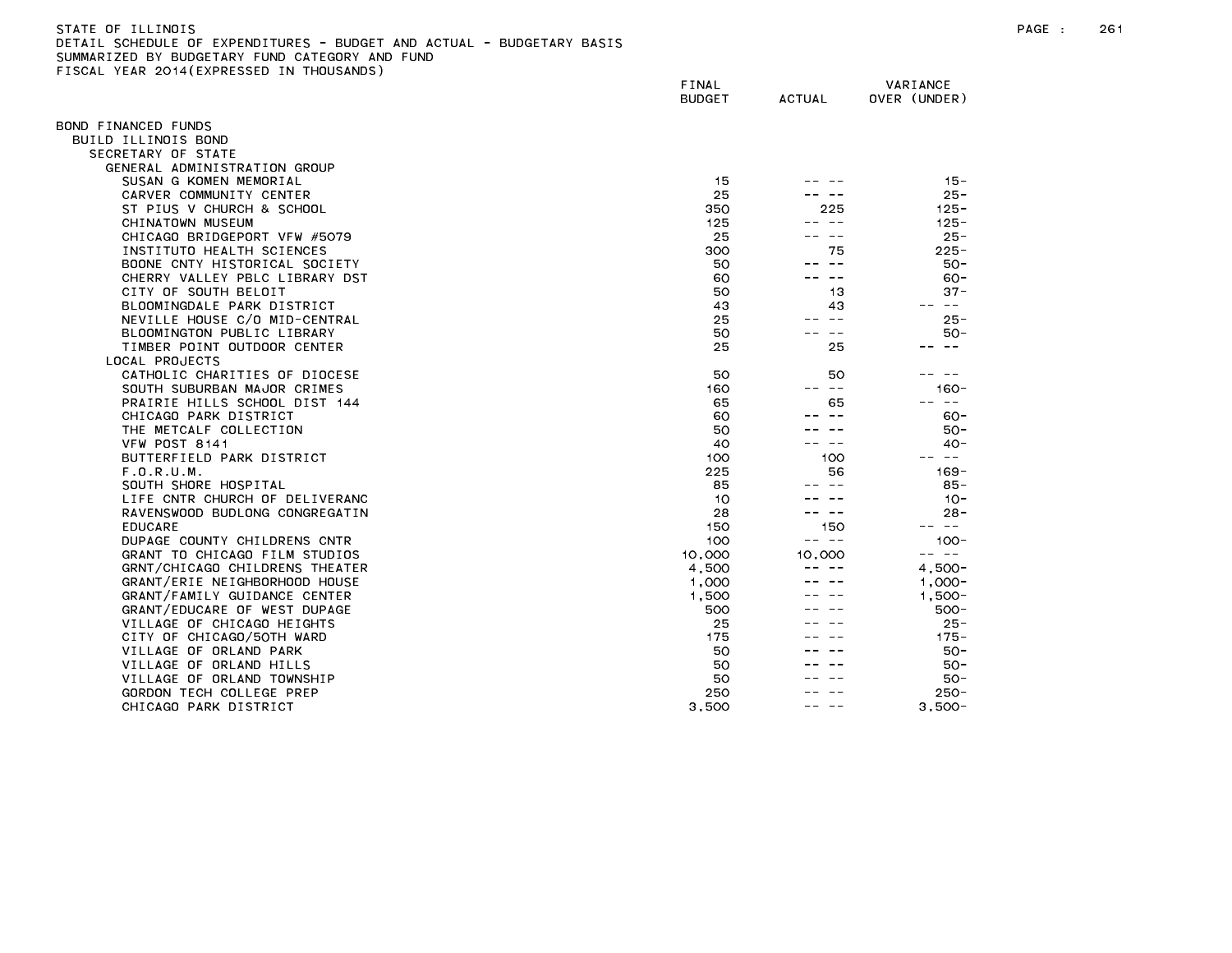| STATE OF ILL<br>LINOIS                                                     | PAGE |
|----------------------------------------------------------------------------|------|
| . SCHEDULE OF EXPENDITURES - BUDGET AND ACTUAL - BUDGETARY BASIS<br>DETAIL |      |
| SUMMARIZED BY BUDGFTARY<br>FUND CATEGORY<br>AND FUND                       |      |

SUMMARIZED BY BUDGETARY FUND CATEGORY AND FUND<br>FISCAL YEAR 2014(EXPRESSED IN THOUSANDS)

| LIGGAL TEAR EGIT(EATALGSED     | FINAL<br><b>BUDGET</b> | <b>ACTUAL</b> | VARIANCE<br>OVER (UNDER) |
|--------------------------------|------------------------|---------------|--------------------------|
| BOND FINANCED FUNDS            |                        |               |                          |
| BUILD ILLINOIS BOND            |                        |               |                          |
| SECRETARY OF STATE             |                        |               |                          |
| GENERAL ADMINISTRATION GROUP   |                        |               |                          |
| SUSAN G KOMEN MEMORIAL         | 15                     |               | $15 -$                   |
| CARVER COMMUNITY CENTER        | 25                     |               | $25 -$                   |
| ST PIUS V CHURCH & SCHOOL      | 350                    | 225           | $125 -$                  |
| CHINATOWN MUSEUM               | 125                    | $\sim$ $-$    | $125 -$                  |
| CHICAGO BRIDGEPORT VFW #5079   | 25                     |               | $25 -$                   |
| INSTITUTO HEALTH SCIENCES      | 300                    | 75            | $225 -$                  |
| BOONE CNTY HISTORICAL SOCIETY  | 50                     | $\sim$ $-$    | $50 -$                   |
| CHERRY VALLEY PBLC LIBRARY DST | 60                     | س س           | $60 -$                   |
| CITY OF SOUTH BELOIT           | 50                     | 13            | $37 -$                   |
| BLOOMINGDALE PARK DISTRICT     | 43                     | 43            | $- - -$                  |
| NEVILLE HOUSE C/O MID-CENTRAL  | 25                     | $ -$          | $25 -$                   |
| BLOOMINGTON PUBLIC LIBRARY     | 50                     | $ -$          | 50-                      |
| TIMBER POINT OUTDOOR CENTER    | 25                     | 25            | $ -$                     |
| LOCAL PROJECTS                 |                        |               |                          |
| CATHOLIC CHARITIES OF DIOCESE  | 50                     | 50            | ———                      |
| SOUTH SUBURBAN MAJOR CRIMES    | 160                    | -- --         | $160 -$                  |
| PRAIRIE HILLS SCHOOL DIST 144  | 65                     | 65            | $\sim$ $-$               |
| CHICAGO PARK DISTRICT          | 60                     | $\sim$ $-$    | $60 -$                   |
| THE METCALF COLLECTION         | 50                     |               | $50 -$                   |
| VFW POST 8141                  | 40                     | .             | $40 -$                   |
| BUTTERFIELD PARK DISTRICT      | 100                    | 100           | $\sim$ $-$               |
| F.0.R.U.M.                     | 225                    | 56            | $169 -$                  |
| SOUTH SHORE HOSPITAL           | 85                     |               | 85-                      |
| LIFE CNTR CHURCH OF DELIVERANC | 10                     |               | $10 -$                   |
| RAVENSWOOD BUDLONG CONGREGATIN | 28                     | .             | $28 -$                   |
| <b>EDUCARE</b>                 | 150                    | 150           | $\sim$ $-$               |
| DUPAGE COUNTY CHILDRENS CNTR   | 100                    | -- --         | $100 -$                  |
| GRANT TO CHICAGO FILM STUDIOS  | 10,000                 | 10,000        | -- --                    |
| GRNT/CHICAGO CHILDRENS THEATER | 4,500                  |               | $4.500 -$                |
| GRANT/ERIE NEIGHBORHOOD HOUSE  | 1,000                  |               | $1,000 -$                |
| GRANT/FAMILY GUIDANCE CENTER   | 1,500                  |               | $1,500 -$                |
| GRANT/EDUCARE OF WEST DUPAGE   | 500                    |               | $500 -$                  |
| VILLAGE OF CHICAGO HEIGHTS     | 25                     |               | $25 -$                   |
| CITY OF CHICAGO/5OTH WARD      | 175                    |               | $175 -$                  |
| VILLAGE OF ORLAND PARK         | 50                     |               | $50 -$                   |
| VILLAGE OF ORLAND HILLS        | 50                     |               | 50-                      |
| VILLAGE OF ORLAND TOWNSHIP     | 50                     |               | 50-                      |
| GORDON TECH COLLEGE PREP       | 250                    |               | $250 -$                  |
| CHICAGO PARK DISTRICT          | 3.500                  |               | $3.500 -$                |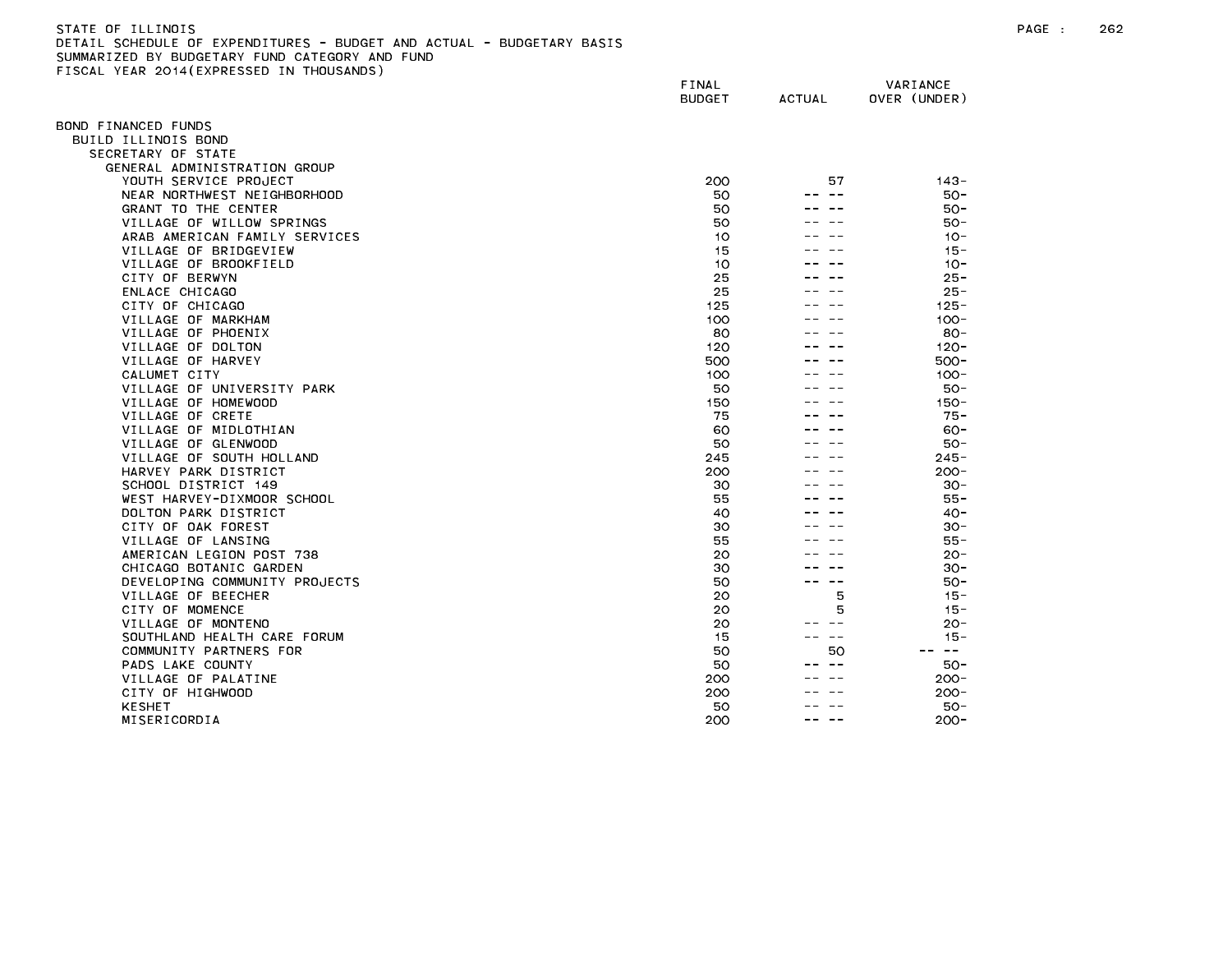| STATE OF ILLINDIS                                                     |  |
|-----------------------------------------------------------------------|--|
| DETAIL SCHEDULE OF EXPENDITURES - BUDGET AND ACTUAL - BUDGETARY BASIS |  |
| SUMMARIZED BY BUDGETARY FUND CATEGORY AND FUND                        |  |
| FISCAL YEAR 2014(EXPRESSED IN THOUSANDS)                              |  |

| $F = F \cup F$                | FINAL<br><b>BUDGET</b> | <b>ACTUAL</b> | VARIANCE<br>OVER (UNDER) |
|-------------------------------|------------------------|---------------|--------------------------|
| BOND FINANCED FUNDS           |                        |               |                          |
| BUILD ILLINOIS BOND           |                        |               |                          |
| SECRETARY OF STATE            |                        |               |                          |
| GENERAL ADMINISTRATION GROUP  |                        |               |                          |
| YOUTH SERVICE PROJECT         | 200                    | 57            | $143 -$                  |
| NEAR NORTHWEST NEIGHBORHOOD   | 50                     | $\sim$ $-$    | $50 -$                   |
| GRANT TO THE CENTER           | 50                     |               | $50 -$                   |
| VILLAGE OF WILLOW SPRINGS     | 50                     |               | $50 -$                   |
| ARAB AMERICAN FAMILY SERVICES | 10                     |               | $10 -$                   |
| VILLAGE OF BRIDGEVIEW         | 15                     |               | $15 -$                   |
| VILLAGE OF BROOKFIELD         | 10                     |               | $10 -$                   |
| CITY OF BERWYN                | 25                     |               | $25 -$                   |
| ENLACE CHICAGO                | 25                     |               | $25 -$                   |
| CITY OF CHICAGO               | 125                    |               | $125 -$                  |
| VILLAGE OF MARKHAM            | 100                    |               | $100 -$                  |
| VILLAGE OF PHOENIX            | 80                     |               | $80 -$                   |
| VILLAGE OF DOLTON             | 120                    |               | $120 -$                  |
| VILLAGE OF HARVEY             | 500                    |               | $500 -$                  |
| CALUMET CITY                  | 100                    |               | $100 -$                  |
| VILLAGE OF UNIVERSITY PARK    | 50                     |               | $50 -$                   |
| VILLAGE OF HOMEWOOD           | 150                    |               | $150 -$                  |
| VILLAGE OF CRETE              | 75                     |               | $75 -$                   |
| VILLAGE OF MIDLOTHIAN         | 60                     |               | $60 -$                   |
| VILLAGE OF GLENWOOD           | 50                     |               | 50-                      |
| VILLAGE OF SOUTH HOLLAND      | 245                    |               | $245 -$                  |
| HARVEY PARK DISTRICT          | 200                    |               | $200 -$                  |
| SCHOOL DISTRICT 149           | 30                     |               | $30 -$                   |
| WEST HARVEY-DIXMOOR SCHOOL    | 55                     |               | 55 -                     |
| DOLTON PARK DISTRICT          | 40                     |               | $40 -$                   |
| CITY OF OAK FOREST            | 30                     |               | $30 -$                   |
| VILLAGE OF LANSING            | 55                     |               | 55 -                     |
| AMERICAN LEGION POST 738      | 20                     |               | $20 -$                   |
| CHICAGO BOTANIC GARDEN        | 30                     |               | $30 -$                   |
| DEVELOPING COMMUNITY PROJECTS | 50                     | $\sim$ $-$    | $50 -$                   |
| VILLAGE OF BEECHER            | 20                     | 5             | $15 -$                   |
| CITY OF MOMENCE               | 20                     | 5             | $15 -$                   |
| VILLAGE OF MONTENO            | 20                     | $- -$         | $20 -$                   |
| SOUTHLAND HEALTH CARE FORUM   | 15                     | $\sim$ $-$    | $15 -$                   |
| COMMUNITY PARTNERS FOR        | 50                     | 50            | $\sim$ $-$               |
| PADS LAKE COUNTY              | 50                     |               | $50 -$                   |
| VILLAGE OF PALATINE           | 200                    |               | $200 -$                  |
| CITY OF HIGHWOOD              | 200                    |               | $200 -$                  |
| <b>KESHET</b>                 | 50                     |               | 50-                      |
| MISERICORDIA                  | 200                    | - -           | $200 -$                  |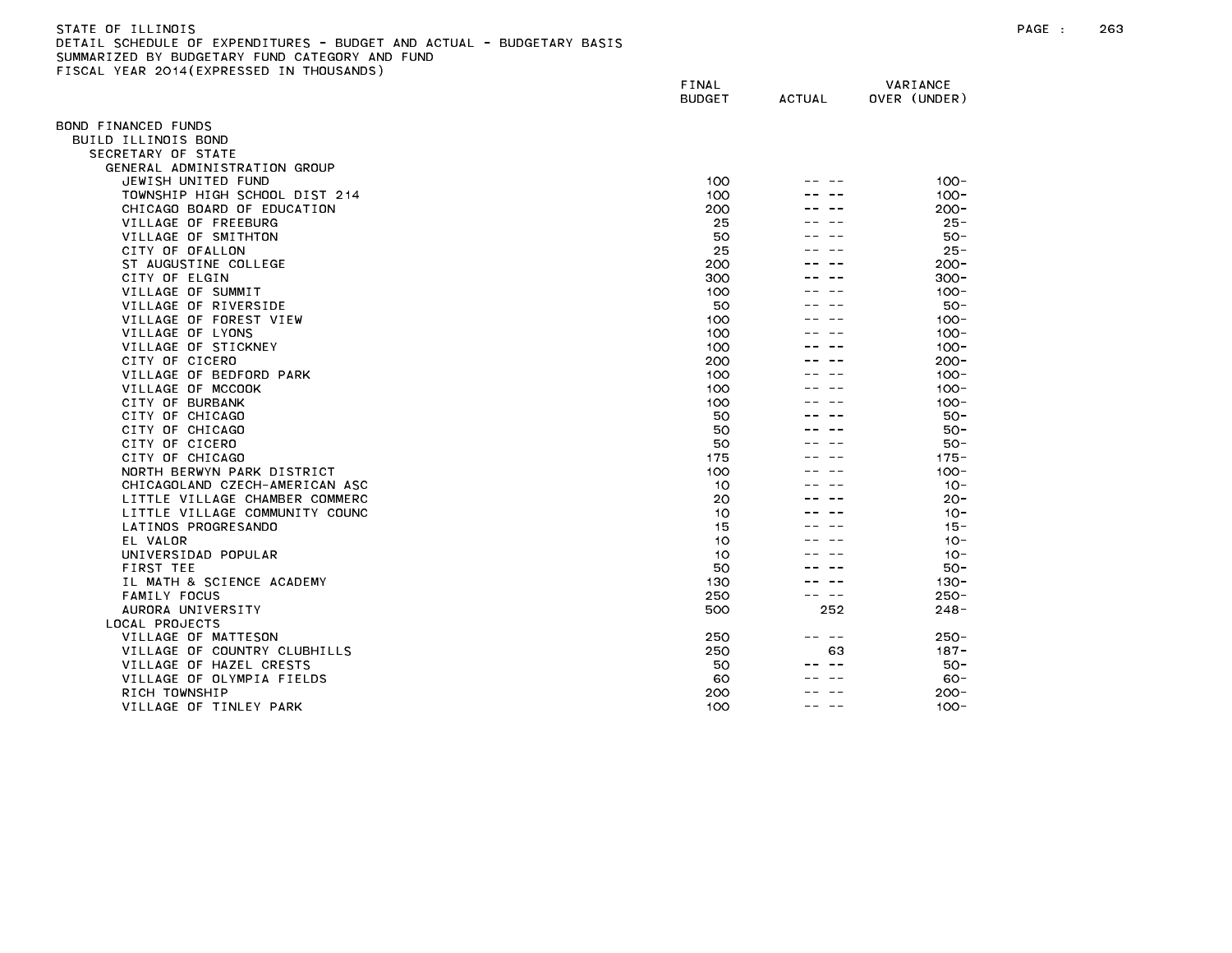### STATE OF ILLINOIS PAGE : 263 DETAIL SCHEDULE OF EXPENDITURES - BUDGET AND ACTUAL - BUDGETARY BASIS SUMMARIZED BY BUDGETARY FUND CATEGORY AND FUND FISCAL YEAR 2014(EXPRESSED IN THOUSANDS)

|                                | FINAL<br><b>BUDGET</b> | <b>ACTUAL</b> | VARIANCE<br>OVER (UNDER) |
|--------------------------------|------------------------|---------------|--------------------------|
| BOND FINANCED FUNDS            |                        |               |                          |
| BUILD ILLINOIS BOND            |                        |               |                          |
| SECRETARY OF STATE             |                        |               |                          |
| GENERAL ADMINISTRATION GROUP   |                        |               |                          |
| JEWISH UNITED FUND             | 100                    |               | $100 -$                  |
| TOWNSHIP HIGH SCHOOL DIST 214  | 100                    |               | $100 -$                  |
| CHICAGO BOARD OF EDUCATION     | 200                    |               | $200 -$                  |
| VILLAGE OF FREEBURG            | 25                     |               | $25 -$                   |
| VILLAGE OF SMITHTON            | 50                     |               | $50 -$                   |
| CITY OF OFALLON                | 25                     |               | $25 -$                   |
| ST AUGUSTINE COLLEGE           | 200                    |               | $200 -$                  |
| CITY OF ELGIN                  | 300                    |               | $300 -$                  |
| VILLAGE OF SUMMIT              | 100                    |               | $100 -$                  |
| VILLAGE OF RIVERSIDE           | 50                     |               | $50 -$                   |
| VILLAGE OF FOREST VIEW         | 100                    |               | $100 -$                  |
| VILLAGE OF LYONS               | 100                    |               | $100 -$                  |
| VILLAGE OF STICKNEY            | 100                    |               | $100 -$                  |
| CITY OF CICERO                 | 200                    |               | $200 -$                  |
| VILLAGE OF BEDFORD PARK        | 100                    |               | $100 -$                  |
| VILLAGE OF MCCOOK              | 100                    |               | $100 -$                  |
| CITY OF BURBANK                | 100                    |               | $100 -$                  |
| CITY OF CHICAGO                | 50                     |               | $50 -$                   |
| CITY OF CHICAGO                | 50                     |               | $50 -$                   |
| CITY OF CICERO                 | 50                     |               | $50 -$                   |
| CITY OF CHICAGO                | 175                    |               | $175 -$                  |
| NORTH BERWYN PARK DISTRICT     | 100                    |               | $100 -$                  |
| CHICAGOLAND CZECH-AMERICAN ASC | 10                     |               | $10 -$                   |
| LITTLE VILLAGE CHAMBER COMMERC | 20                     |               | $20 -$                   |
| LITTLE VILLAGE COMMUNITY COUNC | 10                     |               | $10 -$                   |
| LATINOS PROGRESANDO            | 15                     |               | $15 -$                   |
| EL VALOR                       | 10                     |               | $10 -$                   |
| UNIVERSIDAD POPULAR            | 10                     |               | $10 -$                   |
| FIRST TEE                      | 50                     |               | $50 -$                   |
| IL MATH & SCIENCE ACADEMY      | 130                    |               | $130 -$                  |
| <b>FAMILY FOCUS</b>            | 250                    | -- --         | $250 -$                  |
| AURORA UNIVERSITY              | 500                    | 252           | $248 -$                  |
| LOCAL PROJECTS                 |                        |               |                          |
| VILLAGE OF MATTESON            | 250                    | ---<br>--     | $250 -$                  |
| VILLAGE OF COUNTRY CLUBHILLS   | 250                    | 63            | $187 -$                  |
| VILLAGE OF HAZEL CRESTS        | 50                     |               | $50 -$                   |
| VILLAGE OF OLYMPIA FIELDS      | 60                     |               | $60 -$                   |
| RICH TOWNSHIP                  | 200                    |               | $200 -$                  |
| VILLAGE OF TINLEY PARK         | 100                    |               | $100 -$                  |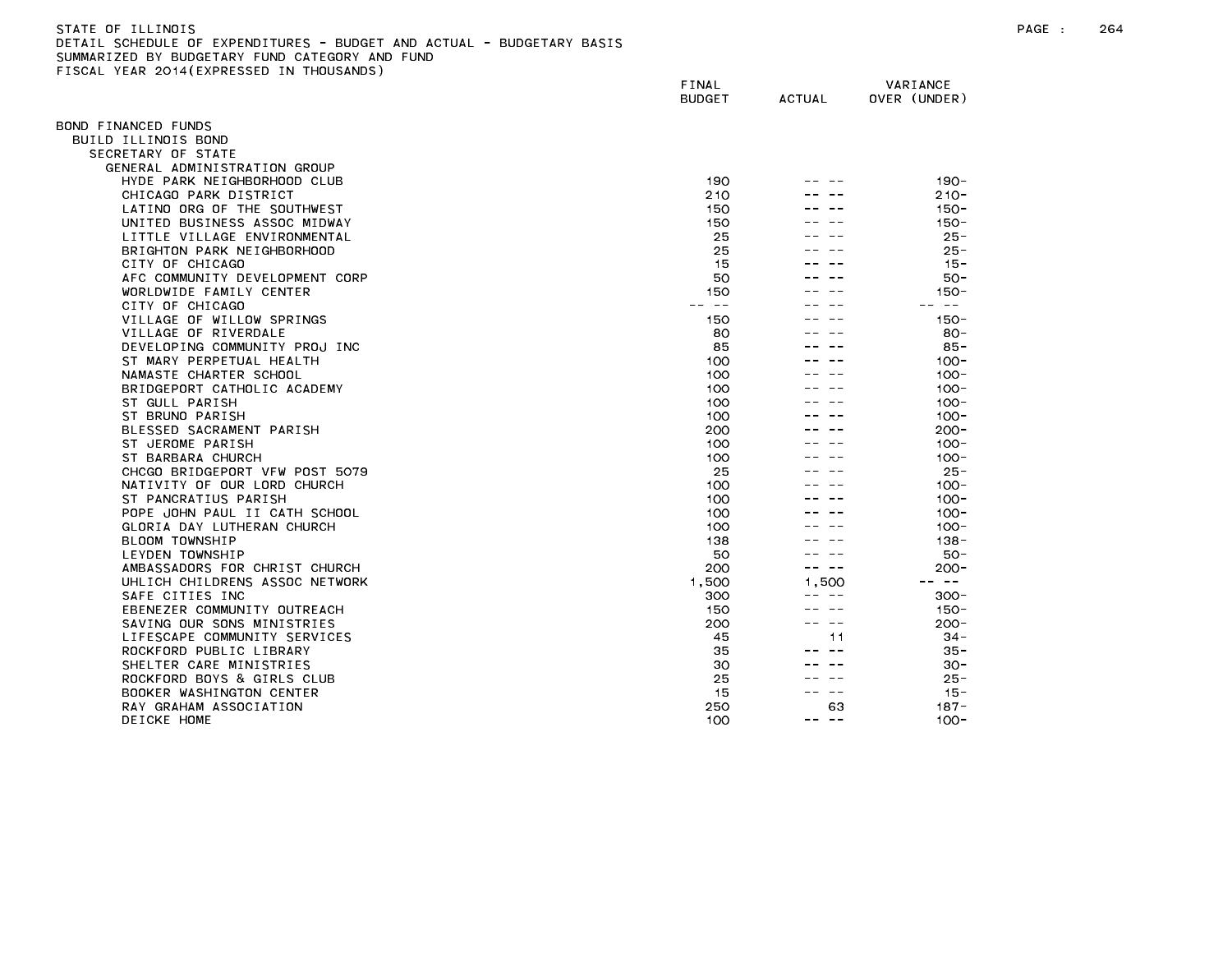| STATE OF ILLINOIS                                                     | PAGE | 264 |
|-----------------------------------------------------------------------|------|-----|
| DETAIL SCHEDULE OF EXPENDITURES - BUDGET AND ACTUAL - BUDGETARY BASIS |      |     |
| SUMMARIZED BY BUDGETARY FUND CATEGORY AND FUND                        |      |     |
| FISCAL YEAR 2014(EXPRESSED IN THOUSANDS)                              |      |     |

|                                                             | FINAL<br><b>BUDGET</b> | <b>ACTUAL</b>  | VARIANCE<br>OVER (UNDER) |
|-------------------------------------------------------------|------------------------|----------------|--------------------------|
| OND FINANCED FUNDS                                          |                        |                |                          |
| BUILD ILLINOIS BOND                                         |                        |                |                          |
| SECRETARY OF STATE                                          |                        |                |                          |
| GENERAL ADMINISTRATION GROUP                                |                        |                |                          |
| HYDE PARK NEIGHBORHOOD CLUB                                 | 190                    |                | $190 -$                  |
| CHICAGO PARK DISTRICT                                       | 210                    |                | $210 -$                  |
| LATINO ORG OF THE SOUTHWEST                                 | 150                    |                | $150 -$                  |
| UNITED BUSINESS ASSOC MIDWAY                                | 150                    |                | $150 -$                  |
| LITTLE VILLAGE ENVIRONMENTAL                                | 25                     |                | $25 -$                   |
| BRIGHTON PARK NEIGHBORHOOD                                  | 25                     |                | $25 -$                   |
| CITY OF CHICAGO                                             | 15                     |                | $15 -$                   |
| AFC COMMUNITY DEVELOPMENT CORP                              | 50                     |                | $50 -$                   |
| WORLDWIDE FAMILY CENTER                                     | 150                    |                | $150 -$                  |
| CITY OF CHICAGO                                             | $\sim$ $-$             |                | $\sim$ $-$               |
| VILLAGE OF WILLOW SPRINGS                                   | 150                    |                | $150 -$                  |
| VILLAGE OF RIVERDALE                                        | 80                     |                | $80 -$                   |
| DEVELOPING COMMUNITY PROJ INC                               | 85                     |                | $85 -$                   |
| ST MARY PERPETUAL HEALTH                                    | 100                    |                | $100 -$                  |
| NAMASTE CHARTER SCHOOL                                      | 100                    |                | $100 -$                  |
| BRIDGEPORT CATHOLIC ACADEMY                                 | 100                    |                | $100 -$                  |
| ST GULL PARISH                                              | 100                    |                | $100 -$                  |
| ST BRUNO PARISH                                             | 100                    |                | $100 -$                  |
| BLESSED SACRAMENT PARISH                                    | 200                    |                | $200 -$                  |
| ST JEROME PARISH                                            | 100                    |                | $100 -$                  |
| ST BARBARA CHURCH                                           | 100                    |                | $100 -$<br>$25 -$        |
| CHCGO BRIDGEPORT VFW POST 5079                              | 25                     |                |                          |
| NATIVITY OF OUR LORD CHURCH                                 | 100                    |                | $100 -$                  |
| ST PANCRATIUS PARISH                                        | 100<br>100             |                | $100 -$<br>$100 -$       |
| POPE JOHN PAUL II CATH SCHOOL<br>GLORIA DAY LUTHERAN CHURCH | 100                    |                | $100 -$                  |
| BLOOM TOWNSHIP                                              | 138                    |                | $138 -$                  |
| LEYDEN TOWNSHIP                                             | 50                     |                | $50 -$                   |
| AMBASSADORS FOR CHRIST CHURCH                               | 200                    | -- --          | $200 -$                  |
| UHLICH CHILDRENS ASSOC NETWORK                              | 1.500                  | 1.500          | $\sim$ $ -$<br>$- -$     |
| SAFE CITIES INC                                             | 300                    |                | $300 -$                  |
| EBENEZER COMMUNITY OUTREACH                                 | 150                    |                | $150 -$                  |
| SAVING OUR SONS MINISTRIES                                  | 200                    | $- -$          | $200 -$                  |
| LIFESCAPE COMMUNITY SERVICES                                | 45                     | 11             | $34 -$                   |
| ROCKFORD PUBLIC LIBRARY                                     | 35                     |                | $35 -$                   |
| SHELTER CARE MINISTRIES                                     | 30                     |                | $30 -$                   |
| ROCKFORD BOYS & GIRLS CLUB                                  | 25                     |                | $25 -$                   |
| BOOKER WASHINGTON CENTER                                    | 15                     | $- -$          | $15 -$                   |
| RAY GRAHAM ASSOCIATION                                      | 250                    | 63             | $187 -$                  |
| DEICKE HOME                                                 | 100                    | $- -$<br>$- -$ | $100 -$                  |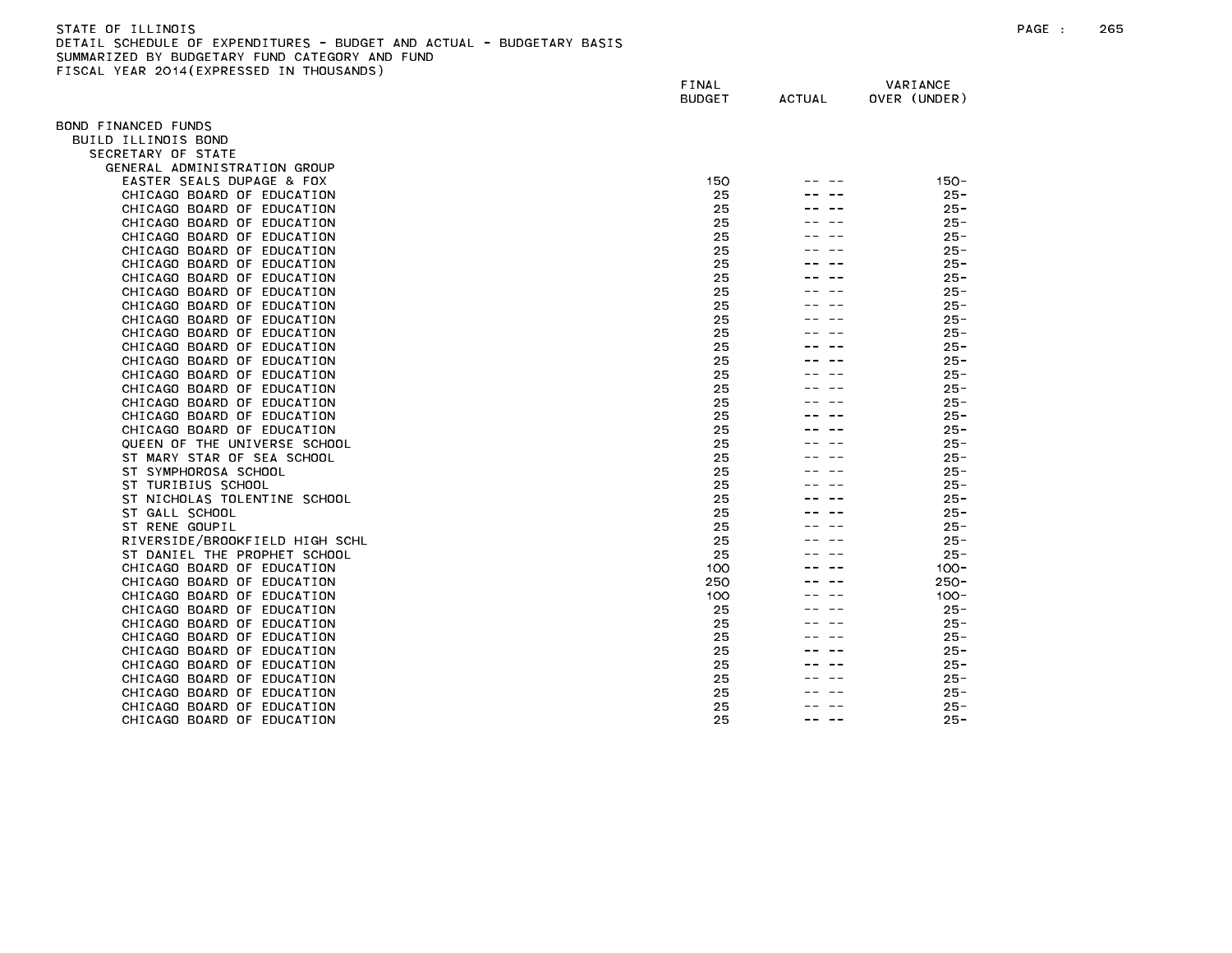| STATE OF ILLINOIS                                                     | PAGE | 265 |
|-----------------------------------------------------------------------|------|-----|
| DETAIL SCHEDULE OF EXPENDITURES - BUDGET AND ACTUAL - BUDGETARY BASIS |      |     |
| SUMMARIZED BY BUDGETARY FUND CATEGORY AND FUND                        |      |     |
| FISCAL YEAR 2014(EXPRESSED IN THOUSANDS)                              |      |     |

|                                                                | FINAL<br><b>BUDGET</b> | <b>ACTUAL</b> | VARIANCE<br>OVER (UNDER) |  |
|----------------------------------------------------------------|------------------------|---------------|--------------------------|--|
| OND FINANCED FUNDS                                             |                        |               |                          |  |
| BUILD ILLINOIS BOND                                            |                        |               |                          |  |
| SECRETARY OF STATE                                             |                        |               |                          |  |
| GENERAL ADMINISTRATION GROUP                                   |                        |               |                          |  |
| EASTER SEALS DUPAGE & FOX                                      | 150                    |               | $150 -$                  |  |
| CHICAGO BOARD OF EDUCATION                                     | 25                     |               | $25 -$                   |  |
| CHICAGO BOARD OF EDUCATION                                     | 25                     |               | $25 -$                   |  |
| CHICAGO BOARD OF EDUCATION                                     | 25                     |               | $25 -$                   |  |
| CHICAGO BOARD OF EDUCATION                                     | 25<br>25               |               | $25 -$<br>$25 -$         |  |
| CHICAGO BOARD OF EDUCATION<br>CHICAGO BOARD OF EDUCATION       | 25                     |               | $25 -$                   |  |
| CHICAGO BOARD OF EDUCATION                                     | 25                     |               | $25 -$                   |  |
| CHICAGO BOARD OF EDUCATION                                     | 25                     |               | $25 -$                   |  |
| CHICAGO BOARD OF EDUCATION                                     | 25                     |               | $25 -$                   |  |
| CHICAGO BOARD OF EDUCATION                                     | 25                     |               | $25 -$                   |  |
| CHICAGO BOARD OF EDUCATION                                     | 25                     |               | $25 -$                   |  |
| CHICAGO BOARD OF EDUCATION                                     | 25                     |               | $25 -$                   |  |
| CHICAGO BOARD OF EDUCATION                                     | 25                     |               | $25 -$                   |  |
| CHICAGO BOARD OF EDUCATION                                     | 25                     |               | $25 -$                   |  |
| CHICAGO BOARD OF EDUCATION                                     | 25                     |               | $25 -$                   |  |
| CHICAGO BOARD OF EDUCATION                                     | 25                     |               | $25 -$                   |  |
| CHICAGO BOARD OF EDUCATION                                     | 25                     |               | $25 -$                   |  |
| CHICAGO BOARD OF EDUCATION                                     | 25                     |               | $25 -$                   |  |
| QUEEN OF THE UNIVERSE SCHOOL                                   | 25                     |               | $25 -$                   |  |
| ST MARY STAR OF SEA SCHOOL                                     | 25                     |               | $25 -$                   |  |
| ST SYMPHOROSA SCHOOL                                           | 25                     |               | $25 -$                   |  |
| ST TURIBIUS SCHOOL                                             | 25                     |               | $25 -$                   |  |
| ST NICHOLAS TOLENTINE SCHOOL                                   | 25                     |               | $25 -$                   |  |
| ST GALL SCHOOL                                                 | 25                     |               | $25 -$                   |  |
| ST RENE GOUPIL                                                 | 25<br>25               |               | $25 -$<br>$25 -$         |  |
| RIVERSIDE/BROOKFIELD HIGH SCHL<br>ST DANIEL THE PROPHET SCHOOL | 25                     |               | $25 -$                   |  |
| CHICAGO BOARD OF EDUCATION                                     | 100                    |               | $100 -$                  |  |
| CHICAGO BOARD OF EDUCATION                                     | 250                    |               | $250 -$                  |  |
| CHICAGO BOARD OF EDUCATION                                     | 100                    |               | $100 -$                  |  |
| CHICAGO BOARD OF EDUCATION                                     | 25                     |               | $25 -$                   |  |
| CHICAGO BOARD OF EDUCATION                                     | 25                     |               | $25 -$                   |  |
| CHICAGO BOARD OF EDUCATION                                     | 25                     |               | $25 -$                   |  |
| CHICAGO BOARD OF EDUCATION                                     | 25                     |               | $25 -$                   |  |
| CHICAGO BOARD OF EDUCATION                                     | 25                     |               | $25 -$                   |  |
| CHICAGO BOARD OF EDUCATION                                     | 25                     |               | $25 -$                   |  |
| CHICAGO BOARD OF EDUCATION                                     | 25                     |               | $25 -$                   |  |
| CHICAGO BOARD OF EDUCATION                                     | 25                     |               | $25 -$                   |  |
| CHICAGO BOARD OF EDUCATION                                     | 25                     |               | 25 -                     |  |
|                                                                |                        |               |                          |  |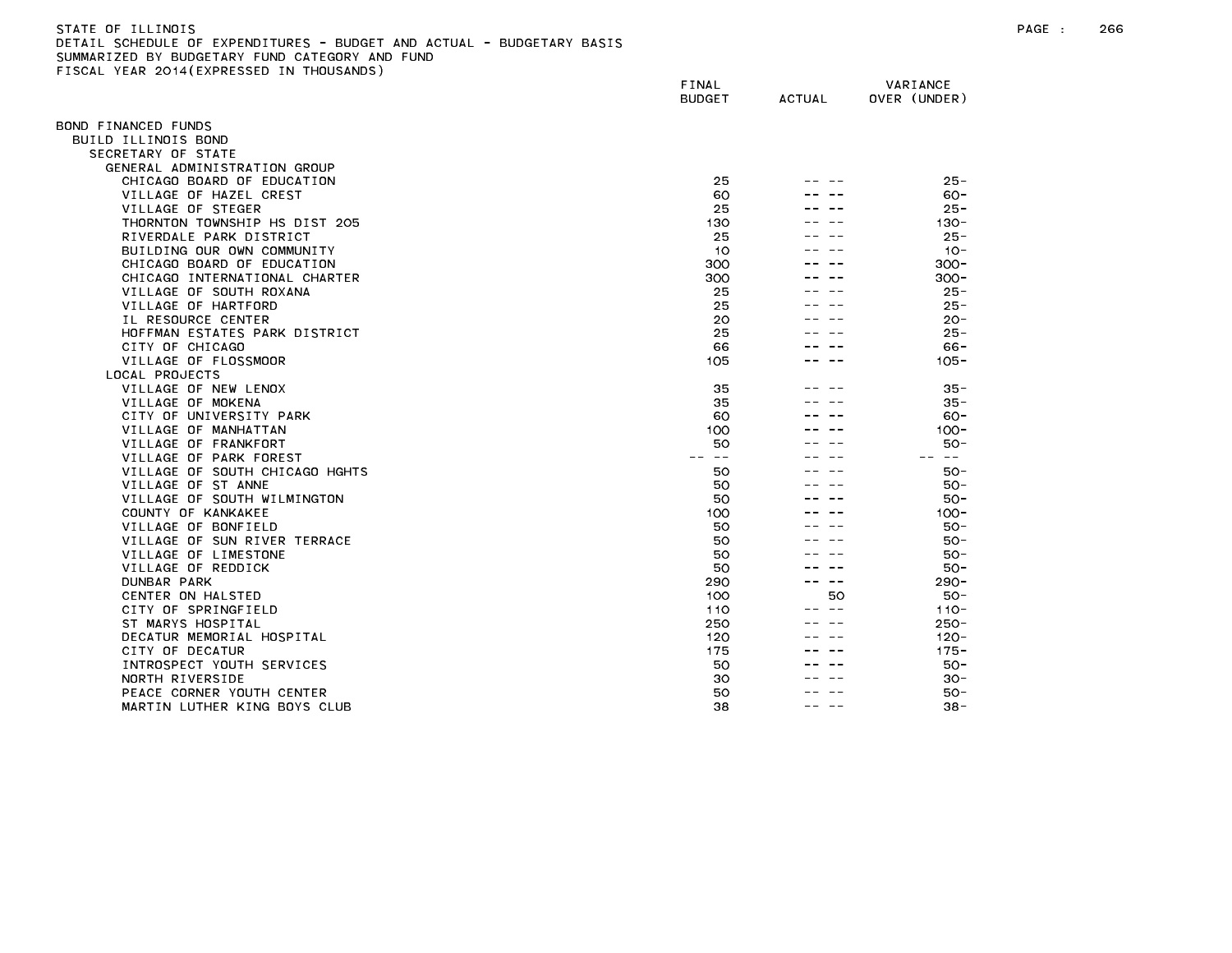| -STATE OF ILLINOIS                                                    |
|-----------------------------------------------------------------------|
| DETAIL SCHEDULE OF EXPENDITURES - BUDGET AND ACTUAL - BUDGETARY BASIS |
| SUMMARIZED BY BUDGETARY FUND CATEGORY AND FUND                        |
| FISCAL YEAR 2014(EXPRESSED IN THOUSANDS)                              |

| ISSAL TEAR ESTATEM RESSED      | FINAL<br><b>BUDGET</b> | <b>ACTUAL</b> | VARIANCE<br>OVER (UNDER) |
|--------------------------------|------------------------|---------------|--------------------------|
| OND FINANCED FUNDS             |                        |               |                          |
| BUILD ILLINOIS BOND            |                        |               |                          |
| SECRETARY OF STATE             |                        |               |                          |
| GENERAL ADMINISTRATION GROUP   |                        |               |                          |
| CHICAGO BOARD OF EDUCATION     | 25                     |               | $25 -$                   |
| VILLAGE OF HAZEL CREST         | 60                     |               | $60 -$                   |
| VILLAGE OF STEGER              | 25                     |               | $25 -$                   |
| THORNTON TOWNSHIP HS DIST 205  | 130                    |               | $130 -$                  |
| RIVERDALE PARK DISTRICT        | 25                     |               | $25 -$                   |
| BUILDING OUR OWN COMMUNITY     | 10                     |               | $10 -$                   |
| CHICAGO BOARD OF EDUCATION     | 300                    |               | $300 -$                  |
| CHICAGO INTERNATIONAL CHARTER  | 300                    |               | $300 -$                  |
| VILLAGE OF SOUTH ROXANA        | 25                     |               | $25 -$                   |
| VILLAGE OF HARTFORD            | 25                     |               | $25 -$                   |
| IL RESOURCE CENTER             | 20                     |               | $20 -$                   |
| HOFFMAN ESTATES PARK DISTRICT  | 25                     |               | $25 -$                   |
| CITY OF CHICAGO                | 66                     |               | $66 -$                   |
| VILLAGE OF FLOSSMOOR           | 105                    |               | $105 -$                  |
| LOCAL PROJECTS                 |                        |               |                          |
| VILLAGE OF NEW LENOX           | 35                     |               | $35 -$                   |
| VILLAGE OF MOKENA              | 35                     |               | $35 -$                   |
| CITY OF UNIVERSITY PARK        | 60                     |               | 60-                      |
| VILLAGE OF MANHATTAN           | 100                    |               | $100 -$                  |
| VILLAGE OF FRANKFORT           | 50                     |               | $50 -$                   |
| VILLAGE OF PARK FOREST         | $- -$                  |               | -- --                    |
| VILLAGE OF SOUTH CHICAGO HGHTS | 50                     |               | 50 -                     |
| VILLAGE OF ST ANNE             | 50                     |               | $50 -$                   |
| VILLAGE OF SOUTH WILMINGTON    | 50                     |               | $50 -$                   |
| COUNTY OF KANKAKEE             | 100                    |               | $100 -$                  |
| VILLAGE OF BONFIELD            | 50                     |               | $50 -$                   |
| VILLAGE OF SUN RIVER TERRACE   | 50                     |               | $50 -$                   |
| VILLAGE OF LIMESTONE           | 50                     |               | $50 -$                   |
| VILLAGE OF REDDICK             | 50                     |               | 50-                      |
| DUNBAR PARK                    | 290                    | — —           | $290 -$                  |
| CENTER ON HALSTED              | 100                    | 50            | 50-                      |
| CITY OF SPRINGFIELD            | 110                    | $\sim$ $-$    | $110 -$                  |
| ST MARYS HOSPITAL              | 250                    |               | $250 -$                  |
| DECATUR MEMORIAL HOSPITAL      | 120                    |               | $120 -$                  |
| CITY OF DECATUR                | 175                    |               | $175 -$                  |
| INTROSPECT YOUTH SERVICES      | 50                     |               | $50 -$                   |
| NORTH RIVERSIDE                | 30                     |               | $30 -$                   |
| PEACE CORNER YOUTH CENTER      | 50                     |               | 50-                      |
| MARTIN LUTHER KING BOYS CLUB   | 38                     |               | $38 -$                   |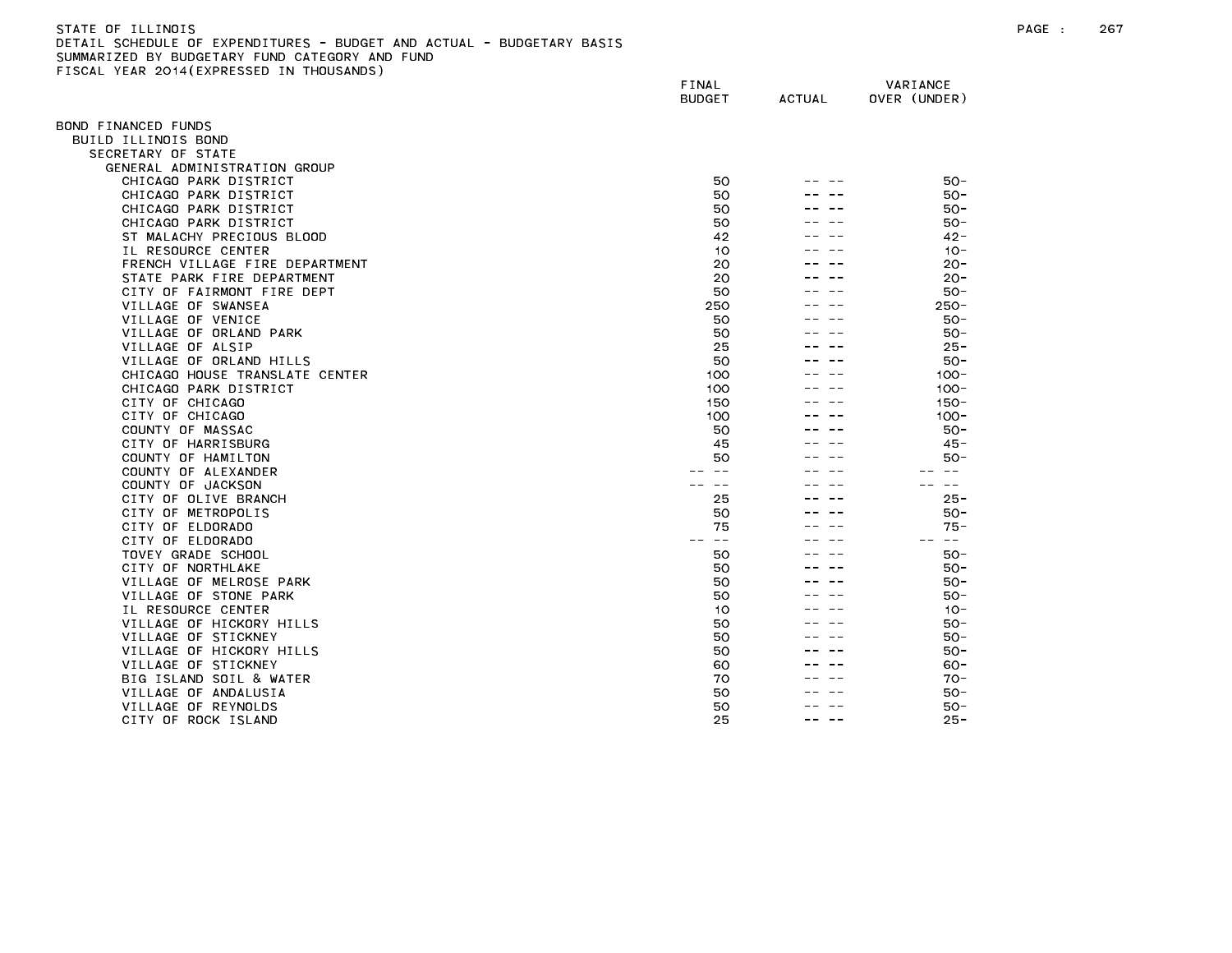| STATE OF ILLINOIS                                                     |
|-----------------------------------------------------------------------|
| DETAIL SCHEDULE OF EXPENDITURES - BUDGET AND ACTUAL - BUDGETARY BASIS |
| SUMMARIZED BY BUDGETARY FUND CATEGORY AND FUND                        |
| FISCAL YEAR 2014(EXPRESSED IN THOUSANDS)                              |

|                                | FINAL<br><b>BUDGET</b>                                                                                                                                                                                                                                                                                                                                                                       | <b>ACTUAL</b> | VARIANCE<br>OVER (UNDER)                                                                                                                                                                                                                                                                                                                                                                     |
|--------------------------------|----------------------------------------------------------------------------------------------------------------------------------------------------------------------------------------------------------------------------------------------------------------------------------------------------------------------------------------------------------------------------------------------|---------------|----------------------------------------------------------------------------------------------------------------------------------------------------------------------------------------------------------------------------------------------------------------------------------------------------------------------------------------------------------------------------------------------|
| 3OND FINANCED FUNDS            |                                                                                                                                                                                                                                                                                                                                                                                              |               |                                                                                                                                                                                                                                                                                                                                                                                              |
| BUILD ILLINOIS BOND            |                                                                                                                                                                                                                                                                                                                                                                                              |               |                                                                                                                                                                                                                                                                                                                                                                                              |
| SECRETARY OF STATE             |                                                                                                                                                                                                                                                                                                                                                                                              |               |                                                                                                                                                                                                                                                                                                                                                                                              |
| GENERAL ADMINISTRATION GROUP   |                                                                                                                                                                                                                                                                                                                                                                                              |               |                                                                                                                                                                                                                                                                                                                                                                                              |
| CHICAGO PARK DISTRICT          | 50                                                                                                                                                                                                                                                                                                                                                                                           |               | $50 -$                                                                                                                                                                                                                                                                                                                                                                                       |
| CHICAGO PARK DISTRICT          | 50                                                                                                                                                                                                                                                                                                                                                                                           |               | $50 -$                                                                                                                                                                                                                                                                                                                                                                                       |
| CHICAGO PARK DISTRICT          | 50                                                                                                                                                                                                                                                                                                                                                                                           |               | $50 -$                                                                                                                                                                                                                                                                                                                                                                                       |
| CHICAGO PARK DISTRICT          | 50                                                                                                                                                                                                                                                                                                                                                                                           |               | $50 -$                                                                                                                                                                                                                                                                                                                                                                                       |
| ST MALACHY PRECIOUS BLOOD      | 42                                                                                                                                                                                                                                                                                                                                                                                           |               | $42 -$                                                                                                                                                                                                                                                                                                                                                                                       |
| IL RESOURCE CENTER             | 10                                                                                                                                                                                                                                                                                                                                                                                           |               | $10 -$                                                                                                                                                                                                                                                                                                                                                                                       |
| FRENCH VILLAGE FIRE DEPARTMENT | 20                                                                                                                                                                                                                                                                                                                                                                                           |               | $20 -$                                                                                                                                                                                                                                                                                                                                                                                       |
| STATE PARK FIRE DEPARTMENT     | 20                                                                                                                                                                                                                                                                                                                                                                                           |               | $20 -$                                                                                                                                                                                                                                                                                                                                                                                       |
| CITY OF FAIRMONT FIRE DEPT     | 50                                                                                                                                                                                                                                                                                                                                                                                           |               | $50 -$                                                                                                                                                                                                                                                                                                                                                                                       |
| VILLAGE OF SWANSEA             | 250                                                                                                                                                                                                                                                                                                                                                                                          |               | $250 -$                                                                                                                                                                                                                                                                                                                                                                                      |
| VILLAGE OF VENICE              | 50                                                                                                                                                                                                                                                                                                                                                                                           |               | $50 -$                                                                                                                                                                                                                                                                                                                                                                                       |
| VILLAGE OF ORLAND PARK         | 50                                                                                                                                                                                                                                                                                                                                                                                           |               | $50 -$                                                                                                                                                                                                                                                                                                                                                                                       |
| VILLAGE OF ALSIP               | 25                                                                                                                                                                                                                                                                                                                                                                                           |               | $25 -$                                                                                                                                                                                                                                                                                                                                                                                       |
| VILLAGE OF ORLAND HILLS        | 50                                                                                                                                                                                                                                                                                                                                                                                           |               | $50 -$                                                                                                                                                                                                                                                                                                                                                                                       |
| CHICAGO HOUSE TRANSLATE CENTER | 100                                                                                                                                                                                                                                                                                                                                                                                          |               | $100 -$                                                                                                                                                                                                                                                                                                                                                                                      |
| CHICAGO PARK DISTRICT          | 100                                                                                                                                                                                                                                                                                                                                                                                          |               | $100 -$                                                                                                                                                                                                                                                                                                                                                                                      |
| CITY OF CHICAGO                | 150                                                                                                                                                                                                                                                                                                                                                                                          |               | $150 -$                                                                                                                                                                                                                                                                                                                                                                                      |
| CITY OF CHICAGO                | 100                                                                                                                                                                                                                                                                                                                                                                                          |               | $100 -$                                                                                                                                                                                                                                                                                                                                                                                      |
| COUNTY OF MASSAC               | 50                                                                                                                                                                                                                                                                                                                                                                                           |               | $50 -$                                                                                                                                                                                                                                                                                                                                                                                       |
| CITY OF HARRISBURG             | 45                                                                                                                                                                                                                                                                                                                                                                                           |               | $45 -$                                                                                                                                                                                                                                                                                                                                                                                       |
| COUNTY OF HAMILTON             | 50                                                                                                                                                                                                                                                                                                                                                                                           |               | $50 -$                                                                                                                                                                                                                                                                                                                                                                                       |
| COUNTY OF ALEXANDER            |                                                                                                                                                                                                                                                                                                                                                                                              |               |                                                                                                                                                                                                                                                                                                                                                                                              |
| COUNTY OF JACKSON              |                                                                                                                                                                                                                                                                                                                                                                                              |               | $- -$                                                                                                                                                                                                                                                                                                                                                                                        |
| CITY OF OLIVE BRANCH           | 25                                                                                                                                                                                                                                                                                                                                                                                           |               | $25 -$                                                                                                                                                                                                                                                                                                                                                                                       |
| CITY OF METROPOLIS             | 50                                                                                                                                                                                                                                                                                                                                                                                           |               | $50 -$                                                                                                                                                                                                                                                                                                                                                                                       |
| CITY OF ELDORADO               | 75                                                                                                                                                                                                                                                                                                                                                                                           |               | $75 -$                                                                                                                                                                                                                                                                                                                                                                                       |
| CITY OF ELDORADO               | $\frac{1}{2} \frac{1}{2} \frac{1}{2} \frac{1}{2} \frac{1}{2} \frac{1}{2} \frac{1}{2} \frac{1}{2} \frac{1}{2} \frac{1}{2} \frac{1}{2} \frac{1}{2} \frac{1}{2} \frac{1}{2} \frac{1}{2} \frac{1}{2} \frac{1}{2} \frac{1}{2} \frac{1}{2} \frac{1}{2} \frac{1}{2} \frac{1}{2} \frac{1}{2} \frac{1}{2} \frac{1}{2} \frac{1}{2} \frac{1}{2} \frac{1}{2} \frac{1}{2} \frac{1}{2} \frac{1}{2} \frac{$ |               | $\frac{1}{2} \frac{1}{2} \frac{1}{2} \frac{1}{2} \frac{1}{2} \frac{1}{2} \frac{1}{2} \frac{1}{2} \frac{1}{2} \frac{1}{2} \frac{1}{2} \frac{1}{2} \frac{1}{2} \frac{1}{2} \frac{1}{2} \frac{1}{2} \frac{1}{2} \frac{1}{2} \frac{1}{2} \frac{1}{2} \frac{1}{2} \frac{1}{2} \frac{1}{2} \frac{1}{2} \frac{1}{2} \frac{1}{2} \frac{1}{2} \frac{1}{2} \frac{1}{2} \frac{1}{2} \frac{1}{2} \frac{$ |
| TOVEY GRADE SCHOOL             | 50                                                                                                                                                                                                                                                                                                                                                                                           |               | $50 -$                                                                                                                                                                                                                                                                                                                                                                                       |
| CITY OF NORTHLAKE              | 50                                                                                                                                                                                                                                                                                                                                                                                           |               | $50 -$                                                                                                                                                                                                                                                                                                                                                                                       |
| VILLAGE OF MELROSE PARK        | 50                                                                                                                                                                                                                                                                                                                                                                                           |               | $50 -$                                                                                                                                                                                                                                                                                                                                                                                       |
| VILLAGE OF STONE PARK          | 50                                                                                                                                                                                                                                                                                                                                                                                           |               | 50-                                                                                                                                                                                                                                                                                                                                                                                          |
| IL RESOURCE CENTER             | 10                                                                                                                                                                                                                                                                                                                                                                                           |               | $10 -$                                                                                                                                                                                                                                                                                                                                                                                       |
| VILLAGE OF HICKORY HILLS       | 50                                                                                                                                                                                                                                                                                                                                                                                           |               | 50-                                                                                                                                                                                                                                                                                                                                                                                          |
| VILLAGE OF STICKNEY            | 50                                                                                                                                                                                                                                                                                                                                                                                           |               | $50 -$                                                                                                                                                                                                                                                                                                                                                                                       |
| VILLAGE OF HICKORY HILLS       | 50                                                                                                                                                                                                                                                                                                                                                                                           |               | $50 -$                                                                                                                                                                                                                                                                                                                                                                                       |
| VILLAGE OF STICKNEY            | 60                                                                                                                                                                                                                                                                                                                                                                                           |               | $60 -$                                                                                                                                                                                                                                                                                                                                                                                       |
| BIG ISLAND SOIL & WATER        | 70                                                                                                                                                                                                                                                                                                                                                                                           |               | $70-$                                                                                                                                                                                                                                                                                                                                                                                        |
| VILLAGE OF ANDALUSIA           | 50                                                                                                                                                                                                                                                                                                                                                                                           |               | $50 -$                                                                                                                                                                                                                                                                                                                                                                                       |
| VILLAGE OF REYNOLDS            | 50                                                                                                                                                                                                                                                                                                                                                                                           |               | $50 -$                                                                                                                                                                                                                                                                                                                                                                                       |
| CITY OF ROCK ISLAND            | 25                                                                                                                                                                                                                                                                                                                                                                                           | ---           | $25 -$                                                                                                                                                                                                                                                                                                                                                                                       |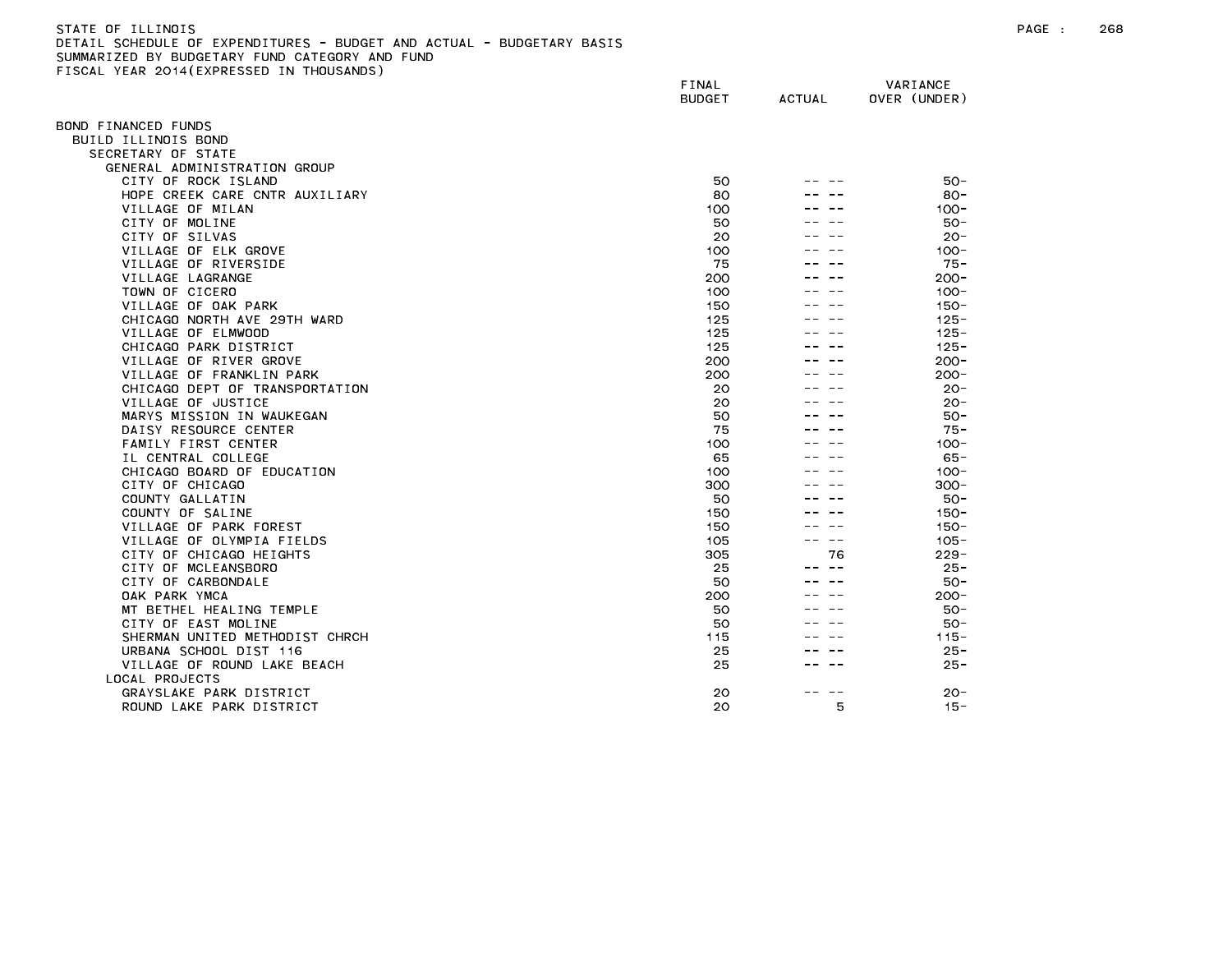### STATE OF ILLINOIS PAGE : 268 DETAIL SCHEDULE OF EXPENDITURES - BUDGET AND ACTUAL - BUDGETARY BASIS SUMMARIZED BY BUDGETARY FUND CATEGORY AND FUND FISCAL YEAR 2014(EXPRESSED IN THOUSANDS)

|                                | FINAL<br><b>BUDGET</b> | <b>ACTUAL</b> | VARIANCE<br>OVER (UNDER) |
|--------------------------------|------------------------|---------------|--------------------------|
| BOND FINANCED FUNDS            |                        |               |                          |
| BUILD ILLINOIS BOND            |                        |               |                          |
| SECRETARY OF STATE             |                        |               |                          |
| GENERAL ADMINISTRATION GROUP   |                        |               |                          |
| CITY OF ROCK ISLAND            | 50                     |               | $50 -$                   |
| HOPE CREEK CARE CNTR AUXILIARY | 80                     |               | $80 -$                   |
| VILLAGE OF MILAN               | 100                    |               | $100 -$                  |
| CITY OF MOLINE                 | 50                     |               | $50 -$                   |
| CITY OF SILVAS                 | 20                     |               | $20 -$                   |
| VILLAGE OF ELK GROVE           | 100                    |               | $100 -$                  |
| VILLAGE OF RIVERSIDE           | 75                     |               | $75 -$                   |
| VILLAGE LAGRANGE               | 200                    |               | $200 -$                  |
| TOWN OF CICERO                 | 100                    |               | $100 -$                  |
| VILLAGE OF OAK PARK            | 150                    |               | $150 -$                  |
| CHICAGO NORTH AVE 29TH WARD    | 125                    |               | $125 -$                  |
| VILLAGE OF ELMWOOD             | 125                    |               | $125 -$                  |
| CHICAGO PARK DISTRICT          | 125                    |               | $125 -$                  |
| VILLAGE OF RIVER GROVE         | 200                    |               | $200 -$                  |
| VILLAGE OF FRANKLIN PARK       | 200                    |               | $200 -$                  |
| CHICAGO DEPT OF TRANSPORTATION | 20                     |               | $20 -$                   |
| VILLAGE OF JUSTICE             | 20                     |               | $20 -$                   |
| MARYS MISSION IN WAUKEGAN      | 50                     |               | $50 -$                   |
| DAISY RESOURCE CENTER          | 75                     |               | $75 -$                   |
| FAMILY FIRST CENTER            | 100                    |               | $100 -$                  |
| IL CENTRAL COLLEGE             | 65                     |               | $65 -$                   |
| CHICAGO BOARD OF EDUCATION     | 100                    |               | $100 -$                  |
| CITY OF CHICAGO                | 300                    |               | $300 -$                  |
| COUNTY GALLATIN                | 50                     |               | $50 -$                   |
| COUNTY OF SALINE               | 150                    |               | $150 -$                  |
| VILLAGE OF PARK FOREST         | 150                    |               | $150 -$                  |
| VILLAGE OF OLYMPIA FIELDS      | 105                    | $\sim$ $-$    | $105 -$                  |
| CITY OF CHICAGO HEIGHTS        | 305                    | 76            | $229 -$                  |
| CITY OF MCLEANSBORO            | 25                     |               | $25 -$                   |
| CITY OF CARBONDALE             | 50                     |               | $50 -$                   |
| OAK PARK YMCA                  | 200                    |               | $200 -$                  |
| MT BETHEL HEALING TEMPLE       | 50                     |               | $50 -$                   |
| CITY OF EAST MOLINE            | 50                     |               | $50 -$                   |
| SHERMAN UNITED METHODIST CHRCH | 115                    |               | $115 -$                  |
| URBANA SCHOOL DIST 116         | 25                     |               | $25 -$                   |
| VILLAGE OF ROUND LAKE BEACH    | 25                     |               | $25 -$                   |
| LOCAL PROJECTS                 |                        |               |                          |
| GRAYSLAKE PARK DISTRICT        | 20                     |               | 20-                      |
| ROUND LAKE PARK DISTRICT       | 20                     | 5             | $15 -$                   |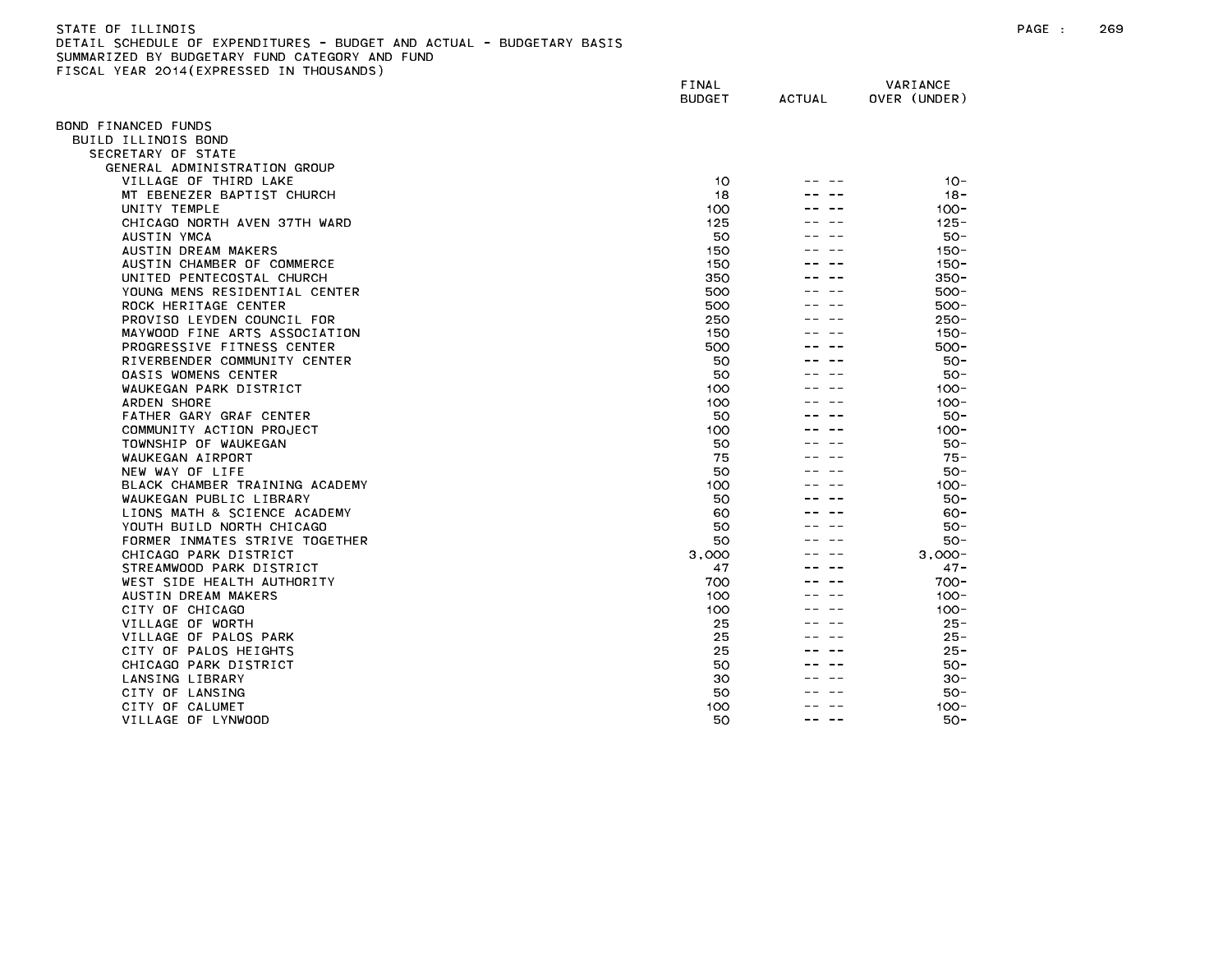| STATE OF ILLINOIS                                                     |  |
|-----------------------------------------------------------------------|--|
| DETAIL SCHEDULE OF EXPENDITURES - BUDGET AND ACTUAL - BUDGETARY BASIS |  |
| SUMMARIZED BY BUDGETARY FUND CATEGORY AND FUND                        |  |
| FISCAL YEAR 2014(EXPRESSED IN THOUSANDS)                              |  |

| TOOAL TEAR ESTATEATRESSED      | FINAL<br><b>BUDGET</b> | <b>ACTUAL</b> | VARIANCE<br>OVER (UNDER) |
|--------------------------------|------------------------|---------------|--------------------------|
| OND FINANCED FUNDS             |                        |               |                          |
| BUILD ILLINOIS BOND            |                        |               |                          |
| SECRETARY OF STATE             |                        |               |                          |
| GENERAL ADMINISTRATION GROUP   |                        |               |                          |
| VILLAGE OF THIRD LAKE          | 10                     |               | $10 -$                   |
| MT EBENEZER BAPTIST CHURCH     | 18                     |               | $18 -$                   |
| UNITY TEMPLE                   | 100                    |               | $100 -$                  |
| CHICAGO NORTH AVEN 37TH WARD   | 125                    |               | $125 -$                  |
| AUSTIN YMCA                    | 50                     |               | $50 -$                   |
| AUSTIN DREAM MAKERS            | 150                    |               | $150 -$                  |
| AUSTIN CHAMBER OF COMMERCE     | 150                    |               | $150 -$                  |
| UNITED PENTECOSTAL CHURCH      | 350                    |               | $350 -$                  |
| YOUNG MENS RESIDENTIAL CENTER  | 500                    |               | $500 -$                  |
| ROCK HERITAGE CENTER           | 500                    |               | $500 -$                  |
| PROVISO LEYDEN COUNCIL FOR     | 250                    |               | $250 -$                  |
| MAYWOOD FINE ARTS ASSOCIATION  | 150                    |               | $150 -$                  |
| PROGRESSIVE FITNESS CENTER     | 500                    |               | $500 -$                  |
| RIVERBENDER COMMUNITY CENTER   | 50                     |               | $50 -$                   |
| <b>OASIS WOMENS CENTER</b>     | 50                     |               | 50-                      |
| WAUKEGAN PARK DISTRICT         | 100                    |               | $100 -$                  |
| ARDEN SHORE                    | 100                    |               | $100 -$                  |
| FATHER GARY GRAF CENTER        | 50                     |               | $50 -$                   |
| COMMUNITY ACTION PROJECT       | 100                    |               | $100 -$                  |
| TOWNSHIP OF WAUKEGAN           | 50                     |               | 50-                      |
| WAUKEGAN AIRPORT               | 75                     |               | $75 -$                   |
| NEW WAY OF LIFE                | 50                     |               | $50 -$                   |
| BLACK CHAMBER TRAINING ACADEMY | 100                    |               | $100 -$                  |
| WAUKEGAN PUBLIC LIBRARY        | 50                     |               | $50 -$                   |
| LIONS MATH & SCIENCE ACADEMY   | 60                     |               | $60 -$                   |
| YOUTH BUILD NORTH CHICAGO      | 50                     |               | $50 -$                   |
| FORMER INMATES STRIVE TOGETHER | 50                     |               | $50 -$                   |
| CHICAGO PARK DISTRICT          | 3,000                  |               | $3.000 -$                |
| STREAMWOOD PARK DISTRICT       | 47                     |               | $47 -$                   |
| WEST SIDE HEALTH AUTHORITY     | 700                    |               | $700 -$                  |
| AUSTIN DREAM MAKERS            | 100                    |               | $100 -$                  |
| CITY OF CHICAGO                | 100                    |               | $100 -$                  |
| VILLAGE OF WORTH               | 25                     |               | $25 -$                   |
| VILLAGE OF PALOS PARK          | 25                     |               | $25 -$                   |
| CITY OF PALOS HEIGHTS          | 25                     |               | $25 -$                   |
| CHICAGO PARK DISTRICT          | 50                     |               | $50 -$                   |
| LANSING LIBRARY                | 30                     |               | 30-                      |
| CITY OF LANSING                | 50                     |               | $50 -$                   |
| CITY OF CALUMET                | 100                    |               | $100 -$                  |
| VILLAGE OF LYNWOOD             | 50                     |               | 50-                      |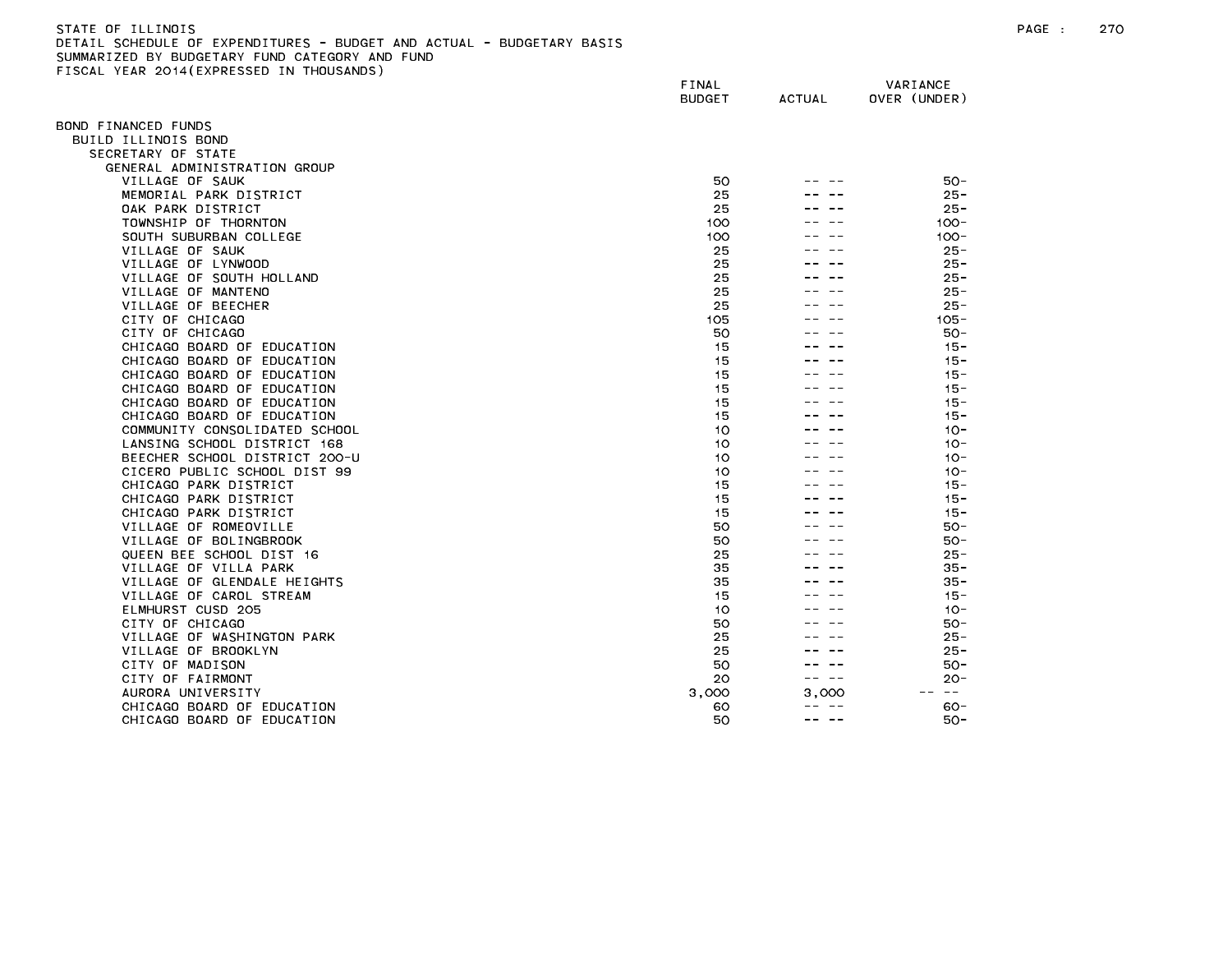| STATE OF ILLINOIS                                                     |
|-----------------------------------------------------------------------|
| DETAIL SCHEDULE OF EXPENDITURES - BUDGET AND ACTUAL - BUDGETARY BASIS |
| SUMMARIZED BY BUDGETARY FUND CATEGORY AND FUND                        |
| FISCAL YEAR 2014(EXPRESSED IN THOUSANDS)                              |

|                                                       | FINAL<br><b>BUDGET</b> | <b>ACTUAL</b> | VARIANCE<br>OVER (UNDER) |
|-------------------------------------------------------|------------------------|---------------|--------------------------|
|                                                       |                        |               |                          |
| 3OND FINANCED FUNDS<br>BUILD ILLINOIS BOND            |                        |               |                          |
| SECRETARY OF STATE                                    |                        |               |                          |
| GENERAL ADMINISTRATION GROUP                          |                        |               |                          |
| VILLAGE OF SAUK                                       | 50                     |               | $50 -$                   |
| MEMORIAL PARK DISTRICT                                | 25                     |               | $25 -$                   |
| OAK PARK DISTRICT                                     | 25                     |               | $25 -$                   |
| TOWNSHIP OF THORNTON                                  | 100                    |               | $100 -$                  |
| SOUTH SUBURBAN COLLEGE                                | 100                    |               | $100 -$                  |
| VILLAGE OF SAUK                                       | 25                     |               | $25 -$                   |
| VILLAGE OF LYNWOOD                                    | 25                     |               | $25 -$                   |
| VILLAGE OF SOUTH HOLLAND                              | 25                     |               | $25 -$                   |
| VILLAGE OF MANTENO                                    | 25                     |               | $25 -$                   |
| VILLAGE OF BEECHER                                    | 25                     |               | 25 -                     |
| CITY OF CHICAGO                                       | 105                    |               | $105 -$                  |
| CITY OF CHICAGO                                       | 50                     |               | $50 -$                   |
| CHICAGO BOARD OF EDUCATION                            | 15                     |               | $15 -$                   |
| CHICAGO BOARD OF EDUCATION                            | 15                     |               | $15 -$                   |
| CHICAGO BOARD OF EDUCATION                            | 15                     |               | $15 -$                   |
| CHICAGO BOARD OF EDUCATION                            | 15                     |               | $15 -$                   |
| CHICAGO BOARD OF EDUCATION                            | 15                     |               | $15 -$                   |
| CHICAGO BOARD OF EDUCATION                            | 15                     |               | $15 -$                   |
| COMMUNITY CONSOLIDATED SCHOOL                         | 10                     |               | $10 -$                   |
| LANSING SCHOOL DISTRICT 168                           | 10                     |               | $10 -$                   |
| BEECHER SCHOOL DISTRICT 200-U                         | 10                     |               | $10 -$                   |
| CICERO PUBLIC SCHOOL DIST 99<br>CHICAGO PARK DISTRICT | 10<br>15               |               | $10 -$<br>$15 -$         |
| CHICAGO PARK DISTRICT                                 | 15                     |               | $15 -$                   |
| CHICAGO PARK DISTRICT                                 | 15                     |               | $15 -$                   |
| VILLAGE OF ROMEOVILLE                                 | 50                     |               | $50 -$                   |
| VILLAGE OF BOLINGBROOK                                | 50                     |               | 50-                      |
| QUEEN BEE SCHOOL DIST 16                              | 25                     |               | $25 -$                   |
| VILLAGE OF VILLA PARK                                 | 35                     |               | $35 -$                   |
| VILLAGE OF GLENDALE HEIGHTS                           | 35                     |               | $35 -$                   |
| VILLAGE OF CAROL STREAM                               | 15                     |               | $15 -$                   |
| ELMHURST CUSD 205                                     | 10                     |               | $10 -$                   |
| CITY OF CHICAGO                                       | 50                     |               | $50 -$                   |
| VILLAGE OF WASHINGTON PARK                            | 25                     |               | $25 -$                   |
| VILLAGE OF BROOKLYN                                   | 25                     |               | $25 -$                   |
| CITY OF MADISON                                       | 50                     |               | $50 -$                   |
| CITY OF FAIRMONT                                      | 20                     | -- --         | $20 -$                   |
| AURORA UNIVERSITY                                     | 3,000                  | 3.000         | $\sim$ $-$               |
| CHICAGO BOARD OF EDUCATION                            | 60                     | -- --         | 60-                      |
| CHICAGO BOARD OF EDUCATION                            | 50                     | -- --         | $50 -$                   |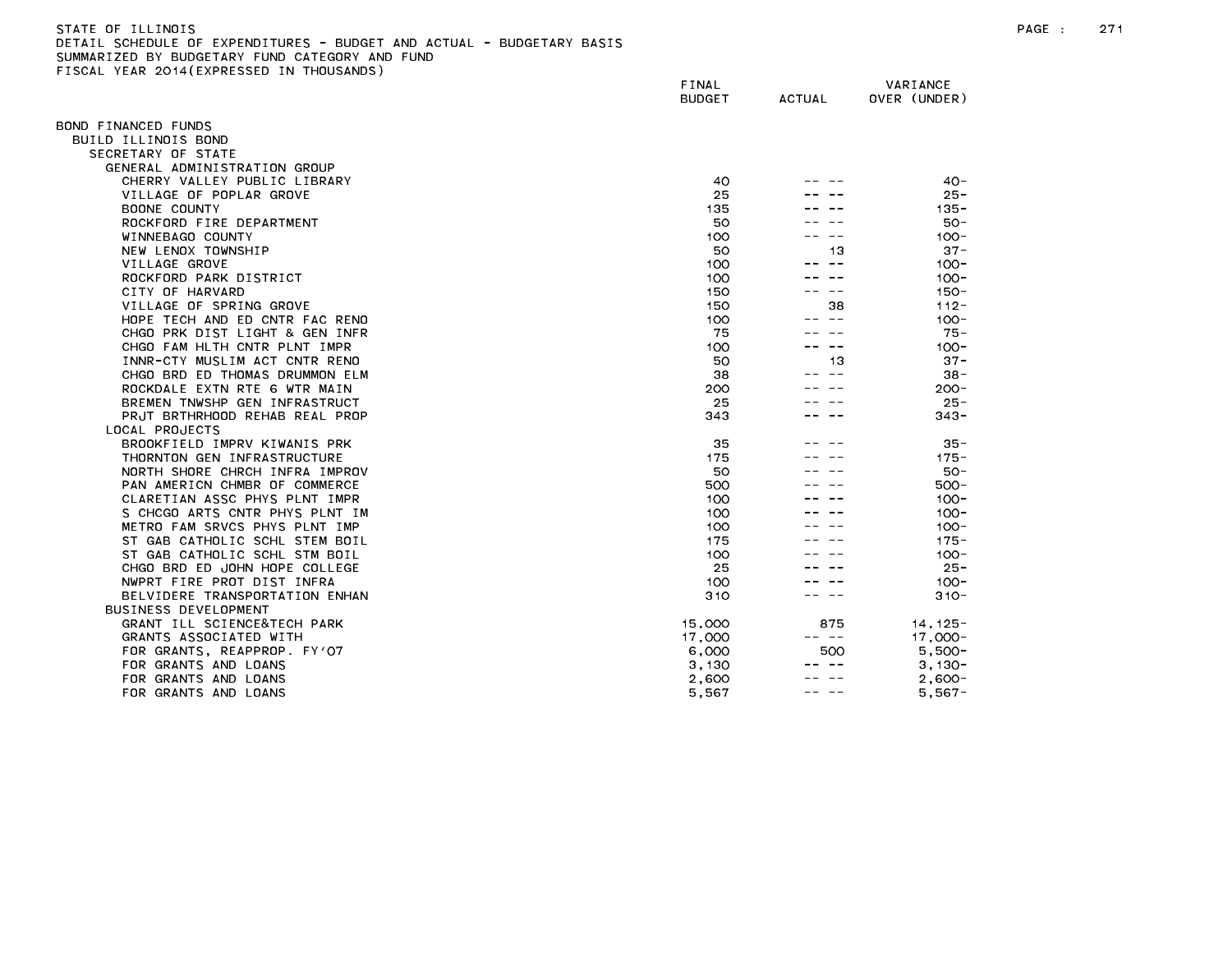| STATE OF ILLINDIS                                                    |
|----------------------------------------------------------------------|
| DETAIL SCHEDULE OF EXPENDITURES - BUDGET AND ACTUAL - BUDGETARY BASI |
| SUMMARIZED BY BUDGETARY FUND CATEGORY AND FUND                       |
| FISCAL YEAR 2014(EXPRESSED IN THOUSANDS)                             |

|                                                     | FINAL<br><b>BUDGET</b> | <b>ACTUAL</b> | VARIANCE<br>OVER (UNDER) |
|-----------------------------------------------------|------------------------|---------------|--------------------------|
| OND FINANCED FUNDS                                  |                        |               |                          |
| BUILD ILLINOIS BOND                                 |                        |               |                          |
| SECRETARY OF STATE                                  |                        |               |                          |
| GENERAL ADMINISTRATION GROUP                        |                        |               |                          |
| CHERRY VALLEY PUBLIC LIBRARY                        | 40                     |               | $40 -$                   |
| VILLAGE OF POPLAR GROVE                             | 25                     |               | $25 -$                   |
| BOONE COUNTY                                        | 135                    |               | $135 -$                  |
| ROCKFORD FIRE DEPARTMENT                            | 50                     |               | $50 -$                   |
| WINNEBAGO COUNTY                                    | 100                    |               | $100 -$                  |
| NEW LENOX TOWNSHIP                                  | 50                     | 13            | $37 -$                   |
| VILLAGE GROVE                                       | 100                    | -- --         | $100 -$                  |
| ROCKFORD PARK DISTRICT                              | 100                    |               | $100 -$                  |
| CITY OF HARVARD                                     | 150                    | $- -$         | $150 -$                  |
| VILLAGE OF SPRING GROVE                             | 150                    | 38            | $112 -$                  |
| HOPE TECH AND ED CNTR FAC RENO                      | 100                    |               | $100 -$                  |
| CHGO PRK DIST LIGHT & GEN INFR                      | 75                     |               | $75 -$                   |
| CHGO FAM HLTH CNTR PLNT IMPR                        | 100                    |               | $100 -$                  |
| INNR-CTY MUSLIM ACT CNTR RENO                       | 50                     | 13            | $37 -$                   |
| CHGO BRD ED THOMAS DRUMMON ELM                      | 38                     |               | $38 -$                   |
| ROCKDALE EXTN RTE 6 WTR MAIN                        | 200                    |               | $200 -$                  |
| BREMEN TNWSHP GEN INFRASTRUCT                       | 25                     |               | $25 -$                   |
| PRJT BRTHRHOOD REHAB REAL PROP                      | 343                    |               | $343 -$                  |
| LOCAL PROJECTS                                      |                        |               |                          |
| BROOKFIELD IMPRV KIWANIS PRK                        | 35                     |               | $35 -$                   |
| THORNTON GEN INFRASTRUCTURE                         | 175                    |               | $175 -$                  |
| NORTH SHORE CHRCH INFRA IMPROV                      | 50                     |               | $50 -$                   |
| PAN AMERICN CHMBR OF COMMERCE                       | 500                    |               | $500 -$                  |
| CLARETIAN ASSC PHYS PLNT IMPR                       | 100                    |               | $100 -$                  |
| S CHCGO ARTS CNTR PHYS PLNT IM                      | 100                    |               | $100 -$                  |
| METRO FAM SRVCS PHYS PLNT IMP                       | 100                    |               | $100 -$                  |
| ST GAB CATHOLIC SCHL STEM BOIL                      | 175                    |               | $175 -$                  |
| ST GAB CATHOLIC SCHL STM BOIL                       | 100                    |               | $100 -$                  |
| CHGO BRD ED JOHN HOPE COLLEGE                       | 25                     |               | $25 -$                   |
| NWPRT FIRE PROT DIST INFRA                          | 100                    |               | $100 -$                  |
| BELVIDERE TRANSPORTATION ENHAN                      | 310                    |               | $310 -$                  |
| BUSINESS DEVELOPMENT                                |                        |               |                          |
| GRANT ILL SCIENCE&TECH PARK                         | 15,000                 | 875<br>-- --  | $14, 125 -$              |
| GRANTS ASSOCIATED WITH                              | 17,000                 |               | $17,000-$                |
| FOR GRANTS, REAPPROP. FY'O7<br>FOR GRANTS AND LOANS | 6,000                  | 500           | $5.500 -$                |
| FOR GRANTS AND LOANS                                | 3,130<br>2,600         |               | $3,130-$<br>$2,600-$     |
| FOR GRANTS AND LOANS                                |                        |               |                          |
|                                                     | 5,567                  |               | $5,567-$                 |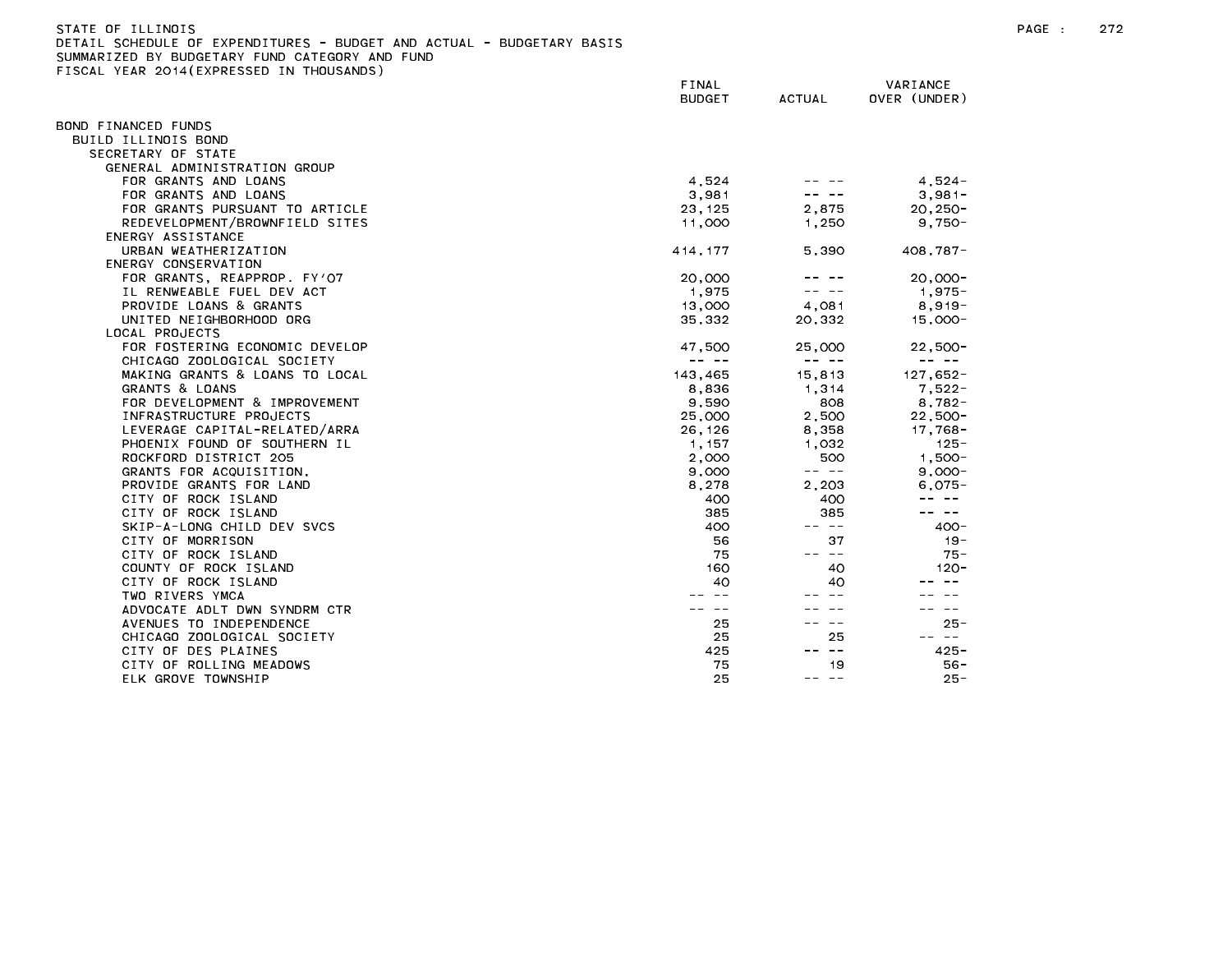| STATE OF ILLINOIS                                                     |              |
|-----------------------------------------------------------------------|--------------|
| DETAIL SCHEDULE OF EXPENDITURES - BUDGET AND ACTUAL - BUDGETARY BASIS |              |
| SUMMARIZED BY BUDGETARY FUND CATEGORY AND FUND                        |              |
| FISCAL YEAR 2014(EXPRESSED IN THOUSANDS)                              |              |
|                                                                       | <b>FTMAI</b> |

|                                | FINAL<br><b>BUDGET</b> | <b>ACTUAL</b>                                                                                                                                                                                                                                                                                                                                                                                | VARIANCE<br>OVER (UNDER)                                                                                                                                                                                                                                                                                                                                                                     |  |
|--------------------------------|------------------------|----------------------------------------------------------------------------------------------------------------------------------------------------------------------------------------------------------------------------------------------------------------------------------------------------------------------------------------------------------------------------------------------|----------------------------------------------------------------------------------------------------------------------------------------------------------------------------------------------------------------------------------------------------------------------------------------------------------------------------------------------------------------------------------------------|--|
| OND FINANCED FUNDS             |                        |                                                                                                                                                                                                                                                                                                                                                                                              |                                                                                                                                                                                                                                                                                                                                                                                              |  |
| BUILD ILLINOIS BOND            |                        |                                                                                                                                                                                                                                                                                                                                                                                              |                                                                                                                                                                                                                                                                                                                                                                                              |  |
| SECRETARY OF STATE             |                        |                                                                                                                                                                                                                                                                                                                                                                                              |                                                                                                                                                                                                                                                                                                                                                                                              |  |
| GENERAL ADMINISTRATION GROUP   |                        |                                                                                                                                                                                                                                                                                                                                                                                              |                                                                                                                                                                                                                                                                                                                                                                                              |  |
| FOR GRANTS AND LOANS           | 4,524                  |                                                                                                                                                                                                                                                                                                                                                                                              | $4.524 -$                                                                                                                                                                                                                                                                                                                                                                                    |  |
| FOR GRANTS AND LOANS           | 3,981                  |                                                                                                                                                                                                                                                                                                                                                                                              | $3,981-$                                                                                                                                                                                                                                                                                                                                                                                     |  |
| FOR GRANTS PURSUANT TO ARTICLE | 23, 125                | 2,875                                                                                                                                                                                                                                                                                                                                                                                        | $20, 250 -$                                                                                                                                                                                                                                                                                                                                                                                  |  |
| REDEVELOPMENT/BROWNFIELD SITES | 11,000                 | 1,250                                                                                                                                                                                                                                                                                                                                                                                        | $9,750-$                                                                                                                                                                                                                                                                                                                                                                                     |  |
| ENERGY ASSISTANCE              |                        |                                                                                                                                                                                                                                                                                                                                                                                              |                                                                                                                                                                                                                                                                                                                                                                                              |  |
| URBAN WEATHERIZATION           | 414, 177               | 5.390                                                                                                                                                                                                                                                                                                                                                                                        | $408,787-$                                                                                                                                                                                                                                                                                                                                                                                   |  |
| ENERGY CONSERVATION            |                        |                                                                                                                                                                                                                                                                                                                                                                                              |                                                                                                                                                                                                                                                                                                                                                                                              |  |
| FOR GRANTS, REAPPROP. FY'O7    | 20,000                 |                                                                                                                                                                                                                                                                                                                                                                                              | $20,000 -$                                                                                                                                                                                                                                                                                                                                                                                   |  |
| IL RENWEABLE FUEL DEV ACT      | 1,975                  | $\frac{1}{2} \frac{1}{2} \frac{1}{2} \frac{1}{2} \frac{1}{2} \frac{1}{2} \frac{1}{2} \frac{1}{2} \frac{1}{2} \frac{1}{2} \frac{1}{2} \frac{1}{2} \frac{1}{2} \frac{1}{2} \frac{1}{2} \frac{1}{2} \frac{1}{2} \frac{1}{2} \frac{1}{2} \frac{1}{2} \frac{1}{2} \frac{1}{2} \frac{1}{2} \frac{1}{2} \frac{1}{2} \frac{1}{2} \frac{1}{2} \frac{1}{2} \frac{1}{2} \frac{1}{2} \frac{1}{2} \frac{$ | 1,975-                                                                                                                                                                                                                                                                                                                                                                                       |  |
| PROVIDE LOANS & GRANTS         | 13,000                 | 4,081                                                                                                                                                                                                                                                                                                                                                                                        | $8,919-$                                                                                                                                                                                                                                                                                                                                                                                     |  |
| UNITED NEIGHBORHOOD ORG        | 35,332                 | 20.332                                                                                                                                                                                                                                                                                                                                                                                       | $15,000 -$                                                                                                                                                                                                                                                                                                                                                                                   |  |
| LOCAL PROJECTS                 |                        |                                                                                                                                                                                                                                                                                                                                                                                              |                                                                                                                                                                                                                                                                                                                                                                                              |  |
| FOR FOSTERING ECONOMIC DEVELOP | 47,500                 | 25,000                                                                                                                                                                                                                                                                                                                                                                                       | $22,500 -$                                                                                                                                                                                                                                                                                                                                                                                   |  |
| CHICAGO ZOOLOGICAL SOCIETY     |                        | $\frac{1}{2} \frac{1}{2} \frac{1}{2} \frac{1}{2} \frac{1}{2} \frac{1}{2} \frac{1}{2} \frac{1}{2} \frac{1}{2} \frac{1}{2} \frac{1}{2} \frac{1}{2} \frac{1}{2} \frac{1}{2} \frac{1}{2} \frac{1}{2} \frac{1}{2} \frac{1}{2} \frac{1}{2} \frac{1}{2} \frac{1}{2} \frac{1}{2} \frac{1}{2} \frac{1}{2} \frac{1}{2} \frac{1}{2} \frac{1}{2} \frac{1}{2} \frac{1}{2} \frac{1}{2} \frac{1}{2} \frac{$ | $\frac{1}{2} \frac{1}{2} \frac{1}{2} \frac{1}{2} \frac{1}{2} \frac{1}{2} \frac{1}{2} \frac{1}{2} \frac{1}{2} \frac{1}{2} \frac{1}{2} \frac{1}{2} \frac{1}{2} \frac{1}{2} \frac{1}{2} \frac{1}{2} \frac{1}{2} \frac{1}{2} \frac{1}{2} \frac{1}{2} \frac{1}{2} \frac{1}{2} \frac{1}{2} \frac{1}{2} \frac{1}{2} \frac{1}{2} \frac{1}{2} \frac{1}{2} \frac{1}{2} \frac{1}{2} \frac{1}{2} \frac{$ |  |
| MAKING GRANTS & LOANS TO LOCAL | 143,465                | 15,813                                                                                                                                                                                                                                                                                                                                                                                       | $127,652-$                                                                                                                                                                                                                                                                                                                                                                                   |  |
| GRANTS & LOANS                 | 8,836                  | 1,314                                                                                                                                                                                                                                                                                                                                                                                        | $7,522 -$                                                                                                                                                                                                                                                                                                                                                                                    |  |
| FOR DEVELOPMENT & IMPROVEMENT  | 9,590                  | 808                                                                                                                                                                                                                                                                                                                                                                                          | $8,782-$                                                                                                                                                                                                                                                                                                                                                                                     |  |
| INFRASTRUCTURE PROJECTS        | 25,000                 | 2,500                                                                                                                                                                                                                                                                                                                                                                                        | $22,500-$                                                                                                                                                                                                                                                                                                                                                                                    |  |
| LEVERAGE CAPITAL-RELATED/ARRA  | 26,126                 | 8,358                                                                                                                                                                                                                                                                                                                                                                                        | 17,768-                                                                                                                                                                                                                                                                                                                                                                                      |  |
| PHOENIX FOUND OF SOUTHERN IL   | 1, 157                 | 1,032                                                                                                                                                                                                                                                                                                                                                                                        | $125 -$                                                                                                                                                                                                                                                                                                                                                                                      |  |
| ROCKFORD DISTRICT 205          | 2,000                  | 500                                                                                                                                                                                                                                                                                                                                                                                          | $1,500 -$                                                                                                                                                                                                                                                                                                                                                                                    |  |
| GRANTS FOR ACQUISITION,        | 9,000                  | $\qquad \qquad \  \  \, - - -$                                                                                                                                                                                                                                                                                                                                                               | $9,000 -$                                                                                                                                                                                                                                                                                                                                                                                    |  |
| PROVIDE GRANTS FOR LAND        | 8,278                  | 2,203                                                                                                                                                                                                                                                                                                                                                                                        | $6,075-$                                                                                                                                                                                                                                                                                                                                                                                     |  |
| CITY OF ROCK ISLAND            | 400                    | 400                                                                                                                                                                                                                                                                                                                                                                                          | -- --                                                                                                                                                                                                                                                                                                                                                                                        |  |
| CITY OF ROCK ISLAND            | 385                    | 385                                                                                                                                                                                                                                                                                                                                                                                          | -- --                                                                                                                                                                                                                                                                                                                                                                                        |  |
| SKIP-A-LONG CHILD DEV SVCS     | 400                    | -- --                                                                                                                                                                                                                                                                                                                                                                                        | $400 -$                                                                                                                                                                                                                                                                                                                                                                                      |  |
| CITY OF MORRISON               | 56                     | 37                                                                                                                                                                                                                                                                                                                                                                                           | $19 -$                                                                                                                                                                                                                                                                                                                                                                                       |  |
| CITY OF ROCK ISLAND            | 75                     | -- --                                                                                                                                                                                                                                                                                                                                                                                        | $75 -$                                                                                                                                                                                                                                                                                                                                                                                       |  |
| COUNTY OF ROCK ISLAND          | 160                    | 40                                                                                                                                                                                                                                                                                                                                                                                           | $120 -$                                                                                                                                                                                                                                                                                                                                                                                      |  |
| CITY OF ROCK ISLAND            | 40                     | 40                                                                                                                                                                                                                                                                                                                                                                                           |                                                                                                                                                                                                                                                                                                                                                                                              |  |
| TWO RIVERS YMCA                |                        |                                                                                                                                                                                                                                                                                                                                                                                              |                                                                                                                                                                                                                                                                                                                                                                                              |  |
| ADVOCATE ADLT DWN SYNDRM CTR   |                        |                                                                                                                                                                                                                                                                                                                                                                                              | $\sim$ $-$                                                                                                                                                                                                                                                                                                                                                                                   |  |
| AVENUES TO INDEPENDENCE        | 25                     | $- -$                                                                                                                                                                                                                                                                                                                                                                                        | $25 -$                                                                                                                                                                                                                                                                                                                                                                                       |  |
| CHICAGO ZOOLOGICAL SOCIETY     | 25                     | 25                                                                                                                                                                                                                                                                                                                                                                                           | $\sim$ $-$                                                                                                                                                                                                                                                                                                                                                                                   |  |
| CITY OF DES PLAINES            | 425                    | $\sim$ $-$                                                                                                                                                                                                                                                                                                                                                                                   | $425 -$                                                                                                                                                                                                                                                                                                                                                                                      |  |
| CITY OF ROLLING MEADOWS        | 75                     | 19                                                                                                                                                                                                                                                                                                                                                                                           | $56 -$                                                                                                                                                                                                                                                                                                                                                                                       |  |
| ELK GROVE TOWNSHIP             | 25                     | -- --                                                                                                                                                                                                                                                                                                                                                                                        | $25 -$                                                                                                                                                                                                                                                                                                                                                                                       |  |
|                                |                        |                                                                                                                                                                                                                                                                                                                                                                                              |                                                                                                                                                                                                                                                                                                                                                                                              |  |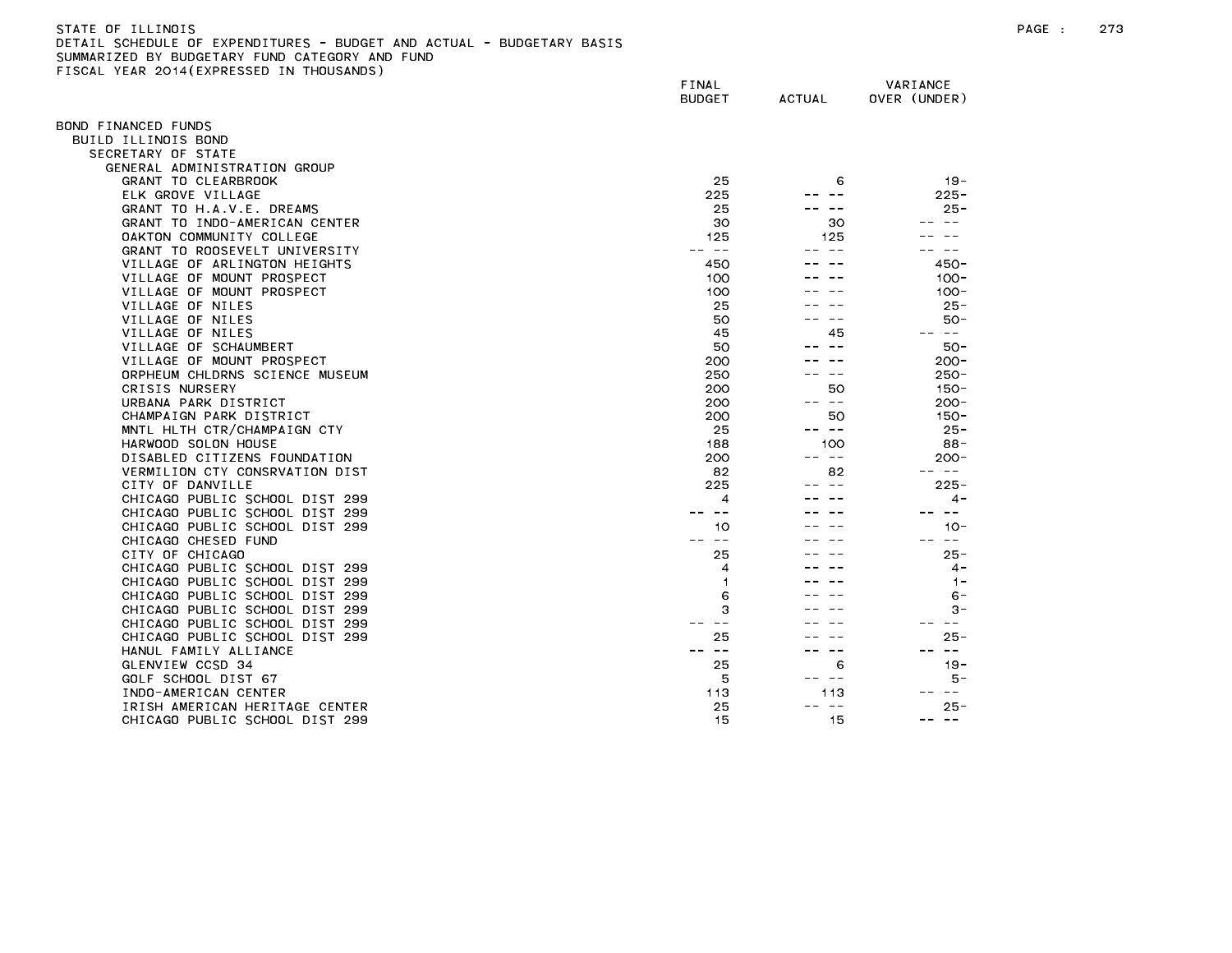| STATE OF ILLINOIS                                                     |  |
|-----------------------------------------------------------------------|--|
| DETAIL SCHEDULE OF EXPENDITURES - BUDGET AND ACTUAL - BUDGETARY BASIS |  |
| SUMMARIZED BY BUDGETARY FUND CATEGORY AND FUND                        |  |
| FISCAL YEAR 2014(EXPRESSED IN THOUSANDS)                              |  |

| $1.271$ , $20.17$ ( $2.11$ $N = 332$ | FINAL<br><b>BUDGET</b>                                                                                                                                                                                                                                                                                                                                                                       | ACTUAL        | VARIANCE<br>OVER (UNDER) |
|--------------------------------------|----------------------------------------------------------------------------------------------------------------------------------------------------------------------------------------------------------------------------------------------------------------------------------------------------------------------------------------------------------------------------------------------|---------------|--------------------------|
| OND FINANCED FUNDS                   |                                                                                                                                                                                                                                                                                                                                                                                              |               |                          |
| BUILD ILLINOIS BOND                  |                                                                                                                                                                                                                                                                                                                                                                                              |               |                          |
| SECRETARY OF STATE                   |                                                                                                                                                                                                                                                                                                                                                                                              |               |                          |
| GENERAL ADMINISTRATION GROUP         |                                                                                                                                                                                                                                                                                                                                                                                              |               |                          |
| GRANT TO CLEARBROOK                  | 25                                                                                                                                                                                                                                                                                                                                                                                           | 6             | $19 -$                   |
|                                      |                                                                                                                                                                                                                                                                                                                                                                                              |               |                          |
| ELK GROVE VILLAGE                    | 225                                                                                                                                                                                                                                                                                                                                                                                          |               | $225 -$<br>$25 -$        |
| GRANT TO H.A.V.E. DREAMS             | 25                                                                                                                                                                                                                                                                                                                                                                                           |               |                          |
| GRANT TO INDO-AMERICAN CENTER        | 30                                                                                                                                                                                                                                                                                                                                                                                           | 30            | $\sim$ $-$               |
| OAKTON COMMUNITY COLLEGE             | 125                                                                                                                                                                                                                                                                                                                                                                                          | 125           |                          |
| GRANT TO ROOSEVELT UNIVERSITY        | $\frac{1}{2} \frac{1}{2} \frac{1}{2} \frac{1}{2} \frac{1}{2} \frac{1}{2} \frac{1}{2} \frac{1}{2} \frac{1}{2} \frac{1}{2} \frac{1}{2} \frac{1}{2} \frac{1}{2} \frac{1}{2} \frac{1}{2} \frac{1}{2} \frac{1}{2} \frac{1}{2} \frac{1}{2} \frac{1}{2} \frac{1}{2} \frac{1}{2} \frac{1}{2} \frac{1}{2} \frac{1}{2} \frac{1}{2} \frac{1}{2} \frac{1}{2} \frac{1}{2} \frac{1}{2} \frac{1}{2} \frac{$ |               | $\sim$ $-$               |
| VILLAGE OF ARLINGTON HEIGHTS         | 450                                                                                                                                                                                                                                                                                                                                                                                          |               | $450 -$                  |
| VILLAGE OF MOUNT PROSPECT            | 100                                                                                                                                                                                                                                                                                                                                                                                          |               | $100 -$                  |
| VILLAGE OF MOUNT PROSPECT            | 100                                                                                                                                                                                                                                                                                                                                                                                          |               | $100 -$                  |
| VILLAGE OF NILES                     | 25                                                                                                                                                                                                                                                                                                                                                                                           |               | $25 -$                   |
| VILLAGE OF NILES                     | 50                                                                                                                                                                                                                                                                                                                                                                                           |               | $50 -$                   |
| VILLAGE OF NILES                     | 45                                                                                                                                                                                                                                                                                                                                                                                           | 45            | -- --                    |
| VILLAGE OF SCHAUMBERT                | 50                                                                                                                                                                                                                                                                                                                                                                                           | $\sim$ $-$    | $50 -$                   |
| VILLAGE OF MOUNT PROSPECT            | 200                                                                                                                                                                                                                                                                                                                                                                                          |               | $200 -$                  |
| ORPHEUM CHLDRNS SCIENCE MUSEUM       | 250                                                                                                                                                                                                                                                                                                                                                                                          |               | $250 -$                  |
| CRISIS NURSERY                       | 200                                                                                                                                                                                                                                                                                                                                                                                          | 50            | $150 -$                  |
| URBANA PARK DISTRICT                 | 200                                                                                                                                                                                                                                                                                                                                                                                          | -- --         | $200 -$                  |
| CHAMPAIGN PARK DISTRICT              | 200                                                                                                                                                                                                                                                                                                                                                                                          | 50            | $150 -$                  |
| MNTL HLTH CTR/CHAMPAIGN CTY          |                                                                                                                                                                                                                                                                                                                                                                                              | -- --         |                          |
|                                      | 25                                                                                                                                                                                                                                                                                                                                                                                           |               | $25 -$                   |
| HARWOOD SOLON HOUSE                  | 188                                                                                                                                                                                                                                                                                                                                                                                          | 100           | $88 -$                   |
| DISABLED CITIZENS FOUNDATION         | 200                                                                                                                                                                                                                                                                                                                                                                                          | -- --         | $200 -$                  |
| VERMILION CTY CONSRVATION DIST       | 82                                                                                                                                                                                                                                                                                                                                                                                           | 82            | -- --                    |
| CITY OF DANVILLE                     | 225                                                                                                                                                                                                                                                                                                                                                                                          |               | $225 -$                  |
| CHICAGO PUBLIC SCHOOL DIST 299       | $\overline{4}$                                                                                                                                                                                                                                                                                                                                                                               |               | $4 -$                    |
| CHICAGO PUBLIC SCHOOL DIST 299       |                                                                                                                                                                                                                                                                                                                                                                                              |               |                          |
| CHICAGO PUBLIC SCHOOL DIST 299       | 10                                                                                                                                                                                                                                                                                                                                                                                           |               | $10 -$                   |
| CHICAGO CHESED FUND                  | $\sim$ $-$                                                                                                                                                                                                                                                                                                                                                                                   |               | $\sim$ $-$               |
| CITY OF CHICAGO                      | 25                                                                                                                                                                                                                                                                                                                                                                                           |               | $25 -$                   |
| CHICAGO PUBLIC SCHOOL DIST 299       | 4                                                                                                                                                                                                                                                                                                                                                                                            |               | $\sim$                   |
| CHICAGO PUBLIC SCHOOL DIST 299       | 1                                                                                                                                                                                                                                                                                                                                                                                            |               | $1 -$                    |
| CHICAGO PUBLIC SCHOOL DIST 299       | 6                                                                                                                                                                                                                                                                                                                                                                                            |               | $6 -$                    |
| CHICAGO PUBLIC SCHOOL DIST 299       | 3                                                                                                                                                                                                                                                                                                                                                                                            |               | 3-                       |
| CHICAGO PUBLIC SCHOOL DIST 299       | $ -$                                                                                                                                                                                                                                                                                                                                                                                         |               | $- -$                    |
| CHICAGO PUBLIC SCHOOL DIST 299       | 25                                                                                                                                                                                                                                                                                                                                                                                           |               | $25 -$                   |
| HANUL FAMILY ALLIANCE                | $\sim$ $-$                                                                                                                                                                                                                                                                                                                                                                                   | $\sim$ $\sim$ | $\overline{\phantom{m}}$ |
| GLENVIEW CCSD 34                     | 25                                                                                                                                                                                                                                                                                                                                                                                           | 6             | $19 -$                   |
|                                      |                                                                                                                                                                                                                                                                                                                                                                                              | -- --         | 5 –                      |
| GOLF SCHOOL DIST 67                  | 5                                                                                                                                                                                                                                                                                                                                                                                            |               | $\frac{1}{2}$            |
| INDO-AMERICAN CENTER                 | 113                                                                                                                                                                                                                                                                                                                                                                                          | 113           |                          |
| IRISH AMERICAN HERITAGE CENTER       | 25                                                                                                                                                                                                                                                                                                                                                                                           | $- -$         | $25 -$                   |
| CHICAGO PUBLIC SCHOOL DIST 299       | 15                                                                                                                                                                                                                                                                                                                                                                                           | 15            | $\sim$ $-$<br>$- -$      |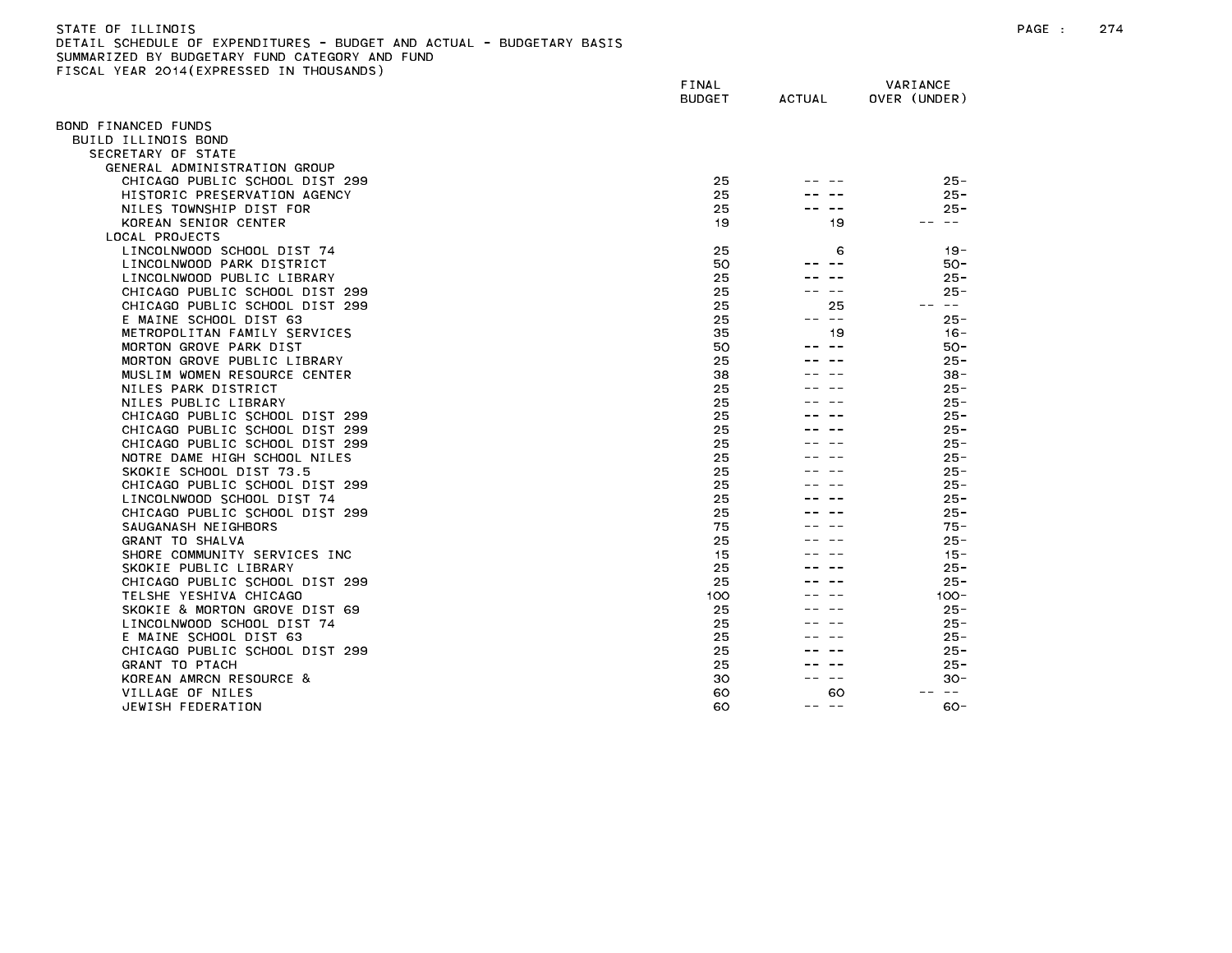| STATE OF ILLINOIS                                                     |  |
|-----------------------------------------------------------------------|--|
| DETAIL SCHEDULE OF EXPENDITURES - BUDGET AND ACTUAL - BUDGETARY BASIS |  |
| SUMMARIZED BY BUDGETARY FUND CATEGORY AND FUND                        |  |
| FISCAL YEAR 2014(EXPRESSED IN THOUSANDS)                              |  |

|                                                        | FINAL<br><b>BUDGET</b> | <b>ACTUAL</b> | VARIANCE<br>OVER (UNDER) |
|--------------------------------------------------------|------------------------|---------------|--------------------------|
|                                                        |                        |               |                          |
| BOND FINANCED FUNDS                                    |                        |               |                          |
| BUILD ILLINOIS BOND                                    |                        |               |                          |
| SECRETARY OF STATE                                     |                        |               |                          |
| GENERAL ADMINISTRATION GROUP                           |                        |               |                          |
| CHICAGO PUBLIC SCHOOL DIST 299                         | 25                     |               | $25 -$                   |
| HISTORIC PRESERVATION AGENCY                           | 25                     |               | $25 -$                   |
| NILES TOWNSHIP DIST FOR                                | 25                     |               | $25 -$                   |
| KOREAN SENIOR CENTER                                   | 19                     | 19            | $\sim$ $-$               |
| LOCAL PROJECTS                                         |                        |               |                          |
| LINCOLNWOOD SCHOOL DIST 74                             | 25                     | 6             | $19 -$                   |
| LINCOLNWOOD PARK DISTRICT                              | 50                     |               | $50 -$                   |
| LINCOLNWOOD PUBLIC LIBRARY                             | 25                     |               | $25 -$                   |
| CHICAGO PUBLIC SCHOOL DIST 299                         | 25                     |               | $25 -$                   |
| CHICAGO PUBLIC SCHOOL DIST 299                         | 25                     | 25            | $- -$                    |
| E MAINE SCHOOL DIST 63                                 | 25                     | $\sim$ $-$    | $25 -$                   |
| METROPOLITAN FAMILY SERVICES                           | 35                     | 19            | $16 -$                   |
| MORTON GROVE PARK DIST                                 | 50                     |               | $50 -$                   |
| MORTON GROVE PUBLIC LIBRARY                            | 25                     |               | $25 -$                   |
| MUSLIM WOMEN RESOURCE CENTER                           | 38                     |               | 38 -                     |
| NILES PARK DISTRICT                                    | 25                     |               | $25 -$                   |
| NILES PUBLIC LIBRARY<br>CHICAGO PUBLIC SCHOOL DIST 299 | 25<br>25               |               | $25 -$<br>$25 -$         |
| CHICAGO PUBLIC SCHOOL DIST 299                         | 25                     |               | $25 -$                   |
| CHICAGO PUBLIC SCHOOL DIST 299                         |                        |               | $25 -$                   |
| NOTRE DAME HIGH SCHOOL NILES                           | 25<br>25               |               | $25 -$                   |
| SKOKIE SCHOOL DIST 73.5                                | 25                     |               | $25 -$                   |
| CHICAGO PUBLIC SCHOOL DIST 299                         | 25                     |               | $25 -$                   |
| LINCOLNWOOD SCHOOL DIST 74                             | 25                     |               | $25 -$                   |
| CHICAGO PUBLIC SCHOOL DIST 299                         | 25                     |               | $25 -$                   |
| SAUGANASH NEIGHBORS                                    | 75                     |               | $75 -$                   |
| GRANT TO SHALVA                                        | 25                     |               | $25 -$                   |
| SHORE COMMUNITY SERVICES INC                           | 15                     |               | $15 -$                   |
| SKOKIE PUBLIC LIBRARY                                  | 25                     |               | $25 -$                   |
| CHICAGO PUBLIC SCHOOL DIST 299                         | 25                     |               | $25 -$                   |
| TELSHE YESHIVA CHICAGO                                 | 100                    |               | $100 -$                  |
| SKOKIE & MORTON GROVE DIST 69                          | 25                     |               | $25 -$                   |
| LINCOLNWOOD SCHOOL DIST 74                             | 25                     |               | $25 -$                   |
| E MAINE SCHOOL DIST 63                                 | 25                     |               | $25 -$                   |
| CHICAGO PUBLIC SCHOOL DIST 299                         | 25                     |               | $25 -$                   |
| <b>GRANT TO PTACH</b>                                  | 25                     |               | $25 -$                   |
| KOREAN AMRCN RESOURCE &                                | 30                     |               | $30 -$                   |
| VILLAGE OF NILES                                       | 60                     | 60            | $\sim$ $-$               |
| JEWISH FEDERATION                                      | 60                     | ———<br>--     | $60 -$                   |
|                                                        |                        |               |                          |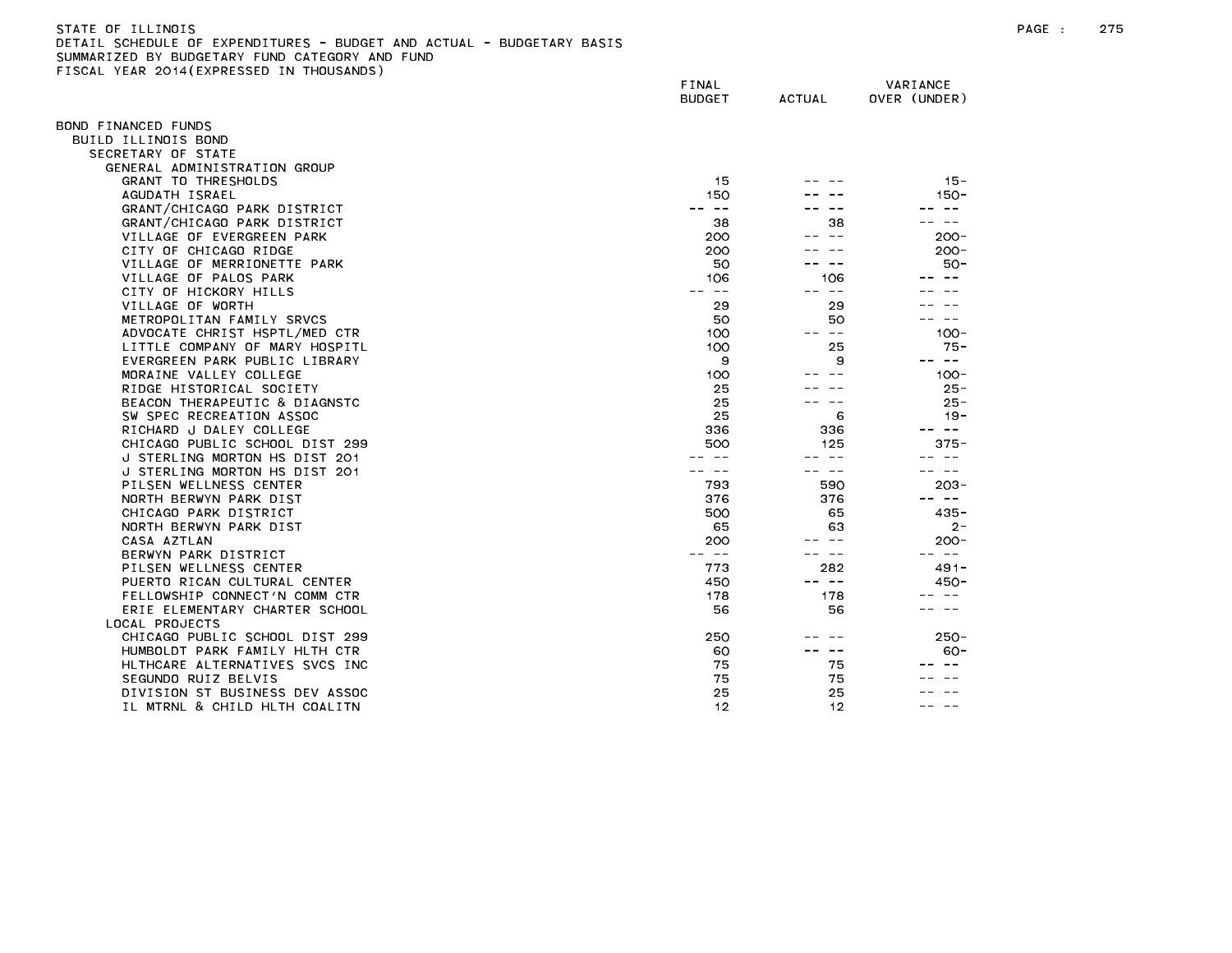| STATE OF ILLINOIS                                                     |
|-----------------------------------------------------------------------|
| DETAIL SCHEDULE OF EXPENDITURES - BUDGET AND ACTUAL - BUDGETARY BASIS |
| SUMMARIZED BY BUDGETARY FUND CATEGORY AND FUND                        |
| FISCAL YEAR 2014(EXPRESSED IN THOUSANDS)                              |

| TOURE TEAR EUTROPHINESSED      | FINAL<br><b>BUDGET</b>                                                                                                                                                                                                                                                                                                                                                                       | <b>ACTUAL</b> | VARIANCE<br>OVER (UNDER) |
|--------------------------------|----------------------------------------------------------------------------------------------------------------------------------------------------------------------------------------------------------------------------------------------------------------------------------------------------------------------------------------------------------------------------------------------|---------------|--------------------------|
| OND FINANCED FUNDS             |                                                                                                                                                                                                                                                                                                                                                                                              |               |                          |
| BUILD ILLINOIS BOND            |                                                                                                                                                                                                                                                                                                                                                                                              |               |                          |
| SECRETARY OF STATE             |                                                                                                                                                                                                                                                                                                                                                                                              |               |                          |
| GENERAL ADMINISTRATION GROUP   |                                                                                                                                                                                                                                                                                                                                                                                              |               |                          |
| <b>GRANT TO THRESHOLDS</b>     | 15                                                                                                                                                                                                                                                                                                                                                                                           |               | $15 -$                   |
| AGUDATH ISRAEL                 | 150                                                                                                                                                                                                                                                                                                                                                                                          |               | 150-                     |
| GRANT/CHICAGO PARK DISTRICT    | $- -$                                                                                                                                                                                                                                                                                                                                                                                        |               | $\sim$ $-$               |
| GRANT/CHICAGO PARK DISTRICT    | 38                                                                                                                                                                                                                                                                                                                                                                                           | 38            |                          |
| VILLAGE OF EVERGREEN PARK      | 200                                                                                                                                                                                                                                                                                                                                                                                          | $- -$         | $200 -$                  |
| CITY OF CHICAGO RIDGE          | 200                                                                                                                                                                                                                                                                                                                                                                                          |               | $200 -$                  |
| VILLAGE OF MERRIONETTE PARK    | 50                                                                                                                                                                                                                                                                                                                                                                                           |               | $50 -$                   |
| VILLAGE OF PALOS PARK          | 106                                                                                                                                                                                                                                                                                                                                                                                          | 106           |                          |
| CITY OF HICKORY HILLS          | $\frac{1}{2} \frac{1}{2} \frac{1}{2} \frac{1}{2} \frac{1}{2} \frac{1}{2} \frac{1}{2} \frac{1}{2} \frac{1}{2} \frac{1}{2} \frac{1}{2} \frac{1}{2} \frac{1}{2} \frac{1}{2} \frac{1}{2} \frac{1}{2} \frac{1}{2} \frac{1}{2} \frac{1}{2} \frac{1}{2} \frac{1}{2} \frac{1}{2} \frac{1}{2} \frac{1}{2} \frac{1}{2} \frac{1}{2} \frac{1}{2} \frac{1}{2} \frac{1}{2} \frac{1}{2} \frac{1}{2} \frac{$ | $ -$          |                          |
| VILLAGE OF WORTH               | 29                                                                                                                                                                                                                                                                                                                                                                                           | 29            |                          |
| METROPOLITAN FAMILY SRVCS      | 50                                                                                                                                                                                                                                                                                                                                                                                           | 50            | $- -$                    |
| ADVOCATE CHRIST HSPTL/MED CTR  | 100                                                                                                                                                                                                                                                                                                                                                                                          | -- --         | $100 -$                  |
| LITTLE COMPANY OF MARY HOSPITL | 100                                                                                                                                                                                                                                                                                                                                                                                          | 25            | $75 -$                   |
| EVERGREEN PARK PUBLIC LIBRARY  | 9                                                                                                                                                                                                                                                                                                                                                                                            | 9             | -- --                    |
| MORAINE VALLEY COLLEGE         | 100                                                                                                                                                                                                                                                                                                                                                                                          |               | $100 -$                  |
| RIDGE HISTORICAL SOCIETY       | 25                                                                                                                                                                                                                                                                                                                                                                                           |               | $25 -$                   |
| BEACON THERAPEUTIC & DIAGNSTC  | 25                                                                                                                                                                                                                                                                                                                                                                                           |               | $25 -$                   |
| SW SPEC RECREATION ASSOC       | 25                                                                                                                                                                                                                                                                                                                                                                                           | 6             | $19 -$                   |
| RICHARD J DALEY COLLEGE        | 336                                                                                                                                                                                                                                                                                                                                                                                          | 336           | س س                      |
| CHICAGO PUBLIC SCHOOL DIST 299 | 500                                                                                                                                                                                                                                                                                                                                                                                          | 125           | $375 -$                  |
| J STERLING MORTON HS DIST 201  |                                                                                                                                                                                                                                                                                                                                                                                              | $- -$         | $- -$                    |
| J STERLING MORTON HS DIST 201  |                                                                                                                                                                                                                                                                                                                                                                                              |               |                          |
| PILSEN WELLNESS CENTER         | 793                                                                                                                                                                                                                                                                                                                                                                                          | 590           | $203 -$                  |
| NORTH BERWYN PARK DIST         | 376                                                                                                                                                                                                                                                                                                                                                                                          | 376           | $\sim$ $ -$              |
| CHICAGO PARK DISTRICT          | 500                                                                                                                                                                                                                                                                                                                                                                                          | 65            | $435 -$                  |
| NORTH BERWYN PARK DIST         | 65                                                                                                                                                                                                                                                                                                                                                                                           | 63            | $2 -$                    |
| CASA AZTLAN                    | 200                                                                                                                                                                                                                                                                                                                                                                                          | $\sim$ $-$    | $200 -$                  |
| BERWYN PARK DISTRICT           | $\frac{1}{2} \frac{1}{2} \frac{1}{2} \frac{1}{2} \frac{1}{2} \frac{1}{2} \frac{1}{2} \frac{1}{2} \frac{1}{2} \frac{1}{2} \frac{1}{2} \frac{1}{2} \frac{1}{2} \frac{1}{2} \frac{1}{2} \frac{1}{2} \frac{1}{2} \frac{1}{2} \frac{1}{2} \frac{1}{2} \frac{1}{2} \frac{1}{2} \frac{1}{2} \frac{1}{2} \frac{1}{2} \frac{1}{2} \frac{1}{2} \frac{1}{2} \frac{1}{2} \frac{1}{2} \frac{1}{2} \frac{$ | $- -$         | -- --                    |
| PILSEN WELLNESS CENTER         | 773                                                                                                                                                                                                                                                                                                                                                                                          | 282           | $491 -$                  |
| PUERTO RICAN CULTURAL CENTER   | 450                                                                                                                                                                                                                                                                                                                                                                                          | -- --         | $450 -$                  |
| FELLOWSHIP CONNECT'N COMM CTR  | 178                                                                                                                                                                                                                                                                                                                                                                                          | 178           | $ -$                     |
| ERIE ELEMENTARY CHARTER SCHOOL | 56                                                                                                                                                                                                                                                                                                                                                                                           | 56            |                          |
| LOCAL PROJECTS                 |                                                                                                                                                                                                                                                                                                                                                                                              |               |                          |
| CHICAGO PUBLIC SCHOOL DIST 299 | 250                                                                                                                                                                                                                                                                                                                                                                                          |               | $250 -$                  |
| HUMBOLDT PARK FAMILY HLTH CTR  | 60                                                                                                                                                                                                                                                                                                                                                                                           | $- -$         | $60 -$                   |
| HLTHCARE ALTERNATIVES SVCS INC | 75                                                                                                                                                                                                                                                                                                                                                                                           | 75            |                          |
| SEGUNDO RUIZ BELVIS            | 75                                                                                                                                                                                                                                                                                                                                                                                           | 75            |                          |
| DIVISION ST BUSINESS DEV ASSOC | 25                                                                                                                                                                                                                                                                                                                                                                                           | 25            |                          |
| IL MTRNL & CHILD HLTH COALITN  | 12                                                                                                                                                                                                                                                                                                                                                                                           | 12            |                          |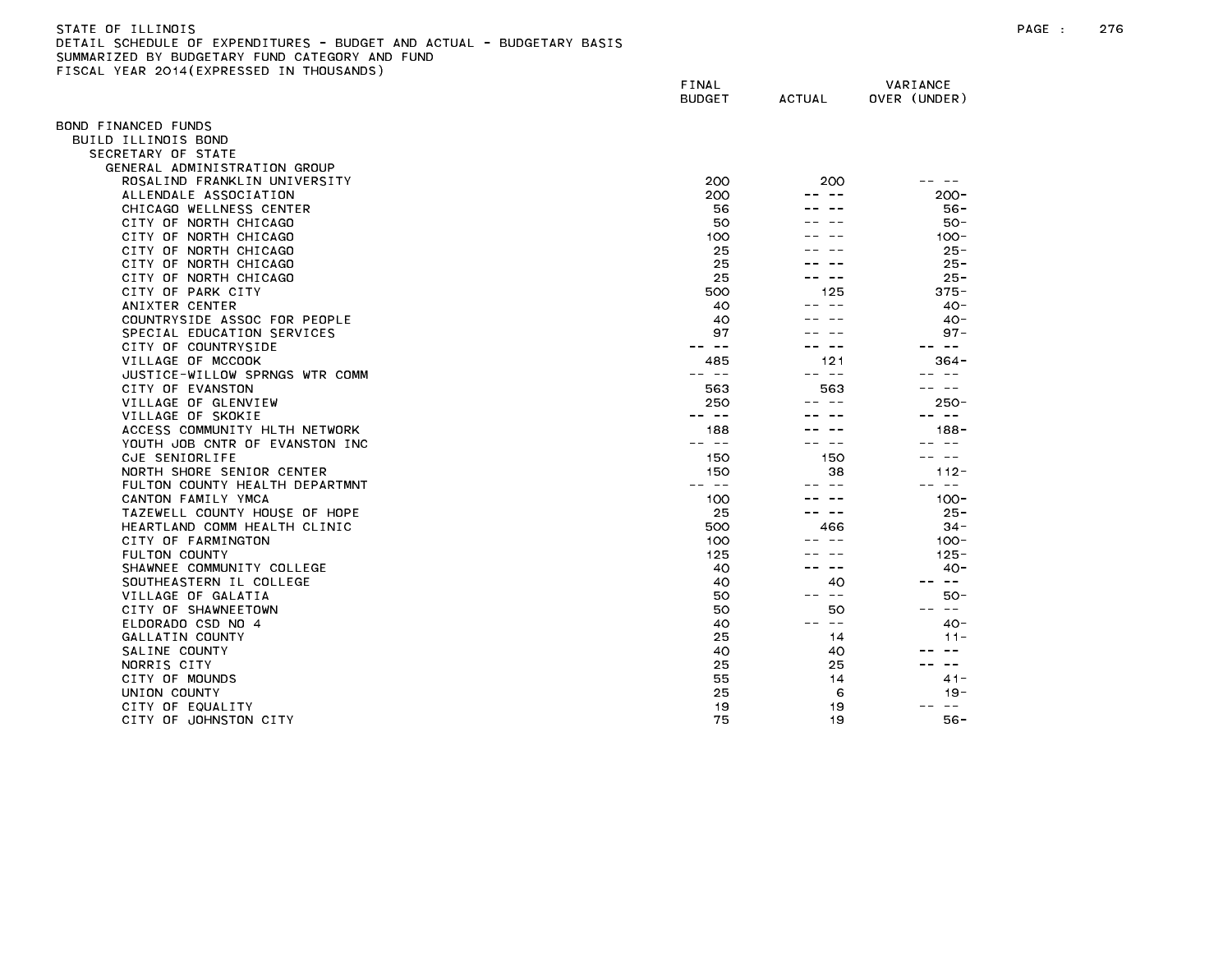FISCAL YEAR 2014(EXPRESSED IN THOUSANDS)

FINAL VARIANCE BUDGET ACTUAL OVER (UNDER) BOND FINANCED FUNDS BUILD ILLINOIS BOND SECRETARY OF STATE GENERAL ADMINISTRATION GROUP ROSALIND FRANKLIN UNIVERSITY 200 200 -- -- ALLENDALE ASSOCIATION 200 -- -- 200- CHICAGO WELLNESS CENTER 56 -- -- 56 -- 56 -- 56 -- 56 -- 56 -- 56 -- 56 -- 56 -- 56 -- 56 -- 56 -- 56 -- 56 --CITY OF NORTH CHICAGO 50 -- -- 50- CITY OF NORTH CHICAGO **100** -- -- 100-CITY OF NORTH CHICAGO 25 -- -- 25- CITY OF NORTH CHICAGO 25 22. 22  $25 -$ CITY OF NORTH CHICAGO 25 22. 22  $25 -$ CITY OF PARK CITY And the state of the state of the state of the state of the state of the state of the state o ANIXTER CENTER 40 -- -- 40- COUNTRYSIDE ASSOC FOR PEOPLE **A COUNTRYSIDE ASSOC FOR PEOPLE** SPECIAL EDUCATION SERVICES And the series of the series of the series of the series of the series of the series of the series of the series of the series of the series of the series of the series of the series of the serie VILLAGE OF MCCOOK AND RESERVE THE SERVE OF MCCOOK ASSESSED AS A 485 AND 121 AND 1364-JUSTICE-WILLOW SPRNGS WTR COMM -- -- -- -- -- -- CITY OF EVANSTON 563 563 -- -- VILLAGE OF GLENVIEW 250 -- -- 250- VILLAGE OF SKOKIE -- -- -- -- -- -- ACCESS COMMUNITY HLTH NETWORK 188 ---- 188-188-2011 YOUTH JOB CNTR OF EVANSTON INC And the set of the set of the set of the set of the set of the set of the set o CJE SENIORLIFE 150 150 -- -- NORTH SHORE SENIOR CENTER 12-FULTON COUNTY HEALTH DEPARTMNT And the state of the state of the state of the state of the state of the state o CANTON FAMILY YMCA 100 -- -- 100- TAZEWELL COUNTY HOUSE OF HOPE 25 -- -- 25- HEARTLAND COMM HEALTH CLINIC 500 466 34- CITY OF FARMINGTON 100 -- -- 100- FULTON COUNTY 125 -- -- 125- SHAWNEE COMMUNITY COLLEGE A SHAWNEE COMMUNITY COLLEGE A SHAWNEE COMMUNITY COLLEGE SOUTHEASTERN IL COLLEGE 40 40 -- -- VILLAGE OF GALATIA 50 --- 50- $\frac{1}{2} \frac{1}{2} \frac{1}{2} \frac{1}{2} \frac{1}{2} \frac{1}{2} \frac{1}{2} \frac{1}{2} \frac{1}{2} \frac{1}{2} \frac{1}{2} \frac{1}{2} \frac{1}{2} \frac{1}{2} \frac{1}{2} \frac{1}{2} \frac{1}{2} \frac{1}{2} \frac{1}{2} \frac{1}{2} \frac{1}{2} \frac{1}{2} \frac{1}{2} \frac{1}{2} \frac{1}{2} \frac{1}{2} \frac{1}{2} \frac{1}{2} \frac{1}{2} \frac{1}{2} \frac{1}{2} \frac{$ CITY OF SHAWNEETOWN 50 50 50 -- --ELDORADO CSD NO 4 40 -- - 40-GALLATIN COUNTY 11-SALINE COUNTY And the set of the set of the set of the set of the set of the set of the set of the set of the set of the set of the set of the set of the set of the set of the set of the set of the set of the set of the se 14 UNION COUNTY 25 6 19- CITY OF EQUALITY 19 19 -- -- CITY OF JOHNSTON CITY AND RESERVE THE SECTION OF SECTION OF SECTION OF SECTION OF SECTION AND SECTION OF SECTION OF SECTION OF SECTION OF SECTION OF SECTION OF SECTION OF SECTION OF SECTION OF SECTION OF SECTION OF SECTION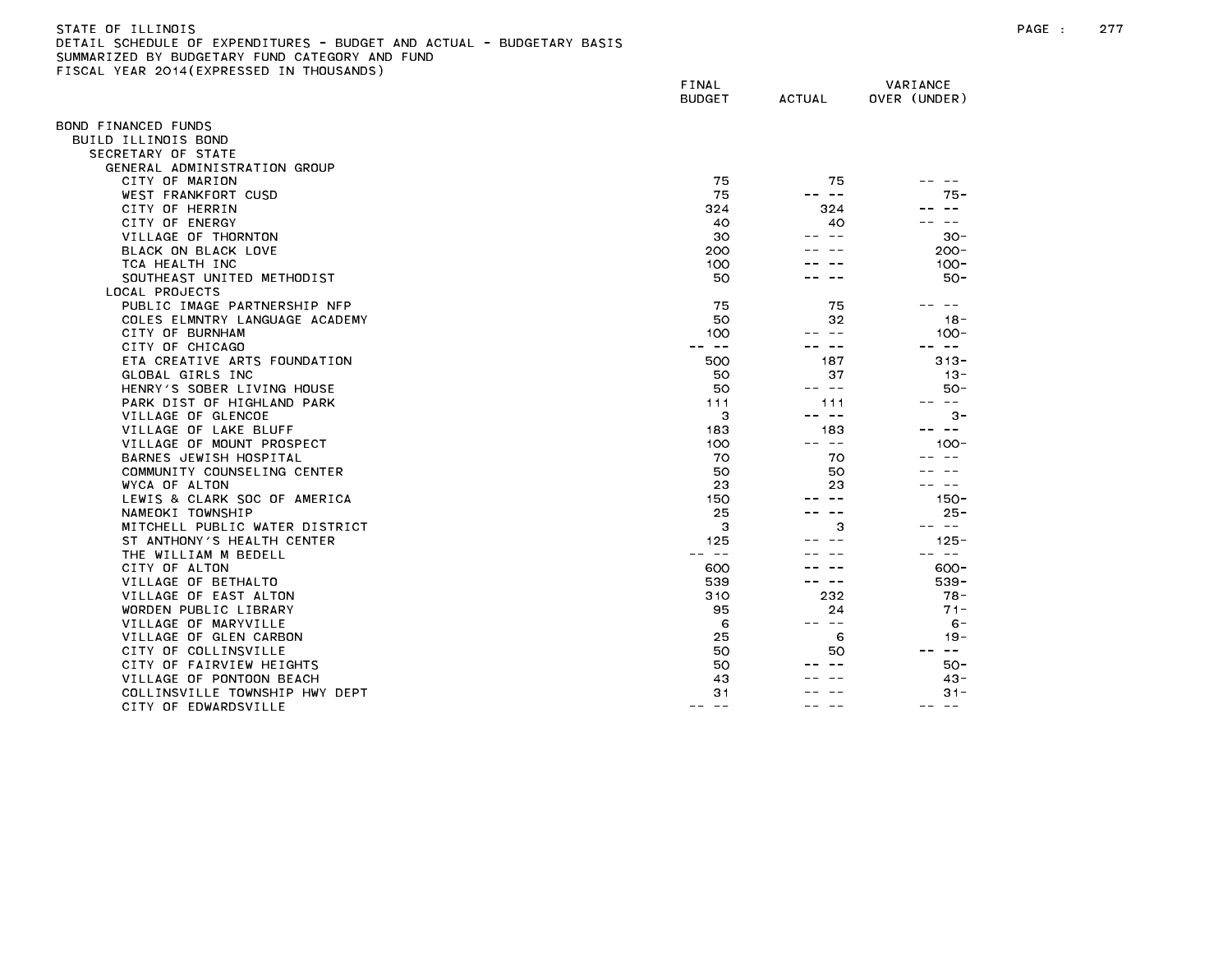| STATE OF ILLINOIS                                                     |
|-----------------------------------------------------------------------|
| DETAIL SCHEDULE OF EXPENDITURES - BUDGET AND ACTUAL - BUDGETARY BASIS |
| SUMMARIZED BY BUDGETARY FUND CATEGORY AND FUND                        |
| FISCAL YEAR 2014(EXPRESSED IN THOUSANDS)                              |

| 1998 - ILAN 2017(ININESSED     | FINAL<br><b>BUDGET</b> | <b>ACTUAL</b> | VARIANCE<br>OVER (UNDER) |
|--------------------------------|------------------------|---------------|--------------------------|
| OND FINANCED FUNDS             |                        |               |                          |
| BUILD ILLINOIS BOND            |                        |               |                          |
| SECRETARY OF STATE             |                        |               |                          |
| GENERAL ADMINISTRATION GROUP   |                        |               |                          |
| CITY OF MARION                 | 75                     | 75            |                          |
| WEST FRANKFORT CUSD            | 75                     | $- -$         | 75 -                     |
| CITY OF HERRIN                 | 324                    | 324           |                          |
| CITY OF ENERGY                 | 40                     | 40            |                          |
| VILLAGE OF THORNTON            | 30                     |               | $30 -$                   |
| BLACK ON BLACK LOVE            | 200                    |               | $200 -$                  |
| TCA HEALTH INC                 | 100                    |               | $100 -$                  |
| SOUTHEAST UNITED METHODIST     | 50                     |               | $50 -$                   |
| LOCAL PROJECTS                 |                        |               |                          |
| PUBLIC IMAGE PARTNERSHIP NFP   | 75                     | 75            |                          |
| COLES ELMNTRY LANGUAGE ACADEMY | 50                     | 32            | $18 -$                   |
| CITY OF BURNHAM                | 100                    | $- -$         | $100 -$                  |
| CITY OF CHICAGO                | ———                    | $- -$         | $ -$                     |
| ETA CREATIVE ARTS FOUNDATION   | 500                    | 187           | $313 -$                  |
| GLOBAL GIRLS INC               | 50                     | 37            | $13 -$                   |
| HENRY'S SOBER LIVING HOUSE     | 50                     | -- --         | $50 -$                   |
| PARK DIST OF HIGHLAND PARK     | 111                    | 111           | $\frac{1}{2}$            |
| VILLAGE OF GLENCOE             | з                      | $- -$         | $3 -$                    |
| VILLAGE OF LAKE BLUFF          | 183                    | 183           | $\sim$ $-$               |
| VILLAGE OF MOUNT PROSPECT      | 100                    | -- --         | $100 -$                  |
| BARNES JEWISH HOSPITAL         | 70                     | 70            |                          |
| COMMUNITY COUNSELING CENTER    | 50                     | 50            |                          |
| WYCA OF ALTON                  | 23                     | 23            |                          |
| LEWIS & CLARK SOC OF AMERICA   | 150                    |               | $150 -$                  |
| NAMEOKI TOWNSHIP               | 25                     |               | $25 -$                   |
| MITCHELL PUBLIC WATER DISTRICT | 3                      | 3             | $\sim$ $-$               |
| ST ANTHONY'S HEALTH CENTER     | 125                    |               | $125 -$                  |
| THE WILLIAM M BEDELL           | $- -$                  |               | $- -$                    |
| CITY OF ALTON                  | 600                    |               | $600 -$                  |
| VILLAGE OF BETHALTO            | 539                    | -- --         | $539 -$                  |
| VILLAGE OF EAST ALTON          | 310                    | 232           | $78 -$                   |
| WORDEN PUBLIC LIBRARY          | 95                     | 24            | $71 -$                   |
| VILLAGE OF MARYVILLE           | 6                      | $\sim$ $-$    | $6 -$                    |
| VILLAGE OF GLEN CARBON         | 25                     | 6             | $19 -$                   |
| CITY OF COLLINSVILLE           | 50                     | 50            | $\sim 100$               |
| CITY OF FAIRVIEW HEIGHTS       | 50                     |               | $50 -$                   |
| VILLAGE OF PONTOON BEACH       | 43                     |               | $43 -$                   |
| COLLINSVILLE TOWNSHIP HWY DEPT | 31                     |               | $31 -$                   |
| CITY OF EDWARDSVILLE           | -- --                  |               | ———<br>--                |
|                                |                        |               |                          |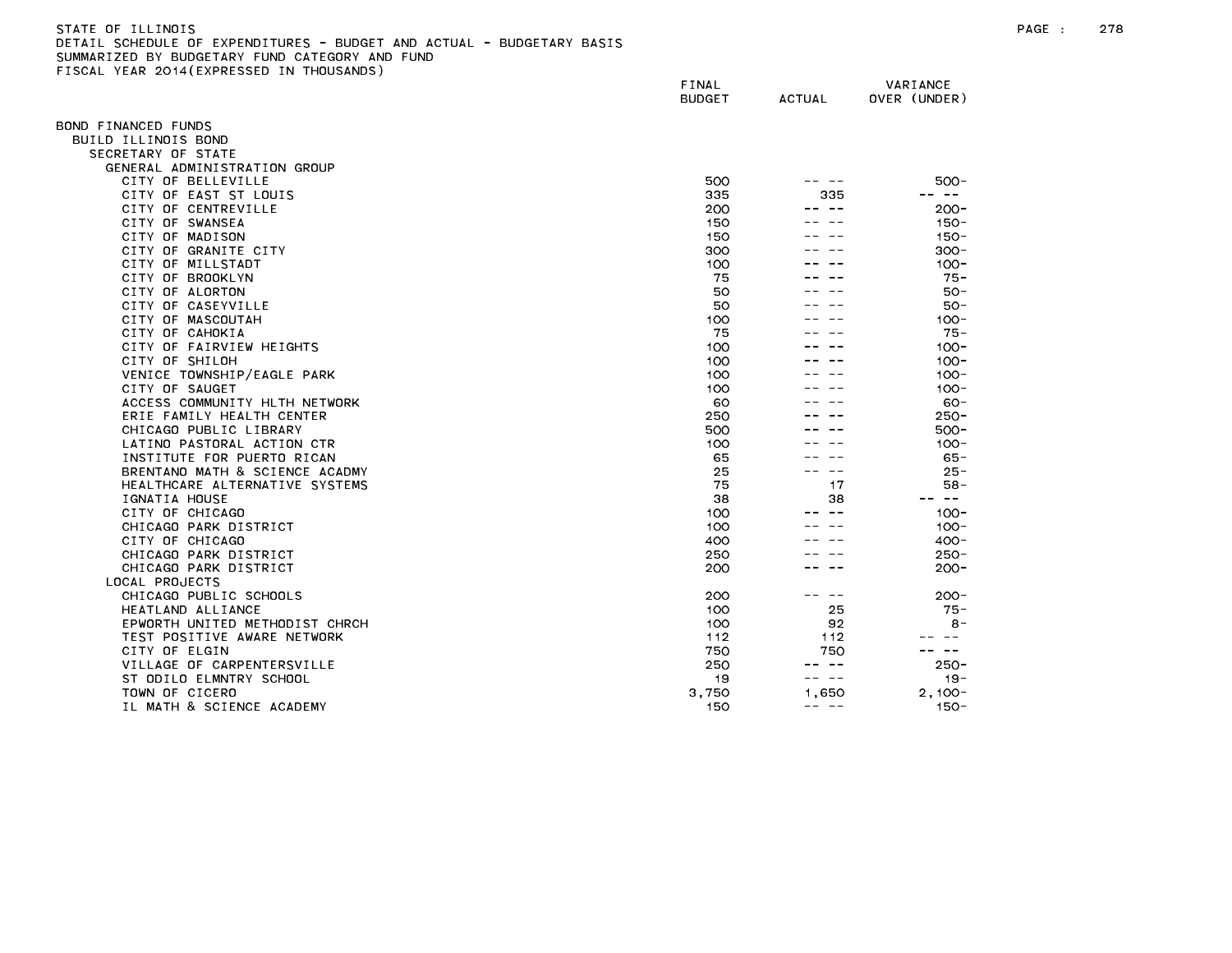| STATE OF ILLINOIS                                                     |
|-----------------------------------------------------------------------|
| DETAIL SCHEDULE OF EXPENDITURES - BUDGET AND ACTUAL - BUDGETARY BASIS |
| SUMMARIZED BY BUDGETARY FUND CATEGORY AND FUND                        |
| FISCAL YEAR 2014(EXPRESSED IN THOUSANDS)                              |

|                                    | FINAL<br><b>BUDGET</b> | <b>ACTUAL</b> | VARIANCE<br>OVER (UNDER) |
|------------------------------------|------------------------|---------------|--------------------------|
|                                    |                        |               |                          |
| BOND FINANCED FUNDS                |                        |               |                          |
| BUILD ILLINOIS BOND                |                        |               |                          |
| SECRETARY OF STATE                 |                        |               |                          |
| GENERAL ADMINISTRATION GROUP       |                        |               |                          |
| CITY OF BELLEVILLE                 | 500                    |               | $500 -$<br>$- -$         |
| CITY OF EAST ST LOUIS              | 335                    | 335           |                          |
| CITY OF CENTREVILLE                | 200                    |               | $200 -$                  |
| CITY OF SWANSEA<br>CITY OF MADISON | 150<br>150             |               | $150 -$<br>$150 -$       |
| CITY OF GRANITE CITY               | 300                    |               | $300 -$                  |
| CITY OF MILLSTADT                  | 100                    |               | $100 -$                  |
| CITY OF BROOKLYN                   | 75                     |               | $75 -$                   |
| CITY OF ALORTON                    | 50                     |               | $50 -$                   |
| CITY OF CASEYVILLE                 | 50                     |               | $50 -$                   |
| CITY OF MASCOUTAH                  | 100                    |               | $100 -$                  |
| CITY OF CAHOKIA                    | 75                     |               | $75 -$                   |
| CITY OF FAIRVIEW HEIGHTS           | 100                    |               | $100 -$                  |
| CITY OF SHILOH                     | 100                    |               | $100 -$                  |
| VENICE TOWNSHIP/EAGLE PARK         | 100                    |               | $100 -$                  |
| CITY OF SAUGET                     | 100                    |               | $100 -$                  |
| ACCESS COMMUNITY HLTH NETWORK      | 60                     |               | $60 -$                   |
| ERIE FAMILY HEALTH CENTER          | 250                    |               | $250 -$                  |
| CHICAGO PUBLIC LIBRARY             | 500                    |               | 500-                     |
| LATINO PASTORAL ACTION CTR         | 100                    |               | $100 -$                  |
| INSTITUTE FOR PUERTO RICAN         | 65                     |               | $65 -$                   |
| BRENTANO MATH & SCIENCE ACADMY     | 25                     |               | $25 -$                   |
| HEALTHCARE ALTERNATIVE SYSTEMS     | 75                     | 17            | $58 -$                   |
| IGNATIA HOUSE                      | 38                     | 38            | $\sim$ $-$               |
| CITY OF CHICAGO                    | 100                    |               | $100 -$                  |
| CHICAGO PARK DISTRICT              | 100                    |               | $100 -$                  |
| CITY OF CHICAGO                    | 400                    |               | $400 -$                  |
| CHICAGO PARK DISTRICT              | 250                    |               | $250 -$                  |
| CHICAGO PARK DISTRICT              | 200                    |               | $200 -$                  |
| LOCAL PROJECTS                     |                        |               |                          |
| CHICAGO PUBLIC SCHOOLS             | 200                    | $- -$         | $200 -$                  |
| HEATLAND ALLIANCE                  | 100                    | 25            | $75 -$                   |
| EPWORTH UNITED METHODIST CHRCH     | 100                    | 92            | $8 -$                    |
| TEST POSITIVE AWARE NETWORK        | 112                    | 112           |                          |
| CITY OF ELGIN                      | 750                    | 750           | $- -$                    |
| VILLAGE OF CARPENTERSVILLE         | 250                    | $- -$         | $250 -$                  |
| ST ODILO ELMNTRY SCHOOL            | 19                     | $\sim$ $-$    | $19 -$                   |
| TOWN OF CICERO                     | 3,750                  | 1.650         | $2,100 -$                |
| IL MATH & SCIENCE ACADEMY          | 150                    | -- --         | $150 -$                  |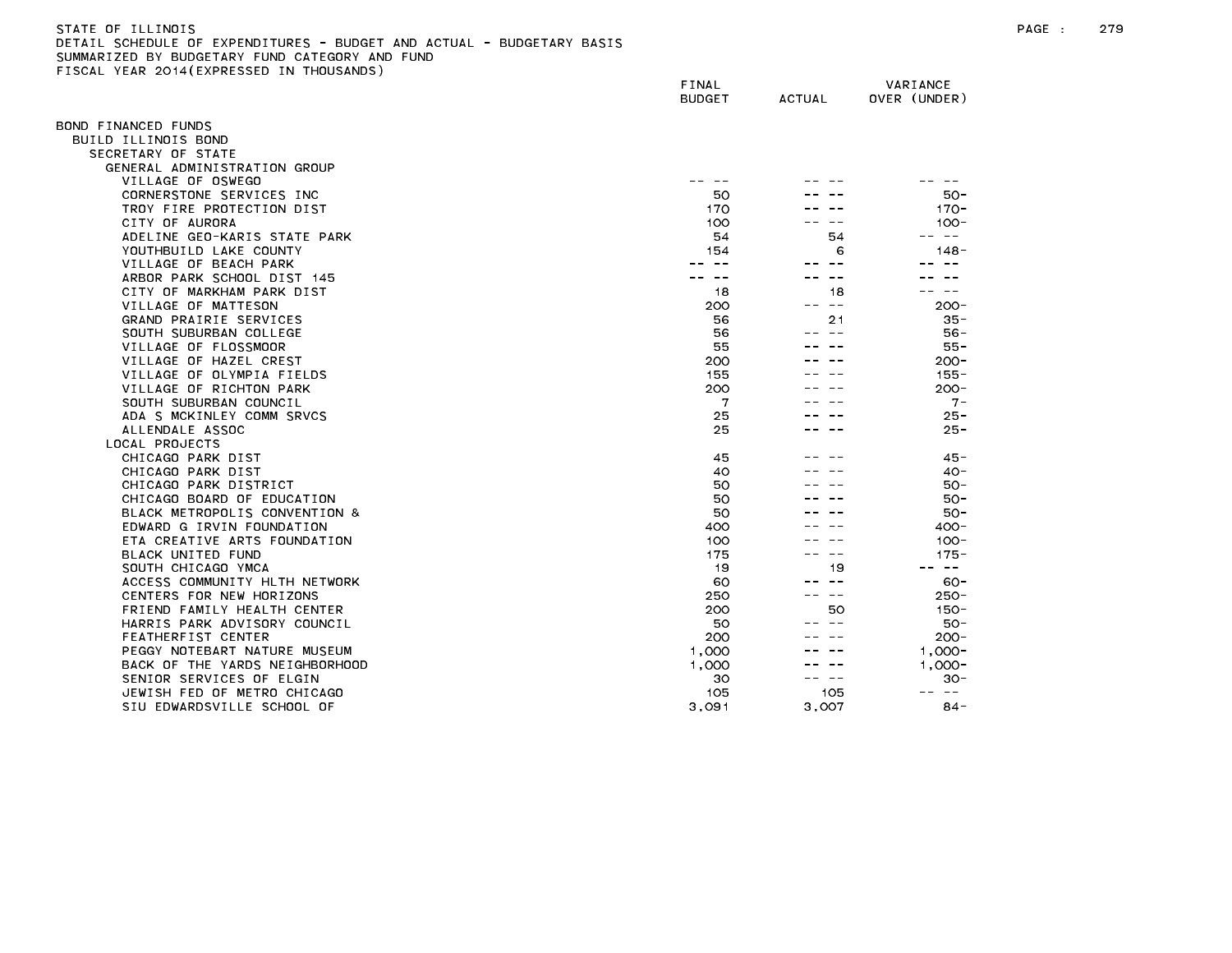#### STATE OF ILLINOIS PAGE : 279 DETAIL SCHEDULE OF EXPENDITURES - BUDGET AND ACTUAL - BUDGETARY BASIS SUMMARIZED BY BUDGETARY FUND CATEGORY AND FUND FISCAL YEAR 2014(EXPRESSED IN THOUSANDS)

|                                | FINAL<br><b>BUDGET</b>      | <b>ACTUAL</b> | VARIANCE<br>OVER (UNDER) |
|--------------------------------|-----------------------------|---------------|--------------------------|
| OND FINANCED FUNDS             |                             |               |                          |
| BUILD ILLINOIS BOND            |                             |               |                          |
| SECRETARY OF STATE             |                             |               |                          |
| GENERAL ADMINISTRATION GROUP   |                             |               |                          |
| VILLAGE OF OSWEGO              | ---                         |               |                          |
| CORNERSTONE SERVICES INC       | 50                          |               | $50 -$                   |
| TROY FIRE PROTECTION DIST      | 170                         |               | $170 -$                  |
| CITY OF AURORA                 | 100                         |               | $100 -$                  |
| ADELINE GEO-KARIS STATE PARK   | 54                          | 54            | $\sim$ $-$               |
| YOUTHBUILD LAKE COUNTY         | 154                         | 6             | $148 -$                  |
| VILLAGE OF BEACH PARK          |                             | $ -$          |                          |
| ARBOR PARK SCHOOL DIST 145     | $\rightarrow$ $\rightarrow$ | $\sim$ $-$    |                          |
| CITY OF MARKHAM PARK DIST      | 18                          | 18            |                          |
| VILLAGE OF MATTESON            | 200                         | $\sim$ $\sim$ | $200 -$                  |
| GRAND PRAIRIE SERVICES         | 56                          | 21            | $35 -$                   |
| SOUTH SUBURBAN COLLEGE         | 56                          |               | $56 -$                   |
| VILLAGE OF FLOSSMOOR           | 55                          |               | 55 -                     |
| VILLAGE OF HAZEL CREST         | 200                         |               | $200 -$                  |
| VILLAGE OF OLYMPIA FIELDS      | 155                         |               | $155 -$                  |
| VILLAGE OF RICHTON PARK        | 200                         |               | $200 -$                  |
| SOUTH SUBURBAN COUNCIL         | 7                           |               | $7 -$                    |
| ADA S MCKINLEY COMM SRVCS      | 25                          |               | $25 -$                   |
| ALLENDALE ASSOC                | 25                          |               | $25 -$                   |
| LOCAL PROJECTS                 |                             |               |                          |
| CHICAGO PARK DIST              | 45                          |               | $45 -$                   |
| CHICAGO PARK DIST              | 40                          |               | $40-$                    |
| CHICAGO PARK DISTRICT          | 50                          |               | $50 -$                   |
| CHICAGO BOARD OF EDUCATION     | 50                          |               | $50 -$                   |
| BLACK METROPOLIS CONVENTION &  | 50                          |               | $50 -$                   |
| EDWARD G IRVIN FOUNDATION      | 400                         |               | $400 -$                  |
| ETA CREATIVE ARTS FOUNDATION   | 100                         |               | $100 -$                  |
| BLACK UNITED FUND              | 175                         |               | $175 -$                  |
| SOUTH CHICAGO YMCA             | 19                          | 19            | $\sim$ $-$               |
| ACCESS COMMUNITY HLTH NETWORK  | 60                          | $ -$          | $60 -$                   |
| CENTERS FOR NEW HORIZONS       | 250                         | $- -$         | $250 -$                  |
| FRIEND FAMILY HEALTH CENTER    | 200                         | 50            | $150 -$                  |
| HARRIS PARK ADVISORY COUNCIL   | 50                          |               | $50 -$                   |
| FEATHERFIST CENTER             | 200                         |               | $200 -$                  |
| PEGGY NOTEBART NATURE MUSEUM   | 1,000                       |               | $1,000 -$                |
| BACK OF THE YARDS NEIGHBORHOOD | 1,000                       |               | $1,000 -$                |
| SENIOR SERVICES OF ELGIN       | 30                          |               | $30 -$                   |
| JEWISH FED OF METRO CHICAGO    | 105                         | 105           | $- -$<br>--              |
| SIU EDWARDSVILLE SCHOOL OF     | 3.091                       | 3,007         | 84 -                     |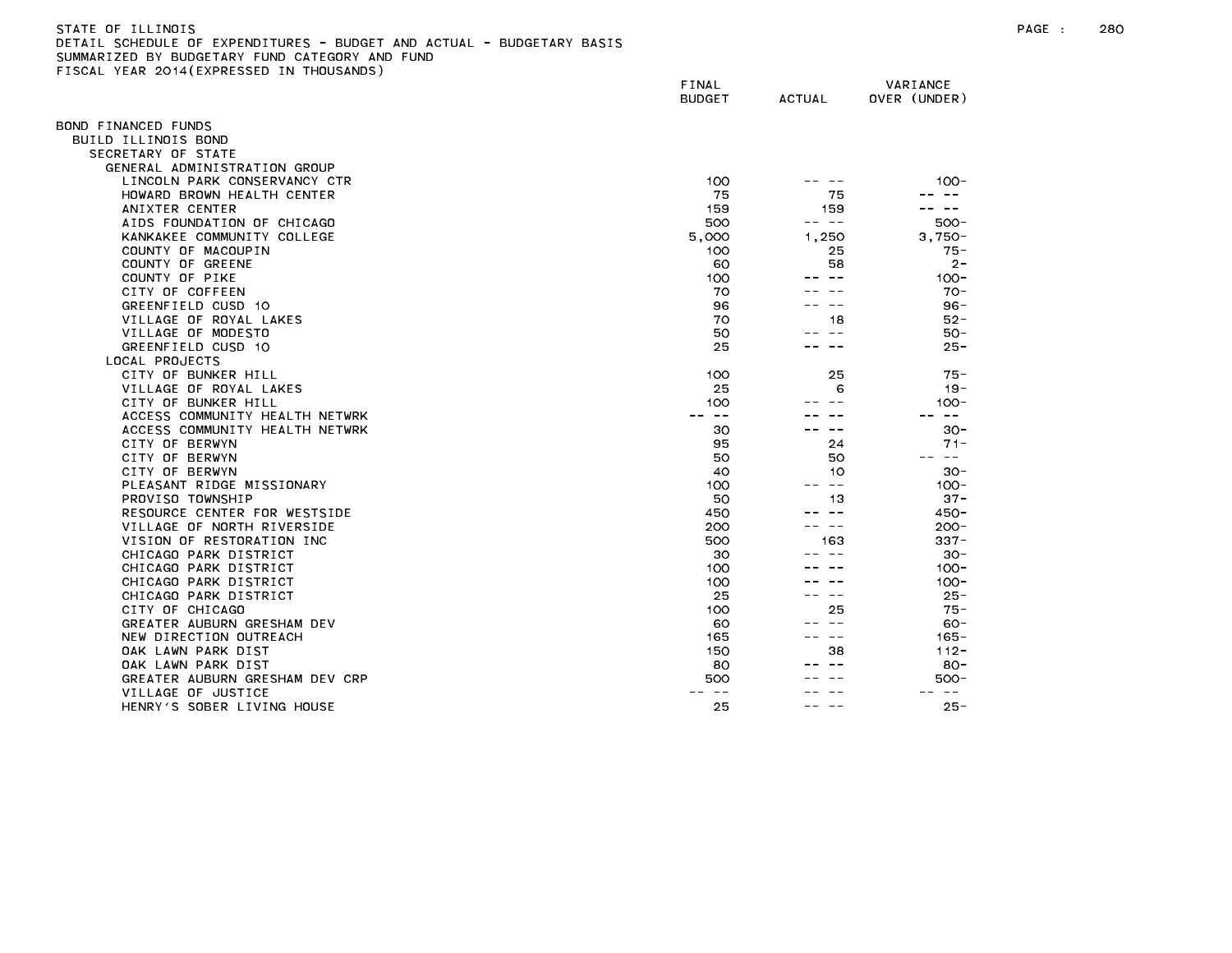| STATE OF ILLINOIS                                                     |
|-----------------------------------------------------------------------|
| DETAIL SCHEDULE OF EXPENDITURES - BUDGET AND ACTUAL - BUDGETARY BASIS |
| SUMMARIZED BY BUDGETARY FUND CATEGORY AND FUND                        |
| FISCAL YEAR 2014(EXPRESSED IN THOUSANDS)                              |

| $1.5.11$ $2.017$ ( $2.11$ $1.200$ | FINAL<br><b>BUDGET</b> | <b>ACTUAL</b> | VARIANCE<br>OVER (UNDER) |
|-----------------------------------|------------------------|---------------|--------------------------|
| OND FINANCED FUNDS                |                        |               |                          |
| BUILD ILLINOIS BOND               |                        |               |                          |
| SECRETARY OF STATE                |                        |               |                          |
| GENERAL ADMINISTRATION GROUP      |                        |               |                          |
| LINCOLN PARK CONSERVANCY CTR      | 100                    |               | $100 -$                  |
| HOWARD BROWN HEALTH CENTER        | 75                     | 75            | $\sim$ $\sim$            |
| ANIXTER CENTER                    | 159                    | 159           | $\sim$ $-$               |
| AIDS FOUNDATION OF CHICAGO        | 500                    | -- --         | $500 -$                  |
| KANKAKEE COMMUNITY COLLEGE        | 5,000                  | 1,250         | $3.750 -$                |
| COUNTY OF MACOUPIN                | 100                    | 25            | $75 -$                   |
| COUNTY OF GREENE                  | 60                     | 58            | $2 -$                    |
| COUNTY OF PIKE                    | 100                    |               | $100 -$                  |
| CITY OF COFFEEN                   | 70                     |               | $70-$                    |
| GREENFIELD CUSD 10                | 96                     |               | $96 -$                   |
| VILLAGE OF ROYAL LAKES            | 70                     | 18            | $52 -$                   |
| VILLAGE OF MODESTO                | 50                     | $- -$         | $50 -$                   |
| GREENFIELD CUSD 10                | 25                     |               | $25 -$                   |
| LOCAL PROJECTS                    |                        |               |                          |
| CITY OF BUNKER HILL               | 100                    | 25            | $75 -$                   |
| VILLAGE OF ROYAL LAKES            | 25                     | 6             | $19 -$                   |
| CITY OF BUNKER HILL               | 100                    |               | $100 -$                  |
| ACCESS COMMUNITY HEALTH NETWRK    | $- -$                  |               | $- -$                    |
| ACCESS COMMUNITY HEALTH NETWRK    | 30                     |               | $30 -$                   |
| CITY OF BERWYN                    | 95                     | 24            | $71 -$                   |
| CITY OF BERWYN                    | 50                     | 50            | $\sim$ $-$               |
| CITY OF BERWYN                    | 40                     | 10            | $30 -$                   |
| PLEASANT RIDGE MISSIONARY         | 100                    | $\sim$ $-$    | $100 -$                  |
| PROVISO TOWNSHIP                  | 50                     | 13            | $37 -$                   |
| RESOURCE CENTER FOR WESTSIDE      | 450                    | $- -$         | $450 -$                  |
| VILLAGE OF NORTH RIVERSIDE        | 200                    | $\sim$ $-$    | $200 -$                  |
| VISION OF RESTORATION INC         | 500                    | 163           | $337 -$                  |
| CHICAGO PARK DISTRICT             | 30                     |               | $30 -$                   |
| CHICAGO PARK DISTRICT             | 100                    |               | $100 -$                  |
| CHICAGO PARK DISTRICT             | 100                    |               | $100 -$                  |
| CHICAGO PARK DISTRICT             | 25                     |               | $25 -$                   |
| CITY OF CHICAGO                   | 100                    | 25            | $75 -$                   |
| GREATER AUBURN GRESHAM DEV        | 60                     |               | $60 -$                   |
| NEW DIRECTION OUTREACH            | 165                    | $- -$         | $165 -$                  |
| OAK LAWN PARK DIST                | 150                    | 38            | $112 -$                  |
| OAK LAWN PARK DIST                | 80                     |               | $80 -$                   |
| GREATER AUBURN GRESHAM DEV CRP    | 500                    |               | $500 -$                  |
| VILLAGE OF JUSTICE                |                        |               | $ -$                     |
| HENRY'S SOBER LIVING HOUSE        | 25                     |               | $25 -$                   |
|                                   |                        |               |                          |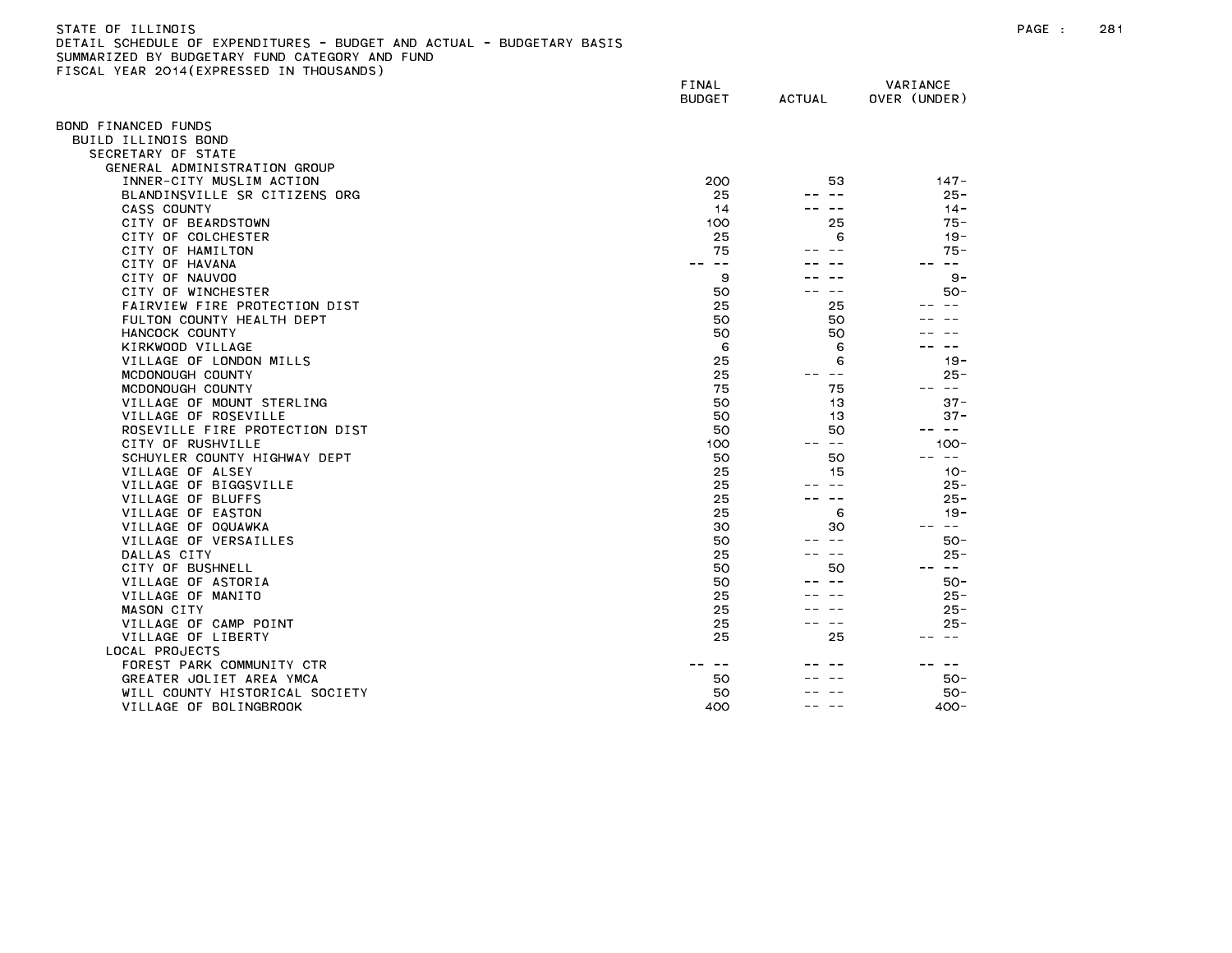| STATE OF ILLINOIS                                                     |
|-----------------------------------------------------------------------|
| DETAIL SCHEDULE OF EXPENDITURES - BUDGET AND ACTUAL - BUDGETARY BASIS |
| SUMMARIZED BY BUDGETARY FUND CATEGORY AND FUND                        |
| FISCAL YEAR 2014(EXPRESSED IN THOUSANDS)                              |

| $F = F \cup F$                 | FINAL<br><b>BUDGET</b> | <b>ACTUAL</b>              | VARIANCE<br>OVER (UNDER) |
|--------------------------------|------------------------|----------------------------|--------------------------|
| BOND FINANCED FUNDS            |                        |                            |                          |
| BUILD ILLINOIS BOND            |                        |                            |                          |
| SECRETARY OF STATE             |                        |                            |                          |
| GENERAL ADMINISTRATION GROUP   |                        |                            |                          |
| INNER-CITY MUSLIM ACTION       | 200                    | 53                         | $147 -$                  |
| BLANDINSVILLE SR CITIZENS ORG  | 25                     | $ -$                       | $25 -$                   |
| CASS COUNTY                    | 14                     | $\overline{\phantom{m}}$ . | $14 -$                   |
| CITY OF BEARDSTOWN             | 100                    | 25                         | $75 -$                   |
| CITY OF COLCHESTER             | 25                     | 6                          | $19 -$                   |
| CITY OF HAMILTON               | 75                     |                            | $75 -$                   |
| CITY OF HAVANA                 | $- -$                  |                            | $\sim$ $\sim$            |
| CITY OF NAUVOO                 | 9                      |                            | 9 -                      |
| CITY OF WINCHESTER             | 50                     | $\sim$ $-$                 | 50-                      |
| FAIRVIEW FIRE PROTECTION DIST  | 25                     | 25                         |                          |
| FULTON COUNTY HEALTH DEPT      | 50                     | 50                         |                          |
| HANCOCK COUNTY                 | 50                     | 50                         |                          |
| KIRKWOOD VILLAGE               | 6                      | 6                          | $\sim$ $-$               |
| VILLAGE OF LONDON MILLS        | 25                     | 6                          | $19 -$                   |
| MCDONOUGH COUNTY               | 25                     | $\overline{\phantom{m}}$   | 25 -                     |
| MCDONOUGH COUNTY               | 75                     | 75                         | $- -$                    |
| VILLAGE OF MOUNT STERLING      | 50                     | 13                         | $37 -$                   |
| VILLAGE OF ROSEVILLE           | 50                     | 13                         | $37 -$                   |
| ROSEVILLE FIRE PROTECTION DIST | 50                     | 50                         | س س                      |
| CITY OF RUSHVILLE              | 100                    | $\sim$ $-$                 | $100 -$                  |
| SCHUYLER COUNTY HIGHWAY DEPT   | 50                     | 50                         | $\sim$ $-$<br>$ -$       |
| VILLAGE OF ALSEY               | 25                     | 15                         | $10 -$                   |
| VILLAGE OF BIGGSVILLE          | 25                     | $ -$                       | $25 -$                   |
| VILLAGE OF BLUFFS              | 25                     | $\sim$ $-$                 | $25 -$                   |
| VILLAGE OF EASTON              | 25                     | 6                          | $19 -$                   |
| VILLAGE OF OQUAWKA             | 30                     | 30                         | $\sim$ $-$               |
| VILLAGE OF VERSAILLES          | 50                     | $- -$                      | $50 -$                   |
| DALLAS CITY                    | 25                     | $\sim$ $-$                 | $25 -$                   |
| CITY OF BUSHNELL               | 50                     | 50                         | $\sim$ $-$<br>$- -$      |
| VILLAGE OF ASTORIA             | 50                     | $\sim$ $\sim$              | $50 -$                   |
| VILLAGE OF MANITO              | 25                     |                            | $25 -$                   |
| MASON CITY                     | 25                     |                            | $25 -$                   |
| VILLAGE OF CAMP POINT          | 25                     | $ -$                       | $25 -$                   |
| VILLAGE OF LIBERTY             | 25                     | 25                         | $\sim$ $\sim$            |
| LOCAL PROJECTS                 |                        |                            |                          |
| FOREST PARK COMMUNITY CTR      | $ -$                   |                            |                          |
| GREATER JOLIET AREA YMCA       | 50                     |                            | 50-                      |
| WILL COUNTY HISTORICAL SOCIETY | 50                     |                            | $50 -$                   |
| VILLAGE OF BOLINGBROOK         | 400                    |                            | $400 -$                  |
|                                |                        |                            |                          |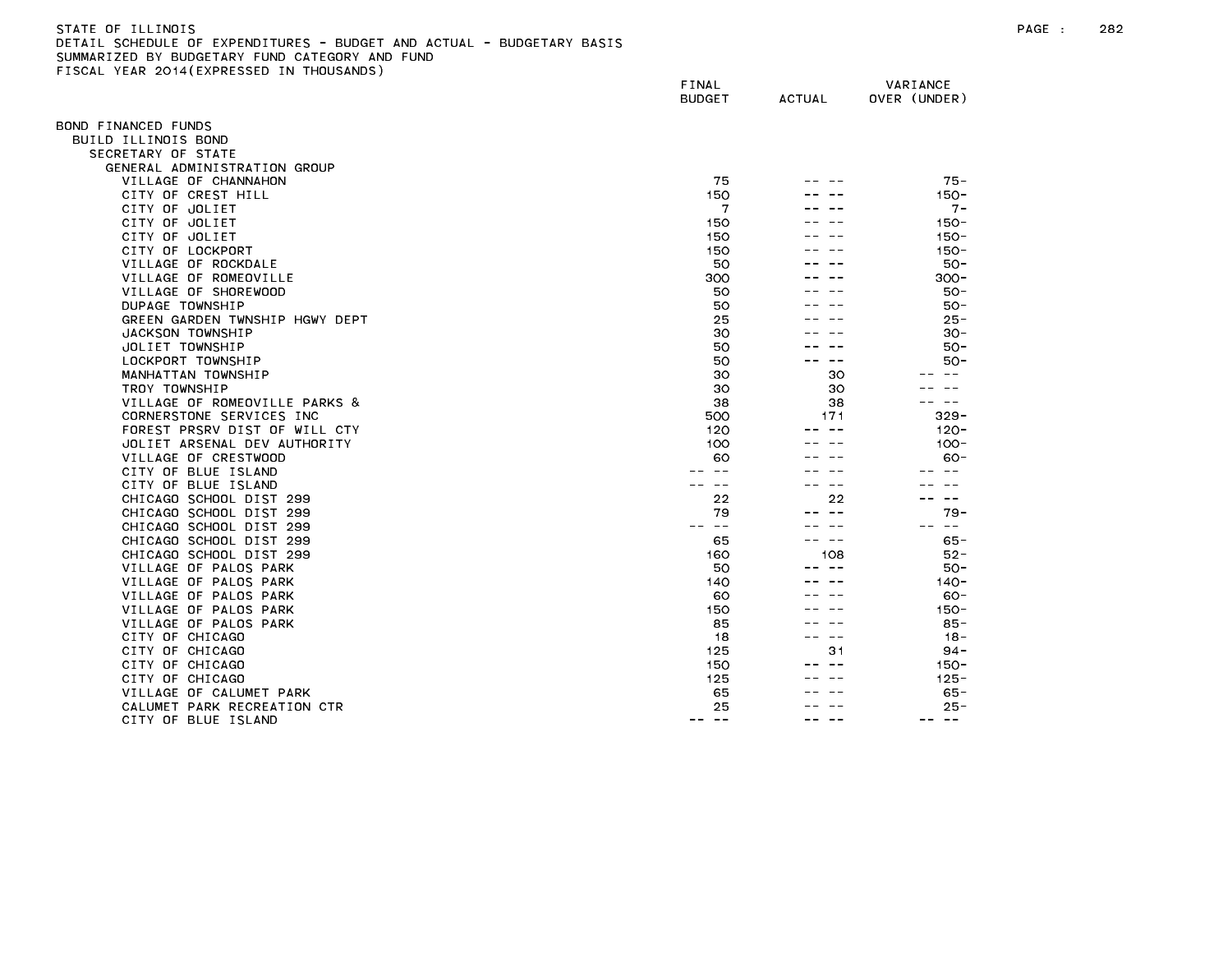| STATE OF ILLINOIS                                                     |
|-----------------------------------------------------------------------|
| DETAIL SCHEDULE OF EXPENDITURES - BUDGET AND ACTUAL - BUDGETARY BASIS |
| SUMMARIZED BY BUDGETARY FUND CATEGORY AND FUND                        |
| FISCAL YEAR 2014(EXPRESSED IN THOUSANDS)                              |

|                                    | FINAL<br><b>BUDGET</b>      | <b>ACTUAL</b> | VARIANCE<br>OVER (UNDER) |
|------------------------------------|-----------------------------|---------------|--------------------------|
|                                    |                             |               |                          |
| BOND FINANCED FUNDS                |                             |               |                          |
| BUILD ILLINOIS BOND                |                             |               |                          |
| SECRETARY OF STATE                 |                             |               |                          |
| GENERAL ADMINISTRATION GROUP       |                             |               |                          |
| VILLAGE OF CHANNAHON               | 75                          |               | $75 -$                   |
| CITY OF CREST HILL                 | 150                         |               | $150 -$                  |
| CITY OF JOLIET                     | 7                           |               | $7 -$                    |
| CITY OF JOLIET                     | 150                         |               | $150 -$                  |
| CITY OF JOLIET<br>CITY OF LOCKPORT | 150<br>150                  |               | $150 -$<br>$150 -$       |
| VILLAGE OF ROCKDALE                | 50                          |               | $50 -$                   |
| VILLAGE OF ROMEOVILLE              | 300                         |               | $300 -$                  |
| VILLAGE OF SHOREWOOD               | 50                          |               | 50-                      |
| DUPAGE TOWNSHIP                    | 50                          |               | $50 -$                   |
| GREEN GARDEN TWNSHIP HGWY DEPT     | 25                          |               | $25 -$                   |
| JACKSON TOWNSHIP                   | 30                          |               | $30 -$                   |
| JOLIET TOWNSHIP                    | 50                          |               | 50-                      |
| LOCKPORT TOWNSHIP                  | 50                          | $- -$         | $50 -$                   |
| MANHATTAN TOWNSHIP                 | 30                          | 30            |                          |
| TROY TOWNSHIP                      | 30                          | 30            |                          |
| VILLAGE OF ROMEOVILLE PARKS &      | 38                          | 38            | $- -$                    |
| CORNERSTONE SERVICES INC           | 500                         | 171           | $329 -$                  |
| FOREST PRSRV DIST OF WILL CTY      | 120                         | $ -$          | $120 -$                  |
| JOLIET ARSENAL DEV AUTHORITY       | 100                         |               | $100 -$                  |
| VILLAGE OF CRESTWOOD               | 60                          |               | $60 -$                   |
| CITY OF BLUE ISLAND                |                             |               |                          |
| CITY OF BLUE ISLAND                |                             | $\sim$ $\sim$ |                          |
| CHICAGO SCHOOL DIST 299            | 22                          | 22            | $\overline{\phantom{m}}$ |
| CHICAGO SCHOOL DIST 299            | 79                          |               | 79 -                     |
| CHICAGO SCHOOL DIST 299            | $\sim$ $-$                  |               | $\sim$ $ -$              |
| CHICAGO SCHOOL DIST 299            | 65                          | $\sim$ $-$    | 65 -                     |
| CHICAGO SCHOOL DIST 299            | 160                         | 108           | $52 -$                   |
| VILLAGE OF PALOS PARK              | 50                          | $- -$         | $50 -$                   |
| VILLAGE OF PALOS PARK              | 140                         |               | $140 -$                  |
| VILLAGE OF PALOS PARK              | 60                          |               | 60-                      |
| VILLAGE OF PALOS PARK              | 150                         |               | $150 -$                  |
| VILLAGE OF PALOS PARK              | 85                          |               | $85 -$                   |
| CITY OF CHICAGO                    | 18                          | $\sim$ $-$    | $18 -$                   |
| CITY OF CHICAGO                    | 125                         | 31            | $94 -$                   |
| CITY OF CHICAGO                    | 150                         |               | $150 -$                  |
| CITY OF CHICAGO                    | 125                         |               | $125 -$                  |
| VILLAGE OF CALUMET PARK            | 65                          |               | $65 -$                   |
| CALUMET PARK RECREATION CTR        | 25                          |               | $25 -$                   |
| CITY OF BLUE ISLAND                | $\frac{1}{2}$<br>$\sim$ $-$ |               | $- -$<br>$- -$           |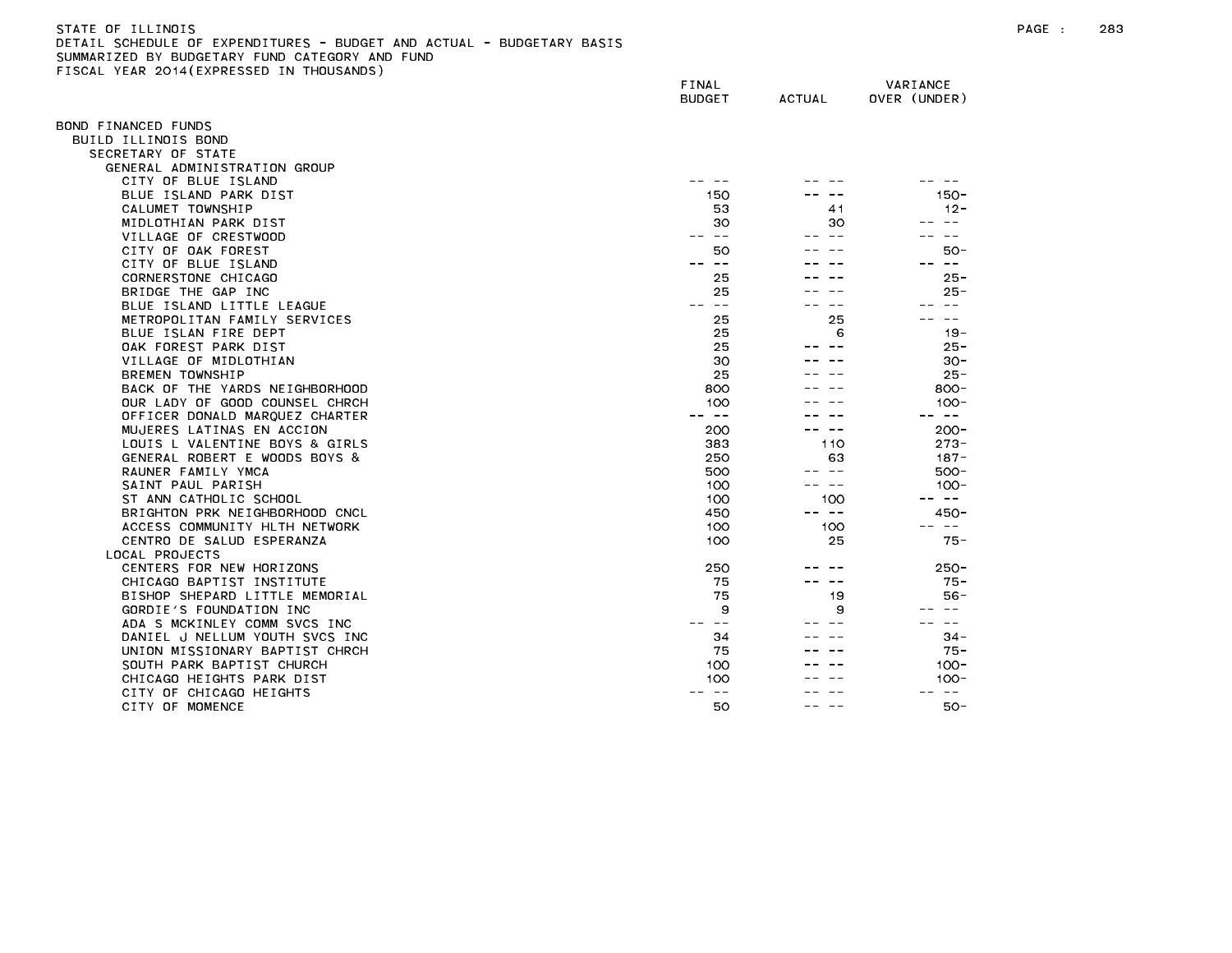## STATE OF ILLINOIS PAGE : 283 DETAIL SCHEDULE OF EXPENDITURES - BUDGET AND ACTUAL - BUDGETARY BASIS SUMMARIZED BY BUDGETARY FUND CATEGORY AND FUND FISCAL YEAR 2014(EXPRESSED IN THOUSANDS)

| <b>ILAN EUIT LEAT NEUGED</b>   | FINAL<br><b>BUDGET</b> | ACTUAL     | VARIANCE<br>OVER (UNDER) |
|--------------------------------|------------------------|------------|--------------------------|
| OND FINANCED FUNDS             |                        |            |                          |
| BUILD ILLINOIS BOND            |                        |            |                          |
| SECRETARY OF STATE             |                        |            |                          |
| GENERAL ADMINISTRATION GROUP   |                        |            |                          |
| CITY OF BLUE ISLAND            |                        |            |                          |
| BLUE ISLAND PARK DIST          | 150                    |            | $150 -$                  |
| CALUMET TOWNSHIP               | 53                     | 41         | $12 -$                   |
| MIDLOTHIAN PARK DIST           | 30                     | 30         |                          |
| VILLAGE OF CRESTWOOD           | $\sim$ $-$<br>--       |            |                          |
| CITY OF OAK FOREST             | 50                     |            | $50 -$                   |
| CITY OF BLUE ISLAND            | $ -$                   |            | $\sim$ $\sim$            |
| CORNERSTONE CHICAGO            | 25                     |            | $25 -$                   |
| BRIDGE THE GAP INC             | 25                     |            | $25 -$                   |
| BLUE ISLAND LITTLE LEAGUE      | $\sim$ $-$<br>$- -$    |            | $- -$                    |
| METROPOLITAN FAMILY SERVICES   | 25                     | 25         | $- -$                    |
| BLUE ISLAN FIRE DEPT           | 25                     | 6          | $19 -$                   |
| OAK FOREST PARK DIST           | 25                     |            | $25 -$                   |
| VILLAGE OF MIDLOTHIAN          | 30                     |            | $30 -$                   |
| BREMEN TOWNSHIP                | 25                     |            | $25 -$                   |
| BACK OF THE YARDS NEIGHBORHOOD | 800                    |            | $800 -$                  |
| OUR LADY OF GOOD COUNSEL CHRCH | 100                    |            | $100 -$                  |
| OFFICER DONALD MARQUEZ CHARTER | $\sim$ $-$             |            | $\sim$ $-$               |
| MUJERES LATINAS EN ACCION      | 200                    | $\sim$ $-$ | $200 -$                  |
| LOUIS L VALENTINE BOYS & GIRLS | 383                    | 110        | $273 -$                  |
| GENERAL ROBERT E WOODS BOYS &  | 250                    | 63         | $187 -$                  |
| RAUNER FAMILY YMCA             | 500                    | -- --      | $500 -$                  |
| SAINT PAUL PARISH              | 100                    | $\sim$ $-$ | $100 -$                  |
| ST ANN CATHOLIC SCHOOL         | 100                    | 100        | $\sim 100$               |
| BRIGHTON PRK NEIGHBORHOOD CNCL | 450                    | -- --      | $450 -$                  |
| ACCESS COMMUNITY HLTH NETWORK  | 100                    | 100        | $\sim$ $ -$              |
| CENTRO DE SALUD ESPERANZA      | 100                    | 25         | $75 -$                   |
| LOCAL PROJECTS                 |                        |            |                          |
| CENTERS FOR NEW HORIZONS       | 250                    |            | $250 -$                  |
| CHICAGO BAPTIST INSTITUTE      | 75                     | ---        | $75 -$                   |
| BISHOP SHEPARD LITTLE MEMORIAL | 75                     | 19         | $56 -$                   |
| GORDIE'S FOUNDATION INC        | 9                      | 9          | $- -$                    |
| ADA S MCKINLEY COMM SVCS INC   | $- -$                  |            | $\sim$ $-$               |
| DANIEL J NELLUM YOUTH SVCS INC | 34                     |            | $34 -$                   |
| UNION MISSIONARY BAPTIST CHRCH | 75                     |            | $75 -$                   |
| SOUTH PARK BAPTIST CHURCH      | 100                    |            | $100 -$                  |
| CHICAGO HEIGHTS PARK DIST      | 100                    |            | $100 -$                  |
| CITY OF CHICAGO HEIGHTS        | $\sim$ $-$             |            | $- -$                    |
| CITY OF MOMENCE                | 50                     |            | $50 -$                   |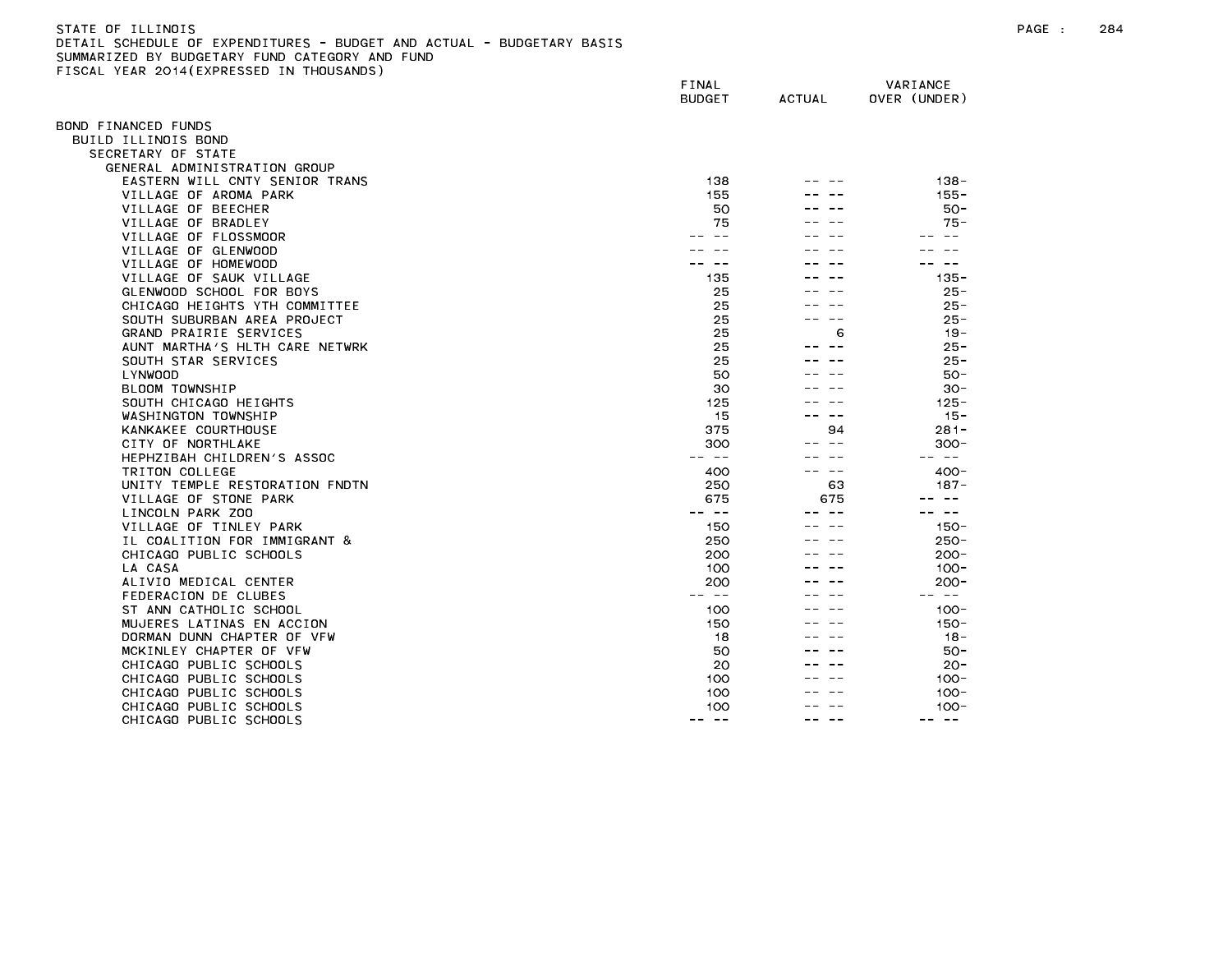# STATE OF ILLINOIS PAGE : 284 DETAIL SCHEDULE OF EXPENDITURES - BUDGET AND ACTUAL - BUDGETARY BASIS SUMMARIZED BY BUDGETARY FUND CATEGORY AND FUND FISCAL YEAR 2014(EXPRESSED IN THOUSANDS)

| $1.271$ , $20.17$ ( $2.11$ $N = 0.02$ | FINAL<br><b>BUDGET</b> | <b>ACTUAL</b> | VARIANCE<br>OVER (UNDER) |
|---------------------------------------|------------------------|---------------|--------------------------|
| OND FINANCED FUNDS                    |                        |               |                          |
| BUILD ILLINOIS BOND                   |                        |               |                          |
| SECRETARY OF STATE                    |                        |               |                          |
| GENERAL ADMINISTRATION GROUP          |                        |               |                          |
| EASTERN WILL CNTY SENIOR TRANS        | 138                    |               | $138 -$                  |
| VILLAGE OF AROMA PARK                 | 155                    |               | $155 -$                  |
| VILLAGE OF BEECHER                    | 50                     |               | 50-                      |
| VILLAGE OF BRADLEY                    | 75                     |               | $75 -$                   |
| VILLAGE OF FLOSSMOOR                  |                        |               | $\sim$ $\sim$            |
| VILLAGE OF GLENWOOD                   |                        |               |                          |
| VILLAGE OF HOMEWOOD                   |                        |               | س س                      |
| VILLAGE OF SAUK VILLAGE               | 135                    |               | $135 -$                  |
| GLENWOOD SCHOOL FOR BOYS              | 25                     |               | $25 -$                   |
| CHICAGO HEIGHTS YTH COMMITTEE         | 25                     |               | $25 -$                   |
| SOUTH SUBURBAN AREA PROJECT           | 25                     |               | $25 -$                   |
| GRAND PRAIRIE SERVICES                | 25                     | 6             | $19 -$                   |
| AUNT MARTHA'S HLTH CARE NETWRK        | 25                     |               | $25 -$                   |
| SOUTH STAR SERVICES                   | 25                     |               | $25 -$                   |
| LYNWOOD                               | 50                     |               | $50 -$                   |
| BLOOM TOWNSHIP                        | 30                     |               | $30 -$                   |
| SOUTH CHICAGO HEIGHTS                 | 125                    |               | $125 -$                  |
| WASHINGTON TOWNSHIP                   | 15                     | $\sim$ $-$    | $15 -$                   |
| KANKAKEE COURTHOUSE                   | 375                    | 94            | $281 -$                  |
| CITY OF NORTHLAKE                     | 300                    |               | $300 -$                  |
| HEPHZIBAH CHILDREN'S ASSOC            | $\sim$ $-$             |               | $\sim$ $-$               |
| TRITON COLLEGE                        | 400                    | $- -$         | $400 -$                  |
| UNITY TEMPLE RESTORATION FNDTN        | 250                    | 63            | $187 -$                  |
| VILLAGE OF STONE PARK                 | 675                    | 675           |                          |
| LINCOLN PARK ZOO                      | -- --                  |               | س س                      |
| VILLAGE OF TINLEY PARK                | 150                    |               | $150 -$                  |
| IL COALITION FOR IMMIGRANT &          | 250                    |               | $250 -$                  |
| CHICAGO PUBLIC SCHOOLS                | 200                    |               | $200 -$                  |
| LA CASA                               | 100                    |               | $100 -$                  |
| ALIVIO MEDICAL CENTER                 | 200                    |               | $200 -$                  |
| FEDERACION DE CLUBES                  | -- --                  |               | -- --                    |
| ST ANN CATHOLIC SCHOOL                | 100                    |               | $100 -$                  |
| MUJERES LATINAS EN ACCION             | 150                    |               | $150 -$                  |
| DORMAN DUNN CHAPTER OF VFW            | 18                     |               | $18 -$                   |
| MCKINLEY CHAPTER OF VFW               | 50                     |               | $50 -$                   |
| CHICAGO PUBLIC SCHOOLS                | 20                     |               | $20 -$                   |
| CHICAGO PUBLIC SCHOOLS                | 100                    |               | $100 -$                  |
| CHICAGO PUBLIC SCHOOLS                | 100                    |               | $100 -$                  |
| CHICAGO PUBLIC SCHOOLS                | 100<br>$- -$<br>$- -$  | $\sim$ $-$    | $100 -$<br>-- --         |
| CHICAGO PUBLIC SCHOOLS                |                        |               |                          |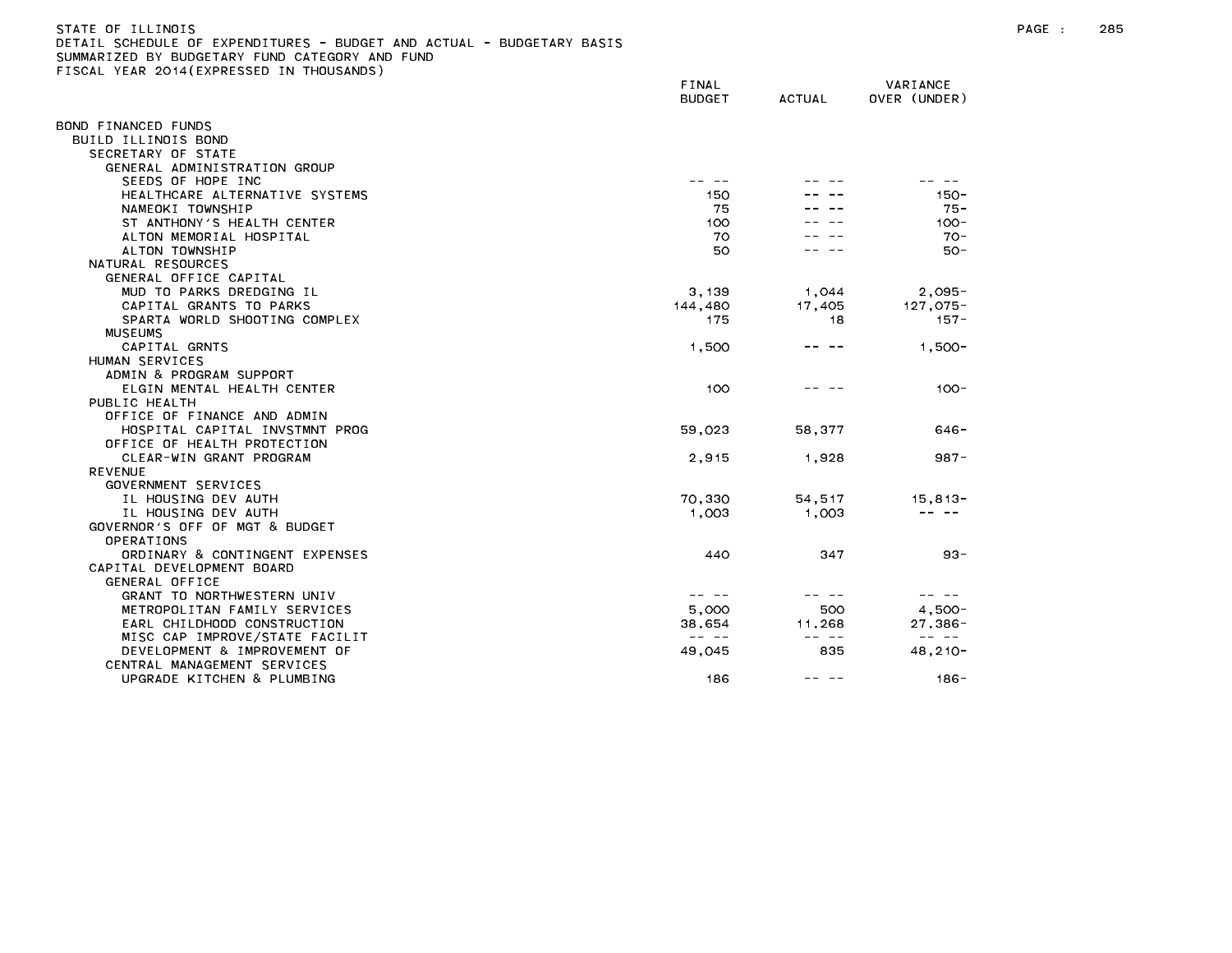# STATE OF ILLINOIS PAGE : 285 DETAIL SCHEDULE OF EXPENDITURES - BUDGET AND ACTUAL - BUDGETARY BASIS SUMMARIZED BY BUDGETARY FUND CATEGORY AND FUND FISCAL YEAR 2014(EXPRESSED IN THOUSANDS)

|                                | FINAL<br><b>BUDGET</b>                                                                                                                                                                                                                                                                                                                                                                       | ACTUAL                                                                                                                                                                                                                                                                                                                                                                                       | VARIANCE<br>OVER (UNDER)                                                                                                                                                                                                                                                                                                                                                                     |
|--------------------------------|----------------------------------------------------------------------------------------------------------------------------------------------------------------------------------------------------------------------------------------------------------------------------------------------------------------------------------------------------------------------------------------------|----------------------------------------------------------------------------------------------------------------------------------------------------------------------------------------------------------------------------------------------------------------------------------------------------------------------------------------------------------------------------------------------|----------------------------------------------------------------------------------------------------------------------------------------------------------------------------------------------------------------------------------------------------------------------------------------------------------------------------------------------------------------------------------------------|
| BOND FINANCED FUNDS            |                                                                                                                                                                                                                                                                                                                                                                                              |                                                                                                                                                                                                                                                                                                                                                                                              |                                                                                                                                                                                                                                                                                                                                                                                              |
| BUILD ILLINOIS BOND            |                                                                                                                                                                                                                                                                                                                                                                                              |                                                                                                                                                                                                                                                                                                                                                                                              |                                                                                                                                                                                                                                                                                                                                                                                              |
| SECRETARY OF STATE             |                                                                                                                                                                                                                                                                                                                                                                                              |                                                                                                                                                                                                                                                                                                                                                                                              |                                                                                                                                                                                                                                                                                                                                                                                              |
| GENERAL ADMINISTRATION GROUP   |                                                                                                                                                                                                                                                                                                                                                                                              |                                                                                                                                                                                                                                                                                                                                                                                              |                                                                                                                                                                                                                                                                                                                                                                                              |
| SEEDS OF HOPE INC              |                                                                                                                                                                                                                                                                                                                                                                                              |                                                                                                                                                                                                                                                                                                                                                                                              |                                                                                                                                                                                                                                                                                                                                                                                              |
| HEALTHCARE ALTERNATIVE SYSTEMS | 150                                                                                                                                                                                                                                                                                                                                                                                          |                                                                                                                                                                                                                                                                                                                                                                                              | $150 -$                                                                                                                                                                                                                                                                                                                                                                                      |
| NAMEOKI TOWNSHIP               | 75                                                                                                                                                                                                                                                                                                                                                                                           |                                                                                                                                                                                                                                                                                                                                                                                              | $75 -$                                                                                                                                                                                                                                                                                                                                                                                       |
| ST ANTHONY'S HEALTH CENTER     | 100                                                                                                                                                                                                                                                                                                                                                                                          |                                                                                                                                                                                                                                                                                                                                                                                              | $100 -$                                                                                                                                                                                                                                                                                                                                                                                      |
| ALTON MEMORIAL HOSPITAL        | 70                                                                                                                                                                                                                                                                                                                                                                                           |                                                                                                                                                                                                                                                                                                                                                                                              | $70-$                                                                                                                                                                                                                                                                                                                                                                                        |
| ALTON TOWNSHIP                 | 50                                                                                                                                                                                                                                                                                                                                                                                           |                                                                                                                                                                                                                                                                                                                                                                                              | 50-                                                                                                                                                                                                                                                                                                                                                                                          |
| NATURAL RESOURCES              |                                                                                                                                                                                                                                                                                                                                                                                              |                                                                                                                                                                                                                                                                                                                                                                                              |                                                                                                                                                                                                                                                                                                                                                                                              |
| GENERAL OFFICE CAPITAL         |                                                                                                                                                                                                                                                                                                                                                                                              |                                                                                                                                                                                                                                                                                                                                                                                              |                                                                                                                                                                                                                                                                                                                                                                                              |
| MUD TO PARKS DREDGING IL       | 3,139                                                                                                                                                                                                                                                                                                                                                                                        | 1,044                                                                                                                                                                                                                                                                                                                                                                                        | $2,095 -$                                                                                                                                                                                                                                                                                                                                                                                    |
| CAPITAL GRANTS TO PARKS        | 144,480                                                                                                                                                                                                                                                                                                                                                                                      | 17,405                                                                                                                                                                                                                                                                                                                                                                                       | $127.075 -$                                                                                                                                                                                                                                                                                                                                                                                  |
| SPARTA WORLD SHOOTING COMPLEX  | 175                                                                                                                                                                                                                                                                                                                                                                                          | 18                                                                                                                                                                                                                                                                                                                                                                                           | $157 -$                                                                                                                                                                                                                                                                                                                                                                                      |
| <b>MUSEUMS</b>                 |                                                                                                                                                                                                                                                                                                                                                                                              |                                                                                                                                                                                                                                                                                                                                                                                              |                                                                                                                                                                                                                                                                                                                                                                                              |
| CAPITAL GRNTS                  | 1,500                                                                                                                                                                                                                                                                                                                                                                                        | -- --                                                                                                                                                                                                                                                                                                                                                                                        | $1,500 -$                                                                                                                                                                                                                                                                                                                                                                                    |
| HUMAN SERVICES                 |                                                                                                                                                                                                                                                                                                                                                                                              |                                                                                                                                                                                                                                                                                                                                                                                              |                                                                                                                                                                                                                                                                                                                                                                                              |
| ADMIN & PROGRAM SUPPORT        |                                                                                                                                                                                                                                                                                                                                                                                              |                                                                                                                                                                                                                                                                                                                                                                                              |                                                                                                                                                                                                                                                                                                                                                                                              |
| ELGIN MENTAL HEALTH CENTER     | 100                                                                                                                                                                                                                                                                                                                                                                                          |                                                                                                                                                                                                                                                                                                                                                                                              | $100 -$                                                                                                                                                                                                                                                                                                                                                                                      |
| PUBLIC HEALTH                  |                                                                                                                                                                                                                                                                                                                                                                                              |                                                                                                                                                                                                                                                                                                                                                                                              |                                                                                                                                                                                                                                                                                                                                                                                              |
| OFFICE OF FINANCE AND ADMIN    |                                                                                                                                                                                                                                                                                                                                                                                              |                                                                                                                                                                                                                                                                                                                                                                                              |                                                                                                                                                                                                                                                                                                                                                                                              |
| HOSPITAL CAPITAL INVSTMNT PROG | 59,023                                                                                                                                                                                                                                                                                                                                                                                       | 58,377                                                                                                                                                                                                                                                                                                                                                                                       | $646 -$                                                                                                                                                                                                                                                                                                                                                                                      |
| OFFICE OF HEALTH PROTECTION    |                                                                                                                                                                                                                                                                                                                                                                                              |                                                                                                                                                                                                                                                                                                                                                                                              |                                                                                                                                                                                                                                                                                                                                                                                              |
| CLEAR-WIN GRANT PROGRAM        | 2,915                                                                                                                                                                                                                                                                                                                                                                                        | 1,928                                                                                                                                                                                                                                                                                                                                                                                        | $987 -$                                                                                                                                                                                                                                                                                                                                                                                      |
| <b>REVENUE</b>                 |                                                                                                                                                                                                                                                                                                                                                                                              |                                                                                                                                                                                                                                                                                                                                                                                              |                                                                                                                                                                                                                                                                                                                                                                                              |
| GOVERNMENT SERVICES            |                                                                                                                                                                                                                                                                                                                                                                                              |                                                                                                                                                                                                                                                                                                                                                                                              |                                                                                                                                                                                                                                                                                                                                                                                              |
| IL HOUSING DEV AUTH            | 70,330                                                                                                                                                                                                                                                                                                                                                                                       | 54,517                                                                                                                                                                                                                                                                                                                                                                                       | $15, 813 -$                                                                                                                                                                                                                                                                                                                                                                                  |
| IL HOUSING DEV AUTH            | 1,003                                                                                                                                                                                                                                                                                                                                                                                        | 1,003                                                                                                                                                                                                                                                                                                                                                                                        | $\frac{1}{2}$                                                                                                                                                                                                                                                                                                                                                                                |
| GOVERNOR'S OFF OF MGT & BUDGET |                                                                                                                                                                                                                                                                                                                                                                                              |                                                                                                                                                                                                                                                                                                                                                                                              |                                                                                                                                                                                                                                                                                                                                                                                              |
| OPERATIONS                     |                                                                                                                                                                                                                                                                                                                                                                                              |                                                                                                                                                                                                                                                                                                                                                                                              |                                                                                                                                                                                                                                                                                                                                                                                              |
| ORDINARY & CONTINGENT EXPENSES | 440                                                                                                                                                                                                                                                                                                                                                                                          | 347                                                                                                                                                                                                                                                                                                                                                                                          | $93 -$                                                                                                                                                                                                                                                                                                                                                                                       |
| CAPITAL DEVELOPMENT BOARD      |                                                                                                                                                                                                                                                                                                                                                                                              |                                                                                                                                                                                                                                                                                                                                                                                              |                                                                                                                                                                                                                                                                                                                                                                                              |
| GENERAL OFFICE                 |                                                                                                                                                                                                                                                                                                                                                                                              |                                                                                                                                                                                                                                                                                                                                                                                              |                                                                                                                                                                                                                                                                                                                                                                                              |
| GRANT TO NORTHWESTERN UNIV     |                                                                                                                                                                                                                                                                                                                                                                                              |                                                                                                                                                                                                                                                                                                                                                                                              |                                                                                                                                                                                                                                                                                                                                                                                              |
| METROPOLITAN FAMILY SERVICES   | 5,000                                                                                                                                                                                                                                                                                                                                                                                        | 500                                                                                                                                                                                                                                                                                                                                                                                          | $4,500 -$                                                                                                                                                                                                                                                                                                                                                                                    |
| EARL CHILDHOOD CONSTRUCTION    | 38,654                                                                                                                                                                                                                                                                                                                                                                                       | 11,268                                                                                                                                                                                                                                                                                                                                                                                       | $27,386-$                                                                                                                                                                                                                                                                                                                                                                                    |
| MISC CAP IMPROVE/STATE FACILIT | $\frac{1}{2} \frac{1}{2} \frac{1}{2} \frac{1}{2} \frac{1}{2} \frac{1}{2} \frac{1}{2} \frac{1}{2} \frac{1}{2} \frac{1}{2} \frac{1}{2} \frac{1}{2} \frac{1}{2} \frac{1}{2} \frac{1}{2} \frac{1}{2} \frac{1}{2} \frac{1}{2} \frac{1}{2} \frac{1}{2} \frac{1}{2} \frac{1}{2} \frac{1}{2} \frac{1}{2} \frac{1}{2} \frac{1}{2} \frac{1}{2} \frac{1}{2} \frac{1}{2} \frac{1}{2} \frac{1}{2} \frac{$ | $\frac{1}{2} \frac{1}{2} \frac{1}{2} \frac{1}{2} \frac{1}{2} \frac{1}{2} \frac{1}{2} \frac{1}{2} \frac{1}{2} \frac{1}{2} \frac{1}{2} \frac{1}{2} \frac{1}{2} \frac{1}{2} \frac{1}{2} \frac{1}{2} \frac{1}{2} \frac{1}{2} \frac{1}{2} \frac{1}{2} \frac{1}{2} \frac{1}{2} \frac{1}{2} \frac{1}{2} \frac{1}{2} \frac{1}{2} \frac{1}{2} \frac{1}{2} \frac{1}{2} \frac{1}{2} \frac{1}{2} \frac{$ | $\frac{1}{2} \frac{1}{2} \frac{1}{2} \frac{1}{2} \frac{1}{2} \frac{1}{2} \frac{1}{2} \frac{1}{2} \frac{1}{2} \frac{1}{2} \frac{1}{2} \frac{1}{2} \frac{1}{2} \frac{1}{2} \frac{1}{2} \frac{1}{2} \frac{1}{2} \frac{1}{2} \frac{1}{2} \frac{1}{2} \frac{1}{2} \frac{1}{2} \frac{1}{2} \frac{1}{2} \frac{1}{2} \frac{1}{2} \frac{1}{2} \frac{1}{2} \frac{1}{2} \frac{1}{2} \frac{1}{2} \frac{$ |
| DEVELOPMENT & IMPROVEMENT OF   | 49,045                                                                                                                                                                                                                                                                                                                                                                                       | 835                                                                                                                                                                                                                                                                                                                                                                                          | $48, 210 -$                                                                                                                                                                                                                                                                                                                                                                                  |
| CENTRAL MANAGEMENT SERVICES    |                                                                                                                                                                                                                                                                                                                                                                                              |                                                                                                                                                                                                                                                                                                                                                                                              |                                                                                                                                                                                                                                                                                                                                                                                              |
| UPGRADE KITCHEN & PLUMBING     | 186                                                                                                                                                                                                                                                                                                                                                                                          |                                                                                                                                                                                                                                                                                                                                                                                              | $186 -$                                                                                                                                                                                                                                                                                                                                                                                      |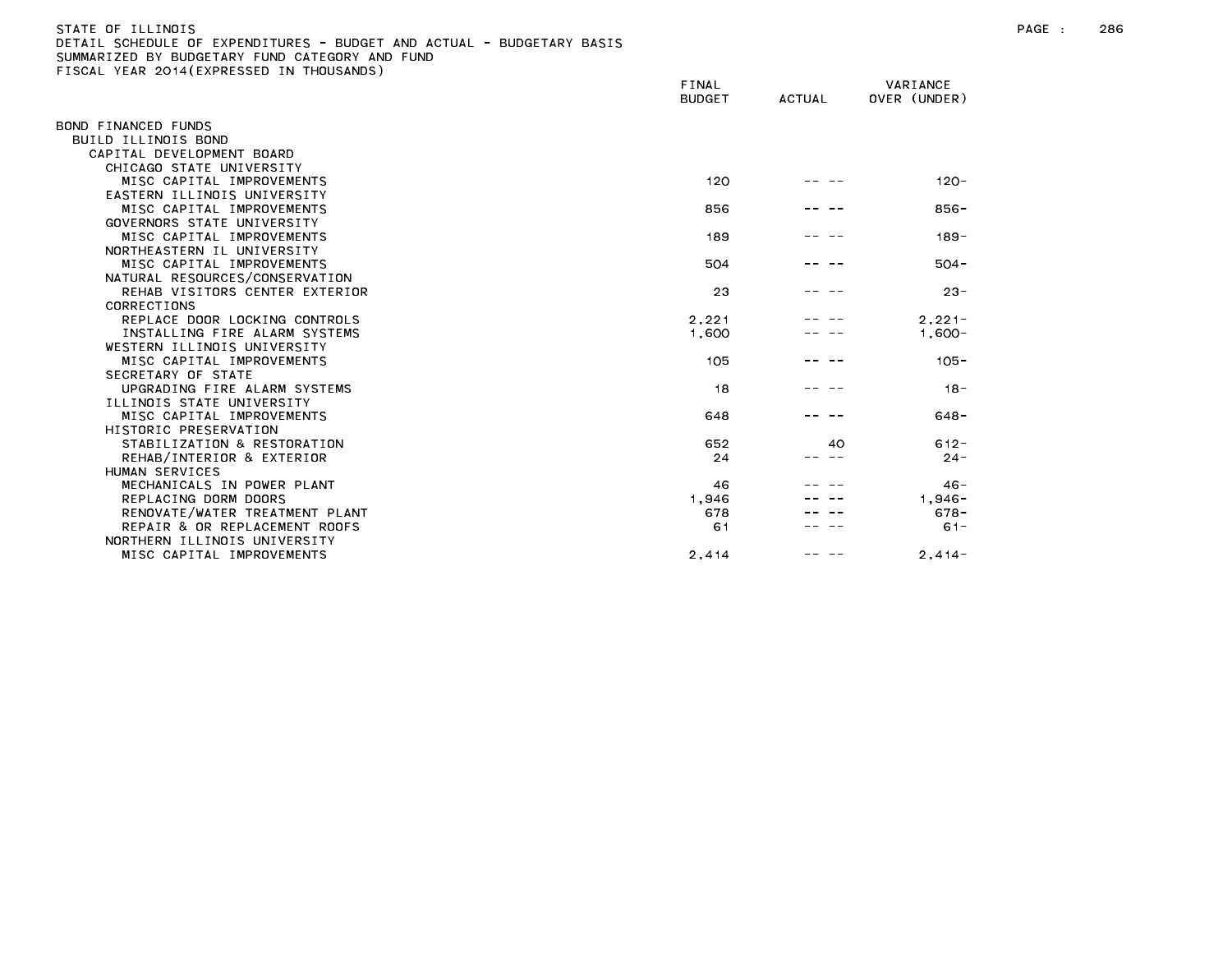| STATE OF ILLINOIS                                                     |
|-----------------------------------------------------------------------|
| DETAIL SCHEDULE OF EXPENDITURES - BUDGET AND ACTUAL - BUDGETARY BASIS |
| SUMMARIZED BY BUDGETARY FUND CATEGORY AND FUND                        |
| FISCAL YEAR 2014(EXPRESSED IN THOUSANDS)                              |

|                                | FINAL<br><b>BUDGET</b> | <b>ACTUAL</b> | VARIANCE<br>OVER (UNDER) |  |
|--------------------------------|------------------------|---------------|--------------------------|--|
| BOND FINANCED FUNDS            |                        |               |                          |  |
| BUILD ILLINOIS BOND            |                        |               |                          |  |
| CAPITAL DEVELOPMENT BOARD      |                        |               |                          |  |
| CHICAGO STATE UNIVERSITY       |                        |               |                          |  |
| MISC CAPITAL IMPROVEMENTS      | 120                    |               | $120 -$                  |  |
| EASTERN ILLINOIS UNIVERSITY    |                        |               |                          |  |
| MISC CAPITAL IMPROVEMENTS      | 856                    |               | $856 -$                  |  |
| GOVERNORS STATE UNIVERSITY     |                        |               |                          |  |
| MISC CAPITAL IMPROVEMENTS      | 189                    |               | $189 -$                  |  |
| NORTHEASTERN IL UNIVERSITY     |                        |               |                          |  |
| MISC CAPITAL IMPROVEMENTS      | 504                    |               | $504 -$                  |  |
| NATURAL RESOURCES/CONSERVATION |                        |               |                          |  |
| REHAB VISITORS CENTER EXTERIOR | 23                     |               | $23 -$                   |  |
| CORRECTIONS                    |                        |               |                          |  |
| REPLACE DOOR LOCKING CONTROLS  | 2.221                  |               | $2.221 -$                |  |
| INSTALLING FIRE ALARM SYSTEMS  | 1,600                  |               | $1,600-$                 |  |
| WESTERN ILLINOIS UNIVERSITY    |                        |               |                          |  |
| MISC CAPITAL IMPROVEMENTS      | 105                    |               | $105 -$                  |  |
| SECRETARY OF STATE             |                        |               |                          |  |
| UPGRADING FIRE ALARM SYSTEMS   | 18                     |               | $18 -$                   |  |
| ILLINOIS STATE UNIVERSITY      |                        |               |                          |  |
| MISC CAPITAL IMPROVEMENTS      | 648                    |               | $648 -$                  |  |
| HISTORIC PRESERVATION          |                        |               |                          |  |
| STABILIZATION & RESTORATION    | 652                    | 40            | $612 -$                  |  |
| REHAB/INTERIOR & EXTERIOR      | 24                     |               | $24 -$                   |  |
| HUMAN SERVICES                 |                        |               |                          |  |
| MECHANICALS IN POWER PLANT     | 46                     |               | $46 -$                   |  |
| REPLACING DORM DOORS           | 1,946                  |               | $1.946 -$                |  |
| RENOVATE/WATER TREATMENT PLANT | 678                    |               | $678 -$                  |  |
| REPAIR & OR REPLACEMENT ROOFS  | 61                     |               | $61 -$                   |  |
| NORTHERN ILLINOIS UNIVERSITY   |                        |               |                          |  |
| MISC CAPITAL IMPROVEMENTS      | 2,414                  |               | $2.414 -$                |  |
|                                |                        |               |                          |  |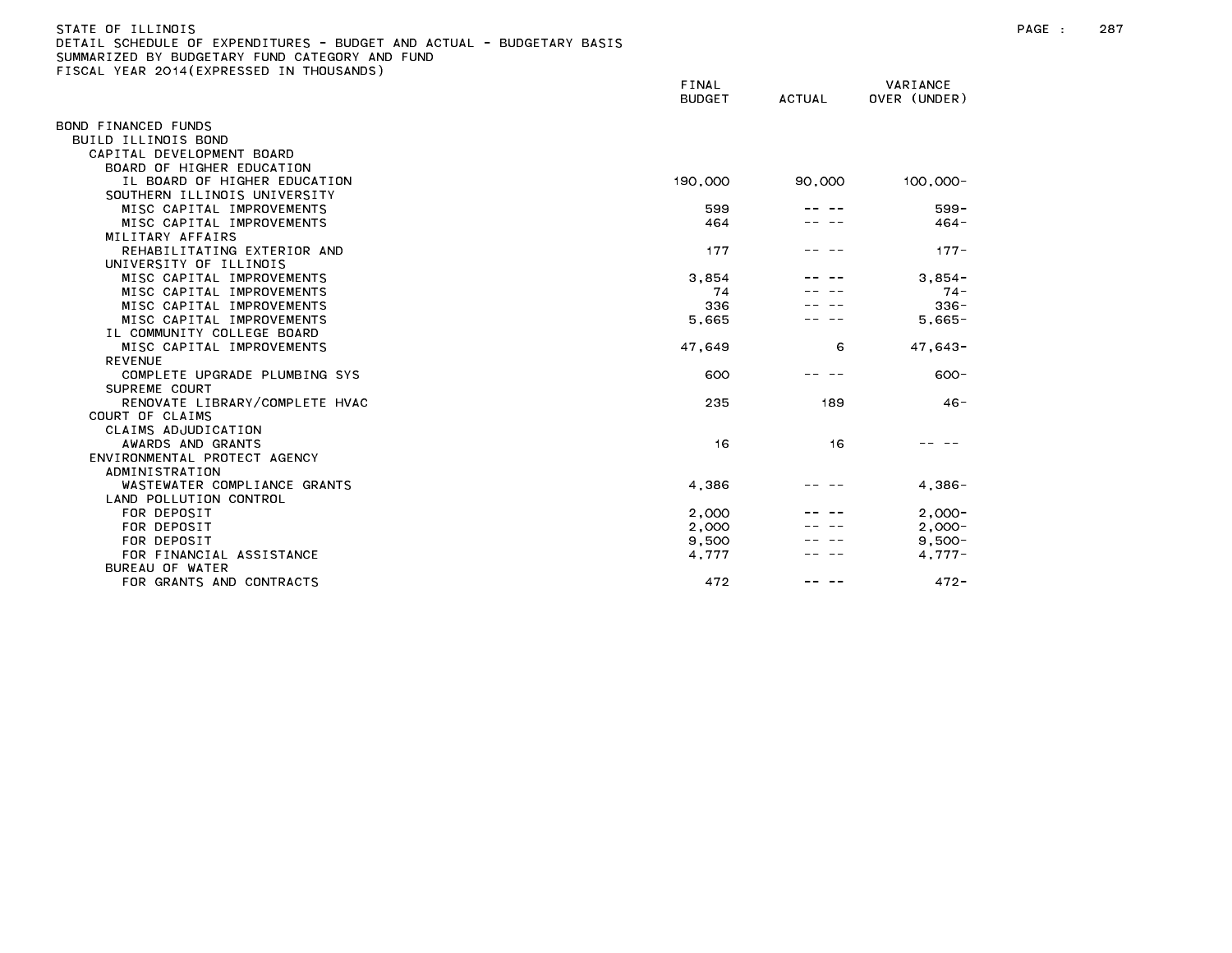| STATE OF ILLINOIS                                                     |
|-----------------------------------------------------------------------|
| DETAIL SCHEDULE OF EXPENDITURES - BUDGET AND ACTUAL - BUDGETARY BASIS |
| SUMMARIZED BY BUDGETARY FUND CATEGORY AND FUND                        |
| FISCAL YEAR 2014(EXPRESSED IN THOUSANDS)                              |

|                                | FINAL<br><b>BUDGET</b> | <b>ACTUAL</b> | VARIANCE<br>OVER (UNDER) |  |
|--------------------------------|------------------------|---------------|--------------------------|--|
|                                |                        |               |                          |  |
| BOND FINANCED FUNDS            |                        |               |                          |  |
| BUILD ILLINOIS BOND            |                        |               |                          |  |
| CAPITAL DEVELOPMENT BOARD      |                        |               |                          |  |
| BOARD OF HIGHER EDUCATION      |                        |               |                          |  |
| IL BOARD OF HIGHER EDUCATION   | 190,000                | 90,000        | $100,000 -$              |  |
| SOUTHERN ILLINOIS UNIVERSITY   |                        |               |                          |  |
| MISC CAPITAL IMPROVEMENTS      | 599                    |               | $599 -$                  |  |
| MISC CAPITAL IMPROVEMENTS      | 464                    |               | $464 -$                  |  |
| MILITARY AFFAIRS               |                        |               |                          |  |
| REHABILITATING EXTERIOR AND    | 177                    |               | $177 -$                  |  |
| UNIVERSITY OF ILLINOIS         |                        |               |                          |  |
| MISC CAPITAL IMPROVEMENTS      | 3.854                  |               | $3.854 -$                |  |
| MISC CAPITAL IMPROVEMENTS      | 74                     |               | $74 -$                   |  |
| MISC CAPITAL IMPROVEMENTS      | 336                    |               | $336 -$                  |  |
| MISC CAPITAL IMPROVEMENTS      | 5,665                  |               | $5,665-$                 |  |
| IL COMMUNITY COLLEGE BOARD     |                        |               |                          |  |
| MISC CAPITAL IMPROVEMENTS      | 47,649                 | 6             | $47,643-$                |  |
| <b>REVENUE</b>                 |                        |               |                          |  |
| COMPLETE UPGRADE PLUMBING SYS  | 600                    |               | $600 -$                  |  |
| SUPREME COURT                  |                        |               |                          |  |
| RENOVATE LIBRARY/COMPLETE HVAC | 235                    | 189           | $46 -$                   |  |
| COURT OF CLAIMS                |                        |               |                          |  |
| CLAIMS ADJUDICATION            |                        |               |                          |  |
| AWARDS AND GRANTS              | 16                     | 16            |                          |  |
| ENVIRONMENTAL PROTECT AGENCY   |                        |               |                          |  |
| ADMINISTRATION                 |                        |               |                          |  |
| WASTEWATER COMPLIANCE GRANTS   | 4,386                  |               | $4,386-$                 |  |
| LAND POLLUTION CONTROL         |                        |               |                          |  |
| FOR DEPOSIT                    | 2,000                  |               | $2.000 -$                |  |
| FOR DEPOSIT                    | 2,000                  |               | $2,000 -$                |  |
| FOR DEPOSIT                    | 9,500                  |               | $9.500 -$                |  |
| FOR FINANCIAL ASSISTANCE       | 4,777                  |               | $4.777-$                 |  |
| BUREAU OF WATER                |                        |               |                          |  |
| FOR GRANTS AND CONTRACTS       | 472                    |               | $472 -$                  |  |
|                                |                        |               |                          |  |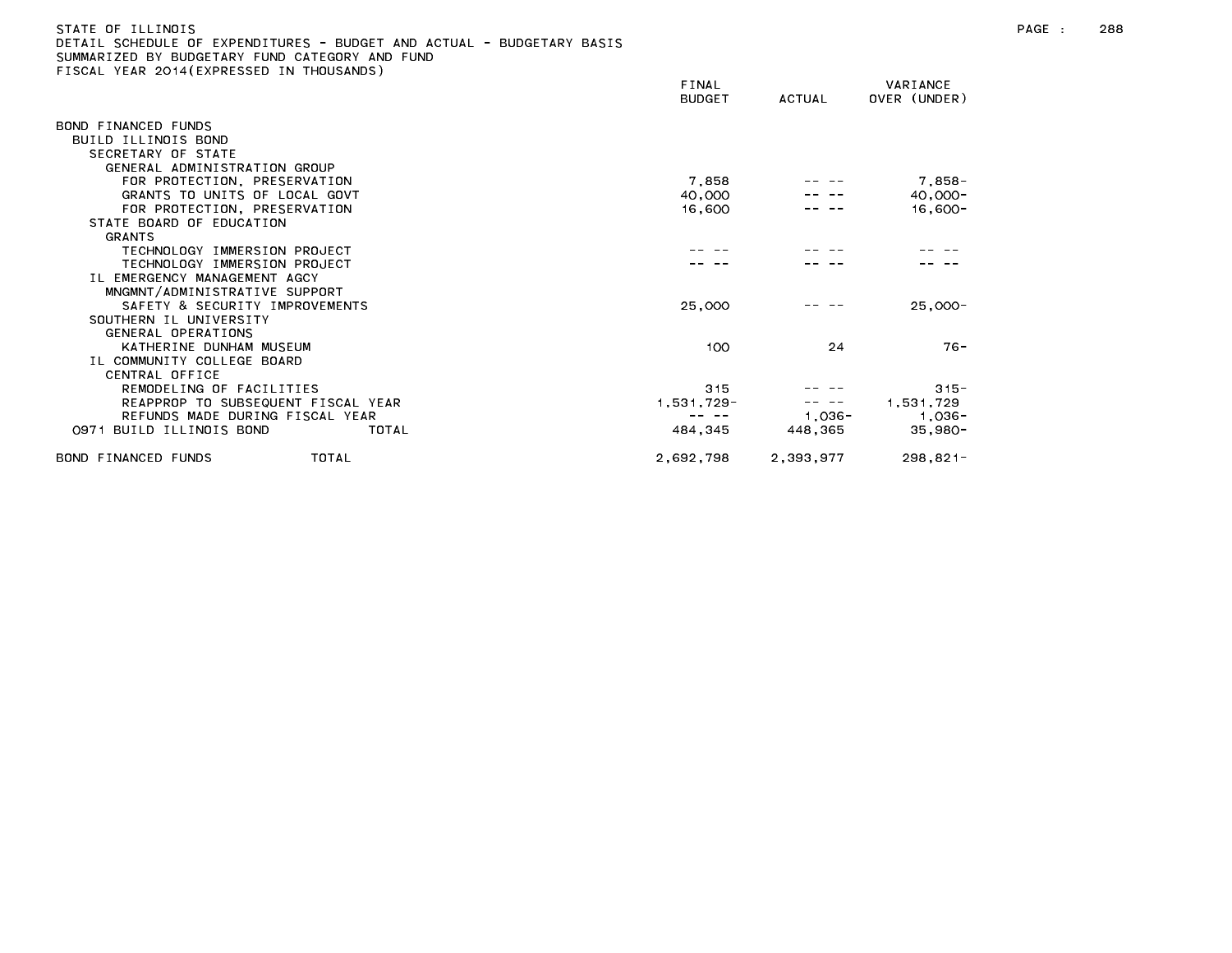# STATE OF ILLINOIS PAGE : 288 DETAIL SCHEDULE OF EXPENDITURES - BUDGET AND ACTUAL - BUDGETARY BASIS SUMMARIZED BY BUDGETARY FUND CATEGORY AND FUND FISCAL YEAR 2014(EXPRESSED IN THOUSANDS)

|                                    | FINAL<br><b>BUDGET</b> | ACTUAL    | VARIANCE<br>OVER (UNDER) |  |
|------------------------------------|------------------------|-----------|--------------------------|--|
| BOND FINANCED FUNDS                |                        |           |                          |  |
| BUILD ILLINOIS BOND                |                        |           |                          |  |
| SECRETARY OF STATE                 |                        |           |                          |  |
| GENERAL ADMINISTRATION GROUP       |                        |           |                          |  |
| FOR PROTECTION, PRESERVATION       | 7,858                  |           | 7,858-                   |  |
| GRANTS TO UNITS OF LOCAL GOVT      | 40,000                 |           | $40,000 -$               |  |
| FOR PROTECTION, PRESERVATION       | 16,600                 |           | $16,600-$                |  |
| STATE BOARD OF EDUCATION           |                        |           |                          |  |
| <b>GRANTS</b>                      |                        |           |                          |  |
| TECHNOLOGY IMMERSION PROJECT       |                        |           |                          |  |
| TECHNOLOGY IMMERSION PROJECT       |                        |           |                          |  |
| IL EMERGENCY MANAGEMENT AGCY       |                        |           |                          |  |
| MNGMNT/ADMINISTRATIVE SUPPORT      |                        |           |                          |  |
| SAFETY & SECURITY IMPROVEMENTS     | 25,000                 |           | $25,000-$                |  |
| SOUTHERN IL UNIVERSITY             |                        |           |                          |  |
| GENERAL OPERATIONS                 |                        |           |                          |  |
| KATHERINE DUNHAM MUSEUM            | 100                    | 24        | $76 -$                   |  |
| IL COMMUNITY COLLEGE BOARD         |                        |           |                          |  |
| CENTRAL OFFICE                     |                        |           |                          |  |
| REMODELING OF FACILITIES           | 315                    |           | $315 -$                  |  |
| REAPPROP TO SUBSEQUENT FISCAL YEAR | 1,531,729-             |           | 1,531,729                |  |
| REFUNDS MADE DURING FISCAL YEAR    |                        | 1,036-    | 1,036-                   |  |
| 0971 BUILD ILLINOIS BOND<br>TOTAL  | 484,345                | 448,365   | $35,980-$                |  |
| TOTAL<br>BOND FINANCED FUNDS       | 2,692,798              | 2,393,977 | $298,821-$               |  |
|                                    |                        |           |                          |  |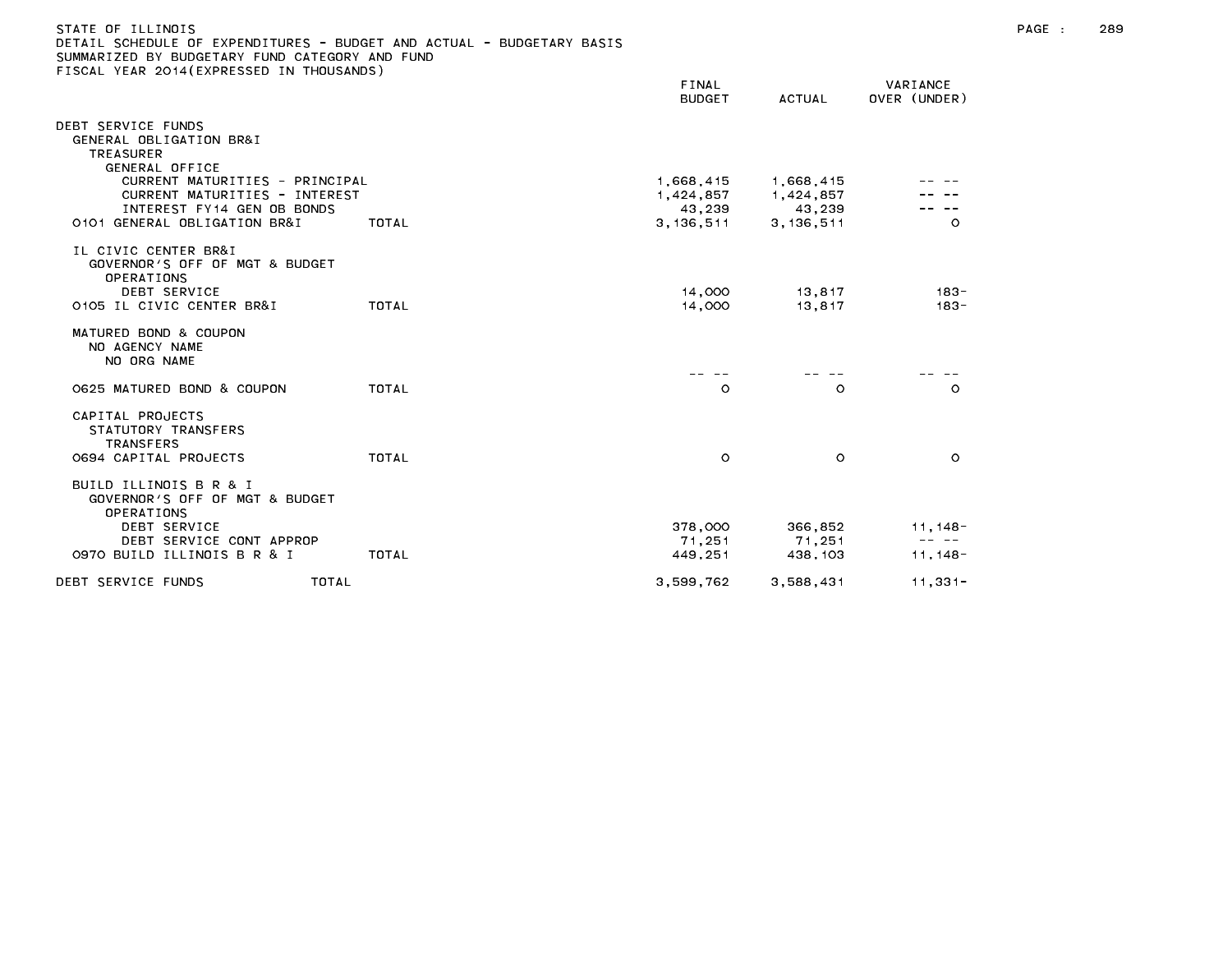| STATE OF ILLINOIS<br>DETAIL SCHEDULE OF EXPENDITURES - BUDGET AND ACTUAL - BUDGETARY BASIS<br>SUMMARIZED BY BUDGETARY FUND CATEGORY AND FUND<br>FISCAL YEAR 2014 (EXPRESSED IN THOUSANDS) |       | FINAL<br><b>BUDGET</b> | ACTUAL      | VARIANCE<br>OVER (UNDER) |
|-------------------------------------------------------------------------------------------------------------------------------------------------------------------------------------------|-------|------------------------|-------------|--------------------------|
| DEBT SERVICE FUNDS                                                                                                                                                                        |       |                        |             |                          |
| GENERAL OBLIGATION BR&I                                                                                                                                                                   |       |                        |             |                          |
| TREASURER                                                                                                                                                                                 |       |                        |             |                          |
| GENERAL OFFICE                                                                                                                                                                            |       |                        |             |                          |
| CURRENT MATURITIES - PRINCIPAL                                                                                                                                                            |       | 1,668,415              | 1,668,415   |                          |
| CURRENT MATURITIES - INTEREST                                                                                                                                                             |       | 1,424,857              | 1,424,857   |                          |
| INTEREST FY14 GEN OB BONDS                                                                                                                                                                |       | 43,239                 | 43,239      |                          |
| 0101 GENERAL OBLIGATION BR&I                                                                                                                                                              | TOTAL | 3, 136, 511            | 3, 136, 511 | $\circ$                  |
| IL CIVIC CENTER BR&I<br>GOVERNOR'S OFF OF MGT & BUDGET<br><b>OPERATIONS</b>                                                                                                               |       |                        |             |                          |
| DEBT SERVICE                                                                                                                                                                              |       | 14.000                 | 13,817      | $183 -$                  |
| 0105 IL CIVIC CENTER BR&I                                                                                                                                                                 | TOTAL | 14,000                 | 13.817      | $183 -$                  |
| MATURED BOND & COUPON<br>NO AGENCY NAME                                                                                                                                                   |       |                        |             |                          |

| NO ORG NAME                                                                   |       |           |           |            |
|-------------------------------------------------------------------------------|-------|-----------|-----------|------------|
| 0625 MATURED BOND & COUPON                                                    | TOTAL | O         | $\circ$   | $\circ$    |
| CAPITAL PROJECTS<br>STATUTORY TRANSFERS<br><b>TRANSFERS</b>                   |       |           |           |            |
| O694 CAPITAL PROJECTS                                                         | TOTAL | O         | $\circ$   | $\circ$    |
| BUILD ILLINOIS B R & I<br>GOVERNOR'S OFF OF MGT & BUDGET<br><b>OPERATIONS</b> |       |           |           |            |
| DEBT SERVICE                                                                  |       | 378,000   | 366.852   | 11, 148-   |
| DEBT SERVICE CONT APPROP                                                      |       | 71.251    | 71.251    | -- --      |
| 0970 BUILD ILLINOIS B R & I                                                   | TOTAL | 449.251   | 438, 103  | $11.148 -$ |
| TOTAL<br>DEBT SERVICE FUNDS                                                   |       | 3.599.762 | 3.588.431 | $11.331 -$ |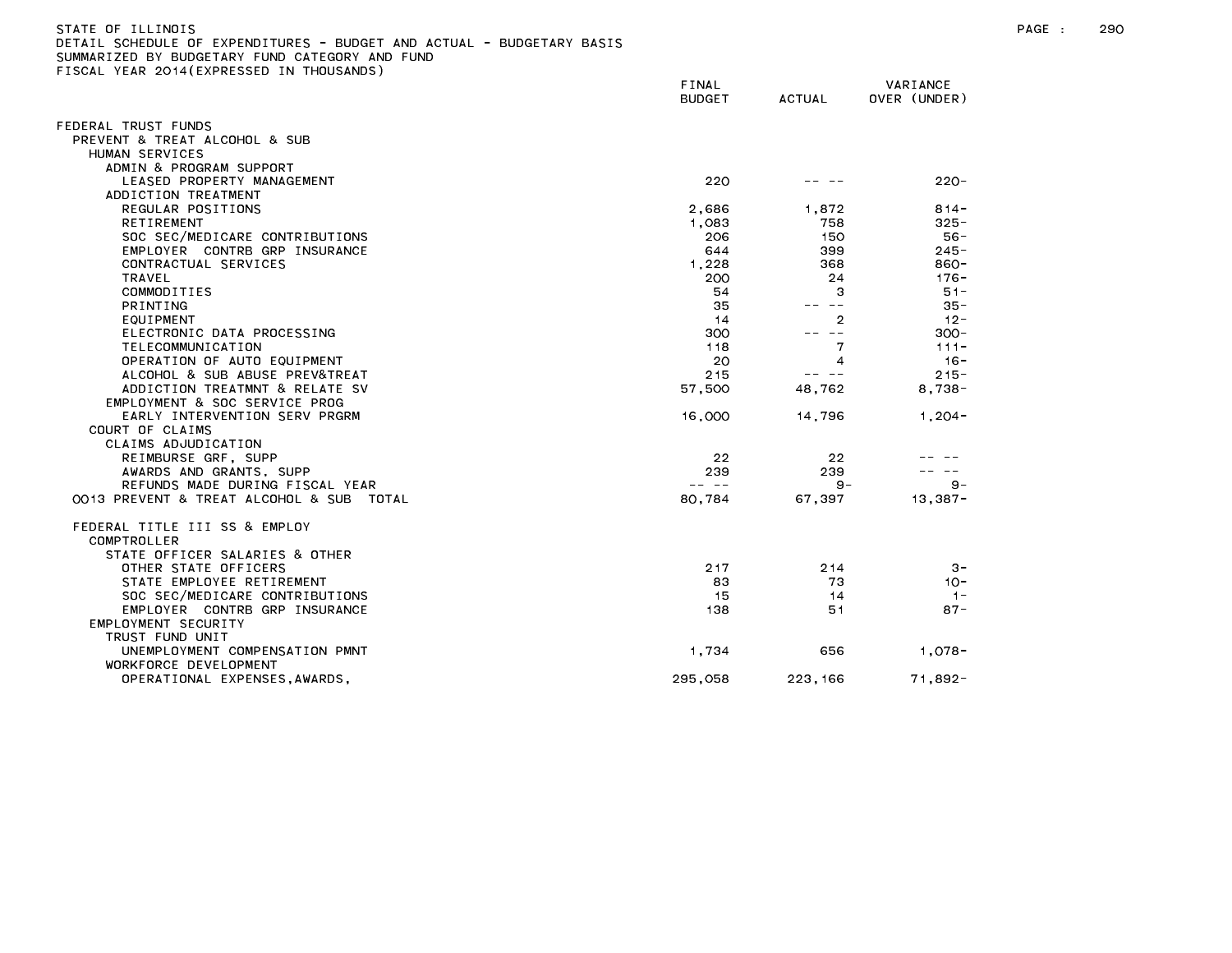| STATE OF ILLINOIS<br>DETAIL SCHEDULE OF EXPENDITURES - BUDGET AND ACTUAL - BUDGETARY BASIS<br>SUMMARIZED BY BUDGETARY FUND CATEGORY AND FUND<br>FISCAL YEAR 2014 (EXPRESSED IN THOUSANDS) | FINAL<br>BUDGET | ACTUAL | VARIANCE<br>OVER (UNDER) |
|-------------------------------------------------------------------------------------------------------------------------------------------------------------------------------------------|-----------------|--------|--------------------------|
| FEDERAL TRUST FUNDS<br>PREVENT & TREAT ALCOHOL & SUB                                                                                                                                      |                 |        |                          |
| HUMAN SERVICES                                                                                                                                                                            |                 |        |                          |
| ADMIN & PROGRAM SUPPORT                                                                                                                                                                   |                 |        |                          |
| LEASED PROPERTY MANAGEMENT                                                                                                                                                                | 220             |        | $220 -$                  |
| ADDICTION TREATMENT                                                                                                                                                                       |                 |        |                          |

| ADDICTION TREATMENT                         |            |         |            |
|---------------------------------------------|------------|---------|------------|
| REGULAR POSITIONS                           | 2,686      | 1,872   | $814 -$    |
| <b>RETIREMENT</b>                           | 1,083      | 758     | $325 -$    |
| SOC SEC/MEDICARE CONTRIBUTIONS              | 206        | 150     | $56 -$     |
| EMPLOYER CONTRB GRP INSURANCE               | 644        | 399     | $245 -$    |
| CONTRACTUAL SERVICES                        | 1.228      | 368     | 860-       |
| <b>TRAVEL</b>                               | 200        | 24      | $176 -$    |
| COMMODITIES                                 | 54         | З       | $51 -$     |
| <b>PRINTING</b>                             | 35         |         | $35 -$     |
| EQUIPMENT                                   | 14         | 2       | $12 -$     |
| ELECTRONIC DATA PROCESSING                  | 300        | -- --   | $300 -$    |
| TELECOMMUNICATION                           | 118        | 7       | $111 -$    |
| OPERATION OF AUTO EQUIPMENT                 | 20         | 4       | $16 -$     |
| ALCOHOL & SUB ABUSE PREV&TREAT              | 215        |         | $215 -$    |
| ADDICTION TREATMNT & RELATE SV              | 57,500     | 48,762  | $8.738 -$  |
| EMPLOYMENT & SOC SERVICE PROG               |            |         |            |
| EARLY INTERVENTION SERV PRGRM               | 16,000     | 14,796  | $1, 204 -$ |
| COURT OF CLAIMS                             |            |         |            |
| CLAIMS ADJUDICATION                         |            |         |            |
| REIMBURSE GRF, SUPP                         | 22         | 22      |            |
| AWARDS AND GRANTS, SUPP                     | 239        | 239     |            |
| REFUNDS MADE DURING FISCAL YEAR             | $\sim$ $-$ | $9 -$   | $9 -$      |
| 0013 PREVENT & TREAT ALCOHOL & SUB<br>TOTAL | 80,784     | 67,397  | $13,387-$  |
| FEDERAL TITLE III SS & EMPLOY               |            |         |            |
| COMPTROLLER                                 |            |         |            |
| STATE OFFICER SALARIES & OTHER              |            |         |            |
| OTHER STATE OFFICERS                        | 217        | 2 1 4   | $3 -$      |
| STATE EMPLOYEE RETIREMENT                   | 83         | 73      | $10 -$     |
| SOC SEC/MEDICARE CONTRIBUTIONS              | 15         | 14      | $1 -$      |
| EMPLOYER CONTRB GRP INSURANCE               | 138        | 51      | $87 -$     |
| EMPLOYMENT SECURITY                         |            |         |            |
| TRUST FUND UNIT                             |            |         |            |
| UNEMPLOYMENT COMPENSATION PMNT              | 1,734      | 656     | $1,078-$   |
| WORKFORCE DEVELOPMENT                       |            |         |            |
| OPERATIONAL EXPENSES, AWARDS,               | 295,058    | 223,166 | $71,892 -$ |
|                                             |            |         |            |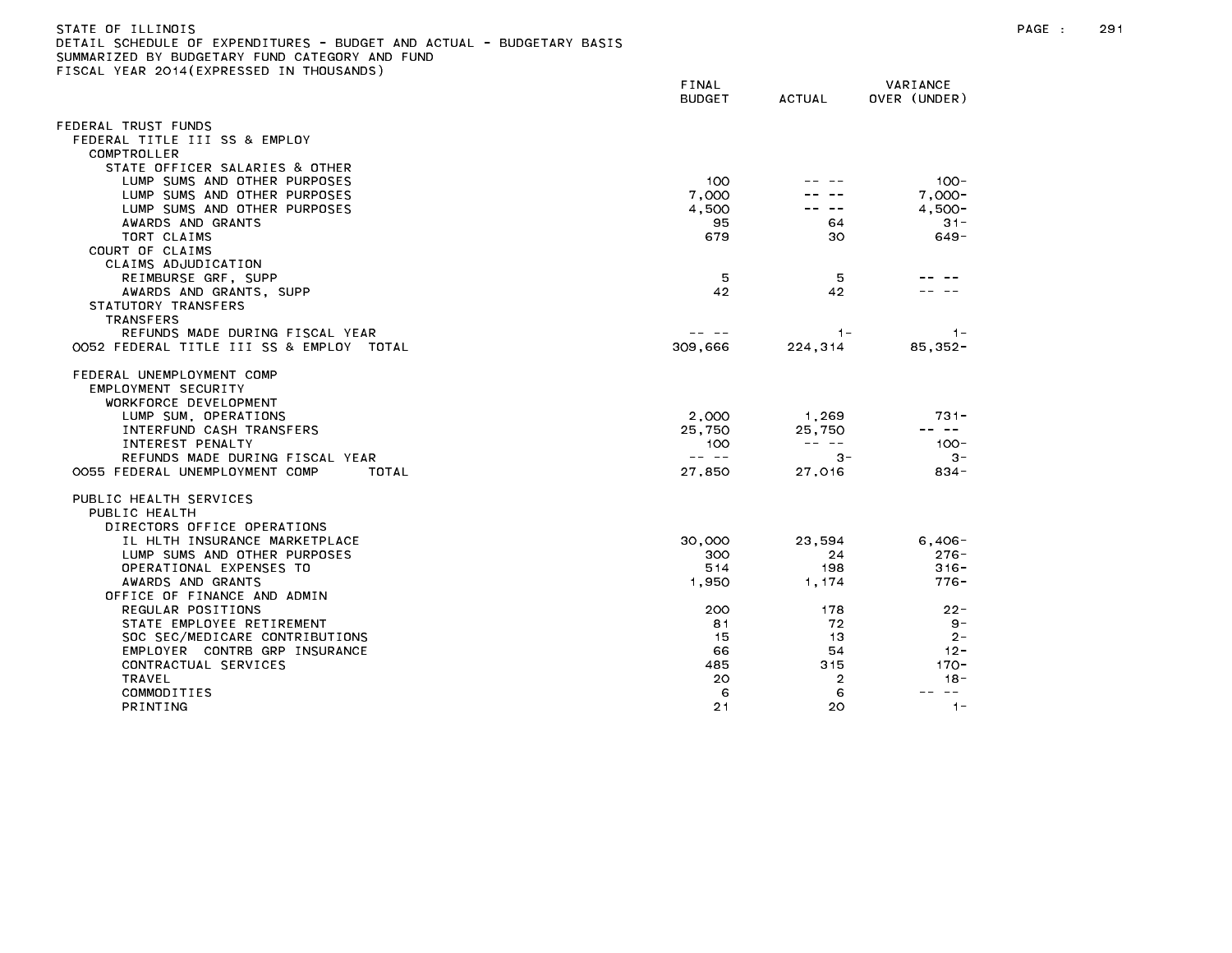| STATE OF ILLINOIS                                                     |
|-----------------------------------------------------------------------|
| DETAIL SCHEDULE OF EXPENDITURES - BUDGET AND ACTUAL - BUDGETARY BASIS |
| SUMMARIZED BY BUDGETARY FUND CATEGORY AND FUND                        |
| FISCAL YEAR 2014(EXPRESSED IN THOUSANDS)                              |

FINAL VARIANCE BUDGET ACTUAL OVER (UNDER) FEDERAL TRUST FUNDS FEDERAL TITLE III SS & EMPLOY COMPTROLLER STATE OFFICER SALARIES & OTHER LUMP SUMS AND OTHER PURPOSES 100 -- -- 100- LUMP SUMS AND OTHER PURPOSES 7,000 -- -- 7,000- LUMP SUMS AND OTHER PURPOSES 4,500 -- -- 4,500- AWARDS AND GRANTS 95 64 31- TORT CLAIMS 679 30 649- COURT OF CLAIMS CLAIMS ADJUDICATION REIMBURSE GRF, SUPP 5 5 -- -- AWARDS AND GRANTS, SUPP 42 42 -- -- STATUTORY TRANSFERS TRANSFERS REFUNDS MADE DURING FISCAL YEAR -- -- 1- 1- 0052 FEDERAL TITLE III SS & EMPLOY TOTAL 309 (309,666 224,314 85,352-FEDERAL UNEMPLOYMENT COMP EMPLOYMENT SECURITY WORKFORCE DEVELOPMENT LUMP SUM, OPERATIONS 2,000 1,269 731- INTERFUND CASH TRANSFERS 25,750 25,750 -- -- INTEREST PENALTY 100 -- -- 100- REFUNDS MADE DURING FISCAL YEAR -- -- 3- 3- 0055 FEDERAL UNEMPLOYMENT COMP TOTAL 27,850 27,016 834- PUBLIC HEALTH SERVICES PUBLIC HEALTH DIRECTORS OFFICE OPERATIONS IL HLTH INSURANCE MARKETPLACE 30,000 23,594 6,406- LUMP SUMS AND OTHER PURPOSES 300 24 276- OPERATIONAL EXPENSES TO 514 198 316- AWARDS AND GRANTS 1,950 1,174 776- OFFICE OF FINANCE AND ADMIN REGULAR POSITIONS 200 178 22- STATE EMPLOYEE RETIREMENT And the state of the state of the state of the state of the state of the state of the state of the state of the state of the state of the state of the state of the state of the state of the state SOC SEC/MEDICARE CONTRIBUTIONS 15 13 2-EMPLOYER CONTRB GRP INSURANCE 66 54 12- CONTRACTUAL SERVICES 485 315 170- -18 COMMODITIES 6 6 -- --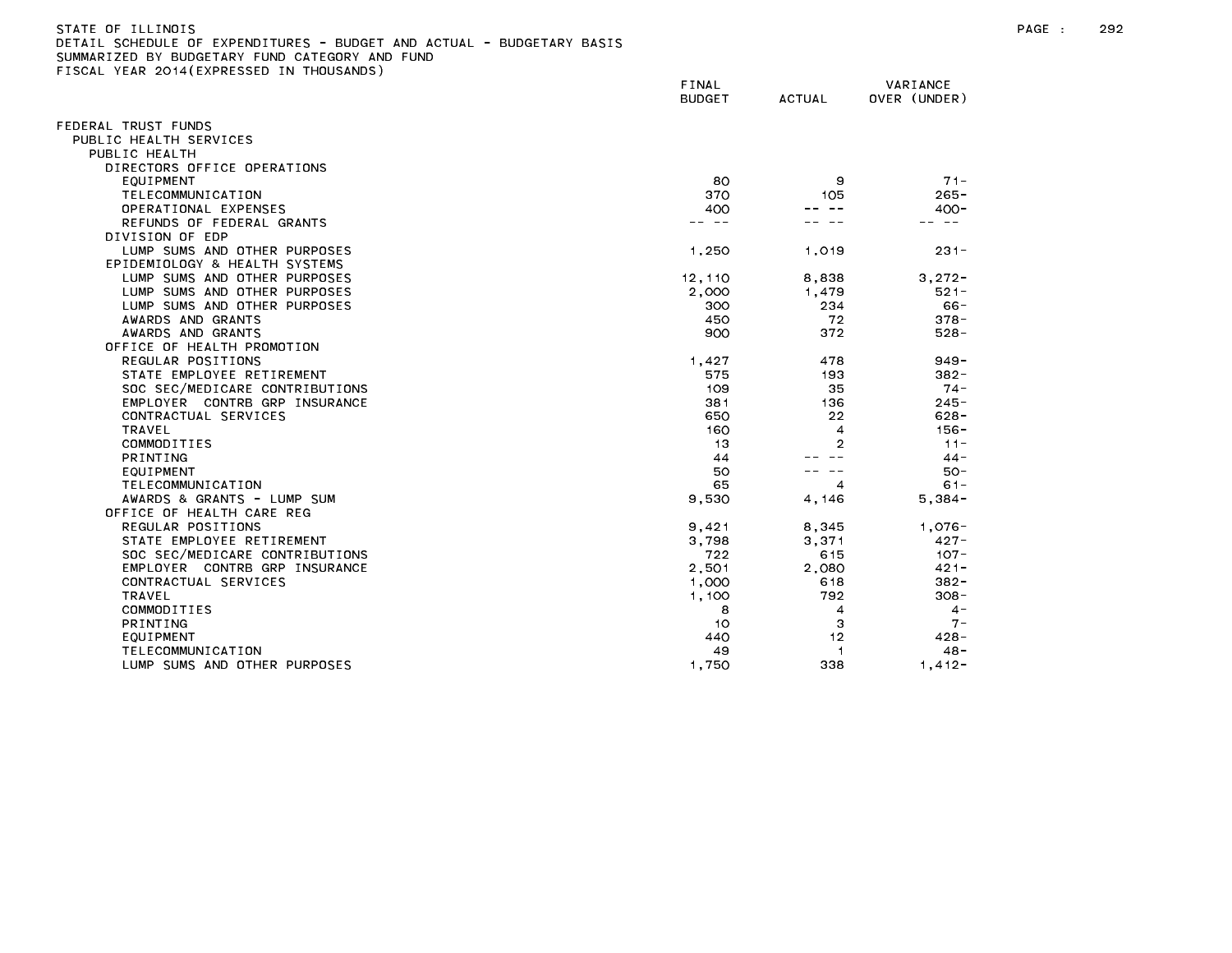| STATE OF ILLINOIS                                                     |
|-----------------------------------------------------------------------|
| DETAIL SCHEDULE OF EXPENDITURES - BUDGET AND ACTUAL - BUDGETARY BASIS |
| SUMMARIZED BY BUDGETARY FUND CATEGORY AND FUND                        |
| FISCAL YEAR 2014(EXPRESSED IN THOUSANDS)                              |

|                                | FINAL<br><b>BUDGET</b> | <b>ACTUAL</b>  | VARIANCE<br>OVER (UNDER) |
|--------------------------------|------------------------|----------------|--------------------------|
| FEDERAL TRUST FUNDS            |                        |                |                          |
| PUBLIC HEALTH SERVICES         |                        |                |                          |
| PUBLIC HEALTH                  |                        |                |                          |
| DIRECTORS OFFICE OPERATIONS    |                        |                |                          |
| EQUIPMENT                      | 80                     | 9              | $71 -$                   |
| <b>TELECOMMUNICATION</b>       | 370                    | 105            | $265 -$                  |
| OPERATIONAL EXPENSES           | 400                    |                | $400 -$                  |
| REFUNDS OF FEDERAL GRANTS      | -- --                  |                | - - -                    |
| DIVISION OF EDP                |                        |                |                          |
| LUMP SUMS AND OTHER PURPOSES   | 1.250                  | 1.019          | $231 -$                  |
| EPIDEMIOLOGY & HEALTH SYSTEMS  |                        |                |                          |
| LUMP SUMS AND OTHER PURPOSES   | 12, 110                | 8,838          | $3.272 -$                |
| LUMP SUMS AND OTHER PURPOSES   | 2,000                  | 1.479          | $521 -$                  |
| LUMP SUMS AND OTHER PURPOSES   | 300                    | 234            | $66 -$                   |
| AWARDS AND GRANTS              | 450                    | 72             | $378 -$                  |
| AWARDS AND GRANTS              | 900                    | 372            | $528 -$                  |
| OFFICE OF HEALTH PROMOTION     |                        |                |                          |
| REGULAR POSITIONS              | 1.427                  | 478            | $949 -$                  |
| STATE EMPLOYEE RETIREMENT      | 575                    | 193            | $382 -$                  |
| SOC SEC/MEDICARE CONTRIBUTIONS | 109                    | 35             | $74 -$                   |
| EMPLOYER CONTRB GRP INSURANCE  | 381                    | 136            | $245 -$                  |
| CONTRACTUAL SERVICES           | 650                    | 22             | $628 -$                  |
| <b>TRAVEL</b>                  | 160                    | $\overline{4}$ | $156 -$                  |
| COMMODITIES                    | 13                     | 2              | $11 -$                   |
| <b>PRINTING</b>                | 44                     |                | $44 -$                   |
| EQUIPMENT                      | 50                     |                | $50 -$                   |
| TELECOMMUNICATION              | 65                     | $\overline{4}$ | $61 -$                   |
| AWARDS & GRANTS - LUMP SUM     | 9,530                  | 4,146          | $5,384-$                 |
| OFFICE OF HEALTH CARE REG      |                        |                |                          |
| REGULAR POSITIONS              | 9,421                  | 8,345          | $1,076-$                 |
| STATE EMPLOYEE RETIREMENT      | 3,798                  | 3,371          | $427 -$                  |
| SOC SEC/MEDICARE CONTRIBUTIONS | 722                    | 615            | $107 -$                  |
| EMPLOYER CONTRB GRP INSURANCE  | 2,501                  | 2,080          | $421 -$                  |
| CONTRACTUAL SERVICES           | 1,000                  | 618            | $382 -$                  |
| <b>TRAVEL</b>                  | 1,100                  | 792            | $308 -$                  |
| COMMODITIES                    | 8                      | $\overline{4}$ | $4 -$                    |
| <b>PRINTING</b>                | 10                     | 3              | $7 -$                    |
| EQUIPMENT                      | 440                    | 12             | $428 -$                  |
| TELECOMMUNICATION              | 49                     | -1             | $48 -$                   |
| LUMP SUMS AND OTHER PURPOSES   | 1,750                  | 338            | $1,412-$                 |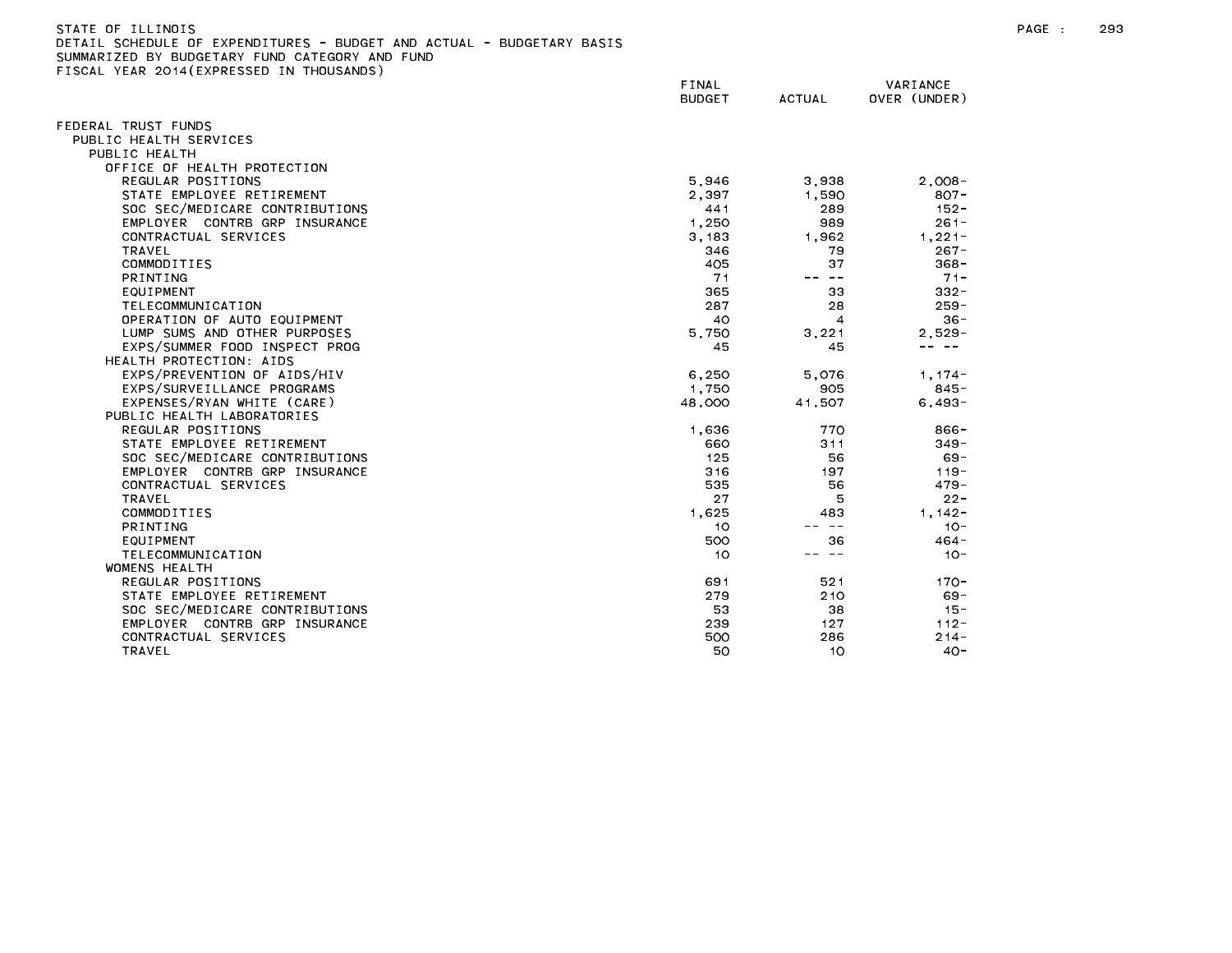| STATE OF ILLINOIS                                                     |       |          |
|-----------------------------------------------------------------------|-------|----------|
| DETAIL SCHEDULE OF EXPENDITURES - BUDGET AND ACTUAL - BUDGETARY BASIS |       |          |
| SUMMARIZED BY BUDGETARY FUND CATEGORY AND FUND                        |       |          |
| FISCAL YEAR 2014(EXPRESSED IN THOUSANDS)                              |       |          |
|                                                                       | FINAL | VARIANCE |

| EDERAL TRUST FUNDS             |        |                |            |
|--------------------------------|--------|----------------|------------|
| PUBLIC HEALTH SERVICES         |        |                |            |
| PUBLIC HEALTH                  |        |                |            |
| OFFICE OF HEALTH PROTECTION    |        |                |            |
| REGULAR POSITIONS              | 5,946  | 3,938          | $2.008 -$  |
| STATE EMPLOYEE RETIREMENT      | 2.397  | 1.590          | $807 -$    |
| SOC SEC/MEDICARE CONTRIBUTIONS | 441    | 289            | $152 -$    |
| EMPLOYER CONTRB GRP INSURANCE  | 1,250  | 989            | $261 -$    |
| CONTRACTUAL SERVICES           | 3,183  | 1.962          | $1,221 -$  |
| <b>TRAVEL</b>                  | 346    | 79             | $267 -$    |
| COMMODITIES                    | 405    | 37             | $368 -$    |
| <b>PRINTING</b>                | 71     | ———            | $71 -$     |
| EQUIPMENT                      | 365    | 33             | $332 -$    |
| TELECOMMUNICATION              | 287    | 28             | $259 -$    |
| OPERATION OF AUTO EQUIPMENT    | 40     | $\overline{4}$ | $36 -$     |
| LUMP SUMS AND OTHER PURPOSES   | 5,750  | 3,221          | $2,529 -$  |
| EXPS/SUMMER FOOD INSPECT PROG  | 45     | 45             | -- --      |
| HEALTH PROTECTION: AIDS        |        |                |            |
| EXPS/PREVENTION OF AIDS/HIV    | 6,250  | 5.076          | $1.174-$   |
| EXPS/SURVEILLANCE PROGRAMS     | 1,750  | 905            | $845 -$    |
| EXPENSES/RYAN WHITE (CARE)     | 48,000 | 41,507         | $6.493 -$  |
| PUBLIC HEALTH LABORATORIES     |        |                |            |
| REGULAR POSITIONS              | 1,636  | 770            | $866 -$    |
| STATE EMPLOYEE RETIREMENT      | 660    | 311            | $349 -$    |
| SOC SEC/MEDICARE CONTRIBUTIONS | 125    | 56             | $69 -$     |
| EMPLOYER CONTRB GRP INSURANCE  | 316    | 197            | $119 -$    |
| CONTRACTUAL SERVICES           | 535    | 56             | $479 -$    |
| <b>TRAVEL</b>                  | 27     | 5              | $22 -$     |
| COMMODITIES                    | 1,625  | 483            | $1, 142 -$ |
| <b>PRINTING</b>                | 10     | $\sim$ $-$     | $10 -$     |
| EQUIPMENT                      | 500    | 36             | $464 -$    |
| TELECOMMUNICATION              | 10     | -- --          | $10 -$     |
| WOMENS HEALTH                  |        |                |            |
| REGULAR POSITIONS              | 691    | 521            | $170 -$    |
| STATE EMPLOYEE RETIREMENT      | 279    | 210            | $69 -$     |
| SOC SEC/MEDICARE CONTRIBUTIONS | 53     | 38             | $15 -$     |
| EMPLOYER CONTRB GRP INSURANCE  | 239    | 127            | $112 -$    |
| CONTRACTUAL SERVICES           | 500    | 286            | $214 -$    |
| <b>TRAVEL</b>                  | 50     | 10             | $40 -$     |
|                                |        |                |            |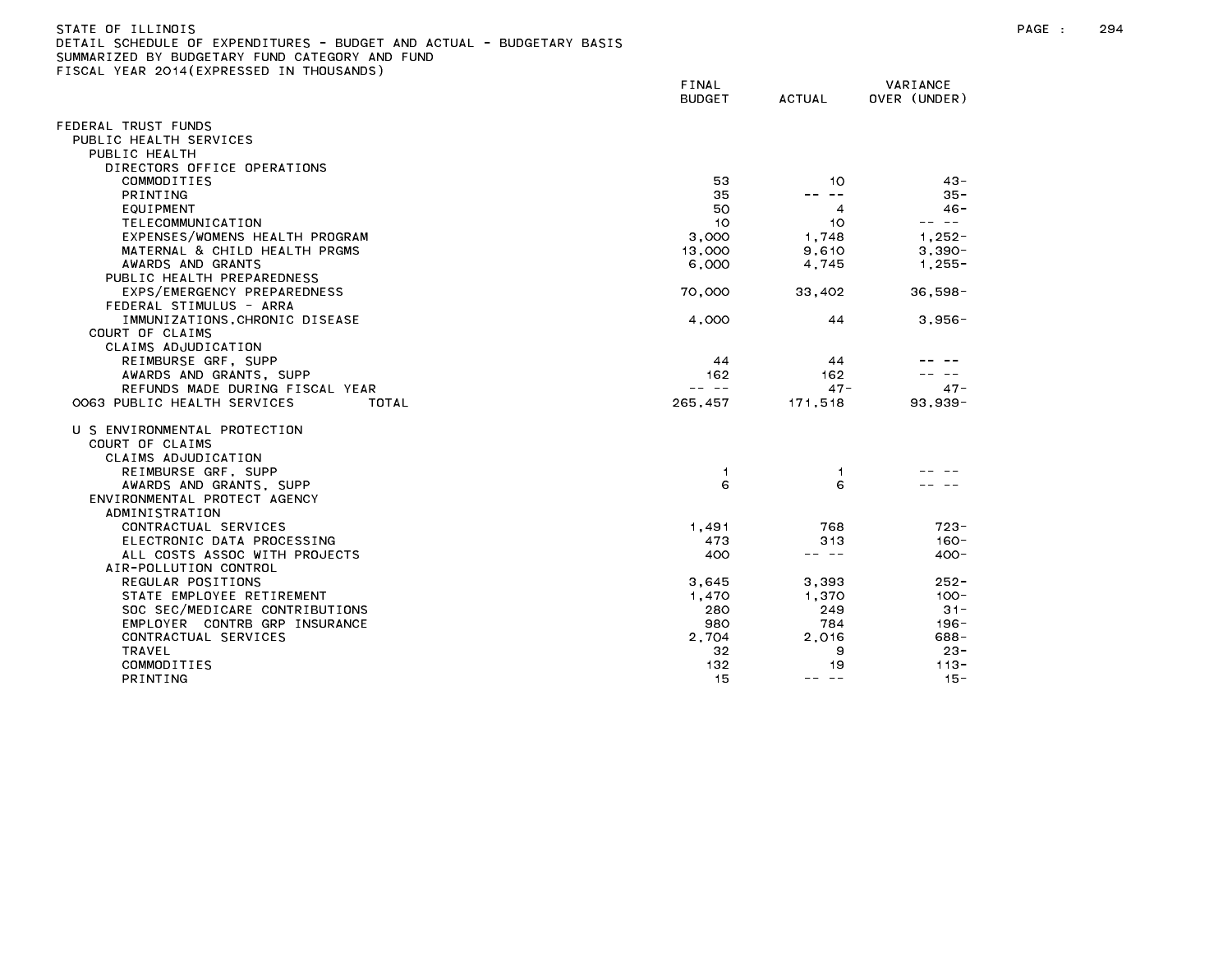| STATE OF ILLINOIS                                                     |
|-----------------------------------------------------------------------|
| DETAIL SCHEDULE OF EXPENDITURES - BUDGET AND ACTUAL - BUDGETARY BASIS |
| SUMMARIZED BY BUDGETARY FUND CATEGORY AND FUND                        |
| FISCAL YEAR 2014(EXPRESSED IN THOUSANDS)                              |

|                                      | FINAL<br><b>BUDGET</b> | <b>ACTUAL</b>      | VARIANCE<br>OVER (UNDER) |
|--------------------------------------|------------------------|--------------------|--------------------------|
| FEDERAL TRUST FUNDS                  |                        |                    |                          |
| PUBLIC HEALTH SERVICES               |                        |                    |                          |
| PUBLIC HEALTH                        |                        |                    |                          |
| DIRECTORS OFFICE OPERATIONS          |                        |                    |                          |
| COMMODITIES                          | 53                     | 10                 | $43 -$                   |
| <b>PRINTING</b>                      | 35                     | $\sim$ $-$<br>$ -$ | $35 -$                   |
| EQUIPMENT                            | 50                     | $\overline{4}$     | $46 -$                   |
| TELECOMMUNICATION                    | 10                     | 10                 | -- --                    |
| EXPENSES/WOMENS HEALTH PROGRAM       | 3,000                  | 1,748              | $1,252 -$                |
| MATERNAL & CHILD HEALTH PRGMS        | 13,000                 | 9,610              | $3,390-$                 |
| AWARDS AND GRANTS                    | 6,000                  | 4,745              | $1,255 -$                |
| PUBLIC HEALTH PREPAREDNESS           |                        |                    |                          |
| EXPS/EMERGENCY PREPAREDNESS          | 70,000                 | 33,402             | $36.598 -$               |
| FEDERAL STIMULUS - ARRA              |                        |                    |                          |
| IMMUNIZATIONS, CHRONIC DISEASE       | 4,000                  | 44                 | $3,956 -$                |
| COURT OF CLAIMS                      |                        |                    |                          |
| CLAIMS ADJUDICATION                  |                        |                    |                          |
| REIMBURSE GRF, SUPP                  | 44                     | 44                 |                          |
| AWARDS AND GRANTS, SUPP              | 162                    | 162                |                          |
| REFUNDS MADE DURING FISCAL YEAR      | -- --                  | $47 -$             | $47 -$                   |
| 0063 PUBLIC HEALTH SERVICES<br>TOTAL | 265,457                | 171,518            | 93,939-                  |
| U S ENVIRONMENTAL PROTECTION         |                        |                    |                          |
| COURT OF CLAIMS                      |                        |                    |                          |
| CLAIMS ADJUDICATION                  |                        |                    |                          |
| REIMBURSE GRF, SUPP                  | -1                     | -1                 |                          |
| AWARDS AND GRANTS, SUPP              | 6                      | 6                  |                          |
| ENVIRONMENTAL PROTECT AGENCY         |                        |                    |                          |
| ADMINISTRATION                       |                        |                    |                          |
| CONTRACTUAL SERVICES                 | 1,491                  | 768                | $723 -$                  |
| ELECTRONIC DATA PROCESSING           | 473                    | 313                | $160 -$                  |
| ALL COSTS ASSOC WITH PROJECTS        | 400                    | -- --              | $400 -$                  |
| AIR-POLLUTION CONTROL                |                        |                    |                          |
| REGULAR POSITIONS                    | 3,645                  | 3,393              | $252 -$                  |
| STATE EMPLOYEE RETIREMENT            | 1,470                  | 1,370              | $100 -$                  |
| SOC SEC/MEDICARE CONTRIBUTIONS       | 280                    | 249                | $31 -$                   |
| EMPLOYER CONTRB GRP INSURANCE        | 980                    | 784                | $196 -$                  |
| CONTRACTUAL SERVICES                 | 2,704                  | 2,016              | $688 -$                  |
| <b>TRAVEL</b>                        | 32                     | 9                  | $23 -$                   |
| COMMODITIES                          | 132                    | 19                 | $113 -$                  |
| PRINTING                             | 15                     | $- - - - -$        | $15 -$                   |
|                                      |                        |                    |                          |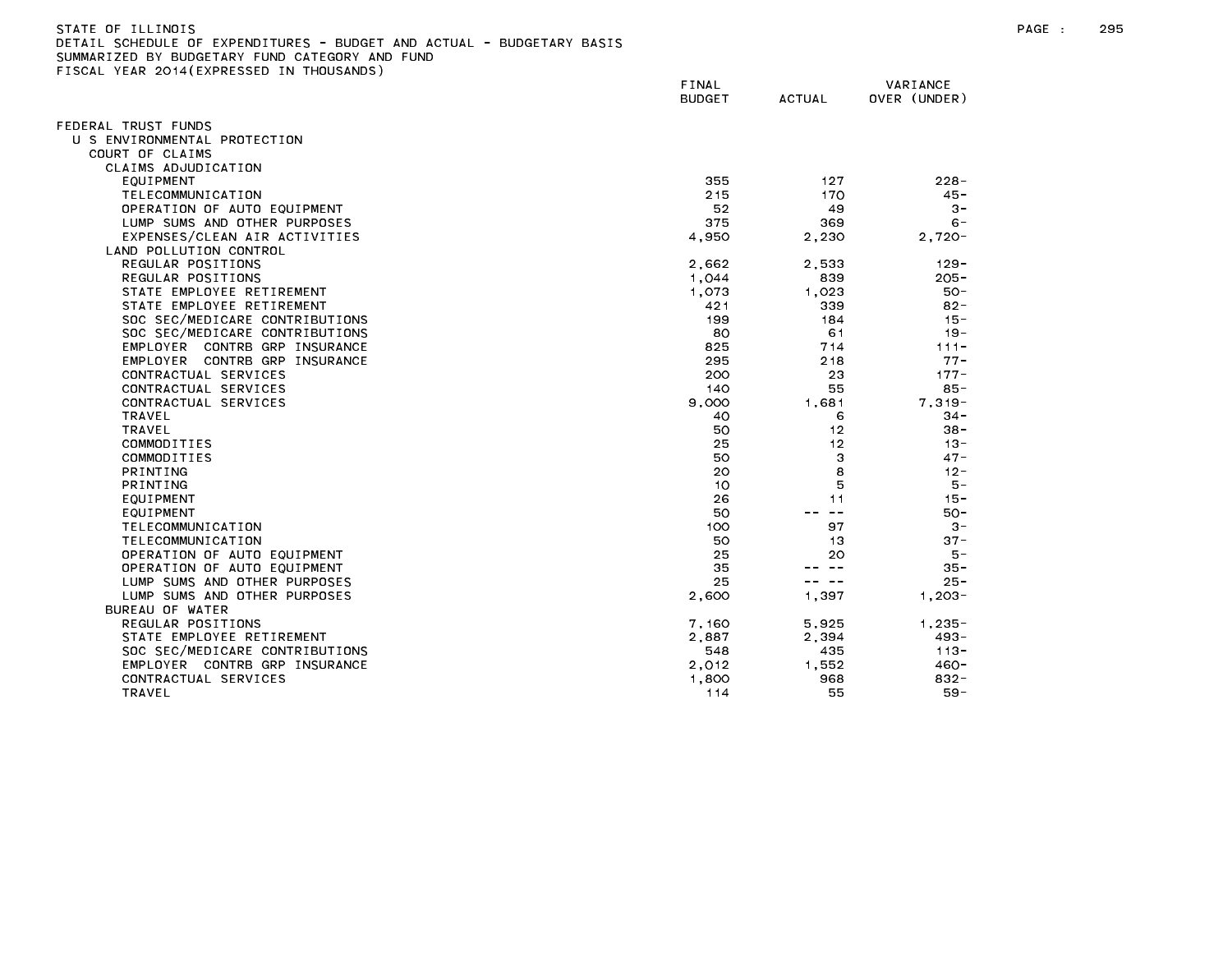| STATE OF ILLINOIS                                                     |
|-----------------------------------------------------------------------|
| DETAIL SCHEDULE OF EXPENDITURES - BUDGET AND ACTUAL - BUDGETARY BASIS |
| SUMMARIZED BY BUDGETARY FUND CATEGORY AND FUND                        |
| FISCAL YEAR 2014(EXPRESSED IN THOUSANDS)                              |

|                                | FINAL<br><b>BUDGET</b> | <b>ACTUAL</b> | VARIANCE<br>OVER (UNDER) |
|--------------------------------|------------------------|---------------|--------------------------|
| FEDERAL TRUST FUNDS            |                        |               |                          |
| U S ENVIRONMENTAL PROTECTION   |                        |               |                          |
| COURT OF CLAIMS                |                        |               |                          |
| CLAIMS ADJUDICATION            |                        |               |                          |
| EQUIPMENT                      | 355                    | 127           | $228 -$                  |
| TELECOMMUNICATION              | 215                    | 170           | $45 -$                   |
| OPERATION OF AUTO EQUIPMENT    | 52                     | 49            | $3 -$                    |
| LUMP SUMS AND OTHER PURPOSES   | 375                    | 369           | $6 -$                    |
| EXPENSES/CLEAN AIR ACTIVITIES  | 4,950                  | 2,230         | $2,720-$                 |
| LAND POLLUTION CONTROL         |                        |               |                          |
| REGULAR POSITIONS              | 2,662                  | 2,533         | $129 -$                  |
| REGULAR POSITIONS              | 1,044                  | 839           | $205 -$                  |
| STATE EMPLOYEE RETIREMENT      | 1,073                  | 1,023         | $50 -$                   |
| STATE EMPLOYEE RETIREMENT      | 421                    | 339           | $82 -$                   |
| SOC SEC/MEDICARE CONTRIBUTIONS | 199                    | 184           | $15 -$                   |
| SOC SEC/MEDICARE CONTRIBUTIONS | 80                     | 61            | $19 -$                   |
| EMPLOYER CONTRB GRP INSURANCE  | 825                    | 714           | $111 -$                  |
| EMPLOYER CONTRB GRP INSURANCE  | 295                    | 218           | $77 -$                   |
| CONTRACTUAL SERVICES           | 200                    | 23            | $177 -$                  |
| CONTRACTUAL SERVICES           | 140                    | 55            | $85 -$                   |
| CONTRACTUAL SERVICES           | 9,000                  | 1.681         | $7.319 -$                |
| <b>TRAVEL</b>                  | 40                     | 6             | $34 -$                   |
| <b>TRAVEL</b>                  | 50                     | 12            | $38 -$                   |
| COMMODITIES                    | 25                     | 12            | $13 -$                   |
| COMMODITIES                    | 50                     | 3             | $47 -$                   |
| <b>PRINTING</b>                | 20                     | 8             | $12 -$                   |
| PRINTING                       | 10                     | 5             | $5 -$                    |
| <b>EQUIPMENT</b>               | 26                     | 11            | $15 -$                   |
| <b>EQUIPMENT</b>               | 50                     | $\sim$ $-$    | 50-                      |
| TELECOMMUNICATION              | 100                    | 97            | $3 -$                    |
| TELECOMMUNICATION              | 50                     | 13            | $37 -$                   |
| OPERATION OF AUTO EQUIPMENT    | 25                     | 20<br>$- -$   | $5 -$                    |
| OPERATION OF AUTO EQUIPMENT    | 35                     |               | 35 -                     |
| LUMP SUMS AND OTHER PURPOSES   | 25                     | $\sim$ $-$    | $25 -$                   |
| LUMP SUMS AND OTHER PURPOSES   | 2,600                  | 1,397         | $1,203-$                 |
| BUREAU OF WATER                |                        |               |                          |
| REGULAR POSITIONS              | 7,160                  | 5.925         | $1.235 -$                |
| STATE EMPLOYEE RETIREMENT      | 2,887                  | 2,394         | 493-                     |
| SOC SEC/MEDICARE CONTRIBUTIONS | 548                    | 435           | $113 -$                  |
| EMPLOYER CONTRB GRP INSURANCE  | 2,012                  | 1,552         | 460-                     |
| CONTRACTUAL SERVICES           | 1,800                  | 968           | $832 -$                  |
| TRAVEL                         | 114                    | 55            | $59 -$                   |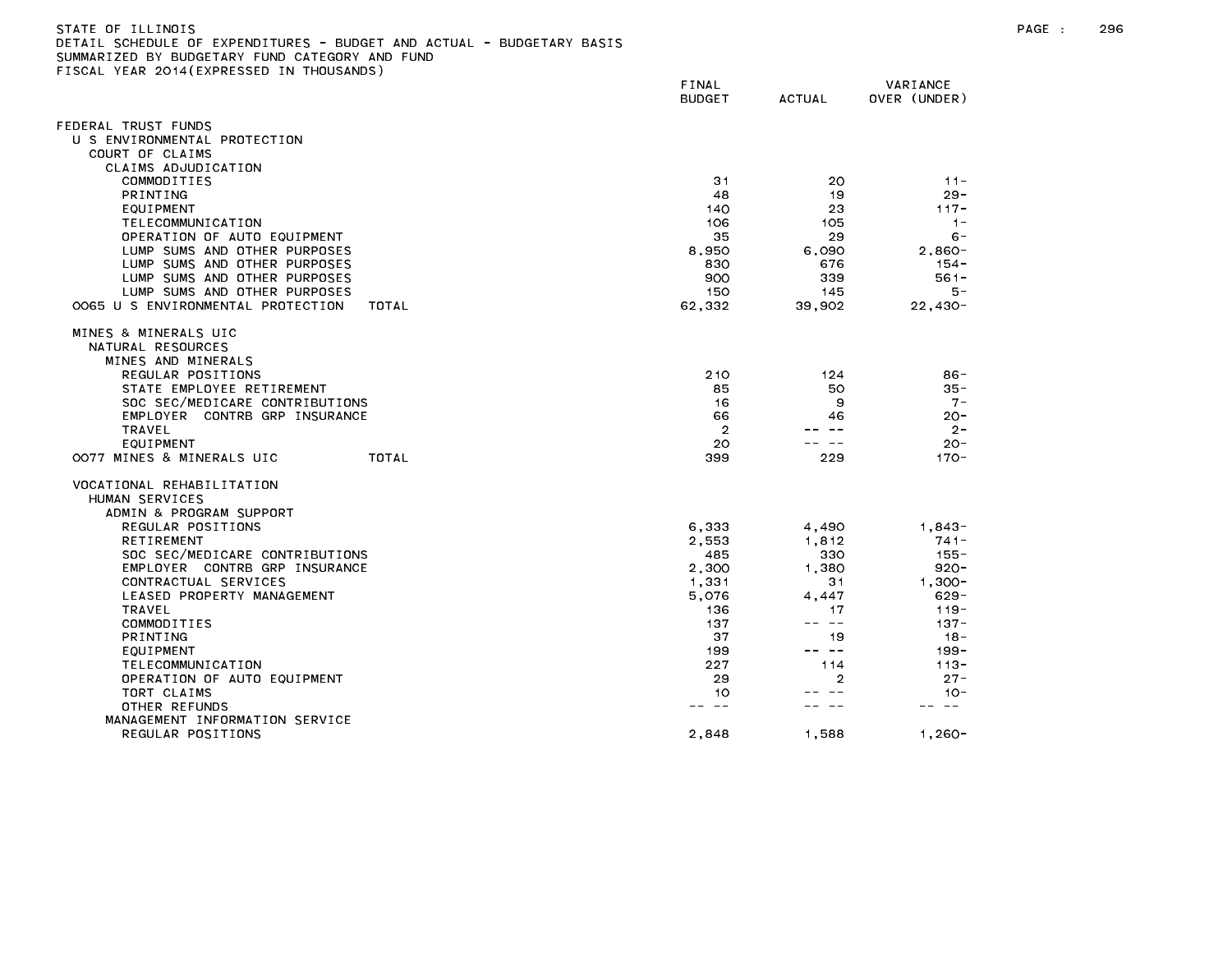| DETAIL SCHEDULE OF EXPENDITURES - BUDGET AND ACTUAL - BUDGETARY BASIS<br>SUMMARIZED BY BUDGETARY FUND CATEGORY AND FUND |                        |                                                                                                                                                                                                                                                                                                                                                                                              |                          |
|-------------------------------------------------------------------------------------------------------------------------|------------------------|----------------------------------------------------------------------------------------------------------------------------------------------------------------------------------------------------------------------------------------------------------------------------------------------------------------------------------------------------------------------------------------------|--------------------------|
| FISCAL YEAR 2014(EXPRESSED IN THOUSANDS)                                                                                |                        |                                                                                                                                                                                                                                                                                                                                                                                              |                          |
|                                                                                                                         | FINAL<br><b>BUDGET</b> | <b>ACTUAL</b>                                                                                                                                                                                                                                                                                                                                                                                | VARIANCE<br>OVER (UNDER) |
| FEDERAL TRUST FUNDS                                                                                                     |                        |                                                                                                                                                                                                                                                                                                                                                                                              |                          |
| U S ENVIRONMENTAL PROTECTION                                                                                            |                        |                                                                                                                                                                                                                                                                                                                                                                                              |                          |
| COURT OF CLAIMS                                                                                                         |                        |                                                                                                                                                                                                                                                                                                                                                                                              |                          |
| CLAIMS ADJUDICATION                                                                                                     |                        |                                                                                                                                                                                                                                                                                                                                                                                              |                          |
| COMMODITIES                                                                                                             | 31                     | 20                                                                                                                                                                                                                                                                                                                                                                                           | $11 -$                   |
| PRINTING                                                                                                                | 48                     | 19                                                                                                                                                                                                                                                                                                                                                                                           | $29 -$                   |
| EQUIPMENT                                                                                                               | 140                    | 23                                                                                                                                                                                                                                                                                                                                                                                           | $117 -$                  |
| TELECOMMUNICATION                                                                                                       | 106                    | 105                                                                                                                                                                                                                                                                                                                                                                                          | $1 -$                    |
| OPERATION OF AUTO EQUIPMENT                                                                                             | 35                     | 29                                                                                                                                                                                                                                                                                                                                                                                           | $6 -$                    |
| LUMP SUMS AND OTHER PURPOSES                                                                                            | 8,950                  | 6,090                                                                                                                                                                                                                                                                                                                                                                                        | $2,860-$                 |
| LUMP SUMS AND OTHER PURPOSES                                                                                            | 830                    | 676                                                                                                                                                                                                                                                                                                                                                                                          | $154 -$                  |
| LUMP SUMS AND OTHER PURPOSES                                                                                            | 900                    | 339                                                                                                                                                                                                                                                                                                                                                                                          | $561 -$                  |
| LUMP SUMS AND OTHER PURPOSES                                                                                            | 150                    | 145                                                                                                                                                                                                                                                                                                                                                                                          | 5 –                      |
| 0065 U S ENVIRONMENTAL PROTECTION<br>TOTAL                                                                              | 62,332                 | 39,902                                                                                                                                                                                                                                                                                                                                                                                       | $22,430-$                |
| MINES & MINERALS UIC                                                                                                    |                        |                                                                                                                                                                                                                                                                                                                                                                                              |                          |
| NATURAL RESOURCES                                                                                                       |                        |                                                                                                                                                                                                                                                                                                                                                                                              |                          |
| MINES AND MINERALS                                                                                                      |                        |                                                                                                                                                                                                                                                                                                                                                                                              |                          |
| REGULAR POSITIONS                                                                                                       | 210                    | 124                                                                                                                                                                                                                                                                                                                                                                                          | 86-                      |
| STATE EMPLOYEE RETIREMENT                                                                                               | 85                     | 50                                                                                                                                                                                                                                                                                                                                                                                           | $35 -$                   |
| SOC SEC/MEDICARE CONTRIBUTIONS                                                                                          | 16                     | 9                                                                                                                                                                                                                                                                                                                                                                                            | $7 -$                    |
| EMPLOYER CONTRB GRP INSURANCE                                                                                           | 66                     | 46                                                                                                                                                                                                                                                                                                                                                                                           | $20 -$                   |
| <b>TRAVEL</b>                                                                                                           | $\overline{2}$         |                                                                                                                                                                                                                                                                                                                                                                                              | $2 -$                    |
| EQUIPMENT                                                                                                               | 20                     |                                                                                                                                                                                                                                                                                                                                                                                              | $20 -$                   |
| OO77 MINES & MINERALS UIC<br>TOTAL                                                                                      | 399                    | 229                                                                                                                                                                                                                                                                                                                                                                                          | $170 -$                  |
| VOCATIONAL REHABILITATION                                                                                               |                        |                                                                                                                                                                                                                                                                                                                                                                                              |                          |
| HUMAN SERVICES                                                                                                          |                        |                                                                                                                                                                                                                                                                                                                                                                                              |                          |
| ADMIN & PROGRAM SUPPORT                                                                                                 |                        |                                                                                                                                                                                                                                                                                                                                                                                              |                          |
| REGULAR POSITIONS                                                                                                       | 6,333                  | 4,490                                                                                                                                                                                                                                                                                                                                                                                        | $1,843-$                 |
| <b>RETIREMENT</b>                                                                                                       | 2,553                  | 1.812                                                                                                                                                                                                                                                                                                                                                                                        | 741-                     |
| SOC SEC/MEDICARE CONTRIBUTIONS                                                                                          | 485                    | 330                                                                                                                                                                                                                                                                                                                                                                                          | $155 -$                  |
| EMPLOYER CONTRB GRP INSURANCE                                                                                           | 2,300                  | 1,380                                                                                                                                                                                                                                                                                                                                                                                        | 920-                     |
| CONTRACTUAL SERVICES                                                                                                    | 1,331                  | 31                                                                                                                                                                                                                                                                                                                                                                                           | $1.300 -$                |
| LEASED PROPERTY MANAGEMENT                                                                                              | 5,076                  | 4,447                                                                                                                                                                                                                                                                                                                                                                                        | $629 -$                  |
| TRAVEL<br>COMMODITIES                                                                                                   | 136<br>137             | 17<br>-- --                                                                                                                                                                                                                                                                                                                                                                                  | 119 -<br>$137 -$         |
| <b>PRINTING</b>                                                                                                         | 37                     | 19                                                                                                                                                                                                                                                                                                                                                                                           | $18 -$                   |
| EQUIPMENT                                                                                                               | 199                    | $\frac{1}{2} \frac{1}{2} \frac{1}{2} \frac{1}{2} \frac{1}{2} \frac{1}{2} \frac{1}{2} \frac{1}{2} \frac{1}{2} \frac{1}{2} \frac{1}{2} \frac{1}{2} \frac{1}{2} \frac{1}{2} \frac{1}{2} \frac{1}{2} \frac{1}{2} \frac{1}{2} \frac{1}{2} \frac{1}{2} \frac{1}{2} \frac{1}{2} \frac{1}{2} \frac{1}{2} \frac{1}{2} \frac{1}{2} \frac{1}{2} \frac{1}{2} \frac{1}{2} \frac{1}{2} \frac{1}{2} \frac{$ | $199 -$                  |
| TELECOMMUNICATION                                                                                                       | 227                    | 114                                                                                                                                                                                                                                                                                                                                                                                          | $113 -$                  |
|                                                                                                                         |                        |                                                                                                                                                                                                                                                                                                                                                                                              |                          |

OPERATION OF AUTO EQUIPMENT And the contract of the contract of the contract of the contract of the contract of the contract of the contract of the contract of the contract of the contract of the contract of the contract o TORT CLAIMS 10 -- -- 10- OTHER REFUNDS -- -- -- -- -- --

REGULAR POSITIONS 2,848 1,588 1,260-

MANAGEMENT INFORMATION SERVICE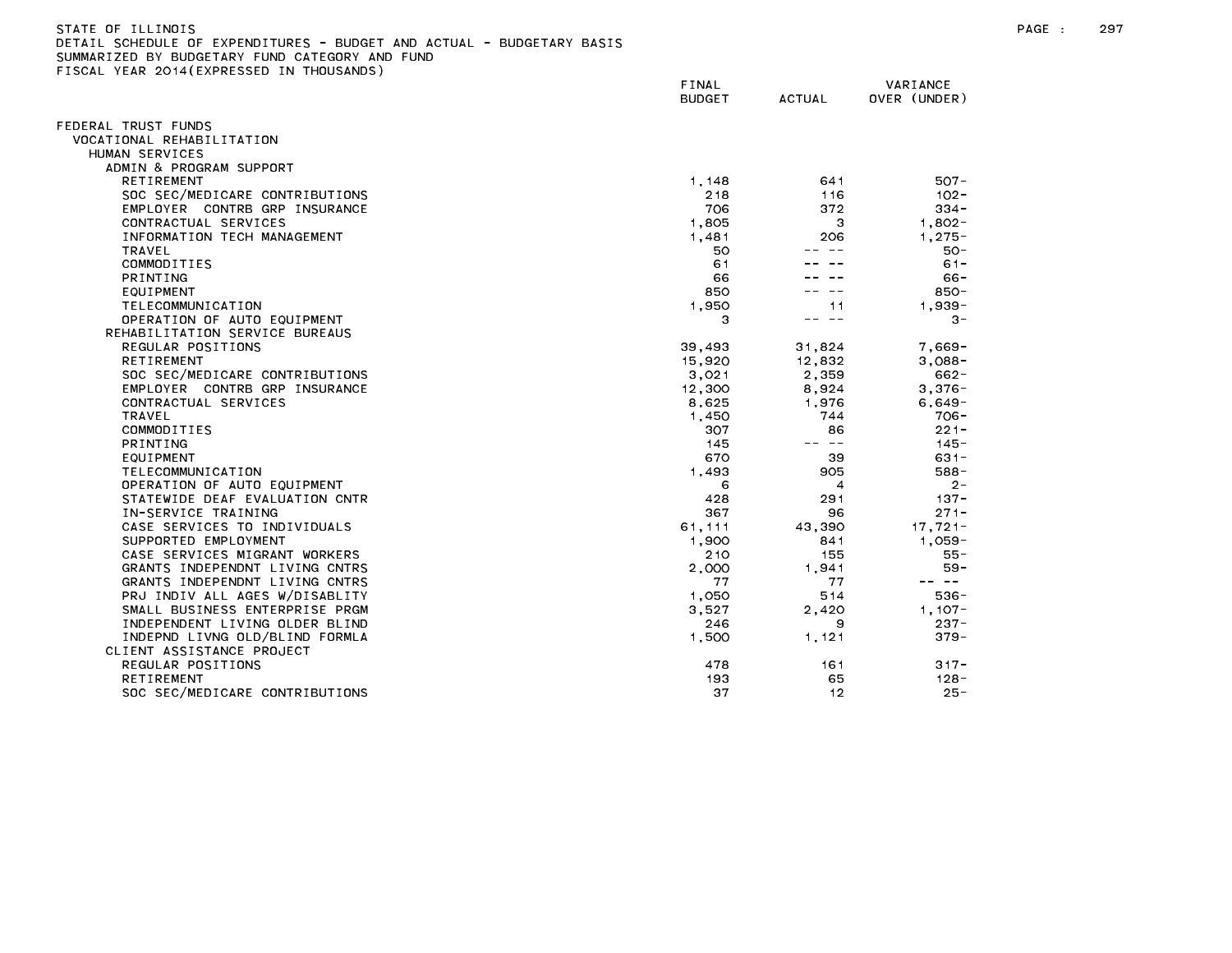| STATE OF ILLINDIS                                                     |
|-----------------------------------------------------------------------|
| DETAIL SCHEDULE OF EXPENDITURES - BUDGET AND ACTUAL - BUDGETARY BASIS |
| SUMMARIZED BY BUDGETARY FUND CATEGORY AND FUND                        |
| FISCAL YEAR 2014(EXPRESSED IN THOUSANDS)                              |

|                                                                  | FINAL<br><b>BUDGET</b> | <b>ACTUAL</b> | VARIANCE<br>OVER (UNDER) |
|------------------------------------------------------------------|------------------------|---------------|--------------------------|
| EDERAL TRUST FUNDS                                               |                        |               |                          |
| VOCATIONAL REHABILITATION                                        |                        |               |                          |
| HUMAN SERVICES                                                   |                        |               |                          |
| ADMIN & PROGRAM SUPPORT                                          |                        |               |                          |
| <b>RETIREMENT</b>                                                | 1, 148                 | 641           | $507 -$                  |
| SOC SEC/MEDICARE CONTRIBUTIONS                                   | 218                    | 116           | $102 -$                  |
| EMPLOYER CONTRB GRP INSURANCE                                    | 706                    | 372           | $334 -$                  |
| CONTRACTUAL SERVICES                                             | 1,805                  | З             | $1,802 -$                |
| INFORMATION TECH MANAGEMENT                                      | 1,481                  | 206           | $1.275 -$                |
| <b>TRAVEL</b>                                                    | 50                     |               | $50 -$                   |
| COMMODITIES                                                      | 61                     |               | $61 -$                   |
| <b>PRINTING</b>                                                  | 66                     |               | 66-                      |
| EQUIPMENT                                                        | 850                    |               | $850 -$                  |
| TELECOMMUNICATION                                                | 1.950                  | 11            | $1,939-$                 |
| OPERATION OF AUTO EQUIPMENT                                      | З                      | -- --         | $3 -$                    |
| REHABILITATION SERVICE BUREAUS                                   |                        |               |                          |
| REGULAR POSITIONS                                                | 39,493                 | 31,824        | $7,669-$                 |
| <b>RETIREMENT</b>                                                | 15,920                 | 12,832        | $3,088-$                 |
| SOC SEC/MEDICARE CONTRIBUTIONS                                   | 3,021                  | 2,359         | $662 -$                  |
| EMPLOYER CONTRB GRP INSURANCE                                    | 12,300                 | 8,924         | $3,376 -$                |
| CONTRACTUAL SERVICES                                             | 8,625                  | 1.976         | $6,649-$                 |
| <b>TRAVEL</b>                                                    | 1,450                  | 744           | 706-                     |
| COMMODITIES                                                      | 307                    | 86            | $221 -$                  |
| PRINTING                                                         | 145                    | -- --         | $145 -$                  |
| EQUIPMENT                                                        | 670                    | 39            | $631 -$                  |
| TELECOMMUNICATION                                                | 1.493                  | 905           | $588 -$                  |
| OPERATION OF AUTO EQUIPMENT                                      | 6                      | 4             | $2 -$                    |
| STATEWIDE DEAF EVALUATION CNTR                                   | 428                    | 291           | $137 -$                  |
| IN-SERVICE TRAINING                                              | 367                    | 96            | $271 -$                  |
| CASE SERVICES TO INDIVIDUALS                                     | 61,111                 | 43,390        | $17,721-$                |
| SUPPORTED EMPLOYMENT                                             | 1.900                  | 841           | 1.059-                   |
| CASE SERVICES MIGRANT WORKERS                                    | 210                    | 155           | $55 -$                   |
| GRANTS INDEPENDNT LIVING CNTRS                                   | 2.000                  | 1.941         | $59 -$<br>-- --          |
| GRANTS INDEPENDNT LIVING CNTRS                                   | 77                     | 77<br>514     | $536 -$                  |
| PRJ INDIV ALL AGES W/DISABLITY<br>SMALL BUSINESS ENTERPRISE PRGM | 1,050<br>3,527         | 2,420         | $1,107-$                 |
| INDEPENDENT LIVING OLDER BLIND                                   | 246                    | 9             | $237 -$                  |
| INDEPND LIVNG OLD/BLIND FORMLA                                   | 1.500                  | 1,121         | $379 -$                  |
| CLIENT ASSISTANCE PROJECT                                        |                        |               |                          |
| REGULAR POSITIONS                                                | 478                    | 161           | $317 -$                  |
| <b>RETIREMENT</b>                                                | 193                    | 65            | $128 -$                  |
| SOC SEC/MEDICARE CONTRIBUTIONS                                   | 37                     | 12            | $25 -$                   |
|                                                                  |                        |               |                          |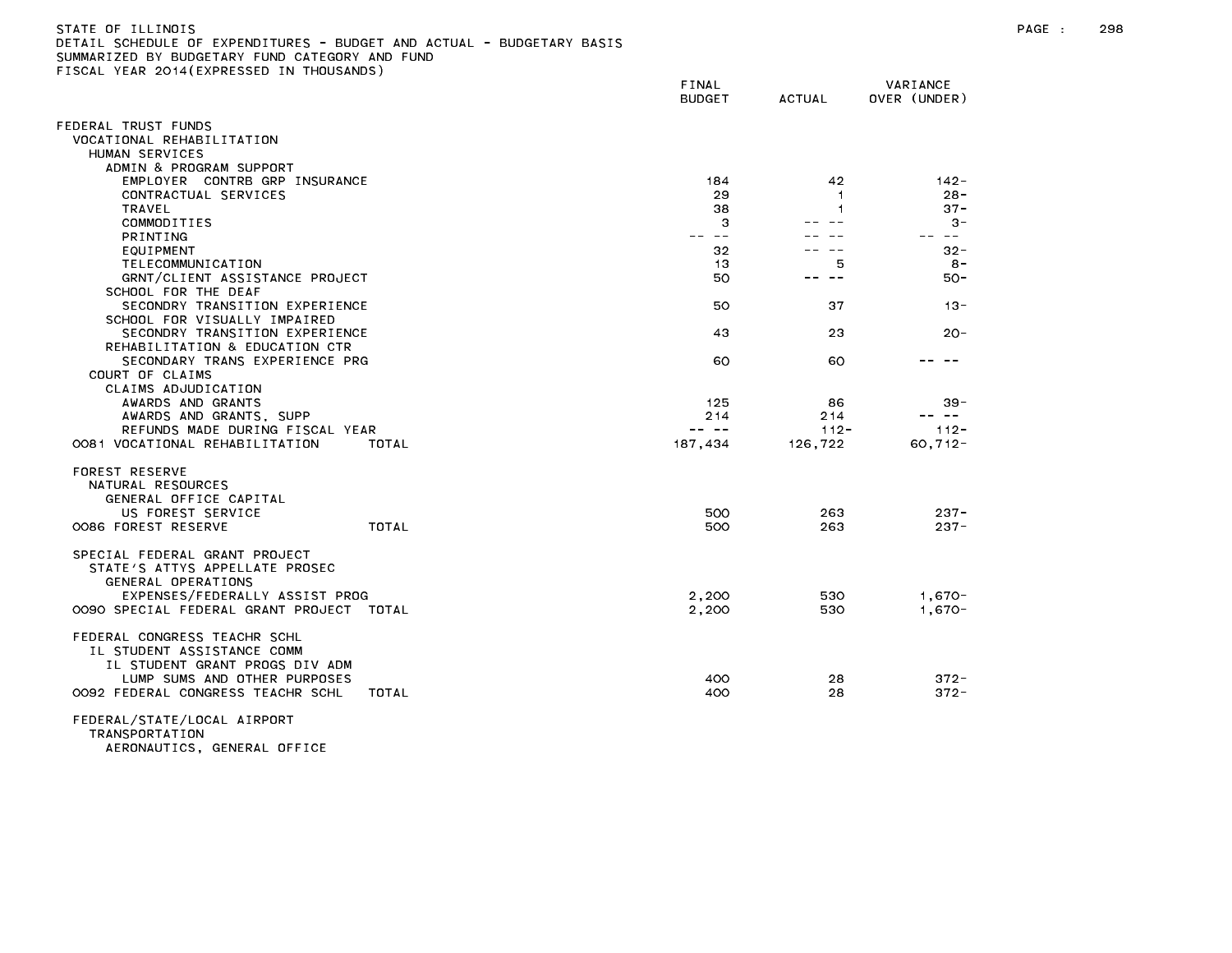| SUMMARIZED BY BUDGETARY FUND CATEGORY AND FUND<br>FISCAL YEAR 2014(EXPRESSED IN THOUSANDS)                                                                          |                                                                                                                                                                                                                                                                                                                                                                                                            |                                                                                                                                                                                                                                                                                                                                                                                                            |                             |
|---------------------------------------------------------------------------------------------------------------------------------------------------------------------|------------------------------------------------------------------------------------------------------------------------------------------------------------------------------------------------------------------------------------------------------------------------------------------------------------------------------------------------------------------------------------------------------------|------------------------------------------------------------------------------------------------------------------------------------------------------------------------------------------------------------------------------------------------------------------------------------------------------------------------------------------------------------------------------------------------------------|-----------------------------|
|                                                                                                                                                                     | FINAL<br><b>BUDGET</b>                                                                                                                                                                                                                                                                                                                                                                                     | <b>ACTUAL</b>                                                                                                                                                                                                                                                                                                                                                                                              | VARIANCE<br>OVER (UNDER)    |
| FEDERAL TRUST FUNDS<br>VOCATIONAL REHABILITATION<br>HUMAN SERVICES                                                                                                  |                                                                                                                                                                                                                                                                                                                                                                                                            |                                                                                                                                                                                                                                                                                                                                                                                                            |                             |
| ADMIN & PROGRAM SUPPORT<br>EMPLOYER CONTRB GRP INSURANCE<br>CONTRACTUAL SERVICES<br>TRAVEL                                                                          | 184<br>29<br>38                                                                                                                                                                                                                                                                                                                                                                                            | 42<br>$\overline{1}$<br>1                                                                                                                                                                                                                                                                                                                                                                                  | $142 -$<br>$28 -$<br>$37 -$ |
| COMMODITIES<br>PRINTING                                                                                                                                             | 3<br>$\frac{1}{2} \frac{1}{2} \frac{1}{2} \frac{1}{2} \frac{1}{2} \frac{1}{2} \frac{1}{2} \frac{1}{2} \frac{1}{2} \frac{1}{2} \frac{1}{2} \frac{1}{2} \frac{1}{2} \frac{1}{2} \frac{1}{2} \frac{1}{2} \frac{1}{2} \frac{1}{2} \frac{1}{2} \frac{1}{2} \frac{1}{2} \frac{1}{2} \frac{1}{2} \frac{1}{2} \frac{1}{2} \frac{1}{2} \frac{1}{2} \frac{1}{2} \frac{1}{2} \frac{1}{2} \frac{1}{2} \frac{$          | $\sim$ $\sim$<br>$ -$                                                                                                                                                                                                                                                                                                                                                                                      | $3 -$<br>-- --              |
| EQUIPMENT<br>TELECOMMUNICATION<br>GRNT/CLIENT ASSISTANCE PROJECT<br>SCHOOL FOR THE DEAF                                                                             | 32<br>13<br>50                                                                                                                                                                                                                                                                                                                                                                                             | -- --<br>5<br>$\frac{1}{2} \frac{1}{2} \frac{1}{2} \frac{1}{2} \frac{1}{2} \frac{1}{2} \frac{1}{2} \frac{1}{2} \frac{1}{2} \frac{1}{2} \frac{1}{2} \frac{1}{2} \frac{1}{2} \frac{1}{2} \frac{1}{2} \frac{1}{2} \frac{1}{2} \frac{1}{2} \frac{1}{2} \frac{1}{2} \frac{1}{2} \frac{1}{2} \frac{1}{2} \frac{1}{2} \frac{1}{2} \frac{1}{2} \frac{1}{2} \frac{1}{2} \frac{1}{2} \frac{1}{2} \frac{1}{2} \frac{$ | $32 -$<br>$8 -$<br>50-      |
| SECONDRY TRANSITION EXPERIENCE<br>SCHOOL FOR VISUALLY IMPAIRED                                                                                                      | 50                                                                                                                                                                                                                                                                                                                                                                                                         | 37                                                                                                                                                                                                                                                                                                                                                                                                         | $13 -$                      |
| SECONDRY TRANSITION EXPERIENCE<br>REHABILITATION & EDUCATION CTR<br>SECONDARY TRANS EXPERIENCE PRG<br>COURT OF CLAIMS                                               | 43<br>60                                                                                                                                                                                                                                                                                                                                                                                                   | 23<br>60                                                                                                                                                                                                                                                                                                                                                                                                   | $20 -$                      |
| CLAIMS ADJUDICATION<br>AWARDS AND GRANTS<br>AWARDS AND GRANTS, SUPP<br>REFUNDS MADE DURING FISCAL YEAR                                                              | 125<br>214<br>$\frac{1}{2} \frac{1}{2} \frac{1}{2} \frac{1}{2} \frac{1}{2} \frac{1}{2} \frac{1}{2} \frac{1}{2} \frac{1}{2} \frac{1}{2} \frac{1}{2} \frac{1}{2} \frac{1}{2} \frac{1}{2} \frac{1}{2} \frac{1}{2} \frac{1}{2} \frac{1}{2} \frac{1}{2} \frac{1}{2} \frac{1}{2} \frac{1}{2} \frac{1}{2} \frac{1}{2} \frac{1}{2} \frac{1}{2} \frac{1}{2} \frac{1}{2} \frac{1}{2} \frac{1}{2} \frac{1}{2} \frac{$ | 86<br>214<br>$112 -$                                                                                                                                                                                                                                                                                                                                                                                       | $39 -$<br>-- --<br>$112 -$  |
| 0081 VOCATIONAL REHABILITATION<br>TOTAL<br>FOREST RESERVE<br>NATURAL RESOURCES<br>GENERAL OFFICE CAPITAL                                                            | 187,434                                                                                                                                                                                                                                                                                                                                                                                                    | 126,722                                                                                                                                                                                                                                                                                                                                                                                                    | $60, 712 -$                 |
| US FOREST SERVICE<br>TOTAL<br>0086 FOREST RESERVE                                                                                                                   | 500<br>500                                                                                                                                                                                                                                                                                                                                                                                                 | 263<br>263                                                                                                                                                                                                                                                                                                                                                                                                 | $237 -$<br>$237 -$          |
| SPECIAL FEDERAL GRANT PROJECT<br>STATE'S ATTYS APPELLATE PROSEC<br>GENERAL OPERATIONS<br>EXPENSES/FEDERALLY ASSIST PROG<br>OO9O SPECIAL FEDERAL GRANT PROJECT TOTAL | 2,200<br>2,200                                                                                                                                                                                                                                                                                                                                                                                             | 530<br>530                                                                                                                                                                                                                                                                                                                                                                                                 | $1.670 -$<br>$1.670 -$      |
| FEDERAL CONGRESS TEACHR SCHL<br>IL STUDENT ASSISTANCE COMM<br>IL STUDENT GRANT PROGS DIV ADM                                                                        |                                                                                                                                                                                                                                                                                                                                                                                                            |                                                                                                                                                                                                                                                                                                                                                                                                            |                             |
| LUMP SUMS AND OTHER PURPOSES<br>0092 FEDERAL CONGRESS TEACHR SCHL<br>TOTAL                                                                                          | 400<br>400                                                                                                                                                                                                                                                                                                                                                                                                 | 28<br>28                                                                                                                                                                                                                                                                                                                                                                                                   | $372 -$<br>$372 -$          |
| FEDERAL/STATE/LOCAL AIRPORT<br>TRANSPORTATION                                                                                                                       |                                                                                                                                                                                                                                                                                                                                                                                                            |                                                                                                                                                                                                                                                                                                                                                                                                            |                             |

AERONAUTICS, GENERAL OFFICE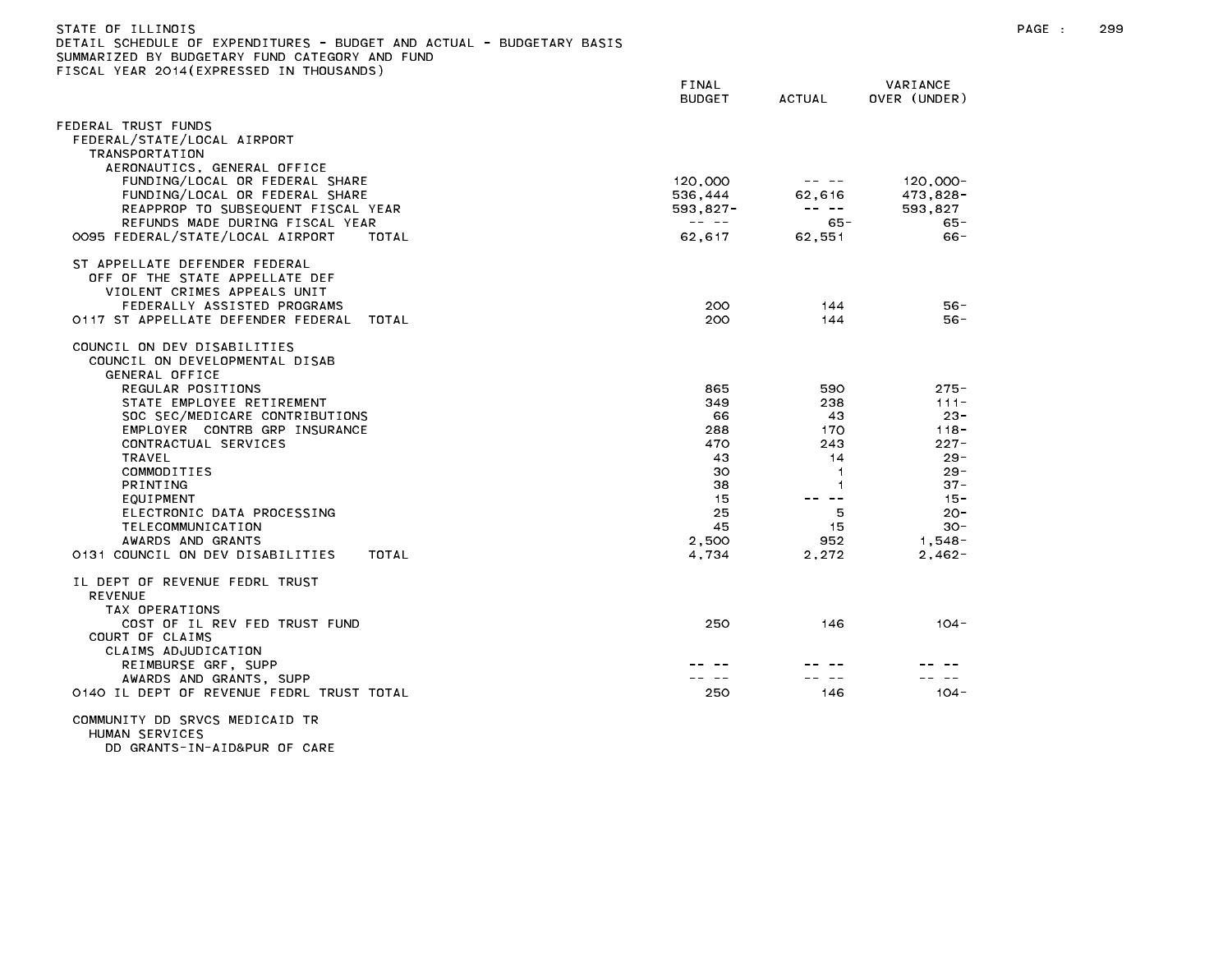| STATE OF ILLINOIS<br>DETAIL SCHEDULE OF EXPENDITURES - BUDGET AND ACTUAL - BUDGETARY BASIS<br>SUMMARIZED BY BUDGETARY FUND CATEGORY AND FUND<br>FISCAL YEAR 2014(EXPRESSED IN THOUSANDS) |                                                                                                                                                                                                                                                                                                                                                                                                                       |                                                                                                                                                                                                                                                                                                                                                                                                                |                            | PAGE : | 299 |
|------------------------------------------------------------------------------------------------------------------------------------------------------------------------------------------|-----------------------------------------------------------------------------------------------------------------------------------------------------------------------------------------------------------------------------------------------------------------------------------------------------------------------------------------------------------------------------------------------------------------------|----------------------------------------------------------------------------------------------------------------------------------------------------------------------------------------------------------------------------------------------------------------------------------------------------------------------------------------------------------------------------------------------------------------|----------------------------|--------|-----|
|                                                                                                                                                                                          | FINAL<br><b>BUDGET</b>                                                                                                                                                                                                                                                                                                                                                                                                | ACTUAL                                                                                                                                                                                                                                                                                                                                                                                                         | VARIANCE<br>OVER (UNDER)   |        |     |
| FEDERAL TRUST FUNDS<br>FEDERAL/STATE/LOCAL AIRPORT<br>TRANSPORTATION                                                                                                                     |                                                                                                                                                                                                                                                                                                                                                                                                                       |                                                                                                                                                                                                                                                                                                                                                                                                                |                            |        |     |
| AERONAUTICS, GENERAL OFFICE<br>FUNDING/LOCAL OR FEDERAL SHARE<br>FUNDING/LOCAL OR FEDERAL SHARE                                                                                          | 120,000<br>536,444                                                                                                                                                                                                                                                                                                                                                                                                    | $\frac{1}{2} \frac{1}{2} \frac{1}{2} \frac{1}{2} \frac{1}{2} \frac{1}{2} \frac{1}{2} \frac{1}{2} \frac{1}{2} \frac{1}{2} \frac{1}{2} \frac{1}{2} \frac{1}{2} \frac{1}{2} \frac{1}{2} \frac{1}{2} \frac{1}{2} \frac{1}{2} \frac{1}{2} \frac{1}{2} \frac{1}{2} \frac{1}{2} \frac{1}{2} \frac{1}{2} \frac{1}{2} \frac{1}{2} \frac{1}{2} \frac{1}{2} \frac{1}{2} \frac{1}{2} \frac{1}{2} \frac{$<br>62,616         | $120,000 -$<br>473,828-    |        |     |
| REAPPROP TO SUBSEQUENT FISCAL YEAR<br>REFUNDS MADE DURING FISCAL YEAR<br>0095 FEDERAL/STATE/LOCAL AIRPORT<br>TOTAL                                                                       | $593,827 -$<br>$\frac{1}{2} \frac{1}{2} \frac{1}{2} \frac{1}{2} \frac{1}{2} \frac{1}{2} \frac{1}{2} \frac{1}{2} \frac{1}{2} \frac{1}{2} \frac{1}{2} \frac{1}{2} \frac{1}{2} \frac{1}{2} \frac{1}{2} \frac{1}{2} \frac{1}{2} \frac{1}{2} \frac{1}{2} \frac{1}{2} \frac{1}{2} \frac{1}{2} \frac{1}{2} \frac{1}{2} \frac{1}{2} \frac{1}{2} \frac{1}{2} \frac{1}{2} \frac{1}{2} \frac{1}{2} \frac{1}{2} \frac{$<br>62,617 | $\frac{1}{2} \frac{1}{2} \frac{1}{2} \frac{1}{2} \frac{1}{2} \frac{1}{2} \frac{1}{2} \frac{1}{2} \frac{1}{2} \frac{1}{2} \frac{1}{2} \frac{1}{2} \frac{1}{2} \frac{1}{2} \frac{1}{2} \frac{1}{2} \frac{1}{2} \frac{1}{2} \frac{1}{2} \frac{1}{2} \frac{1}{2} \frac{1}{2} \frac{1}{2} \frac{1}{2} \frac{1}{2} \frac{1}{2} \frac{1}{2} \frac{1}{2} \frac{1}{2} \frac{1}{2} \frac{1}{2} \frac{$<br>65 -<br>62,551 | 593,827<br>65-<br>66-      |        |     |
| ST APPELLATE DEFENDER FEDERAL<br>OFF OF THE STATE APPELLATE DEF<br>VIOLENT CRIMES APPEALS UNIT<br>FEDERALLY ASSISTED PROGRAMS                                                            | 200                                                                                                                                                                                                                                                                                                                                                                                                                   | 144                                                                                                                                                                                                                                                                                                                                                                                                            | 56-                        |        |     |
| 0117 ST APPELLATE DEFENDER FEDERAL TOTAL                                                                                                                                                 | 200                                                                                                                                                                                                                                                                                                                                                                                                                   | 144                                                                                                                                                                                                                                                                                                                                                                                                            | 56-                        |        |     |
| COUNCIL ON DEV DISABILITIES<br>COUNCIL ON DEVELOPMENTAL DISAB<br>GENERAL OFFICE                                                                                                          |                                                                                                                                                                                                                                                                                                                                                                                                                       |                                                                                                                                                                                                                                                                                                                                                                                                                |                            |        |     |
| REGULAR POSITIONS<br>STATE EMPLOYEE RETIREMENT                                                                                                                                           | 865<br>349                                                                                                                                                                                                                                                                                                                                                                                                            | 590<br>238                                                                                                                                                                                                                                                                                                                                                                                                     | $275 -$<br>$111 -$         |        |     |
| SOC SEC/MEDICARE CONTRIBUTIONS<br>EMPLOYER CONTRB GRP INSURANCE<br>CONTRACTUAL SERVICES                                                                                                  | 66<br>288<br>470                                                                                                                                                                                                                                                                                                                                                                                                      | 43<br>170<br>243                                                                                                                                                                                                                                                                                                                                                                                               | $23 -$<br>118-<br>$227 -$  |        |     |
| TRAVEL<br>COMMODITIES<br><b>PRINTING</b>                                                                                                                                                 | 43<br>30<br>38                                                                                                                                                                                                                                                                                                                                                                                                        | 14<br>-1                                                                                                                                                                                                                                                                                                                                                                                                       | $29 -$<br>$29 -$<br>$37 -$ |        |     |
| EQUIPMENT<br>ELECTRONIC DATA PROCESSING<br>TELECOMMUNICATION                                                                                                                             | 15<br>25<br>45                                                                                                                                                                                                                                                                                                                                                                                                        | -- --<br>5<br>-15                                                                                                                                                                                                                                                                                                                                                                                              | $15 -$<br>$20 -$<br>$30 -$ |        |     |
| AWARDS AND GRANTS<br>TOTAL<br>0131 COUNCIL ON DEV DISABILITIES                                                                                                                           | 2,500<br>4,734                                                                                                                                                                                                                                                                                                                                                                                                        | 952<br>2,272                                                                                                                                                                                                                                                                                                                                                                                                   | $1,548-$<br>$2,462-$       |        |     |
| IL DEPT OF REVENUE FEDRL TRUST<br><b>REVENUE</b>                                                                                                                                         |                                                                                                                                                                                                                                                                                                                                                                                                                       |                                                                                                                                                                                                                                                                                                                                                                                                                |                            |        |     |
| TAX OPERATIONS<br>COST OF IL REV FED TRUST FUND<br>COURT OF CLAIMS                                                                                                                       | 250                                                                                                                                                                                                                                                                                                                                                                                                                   | 146                                                                                                                                                                                                                                                                                                                                                                                                            | $104 -$                    |        |     |
| CLAIMS ADJUDICATION<br>REIMBURSE GRF, SUPP<br>AWARDS AND GRANTS, SUPP                                                                                                                    | .                                                                                                                                                                                                                                                                                                                                                                                                                     | $\sim$ $-$                                                                                                                                                                                                                                                                                                                                                                                                     | $- -$                      |        |     |
| 0140 IL DEPT OF REVENUE FEDRL TRUST TOTAL                                                                                                                                                | 250                                                                                                                                                                                                                                                                                                                                                                                                                   | 146                                                                                                                                                                                                                                                                                                                                                                                                            | $104 -$                    |        |     |
| COMMUNITY DD SRVCS MEDICAID TR<br>HUMAN SERVICES                                                                                                                                         |                                                                                                                                                                                                                                                                                                                                                                                                                       |                                                                                                                                                                                                                                                                                                                                                                                                                |                            |        |     |

DD GRANTS-IN-AID&PUR OF CARE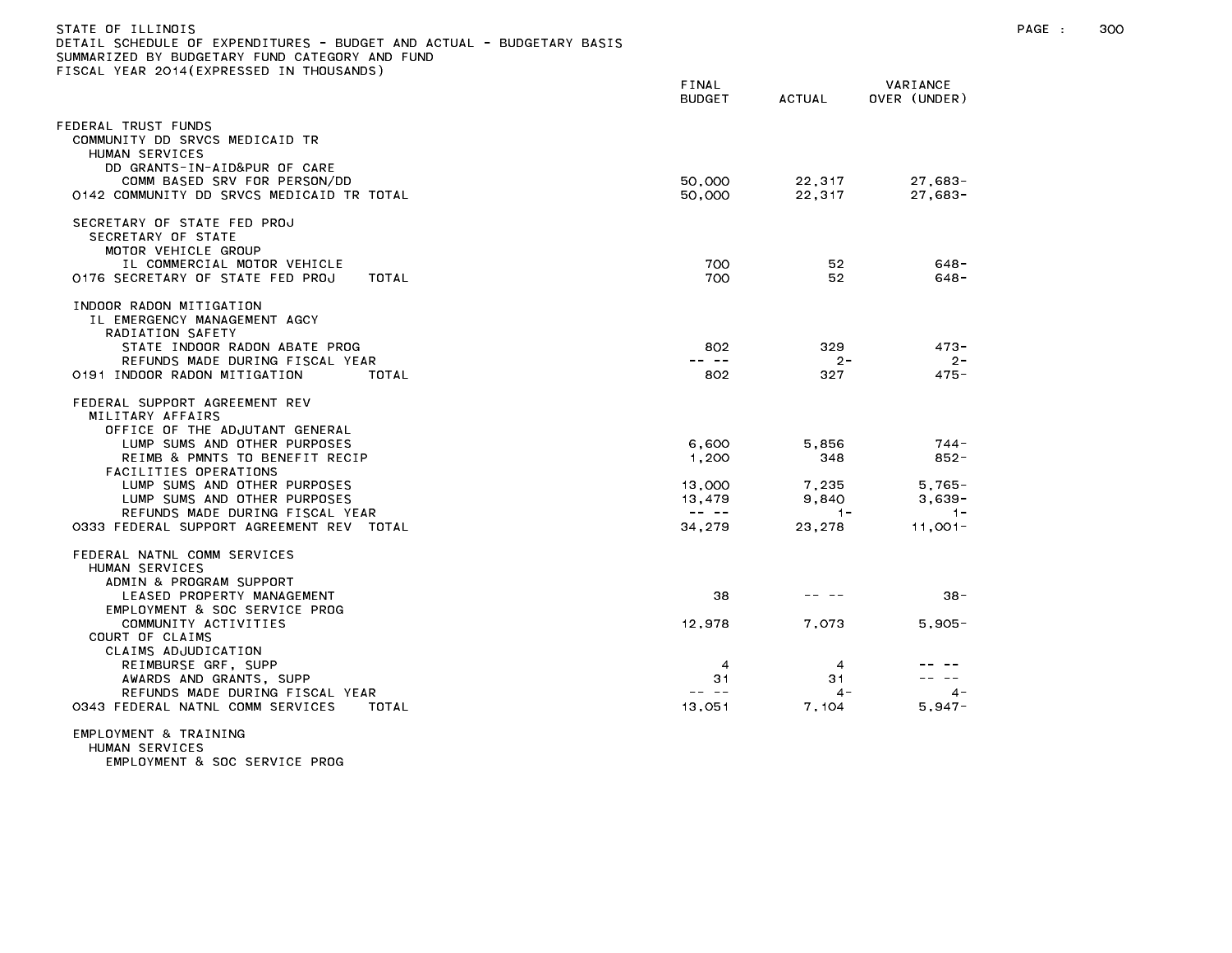| STATE OF ILLINOIS<br>DETAIL SCHEDULE OF EXPENDITURES - BUDGET AND ACTUAL - BUDGETARY BASIS<br>SUMMARIZED BY BUDGETARY FUND CATEGORY AND FUND<br>FISCAL YEAR 2014(EXPRESSED IN THOUSANDS)                                                                                                                                                    |                                                                                                                                                                                                                                                                                                                                                                                                                                                |                                                   |                                                               | PAGE : | 300 |
|---------------------------------------------------------------------------------------------------------------------------------------------------------------------------------------------------------------------------------------------------------------------------------------------------------------------------------------------|------------------------------------------------------------------------------------------------------------------------------------------------------------------------------------------------------------------------------------------------------------------------------------------------------------------------------------------------------------------------------------------------------------------------------------------------|---------------------------------------------------|---------------------------------------------------------------|--------|-----|
|                                                                                                                                                                                                                                                                                                                                             | FINAL<br><b>BUDGET</b>                                                                                                                                                                                                                                                                                                                                                                                                                         | <b>ACTUAL</b>                                     | VARIANCE<br>OVER (UNDER)                                      |        |     |
| FEDERAL TRUST FUNDS<br>COMMUNITY DD SRVCS MEDICAID TR<br>HUMAN SERVICES<br>DD GRANTS-IN-AID&PUR OF CARE<br>COMM BASED SRV FOR PERSON/DD<br>0142 COMMUNITY DD SRVCS MEDICAID TR TOTAL                                                                                                                                                        | 50,000<br>50,000                                                                                                                                                                                                                                                                                                                                                                                                                               | 22,317<br>22,317                                  | $27,683-$<br>$27,683-$                                        |        |     |
| SECRETARY OF STATE FED PROJ<br>SECRETARY OF STATE<br>MOTOR VEHICLE GROUP<br>IL COMMERCIAL MOTOR VEHICLE<br>0176 SECRETARY OF STATE FED PROJ<br>TOTAL                                                                                                                                                                                        | 700<br>700                                                                                                                                                                                                                                                                                                                                                                                                                                     | 52<br>52                                          | $648 -$<br>$648 -$                                            |        |     |
| INDOOR RADON MITIGATION<br>IL EMERGENCY MANAGEMENT AGCY<br>RADIATION SAFETY<br>STATE INDOOR RADON ABATE PROG<br>REFUNDS MADE DURING FISCAL YEAR<br>0191 INDOOR RADON MITIGATION<br>TOTAL                                                                                                                                                    | 802<br>$\frac{1}{2} \frac{1}{2} \frac{1}{2} \frac{1}{2} \frac{1}{2} \frac{1}{2} \frac{1}{2} \frac{1}{2} \frac{1}{2} \frac{1}{2} \frac{1}{2} \frac{1}{2} \frac{1}{2} \frac{1}{2} \frac{1}{2} \frac{1}{2} \frac{1}{2} \frac{1}{2} \frac{1}{2} \frac{1}{2} \frac{1}{2} \frac{1}{2} \frac{1}{2} \frac{1}{2} \frac{1}{2} \frac{1}{2} \frac{1}{2} \frac{1}{2} \frac{1}{2} \frac{1}{2} \frac{1}{2} \frac{$<br>802                                     | 329<br>$2 -$<br>327                               | $473 -$<br>$2 -$<br>475 -                                     |        |     |
| FEDERAL SUPPORT AGREEMENT REV<br>MILITARY AFFAIRS<br>OFFICE OF THE ADJUTANT GENERAL<br>LUMP SUMS AND OTHER PURPOSES<br>REIMB & PMNTS TO BENEFIT RECIP<br>FACILITIES OPERATIONS<br>LUMP SUMS AND OTHER PURPOSES<br>LUMP SUMS AND OTHER PURPOSES<br>REFUNDS MADE DURING FISCAL YEAR<br>0333 FEDERAL SUPPORT AGREEMENT REV TOTAL               | 6,600<br>1,200<br>13,000<br>13,479<br>$\frac{1}{2} \frac{1}{2} \frac{1}{2} \frac{1}{2} \frac{1}{2} \frac{1}{2} \frac{1}{2} \frac{1}{2} \frac{1}{2} \frac{1}{2} \frac{1}{2} \frac{1}{2} \frac{1}{2} \frac{1}{2} \frac{1}{2} \frac{1}{2} \frac{1}{2} \frac{1}{2} \frac{1}{2} \frac{1}{2} \frac{1}{2} \frac{1}{2} \frac{1}{2} \frac{1}{2} \frac{1}{2} \frac{1}{2} \frac{1}{2} \frac{1}{2} \frac{1}{2} \frac{1}{2} \frac{1}{2} \frac{$<br>34,279   | 5,856<br>348<br>7,235<br>9.840<br>$-1-$<br>23,278 | 744 -<br>852-<br>$5,765-$<br>$3.639 -$<br>$1 -$<br>$11,001 -$ |        |     |
| FEDERAL NATNL COMM SERVICES<br>HUMAN SERVICES<br>ADMIN & PROGRAM SUPPORT<br>LEASED PROPERTY MANAGEMENT<br>EMPLOYMENT & SOC SERVICE PROG<br>COMMUNITY ACTIVITIES<br>COURT OF CLAIMS<br>CLAIMS ADJUDICATION<br>REIMBURSE GRF, SUPP<br>AWARDS AND GRANTS, SUPP<br>REFUNDS MADE DURING FISCAL YEAR<br>0343 FEDERAL NATNL COMM SERVICES<br>TOTAL | 38<br>12,978<br>$\overline{4}$<br>31<br>$\frac{1}{2} \frac{1}{2} \frac{1}{2} \frac{1}{2} \frac{1}{2} \frac{1}{2} \frac{1}{2} \frac{1}{2} \frac{1}{2} \frac{1}{2} \frac{1}{2} \frac{1}{2} \frac{1}{2} \frac{1}{2} \frac{1}{2} \frac{1}{2} \frac{1}{2} \frac{1}{2} \frac{1}{2} \frac{1}{2} \frac{1}{2} \frac{1}{2} \frac{1}{2} \frac{1}{2} \frac{1}{2} \frac{1}{2} \frac{1}{2} \frac{1}{2} \frac{1}{2} \frac{1}{2} \frac{1}{2} \frac{$<br>13,051 | 7,073<br>$\overline{4}$<br>31<br>$4 -$<br>7,104   | $38 -$<br>$5,905 -$<br>$4 -$<br>$5,947-$                      |        |     |
| EMPLOYMENT & TRAINING                                                                                                                                                                                                                                                                                                                       |                                                                                                                                                                                                                                                                                                                                                                                                                                                |                                                   |                                                               |        |     |

HUMAN SERVICES

EMPLOYMENT & SOC SERVICE PROG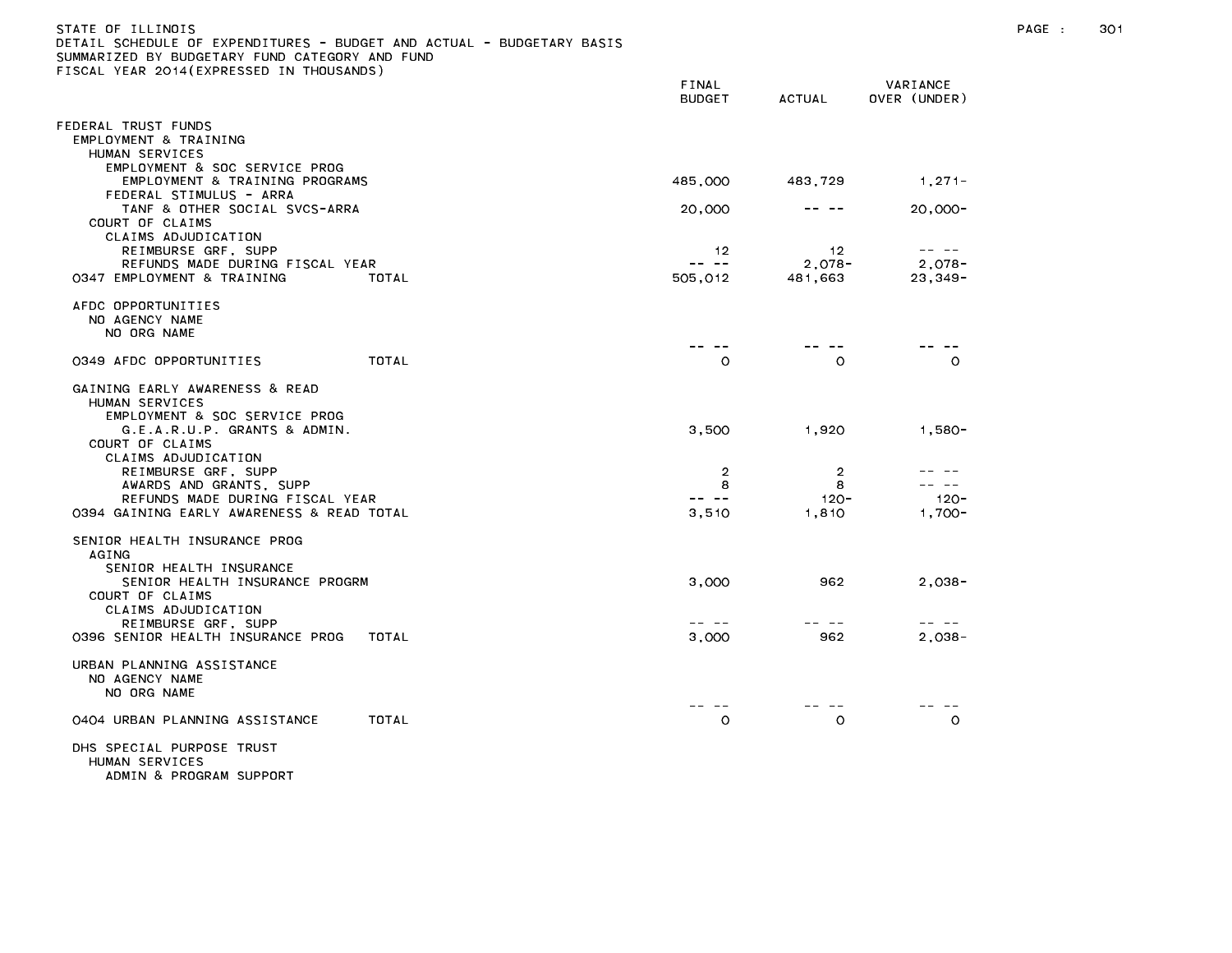| )ETAIL SCHEDULE OF EXPENDITURES – BUDGET AND ACTUAL – BUDGETARY BASIS<br>SUMMARIZED BY BUDGETARY FUND CATEGORY AND FUND |       |                                                                                                                                                                                                                                                                                                                                                                                                         |                     |                                                                                                                                                                                                                                                                                                                                                                                              |  |
|-------------------------------------------------------------------------------------------------------------------------|-------|---------------------------------------------------------------------------------------------------------------------------------------------------------------------------------------------------------------------------------------------------------------------------------------------------------------------------------------------------------------------------------------------------------|---------------------|----------------------------------------------------------------------------------------------------------------------------------------------------------------------------------------------------------------------------------------------------------------------------------------------------------------------------------------------------------------------------------------------|--|
| FISCAL YEAR 2014(EXPRESSED IN THOUSANDS)                                                                                |       | FINAL                                                                                                                                                                                                                                                                                                                                                                                                   |                     | VARIANCE                                                                                                                                                                                                                                                                                                                                                                                     |  |
|                                                                                                                         |       | <b>BUDGET</b>                                                                                                                                                                                                                                                                                                                                                                                           | <b>ACTUAL</b>       | OVER (UNDER)                                                                                                                                                                                                                                                                                                                                                                                 |  |
| FEDERAL TRUST FUNDS                                                                                                     |       |                                                                                                                                                                                                                                                                                                                                                                                                         |                     |                                                                                                                                                                                                                                                                                                                                                                                              |  |
| EMPLOYMENT & TRAINING<br>HUMAN SERVICES<br>EMPLOYMENT & SOC SERVICE PROG                                                |       |                                                                                                                                                                                                                                                                                                                                                                                                         |                     |                                                                                                                                                                                                                                                                                                                                                                                              |  |
| EMPLOYMENT & TRAINING PROGRAMS<br>FEDERAL STIMULUS - ARRA                                                               |       | 485,000                                                                                                                                                                                                                                                                                                                                                                                                 | 483,729             | $1,271-$                                                                                                                                                                                                                                                                                                                                                                                     |  |
| TANF & OTHER SOCIAL SVCS-ARRA<br>COURT OF CLAIMS<br>CLAIMS ADJUDICATION                                                 |       | 20,000                                                                                                                                                                                                                                                                                                                                                                                                  |                     | $20,000-$                                                                                                                                                                                                                                                                                                                                                                                    |  |
| REIMBURSE GRF, SUPP                                                                                                     |       | 12                                                                                                                                                                                                                                                                                                                                                                                                      | 12                  | $\frac{1}{2} \frac{1}{2} \frac{1}{2} \frac{1}{2} \frac{1}{2} \frac{1}{2} \frac{1}{2} \frac{1}{2} \frac{1}{2} \frac{1}{2} \frac{1}{2} \frac{1}{2} \frac{1}{2} \frac{1}{2} \frac{1}{2} \frac{1}{2} \frac{1}{2} \frac{1}{2} \frac{1}{2} \frac{1}{2} \frac{1}{2} \frac{1}{2} \frac{1}{2} \frac{1}{2} \frac{1}{2} \frac{1}{2} \frac{1}{2} \frac{1}{2} \frac{1}{2} \frac{1}{2} \frac{1}{2} \frac{$ |  |
| REFUNDS MADE DURING FISCAL YEAR<br>0347 EMPLOYMENT & TRAINING                                                           | TOTAL | $\frac{1}{2} \frac{1}{2} \frac{1}{2} \frac{1}{2} \frac{1}{2} \frac{1}{2} \frac{1}{2} \frac{1}{2} \frac{1}{2} \frac{1}{2} \frac{1}{2} \frac{1}{2} \frac{1}{2} \frac{1}{2} \frac{1}{2} \frac{1}{2} \frac{1}{2} \frac{1}{2} \frac{1}{2} \frac{1}{2} \frac{1}{2} \frac{1}{2} \frac{1}{2} \frac{1}{2} \frac{1}{2} \frac{1}{2} \frac{1}{2} \frac{1}{2} \frac{1}{2} \frac{1}{2} \frac{1}{2} \frac{$<br>505,012 | $2,078-$<br>481,663 | $2,078-$<br>$23,349-$                                                                                                                                                                                                                                                                                                                                                                        |  |
| AFDC OPPORTUNITIES                                                                                                      |       |                                                                                                                                                                                                                                                                                                                                                                                                         |                     |                                                                                                                                                                                                                                                                                                                                                                                              |  |
| NO AGENCY NAME<br>NO ORG NAME                                                                                           |       |                                                                                                                                                                                                                                                                                                                                                                                                         |                     |                                                                                                                                                                                                                                                                                                                                                                                              |  |
| 0349 AFDC OPPORTUNITIES                                                                                                 | TOTAL | $\circ$                                                                                                                                                                                                                                                                                                                                                                                                 | $\circ$             | $\circ$                                                                                                                                                                                                                                                                                                                                                                                      |  |
| GAINING EARLY AWARENESS & READ<br>HUMAN SERVICES<br>EMPLOYMENT & SOC SERVICE PROG<br>G.E.A.R.U.P. GRANTS & ADMIN.       |       | 3,500                                                                                                                                                                                                                                                                                                                                                                                                   | 1,920               | $1,580-$                                                                                                                                                                                                                                                                                                                                                                                     |  |
| COURT OF CLAIMS<br>CLAIMS ADJUDICATION                                                                                  |       |                                                                                                                                                                                                                                                                                                                                                                                                         |                     |                                                                                                                                                                                                                                                                                                                                                                                              |  |
| REIMBURSE GRF, SUPP<br>AWARDS AND GRANTS, SUPP                                                                          |       | $\overline{2}$<br>8                                                                                                                                                                                                                                                                                                                                                                                     | $\overline{2}$<br>8 |                                                                                                                                                                                                                                                                                                                                                                                              |  |
| REFUNDS MADE DURING FISCAL YEAR                                                                                         |       | $- -$                                                                                                                                                                                                                                                                                                                                                                                                   | $120 -$             | $120 -$                                                                                                                                                                                                                                                                                                                                                                                      |  |
| 0394 GAINING EARLY AWARENESS & READ TOTAL                                                                               |       | 3,510                                                                                                                                                                                                                                                                                                                                                                                                   | 1,810               | $1,700-$                                                                                                                                                                                                                                                                                                                                                                                     |  |
| SENIOR HEALTH INSURANCE PROG<br>AGING<br>SENIOR HEALTH INSURANCE                                                        |       |                                                                                                                                                                                                                                                                                                                                                                                                         |                     |                                                                                                                                                                                                                                                                                                                                                                                              |  |
| SENIOR HEALTH INSURANCE PROGRM<br>COURT OF CLAIMS<br>CLAIMS ADJUDICATION                                                |       | 3,000                                                                                                                                                                                                                                                                                                                                                                                                   | 962                 | $2,038-$                                                                                                                                                                                                                                                                                                                                                                                     |  |
| REIMBURSE GRF, SUPP                                                                                                     |       | -- --                                                                                                                                                                                                                                                                                                                                                                                                   | -- --               | -- --                                                                                                                                                                                                                                                                                                                                                                                        |  |
| 0396 SENIOR HEALTH INSURANCE PROG                                                                                       | TOTAL | 3,000                                                                                                                                                                                                                                                                                                                                                                                                   | 962                 | $2.038 -$                                                                                                                                                                                                                                                                                                                                                                                    |  |
| URBAN PLANNING ASSISTANCE<br>NO AGENCY NAME<br>NO ORG NAME                                                              |       |                                                                                                                                                                                                                                                                                                                                                                                                         |                     |                                                                                                                                                                                                                                                                                                                                                                                              |  |
| 0404 URBAN PLANNING ASSISTANCE                                                                                          | TOTAL | $\circ$                                                                                                                                                                                                                                                                                                                                                                                                 | O                   | $\circ$                                                                                                                                                                                                                                                                                                                                                                                      |  |
| DHS SPECIAL PURPOSE TRUST<br>HUMAN SERVICES<br>ADMIN & PROGRAM SUPPORT                                                  |       |                                                                                                                                                                                                                                                                                                                                                                                                         |                     |                                                                                                                                                                                                                                                                                                                                                                                              |  |

STATE OF ILLINOIS PAGE : 301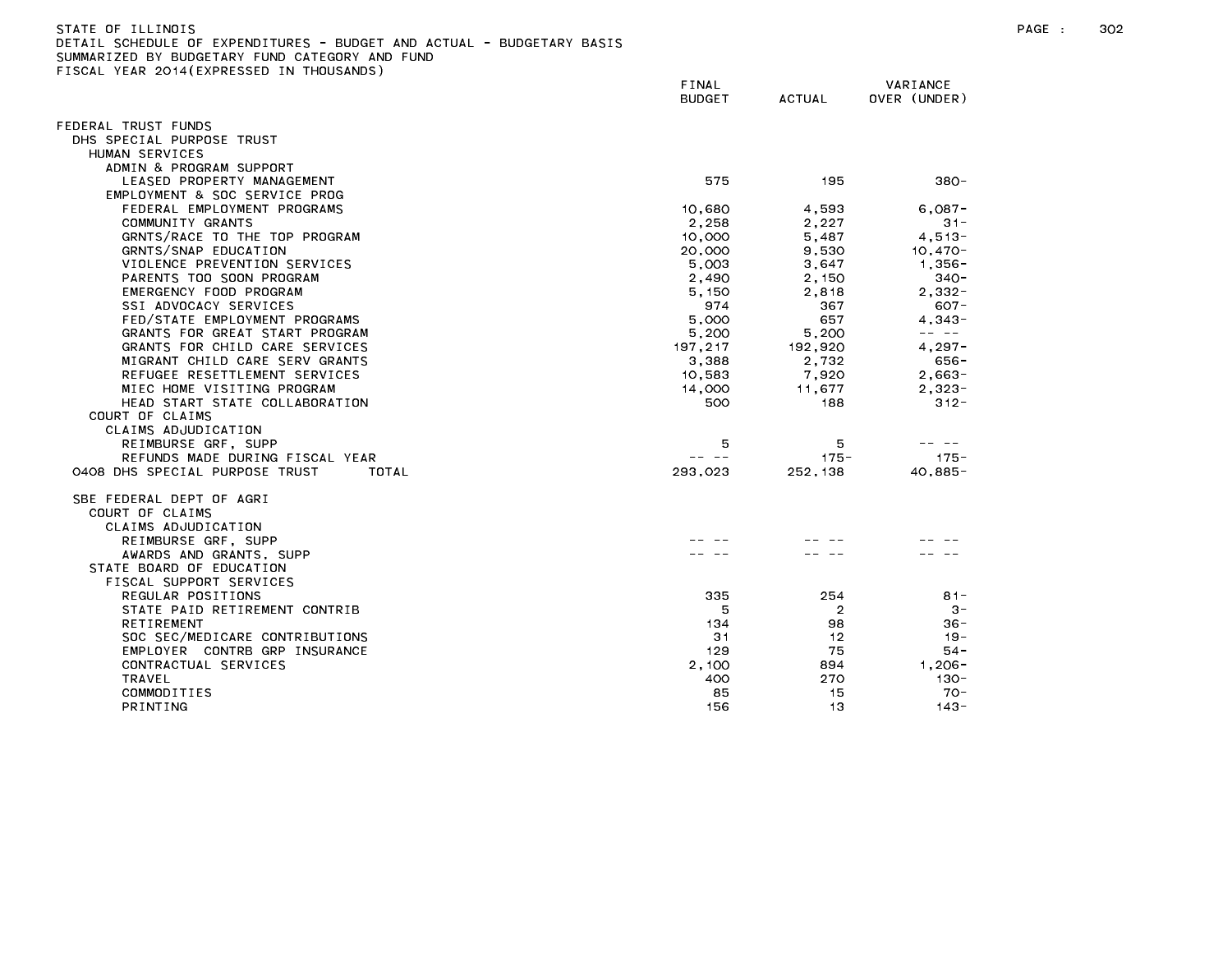| DETAIL SCHEDULE OF EXPENDITURES - BUDGET AND ACTUAL - BUDGETARY BASIS |                 |                |                |
|-----------------------------------------------------------------------|-----------------|----------------|----------------|
| SUMMARIZED BY BUDGETARY FUND CATEGORY AND FUND                        |                 |                |                |
| FISCAL YEAR 2014(EXPRESSED IN THOUSANDS)                              |                 |                |                |
|                                                                       | FINAL           |                | VARIANCE       |
|                                                                       | <b>BUDGET</b>   | ACTUAL         | OVER (UNDER)   |
|                                                                       |                 |                |                |
| FEDERAL TRUST FUNDS                                                   |                 |                |                |
| DHS SPECIAL PURPOSE TRUST                                             |                 |                |                |
| HUMAN SERVICES                                                        |                 |                |                |
| ADMIN & PROGRAM SUPPORT                                               |                 |                |                |
| LEASED PROPERTY MANAGEMENT                                            | 575             | 195            | $380 -$        |
| EMPLOYMENT & SOC SERVICE PROG                                         |                 |                |                |
| FEDERAL EMPLOYMENT PROGRAMS                                           | 10,680          | 4.593          | $6.087 -$      |
| COMMUNITY GRANTS                                                      | 2,258           | 2,227          | $31 -$         |
| GRNTS/RACE TO THE TOP PROGRAM                                         | 10,000          | 5.487          | $4,513-$       |
| GRNTS/SNAP EDUCATION                                                  | 20,000          | 9,530          | $10,470-$      |
| VIOLENCE PREVENTION SERVICES                                          | 5,003           |                | 1.356-         |
|                                                                       |                 | 3,647          |                |
| PARENTS TOO SOON PROGRAM                                              | 2,490           | 2.150          | $340 -$        |
| EMERGENCY FOOD PROGRAM                                                | 5,150           | 2,818          | $2,332-$       |
| SSI ADVOCACY SERVICES                                                 | 974             | 367            | $607 -$        |
| FED/STATE EMPLOYMENT PROGRAMS                                         | 5,000           | 657            | $4,343-$       |
| GRANTS FOR GREAT START PROGRAM                                        | 5,200           | 5,200          |                |
| GRANTS FOR CHILD CARE SERVICES                                        | 197,217         | 192,920        | $4,297-$       |
| MIGRANT CHILD CARE SERV GRANTS                                        | 3.388           | 2.732          | 656 -          |
| REFUGEE RESETTLEMENT SERVICES                                         | 10,583          | 7,920          | $2,663-$       |
| MIEC HOME VISITING PROGRAM                                            | 14,000          | 11.677         | $2.323 -$      |
| HEAD START STATE COLLABORATION                                        | 500             | 188            | $312 -$        |
| COURT OF CLAIMS                                                       |                 |                |                |
| CLAIMS ADJUDICATION                                                   |                 |                |                |
| REIMBURSE GRF, SUPP                                                   | 5               | 5              | $\sim$ $-$     |
| REFUNDS MADE DURING FISCAL YEAR                                       | -- --           | $175 -$        | $175 -$        |
| 0408 DHS SPECIAL PURPOSE TRUST<br>TOTAL                               | 293,023         | 252,138        | $40,885-$      |
| SBE FEDERAL DEPT OF AGRI                                              |                 |                |                |
| COURT OF CLAIMS                                                       |                 |                |                |
| CLAIMS ADJUDICATION                                                   |                 |                |                |
| REIMBURSE GRF, SUPP                                                   |                 |                |                |
| AWARDS AND GRANTS, SUPP                                               |                 |                |                |
| STATE BOARD OF EDUCATION                                              |                 |                |                |
| FISCAL SUPPORT SERVICES                                               |                 |                |                |
| REGULAR POSITIONS                                                     | 335             | 254            | $81 -$         |
| STATE PAID RETIREMENT CONTRIB                                         | 5               | $\overline{2}$ | $3 -$          |
| RETIREMENT                                                            | 134             | 98             | $36 -$         |
| SOC SEC/MEDICARE CONTRIBUTIONS                                        | 31              | 12             | $19 -$         |
| EMPLOYER CONTRB GRP INSURANCE                                         | 129             | 75             | $54 -$         |
| CONTRACTUAL SERVICES                                                  | 2.100           | 894            | $1.206 -$      |
| <b>TRAVEL</b>                                                         | 400             | 270            | 130-           |
| COMMODITIES                                                           | 85              | 15             | $70-$          |
| <b>DRIVITILO</b>                                                      | $\overline{AB}$ | $\overline{a}$ | $\overline{1}$ |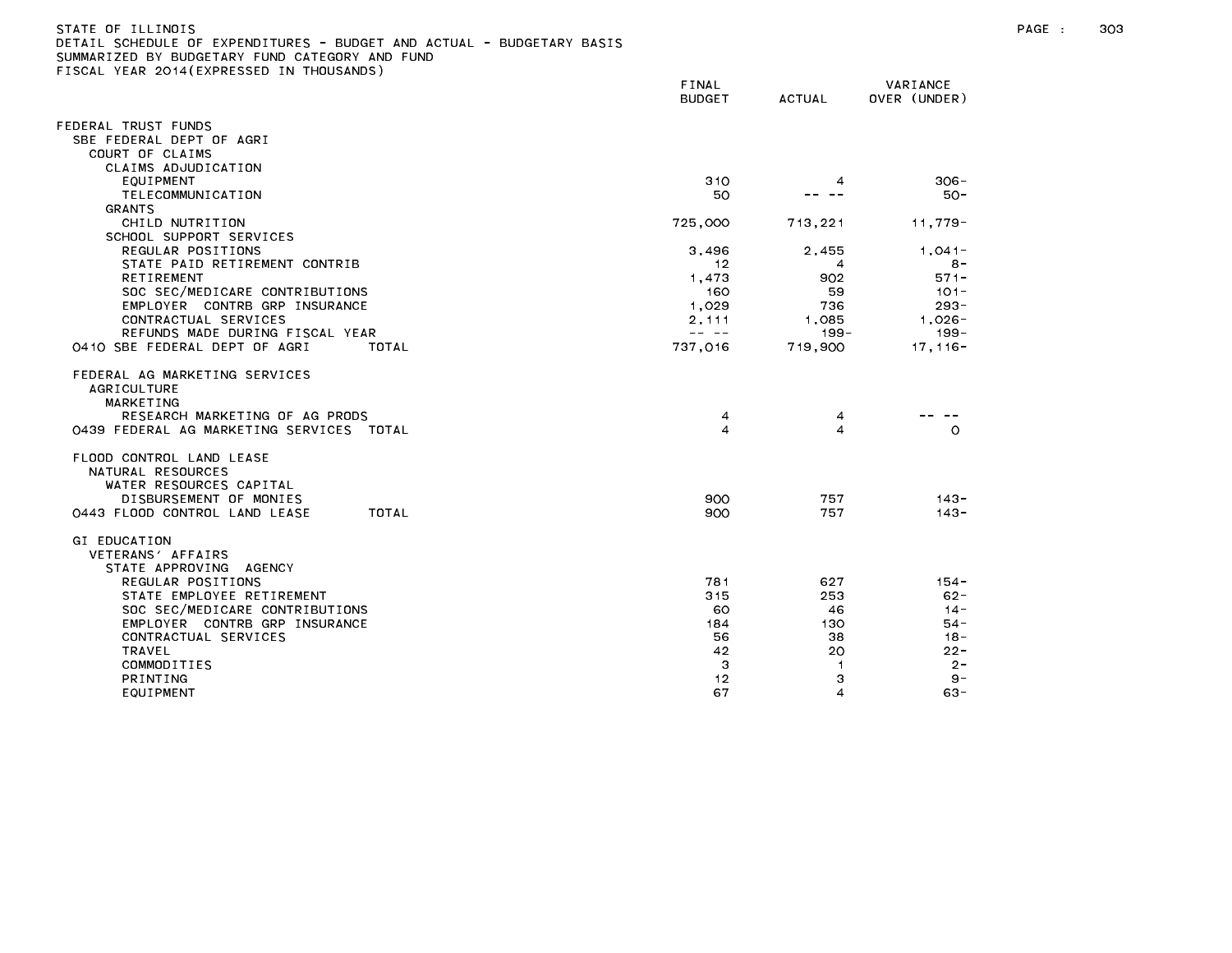| DETAIL SCHEDULE OF EXPENDITURES - BUDGET AND ACTUAL - BUDGETARY BASIS<br>SUMMARIZED BY BUDGETARY FUND CATEGORY AND FUND                                                                                                                              |                                                                                                                                                                                                                                                                                                                                                                                              |                                               |                                                                         |
|------------------------------------------------------------------------------------------------------------------------------------------------------------------------------------------------------------------------------------------------------|----------------------------------------------------------------------------------------------------------------------------------------------------------------------------------------------------------------------------------------------------------------------------------------------------------------------------------------------------------------------------------------------|-----------------------------------------------|-------------------------------------------------------------------------|
| FISCAL YEAR 2014(EXPRESSED IN THOUSANDS)                                                                                                                                                                                                             | FINAL                                                                                                                                                                                                                                                                                                                                                                                        |                                               | VARIANCE                                                                |
|                                                                                                                                                                                                                                                      | <b>BUDGET</b>                                                                                                                                                                                                                                                                                                                                                                                | <b>ACTUAL</b>                                 | OVER (UNDER)                                                            |
| FEDERAL TRUST FUNDS                                                                                                                                                                                                                                  |                                                                                                                                                                                                                                                                                                                                                                                              |                                               |                                                                         |
| SBE FEDERAL DEPT OF AGRI                                                                                                                                                                                                                             |                                                                                                                                                                                                                                                                                                                                                                                              |                                               |                                                                         |
| COURT OF CLAIMS                                                                                                                                                                                                                                      |                                                                                                                                                                                                                                                                                                                                                                                              |                                               |                                                                         |
| CLAIMS ADJUDICATION                                                                                                                                                                                                                                  |                                                                                                                                                                                                                                                                                                                                                                                              |                                               |                                                                         |
| EQUIPMENT<br>TELECOMMUNICATION                                                                                                                                                                                                                       | 310<br>50                                                                                                                                                                                                                                                                                                                                                                                    | 4                                             | $306 -$<br>$50 -$                                                       |
| GRANTS                                                                                                                                                                                                                                               |                                                                                                                                                                                                                                                                                                                                                                                              |                                               |                                                                         |
| CHILD NUTRITION                                                                                                                                                                                                                                      | 725,000                                                                                                                                                                                                                                                                                                                                                                                      | 713,221                                       | 11,779-                                                                 |
| SCHOOL SUPPORT SERVICES                                                                                                                                                                                                                              |                                                                                                                                                                                                                                                                                                                                                                                              |                                               |                                                                         |
| REGULAR POSITIONS                                                                                                                                                                                                                                    | 3,496                                                                                                                                                                                                                                                                                                                                                                                        | 2,455                                         | 1,041-                                                                  |
| STATE PAID RETIREMENT CONTRIB                                                                                                                                                                                                                        | 12                                                                                                                                                                                                                                                                                                                                                                                           | 4                                             | $8 -$                                                                   |
| RETIREMENT                                                                                                                                                                                                                                           | 1,473                                                                                                                                                                                                                                                                                                                                                                                        | 902                                           | $571 -$                                                                 |
| SOC SEC/MEDICARE CONTRIBUTIONS                                                                                                                                                                                                                       | 160                                                                                                                                                                                                                                                                                                                                                                                          | 59                                            | $101 -$                                                                 |
| EMPLOYER CONTRB GRP INSURANCE<br>CONTRACTUAL SERVICES                                                                                                                                                                                                | 1,029<br>2,111                                                                                                                                                                                                                                                                                                                                                                               | 736<br>1.085                                  | $293 -$<br>$1.026 -$                                                    |
| REFUNDS MADE DURING FISCAL YEAR                                                                                                                                                                                                                      | $\frac{1}{2} \frac{1}{2} \frac{1}{2} \frac{1}{2} \frac{1}{2} \frac{1}{2} \frac{1}{2} \frac{1}{2} \frac{1}{2} \frac{1}{2} \frac{1}{2} \frac{1}{2} \frac{1}{2} \frac{1}{2} \frac{1}{2} \frac{1}{2} \frac{1}{2} \frac{1}{2} \frac{1}{2} \frac{1}{2} \frac{1}{2} \frac{1}{2} \frac{1}{2} \frac{1}{2} \frac{1}{2} \frac{1}{2} \frac{1}{2} \frac{1}{2} \frac{1}{2} \frac{1}{2} \frac{1}{2} \frac{$ | 199 -                                         | 199 -                                                                   |
| 0410 SBE FEDERAL DEPT OF AGRI<br>TOTAL                                                                                                                                                                                                               | 737,016                                                                                                                                                                                                                                                                                                                                                                                      | 719,900                                       | $17.116 -$                                                              |
| FEDERAL AG MARKETING SERVICES<br><b>AGRICULTURE</b><br>MARKETING<br>RESEARCH MARKETING OF AG PRODS<br>0439 FEDERAL AG MARKETING SERVICES TOTAL                                                                                                       | 4<br>$\overline{\mathbf{4}}$                                                                                                                                                                                                                                                                                                                                                                 | 4<br>4                                        | $\Omega$                                                                |
| FLOOD CONTROL LAND LEASE<br>NATURAL RESOURCES<br>WATER RESOURCES CAPITAL<br>DISBURSEMENT OF MONIES<br>TOTAL<br>0443 FLOOD CONTROL LAND LEASE                                                                                                         | 900<br>900                                                                                                                                                                                                                                                                                                                                                                                   | 757<br>757                                    | $143 -$<br>$143 -$                                                      |
| GI EDUCATION<br>VETERANS' AFFAIRS<br>STATE APPROVING AGENCY<br>REGULAR POSITIONS<br>STATE EMPLOYEE RETIREMENT<br>SOC SEC/MEDICARE CONTRIBUTIONS<br>EMPLOYER CONTRB GRP INSURANCE<br>CONTRACTUAL SERVICES<br><b>TRAVEL</b><br>COMMODITIES<br>PRINTING | 781<br>315<br>60<br>184<br>56<br>42<br>З<br>12                                                                                                                                                                                                                                                                                                                                               | 627<br>253<br>46<br>130<br>38<br>20<br>1<br>3 | 154 -<br>$62 -$<br>$14 -$<br>$54 -$<br>- 18<br>$22 -$<br>$2 -$<br>$9 -$ |
| EQUIPMENT                                                                                                                                                                                                                                            | 67                                                                                                                                                                                                                                                                                                                                                                                           | 4                                             | $63 -$                                                                  |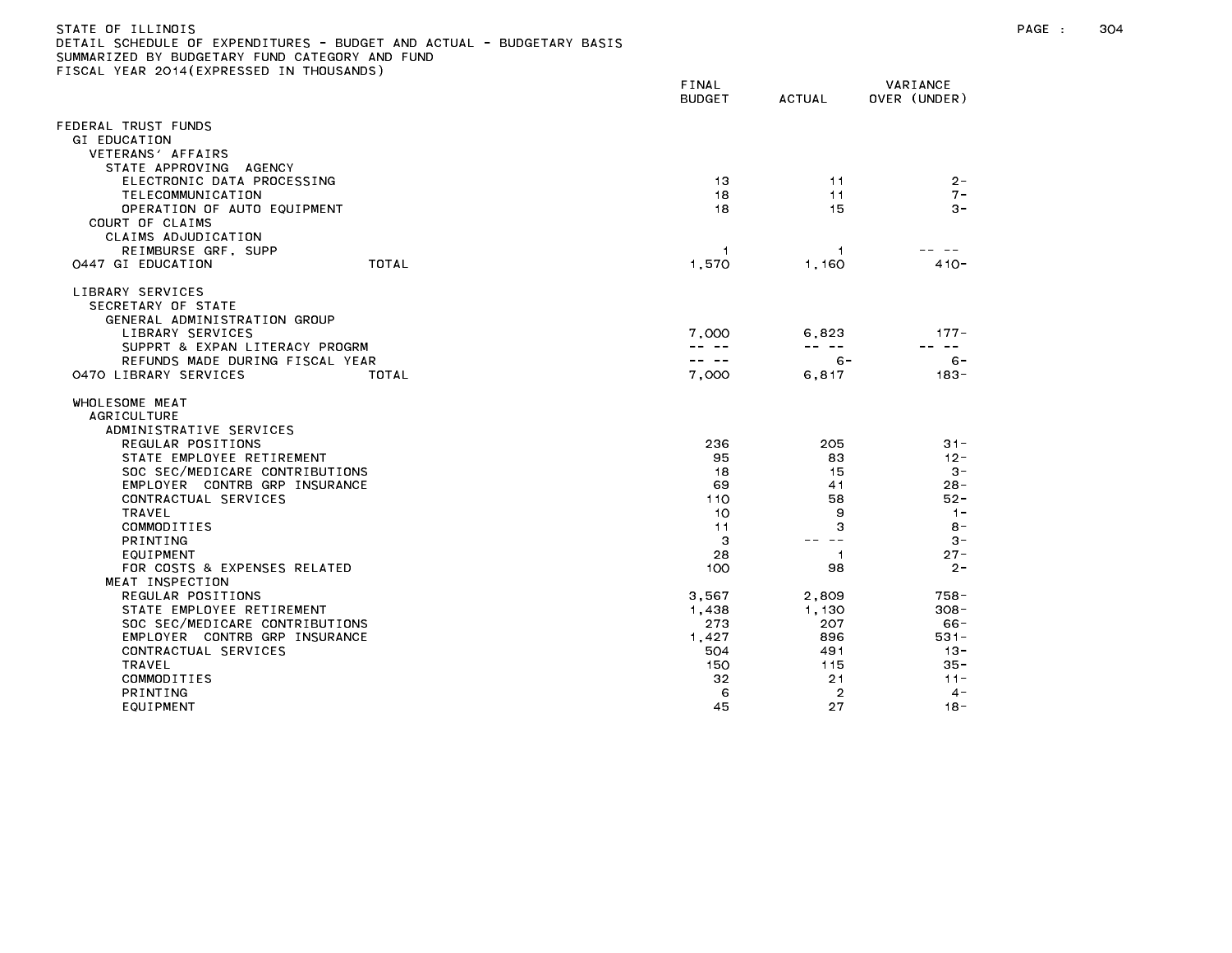| STATE OF ILLINOIS                                                     |  |
|-----------------------------------------------------------------------|--|
| DETAIL SCHEDULE OF EXPENDITURES - BUDGET AND ACTUAL - BUDGETARY BASIS |  |
| SUMMARIZED BY BUDGETARY FUND CATEGORY AND FUND                        |  |
| FISCAL YEAR 2014(EXPRESSED IN THOUSANDS)                              |  |

| FINAL<br><b>BUDGET</b> | <b>ACTUAL</b>                                                                                               | VARIANCE<br>OVER (UNDER)                                                                                                                           |
|------------------------|-------------------------------------------------------------------------------------------------------------|----------------------------------------------------------------------------------------------------------------------------------------------------|
|                        |                                                                                                             |                                                                                                                                                    |
|                        |                                                                                                             |                                                                                                                                                    |
|                        |                                                                                                             |                                                                                                                                                    |
|                        |                                                                                                             |                                                                                                                                                    |
|                        |                                                                                                             | $2 -$<br>$7 -$                                                                                                                                     |
|                        |                                                                                                             | $3 -$                                                                                                                                              |
|                        |                                                                                                             |                                                                                                                                                    |
|                        |                                                                                                             |                                                                                                                                                    |
| -1                     | -1                                                                                                          |                                                                                                                                                    |
|                        |                                                                                                             | $410 -$                                                                                                                                            |
|                        |                                                                                                             |                                                                                                                                                    |
|                        |                                                                                                             |                                                                                                                                                    |
|                        |                                                                                                             |                                                                                                                                                    |
|                        |                                                                                                             | $177 -$<br>$- -$                                                                                                                                   |
| -- --                  |                                                                                                             | $6 -$                                                                                                                                              |
| 7,000                  | 6,817                                                                                                       | $183 -$                                                                                                                                            |
|                        |                                                                                                             |                                                                                                                                                    |
|                        |                                                                                                             |                                                                                                                                                    |
|                        |                                                                                                             | $31 -$                                                                                                                                             |
|                        |                                                                                                             | $12 -$                                                                                                                                             |
| 18                     | 15                                                                                                          | $3 -$                                                                                                                                              |
| 69                     | 41                                                                                                          | $28 -$                                                                                                                                             |
| 110                    | 58                                                                                                          | $52 -$                                                                                                                                             |
|                        |                                                                                                             | $1 -$                                                                                                                                              |
|                        |                                                                                                             | $8 -$<br>$3 -$                                                                                                                                     |
|                        |                                                                                                             | $27 -$                                                                                                                                             |
| 100                    | 98                                                                                                          | $2 -$                                                                                                                                              |
|                        |                                                                                                             |                                                                                                                                                    |
| 3,567                  | 2,809                                                                                                       | 758 -                                                                                                                                              |
|                        |                                                                                                             | $308 -$                                                                                                                                            |
|                        |                                                                                                             | $66 -$                                                                                                                                             |
|                        |                                                                                                             | $531 -$<br>$13 -$                                                                                                                                  |
|                        |                                                                                                             | $35 -$                                                                                                                                             |
| 32                     | 21                                                                                                          | $11 -$                                                                                                                                             |
| 6                      | $\overline{2}$                                                                                              | $4 -$                                                                                                                                              |
| 45                     | 27                                                                                                          | $18 -$                                                                                                                                             |
|                        | 13<br>18<br>18<br>1,570<br>7,000<br>236<br>95<br>10<br>11<br>З<br>28<br>1,438<br>273<br>1,427<br>504<br>150 | 11<br>11<br>15<br>1,160<br>6,823<br>$- - - - -$<br>6 -<br>205<br>83<br>9<br>3<br>$\sim$ $-$<br>$\overline{1}$<br>1,130<br>207<br>896<br>491<br>115 |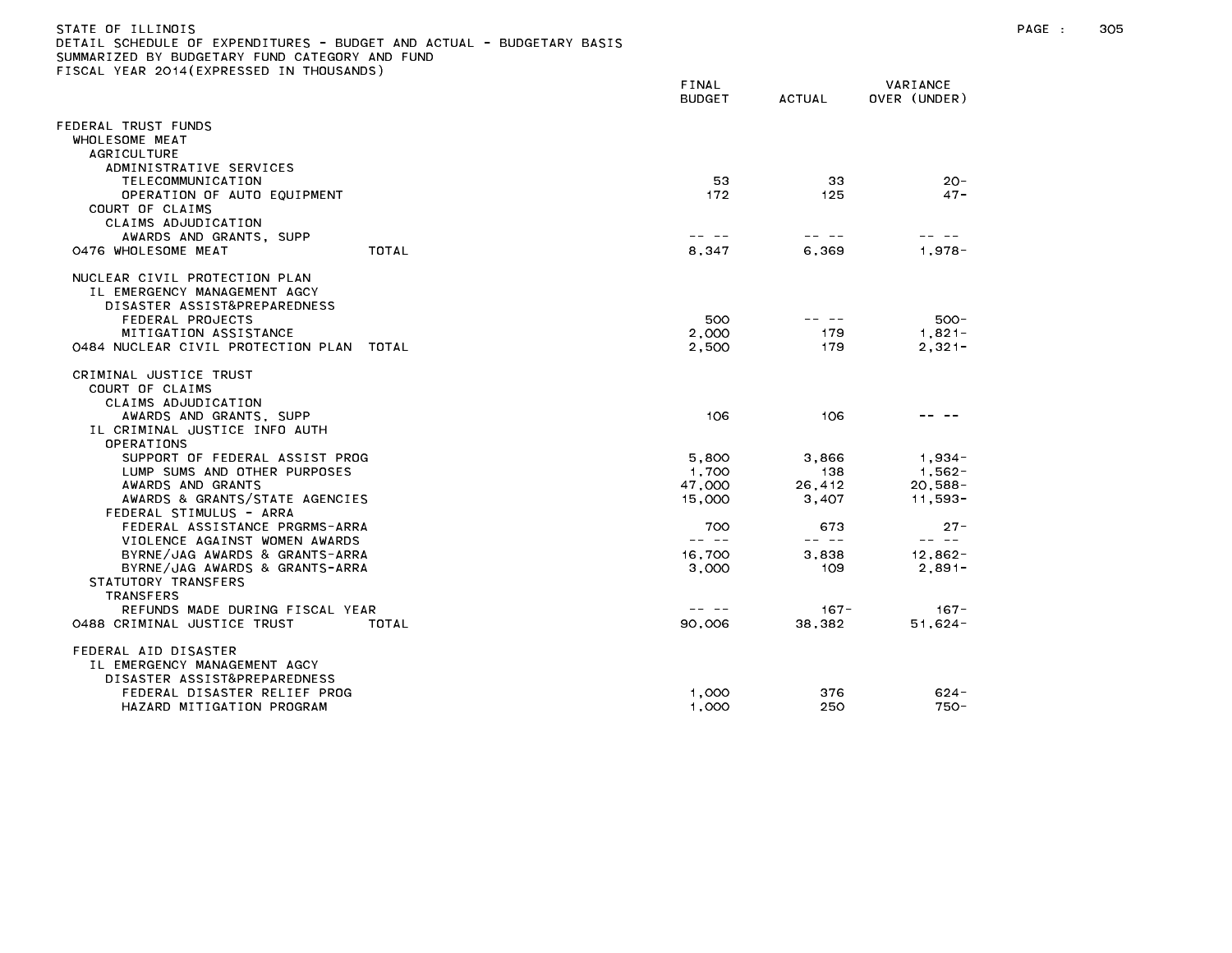| STATE OF ILLINOIS<br>DETAIL SCHEDULE OF EXPENDITURES - BUDGET AND ACTUAL - BUDGETARY BASIS<br>SUMMARIZED BY BUDGETARY FUND CATEGORY AND FUND<br>FISCAL YEAR 2014(EXPRESSED IN THOUSANDS) | FINAL<br>BUDGET | ACTUAL | VARIANCE<br>OVER (UNDER) |
|------------------------------------------------------------------------------------------------------------------------------------------------------------------------------------------|-----------------|--------|--------------------------|
| FEDERAL TRUST FUNDS<br>WHOLESOME MEAT<br>AGRICULTURE<br>ADMINISTRATIVE SERVICES                                                                                                          |                 |        |                          |
| TELECOMMUNICATION                                                                                                                                                                        | 53              | 33     | $20 -$                   |

| OPERATION OF AUTO EQUIPMENT<br>COURT OF CLAIMS<br>CLAIMS ADJUDICATION                                                                                                                  | 172                      | 125                    | $47 -$                             |
|----------------------------------------------------------------------------------------------------------------------------------------------------------------------------------------|--------------------------|------------------------|------------------------------------|
| AWARDS AND GRANTS, SUPP<br>TOTAL<br>0476 WHOLESOME MEAT                                                                                                                                | 8,347                    | 6,369                  | $1,978 -$                          |
| NUCLEAR CIVIL PROTECTION PLAN<br>IL EMERGENCY MANAGEMENT AGCY<br>DISASTER ASSIST&PREPAREDNESS<br>FEDERAL PROJECTS<br>MITIGATION ASSISTANCE<br>0484 NUCLEAR CIVIL PROTECTION PLAN TOTAL | 500<br>2,000<br>2,500    | 179<br>179             | 500-<br>$1,821-$<br>$2,321-$       |
| CRIMINAL JUSTICE TRUST<br>COURT OF CLAIMS<br>CLAIMS ADJUDICATION<br>AWARDS AND GRANTS, SUPP                                                                                            | 106                      | 106                    |                                    |
| IL CRIMINAL JUSTICE INFO AUTH<br>OPERATIONS<br>SUPPORT OF FEDERAL ASSIST PROG<br>LUMP SUMS AND OTHER PURPOSES<br>AWARDS AND GRANTS                                                     | 5,800<br>1,700<br>47,000 | 3,866<br>138<br>26,412 | $1,934-$<br>$1,562-$<br>$20,588 -$ |
| AWARDS & GRANTS/STATE AGENCIES<br>FEDERAL STIMULUS - ARRA<br>FEDERAL ASSISTANCE PRGRMS-ARRA<br>VIOLENCE AGAINST WOMEN AWARDS                                                           | 15,000<br>700<br>-- --   | 3,407<br>673<br>-- --  | $11,593 -$<br>$27 -$<br>22. 22     |
| BYRNE/JAG AWARDS & GRANTS-ARRA<br>BYRNE/JAG AWARDS & GRANTS-ARRA<br>STATUTORY TRANSFERS<br><b>TRANSFERS</b>                                                                            | 16,700<br>3,000          | 3.838<br>109           | $12,862 -$<br>$2,891-$             |
| REFUNDS MADE DURING FISCAL YEAR<br>0488 CRIMINAL JUSTICE TRUST<br>TOTAL                                                                                                                | 90,006                   | $167 -$<br>38,382      | $167 -$<br>$51,624-$               |
| FEDERAL AID DISASTER<br>IL EMERGENCY MANAGEMENT AGCY<br>DISASTER ASSIST&PREPAREDNESS                                                                                                   |                          |                        |                                    |
| FEDERAL DISASTER RELIEF PROG<br>HAZARD MITIGATION PROGRAM                                                                                                                              | 1.000<br>1.000           | 376<br>250             | $624 -$<br>$750 -$                 |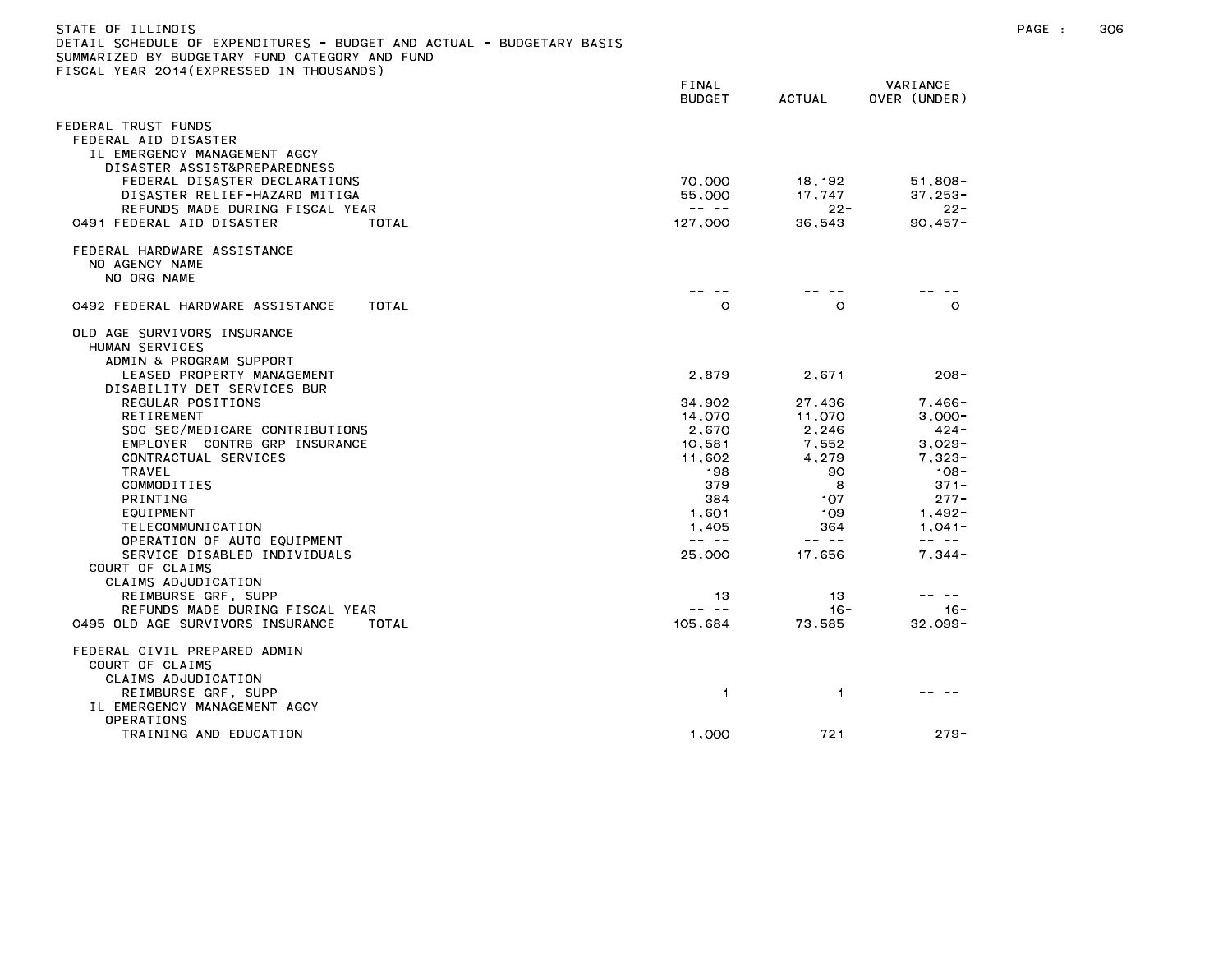| DETAIL SCHEDULE OF EXPENDITURES – BUDGET AND ACTUAL – BUDGETARY BASIS<br>SUMMARIZED BY BUDGETARY FUND CATEGORY AND FUND<br>FISCAL YEAR 2014(EXPRESSED IN THOUSANDS) |                                                                                                                                                                                                                                                                                                                                                                                                                  |                                                                                                                                                                                                                                                                                                                                                                                              |                                                                                                                                                                                                                                                                                                                                                                                              |
|---------------------------------------------------------------------------------------------------------------------------------------------------------------------|------------------------------------------------------------------------------------------------------------------------------------------------------------------------------------------------------------------------------------------------------------------------------------------------------------------------------------------------------------------------------------------------------------------|----------------------------------------------------------------------------------------------------------------------------------------------------------------------------------------------------------------------------------------------------------------------------------------------------------------------------------------------------------------------------------------------|----------------------------------------------------------------------------------------------------------------------------------------------------------------------------------------------------------------------------------------------------------------------------------------------------------------------------------------------------------------------------------------------|
|                                                                                                                                                                     | FINAL<br><b>BUDGET</b>                                                                                                                                                                                                                                                                                                                                                                                           | <b>ACTUAL</b>                                                                                                                                                                                                                                                                                                                                                                                | VARIANCE<br>OVER (UNDER)                                                                                                                                                                                                                                                                                                                                                                     |
| FEDERAL TRUST FUNDS<br>FEDERAL AID DISASTER<br>IL EMERGENCY MANAGEMENT AGCY<br>DISASTER ASSIST&PREPAREDNESS                                                         |                                                                                                                                                                                                                                                                                                                                                                                                                  |                                                                                                                                                                                                                                                                                                                                                                                              |                                                                                                                                                                                                                                                                                                                                                                                              |
| FEDERAL DISASTER DECLARATIONS<br>DISASTER RELIEF-HAZARD MITIGA<br>REFUNDS MADE DURING FISCAL YEAR                                                                   | 70,000<br>55,000<br>$\frac{1}{2} \frac{1}{2} \frac{1}{2} \frac{1}{2} \frac{1}{2} \frac{1}{2} \frac{1}{2} \frac{1}{2} \frac{1}{2} \frac{1}{2} \frac{1}{2} \frac{1}{2} \frac{1}{2} \frac{1}{2} \frac{1}{2} \frac{1}{2} \frac{1}{2} \frac{1}{2} \frac{1}{2} \frac{1}{2} \frac{1}{2} \frac{1}{2} \frac{1}{2} \frac{1}{2} \frac{1}{2} \frac{1}{2} \frac{1}{2} \frac{1}{2} \frac{1}{2} \frac{1}{2} \frac{1}{2} \frac{$ | 18,192<br>17.747<br>$22 -$                                                                                                                                                                                                                                                                                                                                                                   | $51,808 -$<br>$37,253-$<br>$22 -$                                                                                                                                                                                                                                                                                                                                                            |
| 0491 FEDERAL AID DISASTER<br>TOTAL                                                                                                                                  | 127,000                                                                                                                                                                                                                                                                                                                                                                                                          | 36,543                                                                                                                                                                                                                                                                                                                                                                                       | $90,457 -$                                                                                                                                                                                                                                                                                                                                                                                   |
| FEDERAL HARDWARE ASSISTANCE<br>NO AGENCY NAME<br>NO ORG NAME                                                                                                        |                                                                                                                                                                                                                                                                                                                                                                                                                  |                                                                                                                                                                                                                                                                                                                                                                                              |                                                                                                                                                                                                                                                                                                                                                                                              |
|                                                                                                                                                                     |                                                                                                                                                                                                                                                                                                                                                                                                                  |                                                                                                                                                                                                                                                                                                                                                                                              |                                                                                                                                                                                                                                                                                                                                                                                              |
| 0492 FEDERAL HARDWARE ASSISTANCE<br>TOTAL                                                                                                                           | $\circ$                                                                                                                                                                                                                                                                                                                                                                                                          | $\circ$                                                                                                                                                                                                                                                                                                                                                                                      | $\Omega$                                                                                                                                                                                                                                                                                                                                                                                     |
| OLD AGE SURVIVORS INSURANCE<br>HUMAN SERVICES<br>ADMIN & PROGRAM SUPPORT                                                                                            |                                                                                                                                                                                                                                                                                                                                                                                                                  |                                                                                                                                                                                                                                                                                                                                                                                              |                                                                                                                                                                                                                                                                                                                                                                                              |
| LEASED PROPERTY MANAGEMENT<br>DISABILITY DET SERVICES BUR                                                                                                           | 2.879                                                                                                                                                                                                                                                                                                                                                                                                            | 2.671                                                                                                                                                                                                                                                                                                                                                                                        | $208 -$                                                                                                                                                                                                                                                                                                                                                                                      |
| REGULAR POSITIONS<br>RETIREMENT                                                                                                                                     | 34,902<br>14,070                                                                                                                                                                                                                                                                                                                                                                                                 | 27,436<br>11,070                                                                                                                                                                                                                                                                                                                                                                             | 7,466-<br>$3,000-$                                                                                                                                                                                                                                                                                                                                                                           |
| SOC SEC/MEDICARE CONTRIBUTIONS                                                                                                                                      | 2,670                                                                                                                                                                                                                                                                                                                                                                                                            | 2,246                                                                                                                                                                                                                                                                                                                                                                                        | 424 -                                                                                                                                                                                                                                                                                                                                                                                        |
| EMPLOYER CONTRB GRP INSURANCE<br>CONTRACTUAL SERVICES                                                                                                               | 10,581<br>11,602                                                                                                                                                                                                                                                                                                                                                                                                 | 7,552<br>4,279                                                                                                                                                                                                                                                                                                                                                                               | $3,029-$<br>$7,323-$                                                                                                                                                                                                                                                                                                                                                                         |
| TRAVEL                                                                                                                                                              | 198                                                                                                                                                                                                                                                                                                                                                                                                              | 90                                                                                                                                                                                                                                                                                                                                                                                           | $108 -$                                                                                                                                                                                                                                                                                                                                                                                      |
| COMMODITIES                                                                                                                                                         | 379                                                                                                                                                                                                                                                                                                                                                                                                              | 8                                                                                                                                                                                                                                                                                                                                                                                            | $371 -$                                                                                                                                                                                                                                                                                                                                                                                      |
| PRINTING                                                                                                                                                            | 384                                                                                                                                                                                                                                                                                                                                                                                                              | 107                                                                                                                                                                                                                                                                                                                                                                                          | $277 -$                                                                                                                                                                                                                                                                                                                                                                                      |
| EQUIPMENT                                                                                                                                                           | 1,601                                                                                                                                                                                                                                                                                                                                                                                                            | 109                                                                                                                                                                                                                                                                                                                                                                                          | 1,492-                                                                                                                                                                                                                                                                                                                                                                                       |
| TELECOMMUNICATION                                                                                                                                                   | 1,405                                                                                                                                                                                                                                                                                                                                                                                                            | 364                                                                                                                                                                                                                                                                                                                                                                                          | 1,041-                                                                                                                                                                                                                                                                                                                                                                                       |
| OPERATION OF AUTO EQUIPMENT                                                                                                                                         | $\frac{1}{2} \frac{1}{2} \frac{1}{2} \frac{1}{2} \frac{1}{2} \frac{1}{2} \frac{1}{2} \frac{1}{2} \frac{1}{2} \frac{1}{2} \frac{1}{2} \frac{1}{2} \frac{1}{2} \frac{1}{2} \frac{1}{2} \frac{1}{2} \frac{1}{2} \frac{1}{2} \frac{1}{2} \frac{1}{2} \frac{1}{2} \frac{1}{2} \frac{1}{2} \frac{1}{2} \frac{1}{2} \frac{1}{2} \frac{1}{2} \frac{1}{2} \frac{1}{2} \frac{1}{2} \frac{1}{2} \frac{$                     | $\frac{1}{2} \frac{1}{2} \frac{1}{2} \frac{1}{2} \frac{1}{2} \frac{1}{2} \frac{1}{2} \frac{1}{2} \frac{1}{2} \frac{1}{2} \frac{1}{2} \frac{1}{2} \frac{1}{2} \frac{1}{2} \frac{1}{2} \frac{1}{2} \frac{1}{2} \frac{1}{2} \frac{1}{2} \frac{1}{2} \frac{1}{2} \frac{1}{2} \frac{1}{2} \frac{1}{2} \frac{1}{2} \frac{1}{2} \frac{1}{2} \frac{1}{2} \frac{1}{2} \frac{1}{2} \frac{1}{2} \frac{$ | $\frac{1}{2} \frac{1}{2} \frac{1}{2} \frac{1}{2} \frac{1}{2} \frac{1}{2} \frac{1}{2} \frac{1}{2} \frac{1}{2} \frac{1}{2} \frac{1}{2} \frac{1}{2} \frac{1}{2} \frac{1}{2} \frac{1}{2} \frac{1}{2} \frac{1}{2} \frac{1}{2} \frac{1}{2} \frac{1}{2} \frac{1}{2} \frac{1}{2} \frac{1}{2} \frac{1}{2} \frac{1}{2} \frac{1}{2} \frac{1}{2} \frac{1}{2} \frac{1}{2} \frac{1}{2} \frac{1}{2} \frac{$ |
| SERVICE DISABLED INDIVIDUALS<br>COURT OF CLAIMS                                                                                                                     | 25,000                                                                                                                                                                                                                                                                                                                                                                                                           | 17,656                                                                                                                                                                                                                                                                                                                                                                                       | $7,344-$                                                                                                                                                                                                                                                                                                                                                                                     |
| CLAIMS ADJUDICATION                                                                                                                                                 |                                                                                                                                                                                                                                                                                                                                                                                                                  |                                                                                                                                                                                                                                                                                                                                                                                              |                                                                                                                                                                                                                                                                                                                                                                                              |
| REIMBURSE GRF, SUPP                                                                                                                                                 | 13                                                                                                                                                                                                                                                                                                                                                                                                               | 13                                                                                                                                                                                                                                                                                                                                                                                           |                                                                                                                                                                                                                                                                                                                                                                                              |
| REFUNDS MADE DURING FISCAL YEAR                                                                                                                                     | -- --                                                                                                                                                                                                                                                                                                                                                                                                            | $16 -$                                                                                                                                                                                                                                                                                                                                                                                       | $16 -$                                                                                                                                                                                                                                                                                                                                                                                       |
| 0495 OLD AGE SURVIVORS INSURANCE<br>TOTAL                                                                                                                           | 105,684                                                                                                                                                                                                                                                                                                                                                                                                          | 73,585                                                                                                                                                                                                                                                                                                                                                                                       | $32.099 -$                                                                                                                                                                                                                                                                                                                                                                                   |
| FEDERAL CIVIL PREPARED ADMIN<br>COURT OF CLAIMS<br>CLAIMS ADJUDICATION                                                                                              |                                                                                                                                                                                                                                                                                                                                                                                                                  |                                                                                                                                                                                                                                                                                                                                                                                              |                                                                                                                                                                                                                                                                                                                                                                                              |
| REIMBURSE GRF, SUPP<br>IL EMERGENCY MANAGEMENT AGCY<br>OPERATIONS                                                                                                   | 1                                                                                                                                                                                                                                                                                                                                                                                                                | 1                                                                                                                                                                                                                                                                                                                                                                                            |                                                                                                                                                                                                                                                                                                                                                                                              |
| TRAINING AND EDUCATION                                                                                                                                              | 1.000                                                                                                                                                                                                                                                                                                                                                                                                            | 721                                                                                                                                                                                                                                                                                                                                                                                          | $279 -$                                                                                                                                                                                                                                                                                                                                                                                      |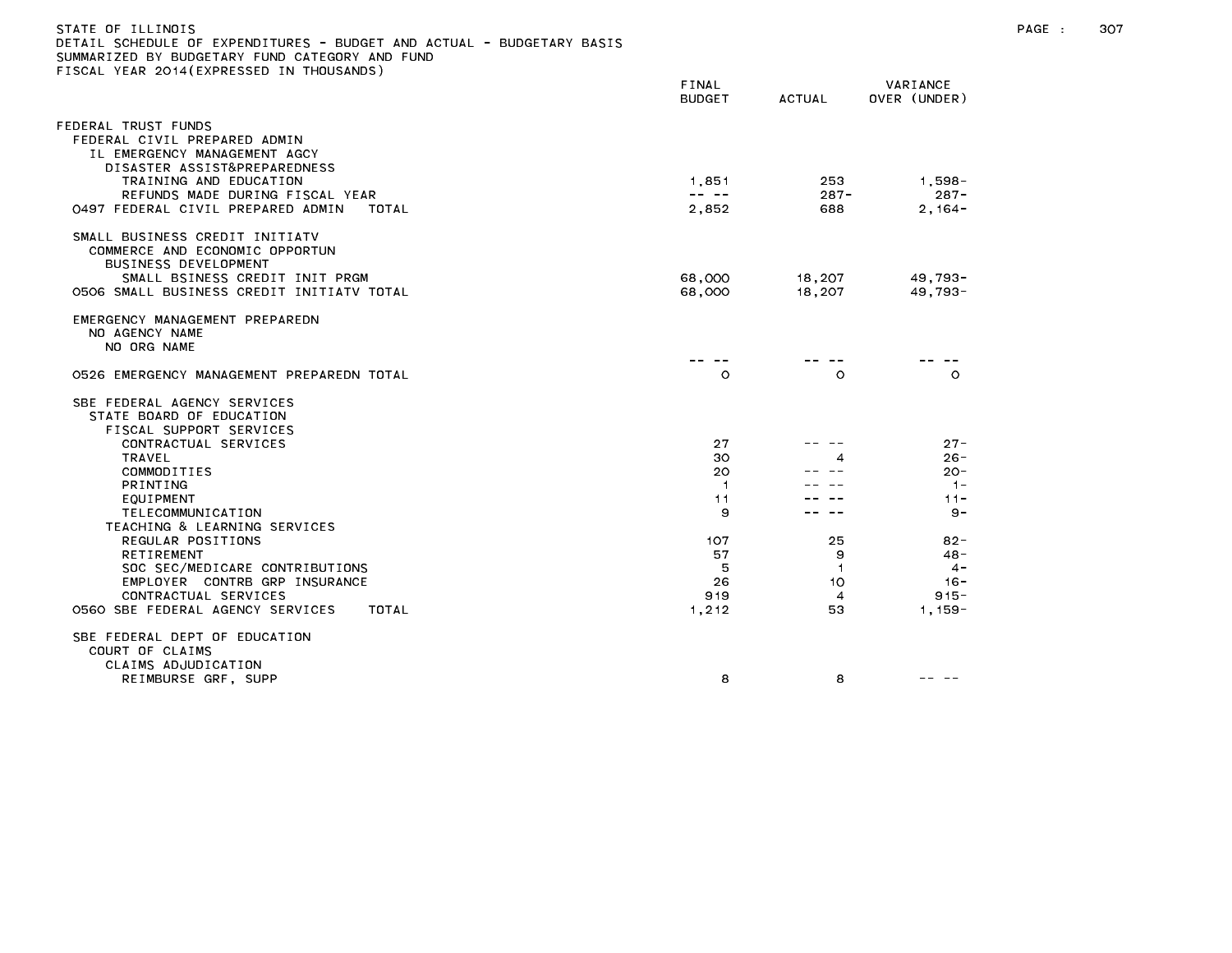| STATE OF ILLINOIS<br>DETAIL SCHEDULE OF EXPENDITURES - BUDGET AND ACTUAL - BUDGETARY BASIS<br>SUMMARIZED BY BUDGETARY FUND CATEGORY AND FUND<br>FISCAL YEAR 2014 (EXPRESSED IN THOUSANDS) |                                                                                                                                                                                                                                                                                                                                                                                                       |                      |                          | PAGE : | 307 |
|-------------------------------------------------------------------------------------------------------------------------------------------------------------------------------------------|-------------------------------------------------------------------------------------------------------------------------------------------------------------------------------------------------------------------------------------------------------------------------------------------------------------------------------------------------------------------------------------------------------|----------------------|--------------------------|--------|-----|
|                                                                                                                                                                                           | FINAL<br><b>BUDGET</b>                                                                                                                                                                                                                                                                                                                                                                                | <b>ACTUAL</b>        | VARIANCE<br>OVER (UNDER) |        |     |
| FEDERAL TRUST FUNDS<br>FEDERAL CIVIL PREPARED ADMIN<br>IL EMERGENCY MANAGEMENT AGCY<br>DISASTER ASSIST&PREPAREDNESS<br>TRAINING AND EDUCATION                                             | 1.851                                                                                                                                                                                                                                                                                                                                                                                                 | 253                  | 1,598-                   |        |     |
| REFUNDS MADE DURING FISCAL YEAR<br>0497 FEDERAL CIVIL PREPARED ADMIN<br>TOTAL                                                                                                             | $\frac{1}{2} \frac{1}{2} \frac{1}{2} \frac{1}{2} \frac{1}{2} \frac{1}{2} \frac{1}{2} \frac{1}{2} \frac{1}{2} \frac{1}{2} \frac{1}{2} \frac{1}{2} \frac{1}{2} \frac{1}{2} \frac{1}{2} \frac{1}{2} \frac{1}{2} \frac{1}{2} \frac{1}{2} \frac{1}{2} \frac{1}{2} \frac{1}{2} \frac{1}{2} \frac{1}{2} \frac{1}{2} \frac{1}{2} \frac{1}{2} \frac{1}{2} \frac{1}{2} \frac{1}{2} \frac{1}{2} \frac{$<br>2,852 | $287 -$<br>688       | $287 -$<br>$2,164-$      |        |     |
| SMALL BUSINESS CREDIT INITIATV<br>COMMERCE AND ECONOMIC OPPORTUN<br>BUSINESS DEVELOPMENT                                                                                                  |                                                                                                                                                                                                                                                                                                                                                                                                       |                      |                          |        |     |
| SMALL BSINESS CREDIT INIT PRGM<br>0506 SMALL BUSINESS CREDIT INITIATV TOTAL                                                                                                               | 68,000<br>68,000                                                                                                                                                                                                                                                                                                                                                                                      | 18,207<br>18,207     | 49.793-<br>$49,793-$     |        |     |
| EMERGENCY MANAGEMENT PREPAREDN<br>NO AGENCY NAME<br>NO ORG NAME                                                                                                                           |                                                                                                                                                                                                                                                                                                                                                                                                       |                      |                          |        |     |
| 0526 EMERGENCY MANAGEMENT PREPAREDN TOTAL                                                                                                                                                 | $\circ$                                                                                                                                                                                                                                                                                                                                                                                               | $\circ$              | $\circ$                  |        |     |
| SBE FEDERAL AGENCY SERVICES<br>STATE BOARD OF EDUCATION<br>FISCAL SUPPORT SERVICES                                                                                                        |                                                                                                                                                                                                                                                                                                                                                                                                       |                      |                          |        |     |
| CONTRACTUAL SERVICES<br>TRAVEL                                                                                                                                                            | 27<br>30                                                                                                                                                                                                                                                                                                                                                                                              |                      | $27 -$<br>$26 -$         |        |     |
| COMMODITIES                                                                                                                                                                               | 20                                                                                                                                                                                                                                                                                                                                                                                                    |                      | $20 -$                   |        |     |
| <b>PRINTING</b><br>EQUIPMENT                                                                                                                                                              | $\overline{1}$<br>-11                                                                                                                                                                                                                                                                                                                                                                                 |                      | $1 -$<br>$11 -$          |        |     |
| TELECOMMUNICATION                                                                                                                                                                         | 9                                                                                                                                                                                                                                                                                                                                                                                                     |                      | $9 -$                    |        |     |
| TEACHING & LEARNING SERVICES<br>REGULAR POSITIONS                                                                                                                                         | 107                                                                                                                                                                                                                                                                                                                                                                                                   | 25                   | $82 -$                   |        |     |
| RETIREMENT                                                                                                                                                                                | 57                                                                                                                                                                                                                                                                                                                                                                                                    | 9                    | $48 -$                   |        |     |
| SOC SEC/MEDICARE CONTRIBUTIONS                                                                                                                                                            | 5                                                                                                                                                                                                                                                                                                                                                                                                     | $\overline{1}$       | $4 -$                    |        |     |
| EMPLOYER CONTRB GRP INSURANCE<br>CONTRACTUAL SERVICES                                                                                                                                     | 26<br>919                                                                                                                                                                                                                                                                                                                                                                                             | 10<br>$\overline{4}$ | - 16<br>$915 -$          |        |     |
| 0560 SBE FEDERAL AGENCY SERVICES<br>TOTAL                                                                                                                                                 | 1,212                                                                                                                                                                                                                                                                                                                                                                                                 | 53                   | $1,159-$                 |        |     |
| SBE FEDERAL DEPT OF EDUCATION<br>COURT OF CLAIMS                                                                                                                                          |                                                                                                                                                                                                                                                                                                                                                                                                       |                      |                          |        |     |
| CLAIMS ADJUDICATION<br>REIMBURSE GRF, SUPP                                                                                                                                                | 8                                                                                                                                                                                                                                                                                                                                                                                                     | 8                    |                          |        |     |
|                                                                                                                                                                                           |                                                                                                                                                                                                                                                                                                                                                                                                       |                      |                          |        |     |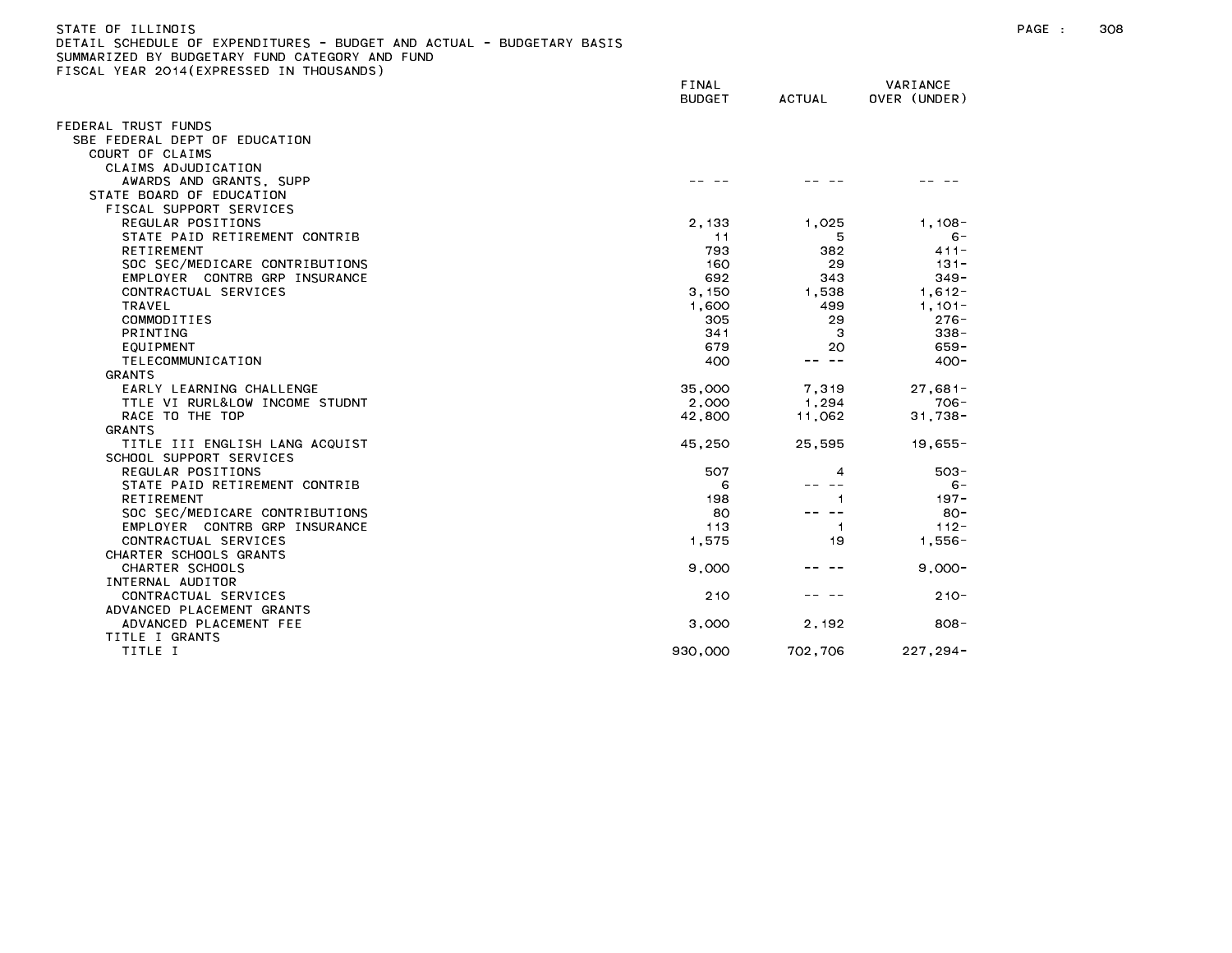| STATE OF ILLINOIS                                                     |
|-----------------------------------------------------------------------|
| DETAIL SCHEDULE OF EXPENDITURES - BUDGET AND ACTUAL - BUDGETARY BASIS |
| SUMMARIZED BY BUDGETARY FUND CATEGORY AND FUND                        |
| FISCAL YEAR 2014(EXPRESSED IN THOUSANDS)                              |

|                                | FINAL<br><b>BUDGET</b> | <b>ACTUAL</b> | VARIANCE<br>OVER (UNDER) |
|--------------------------------|------------------------|---------------|--------------------------|
| FEDERAL TRUST FUNDS            |                        |               |                          |
| SBE FEDERAL DEPT OF EDUCATION  |                        |               |                          |
| COURT OF CLAIMS                |                        |               |                          |
| CLAIMS ADJUDICATION            |                        |               |                          |
| AWARDS AND GRANTS, SUPP        |                        |               |                          |
| STATE BOARD OF EDUCATION       |                        |               |                          |
| FISCAL SUPPORT SERVICES        |                        |               |                          |
| REGULAR POSITIONS              | 2,133                  | 1,025         | $1,108-$                 |
| STATE PAID RETIREMENT CONTRIB  | 11                     | 5             | $6 -$                    |
| RETIREMENT                     | 793                    | 382           | $411 -$                  |
| SOC SEC/MEDICARE CONTRIBUTIONS | 160                    | 29            | $131 -$                  |
| EMPLOYER CONTRB GRP INSURANCE  | 692                    | 343           | $349 -$                  |
| CONTRACTUAL SERVICES           | 3,150                  | 1,538         | $1,612-$                 |
| TRAVEL                         | 1,600                  | 499           | $1,101-$                 |
| COMMODITIES                    | 305                    | 29            | $276 -$                  |
| <b>PRINTING</b>                | 341                    | -3            | $338 -$                  |
| EQUIPMENT                      | 679                    | 20            | $659 -$                  |
| TELECOMMUNICATION              | 400                    | -- --         | $400 -$                  |
| GRANTS                         |                        |               |                          |
| EARLY LEARNING CHALLENGE       | 35,000                 | 7,319         | $27,681-$                |
| TTLE VI RURL&LOW INCOME STUDNT | 2,000                  | 1.294         | $706 -$                  |
| RACE TO THE TOP                | 42,800                 | 11,062        | $31,738 -$               |
| <b>GRANTS</b>                  |                        |               |                          |
| TITLE III ENGLISH LANG ACQUIST | 45,250                 | 25,595        | $19,655 -$               |
| SCHOOL SUPPORT SERVICES        |                        |               |                          |
| REGULAR POSITIONS              | 507                    | 4             | $503 -$                  |
| STATE PAID RETIREMENT CONTRIB  | 6                      |               | $6 -$                    |
| RETIREMENT                     | 198                    | 1             | $197 -$                  |
| SOC SEC/MEDICARE CONTRIBUTIONS | 80                     | $\sim$ $-$    | $80 -$                   |
| EMPLOYER CONTRB GRP INSURANCE  | 113                    | -1            | $112 -$                  |
| CONTRACTUAL SERVICES           | 1,575                  | 19            | $1,556-$                 |
| CHARTER SCHOOLS GRANTS         |                        |               |                          |
| CHARTER SCHOOLS                | 9,000                  |               | $9.000 -$                |
| INTERNAL AUDITOR               |                        |               |                          |
| CONTRACTUAL SERVICES           | 210                    |               | $210 -$                  |
| ADVANCED PLACEMENT GRANTS      |                        |               |                          |
| ADVANCED PLACEMENT FEE         | 3,000                  | 2,192         | $808 -$                  |
| TITLE I GRANTS                 |                        |               |                          |
| TITLE I                        | 930,000                | 702,706       | $227, 294 -$             |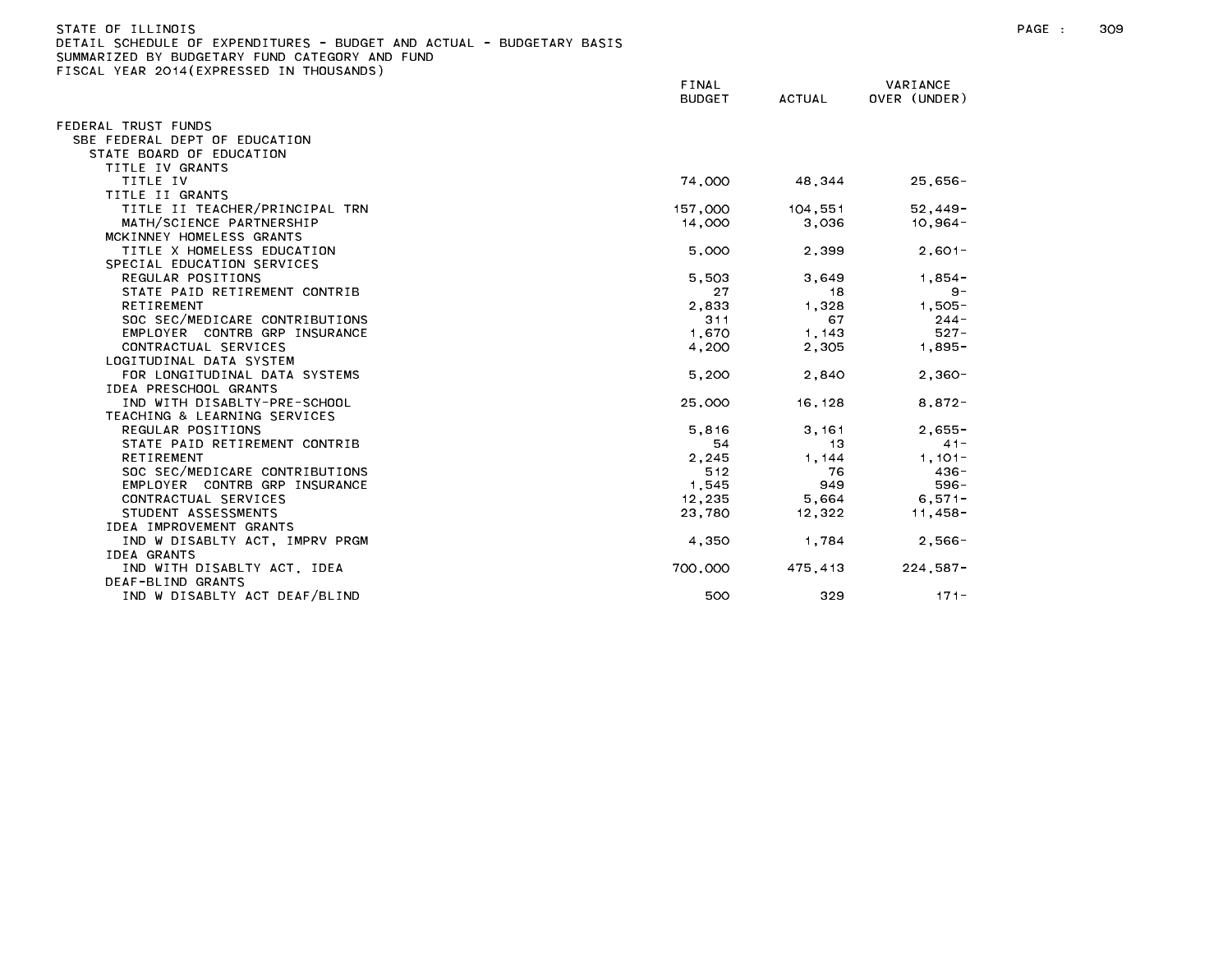| )ETAIL SCHEDULE OF EXPENDITURES - BUDGET AND ACTUAL - BUDGETARY BASIS |               |         |              |
|-----------------------------------------------------------------------|---------------|---------|--------------|
| UMMARIZED BY BUDGETARY FUND CATEGORY AND FUND:                        |               |         |              |
| ISCAL YEAR 2014(EXPRESSED IN THOUSANDS)                               |               |         |              |
|                                                                       | FINAL         |         | VARIANCE     |
|                                                                       | <b>BUDGET</b> | ACTUAL  | OVER (UNDER) |
| EDERAL TRUST FUNDS                                                    |               |         |              |
| SBE FEDERAL DEPT OF EDUCATION                                         |               |         |              |
| STATE BOARD OF EDUCATION                                              |               |         |              |
| TITLE IV GRANTS                                                       |               |         |              |
| TITLE IV                                                              |               |         |              |
|                                                                       | 74,000        | 48,344  | $25,656 -$   |
| TITLE II GRANTS                                                       |               |         |              |
| TITLE II TEACHER/PRINCIPAL TRN                                        | 157,000       | 104,551 | $52,449-$    |
| MATH/SCIENCE PARTNERSHIP                                              | 14,000        | 3,036   | $10,964-$    |
| MCKINNEY HOMELESS GRANTS                                              |               |         |              |
| TITLE X HOMELESS EDUCATION                                            | 5,000         | 2,399   | $2.601 -$    |
| SPECIAL EDUCATION SERVICES                                            |               |         |              |
| REGULAR POSITIONS                                                     | 5,503         | 3,649   | $1,854-$     |
| STATE PAID RETIREMENT CONTRIB                                         | 27            | 18      | $9 -$        |
| RETIREMENT                                                            | 2,833         | 1,328   | $1,505 -$    |
| SOC SEC/MEDICARE CONTRIBUTIONS                                        | 311           | 67      | $244 -$      |
| EMPLOYER CONTRB GRP INSURANCE                                         | 1,670         | 1, 143  | $527 -$      |
| CONTRACTUAL SERVICES                                                  | 4,200         | 2,305   | $1,895 -$    |
| LOGITUDINAL DATA SYSTEM                                               |               |         |              |
| FOR LONGITUDINAL DATA SYSTEMS                                         | 5,200         | 2,840   | $2,360-$     |
| IDEA PRESCHOOL GRANTS                                                 |               |         |              |
| IND WITH DISABLTY-PRE-SCHOOL                                          | 25,000        | 16,128  | $8,872-$     |
| TEACHING & LEARNING SERVICES                                          |               |         |              |
| REGULAR POSITIONS                                                     | 5.816         | 3,161   | $2,655-$     |
| STATE PAID RETIREMENT CONTRIB                                         | 54            | 13      | $41 -$       |
| RETIREMENT                                                            | 2,245         | 1, 144  | $1,101-$     |
| SOC SEC/MEDICARE CONTRIBUTIONS                                        | 512           | 76      | $436 -$      |
| EMPLOYER CONTRB GRP INSURANCE                                         | 1,545         | 949     | $596 -$      |
| CONTRACTUAL SERVICES                                                  | 12,235        | 5,664   | $6,571-$     |
| STUDENT ASSESSMENTS                                                   | 23,780        | 12,322  | 11,458-      |
| IDEA IMPROVEMENT GRANTS                                               |               |         |              |
| IND W DISABLTY ACT, IMPRV PRGM                                        | 4,350         | 1.784   | $2,566-$     |
| IDEA GRANTS                                                           |               |         |              |
| IND WITH DISABLTY ACT, IDEA                                           | 700,000       | 475,413 | $224,587-$   |
| DEAF-BLIND GRANTS                                                     |               |         |              |
| IND W DISARLTY ACT DEAF/BLIND                                         | 500           | 329     | $171 -$      |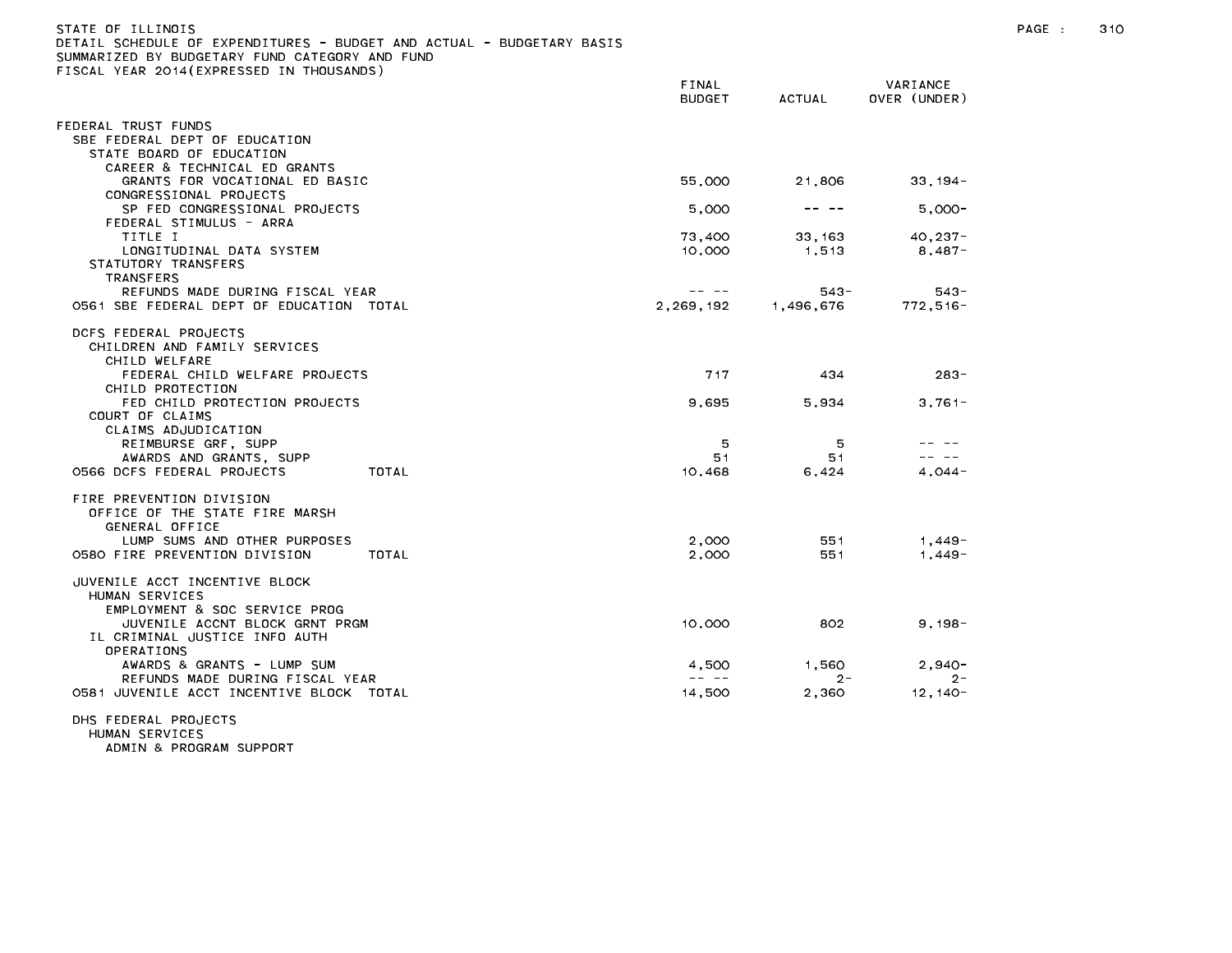| STATE OF ILLINOIS<br>DETAIL SCHEDULE OF EXPENDITURES - BUDGET AND ACTUAL - BUDGETARY BASIS<br>SUMMARIZED BY BUDGETARY FUND CATEGORY AND FUND<br>FISCAL YEAR 2014(EXPRESSED IN THOUSANDS) |                        |           |                          | PAGE : | 310 |
|------------------------------------------------------------------------------------------------------------------------------------------------------------------------------------------|------------------------|-----------|--------------------------|--------|-----|
|                                                                                                                                                                                          | FINAL<br><b>BUDGET</b> | ACTUAL    | VARIANCE<br>OVER (UNDER) |        |     |
| FEDERAL TRUST FUNDS                                                                                                                                                                      |                        |           |                          |        |     |
| SBE FEDERAL DEPT OF EDUCATION<br>STATE BOARD OF EDUCATION                                                                                                                                |                        |           |                          |        |     |
| CAREER & TECHNICAL ED GRANTS                                                                                                                                                             |                        |           |                          |        |     |
| GRANTS FOR VOCATIONAL ED BASIC                                                                                                                                                           | 55,000                 | 21,806    | $33,194-$                |        |     |
| CONGRESSIONAL PROJECTS                                                                                                                                                                   |                        |           |                          |        |     |
| SP FED CONGRESSIONAL PROJECTS                                                                                                                                                            | 5,000                  |           | 5.000-                   |        |     |
| FEDERAL STIMULUS - ARRA                                                                                                                                                                  |                        |           |                          |        |     |
| TITLE I                                                                                                                                                                                  | 73,400                 | 33, 163   | $40, 237 -$              |        |     |
| LONGITUDINAL DATA SYSTEM                                                                                                                                                                 | 10,000                 | 1,513     | 8,487-                   |        |     |
| STATUTORY TRANSFERS<br>TRANSFERS                                                                                                                                                         |                        |           |                          |        |     |
| REFUNDS MADE DURING FISCAL YEAR                                                                                                                                                          |                        | $543 -$   | $543 -$                  |        |     |
| 0561 SBE FEDERAL DEPT OF EDUCATION TOTAL                                                                                                                                                 | 2,269,192              | 1,496,676 | $772.516 -$              |        |     |
| DCFS FEDERAL PROJECTS<br>CHILDREN AND FAMILY SERVICES<br>CHILD WELFARE                                                                                                                   |                        |           |                          |        |     |
| FEDERAL CHILD WELFARE PROJECTS<br>CHILD PROTECTION                                                                                                                                       | 717                    | 434       | $283 -$                  |        |     |
| FED CHILD PROTECTION PROJECTS                                                                                                                                                            | 9,695                  | 5,934     | $3,761-$                 |        |     |
| COURT OF CLAIMS                                                                                                                                                                          |                        |           |                          |        |     |
| CLAIMS ADJUDICATION                                                                                                                                                                      |                        |           |                          |        |     |
| REIMBURSE GRF, SUPP                                                                                                                                                                      | 5                      | -5        |                          |        |     |
| AWARDS AND GRANTS, SUPP                                                                                                                                                                  | 51                     | 51        | -- --                    |        |     |
| TOTAL<br>O566 DCFS FEDERAL PROJECTS                                                                                                                                                      | 10,468                 | 6,424     | $4,044-$                 |        |     |
| FIRE PREVENTION DIVISION<br>OFFICE OF THE STATE FIRE MARSH<br>GENERAL OFFICE                                                                                                             |                        |           |                          |        |     |
| LUMP SUMS AND OTHER PURPOSES                                                                                                                                                             | 2,000                  | 551       | 1,449-                   |        |     |
| 0580 FIRE PREVENTION DIVISION<br>TOTAL                                                                                                                                                   | 2,000                  | 551       | 1,449-                   |        |     |
| JUVENILE ACCT INCENTIVE BLOCK<br>HUMAN SERVICES<br>EMPLOYMENT & SOC SERVICE PROG                                                                                                         |                        |           |                          |        |     |
| JUVENILE ACCNT BLOCK GRNT PRGM<br>IL CRIMINAL JUSTICE INFO AUTH<br>OPERATIONS                                                                                                            | 10,000                 | 802       | $9,198-$                 |        |     |
| AWARDS & GRANTS - LUMP SUM                                                                                                                                                               | 4,500                  | 1,560     | $2,940-$                 |        |     |
| REFUNDS MADE DURING FISCAL YEAR                                                                                                                                                          | -- --                  | $2 -$     | $2 -$                    |        |     |
| 0581 JUVENILE ACCT INCENTIVE BLOCK TOTAL                                                                                                                                                 | 14,500                 | 2,360     | 12, 140-                 |        |     |
| DHS FEDERAL PROJECTS<br>LIMAN CEDVICES                                                                                                                                                   |                        |           |                          |        |     |

HUMAN SERVICES<br>ADMIN & PROGRAM SUPPORT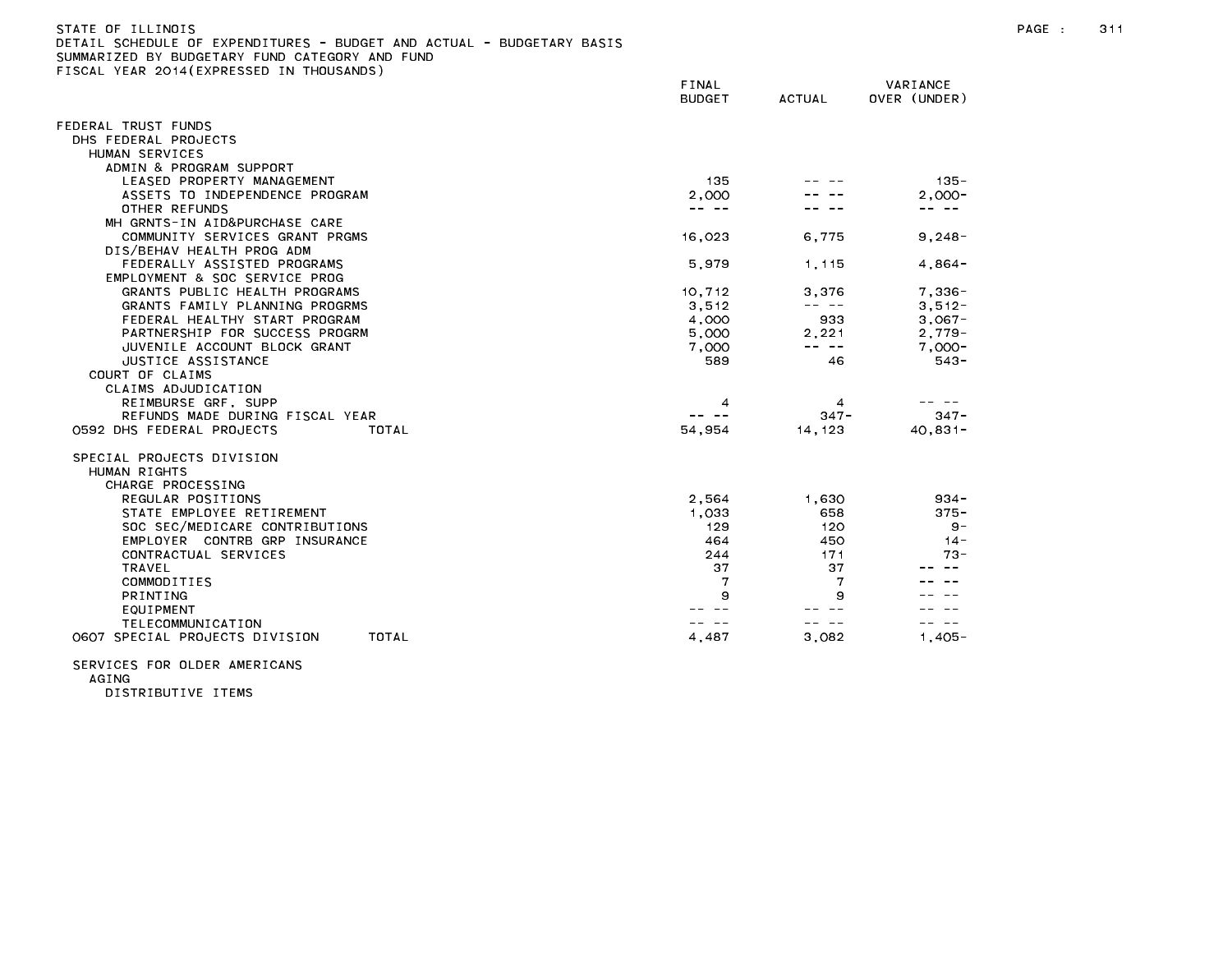| STATE OF ILLINOIS                                                     |
|-----------------------------------------------------------------------|
| DETAIL SCHEDULE OF EXPENDITURES - BUDGET AND ACTUAL - BUDGETARY BASIS |
| SUMMARIZED BY BUDGETARY FUND CATEGORY AND FUND                        |
| FISCAL YEAR 2014(EXPRESSED IN THOUSANDS)                              |

|                                         | FINAL<br><b>BUDGET</b> | <b>ACTUAL</b> | VARIANCE<br>OVER (UNDER) |
|-----------------------------------------|------------------------|---------------|--------------------------|
| FEDERAL TRUST FUNDS                     |                        |               |                          |
| DHS FEDERAL PROJECTS                    |                        |               |                          |
| HUMAN SERVICES                          |                        |               |                          |
| ADMIN & PROGRAM SUPPORT                 |                        |               |                          |
| LEASED PROPERTY MANAGEMENT              | 135                    |               | $135 -$                  |
| ASSETS TO INDEPENDENCE PROGRAM          | 2.000                  |               | $2.000 -$                |
| OTHER REFUNDS                           | -- --                  |               | -- --                    |
| MH GRNTS-IN AID&PURCHASE CARE           |                        |               |                          |
| COMMUNITY SERVICES GRANT PRGMS          | 16,023                 | 6,775         | $9,248-$                 |
| DIS/BEHAV HEALTH PROG ADM               |                        |               |                          |
| FEDERALLY ASSISTED PROGRAMS             | 5,979                  | 1 1 1 1 5     | $4,864-$                 |
| EMPLOYMENT & SOC SERVICE PROG           |                        |               |                          |
| GRANTS PUBLIC HEALTH PROGRAMS           | 10,712                 | 3,376         | $7,336-$                 |
| GRANTS FAMILY PLANNING PROGRMS          | 3,512                  | -- --         | $3,512-$                 |
| FEDERAL HEALTHY START PROGRAM           | 4.000                  | 933           | $3.067 -$                |
| PARTNERSHIP FOR SUCCESS PROGRM          | 5,000                  | 2,221         | $2,779-$                 |
| JUVENILE ACCOUNT BLOCK GRANT            | 7,000                  | -- --         | $7,000-$                 |
| JUSTICE ASSISTANCE                      | 589                    | 46            | $543 -$                  |
| COURT OF CLAIMS                         |                        |               |                          |
| CLAIMS ADJUDICATION                     |                        |               |                          |
| REIMBURSE GRF, SUPP                     | 4                      | 4             |                          |
| REFUNDS MADE DURING FISCAL YEAR         | $\sim$ $-$             | $347 -$       | $347 -$                  |
| 0592 DHS FEDERAL PROJECTS<br>TOTAL      | 54,954                 | 14, 123       | $40,831 -$               |
| SPECIAL PROJECTS DIVISION               |                        |               |                          |
| HUMAN RIGHTS                            |                        |               |                          |
| CHARGE PROCESSING                       |                        |               |                          |
| REGULAR POSITIONS                       | 2,564                  | 1,630         | $934 -$                  |
| STATE EMPLOYEE RETIREMENT               | 1,033                  | 658           | $375 -$                  |
| SOC SEC/MEDICARE CONTRIBUTIONS          | 129                    | 120           | 9 -                      |
| EMPLOYER CONTRB GRP INSURANCE           | 464                    | 450           | $14 -$                   |
| CONTRACTUAL SERVICES                    | 244                    | 171           | $73 -$                   |
| <b>TRAVEL</b>                           | 37                     | 37            |                          |
| COMMODITIES                             | 7                      | 7             |                          |
| <b>PRINTING</b>                         | 9                      | 9             |                          |
| EQUIPMENT                               |                        |               |                          |
| TELECOMMUNICATION                       |                        | $- -$         |                          |
| 0607 SPECIAL PROJECTS DIVISION<br>TOTAL | 4,487                  | 3,082         | $1.405 -$                |
|                                         |                        |               |                          |

SERVICES FOR OLDER AMERICANS AGING

DISTRIBUTIVE ITEMS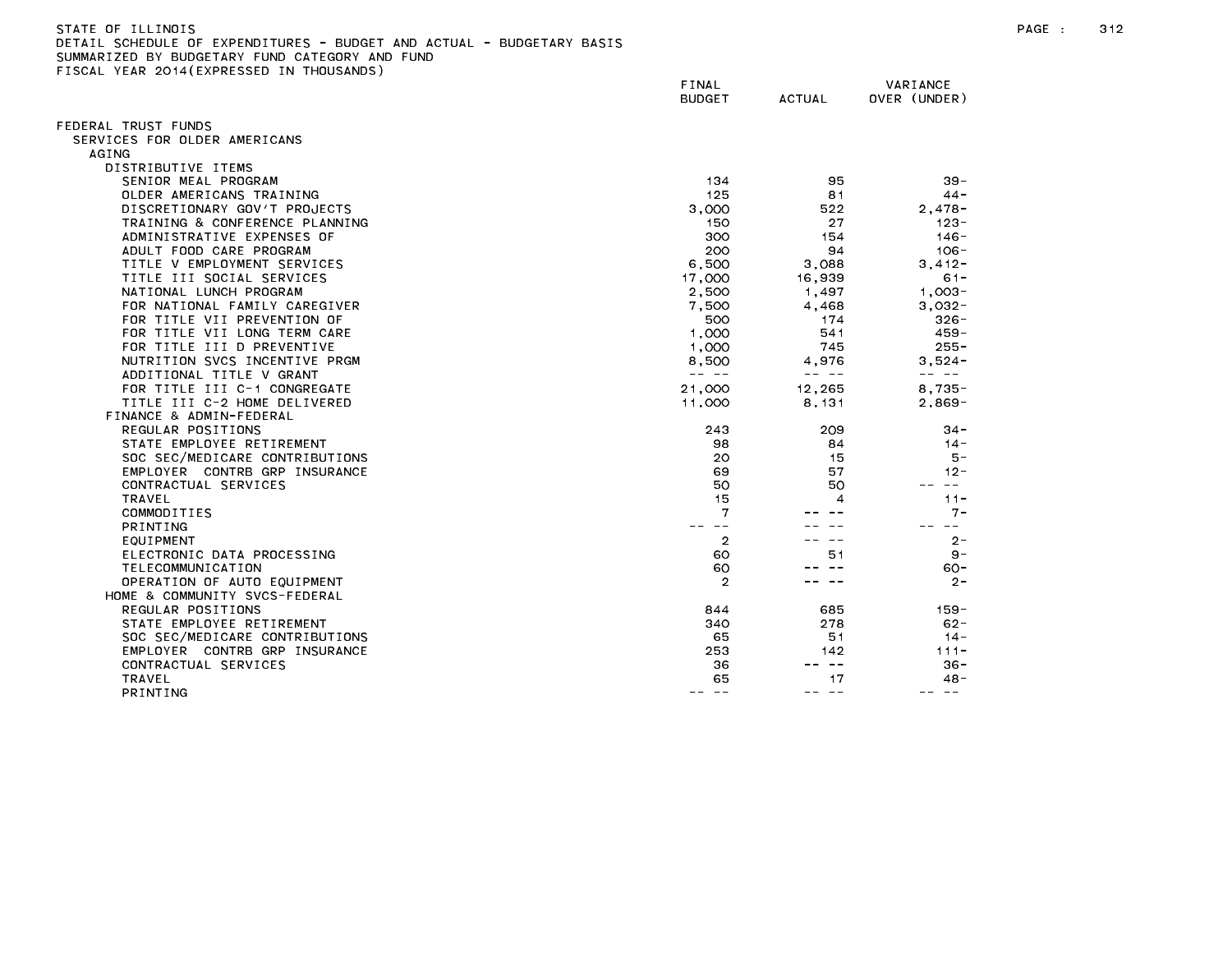| STATE OF ILLINOIS                                                     | PAGE |
|-----------------------------------------------------------------------|------|
| DETAIL SCHEDULE OF EXPENDITURES - BUDGET AND ACTUAL - BUDGETARY BASIS |      |
| SUMMARIZED BY BUDGETARY FUND CATEGORY AND FUND                        |      |

FISCAL YEAR 2014(EXPRESSED IN THOUSANDS)

FINAL VARIANCE BUDGET ACTUAL OVER (UNDER) FEDERAL TRUST FUNDS SERVICES FOR OLDER AMERICANS AGING DISTRIBUTIVE ITEMS SENIOR MEAL PROGRAM 29-20 20 20 20 39-39 39-39 39-39 39-39 39-39 39-39 39-39 39-39 39-39 39-39 39-39 39-39 39-OLDER AMERICANS TRAINING 125 81 44- DISCRETIONARY GOV'T PROJECTS 3,000 522 2,478- TRAINING & CONFERENCE PLANNING 150 123-ADMINISTRATIVE EXPENSES OF 300 154 146-ADULT FOOD CARE PROGRAM 200 94 106- TITLE V EMPLOYMENT SERVICES And the series of the series of the series of the series of the series of the series of the series of the series of the series of the series of the series of the series of the series of the seri TITLE III SOCIAL SERVICES 17,000 16,939 61- NATIONAL LUNCH PROGRAM 2,500 1,497 1,003-FOR NATIONAL FAMILY CAREGIVER 7,500 4,468 3,032- FOR TITLE VII PREVENTION OF 500 174 326- FOR TITLE VII LONG TERM CARE 1,000 541 459-FOR TITLE III D PREVENTIVE 1,000 745 255- NUTRITION SVCS INCENTIVE PRGM 8 and the set of the set of the set of the set of the set of the set of the set o ADDITIONAL TITLE V GRANT -- -- -- -- -- -- FOR TITLE III C-1 CONGREGATE 21,000 12,265 8,735- TITLE III C-2 HOME DELIVERED 11,000 8,131 2,869- FINANCE & ADMIN-FEDERAL REGULAR POSITIONS 34-STATE EMPLOYEE RETIREMENT And the state of the state of the state of the state of the state of the state of the state of the state of the state of the state of the state of the state of the state of the state of the state SOC SEC/MEDICARE CONTRIBUTIONS 20 15 5- EMPLOYER CONTRB GRP INSURANCE **12-12-12-20 12-12-20 12-12-20 12-12-20 12-12-20 12-**CONTRACTUAL SERVICES 50 50 -- -- ELECTRONIC DATA PROCESSING **1994 60** 51 9-TELECOMMUNICATION 60 -- -- 60- OPERATION OF AUTO EQUIPMENT And the contract of the contract of the contract of the contract of the contract of  $2$ HOME & COMMUNITY SVCS-FEDERAL STATE EMPLOYEE RETIREMENT 340 278 62- SOC SEC/MEDICARE CONTRIBUTIONS 65 51 14-EMPLOYER CONTRB GRP INSURANCE 253 111-CONTRACTUAL SERVICES 36 -- -- 36- TRAVEL -48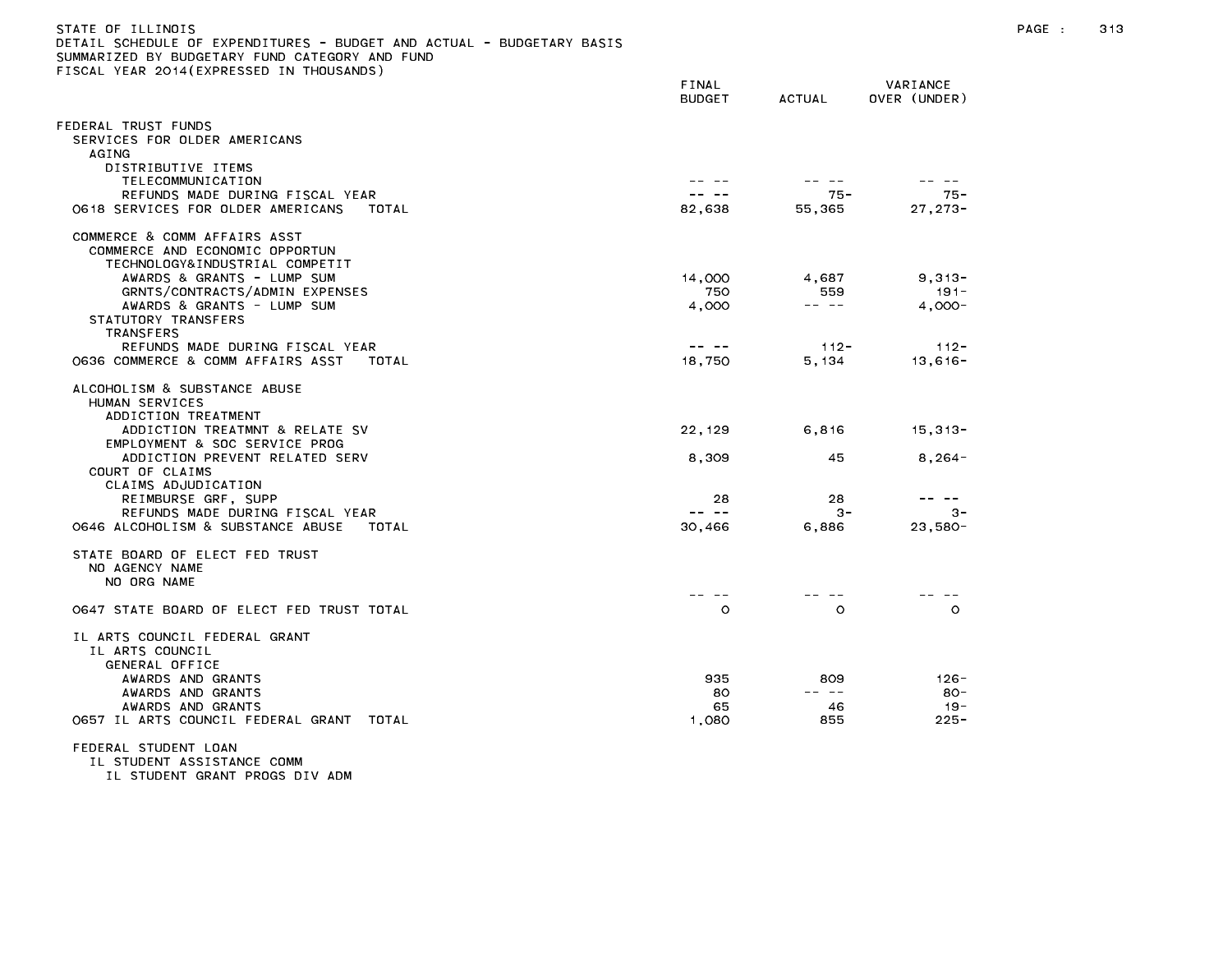| STATE OF ILLINOIS<br>DETAIL SCHEDULE OF EXPENDITURES - BUDGET AND ACTUAL - BUDGETARY BASIS<br>SUMMARIZED BY BUDGETARY FUND CATEGORY AND FUND<br>FISCAL YEAR 2014(EXPRESSED IN THOUSANDS) |                                                                                                                                                                                                                                                                                                                                                                                              |                 |                          | PAGE : | 313 |
|------------------------------------------------------------------------------------------------------------------------------------------------------------------------------------------|----------------------------------------------------------------------------------------------------------------------------------------------------------------------------------------------------------------------------------------------------------------------------------------------------------------------------------------------------------------------------------------------|-----------------|--------------------------|--------|-----|
|                                                                                                                                                                                          | FINAL<br><b>BUDGET</b>                                                                                                                                                                                                                                                                                                                                                                       | ACTUAL          | VARIANCE<br>OVER (UNDER) |        |     |
| FEDERAL TRUST FUNDS<br>SERVICES FOR OLDER AMERICANS<br>AGING                                                                                                                             |                                                                                                                                                                                                                                                                                                                                                                                              |                 |                          |        |     |
| DISTRIBUTIVE ITEMS                                                                                                                                                                       |                                                                                                                                                                                                                                                                                                                                                                                              |                 |                          |        |     |
| TELECOMMUNICATION<br>REFUNDS MADE DURING FISCAL YEAR                                                                                                                                     | -- --                                                                                                                                                                                                                                                                                                                                                                                        | -- --<br>$75 -$ | -- --<br>75 -            |        |     |
| 0618 SERVICES FOR OLDER AMERICANS<br>TOTAL                                                                                                                                               | 82,638                                                                                                                                                                                                                                                                                                                                                                                       | 55,365          | $27, 273 -$              |        |     |
| COMMERCE & COMM AFFAIRS ASST<br>COMMERCE AND ECONOMIC OPPORTUN<br>TECHNOLOGY&INDUSTRIAL COMPETIT                                                                                         |                                                                                                                                                                                                                                                                                                                                                                                              |                 |                          |        |     |
| AWARDS & GRANTS - LUMP SUM                                                                                                                                                               | 14,000                                                                                                                                                                                                                                                                                                                                                                                       | 4.687           | $9,313-$                 |        |     |
| GRNTS/CONTRACTS/ADMIN EXPENSES<br>AWARDS & GRANTS - LUMP SUM                                                                                                                             | 750<br>4,000                                                                                                                                                                                                                                                                                                                                                                                 | 559<br>-- --    | $191 -$<br>$4.000 -$     |        |     |
| STATUTORY TRANSFERS<br>TRANSFERS                                                                                                                                                         |                                                                                                                                                                                                                                                                                                                                                                                              |                 |                          |        |     |
| REFUNDS MADE DURING FISCAL YEAR                                                                                                                                                          | $\frac{1}{2} \frac{1}{2} \frac{1}{2} \frac{1}{2} \frac{1}{2} \frac{1}{2} \frac{1}{2} \frac{1}{2} \frac{1}{2} \frac{1}{2} \frac{1}{2} \frac{1}{2} \frac{1}{2} \frac{1}{2} \frac{1}{2} \frac{1}{2} \frac{1}{2} \frac{1}{2} \frac{1}{2} \frac{1}{2} \frac{1}{2} \frac{1}{2} \frac{1}{2} \frac{1}{2} \frac{1}{2} \frac{1}{2} \frac{1}{2} \frac{1}{2} \frac{1}{2} \frac{1}{2} \frac{1}{2} \frac{$ | $112 -$         | $112 -$                  |        |     |
| 0636 COMMERCE & COMM AFFAIRS ASST<br>TOTAL                                                                                                                                               | 18,750                                                                                                                                                                                                                                                                                                                                                                                       | 5,134           | $13,616 -$               |        |     |
| ALCOHOLISM & SUBSTANCE ABUSE<br>HUMAN SERVICES<br>ADDICTION TREATMENT                                                                                                                    |                                                                                                                                                                                                                                                                                                                                                                                              |                 |                          |        |     |
| ADDICTION TREATMNT & RELATE SV<br>EMPLOYMENT & SOC SERVICE PROG                                                                                                                          | 22, 129                                                                                                                                                                                                                                                                                                                                                                                      | 6,816           | $15,313-$                |        |     |
| ADDICTION PREVENT RELATED SERV<br>COURT OF CLAIMS                                                                                                                                        | 8,309                                                                                                                                                                                                                                                                                                                                                                                        | 45              | $8,264-$                 |        |     |
| CLAIMS ADJUDICATION<br>REIMBURSE GRF, SUPP                                                                                                                                               | 28                                                                                                                                                                                                                                                                                                                                                                                           | 28              | -- --                    |        |     |
| REFUNDS MADE DURING FISCAL YEAR                                                                                                                                                          | $\frac{1}{2} \frac{1}{2} \frac{1}{2} \frac{1}{2} \frac{1}{2} \frac{1}{2} \frac{1}{2} \frac{1}{2} \frac{1}{2} \frac{1}{2} \frac{1}{2} \frac{1}{2} \frac{1}{2} \frac{1}{2} \frac{1}{2} \frac{1}{2} \frac{1}{2} \frac{1}{2} \frac{1}{2} \frac{1}{2} \frac{1}{2} \frac{1}{2} \frac{1}{2} \frac{1}{2} \frac{1}{2} \frac{1}{2} \frac{1}{2} \frac{1}{2} \frac{1}{2} \frac{1}{2} \frac{1}{2} \frac{$ | $3 -$           | $3 -$                    |        |     |
| 0646 ALCOHOLISM & SUBSTANCE ABUSE<br>TOTAL                                                                                                                                               | 30,466                                                                                                                                                                                                                                                                                                                                                                                       | 6,886           | $23,580-$                |        |     |
| STATE BOARD OF ELECT FED TRUST<br>NO AGENCY NAME<br>NO ORG NAME                                                                                                                          |                                                                                                                                                                                                                                                                                                                                                                                              |                 |                          |        |     |
|                                                                                                                                                                                          | -- --                                                                                                                                                                                                                                                                                                                                                                                        | -- -            | -- -                     |        |     |
| 0647 STATE BOARD OF ELECT FED TRUST TOTAL                                                                                                                                                | $\circ$                                                                                                                                                                                                                                                                                                                                                                                      | $\circ$         | $\circ$                  |        |     |
| IL ARTS COUNCIL FEDERAL GRANT<br>IL ARTS COUNCIL<br>GENERAL OFFICE                                                                                                                       |                                                                                                                                                                                                                                                                                                                                                                                              |                 |                          |        |     |
| AWARDS AND GRANTS                                                                                                                                                                        | 935                                                                                                                                                                                                                                                                                                                                                                                          | 809             | $126 -$                  |        |     |
| AWARDS AND GRANTS                                                                                                                                                                        | 80                                                                                                                                                                                                                                                                                                                                                                                           | -- --           | - 80                     |        |     |
| AWARDS AND GRANTS                                                                                                                                                                        | 65                                                                                                                                                                                                                                                                                                                                                                                           | 46              | $19 -$                   |        |     |
| 0657 IL ARTS COUNCIL FEDERAL GRANT TOTAL                                                                                                                                                 | 1,080                                                                                                                                                                                                                                                                                                                                                                                        | 855             | $225 -$                  |        |     |
| FEDERAL STUDENT LOAN                                                                                                                                                                     |                                                                                                                                                                                                                                                                                                                                                                                              |                 |                          |        |     |

IL STUDENT ASSISTANCE COMM

IL STUDENT GRANT PROGS DIV ADM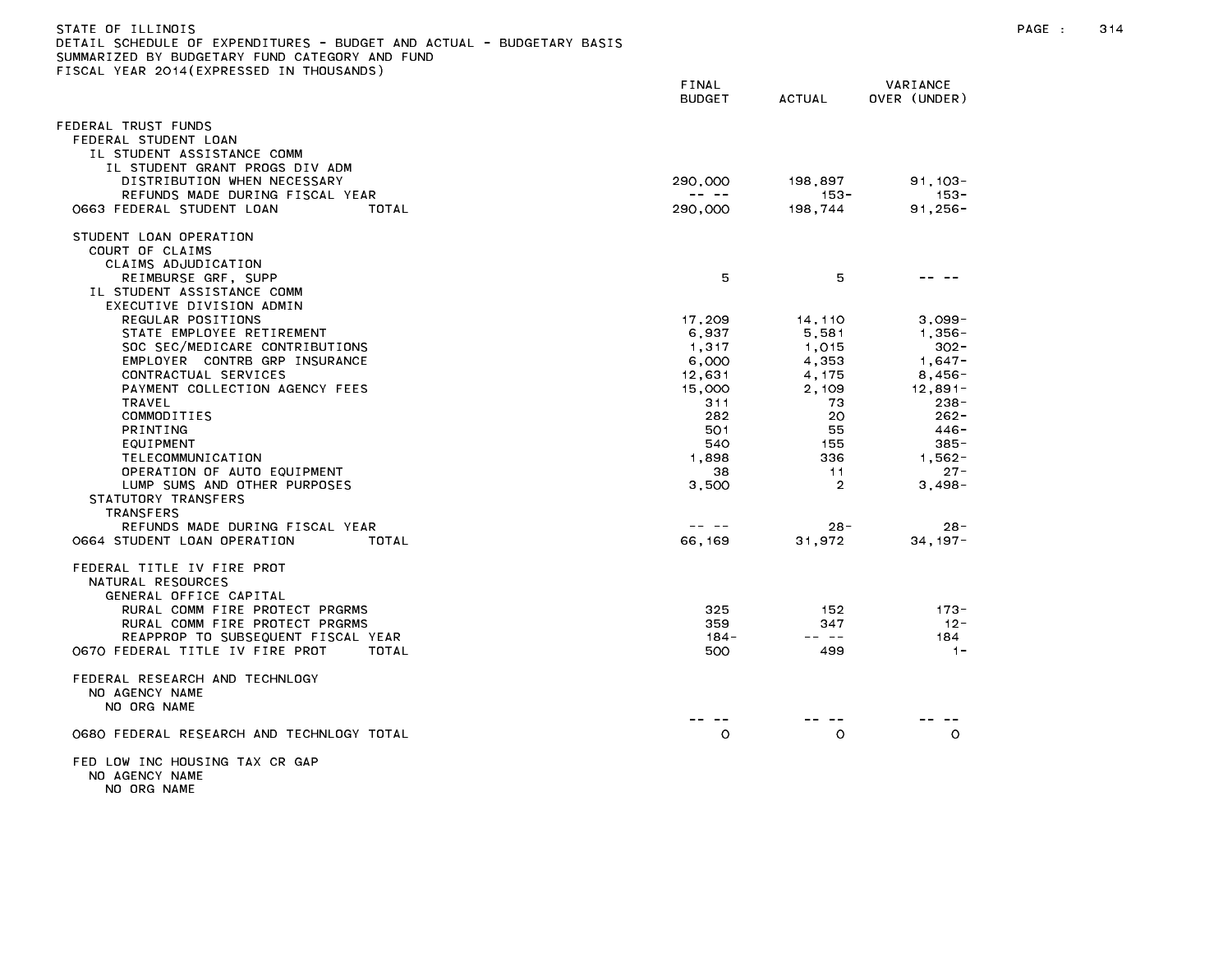| STATE OF ILLINOIS<br>DETAIL SCHEDULE OF EXPENDITURES - BUDGET AND ACTUAL - BUDGETARY BASIS<br>SUMMARIZED BY BUDGETARY FUND CATEGORY AND FUND |                                                                                                                                                                                                                                                                                                                                                                                                         |                     |                       | PAGE : | 314 |
|----------------------------------------------------------------------------------------------------------------------------------------------|---------------------------------------------------------------------------------------------------------------------------------------------------------------------------------------------------------------------------------------------------------------------------------------------------------------------------------------------------------------------------------------------------------|---------------------|-----------------------|--------|-----|
| FISCAL YEAR 2014(EXPRESSED IN THOUSANDS)                                                                                                     | FINAL                                                                                                                                                                                                                                                                                                                                                                                                   |                     | VARIANCE              |        |     |
|                                                                                                                                              | <b>BUDGET</b>                                                                                                                                                                                                                                                                                                                                                                                           | <b>ACTUAL</b>       | OVER (UNDER)          |        |     |
| FEDERAL TRUST FUNDS<br>FEDERAL STUDENT LOAN                                                                                                  |                                                                                                                                                                                                                                                                                                                                                                                                         |                     |                       |        |     |
| IL STUDENT ASSISTANCE COMM                                                                                                                   |                                                                                                                                                                                                                                                                                                                                                                                                         |                     |                       |        |     |
| IL STUDENT GRANT PROGS DIV ADM                                                                                                               |                                                                                                                                                                                                                                                                                                                                                                                                         |                     |                       |        |     |
| DISTRIBUTION WHEN NECESSARY<br>REFUNDS MADE DURING FISCAL YEAR                                                                               | 290,000<br>$\frac{1}{2} \frac{1}{2} \frac{1}{2} \frac{1}{2} \frac{1}{2} \frac{1}{2} \frac{1}{2} \frac{1}{2} \frac{1}{2} \frac{1}{2} \frac{1}{2} \frac{1}{2} \frac{1}{2} \frac{1}{2} \frac{1}{2} \frac{1}{2} \frac{1}{2} \frac{1}{2} \frac{1}{2} \frac{1}{2} \frac{1}{2} \frac{1}{2} \frac{1}{2} \frac{1}{2} \frac{1}{2} \frac{1}{2} \frac{1}{2} \frac{1}{2} \frac{1}{2} \frac{1}{2} \frac{1}{2} \frac{$ | 198,897<br>-- 153 - | $91,103 -$<br>$153 -$ |        |     |
| 0663 FEDERAL STUDENT LOAN<br>TOTAL                                                                                                           | 290,000                                                                                                                                                                                                                                                                                                                                                                                                 | 198,744             | $91,256 -$            |        |     |
| STUDENT LOAN OPERATION<br>COURT OF CLAIMS                                                                                                    |                                                                                                                                                                                                                                                                                                                                                                                                         |                     |                       |        |     |
| CLAIMS ADJUDICATION                                                                                                                          |                                                                                                                                                                                                                                                                                                                                                                                                         |                     |                       |        |     |
| REIMBURSE GRF, SUPP<br>IL STUDENT ASSISTANCE COMM                                                                                            | 5                                                                                                                                                                                                                                                                                                                                                                                                       | 5                   | -- --                 |        |     |
| EXECUTIVE DIVISION ADMIN                                                                                                                     |                                                                                                                                                                                                                                                                                                                                                                                                         |                     |                       |        |     |
| REGULAR POSITIONS<br>STATE EMPLOYEE RETIREMENT                                                                                               | 17,209<br>6,937                                                                                                                                                                                                                                                                                                                                                                                         | 14,110<br>5,581     | $3,099-$<br>$1,356 -$ |        |     |
| SOC SEC/MEDICARE CONTRIBUTIONS                                                                                                               | 1,317                                                                                                                                                                                                                                                                                                                                                                                                   | 1,015               | $302 -$               |        |     |
| EMPLOYER CONTRB GRP INSURANCE                                                                                                                | 6,000                                                                                                                                                                                                                                                                                                                                                                                                   | 4,353               | $1,647-$              |        |     |
| CONTRACTUAL SERVICES                                                                                                                         | 12,631                                                                                                                                                                                                                                                                                                                                                                                                  | 4, 175              | $8,456-$              |        |     |
| PAYMENT COLLECTION AGENCY FEES                                                                                                               | 15,000                                                                                                                                                                                                                                                                                                                                                                                                  | 2,109               | $12,891-$             |        |     |
| TRAVEL                                                                                                                                       | 311                                                                                                                                                                                                                                                                                                                                                                                                     | 73                  | $238 -$               |        |     |
| COMMODITIES                                                                                                                                  | 282                                                                                                                                                                                                                                                                                                                                                                                                     | 20                  | $262 -$               |        |     |
| PRINTING                                                                                                                                     | 501                                                                                                                                                                                                                                                                                                                                                                                                     | 55                  | 446-                  |        |     |
| EQUIPMENT<br>TELECOMMUNICATION                                                                                                               | 540<br>1,898                                                                                                                                                                                                                                                                                                                                                                                            | 155<br>336          | $385 -$<br>$1,562-$   |        |     |
| OPERATION OF AUTO EQUIPMENT                                                                                                                  | 38                                                                                                                                                                                                                                                                                                                                                                                                      | $-11$               | $27 -$                |        |     |
| LUMP SUMS AND OTHER PURPOSES                                                                                                                 | 3,500                                                                                                                                                                                                                                                                                                                                                                                                   | $\overline{2}$      | $3.498 -$             |        |     |
| STATUTORY TRANSFERS                                                                                                                          |                                                                                                                                                                                                                                                                                                                                                                                                         |                     |                       |        |     |
| TRANSFERS                                                                                                                                    |                                                                                                                                                                                                                                                                                                                                                                                                         |                     |                       |        |     |
| REFUNDS MADE DURING FISCAL YEAR                                                                                                              | $\frac{1}{2} \frac{1}{2} \frac{1}{2} \frac{1}{2} \frac{1}{2} \frac{1}{2} \frac{1}{2} \frac{1}{2} \frac{1}{2} \frac{1}{2} \frac{1}{2} \frac{1}{2} \frac{1}{2} \frac{1}{2} \frac{1}{2} \frac{1}{2} \frac{1}{2} \frac{1}{2} \frac{1}{2} \frac{1}{2} \frac{1}{2} \frac{1}{2} \frac{1}{2} \frac{1}{2} \frac{1}{2} \frac{1}{2} \frac{1}{2} \frac{1}{2} \frac{1}{2} \frac{1}{2} \frac{1}{2} \frac{$            | $28 -$              | $28 -$                |        |     |
| 0664 STUDENT LOAN OPERATION<br>TOTAL                                                                                                         | 66,169                                                                                                                                                                                                                                                                                                                                                                                                  | 31,972              | $34, 197 -$           |        |     |
| FEDERAL TITLE IV FIRE PROT<br>NATURAL RESOURCES<br>GENERAL OFFICE CAPITAL                                                                    |                                                                                                                                                                                                                                                                                                                                                                                                         |                     |                       |        |     |
| RURAL COMM FIRE PROTECT PRGRMS                                                                                                               | 325                                                                                                                                                                                                                                                                                                                                                                                                     | 152                 | -173 -                |        |     |
| RURAL COMM FIRE PROTECT PRGRMS                                                                                                               | 359                                                                                                                                                                                                                                                                                                                                                                                                     | 347                 | $12 -$                |        |     |
| REAPPROP TO SUBSEQUENT FISCAL YEAR                                                                                                           | $184 -$                                                                                                                                                                                                                                                                                                                                                                                                 | $- - - -$           | 184                   |        |     |
| 0670 FEDERAL TITLE IV FIRE PROT<br>TOTAL                                                                                                     | 500                                                                                                                                                                                                                                                                                                                                                                                                     | 499                 | $-1-$                 |        |     |
| FEDERAL RESEARCH AND TECHNLOGY<br>NO AGENCY NAME<br>NO ORG NAME                                                                              | -- --                                                                                                                                                                                                                                                                                                                                                                                                   | -- --               |                       |        |     |
| 0680 FEDERAL RESEARCH AND TECHNLOGY TOTAL                                                                                                    | $\circ$                                                                                                                                                                                                                                                                                                                                                                                                 | $\circ$             | -- --<br>$\circ$      |        |     |
| FED LOW INC HOUSING TAX CR GAP<br>NO AGENCY NAME<br>NO ORG NAME                                                                              |                                                                                                                                                                                                                                                                                                                                                                                                         |                     |                       |        |     |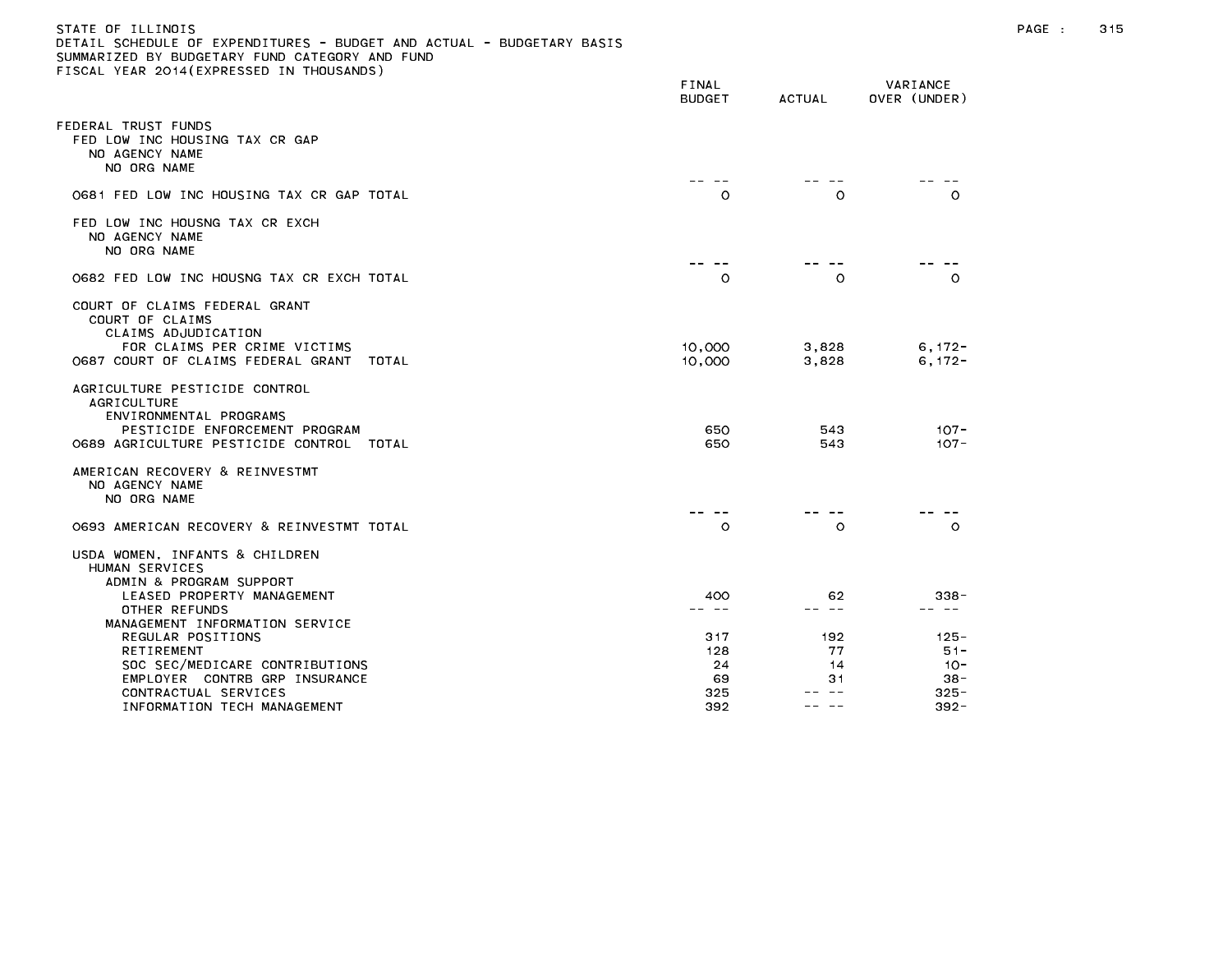## STATE OF ILLINOIS PAGE : 315 DETAIL SCHEDULE OF EXPENDITURES - BUDGET AND ACTUAL - BUDGETARY BASIS SUMMARIZED BY BUDGETARY FUND CATEGORY AND FUND FISCAL YEAR 2014(EXPRESSED IN THOUSANDS)

| IJUAL TEAN ZUTA(EAFNEJJED IN THUUJANDJ)                                                                                                                    | FINAL<br><b>BUDGET</b> | <b>ACTUAL</b>  | VARIANCE<br>OVER (UNDER) |
|------------------------------------------------------------------------------------------------------------------------------------------------------------|------------------------|----------------|--------------------------|
| FEDERAL TRUST FUNDS<br>FED LOW INC HOUSING TAX CR GAP<br>NO AGENCY NAME<br>NO ORG NAME                                                                     |                        |                |                          |
| 0681 FED LOW INC HOUSING TAX CR GAP TOTAL                                                                                                                  | $\circ$                | $\circ$        | $\circ$                  |
| FED LOW INC HOUSNG TAX CR EXCH<br>NO AGENCY NAME<br>NO ORG NAME                                                                                            |                        |                |                          |
| 0682 FED LOW INC HOUSNG TAX CR EXCH TOTAL                                                                                                                  | $\circ$                | $\circ$        | $\circ$                  |
| COURT OF CLAIMS FEDERAL GRANT<br>COURT OF CLAIMS<br>CLAIMS ADJUDICATION<br>FOR CLAIMS PER CRIME VICTIMS<br>0687 COURT OF CLAIMS FEDERAL GRANT<br>TOTAL     | 10,000<br>10,000       | 3,828<br>3,828 | $6, 172 -$<br>$6, 172 -$ |
| AGRICULTURE PESTICIDE CONTROL<br><b>AGRICULTURE</b><br>ENVIRONMENTAL PROGRAMS<br>PESTICIDE ENFORCEMENT PROGRAM<br>O689 AGRICULTURE PESTICIDE CONTROL TOTAL | 650<br>650             | 543<br>543     | $107 -$<br>$107 -$       |
| AMERICAN RECOVERY & REINVESTMT<br>NO AGENCY NAME<br>NO ORG NAME                                                                                            |                        |                |                          |
| 0693 AMERICAN RECOVERY & REINVESTMT TOTAL                                                                                                                  | $\circ$                | $\circ$        | $\circ$                  |
| USDA WOMEN, INFANTS & CHILDREN<br>HUMAN SERVICES<br>ADMIN & PROGRAM SUPPORT                                                                                |                        |                |                          |
| LEASED PROPERTY MANAGEMENT                                                                                                                                 | 400                    | 62             | 338-                     |
| OTHER REFUNDS<br>MANAGEMENT INFORMATION SERVICE                                                                                                            | -- --                  | -- --          | -- --                    |
| REGULAR POSITIONS                                                                                                                                          | 317                    | 192            | $125 -$                  |
| RETIREMENT                                                                                                                                                 | 128                    | 77             | $51 -$                   |
| SOC SEC/MEDICARE CONTRIBUTIONS                                                                                                                             | 24                     | 14             | $10 -$                   |
| EMPLOYER CONTRB GRP INSURANCE                                                                                                                              | 69                     | 31             | $38 -$                   |
| CONTRACTUAL SERVICES                                                                                                                                       | 325                    |                | $325 -$                  |
| INFORMATION TECH MANAGEMENT                                                                                                                                | 392                    | -- -           | $392 -$                  |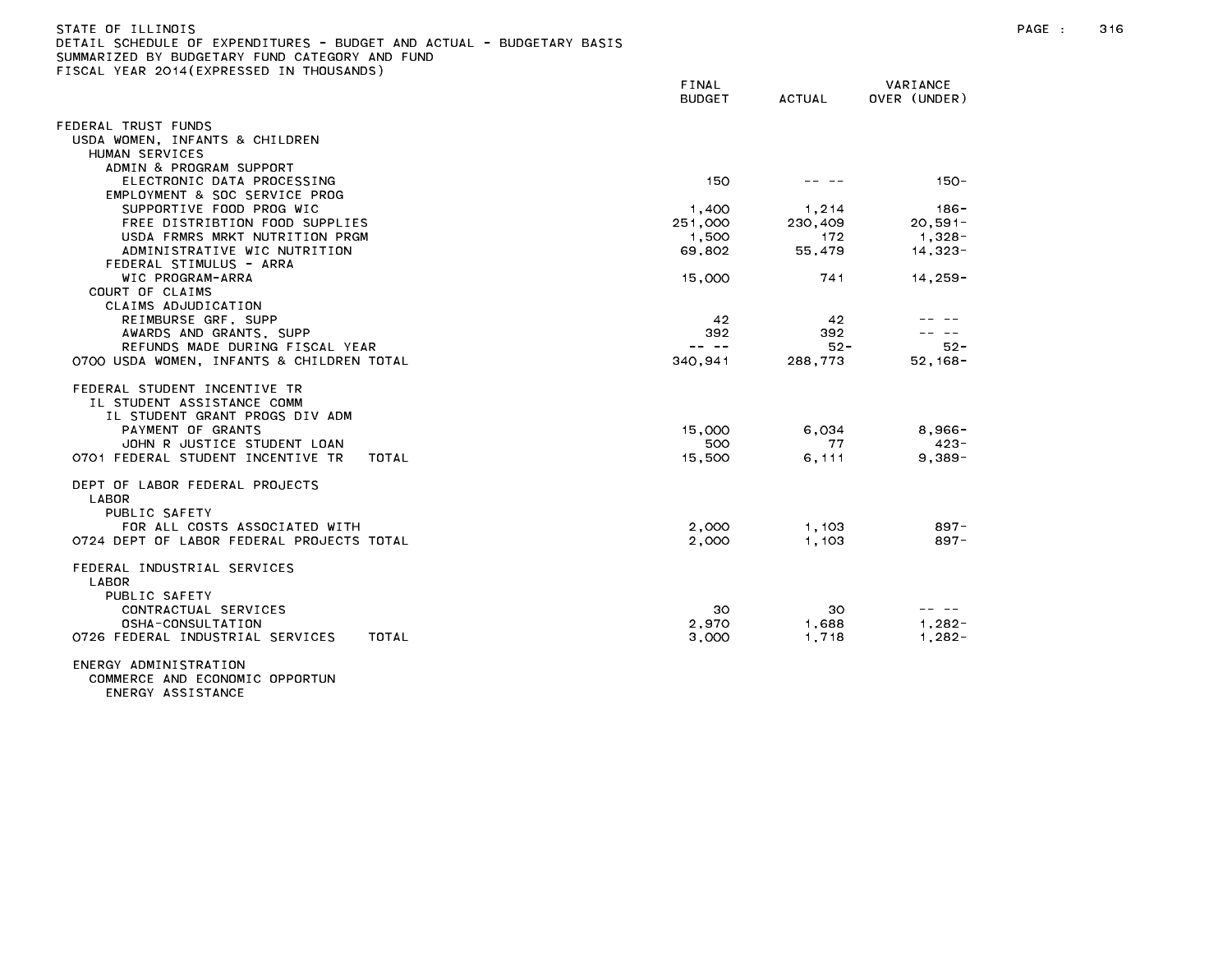| STATE OF ILLINOIS                              |  |  |  |  |  |  |                                                                       |  |
|------------------------------------------------|--|--|--|--|--|--|-----------------------------------------------------------------------|--|
|                                                |  |  |  |  |  |  | DETAIL SCHEDULE OF EXPENDITURES - BUDGET AND ACTUAL - BUDGETARY BASIS |  |
| SUMMARIZED BY BUDGETARY FUND CATEGORY AND FUND |  |  |  |  |  |  |                                                                       |  |

FISCAL YEAR 2014(EXPRESSED IN THOUSANDS)

FINAL VARIANCE BUDGET ACTUAL OVER (UNDER) FEDERAL TRUST FUNDS USDA WOMEN, INFANTS & CHILDREN HUMAN SERVICES ADMIN & PROGRAM SUPPORT ELECTRONIC DATA PROCESSING 150 -- 150 -- 150 -- 150 -- 150 -- 150 -- 150 -- 150 -EMPLOYMENT & SOC SERVICE PROG SUPPORTIVE FOOD PROG WIC **1,400** 1,214 186-FREE DISTRIBTION FOOD SUPPLIES 251,000 230,409 20,591- USDA FRMRS MRKT NUTRITION PRGM 1,500 1,500 172 1,328-ADMINISTRATIVE WIC NUTRITION 69,802 55,479 14,323-FEDERAL STIMULUS - ARRA WIC PROGRAM-ARRA 14.259-16. [15,000 15,000 741 14,259-16] COURT OF CLAIMS CLAIMS ADJUDICATION REIMBURSE GRF, SUPP 42 42 -- -- AWARDS AND GRANTS, SUPP 392 392 -- -- REFUNDS MADE DURING FISCAL YEAR -- -- 52- 52- 0700 USDA WOMEN, INFANTS & CHILDREN TOTAL 340,941 288,773 52,168- FEDERAL STUDENT INCENTIVE TR IL STUDENT ASSISTANCE COMM IL STUDENT GRANT PROGS DIV ADM PAYMENT OF GRANTS 15,000 6,034 8,966- JOHN R JUSTICE STUDENT LOAN 500 77 423- 0701 FEDERAL STUDENT INCENTIVE TR TOTAL 15,500 6,111 9,389-DEPT OF LABOR FEDERAL PROJECTS LABOR PUBLIC SAFETY FOR ALL COSTS ASSOCIATED WITH 2,000 1,103 897- 0724 DEPT OF LABOR FEDERAL PROJECTS TOTAL 2,000 1,103 897- FEDERAL INDUSTRIAL SERVICES LABOR PUBLIC SAFETY CONTRACTUAL SERVICES 30 30 -- -- OSHA-CONSULTATION 2,970 1,688 1,282- 0726 FEDERAL INDUSTRIAL SERVICES TOTAL 3,000 1,718 1,282-

ENERGY ADMINISTRATION COMMERCE AND ECONOMIC OPPORTUN

ENERGY ASSISTANCE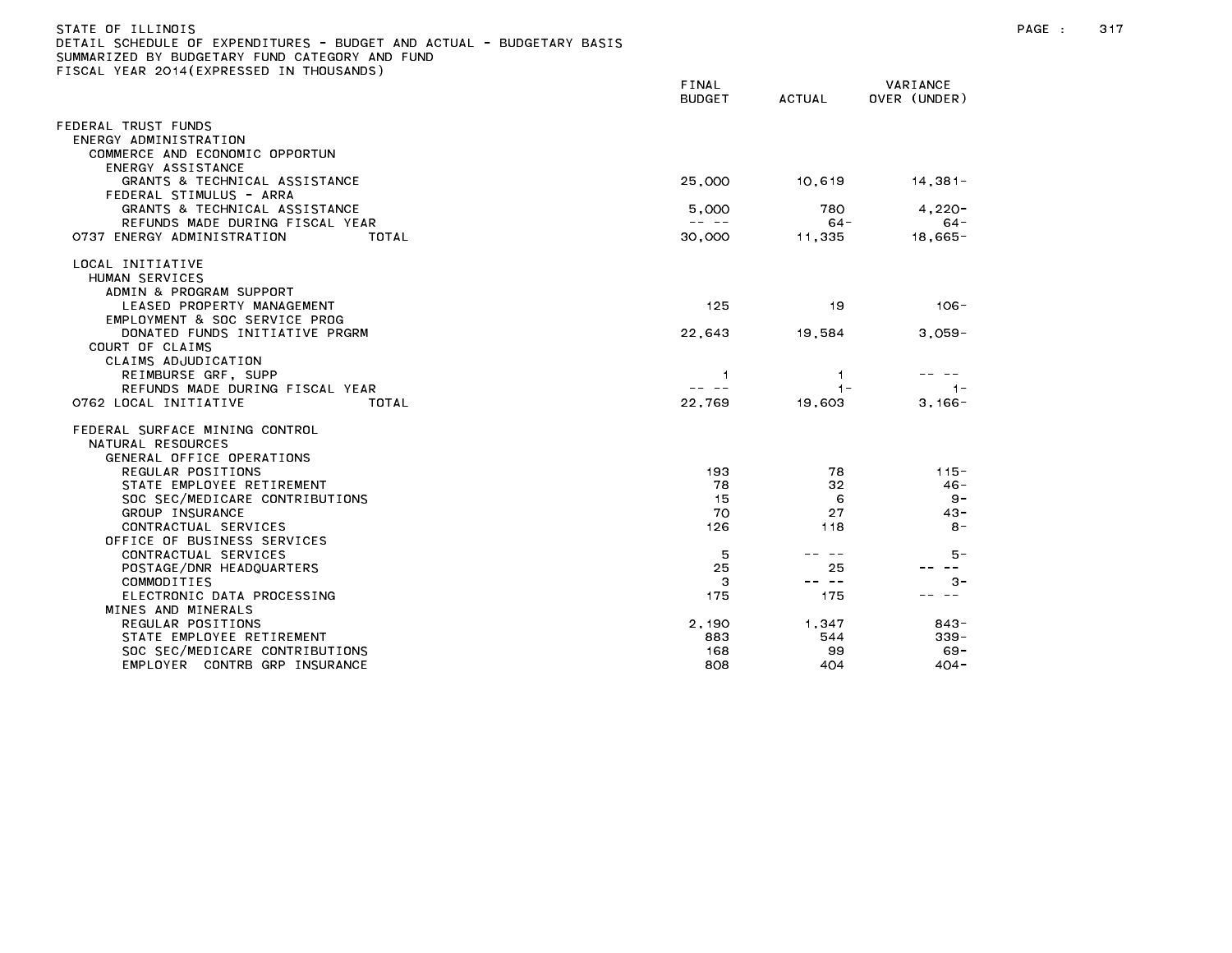| DETAIL SCHEDULE OF EXPENDITURES – BUDGET AND ACTUAL – BUDGETARY BASIS<br>SUMMARIZED BY BUDGETARY FUND CATEGORY AND FUND |                                                                                                                                                                                                                                                                                                                                                                                              |               |                 |
|-------------------------------------------------------------------------------------------------------------------------|----------------------------------------------------------------------------------------------------------------------------------------------------------------------------------------------------------------------------------------------------------------------------------------------------------------------------------------------------------------------------------------------|---------------|-----------------|
| FISCAL YEAR 2014(EXPRESSED IN THOUSANDS)                                                                                |                                                                                                                                                                                                                                                                                                                                                                                              |               |                 |
|                                                                                                                         | FINAL                                                                                                                                                                                                                                                                                                                                                                                        |               | VARIANCE        |
|                                                                                                                         | <b>BUDGET</b>                                                                                                                                                                                                                                                                                                                                                                                | <b>ACTUAL</b> | OVER (UNDER)    |
| FEDERAL TRUST FUNDS                                                                                                     |                                                                                                                                                                                                                                                                                                                                                                                              |               |                 |
| ENERGY ADMINISTRATION                                                                                                   |                                                                                                                                                                                                                                                                                                                                                                                              |               |                 |
| COMMERCE AND ECONOMIC OPPORTUN                                                                                          |                                                                                                                                                                                                                                                                                                                                                                                              |               |                 |
| ENERGY ASSISTANCE                                                                                                       |                                                                                                                                                                                                                                                                                                                                                                                              |               |                 |
| GRANTS & TECHNICAL ASSISTANCE                                                                                           | 25,000                                                                                                                                                                                                                                                                                                                                                                                       | 10,619        | 14,381-         |
| FEDERAL STIMULUS - ARRA                                                                                                 |                                                                                                                                                                                                                                                                                                                                                                                              |               |                 |
| GRANTS & TECHNICAL ASSISTANCE                                                                                           | 5,000                                                                                                                                                                                                                                                                                                                                                                                        | 780           | $4,220-$        |
| REFUNDS MADE DURING FISCAL YEAR                                                                                         | -- --                                                                                                                                                                                                                                                                                                                                                                                        | $64 -$        | $64 -$          |
| 0737 ENERGY ADMINISTRATION<br>TOTAL                                                                                     | 30,000                                                                                                                                                                                                                                                                                                                                                                                       | 11.335        | $18,665-$       |
| LOCAL INITIATIVE                                                                                                        |                                                                                                                                                                                                                                                                                                                                                                                              |               |                 |
| HUMAN SERVICES                                                                                                          |                                                                                                                                                                                                                                                                                                                                                                                              |               |                 |
| ADMIN & PROGRAM SUPPORT                                                                                                 |                                                                                                                                                                                                                                                                                                                                                                                              |               |                 |
| LEASED PROPERTY MANAGEMENT                                                                                              | 125                                                                                                                                                                                                                                                                                                                                                                                          | 19            | $106 -$         |
| EMPLOYMENT & SOC SERVICE PROG                                                                                           |                                                                                                                                                                                                                                                                                                                                                                                              |               |                 |
| DONATED FUNDS INITIATIVE PRGRM<br>COURT OF CLAIMS                                                                       | 22,643                                                                                                                                                                                                                                                                                                                                                                                       | 19,584        | $3.059 -$       |
|                                                                                                                         |                                                                                                                                                                                                                                                                                                                                                                                              |               |                 |
| CLAIMS ADJUDICATION<br>REIMBURSE GRF, SUPP                                                                              | 1.                                                                                                                                                                                                                                                                                                                                                                                           | 1.            |                 |
| REFUNDS MADE DURING FISCAL YEAR                                                                                         | $\frac{1}{2} \frac{1}{2} \frac{1}{2} \frac{1}{2} \frac{1}{2} \frac{1}{2} \frac{1}{2} \frac{1}{2} \frac{1}{2} \frac{1}{2} \frac{1}{2} \frac{1}{2} \frac{1}{2} \frac{1}{2} \frac{1}{2} \frac{1}{2} \frac{1}{2} \frac{1}{2} \frac{1}{2} \frac{1}{2} \frac{1}{2} \frac{1}{2} \frac{1}{2} \frac{1}{2} \frac{1}{2} \frac{1}{2} \frac{1}{2} \frac{1}{2} \frac{1}{2} \frac{1}{2} \frac{1}{2} \frac{$ | $1 -$         | $1 -$           |
| 0762 LOCAL INITIATIVE<br>TOTAL                                                                                          | 22,769                                                                                                                                                                                                                                                                                                                                                                                       | 19,603        | $3,166-$        |
|                                                                                                                         |                                                                                                                                                                                                                                                                                                                                                                                              |               |                 |
| FEDERAL SURFACE MINING CONTROL                                                                                          |                                                                                                                                                                                                                                                                                                                                                                                              |               |                 |
| NATURAL RESOURCES                                                                                                       |                                                                                                                                                                                                                                                                                                                                                                                              |               |                 |
| GENERAL OFFICE OPERATIONS                                                                                               |                                                                                                                                                                                                                                                                                                                                                                                              |               |                 |
| REGULAR POSITIONS                                                                                                       | 193                                                                                                                                                                                                                                                                                                                                                                                          | 78            | $115 -$         |
| STATE EMPLOYEE RETIREMENT                                                                                               | 78                                                                                                                                                                                                                                                                                                                                                                                           | 32            | $46 -$          |
| SOC SEC/MEDICARE CONTRIBUTIONS<br>GROUP INSURANCE                                                                       | 15<br>70                                                                                                                                                                                                                                                                                                                                                                                     | 6<br>27       | $9 -$<br>$43 -$ |
| CONTRACTUAL SERVICES                                                                                                    | 126                                                                                                                                                                                                                                                                                                                                                                                          | 118           | $8 -$           |
| OFFICE OF BUSINESS SERVICES                                                                                             |                                                                                                                                                                                                                                                                                                                                                                                              |               |                 |
| CONTRACTUAL SERVICES                                                                                                    | 5                                                                                                                                                                                                                                                                                                                                                                                            | -- --         | 5 –             |
| POSTAGE/DNR HEADQUARTERS                                                                                                | 25                                                                                                                                                                                                                                                                                                                                                                                           | 25            | $\sim$ $-$      |
| COMMODITIES                                                                                                             | з                                                                                                                                                                                                                                                                                                                                                                                            | -- --         | $3 -$           |
| ELECTRONIC DATA PROCESSING                                                                                              | 175                                                                                                                                                                                                                                                                                                                                                                                          | 175           |                 |
| MINES AND MINERALS                                                                                                      |                                                                                                                                                                                                                                                                                                                                                                                              |               |                 |
| REGULAR POSITIONS                                                                                                       | 2,190                                                                                                                                                                                                                                                                                                                                                                                        | 1.347         | $843 -$         |
| STATE EMPLOYEE RETIREMENT                                                                                               | 883                                                                                                                                                                                                                                                                                                                                                                                          | 544           | $339 -$         |
| SOC SEC/MEDICARE CONTRIBUTIONS                                                                                          | 168                                                                                                                                                                                                                                                                                                                                                                                          | 99            | $69 -$          |
| EMPLOYER CONTRB GRP INSURANCE                                                                                           | 808                                                                                                                                                                                                                                                                                                                                                                                          | 404           | $404 -$         |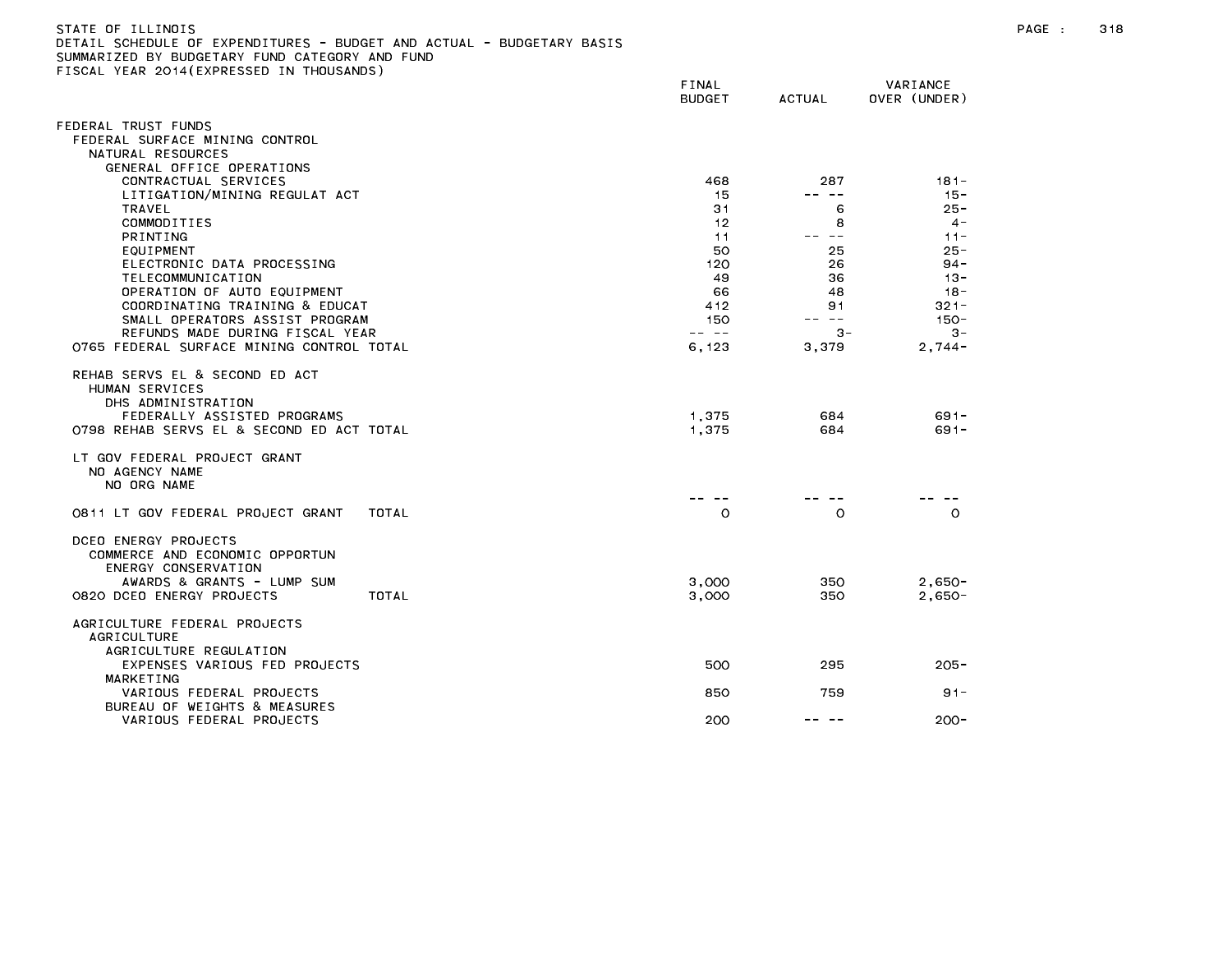| SUMMARIZED BY BUDGETARY FUND CATEGORY AND FUND                                                                                                     |                        |               |                          |
|----------------------------------------------------------------------------------------------------------------------------------------------------|------------------------|---------------|--------------------------|
| TISCAL YEAR 2014(EXPRESSED IN THOUSANDS)                                                                                                           | FINAL<br><b>BUDGET</b> | <b>ACTUAL</b> | VARIANCE<br>OVER (UNDER) |
| FEDERAL TRUST FUNDS                                                                                                                                |                        |               |                          |
| FEDERAL SURFACE MINING CONTROL                                                                                                                     |                        |               |                          |
| NATURAL RESOURCES                                                                                                                                  |                        |               |                          |
| GENERAL OFFICE OPERATIONS<br>CONTRACTUAL SERVICES                                                                                                  | 468                    | 287           | $181 -$                  |
| LITIGATION/MINING REGULAT ACT                                                                                                                      | 15                     | -- --         | $15 -$                   |
| TRAVEL                                                                                                                                             | 31                     | 6             | $25 -$                   |
| COMMODITIES                                                                                                                                        | 12                     | 8             | $4 -$                    |
| <b>PRINTING</b>                                                                                                                                    | 11                     | -- --         | $11 -$                   |
| EQUIPMENT                                                                                                                                          | 50                     | 25            | $25 -$                   |
| ELECTRONIC DATA PROCESSING                                                                                                                         | 120                    | 26            | $94 -$                   |
| TELECOMMUNICATION                                                                                                                                  | 49                     | 36            | $13 -$                   |
| OPERATION OF AUTO EQUIPMENT<br>COORDINATING TRAINING & EDUCAT                                                                                      | 66<br>412              | 48<br>91      | 18 -<br>$321 -$          |
| SMALL OPERATORS ASSIST PROGRAM                                                                                                                     | 150                    |               | $150 -$                  |
| REFUNDS MADE DURING FISCAL YEAR                                                                                                                    | -- --                  | $3 -$         | $3 -$                    |
| 0765 FEDERAL SURFACE MINING CONTROL TOTAL                                                                                                          | 6,123                  | 3,379         | $2,744-$                 |
| REHAB SERVS EL & SECOND ED ACT<br>HUMAN SERVICES<br>DHS ADMINISTRATION<br>FEDERALLY ASSISTED PROGRAMS<br>0798 REHAB SERVS EL & SECOND ED ACT TOTAL | 1,375<br>1.375         | 684<br>684    | $691 -$<br>$691 -$       |
| LT GOV FEDERAL PROJECT GRANT<br>NO AGENCY NAME<br>NO ORG NAME                                                                                      |                        |               |                          |
| TOTAL<br>0811 LT GOV FEDERAL PROJECT GRANT                                                                                                         | $\circ$                | $\circ$       | $\circ$                  |
| DCEO ENERGY PROJECTS<br>COMMERCE AND ECONOMIC OPPORTUN<br>ENERGY CONSERVATION<br>AWARDS & GRANTS - LUMP SUM                                        |                        |               |                          |
| 0820 DCEO ENERGY PROJECTS<br>TOTAL                                                                                                                 | 3,000<br>3,000         | 350<br>350    | $2,650-$<br>$2,650-$     |
| AGRICULTURE FEDERAL PROJECTS<br><b>AGRICULTURE</b><br>AGRICULTURE REGULATION                                                                       |                        |               |                          |
| EXPENSES VARIOUS FED PROJECTS<br>MARKETING                                                                                                         | 500                    | 295           | $205 -$                  |
| VARIOUS FEDERAL PROJECTS                                                                                                                           | 850                    | 759           | $91 -$                   |
| BUREAU OF WEIGHTS & MEASURES<br>VARIOUS FEDERAL PROJECTS                                                                                           | 200                    |               | $200 -$                  |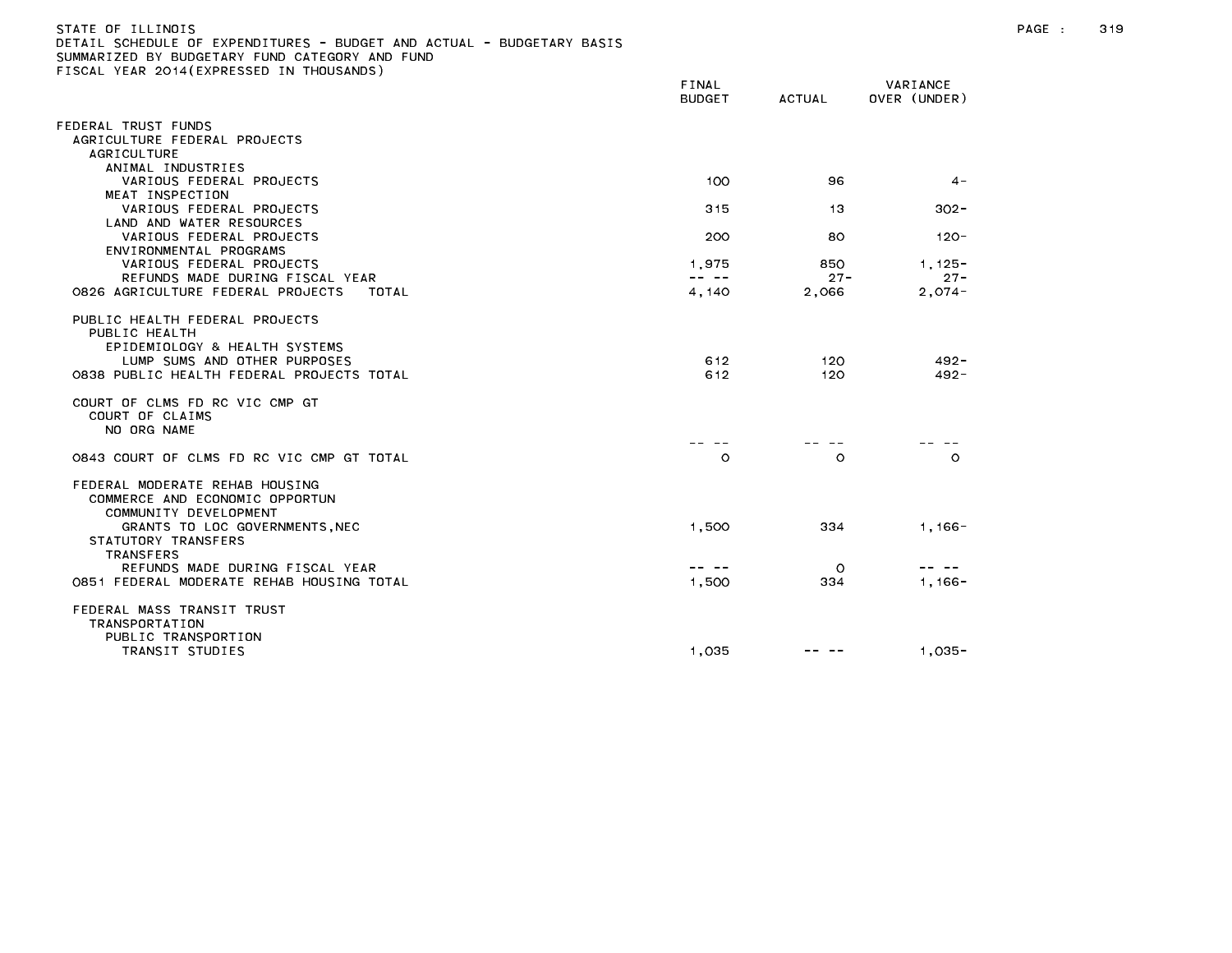| )ETAIL SCHEDULE OF EXPENDITURES - BUDGET AND ACTUAL - BUDGETARY BASIS                      |                                                                                                                                                                                                                                                                                                                                                                                              |               |                    |
|--------------------------------------------------------------------------------------------|----------------------------------------------------------------------------------------------------------------------------------------------------------------------------------------------------------------------------------------------------------------------------------------------------------------------------------------------------------------------------------------------|---------------|--------------------|
| SUMMARIZED BY BUDGETARY FUND CATEGORY AND FUND<br>FISCAL YEAR 2014(EXPRESSED IN THOUSANDS) |                                                                                                                                                                                                                                                                                                                                                                                              |               |                    |
|                                                                                            | <b>FINAL</b>                                                                                                                                                                                                                                                                                                                                                                                 |               | VARIANCE           |
|                                                                                            | <b>BUDGET</b>                                                                                                                                                                                                                                                                                                                                                                                | <b>ACTUAL</b> | OVER (UNDER)       |
| FEDERAL TRUST FUNDS                                                                        |                                                                                                                                                                                                                                                                                                                                                                                              |               |                    |
| AGRICULTURE FEDERAL PROJECTS                                                               |                                                                                                                                                                                                                                                                                                                                                                                              |               |                    |
| <b>AGRICULTURE</b>                                                                         |                                                                                                                                                                                                                                                                                                                                                                                              |               |                    |
| ANIMAL INDUSTRIES                                                                          |                                                                                                                                                                                                                                                                                                                                                                                              |               |                    |
| VARIOUS FEDERAL PROJECTS                                                                   | 100                                                                                                                                                                                                                                                                                                                                                                                          | 96            | $4 -$              |
| MEAT INSPECTION                                                                            |                                                                                                                                                                                                                                                                                                                                                                                              |               |                    |
| VARIOUS FEDERAL PROJECTS                                                                   | 315                                                                                                                                                                                                                                                                                                                                                                                          | 13            | $302 -$            |
| LAND AND WATER RESOURCES                                                                   |                                                                                                                                                                                                                                                                                                                                                                                              |               |                    |
| VARIOUS FEDERAL PROJECTS<br>ENVIRONMENTAL PROGRAMS                                         | 200                                                                                                                                                                                                                                                                                                                                                                                          | 80            | -120               |
| VARIOUS FEDERAL PROJECTS                                                                   | 1,975                                                                                                                                                                                                                                                                                                                                                                                        | 850           | $1.125 -$          |
| REFUNDS MADE DURING FISCAL YEAR                                                            | $\frac{1}{2} \frac{1}{2} \frac{1}{2} \frac{1}{2} \frac{1}{2} \frac{1}{2} \frac{1}{2} \frac{1}{2} \frac{1}{2} \frac{1}{2} \frac{1}{2} \frac{1}{2} \frac{1}{2} \frac{1}{2} \frac{1}{2} \frac{1}{2} \frac{1}{2} \frac{1}{2} \frac{1}{2} \frac{1}{2} \frac{1}{2} \frac{1}{2} \frac{1}{2} \frac{1}{2} \frac{1}{2} \frac{1}{2} \frac{1}{2} \frac{1}{2} \frac{1}{2} \frac{1}{2} \frac{1}{2} \frac{$ | $27 -$        | $27 -$             |
| 0826 AGRICULTURE FEDERAL PROJECTS<br>TOTAL                                                 | 4,140                                                                                                                                                                                                                                                                                                                                                                                        | 2,066         | $2,074-$           |
| PUBLIC HEALTH FEDERAL PROJECTS                                                             |                                                                                                                                                                                                                                                                                                                                                                                              |               |                    |
| PUBLIC HEALTH                                                                              |                                                                                                                                                                                                                                                                                                                                                                                              |               |                    |
| EPIDEMIOLOGY & HEALTH SYSTEMS                                                              |                                                                                                                                                                                                                                                                                                                                                                                              |               |                    |
| LUMP SUMS AND OTHER PURPOSES<br>0838 PUBLIC HEALTH FEDERAL PROJECTS TOTAL                  | 612<br>612                                                                                                                                                                                                                                                                                                                                                                                   | 120<br>120    | $492 -$<br>$492 -$ |
|                                                                                            |                                                                                                                                                                                                                                                                                                                                                                                              |               |                    |
| COURT OF CLMS FD RC VIC CMP GT                                                             |                                                                                                                                                                                                                                                                                                                                                                                              |               |                    |
| COURT OF CLAIMS                                                                            |                                                                                                                                                                                                                                                                                                                                                                                              |               |                    |
| NO ORG NAME                                                                                |                                                                                                                                                                                                                                                                                                                                                                                              |               |                    |
| 0843 COURT OF CLMS FD RC VIC CMP GT TOTAL                                                  | $\circ$                                                                                                                                                                                                                                                                                                                                                                                      | $\Omega$      | $\circ$            |
|                                                                                            |                                                                                                                                                                                                                                                                                                                                                                                              |               |                    |
| FEDERAL MODERATE REHAB HOUSING                                                             |                                                                                                                                                                                                                                                                                                                                                                                              |               |                    |
| COMMERCE AND ECONOMIC OPPORTUN                                                             |                                                                                                                                                                                                                                                                                                                                                                                              |               |                    |
| COMMUNITY DEVELOPMENT                                                                      |                                                                                                                                                                                                                                                                                                                                                                                              |               |                    |
| GRANTS TO LOC GOVERNMENTS, NEC                                                             | 1,500                                                                                                                                                                                                                                                                                                                                                                                        | 334           | 1, 166 –           |
| STATUTORY TRANSFERS                                                                        |                                                                                                                                                                                                                                                                                                                                                                                              |               |                    |
| TRANSFERS<br>REFUNDS MADE DURING FISCAL YEAR                                               | -- --                                                                                                                                                                                                                                                                                                                                                                                        | $\circ$       |                    |
| 0851 FEDERAL MODERATE REHAB HOUSING TOTAL                                                  | 1,500                                                                                                                                                                                                                                                                                                                                                                                        | 334           | $1,166-$           |
|                                                                                            |                                                                                                                                                                                                                                                                                                                                                                                              |               |                    |
| FEDERAL MASS TRANSIT TRUST                                                                 |                                                                                                                                                                                                                                                                                                                                                                                              |               |                    |
| <b>TRANSPORTATION</b>                                                                      |                                                                                                                                                                                                                                                                                                                                                                                              |               |                    |
| PUBLIC TRANSPORTION                                                                        |                                                                                                                                                                                                                                                                                                                                                                                              |               |                    |
| TRANSIT STUDIES                                                                            | 1.035                                                                                                                                                                                                                                                                                                                                                                                        |               | $1.035 -$          |

STATE OF ILLINOIS PAGE : 319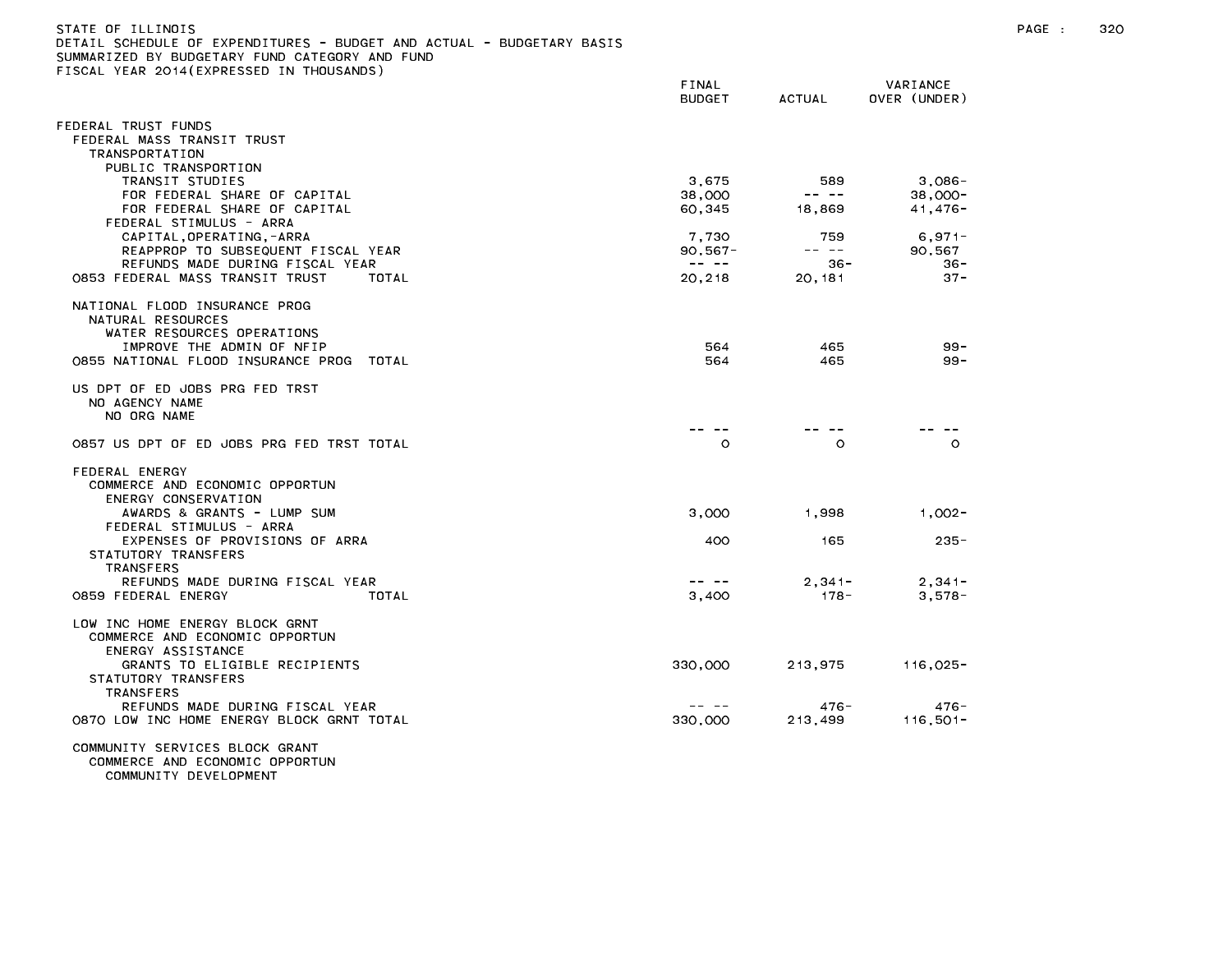| )ETAIL SCHEDULE OF EXPENDITURES – BUDGET AND ACTUAL – BUDGETARY BASIS<br>SUMMARIZED BY BUDGETARY FUND CATEGORY AND FUND |                                                                                                                                                                                                                                                                                                                                                                                              |                                                                                                                                                                                                                                                                                                                                                                                              |                          |
|-------------------------------------------------------------------------------------------------------------------------|----------------------------------------------------------------------------------------------------------------------------------------------------------------------------------------------------------------------------------------------------------------------------------------------------------------------------------------------------------------------------------------------|----------------------------------------------------------------------------------------------------------------------------------------------------------------------------------------------------------------------------------------------------------------------------------------------------------------------------------------------------------------------------------------------|--------------------------|
| FISCAL YEAR 2014(EXPRESSED IN THOUSANDS)                                                                                |                                                                                                                                                                                                                                                                                                                                                                                              |                                                                                                                                                                                                                                                                                                                                                                                              |                          |
|                                                                                                                         | FINAL<br><b>BUDGET</b>                                                                                                                                                                                                                                                                                                                                                                       | <b>ACTUAL</b>                                                                                                                                                                                                                                                                                                                                                                                | VARIANCE<br>OVER (UNDER) |
| FEDERAL TRUST FUNDS                                                                                                     |                                                                                                                                                                                                                                                                                                                                                                                              |                                                                                                                                                                                                                                                                                                                                                                                              |                          |
| FEDERAL MASS TRANSIT TRUST                                                                                              |                                                                                                                                                                                                                                                                                                                                                                                              |                                                                                                                                                                                                                                                                                                                                                                                              |                          |
| <b>TRANSPORTATION</b><br>PUBLIC TRANSPORTION                                                                            |                                                                                                                                                                                                                                                                                                                                                                                              |                                                                                                                                                                                                                                                                                                                                                                                              |                          |
| TRANSIT STUDIES                                                                                                         | 3,675                                                                                                                                                                                                                                                                                                                                                                                        | 589                                                                                                                                                                                                                                                                                                                                                                                          | 3,086-                   |
| FOR FEDERAL SHARE OF CAPITAL                                                                                            | 38,000                                                                                                                                                                                                                                                                                                                                                                                       | $\frac{1}{2} \frac{1}{2} \frac{1}{2} \frac{1}{2} \frac{1}{2} \frac{1}{2} \frac{1}{2} \frac{1}{2} \frac{1}{2} \frac{1}{2} \frac{1}{2} \frac{1}{2} \frac{1}{2} \frac{1}{2} \frac{1}{2} \frac{1}{2} \frac{1}{2} \frac{1}{2} \frac{1}{2} \frac{1}{2} \frac{1}{2} \frac{1}{2} \frac{1}{2} \frac{1}{2} \frac{1}{2} \frac{1}{2} \frac{1}{2} \frac{1}{2} \frac{1}{2} \frac{1}{2} \frac{1}{2} \frac{$ | $38.000 -$               |
| FOR FEDERAL SHARE OF CAPITAL                                                                                            | 60,345                                                                                                                                                                                                                                                                                                                                                                                       | 18,869                                                                                                                                                                                                                                                                                                                                                                                       | 41,476-                  |
| FEDERAL STIMULUS - ARRA<br>CAPITAL, OPERATING, -ARRA                                                                    | 7,730                                                                                                                                                                                                                                                                                                                                                                                        | 759                                                                                                                                                                                                                                                                                                                                                                                          | $6,971-$                 |
| REAPPROP TO SUBSEQUENT FISCAL YEAR                                                                                      | $90,567 -$                                                                                                                                                                                                                                                                                                                                                                                   | $\frac{1}{2} \frac{1}{2} \frac{1}{2} \frac{1}{2} \frac{1}{2} \frac{1}{2} \frac{1}{2} \frac{1}{2} \frac{1}{2} \frac{1}{2} \frac{1}{2} \frac{1}{2} \frac{1}{2} \frac{1}{2} \frac{1}{2} \frac{1}{2} \frac{1}{2} \frac{1}{2} \frac{1}{2} \frac{1}{2} \frac{1}{2} \frac{1}{2} \frac{1}{2} \frac{1}{2} \frac{1}{2} \frac{1}{2} \frac{1}{2} \frac{1}{2} \frac{1}{2} \frac{1}{2} \frac{1}{2} \frac{$ | 90,567                   |
| REFUNDS MADE DURING FISCAL YEAR                                                                                         | $\sim$ $\sim$ $\sim$ $\sim$ $\sim$                                                                                                                                                                                                                                                                                                                                                           | 36-                                                                                                                                                                                                                                                                                                                                                                                          | $36 -$                   |
| 0853 FEDERAL MASS TRANSIT TRUST<br>TOTAL                                                                                | 20,218                                                                                                                                                                                                                                                                                                                                                                                       | 20, 181                                                                                                                                                                                                                                                                                                                                                                                      | $37 -$                   |
| NATIONAL FLOOD INSURANCE PROG<br>NATURAL RESOURCES                                                                      |                                                                                                                                                                                                                                                                                                                                                                                              |                                                                                                                                                                                                                                                                                                                                                                                              |                          |
| WATER RESOURCES OPERATIONS                                                                                              |                                                                                                                                                                                                                                                                                                                                                                                              |                                                                                                                                                                                                                                                                                                                                                                                              |                          |
| IMPROVE THE ADMIN OF NFIP                                                                                               | 564                                                                                                                                                                                                                                                                                                                                                                                          | 465                                                                                                                                                                                                                                                                                                                                                                                          | $99 -$                   |
| 0855 NATIONAL FLOOD INSURANCE PROG TOTAL                                                                                | 564                                                                                                                                                                                                                                                                                                                                                                                          | 465                                                                                                                                                                                                                                                                                                                                                                                          | $99 -$                   |
| US DPT OF ED JOBS PRG FED TRST<br>NO AGENCY NAME<br>NO ORG NAME                                                         |                                                                                                                                                                                                                                                                                                                                                                                              |                                                                                                                                                                                                                                                                                                                                                                                              |                          |
| 0857 US DPT OF ED JOBS PRG FED TRST TOTAL                                                                               | -- --<br>$\circ$                                                                                                                                                                                                                                                                                                                                                                             | -- --<br>$\circ$                                                                                                                                                                                                                                                                                                                                                                             | $\circ$                  |
| FEDERAL ENERGY                                                                                                          |                                                                                                                                                                                                                                                                                                                                                                                              |                                                                                                                                                                                                                                                                                                                                                                                              |                          |
| COMMERCE AND ECONOMIC OPPORTUN                                                                                          |                                                                                                                                                                                                                                                                                                                                                                                              |                                                                                                                                                                                                                                                                                                                                                                                              |                          |
| ENERGY CONSERVATION                                                                                                     |                                                                                                                                                                                                                                                                                                                                                                                              |                                                                                                                                                                                                                                                                                                                                                                                              |                          |
| AWARDS & GRANTS - LUMP SUM<br>FEDERAL STIMULUS - ARRA                                                                   | 3.000                                                                                                                                                                                                                                                                                                                                                                                        | 1.998                                                                                                                                                                                                                                                                                                                                                                                        | $1.002 -$                |
| EXPENSES OF PROVISIONS OF ARRA                                                                                          | 400                                                                                                                                                                                                                                                                                                                                                                                          | 165                                                                                                                                                                                                                                                                                                                                                                                          | $235 -$                  |
| STATUTORY TRANSFERS                                                                                                     |                                                                                                                                                                                                                                                                                                                                                                                              |                                                                                                                                                                                                                                                                                                                                                                                              |                          |
| <b>TRANSFERS</b>                                                                                                        | $\frac{1}{2} \frac{1}{2} \frac{1}{2} \frac{1}{2} \frac{1}{2} \frac{1}{2} \frac{1}{2} \frac{1}{2} \frac{1}{2} \frac{1}{2} \frac{1}{2} \frac{1}{2} \frac{1}{2} \frac{1}{2} \frac{1}{2} \frac{1}{2} \frac{1}{2} \frac{1}{2} \frac{1}{2} \frac{1}{2} \frac{1}{2} \frac{1}{2} \frac{1}{2} \frac{1}{2} \frac{1}{2} \frac{1}{2} \frac{1}{2} \frac{1}{2} \frac{1}{2} \frac{1}{2} \frac{1}{2} \frac{$ |                                                                                                                                                                                                                                                                                                                                                                                              |                          |
| REFUNDS MADE DURING FISCAL YEAR<br>0859 FEDERAL ENERGY<br>TOTAL                                                         | 3,400                                                                                                                                                                                                                                                                                                                                                                                        | $2,341-$<br>178-                                                                                                                                                                                                                                                                                                                                                                             | $2.341 -$<br>$3.578 -$   |
|                                                                                                                         |                                                                                                                                                                                                                                                                                                                                                                                              |                                                                                                                                                                                                                                                                                                                                                                                              |                          |
| LOW INC HOME ENERGY BLOCK GRNT                                                                                          |                                                                                                                                                                                                                                                                                                                                                                                              |                                                                                                                                                                                                                                                                                                                                                                                              |                          |
| COMMERCE AND ECONOMIC OPPORTUN<br>ENERGY ASSISTANCE                                                                     |                                                                                                                                                                                                                                                                                                                                                                                              |                                                                                                                                                                                                                                                                                                                                                                                              |                          |
| GRANTS TO ELIGIBLE RECIPIENTS                                                                                           | 330,000                                                                                                                                                                                                                                                                                                                                                                                      | 213,975                                                                                                                                                                                                                                                                                                                                                                                      | 116,025-                 |
| STATUTORY TRANSFERS                                                                                                     |                                                                                                                                                                                                                                                                                                                                                                                              |                                                                                                                                                                                                                                                                                                                                                                                              |                          |
| TRANSFERS                                                                                                               |                                                                                                                                                                                                                                                                                                                                                                                              |                                                                                                                                                                                                                                                                                                                                                                                              |                          |
| REFUNDS MADE DURING FISCAL YEAR                                                                                         | $\frac{1}{2} \frac{1}{2} \frac{1}{2} \frac{1}{2} \frac{1}{2} \frac{1}{2} \frac{1}{2} \frac{1}{2} \frac{1}{2} \frac{1}{2} \frac{1}{2} \frac{1}{2} \frac{1}{2} \frac{1}{2} \frac{1}{2} \frac{1}{2} \frac{1}{2} \frac{1}{2} \frac{1}{2} \frac{1}{2} \frac{1}{2} \frac{1}{2} \frac{1}{2} \frac{1}{2} \frac{1}{2} \frac{1}{2} \frac{1}{2} \frac{1}{2} \frac{1}{2} \frac{1}{2} \frac{1}{2} \frac{$ | $476 -$                                                                                                                                                                                                                                                                                                                                                                                      | $476 -$                  |
| 0870 LOW INC HOME ENERGY BLOCK GRNT TOTAL                                                                               | 330,000                                                                                                                                                                                                                                                                                                                                                                                      | 213,499                                                                                                                                                                                                                                                                                                                                                                                      | 116,501-                 |
| COMMUNITY SERVICES BLOCK GRANT<br>COMMERCE AND ECONOMIC OPPORTUN<br>COMMUNITY DEVELOPMENT                               |                                                                                                                                                                                                                                                                                                                                                                                              |                                                                                                                                                                                                                                                                                                                                                                                              |                          |

STATE OF ILLINOIS PAGE : 320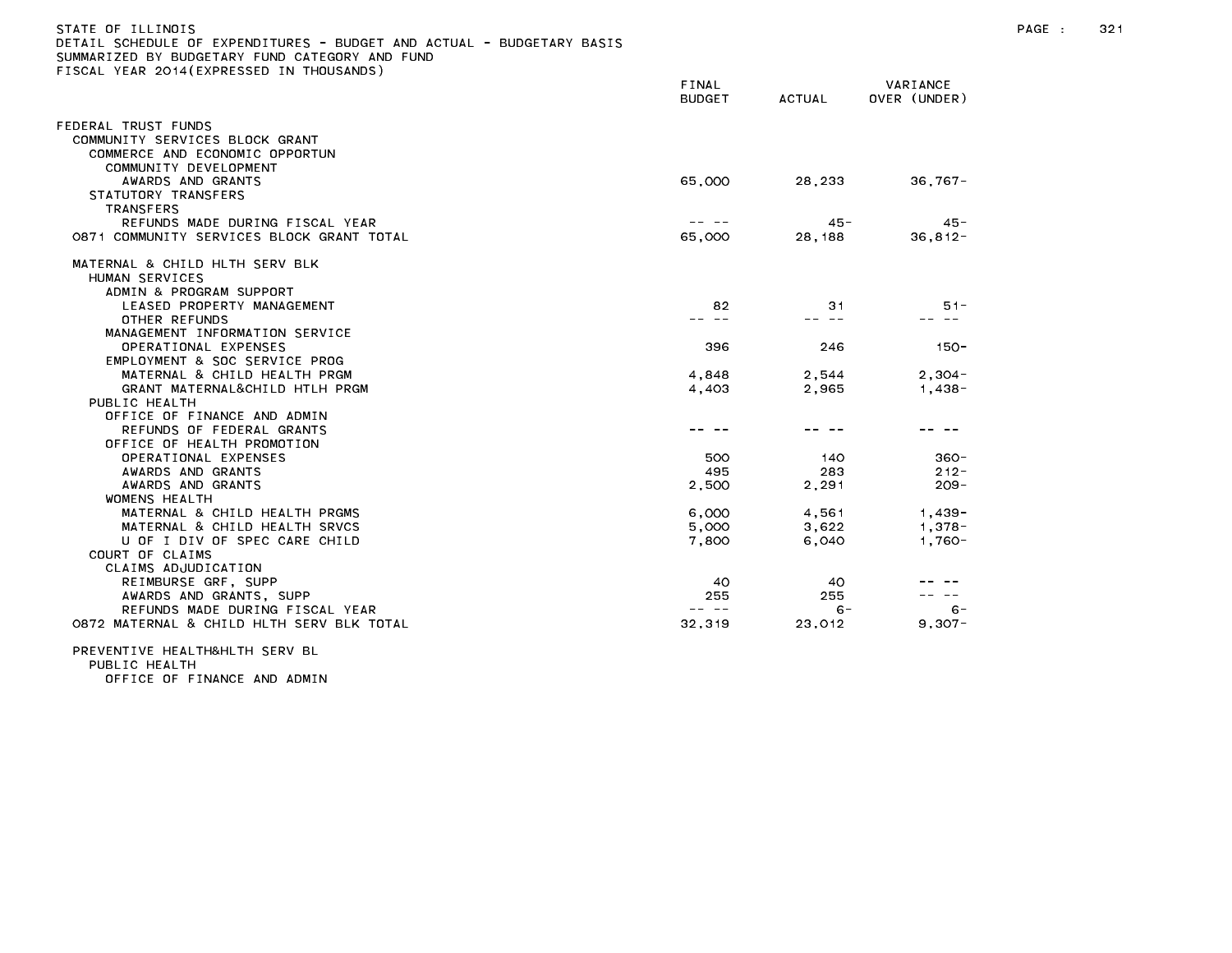| STATE OF ILLINOIS<br>DETAIL SCHEDULE OF EXPENDITURES - BUDGET AND ACTUAL - BUDGETARY BASIS<br>SUMMARIZED BY BUDGETARY FUND CATEGORY AND FUND<br>FISCAL YEAR 2014 (EXPRESSED IN THOUSANDS) |                        |               |                          | PAGE : | 321 |
|-------------------------------------------------------------------------------------------------------------------------------------------------------------------------------------------|------------------------|---------------|--------------------------|--------|-----|
|                                                                                                                                                                                           | FINAL<br><b>BUDGET</b> | <b>ACTUAL</b> | VARIANCE<br>OVER (UNDER) |        |     |
| FEDERAL TRUST FUNDS<br>COMMUNITY SERVICES BLOCK GRANT                                                                                                                                     |                        |               |                          |        |     |
| COMMERCE AND ECONOMIC OPPORTUN<br>COMMUNITY DEVELOPMENT                                                                                                                                   |                        |               |                          |        |     |
| AWARDS AND GRANTS                                                                                                                                                                         | 65,000                 | 28.233        | $36.767 -$               |        |     |
| STATUTORY TRANSFERS<br>TRANSFERS                                                                                                                                                          |                        |               |                          |        |     |
| REFUNDS MADE DURING FISCAL YEAR                                                                                                                                                           | $\cdots \cdots \cdots$ | 45 -          | 45 -                     |        |     |
| 0871 COMMUNITY SERVICES BLOCK GRANT TOTAL                                                                                                                                                 | 65,000                 | 28, 188       | $36.812 -$               |        |     |
| MATERNAL & CHILD HLTH SERV BLK<br>HUMAN SERVICES                                                                                                                                          |                        |               |                          |        |     |
| ADMIN & PROGRAM SUPPORT<br>LEASED PROPERTY MANAGEMENT                                                                                                                                     | 82                     | 31            | $51 -$                   |        |     |
| OTHER REFUNDS                                                                                                                                                                             |                        |               |                          |        |     |
| MANAGEMENT INFORMATION SERVICE                                                                                                                                                            |                        |               |                          |        |     |
| OPERATIONAL EXPENSES                                                                                                                                                                      | 396                    | 246           | 150-                     |        |     |
| EMPLOYMENT & SOC SERVICE PROG                                                                                                                                                             |                        |               |                          |        |     |
| MATERNAL & CHILD HEALTH PRGM                                                                                                                                                              | 4,848                  | 2,544         | $2,304-$                 |        |     |
| GRANT MATERNAL&CHILD HTLH PRGM<br>PUBLIC HEALTH                                                                                                                                           | 4,403                  | 2,965         | $1,438-$                 |        |     |
| OFFICE OF FINANCE AND ADMIN                                                                                                                                                               |                        |               |                          |        |     |
| REFUNDS OF FEDERAL GRANTS                                                                                                                                                                 |                        |               |                          |        |     |
| OFFICE OF HEALTH PROMOTION                                                                                                                                                                |                        |               |                          |        |     |
| OPERATIONAL EXPENSES                                                                                                                                                                      | 500                    | 140           | 360-                     |        |     |
| AWARDS AND GRANTS                                                                                                                                                                         | 495                    | 283           | $212 -$                  |        |     |
| AWARDS AND GRANTS                                                                                                                                                                         | 2,500                  | 2,291         | $209 -$                  |        |     |
| WOMENS HEALTH                                                                                                                                                                             |                        |               |                          |        |     |
| MATERNAL & CHILD HEALTH PRGMS                                                                                                                                                             | 6,000                  | 4,561         | $1,439-$                 |        |     |
| MATERNAL & CHILD HEALTH SRVCS                                                                                                                                                             | 5,000                  | 3,622         | $1,378-$                 |        |     |
| U OF I DIV OF SPEC CARE CHILD                                                                                                                                                             | 7,800                  | 6,040         | $1.760 -$                |        |     |
| COURT OF CLAIMS                                                                                                                                                                           |                        |               |                          |        |     |
| CLAIMS ADJUDICATION<br>REIMBURSE GRF, SUPP                                                                                                                                                | 40                     | 40.           |                          |        |     |
| AWARDS AND GRANTS, SUPP                                                                                                                                                                   | 255                    | 255           |                          |        |     |
| REFUNDS MADE DURING FISCAL YEAR                                                                                                                                                           | -- --                  | $6-$          | $6 -$                    |        |     |
| 0872 MATERNAL & CHILD HLTH SERV BLK TOTAL                                                                                                                                                 | 32,319                 | 23,012        | $9,307 -$                |        |     |
|                                                                                                                                                                                           |                        |               |                          |        |     |

## PREVENTIVE HEALTH&HLTH SERV BL PUBLIC HEALTH

OFFICE OF FINANCE AND ADMIN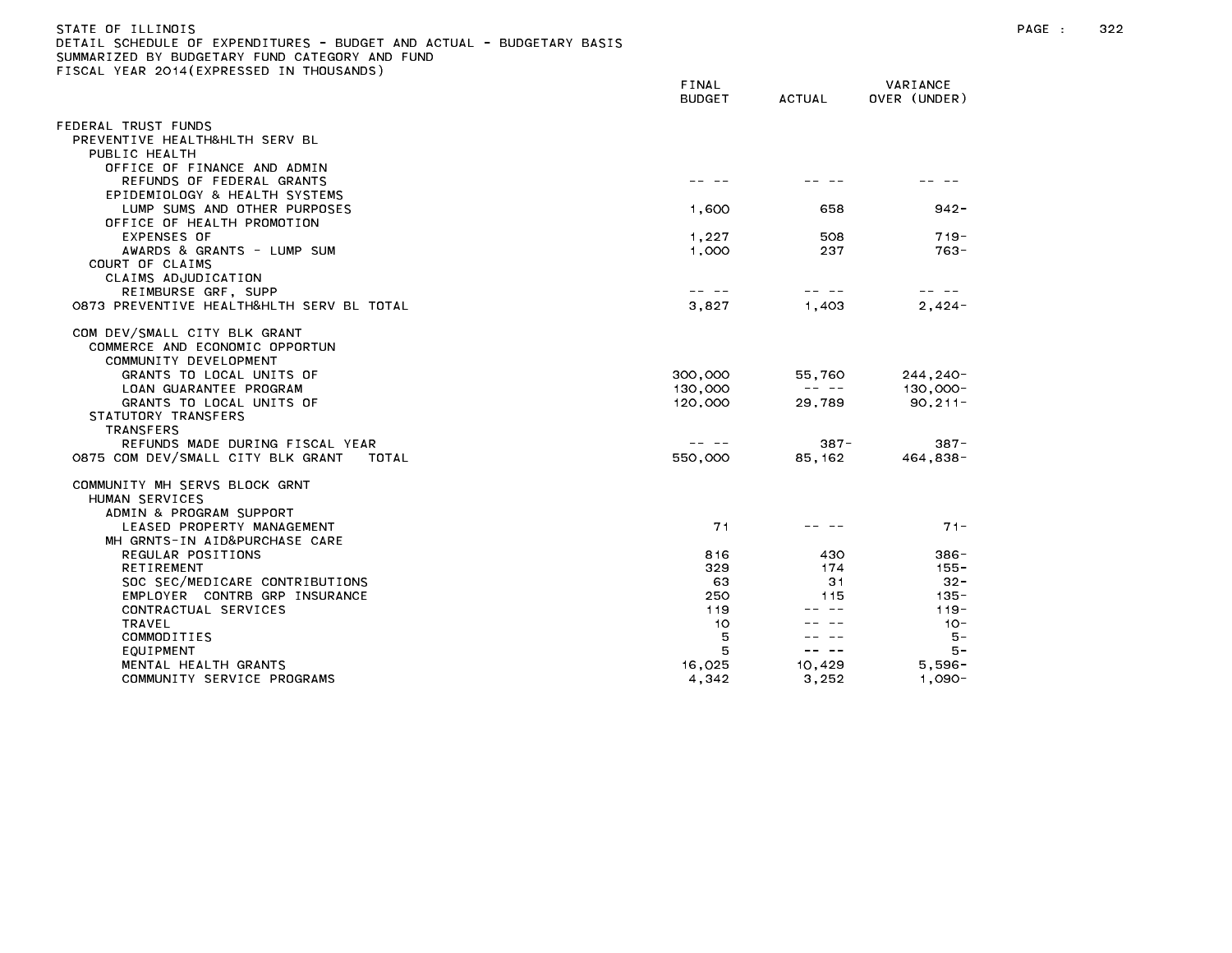| STATE OF TILINOIS                                                     |  |  |
|-----------------------------------------------------------------------|--|--|
| DETAIL SCHEDULE OF EXPENDITURES - BUDGET AND ACTUAL - BUDGETARY BASIS |  |  |
| SUMMARIZED BY BUDGETARY FUND CATEGORY AND FUND                        |  |  |

FISCAL YEAR 2014(EXPRESSED IN THOUSANDS)

BUDGET ACTUAL OVER (UNDER) FEDERAL TRUST FUNDS PREVENTIVE HEALTH&HLTH SERV BL PUBLIC HEALTH OFFICE OF FINANCE AND ADMIN REFUNDS OF FEDERAL GRANTS And the state of the state of the state of the state of the state of the state of th EPIDEMIOLOGY & HEALTH SYSTEMS LUMP SUMS AND OTHER PURPOSES 1,600 658 942- OFFICE OF HEALTH PROMOTION EXPENSES OF 1,227 508 719- AWARDS & GRANTS - LUMP SUM 1,000 237 763- COURT OF CLAIMS CLAIMS ADJUDICATION REIMBURSE GRF, SUPP -- -- -- -- -- -- 0873 PREVENTIVE HEALTH&HLTH SERV BL TOTAL 3,827 1,403 2,424-COM DEV/SMALL CITY BLK GRANT COMMERCE AND ECONOMIC OPPORTUN COMMUNITY DEVELOPMENT GRANTS TO LOCAL UNITS OF 300,000 55,760 244,240-LOAN GUARANTEE PROGRAM 130,000 -- -- 130,000- GRANTS TO LOCAL UNITS OF 120,000 29,789 90,211-STATUTORY TRANSFERS TRANSFERS REFUNDS MADE DURING FISCAL YEAR -- -- 387- 387- 0875 COM DEV/SMALL CITY BLK GRANT TOTAL 550,000 85,162 464,838- COMMUNITY MH SERVS BLOCK GRNT HUMAN SERVICES ADMIN & PROGRAM SUPPORT LEASED PROPERTY MANAGEMENT 71 -- -- 71- MH GRNTS-IN AID&PURCHASE CARE REGULAR POSITIONS 816 430 386- SOC SEC/MEDICARE CONTRIBUTIONS 63 31 32-EMPLOYER CONTRB GRP INSURANCE 250 250 115 135-CONTRACTUAL SERVICES 119 -- -- 119- COMMODITIES 5 -- -- 5- MENTAL HEALTH GRANTS 16,025 10,429 5,596- COMMUNITY SERVICE PROGRAMS 4,342 3,252 1,090-1,090-

FINAL VARIANCE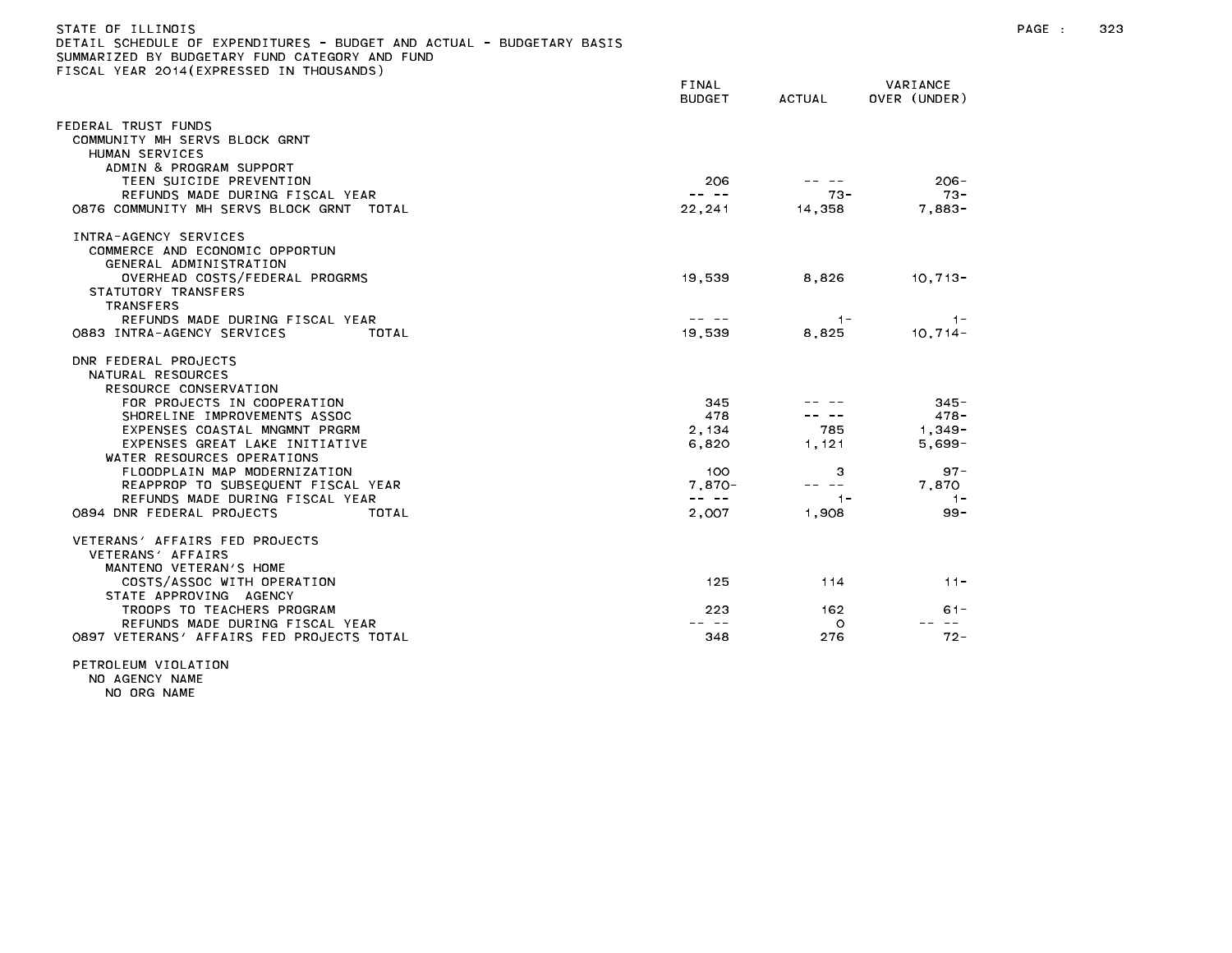| STATE OF ILLINOIS<br>DETAIL SCHEDULE OF EXPENDITURES - BUDGET AND ACTUAL - BUDGETARY BASIS<br>SUMMARIZED BY BUDGETARY FUND CATEGORY AND FUND<br>FISCAL YEAR 2014 (EXPRESSED IN THOUSANDS) |                                                                                                                                                                                                                                                                                                                                                                                              |         |                          | PAGE : | 323 |
|-------------------------------------------------------------------------------------------------------------------------------------------------------------------------------------------|----------------------------------------------------------------------------------------------------------------------------------------------------------------------------------------------------------------------------------------------------------------------------------------------------------------------------------------------------------------------------------------------|---------|--------------------------|--------|-----|
|                                                                                                                                                                                           | FINAL<br><b>BUDGET</b>                                                                                                                                                                                                                                                                                                                                                                       | ACTUAL  | VARIANCE<br>OVER (UNDER) |        |     |
| FEDERAL TRUST FUNDS<br>COMMUNITY MH SERVS BLOCK GRNT<br>HUMAN SERVICES<br>ADMIN & PROGRAM SUPPORT                                                                                         |                                                                                                                                                                                                                                                                                                                                                                                              |         |                          |        |     |
| TEEN SUICIDE PREVENTION                                                                                                                                                                   | 206                                                                                                                                                                                                                                                                                                                                                                                          | -- --   | $206 -$                  |        |     |
| REFUNDS MADE DURING FISCAL YEAR                                                                                                                                                           | $\frac{1}{2} \frac{1}{2} \frac{1}{2} \frac{1}{2} \frac{1}{2} \frac{1}{2} \frac{1}{2} \frac{1}{2} \frac{1}{2} \frac{1}{2} \frac{1}{2} \frac{1}{2} \frac{1}{2} \frac{1}{2} \frac{1}{2} \frac{1}{2} \frac{1}{2} \frac{1}{2} \frac{1}{2} \frac{1}{2} \frac{1}{2} \frac{1}{2} \frac{1}{2} \frac{1}{2} \frac{1}{2} \frac{1}{2} \frac{1}{2} \frac{1}{2} \frac{1}{2} \frac{1}{2} \frac{1}{2} \frac{$ | -73 -   | -73 -                    |        |     |
| 0876 COMMUNITY MH SERVS BLOCK GRNT TOTAL                                                                                                                                                  | 22,241                                                                                                                                                                                                                                                                                                                                                                                       | 14,358  | 7.883-                   |        |     |
| INTRA-AGENCY SERVICES<br>COMMERCE AND ECONOMIC OPPORTUN<br>GENERAL ADMINISTRATION                                                                                                         |                                                                                                                                                                                                                                                                                                                                                                                              |         |                          |        |     |
| OVERHEAD COSTS/FEDERAL PROGRMS<br>STATUTORY TRANSFERS<br>TRANSFERS                                                                                                                        | 19,539                                                                                                                                                                                                                                                                                                                                                                                       | 8,826   | $10,713-$                |        |     |
| REFUNDS MADE DURING FISCAL YEAR                                                                                                                                                           | $\frac{1}{2} \frac{1}{2} \frac{1}{2} \frac{1}{2} \frac{1}{2} \frac{1}{2} \frac{1}{2} \frac{1}{2} \frac{1}{2} \frac{1}{2} \frac{1}{2} \frac{1}{2} \frac{1}{2} \frac{1}{2} \frac{1}{2} \frac{1}{2} \frac{1}{2} \frac{1}{2} \frac{1}{2} \frac{1}{2} \frac{1}{2} \frac{1}{2} \frac{1}{2} \frac{1}{2} \frac{1}{2} \frac{1}{2} \frac{1}{2} \frac{1}{2} \frac{1}{2} \frac{1}{2} \frac{1}{2} \frac{$ | $-1-$   | $-1-$                    |        |     |
| 0883 INTRA-AGENCY SERVICES<br>TOTAL                                                                                                                                                       | 19,539                                                                                                                                                                                                                                                                                                                                                                                       | 8,825   | $10,714-$                |        |     |
| DNR FEDERAL PROJECTS<br>NATURAL RESOURCES<br>RESOURCE CONSERVATION                                                                                                                        |                                                                                                                                                                                                                                                                                                                                                                                              |         |                          |        |     |
| FOR PROJECTS IN COOPERATION                                                                                                                                                               | 345                                                                                                                                                                                                                                                                                                                                                                                          |         | $345 -$                  |        |     |
| SHORELINE IMPROVEMENTS ASSOC                                                                                                                                                              | 478                                                                                                                                                                                                                                                                                                                                                                                          | -- --   | 478-                     |        |     |
| EXPENSES COASTAL MNGMNT PRGRM                                                                                                                                                             | 2,134                                                                                                                                                                                                                                                                                                                                                                                        | 785     | $1,349-$                 |        |     |
| EXPENSES GREAT LAKE INITIATIVE<br>WATER RESOURCES OPERATIONS                                                                                                                              | 6,820                                                                                                                                                                                                                                                                                                                                                                                        | 1,121   | $5,699-$                 |        |     |
| FLOODPLAIN MAP MODERNIZATION                                                                                                                                                              | 100.                                                                                                                                                                                                                                                                                                                                                                                         | 3       | $97 -$                   |        |     |
| REAPPROP TO SUBSEQUENT FISCAL YEAR                                                                                                                                                        | $7,870-$                                                                                                                                                                                                                                                                                                                                                                                     | -- --   | 7,870                    |        |     |
| REFUNDS MADE DURING FISCAL YEAR                                                                                                                                                           | $- - - - -$                                                                                                                                                                                                                                                                                                                                                                                  | $1 -$   | $-1-$                    |        |     |
| 0894 DNR FEDERAL PROJECTS<br>TOTAL                                                                                                                                                        | 2,007                                                                                                                                                                                                                                                                                                                                                                                        | 1,908   | $99 -$                   |        |     |
| VETERANS' AFFAIRS FED PROJECTS<br>VETERANS' AFFAIRS<br>MANTENO VETERAN'S HOME                                                                                                             |                                                                                                                                                                                                                                                                                                                                                                                              |         |                          |        |     |
| COSTS/ASSOC WITH OPERATION<br>STATE APPROVING AGENCY                                                                                                                                      | 125                                                                                                                                                                                                                                                                                                                                                                                          | 114     | $11 -$                   |        |     |
| TROOPS TO TEACHERS PROGRAM                                                                                                                                                                | 223                                                                                                                                                                                                                                                                                                                                                                                          | 162     | $61 -$                   |        |     |
| REFUNDS MADE DURING FISCAL YEAR                                                                                                                                                           | -- --                                                                                                                                                                                                                                                                                                                                                                                        | $\circ$ | $\sim$ $-$               |        |     |
| 0897 VETERANS' AFFAIRS FED PROJECTS TOTAL                                                                                                                                                 | 348                                                                                                                                                                                                                                                                                                                                                                                          | 276     | 72 -                     |        |     |

PETROLEUM VIOLATION

NO AGENCY NAME

NO ORG NAME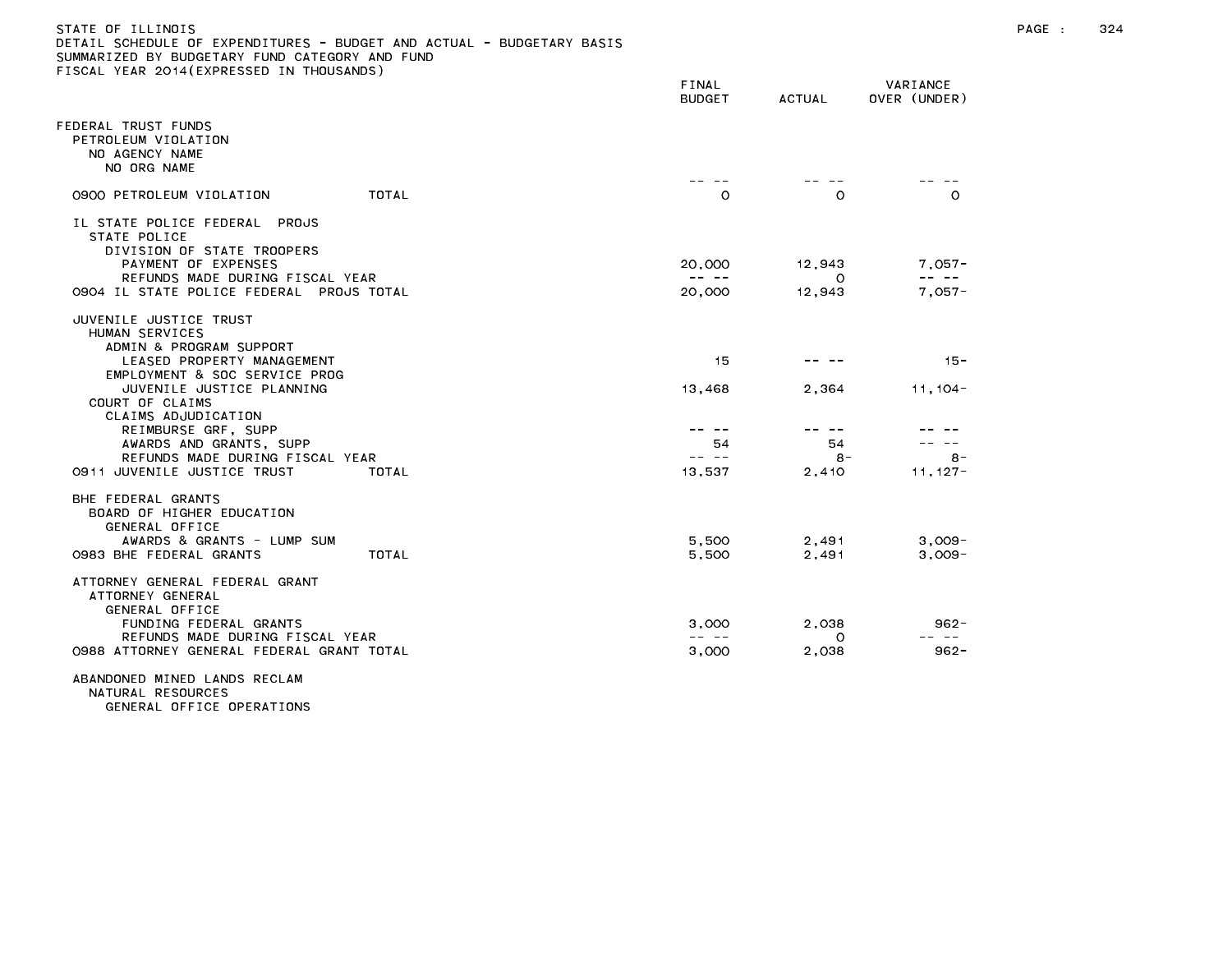## STATE OF ILLINOIS PAGE : 324 DETAIL SCHEDULE OF EXPENDITURES - BUDGET AND ACTUAL - BUDGETARY BASIS

|                                                                                                                                                                                                                                                             | FINAL<br><b>BUDGET</b>                                                                                                                                                                                                                                                                                                                                                                                 | <b>ACTUAL</b>              | VARIANCE<br>OVER (UNDER)            |
|-------------------------------------------------------------------------------------------------------------------------------------------------------------------------------------------------------------------------------------------------------------|--------------------------------------------------------------------------------------------------------------------------------------------------------------------------------------------------------------------------------------------------------------------------------------------------------------------------------------------------------------------------------------------------------|----------------------------|-------------------------------------|
| FEDERAL TRUST FUNDS<br>PETROLEUM VIOLATION<br>NO AGENCY NAME<br>NO ORG NAME                                                                                                                                                                                 |                                                                                                                                                                                                                                                                                                                                                                                                        |                            |                                     |
| 0900 PETROLEUM VIOLATION<br>TOTAL                                                                                                                                                                                                                           | $\circ$                                                                                                                                                                                                                                                                                                                                                                                                | $\Omega$                   | $\Omega$                            |
| IL STATE POLICE FEDERAL PROJS<br>STATE POLICE<br>DIVISION OF STATE TROOPERS                                                                                                                                                                                 |                                                                                                                                                                                                                                                                                                                                                                                                        |                            |                                     |
| PAYMENT OF EXPENSES                                                                                                                                                                                                                                         | 20,000                                                                                                                                                                                                                                                                                                                                                                                                 | 12,943                     | $7,057-$                            |
| REFUNDS MADE DURING FISCAL YEAR<br>0904 IL STATE POLICE FEDERAL<br>PROJS TOTAL                                                                                                                                                                              | $\frac{1}{2} \frac{1}{2} \frac{1}{2} \frac{1}{2} \frac{1}{2} \frac{1}{2} \frac{1}{2} \frac{1}{2} \frac{1}{2} \frac{1}{2} \frac{1}{2} \frac{1}{2} \frac{1}{2} \frac{1}{2} \frac{1}{2} \frac{1}{2} \frac{1}{2} \frac{1}{2} \frac{1}{2} \frac{1}{2} \frac{1}{2} \frac{1}{2} \frac{1}{2} \frac{1}{2} \frac{1}{2} \frac{1}{2} \frac{1}{2} \frac{1}{2} \frac{1}{2} \frac{1}{2} \frac{1}{2} \frac{$<br>20,000 | $\circ$<br>12,943          | $7.057 -$                           |
| JUVENILE JUSTICE TRUST<br>HUMAN SERVICES<br>ADMIN & PROGRAM SUPPORT<br>LEASED PROPERTY MANAGEMENT<br>EMPLOYMENT & SOC SERVICE PROG<br>JUVENILE JUSTICE PLANNING<br>COURT OF CLAIMS<br>CLAIMS ADJUDICATION<br>REIMBURSE GRF, SUPP<br>AWARDS AND GRANTS, SUPP | 15<br>13,468<br>54                                                                                                                                                                                                                                                                                                                                                                                     | 2,364<br>-- --<br>54       | $15 -$<br>$11, 104 -$               |
| REFUNDS MADE DURING FISCAL YEAR                                                                                                                                                                                                                             | -- --                                                                                                                                                                                                                                                                                                                                                                                                  | $8 -$                      | $8 -$                               |
| 0911 JUVENILE JUSTICE TRUST<br>TOTAL<br>BHE FEDERAL GRANTS<br>BOARD OF HIGHER EDUCATION<br>GENERAL OFFICE<br>AWARDS & GRANTS - LUMP SUM<br><b>TOTAL</b><br>0983 BHE FEDERAL GRANTS                                                                          | 13,537<br>5.500<br>5,500                                                                                                                                                                                                                                                                                                                                                                               | 2,410<br>2,491<br>2,491    | $11.127 -$<br>$3.009 -$<br>$3,009-$ |
| ATTORNEY GENERAL FEDERAL GRANT<br>ATTORNEY GENERAL<br>GENERAL OFFICE<br>FUNDING FEDERAL GRANTS<br>REFUNDS MADE DURING FISCAL YEAR<br>0988 ATTORNEY GENERAL FEDERAL GRANT TOTAL                                                                              | 3,000<br>3,000                                                                                                                                                                                                                                                                                                                                                                                         | 2,038<br>$\Omega$<br>2,038 | 962 -<br>$962 -$                    |

ABANDONED MINED LANDS RECLAM NATURAL RESOURCES GENERAL OFFICE OPERATIONS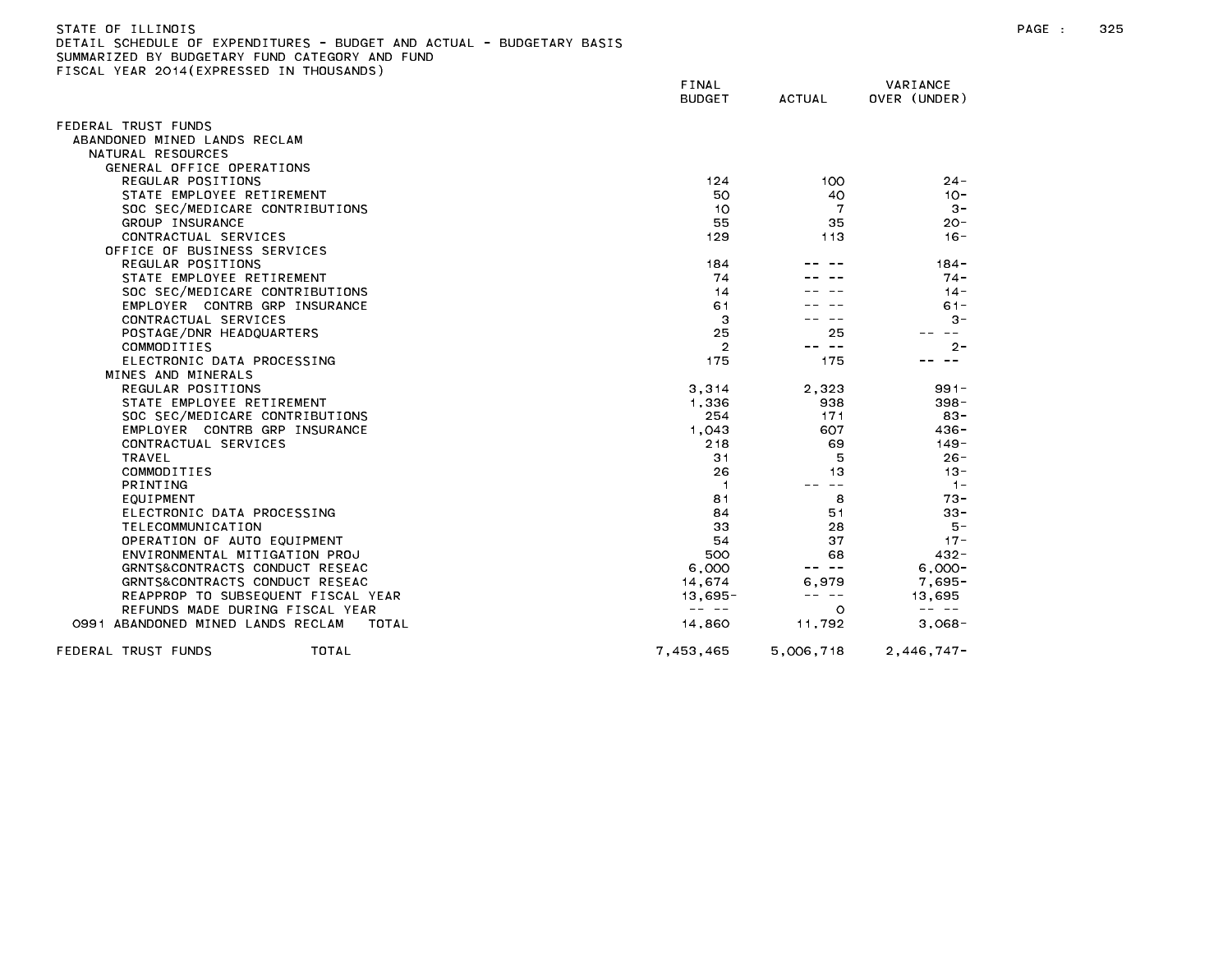| SUMMARIZED BY BUDGETARY FUND CATEGORY AND FUND<br>FISCAL YEAR 2014 (EXPRESSED IN THOUSANDS) |                                                                                                                                                                                                                                                                                                                                                                                              |               |                                                                                                                                                                                                                                                                                                                                                                                              |
|---------------------------------------------------------------------------------------------|----------------------------------------------------------------------------------------------------------------------------------------------------------------------------------------------------------------------------------------------------------------------------------------------------------------------------------------------------------------------------------------------|---------------|----------------------------------------------------------------------------------------------------------------------------------------------------------------------------------------------------------------------------------------------------------------------------------------------------------------------------------------------------------------------------------------------|
|                                                                                             | <b>FINAL</b><br><b>BUDGET</b>                                                                                                                                                                                                                                                                                                                                                                | <b>ACTUAL</b> | VARIANCE<br>OVER (UNDER)                                                                                                                                                                                                                                                                                                                                                                     |
| FEDERAL TRUST FUNDS                                                                         |                                                                                                                                                                                                                                                                                                                                                                                              |               |                                                                                                                                                                                                                                                                                                                                                                                              |
| ABANDONED MINED LANDS RECLAM                                                                |                                                                                                                                                                                                                                                                                                                                                                                              |               |                                                                                                                                                                                                                                                                                                                                                                                              |
| NATURAL RESOURCES                                                                           |                                                                                                                                                                                                                                                                                                                                                                                              |               |                                                                                                                                                                                                                                                                                                                                                                                              |
| GENERAL OFFICE OPERATIONS                                                                   |                                                                                                                                                                                                                                                                                                                                                                                              |               |                                                                                                                                                                                                                                                                                                                                                                                              |
| REGULAR POSITIONS                                                                           | 124                                                                                                                                                                                                                                                                                                                                                                                          | 100           | $24 -$                                                                                                                                                                                                                                                                                                                                                                                       |
| STATE EMPLOYEE RETIREMENT                                                                   | 50                                                                                                                                                                                                                                                                                                                                                                                           | 40            | $10 -$                                                                                                                                                                                                                                                                                                                                                                                       |
| SOC SEC/MEDICARE CONTRIBUTIONS                                                              | 10                                                                                                                                                                                                                                                                                                                                                                                           | 7             | $3 -$                                                                                                                                                                                                                                                                                                                                                                                        |
| GROUP INSURANCE                                                                             | 55                                                                                                                                                                                                                                                                                                                                                                                           | 35            | $20 -$                                                                                                                                                                                                                                                                                                                                                                                       |
| CONTRACTUAL SERVICES                                                                        | 129                                                                                                                                                                                                                                                                                                                                                                                          | 113           | $16 -$                                                                                                                                                                                                                                                                                                                                                                                       |
| OFFICE OF BUSINESS SERVICES                                                                 |                                                                                                                                                                                                                                                                                                                                                                                              |               |                                                                                                                                                                                                                                                                                                                                                                                              |
| REGULAR POSITIONS                                                                           | 184                                                                                                                                                                                                                                                                                                                                                                                          |               | $184 -$                                                                                                                                                                                                                                                                                                                                                                                      |
| STATE EMPLOYEE RETIREMENT                                                                   | 74                                                                                                                                                                                                                                                                                                                                                                                           |               | $74 -$                                                                                                                                                                                                                                                                                                                                                                                       |
| SOC SEC/MEDICARE CONTRIBUTIONS                                                              | 14                                                                                                                                                                                                                                                                                                                                                                                           |               | $14 -$                                                                                                                                                                                                                                                                                                                                                                                       |
| EMPLOYER CONTRB GRP INSURANCE                                                               | 61                                                                                                                                                                                                                                                                                                                                                                                           |               | $61 -$                                                                                                                                                                                                                                                                                                                                                                                       |
| CONTRACTUAL SERVICES                                                                        | 3                                                                                                                                                                                                                                                                                                                                                                                            |               | $3 -$                                                                                                                                                                                                                                                                                                                                                                                        |
| POSTAGE/DNR HEADQUARTERS                                                                    | 25                                                                                                                                                                                                                                                                                                                                                                                           | 25            | $\sim$ $-$                                                                                                                                                                                                                                                                                                                                                                                   |
| COMMODITIES                                                                                 | $\overline{2}$                                                                                                                                                                                                                                                                                                                                                                               | -- --         | $2 -$                                                                                                                                                                                                                                                                                                                                                                                        |
| ELECTRONIC DATA PROCESSING                                                                  | 175                                                                                                                                                                                                                                                                                                                                                                                          | 175           | $\sim$ $-$                                                                                                                                                                                                                                                                                                                                                                                   |
| MINES AND MINERALS                                                                          |                                                                                                                                                                                                                                                                                                                                                                                              |               |                                                                                                                                                                                                                                                                                                                                                                                              |
| REGULAR POSITIONS                                                                           | 3,314                                                                                                                                                                                                                                                                                                                                                                                        | 2,323         | $991 -$                                                                                                                                                                                                                                                                                                                                                                                      |
| STATE EMPLOYEE RETIREMENT                                                                   | 1,336                                                                                                                                                                                                                                                                                                                                                                                        | 938           | $398 -$                                                                                                                                                                                                                                                                                                                                                                                      |
| SOC SEC/MEDICARE CONTRIBUTIONS                                                              | 254                                                                                                                                                                                                                                                                                                                                                                                          | 171           | $83 -$                                                                                                                                                                                                                                                                                                                                                                                       |
| EMPLOYER CONTRB GRP INSURANCE                                                               | 1,043                                                                                                                                                                                                                                                                                                                                                                                        | 607           | $436 -$                                                                                                                                                                                                                                                                                                                                                                                      |
| CONTRACTUAL SERVICES                                                                        | 218                                                                                                                                                                                                                                                                                                                                                                                          | 69            | $149 -$                                                                                                                                                                                                                                                                                                                                                                                      |
| TRAVEL                                                                                      | 31                                                                                                                                                                                                                                                                                                                                                                                           | 5             | $26 -$                                                                                                                                                                                                                                                                                                                                                                                       |
| COMMODITIES                                                                                 | 26                                                                                                                                                                                                                                                                                                                                                                                           | 13            | $13 -$                                                                                                                                                                                                                                                                                                                                                                                       |
| PRINTING                                                                                    | -1                                                                                                                                                                                                                                                                                                                                                                                           | $- -$         | $-1-$                                                                                                                                                                                                                                                                                                                                                                                        |
| EQUIPMENT                                                                                   | 81                                                                                                                                                                                                                                                                                                                                                                                           | 8             | $73 -$                                                                                                                                                                                                                                                                                                                                                                                       |
| ELECTRONIC DATA PROCESSING                                                                  | 84                                                                                                                                                                                                                                                                                                                                                                                           | 51            | $33 -$                                                                                                                                                                                                                                                                                                                                                                                       |
| TELECOMMUNICATION                                                                           | 33                                                                                                                                                                                                                                                                                                                                                                                           | 28            | 5 –                                                                                                                                                                                                                                                                                                                                                                                          |
| OPERATION OF AUTO EQUIPMENT                                                                 | 54                                                                                                                                                                                                                                                                                                                                                                                           | 37            | $17 -$                                                                                                                                                                                                                                                                                                                                                                                       |
| ENVIRONMENTAL MITIGATION PROJ                                                               | 500                                                                                                                                                                                                                                                                                                                                                                                          | 68            | 432 -                                                                                                                                                                                                                                                                                                                                                                                        |
| GRNTS&CONTRACTS CONDUCT RESEAC                                                              | 6,000                                                                                                                                                                                                                                                                                                                                                                                        | -- --         | $6.000 -$                                                                                                                                                                                                                                                                                                                                                                                    |
| GRNTS&CONTRACTS CONDUCT RESEAC                                                              | 14.674                                                                                                                                                                                                                                                                                                                                                                                       | 6.979         | $7.695 -$                                                                                                                                                                                                                                                                                                                                                                                    |
| REAPPROP TO SUBSEQUENT FISCAL YEAR                                                          | $13,695 -$                                                                                                                                                                                                                                                                                                                                                                                   | -- --         | 13,695                                                                                                                                                                                                                                                                                                                                                                                       |
| REFUNDS MADE DURING FISCAL YEAR                                                             | $\frac{1}{2} \frac{1}{2} \frac{1}{2} \frac{1}{2} \frac{1}{2} \frac{1}{2} \frac{1}{2} \frac{1}{2} \frac{1}{2} \frac{1}{2} \frac{1}{2} \frac{1}{2} \frac{1}{2} \frac{1}{2} \frac{1}{2} \frac{1}{2} \frac{1}{2} \frac{1}{2} \frac{1}{2} \frac{1}{2} \frac{1}{2} \frac{1}{2} \frac{1}{2} \frac{1}{2} \frac{1}{2} \frac{1}{2} \frac{1}{2} \frac{1}{2} \frac{1}{2} \frac{1}{2} \frac{1}{2} \frac{$ | $\circ$       | $\frac{1}{2} \frac{1}{2} \frac{1}{2} \frac{1}{2} \frac{1}{2} \frac{1}{2} \frac{1}{2} \frac{1}{2} \frac{1}{2} \frac{1}{2} \frac{1}{2} \frac{1}{2} \frac{1}{2} \frac{1}{2} \frac{1}{2} \frac{1}{2} \frac{1}{2} \frac{1}{2} \frac{1}{2} \frac{1}{2} \frac{1}{2} \frac{1}{2} \frac{1}{2} \frac{1}{2} \frac{1}{2} \frac{1}{2} \frac{1}{2} \frac{1}{2} \frac{1}{2} \frac{1}{2} \frac{1}{2} \frac{$ |
| 0991 ABANDONED MINED LANDS RECLAM<br>TOTAL                                                  | 14,860                                                                                                                                                                                                                                                                                                                                                                                       | 11,792        | $3,068-$                                                                                                                                                                                                                                                                                                                                                                                     |
| FEDERAL TRUST FUNDS<br>TOTAL                                                                | 7,453,465                                                                                                                                                                                                                                                                                                                                                                                    | 5,006,718     | $2,446,747-$                                                                                                                                                                                                                                                                                                                                                                                 |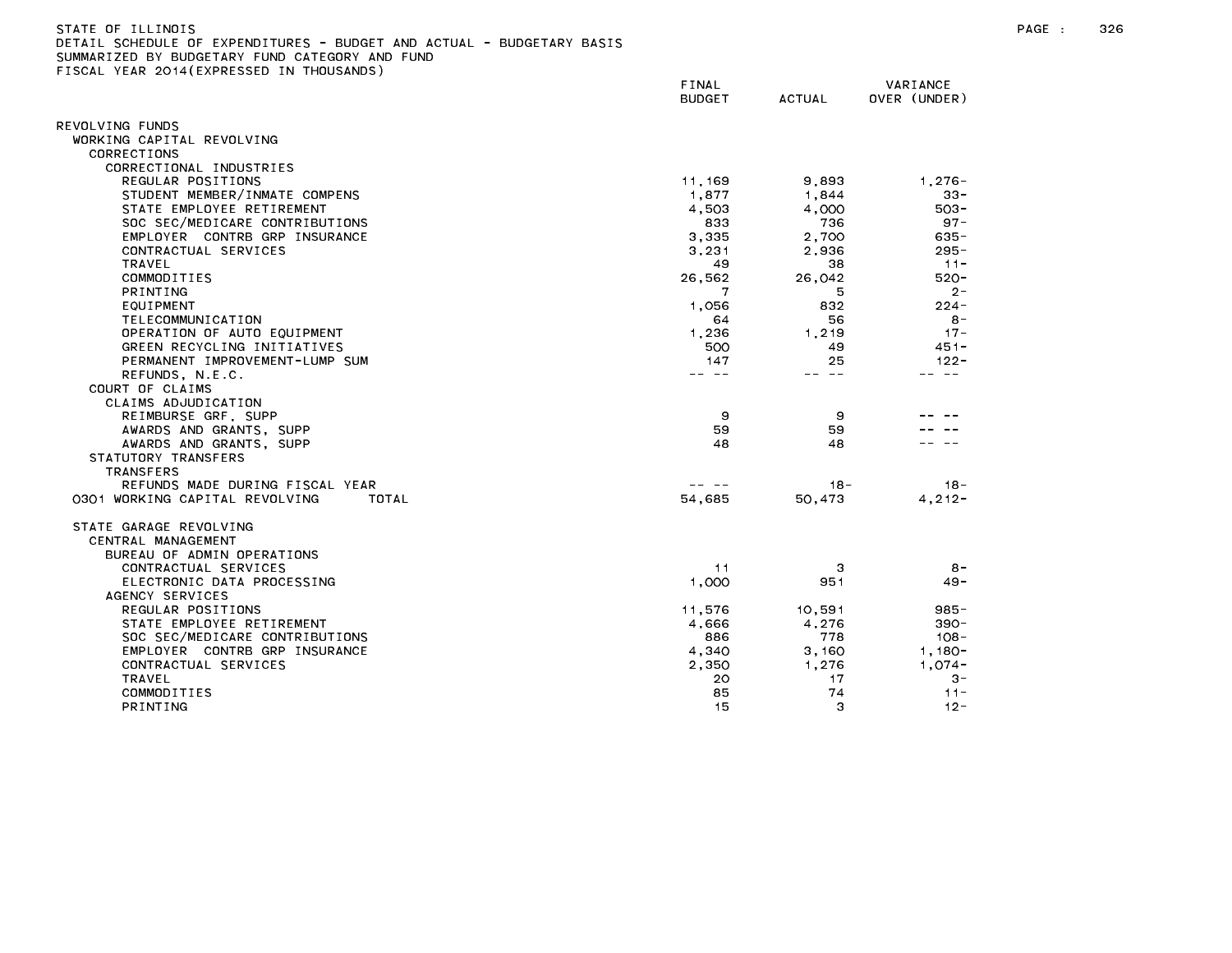| STATE OF ILLINOIS                                                     |
|-----------------------------------------------------------------------|
| DETAIL SCHEDULE OF EXPENDITURES - BUDGET AND ACTUAL - BUDGETARY BASIS |
| SUMMARIZED BY BUDGETARY FUND CATEGORY AND FUND                        |
| FISCAL YEAR 2014(EXPRESSED IN THOUSANDS)                              |

| $1 - 1$                                 | FINAL<br><b>BUDGET</b>                                                                                                                                                                                                                                                                                                                                                                       | <b>ACTUAL</b> | VARIANCE<br>OVER (UNDER) |
|-----------------------------------------|----------------------------------------------------------------------------------------------------------------------------------------------------------------------------------------------------------------------------------------------------------------------------------------------------------------------------------------------------------------------------------------------|---------------|--------------------------|
| REVOLVING FUNDS                         |                                                                                                                                                                                                                                                                                                                                                                                              |               |                          |
| WORKING CAPITAL REVOLVING               |                                                                                                                                                                                                                                                                                                                                                                                              |               |                          |
| CORRECTIONS                             |                                                                                                                                                                                                                                                                                                                                                                                              |               |                          |
| CORRECTIONAL INDUSTRIES                 |                                                                                                                                                                                                                                                                                                                                                                                              |               |                          |
| REGULAR POSITIONS                       | 11,169                                                                                                                                                                                                                                                                                                                                                                                       | 9,893         | $1,276-$                 |
| STUDENT MEMBER/INMATE COMPENS           | 1,877                                                                                                                                                                                                                                                                                                                                                                                        | 1,844         | $33 -$                   |
| STATE EMPLOYEE RETIREMENT               | 4,503                                                                                                                                                                                                                                                                                                                                                                                        | 4,000         | $503 -$                  |
| SOC SEC/MEDICARE CONTRIBUTIONS          | 833                                                                                                                                                                                                                                                                                                                                                                                          | 736           | $97 -$                   |
| EMPLOYER CONTRB GRP INSURANCE           | 3,335                                                                                                                                                                                                                                                                                                                                                                                        | 2.700         | $635 -$                  |
| CONTRACTUAL SERVICES                    | 3,231                                                                                                                                                                                                                                                                                                                                                                                        | 2,936         | $295 -$                  |
| TRAVEL                                  | 49                                                                                                                                                                                                                                                                                                                                                                                           | 38            | $11 -$                   |
| COMMODITIES                             | 26,562                                                                                                                                                                                                                                                                                                                                                                                       | 26,042        | $520 -$                  |
| <b>PRINTING</b>                         |                                                                                                                                                                                                                                                                                                                                                                                              | 5             | $2 -$                    |
| EQUIPMENT                               | 1.056                                                                                                                                                                                                                                                                                                                                                                                        | 832           | $224 -$                  |
| TELECOMMUNICATION                       | 64                                                                                                                                                                                                                                                                                                                                                                                           | 56            | $8 -$                    |
| OPERATION OF AUTO EQUIPMENT             | 1,236                                                                                                                                                                                                                                                                                                                                                                                        | 1,219         | $17 -$                   |
| GREEN RECYCLING INITIATIVES             | 500                                                                                                                                                                                                                                                                                                                                                                                          | 49            | $451 -$                  |
| PERMANENT IMPROVEMENT-LUMP SUM          | 147                                                                                                                                                                                                                                                                                                                                                                                          | 25            | $122 -$                  |
| REFUNDS, N.E.C.                         | $\frac{1}{2} \frac{1}{2} \frac{1}{2} \frac{1}{2} \frac{1}{2} \frac{1}{2} \frac{1}{2} \frac{1}{2} \frac{1}{2} \frac{1}{2} \frac{1}{2} \frac{1}{2} \frac{1}{2} \frac{1}{2} \frac{1}{2} \frac{1}{2} \frac{1}{2} \frac{1}{2} \frac{1}{2} \frac{1}{2} \frac{1}{2} \frac{1}{2} \frac{1}{2} \frac{1}{2} \frac{1}{2} \frac{1}{2} \frac{1}{2} \frac{1}{2} \frac{1}{2} \frac{1}{2} \frac{1}{2} \frac{$ | -- --         | $- -$                    |
| COURT OF CLAIMS                         |                                                                                                                                                                                                                                                                                                                                                                                              |               |                          |
| CLAIMS ADJUDICATION                     |                                                                                                                                                                                                                                                                                                                                                                                              |               |                          |
| REIMBURSE GRF, SUPP                     | 9                                                                                                                                                                                                                                                                                                                                                                                            | 9             |                          |
| AWARDS AND GRANTS, SUPP                 | 59                                                                                                                                                                                                                                                                                                                                                                                           | 59            |                          |
| AWARDS AND GRANTS, SUPP                 | 48                                                                                                                                                                                                                                                                                                                                                                                           | 48            |                          |
| STATUTORY TRANSFERS                     |                                                                                                                                                                                                                                                                                                                                                                                              |               |                          |
| <b>TRANSFERS</b>                        |                                                                                                                                                                                                                                                                                                                                                                                              |               |                          |
| REFUNDS MADE DURING FISCAL YEAR         |                                                                                                                                                                                                                                                                                                                                                                                              | $18 -$        | $18 -$                   |
| 0301 WORKING CAPITAL REVOLVING<br>TOTAL | 54.685                                                                                                                                                                                                                                                                                                                                                                                       | 50.473        | $4, 212 -$               |
|                                         |                                                                                                                                                                                                                                                                                                                                                                                              |               |                          |
| STATE GARAGE REVOLVING                  |                                                                                                                                                                                                                                                                                                                                                                                              |               |                          |
| CENTRAL MANAGEMENT                      |                                                                                                                                                                                                                                                                                                                                                                                              |               |                          |
| BUREAU OF ADMIN OPERATIONS              |                                                                                                                                                                                                                                                                                                                                                                                              |               |                          |
| CONTRACTUAL SERVICES                    | 11                                                                                                                                                                                                                                                                                                                                                                                           | З             | $8 -$                    |
| ELECTRONIC DATA PROCESSING              | 1,000                                                                                                                                                                                                                                                                                                                                                                                        | 951           | $49 -$                   |
| AGENCY SERVICES                         |                                                                                                                                                                                                                                                                                                                                                                                              |               |                          |
| REGULAR POSITIONS                       | 11,576                                                                                                                                                                                                                                                                                                                                                                                       | 10,591        | 985-                     |
| STATE EMPLOYEE RETIREMENT               | 4,666                                                                                                                                                                                                                                                                                                                                                                                        | 4,276         | $390 -$                  |
| SOC SEC/MEDICARE CONTRIBUTIONS          | 886                                                                                                                                                                                                                                                                                                                                                                                          | 778           | $108 -$                  |
| EMPLOYER CONTRB GRP INSURANCE           | 4,340                                                                                                                                                                                                                                                                                                                                                                                        | 3,160         | $1,180-$                 |
| CONTRACTUAL SERVICES                    | 2.350                                                                                                                                                                                                                                                                                                                                                                                        | 1.276         | $1,074-$                 |
| <b>TRAVEL</b>                           | 20                                                                                                                                                                                                                                                                                                                                                                                           | 17            | $3 -$                    |
| COMMODITIES                             | 85                                                                                                                                                                                                                                                                                                                                                                                           | 74            | $11 -$                   |
| <b>PRINTING</b>                         | 15                                                                                                                                                                                                                                                                                                                                                                                           | З             | $12 -$                   |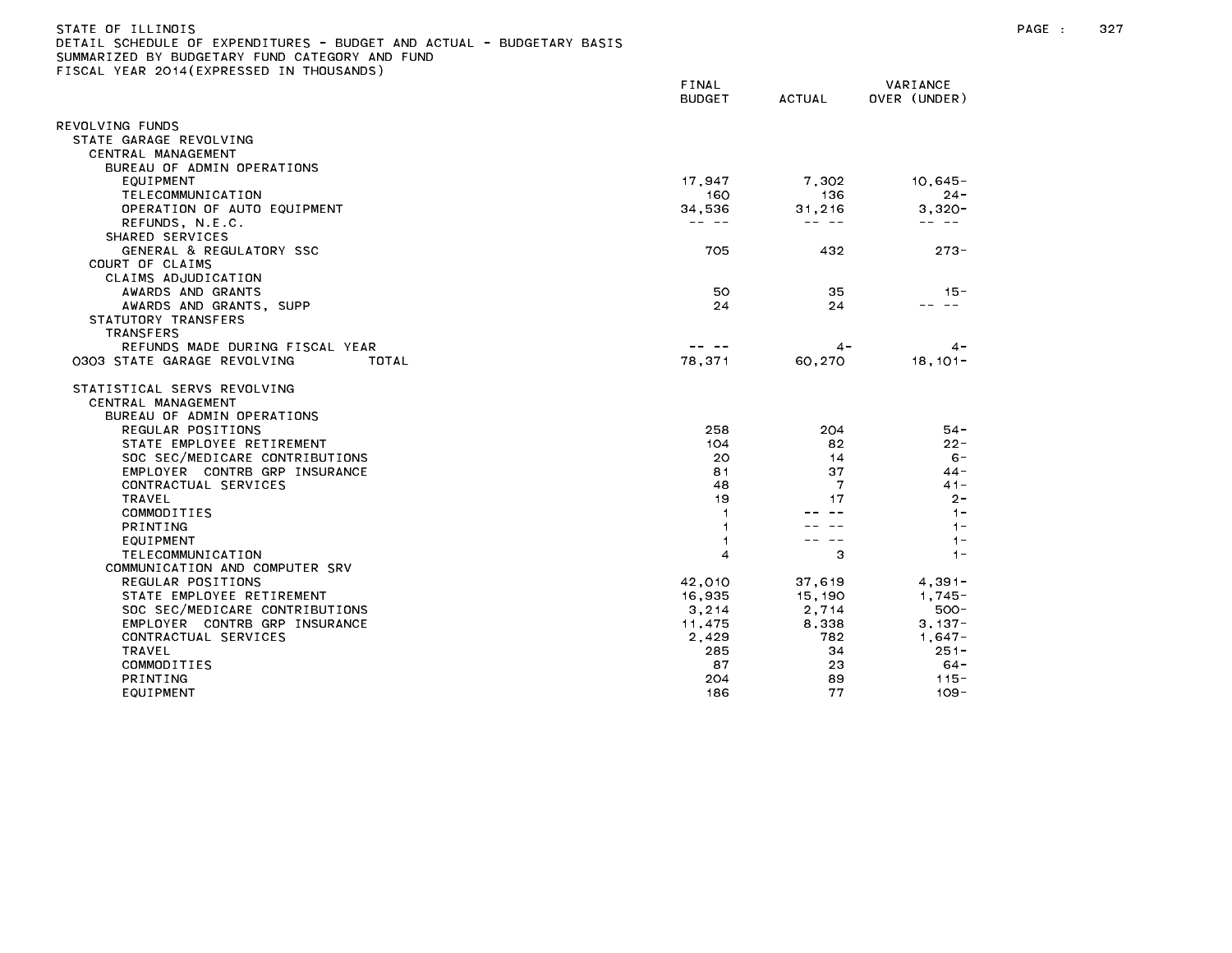| STATE OF ILLINOIS                                                     |
|-----------------------------------------------------------------------|
| DETAIL SCHEDULE OF EXPENDITURES - BUDGET AND ACTUAL - BUDGETARY BASIS |
| SUMMARIZED BY BUDGETARY FUND CATEGORY AND FUND                        |
| FISCAL YEAR 2014(EXPRESSED IN THOUSANDS)                              |

|                                                                                 | FINAL<br><b>BUDGET</b> | <b>ACTUAL</b> | VARIANCE<br>OVER (UNDER) |
|---------------------------------------------------------------------------------|------------------------|---------------|--------------------------|
| REVOLVING FUNDS                                                                 |                        |               |                          |
| STATE GARAGE REVOLVING                                                          |                        |               |                          |
| CENTRAL MANAGEMENT                                                              |                        |               |                          |
| BUREAU OF ADMIN OPERATIONS                                                      |                        |               |                          |
| EQUIPMENT                                                                       | 17,947                 | 7,302         | $10,645 -$               |
| TELECOMMUNICATION                                                               | 160                    | 136           | $24 -$                   |
| OPERATION OF AUTO EQUIPMENT                                                     | 34,536                 | 31,216        | $3,320-$                 |
| REFUNDS, N.E.C.                                                                 |                        | -- --         |                          |
| SHARED SERVICES                                                                 |                        |               |                          |
| GENERAL & REGULATORY SSC                                                        | 705                    | 432           | $273 -$                  |
| COURT OF CLAIMS<br>CLAIMS ADJUDICATION                                          |                        |               |                          |
| AWARDS AND GRANTS                                                               | 50                     | 35            | $15 -$                   |
| AWARDS AND GRANTS, SUPP                                                         | 24                     | 24            | -- --                    |
| STATUTORY TRANSFERS                                                             |                        |               |                          |
| <b>TRANSFERS</b>                                                                |                        |               |                          |
| REFUNDS MADE DURING FISCAL YEAR                                                 | -- --                  | 4 -           | $4 -$                    |
| 0303 STATE GARAGE REVOLVING<br>TOTAL                                            | 78.371                 | 60.270        | $18.101 -$               |
| STATISTICAL SERVS REVOLVING<br>CENTRAL MANAGEMENT<br>BUREAU OF ADMIN OPERATIONS |                        |               |                          |
| REGULAR POSITIONS                                                               | 258                    | 204           | $54 -$                   |
| STATE EMPLOYEE RETIREMENT                                                       | 104                    | 82            | $22 -$                   |
| SOC SEC/MEDICARE CONTRIBUTIONS                                                  | 20                     | 14            | $6 -$                    |
| EMPLOYER CONTRB GRP INSURANCE                                                   | 81                     | 37            | $44 -$                   |
| CONTRACTUAL SERVICES                                                            | 48                     | 7             | $41 -$                   |
| TRAVEL                                                                          | 19                     | 17            | $2 -$                    |
| COMMODITIES                                                                     |                        |               | $1 -$                    |
| PRINTING                                                                        |                        |               | $1 -$                    |
| EQUIPMENT                                                                       |                        |               | $1 -$                    |
| TELECOMMUNICATION                                                               | 4                      | 3             | $1 -$                    |
| COMMUNICATION AND COMPUTER SRV                                                  |                        |               |                          |
| REGULAR POSITIONS                                                               | 42,010                 | 37,619        | $4,391-$                 |
| STATE EMPLOYEE RETIREMENT                                                       | 16,935                 | 15, 190       | $1.745 -$                |
| SOC SEC/MEDICARE CONTRIBUTIONS<br>EMPLOYER CONTRB GRP INSURANCE                 | 3, 214                 | 2.714         | $500 -$<br>$3.137 -$     |
| CONTRACTUAL SERVICES                                                            | 11,475<br>2,429        | 8,338<br>782  | $1,647-$                 |
| TRAVEL                                                                          | 285                    | 34            | $251 -$                  |
| COMMODITIES                                                                     | 87                     | 23            | 64-                      |
| PRINTING                                                                        | 204                    | 89            | $115 -$                  |
| EQUIPMENT                                                                       | 186                    | 77            | $109 -$                  |
|                                                                                 |                        |               |                          |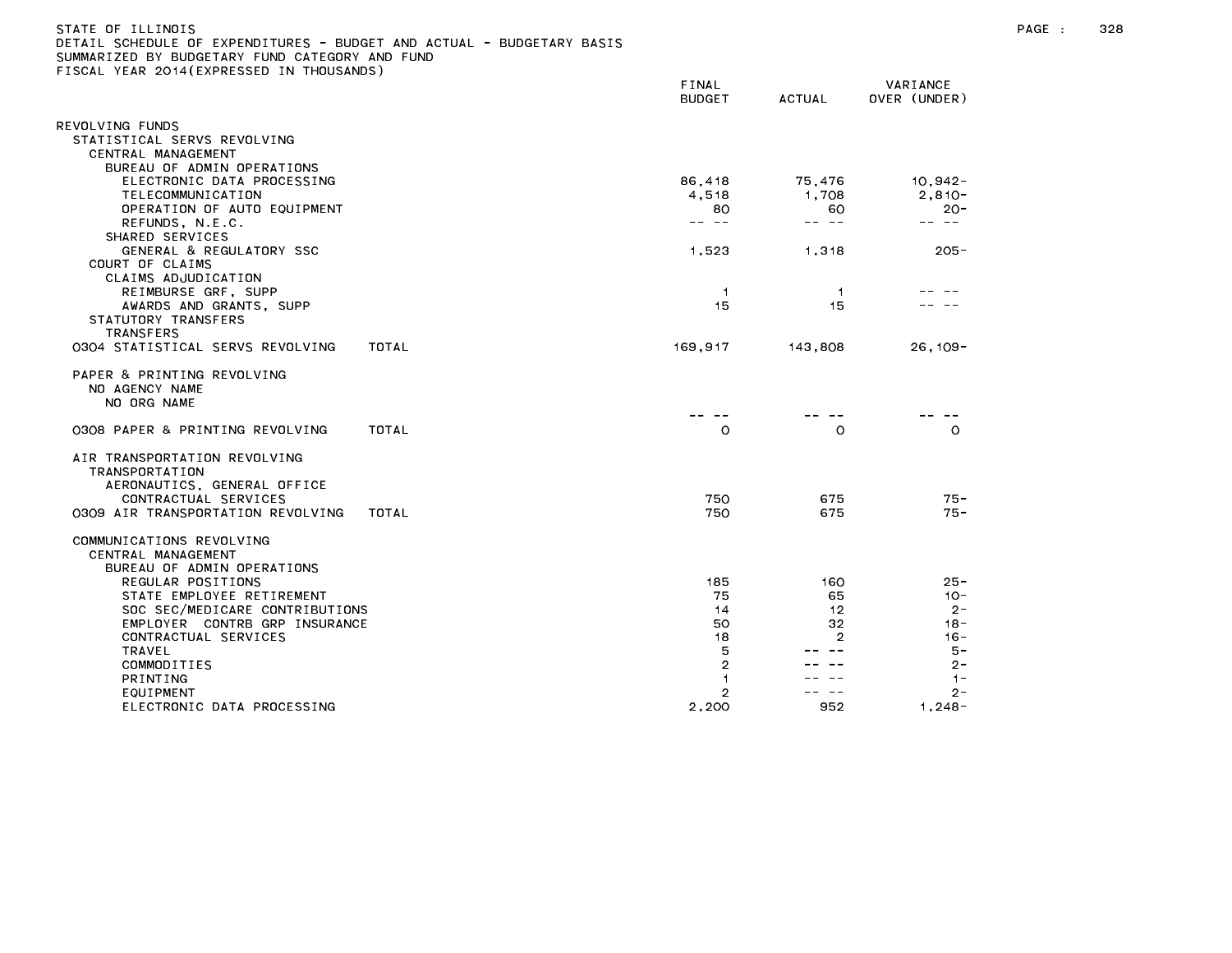| STATE OF ILLINOIS                                                     |  |
|-----------------------------------------------------------------------|--|
| DETAIL SCHEDULE OF EXPENDITURES - BUDGET AND ACTUAL - BUDGETARY BASIS |  |
| SUMMARIZED BY BUDGETARY FUND CATEGORY AND FUND                        |  |
| FISCAL YEAR 2014(EXPRESSED IN THOUSANDS)                              |  |

|                                                             |              | FINAL<br><b>BUDGET</b> | <b>ACTUAL</b>  | VARIANCE<br>OVER (UNDER)                                                                                                                                                                                                                                                                                                                                                                     |
|-------------------------------------------------------------|--------------|------------------------|----------------|----------------------------------------------------------------------------------------------------------------------------------------------------------------------------------------------------------------------------------------------------------------------------------------------------------------------------------------------------------------------------------------------|
| REVOLVING FUNDS                                             |              |                        |                |                                                                                                                                                                                                                                                                                                                                                                                              |
| STATISTICAL SERVS REVOLVING                                 |              |                        |                |                                                                                                                                                                                                                                                                                                                                                                                              |
| CENTRAL MANAGEMENT                                          |              |                        |                |                                                                                                                                                                                                                                                                                                                                                                                              |
| BUREAU OF ADMIN OPERATIONS                                  |              |                        |                |                                                                                                                                                                                                                                                                                                                                                                                              |
| ELECTRONIC DATA PROCESSING                                  |              | 86,418                 | 75,476         | 10,942-                                                                                                                                                                                                                                                                                                                                                                                      |
| TELECOMMUNICATION<br>OPERATION OF AUTO EQUIPMENT            |              | 4.518<br>80            | 1.708<br>60    | $2.810 -$<br>$20 -$                                                                                                                                                                                                                                                                                                                                                                          |
| REFUNDS, N.E.C.                                             |              | -- --                  | -- --          | $\frac{1}{2} \frac{1}{2} \frac{1}{2} \frac{1}{2} \frac{1}{2} \frac{1}{2} \frac{1}{2} \frac{1}{2} \frac{1}{2} \frac{1}{2} \frac{1}{2} \frac{1}{2} \frac{1}{2} \frac{1}{2} \frac{1}{2} \frac{1}{2} \frac{1}{2} \frac{1}{2} \frac{1}{2} \frac{1}{2} \frac{1}{2} \frac{1}{2} \frac{1}{2} \frac{1}{2} \frac{1}{2} \frac{1}{2} \frac{1}{2} \frac{1}{2} \frac{1}{2} \frac{1}{2} \frac{1}{2} \frac{$ |
| SHARED SERVICES                                             |              |                        |                |                                                                                                                                                                                                                                                                                                                                                                                              |
| GENERAL & REGULATORY SSC                                    |              | 1,523                  | 1,318          | $205 -$                                                                                                                                                                                                                                                                                                                                                                                      |
| COURT OF CLAIMS                                             |              |                        |                |                                                                                                                                                                                                                                                                                                                                                                                              |
| CLAIMS ADJUDICATION                                         |              |                        |                |                                                                                                                                                                                                                                                                                                                                                                                              |
| REIMBURSE GRF, SUPP                                         |              | -1                     | $\overline{1}$ |                                                                                                                                                                                                                                                                                                                                                                                              |
| AWARDS AND GRANTS, SUPP                                     |              | 15                     | 15             |                                                                                                                                                                                                                                                                                                                                                                                              |
| STATUTORY TRANSFERS                                         |              |                        |                |                                                                                                                                                                                                                                                                                                                                                                                              |
| <b>TRANSFERS</b>                                            |              |                        |                |                                                                                                                                                                                                                                                                                                                                                                                              |
| 0304 STATISTICAL SERVS REVOLVING                            | TOTAL        | 169,917                | 143,808        | $26, 109 -$                                                                                                                                                                                                                                                                                                                                                                                  |
| PAPER & PRINTING REVOLVING                                  |              |                        |                |                                                                                                                                                                                                                                                                                                                                                                                              |
| NO AGENCY NAME                                              |              |                        |                |                                                                                                                                                                                                                                                                                                                                                                                              |
| NO ORG NAME                                                 |              |                        |                |                                                                                                                                                                                                                                                                                                                                                                                              |
|                                                             |              |                        |                |                                                                                                                                                                                                                                                                                                                                                                                              |
| 0308 PAPER & PRINTING REVOLVING                             | <b>TOTAL</b> | $\circ$                | $\circ$        | $\circ$                                                                                                                                                                                                                                                                                                                                                                                      |
| AIR TRANSPORTATION REVOLVING                                |              |                        |                |                                                                                                                                                                                                                                                                                                                                                                                              |
| <b>TRANSPORTATION</b>                                       |              |                        |                |                                                                                                                                                                                                                                                                                                                                                                                              |
| AERONAUTICS, GENERAL OFFICE                                 |              |                        |                |                                                                                                                                                                                                                                                                                                                                                                                              |
| CONTRACTUAL SERVICES                                        |              | 750                    | 675            | $75 -$                                                                                                                                                                                                                                                                                                                                                                                       |
| 0309 AIR TRANSPORTATION REVOLVING                           | TOTAL        | 750                    | 675            | $75 -$                                                                                                                                                                                                                                                                                                                                                                                       |
| COMMUNICATIONS REVOLVING                                    |              |                        |                |                                                                                                                                                                                                                                                                                                                                                                                              |
| CENTRAL MANAGEMENT                                          |              |                        |                |                                                                                                                                                                                                                                                                                                                                                                                              |
| BUREAU OF ADMIN OPERATIONS                                  |              |                        |                |                                                                                                                                                                                                                                                                                                                                                                                              |
| REGULAR POSITIONS                                           |              | 185                    | 160            | $25 -$                                                                                                                                                                                                                                                                                                                                                                                       |
| STATE EMPLOYEE RETIREMENT<br>SOC SEC/MEDICARE CONTRIBUTIONS |              | 75<br>14               | 65<br>12       | $10 -$<br>$2 -$                                                                                                                                                                                                                                                                                                                                                                              |
| EMPLOYER CONTRB GRP INSURANCE                               |              | 50                     | 32             | $18 -$                                                                                                                                                                                                                                                                                                                                                                                       |
| CONTRACTUAL SERVICES                                        |              | 18                     | $\overline{2}$ | $16 -$                                                                                                                                                                                                                                                                                                                                                                                       |
| TRAVEL                                                      |              | 5                      |                | 5 –                                                                                                                                                                                                                                                                                                                                                                                          |
| COMMODITIES                                                 |              | 2                      |                | $2 -$                                                                                                                                                                                                                                                                                                                                                                                        |
| PRINTING                                                    |              | 1                      |                | $1 -$                                                                                                                                                                                                                                                                                                                                                                                        |
| EQUIPMENT                                                   |              | 2                      |                | $2 -$                                                                                                                                                                                                                                                                                                                                                                                        |
| ELECTRONIC DATA PROCESSING                                  |              | 2.200                  | 952            | $1,248-$                                                                                                                                                                                                                                                                                                                                                                                     |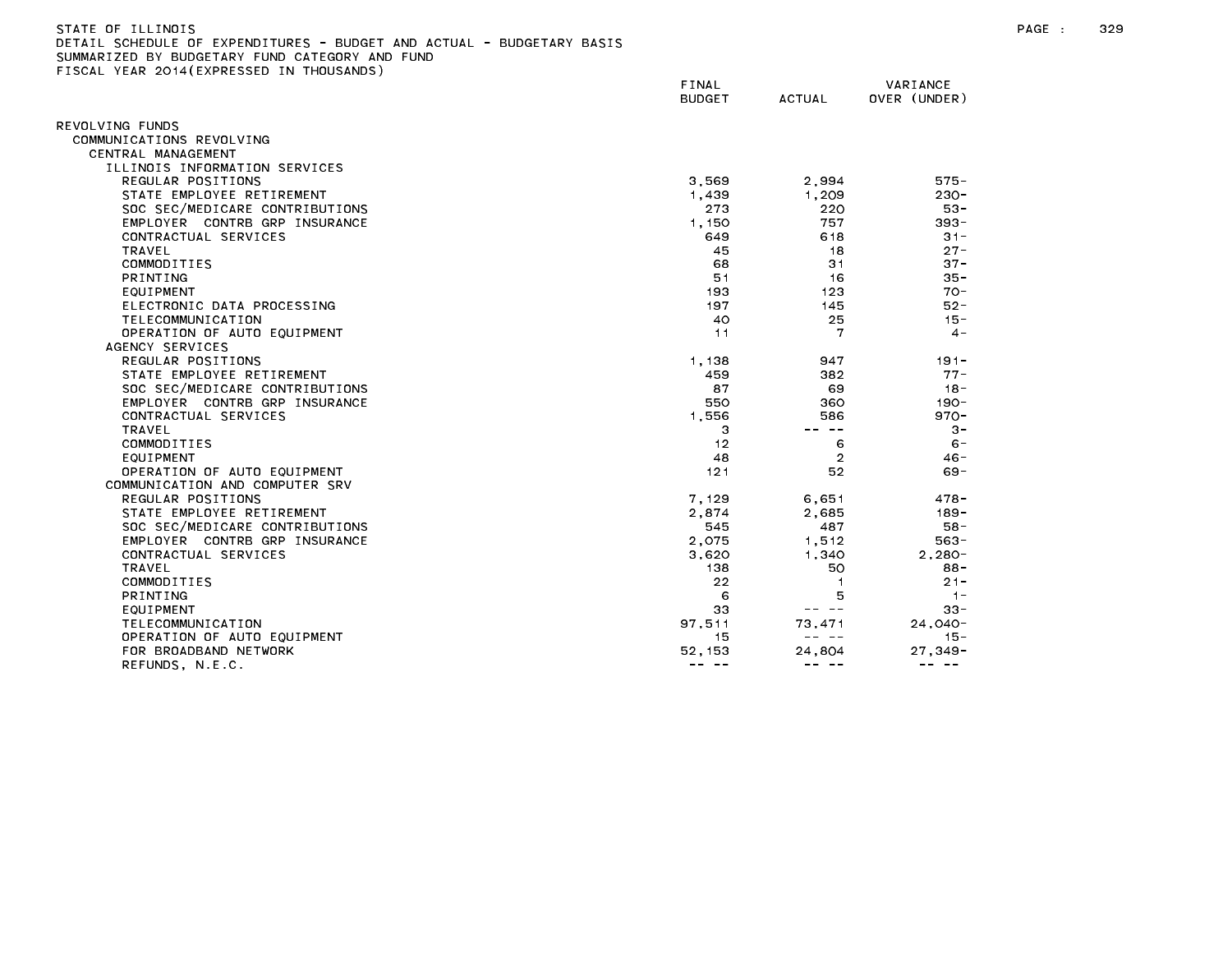| STATE OF ILLINOIS                                                     |
|-----------------------------------------------------------------------|
| DETAIL SCHEDULE OF EXPENDITURES - BUDGET AND ACTUAL - BUDGETARY BASIS |
| SUMMARIZED BY BUDGETARY FUND CATEGORY AND FUND                        |
| FISCAL YEAR 2014(EXPRESSED IN THOUSANDS)                              |

|                                | FINAL<br><b>BUDGET</b> | <b>ACTUAL</b>  | VARIANCE<br>OVER (UNDER)                                                                                                                                                                                                                                                                                                                                                                     |
|--------------------------------|------------------------|----------------|----------------------------------------------------------------------------------------------------------------------------------------------------------------------------------------------------------------------------------------------------------------------------------------------------------------------------------------------------------------------------------------------|
| REVOLVING FUNDS                |                        |                |                                                                                                                                                                                                                                                                                                                                                                                              |
| COMMUNICATIONS REVOLVING       |                        |                |                                                                                                                                                                                                                                                                                                                                                                                              |
| CENTRAL MANAGEMENT             |                        |                |                                                                                                                                                                                                                                                                                                                                                                                              |
| ILLINOIS INFORMATION SERVICES  |                        |                |                                                                                                                                                                                                                                                                                                                                                                                              |
| REGULAR POSITIONS              | 3,569                  | 2,994          | $575 -$                                                                                                                                                                                                                                                                                                                                                                                      |
| STATE EMPLOYEE RETIREMENT      | 1,439                  | 1.209          | $230 -$                                                                                                                                                                                                                                                                                                                                                                                      |
| SOC SEC/MEDICARE CONTRIBUTIONS | 273                    | 220            | $53 -$                                                                                                                                                                                                                                                                                                                                                                                       |
| EMPLOYER CONTRB GRP INSURANCE  | 1,150                  | 757            | $393 -$                                                                                                                                                                                                                                                                                                                                                                                      |
| CONTRACTUAL SERVICES           | 649                    | 618            | $31 -$                                                                                                                                                                                                                                                                                                                                                                                       |
| TRAVEL                         | 45                     | 18             | $27 -$                                                                                                                                                                                                                                                                                                                                                                                       |
| COMMODITIES                    | 68                     | 31             | $37 -$                                                                                                                                                                                                                                                                                                                                                                                       |
| <b>PRINTING</b>                | 51                     | 16             | $35 -$                                                                                                                                                                                                                                                                                                                                                                                       |
| EQUIPMENT                      | 193                    | 123            | $70 -$                                                                                                                                                                                                                                                                                                                                                                                       |
| ELECTRONIC DATA PROCESSING     | 197                    | 145            | $52 -$                                                                                                                                                                                                                                                                                                                                                                                       |
| TELECOMMUNICATION              | 40                     | 25             | $15 -$                                                                                                                                                                                                                                                                                                                                                                                       |
| OPERATION OF AUTO EQUIPMENT    | 11                     | 7              | $4 -$                                                                                                                                                                                                                                                                                                                                                                                        |
| AGENCY SERVICES                |                        |                |                                                                                                                                                                                                                                                                                                                                                                                              |
| REGULAR POSITIONS              | 1,138                  | 947            | $191 -$                                                                                                                                                                                                                                                                                                                                                                                      |
| STATE EMPLOYEE RETIREMENT      | 459                    | 382            | $77 -$                                                                                                                                                                                                                                                                                                                                                                                       |
| SOC SEC/MEDICARE CONTRIBUTIONS | 87                     | 69             | $18 -$                                                                                                                                                                                                                                                                                                                                                                                       |
| EMPLOYER CONTRB GRP INSURANCE  | 550                    | 360            | $190 -$                                                                                                                                                                                                                                                                                                                                                                                      |
| CONTRACTUAL SERVICES           | 1.556                  | 586            | $970 -$                                                                                                                                                                                                                                                                                                                                                                                      |
| <b>TRAVEL</b>                  | 3                      | $- -$          | $3 -$                                                                                                                                                                                                                                                                                                                                                                                        |
| COMMODITIES                    | 12                     | 6              | $6 -$                                                                                                                                                                                                                                                                                                                                                                                        |
| EQUIPMENT                      | 48                     | $\overline{2}$ | $46 -$                                                                                                                                                                                                                                                                                                                                                                                       |
| OPERATION OF AUTO EQUIPMENT    | 121                    | 52             | $69 -$                                                                                                                                                                                                                                                                                                                                                                                       |
| COMMUNICATION AND COMPUTER SRV |                        |                |                                                                                                                                                                                                                                                                                                                                                                                              |
| REGULAR POSITIONS              | 7,129                  | 6.651          | $478 -$                                                                                                                                                                                                                                                                                                                                                                                      |
| STATE EMPLOYEE RETIREMENT      | 2,874                  | 2,685          | $189 -$                                                                                                                                                                                                                                                                                                                                                                                      |
| SOC SEC/MEDICARE CONTRIBUTIONS | 545                    | 487            | $58 -$                                                                                                                                                                                                                                                                                                                                                                                       |
| EMPLOYER CONTRB GRP INSURANCE  | 2.075                  | 1,512          | $563 -$                                                                                                                                                                                                                                                                                                                                                                                      |
| CONTRACTUAL SERVICES           | 3,620                  | 1.340          | $2.280 -$                                                                                                                                                                                                                                                                                                                                                                                    |
| TRAVEL                         | 138                    | 50             | $88 -$                                                                                                                                                                                                                                                                                                                                                                                       |
| COMMODITIES                    | 22                     |                | $21 -$                                                                                                                                                                                                                                                                                                                                                                                       |
| <b>PRINTING</b>                | 6                      | 5              | $1 -$                                                                                                                                                                                                                                                                                                                                                                                        |
| EQUIPMENT                      | 33                     | -- --          | $33 -$                                                                                                                                                                                                                                                                                                                                                                                       |
| TELECOMMUNICATION              | 97,511                 | 73,471         | $24,040-$                                                                                                                                                                                                                                                                                                                                                                                    |
| OPERATION OF AUTO EQUIPMENT    | 15                     | -- --          | $15 -$                                                                                                                                                                                                                                                                                                                                                                                       |
| FOR BROADBAND NETWORK          | 52, 153                | 24,804         | $27,349-$                                                                                                                                                                                                                                                                                                                                                                                    |
| REFUNDS, N.E.C.                | -- --                  | $- - - - -$    | $\frac{1}{2} \frac{1}{2} \frac{1}{2} \frac{1}{2} \frac{1}{2} \frac{1}{2} \frac{1}{2} \frac{1}{2} \frac{1}{2} \frac{1}{2} \frac{1}{2} \frac{1}{2} \frac{1}{2} \frac{1}{2} \frac{1}{2} \frac{1}{2} \frac{1}{2} \frac{1}{2} \frac{1}{2} \frac{1}{2} \frac{1}{2} \frac{1}{2} \frac{1}{2} \frac{1}{2} \frac{1}{2} \frac{1}{2} \frac{1}{2} \frac{1}{2} \frac{1}{2} \frac{1}{2} \frac{1}{2} \frac{$ |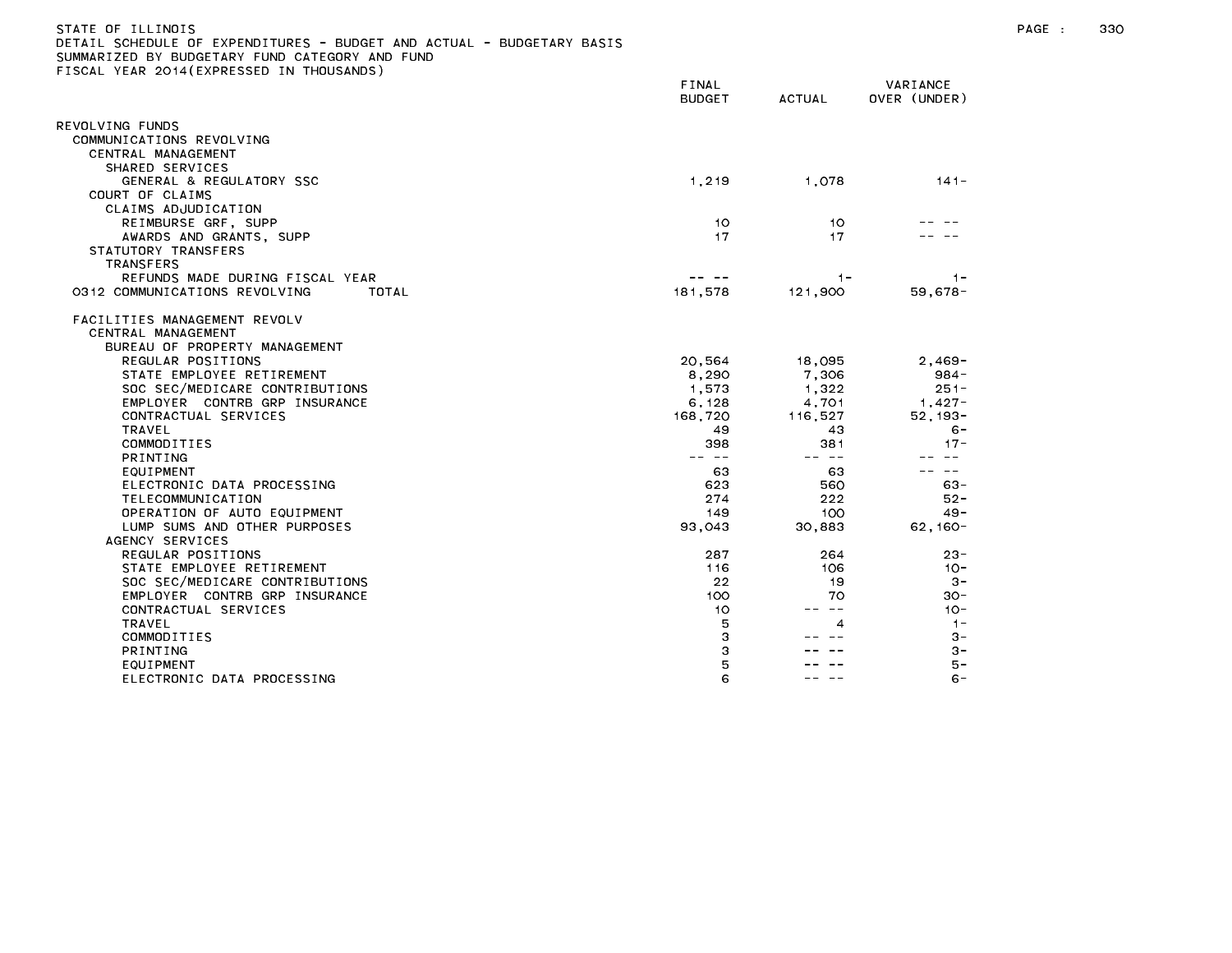| STATE OF ILLINOIS                                                     |
|-----------------------------------------------------------------------|
| DETAIL SCHEDULE OF EXPENDITURES - BUDGET AND ACTUAL - BUDGETARY BASIS |
| SUMMARIZED BY BUDGETARY FUND CATEGORY AND FUND                        |
| FISCAL YEAR 2014(EXPRESSED IN THOUSANDS)                              |

|                                        | FINAL<br><b>BUDGET</b> | <b>ACTUAL</b> | VARIANCE<br>OVER (UNDER) |
|----------------------------------------|------------------------|---------------|--------------------------|
| REVOLVING FUNDS                        |                        |               |                          |
| COMMUNICATIONS REVOLVING               |                        |               |                          |
| CENTRAL MANAGEMENT                     |                        |               |                          |
| SHARED SERVICES                        |                        |               |                          |
| GENERAL & REGULATORY SSC               | 1,219                  | 1,078         | $141 -$                  |
| COURT OF CLAIMS                        |                        |               |                          |
| CLAIMS ADJUDICATION                    |                        |               |                          |
| REIMBURSE GRF, SUPP                    | 10                     | 10            |                          |
| AWARDS AND GRANTS, SUPP                | 17                     | 17            |                          |
| STATUTORY TRANSFERS                    |                        |               |                          |
| <b>TRANSFERS</b>                       |                        |               |                          |
| REFUNDS MADE DURING FISCAL YEAR        |                        | $1 -$         | $1 -$                    |
| 0312 COMMUNICATIONS REVOLVING<br>TOTAL | 181.578                | 121,900       | $59,678-$                |
| FACILITIES MANAGEMENT REVOLV           |                        |               |                          |
| CENTRAL MANAGEMENT                     |                        |               |                          |
| BUREAU OF PROPERTY MANAGEMENT          |                        |               |                          |
| REGULAR POSITIONS                      | 20,564                 | 18,095        | $2,469-$                 |
| STATE EMPLOYEE RETIREMENT              | 8,290                  | 7,306         | $984 -$                  |
| SOC SEC/MEDICARE CONTRIBUTIONS         | 1.573                  | 1,322         | $251 -$                  |
| EMPLOYER CONTRB GRP INSURANCE          | 6,128                  | 4,701         | $1,427-$                 |
| CONTRACTUAL SERVICES                   | 168,720                | 116,527       | $52, 193 -$              |
| TRAVEL                                 | 49                     | 43            | $6 -$                    |
| COMMODITIES                            | 398                    | 381           | $17 -$                   |
| PRINTING                               |                        | -- --         |                          |
| EQUIPMENT                              | 63                     | 63            | $\qquad \qquad -$        |
| ELECTRONIC DATA PROCESSING             | 623                    | 560           | $63 -$                   |
| TELECOMMUNICATION                      | 274                    | 222           | $52 -$                   |
| OPERATION OF AUTO EQUIPMENT            | 149                    | 100           | $49 -$                   |
| LUMP SUMS AND OTHER PURPOSES           | 93,043                 | 30,883        | $62,160-$                |
| AGENCY SERVICES                        |                        |               |                          |
| REGULAR POSITIONS                      | 287                    | 264           | 23-                      |
| STATE EMPLOYEE RETIREMENT              | 116                    | 106           | $10 -$                   |
| SOC SEC/MEDICARE CONTRIBUTIONS         | 22                     | 19            | $3 -$                    |
| EMPLOYER CONTRB GRP INSURANCE          | 100                    | 70            | 30-                      |
| CONTRACTUAL SERVICES                   | 10                     | $\sim$ $-$    | $10 -$                   |
| <b>TRAVEL</b>                          | 5                      | 4             | $1 -$                    |
| COMMODITIES                            | 3                      |               | $3 -$                    |
| PRINTING                               | З                      |               | $3 -$                    |
| EQUIPMENT                              | 5                      |               | $5 -$                    |
| ELECTRONIC DATA PROCESSING             | 6                      |               | $6 -$                    |
|                                        |                        |               |                          |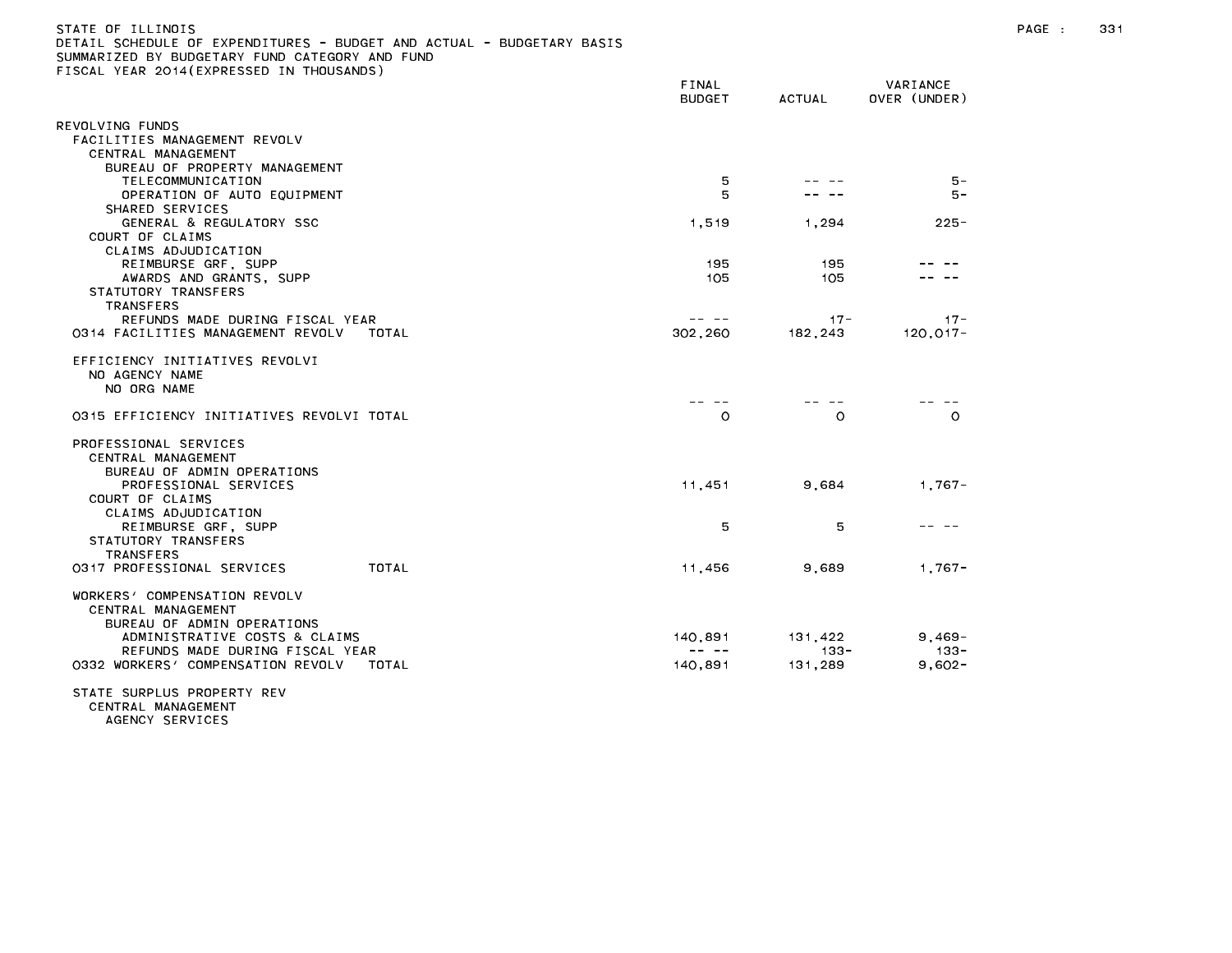# STATE OF ILLINOIS PAGE : 331 DETAIL SCHEDULE OF EXPENDITURES - BUDGET AND ACTUAL - BUDGETARY BASIS SUMMARIZED BY BUDGETARY FUND CATEGORY AND FUND FISCAL YEAR 2014(EXPRESSED IN THOUSANDS)

| REVOLVING FUNDS<br>FACILITIES MANAGEMENT REVOLV<br>CENTRAL MANAGEMENT<br>BUREAU OF PROPERTY MANAGEMENT<br>5<br>$5 -$<br>TELECOMMUNICATION<br>5<br>OPERATION OF AUTO EQUIPMENT<br>5 –<br>SHARED SERVICES<br>GENERAL & REGULATORY SSC<br>1,519<br>1,294<br>$225 -$<br>COURT OF CLAIMS<br>CLAIMS ADJUDICATION<br>REIMBURSE GRF, SUPP<br>195<br>195<br>AWARDS AND GRANTS, SUPP<br>105<br>105<br>STATUTORY TRANSFERS<br><b>TRANSFERS</b><br>REFUNDS MADE DURING FISCAL YEAR<br>$17 -$<br>$17 -$<br>0314 FACILITIES MANAGEMENT REVOLV<br>302,260<br>182,243<br>$120, 017 -$<br>TOTAL<br>EFFICIENCY INITIATIVES REVOLVI<br>NO AGENCY NAME<br>NO ORG NAME<br>---<br>$\circ$<br>0315 EFFICIENCY INITIATIVES REVOLVI TOTAL<br>O<br>$\circ$<br>PROFESSIONAL SERVICES<br>CENTRAL MANAGEMENT<br>BUREAU OF ADMIN OPERATIONS<br>PROFESSIONAL SERVICES<br>11,451<br>9,684<br>$1.767 -$<br>COURT OF CLAIMS<br>CLAIMS ADJUDICATION<br>5<br>5<br>REIMBURSE GRF, SUPP<br>STATUTORY TRANSFERS<br><b>TRANSFERS</b><br>TOTAL<br>$1.767 -$<br>0317 PROFESSIONAL SERVICES<br>11,456<br>9.689<br>WORKERS' COMPENSATION REVOLV<br>CENTRAL MANAGEMENT<br>BUREAU OF ADMIN OPERATIONS<br>ADMINISTRATIVE COSTS & CLAIMS<br>140,891<br>131,422<br>$9,469-$<br>REFUNDS MADE DURING FISCAL YEAR<br>$\frac{1}{2} \frac{1}{2} \frac{1}{2} \frac{1}{2} \frac{1}{2} \frac{1}{2} \frac{1}{2} \frac{1}{2} \frac{1}{2} \frac{1}{2} \frac{1}{2} \frac{1}{2} \frac{1}{2} \frac{1}{2} \frac{1}{2} \frac{1}{2} \frac{1}{2} \frac{1}{2} \frac{1}{2} \frac{1}{2} \frac{1}{2} \frac{1}{2} \frac{1}{2} \frac{1}{2} \frac{1}{2} \frac{1}{2} \frac{1}{2} \frac{1}{2} \frac{1}{2} \frac{1}{2} \frac{1}{2} \frac{$<br>$133 -$<br>-133 -<br>0332 WORKERS' COMPENSATION REVOLV<br>140,891<br>131,289<br>$9,602 -$<br>TOTAL<br>STATE SURPLUS PROPERTY REV | TOURL TERM EUTRICIMEDULD IN | FINAL<br><b>BUDGET</b> | ACTUAL | VARIANCE<br>OVER (UNDER) |
|---------------------------------------------------------------------------------------------------------------------------------------------------------------------------------------------------------------------------------------------------------------------------------------------------------------------------------------------------------------------------------------------------------------------------------------------------------------------------------------------------------------------------------------------------------------------------------------------------------------------------------------------------------------------------------------------------------------------------------------------------------------------------------------------------------------------------------------------------------------------------------------------------------------------------------------------------------------------------------------------------------------------------------------------------------------------------------------------------------------------------------------------------------------------------------------------------------------------------------------------------------------------------------------------------------------------------------------------------------------------------------------------------------------------------------------------------------------------------------------------------------------------------------------------------------------------------------------------------------------------------------------------------------------------------------------------------------------------------------------------------------------------------------------------------|-----------------------------|------------------------|--------|--------------------------|
|                                                                                                                                                                                                                                                                                                                                                                                                                                                                                                                                                                                                                                                                                                                                                                                                                                                                                                                                                                                                                                                                                                                                                                                                                                                                                                                                                                                                                                                                                                                                                                                                                                                                                                                                                                                                   |                             |                        |        |                          |
|                                                                                                                                                                                                                                                                                                                                                                                                                                                                                                                                                                                                                                                                                                                                                                                                                                                                                                                                                                                                                                                                                                                                                                                                                                                                                                                                                                                                                                                                                                                                                                                                                                                                                                                                                                                                   |                             |                        |        |                          |
|                                                                                                                                                                                                                                                                                                                                                                                                                                                                                                                                                                                                                                                                                                                                                                                                                                                                                                                                                                                                                                                                                                                                                                                                                                                                                                                                                                                                                                                                                                                                                                                                                                                                                                                                                                                                   |                             |                        |        |                          |
|                                                                                                                                                                                                                                                                                                                                                                                                                                                                                                                                                                                                                                                                                                                                                                                                                                                                                                                                                                                                                                                                                                                                                                                                                                                                                                                                                                                                                                                                                                                                                                                                                                                                                                                                                                                                   |                             |                        |        |                          |
|                                                                                                                                                                                                                                                                                                                                                                                                                                                                                                                                                                                                                                                                                                                                                                                                                                                                                                                                                                                                                                                                                                                                                                                                                                                                                                                                                                                                                                                                                                                                                                                                                                                                                                                                                                                                   |                             |                        |        |                          |
|                                                                                                                                                                                                                                                                                                                                                                                                                                                                                                                                                                                                                                                                                                                                                                                                                                                                                                                                                                                                                                                                                                                                                                                                                                                                                                                                                                                                                                                                                                                                                                                                                                                                                                                                                                                                   |                             |                        |        |                          |
|                                                                                                                                                                                                                                                                                                                                                                                                                                                                                                                                                                                                                                                                                                                                                                                                                                                                                                                                                                                                                                                                                                                                                                                                                                                                                                                                                                                                                                                                                                                                                                                                                                                                                                                                                                                                   |                             |                        |        |                          |
|                                                                                                                                                                                                                                                                                                                                                                                                                                                                                                                                                                                                                                                                                                                                                                                                                                                                                                                                                                                                                                                                                                                                                                                                                                                                                                                                                                                                                                                                                                                                                                                                                                                                                                                                                                                                   |                             |                        |        |                          |
|                                                                                                                                                                                                                                                                                                                                                                                                                                                                                                                                                                                                                                                                                                                                                                                                                                                                                                                                                                                                                                                                                                                                                                                                                                                                                                                                                                                                                                                                                                                                                                                                                                                                                                                                                                                                   |                             |                        |        |                          |
|                                                                                                                                                                                                                                                                                                                                                                                                                                                                                                                                                                                                                                                                                                                                                                                                                                                                                                                                                                                                                                                                                                                                                                                                                                                                                                                                                                                                                                                                                                                                                                                                                                                                                                                                                                                                   |                             |                        |        |                          |
|                                                                                                                                                                                                                                                                                                                                                                                                                                                                                                                                                                                                                                                                                                                                                                                                                                                                                                                                                                                                                                                                                                                                                                                                                                                                                                                                                                                                                                                                                                                                                                                                                                                                                                                                                                                                   |                             |                        |        |                          |
|                                                                                                                                                                                                                                                                                                                                                                                                                                                                                                                                                                                                                                                                                                                                                                                                                                                                                                                                                                                                                                                                                                                                                                                                                                                                                                                                                                                                                                                                                                                                                                                                                                                                                                                                                                                                   |                             |                        |        |                          |
|                                                                                                                                                                                                                                                                                                                                                                                                                                                                                                                                                                                                                                                                                                                                                                                                                                                                                                                                                                                                                                                                                                                                                                                                                                                                                                                                                                                                                                                                                                                                                                                                                                                                                                                                                                                                   |                             |                        |        |                          |
|                                                                                                                                                                                                                                                                                                                                                                                                                                                                                                                                                                                                                                                                                                                                                                                                                                                                                                                                                                                                                                                                                                                                                                                                                                                                                                                                                                                                                                                                                                                                                                                                                                                                                                                                                                                                   |                             |                        |        |                          |
|                                                                                                                                                                                                                                                                                                                                                                                                                                                                                                                                                                                                                                                                                                                                                                                                                                                                                                                                                                                                                                                                                                                                                                                                                                                                                                                                                                                                                                                                                                                                                                                                                                                                                                                                                                                                   |                             |                        |        |                          |
|                                                                                                                                                                                                                                                                                                                                                                                                                                                                                                                                                                                                                                                                                                                                                                                                                                                                                                                                                                                                                                                                                                                                                                                                                                                                                                                                                                                                                                                                                                                                                                                                                                                                                                                                                                                                   |                             |                        |        |                          |
|                                                                                                                                                                                                                                                                                                                                                                                                                                                                                                                                                                                                                                                                                                                                                                                                                                                                                                                                                                                                                                                                                                                                                                                                                                                                                                                                                                                                                                                                                                                                                                                                                                                                                                                                                                                                   |                             |                        |        |                          |
|                                                                                                                                                                                                                                                                                                                                                                                                                                                                                                                                                                                                                                                                                                                                                                                                                                                                                                                                                                                                                                                                                                                                                                                                                                                                                                                                                                                                                                                                                                                                                                                                                                                                                                                                                                                                   |                             |                        |        |                          |
|                                                                                                                                                                                                                                                                                                                                                                                                                                                                                                                                                                                                                                                                                                                                                                                                                                                                                                                                                                                                                                                                                                                                                                                                                                                                                                                                                                                                                                                                                                                                                                                                                                                                                                                                                                                                   |                             |                        |        |                          |
|                                                                                                                                                                                                                                                                                                                                                                                                                                                                                                                                                                                                                                                                                                                                                                                                                                                                                                                                                                                                                                                                                                                                                                                                                                                                                                                                                                                                                                                                                                                                                                                                                                                                                                                                                                                                   |                             |                        |        |                          |
|                                                                                                                                                                                                                                                                                                                                                                                                                                                                                                                                                                                                                                                                                                                                                                                                                                                                                                                                                                                                                                                                                                                                                                                                                                                                                                                                                                                                                                                                                                                                                                                                                                                                                                                                                                                                   |                             |                        |        |                          |
|                                                                                                                                                                                                                                                                                                                                                                                                                                                                                                                                                                                                                                                                                                                                                                                                                                                                                                                                                                                                                                                                                                                                                                                                                                                                                                                                                                                                                                                                                                                                                                                                                                                                                                                                                                                                   |                             |                        |        |                          |

IAIE SURPLUS PRUPERIY REV<br>CENTRAL MANAGEMENT **SIAIL** AGENCY SERVICES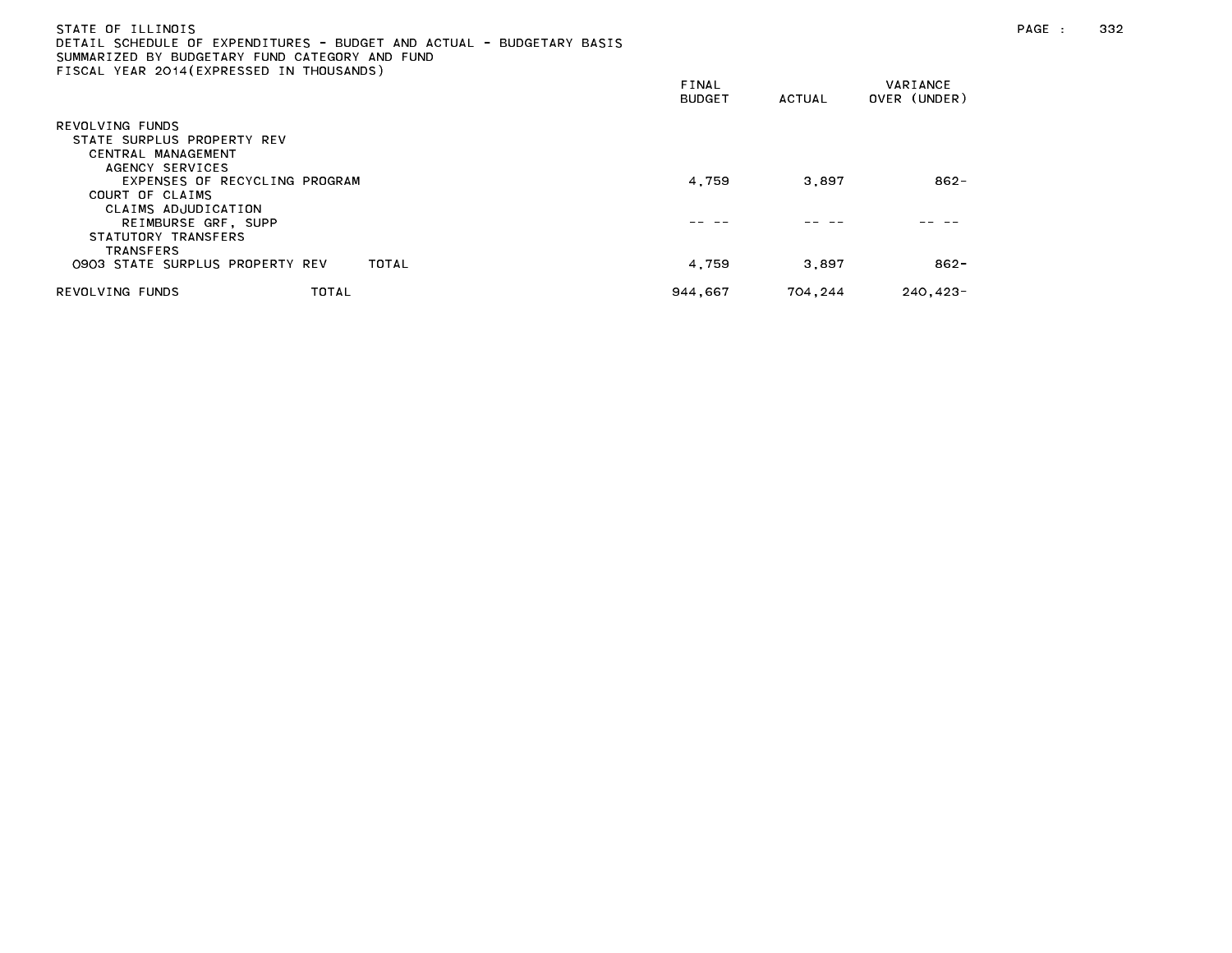| STATE OF ILLINOIS<br>SUMMARIZED BY BUDGETARY FUND CATEGORY AND FUND<br>FISCAL YEAR 2014 (EXPRESSED IN THOUSANDS) |       | DETAIL SCHEDULE OF EXPENDITURES - BUDGET AND ACTUAL - BUDGETARY BASIS |                 |         |                          |
|------------------------------------------------------------------------------------------------------------------|-------|-----------------------------------------------------------------------|-----------------|---------|--------------------------|
|                                                                                                                  |       |                                                                       | FINAL<br>BUDGET | ACTUAL  | VARIANCE<br>OVER (UNDER) |
| REVOLVING FUNDS<br>STATE SURPLUS PROPERTY REV<br>CENTRAL MANAGEMENT<br>AGENCY SERVICES                           |       |                                                                       |                 |         |                          |
| EXPENSES OF RECYCLING PROGRAM<br>COURT OF CLAIMS<br>CLAIMS ADJUDICATION                                          |       |                                                                       | 4.759           | 3.897   | $862 -$                  |
| REIMBURSE GRF, SUPP<br>STATUTORY TRANSFERS<br>TRANSFERS                                                          |       |                                                                       |                 |         |                          |
| 0903 STATE SURPLUS PROPERTY REV                                                                                  |       | TOTAL                                                                 | 4.759           | 3,897   | $862 -$                  |
| REVOLVING FUNDS                                                                                                  | TOTAL |                                                                       | 944,667         | 704,244 | $240, 423 -$             |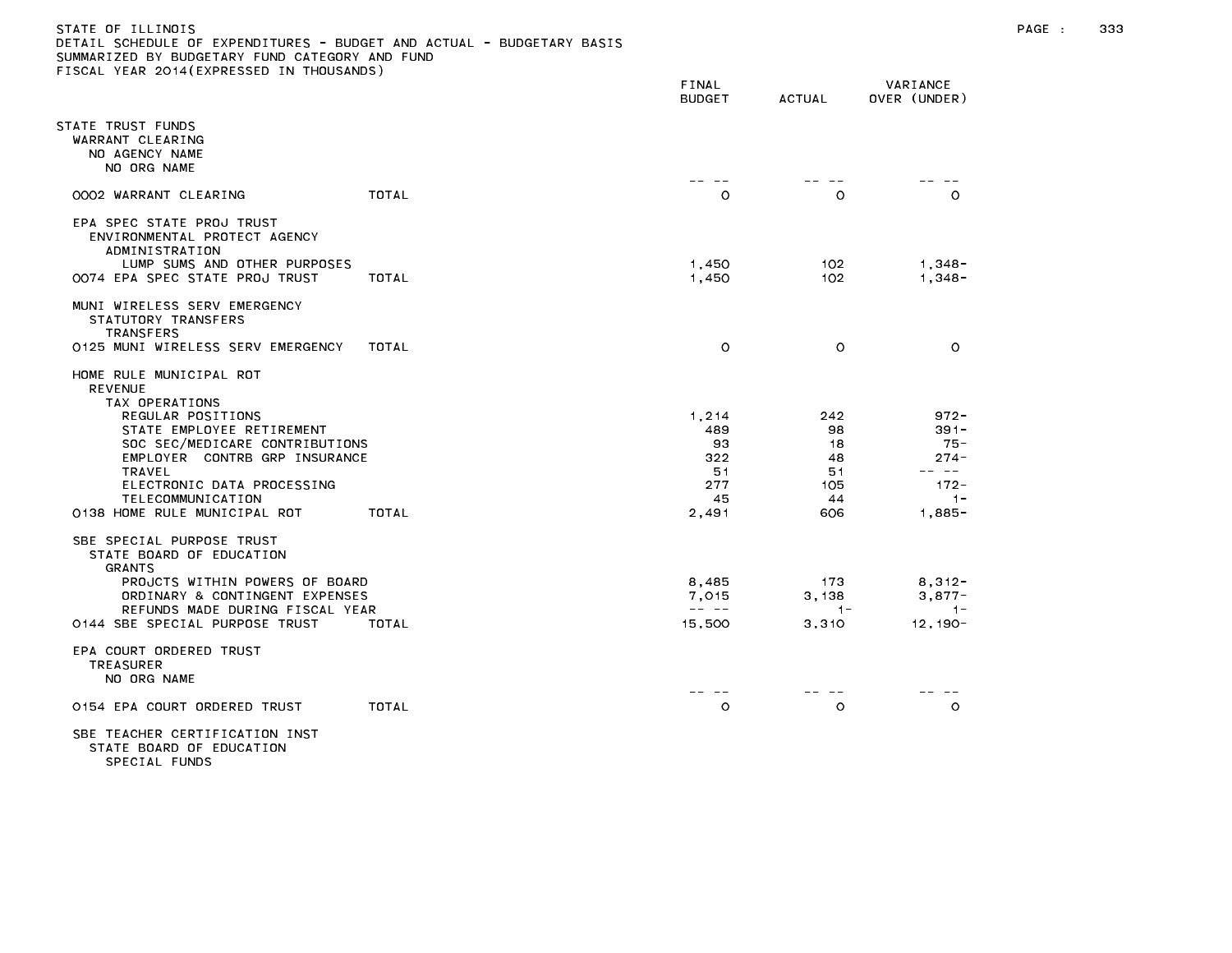### STATE OF ILLINOIS PAGE : 333 DETAIL SCHEDULE OF EXPENDITURES - BUDGET AND ACTUAL - BUDGETARY BASIS SUMMARIZED BY BUDGETARY FUND CATEGORY AND FUND FISCAL YEAR 2014(EXPRESSED IN THOUSANDS)

|                                                                                                                                                                                                          |       | FINAL<br><b>BUDGET</b>                                                                                                                                                                                                                                                                                                                                                                                                   | <b>ACTUAL</b>                  | VARIANCE<br>OVER (UNDER)                         |
|----------------------------------------------------------------------------------------------------------------------------------------------------------------------------------------------------------|-------|--------------------------------------------------------------------------------------------------------------------------------------------------------------------------------------------------------------------------------------------------------------------------------------------------------------------------------------------------------------------------------------------------------------------------|--------------------------------|--------------------------------------------------|
| STATE TRUST FUNDS<br>WARRANT CLEARING<br>NO AGENCY NAME<br>NO ORG NAME                                                                                                                                   |       |                                                                                                                                                                                                                                                                                                                                                                                                                          |                                |                                                  |
| 0002 WARRANT CLEARING                                                                                                                                                                                    | TOTAL | $\circ$                                                                                                                                                                                                                                                                                                                                                                                                                  | O                              | $\circ$                                          |
| EPA SPEC STATE PROJ TRUST<br>ENVIRONMENTAL PROTECT AGENCY<br>ADMINISTRATION<br>LUMP SUMS AND OTHER PURPOSES                                                                                              |       | 1,450                                                                                                                                                                                                                                                                                                                                                                                                                    | 102                            | $1,348-$                                         |
| 0074 EPA SPEC STATE PROJ TRUST                                                                                                                                                                           | TOTAL | 1,450                                                                                                                                                                                                                                                                                                                                                                                                                    | 102                            | $1,348 -$                                        |
| MUNI WIRELESS SERV EMERGENCY<br>STATUTORY TRANSFERS<br><b>TRANSFERS</b>                                                                                                                                  |       |                                                                                                                                                                                                                                                                                                                                                                                                                          |                                |                                                  |
| 0125 MUNI WIRELESS SERV EMERGENCY                                                                                                                                                                        | TOTAL | $\circ$                                                                                                                                                                                                                                                                                                                                                                                                                  | $\circ$                        | $\circ$                                          |
| HOME RULE MUNICIPAL ROT<br><b>REVENUE</b><br>TAX OPERATIONS<br>REGULAR POSITIONS<br>STATE EMPLOYEE RETIREMENT<br>SOC SEC/MEDICARE CONTRIBUTIONS<br>EMPLOYER CONTRB GRP INSURANCE<br>TRAVEL               |       | 1,214<br>489<br>93<br>322<br>51                                                                                                                                                                                                                                                                                                                                                                                          | 242<br>98<br>18<br>48<br>51    | $972 -$<br>$391 -$<br>$75 -$<br>$274 -$<br>-- -- |
| ELECTRONIC DATA PROCESSING<br>TELECOMMUNICATION                                                                                                                                                          |       | 277<br>45                                                                                                                                                                                                                                                                                                                                                                                                                | 105<br>44                      | $172 -$<br>$1 -$                                 |
| 0138 HOME RULE MUNICIPAL ROT                                                                                                                                                                             | TOTAL | 2,491                                                                                                                                                                                                                                                                                                                                                                                                                    | 606                            | $1,885-$                                         |
| SBE SPECIAL PURPOSE TRUST<br>STATE BOARD OF EDUCATION<br>GRANTS<br>PROJCTS WITHIN POWERS OF BOARD<br>ORDINARY & CONTINGENT EXPENSES<br>REFUNDS MADE DURING FISCAL YEAR<br>0144 SBE SPECIAL PURPOSE TRUST | TOTAL | 8,485<br>7,015<br>$\frac{1}{2} \frac{1}{2} \frac{1}{2} \frac{1}{2} \frac{1}{2} \frac{1}{2} \frac{1}{2} \frac{1}{2} \frac{1}{2} \frac{1}{2} \frac{1}{2} \frac{1}{2} \frac{1}{2} \frac{1}{2} \frac{1}{2} \frac{1}{2} \frac{1}{2} \frac{1}{2} \frac{1}{2} \frac{1}{2} \frac{1}{2} \frac{1}{2} \frac{1}{2} \frac{1}{2} \frac{1}{2} \frac{1}{2} \frac{1}{2} \frac{1}{2} \frac{1}{2} \frac{1}{2} \frac{1}{2} \frac{$<br>15,500 | 173<br>3,138<br>$1 -$<br>3,310 | $8,312-$<br>$3,877-$<br>$1 -$<br>$12, 190 -$     |
| EPA COURT ORDERED TRUST<br><b>TREASURER</b><br>NO ORG NAME                                                                                                                                               |       |                                                                                                                                                                                                                                                                                                                                                                                                                          |                                |                                                  |
| 0154 EPA COURT ORDERED TRUST                                                                                                                                                                             | TOTAL | $\circ$                                                                                                                                                                                                                                                                                                                                                                                                                  | $\circ$                        | $\circ$                                          |
| SBE TEACHER CERTIFICATION INST                                                                                                                                                                           |       |                                                                                                                                                                                                                                                                                                                                                                                                                          |                                |                                                  |

STATE BOARD OF EDUCATION SPECIAL FUNDS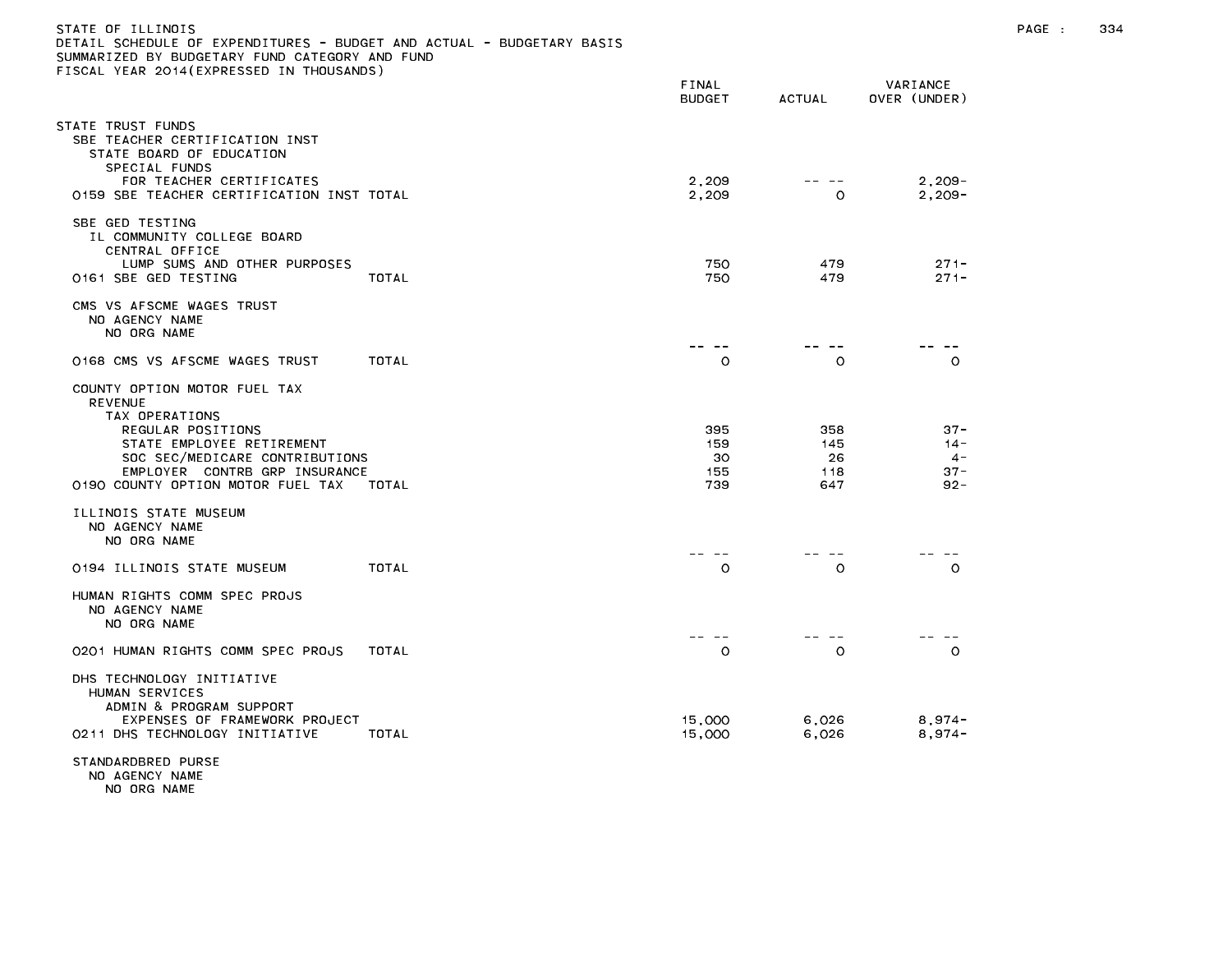| STATE OF ILLINOIS<br>DETAIL SCHEDULE OF EXPENDITURES - BUDGET AND ACTUAL - BUDGETARY BASIS<br>SUMMARIZED BY BUDGETARY FUND CATEGORY AND FUND<br>FISCAL YEAR 2014(EXPRESSED IN THOUSANDS)                                            |                                |                                |                                               | PAGE : | 334 |
|-------------------------------------------------------------------------------------------------------------------------------------------------------------------------------------------------------------------------------------|--------------------------------|--------------------------------|-----------------------------------------------|--------|-----|
|                                                                                                                                                                                                                                     | FINAL<br><b>BUDGET</b>         | <b>ACTUAL</b>                  | VARIANCE<br>OVER (UNDER)                      |        |     |
| STATE TRUST FUNDS<br>SBE TEACHER CERTIFICATION INST<br>STATE BOARD OF EDUCATION<br>SPECIAL FUNDS<br>FOR TEACHER CERTIFICATES                                                                                                        | 2,209                          | -- --                          | $2,209-$                                      |        |     |
| 0159 SBE TEACHER CERTIFICATION INST TOTAL                                                                                                                                                                                           | 2,209                          | 0                              | $2, 209 -$                                    |        |     |
| SBE GED TESTING<br>IL COMMUNITY COLLEGE BOARD<br>CENTRAL OFFICE                                                                                                                                                                     |                                |                                |                                               |        |     |
| LUMP SUMS AND OTHER PURPOSES<br>0161 SBE GED TESTING<br>TOTAL                                                                                                                                                                       | 750<br>750                     | 479<br>479                     | $271 -$<br>$271 -$                            |        |     |
| CMS VS AFSCME WAGES TRUST<br>NO AGENCY NAME<br>NO ORG NAME                                                                                                                                                                          |                                |                                |                                               |        |     |
| 0168 CMS VS AFSCME WAGES TRUST<br>TOTAL                                                                                                                                                                                             | -- --<br>$\circ$               | ———<br>$\circ$                 | $  -$<br>$\circ$                              |        |     |
| COUNTY OPTION MOTOR FUEL TAX<br><b>REVENUE</b><br>TAX OPERATIONS<br>REGULAR POSITIONS<br>STATE EMPLOYEE RETIREMENT<br>SOC SEC/MEDICARE CONTRIBUTIONS<br>EMPLOYER CONTRB GRP INSURANCE<br>0190 COUNTY OPTION MOTOR FUEL TAX<br>TOTAL | 395<br>159<br>30<br>155<br>739 | 358<br>145<br>26<br>118<br>647 | $37 -$<br>$14 -$<br>$4 -$<br>$37 -$<br>$92 -$ |        |     |
| ILLINOIS STATE MUSEUM<br>NO AGENCY NAME<br>NO ORG NAME                                                                                                                                                                              | -- --                          | -- --                          | -- --                                         |        |     |
| 0194 ILLINOIS STATE MUSEUM<br>TOTAL                                                                                                                                                                                                 | $\circ$                        | $\circ$                        | $\circ$                                       |        |     |
| HUMAN RIGHTS COMM SPEC PROJS<br>NO AGENCY NAME<br>NO ORG NAME                                                                                                                                                                       |                                |                                |                                               |        |     |
| 0201 HUMAN RIGHTS COMM SPEC PROJS<br>TOTAL                                                                                                                                                                                          | -- --<br>$\circ$               | $\sim$ $-$<br>$\circ$          | $\circ$                                       |        |     |
| DHS TECHNOLOGY INITIATIVE<br>HUMAN SERVICES<br>ADMIN & PROGRAM SUPPORT<br>EXPENSES OF FRAMEWORK PROJECT<br>0211 DHS TECHNOLOGY INITIATIVE<br>TOTAL                                                                                  | 15,000<br>15,000               | 6,026<br>6,026                 | $8,974-$<br>$8,974-$                          |        |     |
| STANDARDBRED PURSE                                                                                                                                                                                                                  |                                |                                |                                               |        |     |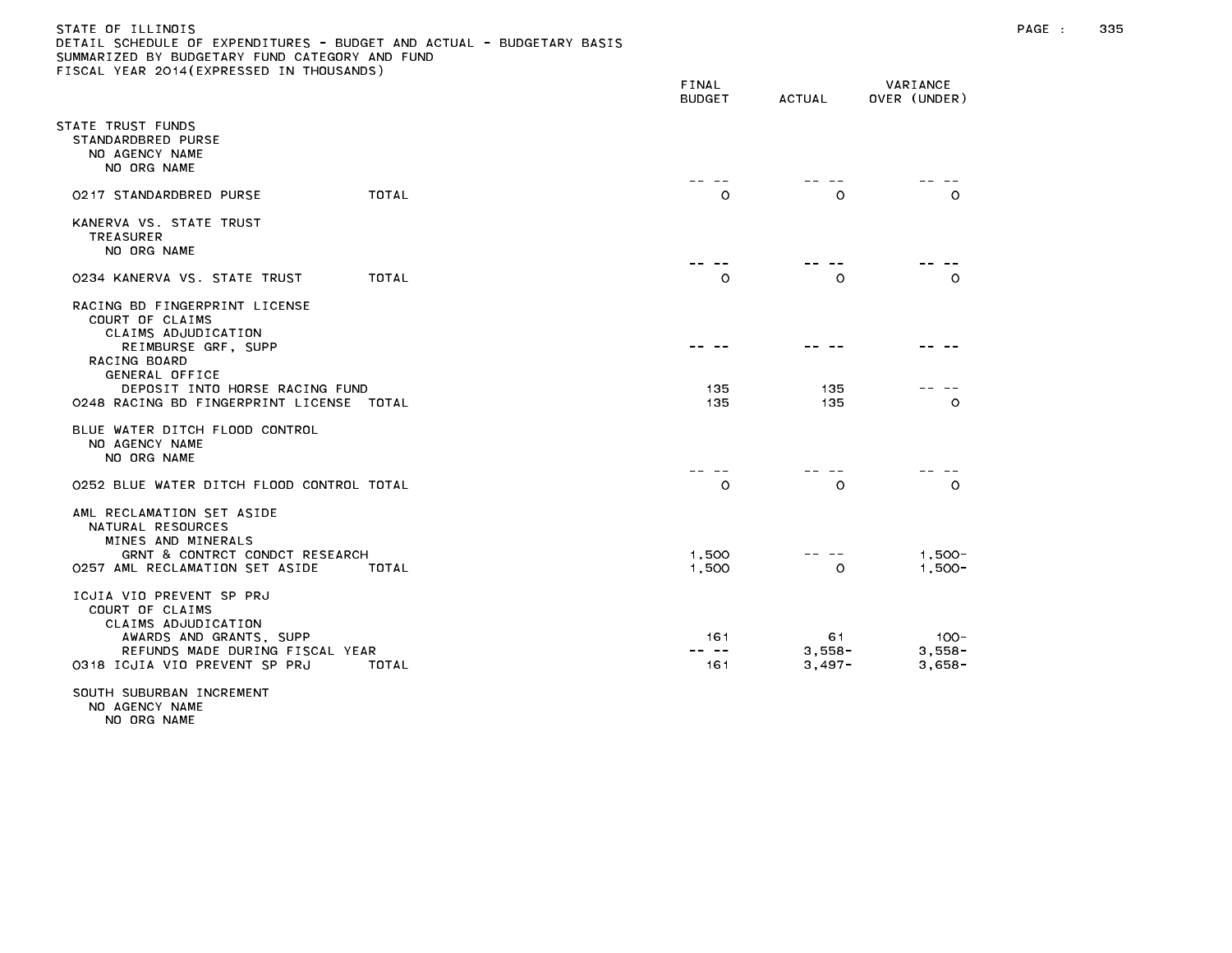### STATE OF ILLINOIS PAGE : 335 DETAIL SCHEDULE OF EXPENDITURES - BUDGET AND ACTUAL - BUDGETARY BASIS SUMMARIZED BY BUDGETARY FUND CATEGORY AND FUND FISCAL YEAR 2014(EXPRESSED IN THOUSANDS)

|                                                                                                                                                                                                                | FINAL<br><b>BUDGET</b> | <b>ACTUAL</b>              | VARIANCE<br>OVER (UNDER)        |
|----------------------------------------------------------------------------------------------------------------------------------------------------------------------------------------------------------------|------------------------|----------------------------|---------------------------------|
| STATE TRUST FUNDS<br>STANDARDBRED PURSE<br>NO AGENCY NAME<br>NO ORG NAME                                                                                                                                       |                        |                            |                                 |
| TOTAL<br>0217 STANDARDBRED PURSE                                                                                                                                                                               | O                      | O                          | $\Omega$                        |
| KANERVA VS. STATE TRUST<br><b>TREASURER</b><br>NO ORG NAME                                                                                                                                                     |                        |                            |                                 |
| TOTAL<br>0234 KANERVA VS. STATE TRUST                                                                                                                                                                          | $\circ$                | $\circ$                    | $\Omega$                        |
| RACING BD FINGERPRINT LICENSE<br>COURT OF CLAIMS<br>CLAIMS ADJUDICATION<br>REIMBURSE GRF, SUPP<br>RACING BOARD<br>GENERAL OFFICE<br>DEPOSIT INTO HORSE RACING FUND<br>0248 RACING BD FINGERPRINT LICENSE TOTAL | 135<br>135             | 135<br>135                 | $\circ$                         |
| BLUE WATER DITCH FLOOD CONTROL<br>NO AGENCY NAME<br>NO ORG NAME                                                                                                                                                |                        |                            |                                 |
| 0252 BLUE WATER DITCH FLOOD CONTROL TOTAL                                                                                                                                                                      | $\circ$                | $\circ$                    | $\circ$                         |
| AML RECLAMATION SET ASIDE<br>NATURAL RESOURCES<br>MINES AND MINERALS<br>GRNT & CONTRCT CONDCT RESEARCH<br>0257 AML RECLAMATION SET ASIDE<br>TOTAL                                                              | 1,500<br>1,500         | $\circ$                    | $1.500 -$<br>$1,500 -$          |
| ICJIA VIO PREVENT SP PRJ<br>COURT OF CLAIMS<br>CLAIMS ADJUDICATION<br>AWARDS AND GRANTS, SUPP<br>REFUNDS MADE DURING FISCAL YEAR<br>0318 ICJIA VIO PREVENT SP PRJ<br>TOTAL                                     | 161<br>161             | 61<br>$3,558-$<br>$3,497-$ | $100 -$<br>$3,558-$<br>$3,658-$ |

NO ORG NAME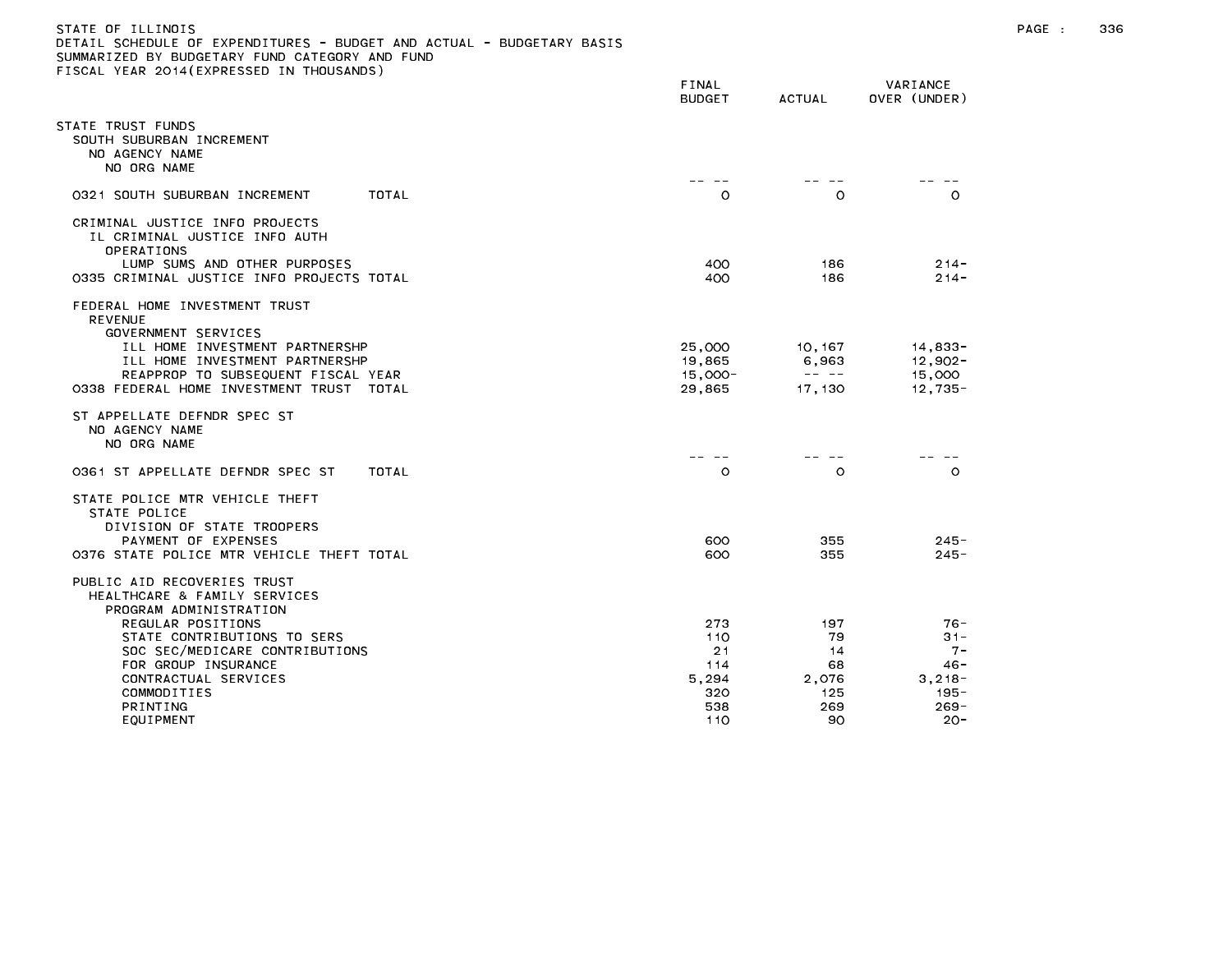| STATE OF ILLINOIS                                                     |
|-----------------------------------------------------------------------|
| DETAIL SCHEDULE OF EXPENDITURES - BUDGET AND ACTUAL - BUDGETARY BASIS |
| SUMMARIZED BY BUDGETARY FUND CATEGORY AND FUND                        |
| FISCAL YEAR 2014(EXPRESSED IN THOUSANDS)                              |

|                                                                                                                                                                                                                                                                    | FINAL<br><b>BUDGET</b>                                | ACTUAL                                                                                                                                                                                                                                                                                                                                                                                                                     | VARIANCE<br>OVER (UNDER)                                                   |
|--------------------------------------------------------------------------------------------------------------------------------------------------------------------------------------------------------------------------------------------------------------------|-------------------------------------------------------|----------------------------------------------------------------------------------------------------------------------------------------------------------------------------------------------------------------------------------------------------------------------------------------------------------------------------------------------------------------------------------------------------------------------------|----------------------------------------------------------------------------|
| STATE TRUST FUNDS<br>SOUTH SUBURBAN INCREMENT<br>NO AGENCY NAME<br>NO ORG NAME                                                                                                                                                                                     | $- -$                                                 | $- -$                                                                                                                                                                                                                                                                                                                                                                                                                      |                                                                            |
| <b>TOTAL</b><br>0321 SOUTH SUBURBAN INCREMENT                                                                                                                                                                                                                      | $\circ$                                               | $\circ$                                                                                                                                                                                                                                                                                                                                                                                                                    | $\circ$                                                                    |
| CRIMINAL JUSTICE INFO PROJECTS<br>IL CRIMINAL JUSTICE INFO AUTH<br>OPERATIONS<br>LUMP SUMS AND OTHER PURPOSES<br>0335 CRIMINAL JUSTICE INFO PROJECTS TOTAL                                                                                                         | 400<br>400                                            | 186<br>186                                                                                                                                                                                                                                                                                                                                                                                                                 | $214 -$<br>$214 -$                                                         |
| FEDERAL HOME INVESTMENT TRUST<br><b>REVENUE</b><br>GOVERNMENT SERVICES<br>ILL HOME INVESTMENT PARTNERSHP<br>ILL HOME INVESTMENT PARTNERSHP<br>REAPPROP TO SUBSEQUENT FISCAL YEAR<br>0338 FEDERAL HOME INVESTMENT TRUST TOTAL                                       | 25,000<br>19,865<br>$15,000 -$<br>29,865              | 10, 167<br>6,963<br>$\frac{1}{2} \frac{1}{2} \frac{1}{2} \frac{1}{2} \frac{1}{2} \frac{1}{2} \frac{1}{2} \frac{1}{2} \frac{1}{2} \frac{1}{2} \frac{1}{2} \frac{1}{2} \frac{1}{2} \frac{1}{2} \frac{1}{2} \frac{1}{2} \frac{1}{2} \frac{1}{2} \frac{1}{2} \frac{1}{2} \frac{1}{2} \frac{1}{2} \frac{1}{2} \frac{1}{2} \frac{1}{2} \frac{1}{2} \frac{1}{2} \frac{1}{2} \frac{1}{2} \frac{1}{2} \frac{1}{2} \frac{$<br>17,130 | 14,833-<br>$12,902 -$<br>15,000<br>$12,735-$                               |
| ST APPELLATE DEFNDR SPEC ST<br>NO AGENCY NAME<br>NO ORG NAME                                                                                                                                                                                                       | $- -$                                                 | $ -$                                                                                                                                                                                                                                                                                                                                                                                                                       |                                                                            |
| TOTAL<br>0361 ST APPELLATE DEFNDR SPEC ST                                                                                                                                                                                                                          | $\circ$                                               | $\circ$                                                                                                                                                                                                                                                                                                                                                                                                                    | $\circ$                                                                    |
| STATE POLICE MTR VEHICLE THEFT<br>STATE POLICE<br>DIVISION OF STATE TROOPERS<br>PAYMENT OF EXPENSES<br>0376 STATE POLICE MTR VEHICLE THEFT TOTAL                                                                                                                   | 600<br>600                                            | 355<br>355                                                                                                                                                                                                                                                                                                                                                                                                                 | $245 -$<br>$245 -$                                                         |
| PUBLIC AID RECOVERIES TRUST<br>HEALTHCARE & FAMILY SERVICES<br>PROGRAM ADMINISTRATION<br>REGULAR POSITIONS<br>STATE CONTRIBUTIONS TO SERS<br>SOC SEC/MEDICARE CONTRIBUTIONS<br>FOR GROUP INSURANCE<br>CONTRACTUAL SERVICES<br>COMMODITIES<br>PRINTING<br>EQUIPMENT | 273<br>110<br>21<br>114<br>5,294<br>320<br>538<br>110 | 197<br>79<br>14<br>68<br>2,076<br>125<br>269<br>90                                                                                                                                                                                                                                                                                                                                                                         | 76-<br>$31 -$<br>$7 -$<br>46 -<br>$3,218-$<br>$195 -$<br>$269 -$<br>$20 -$ |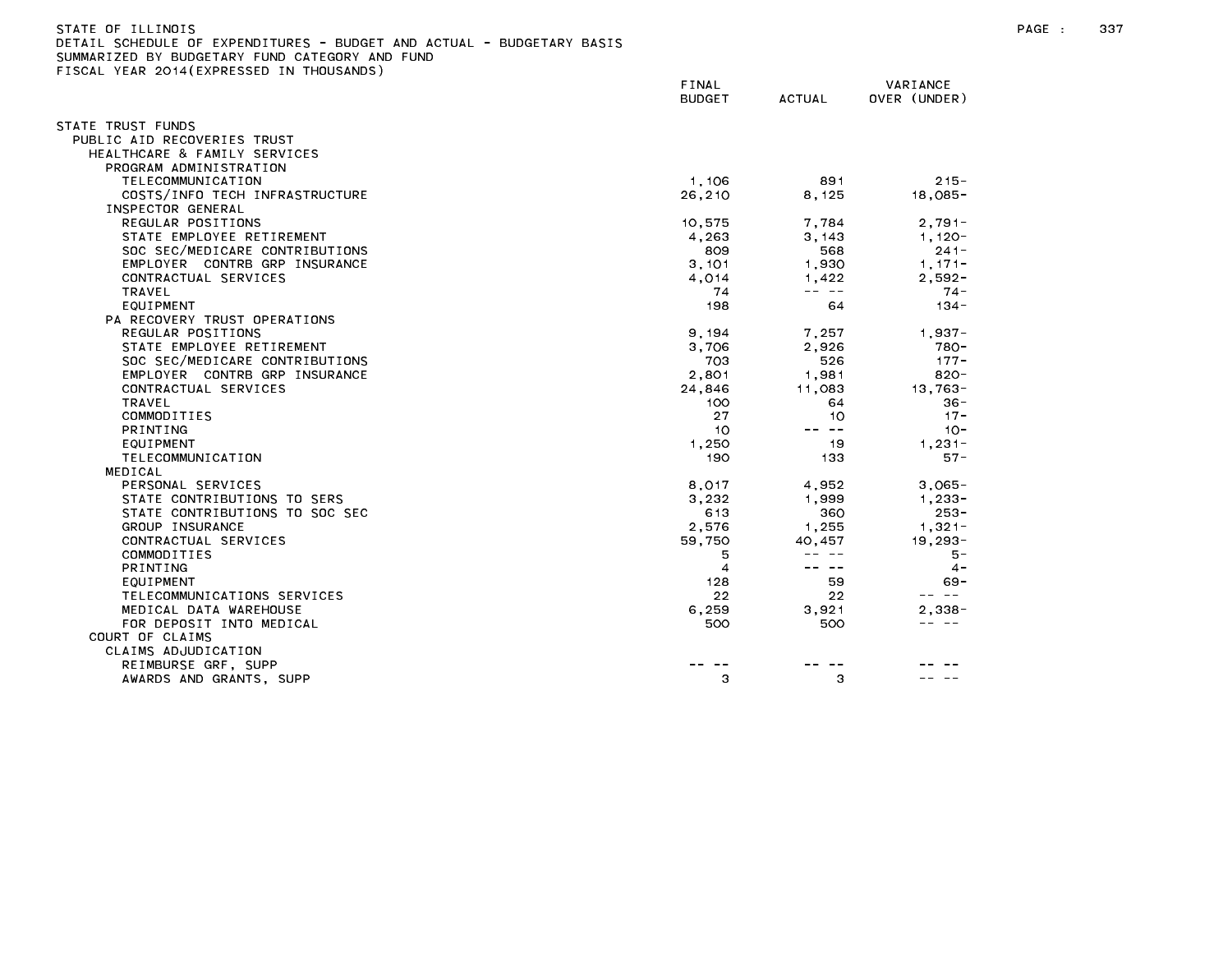| STATE OF ILLINOIS                                                     |        |        |              |
|-----------------------------------------------------------------------|--------|--------|--------------|
| DETAIL SCHEDULE OF EXPENDITURES - BUDGET AND ACTUAL - BUDGETARY BASIS |        |        |              |
| SUMMARIZED BY BUDGETARY FUND CATEGORY AND FUND                        |        |        |              |
| FISCAL YEAR 2014(EXPRESSED IN THOUSANDS)                              |        |        |              |
|                                                                       | FINAL  |        | VARIANCE     |
|                                                                       | BUDGET | ACTUAL | OVER (UNDER) |

| TATE TRUST FUNDS               |                |                                                                                                                                                                                                                                                                                                                                                                                              |                     |
|--------------------------------|----------------|----------------------------------------------------------------------------------------------------------------------------------------------------------------------------------------------------------------------------------------------------------------------------------------------------------------------------------------------------------------------------------------------|---------------------|
| PUBLIC AID RECOVERIES TRUST    |                |                                                                                                                                                                                                                                                                                                                                                                                              |                     |
| HEALTHCARE & FAMILY SERVICES   |                |                                                                                                                                                                                                                                                                                                                                                                                              |                     |
| PROGRAM ADMINISTRATION         |                |                                                                                                                                                                                                                                                                                                                                                                                              |                     |
| TELECOMMUNICATION              | 1,106          | 891                                                                                                                                                                                                                                                                                                                                                                                          | $215 -$             |
| COSTS/INFO TECH INFRASTRUCTURE | 26,210         | 8,125                                                                                                                                                                                                                                                                                                                                                                                        | $18,085 -$          |
| INSPECTOR GENERAL              |                |                                                                                                                                                                                                                                                                                                                                                                                              |                     |
| REGULAR POSITIONS              | 10,575         | 7,784                                                                                                                                                                                                                                                                                                                                                                                        | $2,791-$            |
| STATE EMPLOYEE RETIREMENT      | 4,263          | 3.143                                                                                                                                                                                                                                                                                                                                                                                        | $1.120 -$           |
| SOC SEC/MEDICARE CONTRIBUTIONS | 809            | 568                                                                                                                                                                                                                                                                                                                                                                                          | $241 -$             |
| EMPLOYER CONTRB GRP INSURANCE  | 3,101          | 1,930                                                                                                                                                                                                                                                                                                                                                                                        | $1, 171 -$          |
| CONTRACTUAL SERVICES           | 4,014          | 1,422                                                                                                                                                                                                                                                                                                                                                                                        | $2,592-$            |
| TRAVEL                         | 74             | $\frac{1}{2} \frac{1}{2} \frac{1}{2} \frac{1}{2} \frac{1}{2} \frac{1}{2} \frac{1}{2} \frac{1}{2} \frac{1}{2} \frac{1}{2} \frac{1}{2} \frac{1}{2} \frac{1}{2} \frac{1}{2} \frac{1}{2} \frac{1}{2} \frac{1}{2} \frac{1}{2} \frac{1}{2} \frac{1}{2} \frac{1}{2} \frac{1}{2} \frac{1}{2} \frac{1}{2} \frac{1}{2} \frac{1}{2} \frac{1}{2} \frac{1}{2} \frac{1}{2} \frac{1}{2} \frac{1}{2} \frac{$ | $74 -$              |
| EQUIPMENT                      | 198            | 64                                                                                                                                                                                                                                                                                                                                                                                           | $134 -$             |
| PA RECOVERY TRUST OPERATIONS   |                |                                                                                                                                                                                                                                                                                                                                                                                              |                     |
| REGULAR POSITIONS              | 9.194          | 7.257                                                                                                                                                                                                                                                                                                                                                                                        | $1.937 -$           |
| STATE EMPLOYEE RETIREMENT      | 3,706          | 2,926                                                                                                                                                                                                                                                                                                                                                                                        | $780 -$             |
| SOC SEC/MEDICARE CONTRIBUTIONS | 703            | 526                                                                                                                                                                                                                                                                                                                                                                                          | $177 -$             |
| EMPLOYER CONTRB GRP INSURANCE  | 2,801          | 1,981                                                                                                                                                                                                                                                                                                                                                                                        | $820 -$             |
| CONTRACTUAL SERVICES           | 24.846         | 11.083                                                                                                                                                                                                                                                                                                                                                                                       | $13.763 -$          |
| <b>TRAVEL</b>                  | 100            | 64                                                                                                                                                                                                                                                                                                                                                                                           | $36 -$              |
| COMMODITIES                    | 27             | 10                                                                                                                                                                                                                                                                                                                                                                                           | $17 -$              |
| PRINTING                       | 10             | -- --                                                                                                                                                                                                                                                                                                                                                                                        | $10 -$              |
| EQUIPMENT                      | 1.250          | 19                                                                                                                                                                                                                                                                                                                                                                                           | $1.231 -$           |
| TELECOMMUNICATION              | 190            | 133                                                                                                                                                                                                                                                                                                                                                                                          | $57 -$              |
| MEDICAL                        |                |                                                                                                                                                                                                                                                                                                                                                                                              |                     |
| PERSONAL SERVICES              | 8,017          | 4,952                                                                                                                                                                                                                                                                                                                                                                                        | $3,065-$            |
| STATE CONTRIBUTIONS TO SERS    | 3,232          | 1,999                                                                                                                                                                                                                                                                                                                                                                                        | $1.233 -$           |
| STATE CONTRIBUTIONS TO SOC SEC | 613            | 360                                                                                                                                                                                                                                                                                                                                                                                          | $253 -$             |
| GROUP INSURANCE                | 2,576          | 1,255                                                                                                                                                                                                                                                                                                                                                                                        | $1,321 -$           |
| CONTRACTUAL SERVICES           | 59,750         | 40,457                                                                                                                                                                                                                                                                                                                                                                                       | $19,293-$           |
| COMMODITIES                    | 5              | -- --                                                                                                                                                                                                                                                                                                                                                                                        | 5 –                 |
| PRINTING                       | $\overline{a}$ | -- --                                                                                                                                                                                                                                                                                                                                                                                        | $4 -$               |
| EQUIPMENT                      | 128            | 59                                                                                                                                                                                                                                                                                                                                                                                           | $69 -$              |
| TELECOMMUNICATIONS SERVICES    | 22             | 22                                                                                                                                                                                                                                                                                                                                                                                           | $\sim$ $-$<br>$- -$ |
| MEDICAL DATA WAREHOUSE         | 6,259          | 3,921                                                                                                                                                                                                                                                                                                                                                                                        | $2,338 -$           |
| FOR DEPOSIT INTO MEDICAL       | 500            | 500                                                                                                                                                                                                                                                                                                                                                                                          |                     |
| COURT OF CLAIMS                |                |                                                                                                                                                                                                                                                                                                                                                                                              |                     |
| CLAIMS ADJUDICATION            |                |                                                                                                                                                                                                                                                                                                                                                                                              |                     |
| REIMBURSE GRF, SUPP            |                |                                                                                                                                                                                                                                                                                                                                                                                              |                     |
| AWARDS AND GRANTS, SUPP        | з              | з                                                                                                                                                                                                                                                                                                                                                                                            |                     |
|                                |                |                                                                                                                                                                                                                                                                                                                                                                                              |                     |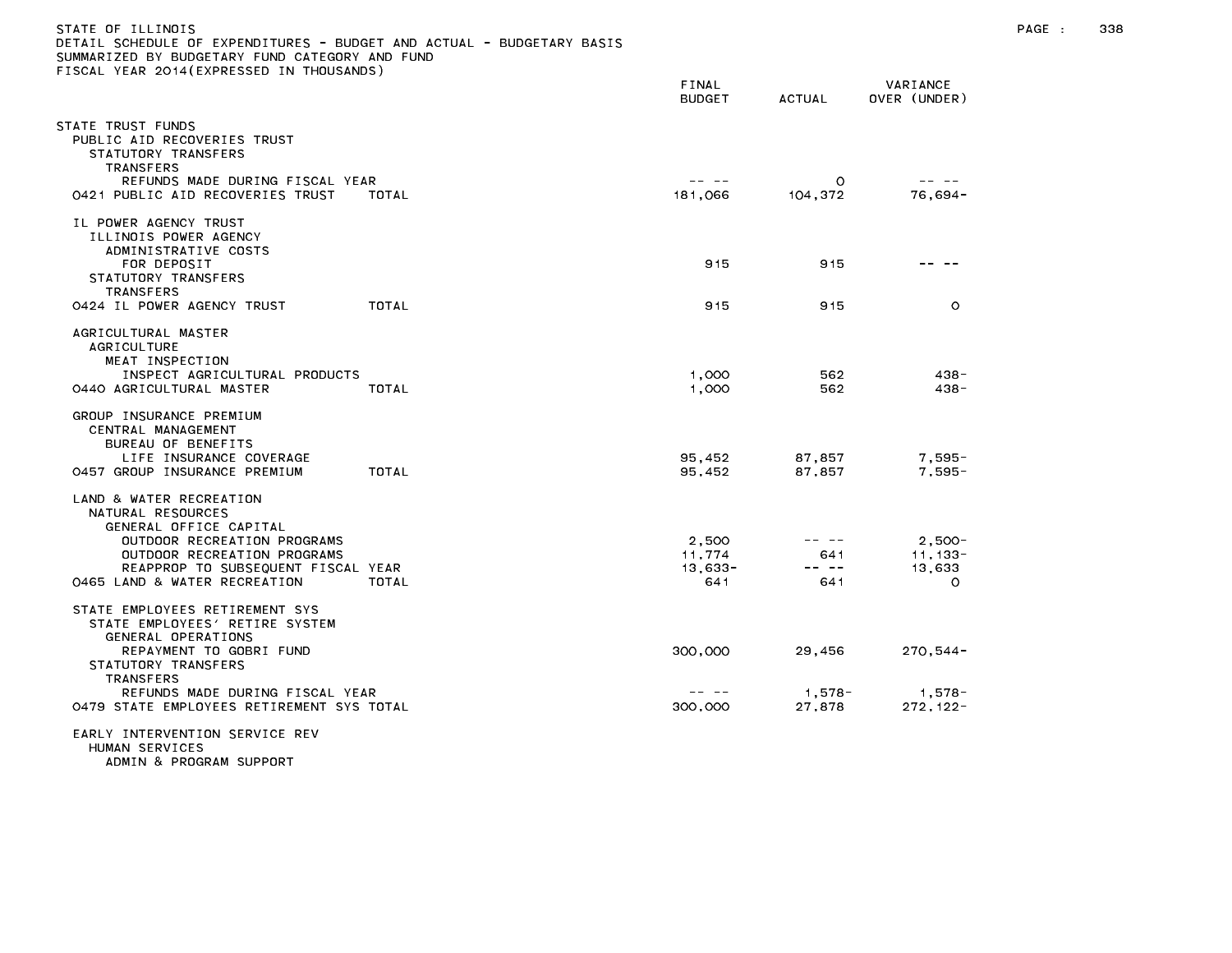| STATE OF ILLINOIS<br>DETAIL SCHEDULE OF EXPENDITURES - BUDGET AND ACTUAL - BUDGETARY BASIS<br>SUMMARIZED BY BUDGETARY FUND CATEGORY AND FUND<br>FISCAL YEAR 2014 (EXPRESSED IN THOUSANDS) |                                                                                                                                                                                                                                                                                                                                                                                              |                  |                          | $PAGE$ : | 338 |
|-------------------------------------------------------------------------------------------------------------------------------------------------------------------------------------------|----------------------------------------------------------------------------------------------------------------------------------------------------------------------------------------------------------------------------------------------------------------------------------------------------------------------------------------------------------------------------------------------|------------------|--------------------------|----------|-----|
|                                                                                                                                                                                           | FINAL<br><b>BUDGET</b>                                                                                                                                                                                                                                                                                                                                                                       | <b>ACTUAL</b>    | VARIANCE<br>OVER (UNDER) |          |     |
| STATE TRUST FUNDS<br>PUBLIC AID RECOVERIES TRUST<br>STATUTORY TRANSFERS<br>TRANSFERS<br>REFUNDS MADE DURING FISCAL YEAR                                                                   | -- --                                                                                                                                                                                                                                                                                                                                                                                        | $\circ$          | -- --                    |          |     |
| 0421 PUBLIC AID RECOVERIES TRUST<br>TOTAL                                                                                                                                                 | 181,066                                                                                                                                                                                                                                                                                                                                                                                      | 104,372          | $76,694-$                |          |     |
| IL POWER AGENCY TRUST<br>ILLINOIS POWER AGENCY<br>ADMINISTRATIVE COSTS                                                                                                                    |                                                                                                                                                                                                                                                                                                                                                                                              |                  |                          |          |     |
| FOR DEPOSIT<br>STATUTORY TRANSFERS<br>TRANSFERS                                                                                                                                           | 915                                                                                                                                                                                                                                                                                                                                                                                          | 915              |                          |          |     |
| 0424 IL POWER AGENCY TRUST<br>TOTAL                                                                                                                                                       | 915                                                                                                                                                                                                                                                                                                                                                                                          | 915              | $\circ$                  |          |     |
| AGRICULTURAL MASTER<br><b>AGRICULTURE</b><br>MEAT INSPECTION                                                                                                                              |                                                                                                                                                                                                                                                                                                                                                                                              |                  |                          |          |     |
| INSPECT AGRICULTURAL PRODUCTS<br>0440 AGRICULTURAL MASTER<br>TOTAL                                                                                                                        | 1,000<br>1,000                                                                                                                                                                                                                                                                                                                                                                               | 562<br>562       | $438 -$<br>438-          |          |     |
| GROUP INSURANCE PREMIUM<br>CENTRAL MANAGEMENT<br>BUREAU OF BENEFITS                                                                                                                       |                                                                                                                                                                                                                                                                                                                                                                                              |                  |                          |          |     |
| LIFE INSURANCE COVERAGE<br>TOTAL<br>0457 GROUP INSURANCE PREMIUM                                                                                                                          | 95,452<br>95,452                                                                                                                                                                                                                                                                                                                                                                             | 87,857<br>87,857 | $7,595-$<br>7,595-       |          |     |
| LAND & WATER RECREATION<br>NATURAL RESOURCES<br>GENERAL OFFICE CAPITAL                                                                                                                    |                                                                                                                                                                                                                                                                                                                                                                                              |                  |                          |          |     |
| OUTDOOR RECREATION PROGRAMS                                                                                                                                                               | 2,500                                                                                                                                                                                                                                                                                                                                                                                        | -- --            | $2,500-$                 |          |     |
| OUTDOOR RECREATION PROGRAMS<br>REAPPROP TO SUBSEQUENT FISCAL YEAR                                                                                                                         | 11,774<br>$13,633-$                                                                                                                                                                                                                                                                                                                                                                          | 641<br>-- --     | $11, 133 -$<br>13,633    |          |     |
| 0465 LAND & WATER RECREATION<br>TOTAL                                                                                                                                                     | 641                                                                                                                                                                                                                                                                                                                                                                                          | 641              | $\circ$                  |          |     |
| STATE EMPLOYEES RETIREMENT SYS<br>STATE EMPLOYEES' RETIRE SYSTEM<br>GENERAL OPERATIONS                                                                                                    |                                                                                                                                                                                                                                                                                                                                                                                              |                  |                          |          |     |
| REPAYMENT TO GOBRI FUND<br>STATUTORY TRANSFERS<br>TRANSFERS                                                                                                                               | 300,000                                                                                                                                                                                                                                                                                                                                                                                      | 29,456           | $270,544-$               |          |     |
| REFUNDS MADE DURING FISCAL YEAR                                                                                                                                                           | $\frac{1}{2} \frac{1}{2} \frac{1}{2} \frac{1}{2} \frac{1}{2} \frac{1}{2} \frac{1}{2} \frac{1}{2} \frac{1}{2} \frac{1}{2} \frac{1}{2} \frac{1}{2} \frac{1}{2} \frac{1}{2} \frac{1}{2} \frac{1}{2} \frac{1}{2} \frac{1}{2} \frac{1}{2} \frac{1}{2} \frac{1}{2} \frac{1}{2} \frac{1}{2} \frac{1}{2} \frac{1}{2} \frac{1}{2} \frac{1}{2} \frac{1}{2} \frac{1}{2} \frac{1}{2} \frac{1}{2} \frac{$ | 1,578-           | 1,578-                   |          |     |
| 0479 STATE EMPLOYEES RETIREMENT SYS TOTAL                                                                                                                                                 | 300,000                                                                                                                                                                                                                                                                                                                                                                                      | 27,878           | $272, 122 -$             |          |     |
| EARLY INTERVENTION SERVICE REV<br>HUMAN SERVICES<br>ADMIN & PROGRAM SUPPORT                                                                                                               |                                                                                                                                                                                                                                                                                                                                                                                              |                  |                          |          |     |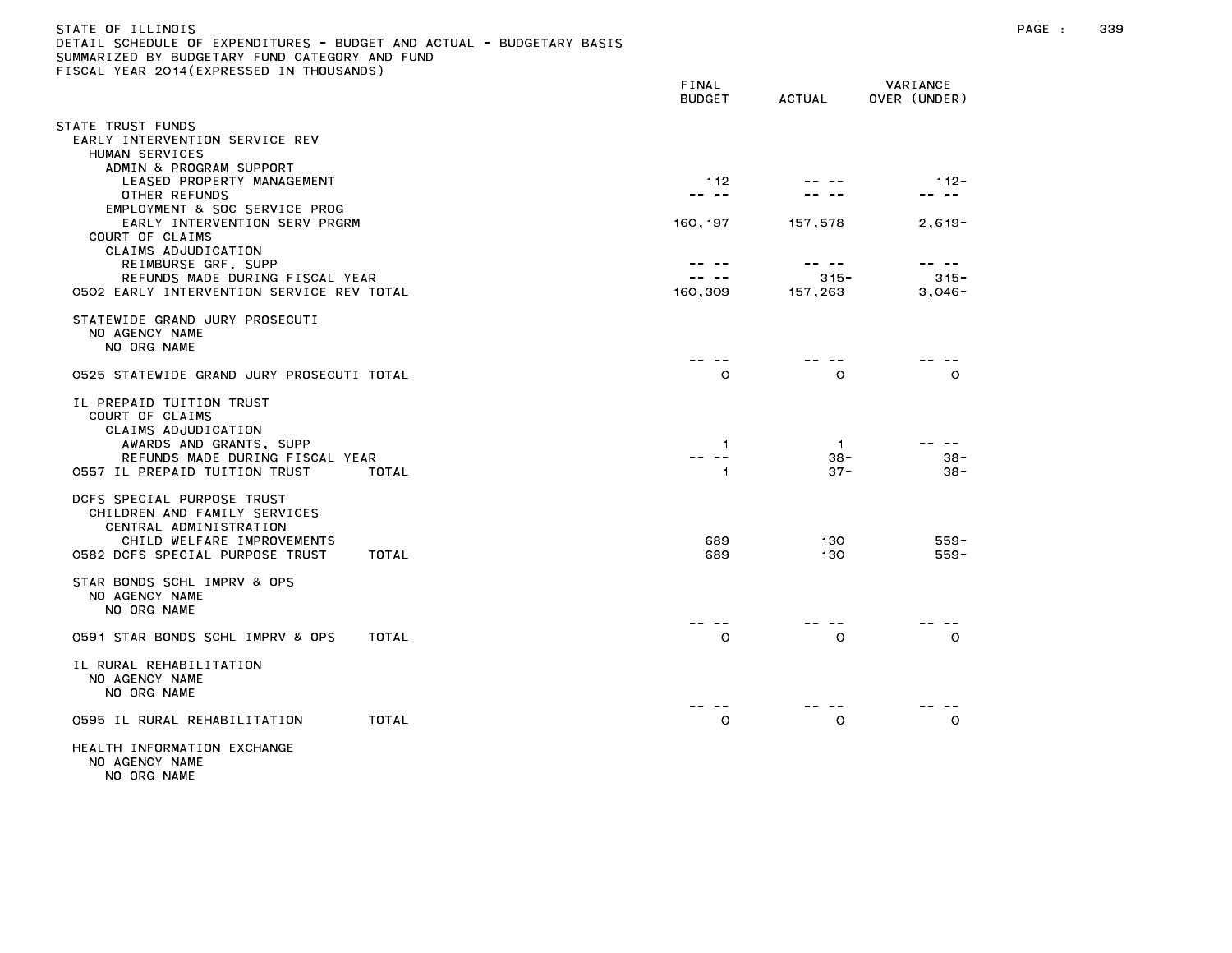| STATE OF ILLINOIS                                                     |
|-----------------------------------------------------------------------|
| DETAIL SCHEDULE OF EXPENDITURES - BUDGET AND ACTUAL - BUDGETARY BASIS |
| SUMMARIZED BY BUDGETARY FUND CATEGORY AND FUND                        |
| FISCAL YEAR 2014(EXPRESSED IN THOUSANDS)                              |
|                                                                       |

| TEAN LUTTLEATIN USED THE INDUSTRIBUT                                                                                                                              |       | FINAL<br><b>BUDGET</b>                      | <b>ACTUAL</b>          | VARIANCE<br>OVER (UNDER)     |
|-------------------------------------------------------------------------------------------------------------------------------------------------------------------|-------|---------------------------------------------|------------------------|------------------------------|
| STATE TRUST FUNDS<br>EARLY INTERVENTION SERVICE REV<br>HUMAN SERVICES                                                                                             |       |                                             |                        |                              |
| ADMIN & PROGRAM SUPPORT<br>LEASED PROPERTY MANAGEMENT<br>OTHER REFUNDS                                                                                            |       | 112<br>-- --                                |                        | $112 -$<br>-- --             |
| EMPLOYMENT & SOC SERVICE PROG<br>EARLY INTERVENTION SERV PRGRM<br>COURT OF CLAIMS<br>CLAIMS ADJUDICATION                                                          |       | 160, 197                                    | 157,578                | $2,619-$                     |
| REIMBURSE GRF, SUPP<br>REFUNDS MADE DURING FISCAL YEAR<br>0502 EARLY INTERVENTION SERVICE REV TOTAL                                                               |       | <b><i><u>Participate</u></i></b><br>160,309 | $315 -$<br>157,263     | -- --<br>$315 -$<br>$3,046-$ |
| STATEWIDE GRAND JURY PROSECUTI<br>NO AGENCY NAME<br>NO ORG NAME                                                                                                   |       |                                             |                        |                              |
| 0525 STATEWIDE GRAND JURY PROSECUTI TOTAL                                                                                                                         |       | $\circ$                                     | $\circ$                | $\circ$                      |
| IL PREPAID TUITION TRUST<br>COURT OF CLAIMS<br>CLAIMS ADJUDICATION<br>AWARDS AND GRANTS, SUPP<br>REFUNDS MADE DURING FISCAL YEAR<br>0557 IL PREPAID TUITION TRUST | TOTAL | $\blacktriangleleft$<br>-- --<br>1          | -1<br>$38 -$<br>$37 -$ | $38 -$<br>$38 -$             |
| DCFS SPECIAL PURPOSE TRUST<br>CHILDREN AND FAMILY SERVICES<br>CENTRAL ADMINISTRATION<br>CHILD WELFARE IMPROVEMENTS<br>0582 DCFS SPECIAL PURPOSE TRUST             | TOTAL | 689<br>689                                  | 130<br>130             | $559 -$<br>$559 -$           |
| STAR BONDS SCHL IMPRV & OPS<br>NO AGENCY NAME<br>NO ORG NAME                                                                                                      |       |                                             |                        |                              |
| 0591 STAR BONDS SCHL IMPRV & OPS                                                                                                                                  | TOTAL | — — —<br>$\circ$                            | O                      | $\circ$                      |
| IL RURAL REHABILITATION<br>NO AGENCY NAME<br>NO ORG NAME                                                                                                          |       |                                             |                        |                              |
| 0595 IL RURAL REHABILITATION                                                                                                                                      | TOTAL | $\circ$                                     | $\circ$                | $\circ$                      |
| HEALTH INFORMATION EXCHANGE<br>NO AGENCY NAME                                                                                                                     |       |                                             |                        |                              |

NO ORG NAME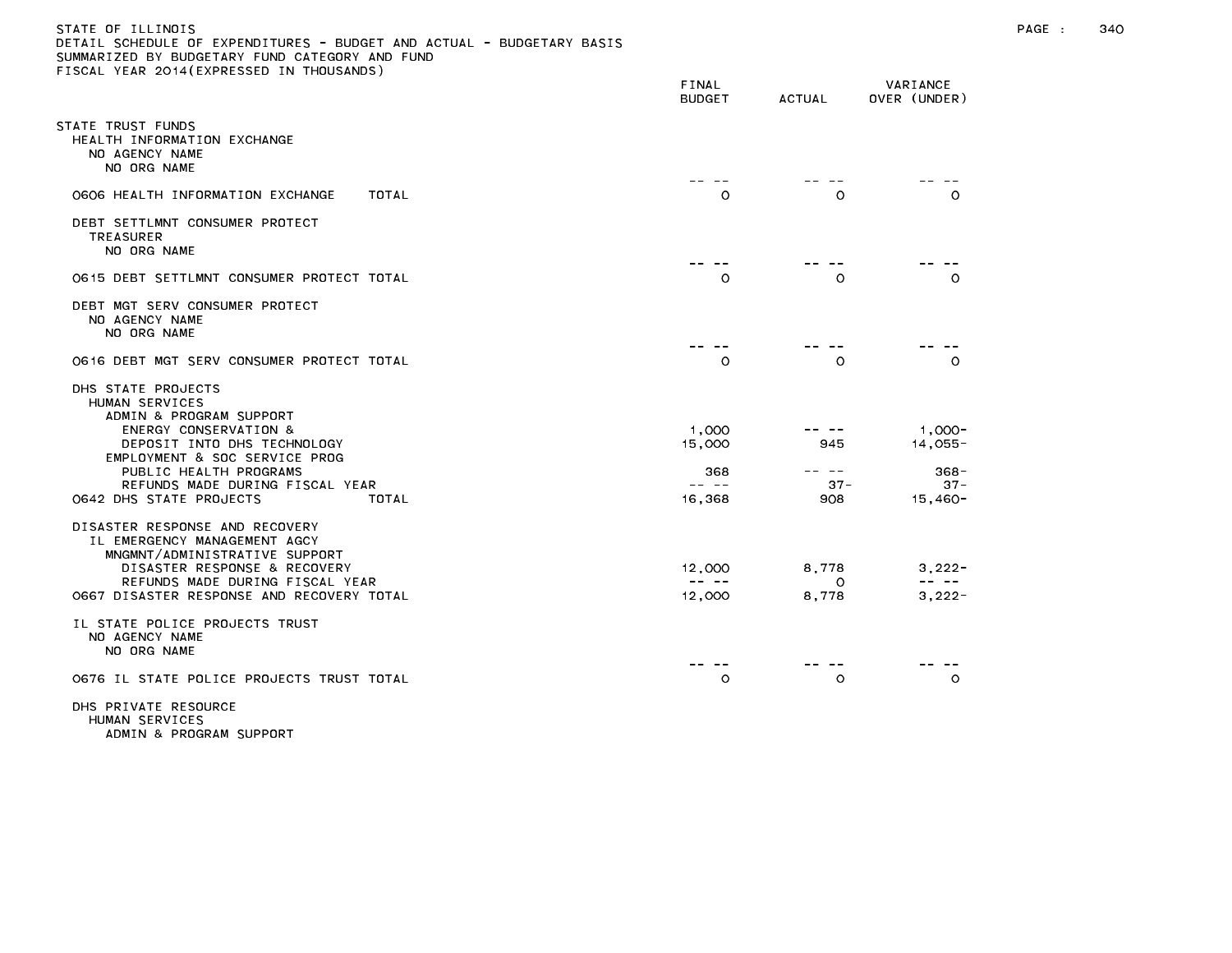# STATE OF ILLINOIS PAGE : 340 DETAIL SCHEDULE OF EXPENDITURES - BUDGET AND ACTUAL - BUDGETARY BASIS SUMMARIZED BY BUDGETARY FUND CATEGORY AND FUND FISCAL YEAR 2014(EXPRESSED IN THOUSANDS)

|                                                                                                                                                                                                                                                           | FINAL<br><b>BUDGET</b>                                                                                                                                                                                                                                                                                                                                                                                           | <b>ACTUAL</b>               | VARIANCE<br>OVER (UNDER)                                                                                                                                                                                                                                                                                                                                                                                             |
|-----------------------------------------------------------------------------------------------------------------------------------------------------------------------------------------------------------------------------------------------------------|------------------------------------------------------------------------------------------------------------------------------------------------------------------------------------------------------------------------------------------------------------------------------------------------------------------------------------------------------------------------------------------------------------------|-----------------------------|----------------------------------------------------------------------------------------------------------------------------------------------------------------------------------------------------------------------------------------------------------------------------------------------------------------------------------------------------------------------------------------------------------------------|
| STATE TRUST FUNDS<br>HEALTH INFORMATION EXCHANGE<br>NO AGENCY NAME<br>NO ORG NAME                                                                                                                                                                         |                                                                                                                                                                                                                                                                                                                                                                                                                  |                             |                                                                                                                                                                                                                                                                                                                                                                                                                      |
| 0606 HEALTH INFORMATION EXCHANGE<br>TOTAL                                                                                                                                                                                                                 | O                                                                                                                                                                                                                                                                                                                                                                                                                | $\circ$                     | $\circ$                                                                                                                                                                                                                                                                                                                                                                                                              |
| DEBT SETTLMNT CONSUMER PROTECT<br><b>TREASURER</b><br>NO ORG NAME                                                                                                                                                                                         |                                                                                                                                                                                                                                                                                                                                                                                                                  |                             |                                                                                                                                                                                                                                                                                                                                                                                                                      |
| 0615 DEBT SETTLMNT CONSUMER PROTECT TOTAL                                                                                                                                                                                                                 | -- --<br>$\circ$                                                                                                                                                                                                                                                                                                                                                                                                 | O                           | O                                                                                                                                                                                                                                                                                                                                                                                                                    |
| DEBT MGT SERV CONSUMER PROTECT<br>NO AGENCY NAME<br>NO ORG NAME                                                                                                                                                                                           |                                                                                                                                                                                                                                                                                                                                                                                                                  |                             |                                                                                                                                                                                                                                                                                                                                                                                                                      |
| 0616 DEBT MGT SERV CONSUMER PROTECT TOTAL                                                                                                                                                                                                                 | $\circ$                                                                                                                                                                                                                                                                                                                                                                                                          | $\circ$                     | $\circ$                                                                                                                                                                                                                                                                                                                                                                                                              |
| DHS STATE PROJECTS<br>HUMAN SERVICES<br>ADMIN & PROGRAM SUPPORT<br>ENERGY CONSERVATION &<br>DEPOSIT INTO DHS TECHNOLOGY<br>EMPLOYMENT & SOC SERVICE PROG<br>PUBLIC HEALTH PROGRAMS<br>REFUNDS MADE DURING FISCAL YEAR<br>0642 DHS STATE PROJECTS<br>TOTAL | 1,000<br>15,000<br>368<br>-- --<br>16,368                                                                                                                                                                                                                                                                                                                                                                        | 945<br>---<br>$37 -$<br>908 | $1.000 -$<br>$14,055-$<br>$368 -$<br>$37 -$<br>15,460-                                                                                                                                                                                                                                                                                                                                                               |
| DISASTER RESPONSE AND RECOVERY<br>IL EMERGENCY MANAGEMENT AGCY<br>MNGMNT/ADMINISTRATIVE SUPPORT<br>DISASTER RESPONSE & RECOVERY<br>REFUNDS MADE DURING FISCAL YEAR<br>0667 DISASTER RESPONSE AND RECOVERY TOTAL                                           | 12,000<br>$\frac{1}{2} \frac{1}{2} \frac{1}{2} \frac{1}{2} \frac{1}{2} \frac{1}{2} \frac{1}{2} \frac{1}{2} \frac{1}{2} \frac{1}{2} \frac{1}{2} \frac{1}{2} \frac{1}{2} \frac{1}{2} \frac{1}{2} \frac{1}{2} \frac{1}{2} \frac{1}{2} \frac{1}{2} \frac{1}{2} \frac{1}{2} \frac{1}{2} \frac{1}{2} \frac{1}{2} \frac{1}{2} \frac{1}{2} \frac{1}{2} \frac{1}{2} \frac{1}{2} \frac{1}{2} \frac{1}{2} \frac{$<br>12,000 | 8,778<br>$\circ$<br>8,778   | $3,222-$<br>$\frac{1}{2} \frac{1}{2} \frac{1}{2} \frac{1}{2} \frac{1}{2} \frac{1}{2} \frac{1}{2} \frac{1}{2} \frac{1}{2} \frac{1}{2} \frac{1}{2} \frac{1}{2} \frac{1}{2} \frac{1}{2} \frac{1}{2} \frac{1}{2} \frac{1}{2} \frac{1}{2} \frac{1}{2} \frac{1}{2} \frac{1}{2} \frac{1}{2} \frac{1}{2} \frac{1}{2} \frac{1}{2} \frac{1}{2} \frac{1}{2} \frac{1}{2} \frac{1}{2} \frac{1}{2} \frac{1}{2} \frac{$<br>$3,222-$ |
| IL STATE POLICE PROJECTS TRUST<br>NO AGENCY NAME<br>NO ORG NAME                                                                                                                                                                                           |                                                                                                                                                                                                                                                                                                                                                                                                                  |                             |                                                                                                                                                                                                                                                                                                                                                                                                                      |
| O676 IL STATE POLICE PROJECTS TRUST TOTAL                                                                                                                                                                                                                 | $\circ$                                                                                                                                                                                                                                                                                                                                                                                                          | $\circ$                     | $\circ$                                                                                                                                                                                                                                                                                                                                                                                                              |
| DHS PRIVATE RESOURCE<br>HUMAN SERVICES                                                                                                                                                                                                                    |                                                                                                                                                                                                                                                                                                                                                                                                                  |                             |                                                                                                                                                                                                                                                                                                                                                                                                                      |

ADMIN & PROGRAM SUPPORT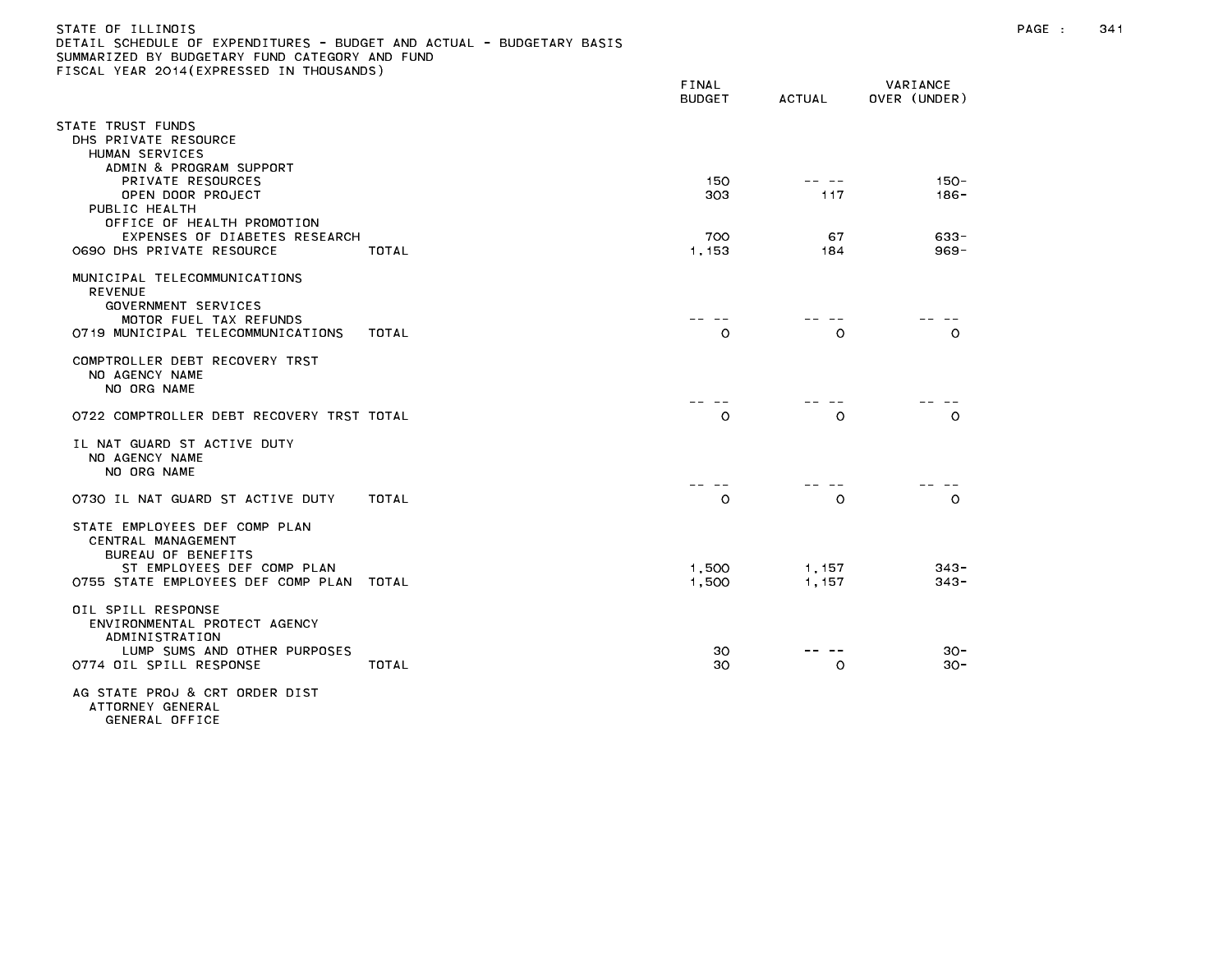| CIAIL SUMEDULE UN EAMENDITURES - DUDGET AND AUTUAL<br>UMMARIZED BY BUDGETARY FUND CATEGORY AND FUND:                                                | CICAG IARI DASIS |                        |                |                          |
|-----------------------------------------------------------------------------------------------------------------------------------------------------|------------------|------------------------|----------------|--------------------------|
| ISCAL YEAR 2014(EXPRESSED IN THOUSANDS)                                                                                                             |                  | <b>FINAL</b><br>BUDGET | ACTUAL         | VARIANCE<br>OVER (UNDER) |
| TATE TRUST FUNDS<br>DHS PRIVATE RESOURCE<br>HUMAN SERVICES                                                                                          |                  |                        |                |                          |
| ADMIN & PROGRAM SUPPORT<br>PRIVATE RESOURCES<br>OPEN DOOR PROJECT<br>PUBLIC HEALTH                                                                  |                  | 150<br>303             | -- --<br>117   | $150 -$<br>$186 -$       |
| OFFICE OF HEALTH PROMOTION<br>EXPENSES OF DIABETES RESEARCH<br>0690 DHS PRIVATE RESOURCE                                                            | TOTAL            | 700<br>1,153           | 67<br>184      | $633 -$<br>$969 -$       |
| MUNICIPAL TELECOMMUNICATIONS<br><b>REVENUE</b><br>GOVERNMENT SERVICES<br>MOTOR FUEL TAX REFUNDS<br>0719 MUNICIPAL TELECOMMUNICATIONS                | TOTAL            | $\circ$                | O              | $\circ$                  |
| COMPTROLLER DEBT RECOVERY TRST<br>NO AGENCY NAME<br>NO ORG NAME                                                                                     |                  |                        |                |                          |
| 0722 COMPTROLLER DEBT RECOVERY TRST TOTAL                                                                                                           |                  | $\circ$                | O              | $\circ$                  |
| IL NAT GUARD ST ACTIVE DUTY<br>NO AGENCY NAME<br>NO ORG NAME                                                                                        |                  |                        |                |                          |
| 0730 IL NAT GUARD ST ACTIVE DUTY                                                                                                                    | TOTAL            | $\circ$                | $\circ$        | $\circ$                  |
| STATE EMPLOYEES DEF COMP PLAN<br>CENTRAL MANAGEMENT<br>BUREAU OF BENEFITS<br>ST EMPLOYEES DEF COMP PLAN<br>0755 STATE EMPLOYEES DEF COMP PLAN TOTAL |                  | 1,500<br>1,500         | 1,157<br>1.157 | $343 -$<br>$343 -$       |
|                                                                                                                                                     |                  |                        |                |                          |
| OIL SPILL RESPONSE<br>ENVIRONMENTAL PROTECT AGENCY<br>ADMINISTRATION<br>LUMP SUMS AND OTHER PURPOSES<br>0774 OIL SPILL RESPONSE                     | TOTAL            | 30<br>30               | O              | $30 -$<br>$30 -$         |
| AG STATE PROJ & CRT ORDER DIST                                                                                                                      |                  |                        |                |                          |

ATTORNEY GENERAL GENERAL OFFICE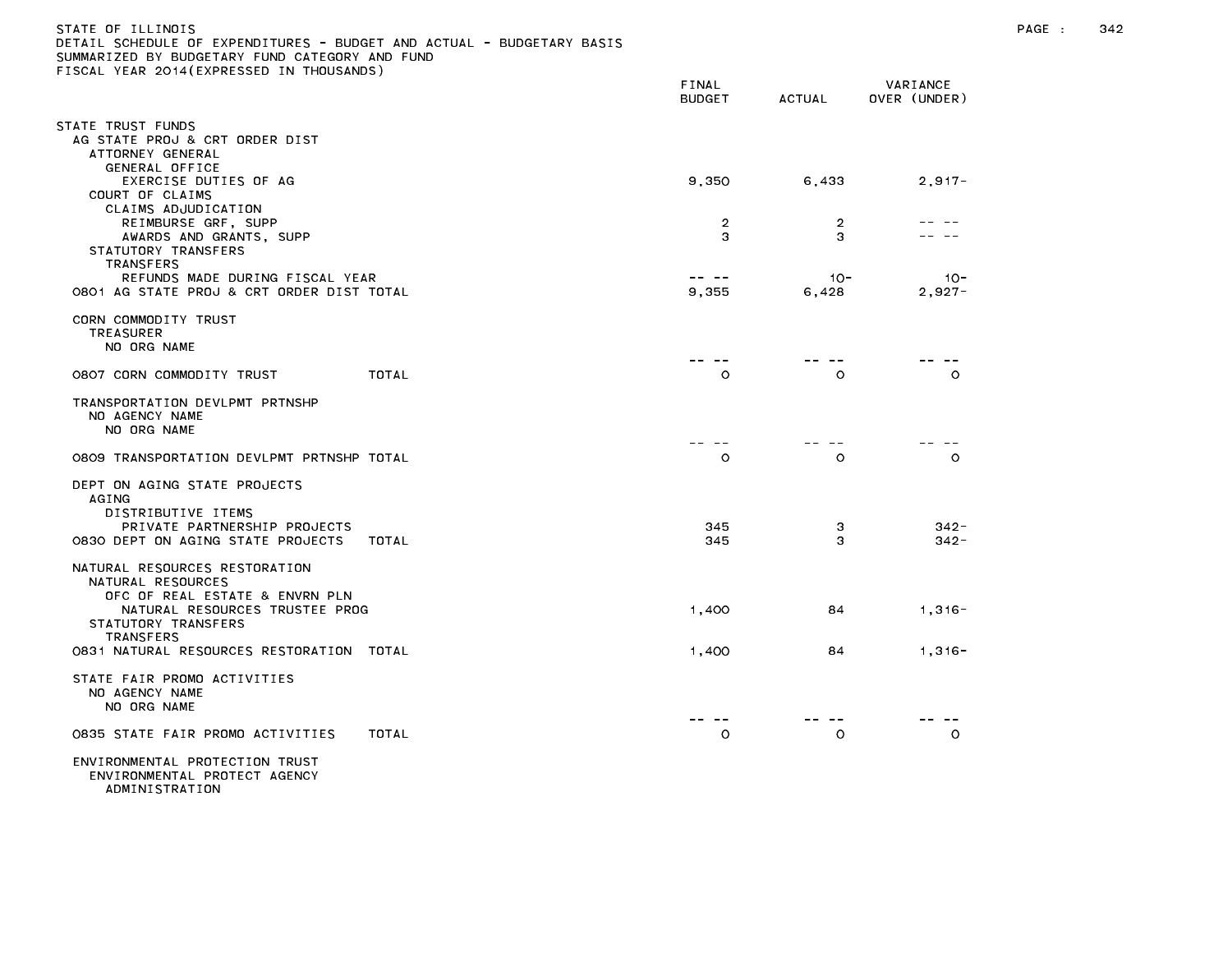| ETAIL SCHEDULE OF EXPENDITURES - BUDGET AND ACTUAL - BUDGETARY BASIS<br>UMMARIZED BY BUDGETARY FUND CATEGORY AND FUND<br>ISCAL YEAR 2014(EXPRESSED IN THOUSANDS) |                        |                                  |                          |
|------------------------------------------------------------------------------------------------------------------------------------------------------------------|------------------------|----------------------------------|--------------------------|
|                                                                                                                                                                  | FINAL<br><b>BUDGET</b> | ACTUAL                           | VARIANCE<br>OVER (UNDER) |
| TATE TRUST FUNDS                                                                                                                                                 |                        |                                  |                          |
| AG STATE PROJ & CRT ORDER DIST<br>ATTORNEY GENERAL<br>GENERAL OFFICE                                                                                             |                        |                                  |                          |
| EXERCISE DUTIES OF AG<br>COURT OF CLAIMS                                                                                                                         | 9,350                  | 6,433                            | $2,917 -$                |
| CLAIMS ADJUDICATION<br>REIMBURSE GRF, SUPP<br>AWARDS AND GRANTS, SUPP                                                                                            |                        | $\overline{2}$<br>2<br>3<br>3    |                          |
| STATUTORY TRANSFERS<br>TRANSFERS                                                                                                                                 |                        |                                  |                          |
| REFUNDS MADE DURING FISCAL YEAR<br>0801 AG STATE PROJ & CRT ORDER DIST TOTAL                                                                                     | -- --<br>9,355         | $10 -$<br>6.428                  | $10 -$<br>$2,927-$       |
| CORN COMMODITY TRUST<br><b>TREASURER</b><br>NO ORG NAME                                                                                                          |                        |                                  |                          |
| 0807 CORN COMMODITY TRUST                                                                                                                                        | TOTAL                  | $\sim$ $-$<br>$\circ$<br>$\circ$ | $\circ$                  |
| TRANSPORTATION DEVLPMT PRTNSHP<br>NO AGENCY NAME<br>NO ORG NAME                                                                                                  |                        |                                  |                          |
| 0809 TRANSPORTATION DEVLPMT PRTNSHP TOTAL                                                                                                                        |                        | $\circ$<br>$\circ$               | $\circ$                  |
| DEPT ON AGING STATE PROJECTS<br>AGING<br>DISTRIBUTIVE ITEMS                                                                                                      |                        |                                  |                          |
| PRIVATE PARTNERSHIP PROJECTS<br>0830 DEPT ON AGING STATE PROJECTS                                                                                                | TOTAL                  | 345<br>3<br>3<br>345             | $342 -$<br>$342 -$       |
| NATURAL RESOURCES RESTORATION<br>NATURAL RESOURCES                                                                                                               |                        |                                  |                          |
| OFC OF REAL ESTATE & ENVRN PLN<br>NATURAL RESOURCES TRUSTEE PROG<br>STATUTORY TRANSFERS<br>TRANSFERS                                                             | 1,400                  | 84                               | $1,316-$                 |
| 0831 NATURAL RESOURCES RESTORATION TOTAL                                                                                                                         | 1,400                  | 84                               | $1,316-$                 |
| STATE FAIR PROMO ACTIVITIES<br>NO AGENCY NAME<br>NO ORG NAME                                                                                                     |                        |                                  |                          |
| 0835 STATE FAIR PROMO ACTIVITIES                                                                                                                                 | TOTAL                  | $\circ$<br>O                     | $\circ$                  |
| ENVIRONMENTAL PROTECTION TRUST                                                                                                                                   |                        |                                  |                          |

ENVIRONMENTAL PROTECT AGENCY

ADMINISTRATION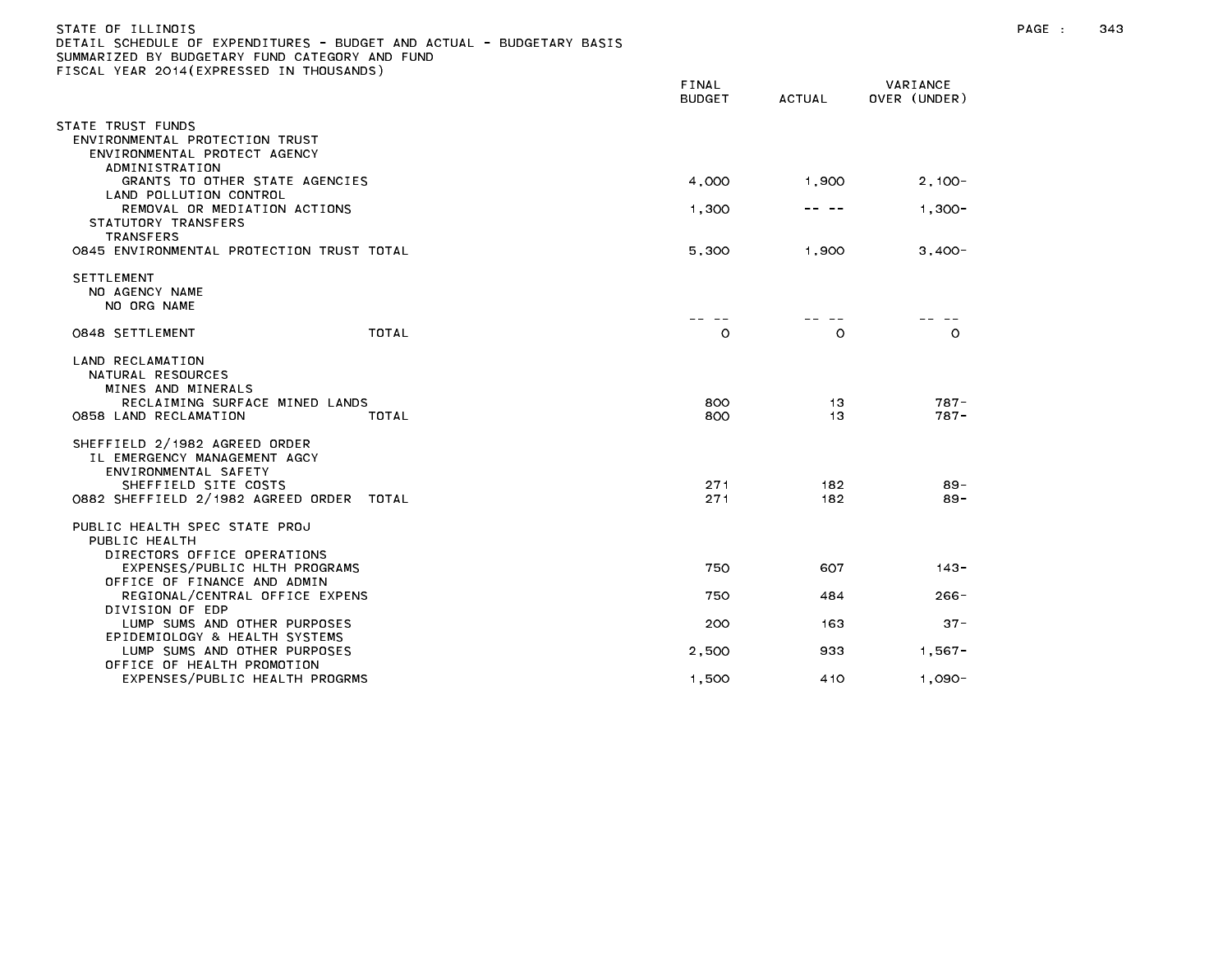| STATE OF ILLINOIS<br>DETAIL SCHEDULE OF EXPENDITURES - BUDGET AND ACTUAL - BUDGETARY BASIS<br>SUMMARIZED BY BUDGETARY FUND CATEGORY AND FUND<br>FISCAL YEAR 2014 (EXPRESSED IN THOUSANDS) |                        |            |                          | PAGE : | 343 |
|-------------------------------------------------------------------------------------------------------------------------------------------------------------------------------------------|------------------------|------------|--------------------------|--------|-----|
|                                                                                                                                                                                           | FINAL<br><b>BUDGET</b> | ACTUAL     | VARIANCE<br>OVER (UNDER) |        |     |
| STATE TRUST FUNDS<br>ENVIRONMENTAL PROTECTION TRUST<br>ENVIRONMENTAL PROTECT AGENCY<br>ADMINISTRATION                                                                                     |                        |            |                          |        |     |
| GRANTS TO OTHER STATE AGENCIES                                                                                                                                                            | 4,000                  | 1.900      | $2.100 -$                |        |     |
| LAND POLLUTION CONTROL<br>REMOVAL OR MEDIATION ACTIONS<br>STATUTORY TRANSFERS                                                                                                             | 1,300                  | -- --      | $1,300-$                 |        |     |
| TRANSFERS<br>0845 ENVIRONMENTAL PROTECTION TRUST TOTAL                                                                                                                                    | 5,300                  | 1,900      | $3,400-$                 |        |     |
| <b>SETTLEMENT</b><br>NO AGENCY NAME<br>NO ORG NAME                                                                                                                                        |                        |            |                          |        |     |
| TOTAL<br>0848 SETTLEMENT                                                                                                                                                                  | $\circ$                | $\circ$    | $\circ$                  |        |     |
| LAND RECLAMATION<br>NATURAL RESOURCES<br>MINES AND MINERALS                                                                                                                               |                        |            |                          |        |     |
| RECLAIMING SURFACE MINED LANDS<br>0858 LAND RECLAMATION<br>TOTAL                                                                                                                          | 800<br>800             | -13<br>13  | $787 -$<br>$787 -$       |        |     |
| SHEFFIELD 2/1982 AGREED ORDER<br>IL EMERGENCY MANAGEMENT AGCY<br>ENVIRONMENTAL SAFETY                                                                                                     |                        |            |                          |        |     |
| SHEFFIELD SITE COSTS<br>0882 SHEFFIELD 2/1982 AGREED ORDER TOTAL                                                                                                                          | 271<br>271             | 182<br>182 | $89 -$<br>$89 -$         |        |     |
| PUBLIC HEALTH SPEC STATE PROJ<br>PUBLIC HEALTH<br>DIRECTORS OFFICE OPERATIONS                                                                                                             |                        |            |                          |        |     |

EXPENSES/PUBLIC HLTH PROGRAMS 750 607 143-

REGIONAL/CENTRAL OFFICE EXPENS AND REGIONAL AND REGIONAL AND REGIONAL ASSAULT AND REGIONAL ASSAULT AND REGIONAL

LUMP SUMS AND OTHER PURPOSES 200 163 37-

LUMP SUMS AND OTHER PURPOSES 2,500 933 1,567-

EXPENSES/PUBLIC HEALTH PROGRMS 1,500 410 1,090-

OFFICE OF FINANCE AND ADMIN

EPIDEMIOLOGY & HEALTH SYSTEMS

OFFICE OF HEALTH PROMOTION

DIVISION OF EDP